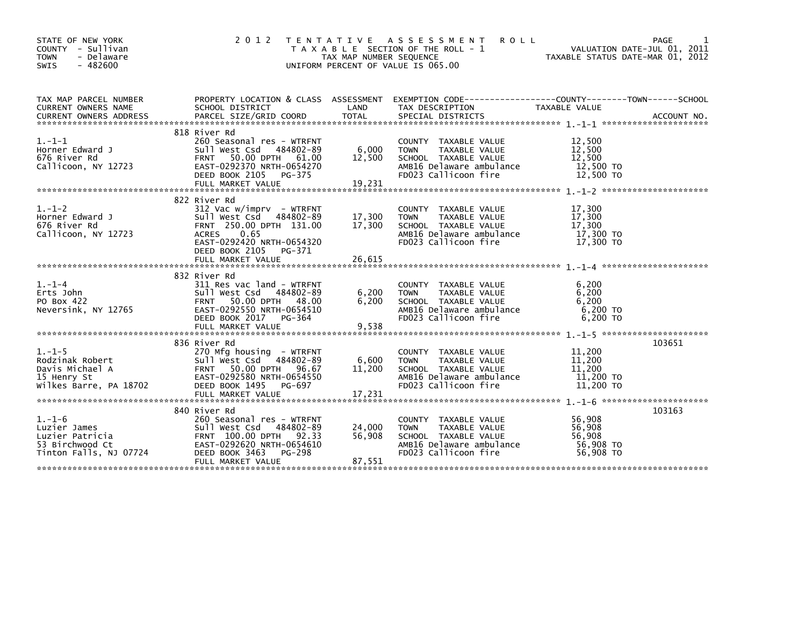| STATE OF NEW YORK<br>COUNTY - Sullivan<br>- Delaware<br><b>TOWN</b><br><b>SWIS</b><br>$-482600$ | 2 0 1 2<br>T E N T A T I V E                                                                                                                                                                              | TAX MAP NUMBER SEQUENCE    | A S S E S S M E N T<br><b>ROLL</b><br>T A X A B L E SECTION OF THE ROLL - 1<br>UNIFORM PERCENT OF VALUE IS 065.00                | TAXABLE STATUS DATE-MAR 01, 2012                     | PAGE<br>VALUATION DATE-JUL 01, 2011 |
|-------------------------------------------------------------------------------------------------|-----------------------------------------------------------------------------------------------------------------------------------------------------------------------------------------------------------|----------------------------|----------------------------------------------------------------------------------------------------------------------------------|------------------------------------------------------|-------------------------------------|
| TAX MAP PARCEL NUMBER<br><b>CURRENT OWNERS NAME</b>                                             | SCHOOL DISTRICT                                                                                                                                                                                           | LAND                       | PROPERTY LOCATION & CLASS ASSESSMENT EXEMPTION CODE----------------COUNTY-------TOWN------SCHOOL<br>TAX DESCRIPTION              | TAXABLE VALUE                                        |                                     |
| $1. - 1 - 1$<br>Horner Edward J<br>676 River Rd<br>Callicoon, NY 12723                          | 818 River Rd<br>260 Seasonal res - WTRFNT<br>Sull West Csd 484802-89<br>50.00 DPTH 61.00<br><b>FRNT</b><br>EAST-0292370 NRTH-0654270<br>DEED BOOK 2105<br>PG-375<br>FULL MARKET VALUE                     | 6,000<br>12,500<br>19,231  | COUNTY TAXABLE VALUE<br><b>TOWN</b><br>TAXABLE VALUE<br>SCHOOL TAXABLE VALUE<br>AMB16 Delaware ambulance<br>FD023 Callicoon fire | 12,500<br>12,500<br>12,500<br>12,500 TO<br>12,500 TO |                                     |
| $1.-1-2$<br>Horner Edward J<br>676 River Rd<br>Callicoon, NY 12723                              | 822 River Rd<br>$312$ Vac w/imprv - WTRFNT<br>Sull West Csd<br>484802-89<br>FRNT 250.00 DPTH 131.00<br><b>ACRES</b><br>0.65<br>EAST-0292420 NRTH-0654320<br>DEED BOOK 2105<br>PG-371<br>FULL MARKET VALUE | 17,300<br>17,300<br>26,615 | COUNTY TAXABLE VALUE<br>TAXABLE VALUE<br><b>TOWN</b><br>SCHOOL TAXABLE VALUE<br>AMB16 Delaware ambulance<br>FD023 Callicoon fire | 17,300<br>17,300<br>17,300<br>17,300 TO<br>17,300 TO |                                     |
| $1. - 1 - 4$<br>Erts John<br>PO Box 422<br>Neversink, NY 12765                                  | 832 River Rd<br>311 Res vac land - WTRFNT<br>Sull West Csd 484802-89<br>50.00 DPTH 48.00<br><b>FRNT</b><br>EAST-0292550 NRTH-0654510<br>DEED BOOK 2017<br>PG-364<br>FULL MARKET VALUE                     | 6,200<br>6,200<br>9,538    | COUNTY TAXABLE VALUE<br>TAXABLE VALUE<br><b>TOWN</b><br>SCHOOL TAXABLE VALUE<br>AMB16 Delaware ambulance<br>FD023 Callicoon fire | 6,200<br>6.200<br>6,200<br>$6.200$ TO<br>6.200 TO    |                                     |
| $1. - 1 - 5$<br>Rodzinak Robert<br>Davis Michael A<br>15 Henry St<br>Wilkes Barre, PA 18702     | 836 River Rd<br>270 Mfg housing - WTRFNT<br>Sull West Csd 484802-89<br>50.00 DPTH<br><b>FRNT</b><br>96.67<br>EAST-0292580 NRTH-0654550<br>DEED BOOK 1495<br>PG-697                                        | 6,600<br>11,200            | COUNTY TAXABLE VALUE<br><b>TOWN</b><br>TAXABLE VALUE<br>SCHOOL TAXABLE VALUE<br>AMB16 Delaware ambulance<br>FD023 Callicoon fire | 11,200<br>11,200<br>11,200<br>11,200 TO<br>11,200 TO | 103651                              |
| $1. - 1 - 6$<br>Luzier James<br>Luzier Patricia<br>53 Birchwood Ct<br>Tinton Falls, NJ 07724    | 840 River Rd<br>260 Seasonal res - WTRFNT<br>Sull West Csd<br>484802-89<br>FRNT 100.00 DPTH 92.33<br>EAST-0292620 NRTH-0654610<br>DEED BOOK 3463<br>PG-298<br>FULL MARKET VALUE                           | 24,000<br>56,908<br>87,551 | COUNTY TAXABLE VALUE<br>TAXABLE VALUE<br><b>TOWN</b><br>SCHOOL TAXABLE VALUE<br>AMB16 Delaware ambulance<br>FD023 Callicoon fire | 56,908<br>56,908<br>56,908<br>56,908 TO<br>56,908 TO | 103163                              |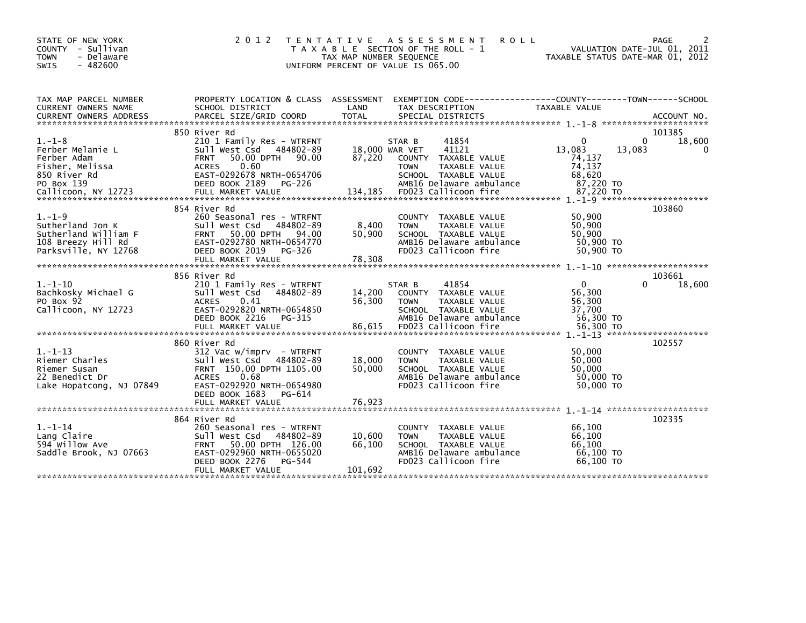| STATE OF NEW YORK<br>COUNTY - Sullivan<br>- Delaware<br><b>TOWN</b><br>$-482600$<br><b>SWIS</b>        | 2 0 1 2                                                                                                                                                                                | TAX MAP NUMBER SEQUENCE     | TENTATIVE ASSESSMENT<br><b>ROLL</b><br>T A X A B L E SECTION OF THE ROLL - 1<br>UNIFORM PERCENT OF VALUE IS 065.00                             | VALUATION DATE-JUL 01, 2011<br>TAXABLE STATUS DATE-MAR 01, 2012                                  | PAGE               |
|--------------------------------------------------------------------------------------------------------|----------------------------------------------------------------------------------------------------------------------------------------------------------------------------------------|-----------------------------|------------------------------------------------------------------------------------------------------------------------------------------------|--------------------------------------------------------------------------------------------------|--------------------|
| TAX MAP PARCEL NUMBER<br>CURRENT OWNERS NAME                                                           | SCHOOL DISTRICT                                                                                                                                                                        | LAND                        | PROPERTY LOCATION & CLASS ASSESSMENT EXEMPTION CODE----------------COUNTY-------TOWN------SCHOOL<br>TAX DESCRIPTION                            | TAXABLE VALUE                                                                                    |                    |
|                                                                                                        |                                                                                                                                                                                        |                             |                                                                                                                                                |                                                                                                  |                    |
|                                                                                                        | 850 River Rd                                                                                                                                                                           |                             |                                                                                                                                                |                                                                                                  | 101385             |
| $1. - 1 - 8$<br>Ferber Melanie L<br>Ferber Adam<br>Fisher, Melissa<br>850 River Rd<br>PO Box 139       | 210 1 Family Res - WTRFNT<br>Sull West Csd 484802-89<br>50.00 DPTH 90.00<br><b>FRNT</b><br>0.60<br><b>ACRES</b><br>EAST-0292678 NRTH-0654706<br>DEED BOOK 2189<br>PG-226               | 18,000 WAR VET<br>87,220    | 41854<br>STAR B<br>41121<br><b>COUNTY</b><br>TAXABLE VALUE<br><b>TOWN</b><br>TAXABLE VALUE<br>SCHOOL TAXABLE VALUE<br>AMB16 Delaware ambulance | $\Omega$<br>$\Omega$<br>13,083<br>13,083<br>74,137<br>74,137<br>68,620<br>87,220 TO<br>87,220 TO | 18,600<br>$\Omega$ |
|                                                                                                        | 854 River Rd                                                                                                                                                                           |                             |                                                                                                                                                | $1. - 1 - 9$ ***********************                                                             | 103860             |
| $1. - 1 - 9$<br>Sutherland Jon K<br>Sutherland William F<br>108 Breezy Hill Rd<br>Parksville, NY 12768 | 260 Seasonal res - WTRFNT<br>Sull West Csd 484802-89<br>50.00 DPTH 94.00<br><b>FRNT</b><br>EAST-0292780 NRTH-0654770<br>DEED BOOK 2019<br>PG-326                                       | 8,400<br>50,900             | COUNTY TAXABLE VALUE<br><b>TOWN</b><br>TAXABLE VALUE<br>SCHOOL TAXABLE VALUE<br>AMB16 Delaware ambulance<br>FD023 Callicoon fire               | 50,900<br>50,900<br>50.900<br>50,900 TO<br>50.900 TO                                             |                    |
|                                                                                                        |                                                                                                                                                                                        |                             |                                                                                                                                                |                                                                                                  |                    |
| $1. - 1 - 10$<br>Bachkosky Michael G<br>PO Box 92<br>Callicoon, NY 12723                               | 856 River Rd<br>210 1 Family Res - WTRFNT<br>Sull West Csd<br>484802-89<br>0.41<br><b>ACRES</b><br>EAST-0292820 NRTH-0654850<br>DEED BOOK 2216<br>PG-315                               | 14,200<br>56,300            | 41854<br>STAR B<br><b>COUNTY</b><br>TAXABLE VALUE<br>TAXABLE VALUE<br><b>TOWN</b><br>SCHOOL TAXABLE VALUE<br>AMB16 Delaware ambulance          | $\Omega$<br><sup>0</sup><br>56,300<br>56,300<br>37,700<br>56,300 TO                              | 103661<br>18,600   |
|                                                                                                        | 860 River Rd                                                                                                                                                                           |                             |                                                                                                                                                |                                                                                                  | 102557             |
| $1. - 1 - 13$<br>Riemer Charles<br>Riemer Susan<br>22 Benedict Dr<br>Lake Hopatcong, NJ 07849          | 312 Vac w/imprv - WTRFNT<br>Sull West Csd<br>484802-89<br>FRNT 150.00 DPTH 1105.00<br><b>ACRES</b><br>0.68<br>EAST-0292920 NRTH-0654980<br>DEED BOOK 1683<br>PG-614                    | 18,000<br>50,000            | <b>COUNTY</b><br>TAXABLE VALUE<br>TAXABLE VALUE<br><b>TOWN</b><br>SCHOOL TAXABLE VALUE<br>AMB16 Delaware ambulance<br>FD023 Callicoon fire     | 50,000<br>50,000<br>50,000<br>50,000 TO<br>50,000 TO                                             |                    |
|                                                                                                        |                                                                                                                                                                                        |                             |                                                                                                                                                |                                                                                                  |                    |
|                                                                                                        |                                                                                                                                                                                        |                             |                                                                                                                                                |                                                                                                  |                    |
| $1. - 1 - 14$<br>Lang Claire<br>594 Willow Ave<br>Saddle Brook, NJ 07663                               | 864 River Rd<br>260 Seasonal res - WTRFNT<br>Sull West Csd 484802-89<br>50.00 DPTH 126.00<br><b>FRNT</b><br>EAST-0292960 NRTH-0655020<br>DEED BOOK 2276<br>PG-544<br>FULL MARKET VALUE | 10,600<br>66,100<br>101,692 | TAXABLE VALUE<br><b>COUNTY</b><br>TAXABLE VALUE<br><b>TOWN</b><br>SCHOOL TAXABLE VALUE<br>AMB16 Delaware ambulance<br>FD023 Callicoon fire     | 66,100<br>66.100<br>66,100<br>66,100 TO<br>66,100 TO                                             | 102335             |
|                                                                                                        |                                                                                                                                                                                        |                             |                                                                                                                                                |                                                                                                  |                    |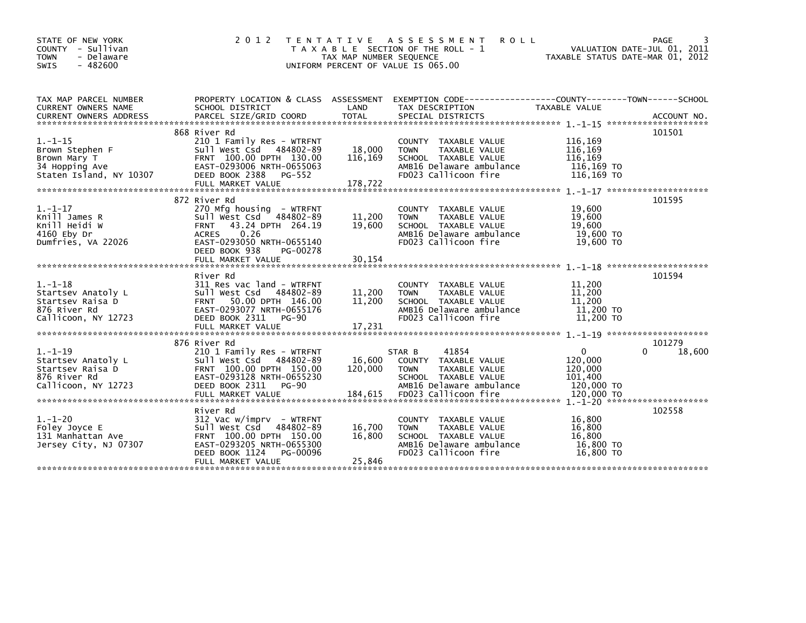| STATE OF NEW YORK<br>COUNTY - Sullivan<br>- Delaware<br><b>TOWN</b><br>$-482600$<br><b>SWIS</b> | 2 0 1 2                                                                                                                                                                                                           | T E N T A T I V E<br>TAX MAP NUMBER SEQUENCE | A S S E S S M E N T<br><b>ROLL</b><br>T A X A B L E SECTION OF THE ROLL - 1<br>UNIFORM PERCENT OF VALUE IS 065.00                       | VALUATION DATE-JUL 01, 2011<br>TAXABLE STATUS DATE-MAR 01, 2012 | PAGE<br>3        |
|-------------------------------------------------------------------------------------------------|-------------------------------------------------------------------------------------------------------------------------------------------------------------------------------------------------------------------|----------------------------------------------|-----------------------------------------------------------------------------------------------------------------------------------------|-----------------------------------------------------------------|------------------|
| TAX MAP PARCEL NUMBER<br>CURRENT OWNERS NAME<br><b>CURRENT OWNERS ADDRESS</b>                   | SCHOOL DISTRICT<br>PARCEL SIZE/GRID COORD                                                                                                                                                                         | LAND<br><b>TOTAL</b>                         | PROPERTY LOCATION & CLASS ASSESSMENT EXEMPTION CODE---------------COUNTY-------TOWN------SCHOOL<br>TAX DESCRIPTION<br>SPECIAL DISTRICTS | TAXABLE VALUE                                                   | ACCOUNT NO.      |
| $1. - 1 - 15$<br>Brown Stephen F<br>Brown Mary T<br>34 Hopping Ave<br>Staten Island, NY 10307   | 868 River Rd<br>210 1 Family Res - WTRFNT<br>Sull West Csd 484802-89<br>FRNT 100.00 DPTH 130.00<br>EAST-0293006 NRTH-0655063<br>DEED BOOK 2388 PG-552                                                             | 18,000<br>116,169                            | COUNTY TAXABLE VALUE<br>TAXABLE VALUE<br><b>TOWN</b><br>SCHOOL TAXABLE VALUE<br>AMB16 Delaware ambulance<br>FD023 Callicoon fire        | 116,169<br>116,169<br>116,169<br>116,169 TO<br>116,169 TO       | 101501           |
| $1. - 1 - 17$<br>Knill James R<br>Knill Heidi W<br>4160 Eby Dr<br>Dumfries, VA 22026            | 872 River Rd<br>270 Mfg housing - WTRFNT<br>Sull West Csd<br>484802-89<br>43.24 DPTH 264.19<br><b>FRNT</b><br>0.26<br><b>ACRES</b><br>EAST-0293050 NRTH-0655140<br>DEED BOOK 938<br>PG-00278<br>FULL MARKET VALUE | 11,200<br>19,600<br>30,154                   | COUNTY TAXABLE VALUE<br>TAXABLE VALUE<br><b>TOWN</b><br>SCHOOL TAXABLE VALUE<br>AMB16 Delaware ambulance<br>FD023 Callicoon fire        | 19,600<br>19,600<br>19,600<br>19,600 TO<br>19,600 TO            | 101595           |
| $1. - 1 - 18$<br>Startsev Anatoly L<br>Startsev Raisa D<br>876 River Rd<br>Callicoon, NY 12723  | River Rd<br>311 Res vac land - WTRFNT<br>Sull West Csd 484802-89<br>50.00 DPTH 146.00<br><b>FRNT</b><br>EAST-0293077 NRTH-0655176<br>DEED BOOK 2311<br>PG-90<br>FULL MARKET VALUE                                 | 11,200<br>11,200<br>17,231                   | COUNTY TAXABLE VALUE<br>TAXABLE VALUE<br><b>TOWN</b><br>SCHOOL TAXABLE VALUE<br>AMB16 Delaware ambulance<br>FD023 Callicoon fire        | 11,200<br>11,200<br>11,200<br>11,200 TO<br>11,200 TO            | 101594           |
| $1. - 1 - 19$<br>Startsev Anatoly L<br>Startsev Raisa D<br>876 River Rd<br>Callicoon, NY 12723  | 876 River Rd<br>210 1 Family Res - WTRFNT<br>Sull West Csd 484802-89<br>FRNT 100.00 DPTH 150.00<br>EAST-0293128 NRTH-0655230<br>DEED BOOK 2311<br><b>PG-90</b>                                                    | 16,600<br>120,000                            | 41854<br>STAR B<br>COUNTY TAXABLE VALUE<br><b>TOWN</b><br>TAXABLE VALUE<br>SCHOOL TAXABLE VALUE<br>AMB16 Delaware ambulance             | 0<br>120,000<br>120,000<br>101,400<br>120,000 TO                | 101279<br>18,600 |
| $1. - 1 - 20$<br>Foley Joyce E<br>131 Manhattan Ave<br>Jersey City, NJ 07307                    | River Rd<br>$312$ Vac w/imprv - WTRFNT<br>Sull West Csd<br>484802-89<br>FRNT 100.00 DPTH 150.00<br>EAST-0293205 NRTH-0655300<br>DEED BOOK 1124<br>PG-00096<br>FULL MARKET VALUE                                   | 16,700<br>16,800<br>25,846                   | COUNTY TAXABLE VALUE<br>TAXABLE VALUE<br><b>TOWN</b><br>SCHOOL TAXABLE VALUE<br>AMB16 Delaware ambulance<br>FD023 Callicoon fire        | 16,800<br>16,800<br>16,800<br>16,800 TO<br>16,800 TO            | 102558           |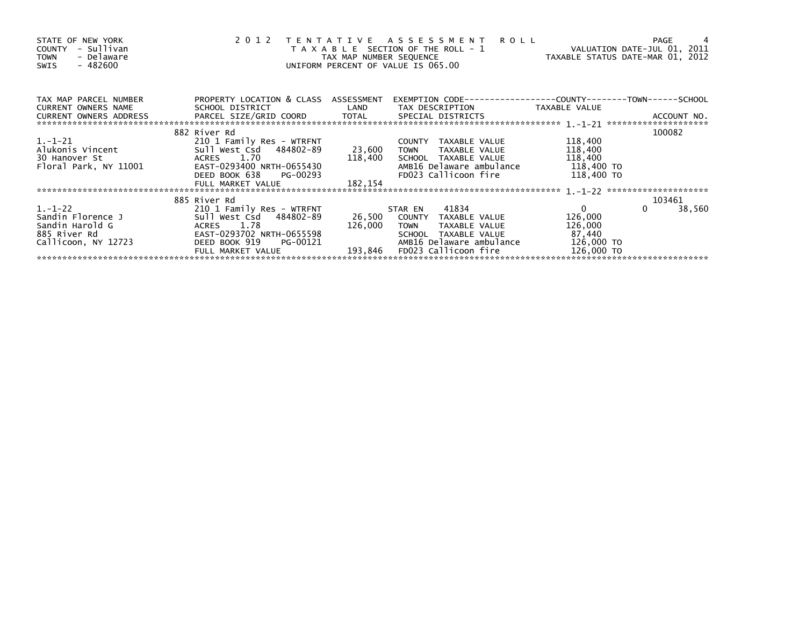| STATE OF NEW YORK<br>- Sullivan<br>COUNTY<br>- Delaware<br><b>TOWN</b><br>- 482600<br>SWIS | 2012                                 | TAX MAP NUMBER SEQUENCE<br>UNIFORM PERCENT OF VALUE IS 065.00 | TENTATIVE ASSESSMENT<br><b>ROLL</b><br>T A X A B L E SECTION OF THE ROLL - 1 | VALUATION DATE-JUL 01, 2011<br>TAXABLE STATUS DATE-MAR 01, 2012 | -4<br>PAGE         |
|--------------------------------------------------------------------------------------------|--------------------------------------|---------------------------------------------------------------|------------------------------------------------------------------------------|-----------------------------------------------------------------|--------------------|
| TAX MAP PARCEL NUMBER                                                                      | PROPERTY LOCATION & CLASS ASSESSMENT |                                                               |                                                                              |                                                                 |                    |
| <b>CURRENT OWNERS NAME</b>                                                                 | SCHOOL DISTRICT                      | LAND                                                          | TAX DESCRIPTION                                                              | TAXABLE VALUE                                                   |                    |
| CURRENT OWNERS ADDRESS                                                                     |                                      |                                                               |                                                                              |                                                                 |                    |
|                                                                                            | 882 River Rd                         |                                                               |                                                                              |                                                                 | 100082             |
| $1.-1-21$                                                                                  | 210 1 Family Res - WTRFNT            |                                                               | COUNTY TAXABLE VALUE                                                         | 118,400                                                         |                    |
| Alukonis Vincent                                                                           | Sull West Csd 484802-89              | 23,600                                                        | <b>TOWN</b><br>TAXABLE VALUE                                                 | 118,400                                                         |                    |
| 30 Hanover St                                                                              | ACRES 1.70                           |                                                               | 118,400 SCHOOL TAXABLE VALUE                                                 | 118,400                                                         |                    |
| Floral Park, NY 11001                                                                      | EAST-0293400 NRTH-0655430            |                                                               | AMB16 Delaware ambulance                                                     | 118,400 TO                                                      |                    |
|                                                                                            | DEED BOOK 638<br>PG-00293            |                                                               | FD023 Callicoon fire                                                         | 118,400 TO                                                      |                    |
|                                                                                            | FULL MARKET VALUE                    | 182,154                                                       |                                                                              |                                                                 |                    |
|                                                                                            | 885 River Rd                         |                                                               |                                                                              |                                                                 | 103461             |
| $1.-1-22$                                                                                  | 210 1 Family Res - WTRFNT            |                                                               | 41834<br>STAR EN                                                             | $\Omega$                                                        | $\Omega$<br>38,560 |
| Sandin Florence J                                                                          | Sull West Csd 484802-89              | 26,500                                                        | COUNTY TAXABLE VALUE                                                         | 126,000                                                         |                    |
| Sandin Harold G                                                                            | ACRES 1.78                           | 126,000                                                       | TAXABLE VALUE<br><b>TOWN</b>                                                 | 126,000                                                         |                    |
| 885 River Rd                                                                               | EAST-0293702 NRTH-0655598            |                                                               | SCHOOL TAXABLE VALUE                                                         | 87,440                                                          |                    |
| Callicoon, NY 12723                                                                        | PG-00121<br>DEED BOOK 919            |                                                               | AMB16 Delaware ambulance                                                     | 126,000 TO                                                      |                    |
|                                                                                            | FULL MARKET VALUE                    | 193.846                                                       | FD023 Callicoon fire                                                         | 126,000 TO                                                      |                    |
|                                                                                            |                                      |                                                               |                                                                              |                                                                 |                    |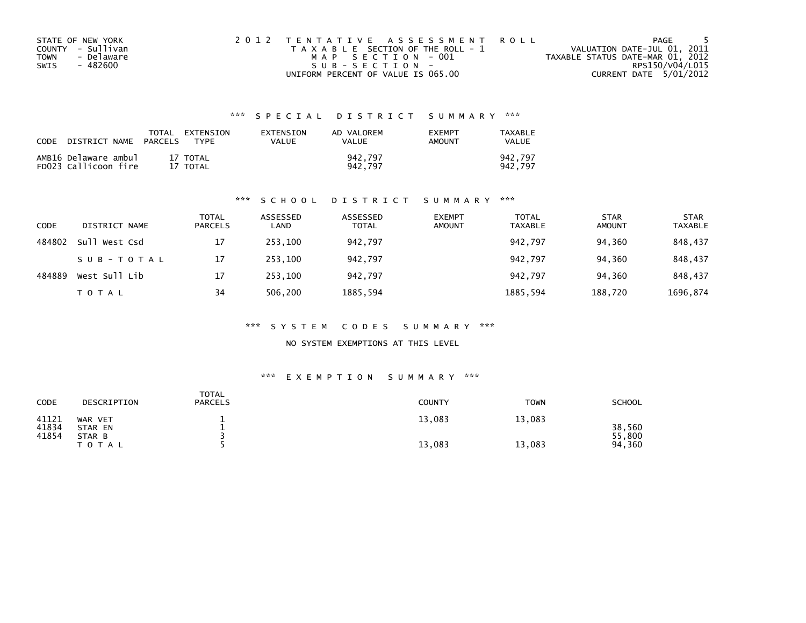|             | STATE OF NEW YORK | 2012 TENTATIVE ASSESSMENT ROLL        | PAGE                             |
|-------------|-------------------|---------------------------------------|----------------------------------|
|             | COUNTY - Sullivan | T A X A B L E SECTION OF THE ROLL - 1 | VALUATION DATE-JUL 01, 2011      |
| <b>TOWN</b> | - Delaware        | MAP SECTION - 001                     | TAXABLE STATUS DATE-MAR 01, 2012 |
| SWIS        | - 482600          | SUB-SECTION-                          | RPS150/V04/L015                  |
|             |                   | UNIFORM PERCENT OF VALUE IS 065.00    | CURRENT DATE 5/01/2012           |

## \*\*\* S P E C I A L D I S T R I C T S U M M A R Y \*\*\*

| CODE | DISTRICT NAME                                | TOTAL<br><b>PARCELS</b> | EXTENSION<br><b>TYPF</b> | EXTENSION<br>VALUE | AD VALOREM<br>VALUE | <b>EXEMPT</b><br>AMOUNT | TAXABLE<br><b>VALUE</b> |
|------|----------------------------------------------|-------------------------|--------------------------|--------------------|---------------------|-------------------------|-------------------------|
|      | AMB16 Delaware ambul<br>FD023 Callicoon fire |                         | 17 TOTAL<br>17 TOTAL     |                    | 942.797<br>942.797  |                         | 942.797<br>942.797      |

#### \*\*\* S C H O O L D I S T R I C T S U M M A R Y \*\*\*

| CODE   | DISTRICT NAME | TOTAL<br><b>PARCELS</b> | ASSESSED<br>LAND | ASSESSED<br><b>TOTAL</b> | <b>EXEMPT</b><br><b>AMOUNT</b> | <b>TOTAL</b><br><b>TAXABLE</b> | <b>STAR</b><br><b>AMOUNT</b> | <b>STAR</b><br><b>TAXABLE</b> |
|--------|---------------|-------------------------|------------------|--------------------------|--------------------------------|--------------------------------|------------------------------|-------------------------------|
| 484802 | Sull West Csd | 17                      | 253,100          | 942,797                  |                                | 942,797                        | 94.360                       | 848,437                       |
|        | SUB-TOTAL     | 17                      | 253.100          | 942.797                  |                                | 942.797                        | 94.360                       | 848.437                       |
| 484889 | West Sull Lib | 17                      | 253,100          | 942,797                  |                                | 942.797                        | 94,360                       | 848,437                       |
|        | T O T A L     | 34                      | 506.200          | 1885,594                 |                                | 1885,594                       | 188,720                      | 1696,874                      |

#### \*\*\* S Y S T E M C O D E S S U M M A R Y \*\*\*

NO SYSTEM EXEMPTIONS AT THIS LEVEL

#### \*\*\* E X E M P T I O N S U M M A R Y \*\*\*

| <b>CODE</b>    | DESCRIPTION         | <b>TOTAL</b><br><b>PARCELS</b> | <b>COUNTY</b> | <b>TOWN</b> | <b>SCHOOL</b>    |
|----------------|---------------------|--------------------------------|---------------|-------------|------------------|
| 41121<br>41834 | WAR VET<br>STAR EN  |                                | 13,083        | 13,083      | 38,560           |
| 41854          | STAR B<br>T O T A L |                                | 13,083        | 13,083      | 55,800<br>94,360 |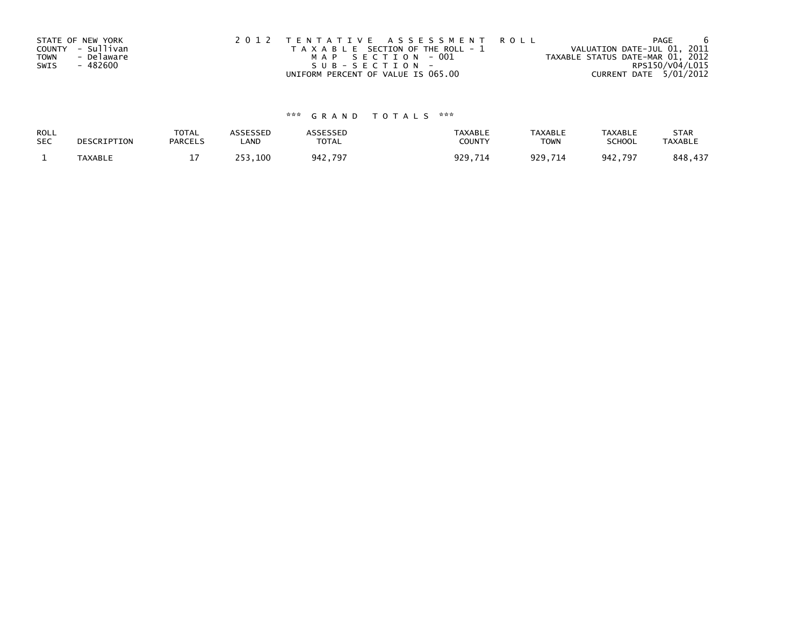|             | STATE OF NEW YORK | 2012 TENTATIVE ASSESSMENT ROLL        | PAGE                             |  |
|-------------|-------------------|---------------------------------------|----------------------------------|--|
|             | COUNTY - Sullivan | T A X A B L E SECTION OF THE ROLL - 1 | VALUATION DATE-JUL 01, 2011      |  |
| <b>TOWN</b> | - Delaware        | MAP SECTION - 001                     | TAXABLE STATUS DATE-MAR 01, 2012 |  |
| SWIS        | - 482600          | $SUB - SECTION -$                     | RPS150/V04/L015                  |  |
|             |                   | UNIFORM PERCENT OF VALUE IS 065.00    | CURRENT DATE 5/01/2012           |  |

# \*\*\* G R A N D T O T A L S \*\*\*

| ROLL       | DESCRIPTION | <b>TOTAL</b>   | <b>ASSESSED</b> | <b>\SSESSED</b> | <b>TAXABLE</b> | <b>TAXABLE</b> | <b>TAXABLE</b> | <b>STAR</b>    |
|------------|-------------|----------------|-----------------|-----------------|----------------|----------------|----------------|----------------|
| <b>SEC</b> |             | <b>PARCELS</b> | LAND            | <b>TOTAL</b>    | COUNTY         | <b>TOWN</b>    | <b>SCHOOL</b>  | <b>TAXABLE</b> |
|            | TAXABLE     | - -            | 253,100         | 942,797         | 929,714        | 929,714        | 942.797        | 848,437        |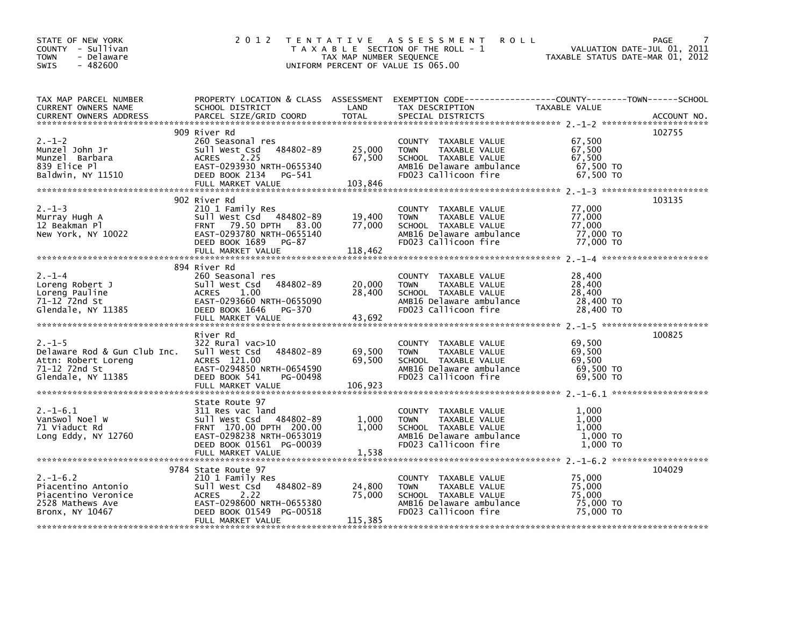| STATE OF NEW YORK<br>COUNTY - Sullivan<br>- Delaware<br><b>TOWN</b><br>- 482600<br>SWIS                                                                                                                                                                                                                                                                       |              | 2012 TENTATIVE ASSESSMENT ROLL PAGE 7<br>TAXABLE SECTION OF THE ROLL - 1 VALUATION DATE-JUL 01, 2011<br>TAX MAP NUMBER SEQUENCE TAXABLE STATUS DATE-MAR 01, 2012<br>UNIFORM PERCENT OF VALUE IS 065.00 |        |
|---------------------------------------------------------------------------------------------------------------------------------------------------------------------------------------------------------------------------------------------------------------------------------------------------------------------------------------------------------------|--------------|--------------------------------------------------------------------------------------------------------------------------------------------------------------------------------------------------------|--------|
| TAX MAP PARCEL NUMBER PROPERTY LOCATION & CLASS ASSESSMENT EXEMPTION CODE-----------------COUNTY--------TOWN-----SCHOOL CURRENT OWNERS NAME SCHOOL DISTRICT LAND TAX DESCRIPTION<br>CURRENT OWNERS ADDRESS PARCEL SIZE/GRID COORD                                                                                                                             |              |                                                                                                                                                                                                        |        |
|                                                                                                                                                                                                                                                                                                                                                               | 909 River Rd |                                                                                                                                                                                                        | 102755 |
|                                                                                                                                                                                                                                                                                                                                                               |              |                                                                                                                                                                                                        |        |
|                                                                                                                                                                                                                                                                                                                                                               | 902 River Rd |                                                                                                                                                                                                        | 103135 |
| $\begin{array}{lllllllllllll} 2.-1-3 & 902\ \text{River }\text{Rd} & 210& 103150\\ \text{Murray Hugh A} & 210& 1\ \text{FRNT} & 79.50\ \text{DFTH} & 83.00 & 77,000 & \text{MMSLE VALUE} & 77,000\\ \text{New York, NY 10022} & \text{EAST-0293780 NRT1055140} & \text{FERT} & 79.50\ \text{DFTH} & 77,000 & 77,000 & \text{SCHOOL TAXABLE VALUE} & 77,000\\$ |              |                                                                                                                                                                                                        |        |
|                                                                                                                                                                                                                                                                                                                                                               |              |                                                                                                                                                                                                        |        |
| 2.-1-4<br>2.-1-4<br>Loreng Robert J<br>Loreng Pauline (1983)<br>2011 West Csd 384802-89<br>2011 West Csd 384802-89<br>2011 West Csd 384802-89<br>2010 TOWN TAXABLE VALUE<br>28,400<br>28,400<br>28,400<br>28,400<br>28,400<br>28,400<br>28,400<br>28,400<br>28                                                                                                | 894 River Rd |                                                                                                                                                                                                        |        |
|                                                                                                                                                                                                                                                                                                                                                               | River Rd     |                                                                                                                                                                                                        | 100825 |
| 2.-1-5<br>2.-1-5<br>Delaware Rod & Gun Club Inc. Sull west Csd 484802-89<br>Attn: Robert Loreng ACRES 121.00<br>2.-1-12 72nd St University CRES 121.00<br>2.-1-12 72nd St University CRES 121.00<br>2.-1-12 72nd St University CRES 121.00                                                                                                                    |              |                                                                                                                                                                                                        |        |
|                                                                                                                                                                                                                                                                                                                                                               |              |                                                                                                                                                                                                        |        |
| 311 Res vac 1 and COUNTY TAXABLE VALUE<br>2.1-1-6.1 311 Res vac 1and COUNTY TAXABLE VALUE<br>71 Viaduct Rd FRNT 170.00 DPTH 200.00 1,000 TOWN TAXABLE VALUE<br>71 Viaduct Rd FRNT 170.00 DPTH 200.00 1,000 SCHOOL TAXABLE VALUE<br>2.1                                                                                                                        |              |                                                                                                                                                                                                        |        |
|                                                                                                                                                                                                                                                                                                                                                               |              |                                                                                                                                                                                                        | 104029 |
| 9784 State Route 97<br>2.1-1-6.2 210 1 Family Res<br>Piacentino Antonio Sull West Csd 484802-89 24,800 TOWN TAXABLE VALUE 75,000<br>Piacentino Veronice ACRES 2.22 75,000 SCHOOL TAXABLE VALUE 75,000<br>2528 Mathews Ave EAST-0298600                                                                                                                        |              |                                                                                                                                                                                                        |        |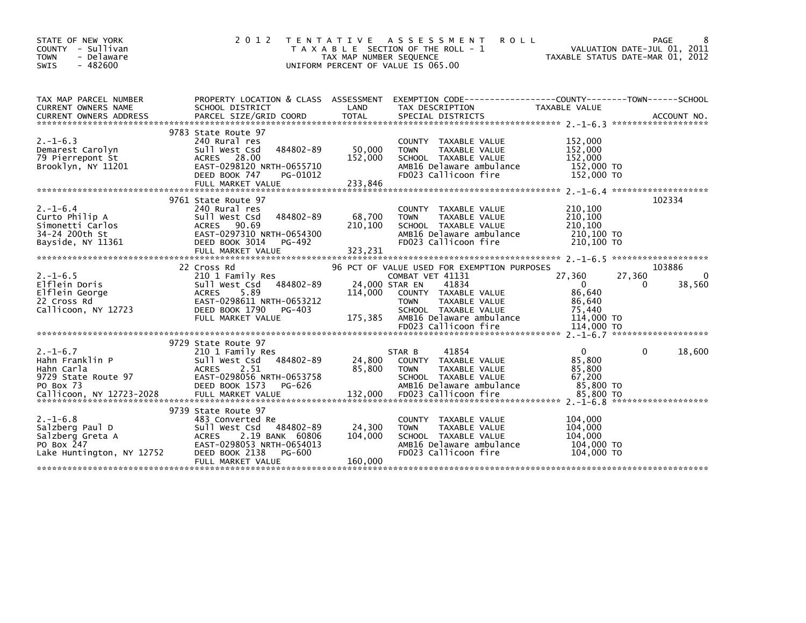| STATE OF NEW YORK<br>- Sullivan<br><b>COUNTY</b><br><b>TOWN</b><br>- Delaware<br>$-482600$<br><b>SWIS</b> | 2 0 1 2                                                                                                                                                                                       | T E N T A T I V E<br>TAX MAP NUMBER SEQUENCE | A S S E S S M E N T<br><b>ROLL</b><br>T A X A B L E SECTION OF THE ROLL - 1<br>UNIFORM PERCENT OF VALUE IS 065.00                                                                                            |                                                                                  | PAGE<br>8<br>VALUATION DATE-JUL 01, 2011<br>TAXABLE STATUS DATE-MAR 01, 2012 |
|-----------------------------------------------------------------------------------------------------------|-----------------------------------------------------------------------------------------------------------------------------------------------------------------------------------------------|----------------------------------------------|--------------------------------------------------------------------------------------------------------------------------------------------------------------------------------------------------------------|----------------------------------------------------------------------------------|------------------------------------------------------------------------------|
| TAX MAP PARCEL NUMBER<br><b>CURRENT OWNERS NAME</b>                                                       | PROPERTY LOCATION & CLASS ASSESSMENT<br>SCHOOL DISTRICT                                                                                                                                       | LAND                                         | EXEMPTION        CODE-----------------COUNTY--------TOWN------SCHOOL<br>TAX DESCRIPTION                                                                                                                      | <b>TAXABLE VALUE</b>                                                             |                                                                              |
| $2. -1 - 6.3$<br>Demarest Carolyn<br>79 Pierrepont St<br>Brooklyn, NY 11201                               | 9783 State Route 97<br>240 Rural res<br>484802-89<br>Sull West Csd<br>ACRES 28.00<br>EAST-0298120 NRTH-0655710<br>DEED BOOK 747<br>PG-01012                                                   | 50,000<br>152,000                            | <b>COUNTY</b><br>TAXABLE VALUE<br>TAXABLE VALUE<br><b>TOWN</b><br>SCHOOL TAXABLE VALUE<br>AMB16 Delaware ambulance<br>FD023 Callicoon fire                                                                   | 152,000<br>152,000<br>152,000<br>152,000 TO<br>152,000 TO                        | *******************                                                          |
| $2. - 1 - 6.4$<br>Curto Philip A<br>Simonetti Carlos<br>34-24 200th St<br>Bayside, NY 11361               | 9761 State Route 97<br>240 Rural res<br>484802-89<br>Sull West Csd<br><b>ACRES</b><br>90.69<br>EAST-0297310 NRTH-0654300<br>DEED BOOK 3014<br>PG-492                                          | 68,700<br>210,100                            | <b>COUNTY</b><br>TAXABLE VALUE<br>TAXABLE VALUE<br><b>TOWN</b><br>SCHOOL TAXABLE VALUE<br>AMB16 Delaware ambulance<br>FD023 Callicoon fire                                                                   | 210,100<br>210,100<br>210,100<br>210,100 TO<br>210,100 TO                        | 102334                                                                       |
| $2. -1 - 6.5$<br>Elflein Doris<br>Elflein George<br>22 Cross Rd<br>Callicoon, NY 12723                    | 22 Cross Rd<br>210 1 Family Res<br>Sull West Csd 484802-89<br><b>ACRES</b><br>5.89<br>EAST-0298611 NRTH-0653212<br>DEED BOOK 1790<br>PG-403<br>FULL MARKET VALUE                              | 24,000 STAR EN<br>114,000<br>175,385         | 96 PCT OF VALUE USED FOR EXEMPTION PURPOSES<br>COMBAT VET 41131<br>41834<br>COUNTY TAXABLE VALUE<br><b>TOWN</b><br>TAXABLE VALUE<br>SCHOOL TAXABLE VALUE<br>AMB16 Delaware ambulance<br>FD023 Callicoon fire | 27,360<br>$\mathbf{0}$<br>86.640<br>86,640<br>75.440<br>114,000 TO<br>114,000 TO | 103886<br>27,360<br>$\mathbf{0}$<br>38,560                                   |
| $2. -1 - 6.7$<br>Hahn Franklin P<br>Hahn Carla<br>9729 State Route 97<br>PO Box 73                        | 9729 State Route 97<br>210 1 Family Res<br>sull west Csd<br>484802-89<br><b>ACRES</b><br>2.51<br>EAST-0298056 NRTH-0653758<br>DEED BOOK 1573<br>PG-626                                        | 24,800<br>85,800                             | 41854<br>STAR B<br><b>COUNTY</b><br>TAXABLE VALUE<br>TAXABLE VALUE<br><b>TOWN</b><br>SCHOOL TAXABLE VALUE<br>AMB16 Delaware ambulance                                                                        | $\mathbf{0}$<br>85,800<br>85,800<br>67,200<br>85,800 TO<br>85,800 TO             | 18,600<br>0<br>*******************                                           |
| $2. - 1 - 6.8$<br>Salzberg Paul D<br>Salzberg Greta A<br>PO Box 247<br>Lake Huntington, NY 12752          | 9739 State Route 97<br>483 Converted Re<br>484802-89<br>Sull West Csd<br><b>ACRES</b><br>2.19 BANK 60806<br>EAST-0298053 NRTH-0654013<br>DEED BOOK 2138<br><b>PG-600</b><br>FULL MARKET VALUE | 24,300<br>104,000<br>160,000                 | <b>COUNTY</b><br>TAXABLE VALUE<br><b>TOWN</b><br>TAXABLE VALUE<br>SCHOOL TAXABLE VALUE<br>AMB16 Delaware ambulance<br>FD023 Callicoon fire                                                                   | 104.000<br>104,000<br>104,000<br>104,000 TO<br>104,000 TO                        |                                                                              |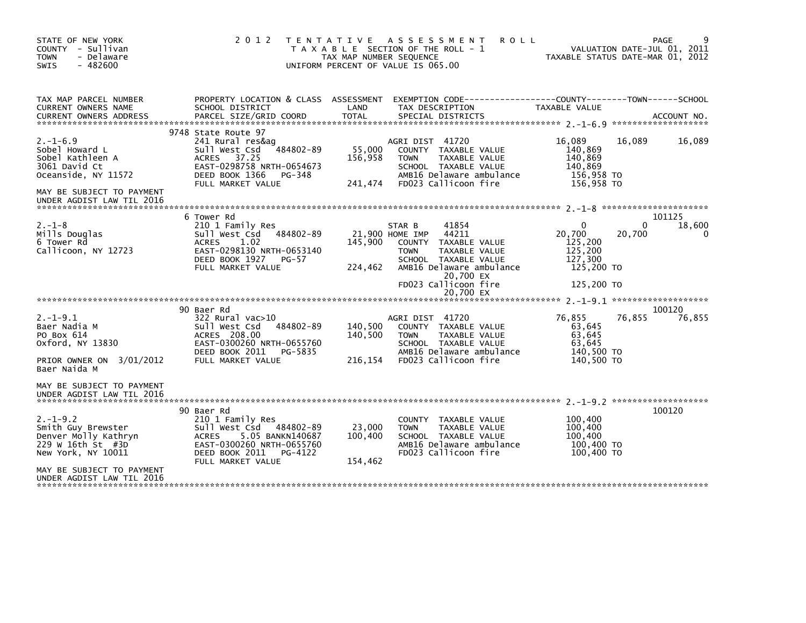| STATE OF NEW YORK<br>COUNTY - Sullivan<br><b>TOWN</b><br>- Delaware<br>$-482600$<br><b>SWIS</b> | 2 0 1 2                                                                                                                                     | T E N T A T I V E<br>TAX MAP NUMBER SEQUENCE | A S S E S S M E N T<br><b>ROLL</b><br>T A X A B L E SECTION OF THE ROLL - 1<br>UNIFORM PERCENT OF VALUE IS 065.00                                   | TAXABLE STATUS DATE-MAR 01, 2012                                              | PAGE<br>VALUATION DATE-JUL 01, 2011 |
|-------------------------------------------------------------------------------------------------|---------------------------------------------------------------------------------------------------------------------------------------------|----------------------------------------------|-----------------------------------------------------------------------------------------------------------------------------------------------------|-------------------------------------------------------------------------------|-------------------------------------|
| TAX MAP PARCEL NUMBER<br>CURRENT OWNERS NAME                                                    | SCHOOL DISTRICT                                                                                                                             | LAND                                         | PROPERTY LOCATION & CLASS ASSESSMENT EXEMPTION CODE----------------COUNTY-------TOWN------SCHOOL<br>TAX DESCRIPTION                                 | TAXABLE VALUE                                                                 |                                     |
|                                                                                                 | 9748 State Route 97                                                                                                                         |                                              |                                                                                                                                                     |                                                                               |                                     |
| $2. - 1 - 6.9$<br>Sobel Howard L<br>Sobel Kathleen A<br>3061 David Ct<br>Oceanside, NY 11572    | 241 Rural res&aq<br>484802-89<br>Sull West Csd<br>ACRES 37.25<br>EAST-0298758 NRTH-0654673<br>DEED BOOK 1366<br>PG-348<br>FULL MARKET VALUE | 55,000<br>156,958<br>241,474                 | AGRI DIST 41720<br>COUNTY TAXABLE VALUE<br>TAXABLE VALUE<br><b>TOWN</b><br>SCHOOL TAXABLE VALUE<br>AMB16 Delaware ambulance<br>FD023 Callicoon fire | 16,089<br>16,089<br>140,869<br>140,869<br>140,869<br>156,958 TO<br>156,958 TO | 16,089                              |
| MAY BE SUBJECT TO PAYMENT<br>UNDER AGDIST LAW TIL 2016                                          |                                                                                                                                             |                                              |                                                                                                                                                     |                                                                               |                                     |
|                                                                                                 | 6 Tower Rd                                                                                                                                  |                                              |                                                                                                                                                     |                                                                               | 101125                              |
| $2. -1 - 8$<br>Mills Douglas<br>6 Tower Rd<br>Callicoon, NY 12723                               | 210 1 Family Res<br>Sull West Csd<br>484802-89<br>1.02<br><b>ACRES</b><br>EAST-0298130 NRTH-0653140<br>DEED BOOK 1927<br>PG-57              | 145,900                                      | STAR B<br>41854<br>44211<br>21,900 HOME IMP<br>TAXABLE VALUE<br>COUNTY<br><b>TOWN</b><br>TAXABLE VALUE<br>SCHOOL TAXABLE VALUE                      | 0<br>20,700<br>20,700<br>125,200<br>125,200<br>127,300                        | 18,600<br>0<br>0                    |
|                                                                                                 | FULL MARKET VALUE                                                                                                                           | 224,462                                      | AMB16 Delaware ambulance<br>20,700 EX<br>FD023 Callicoon fire                                                                                       | 125,200 TO<br>125,200 TO                                                      |                                     |
|                                                                                                 |                                                                                                                                             |                                              | 20.700 EX                                                                                                                                           |                                                                               |                                     |
|                                                                                                 | 90 Baer Rd                                                                                                                                  |                                              |                                                                                                                                                     |                                                                               | 100120                              |
| $2. -1 - 9.1$<br>Baer Nadia M<br>PO Box 614<br>Oxford, NY 13830                                 | $322$ Rural vac $>10$<br>Sull West Csd<br>484802-89<br>ACRES 208.00<br>EAST-0300260 NRTH-0655760<br>DEED BOOK 2011<br>PG-5835               | 140,500<br>140,500                           | AGRI DIST 41720<br>COUNTY TAXABLE VALUE<br>TAXABLE VALUE<br><b>TOWN</b><br>SCHOOL TAXABLE VALUE<br>AMB16 Delaware ambulance                         | 76,855<br>76,855<br>63,645<br>63,645<br>63,645<br>140,500 TO                  | 76,855                              |
| PRIOR OWNER ON 3/01/2012<br>Baer Naida M                                                        | FULL MARKET VALUE                                                                                                                           | 216,154                                      | FD023 Callicoon fire                                                                                                                                | 140.500 TO                                                                    |                                     |
| MAY BE SUBJECT TO PAYMENT<br>UNDER AGDIST LAW TIL 2016                                          |                                                                                                                                             |                                              |                                                                                                                                                     |                                                                               |                                     |
|                                                                                                 | 90 Baer Rd                                                                                                                                  |                                              |                                                                                                                                                     |                                                                               | 100120                              |
| $2. -1 - 9.2$<br>Smith Guy Brewster<br>Denver Molly Kathryn<br>229 w 16th St #3D                | 210 1 Family Res<br>sull west Csd<br>484802-89<br>5.05 BANKN140687<br><b>ACRES</b><br>EAST-0300260 NRTH-0655760                             | 23,000<br>100,400                            | <b>COUNTY</b><br>TAXABLE VALUE<br><b>TAXABLE VALUE</b><br><b>TOWN</b><br>SCHOOL TAXABLE VALUE<br>AMB16 Delaware ambulance                           | 100,400<br>100,400<br>100,400<br>100,400 TO                                   |                                     |
| New York, NY 10011                                                                              | DEED BOOK 2011<br>PG-4122<br>FULL MARKET VALUE                                                                                              | 154,462                                      | FD023 Callicoon fire                                                                                                                                | 100,400 TO                                                                    |                                     |
| MAY BE SUBJECT TO PAYMENT<br>UNDER AGDIST LAW TIL 2016                                          |                                                                                                                                             |                                              |                                                                                                                                                     |                                                                               |                                     |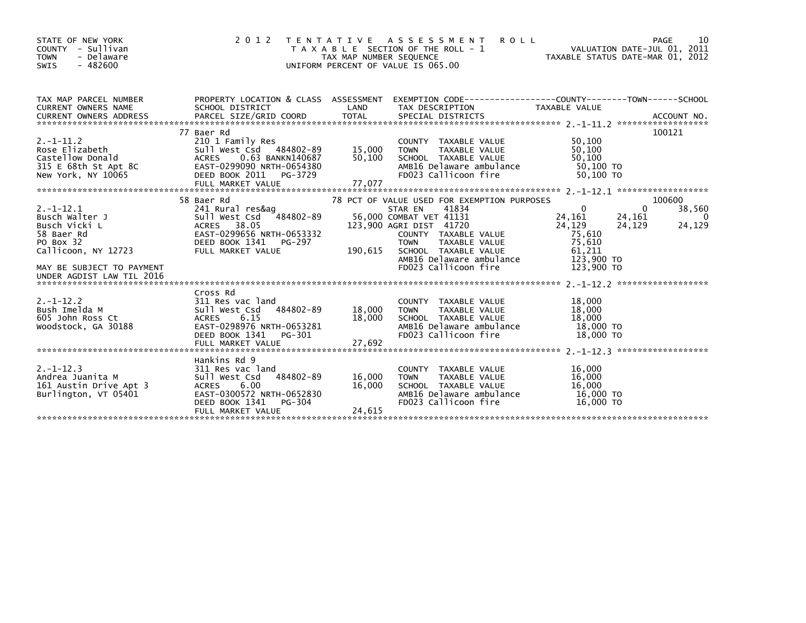| STATE OF NEW YORK<br>COUNTY - Sullivan<br><b>TOWN</b><br>- Delaware<br>$-482600$<br>SWIS           | 2 0 1 2                                                                                                                                                                      | T E N T A T I V E<br>TAX MAP NUMBER SEQUENCE | <b>ROLL</b><br>A S S E S S M E N T<br>T A X A B L E SECTION OF THE ROLL - 1<br>UNIFORM PERCENT OF VALUE IS 065.00                       |                                                      | 10<br>PAGE<br>VALUATION DATE-JUL 01, 2011<br>TAXABLE STATUS DATE-MAR 01, 2012 |
|----------------------------------------------------------------------------------------------------|------------------------------------------------------------------------------------------------------------------------------------------------------------------------------|----------------------------------------------|-----------------------------------------------------------------------------------------------------------------------------------------|------------------------------------------------------|-------------------------------------------------------------------------------|
| TAX MAP PARCEL NUMBER<br>CURRENT OWNERS NAME                                                       | PROPERTY LOCATION & CLASS ASSESSMENT<br>SCHOOL DISTRICT                                                                                                                      | LAND                                         | EXEMPTION CODE-----------------COUNTY-------TOWN------SCHOOL<br>TAX DESCRIPTION                                                         | TAXABLE VALUE                                        |                                                                               |
| $2. -1 - 11.2$<br>Rose Elizabeth<br>Castellow Donald<br>315 E 68th St Apt 8C<br>New York, NY 10065 | 77 Baer Rd<br>210 1 Family Res<br>Sull West Csd 484802-89<br><b>ACRES</b><br>0.63 BANKN140687<br>EAST-0299090 NRTH-0654380<br>DEED BOOK 2011<br>PG-3729<br>FULL MARKET VALUE | 15,000<br>50,100<br>77,077                   | COUNTY TAXABLE VALUE<br><b>TOWN</b><br>TAXABLE VALUE<br>SCHOOL TAXABLE VALUE<br>AMB16 Delaware ambulance<br>FD023 Callicoon fire        | 50,100<br>50,100<br>50,100<br>50.100 TO<br>50.100 TO | 100121                                                                        |
|                                                                                                    | 58 Baer Rd                                                                                                                                                                   |                                              | 78 PCT OF VALUE USED FOR EXEMPTION PURPOSES                                                                                             |                                                      | 100600                                                                        |
| $2. -1 - 12.1$<br>Busch Walter J<br>Busch Vicki L<br>58 Baer Rd                                    | 241 Rural res&ag<br>$-484802 - 89$<br>Sull West Csd<br>ACRES 38.05<br>EAST-0299656 NRTH-0653332                                                                              |                                              | 41834<br>STAR EN<br>56,000 COMBAT VET 41131<br>123,900 AGRI DIST 41720<br>COUNTY TAXABLE VALUE                                          | $\Omega$<br>24,161<br>24,129<br>75,610               | 38,560<br>0<br>24,161<br>0<br>24,129<br>24,129                                |
| PO Box 32<br>Callicoon, NY 12723                                                                   | DEED BOOK 1341<br>PG-297<br>FULL MARKET VALUE                                                                                                                                | 190,615                                      | TAXABLE VALUE<br><b>TOWN</b><br>SCHOOL TAXABLE VALUE<br>AMB16 Delaware ambulance                                                        | 75,610<br>61,211<br>123,900 TO                       |                                                                               |
| MAY BE SUBJECT TO PAYMENT<br>UNDER AGDIST LAW TIL 2016                                             |                                                                                                                                                                              |                                              | FD023 Callicoon fire                                                                                                                    | 123,900 TO                                           |                                                                               |
|                                                                                                    | Cross Rd                                                                                                                                                                     |                                              |                                                                                                                                         |                                                      | ******************                                                            |
| $2. -1 - 12.2$<br>Bush Imelda M<br>605 John Ross Ct<br>Woodstock, GA 30188                         | 311 Res vac land<br>Sull West Csd<br>484802-89<br>6.15<br><b>ACRES</b><br>EAST-0298976 NRTH-0653281<br>DEED BOOK 1341<br>PG-301                                              | 18,000<br>18,000                             | COUNTY TAXABLE VALUE<br><b>TOWN</b><br><b>TAXABLE VALUE</b><br>SCHOOL TAXABLE VALUE<br>AMB16 Delaware ambulance<br>FD023 Callicoon fire | 18,000<br>18,000<br>18,000<br>18,000 TO<br>18,000 TO |                                                                               |
|                                                                                                    | FULL MARKET VALUE                                                                                                                                                            | 27,692                                       |                                                                                                                                         |                                                      |                                                                               |
|                                                                                                    | Hankins Rd 9                                                                                                                                                                 |                                              |                                                                                                                                         |                                                      |                                                                               |
| $2. -1 - 12.3$<br>Andrea Juanita M<br>161 Austin Drive Apt 3<br>Burlington, VT 05401               | 311 Res vac land<br>484802-89<br>Sull West Csd<br>6.00<br><b>ACRES</b><br>EAST-0300572 NRTH-0652830<br>DEED BOOK 1341<br>PG-304                                              | 16,000<br>16,000                             | COUNTY TAXABLE VALUE<br><b>TOWN</b><br><b>TAXABLE VALUE</b><br>SCHOOL TAXABLE VALUE<br>AMB16 Delaware ambulance<br>FD023 Callicoon fire | 16,000<br>16,000<br>16,000<br>16,000 TO<br>16,000 TO |                                                                               |
|                                                                                                    | FULL MARKET VALUE                                                                                                                                                            | 24,615                                       |                                                                                                                                         |                                                      |                                                                               |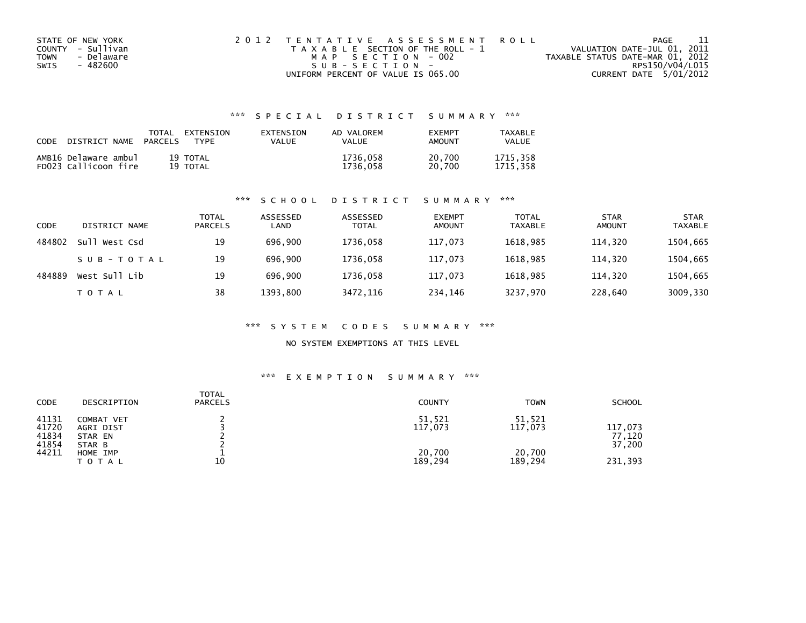| STATE OF NEW YORK  | 2012 TENTATIVE ASSESSMENT ROLL        | PAGE                             |  |
|--------------------|---------------------------------------|----------------------------------|--|
| COUNTY - Sullivan  | T A X A B L E SECTION OF THE ROLL - 1 | VALUATION DATE-JUL 01, 2011      |  |
| - Delaware<br>TOWN | MAP SECTION - 002                     | TAXABLE STATUS DATE-MAR 01, 2012 |  |
| SWIS<br>- 482600   | $SUB - SECTION -$                     | RPS150/V04/L015                  |  |
|                    | UNIFORM PERCENT OF VALUE IS 065.00    | CURRENT DATE 5/01/2012           |  |

## \*\*\* S P E C I A L D I S T R I C T S U M M A R Y \*\*\*

| CODE | DISTRICT NAME                                | TOTAL<br><b>PARCELS</b> | EXTENSION<br><b>TYPF</b> | EXTENSION<br>VALUE | AD VALOREM<br>VAI UF | <b>FXFMPT</b><br>AMOUNT | TAXABLE<br><b>VALUE</b> |
|------|----------------------------------------------|-------------------------|--------------------------|--------------------|----------------------|-------------------------|-------------------------|
|      | AMB16 Delaware ambul<br>FD023 Callicoon fire |                         | 19 TOTAL<br>19 TOTAL     |                    | 1736,058<br>1736.058 | 20,700<br>20.700        | 1715.358<br>1715.358    |

#### \*\*\* S C H O O L D I S T R I C T S U M M A R Y \*\*\*

| CODE   | DISTRICT NAME    | TOTAL<br><b>PARCELS</b> | ASSESSED<br>LAND | ASSESSED<br><b>TOTAL</b> | <b>EXEMPT</b><br><b>AMOUNT</b> | <b>TOTAL</b><br><b>TAXABLE</b> | <b>STAR</b><br><b>AMOUNT</b> | <b>STAR</b><br><b>TAXABLE</b> |
|--------|------------------|-------------------------|------------------|--------------------------|--------------------------------|--------------------------------|------------------------------|-------------------------------|
| 484802 | Sull<br>West Csd | 19                      | 696.900          | 1736,058                 | 117,073                        | 1618.985                       | 114,320                      | 1504,665                      |
|        | SUB-TOTAL        | 19                      | 696.900          | 1736.058                 | 117.073                        | 1618.985                       | 114.320                      | 1504,665                      |
| 484889 | West Sull Lib    | 19                      | 696.900          | 1736,058                 | 117,073                        | 1618.985                       | 114.320                      | 1504,665                      |
|        | T O T A L        | 38                      | 1393,800         | 3472,116                 | 234,146                        | 3237,970                       | 228,640                      | 3009,330                      |

#### \*\*\* S Y S T E M C O D E S S U M M A R Y \*\*\*

### NO SYSTEM EXEMPTIONS AT THIS LEVEL

#### \*\*\* E X E M P T I O N S U M M A R Y \*\*\*

| <b>CODE</b>                      | DESCRIPTION                                  | <b>TOTAL</b><br><b>PARCELS</b> | <b>COUNTY</b>     | <b>TOWN</b>       | <b>SCHOOL</b>               |
|----------------------------------|----------------------------------------------|--------------------------------|-------------------|-------------------|-----------------------------|
| 41131<br>41720<br>41834<br>41854 | COMBAT VET<br>AGRI DIST<br>STAR EN<br>STAR B |                                | 51,521<br>117,073 | 51,521<br>117,073 | 117,073<br>77,120<br>37,200 |
| 44211                            | HOME IMP<br><b>TOTAL</b>                     | 10                             | 20,700<br>189,294 | 20,700<br>189,294 | 231,393                     |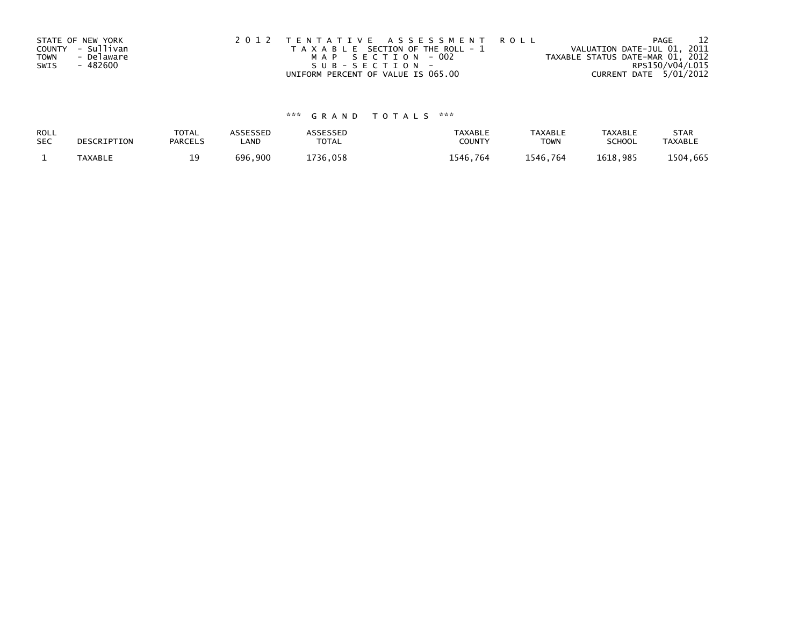|             | STATE OF NEW YORK | 2012 TENTATIVE ASSESSMENT ROLL        | PAGE                             |
|-------------|-------------------|---------------------------------------|----------------------------------|
|             | COUNTY - Sullivan | T A X A B L E SECTION OF THE ROLL - 1 | VALUATION DATE-JUL 01, 2011      |
| <b>TOWN</b> | - Delaware        | MAP SECTION - 002                     | TAXABLE STATUS DATE-MAR 01, 2012 |
| SWIS        | - 482600          | SUB-SECTION-                          | RPS150/V04/L015                  |
|             |                   | UNIFORM PERCENT OF VALUE IS 065.00    | CURRENT DATE 5/01/2012           |

# \*\*\* G R A N D T O T A L S \*\*\*

| ROLL       | DESCRIPTION    | <b>TOTAL</b>   | <b>ASSESSED</b> | ASSESSED | <b>TAXABLE</b> | <b>TAXABLE</b> | <b>TAXABLE</b> | <b>STAR</b>    |
|------------|----------------|----------------|-----------------|----------|----------------|----------------|----------------|----------------|
| <b>SEC</b> |                | <b>PARCELS</b> | _AND            | TOTAL    | <b>COUNTY</b>  | <b>TOWN</b>    | <b>SCHOOL</b>  | <b>TAXABLE</b> |
|            | <b>TAXABLE</b> |                | 696,900         | 1736.058 | 1546,764       | 1546.764       | 1618.985       | 1504,665       |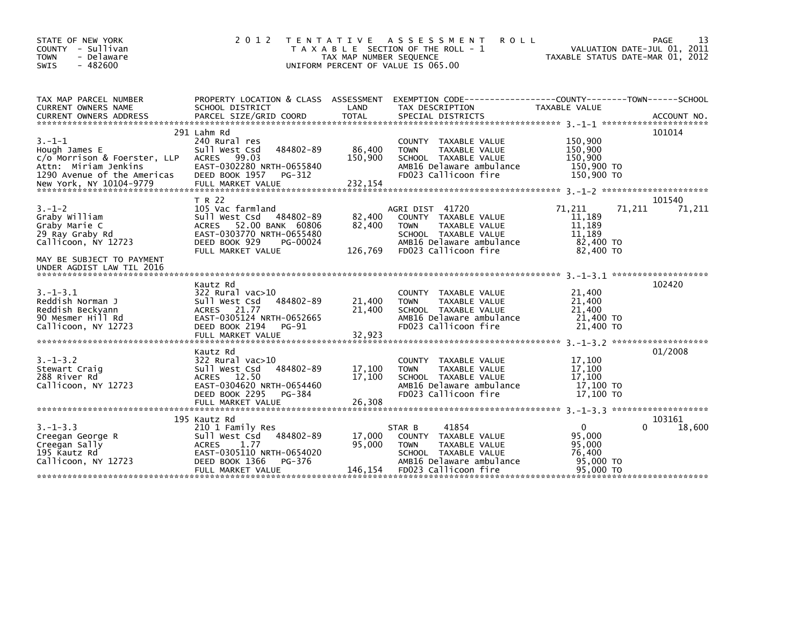| STATE OF NEW YORK<br>COUNTY - Sullivan<br><b>TOWN</b><br>- Delaware<br>$-482600$<br><b>SWIS</b>                                                    | 2 0 1 2                                                                                                                                                              | TAX MAP NUMBER SEQUENCE      | TENTATIVE ASSESSMENT<br><b>ROLL</b><br>T A X A B L E SECTION OF THE ROLL - 1<br>UNIFORM PERCENT OF VALUE IS 065.00                                  |                                                                      | 13<br>PAGE<br>VALUATION DATE-JUL 01, 2011<br>TAXABLE STATUS DATE-MAR 01, 2012 |
|----------------------------------------------------------------------------------------------------------------------------------------------------|----------------------------------------------------------------------------------------------------------------------------------------------------------------------|------------------------------|-----------------------------------------------------------------------------------------------------------------------------------------------------|----------------------------------------------------------------------|-------------------------------------------------------------------------------|
| TAX MAP PARCEL NUMBER<br>CURRENT OWNERS NAME<br><b>CURRENT OWNERS ADDRESS</b>                                                                      | SCHOOL DISTRICT<br>PARCEL SIZE/GRID COORD                                                                                                                            | LAND<br><b>TOTAL</b>         | PROPERTY LOCATION & CLASS ASSESSMENT EXEMPTION CODE----------------COUNTY-------TOWN-----SCHOOL<br>TAX DESCRIPTION<br>SPECIAL DISTRICTS             | TAXABLE VALUE                                                        | ACCOUNT NO.                                                                   |
| $3. - 1 - 1$<br>Hough James E<br>c/o Morrison & Foerster, LLP<br>Attn: Miriam Jenkins<br>1290 Avenue of the Americas<br>New York, NY 10104-9779    | 291 Lahm Rd<br>240 Rural res<br>484802-89<br>Sull West Csd<br>99.03<br><b>ACRES</b><br>EAST-0302280 NRTH-0655840<br>DEED BOOK 1957<br>PG-312<br>FULL MARKET VALUE    | 86,400<br>150,900<br>232,154 | COUNTY TAXABLE VALUE<br><b>TOWN</b><br>TAXABLE VALUE<br>SCHOOL TAXABLE VALUE<br>AMB16 Delaware ambulance<br>FD023 Callicoon fire                    | 150,900<br>150,900<br>150,900<br>150,900 TO<br>150,900 TO            | 101014                                                                        |
| $3. - 1 - 2$<br>Graby William<br>Graby Marie C<br>29 Ray Graby Rd<br>Callicoon, NY 12723<br>MAY BE SUBJECT TO PAYMENT<br>UNDER AGDIST LAW TIL 2016 | T R 22<br>105 Vac farmland<br>484802-89<br>Sull West Csd<br>ACRES 52.00 BANK 60806<br>EAST-0303770 NRTH-0655480<br>DEED BOOK 929<br>PG-00024<br>FULL MARKET VALUE    | 82,400<br>82.400<br>126,769  | AGRI DIST 41720<br>COUNTY TAXABLE VALUE<br><b>TOWN</b><br>TAXABLE VALUE<br>SCHOOL TAXABLE VALUE<br>AMB16 Delaware ambulance<br>FD023 Callicoon fire | 71,211<br>11,189<br>11.189<br>11,189<br>82,400 TO<br>82,400 TO       | 101540<br>71,211<br>71,211                                                    |
| $3. - 1 - 3.1$<br>Reddish Norman J<br>Reddish Beckyann<br>90 Mesmer Hill Rd<br>Callicoon, NY 12723                                                 | Kautz Rd<br>$322$ Rural vac $>10$<br>484802-89<br>Sull West Csd<br>ACRES 21.77<br>EAST-0305124 NRTH-0652665<br>DEED BOOK 2194<br>PG-91<br>FULL MARKET VALUE          | 21,400<br>21,400<br>32,923   | COUNTY TAXABLE VALUE<br>TAXABLE VALUE<br><b>TOWN</b><br>SCHOOL TAXABLE VALUE<br>AMB16 Delaware ambulance<br>FD023 Callicoon fire                    | 21,400<br>21,400<br>21,400<br>21,400 TO<br>21,400 TO                 | 102420                                                                        |
| $3. - 1 - 3.2$<br>Stewart Craig<br>288 River Rd<br>Callicoon, NY 12723                                                                             | Kautz Rd<br>322 Rural vac>10<br>484802-89<br>Sull West Csd<br>ACRES 12.50<br>EAST-0304620 NRTH-0654460<br>DEED BOOK 2295<br>PG-384<br>FULL MARKET VALUE              | 17,100<br>17,100<br>26,308   | COUNTY TAXABLE VALUE<br><b>TOWN</b><br>TAXABLE VALUE<br>SCHOOL TAXABLE VALUE<br>AMB16 Delaware ambulance<br>FD023 Callicoon fire                    | 17,100<br>17.100<br>17,100<br>17,100 TO<br>17.100 TO                 | 01/2008                                                                       |
| $3. -1 - 3.3$<br>Creegan George R<br>Creegan Sally<br>195 Kautz Rd<br>Callicoon, NY 12723                                                          | 195 Kautz Rd<br>210 1 Family Res<br>Sull West Csd<br>484802-89<br><b>ACRES</b><br>1.77<br>EAST-0305110 NRTH-0654020<br>DEED BOOK 1366<br>PG-376<br>FULL MARKET VALUE | 17.000<br>95.000<br>146,154  | 41854<br>STAR B<br>COUNTY TAXABLE VALUE<br>TAXABLE VALUE<br><b>TOWN</b><br>SCHOOL TAXABLE VALUE<br>AMB16 Delaware ambulance<br>FD023 Callicoon fire | $\mathbf{0}$<br>95,000<br>95,000<br>76,400<br>95,000 TO<br>95,000 TO | 103161<br>18,600                                                              |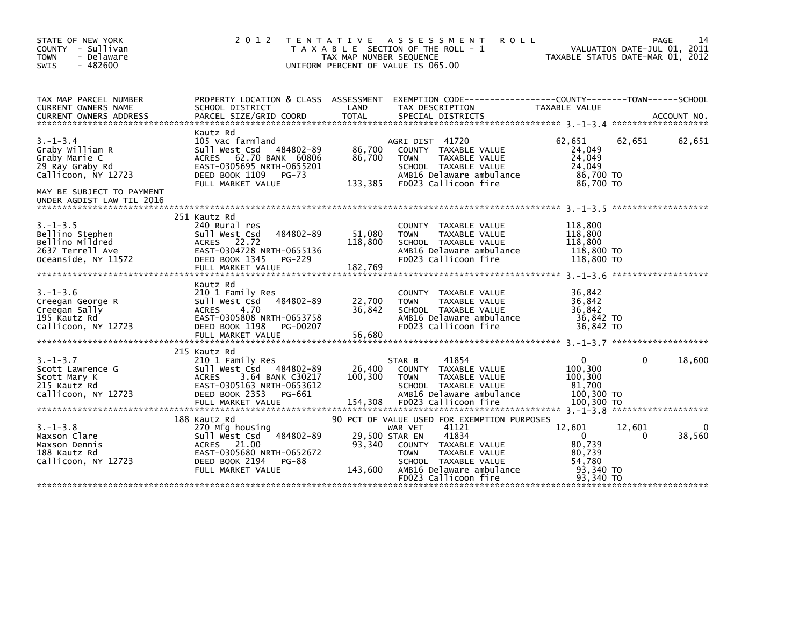| STATE OF NEW YORK<br>COUNTY - Sullivan<br><b>TOWN</b><br>- Delaware<br>$-482600$<br><b>SWIS</b> | 2 0 1 2                                                                                                                                                          | TAX MAP NUMBER SEQUENCE      | TENTATIVE ASSESSMENT<br>T A X A B L E SECTION OF THE ROLL - 1<br>UNIFORM PERCENT OF VALUE IS 065.00                                                                             | <b>ROLL</b><br>TAXABLE STATUS DATE-MAR 01, 2012                            |                    | 14<br>PAGE<br>VALUATION DATE-JUL 01, 2011 |
|-------------------------------------------------------------------------------------------------|------------------------------------------------------------------------------------------------------------------------------------------------------------------|------------------------------|---------------------------------------------------------------------------------------------------------------------------------------------------------------------------------|----------------------------------------------------------------------------|--------------------|-------------------------------------------|
| TAX MAP PARCEL NUMBER<br>CURRENT OWNERS NAME                                                    | PROPERTY LOCATION & CLASS ASSESSMENT EXEMPTION CODE----------------COUNTY-------TOWN-----SCHOOL<br>SCHOOL DISTRICT                                               | LAND                         | TAX DESCRIPTION                                                                                                                                                                 | TAXABLE VALUE                                                              |                    |                                           |
|                                                                                                 |                                                                                                                                                                  |                              |                                                                                                                                                                                 |                                                                            |                    |                                           |
| $3. - 1 - 3.4$<br>Graby William R<br>Graby Marie C<br>29 Ray Graby Rd<br>Callicoon, NY 12723    | Kautz Rd<br>105 Vac farmland<br>Sull West Csd 484802-89<br>ACRES 62.70 BANK 60806<br>EAST-0305695 NRTH-0655201<br>DEED BOOK 1109<br>$PG-73$<br>FULL MARKET VALUE | 86,700<br>86,700<br>133,385  | AGRI DIST 41720<br>COUNTY TAXABLE VALUE<br>TAXABLE VALUE<br><b>TOWN</b><br>SCHOOL TAXABLE VALUE<br>AMB16 Delaware ambulance<br>FD023 Callicoon fire                             | 62,651<br>24,049<br>24.049<br>24,049<br>86,700 TO<br>86,700 TO             | 62,651             | 62,651                                    |
| MAY BE SUBJECT TO PAYMENT<br>UNDER AGDIST LAW TIL 2016                                          |                                                                                                                                                                  |                              |                                                                                                                                                                                 |                                                                            |                    |                                           |
| $3. - 1 - 3.5$<br>Bellino Stephen<br>Bellino Mildred<br>2637 Terrell Ave<br>Oceanside, NY 11572 | 251 Kautz Rd<br>240 Rural res<br>484802-89<br>Sull West Csd<br>ACRES 22.72<br>EAST-0304728 NRTH-0655136<br>DEED BOOK 1345<br>PG-229<br>FULL MARKET VALUE         | 51,080<br>118,800<br>182,769 | COUNTY TAXABLE VALUE<br><b>TOWN</b><br>TAXABLE VALUE<br>SCHOOL TAXABLE VALUE<br>AMB16 Delaware ambulance<br>FD023 Callicoon fire                                                | 118,800<br>118,800<br>118,800<br>118,800 TO<br>118,800 TO                  |                    |                                           |
| $3. - 1 - 3.6$<br>Creegan George R<br>Creegan Sally<br>195 Kautz Rd<br>Callicoon, NY 12723      | Kautz Rd<br>210 1 Family Res<br>484802-89<br>Sull West Csd<br>4.70<br>ACRES<br>EAST-0305808 NRTH-0653758<br>DEED BOOK 1198<br>PG-00207                           | 22,700<br>36,842             | COUNTY TAXABLE VALUE<br><b>TOWN</b><br>TAXABLE VALUE<br>SCHOOL TAXABLE VALUE<br>AMB16 Delaware ambulance<br>FD023 Callicoon fire                                                | 36,842<br>36,842<br>36,842<br>36,842 TO<br>36.842 TO                       |                    |                                           |
|                                                                                                 | 215 Kautz Rd                                                                                                                                                     |                              |                                                                                                                                                                                 |                                                                            |                    |                                           |
| $3. - 1 - 3.7$<br>Scott Lawrence G<br>Scott Mary K<br>215 Kautz Rd<br>Callicoon, NY 12723       | 210 1 Family Res<br>Sull West Csd 484802-89<br>3.64 BANK C30217<br>ACRES<br>EAST-0305163 NRTH-0653612<br>DEED BOOK 2353<br>PG-661<br>FULL MARKET VALUE           | 26,400<br>100,300<br>154,308 | 41854<br>STAR B<br>COUNTY TAXABLE VALUE<br>TAXABLE VALUE<br>TOWN<br>SCHOOL TAXABLE VALUE<br>AMB16 Delaware ambulance<br>FD023 Callicoon fire                                    | 0<br>100,300<br>100,300<br>81,700<br>100,300 TO<br>100,300 TO              | 0                  | 18,600                                    |
|                                                                                                 | 188 Kautz Rd                                                                                                                                                     |                              | 90 PCT OF VALUE USED FOR EXEMPTION PURPOSES                                                                                                                                     |                                                                            |                    |                                           |
| $3. - 1 - 3.8$<br>Maxson Clare<br>Maxson Dennis<br>188 Kautz Rd<br>Callicoon, NY 12723          | 270 Mfg housing<br>Sull West Csd<br>$484802 - 89$<br>ACRES 21.00<br>EAST-0305680 NRTH-0652672<br>DEED BOOK 2194<br>PG-88<br>FULL MARKET VALUE                    | 93,340<br>143,600            | 41121<br>WAR VET<br>29,500 STAR EN<br>41834<br>COUNTY TAXABLE VALUE<br><b>TOWN</b><br>TAXABLE VALUE<br>SCHOOL TAXABLE VALUE<br>AMB16 Delaware ambulance<br>FD023 Callicoon fire | 12,601<br>$\Omega$<br>80,739<br>80,739<br>54.780<br>93,340 TO<br>93.340 TO | 12,601<br>$\Omega$ | 38,560                                    |
|                                                                                                 |                                                                                                                                                                  |                              |                                                                                                                                                                                 |                                                                            |                    |                                           |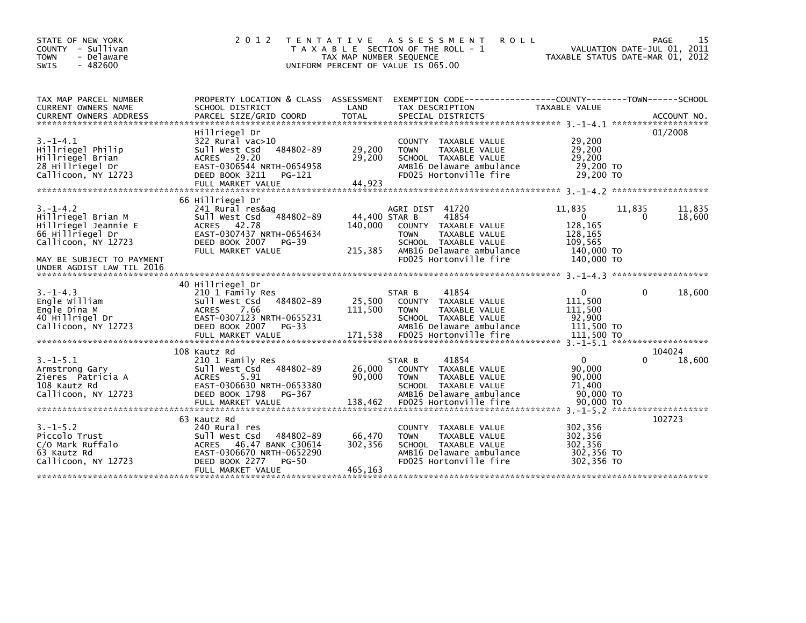| STATE OF NEW YORK<br>COUNTY - Sullivan<br>- Delaware<br><b>TOWN</b><br>$-482600$<br><b>SWIS</b>                                                                  | 2 0 1 2                                                                                                                                                                      | TAX MAP NUMBER SEQUENCE             | <b>ROLL</b><br>TENTATIVE ASSESSMENT<br>T A X A B L E SECTION OF THE ROLL - 1<br>UNIFORM PERCENT OF VALUE IS 065.00                                             | TAXABLE STATUS DATE-MAR 01, 2012                                                | PAGE<br>VALUATION DATE-JUL 01, 2011 | 15               |
|------------------------------------------------------------------------------------------------------------------------------------------------------------------|------------------------------------------------------------------------------------------------------------------------------------------------------------------------------|-------------------------------------|----------------------------------------------------------------------------------------------------------------------------------------------------------------|---------------------------------------------------------------------------------|-------------------------------------|------------------|
| TAX MAP PARCEL NUMBER<br><b>CURRENT OWNERS NAME</b><br><b>CURRENT OWNERS ADDRESS</b>                                                                             | PROPERTY LOCATION & CLASS ASSESSMENT<br>SCHOOL DISTRICT<br>PARCEL SIZE/GRID COORD                                                                                            | LAND<br><b>TOTAL</b>                | EXEMPTION CODE-----------------COUNTY-------TOWN------SCHOOL<br>TAX DESCRIPTION<br>SPECIAL DISTRICTS                                                           | TAXABLE VALUE                                                                   |                                     | ACCOUNT NO.      |
| $3. -1 - 4.1$<br>Hillriegel Philip<br>Hillriegel Brian<br>28 Hillriegel Dr<br>Callicoon, NY 12723                                                                | Hillriegel Dr<br>322 Rural vac>10<br>Sull West Csd<br>484802-89<br>ACRES 29.20<br>EAST-0306544 NRTH-0654958<br>DEED BOOK 3211<br>PG-121<br>FULL MARKET VALUE                 | 29,200<br>29,200<br>44,923          | COUNTY TAXABLE VALUE<br>TAXABLE VALUE<br><b>TOWN</b><br>SCHOOL TAXABLE VALUE<br>AMB16 Delaware ambulance<br>FD025 Hortonville fire                             | 29,200<br>29,200<br>29,200<br>29,200 TO<br>29,200 TO                            |                                     | 01/2008          |
| $3. -1 - 4.2$<br>Hillriegel Brian M<br>Hillriegel Jeannie E<br>66 Hillriegel Dr<br>Callicoon, NY 12723<br>MAY BE SUBJECT TO PAYMENT<br>UNDER AGDIST LAW TIL 2016 | 66 Hillriegel Dr<br>241 Rural res&ag<br>Sull West Csd<br>484802-89<br>ACRES 42.78<br>EAST-0307437 NRTH-0654634<br>DEED BOOK 2007<br>PG-39<br>FULL MARKET VALUE               | 44,400 STAR B<br>140,000<br>215,385 | AGRI DIST 41720<br>41854<br>COUNTY TAXABLE VALUE<br>TAXABLE VALUE<br><b>TOWN</b><br>SCHOOL TAXABLE VALUE<br>AMB16 Delaware ambulance<br>FD025 Hortonville fire | 11,835<br>$\Omega$<br>128,165<br>128,165<br>109.565<br>140,000 TO<br>140,000 TO | 11,835<br>0                         | 11,835<br>18,600 |
| $3. - 1 - 4.3$<br>Engle William<br>Engle Dina M<br>40 Hillrigel Dr<br>Callicoon, NY 12723                                                                        | 40 Hillriegel Dr<br>210 1 Family Res<br>484802-89<br>Sull West Csd<br><b>ACRES</b><br>7.66<br>EAST-0307123 NRTH-0655231<br>DEED BOOK 2007<br>PG-33                           | 25,500<br>111,500                   | 41854<br>STAR B<br>COUNTY TAXABLE VALUE<br><b>TOWN</b><br>TAXABLE VALUE<br>SCHOOL TAXABLE VALUE<br>AMB16 Delaware ambulance                                    | $\mathbf{0}$<br>111.500<br>111,500<br>92,900<br>111,500 TO                      | $\Omega$                            | 18,600           |
| $3.-1-5.1$<br>Armstrong Gary<br>Zieres Patricia A<br>108 Kautz Rd<br>Callicoon, NY 12723                                                                         | 108 Kautz Rd<br>210 1 Family Res<br>484802-89<br>Sull West Csd<br><b>ACRES</b><br>5.91<br>EAST-0306630 NRTH-0653380<br>DEED BOOK 1798<br>PG-367                              | 26,000<br>90.000                    | 41854<br>STAR B<br>COUNTY TAXABLE VALUE<br><b>TOWN</b><br>TAXABLE VALUE<br>SCHOOL TAXABLE VALUE<br>AMB16 Delaware ambulance                                    | $\mathbf 0$<br>90,000<br>90,000<br>71.400<br>90,000 TO                          | 104024<br>0                         | 18,600           |
| $3. -1 - 5.2$<br>Piccolo Trust<br>C/O Mark Ruffalo<br>63 Kautz Rd<br>Callicoon, NY 12723                                                                         | 63 Kautz Rd<br>240 Rural res<br>484802-89<br>Sull West Csd<br><b>ACRES</b><br>46.47 BANK C30614<br>EAST-0306670 NRTH-0652290<br>DEED BOOK 2277<br>PG-50<br>FULL MARKET VALUE | 66,470<br>302,356<br>465.163        | COUNTY TAXABLE VALUE<br><b>TOWN</b><br>TAXABLE VALUE<br>SCHOOL TAXABLE VALUE<br>AMB16 Delaware ambulance<br>FD025 Hortonville fire                             | 302,356<br>302,356<br>302,356<br>302,356 TO<br>302,356 TO                       | 102723                              |                  |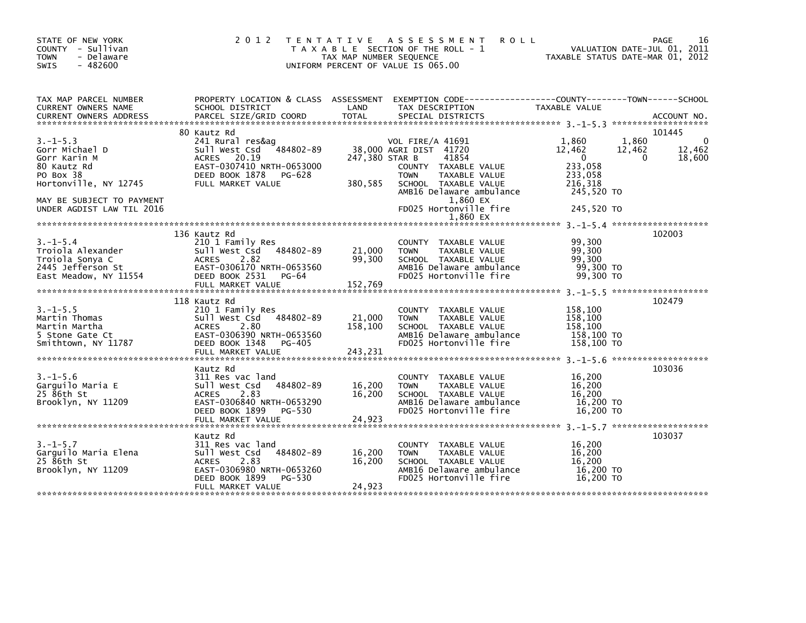| STATE OF NEW YORK<br>COUNTY - Sullivan<br><b>TOWN</b><br>- Delaware<br>$-482600$<br>SWIS                                                                       | 2 0 1 2                                                                                                                                                          | TAX MAP NUMBER SEQUENCE      | TENTATIVE ASSESSMENT<br><b>ROLL</b><br>T A X A B L E SECTION OF THE ROLL - 1<br>UNIFORM PERCENT OF VALUE IS 065.00                                                                                                |                                                                                             | 16<br>PAGE<br>VALUATION DATE-JUL 01, 2011<br>TAXABLE STATUS DATE-MAR 01, 2012 |
|----------------------------------------------------------------------------------------------------------------------------------------------------------------|------------------------------------------------------------------------------------------------------------------------------------------------------------------|------------------------------|-------------------------------------------------------------------------------------------------------------------------------------------------------------------------------------------------------------------|---------------------------------------------------------------------------------------------|-------------------------------------------------------------------------------|
| TAX MAP PARCEL NUMBER<br>CURRENT OWNERS NAME                                                                                                                   | SCHOOL DISTRICT                                                                                                                                                  | LAND                         | PROPERTY LOCATION & CLASS ASSESSMENT EXEMPTION CODE---------------COUNTY-------TOWN-----SCHOOL<br>TAX DESCRIPTION                                                                                                 | TAXABLE VALUE                                                                               |                                                                               |
| $3. -1 - 5.3$<br>Gorr Michael D<br>Gorr Karin M<br>80 Kautz Rd<br>PO Box 38<br>Hortonville, NY 12745<br>MAY BE SUBJECT TO PAYMENT<br>UNDER AGDIST LAW TIL 2016 | 80 Kautz Rd<br>241 Rural res&ag<br>484802-89<br>Sull West Csd<br>ACRES 20.19<br>EAST-0307410 NRTH-0653000<br>DEED BOOK 1878 PG-628<br>FULL MARKET VALUE          | 247,380 STAR B<br>380,585    | VOL FIRE/A 41691<br>38,000 AGRI DIST 41720<br>41854<br>COUNTY TAXABLE VALUE<br><b>TOWN</b><br>TAXABLE VALUE<br>SCHOOL TAXABLE VALUE<br>AMB16 Delaware ambulance<br>1,860 EX<br>FD025 Hortonville fire<br>1.860 EX | 1.860<br>12,462<br>$\mathbf 0$<br>233,058<br>233,058<br>216,318<br>245,520 TO<br>245,520 TO | 101445<br>1,860<br>0<br>12,462<br>12,462<br>18,600<br>$\Omega$                |
| $3. - 1 - 5.4$<br>Troiola Alexander<br>Troiola Sonya C<br>2445 Jefferson St<br>East Meadow, NY 11554                                                           | 136 Kautz Rd<br>210 1 Family Res<br>Sull West Csd 484802-89<br>2.82<br><b>ACRES</b><br>EAST-0306170 NRTH-0653560<br>DEED BOOK 2531<br>PG-64<br>FULL MARKET VALUE | 21,000<br>99,300<br>152,769  | COUNTY TAXABLE VALUE<br>TAXABLE VALUE<br><b>TOWN</b><br>SCHOOL TAXABLE VALUE<br>AMB16 Delaware ambulance<br>FD025 Hortonville fire                                                                                | 99,300<br>99,300<br>99,300<br>99,300 TO<br>99.300 TO                                        | 102003                                                                        |
| $3. -1 - 5.5$<br>Martin Thomas<br>Martin Martha<br>5 Stone Gate Ct<br>Smithtown, NY 11787                                                                      | 118 Kautz Rd<br>210 1 Family Res<br>Sull West Csd<br>484802-89<br>2.80<br>ACRES<br>EAST-0306390 NRTH-0653560<br>DEED BOOK 1348<br>PG-405<br>FULL MARKET VALUE    | 21,000<br>158,100<br>243,231 | COUNTY TAXABLE VALUE<br><b>TOWN</b><br><b>TAXABLE VALUE</b><br>SCHOOL TAXABLE VALUE<br>AMB16 Delaware ambulance<br>FD025 Hortonville fire                                                                         | 158,100<br>158,100<br>158,100<br>158,100 TO<br>158,100 TO                                   | 102479                                                                        |
| $3. - 1 - 5.6$<br>Garguilo Maria E<br>25 86th St<br>Brooklyn, NY 11209                                                                                         | Kautz Rd<br>311 Res vac land<br>484802-89<br>Sull West Csd<br>2.83<br><b>ACRES</b><br>EAST-0306840 NRTH-0653290<br>DEED BOOK 1899<br>PG-530<br>FULL MARKET VALUE | 16,200<br>16,200<br>24,923   | COUNTY TAXABLE VALUE<br>TAXABLE VALUE<br><b>TOWN</b><br>SCHOOL TAXABLE VALUE<br>AMB16 Delaware ambulance<br>FD025 Hortonville fire                                                                                | 16,200<br>16,200<br>16,200<br>16,200 TO<br>16,200 TO                                        | 103036                                                                        |
| $3. - 1 - 5.7$<br>Garguilo Maria Elena<br>25 86th St<br>Brooklyn, NY 11209                                                                                     | Kautz Rd<br>311 Res vac land<br>484802-89<br>Sull West Csd<br>2.83<br><b>ACRES</b><br>EAST-0306980 NRTH-0653260<br>DEED BOOK 1899<br>PG-530<br>FULL MARKET VALUE | 16,200<br>16,200<br>24,923   | COUNTY TAXABLE VALUE<br><b>TOWN</b><br>TAXABLE VALUE<br>SCHOOL TAXABLE VALUE<br>AMB16 Delaware ambulance<br>FD025 Hortonville fire                                                                                | 16,200<br>16,200<br>16,200<br>16,200 TO<br>16.200 TO                                        | 103037                                                                        |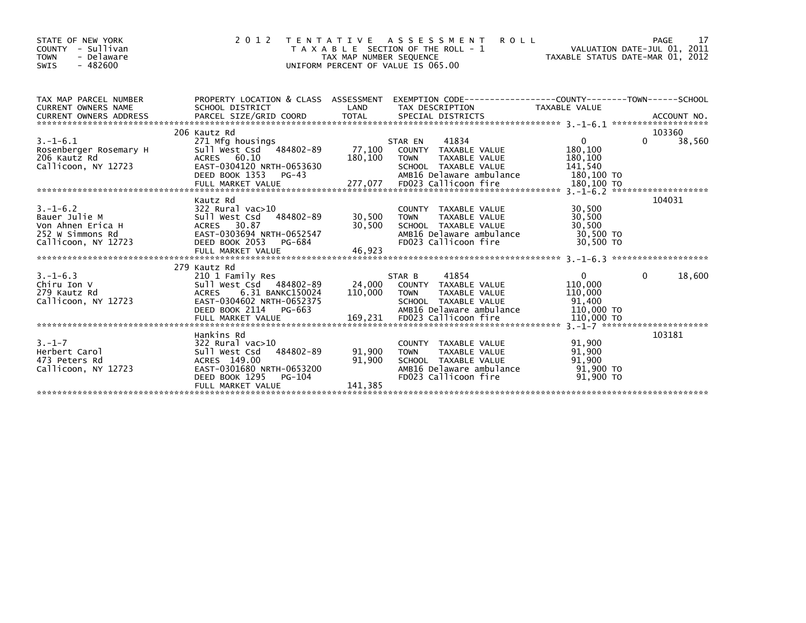| STATE OF NEW YORK<br>COUNTY - Sullivan<br><b>TOWN</b><br>- Delaware<br>$-482600$<br>SWIS                                                                                                                                                                                                                               | 2 0 1 2                                                                                                                                                                              | TAX MAP NUMBER SEQUENCE                                    | <b>ROLL</b><br>TENTATIVE ASSESSMENT<br>T A X A B L E SECTION OF THE ROLL - 1<br>UNIFORM PERCENT OF VALUE IS 065.00          | VALUATION DATE-JUL 01, 2011<br>TAXABLE STATUS DATE-MAR 01, 2012 | 17<br>PAGE                   |
|------------------------------------------------------------------------------------------------------------------------------------------------------------------------------------------------------------------------------------------------------------------------------------------------------------------------|--------------------------------------------------------------------------------------------------------------------------------------------------------------------------------------|------------------------------------------------------------|-----------------------------------------------------------------------------------------------------------------------------|-----------------------------------------------------------------|------------------------------|
| TAX MAP PARCEL NUMBER<br><b>CURRENT OWNERS NAME</b>                                                                                                                                                                                                                                                                    | PROPERTY LOCATION & CLASS ASSESSMENT<br>SCHOOL DISTRICT                                                                                                                              | LAND                                                       | EXEMPTION CODE-----------------COUNTY-------TOWN------SCHOOL<br>TAX DESCRIPTION                                             | TAXABLE VALUE                                                   |                              |
| $3. - 1 - 6.1$<br>Rosenberger Rosemary H<br>206 Kautz Rd<br>Callicoon, NY 12723<br>Callicoon, NY 12723 EAST-0304120 NRTH-0653630 SCHOOL TAXABLE VALUE 141,540<br>DEED BOOK 1353 PG-43 AMB16 Delaware ambulance 180,100 TO<br>FULL MARKET VALUE 277,077 FD023 Callicoon fire 180,100 TO FULL MARKET VALUE 277,077 FD023 | 206 Kautz Rd<br>271 Mfg housings<br>Sull West Csd 484802-89<br>ACRES 60.10                                                                                                           | 180,100 TOWN                                               | 41834<br>STAR EN<br>STAR EN       41834<br>77,100    COUNTY   TAXABLE VALUE<br>TAXABLE VALUE                                | $\overline{0}$<br>180,100<br>180,100                            | 103360<br>38,560<br>$\Omega$ |
| $3. - 1 - 6.2$<br>S. ב. מצר בית בית Bauer Julie M<br>Von Ahnen Erica H<br>252 W Simmons Rd<br>Callicoon. NY 17773<br>Callicoon, NY 12723                                                                                                                                                                               | Kautz Rd<br>322 Rural vac>10<br>Sull West Csd 484802-89<br>ACRES 30.87<br>ACRES 30.87 30.97<br>EAST-0303694 NRTH-0652547 30,500<br>DEED BOOK 2053 PG-684<br>FULL MARKET VALUE 46,923 | 30,500 TOWN<br>30,500                                      | COUNTY TAXABLE VALUE<br>TAXABLE VALUE<br>SCHOOL TAXABLE VALUE<br>AMB16 Delaware ambulance 30,500 TO<br>FD023 Callicoon fire | 30,500<br>30,500<br>30,500<br>30.500 TO                         | 104031                       |
| $3. - 1 - 6.3$<br>Chiru Ion V<br>279 Kautz Rd<br>Callicoon, NY 12723                                                                                                                                                                                                                                                   | 279 Kautz Rd<br>210 1 Family Res<br>Sull West Csd 484802-89<br>ACRES 6.31 BANKC150024<br>EAST-0304602 NRTH-0652375<br>DEED BOOK 2114 PG-663                                          | 110,000 TOWN                                               | STAR B<br>41854<br>24,000 COUNTY TAXABLE VALUE<br>TAXABLE VALUE<br>SCHOOL TAXABLE VALUE<br>AMB16 Delaware ambulance         | $\mathbf{0}$<br>110,000<br>110,000<br>91.400<br>110,000 TO      | $\mathbf{0}$<br>18,600       |
| $3. - 1 - 7$<br>Herbert Carol<br>473 Peters Rd<br>Callicoon, NY 12723                                                                                                                                                                                                                                                  | Hankins Rd<br>322 Rural vac>10<br>Sull West Csd 484802-89<br>ACRES 149.00<br>EAST-0301680 NRTH-0653200<br>DEED BOOK 1295<br>PG-104<br>FULL MARKET VALUE                              | 91,900 TOWN<br>91,900<br>אמר $\tau$ גע $\sigma$<br>141,385 | COUNTY TAXABLE VALUE<br>TAXABLE VALUE<br>SCHOOL TAXABLE VALUE<br>AMB16 Delaware ambulance<br>FD023 Callicoon fire           | 91,900<br>91,900<br>91,900<br>91,900 TO<br>91.900 TO            | 103181                       |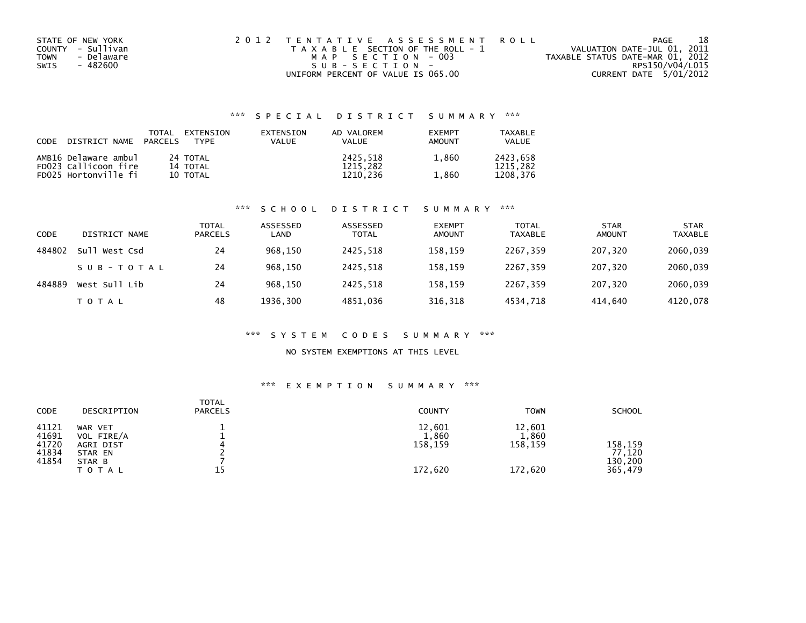| STATE OF NEW YORK  | 2012 TENTATIVE ASSESSMENT ROLL        | PAGE                             | 18              |
|--------------------|---------------------------------------|----------------------------------|-----------------|
| COUNTY - Sullivan  | T A X A B L E SECTION OF THE ROLL - 1 | VALUATION DATE-JUL 01, 2011      |                 |
| - Delaware<br>TOWN | MAP SECTION - 003                     | TAXABLE STATUS DATE-MAR 01, 2012 |                 |
| SWIS<br>- 482600   | $SUB - SECTION -$                     |                                  | RPS150/V04/L015 |
|                    | UNIFORM PERCENT OF VALUE IS 065.00    | CURRENT DATE 5/01/2012           |                 |

## \*\*\* S P E C I A L D I S T R I C T S U M M A R Y \*\*\*

| CODE | DISTRICT NAME        | TOTAL<br><b>PARCELS</b> | EXTENSION<br><b>TYPF</b> | EXTENSION<br>VALUE | AD VALOREM<br>VALUE | <b>EXEMPT</b><br>AMOUNT | <b>TAXABLE</b><br>VALUE |
|------|----------------------|-------------------------|--------------------------|--------------------|---------------------|-------------------------|-------------------------|
|      | AMB16 Delaware ambul |                         | 24 TOTAL                 |                    | 2425.518            | 1.860                   | 2423.658                |
|      | FD023 Callicoon fire |                         | 14 TOTAL                 |                    | 1215.282            |                         | 1215.282                |
|      | FD025 Hortonville fi |                         | 10 TOTAL                 |                    | 1210.236            | 1,860                   | 1208.376                |

#### \*\*\* S C H O O L D I S T R I C T S U M M A R Y \*\*\*

| <b>CODE</b> | DISTRICT NAME | <b>TOTAL</b><br><b>PARCELS</b> | ASSESSED<br>LAND | ASSESSED<br><b>TOTAL</b> | <b>EXEMPT</b><br><b>AMOUNT</b> | <b>TOTAL</b><br><b>TAXABLE</b> | <b>STAR</b><br><b>AMOUNT</b> | <b>STAR</b><br><b>TAXABLE</b> |
|-------------|---------------|--------------------------------|------------------|--------------------------|--------------------------------|--------------------------------|------------------------------|-------------------------------|
| 484802      | Sull West Csd | 24                             | 968,150          | 2425,518                 | 158,159                        | 2267,359                       | 207.320                      | 2060,039                      |
|             | SUB-TOTAL     | 24                             | 968.150          | 2425.518                 | 158,159                        | 2267,359                       | 207.320                      | 2060,039                      |
| 484889      | West Sull Lib | 24                             | 968,150          | 2425,518                 | 158,159                        | 2267,359                       | 207.320                      | 2060,039                      |
|             | T O T A L     | 48                             | 1936,300         | 4851,036                 | 316,318                        | 4534,718                       | 414,640                      | 4120,078                      |

#### \*\*\* S Y S T E M C O D E S S U M M A R Y \*\*\*

### NO SYSTEM EXEMPTIONS AT THIS LEVEL

#### \*\*\* E X E M P T I O N S U M M A R Y \*\*\*

| CODE                                      | DESCRIPTION                                                             | <b>TOTAL</b><br><b>PARCELS</b> | <b>COUNTY</b>                         | <b>TOWN</b>                           | <b>SCHOOL</b>                           |
|-------------------------------------------|-------------------------------------------------------------------------|--------------------------------|---------------------------------------|---------------------------------------|-----------------------------------------|
| 41121<br>41691<br>41720<br>41834<br>41854 | WAR VET<br>VOL FIRE/A<br>AGRI DIST<br>STAR EN<br>STAR B<br><b>TOTAL</b> | 4<br>15                        | 12,601<br>1,860<br>158,159<br>172,620 | 12,601<br>1,860<br>158,159<br>172,620 | 158,159<br>77.120<br>130.200<br>365,479 |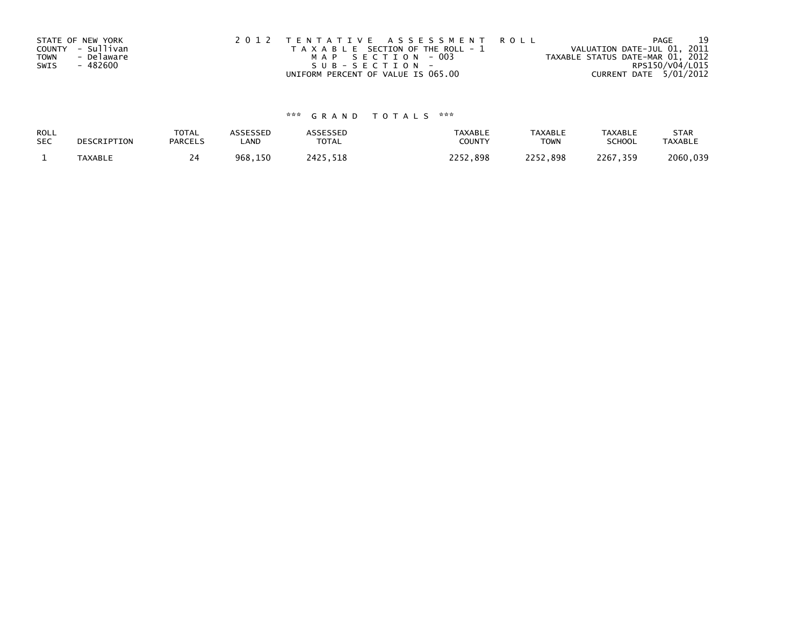|             | STATE OF NEW YORK | 2012 TENTATIVE ASSESSMENT ROLL        | 19<br>PAGE                       |
|-------------|-------------------|---------------------------------------|----------------------------------|
|             | COUNTY - Sullivan | T A X A B L E SECTION OF THE ROLL - 1 | VALUATION DATE-JUL 01, 2011      |
| <b>TOWN</b> | - Delaware        | MAP SECTION - 003                     | TAXABLE STATUS DATE-MAR 01, 2012 |
| SWIS        | - 482600          | $SUB - SECTION -$                     | RPS150/V04/L015                  |
|             |                   | UNIFORM PERCENT OF VALUE IS 065.00    | CURRENT DATE 5/01/2012           |

# \*\*\* G R A N D T O T A L S \*\*\*

| ROLL       | DESCRIPTION    | <b>TOTAL</b>   | ASSESSED | <b>\SSESSED</b> | <b>TAXABLE</b> | <b>TAXABLE</b> | <b>TAXABLE</b> | <b>STAR</b>    |
|------------|----------------|----------------|----------|-----------------|----------------|----------------|----------------|----------------|
| <b>SEC</b> |                | <b>PARCELS</b> | LAND     | <b>TOTAL</b>    | COUNTY         | <b>TOWN</b>    | <b>SCHOOL</b>  | <b>TAXABLE</b> |
|            | <b>TAXABLE</b> | ו ⊿            | 968,150  | 2425<br>.518    | つつロニ<br>52.898 | 2252,898       | 2267.<br>359   | 2060,039       |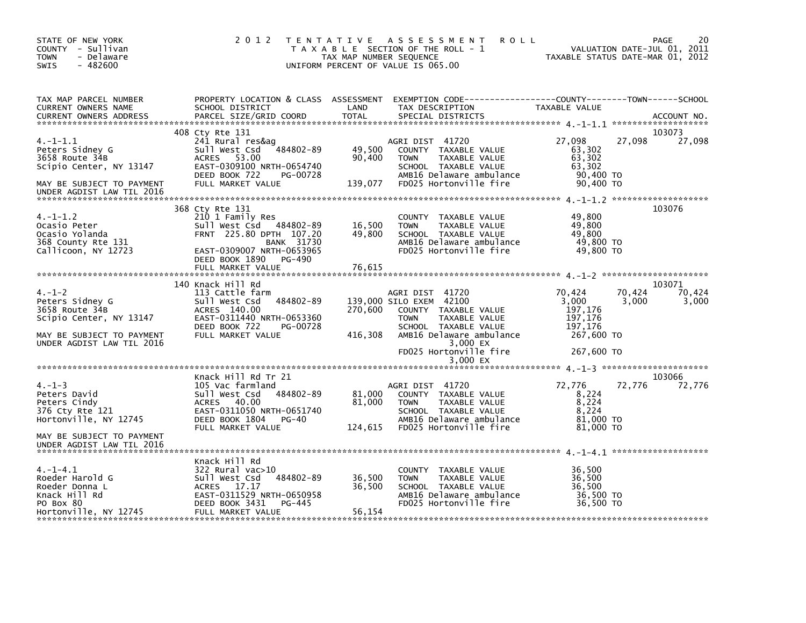| STATE OF NEW YORK<br>COUNTY - Sullivan<br><b>TOWN</b><br>- Delaware<br>$-482600$<br>SWIS                                  |                                                                                                                                                                   | TAX MAP NUMBER SEQUENCE     | 2012 TENTATIVE ASSESSMENT<br><b>ROLL</b><br>T A X A B L E SECTION OF THE ROLL - 1<br>UNIFORM PERCENT OF VALUE IS 065.00                               | TAXABLE STATUS DATE-MAR 01, 2012                               | VALUATION DATE-JUL 01, 2011 | 20<br>PAGE                |
|---------------------------------------------------------------------------------------------------------------------------|-------------------------------------------------------------------------------------------------------------------------------------------------------------------|-----------------------------|-------------------------------------------------------------------------------------------------------------------------------------------------------|----------------------------------------------------------------|-----------------------------|---------------------------|
| TAX MAP PARCEL NUMBER<br>CURRENT OWNERS NAME<br><b>CURRENT OWNERS ADDRESS</b>                                             | SCHOOL DISTRICT<br>PARCEL SIZE/GRID COORD                                                                                                                         | LAND<br><b>TOTAL</b>        | PROPERTY LOCATION & CLASS ASSESSMENT EXEMPTION CODE----------------COUNTY-------TOWN-----SCHOOL<br>TAX DESCRIPTION<br>SPECIAL DISTRICTS               | TAXABLE VALUE                                                  |                             | ACCOUNT NO.               |
| $4. -1 - 1.1$<br>Peters Sidney G<br>3658 Route 34B<br>Scipio Center, NY 13147<br>MAY BE SUBJECT TO PAYMENT                | 408 Cty Rte 131<br>241 Rural res&ag<br>Sull West Csd 484802-89<br>ACRES 53.00<br>EAST-0309100 NRTH-0654740<br>DEED BOOK 722<br>PG-00728<br>FULL MARKET VALUE      | 49,500<br>90,400<br>139,077 | AGRI DIST 41720<br>COUNTY TAXABLE VALUE<br>TAXABLE VALUE<br><b>TOWN</b><br>SCHOOL TAXABLE VALUE<br>AMB16 Delaware ambulance<br>FD025 Hortonville fire | 27,098<br>63,302<br>63,302<br>63,302<br>90,400 TO<br>90,400 TO | 27,098                      | 103073<br>27,098          |
| UNDER AGDIST LAW TIL 2016<br>$4. -1 - 1.2$<br>Ocasio Peter<br>Ocasio Yolanda<br>368 County Rte 131<br>Callicoon, NY 12723 | 368 Cty Rte 131<br>210 1 Family Res<br>Sull West Csd 484802-89<br>FRNT 225.80 DPTH 107.20<br><b>BANK 31730</b><br>EAST-0309007 NRTH-0653965                       | 16,500<br>49,800            | COUNTY TAXABLE VALUE<br><b>TOWN</b><br>TAXABLE VALUE<br>SCHOOL TAXABLE VALUE<br>AMB16 Delaware ambulance<br>FD025 Hortonville fire                    | 49,800<br>49,800<br>49,800<br>49,800 TO<br>49,800 TO           |                             | 103076                    |
|                                                                                                                           | DEED BOOK 1890<br>PG-490<br>FULL MARKET VALUE                                                                                                                     | 76,615                      |                                                                                                                                                       |                                                                |                             |                           |
| $4. - 1 - 2$<br>Peters Sidney G<br>3658 Route 34B<br>Scipio Center, NY 13147                                              | 140 Knack Hill Rd<br>113 Cattle farm<br>484802-89<br>Sull West Csd<br>ACRES 140.00<br>EAST-0311440 NRTH-0653360<br>DEED BOOK 722<br>PG-00728                      | 270,600                     | AGRI DIST 41720<br>139,000 SILO EXEM 42100<br>COUNTY TAXABLE VALUE<br>TAXABLE VALUE<br><b>TOWN</b><br>SCHOOL TAXABLE VALUE                            | 70,424<br>3.000<br>197,176<br>197,176<br>197,176               | 70,424<br>3.000             | 103071<br>70,424<br>3,000 |
| MAY BE SUBJECT TO PAYMENT<br>UNDER AGDIST LAW TIL 2016                                                                    | FULL MARKET VALUE                                                                                                                                                 | 416,308                     | AMB16 Delaware ambulance<br>3,000 EX<br>FD025 Hortonville fire<br>3,000 EX                                                                            | 267,600 TO<br>267,600 TO                                       |                             |                           |
|                                                                                                                           |                                                                                                                                                                   |                             |                                                                                                                                                       |                                                                |                             |                           |
| $4. -1 - 3$<br>Peters David<br>Peters Cindy<br>376 Cty Rte 121<br>Hortonville, NY 12745                                   | Knack Hill Rd Tr 21<br>105 Vac farmland<br>484802-89<br>Sull West Csd<br>ACRES 40.00<br>EAST-0311050 NRTH-0651740<br>DEED BOOK 1804<br>PG-40                      | 81,000<br>81,000            | AGRI DIST 41720<br>COUNTY TAXABLE VALUE<br><b>TOWN</b><br>TAXABLE VALUE<br>SCHOOL TAXABLE VALUE<br>AMB16 Delaware ambulance                           | 72,776<br>8,224<br>8,224<br>8,224<br>81,000 TO                 | 72,776                      | 103066<br>72,776          |
| MAY BE SUBJECT TO PAYMENT<br>UNDER AGDIST LAW TIL 2016                                                                    | FULL MARKET VALUE                                                                                                                                                 | 124,615                     | FD025 Hortonville fire                                                                                                                                | 81,000 TO                                                      |                             |                           |
| $4. -1 - 4.1$<br>Roeder Harold G<br>Roeder Donna L<br>Knack Hill Rd<br>PO Box 80<br>Hortonville, NY 12745                 | Knack Hill Rd<br>$322$ Rural vac $>10$<br>484802-89<br>Sull West Csd<br>ACRES 17.17<br>EAST-0311529 NRTH-0650958<br>DEED BOOK 3431<br>PG-445<br>FULL MARKET VALUE | 36,500<br>36,500<br>56,154  | COUNTY TAXABLE VALUE<br>TAXABLE VALUE<br><b>TOWN</b><br>SCHOOL TAXABLE VALUE<br>AMB16 Delaware ambulance<br>FD025 Hortonville fire                    | 36,500<br>36,500<br>36,500<br>36,500 TO<br>36.500 TO           |                             |                           |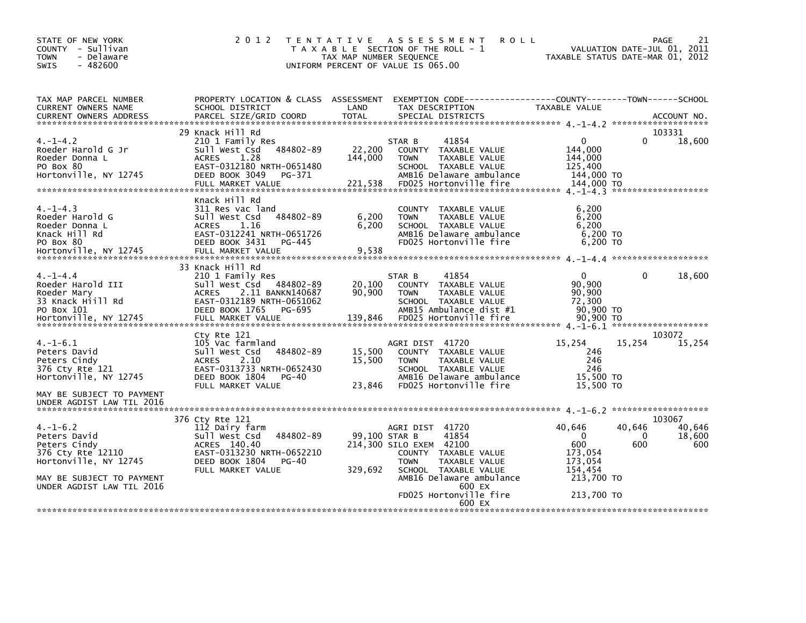| STATE OF NEW YORK<br>COUNTY - Sullivan<br>- Delaware<br><b>TOWN</b><br><b>SWIS</b><br>$-482600$               | 2 0 1 2                                                                                                                                                               | T E N T A T I V E<br>TAX MAP NUMBER SEQUENCE | A S S E S S M E N T<br><b>ROLL</b><br>T A X A B L E SECTION OF THE ROLL - 1<br>UNIFORM PERCENT OF VALUE IS 065.00                                    |                                                                  | 21<br><b>PAGE</b><br>VALUATION DATE-JUL 01,<br>2011<br>TAXABLE STATUS DATE-MAR 01, 2012 |
|---------------------------------------------------------------------------------------------------------------|-----------------------------------------------------------------------------------------------------------------------------------------------------------------------|----------------------------------------------|------------------------------------------------------------------------------------------------------------------------------------------------------|------------------------------------------------------------------|-----------------------------------------------------------------------------------------|
| TAX MAP PARCEL NUMBER<br>CURRENT OWNERS NAME<br><b>CURRENT OWNERS ADDRESS</b>                                 | PROPERTY LOCATION & CLASS ASSESSMENT<br>SCHOOL DISTRICT<br>PARCEL SIZE/GRID COORD                                                                                     | LAND<br><b>TOTAL</b>                         | EXEMPTION CODE-----------------COUNTY-------TOWN------SCHOOL<br>TAX DESCRIPTION<br>SPECIAL DISTRICTS                                                 | TAXABLE VALUE                                                    | ACCOUNT NO.                                                                             |
|                                                                                                               | 29 Knack Hill Rd                                                                                                                                                      |                                              |                                                                                                                                                      |                                                                  | 103331                                                                                  |
| $4. -1 - 4.2$<br>Roeder Harold G Jr<br>Roeder Donna L<br>PO Box 80<br>Hortonville, NY 12745                   | 210 1 Family Res<br>484802-89<br>Sull West Csd<br><b>ACRES</b><br>1.28<br>EAST-0312180 NRTH-0651480<br>DEED BOOK 3049<br>PG-371                                       | 22,200<br>144,000                            | 41854<br>STAR B<br>COUNTY TAXABLE VALUE<br><b>TOWN</b><br>TAXABLE VALUE<br>SCHOOL TAXABLE VALUE<br>AMB16 Delaware ambulance                          | 0<br>144,000<br>144,000<br>125,400<br>144,000 TO<br>144,000 TO   | 18,600<br>0<br>*******************                                                      |
| $4. -1 - 4.3$<br>Roeder Harold G<br>Roeder Donna L<br>Knack Hill Rd<br>PO Box 80<br>Hortonville, NY 12745     | Knack Hill Rd<br>311 Res vac land<br>484802-89<br>Sull West Csd<br>1.16<br><b>ACRES</b><br>EAST-0312241 NRTH-0651726<br>DEED BOOK 3431<br>PG-445<br>FULL MARKET VALUE | 6,200<br>6,200<br>9,538                      | COUNTY TAXABLE VALUE<br>TAXABLE VALUE<br><b>TOWN</b><br>SCHOOL TAXABLE VALUE<br>AMB16 Delaware ambulance<br>FD025 Hortonville fire                   | 6.200<br>6,200<br>6,200<br>6,200 TO<br>6,200 TO                  |                                                                                         |
|                                                                                                               | 33 Knack Hill Rd                                                                                                                                                      |                                              |                                                                                                                                                      |                                                                  |                                                                                         |
| $4. -1 - 4.4$<br>Roeder Harold III<br>Roeder Mary<br>33 Knack Hiill Rd<br>PO Box 101<br>Hortonville, NY 12745 | 210 1 Family Res<br>Sull West Csd 484802-89<br>2.11 BANKN140687<br><b>ACRES</b><br>EAST-0312189 NRTH-0651062<br>DEED BOOK 1765<br>PG-695<br>FULL MARKET VALUE         | 20,100<br>90,900<br>139,846                  | STAR B<br>41854<br>COUNTY TAXABLE VALUE<br>TAXABLE VALUE<br><b>TOWN</b><br>SCHOOL TAXABLE VALUE<br>AMB15 Ambulance dist #1<br>FD025 Hortonville fire | $\Omega$<br>90,900<br>90,900<br>72,300<br>90,900 TO<br>90.900 TO | $\mathbf{0}$<br>18,600<br>*******************                                           |
|                                                                                                               | Cty Rte 121                                                                                                                                                           |                                              |                                                                                                                                                      |                                                                  | 103072                                                                                  |
| $4. -1 - 6.1$<br>Peters David<br>Peters Cindy<br>376 Cty Rte 121<br>Hortonville, NY 12745                     | 105 Vac farmland<br>Sull West Csd<br>484802-89<br>2.10<br><b>ACRES</b><br>EAST-0313733 NRTH-0652430<br>DEED BOOK 1804<br>$PG-40$                                      | 15,500<br>15,500                             | AGRI DIST 41720<br>COUNTY TAXABLE VALUE<br><b>TAXABLE VALUE</b><br><b>TOWN</b><br>SCHOOL TAXABLE VALUE<br>AMB16 Delaware ambulance                   | 15,254<br>246<br>246<br>246<br>15,500 TO                         | 15,254<br>15,254                                                                        |
| MAY BE SUBJECT TO PAYMENT<br>UNDER AGDIST LAW TIL 2016                                                        | FULL MARKET VALUE                                                                                                                                                     | 23,846                                       | FD025 Hortonville fire                                                                                                                               | 15,500 TO                                                        |                                                                                         |
|                                                                                                               | 376 Cty Rte 121                                                                                                                                                       |                                              |                                                                                                                                                      |                                                                  | 103067                                                                                  |
| $4. - 1 - 6.2$<br>Peters David<br>Peters Cindy<br>376 Cty Rte 12110<br>Hortonville, NY 12745                  | 112 Dairy farm<br>484802-89<br>Sull West Csd<br>ACRES 140.40<br>EAST-0313230 NRTH-0652210<br>DEED BOOK 1804<br>$PG-40$<br>FULL MARKET VALUE                           | 329,692                                      | AGRI DIST 41720<br>99.100 STAR B<br>41854<br>214,300 SILO EXEM 42100<br>COUNTY TAXABLE VALUE<br>TAXABLE VALUE<br><b>TOWN</b><br>SCHOOL TAXABLE VALUE | 40,646<br>$\Omega$<br>600<br>173,054<br>173,054<br>154,454       | 40,646<br>40,646<br>18,600<br>0<br>600<br>600                                           |
| MAY BE SUBJECT TO PAYMENT<br>UNDER AGDIST LAW TIL 2016                                                        |                                                                                                                                                                       |                                              | AMB16 Delaware ambulance<br>600 EX<br>FD025 Hortonville fire<br>600 EX                                                                               | 213,700 TO<br>213,700 TO                                         |                                                                                         |
|                                                                                                               |                                                                                                                                                                       |                                              |                                                                                                                                                      |                                                                  |                                                                                         |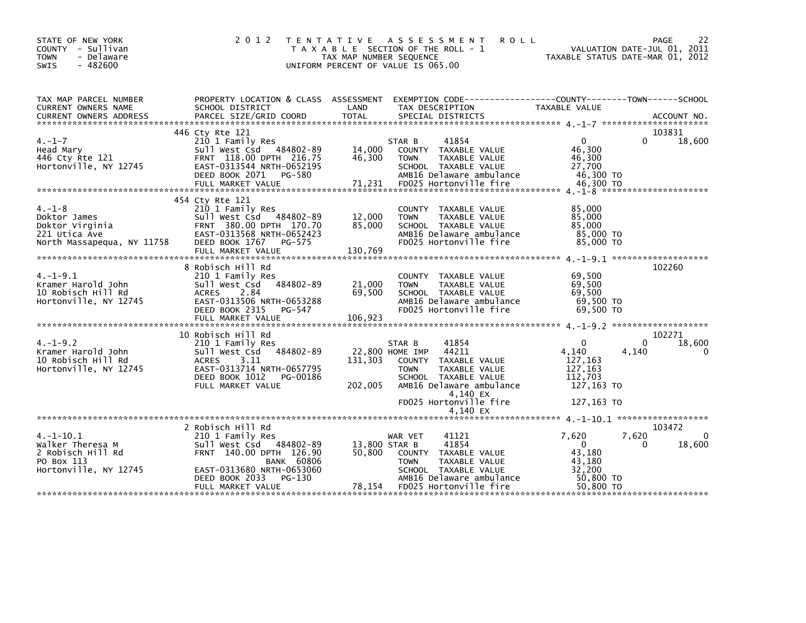| STATE OF NEW YORK<br>COUNTY - Sullivan<br><b>TOWN</b><br>- Delaware<br><b>SWIS</b><br>$-482600$ | 2 0 1 2                                                                                                                                                                      | T E N T A T I V E<br>TAX MAP NUMBER SEQUENCE | A S S E S S M E N T<br><b>ROLL</b><br>T A X A B L E SECTION OF THE ROLL - 1<br>UNIFORM PERCENT OF VALUE IS 065.00                                                                             | 22<br>PAGE<br>VALUATION DATE-JUL 01, 2011<br>TAXABLE STATUS DATE-MAR 01, 2012                                                                                                                                                                                                                                                                                                                         |
|-------------------------------------------------------------------------------------------------|------------------------------------------------------------------------------------------------------------------------------------------------------------------------------|----------------------------------------------|-----------------------------------------------------------------------------------------------------------------------------------------------------------------------------------------------|-------------------------------------------------------------------------------------------------------------------------------------------------------------------------------------------------------------------------------------------------------------------------------------------------------------------------------------------------------------------------------------------------------|
| TAX MAP PARCEL NUMBER<br>CURRENT OWNERS NAME                                                    | PROPERTY LOCATION & CLASS ASSESSMENT<br>SCHOOL DISTRICT                                                                                                                      | LAND                                         | TAX DESCRIPTION                                                                                                                                                                               | EXEMPTION CODE-----------------COUNTY-------TOWN------SCHOOL<br>TAXABLE VALUE                                                                                                                                                                                                                                                                                                                         |
| $4. - 1 - 7$<br>Head Mary<br>446 Cty Rte 121<br>Hortonville, NY 12745                           | 446 Cty Rte 121<br>210 1 Family Res<br>Sull West Csd 484802-89<br>FRNT 118.00 DPTH 216.75<br>EAST-0313544 NRTH-0652195<br>DEED BOOK 2071<br>PG-580<br>FULL MARKET VALUE      | 14,000<br>46,300<br>71,231                   | STAR B<br>41854<br>COUNTY TAXABLE VALUE<br><b>TOWN</b><br>TAXABLE VALUE<br>SCHOOL TAXABLE VALUE<br>AMB16 Delaware ambulance<br>FD025 Hortonville fire                                         | 103831<br>$\Omega$<br>$\Omega$<br>18,600<br>46,300<br>46,300<br>27,700<br>46.300 TO<br>46,300 TO                                                                                                                                                                                                                                                                                                      |
|                                                                                                 |                                                                                                                                                                              |                                              |                                                                                                                                                                                               |                                                                                                                                                                                                                                                                                                                                                                                                       |
| $4. - 1 - 8$<br>Doktor James<br>Doktor Virginia<br>221 Utica Ave<br>North Massapequa, NY 11758  | 454 Cty Rte 121<br>210 1 Family Res<br>Sull West Csd 484802-89<br>FRNT 380.00 DPTH 170.70<br>EAST-0313568 NRTH-0652423<br>DEED BOOK 1767 PG-575                              | 12,000<br>85,000                             | COUNTY TAXABLE VALUE<br>TAXABLE VALUE<br><b>TOWN</b><br>SCHOOL TAXABLE VALUE<br>AMB16 Delaware ambulance<br>FD025 Hortonville fire                                                            | 85,000<br>85,000<br>85,000<br>85,000 TO<br>85,000 TO                                                                                                                                                                                                                                                                                                                                                  |
| $4. -1 - 9.1$<br>Kramer Harold John<br>10 Robisch Hill Rd<br>Hortonville, NY 12745              | 8 Robisch Hill Rd<br>210 1 Family Res<br>484802-89<br>Sull West Csd<br>2.84<br>ACRES<br>EAST-0313506 NRTH-0653288<br>DEED BOOK 2315<br>PG-547<br>FULL MARKET VALUE           | 21,000<br>69,500<br>106,923                  | COUNTY TAXABLE VALUE<br><b>TAXABLE VALUE</b><br><b>TOWN</b><br>SCHOOL TAXABLE VALUE<br>AMB16 Delaware ambulance<br>FD025 Hortonville fire                                                     | 102260<br>69.500<br>69,500<br>69,500<br>69,500 TO<br>69,500 TO                                                                                                                                                                                                                                                                                                                                        |
| $4. -1 - 9.2$<br>Kramer Harold John<br>10 Robisch Hill Rd<br>Hortonville, NY 12745              | 10 Robisch Hill Rd<br>210 1 Family Res<br>484802-89<br>Sull West Csd<br>ACRES<br>3.11<br>EAST-0313714 NRTH-0657795<br>DEED BOOK 1012<br>PG-00186<br>FULL MARKET VALUE        | 131,303<br>202,005                           | 41854<br>STAR B<br>22,800 HOME IMP<br>44211<br>COUNTY TAXABLE VALUE<br><b>TOWN</b><br>TAXABLE VALUE<br>SCHOOL TAXABLE VALUE<br>AMB16 Delaware ambulance<br>4,140 EX<br>FD025 Hortonville fire | 102271<br>$\mathbf{0}$<br>18,600<br>0<br>4,140<br>4,140<br>127,163<br>127, 163<br>112,703<br>127,163 TO<br>127,163 TO                                                                                                                                                                                                                                                                                 |
|                                                                                                 |                                                                                                                                                                              |                                              |                                                                                                                                                                                               | $\begin{array}{l} \texttt{+ 140 ex} \\ \texttt{+ 140 ex} \\ \texttt{+ 140 ex} \\ \texttt{+ 140 ex} \\ \texttt{+ 140 ex} \\ \texttt{+ 140 ex} \\ \texttt{+ 140 ex} \\ \texttt{+ 140 ex} \\ \texttt{+ 140 ex} \\ \texttt{+ 140 ex} \\ \texttt{+ 140 ex} \\ \texttt{+ 140 ex} \\ \texttt{+ 140 ex} \\ \texttt{+ 140 ex} \\ \texttt{+ 140 ex} \\ \texttt{+ 140 ex} \\ \texttt{+ 140 ex} \\ \texttt{+ 140$ |
| $4. -1 - 10.1$<br>Walker Theresa M<br>2 Robisch Hill Rd<br>PO Box 113<br>Hortonville, NY 12745  | 2 Robisch Hill Rd<br>210 1 Family Res<br>Sull West Csd<br>484802-89<br>FRNT 140.00 DPTH 126.90<br><b>BANK 60806</b><br>EAST-0313680 NRTH-0653060<br>DEED BOOK 2033<br>PG-130 | 50,800                                       | 41121<br>WAR VET<br>41854<br>13,800 STAR B<br>COUNTY TAXABLE VALUE<br>TAXABLE VALUE<br><b>TOWN</b><br>SCHOOL TAXABLE VALUE<br>AMB16 Delaware ambulance                                        | 103472<br>7.620<br>7,620<br>$\Omega$<br>$\mathbf{0}$<br>18,600<br>0<br>43,180<br>43,180<br>32,200<br>50,800 TO                                                                                                                                                                                                                                                                                        |
|                                                                                                 | FULL MARKET VALUE                                                                                                                                                            | 78.154                                       | FD025 Hortonville fire                                                                                                                                                                        | 50,800 TO                                                                                                                                                                                                                                                                                                                                                                                             |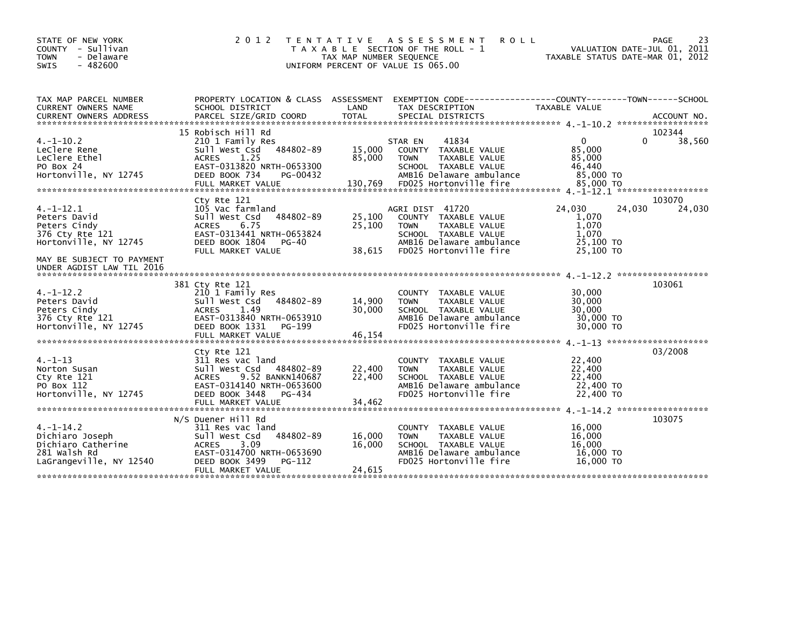| STATE OF NEW YORK<br>COUNTY - Sullivan<br>- Delaware<br><b>TOWN</b><br>$-482600$<br><b>SWIS</b>    | 2 0 1 2<br>T E N T A T I V E                                                                                                                                                | TAX MAP NUMBER SEQUENCE     | A S S E S S M E N T<br><b>ROLL</b><br>T A X A B L E SECTION OF THE ROLL - 1<br>UNIFORM PERCENT OF VALUE IS 065.00                                      |                                                                      | 23<br>PAGE<br>VALUATION DATE-JUL 01, 2011<br>TAXABLE STATUS DATE-MAR 01, 2012 |
|----------------------------------------------------------------------------------------------------|-----------------------------------------------------------------------------------------------------------------------------------------------------------------------------|-----------------------------|--------------------------------------------------------------------------------------------------------------------------------------------------------|----------------------------------------------------------------------|-------------------------------------------------------------------------------|
| TAX MAP PARCEL NUMBER<br>CURRENT OWNERS NAME                                                       | PROPERTY LOCATION & CLASS ASSESSMENT<br>SCHOOL DISTRICT                                                                                                                     | LAND                        | EXEMPTION CODE-----------------COUNTY-------TOWN------SCHOOL<br>TAX DESCRIPTION                                                                        | TAXABLE VALUE                                                        |                                                                               |
|                                                                                                    |                                                                                                                                                                             |                             |                                                                                                                                                        |                                                                      |                                                                               |
| $4. -1 - 10.2$<br>LeClere Rene<br>LeClere Ethel<br>PO Box 24<br>Hortonville, NY 12745              | 15 Robisch Hill Rd<br>210 1 Family Res<br>484802-89<br>Sull West Csd<br>1.25<br><b>ACRES</b><br>EAST-0313820 NRTH-0653300<br>DEED BOOK 734<br>PG-00432<br>FULL MARKET VALUE | 15,000<br>85,000<br>130.769 | 41834<br>STAR EN<br>COUNTY TAXABLE VALUE<br>TAXABLE VALUE<br><b>TOWN</b><br>SCHOOL TAXABLE VALUE<br>AMB16 Delaware ambulance<br>FD025 Hortonville fire | $\mathbf{0}$<br>85,000<br>85,000<br>46,440<br>85,000 TO<br>85,000 TO | 102344<br>0<br>38,560                                                         |
| $4. -1 - 12.1$<br>Peters David<br>Peters Cindy<br>376 Cty Rte 121<br>Hortonville, NY 12745         | Cty Rte 121<br>105 Vac farmland<br>484802-89<br>Sull West Csd<br><b>ACRES</b><br>6.75<br>EAST-0313441 NRTH-0653824<br>DEED BOOK 1804<br>PG-40<br>FULL MARKET VALUE          | 25,100<br>25,100<br>38,615  | AGRI DIST 41720<br>COUNTY TAXABLE VALUE<br><b>TOWN</b><br>TAXABLE VALUE<br>SCHOOL TAXABLE VALUE<br>AMB16 Delaware ambulance<br>FD025 Hortonville fire  | 24.030<br>1,070<br>1,070<br>1,070<br>25,100 TO<br>25,100 TO          | 103070<br>24,030<br>24,030                                                    |
| MAY BE SUBJECT TO PAYMENT<br>UNDER AGDIST LAW TIL 2016                                             |                                                                                                                                                                             |                             |                                                                                                                                                        |                                                                      |                                                                               |
| $4. -1 - 12.2$<br>Peters David<br>Peters Cindy<br>376 Cty Rte 121<br>Hortonville, NY 12745         | 381 Cty Rte 121<br>210 1 Family Res<br>484802-89<br>Sull West Csd<br>ACRES<br>1.49<br>EAST-0313840 NRTH-0653910<br>DEED BOOK 1331<br>PG-199<br>FULL MARKET VALUE            | 14,900<br>30,000<br>46,154  | COUNTY TAXABLE VALUE<br>TAXABLE VALUE<br><b>TOWN</b><br>SCHOOL TAXABLE VALUE<br>AMB16 Delaware ambulance<br>FD025 Hortonville fire                     | 30,000<br>30,000<br>30,000<br>30,000 TO<br>30,000 TO                 | 103061                                                                        |
| $4. - 1 - 13$<br>Norton Susan<br>Cty Rte 121<br>PO Box 112<br>Hortonville, NY 12745                | Cty Rte 121<br>311 Res vac land<br>Sull West Csd 484802-89<br>9.52 BANKN140687<br><b>ACRES</b><br>EAST-0314140 NRTH-0653600<br>DEED BOOK 3448<br>PG-434                     | 22,400<br>22,400            | COUNTY TAXABLE VALUE<br><b>TOWN</b><br>TAXABLE VALUE<br>SCHOOL TAXABLE VALUE<br>AMB16 Delaware ambulance<br>FD025 Hortonville fire                     | 22,400<br>22,400<br>22,400<br>22,400 TO<br>22,400 TO                 | 03/2008                                                                       |
| $4. -1 - 14.2$<br>Dichiaro Joseph<br>Dichiaro Catherine<br>281 Walsh Rd<br>LaGrangeville, NY 12540 | N/S Duener Hill Rd<br>311 Res vac land<br>484802-89<br>Sull West Csd<br>3.09<br><b>ACRES</b><br>EAST-0314700 NRTH-0653690<br>DEED BOOK 3499<br>PG-112<br>FULL MARKET VALUE  | 16,000<br>16,000<br>24.615  | COUNTY TAXABLE VALUE<br><b>TOWN</b><br>TAXABLE VALUE<br>SCHOOL TAXABLE VALUE<br>AMB16 Delaware ambulance<br>FD025 Hortonville fire                     | 16,000<br>16,000<br>16,000<br>16,000 TO<br>16,000 TO                 | 103075                                                                        |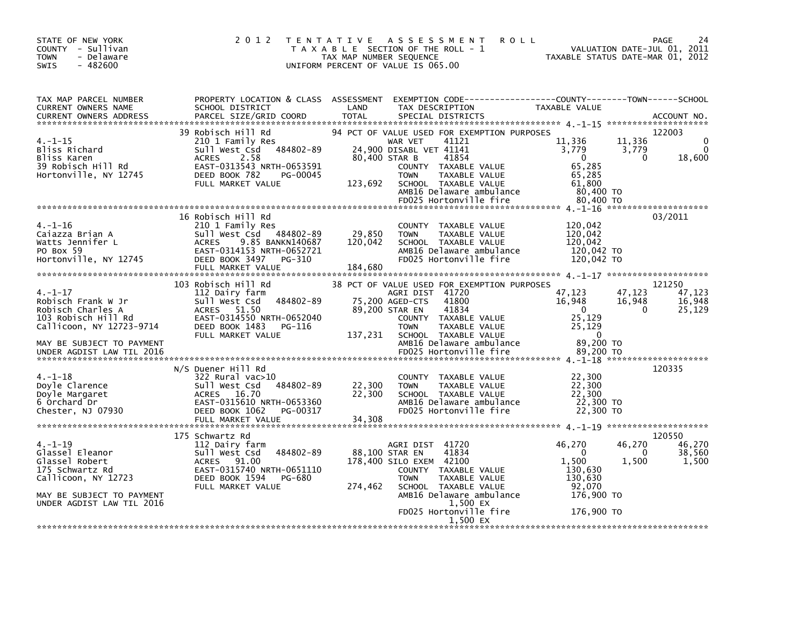| STATE OF NEW YORK<br>COUNTY - Sullivan<br><b>TOWN</b><br>- Delaware<br>$-482600$<br>SWIS                                                                              | 2 0 1 2                                                                                                                                                                                | <b>TENTATIVE</b><br><b>ROLL</b><br>A S S E S S M E N T<br>T A X A B L E SECTION OF THE ROLL - 1<br>TAX MAP NUMBER SEQUENCE<br>UNIFORM PERCENT OF VALUE IS 065.00                                                                                                       | PAGE<br>24<br>VALUATION DATE-JUL 01, 2011<br>TAXABLE STATUS DATE-MAR 01, 2012                                                                                  |
|-----------------------------------------------------------------------------------------------------------------------------------------------------------------------|----------------------------------------------------------------------------------------------------------------------------------------------------------------------------------------|------------------------------------------------------------------------------------------------------------------------------------------------------------------------------------------------------------------------------------------------------------------------|----------------------------------------------------------------------------------------------------------------------------------------------------------------|
| TAX MAP PARCEL NUMBER<br><b>CURRENT OWNERS NAME</b><br><b>CURRENT OWNERS ADDRESS</b>                                                                                  | PROPERTY LOCATION & CLASS ASSESSMENT<br>SCHOOL DISTRICT<br>PARCEL SIZE/GRID COORD                                                                                                      | LAND<br>TAX DESCRIPTION<br><b>TOTAL</b><br>SPECIAL DISTRICTS                                                                                                                                                                                                           | EXEMPTION CODE-----------------COUNTY-------TOWN------SCHOOL<br><b>TAXABLE VALUE</b><br>ACCOUNT NO.                                                            |
| 4. –1–15<br>Bliss Richard<br>Bliss Karen<br>39 Robisch Hill Rd<br>Hortonville, NY 12745                                                                               | 39 Robisch Hill Rd<br>210 1 Family Res<br>484802-89<br>Sull West Csd<br><b>ACRES</b><br>2.58<br>EAST-0313543 NRTH-0653591<br>DEED BOOK 782<br>PG-00045<br>FULL MARKET VALUE            | 94 PCT OF VALUE USED FOR EXEMPTION PURPOSES<br>WAR VET<br>41121<br>24,900 DISABL VET 41141<br>80,400 STAR B<br>41854<br>COUNTY TAXABLE VALUE<br>TAXABLE VALUE<br><b>TOWN</b><br>123,692<br>SCHOOL TAXABLE VALUE<br>AMB16 Delaware ambulance<br>FD025 Hortonville fire  | 122003<br>11,336<br>11,336<br>3,779<br>3,779<br>$\overline{0}$<br>18,600<br>$\Omega$<br>65,285<br>65,285<br>61,800<br>80,400 TO<br>80,400 TO                   |
| $4. - 1 - 16$<br>Caiazza Brian A<br>Watts Jennifer L<br>PO Box 59<br>Hortonville, NY 12745                                                                            | 16 Robisch Hill Rd<br>210 1 Family Res<br>Sull West Csd<br>484802-89<br>9.85 BANKN140687<br><b>ACRES</b><br>EAST-0314153 NRTH-0652721<br>DEED BOOK 3497<br>PG-310<br>FULL MARKET VALUE | COUNTY TAXABLE VALUE<br>29,850<br><b>TOWN</b><br>TAXABLE VALUE<br>120,042<br>SCHOOL TAXABLE VALUE<br>AMB16 Delaware ambulance<br>FD025 Hortonville fire<br>184,680                                                                                                     | 03/2011<br>120,042<br>120,042<br>120,042<br>120,042 TO<br>120,042 TO                                                                                           |
| $4. - 1 - 17$<br>Robisch Frank W Jr<br>Robisch Charles A<br>103 Robisch Hill Rd<br>Callicoon, NY 12723-9714<br>MAY BE SUBJECT TO PAYMENT<br>UNDER AGDIST LAW TIL 2016 | 103 Robisch Hill Rd<br>112 Dairy farm<br>Sull West Csd<br>484802-89<br>ACRES 51.50<br>EAST-0314550 NRTH-0652040<br>DEED BOOK 1483<br>PG-116<br>FULL MARKET VALUE                       | 38 PCT OF VALUE USED FOR EXEMPTION PURPOSES<br>AGRI DIST 41720<br>41800<br>75,200 AGED-CTS<br>41834<br>89,200 STAR EN<br>COUNTY TAXABLE VALUE<br><b>TOWN</b><br>TAXABLE VALUE<br>137,231<br>SCHOOL TAXABLE VALUE<br>AMB16 Delaware ambulance<br>FD025 Hortonville fire | 121250<br>47,123<br>47,123<br>47,123<br>16,948<br>16,948<br>16,948<br>25,129<br>$\Omega$<br>$\Omega$<br>25,129<br>25,129<br>$\Omega$<br>89,200 TO<br>89,200 TO |
| $4. - 1 - 18$<br>Doyle Clarence<br>Doyle Margaret<br>6 Orchard Dr<br>Chester, NJ 07930                                                                                | N/S Duener Hill Rd<br>$322$ Rural vac $>10$<br>484802-89<br>Sull West Csd<br>16.70<br><b>ACRES</b><br>EAST-0315610 NRTH-0653360<br>DEED BOOK 1062<br>PG-00317<br>FULL MARKET VALUE     | COUNTY TAXABLE VALUE<br>22,300<br><b>TOWN</b><br>TAXABLE VALUE<br>22,300<br>SCHOOL TAXABLE VALUE<br>AMB16 Delaware ambulance<br>FD025 Hortonville fire<br>34,308                                                                                                       | 120335<br>22,300<br>22,300<br>22,300<br>22,300 TO<br>22,300 TO                                                                                                 |
| $4. -1 - 19$<br>Glassel Eleanor<br>Glassel Robert<br>175 Schwartz Rd<br>Callicoon, NY 12723<br>MAY BE SUBJECT TO PAYMENT<br>UNDER AGDIST LAW TIL 2016                 | 175 Schwartz Rd<br>112 Dairy farm<br>484802-89<br>Sull West Csd<br>91.00<br><b>ACRES</b><br>EAST-0315740 NRTH-0651110<br>DEED BOOK 1594<br>PG-680<br>FULL MARKET VALUE                 | AGRI DIST 41720<br>41834<br>88,100 STAR EN<br>178,400 SILO EXEM 42100<br>COUNTY TAXABLE VALUE<br><b>TOWN</b><br>TAXABLE VALUE<br>SCHOOL TAXABLE VALUE<br>274,462<br>AMB16 Delaware ambulance<br>1,500 EX<br>FD025 Hortonville fire<br>1,500 EX                         | 120550<br>46,270<br>46,270<br>46,270<br>38,560<br>$\Omega$<br>0<br>1,500<br>1.500<br>1,500<br>130,630<br>130,630<br>92,070<br>176,900 TO<br>176,900 TO         |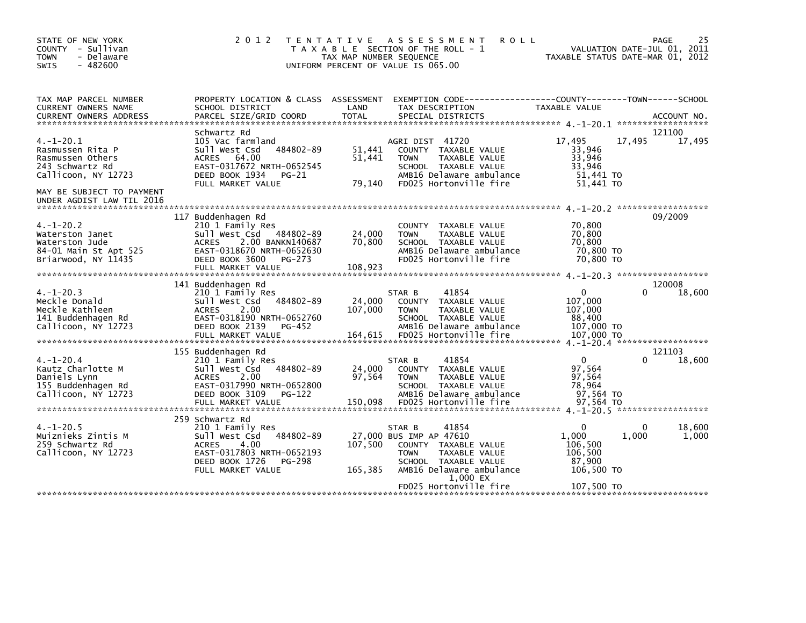| STATE OF NEW YORK<br>COUNTY - Sullivan<br><b>TOWN</b><br>- Delaware<br>$-482600$<br>SWIS                                                                   | 2 0 1 2                                                                                                                                                                                       | T E N T A T I V E<br>TAX MAP NUMBER SEQUENCE | A S S E S S M E N T<br><b>ROLL</b><br>T A X A B L E SECTION OF THE ROLL - 1<br>UNIFORM PERCENT OF VALUE IS 065.00                                                                            | VALUATION DATE-JUL 01, 2011<br>TAXABLE STATUS DATE-MAR 01, 2012                                     | 25<br>PAGE            |
|------------------------------------------------------------------------------------------------------------------------------------------------------------|-----------------------------------------------------------------------------------------------------------------------------------------------------------------------------------------------|----------------------------------------------|----------------------------------------------------------------------------------------------------------------------------------------------------------------------------------------------|-----------------------------------------------------------------------------------------------------|-----------------------|
| TAX MAP PARCEL NUMBER<br>CURRENT OWNERS NAME<br><b>CURRENT OWNERS ADDRESS</b>                                                                              | PROPERTY LOCATION & CLASS ASSESSMENT<br>SCHOOL DISTRICT<br>PARCEL SIZE/GRID COORD                                                                                                             | LAND<br><b>TOTAL</b>                         | EXEMPTION CODE------------------COUNTY--------TOWN------SCHOOL<br>TAX DESCRIPTION<br>SPECIAL DISTRICTS                                                                                       | TAXABLE VALUE                                                                                       | ACCOUNT NO.           |
| $4. -1 - 20.1$<br>Rasmussen Rita P<br>Rasmussen Others<br>243 Schwartz Rd<br>Callicoon, NY 12723<br>MAY BE SUBJECT TO PAYMENT<br>UNDER AGDIST LAW TIL 2016 | Schwartz Rd<br>105 Vac farmland<br>Sull West Csd<br>484802-89<br>ACRES 64.00<br>EAST-0317672 NRTH-0652545<br>DEED BOOK 1934 PG-21<br>FULL MARKET VALUE                                        | 51,441<br>51,441<br>79,140                   | AGRI DIST 41720<br>COUNTY TAXABLE VALUE<br>TAXABLE VALUE<br><b>TOWN</b><br>SCHOOL TAXABLE VALUE<br>AMB16 Delaware ambulance<br>FD025 Hortonville fire                                        | 17,495<br>17,495<br>33,946<br>33,946<br>33,946<br>51,441 TO<br>51.441 TO                            | 121100<br>17,495      |
| $4. -1 - 20.2$<br>Waterston Janet<br>Waterston Jude<br>84-01 Main St Apt 525<br>Briarwood, NY 11435                                                        | 117 Buddenhagen Rd<br>210 1 Family Res<br>Sull West Csd<br>484802-89<br>2.00 BANKN140687<br><b>ACRES</b><br>EAST-0318670 NRTH-0652630<br>DEED BOOK 3600<br><b>PG-273</b><br>FULL MARKET VALUE | 24,000<br>70,800<br>108,923                  | COUNTY TAXABLE VALUE<br><b>TOWN</b><br>TAXABLE VALUE<br>SCHOOL TAXABLE VALUE<br>AMB16 Delaware ambulance<br>FD025 Hortonville fire                                                           | 70,800<br>70,800<br>70,800<br>70,800 TO<br>70,800 TO                                                | 09/2009               |
| $4. -1 - 20.3$<br>Meckle Donald<br>Meckle Kathleen<br>141 Buddenhagen Rd<br>Callicoon, NY 12723                                                            | 141 Buddenhagen Rd<br>210 1 Family Res<br>484802-89<br>Sull West Csd<br>2.00<br><b>ACRES</b><br>EAST-0318190 NRTH-0652760<br>DEED BOOK 2139<br>PG-452<br>FULL MARKET VALUE                    | 24,000<br>107,000<br>164,615                 | 41854<br>STAR B<br>COUNTY TAXABLE VALUE<br>TAXABLE VALUE<br><b>TOWN</b><br>SCHOOL TAXABLE VALUE<br>AMB16 Delaware ambulance<br>FD025 Hortonville fire                                        | $\mathbf{0}$<br>107,000<br>107,000<br>88,400<br>107,000 TO<br>107,000 TO                            | 120008<br>18,600<br>0 |
| $4. - 1 - 20.4$<br>Kautz Charlotte M<br>Daniels Lynn<br>155 Buddenhagen Rd<br>Callicoon, NY 12723                                                          | 155 Buddenhagen Rd<br>210 1 Family Res<br>484802-89<br>Sull West Csd<br>2.00<br><b>ACRES</b><br>EAST-0317990 NRTH-0652800<br>DEED BOOK 3109<br>PG-122<br>FULL MARKET VALUE                    | 24,000<br>97,564<br>150,098                  | 41854<br>STAR B<br>COUNTY TAXABLE VALUE<br>TAXABLE VALUE<br><b>TOWN</b><br>SCHOOL TAXABLE VALUE<br>AMB16 Delaware ambulance<br>FD025 Hortonville fire                                        | 4. -1-20.4 ********************<br>$\Omega$<br>97,564<br>97,564<br>78,964<br>97.564 TO<br>97,564 TO | 121103<br>18,600<br>0 |
| $4. -1 - 20.5$<br>Muiznieks Zintis M<br>259 Schwartz Rd<br>Callicoon, NY 12723                                                                             | 259 Schwartz Rd<br>210 1 Family Res<br>Sull West Csd<br>484802-89<br>4.00<br><b>ACRES</b><br>EAST-0317803 NRTH-0652193<br>DEED BOOK 1726<br><b>PG-298</b><br>FULL MARKET VALUE                | 107,500<br>165,385                           | 41854<br>STAR B<br>27,000 BUS IMP AP 47610<br>COUNTY TAXABLE VALUE<br><b>TOWN</b><br>TAXABLE VALUE<br>SCHOOL TAXABLE VALUE<br>AMB16 Delaware ambulance<br>1,000 EX<br>FD025 Hortonville fire | $\Omega$<br>1,000<br>1,000<br>106,500<br>106,500<br>87,900<br>106,500 TO<br>107,500 TO              | 18,600<br>1,000       |
|                                                                                                                                                            |                                                                                                                                                                                               |                                              |                                                                                                                                                                                              |                                                                                                     |                       |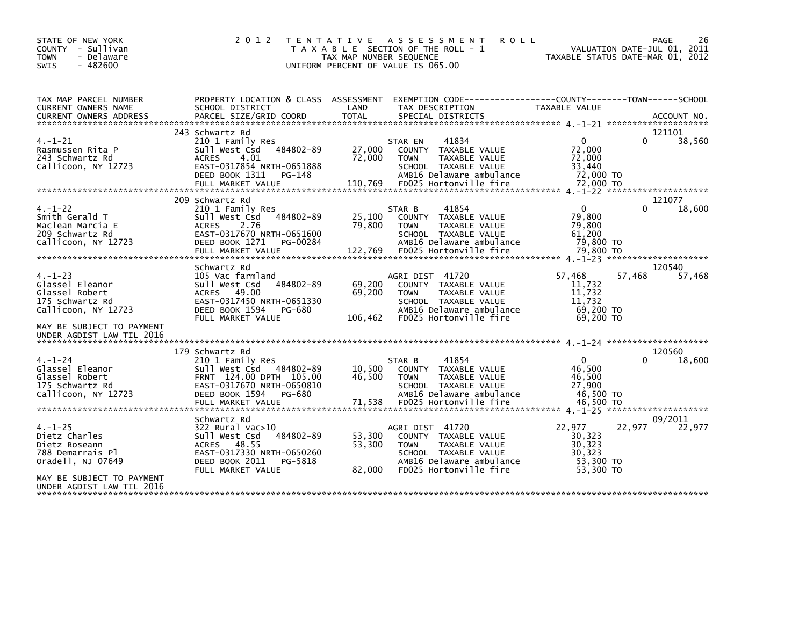| STATE OF NEW YORK<br>COUNTY - Sullivan<br><b>TOWN</b><br>- Delaware<br><b>SWIS</b><br>$-482600$ | 2 0 1 2                                                                                                                                                                    | ASSESSMENT<br>T E N T A T I V E<br>T A X A B L E SECTION OF THE ROLL - 1<br>TAX MAP NUMBER SEQUENCE<br>UNIFORM PERCENT OF VALUE IS 065.00                                                  | 26<br><b>ROLL</b><br><b>PAGE</b><br>VALUATION DATE-JUL 01, 2011<br>TAXABLE STATUS DATE-MAR 01, 2012               |
|-------------------------------------------------------------------------------------------------|----------------------------------------------------------------------------------------------------------------------------------------------------------------------------|--------------------------------------------------------------------------------------------------------------------------------------------------------------------------------------------|-------------------------------------------------------------------------------------------------------------------|
| TAX MAP PARCEL NUMBER<br>CURRENT OWNERS NAME                                                    | SCHOOL DISTRICT                                                                                                                                                            | LAND<br>TAX DESCRIPTION                                                                                                                                                                    | PROPERTY LOCATION & CLASS ASSESSMENT EXEMPTION CODE----------------COUNTY-------TOWN------SCHOOL<br>TAXABLE VALUE |
|                                                                                                 |                                                                                                                                                                            |                                                                                                                                                                                            |                                                                                                                   |
| $4. - 1 - 21$<br>Rasmussen Rita P<br>243 Schwartz Rd<br>Callicoon, NY 12723                     | 243 Schwartz Rd<br>210 1 Family Res<br>484802-89<br>Sull West Csd<br>4.01<br><b>ACRES</b><br>EAST-0317854 NRTH-0651888<br>DEED BOOK 1311<br>PG-148<br>FULL MARKET VALUE    | STAR EN<br>41834<br>27,000<br>COUNTY TAXABLE VALUE<br>72,000<br>TAXABLE VALUE<br><b>TOWN</b><br>SCHOOL TAXABLE VALUE<br>AMB16 Delaware ambulance<br>110,769<br>FD025 Hortonville fire      | 121101<br>$\Omega$<br>38,560<br>0<br>72,000<br>72,000<br>33,440<br>72,000 TO<br>72,000 TO                         |
| $4. - 1 - 22$<br>Smith Gerald T<br>Maclean Marcia E<br>209 Schwartz Rd<br>Callicoon, NY 12723   | 209 Schwartz Rd<br>210 1 Family Res<br>484802-89<br>Sull West Csd<br><b>ACRES</b><br>2.76<br>EAST-0317670 NRTH-0651600<br>DEED BOOK 1271<br>PG-00284                       | 41854<br>STAR B<br>25,100<br>COUNTY TAXABLE VALUE<br>79,800<br>TAXABLE VALUE<br><b>TOWN</b><br>SCHOOL TAXABLE VALUE<br>AMB16 Delaware ambulance                                            | 121077<br>$\mathbf{0}$<br>18,600<br>79,800<br>79,800<br>61,200<br>79,800 TO                                       |
|                                                                                                 | Schwartz Rd                                                                                                                                                                |                                                                                                                                                                                            | 120540                                                                                                            |
| $4. - 1 - 23$<br>Glassel Eleanor<br>Glassel Robert<br>175 Schwartz Rd<br>Callicoon, NY 12723    | 105 Vac farmland<br>Sull West Csd<br>484802-89<br>ACRES 49.00<br>EAST-0317450 NRTH-0651330<br>DEED BOOK 1594<br>PG-680<br>FULL MARKET VALUE                                | AGRI DIST 41720<br>69,200<br>COUNTY TAXABLE VALUE<br>69,200<br>TAXABLE VALUE<br><b>TOWN</b><br>SCHOOL TAXABLE VALUE<br>AMB16 Delaware ambulance<br>106,462<br>FD025 Hortonville fire       | 57,468<br>57,468<br>57,468<br>11,732<br>11,732<br>11.732<br>69,200 TO<br>69.200 TO                                |
| MAY BE SUBJECT TO PAYMENT<br>UNDER AGDIST LAW TIL 2016                                          |                                                                                                                                                                            |                                                                                                                                                                                            |                                                                                                                   |
|                                                                                                 | 179 Schwartz Rd                                                                                                                                                            |                                                                                                                                                                                            | 120560                                                                                                            |
| $4. - 1 - 24$<br>Glassel Eleanor<br>Glassel Robert<br>175 Schwartz Rd<br>Callicoon, NY 12723    | 210 1 Family Res<br>Sull West Csd 484802-89<br>FRNT 124.00 DPTH 105.00<br>EAST-0317670 NRTH-0650810<br>DEED BOOK 1594<br>PG-680<br>FULL MARKET VALUE                       | 41854<br>STAR B<br>10,500<br>COUNTY TAXABLE VALUE<br>46,500<br>TAXABLE VALUE<br><b>TOWN</b><br>SCHOOL TAXABLE VALUE<br>AMB16 Delaware ambulance<br>71,538<br>FD025 Hortonville fire        | $\Omega$<br>0<br>18,600<br>46,500<br>46,500<br>27,900<br>46.500 TO<br>46,500 TO                                   |
|                                                                                                 |                                                                                                                                                                            |                                                                                                                                                                                            |                                                                                                                   |
| $4. - 1 - 25$<br>Dietz Charles<br>Dietz Roseann<br>788 Demarrais Pl<br>Oradell, NJ 07649        | Schwartz Rd<br>$322$ Rural vac $>10$<br>484802-89<br>Sull West Csd<br>48.55<br><b>ACRES</b><br>EAST-0317330 NRTH-0650260<br>DEED BOOK 2011<br>PG-5818<br>FULL MARKET VALUE | AGRI DIST 41720<br>53,300<br>COUNTY TAXABLE VALUE<br>53.300<br><b>TAXABLE VALUE</b><br><b>TOWN</b><br>SCHOOL TAXABLE VALUE<br>AMB16 Delaware ambulance<br>82,000<br>FD025 Hortonville fire | 09/2011<br>22,977<br>22,977<br>22,977<br>30,323<br>30,323<br>30,323<br>53.300 TO<br>53,300 TO                     |
| MAY BE SUBJECT TO PAYMENT<br>UNDER AGDIST LAW TIL 2016                                          |                                                                                                                                                                            |                                                                                                                                                                                            |                                                                                                                   |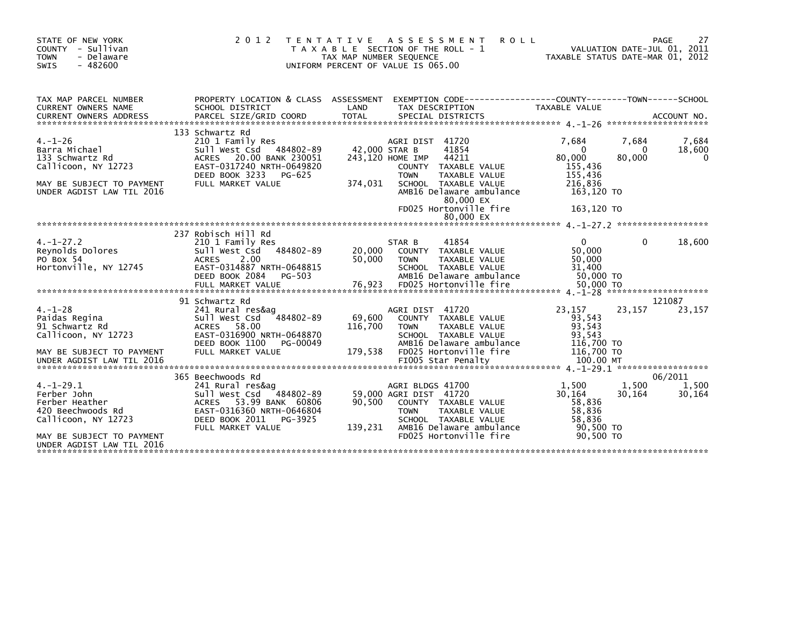| STATE OF NEW YORK<br>COUNTY - Sullivan<br>TOWN<br>- Delaware<br>$-482600$<br><b>SWIS</b>                                                                                                                                                                                                                                                                                                              | 2012 TENTATIVE ASSESSMENT<br>UNIFORM PERCENT OF VALUE IS 065.00 | <b>ROLL</b><br>T A X A B L E SECTION OF THE ROLL - 1<br>TAX MAP NUMBER SEQUENCE<br>INTEORM PERCENT OF VALUE TO ASSAULT TAXABLE STATUS DATE-MAR 01, 2012                                         |                                                                                                | PAGE                              | 27                   |
|-------------------------------------------------------------------------------------------------------------------------------------------------------------------------------------------------------------------------------------------------------------------------------------------------------------------------------------------------------------------------------------------------------|-----------------------------------------------------------------|-------------------------------------------------------------------------------------------------------------------------------------------------------------------------------------------------|------------------------------------------------------------------------------------------------|-----------------------------------|----------------------|
| TAX MAP PARCEL NUMBER<br>CURRENT OWNERS NAME<br>SCHOOL DISTRICT<br>CUNNERS ADDRESS FORCEL SIZE/GRID COORD TOTAL SPECIAL DISTRICTS THE SERVICE ON ACCOUNT NO.<br>TOTAL SPECIAL DISTRICTS AND ARCEL SIZE/GRID COORD TOTAL SPECIAL DISTRICTS (1.1-26 ****************************                                                                                                                        | LAND                                                            | PROPERTY LOCATION & CLASS ASSESSMENT EXEMPTION CODE----------------COUNTY-------TOWN-----SCHOOL<br>TAX DESCRIPTION                                                                              | TAXABLE VALUE                                                                                  |                                   |                      |
| 133 Schwartz Rd<br>4.-1-26<br>Barra Michael S<br>133 Schwartz Rd /<br>Av 12723<br>DEED BOOK 3233 PG-625<br>FULL MARKET VALUE<br>MAY BE SUBJECT TO PAYMENT<br>UNDER AGDIST LAW TIL 2016                                                                                                                                                                                                                | 374,031                                                         | COUNTY TAXABLE VALUE<br><b>TOWN</b><br>TAXABLE VALUE<br>SCHOOL TAXABLE VALUE<br>AMB16 Delaware ambulance<br>80,000 EX<br>FD025 Hortonville fire                                                 | 7.684<br>$\overline{0}$<br>80,000<br>155,436<br>155,436<br>216,836<br>163,120 TO<br>163,120 TO | 7,684<br>$\overline{0}$<br>80,000 | 7,684<br>18,600<br>0 |
|                                                                                                                                                                                                                                                                                                                                                                                                       |                                                                 |                                                                                                                                                                                                 |                                                                                                |                                   |                      |
| 237 Robisch Hill Rd<br>$\begin{array}{cccccccc} 4.1-27.2 & 237 & \text{ROD1S} & \text{ROD1S} & \text{ROD1S} & \text{O1S} & \text{O1S} & \text{O1S} & \text{O1S} & \text{O1S} & \text{O1S} & \text{O1S} & \text{O1S} & \text{O1S} & \text{O1S} & \text{O1S} & \text{O1S} & \text{O1S} & \text{O1S} & \text{O1S} & \text{O1S} & \text{O1S} & \text{O1S} & \text{O1S} & \text{O1S} & \text{O1S} & \text$ |                                                                 |                                                                                                                                                                                                 |                                                                                                |                                   |                      |
| 91 Schwartz Rd                                                                                                                                                                                                                                                                                                                                                                                        |                                                                 |                                                                                                                                                                                                 |                                                                                                | 121087                            |                      |
| FULL MARKET VALUE<br>MAY BE SUBJECT TO PAYMENT                                                                                                                                                                                                                                                                                                                                                        | $3484802 - 89$ 69,600<br>116,700<br>DEED BOOK 1100 PG-00049     | AGRI DIST 41720<br>COUNTY TAXABLE VALUE<br><b>TOWN</b><br>TAXABLE VALUE<br>SCHOOL TAXABLE VALUE<br>AMB16 Delaware ambulance<br>179,538 FD025 Hortonville fire                                   | 23,157<br>93,543<br>93,543<br>93,543<br>116,700 TO<br>116,700 TO                               | 23,157                            | 23,157               |
|                                                                                                                                                                                                                                                                                                                                                                                                       |                                                                 |                                                                                                                                                                                                 |                                                                                                |                                   |                      |
| 365 Beechwoods Rd<br>$4. -1 - 29.1$<br>241 Rural res&aq<br>Callicoon, NY 12723<br>FULL MARKET VALUE<br>MAY BE SUBJECT TO PAYMENT<br>UNDER AGDIST LAW TIL 2016                                                                                                                                                                                                                                         |                                                                 | AGRI BLDGS 41700<br>59,000 AGRI DIST 41720<br>90,500 COUNTY TAXABLE VALUE<br>TAXABLE VALUE<br><b>TOWN</b><br>SCHOOL TAXABLE VALUE<br>139,231 AMB16 Delaware ambulance<br>FD025 Hortonville fire | 1,500<br>30,164<br>58,836<br>58,836<br>58.836<br>90,500 TO<br>90.500 TO                        | 06/2011<br>1,500<br>30, 164       | 1,500<br>30,164      |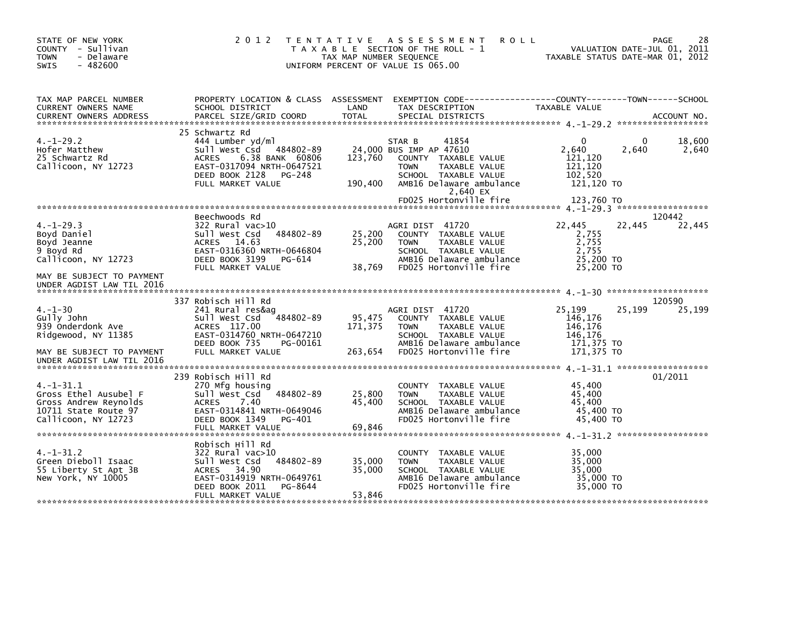| STATE OF NEW YORK<br>COUNTY - Sullivan<br><b>TOWN</b><br>- Delaware<br>$-482600$<br><b>SWIS</b>                                                                                                                                                           |                                                                                                                                                                                | TAX MAP NUMBER SEQUENCE    | 2012 TENTATIVE ASSESSMENT<br><b>ROLL</b><br>T A X A B L E SECTION OF THE ROLL - 1<br>UNIFORM PERCENT OF VALUE IS 065.00                                                                      |                                                                                | PAGE<br>VALUATION DATE-JUL 01, 2011<br>TAXABLE STATUS DATE-MAR 01, 2012 | 28    |
|-----------------------------------------------------------------------------------------------------------------------------------------------------------------------------------------------------------------------------------------------------------|--------------------------------------------------------------------------------------------------------------------------------------------------------------------------------|----------------------------|----------------------------------------------------------------------------------------------------------------------------------------------------------------------------------------------|--------------------------------------------------------------------------------|-------------------------------------------------------------------------|-------|
| TAX MAP PARCEL NUMBER<br>CURRENT OWNERS NAME<br>.CURRENT OWNERS ADDRESS PARCEL SIZE/GRID COORD TOTAL SPECIAL DISTRICTS AND MESS ADDRESS PARCEL SIZE/GRID COORD TOTAL SPECIAL DISTRICTS AND MESS AND MESS AND ACCOUNT NO.<br><b>CURRENT OWNERS ADDRESS</b> | PROPERTY LOCATION & CLASS ASSESSMENT EXEMPTION CODE-----------------COUNTY-------TOWN------SCHOOL<br>SCHOOL DISTRICT                                                           | LAND                       | TAX DESCRIPTION                                                                                                                                                                              | TAXABLE VALUE                                                                  |                                                                         |       |
| $4. -1 - 29.2$<br>Hofer Matthew<br>25 Schwartz Rd<br>Callicoon, NY 12723                                                                                                                                                                                  | 25 Schwartz Rd<br>444 Lumber yd/ml<br>Sull West Csd 484802-89<br><b>ACRES</b><br>6.38 BANK 60806<br>EAST-0317094 NRTH-0647521<br>DEED BOOK 2128<br>PG-248<br>FULL MARKET VALUE | 123,760<br>190,400         | 41854<br>STAR B<br>24,000 BUS IMP AP 47610<br>COUNTY TAXABLE VALUE<br><b>TOWN</b><br>TAXABLE VALUE<br>SCHOOL TAXABLE VALUE<br>AMB16 Delaware ambulance<br>2,640 EX<br>FD025 Hortonville fire | $\Omega$<br>2,640<br>121,120<br>121,120<br>102,520<br>121,120 TO<br>123,760 TO | 18,600<br>$\Omega$<br>2,640                                             | 2,640 |
|                                                                                                                                                                                                                                                           |                                                                                                                                                                                |                            |                                                                                                                                                                                              |                                                                                |                                                                         |       |
| $4. -1 - 29.3$<br>Boyd Daniel<br>Boyd Jeanne<br>9 Boyd Rd<br>Callicoon, NY 12723                                                                                                                                                                          | Beechwoods Rd<br>$322$ Rural vac $>10$<br>sull west Csd<br>484802-89<br><b>ACRES</b><br>14.63<br>EAST-0316360 NRTH-0646804<br>DEED BOOK 3199<br>PG-614<br>FULL MARKET VALUE    | 25,200<br>25,200<br>38,769 | AGRI DIST 41720<br>COUNTY TAXABLE VALUE<br><b>TOWN</b><br>TAXABLE VALUE<br>SCHOOL TAXABLE VALUE<br>AMB16 Delaware ambulance<br>FD025 Hortonville fire                                        | 22,445<br>2,755<br>2,755<br>2.755<br>25,200 TO<br>25,200 TO                    | 120442<br>22,445<br>22,445                                              |       |
| MAY BE SUBJECT TO PAYMENT<br>UNDER AGDIST LAW TIL 2016                                                                                                                                                                                                    |                                                                                                                                                                                |                            |                                                                                                                                                                                              |                                                                                |                                                                         |       |
| $4. - 1 - 30$<br>Gully John<br>939 Onderdonk Ave<br>Ridgewood, NY 11385                                                                                                                                                                                   | 337 Robisch Hill Rd<br>241 Rural res&ag<br>484802-89<br>Sull West Csd<br>ACRES 117.00<br>EAST-0314760 NRTH-0647210<br>DEED BOOK 735<br>PG-00161                                | 95,475<br>171,375          | AGRI DIST 41720<br>COUNTY TAXABLE VALUE<br>TAXABLE VALUE<br><b>TOWN</b><br>SCHOOL TAXABLE VALUE<br>AMB16 Delaware ambulance                                                                  | 25,199<br>146.176<br>146,176<br>146,176<br>171,375 TO                          | 120590<br>25,199<br>25,199                                              |       |
| MAY BE SUBJECT TO PAYMENT                                                                                                                                                                                                                                 | FULL MARKET VALUE                                                                                                                                                              | 263,654                    | FD025 Hortonville fire                                                                                                                                                                       | 171,375 TO                                                                     |                                                                         |       |
| UNDER AGDIST LAW TIL 2016<br>$4. -1 - 31.1$                                                                                                                                                                                                               | 239 Robisch Hill Rd<br>270 Mfg housing                                                                                                                                         |                            | COUNTY TAXABLE VALUE                                                                                                                                                                         | 45,400                                                                         | 01/2011                                                                 |       |
| Gross Ethel Ausubel F<br>Gross Andrew Reynolds<br>10711 State Route 97<br>Callicoon, NY 12723                                                                                                                                                             | Sull West Csd<br>484802-89<br><b>ACRES</b><br>7.40<br>EAST-0314841 NRTH-0649046<br>DEED BOOK 1349<br>PG-401<br>FULL MARKET VALUE                                               | 25,800<br>45,400<br>69,846 | TAXABLE VALUE<br><b>TOWN</b><br>SCHOOL TAXABLE VALUE<br>AMB16 Delaware ambulance<br>FD025 Hortonville fire                                                                                   | 45,400<br>45.400<br>45,400 TO<br>45,400 TO                                     |                                                                         |       |
| $4. -1 - 31.2$<br>Green Dieboll Isaac<br>55 Liberty St Apt 3B<br>New York, NY 10005                                                                                                                                                                       | Robisch Hill Rd<br>322 Rural vac>10<br>484802-89<br>Sull West Csd<br>ACRES 34.90<br>EAST-0314919 NRTH-0649761<br>DEED BOOK 2011<br>PG-8644<br>FULL MARKET VALUE                | 35,000<br>35,000<br>53,846 | COUNTY TAXABLE VALUE<br>TAXABLE VALUE<br><b>TOWN</b><br>SCHOOL TAXABLE VALUE<br>AMB16 Delaware ambulance<br>FD025 Hortonville fire                                                           | 35,000<br>35,000<br>35,000<br>35,000 TO<br>35,000 TO                           |                                                                         |       |
|                                                                                                                                                                                                                                                           |                                                                                                                                                                                |                            |                                                                                                                                                                                              |                                                                                |                                                                         |       |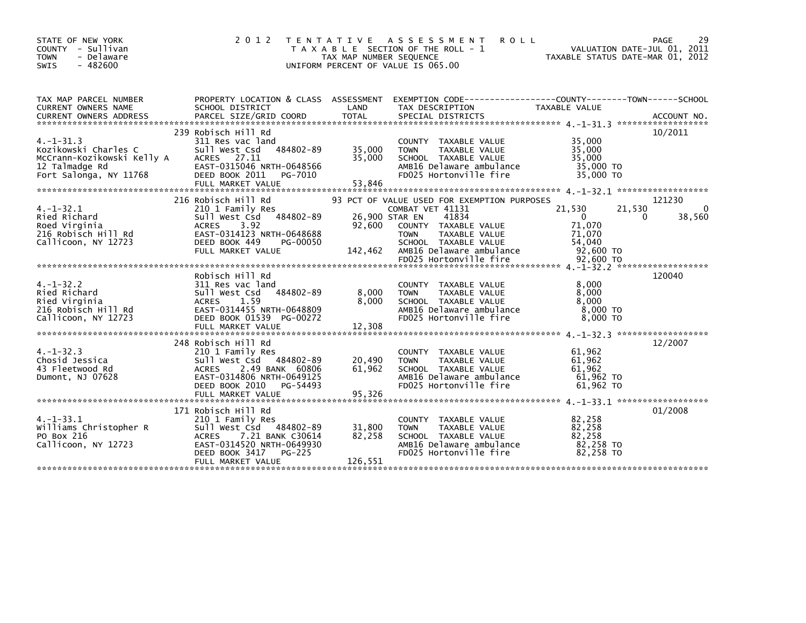| STATE OF NEW YORK<br>COUNTY - Sullivan<br>- Delaware<br><b>TOWN</b><br>$-482600$<br><b>SWIS</b>                                                                                    | 2 0 1 2                                                                                                                                                                              | TAX MAP NUMBER SEQUENCE     | TENTATIVE ASSESSMENT<br><b>ROLL</b><br>T A X A B L E SECTION OF THE ROLL - 1<br>UNIFORM PERCENT OF VALUE IS 065.00                 | VALUATION DATE-JUL 01, 2011<br>TAXABLE STATUS DATE-MAR 01, 2012 | 29<br>PAGE                 |
|------------------------------------------------------------------------------------------------------------------------------------------------------------------------------------|--------------------------------------------------------------------------------------------------------------------------------------------------------------------------------------|-----------------------------|------------------------------------------------------------------------------------------------------------------------------------|-----------------------------------------------------------------|----------------------------|
| TAX MAP PARCEL NUMBER<br>CURRENT OWNERS NAME<br><b>CURRENT OWNERS ADDRESS</b>                                                                                                      | PROPERTY LOCATION & CLASS ASSESSMENT EXEMPTION CODE---------------COUNTY-------TOWN------SCHOOL<br>SCHOOL DISTRICT<br>PARCEL SIZE/GRID COORD                                         | LAND<br><b>TOTAL</b>        | TAX DESCRIPTION<br>SPECIAL DISTRICTS                                                                                               | TAXABLE VALUE                                                   | ACCOUNT NO.                |
|                                                                                                                                                                                    |                                                                                                                                                                                      |                             |                                                                                                                                    |                                                                 |                            |
|                                                                                                                                                                                    | 239 Robisch Hill Rd                                                                                                                                                                  |                             |                                                                                                                                    |                                                                 | 10/2011                    |
| $4. -1 - 31.3$<br>Kozikowski Charles C<br>McCrann-Kozikowski Kelly A<br>12 Talmadge Rd<br>Fort Salonga, NY 11768                                                                   | 311 Res vac land<br>484802-89<br>Sull West Csd<br>ACRES 27.11<br>EAST-0315046 NRTH-0648566<br>DEED BOOK 2011<br>PG-7010<br>FULL MARKET VALUE                                         | 35,000<br>35,000<br>53,846  | COUNTY TAXABLE VALUE<br>TAXABLE VALUE<br><b>TOWN</b><br>SCHOOL TAXABLE VALUE<br>AMB16 Delaware ambulance<br>FD025 Hortonville fire | 35,000<br>35,000<br>35,000<br>35,000 TO<br>35,000 TO            |                            |
|                                                                                                                                                                                    |                                                                                                                                                                                      |                             |                                                                                                                                    |                                                                 |                            |
|                                                                                                                                                                                    | 216 Robisch Hill Rd                                                                                                                                                                  |                             | 93 PCT OF VALUE USED FOR EXEMPTION PURPOSES                                                                                        |                                                                 | 121230                     |
| $4. -1 - 32.1$<br>Ried Richard<br>Ried Richard<br>Roed Virginia<br>216 Robisch Hill Rd<br>216 Robisch Hill Rd<br>216 Robisch Hill Rd<br>216 Robisch Hill Rd<br>216 Robisch Hill Rd | 210 1 Family Res<br>Sull West Csd 484802-89                                                                                                                                          | 26,900 STAR EN<br>92.600    | COMBAT VET 41131<br>41834<br>COUNTY TAXABLE VALUE<br><b>TOWN</b><br>TAXABLE VALUE                                                  | 21,530<br>$\overline{0}$<br>71,070<br>71,070                    | 21,530<br>0<br>0<br>38,560 |
| Callicoon, NY 12723                                                                                                                                                                | DEED BOOK 449<br>PG-00050<br>FULL MARKET VALUE                                                                                                                                       | 142,462                     | SCHOOL TAXABLE VALUE<br>AMB16 Delaware ambulance<br>FD025 Hortonville fire                                                         | 54,040<br>92,600 TO<br>92,600 TO                                |                            |
|                                                                                                                                                                                    |                                                                                                                                                                                      |                             |                                                                                                                                    |                                                                 |                            |
| $4. -1 - 32.2$<br>4.-1-32.2<br>Ried Richard<br>Ried Virginia<br>216 Robisch Hill Rd<br>315.3000 NY 12723                                                                           | Robisch Hill Rd<br>311 Res vac land<br>484802-89<br>Sull West Csd<br>ACRES 1.59<br>EAST-0314455 NRTH-0648809<br>DEED BOOK 01539 PG-00272<br>FULL MARKET VALUE                        | 8,000<br>8,000<br>12,308    | COUNTY TAXABLE VALUE<br>TAXABLE VALUE<br><b>TOWN</b><br>SCHOOL TAXABLE VALUE<br>AMB16 Delaware ambulance<br>FD025 Hortonville fire | 8,000<br>8,000<br>8,000<br>8,000 TO<br>$8,000$ TO               | 120040                     |
|                                                                                                                                                                                    | 248 Robisch Hill Rd                                                                                                                                                                  |                             |                                                                                                                                    |                                                                 | 12/2007                    |
| $4. -1 - 32.3$<br>Chosid Jessica<br>Chosiu Jessica<br>43 Fleetwood Rd<br>Dumont, NJ 07628                                                                                          | 210 1 Family Res<br>Sull West Csd 484802-89<br><b>ACRES</b><br>2.49 BANK 60806<br>EAST-0314806 NRTH-0649125<br>DEED BOOK 2010<br>PG-54493                                            | 20,490<br>61,962            | COUNTY TAXABLE VALUE<br><b>TOWN</b><br>TAXABLE VALUE<br>SCHOOL TAXABLE VALUE<br>AMB16 Delaware ambulance<br>FD025 Hortonville fire | 61,962<br>61,962<br>61,962<br>61,962 то<br>61.962 TO            |                            |
|                                                                                                                                                                                    | FULL MARKET VALUE                                                                                                                                                                    | 95,326                      |                                                                                                                                    |                                                                 |                            |
|                                                                                                                                                                                    |                                                                                                                                                                                      |                             |                                                                                                                                    |                                                                 |                            |
| 4. –1–33.1<br>Williams Christopher R<br>PO Box 216<br>Callicoon, NY 12723                                                                                                          | 171 Robisch Hill Rd<br>210 1 Family Res<br>Sull West Csd 484802-89<br>7.21 BANK C30614<br><b>ACRES</b><br>EAST-0314520 NRTH-0649930<br>DEED BOOK 3417<br>PG-225<br>FULL MARKET VALUE | 31,800<br>82,258<br>126,551 | COUNTY TAXABLE VALUE<br>TAXABLE VALUE<br><b>TOWN</b><br>SCHOOL TAXABLE VALUE<br>AMB16 Delaware ambulance<br>FD025 Hortonville fire | 82,258<br>82,258<br>82.258<br>82,258 TO<br>82,258 TO            | 01/2008                    |
|                                                                                                                                                                                    |                                                                                                                                                                                      |                             |                                                                                                                                    |                                                                 |                            |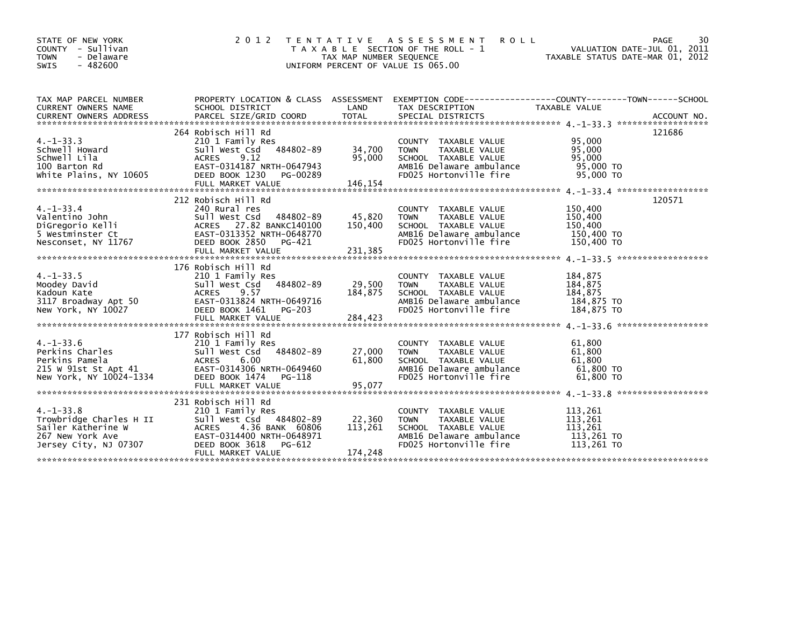| STATE OF NEW YORK<br>COUNTY - Sullivan<br><b>TOWN</b><br>- Delaware<br><b>SWIS</b><br>$-482600$              | 2 0 1 2                                                                                                                                                                             | TAX MAP NUMBER SEQUENCE<br>UNIFORM PERCENT OF VALUE IS 065.00 | TENTATIVE ASSESSMENT<br><b>ROLL</b><br>T A X A B L E SECTION OF THE ROLL - 1                                                       | VALUATION DATE-JUL 01, 2011<br>TAXABLE STATUS DATE-MAR 01, 2012 | 30<br>PAGE |
|--------------------------------------------------------------------------------------------------------------|-------------------------------------------------------------------------------------------------------------------------------------------------------------------------------------|---------------------------------------------------------------|------------------------------------------------------------------------------------------------------------------------------------|-----------------------------------------------------------------|------------|
| TAX MAP PARCEL NUMBER<br><b>CURRENT OWNERS NAME</b>                                                          | PROPERTY LOCATION & CLASS ASSESSMENT<br>SCHOOL DISTRICT                                                                                                                             | LAND                                                          | EXEMPTION        CODE-----------------COUNTY-------TOWN------SCHOOL<br>TAX DESCRIPTION                                             | TAXABLE VALUE                                                   |            |
| $4. -1 - 33.3$<br>Schwell Howard<br>Schwell Lila<br>100 Barton Rd<br>white Plains, NY 10605                  | 264 Robisch Hill Rd<br>210 1 Family Res<br>Sull West Csd 484802-89<br><b>ACRES</b><br>9.12<br>EAST-0314187 NRTH-0647943<br>DEED BOOK 1230<br>PG-00289<br>FULL MARKET VALUE          | 34,700<br>95,000<br>146,154                                   | COUNTY TAXABLE VALUE<br><b>TOWN</b><br>TAXABLE VALUE<br>SCHOOL TAXABLE VALUE<br>AMB16 Delaware ambulance<br>FD025 Hortonville fire | 95,000<br>95,000<br>95,000<br>95,000 TO<br>95,000 TO            | 121686     |
| $4. -1 - 33.4$<br>Valentino John<br>DiGregorio Kelli<br>5 Westminster Ct<br>Nesconset, NY 11767              | 212 Robisch Hill Rd<br>240 Rural res<br>Sull West Csd 484802-89<br>ACRES 27.82 BANKC140100<br>EAST-0313352 NRTH-0648770<br>DEED BOOK 2850<br>PG-421                                 | 45,820<br>150,400                                             | COUNTY TAXABLE VALUE<br>TAXABLE VALUE<br><b>TOWN</b><br>SCHOOL TAXABLE VALUE<br>AMB16 Delaware ambulance<br>FD025 Hortonville fire | 150,400<br>150,400<br>150,400<br>150,400 TO<br>150,400 TO       | 120571     |
| $4. -1 - 33.5$<br>Moodey David<br>Kadoun Kate<br>3117 Broadway Apt 50<br>New York, NY 10027                  | 176 Robisch Hill Rd<br>210 1 Family Res<br>Sull West Csd 484802-89<br>ACRES 9.57<br>EAST-0313824 NRTH-0649716<br>DEED BOOK 1461<br>PG-203                                           | 29,500<br>184,875                                             | COUNTY TAXABLE VALUE<br>TAXABLE VALUE<br><b>TOWN</b><br>SCHOOL TAXABLE VALUE<br>AMB16 Delaware ambulance<br>FD025 Hortonville fire | 184,875<br>184,875<br>184,875<br>184,875 TO<br>184,875 TO       |            |
| $4. -1 - 33.6$<br>Perkins Charles<br>Perkins Pamela<br>215 W 91st St Apt 41<br>New York, NY 10024-1334       | 177 Robisch Hill Rd<br>210 1 Family Res<br>Sull West Csd 484802-89<br><b>ACRES</b><br>6.00<br>EAST-0314306 NRTH-0649460<br>DEED BOOK 1474<br>PG-118                                 | 27,000<br>61,800                                              | COUNTY TAXABLE VALUE<br><b>TOWN</b><br>TAXABLE VALUE<br>SCHOOL TAXABLE VALUE<br>AMB16 Delaware ambulance<br>FD025 Hortonville fire | 61,800<br>61,800<br>61,800<br>61,800 TO<br>61,800 TO            |            |
| $4. -1 - 33.8$<br>Trowbridge Charles H II<br>Sailer Katherine W<br>267 New York Ave<br>Jersey City, NJ 07307 | 231 Robisch Hill Rd<br>210 1 Family Res<br>Sull West Csd 484802-89<br><b>ACRES</b><br>4.36 BANK 60806<br>EAST-0314400 NRTH-0648971<br>DEED BOOK 3618<br>PG-612<br>FULL MARKET VALUE | 22,360<br>113,261<br>174,248                                  | COUNTY TAXABLE VALUE<br><b>TOWN</b><br>TAXABLE VALUE<br>SCHOOL TAXABLE VALUE<br>AMB16 Delaware ambulance<br>FD025 Hortonville fire | 113,261<br>113,261<br>113,261<br>113,261 TO<br>113,261 TO       |            |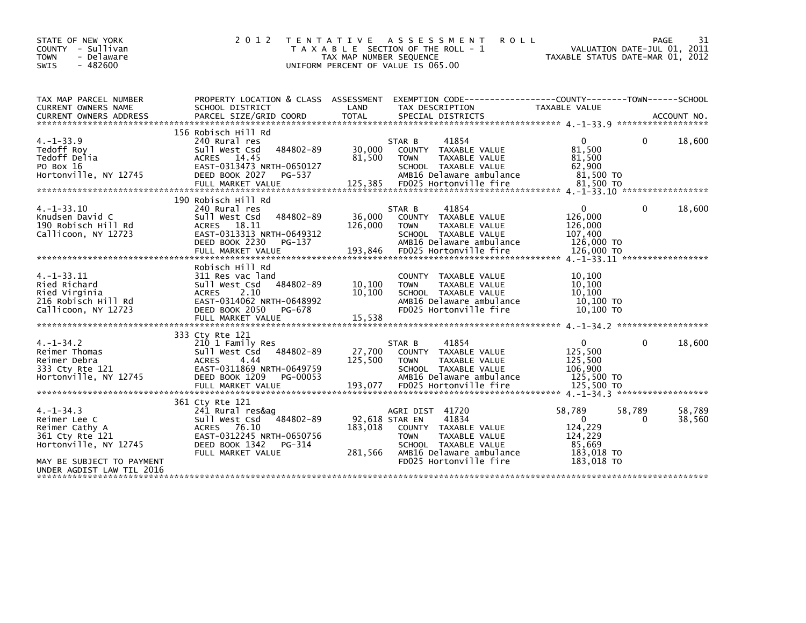| STATE OF NEW YORK<br>COUNTY - Sullivan<br>- Delaware<br><b>TOWN</b><br>$-482600$<br><b>SWIS</b> | 2 0 1 2                                                                                                                                                                 | TAX MAP NUMBER SEQUENCE      | TENTATIVE ASSESSMENT<br><b>ROLL</b><br>T A X A B L E SECTION OF THE ROLL - 1<br>UNIFORM PERCENT OF VALUE IS 065.00                                     | VALUATION DATE-JUL 01, 2011<br>TAXABLE STATUS DATE-MAR 01, 2012           |                    | 31<br>PAGE       |
|-------------------------------------------------------------------------------------------------|-------------------------------------------------------------------------------------------------------------------------------------------------------------------------|------------------------------|--------------------------------------------------------------------------------------------------------------------------------------------------------|---------------------------------------------------------------------------|--------------------|------------------|
| TAX MAP PARCEL NUMBER<br>CURRENT OWNERS NAME                                                    | PROPERTY LOCATION & CLASS ASSESSMENT<br>SCHOOL DISTRICT                                                                                                                 | LAND                         | EXEMPTION CODE-----------------COUNTY--------TOWN------SCHOOL<br>TAX DESCRIPTION                                                                       | <b>TAXABLE VALUE</b>                                                      |                    |                  |
|                                                                                                 |                                                                                                                                                                         |                              |                                                                                                                                                        |                                                                           |                    |                  |
|                                                                                                 | 156 Robisch Hill Rd                                                                                                                                                     |                              |                                                                                                                                                        |                                                                           |                    |                  |
| $4. -1 - 33.9$<br>Tedoff Roy<br>Tedoff Delia<br>PO Box 16<br>Hortonville, NY 12745              | 240 Rural res<br>484802-89<br>Sull West Csd<br>14.45<br><b>ACRES</b><br>EAST-0313473 NRTH-0650127<br>DEED BOOK 2027<br>PG-537<br>FULL MARKET VALUE                      | 30,000<br>81,500<br>125,385  | STAR B<br>41854<br>COUNTY TAXABLE VALUE<br>TAXABLE VALUE<br><b>TOWN</b><br>SCHOOL TAXABLE VALUE<br>AMB16 Delaware ambulance<br>FD025 Hortonville fire  | $\Omega$<br>81,500<br>81,500<br>62,900<br>81,500 TO<br>81,500 TO          | 0                  | 18,600           |
|                                                                                                 |                                                                                                                                                                         |                              |                                                                                                                                                        |                                                                           |                    |                  |
| $4. -1 - 33.10$<br>Knudsen David C<br>190 Robisch Hill Rd<br>Callicoon, NY 12723                | 190 Robisch Hill Rd<br>240 Rural res<br>484802-89<br>Sull West Csd<br>ACRES 18.11<br>EAST-0313313 NRTH-0649312<br>DEED BOOK 2230<br>PG-137<br>FULL MARKET VALUE         | 36,000<br>126,000<br>193,846 | 41854<br>STAR B<br>COUNTY TAXABLE VALUE<br><b>TOWN</b><br>TAXABLE VALUE<br>SCHOOL TAXABLE VALUE<br>AMB16 Delaware ambulance<br>FD025 Hortonville fire  | $\mathbf{0}$<br>126,000<br>126,000<br>107,400<br>126,000 TO<br>126,000 TO | $\mathbf{0}$       | 18,600           |
| $4. -1 - 33.11$<br>Ried Richard<br>Ried Virginia<br>216 Robisch Hill Rd<br>Callicoon, NY 12723  | Robisch Hill Rd<br>311 Res vac land<br>484802-89<br>sull west Csd<br>2.10<br><b>ACRES</b><br>EAST-0314062 NRTH-0648992<br>DEED BOOK 2050<br>PG-678<br>FULL MARKET VALUE | 10,100<br>10,100<br>15,538   | COUNTY TAXABLE VALUE<br>TAXABLE VALUE<br><b>TOWN</b><br>SCHOOL TAXABLE VALUE<br>AMB16 Delaware ambulance<br>FD025 Hortonville fire                     | 10.100<br>10,100<br>10,100<br>10,100 TO<br>10.100 TO                      |                    |                  |
| $4. -1 - 34.2$<br>Reimer Thomas<br>Reimer Debra<br>333 Cty Rte 121<br>Hortonville, NY 12745     | 333 Cty Rte 121<br>210 1 Family Res<br>Sull West Csd 484802-89<br><b>ACRES</b><br>4.44<br>EAST-0311869 NRTH-0649759<br>DEED BOOK 1209<br>PG-00053                       | 27,700<br>125,500            | 41854<br>STAR B<br>COUNTY TAXABLE VALUE<br><b>TOWN</b><br><b>TAXABLE VALUE</b><br>SCHOOL TAXABLE VALUE<br>AMB16 Delaware ambulance                     | $\mathbf{0}$<br>125,500<br>125,500<br>106,900<br>125,500 TO               | 0                  | 18,600           |
|                                                                                                 | 361 Cty Rte 121                                                                                                                                                         |                              |                                                                                                                                                        |                                                                           |                    |                  |
| $4. -1 - 34.3$<br>Reimer Lee C<br>Reimer Cathy A<br>361 Cty Rte 121<br>Hortonville, NY 12745    | 241 Rural res&ag<br>sull west Csd<br>484802-89<br><b>ACRES</b><br>76.10<br>EAST-0312245 NRTH-0650756<br>DEED BOOK 1342<br>PG-314<br>FULL MARKET VALUE                   | 183.018<br>281,566           | AGRI DIST 41720<br>41834<br>92,618 STAR EN<br>COUNTY TAXABLE VALUE<br><b>TOWN</b><br>TAXABLE VALUE<br>SCHOOL TAXABLE VALUE<br>AMB16 Delaware ambulance | 58,789<br>$\Omega$<br>124,229<br>124,229<br>85,669<br>183,018 TO          | 58,789<br>$\Omega$ | 58,789<br>38,560 |
| MAY BE SUBJECT TO PAYMENT<br>UNDER AGDIST LAW TIL 2016                                          |                                                                                                                                                                         |                              | FD025 Hortonville fire                                                                                                                                 | 183,018 TO                                                                |                    |                  |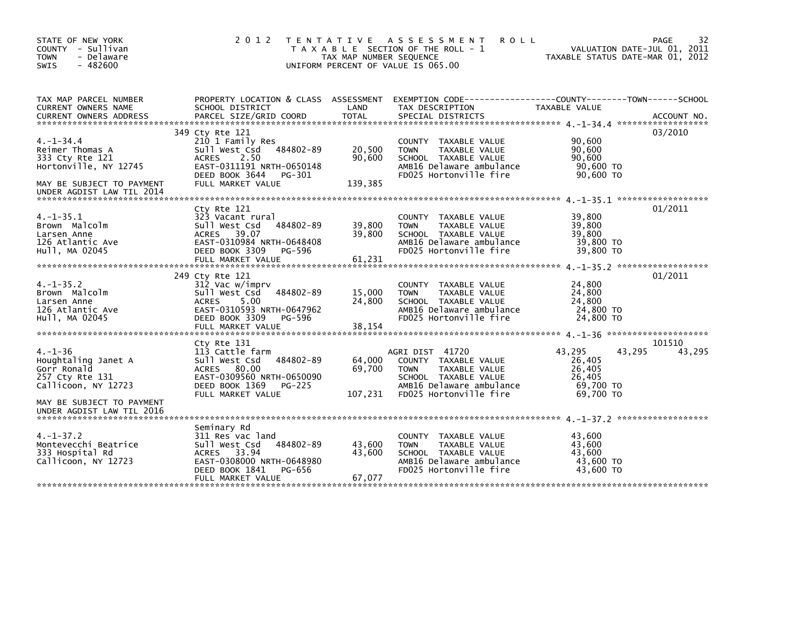| STATE OF NEW YORK<br>COUNTY - Sullivan<br><b>TOWN</b><br>- Delaware<br>$-482600$<br><b>SWIS</b>                                         | 2 0 1 2                                                                                                                                                                 | TAX MAP NUMBER SEQUENCE     | TENTATIVE ASSESSMENT<br><b>ROLL</b><br>T A X A B L E SECTION OF THE ROLL - 1<br>UNIFORM PERCENT OF VALUE IS 065.00                                    | TAXABLE STATUS DATE-MAR 01, 2012                                         | 32<br>PAGE<br>VALUATION DATE-JUL 01, 2011 |
|-----------------------------------------------------------------------------------------------------------------------------------------|-------------------------------------------------------------------------------------------------------------------------------------------------------------------------|-----------------------------|-------------------------------------------------------------------------------------------------------------------------------------------------------|--------------------------------------------------------------------------|-------------------------------------------|
| TAX MAP PARCEL NUMBER<br>CURRENT OWNERS NAME<br><b>CURRENT OWNERS ADDRESS</b>                                                           | SCHOOL DISTRICT<br>PARCEL SIZE/GRID COORD                                                                                                                               | LAND<br><b>TOTAL</b>        | PROPERTY LOCATION & CLASS ASSESSMENT EXEMPTION CODE---------------COUNTY-------TOWN------SCHOOL<br>TAX DESCRIPTION<br>SPECIAL DISTRICTS               | TAXABLE VALUE                                                            | ACCOUNT NO.                               |
| $4. -1 - 34.4$<br>Reimer Thomas A<br>333 Cty Rte 121<br>Hortonville, NY 12745<br>MAY BE SUBJECT TO PAYMENT<br>UNDER AGDIST LAW TIL 2014 | 349 Cty Rte 121<br>210 1 Family Res<br>sull west Csd<br>484802-89<br>2.50<br><b>ACRES</b><br>EAST-0311191 NRTH-0650148<br>DEED BOOK 3644<br>PG-301<br>FULL MARKET VALUE | 20,500<br>90,600<br>139,385 | COUNTY TAXABLE VALUE<br><b>TOWN</b><br>TAXABLE VALUE<br>SCHOOL TAXABLE VALUE<br>AMB16 Delaware ambulance<br>FD025 Hortonville fire                    | 90,600<br>90,600<br>90,600<br>90,600 TO<br>90.600 TO                     | 03/2010                                   |
| $4. -1 - 35.1$<br>Brown Malcolm<br>Larsen Anne<br>126 Atlantic Ave<br>Hull, MA 02045                                                    | Cty Rte 121<br>323 Vacant rural<br>Sull West Csd<br>484802-89<br>ACRES 39.07<br>EAST-0310984 NRTH-0648408<br>DEED BOOK 3309 PG-596<br>FULL MARKET VALUE                 | 39,800<br>39,800<br>61,231  | COUNTY TAXABLE VALUE<br><b>TOWN</b><br>TAXABLE VALUE<br>SCHOOL TAXABLE VALUE<br>AMB16 Delaware ambulance<br>FD025 Hortonville fire                    | 39,800<br>39,800<br>39,800<br>39,800 TO<br>39,800 TO                     | 01/2011                                   |
| $4. -1 - 35.2$<br>Brown Malcolm<br>Larsen Anne<br>126 Atlantic Ave<br>Hull, MA 02045                                                    | 249 Cty Rte 121<br>312 Vac w/imprv<br>484802-89<br>Sull West Csd<br>5.00<br><b>ACRES</b><br>EAST-0310593 NRTH-0647962<br>DEED BOOK 3309<br>PG-596<br>FULL MARKET VALUE  | 15,000<br>24,800<br>38,154  | COUNTY TAXABLE VALUE<br>TAXABLE VALUE<br><b>TOWN</b><br>SCHOOL TAXABLE VALUE<br>AMB16 Delaware ambulance<br>FD025 Hortonville fire                    | 24,800<br>24,800<br>24,800<br>24,800 TO<br>24,800 TO                     | 01/2011                                   |
| $4. - 1 - 36$<br>Houghtaling Janet A<br>Gorr Ronald<br>257 Cty Rte 131<br>Callicoon, NY 12723                                           | Cty Rte 131<br>113 Cattle farm<br>Sull West Csd<br>484802-89<br>ACRES 80.00<br>EAST-0309560 NRTH-0650090<br>DEED BOOK 1369<br>PG-225<br>FULL MARKET VALUE               | 64,000<br>69,700<br>107,231 | AGRI DIST 41720<br>COUNTY TAXABLE VALUE<br>TAXABLE VALUE<br><b>TOWN</b><br>SCHOOL TAXABLE VALUE<br>AMB16 Delaware ambulance<br>FD025 Hortonville fire | 43,295<br>43,295<br>26,405<br>26,405<br>26,405<br>69,700 TO<br>69.700 TO | 101510<br>43,295                          |
| MAY BE SUBJECT TO PAYMENT<br>UNDER AGDIST LAW TIL 2016                                                                                  |                                                                                                                                                                         |                             |                                                                                                                                                       |                                                                          |                                           |
| $4. -1 - 37.2$<br>Montevecchi Beatrice<br>333 Hospital Rd<br>Callicoon, NY 12723                                                        | Seminary Rd<br>311 Res vac land<br>Sull West Csd<br>484802-89<br>ACRES 33.94<br>EAST-0308000 NRTH-0648980<br>DEED BOOK 1841<br>PG-656<br>FULL MARKET VALUE              | 43,600<br>43.600<br>67,077  | COUNTY TAXABLE VALUE<br>TAXABLE VALUE<br><b>TOWN</b><br>SCHOOL TAXABLE VALUE<br>AMB16 Delaware ambulance<br>FD025 Hortonville fire                    | 43,600<br>43,600<br>43.600<br>43,600 TO<br>43,600 TO                     |                                           |
|                                                                                                                                         |                                                                                                                                                                         |                             |                                                                                                                                                       |                                                                          |                                           |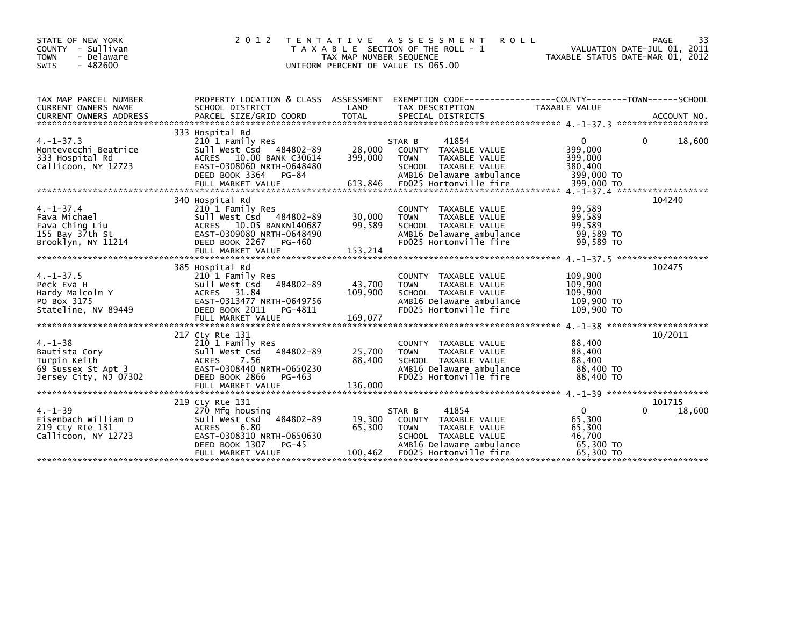| STATE OF NEW YORK<br>COUNTY - Sullivan<br><b>TOWN</b><br>- Delaware<br>$-482600$<br><b>SWIS</b> | 2 0 1 2                                                                                                                                                                 | T E N T A T I V E<br>TAX MAP NUMBER SEQUENCE<br>UNIFORM PERCENT OF VALUE IS 065.00 | A S S E S S M E N T<br><b>ROLL</b><br>T A X A B L E SECTION OF THE ROLL - 1                                                                           | TAXABLE STATUS DATE-MAR 01, 2012                                     | 33<br>PAGE<br>VALUATION DATE-JUL 01, 2011 |
|-------------------------------------------------------------------------------------------------|-------------------------------------------------------------------------------------------------------------------------------------------------------------------------|------------------------------------------------------------------------------------|-------------------------------------------------------------------------------------------------------------------------------------------------------|----------------------------------------------------------------------|-------------------------------------------|
| TAX MAP PARCEL NUMBER<br><b>CURRENT OWNERS NAME</b>                                             | PROPERTY LOCATION & CLASS ASSESSMENT<br>SCHOOL DISTRICT                                                                                                                 | LAND                                                                               | EXEMPTION        CODE-----------------COUNTY-------TOWN------SCHOOL<br>TAX DESCRIPTION                                                                | TAXABLE VALUE                                                        |                                           |
| $4. -1 - 37.3$<br>Montevecchi Beatrice<br>333 Hospital Rd<br>Callicoon, NY 12723                | 333 Hospital Rd<br>210 1 Family Res<br>Sull West Csd 484802-89<br>ACRES 10.00 BANK C30614<br>EAST-0308060 NRTH-0648480<br>DEED BOOK 3364<br>PG-84                       | 28,000<br>399,000                                                                  | 41854<br>STAR B<br>COUNTY TAXABLE VALUE<br><b>TOWN</b><br>TAXABLE VALUE<br>SCHOOL TAXABLE VALUE<br>AMB16 Delaware ambulance                           | 0<br>399,000<br>399,000<br>380,400<br>399,000 TO                     | 0<br>18,600                               |
| $4. -1 - 37.4$<br>Fava Michael<br>Fava Ching Liu<br>155 Bay $37th$ St<br>Brooklyn, NY 11214     | 340 Hospital Rd<br>210 1 Family Res<br>Sull West Csd 484802-89<br>ACRES 10.05 BANKN140687<br>EAST-0309080 NRTH-0648490<br>DEED BOOK 2267<br>PG-460<br>FULL MARKET VALUE | 30,000<br>99,589<br>153,214                                                        | COUNTY TAXABLE VALUE<br><b>TOWN</b><br>TAXABLE VALUE<br>SCHOOL TAXABLE VALUE<br>AMB16 Delaware ambulance<br>FD025 Hortonville fire                    | 99,589<br>99,589<br>99,589<br>99,589 TO<br>99.589 TO                 | 104240                                    |
| $4. -1 - 37.5$<br>Peck Eva H<br>Hardy Malcolm Y<br>PO Box 3175<br>Stateline, NV 89449           | 385 Hospital Rd<br>210 1 Family Res<br>484802-89<br>Sull West Csd<br>ACRES 31.84<br>EAST-0313477 NRTH-0649756<br>DEED BOOK 2011<br>PG-4811                              | 43,700<br>109,900                                                                  | COUNTY TAXABLE VALUE<br><b>TOWN</b><br>TAXABLE VALUE<br>SCHOOL TAXABLE VALUE<br>AMB16 Delaware ambulance<br>FD025 Hortonville fire                    | 109,900<br>109,900<br>109,900<br>109,900 TO<br>109,900 TO            | 102475                                    |
| $4. - 1 - 38$<br>Bautista Cory<br>Turpin Keith<br>69 Sussex St Apt 3<br>Jersey City, NJ 07302   | 217 Cty Rte 131<br>210 1 Family Res<br>484802-89<br>Sull West Csd<br><b>ACRES</b><br>7.56<br>EAST-0308440 NRTH-0650230<br>DEED BOOK 2866<br>PG-463                      | 25,700<br>88,400                                                                   | <b>COUNTY</b><br>TAXABLE VALUE<br>TAXABLE VALUE<br><b>TOWN</b><br>SCHOOL TAXABLE VALUE<br>AMB16 Delaware ambulance<br>FD025 Hortonville fire          | 88,400<br>88,400<br>88,400<br>88,400 TO<br>88,400 TO                 | 10/2011                                   |
| $4. -1 - 39$<br>Eisenbach William D<br>219 Cty Rte 131<br>Callicoon, NY 12723                   | 219 Cty Rte 131<br>270 Mfg housing<br>484802-89<br>Sull West Csd<br><b>ACRES</b><br>6.80<br>EAST-0308310 NRTH-0650630<br>DEED BOOK 1307<br>PG-45<br>FULL MARKET VALUE   | 19,300<br>65,300<br>100,462                                                        | STAR B<br>41854<br>COUNTY TAXABLE VALUE<br><b>TOWN</b><br>TAXABLE VALUE<br>SCHOOL TAXABLE VALUE<br>AMB16 Delaware ambulance<br>FD025 Hortonville fire | $\mathbf{0}$<br>65,300<br>65,300<br>46,700<br>65,300 TO<br>65,300 TO | 101715<br>$\Omega$<br>18,600              |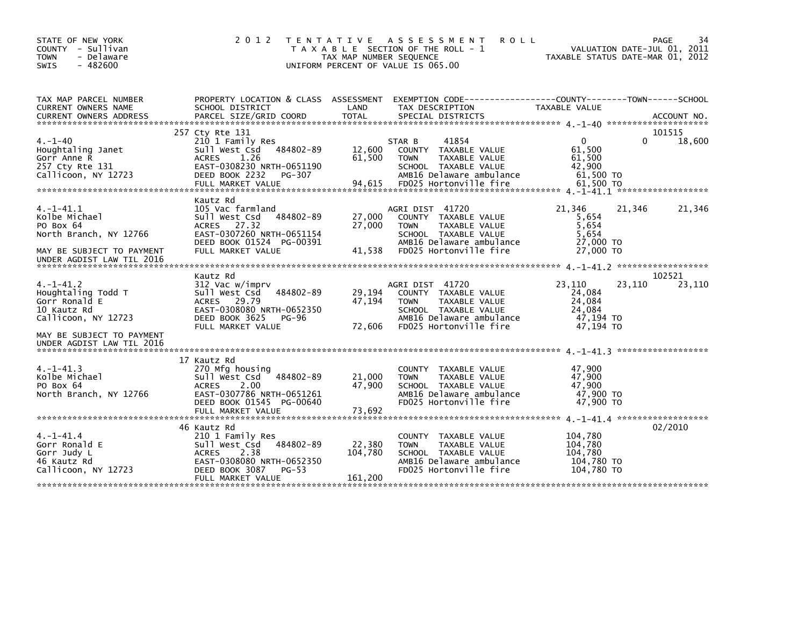| STATE OF NEW YORK<br>COUNTY - Sullivan<br><b>TOWN</b><br>- Delaware<br>$-482600$<br><b>SWIS</b>                          | 2 0 1 2                                                                                                                                                              | TAX MAP NUMBER SEQUENCE      | TENTATIVE ASSESSMENT<br><b>ROLL</b><br>T A X A B L E SECTION OF THE ROLL - 1<br>UNIFORM PERCENT OF VALUE IS 065.00                                    | VALUATION DATE-JUL 01, 2011<br>TAXABLE STATUS DATE-MAR 01, 2012           | 34<br>PAGE       |
|--------------------------------------------------------------------------------------------------------------------------|----------------------------------------------------------------------------------------------------------------------------------------------------------------------|------------------------------|-------------------------------------------------------------------------------------------------------------------------------------------------------|---------------------------------------------------------------------------|------------------|
| TAX MAP PARCEL NUMBER<br>CURRENT OWNERS NAME                                                                             | PROPERTY LOCATION & CLASS ASSESSMENT EXEMPTION CODE----------------COUNTY-------TOWN------SCHOOL<br>SCHOOL DISTRICT                                                  | LAND                         | TAX DESCRIPTION                                                                                                                                       | TAXABLE VALUE                                                             |                  |
|                                                                                                                          |                                                                                                                                                                      |                              |                                                                                                                                                       |                                                                           |                  |
| $4. - 1 - 40$<br>Houghtaling Janet<br>Gorr Anne R<br>257 Cty Rte 131<br>Callicoon, NY 12723                              | 257 Cty Rte 131<br>210 1 Family Res<br>Sull West Csd 484802-89<br>1.26<br><b>ACRES</b><br>EAST-0308230 NRTH-0651190<br>DEED BOOK 2232<br>PG-307<br>FULL MARKET VALUE | 12,600<br>61,500<br>94,615   | STAR B<br>41854<br>COUNTY TAXABLE VALUE<br>TAXABLE VALUE<br><b>TOWN</b><br>SCHOOL TAXABLE VALUE<br>AMB16 Delaware ambulance<br>FD025 Hortonville fire | $\mathbf{0}$<br>0<br>61,500<br>61,500<br>42,900<br>61,500 TO<br>61,500 TO | 101515<br>18,600 |
| 4. –1–41.1<br>Kolbe Michael<br>PO Box 64<br>North Branch, NY 12766<br>MAY BE SUBJECT TO PAYMENT                          | Kautz Rd<br>105 Vac farmland<br>484802-89<br>sull west Csd<br>27.32<br><b>ACRES</b><br>EAST-0307260 NRTH-0651154<br>DEED BOOK 01524 PG-00391<br>FULL MARKET VALUE    | 27,000<br>27,000<br>41.538   | AGRI DIST 41720<br>COUNTY TAXABLE VALUE<br>TAXABLE VALUE<br><b>TOWN</b><br>SCHOOL TAXABLE VALUE<br>AMB16 Delaware ambulance<br>FD025 Hortonville fire | 21,346<br>21,346<br>5,654<br>5,654<br>5,654<br>27,000 TO<br>27,000 TO     | 21,346           |
| $4. -1 - 41.2$<br>Houghtaling Todd T<br>Gorr Ronald E<br>10 Kautz Rd<br>Callicoon, NY 12723<br>MAY BE SUBJECT TO PAYMENT | Kautz Rd<br>312 Vac w/imprv<br>484802-89<br>Sull West Csd<br>ACRES 29.79<br>EAST-0308080 NRTH-0652350<br>DEED BOOK 3625<br>PG-96<br>FULL MARKET VALUE                | 29,194<br>47,194<br>72,606   | AGRI DIST 41720<br>COUNTY TAXABLE VALUE<br>TAXABLE VALUE<br><b>TOWN</b><br>SCHOOL TAXABLE VALUE<br>AMB16 Delaware ambulance<br>FD025 Hortonville fire | 23,110<br>23,110<br>24,084<br>24,084<br>24.084<br>47,194 TO<br>47,194 TO  | 102521<br>23,110 |
| $4. -1 - 41.3$<br>Kolbe Michael<br>PO Box 64<br>North Branch, NY 12766                                                   | 17 Kautz Rd<br>270 Mfg housing<br>484802-89<br>Sull West Csd<br>2.00<br><b>ACRES</b><br>EAST-0307786 NRTH-0651261<br>DEED BOOK 01545 PG-00640<br>FULL MARKET VALUE   | 21,000<br>47,900<br>73,692   | COUNTY TAXABLE VALUE<br>TAXABLE VALUE<br><b>TOWN</b><br>SCHOOL TAXABLE VALUE<br>AMB16 Delaware ambulance<br>FD025 Hortonville fire                    | 47,900<br>47,900<br>47.900<br>47.900 TO<br>47,900 TO                      |                  |
| $4. -1 - 41.4$<br>Gorr Ronald E<br>Gorr Judy L<br>46 Kautz Rd<br>Callicoon, NY 12723                                     | 46 Kautz Rd<br>210 1 Family Res<br>Sull West Csd 484802-89<br><b>ACRES</b><br>2.38<br>EAST-0308080 NRTH-0652350<br>DEED BOOK 3087<br>$PG-53$<br>FULL MARKET VALUE    | 22,380<br>104,780<br>161,200 | COUNTY TAXABLE VALUE<br>TAXABLE VALUE<br><b>TOWN</b><br>SCHOOL TAXABLE VALUE<br>AMB16 Delaware ambulance<br>FD025 Hortonville fire                    | 104,780<br>104,780<br>104,780<br>104,780 TO<br>104,780 TO                 | 02/2010          |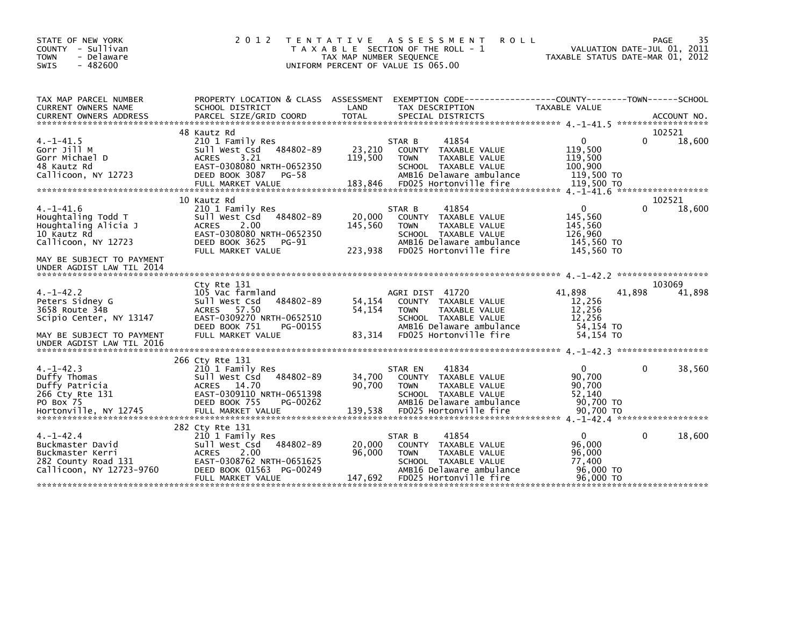| STATE OF NEW YORK<br>COUNTY - Sullivan<br>- Delaware<br><b>TOWN</b><br><b>SWIS</b><br>$-482600$                                                              | 2 0 1 2                                                                                                                                                                 | A S S E S S M E N T<br>T E N T A T I V E<br><b>ROLL</b><br>T A X A B L E SECTION OF THE ROLL - 1<br>TAX MAP NUMBER SEQUENCE<br>UNIFORM PERCENT OF VALUE IS 065.00                     | PAGE<br>VALUATION DATE-JUL 01, 2011<br>TAXABLE STATUS DATE-MAR 01, 2012          | 35               |
|--------------------------------------------------------------------------------------------------------------------------------------------------------------|-------------------------------------------------------------------------------------------------------------------------------------------------------------------------|---------------------------------------------------------------------------------------------------------------------------------------------------------------------------------------|----------------------------------------------------------------------------------|------------------|
| TAX MAP PARCEL NUMBER<br>CURRENT OWNERS NAME                                                                                                                 | PROPERTY LOCATION & CLASS ASSESSMENT<br>SCHOOL DISTRICT                                                                                                                 | EXEMPTION CODE-----------------COUNTY-------TOWN------SCHOOL<br>LAND<br>TAX DESCRIPTION                                                                                               | TAXABLE VALUE                                                                    |                  |
| $4. -1 - 41.5$<br>Gorr Jill M<br>Gorr Michael D<br>48 Kautz Rd<br>Callicoon, NY 12723                                                                        | 48 Kautz Rd<br>210 1 Family Res<br>Sull West Csd 484802-89<br><b>ACRES</b><br>3.21<br>EAST-0308080 NRTH-0652350<br>DEED BOOK 3087<br><b>PG-58</b><br>FULL MARKET VALUE  | 41854<br>STAR B<br>23,210<br>COUNTY TAXABLE VALUE<br>119,500<br><b>TOWN</b><br>TAXABLE VALUE<br>SCHOOL TAXABLE VALUE<br>AMB16 Delaware ambulance<br>183,846<br>FD025 Hortonville fire | 0<br>0<br>119,500<br>119,500<br>100,900<br>119,500 TO<br>119,500 TO              | 102521<br>18,600 |
| $4. -1 - 41.6$<br>Houghtaling Todd T<br>Houghtaling Alicia J<br>10 Kautz Rd<br>Callicoon, NY 12723<br>MAY BE SUBJECT TO PAYMENT<br>UNDER AGDIST LAW TIL 2014 | 10 Kautz Rd<br>210 1 Family Res<br>Sull West Csd 484802-89<br>2.00<br><b>ACRES</b><br>EAST-0308080 NRTH-0652350<br>DEED BOOK 3625<br>PG-91<br>FULL MARKET VALUE         | 41854<br>STAR B<br>20,000<br>COUNTY TAXABLE VALUE<br>145,560<br>TAXABLE VALUE<br><b>TOWN</b><br>SCHOOL TAXABLE VALUE<br>AMB16 Delaware ambulance<br>223,938<br>FD025 Hortonville fire | $\mathbf{0}$<br>0<br>145,560<br>145,560<br>126,960<br>145,560 TO<br>145,560 TO   | 102521<br>18,600 |
| $4. -1 - 42.2$<br>Peters Sidney G<br>3658 Route 34B<br>Scipio Center, NY 13147<br>MAY BE SUBJECT TO PAYMENT<br>UNDER AGDIST LAW TIL 2016                     | Cty Rte 131<br>105 Vac farmland<br>484802-89<br>sull west Csd<br>ACRES 57.50<br>EAST-0309270 NRTH-0652510<br>DEED BOOK 751<br>PG-00155<br>FULL MARKET VALUE             | AGRI DIST 41720<br>54,154<br>COUNTY TAXABLE VALUE<br>54,154<br>TAXABLE VALUE<br><b>TOWN</b><br>SCHOOL TAXABLE VALUE<br>AMB16 Delaware ambulance<br>83,314<br>FD025 Hortonville fire   | 41.898<br>41.898<br>12,256<br>12,256<br>12,256<br>54,154 TO<br>54.154 TO         | 103069<br>41,898 |
| $4. -1 - 42.3$<br>Duffy Thomas<br>Duffy Patricia<br>266 Cty Rte 131<br>PO Box 75                                                                             | 266 Cty Rte 131<br>210 1 Family Res<br>484802-89<br>Sull West Csd<br>ACRES 14.70<br>EAST-0309110 NRTH-0651398<br>DEED BOOK 755<br>PG-00262                              | 41834<br>STAR EN<br>34,700<br>COUNTY TAXABLE VALUE<br>90,700<br><b>TOWN</b><br><b>TAXABLE VALUE</b><br>SCHOOL TAXABLE VALUE<br>AMB16 Delaware ambulance                               | $\mathbf{0}$<br>$\Omega$<br>90,700<br>90,700<br>52,140<br>90,700 TO              | 38,560           |
| $4. -1 - 42.4$<br>Buckmaster David<br>Buckmaster Kerri<br>282 County Road 131<br>Callicoon, NY 12723-9760                                                    | 282 Cty Rte 131<br>210 1 Family Res<br>484802-89<br>sull west Csd<br>2.00<br><b>ACRES</b><br>EAST-0308762 NRTH-0651625<br>DEED BOOK 01563 PG-00249<br>FULL MARKET VALUE | 41854<br>STAR B<br>20,000<br>COUNTY TAXABLE VALUE<br>96,000<br><b>TOWN</b><br>TAXABLE VALUE<br>SCHOOL TAXABLE VALUE<br>AMB16 Delaware ambulance<br>147,692<br>FD025 Hortonville fire  | $\mathbf{0}$<br>$\Omega$<br>96.000<br>96,000<br>77.400<br>96,000 TO<br>96,000 TO | 18,600           |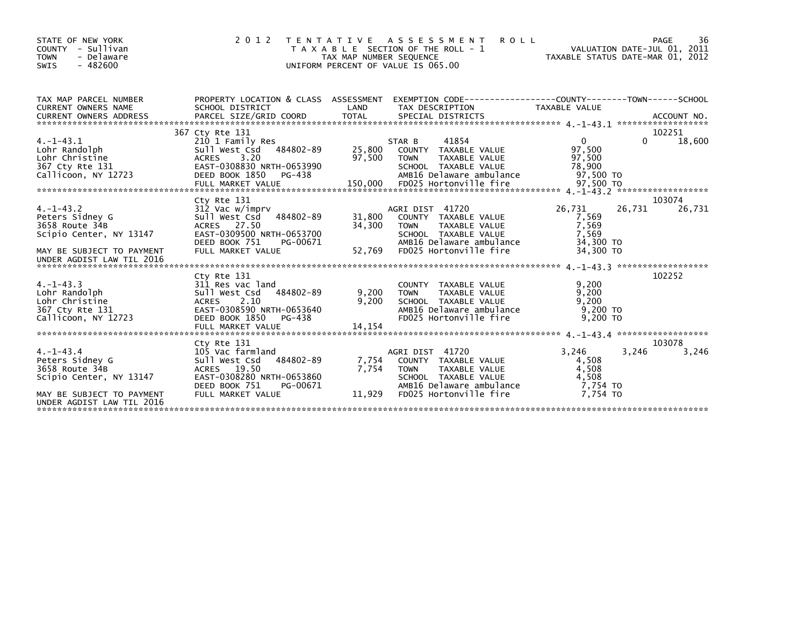| STATE OF NEW YORK<br>- Sullivan<br>COUNTY<br>- Delaware<br><b>TOWN</b><br>$-482600$<br>SWIS                                              | 2 0 1 2                                                                                                                                                             | TAX MAP NUMBER SEQUENCE    | TENTATIVE ASSESSMENT<br><b>ROLL</b><br>T A X A B L E SECTION OF THE ROLL - 1<br>UNIFORM PERCENT OF VALUE IS 065.00                                    | VALUATION DATE-JUL 01, 2011<br>TAXABLE STATUS DATE-MAR 01, 2012 |        | 36<br>PAGE      |
|------------------------------------------------------------------------------------------------------------------------------------------|---------------------------------------------------------------------------------------------------------------------------------------------------------------------|----------------------------|-------------------------------------------------------------------------------------------------------------------------------------------------------|-----------------------------------------------------------------|--------|-----------------|
| TAX MAP PARCEL NUMBER<br><b>CURRENT OWNERS NAME</b>                                                                                      | PROPERTY LOCATION & CLASS ASSESSMENT<br>SCHOOL DISTRICT                                                                                                             | LAND                       | EXEMPTION        CODE-----------------COUNTY-------TOWN------SCHOOL<br>TAX DESCRIPTION                                                                | TAXABLE VALUE                                                   |        |                 |
|                                                                                                                                          | 367 Cty Rte 131                                                                                                                                                     |                            |                                                                                                                                                       |                                                                 |        | 102251          |
| $4. -1 - 43.1$<br>Lohr Randolph<br>Lohr Christine<br>367 Cty Rte 131<br>Callicoon, NY 12723                                              | 210 1 Family Res<br>484802-89<br>Sull West Csd<br>3.20<br><b>ACRES</b><br>EAST-0308830 NRTH-0653990<br>DEED BOOK 1850<br>PG-438                                     | 25,800<br>97,500           | 41854<br>STAR B<br>COUNTY TAXABLE VALUE<br><b>TOWN</b><br>TAXABLE VALUE<br>SCHOOL TAXABLE VALUE<br>AMB16 Delaware ambulance                           | $\overline{0}$<br>97.500<br>97,500<br>78,900<br>97.500 TO       | 0      | 18,600          |
|                                                                                                                                          | Cty Rte 131                                                                                                                                                         |                            |                                                                                                                                                       |                                                                 |        | 103074          |
| $4. -1 - 43.2$<br>Peters Sidney G<br>3658 Route 34B<br>Scipio Center, NY 13147<br>MAY BE SUBJECT TO PAYMENT<br>UNDER AGDIST LAW TIL 2016 | 312 Vac w/imprv<br>484802-89<br>Sull West Csd<br>ACRES 27.50<br>EAST-0309500 NRTH-0653700<br>DEED BOOK 751<br>PG-00671<br>FULL MARKET VALUE                         | 31,800<br>34,300<br>52,769 | AGRI DIST 41720<br>COUNTY TAXABLE VALUE<br><b>TOWN</b><br>TAXABLE VALUE<br>SCHOOL TAXABLE VALUE<br>AMB16 Delaware ambulance<br>FD025 Hortonville fire | 26,731<br>7,569<br>7,569<br>7.569<br>34,300 TO<br>34,300 TO     | 26,731 | 26,731          |
| $4. -1 - 43.3$<br>Lohr Randolph<br>Lohr Christine<br>367 Cty Rte 131<br>Callicoon, NY 12723                                              | Cty Rte 131<br>311 Res vac land<br>484802-89<br>Sull West Csd<br>2.10<br><b>ACRES</b><br>EAST-0308590 NRTH-0653640<br>DEED BOOK 1850<br>PG-438<br>FULL MARKET VALUE | 9,200<br>9,200<br>14,154   | COUNTY TAXABLE VALUE<br><b>TOWN</b><br>TAXABLE VALUE<br>SCHOOL TAXABLE VALUE<br>AMB16 Delaware ambulance<br>FD025 Hortonville fire                    | 9,200<br>9,200<br>9.200<br>$9.200$ TO<br>$9.200$ TO             |        | 102252          |
|                                                                                                                                          |                                                                                                                                                                     |                            |                                                                                                                                                       |                                                                 |        |                 |
| $4. -1 - 43.4$<br>Peters Sidney G<br>3658 Route 34B<br>Scipio Center, NY 13147                                                           | Cty Rte 131<br>105 Vac farmland<br>484802-89<br>Sull West Csd<br>ACRES 19.50<br>EAST-0308280 NRTH-0653860<br>DEED BOOK 751<br>PG-00671                              | 7,754<br>7.754             | AGRI DIST 41720<br>COUNTY TAXABLE VALUE<br><b>TOWN</b><br>TAXABLE VALUE<br>SCHOOL TAXABLE VALUE<br>AMB16 Delaware ambulance                           | 3.246<br>4,508<br>4,508<br>4,508<br>7,754 TO                    | 3,246  | 103078<br>3,246 |
| MAY BE SUBJECT TO PAYMENT<br>UNDER AGDIST LAW TIL 2016                                                                                   | FULL MARKET VALUE                                                                                                                                                   | 11,929                     | FD025 Hortonville fire                                                                                                                                | 7.754 TO                                                        |        |                 |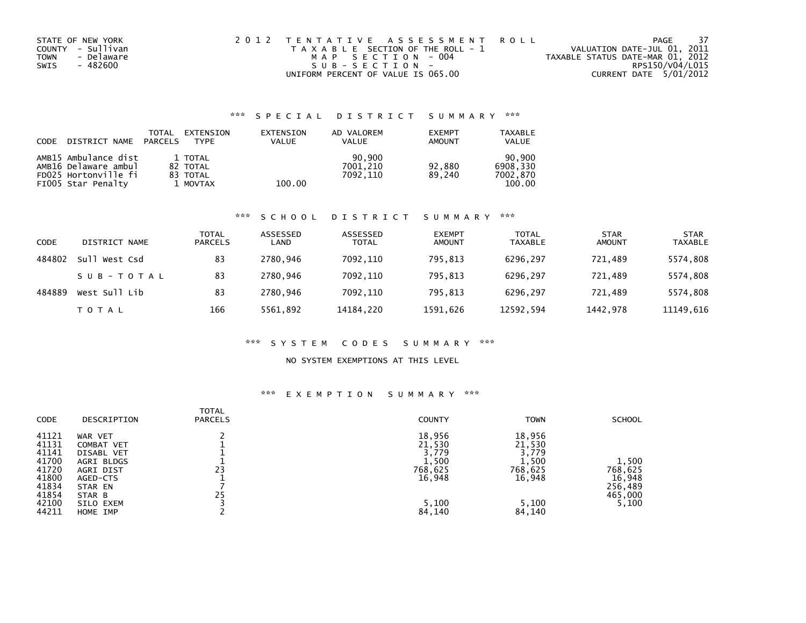| STATE OF NEW YORK  | 2012 TENTATIVE ASSESSMENT ROLL        | PAGE                             | -37 |
|--------------------|---------------------------------------|----------------------------------|-----|
| COUNTY - Sullivan  | T A X A B L E SECTION OF THE ROLL - 1 | VALUATION DATE-JUL 01, 2011      |     |
| - Delaware<br>TOWN | MAP SECTION - 004                     | TAXABLE STATUS DATE-MAR 01, 2012 |     |
| SWIS<br>- 482600   | $SUB - SECTION -$                     | RPS150/V04/L015                  |     |
|                    | UNIFORM PERCENT OF VALUE IS 065.00    | CURRENT DATE 5/01/2012           |     |

## \*\*\* S P E C I A L D I S T R I C T S U M M A R Y \*\*\*

| CODE | DISTRICT NAME                                                                              | TOTAL<br>PARCELS | EXTENSION<br><b>TYPF</b>                    | EXTENSION<br><b>VALUE</b> | AD VALOREM<br><b>VALUE</b>     | <b>EXEMPT</b><br>AMOUNT | <b>TAXABLE</b><br><b>VALUE</b>           |
|------|--------------------------------------------------------------------------------------------|------------------|---------------------------------------------|---------------------------|--------------------------------|-------------------------|------------------------------------------|
|      | AMB15 Ambulance dist<br>AMB16 Delaware ambul<br>FD025 Hortonville fi<br>FIOO5 Star Penalty |                  | 1 TOTAL<br>82 TOTAL<br>83 TOTAL<br>1 MOVTAX | 100.00                    | 90.900<br>7001.210<br>7092.110 | 92.880<br>89.240        | 90.900<br>6908.330<br>7002,870<br>100.00 |

### \*\*\* S C H O O L D I S T R I C T S U M M A R Y \*\*\*

| <b>CODE</b> | DISTRICT NAME | TOTAL<br><b>PARCELS</b> | ASSESSED<br>LAND | ASSESSED<br><b>TOTAL</b> | <b>EXEMPT</b><br><b>AMOUNT</b> | <b>TOTAL</b><br>TAXABLE | <b>STAR</b><br><b>AMOUNT</b> | <b>STAR</b><br><b>TAXABLE</b> |
|-------------|---------------|-------------------------|------------------|--------------------------|--------------------------------|-------------------------|------------------------------|-------------------------------|
| 484802      | Sull West Csd | 83                      | 2780.946         | 7092.110                 | 795.813                        | 6296.297                | 721.489                      | 5574,808                      |
|             | SUB-TOTAL     | 83                      | 2780.946         | 7092.110                 | 795.813                        | 6296.297                | 721.489                      | 5574,808                      |
| 484889      | West Sull Lib | 83                      | 2780.946         | 7092.110                 | 795.813                        | 6296.297                | 721.489                      | 5574,808                      |
|             | TOTAL         | 166                     | 5561,892         | 14184,220                | 1591,626                       | 12592,594               | 1442,978                     | 11149,616                     |

### \*\*\* S Y S T E M C O D E S S U M M A R Y \*\*\*

### NO SYSTEM EXEMPTIONS AT THIS LEVEL

### \*\*\* E X E M P T I O N S U M M A R Y \*\*\*

| <b>CODE</b>    | DESCRIPTION             | <b>TOTAL</b><br><b>PARCELS</b> | <b>COUNTY</b>    | <b>TOWN</b>      | <b>SCHOOL</b>     |
|----------------|-------------------------|--------------------------------|------------------|------------------|-------------------|
| 41121<br>41131 | WAR VET<br>COMBAT VET   |                                | 18,956<br>21,530 | 18,956<br>21,530 |                   |
| 41141          | <b>DISABL VET</b>       |                                | 3,779            | 3,779            |                   |
| 41700<br>41720 | AGRI BLDGS<br>AGRI DIST | 23                             | 1,500<br>768,625 | 1,500<br>768,625 | 1,500<br>768,625  |
| 41800<br>41834 | AGED-CTS<br>STAR EN     |                                | 16,948           | 16,948           | 16,948<br>256,489 |
| 41854          | STAR B                  | 25                             |                  |                  | 465,000           |
| 42100<br>44211 | SILO EXEM<br>HOME IMP   |                                | 5,100<br>84,140  | 5,100<br>84,140  | 5,100             |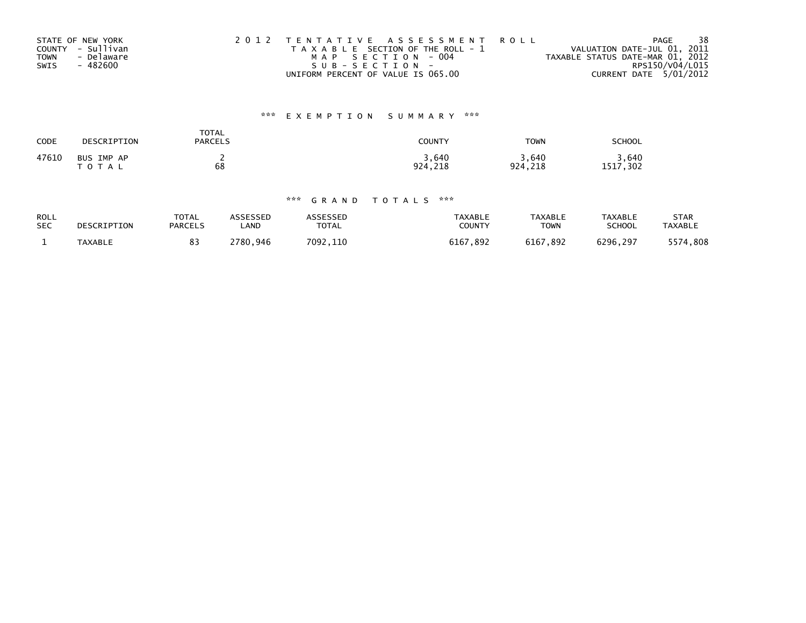|             | STATE OF NEW YORK | 2012 TENTATIVE ASSESSMENT ROLL        | 38<br>PAGE                       |
|-------------|-------------------|---------------------------------------|----------------------------------|
|             | COUNTY - Sullivan | T A X A B L E SECTION OF THE ROLL - 1 | VALUATION DATE-JUL 01, 2011      |
| <b>TOWN</b> | - Delaware        | MAP SECTION - 004                     | TAXABLE STATUS DATE-MAR 01, 2012 |
| SWIS        | - 482600          | SUB-SECTION-                          | RPS150/V04/L015                  |
|             |                   | UNIFORM PERCENT OF VALUE IS 065.00    | CURRENT DATE 5/01/2012           |

# \*\*\* E X E M P T I O N S U M M A R Y \*\*\*

| CODE  | DESCRIPTION             | TOTAL<br><b>PARCELS</b> | COUNTY           | <b>TOWN</b>      | SCHOOL               |
|-------|-------------------------|-------------------------|------------------|------------------|----------------------|
| 47610 | BUS IMP AP<br>T O T A L | 68                      | 3,640<br>924.218 | 3,640<br>924,218 | .640<br>,302<br>1517 |

## \*\*\* G R A N D T O T A L S \*\*\*

| <b>ROLL</b> | DESCRIPTION | <b>TOTAL</b>   | ASSESSED | ASSESSED     | TAXABLE       | TAXABLE     | <b>TAXABLE</b> | STAR           |
|-------------|-------------|----------------|----------|--------------|---------------|-------------|----------------|----------------|
| <b>SEC</b>  |             | <b>PARCELS</b> | _AND     | <b>TOTAL</b> | <b>COUNTY</b> | <b>TOWN</b> | SCHOOL         | <b>TAXABLE</b> |
|             | TAXABLE     | 83             | 2780.946 | 7092.110     | 6167,892      | 6167,892    | 6296.297       | 5574,808       |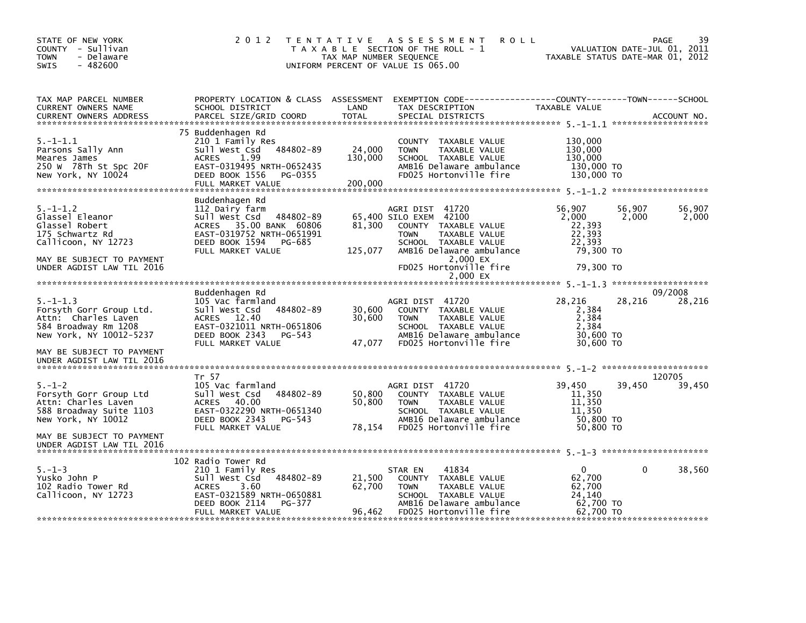| TAX MAP PARCEL NUMBER<br>PROPERTY LOCATION & CLASS ASSESSMENT<br>CURRENT OWNERS NAME<br>SCHOOL DISTRICT<br>LAND<br>TAX DESCRIPTION<br>TAXABLE VALUE<br><b>TOTAL</b><br>PARCEL SIZE/GRID COORD<br>SPECIAL DISTRICTS<br><b>CURRENT OWNERS ADDRESS</b><br>ACCOUNT NO.<br>75 Buddenhagen Rd<br>$5. - 1 - 1.1$<br>130,000<br>210 1 Family Res<br>COUNTY TAXABLE VALUE<br>484802-89<br>24,000<br>130,000<br>Parsons Sally Ann<br>sull west Csd<br><b>TOWN</b><br>TAXABLE VALUE<br>1.99<br>130,000<br>SCHOOL TAXABLE VALUE<br>130,000<br>Meares James<br><b>ACRES</b><br>EAST-0319495 NRTH-0652435<br>130,000 TO<br>250 W 78Th St Spc 20F<br>AMB16 Delaware ambulance<br>FD025 Hortonville fire<br>130,000 TO<br>New York, NY 10024<br>DEED BOOK 1556<br>PG-0355<br>200,000<br>FULL MARKET VALUE<br>Buddenhagen Rd<br>56,907<br>$5. - 1 - 1.2$<br>56,907<br>56,907<br>AGRI DIST 41720<br>112 Dairy farm<br>Glassel Eleanor<br>Sull West Csd 484802-89<br>65,400 SILO EXEM 42100<br>2.000<br>2,000<br>2,000<br>ACRES 35.00 BANK 60806<br>Glassel Robert<br>81,300<br>COUNTY TAXABLE VALUE<br>22,393<br>EAST-0319752 NRTH-0651991<br>22,393<br>175 Schwartz Rd<br><b>TOWN</b><br>TAXABLE VALUE<br>Callicoon, NY 12723<br>DEED BOOK 1594<br>PG-685<br>SCHOOL TAXABLE VALUE<br>22.393<br>125,077<br>AMB16 Delaware ambulance<br>79,300 TO<br>FULL MARKET VALUE<br>MAY BE SUBJECT TO PAYMENT<br>2,000 EX<br>FD025 Hortonville fire<br>79,300 TO<br>UNDER AGDIST LAW TIL 2016<br>2.000 EX<br>09/2008<br>Buddenhagen Rd<br>28,216<br>28,216<br>$5. - 1 - 1.3$<br>28,216<br>105 Vac farmland<br>AGRI DIST 41720<br>484802-89<br>30,600<br>Forsyth Gorr Group Ltd.<br>Sull West Csd<br>COUNTY TAXABLE VALUE<br>2,384<br>Attn: Charles Laven<br>ACRES 12.40<br>30,600<br>TAXABLE VALUE<br>2,384<br><b>TOWN</b><br>EAST-0321011 NRTH-0651806<br>2.384<br>584 Broadway Rm 1208<br>SCHOOL TAXABLE VALUE<br>DEED BOOK 2343<br>30,600 TO<br>New York, NY 10012-5237<br>AMB16 Delaware ambulance<br>PG-543<br>47,077<br>30,600 TO<br>FD025 Hortonville fire<br>FULL MARKET VALUE<br>MAY BE SUBJECT TO PAYMENT<br>UNDER AGDIST LAW TIL 2016<br>Tr 57<br>120705<br>39,450<br>39,450<br>39,450<br>$5. - 1 - 2$<br>105 Vac farmland<br>AGRI DIST 41720<br>50,800<br>Forsyth Gorr Group Ltd<br>484802-89<br>11,350<br>Sull West Csd<br>COUNTY TAXABLE VALUE<br>Attn: Charles Laven<br>ACRES 40.00<br>50,800<br>TAXABLE VALUE<br>11,350<br><b>TOWN</b><br>588 Broadway Suite 1103<br>EAST-0322290 NRTH-0651340<br>11,350<br>SCHOOL TAXABLE VALUE<br>DEED BOOK 2343<br>AMB16 Delaware ambulance<br>50,800 TO<br>New York, NY 10012<br>PG-543<br>50,800 TO<br>78,154<br>FD025 Hortonville fire<br>FULL MARKET VALUE<br>MAY BE SUBJECT TO PAYMENT<br>UNDER AGDIST LAW TIL 2016<br>102 Radio Tower Rd<br>$\mathbf{0}$<br>38,560<br>$5. - 1 - 3$<br>41834<br>$\Omega$<br>210 1 Family Res<br>STAR EN<br>Yusko John P<br>484802-89<br>21,500<br>62,700<br>Sull West Csd<br>COUNTY TAXABLE VALUE<br>102 Radio Tower Rd<br><b>ACRES</b><br>62,700<br>62,700<br>3.60<br><b>TOWN</b><br>TAXABLE VALUE<br>EAST-0321589 NRTH-0650881<br>SCHOOL TAXABLE VALUE<br>24,140<br>Callicoon, NY 12723<br>62,700 TO<br>DEED BOOK 2114<br>PG-377<br>AMB16 Delaware ambulance<br>96,462<br>FD025 Hortonville fire<br>62,700 TO<br>FULL MARKET VALUE | STATE OF NEW YORK<br>COUNTY - Sullivan<br>- Delaware<br><b>TOWN</b><br>$-482600$<br>SWIS | 2012 | TAX MAP NUMBER SEQUENCE | TENTATIVE ASSESSMENT<br><b>ROLL</b><br>T A X A B L E SECTION OF THE ROLL - 1<br>UNIFORM PERCENT OF VALUE IS 065.00 | TAXABLE STATUS DATE-MAR 01, 2012 | 39<br>PAGE<br>VALUATION DATE-JUL 01, 2011 |
|-------------------------------------------------------------------------------------------------------------------------------------------------------------------------------------------------------------------------------------------------------------------------------------------------------------------------------------------------------------------------------------------------------------------------------------------------------------------------------------------------------------------------------------------------------------------------------------------------------------------------------------------------------------------------------------------------------------------------------------------------------------------------------------------------------------------------------------------------------------------------------------------------------------------------------------------------------------------------------------------------------------------------------------------------------------------------------------------------------------------------------------------------------------------------------------------------------------------------------------------------------------------------------------------------------------------------------------------------------------------------------------------------------------------------------------------------------------------------------------------------------------------------------------------------------------------------------------------------------------------------------------------------------------------------------------------------------------------------------------------------------------------------------------------------------------------------------------------------------------------------------------------------------------------------------------------------------------------------------------------------------------------------------------------------------------------------------------------------------------------------------------------------------------------------------------------------------------------------------------------------------------------------------------------------------------------------------------------------------------------------------------------------------------------------------------------------------------------------------------------------------------------------------------------------------------------------------------------------------------------------------------------------------------------------------------------------------------------------------------------------------------------------------------------------------------------------------------------------------------------------------------------------------------------------------------------------------------------------------------------------------------------------------------------------------------------------------------------------------------------------------------------------------------------------------------------------------------------------------------------------------------------------------------------------|------------------------------------------------------------------------------------------|------|-------------------------|--------------------------------------------------------------------------------------------------------------------|----------------------------------|-------------------------------------------|
|                                                                                                                                                                                                                                                                                                                                                                                                                                                                                                                                                                                                                                                                                                                                                                                                                                                                                                                                                                                                                                                                                                                                                                                                                                                                                                                                                                                                                                                                                                                                                                                                                                                                                                                                                                                                                                                                                                                                                                                                                                                                                                                                                                                                                                                                                                                                                                                                                                                                                                                                                                                                                                                                                                                                                                                                                                                                                                                                                                                                                                                                                                                                                                                                                                                                                                 |                                                                                          |      |                         |                                                                                                                    |                                  |                                           |
|                                                                                                                                                                                                                                                                                                                                                                                                                                                                                                                                                                                                                                                                                                                                                                                                                                                                                                                                                                                                                                                                                                                                                                                                                                                                                                                                                                                                                                                                                                                                                                                                                                                                                                                                                                                                                                                                                                                                                                                                                                                                                                                                                                                                                                                                                                                                                                                                                                                                                                                                                                                                                                                                                                                                                                                                                                                                                                                                                                                                                                                                                                                                                                                                                                                                                                 |                                                                                          |      |                         |                                                                                                                    |                                  |                                           |
|                                                                                                                                                                                                                                                                                                                                                                                                                                                                                                                                                                                                                                                                                                                                                                                                                                                                                                                                                                                                                                                                                                                                                                                                                                                                                                                                                                                                                                                                                                                                                                                                                                                                                                                                                                                                                                                                                                                                                                                                                                                                                                                                                                                                                                                                                                                                                                                                                                                                                                                                                                                                                                                                                                                                                                                                                                                                                                                                                                                                                                                                                                                                                                                                                                                                                                 |                                                                                          |      |                         |                                                                                                                    |                                  |                                           |
|                                                                                                                                                                                                                                                                                                                                                                                                                                                                                                                                                                                                                                                                                                                                                                                                                                                                                                                                                                                                                                                                                                                                                                                                                                                                                                                                                                                                                                                                                                                                                                                                                                                                                                                                                                                                                                                                                                                                                                                                                                                                                                                                                                                                                                                                                                                                                                                                                                                                                                                                                                                                                                                                                                                                                                                                                                                                                                                                                                                                                                                                                                                                                                                                                                                                                                 |                                                                                          |      |                         |                                                                                                                    |                                  |                                           |
|                                                                                                                                                                                                                                                                                                                                                                                                                                                                                                                                                                                                                                                                                                                                                                                                                                                                                                                                                                                                                                                                                                                                                                                                                                                                                                                                                                                                                                                                                                                                                                                                                                                                                                                                                                                                                                                                                                                                                                                                                                                                                                                                                                                                                                                                                                                                                                                                                                                                                                                                                                                                                                                                                                                                                                                                                                                                                                                                                                                                                                                                                                                                                                                                                                                                                                 |                                                                                          |      |                         |                                                                                                                    |                                  |                                           |
|                                                                                                                                                                                                                                                                                                                                                                                                                                                                                                                                                                                                                                                                                                                                                                                                                                                                                                                                                                                                                                                                                                                                                                                                                                                                                                                                                                                                                                                                                                                                                                                                                                                                                                                                                                                                                                                                                                                                                                                                                                                                                                                                                                                                                                                                                                                                                                                                                                                                                                                                                                                                                                                                                                                                                                                                                                                                                                                                                                                                                                                                                                                                                                                                                                                                                                 |                                                                                          |      |                         |                                                                                                                    |                                  |                                           |
|                                                                                                                                                                                                                                                                                                                                                                                                                                                                                                                                                                                                                                                                                                                                                                                                                                                                                                                                                                                                                                                                                                                                                                                                                                                                                                                                                                                                                                                                                                                                                                                                                                                                                                                                                                                                                                                                                                                                                                                                                                                                                                                                                                                                                                                                                                                                                                                                                                                                                                                                                                                                                                                                                                                                                                                                                                                                                                                                                                                                                                                                                                                                                                                                                                                                                                 |                                                                                          |      |                         |                                                                                                                    |                                  |                                           |
|                                                                                                                                                                                                                                                                                                                                                                                                                                                                                                                                                                                                                                                                                                                                                                                                                                                                                                                                                                                                                                                                                                                                                                                                                                                                                                                                                                                                                                                                                                                                                                                                                                                                                                                                                                                                                                                                                                                                                                                                                                                                                                                                                                                                                                                                                                                                                                                                                                                                                                                                                                                                                                                                                                                                                                                                                                                                                                                                                                                                                                                                                                                                                                                                                                                                                                 |                                                                                          |      |                         |                                                                                                                    |                                  |                                           |
|                                                                                                                                                                                                                                                                                                                                                                                                                                                                                                                                                                                                                                                                                                                                                                                                                                                                                                                                                                                                                                                                                                                                                                                                                                                                                                                                                                                                                                                                                                                                                                                                                                                                                                                                                                                                                                                                                                                                                                                                                                                                                                                                                                                                                                                                                                                                                                                                                                                                                                                                                                                                                                                                                                                                                                                                                                                                                                                                                                                                                                                                                                                                                                                                                                                                                                 |                                                                                          |      |                         |                                                                                                                    |                                  |                                           |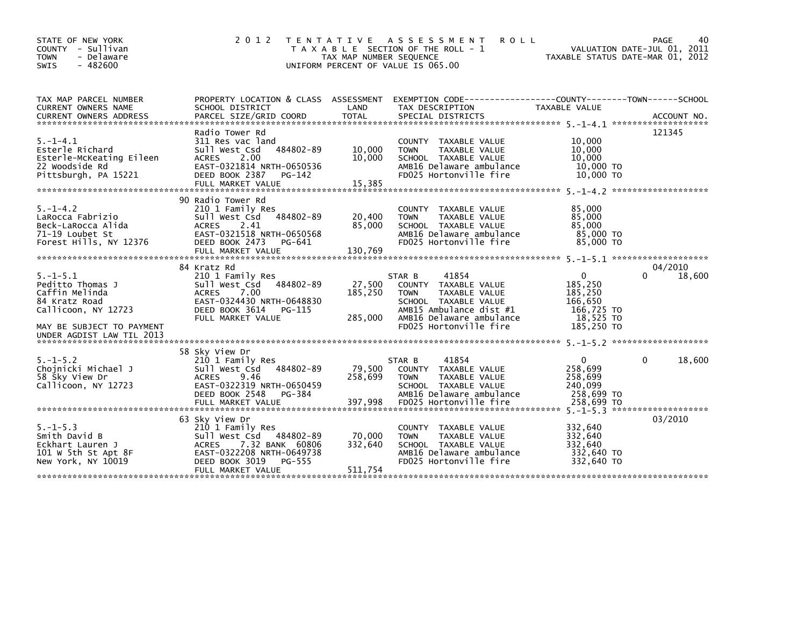| STATE OF NEW YORK<br>COUNTY - Sullivan<br><b>TOWN</b><br>- Delaware<br>$-482600$<br><b>SWIS</b>         | 2 0 1 2                                                                                                                                               | T E N T A T I V E<br>TAX MAP NUMBER SEQUENCE | A S S E S S M E N T<br><b>ROLL</b><br>T A X A B L E SECTION OF THE ROLL - 1<br>UNIFORM PERCENT OF VALUE IS 065.00                                      | VALUATION DATE-JUL 01, 2011<br>TAXABLE STATUS DATE-MAR 01, 2012          | PAGE<br>40         |
|---------------------------------------------------------------------------------------------------------|-------------------------------------------------------------------------------------------------------------------------------------------------------|----------------------------------------------|--------------------------------------------------------------------------------------------------------------------------------------------------------|--------------------------------------------------------------------------|--------------------|
| TAX MAP PARCEL NUMBER<br>CURRENT OWNERS NAME<br><b>CURRENT OWNERS ADDRESS</b>                           | SCHOOL DISTRICT<br>PARCEL SIZE/GRID COORD                                                                                                             | LAND<br><b>TOTAL</b>                         | PROPERTY LOCATION & CLASS ASSESSMENT EXEMPTION CODE----------------COUNTY-------TOWN------SCHOOL<br>TAX DESCRIPTION<br>SPECIAL DISTRICTS               | TAXABLE VALUE                                                            | ACCOUNT NO.        |
|                                                                                                         | Radio Tower Rd                                                                                                                                        |                                              |                                                                                                                                                        |                                                                          | 121345             |
| $5. - 1 - 4.1$<br>Esterle Richard<br>Esterle-McKeating Eileen<br>22 Woodside Rd<br>Pittsburgh, PA 15221 | 311 Res vac land<br>484802-89<br>Sull West Csd<br>2.00<br><b>ACRES</b><br>EAST-0321814 NRTH-0650536<br>DEED BOOK 2387<br>PG-142                       | 10,000<br>10,000                             | COUNTY TAXABLE VALUE<br>TAXABLE VALUE<br><b>TOWN</b><br>SCHOOL TAXABLE VALUE<br>AMB16 Delaware ambulance<br>FD025 Hortonville fire                     | 10,000<br>10,000<br>10,000<br>10,000 TO<br>10,000 TO                     |                    |
|                                                                                                         | 90 Radio Tower Rd                                                                                                                                     |                                              |                                                                                                                                                        |                                                                          |                    |
| $5. - 1 - 4.2$<br>LaRocca Fabrizio<br>Beck-LaRocca Alida<br>71-19 Loubet St<br>Forest Hills, NY 12376   | 210 1 Family Res<br>484802-89<br>Sull West Csd<br>ACRES<br>2.41<br>EAST-0321518 NRTH-0650568<br>DEED BOOK 2473 PG-641                                 | 20,400<br>85,000                             | COUNTY TAXABLE VALUE<br>TAXABLE VALUE<br><b>TOWN</b><br>SCHOOL TAXABLE VALUE<br>AMB16 Delaware ambulance<br>FD025 Hortonville fire                     | 85,000<br>85,000<br>85,000<br>85,000 TO<br>85,000 TO                     |                    |
|                                                                                                         | FULL MARKET VALUE                                                                                                                                     | 130,769                                      |                                                                                                                                                        |                                                                          |                    |
|                                                                                                         | 84 Kratz Rd                                                                                                                                           |                                              |                                                                                                                                                        |                                                                          | 04/2010<br>0       |
| $5. -1 - 5.1$<br>Peditto Thomas J<br>Caffin Melinda<br>84 Kratz Road<br>Callicoon, NY 12723             | 210 1 Family Res<br>Sull West Csd<br>484802-89<br>7.00<br>ACRES<br>EAST-0324430 NRTH-0648830<br>DEED BOOK 3614<br>PG-115<br>FULL MARKET VALUE         | 27,500<br>185,250<br>285,000                 | 41854<br>STAR B<br>COUNTY TAXABLE VALUE<br>TAXABLE VALUE<br><b>TOWN</b><br>SCHOOL TAXABLE VALUE<br>AMB15 Ambulance dist #1<br>AMB16 Delaware ambulance | $\mathbf{0}$<br>185,250<br>185,250<br>166,650<br>166,725 TO<br>18,525 TO | 18,600             |
| MAY BE SUBJECT TO PAYMENT<br>UNDER AGDIST LAW TIL 2013                                                  |                                                                                                                                                       |                                              | FD025 Hortonville fire                                                                                                                                 | 185,250 TO                                                               |                    |
|                                                                                                         | 58 Sky View Dr                                                                                                                                        |                                              |                                                                                                                                                        |                                                                          |                    |
| $5. - 1 - 5.2$<br>Chojnicki Michael J<br>58 Sky View Dr<br>Callicoon, NY 12723                          | 210 1 Family Res<br>484802-89<br>Sull West Csd<br>9.46<br>ACRES<br>EAST-0322319 NRTH-0650459<br>DEED BOOK 2548<br>PG-384                              | 79,500<br>258,699                            | 41854<br>STAR B<br>COUNTY TAXABLE VALUE<br>TAXABLE VALUE<br><b>TOWN</b><br>SCHOOL TAXABLE VALUE<br>AMB16 Delaware ambulance                            | $\mathbf{0}$<br>258.699<br>258,699<br>240,099<br>258,699 TO              | 18,600<br>$\Omega$ |
|                                                                                                         | FULL MARKET VALUE                                                                                                                                     | 397,998                                      | FD025 Hortonville fire                                                                                                                                 | 258,699 TO                                                               |                    |
|                                                                                                         | 63 Sky View Dr                                                                                                                                        |                                              |                                                                                                                                                        |                                                                          | 03/2010            |
| $5. - 1 - 5.3$<br>Smith David B<br>Eckhart Lauren J<br>101 W 5th St Apt 8F<br>New York, NY 10019        | 210 1 Family Res<br>Sull West Csd 484802-89<br>7.32 BANK 60806<br>ACRES<br>EAST-0322208 NRTH-0649738<br>DEED BOOK 3019<br>PG-555<br>FULL MARKET VALUE | 70,000<br>332,640<br>511,754                 | COUNTY TAXABLE VALUE<br>TAXABLE VALUE<br><b>TOWN</b><br>SCHOOL TAXABLE VALUE<br>AMB16 Delaware ambulance<br>FD025 Hortonville fire                     | 332,640<br>332,640<br>332,640<br>332,640 TO<br>332,640 TO                |                    |
|                                                                                                         |                                                                                                                                                       |                                              |                                                                                                                                                        |                                                                          |                    |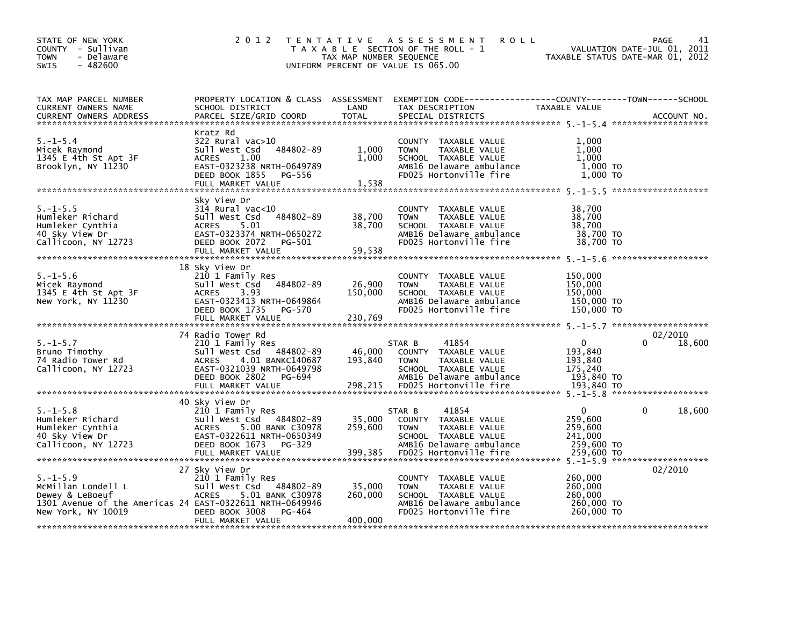| STATE OF NEW YORK<br>COUNTY - Sullivan<br>- Delaware<br><b>TOWN</b><br>$-482600$<br><b>SWIS</b>                                           | 2 0 1 2                                                                                                                                                                               | TAX MAP NUMBER SEQUENCE      | TENTATIVE ASSESSMENT<br><b>ROLL</b><br>T A X A B L E SECTION OF THE ROLL - 1<br>UNIFORM PERCENT OF VALUE IS 065.00                                                                                                                                    |                                                                           | PAGE<br>41<br>VALUATION DATE-JUL 01, 2011<br>TAXABLE STATUS DATE-MAR 01, 2012 |
|-------------------------------------------------------------------------------------------------------------------------------------------|---------------------------------------------------------------------------------------------------------------------------------------------------------------------------------------|------------------------------|-------------------------------------------------------------------------------------------------------------------------------------------------------------------------------------------------------------------------------------------------------|---------------------------------------------------------------------------|-------------------------------------------------------------------------------|
| TAX MAP PARCEL NUMBER<br>CURRENT OWNERS NAME                                                                                              | PROPERTY LOCATION & CLASS ASSESSMENT<br>SCHOOL DISTRICT                                                                                                                               | LAND                         | TAX DESCRIPTION                                                                                                                                                                                                                                       | TAXABLE VALUE                                                             |                                                                               |
| $5. - 1 - 5.4$<br>Micek Raymond<br>1345 E 4th St Apt 3F<br>Brooklyn, NY 11230                                                             | Kratz Rd<br>322 Rural vac>10<br>484802-89<br>Sull West Csd<br><b>ACRES</b><br>1.00<br>EAST-0323238 NRTH-0649789<br>DEED BOOK 1855<br>PG-556<br>FULL MARKET VALUE                      | 1,000<br>1,000<br>1.538      | COUNTY TAXABLE VALUE<br>TAXABLE VALUE<br><b>TOWN</b><br>SCHOOL TAXABLE VALUE<br>AMB16 Delaware ambulance<br>FD025 Hortonville fire                                                                                                                    | 1.000<br>1,000<br>1.000<br>1,000 TO<br>1,000 TO                           |                                                                               |
| $5. -1 - 5.5$<br>Humleker Richard<br>Humleker Cynthia<br>40 Sky View Dr<br>Callicoon, NY 12723                                            | Sky View Dr<br>$314$ Rural vac<10<br>484802-89<br>Sull West Csd<br>5.01<br><b>ACRES</b><br>EAST-0323374 NRTH-0650272<br>DEED BOOK 2072<br>PG-501<br>FULL MARKET VALUE                 | 38,700<br>38,700<br>59,538   | COUNTY TAXABLE VALUE<br><b>TOWN</b><br>TAXABLE VALUE<br>SCHOOL TAXABLE VALUE<br>AMB16 Delaware ambulance<br>FD025 Hortonville fire                                                                                                                    | 38,700<br>38,700<br>38,700<br>38,700 TO<br>38,700 TO                      |                                                                               |
| $5. - 1 - 5.6$<br>Micek Raymond<br>1345 E 4th St Apt 3F<br>New York, NY 11230                                                             | 18 Sky View Dr<br>210 1 Family Res<br>Sull West Csd<br>484802-89<br><b>ACRES</b><br>3.93<br>EAST-0323413 NRTH-0649864<br>DEED BOOK 1735<br>PG-570<br>FULL MARKET VALUE                | 26,900<br>150,000<br>230,769 | COUNTY TAXABLE VALUE<br>TAXABLE VALUE<br><b>TOWN</b><br>SCHOOL TAXABLE VALUE<br>AMB16 Delaware ambulance<br>FD025 Hortonville fire                                                                                                                    | 150,000<br>150,000<br>150,000<br>150,000 TO<br>150,000 TO                 |                                                                               |
| $5. - 1 - 5.7$<br>Bruno Timothy<br>74 Radio Tower Rd<br>Callicoon, NY 12723                                                               | 74 Radio Tower Rd<br>210 1 Family Res<br>Sull West Csd<br>484802-89<br>4.01 BANKC140687<br><b>ACRES</b><br>EAST-0321039 NRTH-0649798<br>DEED BOOK 2802<br>PG-694<br>FULL MARKET VALUE | 46,000<br>193,840<br>298,215 | STAR B<br>41854<br>COUNTY TAXABLE VALUE<br>TAXABLE VALUE<br><b>TOWN</b><br>SCHOOL TAXABLE VALUE<br>AMB16 Delaware ambulance<br>FD025 Hortonville fire                                                                                                 | $\mathbf{0}$<br>193,840<br>193,840<br>175,240<br>193,840 TO<br>193,840 TO | 02/2010<br>18,600                                                             |
| $5. - 1 - 5.8$<br>Humleker Richard<br>Humleker Cynthia<br>40 Sky View Dr<br>Callicoon, NY 12723                                           | 40 Sky View Dr<br>210 1 Family Res<br>Sull West Csd<br>484802-89<br>5.00 BANK C30978<br><b>ACRES</b><br>EAST-0322611 NRTH-0650349<br>DEED BOOK 1673<br>PG-329<br>FULL MARKET VALUE    | 35,000<br>259,600<br>399,385 | 41854<br>STAR B<br>COUNTY TAXABLE VALUE<br><b>TOWN</b><br>TAXABLE VALUE<br>SCHOOL TAXABLE VALUE<br>AMB16 Delaware ambulance<br>FD025 Hortonville fire                                                                                                 | $\Omega$<br>259,600<br>259,600<br>241,000<br>259,600 TO<br>259,600 TO     | $\Omega$<br>18,600                                                            |
| $5. - 1 - 5.9$<br>MCMillan Londell L<br>Dewey & LeBoeuf<br>1301 Avenue of the Americas 24 EAST-0322611 NRTH-0649946<br>New York, NY 10019 | 27 Sky View Dr<br>210 1 Family Res<br>Sull West Csd 484802-89<br>ACRES 5.01 BANK C30978<br>DEED BOOK 3008<br>PG-464<br>FULL MARKET VALUE                                              | 35,000<br>260,000<br>400,000 | COUNTY TAXABLE VALUE<br><b>TOWN</b><br>TAXABLE VALUE<br>SCHOOL TAXABLE VALUE<br>AMB16 Delaware ambulance<br>FD025 Hortonville fire<br>مرک مرک میں ایک مرک میں ایک مرک میں ایک مرکز میں ایک مرکز میں ایک مرکز میں ایک مرکز میں ایک مرکز میں ایک مرکز م | 260,000<br>260,000<br>260,000<br>260,000 TO<br>260,000 TO                 | 02/2010                                                                       |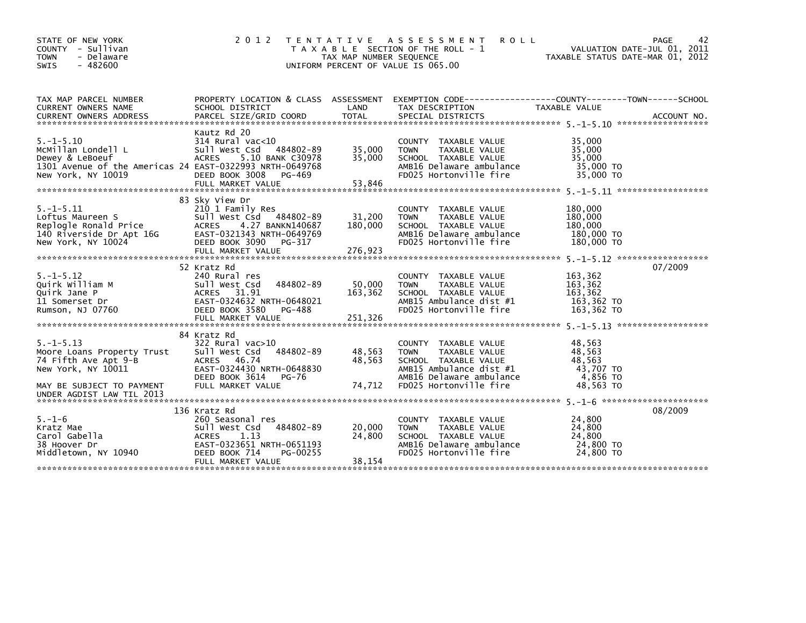| STATE OF NEW YORK<br>COUNTY - Sullivan<br>- Delaware<br><b>TOWN</b><br>$-482600$<br><b>SWIS</b>                                            | 2 0 1 2                                                                                                                                                                      | TAX MAP NUMBER SEQUENCE      | TENTATIVE ASSESSMENT<br><b>ROLL</b><br>T A X A B L E SECTION OF THE ROLL - 1<br>UNIFORM PERCENT OF VALUE IS 065.00                                            | PAGE<br>VALUATION DATE-JUL 01, 2011<br>TAXABLE STATUS DATE-MAR 01, 2012                                                         | 42 |
|--------------------------------------------------------------------------------------------------------------------------------------------|------------------------------------------------------------------------------------------------------------------------------------------------------------------------------|------------------------------|---------------------------------------------------------------------------------------------------------------------------------------------------------------|---------------------------------------------------------------------------------------------------------------------------------|----|
| TAX MAP PARCEL NUMBER<br>CURRENT OWNERS NAME<br><b>CURRENT OWNERS ADDRESS</b>                                                              | SCHOOL DISTRICT<br>PARCEL SIZE/GRID COORD                                                                                                                                    | LAND<br><b>TOTAL</b>         | TAX DESCRIPTION<br>SPECIAL DISTRICTS                                                                                                                          | PROPERTY LOCATION & CLASS ASSESSMENT EXEMPTION CODE----------------COUNTY-------TOWN-----SCHOOL<br>TAXABLE VALUE<br>ACCOUNT NO. |    |
| $5. - 1 - 5.10$<br>MCMillan Londell L<br>Dewey & LeBoeuf<br>1301 Avenue of the Americas 24 EAST-0322993 NRTH-0649768<br>New York, NY 10019 | Kautz Rd 20<br>$314$ Rural vac<10<br>Sull West Csd<br>484802-89<br><b>ACRES</b><br>5.10 BANK C30978<br>DEED BOOK 3008<br>PG-469<br>FULL MARKET VALUE                         | 35,000<br>35,000<br>53,846   | <b>COUNTY</b><br>TAXABLE VALUE<br>TAXABLE VALUE<br><b>TOWN</b><br>SCHOOL TAXABLE VALUE<br>AMB16 Delaware ambulance<br>FD025 Hortonville fire                  | 35,000<br>35,000<br>35,000<br>35,000 TO<br>35,000 TO                                                                            |    |
| $5. -1 - 5.11$<br>Loftus Maureen S<br>Replogle Ronald Price<br>140 Riverside Dr Apt 16G<br>New York, NY 10024                              | 83 Sky View Dr<br>210 1 Family Res<br>Sull West Csd 484802-89<br>4.27 BANKN140687<br><b>ACRES</b><br>EAST-0321343 NRTH-0649769<br>DEED BOOK 3090 PG-317<br>FULL MARKET VALUE | 31,200<br>180,000<br>276,923 | <b>COUNTY</b><br>TAXABLE VALUE<br><b>TOWN</b><br>TAXABLE VALUE<br>SCHOOL TAXABLE VALUE<br>AMB16 Delaware ambulance<br>FD025 Hortonville fire                  | 180,000<br>180,000<br>180,000<br>180,000 TO<br>180,000 TO                                                                       |    |
| $5. -1 - 5.12$<br>Quirk William M<br>Quirk Jane P<br>11 Somerset Dr<br>Rumson, NJ 07760                                                    | 52 Kratz Rd<br>240 Rural res<br>Sull West Csd<br>484802-89<br>ACRES 31.91<br>EAST-0324632 NRTH-0648021<br>DEED BOOK 3580<br>PG-488<br>FULL MARKET VALUE                      | 50,000<br>163,362<br>251,326 | TAXABLE VALUE<br><b>COUNTY</b><br>TAXABLE VALUE<br><b>TOWN</b><br>SCHOOL TAXABLE VALUE<br>AMB15 Ambulance dist #1<br>FD025 Hortonville fire                   | 07/2009<br>163,362<br>163,362<br>163,362<br>163,362 TO<br>163,362 TO                                                            |    |
| $5. -1 - 5.13$<br>Moore Loans Property Trust<br>74 Fifth Ave Apt 9-B<br>New York, NY 10011<br>MAY BE SUBJECT TO PAYMENT                    | 84 Kratz Rd<br>322 Rural vac>10<br>sull west Csd<br>484802-89<br>46.74<br><b>ACRES</b><br>EAST-0324430 NRTH-0648830<br>DEED BOOK 3614<br>PG-76<br>FULL MARKET VALUE          | 48,563<br>48,563<br>74,712   | COUNTY TAXABLE VALUE<br>TAXABLE VALUE<br><b>TOWN</b><br>SCHOOL TAXABLE VALUE<br>AMB15 Ambulance dist #1<br>AMB16 Delaware ambulance<br>FD025 Hortonville fire | 48,563<br>48,563<br>48,563<br>43,707 TO<br>4,856 TO<br>48,563 TO                                                                |    |
| UNDER AGDIST LAW TIL 2013<br>$5. - 1 - 6$<br>Kratz Mae<br>Carol Gabella<br>38 Hoover Dr<br>Middletown, NY 10940                            | 136 Kratz Rd<br>260 Seasonal res<br>Sull West Csd 484802-89<br>1.13<br><b>ACRES</b><br>EAST-0323651 NRTH-0651193<br>DEED BOOK 714<br>PG-00255<br>FULL MARKET VALUE           | 20,000<br>24,800<br>38,154   | <b>COUNTY</b><br>TAXABLE VALUE<br>TAXABLE VALUE<br><b>TOWN</b><br>SCHOOL TAXABLE VALUE<br>AMB16 Delaware ambulance<br>FD025 Hortonville fire                  | 08/2009<br>24,800<br>24,800<br>24,800<br>24,800 TO<br>24,800 TO                                                                 |    |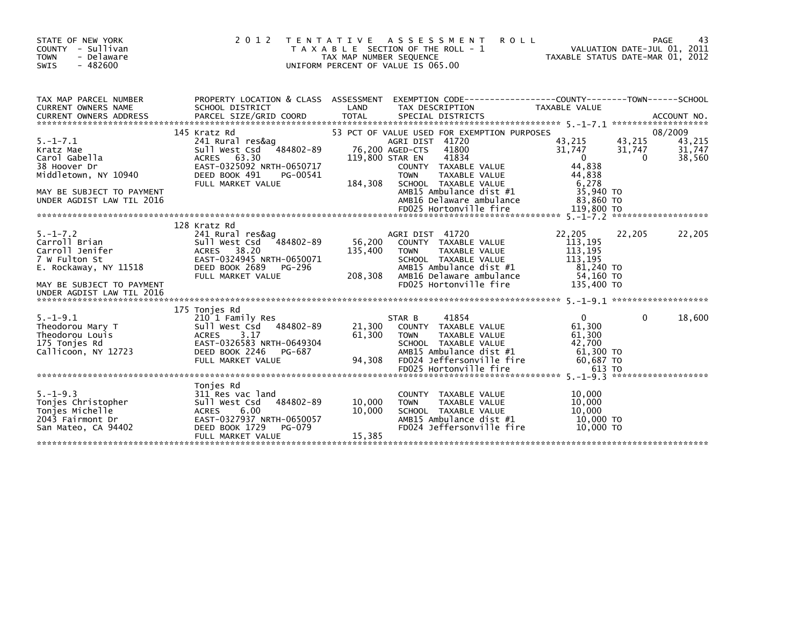| STATE OF NEW YORK<br>COUNTY - Sullivan<br>- Delaware<br><b>TOWN</b><br>$-482600$<br>SWIS                                                                                | 2 0 1 2<br>T E N T A T I V E                                                                                                                                       | TAX MAP NUMBER SEQUENCE                       | A S S E S S M E N T<br><b>ROLL</b><br>T A X A B L E SECTION OF THE ROLL - 1<br>UNIFORM PERCENT OF VALUE IS 065.00                                                                                                                                 |                                                                                                       | PAGE<br>43<br>VALUATION DATE-JUL 01, 2011<br>TAXABLE STATUS DATE-MAR 01, 2012 |
|-------------------------------------------------------------------------------------------------------------------------------------------------------------------------|--------------------------------------------------------------------------------------------------------------------------------------------------------------------|-----------------------------------------------|---------------------------------------------------------------------------------------------------------------------------------------------------------------------------------------------------------------------------------------------------|-------------------------------------------------------------------------------------------------------|-------------------------------------------------------------------------------|
| TAX MAP PARCEL NUMBER<br><b>CURRENT OWNERS NAME</b>                                                                                                                     | PROPERTY LOCATION & CLASS ASSESSMENT<br>SCHOOL DISTRICT                                                                                                            | LAND                                          | EXEMPTION CODE-----------------COUNTY-------TOWN------SCHOOL<br>TAX DESCRIPTION                                                                                                                                                                   | TAXABLE VALUE                                                                                         |                                                                               |
| $5. - 1 - 7.1$<br>Kratz Mae<br>Carol Gabella<br>38 Hoover Dr<br>Middletown, NY 10940<br>MAY BE SUBJECT TO PAYMENT<br>UNDER AGDIST LAW TIL 2016                          | 145 Kratz Rd<br>241 Rural res&ag<br>484802-89<br>Sull West Csd<br>ACRES 63.30<br>EAST-0325092 NRTH-0650717<br>DEED BOOK 491<br>PG-00541<br>FULL MARKET VALUE       | 76,200 AGED-CTS<br>119,800 STAR EN<br>184,308 | 53 PCT OF VALUE USED FOR EXEMPTION PURPOSES<br>AGRI DIST 41720<br>41800<br>41834<br>COUNTY TAXABLE VALUE<br>TAXABLE VALUE<br><b>TOWN</b><br>SCHOOL TAXABLE VALUE<br>AMB15 Ambulance dist #1<br>AMB16 Delaware ambulance<br>FD025 Hortonville fire | 43,215<br>31,747<br>$\mathbf{0}$<br>44,838<br>44,838<br>6,278<br>35,940 TO<br>83,860 TO<br>119,800 TO | 08/2009<br>43,215<br>43,215<br>31,747<br>31,747<br>38,560<br>$\Omega$         |
| $5. - 1 - 7.2$<br>Carroll Brian<br>Carroll Jenifer<br>7 W Fulton St<br>7 W Fulton St<br>E. Rockaway, NY 11518<br>MAY BE SUBJECT TO PAYMENT<br>UNDER AGDIST LAW TIL 2016 | 128 Kratz Rd<br>241 Rural res&ag<br>Sull West Csd<br>484802-89<br>ACRES 38.20<br>EAST-0324945 NRTH-0650071<br>DEED BOOK 2689<br>PG-296<br>FULL MARKET VALUE        | 56,200<br>135,400<br>208,308                  | AGRI DIST 41720<br>COUNTY TAXABLE VALUE<br>TAXABLE VALUE<br><b>TOWN</b><br>SCHOOL TAXABLE VALUE<br>AMB15 Ambulance dist #1<br>AMB16 Delaware ambulance<br>FD025 Hortonville fire                                                                  | 22,205<br>113,195<br>113,195<br>113,195<br>81,240 TO<br>54,160 TO<br>135,400 TO                       | 22,205<br>22,205                                                              |
| $5. - 1 - 9.1$<br>Theodorou Mary T<br>Theodorou Louis<br>175 Tonjes Rd<br>Callicoon, NY 12723                                                                           | 175 Tonjes Rd<br>210 1 Family Res<br>Sull West Csd 484802-89<br><b>ACRES</b><br>3.17<br>EAST-0326583 NRTH-0649304<br>DEED BOOK 2246<br>PG-687<br>FULL MARKET VALUE | 61,300<br>94,308                              | 41854<br>STAR B<br>21,300 COUNTY TAXABLE VALUE<br><b>TOWN</b><br>TAXABLE VALUE<br>SCHOOL TAXABLE VALUE<br>AMB15 Ambulance dist #1<br>FD024 Jeffersonville fire<br>FD025 Hortonville fire                                                          | $\Omega$<br>61,300<br>61,300<br>42,700<br>61,300 то<br>60,687 TO<br>613 TO                            | $\Omega$<br>18,600                                                            |
| $5. - 1 - 9.3$<br>Tonjes Christopher<br>Tonies Michelle<br>2043 Fairmont Dr<br>San Mateo, CA 94402                                                                      | Tonjes Rd<br>311 Res vac land<br>484802-89<br>Sull West Csd<br><b>ACRES</b><br>6.00<br>EAST-0327937 NRTH-0650057<br>DEED BOOK 1729<br>PG-079<br>FULL MARKET VALUE  | 10,000<br>10.000<br>15,385                    | COUNTY TAXABLE VALUE<br>TAXABLE VALUE<br><b>TOWN</b><br>SCHOOL TAXABLE VALUE<br>AMB15 Ambulance dist #1<br>FD024 Jeffersonville fire                                                                                                              | 10,000<br>10,000<br>10.000<br>10.000 TO<br>10,000 TO                                                  |                                                                               |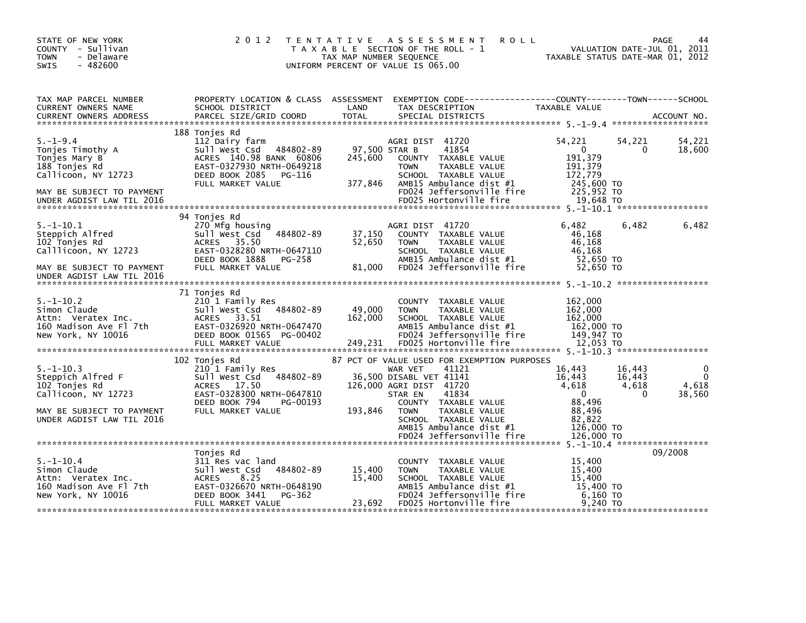| STATE OF NEW YORK<br>COUNTY - Sullivan<br><b>TOWN</b><br>- Delaware<br>SWIS<br>$-482600$                                                              | 2 0 1 2                                                                                                                                                                | TAX MAP NUMBER SEQUENCE      | TENTATIVE ASSESSMENT<br><b>ROLL</b><br>T A X A B L E SECTION OF THE ROLL - 1<br>UNIFORM PERCENT OF VALUE IS 065.00                                                                                                                                                                | TAXABLE STATUS DATE-MAR 01, 2012                                                                                        | PAGE<br>44<br>VALUATION DATE-JUL 01, 2011                    |
|-------------------------------------------------------------------------------------------------------------------------------------------------------|------------------------------------------------------------------------------------------------------------------------------------------------------------------------|------------------------------|-----------------------------------------------------------------------------------------------------------------------------------------------------------------------------------------------------------------------------------------------------------------------------------|-------------------------------------------------------------------------------------------------------------------------|--------------------------------------------------------------|
| TAX MAP PARCEL NUMBER<br>CURRENT OWNERS NAME<br><b>CURRENT OWNERS ADDRESS</b>                                                                         | PROPERTY LOCATION & CLASS ASSESSMENT<br>SCHOOL DISTRICT<br>PARCEL SIZE/GRID COORD                                                                                      | LAND<br><b>TOTAL</b>         | EXEMPTION CODE------------------COUNTY--------TOWN------SCHOOL<br>TAX DESCRIPTION<br>SPECIAL DISTRICTS                                                                                                                                                                            | TAXABLE VALUE                                                                                                           | ACCOUNT NO.                                                  |
| $5. - 1 - 9.4$<br>Tonjes Timothy A<br>Tonjes Mary B<br>188 Tonjes Rd<br>Callicoon, NY 12723<br>MAY BE SUBJECT TO PAYMENT<br>UNDER AGDIST LAW TIL 2016 | 188 Tonjes Rd<br>112 Dairy farm<br>484802-89<br>Sull West Csd<br>ACRES 140.98 BANK 60806<br>EAST-0327930 NRTH-0649218<br>DEED BOOK 2085<br>PG-116<br>FULL MARKET VALUE | 245,600<br>377,846           | AGRI DIST 41720<br>97,500 STAR B<br>41854<br>COUNTY TAXABLE VALUE<br><b>TOWN</b><br>TAXABLE VALUE<br>SCHOOL TAXABLE VALUE<br>AMB15 Ambulance dist $#1$<br>FD024 Jeffersonville fire<br>FD025 Hortonville fire                                                                     | 54,221<br>54,221<br>$\mathbf{0}$<br>191.379<br>191,379<br>172,779<br>245,600 TO<br>225,952 TO<br>19,648 TO              | 54,221<br>18,600<br>0                                        |
| 5.-1-10.1<br>Steppich Alfred<br>102 Tonjes Rd<br>Calllicoon, NY 12723<br>MAY BE SUBJECT TO PAYMENT<br>UNDER AGDIST LAW TIL 2016                       | 94 Tonies Rd<br>270 Mfg housing<br>$7484802 - 89$<br>Sull West Csd<br>ACRES 35.50<br>EAST-0328280 NRTH-0647110<br>DEED BOOK 1888<br>PG-258<br>FULL MARKET VALUE        | 37,150<br>52,650<br>81,000   | AGRI DIST 41720<br>COUNTY TAXABLE VALUE<br><b>TOWN</b><br>TAXABLE VALUE<br>SCHOOL TAXABLE VALUE<br>AMB15 Ambulance dist #1<br>FD024 Jeffersonville fire                                                                                                                           | 6,482<br>46.168<br>46,168<br>46,168<br>52,650 TO<br>52,650 TO                                                           | 6,482<br>6,482                                               |
| $5. - 1 - 10.2$<br>Simon Claude<br>Attn: Veratex Inc.<br>160 Madison Ave Fl 7th<br>New York, NY 10016                                                 | 71 Tonjes Rd<br>210 1 Family Res<br>Sull West Csd<br>484802-89<br>ACRES 33.51<br>EAST-0326920 NRTH-0647470<br>DEED BOOK 01565 PG-00402<br>FULL MARKET VALUE            | 49,000<br>162,000<br>249,231 | COUNTY TAXABLE VALUE<br>TAXABLE VALUE<br><b>TOWN</b><br>SCHOOL TAXABLE VALUE<br>AMB15 Ambulance dist #1<br>FD024 Jeffersonville fire<br>FD025 Hortonville fire                                                                                                                    | 162,000<br>162,000<br>162,000<br>162,000 TO<br>149,947 TO<br>12,053 TO                                                  |                                                              |
| $5. - 1 - 10.3$<br>Steppich Alfred F<br>102 Tonjes Rd<br>Callicoon, NY 12723<br>MAY BE SUBJECT TO PAYMENT<br>UNDER AGDIST LAW TIL 2016                | 102 Tonjes Rd<br>210 1 Family Res<br>484802-89<br>Sull West Csd<br>ACRES 17.50<br>EAST-0328300 NRTH-0647810<br>DEED BOOK 794<br>PG-00193<br>FULL MARKET VALUE          | 193,846                      | 87 PCT OF VALUE USED FOR EXEMPTION PURPOSES<br>41121<br>WAR VET<br>36,500 DISABL VET 41141<br>126,000 AGRI DIST 41720<br>41834<br>STAR EN<br>COUNTY TAXABLE VALUE<br><b>TOWN</b><br>TAXABLE VALUE<br>SCHOOL TAXABLE VALUE<br>AMB15 Ambulance dist #1<br>FD024 Jeffersonville fire | 16,443<br>16,443<br>16,443<br>16,443<br>4,618<br>$\mathbf{0}$<br>88,496<br>88,496<br>82,822<br>126,000 TO<br>126,000 TO | 0<br>$\mathbf 0$<br>4,618<br>4,618<br>$\mathbf{0}$<br>38,560 |
| $5. - 1 - 10.4$<br>Simon Claude<br>Attn: Veratex Inc.<br>160 Madison Ave Fl 7th<br>New York, NY 10016                                                 | Tonjes Rd<br>311 Res vac land<br>484802-89<br>Sull West Csd<br>8.25<br><b>ACRES</b><br>EAST-0326670 NRTH-0648190<br>DEED BOOK 3441<br>PG-362<br>FULL MARKET VALUE      | 15,400<br>15,400<br>23,692   | COUNTY TAXABLE VALUE<br><b>TOWN</b><br>TAXABLE VALUE<br>SCHOOL TAXABLE VALUE<br>AMB15 Ambulance dist #1<br>FD024 Jeffersonville fire<br>FD025 Hortonville fire                                                                                                                    | 15,400<br>15,400<br>15,400<br>15,400 TO<br>6,160 TO<br>9,240 TO                                                         | 09/2008                                                      |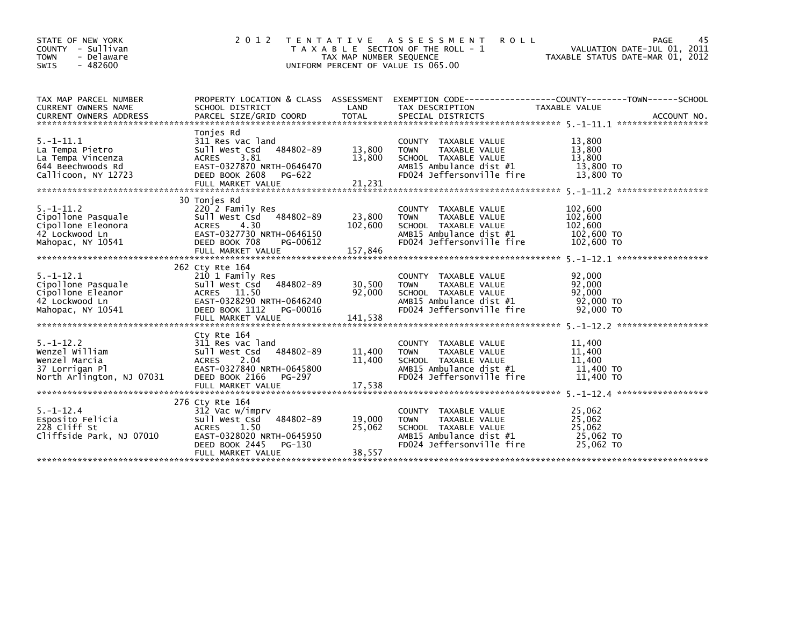| STATE OF NEW YORK<br>COUNTY - Sullivan<br><b>TOWN</b><br>- Delaware<br>$-482600$<br><b>SWIS</b>    | 2 0 1 2                                                                                                                                                                  | T E N T A T I V E<br>TAX MAP NUMBER SEQUENCE | A S S E S S M E N T<br><b>ROLL</b><br>T A X A B L E SECTION OF THE ROLL - 1<br>UNIFORM PERCENT OF VALUE IS 065.00                              | VALUATION DATE-JUL 01, 2011<br>TAXABLE STATUS DATE-MAR 01, 2012 | 45<br>PAGE |
|----------------------------------------------------------------------------------------------------|--------------------------------------------------------------------------------------------------------------------------------------------------------------------------|----------------------------------------------|------------------------------------------------------------------------------------------------------------------------------------------------|-----------------------------------------------------------------|------------|
| TAX MAP PARCEL NUMBER<br>CURRENT OWNERS NAME                                                       | PROPERTY LOCATION & CLASS ASSESSMENT<br>SCHOOL DISTRICT                                                                                                                  | LAND                                         | EXEMPTION CODE-----------------COUNTY-------TOWN------SCHOOL<br>TAX DESCRIPTION                                                                | TAXABLE VALUE                                                   |            |
| $5. -1 - 11.1$<br>La Tempa Pietro<br>La Tempa Vincenza<br>644 Beechwoods Rd<br>Callicoon, NY 12723 | Tonies Rd<br>311 Res vac land<br>Sull West Csd<br>484802-89<br>3.81<br><b>ACRES</b><br>EAST-0327870 NRTH-0646470<br>DEED BOOK 2608<br>PG-622                             | 13,800<br>13,800                             | COUNTY TAXABLE VALUE<br>TAXABLE VALUE<br><b>TOWN</b><br>SCHOOL TAXABLE VALUE<br>AMB15 Ambulance dist #1<br>FD024 Jeffersonville fire           | 13,800<br>13,800<br>13,800<br>13,800 TO<br>13,800 TO            |            |
| $5. - 1 - 11.2$<br>Cipollone Pasquale<br>Cipollone Eleonora<br>42 Lockwood Ln<br>Mahopac, NY 10541 | 30 Tonies Rd<br>220 2 Family Res<br>484802-89<br>Sull West Csd<br><b>ACRES</b><br>4.30<br>EAST-0327730 NRTH-0646150<br>DEED BOOK 708<br>PG-00612<br>FULL MARKET VALUE    | 23,800<br>102,600<br>157,846                 | <b>COUNTY</b><br>TAXABLE VALUE<br><b>TOWN</b><br>TAXABLE VALUE<br>SCHOOL TAXABLE VALUE<br>AMB15 Ambulance dist #1<br>FD024 Jeffersonville fire | 102,600<br>102,600<br>102,600<br>102,600 TO<br>102,600 TO       |            |
| $5. - 1 - 12.1$<br>Cipollone Pasquale<br>Cipollone Eleanor<br>42 Lockwood Ln<br>Mahopac, NY 10541  | 262 Cty Rte 164<br>210 1 Family Res<br>Sull West Csd<br>484802-89<br>ACRES 11.50<br>EAST-0328290 NRTH-0646240<br>DEED BOOK 1112<br>PG-00016<br>FULL MARKET VALUE         | 30,500<br>92,000<br>141,538                  | <b>COUNTY</b><br>TAXABLE VALUE<br>TAXABLE VALUE<br><b>TOWN</b><br>SCHOOL TAXABLE VALUE<br>AMB15 Ambulance dist #1<br>FD024 Jeffersonville fire | 92,000<br>92,000<br>92,000<br>92,000 TO<br>92,000 TO            |            |
| $5. - 1 - 12.2$<br>Wenzel William<br>Wenzel Marcia<br>37 Lorrigan Pl<br>North Arlington, NJ 07031  | Cty Rte 164<br>311 Res vac land<br>484802-89<br>Sull West Csd<br>2.04<br>ACRES<br>EAST-0327840 NRTH-0645800<br>PG-297<br>DEED BOOK 2166                                  | 11,400<br>11,400                             | TAXABLE VALUE<br>COUNTY<br><b>TAXABLE VALUE</b><br><b>TOWN</b><br>SCHOOL TAXABLE VALUE<br>AMB15 Ambulance dist #1<br>FD024 Jeffersonville fire | 11,400<br>11,400<br>11,400<br>11,400 TO<br>11,400 TO            |            |
| $5. - 1 - 12.4$<br>Esposito Felicia<br>228 Cliff St<br>Cliffside Park, NJ 07010                    | 276 Cty Rte 164<br>312 Vac w/imprv<br>484802-89<br>Sull West Csd<br>1.50<br><b>ACRES</b><br>EAST-0328020 NRTH-0645950<br>DEED BOOK 2445<br>$PG-130$<br>FULL MARKET VALUE | 19,000<br>25,062<br>38,557                   | <b>COUNTY</b><br>TAXABLE VALUE<br><b>TOWN</b><br>TAXABLE VALUE<br>SCHOOL TAXABLE VALUE<br>AMB15 Ambulance dist #1<br>FD024 Jeffersonville fire | 25,062<br>25,062<br>25,062<br>25,062 TO<br>25,062 TO            |            |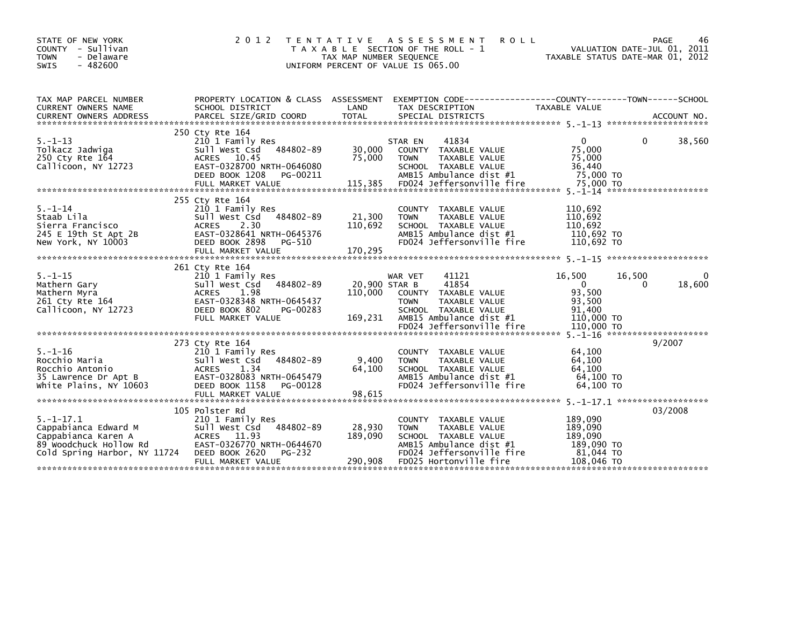| STATE OF NEW YORK<br>COUNTY - Sullivan<br><b>TOWN</b><br>- Delaware<br>$-482600$<br>SWIS                                                | 2 0 1 2<br>T E N T A T I V E                                                                                                                                                  | TAX MAP NUMBER SEQUENCE             | A S S E S S M E N T<br><b>ROLL</b><br>T A X A B L E SECTION OF THE ROLL - 1<br>UNIFORM PERCENT OF VALUE IS 065.00                                                 | VALUATION DATE-JUL 01, 2011<br>TAXABLE STATUS DATE-MAR 01, 2012                                          | PAGE<br>46         |
|-----------------------------------------------------------------------------------------------------------------------------------------|-------------------------------------------------------------------------------------------------------------------------------------------------------------------------------|-------------------------------------|-------------------------------------------------------------------------------------------------------------------------------------------------------------------|----------------------------------------------------------------------------------------------------------|--------------------|
| TAX MAP PARCEL NUMBER<br>CURRENT OWNERS NAME                                                                                            | PROPERTY LOCATION & CLASS ASSESSMENT<br>SCHOOL DISTRICT                                                                                                                       | LAND                                | EXEMPTION CODE-----------------COUNTY-------TOWN------SCHOOL<br>TAX DESCRIPTION                                                                                   | TAXABLE VALUE                                                                                            |                    |
| $5. - 1 - 13$<br>Tolkacz Jadwiga<br>250 Cty Rte 164<br>Callicoon, NY 12723                                                              | 250 Cty Rte 164<br>210 1 Family Res<br>484802-89<br>sull west Csd<br>ACRES 10.45<br>EAST-0328700 NRTH-0646080<br>DEED BOOK 1208<br>PG-00211<br>FULL MARKET VALUE              | 30,000<br>75,000<br>115,385         | 41834<br>STAR EN<br>COUNTY TAXABLE VALUE<br><b>TOWN</b><br>TAXABLE VALUE<br>SCHOOL TAXABLE VALUE<br>AMB15 Ambulance dist #1<br>FD024 Jeffersonville fire          | $\mathbf{0}$<br>0<br>75,000<br>75,000<br>36,440<br>75,000 TO<br>75,000 TO                                | 38,560             |
| $5. - 1 - 14$<br>Staab Lila<br>Sierra Francisco<br>245 E 19th St Apt 2B<br>New York, NY 10003                                           | 255 Cty Rte 164<br>210 1 Family Res<br>Sull West Csd 484802-89<br>2.30<br><b>ACRES</b><br>EAST-0328641 NRTH-0645376<br>DEED BOOK 2898<br>PG-510                               | 21,300<br>110,692                   | COUNTY TAXABLE VALUE<br>TAXABLE VALUE<br><b>TOWN</b><br>SCHOOL TAXABLE VALUE<br>AMB15 Ambulance dist #1<br>FD024 Jeffersonville fire                              | 110,692<br>110,692<br>110,692<br>110,692 TO<br>110,692 TO                                                |                    |
| $5. - 1 - 15$<br>Mathern Gary<br>Mathern Myra<br>261 Cty Rte 164<br>Callicoon, NY 12723                                                 | 261 Cty Rte 164<br>210 1 Family Res<br>484802-89<br>Sull West Csd<br>ACRES<br>1.98<br>EAST-0328348 NRTH-0645437<br>DEED BOOK 802<br>PG-00283<br>FULL MARKET VALUE             | 20,900 STAR B<br>110,000<br>169,231 | WAR VET<br>41121<br>41854<br>COUNTY TAXABLE VALUE<br><b>TOWN</b><br>TAXABLE VALUE<br>SCHOOL TAXABLE VALUE<br>AMB15 Ambulance dist #1<br>FD024 Jeffersonville fire | 16,500<br>16,500<br>$\overline{0}$<br>$\Omega$<br>93,500<br>93,500<br>91.400<br>110,000 TO<br>110,000 TO | $\Omega$<br>18,600 |
| $5. - 1 - 16$<br>Rocchio Maria<br>Rocchio Antonio<br>35 Lawrence Dr Apt B<br>White Plains, NY 10603                                     | 273 Cty Rte 164<br>210 1 Family Res<br>Sull West Csd<br>484802-89<br><b>ACRES</b><br>1.34<br>EAST-0328083 NRTH-0645479<br>DEED BOOK 1158<br>PG-00128<br>FULL MARKET VALUE     | 9,400<br>64.100<br>98,615           | COUNTY TAXABLE VALUE<br><b>TOWN</b><br>TAXABLE VALUE<br>SCHOOL TAXABLE VALUE<br>AMB15 Ambulance dist #1<br>FD024 Jeffersonville fire                              | 64,100<br>64,100<br>64.100<br>64,100 TO<br>64.100 TO                                                     | 9/2007             |
| $5. - 1 - 17.1$<br>Cappabianca Edward M<br>Cappabianca Karen A<br>89 Woodchuck Hollow Rd<br>Cold Spring Harbor, NY 11724 DEED BOOK 2620 | 105 Polster Rd<br>210 1 Family Res<br>Sull West Csd 484802-89<br>Sull West Csd<br>ACRES   11.93<br>EAST-0326770 M<br>EAST-0326770 NRTH-0644670<br>PG-232<br>FULL MARKET VALUE | 28,930<br>189,090<br>290,908        | COUNTY TAXABLE VALUE<br><b>TOWN</b><br>TAXABLE VALUE<br>SCHOOL TAXABLE VALUE<br>AMB15 Ambulance dist #1<br>FD024 Jeffersonville fire<br>FD025 Hortonville fire    | 189,090<br>189,090<br>189.090<br>189.090 TO<br>81,044 TO<br>108,046 TO                                   | 03/2008            |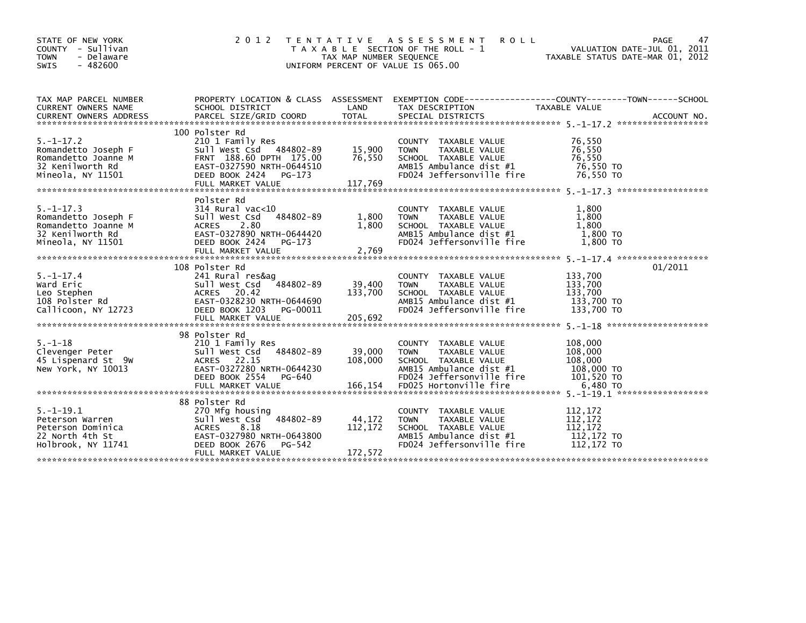| STATE OF NEW YORK<br><b>COUNTY</b><br>- Sullivan<br><b>TOWN</b><br>- Delaware<br>$-482600$<br><b>SWIS</b> | 2 0 1 2                                                                                                                                                                | TAX MAP NUMBER SEQUENCE      | TENTATIVE ASSESSMENT<br>ROLL<br>T A X A B L E SECTION OF THE ROLL - 1<br>UNIFORM PERCENT OF VALUE IS 065.00                                    | 47<br>PAGE<br>VALUATION DATE-JUL 01, 2011<br>TAXABLE STATUS DATE-MAR 01, 2012        |
|-----------------------------------------------------------------------------------------------------------|------------------------------------------------------------------------------------------------------------------------------------------------------------------------|------------------------------|------------------------------------------------------------------------------------------------------------------------------------------------|--------------------------------------------------------------------------------------|
| TAX MAP PARCEL NUMBER<br>CURRENT OWNERS NAME                                                              | PROPERTY LOCATION & CLASS ASSESSMENT<br>SCHOOL DISTRICT                                                                                                                | LAND                         | TAX DESCRIPTION                                                                                                                                | EXEMPTION        CODE-----------------COUNTY-------TOWN------SCHOOL<br>TAXABLE VALUE |
| $5. - 1 - 17.2$<br>Romandetto Joseph F<br>Romandetto Joanne M<br>32 Kenilworth Rd<br>Mineola, NY 11501    | 100 Polster Rd<br>210 1 Family Res<br>Sull West Csd 484802-89<br>FRNT 188.60 DPTH 175.00<br>EAST-0327590 NRTH-0644510<br>DEED BOOK 2424<br>PG-173<br>FULL MARKET VALUE | 15,900<br>76,550<br>117,769  | COUNTY TAXABLE VALUE<br>TAXABLE VALUE<br><b>TOWN</b><br>SCHOOL TAXABLE VALUE<br>AMB15 Ambulance dist #1<br>FD024 Jeffersonville fire           | 76,550<br>76,550<br>76,550<br>76,550 TO<br>76,550 TO                                 |
| $5. - 1 - 17.3$<br>Romandetto Joseph F<br>Romandetto Joanne M<br>32 Kenilworth Rd<br>Mineola, NY 11501    | Polster Rd<br>314 Rural vac<10<br>Sull West Csd<br>484802-89<br>2.80<br><b>ACRES</b><br>EAST-0327890 NRTH-0644420<br>DEED BOOK 2424<br>PG-173<br>FULL MARKET VALUE     | 1,800<br>1,800<br>2,769      | COUNTY TAXABLE VALUE<br><b>TOWN</b><br>TAXABLE VALUE<br>SCHOOL TAXABLE VALUE<br>AMB15 Ambulance dist #1<br>FD024 Jeffersonville fire           | 1.800<br>1,800<br>1,800<br>1,800 TO<br>1,800 TO                                      |
| $5. - 1 - 17.4$<br>Ward Eric<br>Leo Stephen<br>108 Polster Rd<br>Callicoon, NY 12723                      | 108 Polster Rd<br>241 Rural res&aq<br>484802-89<br>Sull West Csd<br>ACRES 20.42<br>EAST-0328230 NRTH-0644690<br>DEED BOOK 1203<br>PG-00011<br>FULL MARKET VALUE        | 39,400<br>133,700<br>205.692 | COUNTY TAXABLE VALUE<br><b>TOWN</b><br>TAXABLE VALUE<br>SCHOOL TAXABLE VALUE<br>AMB15 Ambulance dist #1<br>FD024 Jeffersonville fire           | 01/2011<br>133,700<br>133,700<br>133,700<br>133,700 TO<br>133,700 TO                 |
| $5. - 1 - 18$<br>Clevenger Peter<br>45 Lispenard St 9w<br>New York, NY 10013                              | 98 Polster Rd<br>210 1 Family Res<br>484802-89<br>Sull West Csd<br>ACRES 22.15<br>EAST-0327280 NRTH-0644230<br>PG-640<br>DEED BOOK 2554                                | 39,000<br>108,000            | TAXABLE VALUE<br><b>COUNTY</b><br>TAXABLE VALUE<br><b>TOWN</b><br>SCHOOL TAXABLE VALUE<br>AMB15 Ambulance dist #1<br>FD024 Jeffersonville fire | 108,000<br>108,000<br>108,000<br>108,000 TO<br>101,520 TO                            |
| $5. - 1 - 19.1$<br>Peterson Warren<br>Peterson Dominica<br>22 North 4th St<br>Holbrook, NY 11741          | 88 Polster Rd<br>270 Mfg housing<br>484802-89<br>Sull West Csd<br>8.18<br><b>ACRES</b><br>EAST-0327980 NRTH-0643800<br>DEED BOOK 2676<br>PG-542<br>FULL MARKET VALUE   | 44,172<br>112,172<br>172,572 | TAXABLE VALUE<br><b>COUNTY</b><br>TAXABLE VALUE<br><b>TOWN</b><br>SCHOOL TAXABLE VALUE<br>AMB15 Ambulance dist #1<br>FD024 Jeffersonville fire | 112,172<br>112,172<br>112.172<br>112,172 TO<br>112,172 TO                            |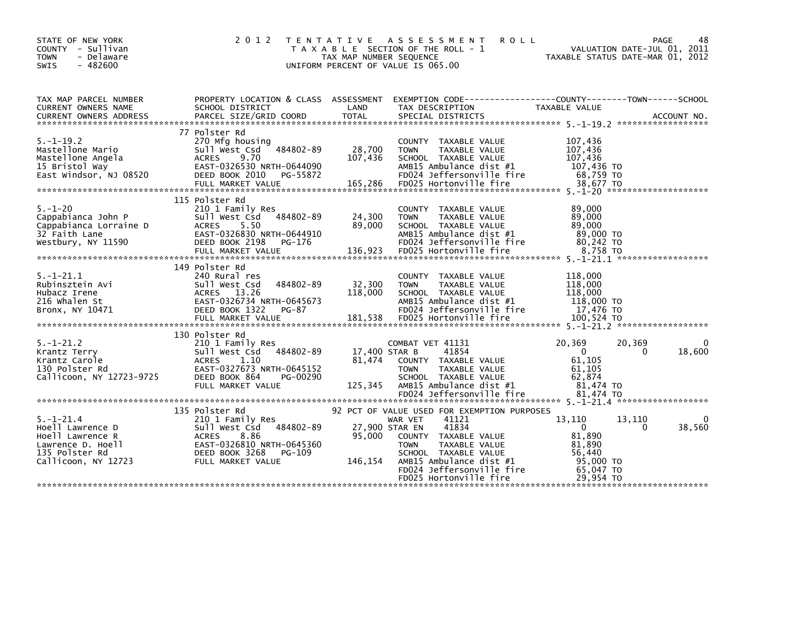| STATE OF NEW YORK<br>COUNTY - Sullivan<br><b>TOWN</b><br>- Delaware<br>$-482600$<br>SWIS                              | 2 0 1 2                                                                                                                                                                | T E N T A T I V E<br>TAX MAP NUMBER SEQUENCE | A S S E S S M E N T<br><b>ROLL</b><br>T A X A B L E SECTION OF THE ROLL - 1<br>UNIFORM PERCENT OF VALUE IS 065.00                                                                                                                          |                                                                                         | 48<br>PAGE<br>VALUATION DATE-JUL 01, 2011<br>TAXABLE STATUS DATE-MAR 01, 2012 |
|-----------------------------------------------------------------------------------------------------------------------|------------------------------------------------------------------------------------------------------------------------------------------------------------------------|----------------------------------------------|--------------------------------------------------------------------------------------------------------------------------------------------------------------------------------------------------------------------------------------------|-----------------------------------------------------------------------------------------|-------------------------------------------------------------------------------|
| TAX MAP PARCEL NUMBER<br>CURRENT OWNERS NAME                                                                          | PROPERTY LOCATION & CLASS ASSESSMENT<br>SCHOOL DISTRICT                                                                                                                | LAND                                         | EXEMPTION CODE-----------------COUNTY-------TOWN------SCHOOL<br>TAX DESCRIPTION                                                                                                                                                            | TAXABLE VALUE                                                                           |                                                                               |
| $5. - 1 - 19.2$<br>Mastellone Mario<br>Mastellone Angela<br>15 Bristol Way<br>East Windsor, NJ 08520                  | 77 Polster Rd<br>270 Mfg housing<br>484802-89<br>Sull West Csd<br>9.70<br><b>ACRES</b><br>EAST-0326530 NRTH-0644090<br>DEED BOOK 2010<br>PG-55872<br>FULL MARKET VALUE | 28,700<br>107,436<br>165,286                 | COUNTY TAXABLE VALUE<br><b>TOWN</b><br>TAXABLE VALUE<br>SCHOOL TAXABLE VALUE<br>AMB15 Ambulance dist #1<br>FD024 Jeffersonville fire<br>FD025 Hortonville fire                                                                             | 107,436<br>107,436<br>107,436<br>107,436 TO<br>68,759 TO<br>38.677 TO                   |                                                                               |
| $5. - 1 - 20$<br>Cappabianca John P<br>Cappabianca Lorraine D<br>32 Faith Lane<br>Westbury, NY 11590                  | 115 Polster Rd<br>210 1 Family Res<br>Sull West Csd 484802-89<br>5.50<br><b>ACRES</b><br>EAST-0326830 NRTH-0644910<br>DEED BOOK 2198<br>PG-176                         | 24,300<br>89,000                             | COUNTY TAXABLE VALUE<br><b>TOWN</b><br>TAXABLE VALUE<br>SCHOOL TAXABLE VALUE<br>$AMB15$ Ambulance dist $#1$<br>FD024 Jeffersonville fire                                                                                                   | 89,000<br>89,000<br>89,000<br>89,000 TO<br>80.242 TO                                    |                                                                               |
| $5. - 1 - 21.1$<br>Rubinsztein Avi<br>Hubacz Irene<br>216 Whalen St<br>Bronx, NY 10471                                | 149 Polster Rd<br>240 Rural res<br>Sull West Csd<br>484802-89<br>ACRES 13.26<br>EAST-0326734 NRTH-0645673<br>DEED BOOK 1322<br>PG-87<br>FULL MARKET VALUE              | 32,300<br>118,000<br>181,538                 | COUNTY TAXABLE VALUE<br><b>TOWN</b><br>TAXABLE VALUE<br>SCHOOL TAXABLE VALUE<br>AMB15 Ambulance dist #1<br>FD024 Jeffersonville fire<br>FD025 Hortonville fire                                                                             | 118,000<br>118,000<br>118,000<br>118,000 TO<br>17,476 TO<br>100,524 TO                  |                                                                               |
| $5. - 1 - 21.2$<br>Krantz Terry<br>Krantz Carole<br>130 Polster Rd<br>Callicoon, NY 12723-9725                        | 130 Polster Rd<br>210 1 Family Res<br>Sull West Csd 484802-89<br>1.10<br><b>ACRES</b><br>EAST-0327673 NRTH-0645152<br>DEED BOOK 864<br>PG-00290<br>FULL MARKET VALUE   | 17,400 STAR B<br>81,474<br>125.345           | COMBAT VET 41131<br>41854<br>COUNTY TAXABLE VALUE<br><b>TOWN</b><br>TAXABLE VALUE<br>SCHOOL TAXABLE VALUE<br>AMB15 Ambulance dist #1                                                                                                       | 20,369<br>$\mathbf{0}$<br>61,105<br>61,105<br>62,874<br>81.474 TO                       | 20,369<br>0<br>18,600<br>$\Omega$                                             |
| $5. - 1 - 21.4$<br>Hoell Lawrence D<br>Hoell Lawrence R<br>Lawrence D. Hoell<br>135 Polster Rd<br>Callicoon, NY 12723 | 135 Polster Rd<br>210 1 Family Res<br>Sull West Csd 484802-89<br>8.86<br><b>ACRES</b><br>EAST-0326810 NRTH-0645360<br>DEED BOOK 3268<br>PG-109<br>FULL MARKET VALUE    | 27,900 STAR EN<br>95.000<br>146,154          | 92 PCT OF VALUE USED FOR EXEMPTION PURPOSES<br>41121<br>WAR VET<br>41834<br>COUNTY TAXABLE VALUE<br>TAXABLE VALUE<br><b>TOWN</b><br>SCHOOL TAXABLE VALUE<br>AMB15 Ambulance dist #1<br>FD024 Jeffersonville fire<br>FD025 Hortonville fire | 13,110<br>$\Omega$<br>81.890<br>81.890<br>56,440<br>95,000 TO<br>65,047 TO<br>29.954 TO | 13,110<br>0<br>38,560<br>$\Omega$                                             |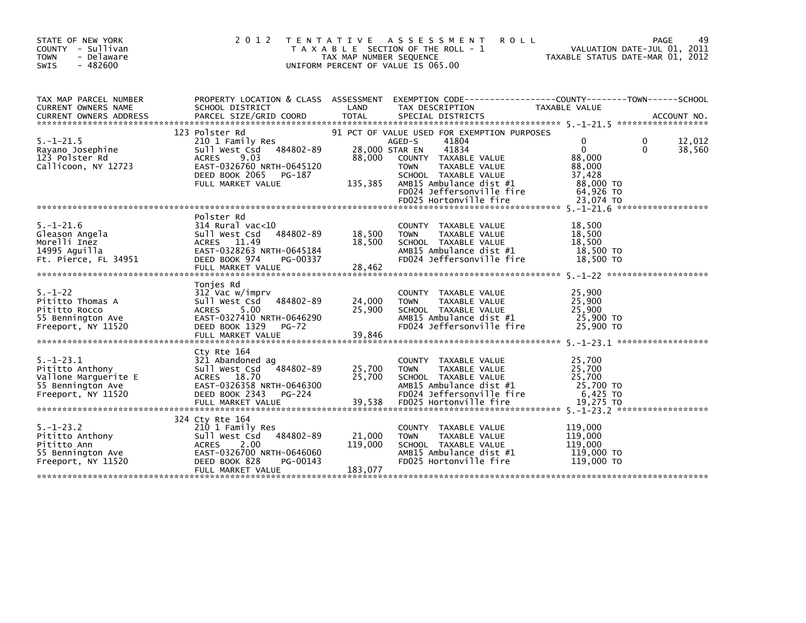| STATE OF NEW YORK<br>COUNTY - Sullivan<br><b>TOWN</b><br>- Delaware<br>$-482600$<br>SWIS              | 2 0 1 2                                                                                                                                                                  | TAX MAP NUMBER SEQUENCE             | TENTATIVE ASSESSMENT<br><b>ROLL</b><br>T A X A B L E SECTION OF THE ROLL - 1<br>UNIFORM PERCENT OF VALUE IS 065.00                                                                                                                        |                                                                                      | 49<br>PAGE<br>VALUATION DATE-JUL 01, 2011<br>TAXABLE STATUS DATE-MAR 01, 2012 |
|-------------------------------------------------------------------------------------------------------|--------------------------------------------------------------------------------------------------------------------------------------------------------------------------|-------------------------------------|-------------------------------------------------------------------------------------------------------------------------------------------------------------------------------------------------------------------------------------------|--------------------------------------------------------------------------------------|-------------------------------------------------------------------------------|
| TAX MAP PARCEL NUMBER<br>CURRENT OWNERS NAME                                                          | SCHOOL DISTRICT                                                                                                                                                          | LAND                                | PROPERTY LOCATION & CLASS ASSESSMENT EXEMPTION CODE----------------COUNTY-------TOWN------SCHOOL<br>TAX DESCRIPTION                                                                                                                       | TAXABLE VALUE                                                                        |                                                                               |
| $5. - 1 - 21.5$<br>Rayano Josephine<br>123 Polster Rd<br>Callicoon, NY 12723                          | 123 Polster Rd<br>210 1 Family Res<br>484802-89<br>Sull West Csd<br>9.03<br><b>ACRES</b><br>EAST-0326760 NRTH-0645120<br>DEED BOOK 2065<br>PG-187<br>FULL MARKET VALUE   | 28,000 STAR EN<br>88,000<br>135,385 | 91 PCT OF VALUE USED FOR EXEMPTION PURPOSES<br>AGED-S<br>41804<br>41834<br>COUNTY TAXABLE VALUE<br>TAXABLE VALUE<br><b>TOWN</b><br>SCHOOL TAXABLE VALUE<br>AMB15 Ambulance dist #1<br>FD024 Jeffersonville fire<br>FD025 Hortonville fire | 0<br>$\Omega$<br>88,000<br>88,000<br>37.428<br>88,000 TO<br>$64,926$ TO<br>23,074 TO | 12,012<br>0<br>$\Omega$<br>38,560                                             |
| $5. - 1 - 21.6$<br>Gleason Angela<br>Morelli Inez<br>14995 Aguilla<br>Ft. Pierce, FL 34951            | Polster Rd<br>$314$ Rural vac<10<br>484802-89<br>Sull West Csd<br>ACRES 11.49<br>EAST-0328263 NRTH-0645184<br>DEED BOOK 974<br>PG-00337<br>FULL MARKET VALUE             | 18,500<br>18,500<br>28,462          | <b>COUNTY</b><br>TAXABLE VALUE<br><b>TOWN</b><br>TAXABLE VALUE<br>SCHOOL TAXABLE VALUE<br>AMB15 Ambulance dist #1<br>FD024 Jeffersonville fire                                                                                            | 18,500<br>18,500<br>18,500<br>18,500 TO<br>18,500 TO                                 |                                                                               |
| $5. - 1 - 22$<br>Pititto Thomas A<br>Pititto Rocco<br>55 Bennington Ave<br>Freeport, NY 11520         | Tonjes Rd<br>312 Vac w/imprv<br>484802-89<br>Sull West Csd<br>5.00<br>ACRES<br>EAST-0327410 NRTH-0646290<br>DEED BOOK 1329<br><b>PG-72</b><br>FULL MARKET VALUE          | 24,000<br>25,900<br>39,846          | COUNTY TAXABLE VALUE<br><b>TOWN</b><br>TAXABLE VALUE<br>SCHOOL TAXABLE VALUE<br>AMB15 Ambulance dist #1<br>FD024 Jeffersonville fire                                                                                                      | 25,900<br>25,900<br>25,900<br>25,900 TO<br>25,900 TO                                 |                                                                               |
| $5. - 1 - 23.1$<br>Pititto Anthony<br>Vallone Marquerite E<br>55 Bennington Ave<br>Freeport, NY 11520 | Cty Rte 164<br>321 Abandoned ag<br>484802-89<br>Sull West Csd<br>ACRES 18.70<br>EAST-0326358 NRTH-0646300<br>DEED BOOK 2343<br>PG-224                                    | 25,700<br>25,700                    | COUNTY TAXABLE VALUE<br>TAXABLE VALUE<br><b>TOWN</b><br>SCHOOL TAXABLE VALUE<br>AMB15 Ambulance dist #1<br>FD024 Jeffersonville fire                                                                                                      | 25,700<br>25,700<br>25,700<br>25,700 TO<br>6,425 TO                                  |                                                                               |
| $5. - 1 - 23.2$<br>Pititto Anthony<br>Pititto Ann<br>55 Bennington Ave<br>Freeport, NY 11520          | 324 Cty Rte 164<br>210 1 Family Res<br>484802-89<br>Sull West Csd<br>2.00<br><b>ACRES</b><br>EAST-0326700 NRTH-0646060<br>DEED BOOK 828<br>PG-00143<br>FULL MARKET VALUE | 21,000<br>119,000<br>183,077        | COUNTY TAXABLE VALUE<br><b>TOWN</b><br>TAXABLE VALUE<br>SCHOOL TAXABLE VALUE<br>AMB15 Ambulance dist #1<br>FD025 Hortonville fire                                                                                                         | 119,000<br>119,000<br>119,000<br>119,000 TO<br>119,000 TO                            |                                                                               |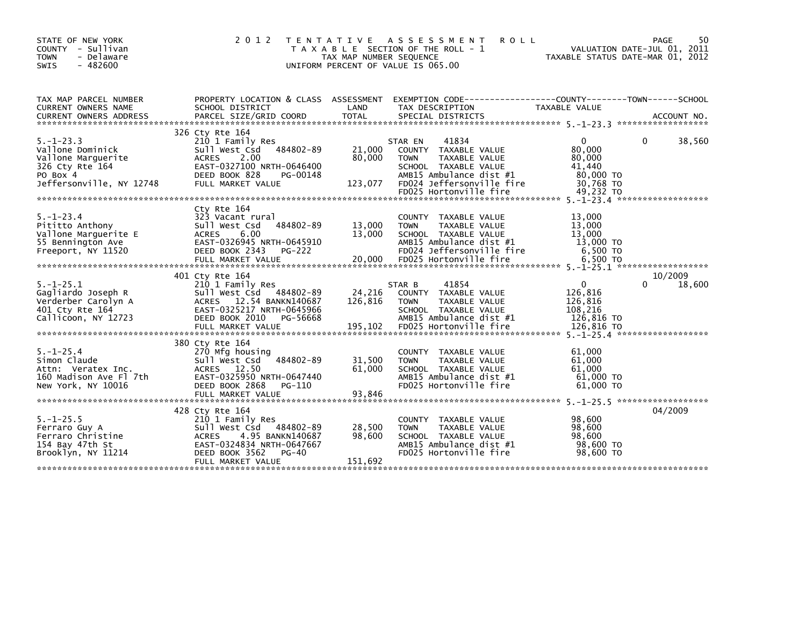| STATE OF NEW YORK<br>COUNTY - Sullivan<br><b>TOWN</b><br>- Delaware<br>$-482600$<br><b>SWIS</b>                      | 2 0 1 2                                                                                                                                                                         | T E N T A T I V E<br>TAX MAP NUMBER SEQUENCE | A S S E S S M E N T<br><b>ROLL</b><br>T A X A B L E SECTION OF THE ROLL - 1<br>UNIFORM PERCENT OF VALUE IS 065.00                                                                  | VALUATION DATE-JUL 01, 2011<br>TAXABLE STATUS DATE-MAR 01, 2012                   | 50<br>PAGE             |
|----------------------------------------------------------------------------------------------------------------------|---------------------------------------------------------------------------------------------------------------------------------------------------------------------------------|----------------------------------------------|------------------------------------------------------------------------------------------------------------------------------------------------------------------------------------|-----------------------------------------------------------------------------------|------------------------|
| TAX MAP PARCEL NUMBER<br>CURRENT OWNERS NAME                                                                         | SCHOOL DISTRICT                                                                                                                                                                 | LAND                                         | PROPERTY LOCATION & CLASS ASSESSMENT EXEMPTION CODE---------------COUNTY-------TOWN-----SCHOOL<br>TAX DESCRIPTION                                                                  | <b>TAXABLE VALUE</b>                                                              |                        |
| $5. - 1 - 23.3$<br>Vallone Dominick<br>Vallone Marquerite<br>326 Cty Rte 164<br>PO Box 4<br>Jeffersonville, NY 12748 | 326 Cty Rte 164<br>210 1 Family Res<br>Sull West Csd 484802-89<br>ACRES<br>2.00<br>EAST-0327100 NRTH-0646400<br>DEED BOOK 828<br>PG-00148<br>FULL MARKET VALUE                  | 21,000<br>80,000<br>123,077                  | 41834<br>STAR EN<br>COUNTY TAXABLE VALUE<br><b>TOWN</b><br>TAXABLE VALUE<br>SCHOOL TAXABLE VALUE<br>AMB15 Ambulance dist #1<br>FD024 Jeffersonville fire<br>FD025 Hortonville fire | $\mathbf{0}$<br>80,000<br>80,000<br>41,440<br>80,000 TO<br>30,768 TO<br>49,232 TO | 38,560<br>0            |
| $5. - 1 - 23.4$<br>Pititto Anthony<br>Vallone Marquerite E<br>55 Bennington Ave<br>Freeport, NY 11520                | Cty Rte 164<br>323 Vacant rural<br>484802-89<br>Sull West Csd<br>6.00<br>ACRES<br>EAST-0326945 NRTH-0645910<br>DEED BOOK 2343<br>PG-222                                         | 13,000<br>13,000                             | COUNTY TAXABLE VALUE<br><b>TOWN</b><br>TAXABLE VALUE<br>SCHOOL TAXABLE VALUE<br>AMB15 Ambulance dist #1<br>FD024 Jeffersonville fire                                               | 13,000<br>13,000<br>13,000<br>13,000 TO<br>6,500 TO                               |                        |
|                                                                                                                      |                                                                                                                                                                                 |                                              |                                                                                                                                                                                    |                                                                                   |                        |
| $5. - 1 - 25.1$<br>Gagliardo Joseph R<br>Verderber Carolyn A<br>401 Cty Rte 164<br>Callicoon, NY 12723               | 401 Cty Rte 164<br>210 1 Family Res<br>Sull West Csd 484802-89<br>ACRES 12.54 BANKN140687<br>EAST-0325217 NRTH-0645966<br>DEED BOOK 2010 PG-56668<br>FULL MARKET VALUE          | 24,216<br>126,816<br>195,102                 | 41854<br>STAR B<br>COUNTY TAXABLE VALUE<br>TAXABLE VALUE<br><b>TOWN</b><br>SCHOOL TAXABLE VALUE<br>AMB15 Ambulance dist #1<br>FD025 Hortonville fire                               | $\overline{0}$<br>126,816<br>126,816<br>108,216<br>126,816 TO<br>126.816 TO       | 10/2009<br>0<br>18,600 |
| $5. - 1 - 25.4$<br>Simon Claude<br>Attn: Veratex Inc.<br>160 Madison Ave Fl 7th<br>New York, NY 10016                | 380 Cty Rte 164<br>270 Mfg housing<br>484802-89<br>Sull West Csd<br>ACRES 12.50<br>EAST-0325950 NRTH-0647440<br>DEED BOOK 2868<br>PG-110                                        | 31,500<br>61,000                             | COUNTY TAXABLE VALUE<br><b>TOWN</b><br>TAXABLE VALUE<br>SCHOOL TAXABLE VALUE<br>AMB15 Ambulance dist #1<br>FD025 Hortonville fire                                                  | 61,000<br>61,000<br>61,000<br>$61,000$ TO<br>61,000 TO                            |                        |
| $5. - 1 - 25.5$<br>Ferraro Guy A<br>Ferraro Christine<br>154 Bay 47th St<br>Brooklyn, NY 11214                       | 428 Cty Rte 164<br>210 1 Family Res<br>Sull West Csd 484802-89<br>4.95 BANKN140687<br><b>ACRES</b><br>EAST-0324834 NRTH-0647667<br>DEED BOOK 3562<br>PG-40<br>FULL MARKET VALUE | 28,500<br>98,600<br>151,692                  | COUNTY TAXABLE VALUE<br>TAXABLE VALUE<br><b>TOWN</b><br>SCHOOL TAXABLE VALUE<br>AMB15 Ambulance dist #1<br>FD025 Hortonville fire                                                  | 98,600<br>98,600<br>98,600<br>98,600 TO<br>98,600 TO                              | 04/2009                |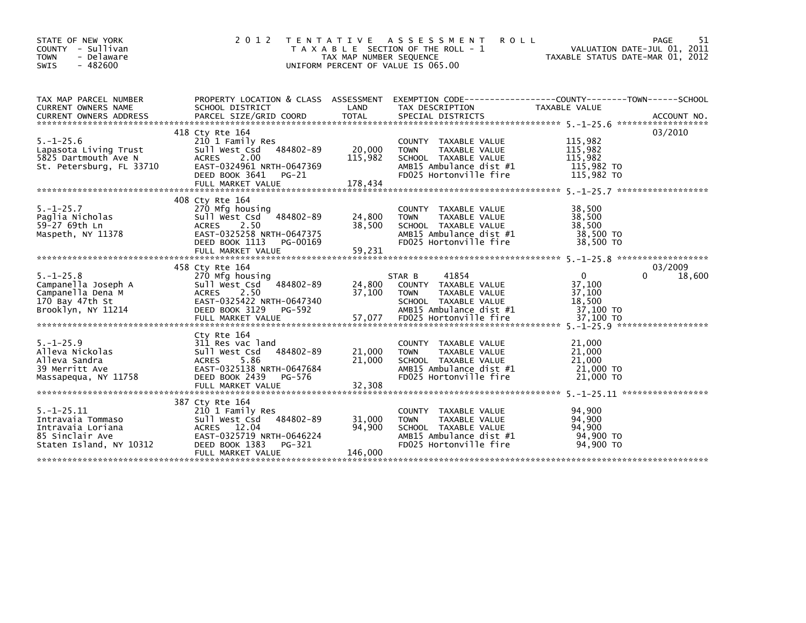| STATE OF NEW YORK<br>COUNTY<br>- Sullivan<br>- Delaware<br><b>TOWN</b><br>$-482600$<br><b>SWIS</b>      | 2 0 1 2                                                                                                                                                                  | <b>TENTATIVE</b><br>TAX MAP NUMBER SEQUENCE | A S S E S S M E N T<br><b>ROLL</b><br>T A X A B L E SECTION OF THE ROLL - 1<br>UNIFORM PERCENT OF VALUE IS 065.00                                    | TAXABLE STATUS DATE-MAR 01, 2012                                     | 51<br>PAGE<br>VALUATION DATE-JUL 01, 2011 |
|---------------------------------------------------------------------------------------------------------|--------------------------------------------------------------------------------------------------------------------------------------------------------------------------|---------------------------------------------|------------------------------------------------------------------------------------------------------------------------------------------------------|----------------------------------------------------------------------|-------------------------------------------|
| TAX MAP PARCEL NUMBER<br><b>CURRENT OWNERS NAME</b>                                                     | PROPERTY LOCATION & CLASS ASSESSMENT<br>SCHOOL DISTRICT                                                                                                                  | LAND                                        | EXEMPTION CODE------------------COUNTY-------TOWN------SCHOOL<br>TAX DESCRIPTION                                                                     | TAXABLE VALUE                                                        | ACCOUNT NO.<br>******************         |
| $5. - 1 - 25.6$<br>Lapasota Living Trust<br>5825 Dartmouth Ave N<br>St. Petersburg, FL 33710            | 418 Cty Rte 164<br>210 1 Family Res<br>Sull West Csd<br>484802-89<br>2.00<br><b>ACRES</b><br>EAST-0324961 NRTH-0647369<br>DEED BOOK 3641<br>PG-21<br>FULL MARKET VALUE   | 20,000<br>115,982<br>178,434                | COUNTY TAXABLE VALUE<br><b>TAXABLE VALUE</b><br><b>TOWN</b><br>SCHOOL TAXABLE VALUE<br>AMB15 Ambulance dist #1<br>FD025 Hortonville fire             | 115,982<br>115,982<br>115,982<br>115,982 TO<br>115,982 TO            | 03/2010                                   |
| $5. - 1 - 25.7$<br>Paglia Nicholas<br>59-27 69th Ln<br>Maspeth, NY 11378                                | 408 Ctv Rte 164<br>270 Mfg housing<br>484802-89<br>Sull West Csd<br>2.50<br><b>ACRES</b><br>EAST-0325258 NRTH-0647375<br>DEED BOOK 1113<br>PG-00169<br>FULL MARKET VALUE | 24,800<br>38,500<br>59,231                  | COUNTY TAXABLE VALUE<br>TAXABLE VALUE<br><b>TOWN</b><br>SCHOOL TAXABLE VALUE<br>AMB15 Ambulance dist #1<br>FD025 Hortonville fire                    | 38,500<br>38,500<br>38.500<br>38,500 TO<br>38,500 TO                 |                                           |
| $5. - 1 - 25.8$<br>Campanella Joseph A<br>Campanella Dena M<br>170 Bay 47th St<br>Brooklyn, NY 11214    | 458 Cty Rte 164<br>270 Mfg housing<br>484802-89<br>Sull West Csd<br>2.50<br><b>ACRES</b><br>EAST-0325422 NRTH-0647340<br>DEED BOOK 3129<br>PG-592<br>FULL MARKET VALUE   | 24,800<br>37,100<br>57,077                  | 41854<br>STAR B<br>COUNTY TAXABLE VALUE<br>TAXABLE VALUE<br><b>TOWN</b><br>SCHOOL TAXABLE VALUE<br>AMB15 Ambulance dist #1<br>FD025 Hortonville fire | $\mathbf{0}$<br>37,100<br>37,100<br>18,500<br>37,100 TO<br>37,100 TO | 03/2009<br>0<br>18,600                    |
| $5. - 1 - 25.9$<br>Alleva Nickolas<br>Alleva Sandra<br>39 Merritt Ave<br>Massapequa, NY 11758           | Cty Rte 164<br>311 Res vac land<br>484802-89<br>Sull West Csd<br>5.86<br><b>ACRES</b><br>EAST-0325138 NRTH-0647684<br>DEED BOOK 2439<br>PG-576                           | 21,000<br>21,000                            | COUNTY TAXABLE VALUE<br>TAXABLE VALUE<br><b>TOWN</b><br>SCHOOL TAXABLE VALUE<br>AMB15 Ambulance dist #1<br>FD025 Hortonville fire                    | 21,000<br>21,000<br>21,000<br>21,000 TO<br>21,000 TO                 | *****************                         |
| $5. -1 - 25.11$<br>Intravaia Tommaso<br>Intravaia Loriana<br>85 Sinclair Ave<br>Staten Island, NY 10312 | 387 Cty Rte 164<br>210 1 Family Res<br>484802-89<br>Sull West Csd<br>ACRES 12.04<br>EAST-0325719 NRTH-0646224<br>DEED BOOK 1383<br>PG-321<br>FULL MARKET VALUE           | 31,000<br>94,900<br>146,000                 | <b>COUNTY</b><br>TAXABLE VALUE<br>TAXABLE VALUE<br><b>TOWN</b><br>SCHOOL TAXABLE VALUE<br>AMB15 Ambulance dist #1<br>FD025 Hortonville fire          | 94,900<br>94,900<br>94,900<br>94,900 TO<br>94,900 TO                 |                                           |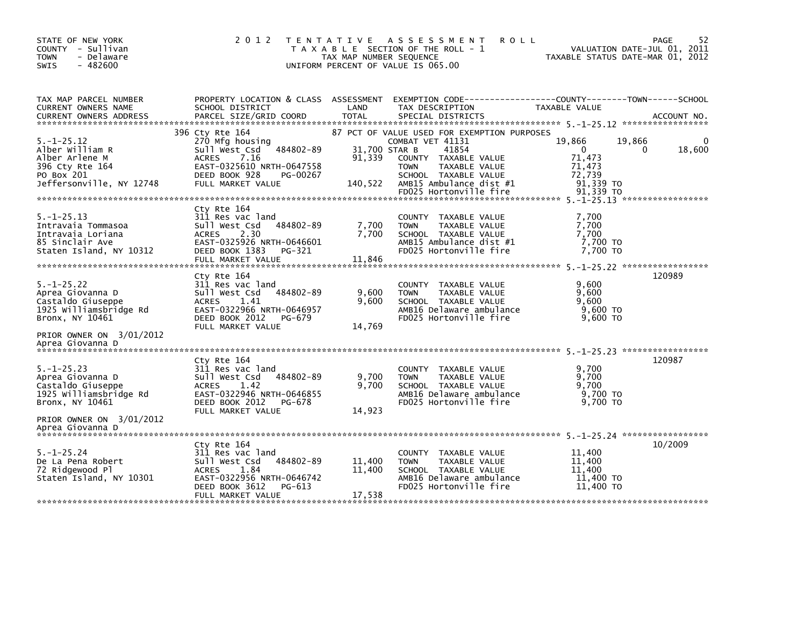| STATE OF NEW YORK<br>COUNTY - Sullivan<br><b>TOWN</b><br>- Delaware<br>$-482600$<br><b>SWIS</b>                                                        | 2 0 1 2                                                                                                                                                                 | T E N T A T I V E<br>TAX MAP NUMBER SEQUENCE | A S S E S S M E N T<br><b>ROLL</b><br>T A X A B L E SECTION OF THE ROLL - 1<br>UNIFORM PERCENT OF VALUE IS 065.00                                                                                                              | VALUATION DATE-JUL 01, 2011<br>TAXABLE STATUS DATE-MAR 01, 2012                         | 52<br>PAGE  |
|--------------------------------------------------------------------------------------------------------------------------------------------------------|-------------------------------------------------------------------------------------------------------------------------------------------------------------------------|----------------------------------------------|--------------------------------------------------------------------------------------------------------------------------------------------------------------------------------------------------------------------------------|-----------------------------------------------------------------------------------------|-------------|
| TAX MAP PARCEL NUMBER<br>CURRENT OWNERS NAME                                                                                                           | PROPERTY LOCATION & CLASS ASSESSMENT<br>SCHOOL DISTRICT                                                                                                                 | LAND                                         | TAX DESCRIPTION                                                                                                                                                                                                                | TAXABLE VALUE                                                                           |             |
| $5. - 1 - 25.12$<br>Alber William R<br>Alber Arlene M<br>396 Cty Rte 164<br>PO Box 201<br>Jeffersonville, NY 12748                                     | 396 Cty Rte 164<br>270 Mfg housing<br>Sull West Csd<br>484802-89<br><b>ACRES</b><br>7.16<br>EAST-0325610 NRTH-0647558<br>DEED BOOK 928<br>PG-00267<br>FULL MARKET VALUE | 91,339<br>140,522                            | 87 PCT OF VALUE USED FOR EXEMPTION PURPOSES<br>COMBAT VET 41131<br>31,700 STAR B<br>41854<br>COUNTY TAXABLE VALUE<br>TAXABLE VALUE<br><b>TOWN</b><br>SCHOOL TAXABLE VALUE<br>AMB15 Ambulance dist #1<br>FD025 Hortonville fire | 19,866<br>19,866<br>$\mathbf 0$<br>71,473<br>71,473<br>72,739<br>91,339 TO<br>91.339 TO | 18,600<br>0 |
| $5. - 1 - 25.13$<br>Intravaia Tommasoa<br>Intravaia Loriana<br>85 Sinclair Ave<br>Staten Island, NY 10312                                              | Cty Rte 164<br>311 Res vac land<br>Sull West Csd<br>484802-89<br>2.30<br><b>ACRES</b><br>EAST-0325926 NRTH-0646601<br>DEED BOOK 1383<br>PG-321<br>FULL MARKET VALUE     | 7,700<br>7.700<br>11.846                     | <b>COUNTY</b><br>TAXABLE VALUE<br>TAXABLE VALUE<br><b>TOWN</b><br>SCHOOL TAXABLE VALUE<br>AMB15 Ambulance dist #1<br>FD025 Hortonville fire                                                                                    | 7.700<br>7,700<br>7,700<br>7,700 TO<br>7.700 TO                                         |             |
| $5. - 1 - 25.22$<br>Aprea Giovanna D<br>Castaldo Giuseppe<br>1925 Williamsbridge Rd<br>Bronx, NY 10461<br>PRIOR OWNER ON 3/01/2012                     | Ctv Rte 164<br>311 Res vac land<br>Sull West Csd<br>484802-89<br>1.41<br><b>ACRES</b><br>EAST-0322966 NRTH-0646957<br>DEED BOOK 2012<br>PG-679<br>FULL MARKET VALUE     | 9,600<br>9,600<br>14,769                     | TAXABLE VALUE<br>COUNTY<br>TAXABLE VALUE<br><b>TOWN</b><br>SCHOOL TAXABLE VALUE<br>AMB16 Delaware ambulance<br>FD025 Hortonville fire                                                                                          | 9,600<br>9.600<br>9.600<br>$9,600$ TO<br>$9.600$ TO                                     | 120989      |
| Aprea Giovanna D<br>$5. - 1 - 25.23$<br>Aprea Giovanna D<br>Castaldo Giuseppe<br>1925 Williamsbridge Rd<br>Bronx, NY 10461<br>PRIOR OWNER ON 3/01/2012 | Cty Rte 164<br>311 Res vac land<br>484802-89<br>Sull West Csd<br><b>ACRES</b><br>1.42<br>EAST-0322946 NRTH-0646855<br>DEED BOOK 2012<br>PG-678<br>FULL MARKET VALUE     | 9,700<br>9,700<br>14,923                     | TAXABLE VALUE<br><b>COUNTY</b><br><b>TOWN</b><br>TAXABLE VALUE<br>SCHOOL TAXABLE VALUE<br>AMB16 Delaware ambulance<br>FD025 Hortonville fire                                                                                   | 9.700<br>9,700<br>9,700<br>9,700 TO<br>9.700 TO                                         | 120987      |
| Aprea Giovanna D<br>$5. - 1 - 25.24$<br>De La Pena Robert<br>72 Ridgewood Pl<br>Staten Island, NY 10301                                                | Cty Rte 164<br>311 Res vac land<br>484802-89<br>Sull West Csd<br>1.84<br><b>ACRES</b><br>EAST-0322956 NRTH-0646742<br>DEED BOOK 3612<br>PG-613<br>FULL MARKET VALUE     | 11,400<br>11,400<br>17,538                   | COUNTY TAXABLE VALUE<br><b>TOWN</b><br><b>TAXABLE VALUE</b><br>SCHOOL TAXABLE VALUE<br>AMB16 Delaware ambulance<br>FD025 Hortonville fire                                                                                      | 11,400<br>11,400<br>11,400<br>11,400 TO<br>11,400 TO                                    | 10/2009     |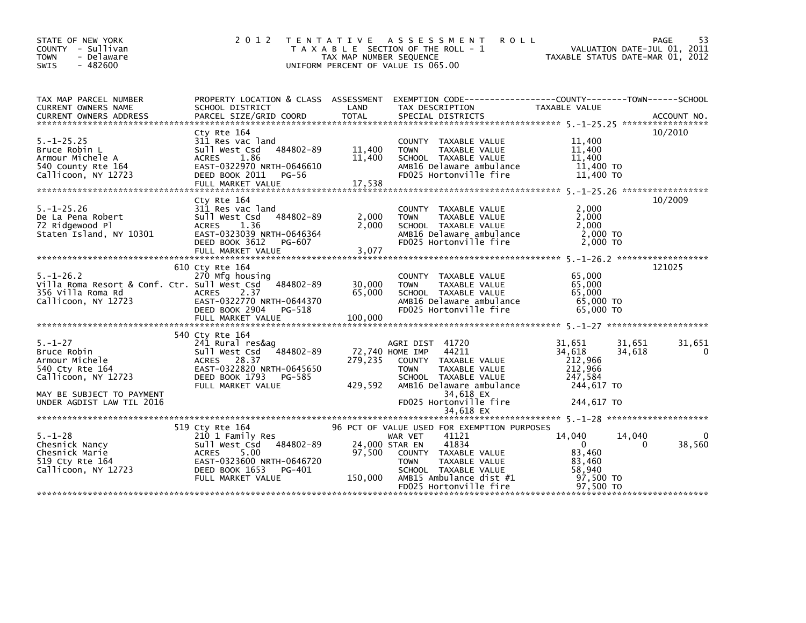| STATE OF NEW YORK<br>COUNTY - Sullivan<br><b>TOWN</b><br>- Delaware<br>$-482600$<br><b>SWIS</b>                                                                      | 2 0 1 2                                                                                                                                                     | T E N T A T I V E<br>TAX MAP NUMBER SEQUENCE | A S S E S S M E N T<br>R O L L<br>T A X A B L E SECTION OF THE ROLL - 1<br>UNIFORM PERCENT OF VALUE IS 065.00                                                                                                 | VALUATION DATE-JUL 01, 2011<br>VALUATION DATE-JUL OI, ZOII<br>TAXABLE STATUS DATE-MAR 01, 2012             | 53<br>PAGE  |
|----------------------------------------------------------------------------------------------------------------------------------------------------------------------|-------------------------------------------------------------------------------------------------------------------------------------------------------------|----------------------------------------------|---------------------------------------------------------------------------------------------------------------------------------------------------------------------------------------------------------------|------------------------------------------------------------------------------------------------------------|-------------|
| TAX MAP PARCEL NUMBER<br>CURRENT OWNERS NAME                                                                                                                         | SCHOOL DISTRICT                                                                                                                                             | LAND                                         | PROPERTY LOCATION & CLASS ASSESSMENT EXEMPTION CODE---------------COUNTY-------TOWN------SCHOOL<br>TAX DESCRIPTION                                                                                            | TAXABLE VALUE                                                                                              |             |
| $5. - 1 - 25.25$<br>Bruce Robin L<br>Armour Michele A<br>540 County Rte 164<br>Callicoon, NY 12723                                                                   | Cty Rte 164<br>311 Res vac land<br>484802-89<br>Sull West Csd<br>1.86<br><b>ACRES</b><br>EAST-0322970 NRTH-0646610<br>DEED BOOK 2011<br>PG-56               | 11,400<br>11,400                             | COUNTY TAXABLE VALUE<br>TAXABLE VALUE<br><b>TOWN</b><br>SCHOOL TAXABLE VALUE<br>AMB16 Delaware ambulance<br>FD025 Hortonville fire                                                                            | 11,400<br>11,400<br>11,400<br>11,400 TO<br>11,400 TO                                                       | 10/2010     |
| $5. - 1 - 25.26$<br>De La Pena Robert<br>72 Ridgewood Pl<br>Staten Island, NY 10301                                                                                  | Cty Rte 164<br>311 Res vac land<br>Sull West Csd 484802-89<br>ACRES<br>1.36<br>EAST-0323039 NRTH-0646364<br>DEED BOOK 3612<br>PG-607<br>FULL MARKET VALUE   | 2,000<br>2,000<br>3,077                      | COUNTY TAXABLE VALUE<br>TAXABLE VALUE<br><b>TOWN</b><br>SCHOOL TAXABLE VALUE<br>AMB16 Delaware ambulance<br>FD025 Hortonville fire                                                                            | 2,000<br>2,000<br>2,000<br>2,000 TO<br>2,000 TO                                                            | 10/2009     |
| $5. - 1 - 26.2$<br>Villa Roma Resort & Conf. Ctr. Sull West Csd<br>356 Villa Roma Rd<br>Callicoon, NY 12723                                                          | 610 Cty Rte 164<br>270 Mfg housing<br>484802-89<br>ACRES 2.37<br>EAST-0322770 NRTH-0644370<br>DEED BOOK 2904<br>PG-518<br>FULL MARKET VALUE                 | 30,000<br>65,000<br>100,000                  | COUNTY TAXABLE VALUE<br><b>TOWN</b><br>TAXABLE VALUE<br>SCHOOL TAXABLE VALUE<br>AMB16 Delaware ambulance<br>FD025 Hortonville fire                                                                            | 65,000<br>65,000<br>65,000<br>65.000 TO<br>65.000 TO                                                       | 121025      |
| $5. - 1 - 27$<br>Bruce Robin<br>Armour Michele<br>Armour мicnele<br>540 Cty Rte 164<br>Callicoon, NY 12723<br>MAY BE SUBJECT TO PAYMENT<br>UNDER AGDIST LAW TIL 2016 | 540 Cty Rte 164<br>241 Rural res&ag<br>Sull West Csd 484802-89<br>ACRES 28.37<br>EAST-0322820 NRTH-0645650<br>DEED BOOK 1793<br>PG-585<br>FULL MARKET VALUE | 279,235<br>429,592                           | AGRI DIST 41720<br>72,740 HOME IMP<br>44211<br>COUNTY TAXABLE VALUE<br><b>TOWN</b><br>TAXABLE VALUE<br>SCHOOL TAXABLE VALUE<br>AMB16 Delaware ambulance<br>34,618 EX<br>FD025 Hortonville fire                | 31,651<br>31,651<br>34,618<br>34,618<br>212,966<br>212,966<br>247,584<br>244,617 TO<br>244,617 TO          | 31,651<br>0 |
|                                                                                                                                                                      |                                                                                                                                                             |                                              |                                                                                                                                                                                                               |                                                                                                            |             |
| $5. - 1 - 28$<br>Chesnick Nancy<br>Chesnick Marie<br>519 Cty Rte 164<br>Callicoon, NY 12723                                                                          | 519 Cty Rte 164<br>210 1 Family Res<br>Sull West Csd 484802-89<br>ACRES 5.00<br>EAST-0323600 NRTH-0646720<br>DEED BOOK 1653   PG-401<br>FULL MARKET VALUE   | 24,000 STAR EN<br>97,500<br>150,000          | 96 PCT OF VALUE USED FOR EXEMPTION PURPOSES<br>41121<br>WAR VET<br>41834<br>COUNTY TAXABLE VALUE<br>TAXABLE VALUE<br><b>TOWN</b><br>SCHOOL TAXABLE VALUE<br>AMB15 Ambulance dist #1<br>FD025 Hortonville fire | 14.040<br>14,040<br>$\overline{0}$<br>$\mathbf{0}$<br>83,460<br>83.460<br>58,940<br>97,500 TO<br>97,500 TO | 38,560      |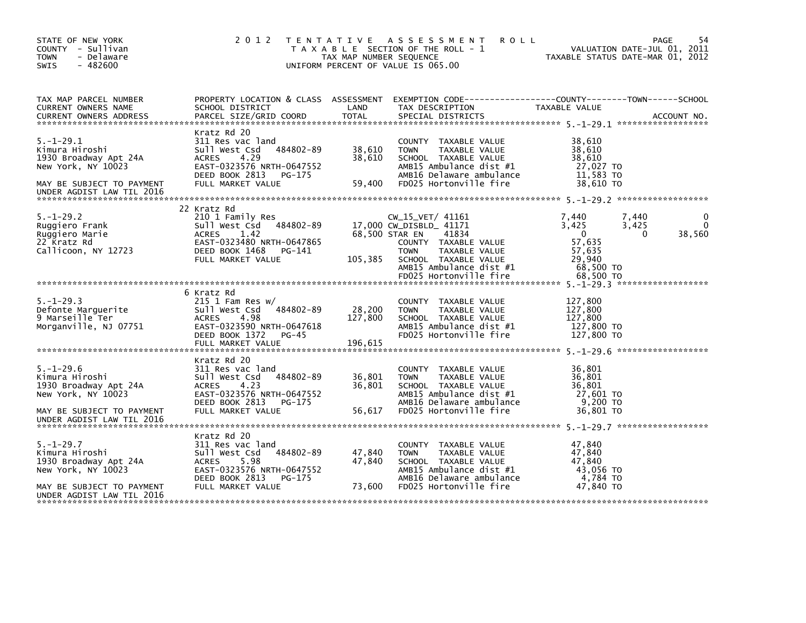| STATE OF NEW YORK<br>COUNTY - Sullivan<br><b>TOWN</b><br>- Delaware<br>$-482600$<br>SWIS                                                   | 2 0 1 2<br>T E N T A T I V E                                                                                                                                        | TAX MAP NUMBER SEQUENCE    | A S S E S S M E N T<br><b>ROLL</b><br>T A X A B L E SECTION OF THE ROLL - 1<br>UNIFORM PERCENT OF VALUE IS 065.00                                                                                                  | VALUATION DATE-JUL 01, 2011<br>TAXABLE STATUS DATE-MAR 01, 2012                                           | 54<br>PAGE         |
|--------------------------------------------------------------------------------------------------------------------------------------------|---------------------------------------------------------------------------------------------------------------------------------------------------------------------|----------------------------|--------------------------------------------------------------------------------------------------------------------------------------------------------------------------------------------------------------------|-----------------------------------------------------------------------------------------------------------|--------------------|
| TAX MAP PARCEL NUMBER<br>CURRENT OWNERS NAME                                                                                               | PROPERTY LOCATION & CLASS ASSESSMENT<br>SCHOOL DISTRICT                                                                                                             | LAND                       | TAX DESCRIPTION                                                                                                                                                                                                    | TAXABLE VALUE                                                                                             |                    |
| $5. - 1 - 29.1$<br>Kimura Hiroshi<br>1930 Broadway Apt 24A<br>New York, NY 10023<br>MAY BE SUBJECT TO PAYMENT<br>UNDER AGDIST LAW TIL 2016 | Kratz Rd 20<br>311 Res vac land<br>Sull West Csd<br>484802-89<br>4.29<br><b>ACRES</b><br>EAST-0323576 NRTH-0647552<br>DEED BOOK 2813<br>PG-175<br>FULL MARKET VALUE | 38,610<br>38,610<br>59,400 | COUNTY TAXABLE VALUE<br>TAXABLE VALUE<br><b>TOWN</b><br>SCHOOL TAXABLE VALUE<br>AMB15 Ambulance dist #1<br>AMB16 Delaware ambulance<br>FD025 Hortonville fire                                                      | 38,610<br>38,610<br>38,610<br>27,027 TO<br>11,583 TO<br>38,610 TO                                         |                    |
| $5. - 1 - 29.2$<br>Ruggiero Frank<br>Ruggiero Marie<br>22 Kratz Rd<br>Callicoon, NY 12723                                                  | 22 Kratz Rd<br>210 1 Family Res<br>484802-89<br>Sull West Csd<br>1.42<br><b>ACRES</b><br>EAST-0323480 NRTH-0647865<br>DEED BOOK 1468<br>PG-141<br>FULL MARKET VALUE | 105,385                    | CW_15_VET/ 41161<br>17,000 CW_DISBLD_ 41171<br>68,500 STAR EN<br>41834<br>COUNTY TAXABLE VALUE<br><b>TAXABLE VALUE</b><br><b>TOWN</b><br>SCHOOL TAXABLE VALUE<br>AMB15 Ambulance dist #1<br>FD025 Hortonville fire | 7,440<br>7,440<br>3,425<br>3,425<br>$\Omega$<br>0<br>57,635<br>57,635<br>29,940<br>68,500 TO<br>68.500 TO | 38,560             |
| $5. - 1 - 29.3$<br>Defonte Marguerite<br>9 Marseille Ter<br>Morganville, NJ 07751                                                          | 6 Kratz Rd<br>$215$ 1 Fam Res w/<br>Sull West Csd<br>484802-89<br><b>ACRES</b><br>4.98<br>EAST-0323590 NRTH-0647618<br>DEED BOOK 1372<br>$PG-45$                    | 28,200<br>127,800          | COUNTY TAXABLE VALUE<br><b>TAXABLE VALUE</b><br><b>TOWN</b><br>SCHOOL TAXABLE VALUE<br>AMB15 Ambulance dist #1<br>FD025 Hortonville fire                                                                           | 127,800<br>127,800<br>127,800<br>127,800 TO<br>127,800 TO                                                 | ****************** |
| $5. - 1 - 29.6$<br>Kimura Hiroshi<br>1930 Broadway Apt 24A<br>New York, NY 10023<br>MAY BE SUBJECT TO PAYMENT<br>UNDER AGDIST LAW TIL 2016 | Kratz Rd 20<br>311 Res vac land<br>484802-89<br>Sull West Csd<br>4.23<br><b>ACRES</b><br>EAST-0323576 NRTH-0647552<br>DEED BOOK 2813<br>PG-175<br>FULL MARKET VALUE | 36,801<br>36,801<br>56,617 | COUNTY TAXABLE VALUE<br>TAXABLE VALUE<br><b>TOWN</b><br>SCHOOL TAXABLE VALUE<br>AMB15 Ambulance dist #1<br>AMB16 Delaware ambulance<br>FD025 Hortonville fire                                                      | 36,801<br>36,801<br>36,801<br>27,601 TO<br>9,200 TO<br>36,801 TO                                          |                    |
| $5. - 1 - 29.7$<br>Kimura Hiroshi<br>1930 Broadway Apt 24A<br>New York, NY 10023<br>MAY BE SUBJECT TO PAYMENT<br>UNDER AGDIST LAW TIL 2016 | Kratz Rd 20<br>311 Res vac land<br>484802-89<br>Sull West Csd<br>5.98<br><b>ACRES</b><br>EAST-0323576 NRTH-0647552<br>DEED BOOK 2813<br>PG-175<br>FULL MARKET VALUE | 47,840<br>47,840<br>73,600 | <b>COUNTY</b><br>TAXABLE VALUE<br><b>TOWN</b><br>TAXABLE VALUE<br>SCHOOL TAXABLE VALUE<br>AMB15 Ambulance dist #1<br>AMB16 Delaware ambulance<br>FD025 Hortonville fire                                            | 47,840<br>47,840<br>47.840<br>43,056 TO<br>4,784 TO<br>47.840 TO                                          |                    |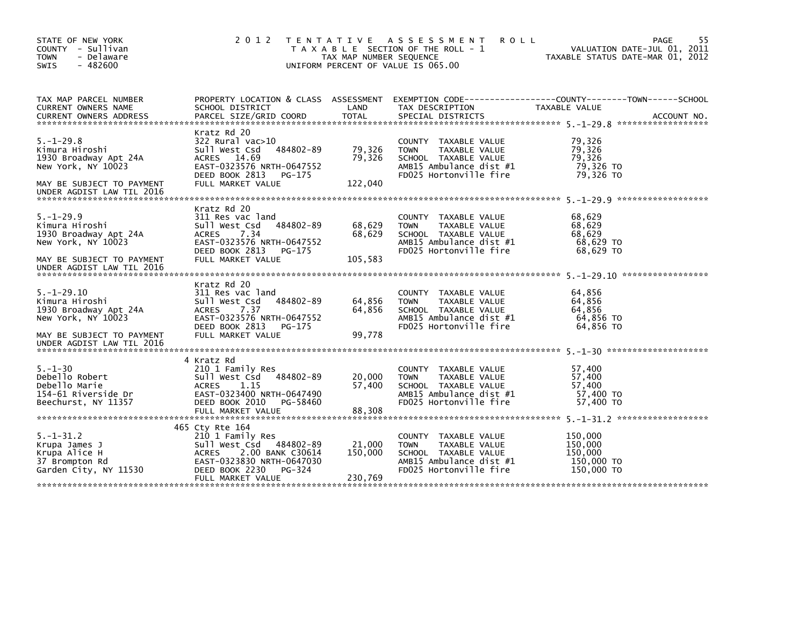| STATE OF NEW YORK<br>COUNTY - Sullivan<br><b>TOWN</b><br>- Delaware<br>$-482600$<br>SWIS                                                    | 2 0 1 2                                                                                                                                                                             | TAX MAP NUMBER SEQUENCE      | TENTATIVE ASSESSMENT<br><b>ROLL</b><br>T A X A B L E SECTION OF THE ROLL - 1<br>UNIFORM PERCENT OF VALUE IS 065.00                          | VALUATION DATE-JUL 01, 2011<br>TAXABLE STATUS DATE-MAR 01, 2012 | 55<br>PAGE  |
|---------------------------------------------------------------------------------------------------------------------------------------------|-------------------------------------------------------------------------------------------------------------------------------------------------------------------------------------|------------------------------|---------------------------------------------------------------------------------------------------------------------------------------------|-----------------------------------------------------------------|-------------|
| TAX MAP PARCEL NUMBER<br>CURRENT OWNERS NAME<br><b>CURRENT OWNERS ADDRESS</b>                                                               | SCHOOL DISTRICT<br>PARCEL SIZE/GRID COORD                                                                                                                                           | LAND<br><b>TOTAL</b>         | PROPERTY LOCATION & CLASS ASSESSMENT EXEMPTION CODE---------------COUNTY-------TOWN-----SCHOOL<br>TAX DESCRIPTION<br>SPECIAL DISTRICTS      | TAXABLE VALUE                                                   | ACCOUNT NO. |
| $5. - 1 - 29.8$<br>Kimura Hiroshi<br>1930 Broadway Apt 24A<br>New York, NY 10023<br>MAY BE SUBJECT TO PAYMENT<br>UNDER AGDIST LAW TIL 2016  | Kratz Rd 20<br>322 Rural vac>10<br>484802-89<br>Sull West Csd<br>ACRES 14.69<br>EAST-0323576 NRTH-0647552<br>DEED BOOK 2813<br>PG-175<br>FULL MARKET VALUE                          | 79,326<br>79,326<br>122,040  | COUNTY TAXABLE VALUE<br>TAXABLE VALUE<br><b>TOWN</b><br>SCHOOL TAXABLE VALUE<br>AMB15 Ambulance dist #1<br>FD025 Hortonville fire           | 79,326<br>79,326<br>79,326<br>79,326 TO<br>79,326 TO            |             |
| $5. - 1 - 29.9$<br>Kimura Hiroshi<br>1930 Broadway Apt 24A<br>New York, NY 10023<br>MAY BE SUBJECT TO PAYMENT<br>UNDER AGDIST LAW TIL 2016  | Kratz Rd 20<br>311 Res vac land<br>484802-89<br>Sull West Csd<br><b>ACRES</b><br>7.34<br>EAST-0323576 NRTH-0647552<br>DEED BOOK 2813<br>PG-175<br>FULL MARKET VALUE                 | 68,629<br>68,629<br>105,583  | COUNTY TAXABLE VALUE<br>TAXABLE VALUE<br><b>TOWN</b><br>SCHOOL TAXABLE VALUE<br>AMB15 Ambulance dist #1<br>FD025 Hortonville fire           | 68,629<br>68,629<br>68,629<br>68,629 TO<br>68,629 TO            |             |
| $5. - 1 - 29.10$<br>Kimura Hiroshi<br>1930 Broadway Apt 24A<br>New York, NY 10023<br>MAY BE SUBJECT TO PAYMENT<br>UNDER AGDIST LAW TIL 2016 | Kratz Rd 20<br>311 Res vac land<br>Sull West Csd<br>484802-89<br>7.37<br><b>ACRES</b><br>EAST-0323576 NRTH-0647552<br>DEED BOOK 2813<br>PG-175<br>FULL MARKET VALUE                 | 64,856<br>64,856<br>99,778   | COUNTY TAXABLE VALUE<br>TAXABLE VALUE<br><b>TOWN</b><br>SCHOOL TAXABLE VALUE<br>AMB15 Ambulance dist #1<br>FD025 Hortonville fire           | 64,856<br>64.856<br>64,856<br>64,856 TO<br>64,856 TO            |             |
| $5. - 1 - 30$<br>Debello Robert<br>Debello Marie<br>154-61 Riverside Dr<br>Beechurst, NY 11357                                              | 4 Kratz Rd<br>210 1 Family Res<br>Sull West Csd<br>484802-89<br>1.15<br><b>ACRES</b><br>EAST-0323400 NRTH-0647490<br>DEED BOOK 2010<br>PG-58460<br>FULL MARKET VALUE                | 20,000<br>57,400<br>88,308   | <b>COUNTY</b><br>TAXABLE VALUE<br>TAXABLE VALUE<br><b>TOWN</b><br>SCHOOL TAXABLE VALUE<br>AMB15 Ambulance dist #1<br>FD025 Hortonville fire | 57,400<br>57,400<br>57,400<br>57,400 TO<br>57,400 TO            |             |
| $5. - 1 - 31.2$<br>Krupa James J<br>Krupa Alice H<br>37 Brompton Rd<br>Garden City, NY 11530                                                | 465 Cty Rte 164<br>210 1 Family Res<br>Sull West Csd<br>484802-89<br><b>ACRES</b><br>2.00 BANK C30614<br>EAST-0323830 NRTH-0647030<br>DEED BOOK 2230<br>PG-324<br>FULL MARKET VALUE | 21,000<br>150,000<br>230,769 | COUNTY TAXABLE VALUE<br><b>TOWN</b><br>TAXABLE VALUE<br>SCHOOL TAXABLE VALUE<br>AMB15 Ambulance dist #1<br>FD025 Hortonville fire           | 150,000<br>150,000<br>150,000<br>150,000 TO<br>150,000 TO       |             |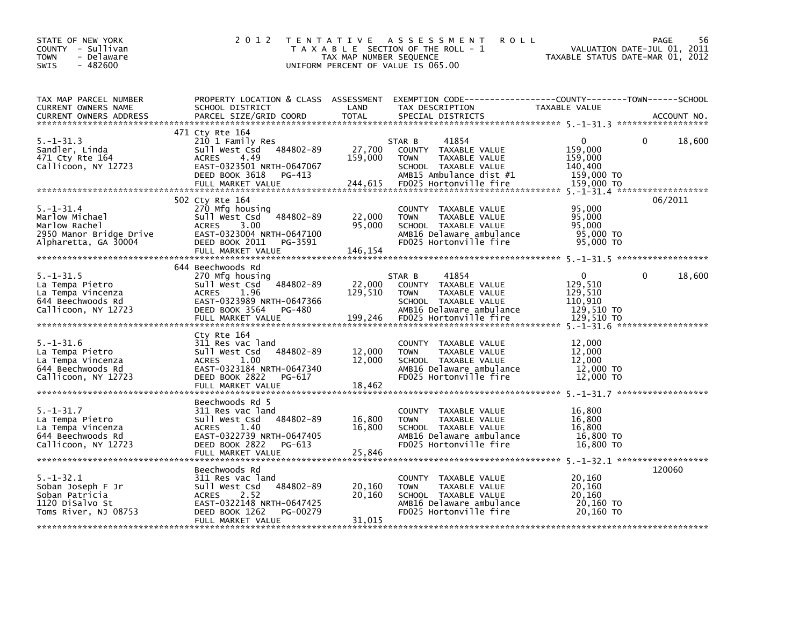| STATE OF NEW YORK<br>COUNTY - Sullivan<br><b>TOWN</b><br>- Delaware<br>$-482600$<br><b>SWIS</b>       | 2 0 1 2                                                                                                                                                                  | TAX MAP NUMBER SEQUENCE      | TENTATIVE ASSESSMENT<br><b>ROLL</b><br>T A X A B L E SECTION OF THE ROLL - 1<br>UNIFORM PERCENT OF VALUE IS 065.00                                    | TAXABLE STATUS DATE-MAR 01, 2012                                          | 56<br><b>PAGE</b><br>VALUATION DATE-JUL 01, 2011 |
|-------------------------------------------------------------------------------------------------------|--------------------------------------------------------------------------------------------------------------------------------------------------------------------------|------------------------------|-------------------------------------------------------------------------------------------------------------------------------------------------------|---------------------------------------------------------------------------|--------------------------------------------------|
| TAX MAP PARCEL NUMBER<br>CURRENT OWNERS NAME<br><b>CURRENT OWNERS ADDRESS</b>                         | SCHOOL DISTRICT<br>PARCEL SIZE/GRID COORD                                                                                                                                | LAND<br><b>TOTAL</b>         | PROPERTY LOCATION & CLASS ASSESSMENT EXEMPTION CODE---------------COUNTY-------TOWN------SCHOOL<br>TAX DESCRIPTION<br>SPECIAL DISTRICTS               | TAXABLE VALUE                                                             | ACCOUNT NO.                                      |
| $5. - 1 - 31.3$<br>Sandler, Linda<br>471 Cty Rte 164<br>Callicoon, NY 12723                           | 471 Cty Rte 164<br>210 1 Family Res<br>Sull West Csd 484802-89<br><b>ACRES</b><br>4.49<br>EAST-0323501 NRTH-0647067<br>DEED BOOK 3618<br>PG-413<br>FULL MARKET VALUE     | 27,700<br>159,000<br>244,615 | STAR B<br>41854<br>COUNTY TAXABLE VALUE<br><b>TOWN</b><br>TAXABLE VALUE<br>SCHOOL TAXABLE VALUE<br>AMB15 Ambulance dist #1<br>FD025 Hortonville fire  | $\Omega$<br>159,000<br>159,000<br>140,400<br>159,000 TO<br>159,000 TO     | 18,600<br>0                                      |
| $5. - 1 - 31.4$<br>Marlow Michael<br>Marlow Rachel<br>2950 Manor Bridge Drive<br>Alpharetta, GA 30004 | 502 Cty Rte 164<br>270 Mfg housing<br>484802-89<br>Sull West Csd<br>3.00<br><b>ACRES</b><br>EAST-0323004 NRTH-0647100<br>DEED BOOK 2011<br>PG-3591<br>FULL MARKET VALUE  | 22,000<br>95,000<br>146,154  | COUNTY TAXABLE VALUE<br><b>TOWN</b><br>TAXABLE VALUE<br>SCHOOL TAXABLE VALUE<br>AMB16 Delaware ambulance<br>FD025 Hortonville fire                    | 95,000<br>95,000<br>95,000<br>95,000 TO<br>95,000 TO                      | 06/2011                                          |
| $5. - 1 - 31.5$<br>La Tempa Pietro<br>La Tempa Vincenza<br>644 Beechwoods Rd<br>Callicoon, NY 12723   | 644 Beechwoods Rd<br>270 Mfg housing<br>484802-89<br>Sull West Csd<br><b>ACRES</b><br>1.96<br>EAST-0323989 NRTH-0647366<br>DEED BOOK 3564<br>PG-480<br>FULL MARKET VALUE | 22,000<br>129,510<br>199,246 | 41854<br>STAR B<br>COUNTY TAXABLE VALUE<br><b>TOWN</b><br>TAXABLE VALUE<br>SCHOOL TAXABLE VALUE<br>AMB16 Delaware ambulance<br>FD025 Hortonville fire | $\mathbf{0}$<br>129,510<br>129,510<br>110,910<br>129,510 TO<br>129,510 TO | 18,600<br>$\Omega$                               |
| $5. - 1 - 31.6$<br>La Tempa Pietro<br>La Tempa Vincenza<br>644 Beechwoods Rd<br>Callicoon, NY 12723   | Cty Rte 164<br>311 Res vac land<br>Sull West Csd<br>484802-89<br>1.00<br><b>ACRES</b><br>EAST-0323184 NRTH-0647340<br>DEED BOOK 2822<br>PG-617                           | 12,000<br>12,000             | COUNTY TAXABLE VALUE<br><b>TOWN</b><br>TAXABLE VALUE<br>SCHOOL TAXABLE VALUE<br>AMB16 Delaware ambulance<br>FD025 Hortonville fire                    | 12,000<br>12,000<br>12,000<br>12,000 TO<br>12,000 TO                      |                                                  |
| $5. - 1 - 31.7$<br>La Tempa Pietro<br>La Tempa Vincenza<br>644 Beechwoods Rd<br>Callicoon, NY 12723   | Beechwoods Rd 5<br>311 Res vac land<br>484802-89<br>Sull West Csd<br>1.40<br><b>ACRES</b><br>EAST-0322739 NRTH-0647405<br>DEED BOOK 2822<br>PG-613<br>FULL MARKET VALUE  | 16,800<br>16,800<br>25,846   | COUNTY TAXABLE VALUE<br><b>TOWN</b><br>TAXABLE VALUE<br>SCHOOL TAXABLE VALUE<br>AMB16 Delaware ambulance<br>FD025 Hortonville fire                    | 16,800<br>16,800<br>16.800<br>16,800 TO<br>16,800 TO                      |                                                  |
| $5. - 1 - 32.1$<br>Soban Joseph F Jr<br>Soban Patricia<br>1120 DiSalvo St<br>Toms River, NJ 08753     | Beechwoods Rd<br>311 Res vac land<br>484802-89<br>Sull West Csd<br><b>ACRES</b><br>2.52<br>EAST-0322148 NRTH-0647425<br>DEED BOOK 1262<br>PG-00279<br>FULL MARKET VALUE  | 20,160<br>20,160<br>31,015   | COUNTY TAXABLE VALUE<br>TAXABLE VALUE<br><b>TOWN</b><br>SCHOOL TAXABLE VALUE<br>AMB16 Delaware ambulance<br>FD025 Hortonville fire                    | 20,160<br>20,160<br>20,160<br>20,160 TO<br>20,160 TO                      | 120060                                           |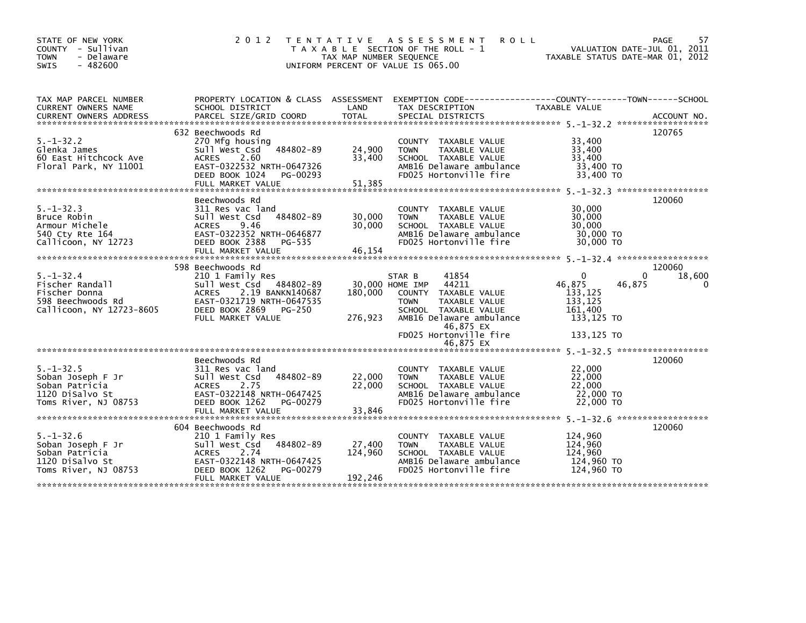| STATE OF NEW YORK<br>COUNTY - Sullivan<br>- Delaware<br><b>TOWN</b><br>$-482600$<br><b>SWIS</b>      | 2 0 1 2                                                                                                                                                                               | T E N T A T I V E<br>TAX MAP NUMBER SEQUENCE | A S S E S S M E N T<br><b>ROLL</b><br>T A X A B L E SECTION OF THE ROLL - 1<br>UNIFORM PERCENT OF VALUE IS 065.00                                                                                 | VALUATION DATE-JUL 01, 2011<br>TAXABLE STATUS DATE-MAR 01, 2012                                       | 57<br>PAGE                   |
|------------------------------------------------------------------------------------------------------|---------------------------------------------------------------------------------------------------------------------------------------------------------------------------------------|----------------------------------------------|---------------------------------------------------------------------------------------------------------------------------------------------------------------------------------------------------|-------------------------------------------------------------------------------------------------------|------------------------------|
| TAX MAP PARCEL NUMBER<br>CURRENT OWNERS NAME                                                         | SCHOOL DISTRICT                                                                                                                                                                       | LAND                                         | PROPERTY LOCATION & CLASS ASSESSMENT EXEMPTION CODE---------------COUNTY-------TOWN------SCHOOL<br>TAX DESCRIPTION                                                                                | TAXABLE VALUE                                                                                         |                              |
| $5. - 1 - 32.2$<br>Glenka James<br>60 East Hitchcock Ave<br>Floral Park, NY 11001                    | 632 Beechwoods Rd<br>270 Mfg housing<br>$-484802 - 89$<br>Sull West Csd<br>ACRES<br>2.60<br>EAST-0322532 NRTH-0647326<br>DEED BOOK 1024<br>PG-00293<br>FULL MARKET VALUE              | 24,900<br>33,400<br>51,385                   | COUNTY TAXABLE VALUE<br>TAXABLE VALUE<br><b>TOWN</b><br>SCHOOL TAXABLE VALUE<br>AMB16 Delaware ambulance<br>FD025 Hortonville fire                                                                | 33,400<br>33,400<br>33,400<br>33,400 TO<br>33,400 TO                                                  | 120765                       |
| $5. - 1 - 32.3$<br>Bruce Robin<br>Armour Michele<br>540 Cty Rte 164<br>Callicoon, NY 12723           | Beechwoods Rd<br>311 Res vac land<br>484802-89<br>Sull West Csd<br><b>ACRES</b><br>9.46<br>EAST-0322352 NRTH-0646877<br>DEED BOOK 2388<br>PG-535<br>FULL MARKET VALUE                 | 30,000<br>30,000<br>46,154                   | COUNTY TAXABLE VALUE<br>TAXABLE VALUE<br><b>TOWN</b><br>SCHOOL TAXABLE VALUE<br>AMB16 Delaware ambulance<br>FD025 Hortonville fire                                                                | 30,000<br>30,000<br>30,000<br>30,000 TO<br>30,000 TO                                                  | 120060                       |
| $5. - 1 - 32.4$<br>Fischer Randall<br>Fischer Donna<br>598 Beechwoods Rd<br>Callicoon, NY 12723-8605 | 598 Beechwoods Rd<br>210 1 Family Res<br>Sull West Csd<br>484802-89<br>2.19 BANKN140687<br><b>ACRES</b><br>EAST-0321719 NRTH-0647535<br>DEED BOOK 2869<br>PG-250<br>FULL MARKET VALUE | 180,000<br>276,923                           | STAR B<br>41854<br>44211<br>30,000 HOME IMP<br>COUNTY<br>TAXABLE VALUE<br>TAXABLE VALUE<br><b>TOWN</b><br>SCHOOL TAXABLE VALUE<br>AMB16 Delaware ambulance<br>46,875 EX<br>FD025 Hortonville fire | $\Omega$<br>$\Omega$<br>46,875<br>46,875<br>133,125<br>133,125<br>161,400<br>133,125 TO<br>133,125 TO | 120060<br>18,600<br>$\Omega$ |
| $5. - 1 - 32.5$<br>Soban Joseph F Jr<br>Soban Patricia<br>1120 Disalvo St<br>Toms River, NJ 08753    | Beechwoods Rd<br>311 Res vac land<br>484802-89<br>Sull West Csd<br><b>ACRES</b><br>2.75<br>EAST-0322148 NRTH-0647425<br>DEED BOOK 1262<br>PG-00279<br>FULL MARKET VALUE               | 22,000<br>22,000<br>33,846                   | 46,875 EX<br>COUNTY TAXABLE VALUE<br>TAXABLE VALUE<br><b>TOWN</b><br>SCHOOL TAXABLE VALUE<br>AMB16 Delaware ambulance<br>FD025 Hortonville fire                                                   | 22,000<br>22,000<br>22,000<br>22,000 TO<br>22,000 TO                                                  | 120060                       |
| $5. - 1 - 32.6$<br>Soban Joseph F Jr<br>Soban Patricia<br>1120 Disalvo St<br>Toms River, NJ 08753    | 604 Beechwoods Rd<br>210 1 Family Res<br>484802-89<br>Sull West Csd<br>2.74<br><b>ACRES</b><br>EAST-0322148 NRTH-0647425<br>DEED BOOK 1262<br>PG-00279<br>FULL MARKET VALUE           | 27,400<br>124,960<br>192,246                 | COUNTY TAXABLE VALUE<br>TAXABLE VALUE<br><b>TOWN</b><br>SCHOOL TAXABLE VALUE<br>AMB16 Delaware ambulance<br>FD025 Hortonville fire                                                                | 124,960<br>124,960<br>124,960<br>124,960 TO<br>124,960 TO                                             | 120060                       |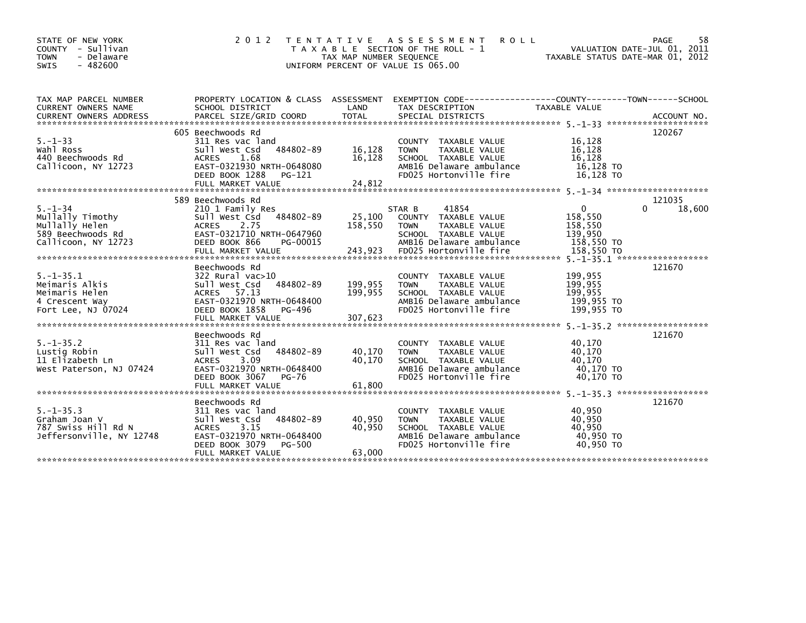| STATE OF NEW YORK<br>COUNTY<br>- Sullivan<br><b>TOWN</b><br>- Delaware<br>$-482600$<br><b>SWIS</b> | 2 0 1 2                                                                                                                                                                   | T E N T A T I V E<br>TAX MAP NUMBER SEQUENCE<br>UNIFORM PERCENT OF VALUE IS 065.00 | A S S E S S M E N T<br>T A X A B L E SECTION OF THE ROLL - 1                                                                                 | <b>ROLL</b>                                               | PAGE<br>58<br>VALUATION DATE-JUL 01, 2011<br>TAXABLE STATUS DATE-MAR 01, 2012 |
|----------------------------------------------------------------------------------------------------|---------------------------------------------------------------------------------------------------------------------------------------------------------------------------|------------------------------------------------------------------------------------|----------------------------------------------------------------------------------------------------------------------------------------------|-----------------------------------------------------------|-------------------------------------------------------------------------------|
| TAX MAP PARCEL NUMBER<br>CURRENT OWNERS NAME                                                       | PROPERTY LOCATION & CLASS ASSESSMENT<br>SCHOOL DISTRICT                                                                                                                   | LAND                                                                               | TAX DESCRIPTION                                                                                                                              | TAXABLE VALUE                                             |                                                                               |
| $5. - 1 - 33$<br>Wahl Ross<br>440 Beechwoods Rd<br>Callicoon, NY 12723                             | 605 Beechwoods Rd<br>311 Res vac land<br>484802-89<br>Sull West Csd<br>1.68<br><b>ACRES</b><br>EAST-0321930 NRTH-0648080<br>DEED BOOK 1288<br>PG-121<br>FULL MARKET VALUE | 16,128<br>16,128<br>24,812                                                         | COUNTY TAXABLE VALUE<br><b>TAXABLE VALUE</b><br><b>TOWN</b><br>SCHOOL TAXABLE VALUE<br>AMB16 Delaware ambulance<br>FD025 Hortonville fire    | 16,128<br>16,128<br>16.128<br>16,128 TO<br>16,128 TO      | 120267                                                                        |
|                                                                                                    | 589 Beechwoods Rd                                                                                                                                                         |                                                                                    |                                                                                                                                              |                                                           | 121035                                                                        |
| $5. - 1 - 34$<br>Mullally Timothy<br>Mullally Helen<br>589 Beechwoods Rd<br>Callicoon, NY 12723    | 210 1 Family Res<br>484802-89<br>Sull West Csd<br>ACRES<br>2.75<br>EAST-0321710 NRTH-0647960<br>DEED BOOK 866<br>PG-00015                                                 | 25,100<br>158,550                                                                  | 41854<br>STAR B<br>TAXABLE VALUE<br>COUNTY<br>TAXABLE VALUE<br><b>TOWN</b><br>SCHOOL TAXABLE VALUE<br>AMB16 Delaware ambulance               | $\Omega$<br>158,550<br>158,550<br>139,950<br>158.550 TO   | 18,600                                                                        |
|                                                                                                    | Beechwoods Rd                                                                                                                                                             |                                                                                    |                                                                                                                                              |                                                           | 121670                                                                        |
| $5. -1 - 35.1$<br>Meimaris Alkis<br>Meimaris Helen<br>4 Crescent Way<br>Fort Lee, NJ 07024         | 322 Rural vac>10<br>484802-89<br>Sull West Csd<br>ACRES 57.13<br>EAST-0321970 NRTH-0648400<br>DEED BOOK 1858<br>PG-496<br>FULL MARKET VALUE                               | 199,955<br>199,955<br>307,623                                                      | COUNTY<br>TAXABLE VALUE<br><b>TAXABLE VALUE</b><br><b>TOWN</b><br>SCHOOL TAXABLE VALUE<br>AMB16 Delaware ambulance<br>FD025 Hortonville fire | 199,955<br>199,955<br>199,955<br>199,955 TO<br>199,955 TO |                                                                               |
|                                                                                                    | Beechwoods Rd                                                                                                                                                             |                                                                                    |                                                                                                                                              |                                                           | 121670                                                                        |
| $5. - 1 - 35.2$<br>Lustig Robin<br>11 Elizabeth Ln<br>West Paterson, NJ 07424                      | 311 Res vac land<br>484802-89<br>Sull West Csd<br>3.09<br><b>ACRES</b><br>EAST-0321970 NRTH-0648400<br>DEED BOOK 3067<br>PG-76                                            | 40,170<br>40,170                                                                   | TAXABLE VALUE<br>COUNTY<br><b>TOWN</b><br>TAXABLE VALUE<br>SCHOOL TAXABLE VALUE<br>AMB16 Delaware ambulance<br>FD025 Hortonville fire        | 40,170<br>40,170<br>40,170<br>40.170 TO<br>40,170 TO      |                                                                               |
|                                                                                                    | FULL MARKET VALUE                                                                                                                                                         | 61,800                                                                             |                                                                                                                                              |                                                           |                                                                               |
| *******************************<br>$5. -1 - 35.3$<br>Graham Joan V<br>787 Swiss Hill Rd N          | Beechwoods Rd<br>311 Res vac land<br>484802-89<br>Sull West Csd<br>3.15<br><b>ACRES</b>                                                                                   | 40,950<br>40,950                                                                   | COUNTY<br>TAXABLE VALUE<br><b>TOWN</b><br>TAXABLE VALUE<br>SCHOOL TAXABLE VALUE                                                              | 40,950<br>40,950<br>40.950                                | 121670                                                                        |
| Jeffersonville, NY 12748                                                                           | EAST-0321970 NRTH-0648400<br>DEED BOOK 3079<br>PG-500<br>FULL MARKET VALUE                                                                                                | 63,000                                                                             | AMB16 Delaware ambulance<br>FD025 Hortonville fire                                                                                           | 40,950 TO<br>40.950 TO                                    |                                                                               |
|                                                                                                    |                                                                                                                                                                           |                                                                                    |                                                                                                                                              |                                                           |                                                                               |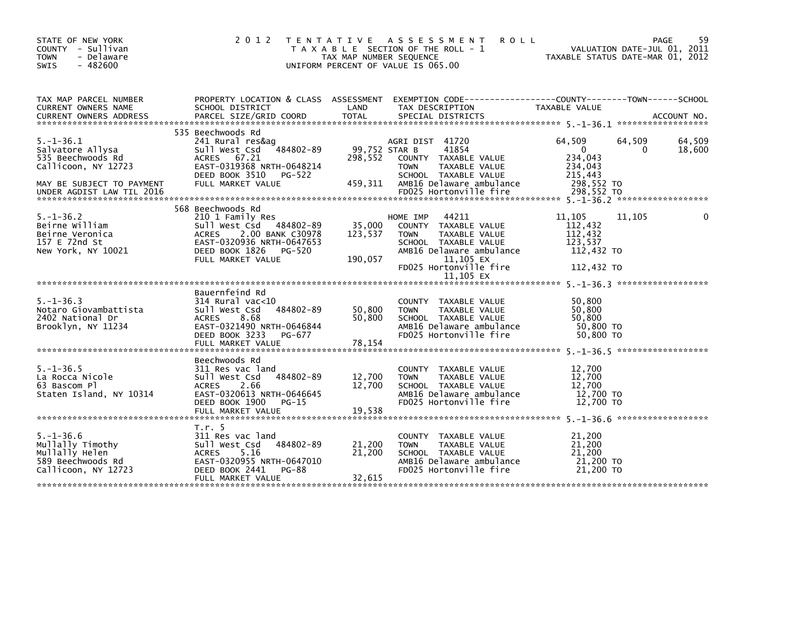| STATE OF NEW YORK<br>COUNTY - Sullivan<br><b>TOWN</b><br>- Delaware<br>$-482600$<br>SWIS                     | 2 0 1 2                                                                                                                                                                     | T E N T A T I V E<br>TAX MAP NUMBER SEQUENCE | ASSESSMENT<br><b>ROLL</b><br>T A X A B L E SECTION OF THE ROLL - 1<br>UNIFORM PERCENT OF VALUE IS 065.00                                                                          | TAXABLE STATUS DATE-MAR 01, 2012                                    |             | 59<br>PAGE<br>VALUATION DATE-JUL 01, 2011 |
|--------------------------------------------------------------------------------------------------------------|-----------------------------------------------------------------------------------------------------------------------------------------------------------------------------|----------------------------------------------|-----------------------------------------------------------------------------------------------------------------------------------------------------------------------------------|---------------------------------------------------------------------|-------------|-------------------------------------------|
| TAX MAP PARCEL NUMBER<br><b>CURRENT OWNERS NAME</b>                                                          | PROPERTY LOCATION & CLASS ASSESSMENT<br>SCHOOL DISTRICT                                                                                                                     | LAND                                         | TAX DESCRIPTION                                                                                                                                                                   | TAXABLE VALUE                                                       |             |                                           |
| $5. - 1 - 36.1$<br>Salvatore Allysa<br>535 Beechwoods Rd<br>Callicoon, NY 12723<br>MAY BE SUBJECT TO PAYMENT | 535 Beechwoods Rd<br>241 Rural res&aq<br>484802-89<br>Sull West Csd<br>ACRES 67.21<br>EAST-0319368 NRTH-0648214<br>DEED BOOK 3510<br>PG-522<br>FULL MARKET VALUE            | 99,752 STAR B<br>298,552<br>459.311          | AGRI DIST 41720<br>41854<br>COUNTY TAXABLE VALUE<br>TAXABLE VALUE<br><b>TOWN</b><br>SCHOOL TAXABLE VALUE<br>AMB16 Delaware ambulance                                              | 64,509<br>$\Omega$<br>234,043<br>234,043<br>215,443<br>298,552 TO   | 64,509<br>0 | 64,509<br>18,600                          |
| $5. - 1 - 36.2$<br>Beirne William<br>Beirne Veronica<br>157 E 72nd St<br>New York, NY 10021                  | 568 Beechwoods Rd<br>210 1 Family Res<br>Sull West Csd 484802-89<br>2.00 BANK C30978<br>ACRES<br>EAST-0320936 NRTH-0647653<br>DEED BOOK 1826<br>PG-520<br>FULL MARKET VALUE | 35,000<br>123,537<br>190,057                 | 44211<br>HOME IMP<br>COUNTY TAXABLE VALUE<br><b>TOWN</b><br>TAXABLE VALUE<br>SCHOOL TAXABLE VALUE<br>AMB16 Delaware ambulance<br>11,105 EX<br>FD025 Hortonville fire<br>11.105 EX | 11,105<br>112,432<br>112,432<br>123,537<br>112,432 TO<br>112,432 TO | 11,105      |                                           |
| $5. - 1 - 36.3$<br>Notaro Giovambattista<br>2402 National Dr<br>Brooklyn, NY 11234                           | Bauernfeind Rd<br>$314$ Rural vac<10<br>Sull West Csd<br>484802-89<br><b>ACRES</b><br>8.68<br>EAST-0321490 NRTH-0646844<br>DEED BOOK 3233<br>PG-677                         | 50,800<br>50,800                             | COUNTY<br>TAXABLE VALUE<br>TAXABLE VALUE<br><b>TOWN</b><br>SCHOOL TAXABLE VALUE<br>AMB16 Delaware ambulance<br>FD025 Hortonville fire                                             | 50,800<br>50,800<br>50,800<br>50,800 TO<br>50,800 TO                |             |                                           |
| $5. - 1 - 36.5$<br>La Rocca Nicole<br>63 Bascom Pl<br>Staten Island, NY 10314                                | Beechwoods Rd<br>311 Res vac land<br>484802-89<br>Sull West Csd<br><b>ACRES</b><br>2.66<br>EAST-0320613 NRTH-0646645<br>DEED BOOK 1900<br>$PG-15$<br>FULL MARKET VALUE      | 12,700<br>12,700<br>19.538                   | COUNTY TAXABLE VALUE<br>TAXABLE VALUE<br><b>TOWN</b><br>SCHOOL TAXABLE VALUE<br>AMB16 Delaware ambulance<br>FD025 Hortonville fire                                                | 12,700<br>12,700<br>12.700<br>12,700 TO<br>12,700 TO                |             |                                           |
| $5. - 1 - 36.6$<br>Mullally Timothy<br>Mullally Helen<br>589 Beechwoods Rd<br>Callicoon, NY 12723            | T.r. 5<br>311 Res vac land<br>484802-89<br>Sull West Csd<br><b>ACRES</b><br>5.16<br>EAST-0320955 NRTH-0647010<br>DEED BOOK 2441<br>PG-88<br>FULL MARKET VALUE               | 21,200<br>21,200<br>32,615                   | COUNTY TAXABLE VALUE<br><b>TOWN</b><br>TAXABLE VALUE<br>SCHOOL TAXABLE VALUE<br>AMB16 Delaware ambulance<br>FD025 Hortonville fire                                                | 21,200<br>21,200<br>21,200<br>21,200 TO<br>21,200 TO                |             |                                           |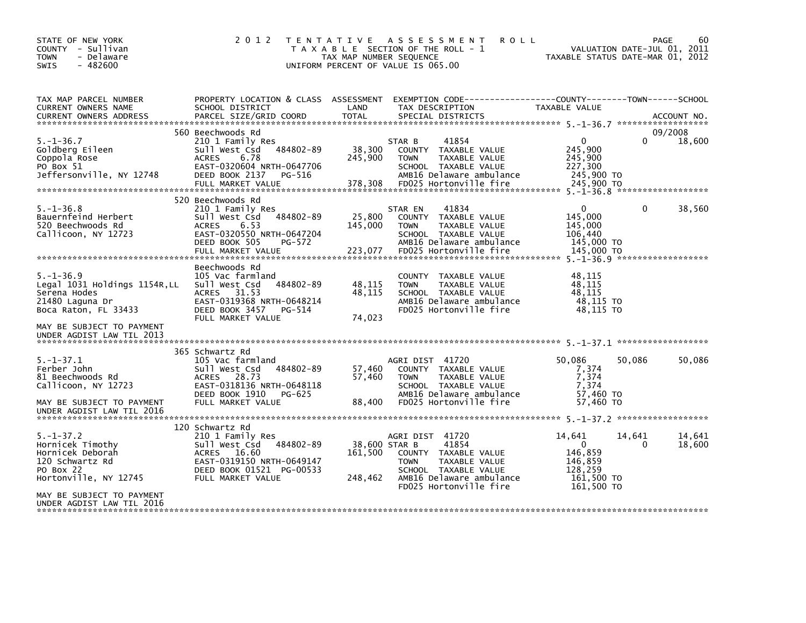| STATE OF NEW YORK<br>COUNTY - Sullivan<br><b>TOWN</b><br>- Delaware<br>$-482600$<br><b>SWIS</b>                                          | 2 0 1 2                                                                                                                                                                   | TAX MAP NUMBER SEQUENCE             | TENTATIVE ASSESSMENT<br><b>ROLL</b><br>T A X A B L E SECTION OF THE ROLL - 1<br>UNIFORM PERCENT OF VALUE IS 065.00                                             | VALUATION DATE-JUL 01, 2011<br>TAXABLE STATUS DATE-MAR 01, 2012                 |                    | PAGE<br>60        |
|------------------------------------------------------------------------------------------------------------------------------------------|---------------------------------------------------------------------------------------------------------------------------------------------------------------------------|-------------------------------------|----------------------------------------------------------------------------------------------------------------------------------------------------------------|---------------------------------------------------------------------------------|--------------------|-------------------|
| TAX MAP PARCEL NUMBER<br>CURRENT OWNERS NAME<br><b>CURRENT OWNERS ADDRESS</b>                                                            | PROPERTY LOCATION & CLASS ASSESSMENT<br>SCHOOL DISTRICT<br>PARCEL SIZE/GRID COORD                                                                                         | LAND<br><b>TOTAL</b>                | EXEMPTION CODE-----------------COUNTY-------TOWN------SCHOOL<br>TAX DESCRIPTION<br>SPECIAL DISTRICTS                                                           | TAXABLE VALUE                                                                   |                    | ACCOUNT NO.       |
| $5. - 1 - 36.7$<br>Goldberg Eileen<br>Coppola Rose<br>PO Box 51<br>Jeffersonville, NY 12748                                              | 560 Beechwoods Rd<br>210 1 Family Res<br>484802-89<br>Sull West Csd<br><b>ACRES</b><br>6.78<br>EAST-0320604 NRTH-0647706<br>DEED BOOK 2137<br>PG-516<br>FULL MARKET VALUE | 38,300<br>245,900<br>378,308        | 41854<br>STAR B<br>COUNTY TAXABLE VALUE<br>TAXABLE VALUE<br><b>TOWN</b><br>SCHOOL TAXABLE VALUE<br>AMB16 Delaware ambulance<br>FD025 Hortonville fire          | $\Omega$<br>245,900<br>245.900<br>227,300<br>245,900 TO<br>245,900 TO           |                    | 09/2008<br>18,600 |
| $5. - 1 - 36.8$<br>Bauernfeind Herbert<br>520 Beechwoods Rd<br>Callicoon, NY 12723                                                       | 520 Beechwoods Rd<br>210 1 Family Res<br>484802-89<br>Sull West Csd<br>6.53<br>ACRES<br>EAST-0320550 NRTH-0647204<br>DEED BOOK 505<br>PG-572<br>FULL MARKET VALUE         | 25,800<br>145,000<br>223,077        | 41834<br>STAR EN<br>COUNTY TAXABLE VALUE<br>TAXABLE VALUE<br><b>TOWN</b><br>SCHOOL TAXABLE VALUE<br>AMB16 Delaware ambulance<br>FD025 Hortonville fire         | $\Omega$<br>145,000<br>145,000<br>106,440<br>145,000 TO<br>145,000 TO           | 0                  | 38,560            |
| $5. - 1 - 36.9$<br>Legal 1031 Holdings 1154R, LL<br>Serena Hodes<br>21480 Laguna Dr<br>Boca Raton, FL 33433<br>MAY BE SUBJECT TO PAYMENT | Beechwoods Rd<br>105 Vac farmland<br>484802-89<br>Sull West Csd<br>31.53<br><b>ACRES</b><br>EAST-0319368 NRTH-0648214<br>DEED BOOK 3457<br>PG-514<br>FULL MARKET VALUE    | 48,115<br>48,115<br>74,023          | COUNTY TAXABLE VALUE<br>TAXABLE VALUE<br><b>TOWN</b><br>SCHOOL TAXABLE VALUE<br>AMB16 Delaware ambulance<br>FD025 Hortonville fire                             | 48,115<br>48.115<br>48,115<br>48,115 TO<br>48.115 TO                            |                    |                   |
| UNDER AGDIST LAW TIL 2013                                                                                                                |                                                                                                                                                                           |                                     |                                                                                                                                                                |                                                                                 |                    |                   |
| $5. - 1 - 37.1$<br>Ferber John<br>81 Beechwoods Rd<br>Callicoon, NY 12723<br>MAY BE SUBJECT TO PAYMENT<br>UNDER AGDIST LAW TIL 2016      | 365 Schwartz Rd<br>105 Vac farmland<br>484802-89<br>Sull West Csd<br>28.73<br><b>ACRES</b><br>EAST-0318136 NRTH-0648118<br>DEED BOOK 1910<br>PG-625<br>FULL MARKET VALUE  | 57,460<br>57,460<br>88,400          | AGRI DIST 41720<br>COUNTY TAXABLE VALUE<br><b>TOWN</b><br>TAXABLE VALUE<br>SCHOOL TAXABLE VALUE<br>AMB16 Delaware ambulance<br>FD025 Hortonville fire          | 50,086<br>7,374<br>7,374<br>7,374<br>57,460 TO<br>57,460 TO                     | 50,086             | 50,086            |
|                                                                                                                                          | 120 Schwartz Rd                                                                                                                                                           |                                     |                                                                                                                                                                |                                                                                 |                    |                   |
| $5. - 1 - 37.2$<br>Hornicek Timothy<br>Hornicek Deborah<br>120 Schwartz Rd<br>PO Box 22<br>Hortonville, NY 12745                         | 210 1 Family Res<br>484802-89<br>sull west Csd<br>ACRES 16.60<br>EAST-0319150 NRTH-0649147<br>DEED BOOK 01521 PG-00533<br>FULL MARKET VALUE                               | 38,600 STAR B<br>161,500<br>248,462 | AGRI DIST 41720<br>41854<br>COUNTY TAXABLE VALUE<br><b>TOWN</b><br>TAXABLE VALUE<br>SCHOOL TAXABLE VALUE<br>AMB16 Delaware ambulance<br>FD025 Hortonville fire | 14,641<br>$\Omega$<br>146,859<br>146,859<br>128,259<br>161,500 TO<br>161,500 TO | 14,641<br>$\Omega$ | 14,641<br>18,600  |
| MAY BE SUBJECT TO PAYMENT<br>UNDER AGDIST LAW TIL 2016                                                                                   |                                                                                                                                                                           |                                     |                                                                                                                                                                |                                                                                 |                    |                   |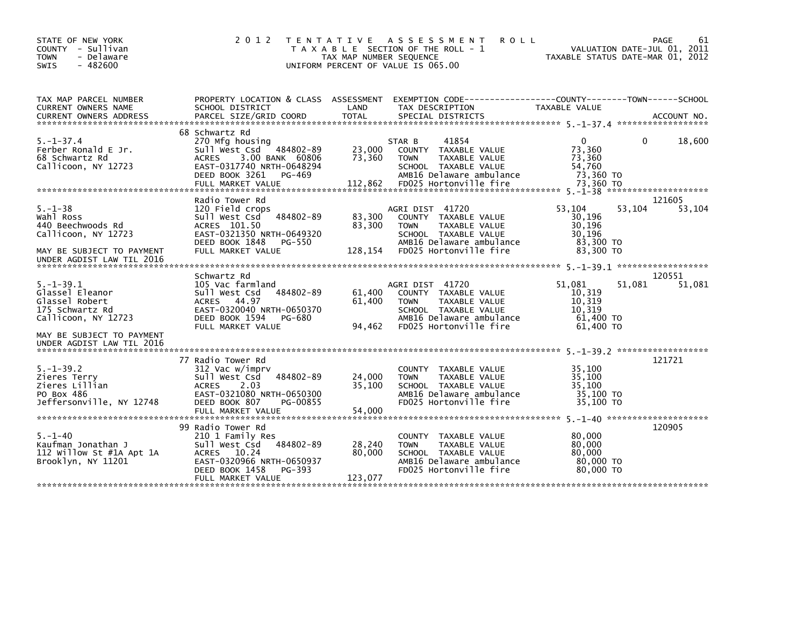| 2 0 1 2                                                                                                                                                       |                                                                      |                                                                                                                                                              | VALUATION DATE-JUL 01, 2011<br>TAXABLE STATUS DATE-MAR 01, 2012                                                                                                                                         | 61<br>PAGE                                                                                                                  |
|---------------------------------------------------------------------------------------------------------------------------------------------------------------|----------------------------------------------------------------------|--------------------------------------------------------------------------------------------------------------------------------------------------------------|---------------------------------------------------------------------------------------------------------------------------------------------------------------------------------------------------------|-----------------------------------------------------------------------------------------------------------------------------|
| SCHOOL DISTRICT                                                                                                                                               | LAND                                                                 | TAX DESCRIPTION                                                                                                                                              | TAXABLE VALUE                                                                                                                                                                                           |                                                                                                                             |
|                                                                                                                                                               |                                                                      |                                                                                                                                                              |                                                                                                                                                                                                         |                                                                                                                             |
| 270 Mfg housing<br>Sull West Csd 484802-89<br><b>ACRES</b><br>3.00 BANK 60806<br>EAST-0317740 NRTH-0648294<br>DEED BOOK 3261<br>$PG-469$<br>FULL MARKET VALUE | 23,000<br>73,360<br>112,862                                          | 41854<br>TAXABLE VALUE<br><b>COUNTY</b><br><b>TAXABLE VALUE</b><br><b>TOWN</b><br>SCHOOL TAXABLE VALUE<br>AMB16 Delaware ambulance<br>FD025 Hortonville fire | 0<br>0<br>73,360<br>73.360<br>54,760<br>73,360 TO<br>73,360 TO                                                                                                                                          | 18,600                                                                                                                      |
|                                                                                                                                                               |                                                                      |                                                                                                                                                              |                                                                                                                                                                                                         | 121605                                                                                                                      |
| 120 Field crops<br>Sull West Csd 484802-89<br>ACRES 101.50<br>EAST-0321350 NRTH-0649320<br>DEED BOOK 1848<br>PG-550                                           | 83,300<br>83,300                                                     | COUNTY TAXABLE VALUE<br>TAXABLE VALUE<br><b>TOWN</b><br>SCHOOL TAXABLE VALUE<br>AMB16 Delaware ambulance                                                     | 53,104<br>53,104<br>30,196<br>30,196<br>30,196<br>83,300 TO                                                                                                                                             | 53,104                                                                                                                      |
| FULL MARKET VALUE                                                                                                                                             |                                                                      |                                                                                                                                                              |                                                                                                                                                                                                         |                                                                                                                             |
|                                                                                                                                                               |                                                                      |                                                                                                                                                              |                                                                                                                                                                                                         | 120551                                                                                                                      |
| 105 Vac farmland<br>484802-89<br>Sull West Csd<br>44.97<br><b>ACRES</b><br>EAST-0320040 NRTH-0650370<br>DEED BOOK 1594<br>PG-680<br>FULL MARKET VALUE         | 61,400<br>61.400<br>94,462                                           | COUNTY TAXABLE VALUE<br><b>TOWN</b><br>TAXABLE VALUE<br>SCHOOL TAXABLE VALUE<br>AMB16 Delaware ambulance<br>FD025 Hortonville fire                           | 51.081<br>51,081<br>10,319<br>10,319<br>10.319<br>61,400 TO<br>61,400 TO                                                                                                                                | 51,081                                                                                                                      |
|                                                                                                                                                               |                                                                      |                                                                                                                                                              |                                                                                                                                                                                                         |                                                                                                                             |
| 77 Radio Tower Rd<br>312 Vac w/imprv<br>484802-89<br>Sull West Csd<br><b>ACRES</b><br>2.03<br>EAST-0321080 NRTH-0650300<br>DEED BOOK 807<br>PG-00855          | 24,000<br>35,100                                                     | COUNTY TAXABLE VALUE<br><b>TOWN</b><br>TAXABLE VALUE<br>SCHOOL TAXABLE VALUE<br>AMB16 Delaware ambulance<br>FD025 Hortonville fire                           | 35,100<br>35.100<br>35.100<br>35,100 TO<br>35,100 TO                                                                                                                                                    | 121721                                                                                                                      |
|                                                                                                                                                               |                                                                      |                                                                                                                                                              |                                                                                                                                                                                                         |                                                                                                                             |
| 99 Radio Tower Rd<br>210 1 Family Res<br>Sull West Csd 484802-89<br>ACRES 10.24<br>EAST-0320966 NRTH-0650937<br>DEED BOOK 1458<br>PG-393<br>FULL MARKET VALUE | 28,240<br>80,000<br>123,077                                          | TAXABLE VALUE<br><b>COUNTY</b><br>TAXABLE VALUE<br><b>TOWN</b><br>SCHOOL TAXABLE VALUE<br>AMB16 Delaware ambulance<br>FD025 Hortonville fire                 | 80,000<br>80,000<br>80,000<br>80,000 TO<br>80,000 TO                                                                                                                                                    | 120905                                                                                                                      |
|                                                                                                                                                               | 68 Schwartz Rd<br>Radio Tower Rd<br>Schwartz Rd<br>FULL MARKET VALUE | T E N T A T I V E<br>128,154<br>54,000                                                                                                                       | A S S E S S M E N T<br>T A X A B L E SECTION OF THE ROLL - 1<br>TAX MAP NUMBER SEQUENCE<br>UNIFORM PERCENT OF VALUE IS 065.00<br>STAR B<br>AGRI DIST 41720<br>FD025 Hortonville fire<br>AGRI DIST 41720 | <b>ROLL</b><br>PROPERTY LOCATION & CLASS ASSESSMENT EXEMPTION CODE---------------COUNTY-------TOWN------SCHOOL<br>83,300 TO |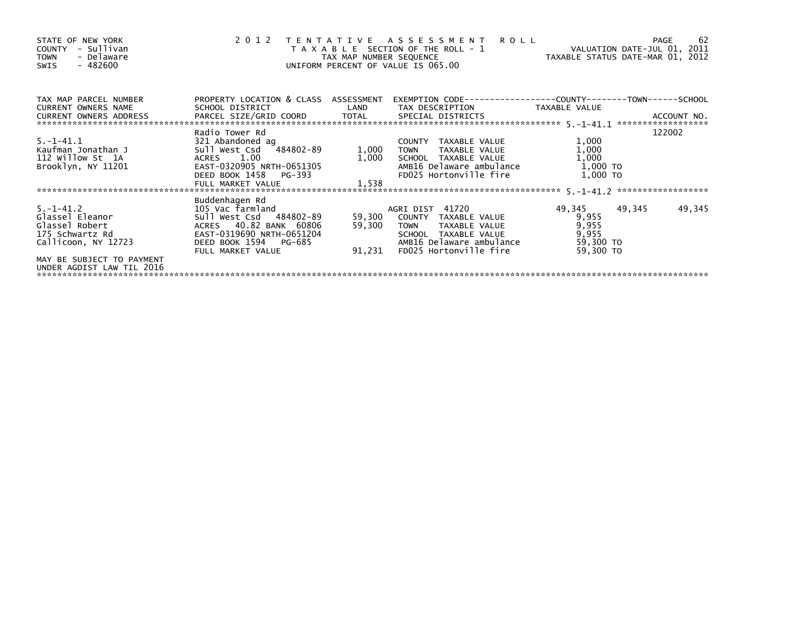| STATE OF NEW YORK<br>- Sullivan<br>COUNTY<br>- Delaware<br><b>TOWN</b><br>SWIS - 482600       |                                                                                                                                                  |                            | 2012 TENTATIVE ASSESSMENT ROLL<br>T A X A B L E SECTION OF THE ROLL - 1<br>TAX MAP NUMBER SEQUENCE TAXABLE STATUS DATE-MAR 01, 2012<br>UNIFORM PERCENT OF VALUE IS 065.00 | VALUATION DATE-JUL 01, 2011                                 | -62<br>PAGE      |
|-----------------------------------------------------------------------------------------------|--------------------------------------------------------------------------------------------------------------------------------------------------|----------------------------|---------------------------------------------------------------------------------------------------------------------------------------------------------------------------|-------------------------------------------------------------|------------------|
| TAX MAP PARCEL NUMBER<br><b>CURRENT OWNERS NAME</b>                                           | PROPERTY LOCATION & CLASS ASSESSMENT<br>SCHOOL DISTRICT                                                                                          | <b>Example 18 The LAND</b> | EXEMPTION CODE-----------------COUNTY-------TOWN------SCHOOL<br>TAX DESCRIPTION   TAXABLE VALUE                                                                           |                                                             |                  |
|                                                                                               |                                                                                                                                                  |                            |                                                                                                                                                                           |                                                             |                  |
|                                                                                               |                                                                                                                                                  |                            |                                                                                                                                                                           |                                                             |                  |
| 5. –1–41.1<br>Kaufman Jonathan J<br>112 Willow St 1A<br>Brooklyn, NY 11201                    | Radio Tower Rd<br>321 Abandoned ag<br>Sull West Csd 484802-89<br>ACRES 1.00<br>EAST-0320905 NRTH-0651305<br>DEED BOOK 1458 PG-393                | 1,000                      | COUNTY TAXABLE VALUE<br>1,000 TOWN<br>TAXABLE VALUE<br>SCHOOL TAXABLE VALUE<br>AMB16 Delaware ambulance<br>FD025 Hortonville fire                                         | 1,000<br>1,000<br>1,000<br>1,000 TO<br>1,000 TO             | 122002           |
|                                                                                               | FULL MARKET VALUE                                                                                                                                | 1.538                      |                                                                                                                                                                           |                                                             |                  |
|                                                                                               | Buddenhagen Rd                                                                                                                                   |                            |                                                                                                                                                                           |                                                             |                  |
| $5. -1 - 41.2$<br>Glassel Eleanor<br>Glassel Robert<br>175 Schwartz Rd<br>Callicoon, NY 12723 | 105 Vac farmland<br>Sull West Csd 484802-89<br>ACRES 40.82 BANK 60806<br>EAST-0319690 NRTH-0651204<br>DEED BOOK 1594 PG-685<br>FULL MARKET VALUE | 59,300<br>91,231           | AGRI DIST 41720<br>59,300 COUNTY TAXABLE VALUE<br>TAXABLE VALUE<br>TOWN<br>SCHOOL TAXABLE VALUE<br>AMB16 Delaware ambulance<br>FD025 Hortonville fire                     | 49,345<br>9,955<br>9,955<br>9,955<br>59,300 TO<br>59,300 TO | 49,345<br>49,345 |
| MAY BE SUBJECT TO PAYMENT<br>UNDER AGDIST LAW TIL 2016                                        |                                                                                                                                                  |                            |                                                                                                                                                                           |                                                             |                  |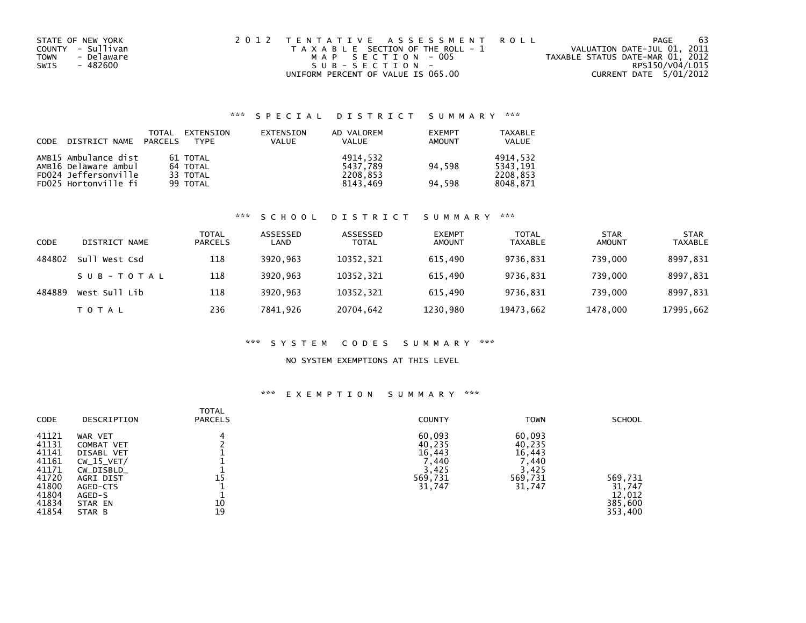| STATE OF NEW YORK  | 2012 TENTATIVE ASSESSMENT ROLL        | PAGE                             | -63 |
|--------------------|---------------------------------------|----------------------------------|-----|
| COUNTY - Sullivan  | T A X A B L E SECTION OF THE ROLL - 1 | VALUATION DATE-JUL 01, 2011      |     |
| - Delaware<br>TOWN | MAP SECTION - 005                     | TAXABLE STATUS DATE-MAR 01, 2012 |     |
| SWIS<br>- 482600   | $SUB - SECTION -$                     | RPS150/V04/L015                  |     |
|                    | UNIFORM PERCENT OF VALUE IS 065.00    | CURRENT DATE 5/01/2012           |     |

## \*\*\* S P E C I A L D I S T R I C T S U M M A R Y \*\*\*

| CODE | DISTRICT NAME        | TOTAL<br>PARCELS | EXTENSION<br><b>TYPE</b> | EXTENSION<br><b>VALUE</b> | AD VALOREM<br><b>VALUE</b> | <b>EXEMPT</b><br>AMOUNT | TAXABLE<br><b>VALUE</b> |
|------|----------------------|------------------|--------------------------|---------------------------|----------------------------|-------------------------|-------------------------|
|      |                      |                  |                          |                           |                            |                         |                         |
|      | AMB15 Ambulance dist |                  | 61 TOTAL                 |                           | 4914.532                   |                         | 4914.532                |
|      | AMB16 Delaware ambul |                  | 64 TOTAL                 |                           | 5437.789                   | 94.598                  | 5343.191                |
|      | FD024 Jeffersonville |                  | 33 TOTAL                 |                           | 2208.853                   |                         | 2208.853                |
|      | FD025 Hortonville fi |                  | 99 TOTAL                 |                           | 8143.469                   | 94.598                  | 8048.871                |

### \*\*\* S C H O O L D I S T R I C T S U M M A R Y \*\*\*

| CODE   | DISTRICT NAME    | <b>TOTAL</b><br><b>PARCELS</b> | ASSESSED<br>LAND | ASSESSED<br><b>TOTAL</b> | <b>EXEMPT</b><br><b>AMOUNT</b> | <b>TOTAL</b><br><b>TAXABLE</b> | <b>STAR</b><br><b>AMOUNT</b> | <b>STAR</b><br><b>TAXABLE</b> |
|--------|------------------|--------------------------------|------------------|--------------------------|--------------------------------|--------------------------------|------------------------------|-------------------------------|
| 484802 | Sull<br>West Csd | 118                            | 3920.963         | 10352,321                | 615.490                        | 9736,831                       | 739,000                      | 8997,831                      |
|        | SUB-TOTAL        | 118                            | 3920.963         | 10352.321                | 615.490                        | 9736,831                       | 739,000                      | 8997,831                      |
| 484889 | West Sull Lib    | 118                            | 3920.963         | 10352.321                | 615.490                        | 9736.831                       | 739.000                      | 8997,831                      |
|        | TOTAL            | 236                            | 7841.926         | 20704,642                | 1230,980                       | 19473,662                      | 1478,000                     | 17995,662                     |

### \*\*\* S Y S T E M C O D E S S U M M A R Y \*\*\*

### NO SYSTEM EXEMPTIONS AT THIS LEVEL

### \*\*\* E X E M P T I O N S U M M A R Y \*\*\*

| <b>CODE</b>                                                                            | DESCRIPTION                                                                                                               | <b>TOTAL</b><br><b>PARCELS</b> | <b>COUNTY</b>                                                                | <b>TOWN</b>                                                        | <b>SCHOOL</b>                                     |
|----------------------------------------------------------------------------------------|---------------------------------------------------------------------------------------------------------------------------|--------------------------------|------------------------------------------------------------------------------|--------------------------------------------------------------------|---------------------------------------------------|
| 41121<br>41131<br>41141<br>41161<br>41171<br>41720<br>41800<br>41804<br>41834<br>41854 | WAR VET<br>COMBAT VET<br>DISABL VET<br>$CW_15_VET/$<br>CW_DISBLD_<br>AGRI DIST<br>AGED-CTS<br>AGED-S<br>STAR EN<br>STAR B | 15<br>10<br>19                 | 60,093<br>40,235<br>16,443<br>$^{\prime}$ ,440<br>3,425<br>569,731<br>31,747 | 60,093<br>40,235<br>16,443<br>440, '<br>3,425<br>569,731<br>31,747 | 569,731<br>31,747<br>12,012<br>385,600<br>353,400 |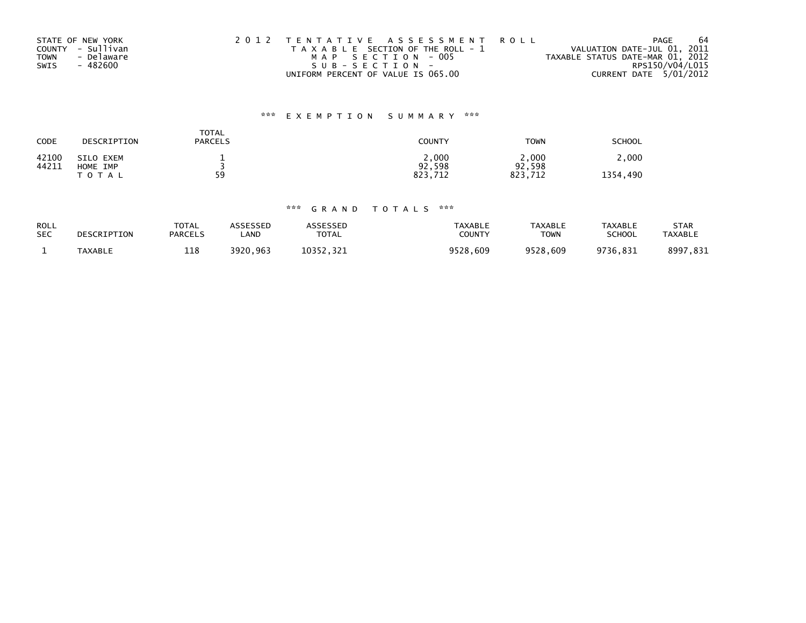|             | STATE OF NEW YORK | 2012 TENTATIVE ASSESSMENT ROLL        | 64<br>PAGE                       |
|-------------|-------------------|---------------------------------------|----------------------------------|
|             | COUNTY - Sullivan | T A X A B L E SECTION OF THE ROLL - 1 | VALUATION DATE-JUL 01, 2011      |
| <b>TOWN</b> | - Delaware        | MAP SECTION - 005                     | TAXABLE STATUS DATE-MAR 01, 2012 |
| SWIS        | - 482600          | SUB-SECTION-                          | RPS150/V04/L015                  |
|             |                   | UNIFORM PERCENT OF VALUE IS 065.00    | CURRENT DATE 5/01/2012           |

# \*\*\* E X E M P T I O N S U M M A R Y \*\*\*

| CODE           | DESCRIPTION                    | <b>TOTAL</b><br><b>PARCELS</b> | <b>COUNTY</b>              | <b>TOWN</b>                | <b>SCHOOL</b>     |
|----------------|--------------------------------|--------------------------------|----------------------------|----------------------------|-------------------|
| 42100<br>44211 | SILO EXEM<br>HOME IMP<br>TOTAL | 59                             | 2,000<br>92,598<br>823.712 | 2,000<br>92,598<br>823.712 | 2,000<br>1354,490 |

# \*\*\* G R A N D T O T A L S \*\*\*

| <b>ROLL</b><br><b>SEC</b> | DESCRIPTION | <b>TOTAL</b><br><b>PARCELS</b> | ASSESSED<br>.AND | ASSESSED<br><b>TOTAL</b> | <b>TAXABLE</b><br><b>COUNTY</b> | <b>TAXABLE</b><br><b>TOWN</b> | <b>TAXABLE</b><br>SCHOOL | STAR<br><b>TAXABLE</b> |
|---------------------------|-------------|--------------------------------|------------------|--------------------------|---------------------------------|-------------------------------|--------------------------|------------------------|
|                           | TAXABLE     | 118                            | 3920,963         | 10352.321                | 9528,609                        | 9528,609                      | 9736,831                 | 8997,831               |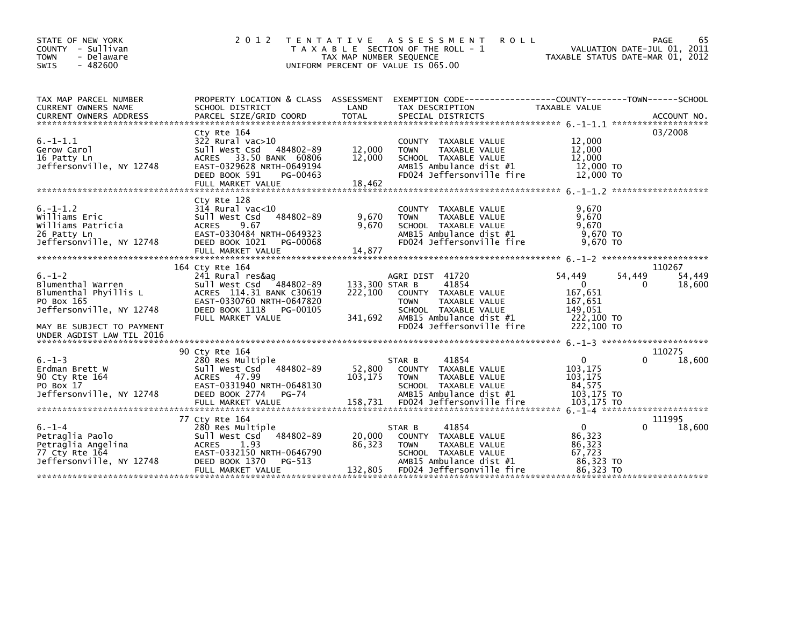| STATE OF NEW YORK<br>COUNTY - Sullivan<br>- Delaware<br><b>TOWN</b><br>$-482600$<br><b>SWIS</b>                                                                | 2 0 1 2                                                                                                                                                                               | T E N T A T I V E<br>TAX MAP NUMBER SEQUENCE | A S S E S S M E N T<br><b>ROLL</b><br>T A X A B L E SECTION OF THE ROLL - 1<br>UNIFORM PERCENT OF VALUE IS 065.00                                                | VALUATION DATE-JUL 01, 2011<br>TAXABLE STATUS DATE-MAR 01, 2012                           | 65<br>PAGE                      |
|----------------------------------------------------------------------------------------------------------------------------------------------------------------|---------------------------------------------------------------------------------------------------------------------------------------------------------------------------------------|----------------------------------------------|------------------------------------------------------------------------------------------------------------------------------------------------------------------|-------------------------------------------------------------------------------------------|---------------------------------|
| TAX MAP PARCEL NUMBER<br>CURRENT OWNERS NAME<br><b>CURRENT OWNERS ADDRESS</b>                                                                                  | PROPERTY LOCATION & CLASS ASSESSMENT<br>SCHOOL DISTRICT<br>PARCEL SIZE/GRID COORD                                                                                                     | LAND<br><b>TOTAL</b>                         | EXEMPTION        CODE-----------------COUNTY-------TOWN------SCHOOL<br>TAX DESCRIPTION<br>SPECIAL DISTRICTS                                                      | TAXABLE VALUE                                                                             | ACCOUNT NO.                     |
| $6. -1 - 1.1$<br>Gerow Carol<br>16 Patty Ln<br>Jeffersonville, NY 12748                                                                                        | Cty Rte 164<br>$322$ Rural vac $>10$<br>484802-89<br>Sull West Csd<br>33.50 BANK 60806<br><b>ACRES</b><br>EAST-0329628 NRTH-0649194<br>DEED BOOK 591<br>PG-00463<br>FULL MARKET VALUE | 12,000<br>12,000<br>18,462                   | COUNTY TAXABLE VALUE<br>TAXABLE VALUE<br><b>TOWN</b><br>SCHOOL TAXABLE VALUE<br>AMB15 Ambulance dist #1<br>FD024 Jeffersonville fire                             | 12,000<br>12,000<br>12,000<br>12,000 TO<br>12,000 TO                                      | 03/2008                         |
| $6. -1 - 1.2$<br>Williams Eric<br>Williams Patricia<br>26 Patty Ln<br>Jeffersonville, NY 12748                                                                 | Cty Rte 128<br>314 Rural vac<10<br>484802-89<br>Sull West Csd<br>ACRES<br>9.67<br>EAST-0330484 NRTH-0649323<br>DEED BOOK 1021<br>PG-00068<br>FULL MARKET VALUE                        | 9,670<br>9,670<br>14,877                     | COUNTY TAXABLE VALUE<br>TAXABLE VALUE<br><b>TOWN</b><br>SCHOOL TAXABLE VALUE<br>AMB15 Ambulance dist #1<br>FD024 Jeffersonville fire                             | 9.670<br>9,670<br>9.670<br>9.670 TO<br>9.670 TO                                           |                                 |
| $6. - 1 - 2$<br>Blumenthal Warren<br>Blumenthal Phyillis L<br>PO Box 165<br>Jeffersonville, NY 12748<br>MAY BE SUBJECT TO PAYMENT<br>UNDER AGDIST LAW TIL 2016 | 164 Cty Rte 164<br>241 Rural res&aq<br>Sull West Csd 484802-89<br>ACRES 114.31 BANK C30619<br>EAST-0330760 NRTH-0647820<br>DEED BOOK 1118<br>PG-00105<br>FULL MARKET VALUE            | 133,300 STAR B<br>222,100<br>341,692         | AGRI DIST 41720<br>41854<br>COUNTY TAXABLE VALUE<br><b>TOWN</b><br>TAXABLE VALUE<br>SCHOOL TAXABLE VALUE<br>AMB15 Ambulance dist #1<br>FD024 Jeffersonville fire | 54,449<br>54,449<br>$\Omega$<br>167,651<br>167,651<br>149.051<br>222,100 TO<br>222,100 TO | 110267<br>54,449<br>0<br>18,600 |
| $6. - 1 - 3$<br>Erdman Brett W<br>90 Cty Rte 164<br>PO Box 17<br>Jeffersonville, NY 12748                                                                      | 90 Ctv Rte 164<br>280 Res Multiple<br>484802-89<br>Sull West Csd<br>ACRES 47.99<br>EAST-0331940 NRTH-0648130<br><b>PG-74</b><br>DEED BOOK 2774                                        | 52,800<br>103,175                            | 41854<br>STAR B<br>COUNTY TAXABLE VALUE<br><b>TOWN</b><br>TAXABLE VALUE<br>SCHOOL TAXABLE VALUE<br>AMB15 Ambulance dist #1                                       | $\mathbf{0}$<br>103,175<br>103,175<br>84,575<br>103,175 TO                                | 110275<br>18,600<br>0           |
| $6. - 1 - 4$<br>Petraglia Paolo<br>Petraglia Angelina<br>77 Cty Rte 164<br>Jeffersonville, NY 12748                                                            | 77 Cty Rte 164<br>280 Res Multiple<br>484802-89<br>Sull West Csd<br><b>ACRES</b><br>1.93<br>EAST-0332150 NRTH-0646790<br>DEED BOOK 1370<br>PG-513<br>FULL MARKET VALUE                | 20,000<br>86,323<br>132,805                  | STAR B<br>41854<br>COUNTY TAXABLE VALUE<br><b>TOWN</b><br>TAXABLE VALUE<br>SCHOOL TAXABLE VALUE<br>AMB15 Ambulance dist #1<br>FD024 Jeffersonville fire          | $\mathbf{0}$<br>86,323<br>86,323<br>67,723<br>86,323 TO<br>86.323 TO                      | 111995<br>18,600                |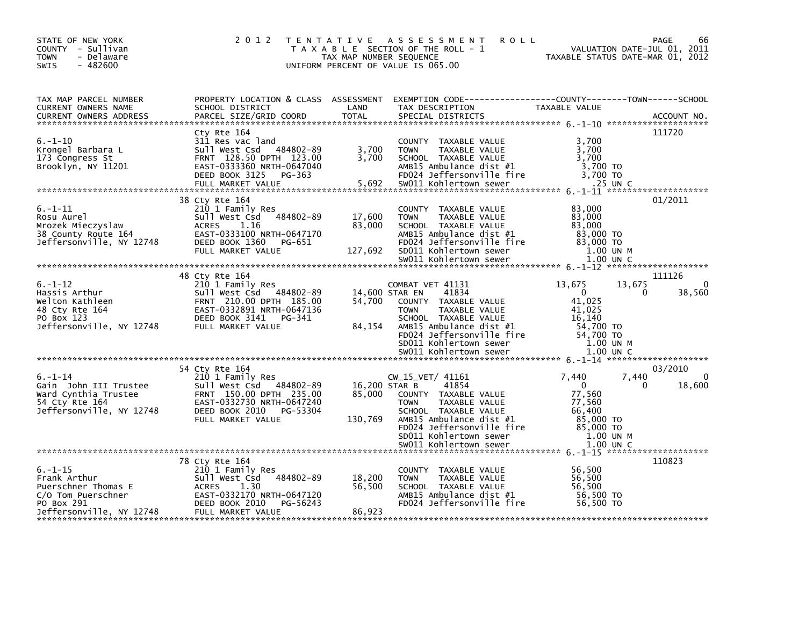| STATE OF NEW YORK<br>COUNTY - Sullivan<br><b>TOWN</b><br>- Delaware<br>$-482600$<br><b>SWIS</b>                      | 2 0 1 2                                                                                                                                                                  | TAX MAP NUMBER SEQUENCE     | TENTATIVE ASSESSMENT<br><b>ROLL</b><br>T A X A B L E SECTION OF THE ROLL - 1<br>UNIFORM PERCENT OF VALUE IS 065.00                                                                                                                      | TAXABLE STATUS DATE-MAR 01, 2012                                                                                     | PAGE<br>66<br>VALUATION DATE-JUL 01, 2011       |
|----------------------------------------------------------------------------------------------------------------------|--------------------------------------------------------------------------------------------------------------------------------------------------------------------------|-----------------------------|-----------------------------------------------------------------------------------------------------------------------------------------------------------------------------------------------------------------------------------------|----------------------------------------------------------------------------------------------------------------------|-------------------------------------------------|
| TAX MAP PARCEL NUMBER<br>CURRENT OWNERS NAME<br><b>CURRENT OWNERS ADDRESS</b>                                        | SCHOOL DISTRICT<br>PARCEL SIZE/GRID COORD                                                                                                                                | LAND<br><b>TOTAL</b>        | PROPERTY LOCATION & CLASS ASSESSMENT EXEMPTION CODE----------------COUNTY-------TOWN-----SCHOOL<br>TAX DESCRIPTION<br>SPECIAL DISTRICTS                                                                                                 | TAXABLE VALUE                                                                                                        | ACCOUNT NO.                                     |
| $6. - 1 - 10$<br>Krongel Barbara L<br>173 Congress St<br>Brooklyn, NY 11201                                          | Cty Rte 164<br>311 Res vac land<br>Sull West Csd 484802-89<br>FRNT 128.50 DPTH 123.00<br>EAST-0333360 NRTH-0647040<br>DEED BOOK 3125 PG-363<br>FULL MARKET VALUE         | 3,700<br>3,700<br>5,692     | COUNTY TAXABLE VALUE<br><b>TOWN</b><br>TAXABLE VALUE<br>SCHOOL TAXABLE VALUE<br>AMB15 Ambulance dist #1<br>FD024 Jeffersonville fire<br>SW011 Kohlertown sewer                                                                          | 3,700<br>3,700<br>3,700<br>3,700 TO<br>3.700 TO<br>$.25$ UN C                                                        | 111720                                          |
| $6. - 1 - 11$<br>Rosu Aurel<br>Mrozek Mieczyslaw<br>38 County Route 164<br>Jeffersonville, NY 12748                  | 38 Cty Rte 164<br>210 1 Family Res<br>484802-89<br>Sull West Csd<br>1.16<br><b>ACRES</b><br>EAST-0333100 NRTH-0647170<br>DEED BOOK 1360<br>PG-651<br>FULL MARKET VALUE   | 17,600<br>83,000<br>127,692 | COUNTY TAXABLE VALUE<br><b>TOWN</b><br>TAXABLE VALUE<br>SCHOOL TAXABLE VALUE<br>AMB15 Ambulance dist #1<br>FD024 Jeffersonville fire<br>SD011 Kohlertown sewer<br>SW011 Kohlertown sewer                                                | 83,000<br>83,000<br>83,000<br>83,000 TO<br>83,000 TO<br>1.00 UN M<br>1.00 UN C                                       | 01/2011                                         |
|                                                                                                                      | 48 Cty Rte 164                                                                                                                                                           |                             |                                                                                                                                                                                                                                         |                                                                                                                      | 111126                                          |
| $6. - 1 - 12$<br>Hassis Arthur<br>Welton Kathleen<br>48 Cty Rte 164<br>PO Box 123<br>Jeffersonville, NY 12748        | 210 1 Family Res<br>Sull West Csd 484802-89<br>FRNT 210.00 DPTH 185.00<br>EAST-0332891 NRTH-0647136<br>DEED BOOK 3141<br>PG-341<br>FULL MARKET VALUE                     | 54,700<br>84,154            | COMBAT VET 41131<br>14,600 STAR EN<br>41834<br>COUNTY TAXABLE VALUE<br>TAXABLE VALUE<br><b>TOWN</b><br>SCHOOL TAXABLE VALUE<br>AMB15 Ambulance dist #1<br>FD024 Jeffersonville fire<br>SD011 Kohlertown sewer<br>SW011 Kohlertown sewer | 13,675<br>13,675<br>$\overline{0}$<br>41,025<br>41.025<br>16,140<br>54,700 TO<br>54,700 TO<br>1.00 UN M<br>1.00 UN C | 38,560<br>$\Omega$                              |
|                                                                                                                      |                                                                                                                                                                          |                             |                                                                                                                                                                                                                                         |                                                                                                                      |                                                 |
| $6. - 1 - 14$<br>Gain John III Trustee<br>Ward Cynthia Trustee<br>54 Cty Rte 164<br>Jeffersonville, NY 12748         | 54 Cty Rte 164<br>210 1 Family Res<br>Sull West Csd 484802-89<br>FRNT 150.00 DPTH 235.00<br>EAST-0332730 NRTH-0647240<br>DEED BOOK 2010<br>PG-53304<br>FULL MARKET VALUE | 85,000<br>130,769           | $CW_15_VET/ 41161$<br>16,200 STAR B<br>41854<br>COUNTY TAXABLE VALUE<br>TAXABLE VALUE<br><b>TOWN</b><br>SCHOOL TAXABLE VALUE<br>AMB15 Ambulance dist $#1$<br>FD024 Jeffersonville fire<br>SD011 Kohlertown sewer                        | 7,440<br>$\mathbf{0}$<br>77,560<br>77,560<br>66,400<br>85,000 TO<br>85,000 TO<br>1.00 UN M                           | 03/2010<br>7,440<br>0<br>18,600<br>$\mathbf{0}$ |
|                                                                                                                      |                                                                                                                                                                          |                             |                                                                                                                                                                                                                                         |                                                                                                                      |                                                 |
| $6. - 1 - 15$<br>Frank Arthur<br>Puerschner Thomas E<br>C/O Tom Puerschner<br>PO Box 291<br>Jeffersonville, NY 12748 | 78 Cty Rte 164<br>210 1 Family Res<br>484802-89<br>Sull West Csd<br><b>ACRES</b><br>1.30<br>EAST-0332170 NRTH-0647120<br>DEED BOOK 2010<br>PG-56243<br>FULL MARKET VALUE | 18,200<br>56,500<br>86,923  | COUNTY TAXABLE VALUE<br><b>TAXABLE VALUE</b><br><b>TOWN</b><br>SCHOOL TAXABLE VALUE<br>AMB15 Ambulance dist #1<br>FD024 Jeffersonville fire                                                                                             | 56,500<br>56,500<br>56,500<br>56,500 TO<br>56.500 TO                                                                 | 110823                                          |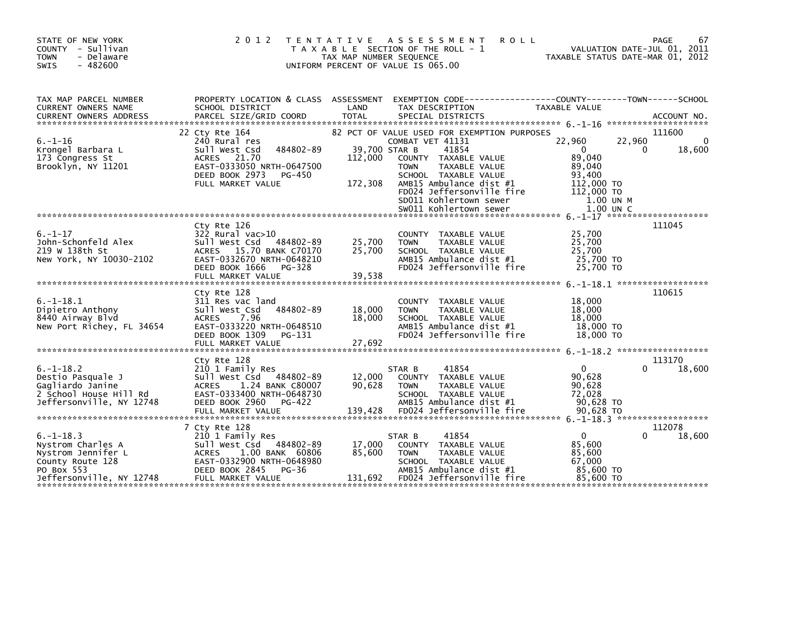| STATE OF NEW YORK<br>COUNTY - Sullivan<br><b>TOWN</b><br>- Delaware<br>$-482600$<br>SWIS                                                        | 2 0 1 2                                                                                                                                                                  | TAX MAP NUMBER SEQUENCE             | TENTATIVE ASSESSMENT<br><b>ROLL</b><br>T A X A B L E SECTION OF THE ROLL - 1<br>UNIFORM PERCENT OF VALUE IS 065.00                                                                                                                         | VALUATION DATE-JUL 01, 2011<br>TAXABLE STATUS DATE-MAR 01, 2012                                            | 67<br>PAGE                       |
|-------------------------------------------------------------------------------------------------------------------------------------------------|--------------------------------------------------------------------------------------------------------------------------------------------------------------------------|-------------------------------------|--------------------------------------------------------------------------------------------------------------------------------------------------------------------------------------------------------------------------------------------|------------------------------------------------------------------------------------------------------------|----------------------------------|
| TAX MAP PARCEL NUMBER<br><b>CURRENT OWNERS NAME</b>                                                                                             | SCHOOL DISTRICT                                                                                                                                                          | LAND                                | PROPERTY LOCATION & CLASS ASSESSMENT EXEMPTION CODE----------------COUNTY-------TOWN------SCHOOL<br>TAX DESCRIPTION                                                                                                                        | TAXABLE VALUE                                                                                              |                                  |
| $6. - 1 - 16$<br>Krongel Barbara L<br>173 Congress St<br>Brooklyn, NY 11201                                                                     | 22 Cty Rte 164<br>240 Rural res<br>484802-89<br>Sull West Csd<br>ACRES 21.70<br>EAST-0333050 NRTH-0647500<br>DEED BOOK 2973<br>PG-450<br>FULL MARKET VALUE               | 39,700 STAR B<br>112,000<br>172,308 | 82 PCT OF VALUE USED FOR EXEMPTION PURPOSES<br>COMBAT VET 41131<br>41854<br>COUNTY TAXABLE VALUE<br>TAXABLE VALUE<br><b>TOWN</b><br>SCHOOL TAXABLE VALUE<br>AMB15 Ambulance dist #1<br>FD024 Jeffersonville fire<br>SD011 Kohlertown sewer | 22,960<br>22,960<br>$\Omega$<br>0<br>89,040<br>89,040<br>93,400<br>112,000 TO<br>112,000 TO<br>$1.00$ UN M | 111600<br>$\mathbf{0}$<br>18,600 |
| $6. - 1 - 17$<br>John-Schonfeld Alex<br>219 W 138th St<br>New York, NY 10030-2102                                                               | Ctv Rte 126<br>$322$ Rural vac $>10$<br>Sull West Csd 484802-89<br>ACRES 15.70 BANK C70170<br>EAST-0332670 NRTH-0648210<br>DEED BOOK 1666<br>PG-328<br>FULL MARKET VALUE | 25,700<br>25,700<br>39,538          | COUNTY TAXABLE VALUE<br>TAXABLE VALUE<br><b>TOWN</b><br>SCHOOL TAXABLE VALUE<br>AMB15 Ambulance dist #1<br>FD024 Jeffersonville fire                                                                                                       | 25.700<br>25,700<br>25,700<br>25,700 TO<br>25,700 TO                                                       | 111045                           |
| $6. -1 - 18.1$<br>Dipietro Anthony<br>8440 Airway Blvd<br>New Port Richey, FL 34654                                                             | Cty Rte 128<br>311 Res vac land<br>Sull West Csd<br>484802-89<br>7.96<br><b>ACRES</b><br>EAST-0333220 NRTH-0648510<br>DEED BOOK 1309<br>PG-131<br>FULL MARKET VALUE      | 18,000<br>18,000<br>27,692          | COUNTY TAXABLE VALUE<br><b>TOWN</b><br>TAXABLE VALUE<br>SCHOOL TAXABLE VALUE<br>AMB15 Ambulance dist #1<br>FD024 Jeffersonville fire                                                                                                       | 18,000<br>18,000<br>18,000<br>18,000 TO<br>18,000 TO                                                       | 110615                           |
| *******************************                                                                                                                 | Cty Rte 128                                                                                                                                                              |                                     |                                                                                                                                                                                                                                            |                                                                                                            | 113170                           |
| $6. -1 - 18.2$<br>Destio Pasquale J<br>Gagliardo Janine<br>2 School House Hill Rd<br>Jeffersonville, NY 12748                                   | 210 1 Family Res<br>Sull West Csd 484802-89<br>ACRES 1.24 BANK C80007<br>EAST-0333400 NRTH-0648730<br>DEED BOOK 2960<br>PG-422                                           | 12,000<br>90,628                    | 41854<br>STAR B<br>COUNTY TAXABLE VALUE<br><b>TOWN</b><br>TAXABLE VALUE<br>SCHOOL TAXABLE VALUE<br>AMB15 Ambulance dist #1                                                                                                                 | $\mathbf{0}$<br>$\Omega$<br>90,628<br>90,628<br>72,028<br>90,628 TO                                        | 18,600                           |
| 30,628 TO SULL MARKET VALUE 139,428 FOOZ4 Jeffersonville fire 50,628 TO 50,628 TO SULL MARKET VALUE 139,428 FOOZ4 Jeffersonville fire 50,628 TO |                                                                                                                                                                          |                                     |                                                                                                                                                                                                                                            |                                                                                                            |                                  |
| $6. -1 - 18.3$<br>Nystrom Charles A<br>Nystrom Jennifer L<br>County Route 128<br>PO Box 553<br>Jeffersonville, NY 12748                         | 7 Cty Rte 128<br>210 1 Family Res<br>Sull West Csd 484802-89<br>ACRES<br>1.00 BANK 60806<br>EAST-0332900 NRTH-0648980<br>DEED BOOK 2845<br>PG-36<br>FULL MARKET VALUE    | 17,000<br>85,600<br>131,692         | 41854<br>STAR B<br>COUNTY TAXABLE VALUE<br>TAXABLE VALUE<br><b>TOWN</b><br>SCHOOL TAXABLE VALUE<br>AMB15 Ambulance dist #1<br>FD024 Jeffersonville fire                                                                                    | $\Omega$<br>85,600<br>85,600<br>67,000<br>85,600 TO<br>85,600 TO                                           | 112078<br>18,600                 |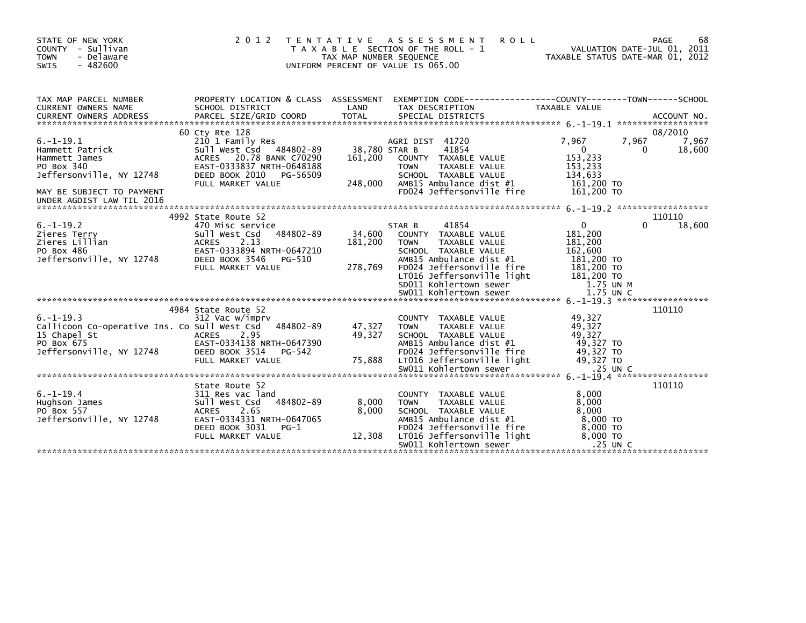| STATE OF NEW YORK<br>COUNTY - Sullivan<br><b>TOWN</b><br>- Delaware<br>SWIS<br>$-482600$                                                               | 2 0 1 2                                                                                                                                                                     | T E N T A T I V E<br>TAX MAP NUMBER SEQUENCE | <b>ROLL</b><br>A S S E S S M E N T<br>T A X A B L E SECTION OF THE ROLL - 1<br>UNIFORM PERCENT OF VALUE IS 065.00                                                                                               | VALUATION DATE-JUL 01, 2011<br>TAXABLE STATUS DATE-MAR 01, 2012                                      | 68<br>PAGE                         |
|--------------------------------------------------------------------------------------------------------------------------------------------------------|-----------------------------------------------------------------------------------------------------------------------------------------------------------------------------|----------------------------------------------|-----------------------------------------------------------------------------------------------------------------------------------------------------------------------------------------------------------------|------------------------------------------------------------------------------------------------------|------------------------------------|
| TAX MAP PARCEL NUMBER<br>CURRENT OWNERS NAME<br><b>CURRENT OWNERS ADDRESS</b>                                                                          | PROPERTY LOCATION & CLASS ASSESSMENT<br>SCHOOL DISTRICT<br>PARCEL SIZE/GRID COORD                                                                                           | LAND<br><b>TOTAL</b>                         | EXEMPTION CODE------------------COUNTY--------TOWN------SCHOOL<br>TAX DESCRIPTION<br>SPECIAL DISTRICTS                                                                                                          | <b>TAXABLE VALUE</b>                                                                                 | ACCOUNT NO.<br>******************* |
| $6. -1 - 19.1$<br>Hammett Patrick<br>Hammett James<br>PO Box 340<br>Jeffersonville, NY 12748<br>MAY BE SUBJECT TO PAYMENT<br>UNDER AGDIST LAW TIL 2016 | 60 Cty Rte 128<br>210 1 Family Res<br>Sull West Csd<br>484802-89<br>ACRES 20.78 BANK C70290<br>EAST-0333837 NRTH-0648188<br>DEED BOOK 2010 PG-56509<br>FULL MARKET VALUE    | 38,780 STAR B<br>161,200<br>248,000          | AGRI DIST 41720<br>41854<br>COUNTY TAXABLE VALUE<br><b>TOWN</b><br>TAXABLE VALUE<br>SCHOOL TAXABLE VALUE<br>AMB15 Ambulance dist #1<br>FD024 Jeffersonville fire                                                | 7,967<br>7,967<br>$\mathbf{0}$<br>153,233<br>153,233<br>134.633<br>161,200 TO<br>161,200 TO          | 08/2010<br>7,967<br>18,600<br>0    |
| $6. -1 - 19.2$<br>Zieres Terry<br>Zieres Lillian<br>PO Box 486<br>Jeffersonville, NY 12748                                                             | 4992 State Route 52<br>470 Misc service<br>484802-89<br>Sull West Csd<br><b>ACRES</b><br>2.13<br>EAST-0333894 NRTH-0647210<br>DEED BOOK 3546<br>PG-510<br>FULL MARKET VALUE | 34,600<br>181,200<br>278,769                 | 41854<br>STAR B<br>COUNTY TAXABLE VALUE<br><b>TOWN</b><br>TAXABLE VALUE<br>SCHOOL TAXABLE VALUE<br>AMB15 Ambulance dist #1<br>FD024 Jeffersonville fire<br>LT016 Jeffersonville light<br>SD011 Kohlertown sewer | $\mathbf{0}$<br>181,200<br>181,200<br>162,600<br>181,200 TO<br>181,200 TO<br>181,200 TO<br>1.75 UN M | 110110<br>18,600<br>0              |
| $6. -1 - 19.3$<br>Callicoon Co-operative Ins. Co Sull West Csd<br>15 Chapel St<br>PO Box 675<br>Jeffersonville, NY 12748                               | 4984 State Route 52<br>312 Vac w/imprv<br>484802-89<br>2.95<br><b>ACRES</b><br>EAST-0334138 NRTH-0647390<br>DEED BOOK 3514<br>PG-542<br>FULL MARKET VALUE                   | 47,327<br>49,327<br>75,888                   | COUNTY TAXABLE VALUE<br><b>TAXABLE VALUE</b><br><b>TOWN</b><br>SCHOOL TAXABLE VALUE<br>AMB15 Ambulance dist #1<br>FD024 Jeffersonville fire<br>LT016 Jeffersonville light<br>SW011 Kohlertown sewer             | 49,327<br>49.327<br>49.327<br>49,327 TO<br>49,327 TO<br>49,327 TO<br>.25 UN C                        | 110110                             |
| $6. - 1 - 19.4$<br>Hughson James<br>PO Box 557<br>Jeffersonville, NY 12748                                                                             | State Route 52<br>311 Res vac land<br>484802-89<br>Sull West Csd<br>2.65<br><b>ACRES</b><br>EAST-0334331 NRTH-0647065<br>DEED BOOK 3031<br>$PG-1$<br>FULL MARKET VALUE      | 8,000<br>8,000<br>12,308                     | <b>COUNTY</b><br>TAXABLE VALUE<br><b>TAXABLE VALUE</b><br><b>TOWN</b><br>SCHOOL TAXABLE VALUE<br>AMB15 Ambulance dist #1<br>FD024 Jeffersonville fire<br>LT016 Jeffersonville light<br>SW011 Kohlertown sewer   | 8,000<br>8,000<br>8.000<br>8,000 TO<br>8,000 TO<br>8,000 TO<br>$.25$ UN C                            | 110110                             |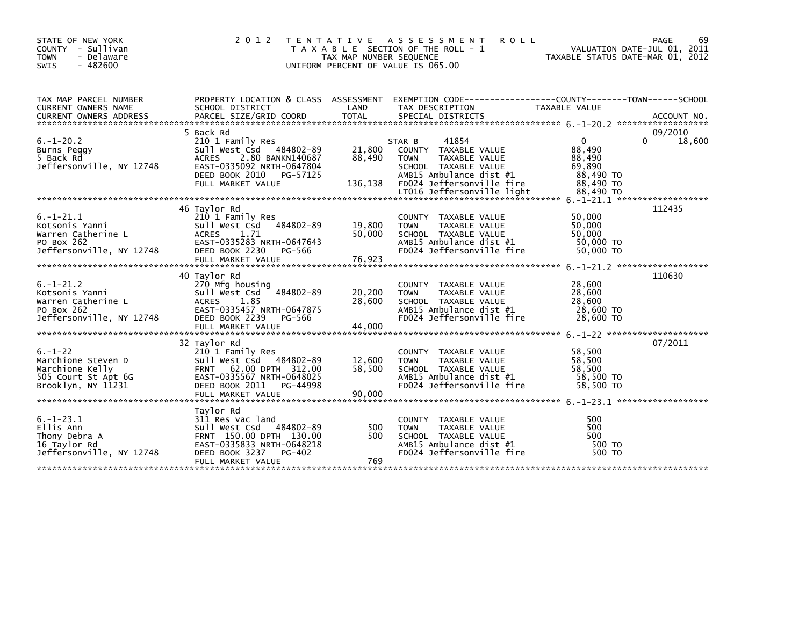| STATE OF NEW YORK<br>COUNTY - Sullivan<br>- Delaware<br><b>TOWN</b><br><b>SWIS</b><br>$-482600$     | 2 0 1 2                                                                                                                                                                         | T E N T A T I V E<br>TAX MAP NUMBER SEQUENCE | A S S E S S M E N T<br><b>ROLL</b><br>T A X A B L E SECTION OF THE ROLL - 1<br>UNIFORM PERCENT OF VALUE IS 065.00                                                                     | TAXABLE STATUS DATE-MAR 01, 2012                                                  | 69<br>PAGE<br>VALUATION DATE-JUL 01, 2011 |
|-----------------------------------------------------------------------------------------------------|---------------------------------------------------------------------------------------------------------------------------------------------------------------------------------|----------------------------------------------|---------------------------------------------------------------------------------------------------------------------------------------------------------------------------------------|-----------------------------------------------------------------------------------|-------------------------------------------|
| TAX MAP PARCEL NUMBER<br><b>CURRENT OWNERS NAME</b>                                                 | PROPERTY LOCATION & CLASS ASSESSMENT<br>SCHOOL DISTRICT                                                                                                                         | LAND                                         | EXEMPTION        CODE-----------------COUNTY-------TOWN------SCHOOL<br>TAX DESCRIPTION                                                                                                | TAXABLE VALUE                                                                     |                                           |
| $6. - 1 - 20.2$<br>Burns Peggy<br>5 Back Rd<br>Jeffersonville, NY 12748                             | 5 Back Rd<br>210 1 Family Res<br>Sull West Csd 484802-89<br>2.80 BANKN140687<br><b>ACRES</b><br>EAST-0335092 NRTH-0647804<br>DEED BOOK 2010<br>PG-57125<br>FULL MARKET VALUE    | 21,800<br>88,490<br>136,138                  | 41854<br>STAR B<br>COUNTY TAXABLE VALUE<br><b>TOWN</b><br>TAXABLE VALUE<br>SCHOOL TAXABLE VALUE<br>AMB15 Ambulance dist #1<br>FD024 Jeffersonville fire<br>LT016 Jeffersonville light | $\mathbf{0}$<br>88,490<br>88,490<br>69,890<br>88,490 TO<br>88,490 TO<br>88,490 TO | 09/2010<br>18,600<br>$\Omega$             |
| $6. - 1 - 21.1$<br>Kotsonis Yanni<br>Warren Catherine L<br>PO Box 262<br>Jeffersonville, NY 12748   | 46 Taylor Rd<br>210 1 Family Res<br>484802-89<br>Sull West Csd<br><b>ACRES</b><br>1.71<br>EAST-0335283 NRTH-0647643<br>DEED BOOK 2230<br>PG-566<br>FULL MARKET VALUE            | 19,800<br>50,000<br>76,923                   | COUNTY TAXABLE VALUE<br>TAXABLE VALUE<br><b>TOWN</b><br>SCHOOL TAXABLE VALUE<br>AMB15 Ambulance dist #1<br>FD024 Jeffersonville fire                                                  | 50,000<br>50,000<br>50,000<br>50,000 TO<br>50,000 TO                              | 112435                                    |
| $6. - 1 - 21.2$<br>Kotsonis Yanni<br>Warren Catherine L<br>PO Box 262<br>Jeffersonville, NY 12748   | 40 Taylor Rd<br>270 Mfg housing<br>484802-89<br>Sull West Csd<br><b>ACRES</b><br>1.85<br>EAST-0335457 NRTH-0647875<br>DEED BOOK 2239<br>PG-566<br>FULL MARKET VALUE             | 20,200<br>28,600<br>44,000                   | TAXABLE VALUE<br><b>COUNTY</b><br>TAXABLE VALUE<br><b>TOWN</b><br>SCHOOL TAXABLE VALUE<br>AMB15 Ambulance dist #1<br>FD024 Jeffersonville fire                                        | 28,600<br>28,600<br>28,600<br>28,600 TO<br>28,600 TO                              | 110630                                    |
| $6. - 1 - 22$<br>Marchione Steven D<br>Marchione Kelly<br>505 Court St Apt 6G<br>Brooklyn, NY 11231 | 32 Taylor Rd<br>210 1 Family Res<br>Sull West Csd 484802-89<br><b>FRNT</b><br>62.00 DPTH 312.00<br>EAST-0335567 NRTH-0648025<br>DEED BOOK 2011<br>PG-44998<br>FULL MARKET VALUE | 12,600<br>58,500<br>90,000                   | COUNTY TAXABLE VALUE<br><b>TOWN</b><br>TAXABLE VALUE<br>SCHOOL TAXABLE VALUE<br>AMB15 Ambulance dist #1<br>FD024 Jeffersonville fire                                                  | 58,500<br>58,500<br>58,500<br>58,500 TO<br>58,500 TO                              | 07/2011                                   |
| $6. - 1 - 23.1$<br>Ellis Ann<br>Thony Debra A<br>16 Taylor Rd<br>Jeffersonville, NY 12748           | Tavlor Rd<br>311 Res vac land<br>Sull West Csd<br>484802-89<br>FRNT 150.00 DPTH 130.00<br>EAST-0335833 NRTH-0648218<br>DEED BOOK 3237<br>PG-402<br>FULL MARKET VALUE            | 500<br>500<br>769                            | TAXABLE VALUE<br><b>COUNTY</b><br><b>TAXABLE VALUE</b><br><b>TOWN</b><br>SCHOOL TAXABLE VALUE<br>AMB15 Ambulance dist #1<br>FD024 Jeffersonville fire                                 | 500<br>500<br>500<br>500 TO<br>500 TO                                             |                                           |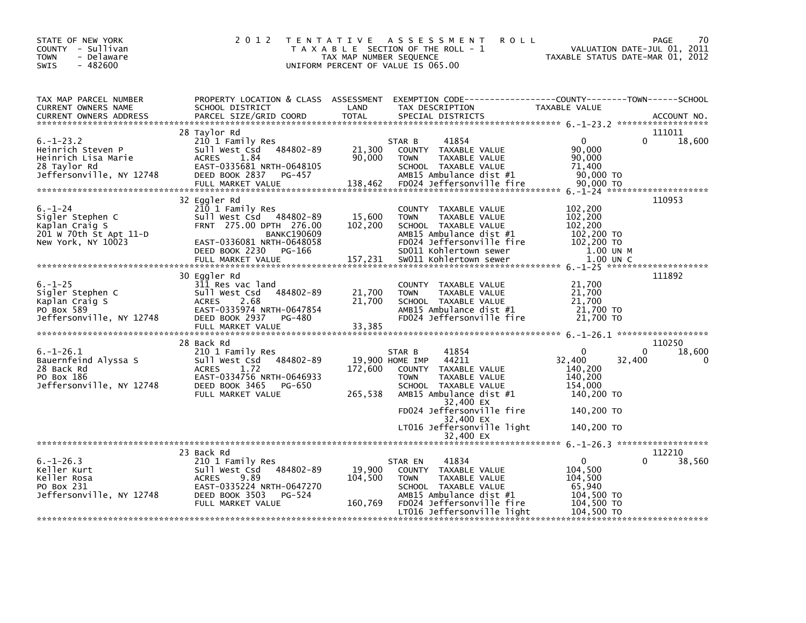| STATE OF NEW YORK<br>COUNTY - Sullivan<br><b>TOWN</b><br>- Delaware<br>$-482600$<br>SWIS                                                                                                                                                                                                                                                    | 2 0 1 2                                                                                                                                                        | TAX MAP NUMBER SEQUENCE<br>UNIFORM PERCENT OF VALUE IS 065.00 | TENTATIVE ASSESSMENT<br><b>ROLL</b><br>T A X A B L E SECTION OF THE ROLL - 1                                                                                                                                                                    | VALUATION DATE-JUL 01, 2011<br>TAXABLE STATUS DATE-MAR 01, 2012                                              | 70<br>PAGE                       |
|---------------------------------------------------------------------------------------------------------------------------------------------------------------------------------------------------------------------------------------------------------------------------------------------------------------------------------------------|----------------------------------------------------------------------------------------------------------------------------------------------------------------|---------------------------------------------------------------|-------------------------------------------------------------------------------------------------------------------------------------------------------------------------------------------------------------------------------------------------|--------------------------------------------------------------------------------------------------------------|----------------------------------|
| TAX MAP PARCEL NUMBER<br>CURRENT OWNERS NAME                                                                                                                                                                                                                                                                                                | SCHOOL DISTRICT                                                                                                                                                | LAND                                                          | PROPERTY LOCATION & CLASS ASSESSMENT EXEMPTION CODE---------------COUNTY-------TOWN-----SCHOOL<br>TAX DESCRIPTION                                                                                                                               | TAXABLE VALUE                                                                                                |                                  |
| $6. - 1 - 23.2$<br>Heinrich Steven P<br>Heinrich Lisa Marie<br>28 Taylor Rd<br>Jeffersonville, NY 12748                                                                                                                                                                                                                                     | 28 Taylor Rd<br>210 1 Family Res<br>Sull West Csd 484802-89<br>1.84<br><b>ACRES</b><br>EAST-0335681 NRTH-0648105<br>DEED BOOK 2837 PG-457<br>FULL MARKET VALUE | 21,300<br>90,000<br>138,462                                   | 41854<br>STAR B<br>COUNTY TAXABLE VALUE<br>TAXABLE VALUE<br><b>TOWN</b><br>SCHOOL TAXABLE VALUE<br>AMB15 Ambulance dist #1<br>FD024 Jeffersonville fire                                                                                         | $\Omega$<br>0<br>90,000<br>90,000<br>71,400<br>90,000 TO<br>90,000 TO                                        | 111011<br>18,600                 |
| $6. - 1 - 24$<br>Sigler Stephen C<br>Kaplan Craig S<br>201 W 70th St Apt 11-D<br>New York, NY 10023<br>- 2007 - 2007 - 2007 - 2008 - 2008 - 2008 - 2008 - 2008 - 2008 - 2008 - 2008 - 2008 - 2008 - 2009 - 2009 - 20<br>FULL MARKET VALUE - 2007, 231 - 2008 - 2008 - 2008 - 2008 - 2008 - 2008 - 2008 - 2008 - 2008 - 2008 - 2008 - 2<br>* | 32 Eggler Rd<br>210 1 Family Res<br>Sull West Csd 484802-89<br>FRNT 275.00 DPTH 276.00<br><b>BANKC190609</b><br>EAST-0336081 NRTH-0648058                      | 15,600<br>102,200                                             | COUNTY TAXABLE VALUE<br>TAXABLE VALUE<br><b>TOWN</b><br>SCHOOL TAXABLE VALUE<br>AMB15 Ambulance dist #1<br>FD024 Jeffersonville fire                                                                                                            | 102,200<br>102,200<br>102,200<br>102,200 TO<br>102,200 TO                                                    | 110953                           |
| $6. - 1 - 25$<br>Sigler Stephen C<br>Kaplan Craig S<br>PO Box 589<br>Jeffersonville, NY 12748                                                                                                                                                                                                                                               | 30 Eggler Rd<br>311 Res vac land<br>Sull West Csd 484802-89<br>2.68<br><b>ACRES</b><br>EAST-0335974 NRTH-0647854<br>DEED BOOK 2937 PG-480                      | 21,700<br>21,700                                              | COUNTY TAXABLE VALUE<br>TAXABLE VALUE<br><b>TOWN</b><br>SCHOOL TAXABLE VALUE<br>AMB15 Ambulance dist #1<br>FD024 Jeffersonville fire                                                                                                            | 21,700<br>21,700<br>21,700<br>21,700 TO<br>21,700 TO                                                         | 111892                           |
| $6. - 1 - 26.1$<br>Bauernfeind Alyssa S<br>28 Back Rd<br>PO Box 186<br>Jeffersonville, NY 12748                                                                                                                                                                                                                                             | 28 Back Rd<br>210 1 Family Res<br>Sull West Csd 484802-89<br>ACRES<br>1.72<br>EAST-0334756 NRTH-0646933<br>DEED BOOK 3465 PG-650<br>FULL MARKET VALUE          | 19,900 HOME IMP<br>172,600<br>265,538                         | 41854<br>STAR B<br>44211<br>TAXABLE VALUE<br><b>COUNTY</b><br>TAXABLE VALUE<br><b>TOWN</b><br>SCHOOL TAXABLE VALUE<br>AMB15 Ambulance dist #1<br>32,400 EX<br>FD024 Jeffersonville fire<br>32,400 EX<br>LT016 Jeffersonville light<br>32.400 EX | $\Omega$<br>0<br>32,400<br>32,400<br>140,200<br>140,200<br>154,000<br>140,200 TO<br>140,200 TO<br>140,200 TO | 110250<br>18,600<br>$\mathbf{0}$ |
| $6. - 1 - 26.3$<br>Keller Kurt<br>Keller Rosa<br>PO Box 231<br>Jeffersonville, NY 12748                                                                                                                                                                                                                                                     | 23 Back Rd<br>210 1 Family Res<br>Sull West Csd 484802-89<br><b>ACRES</b><br>9.89<br>EAST-0335224 NRTH-0647270<br>DEED BOOK 3503 PG-524<br>FULL MARKET VALUE   | 19,900<br>104,500<br>160,769                                  | 41834<br>STAR EN<br>COUNTY TAXABLE VALUE<br>TAXABLE VALUE<br><b>TOWN</b><br>SCHOOL TAXABLE VALUE<br>AMB15 Ambulance dist #1<br>FD024 Jeffersonville fire<br>LT016 Jeffersonville light                                                          | $\mathbf{0}$<br>$\Omega$<br>104,500<br>104,500<br>65,940<br>104,500 TO<br>104,500 TO<br>104,500 TO           | 112210<br>38,560                 |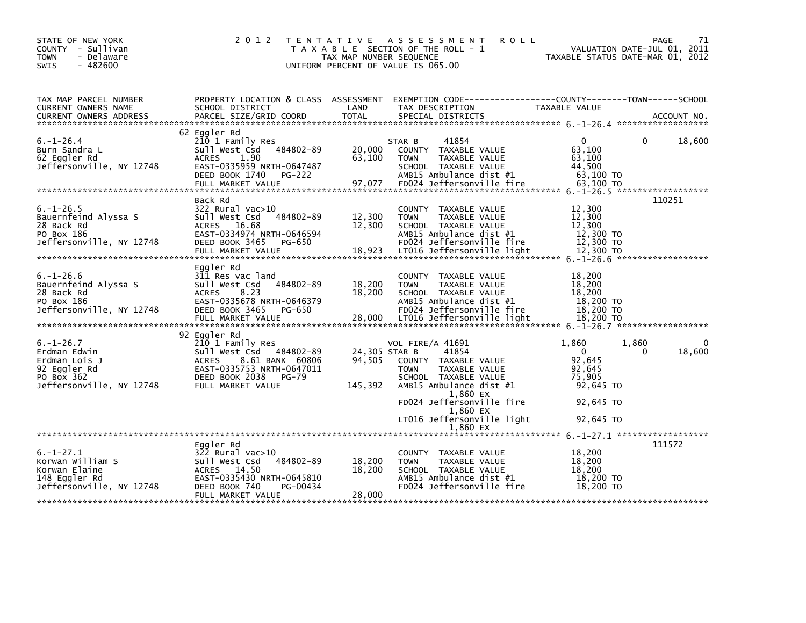| STATE OF NEW YORK<br>COUNTY - Sullivan<br><b>TOWN</b><br>- Delaware<br>$-482600$<br><b>SWIS</b>            | 2 0 1 2                                                                                                                                                                               | T E N T A T I V E<br>TAX MAP NUMBER SEQUENCE | A S S E S S M E N T<br><b>ROLL</b><br>T A X A B L E SECTION OF THE ROLL - 1<br>UNIFORM PERCENT OF VALUE IS 065.00                                                                                                              | TAXABLE STATUS DATE-MAR 01, 2012                                                           | 71<br><b>PAGE</b><br>VALUATION DATE-JUL 01, 2011 |
|------------------------------------------------------------------------------------------------------------|---------------------------------------------------------------------------------------------------------------------------------------------------------------------------------------|----------------------------------------------|--------------------------------------------------------------------------------------------------------------------------------------------------------------------------------------------------------------------------------|--------------------------------------------------------------------------------------------|--------------------------------------------------|
| TAX MAP PARCEL NUMBER<br>CURRENT OWNERS NAME                                                               | SCHOOL DISTRICT                                                                                                                                                                       | LAND                                         | PROPERTY LOCATION & CLASS ASSESSMENT EXEMPTION CODE---------------COUNTY-------TOWN-----SCHOOL<br>TAX DESCRIPTION                                                                                                              | TAXABLE VALUE                                                                              |                                                  |
| $6. - 1 - 26.4$<br>Burn Sandra L<br>62 Eggler Rd<br>Jeffersonville, NY 12748                               | 62 Eggler Rd<br>210 1 Family Res<br>Sull West Csd<br>484802-89<br><b>ACRES</b><br>1.90<br>EAST-0335959 NRTH-0647487<br>DEED BOOK 1740<br><b>PG-222</b>                                | 20,000<br>63,100                             | STAR B<br>41854<br>COUNTY TAXABLE VALUE<br>TAXABLE VALUE<br><b>TOWN</b><br>SCHOOL TAXABLE VALUE<br>AMB15 Ambulance dist #1                                                                                                     | $\Omega$<br>63,100<br>63,100<br>44,500<br>63,100 TO                                        | $\Omega$<br>18,600                               |
| $6. - 1 - 26.5$<br>Bauernfeind Alyssa S<br>28 Back Rd<br>PO Box 186<br>Jeffersonville, NY 12748            | Back Rd<br>$322$ Rural vac $>10$<br>484802-89<br>Sull West Csd<br>16.68<br><b>ACRES</b><br>EAST-0334974 NRTH-0646594<br>DEED BOOK 3465<br>PG-650<br>FULL MARKET VALUE                 | 12,300<br>12,300<br>18,923                   | COUNTY TAXABLE VALUE<br><b>TOWN</b><br>TAXABLE VALUE<br>SCHOOL TAXABLE VALUE<br>AMB15 Ambulance dist #1<br>FD024 Jeffersonville fire<br>LT016 Jeffersonville light                                                             | 12,300<br>12,300<br>12,300<br>12,300 TO<br>12,300 TO<br>12,300 TO                          | 110251                                           |
| $6. - 1 - 26.6$<br>Bauernfeind Alyssa S<br>28 Back Rd<br>PO Box 186<br>Jeffersonville, NY 12748            | Eggler Rd<br>311 Res vac land<br>484802-89<br>Sull West Csd<br><b>ACRES</b><br>8.23<br>EAST-0335678 NRTH-0646379<br>DEED BOOK 3465<br>PG-650                                          | 18,200<br>18,200                             | COUNTY TAXABLE VALUE<br><b>TOWN</b><br>TAXABLE VALUE<br>SCHOOL TAXABLE VALUE<br>AMB15 Ambulance dist #1<br>FD024 Jeffersonville fire                                                                                           | 18,200<br>18,200<br>18,200<br>18,200 TO<br>$18,200$ TO                                     |                                                  |
| $6. - 1 - 26.7$<br>Erdman Edwin<br>Erdman Lois J<br>92 Eggler Rd<br>PO BOX 362<br>Jeffersonville, NY 12748 | 92 Eggler Rd<br>210 1 Family Res<br>Sull West Csd<br>484802-89<br><b>ACRES</b><br>8.61 BANK 60806<br>EAST-0335753 NRTH-0647011<br>DEED BOOK 2038<br><b>PG-79</b><br>FULL MARKET VALUE | 24,305 STAR B<br>94,505<br>145,392           | <b>VOL FIRE/A 41691</b><br>41854<br>COUNTY TAXABLE VALUE<br><b>TOWN</b><br>TAXABLE VALUE<br>SCHOOL TAXABLE VALUE<br>AMB15 Ambulance dist #1<br>1,860 EX<br>FD024 Jeffersonville fire<br>1,860 EX<br>LT016 Jeffersonville light | 1,860<br>$\mathbf{0}$<br>92,645<br>92.645<br>75,905<br>92,645 TO<br>92,645 TO<br>92,645 TO | 1,860<br>0<br>18,600<br>$\Omega$                 |
| $6. - 1 - 27.1$<br>Korwan William S<br>Korwan Elaine<br>148 Eggler Rd<br>Jeffersonville, NY 12748          | Eggler Rd<br>322 Rural vac>10<br>Sull West Csd<br>484802-89<br>ACRES 14.50<br>EAST-0335430 NRTH-0645810<br>PG-00434<br>DEED BOOK 740<br>FULL MARKET VALUE                             | 18,200<br>18,200<br>28,000                   | 1,860 EX<br>COUNTY TAXABLE VALUE<br><b>TOWN</b><br>TAXABLE VALUE<br>SCHOOL TAXABLE VALUE<br>AMB15 Ambulance dist $#1$<br>FD024 Jeffersonville fire                                                                             | 18,200<br>18,200<br>18,200<br>18,200 TO<br>18,200 TO                                       | 111572                                           |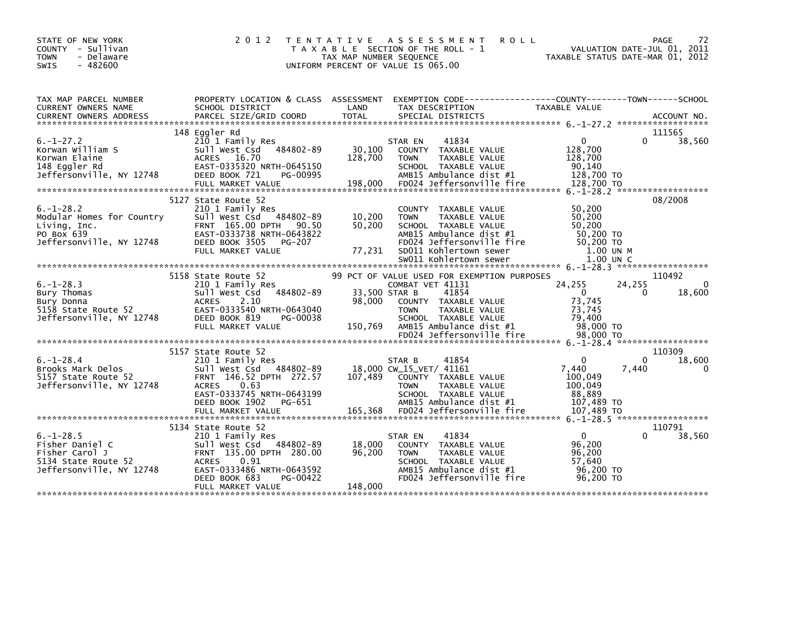| STATE OF NEW YORK<br>COUNTY - Sullivan<br>- Delaware<br><b>TOWN</b><br>$-482600$<br><b>SWIS</b>         | 2 0 1 2<br>T E N T A T I V E                                                                                                                                                                         | A S S E S S M E N T<br><b>ROLL</b><br>T A X A B L E SECTION OF THE ROLL - 1<br>TAX MAP NUMBER SEQUENCE<br>UNIFORM PERCENT OF VALUE IS 065.00                                                                                                                                          | 72<br>PAGE<br>VALUATION DATE-JUL 01, 2011<br>TAXABLE STATUS DATE-MAR 01, 2012                                                            |
|---------------------------------------------------------------------------------------------------------|------------------------------------------------------------------------------------------------------------------------------------------------------------------------------------------------------|---------------------------------------------------------------------------------------------------------------------------------------------------------------------------------------------------------------------------------------------------------------------------------------|------------------------------------------------------------------------------------------------------------------------------------------|
| TAX MAP PARCEL NUMBER<br>CURRENT OWNERS NAME                                                            | PROPERTY LOCATION & CLASS ASSESSMENT<br>SCHOOL DISTRICT                                                                                                                                              | LAND<br>TAX DESCRIPTION<br>- CURRENT OWNERS ADDRESS FORCEL SIZE/GRID COORD TOTAL SPECIAL DISTRICTS (2000) ACCOUNT NO<br>- And Marcel Size/GRID COORD TOTAL SPECIAL DISTRICTS (2007) ACCOUNT NO                                                                                        | EXEMPTION CODE-----------------COUNTY-------TOWN------SCHOOL<br>TAXABLE VALUE                                                            |
| $6. - 1 - 27.2$<br>Korwan William S<br>Korwan Elaine<br>148 Eggler Rd<br>Jeffersonville, NY 12748       | 148 Eggler Rd<br>210 1 Family Res<br>Sull West Csd<br>484802-89<br>ACRES 16.70<br>EAST-0335320 NRTH-0645150<br>DEED BOOK 721<br>PG-00995                                                             | 41834<br>STAR EN<br>30,100<br>COUNTY TAXABLE VALUE<br>128,700<br><b>TOWN</b><br>TAXABLE VALUE<br>SCHOOL TAXABLE VALUE<br>AMB15 Ambulance dist #1<br>198,000 FDC24 Jeffersonville fire 128,700 TO 24.7 - 28,700 TO 24 Jeffersonville fire 128,700 TO 24 Jeffersonville Fire 128,700 TO | 111565<br>$\mathbf{0}$<br>38,560<br>0<br>128,700<br>128,700<br>90,140<br>128,700 TO                                                      |
| $6. - 1 - 28.2$<br>Modular Homes for Country<br>Living, Inc.<br>PO Box 639<br>Jeffersonville, NY 12748  | 5127 State Route 52<br>210 1 Family Res<br>Sull West Csd 484802-89<br>FRNT 165.00 DPTH 90.50<br>EAST-0333738 NRTH-0643822<br>DEED BOOK 3505<br>PG-207<br>FULL MARKET VALUE                           | COUNTY TAXABLE VALUE<br>10,200<br><b>TOWN</b><br>TAXABLE VALUE<br>50,200<br>SCHOOL TAXABLE VALUE<br>AMB15 Ambulance dist #1<br>FD024 Jeffersonville fire<br>77,231<br>SD011 Kohlertown sewer<br>SW011 Kohlertown sewer                                                                | 08/2008<br>50,200<br>50,200<br>50,200<br>50.200 TO<br>50,200 TO<br>1.00 UN M<br>1.00 UN C                                                |
| $6. - 1 - 28.3$<br>Bury Thomas<br>Bury Donna<br>5158 State Route 52<br>Jeffersonville, NY 12748         | 5158 State Route 52<br>210 1 Family Res<br>484802-89<br>Sull West Csd<br><b>ACRES</b><br>2.10<br>EAST-0333540 NRTH-0643040<br>DEED BOOK 819<br>PG-00038<br>FULL MARKET VALUE                         | 99 PCT OF VALUE USED FOR EXEMPTION PURPOSES<br>COMBAT VET 41131<br>33,500 STAR B<br>41854<br>98,000<br>COUNTY TAXABLE VALUE<br>TAXABLE VALUE<br><b>TOWN</b><br>SCHOOL TAXABLE VALUE<br>AMB15 Ambulance dist #1<br>150,769<br>FD024 Jeffersonville fire                                | 110492<br>24,255<br>24,255<br>$\Omega$<br>$\mathbf{0}$<br>$\mathbf{0}$<br>18,600<br>73,745<br>73,745<br>79,400<br>98,000 TO<br>98,000 TO |
| $6. - 1 - 28.4$<br>Brooks Mark Delos<br>5157 State Route 52<br>Jeffersonville, NY 12748                 | 5157 State Route 52<br>210 1 Family Res<br>Sull West Csd 484802-89<br>FRNT 146.52 DPTH 272.57<br>0.63<br><b>ACRES</b><br>EAST-0333745 NRTH-0643199<br>DEED BOOK 1902<br>PG-651                       | 41854<br>STAR B<br>18,000 CW_15_VET/ 41161<br>107,489<br>COUNTY TAXABLE VALUE<br>TAXABLE VALUE<br><b>TOWN</b><br>SCHOOL TAXABLE VALUE<br>AMB15 Ambulance dist #1                                                                                                                      | 110309<br>$\mathbf{0}$<br>18,600<br>0<br>7,440<br>7,440<br>0<br>100,049<br>100,049<br>88,889<br>107,489 TO                               |
| $6. - 1 - 28.5$<br>Fisher Daniel C<br>Fisher Carol J<br>5134 State Route 52<br>Jeffersonville, NY 12748 | 5134 State Route 52<br>210 1 Family Res<br>Sull West Csd 484802-89<br>FRNT 135.00 DPTH 280.00<br><b>ACRES</b><br>0.91<br>EAST-0333486 NRTH-0643592<br>DEED BOOK 683<br>PG-00422<br>FULL MARKET VALUE | 41834<br>STAR EN<br>18,000<br>COUNTY<br>TAXABLE VALUE<br>96,200<br>TAXABLE VALUE<br><b>TOWN</b><br>SCHOOL TAXABLE VALUE<br>AMB15 Ambulance dist #1<br>FD024 Jeffersonville fire<br>148,000                                                                                            | 110791<br>$\overline{0}$<br>38,560<br>96,200<br>96,200<br>57,640<br>96,200 TO<br>96.200 TO                                               |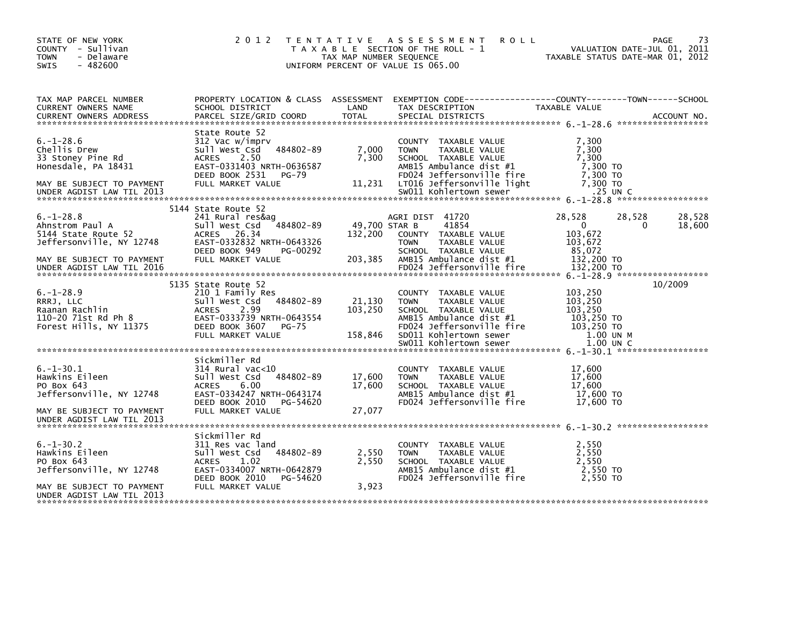| STATE OF NEW YORK<br>COUNTY - Sullivan<br><b>TOWN</b><br>- Delaware<br>$-482600$<br>SWIS                                                        | 2 0 1 2                                                                                                                                                                    | TAX MAP NUMBER SEQUENCE             | TENTATIVE ASSESSMENT<br><b>ROLL</b><br>T A X A B L E SECTION OF THE ROLL - 1<br>UNIFORM PERCENT OF VALUE IS 065.00                                                 |                                                                                    | 73<br>PAGE<br>VALUATION DATE-JUL 01, 2011<br>TAXABLE STATUS DATE-MAR 01, 2012 |
|-------------------------------------------------------------------------------------------------------------------------------------------------|----------------------------------------------------------------------------------------------------------------------------------------------------------------------------|-------------------------------------|--------------------------------------------------------------------------------------------------------------------------------------------------------------------|------------------------------------------------------------------------------------|-------------------------------------------------------------------------------|
| TAX MAP PARCEL NUMBER<br>CURRENT OWNERS NAME                                                                                                    | PROPERTY LOCATION & CLASS ASSESSMENT<br>SCHOOL DISTRICT                                                                                                                    | LAND                                | TAX DESCRIPTION                                                                                                                                                    | TAXABLE VALUE                                                                      |                                                                               |
| $6. - 1 - 28.6$<br>Chellis Drew<br>33 Stoney Pine Rd<br>Honesdale, PA 18431<br>MAY BE SUBJECT TO PAYMENT                                        | State Route 52<br>312 Vac w/imprv<br>Sull West Csd<br>484802-89<br>2.50<br><b>ACRES</b><br>EAST-0331403 NRTH-0636587<br>DEED BOOK 2531<br>PG-79<br>FULL MARKET VALUE       | 7,000<br>7,300<br>11,231            | COUNTY TAXABLE VALUE<br><b>TOWN</b><br>TAXABLE VALUE<br>SCHOOL TAXABLE VALUE<br>AMB15 Ambulance dist #1<br>FD024 Jeffersonville fire<br>LT016 Jeffersonville light | 7,300<br>7,300<br>7,300<br>7,300 TO<br>7,300 TO<br>7,300 TO                        |                                                                               |
| $6. - 1 - 28.8$<br>Ahnstrom Paul A<br>5144 State Route 52<br>Jeffersonville, NY 12748<br>MAY BE SUBJECT TO PAYMENT<br>UNDER AGDIST LAW TIL 2016 | 5144 State Route 52<br>241 Rural res&ag<br>484802-89<br>Sull West Csd<br>ACRES 26.34<br>EAST-0332832 NRTH-0643326<br>DEED BOOK 949<br>PG-00292<br>FULL MARKET VALUE        | 49,700 STAR B<br>132,200<br>203,385 | AGRI DIST 41720<br>41854<br>COUNTY TAXABLE VALUE<br><b>TOWN</b><br>TAXABLE VALUE<br>SCHOOL TAXABLE VALUE<br>AMB15 Ambulance dist #1<br>FD024 Jeffersonville fire   | 28,528<br>$\mathbf{0}$<br>103,672<br>103,672<br>85,072<br>132,200 TO<br>132,200 TO | 28,528<br>28,528<br>18,600<br>0                                               |
| $6. - 1 - 28.9$<br>RRRJ, LLC<br>Raanan Rachlin<br>110-20 71st Rd Ph 8<br>Forest Hills, NY 11375                                                 | 5135 State Route 52<br>210 1 Family Res<br>Sull West Csd<br>484802-89<br>2.99<br><b>ACRES</b><br>EAST-0333739 NRTH-0643554<br>DEED BOOK 3607<br>PG-75<br>FULL MARKET VALUE | 21,130<br>103, 250<br>158,846       | COUNTY TAXABLE VALUE<br>TAXABLE VALUE<br><b>TOWN</b><br>SCHOOL TAXABLE VALUE<br>AMB15 Ambulance dist #1<br>FD024 Jeffersonville fire<br>SD011 Kohlertown sewer     | 103,250<br>103,250<br>103,250<br>103,250 TO<br>103,250 TO<br>1.00 UN M             | 10/2009                                                                       |
| $6. - 1 - 30.1$<br>Hawkins Eileen<br>PO Box 643<br>Jeffersonville, NY 12748<br>MAY BE SUBJECT TO PAYMENT<br>UNDER AGDIST LAW TIL 2013           | Sickmiller Rd<br>$314$ Rural vac<10<br>Sull West Csd<br>484802-89<br>6.00<br><b>ACRES</b><br>EAST-0334247 NRTH-0643174<br>DEED BOOK 2010<br>PG-54620<br>FULL MARKET VALUE  | 17,600<br>17,600<br>27,077          | COUNTY TAXABLE VALUE<br><b>TOWN</b><br>TAXABLE VALUE<br>SCHOOL TAXABLE VALUE<br>AMB15 Ambulance dist #1<br>FD024 Jeffersonville fire                               | 17,600<br>17,600<br>17,600<br>17,600 TO<br>17,600 TO                               |                                                                               |
| $6. - 1 - 30.2$<br>Hawkins Eileen<br>PO Box 643<br>Jeffersonville, NY 12748<br>MAY BE SUBJECT TO PAYMENT<br>UNDER AGDIST LAW TIL 2013           | Sickmiller Rd<br>311 Res vac land<br>Sull West Csd<br>484802-89<br>1.02<br><b>ACRES</b><br>EAST-0334007 NRTH-0642879<br>DEED BOOK 2010<br>PG-54620<br>FULL MARKET VALUE    | 2,550<br>2,550<br>3,923             | <b>COUNTY</b><br>TAXABLE VALUE<br><b>TOWN</b><br>TAXABLE VALUE<br>SCHOOL TAXABLE VALUE<br>AMB15 Ambulance dist #1<br>FD024 Jeffersonville fire                     | 2,550<br>2,550<br>2.550<br>2.550 TO<br>2.550 TO                                    |                                                                               |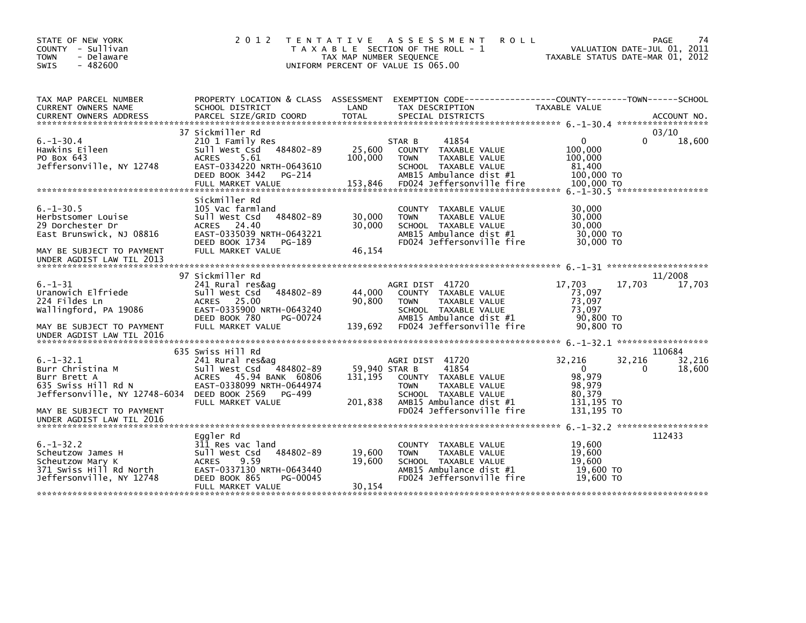| STATE OF NEW YORK<br>COUNTY - Sullivan<br><b>TOWN</b><br>- Delaware<br>SWIS<br>$-482600$ | 2 0 1 2                                                 | TAX MAP NUMBER SEQUENCE | TENTATIVE ASSESSMENT<br><b>ROLL</b><br>T A X A B L E SECTION OF THE ROLL - 1<br>UNIFORM PERCENT OF VALUE IS 065.00 | VALUATION DATE-JUL 01, 2011<br>TAXABLE STATUS DATE-MAR 01, 2012 | 74<br>PAGE       |
|------------------------------------------------------------------------------------------|---------------------------------------------------------|-------------------------|--------------------------------------------------------------------------------------------------------------------|-----------------------------------------------------------------|------------------|
| TAX MAP PARCEL NUMBER<br>CURRENT OWNERS NAME                                             | PROPERTY LOCATION & CLASS ASSESSMENT<br>SCHOOL DISTRICT | LAND                    | TAX DESCRIPTION                                                                                                    | TAXABLE VALUE                                                   |                  |
| <b>CURRENT OWNERS ADDRESS</b>                                                            | PARCEL SIZE/GRID COORD                                  | <b>TOTAL</b>            | SPECIAL DISTRICTS                                                                                                  |                                                                 | ACCOUNT NO.      |
|                                                                                          | 37 Sickmiller Rd                                        |                         |                                                                                                                    |                                                                 | 03/10            |
| $6. - 1 - 30.4$                                                                          | 210 1 Family Res                                        |                         | STAR B<br>41854                                                                                                    | $\mathbf{0}$                                                    | 0<br>18,600      |
| Hawkins Eileen                                                                           | 484802-89<br>Sull West Csd                              | 25,600                  | COUNTY TAXABLE VALUE                                                                                               | 100,000                                                         |                  |
| PO Box 643                                                                               | 5.61<br><b>ACRES</b>                                    | 100,000                 | <b>TOWN</b><br>TAXABLE VALUE                                                                                       | 100,000                                                         |                  |
| Jeffersonville, NY 12748                                                                 | EAST-0334220 NRTH-0643610                               |                         | SCHOOL TAXABLE VALUE                                                                                               | 81,400                                                          |                  |
|                                                                                          | DEED BOOK 3442<br>PG-214                                | 153,846                 | AMB15 Ambulance dist #1<br>FD024 Jeffersonville fire                                                               | 100,000 TO<br>100,000 TO                                        |                  |
|                                                                                          | FULL MARKET VALUE                                       |                         |                                                                                                                    |                                                                 |                  |
|                                                                                          | Sickmiller Rd                                           |                         |                                                                                                                    |                                                                 |                  |
| $6. -1 - 30.5$                                                                           | 105 Vac farmland                                        |                         | COUNTY TAXABLE VALUE                                                                                               | 30,000                                                          |                  |
| Herbstsomer Louise                                                                       | 484802-89<br>Sull West Csd                              | 30,000                  | TAXABLE VALUE<br><b>TOWN</b>                                                                                       | 30,000                                                          |                  |
| 29 Dorchester Dr                                                                         | ACRES 24.40                                             | 30,000                  | SCHOOL TAXABLE VALUE                                                                                               | 30,000                                                          |                  |
| East Brunswick, NJ 08816                                                                 | EAST-0335039 NRTH-0643221                               |                         | AMB15 Ambulance dist #1                                                                                            | 30,000 TO                                                       |                  |
| MAY BE SUBJECT TO PAYMENT<br>UNDER AGDIST LAW TIL 2013                                   | DEED BOOK 1734<br>PG-189<br>FULL MARKET VALUE           | 46,154                  | FD024 Jeffersonville fire                                                                                          | 30,000 TO                                                       |                  |
|                                                                                          |                                                         |                         |                                                                                                                    |                                                                 |                  |
|                                                                                          | 97 Sickmiller Rd                                        |                         |                                                                                                                    |                                                                 | 11/2008          |
| $6. - 1 - 31$                                                                            | 241 Rural res&ag                                        |                         | AGRI DIST 41720                                                                                                    | 17,703<br>17,703                                                | 17,703           |
| Uranowich Elfriede<br>224 Fildes Ln                                                      | 484802-89<br>Sull West Csd<br>ACRES 25.00               | 44,000<br>90,800        | COUNTY TAXABLE VALUE<br>TAXABLE VALUE<br><b>TOWN</b>                                                               | 73,097<br>73.097                                                |                  |
| Wallingford, PA 19086                                                                    | EAST-0335900 NRTH-0643240                               |                         | SCHOOL TAXABLE VALUE                                                                                               | 73,097                                                          |                  |
|                                                                                          | DEED BOOK 780<br>PG-00724                               |                         | AMB15 Ambulance dist #1                                                                                            | 90,800 TO                                                       |                  |
| MAY BE SUBJECT TO PAYMENT                                                                | FULL MARKET VALUE                                       | 139,692                 | FD024 Jeffersonville fire                                                                                          | 90,800 TO                                                       |                  |
| UNDER AGDIST LAW TIL 2016                                                                |                                                         |                         |                                                                                                                    |                                                                 |                  |
|                                                                                          |                                                         |                         |                                                                                                                    |                                                                 |                  |
| $6. -1 - 32.1$                                                                           | 635 Swiss Hill Rd                                       |                         | AGRI DIST 41720                                                                                                    | 32,216<br>32,216                                                | 110684<br>32,216 |
| Burr Christina M                                                                         | 241 Rural res&ag<br>Sull West Csd<br>484802-89          | 59,940 STAR B           | 41854                                                                                                              | $\mathbf{0}$                                                    | 0<br>18,600      |
| Burr Brett A                                                                             | ACRES 45.94 BANK 60806                                  | 131,195                 | COUNTY TAXABLE VALUE                                                                                               | 98,979                                                          |                  |
| 635 Swiss Hill Rd N                                                                      | EAST-0338099 NRTH-0644974                               |                         | TAXABLE VALUE<br><b>TOWN</b>                                                                                       | 98,979                                                          |                  |
| Jeffersonville, NY 12748-6034 DEED BOOK 2569                                             | PG-499                                                  |                         | SCHOOL TAXABLE VALUE                                                                                               | 80,379                                                          |                  |
|                                                                                          | FULL MARKET VALUE                                       | 201,838                 | AMB15 Ambulance dist #1                                                                                            | 131,195 TO                                                      |                  |
| MAY BE SUBJECT TO PAYMENT                                                                |                                                         |                         | FD024 Jeffersonville fire                                                                                          | 131,195 TO                                                      |                  |
| UNDER AGDIST LAW TIL 2016                                                                |                                                         |                         |                                                                                                                    | 6. -1-32. 2 ********************                                |                  |
|                                                                                          | Eggler Rd                                               |                         |                                                                                                                    |                                                                 | 112433           |
| $6. -1 - 32.2$                                                                           | 311 Res vac land                                        |                         | COUNTY TAXABLE VALUE                                                                                               | 19,600                                                          |                  |
| Scheutzow James H                                                                        | 484802-89<br>Sull West Csd                              | 19,600                  | TAXABLE VALUE<br><b>TOWN</b>                                                                                       | 19,600                                                          |                  |
| Scheutzow Mary K                                                                         | <b>ACRES</b><br>9.59                                    | 19,600                  | SCHOOL TAXABLE VALUE                                                                                               | 19,600                                                          |                  |
| 371 Swiss Hill Rd North                                                                  | EAST-0337130 NRTH-0643440                               |                         | AMB15 Ambulance dist #1                                                                                            | 19,600 TO                                                       |                  |
| Jeffersonville, NY 12748                                                                 | DEED BOOK 865<br>PG-00045                               |                         | FD024 Jeffersonville fire                                                                                          | 19.600 TO                                                       |                  |
|                                                                                          | FULL MARKET VALUE                                       | 30,154                  |                                                                                                                    |                                                                 |                  |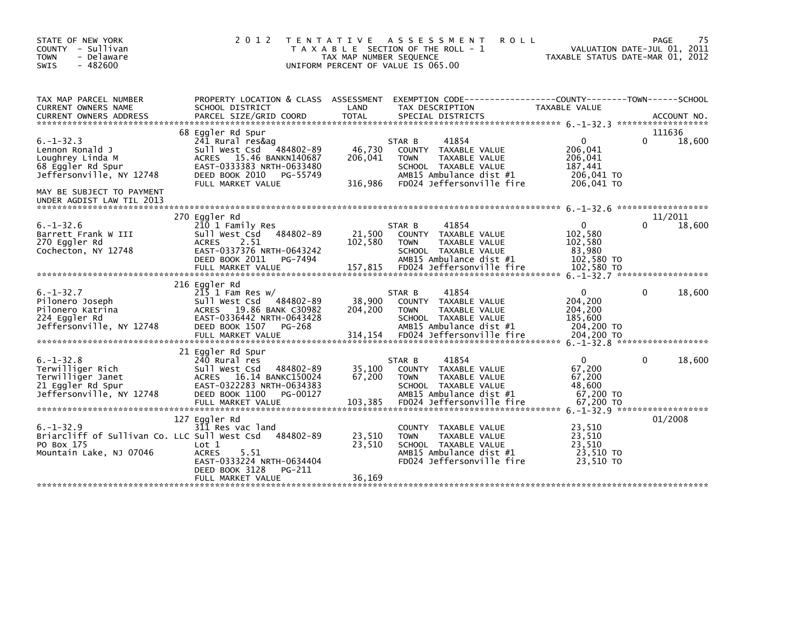| STATE OF NEW YORK<br>COUNTY - Sullivan<br>- Delaware<br><b>TOWN</b><br>$-482600$<br>SWIS                  | 2 0 1 2                                                                                                                                                                     | T E N T A T I V E<br>TAX MAP NUMBER SEQUENCE | ASSESSMENT<br>T A X A B L E SECTION OF THE ROLL - 1<br>UNIFORM PERCENT OF VALUE IS 065.00                                                                  | <b>ROLL</b>                                                               | PAGE<br>VALUATION DATE-JUL 01, 2011<br>TAXABLE STATUS DATE-MAR 01, 2012 | 75 |
|-----------------------------------------------------------------------------------------------------------|-----------------------------------------------------------------------------------------------------------------------------------------------------------------------------|----------------------------------------------|------------------------------------------------------------------------------------------------------------------------------------------------------------|---------------------------------------------------------------------------|-------------------------------------------------------------------------|----|
| TAX MAP PARCEL NUMBER<br>CURRENT OWNERS NAME<br><b>CURRENT OWNERS ADDRESS</b>                             | PROPERTY LOCATION & CLASS ASSESSMENT<br>SCHOOL DISTRICT<br>PARCEL SIZE/GRID COORD                                                                                           | LAND<br><b>TOTAL</b>                         | EXEMPTION        CODE-----------------COUNTY--------TOWN------SCHOOL<br>TAX DESCRIPTION<br>SPECIAL DISTRICTS                                               | TAXABLE VALUE                                                             | ACCOUNT NO.                                                             |    |
| $6. - 1 - 32.3$<br>Lennon Ronald J<br>Loughrey Linda M<br>68 Eggler Rd Spur<br>Jeffersonville, NY 12748   | 68 Eggler Rd Spur<br>241 Rural res&ag<br>Sull West Csd 484802-89<br>ACRES 15.46 BANKN140687<br>EAST-0333383 NRTH-0633480<br>DEED BOOK 2010<br>PG-55749<br>FULL MARKET VALUE | 46,730<br>206,041<br>316,986                 | STAR B<br>41854<br>COUNTY<br>TAXABLE VALUE<br><b>TOWN</b><br>TAXABLE VALUE<br>SCHOOL TAXABLE VALUE<br>AMB15 Ambulance dist #1<br>FD024 Jeffersonville fire | 0<br>206,041<br>206,041<br>187,441<br>206,041 TO<br>206,041 TO            | 111636<br>18,600<br>0                                                   |    |
| MAY BE SUBJECT TO PAYMENT<br>UNDER AGDIST LAW TIL 2013                                                    | 270 Eggler Rd                                                                                                                                                               |                                              |                                                                                                                                                            |                                                                           | 11/2011                                                                 |    |
| $6. - 1 - 32.6$<br>Barrett Frank W III<br>270 Eggler Rd<br>Cochecton, NY 12748                            | 210 1 Family Res<br>Sull West Csd<br>484802-89<br><b>ACRES</b><br>2.51<br>EAST-0337376 NRTH-0643242<br>DEED BOOK 2011<br>PG-7494<br>FULL MARKET VALUE                       | 21,500<br>102,580<br>157,815                 | 41854<br>STAR B<br>COUNTY TAXABLE VALUE<br>TAXABLE VALUE<br><b>TOWN</b><br>SCHOOL TAXABLE VALUE<br>AMB15 Ambulance dist #1<br>FD024 Jeffersonville fire    | $\mathbf{0}$<br>102,580<br>102,580<br>83,980<br>102,580 TO<br>102,580 TO  | 18,600                                                                  |    |
|                                                                                                           | 216 Eggler Rd                                                                                                                                                               |                                              |                                                                                                                                                            |                                                                           |                                                                         |    |
| $6. -1 - 32.7$<br>Pilonero Joseph<br>Pilonero Katrina<br>224 Eggler Rd<br>Jeffersonville, NY 12748        | $2\overline{15}$ 1 Fam Res w/<br>Sull West Csd<br>484802-89<br>ACRES 19.86 BANK C30982<br>EAST-0336442 NRTH-0643428<br>DEED BOOK 1507<br>PG-268<br>FULL MARKET VALUE        | 38,900<br>204,200<br>314,154                 | 41854<br>STAR B<br>TAXABLE VALUE<br>COUNTY<br>TAXABLE VALUE<br><b>TOWN</b><br>SCHOOL TAXABLE VALUE<br>AMB15 Ambulance dist #1<br>FD024 Jeffersonville fire | $\mathbf{0}$<br>204,200<br>204,200<br>185,600<br>204,200 TO<br>204,200 TO | 18,600<br>$\Omega$                                                      |    |
|                                                                                                           | 21 Eggler Rd Spur                                                                                                                                                           |                                              |                                                                                                                                                            |                                                                           |                                                                         |    |
| $6. - 1 - 32.8$<br>Terwilliger Rich<br>Terwilliger Janet<br>21 Eggler Rd Spur<br>Jeffersonville, NY 12748 | 240 Rural res<br>Sull West Csd<br>484802-89<br>16.14 BANKC150024<br><b>ACRES</b><br>EAST-0322283 NRTH-0634383<br>DEED BOOK 1100<br>PG-00127<br>FULL MARKET VALUE            | 35,100<br>67,200<br>103,385                  | 41854<br>STAR B<br>COUNTY TAXABLE VALUE<br>TAXABLE VALUE<br><b>TOWN</b><br>SCHOOL TAXABLE VALUE<br>AMB15 Ambulance dist #1<br>FD024 Jeffersonville fire    | 0<br>67,200<br>67,200<br>48,600<br>67,200 TO<br>67,200 TO                 | 18,600<br>0                                                             |    |
|                                                                                                           | 127 Eggler Rd                                                                                                                                                               |                                              |                                                                                                                                                            |                                                                           | $6. -1 - 32.9$ *******************<br>01/2008                           |    |
| $6. -1 - 32.9$<br>Briarcliff of Sullivan Co. LLC Sull West Csd<br>PO Box 175<br>Mountain Lake, NJ 07046   | 311 Res vac land<br>484802-89<br>Lot 1<br><b>ACRES</b><br>5.51<br>EAST-0333224 NRTH-0634404<br>DEED BOOK 3128<br>PG-211                                                     | 23,510<br>23,510                             | COUNTY TAXABLE VALUE<br><b>TOWN</b><br>TAXABLE VALUE<br>SCHOOL TAXABLE VALUE<br>AMB15 Ambulance dist #1<br>FD024 Jeffersonville fire                       | 23,510<br>23,510<br>23.510<br>23,510 TO<br>23.510 TO                      |                                                                         |    |
|                                                                                                           | FULL MARKET VALUE                                                                                                                                                           | 36,169                                       |                                                                                                                                                            |                                                                           |                                                                         |    |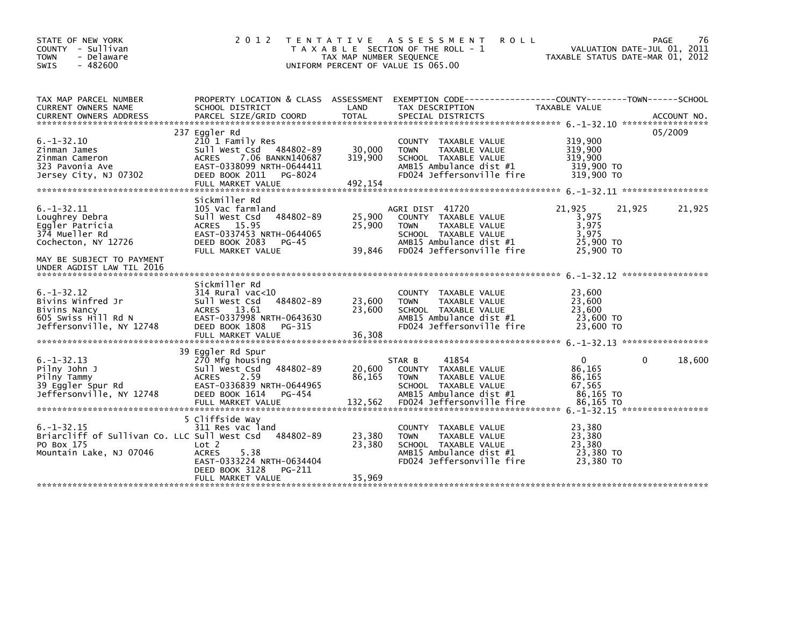| STATE OF NEW YORK<br>COUNTY - Sullivan<br>- Delaware<br><b>TOWN</b><br>$-482600$<br><b>SWIS</b>                                                          | 2 0 1 2                                                                                                                                                                         | T E N T A T I V E<br>TAX MAP NUMBER SEQUENCE | A S S E S S M E N T<br><b>ROLL</b><br>T A X A B L E SECTION OF THE ROLL - 1<br>UNIFORM PERCENT OF VALUE IS 065.00                                       | TAXABLE STATUS DATE-MAR 01, 2012                                     | PAGE<br>VALUATION DATE-JUL 01, 2011 | 76     |
|----------------------------------------------------------------------------------------------------------------------------------------------------------|---------------------------------------------------------------------------------------------------------------------------------------------------------------------------------|----------------------------------------------|---------------------------------------------------------------------------------------------------------------------------------------------------------|----------------------------------------------------------------------|-------------------------------------|--------|
| TAX MAP PARCEL NUMBER<br>CURRENT OWNERS NAME                                                                                                             | PROPERTY LOCATION & CLASS ASSESSMENT<br>SCHOOL DISTRICT                                                                                                                         | LAND                                         | EXEMPTION CODE-----------------COUNTY-------TOWN------SCHOOL<br>TAX DESCRIPTION                                                                         | TAXABLE VALUE                                                        |                                     |        |
| $6. -1 - 32.10$<br>Zinman James<br>Zinman Cameron<br>323 Pavonia Ave<br>Jersey City, NJ 07302                                                            | 237 Eggler Rd<br>210 1 Family Res<br>Sull West Csd 484802-89<br>7.06 BANKN140687<br><b>ACRES</b><br>EAST-0338099 NRTH-0644411<br>DEED BOOK 2011<br>PG-8024<br>FULL MARKET VALUE | 30,000<br>319,900<br>492,154                 | COUNTY TAXABLE VALUE<br><b>TOWN</b><br>TAXABLE VALUE<br>SCHOOL TAXABLE VALUE<br>AMB15 Ambulance dist #1<br>FD024 Jeffersonville fire                    | 319,900<br>319,900<br>319,900<br>319,900 TO<br>319,900 TO            | 05/2009                             |        |
| $6. - 1 - 32.11$<br>Loughrey Debra<br>Eggler Patricia<br>374 Mueller Rd<br>Cochecton, NY 12726<br>MAY BE SUBJECT TO PAYMENT<br>UNDER AGDIST LAW TIL 2016 | Sickmiller Rd<br>105 Vac farmland<br>484802-89<br>Sull West Csd<br>ACRES 15.95<br>EAST-0337453 NRTH-0644065<br>DEED BOOK 2083<br>PG-45<br>FULL MARKET VALUE                     | 25,900<br>25,900<br>39,846                   | AGRI DIST 41720<br>COUNTY TAXABLE VALUE<br>TAXABLE VALUE<br><b>TOWN</b><br>SCHOOL TAXABLE VALUE<br>AMB15 Ambulance dist #1<br>FD024 Jeffersonville fire | 21,925<br>3,975<br>3,975<br>3,975<br>25,900 TO<br>25,900 TO          | 21,925                              | 21,925 |
| $6. -1 - 32.12$<br>Bivins Winfred Jr<br>Bivins Nancy<br>605 Swiss Hill Rd N<br>Jeffersonville, NY 12748                                                  | Sickmiller Rd<br>$314$ Rural vac<10<br>Sull West Csd<br>484802-89<br>ACRES 13.61<br>EAST-0337998 NRTH-0643630<br>DEED BOOK 1808<br>PG-315                                       | 23,600<br>23,600                             | COUNTY TAXABLE VALUE<br><b>TOWN</b><br>TAXABLE VALUE<br>SCHOOL TAXABLE VALUE<br>AMB15 Ambulance dist #1<br>FD024 Jeffersonville fire                    | 23,600<br>23,600<br>23.600<br>23,600 TO<br>23,600 TO                 |                                     |        |
| $6. -1 - 32.13$<br>Pilny John J<br>Pilny Tammy<br>39 Eggler Spur Rd<br>Jeffersonville, NY 12748                                                          | 39 Eggler Rd Spur<br>270 Mfg housing<br>Sull West Csd<br>484802-89<br><b>ACRES</b><br>2.59<br>EAST-0336839 NRTH-0644965<br>DEED BOOK 1614<br>PG-454<br>FULL MARKET VALUE        | 20,600<br>86.165<br>132,562                  | 41854<br>STAR B<br>COUNTY TAXABLE VALUE<br>TAXABLE VALUE<br><b>TOWN</b><br>SCHOOL TAXABLE VALUE<br>AMB15 Ambulance dist #1<br>FD024 Jeffersonville fire | $\mathbf{0}$<br>86,165<br>86.165<br>67,565<br>86,165 TO<br>86,165 TO | 0                                   | 18,600 |
| $6. - 1 - 32.15$<br>Briarcliff of Sullivan Co. LLC Sull West Csd<br>PO Box 175<br>Mountain Lake, NJ 07046                                                | 5 Cliffside Way<br>311 Res vac land<br>484802-89<br>Lot 2<br>5.38<br><b>ACRES</b><br>EAST-0333224 NRTH-0634404<br>DEED BOOK 3128<br>PG-211<br>FULL MARKET VALUE                 | 23,380<br>23,380<br>35,969                   | COUNTY TAXABLE VALUE<br><b>TOWN</b><br>TAXABLE VALUE<br>SCHOOL TAXABLE VALUE<br>AMB15 Ambulance dist #1<br>FD024 Jeffersonville fire                    | 23,380<br>23,380<br>23,380<br>23,380 TO<br>23.380 TO                 |                                     |        |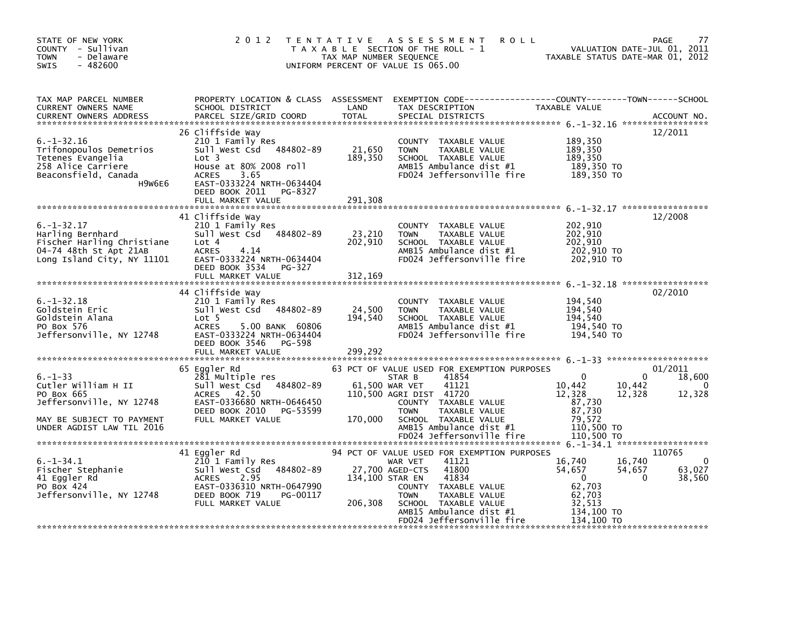| STATE OF NEW YORK<br>COUNTY - Sullivan<br><b>TOWN</b><br>- Delaware<br>$-482600$<br><b>SWIS</b>                                          | 2 0 1 2                                                                                                                                                                                                           | T E N T A T I V E<br>A S S E S S M E N T<br><b>ROLL</b><br>T A X A B L E SECTION OF THE ROLL - 1<br>TAX MAP NUMBER SEQUENCE<br>UNIFORM PERCENT OF VALUE IS 065.00                                                                                                          | PAGE<br>77<br>VALUATION DATE-JUL 01, 2011<br>TAXABLE STATUS DATE-MAR 01, 2012                                                                                 |
|------------------------------------------------------------------------------------------------------------------------------------------|-------------------------------------------------------------------------------------------------------------------------------------------------------------------------------------------------------------------|----------------------------------------------------------------------------------------------------------------------------------------------------------------------------------------------------------------------------------------------------------------------------|---------------------------------------------------------------------------------------------------------------------------------------------------------------|
| TAX MAP PARCEL NUMBER<br>CURRENT OWNERS NAME<br><b>CURRENT OWNERS ADDRESS</b>                                                            | SCHOOL DISTRICT<br>PARCEL SIZE/GRID COORD                                                                                                                                                                         | PROPERTY LOCATION & CLASS ASSESSMENT EXEMPTION CODE---------------COUNTY-------TOWN------SCHOOL<br>LAND<br>TAX DESCRIPTION<br><b>TOTAL</b><br>SPECIAL DISTRICTS                                                                                                            | TAXABLE VALUE<br>ACCOUNT NO.                                                                                                                                  |
| $6. - 1 - 32.16$<br>Trifonopoulos Demetrios<br>Tetenes Evangelia<br>258 Alice Carriere<br>Beaconsfield, Canada<br>H9W6E6                 | 26 Cliffside Way<br>210 1 Family Res<br>Sull West Csd 484802-89<br>Lot <sub>3</sub><br>House at 80% 2008 roll<br><b>ACRES</b><br>3.65<br>EAST-0333224 NRTH-0634404<br>DEED BOOK 2011 PG-8327<br>FULL MARKET VALUE | COUNTY<br>TAXABLE VALUE<br>21,650<br>TAXABLE VALUE<br><b>TOWN</b><br>189,350<br>SCHOOL TAXABLE VALUE<br>AMB15 Ambulance dist #1<br>FD024 Jeffersonville fire<br>291,308                                                                                                    | 12/2011<br>189,350<br>189,350<br>189,350<br>189,350 TO<br>189,350 TO                                                                                          |
| $6. -1 - 32.17$<br>Harling Bernhard<br>Fischer Harling Christiane<br>04-74 48th St Apt 21AB<br>Long Island City, NY 11101                | 41 Cliffside Way<br>210 1 Family Res<br>Sull West Csd 484802-89<br>Lot 4<br><b>ACRES</b><br>4.14<br>EAST-0333224 NRTH-0634404<br>DEED BOOK 3534<br>PG-327<br>FULL MARKET VALUE                                    | COUNTY TAXABLE VALUE<br>23,210<br>TAXABLE VALUE<br><b>TOWN</b><br>202,910<br>SCHOOL TAXABLE VALUE<br>AMB15 Ambulance dist #1<br>FD024 Jeffersonville fire<br>312,169                                                                                                       | 12/2008<br>202,910<br>202.910<br>202,910<br>202,910 TO<br>202,910 TO                                                                                          |
| $6. -1 - 32.18$<br>Goldstein Eric<br>Goldstein Alana<br>PO Box 576<br>Jeffersonville, NY 12748                                           | 44 Cliffside Way<br>210 1 Family Res<br>Sull West Csd 484802-89<br>Lot 5<br><b>ACRES</b><br>5.00 BANK 60806<br>EAST-0333224 NRTH-0634404<br>DEED BOOK 3546<br>PG-598<br>FULL MARKET VALUE                         | COUNTY TAXABLE VALUE<br>24,500<br><b>TOWN</b><br>TAXABLE VALUE<br>194,540<br>SCHOOL TAXABLE VALUE<br>AMB15 Ambulance dist #1<br>FD024 Jeffersonville fire<br>299,292                                                                                                       | 02/2010<br>194,540<br>194,540<br>194,540<br>194,540 TO<br>194,540 TO                                                                                          |
| $6. - 1 - 33$<br>Cutler William H II<br>PO Box 665<br>Jeffersonville, NY 12748<br>MAY BE SUBJECT TO PAYMENT<br>UNDER AGDIST LAW TIL 2016 | 65 Eggler Rd<br>281 Multiple res<br>Sull West Csd<br>484802-89<br>42.50<br>ACRES<br>EAST-0336680 NRTH-0646450<br>DEED BOOK 2010<br>PG-53599<br>FULL MARKET VALUE                                                  | 63 PCT OF VALUE USED FOR EXEMPTION PURPOSES<br>41854<br>STAR B<br>41121<br>61,500 WAR VET<br>110,500 AGRI DIST 41720<br>COUNTY TAXABLE VALUE<br><b>TOWN</b><br>TAXABLE VALUE<br>170,000<br>SCHOOL TAXABLE VALUE<br>AMB15 Ambulance dist #1<br>FD024 Jeffersonville fire    | 01/2011<br>18,600<br>$\Omega$<br>$\Omega$<br>10,442<br>10,442<br>0<br>12,328<br>12,328<br>12,328<br>87,730<br>87,730<br>79,572<br>110,500 TO<br>110,500 TO    |
| $6. -1 - 34.1$<br>Fischer Stephanie<br>41 Eggler Rd<br>PO Box 424<br>Jeffersonville, NY 12748                                            | 41 Eggler Rd<br>210 1 Family Res<br>484802-89<br>Sull West Csd<br>2.95<br><b>ACRES</b><br>EAST-0336310 NRTH-0647990<br>DEED BOOK 719<br>PG-00117<br>FULL MARKET VALUE                                             | 94 PCT OF VALUE USED FOR EXEMPTION PURPOSES<br>41121<br>WAR VET<br>27,700 AGED-CTS<br>41800<br>41834<br>134,100 STAR EN<br>COUNTY TAXABLE VALUE<br><b>TOWN</b><br>TAXABLE VALUE<br>206,308<br>SCHOOL TAXABLE VALUE<br>AMB15 Ambulance dist #1<br>FD024 Jeffersonville fire | 110765<br>16,740<br>16,740<br>0<br>63,027<br>54,657<br>54,657<br>$\mathbf{0}$<br>$\Omega$<br>38,560<br>62,703<br>62,703<br>32,513<br>134,100 TO<br>134.100 TO |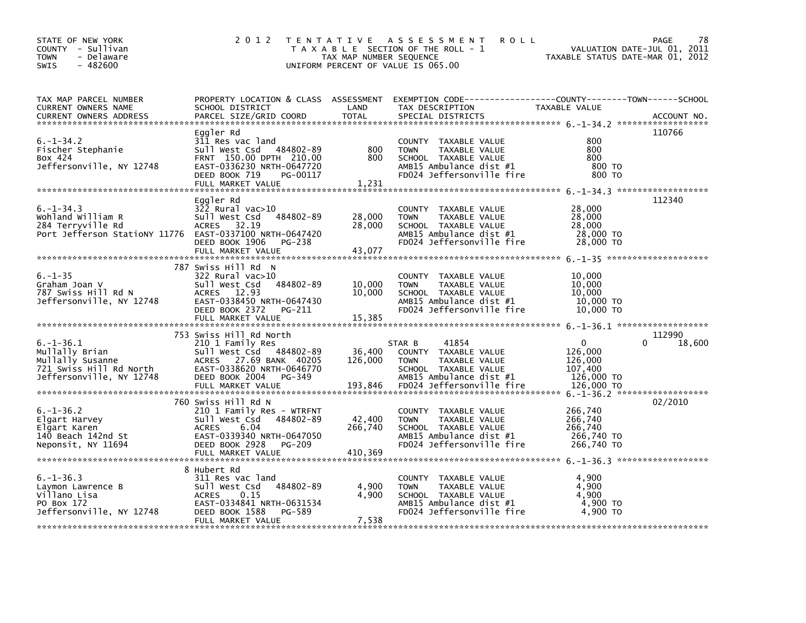| STATE OF NEW YORK<br>COUNTY - Sullivan<br>- Delaware<br><b>TOWN</b><br>$-482600$<br><b>SWIS</b>                     | 2 0 1 2                                                                                                                                                                              | TAX MAP NUMBER SEQUENCE      | TENTATIVE ASSESSMENT<br><b>ROLL</b><br>T A X A B L E SECTION OF THE ROLL - 1<br>UNIFORM PERCENT OF VALUE IS 065.00                      | VALUATION DATE-JUL 01, 2011<br>TAXABLE STATUS DATE-MAR 01, 2012 | PAGE<br>78                   |
|---------------------------------------------------------------------------------------------------------------------|--------------------------------------------------------------------------------------------------------------------------------------------------------------------------------------|------------------------------|-----------------------------------------------------------------------------------------------------------------------------------------|-----------------------------------------------------------------|------------------------------|
| TAX MAP PARCEL NUMBER<br>CURRENT OWNERS NAME<br><b>CURRENT OWNERS ADDRESS</b>                                       | SCHOOL DISTRICT<br>PARCEL SIZE/GRID COORD                                                                                                                                            | LAND<br><b>TOTAL</b>         | PROPERTY LOCATION & CLASS ASSESSMENT EXEMPTION CODE---------------COUNTY-------TOWN------SCHOOL<br>TAX DESCRIPTION<br>SPECIAL DISTRICTS | TAXABLE VALUE                                                   | ACCOUNT NO.                  |
| $6. - 1 - 34.2$<br>Fischer Stephanie<br>Box 424<br>Jeffersonville, NY 12748                                         | Eggler Rd<br>311 Res vac land<br>Sull West Csd 484802-89<br>FRNT 150.00 DPTH 210.00<br>EAST-0336230 NRTH-0647720<br>DEED BOOK 719<br>PG-00117<br>FULL MARKET VALUE                   | 800<br>800<br>1,231          | COUNTY TAXABLE VALUE<br>TAXABLE VALUE<br><b>TOWN</b><br>SCHOOL TAXABLE VALUE<br>AMB15 Ambulance dist #1<br>FD024 Jeffersonville fire    | 800<br>800<br>800<br>800 TO<br>800 TO                           | 110766                       |
| $6. -1 - 34.3$<br>Wohland William R<br>284 Terryville Rd<br>Port Jefferson StatioNY 11776 EAST-0337100 NRTH-0647420 | Eggler Rd<br>$322$ Rural vac $>10$<br>Sull West Csd<br>484802-89<br>ACRES 32.19<br>DEED BOOK 1906<br>PG-238<br>FULL MARKET VALUE                                                     | 28,000<br>28,000<br>43,077   | COUNTY TAXABLE VALUE<br><b>TOWN</b><br>TAXABLE VALUE<br>SCHOOL TAXABLE VALUE<br>AMB15 Ambulance dist #1<br>FD024 Jeffersonville fire    | 28,000<br>28,000<br>28,000<br>28,000 TO<br>28,000 TO            | 112340                       |
| $6. - 1 - 35$<br>Graham Joan V<br>787 Swiss Hill Rd N<br>Jeffersonville, NY 12748                                   | 787 Swiss Hill Rd N<br>322 Rural vac>10<br>Sull West Csd<br>484802-89<br>ACRES 12.93<br>EAST-0338450 NRTH-0647430<br>DEED BOOK 2372<br>PG-211<br>FULL MARKET VALUE                   | 10,000<br>10,000<br>15,385   | COUNTY TAXABLE VALUE<br><b>TOWN</b><br>TAXABLE VALUE<br>SCHOOL TAXABLE VALUE<br>AMB15 Ambulance dist #1<br>FD024 Jeffersonville fire    | 10,000<br>10,000<br>10.000<br>10,000 TO<br>10,000 TO            |                              |
| $6. - 1 - 36.1$<br>Mullally Brian<br>Mullally Susanne<br>721 Swiss Hill Rd North<br>Jeffersonville, NY 12748        | 753 Swiss Hill Rd North<br>210 1 Family Res<br>Sull West Csd 484802-89<br>ACRES 27.69 BANK 40205<br>EAST-0338620 NRTH-0646770<br>DEED BOOK 2004<br>PG-349                            | 36,400<br>126,000            | 41854<br>STAR B<br>COUNTY TAXABLE VALUE<br>TAXABLE VALUE<br><b>TOWN</b><br>SCHOOL TAXABLE VALUE<br>AMB15 Ambulance dist #1              | $\mathbf{0}$<br>126,000<br>126,000<br>107,400<br>126,000 TO     | 112990<br>$\Omega$<br>18,600 |
| $6. - 1 - 36.2$<br>Elgart Harvey<br>Elgart Karen<br>140 Beach 142nd St<br>Neponsit, NY 11694                        | 760 Swiss Hill Rd N<br>210 1 Family Res - WTRFNT<br>484802-89<br>Sull West Csd<br>6.04<br><b>ACRES</b><br>EAST-0339340 NRTH-0647050<br>DEED BOOK 2928<br>PG-209<br>FULL MARKET VALUE | 42,400<br>266,740<br>410,369 | COUNTY TAXABLE VALUE<br><b>TOWN</b><br>TAXABLE VALUE<br>SCHOOL TAXABLE VALUE<br>AMB15 Ambulance dist #1<br>FD024 Jeffersonville fire    | 266,740<br>266,740<br>266,740<br>266,740 то<br>266,740 ТО       | 02/2010                      |
| $6. - 1 - 36.3$<br>Laymon Lawrence B<br>Villano Lisa<br>PO Box 172<br>Jeffersonville, NY 12748                      | 8 Hubert Rd<br>311 Res vac land<br>484802-89<br>Sull West Csd<br><b>ACRES</b><br>0.15<br>EAST-0334841 NRTH-0631534<br>DEED BOOK 1588<br>PG-589<br>FULL MARKET VALUE                  | 4,900<br>4,900<br>7,538      | COUNTY TAXABLE VALUE<br>TAXABLE VALUE<br><b>TOWN</b><br>SCHOOL TAXABLE VALUE<br>AMB15 Ambulance dist #1<br>FD024 Jeffersonville fire    | 4.900<br>4,900<br>4,900<br>4,900 TO<br>4,900 TO                 |                              |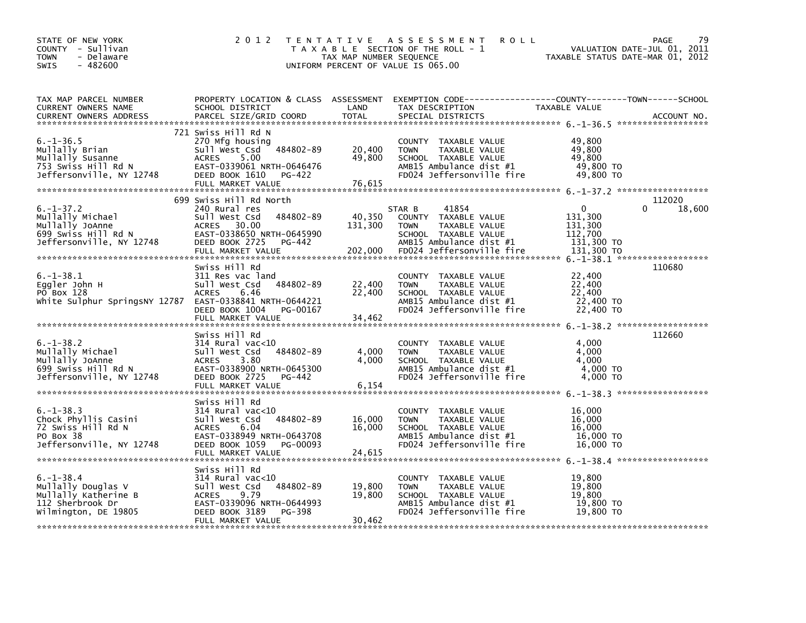| STATE OF NEW YORK<br>COUNTY - Sullivan<br>- Delaware<br><b>TOWN</b><br>$-482600$<br><b>SWIS</b>                             | 2 0 1 2                                                                                                                                                                    | TAX MAP NUMBER SEQUENCE      | TENTATIVE ASSESSMENT<br><b>ROLL</b><br>T A X A B L E SECTION OF THE ROLL - 1<br>UNIFORM PERCENT OF VALUE IS 065.00                                      | VALUATION DATE-JUL 01, 2011<br>TAXABLE STATUS DATE-MAR 01, 2012           | PAGE<br>79       |
|-----------------------------------------------------------------------------------------------------------------------------|----------------------------------------------------------------------------------------------------------------------------------------------------------------------------|------------------------------|---------------------------------------------------------------------------------------------------------------------------------------------------------|---------------------------------------------------------------------------|------------------|
| TAX MAP PARCEL NUMBER<br>CURRENT OWNERS NAME<br><b>CURRENT OWNERS ADDRESS</b>                                               | SCHOOL DISTRICT<br>PARCEL SIZE/GRID COORD                                                                                                                                  | LAND<br>TOTAL                | PROPERTY LOCATION & CLASS ASSESSMENT EXEMPTION CODE---------------COUNTY-------TOWN------SCHOOL<br>TAX DESCRIPTION<br>SPECIAL DISTRICTS                 | TAXABLE VALUE                                                             | ACCOUNT NO.      |
| $6. -1 - 36.5$<br>Mullally Brian<br>Mullally Susanne<br>marrarry pusanne<br>753 Swiss Hill Rd N<br>Jeffersonville, NY 12748 | 721 Swiss Hill Rd N<br>270 Mfg housing<br>Sull West Csd 484802-89<br>SUTT M<br>ACRES<br>5.00<br>EAST-0339061 NRTH-0646476<br>DEED BOOK 1610<br>PG-422<br>FULL MARKET VALUE | 20,400<br>49,800<br>76,615   | COUNTY TAXABLE VALUE<br>TAXABLE VALUE<br><b>TOWN</b><br>SCHOOL TAXABLE VALUE<br>AMB15 Ambulance dist #1<br>FD024 Jeffersonville fire                    | 49,800<br>49,800<br>49.800<br>49,800 TO<br>49,800 TO                      |                  |
| $6. - 1 - 37.2$<br>Mullally Michael                                                                                         | 699 Swiss Hill Rd North<br>240 Rural res<br>484802-89<br>Sull West Csd<br>EAST-0338650 NRTH-0645990<br>DEED BOOK 2725<br>PG-442<br>FULL MARKET VALUE                       | 40,350<br>131,300<br>202,000 | 41854<br>STAR B<br>COUNTY TAXABLE VALUE<br>TAXABLE VALUE<br><b>TOWN</b><br>SCHOOL TAXABLE VALUE<br>AMB15 Ambulance dist #1<br>FD024 Jeffersonville fire | $\mathbf{0}$<br>131,300<br>131,300<br>112,700<br>131,300 TO<br>131,300 TO | 112020<br>18,600 |
| $6. - 1 - 38.1$<br>Eggler John H<br>PO Box 128<br>White Sulphur SpringsNY 12787 EAST-0338841 NRTH-0644221                   | Swiss Hill Rd<br>311 Res vac land<br>Sull West Csd 484802-89<br><b>ACRES</b><br>6.46<br>DEED BOOK 1004 PG-00167<br>FULL MARKET VALUE                                       | 22,400<br>22,400<br>34,462   | COUNTY TAXABLE VALUE<br>TAXABLE VALUE<br><b>TOWN</b><br>SCHOOL TAXABLE VALUE<br>AMB15 Ambulance dist #1<br>FD024 Jeffersonville fire                    | 22,400<br>22,400<br>22,400<br>22,400 TO<br>22,400 TO                      | 110680           |
| $6. - 1 - 38.2$<br>Jeffersonville, NY 12748                                                                                 | Swiss Hill Rd<br>314 Rural vac<10<br>484802-89<br>EAST-0338900 NRTH-0645300<br>DEED BOOK 2725<br>PG-442<br>FULL MARKET VALUE                                               | 4,000<br>4,000<br>6,154      | COUNTY TAXABLE VALUE<br>TAXABLE VALUE<br><b>TOWN</b><br>SCHOOL TAXABLE VALUE<br>AMB15 Ambulance dist #1<br>FD024 Jeffersonville fire                    | 4,000<br>4,000<br>4,000<br>4,000 TO<br>4.000 TO                           | 112660           |
| $6. - 1 - 38.3$<br>Chock Phyllis Casini<br>72 Swiss Hill Rd N<br>PO Box 38<br>Jeffersonville, NY 12748                      | Swiss Hill Rd<br>$314$ Rural vac< $10$<br>484802-89<br>Sull West Csd<br>6.04<br>ACRES<br>EAST-0338949 NRTH-0643708<br>DEED BOOK 1059<br>PG-00093                           | 16,000<br>16,000             | COUNTY TAXABLE VALUE<br><b>TOWN</b><br>TAXABLE VALUE<br>SCHOOL TAXABLE VALUE<br>AMB15 Ambulance dist #1<br>FD024 Jeffersonville fire                    | 16,000<br>16,000<br>16,000<br>16,000 TO<br>16.000 TO                      |                  |
| $6. - 1 - 38.4$<br>Mullally Douglas V<br>Mullally Katherine B<br>112 Sherbrook Dr<br>Wilmington, DE 19805                   | Swiss Hill Rd<br>$314$ Rural vac< $10$<br>484802-89<br>Sull West Csd<br>ACRES<br>9.79<br>EAST-0339096 NRTH-0644993<br>DEED BOOK 3189<br>PG-398<br>FULL MARKET VALUE        | 19,800<br>19,800<br>30,462   | COUNTY TAXABLE VALUE<br>TAXABLE VALUE<br>TOWN<br>SCHOOL TAXABLE VALUE<br>AMB15 Ambulance dist #1<br>FD024 Jeffersonville fire                           | 19,800<br>19,800<br>19,800<br>19,800 TO<br>19,800 TO                      |                  |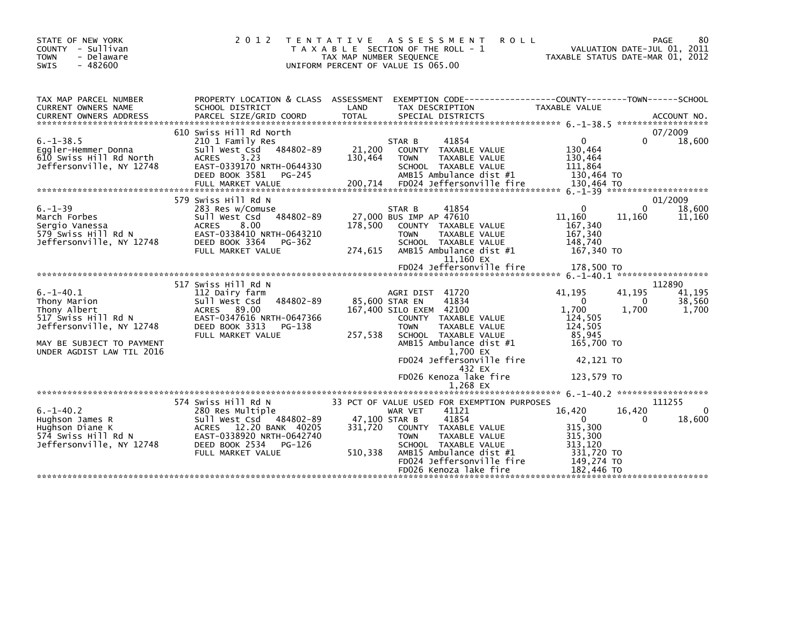| STATE OF NEW YORK<br>COUNTY - Sullivan<br>- Delaware<br><b>TOWN</b><br>$-482600$<br><b>SWIS</b>                                                             | 2 0 1 2                                                                                                                                                                       | T E N T A T I V E<br>T A X A B L E SECTION OF THE ROLL - 1<br>TAX MAP NUMBER SEQUENCE<br>UNIFORM PERCENT OF VALUE IS 065.00 | A S S E S S M E N T<br><b>ROLL</b>                                                                                                                                             | TAXABLE STATUS DATE-MAR 01, 2012                                                                        | PAGE<br>VALUATION DATE-JUL 01, 2011 | 80                                  |
|-------------------------------------------------------------------------------------------------------------------------------------------------------------|-------------------------------------------------------------------------------------------------------------------------------------------------------------------------------|-----------------------------------------------------------------------------------------------------------------------------|--------------------------------------------------------------------------------------------------------------------------------------------------------------------------------|---------------------------------------------------------------------------------------------------------|-------------------------------------|-------------------------------------|
| TAX MAP PARCEL NUMBER<br>CURRENT OWNERS NAME<br><b>CURRENT OWNERS ADDRESS</b>                                                                               | PROPERTY LOCATION & CLASS ASSESSMENT<br>SCHOOL DISTRICT<br>PARCEL SIZE/GRID COORD                                                                                             | LAND<br><b>TOTAL</b>                                                                                                        | EXEMPTION CODE-----------------COUNTY--------TOWN------SCHOOL<br>TAX DESCRIPTION<br>SPECIAL DISTRICTS                                                                          | TAXABLE VALUE                                                                                           |                                     | ACCOUNT NO.                         |
| $6. -1 - 38.5$<br>Eggler-Hemmer Donna<br>610 Swiss Hill Rd North<br>Jeffersonville, NY 12748                                                                | 610 Swiss Hill Rd North<br>210 1 Family Res<br>484802-89<br>Sull West Csd<br>3.23<br><b>ACRES</b><br>EAST-0339170 NRTH-0644330<br>DEED BOOK 3581<br>PG-245                    | STAR B<br>21,200<br>130,464<br><b>TOWN</b>                                                                                  | 41854<br>COUNTY TAXABLE VALUE<br>TAXABLE VALUE<br>SCHOOL TAXABLE VALUE<br>AMB15 Ambulance dist #1                                                                              | $\mathbf{0}$<br>130,464<br>130,464<br>111.864<br>130.464 TO                                             | $\Omega$                            | 07/2009<br>18,600                   |
| $6. - 1 - 39$<br>March Forbes<br>Sergio Vanessa<br>579 Swiss Hill Rd N<br>Jeffersonville, NY 12748                                                          | 579 Swiss Hill Rd N<br>283 Res w/Comuse<br>484802-89<br>Sull West Csd<br>8.00<br><b>ACRES</b><br>EAST-0338410 NRTH-0643210<br>DEED BOOK 3364<br>PG-362<br>FULL MARKET VALUE   | STAR B<br>27,000 BUS IMP AP 47610<br>178.500<br><b>TOWN</b><br>274,615                                                      | 41854<br>COUNTY TAXABLE VALUE<br>TAXABLE VALUE<br>SCHOOL TAXABLE VALUE<br>AMB15 Ambulance dist #1<br>11,160 EX                                                                 | $\mathbf{0}$<br>11.160<br>167,340<br>167,340<br>148,740<br>167,340 TO                                   | 0<br>11,160                         | 01/2009<br>18,600<br>11,160         |
|                                                                                                                                                             |                                                                                                                                                                               |                                                                                                                             | FD024 Jeffersonville fire                                                                                                                                                      | 178,500 TO                                                                                              |                                     |                                     |
| $6. -1 - 40.1$<br>Thony Marion<br>Thony Albert<br>517 Swiss Hill Rd N<br>Jeffersonville, NY 12748<br>MAY BE SUBJECT TO PAYMENT<br>UNDER AGDIST LAW TIL 2016 | 517 Swiss Hill Rd N<br>112 Dairy farm<br>484802-89<br>Sull West Csd<br>ACRES 89.00<br>EAST-0347616 NRTH-0647366<br>DEED BOOK 3313<br>PG-138<br>FULL MARKET VALUE              | AGRI DIST 41720<br>85,600 STAR EN<br>167,400 SILO EXEM 42100<br><b>TOWN</b><br>257,538                                      | 41834<br>COUNTY TAXABLE VALUE<br>TAXABLE VALUE<br>SCHOOL TAXABLE VALUE<br>AMB15 Ambulance dist #1<br>1,700 EX<br>FD024 Jeffersonville fire<br>432 EX<br>FD026 Kenoza lake fire | 41.195<br>$\mathbf 0$<br>1,700<br>124,505<br>124,505<br>85.945<br>165,700 TO<br>42,121 TO<br>123,579 TO | 41,195<br>0<br>1,700                | 112890<br>41,195<br>38,560<br>1,700 |
|                                                                                                                                                             |                                                                                                                                                                               |                                                                                                                             | 1,268 EX                                                                                                                                                                       |                                                                                                         |                                     |                                     |
| $6. -1 - 40.2$<br>Hughson James R<br>Hughson Diane K<br>574 Swiss Hill Rd N<br>Jeffersonville, NY 12748                                                     | 574 Swiss Hill Rd N<br>280 Res Multiple<br>484802-89<br>Sull West Csd<br>ACRES 12.20 BANK 40205<br>EAST-0338920 NRTH-0642740<br>DEED BOOK 2534<br>PG-126<br>FULL MARKET VALUE | 33 PCT OF VALUE USED FOR EXEMPTION PURPOSES<br>WAR VET<br>47,100 STAR B<br>331,720<br><b>TOWN</b><br>510,338                | 41121<br>41854<br>COUNTY TAXABLE VALUE<br>TAXABLE VALUE<br>SCHOOL TAXABLE VALUE<br>AMB15 Ambulance dist #1<br>FD024 Jeffersonville fire<br>FD026 Kenoza lake fire              | 16,420<br>$\mathbf{0}$<br>315,300<br>315,300<br>313,120<br>331,720 TO<br>149,274 TO<br>182,446 TO       | 16,420                              | 111255<br>$\mathbf{0}$<br>18,600    |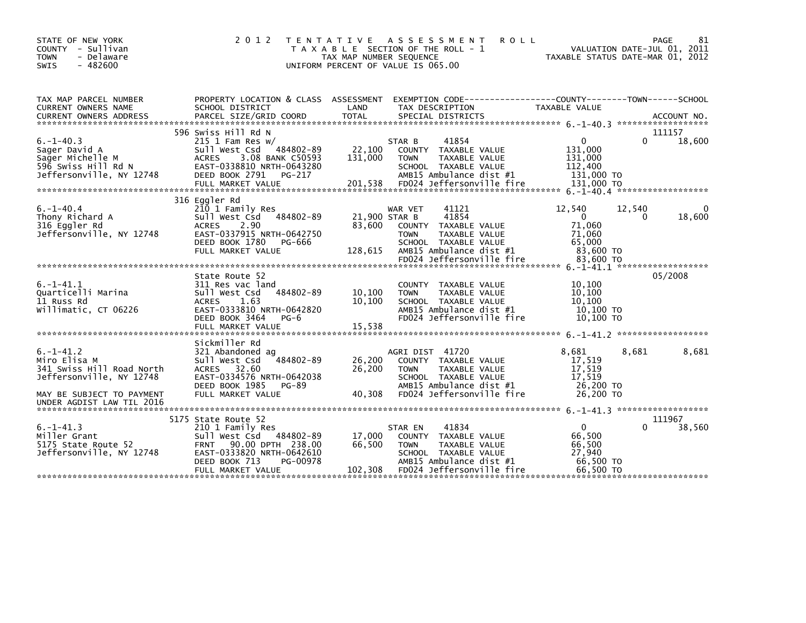| STATE OF NEW YORK<br>- Sullivan<br><b>COUNTY</b><br>- Delaware<br><b>TOWN</b><br>$-482600$<br><b>SWIS</b>                                         | 2 0 1 2                                                                                                                                                                               | T E N T A T I V E<br>TAX MAP NUMBER SEQUENCE | A S S E S S M E N T<br><b>ROLL</b><br>T A X A B L E SECTION OF THE ROLL - 1<br>UNIFORM PERCENT OF VALUE IS 065.00                                                           | TAXABLE STATUS DATE-MAR 01, 2012                                               | PAGE<br>VALUATION DATE-JUL 01, 2011 | 81          |
|---------------------------------------------------------------------------------------------------------------------------------------------------|---------------------------------------------------------------------------------------------------------------------------------------------------------------------------------------|----------------------------------------------|-----------------------------------------------------------------------------------------------------------------------------------------------------------------------------|--------------------------------------------------------------------------------|-------------------------------------|-------------|
| TAX MAP PARCEL NUMBER<br>CURRENT OWNERS NAME<br><b>CURRENT OWNERS ADDRESS</b>                                                                     | PROPERTY LOCATION & CLASS ASSESSMENT<br>SCHOOL DISTRICT<br>PARCEL SIZE/GRID COORD                                                                                                     | LAND<br><b>TOTAL</b>                         | EXEMPTION CODE-----------------COUNTY-------TOWN------SCHOOL<br>TAX DESCRIPTION<br>SPECIAL DISTRICTS                                                                        | <b>TAXABLE VALUE</b>                                                           |                                     | ACCOUNT NO. |
| $6. -1 - 40.3$<br>Sager David A<br>Sager Michelle M<br>596 Swiss Hill Rd N<br>Jeffersonville, NY 12748                                            | 596 Swiss Hill Rd N<br>$215$ 1 Fam Res w/<br>484802-89<br>Sull West Csd<br>3.08 BANK C50593<br><b>ACRES</b><br>EAST-0338810 NRTH-0643280<br>DEED BOOK 2791<br>PG-217                  | 22,100<br>131,000                            | 41854<br>STAR B<br>COUNTY TAXABLE VALUE<br><b>TOWN</b><br><b>TAXABLE VALUE</b><br>SCHOOL TAXABLE VALUE<br>AMB15 Ambulance dist #1                                           | $\mathbf{0}$<br>131,000<br>131,000<br>112,400<br>131,000 TO                    | 111157<br>$\Omega$                  | 18,600      |
| $6. - 1 - 40.4$<br>Thony Richard A<br>316 Eggler Rd<br>Jeffersonville, NY 12748                                                                   | 316 Eggler Rd<br>210 1 Family Res<br>Sull West Csd<br>484802-89<br>2.90<br><b>ACRES</b><br>EAST-0337915 NRTH-0642750<br>DEED BOOK 1780<br>PG-666<br>FULL MARKET VALUE                 | 21,900 STAR B<br>83.600<br>128,615           | 41121<br>WAR VET<br>41854<br>TAXABLE VALUE<br><b>COUNTY</b><br>TAXABLE VALUE<br><b>TOWN</b><br>SCHOOL TAXABLE VALUE<br>AMB15 Ambulance dist #1<br>FD024 Jeffersonville fire | 12,540<br>$\mathbf{0}$<br>71,060<br>71,060<br>65,000<br>83,600 TO<br>83,600 TO | 12,540<br>$\Omega$                  | 0<br>18,600 |
| $6. -1 - 41.1$<br>Quarticelli Marina<br>11 Russ Rd<br>Willimatic, CT 06226                                                                        | State Route 52<br>311 Res vac land<br>484802-89<br>Sull West Csd<br>1.63<br><b>ACRES</b><br>EAST-0333810 NRTH-0642820<br>DEED BOOK 3464<br>$PG-6$                                     | 10,100<br>10,100                             | <b>COUNTY</b><br>TAXABLE VALUE<br><b>TOWN</b><br>TAXABLE VALUE<br>SCHOOL TAXABLE VALUE<br>AMB15 Ambulance dist #1<br>FD024 Jeffersonville fire                              | 10,100<br>10,100<br>10,100<br>10.100 TO<br>$10,100$ TO                         | 05/2008                             |             |
| $6. -1 - 41.2$<br>Miro Elisa M<br>341 Swiss Hill Road North<br>Jeffersonville, NY 12748<br>MAY BE SUBJECT TO PAYMENT<br>UNDER AGDIST LAW TIL 2016 | Sickmiller Rd<br>321 Abandoned ag<br>484802-89<br>Sull West Csd<br>ACRES 32.60<br>EAST-0334576 NRTH-0642038<br>DEED BOOK 1985<br>PG-89<br>FULL MARKET VALUE                           | 26,200<br>26,200<br>40.308                   | AGRI DIST 41720<br>COUNTY TAXABLE VALUE<br><b>TOWN</b><br>TAXABLE VALUE<br>SCHOOL TAXABLE VALUE<br>AMB15 Ambulance dist #1<br>FD024 Jeffersonville fire                     | 8,681<br>17,519<br>17,519<br>17.519<br>26,200 TO<br>26,200 TO                  | 8,681                               | 8,681       |
| $6. -1 - 41.3$<br>Miller Grant<br>5175 State Route 52<br>Jeffersonville, NY 12748                                                                 | 5175 State Route 52<br>210 1 Family Res<br>Sull West Csd 484802-89<br>90.00 DPTH 238.00<br><b>FRNT</b><br>EAST-0333820 NRTH-0642610<br>DEED BOOK 713<br>PG-00978<br>FULL MARKET VALUE | 17,000<br>66,500<br>102,308                  | 41834<br>STAR EN<br>COUNTY TAXABLE VALUE<br><b>TOWN</b><br>TAXABLE VALUE<br>SCHOOL TAXABLE VALUE<br>AMB15 Ambulance dist #1<br>FD024 Jeffersonville fire                    | $\mathbf{0}$<br>66,500<br>66,500<br>27.940<br>66,500 TO<br>66.500 TO           | 111967<br>∩                         | 38,560      |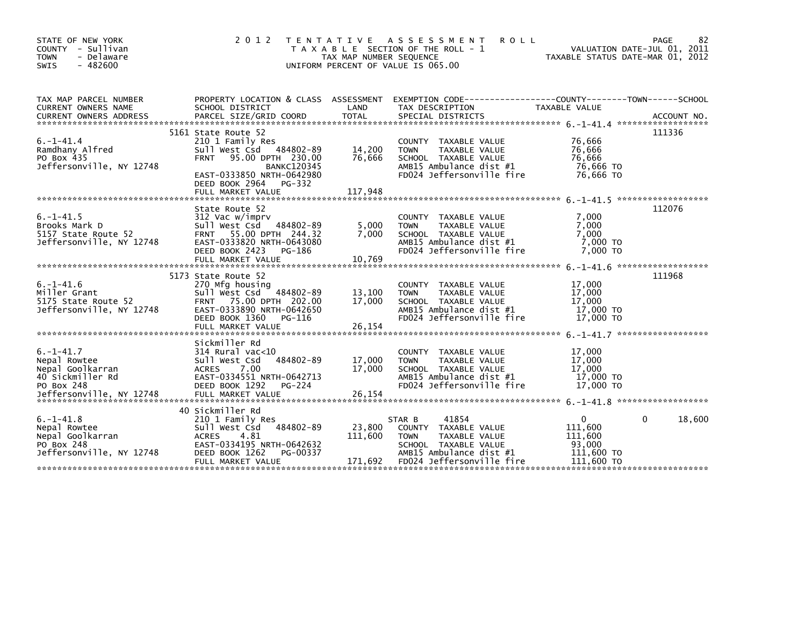| STATE OF NEW YORK<br>COUNTY - Sullivan<br><b>TOWN</b><br>- Delaware<br>$-482600$<br><b>SWIS</b>                   | 2 0 1 2                                                                                                                                                                                                    | T E N T A T I V E<br>TAX MAP NUMBER SEQUENCE | ASSESSMENT<br><b>ROLL</b><br>T A X A B L E SECTION OF THE ROLL - 1<br>UNIFORM PERCENT OF VALUE IS 065.00                                                | TAXABLE STATUS DATE-MAR 01, 2012                                     | 82<br>PAGE<br>VALUATION DATE-JUL 01, 2011 |
|-------------------------------------------------------------------------------------------------------------------|------------------------------------------------------------------------------------------------------------------------------------------------------------------------------------------------------------|----------------------------------------------|---------------------------------------------------------------------------------------------------------------------------------------------------------|----------------------------------------------------------------------|-------------------------------------------|
| TAX MAP PARCEL NUMBER<br>CURRENT OWNERS NAME<br><b>CURRENT OWNERS ADDRESS</b>                                     | PROPERTY LOCATION & CLASS ASSESSMENT<br>SCHOOL DISTRICT<br>PARCEL SIZE/GRID COORD                                                                                                                          | LAND<br><b>TOTAL</b>                         | EXEMPTION CODE-----------------COUNTY-------TOWN------SCHOOL<br>TAX DESCRIPTION<br>SPECIAL DISTRICTS                                                    | TAXABLE VALUE                                                        | ACCOUNT NO.                               |
| $6. -1 - 41.4$<br>Ramdhany Alfred<br>PO Box 435<br>Jeffersonville, NY 12748                                       | 5161 State Route 52<br>210 1 Family Res<br>Sull West Csd 484802-89<br>95.00 DPTH 230.00<br><b>FRNT</b><br><b>BANKC120345</b><br>EAST-0333850 NRTH-0642980<br>DEED BOOK 2964<br>PG-332<br>FULL MARKET VALUE | 14,200<br>76,666<br>117,948                  | <b>COUNTY</b><br>TAXABLE VALUE<br>TAXABLE VALUE<br><b>TOWN</b><br>SCHOOL TAXABLE VALUE<br>AMB15 Ambulance dist #1<br>FD024 Jeffersonville fire          | 76,666<br>76,666<br>76.666<br>76,666 TO<br>76.666 TO                 | 111336                                    |
| $6. -1 - 41.5$<br>Brooks Mark D<br>5157 State Route 52<br>Jeffersonville, NY 12748                                | State Route 52<br>312 Vac w/imprv<br>Sull West Csd<br>484802-89<br>FRNT 55.00 DPTH 244.32<br>EAST-0333820 NRTH-0643080<br>DEED BOOK 2423<br>PG-186<br>FULL MARKET VALUE                                    | 5,000<br>7,000<br>10,769                     | TAXABLE VALUE<br>COUNTY<br>TAXABLE VALUE<br><b>TOWN</b><br>SCHOOL TAXABLE VALUE<br>AMB15 Ambulance dist #1<br>FD024 Jeffersonville fire                 | 7,000<br>7,000<br>7,000<br>7,000 TO<br>7,000 TO                      | 112076                                    |
| $6. -1 - 41.6$<br>Miller Grant<br>5175 State Route 52<br>Jeffersonville, NY 12748                                 | 5173 State Route 52<br>270 Mfg housing<br>484802-89<br>Sull West Csd<br>FRNT 75.00 DPTH 202.00<br>EAST-0333890 NRTH-0642650<br>DEED BOOK 1360<br>PG-116<br>FULL MARKET VALUE                               | 13,100<br>17,000<br>26,154                   | COUNTY TAXABLE VALUE<br><b>TOWN</b><br>TAXABLE VALUE<br>SCHOOL TAXABLE VALUE<br>AMB15 Ambulance dist #1<br>FD024 Jeffersonville fire                    | 17,000<br>17,000<br>17,000<br>17,000 TO<br>17,000 TO                 | 111968                                    |
| $6. - 1 - 41.7$<br>Nepal Rowtee<br>Nepal Goolkarran<br>40 Sickmiller Rd<br>PO Box 248<br>Jeffersonville, NY 12748 | Sickmiller Rd<br>$314$ Rural vac<10<br>484802-89<br>Sull West Csd<br>7.00<br><b>ACRES</b><br>EAST-0334551 NRTH-0642713<br>DEED BOOK 1292<br>$PG-224$<br>FULL MARKET VALUE                                  | 17.000<br>17,000<br>26,154                   | COUNTY<br>TAXABLE VALUE<br><b>TOWN</b><br>TAXABLE VALUE<br>SCHOOL TAXABLE VALUE<br>AMB15 Ambulance dist #1<br>FD024 Jeffersonville fire                 | 17,000<br>17,000<br>17,000<br>17,000 TO<br>17,000 TO                 |                                           |
| $6. -1 - 41.8$<br>Nepal Rowtee<br>Nepal Goolkarran<br>PO Box 248<br>Jeffersonville, NY 12748                      | 40 Sickmiller Rd<br>210 1 Family Res<br>484802-89<br>Sull West Csd<br><b>ACRES</b><br>-4.81<br>EAST-0334195 NRTH-0642632<br>DEED BOOK 1262<br>PG-00337<br>FULL MARKET VALUE                                | 23,800<br>111,600<br>171,692                 | 41854<br>STAR B<br>COUNTY TAXABLE VALUE<br><b>TOWN</b><br>TAXABLE VALUE<br>SCHOOL TAXABLE VALUE<br>AMB15 Ambulance dist #1<br>FD024 Jeffersonville fire | $\Omega$<br>111,600<br>111,600<br>93,000<br>111,600 TO<br>111,600 TO | 0<br>18,600                               |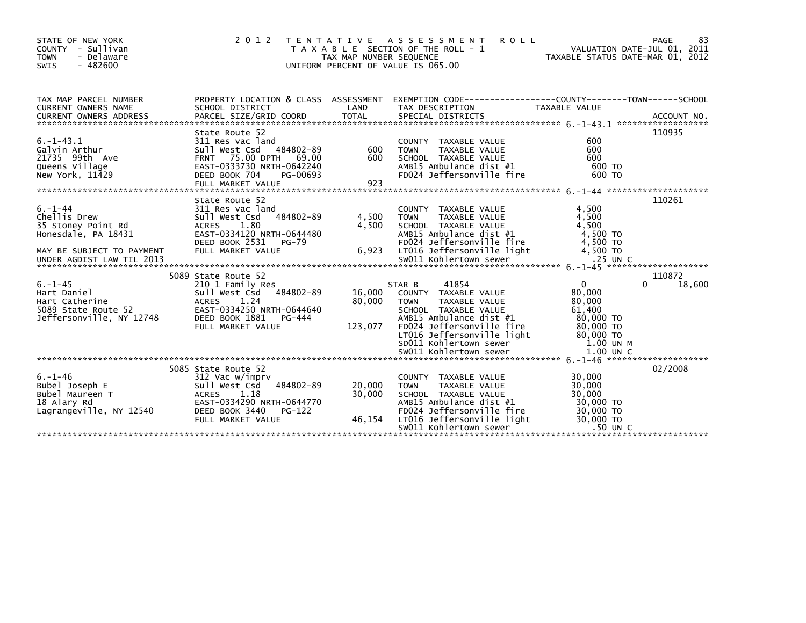| STATE OF NEW YORK<br>COUNTY - Sullivan<br><b>TOWN</b><br>- Delaware<br>SWIS<br>- 482600 | 2 0 1 2                                                                                                                                                                                                    | TAX MAP NUMBER SEQUENCE | TENTATIVE ASSESSMENT<br><b>ROLL</b><br>T A X A B L E SECTION OF THE ROLL - 1<br>UNIFORM PERCENT OF VALUE IS 065.00 | VALUATION DATE-JUL 01, 2011<br>VALUATION DATE-JUL 01, 2011<br>TAXABLE STATUS DATE-MAR 01, 2012 | 83<br>PAGE |
|-----------------------------------------------------------------------------------------|------------------------------------------------------------------------------------------------------------------------------------------------------------------------------------------------------------|-------------------------|--------------------------------------------------------------------------------------------------------------------|------------------------------------------------------------------------------------------------|------------|
| TAX MAP PARCEL NUMBER<br>CURRENT OWNERS NAME                                            | SCHOOL DISTRICT                                                                                                                                                                                            | LAND                    | PROPERTY LOCATION & CLASS ASSESSMENT EXEMPTION CODE----------------COUNTY-------TOWN-----SCHOOL<br>TAX DESCRIPTION | TAXABLE VALUE                                                                                  |            |
|                                                                                         | CURRENT UNIVERS NAME TO A SUBSEX OF THE CONFIDENT ON THE CONFIDENT ON THE CONFIDENT ON A SUBSEXUAL PARCEL SIZE<br>COURRENT OWNERS ADDRESS PARCEL SIZE/GRID COORD TOTAL SPECIAL DISTRICTS (2001) ACCOUNT NO |                         |                                                                                                                    |                                                                                                |            |
|                                                                                         | State Route 52                                                                                                                                                                                             |                         |                                                                                                                    |                                                                                                | 110935     |
| $6. -1 - 43.1$                                                                          | 311 Res vac land                                                                                                                                                                                           |                         | COUNTY TAXABLE VALUE                                                                                               | 600                                                                                            |            |
| Galvin Arthur                                                                           | Sull West Csd 484802-89                                                                                                                                                                                    | 600                     | <b>TOWN</b><br>TAXABLE VALUE                                                                                       | 600                                                                                            |            |
| 21735 99th Ave<br>Queens Village                                                        |                                                                                                                                                                                                            | 600                     | SCHOOL TAXABLE VALUE<br>AMB15 Ambulance dist #1                                                                    | 600<br>600 TO                                                                                  |            |
| New York, 11429                                                                         | SUII WEST CSG 484802-89<br>FRNT 73.00 DPTH 69.00<br>EAST-0333730 NRTH-0642240<br>DFFD BOOK 704 PG-00693<br>DEED BOOK 704<br>PG-00693                                                                       |                         | FD024 Jeffersonville fire                                                                                          | 600 TO                                                                                         |            |
|                                                                                         |                                                                                                                                                                                                            |                         |                                                                                                                    |                                                                                                |            |
|                                                                                         |                                                                                                                                                                                                            |                         |                                                                                                                    |                                                                                                |            |
| $6. - 1 - 44$                                                                           | State Route 52<br>311 Res vac land                                                                                                                                                                         |                         | COUNTY TAXABLE VALUE                                                                                               | 4,500                                                                                          | 110261     |
| b.-1-44<br>Chellis Drew<br>35 Stoney Point Rd                                           | Sull West Csd 484802-89                                                                                                                                                                                    | 4,500                   | <b>TOWN</b><br>TAXABLE VALUE                                                                                       | 4,500                                                                                          |            |
|                                                                                         | ACRES<br>1.80                                                                                                                                                                                              | 4,500                   | SCHOOL TAXABLE VALUE                                                                                               | 4,500                                                                                          |            |
| Honesdale, PA 18431                                                                     | EAST-0334120 NRTH-0644480                                                                                                                                                                                  |                         | AMB15 Ambulance dist #1                                                                                            | 4,500 TO                                                                                       |            |
|                                                                                         | DEED BOOK 2531<br>PG-79                                                                                                                                                                                    |                         | FD024 Jeffersonville fire                                                                                          | 4,500 TO                                                                                       |            |
|                                                                                         |                                                                                                                                                                                                            |                         |                                                                                                                    |                                                                                                |            |
|                                                                                         |                                                                                                                                                                                                            |                         |                                                                                                                    |                                                                                                |            |
|                                                                                         | 5089 State Route 52                                                                                                                                                                                        |                         |                                                                                                                    |                                                                                                | 110872     |
| $6. - 1 - 45$                                                                           | 210 1 Family Res<br>Sull West Csd 484802-89                                                                                                                                                                |                         | 41854<br>STAR B<br>16,000 COUNTY TAXABLE VALUE                                                                     | $\mathbf{0}$<br>80.000                                                                         | 18,600     |
| Hart Daniel<br>Hart Catherine<br>5089 State Route 52<br>SC ST TIME NY 12748             | ACRES 1.24                                                                                                                                                                                                 | 80,000                  | TOWN<br>TAXABLE VALUE                                                                                              | 80,000                                                                                         |            |
|                                                                                         | EAST-0334250 NRTH-0644640                                                                                                                                                                                  |                         | SCHOOL TAXABLE VALUE                                                                                               | 61.400                                                                                         |            |
| Jeffersonville, NY 12748                                                                | DEED BOOK 1881    PG-444                                                                                                                                                                                   |                         | AMB15 Ambulance dist #1                                                                                            | 80,000 TO                                                                                      |            |
|                                                                                         | FULL MARKET VALUE                                                                                                                                                                                          | 123,077                 | FD024 Jeffersonville fire                                                                                          | 80,000 TO                                                                                      |            |
|                                                                                         |                                                                                                                                                                                                            |                         | LT016 Jeffersonville light<br>SD011 Kohlertown sewer                                                               | 80,000 TO<br>1.00 UN M                                                                         |            |
|                                                                                         |                                                                                                                                                                                                            |                         |                                                                                                                    |                                                                                                |            |
|                                                                                         |                                                                                                                                                                                                            |                         |                                                                                                                    |                                                                                                |            |
|                                                                                         | 5085 State Route 52                                                                                                                                                                                        |                         |                                                                                                                    |                                                                                                | 02/2008    |
| $6. - 1 - 46$<br>Bubel Joseph E                                                         | 312 Vac w/imprv<br>484802-89<br>Sull West Csd                                                                                                                                                              | 20,000                  | COUNTY TAXABLE VALUE<br>TAXABLE VALUE<br><b>TOWN</b>                                                               | 30,000<br>30,000                                                                               |            |
| Bubel Maureen T                                                                         | ACRES 1.18                                                                                                                                                                                                 | 30,000                  | SCHOOL TAXABLE VALUE                                                                                               | 30,000                                                                                         |            |
| 18 Alary Rd                                                                             | EAST-0334290 NRTH-0644770                                                                                                                                                                                  |                         | AMB15 Ambulance dist #1                                                                                            | 30,000 TO                                                                                      |            |
| Lagrangeville, NY 12540                                                                 | DEED BOOK 3440<br>PG-122                                                                                                                                                                                   |                         | FD024 Jeffersonville fire                                                                                          | 30,000 TO<br>30,000 TO                                                                         |            |
|                                                                                         | FULL MARKET VALUE                                                                                                                                                                                          | 46,154                  | LT016 Jeffersonville light                                                                                         |                                                                                                |            |
|                                                                                         |                                                                                                                                                                                                            |                         | SW011 Kohlertown sewer                                                                                             | .50 UN C                                                                                       |            |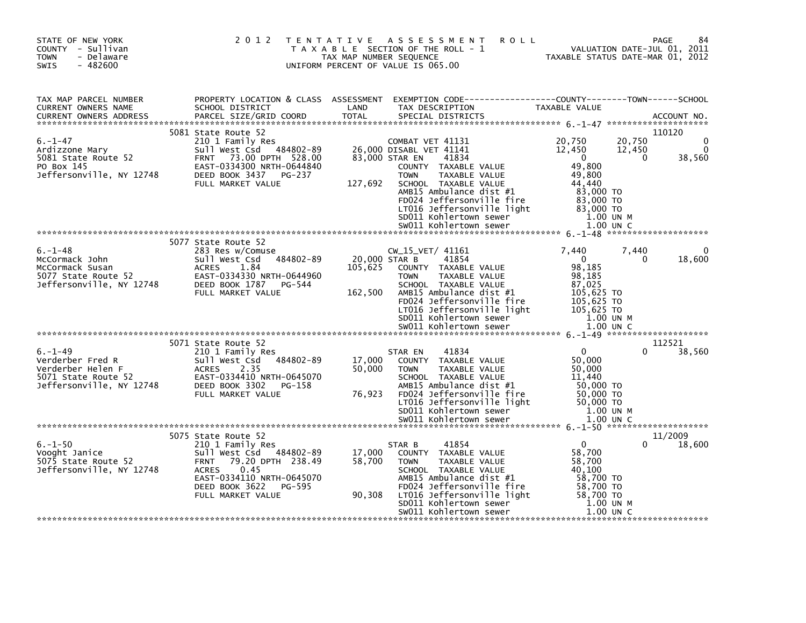| STATE OF NEW YORK<br>COUNTY - Sullivan<br>- Delaware<br><b>TOWN</b><br>$-482600$<br><b>SWIS</b>           | 2 0 1 2                                                                                                                                                                                  | T E N T A T I V E<br>TAX MAP NUMBER SEQUENCE | <b>ROLL</b><br>A S S E S S M E N T<br>T A X A B L E SECTION OF THE ROLL - 1<br>UNIFORM PERCENT OF VALUE IS 065.00                                                                                                                                                                                | TAXABLE STATUS DATE-MAR 01, 2012                                                                                                  | <b>PAGE</b><br>VALUATION DATE-JUL 01, 2011  |
|-----------------------------------------------------------------------------------------------------------|------------------------------------------------------------------------------------------------------------------------------------------------------------------------------------------|----------------------------------------------|--------------------------------------------------------------------------------------------------------------------------------------------------------------------------------------------------------------------------------------------------------------------------------------------------|-----------------------------------------------------------------------------------------------------------------------------------|---------------------------------------------|
| TAX MAP PARCEL NUMBER<br>CURRENT OWNERS NAME<br><b>CURRENT OWNERS ADDRESS</b>                             | PROPERTY LOCATION & CLASS ASSESSMENT<br>SCHOOL DISTRICT<br>PARCEL SIZE/GRID COORD<br>5081 State Route 52                                                                                 | LAND<br><b>TOTAL</b>                         | EXEMPTION CODE-----------------COUNTY-------TOWN------SCHOOL<br>TAX DESCRIPTION<br>SPECIAL DISTRICTS                                                                                                                                                                                             | TAXABLE VALUE                                                                                                                     | ACCOUNT NO.<br>110120                       |
| $6. - 1 - 47$<br>Ardizzone Mary<br>5081 State Route 52<br>PO Box 145<br>Jeffersonville, NY 12748          | 210 1 Family Res<br>Sull West Csd 484802-89<br><b>FRNT</b><br>73.00 DPTH 528.00<br>EAST-0334300 NRTH-0644840<br>DEED BOOK 3437<br>PG-237<br>FULL MARKET VALUE                            | 127,692                                      | COMBAT VET 41131<br>26,000 DISABL VET 41141<br>83,000 STAR EN<br>41834<br>COUNTY TAXABLE VALUE<br>TAXABLE VALUE<br><b>TOWN</b><br>SCHOOL TAXABLE VALUE<br>AMB15 Ambulance dist #1<br>FD024 Jeffersonville fire<br>LT016 Jeffersonville light<br>SD011 Kohlertown sewer<br>SW011 Kohlertown sewer | 20,750<br>12,450<br>$\overline{0}$<br>49,800<br>49,800<br>44,440<br>83,000 TO<br>83,000 TO<br>83,000 TO<br>1.00 UN M<br>1.00 UN C | 20,750<br>0<br>12,450<br>38,560<br>$\Omega$ |
|                                                                                                           | 5077 State Route 52                                                                                                                                                                      |                                              |                                                                                                                                                                                                                                                                                                  |                                                                                                                                   |                                             |
| $6. - 1 - 48$<br>McCormack John<br>McCormack Susan<br>5077 State Route 52<br>Jeffersonville, NY 12748     | 283 Res w/Comuse<br>484802-89<br>Sull West Csd<br><b>ACRES</b><br>1.84<br>EAST-0334330 NRTH-0644960<br>DEED BOOK 1787 PG-544<br>FULL MARKET VALUE                                        | 105,625<br>162,500                           | $CW_15_VET/41161$<br>20,000 STAR B<br>41854<br>COUNTY TAXABLE VALUE<br><b>TOWN</b><br>TAXABLE VALUE<br>SCHOOL TAXABLE VALUE<br>AMB15 Ambulance dist #1<br>FD024 Jeffersonville fire<br>LT016 Jeffersonville light<br>SD011 Kohlertown sewer<br>SW011 Kohlertown sewer                            | 7.440<br>$\overline{0}$<br>98,185<br>98.185<br>87,025<br>105,625 TO<br>105,625 TO<br>105,625 TO<br>1.00 UN M<br>1.00 UN C         | 7,440<br>18,600<br>$\Omega$                 |
| $6. - 1 - 49$<br>Verderber Fred R<br>Verderber Helen F<br>5071 State Route 52<br>Jeffersonville, NY 12748 | 5071 State Route 52<br>210 1 Family Res<br>484802-89<br>Sull West Csd<br><b>ACRES</b><br>2.35<br>EAST-0334410 NRTH-0645070<br>DEED BOOK 3302<br>PG-158<br>FULL MARKET VALUE              | 17,000<br>50,000<br>76,923                   | 41834<br>STAR EN<br>COUNTY TAXABLE VALUE<br>TAXABLE VALUE<br><b>TOWN</b><br>SCHOOL TAXABLE VALUE<br>AMB15 Ambulance dist #1<br>FD024 Jeffersonville fire<br>LT016 Jeffersonville light<br>SD011 Kohlertown sewer                                                                                 | $\mathbf{0}$<br>50,000<br>50,000<br>11.440<br>50,000 TO<br>50,000 TO<br>50,000 TO<br>1.00 UN M                                    | 112521<br>38,560                            |
|                                                                                                           | 5075 State Route 52                                                                                                                                                                      |                                              |                                                                                                                                                                                                                                                                                                  |                                                                                                                                   | 11/2009                                     |
| $6. - 1 - 50$<br>Vooght Janice<br>5075 State Route 52<br>Jeffersonville, NY 12748                         | 210 1 Family Res<br>Sull West Csd<br>484802-89<br>79.20 DPTH 238.49<br><b>FRNT</b><br><b>ACRES</b><br>0.45<br>EAST-0334110 NRTH-0645070<br>DEED BOOK 3622<br>PG-595<br>FULL MARKET VALUE | 17.000<br>58,700<br>90,308                   | 41854<br>STAR B<br>COUNTY TAXABLE VALUE<br><b>TOWN</b><br>TAXABLE VALUE<br>SCHOOL TAXABLE VALUE<br>AMB15 Ambulance dist #1<br>FD024 Jeffersonville fire<br>LT016 Jeffersonville light                                                                                                            | $\overline{0}$<br>58,700<br>58,700<br>40,100<br>58,700 TO<br>58,700 TO<br>58,700 TO                                               | 18,600                                      |
|                                                                                                           |                                                                                                                                                                                          |                                              | SD011 Kohlertown sewer<br>SW011 Kohlertown sewer                                                                                                                                                                                                                                                 | 1.00 UN M<br>$1.00$ UN C                                                                                                          |                                             |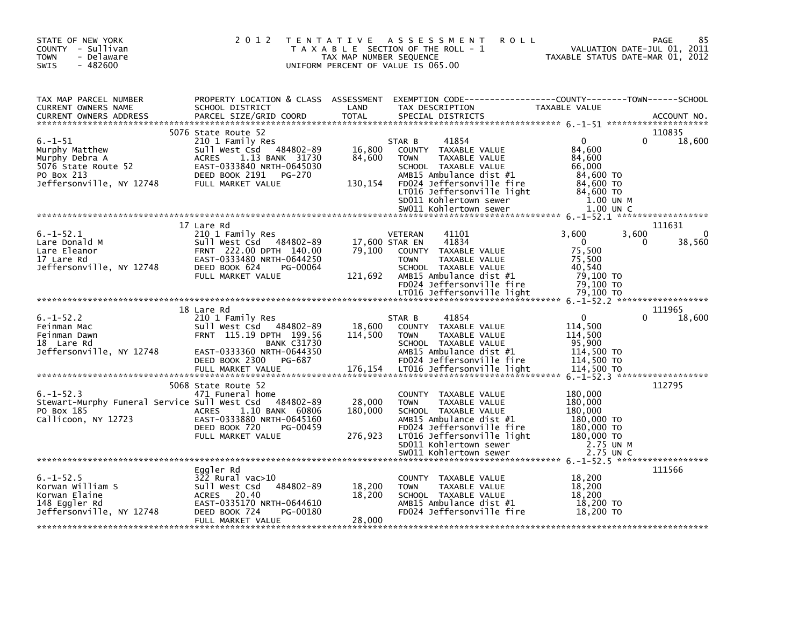| STATE OF NEW YORK<br>COUNTY - Sullivan<br>- Delaware<br><b>TOWN</b><br>$-482600$<br><b>SWIS</b>                    | 2 0 1 2                                                                                                                                                                             | T E N T A T I V E<br>TAX MAP NUMBER SEQUENCE | A S S E S S M E N T<br>T A X A B L E SECTION OF THE ROLL - 1<br>UNIFORM PERCENT OF VALUE IS 065.00                                                                                                                                        | <b>ROLL</b><br>TAXABLE STATUS DATE-MAR 01, 2012                                                             | 85<br>PAGE<br>VALUATION DATE-JUL 01, 2011             |
|--------------------------------------------------------------------------------------------------------------------|-------------------------------------------------------------------------------------------------------------------------------------------------------------------------------------|----------------------------------------------|-------------------------------------------------------------------------------------------------------------------------------------------------------------------------------------------------------------------------------------------|-------------------------------------------------------------------------------------------------------------|-------------------------------------------------------|
| TAX MAP PARCEL NUMBER<br>CURRENT OWNERS NAME<br><b>CURRENT OWNERS ADDRESS</b>                                      | PROPERTY LOCATION & CLASS ASSESSMENT<br>SCHOOL DISTRICT<br>PARCEL SIZE/GRID COORD                                                                                                   | LAND<br><b>TOTAL</b>                         | EXEMPTION        CODE------------------COUNTY-------TOWN------SCHOOL<br>TAX DESCRIPTION<br>SPECIAL DISTRICTS                                                                                                                              | TAXABLE VALUE                                                                                               | ACCOUNT NO.                                           |
| $6. - 1 - 51$<br>Murphy Matthew<br>Murphy Debra A<br>5076 State Route 52<br>PO Box 213<br>Jeffersonville, NY 12748 | 5076 State Route 52<br>210 1 Family Res<br>Sull West Csd 484802-89<br>1.13 BANK 31730<br><b>ACRES</b><br>EAST-0333840 NRTH-0645030<br>DEED BOOK 2191<br>PG-270<br>FULL MARKET VALUE | 16,800<br>84,600<br>130,154                  | 41854<br>STAR B<br>COUNTY TAXABLE VALUE<br><b>TOWN</b><br>TAXABLE VALUE<br>SCHOOL TAXABLE VALUE<br>AMB15 Ambulance dist #1<br>FD024 Jeffersonville fire<br>LT016 Jeffersonville light<br>SD011 Kohlertown sewer<br>SW011 Kohlertown sewer | $\mathbf{0}$<br>84,600<br>84,600<br>66,000<br>84,600 TO<br>84,600 TO<br>84,600 TO<br>1.00 UN M<br>1.00 UN C | 110835<br>18,600                                      |
|                                                                                                                    |                                                                                                                                                                                     |                                              |                                                                                                                                                                                                                                           |                                                                                                             |                                                       |
| $6. -1 - 52.1$<br>Lare Donald M<br>Lare Eleanor<br>17 Lare Rd<br>Jeffersonville, NY 12748                          | 17 Lare Rd<br>210 1 Family Res<br>Sull West Csd 484802-89<br>FRNT 222.00 DPTH 140.00<br>EAST-0333480 NRTH-0644250<br>DEED BOOK 624<br>PG-00064<br>FULL MARKET VALUE                 | 17,600 STAR EN<br>79,100<br>121,692          | <b>VETERAN</b><br>41101<br>41834<br>COUNTY TAXABLE VALUE<br><b>TOWN</b><br>TAXABLE VALUE<br>SCHOOL TAXABLE VALUE<br>AMB15 Ambulance dist #1<br>FD024 Jeffersonville fire                                                                  | 3,600<br>$\Omega$<br>75,500<br>75,500<br>40.540<br>79.100 TO<br>79.100 TO                                   | 111631<br>$\mathbf{0}$<br>3,600<br>38,560<br>$\Omega$ |
|                                                                                                                    |                                                                                                                                                                                     |                                              | LT016 Jeffersonville light                                                                                                                                                                                                                | 79,100 TO                                                                                                   |                                                       |
|                                                                                                                    |                                                                                                                                                                                     |                                              |                                                                                                                                                                                                                                           |                                                                                                             |                                                       |
| $6. -1 - 52.2$<br>Feinman Mac<br>Feinman Dawn<br>18 Lare Rd<br>Jeffersonville, NY 12748                            | 18 Lare Rd<br>210 1 Family Res<br>Sull West Csd 484802-89<br>FRNT 115.19 DPTH 199.56<br><b>BANK C31730</b><br>EAST-0333360 NRTH-0644350<br>DEED BOOK 2300<br>PG-687                 | 18,600<br>114,500                            | 41854<br>STAR B<br>COUNTY TAXABLE VALUE<br>TAXABLE VALUE<br><b>TOWN</b><br>SCHOOL TAXABLE VALUE<br>AMB15 Ambulance dist #1<br>FD024 Jeffersonville fire                                                                                   | $\mathbf{0}$<br>114,500<br>114,500<br>95,900<br>114,500 TO<br>114,500 TO                                    | 111965<br>18,600                                      |
|                                                                                                                    | FULL MARKET VALUE                                                                                                                                                                   | 176,154                                      | LT016 Jeffersonville light                                                                                                                                                                                                                | 114,500 TO                                                                                                  |                                                       |
| $6. -1 - 52.3$<br>Stewart-Murphy Funeral Service Sull West Csd<br>PO Box 185<br>Callicoon, NY 12723                | 5068 State Route 52<br>471 Funeral home<br>484802-89<br><b>ACRES</b><br>1.10 BANK 60806<br>EAST-0333880 NRTH-0645160<br>DEED BOOK 720<br>PG-00459<br>FULL MARKET VALUE              | 28,000<br>180,000<br>276,923                 | COUNTY TAXABLE VALUE<br><b>TAXABLE VALUE</b><br><b>TOWN</b><br>SCHOOL TAXABLE VALUE<br>AMB15 Ambulance dist #1<br>FD024 Jeffersonville fire<br>LT016 Jeffersonville light<br>SD011 Kohlertown sewer                                       | 180,000<br>180,000<br>180,000<br>180,000 TO<br>180,000 TO<br>180,000 TO<br>2.75 UN M                        | $6. -1 - 52.3$ *******************<br>112795          |
|                                                                                                                    |                                                                                                                                                                                     |                                              | SW011 Kohlertown sewer                                                                                                                                                                                                                    | 2.75 UN C                                                                                                   | 6. -1-52. 5 *******************                       |
| $6. -1 - 52.5$<br>Korwan William S<br>Korwan Elaine<br>148 Eggler Rd<br>Jeffersonville, NY 12748                   | Eggler Rd<br>$322$ Rural vac $>10$<br>484802-89<br>Sull West Csd<br>ACRES 20.40<br>EAST-0335170 NRTH-0644610<br>DEED BOOK 724<br>PG-00180<br>FULL MARKET VALUE                      | 18,200<br>18,200<br>28,000                   | COUNTY TAXABLE VALUE<br><b>TOWN</b><br><b>TAXABLE VALUE</b><br>SCHOOL TAXABLE VALUE<br>AMB15 Ambulance dist #1<br>FD024 Jeffersonville fire                                                                                               | 18,200<br>18,200<br>18,200<br>18,200 TO<br>18,200 TO                                                        | 111566                                                |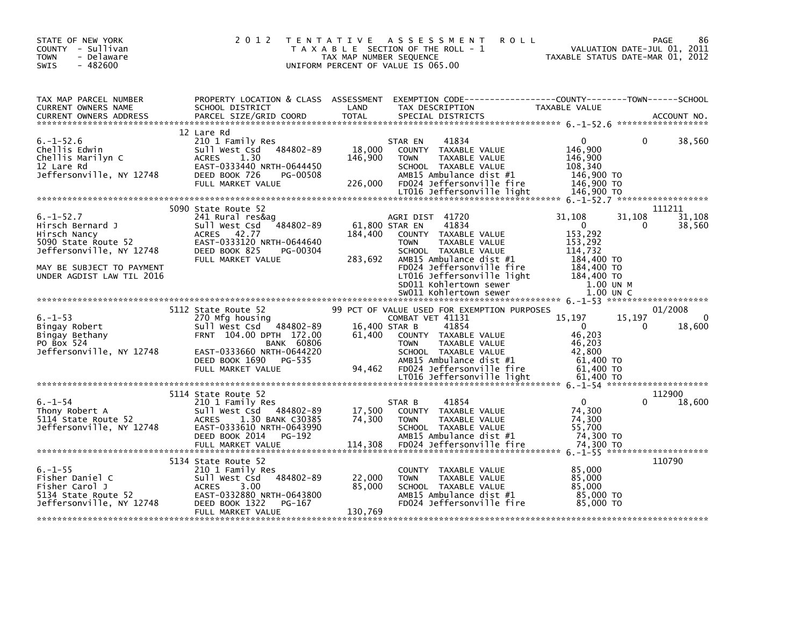| STATE OF NEW YORK<br>COUNTY - Sullivan<br><b>TOWN</b><br>- Delaware<br>$-482600$<br><b>SWIS</b>                                                                                  | 2 0 1 2                                                                                                                                                                                      | TENTATIVE ASSESSMENT<br>T A X A B L E SECTION OF THE ROLL - 1<br>TAX MAP NUMBER SEQUENCE<br>UNIFORM PERCENT OF VALUE IS 065.00 | <b>ROLL</b>                                                                                                                                                                                                                         | VALUATION DATE-JUL 01, 2011<br>TAXABLE STATUS DATE-MAR 01, 2012                                                                    |                    | PAGE<br>86                    |
|----------------------------------------------------------------------------------------------------------------------------------------------------------------------------------|----------------------------------------------------------------------------------------------------------------------------------------------------------------------------------------------|--------------------------------------------------------------------------------------------------------------------------------|-------------------------------------------------------------------------------------------------------------------------------------------------------------------------------------------------------------------------------------|------------------------------------------------------------------------------------------------------------------------------------|--------------------|-------------------------------|
| TAX MAP PARCEL NUMBER<br>CURRENT OWNERS NAME<br>CURRENT OWNERS ADDRESS                                                                                                           | PROPERTY LOCATION & CLASS ASSESSMENT<br>SCHOOL DISTRICT<br>PARCEL SIZE/GRID COORD                                                                                                            | LAND<br>TOTAL                                                                                                                  | EXEMPTION CODE-----------------COUNTY-------TOWN------SCHOOL<br>TAX DESCRIPTION<br>SPECIAL DISTRICTS                                                                                                                                | TAXABLE VALUE                                                                                                                      |                    | ACCOUNT NO.                   |
| $6. - 1 - 52.6$<br>Chellis Edwin<br>Chellis Marilyn C<br>12 Lare Rd<br>Jeffersonville, NY 12748                                                                                  | 12 Lare Rd<br>210 1 Family Res<br>Sull West Csd 484802-89<br><b>ACRES</b><br>1.30<br>EAST-0333440 NRTH-0644450<br>DEED BOOK 726<br>PG-00508<br>FULL MARKET VALUE                             | STAR EN<br>18,000<br>146,900<br><b>TOWN</b><br>226,000                                                                         | 41834<br>COUNTY TAXABLE VALUE<br>TAXABLE VALUE<br>SCHOOL TAXABLE VALUE<br>AMB15 Ambulance dist #1<br>FD024 Jeffersonville fire<br>LT016 Jeffersonville light                                                                        | $\Omega$<br>146,900<br>146,900<br>108,340<br>146,900 TO<br>146,900 то<br>146,900 TO                                                | $\Omega$           | 38,560                        |
| $6. -1 - 52.7$<br>Hirsch Bernard J<br>Hirsch Nancy<br>תור>כון שמחכץ<br>5090 State Route 52<br>Jeffersonville, NY 12748<br>MAY BE SUBJECT TO PAYMENT<br>UNDER AGDIST LAW TIL 2016 | 5090 State Route 52<br>241 Rural res&ag<br>Sull West Csd 484802-89<br>ACRES 42.77<br>EAST-0333120 NRTH-0644640<br>DEED BOOK 825<br>PG-00304<br>FULL MARKET VALUE                             | 61,800 STAR EN<br>184,400<br><b>TOWN</b><br>283,692                                                                            | AGRI DIST 41720<br>41834<br>COUNTY TAXABLE VALUE<br>TAXABLE VALUE<br>SCHOOL TAXABLE VALUE<br>AMB15 Ambulance dist #1<br>FD024 Jeffersonville fire<br>LT016 Jeffersonville light<br>SD011 Kohlertown sewer<br>SW011 Kohlertown sewer | 31,108<br>$\Omega$<br>153,292<br>153,292<br>114,732<br>114,732<br>184,400 то<br>184,400 TO<br>184,400 TO<br>1.00 UN M<br>1.00 UN C | 31,108<br>0        | 111211<br>31,108<br>38,560    |
| $6. - 1 - 53$<br>Bingay Robert<br>Bingay Bethany<br>PO Box 524<br>Jeffersonville, NY 12748                                                                                       | 5112 State Route 52<br>270 Mfg housing<br>Sull West Csd 484802-89<br>FRNT 104.00 DPTH 172.00<br><b>BANK 60806</b><br>EAST-0333660 NRTH-0644220<br>DEED BOOK 1690 PG-535<br>FULL MARKET VALUE | 16,400 STAR B<br>61,400<br><b>TOWN</b><br>94,462                                                                               | 99 PCT OF VALUE USED FOR EXEMPTION PURPOSES<br>COMBAT VET 41131<br>41854<br>COUNTY TAXABLE VALUE<br>TAXABLE VALUE<br>SCHOOL TAXABLE VALUE<br>AMB15 Ambulance dist #1<br>FD024 Jeffersonville fire<br>LT016 Jeffersonville light     | 15,197<br>$\overline{\mathbf{0}}$<br>46,203<br>46,203<br>42,800<br>61,400 TO<br>$61,400$ TO<br>61,400 TO                           | 15,197<br>$\Omega$ | 01/2008<br>$\Omega$<br>18,600 |
| o.-⊥-ɔ4<br>Thony Robert A<br>5114 State Route 52<br>Jeffersonville, NY 12748                                                                                                     | 5114 State Route 52<br>210 1 Family Res<br>sull west Csd 484802-89<br>ACRES<br>1.30 BANK C30385<br>EAST-0333610 NRTH-0643990<br>DEED BOOK 2014 PG-192                                        | STAR B<br>17,500<br>74,300<br><b>TOWN</b>                                                                                      | 41854<br>COUNTY TAXABLE VALUE<br>TAXABLE VALUE<br>SCHOOL TAXABLE VALUE<br>AMB15 Ambulance dist #1                                                                                                                                   | $\mathbf{0}$<br>74,300<br>74,300<br>55,700<br>74,300 TO                                                                            | 0                  | 112900<br>18,600              |
| $6. - 1 - 55$<br>6.-1-55<br>Fisher Daniel C<br>Fisher Carol J<br>5134 State Route 52<br>Jeffersonville, NY 12748                                                                 | 5134 State Route 52<br>210 1 Family Res<br>484802-89<br>Sull West Csd<br><b>ACRES</b><br>3.00<br>EAST-0332880 NRTH-0643800<br>DEED BOOK 1322<br>PG-167<br>FULL MARKET VALUE                  | 22,000<br><b>TOWN</b><br>85,000<br>130,769                                                                                     | COUNTY TAXABLE VALUE<br>TAXABLE VALUE<br>SCHOOL TAXABLE VALUE<br>AMB15 Ambulance dist #1<br>FD024 Jeffersonville fire                                                                                                               | 85,000<br>85,000<br>85,000<br>85,000 TO<br>85.000 TO                                                                               |                    | 110790                        |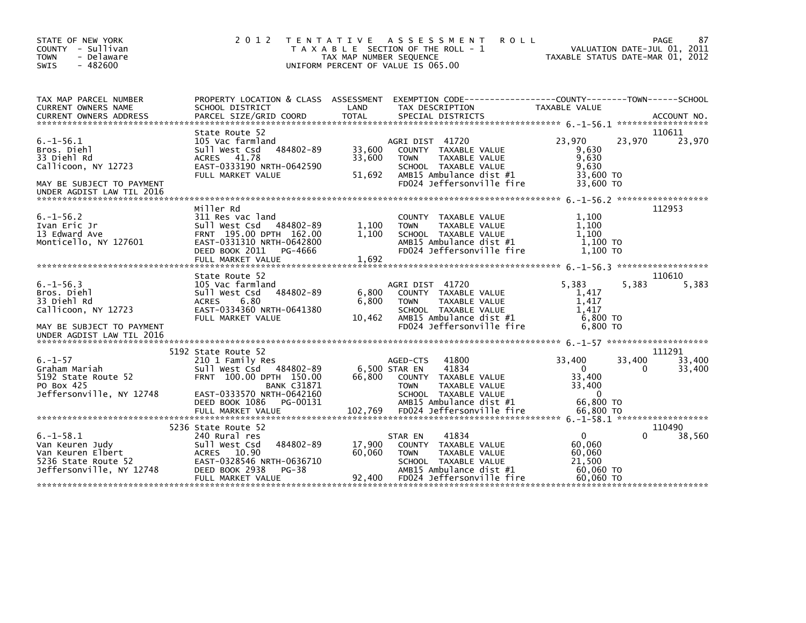| STATE OF NEW YORK<br>COUNTY - Sullivan<br><b>TOWN</b><br>- Delaware<br>$-482600$<br>SWIS                                      | 2 0 1 2                                                                                                                                             | TAX MAP NUMBER SEQUENCE    | TENTATIVE ASSESSMENT<br><b>ROLL</b><br>T A X A B L E SECTION OF THE ROLL - 1<br>UNIFORM PERCENT OF VALUE IS 065.00                                             | TAXABLE STATUS DATE-MAR 01, 2012                            |             | 87<br>PAGE<br>VALUATION DATE-JUL 01, 2011 |
|-------------------------------------------------------------------------------------------------------------------------------|-----------------------------------------------------------------------------------------------------------------------------------------------------|----------------------------|----------------------------------------------------------------------------------------------------------------------------------------------------------------|-------------------------------------------------------------|-------------|-------------------------------------------|
| TAX MAP PARCEL NUMBER<br><b>CURRENT OWNERS NAME</b><br><b>CURRENT OWNERS ADDRESS</b>                                          | PROPERTY LOCATION & CLASS ASSESSMENT<br>SCHOOL DISTRICT<br>PARCEL SIZE/GRID COORD                                                                   | LAND<br><b>TOTAL</b>       | TAX DESCRIPTION<br>SPECIAL DISTRICTS                                                                                                                           | TAXABLE VALUE                                               |             | ACCOUNT NO.                               |
|                                                                                                                               |                                                                                                                                                     |                            |                                                                                                                                                                |                                                             |             |                                           |
| $6. -1 - 56.1$<br>Bros. Diehl<br>33 Diehl Rd<br>Callicoon, NY 12723<br>MAY BE SUBJECT TO PAYMENT<br>UNDER AGDIST LAW TIL 2016 | State Route 52<br>105 Vac farmland<br>484802-89<br>Sull West Csd<br>ACRES 41.78<br>EAST-0333190 NRTH-0642590<br>FULL MARKET VALUE                   | 33,600<br>33,600<br>51,692 | AGRI DIST 41720<br>COUNTY TAXABLE VALUE<br><b>TAXABLE VALUE</b><br><b>TOWN</b><br>SCHOOL TAXABLE VALUE<br>AMB15 Ambulance dist #1<br>FD024 Jeffersonville fire | 23,970<br>9,630<br>9,630<br>9,630<br>33,600 TO<br>33,600 TO | 23,970      | 110611<br>23,970                          |
| $6. - 1 - 56.2$                                                                                                               | Miller Rd<br>311 Res vac land                                                                                                                       |                            | <b>COUNTY</b><br>TAXABLE VALUE                                                                                                                                 | 1,100                                                       |             | 112953                                    |
| Ivan Eric Jr<br>13 Edward Ave<br>Monticello, NY 127601                                                                        | Sull West Csd<br>484802-89<br>FRNT 195.00 DPTH 162.00<br>EAST-0331310 NRTH-0642800<br>DEED BOOK 2011<br>PG-4666<br>FULL MARKET VALUE                | 1,100<br>1,100<br>1,692    | TAXABLE VALUE<br><b>TOWN</b><br>SCHOOL TAXABLE VALUE<br>AMB15 Ambulance dist #1<br>FD024 Jeffersonville fire                                                   | 1,100<br>1.100<br>1.100 TO<br>1.100 TO                      |             |                                           |
|                                                                                                                               |                                                                                                                                                     |                            |                                                                                                                                                                |                                                             |             | ******************                        |
| $6. -1 - 56.3$<br>Bros. Diehl<br>33 Diehl Rd<br>Callicoon, NY 12723<br>MAY BE SUBJECT TO PAYMENT<br>UNDER AGDIST LAW TIL 2016 | State Route 52<br>105 Vac farmland<br>484802-89<br>Sull West Csd<br><b>ACRES</b><br>6.80<br>EAST-0334360 NRTH-0641380<br>FULL MARKET VALUE          | 6,800<br>6.800<br>10.462   | AGRI DIST 41720<br>COUNTY TAXABLE VALUE<br>TAXABLE VALUE<br><b>TOWN</b><br>SCHOOL TAXABLE VALUE<br>AMB15 Ambulance dist #1<br>FD024 Jeffersonville fire        | 5.383<br>1,417<br>1.417<br>1.417<br>6,800 TO<br>6.800 TO    | 5,383       | 110610<br>5,383                           |
|                                                                                                                               |                                                                                                                                                     |                            |                                                                                                                                                                |                                                             |             |                                           |
| $6. - 1 - 57$<br>Graham Mariah<br>5192 State Route 52<br>PO Box 425<br>Jeffersonville, NY 12748                               | 5192 State Route 52<br>210 1 Family Res<br>Sull West Csd<br>484802-89<br>FRNT 100.00 DPTH 150.00<br><b>BANK C31871</b><br>EAST-0333570 NRTH-0642160 | 66.800                     | 41800<br>AGED-CTS<br>6,500 STAR EN<br>41834<br>COUNTY TAXABLE VALUE<br><b>TAXABLE VALUE</b><br><b>TOWN</b><br>SCHOOL TAXABLE VALUE                             | 33,400<br>$\Omega$<br>33,400<br>33,400<br>$\Omega$          | 33,400<br>0 | 111291<br>33,400<br>33,400                |
|                                                                                                                               | DEED BOOK 1086<br>PG-00131<br>FULL MARKET VALUE                                                                                                     | 102,769                    | AMB15 Ambulance dist #1<br>FD024 Jeffersonville fire                                                                                                           | 66,800 TO<br>66.800 TO                                      |             |                                           |
|                                                                                                                               | 5236 State Route 52                                                                                                                                 |                            |                                                                                                                                                                |                                                             |             | 110490                                    |
| $6. -1 - 58.1$<br>Van Keuren Judy<br>Van Keuren Elbert<br>5236 State Route 52<br>Jeffersonville, NY 12748                     | 240 Rural res<br>484802-89<br>Sull West Csd<br>ACRES<br>10.90<br>EAST-0328546 NRTH-0636710<br>DEED BOOK 2938<br>PG-38                               | 17,900<br>60.060           | 41834<br>STAR EN<br>COUNTY TAXABLE VALUE<br><b>TAXABLE VALUE</b><br><b>TOWN</b><br>SCHOOL TAXABLE VALUE<br>AMB15 Ambulance dist #1                             | $\mathbf{0}$<br>60,060<br>60,060<br>21,500<br>60,060 TO     |             | 38,560                                    |
|                                                                                                                               | FULL MARKET VALUE                                                                                                                                   | 92,400                     | FD024 Jeffersonville fire                                                                                                                                      | 60.060 TO                                                   |             |                                           |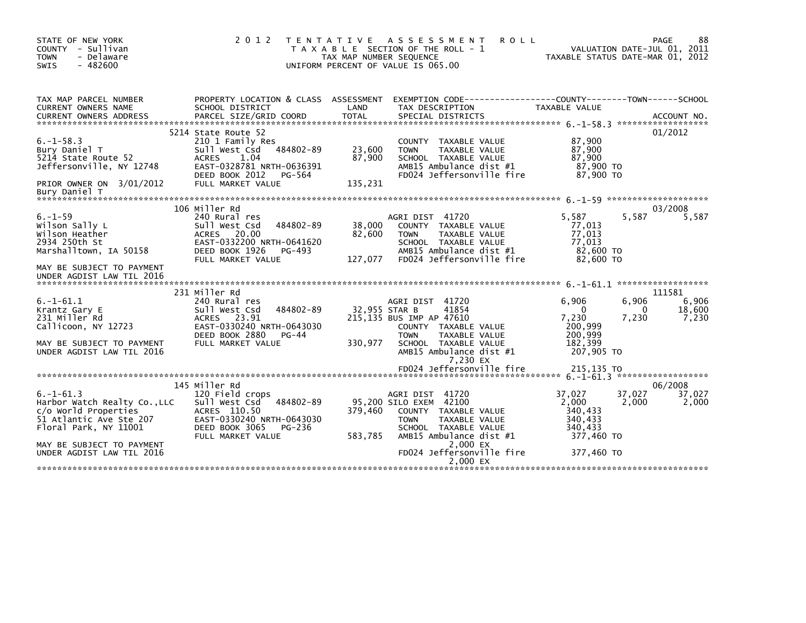| STATE OF NEW YORK<br>COUNTY - Sullivan<br><b>TOWN</b><br>- Delaware<br><b>SWIS</b><br>$-482600$                                   | 2 0 1 2                                                                                                                                                                     | T E N T A T I V E<br>TAX MAP NUMBER SEQUENCE | A S S E S S M E N T<br><b>ROLL</b><br>T A X A B L E SECTION OF THE ROLL - 1<br>UNIFORM PERCENT OF VALUE IS 065.00                                                                  |                                                                           | 88<br>PAGE<br>VALUATION DATE-JUL 01, 2011<br>TAXABLE STATUS DATE-MAR 01, 2012 |
|-----------------------------------------------------------------------------------------------------------------------------------|-----------------------------------------------------------------------------------------------------------------------------------------------------------------------------|----------------------------------------------|------------------------------------------------------------------------------------------------------------------------------------------------------------------------------------|---------------------------------------------------------------------------|-------------------------------------------------------------------------------|
| TAX MAP PARCEL NUMBER<br><b>CURRENT OWNERS NAME</b>                                                                               | PROPERTY LOCATION & CLASS ASSESSMENT<br>SCHOOL DISTRICT                                                                                                                     | LAND                                         | EXEMPTION CODE---<br>TAX DESCRIPTION                                                                                                                                               | -------------COUNTY--------TOWN------SCHOOL<br>TAXABLE VALUE              | ACCOUNT NO.<br>******************                                             |
| $6. -1 - 58.3$<br>Bury Daniel T<br>5214 State Route 52<br>Jeffersonville, NY 12748<br>PRIOR OWNER ON 3/01/2012<br>Bury Daniel T   | 5214 State Route 52<br>210 1 Family Res<br>484802-89<br>Sull West Csd<br><b>ACRES</b><br>1.04<br>EAST-0328781 NRTH-0636391<br>DEED BOOK 2012<br>PG-564<br>FULL MARKET VALUE | 23,600<br>87,900<br>135,231                  | COUNTY TAXABLE VALUE<br><b>TOWN</b><br>TAXABLE VALUE<br>SCHOOL TAXABLE VALUE<br>AMB15 Ambulance dist #1<br>FD024 Jeffersonville fire                                               | 87,900<br>87,900<br>87,900<br>87,900 TO<br>87,900 TO                      | 01/2012                                                                       |
|                                                                                                                                   |                                                                                                                                                                             |                                              |                                                                                                                                                                                    |                                                                           |                                                                               |
| $6. - 1 - 59$<br>Wilson Sally L<br>Wilson Heather<br>2934 250th St<br>Marshalltown, IA 50158                                      | 106 Miller Rd<br>240 Rural res<br>484802-89<br>Sull West Csd<br><b>ACRES</b><br>20.00<br>EAST-0332200 NRTH-0641620<br>DEED BOOK 1926<br>PG-493<br>FULL MARKET VALUE         | 38,000<br>82,600<br>127,077                  | AGRI DIST 41720<br>COUNTY TAXABLE VALUE<br>TAXABLE VALUE<br><b>TOWN</b><br>SCHOOL TAXABLE VALUE<br>AMB15 Ambulance dist #1<br>FD024 Jeffersonville fire                            | 5.587<br>77,013<br>77,013<br>77,013<br>82,600 TO<br>82,600 TO             | 03/2008<br>5,587<br>5,587                                                     |
| MAY BE SUBJECT TO PAYMENT<br>UNDER AGDIST LAW TIL 2016                                                                            |                                                                                                                                                                             |                                              |                                                                                                                                                                                    |                                                                           |                                                                               |
| $6. -1 - 61.1$<br>Krantz Gary E<br>231 Miller Rd<br>Callicoon, NY 12723<br>MAY BE SUBJECT TO PAYMENT<br>UNDER AGDIST LAW TIL 2016 | 231 Miller Rd<br>240 Rural res<br>484802-89<br>Sull West Csd<br>23.91<br><b>ACRES</b><br>EAST-0330240 NRTH-0643030<br>DEED BOOK 2880<br>$PG-44$<br>FULL MARKET VALUE        | 32,955 STAR B<br>330,977                     | AGRI DIST 41720<br>41854<br>215,135 BUS IMP AP 47610<br>COUNTY TAXABLE VALUE<br><b>TAXABLE VALUE</b><br><b>TOWN</b><br>SCHOOL TAXABLE VALUE<br>AMB15 Ambulance dist #1<br>7,230 EX | 6.906<br>$\Omega$<br>7,230<br>200,999<br>200,999<br>182,399<br>207,905 TO | 111581<br>6,906<br>6,906<br>18,600<br>0<br>7,230<br>7,230                     |
|                                                                                                                                   |                                                                                                                                                                             |                                              |                                                                                                                                                                                    |                                                                           |                                                                               |
|                                                                                                                                   | 145 Miller Rd                                                                                                                                                               |                                              |                                                                                                                                                                                    |                                                                           | 06/2008                                                                       |
| $6. -1 - 61.3$<br>Harbor Watch Realty Co., LLC<br>c/o World Properties<br>51 Atlantic Ave Ste 207<br>Floral Park, NY 11001        | 120 Field crops<br>Sull West Csd<br>484802-89<br>ACRES 110.50<br>EAST-0330240 NRTH-0643030<br>DEED BOOK 3065<br>PG-236<br>FULL MARKET VALUE                                 | 379.460<br>583,785                           | AGRI DIST<br>41720<br>95,200 SILO EXEM 42100<br>COUNTY TAXABLE VALUE<br><b>TAXABLE VALUE</b><br><b>TOWN</b><br>SCHOOL TAXABLE VALUE<br>AMB15 Ambulance dist #1                     | 37,027<br>2,000<br>340.433<br>340,433<br>340.433<br>377,460 TO            | 37.027<br>37,027<br>2,000<br>2,000                                            |
| MAY BE SUBJECT TO PAYMENT<br>UNDER AGDIST LAW TIL 2016                                                                            |                                                                                                                                                                             |                                              | 2,000 EX<br>FD024 Jeffersonville fire<br>2,000 EX                                                                                                                                  | 377.460 TO                                                                |                                                                               |
|                                                                                                                                   |                                                                                                                                                                             |                                              |                                                                                                                                                                                    |                                                                           |                                                                               |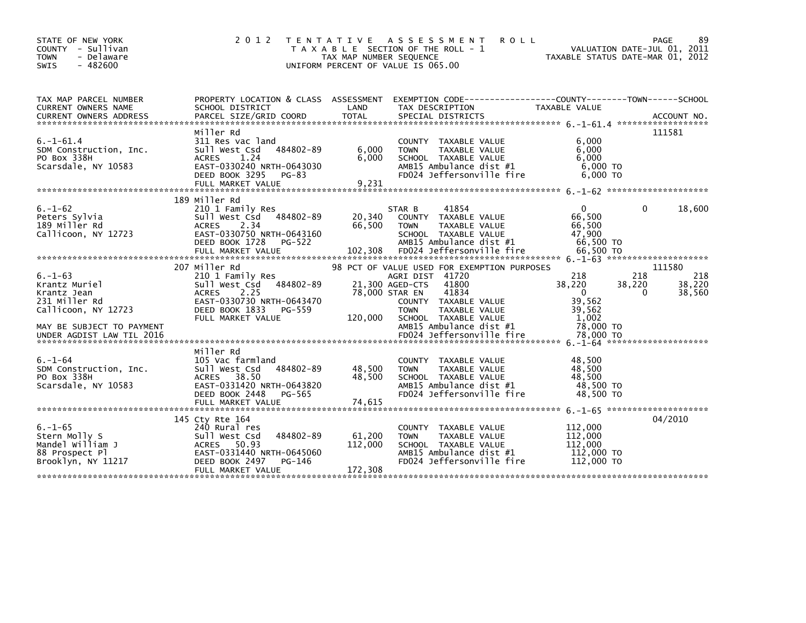| STATE OF NEW YORK<br>COUNTY - Sullivan<br>- Delaware<br><b>TOWN</b><br>$-482600$<br><b>SWIS</b>                                                 | 2 0 1 2                                                                                                                                                               | T E N T A T I V E<br>TAX MAP NUMBER SEQUENCE | A S S E S S M E N T<br><b>ROLL</b><br>T A X A B L E SECTION OF THE ROLL - 1<br>UNIFORM PERCENT OF VALUE IS 065.00                                                                                                        | VALUATION DATE-JUL 01, 2011<br>TAXABLE STATUS DATE-MAR 01, 2012                     | 89<br>PAGE                                           |
|-------------------------------------------------------------------------------------------------------------------------------------------------|-----------------------------------------------------------------------------------------------------------------------------------------------------------------------|----------------------------------------------|--------------------------------------------------------------------------------------------------------------------------------------------------------------------------------------------------------------------------|-------------------------------------------------------------------------------------|------------------------------------------------------|
| TAX MAP PARCEL NUMBER<br>CURRENT OWNERS NAME                                                                                                    | PROPERTY LOCATION & CLASS ASSESSMENT<br>SCHOOL DISTRICT                                                                                                               | LAND                                         | TAX DESCRIPTION                                                                                                                                                                                                          | TAXABLE VALUE                                                                       |                                                      |
| $6. -1 - 61.4$<br>SDM Construction, Inc.<br>PO Box 338H<br>Scarsdale, NY 10583                                                                  | Miller Rd<br>311 Res vac land<br>484802-89<br>Sull West Csd<br>1.24<br><b>ACRES</b><br>EAST-0330240 NRTH-0643030<br>DEED BOOK 3295<br>PG-83                           | 6,000<br>6,000                               | COUNTY TAXABLE VALUE<br>TAXABLE VALUE<br><b>TOWN</b><br>SCHOOL TAXABLE VALUE<br>AMB15 Ambulance dist #1<br>FD024 Jeffersonville fire                                                                                     | 6,000<br>6,000<br>6,000<br>$6,000$ TO<br>6,000 TO                                   | 111581                                               |
| $6. - 1 - 62$<br>Peters Sylvia<br>189 Miller Rd<br>Callicoon, NY 12723                                                                          | 189 Miller Rd<br>210 1 Family Res<br>484802-89<br>Sull West Csd<br>2.34<br><b>ACRES</b><br>EAST-0330750 NRTH-0643160<br>DEED BOOK 1728<br>PG-522<br>FULL MARKET VALUE | 20,340<br>66,500<br>102,308                  | 41854<br>STAR B<br>COUNTY TAXABLE VALUE<br><b>TOWN</b><br>TAXABLE VALUE<br>SCHOOL TAXABLE VALUE<br>AMB15 Ambulance dist #1<br>FD024 Jeffersonville fire                                                                  | $\Omega$<br>66,500<br>66,500<br>47.900<br>66,500 TO<br>66,500 TO                    | 0<br>18,600                                          |
| $6. - 1 - 63$<br>Krantz Muriel<br>Krantz Jean<br>231 Miller Rd<br>Callicoon, NY 12723<br>MAY BE SUBJECT TO PAYMENT<br>UNDER AGDIST LAW TIL 2016 | 207 Miller Rd<br>210 1 Family Res<br>484802-89<br>sull west Csd<br><b>ACRES</b><br>2.25<br>EAST-0330730 NRTH-0643470<br>DEED BOOK 1833<br>PG-559<br>FULL MARKET VALUE | 21,300 AGED-CTS<br>78,000 STAR EN<br>120,000 | 98 PCT OF VALUE USED FOR EXEMPTION PURPOSES<br>AGRI DIST 41720<br>41800<br>41834<br>COUNTY TAXABLE VALUE<br><b>TOWN</b><br>TAXABLE VALUE<br>SCHOOL TAXABLE VALUE<br>AMB15 Ambulance dist #1<br>FD024 Jeffersonville fire | 218<br>38,220<br>38,220<br>0<br>39,562<br>39,562<br>1,002<br>78,000 TO<br>78,000 TO | 111580<br>218<br>218<br>38,220<br>38,560<br>$\Omega$ |
| $6. - 1 - 64$<br>SDM Construction, Inc.<br>PO Box 338H<br>Scarsdale, NY 10583                                                                   | Miller Rd<br>105 Vac farmland<br>484802-89<br>Sull West Csd<br>ACRES 38.50<br>EAST-0331420 NRTH-0643820<br>DEED BOOK 2448<br>PG-565<br>FULL MARKET VALUE              | 48,500<br>48,500<br>74,615                   | COUNTY TAXABLE VALUE<br><b>TOWN</b><br><b>TAXABLE VALUE</b><br>SCHOOL TAXABLE VALUE<br>AMB15 Ambulance dist #1<br>FD024 Jeffersonville fire                                                                              | 48,500<br>48,500<br>48.500<br>48,500 TO<br>48,500 TO                                |                                                      |
| $6. - 1 - 65$<br>Stern Molly S<br>Mandel William J<br>88 Prospect Pl<br>Brooklyn, NY 11217                                                      | 145 Cty Rte 164<br>240 Rural res<br>484802-89<br>Sull West Csd<br>50.93<br>ACRES<br>EAST-0331440 NRTH-0645060<br>DEED BOOK 2497<br>PG-146<br>FULL MARKET VALUE        | 61,200<br>112,000<br>172,308                 | COUNTY TAXABLE VALUE<br>TAXABLE VALUE<br><b>TOWN</b><br>SCHOOL TAXABLE VALUE<br>AMB15 Ambulance dist #1<br>FD024 Jeffersonville fire                                                                                     | 112,000<br>112,000<br>112,000<br>112,000 TO<br>112,000 TO                           | 04/2010                                              |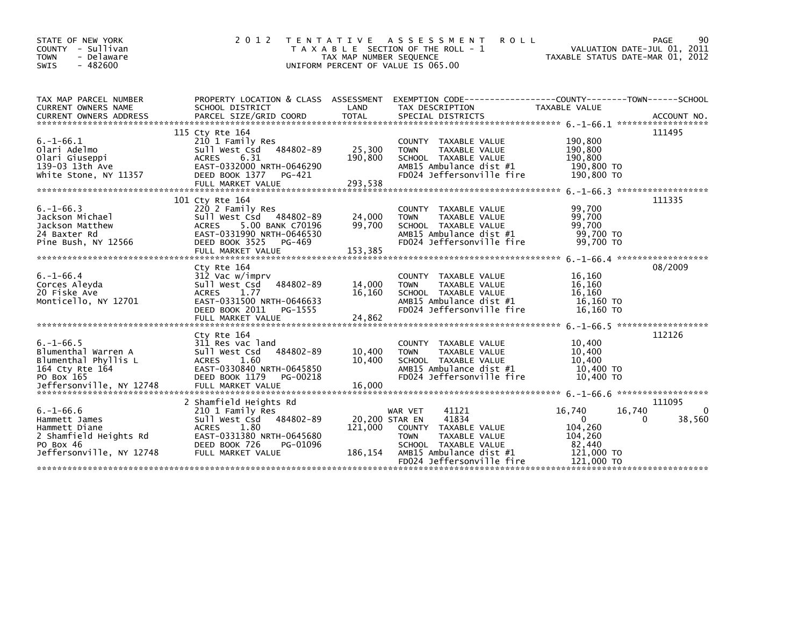| STATE OF NEW YORK<br>- Sullivan<br><b>COUNTY</b><br>- Delaware<br><b>TOWN</b><br>$-482600$<br><b>SWIS</b>                  | 2 0 1 2<br><b>TENTATIVE</b>                                                                                                                                                      | TAX MAP NUMBER SEQUENCE              | A S S E S S M E N T<br><b>ROLL</b><br>T A X A B L E SECTION OF THE ROLL - 1<br>UNIFORM PERCENT OF VALUE IS 065.00                                                                         | VALUATION DATE-JUL 01, 2011<br>TAXABLE STATUS DATE-MAR 01, 2012                                   | PAGE<br>90                   |
|----------------------------------------------------------------------------------------------------------------------------|----------------------------------------------------------------------------------------------------------------------------------------------------------------------------------|--------------------------------------|-------------------------------------------------------------------------------------------------------------------------------------------------------------------------------------------|---------------------------------------------------------------------------------------------------|------------------------------|
| TAX MAP PARCEL NUMBER<br>CURRENT OWNERS NAME<br><b>CURRENT OWNERS ADDRESS</b>                                              | PROPERTY LOCATION & CLASS ASSESSMENT<br>SCHOOL DISTRICT<br>PARCEL SIZE/GRID COORD                                                                                                | LAND<br><b>TOTAL</b>                 | TAX DESCRIPTION<br>SPECIAL DISTRICTS                                                                                                                                                      | <b>TAXABLE VALUE</b>                                                                              | ACCOUNT NO.                  |
| $6. - 1 - 66.1$<br>Olari Adelmo<br>Olari Giuseppi<br>139-03 13th Ave<br>white Stone, NY 11357                              | 115 Cty Rte 164<br>210 1 Family Res<br>484802-89<br>Sull West Csd<br>6.31<br><b>ACRES</b><br>EAST-0332000 NRTH-0646290<br>DEED BOOK 1377<br>PG-421<br>FULL MARKET VALUE          | 25,300<br>190,800<br>293,538         | TAXABLE VALUE<br><b>COUNTY</b><br>TAXABLE VALUE<br><b>TOWN</b><br>SCHOOL TAXABLE VALUE<br>AMB15 Ambulance dist #1<br>FD024 Jeffersonville fire                                            | 190,800<br>190,800<br>190,800<br>190,800 TO<br>190,800 TO                                         | 111495                       |
| $6. - 1 - 66.3$<br>Jackson Michael<br>Jackson Matthew<br>24 Baxter Rd<br>Pine Bush, NY 12566                               | 101 Cty Rte 164<br>220 2 Family Res<br>Sull West Csd 484802-89<br>5.00 BANK C70196<br><b>ACRES</b><br>EAST-0331990 NRTH-0646530<br>DEED BOOK 3525<br>PG-469<br>FULL MARKET VALUE | 24,000<br>99,700<br>153,385          | <b>COUNTY</b><br>TAXABLE VALUE<br><b>TOWN</b><br>TAXABLE VALUE<br>SCHOOL TAXABLE VALUE<br>AMB15 Ambulance dist #1<br>FD024 Jeffersonville fire                                            | 99,700<br>99.700<br>99,700<br>99,700 TO<br>99,700 TO                                              | 111335                       |
| $6. - 1 - 66.4$<br>Corces Aleyda<br>20 Fiske Ave<br>Monticello, NY 12701                                                   | Cty Rte 164<br>312 Vac w/imprv<br>Sull West Csd<br>484802-89<br>1.77<br><b>ACRES</b><br>EAST-0331500 NRTH-0646633<br>DEED BOOK 2011<br>PG-1555<br>FULL MARKET VALUE              | 14,000<br>16.160<br>24,862           | <b>COUNTY</b><br>TAXABLE VALUE<br><b>TOWN</b><br>TAXABLE VALUE<br>SCHOOL TAXABLE VALUE<br>AMB15 Ambulance dist #1<br>FD024 Jeffersonville fire                                            | 16.160<br>16.160<br>16.160<br>16,160 TO<br>16.160 TO                                              | 08/2009                      |
| $6. -1 - 66.5$<br>Blumenthal Warren A<br>Blumenthal Phyllis L<br>164 Cty Rte 164<br>PO Box 165<br>Jeffersonville, NY 12748 | Cty Rte 164<br>311 Res vac land<br>Sull West Csd<br>484802-89<br>1.60<br><b>ACRES</b><br>EAST-0330840 NRTH-0645850<br><b>DEED BOOK 1179</b><br>PG-00218<br>FULL MARKET VALUE     | 10,400<br>10,400<br>16,000           | TAXABLE VALUE<br><b>COUNTY</b><br>TAXABLE VALUE<br><b>TOWN</b><br>SCHOOL TAXABLE VALUE<br>AMB15 Ambulance dist #1<br>FD024 Jeffersonville fire                                            | 10,400<br>10.400<br>10.400<br>10,400 TO<br>10,400 TO                                              | 112126                       |
| $6. - 1 - 66.6$<br>Hammett James<br>Hammett Diane<br>2 Shamfield Heights Rd<br>PO Box 46<br>Jeffersonville, NY 12748       | 2 Shamfield Heights Rd<br>210 1 Family Res<br>Sull West Csd<br>484802-89<br><b>ACRES</b><br>1.80<br>EAST-0331380 NRTH-0645680<br>DEED BOOK 726<br>PG-01096<br>FULL MARKET VALUE  | 20,200 STAR EN<br>121,000<br>186,154 | 41121<br>WAR VET<br>41834<br><b>TAXABLE VALUE</b><br><b>COUNTY</b><br><b>TAXABLE VALUE</b><br><b>TOWN</b><br>SCHOOL TAXABLE VALUE<br>AMB15 Ambulance dist #1<br>FD024 Jeffersonville fire | 16,740<br>16,740<br>$\mathbf{0}$<br>0<br>104.260<br>104.260<br>82,440<br>121,000 TO<br>121,000 TO | 111095<br>$\Omega$<br>38,560 |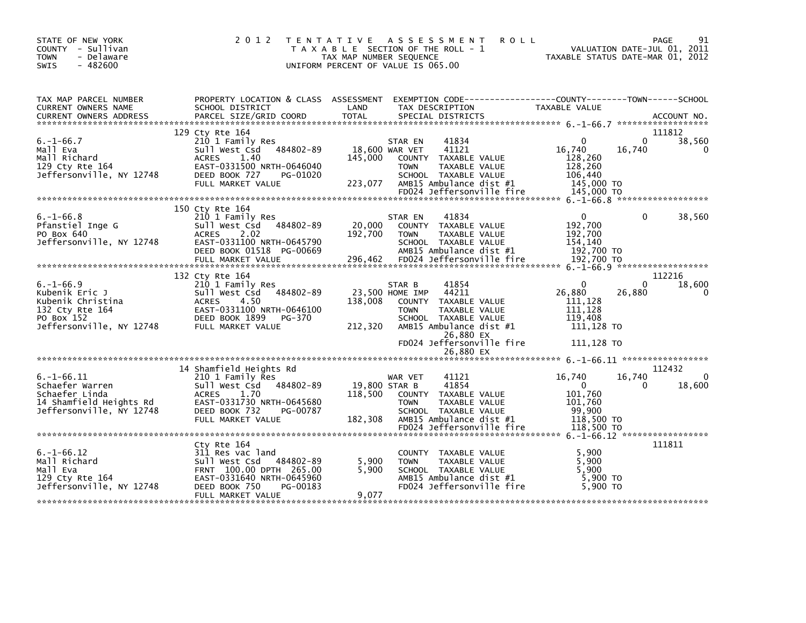| STATE OF NEW YORK<br>COUNTY - Sullivan<br><b>TOWN</b><br>- Delaware<br>$-482600$<br><b>SWIS</b>                    | 2 0 1 2                                                                                                                                                                          | T E N T A T I V E<br>T A X A B L E SECTION OF THE ROLL - 1<br>TAX MAP NUMBER SEQUENCE<br>UNIFORM PERCENT OF VALUE IS 065.00 |                                          | A S S E S S M E N T                                                                                                            | <b>ROLL</b> | TAXABLE STATUS DATE-MAR 01, 2012                                                |             | <b>PAGE</b><br>91<br>VALUATION DATE-JUL 01, 2011 |
|--------------------------------------------------------------------------------------------------------------------|----------------------------------------------------------------------------------------------------------------------------------------------------------------------------------|-----------------------------------------------------------------------------------------------------------------------------|------------------------------------------|--------------------------------------------------------------------------------------------------------------------------------|-------------|---------------------------------------------------------------------------------|-------------|--------------------------------------------------|
| TAX MAP PARCEL NUMBER<br>CURRENT OWNERS NAME<br><b>CURRENT OWNERS ADDRESS</b>                                      | PROPERTY LOCATION & CLASS ASSESSMENT<br>SCHOOL DISTRICT                                                                                                                          | LAND                                                                                                                        |                                          | TAX DESCRIPTION                                                                                                                |             | EXEMPTION CODE------------------COUNTY--------TOWN------SCHOOL<br>TAXABLE VALUE |             |                                                  |
| $6. -1 - 66.7$<br>Mall Eva<br>Mall Richard<br>129 Cty Rte 164<br>Jeffersonville, NY 12748                          | 129 Cty Rte 164<br>210 1 Family Res<br>484802-89<br>Sull West Csd<br><b>ACRES</b><br>1.40<br>EAST-0331500 NRTH-0646040<br>DEED BOOK 727<br>PG-01020<br>FULL MARKET VALUE         | 145,000<br>223,077                                                                                                          | STAR EN<br>18,600 WAR VET<br><b>TOWN</b> | 41834<br>41121<br>COUNTY TAXABLE VALUE<br>TAXABLE VALUE<br>SCHOOL TAXABLE VALUE<br>AMB15 Ambulance dist #1                     |             | $\Omega$<br>16,740<br>128,260<br>128,260<br>106,440<br>145,000 TO               | 0<br>16,740 | 111812<br>38,560<br>$\Omega$                     |
|                                                                                                                    | 150 Cty Rte 164                                                                                                                                                                  |                                                                                                                             |                                          |                                                                                                                                |             |                                                                                 |             |                                                  |
| $6. -1 - 66.8$<br>Pfanstiel Inge G<br>PO Box 640<br>Jeffersonville, NY 12748                                       | 210 1 Family Res<br>Sull West Csd<br>484802-89<br>2.02<br>ACRES<br>EAST-0331100 NRTH-0645790<br>DEED BOOK 01518 PG-00669<br>FULL MARKET VALUE                                    | 20,000<br>192,700<br>296,462                                                                                                | STAR EN<br><b>TOWN</b>                   | 41834<br>COUNTY TAXABLE VALUE<br>TAXABLE VALUE<br>SCHOOL TAXABLE VALUE<br>AMB15 Ambulance dist #1<br>FD024 Jeffersonville fire |             | 0<br>192,700<br>192,700<br>154,140<br>192,700 TO<br>192,700 TO                  | 0           | 38,560                                           |
|                                                                                                                    | 132 Cty Rte 164                                                                                                                                                                  |                                                                                                                             |                                          |                                                                                                                                |             |                                                                                 |             | 112216                                           |
| $6. -1 - 66.9$<br>Kubenik Eric J<br>Kubenik Christina<br>132 Cty Rte 164<br>PO Box 152<br>Jeffersonville, NY 12748 | 210 1 Family Res<br>484802-89<br>Sull West Csd<br>4.50<br><b>ACRES</b><br>EAST-0331100 NRTH-0646100<br>DEED BOOK 1899<br>PG-370<br>FULL MARKET VALUE                             | 138,008<br>212,320                                                                                                          | STAR B<br>23,500 HOME IMP<br><b>TOWN</b> | 41854<br>44211<br>COUNTY TAXABLE VALUE<br>TAXABLE VALUE<br>SCHOOL TAXABLE VALUE<br>AMB15 Ambulance dist #1<br>26,880 EX        |             | $\Omega$<br>26.880<br>111.128<br>111,128<br>119.408<br>111,128 TO               | 0<br>26,880 | 18,600                                           |
|                                                                                                                    |                                                                                                                                                                                  |                                                                                                                             |                                          | FD024 Jeffersonville fire                                                                                                      |             | 111,128 TO                                                                      |             |                                                  |
|                                                                                                                    |                                                                                                                                                                                  |                                                                                                                             |                                          | 26,880 EX                                                                                                                      |             |                                                                                 |             |                                                  |
| $6. -1 - 66.11$<br>Schaefer Warren<br>Schaefer Linda<br>14 Shamfield Heights Rd<br>Jeffersonville, NY 12748        | 14 Shamfield Heights Rd<br>210 1 Family Res<br>Sull West Csd<br>484802-89<br><b>ACRES</b><br>1.70<br>EAST-0331730 NRTH-0645680<br>DEED BOOK 732<br>PG-00787<br>FULL MARKET VALUE | 118,500<br>182,308                                                                                                          | WAR VET<br>19,800 STAR B<br><b>TOWN</b>  | 41121<br>41854<br>COUNTY TAXABLE VALUE<br>TAXABLE VALUE<br>SCHOOL TAXABLE VALUE<br>AMB15 Ambulance dist #1                     |             | 16,740<br>$\Omega$<br>101,760<br>101.760<br>99.900<br>118,500 TO                | 16,740<br>0 | 112432<br>18,600                                 |
|                                                                                                                    |                                                                                                                                                                                  |                                                                                                                             |                                          | FD024 Jeffersonville fire                                                                                                      |             | 118,500 TO                                                                      |             |                                                  |
|                                                                                                                    |                                                                                                                                                                                  |                                                                                                                             |                                          |                                                                                                                                |             |                                                                                 |             | 111811                                           |
| $6. -1 - 66.12$<br>Mall Richard<br>Mall Eva<br>129 Cty Rte 164<br>Jeffersonville, NY 12748                         | Cty Rte 164<br>311 Res vac land<br>Sull West Csd<br>484802-89<br>FRNT 100.00 DPTH 265.00<br>EAST-0331640 NRTH-0645960<br>DEED BOOK 750<br>PG-00183<br>FULL MARKET VALUE          | 5,900<br>5,900<br>9,077                                                                                                     | <b>TOWN</b>                              | COUNTY TAXABLE VALUE<br>TAXABLE VALUE<br>SCHOOL TAXABLE VALUE<br>AMB15 Ambulance dist #1<br>FD024 Jeffersonville fire          |             | 5,900<br>5,900<br>5.900<br>5,900 TO<br>5.900 TO                                 |             |                                                  |
|                                                                                                                    |                                                                                                                                                                                  |                                                                                                                             |                                          |                                                                                                                                |             |                                                                                 |             |                                                  |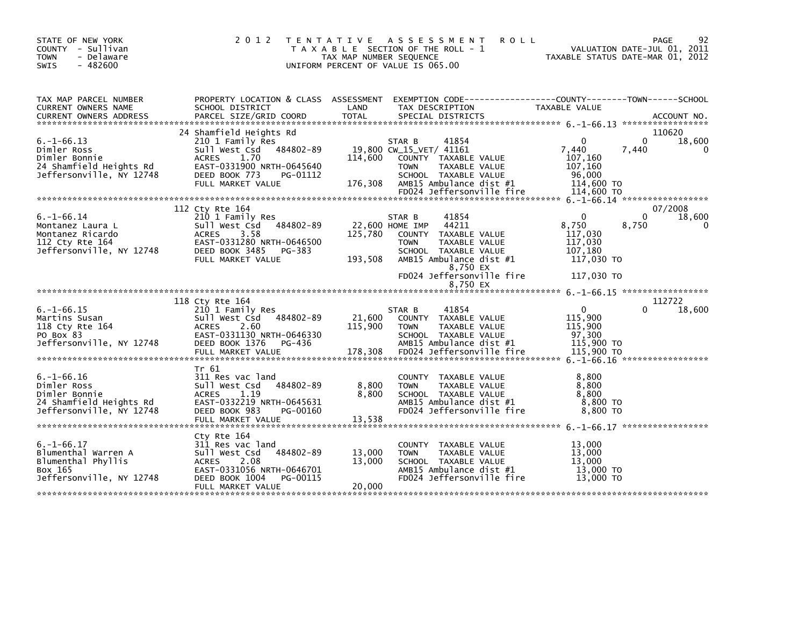| STATE OF NEW YORK<br>COUNTY - Sullivan<br><b>TOWN</b><br>- Delaware<br>$-482600$<br><b>SWIS</b>         | 2 0 1 2                                                                                                                                                                          | <b>ROLL</b><br>T E N T A T I V E<br>A S S E S S M E N T<br>T A X A B L E SECTION OF THE ROLL - 1<br>TAX MAP NUMBER SEQUENCE<br>UNIFORM PERCENT OF VALUE IS 065.00                                                     | 92<br>PAGE<br>VALUATION DATE-JUL 01, 2011<br>TAXABLE STATUS DATE-MAR 01, 2012                                     |
|---------------------------------------------------------------------------------------------------------|----------------------------------------------------------------------------------------------------------------------------------------------------------------------------------|-----------------------------------------------------------------------------------------------------------------------------------------------------------------------------------------------------------------------|-------------------------------------------------------------------------------------------------------------------|
| TAX MAP PARCEL NUMBER<br>CURRENT OWNERS NAME<br><b>CURRENT OWNERS ADDRESS</b>                           | PROPERTY LOCATION & CLASS ASSESSMENT<br>SCHOOL DISTRICT<br>PARCEL SIZE/GRID COORD                                                                                                | LAND<br>TAX DESCRIPTION<br><b>TOTAL</b><br>SPECIAL DISTRICTS                                                                                                                                                          | EXEMPTION CODE-----------------COUNTY-------TOWN------SCHOOL<br>TAXABLE VALUE<br>ACCOUNT NO.                      |
| $6. -1 - 66.13$<br>Dimler Ross<br>Dimler Bonnie<br>24 Shamfield Heights Rd<br>Jeffersonville, NY 12748  | 24 Shamfield Heights Rd<br>210 1 Family Res<br>484802-89<br>Sull West Csd<br><b>ACRES</b><br>1.70<br>EAST-0331900 NRTH-0645640<br>DEED BOOK 773<br>PG-01112<br>FULL MARKET VALUE | 41854<br>STAR B<br>19,800 CW_15_VET/ 41161<br>114,600<br>COUNTY TAXABLE VALUE<br>TAXABLE VALUE<br><b>TOWN</b><br>SCHOOL TAXABLE VALUE<br>176,308<br>AMB15 Ambulance dist #1                                           | 110620<br>18,600<br>$\Omega$<br>0<br>7,440<br>7,440<br>0<br>107,160<br>107,160<br>96,000<br>114,600 TO            |
|                                                                                                         |                                                                                                                                                                                  | FD024 Jeffersonville fire                                                                                                                                                                                             | 114,600 TO                                                                                                        |
| $6. - 1 - 66.14$<br>Montanez Laura L<br>Montanez Ricardo<br>112 Cty Rte 164<br>Jeffersonville, NY 12748 | 112 Cty Rte 164<br>210 1 Family Res<br>Sull West Csd<br>484802-89<br>3.58<br><b>ACRES</b><br>EAST-0331280 NRTH-0646500<br>DEED BOOK 3485<br>PG-383<br>FULL MARKET VALUE          | 41854<br>STAR B<br>22,600 HOME IMP<br>44211<br>125,780<br>COUNTY TAXABLE VALUE<br><b>TOWN</b><br>TAXABLE VALUE<br>SCHOOL TAXABLE VALUE<br>193,508<br>AMB15 Ambulance dist #1<br>8,750 EX<br>FD024 Jeffersonville fire | 07/2008<br>18,600<br>$\Omega$<br>0<br>8,750<br>8,750<br>117,030<br>117,030<br>107,180<br>117,030 TO<br>117,030 TO |
|                                                                                                         |                                                                                                                                                                                  | 8,750 EX                                                                                                                                                                                                              |                                                                                                                   |
| $6. -1 - 66.15$<br>Martins Susan<br>118 Cty Rte 164<br>PO Box 83<br>Jeffersonville, NY 12748            | 118 Cty Rte 164<br>210 1 Family Res<br>Sull West Csd<br>484802-89<br>2.60<br><b>ACRES</b><br>EAST-0331130 NRTH-0646330<br>DEED BOOK 1376<br>PG-436<br>FULL MARKET VALUE          | 41854<br>STAR B<br>21,600<br>COUNTY TAXABLE VALUE<br>115,900<br>TAXABLE VALUE<br><b>TOWN</b><br>SCHOOL TAXABLE VALUE<br>AMB15 Ambulance dist #1<br>FD024 Jeffersonville fire<br>178,308                               | 112722<br>18,600<br>$\mathbf 0$<br>0<br>115,900<br>115,900<br>97,300<br>115,900 TO<br>115,900 TO                  |
| $6. - 1 - 66.16$<br>Dimler Ross<br>Dimler Bonnie<br>24 Shamfield Heights Rd<br>Jeffersonville, NY 12748 | Tr 61<br>311 Res vac land<br>Sull West Csd<br>484802-89<br>1.19<br><b>ACRES</b><br>EAST-0332219 NRTH-0645631<br>DEED BOOK 983<br>PG-00160<br>FULL MARKET VALUE                   | COUNTY<br>TAXABLE VALUE<br>TAXABLE VALUE<br>8,800<br><b>TOWN</b><br>8,800<br>SCHOOL TAXABLE VALUE<br>AMB15 Ambulance dist #1<br>FD024 Jeffersonville fire<br>13,538                                                   | 8,800<br>8,800<br>8,800<br>8,800 TO<br>8,800 TO                                                                   |
| $6. -1 - 66.17$<br>Blumenthal Warren A<br>Blumenthal Phyllis<br>Box 165<br>Jeffersonville, NY 12748     | Cty Rte 164<br>311 Res vac land<br>Sull West Csd<br>484802-89<br><b>ACRES</b><br>2.08<br>EAST-0331056 NRTH-0646701<br>DEED BOOK 1004<br>PG-00115<br>FULL MARKET VALUE            | <b>COUNTY</b><br>TAXABLE VALUE<br>13,000<br>TAXABLE VALUE<br><b>TOWN</b><br>13,000<br>SCHOOL TAXABLE VALUE<br>AMB15 Ambulance dist #1<br>FD024 Jeffersonville fire<br>20,000                                          | 13,000<br>13,000<br>13,000<br>13,000 TO<br>13,000 TO                                                              |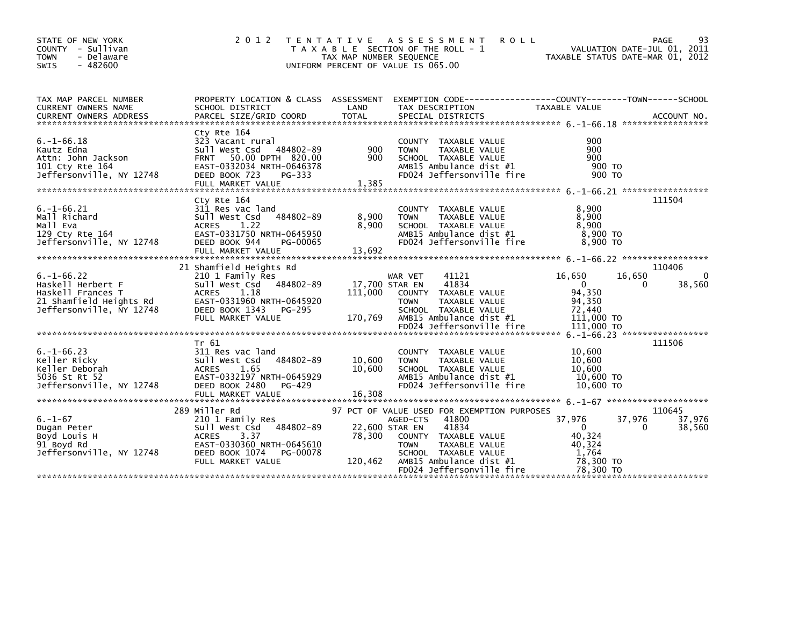| STATE OF NEW YORK<br>COUNTY - Sullivan<br>- Delaware<br><b>TOWN</b><br>$-482600$<br>SWIS                         | 2 0 1 2                                                                                                                                                                        | T E N T A T I V E<br>TAX MAP NUMBER SEQUENCE | A S S E S S M E N T<br><b>ROLL</b><br>T A X A B L E SECTION OF THE ROLL - 1<br>UNIFORM PERCENT OF VALUE IS 065.00                                                                                                                   | VALUATION DATE-JUL 01, 2011<br>TAXABLE STATUS DATE-MAR 01, 2012                        | 93<br><b>PAGE</b>                 |
|------------------------------------------------------------------------------------------------------------------|--------------------------------------------------------------------------------------------------------------------------------------------------------------------------------|----------------------------------------------|-------------------------------------------------------------------------------------------------------------------------------------------------------------------------------------------------------------------------------------|----------------------------------------------------------------------------------------|-----------------------------------|
| TAX MAP PARCEL NUMBER<br>CURRENT OWNERS NAME<br><b>CURRENT OWNERS ADDRESS</b>                                    | SCHOOL DISTRICT<br>PARCEL SIZE/GRID COORD                                                                                                                                      | LAND<br><b>TOTAL</b>                         | PROPERTY LOCATION & CLASS ASSESSMENT EXEMPTION CODE---------------COUNTY-------TOWN------SCHOOL<br>TAX DESCRIPTION<br>SPECIAL DISTRICTS                                                                                             | TAXABLE VALUE                                                                          | ACCOUNT NO.                       |
| $6. -1 - 66.18$<br>Kautz Edna<br>Attn: John Jackson<br>101 Cty Rte 164<br>Jeffersonville, NY 12748               | Cty Rte 164<br>323 Vacant rural<br>Sull West Csd<br>484802-89<br>50.00 DPTH 820.00<br><b>FRNT</b><br>EAST-0332034 NRTH-0646378<br>DEED BOOK 723<br>PG-333<br>FULL MARKET VALUE | 900<br>900<br>1,385                          | <b>COUNTY</b><br>TAXABLE VALUE<br><b>TOWN</b><br>TAXABLE VALUE<br>SCHOOL TAXABLE VALUE<br>AMB15 Ambulance dist #1<br>FD024 Jeffersonville fire                                                                                      | 900<br>900<br>900<br>900 TO<br>900 TO                                                  |                                   |
| $6. -1 - 66.21$<br>Mall Richard<br>Mall Eva<br>129 Cty Rte 164<br>Jeffersonville, NY 12748                       | Cty Rte 164<br>311 Res vac land<br>Sull West Csd<br>484802-89<br>1.22<br><b>ACRES</b><br>EAST-0331750 NRTH-0645950<br>DEED BOOK 944<br>PG-00065<br>FULL MARKET VALUE           | 8,900<br>8,900<br>13,692                     | <b>COUNTY</b><br>TAXABLE VALUE<br><b>TOWN</b><br>TAXABLE VALUE<br>SCHOOL TAXABLE VALUE<br>AMB15 Ambulance dist #1<br>FD024 Jeffersonville fire                                                                                      | 8.900<br>8,900<br>8,900<br>8,900 TO<br>8,900 TO                                        | 111504                            |
| $6. -1 - 66.22$<br>Haskell Herbert F<br>Haskell Frances T<br>21 Shamfield Heights Rd<br>Jeffersonville, NY 12748 | 21 Shamfield Heights Rd<br>210 1 Family Res<br>Sull West Csd 484802-89<br><b>ACRES</b><br>1.18<br>EAST-0331960 NRTH-0645920<br>DEED BOOK 1343<br>PG-295<br>FULL MARKET VALUE   | 111,000<br>170,769                           | 41121<br>WAR VET<br>41834<br>17,700 STAR EN<br><b>COUNTY</b><br>TAXABLE VALUE<br><b>TOWN</b><br>TAXABLE VALUE<br>SCHOOL TAXABLE VALUE<br>AMB15 Ambulance dist #1<br>FD024 Jeffersonville fire                                       | 16,650<br>16,650<br>$\Omega$<br>94.350<br>94,350<br>72.440<br>111,000 TO<br>111,000 TO | 110406<br>$\Omega$<br>38,560<br>0 |
| $6. -1 - 66.23$<br>Keller Ricky<br>Keller Deborah<br>5036 St Rt 52<br>Jeffersonville, NY 12748                   | Tr 61<br>311 Res vac land<br>Sull West Csd<br>484802-89<br><b>ACRES</b><br>1.65<br>EAST-0332197 NRTH-0645929<br>DEED BOOK 2480<br>PG-429<br>FULL MARKET VALUE                  | 10,600<br>10,600<br>16,308                   | TAXABLE VALUE<br><b>COUNTY</b><br><b>TOWN</b><br>TAXABLE VALUE<br>SCHOOL TAXABLE VALUE<br>AMB15 Ambulance dist #1<br>FD024 Jeffersonville fire                                                                                      | 6. -1-66.23 ******************<br>10.600<br>10,600<br>10,600<br>10,600 TO<br>10,600 TO | 111506                            |
| $6. - 1 - 67$<br>Dugan Peter<br>Boyd Louis H<br>91 Boyd Rd<br>Jeffersonville, NY 12748                           | 289 Miller Rd<br>210 1 Family Res<br>Sull West Csd 484802-89<br><b>ACRES</b><br>3.37<br>EAST-0330360 NRTH-0645610<br>DEED BOOK 1074<br>PG-00078<br>FULL MARKET VALUE           | 78,300<br>120,462                            | 97 PCT OF VALUE USED FOR EXEMPTION PURPOSES<br>AGED-CTS<br>41800<br>41834<br>22,600 STAR EN<br>COUNTY TAXABLE VALUE<br><b>TOWN</b><br>TAXABLE VALUE<br>SCHOOL TAXABLE VALUE<br>AMB15 Ambulance dist #1<br>FD024 Jeffersonville fire | 37,976<br>37,976<br>$\Omega$<br>40.324<br>40,324<br>1.764<br>78,300 TO<br>78.300 TO    | 110645<br>37,976<br>38,560<br>0   |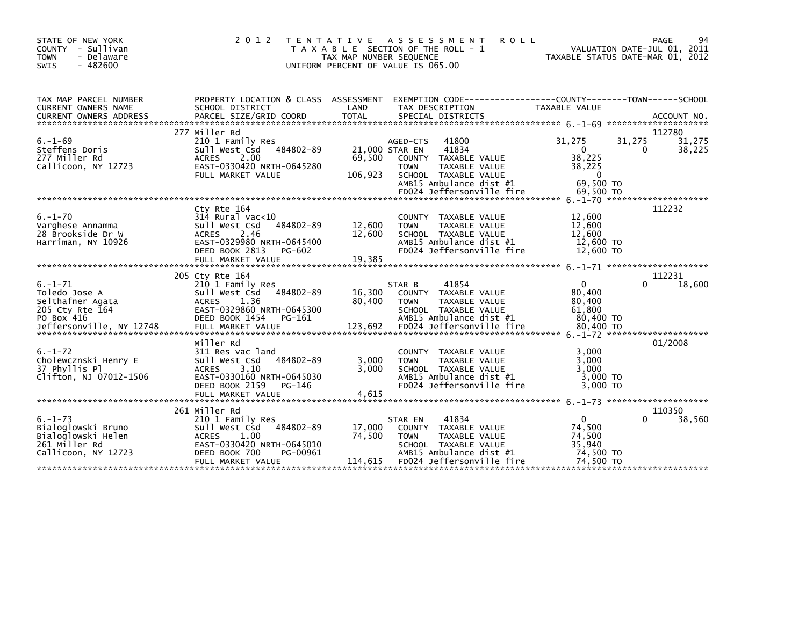| STATE OF NEW YORK<br>COUNTY - Sullivan<br>- Delaware<br><b>TOWN</b><br>$-482600$<br><b>SWIS</b>                 | 2 0 1 2                                                                                                                                                                | T E N T A T I V E<br>TAX MAP NUMBER SEQUENCE | A S S E S S M E N T<br>T A X A B L E SECTION OF THE ROLL - 1<br>UNIFORM PERCENT OF VALUE IS 065.00                                                                                   | <b>ROLL</b><br>TAXABLE STATUS DATE-MAR 01, 2012                              | PAGE<br>VALUATION DATE-JUL 01, 2011 | 94               |
|-----------------------------------------------------------------------------------------------------------------|------------------------------------------------------------------------------------------------------------------------------------------------------------------------|----------------------------------------------|--------------------------------------------------------------------------------------------------------------------------------------------------------------------------------------|------------------------------------------------------------------------------|-------------------------------------|------------------|
| TAX MAP PARCEL NUMBER<br><b>CURRENT OWNERS NAME</b>                                                             | PROPERTY LOCATION & CLASS ASSESSMENT<br>SCHOOL DISTRICT                                                                                                                | LAND                                         | EXEMPTION CODE-----------------COUNTY--------TOWN------SCHOOL<br>TAX DESCRIPTION                                                                                                     | <b>TAXABLE VALUE</b>                                                         |                                     |                  |
|                                                                                                                 | 277 Miller Rd                                                                                                                                                          |                                              |                                                                                                                                                                                      |                                                                              |                                     | 112780           |
| $6. - 1 - 69$<br>Steffens Doris<br>277 Miller Rd<br>Callicoon, NY 12723                                         | 210 1 Family Res<br>Sull West Csd 484802-89<br>2.00<br><b>ACRES</b><br>EAST-0330420 NRTH-0645280<br>FULL MARKET VALUE                                                  | 69,500<br>106,923                            | AGED-CTS<br>41800<br>41834<br>21,000 STAR EN<br>COUNTY TAXABLE VALUE<br>TAXABLE VALUE<br><b>TOWN</b><br>SCHOOL TAXABLE VALUE<br>AMB15 Ambulance dist #1<br>FD024 Jeffersonville fire | 31,275<br>$\Omega$<br>38,225<br>38,225<br>$\Omega$<br>69.500 TO<br>69,500 TO | 31,275<br>0                         | 31,275<br>38,225 |
|                                                                                                                 |                                                                                                                                                                        |                                              |                                                                                                                                                                                      |                                                                              |                                     |                  |
| $6. - 1 - 70$<br>Varghese Annamma<br>28 Brookside Dr W<br>Harriman, NY 10926                                    | Cty Rte 164<br>314 Rural vac<10<br>484802-89<br>Sull West Csd<br>2.46<br><b>ACRES</b><br>EAST-0329980 NRTH-0645400<br>DEED BOOK 2813<br>PG-602<br>FULL MARKET VALUE    | 12,600<br>12,600<br>19,385                   | COUNTY TAXABLE VALUE<br><b>TOWN</b><br>TAXABLE VALUE<br>SCHOOL TAXABLE VALUE<br>AMB15 Ambulance dist #1<br>FD024 Jeffersonville fire                                                 | 12,600<br>12,600<br>12,600<br>12,600 TO<br>12,600 TO                         | $6. -1 - 71$ ********************** | 112232           |
|                                                                                                                 | 205 Cty Rte 164                                                                                                                                                        |                                              |                                                                                                                                                                                      |                                                                              |                                     | 112231           |
| $6. - 1 - 71$<br>Toledo Jose A<br>Selthafner Agata<br>205 Cty Rte 164<br>PO Box 416<br>Jeffersonville, NY 12748 | 210 1 Family Res<br>Sull West Csd<br>484802-89<br>1.36<br><b>ACRES</b><br>EAST-0329860 NRTH-0645300<br>DEED BOOK 1454<br>PG-161<br>FULL MARKET VALUE                   | 16,300<br>80,400<br>123,692                  | 41854<br>STAR B<br>COUNTY TAXABLE VALUE<br>TAXABLE VALUE<br><b>TOWN</b><br>SCHOOL TAXABLE VALUE<br>AMB15 Ambulance dist #1<br>FD024 Jeffersonville fire                              | $\mathbf{0}$<br>80,400<br>80,400<br>61,800<br>80,400 TO<br>80.400 TO         |                                     | 18,600           |
|                                                                                                                 | Miller Rd                                                                                                                                                              |                                              |                                                                                                                                                                                      |                                                                              |                                     | 01/2008          |
| $6. - 1 - 72$<br>Cholewcznski Henry E<br>37 Phyllis Pl<br>Clifton, NJ 07012-1506                                | 311 Res vac land<br>Sull West Csd<br>484802-89<br><b>ACRES</b><br>3.10<br>EAST-0330160 NRTH-0645030<br>DEED BOOK 2159<br>PG-146                                        | 3,000<br>3.000                               | COUNTY TAXABLE VALUE<br><b>TOWN</b><br>TAXABLE VALUE<br>SCHOOL TAXABLE VALUE<br>AMB15 Ambulance dist #1<br>FD024 Jeffersonville fire                                                 | 3,000<br>3,000<br>3.000<br>3,000 TO<br>3,000 TO                              |                                     |                  |
|                                                                                                                 |                                                                                                                                                                        |                                              |                                                                                                                                                                                      |                                                                              |                                     |                  |
| $6. - 1 - 73$<br>Bialoglowski Bruno<br>Bialoglowski Helen<br>261 Miller Rd<br>Callicoon, NY 12723               | 261 Miller Rd<br>210 1 Family Res<br>484802-89<br>Sull West Csd<br>1.00<br><b>ACRES</b><br>EAST-0330420 NRTH-0645010<br>DEED BOOK 700<br>PG-00961<br>FULL MARKET VALUE | 17,000<br>74,500<br>114,615                  | 41834<br>STAR EN<br>COUNTY TAXABLE VALUE<br><b>TOWN</b><br>TAXABLE VALUE<br>SCHOOL TAXABLE VALUE<br>AMB15 Ambulance dist #1<br>FD024 Jeffersonville fire                             | $\mathbf 0$<br>74,500<br>74,500<br>35,940<br>74,500 TO<br>74,500 TO          |                                     | 110350<br>38,560 |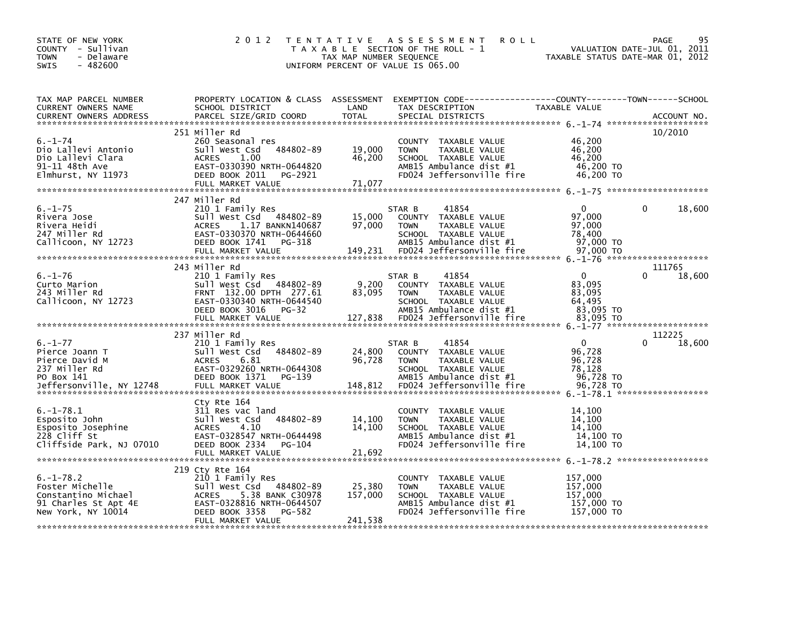| STATE OF NEW YORK<br>COUNTY - Sullivan<br><b>TOWN</b><br>- Delaware<br>$-482600$<br><b>SWIS</b>         | 2 0 1 2                                                                                                                                                                | TAX MAP NUMBER SEQUENCE      | TENTATIVE ASSESSMENT<br><b>ROLL</b><br>T A X A B L E SECTION OF THE ROLL - 1<br>UNIFORM PERCENT OF VALUE IS 065.00                   | TAXABLE STATUS DATE-MAR 01, 2012                          | 95<br><b>PAGE</b><br>VALUATION DATE-JUL 01, 2011 |
|---------------------------------------------------------------------------------------------------------|------------------------------------------------------------------------------------------------------------------------------------------------------------------------|------------------------------|--------------------------------------------------------------------------------------------------------------------------------------|-----------------------------------------------------------|--------------------------------------------------|
| TAX MAP PARCEL NUMBER<br>CURRENT OWNERS NAME<br><b>CURRENT OWNERS ADDRESS</b>                           | PROPERTY LOCATION & CLASS ASSESSMENT<br>SCHOOL DISTRICT<br>PARCEL SIZE/GRID COORD                                                                                      | LAND<br>TOTAL                | TAX DESCRIPTION<br>SPECIAL DISTRICTS                                                                                                 | TAXABLE VALUE                                             | ACCOUNT NO.                                      |
| $6. - 1 - 74$<br>Dio Lallevi Antonio<br>Dio Lallevi Clara<br>91-11 48th Ave<br>Elmhurst, NY 11973       | 251 Miller Rd<br>260 Seasonal res<br>Sull West Csd 484802-89<br>1.00<br><b>ACRES</b><br>EAST-0330390 NRTH-0644820<br>DEED BOOK 2011<br>PG-2921<br>FULL MARKET VALUE    | 19,000<br>46,200<br>71,077   | COUNTY TAXABLE VALUE<br>TAXABLE VALUE<br><b>TOWN</b><br>SCHOOL TAXABLE VALUE<br>AMB15 Ambulance dist #1<br>FD024 Jeffersonville fire | 46,200<br>46,200<br>46.200<br>46,200 TO<br>46,200 TO      | 10/2010                                          |
| $6. - 1 - 75$<br>Rivera Jose<br>Rivera Heidi<br>247 Miller Rd<br>Callicoon, NY 12723                    | 247 Miller Rd<br>210 1 Family Res<br>Sull West Csd 484802-89<br>1.17 BANKN140687<br>ACRES<br>EAST-0330370 NRTH-0644660<br>DEED BOOK 1741<br>PG-318                     | 15,000<br>97,000             | STAR B<br>41854<br>COUNTY TAXABLE VALUE<br>TAXABLE VALUE<br><b>TOWN</b><br>SCHOOL TAXABLE VALUE<br>AMB15 Ambulance dist #1           | $\Omega$<br>97,000<br>97,000<br>78.400<br>97,000 TO       | 18,600                                           |
| $6. - 1 - 76$<br>Curto Marion<br>243 Miller Rd<br>Callicoon, NY 12723                                   | 243 Miller Rd<br>210 1 Family Res<br>Sull West Csd 484802-89<br>FRNT 132.00 DPTH 277.61<br>EAST-0330340 NRTH-0644540<br>DEED BOOK 3016 PG-32                           | 9,200<br>83,095              | 41854<br>STAR B<br>COUNTY TAXABLE VALUE<br><b>TOWN</b><br>TAXABLE VALUE<br>SCHOOL TAXABLE VALUE<br>AMB15 Ambulance dist #1           | $\mathbf 0$<br>83,095<br>83,095<br>64,495<br>83,095 TO    | 111765<br>$\Omega$<br>18,600                     |
| $6. - 1 - 77$<br>Pierce Joann T<br>Pierce David M<br>237 Miller Rd<br>PO Box 141                        | 237 Miller Rd<br>210 1 Family Res<br>484802-89<br>Sull West Csd<br><b>ACRES</b><br>6.81<br>EAST-0329260 NRTH-0644308<br>DEED BOOK 1371<br>PG-139                       | 24,800<br>96,728             | 41854<br>STAR B<br>COUNTY TAXABLE VALUE<br>TAXABLE VALUE<br><b>TOWN</b><br>SCHOOL TAXABLE VALUE<br>AMB15 Ambulance dist #1           | $\mathbf{0}$<br>96,728<br>96,728<br>78,128<br>96,728 TO   | 112225<br>18,600                                 |
| $6. - 1 - 78.1$<br>Esposito John<br>Esposito Josephine<br>228 Cliff St<br>Cliffside Park, NJ 07010      | Cty Rte 164<br>311 Res vac land<br>484802-89<br>Sull West Csd<br>4.10<br><b>ACRES</b><br>EAST-0328547 NRTH-0644498<br>DEED BOOK 2334<br>PG-104<br>FULL MARKET VALUE    | 14,100<br>14,100<br>21,692   | COUNTY TAXABLE VALUE<br><b>TOWN</b><br>TAXABLE VALUE<br>SCHOOL TAXABLE VALUE<br>AMB15 Ambulance dist #1<br>FD024 Jeffersonville fire | 14,100<br>14,100<br>14.100<br>14,100 TO<br>14,100 TO      |                                                  |
| $6. - 1 - 78.2$<br>Foster Michelle<br>Constantino Michael<br>91 Charles St Apt 4E<br>New York, NY 10014 | 219 Cty Rte 164<br>210 1 Family Res<br>Sull West Csd 484802-89<br>ACRES 5.38 BANK C30978<br>EAST-0328816 NRTH-0644507<br>DEED BOOK 3358<br>PG-582<br>FULL MARKET VALUE | 25,380<br>157,000<br>241,538 | COUNTY TAXABLE VALUE<br>TAXABLE VALUE<br><b>TOWN</b><br>SCHOOL TAXABLE VALUE<br>AMB15 Ambulance dist #1<br>FD024 Jeffersonville fire | 157,000<br>157,000<br>157,000<br>157,000 TO<br>157,000 TO |                                                  |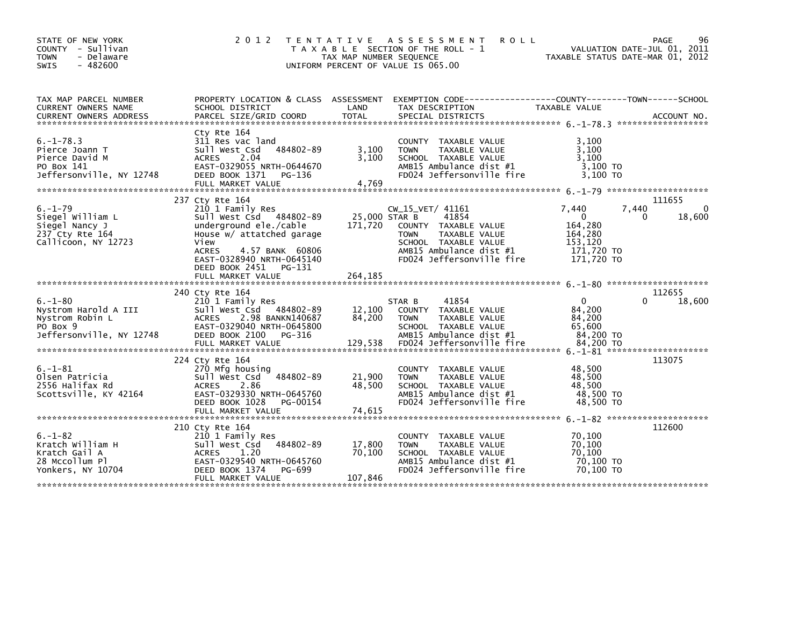| STATE OF NEW YORK<br>- Sullivan<br><b>COUNTY</b><br>- Delaware<br><b>TOWN</b><br>$-482600$<br><b>SWIS</b> | 2 0 1 2                                                                                                                                                                    | T E N T A T I V E<br>TAX MAP NUMBER SEQUENCE | A S S E S S M E N T<br><b>ROLL</b><br>T A X A B L E SECTION OF THE ROLL - 1<br>UNIFORM PERCENT OF VALUE IS 065.00                                                 | VALUATION DATE-JUL 01, 2011<br>TAXABLE STATUS DATE-MAR 01, 2012                         | PAGE<br>96       |
|-----------------------------------------------------------------------------------------------------------|----------------------------------------------------------------------------------------------------------------------------------------------------------------------------|----------------------------------------------|-------------------------------------------------------------------------------------------------------------------------------------------------------------------|-----------------------------------------------------------------------------------------|------------------|
| TAX MAP PARCEL NUMBER<br>CURRENT OWNERS NAME                                                              | SCHOOL DISTRICT                                                                                                                                                            | LAND                                         | PROPERTY LOCATION & CLASS ASSESSMENT EXEMPTION CODE---------------COUNTY-------TOWN-----SCHOOL<br>TAX DESCRIPTION                                                 | TAXABLE VALUE                                                                           |                  |
| <b>CURRENT OWNERS ADDRESS</b>                                                                             | PARCEL SIZE/GRID COORD                                                                                                                                                     | TOTAL                                        | SPECIAL DISTRICTS                                                                                                                                                 |                                                                                         | ACCOUNT NO.      |
| $6. -1 - 78.3$<br>Pierce Joann T<br>Pierce David M<br>PO Box 141<br>Jeffersonville, NY 12748              | Cty Rte 164<br>311 Res vac land<br>Sull West Csd 484802-89<br><b>ACRES</b><br>2.04<br>EAST-0329055 NRTH-0644670<br>DEED BOOK 1371<br>PG-136<br>FULL MARKET VALUE           | 3,100<br>3.100<br>4,769                      | COUNTY TAXABLE VALUE<br><b>TAXABLE VALUE</b><br><b>TOWN</b><br>SCHOOL TAXABLE VALUE<br>AMB15 Ambulance dist #1<br>FD024 Jeffersonville fire                       | 3.100<br>3,100<br>3.100<br>3,100 TO<br>3.100 TO                                         |                  |
|                                                                                                           | 237 Cty Rte 164                                                                                                                                                            |                                              |                                                                                                                                                                   |                                                                                         | 111655           |
| $6. - 1 - 79$<br>Siegel William L<br>Siegel Nancy J<br>237 Cty Rte 164<br>Callicoon, NY 12723             | 210 1 Family Res<br>Sull West Csd 484802-89<br>underground ele./cable<br>House w/ attatched garage<br>View<br><b>ACRES</b><br>4.57 BANK 60806<br>EAST-0328940 NRTH-0645140 | 25,000 STAR B<br>171.720                     | CW_15_VET/ 41161<br>41854<br>COUNTY TAXABLE VALUE<br><b>TOWN</b><br>TAXABLE VALUE<br>SCHOOL TAXABLE VALUE<br>AMB15 Ambulance dist #1<br>FD024 Jeffersonville fire | 7,440<br>7,440<br>$\Omega$<br>164,280<br>164,280<br>153,120<br>171,720 TO<br>171,720 TO | 0<br>18,600<br>0 |
|                                                                                                           | DEED BOOK 2451<br>PG-131<br>FULL MARKET VALUE                                                                                                                              | 264,185                                      |                                                                                                                                                                   |                                                                                         |                  |
|                                                                                                           |                                                                                                                                                                            |                                              |                                                                                                                                                                   |                                                                                         |                  |
| $6. - 1 - 80$<br>Nystrom Harold A III<br>Nystrom Robin L<br>PO Box 9<br>Jeffersonville, NY 12748          | 240 Cty Rte 164<br>210 1 Family Res<br>Sull West Csd 484802-89<br>2.98 BANKN140687<br><b>ACRES</b><br>EAST-0329040 NRTH-0645800<br>DEED BOOK 2100<br>PG-316                | 12,100<br>84,200                             | 41854<br>STAR B<br>COUNTY TAXABLE VALUE<br>TAXABLE VALUE<br><b>TOWN</b><br>SCHOOL TAXABLE VALUE<br>AMB15 Ambulance dist #1                                        | $\Omega$<br>84,200<br>84,200<br>65,600<br>84,200 TO                                     | 112655<br>18,600 |
|                                                                                                           | 224 Cty Rte 164                                                                                                                                                            |                                              |                                                                                                                                                                   |                                                                                         | 113075           |
| $6. - 1 - 81$<br>Olsen Patricia<br>2556 Halifax Rd<br>Scottsville, KY 42164                               | 270 Mfg housing<br>484802-89<br>Sull West Csd<br>2.86<br><b>ACRES</b><br>EAST-0329330 NRTH-0645760<br>DEED BOOK 1028<br>PG-00154                                           | 21,900<br>48,500                             | COUNTY TAXABLE VALUE<br><b>TOWN</b><br>TAXABLE VALUE<br>SCHOOL TAXABLE VALUE<br>AMB15 Ambulance dist #1<br>FD024 Jeffersonville fire                              | 48,500<br>48,500<br>48,500<br>48,500 TO<br>48,500 TO                                    |                  |
|                                                                                                           | FULL MARKET VALUE                                                                                                                                                          | 74.615                                       |                                                                                                                                                                   |                                                                                         |                  |
|                                                                                                           | 210 Cty Rte 164                                                                                                                                                            |                                              |                                                                                                                                                                   |                                                                                         | 112600           |
| $6. - 1 - 82$<br>Kratch William H<br>Kratch Gail A<br>28 Mccollum Pl<br>Yonkers, NY 10704                 | 210 1 Family Res<br>Sull West Csd 484802-89<br>1.20<br><b>ACRES</b><br>EAST-0329540 NRTH-0645760<br>DEED BOOK 1374<br>PG-699<br>FULL MARKET VALUE                          | 17,800<br>70.100<br>107,846                  | TAXABLE VALUE<br><b>COUNTY</b><br><b>TOWN</b><br>TAXABLE VALUE<br>SCHOOL TAXABLE VALUE<br>AMB15 Ambulance dist #1<br>FD024 Jeffersonville fire                    | 70,100<br>70.100<br>70,100<br>70,100 TO<br>70,100 TO                                    |                  |
|                                                                                                           |                                                                                                                                                                            |                                              |                                                                                                                                                                   |                                                                                         |                  |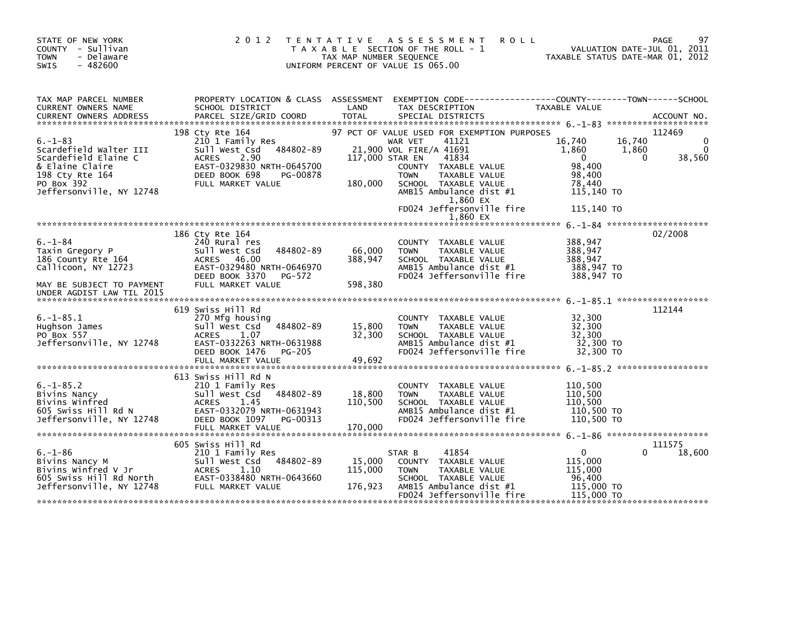| STATE OF NEW YORK<br>COUNTY - Sullivan<br><b>TOWN</b><br>- Delaware<br>$-482600$<br><b>SWIS</b>                                                 | 2 0 1 2                                                                                                                                                                       | T E N T A T I V E<br>TAX MAP NUMBER SEQUENCE | A S S E S S M E N T<br><b>ROLL</b><br>T A X A B L E SECTION OF THE ROLL - 1<br>UNIFORM PERCENT OF VALUE IS 065.00                                                                                                                             | TAXABLE STATUS DATE-MAR 01, 2012                                                           | 97<br>PAGE<br>VALUATION DATE-JUL 01, 2011 |
|-------------------------------------------------------------------------------------------------------------------------------------------------|-------------------------------------------------------------------------------------------------------------------------------------------------------------------------------|----------------------------------------------|-----------------------------------------------------------------------------------------------------------------------------------------------------------------------------------------------------------------------------------------------|--------------------------------------------------------------------------------------------|-------------------------------------------|
| TAX MAP PARCEL NUMBER<br><b>CURRENT OWNERS NAME</b>                                                                                             | PROPERTY LOCATION & CLASS ASSESSMENT<br>SCHOOL DISTRICT                                                                                                                       | LAND                                         | EXEMPTION CODE------------------COUNTY--------TOWN------SCHOOL<br>TAX DESCRIPTION                                                                                                                                                             | <b>TAXABLE VALUE</b>                                                                       |                                           |
| $6. - 1 - 83$<br>Scardefield Walter III<br>Scardefield Elaine C<br>& Elaine Claire<br>198 Cty Rte 164<br>PO Box 392<br>Jeffersonville, NY 12748 | 198 Cty Rte 164<br>210 1 Family Res<br>484802-89<br>Sull West Csd<br>2.90<br><b>ACRES</b><br>EAST-0329830 NRTH-0645700<br>DEED BOOK 698<br>PG-00878<br>FULL MARKET VALUE      | 180,000                                      | 97 PCT OF VALUE USED FOR EXEMPTION PURPOSES<br>41121<br>WAR VET<br>21,900 VOL FIRE/A 41691<br>41834<br>117,000 STAR EN<br>COUNTY TAXABLE VALUE<br>TAXABLE VALUE<br><b>TOWN</b><br>SCHOOL TAXABLE VALUE<br>AMB15 Ambulance dist #1<br>1,860 EX | 16,740<br>16,740<br>1,860<br>1,860<br>$\Omega$<br>98,400<br>98,400<br>78,440<br>115,140 TO | 112469<br>38,560<br>0                     |
|                                                                                                                                                 |                                                                                                                                                                               |                                              | FD024 Jeffersonville fire<br>1,860 EX                                                                                                                                                                                                         | 115,140 TO                                                                                 |                                           |
| $6. - 1 - 84$<br>Taxin Gregory P<br>186 County Rte 164<br>Callicoon, NY 12723<br>MAY BE SUBJECT TO PAYMENT<br>UNDER AGDIST LAW TIL 2015         | 186 Cty Rte 164<br>240 Rural res<br>484802-89<br>Sull West Csd<br>ACRES 46.00<br>EAST-0329480 NRTH-0646970<br>DEED BOOK 3370<br>PG-572<br>FULL MARKET VALUE                   | 66,000<br>388,947<br>598,380                 | COUNTY TAXABLE VALUE<br><b>TOWN</b><br>TAXABLE VALUE<br>SCHOOL TAXABLE VALUE<br>AMB15 Ambulance dist #1<br>FD024 Jeffersonville fire                                                                                                          | 388,947<br>388,947<br>388,947<br>388,947 TO<br>388,947 TO                                  | 02/2008                                   |
| $6. -1 - 85.1$<br>Hughson James<br>PO Box 557<br>Jeffersonville, NY 12748                                                                       | 619 Swiss Hill Rd<br>270 Mfg housing<br>Sull West Csd<br>484802-89<br><b>ACRES</b><br>1.07<br>EAST-0332263 NRTH-0631988<br>DEED BOOK 1476<br>PG-205<br>FULL MARKET VALUE      | 15,800<br>32,300<br>49,692                   | <b>COUNTY</b><br>TAXABLE VALUE<br><b>TOWN</b><br>TAXABLE VALUE<br>SCHOOL TAXABLE VALUE<br>AMB15 Ambulance dist #1<br>FD024 Jeffersonville fire                                                                                                | 32,300<br>32,300<br>32,300<br>32,300 TO<br>32,300 TO                                       | 112144                                    |
| $6. - 1 - 85.2$<br>Bivins Nancy<br>Bivins Winfred<br>605 Swiss Hill Rd N<br>Jeffersonville, NY 12748                                            | 613 Swiss Hill Rd N<br>210 1 Family Res<br>Sull West Csd<br>484802-89<br><b>ACRES</b><br>1.45<br>EAST-0332079 NRTH-0631943<br>DEED BOOK 1097<br>PG-00313<br>FULL MARKET VALUE | 18,800<br>110,500<br>170,000                 | TAXABLE VALUE<br><b>COUNTY</b><br><b>TOWN</b><br>TAXABLE VALUE<br>SCHOOL TAXABLE VALUE<br>AMB15 Ambulance dist #1<br>FD024 Jeffersonville fire                                                                                                | 110,500<br>110,500<br>110,500<br>110,500 TO<br>110,500 TO                                  |                                           |
| $6. - 1 - 86$<br>Bivins Nancy M<br>Bivins Winfred V Jr<br>605 Swiss Hill Rd North<br>Jeffersonville, NY 12748                                   | 605 Swiss Hill Rd<br>210 1 Family Res<br>Sull West Csd<br>484802-89<br>1.10<br><b>ACRES</b><br>EAST-0338480 NRTH-0643660<br>FULL MARKET VALUE                                 | 15,000<br>115,000<br>176,923                 | 41854<br>STAR B<br>COUNTY TAXABLE VALUE<br>TAXABLE VALUE<br><b>TOWN</b><br>SCHOOL TAXABLE VALUE<br>AMB15 Ambulance dist #1<br>FD024 Jeffersonville fire                                                                                       | $\mathbf{0}$<br>115,000<br>115,000<br>96,400<br>115,000 TO<br>115,000 TO                   | 111575<br>18,600<br>0                     |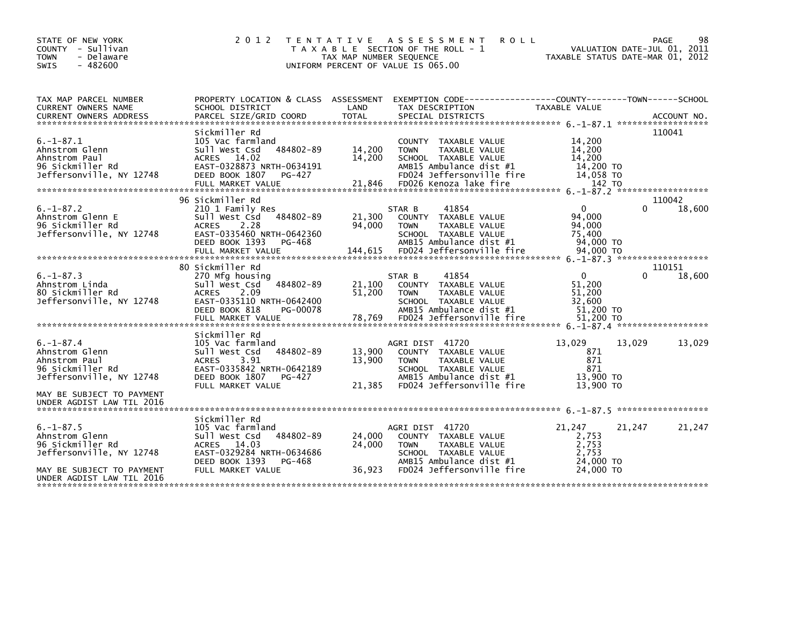| STATE OF NEW YORK<br>COUNTY - Sullivan<br><b>TOWN</b><br>- Delaware<br>$-482600$<br><b>SWIS</b>                                 | 2012                                                                                                                                                                     | TAX MAP NUMBER SEQUENCE     | TENTATIVE ASSESSMENT<br><b>ROLL</b><br>T A X A B L E SECTION OF THE ROLL - 1<br>UNIFORM PERCENT OF VALUE IS 065.00                                             |                                                                      | 98<br><b>PAGE</b><br>VALUATION DATE-JUL 01, 2011<br>TAXABLE STATUS DATE-MAR 01, 2012 |
|---------------------------------------------------------------------------------------------------------------------------------|--------------------------------------------------------------------------------------------------------------------------------------------------------------------------|-----------------------------|----------------------------------------------------------------------------------------------------------------------------------------------------------------|----------------------------------------------------------------------|--------------------------------------------------------------------------------------|
| TAX MAP PARCEL NUMBER<br>CURRENT OWNERS NAME<br>CURRENT OWNERS ADDRESS                                                          | PROPERTY LOCATION & CLASS ASSESSMENT<br>SCHOOL DISTRICT                                                                                                                  | LAND                        | EXEMPTION CODE------------------COUNTY--------TOWN------SCHOOL<br>TAX DESCRIPTION                                                                              | <b>TAXABLE VALUE</b>                                                 |                                                                                      |
| $6. -1 - 87.1$<br>Ahnstrom Glenn<br>Ahnstrom Paul<br>96 Sickmiller Rd<br>Jeffersonville, NY 12748                               | Sickmiller Rd<br>105 Vac farmland<br>484802-89<br>Sull West Csd<br>ACRES 14.02<br>EAST-0328873 NRTH-0634191<br>DEED BOOK 1807<br>PG-427<br>FULL MARKET VALUE             | 14,200<br>14,200<br>21,846  | COUNTY TAXABLE VALUE<br>TAXABLE VALUE<br><b>TOWN</b><br>SCHOOL TAXABLE VALUE<br>AMB15 Ambulance dist #1<br>FD024 Jeffersonville fire<br>FD026 Kenoza lake fire | 14,200<br>14,200<br>14,200<br>14,200 TO<br>14,058 TO<br>142 TO       | 110041                                                                               |
| $6. - 1 - 87.2$<br>Ahnstrom Glenn E<br>96 Sickmiller Rd<br>Jeffersonville, NY 12748                                             | 96 Sickmiller Rd<br>210 1 Family Res<br>484802-89<br>Sull West Csd<br><b>ACRES</b><br>2.28<br>EAST-0335460 NRTH-0642360<br>DEED BOOK 1393<br>PG-468<br>FULL MARKET VALUE | 21,300<br>94,000<br>144,615 | 41854<br>STAR B<br>COUNTY TAXABLE VALUE<br><b>TOWN</b><br>TAXABLE VALUE<br>SCHOOL TAXABLE VALUE<br>AMB15 Ambulance dist #1<br>FD024 Jeffersonville fire        | $\mathbf{0}$<br>94,000<br>94,000<br>75,400<br>94,000 TO<br>94,000 TO | 110042<br>$\Omega$<br>18,600                                                         |
| $6. -1 - 87.3$<br>Ahnstrom Linda<br>80 Sickmiller Rd<br>Jeffersonville, NY 12748                                                | 80 Sickmiller Rd<br>270 Mfg housing<br>484802-89<br>Sull West Csd<br>2.09<br><b>ACRES</b><br>EAST-0335110 NRTH-0642400<br>DEED BOOK 818<br>PG-00078<br>FULL MARKET VALUE | 21,100<br>51,200<br>78,769  | 41854<br>STAR B<br>COUNTY TAXABLE VALUE<br><b>TOWN</b><br>TAXABLE VALUE<br>SCHOOL TAXABLE VALUE<br>AMB15 Ambulance dist #1<br>FD024 Jeffersonville fire        | $\Omega$<br>51,200<br>51,200<br>32,600<br>51,200 TO<br>51,200 TO     | 110151<br>18,600<br>0                                                                |
| $6. - 1 - 87.4$<br>Ahnstrom Glenn<br>Ahnstrom Paul<br>96 Sickmiller Rd<br>Jeffersonville, NY 12748<br>MAY BE SUBJECT TO PAYMENT | Sickmiller Rd<br>105 Vac farmland<br>Sull West Csd<br>484802-89<br><b>ACRES</b><br>3.91<br>EAST-0335842 NRTH-0642189<br>DEED BOOK 1807<br>PG-427<br>FULL MARKET VALUE    | 13,900<br>13,900<br>21,385  | AGRI DIST 41720<br>COUNTY TAXABLE VALUE<br><b>TOWN</b><br>TAXABLE VALUE<br>SCHOOL TAXABLE VALUE<br>AMB15 Ambulance dist #1<br>FD024 Jeffersonville fire        | 13,029<br>871<br>871<br>871<br>13,900 TO<br>13,900 TO                | 13,029<br>13,029                                                                     |
| UNDER AGDIST LAW TIL 2016                                                                                                       | Sickmiller Rd                                                                                                                                                            |                             |                                                                                                                                                                |                                                                      |                                                                                      |
| $6. -1 - 87.5$<br>Ahnstrom Glenn<br>96 Sickmiller Rd<br>Jeffersonville, NY 12748<br>MAY BE SUBJECT TO PAYMENT                   | 105 Vac farmland<br>484802-89<br>Sull West Csd<br>ACRES 14.03<br>EAST-0329284 NRTH-0634686<br>DEED BOOK 1393<br>PG-468<br>FULL MARKET VALUE                              | 24,000<br>24,000<br>36,923  | AGRI DIST 41720<br>COUNTY TAXABLE VALUE<br><b>TOWN</b><br>TAXABLE VALUE<br>SCHOOL TAXABLE VALUE<br>AMB15 Ambulance dist #1<br>FD024 Jeffersonville fire        | 21,247<br>2,753<br>2,753<br>2.753<br>24,000 TO<br>24,000 TO          | 21,247<br>21,247                                                                     |
| UNDER AGDIST LAW TIL 2016                                                                                                       |                                                                                                                                                                          |                             |                                                                                                                                                                |                                                                      |                                                                                      |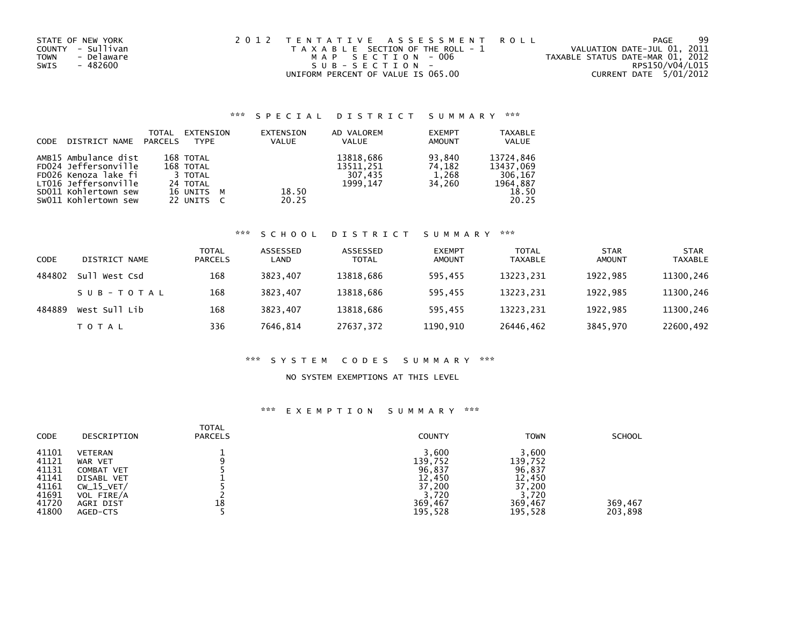| STATE OF NEW YORK         | 2012 TENTATIVE ASSESSMENT ROLL        | -99<br>PAGE                      |
|---------------------------|---------------------------------------|----------------------------------|
| COUNTY - Sullivan         | T A X A B L E SECTION OF THE ROLL - 1 | VALUATION DATE-JUL 01, 2011      |
| - Delaware<br><b>TOWN</b> | MAP SECTION - 006                     | TAXABLE STATUS DATE-MAR 01, 2012 |
| - 482600<br>SWIS          | SUB-SECTION-                          | RPS150/V04/L015                  |
|                           | UNIFORM PERCENT OF VALUE IS 065.00    | CURRENT DATE 5/01/2012           |

### \*\*\* S P E C I A L D I S T R I C T S U M M A R Y \*\*\*

| CODE | DISTRICT NAME        | TOTAL<br>PARCELS | EXTENSION<br><b>TYPE</b> | EXTENSION<br><b>VALUE</b> | AD VALOREM<br><b>VALUE</b> | <b>EXEMPT</b><br><b>AMOUNT</b> | <b>TAXABLE</b><br><b>VALUE</b> |
|------|----------------------|------------------|--------------------------|---------------------------|----------------------------|--------------------------------|--------------------------------|
|      | AMB15 Ambulance dist |                  | 168 TOTAL                |                           | 13818,686                  | 93.840                         | 13724.846                      |
|      | FD024 Jeffersonville |                  | 168 TOTAL                |                           | 13511,251                  | 74.182                         | 13437.069                      |
|      | FD026 Kenoza lake fi |                  | 3 TOTAL                  |                           | 307,435                    | 1,268                          | 306.167                        |
|      | LT016 Jeffersonville |                  | 24 TOTAL                 |                           | 1999.147                   | 34.260                         | 1964,887                       |
|      | SD011 Kohlertown sew |                  | 16 UNITS M               | 18.50                     |                            |                                | 18.50                          |
|      | SW011 Kohlertown sew |                  | 22 UNITS C               | 20.25                     |                            |                                | 20.25                          |

# \*\*\* S C H O O L D I S T R I C T S U M M A R Y \*\*\*

| CODE   | DISTRICT NAME | TOTAL<br><b>PARCELS</b> | ASSESSED<br>LAND | ASSESSED<br><b>TOTAL</b> | <b>EXEMPT</b><br><b>AMOUNT</b> | <b>TOTAL</b><br><b>TAXABLE</b> | <b>STAR</b><br>AMOUNT | <b>STAR</b><br><b>TAXABLE</b> |
|--------|---------------|-------------------------|------------------|--------------------------|--------------------------------|--------------------------------|-----------------------|-------------------------------|
| 484802 | Sull West Csd | 168                     | 3823.407         | 13818,686                | 595.455                        | 13223,231                      | 1922.985              | 11300,246                     |
|        | SUB-TOTAL     | 168                     | 3823.407         | 13818,686                | 595.455                        | 13223.231                      | 1922.985              | 11300,246                     |
| 484889 | West Sull Lib | 168                     | 3823.407         | 13818,686                | 595.455                        | 13223.231                      | 1922.985              | 11300,246                     |
|        | T O T A L     | 336                     | 7646.814         | 27637,372                | 1190,910                       | 26446,462                      | 3845,970              | 22600,492                     |

### \*\*\* S Y S T E M C O D E S S U M M A R Y \*\*\*

#### NO SYSTEM EXEMPTIONS AT THIS LEVEL

### \*\*\* E X E M P T I O N S U M M A R Y \*\*\*

| <b>CODE</b> | DESCRIPTION  | <b>TOTAL</b><br><b>PARCELS</b> | COUNTY  | <b>TOWN</b> | <b>SCHOOL</b> |
|-------------|--------------|--------------------------------|---------|-------------|---------------|
| 41101       | VETERAN      |                                | 3,600   | 3,600       |               |
| 41121       | WAR VET      |                                | 139.752 | 139.752     |               |
| 41131       | COMBAT VET   |                                | 96,837  | 96,837      |               |
| 41141       | DISABL VET   |                                | 12,450  | 12,450      |               |
| 41161       | $CW_15_VET/$ |                                | 37,200  | 37,200      |               |
| 41691       | VOL FIRE/A   |                                | 3,720   | 3.720       |               |
| 41720       | AGRI DIST    | 18                             | 369,467 | 369,467     | 369,467       |
| 41800       | AGED-CTS     |                                | 195,528 | 195,528     | 203,898       |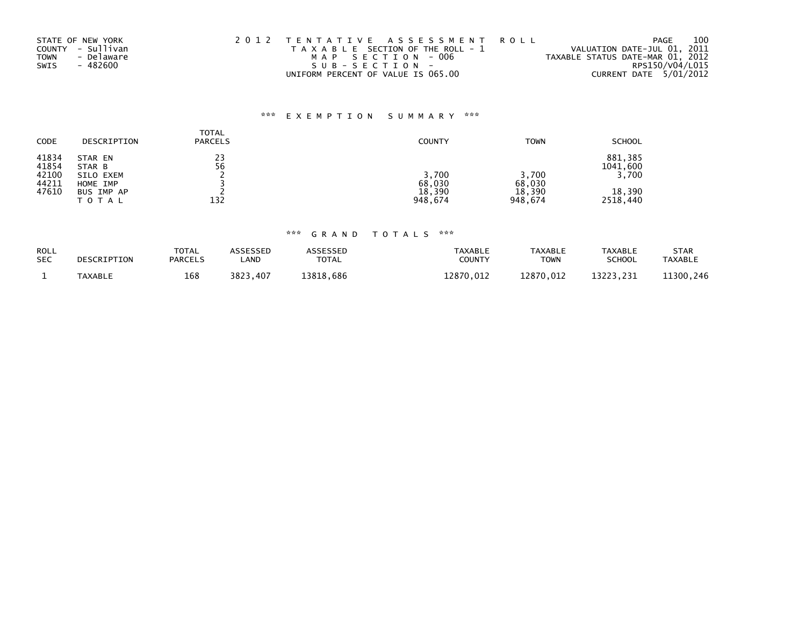| STATE OF NEW YORK         | 2012 TENTATIVE ASSESSMENT ROLL        | PAGE                             | 100 |
|---------------------------|---------------------------------------|----------------------------------|-----|
| COUNTY - Sullivan         | T A X A B L E SECTION OF THE ROLL - 1 | VALUATION DATE-JUL 01, 2011      |     |
| - Delaware<br><b>TOWN</b> | MAP SECTION - 006                     | TAXABLE STATUS DATE-MAR 01, 2012 |     |
| - 482600<br>SWIS          | SUB-SECTION-                          | RPS150/V04/L015                  |     |
|                           | UNIFORM PERCENT OF VALUE IS 065.00    | CURRENT DATE 5/01/2012           |     |

# \*\*\* E X E M P T I O N S U M M A R Y \*\*\*

| <b>CODE</b>             | DESCRIPTION                     | <b>TOTAL</b><br><b>PARCELS</b> | <b>COUNTY</b>               | <b>TOWN</b>                 | <b>SCHOOL</b>                |
|-------------------------|---------------------------------|--------------------------------|-----------------------------|-----------------------------|------------------------------|
| 41834<br>41854<br>42100 | STAR EN<br>STAR B<br>SILO EXEM  | 23<br>56                       | 3,700                       | 3,700                       | 881,385<br>1041,600<br>3,700 |
| 44211<br>47610          | HOME IMP<br>BUS IMP AP<br>TOTAL | 132                            | 68,030<br>18,390<br>948.674 | 68,030<br>18,390<br>948.674 | 18,390<br>2518,440           |

# \*\*\* G R A N D T O T A L S \*\*\*

| ROLL       | DESCRIPTION    | <b>TOTAL</b>   | <b>ASSESSED</b> | ASSESSED     | <b>TAXABLE</b> | TAXABLE   | TAXABLE       | STAR           |
|------------|----------------|----------------|-----------------|--------------|----------------|-----------|---------------|----------------|
| <b>SEC</b> |                | <b>PARCELS</b> | _AND            | <b>TOTAL</b> | <b>COUNTY</b>  | TOWN      | <b>SCHOOL</b> | <b>TAXABLE</b> |
|            | <b>TAXABLE</b> | 168            | 3823.407        | 13818.686    | 12870.012      | 12870.012 | 13223.231     | 11300.246      |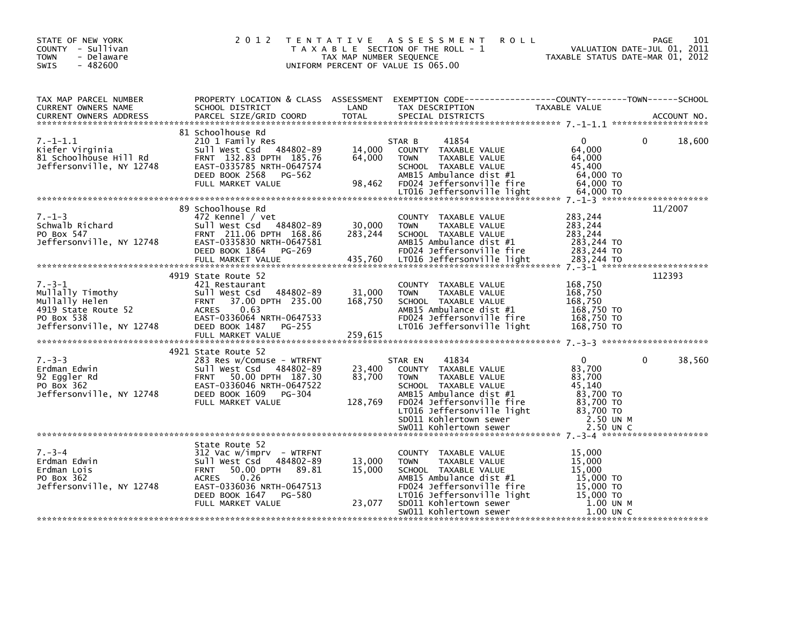| STATE OF NEW YORK<br>COUNTY - Sullivan<br><b>TOWN</b><br>- Delaware<br>$-482600$<br><b>SWIS</b>                                             |                                                                                                                                                                                                                                                                                                                                                                                        | TAX MAP NUMBER SEQUENCE       | 2012 TENTATIVE ASSESSMENT<br><b>ROLL</b><br>T A X A B L E SECTION OF THE ROLL - 1<br>UNIFORM PERCENT OF VALUE IS 065.00                                                                                                                                                                                                    | VALUATION DATE-JUL 01, 2011<br>TAXABLE STATUS DATE-MAR 01, 2012         | PAGE<br>101            |
|---------------------------------------------------------------------------------------------------------------------------------------------|----------------------------------------------------------------------------------------------------------------------------------------------------------------------------------------------------------------------------------------------------------------------------------------------------------------------------------------------------------------------------------------|-------------------------------|----------------------------------------------------------------------------------------------------------------------------------------------------------------------------------------------------------------------------------------------------------------------------------------------------------------------------|-------------------------------------------------------------------------|------------------------|
| TAX MAP PARCEL NUMBER<br>CURRENT OWNERS NAME<br>CURRENT OWNERS ADDRESS                                                                      | SCHOOL DISTRICT<br>PARCEL SIZE/GRID COORD                                                                                                                                                                                                                                                                                                                                              | LAND<br><b>TOTAL</b>          | PROPERTY LOCATION & CLASS ASSESSMENT EXEMPTION CODE----------------COUNTY-------TOWN------SCHOOL<br>-ALMITICAL SOLUTION<br>TAXABLE VALUE<br>CDECTAL DISTRICTS<br>SPECIAL DISTRICTS                                                                                                                                         |                                                                         | ACCOUNT NO.            |
| $7. - 1 - 1.1$<br>Xiefer Virginia<br>81 Schoolhouse Hill Rd<br>31 Schoolhouse Hill Rd<br>Jeffersonville, NY 12748                           | 81 Schoolhouse Rd<br>210 1 Family Res<br>sull West Csd 484802-89<br>FRNT 132.83 DPTH 185.76<br>EAST-0335785 NRTH-0647574<br>DEED BOOK 2568 PG-562<br>FULL MARKET VALUE                                                                                                                                                                                                                 | 14,000 ST<br>64,000<br>98,462 | 41854<br>STAR B<br>COUNTY TAXABLE VALUE<br>TAXABLE VALUE<br><b>TOWN</b><br>SCHOOL TAXABLE VALUE<br>AMB15 Ambulance dist #1<br>AMB13 AMOUTANCe 01St #1<br>FD024 Jeffersonville fire<br>LT016 Jeffersonville light 64,000 TO                                                                                                 | $\mathbf{0}$<br>64,000<br>64,000<br>45,400<br>64,000 TO<br>64.000 TO    | $\Omega$<br>18,600     |
| $7. - 1 - 3$<br>r.-1-3<br>Schwalb Richard<br>PO Box 547<br>Jeffersonville, NY 12748                                                         | 89 Schoolhouse Rd<br>472 Kennel / vet<br>Sull West Csd 484802-89<br>FRNT 211.06 DPTH 168.86                                                                                                                                                                                                                                                                                            | 30,000<br>283,244             | COUNTY TAXABLE VALUE<br><b>TOWN</b><br>TAXABLE VALUE<br>SCHOOL TAXABLE VALUE                                                                                                                                                                                                                                               | 283,244<br>283,244<br>283,244                                           | 11/2007                |
| $7. - 3 - 1$<br>7.-3-1<br>Mullally Timothy<br>Mullally Helen<br>4919 State Route 52<br>PO Box 538<br>PO Box 538<br>Jeffersonville, NY 12748 | 4919 State Route 52<br>421 Restaurant<br>Sull West Csd 484802-89<br><b>FRNT</b><br>37.00 DPTH 235.00<br>0.63<br>ACRES<br>EAST-0336064 NRTH-0647533<br>DEED BOOK 1487<br>PG-255<br>FULL MARKET VALUE                                                                                                                                                                                    | 31,000<br>168,750<br>259,615  | COUNTY TAXABLE VALUE<br><b>TOWN</b><br>TAXABLE VALUE<br>SCHOOL TAXABLE VALUE<br>AMB15 Ambulance dist #1<br>FD024 Jeffersonville fire<br>LT016 Jeffersonville light                                                                                                                                                         | 168,750<br>168,750<br>168,750<br>168,750 TO<br>168,750 TO<br>168,750 TO | 112393                 |
| $7. - 3 - 3$<br>7.-ɔ-ɔ<br>Erdman Edwin<br>92 Eggler Rd<br>PO Box 362<br>Jeffersonville, NY 12748                                            | 4921 State Route 52<br>283 Res w/Comuse - WTRFNT<br>Sull West Csd 484802-89<br>FRNT 50.00 DPTH 187.30<br>EAST-0336046 NRTH-0647522<br>90 Box 362<br>PO Box 362<br>Jeffersonville, NY 12748 DEED BOOK 1609 PG-304<br>FULL MARKET VALUE<br>FULL MARKET VALUE<br>FULL MARKET VALUE<br>THE MARKET VALUE<br>THE MARKET VALUE<br>TOIS JEFFERSONVILL E Instantant CONFIDENT MARKET VALUE<br>S | 23,400<br>83,700              | 41834<br>STAR EN<br>COUNTY TAXABLE VALUE<br><b>TOWN</b><br>TAXABLE VALUE                                                                                                                                                                                                                                                   | $\mathbf{0}$<br>83,700<br>83,700<br>45.140                              | $\mathbf{0}$<br>38,560 |
| $7. - 3 - 4$<br>Erdman Edwin<br>Erdman Lois<br>PO Box 362<br>Jeffersonville, NY 12748                                                       | State Route 52<br>312 Vac w/imprv - WTRFNT<br>Sull West Csd 484802-89<br><b>FRNT</b><br>50.00 DPTH 89.81<br>0.26<br><b>ACRES</b><br>EAST-0336036 NRTH-0647513<br>DEED BOOK 1647 PG-580<br>FULL MARKET VALUE                                                                                                                                                                            | 13,000<br>15,000<br>23,077    | COUNTY TAXABLE VALUE<br><b>TOWN</b><br>TAXABLE VALUE<br>SCHOOL TAXABLE VALUE<br>SCHOOL TAXABLE VALUE<br>AMB15 Ambulance dist #1 15,000 TO<br>FD024 Jeffersonville fire 15,000 TO<br>LT016 Jeffersonville light 15,000 TO<br>SD011 Kohlertown sewer 1.00 UN M<br>SW011 Kohlertown sewer 1.00 UN M<br>SW011 Kohlertown sewer | 15,000<br>15,000<br>15,000<br>$1.00$ UN C                               |                        |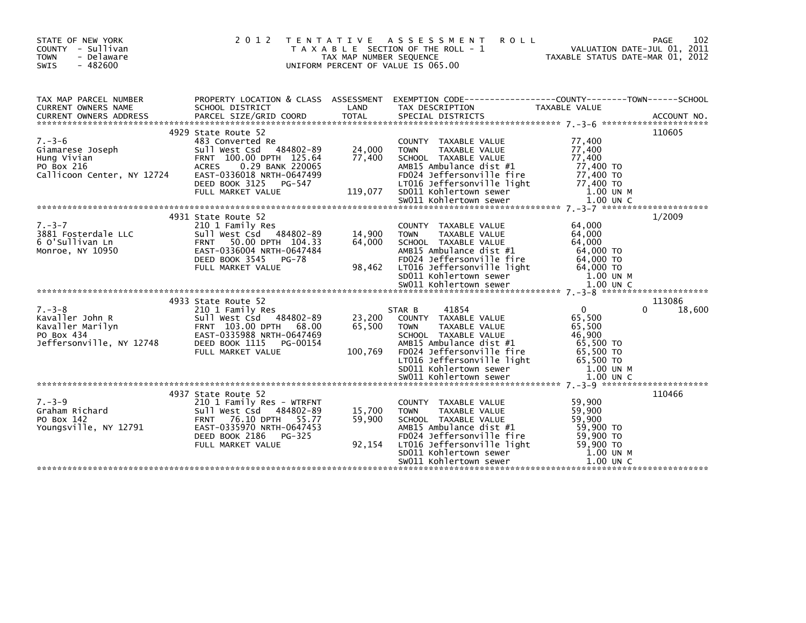| STATE OF NEW YORK<br>COUNTY - Sullivan<br><b>TOWN</b><br>- Delaware<br>SWIS<br>$-482600$                        | 2012                                                                                                                                                                                                   | TAX MAP NUMBER SEQUENCE     | TENTATIVE ASSESSMENT<br><b>ROLL</b><br>T A X A B L E SECTION OF THE ROLL - 1<br>UNIFORM PERCENT OF VALUE IS 065.00                                                                                                                                                 | VALUATION DATE-JUL 01, 2011<br>TAXABLE STATUS DATE-MAR 01, 2012                                              | 102<br><b>PAGE</b> |
|-----------------------------------------------------------------------------------------------------------------|--------------------------------------------------------------------------------------------------------------------------------------------------------------------------------------------------------|-----------------------------|--------------------------------------------------------------------------------------------------------------------------------------------------------------------------------------------------------------------------------------------------------------------|--------------------------------------------------------------------------------------------------------------|--------------------|
| TAX MAP PARCEL NUMBER<br>CURRENT OWNERS NAME                                                                    | SCHOOL DISTRICT                                                                                                                                                                                        | LAND                        | PROPERTY LOCATION & CLASS ASSESSMENT EXEMPTION CODE----------------COUNTY-------TOWN------SCHOOL<br>TAX DESCRIPTION                                                                                                                                                | TAXABLE VALUE                                                                                                |                    |
| $7. - 3 - 6$<br>Giamarese Joseph<br>Giamarese Joseph<br>Hung Vivian<br>PO Box 216<br>Callicoon Center, NY 12724 | 4929 State Route 52<br>483 Converted Re<br>Sull West Csd 484802-89<br>FRNT 100.00 DPTH 125.64<br>0.29 BANK 220065<br>ACRES<br>EAST-0336018 NRTH-0647499<br>DEED BOOK 3125 PG-547                       | 24,000<br>77,400            | COUNTY TAXABLE VALUE<br><b>TOWN</b><br>TAXABLE VALUE<br>SCHOOL TAXABLE VALUE<br>AMB15 Ambulance dist #1<br>FD024 Jeffersonville fire<br>LT016 Jeffersonville light                                                                                                 | 77,400<br>77,400<br>77,400<br>77,400 TO<br>77,400 TO<br>77,400 TO                                            | 110605             |
| $7 - 3 - 7$<br>3881 Fosterdale LLC<br>6 O'Sullivan Ln<br>Monroe, NY 10950                                       | 4931 State Route 52<br>210 1 Family Res<br>Sull West Csd 484802-89<br>FRNT 50.00 DPTH 104.33<br>EAST-0336004 NRTH-0647484<br>DEED BOOK 3545<br>PG-78<br>FULL MARKET VALUE                              | 14,900<br>64,000<br>98,462  | COUNTY TAXABLE VALUE<br>TAXABLE VALUE<br><b>TOWN</b><br>SCHOOL TAXABLE VALUE<br>AMB15 Ambulance dist #1<br>FD024 Jeffersonville fire<br>LT016 Jeffersonville light                                                                                                 | 64,000<br>64,000<br>64,000<br>64,000 TO<br>64,000 TO<br>64,000 TO                                            | 1/2009             |
| $7. - 3 - 8$<br>Kavaller John R<br>Kavaller Marilyn<br>PO Box 434<br>Jeffersonville, NY 12748                   | 4933 State Route 52<br>210 1 Family Res<br>Sull West Csd 484802-89<br>FRNT 103.00 DPTH 68.00<br>EAST-0335988 NRTH-0647469<br>PEED BOOK 1115 PG-00154 Y<br>DEED BOOK 1115 PG-00154<br>FULL MARKET VALUE | 23,200<br>65,500<br>100,769 | 41854<br>STAR B<br>COUNTY TAXABLE VALUE<br>TAXABLE VALUE<br><b>TOWN</b><br>SCHOOL TAXABLE VALUE<br>AMB15 Ambulance dist #1<br>AMB15 Ambulance ulse "-<br>FD024 Jeffersonville fire<br>COLOGERESPERIE light<br>LT016 Jeffersonville light<br>SD011 Kohlertown sewer | $\overline{0}$<br>$\Omega$<br>65,500<br>65,500<br>46.900<br>65,500 TO<br>65,500 TO<br>65,500 TO<br>1.00 UN M | 113086<br>18,600   |
| $7. - 3 - 9$<br>Graham Richard<br>PO Box 142<br>Youngsville, NY 12791                                           | 4937 State Route 52<br>210 1 Family Res - WTRFNT<br>Sull West Csd 484802-89<br>FRNT 76.10 DPTH 55.77<br>EAST-0335970 NRTH-0647453<br>DEED BOOK 2186 PG-325<br>FULL MARKET VALUE                        | 15,700<br>59,900<br>92,154  | COUNTY TAXABLE VALUE<br>TAXABLE VALUE<br><b>TOWN</b><br>SCHOOL TAXABLE VALUE<br>AMB15 Ambulance dist #1<br>FD024 Jeffersonville fire<br>LT016 Jeffersonville light<br>SD011 Kohlertown sewer<br>SW011 Kohlertown sewer                                             | 59,900<br>59,900<br>59,900<br>59,900 TO<br>59,900 TO<br>59,900 TO<br>1.00 UN M<br>$1.00$ UN C                | 110466             |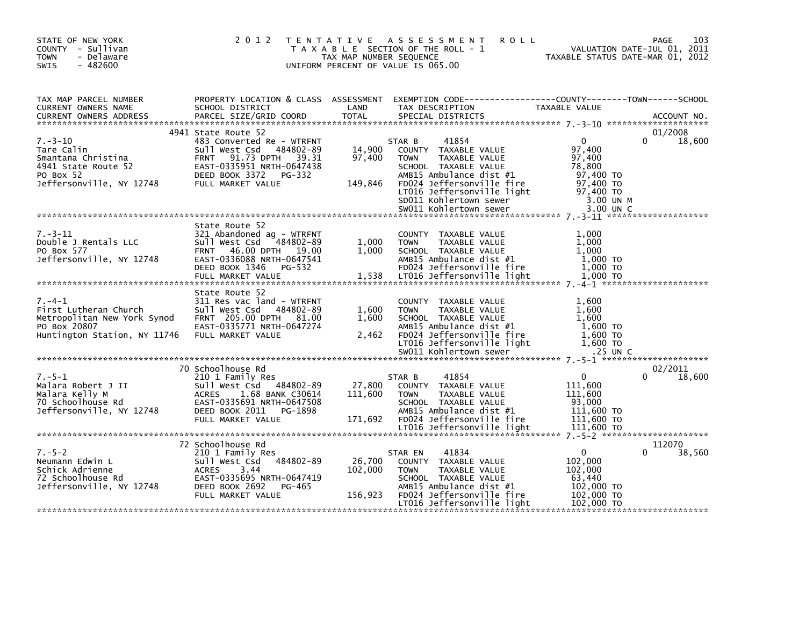| TAX MAP PARCEL NUMBER<br>PROPERTY LOCATION & CLASS ASSESSMENT<br>EXEMPTION CODE-----------------COUNTY-------TOWN------SCHOOL<br>LAND<br>CURRENT OWNERS NAME<br>SCHOOL DISTRICT<br>TAX DESCRIPTION<br>TAXABLE VALUE<br>4941 State Route 52<br>01/2008<br>$7. - 3 - 10$<br>41854<br>$\mathbf{0}$<br>$\Omega$<br>483 Converted Re - WTRFNT<br>18,600<br>STAR B<br>Sull West Csd 484802-89<br>14,900<br>97.400<br>Tare Calin<br>COUNTY TAXABLE VALUE<br>Smantana Christina<br>91.73 DPTH 39.31<br>97,400<br>97,400<br><b>FRNT</b><br><b>TOWN</b><br>TAXABLE VALUE<br>4941 State Route 52<br>EAST-0335951 NRTH-0647438<br>78,800<br>SCHOOL TAXABLE VALUE<br>AMB15 Ambulance dist #1<br>PO Box 52<br>DEED BOOK 3372<br>PG-332<br>97,400 TO<br>Jeffersonville, NY 12748<br>149,846<br>FD024 Jeffersonville fire<br>97,400 TO<br>FULL MARKET VALUE<br>97,400 TO<br>LT016 Jeffersonville light<br>SD011 Kohlertown sewer<br>3.00 UN M<br>SW011 Kohlertown sewer<br>3.00 UN C<br>State Route 52<br>$7. - 3 - 11$<br>1.000<br>321 Abandoned ag - WTRFNT<br>COUNTY TAXABLE VALUE<br>1,000<br>Double J Rentals LLC<br>Sull West Csd 484802-89<br>1,000<br><b>TOWN</b><br>TAXABLE VALUE<br>PO Box 577<br>FRNT 46.00 DPTH 19.00<br>1.000<br>1.000<br>SCHOOL TAXABLE VALUE<br>AMB15 Ambulance dist #1<br>Jeffersonville, NY 12748<br>EAST-0336088 NRTH-0647541<br>1.000 TO<br>FD024 Jeffersonville fire<br>1,000 TO<br>DEED BOOK 1346<br>PG-532<br>LT016 Jeffersonville light<br>1,538<br>1,000 TO<br>FULL MARKET VALUE<br>State Route 52<br>$7. - 4 - 1$<br>311 Res vac land - WTRFNT<br>1,600<br>COUNTY TAXABLE VALUE<br>1,600<br>First Lutheran Church<br>Sull West Csd 484802-89<br>1,600<br>TAXABLE VALUE<br><b>TOWN</b><br>FRNT 205.00 DPTH 81.00<br>1.600<br>1.600<br>Metropolitan New York Synod<br>SCHOOL TAXABLE VALUE<br>PO Box 20807<br>EAST-0335771 NRTH-0647274<br>AMB15 Ambulance dist #1<br>1.600 TO<br>FD024 Jeffersonville fire<br>$1,600$ TO<br>FULL MARKET VALUE<br>2,462<br>Huntington Station, NY 11746<br>LT016 Jeffersonville light<br>1,600 TO<br>SW011 Kohlertown sewer<br>.25 UN C<br>70 Schoolhouse Rd<br>02/2011<br>0<br>$7. - 5 - 1$<br>210 1 Family Res<br>41854<br>0<br>18,600<br>STAR B<br>Sull West Csd 484802-89<br>27,800<br>Malara Robert J II<br>COUNTY TAXABLE VALUE<br>111,600<br>Malara Kelly M<br><b>ACRES</b><br>111,600<br>111.600<br>1.68 BANK C30614<br><b>TOWN</b><br>TAXABLE VALUE | STATE OF NEW YORK<br>COUNTY - Sullivan<br>- Delaware<br><b>TOWN</b><br>$-482600$<br>SWIS | 2 0 1 2                   | T E N T A T I V E<br>TAX MAP NUMBER SEQUENCE | A S S E S S M E N T<br><b>ROLL</b><br>T A X A B L E SECTION OF THE ROLL - 1<br>UNIFORM PERCENT OF VALUE IS 065.00 | VALUATION DATE-JUL 01, 2011<br>TAXABLE STATUS DATE-MAR 01, 2012 | 103<br>PAGE |
|---------------------------------------------------------------------------------------------------------------------------------------------------------------------------------------------------------------------------------------------------------------------------------------------------------------------------------------------------------------------------------------------------------------------------------------------------------------------------------------------------------------------------------------------------------------------------------------------------------------------------------------------------------------------------------------------------------------------------------------------------------------------------------------------------------------------------------------------------------------------------------------------------------------------------------------------------------------------------------------------------------------------------------------------------------------------------------------------------------------------------------------------------------------------------------------------------------------------------------------------------------------------------------------------------------------------------------------------------------------------------------------------------------------------------------------------------------------------------------------------------------------------------------------------------------------------------------------------------------------------------------------------------------------------------------------------------------------------------------------------------------------------------------------------------------------------------------------------------------------------------------------------------------------------------------------------------------------------------------------------------------------------------------------------------------------------------------------------------------------------------------------------------------------------------------------------------------------------------------------------------------------------------------------------------------------------------------------------------------------------------------------------------------------------|------------------------------------------------------------------------------------------|---------------------------|----------------------------------------------|-------------------------------------------------------------------------------------------------------------------|-----------------------------------------------------------------|-------------|
|                                                                                                                                                                                                                                                                                                                                                                                                                                                                                                                                                                                                                                                                                                                                                                                                                                                                                                                                                                                                                                                                                                                                                                                                                                                                                                                                                                                                                                                                                                                                                                                                                                                                                                                                                                                                                                                                                                                                                                                                                                                                                                                                                                                                                                                                                                                                                                                                                     |                                                                                          |                           |                                              |                                                                                                                   |                                                                 |             |
|                                                                                                                                                                                                                                                                                                                                                                                                                                                                                                                                                                                                                                                                                                                                                                                                                                                                                                                                                                                                                                                                                                                                                                                                                                                                                                                                                                                                                                                                                                                                                                                                                                                                                                                                                                                                                                                                                                                                                                                                                                                                                                                                                                                                                                                                                                                                                                                                                     |                                                                                          |                           |                                              |                                                                                                                   |                                                                 |             |
|                                                                                                                                                                                                                                                                                                                                                                                                                                                                                                                                                                                                                                                                                                                                                                                                                                                                                                                                                                                                                                                                                                                                                                                                                                                                                                                                                                                                                                                                                                                                                                                                                                                                                                                                                                                                                                                                                                                                                                                                                                                                                                                                                                                                                                                                                                                                                                                                                     |                                                                                          |                           |                                              |                                                                                                                   |                                                                 |             |
|                                                                                                                                                                                                                                                                                                                                                                                                                                                                                                                                                                                                                                                                                                                                                                                                                                                                                                                                                                                                                                                                                                                                                                                                                                                                                                                                                                                                                                                                                                                                                                                                                                                                                                                                                                                                                                                                                                                                                                                                                                                                                                                                                                                                                                                                                                                                                                                                                     |                                                                                          |                           |                                              |                                                                                                                   |                                                                 |             |
| Jeffersonville, NY 12748<br>DEED BOOK 2011 PG-1898<br>AMB15 Ambulance dist #1<br>111,600 TO<br>FD024 Jeffersonville fire<br>FULL MARKET VALUE<br>171,692<br>111,600 TO<br>LT016 Jeffersonville light<br>111,600 TO                                                                                                                                                                                                                                                                                                                                                                                                                                                                                                                                                                                                                                                                                                                                                                                                                                                                                                                                                                                                                                                                                                                                                                                                                                                                                                                                                                                                                                                                                                                                                                                                                                                                                                                                                                                                                                                                                                                                                                                                                                                                                                                                                                                                  | 70 Schoolhouse Rd                                                                        | EAST-0335691 NRTH-0647508 |                                              | SCHOOL TAXABLE VALUE                                                                                              | 93,000                                                          |             |
| 72 Schoolhouse Rd<br>112070<br>$7. - 5 - 2$<br>$\mathbf{0}$<br>210 1 Family Res<br>41834<br>0<br>38,560<br>STAR EN<br>Sull West Csd 484802-89<br>26,700<br>102,000<br>Neumann Edwin L<br>COUNTY TAXABLE VALUE<br>Schick Adrienne<br>3.44<br>102,000<br>102,000<br><b>ACRES</b><br><b>TOWN</b><br>TAXABLE VALUE<br>72 Schoolhouse Rd<br>EAST-0335695 NRTH-0647419<br>SCHOOL TAXABLE VALUE<br>63,440<br>Jeffersonville, NY 12748<br>DEED BOOK 2692<br>AMB15 Ambulance dist #1<br>102,000 TO<br>PG-465<br>156,923<br>$102,000$ TO<br>FD024 Jeffersonville fire<br>FULL MARKET VALUE<br>LT016 Jeffersonville light<br>102,000 TO                                                                                                                                                                                                                                                                                                                                                                                                                                                                                                                                                                                                                                                                                                                                                                                                                                                                                                                                                                                                                                                                                                                                                                                                                                                                                                                                                                                                                                                                                                                                                                                                                                                                                                                                                                                        |                                                                                          |                           |                                              |                                                                                                                   |                                                                 |             |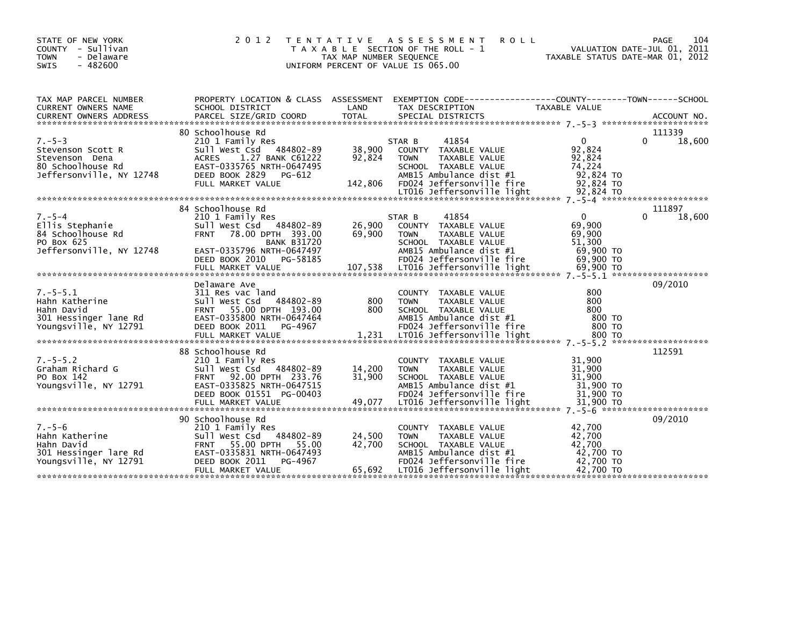| STATE OF NEW YORK<br>COUNTY - Sullivan<br>- Delaware<br><b>TOWN</b><br>$-482600$<br><b>SWIS</b>      | 2 0 1 2                                                                                                                                                                            | T E N T A T I V E<br>TAX MAP NUMBER SEQUENCE | A S S E S S M E N T<br><b>ROLL</b><br>T A X A B L E SECTION OF THE ROLL - 1<br>UNIFORM PERCENT OF VALUE IS 065.00                                                  | TAXABLE STATUS DATE-MAR 01, 2012                                     | 104<br>PAGE<br>VALUATION DATE-JUL 01, 2011 |
|------------------------------------------------------------------------------------------------------|------------------------------------------------------------------------------------------------------------------------------------------------------------------------------------|----------------------------------------------|--------------------------------------------------------------------------------------------------------------------------------------------------------------------|----------------------------------------------------------------------|--------------------------------------------|
| TAX MAP PARCEL NUMBER<br>CURRENT OWNERS NAME                                                         | SCHOOL DISTRICT                                                                                                                                                                    | LAND                                         | PROPERTY LOCATION & CLASS ASSESSMENT EXEMPTION CODE----------------COUNTY-------TOWN------SCHOOL<br>TAX DESCRIPTION                                                | TAXABLE VALUE                                                        |                                            |
|                                                                                                      | 80 Schoolhouse Rd                                                                                                                                                                  |                                              |                                                                                                                                                                    |                                                                      | 111339                                     |
| $7. - 5 - 3$<br>Stevenson Scott R<br>Stevenson Dena<br>80 Schoolhouse Rd<br>Jeffersonville, NY 12748 | 210 1 Family Res<br>Sull West Csd 484802-89<br>1.27 BANK C61222<br><b>ACRES</b><br>EAST-0335765 NRTH-0647495<br>DEED BOOK 2829 PG-612<br>FULL MARKET VALUE                         | 38,900<br>92,824<br>142,806                  | 41854<br>STAR B<br>COUNTY TAXABLE VALUE<br><b>TOWN</b><br>TAXABLE VALUE<br>SCHOOL TAXABLE VALUE<br>AMB15 Ambulance dist #1<br>FD024 Jeffersonville fire            | $\Omega$<br>92,824<br>92,824<br>74.224<br>92,824 TO<br>92,824 TO     | 18,600<br>0                                |
|                                                                                                      |                                                                                                                                                                                    |                                              |                                                                                                                                                                    |                                                                      |                                            |
| $7. - 5 - 4$<br>Ellis Stephanie<br>84 Schoolhouse Rd<br>PO Box 625<br>Jeffersonville, NY 12748       | 84 Schoolhouse Rd<br>210 1 Family Res<br>Sull West Csd 484802-89<br><b>FRNT</b><br>78.00 DPTH 393.00<br><b>BANK B31720</b><br>EAST-0335796 NRTH-0647497<br>DEED BOOK 2010 PG-58185 | 26,900<br>69,900                             | 41854<br>STAR B<br>COUNTY TAXABLE VALUE<br>TAXABLE VALUE<br><b>TOWN</b><br>SCHOOL TAXABLE VALUE<br>AMB15 Ambulance dist #1<br>FD024 Jeffersonville fire            | $\mathbf{0}$<br>69.900<br>69,900<br>51.300<br>69,900 TO<br>69,900 TO | 111897<br>$\Omega$<br>18,600               |
|                                                                                                      |                                                                                                                                                                                    |                                              |                                                                                                                                                                    |                                                                      |                                            |
| $7. - 5 - 5.1$<br>Hahn Katherine<br>Hahn David<br>301 Hessinger lane Rd<br>Youngsville, NY 12791     | Delaware Ave<br>311 Res vac land<br>Sull West Csd 484802-89<br>FRNT 55.00 DPTH 193.00<br>EAST-0335800 NRTH-0647464<br>DEED BOOK 2011 PG-4967                                       | 800<br>800                                   | COUNTY TAXABLE VALUE<br><b>TOWN</b><br>TAXABLE VALUE<br>SCHOOL TAXABLE VALUE<br>AMB15 Ambulance dist #1<br>FD024 Jeffersonville fire                               | 800<br>800<br>800<br>800 то<br>800 TO                                | 09/2010                                    |
|                                                                                                      | 88 Schoolhouse Rd                                                                                                                                                                  |                                              |                                                                                                                                                                    |                                                                      | 112591                                     |
| $7. - 5 - 5.2$<br>Graham Richard G<br>PO Box 142<br>Youngsville, NY 12791                            | 210 1 Family Res<br>Sull West Csd 484802-89<br>92.00 DPTH 233.76<br><b>FRNT</b><br>EAST-0335825 NRTH-0647515<br>DEED BOOK 01551 PG-00403                                           | 14,200<br>31,900                             | COUNTY TAXABLE VALUE<br>TAXABLE VALUE<br><b>TOWN</b><br>SCHOOL TAXABLE VALUE<br>AMB15 Ambulance dist #1<br>FD024 Jeffersonville fire                               | 31,900<br>31,900<br>31,900<br>31,900 TO<br>31,900 TO                 |                                            |
|                                                                                                      |                                                                                                                                                                                    |                                              |                                                                                                                                                                    |                                                                      |                                            |
| $7. - 5 - 6$<br>Hahn Katherine<br>Hahn David<br>301 Hessinger lare Rd<br>Youngsville, NY 12791       | 90 Schoolhouse Rd<br>210 1 Family Res<br>Sull West Csd 484802-89<br><b>FRNT</b><br>55.00 DPTH 55.00<br>EAST-0335831 NRTH-0647493<br>DEED BOOK 2011<br>PG-4967<br>FULL MARKET VALUE | 24,500<br>42,700<br>65,692                   | COUNTY TAXABLE VALUE<br><b>TOWN</b><br>TAXABLE VALUE<br>SCHOOL TAXABLE VALUE<br>AMB15 Ambulance dist #1<br>FD024 Jeffersonville fire<br>LT016 Jeffersonville light | 42,700<br>42.700<br>42,700<br>42,700 TO<br>42,700 TO<br>42.700 TO    | 09/2010                                    |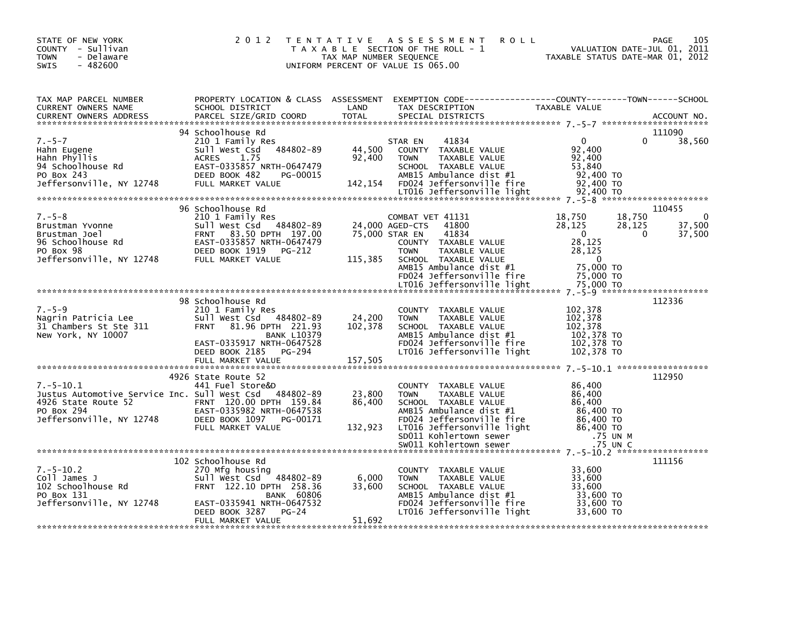| STATE OF NEW YORK<br>COUNTY - Sullivan<br><b>TOWN</b><br>- Delaware<br>$-482600$<br><b>SWIS</b>               | 2 0 1 2                                                                                                                                                                    | T E N T A T I V E<br>TAX MAP NUMBER SEQUENCE | A S S E S S M E N T<br><b>ROLL</b><br>T A X A B L E SECTION OF THE ROLL - 1<br>UNIFORM PERCENT OF VALUE IS 065.00                                                                      | VALUATION DATE-JUL 01, 2011<br>TAXABLE STATUS DATE-MAR 01, 2012                        | 105<br>PAGE           |
|---------------------------------------------------------------------------------------------------------------|----------------------------------------------------------------------------------------------------------------------------------------------------------------------------|----------------------------------------------|----------------------------------------------------------------------------------------------------------------------------------------------------------------------------------------|----------------------------------------------------------------------------------------|-----------------------|
| TAX MAP PARCEL NUMBER<br>CURRENT OWNERS NAME<br><b>CURRENT OWNERS ADDRESS</b>                                 | SCHOOL DISTRICT<br>PARCEL SIZE/GRID COORD                                                                                                                                  | LAND<br><b>TOTAL</b>                         | PROPERTY LOCATION & CLASS ASSESSMENT EXEMPTION CODE----------------COUNTY-------TOWN------SCHOOL<br>TAX DESCRIPTION<br>SPECIAL DISTRICTS                                               | TAXABLE VALUE                                                                          | ACCOUNT NO.           |
| $7. - 5 - 7$<br>Hahn Eugene<br>Hahn Phyllis<br>94 Schoolhouse Rd<br>PO Box 243<br>Jeffersonville, NY 12748    | 94 Schoolhouse Rd<br>210 1 Family Res<br>484802-89<br>Sull West Csd<br><b>ACRES</b><br>1.75<br>EAST-0335857 NRTH-0647479<br>DEED BOOK 482<br>PG-00015<br>FULL MARKET VALUE | 44,500<br>92,400<br>142,154                  | 41834<br>STAR EN<br>COUNTY TAXABLE VALUE<br><b>TOWN</b><br>TAXABLE VALUE<br>SCHOOL TAXABLE VALUE<br>AMB15 Ambulance dist #1<br>FD024 Jeffersonville fire<br>LT016 Jeffersonville light | $\mathbf{0}$<br>0<br>92,400<br>92,400<br>53,840<br>92,400 TO<br>92,400 TO<br>92,400 TO | 111090<br>38,560      |
|                                                                                                               | 96 Schoolhouse Rd                                                                                                                                                          |                                              |                                                                                                                                                                                        |                                                                                        | 110455                |
| $7. - 5 - 8$<br>Brustman Yvonne<br>Brustman Joel<br>96 Schoolhouse Rd<br>PO Box 98                            | 210 1 Family Res<br>Sull West Csd 484802-89<br><b>FRNT</b><br>83.50 DPTH 197.00<br>EAST-0335857 NRTH-0647479<br>DEED BOOK 1919<br>PG-212                                   |                                              | COMBAT VET 41131<br>24,000 AGED-CTS<br>41800<br>75,000 STAR EN<br>41834<br>COUNTY TAXABLE VALUE<br><b>TOWN</b><br>TAXABLE VALUE                                                        | 18,750<br>18,750<br>28,125<br>28,125<br>$\Omega$<br>$\Omega$<br>28,125<br>28,125       | 0<br>37,500<br>37,500 |
| Jeffersonville, NY 12748                                                                                      | FULL MARKET VALUE                                                                                                                                                          | 115,385                                      | SCHOOL TAXABLE VALUE<br>AMB15 Ambulance dist #1<br>FD024 Jeffersonville fire<br>LT016 Jeffersonville light                                                                             | $\Omega$<br>75,000 TO<br>75,000 TO<br>75,000 TO                                        |                       |
|                                                                                                               | 98 Schoolhouse Rd                                                                                                                                                          |                                              |                                                                                                                                                                                        |                                                                                        | 112336                |
| $7. - 5 - 9$<br>Nagrin Patricia Lee<br>31 Chambers St Ste 311<br>New York, NY 10007                           | 210 1 Family Res<br>Sull West Csd 484802-89<br><b>FRNT</b><br>81.96 DPTH 221.93<br><b>BANK L10379</b><br>EAST-0335917 NRTH-0647528<br>DEED BOOK 2185<br>PG-294             | 24,200<br>102,378                            | COUNTY TAXABLE VALUE<br>TAXABLE VALUE<br><b>TOWN</b><br>SCHOOL TAXABLE VALUE<br>AMB15 Ambulance dist #1<br>FD024 Jeffersonville fire<br>LT016 Jeffersonville light                     | 102,378<br>102,378<br>102,378<br>102,378 TO<br>102,378 TO<br>102,378 TO                |                       |
|                                                                                                               |                                                                                                                                                                            |                                              |                                                                                                                                                                                        |                                                                                        |                       |
| $7.-5-10.1$                                                                                                   | 4926 State Route 52<br>441 Fuel Store&D                                                                                                                                    |                                              | COUNTY TAXABLE VALUE                                                                                                                                                                   | 86,400                                                                                 | 112950                |
| Justus Automotive Service Inc. Sull West Csd<br>4926 State Route 52<br>PO Box 294<br>Jeffersonville, NY 12748 | 484802-89<br>FRNT 120.00 DPTH 159.84<br>EAST-0335982 NRTH-0647538<br>DEED BOOK 1097<br>PG-00171                                                                            | 23,800<br>86,400                             | TAXABLE VALUE<br><b>TOWN</b><br>SCHOOL TAXABLE VALUE<br>AMB15 Ambulance dist #1<br>FD024 Jeffersonville fire                                                                           | 86,400<br>86,400<br>86,400 TO<br>86,400 TO                                             |                       |
|                                                                                                               | FULL MARKET VALUE                                                                                                                                                          | 132,923                                      | LT016 Jeffersonville light<br>SD011 Kohlertown sewer<br>SW011 Kohlertown sewer                                                                                                         | 86,400 TO<br>.75 UN M<br>.75 UN C                                                      |                       |
|                                                                                                               | 102 Schoolhouse Rd                                                                                                                                                         |                                              |                                                                                                                                                                                        |                                                                                        | 111156                |
| $7. - 5 - 10.2$<br>Coll James J<br>102 Schoolhouse Rd<br>PO Box 131                                           | 270 Mfg housing<br>Sull West Csd<br>484802-89<br>FRNT 122.10 DPTH 258.36<br><b>BANK 60806</b>                                                                              | 6,000<br>33,600                              | <b>COUNTY</b><br>TAXABLE VALUE<br>TAXABLE VALUE<br><b>TOWN</b><br>SCHOOL TAXABLE VALUE<br>AMB15 Ambulance dist #1                                                                      | 33,600<br>33,600<br>33,600<br>33,600 TO                                                |                       |
| Jeffersonville, NY 12748                                                                                      | EAST-0335941 NRTH-0647532<br>DEED BOOK 3287<br>$PG-24$<br>FULL MARKET VALUE                                                                                                | 51,692                                       | FD024 Jeffersonville fire<br>LT016 Jeffersonville light                                                                                                                                | 33,600 TO<br>33,600 TO                                                                 |                       |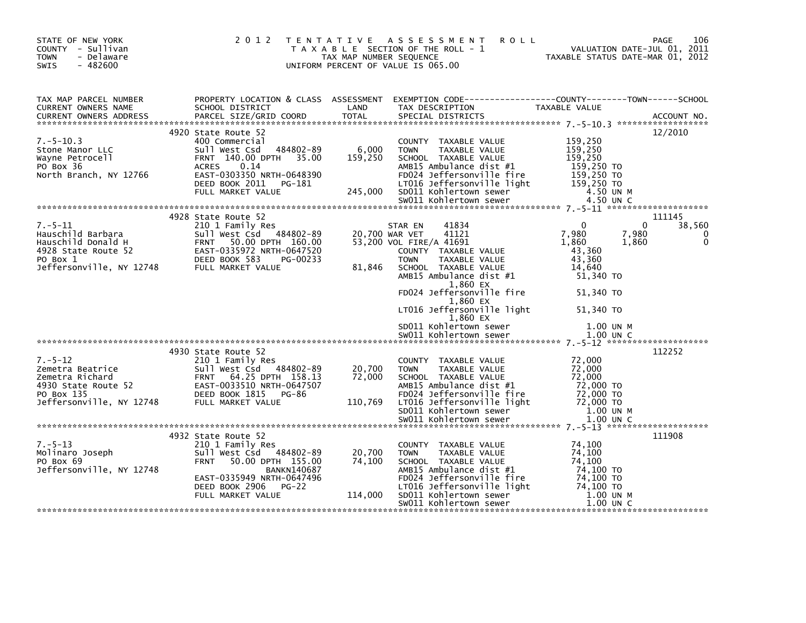| STATE OF NEW YORK<br>COUNTY - Sullivan<br>- Delaware<br><b>TOWN</b><br>$-482600$<br>SWIS |                                                                                                                                                                                                                                                                                                                                                                                                                                                                                           | TAX MAP NUMBER SEQUENCE     | 2012 TENTATIVE ASSESSMENT<br><b>ROLL</b><br>T A X A B L E SECTION OF THE ROLL - 1<br>UNIFORM PERCENT OF VALUE IS 065.00                                                                                                                                                                                                                                                  | VALUATION DATE-JUL 01, 2011<br>TAXABLE STATUS DATE-MAR 01, 2012                                      | 106<br>PAGE                              |
|------------------------------------------------------------------------------------------|-------------------------------------------------------------------------------------------------------------------------------------------------------------------------------------------------------------------------------------------------------------------------------------------------------------------------------------------------------------------------------------------------------------------------------------------------------------------------------------------|-----------------------------|--------------------------------------------------------------------------------------------------------------------------------------------------------------------------------------------------------------------------------------------------------------------------------------------------------------------------------------------------------------------------|------------------------------------------------------------------------------------------------------|------------------------------------------|
| TAX MAP PARCEL NUMBER<br>CONTRACT PARLEL NUMBER<br>CURRENT OWNERS ADDRESS                |                                                                                                                                                                                                                                                                                                                                                                                                                                                                                           | LAND                        |                                                                                                                                                                                                                                                                                                                                                                          |                                                                                                      |                                          |
| $7. - 5 - 10.3$                                                                          | 4920 State Route 52<br>400 Commercial<br>Sull West Csd 484802-89 6,000<br>$\begin{tabular}{@{}c@{\hspace{1cm}}c@{\hspace{1cm}}c@{\hspace{1cm}}c@{\hspace{1cm}}c@{\hspace{1cm}}c@{\hspace{1cm}}c@{\hspace{1cm}}c@{\hspace{1cm}}c@{\hspace{1cm}}c@{\hspace{1cm}}c@{\hspace{1cm}}c@{\hspace{1cm}}c@{\hspace{1cm}}c@{\hspace{1cm}}c@{\hspace{1cm}}c@{\hspace{1cm}}c@{\hspace{1cm}}c@{\hspace{1cm}}c@{\hspace{1cm}}c@{\hspace{1cm}}c@{\hspace{1cm}}c@{\hspace{1cm}}c@{\hspace{1cm}}c@{\hspace$ |                             | COUNTY TAXABLE VALUE                                                                                                                                                                                                                                                                                                                                                     | 159,250                                                                                              | 12/2010                                  |
| $7.-5-11$                                                                                | 4928 State Route 52<br>210 1 Family Res<br>7.-5-11 210 1 Family Res<br>Hauschild Barbara 50 5011 West Csd 484802-89<br>Hauschild Donald H FRNT 50.00 DPTH 160.00<br>4928 State Route 52 EAST-0335972 NRTH-0647520<br>PO Box 1 DEED BOOK 583 PG-00233<br>Jeffersonville, NY 12748 FU                                                                                                                                                                                                       | 81,846                      | 41834<br>STAR EN<br>20,700 WAR VET 41121<br>53,200 VOL FIRE/A 41691<br>COUNTY TAXABLE VALUE<br><b>TOWN</b><br>TAXABLE VALUE<br>SCHOOL TAXABLE VALUE<br>AMB15 Ambulance dist #1<br>1,860 EX<br>FD024 Jeffersonville fire<br>1,860 EX<br>LT016 Jeffersonville light 51,340 TO<br>1,860 EX                                                                                  | $\Omega$<br>7,980<br>7,980<br>1,860<br>1,860<br>43,360<br>43,360<br>14,640<br>51,340 TO<br>51,340 TO | 111145<br>38,560<br>$\Omega$<br>$\Omega$ |
|                                                                                          | 4930 State Route 52                                                                                                                                                                                                                                                                                                                                                                                                                                                                       |                             |                                                                                                                                                                                                                                                                                                                                                                          |                                                                                                      | 112252                                   |
|                                                                                          | Verbatter and the ULL MARKET VALUE (1990)<br>210 1 Family Res<br>2011 West Csd 484802-89<br>2011 West Csd 484802-89<br>2011 West Csd 484802-89<br>2011 West Csd 484802-89<br>2011 West Csd 484802-89<br>2011 West Csd 484802-89<br>2011 West C                                                                                                                                                                                                                                            | 20,700<br>72,000<br>110,769 | COUNTY TAXABLE VALUE<br><b>TOWN</b><br>TAXABLE VALUE<br>SCHOOL TAXABLE VALUE<br>AMBIS Ambulance dist #1 72,000 TO<br>FD024 Jeffersonville fire 72,000 TO<br>LT016 Jeffersonville light 72,000 TO<br>SD011 Kohlertown sewer 1.00 UN M<br>SW011 Kohlertown sewer 1.00 UN C                                                                                                 | 72,000<br>72,000<br>72,000<br>72,000                                                                 |                                          |
| $7. - 5 - 13$<br>Molinaro Joseph<br>PO BOX 69<br>PO Box 69<br>Jeffersonville, NY 12748   | 4932 State Route 52<br>210 1 Family Res<br>Sull West Csd 484802-89<br>FRNT 50.00 DPTH 155.00<br>BANKN140687<br>EAST-0335949 NRTH-0647496<br>DEED BOOK 2906 PG-22<br>FULL MARKET VALUE                                                                                                                                                                                                                                                                                                     | 20,700<br>74,100<br>114,000 | COUNTY TAXABLE VALUE<br>COUNTY TAXABLE VALUE<br>TOWN TAXABLE VALUE 74,100<br>SCHOOL TAXABLE VALUE 74,100<br>AMB15 Ambulance dist #1 74,100 TO<br>FD024 Jeffersonville fire 74,100 TO<br>The Tast offersonville light 74,100 TO<br>LTO16 Jeffersonville light 74,100 TO<br>SDO11 Kohlertown sewer 1.00 UN M<br>SWO11 Kohlertown sewer 1.00 UN C<br>SW011 Kohlertown sewer | 74,100<br>1.00 UN C                                                                                  | 111908                                   |
|                                                                                          |                                                                                                                                                                                                                                                                                                                                                                                                                                                                                           |                             |                                                                                                                                                                                                                                                                                                                                                                          |                                                                                                      |                                          |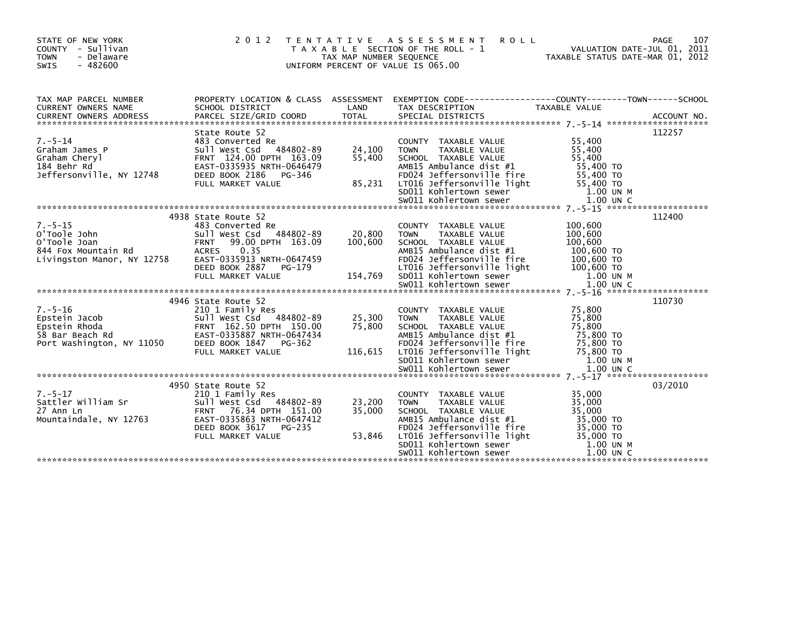| STATE OF NEW YORK<br>COUNTY - Sullivan<br><b>TOWN</b><br>- Delaware<br>$-482600$<br>SWIS           | 2 0 1 2                                                                                                                                                                                                         | TAX MAP NUMBER SEQUENCE      | <b>ROLL</b><br>TENTATIVE ASSESSMENT<br>T A X A B L E SECTION OF THE ROLL - 1<br>UNIFORM PERCENT OF VALUE IS 065.00                                                                                                     | VALUATION DATE-JUL 01, 2011<br>TAXABLE STATUS DATE-MAR 01, 2012                               | 107<br><b>PAGE</b> |
|----------------------------------------------------------------------------------------------------|-----------------------------------------------------------------------------------------------------------------------------------------------------------------------------------------------------------------|------------------------------|------------------------------------------------------------------------------------------------------------------------------------------------------------------------------------------------------------------------|-----------------------------------------------------------------------------------------------|--------------------|
| TAX MAP PARCEL NUMBER<br>CURRENT OWNERS NAME<br><b>CURRENT OWNERS ADDRESS</b>                      | PROPERTY LOCATION & CLASS ASSESSMENT<br>SCHOOL DISTRICT<br>PARCEL SIZE/GRID COORD                                                                                                                               | LAND<br><b>TOTAL</b>         | EXEMPTION CODE------------------COUNTY--------TOWN------SCHOOL<br>TAX DESCRIPTION<br>SPECIAL DISTRICTS                                                                                                                 | <b>TAXABLE VALUE</b>                                                                          | ACCOUNT NO.        |
| $7. - 5 - 14$<br>Graham James P<br>Graham Cheryl<br>184 Behr Rd<br>Jeffersonville, NY 12748        | State Route 52<br>483 Converted Re<br>484802-89<br>Sull West Csd<br>FRNT 124.00 DPTH 163.09<br>EAST-0335935 NRTH-0646479<br>DEED BOOK 2186<br>PG-346<br>FULL MARKET VALUE                                       | 24,100<br>55,400<br>85,231   | COUNTY TAXABLE VALUE<br><b>TOWN</b><br>TAXABLE VALUE<br>SCHOOL TAXABLE VALUE<br>AMB15 Ambulance dist #1<br>FD024 Jeffersonville fire<br>LT016 Jeffersonville light<br>SD011 Kohlertown sewer                           | 55,400<br>55,400<br>55,400<br>55,400 TO<br>55,400 TO<br>55,400 TO<br>1.00 UN M                | 112257             |
|                                                                                                    |                                                                                                                                                                                                                 |                              |                                                                                                                                                                                                                        |                                                                                               | 112400             |
| $7. - 5 - 15$<br>O'Toole John<br>O'Toole Joan<br>844 Fox Mountain Rd<br>Livingston Manor, NY 12758 | 4938 State Route 52<br>483 Converted Re<br>Sull West Csd<br>484802-89<br><b>FRNT</b><br>99.00 DPTH 163.09<br><b>ACRES</b><br>0.35<br>EAST-0335913 NRTH-0647459<br>DEED BOOK 2887<br>PG-179<br>FULL MARKET VALUE | 20,800<br>100,600<br>154,769 | COUNTY TAXABLE VALUE<br><b>TOWN</b><br><b>TAXABLE VALUE</b><br>SCHOOL TAXABLE VALUE<br>AMB15 Ambulance dist #1<br>FD024 Jeffersonville fire<br>LT016 Jeffersonville light<br>SD011 Kohlertown sewer                    | 100,600<br>100,600<br>100,600<br>100,600 TO<br>100,600 TO<br>100,600 TO<br>1.00 UN M          |                    |
|                                                                                                    |                                                                                                                                                                                                                 |                              |                                                                                                                                                                                                                        |                                                                                               |                    |
| $7. - 5 - 16$<br>Epstein Jacob<br>Epstein Rhoda<br>58 Bar Beach Rd<br>Port Washington, NY 11050    | 4946 State Route 52<br>210 1 Family Res<br>Sull West Csd 484802-89<br>FRNT 162.50 DPTH 150.00<br>EAST-0335887 NRTH-0647434<br>DEED BOOK 1847<br>PG-362<br>FULL MARKET VALUE                                     | 25,300<br>75,800<br>116,615  | COUNTY TAXABLE VALUE<br>TAXABLE VALUE<br><b>TOWN</b><br>SCHOOL TAXABLE VALUE<br>AMB15 Ambulance dist #1<br>FD024 Jeffersonville fire<br>LT016 Jeffersonville light<br>SD011 Kohlertown sewer                           | 75,800<br>75,800<br>75,800<br>75,800 TO<br>75,800 TO<br>75,800 TO<br>1.00 UN M                | 110730             |
|                                                                                                    |                                                                                                                                                                                                                 |                              | SW011 Kohlertown sewer                                                                                                                                                                                                 | 1.00 UN C                                                                                     |                    |
| $7. - 5 - 17$<br>Sattler William Sr<br>27 Ann Ln<br>Mountaindale, NY 12763                         | 4950 State Route 52<br>210 1 Family Res<br>Sull West Csd 484802-89<br>76.34 DPTH 151.00<br><b>FRNT</b><br>EAST-0335863 NRTH-0647412<br>DEED BOOK 3617<br>PG-235<br>FULL MARKET VALUE                            | 23,200<br>35,000<br>53,846   | COUNTY TAXABLE VALUE<br>TAXABLE VALUE<br><b>TOWN</b><br>SCHOOL TAXABLE VALUE<br>AMB15 Ambulance dist #1<br>FD024 Jeffersonville fire<br>LT016 Jeffersonville light<br>SD011 Kohlertown sewer<br>SW011 Kohlertown sewer | 35,000<br>35,000<br>35,000<br>35,000 TO<br>35,000 TO<br>35,000 TO<br>1.00 UN M<br>$1.00$ UN C | 03/2010            |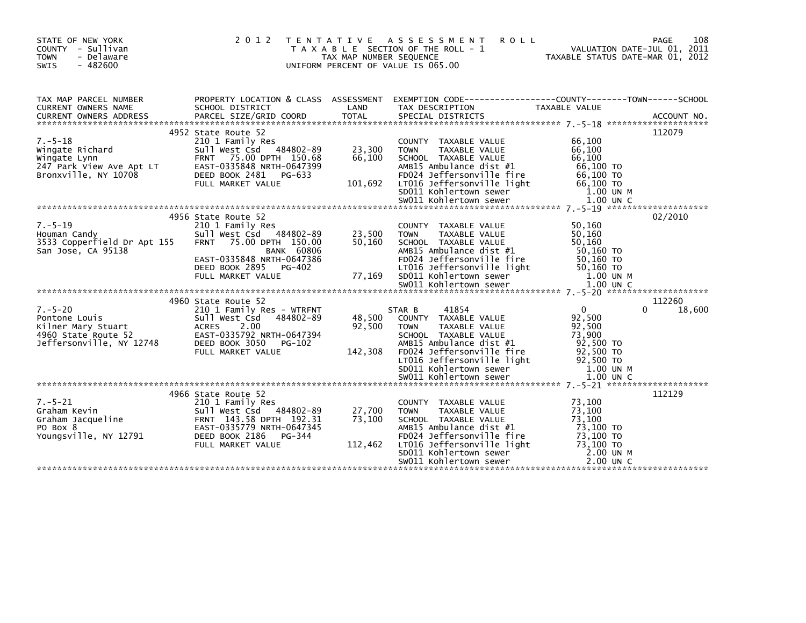| STATE OF NEW YORK<br>COUNTY - Sullivan<br><b>TOWN</b><br>- Delaware<br><b>SWIS</b><br>$-482600$         | 2 0 1 2<br>T E N T A T I V E                                                                                                                                                         | TAX MAP NUMBER SEQUENCE     | A S S E S S M E N T<br><b>ROLL</b><br>T A X A B L E SECTION OF THE ROLL - 1<br>UNIFORM PERCENT OF VALUE IS 065.00                                                                                                                                                   | VALUATION DATE-JUL 01, 2011<br>TAXABLE STATUS DATE-MAR 01, 2012                                               | 108<br>PAGE           |
|---------------------------------------------------------------------------------------------------------|--------------------------------------------------------------------------------------------------------------------------------------------------------------------------------------|-----------------------------|---------------------------------------------------------------------------------------------------------------------------------------------------------------------------------------------------------------------------------------------------------------------|---------------------------------------------------------------------------------------------------------------|-----------------------|
| TAX MAP PARCEL NUMBER<br><b>CURRENT OWNERS NAME</b>                                                     | PROPERTY LOCATION & CLASS ASSESSMENT<br>SCHOOL DISTRICT                                                                                                                              | LAND                        | EXEMPTION CODE-----------------COUNTY-------TOWN------SCHOOL<br>TAX DESCRIPTION                                                                                                                                                                                     | TAXABLE VALUE                                                                                                 |                       |
| $7. - 5 - 18$<br>Wingate Richard<br>Wingate Lynn<br>247 Park View Ave Apt LT<br>Bronxville, NY 10708    | 4952 State Route 52<br>210 1 Family Res<br>Sull West Csd 484802-89<br>FRNT 75.00 DPTH 150.68<br>EAST-0335848 NRTH-0647399<br>DEED BOOK 2481<br>PG-633<br>FULL MARKET VALUE           | 23,300<br>66,100<br>101,692 | COUNTY TAXABLE VALUE<br><b>TOWN</b><br>TAXABLE VALUE<br>SCHOOL TAXABLE VALUE<br>AMB15 Ambulance dist #1<br>FD024 Jeffersonville fire<br>LTO16 Jeffersonville light<br>SDO11 Kohlertown sewer                                                                        | 66,100<br>66,100<br>66,100<br>66,100 TO<br>66,100 TO<br>66,100 TO<br>1.00 UN M                                | 112079                |
| $7. - 5 - 19$<br>Houman Candy<br>3533 Copperfield Dr Apt 155<br>San Jose, CA 95138                      | 4956 State Route 52<br>210 1 Family Res<br>Sull West Csd<br>484802-89<br><b>FRNT</b><br>75.00 DPTH 150.00<br><b>BANK 60806</b><br>EAST-0335848 NRTH-0647386                          | 23,500<br>50,160            | COUNTY TAXABLE VALUE<br><b>TOWN</b><br>TAXABLE VALUE<br>SCHOOL TAXABLE VALUE<br>AMB15 Ambulance dist #1<br>FD024 Jeffersonville fire                                                                                                                                | 50,160<br>50,160<br>50.160<br>50,160 TO<br>50,160 TO                                                          | 02/2010               |
| $7. - 5 - 20$<br>Pontone Louis<br>Kilner Mary Stuart<br>4960 State Route 52<br>Jeffersonville, NY 12748 | 4960 State Route 52<br>210 1 Family Res - WTRFNT<br>Sull West Csd<br>484802-89<br>2.00<br><b>ACRES</b><br>EAST-0335792 NRTH-0647394<br>DEED BOOK 3050<br>PG-102<br>FULL MARKET VALUE | 48,500<br>92,500<br>142,308 | 41854<br>STAR B<br>COUNTY TAXABLE VALUE<br><b>TOWN</b><br>TAXABLE VALUE<br>SCHOOL TAXABLE VALUE<br>AMB15 Ambulance dist #1<br>FD024 Jeffersonville fire<br>LT016 Jeffersonville light<br>SD011 Kohlertown sewer<br>sw011 Kohlertown sewer<br>SW011 Kohlertown sewer | $\overline{0}$<br>92,500<br>92,500<br>73,900<br>92,500 TO<br>92,500 TO<br>92,500 TO<br>1.00 UN M<br>1.00 UN C | 112260<br>18,600<br>0 |
| $7. - 5 - 21$<br>Graham Kevin<br>Graham Kevin<br>Graham Jacqueline<br>PO Box 8<br>Youngsville, NY 12791 | 4966 State Route 52<br>210 1 Family Res<br>Sull West Csd 484802-89<br>FRNT 143.58 DPTH 192.31<br>EAST-0335779 NRTH-0647345<br>DEED BOOK 2186 PG-344<br>FULL MARKET VALUE             | 27,700<br>73,100<br>112,462 | COUNTY TAXABLE VALUE<br><b>TAXABLE VALUE</b><br><b>TOWN</b><br>SCHOOL TAXABLE VALUE<br>AMB15 Ambulance dist #1<br>FD024 Jeffersonville fire<br>LT016 Jeffersonville light<br>SD011 Kohlertown sewer<br>SW011 Kohlertown sewer                                       | 73,100<br>73,100<br>73,100<br>73,100 TO<br>73,100 TO<br>73.100 TO<br>2.00 UN M<br>$2.00$ UN C                 | 112129                |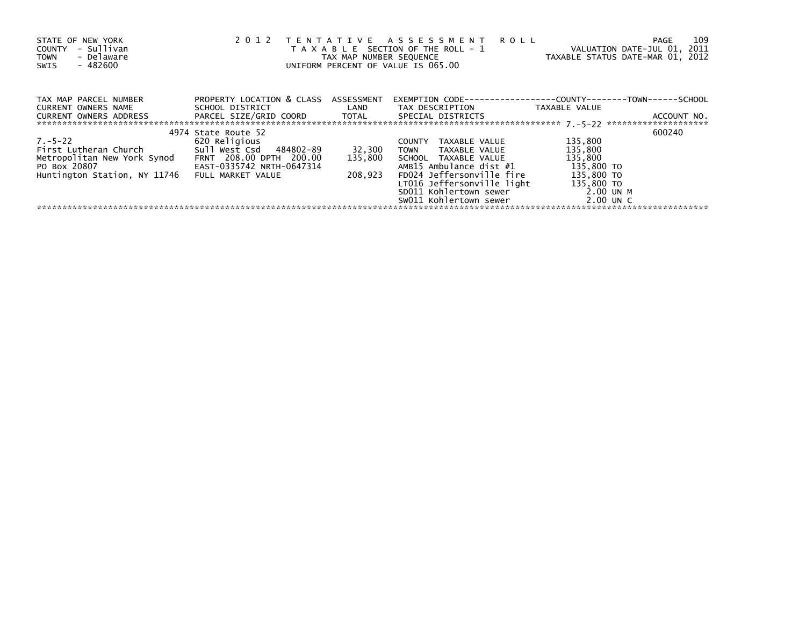| STATE OF NEW YORK<br>- Sullivan<br>COUNTY<br>- Delaware<br><b>TOWN</b><br>$-482600$<br>SWIS | 2 0 1 2                              | TAX MAP NUMBER SEQUENCE | TENTATIVE ASSESSMENT<br><b>ROLL</b><br>T A X A B L E SECTION OF THE ROLL - 1<br>UNIFORM PERCENT OF VALUE IS 065.00 | VALUATION DATE-JUL 01, 2011<br>TAXABLE STATUS DATE-MAR 01, 2012 | 109<br>PAGE |
|---------------------------------------------------------------------------------------------|--------------------------------------|-------------------------|--------------------------------------------------------------------------------------------------------------------|-----------------------------------------------------------------|-------------|
| TAX MAP PARCEL NUMBER                                                                       | PROPERTY LOCATION & CLASS ASSESSMENT |                         | EXEMPTION        CODE-----------------COUNTY-------TOWN------SCHOOL                                                |                                                                 |             |
| CURRENT OWNERS NAME                                                                         |                                      |                         |                                                                                                                    | TAXABLE VALUE                                                   |             |
|                                                                                             |                                      |                         |                                                                                                                    |                                                                 |             |
|                                                                                             |                                      |                         |                                                                                                                    |                                                                 |             |
|                                                                                             | 4974 State Route 52                  |                         |                                                                                                                    |                                                                 | 600240      |
| $7. - 5 - 22$                                                                               | 620 Religious                        |                         | COUNTY TAXABLE VALUE                                                                                               | 135,800                                                         |             |
| First Lutheran Church 5ull West Csd 484802-89                                               |                                      | 32,300                  | TOWN TAXABLE VALUE                                                                                                 | 135,800                                                         |             |
| Metropolitan New York Synod FRNT 208.00 DPTH 200.00                                         |                                      | 135,800                 | SCHOOL TAXABLE VALUE                                                                                               | 135,800                                                         |             |
| PO BOX 20807                                                                                | EAST-0335742 NRTH-0647314            |                         | AMB15 Ambulance dist #1                                                                                            | 135,800 TO                                                      |             |
| Huntington Station, NY 11746                                                                | FULL MARKET VALUE                    | 208,923                 | FD024 Jeffersonville fire                                                                                          | 135,800 TO                                                      |             |
|                                                                                             |                                      |                         | LT016 Jeffersonville light                                                                                         | 135,800 TO                                                      |             |
|                                                                                             |                                      |                         | SD011 Kohlertown sewer                                                                                             | $2.00$ UNM                                                      |             |
|                                                                                             |                                      |                         | SW011 Kohlertown sewer                                                                                             | 2.00 UN C                                                       |             |
|                                                                                             |                                      |                         |                                                                                                                    |                                                                 |             |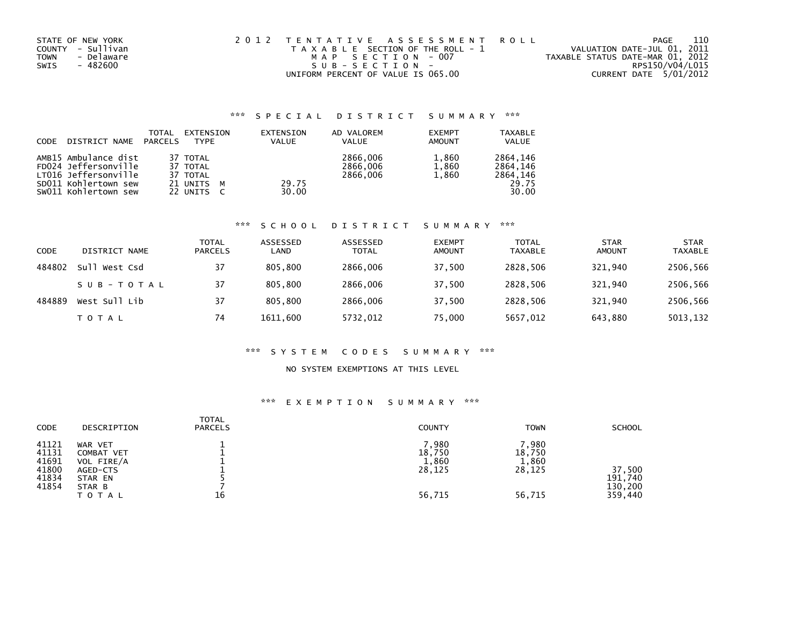| STATE OF NEW YORK  | 2012 TENTATIVE ASSESSMENT ROLL        | PAGE                             | 110 |
|--------------------|---------------------------------------|----------------------------------|-----|
| COUNTY - Sullivan  | T A X A B L E SECTION OF THE ROLL - 1 | VALUATION DATE-JUL 01, 2011      |     |
| - Delaware<br>TOWN | MAP SECTION - 007                     | TAXABLE STATUS DATE-MAR 01, 2012 |     |
| - 482600<br>SWIS   | SUB-SECTION-                          | RPS150/V04/L015                  |     |
|                    | UNIFORM PERCENT OF VALUE IS 065.00    | CURRENT DATE 5/01/2012           |     |

### \*\*\* S P E C I A L D I S T R I C T S U M M A R Y \*\*\*

| CODE | DISTRICT NAME        | TOTAL<br>PARCELS | EXTENSION<br><b>TYPF</b> | EXTENSION<br><b>VALUE</b> | AD VALOREM<br><b>VALUE</b> | <b>EXEMPT</b><br><b>AMOUNT</b> | <b>TAXABLE</b><br><b>VALUE</b> |
|------|----------------------|------------------|--------------------------|---------------------------|----------------------------|--------------------------------|--------------------------------|
|      | AMB15 Ambulance dist |                  | 37 TOTAL                 |                           | 2866,006                   | 1,860                          | 2864.146                       |
|      | FD024 Jeffersonville |                  | 37 TOTAL                 |                           | 2866,006                   | 1,860                          | 2864.146                       |
|      | LT016 Jeffersonville |                  | 37 TOTAL                 |                           | 2866.006                   | 1.860                          | 2864.146                       |
|      | SD011 Kohlertown sew |                  | 21 UNITS<br><b>M</b>     | 29.75                     |                            |                                | 29.75                          |
|      | SW011 Kohlertown sew |                  | 22 UNITS                 | 30.00                     |                            |                                | 30.00                          |

### \*\*\* S C H O O L D I S T R I C T S U M M A R Y \*\*\*

| CODE   | DISTRICT NAME | TOTAL<br><b>PARCELS</b> | ASSESSED<br>LAND | ASSESSED<br><b>TOTAL</b> | <b>EXEMPT</b><br><b>AMOUNT</b> | <b>TOTAL</b><br><b>TAXABLE</b> | <b>STAR</b><br>AMOUNT | <b>STAR</b><br><b>TAXABLE</b> |
|--------|---------------|-------------------------|------------------|--------------------------|--------------------------------|--------------------------------|-----------------------|-------------------------------|
| 484802 | Sull West Csd | 37                      | 805,800          | 2866,006                 | 37,500                         | 2828.506                       | 321.940               | 2506,566                      |
|        | SUB-TOTAL     | 37                      | 805.800          | 2866,006                 | 37,500                         | 2828,506                       | 321,940               | 2506,566                      |
| 484889 | West Sull Lib | 37                      | 805,800          | 2866.006                 | 37.500                         | 2828.506                       | 321.940               | 2506,566                      |
|        | T O T A L     | 74                      | 1611,600         | 5732,012                 | 75,000                         | 5657,012                       | 643,880               | 5013,132                      |

## \*\*\* S Y S T E M C O D E S S U M M A R Y \*\*\*

#### NO SYSTEM EXEMPTIONS AT THIS LEVEL

### \*\*\* E X E M P T I O N S U M M A R Y \*\*\*

| <b>TOTAL</b><br>CODE<br><b>PARCELS</b><br>DESCRIPTION                                                                                     | <b>COUNTY</b>                               | <b>TOWN</b>                                  | <b>SCHOOL</b>                           |
|-------------------------------------------------------------------------------------------------------------------------------------------|---------------------------------------------|----------------------------------------------|-----------------------------------------|
| 41121<br>WAR VET<br>41131<br>COMBAT VET<br>41691<br>VOL FIRE/A<br>41800<br>AGED-CTS<br>41834<br>STAR EN<br>41854<br>STAR B<br>16<br>TOTAL | ,980<br>18,750<br>1,860<br>28,125<br>56,715 | 1,980<br>18,750<br>1,860<br>28,125<br>56,715 | 37,500<br>191,740<br>130,200<br>359,440 |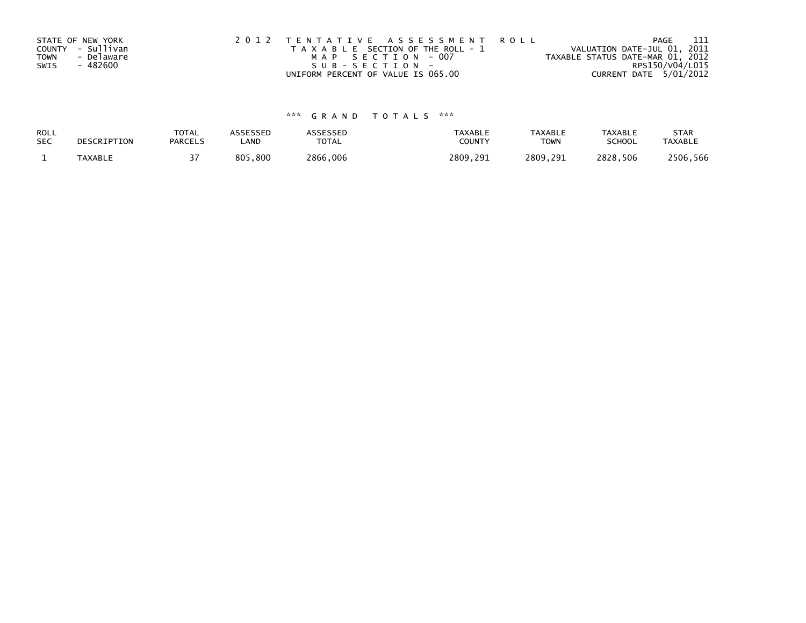|             | STATE OF NEW YORK | 2012 TENTATIVE ASSESSMENT ROLL        | -111<br>PAGE                     |
|-------------|-------------------|---------------------------------------|----------------------------------|
|             | COUNTY - Sullivan | T A X A B L E SECTION OF THE ROLL - 1 | VALUATION DATE-JUL 01, 2011      |
| <b>TOWN</b> | - Delaware        | MAP SECTION - 007                     | TAXABLE STATUS DATE-MAR 01, 2012 |
| SWIS        | - 482600          | SUB-SECTION-                          | RPS150/V04/L015                  |
|             |                   | UNIFORM PERCENT OF VALUE IS 065.00    | CURRENT DATE 5/01/2012           |

# \*\*\* G R A N D T O T A L S \*\*\*

| ROLL       | DESCRIPTION    | TOTAL          | ASSESSED | <b>ASSESSED</b> | <b>TAXABLE</b> | <b>TAXABLE</b> | TAXABLE       | <b>STAR</b>    |
|------------|----------------|----------------|----------|-----------------|----------------|----------------|---------------|----------------|
| <b>SEC</b> |                | <b>PARCELS</b> | LAND     | TOTAL           | COUNT          | TOWN           | <b>SCHOOL</b> | <b>TAXABLE</b> |
|            | <b>TAXABLE</b> |                | 805,800  | 2866,006        | 2809.291       | 2809.291       | 2828,506      | 2506,566       |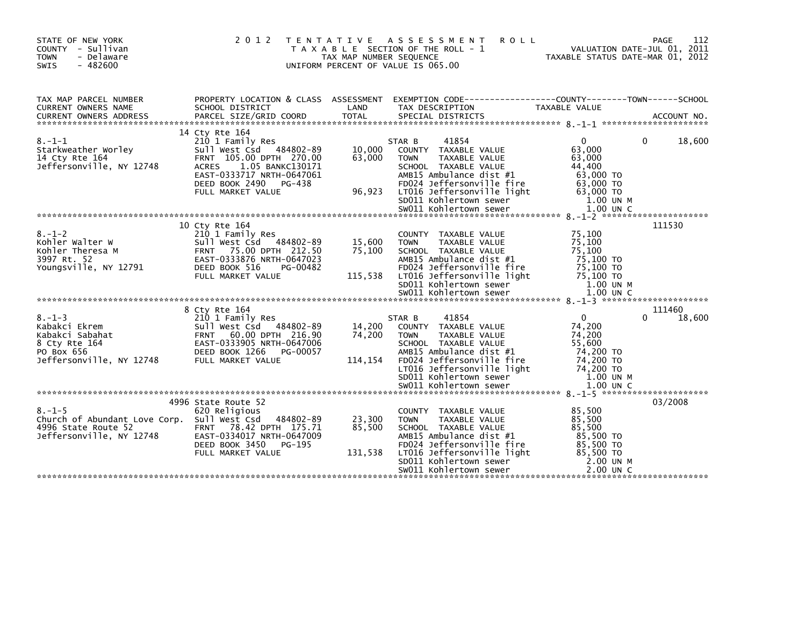| STATE OF NEW YORK<br>COUNTY - Sullivan<br><b>TOWN</b><br>- Delaware<br>$-482600$<br><b>SWIS</b>                | 2012                                                                                                                                                                                                    | T E N T A T I V E<br>TAX MAP NUMBER SEQUENCE | A S S E S S M E N T<br><b>ROLL</b><br>T A X A B L E SECTION OF THE ROLL - 1<br>UNIFORM PERCENT OF VALUE IS 065.00                                                                                                                         | VALUATION DATE-JUL 01, 2011<br>TAXABLE STATUS DATE-MAR 01, 2012                                         | 112<br>PAGE           |
|----------------------------------------------------------------------------------------------------------------|---------------------------------------------------------------------------------------------------------------------------------------------------------------------------------------------------------|----------------------------------------------|-------------------------------------------------------------------------------------------------------------------------------------------------------------------------------------------------------------------------------------------|---------------------------------------------------------------------------------------------------------|-----------------------|
| TAX MAP PARCEL NUMBER<br>CURRENT OWNERS NAME                                                                   | PROPERTY LOCATION & CLASS ASSESSMENT<br>SCHOOL DISTRICT                                                                                                                                                 | LAND                                         | EXEMPTION CODE-----------------COUNTY-------TOWN------SCHOOL<br>TAX DESCRIPTION                                                                                                                                                           | TAXABLE VALUE                                                                                           |                       |
| $8. - 1 - 1$<br>Starkweather Worley<br>14 Cty Rte 164<br>Jeffersonville, NY 12748                              | 14 Cty Rte 164<br>210 1 Family Res<br>Sull West Csd 484802-89<br>FRNT 105.00 DPTH 270.00<br><b>ACRES</b><br>1.05 BANKC130171<br>EAST-0333717 NRTH-0647061<br>DEED BOOK 2490 PG-438<br>FULL MARKET VALUE | 10,000<br>63,000<br>96,923                   | 41854<br>STAR B<br>COUNTY TAXABLE VALUE<br>TAXABLE VALUE<br><b>TOWN</b><br>SCHOOL TAXABLE VALUE<br>AMB15 Ambulance dist #1<br>FD024 Jeffersonville fire<br>LT016 Jeffersonville light<br>SD011 Kohlertown sewer                           | $\Omega$<br>63.000<br>63,000<br>44.400<br>63,000 TO<br>63,000 TO<br>63,000 TO<br>1.00 UN M              | $\Omega$<br>18,600    |
| $8. - 1 - 2$<br>Kohler Walter W<br>Kohler Theresa M<br>3997 Rt. 52<br>Youngsville, NY 12791                    | 10 Cty Rte 164<br>210 1 Family Res<br>Sull West Csd 484802-89<br>FRNT 75.00 DPTH 212.50<br>EAST-0333876 NRTH-0647023<br>DEED BOOK 516<br>PG-00482<br>FULL MARKET VALUE                                  | 15,600<br>75,100<br>115,538                  | COUNTY TAXABLE VALUE<br>TAXABLE VALUE<br><b>TOWN</b><br>SCHOOL TAXABLE VALUE<br>AMB15 Ambulance dist #1<br>FD024 Jeffersonville fire<br>LT016 Jeffersonville light<br>SD011 Kohlertown sewer                                              | 75,100<br>75,100<br>75,100<br>75,100 TO<br>75,100 TO<br>75,100 TO<br>1.00 UN M                          | 111530                |
| $8. - 1 - 3$<br>Kabakci Ekrem<br>Kabakci Sabahat<br>8 Cty Rte 164<br>PO Box 656<br>Jeffersonville, NY 12748    | 8 Cty Rte 164<br>210 1 Family Res<br>Sull West Csd 484802-89<br>FRNT 60.00 DPTH 216.90<br>EAST-0333905 NRTH-0647006<br>DEED BOOK 1266<br>PG-00057<br>FULL MARKET VALUE                                  | 14,200<br>74,200<br>114,154                  | 41854<br>STAR B<br>COUNTY TAXABLE VALUE<br><b>TOWN</b><br>TAXABLE VALUE<br>SCHOOL TAXABLE VALUE<br>AMB15 Ambulance dist #1<br>FD024 Jeffersonville fire<br>LT016 Jeffersonville light<br>SD011 Kohlertown sewer<br>SW011 Kohlertown sewer | $\Omega$<br>74,200<br>74,200<br>55,600<br>74.200 TO<br>74,200 TO<br>74,200 TO<br>1.00 UN M<br>1.00 UN C | 111460<br>0<br>18,600 |
| $8. - 1 - 5$<br>Church of Abundant Love Corp. Sull West Csd<br>4996 State Route 52<br>Jeffersonville, NY 12748 | 4996 State Route 52<br>620 Religious<br>484802-89<br>FRNT 78.42 DPTH 175.71<br>EAST-0334017 NRTH-0647009<br>DEED BOOK 3450<br>PG-195<br>FULL MARKET VALUE                                               | 23,300<br>85,500<br>131,538                  | COUNTY TAXABLE VALUE<br><b>TAXABLE VALUE</b><br><b>TOWN</b><br>SCHOOL TAXABLE VALUE<br>AMB15 Ambulance dist #1<br>FD024 Jeffersonville fire<br>LT016 Jeffersonville light<br>SD011 Kohlertown sewer<br>SW011 Kohlertown sewer             | 85,500<br>85,500<br>85,500<br>85,500 TO<br>85,500 TO<br>85.500 TO<br>2.00 UN M<br>$2.00$ UN C           | 03/2008               |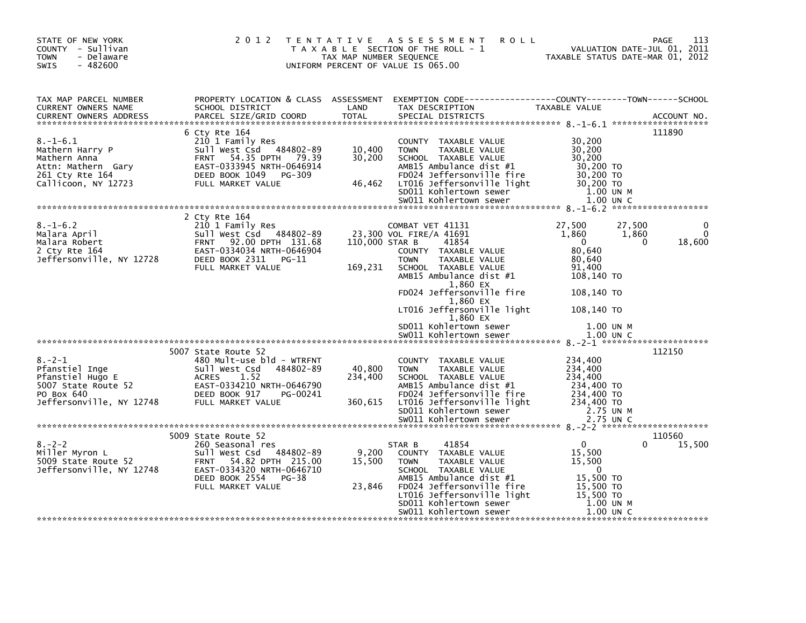| STATE OF NEW YORK<br>COUNTY - Sullivan<br>- Delaware<br><b>TOWN</b><br>$-482600$<br><b>SWIS</b>                               |                                                                                                                                                                                                                                                 | TAX MAP NUMBER SEQUENCE    | 2012 TENTATIVE ASSESSMENT<br><b>ROLL</b><br>T A X A B L E SECTION OF THE ROLL - 1<br>UNIFORM PERCENT OF VALUE IS 065.00                                            | VALUATION DATE-JUL 01, 2011<br>TAXABLE STATUS DATE-MAR 01, 2012            | 113<br>PAGE                                          |
|-------------------------------------------------------------------------------------------------------------------------------|-------------------------------------------------------------------------------------------------------------------------------------------------------------------------------------------------------------------------------------------------|----------------------------|--------------------------------------------------------------------------------------------------------------------------------------------------------------------|----------------------------------------------------------------------------|------------------------------------------------------|
| TAX MAP PARCEL NUMBER<br>CURRENT OWNERS NAME<br>CURRENT OWNERS ADDRESS                                                        | SCHOOL DISTRICT<br>PARCEL SIZE/GRID COORD                                                                                                                                                                                                       | LAND<br>TOTAL              | PROPERTY LOCATION & CLASS ASSESSMENT EXEMPTION CODE----------------COUNTY-------TOWN------SCHOOL<br>TAX DESCRIPTION<br>SPECIAL DISTRICTS                           | TAXABLE VALUE                                                              | ACCOUNT NO.                                          |
| $8. - 1 - 6.1$<br>8.-1-6.1<br>Mathern Harry P<br>Mathern Anna<br>Attn: Mathern Gary<br>^^1 ^tv Rte 164<br>Callicoon, NY 12723 | 6 Cty Rte 164<br>210 1 Family Res<br>Sull West Csd 484802-89<br>FRNT 54.35 DPTH 79.39<br>EAST-0333945 NRTH-0646914<br>DEED BOOK 1049<br>PG-309<br>FULL MARKET VALUE                                                                             | 10,400<br>30,200<br>46,462 | COUNTY TAXABLE VALUE<br><b>TOWN</b><br>TAXABLE VALUE<br>SCHOOL TAXABLE VALUE<br>AMB15 Ambulance dist #1<br>FD024 Jeffersonville fire<br>LT016 Jeffersonville light | 30,200<br>30,200<br>30,200<br>30,200 TO<br>30,200 TO<br>30,200 TO          | 111890                                               |
|                                                                                                                               |                                                                                                                                                                                                                                                 |                            |                                                                                                                                                                    |                                                                            |                                                      |
| $8. - 1 - 6.2$                                                                                                                | 2 Cty Rte 164<br>210 1 Family Res<br>o.-1-o.2<br>Malara Robert<br>Malara Robert<br>2 Cty Rte 164<br>Jeffersonville, NY 12728<br>DEED BOOK 2311 PG-11<br>PG-11<br>Sull West Csd 484802-89<br>FRNT 92.00 DPTH 131.68<br>EAST-0334034 NRTH-0646904 | 110,000 STAR B             | COMBAT VET 41131<br>23,300 VOL FIRE/A 41691<br>41854<br>COUNTY TAXABLE VALUE                                                                                       | 27,500<br>1,860<br>$\overline{\mathbf{0}}$<br>80,640                       | 27,500<br>$\mathbf 0$<br>1,860<br>18,600<br>$\Omega$ |
|                                                                                                                               | FULL MARKET VALUE                                                                                                                                                                                                                               | 169,231                    | TAXABLE VALUE<br><b>TOWN</b><br>SCHOOL TAXABLE VALUE<br>$AMB15$ Ambulance dist #1<br>1,860 EX<br>FD024 Jeffersonville fire                                         | 80,640<br>91,400<br>108,140 TO<br>108,140 TO                               |                                                      |
|                                                                                                                               |                                                                                                                                                                                                                                                 |                            | 1,860 EX<br>LT016 Jeffersonville light<br>1,860 EX<br>SD011 Kohlertown sewer                                                                                       | 108,140 TO<br>1.00 UN M                                                    |                                                      |
|                                                                                                                               |                                                                                                                                                                                                                                                 |                            | SW011 Kohlertown sewer                                                                                                                                             | 1.00 UN C                                                                  |                                                      |
| $8. - 2 - 1$                                                                                                                  | 5007 State Route 52<br>480 Mult-use bld - WTRFNT<br>sull west Csd<br>484802-89<br><b>ACRES</b><br>1.52                                                                                                                                          | 40,800<br>234,400          | COUNTY TAXABLE VALUE<br><b>TOWN</b><br><b>TAXABLE VALUE</b><br>SCHOOL TAXABLE VALUE                                                                                | 234,400<br>234,400<br>234,400                                              | 112150                                               |
| Pfanstiel Inge<br>Pfanstiel Hugo E<br>5007 State Route 52<br>PO Box 640<br>Jeffersonville, NY 12748                           | EAST-0334210 NRTH-0646790<br>DEED BOOK 917<br>PG-00241<br>FULL MARKET VALUE                                                                                                                                                                     | 360,615                    | AMB15 Ambulance dist #1<br>FD024 Jeffersonville fire<br>LT016 Jeffersonville light<br>SD011 Kohlertown sewer<br>SW011 Kohlertown sewer                             | 234,400 TO<br>234,400 TO<br>234,400 TO<br>2.75 UN M<br>2.75 UN C           |                                                      |
|                                                                                                                               | 5009 State Route 52                                                                                                                                                                                                                             |                            |                                                                                                                                                                    |                                                                            | 110560                                               |
| $8. - 2 - 2$<br>Miller Myron L<br>5009 State Route 52<br>Jeffersonville, NY 12748                                             | 260 Seasonal res<br>Sull West Csd 484802-89<br>FRNT 54.82 DPTH 215.00<br>EAST-0334320 NRTH-0646710<br>DEED BOOK 2554 PG-38                                                                                                                      | 9,200<br>15,500            | 41854<br>STAR B<br>COUNTY TAXABLE VALUE<br>TAXABLE VALUE<br><b>TOWN</b><br>SCHOOL TAXABLE VALUE<br>AMB15 Ambulance dist #1                                         | $\overline{0}$<br>15,500<br>15,500<br>$\overline{\mathbf{0}}$<br>15,500 TO | 15,500<br>0                                          |
|                                                                                                                               | FULL MARKET VALUE                                                                                                                                                                                                                               | 23,846                     | FDO24 Jeffersonville fire<br>LTO16 Jeffersonville light<br>SDO11 Kohlertown sewer<br>SW011 Kohlertown sewer                                                        | 15,500 TO<br>15,500 TO<br>1.00 UN M<br>1.00 UN C                           |                                                      |
|                                                                                                                               |                                                                                                                                                                                                                                                 |                            |                                                                                                                                                                    |                                                                            |                                                      |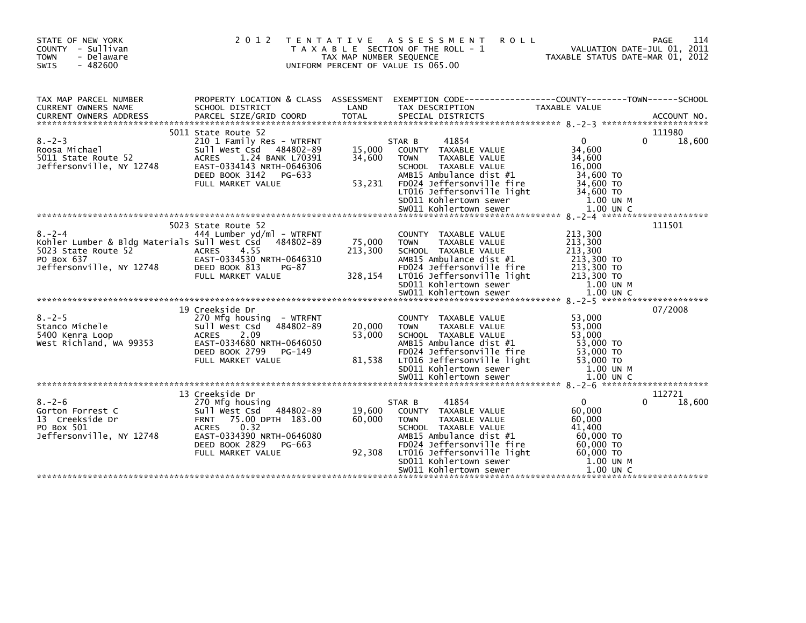| STATE OF NEW YORK<br>COUNTY - Sullivan<br><b>TOWN</b><br>- Delaware<br><b>SWIS</b><br>$-482600$                                         | 2012 TENTATIVE                                                                                                                                                                                                  | TAX MAP NUMBER SEQUENCE      | A S S E S S M E N T<br><b>ROLL</b><br>T A X A B L E SECTION OF THE ROLL - 1<br>UNIFORM PERCENT OF VALUE IS 065.00                                                                                                                                | TAXABLE STATUS DATE-MAR 01, 2012                                                                              | 114<br>PAGE<br>VALUATION DATE-JUL 01, 2011 |
|-----------------------------------------------------------------------------------------------------------------------------------------|-----------------------------------------------------------------------------------------------------------------------------------------------------------------------------------------------------------------|------------------------------|--------------------------------------------------------------------------------------------------------------------------------------------------------------------------------------------------------------------------------------------------|---------------------------------------------------------------------------------------------------------------|--------------------------------------------|
| TAX MAP PARCEL NUMBER<br>CURRENT OWNERS NAME<br><b>CURRENT OWNERS ADDRESS</b>                                                           | PROPERTY LOCATION & CLASS ASSESSMENT<br>SCHOOL DISTRICT<br>PARCEL SIZE/GRID COORD                                                                                                                               | LAND<br><b>TOTAL</b>         | EXEMPTION CODE-----------------COUNTY-------TOWN------SCHOOL<br>TAX DESCRIPTION<br>SPECIAL DISTRICTS                                                                                                                                             | <b>TAXABLE VALUE</b>                                                                                          | ACCOUNT NO.                                |
| $8. - 2 - 3$<br>Roosa Michael<br>5011 State Route 52<br>Jeffersonville, NY 12748                                                        | 5011 State Route 52<br>210 1 Family Res - WTRFNT<br>Sull West Csd<br>484802-89<br><b>ACRES</b><br>1.24 BANK L70391<br>EAST-0334143 NRTH-0646306<br>DEED BOOK 3142<br>PG-633<br>FULL MARKET VALUE                | 15,000<br>34,600<br>53,231   | 41854<br>STAR B<br>COUNTY TAXABLE VALUE<br><b>TOWN</b><br>TAXABLE VALUE<br>SCHOOL TAXABLE VALUE<br>AMB15 Ambulance dist #1<br>FD024 Jeffersonville fire<br>LT016 Jeffersonville light<br>SD011 Kohlertown sewer<br>SW011 Kohlertown sewer        | $\Omega$<br>34,600<br>34,600<br>16,000<br>34,600 TO<br>34,600 TO<br>34,600 TO<br>1.00 UN M<br>1.00 UN C       | 111980<br>18,600<br>0                      |
| $8. - 2 - 4$<br>Kohler Lumber & Bldg Materials Sull West Csd 484802-89<br>5023 State Route 52<br>PO Box 637<br>Jeffersonville, NY 12748 | 5023 State Route 52<br>444 Lumber yd/ml - WTRFNT<br><b>ACRES</b><br>4.55<br>EAST-0334530 NRTH-0646310<br>DEED BOOK 813<br><b>PG-87</b><br>FULL MARKET VALUE                                                     | 75,000<br>213,300<br>328,154 | COUNTY TAXABLE VALUE<br>TAXABLE VALUE<br><b>TOWN</b><br>SCHOOL TAXABLE VALUE<br>AMB15 Ambulance dist #1<br>FD024 Jeffersonville fire<br>LT016 Jeffersonville light<br>SD011 Kohlertown sewer                                                     | 213,300<br>213,300<br>213,300<br>213,300 TO<br>213,300 TO<br>213,300 TO<br>$1.00$ UN M                        | 111501                                     |
| $8 - 2 - 5$<br>Stanco Michele<br>5400 Kenra Loop<br>West Richland, WA 99353                                                             | 19 Creekside Dr<br>270 Mfg housing - WTRFNT<br>Sull West Csd<br>484802-89<br>2.09<br><b>ACRES</b><br>EAST-0334680 NRTH-0646050<br>DEED BOOK 2799<br>PG-149<br>FULL MARKET VALUE                                 | 20,000<br>53,000<br>81,538   | COUNTY TAXABLE VALUE<br><b>TAXABLE VALUE</b><br><b>TOWN</b><br>SCHOOL TAXABLE VALUE<br>AMB15 Ambulance dist #1<br>FD024 Jeffersonville fire<br>LT016 Jeffersonville light<br>SD011 Kohlertown sewer<br>SW011 Kohlertown sewer                    | 53,000<br>53,000<br>53,000<br>53,000 TO<br>53,000 TO<br>53,000 TO<br>1.00 UN M<br>1.00 UN C                   | 07/2008                                    |
| $8. - 2 - 6$<br>Gorton Forrest C<br>13 Creekside Dr<br>PO Box 501<br>Jeffersonville, NY 12748                                           | 13 Creekside Dr<br>270 Mfg housing<br>$-484802 - 89$<br>Sull West Csd<br>75.00 DPTH 183.00<br><b>FRNT</b><br><b>ACRES</b><br>0.32<br>EAST-0334390 NRTH-0646080<br>DEED BOOK 2829<br>PG-663<br>FULL MARKET VALUE | 19,600<br>60,000<br>92,308   | 41854<br>STAR B<br>COUNTY TAXABLE VALUE<br><b>TAXABLE VALUE</b><br><b>TOWN</b><br>SCHOOL TAXABLE VALUE<br>AMB15 Ambulance dist #1<br>FD024 Jeffersonville fire<br>LT016 Jeffersonville light<br>SD011 Kohlertown sewer<br>SW011 Kohlertown sewer | $\mathbf{0}$<br>60,000<br>60,000<br>41.400<br>60,000 TO<br>60.000 TO<br>60,000 TO<br>1.00 UN M<br>$1.00$ UN C | 112721<br>18,600<br>$\Omega$               |
|                                                                                                                                         |                                                                                                                                                                                                                 |                              |                                                                                                                                                                                                                                                  |                                                                                                               |                                            |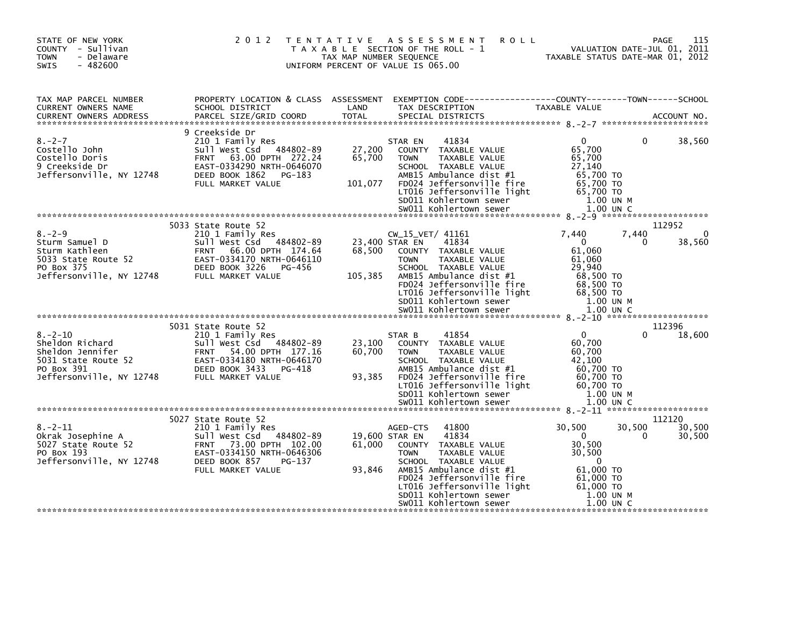| STATE OF NEW YORK<br>COUNTY - Sullivan<br>- Delaware<br><b>TOWN</b><br>$-482600$<br>SWIS                              | 2 0 1 2                                                                                                                                                                              | T E N T A T I V E<br>TAX MAP NUMBER SEQUENCE | <b>ROLL</b><br>A S S E S S M E N T<br>T A X A B L E SECTION OF THE ROLL - 1<br>UNIFORM PERCENT OF VALUE IS 065.00                                                                                                                                                      |                                                                                                                             | 115<br><b>PAGE</b><br>VALUATION DATE-JUL 01, 2011<br>TAXABLE STATUS DATE-MAR 01, 2012 |
|-----------------------------------------------------------------------------------------------------------------------|--------------------------------------------------------------------------------------------------------------------------------------------------------------------------------------|----------------------------------------------|------------------------------------------------------------------------------------------------------------------------------------------------------------------------------------------------------------------------------------------------------------------------|-----------------------------------------------------------------------------------------------------------------------------|---------------------------------------------------------------------------------------|
| TAX MAP PARCEL NUMBER<br>CURRENT OWNERS NAME<br><b>CURRENT OWNERS ADDRESS</b>                                         | PROPERTY LOCATION & CLASS ASSESSMENT<br>SCHOOL DISTRICT<br>PARCEL SIZE/GRID COORD                                                                                                    | LAND<br><b>TOTAL</b>                         | EXEMPTION CODE-----------------COUNTY-------TOWN------SCHOOL<br>TAX DESCRIPTION<br>SPECIAL DISTRICTS                                                                                                                                                                   | TAXABLE VALUE                                                                                                               | ACCOUNT NO.                                                                           |
| $8 - 2 - 7$<br>Costello John<br>Costello Doris<br>9 Creekside Dr<br>Jeffersonville, NY 12748                          | 9 Creekside Dr<br>210 1 Family Res<br>Sull West Csd 484802-89<br>63.00 DPTH 272.24<br><b>FRNT</b><br>EAST-0334290 NRTH-0646070<br>PG-183<br>DEED BOOK 1862<br>FULL MARKET VALUE      | 27,200<br>65,700<br>101,077                  | 41834<br>STAR EN<br>COUNTY TAXABLE VALUE<br>TAXABLE VALUE<br><b>TOWN</b><br>SCHOOL TAXABLE VALUE<br>AMB15 Ambulance dist #1<br>FD024 Jeffersonville fire<br>LT016 Jeffersonville light<br>SD011 Kohlertown sewer                                                       | 0<br>65,700<br>65,700<br>27,140<br>65,700 TO<br>65,700 TO<br>65,700 TO<br>1.00 UN M                                         | 38,560<br>$\Omega$                                                                    |
| $8. - 2 - 9$<br>Sturm Samuel D<br>Sturm Kathleen<br>5033 State Route 52<br>PO Box 375<br>Jeffersonville, NY 12748     | 5033 State Route 52<br>210 1 Family Res<br>Sull West Csd 484802-89<br>66.00 DPTH 174.64<br><b>FRNT</b><br>EAST-0334170 NRTH-0646110<br>DEED BOOK 3226<br>PG-456<br>FULL MARKET VALUE | 68,500<br>105,385                            | $CW_15_VET/41161$<br>23,400 STAR EN<br>41834<br>COUNTY TAXABLE VALUE<br><b>TOWN</b><br>TAXABLE VALUE<br>SCHOOL TAXABLE VALUE<br>AMB15 Ambulance dist #1<br>FD024 Jeffersonville fire<br>LT016 Jeffersonville light<br>SD011 Kohlertown sewer<br>SW011 Kohlertown sewer | 7.440<br>$\mathbf{0}$<br>61,060<br>61,060<br>29.940<br>68,500 TO<br>68,500 TO<br>68,500 TO<br>1.00 UN M<br>$1.00$ UN C      | 112952<br>$\Omega$<br>7,440<br>38,560<br>$\Omega$                                     |
| $8. - 2 - 10$<br>Sheldon Richard<br>Sheldon Jennifer<br>5031 State Route 52<br>PO Box 391<br>Jeffersonville, NY 12748 | 5031 State Route 52<br>210 1 Family Res<br>Sull West Csd 484802-89<br>FRNT 54.00 DPTH 177.16<br>EAST-0334180 NRTH-0646170<br>DEED BOOK 3433<br>PG-418<br>FULL MARKET VALUE           | 23,100<br>60,700<br>93,385                   | 41854<br>STAR B<br>COUNTY TAXABLE VALUE<br>TAXABLE VALUE<br><b>TOWN</b><br>SCHOOL TAXABLE VALUE<br>AMB15 Ambulance dist #1<br>FD024 Jeffersonville fire<br>LT016 Jeffersonville light<br>SD011 Kohlertown sewer<br>SW011 Kohlertown sewer                              | $\mathbf{0}$<br>60,700<br>60,700<br>42,100<br>60,700 TO<br>60,700 TO<br>60.700 TO<br>1.00 UN M<br>$1.00$ UN C               | 112396<br>18,600                                                                      |
| $8. - 2 - 11$<br>Okrak Josephine A<br>5027 State Route 52<br>PO Box 193<br>Jeffersonville, NY 12748                   | 5027 State Route 52<br>210 1 Family Res<br>Sull West Csd 484802-89<br>FRNT 73.00 DPTH 102.00<br>EAST-0334150 NRTH-0646306<br>DEED BOOK 857<br>PG-137<br>FULL MARKET VALUE            | 61,000<br>93,846                             | 41800<br>AGED-CTS<br>19,600 STAR EN<br>41834<br>COUNTY TAXABLE VALUE<br><b>TOWN</b><br>TAXABLE VALUE<br>SCHOOL TAXABLE VALUE<br>AMB15 Ambulance dist #1<br>FD024 Jeffersonville fire<br>LT016 Jeffersonville light<br>SD011 Kohlertown sewer<br>SW011 Kohlertown sewer | 30,500<br>$\overline{0}$<br>30,500<br>30,500<br>$\Omega$<br>61,000 TO<br>61,000 TO<br>61,000 TO<br>1.00 UN M<br>$1.00$ UN C | 112120<br>30,500<br>30,500<br>0<br>30,500                                             |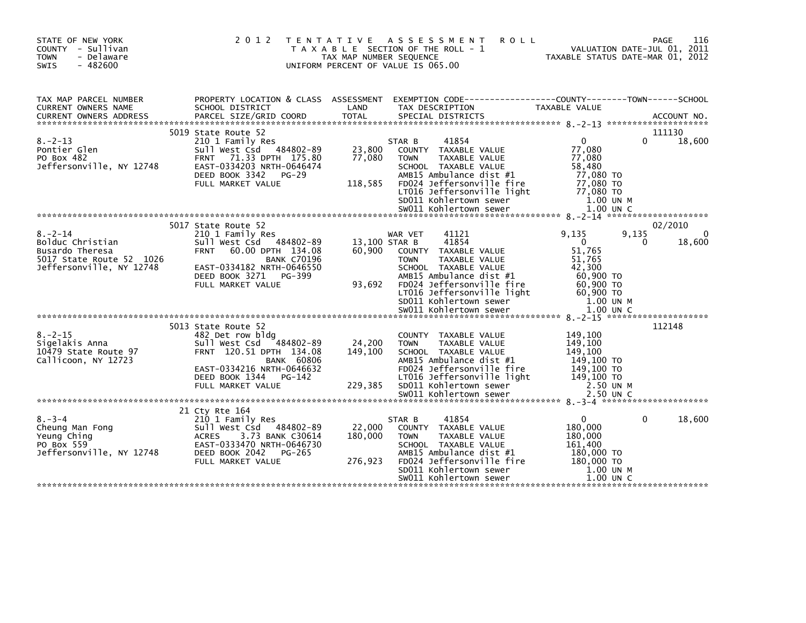| STATE OF NEW YORK<br>COUNTY - Sullivan<br><b>TOWN</b><br>- Delaware<br>$-482600$<br>SWIS                     | 2 0 1 2                                                                                                                                                                                  | T E N T A T I V E<br>TAX MAP NUMBER SEQUENCE | A S S E S S M E N T<br><b>ROLL</b><br>T A X A B L E SECTION OF THE ROLL - 1<br>UNIFORM PERCENT OF VALUE IS 065.00                                                                                                  |                                                                                            | 116<br>PAGE<br>VALUATION DATE-JUL 01, 2011<br>TAXABLE STATUS DATE-MAR 01, 2012 |
|--------------------------------------------------------------------------------------------------------------|------------------------------------------------------------------------------------------------------------------------------------------------------------------------------------------|----------------------------------------------|--------------------------------------------------------------------------------------------------------------------------------------------------------------------------------------------------------------------|--------------------------------------------------------------------------------------------|--------------------------------------------------------------------------------|
| TAX MAP PARCEL NUMBER<br>CURRENT OWNERS NAME<br><b>CURRENT OWNERS ADDRESS</b>                                | PROPERTY LOCATION & CLASS ASSESSMENT<br>SCHOOL DISTRICT<br>PARCEL SIZE/GRID COORD                                                                                                        | LAND<br><b>TOTAL</b>                         | EXEMPTION        CODE-----------------COUNTY--------TOWN------SCHOOL<br>TAX DESCRIPTION<br>SPECIAL DISTRICTS                                                                                                       | <b>TAXABLE VALUE</b>                                                                       | ACCOUNT NO.                                                                    |
|                                                                                                              | 5019 State Route 52                                                                                                                                                                      |                                              |                                                                                                                                                                                                                    |                                                                                            | 111130                                                                         |
| $8. - 2 - 13$<br>Pontier Glen<br>PO Box 482<br>Jeffersonville, NY 12748                                      | 210 1 Family Res<br>Sull West Csd 484802-89<br>71.33 DPTH 175.80<br><b>FRNT</b><br>EAST-0334203 NRTH-0646474<br>DEED BOOK 3342<br>$PG-29$                                                | 23,800<br>77,080                             | 41854<br>STAR B<br>COUNTY TAXABLE VALUE<br>TAXABLE VALUE<br><b>TOWN</b><br>SCHOOL TAXABLE VALUE<br>AMB15 Ambulance dist #1                                                                                         | $\mathbf{0}$<br>77,080<br>77,080<br>58,480<br>77,080 TO                                    | 18,600<br>0                                                                    |
|                                                                                                              | FULL MARKET VALUE                                                                                                                                                                        | 118,585                                      | FD024 Jeffersonville fire<br>LT016 Jeffersonville light<br>SD011 Kohlertown sewer<br>SW011 Kohlertown sewer                                                                                                        | 77,080 TO<br>77,080 TO<br>1.00 UN M<br>1.00 UN C                                           |                                                                                |
|                                                                                                              |                                                                                                                                                                                          |                                              |                                                                                                                                                                                                                    |                                                                                            |                                                                                |
| $8. - 2 - 14$<br>Bolduc Christian<br>Busardo Theresa<br>5017 State Route 52 1026<br>Jeffersonville, NY 12748 | 5017 State Route 52<br>210 1 Family Res<br>484802-89<br>Sull West Csd<br>60.00 DPTH 134.08<br><b>FRNT</b><br><b>BANK C70196</b><br>EAST-0334182 NRTH-0646550<br>DEED BOOK 3271<br>PG-399 | 13,100 STAR B<br>60,900                      | 41121<br>WAR VET<br>41854<br>COUNTY TAXABLE VALUE<br>TAXABLE VALUE<br><b>TOWN</b><br>SCHOOL TAXABLE VALUE<br>AMB15 Ambulance dist #1                                                                               | 9.135<br>$\overline{0}$<br>51,765<br>51,765<br>42,300<br>60,900 TO                         | 02/2010<br>9,135<br>18,600<br>$\Omega$                                         |
|                                                                                                              | FULL MARKET VALUE                                                                                                                                                                        | 93,692                                       | FD024 Jeffersonville fire<br>LT016 Jeffersonville light<br>SD011 Kohlertown sewer                                                                                                                                  | 60,900 TO<br>60.900 TO<br>1.00 UN M                                                        |                                                                                |
|                                                                                                              | 5013 State Route 52                                                                                                                                                                      |                                              |                                                                                                                                                                                                                    |                                                                                            | 112148                                                                         |
| $8. - 2 - 15$<br>Sigelakis Anna<br>10479 State Route 97<br>Callicoon, NY 12723                               | 482 Det row bldg<br>Sull West Csd 484802-89<br>FRNT 120.51 DPTH 134.08<br><b>BANK 60806</b><br>EAST-0334216 NRTH-0646632<br>DEED BOOK 1344<br>PG-142<br>FULL MARKET VALUE                | 24,200<br>149,100<br>229.385                 | COUNTY TAXABLE VALUE<br>TAXABLE VALUE<br><b>TOWN</b><br>SCHOOL TAXABLE VALUE<br>AMB15 Ambulance dist #1<br>FD024 Jeffersonville fire<br>LT016 Jeffersonville light<br>SD011 Kohlertown sewer                       | 149,100<br>149,100<br>149,100<br>149,100 TO<br>149.100 TO<br>149,100 TO<br>2.50 UN M       |                                                                                |
|                                                                                                              |                                                                                                                                                                                          |                                              | SW011 Kohlertown sewer                                                                                                                                                                                             | 2.50 UN C                                                                                  |                                                                                |
| $8. - 3 - 4$<br>Cheung Man Fong<br>Yeung Ching<br>PO Box 559<br>Jeffersonville, NY 12748                     | 21 Cty Rte 164<br>210 1 Family Res<br>Sull West Csd<br>484802-89<br><b>ACRES</b><br>3.73 BANK C30614<br>EAST-0333470 NRTH-0646730<br>DEED BOOK 2042<br>PG-265<br>FULL MARKET VALUE       | 22,000<br>180,000<br>276,923                 | 41854<br>STAR B<br>COUNTY TAXABLE VALUE<br><b>TOWN</b><br><b>TAXABLE VALUE</b><br>SCHOOL TAXABLE VALUE<br>AMB15 Ambulance dist #1<br>FD024 Jeffersonville fire<br>SD011 Kohlertown sewer<br>SW011 Kohlertown sewer | 0<br>180,000<br>180,000<br>161,400<br>180,000 TO<br>180,000 TO<br>1.00 UN M<br>$1.00$ UN C | 18,600<br>0                                                                    |
|                                                                                                              |                                                                                                                                                                                          |                                              |                                                                                                                                                                                                                    |                                                                                            |                                                                                |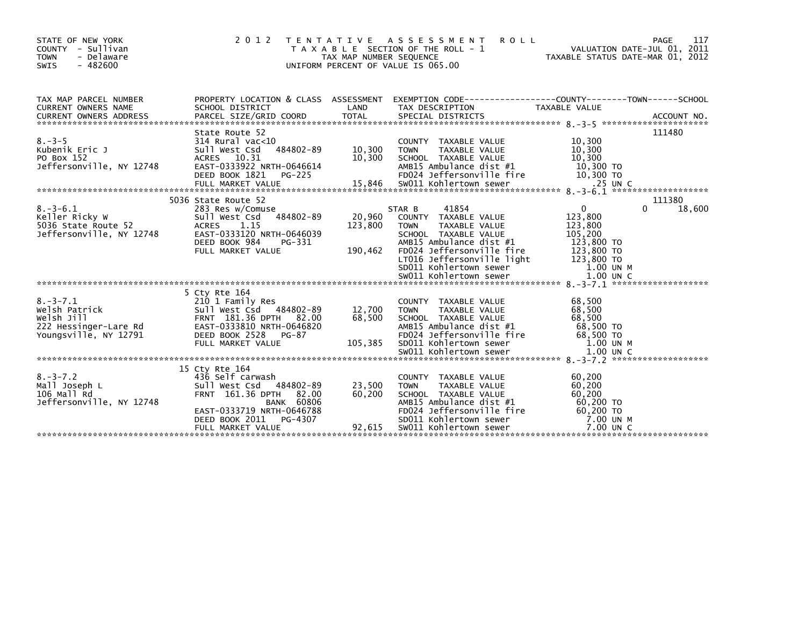| STATE OF NEW YORK<br>COUNTY - Sullivan<br>- Delaware<br><b>TOWN</b><br>$-482600$<br><b>SWIS</b> | 2 0 1 2                                                                                                                                                                               | T E N T A T I V E<br>TAX MAP NUMBER SEQUENCE<br>UNIFORM PERCENT OF VALUE IS 065.00 | A S S E S S M E N T<br><b>ROLL</b><br>T A X A B L E SECTION OF THE ROLL - 1                                                                                                                                                               |                                                                                                               | 117<br>PAGE<br>VALUATION DATE-JUL 01, 2011<br>TAXABLE STATUS DATE-MAR 01, 2012 |
|-------------------------------------------------------------------------------------------------|---------------------------------------------------------------------------------------------------------------------------------------------------------------------------------------|------------------------------------------------------------------------------------|-------------------------------------------------------------------------------------------------------------------------------------------------------------------------------------------------------------------------------------------|---------------------------------------------------------------------------------------------------------------|--------------------------------------------------------------------------------|
| TAX MAP PARCEL NUMBER<br>CURRENT OWNERS NAME                                                    | SCHOOL DISTRICT                                                                                                                                                                       | LAND                                                                               | PROPERTY LOCATION & CLASS ASSESSMENT EXEMPTION CODE---------------COUNTY-------TOWN-----SCHOOL<br>TAX DESCRIPTION                                                                                                                         | TAXABLE VALUE                                                                                                 |                                                                                |
| $8. - 3 - 5$<br>Kubenik Eric J<br>PO Box 152<br>Jeffersonville, NY 12748                        | State Route 52<br>$314$ Rural vac<10<br>484802-89<br>sull west Csd<br>ACRES 10.31<br>EAST-0333922 NRTH-0646614<br>DEED BOOK 1821<br>PG-225                                            | 10,300<br>10,300                                                                   | COUNTY TAXABLE VALUE<br>TAXABLE VALUE<br><b>TOWN</b><br>SCHOOL TAXABLE VALUE<br>AMB15 Ambulance dist #1<br>FD024 Jeffersonville fire                                                                                                      | 10,300<br>10,300<br>10,300<br>10,300 TO<br>10,300 TO                                                          | 111480                                                                         |
| $8. - 3 - 6.1$<br>Keller Ricky W<br>5036 State Route 52<br>Jeffersonville, NY 12748             | 5036 State Route 52<br>283 Res w/Comuse<br>Sull West Csd 484802-89<br><b>ACRES</b><br>1.15<br>EAST-0333120 NRTH-0646039<br>DEED BOOK 984<br>PG-331<br>FULL MARKET VALUE               | 20,960<br>123,800<br>190,462                                                       | 41854<br>STAR B<br>COUNTY TAXABLE VALUE<br>TAXABLE VALUE<br><b>TOWN</b><br>SCHOOL TAXABLE VALUE<br>AMB15 Ambulance dist #1<br>FD024 Jeffersonville fire<br>LT016 Jeffersonville light<br>SD011 Kohlertown sewer<br>SW011 Kohlertown sewer | $\Omega$<br>123,800<br>123,800<br>105,200<br>123,800 TO<br>123,800 TO<br>123,800 TO<br>1.00 UN M<br>1.00 UN C | 111380<br>18,600<br>0                                                          |
| $8. - 3 - 7.1$<br>Welsh Patrick<br>Welsh Jill<br>222 Hessinger-Lare Rd<br>Youngsville, NY 12791 | 5 Cty Rte 164<br>210 1 Family Res<br>Sull West Csd 484802-89<br>FRNT 181.36 DPTH 82.00<br>EAST-0333810 NRTH-0646820<br>DEED BOOK 2528<br>PG-87<br>FULL MARKET VALUE                   | 12,700<br>68,500<br>105,385                                                        | COUNTY TAXABLE VALUE<br><b>TOWN</b><br>TAXABLE VALUE<br>SCHOOL TAXABLE VALUE<br>AMB15 Ambulance dist #1<br>FD024 Jeffersonville fire<br>SD011 Kohlertown sewer                                                                            | 68,500<br>68,500<br>68,500<br>68,500 TO<br>68,500 TO<br>1.00 UN M                                             |                                                                                |
| $8. - 3 - 7.2$<br>Mall Joseph L<br>106 Mall Rd<br>Jeffersonville, NY 12748                      | 15 Cty Rte 164<br>436 Self carwash<br>Sull West Csd 484802-89<br>FRNT 161.36 DPTH<br><b>BANK 60806</b><br>EAST-0333719 NRTH-0646788<br>DEED BOOK 2011<br>PG-4307<br>FULL MARKET VALUE | 23,500<br>82.00<br>60,200<br>92,615                                                | COUNTY TAXABLE VALUE<br><b>TOWN</b><br>TAXABLE VALUE<br>SCHOOL TAXABLE VALUE<br>AMB15 Ambulance dist #1<br>FD024 Jeffersonville fire<br>SD011 Kohlertown sewer<br>SW011 Kohlertown sewer                                                  | 60,200<br>60,200<br>60,200<br>60,200 TO<br>60,200 TO<br>7.00 UN M<br>7.00 UN C                                |                                                                                |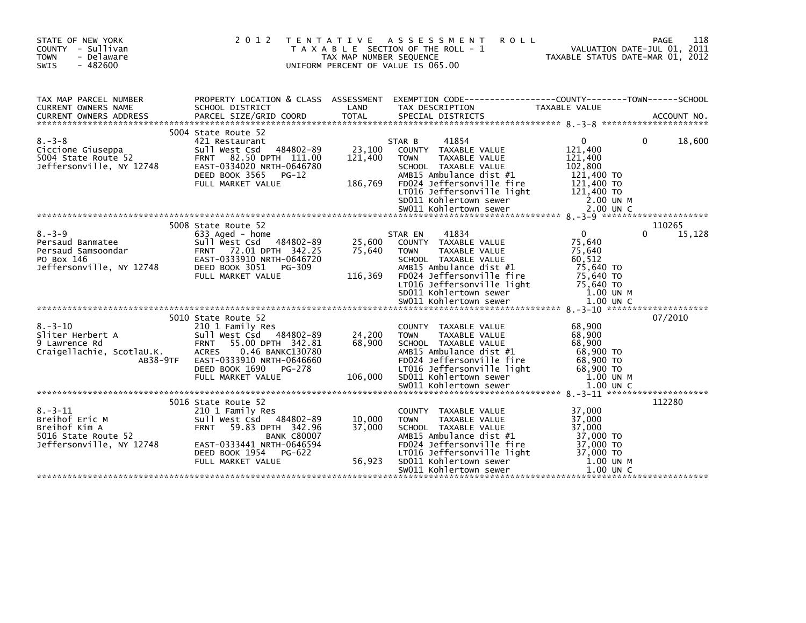| STATE OF NEW YORK<br>COUNTY - Sullivan<br>- Delaware<br><b>TOWN</b><br><b>SWIS</b><br>$-482600$     | 2 0 1 2                                                                                                                                                                                             | T E N T A T I V E<br>TAX MAP NUMBER SEQUENCE | A S S E S S M E N T<br><b>ROLL</b><br>T A X A B L E SECTION OF THE ROLL - 1<br>UNIFORM PERCENT OF VALUE IS 065.00                                                                                                | TAXABLE STATUS DATE-MAR 01, 2012                                                               | 118<br>PAGE<br>VALUATION DATE-JUL 01, 2011 |
|-----------------------------------------------------------------------------------------------------|-----------------------------------------------------------------------------------------------------------------------------------------------------------------------------------------------------|----------------------------------------------|------------------------------------------------------------------------------------------------------------------------------------------------------------------------------------------------------------------|------------------------------------------------------------------------------------------------|--------------------------------------------|
| TAX MAP PARCEL NUMBER<br>CURRENT OWNERS NAME                                                        | SCHOOL DISTRICT                                                                                                                                                                                     | LAND                                         | PROPERTY LOCATION & CLASS ASSESSMENT EXEMPTION CODE----------------COUNTY-------TOWN------SCHOOL<br>TAX DESCRIPTION                                                                                              | TAXABLE VALUE                                                                                  |                                            |
|                                                                                                     |                                                                                                                                                                                                     |                                              |                                                                                                                                                                                                                  |                                                                                                |                                            |
| $8 - 3 - 8$<br>Ciccione Giuseppa<br>5004 State Route 52<br>Jeffersonville, NY 12748                 | 5004 State Route 52<br>421 Restaurant<br>484802-89<br>Sull West Csd<br>82.50 DPTH 111.00<br><b>FRNT</b><br>EAST-0334020 NRTH-0646780<br>DEED BOOK 3565<br>PG-12<br>FULL MARKET VALUE                | 23,100<br>121,400<br>186,769                 | STAR B<br>41854<br>COUNTY TAXABLE VALUE<br>TAXABLE VALUE<br><b>TOWN</b><br>SCHOOL TAXABLE VALUE<br>AMB15 Ambulance dist #1<br>FD024 Jeffersonville fire<br>LT016 Jeffersonville light<br>SD011 Kohlertown sewer  | 0<br>121,400<br>121,400<br>102,800<br>121,400 TO<br>121,400 TO<br>121,400 TO<br>2.00 UN M      | 18,600<br>0                                |
|                                                                                                     | 5008 State Route 52                                                                                                                                                                                 |                                              |                                                                                                                                                                                                                  |                                                                                                | 110265                                     |
| $8. - 3 - 9$<br>Persaud Banmatee<br>Persaud Samsoondar<br>PO Box 146<br>Jeffersonville, NY 12748    | 633 Aged - home<br>Sull West Csd<br>484802-89<br>FRNT 72.01 DPTH 342.25<br>EAST-0333910 NRTH-0646720<br>DEED BOOK 3051<br>PG-309<br>FULL MARKET VALUE                                               | 25,600<br>75,640<br>116,369                  | 41834<br>STAR EN<br>COUNTY TAXABLE VALUE<br>TAXABLE VALUE<br><b>TOWN</b><br>SCHOOL TAXABLE VALUE<br>AMB15 Ambulance dist #1<br>FD024 Jeffersonville fire<br>LT016 Jeffersonville light<br>SD011 Kohlertown sewer | $\mathbf{0}$<br>75,640<br>75,640<br>60.512<br>75,640 TO<br>75,640 TO<br>75,640 TO<br>1.00 UN M | 15,128                                     |
|                                                                                                     |                                                                                                                                                                                                     |                                              |                                                                                                                                                                                                                  |                                                                                                | 07/2010                                    |
| $8. - 3 - 10$<br>Sliter Herbert A<br>9 Lawrence Rd<br>Craigellachie, ScotlaU.K.<br>AB38-9TF         | 5010 State Route 52<br>210 1 Family Res<br>Sull West Csd<br>484802-89<br><b>FRNT</b><br>55.00 DPTH 342.81<br><b>ACRES</b><br>0.46 BANKC130780<br>EAST-0333910 NRTH-0646660<br>DEED BOOK 1690 PG-278 | 24,200<br>68,900                             | COUNTY TAXABLE VALUE<br>TAXABLE VALUE<br><b>TOWN</b><br>SCHOOL TAXABLE VALUE<br>AMB15 Ambulance dist #1<br>FD024 Jeffersonville fire<br>LT016 Jeffersonville light                                               | 68,900<br>68,900<br>68,900<br>68,900 TO<br>68,900 TO<br>68,900 TO                              |                                            |
|                                                                                                     | FULL MARKET VALUE                                                                                                                                                                                   | 106,000                                      | SD011 Kohlertown sewer                                                                                                                                                                                           | 1.00 UN M                                                                                      |                                            |
|                                                                                                     |                                                                                                                                                                                                     |                                              | SW011 Kohlertown sewer                                                                                                                                                                                           | $1.00$ UN C                                                                                    |                                            |
|                                                                                                     | 5016 State Route 52                                                                                                                                                                                 |                                              |                                                                                                                                                                                                                  |                                                                                                | 112280                                     |
| $8. - 3 - 11$<br>Breihof Eric M<br>Breihof Kim A<br>5016 State Route 52<br>Jeffersonville, NY 12748 | 210 1 Family Res<br>Sull West Csd<br>484802-89<br><b>FRNT</b><br>59.83 DPTH 342.96<br><b>BANK C80007</b><br>EAST-0333441 NRTH-0646594                                                               | 10,000<br>37,000                             | COUNTY TAXABLE VALUE<br><b>TOWN</b><br>TAXABLE VALUE<br>SCHOOL TAXABLE VALUE<br>AMB15 Ambulance dist #1<br>FD024 Jeffersonville fire                                                                             | 37,000<br>37,000<br>37,000<br>37,000 TO<br>37,000 TO                                           |                                            |
|                                                                                                     | DEED BOOK 1954<br>PG-622<br>FULL MARKET VALUE                                                                                                                                                       | 56,923                                       | LT016 Jeffersonville light<br>SD011 Kohlertown sewer<br>SW011 Kohlertown sewer                                                                                                                                   | 37,000 TO<br>1.00 UN M<br>$1.00$ UN C                                                          |                                            |
|                                                                                                     |                                                                                                                                                                                                     |                                              |                                                                                                                                                                                                                  |                                                                                                |                                            |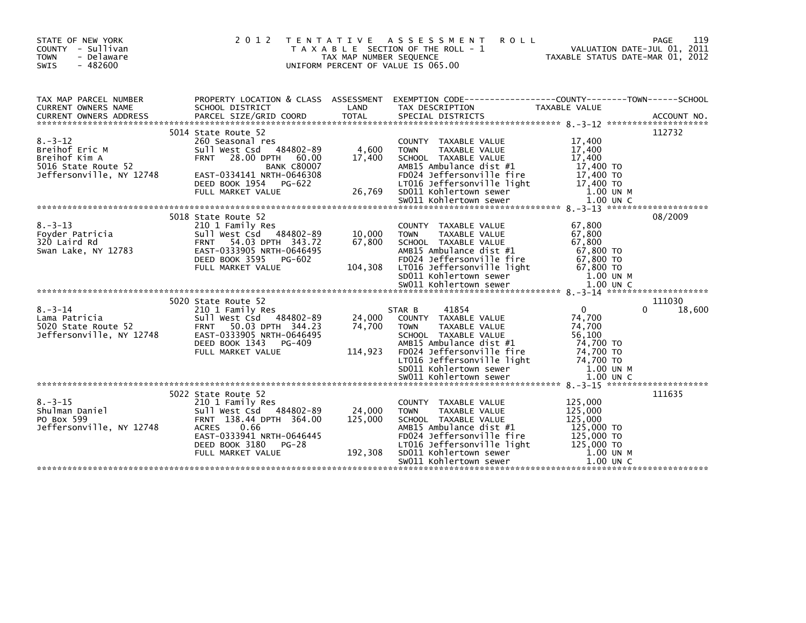| STATE OF NEW YORK<br>COUNTY - Sullivan<br>- Delaware<br><b>TOWN</b><br>$-482600$<br>SWIS            | 2 0 1 2<br>T E N T A T I V E                                                                                                                                                       | TAX MAP NUMBER SEQUENCE      | A S S E S S M E N T<br><b>ROLL</b><br>T A X A B L E SECTION OF THE ROLL - 1<br>UNIFORM PERCENT OF VALUE IS 065.00                                                                                                                                                                                                                 | VALUATION DATE-JUL VI, 2011<br>TAXABLE STATUS DATE-MAR 01, 2012                                            | PAGE<br>119      |
|-----------------------------------------------------------------------------------------------------|------------------------------------------------------------------------------------------------------------------------------------------------------------------------------------|------------------------------|-----------------------------------------------------------------------------------------------------------------------------------------------------------------------------------------------------------------------------------------------------------------------------------------------------------------------------------|------------------------------------------------------------------------------------------------------------|------------------|
| TAX MAP PARCEL NUMBER<br>CURRENT OWNERS NAME                                                        | SCHOOL DISTRICT                                                                                                                                                                    | LAND                         | PROPERTY LOCATION & CLASS ASSESSMENT EXEMPTION CODE----------------COUNTY-------TOWN------SCHOOL<br>TAX DESCRIPTION<br>CURRENT OWNERS ADDRESS FARCEL SIZE/GRID COORD TOTAL SPECIAL DISTRICTS (2001) ACCOUNT NO.<br>TERRENT OWNERS ADDRESS FARCEL SIZE/GRID COORD TOTAL SPECIAL DISTRICTS (2004) 2013 - 2012 ********************* | TAXABLE VALUE                                                                                              |                  |
| $8. - 3 - 12$<br>Breihof Eric M<br>Breihof Kim A<br>5016 State Route 52<br>Jeffersonville, NY 12748 | 5014 State Route 52<br>260 Seasonal res<br>Sull West Csd 484802-89<br><b>FRNT</b><br><b>BANK C80007</b><br>EAST-0334141 NRTH-0646308<br>DEED BOOK 1954 PG-622<br>FULL MARKET VALUE | 4,600<br>17,400<br>26,769    | COUNTY TAXABLE VALUE<br>TAXABLE VALUE<br><b>TOWN</b><br>SCHOOL TAXABLE VALUE<br>AMB15 Ambulance dist #1<br>FD024 Jeffersonville fire<br>LT016 Jeffersonville light<br>SD011 Kohlertown sewer                                                                                                                                      | 17,400<br>17,400<br>17,400<br>17,400 TO<br>17,400 TO<br>17,400 TO<br>1.00 UN M                             | 112732           |
| $8. - 3 - 13$<br>Foyder Patricia<br>320 Laird Rd<br>Swan Lake, NY 12783                             | 5018 State Route 52<br>210 1 Family Res<br>Sull West Csd 484802-89<br>FRNT 54.03 DPTH 343.72<br>EAST-0333905 NRTH-0646495<br>DEED BOOK 3595<br>PG-602<br>FULL MARKET VALUE         | 10,000<br>67,800<br>104,308  | COUNTY TAXABLE VALUE<br><b>TOWN</b><br>TAXABLE VALUE<br>SCHOOL TAXABLE VALUE<br>AMB15 Ambulance dist #1<br>FD024 Jeffersonville fire<br>LT016 Jeffersonville light                                                                                                                                                                | 67,800<br>67,800<br>67,800<br>67,800 TO<br>67,800 TO<br>$67,800$ TO                                        | 08/2009          |
|                                                                                                     |                                                                                                                                                                                    |                              | SD011 Kohlertown sewer<br>SW011 Kohlertown sewer                                                                                                                                                                                                                                                                                  | 1.00 UN M<br>1.00 UN C                                                                                     |                  |
| $8. - 3 - 14$<br>Lama Patricia<br>5020 State Route 52<br>Jeffersonville, NY 12748                   | 5020 State Route 52<br>210 1 Family Res<br>Sull West Csd 484802-89<br>FRNT 50.03 DPTH 344.23<br>EAST-0333905 NRTH-0646495<br>DEED BOOK 1343<br>PG-409<br>FULL MARKET VALUE         | 24,000<br>74,700<br>114,923  | 41854<br>STAR B<br>COUNTY TAXABLE VALUE<br><b>TOWN</b><br>TAXABLE VALUE<br>SCHOOL TAXABLE VALUE<br>AMB15 Ambulance dist #1<br>FD024 Jeffersonville fire<br>LT016 Jeffersonville light<br>SD011 Kohlertown sewer                                                                                                                   | $\mathbf{0}$<br>$\Omega$<br>74,700<br>74,700<br>56,100<br>74,700 TO<br>74,700 TO<br>74.700 TO<br>1.00 UN M | 111030<br>18,600 |
|                                                                                                     | 5022 State Route 52                                                                                                                                                                |                              |                                                                                                                                                                                                                                                                                                                                   |                                                                                                            | 111635           |
| $8. - 3 - 15$<br>Shulman Daniel<br>PO Box 599<br>Jeffersonville, NY 12748                           | 210 1 Family Res<br>Sull West Csd 484802-89<br>FRNT 138.44 DPTH 364.00<br><b>ACRES</b><br>0.66<br>EAST-0333941 NRTH-0646445<br>DEED BOOK 3180<br>PG-28<br>FULL MARKET VALUE        | 24,000<br>125,000<br>192,308 | COUNTY TAXABLE VALUE<br><b>TAXABLE VALUE</b><br><b>TOWN</b><br>SCHOOL TAXABLE VALUE<br>AMB15 Ambulance dist #1<br>FD024 Jeffersonville fire<br>LT016 Jeffersonville light<br>SD011 Kohlertown sewer<br>SW011 Kohlertown sewer                                                                                                     | 125,000<br>125,000<br>125,000<br>125,000 TO<br>125,000 TO<br>125,000 TO<br>1.00 UN M<br>$1.00$ UN C        |                  |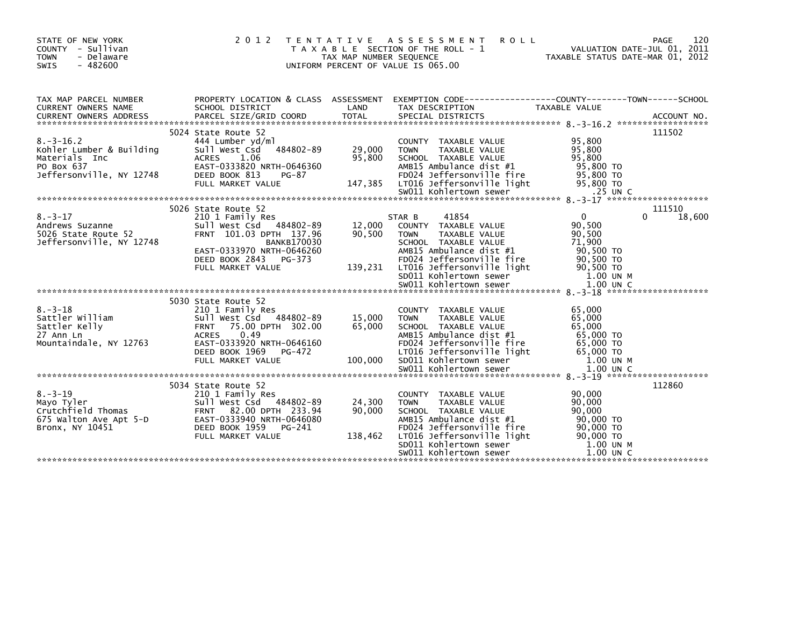| STATE OF NEW YORK<br>COUNTY - Sullivan<br><b>TOWN</b><br>- Delaware<br>SWIS<br>$-482600$                                  | 2 0 1 2                                                                                                                                                                                                      | T E N T A T I V E<br>TAX MAP NUMBER SEQUENCE | A S S E S S M E N T<br><b>ROLL</b><br>T A X A B L E SECTION OF THE ROLL - 1<br>UNIFORM PERCENT OF VALUE IS 065.00                                                                                                                                                                                                                                                                                                                | VALUATION DATE-JUL 01, 2011<br>TAXABLE STATUS DATE-MAR 01, 2012                                                           | 120<br><b>PAGE</b> |
|---------------------------------------------------------------------------------------------------------------------------|--------------------------------------------------------------------------------------------------------------------------------------------------------------------------------------------------------------|----------------------------------------------|----------------------------------------------------------------------------------------------------------------------------------------------------------------------------------------------------------------------------------------------------------------------------------------------------------------------------------------------------------------------------------------------------------------------------------|---------------------------------------------------------------------------------------------------------------------------|--------------------|
| TAX MAP PARCEL NUMBER<br>CURRENT OWNERS NAME<br>$8. -3 - 16.2$<br>Kohler Lumber & Building<br>Materials Inc<br>PO Box 637 | SCHOOL DISTRICT<br>5024 State Route 52<br>444 Lumber yd/ml<br>Sull West Csd 484802-89<br><b>ACRES</b><br>1.06<br>EAST-0333820 NRTH-0646360                                                                   | LAND<br>29,000<br>95,800                     | PROPERTY LOCATION & CLASS ASSESSMENT EXEMPTION CODE----------------COUNTY-------TOWN------SCHOOL<br>TAX DESCRIPTION<br>CURRENT OWNERS ADDRESS FORCEL SIZE/GRID COORD TOTAL SPECIAL DISTRICTS (2001) ACCOUNT NO.<br>EURRENT OWNERS ADDRESS PARCEL SIZE/GRID COORD TOTAL SPECIAL DISTRICTS (2006) 2006 2007 ACCOUNT NO.<br>COUNTY TAXABLE VALUE<br><b>TOWN</b><br>TAXABLE VALUE<br>SCHOOL TAXABLE VALUE<br>AMB15 Ambulance dist #1 | TAXABLE VALUE<br>95,800<br>95,800<br>95,800<br>95,800 TO                                                                  | 111502             |
| Jeffersonville, NY 12748                                                                                                  | DEED BOOK 813<br>PG-87<br>FULL MARKET VALUE                                                                                                                                                                  | 147,385                                      | FD024 Jeffersonville fire<br>LT016 Jeffersonville light                                                                                                                                                                                                                                                                                                                                                                          | 95,800 TO<br>95,800 TO                                                                                                    |                    |
| $8. - 3 - 17$<br>Andrews Suzanne<br>5026 State Route 52<br>Jeffersonville, NY 12748                                       | 5026 State Route 52<br>210 1 Family Res<br>Sull West Csd 484802-89<br>FRNT 101.03 DPTH 137.96<br><b>BANKB170030</b><br>EAST-0333970 NRTH-0646260<br>DEED BOOK 2843<br>PG-373<br>FULL MARKET VALUE            | 12,000<br>90,500<br>139,231                  | 41854<br>STAR B<br>COUNTY TAXABLE VALUE<br><b>TOWN</b><br>TAXABLE VALUE<br>SCHOOL TAXABLE VALUE<br>AMB15 Ambulance dist #1<br>FD024 Jeffersonville fire<br>LT016 Jeffersonville light<br>SD011 Kohlertown sewer<br>SW011 Kohlertown sewer                                                                                                                                                                                        | $\overline{0}$<br>$\Omega$<br>90.500<br>90,500<br>71.900<br>90,500 TO<br>90,500 TO<br>90,500 TO<br>1.00 UN M<br>1.00 UN C | 111510<br>18,600   |
| $8. - 3 - 18$<br>Sattler William<br>Sattler Kelly<br>27 Ann Ln<br>Mountaindale, NY 12763                                  | 5030 State Route 52<br>210 1 Family Res<br>Sull West Csd 484802-89<br>75.00 DPTH 302.00<br><b>FRNT</b><br>0.49<br><b>ACRES</b><br>EAST-0333920 NRTH-0646160<br>DEED BOOK 1969<br>PG-472<br>FULL MARKET VALUE | 15,000<br>65,000<br>100,000                  | COUNTY TAXABLE VALUE<br><b>TOWN</b><br>TAXABLE VALUE<br>SCHOOL TAXABLE VALUE<br>AMB15 Ambulance dist #1<br>FD024 Jeffersonville fire<br>LT016 Jeffersonville light<br>SD011 Kohlertown sewer                                                                                                                                                                                                                                     | 65,000<br>65,000<br>65,000<br>65,000 TO<br>65,000 TO<br>65,000 TO<br>1.00 UN M                                            |                    |
| $8. - 3 - 19$<br>Mayo Tyler<br>Crutchfield Thomas<br>675 Walton Ave Apt 5-D<br>Bronx, NY 10451                            | 5034 State Route 52<br>210 1 Family Res<br>Sull West Csd 484802-89<br>FRNT 82.00 DPTH 233.94<br>EAST-0333940 NRTH-0646080<br>DEED BOOK 1959 PG-241<br>FULL MARKET VALUE                                      | 24,300<br>90,000<br>138,462                  | COUNTY TAXABLE VALUE<br><b>TOWN</b><br>TAXABLE VALUE<br>SCHOOL TAXABLE VALUE<br>AMB15 Ambulance dist #1<br>FD024 Jeffersonville fire<br>LT016 Jeffersonville light<br>SD011 Kohlertown sewer<br>SW011 Kohlertown sewer                                                                                                                                                                                                           | 90,000<br>90,000<br>90,000<br>90,000 TO<br>90,000 TO<br>90,000 TO<br>1.00 UN M<br>$1.00$ UN C                             | 112860             |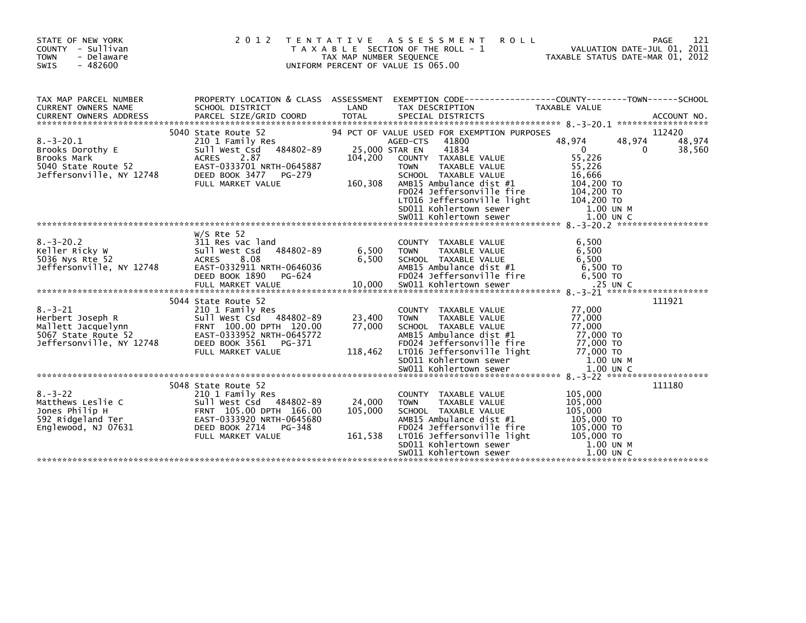| STATE OF NEW YORK<br>COUNTY - Sullivan<br><b>TOWN</b><br>- Delaware<br>SWIS<br>$-482600$                   | 2 0 1 2                                                                                                                                                                     | T E N T A T I V E<br>TAX MAP NUMBER SEQUENCE | <b>ASSESSMENT</b><br><b>ROLL</b><br>T A X A B L E SECTION OF THE ROLL - 1<br>UNIFORM PERCENT OF VALUE IS 065.00                                                                                                                                                                                     | VALUATION DATE-JUL 01, 2011<br>TAXABLE STATUS DATE-MAR 01, 2012                                                                  | 121<br>PAGE                |
|------------------------------------------------------------------------------------------------------------|-----------------------------------------------------------------------------------------------------------------------------------------------------------------------------|----------------------------------------------|-----------------------------------------------------------------------------------------------------------------------------------------------------------------------------------------------------------------------------------------------------------------------------------------------------|----------------------------------------------------------------------------------------------------------------------------------|----------------------------|
| TAX MAP PARCEL NUMBER<br>CURRENT OWNERS NAME                                                               | PROPERTY LOCATION & CLASS ASSESSMENT<br>SCHOOL DISTRICT                                                                                                                     | LAND                                         | EXEMPTION CODE-----------------COUNTY-------TOWN------SCHOOL<br>TAX DESCRIPTION                                                                                                                                                                                                                     | TAXABLE VALUE                                                                                                                    |                            |
| $8. - 3 - 20.1$<br>Brooks Dorothy E<br>Brooks Mark<br>5040 State Route 52<br>Jeffersonville, NY 12748      | 5040 State Route 52<br>210 1 Family Res<br>Sull West Csd 484802-89<br>2.87<br><b>ACRES</b><br>EAST-0333701 NRTH-0645887<br>DEED BOOK 3477<br>PG-279<br>FULL MARKET VALUE    | 25,000 STAR EN<br>104,200<br>160,308         | 94 PCT OF VALUE USED FOR EXEMPTION PURPOSES<br>41800<br>AGED-CTS<br>41834<br>COUNTY TAXABLE VALUE<br><b>TOWN</b><br>TAXABLE VALUE<br>SCHOOL TAXABLE VALUE<br>AMB15 Ambulance dist #1<br>FD024 Jeffersonville fire<br>LT016 Jeffersonville light<br>SDO11 Kohlertown sewer<br>sw011 Kohlertown sewer | 48,974<br>48,974<br>$\mathbf 0$<br>$\Omega$<br>55,226<br>55,226<br>16,666<br>104,200 TO<br>104,200 TO<br>104,200 TO<br>1.00 UN M | 112420<br>48,974<br>38,560 |
|                                                                                                            |                                                                                                                                                                             |                                              |                                                                                                                                                                                                                                                                                                     |                                                                                                                                  |                            |
| $8. - 3 - 20.2$<br>Keller Ricky W<br>5036 Nys Rte 52<br>Jeffersonville, NY 12748                           | $W/S$ Rte 52<br>311 Res vac land<br>484802-89<br>Sull West Csd<br><b>ACRES</b><br>8.08<br>EAST-0332911 NRTH-0646036<br>DEED BOOK 1890<br>PG-624                             | 6,500<br>6,500                               | COUNTY TAXABLE VALUE<br>TAXABLE VALUE<br><b>TOWN</b><br>SCHOOL TAXABLE VALUE<br>AMB15 Ambulance dist #1<br>FD024 Jeffersonville fire                                                                                                                                                                | 6,500<br>6,500<br>6.500<br>6,500 TO<br>6.500 TO                                                                                  |                            |
|                                                                                                            |                                                                                                                                                                             |                                              |                                                                                                                                                                                                                                                                                                     |                                                                                                                                  |                            |
| $8. - 3 - 21$<br>Herbert Joseph R<br>Mallett Jacquelynn<br>5067 State Route 52<br>Jeffersonville, NY 12748 | 5044 State Route 52<br>210 1 Family Res<br>Sull West Csd 484802-89<br>FRNT 100.00 DPTH 120.00<br>EAST-0333952 NRTH-0645772<br>DEED BOOK 3561<br>PG-371<br>FULL MARKET VALUE | 23,400<br>77,000<br>118,462                  | COUNTY TAXABLE VALUE<br><b>TAXABLE VALUE</b><br><b>TOWN</b><br>SCHOOL TAXABLE VALUE<br>AMB15 Ambulance dist #1<br>FD024 Jeffersonville fire<br>LT016 Jeffersonville light<br>SD011 Kohlertown sewer                                                                                                 | 77,000<br>77,000<br>77,000<br>77.000 TO<br>77,000 TO<br>77,000 TO<br>1.00 UN M                                                   | 111921                     |
|                                                                                                            |                                                                                                                                                                             |                                              |                                                                                                                                                                                                                                                                                                     |                                                                                                                                  |                            |
| $8. - 3 - 22$<br>Matthews Leslie C<br>Jones Philip H<br>592 Ridgeland Ter<br>Englewood, NJ 07631           | 5048 State Route 52<br>210 1 Family Res<br>Sull West Csd 484802-89<br>FRNT 105.00 DPTH 166.00<br>EAST-0333920 NRTH-0645680<br>DEED BOOK 2714<br>PG-348<br>FULL MARKET VALUE | 24,000<br>105,000<br>161,538                 | COUNTY TAXABLE VALUE<br><b>TOWN</b><br><b>TAXABLE VALUE</b><br>SCHOOL TAXABLE VALUE<br>AMB15 Ambulance dist #1<br>FD024 Jeffersonville fire<br>LT016 Jeffersonville light<br>SD011 Kohlertown sewer<br>SW011 Kohlertown sewer                                                                       | 105,000<br>105,000<br>105,000<br>105,000 TO<br>105,000 TO<br>105,000 TO<br>1.00 UN M<br>$1.00$ UN C                              | 111180                     |
|                                                                                                            |                                                                                                                                                                             |                                              |                                                                                                                                                                                                                                                                                                     |                                                                                                                                  |                            |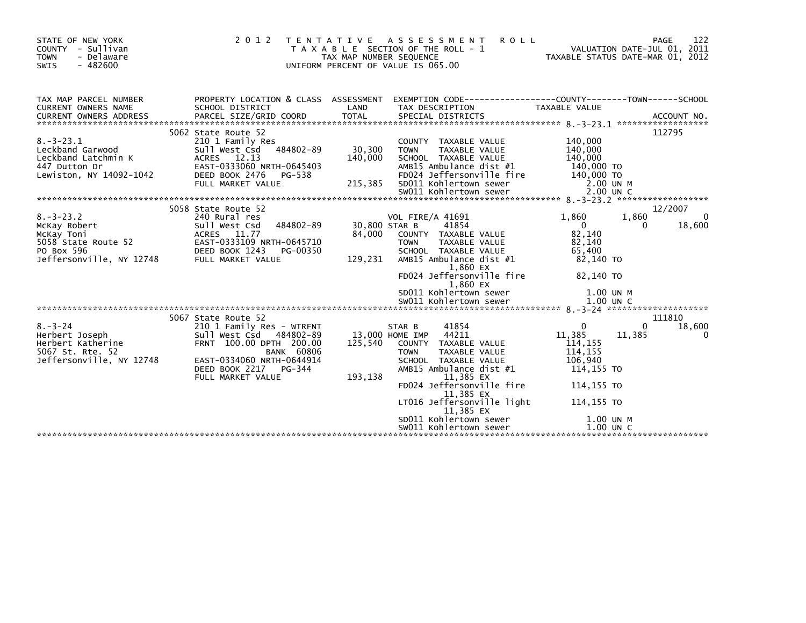| STATE OF NEW YORK<br>COUNTY - Sullivan<br><b>TOWN</b><br>- Delaware<br>$-482600$<br><b>SWIS</b>                                        |                                                                                                                                                                                                           | TAX MAP NUMBER SEQUENCE               | 2012 TENTATIVE ASSESSMENT<br><b>ROLL</b><br>T A X A B L E SECTION OF THE ROLL - 1<br>UNIFORM PERCENT OF VALUE IS 065.00                                                                                                                                                                   | VALUATION DATE-JUL 01, 2011<br>TAXABLE STATUS DATE-MAR 01, 2012                                                             | 122<br>PAGE<br>VALUATION DATE-JUL 01, 2011     |
|----------------------------------------------------------------------------------------------------------------------------------------|-----------------------------------------------------------------------------------------------------------------------------------------------------------------------------------------------------------|---------------------------------------|-------------------------------------------------------------------------------------------------------------------------------------------------------------------------------------------------------------------------------------------------------------------------------------------|-----------------------------------------------------------------------------------------------------------------------------|------------------------------------------------|
| TAX MAP PARCEL NUMBER<br>CURRENT OWNERS NAME                                                                                           | PROPERTY LOCATION & CLASS ASSESSMENT<br>SCHOOL DISTRICT                                                                                                                                                   | LAND                                  | EXEMPTION CODE-----------------COUNTY-------TOWN------SCHOOL<br>TAX DESCRIPTION                                                                                                                                                                                                           | TAXABLE VALUE                                                                                                               |                                                |
| $8. - 3 - 23.1$<br>Leckband Garwood<br>Leckband Latchmin K<br>447 Dutton Dr<br>Lewiston, NY 14092-1042                                 | 5062 State Route 52<br>210 1 Family Res<br>Sull West Csd 484802-89<br>ACRES 12.13<br>EAST-0333060 NRTH-0645403<br>DEED BOOK 2476<br>PG-538<br>FULL MARKET VALUE                                           | 30,300<br>140,000<br>215,385          | COUNTY TAXABLE VALUE<br><b>TOWN</b><br>TAXABLE VALUE<br>SCHOOL TAXABLE VALUE<br>AMB15 Ambulance dist #1<br>FD024 Jeffersonville fire<br>SD011 Kohlertown sewer                                                                                                                            | 140,000<br>140,000<br>140,000<br>140,000 TO<br>140,000 TO<br>2.00 UN M                                                      | 112795                                         |
| $8. - 3 - 23.2$<br>McKay Robert<br>McKay Toni<br>EAST-0333109 NRTH-0645710<br>PO Box 596<br>Jeffersonville, NY 12748 FULL MARKET VALUE | 5058 State Route 52<br>240 Rural res<br>484802-89<br>Sull West Csd<br>ACRES 11.77                                                                                                                         | 84,000<br>129,231                     | <b>VOL FIRE/A 41691</b><br>30,800 STAR B<br>41854<br>COUNTY TAXABLE VALUE<br>TAXABLE VALUE<br><b>TOWN</b><br>SCHOOL TAXABLE VALUE<br>AMB15 Ambulance dist #1<br>1,860 EX<br>FD024 Jeffersonville fire<br>1,860 EX<br>SD011 Kohlertown sewer                                               | 1,860<br>$\overline{0}$<br>82,140<br>82.140<br>65,400<br>82,140 TO<br>82,140 TO<br>1.00 UN M                                | 12/2007<br>$\mathbf 0$<br>1,860<br>18,600<br>0 |
| $8. - 3 - 24$<br>Herbert Joseph<br>Herbert Katherine<br>FOG7 St. Rte 52<br>5067 St. Rte. 52<br>Jeffersonville, NY 12748                | 5067 State Route 52<br>210 1 Family Res - WTRFNT<br>Sull West Csd<br>484802-89<br>FRNT 100.00 DPTH 200.00<br><b>BANK 60806</b><br>EAST-0334060 NRTH-0644914<br>DEED BOOK 2217 PG-344<br>FULL MARKET VALUE | 13,000 HOME IMP<br>125,540<br>193,138 | 41854<br>STAR B<br>44211<br>COUNTY TAXABLE VALUE<br>TAXABLE VALUE<br><b>TOWN</b><br>SCHOOL TAXABLE VALUE<br>AMB15 Ambulance dist #1<br>11,385 EX<br>FD024 Jeffersonville fire<br>11,385 EX<br>LT016 Jeffersonville light<br>11,385 EX<br>SD011 Kohlertown sewer<br>SW011 Kohlertown sewer | $\mathbf 0$<br>11,385<br>114, 155<br>114,155<br>106,940<br>114,155 TO<br>114,155 TO<br>114,155 TO<br>1.00 UN M<br>1.00 UN C | 111810<br>18,600<br>$\Omega$<br>11,385<br>0    |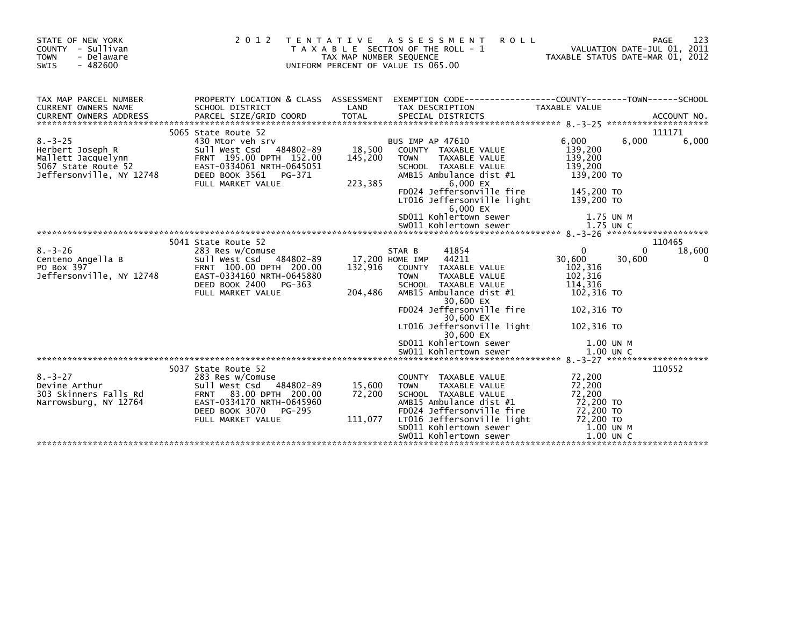| STATE OF NEW YORK<br>COUNTY - Sullivan<br>- Delaware<br><b>TOWN</b><br>$-482600$<br><b>SWIS</b>                                                                                        | 2 0 1 2                                                                                                                                                                    | T E N T A T I V E<br>TAX MAP NUMBER SEQUENCE | A S S E S S M E N T<br><b>ROLL</b><br>T A X A B L E SECTION OF THE ROLL - 1<br>UNIFORM PERCENT OF VALUE IS 065.00                                                                                                                                                                                                   |                                                                                                                         | PAGE<br>123<br>VALUATION DATE-JUL 01, 2011<br>TAXABLE STATUS DATE-MAR 01, 2012 |
|----------------------------------------------------------------------------------------------------------------------------------------------------------------------------------------|----------------------------------------------------------------------------------------------------------------------------------------------------------------------------|----------------------------------------------|---------------------------------------------------------------------------------------------------------------------------------------------------------------------------------------------------------------------------------------------------------------------------------------------------------------------|-------------------------------------------------------------------------------------------------------------------------|--------------------------------------------------------------------------------|
| TAX MAP PARCEL NUMBER<br>CURRENT OWNERS NAME                                                                                                                                           | SCHOOL DISTRICT                                                                                                                                                            | LAND                                         | PROPERTY LOCATION & CLASS ASSESSMENT EXEMPTION CODE----------------COUNTY-------TOWN------SCHOOL<br>TAX DESCRIPTION                                                                                                                                                                                                 | TAXABLE VALUE                                                                                                           |                                                                                |
| $8. - 3 - 25$<br>Herbert Joseph R<br>Mallett Jacquelynn<br>5067 State Route 52 EAST-0334061 NRTH-0645051<br>Jeffersonville, NY 12748 DEED BOOK 3561 PG-371<br>Jeffersonville, NY 12748 | 5065 State Route 52<br>430 Mtor veh srv<br>Sull West Csd 484802-89 18,500<br>DEED BOOK 3561 PG-371<br>FULL MARKET VALUE                                                    | 145,200<br>223,385                           | <b>BUS IMP AP 47610</b><br>COUNTY TAXABLE VALUE<br>TAXABLE VALUE<br><b>TOWN</b><br>SCHOOL TAXABLE VALUE<br>AMB15 Ambulance dist #1<br>6,000 $EX$<br>FD024 Jeffersonville fire<br>LT016 Jeffersonville light<br>6,000 EX<br>SD011 Kohlertown sewer<br>SW011 Kohlertown sewer                                         | 6,000<br>139,200<br>139,200<br>139,200<br>139,200 TO<br>145,200 TO<br>139.200 TO<br>1.75 UN M<br>1.75 UN C              | 111171<br>6,000<br>6,000                                                       |
| $8 - 3 - 26$<br>Centeno Angella B<br>PO Box 397<br>Jeffersonville, NY 12748                                                                                                            | 5041 State Route 52<br>283 Res w/Comuse<br>Sull West Csd<br>FRNT 100.00 DPTH 200.00<br>EAST-0334160 NRTH-0645880<br>DEED BOOK 2400<br>PG-363<br>FULL MARKET VALUE          | 132,916<br>204,486                           | 41854<br>STAR B<br>484802-89 17,200 HOME IMP 44211<br>COUNTY TAXABLE VALUE<br><b>TOWN</b><br>TAXABLE VALUE<br>SCHOOL TAXABLE VALUE<br>AMB15 Ambulance dist #1<br>30,600 EX<br>FD024 Jeffersonville fire<br>30,600 EX<br>LT016 Jeffersonville light<br>30,600 EX<br>SD011 Kohlertown sewer<br>SW011 Kohlertown sewer | $\Omega$<br>30,600<br>102,316<br>102,316<br>114,316<br>102,316 TO<br>102,316 TO<br>102,316 TO<br>1.00 UN M<br>1.00 UN C | 110465<br>$\Omega$<br>18,600<br>30,600<br>0                                    |
| $8. - 3 - 27$<br>Devine Arthur<br>303 Skinners Falls Rd<br>Narrowsburg, NY 12764                                                                                                       | 5037 State Route 52<br>283 Res w/Comuse<br>Sull West Csd 484802-89<br>FRNT 83.00 DPTH 200.00<br>EAST-0334170 NRTH-0645960<br>DEED BOOK 3070<br>PG-295<br>FULL MARKET VALUE | 15,600<br>72,200                             | COUNTY TAXABLE VALUE<br><b>TAXABLE VALUE</b><br><b>TOWN</b><br>SCHOOL TAXABLE VALUE<br>AMB15 Ambulance dist #1<br>FD024 Jeffersonville fire<br>111,077 LT016 Jeffersonville light<br>SD011 Kohlertown sewer<br>SW011 Kohlertown sewer                                                                               | 72,200<br>72,200<br>72,200<br>72,200 TO<br>72,200 TO<br>$72,200$ TO<br>1.00 UN M<br>$1.00$ UN C                         | 110552                                                                         |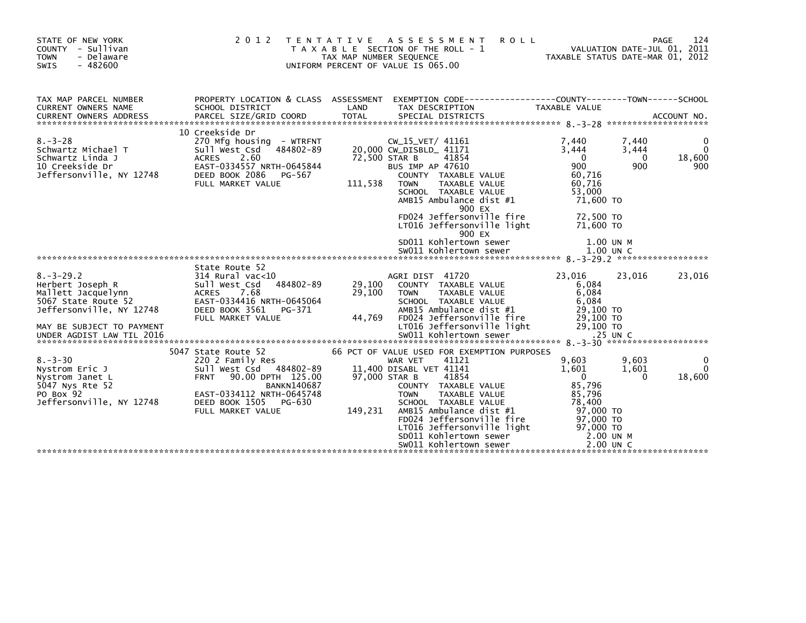| STATE OF NEW YORK<br><b>COUNTY</b><br>- Sullivan<br>- Delaware<br><b>TOWN</b><br>$-482600$<br><b>SWIS</b>                                                              | 2 0 1 2                                                                                                                                                                                          | <b>ROLL</b><br>T E N T A T I V E<br>A S S E S S M E N T<br>T A X A B L E SECTION OF THE ROLL - 1<br>TAX MAP NUMBER SEQUENCE<br>UNIFORM PERCENT OF VALUE IS 065.00                                                                                                                                                                                         | PAGE<br>VALUATION DATE-JUL 01, 2011<br>TAXABLE STATUS DATE-MAR 01, 2012                                                                                         | 124                            |
|------------------------------------------------------------------------------------------------------------------------------------------------------------------------|--------------------------------------------------------------------------------------------------------------------------------------------------------------------------------------------------|-----------------------------------------------------------------------------------------------------------------------------------------------------------------------------------------------------------------------------------------------------------------------------------------------------------------------------------------------------------|-----------------------------------------------------------------------------------------------------------------------------------------------------------------|--------------------------------|
| TAX MAP PARCEL NUMBER<br>CURRENT OWNERS NAME                                                                                                                           | PROPERTY LOCATION & CLASS ASSESSMENT<br>SCHOOL DISTRICT                                                                                                                                          | EXEMPTION CODE------------------COUNTY--------TOWN------SCHOOL<br>LAND<br>TAX DESCRIPTION                                                                                                                                                                                                                                                                 | TAXABLE VALUE                                                                                                                                                   |                                |
| $8. - 3 - 28$<br>Schwartz Michael T<br>Schwartz Linda J<br>10 Creekside Dr<br>Jeffersonville, NY 12748                                                                 | 10 Creekside Dr<br>270 Mfg housing - WTRFNT<br>484802-89<br>Sull West Csd<br>2.60<br><b>ACRES</b><br>EAST-0334557 NRTH-0645844<br>DEED BOOK 2086<br>PG-567<br>FULL MARKET VALUE                  | CW_15_VET/ 41161<br>20,000 CW_DISBLD_ 41171<br>72,500 STAR B<br>41854<br><b>BUS IMP AP 47610</b><br>COUNTY TAXABLE VALUE<br>111,538<br>TAXABLE VALUE<br><b>TOWN</b><br>SCHOOL TAXABLE VALUE<br>AMB15 Ambulance dist #1<br>900 EX                                                                                                                          | 7,440<br>7,440<br>3,444<br>3,444<br>$\Omega$<br>$\mathbf{0}$<br>900<br>900<br>60,716<br>60,716<br>53,000<br>71,600 TO                                           | 0<br>$\Omega$<br>18,600<br>900 |
|                                                                                                                                                                        |                                                                                                                                                                                                  | FD024 Jeffersonville fire<br>LT016 Jeffersonville light<br>900 EX<br>SD011 Kohlertown sewer                                                                                                                                                                                                                                                               | 72,500 TO<br>71,600 TO<br>1.00 UN M                                                                                                                             |                                |
|                                                                                                                                                                        |                                                                                                                                                                                                  |                                                                                                                                                                                                                                                                                                                                                           |                                                                                                                                                                 |                                |
| $8. - 3 - 29.2$<br>Herbert Joseph R<br>Mallett Jacquelynn<br>5067 State Route 52<br>Jeffersonville, NY 12748<br>MAY BE SUBJECT TO PAYMENT<br>UNDER AGDIST LAW TIL 2016 | State Route 52<br>314 Rural vac<10<br>484802-89<br>Sull West Csd<br>ACRES 7.68<br>EAST-0334416 NRTH-0645064<br>DEED BOOK 3561<br>PG-371<br>FULL MARKET VALUE                                     | AGRI DIST 41720<br>29,100<br>COUNTY TAXABLE VALUE<br>29,100<br><b>TOWN</b><br>TAXABLE VALUE<br>SCHOOL TAXABLE VALUE<br>AMB15 Ambulance dist #1<br>44,769<br>FD024 Jeffersonville fire<br>LT016 Jeffersonville light<br>SW011 Kohlertown sewer                                                                                                             | 23,016<br>23,016<br>6,084<br>6,084<br>6,084<br>29,100 TO<br>29,100 TO<br>29,100 TO<br>.25 UN C                                                                  | 23,016                         |
| $8. - 3 - 30$<br>Nystrom Eric J<br>Nystrom Janet L<br>5047 Nys Rte 52<br>PO Box 92<br>Jeffersonville, NY 12748                                                         | 5047 State Route 52<br>220 2 Family Res<br>Sull West Csd 484802-89<br>FRNT 90.00 DPTH 125.00<br><b>BANKN140687</b><br>EAST-0334112 NRTH-0645748<br>DEED BOOK 1505<br>PG-630<br>FULL MARKET VALUE | 66 PCT OF VALUE USED FOR EXEMPTION PURPOSES<br>41121<br>WAR VET<br>11,400 DISABL VET 41141<br>97,000 STAR B<br>41854<br>COUNTY TAXABLE VALUE<br><b>TOWN</b><br>TAXABLE VALUE<br>SCHOOL TAXABLE VALUE<br>149,231<br>AMB15 Ambulance dist #1<br>FD024 Jeffersonville fire<br>LT016 Jeffersonville light<br>SD011 Kohlertown sewer<br>SW011 Kohlertown sewer | 9,603<br>9,603<br>1.601<br>1,601<br>$\mathbf{0}$<br><sup>0</sup><br>85,796<br>85,796<br>78,400<br>97,000 TO<br>97,000 TO<br>97,000 TO<br>2.00 UN M<br>2.00 UN C | 0<br>$\Omega$<br>18,600        |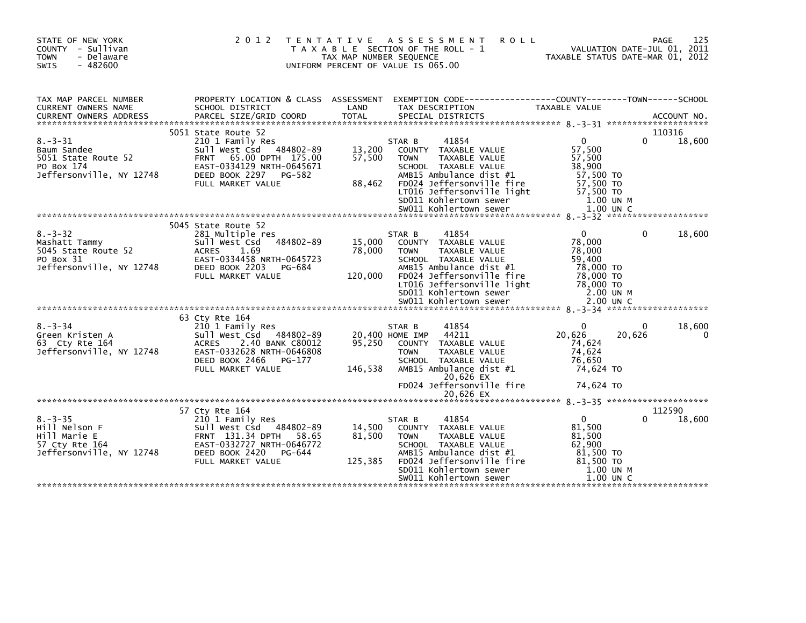| STATE OF NEW YORK<br>COUNTY - Sullivan<br><b>TOWN</b><br>- Delaware<br><b>SWIS</b><br>$-482600$ |                                                                                                                                                                                   | TAX MAP NUMBER SEQUENCE     | 2012 TENTATIVE ASSESSMENT<br><b>ROLL</b><br>T A X A B L E SECTION OF THE ROLL - 1<br>UNIFORM PERCENT OF VALUE IS 065.00                                                                                         |                                                                                                  | 125<br><b>PAGE</b><br>VALUATION DATE-JUL 01, 2011<br>TAXABLE STATUS DATE-MAR 01, 2012 |
|-------------------------------------------------------------------------------------------------|-----------------------------------------------------------------------------------------------------------------------------------------------------------------------------------|-----------------------------|-----------------------------------------------------------------------------------------------------------------------------------------------------------------------------------------------------------------|--------------------------------------------------------------------------------------------------|---------------------------------------------------------------------------------------|
| TAX MAP PARCEL NUMBER<br>CURRENT OWNERS NAME<br><b>CURRENT OWNERS ADDRESS</b>                   | SCHOOL DISTRICT<br>PARCEL SIZE/GRID COORD                                                                                                                                         | LAND<br><b>TOTAL</b>        | PROPERTY LOCATION & CLASS ASSESSMENT EXEMPTION CODE---------------COUNTY-------TOWN-----SCHOOL<br>TAX DESCRIPTION<br>SPECIAL DISTRICTS                                                                          | TAXABLE VALUE                                                                                    | ACCOUNT NO.                                                                           |
| $8. - 3 - 31$<br>Baum Sandee<br>5051 State Route 52<br>PO Box 174<br>Jeffersonville, NY 12748   | 5051 State Route 52<br>210 1 Family Res<br>Sull West Csd 484802-89<br>65.00 DPTH 175.00<br><b>FRNT</b><br>EAST-0334129 NRTH-0645671<br>DEED BOOK 2297 PG-582<br>FULL MARKET VALUE | 13,200<br>57,500<br>88,462  | STAR B<br>41854<br>COUNTY TAXABLE VALUE<br>TAXABLE VALUE<br><b>TOWN</b><br>SCHOOL TAXABLE VALUE<br>AMB15 Ambulance dist #1<br>FD024 Jeffersonville fire<br>LT016 Jeffersonville light<br>SD011 Kohlertown sewer | $\mathbf{0}$<br>57,500<br>57,500<br>38,900<br>57,500 TO<br>57,500 TO<br>57,500 TO<br>1.00 UN M   | 110316<br>18,600<br><sup>0</sup>                                                      |
| $8. - 3 - 32$<br>Mashatt Tammy<br>5045 State Route 52<br>PO Box 31<br>Jeffersonville, NY 12748  | 5045 State Route 52<br>281 Multiple res<br>484802-89<br>Sull West Csd<br><b>ACRES</b><br>1.69<br>EAST-0334458 NRTH-0645723<br>DEED BOOK 2203<br>PG-684<br>FULL MARKET VALUE       | 15,000<br>78,000<br>120,000 | 41854<br>STAR B<br>COUNTY TAXABLE VALUE<br><b>TOWN</b><br>TAXABLE VALUE<br>SCHOOL TAXABLE VALUE<br>AMB15 Ambulance dist #1<br>FD024 Jeffersonville fire<br>LT016 Jeffersonville light<br>SD011 Kohlertown sewer | $\overline{0}$<br>78,000<br>78,000<br>59,400<br>78,000 TO<br>78,000 TO<br>78,000 TO<br>2.00 UN M | $\Omega$<br>18,600                                                                    |
|                                                                                                 | 63 Cty Rte 164                                                                                                                                                                    |                             |                                                                                                                                                                                                                 |                                                                                                  |                                                                                       |
| $8. - 3 - 34$<br>Green Kristen A<br>63 Cty Rte 164<br>Jeffersonville, NY 12748                  | 210 1 Family Res<br>Sull West Csd 484802-89<br>2.40 BANK C80012<br>ACRES<br>EAST-0332628 NRTH-0646808<br>DEED BOOK 2466 PG-177<br>FULL MARKET VALUE                               | 95.250<br>146,538           | 41854<br>STAR B<br>44211<br>20,400 HOME IMP<br>COUNTY TAXABLE VALUE<br>TAXABLE VALUE<br><b>TOWN</b><br>SCHOOL TAXABLE VALUE<br>AMB15 Ambulance dist #1<br>20,626 EX<br>FD024 Jeffersonville fire                | $\Omega$<br>20,626<br>74,624<br>74,624<br>76,650<br>74,624 TO<br>74,624 TO                       | 18,600<br>0<br>20,626<br>0                                                            |
|                                                                                                 | 57 Cty Rte 164                                                                                                                                                                    |                             | 20,626 EX                                                                                                                                                                                                       |                                                                                                  | 112590                                                                                |
| $8. - 3 - 35$<br>Hill Nelson F<br>Hill Marie E<br>57 Cty Rte 164<br>Jeffersonville, NY 12748    | 210 1 Family Res<br>Sull West Csd 484802-89<br>FRNT 131.34 DPTH<br>58.65<br>EAST-0332727 NRTH-0646772<br>DEED BOOK 2420<br>PG-644<br>FULL MARKET VALUE                            | 14,500<br>81,500<br>125,385 | 41854<br>STAR B<br>COUNTY TAXABLE VALUE<br><b>TOWN</b><br>TAXABLE VALUE<br>SCHOOL TAXABLE VALUE<br>AMB15 Ambulance dist #1<br>FD024 Jeffersonville fire<br>SD011 Kohlertown sewer<br>SW011 Kohlertown sewer     | $\mathbf{0}$<br>81,500<br>81,500<br>62,900<br>81,500 TO<br>81,500 TO<br>1.00 UN M<br>$1.00$ UN C | 18,600                                                                                |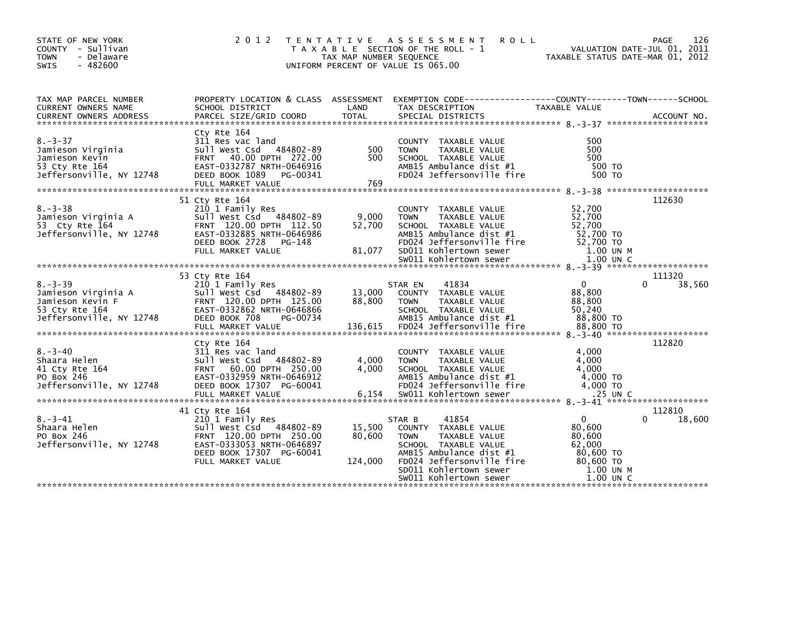| STATE OF NEW YORK<br>COUNTY - Sullivan<br>- Delaware<br><b>TOWN</b><br>$-482600$<br><b>SWIS</b>        | 2 0 1 2<br>T E N T A T I V E                                                                                                                                           | TAX MAP NUMBER SEQUENCE     | A S S E S S M E N T<br><b>ROLL</b><br>T A X A B L E SECTION OF THE ROLL - 1<br>UNIFORM PERCENT OF VALUE IS 065.00                                                                                           | VALUATION DATE-JUL 01, 2011<br>TAXABLE STATUS DATE-MAR 01, 2012                              | 126<br>PAGE           |
|--------------------------------------------------------------------------------------------------------|------------------------------------------------------------------------------------------------------------------------------------------------------------------------|-----------------------------|-------------------------------------------------------------------------------------------------------------------------------------------------------------------------------------------------------------|----------------------------------------------------------------------------------------------|-----------------------|
| TAX MAP PARCEL NUMBER<br>CURRENT OWNERS NAME                                                           | SCHOOL DISTRICT                                                                                                                                                        | LAND                        | PROPERTY LOCATION & CLASS ASSESSMENT EXEMPTION CODE---------------COUNTY-------TOWN-----SCHOOL<br>TAX DESCRIPTION                                                                                           | TAXABLE VALUE                                                                                |                       |
| $8. - 3 - 37$<br>Jamieson Virginia<br>Jamieson Kevin<br>53 Cty Rte 164<br>Jeffersonville, NY 12748     | Cty Rte 164<br>311 Res vac land<br>Sull West Csd 484802-89<br>FRNT 40.00 DPTH 272.00<br>EAST-0332787 NRTH-0646916<br>DEED BOOK 1089<br>PG-00341<br>FULL MARKET VALUE   | 500<br>500<br>769           | COUNTY TAXABLE VALUE<br><b>TOWN</b><br>TAXABLE VALUE<br>SCHOOL TAXABLE VALUE<br>AMB15 Ambulance dist #1<br>FD024 Jeffersonville fire                                                                        | 500<br>500<br>500<br>500 TO<br>500 TO                                                        |                       |
| $8. - 3 - 38$<br>Jamieson Virginia A<br>53 Cty Rte 164<br>Jeffersonville, NY 12748                     | 51 Cty Rte 164<br>210 1 Family Res<br>Sull West Csd 484802-89<br>FRNT 120.00 DPTH 112.50<br>EAST-0332885 NRTH-0646986<br>DEED BOOK 2728<br>PG-148<br>FULL MARKET VALUE | 9,000<br>52,700<br>81,077   | COUNTY TAXABLE VALUE<br><b>TOWN</b><br>TAXABLE VALUE<br>SCHOOL TAXABLE VALUE<br>AMB15 Ambulance dist #1<br>FD024 Jeffersonville fire<br>SD011 Kohlertown sewer                                              | 52,700<br>52,700<br>52,700<br>52,700 TO<br>52,700 TO<br>1.00 UN M                            | 112630                |
|                                                                                                        | 53 Cty Rte 164                                                                                                                                                         |                             |                                                                                                                                                                                                             |                                                                                              | 111320                |
| $8. - 3 - 39$<br>Jamieson Virginia A<br>Jamieson Kevin F<br>53 Cty Rte 164<br>Jeffersonville, NY 12748 | 210 1 Family Res<br>Sull West Csd 484802-89<br>FRNT 120.00 DPTH 125.00<br>EAST-0332862 NRTH-0646866<br>DEED BOOK 708<br>PG-00734                                       | 13,000<br>88,800            | 41834<br>STAR EN<br>COUNTY TAXABLE VALUE<br><b>TOWN</b><br>TAXABLE VALUE<br>SCHOOL TAXABLE VALUE<br>AMB15 Ambulance dist #1                                                                                 | $\Omega$<br>88,800<br>88,800<br>50,240<br>88,800 TO                                          | 38,560<br>0           |
| $8. - 3 - 40$<br>Shaara Helen<br>41 Cty Rte 164<br>PO Box 246<br>Jeffersonville, NY 12748              | Cty Rte 164<br>311 Res vac land<br>Sull West Csd 484802-89<br>FRNT 60.00 DPTH 250.00<br>EAST-0332959 NRTH-0646912<br>DEED BOOK 17307 PG-60041                          | 4,000<br>4,000              | TAXABLE VALUE<br><b>COUNTY</b><br>TAXABLE VALUE<br><b>TOWN</b><br>SCHOOL TAXABLE VALUE<br>AMB15 Ambulance dist #1<br>FD024 Jeffersonville fire                                                              | 4,000<br>4,000<br>4,000<br>4.000 TO<br>4,000 TO                                              | 112820                |
| $8. - 3 - 41$<br>Shaara Helen<br>PO Box 246<br>Jeffersonville, NY 12748                                | 41 Cty Rte 164<br>210 1 Family Res<br>Sull West Csd 484802-89<br>FRNT 120.00 DPTH 250.00<br>EAST-0333053 NRTH-0646897<br>DEED BOOK 17307 PG-60041<br>FULL MARKET VALUE | 15,500<br>80,600<br>124,000 | 41854<br>STAR B<br>COUNTY TAXABLE VALUE<br>TAXABLE VALUE<br><b>TOWN</b><br>SCHOOL TAXABLE VALUE<br>AMB15 Ambulance dist #1<br>FD024 Jeffersonville fire<br>SD011 Kohlertown sewer<br>SW011 Kohlertown sewer | $\Omega$<br>80,600<br>80,600<br>62,000<br>80,600 TO<br>80,600 TO<br>1.00 UN M<br>$1.00$ UN C | 112810<br>0<br>18,600 |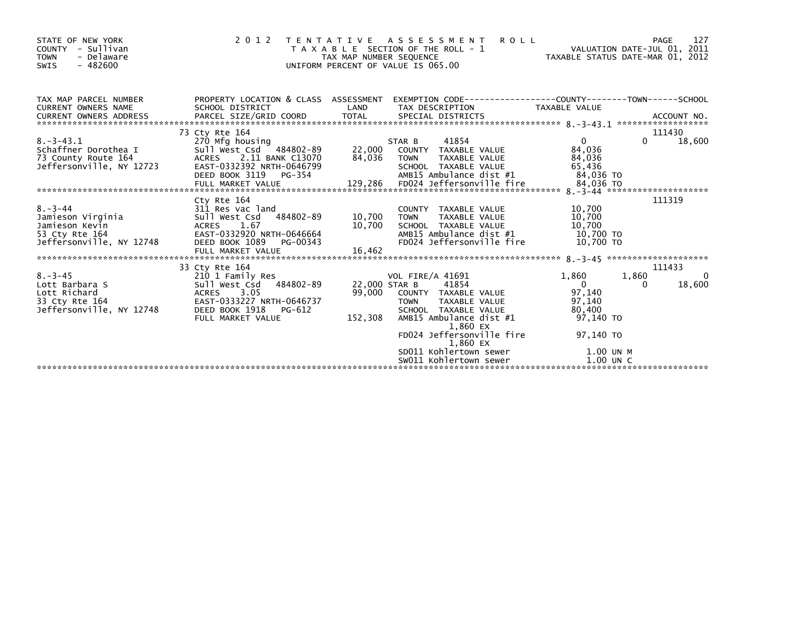| STATE OF NEW YORK<br>COUNTY - Sullivan<br>- Delaware<br><b>TOWN</b><br>$-482600$<br>SWIS           | 2 0 1 2                                                                                                                                                         | TAX MAP NUMBER SEQUENCE    | <b>ROLL</b><br>TENTATIVE ASSESSMENT<br>T A X A B L E SECTION OF THE ROLL - 1<br>UNIFORM PERCENT OF VALUE IS 065.00                                             |                                                                  | 127<br>PAGE<br>VALUATION DATE-JUL 01, 2011<br>TAXABLE STATUS DATE-MAR 01, 2012 |
|----------------------------------------------------------------------------------------------------|-----------------------------------------------------------------------------------------------------------------------------------------------------------------|----------------------------|----------------------------------------------------------------------------------------------------------------------------------------------------------------|------------------------------------------------------------------|--------------------------------------------------------------------------------|
| TAX MAP PARCEL NUMBER<br>CURRENT OWNERS NAME                                                       | PROPERTY LOCATION & CLASS ASSESSMENT<br>SCHOOL DISTRICT                                                                                                         | LAND                       | EXEMPTION CODE-----------------COUNTY-------TOWN------SCHOOL<br>TAX DESCRIPTION                                                                                | TAXABLE VALUE                                                    |                                                                                |
|                                                                                                    | 73 Ctv Rte 164                                                                                                                                                  |                            |                                                                                                                                                                |                                                                  | 111430                                                                         |
| $8. - 3 - 43.1$<br>Schaffner Dorothea I<br>73 County Route 164<br>Jeffersonville, NY 12723         | 270 Mfg housing<br>Sull West Csd 484802-89<br>2.11 BANK C13070<br>ACRES<br>EAST-0332392 NRTH-0646799<br>DEED BOOK 3119<br>PG-354                                | 22,000<br>84,036           | 41854<br>STAR B<br>COUNTY TAXABLE VALUE<br>TAXABLE VALUE<br>TOWN<br>SCHOOL TAXABLE VALUE<br>AMB15 Ambulance dist #1                                            | $\Omega$<br>84,036<br>84,036<br>65,436<br>84,036 TO              | 18,600<br>0                                                                    |
|                                                                                                    | Cty Rte 164                                                                                                                                                     |                            |                                                                                                                                                                |                                                                  | 111319                                                                         |
| $8. - 3 - 44$<br>Jamieson Virginia<br>Jamieson Kevin<br>53 Cty Rte 164<br>Jeffersonville, NY 12748 | 311 Res vac land<br>Sull West Csd<br>484802-89<br>1.67<br><b>ACRES</b><br>EAST-0332920 NRTH-0646664<br>DEED BOOK 1089<br>PG-00343                               | 10,700<br>10,700<br>16,462 | COUNTY TAXABLE VALUE<br>TAXABLE VALUE<br><b>TOWN</b><br>SCHOOL TAXABLE VALUE<br>AMB15 Ambulance dist #1<br>FD024 Jeffersonville fire                           | 10,700<br>10,700<br>10,700<br>10.700 TO<br>10,700 TO             |                                                                                |
|                                                                                                    | FULL MARKET VALUE                                                                                                                                               |                            |                                                                                                                                                                |                                                                  |                                                                                |
| $8. - 3 - 45$<br>Lott Barbara S<br>Lott Richard<br>33 Cty Rte 164<br>Jeffersonville, NY 12748      | 33 Cty Rte 164<br>210 1 Family Res<br>484802-89<br>Sull West Csd<br>3.05<br>ACRES<br>EAST-0333227 NRTH-0646737<br>DEED BOOK 1918<br>PG-612<br>FULL MARKET VALUE | 22,000 STAR B<br>152,308   | <b>VOL FIRE/A 41691</b><br>41854<br>99,000 COUNTY TAXABLE VALUE<br><b>TOWN</b><br>TAXABLE VALUE<br>SCHOOL TAXABLE VALUE<br>AMB15 Ambulance dist #1<br>1,860 EX | 1,860<br>$\mathbf{0}$<br>97,140<br>97,140<br>80,400<br>97,140 TO | 111433<br>1,860<br>0<br>18,600<br>0                                            |
|                                                                                                    |                                                                                                                                                                 |                            | FD024 Jeffersonville fire<br>1,860 EX<br>SD011 Kohlertown sewer                                                                                                | 97,140 TO<br>1.00 UN M                                           |                                                                                |
|                                                                                                    |                                                                                                                                                                 |                            | SW011 Kohlertown sewer                                                                                                                                         | $1.00$ UN C                                                      |                                                                                |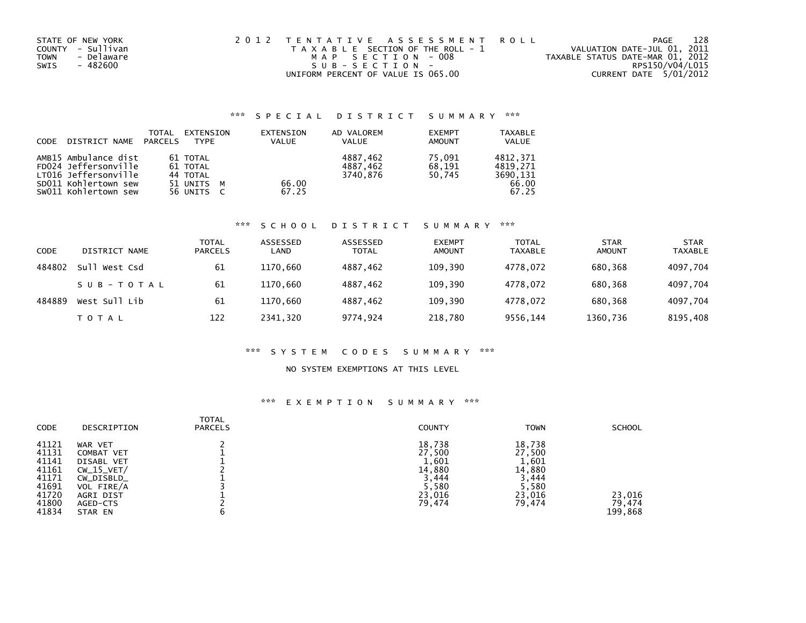| STATE OF NEW YORK  | 2012 TENTATIVE ASSESSMENT ROLL        | PAGE                             | 128 |
|--------------------|---------------------------------------|----------------------------------|-----|
| COUNTY - Sullivan  | T A X A B L E SECTION OF THE ROLL - 1 | VALUATION DATE-JUL 01, 2011      |     |
| - Delaware<br>TOWN | MAP SECTION - 008                     | TAXABLE STATUS DATE-MAR 01, 2012 |     |
| - 482600<br>SWIS   | SUB-SECTION-                          | RPS150/V04/L015                  |     |
|                    | UNIFORM PERCENT OF VALUE IS 065.00    | CURRENT DATE 5/01/2012           |     |

### \*\*\* S P E C I A L D I S T R I C T S U M M A R Y \*\*\*

| CODE | DISTRICT NAME                                                        | TOTAL<br>PARCELS | EXTENSION<br><b>TYPF</b>         | EXTENSION<br><b>VALUE</b> | AD VALOREM<br><b>VALUE</b>       | <b>EXEMPT</b><br><b>AMOUNT</b> | <b>TAXABLE</b><br><b>VALUE</b>   |
|------|----------------------------------------------------------------------|------------------|----------------------------------|---------------------------|----------------------------------|--------------------------------|----------------------------------|
|      | AMB15 Ambulance dist<br>FD024 Jeffersonville<br>LT016 Jeffersonville |                  | 61 TOTAL<br>61 TOTAL<br>44 TOTAL |                           | 4887.462<br>4887.462<br>3740.876 | 75.091<br>68.191<br>50.745     | 4812.371<br>4819.271<br>3690.131 |
|      | SD011 Kohlertown sew<br>SW011 Kohlertown sew                         |                  | 51 UNITS M<br>56 UNITS C         | 66.00<br>67.25            |                                  |                                | 66.00<br>67.25                   |

### \*\*\* S C H O O L D I S T R I C T S U M M A R Y \*\*\*

| CODE   | DISTRICT NAME | TOTAL<br><b>PARCELS</b> | ASSESSED<br>LAND | ASSESSED<br><b>TOTAL</b> | <b>EXEMPT</b><br><b>AMOUNT</b> | <b>TOTAL</b><br><b>TAXABLE</b> | <b>STAR</b><br>AMOUNT | <b>STAR</b><br><b>TAXABLE</b> |
|--------|---------------|-------------------------|------------------|--------------------------|--------------------------------|--------------------------------|-----------------------|-------------------------------|
| 484802 | Sull West Csd | 61                      | 1170.660         | 4887,462                 | 109,390                        | 4778.072                       | 680.368               | 4097,704                      |
|        | SUB-TOTAL     | 61                      | 1170,660         | 4887,462                 | 109,390                        | 4778.072                       | 680.368               | 4097,704                      |
| 484889 | West Sull Lib | 61                      | 1170.660         | 4887.462                 | 109.390                        | 4778.072                       | 680.368               | 4097,704                      |
|        | T O T A L     | 122                     | 2341,320         | 9774,924                 | 218,780                        | 9556,144                       | 1360,736              | 8195,408                      |

## \*\*\* S Y S T E M C O D E S S U M M A R Y \*\*\*

#### NO SYSTEM EXEMPTIONS AT THIS LEVEL

### \*\*\* E X E M P T I O N S U M M A R Y \*\*\*

| <b>CODE</b>                                                                   | DESCRIPTION                                                                                                                | TOTAL<br><b>PARCELS</b> | <b>COUNTY</b>                                                             | <b>TOWN</b>                                                               | <b>SCHOOL</b>               |
|-------------------------------------------------------------------------------|----------------------------------------------------------------------------------------------------------------------------|-------------------------|---------------------------------------------------------------------------|---------------------------------------------------------------------------|-----------------------------|
| 41121<br>41131<br>41141<br>41161<br>41171<br>41691<br>41720<br>41800<br>41834 | WAR VET<br><b>COMBAT VET</b><br>DISABL VET<br>$CW_15_VET/$<br>CW_DISBLD_<br>VOL FIRE/A<br>AGRI DIST<br>AGED-CTS<br>STAR EN | b                       | 18,738<br>27,500<br>1,601<br>14,880<br>3,444<br>5,580<br>23,016<br>79,474 | 18,738<br>27,500<br>1,601<br>14,880<br>3,444<br>5,580<br>23,016<br>79,474 | 23,016<br>79.474<br>199,868 |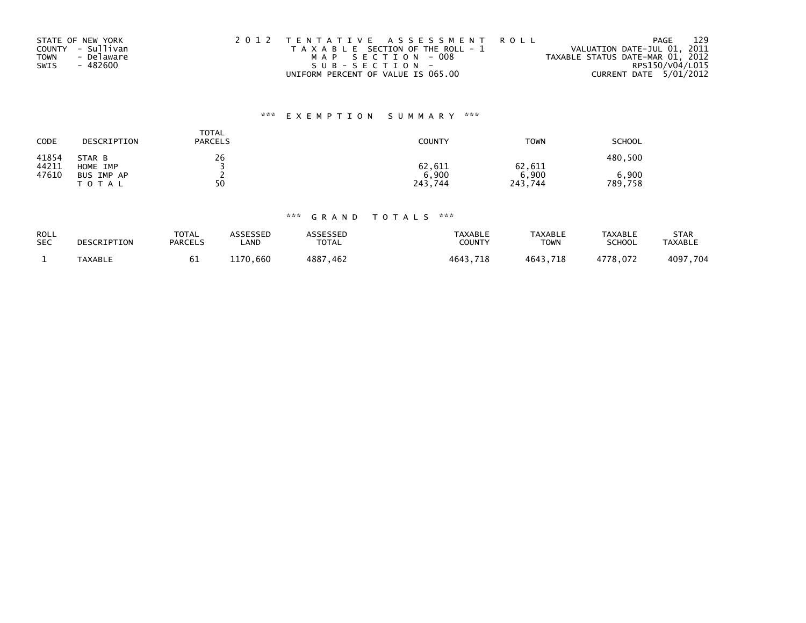| STATE OF NEW YORK  | 2012 TENTATIVE ASSESSMENT ROLL        | PAGE                             | 129 |
|--------------------|---------------------------------------|----------------------------------|-----|
| COUNTY - Sullivan  | T A X A B L E SECTION OF THE ROLL - 1 | VALUATION DATE-JUL 01, 2011      |     |
| - Delaware<br>TOWN | MAP SECTION - 008                     | TAXABLE STATUS DATE-MAR 01, 2012 |     |
| SWIS<br>- 482600   | $SUB - SECTION -$                     | RPS150/V04/L015                  |     |
|                    | UNIFORM PERCENT OF VALUE IS 065.00    | CURRENT DATE 5/01/2012           |     |

# \*\*\* E X E M P T I O N S U M M A R Y \*\*\*

| CODE           | DESCRIPTION             | TOTAL<br><b>PARCELS</b> | <b>COUNTY</b>    | <b>TOWN</b>      | <b>SCHOOL</b>    |
|----------------|-------------------------|-------------------------|------------------|------------------|------------------|
| 41854<br>44211 | STAR B<br>HOME IMP      | 26                      | 62,611           | 62,611           | 480,500          |
| 47610          | BUS IMP AP<br>T O T A L | 50                      | 6,900<br>243,744 | 6,900<br>243,744 | 6,900<br>789,758 |

### \*\*\* G R A N D T O T A L S \*\*\*

| ROLL       | DESCRIPTION | <b>TOTAL</b>   | <b>ASSESSED</b> | <b>ASSESSED</b> | <b>TAXABLE</b> | <b>TAXABLE</b> | <b>TAXABLE</b> | <b>STAR</b>    |
|------------|-------------|----------------|-----------------|-----------------|----------------|----------------|----------------|----------------|
| <b>SEC</b> |             | <b>PARCELS</b> | ∟AND            | <b>TOTAL</b>    | COUNTY         | TOWN           | SCHOOL         | <b>TAXABLE</b> |
|            | TAXABLE     | ю⊥             | 1170.660        | 4887,462        | 4643,718       | 4643,718       | 4778.072       | 4097,704       |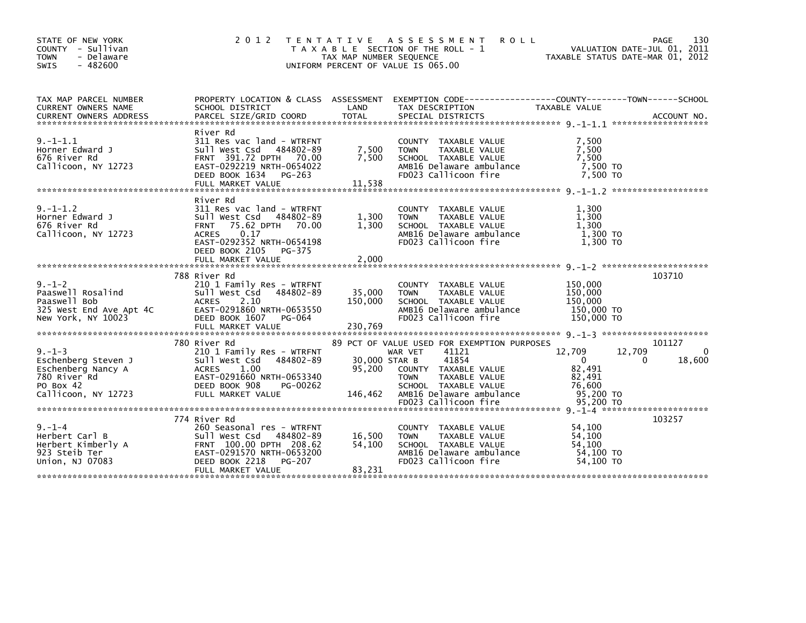| STATE OF NEW YORK<br>COUNTY - Sullivan<br>- Delaware<br><b>TOWN</b><br>$-482600$<br><b>SWIS</b>                                | 2 0 1 2                                                                                                                                                               | TAX MAP NUMBER SEQUENCE      | TENTATIVE ASSESSMENT ROLL<br>T A X A B L E SECTION OF THE ROLL - 1<br>UNIFORM PERCENT OF VALUE IS 065.00                                                 | VALUATION DATE-JUL 01, 2011<br>TAXABLE STATUS DATE-MAR 01, 2012              | 130<br>PAGE                      |
|--------------------------------------------------------------------------------------------------------------------------------|-----------------------------------------------------------------------------------------------------------------------------------------------------------------------|------------------------------|----------------------------------------------------------------------------------------------------------------------------------------------------------|------------------------------------------------------------------------------|----------------------------------|
| TAX MAP PARCEL NUMBER<br><b>CURRENT OWNERS NAME</b>                                                                            | SCHOOL DISTRICT                                                                                                                                                       | LAND                         | PROPERTY LOCATION & CLASS ASSESSMENT EXEMPTION CODE---------------COUNTY-------TOWN------SCHOOL<br>TAX DESCRIPTION                                       | TAXABLE VALUE                                                                |                                  |
|                                                                                                                                |                                                                                                                                                                       |                              |                                                                                                                                                          |                                                                              |                                  |
| $9. - 1 - 1.1$<br>Horner Edward J<br>676 River Rd<br>Callicoon, NY 12723                                                       | River Rd<br>311 Res vac land - WTRFNT<br>Sull West Csd 484802-89<br>FRNT 391.72 DPTH 70.00<br>EAST-0292219 NRTH-0654022<br>DEED BOOK 1634 PG-263<br>FULL MARKET VALUE | 7,500<br>7,500<br>11,538     | COUNTY TAXABLE VALUE<br><b>TOWN</b><br>TAXABLE VALUE<br>SCHOOL TAXABLE VALUE<br>AMB16 Delaware ambulance<br>FD023 Callicoon fire                         | 7,500<br>7,500<br>7,500<br>7,500 TO<br>7.500 TO                              |                                  |
| $9. - 1 - 1.2$                                                                                                                 | River Rd<br>311 Res vac land - WTRFNT                                                                                                                                 |                              | COUNTY TAXABLE VALUE                                                                                                                                     | 1.300                                                                        |                                  |
| Horner Edward J<br>676 River Rd<br>Callicoon, NY 12723                                                                         | Sull West Csd 484802-89<br>FRNT 75.62 DPTH 70.00<br>0.17<br>ACRES<br>EAST-0292352 NRTH-0654198                                                                        | 1,300<br>1,300               | TAXABLE VALUE<br><b>TOWN</b><br>SCHOOL TAXABLE VALUE<br>AMB16 Delaware ambulance<br>FD023 Callicoon fire                                                 | 1,300<br>1,300<br>1,300 TO<br>1.300 TO                                       |                                  |
|                                                                                                                                | DEED BOOK 2105 PG-375                                                                                                                                                 |                              |                                                                                                                                                          |                                                                              |                                  |
|                                                                                                                                | 788 River Rd                                                                                                                                                          |                              |                                                                                                                                                          |                                                                              | 103710                           |
| $9. - 1 - 2$<br>Sull v<br>Paaswell Bob<br>325 West End Ave_Apt 4C ACRES<br>325 West MY 100-Apt 4C EAST-0<br>New York, NY 10023 | 210 1 Family Res - WTRFNT<br>Sull West Csd 484802-89<br>2.10<br>EAST-0291860 NRTH-0653550<br>DEED BOOK 1607 PG-064<br>FULL MARKET VALUE                               | 35,000<br>150,000<br>230,769 | COUNTY TAXABLE VALUE<br><b>TOWN</b><br>TAXABLE VALUE<br>SCHOOL TAXABLE VALUE<br>AMB16 Delaware ambulance<br>FD023 Callicoon fire                         | 150,000<br>150,000<br>150,000<br>150,000 TO<br>150,000 TO                    |                                  |
|                                                                                                                                |                                                                                                                                                                       |                              |                                                                                                                                                          |                                                                              |                                  |
| $9. - 1 - 3$<br>Eschenberg Steven -<br>Eschenberg Nancy A<br>Eschenberg Nancy A<br>PO Box 42                                   | 780 River Rd<br>210 1 Family Res - WTRFNT<br>Sull West Csd 484802-89<br><b>ACRES</b><br>1.00<br>EAST-0291660 NRTH-0653340<br>DEED BOOK 908<br>PG-00262                | 30,000 STAR B<br>95,200      | 89 PCT OF VALUE USED FOR EXEMPTION PURPOSES<br>WAR VET<br>41121<br>41854<br>COUNTY TAXABLE VALUE<br><b>TOWN</b><br>TAXABLE VALUE<br>SCHOOL TAXABLE VALUE | 12,709<br>12,709<br>$\overline{0}$<br>$\Omega$<br>82,491<br>82,491<br>76,600 | 101127<br>$\mathbf{0}$<br>18,600 |
| Callicoon, NY 12723                                                                                                            | FULL MARKET VALUE                                                                                                                                                     | 146,462                      | AMB16 Delaware ambulance<br>FD023 Callicoon fire                                                                                                         | 95,200 TO<br>95,200 TO                                                       |                                  |
|                                                                                                                                |                                                                                                                                                                       |                              |                                                                                                                                                          |                                                                              |                                  |
| $9. - 1 - 4$<br>Herbert Carl B<br>Herbert Carl B<br>Herbert Kimberly A<br>022 Staib Tar<br>923 Steib Ter<br>Union, NJ 07083    | 774 River Rd<br>260 Seasonal res - WTRFNT<br>Sull West Csd 484802-89<br>EAST-0291570 NRTH-0653200<br>DEED BOOK 2218<br><b>PG-207</b>                                  | 16,500<br>54,100             | COUNTY TAXABLE VALUE<br><b>TOWN</b><br>TAXABLE VALUE<br>SCHOOL TAXABLE VALUE<br>AMB16 Delaware ambulance<br>FD023 Callicoon fire                         | 54,100<br>54.100<br>54,100<br>54,100 TO<br>54,100 TO                         | 103257                           |
|                                                                                                                                | FULL MARKET VALUE                                                                                                                                                     | 83,231                       |                                                                                                                                                          |                                                                              |                                  |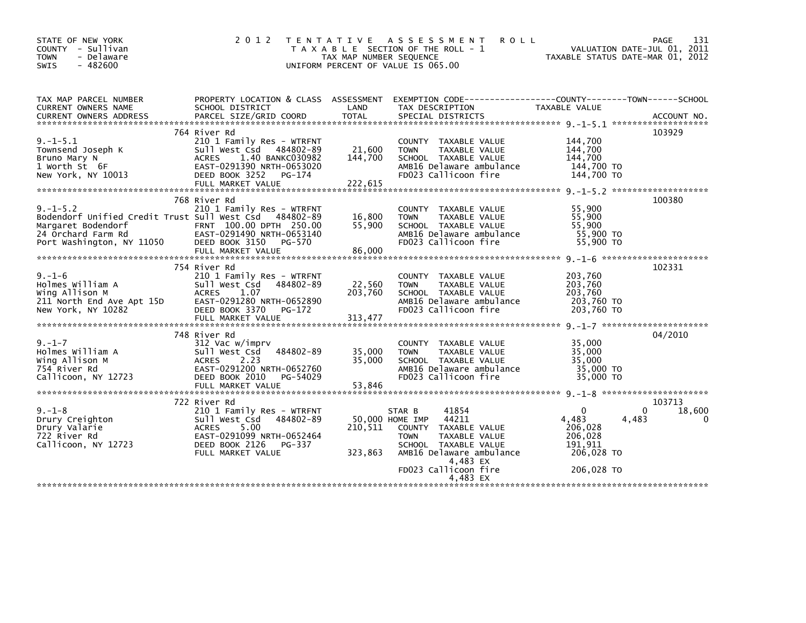| PROPERTY LOCATION & CLASS ASSESSMENT EXEMPTION CODE----------------COUNTY-------TOWN-----SCHOOL<br>TAX MAP PARCEL NUMBER<br>LAND<br>CURRENT OWNERS NAME<br>SCHOOL DISTRICT<br>TAX DESCRIPTION<br>TAXABLE VALUE                                                                                                                                                                                                                                                                                                                                                                                     |   |
|----------------------------------------------------------------------------------------------------------------------------------------------------------------------------------------------------------------------------------------------------------------------------------------------------------------------------------------------------------------------------------------------------------------------------------------------------------------------------------------------------------------------------------------------------------------------------------------------------|---|
| 103929<br>764 River Rd                                                                                                                                                                                                                                                                                                                                                                                                                                                                                                                                                                             |   |
| $9. - 1 - 5.1$<br>210 1 Family Res - WTRFNT<br>144,700<br>COUNTY TAXABLE VALUE<br>144,700<br>21,600<br>TAXABLE VALUE<br>Townsend Joseph K<br>Sull West Csd 484802-89<br><b>TOWN</b><br>144,700<br>144.700<br>Bruno Mary N<br><b>ACRES</b><br>1.40 BANKC030982<br>SCHOOL TAXABLE VALUE<br>EAST-0291390 NRTH-0653020<br>AMB16 Delaware ambulance<br>144,700 TO<br>1 Worth St 6F<br>DEED BOOK 3252<br>FD023 Callicoon fire<br>144,700 TO<br>New York, NY 10013<br>PG-174<br>222,615                                                                                                                   |   |
| FULL MARKET VALUE                                                                                                                                                                                                                                                                                                                                                                                                                                                                                                                                                                                  |   |
| 768 River Rd<br>100380<br>$9. -1 - 5.2$<br>55,900<br>210 1 Family Res - WTRFNT<br>COUNTY TAXABLE VALUE<br>55,900<br>Bodendorf Unified Credit Trust Sull West Csd 484802-89<br>16,800<br>TAXABLE VALUE<br><b>TOWN</b><br>FRNT 100.00 DPTH 250.00<br>55,900<br>55,900<br>Margaret Bodendorf<br>SCHOOL TAXABLE VALUE<br>55,900 TO<br>24 Orchard Farm Rd<br>EAST-0291490 NRTH-0653140<br>AMB16 Delaware ambulance<br>Port Washington, NY 11050<br>FD023 Callicoon fire<br>55,900 TO<br>DEED BOOK 3150<br>PG-570<br>86,000<br>FULL MARKET VALUE                                                         |   |
| 754 River Rd<br>102331                                                                                                                                                                                                                                                                                                                                                                                                                                                                                                                                                                             |   |
| $9. - 1 - 6$<br>210 1 Family Res - WTRFNT<br>203,760<br>COUNTY TAXABLE VALUE<br>203,760<br>Holmes William A<br>Sull West Csd<br>484802-89<br>22,560<br><b>TOWN</b><br>TAXABLE VALUE<br>203,760<br>Wing Allison M<br>1.07<br>203,760<br><b>ACRES</b><br>SCHOOL TAXABLE VALUE<br>203,760 TO<br>211 North End Ave Apt 15D<br>EAST-0291280 NRTH-0652890<br>AMB16 Delaware ambulance<br>FD023 Callicoon fire<br>203,760 TO<br>New York, NY 10282<br>DEED BOOK 3370<br>PG-172<br>313,477<br>FULL MARKET VALUE                                                                                            |   |
|                                                                                                                                                                                                                                                                                                                                                                                                                                                                                                                                                                                                    |   |
| 04/2010<br>748 River Rd<br>$9. - 1 - 7$<br>35.000<br>312 Vac w/imprv<br>COUNTY TAXABLE VALUE<br>35,000<br>Holmes William A<br>Sull West Csd<br>484802-89<br>35,000<br><b>TAXABLE VALUE</b><br><b>TOWN</b><br>35,000<br>35.000<br>Wing Allison M<br><b>ACRES</b><br>2.23<br>SCHOOL TAXABLE VALUE<br>754 River Rd<br>EAST-0291200 NRTH-0652760<br>AMB16 Delaware ambulance<br>35,000 TO<br>FD023 Callicoon fire<br>35,000 TO<br>Callicoon, NY 12723<br>DEED BOOK 2010<br>PG-54029<br>53,846<br>FULL MARKET VALUE                                                                                     |   |
| 722 River Rd<br>103713                                                                                                                                                                                                                                                                                                                                                                                                                                                                                                                                                                             |   |
| $9. - 1 - 8$<br>$\mathbf{0}$<br>210 1 Family Res - WTRFNT<br>41854<br>$\Omega$<br>18,600<br>STAR B<br>Drury Creighton<br>Sull West Csd<br>484802-89<br>50,000 HOME IMP<br>44211<br>4,483<br>4,483<br>206,028<br>Drury Valarie<br><b>ACRES</b><br>5.00<br>210,511<br>COUNTY TAXABLE VALUE<br>722 River Rd<br>EAST-0291099 NRTH-0652464<br>206,028<br><b>TOWN</b><br>TAXABLE VALUE<br>Callicoon, NY 12723<br>DEED BOOK 2126<br>SCHOOL TAXABLE VALUE<br>191.911<br>PG-337<br>AMB16 Delaware ambulance<br>206,028 TO<br>FULL MARKET VALUE<br>323,863<br>4,483 EX<br>FD023 Callicoon fire<br>206,028 TO | 0 |
| 4,483 EX                                                                                                                                                                                                                                                                                                                                                                                                                                                                                                                                                                                           |   |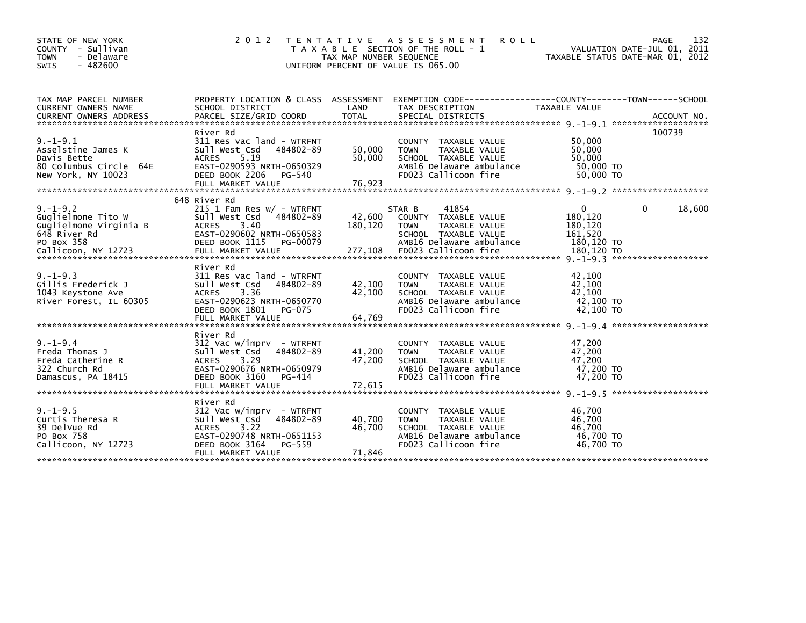| STATE OF NEW YORK<br>COUNTY - Sullivan<br>- Delaware<br><b>TOWN</b><br>$-482600$<br><b>SWIS</b>    | 2 0 1 2                                                                                                                                                                    | T E N T A T I V E<br>TAX MAP NUMBER SEQUENCE<br>UNIFORM PERCENT OF VALUE IS 065.00 | A S S E S S M E N T<br><b>ROLL</b><br>T A X A B L E SECTION OF THE ROLL - 1                                                                | TAXABLE STATUS DATE-MAR 01, 2012                        | 132<br><b>PAGE</b><br>VALUATION DATE-JUL 01, 2011 |
|----------------------------------------------------------------------------------------------------|----------------------------------------------------------------------------------------------------------------------------------------------------------------------------|------------------------------------------------------------------------------------|--------------------------------------------------------------------------------------------------------------------------------------------|---------------------------------------------------------|---------------------------------------------------|
| TAX MAP PARCEL NUMBER<br><b>CURRENT OWNERS NAME</b>                                                | PROPERTY LOCATION & CLASS ASSESSMENT<br>SCHOOL DISTRICT                                                                                                                    | LAND                                                                               | EXEMPTION CODE-----------------COUNTY-------TOWN------SCHOOL<br>TAX DESCRIPTION                                                            | TAXABLE VALUE                                           |                                                   |
| $9. -1 - 9.1$<br>Asselstine James K<br>Davis Bette<br>80 Columbus Circle 64E<br>New York, NY 10023 | River Rd<br>311 Res vac land - WTRFNT<br>Sull West Csd<br>484802-89<br><b>ACRES</b><br>5.19<br>EAST-0290593 NRTH-0650329<br>DEED BOOK 2206<br>PG-540<br>FULL MARKET VALUE  | 50,000<br>50,000<br>76,923                                                         | COUNTY TAXABLE VALUE<br><b>TOWN</b><br>TAXABLE VALUE<br>SCHOOL TAXABLE VALUE<br>AMB16 Delaware ambulance<br>FD023 Callicoon fire           | 50,000<br>50,000<br>50.000<br>50,000 TO<br>50,000 TO    | 100739                                            |
| $9. - 1 - 9.2$<br>Guglielmone Tito W<br>Guglielmone Virginia B<br>648 River Rd<br>PO Box 358       | 648 River Rd<br>$215$ 1 Fam Res w/ - WTRFNT<br>Sull West Csd<br>484802-89<br>3.40<br><b>ACRES</b><br>EAST-0290602 NRTH-0650583<br>DEED BOOK 1115<br>PG-00079               | 42,600<br>180,120                                                                  | 41854<br>STAR B<br>COUNTY TAXABLE VALUE<br><b>TAXABLE VALUE</b><br><b>TOWN</b><br>SCHOOL TAXABLE VALUE<br>AMB16 Delaware ambulance         | $\Omega$<br>180,120<br>180,120<br>161,520<br>180.120 TO | 18,600<br>0                                       |
| $9. - 1 - 9.3$<br>Gillis Frederick J<br>1043 Keystone Ave<br>River Forest, IL 60305                | River Rd<br>311 Res vac land - WTRFNT<br>Sull West Csd<br>484802-89<br>3.36<br><b>ACRES</b><br>EAST-0290623 NRTH-0650770<br>DEED BOOK 1801<br>PG-075                       | 42,100<br>42,100                                                                   | TAXABLE VALUE<br>COUNTY<br>TAXABLE VALUE<br><b>TOWN</b><br>SCHOOL TAXABLE VALUE<br>AMB16 Delaware ambulance<br>FD023 Callicoon fire        | 42,100<br>42,100<br>42,100<br>42,100 TO<br>42,100 TO    | *******************                               |
| $9. - 1 - 9.4$<br>Freda Thomas J<br>Freda Catherine R<br>322 Church Rd<br>Damascus, PA 18415       | River Rd<br>$312$ Vac w/imprv - WTRFNT<br>484802-89<br>Sull West Csd<br>3.29<br><b>ACRES</b><br>EAST-0290676 NRTH-0650979<br>DEED BOOK 3160<br>PG-414                      | 41,200<br>47,200                                                                   | TAXABLE VALUE<br><b>COUNTY</b><br>TAXABLE VALUE<br><b>TOWN</b><br>SCHOOL TAXABLE VALUE<br>AMB16 Delaware ambulance<br>FD023 Callicoon fire | 47,200<br>47,200<br>47.200<br>47,200 TO<br>47,200 TO    | *******************                               |
| $9. -1 - 9.5$<br>Curtis Theresa R<br>39 DelVue Rd<br>PO Box 758<br>Callicoon, NY 12723             | River Rd<br>$312$ Vac w/imprv - WTRFNT<br>Sull West Csd<br>484802-89<br>3.22<br><b>ACRES</b><br>EAST-0290748 NRTH-0651153<br>DEED BOOK 3164<br>PG-559<br>FULL MARKET VALUE | 40,700<br>46.700<br>71,846                                                         | TAXABLE VALUE<br><b>COUNTY</b><br>TAXABLE VALUE<br><b>TOWN</b><br>SCHOOL TAXABLE VALUE<br>AMB16 Delaware ambulance<br>FD023 Callicoon fire | 46,700<br>46,700<br>46.700<br>46,700 TO<br>46,700 TO    |                                                   |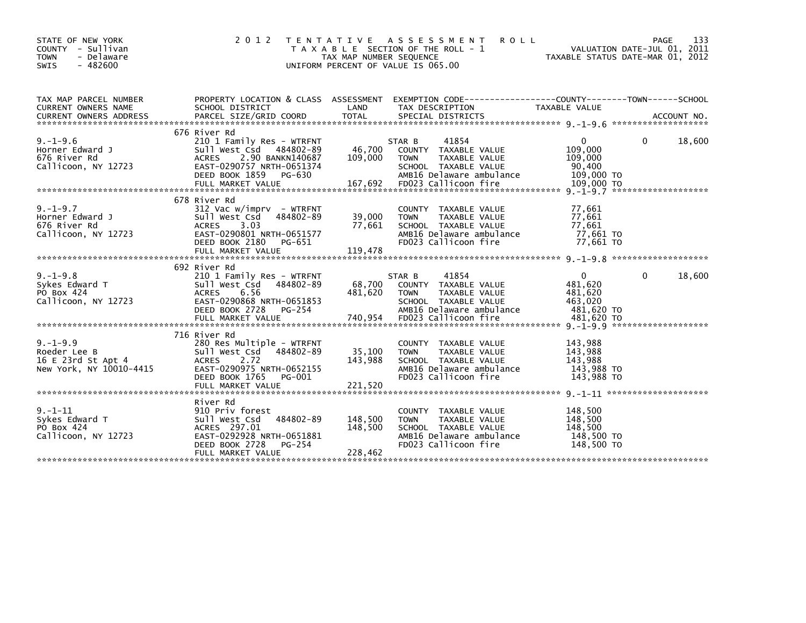| STATE OF NEW YORK<br>COUNTY - Sullivan<br><b>TOWN</b><br>- Delaware<br>$-482600$<br><b>SWIS</b> | 2 0 1 2                                                                                                                                                                       | T E N T A T I V E<br>TAX MAP NUMBER SEQUENCE | ASSESSMENT<br><b>ROLL</b><br>T A X A B L E SECTION OF THE ROLL - 1<br>UNIFORM PERCENT OF VALUE IS 065.00                                   |                                                           | 133<br>PAGE<br>VALUATION DATE-JUL 01, 2011<br>TAXABLE STATUS DATE-MAR 01, 2012 |
|-------------------------------------------------------------------------------------------------|-------------------------------------------------------------------------------------------------------------------------------------------------------------------------------|----------------------------------------------|--------------------------------------------------------------------------------------------------------------------------------------------|-----------------------------------------------------------|--------------------------------------------------------------------------------|
| TAX MAP PARCEL NUMBER<br><b>CURRENT OWNERS NAME</b>                                             | PROPERTY LOCATION & CLASS ASSESSMENT<br>SCHOOL DISTRICT                                                                                                                       | LAND                                         | EXEMPTION CODE------------------COUNTY--------TOWN------SCHOOL<br>TAX DESCRIPTION                                                          | <b>TAXABLE VALUE</b>                                      |                                                                                |
| $9. - 1 - 9.6$<br>Horner Edward J<br>676 River Rd<br>Callicoon, NY 12723                        | 676 River Rd<br>210 1 Family Res - WTRFNT<br>Sull West Csd 484802-89<br>2.90 BANKN140687<br><b>ACRES</b><br>EAST-0290757 NRTH-0651374                                         | 46,700<br>109,000                            | 41854<br>STAR B<br>COUNTY TAXABLE VALUE<br>TAXABLE VALUE<br><b>TOWN</b><br>SCHOOL TAXABLE VALUE                                            | 0<br>109,000<br>109,000<br>90,400                         | 18,600<br>0                                                                    |
|                                                                                                 | DEED BOOK 1859<br>PG-630<br>FULL MARKET VALUE                                                                                                                                 | 167,692                                      | AMB16 Delaware ambulance<br>FD023 Callicoon fire                                                                                           | 109,000 TO<br>109,000 TO                                  |                                                                                |
| $9. - 1 - 9.7$<br>Horner Edward J<br>676 River Rd<br>Callicoon, NY 12723                        | 678 River Rd<br>312 Vac w/imprv  – WTRFNT<br>Sull West Csd<br>484802-89<br>3.03<br><b>ACRES</b><br>EAST-0290801 NRTH-0651577<br>DEED BOOK 2180<br>PG-651<br>FULL MARKET VALUE | 39,000<br>77,661<br>119,478                  | COUNTY TAXABLE VALUE<br>TAXABLE VALUE<br><b>TOWN</b><br>SCHOOL TAXABLE VALUE<br>AMB16 Delaware ambulance<br>FD023 Callicoon fire           | 77,661<br>77,661<br>77,661<br>77,661 TO<br>77.661 TO      |                                                                                |
|                                                                                                 |                                                                                                                                                                               |                                              |                                                                                                                                            |                                                           |                                                                                |
| $9. - 1 - 9.8$<br>Sykes Edward T<br>PO Box 424<br>Callicoon, NY 12723                           | 692 River Rd<br>210 1 Family Res - WTRFNT<br>Sull West Csd<br>484802-89<br><b>ACRES</b><br>6.56<br>EAST-0290868 NRTH-0651853<br>DEED BOOK 2728<br>PG-254                      | 68,700<br>481.620                            | 41854<br>STAR B<br>COUNTY TAXABLE VALUE<br><b>TOWN</b><br>TAXABLE VALUE<br>SCHOOL TAXABLE VALUE<br>AMB16 Delaware ambulance                | $\Omega$<br>481,620<br>481.620<br>463,020<br>481,620 TO   | $\mathbf{0}$<br>18,600                                                         |
| $9. - 1 - 9.9$<br>Roeder Lee B<br>16 E 23rd St Apt 4<br>New York, NY 10010-4415                 | 716 River Rd<br>280 Res Multiple - WTRFNT<br>Sull West Csd<br>484802-89<br>2.72<br><b>ACRES</b><br>EAST-0290975 NRTH-0652155<br>DEED BOOK 1765<br>PG-001                      | 35,100<br>143,988                            | TAXABLE VALUE<br><b>COUNTY</b><br>TAXABLE VALUE<br><b>TOWN</b><br>SCHOOL TAXABLE VALUE<br>AMB16 Delaware ambulance<br>FD023 Callicoon fire | 143,988<br>143,988<br>143,988<br>143,988 TO<br>143,988 TO |                                                                                |
| $9. - 1 - 11$<br>Sykes Edward T<br>PO Box 424<br>Callicoon, NY 12723                            | River Rd<br>910 Priv forest<br>Sull West Csd<br>484802-89<br>ACRES 297.01<br>EAST-0292928 NRTH-0651881<br>DEED BOOK 2728<br>PG-254<br>FULL MARKET VALUE                       | 148,500<br>148,500<br>228,462                | <b>COUNTY</b><br>TAXABLE VALUE<br><b>TOWN</b><br>TAXABLE VALUE<br>SCHOOL TAXABLE VALUE<br>AMB16 Delaware ambulance<br>FD023 Callicoon fire | 148,500<br>148,500<br>148.500<br>148,500 TO<br>148,500 TO |                                                                                |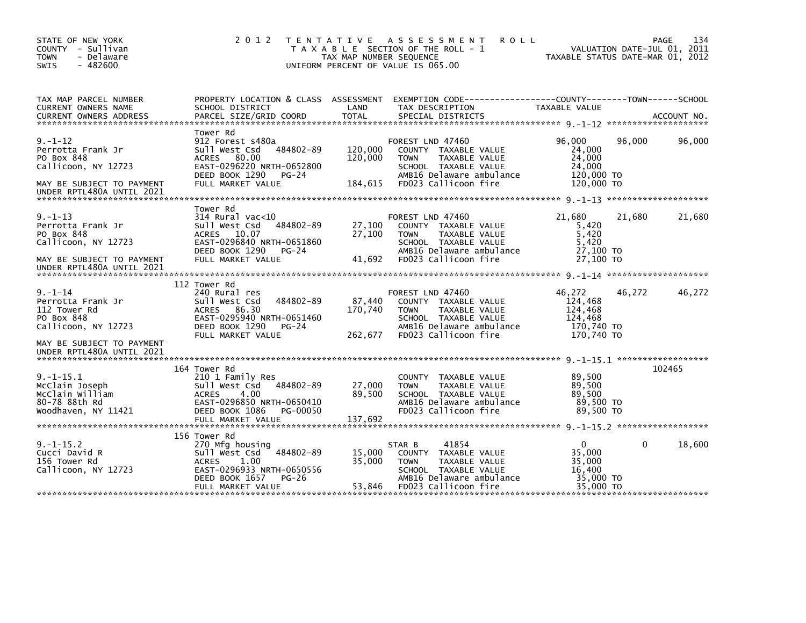| STATE OF NEW YORK<br>COUNTY - Sullivan<br><b>TOWN</b><br>- Delaware<br>$-482600$<br>SWIS                             | 2 0 1 2                                                                                                                                                                | T E N T A T I V E<br>TAX MAP NUMBER SEQUENCE | A S S E S S M E N T<br><b>ROLL</b><br>T A X A B L E SECTION OF THE ROLL - 1<br>UNIFORM PERCENT OF VALUE IS 065.00                                    | TAXABLE STATUS DATE-MAR 01, 2012                                    |          | 134<br>PAGE<br>VALUATION DATE-JUL 01, 2011 |
|----------------------------------------------------------------------------------------------------------------------|------------------------------------------------------------------------------------------------------------------------------------------------------------------------|----------------------------------------------|------------------------------------------------------------------------------------------------------------------------------------------------------|---------------------------------------------------------------------|----------|--------------------------------------------|
| TAX MAP PARCEL NUMBER<br>CURRENT OWNERS NAME<br><b>CURRENT OWNERS ADDRESS</b>                                        | PROPERTY LOCATION & CLASS ASSESSMENT<br>SCHOOL DISTRICT<br>PARCEL SIZE/GRID COORD                                                                                      | LAND<br><b>TOTAL</b>                         | TAX DESCRIPTION<br>SPECIAL DISTRICTS                                                                                                                 | TAXABLE VALUE                                                       |          | ACCOUNT NO.                                |
|                                                                                                                      |                                                                                                                                                                        |                                              |                                                                                                                                                      |                                                                     |          |                                            |
| $9. - 1 - 12$<br>Perrotta Frank Jr<br>PO Box 848<br>Callicoon, NY 12723                                              | Tower Rd<br>912 Forest s480a<br>484802-89<br>Sull West Csd<br>80.00<br>ACRES<br>EAST-0296220 NRTH-0652800<br>DEED BOOK 1290<br>$PG-24$                                 | 120,000<br>120,000                           | FOREST LND 47460<br>COUNTY TAXABLE VALUE<br>TAXABLE VALUE<br><b>TOWN</b><br>SCHOOL TAXABLE VALUE<br>AMB16 Delaware ambulance                         | 96.000<br>24,000<br>24,000<br>24,000<br>120,000 TO                  | 96,000   | 96,000                                     |
| MAY BE SUBJECT TO PAYMENT<br>UNDER RPTL480A UNTIL 2021                                                               | FULL MARKET VALUE                                                                                                                                                      | 184,615                                      | FD023 Callicoon fire                                                                                                                                 | 120,000 TO                                                          |          |                                            |
|                                                                                                                      |                                                                                                                                                                        |                                              |                                                                                                                                                      |                                                                     |          |                                            |
| $9. - 1 - 13$<br>Perrotta Frank Jr<br>PO Box 848<br>Callicoon, NY 12723                                              | Tower Rd<br>$314$ Rural vac< $10$<br>Sull West Csd<br>484802-89<br>ACRES 10.07<br>EAST-0296840 NRTH-0651860                                                            | 27,100<br>27,100                             | FOREST LND 47460<br>COUNTY TAXABLE VALUE<br><b>TOWN</b><br>TAXABLE VALUE<br>SCHOOL TAXABLE VALUE                                                     | 21,680<br>5,420<br>5,420<br>5,420                                   | 21,680   | 21,680                                     |
| MAY BE SUBJECT TO PAYMENT<br>UNDER RPTL480A UNTIL 2021                                                               | DEED BOOK 1290<br>$PG-24$<br>FULL MARKET VALUE                                                                                                                         | 41,692                                       | AMB16 Delaware ambulance<br>FD023 Callicoon fire                                                                                                     | 27.100 TO<br>27,100 TO                                              |          |                                            |
|                                                                                                                      |                                                                                                                                                                        |                                              |                                                                                                                                                      |                                                                     |          |                                            |
| $9. - 1 - 14$<br>Perrotta Frank Jr<br>112 Tower Rd<br>PO Box 848<br>Callicoon, NY 12723<br>MAY BE SUBJECT TO PAYMENT | 112 Tower Rd<br>240 Rural res<br>Sull West Csd<br>484802-89<br>ACRES<br>86.30<br>EAST-0295940 NRTH-0651460<br>DEED BOOK 1290<br>$PG-24$<br>FULL MARKET VALUE           | 87,440<br>170,740<br>262,677                 | FOREST LND 47460<br>COUNTY TAXABLE VALUE<br>TAXABLE VALUE<br><b>TOWN</b><br>SCHOOL TAXABLE VALUE<br>AMB16 Delaware ambulance<br>FD023 Callicoon fire | 46,272<br>124,468<br>124,468<br>124,468<br>170,740 TO<br>170.740 TO | 46,272   | 46,272                                     |
| UNDER RPTL480A UNTIL 2021                                                                                            |                                                                                                                                                                        |                                              |                                                                                                                                                      |                                                                     |          |                                            |
| $9. -1 - 15.1$<br>McClain Joseph<br>McClain William<br>80-78 88th Rd<br>Woodhaven, NY 11421                          | 164 Tower Rd<br>210 1 Family Res<br>Sull West Csd<br>484802-89<br>4.00<br><b>ACRES</b><br>EAST-0296850 NRTH-0650410<br>DEED BOOK 1086<br>PG-00050<br>FULL MARKET VALUE | 27,000<br>89,500<br>137,692                  | <b>COUNTY</b><br>TAXABLE VALUE<br><b>TAXABLE VALUE</b><br><b>TOWN</b><br>SCHOOL TAXABLE VALUE<br>AMB16 Delaware ambulance<br>FD023 Callicoon fire    | 89,500<br>89,500<br>89,500<br>89,500 TO<br>89.500 TO                |          | 102465                                     |
|                                                                                                                      | 156 Tower Rd                                                                                                                                                           |                                              |                                                                                                                                                      |                                                                     |          |                                            |
| $9. -1 - 15.2$<br>Cucci David R<br>156 Tower Rd<br>Callicoon, NY 12723                                               | 270 Mfg housing<br>Sull West Csd<br>484802-89<br><b>ACRES</b><br>1.00<br>EAST-0296933 NRTH-0650556<br>DEED BOOK 1657<br>$PG-26$                                        | 15,000<br>35,000                             | 41854<br>STAR B<br>COUNTY TAXABLE VALUE<br><b>TOWN</b><br>TAXABLE VALUE<br>SCHOOL TAXABLE VALUE<br>AMB16 Delaware ambulance                          | $\Omega$<br>35,000<br>35,000<br>16,400<br>35,000 TO                 | $\Omega$ | 18,600                                     |
|                                                                                                                      | FULL MARKET VALUE                                                                                                                                                      | 53,846                                       | FD023 Callicoon fire                                                                                                                                 | 35,000 TO                                                           |          |                                            |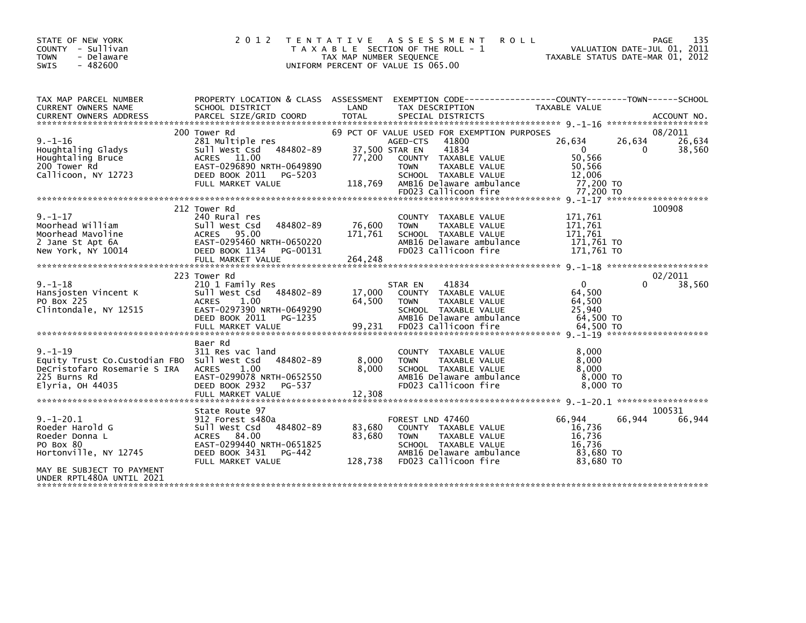| STATE OF NEW YORK<br>COUNTY - Sullivan<br><b>TOWN</b><br>- Delaware<br>$-482600$<br><b>SWIS</b>                                         | 2 0 1 2                                                                                                                                                          | T E N T A T I V E<br>TAX MAP NUMBER SEQUENCE | A S S E S S M E N T<br><b>ROLL</b><br>T A X A B L E SECTION OF THE ROLL - 1<br>UNIFORM PERCENT OF VALUE IS 065.00                                              | TAXABLE STATUS DATE-MAR 01, 2012                                                          | PAGE<br>VALUATION DATE-JUL 01, 2011 | 135              |
|-----------------------------------------------------------------------------------------------------------------------------------------|------------------------------------------------------------------------------------------------------------------------------------------------------------------|----------------------------------------------|----------------------------------------------------------------------------------------------------------------------------------------------------------------|-------------------------------------------------------------------------------------------|-------------------------------------|------------------|
| TAX MAP PARCEL NUMBER<br><b>CURRENT OWNERS NAME</b><br><b>CURRENT OWNERS ADDRESS</b>                                                    | SCHOOL DISTRICT                                                                                                                                                  | LAND                                         | PROPERTY LOCATION & CLASS ASSESSMENT EXEMPTION CODE---------------COUNTY-------TOWN------SCHOOL<br>TAX DESCRIPTION                                             | TAXABLE VALUE                                                                             |                                     |                  |
|                                                                                                                                         | 200 Tower Rd                                                                                                                                                     |                                              | 69 PCT OF VALUE USED FOR EXEMPTION PURPOSES                                                                                                                    |                                                                                           |                                     | 08/2011          |
| $9. - 1 - 16$<br>Houghtaling Gladys<br>Houghtaling Bruce<br>200 Tower Rd<br>Callicoon, NY 12723                                         | 281 Multiple res<br>Sull West Csd 484802-89<br>ACRES 11.00<br>EAST-0296890 NRTH-0649890<br>DEED BOOK 2011<br>PG-5203<br>FULL MARKET VALUE                        | 37,500 STAR EN<br>77,200<br>118,769          | 41800<br>AGED-CTS<br>41834<br>COUNTY TAXABLE VALUE<br><b>TOWN</b><br>TAXABLE VALUE<br>SCHOOL TAXABLE VALUE<br>AMB16 Delaware ambulance<br>FD023 Callicoon fire | 26,634<br>$\overline{\mathbf{0}}$<br>50,566<br>50,566<br>12,006<br>77,200 TO<br>77.200 TO | 26,634<br>$\Omega$                  | 26,634<br>38,560 |
|                                                                                                                                         |                                                                                                                                                                  |                                              |                                                                                                                                                                |                                                                                           |                                     |                  |
| $9. - 1 - 17$<br>Moorhead William<br>Moorhead Mavoline<br>2 Jane St Apt 6A<br>New York, NY 10014                                        | 212 Tower Rd<br>240 Rural res<br>484802-89<br>Sull West Csd<br>ACRES 95.00<br>EAST-0295460 NRTH-0650220<br>DEED BOOK 1134<br>PG-00131                            | 76,600<br>171,761                            | COUNTY TAXABLE VALUE<br>TAXABLE VALUE<br><b>TOWN</b><br>SCHOOL TAXABLE VALUE<br>AMB16 Delaware ambulance<br>FD023 Callicoon fire                               | 171,761<br>171,761<br>171,761<br>171,761 TO<br>171,761 TO                                 | 100908                              |                  |
|                                                                                                                                         | 223 Tower Rd                                                                                                                                                     |                                              |                                                                                                                                                                |                                                                                           |                                     | 02/2011          |
| $9. - 1 - 18$<br>Hansjosten Vincent K<br>PO Box 225<br>Clintondale, NY 12515                                                            | 210 1 Family Res<br>484802-89<br>Sull West Csd<br>1.00<br><b>ACRES</b><br>EAST-0297390 NRTH-0649290<br>DEED BOOK 2011<br>PG-1235<br>FULL MARKET VALUE            | 17,000<br>64,500<br>99,231                   | 41834<br>STAR EN<br>COUNTY TAXABLE VALUE<br><b>TOWN</b><br>TAXABLE VALUE<br>SCHOOL TAXABLE VALUE<br>AMB16 Delaware ambulance<br>FD023 Callicoon fire           | $\Omega$<br>64,500<br>64,500<br>25.940<br>64,500 TO<br>64.500 TO                          | 0                                   | 38,560           |
|                                                                                                                                         |                                                                                                                                                                  |                                              |                                                                                                                                                                |                                                                                           |                                     |                  |
| $9. - 1 - 19$<br>Equity Trust Co. Custodian FBO Sull West Csd<br>DeCristofaro Rosemarie S IRA ACRES<br>225 Burns Rd<br>Elyria, OH 44035 | Baer Rd<br>311 Res vac land<br>484802-89<br>1.00<br>EAST-0299078 NRTH-0652550<br>DEED BOOK 2932<br>PG-537                                                        | 8,000<br>8,000                               | COUNTY TAXABLE VALUE<br>TAXABLE VALUE<br><b>TOWN</b><br>SCHOOL TAXABLE VALUE<br>AMB16 Delaware ambulance<br>FD023 Callicoon fire                               | 8.000<br>8,000<br>8.000<br>8,000 TO<br>8,000 TO                                           |                                     |                  |
|                                                                                                                                         | FULL MARKET VALUE                                                                                                                                                | 12,308                                       |                                                                                                                                                                |                                                                                           |                                     |                  |
| $9. - 1 - 20.1$<br>Roeder Harold G<br>Roeder Donna L<br>PO Box 80<br>Hortonville, NY 12745<br>MAY BE SUBJECT TO PAYMENT                 | State Route 97<br>912 Forest s480a<br>484802-89<br>Sull West Csd<br>84.00<br>ACRES<br>EAST-0299440 NRTH-0651825<br>DEED BOOK 3431<br>PG-442<br>FULL MARKET VALUE | 83,680<br>83,680<br>128,738                  | FOREST LND 47460<br>COUNTY TAXABLE VALUE<br>TAXABLE VALUE<br><b>TOWN</b><br>SCHOOL TAXABLE VALUE<br>AMB16 Delaware ambulance<br>FD023 Callicoon fire           | 66,944<br>16,736<br>16,736<br>16,736<br>83.680 TO<br>83.680 TO                            | 66,944                              | 100531<br>66,944 |
| UNDER RPTL480A UNTIL 2021                                                                                                               |                                                                                                                                                                  |                                              |                                                                                                                                                                |                                                                                           |                                     |                  |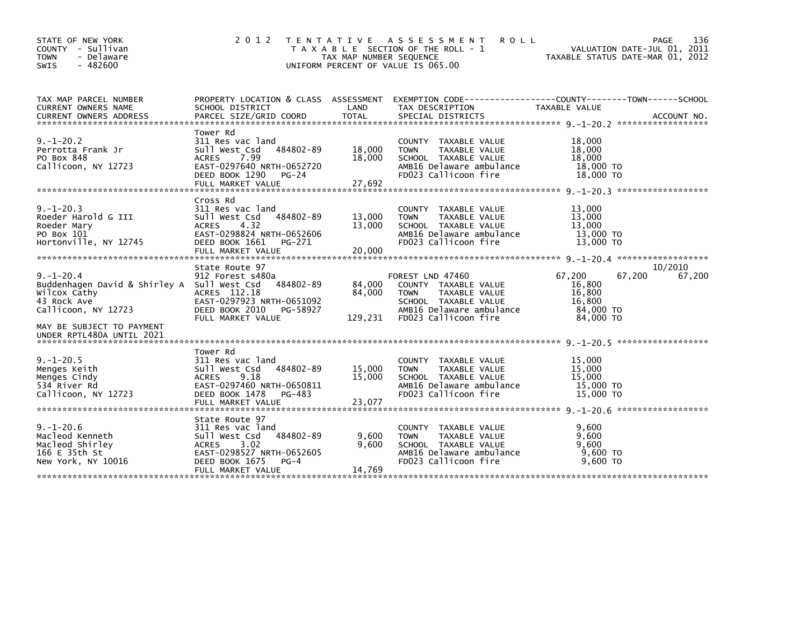| STATE OF NEW YORK<br>COUNTY - Sullivan<br><b>TOWN</b><br>- Delaware<br>$-482600$<br><b>SWIS</b>                                                   | 2 0 1 2                                                                                                                                                                | T E N T A T I V E<br>TAX MAP NUMBER SEQUENCE | A S S E S S M E N T<br><b>ROLL</b><br>T A X A B L E SECTION OF THE ROLL - 1<br>UNIFORM PERCENT OF VALUE IS 065.00                                    | VALUATION DATE-JUL 01, 2011<br>TAXABLE STATUS DATE-MAR 01, 2012          | PAGE<br>136       |
|---------------------------------------------------------------------------------------------------------------------------------------------------|------------------------------------------------------------------------------------------------------------------------------------------------------------------------|----------------------------------------------|------------------------------------------------------------------------------------------------------------------------------------------------------|--------------------------------------------------------------------------|-------------------|
| TAX MAP PARCEL NUMBER<br><b>CURRENT OWNERS NAME</b><br><b>CURRENT OWNERS ADDRESS</b>                                                              | PROPERTY LOCATION & CLASS ASSESSMENT<br>SCHOOL DISTRICT<br>PARCEL SIZE/GRID COORD                                                                                      | LAND<br><b>TOTAL</b>                         | TAX DESCRIPTION<br>SPECIAL DISTRICTS                                                                                                                 | TAXABLE VALUE                                                            | ACCOUNT NO.       |
| $9. - 1 - 20.2$<br>Perrotta Frank Jr<br>PO Box 848<br>Callicoon, NY 12723                                                                         | Tower Rd<br>311 Res vac land<br>484802-89<br>Sull West Csd<br>7.99<br><b>ACRES</b><br>EAST-0297640 NRTH-0652720<br>DEED BOOK 1290<br>PG-24<br>FULL MARKET VALUE        | 18,000<br>18,000<br>27,692                   | COUNTY TAXABLE VALUE<br>TAXABLE VALUE<br><b>TOWN</b><br>SCHOOL TAXABLE VALUE<br>AMB16 Delaware ambulance<br>FD023 Callicoon fire                     | 18,000<br>18,000<br>18,000<br>18,000 TO<br>18,000 TO                     |                   |
| $9. - 1 - 20.3$<br>Roeder Harold G III<br>Roeder Mary<br>PO Box 101<br>Hortonville, NY 12745                                                      | Cross Rd<br>311 Res vac land<br>Sull West Csd<br>484802-89<br>4.32<br><b>ACRES</b><br>EAST-0298824 NRTH-0652606<br>DEED BOOK 1661<br>PG-271<br>FULL MARKET VALUE       | 13,000<br>13,000<br>20,000                   | COUNTY TAXABLE VALUE<br>TAXABLE VALUE<br><b>TOWN</b><br>SCHOOL TAXABLE VALUE<br>AMB16 Delaware ambulance<br>FD023 Callicoon fire                     | 13,000<br>13,000<br>13,000<br>13,000 TO<br>13,000 TO                     |                   |
| $9. - 1 - 20.4$<br>Buddenhagen David & Shirley A Sull West Csd<br>wilcox Cathy<br>43 Rock Ave<br>Callicoon, NY 12723<br>MAY BE SUBJECT TO PAYMENT | State Route 97<br>912 Forest s480a<br>484802-89<br>ACRES 112.18<br>EAST-0297923 NRTH-0651092<br>DEED BOOK 2010<br>PG-58927<br>FULL MARKET VALUE                        | 84,000<br>84,000<br>129,231                  | FOREST LND 47460<br>COUNTY TAXABLE VALUE<br>TAXABLE VALUE<br><b>TOWN</b><br>SCHOOL TAXABLE VALUE<br>AMB16 Delaware ambulance<br>FD023 Callicoon fire | 67,200<br>67,200<br>16,800<br>16,800<br>16,800<br>84,000 TO<br>84,000 TO | 10/2010<br>67,200 |
| UNDER RPTL480A UNTIL 2021                                                                                                                         |                                                                                                                                                                        |                                              |                                                                                                                                                      |                                                                          |                   |
| $9. - 1 - 20.5$<br>Menges Keith<br>Menges Cindy<br>534 River Rd<br>Callicoon, NY 12723                                                            | Tower Rd<br>311 Res vac land<br>484802-89<br>Sull West Csd<br>9.18<br><b>ACRES</b><br>EAST-0297460 NRTH-0650811<br>DEED BOOK 1478<br>PG-483<br>FULL MARKET VALUE       | 15,000<br>15,000<br>23,077                   | COUNTY TAXABLE VALUE<br>TAXABLE VALUE<br><b>TOWN</b><br>SCHOOL TAXABLE VALUE<br>AMB16 Delaware ambulance<br>FD023 Callicoon fire                     | 15,000<br>15,000<br>15,000<br>15,000 TO<br>15,000 TO                     |                   |
| $9. - 1 - 20.6$<br>Macleod Kenneth<br>Macleod Shirley<br>166 E 35th St<br>New York, NY 10016                                                      | State Route 97<br>311 Res vac land<br>484802-89<br>Sull West Csd<br><b>ACRES</b><br>3.02<br>EAST-0298527 NRTH-0652605<br>DEED BOOK 1675<br>$PG-4$<br>FULL MARKET VALUE | 9,600<br>9,600<br>14,769                     | <b>COUNTY</b><br>TAXABLE VALUE<br>TAXABLE VALUE<br><b>TOWN</b><br>SCHOOL TAXABLE VALUE<br>AMB16 Delaware ambulance<br>FD023 Callicoon fire           | 9,600<br>9.600<br>9,600<br>$9,600$ TO<br>9,600 TO                        |                   |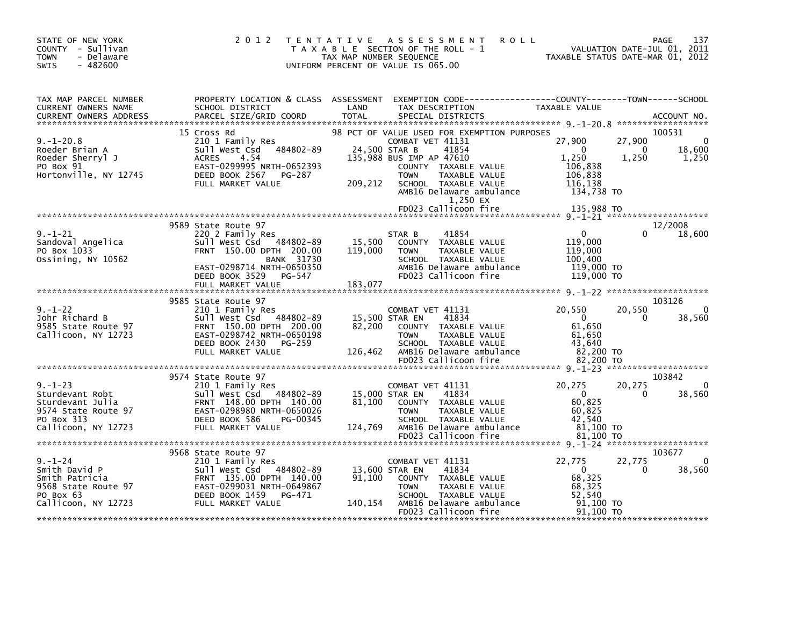| STATE OF NEW YORK<br>COUNTY - Sullivan<br><b>TOWN</b><br>- Delaware<br>$-482600$<br><b>SWIS</b>                  | 2 0 1 2                                                                                                                                                                            | <b>ROLL</b><br>TENTATIVE ASSESSMENT<br>T A X A B L E SECTION OF THE ROLL - 1<br>TAX MAP NUMBER SEQUENCE<br>UNIFORM PERCENT OF VALUE IS 065.00                                                                                                                                    | 137<br>PAGE<br>VALUATION DATE-JUL 01, 2011<br>TAXABLE STATUS DATE-MAR 01, 2012                                                                                    |
|------------------------------------------------------------------------------------------------------------------|------------------------------------------------------------------------------------------------------------------------------------------------------------------------------------|----------------------------------------------------------------------------------------------------------------------------------------------------------------------------------------------------------------------------------------------------------------------------------|-------------------------------------------------------------------------------------------------------------------------------------------------------------------|
| TAX MAP PARCEL NUMBER<br>CURRENT OWNERS NAME<br><b>CURRENT OWNERS ADDRESS</b>                                    | SCHOOL DISTRICT<br>PARCEL SIZE/GRID COORD                                                                                                                                          | PROPERTY LOCATION & CLASS ASSESSMENT EXEMPTION CODE----------------COUNTY-------TOWN------SCHOOL<br>LAND<br>TAX DESCRIPTION<br><b>TOTAL</b><br>SPECIAL DISTRICTS                                                                                                                 | TAXABLE VALUE<br>ACCOUNT NO.                                                                                                                                      |
| $9. - 1 - 20.8$<br>Roeder Brian A<br>Roeder Sherryl J<br>PO Box 91<br>Hortonville, NY 12745                      | 15 Cross Rd<br>Sull West Csd 484802-89<br><b>ACRES</b><br>4.54<br>EAST-0299995 NRTH-0652393<br>DEED BOOK 2567<br>PG-287<br>FULL MARKET VALUE                                       | 98 PCT OF VALUE USED FOR EXEMPTION PURPOSES<br>COMBAT VET 41131<br>24,500 STAR B<br>41854<br>135,988 BUS IMP AP 47610<br>COUNTY TAXABLE VALUE<br><b>TOWN</b><br>TAXABLE VALUE<br>209,212<br>SCHOOL TAXABLE VALUE<br>AMB16 Delaware ambulance<br>1,250 EX<br>FD023 Callicoon fire | 100531<br>27,900<br>$\Omega$<br>27,900<br>18,600<br>$\overline{0}$<br>- 0<br>1,250<br>1,250<br>1,250<br>106,838<br>106,838<br>116,138<br>134,738 TO<br>135,988 TO |
| $9. - 1 - 21$                                                                                                    | 9589 State Route 97<br>220 2 Family Res                                                                                                                                            | 41854<br>STAR B                                                                                                                                                                                                                                                                  | 12/2008<br>18,600<br>$\overline{\mathbf{0}}$                                                                                                                      |
| Sandoval Angelica<br>PO 50× 1033<br>PO Box 1033<br>Ossining, NY 10562                                            | Sull West Csd 484802-89<br>FRNT 150.00 DPTH 200.00<br>BANK 31730<br>EAST-0298714 NRTH-0650350<br>DEED BOOK 3529 PG-547<br>FULL MARKET VALUE                                        | 15,500<br>COUNTY TAXABLE VALUE<br>119,000<br>TAXABLE VALUE<br><b>TOWN</b><br>SCHOOL TAXABLE VALUE<br>AMB16 Delaware ambulance<br>FD023 Callicoon fire<br>183,077                                                                                                                 | 119,000<br>119,000<br>100,400<br>119,000 TO<br>119,000 TO                                                                                                         |
| $9. - 1 - 22$<br>Johr Richard B<br>9585 State Route 97<br>Callicoon, NY 12723                                    | 9585 State Route 97<br>210 1 Family Res<br>Sull West Csd 484802-89<br>FRNT 150.00 DPTH 200.00<br>EAST-0298742 NRTH-0650198<br>DEED BOOK 2430<br>PG-259<br>FULL MARKET VALUE        | COMBAT VET 41131<br>15,500 STAR EN<br>41834<br>82,200<br>COUNTY TAXABLE VALUE<br><b>TOWN</b><br>TAXABLE VALUE<br>SCHOOL TAXABLE VALUE<br>126,462<br>AMB16 Delaware ambulance<br>FD023 Callicoon fire                                                                             | 103126<br>20,550<br>20,550<br>$\overline{\mathbf{0}}$<br>38,560<br>$\Omega$<br>61,650<br>61.650<br>43,640<br>82,200 TO<br>82,200 TO                               |
|                                                                                                                  |                                                                                                                                                                                    |                                                                                                                                                                                                                                                                                  |                                                                                                                                                                   |
| $9. - 1 - 23$<br>Sturdevant Robt<br>Sturdevant Julia<br>9574 State Route 97<br>PO Box 313<br>Callicoon, NY 12723 | 9574 State Route 97<br>210 1 Family Res<br>Sull West Csd 484802-89<br>FRNT 148.00 DPTH 140.00<br>EAST-0298980 NRTH-0650026<br>DEED BOOK 586<br>PG-00345<br>FULL MARKET VALUE       | COMBAT VET 41131<br>15,000 STAR EN<br>41834<br>81,100<br>COUNTY TAXABLE VALUE<br><b>TOWN</b><br>TAXABLE VALUE<br>SCHOOL TAXABLE VALUE<br>AMB16 Delaware ambulance<br>124,769<br>FD023 Callicoon fire                                                                             | 103842<br>20,275<br>20,275<br>$\Omega$<br>- 0<br>38,560<br>0<br>60,825<br>60,825<br>42,540<br>81,100 TO<br>81,100 TO                                              |
| $9. - 1 - 24$<br>Smith David P<br>Smith Patricia<br>9568 State Route 97<br>PO Box 63<br>Callicoon, NY 12723      | 9568 State Route 97<br>210 1 Family Res<br>Sull West Csd 484802-89<br>FRNT 135.00 DPTH 140.00<br>EAST-0299031 NRTH-0649867<br><b>DEED BOOK 1459</b><br>PG-471<br>FULL MARKET VALUE | COMBAT VET 41131<br>41834<br>13,600 STAR EN<br>91,100<br>COUNTY TAXABLE VALUE<br>TAXABLE VALUE<br><b>TOWN</b><br>SCHOOL TAXABLE VALUE<br>140,154 AMB16 Delaware ambulance<br>FD023 Callicoon fire                                                                                | 103677<br>$\mathbf 0$<br>22,775<br>22,775<br>38,560<br>$\overline{0}$<br>$\Omega$<br>68,325<br>68,325<br>52,540<br>91.100 TO<br>91,100 TO                         |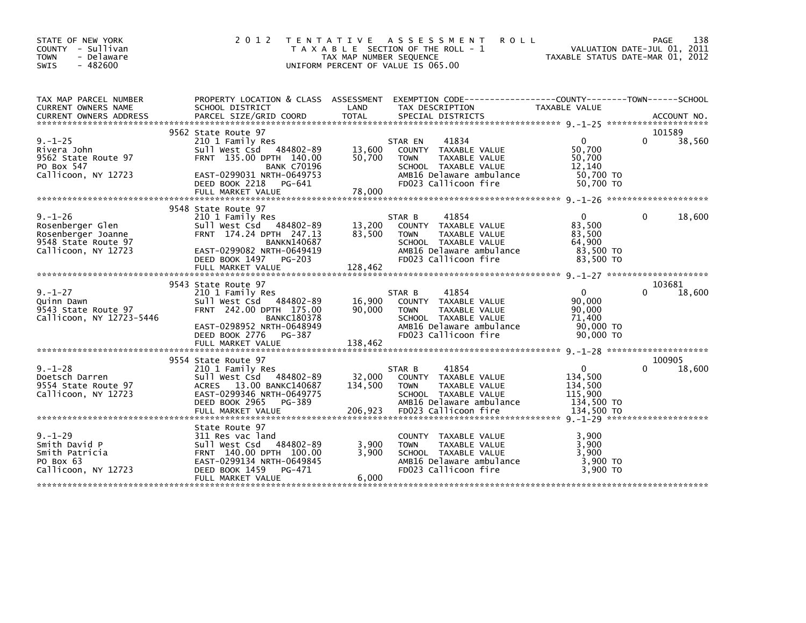| STATE OF NEW YORK<br>COUNTY - Sullivan<br>- Delaware<br><b>TOWN</b><br>$-482600$<br>SWIS              |                                                                                                                                                       | TAX MAP NUMBER SEQUENCE      | 2012 TENTATIVE ASSESSMENT<br><b>ROLL</b><br>T A X A B L E SECTION OF THE ROLL - 1<br>UNIFORM PERCENT OF VALUE IS 065.00                              | TAXABLE STATUS DATE-MAR 01, 2012                                     | 138<br>PAGE<br>VALUATION DATE-JUL 01, 2011 |
|-------------------------------------------------------------------------------------------------------|-------------------------------------------------------------------------------------------------------------------------------------------------------|------------------------------|------------------------------------------------------------------------------------------------------------------------------------------------------|----------------------------------------------------------------------|--------------------------------------------|
| TAX MAP PARCEL NUMBER<br>CURRENT OWNERS NAME                                                          | SCHOOL DISTRICT                                                                                                                                       | LAND                         | PROPERTY LOCATION & CLASS ASSESSMENT EXEMPTION CODE---------------COUNTY-------TOWN------SCHOOL<br>TAX DESCRIPTION                                   | TAXABLE VALUE                                                        |                                            |
|                                                                                                       | 9562 State Route 97                                                                                                                                   |                              |                                                                                                                                                      |                                                                      | 101589                                     |
| $9. - 1 - 25$<br>Rivera John<br>9562 State Route 97<br>PO Box 547<br>Callicoon, NY 12723              | 210 1 Family Res<br>Sull West Csd 484802-89<br>FRNT 135.00 DPTH 140.00<br><b>BANK C70196</b><br>EAST-0299031 NRTH-0649753<br>DEED BOOK 2218<br>PG-641 | 13,600<br>50,700             | STAR EN<br>41834<br>COUNTY TAXABLE VALUE<br>TAXABLE VALUE<br><b>TOWN</b><br>SCHOOL TAXABLE VALUE<br>AMB16 Delaware ambulance<br>FD023 Callicoon fire | $\mathbf{0}$<br>50,700<br>50,700<br>12,140<br>50,700 TO<br>50.700 TO | 38,560<br>0                                |
|                                                                                                       | FULL MARKET VALUE                                                                                                                                     | 78,000                       |                                                                                                                                                      |                                                                      |                                            |
|                                                                                                       | 9548 State Route 97                                                                                                                                   |                              |                                                                                                                                                      |                                                                      |                                            |
| $9. - 1 - 26$<br>Rosenberger Glen<br>Rosenberger Joanne<br>9548 State Route 97<br>Callicoon, NY 12723 | 210 1 Family Res<br>Sull West Csd 484802-89<br>FRNT 174.24 DPTH 247.13<br><b>BANKN140687</b><br>EAST-0299082 NRTH-0649419<br>DEED BOOK 1497 PG-203    | 13,200<br>83,500             | 41854<br>STAR B<br>COUNTY TAXABLE VALUE<br>TAXABLE VALUE<br><b>TOWN</b><br>SCHOOL TAXABLE VALUE<br>AMB16 Delaware ambulance<br>FD023 Callicoon fire  | $\Omega$<br>83,500<br>83,500<br>64,900<br>83,500 TO<br>83,500 TO     | 18,600<br>0                                |
|                                                                                                       | FULL MARKET VALUE                                                                                                                                     | 128,462                      |                                                                                                                                                      |                                                                      |                                            |
|                                                                                                       | 9543 State Route 97                                                                                                                                   |                              |                                                                                                                                                      |                                                                      | 103681                                     |
| $9. - 1 - 27$<br>Quinn Dawn<br>9543 State Route 97<br>Callicoon, NY 12723-5446                        | 210 1 Family Res<br>Sull West Csd 484802-89<br>FRNT 242.00 DPTH 175.00<br><b>BANKC180378</b><br>EAST-0298952 NRTH-0648949<br>DEED BOOK 2776 PG-387    | 16,900<br>90,000             | 41854<br>STAR B<br>COUNTY TAXABLE VALUE<br><b>TOWN</b><br>TAXABLE VALUE<br>SCHOOL TAXABLE VALUE<br>AMB16 Delaware ambulance<br>FD023 Callicoon fire  | $\mathbf{0}$<br>90,000<br>90,000<br>71,400<br>90,000 TO<br>90.000 TO | 18,600<br>0                                |
|                                                                                                       |                                                                                                                                                       |                              |                                                                                                                                                      |                                                                      |                                            |
| $9. - 1 - 28$                                                                                         | 9554 State Route 97<br>210 1 Family Res                                                                                                               |                              | 41854<br>STAR B                                                                                                                                      | $\mathbf{0}$                                                         | 100905<br>18,600<br>0                      |
| Doetsch Darren<br>9554 State Route 97<br>Callicoon, NY 12723                                          | 484802-89<br>Sull West Csd<br>ACRES 13.00 BANKC140687<br>EAST-0299346 NRTH-0649775<br>DEED BOOK 2965<br>PG-389<br>FULL MARKET VALUE                   | 32,000<br>134,500<br>206,923 | COUNTY TAXABLE VALUE<br><b>TOWN</b><br>TAXABLE VALUE<br>SCHOOL TAXABLE VALUE<br>AMB16 Delaware ambulance<br>FD023 Callicoon fire                     | 134,500<br>134,500<br>115.900<br>134,500 TO<br>134,500 TO            |                                            |
|                                                                                                       | State Route 97                                                                                                                                        |                              |                                                                                                                                                      |                                                                      |                                            |
| $9. - 1 - 29$<br>Smith David P<br>Smith Patricia<br>PO Box 63<br>Callicoon, NY 12723                  | 311 Res vac land<br>Sull West Csd 484802-89<br>FRNT 140.00 DPTH 100.00<br>EAST-0299134 NRTH-0649845<br>DEED BOOK 1459<br>PG-471                       | 3,900<br>3.900               | COUNTY TAXABLE VALUE<br><b>TOWN</b><br>TAXABLE VALUE<br>SCHOOL TAXABLE VALUE<br>AMB16 Delaware ambulance<br>FD023 Callicoon fire                     | 3,900<br>3,900<br>3.900<br>3,900 TO<br>3,900 TO                      |                                            |
|                                                                                                       | FULL MARKET VALUE                                                                                                                                     | 6,000                        |                                                                                                                                                      |                                                                      |                                            |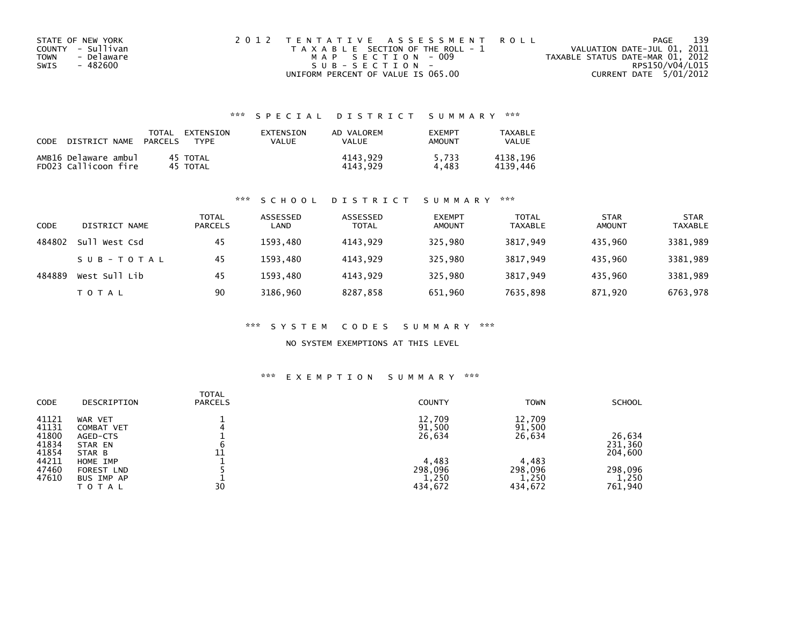| STATE OF NEW YORK  | 2012 TENTATIVE ASSESSMENT ROLL        | 139<br>PAGE                      |  |
|--------------------|---------------------------------------|----------------------------------|--|
| COUNTY - Sullivan  | T A X A B L E SECTION OF THE ROLL - 1 | VALUATION DATE-JUL 01, 2011      |  |
| - Delaware<br>TOWN | MAP SECTION - 009                     | TAXABLE STATUS DATE-MAR 01, 2012 |  |
| - 482600<br>SWIS   | SUB-SECTION-                          | RPS150/V04/L015                  |  |
|                    | UNIFORM PERCENT OF VALUE IS 065.00    | CURRENT DATE 5/01/2012           |  |

### \*\*\* S P E C I A L D I S T R I C T S U M M A R Y \*\*\*

| CODE | DISTRICT NAME                                | TOTAL<br><b>PARCELS</b> | EXTENSION<br>TYPF    | EXTENSION<br>VALUE | AD VALOREM<br>VALUE  | <b>FXFMPT</b><br>AMOUNT | TAXABLE<br>VALUE     |
|------|----------------------------------------------|-------------------------|----------------------|--------------------|----------------------|-------------------------|----------------------|
|      | AMB16 Delaware ambul<br>FD023 Callicoon fire |                         | 45 TOTAL<br>45 TOTAL |                    | 4143.929<br>4143.929 | 5.733<br>4.483          | 4138.196<br>4139.446 |

#### \*\*\* S C H O O L D I S T R I C T S U M M A R Y \*\*\*

| CODE   | DISTRICT NAME | <b>TOTAL</b><br><b>PARCELS</b> | ASSESSED<br>LAND | ASSESSED<br><b>TOTAL</b> | <b>EXEMPT</b><br><b>AMOUNT</b> | TOTAL<br><b>TAXABLE</b> | <b>STAR</b><br><b>AMOUNT</b> | <b>STAR</b><br><b>TAXABLE</b> |
|--------|---------------|--------------------------------|------------------|--------------------------|--------------------------------|-------------------------|------------------------------|-------------------------------|
| 484802 | Sull West Csd | 45                             | 1593.480         | 4143.929                 | 325,980                        | 3817.949                | 435,960                      | 3381,989                      |
|        | SUB-TOTAL     | 45                             | 1593.480         | 4143.929                 | 325.980                        | 3817.949                | 435.960                      | 3381,989                      |
| 484889 | West Sull Lib | 45                             | 1593,480         | 4143.929                 | 325,980                        | 3817,949                | 435,960                      | 3381,989                      |
|        | T O T A L     | 90                             | 3186,960         | 8287,858                 | 651,960                        | 7635,898                | 871,920                      | 6763,978                      |

#### \*\*\* S Y S T E M C O D E S S U M M A R Y \*\*\*

#### NO SYSTEM EXEMPTIONS AT THIS LEVEL

#### \*\*\* E X E M P T I O N S U M M A R Y \*\*\*

| <b>CODE</b><br><b>COUNTY</b><br><b>PARCELS</b><br>DESCRIPTION                                                                                                                                                                                                     |                                                                                                                                   |
|-------------------------------------------------------------------------------------------------------------------------------------------------------------------------------------------------------------------------------------------------------------------|-----------------------------------------------------------------------------------------------------------------------------------|
| 41121<br>12,709<br>WAR VET<br>41131<br>91,500<br>COMBAT VET<br>41800<br>26,634<br>AGED-CTS<br>41834<br>STAR EN<br>41854<br>11<br>STAR B<br>44211<br>4,483<br>HOME IMP<br>47460<br>298,096<br>FOREST LND<br>47610<br>1,250<br>BUS IMP AP<br>30<br>434,672<br>TOTAL | 12,709<br>91,500<br>26,634<br>26,634<br>231,360<br>204,600<br>4,483<br>298,096<br>298,096<br>1,250<br>1,250<br>761,940<br>434,672 |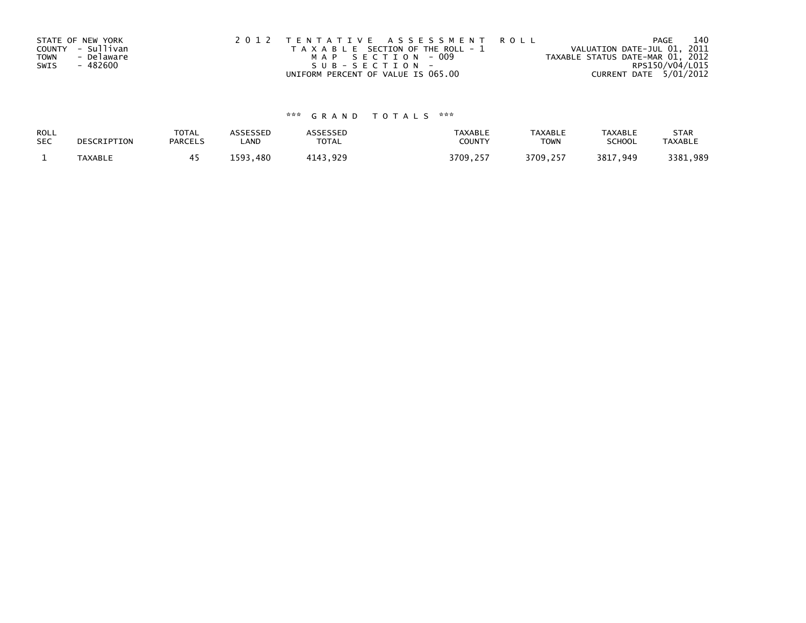|             | STATE OF NEW YORK | 2012 TENTATIVE ASSESSMENT ROLL        | 140<br>PAGE                      |
|-------------|-------------------|---------------------------------------|----------------------------------|
|             | COUNTY - Sullivan | T A X A B L E SECTION OF THE ROLL - 1 | VALUATION DATE-JUL 01, 2011      |
| <b>TOWN</b> | - Delaware        | MAP SECTION - 009                     | TAXABLE STATUS DATE-MAR 01, 2012 |
| SWIS        | - 482600          | SUB-SECTION-                          | RPS150/V04/L015                  |
|             |                   | UNIFORM PERCENT OF VALUE IS 065.00    | CURRENT DATE 5/01/2012           |

# \*\*\* G R A N D T O T A L S \*\*\*

| ROLL       | DESCRIPTION | <b>TOTAL</b>   | ASSESSED    | <b>ASSESSED</b> | <b>TAXABLE</b>   | <b>TAXABLE</b> | <b>TAXABLE</b> | <b>STAR</b>    |
|------------|-------------|----------------|-------------|-----------------|------------------|----------------|----------------|----------------|
| <b>SEC</b> |             | <b>PARCELS</b> | LAND        | TOTAL           | <b>COUNT</b>     | <b>TOWN</b>    | <b>SCHOOL</b>  | <b>TAXABLE</b> |
|            | TAXABLE     |                | 1593<br>480 | 4143,929        | 3709.25.<br>-257 | 3709,257       | 3817,949       | 3381,989       |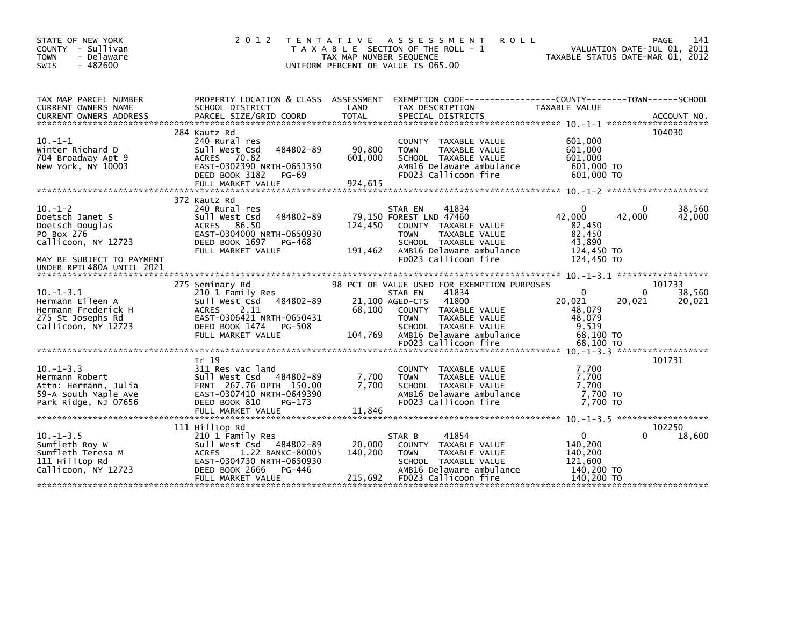| STATE OF NEW YORK<br>COUNTY - Sullivan<br><b>TOWN</b><br>- Delaware<br>$-482600$<br><b>SWIS</b>                                                   |                                                                                                                                                                          | TAX MAP NUMBER SEQUENCE      | 2012 TENTATIVE ASSESSMENT<br><b>ROLL</b><br>T A X A B L E SECTION OF THE ROLL - 1<br>UNIFORM PERCENT OF VALUE IS 065.00                                                                                 | TAXABLE STATUS DATE-MAR 01, 2012                                             |                    | 141<br>PAGE<br>VALUATION DATE-JUL 01, 2011 |
|---------------------------------------------------------------------------------------------------------------------------------------------------|--------------------------------------------------------------------------------------------------------------------------------------------------------------------------|------------------------------|---------------------------------------------------------------------------------------------------------------------------------------------------------------------------------------------------------|------------------------------------------------------------------------------|--------------------|--------------------------------------------|
| TAX MAP PARCEL NUMBER<br>CURRENT OWNERS NAME                                                                                                      | SCHOOL DISTRICT                                                                                                                                                          | LAND                         | PROPERTY LOCATION & CLASS ASSESSMENT EXEMPTION CODE----------------COUNTY-------TOWN-----SCHOOL<br>TAX DESCRIPTION                                                                                      | TAXABLE VALUE                                                                |                    |                                            |
| $10. -1 - 1$<br>Winter Richard D<br>704 Broadway Apt 9<br>New York, NY 10003                                                                      | 284 Kautz Rd<br>240 Rural res<br>Sull West Csd<br>484802-89<br>ACRES 70.82<br>EAST-0302390 NRTH-0651350<br>DEED BOOK 3182<br>PG-69<br>FULL MARKET VALUE                  | 90,800<br>601,000<br>924,615 | COUNTY TAXABLE VALUE<br>TAXABLE VALUE<br><b>TOWN</b><br>SCHOOL TAXABLE VALUE<br>AMB16 Delaware ambulance<br>FD023 Callicoon fire                                                                        | 601,000<br>601,000<br>601,000<br>601,000 TO<br>601,000 TO                    |                    | 104030                                     |
| $10. -1 - 2$<br>Doetsch Janet S<br>Doetsch Douglas<br>PO Box 276<br>Callicoon, NY 12723<br>MAY BE SUBJECT TO PAYMENT<br>UNDER RPTL480A UNTIL 2021 | 372 Kautz Rd<br>240 Rural res<br>484802-89<br>Sull West Csd<br>86.50<br>ACRES<br>EAST-0304000 NRTH-0650930<br>DEED BOOK 1697<br>PG-468<br>FULL MARKET VALUE              | 124,450<br>191,462           | 41834<br>STAR EN<br>79,150 FOREST LND 47460<br>COUNTY TAXABLE VALUE<br>TAXABLE VALUE<br><b>TOWN</b><br>SCHOOL TAXABLE VALUE<br>AMB16 Delaware ambulance<br>FD023 Callicoon fire                         | $\Omega$<br>42,000<br>82,450<br>82,450<br>43,890<br>124,450 TO<br>124,450 TO | $\Omega$<br>42,000 | 38,560<br>42,000                           |
| $10. -1 - 3.1$<br>Hermann Eileen A<br>Hermann Frederick H<br>275 St Josephs Rd<br>Callicoon, NY 12723                                             | 275 Seminary Rd<br>210 1 Family Res<br>Sull West Csd 484802-89<br>2.11<br>ACRES<br>EAST-0306421 NRTH-0650431<br>DEED BOOK 1474<br>PG-508<br>FULL MARKET VALUE            | 68,100<br>104,769            | 98 PCT OF VALUE USED FOR EXEMPTION PURPOSES<br>41834<br>STAR EN<br>41800<br>21,100 AGED-CTS<br>COUNTY TAXABLE VALUE<br>TAXABLE VALUE<br><b>TOWN</b><br>SCHOOL TAXABLE VALUE<br>AMB16 Delaware ambulance | $\Omega$<br>20,021<br>48,079<br>48,079<br>9,519<br>68,100 TO                 | $\Omega$<br>20,021 | 101733<br>38,560<br>20,021                 |
| $10. -1 - 3.3$<br>Hermann Robert<br>Attn: Hermann, Julia<br>59-A South Maple Ave<br>Park Ridge, NJ 07656                                          | Tr 19<br>311 Res vac land<br>Sull West Csd 484802-89<br>FRNT 267.76 DPTH 150.00<br>EAST-0307410 NRTH-0649390<br>DEED BOOK 810<br>PG-173<br>FULL MARKET VALUE             | 7,700<br>7.700<br>11,846     | COUNTY TAXABLE VALUE<br><b>TOWN</b><br>TAXABLE VALUE<br>SCHOOL TAXABLE VALUE<br>AMB16 Delaware ambulance<br>FD023 Callicoon fire                                                                        | 7,700<br>7,700<br>7.700<br>7,700 TO<br>7.700 TO                              |                    | 101731                                     |
| $10. -1 - 3.5$<br>Sumfleth Roy W<br>Sumfleth Teresa M<br>111 Hilltop Rd<br>Callicoon, NY 12723                                                    | 111 Hilltop Rd<br>210 1 Family Res<br>Sull West Csd 484802-89<br>1.22 BANKC-80005<br>ACRES<br>EAST-0304730 NRTH-0650930<br>DEED BOOK 2666<br>PG-446<br>FULL MARKET VALUE | 20,000<br>140,200<br>215,692 | 41854<br>STAR B<br>COUNTY TAXABLE VALUE<br>TAXABLE VALUE<br><b>TOWN</b><br>SCHOOL TAXABLE VALUE<br>AMB16 Delaware ambulance<br>FD023 Callicoon fire                                                     | $\mathbf{0}$<br>140,200<br>140,200<br>121,600<br>140,200 TO<br>140,200 TO    | 0                  | 102250<br>18,600                           |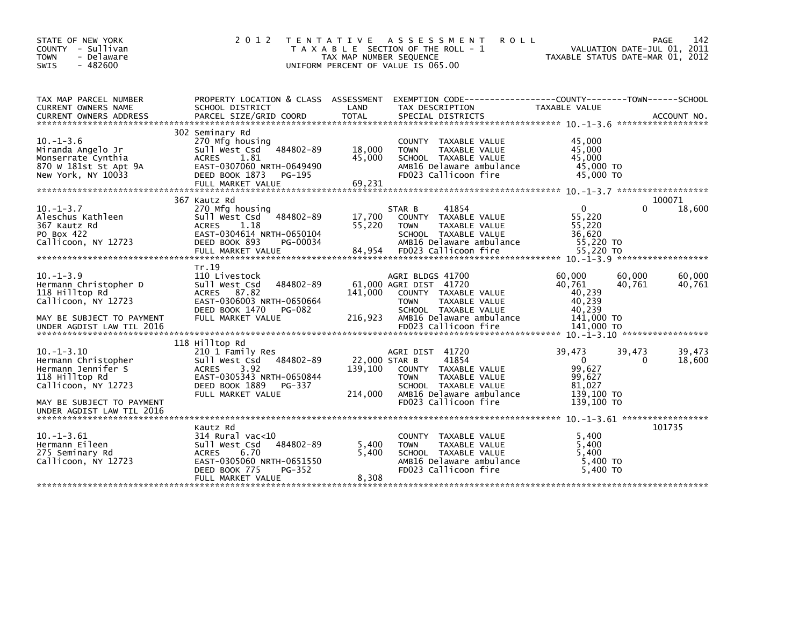| STATE OF NEW YORK<br>COUNTY - Sullivan<br><b>TOWN</b><br>- Delaware<br>$-482600$<br><b>SWIS</b>                                            | 2 0 1 2                                                                                                                                                                | TAX MAP NUMBER SEQUENCE    | TENTATIVE ASSESSMENT<br><b>ROLL</b><br>T A X A B L E SECTION OF THE ROLL - 1<br>UNIFORM PERCENT OF VALUE IS 065.00                                                             | TAXABLE STATUS DATE-MAR 01, 2012                                           |                    | 142<br>PAGE<br>VALUATION DATE-JUL 01, 2011 |
|--------------------------------------------------------------------------------------------------------------------------------------------|------------------------------------------------------------------------------------------------------------------------------------------------------------------------|----------------------------|--------------------------------------------------------------------------------------------------------------------------------------------------------------------------------|----------------------------------------------------------------------------|--------------------|--------------------------------------------|
| TAX MAP PARCEL NUMBER<br>CURRENT OWNERS NAME<br><b>CURRENT OWNERS ADDRESS</b>                                                              | PROPERTY LOCATION & CLASS ASSESSMENT<br>SCHOOL DISTRICT<br>PARCEL SIZE/GRID COORD                                                                                      | LAND<br><b>TOTAL</b>       | EXEMPTION CODE-----------------COUNTY-------TOWN------SCHOOL<br>TAX DESCRIPTION<br>SPECIAL DISTRICTS                                                                           | TAXABLE VALUE                                                              |                    | ACCOUNT NO.                                |
|                                                                                                                                            |                                                                                                                                                                        |                            |                                                                                                                                                                                |                                                                            |                    |                                            |
| $10. -1 - 3.6$<br>Miranda Angelo Jr<br>Monserrate Cynthia<br>870 W 181st St Apt 9A<br>New York, NY 10033                                   | 302 Seminary Rd<br>270 Mfg housing<br>484802-89<br>Sull West Csd<br><b>ACRES</b><br>1.81<br>EAST-0307060 NRTH-0649490<br>DEED BOOK 1873<br>PG-195<br>FULL MARKET VALUE | 18,000<br>45,000<br>69,231 | COUNTY TAXABLE VALUE<br><b>TOWN</b><br>TAXABLE VALUE<br>SCHOOL TAXABLE VALUE<br>AMB16 Delaware ambulance<br>FD023 Callicoon fire                                               | 45,000<br>45,000<br>45.000<br>45,000 TO<br>45,000 TO                       |                    |                                            |
|                                                                                                                                            | 367 Kautz Rd                                                                                                                                                           |                            |                                                                                                                                                                                |                                                                            |                    | 100071                                     |
| $10. -1 - 3.7$<br>Aleschus Kathleen<br>367 Kautz Rd<br>PO Box 422<br>Callicoon, NY 12723                                                   | 270 Mfg housing<br>Sull West Csd<br>484802-89<br>1.18<br><b>ACRES</b><br>EAST-0304614 NRTH-0650104<br>DEED BOOK 893<br>PG-00034<br>FULL MARKET VALUE                   | 17,700<br>55,220<br>84,954 | 41854<br>STAR B<br>COUNTY TAXABLE VALUE<br>TAXABLE VALUE<br><b>TOWN</b><br>SCHOOL TAXABLE VALUE<br>AMB16 Delaware ambulance<br>FD023 Callicoon fire                            | $\overline{0}$<br>55,220<br>55,220<br>36,620<br>55,220 TO<br>55,220 TO     | 0                  | 18,600                                     |
|                                                                                                                                            | Tr.19                                                                                                                                                                  |                            |                                                                                                                                                                                |                                                                            |                    |                                            |
| $10. -1 - 3.9$<br>Hermann Christopher D<br>118 Hilltop Rd<br>Callicoon, NY 12723<br>MAY BE SUBJECT TO PAYMENT<br>UNDER AGDIST LAW TIL 2016 | 110 Livestock<br>484802-89<br>Sull West Csd<br>ACRES 87.82<br>EAST-0306003 NRTH-0650664<br>DEED BOOK 1470<br>PG-082<br>FULL MARKET VALUE                               | 141.000<br>216,923         | AGRI BLDGS 41700<br>61,000 AGRI DIST 41720<br>COUNTY TAXABLE VALUE<br>TAXABLE VALUE<br><b>TOWN</b><br>SCHOOL TAXABLE VALUE<br>AMB16 Delaware ambulance<br>FD023 Callicoon fire | 60,000<br>40,761<br>40,239<br>40,239<br>40,239<br>141,000 TO<br>141,000 TO | 60,000<br>40,761   | 60,000<br>40,761                           |
|                                                                                                                                            |                                                                                                                                                                        |                            |                                                                                                                                                                                |                                                                            |                    |                                            |
| $10. -1 - 3.10$<br>Hermann Christopher<br>Hermann Jennifer S<br>118 Hilltop Rd<br>Callicoon, NY 12723                                      | 118 Hilltop Rd<br>210 1 Family Res<br>484802-89<br>Sull West Csd<br><b>ACRES</b><br>3.92<br>EAST-0305343 NRTH-0650844<br>DEED BOOK 1889<br>PG-337                      | 22,000 STAR B<br>139,100   | AGRI DIST 41720<br>41854<br>COUNTY TAXABLE VALUE<br><b>TOWN</b><br>TAXABLE VALUE<br>SCHOOL TAXABLE VALUE                                                                       | 39,473<br>$\mathbf{0}$<br>99,627<br>99,627<br>81.027                       | 39,473<br>$\Omega$ | 39,473<br>18,600                           |
| MAY BE SUBJECT TO PAYMENT<br>UNDER AGDIST LAW TIL 2016                                                                                     | FULL MARKET VALUE                                                                                                                                                      | 214,000                    | AMB16 Delaware ambulance<br>FD023 Callicoon fire                                                                                                                               | 139,100 TO<br>139.100 TO                                                   |                    |                                            |
|                                                                                                                                            | Kautz Rd                                                                                                                                                               |                            |                                                                                                                                                                                |                                                                            |                    | 101735                                     |
| $10. -1 - 3.61$<br>Hermann Eileen<br>275 Seminary Rd<br>Callicoon, NY 12723                                                                | $314$ Rural vac< $10$<br>Sull West Csd<br>484802-89<br><b>ACRES</b><br>6.70<br>EAST-0305060 NRTH-0651550<br>DEED BOOK 775<br>PG-352                                    | 5,400<br>5,400             | COUNTY TAXABLE VALUE<br>TAXABLE VALUE<br><b>TOWN</b><br>SCHOOL TAXABLE VALUE<br>AMB16 Delaware ambulance<br>FD023 Callicoon fire                                               | 5,400<br>5,400<br>5,400<br>5,400 TO<br>5.400 TO                            |                    |                                            |
|                                                                                                                                            | FULL MARKET VALUE                                                                                                                                                      | 8,308                      |                                                                                                                                                                                |                                                                            |                    |                                            |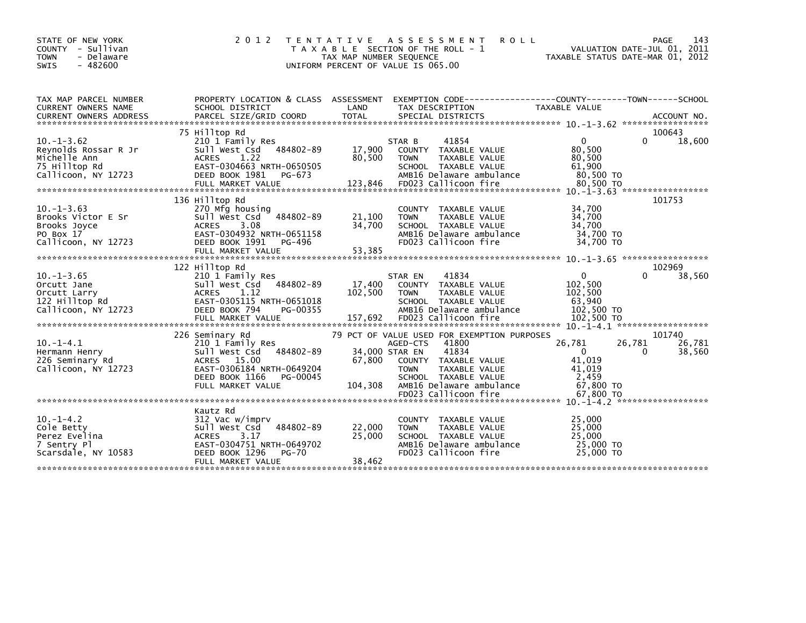| STATE OF NEW YORK<br>COUNTY - Sullivan<br><b>TOWN</b><br>- Delaware<br>$-482600$<br>SWIS        | 2 0 1 2                                                                                                                                                          | T E N T A T I V E<br>TAX MAP NUMBER SEQUENCE | <b>ROLL</b><br>A S S E S S M E N T<br>T A X A B L E SECTION OF THE ROLL - 1<br>UNIFORM PERCENT OF VALUE IS 065.00                                                                                          | TAXABLE STATUS DATE-MAR 01, 2012                                     | PAGE<br>143<br>VALUATION DATE-JUL 01, 2011 |
|-------------------------------------------------------------------------------------------------|------------------------------------------------------------------------------------------------------------------------------------------------------------------|----------------------------------------------|------------------------------------------------------------------------------------------------------------------------------------------------------------------------------------------------------------|----------------------------------------------------------------------|--------------------------------------------|
| TAX MAP PARCEL NUMBER<br>CURRENT OWNERS NAME<br><b>CURRENT OWNERS ADDRESS</b>                   | SCHOOL DISTRICT<br>PARCEL SIZE/GRID COORD                                                                                                                        | LAND<br><b>TOTAL</b>                         | PROPERTY LOCATION & CLASS ASSESSMENT EXEMPTION CODE----------------COUNTY-------TOWN------SCHOOL<br>TAX DESCRIPTION<br>SPECIAL DISTRICTS                                                                   | TAXABLE VALUE                                                        | ACCOUNT NO.                                |
|                                                                                                 | 75 Hilltop Rd                                                                                                                                                    |                                              |                                                                                                                                                                                                            |                                                                      | 100643                                     |
| $10. -1 - 3.62$<br>Reynolds Rossar R Jr<br>Michelle Ann<br>75 Hilltop Rd<br>Callicoon, NY 12723 | 210 1 Family Res<br>484802-89<br>Sull West Csd<br><b>ACRES</b><br>1.22<br>EAST-0304663 NRTH-0650505<br>DEED BOOK 1981<br>PG-673                                  | 17,900<br>80,500                             | 41854<br>STAR B<br>COUNTY TAXABLE VALUE<br><b>TOWN</b><br>TAXABLE VALUE<br>SCHOOL TAXABLE VALUE<br>AMB16 Delaware ambulance                                                                                | $\Omega$<br>80,500<br>80,500<br>61.900<br>80,500 TO                  | $\Omega$<br>18,600                         |
|                                                                                                 |                                                                                                                                                                  |                                              |                                                                                                                                                                                                            |                                                                      |                                            |
| $10. -1 - 3.63$<br>Brooks Victor E Sr<br>Brooks Joyce<br>PO Box 17<br>Callicoon, NY 12723       | 136 Hilltop Rd<br>270 Mfg housing<br>484802-89<br>Sull West Csd<br>3.08<br><b>ACRES</b><br>EAST-0304932 NRTH-0651158<br>DEED BOOK 1991<br>PG-496                 | 21,100<br>34,700                             | COUNTY<br>TAXABLE VALUE<br>TAXABLE VALUE<br><b>TOWN</b><br>SCHOOL TAXABLE VALUE<br>AMB16 Delaware ambulance<br>FD023 Callicoon fire                                                                        | 34,700<br>34,700<br>34,700<br>34,700 TO<br>34,700 TO                 | 101753                                     |
|                                                                                                 | FULL MARKET VALUE                                                                                                                                                | 53,385                                       |                                                                                                                                                                                                            |                                                                      |                                            |
|                                                                                                 |                                                                                                                                                                  |                                              |                                                                                                                                                                                                            |                                                                      |                                            |
|                                                                                                 | 122 Hilltop Rd                                                                                                                                                   |                                              |                                                                                                                                                                                                            |                                                                      | 102969                                     |
| $10. -1 - 3.65$<br>Orcutt Jane<br>Orcutt Larry<br>122 Hilltop Rd<br>Callicoon, NY 12723         | 210 1 Family Res<br>Sull West Csd<br>484802-89<br><b>ACRES</b><br>1.12<br>EAST-0305115 NRTH-0651018<br>DEED BOOK 794<br>PG-00355<br>FULL MARKET VALUE            | 17,400<br>102,500<br>157,692                 | 41834<br>STAR EN<br>COUNTY<br>TAXABLE VALUE<br>TAXABLE VALUE<br><b>TOWN</b><br>SCHOOL TAXABLE VALUE<br>AMB16 Delaware ambulance<br>FD023 Callicoon fire                                                    | $\Omega$<br>102,500<br>102,500<br>63,940<br>102,500 TO<br>102,500 TO | 38,560<br>0                                |
|                                                                                                 |                                                                                                                                                                  |                                              |                                                                                                                                                                                                            |                                                                      |                                            |
| $10. -1 - 4.1$<br>Hermann Henry<br>226 Seminary Rd<br>Callicoon, NY 12723                       | 226 Seminary Rd<br>210 1 Family Res<br>484802-89<br>Sull West Csd<br>ACRES 15.00<br>EAST-0306184 NRTH-0649204<br>DEED BOOK 1166<br>PG-00045<br>FULL MARKET VALUE | 67,800<br>104,308                            | 79 PCT OF VALUE USED FOR EXEMPTION PURPOSES<br>41800<br>AGED-CTS<br>41834<br>34,000 STAR EN<br>COUNTY<br>TAXABLE VALUE<br>TAXABLE VALUE<br><b>TOWN</b><br>SCHOOL TAXABLE VALUE<br>AMB16 Delaware ambulance | 26,781<br>$\mathbf{0}$<br>41,019<br>41,019<br>2,459<br>67,800 TO     | 101740<br>26,781<br>26,781<br>38,560<br>0  |
|                                                                                                 |                                                                                                                                                                  |                                              |                                                                                                                                                                                                            |                                                                      |                                            |
| $10. -1 - 4.2$<br>Cole Betty<br>Perez Evelina<br>7 Sentry Pl<br>Scarsdale, NY 10583             | Kautz Rd<br>312 Vac w/imprv<br>484802-89<br>Sull West Csd<br><b>ACRES</b><br>3.17<br>EAST-0304751 NRTH-0649702<br>DEED BOOK 1296<br>$PG-70$<br>FULL MARKET VALUE | 22,000<br>25,000<br>38,462                   | <b>COUNTY</b><br>TAXABLE VALUE<br>TAXABLE VALUE<br><b>TOWN</b><br>SCHOOL TAXABLE VALUE<br>AMB16 Delaware ambulance<br>FD023 Callicoon fire                                                                 | 25,000<br>25,000<br>25,000<br>25,000 TO<br>25,000 TO                 |                                            |
|                                                                                                 |                                                                                                                                                                  |                                              |                                                                                                                                                                                                            |                                                                      |                                            |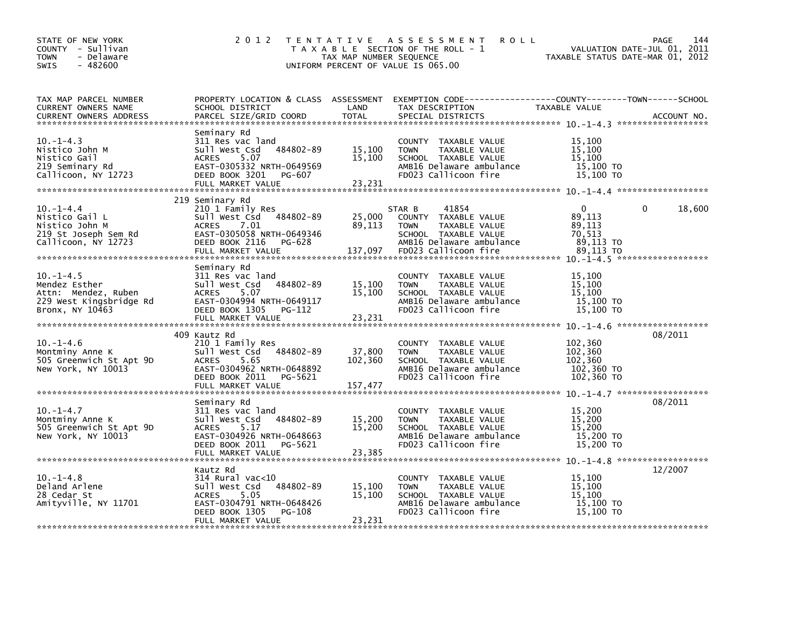| STATE OF NEW YORK<br>COUNTY - Sullivan<br>- Delaware<br><b>TOWN</b><br>$-482600$<br>SWIS                                    | 2012                                                                                                                                                      | TAX MAP NUMBER SEQUENCE    | TENTATIVE ASSESSMENT<br><b>ROLL</b><br>T A X A B L E SECTION OF THE ROLL - 1<br>UNIFORM PERCENT OF VALUE IS 065.00               | VALUATION DATE-JUL 01, 2011<br>TAXABLE STATUS DATE-MAR 01, 2012 | 144<br>PAGE |
|-----------------------------------------------------------------------------------------------------------------------------|-----------------------------------------------------------------------------------------------------------------------------------------------------------|----------------------------|----------------------------------------------------------------------------------------------------------------------------------|-----------------------------------------------------------------|-------------|
| TAX MAP PARCEL NUMBER<br>CURRENT OWNERS NAME<br><b>CURRENT OWNERS ADDRESS</b>                                               | PARCEL SIZE/GRID COORD                                                                                                                                    | <b>TOTAL</b>               | SPECIAL DISTRICTS                                                                                                                |                                                                 | ACCOUNT NO. |
| $10. -1 - 4.3$<br>Nistico John M<br>Nistico Gail<br>219 Seminary Rd<br>Callicoon, NY 12723                                  | Seminary Rd<br>311 Res vac land<br>Sull West Csd 484802-89<br>5.07<br>EAST-0305332 NRTH-0649569<br>DEED BOOK 3201 PG-607<br>FULL MARKET VALUE             | 15,100<br>15,100<br>23,231 | COUNTY TAXABLE VALUE<br><b>TOWN</b><br>TAXABLE VALUE<br>SCHOOL TAXABLE VALUE<br>AMB16 Delaware ambulance<br>FD023 Callicoon fire | 15,100<br>15,100<br>15,100<br>15,100 TO<br>15,100 TO            |             |
| $10.-1-4.4$<br>Nistico Gail L<br>Nistico John M<br>219 St Joseph Sem Rd<br>Callicoon, NY 12723                              | 219 Seminary Rd<br>210 1 Family Res<br>Sull West Csd 484802-89<br>ACRES<br>7.01<br>EAST-0305058 NRTH-0649346                                              | 89,113                     | 41854<br>STAR B<br>25,000 COUNTY TAXABLE VALUE<br><b>TOWN</b><br>TAXABLE VALUE<br>SCHOOL TAXABLE VALUE                           | $\mathbf{0}$<br>89,113<br>89,113<br>70.513                      | 18,600      |
| $10.-1-4.5$<br>Mendez Esther<br>Attn: Mendez, Ruben<br>229 West Kingsbridge Rd<br>Bronx, NY 10463                           | Seminary Rd<br>311 Res vac land<br>Sull West Csd 484802-89<br>ACRES 5.07<br>EAST-0304994 NRTH-0649117<br>DEED BOOK 1305 PG-112                            | 15,100<br>15,100           | COUNTY TAXABLE VALUE<br>TAXABLE VALUE<br>TOWN<br>SCHOOL TAXABLE VALUE<br>AMB16 Delaware ambulance<br>FD023 Callicoon fire        | 15,100<br>15,100<br>15,100<br>15,100 TO<br>15,100 TO            |             |
| $10. -1 - 4.6$<br>Montminy Anne K<br>Montminy Anne K<br>505 Greenwich St Apt 9D<br>New York. NY 10013<br>New York, NY 10013 | 409 Kautz Rd<br>210 1 Family Res<br>Sull West Csd 484802-89<br>5.65<br>ACRES<br>EAST-0304962 NRTH-0648892<br>DEED BOOK 2011 PG-5621                       | 37,800<br>102,360          | COUNTY TAXABLE VALUE<br><b>TOWN</b><br>TAXABLE VALUE<br>SCHOOL TAXABLE VALUE<br>AMB16 Delaware ambulance<br>FD023 Callicoon fire | 102,360<br>102,360<br>102,360<br>102,360 то<br>102,360 TO       | 08/2011     |
| $10.-1-4.7$<br>Montminy Anne K<br>505 Greenwich St Apt 9D<br>New York, NY 10013                                             | Seminary Rd<br>311 Res vac land<br>484802-89<br>sull west Csd<br>ACRES<br>5.17<br>EAST-0304926 NRTH-0648663<br>DEED BOOK 2011 PG-5621                     | 15,200<br>15,200           | COUNTY TAXABLE VALUE<br>TAXABLE VALUE<br><b>TOWN</b><br>SCHOOL TAXABLE VALUE<br>AMB16 Delaware ambulance<br>FD023 Callicoon fire | 15,200<br>15,200<br>15.200<br>15,200 TO<br>15,200 TO            | 08/2011     |
| $10. -1 - 4.8$<br>Deland Arlene<br>28 Cedar St<br>Amityville, NY 11701                                                      | Kautz Rd<br>314 Rural vac<10<br>484802-89<br>Sull West Csd<br>ACRES<br>5.05<br>EAST-0304791 NRTH-0648426<br>DEED BOOK 1305<br>PG-108<br>FULL MARKET VALUE | 15,100<br>15,100<br>23,231 | COUNTY TAXABLE VALUE<br><b>TOWN</b><br>TAXABLE VALUE<br>SCHOOL TAXABLE VALUE<br>AMB16 Delaware ambulance<br>FD023 Callicoon fire | 15,100<br>15,100<br>15,100<br>15,100 TO<br>15,100 TO            | 12/2007     |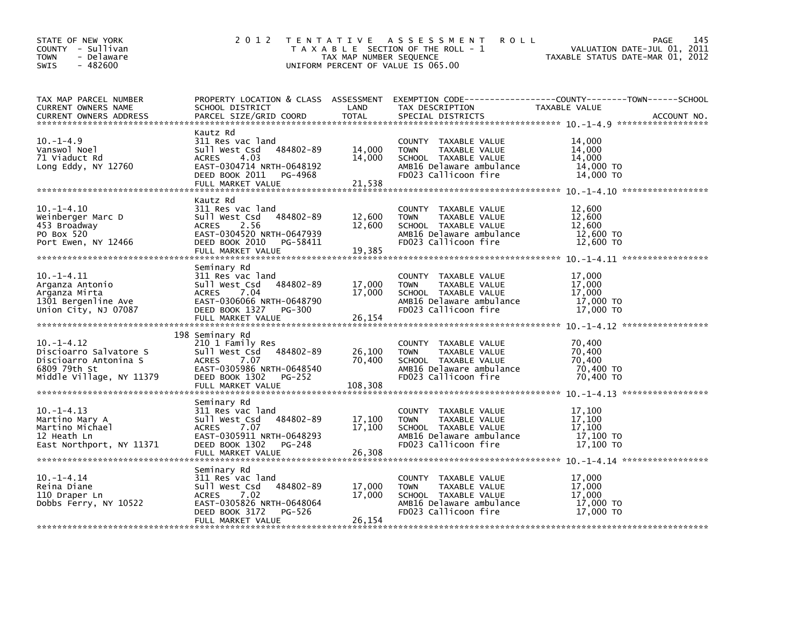| STATE OF NEW YORK<br>COUNTY - Sullivan<br>- Delaware<br><b>TOWN</b><br>$-482600$<br><b>SWIS</b>                | 2 0 1 2                                                                                                                                                                 | TAX MAP NUMBER SEQUENCE     | TENTATIVE ASSESSMENT<br><b>ROLL</b><br>T A X A B L E SECTION OF THE ROLL - 1<br>UNIFORM PERCENT OF VALUE IS 065.00                      | PAGE<br>VALUATION DATE-JUL 01, 2011<br>TAXABLE STATUS DATE-MAR 01, 2012                                                          | 145 |
|----------------------------------------------------------------------------------------------------------------|-------------------------------------------------------------------------------------------------------------------------------------------------------------------------|-----------------------------|-----------------------------------------------------------------------------------------------------------------------------------------|----------------------------------------------------------------------------------------------------------------------------------|-----|
| TAX MAP PARCEL NUMBER<br><b>CURRENT OWNERS NAME</b><br><b>CURRENT OWNERS ADDRESS</b>                           | SCHOOL DISTRICT<br>PARCEL SIZE/GRID COORD                                                                                                                               | LAND<br><b>TOTAL</b>        | TAX DESCRIPTION<br>SPECIAL DISTRICTS                                                                                                    | PROPERTY LOCATION & CLASS ASSESSMENT EXEMPTION CODE----------------COUNTY-------TOWN------SCHOOL<br>TAXABLE VALUE<br>ACCOUNT NO. |     |
| $10. -1 - 4.9$<br>Vanswol Noel<br>71 Viaduct Rd<br>Long Eddy, NY 12760                                         | Kautz Rd<br>311 Res vac land<br>484802-89<br>Sull West Csd<br>ACRES<br>4.03<br>EAST-0304714 NRTH-0648192<br>DEED BOOK 2011<br>PG-4968<br>FULL MARKET VALUE              | 14,000<br>14,000<br>21,538  | COUNTY TAXABLE VALUE<br><b>TOWN</b><br>TAXABLE VALUE<br>SCHOOL TAXABLE VALUE<br>AMB16 Delaware ambulance<br>FD023 Callicoon fire        | 14.000<br>14,000<br>14,000<br>14,000 TO<br>14,000 TO                                                                             |     |
| $10. -1 - 4.10$<br>Weinberger Marc D<br>453 Broadway<br>PO Box 520<br>Port Ewen, NY 12466                      | Kautz Rd<br>311 Res vac land<br>484802-89<br>Sull West Csd<br>2.56<br><b>ACRES</b><br>EAST-0304520 NRTH-0647939<br>DEED BOOK 2010<br>PG-58411<br>FULL MARKET VALUE      | 12,600<br>12,600<br>19,385  | COUNTY TAXABLE VALUE<br><b>TOWN</b><br>TAXABLE VALUE<br>SCHOOL TAXABLE VALUE<br>AMB16 Delaware ambulance<br>FD023 Callicoon fire        | 12,600<br>12,600<br>12,600<br>12,600 TO<br>12,600 TO                                                                             |     |
| $10. -1 - 4.11$<br>Arganza Antonio<br>Arganza Mirta<br>1301 Bergenline Ave<br>Union City, NJ 07087             | Seminary Rd<br>311 Res vac land<br>Sull West Csd<br>484802-89<br>7.04<br><b>ACRES</b><br>EAST-0306066 NRTH-0648790<br>DEED BOOK 1327 PG-300<br>FULL MARKET VALUE        | 17,000<br>17.000<br>26,154  | COUNTY TAXABLE VALUE<br>TAXABLE VALUE<br><b>TOWN</b><br>SCHOOL TAXABLE VALUE<br>AMB16 Delaware ambulance<br>FD023 Callicoon fire        | 17,000<br>17,000<br>17,000<br>17,000 TO<br>17,000 TO                                                                             |     |
| $10. -1 - 4.12$<br>Discioarro Salvatore S<br>Discioarro Antonina S<br>6809 79th St<br>Middle Village, NY 11379 | 198 Seminary Rd<br>210 1 Family Res<br>Sull West Csd<br>484802-89<br><b>ACRES</b><br>7.07<br>EAST-0305986 NRTH-0648540<br>DEED BOOK 1302<br>PG-252<br>FULL MARKET VALUE | 26,100<br>70,400<br>108,308 | COUNTY TAXABLE VALUE<br><b>TOWN</b><br>TAXABLE VALUE<br>SCHOOL TAXABLE VALUE<br>AMB16 Delaware ambulance<br>FD023 Callicoon fire        | 70,400<br>70,400<br>70,400<br>70.400 TO<br>70,400 TO                                                                             |     |
| $10. -1 - 4.13$<br>Martino Mary A<br>Martino Michael<br>12 Heath Ln<br>East Northport, NY 11371                | Seminary Rd<br>311 Res vac land<br>484802-89<br>Sull West Csd<br>7.07<br><b>ACRES</b><br>EAST-0305911 NRTH-0648293<br>DEED BOOK 1302<br>PG-248<br>FULL MARKET VALUE     | 17,100<br>17,100<br>26,308  | COUNTY TAXABLE VALUE<br><b>TAXABLE VALUE</b><br><b>TOWN</b><br>SCHOOL TAXABLE VALUE<br>AMB16 Delaware ambulance<br>FD023 Callicoon fire | 17,100<br>17.100<br>17.100<br>17,100 TO<br>17.100 TO                                                                             |     |
| $10. -1 - 4.14$<br>Reina Diane<br>110 Draper Ln<br>Dobbs Ferry, NY 10522                                       | Seminary Rd<br>311 Res vac land<br>484802-89<br>Sull West Csd<br><b>ACRES</b><br>7.02<br>EAST-0305826 NRTH-0648064<br>DEED BOOK 3172<br>PG-526<br>FULL MARKET VALUE     | 17,000<br>17,000<br>26,154  | COUNTY TAXABLE VALUE<br><b>TOWN</b><br>TAXABLE VALUE<br>SCHOOL TAXABLE VALUE<br>AMB16 Delaware ambulance<br>FD023 Callicoon fire        | 17,000<br>17,000<br>17,000<br>17,000 TO<br>17,000 TO                                                                             |     |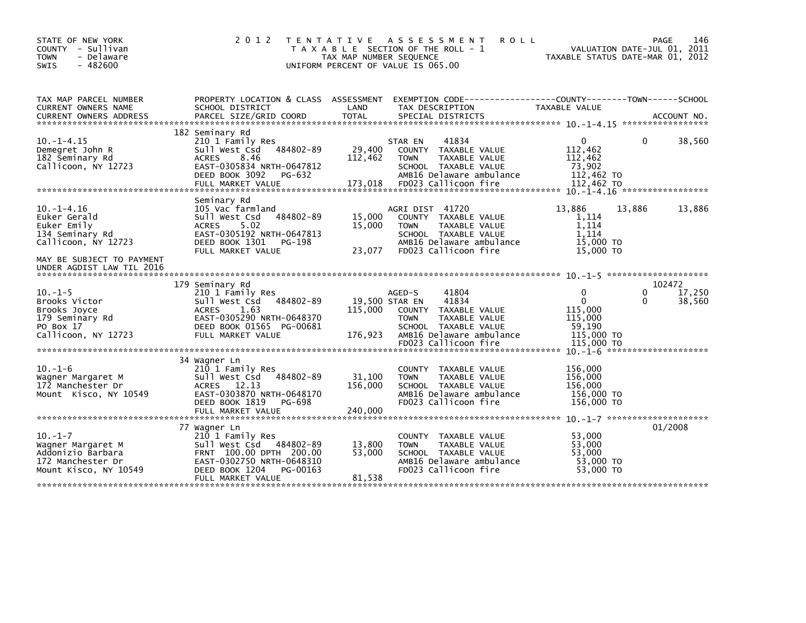| STATE OF NEW YORK<br>COUNTY - Sullivan<br>- Delaware<br><b>TOWN</b><br>$-482600$<br><b>SWIS</b>                                                                                                                               | 2 0 1 2                                                                                                                                                                | T E N T A T I V E<br>TAX MAP NUMBER SEQUENCE | A S S E S S M E N T<br>T A X A B L E SECTION OF THE ROLL - 1<br>UNIFORM PERCENT OF VALUE IS 065.00                                                           | <b>ROLL</b>                                                                          | PAGE<br>146<br>VALUATION DATE-JUL 01, 2011<br>TAXABLE STATUS DATE-MAR 01, 2012 |
|-------------------------------------------------------------------------------------------------------------------------------------------------------------------------------------------------------------------------------|------------------------------------------------------------------------------------------------------------------------------------------------------------------------|----------------------------------------------|--------------------------------------------------------------------------------------------------------------------------------------------------------------|--------------------------------------------------------------------------------------|--------------------------------------------------------------------------------|
| TAX MAP PARCEL NUMBER<br>CURRENT OWNERS NAME                                                                                                                                                                                  | PROPERTY LOCATION & CLASS ASSESSMENT EXEMPTION CODE---------------COUNTY-------TOWN-----SCHOOL<br>SCHOOL DISTRICT                                                      | LAND                                         | TAX DESCRIPTION                                                                                                                                              | TAXABLE VALUE                                                                        |                                                                                |
| .CURRENT OWNERS ADDRESS PARCEL SIZE/GRID COORD TOTAL SPECIAL DISTRICTS (ACCOUNT NO ACCOUNT NO ACCOUNT NO AND FREE ALL SERVER AND RESEARCH TO A SERVER AND RESEARCH TO A SERVER AND RESEARCH TO A SERVER AND THE RESEARCH TO A |                                                                                                                                                                        |                                              |                                                                                                                                                              |                                                                                      |                                                                                |
| $10. -1 - 4.15$<br>Demegret John R<br>182 Seminary Rd<br>Callicoon, NY 12723                                                                                                                                                  | 182 Seminary Rd<br>210 1 Family Res<br>Sull West Csd 484802-89<br><b>ACRES</b><br>8.46<br>EAST-0305834 NRTH-0647812<br>DEED BOOK 3092<br>PG-632<br>FULL MARKET VALUE   | 29,400<br>112,462<br>173,018                 | 41834<br>STAR EN<br>COUNTY TAXABLE VALUE<br><b>TOWN</b><br>TAXABLE VALUE<br>SCHOOL TAXABLE VALUE<br>AMB16 Delaware ambulance<br>FD023 Callicoon fire         | 0<br>112,462<br>112,462<br>73,902<br>112,462 TO<br>112,462 TO                        | 38,560<br>0                                                                    |
| $10. -1 - 4.16$<br>Euker Gerald<br>Euker Emily<br>134 Seminary Rd<br>Callicoon, NY 12723<br>MAY BE SUBJECT TO PAYMENT<br>UNDER AGDIST LAW TIL 2016                                                                            | Seminary Rd<br>105 Vac farmland<br>sull west Csd<br>484802-89<br><b>ACRES</b><br>5.02<br>EAST-0305192 NRTH-0647813<br>DEED BOOK 1301<br>PG-198<br>FULL MARKET VALUE    | 15,000<br>15,000<br>23,077                   | AGRI DIST 41720<br>COUNTY TAXABLE VALUE<br>TAXABLE VALUE<br><b>TOWN</b><br>SCHOOL TAXABLE VALUE<br>AMB16 Delaware ambulance<br>FD023 Callicoon fire          | 13.886<br>1,114<br>1.114<br>1,114<br>15,000 TO<br>15,000 TO                          | 13,886<br>13,886                                                               |
|                                                                                                                                                                                                                               | 179 Seminary Rd                                                                                                                                                        |                                              |                                                                                                                                                              |                                                                                      | 102472                                                                         |
| $10. -1 - 5$<br>Brooks Victor<br>Brooks Joyce<br>179 Seminary Rd<br>PO Box 17<br>Callicoon, NY 12723                                                                                                                          | 210 1 Family Res<br>Sull West Csd 484802-89<br><b>ACRES</b><br>1.63<br>EAST-0305290 NRTH-0648370<br>DEED BOOK 01565 PG-00681<br>FULL MARKET VALUE                      | 19,500 STAR EN<br>115,000<br>176,923         | 41804<br>AGED-S<br>41834<br>COUNTY TAXABLE VALUE<br><b>TOWN</b><br>TAXABLE VALUE<br>SCHOOL TAXABLE VALUE<br>AMB16 Delaware ambulance<br>FD023 Callicoon fire | $\Omega$<br>$\mathbf{0}$<br>115,000<br>115,000<br>59,190<br>115,000 TO<br>115,000 TO | 17,250<br>0<br>0<br>38,560                                                     |
|                                                                                                                                                                                                                               | 34 Wagner Ln                                                                                                                                                           |                                              |                                                                                                                                                              |                                                                                      |                                                                                |
| $10. -1 - 6$<br>Wagner Margaret M<br>172 Manchester Dr<br>Mount Kisco, NY 10549                                                                                                                                               | 210 1 Family Res<br>Sull West Csd<br>484802-89<br>ACRES 12.13<br>EAST-0303870 NRTH-0648170<br>DEED BOOK 1819<br>PG-698                                                 | 31,100<br>156,000                            | COUNTY TAXABLE VALUE<br>TAXABLE VALUE<br><b>TOWN</b><br>SCHOOL TAXABLE VALUE<br>AMB16 Delaware ambulance<br>FD023 Callicoon fire                             | 156,000<br>156,000<br>156,000<br>156,000 TO<br>156,000 TO                            |                                                                                |
|                                                                                                                                                                                                                               | FULL MARKET VALUE                                                                                                                                                      | 240,000                                      |                                                                                                                                                              |                                                                                      |                                                                                |
| $10. -1 - 7$<br>Wagner Margaret M<br>Addonizio Barbara<br>172 Manchester Dr<br>Mount Kisco, NY 10549                                                                                                                          | 77 Wagner Ln<br>210 1 Family Res<br>Sull West Csd 484802-89<br>FRNT 100.00 DPTH 200.00<br>EAST-0302750 NRTH-0648310<br>DEED BOOK 1204<br>PG-00163<br>FULL MARKET VALUE | 13,800<br>53,000<br>81,538                   | COUNTY TAXABLE VALUE<br>TAXABLE VALUE<br><b>TOWN</b><br>SCHOOL TAXABLE VALUE<br>AMB16 Delaware ambulance<br>FD023 Callicoon fire                             | 53,000<br>53,000<br>53,000<br>53,000 TO<br>53,000 TO                                 | 01/2008                                                                        |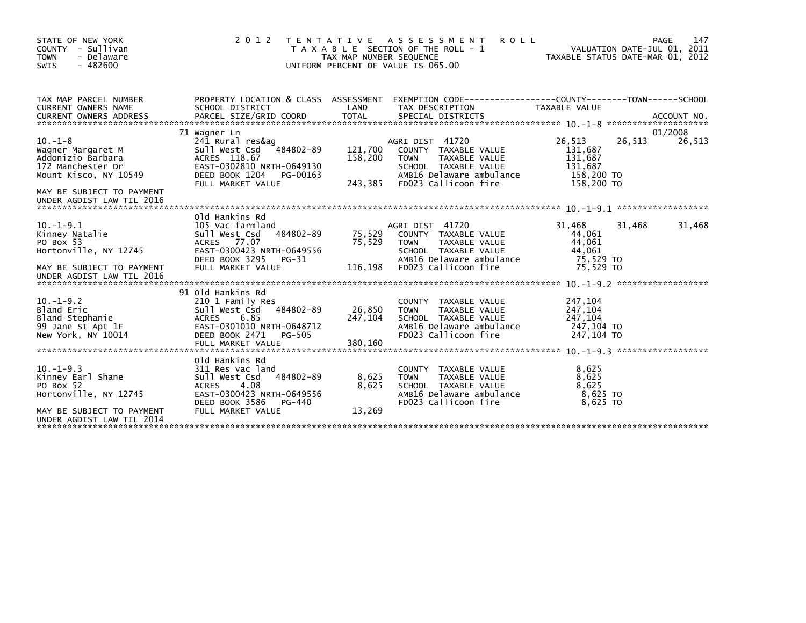| STATE OF NEW YORK<br>COUNTY - Sullivan<br><b>TOWN</b><br>- Delaware<br>$-482600$<br>SWIS               | 2 0 1 2                                                                                                                                                                | <b>TENTATIVE</b><br>TAX MAP NUMBER SEQUENCE | ASSESSMENT<br><b>ROLL</b><br>T A X A B L E SECTION OF THE ROLL - 1<br>UNIFORM PERCENT OF VALUE IS 065.00                                            |                                                                     | 147<br>PAGE<br>VALUATION DATE-JUL 01, 2011<br>TAXABLE STATUS DATE-MAR 01, 2012 |
|--------------------------------------------------------------------------------------------------------|------------------------------------------------------------------------------------------------------------------------------------------------------------------------|---------------------------------------------|-----------------------------------------------------------------------------------------------------------------------------------------------------|---------------------------------------------------------------------|--------------------------------------------------------------------------------|
| TAX MAP PARCEL NUMBER<br>CURRENT OWNERS NAME                                                           | PROPERTY LOCATION & CLASS ASSESSMENT<br>SCHOOL DISTRICT                                                                                                                | LAND                                        | TAX DESCRIPTION                                                                                                                                     | TAXABLE VALUE                                                       |                                                                                |
|                                                                                                        | 71 Wagner Ln                                                                                                                                                           |                                             |                                                                                                                                                     |                                                                     | 01/2008                                                                        |
| $10. -1 - 8$<br>Wagner Margaret M<br>Addonizio Barbara<br>172 Manchester Dr<br>Mount Kisco, NY 10549   | 241 Rural res&ag<br>484802-89<br>Sull West Csd<br>ACRES 118.67<br>EAST-0302810 NRTH-0649130<br>DEED BOOK 1204<br>PG-00163<br>FULL MARKET VALUE                         | 121,700<br>158,200<br>243,385               | AGRI DIST 41720<br>COUNTY TAXABLE VALUE<br><b>TOWN</b><br>TAXABLE VALUE<br>SCHOOL TAXABLE VALUE<br>AMB16 Delaware ambulance<br>FD023 Callicoon fire | 26,513<br>131,687<br>131,687<br>131,687<br>158,200 TO<br>158,200 TO | 26,513<br>26,513                                                               |
| MAY BE SUBJECT TO PAYMENT<br>UNDER AGDIST LAW TIL 2016                                                 |                                                                                                                                                                        |                                             |                                                                                                                                                     |                                                                     |                                                                                |
| $10. -1 - 9.1$<br>Kinney Natalie<br>PO Box 53<br>Hortonville, NY 12745                                 | Old Hankins Rd<br>105 Vac farmland<br>484802-89<br>Sull West Csd<br>ACRES 77.07<br>EAST-0300423 NRTH-0649556<br>DEED BOOK 3295<br>PG-31                                | 75,529<br>75,529                            | AGRI DIST 41720<br>COUNTY TAXABLE VALUE<br>TAXABLE VALUE<br><b>TOWN</b><br>SCHOOL TAXABLE VALUE<br>AMB16 Delaware ambulance                         | 31,468<br>44,061<br>44,061<br>44,061<br>75,529 TO                   | 31,468<br>31,468                                                               |
| MAY BE SUBJECT TO PAYMENT<br>UNDER AGDIST LAW TIL 2016                                                 | FULL MARKET VALUE                                                                                                                                                      | 116,198                                     | FD023 Callicoon fire                                                                                                                                | 75,529 TO                                                           |                                                                                |
|                                                                                                        | 91 Old Hankins Rd                                                                                                                                                      |                                             |                                                                                                                                                     |                                                                     |                                                                                |
| $10. -1 - 9.2$<br>Bland Eric<br>Bland Stephanie<br>99 Jane St Apt 1F<br>New York, NY 10014             | 210 1 Family Res<br>Sull West Csd<br>484802-89<br>6.85<br><b>ACRES</b><br>EAST-0301010 NRTH-0648712<br>DEED BOOK 2471<br>PG-505                                        | 26,850<br>247,104                           | COUNTY TAXABLE VALUE<br>TAXABLE VALUE<br><b>TOWN</b><br>SCHOOL TAXABLE VALUE<br>AMB16 Delaware ambulance<br>FD023 Callicoon fire                    | 247,104<br>247,104<br>247,104<br>247,104 TO<br>247,104 TO           |                                                                                |
|                                                                                                        | FULL MARKET VALUE                                                                                                                                                      | 380,160                                     |                                                                                                                                                     |                                                                     | ******************                                                             |
| $10. -1 - 9.3$<br>Kinney Earl Shane<br>PO Box 52<br>Hortonville, NY 12745<br>MAY BE SUBJECT TO PAYMENT | Old Hankins Rd<br>311 Res vac land<br>Sull West Csd<br>484802-89<br>4.08<br><b>ACRES</b><br>EAST-0300423 NRTH-0649556<br>DEED BOOK 3586<br>PG-440<br>FULL MARKET VALUE | 8,625<br>8,625<br>13,269                    | <b>COUNTY</b><br>TAXABLE VALUE<br><b>TOWN</b><br>TAXABLE VALUE<br>SCHOOL TAXABLE VALUE<br>AMB16 Delaware ambulance<br>FD023 Callicoon fire          | 8,625<br>8,625<br>8,625<br>8,625 TO<br>8,625 TO                     |                                                                                |
| UNDER AGDIST LAW TIL 2014                                                                              |                                                                                                                                                                        |                                             |                                                                                                                                                     |                                                                     |                                                                                |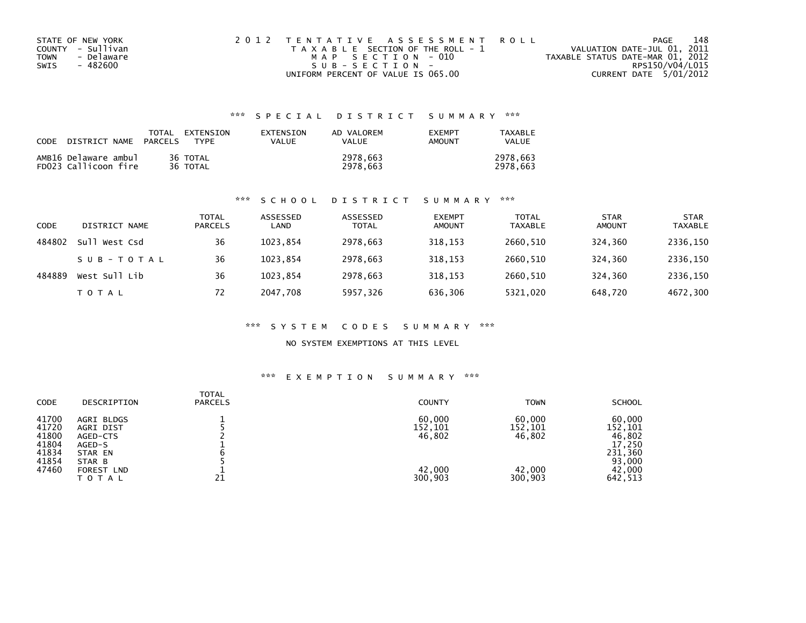| STATE OF NEW YORK  | 2012 TENTATIVE ASSESSMENT ROLL        | PAGE                             | 148 |
|--------------------|---------------------------------------|----------------------------------|-----|
| COUNTY - Sullivan  | T A X A B L E SECTION OF THE ROLL - 1 | VALUATION DATE-JUL 01, 2011      |     |
| - Delaware<br>TOWN | MAP SECTION - 010                     | TAXABLE STATUS DATE-MAR 01, 2012 |     |
| SWIS<br>- 482600   | $SUB - SECTION -$                     | RPS150/V04/L015                  |     |
|                    | UNIFORM PERCENT OF VALUE IS 065.00    | CURRENT DATE 5/01/2012           |     |

| <b>CODE</b> | DISTRICT NAME                                | TOTAL<br>PARCELS | EXTENSION<br><b>TYPF</b> | EXTENSION<br>VALUE | AD VALOREM<br>VALUE  | <b>FXFMPT</b><br><b>AMOUNT</b> | TAXABLE<br><b>VALUE</b> |
|-------------|----------------------------------------------|------------------|--------------------------|--------------------|----------------------|--------------------------------|-------------------------|
|             | AMB16 Delaware ambul<br>FD023 Callicoon fire |                  | 36 TOTAL<br>36 TOTAL     |                    | 2978.663<br>2978.663 |                                | 2978.663<br>2978.663    |

#### \*\*\* S C H O O L D I S T R I C T S U M M A R Y \*\*\*

| CODE   | DISTRICT NAME | <b>TOTAL</b><br><b>PARCELS</b> | ASSESSED<br>LAND | ASSESSED<br><b>TOTAL</b> | <b>EXEMPT</b><br><b>AMOUNT</b> | <b>TOTAL</b><br><b>TAXABLE</b> | <b>STAR</b><br><b>AMOUNT</b> | <b>STAR</b><br><b>TAXABLE</b> |
|--------|---------------|--------------------------------|------------------|--------------------------|--------------------------------|--------------------------------|------------------------------|-------------------------------|
| 484802 | Sull West Csd | 36                             | 1023.854         | 2978,663                 | 318,153                        | 2660,510                       | 324,360                      | 2336,150                      |
|        | SUB-TOTAL     | 36                             | 1023.854         | 2978,663                 | 318.153                        | 2660.510                       | 324.360                      | 2336,150                      |
| 484889 | West Sull Lib | 36                             | 1023.854         | 2978.663                 | 318,153                        | 2660.510                       | 324,360                      | 2336,150                      |
|        | <b>TOTAL</b>  | 72                             | 2047.708         | 5957,326                 | 636,306                        | 5321,020                       | 648,720                      | 4672,300                      |

#### \*\*\* S Y S T E M C O D E S S U M M A R Y \*\*\*

### NO SYSTEM EXEMPTIONS AT THIS LEVEL

| <b>CODE</b><br><b>PARCELS</b><br>DESCRIPTION                                                                                                                                 | <b>COUNTY</b>                                    | <b>TOWN</b>                                                                       | <b>SCHOOL</b>                                  |
|------------------------------------------------------------------------------------------------------------------------------------------------------------------------------|--------------------------------------------------|-----------------------------------------------------------------------------------|------------------------------------------------|
| 41700<br>AGRI BLDGS<br>41720<br>AGRI DIST<br>41800<br>AGED-CTS<br>41804<br>AGED-S<br>41834<br>STAR EN<br>41854<br>STAR B<br>47460<br><b>FOREST LND</b><br>21<br><b>TOTAL</b> | 60,000<br>152,101<br>46,802<br>42.000<br>300,903 | 60,000<br>152,101<br>152,101<br>46,802<br>231,360<br>42,000<br>300,903<br>642,513 | 60,000<br>46,802<br>17,250<br>93,000<br>42,000 |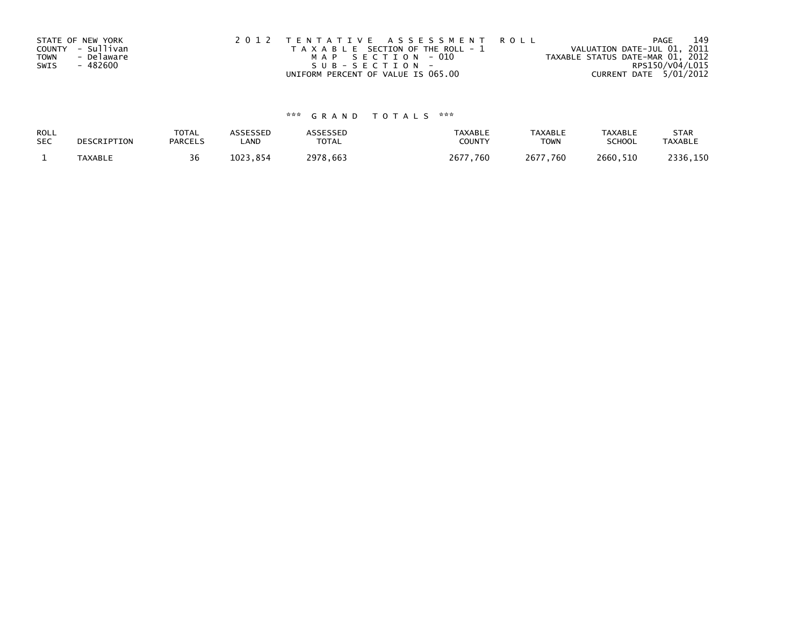|             | STATE OF NEW YORK | 2012 TENTATIVE ASSESSMENT ROLL        | 149<br>PAGE                      |
|-------------|-------------------|---------------------------------------|----------------------------------|
|             | COUNTY - Sullivan | T A X A B L E SECTION OF THE ROLL - 1 | VALUATION DATE-JUL 01, 2011      |
| <b>TOWN</b> | - Delaware        | MAP SECTION - 010                     | TAXABLE STATUS DATE-MAR 01, 2012 |
| SWIS        | - 482600          | SUB-SECTION-                          | RPS150/V04/L015                  |
|             |                   | UNIFORM PERCENT OF VALUE IS 065.00    | CURRENT DATE 5/01/2012           |

| ROLL       | DESCRIPTION | <b>TOTAL</b>   | <b>ASSESSED</b> | ASSESSED     | <b>TAXABLE</b> | <b>TAXABLE</b> | <b>TAXABLE</b> | <b>STAR</b>    |
|------------|-------------|----------------|-----------------|--------------|----------------|----------------|----------------|----------------|
| <b>SEC</b> |             | <b>PARCELS</b> | LAND            | <b>TOTAL</b> | COUNTY         | <b>TOWN</b>    | <b>SCHOOL</b>  | <b>TAXABLE</b> |
|            | TAXABLE     | 36             | 1023.854        | 2978,663     | 2677,760       | 2677,760       | 2660,510       | 2336,150       |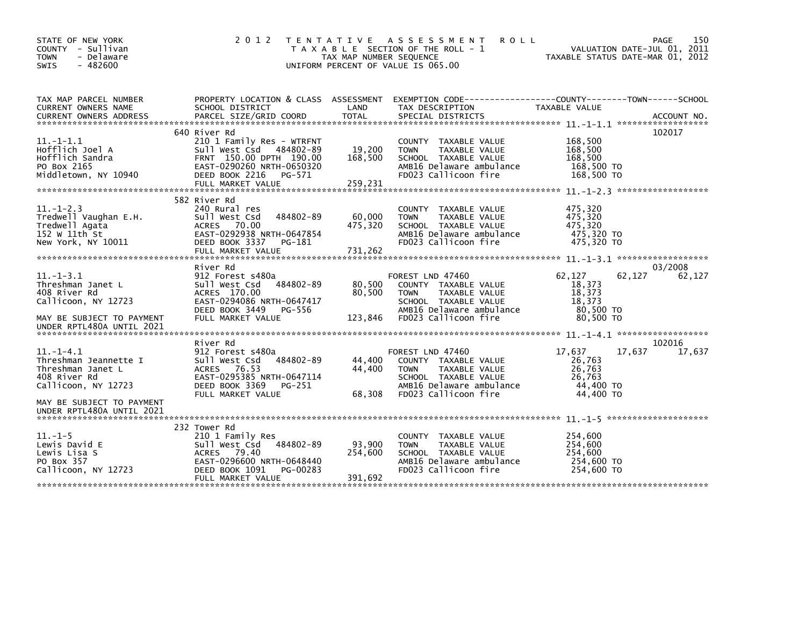| STATE OF NEW YORK<br>COUNTY - Sullivan<br>- Delaware<br><b>TOWN</b><br>$-482600$<br><b>SWIS</b>          | 2 0 1 2                                                                                                                                                       | TAX MAP NUMBER SEQUENCE      | TENTATIVE ASSESSMENT<br><b>ROLL</b><br>T A X A B L E SECTION OF THE ROLL - 1<br>UNIFORM PERCENT OF VALUE IS 065.00                                   |                                                                | 150<br>PAGE<br>VALUATION DATE-JUL 01, 2011<br>TAXABLE STATUS DATE-MAR 01, 2012 |
|----------------------------------------------------------------------------------------------------------|---------------------------------------------------------------------------------------------------------------------------------------------------------------|------------------------------|------------------------------------------------------------------------------------------------------------------------------------------------------|----------------------------------------------------------------|--------------------------------------------------------------------------------|
| TAX MAP PARCEL NUMBER<br>CURRENT OWNERS NAME                                                             | SCHOOL DISTRICT                                                                                                                                               | LAND                         | PROPERTY LOCATION & CLASS ASSESSMENT EXEMPTION CODE---------------COUNTY-------TOWN------SCHOOL<br>TAX DESCRIPTION                                   | <b>TAXABLE VALUE</b>                                           |                                                                                |
|                                                                                                          |                                                                                                                                                               |                              |                                                                                                                                                      |                                                                |                                                                                |
| $11. -1 - 1.1$<br>Hofflich Joel A<br>Hofflich Sandra<br>PO Box 2165<br>Middletown, NY 10940              | 640 River Rd<br>210 1 Family Res - WTRFNT<br>Sull West Csd 484802-89<br>FRNT 150.00 DPTH 190.00<br>EAST-0290260 NRTH-0650320<br>DEED BOOK 2216<br>PG-571      | 19,200<br>168,500            | COUNTY TAXABLE VALUE<br>TAXABLE VALUE<br><b>TOWN</b><br>SCHOOL TAXABLE VALUE<br>AMB16 Delaware ambulance<br>FD023 Callicoon fire                     | 168,500<br>168,500<br>168,500<br>168,500 TO<br>168,500 TO      | 102017                                                                         |
|                                                                                                          | FULL MARKET VALUE                                                                                                                                             | 259,231                      |                                                                                                                                                      |                                                                |                                                                                |
| $11. - 1 - 2.3$<br>Tredwell Vaughan E.H.<br>Tredwell Agata<br>152 W 11th St<br>New York, NY 10011        | 582 River Rd<br>240 Rural res<br>484802-89<br>Sull West Csd<br>ACRES 70.00<br>EAST-0292938 NRTH-0647854<br>DEED BOOK 3337<br>PG-181<br>FULL MARKET VALUE      | 60,000<br>475,320<br>731,262 | COUNTY TAXABLE VALUE<br>TAXABLE VALUE<br><b>TOWN</b><br>SCHOOL TAXABLE VALUE<br>AMB16 Delaware ambulance<br>FD023 Callicoon fire                     | 475,320<br>475.320<br>475,320<br>475,320 TO<br>475,320 TO      |                                                                                |
| $11. - 1 - 3.1$<br>Threshman Janet L<br>408 River Rd<br>Callicoon, NY 12723<br>MAY BE SUBJECT TO PAYMENT | River Rd<br>912 Forest s480a<br>484802-89<br>Sull West Csd<br>ACRES 170.00<br>EAST-0294086 NRTH-0647417<br>DEED BOOK 3449<br>PG-556<br>FULL MARKET VALUE      | 80,500<br>80,500<br>123,846  | FOREST LND 47460<br>COUNTY TAXABLE VALUE<br><b>TOWN</b><br>TAXABLE VALUE<br>SCHOOL TAXABLE VALUE<br>AMB16 Delaware ambulance<br>FD023 Callicoon fire | 62,127<br>18,373<br>18,373<br>18,373<br>80,500 TO<br>80,500 TO | 03/2008<br>62,127<br>62.127                                                    |
| UNDER RPTL480A UNTIL 2021                                                                                |                                                                                                                                                               |                              |                                                                                                                                                      |                                                                |                                                                                |
| $11.-1-4.1$<br>Threshman Jeannette I<br>Threshman Janet L<br>408 River Rd<br>Callicoon, NY 12723         | River Rd<br>912 Forest s480a<br>Sull West Csd<br>484802-89<br>ACRES 76.53<br>EAST-0295385 NRTH-0647114<br>DEED BOOK 3369<br>PG-251<br>FULL MARKET VALUE       | 44,400<br>44,400<br>68,308   | FOREST LND 47460<br>COUNTY TAXABLE VALUE<br>TAXABLE VALUE<br><b>TOWN</b><br>SCHOOL TAXABLE VALUE<br>AMB16 Delaware ambulance<br>FD023 Callicoon fire | 17,637<br>26,763<br>26,763<br>26,763<br>44,400 TO<br>44,400 TO | 102016<br>17,637<br>17,637                                                     |
| MAY BE SUBJECT TO PAYMENT<br>UNDER RPTL480A UNTIL 2021                                                   |                                                                                                                                                               |                              |                                                                                                                                                      |                                                                |                                                                                |
| $11. - 1 - 5$<br>Lewis David E<br>Lewis Lisa S<br>PO Box 357<br>Callicoon, NY 12723                      | 232 Tower Rd<br>210 1 Family Res<br>Sull West Csd<br>484802-89<br>ACRES 79.40<br>EAST-0296600 NRTH-0648440<br>DEED BOOK 1091<br>PG-00283<br>FULL MARKET VALUE | 93,900<br>254,600<br>391,692 | COUNTY TAXABLE VALUE<br>TAXABLE VALUE<br><b>TOWN</b><br>SCHOOL TAXABLE VALUE<br>AMB16 Delaware ambulance<br>FD023 Callicoon fire                     | 254,600<br>254,600<br>254.600<br>254,600 TO<br>254,600 TO      |                                                                                |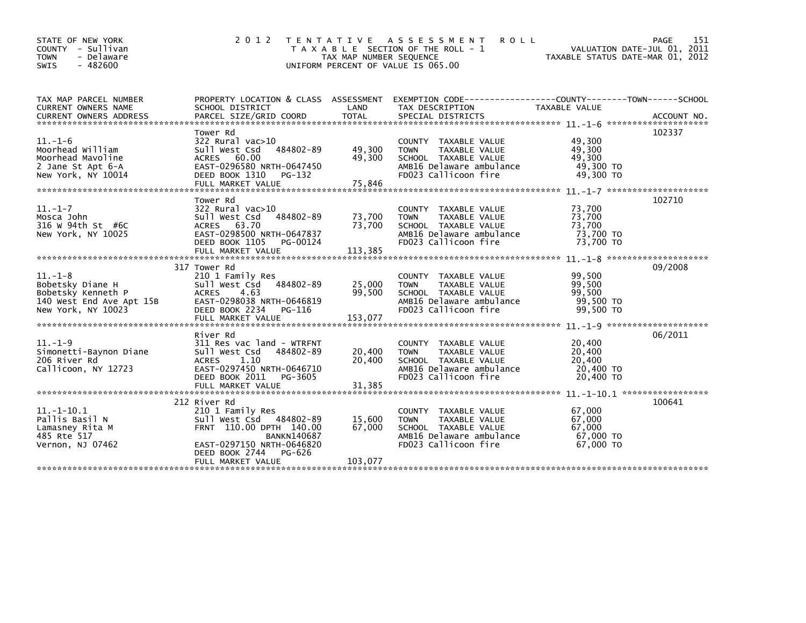| STATE OF NEW YORK<br>COUNTY - Sullivan<br>- Delaware<br><b>TOWN</b><br>$-482600$<br><b>SWIS</b>       | 2 0 1 2                                                                                                                                                                                    | TAX MAP NUMBER SEQUENCE     | TENTATIVE ASSESSMENT<br><b>ROLL</b><br>T A X A B L E SECTION OF THE ROLL - 1<br>UNIFORM PERCENT OF VALUE IS 065.00                         | VALUATION DATE-JUL 01, 2011<br>TAXABLE STATUS DATE-MAR 01, 2012 | 151<br><b>PAGE</b> |
|-------------------------------------------------------------------------------------------------------|--------------------------------------------------------------------------------------------------------------------------------------------------------------------------------------------|-----------------------------|--------------------------------------------------------------------------------------------------------------------------------------------|-----------------------------------------------------------------|--------------------|
| TAX MAP PARCEL NUMBER<br>CURRENT OWNERS NAME                                                          | PROPERTY LOCATION & CLASS ASSESSMENT<br>SCHOOL DISTRICT                                                                                                                                    | LAND                        | EXEMPTION        CODE-----------------COUNTY-------TOWN------SCHOOL<br>TAX DESCRIPTION                                                     | <b>TAXABLE VALUE</b>                                            |                    |
| $11.-1-6$<br>Moorhead William<br>Moorhead Mavoline<br>2 Jane St Apt 6-A<br>New York, NY 10014         | Tower Rd<br>322 Rural vac>10<br>484802-89<br>Sull West Csd<br>ACRES 60.00<br>EAST-0296580 NRTH-0647450<br>DEED BOOK 1310<br>PG-132                                                         | 49,300<br>49,300            | COUNTY TAXABLE VALUE<br>TAXABLE VALUE<br><b>TOWN</b><br>SCHOOL TAXABLE VALUE<br>AMB16 Delaware ambulance<br>FD023 Callicoon fire           | 49,300<br>49,300<br>49,300<br>49,300 TO<br>49,300 TO            | 102337             |
| $11.-1-7$<br>Mosca John<br>316 w 94th St #6C<br>New York, NY 10025                                    | Tower Rd<br>$322$ Rural vac $>10$<br>Sull West Csd<br>484802-89<br>63.70<br>ACRES<br>EAST-0298500 NRTH-0647837<br>DEED BOOK 1105<br>PG-00124<br>FULL MARKET VALUE                          | 73,700<br>73,700<br>113,385 | COUNTY TAXABLE VALUE<br>TAXABLE VALUE<br><b>TOWN</b><br>SCHOOL TAXABLE VALUE<br>AMB16 Delaware ambulance<br>FD023 Callicoon fire           | 73,700<br>73,700<br>73,700<br>73,700 TO<br>73,700 TO            | 102710             |
| $11.-1-8$<br>Bobetsky Diane H<br>Bobetsky Kenneth P<br>140 West End Ave Apt 15B<br>New York, NY 10023 | 317 Tower Rd<br>210 1 Family Res<br>Sull West Csd<br>484802-89<br><b>ACRES</b><br>4.63<br>EAST-0298038 NRTH-0646819<br>DEED BOOK 2234<br>PG-116<br>FULL MARKET VALUE                       | 25,000<br>99,500<br>153,077 | TAXABLE VALUE<br><b>COUNTY</b><br>TAXABLE VALUE<br><b>TOWN</b><br>SCHOOL TAXABLE VALUE<br>AMB16 Delaware ambulance<br>FD023 Callicoon fire | 99,500<br>99,500<br>99,500<br>99,500 TO<br>99,500 TO            | 09/2008            |
| $11. - 1 - 9$<br>Simonetti-Baynon Diane<br>206 River Rd<br>Callicoon, NY 12723                        | River Rd<br>311 Res vac land - WTRFNT<br>Sull West Csd<br>484802-89<br>1.10<br><b>ACRES</b><br>EAST-0297450 NRTH-0646710<br>DEED BOOK 2011<br>PG-3605<br>FULL MARKET VALUE                 | 20,400<br>20,400<br>31,385  | COUNTY TAXABLE VALUE<br><b>TOWN</b><br>TAXABLE VALUE<br>SCHOOL TAXABLE VALUE<br>AMB16 Delaware ambulance<br>FD023 Callicoon fire           | 20,400<br>20,400<br>20,400<br>20,400 TO<br>20,400 TO            | 06/2011            |
| $11. - 1 - 10.1$<br>Pallis Basil N<br>Lamasney Rita M<br>485 Rte 517<br>Vernon, NJ 07462              | 212 River Rd<br>210 1 Family Res<br>Sull West Csd 484802-89<br>FRNT 110.00 DPTH 140.00<br><b>BANKN140687</b><br>EAST-0297150 NRTH-0646820<br>DEED BOOK 2744<br>PG-626<br>FULL MARKET VALUE | 15,600<br>67,000<br>103,077 | COUNTY TAXABLE VALUE<br>TAXABLE VALUE<br><b>TOWN</b><br>SCHOOL TAXABLE VALUE<br>AMB16 Delaware ambulance<br>FD023 Callicoon fire           | 67,000<br>67,000<br>67,000<br>67,000 TO<br>67,000 TO            | 100641             |
|                                                                                                       |                                                                                                                                                                                            |                             |                                                                                                                                            |                                                                 |                    |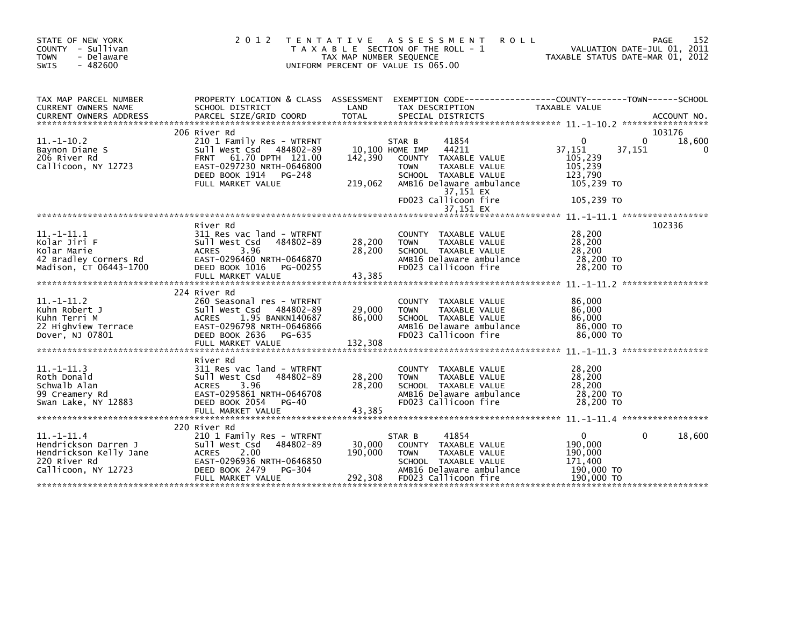| STATE OF NEW YORK<br>COUNTY - Sullivan<br><b>TOWN</b><br>- Delaware<br>$-482600$<br><b>SWIS</b>       | 2 0 1 2<br>T E N T A T I V E                                                                                                                                                    | TAX MAP NUMBER SEQUENCE      | A S S E S S M E N T<br><b>ROLL</b><br>T A X A B L E SECTION OF THE ROLL - 1<br>UNIFORM PERCENT OF VALUE IS 065.00                                                                                         |                                                                                 | 152<br>PAGE<br>VALUATION DATE-JUL 01, 2011<br>TAXABLE STATUS DATE-MAR 01, 2012 |
|-------------------------------------------------------------------------------------------------------|---------------------------------------------------------------------------------------------------------------------------------------------------------------------------------|------------------------------|-----------------------------------------------------------------------------------------------------------------------------------------------------------------------------------------------------------|---------------------------------------------------------------------------------|--------------------------------------------------------------------------------|
| TAX MAP PARCEL NUMBER<br>CURRENT OWNERS NAME                                                          | SCHOOL DISTRICT                                                                                                                                                                 | LAND                         | PROPERTY LOCATION & CLASS ASSESSMENT EXEMPTION CODE----------------COUNTY-------TOWN------SCHOOL<br>TAX DESCRIPTION                                                                                       | TAXABLE VALUE                                                                   |                                                                                |
| $11.-1-10.2$<br>Baynon Diane S<br>206 River Rd<br>Callicoon, NY 12723                                 | 206 River Rd<br>210 1 Family Res - WTRFNT<br>sull west Csd<br>484802-89<br>FRNT 61.70 DPTH 121.00<br>EAST-0297230 NRTH-0646800<br>DEED BOOK 1914<br>PG-248<br>FULL MARKET VALUE | 142,390<br>219,062           | 41854<br>STAR B<br>44211<br>10,100 HOME IMP<br>COUNTY TAXABLE VALUE<br><b>TOWN</b><br>TAXABLE VALUE<br>SCHOOL TAXABLE VALUE<br>AMB16 Delaware ambulance<br>37,151 EX<br>FD023 Callicoon fire<br>37,151 EX | $\Omega$<br>37,151<br>105,239<br>105,239<br>123.790<br>105,239 TO<br>105,239 TO | 103176<br>18,600<br>0<br>37,151<br>0                                           |
| $11. - 1 - 11.1$<br>Kolar Jiri F<br>Kolar Marie<br>42 Bradley Corners Rd<br>Madison, CT 06443-1700    | River Rd<br>311 Res vac land - WTRFNT<br>Sull West Csd<br>484802-89<br>3.96<br><b>ACRES</b><br>EAST-0296460 NRTH-0646870<br>DEED BOOK 1016<br>PG-00255<br>FULL MARKET VALUE     | 28,200<br>28,200<br>43,385   | COUNTY TAXABLE VALUE<br><b>TOWN</b><br>TAXABLE VALUE<br>SCHOOL TAXABLE VALUE<br>AMB16 Delaware ambulance<br>FD023 Callicoon fire                                                                          | 28,200<br>28,200<br>28,200<br>28,200 TO<br>28,200 TO                            | 102336                                                                         |
| $11.-1-11.2$<br>Kuhn Robert J<br>Kuhn Terri M<br>22 Highview Terrace<br>Dover, NJ 07801               | 224 River Rd<br>260 Seasonal res - WTRFNT<br>Sull West Csd<br>484802-89<br><b>ACRES</b><br>1.95 BANKN140687<br>EAST-0296798 NRTH-0646866<br>DEED BOOK 2636<br>PG-635            | 29,000<br>86,000             | <b>COUNTY</b><br>TAXABLE VALUE<br>TAXABLE VALUE<br><b>TOWN</b><br>SCHOOL TAXABLE VALUE<br>AMB16 Delaware ambulance<br>FD023 Callicoon fire                                                                | 86,000<br>86,000<br>86,000<br>86,000 TO<br>86,000 TO                            | *****************                                                              |
| $11. -1 - 11.3$<br>Roth Donald<br>Schwalb Alan<br>99 Creamery Rd<br>Swan Lake, NY 12883               | River Rd<br>311 Res vac land - WTRFNT<br>Sull West Csd<br>484802-89<br><b>ACRES</b><br>3.96<br>EAST-0295861 NRTH-0646708<br>DEED BOOK 2054<br><b>PG-40</b><br>FULL MARKET VALUE | 28,200<br>28,200<br>43,385   | TAXABLE VALUE<br><b>COUNTY</b><br><b>TOWN</b><br>TAXABLE VALUE<br>SCHOOL TAXABLE VALUE<br>AMB16 Delaware ambulance<br>FD023 Callicoon fire                                                                | 28,200<br>28,200<br>28,200<br>28,200 TO<br>28,200 TO                            |                                                                                |
| $11.-1-11.4$<br>Hendrickson Darren J<br>Hendrickson Kelly Jane<br>220 River Rd<br>Callicoon, NY 12723 | 220 River Rd<br>210 1 Family Res - WTRFNT<br>484802-89<br>Sull West Csd<br><b>ACRES</b><br>2.00<br>EAST-0296936 NRTH-0646850<br>DEED BOOK 2479<br>PG-304<br>FULL MARKET VALUE   | 30,000<br>190,000<br>292,308 | 41854<br>STAR B<br>COUNTY TAXABLE VALUE<br><b>TAXABLE VALUE</b><br><b>TOWN</b><br>SCHOOL TAXABLE VALUE<br>AMB16 Delaware ambulance<br>FD023 Callicoon fire                                                | 0<br>190,000<br>190,000<br>171,400<br>190,000 TO<br>190,000 TO                  | 18,600<br>0                                                                    |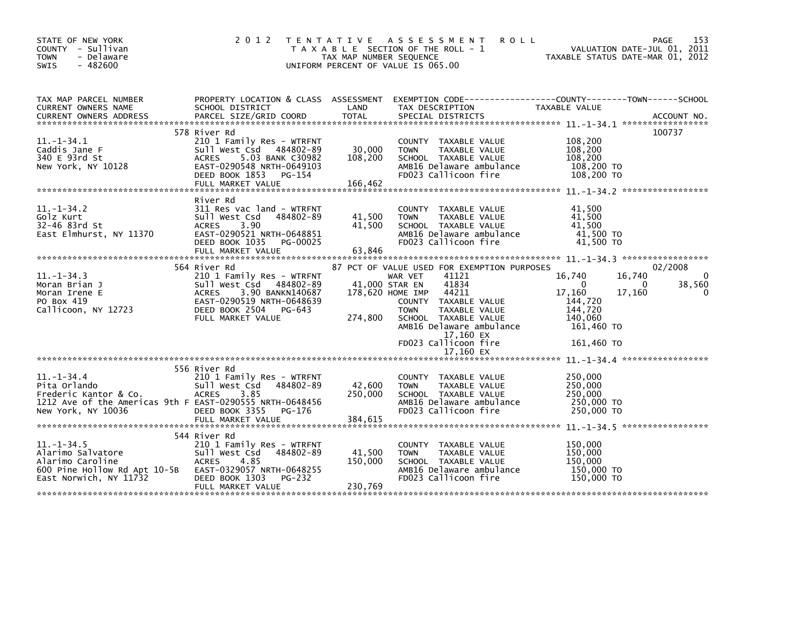| STATE OF NEW YORK<br>COUNTY - Sullivan<br><b>TOWN</b><br>- Delaware<br><b>SWIS</b><br>$-482600$                                             | 2 0 1 2                                                                                                                                                                                   | T E N T A T I V E<br>TAX MAP NUMBER SEQUENCE | A S S E S S M E N T<br><b>ROLL</b><br>T A X A B L E SECTION OF THE ROLL - 1<br>UNIFORM PERCENT OF VALUE IS 065.00                                                                                                                                                                        | VALUATION DATE-JUL 01, 2011<br>TAXABLE STATUS DATE-MAR 01, 2012                                                    | 153<br>PAGE                 |
|---------------------------------------------------------------------------------------------------------------------------------------------|-------------------------------------------------------------------------------------------------------------------------------------------------------------------------------------------|----------------------------------------------|------------------------------------------------------------------------------------------------------------------------------------------------------------------------------------------------------------------------------------------------------------------------------------------|--------------------------------------------------------------------------------------------------------------------|-----------------------------|
| TAX MAP PARCEL NUMBER<br>CURRENT OWNERS NAME                                                                                                | PROPERTY LOCATION & CLASS ASSESSMENT<br>SCHOOL DISTRICT                                                                                                                                   | LAND                                         | EXEMPTION        CODE-----------------COUNTY-------TOWN------SCHOOL<br>TAX DESCRIPTION                                                                                                                                                                                                   | TAXABLE VALUE                                                                                                      |                             |
| $11 - 1 - 34.1$<br>Caddis Jane F<br>340 E 93rd St<br>New York, NY 10128                                                                     | 578 River Rd<br>210 1 Family Res - WTRFNT<br>Sull West Csd 484802-89<br>5.03 BANK C30982<br><b>ACRES</b><br>EAST-0290548 NRTH-0649103<br>DEED BOOK 1853<br>PG-154<br>FULL MARKET VALUE    | 30,000<br>108,200<br>166,462                 | COUNTY TAXABLE VALUE<br>TAXABLE VALUE<br><b>TOWN</b><br>SCHOOL TAXABLE VALUE<br>AMB16 Delaware ambulance<br>FD023 Callicoon fire                                                                                                                                                         | 108,200<br>108,200<br>108,200<br>108,200 TO<br>108,200 TO                                                          | 100737                      |
| $11. - 1 - 34.2$<br>Golz Kurt<br>32-46 83rd St<br>East Elmhurst, NY 11370                                                                   | River Rd<br>311 Res vac land - WTRFNT<br>Sull West Csd<br>484802-89<br>3.90<br><b>ACRES</b><br>EAST-0290521 NRTH-0648851<br>DEED BOOK 1035<br>PG-00025<br>FULL MARKET VALUE               | 41,500<br>41,500<br>63,846                   | COUNTY TAXABLE VALUE<br><b>TOWN</b><br>TAXABLE VALUE<br>SCHOOL TAXABLE VALUE<br>AMB16 Delaware ambulance<br>FD023 Callicoon fire                                                                                                                                                         | 41,500<br>41,500<br>41,500<br>41,500 TO<br>41,500 TO                                                               |                             |
| $11 - 1 - 34.3$<br>Moran Brian J<br>Moran Irene E<br>PO Box 419<br>Callicoon, NY 12723                                                      | 564 River Rd<br>210 1 Family Res - WTRFNT<br>Sull West Csd<br>484802-89<br>3.90 BANKN140687<br><b>ACRES</b><br>EAST-0290519 NRTH-0648639<br>DEED BOOK 2504<br>PG-643<br>FULL MARKET VALUE | 274,800                                      | 87 PCT OF VALUE USED FOR EXEMPTION PURPOSES<br>41121<br>WAR VET<br>41,000 STAR EN<br>41834<br>178,620 HOME IMP<br>44211<br>TAXABLE VALUE<br>COUNTY<br><b>TOWN</b><br>TAXABLE VALUE<br>SCHOOL TAXABLE VALUE<br>AMB16 Delaware ambulance<br>17,160 EX<br>FD023 Callicoon fire<br>17,160 EX | 16,740<br>16,740<br>$\Omega$<br>0<br>17,160<br>17,160<br>144,720<br>144,720<br>140,060<br>161,460 TO<br>161,460 TO | 02/2008<br>0<br>38,560<br>0 |
| $11. - 1 - 34.4$<br>Pita Orlando<br>Frederic Kantor & Co.<br>1212 Ave of the Americas 9th F EAST-0290555 NRTH-0648456<br>New York, NY 10036 | 556 River Rd<br>210 1 Family Res - WTRFNT<br>Sull West Csd<br>484802-89<br>3.85<br><b>ACRES</b><br>DEED BOOK 3355<br>PG-176<br>FULL MARKET VALUE                                          | 42,600<br>250,000<br>384,615                 | COUNTY TAXABLE VALUE<br><b>TAXABLE VALUE</b><br><b>TOWN</b><br>SCHOOL TAXABLE VALUE<br>AMB16 Delaware ambulance<br>FD023 Callicoon fire                                                                                                                                                  | 250,000<br>250,000<br>250,000<br>250,000 TO<br>250,000 TO<br>$11. - 1 - 34.5$ ******************                   |                             |
| $11. - 1 - 34.5$<br>Alarimo Salvatore<br>Alarimo Caroline<br>600 Pine Hollow Rd Apt 10-5B<br>East Norwich, NY 11732                         | 544 River Rd<br>210 1 Family Res - WTRFNT<br>Sull West Csd<br>484802-89<br><b>ACRES</b><br>4.85<br>EAST-0329057 NRTH-0648255<br>DEED BOOK 1303<br>PG-232<br>FULL MARKET VALUE             | 41,500<br>150,000<br>230,769                 | COUNTY TAXABLE VALUE<br>TAXABLE VALUE<br><b>TOWN</b><br>SCHOOL TAXABLE VALUE<br>AMB16 Delaware ambulance<br>FD023 Callicoon fire                                                                                                                                                         | 150,000<br>150,000<br>150,000<br>150,000 TO<br>150,000 TO                                                          |                             |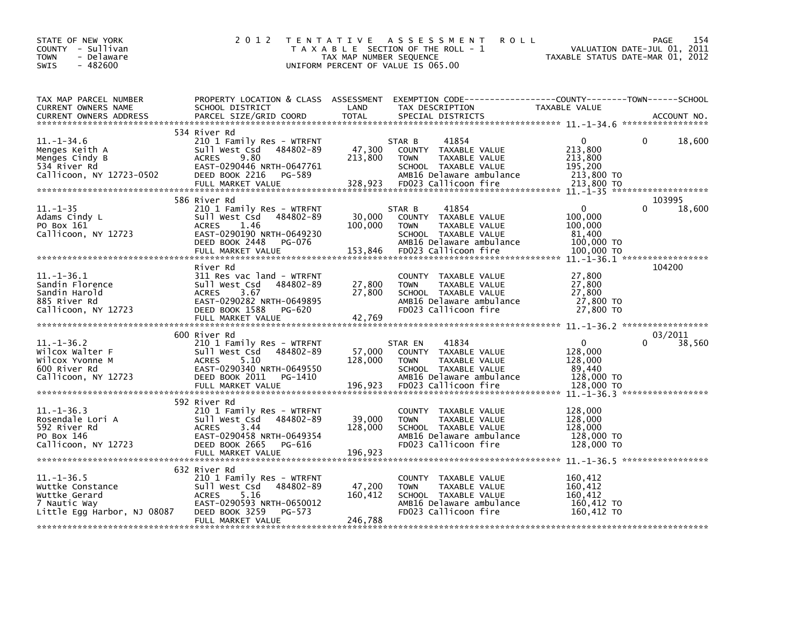| STATE OF NEW YORK<br>COUNTY - Sullivan<br>- Delaware<br>TOWN<br>$-482600$<br>SWIS                    | 2 0 1 2                                                                                                                                                                       | TAX MAP NUMBER SEQUENCE      | TENTATIVE ASSESSMENT<br><b>ROLL</b><br>T A X A B L E SECTION OF THE ROLL - 1<br>UNIFORM PERCENT OF VALUE IS 065.00                                   | TAXABLE STATUS DATE-MAR 01, 2012                                         | 154<br>PAGE<br>VALUATION DATE-JUL 01, 2011 |
|------------------------------------------------------------------------------------------------------|-------------------------------------------------------------------------------------------------------------------------------------------------------------------------------|------------------------------|------------------------------------------------------------------------------------------------------------------------------------------------------|--------------------------------------------------------------------------|--------------------------------------------|
| TAX MAP PARCEL NUMBER<br>CURRENT OWNERS NAME<br>CURRENT OWNERS ADDRESS                               | SCHOOL DISTRICT<br>PARCEL SIZE/GRID COORD                                                                                                                                     | LAND<br><b>TOTAL</b>         | PROPERTY LOCATION & CLASS ASSESSMENT EXEMPTION CODE---------------COUNTY-------TOWN------SCHOOL<br>TAX DESCRIPTION<br>SPECIAL DISTRICTS              | TAXABLE VALUE                                                            | ACCOUNT NO.                                |
| $11. - 1 - 34.6$<br>Menges Keith A<br>Menges Cindy B<br>534 River Rd<br>Callicoon, NY 12723-0502     | 534 River Rd<br>210 1 Family Res - WTRFNT<br>sull west Csd<br>484802-89<br>9.80<br><b>ACRES</b><br>EAST-0290446 NRTH-0647761<br>DEED BOOK 2216<br>PG-589                      | 47,300<br>213,800            | 41854<br>STAR B<br>COUNTY TAXABLE VALUE<br><b>TOWN</b><br>TAXABLE VALUE<br>SCHOOL TAXABLE VALUE<br>AMB16 Delaware ambulance                          | $\mathbf{0}$<br>213,800<br>213,800<br>195,200<br>213,800 TO              | 0<br>18,600                                |
|                                                                                                      | 586 River Rd                                                                                                                                                                  |                              |                                                                                                                                                      |                                                                          | 103995                                     |
| $11.-1-35$<br>Adams Cindy L<br>PO Box 161<br>Callicoon, NY 12723                                     | 210 1 Family Res - WTRFNT<br>Sull West Csd 484802-89<br><b>ACRES</b><br>1.46<br>EAST-0290190 NRTH-0649230<br>DEED BOOK 2448<br>PG-076<br>FULL MARKET VALUE                    | 30,000<br>100,000<br>153,846 | 41854<br>STAR B<br>COUNTY TAXABLE VALUE<br><b>TOWN</b><br>TAXABLE VALUE<br>SCHOOL TAXABLE VALUE<br>AMB16 Delaware ambulance<br>FD023 Callicoon fire  | $\mathbf{0}$<br>100,000<br>100,000<br>81,400<br>100,000 TO<br>100,000 TO | 18,600                                     |
|                                                                                                      |                                                                                                                                                                               |                              |                                                                                                                                                      |                                                                          |                                            |
| $11.-1-36.1$<br>Sandin Florence<br>Sandin Harold<br>885 River Rd<br>Callicoon, NY 12723              | River Rd<br>311 Res vac land - WTRFNT<br>Sull West Csd<br>484802-89<br>ACRES<br>3.67<br>EAST-0290282 NRTH-0649895<br>DEED BOOK 1588<br>PG-620<br>FULL MARKET VALUE            | 27,800<br>27,800<br>42,769   | COUNTY TAXABLE VALUE<br>TAXABLE VALUE<br><b>TOWN</b><br>SCHOOL TAXABLE VALUE<br>AMB16 Delaware ambulance<br>FD023 Callicoon fire                     | 27,800<br>27,800<br>27,800<br>27,800 TO<br>27,800 TO                     | 104200                                     |
|                                                                                                      |                                                                                                                                                                               |                              |                                                                                                                                                      |                                                                          |                                            |
| $11.-1-36.2$<br>Wilcox Walter F<br>Wilcox Yvonne M<br>600 River Rd<br>Callicoon, NY 12723            | 600 River Rd<br>210 1 Family Res - WTRFNT<br>Sull West Csd 484802-89<br>5.10<br><b>ACRES</b><br>EAST-0290340 NRTH-0649550<br>DEED BOOK 2011<br>PG-1410<br>FULL MARKET VALUE   | 57,000<br>128,000<br>196,923 | 41834<br>STAR EN<br>COUNTY TAXABLE VALUE<br>TAXABLE VALUE<br><b>TOWN</b><br>SCHOOL TAXABLE VALUE<br>AMB16 Delaware ambulance<br>FD023 Callicoon fire | $\mathbf{0}$<br>128,000<br>128,000<br>89.440<br>128,000 TO<br>128,000 TO | 03/2011<br>$\Omega$<br>38,560              |
| $11. - 1 - 36.3$<br>Rosendale Lori A<br>592 River Rd<br>PO Box 146<br>Callicoon, NY 12723            | 592 River Rd<br>210 1 Family Res - WTRFNT<br>Sull West Csd<br>484802-89<br>3.44<br><b>ACRES</b><br>EAST-0290458 NRTH-0649354<br>DEED BOOK 2665<br>PG-616<br>FULL MARKET VALUE | 39,000<br>128,000<br>196,923 | COUNTY TAXABLE VALUE<br><b>TOWN</b><br>TAXABLE VALUE<br>SCHOOL TAXABLE VALUE<br>AMB16 Delaware ambulance<br>FD023 Callicoon fire                     | 128,000<br>128,000<br>128,000<br>128,000 TO<br>128,000 TO                |                                            |
|                                                                                                      | 632 River Rd                                                                                                                                                                  |                              |                                                                                                                                                      |                                                                          |                                            |
| $11. - 1 - 36.5$<br>Wuttke Constance<br>Wuttke Gerard<br>7 Nautic Way<br>Little Egg Harbor, NJ 08087 | 210 1 Family Res - WTRFNT<br>Sull West Csd<br>484802-89<br><b>ACRES</b><br>5.16<br>EAST-0290593 NRTH-0650012<br>DEED BOOK 3259<br>PG-573<br>FULL MARKET VALUE                 | 47,200<br>160,412<br>246,788 | COUNTY TAXABLE VALUE<br><b>TOWN</b><br>TAXABLE VALUE<br>SCHOOL TAXABLE VALUE<br>AMB16 Delaware ambulance<br>FD023 Callicoon fire                     | 160,412<br>160,412<br>160,412<br>160,412 TO<br>160,412 TO                |                                            |
|                                                                                                      |                                                                                                                                                                               |                              |                                                                                                                                                      |                                                                          |                                            |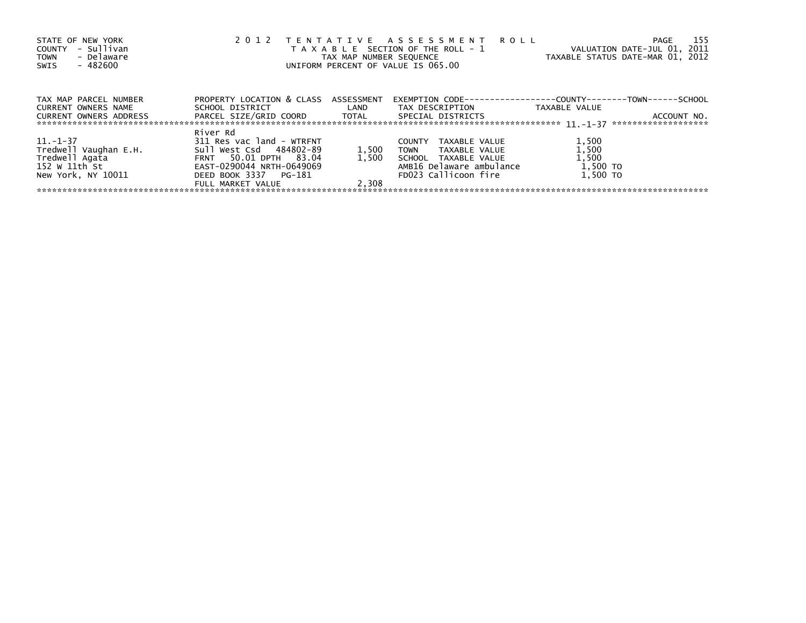| STATE OF NEW YORK<br>- Sullivan<br>COUNTY<br>- Delaware<br><b>TOWN</b><br>- 482600<br>SWIS |                                      |                  | 2012 TENTATIVE ASSESSMENT ROLL<br>T A X A B L E SECTION OF THE ROLL - 1<br>TAX MAP NUMBER SEQUENCE<br>UNIFORM PERCENT OF VALUE IS 065.00 | VALUATION DATE-JUL 01, 2011<br>TAXABLE STATUS DATE-MAR 01, 2012 | 155<br>PAGE                        |
|--------------------------------------------------------------------------------------------|--------------------------------------|------------------|------------------------------------------------------------------------------------------------------------------------------------------|-----------------------------------------------------------------|------------------------------------|
| TAX MAP PARCEL NUMBER                                                                      | PROPERTY LOCATION & CLASS ASSESSMENT |                  | EXEMPTION        CODE-----------------COUNTY-------TOWN------SCHOOL                                                                      |                                                                 |                                    |
| <b>CURRENT OWNERS NAME</b>                                                                 | SCHOOL DISTRICT                      | <b>Example 1</b> | TAX DESCRIPTION                                                                                                                          | TAXABLE VALUE                                                   |                                    |
| CURRENT OWNERS ADDRESS                                                                     | PARCEL SIZE/GRID COORD       TOTAL   |                  | SPECIAL DISTRICTS                                                                                                                        |                                                                 | ACCOUNT NO.<br>******************* |
|                                                                                            | River Rd                             |                  |                                                                                                                                          |                                                                 |                                    |
| 11. –1–37                                                                                  | 311 Res vac land - WTRFNT            |                  | <b>COUNTY</b><br>TAXABLE VALUE                                                                                                           | 1,500                                                           |                                    |
| Tredwell Vaughan E.H.                                                                      | Sull West Csd 484802-89              | 1,500            | <b>TOWN</b><br>TAXABLE VALUE                                                                                                             | 1,500                                                           |                                    |
| Tredwell Agata                                                                             | FRNT 50.01 DPTH 83.04                | 1.500            | SCHOOL TAXABLE VALUE                                                                                                                     | 1,500                                                           |                                    |
| 152 W 11th St                                                                              | EAST-0290044 NRTH-0649069            |                  | AMB16 Delaware ambulance                                                                                                                 | 1,500 TO                                                        |                                    |
| New York, NY 10011                                                                         | DEED BOOK 3337 PG-181                |                  | FD023 Callicoon fire                                                                                                                     | 1,500 TO                                                        |                                    |
|                                                                                            | FULL MARKET VALUE                    | 2.308            |                                                                                                                                          |                                                                 |                                    |
|                                                                                            |                                      |                  |                                                                                                                                          |                                                                 |                                    |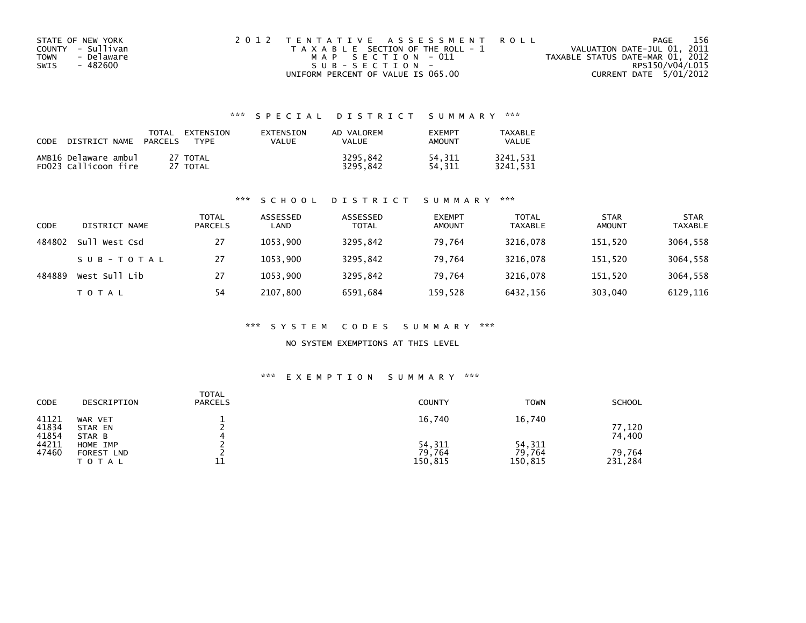| STATE OF NEW YORK |            | 2012 TENTATIVE ASSESSMENT ROLL        |  |                                  | PAGE                   | 156 |
|-------------------|------------|---------------------------------------|--|----------------------------------|------------------------|-----|
| COUNTY - Sullivan |            | T A X A B L E SECTION OF THE ROLL - 1 |  | VALUATION DATE-JUL 01, 2011      |                        |     |
| <b>TOWN</b>       | - Delaware | MAP SECTION - 011                     |  | TAXABLE STATUS DATE-MAR 01, 2012 |                        |     |
| - 482600<br>SWIS  |            | SUB-SECTION-                          |  |                                  | RPS150/V04/L015        |     |
|                   |            | UNIFORM PERCENT OF VALUE IS 065.00    |  |                                  | CURRENT DATE 5/01/2012 |     |

| CODE | DISTRICT NAME                                | TOTAL<br><b>PARCELS</b> | EXTENSION<br>TYPF    | EXTENSION<br>VALUE | AD VALOREM<br>VALUE  | <b>EXEMPT</b><br><b>AMOUNT</b> | TAXABLE<br>VALUE     |
|------|----------------------------------------------|-------------------------|----------------------|--------------------|----------------------|--------------------------------|----------------------|
|      | AMB16 Delaware ambul<br>FD023 Callicoon fire |                         | 27 TOTAL<br>27 TOTAL |                    | 3295.842<br>3295.842 | 54.311<br>54.311               | 3241.531<br>3241.531 |

#### \*\*\* S C H O O L D I S T R I C T S U M M A R Y \*\*\*

| CODE   | DISTRICT NAME | <b>TOTAL</b><br><b>PARCELS</b> | ASSESSED<br>LAND | ASSESSED<br><b>TOTAL</b> | <b>EXEMPT</b><br><b>AMOUNT</b> | <b>TOTAL</b><br><b>TAXABLE</b> | <b>STAR</b><br>AMOUNT | <b>STAR</b><br><b>TAXABLE</b> |
|--------|---------------|--------------------------------|------------------|--------------------------|--------------------------------|--------------------------------|-----------------------|-------------------------------|
| 484802 | Sull West Csd | 27                             | 1053.900         | 3295,842                 | 79.764                         | 3216.078                       | 151,520               | 3064,558                      |
|        | SUB-TOTAL     | 27                             | 1053.900         | 3295,842                 | 79.764                         | 3216.078                       | 151,520               | 3064,558                      |
| 484889 | West Sull Lib | 27                             | 1053.900         | 3295,842                 | 79.764                         | 3216,078                       | 151,520               | 3064,558                      |
|        | <b>TOTAL</b>  | 54                             | 2107,800         | 6591,684                 | 159,528                        | 6432,156                       | 303,040               | 6129,116                      |

#### \*\*\* S Y S T E M C O D E S S U M M A R Y \*\*\*

### NO SYSTEM EXEMPTIONS AT THIS LEVEL

| <b>CODE</b>             | DESCRIPTION                     | TOTAL<br><b>PARCELS</b> | <b>COUNTY</b>               | <b>TOWN</b>                 | <b>SCHOOL</b>     |
|-------------------------|---------------------------------|-------------------------|-----------------------------|-----------------------------|-------------------|
| 41121<br>41834<br>41854 | WAR VET<br>STAR EN<br>STAR B    |                         | 16,740                      | 16,740                      | 77,120<br>74,400  |
| 44211<br>47460          | HOME IMP<br>FOREST LND<br>TOTAL | 11                      | 54,311<br>79.764<br>150,815 | 54,311<br>79,764<br>150,815 | 79,764<br>231,284 |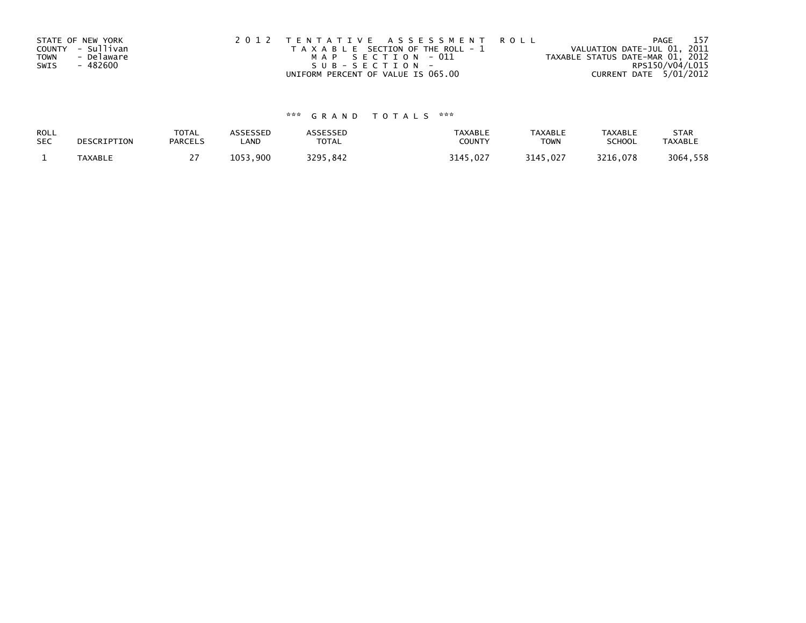|             | STATE OF NEW YORK | 2012 TENTATIVE ASSESSMENT ROLL        | -157<br>PAGE                     |
|-------------|-------------------|---------------------------------------|----------------------------------|
|             | COUNTY - Sullivan | T A X A B L E SECTION OF THE ROLL - 1 | VALUATION DATE-JUL 01, 2011      |
| <b>TOWN</b> | - Delaware        | MAP SECTION - 011                     | TAXABLE STATUS DATE-MAR 01, 2012 |
| SWIS        | - 482600          | $SUB - SECTION -$                     | RPS150/V04/L015                  |
|             |                   | UNIFORM PERCENT OF VALUE IS 065.00    | CURRENT DATE 5/01/2012           |

| ROLL       | DESCRIPTION    | <b>TOTAL</b>   | ASSESSED     | <b>\SSESSED</b> | <b>TAXABLE</b> | <b>TAXABLE</b> | <b>TAXABLE</b> | <b>STAR</b>    |
|------------|----------------|----------------|--------------|-----------------|----------------|----------------|----------------|----------------|
| <b>SEC</b> |                | <b>PARCELS</b> | LAND         | <b>TOTAL</b>    | COUNTY         | <b>TOWN</b>    | <b>SCHOOL</b>  | <b>TAXABLE</b> |
|            | <b>TAXABLE</b> |                | 1053<br>.900 | 3295,842        | 3145,027       | 3145,027       | 3216,078       | 3064,558       |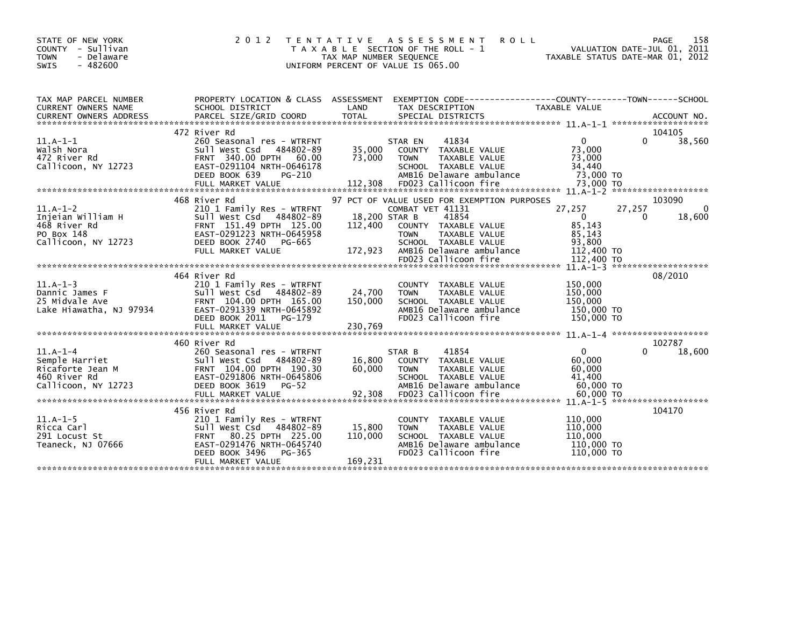| STATE OF NEW YORK<br>COUNTY - Sullivan<br>- Delaware<br><b>TOWN</b><br>$-482600$<br>SWIS | 2 0 1 2                                                                                                                                                                                | T E N T A T I V E<br>TAX MAP NUMBER SEQUENCE<br>UNIFORM PERCENT OF VALUE IS 065.00 | A S S E S S M E N T<br><b>ROLL</b><br>T A X A B L E SECTION OF THE ROLL - 1                                                                |                                                                | 158<br>PAGE<br>VALUATION DATE-JUL 01, 2011<br>TAXABLE STATUS DATE-MAR 01, 2012 |
|------------------------------------------------------------------------------------------|----------------------------------------------------------------------------------------------------------------------------------------------------------------------------------------|------------------------------------------------------------------------------------|--------------------------------------------------------------------------------------------------------------------------------------------|----------------------------------------------------------------|--------------------------------------------------------------------------------|
| TAX MAP PARCEL NUMBER<br>CURRENT OWNERS NAME                                             | PROPERTY LOCATION & CLASS ASSESSMENT<br>SCHOOL DISTRICT                                                                                                                                | LAND                                                                               | TAX DESCRIPTION                                                                                                                            | TAXABLE VALUE                                                  |                                                                                |
|                                                                                          | 472 River Rd                                                                                                                                                                           |                                                                                    |                                                                                                                                            |                                                                | 104105                                                                         |
| $11.A-1-1$<br>Walsh Nora<br>472 River Rd<br>Callicoon, NY 12723                          | 260 Seasonal res - WTRFNT<br>Sull West Csd 484802-89<br>FRNT 340.00 DPTH 60.00<br>EAST-0291104 NRTH-0646178<br>DEED BOOK 639<br>PG-210                                                 | 35,000<br>73,000                                                                   | 41834<br>STAR EN<br>COUNTY TAXABLE VALUE<br><b>TOWN</b><br>TAXABLE VALUE<br>SCHOOL TAXABLE VALUE<br>AMB16 Delaware ambulance               | $\mathbf{0}$<br>73,000<br>73,000<br>34,440<br>73,000 TO        | 38,560<br>0                                                                    |
|                                                                                          | 468 River Rd                                                                                                                                                                           |                                                                                    | 97 PCT OF VALUE USED FOR EXEMPTION PURPOSES                                                                                                |                                                                | 103090                                                                         |
| $11.A-1-2$<br>Injeian William H<br>468 River Rd<br>PO Box 148<br>Callicoon, NY 12723     | 210 1 Family Res - WTRFNT<br>Sull West Csd 484802-89<br>FRNT 151.49 DPTH 125.00<br>EAST-0291223 NRTH-0645958<br>DEED BOOK 2740<br>PG-665<br>FULL MARKET VALUE                          | 18,200 STAR B<br>112,400<br>172,923                                                | COMBAT VET 41131<br>41854<br>COUNTY TAXABLE VALUE<br><b>TOWN</b><br>TAXABLE VALUE<br>SCHOOL TAXABLE VALUE<br>AMB16 Delaware ambulance      | 27,257<br>$\Omega$<br>85,143<br>85,143<br>93,800<br>112,400 TO | 27,257<br>0<br>18,600<br>0                                                     |
|                                                                                          |                                                                                                                                                                                        |                                                                                    | FD023 Callicoon fire                                                                                                                       | 112,400 TO                                                     |                                                                                |
|                                                                                          |                                                                                                                                                                                        |                                                                                    |                                                                                                                                            |                                                                | $11. A-1-3$ *********************                                              |
| $11.A-1-3$<br>Dannic James F<br>25 Midvale Ave<br>Lake Hiawatha, NJ 97934                | 464 River Rd<br>210 1 Family Res - WTRFNT<br>Sull West Csd 484802-89<br>FRNT 104.00 DPTH 165.00<br>EAST-0291339 NRTH-0645892<br>DEED BOOK 2011<br>PG-179<br>FULL MARKET VALUE          | 24,700<br>150,000<br>230,769                                                       | COUNTY TAXABLE VALUE<br><b>TOWN</b><br>TAXABLE VALUE<br>SCHOOL TAXABLE VALUE<br>AMB16 Delaware ambulance<br>FD023 Callicoon fire           | 150,000<br>150,000<br>150.000<br>150,000 TO<br>150,000 TO      | 08/2010                                                                        |
|                                                                                          |                                                                                                                                                                                        |                                                                                    |                                                                                                                                            |                                                                |                                                                                |
| $11.A-1-4$<br>Semple Harriet<br>Ricaforte Jean M<br>460 River Rd<br>Callicoon, NY 12723  | 460 River Rd<br>260 Seasonal res - WTRFNT<br>Sull West Csd 484802-89<br>FRNT 104.00 DPTH 190.30<br>EAST-0291806 NRTH-0645806<br>DEED BOOK 3619<br>$PG-52$                              | 16,800<br>60,000                                                                   | 41854<br>STAR B<br>COUNTY TAXABLE VALUE<br><b>TOWN</b><br>TAXABLE VALUE<br>SCHOOL TAXABLE VALUE<br>AMB16 Delaware ambulance                | $\mathbf{0}$<br>60,000<br>60,000<br>41,400<br>60,000 TO        | 102787<br>18,600                                                               |
|                                                                                          |                                                                                                                                                                                        |                                                                                    |                                                                                                                                            |                                                                |                                                                                |
| $11.A-1-5$<br>Ricca Carl<br>291 Locust St<br>Teaneck, NJ 07666                           | 456 River Rd<br>210 1 Family Res - WTRFNT<br>Sull West Csd 484802-89<br>80.25 DPTH 225.00<br><b>FRNT</b><br>EAST-0291476 NRTH-0645740<br>DEED BOOK 3496<br>PG-365<br>FULL MARKET VALUE | 15,800<br>110,000<br>169,231                                                       | TAXABLE VALUE<br><b>COUNTY</b><br><b>TOWN</b><br>TAXABLE VALUE<br>SCHOOL TAXABLE VALUE<br>AMB16 Delaware ambulance<br>FD023 Callicoon fire | 110,000<br>110.000<br>110,000<br>110,000 TO<br>110,000 TO      | 104170                                                                         |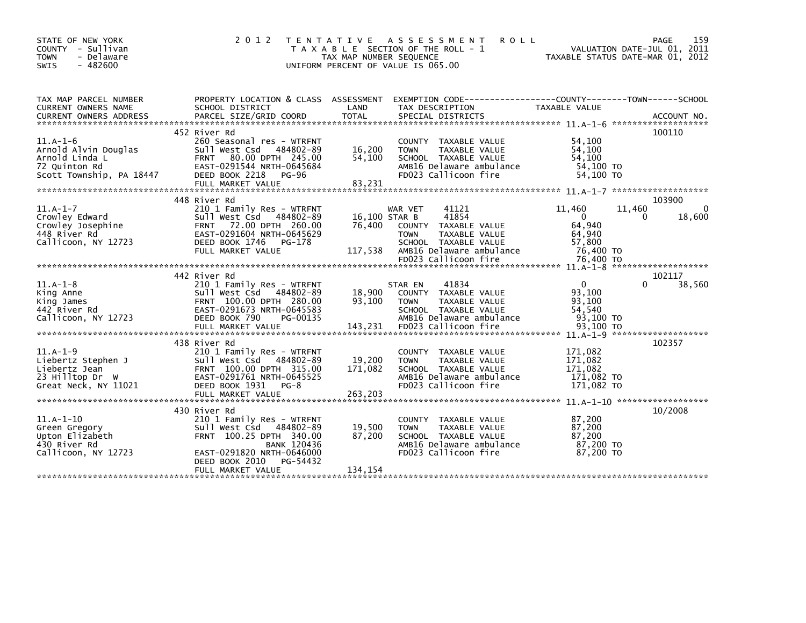| STATE OF NEW YORK<br>COUNTY - Sullivan<br>- Delaware<br><b>TOWN</b><br>$-482600$<br><b>SWIS</b>                                                                                                                                                                                                                | 2 0 1 2                                                                                                                                                                                               | T E N T A T I V E<br>TAX MAP NUMBER SEQUENCE<br>UNIFORM PERCENT OF VALUE IS 065.00 | A S S E S S M E N T<br><b>ROLL</b><br>T A X A B L E SECTION OF THE ROLL - 1                                                                                   |                                                                                | 159<br>PAGE<br>VALUATION DATE-JUL 01, 2011<br>TAXABLE STATUS DATE-MAR 01, 2012 |
|----------------------------------------------------------------------------------------------------------------------------------------------------------------------------------------------------------------------------------------------------------------------------------------------------------------|-------------------------------------------------------------------------------------------------------------------------------------------------------------------------------------------------------|------------------------------------------------------------------------------------|---------------------------------------------------------------------------------------------------------------------------------------------------------------|--------------------------------------------------------------------------------|--------------------------------------------------------------------------------|
| TAX MAP PARCEL NUMBER<br>CURRENT OWNERS NAME                                                                                                                                                                                                                                                                   | PROPERTY LOCATION & CLASS ASSESSMENT<br>SCHOOL DISTRICT                                                                                                                                               | LAND                                                                               | TAX DESCRIPTION                                                                                                                                               | <b>TAXABLE VALUE</b>                                                           |                                                                                |
| $11.A-1-6$<br>Arnold Alvin Douglas<br>Arnold Linda L<br>72 Quinton Rd<br>Scott Township, PA 18447                                                                                                                                                                                                              | 452 River Rd<br>260 Seasonal res - WTRFNT<br>Sull West Csd 484802-89<br>80.00 DPTH 245.00<br><b>FRNT</b><br>EAST-0291544 NRTH-0645684<br>DEED BOOK 2218<br>PG-96                                      | 16,200<br>54,100                                                                   | COUNTY TAXABLE VALUE<br>TAXABLE VALUE<br><b>TOWN</b><br>SCHOOL TAXABLE VALUE<br>AMB16 Delaware ambulance<br>FD023 Callicoon fire                              | 54,100<br>54,100<br>54,100<br>54,100 TO<br>54,100 TO                           | 100110                                                                         |
| $11.A-1-7$<br>Crowley Edward<br>Crowley Josephine<br>448 River Rd<br>Callicoon, NY 12723                                                                                                                                                                                                                       | 448 River Rd<br>210 1 Family Res - WTRFNT<br>Sull West Csd 484802-89<br>72.00 DPTH 260.00<br><b>FRNT</b><br>EAST-0291604 NRTH-0645629<br>DEED BOOK 1746 PG-178<br>FULL MARKET VALUE                   | 16,100 STAR B<br>76.400<br>117,538                                                 | 41121<br>WAR VET<br>41854<br>COUNTY TAXABLE VALUE<br>TAXABLE VALUE<br><b>TOWN</b><br>SCHOOL TAXABLE VALUE<br>AMB16 Delaware ambulance<br>FD023 Callicoon fire | 11,460<br>$\mathbf{0}$<br>64,940<br>64,940<br>57,800<br>76,400 TO<br>76,400 TO | 103900<br>11,460<br>0<br>18,600<br>0                                           |
|                                                                                                                                                                                                                                                                                                                |                                                                                                                                                                                                       |                                                                                    |                                                                                                                                                               |                                                                                |                                                                                |
| $11.A-1-8$<br>King Anne<br>King James<br>442 River Rd<br>Callicoon, NY 12723<br>03,100 TO POINT TO THE MARKET VALUE 143,231 FD023 Call11coon fire 93,100 TO 93,100 TO POINT PULL MARKET VALUE 143,231 FD023 Call11coon fire 93,100 TO 93,100 TO 93,100 TO 93,100 TO POINT PULL MARKET VALUE 143,231 FD023 Call | 442 River Rd<br>210 1 Family Res - WTRFNT<br>Sull West Csd 484802-89<br>FRNT 100.00 DPTH 280.00<br>EAST-0291673 NRTH-0645583<br>DEED BOOK 790<br>PG-00135                                             | 18,900<br>93,100                                                                   | 41834<br>STAR EN<br>COUNTY TAXABLE VALUE<br><b>TOWN</b><br>TAXABLE VALUE<br>SCHOOL TAXABLE VALUE<br>AMB16 Delaware ambulance                                  | $\mathbf{0}$<br>93,100<br>93,100<br>54.540<br>93,100 TO                        | 102117<br>38,560<br>U                                                          |
| $11.A-1-9$<br>Liebertz Stephen J<br>Liebertz Jean<br>23 Hilltop Dr W<br>Great Neck, NY 11021                                                                                                                                                                                                                   | 438 River Rd<br>210 1 Family Res - WTRFNT<br>Sull West Csd 484802-89<br>FRNT 100.00 DPTH 315.00<br>EAST-0291761 NRTH-0645525<br>DEED BOOK 1931 PG-8<br>FULL MARKET VALUE                              | 19,200<br>171,082<br>263,203                                                       | COUNTY TAXABLE VALUE<br><b>TOWN</b><br>TAXABLE VALUE<br>SCHOOL TAXABLE VALUE<br>AMB16 Delaware ambulance<br>FD023 Callicoon fire                              | 171,082<br>171,082<br>171,082<br>171,082 TO<br>171,082 TO                      | 102357                                                                         |
| $11.A-1-10$<br>Green Gregory<br>Upton Elizabeth<br>430 River Rd<br>Callicoon, NY 12723                                                                                                                                                                                                                         | 430 River Rd<br>210 1 Family Res - WTRFNT<br>Sull West Csd 484802-89<br>FRNT 100.25 DPTH 340.00<br><b>BANK 120436</b><br>EAST-0291820 NRTH-0646000<br>DEED BOOK 2010<br>PG-54432<br>FULL MARKET VALUE | 19,500<br>87,200<br>134,154                                                        | COUNTY TAXABLE VALUE<br>TAXABLE VALUE<br><b>TOWN</b><br>SCHOOL TAXABLE VALUE<br>AMB16 Delaware ambulance<br>FD023 Callicoon fire                              | 87,200<br>87,200<br>87.200<br>87,200 TO<br>87,200 TO                           | 10/2008                                                                        |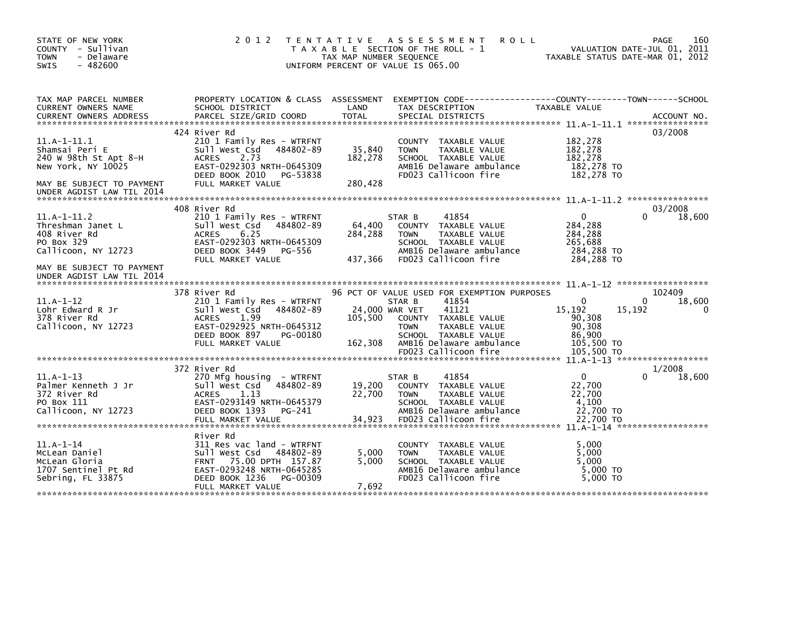| STATE OF NEW YORK<br>COUNTY - Sullivan<br><b>TOWN</b><br>- Delaware<br>$-482600$<br><b>SWIS</b> | 2 0 1 2                                                 | T E N T A T I V E<br>TAX MAP NUMBER SEQUENCE | A S S E S S M E N T<br>T A X A B L E SECTION OF THE ROLL - 1<br>UNIFORM PERCENT OF VALUE IS 065.00 | <b>ROLL</b>                                                                   | 160<br>PAGE<br>VALUATION DATE-JUL 01, 2011<br>TAXABLE STATUS DATE-MAR 01, 2012 |
|-------------------------------------------------------------------------------------------------|---------------------------------------------------------|----------------------------------------------|----------------------------------------------------------------------------------------------------|-------------------------------------------------------------------------------|--------------------------------------------------------------------------------|
| TAX MAP PARCEL NUMBER<br>CURRENT OWNERS NAME                                                    | PROPERTY LOCATION & CLASS ASSESSMENT<br>SCHOOL DISTRICT | LAND                                         | TAX DESCRIPTION                                                                                    | EXEMPTION CODE-----------------COUNTY-------TOWN------SCHOOL<br>TAXABLE VALUE |                                                                                |
| <b>CURRENT OWNERS ADDRESS</b>                                                                   | PARCEL SIZE/GRID COORD                                  | <b>TOTAL</b>                                 | SPECIAL DISTRICTS                                                                                  |                                                                               | ACCOUNT NO.                                                                    |
|                                                                                                 | 424 River Rd                                            |                                              |                                                                                                    |                                                                               | 03/2008                                                                        |
| $11. A - 1 - 11.1$<br>Shamsai Peri E                                                            | 210 1 Family Res - WTRFNT<br>484802-89                  | 35,840                                       | COUNTY TAXABLE VALUE<br><b>TOWN</b><br>TAXABLE VALUE                                               | 182,278<br>182,278                                                            |                                                                                |
| 240 W 98th St Apt 8-H                                                                           | Sull West Csd<br><b>ACRES</b><br>2.73                   | 182,278                                      | SCHOOL TAXABLE VALUE                                                                               | 182,278                                                                       |                                                                                |
| New York, NY 10025                                                                              | EAST-0292303 NRTH-0645309                               |                                              | AMB16 Delaware ambulance                                                                           | 182,278 TO                                                                    |                                                                                |
|                                                                                                 | DEED BOOK 2010<br>PG-53838                              |                                              | FD023 Callicoon fire                                                                               | 182,278 TO                                                                    |                                                                                |
| MAY BE SUBJECT TO PAYMENT<br>UNDER AGDIST LAW TIL 2014                                          | FULL MARKET VALUE                                       | 280,428                                      |                                                                                                    |                                                                               |                                                                                |
|                                                                                                 |                                                         |                                              |                                                                                                    |                                                                               |                                                                                |
| $11.A-1-11.2$                                                                                   | 408 River Rd<br>210 1 Family Res - WTRFNT               |                                              | 41854<br>STAR B                                                                                    | $\mathbf{0}$                                                                  | 03/2008<br>18,600<br>0                                                         |
| Threshman Janet L                                                                               | Sull West Csd<br>484802-89                              | 64,400                                       | COUNTY<br>TAXABLE VALUE                                                                            | 284,288                                                                       |                                                                                |
| 408 River Rd                                                                                    | 6.25<br><b>ACRES</b>                                    | 284,288                                      | <b>TAXABLE VALUE</b><br><b>TOWN</b>                                                                | 284,288                                                                       |                                                                                |
| PO Box 329                                                                                      | EAST-0292303 NRTH-0645309                               |                                              | SCHOOL TAXABLE VALUE                                                                               | 265,688                                                                       |                                                                                |
| Callicoon, NY 12723                                                                             | DEED BOOK 3449<br>PG-556                                |                                              | AMB16 Delaware ambulance                                                                           | 284,288 TO                                                                    |                                                                                |
| MAY BE SUBJECT TO PAYMENT<br>UNDER AGDIST LAW TIL 2014                                          | FULL MARKET VALUE                                       | 437,366                                      | FD023 Callicoon fire                                                                               | 284,288 TO                                                                    |                                                                                |
|                                                                                                 |                                                         |                                              |                                                                                                    |                                                                               |                                                                                |
|                                                                                                 | 378 River Rd                                            |                                              | 96 PCT OF VALUE USED FOR EXEMPTION PURPOSES                                                        |                                                                               | 102409                                                                         |
| $11.A-1-12$<br>Lohr Edward R Jr                                                                 | 210 1 Family Res - WTRFNT<br>484802-89                  |                                              | 41854<br>STAR B<br>41121                                                                           | $\mathbf{0}$<br>15,192                                                        | 18,600<br>0<br>15,192<br>0                                                     |
| 378 River Rd                                                                                    | Sull West Csd<br>1.99<br><b>ACRES</b>                   | 105,500                                      | 24,000 WAR VET<br>COUNTY TAXABLE VALUE                                                             | 90,308                                                                        |                                                                                |
| Callicoon, NY 12723                                                                             | EAST-0292925 NRTH-0645312                               |                                              | TAXABLE VALUE<br><b>TOWN</b>                                                                       | 90,308                                                                        |                                                                                |
|                                                                                                 | DEED BOOK 897<br>PG-00180                               |                                              | SCHOOL TAXABLE VALUE                                                                               | 86,900                                                                        |                                                                                |
|                                                                                                 | FULL MARKET VALUE                                       | 162,308                                      | AMB16 Delaware ambulance                                                                           | 105,500 TO                                                                    |                                                                                |
|                                                                                                 |                                                         |                                              | FD023 Callicoon fire                                                                               | 105,500 TO                                                                    |                                                                                |
|                                                                                                 | 372 River Rd                                            |                                              |                                                                                                    |                                                                               | 1/2008                                                                         |
| $11.A-1-13$                                                                                     | 270 Mfg housing - WTRFNT                                |                                              | 41854<br>STAR B                                                                                    | $\mathbf{0}$                                                                  | 18,600                                                                         |
| Palmer Kenneth J Jr                                                                             | Sull West Csd<br>484802-89                              | 19,200                                       | COUNTY TAXABLE VALUE                                                                               | 22,700                                                                        |                                                                                |
| 372 River Rd                                                                                    | 1.13<br><b>ACRES</b>                                    | 22,700                                       | TAXABLE VALUE<br><b>TOWN</b>                                                                       | 22,700                                                                        |                                                                                |
| PO Box 111                                                                                      | EAST-0293149 NRTH-0645379                               |                                              | SCHOOL TAXABLE VALUE                                                                               | 4,100                                                                         |                                                                                |
| Callicoon, NY 12723                                                                             | DEED BOOK 1393<br>PG-241                                |                                              | AMB16 Delaware ambulance                                                                           | 22,700 TO                                                                     |                                                                                |
|                                                                                                 | FULL MARKET VALUE                                       | 34,923                                       | FD023 Callicoon fire                                                                               | 22,700 TO                                                                     |                                                                                |
|                                                                                                 | River Rd                                                |                                              |                                                                                                    |                                                                               |                                                                                |
| $11.A-1-14$                                                                                     | 311 Res vac land - WTRFNT                               |                                              | COUNTY TAXABLE VALUE                                                                               | 5,000                                                                         |                                                                                |
| McLean Daniel                                                                                   | Sull West Csd<br>484802-89                              | 5,000                                        | TAXABLE VALUE<br><b>TOWN</b>                                                                       | 5,000                                                                         |                                                                                |
| McLean Gloria                                                                                   | 75.00 DPTH 157.87<br><b>FRNT</b>                        | 5.000                                        | SCHOOL TAXABLE VALUE                                                                               | 5.000                                                                         |                                                                                |
| 1707 Sentinel Pt Rd<br>Sebring, FL 33875                                                        | EAST-0293248 NRTH-0645285<br>DEED BOOK 1236<br>PG-00309 |                                              | AMB16 Delaware ambulance<br>FD023 Callicoon fire                                                   | 5,000 TO<br>5,000 TO                                                          |                                                                                |
|                                                                                                 | FULL MARKET VALUE                                       | 7,692                                        |                                                                                                    |                                                                               |                                                                                |
|                                                                                                 |                                                         |                                              |                                                                                                    |                                                                               |                                                                                |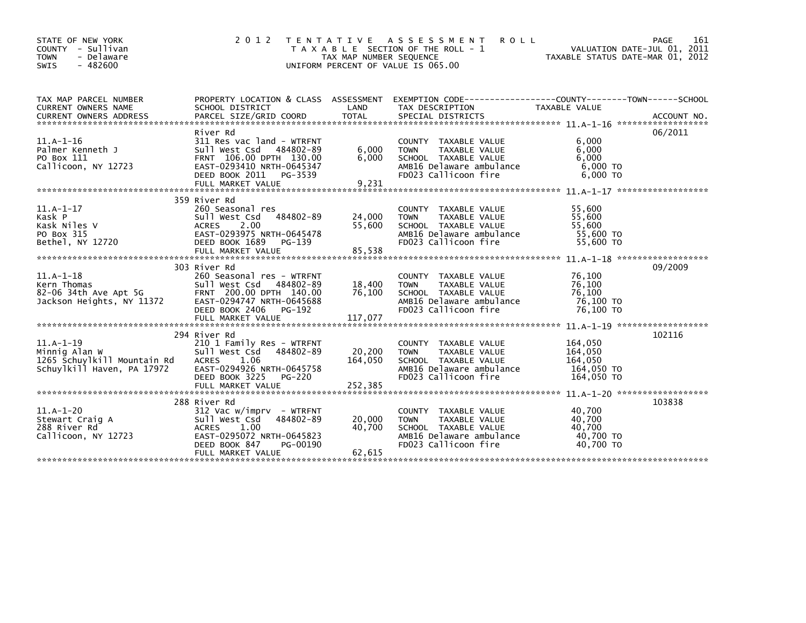| STATE OF NEW YORK<br>COUNTY - Sullivan<br>- Delaware<br><b>TOWN</b><br>$-482600$<br>SWIS  | 2 0 1 2<br><b>TAXABLE</b>                                                                                                                                                     | T E N T A T I V E<br>TAX MAP NUMBER SEQUENCE | A S S E S S M E N T<br><b>ROLL</b><br>SECTION OF THE ROLL - 1<br>UNIFORM PERCENT OF VALUE IS 065.00                                        | VALUATION DATE-JUL 01, 2011<br>TAXABLE STATUS DATE-MAR 01, 2012 | 161<br><b>PAGE</b> |
|-------------------------------------------------------------------------------------------|-------------------------------------------------------------------------------------------------------------------------------------------------------------------------------|----------------------------------------------|--------------------------------------------------------------------------------------------------------------------------------------------|-----------------------------------------------------------------|--------------------|
| TAX MAP PARCEL NUMBER<br><b>CURRENT OWNERS NAME</b>                                       | PROPERTY LOCATION & CLASS ASSESSMENT<br>SCHOOL DISTRICT                                                                                                                       | LAND                                         | TAX DESCRIPTION                                                                                                                            | TAXABLE VALUE                                                   |                    |
| $11.A-1-16$<br>Palmer Kenneth J<br>PO Box 111<br>Callicoon, NY 12723                      | River Rd<br>311 Res vac land - WTRFNT<br>Sull West Csd 484802-89<br>FRNT 106.00 DPTH 130.00<br>EAST-0293410 NRTH-0645347<br>DEED BOOK 2011<br>PG-3539<br>FULL MARKET VALUE    | 6,000<br>6,000<br>9,231                      | COUNTY TAXABLE VALUE<br><b>TOWN</b><br>TAXABLE VALUE<br>SCHOOL TAXABLE VALUE<br>AMB16 Delaware ambulance<br>FD023 Callicoon fire           | 6,000<br>6,000<br>6,000<br>$6,000$ TO<br>6,000 TO               | 06/2011            |
| $11.A-1-17$<br>Kask P<br>Kask Niles V<br>PO Box 315<br>Bethel, NY 12720                   | 359 River Rd<br>260 Seasonal res<br>Sull West Csd<br>484802-89<br><b>ACRES</b><br>2.00<br>EAST-0293975 NRTH-0645478<br>DEED BOOK 1689<br>PG-139<br>FULL MARKET VALUE          | 24,000<br>55,600<br>85,538                   | COUNTY TAXABLE VALUE<br><b>TOWN</b><br>TAXABLE VALUE<br>SCHOOL TAXABLE VALUE<br>AMB16 Delaware ambulance<br>FD023 Callicoon fire           | 55,600<br>55,600<br>55,600<br>55,600 TO<br>55,600 TO            |                    |
| $11.A-1-18$<br>Kern Thomas<br>82-06 34th Ave Apt 5G<br>Jackson Heights, NY 11372          | 303 River Rd<br>260 Seasonal res - WTRFNT<br>Sull West Csd<br>484802-89<br>FRNT 200.00 DPTH 140.00<br>EAST-0294747 NRTH-0645688<br>DEED BOOK 2406<br>PG-192                   | 18,400<br>76.100                             | <b>COUNTY</b><br>TAXABLE VALUE<br>TAXABLE VALUE<br><b>TOWN</b><br>SCHOOL TAXABLE VALUE<br>AMB16 Delaware ambulance<br>FD023 Callicoon fire | 76,100<br>76.100<br>76,100<br>76,100 TO<br>76,100 TO            | 09/2009            |
| $11.A-1-19$<br>Minnig Alan W<br>1265 Schuylkill Mountain Rd<br>Schuylkill Haven, PA 17972 | 294 River Rd<br>210 1 Family Res - WTRFNT<br>Sull West Csd<br>484802-89<br>1.06<br><b>ACRES</b><br>EAST-0294926 NRTH-0645758<br>DEED BOOK 3225<br>PG-220                      | 20,200<br>164,050                            | <b>COUNTY</b><br>TAXABLE VALUE<br>TAXABLE VALUE<br><b>TOWN</b><br>SCHOOL TAXABLE VALUE<br>AMB16 Delaware ambulance<br>FD023 Callicoon fire | 164,050<br>164,050<br>164,050<br>164,050 TO<br>164,050 TO       | 102116             |
| $11.A-1-20$<br>Stewart Craig A<br>288 River Rd<br>Callicoon, NY 12723                     | 288 River Rd<br>312 Vac w/imprv - WTRFNT<br>484802-89<br>Sull West Csd<br>1.00<br><b>ACRES</b><br>EAST-0295072 NRTH-0645823<br>DEED BOOK 847<br>PG-00190<br>FULL MARKET VALUE | 20,000<br>40,700<br>62,615                   | TAXABLE VALUE<br><b>COUNTY</b><br><b>TOWN</b><br>TAXABLE VALUE<br>SCHOOL TAXABLE VALUE<br>AMB16 Delaware ambulance<br>FD023 Callicoon fire | 40,700<br>40,700<br>40.700<br>40,700 TO<br>40.700 TO            | 103838             |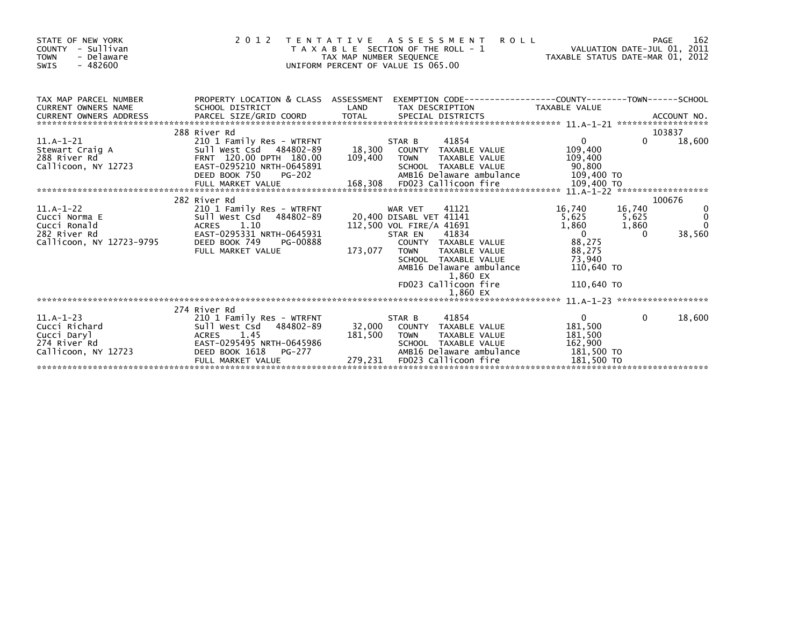| STATE OF NEW YORK<br>COUNTY - Sullivan<br><b>TOWN</b><br>- Delaware<br>$-482600$<br><b>SWIS</b> |                                                                                                                                                   | 2012 TENTATIVE ASSESSMENT<br>T A X A B L E SECTION OF THE ROLL - 1<br>TAX MAP NUMBER SEQUENCE<br>UNIFORM PERCENT OF VALUE IS 065.00                                                                                                                                | 162<br><b>ROLL</b><br>PAGE<br>VALUATION DATE-JUL 01, 2011<br>VALUATION DATE-JUL 01, 2011<br>TAXABLE STATUS DATE-MAR 01, 2012                                            |
|-------------------------------------------------------------------------------------------------|---------------------------------------------------------------------------------------------------------------------------------------------------|--------------------------------------------------------------------------------------------------------------------------------------------------------------------------------------------------------------------------------------------------------------------|-------------------------------------------------------------------------------------------------------------------------------------------------------------------------|
| TAX MAP PARCEL NUMBER<br>CURRENT OWNERS NAME                                                    | SCHOOL DISTRICT                                                                                                                                   | LAND<br>TAX DESCRIPTION                                                                                                                                                                                                                                            | PROPERTY LOCATION & CLASS ASSESSMENT EXEMPTION CODE---------------COUNTY-------TOWN------SCHOOL<br>TAXABLE VALUE                                                        |
|                                                                                                 | 288 River Rd                                                                                                                                      |                                                                                                                                                                                                                                                                    | 103837                                                                                                                                                                  |
| $11.A-1-21$<br>Stewart Craig A<br>288 River Rd<br>Callicoon, NY 12723                           | 210 1 Family Res - WTRFNT<br>Sull West Csd 484802-89<br>FRNT 120.00 DPTH 180.00<br>EAST-0295210 NRTH-0645891<br>DEED BOOK 750<br><b>PG-202</b>    | STAR B<br>41854<br>18,300 COUNTY TAXABLE VALUE<br>109,400 TOWN<br>TAXABLE VALUE<br>SCHOOL TAXABLE VALUE<br>AMB16 Delaware ambulance                                                                                                                                | $\mathbf{0}$<br>18,600<br>0<br>109,400<br>109,400<br>90,800<br>109.400 то                                                                                               |
|                                                                                                 | 282 River Rd                                                                                                                                      |                                                                                                                                                                                                                                                                    | 100676                                                                                                                                                                  |
| $11.A-1-22$<br>Cucci Norma E<br>Cucci Ronald<br>282 River Rd<br>Callicoon, NY 12723-9795        | 210 1 Family Res - WTRFNT<br>Sull West Csd 484802-89<br>ACRES 1.10<br>EAST-0295331 NRTH-0645931<br>DEED BOOK 749<br>PG-00888<br>FULL MARKET VALUE | 41121<br>WAR VET<br>20,400 DISABL VET 41141<br>112,500 VOL FIRE/A 41691<br>41834<br>STAR EN<br>COUNTY TAXABLE VALUE<br>173,077<br>TAXABLE VALUE<br><b>TOWN</b><br>SCHOOL TAXABLE VALUE<br>AMB16 Delaware ambulance<br>1,860 EX<br>FD023 Callicoon fire<br>1.860 EX | $\frac{0}{0}$<br>16,740<br>16,740<br>5,625<br>5,625<br>1,860<br>1,860<br>$\overline{0}$<br>38,560<br>$\Omega$<br>88,275<br>88,275<br>73,940<br>110,640 TO<br>110,640 TO |
|                                                                                                 |                                                                                                                                                   |                                                                                                                                                                                                                                                                    |                                                                                                                                                                         |
| $11.A-1-23$<br>Cucci Richard <b>Cucci</b><br>Cucci Daryl<br>274 River Rd<br>Callicoon, NY 12723 | 274 River Rd<br>210 1 Family Res - WTRFNT<br>Sull West Csd<br>484802-89<br>1.45<br>ACRES<br>EAST-0295495 NRTH-0645986<br>DEED BOOK 1618<br>PG-277 | 41854<br>STAR B<br>32,000<br>COUNTY TAXABLE VALUE<br>181,500 TOWN<br>TAXABLE VALUE<br>SCHOOL TAXABLE VALUE<br>AMB16 Delaware ambulance                                                                                                                             | $\Omega$<br>18,600<br>$\Omega$<br>181,500<br>181,500<br>162,900<br>$181,500$ TO                                                                                         |
|                                                                                                 | FULL MARKET VALUE                                                                                                                                 | 279,231 FD023 Callicoon fire                                                                                                                                                                                                                                       | 181,500 TO                                                                                                                                                              |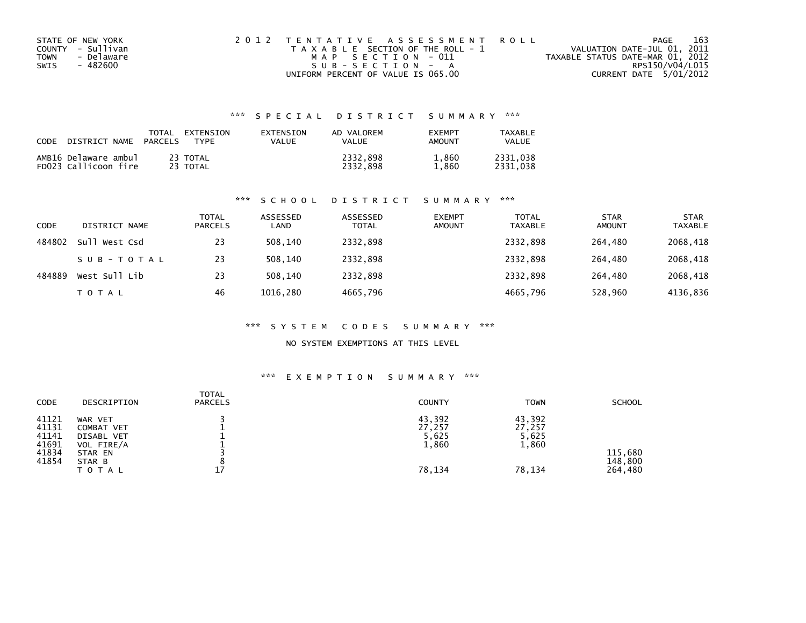| STATE OF NEW YORK  | 2012 TENTATIVE ASSESSMENT ROLL        | 163<br>PAGE                      |
|--------------------|---------------------------------------|----------------------------------|
| COUNTY - Sullivan  | T A X A B L E SECTION OF THE ROLL - 1 | VALUATION DATE-JUL 01, 2011      |
| - Delaware<br>TOWN | MAP SECTION - 011                     | TAXABLE STATUS DATE-MAR 01, 2012 |
| - 482600<br>SWIS   | SUB-SECTION - A                       | RPS150/V04/L015                  |
|                    | UNIFORM PERCENT OF VALUE IS 065.00    | CURRENT DATE 5/01/2012           |

| CODE | DISTRICT NAME                                | TOTAL<br>PARCELS | EXTENSION<br><b>TYPF</b> | EXTENSION<br>VALUE | AD VALOREM<br><b>VALUE</b> | <b>EXEMPT</b><br>AMOUNT | TAXABLE<br>VALUE     |
|------|----------------------------------------------|------------------|--------------------------|--------------------|----------------------------|-------------------------|----------------------|
|      | AMB16 Delaware ambul<br>FD023 Callicoon fire |                  | 23 TOTAL<br>23 TOTAL     |                    | 2332.898<br>2332.898       | 1,860<br>1.860          | 2331.038<br>2331.038 |

#### \*\*\* S C H O O L D I S T R I C T S U M M A R Y \*\*\*

| CODE   | DISTRICT NAME | <b>TOTAL</b><br><b>PARCELS</b> | ASSESSED<br>LAND | ASSESSED<br><b>TOTAL</b> | <b>EXEMPT</b><br><b>AMOUNT</b> | <b>TOTAL</b><br>TAXABLE | <b>STAR</b><br><b>AMOUNT</b> | <b>STAR</b><br><b>TAXABLE</b> |
|--------|---------------|--------------------------------|------------------|--------------------------|--------------------------------|-------------------------|------------------------------|-------------------------------|
| 484802 | Sull West Csd | 23                             | 508.140          | 2332,898                 |                                | 2332,898                | 264.480                      | 2068,418                      |
|        | SUB-TOTAL     | 23                             | 508.140          | 2332,898                 |                                | 2332.898                | 264.480                      | 2068,418                      |
| 484889 | West Sull Lib | 23                             | 508.140          | 2332,898                 |                                | 2332,898                | 264,480                      | 2068,418                      |
|        | <b>TOTAL</b>  | 46                             | 1016.280         | 4665,796                 |                                | 4665,796                | 528,960                      | 4136,836                      |

#### \*\*\* S Y S T E M C O D E S S U M M A R Y \*\*\*

#### NO SYSTEM EXEMPTIONS AT THIS LEVEL

| CODE                                               | DESCRIPTION                                                                         | <b>TOTAL</b><br><b>PARCELS</b> | <b>COUNTY</b>                                | <b>TOWN</b>                                  | <b>SCHOOL</b>                 |
|----------------------------------------------------|-------------------------------------------------------------------------------------|--------------------------------|----------------------------------------------|----------------------------------------------|-------------------------------|
| 41121<br>41131<br>41141<br>41691<br>41834<br>41854 | WAR VET<br>COMBAT VET<br>DISABL VET<br>VOL FIRE/A<br>STAR EN<br>STAR B<br>T O T A L | 17                             | 43,392<br>27,257<br>5,625<br>1,860<br>78,134 | 43,392<br>27,257<br>5,625<br>1,860<br>78,134 | 115,680<br>148,800<br>264,480 |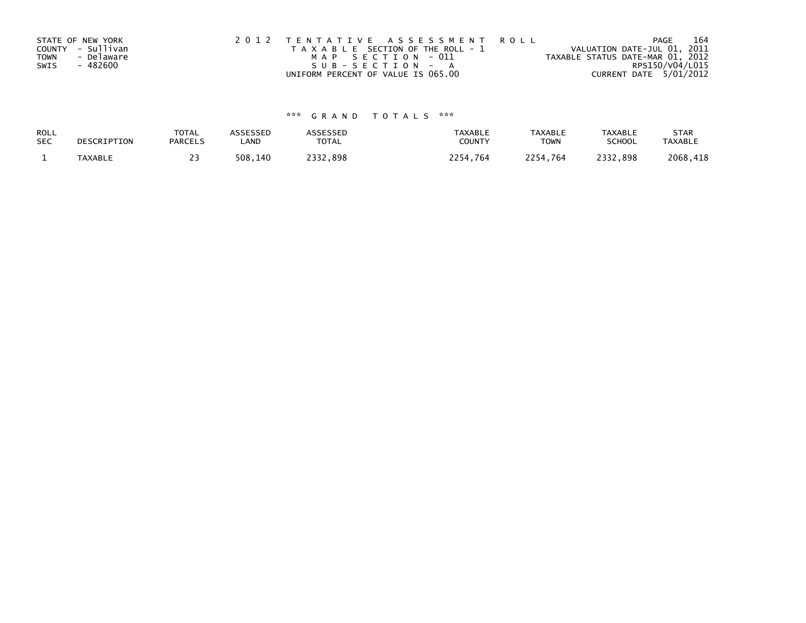|             | STATE OF NEW YORK | 2012 TENTATIVE ASSESSMENT ROLL        | 164<br>PAGE                      |
|-------------|-------------------|---------------------------------------|----------------------------------|
|             | COUNTY - Sullivan | T A X A B L E SECTION OF THE ROLL - 1 | VALUATION DATE-JUL 01, 2011      |
| <b>TOWN</b> | - Delaware        | MAP SECTION - 011                     | TAXABLE STATUS DATE-MAR 01, 2012 |
| SWIS        | - 482600          | SUB-SECTION - A                       | RPS150/V04/L015                  |
|             |                   | UNIFORM PERCENT OF VALUE IS 065.00    | CURRENT DATE 5/01/2012           |

| ROLL       | DESCRIPTION    | <b>TOTAL</b>   | <b>ASSESSED</b> | <b>ASSESSED</b> | <b>TAXABLE</b> | <b>TAXABLE</b> | <b>TAXABLE</b> | <b>STAR</b>    |
|------------|----------------|----------------|-----------------|-----------------|----------------|----------------|----------------|----------------|
| <b>SEC</b> |                | <b>PARCELS</b> | LAND            | <b>TOTAL</b>    | COUNTY         | <b>TOWN</b>    | <b>SCHOOL</b>  | <b>TAXABLE</b> |
|            | <b>TAXABLE</b> |                | 508,140         | 2332.898        | 2254.764       | 2254.764       | 2332.898       | 2068,418       |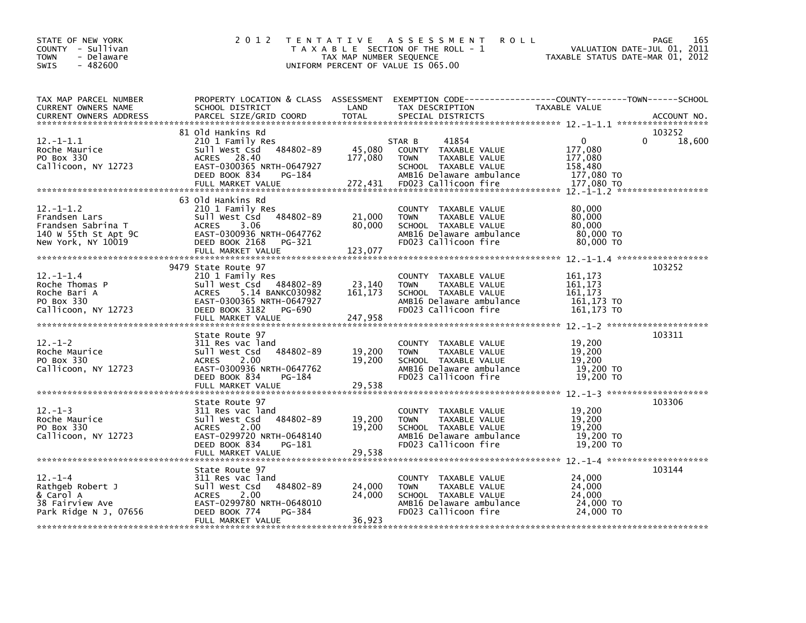| STATE OF NEW YORK<br>COUNTY - Sullivan<br><b>TOWN</b><br>- Delaware<br>$-482600$<br>SWIS            | 2 0 1 2                                                                                                                                                                   | TAX MAP NUMBER SEQUENCE      | TENTATIVE ASSESSMENT<br><b>ROLL</b><br>T A X A B L E SECTION OF THE ROLL - 1<br>UNIFORM PERCENT OF VALUE IS 065.00                                  | VALUATION DATE-JUL 01, 2011<br>TAXABLE STATUS DATE-MAR 01, 2012           | PAGE<br>165                  |
|-----------------------------------------------------------------------------------------------------|---------------------------------------------------------------------------------------------------------------------------------------------------------------------------|------------------------------|-----------------------------------------------------------------------------------------------------------------------------------------------------|---------------------------------------------------------------------------|------------------------------|
| TAX MAP PARCEL NUMBER<br>CURRENT OWNERS NAME<br><b>CURRENT OWNERS ADDRESS</b>                       | SCHOOL DISTRICT<br>PARCEL SIZE/GRID COORD                                                                                                                                 | LAND<br><b>TOTAL</b>         | PROPERTY LOCATION & CLASS ASSESSMENT EXEMPTION CODE---------------COUNTY-------TOWN------SCHOOL<br>TAX DESCRIPTION<br>SPECIAL DISTRICTS             | TAXABLE VALUE                                                             | ACCOUNT NO.                  |
| $12.-1-1.1$<br>Roche Maurice<br>PO Box 330<br>Callicoon, NY 12723                                   | 81 Old Hankins Rd<br>210 1 Family Res<br>484802-89<br>Sull West Csd<br>ACRES 28.40<br>EAST-0300365 NRTH-0647927<br>DEED BOOK 834<br>PG-184<br>FULL MARKET VALUE           | 45,080<br>177,080<br>272,431 | 41854<br>STAR B<br>COUNTY TAXABLE VALUE<br>TAXABLE VALUE<br><b>TOWN</b><br>SCHOOL TAXABLE VALUE<br>AMB16 Delaware ambulance<br>FD023 Callicoon fire | $\mathbf{0}$<br>177,080<br>177,080<br>158,480<br>177,080 TO<br>177.080 TO | 103252<br>$\Omega$<br>18,600 |
| $12 - 1 - 1.2$<br>Frandsen Lars<br>Frandsen Sabrina T<br>140 W 55th St Apt 9C<br>New York, NY 10019 | 63 Old Hankins Rd<br>210 1 Family Res<br>484802-89<br>Sull West Csd<br>3.06<br><b>ACRES</b><br>EAST-0300936 NRTH-0647762<br>DEED BOOK 2168<br>PG-321<br>FULL MARKET VALUE | 21,000<br>80,000<br>123,077  | COUNTY TAXABLE VALUE<br>TAXABLE VALUE<br><b>TOWN</b><br>SCHOOL TAXABLE VALUE<br>AMB16 Delaware ambulance<br>FD023 Callicoon fire                    | 80,000<br>80,000<br>80,000<br>80,000 TO<br>80,000 TO                      |                              |
| $12 - 1 - 1.4$<br>Roche Thomas P<br>Roche Bari A<br>PO Box 330<br>Callicoon, NY 12723               | 9479 State Route 97<br>210 1 Family Res<br>Sull West Csd 484802-89<br>5.14 BANKC030982<br>ACRES<br>EAST-0300365 NRTH-0647927<br>DEED BOOK 3182 PG-690                     | 23,140<br>161, 173           | COUNTY TAXABLE VALUE<br>TAXABLE VALUE<br><b>TOWN</b><br>SCHOOL TAXABLE VALUE<br>AMB16 Delaware ambulance<br>FD023 Callicoon fire                    | 161,173<br>161, 173<br>161.173<br>161,173 TO<br>161,173 TO                | 103252                       |
| $12. - 1 - 2$<br>Roche Maurice<br>PO Box 330<br>Callicoon, NY 12723                                 | State Route 97<br>311 Res vac land<br>484802-89<br>Sull West Csd<br>2.00<br>ACRES<br>EAST-0300936 NRTH-0647762<br>DEED BOOK 834<br>PG-184<br>FULL MARKET VALUE            | 19,200<br>19,200<br>29,538   | COUNTY TAXABLE VALUE<br><b>TOWN</b><br><b>TAXABLE VALUE</b><br>SCHOOL TAXABLE VALUE<br>AMB16 Delaware ambulance<br>FD023 Callicoon fire             | 19,200<br>19,200<br>19,200<br>19,200 TO<br>19,200 TO                      | 103311                       |
| $12. -1 - 3$<br>Roche Maurice<br>PO Box 330<br>Callicoon, NY 12723                                  | State Route 97<br>311 Res vac land<br>484802-89<br>Sull West Csd<br><b>ACRES</b><br>2.00<br>EAST-0299720 NRTH-0648140<br>DEED BOOK 834<br>PG-181<br>FULL MARKET VALUE     | 19,200<br>19,200<br>29,538   | COUNTY TAXABLE VALUE<br><b>TOWN</b><br>TAXABLE VALUE<br>SCHOOL TAXABLE VALUE<br>AMB16 Delaware ambulance<br>FD023 Callicoon fire                    | 19,200<br>19,200<br>19,200<br>19,200 TO<br>19,200 TO                      | 103306                       |
| $12. - 1 - 4$<br>Rathgeb Robert J<br>& Carol A<br>38 Fairview Ave<br>Park Ridge N J, 07656          | State Route 97<br>311 Res vac land<br>Sull West Csd<br>484802-89<br><b>ACRES</b><br>2.00<br>EAST-0299780 NRTH-0648010<br>DEED BOOK 774<br>PG-384<br>FULL MARKET VALUE     | 24,000<br>24,000<br>36,923   | COUNTY TAXABLE VALUE<br><b>TOWN</b><br>TAXABLE VALUE<br>SCHOOL TAXABLE VALUE<br>AMB16 Delaware ambulance<br>FD023 Callicoon fire                    | 24,000<br>24,000<br>24,000<br>24,000 TO<br>24,000 TO                      | 103144                       |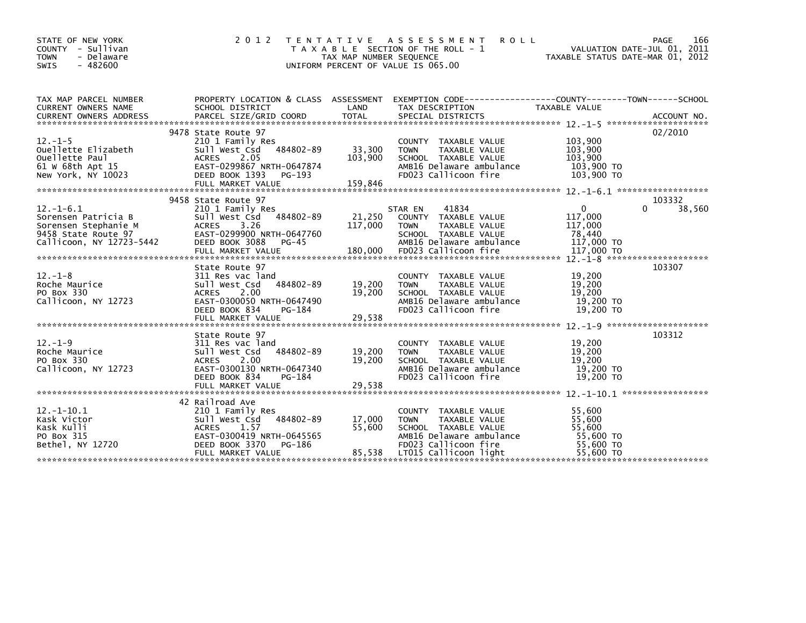| STATE OF NEW YORK<br>COUNTY - Sullivan<br>- Delaware<br><b>TOWN</b><br>$-482600$<br><b>SWIS</b>                   | 2 0 1 2                                                                                                                                                                     | T E N T A T I V E<br>TAX MAP NUMBER SEQUENCE<br>UNIFORM PERCENT OF VALUE IS 065.00 | A S S E S S M E N T<br><b>ROLL</b><br>T A X A B L E SECTION OF THE ROLL - 1                                                                               | VALUATION DATE-JUL 01, 2011<br>TAXABLE STATUS DATE-MAR 01, 2012                                             | 166<br>PAGE      |
|-------------------------------------------------------------------------------------------------------------------|-----------------------------------------------------------------------------------------------------------------------------------------------------------------------------|------------------------------------------------------------------------------------|-----------------------------------------------------------------------------------------------------------------------------------------------------------|-------------------------------------------------------------------------------------------------------------|------------------|
| TAX MAP PARCEL NUMBER<br>CURRENT OWNERS NAME                                                                      | PROPERTY LOCATION & CLASS ASSESSMENT<br>SCHOOL DISTRICT                                                                                                                     | LAND                                                                               | EXEMPTION CODE-----------------COUNTY-------TOWN------SCHOOL<br>TAX DESCRIPTION                                                                           | TAXABLE VALUE                                                                                               |                  |
| $12. - 1 - 5$<br>Ouellette Elizabeth<br>Ouellette Paul<br>61 W 68th Apt 15<br>New York, NY 10023                  | 9478 State Route 97<br>210 1 Family Res<br>484802-89<br>Sull West Csd<br>2.05<br><b>ACRES</b><br>EAST-0299867 NRTH-0647874<br>DEED BOOK 1393<br>PG-193<br>FULL MARKET VALUE | 33,300<br>103,900<br>159,846                                                       | COUNTY TAXABLE VALUE<br><b>TOWN</b><br>TAXABLE VALUE<br>SCHOOL TAXABLE VALUE<br>AMB16 Delaware ambulance<br>FD023 Callicoon fire                          | 103,900<br>103,900<br>103.900<br>103,900 TO<br>103,900 TO                                                   | 02/2010          |
| $12. - 1 - 6.1$<br>Sorensen Patricia B<br>Sorensen Stephanie M<br>9458 State Route 97<br>Callicoon, NY 12723-5442 | 9458 State Route 97<br>210 1 Family Res<br>Sull West Csd<br>484802-89<br><b>ACRES</b><br>3.26<br>EAST-0299900 NRTH-0647760<br>DEED BOOK 3088<br>PG-45<br>FULL MARKET VALUE  | 21,250<br>117,000<br>180,000                                                       | 41834<br>STAR EN<br>COUNTY TAXABLE VALUE<br><b>TOWN</b><br>TAXABLE VALUE<br>SCHOOL TAXABLE VALUE<br>AMB16 Delaware ambulance<br>FD023 Callicoon fire      | $\Omega$<br>117,000<br>117,000<br>78.440<br>117,000 TO<br>117,000 TO<br>$12 - 1 - 8$ ********************** | 103332<br>38,560 |
| $12. - 1 - 8$<br>Roche Maurice<br>PO Box 330<br>Callicoon, NY 12723                                               | State Route 97<br>311 Res vac land<br>484802-89<br>Sull West Csd<br>2.00<br><b>ACRES</b><br>EAST-0300050 NRTH-0647490<br>PG-184<br>DEED BOOK 834                            | 19,200<br>19.200                                                                   | COUNTY TAXABLE VALUE<br>TAXABLE VALUE<br><b>TOWN</b><br>SCHOOL TAXABLE VALUE<br>AMB16 Delaware ambulance<br>FD023 Callicoon fire                          | 19,200<br>19,200<br>19,200<br>19,200 TO<br>19,200 TO                                                        | 103307           |
| $12. - 1 - 9$<br>Roche Maurice<br>PO Box 330<br>Callicoon, NY 12723                                               | State Route 97<br>311 Res vac land<br>484802-89<br>Sull West Csd<br>2.00<br><b>ACRES</b><br>EAST-0300130 NRTH-0647340<br>DEED BOOK 834<br>PG-184                            | 19,200<br>19,200                                                                   | COUNTY TAXABLE VALUE<br>TAXABLE VALUE<br><b>TOWN</b><br>SCHOOL TAXABLE VALUE<br>AMB16 Delaware ambulance<br>FD023 Callicoon fire                          | 19,200<br>19,200<br>19,200<br>19,200 TO<br>19,200 TO                                                        | 103312           |
| $12.-1-10.1$<br>Kask Victor<br>Kask Kulli<br>PO Box 315<br>Bethel, NY 12720                                       | 42 Railroad Ave<br>210 1 Family Res<br>484802-89<br>Sull West Csd<br>1.57<br><b>ACRES</b><br>EAST-0300419 NRTH-0645565<br>PG-186<br>DEED BOOK 3370<br>FULL MARKET VALUE     | 17,000<br>55,600<br>85,538                                                         | COUNTY TAXABLE VALUE<br><b>TOWN</b><br>TAXABLE VALUE<br>SCHOOL TAXABLE VALUE<br>AMB16 Delaware ambulance<br>FD023 Callicoon fire<br>LT015 Callicoon light | 55,600<br>55,600<br>55.600<br>55,600 TO<br>55,600 TO<br>55,600 TO                                           |                  |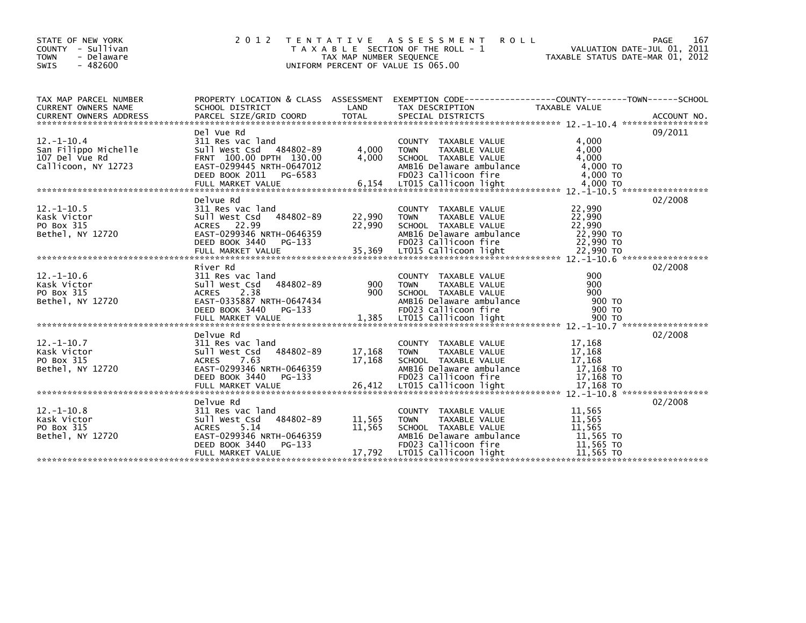| STATE OF NEW YORK<br>COUNTY - Sullivan<br>- Delaware<br><b>TOWN</b><br>$-482600$<br><b>SWIS</b> | 2 0 1 2                                                                                                                                        | T E N T A T I V E<br>TAX MAP NUMBER SEQUENCE<br>UNIFORM PERCENT OF VALUE IS 065.00 | A S S E S S M E N T<br><b>ROLL</b><br>T A X A B L E SECTION OF THE ROLL - 1                                                                                         | TAXABLE STATUS DATE-MAR 01, 2012                                  | 167<br><b>PAGE</b><br>VALUATION DATE-JUL 01, 2011 |
|-------------------------------------------------------------------------------------------------|------------------------------------------------------------------------------------------------------------------------------------------------|------------------------------------------------------------------------------------|---------------------------------------------------------------------------------------------------------------------------------------------------------------------|-------------------------------------------------------------------|---------------------------------------------------|
| TAX MAP PARCEL NUMBER<br>CURRENT OWNERS NAME                                                    | PROPERTY LOCATION & CLASS ASSESSMENT<br>SCHOOL DISTRICT                                                                                        | LAND                                                                               | EXEMPTION CODE-----------------COUNTY-------TOWN------SCHOOL<br>TAX DESCRIPTION                                                                                     | TAXABLE VALUE                                                     |                                                   |
| $12. -1 - 10.4$<br>San Filippo Michelle<br>107 Del Vue Rd<br>Callicoon, NY 12723                | Del Vue Rd<br>311 Res vac land<br>Sull West Csd 484802-89<br>FRNT 100.00 DPTH 130.00<br>EAST-0299445 NRTH-0647012<br>DEED BOOK 2011<br>PG-6583 | 4,000<br>4,000                                                                     | COUNTY TAXABLE VALUE<br><b>TOWN</b><br>TAXABLE VALUE<br>SCHOOL TAXABLE VALUE<br>AMB16 Delaware ambulance<br>FD023 Callicoon fire                                    | 4,000<br>4,000<br>4,000<br>4,000 TO<br>4,000 TO                   | 09/2011                                           |
| $12. - 1 - 10.5$<br>Kask Victor<br>PO Box 315<br>Bethel, NY 12720                               | Delvue Rd<br>311 Res vac land<br>484802-89<br>Sull West Csd<br>22.99<br>ACRES<br>EAST-0299346 NRTH-0646359<br>DEED BOOK 3440<br>PG-133         | 22,990<br>22,990                                                                   | COUNTY TAXABLE VALUE<br><b>TOWN</b><br>TAXABLE VALUE<br>SCHOOL TAXABLE VALUE<br>AMB16 Delaware ambulance<br>FD023 Callicoon fire                                    | 22,990<br>22,990<br>22.990<br>22,990 TO<br>22,990 TO              | 02/2008                                           |
| $12.-1-10.6$<br>Kask Victor<br>PO Box 315<br>Bethel, NY 12720                                   | River Rd<br>311 Res vac land<br>Sull West Csd<br>484802-89<br>2.38<br><b>ACRES</b><br>EAST-0335887 NRTH-0647434<br>DEED BOOK 3440<br>PG-133    | 900<br>900                                                                         | <b>COUNTY</b><br>TAXABLE VALUE<br><b>TAXABLE VALUE</b><br><b>TOWN</b><br>SCHOOL TAXABLE VALUE<br>AMB16 Delaware ambulance<br>FD023 Callicoon fire                   | 900<br>900<br>900<br>900 TO<br>900 TO                             | 02/2008                                           |
| $12. -1 - 10.7$<br>Kask Victor<br>PO Box 315<br>Bethel, NY 12720                                | Delvue Rd<br>311 Res vac land<br>Sull West Csd<br>484802-89<br>7.63<br><b>ACRES</b><br>EAST-0299346 NRTH-0646359<br>DEED BOOK 3440<br>PG-133   | 17,168<br>17,168                                                                   | <b>COUNTY</b><br>TAXABLE VALUE<br><b>TOWN</b><br>TAXABLE VALUE<br>SCHOOL TAXABLE VALUE<br>AMB16 Delaware ambulance<br>FD023 Callicoon fire                          | 17,168<br>17,168<br>17,168<br>17,168 TO<br>17,168 TO              | 02/2008                                           |
| $12 - 1 - 10.8$<br>Kask Victor<br>PO Box 315<br>Bethel, NY 12720                                | Delvue Rd<br>311 Res vac land<br>Sull West Csd<br>484802-89<br>5.14<br><b>ACRES</b><br>EAST-0299346 NRTH-0646359<br>DEED BOOK 3440<br>PG-133   | 11,565<br>11,565                                                                   | <b>COUNTY</b><br>TAXABLE VALUE<br>TAXABLE VALUE<br><b>TOWN</b><br>SCHOOL TAXABLE VALUE<br>AMB16 Delaware ambulance<br>FD023 Callicoon fire<br>LT015 Callicoon light | 11,565<br>11,565<br>11.565<br>11,565 TO<br>11,565 TO<br>11,565 TO | 02/2008                                           |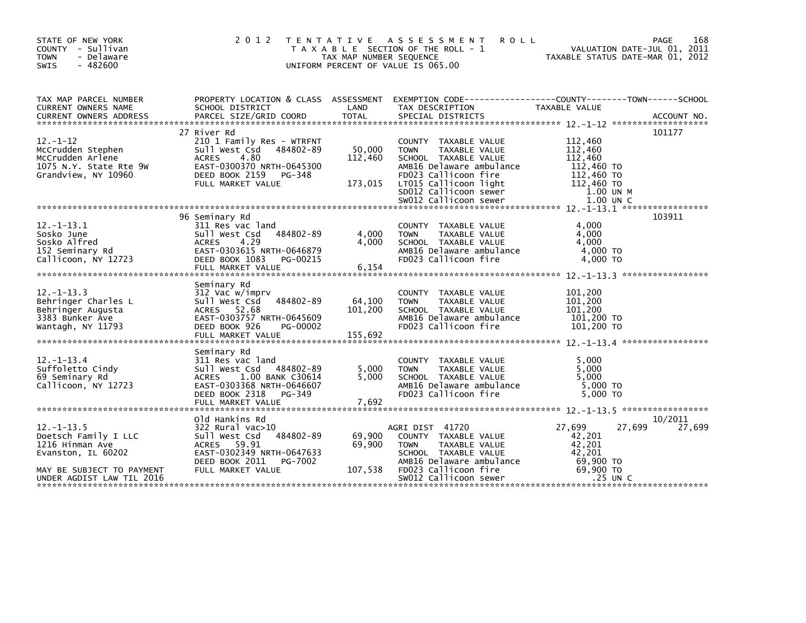| STATE OF NEW YORK<br>COUNTY - Sullivan<br><b>TOWN</b><br>- Delaware<br>$-482600$<br><b>SWIS</b>                                            | 2 0 1 2<br>T E N T A T I V E                                                                                                                                                 | TAX MAP NUMBER SEQUENCE      | A S S E S S M E N T<br><b>ROLL</b><br>T A X A B L E SECTION OF THE ROLL - 1<br>UNIFORM PERCENT OF VALUE IS 065.00                                                                                           | TAXABLE STATUS DATE-MAR 01, 2012                                                                  | 168<br>PAGE<br>VALUATION DATE-JUL 01, 2011 |
|--------------------------------------------------------------------------------------------------------------------------------------------|------------------------------------------------------------------------------------------------------------------------------------------------------------------------------|------------------------------|-------------------------------------------------------------------------------------------------------------------------------------------------------------------------------------------------------------|---------------------------------------------------------------------------------------------------|--------------------------------------------|
| TAX MAP PARCEL NUMBER<br>CURRENT OWNERS NAME                                                                                               | PROPERTY LOCATION & CLASS ASSESSMENT<br>SCHOOL DISTRICT                                                                                                                      | LAND                         | EXEMPTION CODE-----------------COUNTY-------TOWN------SCHOOL<br>TAX DESCRIPTION                                                                                                                             | TAXABLE VALUE                                                                                     |                                            |
| $12 - 1 - 12$<br>McCrudden Stephen<br>McCrudden Arlene<br>1075 N.Y. State Rte 9W<br>Grandview, NY 10960                                    | 27 River Rd<br>210 1 Family Res - WTRFNT<br>Sull West Csd<br>484802-89<br>4.80<br><b>ACRES</b><br>EAST-0300370 NRTH-0645300<br>DEED BOOK 2159<br>PG-348<br>FULL MARKET VALUE | 50,000<br>112,460<br>173,015 | COUNTY TAXABLE VALUE<br><b>TOWN</b><br>TAXABLE VALUE<br>SCHOOL TAXABLE VALUE<br>AMB16 Delaware ambulance<br>FD023 Callicoon fire<br>LT015 Callicoon light<br>SD012 Callicoon sewer<br>SW012 Callicoon sewer | 112,460<br>112,460<br>112,460<br>112,460 TO<br>112,460 TO<br>112,460 TO<br>1.00 UN M<br>1.00 UN C | 101177                                     |
| $12. - 1 - 13.1$<br>Sosko June<br>Sosko Alfred<br>152 Seminary Rd<br>Callicoon, NY 12723                                                   | 96 Seminary Rd<br>311 Res vac land<br>484802-89<br>Sull West Csd<br>4.29<br><b>ACRES</b><br>EAST-0303615 NRTH-0646879<br>DEED BOOK 1083<br>PG-00215<br>FULL MARKET VALUE     | 4,000<br>4,000<br>6,154      | COUNTY TAXABLE VALUE<br>TAXABLE VALUE<br><b>TOWN</b><br>SCHOOL TAXABLE VALUE<br>AMB16 Delaware ambulance<br>FD023 Callicoon fire                                                                            | 4,000<br>4,000<br>4.000<br>4,000 TO<br>4.000 TO                                                   | 103911                                     |
| $12. - 1 - 13.3$<br>Behringer Charles L<br>Behringer Augusta<br>3383 Bunker Ave<br>Wantagh, NY 11793                                       | Seminary Rd<br>312 Vac w/imprv<br>Sull West Csd<br>484802-89<br>ACRES 52.68<br>EAST-0303757 NRTH-0645609<br>DEED BOOK 926<br>PG-00002<br>FULL MARKET VALUE                   | 64,100<br>101,200<br>155,692 | COUNTY TAXABLE VALUE<br><b>TOWN</b><br>TAXABLE VALUE<br>SCHOOL TAXABLE VALUE<br>AMB16 Delaware ambulance<br>FD023 Callicoon fire                                                                            | 101,200<br>101,200<br>101,200<br>101,200 TO<br>101,200 TO                                         |                                            |
| $12. - 1 - 13.4$<br>Suffoletto Cindy<br>69 Seminary Rd<br>Callicoon, NY 12723                                                              | Seminary Rd<br>311 Res vac land<br>Sull West Csd<br>484802-89<br>1.00 BANK C30614<br><b>ACRES</b><br>EAST-0303368 NRTH-0646607<br>DEED BOOK 2318 PG-349                      | 5,000<br>5,000               | COUNTY TAXABLE VALUE<br><b>TOWN</b><br>TAXABLE VALUE<br>SCHOOL TAXABLE VALUE<br>AMB16 Delaware ambulance<br>FD023 Callicoon fire                                                                            | 5,000<br>5.000<br>5,000<br>5,000 TO<br>5,000 TO                                                   |                                            |
| $12 - 1 - 13.5$<br>Doetsch Family I LLC<br>1216 Hinman Ave<br>Evanston, IL 60202<br>MAY BE SUBJECT TO PAYMENT<br>UNDER AGDIST LAW TIL 2016 | Old Hankins Rd<br>322 Rural vac>10<br>Sull West Csd<br>484802-89<br>ACRES 59.91<br>EAST-0302349 NRTH-0647633<br>DEED BOOK 2011<br>PG-7002<br>FULL MARKET VALUE               | 69,900<br>69,900<br>107,538  | AGRI DIST 41720<br>COUNTY TAXABLE VALUE<br>TAXABLE VALUE<br><b>TOWN</b><br>SCHOOL TAXABLE VALUE<br>AMB16 Delaware ambulance<br>FD023 Callicoon fire<br>SW012 Callicoon sewer                                | 27,699<br>27,699<br>42,201<br>42,201<br>42.201<br>69,900 TO<br>69,900 TO<br>.25 UN C              | 10/2011<br>27,699                          |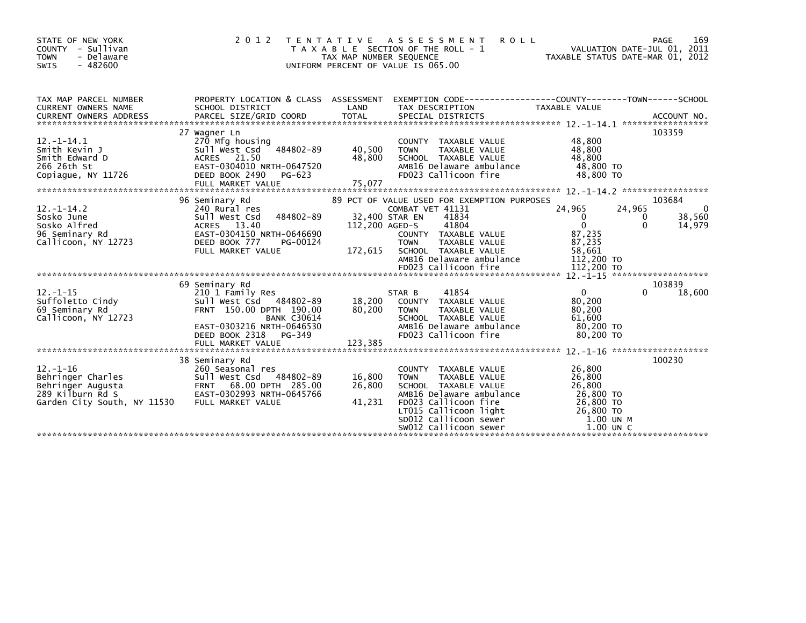| STATE OF NEW YORK<br>COUNTY - Sullivan<br>- Delaware<br><b>TOWN</b><br>$-482600$<br><b>SWIS</b>                                                                                                                                                            | 2 0 1 2<br>T E N T A T I V E                                                                                                                                         | TAX MAP NUMBER SEQUENCE    | A S S E S S M E N T<br><b>ROLL</b><br>T A X A B L E SECTION OF THE ROLL - 1<br>UNIFORM PERCENT OF VALUE IS 065.00                                                                                               | TAXABLE STATUS DATE-MAR 01, 2012                                                              | 169<br>PAGE<br>VALUATION DATE-JUL 01, 2011                        |
|------------------------------------------------------------------------------------------------------------------------------------------------------------------------------------------------------------------------------------------------------------|----------------------------------------------------------------------------------------------------------------------------------------------------------------------|----------------------------|-----------------------------------------------------------------------------------------------------------------------------------------------------------------------------------------------------------------|-----------------------------------------------------------------------------------------------|-------------------------------------------------------------------|
| TAX MAP PARCEL NUMBER<br>CURRENT OWNERS NAME<br>CONNENT OWNERS ADDRESS FORCEL SIZE/GRID COORD TOTAL SPECIAL DISTRICTS (2001) ACCOUNT NO.<br>EURRENT OWNERS ADDRESS PARCEL SIZE/GRID COORD TOTAL SPECIAL DISTRICTS (2001) 201-14.1 ************************ | SCHOOL DISTRICT                                                                                                                                                      | LAND                       | PROPERTY LOCATION & CLASS ASSESSMENT EXEMPTION CODE---------------COUNTY-------TOWN-----SCHOOL<br>TAX DESCRIPTION                                                                                               | <b>TAXABLE VALUE</b>                                                                          |                                                                   |
| $12. -1 - 14.1$<br>Smith Kevin J<br>Smith Edward D<br>266 26th St<br>Copiague, NY 11726                                                                                                                                                                    | 27 Wagner Ln<br>270 Mfg housing<br>sull west Csd 484802-89<br>ACRES 21.50<br>EAST-0304010 NRTH-0647520<br>DEED BOOK 2490<br>PG-623                                   | 40,500<br>48,800           | COUNTY TAXABLE VALUE<br>TAXABLE VALUE<br><b>TOWN</b><br>SCHOOL TAXABLE VALUE<br>AMB16 Delaware ambulance<br>FD023 Callicoon fire                                                                                | 48,800<br>48,800<br>48,800<br>48,800 TO<br>48,800 TO                                          | 103359                                                            |
| $12. - 1 - 14.2$<br>Sosko June<br>Sosko Alfred<br>96 Seminary Rd<br>Callicoon, NY 12723                                                                                                                                                                    | 96 Seminary Rd<br>240 Rural res<br>484802-89<br>Sull West Csd<br>ACRES 13.40<br>EAST-0304150 NRTH-0646690<br>DEED BOOK 777<br>PG-00124<br>FULL MARKET VALUE          | 112,200 AGED-S<br>172,615  | 89 PCT OF VALUE USED FOR EXEMPTION PURPOSES<br>COMBAT VET 41131<br>32,400 STAR EN<br>41834<br>41804<br>COUNTY TAXABLE VALUE<br>TAXABLE VALUE<br><b>TOWN</b><br>SCHOOL TAXABLE VALUE<br>AMB16 Delaware ambulance | 24,965<br>$\mathbf{0}$<br>$\Omega$<br>87,235<br>87,235<br>58,661<br>112,200 TO                | 103684<br>24,965<br>$\Omega$<br>38,560<br>0<br>$\Omega$<br>14,979 |
| $12. - 1 - 15$<br>Suffoletto Cindy<br>69 Seminary Rd<br>Callicoon, NY 12723                                                                                                                                                                                | 69 Seminary Rd<br>210 1 Family Res<br>Sull West Csd 484802-89<br>FRNT 150.00 DPTH 190.00<br><b>BANK C30614</b><br>EAST-0303216 NRTH-0646530<br>DEED BOOK 2318 PG-349 | 18,200<br>80.200           | 41854<br>STAR B<br>COUNTY TAXABLE VALUE<br><b>TOWN</b><br>TAXABLE VALUE<br>SCHOOL TAXABLE VALUE<br>AMB16 Delaware ambulance<br>FD023 Callicoon fire                                                             | $\Omega$<br>80,200<br>80,200<br>61,600<br>80,200 TO<br>80,200 TO                              | 103839<br>$\Omega$<br>18,600                                      |
| $12. - 1 - 16$<br>Behringer Charles<br>Behringer Augusta<br>289 Kilburn Rd S<br>Garden City South, NY 11530 FULL MARKET VALUE                                                                                                                              | 38 Seminary Rd<br>260 Seasonal res                                                                                                                                   | 16,800<br>26,800<br>41,231 | COUNTY TAXABLE VALUE<br>TAXABLE VALUE<br><b>TOWN</b><br>SCHOOL TAXABLE VALUE<br>AMB16 Delaware ambulance<br>FD023 Callicoon fire<br>LTO15 Callicoon light<br>SDO12 Callicoon sewer<br>SW012 Callicoon sewer     | 26,800<br>26,800<br>26,800<br>26,800 TO<br>26,800 TO<br>26,800 TO<br>1.00 UN M<br>$1.00$ UN C | 100230                                                            |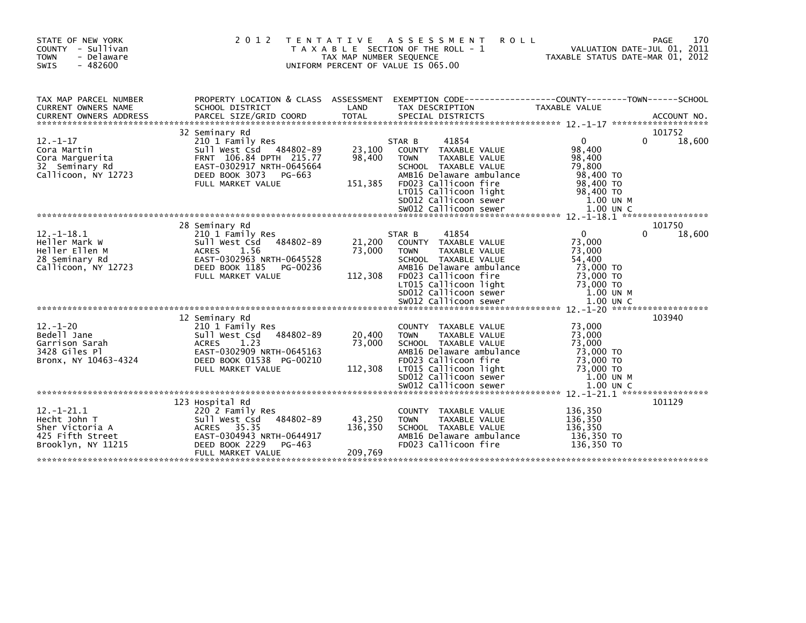| STATE OF NEW YORK<br>COUNTY - Sullivan<br><b>TOWN</b><br>- Delaware<br>$-482600$<br><b>SWIS</b> | 2 0 1 2                                                                                                                                                                  | T E N T A T I V E<br>TAX MAP NUMBER SEQUENCE | ASSESSMENT<br><b>ROLL</b><br>T A X A B L E SECTION OF THE ROLL - 1<br>UNIFORM PERCENT OF VALUE IS 065.00                                                                                                                       |                                                                                                           | 170<br>PAGE<br>VALUATION DATE-JUL 01, 2011<br>TAXABLE STATUS DATE-MAR 01, 2012 |
|-------------------------------------------------------------------------------------------------|--------------------------------------------------------------------------------------------------------------------------------------------------------------------------|----------------------------------------------|--------------------------------------------------------------------------------------------------------------------------------------------------------------------------------------------------------------------------------|-----------------------------------------------------------------------------------------------------------|--------------------------------------------------------------------------------|
| TAX MAP PARCEL NUMBER<br><b>CURRENT OWNERS NAME</b>                                             | PROPERTY LOCATION & CLASS ASSESSMENT<br>SCHOOL DISTRICT                                                                                                                  | LAND                                         | TAX DESCRIPTION                                                                                                                                                                                                                | <b>TAXABLE VALUE</b>                                                                                      |                                                                                |
| $12. - 1 - 17$<br>Cora Martin<br>Cora Marquerita<br>32 Seminary Rd<br>Callicoon, NY 12723       | 32 Seminary Rd<br>210 1 Family Res<br>Sull West Csd 484802-89<br>FRNT 106.84 DPTH 215.77<br>EAST-0302917 NRTH-0645664<br>DEED BOOK 3073<br>PG-663                        | 23,100<br>98,400                             | 41854<br>STAR B<br>COUNTY TAXABLE VALUE<br>TAXABLE VALUE<br><b>TOWN</b><br>SCHOOL TAXABLE VALUE<br>AMB16 Delaware ambulance                                                                                                    | $\Omega$<br>98,400<br>98,400<br>79,800<br>98,400 TO                                                       | 101752<br>18,600<br>$\Omega$                                                   |
|                                                                                                 | FULL MARKET VALUE                                                                                                                                                        | 151,385                                      | FD023 Callicoon fire<br>LT015 Callicoon light<br>SD012 Callicoon sewer                                                                                                                                                         | 98,400 TO<br>98,400 TO<br>1.00 UN M                                                                       |                                                                                |
| $12. -1 - 18.1$<br>Heller Mark W<br>Heller Ellen M<br>28 Seminary Rd<br>Callicoon, NY 12723     | 28 Seminary Rd<br>210 1 Family Res<br>484802-89<br>Sull West Csd<br>1.56<br><b>ACRES</b><br>EAST-0302963 NRTH-0645528<br>DEED BOOK 1185<br>PG-00236<br>FULL MARKET VALUE | 21,200<br>73,000<br>112,308                  | 41854<br>STAR B<br>COUNTY TAXABLE VALUE<br>TAXABLE VALUE<br><b>TOWN</b><br>SCHOOL TAXABLE VALUE<br>AMB16 Delaware ambulance<br>FD023 Callicoon fire<br>LT015 Callicoon light<br>SD012 Callicoon sewer<br>SW012 Callicoon sewer | $\Omega$<br>73,000<br>73,000<br>54,400<br>73,000 TO<br>73,000 TO<br>73,000 TO<br>1.00 UN M<br>$1.00$ UN C | 101750<br>18,600<br>0                                                          |
| $12. - 1 - 20$<br>Bedell Jane<br>Garrison Sarah<br>3428 Giles Pl<br>Bronx, NY 10463-4324        | 12 Seminary Rd<br>210 1 Family Res<br>Sull West Csd<br>484802-89<br>1.23<br><b>ACRES</b><br>EAST-0302909 NRTH-0645163<br>DEED BOOK 01538 PG-00210<br>FULL MARKET VALUE   | 20,400<br>73,000<br>112,308                  | COUNTY TAXABLE VALUE<br><b>TOWN</b><br>TAXABLE VALUE<br>SCHOOL TAXABLE VALUE<br>AMB16 Delaware ambulance<br>FD023 Callicoon fire<br>LT015 Callicoon light<br>SD012 Callicoon sewer<br>SW012 Callicoon sewer                    | 73,000<br>73,000<br>73,000<br>73,000 TO<br>73,000 TO<br>73,000 TO<br>1.00 UN M<br>1.00 UN C               | 103940                                                                         |
| $12. - 1 - 21.1$<br>Hecht John T<br>Sher Victoria A<br>425 Fifth Street<br>Brooklyn, NY 11215   | 123 Hospital Rd<br>220 2 Family Res<br>Sull West Csd<br>484802-89<br>ACRES 35.35<br>EAST-0304943 NRTH-0644917<br>DEED BOOK 2229<br>PG-463<br>FULL MARKET VALUE           | 43,250<br>136,350<br>209,769                 | <b>COUNTY</b><br>TAXABLE VALUE<br>TAXABLE VALUE<br><b>TOWN</b><br>SCHOOL TAXABLE VALUE<br>AMB16 Delaware ambulance<br>FD023 Callicoon fire                                                                                     | 136,350<br>136,350<br>136,350<br>136,350 TO<br>136.350 TO                                                 | 101129                                                                         |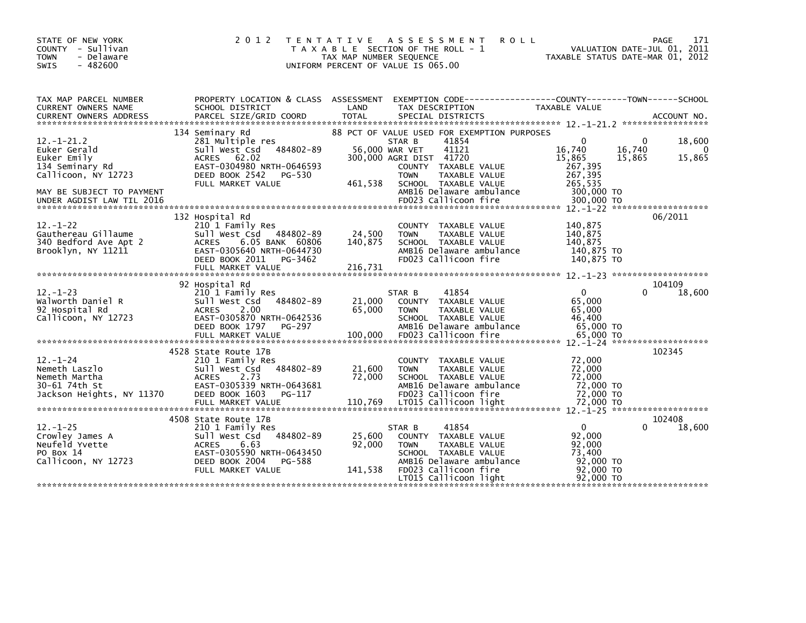| STATE OF NEW YORK<br>COUNTY - Sullivan<br>- Delaware<br><b>TOWN</b><br>$-482600$<br><b>SWIS</b> | 2 0 1 2                                                                                                                                                                   | TAX MAP NUMBER SEQUENCE     | TENTATIVE ASSESSMENT<br><b>ROLL</b><br>T A X A B L E SECTION OF THE ROLL - 1<br>UNIFORM PERCENT OF VALUE IS 065.00                                            | VALUATION DATE-JUL 01, 2011<br>TAXABLE STATUS DATE-MAR 01, 2012       | PAGE<br>171                  |
|-------------------------------------------------------------------------------------------------|---------------------------------------------------------------------------------------------------------------------------------------------------------------------------|-----------------------------|---------------------------------------------------------------------------------------------------------------------------------------------------------------|-----------------------------------------------------------------------|------------------------------|
| TAX MAP PARCEL NUMBER<br>CURRENT OWNERS NAME                                                    | PROPERTY LOCATION & CLASS ASSESSMENT<br>SCHOOL DISTRICT                                                                                                                   | LAND                        | EXEMPTION CODE-----------------COUNTY-------TOWN------SCHOOL<br>TAX DESCRIPTION                                                                               | TAXABLE VALUE                                                         |                              |
| $12. - 1 - 21.2$<br>Euker Gerald<br>Euker Emily                                                 | 134 Seminary Rd<br>281 Multiple res<br>Sull West Csd 484802-89<br>ACRES 62.02                                                                                             |                             | 88 PCT OF VALUE USED FOR EXEMPTION PURPOSES<br>41854<br>STAR B<br>56,000 WAR VET<br>41121<br>300,000 AGRI DIST 41720                                          | 0<br>0<br>16,740<br>16,740<br>15,865<br>15,865                        | 18,600<br>$\Omega$<br>15,865 |
| 134 Seminary Rd<br>Callicoon, NY 12723<br>MAY BE SUBJECT TO PAYMENT                             | EAST-0304980 NRTH-0646593<br>DEED BOOK 2542<br>PG-530<br>FULL MARKET VALUE                                                                                                | 461,538                     | COUNTY TAXABLE VALUE<br><b>TOWN</b><br>TAXABLE VALUE<br>SCHOOL TAXABLE VALUE<br>AMB16 Delaware ambulance                                                      | 267,395<br>267,395<br>265,535<br>300,000 TO                           |                              |
| UNDER AGDIST LAW TIL 2016<br>$12. - 1 - 22$<br>Gauthereau Gillaume                              | 132 Hospital Rd<br>210 1 Family Res<br>Sull West Csd 484802-89                                                                                                            | 24,500                      | FD023 Callicoon fire<br>COUNTY TAXABLE VALUE<br><b>TOWN</b><br>TAXABLE VALUE                                                                                  | 300,000 TO<br>140.875<br>140,875                                      | 06/2011                      |
| 340 Bedford Ave Apt 2<br>Brooklyn, NY 11211                                                     | 6.05 BANK 60806<br><b>ACRES</b><br>EAST-0305640 NRTH-0644730<br>DEED BOOK 2011 PG-3462<br>FULL MARKET VALUE                                                               | 140,875<br>216,731          | SCHOOL TAXABLE VALUE<br>AMB16 Delaware ambulance<br>FD023 Callicoon fire                                                                                      | 140,875<br>140,875 TO<br>140,875 TO                                   |                              |
|                                                                                                 |                                                                                                                                                                           |                             |                                                                                                                                                               |                                                                       |                              |
| $12 - 1 - 23$<br>Walworth Daniel R<br>92 Hospital Rd<br>Callicoon, NY 12723                     | 92 Hospital Rd<br>210 1 Family Res<br>Sull West Csd 484802-89<br><b>ACRES</b><br>2.00<br>EAST-0305870 NRTH-0642536<br>DEED BOOK 1797<br>PG-297                            | 21,000<br>65,000            | 41854<br>STAR B<br>TAXABLE VALUE<br><b>COUNTY</b><br><b>TOWN</b><br>TAXABLE VALUE<br>SCHOOL TAXABLE VALUE<br>AMB16 Delaware ambulance                         | $\mathbf{0}$<br>0<br>65,000<br>65,000<br>46,400<br>65,000 TO          | 104109<br>18,600             |
| $12 - 1 - 24$<br>Nemeth Laszlo<br>Nemeth Martha<br>30-61 74th St<br>Jackson Heights, NY 11370   | 4528 State Route 17B<br>210 1 Family Res<br>Sull West Csd 484802-89<br><b>ACRES</b><br>2.73<br>EAST-0305339 NRTH-0643681<br>DEED BOOK 1603<br>PG-117                      | 21,600<br>72,000            | <b>COUNTY</b><br>TAXABLE VALUE<br><b>TAXABLE VALUE</b><br><b>TOWN</b><br>SCHOOL TAXABLE VALUE<br>AMB16 Delaware ambulance<br>FD023 Callicoon fire             | 72,000<br>72,000<br>72,000<br>72,000 TO<br>72,000 TO                  | 102345                       |
| $12 - 1 - 25$<br>Crowley James A<br>Neufeld Yvette<br>PO Box 14<br>Callicoon, NY 12723          | 4508 State Route 17B<br>210 1 Family Res<br>Sull West Csd 484802-89<br><b>ACRES</b><br>6.63<br>EAST-0305590 NRTH-0643450<br>DEED BOOK 2004<br>PG-588<br>FULL MARKET VALUE | 25,600<br>92,000<br>141,538 | 41854<br>STAR B<br>TAXABLE VALUE<br><b>COUNTY</b><br>TAXABLE VALUE<br><b>TOWN</b><br>SCHOOL TAXABLE VALUE<br>AMB16 Delaware ambulance<br>FD023 Callicoon fire | $\Omega$<br>0<br>92,000<br>92,000<br>73,400<br>92,000 TO<br>92,000 TO | 102408<br>18,600             |
|                                                                                                 |                                                                                                                                                                           |                             | LT015 Callicoon light                                                                                                                                         | 92,000 TO                                                             |                              |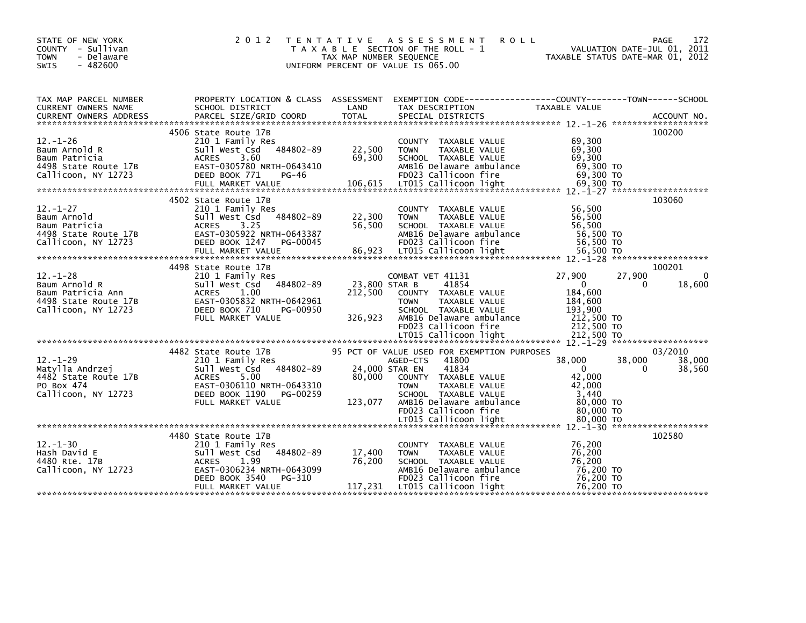| STATE OF NEW YORK<br>COUNTY - Sullivan<br><b>TOWN</b><br>- Delaware<br>$-482600$<br><b>SWIS</b>           | 2 0 1 2                                                                                                                                                                        | TAX MAP NUMBER SEQUENCE             | TENTATIVE ASSESSMENT ROLL<br>T A X A B L E SECTION OF THE ROLL - 1<br>UNIFORM PERCENT OF VALUE IS 065.00                                                                                                      | VALUATION DATE-JUL 01, 2011<br>TAXABLE STATUS DATE-MAR 01, 2012                                                  | <b>PAGE</b><br>172           |
|-----------------------------------------------------------------------------------------------------------|--------------------------------------------------------------------------------------------------------------------------------------------------------------------------------|-------------------------------------|---------------------------------------------------------------------------------------------------------------------------------------------------------------------------------------------------------------|------------------------------------------------------------------------------------------------------------------|------------------------------|
| TAX MAP PARCEL NUMBER<br>CURRENT OWNERS NAME                                                              | SCHOOL DISTRICT                                                                                                                                                                | LAND                                | TAX DESCRIPTION                                                                                                                                                                                               | PROPERTY LOCATION & CLASS ASSESSMENT EXEMPTION CODE----------------COUNTY-------TOWN-----SCHOOL<br>TAXABLE VALUE |                              |
| $12. - 1 - 26$<br>Baum Arnold R<br>Baum Patricia<br>4498 State Route 17B<br>Callicoon, NY 12723           | 4506 State Route 17B<br>210 1 Family Res<br>Sull West Csd 484802-89<br>ACRES 3.60<br>EAST-0305780 NRTH-0643410<br>DEED BOOK 771<br>PG-46                                       | 22,500<br>69,300                    | COUNTY TAXABLE VALUE<br><b>TOWN</b><br>TAXABLE VALUE<br>SCHOOL TAXABLE VALUE<br>AMB16 Delaware ambulance<br>FD023 Callicoon fire                                                                              | 69,300<br>69,300<br>69,300<br>69,300 TO<br>69,300 TO                                                             | 100200                       |
| $12. - 1 - 27$<br>Baum Arnold<br>Baum Patricia<br>4498 State Route 17B<br>Callicoon, NY 12723             | 4502 State Route 17B<br>210 1 Family Res<br>Sull West Csd 484802-89<br>ACRES 3.25<br>EAST-0305922 NRTH-0643387<br>DEED BOOK 1247<br>PG-00045                                   | 22,300<br>56,500                    | COUNTY TAXABLE VALUE<br><b>TOWN</b><br>TAXABLE VALUE<br>SCHOOL TAXABLE VALUE<br>AMB16 Delaware ambulance<br>FD023 Callicoon fire                                                                              | 56,500<br>56,500<br>56,500<br>56,500 TO<br>56,500 TO                                                             | 103060                       |
| $12 - 1 - 28$<br>Baum Arnold R<br>Baum Patricia Ann<br>4498 State Route 17B<br>Callicoon, NY 12723        | 4498 State Route 17B<br>210 1 Family Res<br>484802-89<br>Sull West Csd<br>ACRES 1.00<br>EAST-0305832 NRTH-0642961<br>DEED BOOK 710<br>PG-00950<br>FULL MARKET VALUE            | 23,800 STAR B<br>212,500<br>326,923 | COMBAT VET 41131<br>41854<br>COUNTY TAXABLE VALUE<br><b>TOWN</b><br>TAXABLE VALUE<br>SCHOOL TAXABLE VALUE<br>AMB16 Delaware ambulance<br>FD023 Callicoon fire                                                 | 27,900<br>27,900<br>$\overline{0}$<br>0<br>184,600<br>184,600<br>193,900<br>212,500 TO<br>212,500 TO             | 100201<br>$\Omega$<br>18,600 |
| $12 - 1 - 29$<br>12. 1 25<br>Matylla Andrzej<br>4482 State Route 17B<br>PO Box 474<br>Callicoon, NY 12723 | 4482 State Route 17B<br>210 1 Family Res<br>484802-89<br>Sull West Csd<br>5.00<br><b>ACRES</b><br>EAST-0306110 NRTH-0643310<br>DEED BOOK 1190<br>PG-00259<br>FULL MARKET VALUE | 24,000 STAR EN<br>80,000<br>123,077 | 95 PCT OF VALUE USED FOR EXEMPTION PURPOSES<br>41800<br>AGED-CTS<br>41834<br>COUNTY TAXABLE VALUE<br>TAXABLE VALUE<br><b>TOWN</b><br>SCHOOL TAXABLE VALUE<br>AMB16 Delaware ambulance<br>FD023 Callicoon fire | 38,000<br>38,000<br>$\overline{0}$<br>$\mathbf{0}$<br>42,000<br>42,000<br>3.440<br>80,000 TO<br>80,000 TO        | 03/2010<br>38,000<br>38,560  |
| $12 - 1 - 30$<br>Hash David E<br>4480 Rte. 17B<br>Callicoon, NY 12723                                     | 4480 State Route 17B<br>210 1 Family Res<br>484802-89<br>Sull West Csd<br>ACRES<br>1.99<br>EAST-0306234 NRTH-0643099<br>DEED BOOK 3540<br>PG-310<br>FULL MARKET VALUE          | 17,400<br>76,200<br>117,231         | COUNTY TAXABLE VALUE<br>TAXABLE VALUE<br><b>TOWN</b><br>SCHOOL TAXABLE VALUE<br>AMB16 Delaware ambulance<br>FD023 Callicoon fire<br>LT015 Callicoon light                                                     | 76,200<br>76,200<br>76.200<br>76,200 TO<br>76,200 TO<br>76,200 TO                                                | 102580                       |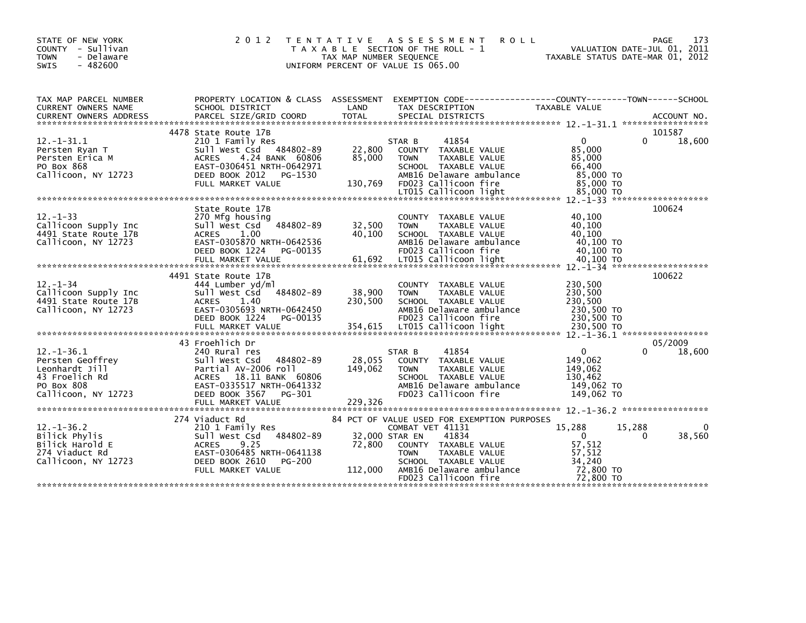| STATE OF NEW YORK<br>COUNTY - Sullivan<br>- Delaware<br><b>TOWN</b><br>$-482600$<br><b>SWIS</b>               | 2 0 1 2                                                                                                                                                                        | T E N T A T I V E<br>TAX MAP NUMBER SEOUENCE | A S S E S S M E N T<br><b>ROLL</b><br>T A X A B L E SECTION OF THE ROLL - 1<br>UNIFORM PERCENT OF VALUE IS 065.00                                                                                                              | TAXABLE STATUS DATE-MAR 01, 2012                                               | PAGE<br>173<br>VALUATION DATE-JUL 01, 2011 |
|---------------------------------------------------------------------------------------------------------------|--------------------------------------------------------------------------------------------------------------------------------------------------------------------------------|----------------------------------------------|--------------------------------------------------------------------------------------------------------------------------------------------------------------------------------------------------------------------------------|--------------------------------------------------------------------------------|--------------------------------------------|
| TAX MAP PARCEL NUMBER<br>CURRENT OWNERS NAME                                                                  | PROPERTY LOCATION & CLASS ASSESSMENT<br>SCHOOL DISTRICT                                                                                                                        | LAND                                         | TAX DESCRIPTION                                                                                                                                                                                                                | <b>TAXABLE VALUE</b>                                                           |                                            |
|                                                                                                               | 4478 State Route 17B                                                                                                                                                           |                                              |                                                                                                                                                                                                                                |                                                                                | 101587                                     |
| $12 - 1 - 31.1$<br>Persten Ryan T<br>Persten Erica M<br>PO Box 868<br>Callicoon, NY 12723                     | 210 1 Family Res<br>Sull West Csd 484802-89<br>4.24 BANK 60806<br><b>ACRES</b><br>EAST-0306451 NRTH-0642971<br>DEED BOOK 2012<br>PG-1530<br>FULL MARKET VALUE                  | 22,800<br>85,000<br>130,769                  | 41854<br>STAR B<br>COUNTY TAXABLE VALUE<br>TAXABLE VALUE<br><b>TOWN</b><br>SCHOOL TAXABLE VALUE<br>AMB16 Delaware ambulance<br>FD023 Callicoon fire                                                                            | $\mathbf{0}$<br>85.000<br>85,000<br>66.400<br>85,000 TO<br>85,000 TO           | 18,600<br>0                                |
|                                                                                                               |                                                                                                                                                                                |                                              | LT015 Callicoon light                                                                                                                                                                                                          | 85,000 TO                                                                      |                                            |
| $12. -1 - 33$<br>Callicoon Supply Inc<br>4491 State Route 17B<br>Callicoon, NY 12723                          | State Route 17B<br>270 Mfg housing<br>Sull West Csd 484802-89<br><b>ACRES</b><br>1.00<br>EAST-0305870 NRTH-0642536<br>DEED BOOK 1224<br>PG-00135                               | 32,500<br>40,100                             | COUNTY TAXABLE VALUE<br><b>TOWN</b><br>TAXABLE VALUE<br>SCHOOL TAXABLE VALUE<br>AMB16 Delaware ambulance<br>FD023 Callicoon fire                                                                                               | 40.100<br>40,100<br>40.100<br>40,100 TO<br>40,100 TO                           | 100624                                     |
|                                                                                                               | FULL MARKET VALUE                                                                                                                                                              | 61,692                                       | LT015 Callicoon light                                                                                                                                                                                                          | 40,100 TO                                                                      |                                            |
| $12 - 1 - 34$<br>Callicoon Supply Inc<br>4491 State Route 17B<br>Callicoon, NY 12723                          | 4491 State Route 17B<br>444 Lumber yd/ml<br>484802-89<br>Sull West Csd<br><b>ACRES</b><br>1.40<br>EAST-0305693 NRTH-0642450<br>DEED BOOK 1224<br>PG-00135<br>FULL MARKET VALUE | 38,900<br>230,500<br>354,615                 | COUNTY TAXABLE VALUE<br><b>TAXABLE VALUE</b><br><b>TOWN</b><br>SCHOOL TAXABLE VALUE<br>AMB16 Delaware ambulance<br>FD023 Callicoon fire<br>LT015 Callicoon light                                                               | 230,500<br>230,500<br>230,500<br>230,500 TO<br>230,500 TO<br>230,500 TO        | 100622                                     |
|                                                                                                               | 43 Froehlich Dr                                                                                                                                                                |                                              |                                                                                                                                                                                                                                |                                                                                | 05/2009                                    |
| $12. - 1 - 36.1$<br>Persten Geoffrey<br>Leonhardt Jill<br>43 Froelich Rd<br>PO Box 808<br>Callicoon, NY 12723 | 240 Rural res<br>484802-89<br>Sull West Csd<br>Partial AV-2006 roll<br>ACRES 18.11 BANK 60806<br>EAST-0335517 NRTH-0641332<br>DEED BOOK 3567<br>PG-301<br>FULL MARKET VALUE    | 28,055<br>149,062<br>229,326                 | 41854<br>STAR B<br>COUNTY TAXABLE VALUE<br><b>TOWN</b><br>TAXABLE VALUE<br>SCHOOL TAXABLE VALUE<br>AMB16 Delaware ambulance<br>FD023 Callicoon fire                                                                            | 0<br>149,062<br>149,062<br>130.462<br>149.062 TO<br>149.062 TO                 | 18,600                                     |
|                                                                                                               |                                                                                                                                                                                |                                              |                                                                                                                                                                                                                                |                                                                                |                                            |
| $12. - 1 - 36.2$<br>Bilick Phylis<br>Bilick Harold E<br>274 Viaduct Rd<br>Callicoon, NY 12723                 | 274 Viaduct Rd<br>210 1 Family Res<br>484802-89<br>Sull West Csd<br>9.25<br><b>ACRES</b><br>EAST-0306485 NRTH-0641138<br>DEED BOOK 2610<br>PG-200<br>FULL MARKET VALUE         | 72,800<br>112,000                            | 84 PCT OF VALUE USED FOR EXEMPTION PURPOSES<br>COMBAT VET 41131<br>32,000 STAR EN<br>41834<br>COUNTY TAXABLE VALUE<br><b>TOWN</b><br>TAXABLE VALUE<br>SCHOOL TAXABLE VALUE<br>AMB16 Delaware ambulance<br>FD023 Callicoon fire | 15,288<br>$\mathbf{0}$<br>57,512<br>57,512<br>34,240<br>72,800 TO<br>72,800 TO | 15,288<br>∩<br>$\Omega$<br>38,560          |
|                                                                                                               |                                                                                                                                                                                |                                              |                                                                                                                                                                                                                                |                                                                                |                                            |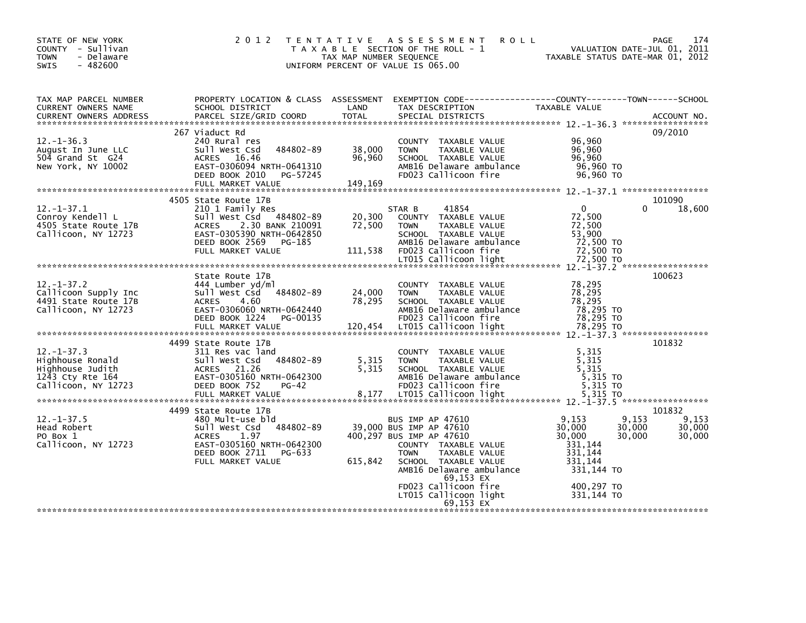| 2 0 1 2                                                                                                                                                       |                                        | A S S E S S M E N T<br><b>ROLL</b>                                                                                                        |                                                                                                                                                                                                                     | 174<br><b>PAGE</b>                                                                                                                                                                                    |
|---------------------------------------------------------------------------------------------------------------------------------------------------------------|----------------------------------------|-------------------------------------------------------------------------------------------------------------------------------------------|---------------------------------------------------------------------------------------------------------------------------------------------------------------------------------------------------------------------|-------------------------------------------------------------------------------------------------------------------------------------------------------------------------------------------------------|
| SCHOOL DISTRICT<br>PARCEL SIZE/GRID COORD                                                                                                                     | LAND<br><b>TOTAL</b>                   | TAX DESCRIPTION<br>SPECIAL DISTRICTS                                                                                                      | TAXABLE VALUE                                                                                                                                                                                                       | ACCOUNT NO.                                                                                                                                                                                           |
|                                                                                                                                                               |                                        |                                                                                                                                           |                                                                                                                                                                                                                     | 09/2010                                                                                                                                                                                               |
| 240 Rural res<br>484802-89<br>Sull West Csd<br>ACRES 16.46<br>EAST-0306094 NRTH-0641310<br>DEED BOOK 2010<br>PG-57245<br>FULL MARKET VALUE                    | 38,000<br>96,960<br>149,169            | COUNTY TAXABLE VALUE<br>TAXABLE VALUE<br><b>TOWN</b><br>SCHOOL TAXABLE VALUE<br>AMB16 Delaware ambulance<br>FD023 Callicoon fire          | 96,960<br>96,960<br>96,960<br>96,960 TO<br>96.960 TO                                                                                                                                                                |                                                                                                                                                                                                       |
|                                                                                                                                                               |                                        |                                                                                                                                           |                                                                                                                                                                                                                     | 101090                                                                                                                                                                                                |
| 210 1 Family Res<br>Sull West Csd 484802-89<br>2.30 BANK 210091<br><b>ACRES</b><br>EAST-0305390 NRTH-0642850<br>DEED BOOK 2569<br>PG-185<br>FULL MARKET VALUE | 20,300<br>72,500<br>111,538            | 41854<br>COUNTY TAXABLE VALUE<br><b>TOWN</b><br>TAXABLE VALUE<br>SCHOOL TAXABLE VALUE<br>AMB16 Delaware ambulance<br>FD023 Callicoon fire | $\mathbf{0}$<br>72,500<br>72,500<br>53,900<br>72,500 TO<br>72,500 TO                                                                                                                                                | 18,600                                                                                                                                                                                                |
|                                                                                                                                                               |                                        |                                                                                                                                           |                                                                                                                                                                                                                     |                                                                                                                                                                                                       |
| State Route 17B<br>444 Lumber yd/ml<br>484802-89<br>Sull West Csd<br>4.60<br><b>ACRES</b><br>EAST-0306060 NRTH-0642440<br>DEED BOOK 1224<br>PG-00135          | 24,000<br>78,295                       | COUNTY TAXABLE VALUE<br><b>TOWN</b><br>TAXABLE VALUE<br>SCHOOL TAXABLE VALUE<br>AMB16 Delaware ambulance<br>FD023 Callicoon fire          | 78,295<br>78.295<br>78.295<br>78,295 TO<br>78,295 TO                                                                                                                                                                | 100623                                                                                                                                                                                                |
| 4499 State Route 17B                                                                                                                                          |                                        |                                                                                                                                           |                                                                                                                                                                                                                     | 101832                                                                                                                                                                                                |
| 311 Res vac land<br>484802-89<br>Sull West Csd<br><b>ACRES</b><br>21.26<br>EAST-0305160 NRTH-0642300<br>DEED BOOK 752<br>$PG-42$                              | 5,315<br>5,315                         | COUNTY TAXABLE VALUE<br>TAXABLE VALUE<br><b>TOWN</b><br>SCHOOL TAXABLE VALUE<br>AMB16 Delaware ambulance<br>FD023 Callicoon fire          | 5,315<br>5,315<br>5,315<br>5,315 TO<br>5.315 TO                                                                                                                                                                     |                                                                                                                                                                                                       |
| 4499 State Route 17B                                                                                                                                          |                                        |                                                                                                                                           |                                                                                                                                                                                                                     | 101832                                                                                                                                                                                                |
| 480 Mult-use bld<br>484802-89<br>Sull West Csd<br>1.97<br><b>ACRES</b><br>EAST-0305160 NRTH-0642300<br>DEED BOOK 2711<br>PG-633<br>FULL MARKET VALUE          | 615,842                                | COUNTY TAXABLE VALUE<br>TAXABLE VALUE<br><b>TOWN</b><br>SCHOOL TAXABLE VALUE<br>AMB16 Delaware ambulance<br>69,153 EX                     | 9,153<br>30,000<br>30,000<br>331,144<br>331,144<br>331,144<br>331,144 TO                                                                                                                                            | 9,153<br>30,000<br>30,000                                                                                                                                                                             |
|                                                                                                                                                               |                                        | LT015 Callicoon light<br>69.153 EX                                                                                                        | 400,297 TO<br>331.144 TO                                                                                                                                                                                            |                                                                                                                                                                                                       |
|                                                                                                                                                               | 267 Viaduct Rd<br>4505 State Route 17B | T E N T A T I V E                                                                                                                         | T A X A B L E SECTION OF THE ROLL - 1<br>TAX MAP NUMBER SEQUENCE<br>UNIFORM PERCENT OF VALUE IS 065.00<br>STAR B<br>BUS IMP AP 47610<br>39,000 BUS IMP AP 47610<br>400,297 BUS IMP AP 47610<br>FD023 Callicoon fire | VALUATION DATE-JUL 01, 2011<br>TAXABLE STATUS DATE-MAR 01, 2012<br>PROPERTY LOCATION & CLASS ASSESSMENT EXEMPTION CODE----------------COUNTY-------TOWN------SCHOOL<br>0<br>9,153<br>30,000<br>30,000 |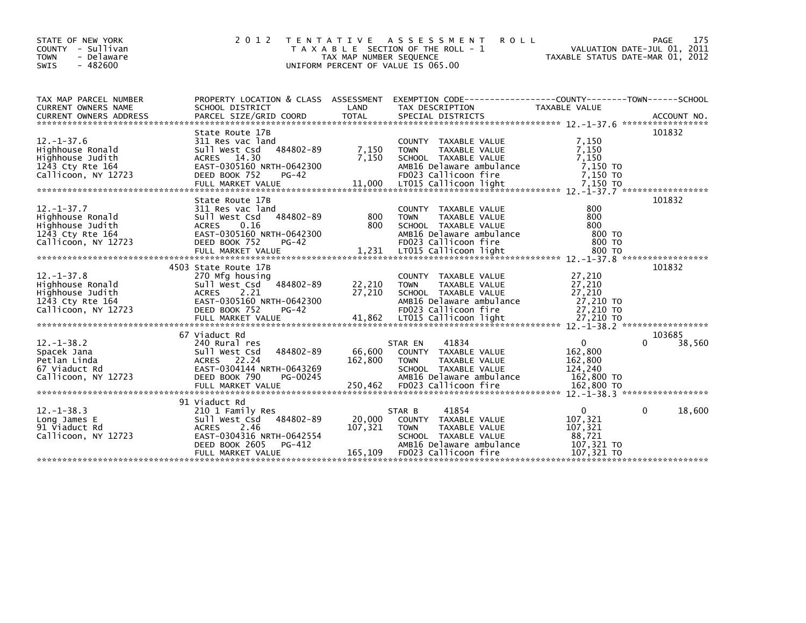| STATE OF NEW YORK<br><b>COUNTY</b><br>- Sullivan<br><b>TOWN</b><br>- Delaware<br>$-482600$<br><b>SWIS</b>                                                                                                                        | 2 0 1 2                                                                                                                                                               | TAX MAP NUMBER SEQUENCE      | TENTATIVE ASSESSMENT<br>T A X A B L E SECTION OF THE ROLL - 1<br>UNIFORM PERCENT OF VALUE IS 065.00                                                 | <b>ROLL</b><br>TAXABLE STATUS DATE-MAR 01, 2012                          | <b>PAGE</b><br>VALUATION DATE-JUL 01, 2011 | 175    |
|----------------------------------------------------------------------------------------------------------------------------------------------------------------------------------------------------------------------------------|-----------------------------------------------------------------------------------------------------------------------------------------------------------------------|------------------------------|-----------------------------------------------------------------------------------------------------------------------------------------------------|--------------------------------------------------------------------------|--------------------------------------------|--------|
| TAX MAP PARCEL NUMBER                                                                                                                                                                                                            | PROPERTY LOCATION & CLASS ASSESSMENT                                                                                                                                  |                              |                                                                                                                                                     |                                                                          |                                            |        |
| CURRENT OWNERS NAME<br>CURRENT OWNERS ADDRESS FARCEL SIZE/GRID COORD TOTAL SPECIAL DISTRICTS (2001) ACCOUNT NO<br>- TERRENT OWNERS ADDRESS FARCEL SIZE/GRID COORD TOTAL SPECIAL DISTRICTS (2001) 201-37.6 ********************** | SCHOOL DISTRICT                                                                                                                                                       | LAND                         | TAX DESCRIPTION                                                                                                                                     | TAXABLE VALUE                                                            |                                            |        |
|                                                                                                                                                                                                                                  |                                                                                                                                                                       |                              |                                                                                                                                                     |                                                                          |                                            |        |
| $12. - 1 - 37.6$<br>Highhouse Ronald<br>Highhouse Judith<br>1243 Cty Rte 164<br>Callicoon, NY 12723                                                                                                                              | State Route 17B<br>311 Res vac land<br>484802-89<br>Sull West Csd<br>14.30<br><b>ACRES</b><br>EAST-0305160 NRTH-0642300<br>DEED BOOK 752<br>$PG-42$                   | 7,150<br>7,150               | COUNTY TAXABLE VALUE<br><b>TOWN</b><br>TAXABLE VALUE<br>SCHOOL TAXABLE VALUE<br>AMB16 Delaware ambulance<br>FD023 Callicoon fire                    | 7,150<br>7.150<br>7,150<br>7,150 TO<br>7,150 TO                          | 101832                                     |        |
|                                                                                                                                                                                                                                  |                                                                                                                                                                       |                              |                                                                                                                                                     |                                                                          |                                            |        |
| $12. - 1 - 37.7$<br>Highhouse Ronald<br>Highhouse Judith<br>1243 Cty Rte 164<br>Callicoon, NY 12723                                                                                                                              | State Route 17B<br>311 Res vac land<br>484802-89<br>Sull West Csd<br><b>ACRES</b><br>0.16<br>EAST-0305160 NRTH-0642300<br>DEED BOOK 752<br>$PG-42$                    | 800<br>800                   | COUNTY TAXABLE VALUE<br>TAXABLE VALUE<br><b>TOWN</b><br>SCHOOL TAXABLE VALUE<br>AMB16 Delaware ambulance<br>FD023 Callicoon fire                    | 800<br>800<br>800<br>800 TO<br>800 TO                                    | 101832                                     |        |
|                                                                                                                                                                                                                                  |                                                                                                                                                                       |                              |                                                                                                                                                     |                                                                          |                                            |        |
| $12. - 1 - 37.8$<br>Highhouse Ronald<br>Highhouse Judith<br>1243 Cty Rte 164<br>Callicoon, NY 12723                                                                                                                              | 4503 State Route 17B<br>270 Mfg housing<br>484802-89<br>Sull West Csd<br><b>ACRES</b><br>2.21<br>EAST-0305160 NRTH-0642300<br>DEED BOOK 752<br>PG-42                  | 22,210<br>27,210             | COUNTY TAXABLE VALUE<br>TAXABLE VALUE<br><b>TOWN</b><br>SCHOOL TAXABLE VALUE<br>AMB16 Delaware ambulance<br>FD023 Callicoon fire                    | 27,210<br>27,210<br>27,210<br>27,210 TO<br>27,210 TO                     | 101832                                     |        |
|                                                                                                                                                                                                                                  |                                                                                                                                                                       |                              |                                                                                                                                                     |                                                                          |                                            |        |
| $12. - 1 - 38.2$<br>Spacek Jana<br>Petlan Linda<br>67 Viaduct Rd<br>Callicoon, NY 12723                                                                                                                                          | 67 Viaduct Rd<br>240 Rural res<br>484802-89<br>Sull West Csd<br>22.24<br>ACRES<br>EAST-0304144 NRTH-0643269<br>DEED BOOK 790<br>PG-00245                              | 66,600<br>162,800            | 41834<br>STAR EN<br>COUNTY TAXABLE VALUE<br><b>TOWN</b><br>TAXABLE VALUE<br>SCHOOL TAXABLE VALUE<br>AMB16 Delaware ambulance                        | $\Omega$<br>162,800<br>162,800<br>124.240<br>162,800 TO                  | 103685<br><sup>0</sup>                     | 38,560 |
|                                                                                                                                                                                                                                  |                                                                                                                                                                       |                              |                                                                                                                                                     |                                                                          |                                            |        |
| $12. - 1 - 38.3$<br>Long James E<br>91 Viaduct Rd<br>Callicoon, NY 12723                                                                                                                                                         | 91 Viaduct Rd<br>210 1 Family Res<br>484802-89<br>Sull West Csd<br>2.46<br><b>ACRES</b><br>EAST-0304316 NRTH-0642554<br>DEED BOOK 2605<br>PG-412<br>FULL MARKET VALUE | 20,000<br>107,321<br>165,109 | 41854<br>STAR B<br>COUNTY TAXABLE VALUE<br><b>TOWN</b><br>TAXABLE VALUE<br>SCHOOL TAXABLE VALUE<br>AMB16 Delaware ambulance<br>FD023 Callicoon fire | $\mathbf{0}$<br>107,321<br>107,321<br>88,721<br>107,321 TO<br>107,321 TO | 0                                          | 18,600 |
|                                                                                                                                                                                                                                  |                                                                                                                                                                       |                              |                                                                                                                                                     |                                                                          |                                            |        |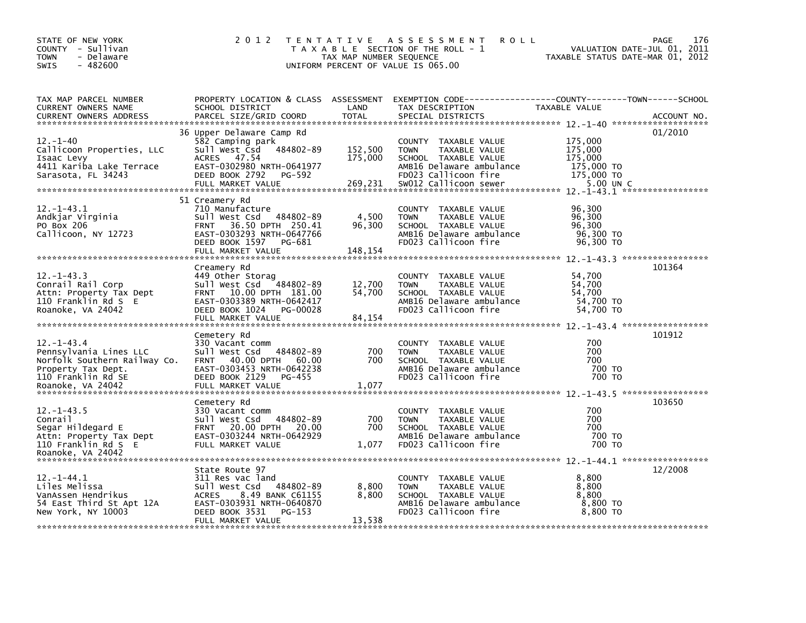| STATE OF NEW YORK<br>COUNTY - Sullivan<br>- Delaware<br><b>TOWN</b><br>$-482600$<br><b>SWIS</b>                                             | 2 0 1 2                                                                                                                                                                            | T E N T A T I V E<br>TAX MAP NUMBER SEQUENCE | A S S E S S M E N T<br><b>ROLL</b><br>T A X A B L E SECTION OF THE ROLL - 1<br>UNIFORM PERCENT OF VALUE IS 065.00                                         | VALUATION DATE-JUL 01,<br>TAXABLE STATUS DATE-MAR 01, 2012             | <b>PAGE</b><br>176<br>2011 |
|---------------------------------------------------------------------------------------------------------------------------------------------|------------------------------------------------------------------------------------------------------------------------------------------------------------------------------------|----------------------------------------------|-----------------------------------------------------------------------------------------------------------------------------------------------------------|------------------------------------------------------------------------|----------------------------|
| TAX MAP PARCEL NUMBER<br><b>CURRENT OWNERS NAME</b><br><b>CURRENT OWNERS ADDRESS</b>                                                        | PROPERTY LOCATION & CLASS ASSESSMENT<br>SCHOOL DISTRICT<br>PARCEL SIZE/GRID COORD                                                                                                  | LAND<br><b>TOTAL</b>                         | TAX DESCRIPTION<br>SPECIAL DISTRICTS                                                                                                                      | TAXABLE VALUE                                                          | ACCOUNT NO.                |
| $12 - 1 - 40$<br>Callicoon Properties, LLC<br>Isaac Levy<br>4411 Kariba Lake Terrace<br>Sarasota, FL 34243                                  | 36 Upper Delaware Camp Rd<br>582 Camping park<br>484802-89<br>Sull West Csd<br>47.54<br><b>ACRES</b><br>EAST-0302980 NRTH-0641977<br>DEED BOOK 2792<br>PG-592<br>FULL MARKET VALUE | 152,500<br>175,000<br>269,231                | COUNTY TAXABLE VALUE<br><b>TOWN</b><br>TAXABLE VALUE<br>SCHOOL TAXABLE VALUE<br>AMB16 Delaware ambulance<br>FD023 Callicoon fire<br>SW012 Callicoon sewer | 175,000<br>175,000<br>175,000<br>175,000 TO<br>175,000 TO<br>5.00 UN C | 01/2010                    |
| $12. - 1 - 43.1$<br>Andkjar Virginia<br>PO Box 206<br>Callicoon, NY 12723                                                                   | 51 Creamery Rd<br>710 Manufacture<br>484802-89<br>Sull West Csd<br>36.50 DPTH 250.41<br><b>FRNT</b><br>EAST-0303293 NRTH-0647766<br>DEED BOOK 1597<br>PG-681<br>FULL MARKET VALUE  | 4,500<br>96,300<br>148,154                   | COUNTY TAXABLE VALUE<br>TAXABLE VALUE<br><b>TOWN</b><br>SCHOOL TAXABLE VALUE<br>AMB16 Delaware ambulance<br>FD023 Callicoon fire                          | 96,300<br>96,300<br>96,300<br>96,300 TO<br>96,300 TO                   |                            |
| $12. - 1 - 43.3$<br>Conrail Rail Corp<br>Attn: Property Tax Dept<br>110 Franklin Rd S E<br>Roanoke, VA 24042                                | Creamery Rd<br>449 Other Storag<br>Sull West Csd<br>484802-89<br>FRNT 10.00 DPTH 181.00<br>EAST-0303389 NRTH-0642417<br>DEED BOOK 1024<br>PG-00028<br>FULL MARKET VALUE            | 12,700<br>54,700<br>84,154                   | COUNTY TAXABLE VALUE<br><b>TOWN</b><br><b>TAXABLE VALUE</b><br>SCHOOL TAXABLE VALUE<br>AMB16 Delaware ambulance<br>FD023 Callicoon fire                   | 54,700<br>54,700<br>54,700<br>54,700 TO<br>54,700 TO                   | 101364                     |
| $12. - 1 - 43.4$<br>Pennsylvania Lines LLC<br>Norfolk Southern Railway Co.<br>Property Tax Dept.<br>110 Franklin Rd SE<br>Roanoke, VA 24042 | Cemetery Rd<br>330 Vacant comm<br>Sull West Csd<br>484802-89<br>40.00 DPTH<br>60.00<br><b>FRNT</b><br>EAST-0303453 NRTH-0642238<br>DEED BOOK 2129<br>PG-455<br>FULL MARKET VALUE   | 700<br>700<br>1,077                          | COUNTY TAXABLE VALUE<br><b>TOWN</b><br>TAXABLE VALUE<br>SCHOOL TAXABLE VALUE<br>AMB16 Delaware ambulance<br>FD023 Callicoon fire                          | 700<br>700<br>700<br>700 TO<br>700 TO                                  | 101912                     |
| $12. - 1 - 43.5$<br>Conrail<br>Segar Hildegard E<br>Attn: Property Tax Dept<br>110 Franklin Rd S E<br>Roanoke, VA 24042                     | Cemetery Rd<br>330 Vacant comm<br>484802-89<br>Sull West Csd<br>20.00 DPTH<br>20.00<br><b>FRNT</b><br>EAST-0303244 NRTH-0642929<br>FULL MARKET VALUE                               | 700<br>700<br>1,077                          | COUNTY TAXABLE VALUE<br>TAXABLE VALUE<br><b>TOWN</b><br>SCHOOL TAXABLE VALUE<br>AMB16 Delaware ambulance<br>FD023 Callicoon fire                          | 700<br>700<br>700<br>700 TO<br>700 TO                                  | 103650                     |
| $12. - 1 - 44.1$<br>Liles Melissa<br>VanAssen Hendrikus<br>54 East Third St Apt 12A<br>New York, NY 10003                                   | State Route 97<br>311 Res vac land<br>Sull West Csd<br>484802-89<br>ACRES<br>8.49 BANK C61155<br>EAST-0303931 NRTH-0640870<br>DEED BOOK 3531<br>PG-153<br>FULL MARKET VALUE        | 8,800<br>8,800<br>13,538                     | COUNTY TAXABLE VALUE<br><b>TOWN</b><br>TAXABLE VALUE<br>SCHOOL TAXABLE VALUE<br>AMB16 Delaware ambulance<br>FD023 Callicoon fire                          | 8,800<br>8,800<br>8,800<br>8,800 TO<br>8,800 TO                        | 12/2008                    |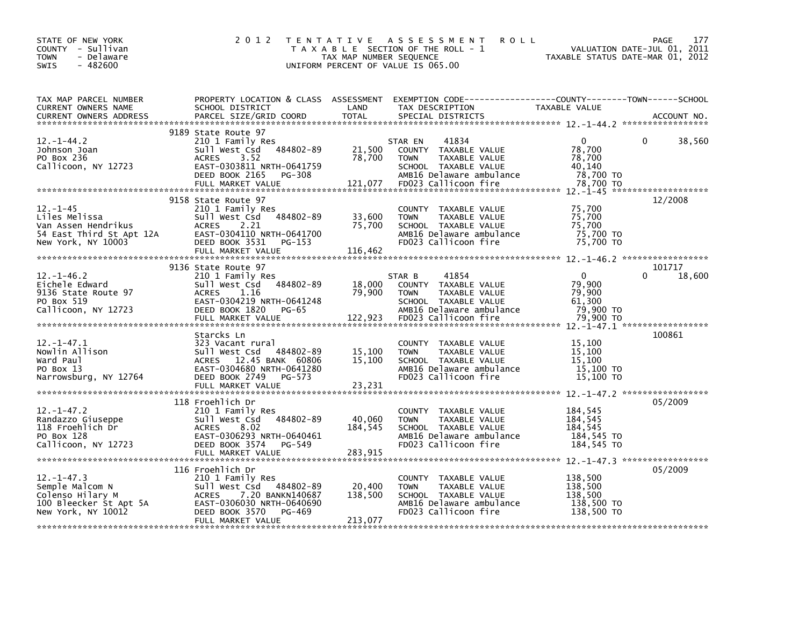| STATE OF NEW YORK<br>COUNTY - Sullivan<br><b>TOWN</b><br>- Delaware<br>$-482600$<br>SWIS                                                                                                                                                             | 2 0 1 2                                                                                                                                              |                              | TENTATIVE ASSESSMENT<br><b>ROLL</b><br>T A X A B L E SECTION OF THE ROLL - 1<br>TAX MAP NUMBER SEQUENCE THE ROLL - 1 TAXABLE STATUS DATE-MAR 01, 2012<br>UNIFORM PERCENT OF VALUE IS 065.00 |                                                           | PAGE<br>177                  |
|------------------------------------------------------------------------------------------------------------------------------------------------------------------------------------------------------------------------------------------------------|------------------------------------------------------------------------------------------------------------------------------------------------------|------------------------------|---------------------------------------------------------------------------------------------------------------------------------------------------------------------------------------------|-----------------------------------------------------------|------------------------------|
| TAX MAP PARCEL NUMBER PROPERTY LOCATION & CLASS ASSESSMENT EXEMPTION CODE----------------COUNTY--------TOWN-----SCHOOL<br>CURRENT OWNERS NAME SCHOOL DISTRICT LAND TAX DESCRIPTION TAXABLE VALUE<br>CURRENT OWNERS ADDRESS PARCEL SI                 |                                                                                                                                                      |                              |                                                                                                                                                                                             |                                                           |                              |
|                                                                                                                                                                                                                                                      | 9189 State Route 97                                                                                                                                  |                              |                                                                                                                                                                                             |                                                           |                              |
| 12.-1-45<br>Liles Melissa Sull West Csd 484802-89 33,600<br>Van Assen Hendrikus ACRES 2.21 75,700<br>54 East Third St Apt 12A EAST-0304110 NRTH-0641700<br>New York, NY 10003 DEED BOOK 3531 PG-153<br>57.700 DEED BOOK 3531 PG-153<br>58.           | 9158 State Route 97                                                                                                                                  |                              | COUNTY TAXABLE VALUE<br><b>TOWN</b><br>TAXABLE VALUE<br>SCHOOL TAXABLE VALUE<br>AMB16 Delaware ambulance 75,700 TO<br>FD023 Callicoon fire 75,700 TO                                        | 75,700<br>75,700<br>75,700<br>75,700 TO                   | 12/2008                      |
| $12. - 1 - 46.2$                                                                                                                                                                                                                                     | 9136 State Route 97<br>State Route <sub>2</sub> ,<br>210 1 Family Res<br>sull West csd 484802-89 18,000<br>ACRES 1.16 79,900<br>TARTH-0641248 79,900 |                              | 41854<br>STAR B                                                                                                                                                                             | $\overline{0}$                                            | 101717<br>$\Omega$<br>18,600 |
| 1.1-47.1<br>Eichele Edward<br>2011 West Csd 484802-89<br>20136 State Route 97 ACRES<br>2013 EAST-0304219 NRTH-0641248<br>2011 West Csd 484802-89 29,900 TOWN TAXABLE VALUE 79,900<br>2013 SCHOOL TAXABLE VALUE 79,900 TO<br>22,923 FD023 Cal         |                                                                                                                                                      |                              |                                                                                                                                                                                             |                                                           |                              |
|                                                                                                                                                                                                                                                      | Starcks Ln                                                                                                                                           |                              |                                                                                                                                                                                             |                                                           | 100861                       |
| Starcks Ln<br>Nowlin Allison and Sall West Csd 484802-89 15,100 TOWN TAXABLE VALUE<br>Ward Paul ACRES 12.45 BANK 60806 15,100 SCHOOL TAXABLE VALUE 15,100<br>PO Box 13 EAST-0304680 NRTH-0641280 ACRES 12.45 BANK 60806 15,100 SCHOO                 |                                                                                                                                                      |                              |                                                                                                                                                                                             |                                                           |                              |
|                                                                                                                                                                                                                                                      | 118 Froehlich Dr                                                                                                                                     |                              |                                                                                                                                                                                             |                                                           | 05/2009                      |
| 12.-1-47.2<br>Randazzo Giuseppe<br>118 Froehlich Dr<br>210 Il Family Res<br>210 Family Res<br>211 Family Res<br>22 EAST-0306293 NRTH-0640461<br>20 EAST-0306293 NRTH-0640461<br>Callicoon. NY 17773<br>Callicoon, NY 12723                           | DEED BOOK 3574 PG-549                                                                                                                                | 40,060<br>184,545            | COUNTY TAXABLE VALUE<br>TAXABLE VALUE<br><b>TOWN</b><br>SCHOOL TAXABLE VALUE<br>AMB16 Delaware ambulance<br>FD023 Callicoon fire                                                            | 184,545<br>184,545<br>184,545<br>184,545 TO<br>184,545 TO |                              |
|                                                                                                                                                                                                                                                      | 116 Froehlich Dr                                                                                                                                     |                              | COUNTY TAXABLE VALUE                                                                                                                                                                        | 138,500                                                   | 05/2009                      |
| 12.-1-47.3<br>Semple Malcom N<br>Colenso Hilary M<br>Colenso Hilary M<br>100 Bleecker St Apt 5A<br>Next Cs4 (2.20 BANKN140687<br>210 Il West Csd 484802-89<br>210 Il West Csd 484802-89<br>210 ACRES<br>2.20 BANKN140687<br>2.20 BANKN140687<br>2.20 | FULL MARKET VALUE                                                                                                                                    | 20,400<br>138,500<br>213,077 | <b>TOWN</b><br>TAXABLE VALUE<br>SCHOOL TAXABLE VALUE<br>AMB16 Delaware ambulance<br>FD023 Callicoon fire                                                                                    | 138,500<br>138,500<br>138,500 TO<br>138,500 TO            |                              |
|                                                                                                                                                                                                                                                      |                                                                                                                                                      |                              |                                                                                                                                                                                             |                                                           |                              |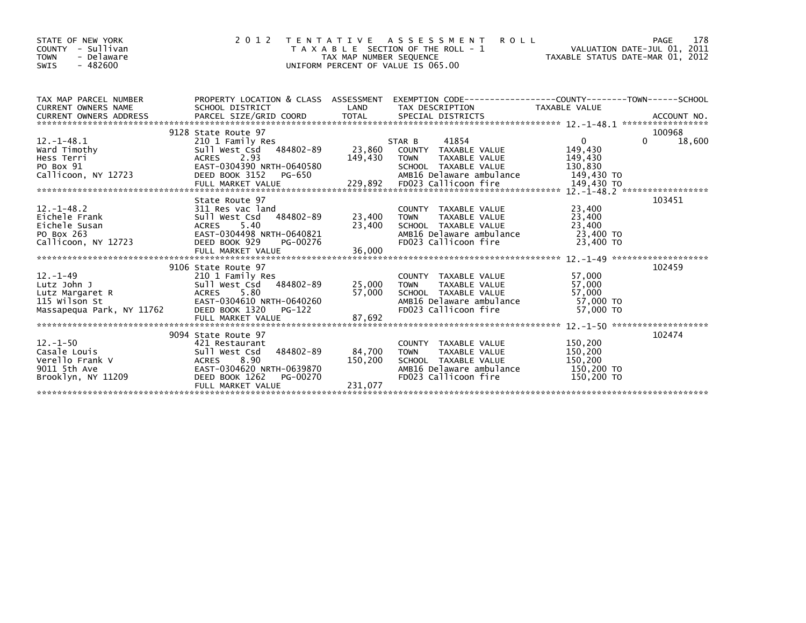| STATE OF NEW YORK<br>COUNTY - Sullivan<br><b>TOWN</b><br>- Delaware<br>$-482600$<br>SWIS                                                                                                                                                                                                                                                                        | 2 0 1 2                                                                                                          | TAX MAP NUMBER SEQUENCE      | <b>ROLL</b><br>TENTATIVE ASSESSMENT<br>T A X A B L E SECTION OF THE ROLL - 1<br>UNIFORM PERCENT OF VALUE IS 065.00                                      | ROLL - 1<br>VALUATION DATE-JUL 01, 2011<br>TAXABLE STATUS DATE-MAR 01, 2012 | PAGE<br>178                      |
|-----------------------------------------------------------------------------------------------------------------------------------------------------------------------------------------------------------------------------------------------------------------------------------------------------------------------------------------------------------------|------------------------------------------------------------------------------------------------------------------|------------------------------|---------------------------------------------------------------------------------------------------------------------------------------------------------|-----------------------------------------------------------------------------|----------------------------------|
| TAX MAP PARCEL NUMBER                                                                                                                                                                                                                                                                                                                                           | PROPERTY LOCATION & CLASS  ASSESSMENT  EXEMPTION CODE-----------------COUNTY--------TOWN------SCHOOL             |                              |                                                                                                                                                         | TAXABLE VALUE                                                               |                                  |
| 12.-1-48.1<br>Ward Timothy<br>Hess Terri ACRES 2.93<br>The Pay 91 CAST-0304390 NRTH-0640580<br>DEED BOOK 3152 PG-650<br>90 Box 91 EAST-0304390 NRTH-0640580 SCHOOL TAXABLE VALUE 130,830<br>Callicoon, NY 12723 DEED BOOK 3152 PG-650 AMB16 Delaware ambulance 149,430 TO<br>FULL MARKET VALUE 229,892 FD023 Callicoon fire 149,430 TO<br>********************* | 9128 State Route 97                                                                                              | 149,430                      | 41854<br>STAR B<br>TAXABLE VALUE<br><b>TOWN</b>                                                                                                         | $\mathbf{0}$<br>149,430<br>149,430                                          | 100968<br>$\mathbf{0}$<br>18,600 |
| 12.-1-48.2<br>Eichele Frank Sull West Csd 484802-89<br>Eichele Susan (ACRES 5.40)<br>PO_BOX 263<br>PO_BOX 263<br>PO_BOX 304498 MRTH-0640821<br>Callicoon, NY 12723                                                                                                                                                                                              | State Route 97<br>DEED BOOK 929<br>PG-00276                                                                      | 23,400 TOWN<br>23,400        | COUNTY TAXABLE VALUE<br>TOWN TAXABLE VALUE<br>SCHOOL TAXABLE VALUE<br>AMR16 Delaware av<br>AMB16 Delaware ambulance 23,400 TO<br>FD023 Callicoon fire   | 23,400<br>23,400<br>23,400<br>23,400 TO                                     | 103451                           |
| 115 Wilson St<br>Massapequa Park, NY 11762                                                                                                                                                                                                                                                                                                                      | 9106 State Route 97<br>EAST-0304610 NRTH-0640260<br>DEED BOOK 1320<br>PG-122                                     | 25,000 TOWN<br>57,000        | COUNTY TAXABLE VALUE<br>TOWN      TAXABLE VALUE<br>SCHOOL   TAXABLE VALUE<br>AMB16 Delaware ambulance 57,000 TO<br>FD023 Callicoon fire                 | 57,000<br>57,000<br>57,000<br>57,000 TO                                     | 102459                           |
| Brooklyn, NY 11209                                                                                                                                                                                                                                                                                                                                              | 9094 State Route 97<br>484802-89<br>EAST-0304620 NRTH-0639870<br>DEED BOOK 1262<br>PG-00270<br>FULL MARKET VALUE | 84,700<br>150,200<br>231,077 | COUNTY TAXABLE VALUE<br><b>TOWN</b><br>TOWN      TAXABLE VALUE<br>SCHOOL   TAXABLE VALUE<br>AMB16 Delaware ambulance 150,200 TO<br>FD023 Callicoon fire | 150,200<br>150,200<br>150,200<br>150,200 TO                                 | 102474                           |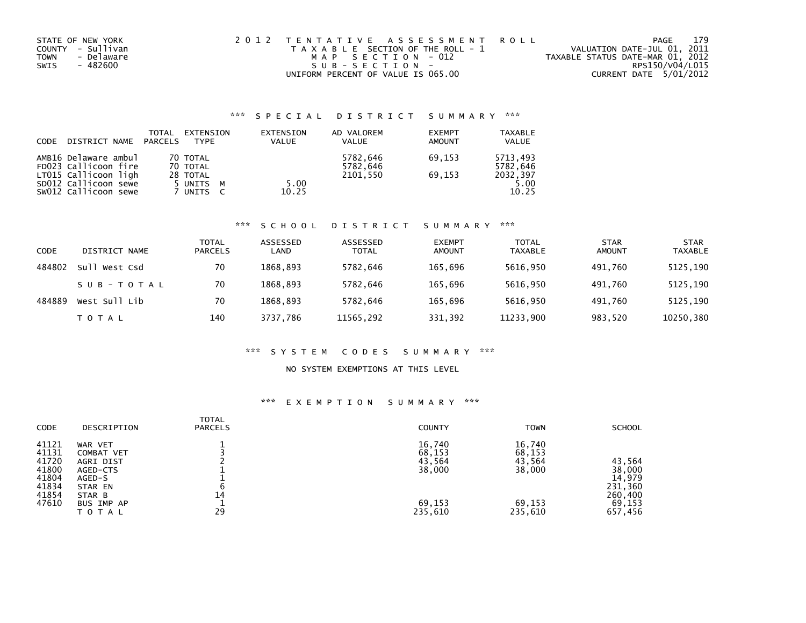| STATE OF NEW YORK         | 2012 TENTATIVE ASSESSMENT ROLL        | PAGE                             | 179 |
|---------------------------|---------------------------------------|----------------------------------|-----|
| COUNTY - Sullivan         | T A X A B L E SECTION OF THE ROLL - 1 | VALUATION DATE-JUL 01, 2011      |     |
| - Delaware<br><b>TOWN</b> | MAP SECTION - 012                     | TAXABLE STATUS DATE-MAR 01, 2012 |     |
| SWIS<br>- 482600          | SUB-SECTION-                          | RPS150/V04/L015                  |     |
|                           | UNIFORM PERCENT OF VALUE IS 065.00    | CURRENT DATE 5/01/2012           |     |

| <b>CODE</b> | DISTRICT NAME                                                        | TOTAL<br><b>PARCELS</b> | EXTENSION<br><b>TYPF</b>         |   | EXTENSION<br><b>VALUE</b> | AD VALOREM<br><b>VALUE</b>       | <b>EXEMPT</b><br><b>AMOUNT</b> | <b>TAXABLE</b><br><b>VALUE</b>   |
|-------------|----------------------------------------------------------------------|-------------------------|----------------------------------|---|---------------------------|----------------------------------|--------------------------------|----------------------------------|
|             | AMB16 Delaware ambul<br>FD023 Callicoon fire<br>LT015 Callicoon ligh |                         | 70 TOTAL<br>70 TOTAL<br>28 TOTAL |   |                           | 5782,646<br>5782,646<br>2101.550 | 69.153<br>69.153               | 5713,493<br>5782.646<br>2032,397 |
|             | SD012 Callicoon sewe<br>SW012 Callicoon sewe                         |                         | 5 UNITS<br>7 UNITS               | M | 5.00<br>10.25             |                                  |                                | 5.00<br>10.25                    |

#### \*\*\* S C H O O L D I S T R I C T S U M M A R Y \*\*\*

| CODE   | DISTRICT NAME | TOTAL<br><b>PARCELS</b> | ASSESSED<br>LAND | ASSESSED<br><b>TOTAL</b> | <b>EXEMPT</b><br><b>AMOUNT</b> | TOTAL<br><b>TAXABLE</b> | <b>STAR</b><br>AMOUNT | <b>STAR</b><br><b>TAXABLE</b> |
|--------|---------------|-------------------------|------------------|--------------------------|--------------------------------|-------------------------|-----------------------|-------------------------------|
| 484802 | Sull West Csd | 70                      | 1868.893         | 5782,646                 | 165.696                        | 5616,950                | 491.760               | 5125,190                      |
|        | SUB-TOTAL     | 70                      | 1868.893         | 5782,646                 | 165.696                        | 5616,950                | 491.760               | 5125,190                      |
| 484889 | West Sull Lib | 70                      | 1868.893         | 5782.646                 | 165.696                        | 5616,950                | 491.760               | 5125,190                      |
|        | T O T A L     | 140                     | 3737.786         | 11565,292                | 331,392                        | 11233,900               | 983,520               | 10250,380                     |

#### \*\*\* S Y S T E M C O D E S S U M M A R Y \*\*\*

#### NO SYSTEM EXEMPTIONS AT THIS LEVEL

| CODE                                                                 | DESCRIPTION                                                                                              | TOTAL<br><b>PARCELS</b> | <b>COUNTY</b>                                             | <b>TOWN</b>                                               | <b>SCHOOL</b>                                                         |
|----------------------------------------------------------------------|----------------------------------------------------------------------------------------------------------|-------------------------|-----------------------------------------------------------|-----------------------------------------------------------|-----------------------------------------------------------------------|
| 41121<br>41131<br>41720<br>41800<br>41804<br>41834<br>41854<br>47610 | WAR VET<br>COMBAT VET<br>AGRI DIST<br>AGED-CTS<br>AGED-S<br>STAR EN<br>STAR B<br>BUS IMP AP<br>T O T A L | 14<br>29                | 16,740<br>68,153<br>43,564<br>38,000<br>69,153<br>235,610 | 16,740<br>68,153<br>43,564<br>38,000<br>69.153<br>235,610 | 43,564<br>38,000<br>14,979<br>231,360<br>260,400<br>69,153<br>657,456 |
|                                                                      |                                                                                                          |                         |                                                           |                                                           |                                                                       |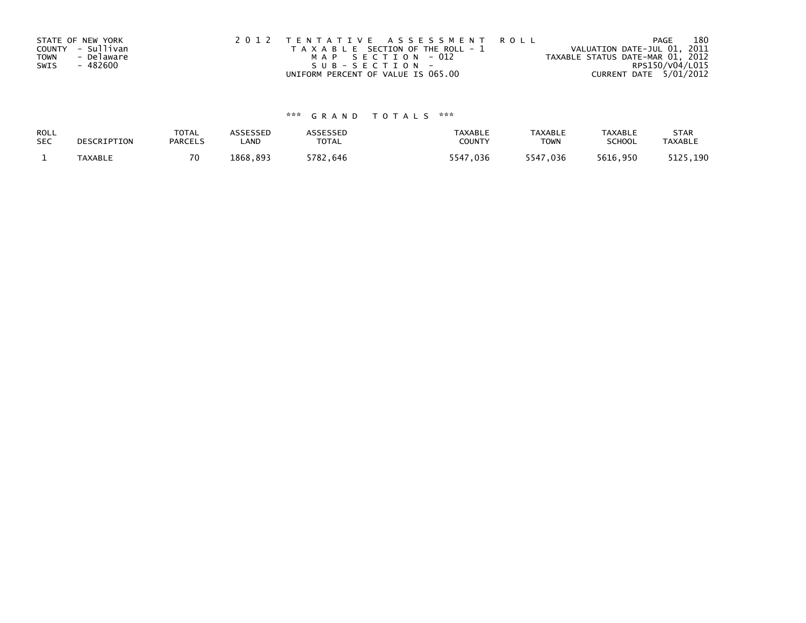|      | STATE OF NEW YORK | 2012 TENTATIVE ASSESSMENT ROLL        | 180<br>PAGE                      |
|------|-------------------|---------------------------------------|----------------------------------|
|      | COUNTY - Sullivan | T A X A B L E SECTION OF THE ROLL - 1 | VALUATION DATE-JUL 01, 2011      |
| TOWN | - Delaware        | MAP SECTION - 012                     | TAXABLE STATUS DATE-MAR 01, 2012 |
| SWIS | - 482600          | SUB-SECTION-                          | RPS150/V04/L015                  |
|      |                   | UNIFORM PERCENT OF VALUE IS 065.00    | CURRENT DATE 5/01/2012           |

| ROLL       | DESCRIPTION | <b>TOTAL</b>   | ASSESSED      | <b>ASSESSED</b> | <b>TAXABLE</b> | <b>TAXABLE</b> | <b>TAXABLE</b> | <b>STAR</b>    |
|------------|-------------|----------------|---------------|-----------------|----------------|----------------|----------------|----------------|
| <b>SEC</b> |             | <b>PARCELS</b> | ∟AND          | TOTAL           | <b>COUNT</b>   | <b>TOWN</b>    | <b>SCHOOL</b>  | <b>TAXABLE</b> |
|            | TAXABLE     |                | .893<br>'868. | 5782,646        | 5547,036       | 5547,036       | 5616,950       | 5125,190       |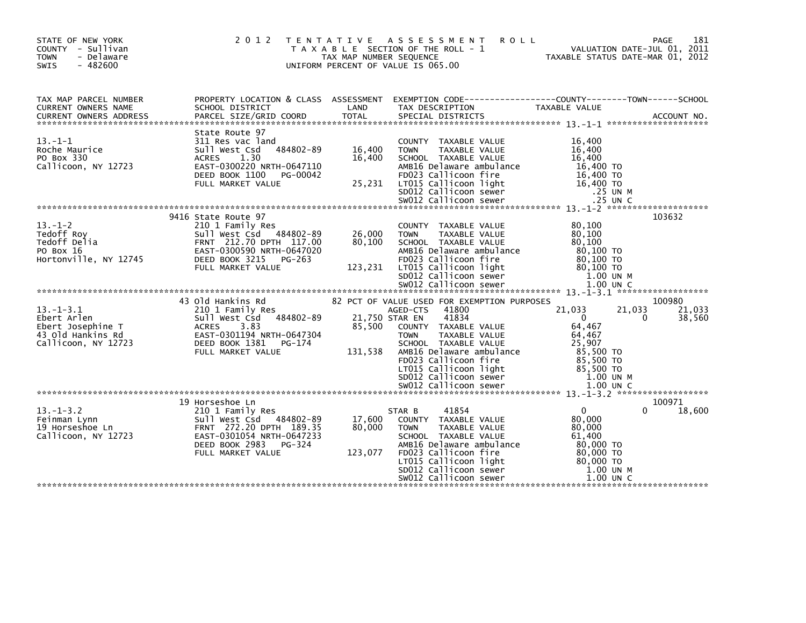| STATE OF NEW YORK<br>COUNTY - Sullivan<br><b>TOWN</b><br>- Delaware<br>$-482600$<br>SWIS        | 2 0 1 2                                                                                                                                                                     | T E N T A T I V E<br>TAX MAP NUMBER SEQUENCE | ASSESSMENT<br><b>ROLL</b><br>T A X A B L E SECTION OF THE ROLL - 1<br>UNIFORM PERCENT OF VALUE IS 065.00                                                                                                                              | VALUATION DATE-JUL 01, 2011<br>TAXABLE STATUS DATE-MAR 01, 2012                                                | 181<br>PAGE                |
|-------------------------------------------------------------------------------------------------|-----------------------------------------------------------------------------------------------------------------------------------------------------------------------------|----------------------------------------------|---------------------------------------------------------------------------------------------------------------------------------------------------------------------------------------------------------------------------------------|----------------------------------------------------------------------------------------------------------------|----------------------------|
| TAX MAP PARCEL NUMBER<br><b>CURRENT OWNERS NAME</b>                                             | PROPERTY LOCATION & CLASS ASSESSMENT EXEMPTION CODE----------------COUNTY-------TOWN-----SCHOOL<br>SCHOOL DISTRICT                                                          | LAND                                         | TAX DESCRIPTION                                                                                                                                                                                                                       | TAXABLE VALUE                                                                                                  |                            |
| $13. -1 - 1$<br>Roche Maurice<br>PO Box 330<br>Callicoon, NY 12723                              | State Route 97<br>311 Res vac land<br>484802-89<br>Sull West Csd<br>1.30<br><b>ACRES</b><br>EAST-0300220 NRTH-0647110<br>DEED BOOK 1100<br>PG-00042<br>FULL MARKET VALUE    | 16,400<br>16,400<br>25,231                   | COUNTY TAXABLE VALUE<br>TAXABLE VALUE<br><b>TOWN</b><br>SCHOOL TAXABLE VALUE<br>AMB16 Delaware ambulance<br>FD023 Callicoon fire<br>LT015 Callicoon light<br>SD012 Callicoon sewer                                                    | 16,400<br>16,400<br>16,400<br>16,400 TO<br>16,400 TO<br>16,400 TO<br>.25 UN M                                  |                            |
| $13. - 1 - 2$<br>Tedoff Roy<br>Tedoff Delia<br>PO Box 16<br>Hortonville, NY 12745               | 9416 State Route 97<br>210 1 Family Res<br>Sull West Csd 484802-89<br>FRNT 212.70 DPTH 117.00<br>EAST-0300590 NRTH-0647020<br>DEED BOOK 3215<br>PG-263<br>FULL MARKET VALUE | 26,000<br>80,100<br>123,231                  | COUNTY TAXABLE VALUE<br><b>TOWN</b><br>TAXABLE VALUE<br>SCHOOL TAXABLE VALUE<br>AMB16 Delaware ambulance<br>FD023 Callicoon fire<br>LT015 Callicoon light<br>SD012 Callicoon sewer                                                    | 80,100<br>80,100<br>80,100<br>80,100 TO<br>80.100 TO<br>$80.100$ TO<br>1.00 UN M                               | 103632                     |
| $13. - 1 - 3.1$<br>Ebert Arlen<br>Ebert Josephine T<br>43 Old Hankins Rd<br>Callicoon, NY 12723 | 43 Old Hankins Rd<br>210 1 Family Res<br>484802-89<br>Sull West Csd<br><b>ACRES</b><br>3.83<br>EAST-0301194 NRTH-0647304<br>DEED BOOK 1381<br>PG-174<br>FULL MARKET VALUE   | 85,500<br>131,538                            | 82 PCT OF VALUE USED FOR EXEMPTION PURPOSES<br>41800<br>AGED-CTS<br>41834<br>21,750 STAR EN<br>COUNTY TAXABLE VALUE<br>TAXABLE VALUE<br><b>TOWN</b><br>SCHOOL TAXABLE VALUE<br>AMB16 Delaware ambulance<br>FD023 Callicoon fire       | 21,033<br>21,033<br>$\mathbf{0}$<br>0<br>64,467<br>64,467<br>25,907<br>85.500 TO<br>85,500 TO                  | 100980<br>21,033<br>38,560 |
|                                                                                                 | 19 Horseshoe Ln                                                                                                                                                             |                                              | LT015 Callicoon light<br>SD012 Callicoon sewer<br>SW012 Callicoon sewer                                                                                                                                                               | 85,500 TO<br>1.00 UN M<br>$1.00$ UN C                                                                          | 100971                     |
| $13. - 1 - 3.2$<br>Feinman Lynn<br>19 Horseshoe Ln<br>Callicoon, NY 12723                       | 210 1 Family Res<br>Sull West Csd<br>484802-89<br>FRNT 272.20 DPTH 189.35<br>EAST-0301054 NRTH-0647233<br>DEED BOOK 2983<br>PG-324<br>FULL MARKET VALUE                     | 17,600<br>80,000<br>123,077                  | STAR B<br>41854<br>COUNTY TAXABLE VALUE<br><b>TOWN</b><br><b>TAXABLE VALUE</b><br>SCHOOL TAXABLE VALUE<br>AMB16 Delaware ambulance<br>FD023 Callicoon fire<br>LT015 Callicoon light<br>SD012 Callicoon sewer<br>SW012 Callicoon sewer | $\Omega$<br>0<br>80,000<br>80,000<br>61.400<br>80,000 TO<br>80,000 TO<br>80.000 TO<br>1.00 UN M<br>$1.00$ UN C | 18,600                     |
|                                                                                                 |                                                                                                                                                                             |                                              |                                                                                                                                                                                                                                       |                                                                                                                |                            |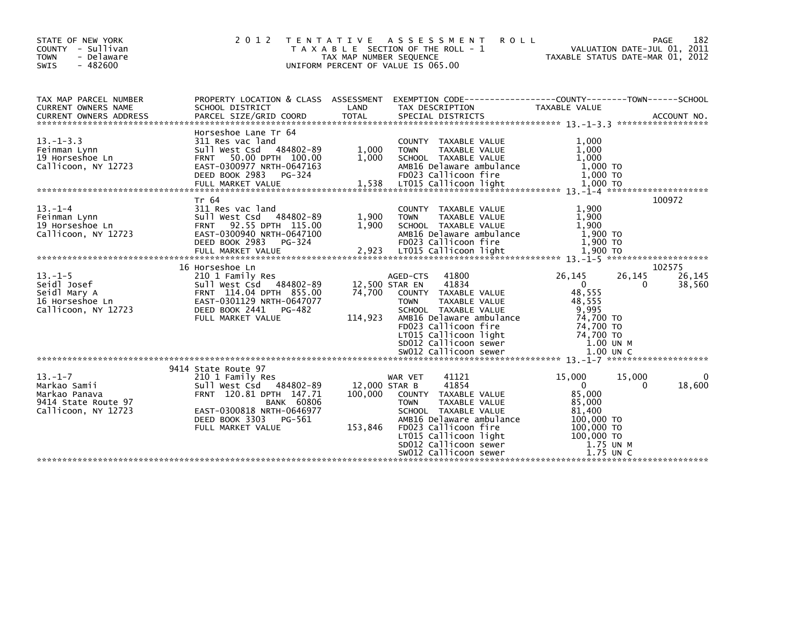| STATE OF NEW YORK<br>COUNTY - Sullivan<br><b>TOWN</b><br>- Delaware<br>$-482600$<br><b>SWIS</b> | 2 0 1 2                                                                                                                                                          | T E N T A T I V E<br>TAX MAP NUMBER SEQUENCE | A S S E S S M E N T<br><b>ROLL</b><br>T A X A B L E SECTION OF THE ROLL - 1<br>UNIFORM PERCENT OF VALUE IS 065.00                                                                   | TAXABLE STATUS DATE-MAR 01, 2012                                                     | 182<br><b>PAGE</b><br>VALUATION DATE-JUL 01, 2011 |
|-------------------------------------------------------------------------------------------------|------------------------------------------------------------------------------------------------------------------------------------------------------------------|----------------------------------------------|-------------------------------------------------------------------------------------------------------------------------------------------------------------------------------------|--------------------------------------------------------------------------------------|---------------------------------------------------|
| TAX MAP PARCEL NUMBER<br>CURRENT OWNERS NAME                                                    | PROPERTY LOCATION & CLASS ASSESSMENT<br>SCHOOL DISTRICT                                                                                                          | LAND                                         | TAX DESCRIPTION                                                                                                                                                                     | TAXABLE VALUE                                                                        |                                                   |
| $13. - 1 - 3.3$<br>Feinman Lynn<br>19 Horseshoe Ln<br>Callicoon, NY 12723                       | Horseshoe Lane Tr 64<br>311 Res vac land<br>Sull West Csd 484802-89<br>50.00 DPTH 100.00<br><b>FRNT</b><br>EAST-0300977 NRTH-0647163<br>DEED BOOK 2983<br>PG-324 | 1,000<br>1.000                               | COUNTY TAXABLE VALUE<br><b>TOWN</b><br>TAXABLE VALUE<br>SCHOOL TAXABLE VALUE<br>AMB16 Delaware ambulance<br>FD023 Callicoon fire                                                    | 1,000<br>1.000<br>1.000<br>1,000 TO<br>1,000 TO                                      |                                                   |
| $13. - 1 - 4$<br>Feinman Lynn<br>19 Horseshoe Ln<br>Callicoon, NY 12723                         | Tr 64<br>311 Res vac land<br>Sull West Csd 484802-89<br>92.55 DPTH 115.00<br><b>FRNT</b><br>EAST-0300940 NRTH-0647100<br>DEED BOOK 2983<br>PG-324                | 1,900<br>1.900                               | COUNTY TAXABLE VALUE<br>TAXABLE VALUE<br><b>TOWN</b><br>SCHOOL TAXABLE VALUE<br>AMB16 Delaware ambulance<br>FD023 Callicoon fire                                                    | 1.900<br>1,900<br>1,900<br>1,900 TO<br>1,900 TO                                      | 100972                                            |
|                                                                                                 | 16 Horseshoe Ln                                                                                                                                                  |                                              |                                                                                                                                                                                     |                                                                                      | 102575                                            |
| $13. - 1 - 5$<br>Seidl Josef<br>Seidl Mary A<br>16 Horseshoe Ln<br>Callicoon, NY 12723          | 210 1 Family Res<br>Sull West Csd<br>484802-89<br>FRNT 114.04 DPTH 855.00<br>EAST-0301129 NRTH-0647077<br>DEED BOOK 2441<br>PG-482                               | 74,700                                       | 41800<br>AGED-CTS<br>41834<br>12,500 STAR EN<br>COUNTY TAXABLE VALUE<br>TAXABLE VALUE<br><b>TOWN</b><br>SCHOOL TAXABLE VALUE                                                        | 26,145<br>26,145<br>$\Omega$<br>48,555<br>48.555<br>9,995                            | 26,145<br>38,560<br>$\Omega$                      |
|                                                                                                 | FULL MARKET VALUE                                                                                                                                                | 114,923                                      | AMB16 Delaware ambulance<br>FD023 Callicoon fire<br>LT015 Callicoon light<br>SD012 Callicoon sewer                                                                                  | 74,700 TO<br>74,700 TO<br>74,700 TO<br>$1.00$ UN M                                   |                                                   |
|                                                                                                 |                                                                                                                                                                  |                                              |                                                                                                                                                                                     |                                                                                      |                                                   |
| $13 - 1 - 7$<br>Markao Samii<br>Markao Panava                                                   | 9414 State Route 97<br>210 1 Family Res<br>Sull West Csd<br>484802-89<br>FRNT 120.81 DPTH 147.71                                                                 | 12,000 STAR B<br>100,000                     | 41121<br>WAR VET<br>41854<br>COUNTY TAXABLE VALUE                                                                                                                                   | 15,000<br>15,000<br>$\Omega$<br>85.000                                               | 0<br>18,600<br>$\Omega$                           |
| 9414 State Route 97<br>Callicoon, NY 12723                                                      | <b>BANK 60806</b><br>EAST-0300818 NRTH-0646977<br>DEED BOOK 3303<br>PG-561<br>FULL MARKET VALUE                                                                  | 153,846                                      | <b>TOWN</b><br>TAXABLE VALUE<br>SCHOOL TAXABLE VALUE<br>AMB16 Delaware ambulance<br>FD023 Callicoon fire<br>LT015 Callicoon light<br>SD012 Callicoon sewer<br>SW012 Callicoon sewer | 85,000<br>81,400<br>100,000 TO<br>100,000 TO<br>100,000 TO<br>1.75 UN M<br>1.75 UN C |                                                   |
|                                                                                                 |                                                                                                                                                                  |                                              |                                                                                                                                                                                     |                                                                                      |                                                   |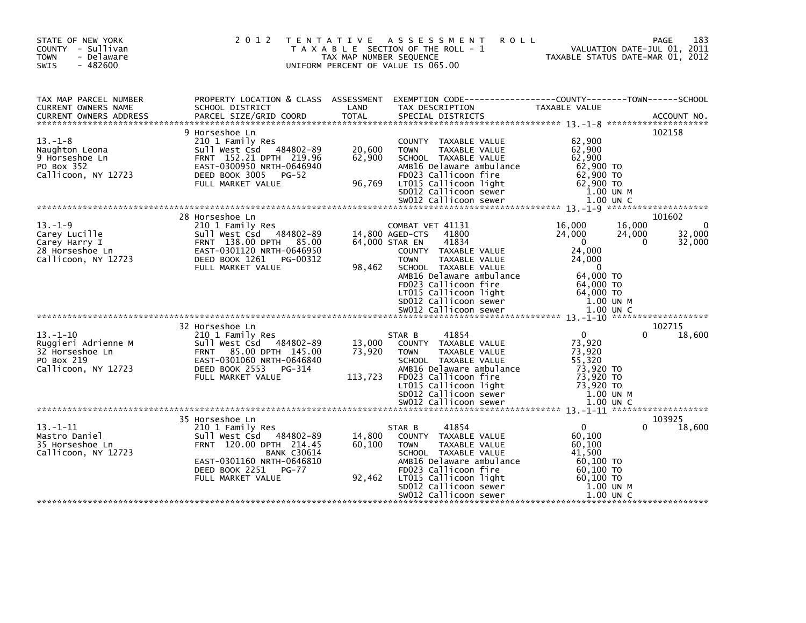| STATE OF NEW YORK<br>COUNTY - Sullivan<br><b>TOWN</b><br>- Delaware<br>$-482600$<br>SWIS      |                                                                                                                                                                                                    | TAX MAP NUMBER SEQUENCE     | 2012 TENTATIVE ASSESSMENT<br>T A X A B L E SECTION OF THE ROLL - 1<br>UNIFORM PERCENT OF VALUE IS 065.00                                                                                                                              | <b>ROLL</b><br>VALUATION DATE-JUL 01, 2011<br>TAXABLE STATUS DATE-MAR 01, 2012                              | 183<br>PAGE<br>VALUATION DATE-JUL 01, 2011                             |
|-----------------------------------------------------------------------------------------------|----------------------------------------------------------------------------------------------------------------------------------------------------------------------------------------------------|-----------------------------|---------------------------------------------------------------------------------------------------------------------------------------------------------------------------------------------------------------------------------------|-------------------------------------------------------------------------------------------------------------|------------------------------------------------------------------------|
| TAX MAP PARCEL NUMBER<br>CURRENT OWNERS NAME                                                  | PROPERTY LOCATION & CLASS ASSESSMENT EXEMPTION CODE----------------COUNTY-------TOWN------SCHOOL<br>SCHOOL DISTRICT                                                                                | LAND                        | TAX DESCRIPTION                                                                                                                                                                                                                       | TAXABLE VALUE                                                                                               |                                                                        |
| $13. -1 - 8$<br>Naughton Leona<br>9 Horseshoe Ln<br>PO Box 352<br>Callicoon, NY 12723         | 9 Horseshoe Ln<br>210 1 Family Res<br>Sull West Csd 484802-89<br>FRNT 152.21 DPTH 219.96<br>EAST-0300950 NRTH-0646940<br>DEED BOOK 3005<br>$PG-52$<br>FULL MARKET VALUE                            | 20,600<br>62,900<br>96,769  | COUNTY TAXABLE VALUE<br><b>TOWN</b><br>TAXABLE VALUE<br>SCHOOL TAXABLE VALUE<br>AMB16 Delaware ambulance<br>FD023 Callicoon fire<br>LT015 Callicoon light<br>SD012 Callicoon sewer                                                    | 62,900<br>62,900<br>62,900<br>62,900 TO<br>62,900 TO<br>62,900 TO<br>1.00 UN M                              | 102158                                                                 |
|                                                                                               |                                                                                                                                                                                                    |                             |                                                                                                                                                                                                                                       |                                                                                                             |                                                                        |
| $13. - 1 - 9$<br>Carey Lucille<br>Carey Harry I<br>28 Horseshoe Ln<br>Callicoon, NY 12723     | 28 Horseshoe Ln<br>210 1 Family Res<br>Sull West Csd 484802-89<br>2723<br>FRNT 138.00 DPTH 85.00<br>EAST-0301120 NRTH-0646950<br>DEED BOOK 1261 PG-00312<br>PULL MARKET VALUE<br>FULL MARKET VALUE | 98,462                      | COMBAT VET 41131<br>41800<br>14,800 AGED-CTS<br>64,000 STAR EN<br>41834<br>COUNTY TAXABLE VALUE<br>TAXABLE VALUE<br><b>TOWN</b><br>SCHOOL TAXABLE VALUE<br>AMB16 Delaware ambulance                                                   | 16,000<br>24,000<br>$\overline{0}$<br>24,000<br>24,000<br>$\overline{0}$<br>64,000 TO                       | 101602<br>16,000<br>$\Omega$<br>32,000<br>24,000<br>32,000<br>$\Omega$ |
|                                                                                               |                                                                                                                                                                                                    |                             | FD023 Callicoon fire<br>LT015 Callicoon light<br>SDO12 Callicoon sewer<br>SDO12 Callicoon sewer<br>SW012 Callicoon sewer                                                                                                              | 64,000 TO<br>64.000 TO<br>1.00 UN M<br>1.00 UN C                                                            |                                                                        |
|                                                                                               | 32 Horseshoe Ln                                                                                                                                                                                    |                             |                                                                                                                                                                                                                                       |                                                                                                             | 102715                                                                 |
| $13. - 1 - 10$<br>Ruggieri Adrienne M<br>32 Horseshoe Ln<br>PO Box 219<br>Callicoon, NY 12723 | 210 1 Family Res<br>Sull West Csd 484802-89<br>FRNT 85.00 DPTH 145.00<br>EAST-0301060 NRTH-0646840<br>DEED BOOK 2553<br>PG-314<br>FULL MARKET VALUE                                                | 13,000<br>73,920<br>113,723 | 41854<br>STAR B<br>COUNTY TAXABLE VALUE<br><b>TOWN</b><br><b>TAXABLE VALUE</b><br>SCHOOL TAXABLE VALUE<br>AMB16 Delaware ambulance<br>FD023 Callicoon fire                                                                            | $\mathbf{0}$<br>73,920<br>73,920<br>55,320<br>73,920 TO<br>73,920 TO                                        | 18,600<br>0                                                            |
|                                                                                               |                                                                                                                                                                                                    |                             |                                                                                                                                                                                                                                       |                                                                                                             |                                                                        |
| $13 - 1 - 11$<br>Mastro Daniel<br>35 Horseshoe Ln<br>Callicoon, NY 12723                      | 35 Horseshoe Ln<br>210 1 Family Res<br>Sull West Csd 484802-89<br>FRNT 120.00 DPTH 214.45<br><b>BANK C30614</b><br>EAST-0301160 NRTH-0646810<br>DEED BOOK 2251 PG-77<br>FULL MARKET VALUE          | 14,800<br>60,100<br>92,462  | 41854<br>STAR B<br>COUNTY TAXABLE VALUE<br><b>TOWN</b><br><b>TAXABLE VALUE</b><br>SCHOOL TAXABLE VALUE<br>AMB16 Delaware ambulance<br>FD023 Callicoon fire<br>LT015 Callicoon light<br>SD012 Callicoon sewer<br>SW012 Callicoon sewer | $\mathbf{0}$<br>60,100<br>60,100<br>41,500<br>60,100 TO<br>60,100 то<br>60.100 TO<br>1.00 UN M<br>1.00 UN C | 103925<br>18,600<br>0                                                  |
|                                                                                               |                                                                                                                                                                                                    |                             |                                                                                                                                                                                                                                       |                                                                                                             |                                                                        |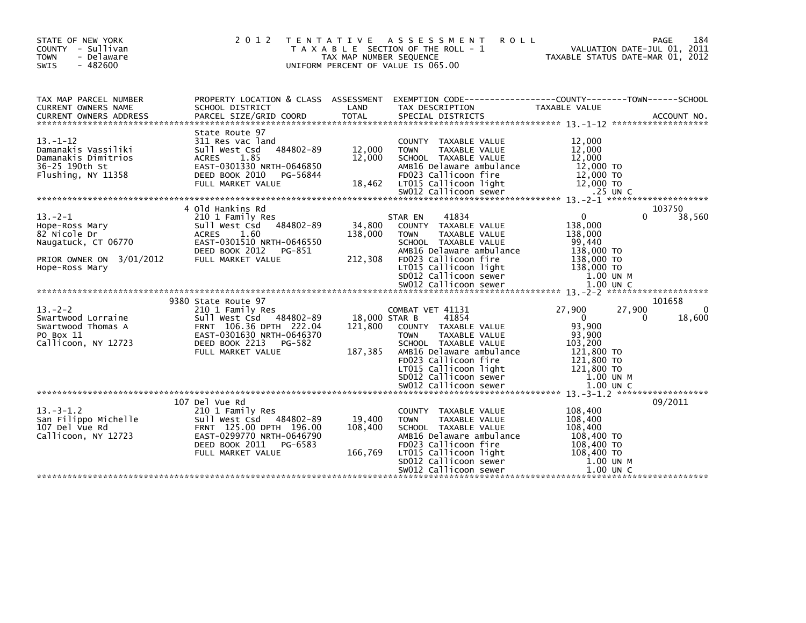| STATE OF NEW YORK<br>COUNTY - Sullivan<br><b>TOWN</b><br>- Delaware<br>$-482600$<br><b>SWIS</b>                                                                                                                     |                                                                                                                                                                                                                                                                                                                                                         | TAX MAP NUMBER SEQUENCE                                             | 2012 TENTATIVE ASSESSMENT<br><b>ROLL</b><br>T A X A B L E SECTION OF THE ROLL - 1<br>UNIFORM PERCENT OF VALUE IS 065.00                                                                                                                                                                                                                                                                                                          |                                                                                                                                                                                                                   | 184<br>PAGE<br>VALUATION DATE-JUL 01, 2011<br>TAXABLE STATUS DATE-MAR 01, 2012 |
|---------------------------------------------------------------------------------------------------------------------------------------------------------------------------------------------------------------------|---------------------------------------------------------------------------------------------------------------------------------------------------------------------------------------------------------------------------------------------------------------------------------------------------------------------------------------------------------|---------------------------------------------------------------------|----------------------------------------------------------------------------------------------------------------------------------------------------------------------------------------------------------------------------------------------------------------------------------------------------------------------------------------------------------------------------------------------------------------------------------|-------------------------------------------------------------------------------------------------------------------------------------------------------------------------------------------------------------------|--------------------------------------------------------------------------------|
| TAX MAP PARCEL NUMBER<br><b>CURRENT OWNERS NAME</b><br>CURRENT OWNERS ADDRESS                                                                                                                                       | SCHOOL DISTRICT<br>PARCEL SIZE/GRID COORD                                                                                                                                                                                                                                                                                                               | LAND<br><b>TOTAL</b>                                                | PROPERTY LOCATION & CLASS ASSESSMENT EXEMPTION CODE----------------COUNTY-------TOWN------SCHOOL<br>TAX DESCRIPTION<br>SPECIAL DISTRICTS                                                                                                                                                                                                                                                                                         | TAXABLE VALUE                                                                                                                                                                                                     | ACCOUNT NO.                                                                    |
| $13 - 1 - 12$<br>Damanakis Vassiliki<br>Damanakis Dimitrios<br>36-25 190th St<br>Flushing, NY 11358                                                                                                                 | State Route 97<br>311 Res vac land<br>484802-89<br>Sull West Csd<br>ACRES 1.85<br>EAST-0301330 NRTH-0646850<br>DEED BOOK 2010<br>PG-56844<br>FULL MARKET VALUE                                                                                                                                                                                          | 12,000<br>12,000<br>18,462                                          | COUNTY TAXABLE VALUE<br>TAXABLE VALUE<br><b>TOWN</b><br>SCHOOL TAXABLE VALUE<br>AMB16 Delaware ambulance<br>FD023 Callicoon fire<br>LT015 Callicoon light<br>$5w012$ Callicoon sewer                                                                                                                                                                                                                                             | 12,000<br>12,000<br>12,000<br>12,000 TO<br>12,000 TO<br>12,000 TO<br>.25 UN C                                                                                                                                     |                                                                                |
|                                                                                                                                                                                                                     |                                                                                                                                                                                                                                                                                                                                                         |                                                                     |                                                                                                                                                                                                                                                                                                                                                                                                                                  |                                                                                                                                                                                                                   |                                                                                |
| $13 - 2 - 1$<br>Hope-Ross Mary<br>82 Nicole Dr<br>Naugatuck, CT 06770<br>PRIOR OWNER ON 3/01/2012<br>Hope-Ross Mary<br>$13 - 2 - 2$<br>Swartwood Lorraine<br>Swartwood Thomas A<br>PO Box 11<br>Callicoon, NY 12723 | 4 Old Hankins Rd<br>210 1 Family Res<br>484802-89<br>Sull West Csd<br><b>ACRES</b><br>1.60<br>EAST-0301510 NRTH-0646550<br>DEED BOOK 2012<br>PG-851<br>FULL MARKET VALUE<br>9380 State Route 97<br>210 1 Family Res<br>Sull West Csd 484802-89<br>FRNT 106.36 DPTH 222.04<br>EAST-0301630 NRTH-0646370<br>DEED BOOK 2213<br>PG-582<br>FULL MARKET VALUE | 34,800<br>138,000<br>212,308<br>18,000 STAR B<br>121,800<br>187,385 | 41834<br>STAR EN<br>COUNTY TAXABLE VALUE<br>TAXABLE VALUE<br><b>TOWN</b><br>SCHOOL TAXABLE VALUE<br>AMB16 Delaware ambulance<br>FD023 Callicoon fire<br>LT015 Callicoon light<br>SD012 Callicoon sewer<br>COMBAT VET 41131<br>41854<br>COUNTY TAXABLE VALUE<br><b>TAXABLE VALUE</b><br><b>TOWN</b><br>SCHOOL TAXABLE VALUE<br>AMB16 Delaware ambulance<br>FD023 Callicoon fire<br>LT015 Callicoon light<br>SD012 Callicoon sewer | $\overline{0}$<br>138,000<br>138,000<br>99,440<br>138,000 TO<br>138,000 TO<br>138,000 TO<br>1.00 UN M<br>27,900<br>$\Omega$<br>93,900<br>93,900<br>103,200<br>121,800 TO<br>121,800 TO<br>121,800 TO<br>1.00 UN M | 103750<br>38,560<br>$\Omega$<br>101658<br>27,900<br>18,600<br>$\Omega$         |
|                                                                                                                                                                                                                     |                                                                                                                                                                                                                                                                                                                                                         |                                                                     |                                                                                                                                                                                                                                                                                                                                                                                                                                  |                                                                                                                                                                                                                   |                                                                                |
| $13. -3 - 1.2$<br>San Filippo Michelle<br>107 Del vue Rd<br>Callicoon, NY 12723                                                                                                                                     | 107 Del Vue Rd<br>210 1 Family Res<br>Sull West Csd 484802-89<br>FRNT 125.00 DPTH 196.00<br>EAST-0299770 NRTH-0646790<br>DEED BOOK 2011<br>PG-6583<br>FULL MARKET VALUE                                                                                                                                                                                 | 19,400<br>108,400<br>166,769                                        | COUNTY TAXABLE VALUE<br><b>TOWN</b><br>TAXABLE VALUE<br>SCHOOL TAXABLE VALUE<br>AMB16 Delaware ambulance<br>FD023 Callicoon fire<br>LT015 Callicoon light<br>SD012 Callicoon sewer<br>SW012 Callicoon sewer                                                                                                                                                                                                                      | 108,400<br>108,400<br>108,400<br>108,400 TO<br>108,400 TO<br>108,400 TO<br>1.00 UN M<br>$1.00$ UN C                                                                                                               | 09/2011                                                                        |
|                                                                                                                                                                                                                     |                                                                                                                                                                                                                                                                                                                                                         |                                                                     |                                                                                                                                                                                                                                                                                                                                                                                                                                  |                                                                                                                                                                                                                   |                                                                                |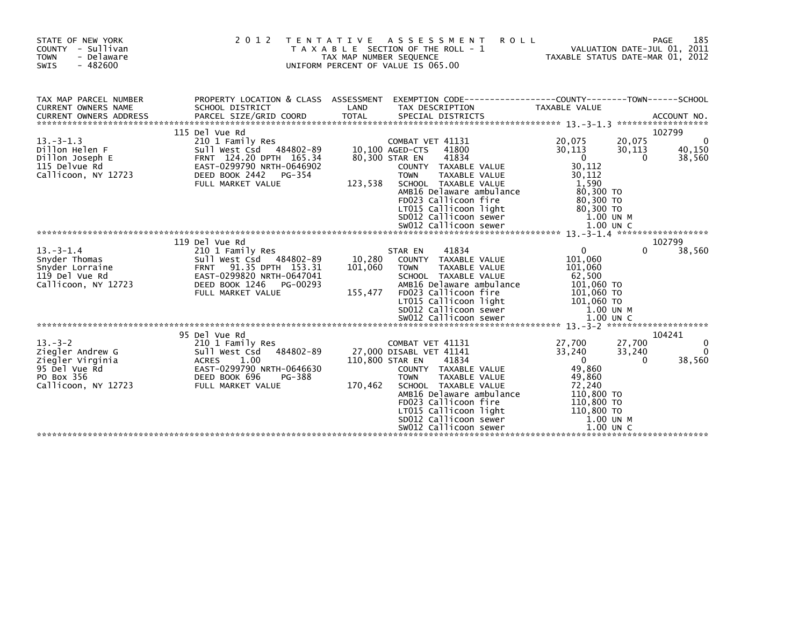| STATE OF NEW YORK<br>COUNTY - Sullivan<br><b>TOWN</b><br>- Delaware<br>$-482600$<br>SWIS                                                                                                                                                                  | 2 0 1 2                 | TAX MAP NUMBER SEQUENCE | TENTATIVE ASSESSMENT<br><b>ROLL</b><br>T A X A B L E SECTION OF THE ROLL - 1<br>UNIFORM PERCENT OF VALUE IS 065.00                                                                                                                                                                                                                                                                                                                                                 | 281 - MAGE<br>2011 VALUATION DATE-JUL<br>2010 - TAXABLE STATIIS DATE-MAP |          | 185<br>PAGE  |
|-----------------------------------------------------------------------------------------------------------------------------------------------------------------------------------------------------------------------------------------------------------|-------------------------|-------------------------|--------------------------------------------------------------------------------------------------------------------------------------------------------------------------------------------------------------------------------------------------------------------------------------------------------------------------------------------------------------------------------------------------------------------------------------------------------------------|--------------------------------------------------------------------------|----------|--------------|
| TAX MAP PARCEL NUMBER                                                                                                                                                                                                                                     |                         |                         | PROPERTY LOCATION & CLASS ASSESSMENT EXEMPTION CODE----------------COUNTY-------TOWN------SCHOOL                                                                                                                                                                                                                                                                                                                                                                   |                                                                          |          |              |
| <b>CURRENT OWNERS NAME</b>                                                                                                                                                                                                                                | SCHOOL DISTRICT         | LAND                    | TAX DESCRIPTION                                                                                                                                                                                                                                                                                                                                                                                                                                                    | TAXABLE VALUE                                                            |          |              |
|                                                                                                                                                                                                                                                           | 115 Del Vue Rd          |                         |                                                                                                                                                                                                                                                                                                                                                                                                                                                                    |                                                                          |          | 102799       |
| $13. -3 - 1.3$                                                                                                                                                                                                                                            |                         |                         | COMBAT VET 41131                                                                                                                                                                                                                                                                                                                                                                                                                                                   | 20,075                                                                   | 20,075   |              |
|                                                                                                                                                                                                                                                           |                         |                         | 41800                                                                                                                                                                                                                                                                                                                                                                                                                                                              | 30,113                                                                   | 30,113   | 40,150       |
|                                                                                                                                                                                                                                                           |                         |                         | 41834                                                                                                                                                                                                                                                                                                                                                                                                                                                              | $\overline{0}$                                                           | $\Omega$ | 38,560       |
|                                                                                                                                                                                                                                                           |                         |                         | COUNTY TAXABLE VALUE                                                                                                                                                                                                                                                                                                                                                                                                                                               | 30,112                                                                   |          |              |
|                                                                                                                                                                                                                                                           | FULL MARKET VALUE       | 123.538                 | <b>TOWN</b><br>TAXABLE VALUE<br>SCHOOL TAXABLE VALUE                                                                                                                                                                                                                                                                                                                                                                                                               | 30,112                                                                   |          |              |
|                                                                                                                                                                                                                                                           |                         |                         |                                                                                                                                                                                                                                                                                                                                                                                                                                                                    | 1,590                                                                    |          |              |
|                                                                                                                                                                                                                                                           |                         |                         |                                                                                                                                                                                                                                                                                                                                                                                                                                                                    |                                                                          |          |              |
|                                                                                                                                                                                                                                                           |                         |                         |                                                                                                                                                                                                                                                                                                                                                                                                                                                                    |                                                                          |          |              |
|                                                                                                                                                                                                                                                           |                         |                         |                                                                                                                                                                                                                                                                                                                                                                                                                                                                    |                                                                          |          |              |
|                                                                                                                                                                                                                                                           |                         |                         |                                                                                                                                                                                                                                                                                                                                                                                                                                                                    |                                                                          |          |              |
| FULL MARKET VALUE<br>AMBIG Delaware ambulance and and 50,300 TO<br>FD023 Callicoon fire 80,300 TO<br>LT015 Callicoon light 80,300 TO<br>SD012 Callicoon sewer 1.00 UN M<br>SW012 Callicoon sewer 1.00 UN C<br>2011 Callicoon Sewer 1.00 UN                |                         |                         |                                                                                                                                                                                                                                                                                                                                                                                                                                                                    |                                                                          |          |              |
|                                                                                                                                                                                                                                                           | 119 Del Vue Rd          |                         |                                                                                                                                                                                                                                                                                                                                                                                                                                                                    |                                                                          |          | 102799       |
| $13 - 3 - 1.4$                                                                                                                                                                                                                                            | 210 1 Family Res        | 10,280                  | STAR EN<br>41834<br>COUNTY TAXABLE VALUE                                                                                                                                                                                                                                                                                                                                                                                                                           | $\overline{0}$<br>101,060                                                | $\Omega$ | 38,560       |
| Shyder Thomas<br>Shyder Lorraine<br>119 Del Vue Rd<br>119 Del Vue Rd<br>119 Del Vue Rd<br>20 Del Vue Rd<br>20 Del Vue Rd<br>20 Del Vue Rd<br>20 Del Vue Rd<br>20 Del Vue Rd<br>20 Del Vue Rd<br>20 Del Vue Rd<br>20 Del Vue Rd<br>20 Del Vue Rd<br>20 Del |                         | 101,060                 | <b>TAXABLE VALUE</b><br><b>TOWN</b>                                                                                                                                                                                                                                                                                                                                                                                                                                | 101,060                                                                  |          |              |
|                                                                                                                                                                                                                                                           |                         |                         | SCHOOL TAXABLE VALUE                                                                                                                                                                                                                                                                                                                                                                                                                                               | 62,500                                                                   |          |              |
| Callicoon, NY 12723                                                                                                                                                                                                                                       | DEED BOOK 1246 PG-00293 |                         |                                                                                                                                                                                                                                                                                                                                                                                                                                                                    |                                                                          |          |              |
|                                                                                                                                                                                                                                                           | FULL MARKET VALUE       | 155,477                 |                                                                                                                                                                                                                                                                                                                                                                                                                                                                    |                                                                          |          |              |
|                                                                                                                                                                                                                                                           |                         |                         |                                                                                                                                                                                                                                                                                                                                                                                                                                                                    |                                                                          |          |              |
|                                                                                                                                                                                                                                                           |                         |                         |                                                                                                                                                                                                                                                                                                                                                                                                                                                                    | 1.00 UN M                                                                |          |              |
|                                                                                                                                                                                                                                                           |                         |                         | $\begin{array}{ccc}\n & \text{number} & \text{number} & \text{upper} \\  \text{true} & \text{number} & 101,060 & \text{Top} \\  \text{LTO15 \text{ } \text{call} \text{ } \text{.}} & \text{inter} & 101,060 & \text{Top} \\  \text{SD012 \text{ } \text{call} \text{ } & \text{101} & 060 & \text{Top} \\  \text{S012 \text{ } \text{Call} \text{ } & \text{101} & 060 & \text{Top} \\  \text{S012 \text{ } \text{Call} \text{ } & \text{101} & 060 & \text{Top}$ |                                                                          |          |              |
|                                                                                                                                                                                                                                                           | 95 Del Vue Rd           |                         |                                                                                                                                                                                                                                                                                                                                                                                                                                                                    |                                                                          |          | 104241       |
| $13 - 3 - 2$                                                                                                                                                                                                                                              |                         |                         | COMBAT VET 41131                                                                                                                                                                                                                                                                                                                                                                                                                                                   | 27,700                                                                   | 27,700   | $\mathbf{0}$ |
| Ziegler Andrew G                                                                                                                                                                                                                                          |                         |                         | 27,000 DISABL VET 41141                                                                                                                                                                                                                                                                                                                                                                                                                                            | 33,240                                                                   | 33,240   | $\Omega$     |
| Ziegler Virginia                                                                                                                                                                                                                                          |                         |                         | 110,800 STAR EN<br>41834                                                                                                                                                                                                                                                                                                                                                                                                                                           | $\overline{0}$                                                           | $\Omega$ | 38,560       |
| 95 Del Vue Rd                                                                                                                                                                                                                                             |                         |                         | COUNTY TAXABLE VALUE                                                                                                                                                                                                                                                                                                                                                                                                                                               | 49,860                                                                   |          |              |
| PO Box 356                                                                                                                                                                                                                                                |                         |                         | <b>TOWN</b><br>TAXABLE VALUE                                                                                                                                                                                                                                                                                                                                                                                                                                       | 49,860                                                                   |          |              |
| Callicoon, NY 12723                                                                                                                                                                                                                                       |                         | 170,462                 | SCHOOL TAXABLE VALUE                                                                                                                                                                                                                                                                                                                                                                                                                                               | 72,240                                                                   |          |              |
|                                                                                                                                                                                                                                                           |                         |                         | AMB16 Delaware ambulance                                                                                                                                                                                                                                                                                                                                                                                                                                           | 110,800 TO                                                               |          |              |
|                                                                                                                                                                                                                                                           |                         |                         | FD023 Callicoon fire                                                                                                                                                                                                                                                                                                                                                                                                                                               | 110,800 то<br>110,800 то                                                 |          |              |
|                                                                                                                                                                                                                                                           |                         |                         |                                                                                                                                                                                                                                                                                                                                                                                                                                                                    | 1.00 UN M                                                                |          |              |
|                                                                                                                                                                                                                                                           |                         |                         | SDO12 Carricoon light<br>SDO12 Callicoon sewer<br>SWO12 Callices<br>SW012 Callicoon sewer                                                                                                                                                                                                                                                                                                                                                                          | 1.00 UN C                                                                |          |              |
|                                                                                                                                                                                                                                                           |                         |                         |                                                                                                                                                                                                                                                                                                                                                                                                                                                                    |                                                                          |          |              |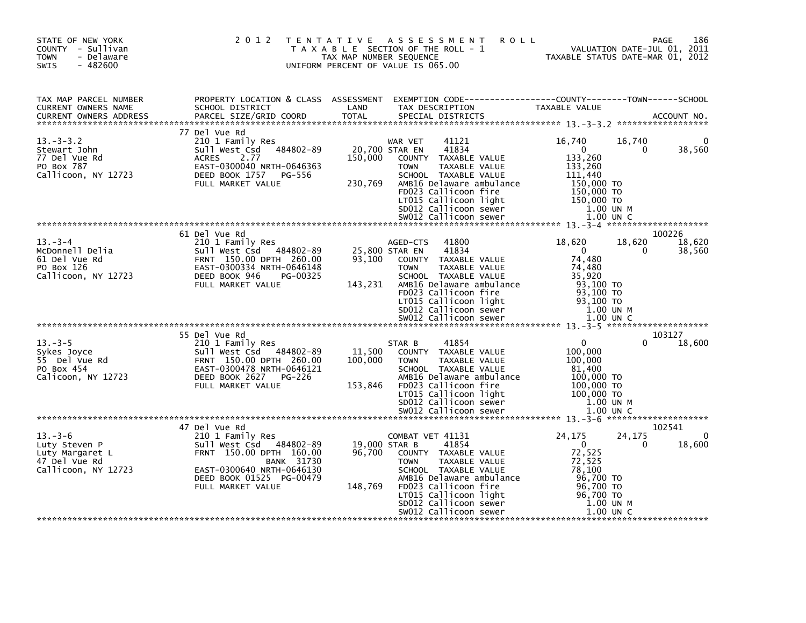| STATE OF NEW YORK<br>COUNTY - Sullivan<br>- Delaware<br><b>TOWN</b><br>$-482600$<br>SWIS | 2 0 1 2                                                                                                                                                                                       | T E N T A T I V E            | <b>ROLL</b><br>A S S E S S M E N T<br>T A X A B L E SECTION OF THE ROLL - 1<br>TAX MAP NUMBER SEQUENCE<br>UNIFORM PERCENT OF VALUE IS 065.00                                                                                                                | VALUATION DATE-JUL 01, 2011<br>TAXABLE STATUS DATE-MAR 01, 2012                                                                                 | 186<br>PAGE                |
|------------------------------------------------------------------------------------------|-----------------------------------------------------------------------------------------------------------------------------------------------------------------------------------------------|------------------------------|-------------------------------------------------------------------------------------------------------------------------------------------------------------------------------------------------------------------------------------------------------------|-------------------------------------------------------------------------------------------------------------------------------------------------|----------------------------|
| TAX MAP PARCEL NUMBER<br>CURRENT OWNERS NAME<br><b>CURRENT OWNERS ADDRESS</b>            | PROPERTY LOCATION & CLASS ASSESSMENT<br>SCHOOL DISTRICT<br>PARCEL SIZE/GRID COORD                                                                                                             | LAND<br><b>TOTAL</b>         | EXEMPTION CODE-----------------COUNTY-------TOWN------SCHOOL<br>TAX DESCRIPTION<br>SPECIAL DISTRICTS                                                                                                                                                        | TAXABLE VALUE                                                                                                                                   | ACCOUNT NO.                |
| $13. -3 - 3.2$<br>Stewart John<br>77 Del Vue Rd<br>PO Box 787<br>Callicoon, NY 12723     | 77 Del Vue Rd<br>210 1 Family Res<br>Sull West Csd<br>484802-89<br><b>ACRES</b><br>2.77<br>EAST-0300040 NRTH-0646363<br>DEED BOOK 1757<br>PG-556<br>FULL MARKET VALUE                         | 150,000<br>230,769           | WAR VET<br>41121<br>41834<br>20,700 STAR EN<br>COUNTY TAXABLE VALUE<br>TAXABLE VALUE<br><b>TOWN</b><br>SCHOOL TAXABLE VALUE<br>AMB16 Delaware ambulance<br>FD023 Callicoon fire<br>LT015 Callicoon light<br>SD012 Callicoon sewer                           | 16,740<br>16,740<br>$\overline{0}$<br>0<br>133,260<br>133,260<br>111,440<br>150,000 TO<br>150,000 TO<br>150,000 TO<br>1.00 UN M                 | 38,560                     |
| $13 - 3 - 4$<br>McDonnell Delia<br>61 Del Vue Rd<br>PO Box 126<br>Callicoon, NY 12723    | 61 Del Vue Rd<br>210 1 Family Res<br>Sull West Csd 484802-89<br>FRNT 150.00 DPTH 260.00<br>EAST-0300334 NRTH-0646148<br>DEED BOOK 946<br>PG-00325<br>FULL MARKET VALUE                        | 93,100<br>143,231            | 41800<br>AGED-CTS<br>25,800 STAR EN<br>41834<br>COUNTY TAXABLE VALUE<br><b>TOWN</b><br>TAXABLE VALUE<br>SCHOOL TAXABLE VALUE<br>AMB16 Delaware ambulance<br>FD023 Callicoon fire<br>LT015 Callicoon light<br>SD012 Callicoon sewer<br>SW012 Callicoon sewer | 18,620<br>18,620<br>$\overline{\mathbf{0}}$<br>0<br>74,480<br>74,480<br>35,920<br>93.100 TO<br>93,100 TO<br>93.100 TO<br>1.00 UN M<br>1.00 UN C | 100226<br>18,620<br>38,560 |
| $13 - 3 - 5$<br>Sykes Joyce<br>55 Del Vue Rd<br>PO Box 454<br>Calicoon, NY 12723         | 55 Del Vue Rd<br>210 1 Family Res<br>Sull West Csd 484802-89<br>FRNT 150.00 DPTH 260.00<br>EAST-0300478 NRTH-0646121<br>DEED BOOK 2627<br>PG-226<br>FULL MARKET VALUE                         | 11,500<br>100,000<br>153,846 | 41854<br>STAR B<br>COUNTY TAXABLE VALUE<br><b>TOWN</b><br>TAXABLE VALUE<br>SCHOOL TAXABLE VALUE<br>AMB16 Delaware ambulance<br>FD023 Callicoon fire<br>LT015 Callicoon light<br>SD012 Callicoon sewer<br>SW012 Callicoon sewer                              | $\Omega$<br><sup>0</sup><br>100,000<br>100,000<br>81.400<br>100,000 TO<br>100,000 TO<br>100,000 TO<br>1.00 UN M<br>$1.00$ UN C                  | 103127<br>18,600           |
| $13 - 3 - 6$<br>Luty Steven P<br>Luty Margaret L<br>47 Del Vue Rd<br>Callicoon, NY 12723 | 47 Del Vue Rd<br>210 1 Family Res<br>sull west Csd<br>484802-89<br>FRNT 150.00 DPTH 160.00<br><b>BANK 31730</b><br>EAST-0300640 NRTH-0646130<br>DEED BOOK 01525 PG-00479<br>FULL MARKET VALUE | 96,700<br>148,769            | COMBAT VET 41131<br>41854<br>19,000 STAR B<br>COUNTY TAXABLE VALUE<br><b>TOWN</b><br>TAXABLE VALUE<br>SCHOOL TAXABLE VALUE<br>AMB16 Delaware ambulance<br>FD023 Callicoon fire<br>LT015 Callicoon light<br>SD012 Callicoon sewer<br>SW012 Callicoon sewer   | 24,175<br>24,175<br>$\overline{0}$<br>$\Omega$<br>72,525<br>72,525<br>78,100<br>96,700 TO<br>96,700 TO<br>96,700 TO<br>1.00 UN M<br>$1.00$ UN C | 102541<br>0<br>18,600      |
|                                                                                          |                                                                                                                                                                                               |                              |                                                                                                                                                                                                                                                             |                                                                                                                                                 |                            |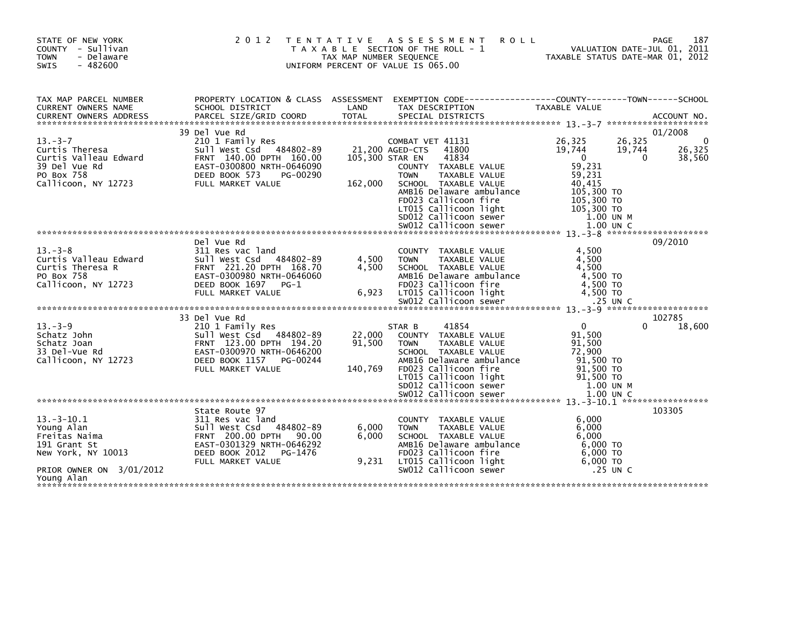| STATE OF NEW YORK<br>COUNTY - Sullivan<br>- Delaware<br><b>TOWN</b><br>$-482600$<br><b>SWIS</b> | 2 0 1 2                                                                                                            | T E N T A T I V E<br>TAX MAP NUMBER SEQUENCE | A S S E S S M E N T<br>T A X A B L E SECTION OF THE ROLL - 1<br>UNIFORM PERCENT OF VALUE IS 065.00 | <b>ROLL</b>      | VALUATION DATE-JUL 01, 2011<br>TAXABLE STATUS DATE-MAR 01, 2012 | 187<br>PAGE |
|-------------------------------------------------------------------------------------------------|--------------------------------------------------------------------------------------------------------------------|----------------------------------------------|----------------------------------------------------------------------------------------------------|------------------|-----------------------------------------------------------------|-------------|
| TAX MAP PARCEL NUMBER<br><b>CURRENT OWNERS NAME</b>                                             | PROPERTY LOCATION & CLASS ASSESSMENT EXEMPTION CODE---------------COUNTY-------TOWN------SCHOOL<br>SCHOOL DISTRICT | LAND                                         | TAX DESCRIPTION                                                                                    | TAXABLE VALUE    |                                                                 |             |
|                                                                                                 |                                                                                                                    | <b>TOTAL</b>                                 |                                                                                                    |                  |                                                                 |             |
|                                                                                                 | 39 Del Vue Rd                                                                                                      |                                              |                                                                                                    |                  |                                                                 | 01/2008     |
| $13 - 3 - 7$                                                                                    | 210 1 Family Res                                                                                                   |                                              | COMBAT VET 41131                                                                                   | 26,325           | 26,325                                                          | $\Omega$    |
| Curtis Theresa                                                                                  | Sull West Csd 484802-89                                                                                            |                                              | 41800<br>21,200 AGED-CTS                                                                           | 19,744           | 19,744                                                          | 26,325      |
| Curtis Valleau Edward                                                                           | FRNT 140.00 DPTH 160.00                                                                                            | 105,300 STAR EN                              | 41834                                                                                              | $\Omega$         | $\mathbf{0}$                                                    | 38,560      |
| 39 Del Vue Rd                                                                                   | EAST-0300800 NRTH-0646090                                                                                          |                                              | COUNTY TAXABLE VALUE                                                                               | 59,231           |                                                                 |             |
| PO Box 758<br>Callicoon, NY 12723                                                               | DEED BOOK 573<br>PG-00290<br>FULL MARKET VALUE                                                                     | 162,000                                      | <b>TOWN</b><br>TAXABLE VALUE<br>SCHOOL TAXABLE VALUE                                               | 59.231<br>40,415 |                                                                 |             |
|                                                                                                 |                                                                                                                    |                                              | AMB16 Delaware ambulance                                                                           | 105,300 TO       |                                                                 |             |
|                                                                                                 |                                                                                                                    |                                              | FD023 Callicoon fire                                                                               | 105,300 TO       |                                                                 |             |
|                                                                                                 |                                                                                                                    |                                              | LT015 Callicoon light                                                                              | 105,300 TO       |                                                                 |             |
|                                                                                                 |                                                                                                                    |                                              | SD012 Callicoon sewer<br>SW012 Callicoon sewer                                                     |                  | 1.00 UN M<br>$1.00$ UN C                                        |             |
|                                                                                                 |                                                                                                                    |                                              |                                                                                                    |                  |                                                                 |             |
|                                                                                                 | Del Vue Rd                                                                                                         |                                              |                                                                                                    |                  |                                                                 | 09/2010     |
| $13 - 3 - 8$                                                                                    | 311 Res vac land                                                                                                   |                                              | <b>COUNTY</b><br>TAXABLE VALUE                                                                     | 4,500            |                                                                 |             |
| Curtis Valleau Edward                                                                           | 484802-89<br>Sull West Csd                                                                                         | 4,500                                        | TAXABLE VALUE<br><b>TOWN</b>                                                                       | 4,500            |                                                                 |             |
| Curtis Theresa R<br>PO Box 758                                                                  | FRNT 221.20 DPTH 168.70<br>EAST-0300980 NRTH-0646060                                                               | 4,500                                        | SCHOOL TAXABLE VALUE<br>AMB16 Delaware ambulance                                                   | 4,500            | 4.500 TO                                                        |             |
| Callicoon, NY 12723                                                                             | DEED BOOK 1697<br>$PG-1$                                                                                           |                                              | FD023 Callicoon fire                                                                               |                  | 4,500 TO                                                        |             |
|                                                                                                 | FULL MARKET VALUE                                                                                                  | 6,923                                        | LT015 Callicoon light                                                                              |                  | 4,500 TO                                                        |             |
|                                                                                                 |                                                                                                                    |                                              |                                                                                                    |                  |                                                                 |             |
|                                                                                                 |                                                                                                                    |                                              |                                                                                                    |                  |                                                                 | 102785      |
| $13 - 3 - 9$                                                                                    | 33 Del Vue Rd<br>210 1 Family Res                                                                                  |                                              | 41854<br>STAR B                                                                                    | $\mathbf{0}$     | 0                                                               | 18,600      |
| Schatz John                                                                                     | Sull West Csd 484802-89                                                                                            | 22,000                                       | TAXABLE VALUE<br>COUNTY                                                                            | 91,500           |                                                                 |             |
| Schatz Joan                                                                                     | FRNT 123.00 DPTH 194.20                                                                                            | 91,500                                       | <b>TOWN</b><br>TAXABLE VALUE                                                                       | 91,500           |                                                                 |             |
| 33 Del-Vue Rd                                                                                   | EAST-0300970 NRTH-0646200                                                                                          |                                              | SCHOOL TAXABLE VALUE                                                                               | 72,900           |                                                                 |             |
| Callicoon, NY 12723                                                                             | DEED BOOK 1157<br>PG-00244<br>FULL MARKET VALUE                                                                    |                                              | AMB16 Delaware ambulance<br>FD023 Callicoon fire                                                   |                  | 91,500 TO                                                       |             |
|                                                                                                 |                                                                                                                    | 140,769                                      | LT015 Callicoon light                                                                              |                  | 91,500 TO<br>91,500 TO                                          |             |
|                                                                                                 |                                                                                                                    |                                              | SD012 Callicoon sewer                                                                              |                  | 1.00 UN M                                                       |             |
|                                                                                                 |                                                                                                                    |                                              | SW012 Callicoon sewer                                                                              |                  | $1.00$ UN C                                                     |             |
|                                                                                                 |                                                                                                                    |                                              |                                                                                                    |                  |                                                                 |             |
| $13 - 3 - 10.1$                                                                                 | State Route 97                                                                                                     |                                              |                                                                                                    | 6,000            |                                                                 | 103305      |
| Young Alan                                                                                      | 311 Res vac land<br>484802-89<br>Sull West Csd                                                                     | 6,000                                        | <b>COUNTY</b><br>TAXABLE VALUE<br><b>TAXABLE VALUE</b><br><b>TOWN</b>                              | 6,000            |                                                                 |             |
| Freitas Naima                                                                                   | <b>FRNT 200.00 DPTH</b><br>90.00                                                                                   | 6,000                                        | SCHOOL TAXABLE VALUE                                                                               | 6,000            |                                                                 |             |
| 191 Grant St                                                                                    | EAST-0301329 NRTH-0646292                                                                                          |                                              | AMB16 Delaware ambulance                                                                           |                  | 6,000 TO                                                        |             |
| New York, NY 10013                                                                              | DEED BOOK 2012<br>PG-1476                                                                                          |                                              | FD023 Callicoon fire                                                                               |                  | $6.000$ TO                                                      |             |
|                                                                                                 | FULL MARKET VALUE                                                                                                  | 9,231                                        | LT015 Callicoon light<br>SW012 Callicoon sewer                                                     |                  | $6,000$ TO<br>$.25$ UN C                                        |             |
| PRIOR OWNER ON 3/01/2012<br>Young Alan                                                          |                                                                                                                    |                                              |                                                                                                    |                  |                                                                 |             |
|                                                                                                 |                                                                                                                    |                                              |                                                                                                    |                  |                                                                 |             |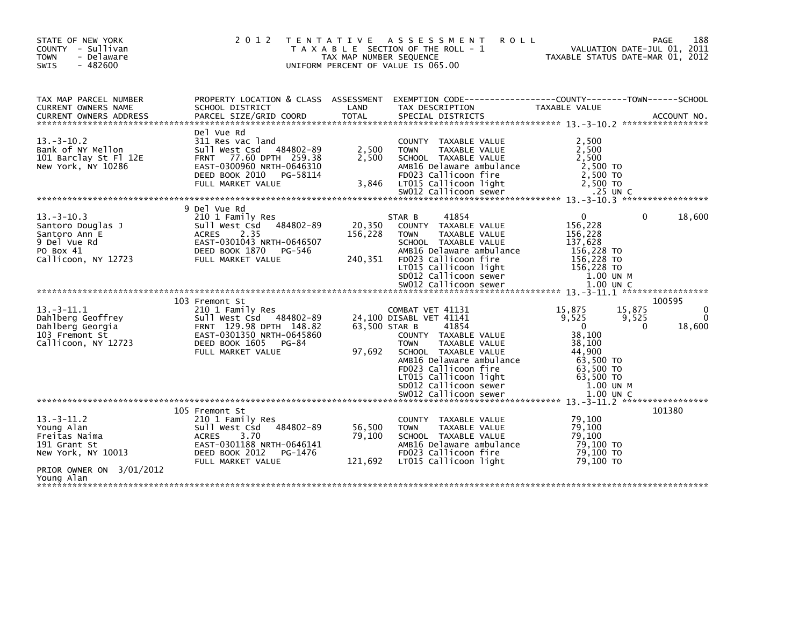| STATE OF NEW YORK<br>COUNTY - Sullivan<br><b>TOWN</b><br>- Delaware<br>$-482600$<br><b>SWIS</b>           | 2 0 1 2                                                                                                                                                                | TAX MAP NUMBER SEQUENCE      | TENTATIVE ASSESSMENT<br><b>ROLL</b><br>T A X A B L E SECTION OF THE ROLL - 1<br>UNIFORM PERCENT OF VALUE IS 065.00                                                                                                             | TAXABLE STATUS DATE-MAR 01, 2012                                                                                | PAGE<br>VALUATION DATE-JUL 01, 2011 | 188                |
|-----------------------------------------------------------------------------------------------------------|------------------------------------------------------------------------------------------------------------------------------------------------------------------------|------------------------------|--------------------------------------------------------------------------------------------------------------------------------------------------------------------------------------------------------------------------------|-----------------------------------------------------------------------------------------------------------------|-------------------------------------|--------------------|
| TAX MAP PARCEL NUMBER<br>CURRENT OWNERS NAME                                                              | PROPERTY LOCATION & CLASS ASSESSMENT EXEMPTION CODE----------------COUNTY-------TOWN------SCHOOL<br>SCHOOL DISTRICT                                                    | LAND                         | TAX DESCRIPTION                                                                                                                                                                                                                | <b>TAXABLE VALUE</b>                                                                                            |                                     |                    |
| $13 - 3 - 10.2$<br>Bank of NY Mellon<br>101 Barclay St Fl 12E<br>New York, NY 10286                       | Del Vue Rd<br>311 Res vac land<br>Sull West Csd<br>484802-89<br>FRNT 77.60 DPTH 259.38<br>EAST-0300960 NRTH-0646310<br>DEED BOOK 2010<br>PG-58114<br>FULL MARKET VALUE | 2,500<br>2,500<br>3,846      | COUNTY TAXABLE VALUE<br><b>TOWN</b><br>TAXABLE VALUE<br>SCHOOL TAXABLE VALUE<br>AMB16 Delaware ambulance<br>FD023 Callicoon fire<br>LT015 Callicoon light                                                                      | 2,500<br>2,500<br>2,500<br>2,500 TO<br>2,500 TO<br>2.500 TO                                                     |                                     |                    |
|                                                                                                           |                                                                                                                                                                        |                              |                                                                                                                                                                                                                                |                                                                                                                 |                                     |                    |
| $13 - 3 - 10.3$<br>Santoro Douglas J<br>Santoro Ann E<br>9 Del Vue Rd<br>PO Box 41<br>Callicoon, NY 12723 | 9 Del Vue Rd<br>210 1 Family Res<br>Sull West Csd<br>484802-89<br>2.35<br><b>ACRES</b><br>EAST-0301043 NRTH-0646507<br>DEED BOOK 1870<br>PG-546<br>FULL MARKET VALUE   | 20,350<br>156,228<br>240,351 | 41854<br>STAR B<br>COUNTY TAXABLE VALUE<br><b>TOWN</b><br>TAXABLE VALUE<br>SCHOOL TAXABLE VALUE<br>AMB16 Delaware ambulance<br>FD023 Callicoon fire<br>LT015 Callicoon light<br>SD012 Callicoon sewer<br>SW012 Callicoon sewer | $\Omega$<br>156,228<br>156,228<br>137,628<br>156,228 TO<br>156,228 TO<br>156,228 TO<br>1.00 UN M<br>$1.00$ UN C | 0                                   | 18,600             |
|                                                                                                           | 103 Fremont St                                                                                                                                                         |                              |                                                                                                                                                                                                                                |                                                                                                                 | 100595                              |                    |
| $13. -3 - 11.1$<br>Dahlberg Geoffrey<br>Dahlberg Georgia<br>103 Fremont St<br>Callicoon, NY 12723         | 210 1 Family Res<br>Sull West Csd<br>484802-89<br>FRNT 129.98 DPTH 148.82<br>EAST-0301350 NRTH-0645860<br>DEED BOOK 1605<br>$PG-84$                                    | 63,500 STAR B                | COMBAT VET 41131<br>24,100 DISABL VET 41141<br>41854<br>COUNTY TAXABLE VALUE<br><b>TAXABLE VALUE</b><br><b>TOWN</b>                                                                                                            | 15,875<br>9,525<br>$\Omega$<br>38,100<br>38,100                                                                 | 15,875<br>9,525<br>$\Omega$         | $\Omega$<br>18,600 |
|                                                                                                           | FULL MARKET VALUE                                                                                                                                                      | 97,692                       | SCHOOL TAXABLE VALUE<br>AMB16 Delaware ambulance<br>FD023 Callicoon fire<br>LT015 Callicoon light<br>SD012 Callicoon sewer<br>SW012 Callicoon sewer                                                                            | 44,900<br>63,500 TO<br>63,500 TO<br>63,500 TO<br>1.00 UN M<br>1.00 UN C                                         |                                     |                    |
|                                                                                                           |                                                                                                                                                                        |                              |                                                                                                                                                                                                                                |                                                                                                                 |                                     |                    |
| $13.-3-11.2$<br>Young Alan<br>Freitas Naima<br>191 Grant St<br>New York, NY 10013                         | 105 Fremont St<br>210 1 Family Res<br>Sull West Csd<br>484802-89<br>3.70<br><b>ACRES</b><br>EAST-0301188 NRTH-0646141<br>DEED BOOK 2012<br>PG-1476                     | 56,500<br>79,100             | TAXABLE VALUE<br>COUNTY<br>TAXABLE VALUE<br><b>TOWN</b><br>SCHOOL TAXABLE VALUE<br>AMB16 Delaware ambulance<br>FD023 Callicoon fire                                                                                            | 79,100<br>79,100<br>79,100<br>79,100 TO<br>79,100 TO                                                            | 101380                              |                    |
| PRIOR OWNER ON 3/01/2012<br>Young Alan                                                                    | FULL MARKET VALUE                                                                                                                                                      | 121,692                      | LT015 Callicoon light                                                                                                                                                                                                          | 79,100 TO                                                                                                       |                                     |                    |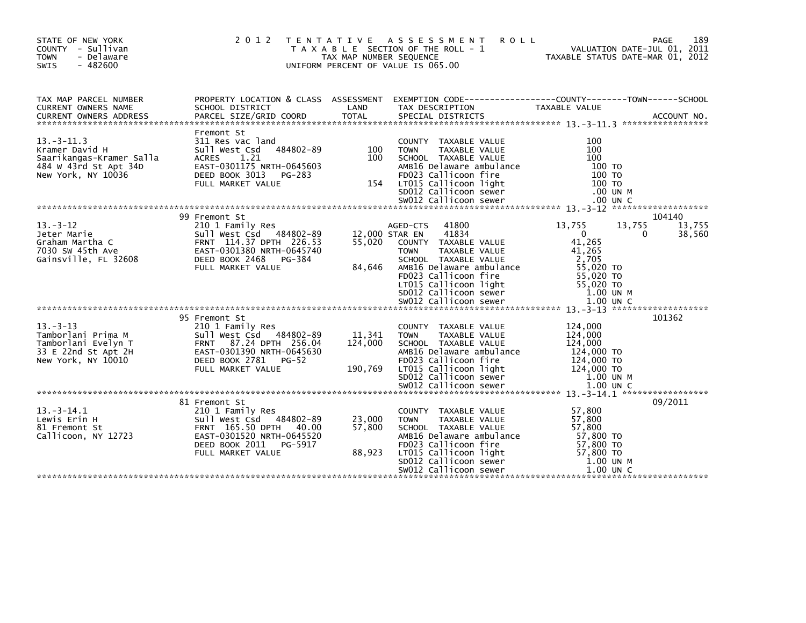| STATE OF NEW YORK<br>COUNTY - Sullivan<br><b>TOWN</b><br>- Delaware<br>$-482600$<br><b>SWIS</b>              | 2012                                                                                                                                                                     | T E N T A T I V E<br>TAX MAP NUMBER SEQUENCE | A S S E S S M E N T<br><b>ROLL</b><br>T A X A B L E SECTION OF THE ROLL - 1<br>UNIFORM PERCENT OF VALUE IS 065.00                                                                                                                                           | VALUATION DATE-JUL 01, 2011<br>TAXABLE STATUS DATE-MAR 01, 2012                                                                | 189<br>PAGE                     |
|--------------------------------------------------------------------------------------------------------------|--------------------------------------------------------------------------------------------------------------------------------------------------------------------------|----------------------------------------------|-------------------------------------------------------------------------------------------------------------------------------------------------------------------------------------------------------------------------------------------------------------|--------------------------------------------------------------------------------------------------------------------------------|---------------------------------|
| TAX MAP PARCEL NUMBER<br>CURRENT OWNERS NAME<br><b>CURRENT OWNERS ADDRESS</b>                                | SCHOOL DISTRICT<br>PARCEL SIZE/GRID COORD                                                                                                                                | LAND<br><b>TOTAL</b>                         | PROPERTY LOCATION & CLASS ASSESSMENT EXEMPTION CODE----------------COUNTY-------TOWN------SCHOOL<br>TAX DESCRIPTION<br>SPECIAL DISTRICTS                                                                                                                    | <b>TAXABLE VALUE</b>                                                                                                           | ACCOUNT NO.                     |
| $13 - 3 - 11.3$<br>Kramer David H<br>Saarikangas-Kramer Salla<br>484 W 43rd St Apt 34D<br>New York, NY 10036 | Fremont St<br>311 Res vac land<br>484802-89<br>Sull West Csd<br>1.21<br><b>ACRES</b><br>EAST-0301175 NRTH-0645603<br>DEED BOOK 3013<br>PG-283<br>FULL MARKET VALUE       | 100<br>100<br>154                            | COUNTY TAXABLE VALUE<br><b>TOWN</b><br>TAXABLE VALUE<br>SCHOOL TAXABLE VALUE<br>AMB16 Delaware ambulance<br>FD023 Callicoon fire<br>LT015 Callicoon light<br>SD012 Callicoon sewer<br>SW012 Callicoon sewer                                                 | 100<br>100<br>100<br>100 TO<br>100 TO<br>100 TO<br>.00 UN M<br>.00 UN C                                                        |                                 |
| $13 - 3 - 12$<br>Jeter Marie<br>Graham Martha C<br>7030 SW 45th Ave<br>Gainsville, FL 32608                  | 99 Fremont St<br>210 1 Family Res<br>Sull West Csd 484802-89<br>FRNT 114.37 DPTH 226.53<br>EAST-0301380 NRTH-0645740<br>DEED BOOK 2468<br>PG-384<br>FULL MARKET VALUE    | 55,020<br>84,646                             | 41800<br>AGED-CTS<br>41834<br>12,000 STAR EN<br>COUNTY TAXABLE VALUE<br><b>TOWN</b><br>TAXABLE VALUE<br>SCHOOL TAXABLE VALUE<br>AMB16 Delaware ambulance<br>FD023 Callicoon fire<br>LT015 Callicoon light<br>SD012 Callicoon sewer<br>SW012 Callicoon sewer | 13,755<br>13,755<br>$\mathbf{0}$<br>41,265<br>41,265<br>2,705<br>55,020 TO<br>55,020 TO<br>55,020 TO<br>1.00 UN M<br>1.00 UN C | 104140<br>13,755<br>38,560<br>0 |
| $13 - 3 - 13$<br>Tamborlani Prima M<br>Tamborlani Evelyn T<br>33 E 22nd St Apt 2H<br>New York, NY 10010      | 95 Fremont St<br>210 1 Family Res<br>Sull West Csd<br>484802-89<br>FRNT 87.24 DPTH 256.04<br>EAST-0301390 NRTH-0645630<br>DEED BOOK 2781<br>$PG-52$<br>FULL MARKET VALUE | 11,341<br>124,000<br>190,769                 | COUNTY TAXABLE VALUE<br>TAXABLE VALUE<br><b>TOWN</b><br>SCHOOL TAXABLE VALUE<br>AMB16 Delaware ambulance<br>FD023 Callicoon fire<br>LT015 Callicoon light<br>SD012 Callicoon sewer                                                                          | 124,000<br>124,000<br>124,000<br>124,000 TO<br>124,000 TO<br>124,000 TO<br>1.00 UN M                                           | 101362                          |
| $13. -3 - 14.1$<br>Lewis Erin H<br>81 Fremont St<br>Callicoon, NY 12723                                      | 81 Fremont St<br>210 1 Family Res<br>Sull West Csd 484802-89<br>FRNT 165.50 DPTH 40.00<br>EAST-0301520 NRTH-0645520<br>DEED BOOK 2011 PG-5917<br>FULL MARKET VALUE       | 23,000<br>57,800<br>88,923                   | COUNTY TAXABLE VALUE<br>TAXABLE VALUE<br><b>TOWN</b><br>SCHOOL TAXABLE VALUE<br>AMB16 Delaware ambulance<br>FD023 Callicoon fire<br>LT015 Callicoon light<br>SD012 Callicoon sewer<br>SW012 Callicoon sewer                                                 | 57,800<br>57,800<br>57,800<br>57,800 TO<br>57,800 TO<br>57,800 TO<br>1.00 UN M<br>$1.00$ UN C                                  | 09/2011                         |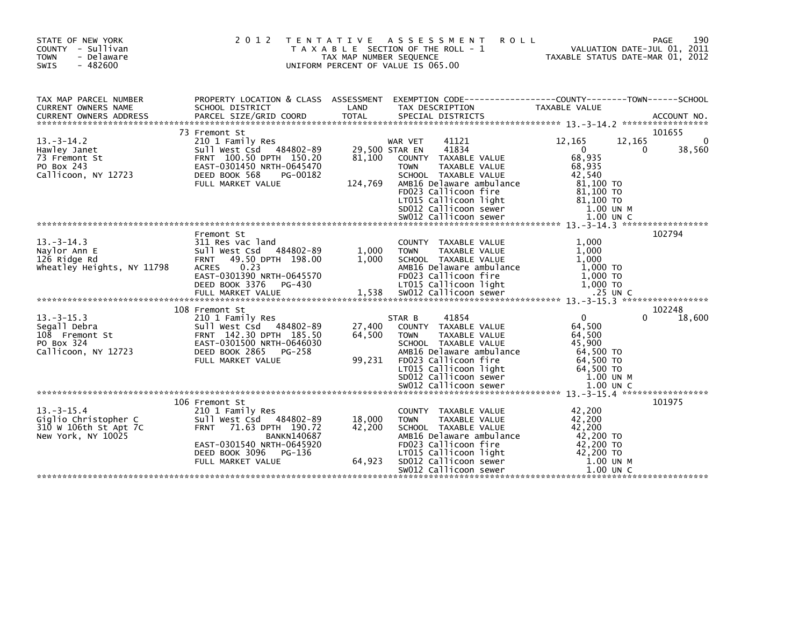| STATE OF NEW YORK<br>COUNTY - Sullivan<br>- Delaware<br><b>TOWN</b><br>$-482600$<br><b>SWIS</b> | 2 0 1 2                                                                                                                                                                             | T E N T A T I V E<br>TAX MAP NUMBER SEQUENCE | A S S E S S M E N T<br><b>ROLL</b><br>T A X A B L E SECTION OF THE ROLL - 1<br>UNIFORM PERCENT OF VALUE IS 065.00                                                                                                                 | TAXABLE STATUS DATE-MAR 01, 2012                                                                              | 190<br><b>PAGE</b><br>VALUATION DATE-JUL 01, 2011 |
|-------------------------------------------------------------------------------------------------|-------------------------------------------------------------------------------------------------------------------------------------------------------------------------------------|----------------------------------------------|-----------------------------------------------------------------------------------------------------------------------------------------------------------------------------------------------------------------------------------|---------------------------------------------------------------------------------------------------------------|---------------------------------------------------|
| TAX MAP PARCEL NUMBER<br>CURRENT OWNERS NAME                                                    | PROPERTY LOCATION & CLASS ASSESSMENT<br>SCHOOL DISTRICT                                                                                                                             | LAND                                         | EXEMPTION CODE-----------------COUNTY-------TOWN------SCHOOL<br>TAX DESCRIPTION                                                                                                                                                   | TAXABLE VALUE                                                                                                 |                                                   |
|                                                                                                 | 73 Fremont St                                                                                                                                                                       |                                              |                                                                                                                                                                                                                                   |                                                                                                               | 101655                                            |
| $13 - 3 - 14.2$<br>Hawley Janet<br>73 Fremont St<br>PO Box 243<br>Callicoon, NY 12723           | 210 1 Family Res<br>Sull West Csd 484802-89<br>FRNT 100.50 DPTH 150.20<br>EAST-0301450 NRTH-0645470<br>DEED BOOK 568<br>PG-00182<br>FULL MARKET VALUE                               | 81,100<br>124,769                            | 41121<br>WAR VET<br>41834<br>29,500 STAR EN<br>COUNTY TAXABLE VALUE<br>TAXABLE VALUE<br><b>TOWN</b><br>SCHOOL TAXABLE VALUE<br>AMB16 Delaware ambulance<br>FD023 Callicoon fire<br>LT015 Callicoon light<br>SD012 Callicoon sewer | 12,165<br>12,165<br>0<br>68,935<br>68,935<br>42.540<br>81,100 TO<br>81.100 TO<br>81,100 TO<br>1.00 UN M       | $\Omega$<br>38,560<br>0                           |
|                                                                                                 |                                                                                                                                                                                     |                                              |                                                                                                                                                                                                                                   |                                                                                                               | 102794                                            |
| $13 - 3 - 14.3$<br>Naylor Ann E<br>126 Ridge Rd<br>wheatley Heights, NY 11798                   | Fremont St<br>311 Res vac land<br>sull west Csd<br>484802-89<br>49.50 DPTH 198.00<br><b>FRNT</b><br>0.23<br><b>ACRES</b><br>EAST-0301390 NRTH-0645570<br>DEED BOOK 3376<br>PG-430   | 1,000<br>1,000                               | COUNTY TAXABLE VALUE<br>TAXABLE VALUE<br><b>TOWN</b><br>SCHOOL TAXABLE VALUE<br>AMB16 Delaware ambulance<br>FD023 Callicoon fire<br>LT015 Callicoon light                                                                         | 1.000<br>1,000<br>1.000<br>$1,000$ TO<br>1,000 TO<br>$1,000$ TO                                               |                                                   |
|                                                                                                 | 108 Fremont St                                                                                                                                                                      |                                              |                                                                                                                                                                                                                                   |                                                                                                               | 102248                                            |
| $13.-3-15.3$<br>Segall Debra<br>108 Fremont St<br>PO Box 324<br>Callicoon, NY 12723             | 210 1 Family Res<br>Sull West Csd 484802-89<br>FRNT 142.30 DPTH 185.50<br>EAST-0301500 NRTH-0646030<br>DEED BOOK 2865<br>PG-258<br>FULL MARKET VALUE                                | 27,400<br>64,500<br>99,231                   | 41854<br>STAR B<br>COUNTY TAXABLE VALUE<br>TAXABLE VALUE<br><b>TOWN</b><br>SCHOOL TAXABLE VALUE<br>AMB16 Delaware ambulance<br>FD023 Callicoon fire<br>LT015 Callicoon light<br>SD012 Callicoon sewer<br>SW012 Callicoon sewer    | $\mathbf{0}$<br>64,500<br>64,500<br>45,900<br>64,500 TO<br>64,500 TO<br>64,500 TO<br>1.00 UN M<br>$1.00$ UN C | 18,600                                            |
|                                                                                                 | 106 Fremont St                                                                                                                                                                      |                                              |                                                                                                                                                                                                                                   |                                                                                                               | 101975                                            |
| $13.-3-15.4$<br>Giglio Christopher C<br>310 W 106th St Apt 7C<br>New York, NY 10025             | 210 1 Family Res<br>Sull West Csd 484802-89<br><b>FRNT</b><br>71.63 DPTH 190.72<br><b>BANKN140687</b><br>EAST-0301540 NRTH-0645920<br>DEED BOOK 3096<br>PG-136<br>FULL MARKET VALUE | 18,000<br>42,200<br>64,923                   | COUNTY TAXABLE VALUE<br>TAXABLE VALUE<br><b>TOWN</b><br>SCHOOL TAXABLE VALUE<br>AMB16 Delaware ambulance<br>FD023 Callicoon fire<br>LT015 Callicoon light<br>SD012 Callicoon sewer<br>SW012 Callicoon sewer                       | 42,200<br>42,200<br>42,200<br>42,200 TO<br>42,200 TO<br>42,200 TO<br>1.00 UN M<br>$1.00$ UN C                 |                                                   |
|                                                                                                 |                                                                                                                                                                                     |                                              |                                                                                                                                                                                                                                   |                                                                                                               |                                                   |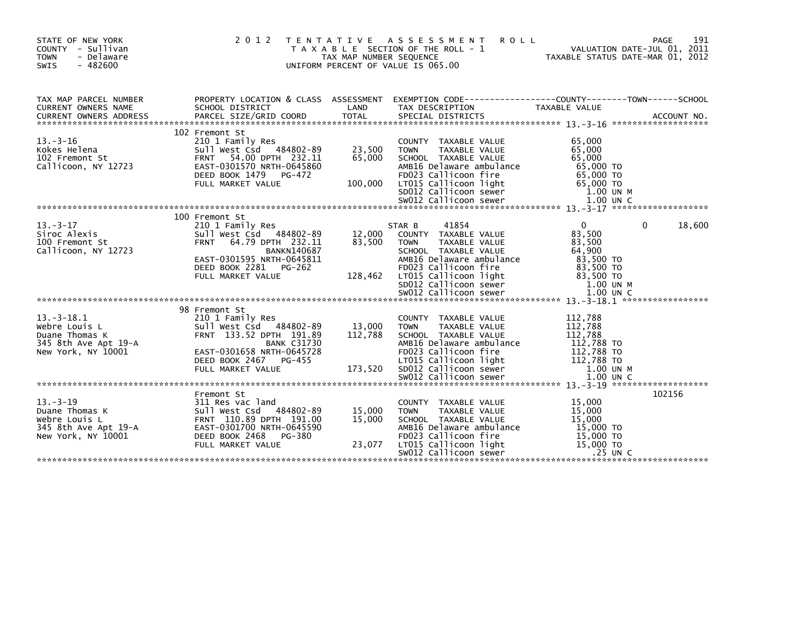| STATE OF NEW YORK<br>COUNTY - Sullivan<br><b>TOWN</b><br>- Delaware<br>$-482600$<br><b>SWIS</b>                  | 2012 TENTATIVE                                                                                                                                                                                     | TAX MAP NUMBER SEQUENCE     | A S S E S S M E N T<br><b>ROLL</b><br>T A X A B L E SECTION OF THE ROLL - 1<br>UNIFORM PERCENT OF VALUE IS 065.00                                                                                                              |                                                                                                | 191<br>PAGE<br>VALUATION DATE-JUL 01, 2011<br>TAXABLE STATUS DATE-MAR 01, 2012 |
|------------------------------------------------------------------------------------------------------------------|----------------------------------------------------------------------------------------------------------------------------------------------------------------------------------------------------|-----------------------------|--------------------------------------------------------------------------------------------------------------------------------------------------------------------------------------------------------------------------------|------------------------------------------------------------------------------------------------|--------------------------------------------------------------------------------|
| TAX MAP PARCEL NUMBER<br>CURRENT OWNERS NAME                                                                     | SCHOOL DISTRICT                                                                                                                                                                                    | LAND                        | PROPERTY LOCATION & CLASS ASSESSMENT EXEMPTION CODE---------------COUNTY-------TOWN------SCHOOL<br>TAX DESCRIPTION                                                                                                             | TAXABLE VALUE                                                                                  |                                                                                |
| $13 - 3 - 16$<br>Kokes Helena<br>102 Fremont St<br>Callicoon, NY 12723                                           | 102 Fremont St<br>210 1 Family Res<br>Sull West Csd 484802-89<br>54.00 DPTH 232.11<br><b>FRNT</b><br>EAST-0301570 NRTH-0645860<br>DEED BOOK 1479<br>PG-472                                         | 23,500<br>65,000            | COUNTY TAXABLE VALUE<br><b>TOWN</b><br>TAXABLE VALUE<br>SCHOOL TAXABLE VALUE<br>AMB16 Delaware ambulance<br>FD023 Callicoon fire                                                                                               | 65,000<br>65,000<br>65,000<br>65,000 TO<br>65,000 TO                                           |                                                                                |
| $13. - 3 - 17$<br>Siroc Alexis<br>100 Fremont St<br>Callicoon, NY 12723                                          | 100 Fremont St<br>210 1 Family Res<br>Sull West Csd 484802-89<br><b>FRNT</b><br>64.79 DPTH 232.11<br><b>BANKN140687</b><br>EAST-0301595 NRTH-0645811<br>DEED BOOK 2281 PG-262<br>FULL MARKET VALUE | 12,000<br>83,500<br>128,462 | 41854<br>STAR B<br>COUNTY TAXABLE VALUE<br><b>TOWN</b><br>TAXABLE VALUE<br>SCHOOL TAXABLE VALUE<br>AMB16 Delaware ambulance<br>FD023 Callicoon fire<br>LTO15 Callicoon light<br>SDO12 Callicoon sewer<br>SWO12 Callicoon sewer | $\mathbf{0}$<br>83,500<br>83,500<br>64,900<br>83,500 TO<br>83,500 TO<br>83.500 TO<br>1.00 UN M | $\mathbf{0}$<br>18,600                                                         |
| $13 - 3 - 18.1$<br>Webre Louis L<br>Duane Thomas K<br>345 8th Ave Apt 19-A<br>New York, NY 10001                 | 98 Fremont St<br>210 1 Family Res<br>Sull West Csd 484802-89<br>FRNT 133.52 DPTH 191.89<br><b>BANK C31730</b><br>EAST-0301658 NRTH-0645728                                                         | 13,000<br>112,788           | COUNTY TAXABLE VALUE<br>TAXABLE VALUE<br><b>TOWN</b><br>SCHOOL TAXABLE VALUE<br>AMB16 Delaware ambulance<br>FD023 Callicoon fire                                                                                               | 112,788<br>112,788<br>112,788<br>112,788 TO<br>112,788 то<br>112,788 то                        |                                                                                |
| $13 - 3 - 19$<br>Duane Thomas K<br>Duane Thomas K<br>Webre Louis L<br>345 8th Ave Apt 19-A<br>New York, NY 10001 | Fremont St<br>311 Res vac land<br>Sull West Csd 484802-89<br>FRNT 110.89 DPTH 191.00<br>EAST-0301700 NRTH-0645590<br>DEED BOOK 2468<br>PG-380<br>FULL MARKET VALUE                                 | 15,000<br>15,000<br>23,077  | COUNTY TAXABLE VALUE<br><b>TOWN</b><br><b>TAXABLE VALUE</b><br>SCHOOL TAXABLE VALUE<br>AMB16 Delaware ambulance<br>FD023 Callicoon fire<br>LT015 Callicoon light<br>SW012 Callicoon sewer                                      | 15,000<br>15,000<br>15,000<br>15,000 TO<br>15,000 TO<br>15,000 TO                              | 102156<br>.25 UN C                                                             |
|                                                                                                                  |                                                                                                                                                                                                    |                             |                                                                                                                                                                                                                                |                                                                                                |                                                                                |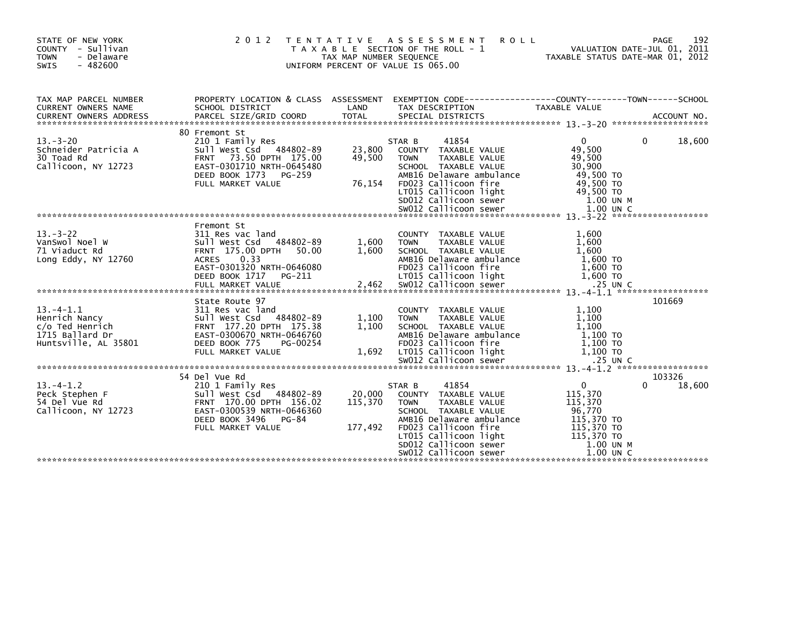| STATE OF NEW YORK<br>COUNTY - Sullivan<br><b>TOWN</b><br>- Delaware<br><b>SWIS</b><br>$-482600$ |                                                                                                                                                                      | TAX MAP NUMBER SEQUENCE      | 2012 TENTATIVE ASSESSMENT<br><b>ROLL</b><br>T A X A B L E SECTION OF THE ROLL - 1<br>UNIFORM PERCENT OF VALUE IS 065.00                                                                                                                                        | VALUATION DATE-JUL 01, 2011<br>TAXABLE STATUS DATE-MAR 01 2012                                                                    | 192<br>PAGE           |
|-------------------------------------------------------------------------------------------------|----------------------------------------------------------------------------------------------------------------------------------------------------------------------|------------------------------|----------------------------------------------------------------------------------------------------------------------------------------------------------------------------------------------------------------------------------------------------------------|-----------------------------------------------------------------------------------------------------------------------------------|-----------------------|
| TAX MAP PARCEL NUMBER<br>CURRENT OWNERS NAME                                                    | PROPERTY LOCATION & CLASS ASSESSMENT<br>SCHOOL DISTRICT                                                                                                              | LAND                         | EXEMPTION CODE----------------COUNTY-------TOWN------SCHOOL<br>TAX DESCRIPTION                                                                                                                                                                                 | TAXABLE VALUE                                                                                                                     |                       |
| $13 - 3 - 20$<br>Schneider Patricia A<br>30 Toad Rd<br>Callicoon, NY 12723                      | 80 Fremont St<br>210 1 Family Res<br>Sull West Csd 484802-89<br>FRNT 73.50 DPTH 175.00<br>EAST-0301710 NRTH-0645480<br>DEED BOOK 1773 PG-259<br>FULL MARKET VALUE    | 23,800<br>49,500<br>76,154   | 41854<br>STAR B<br>COUNTY TAXABLE VALUE<br>TAXABLE VALUE<br><b>TOWN</b><br>SCHOOL TAXABLE VALUE<br>AMB16 Delaware ambulance<br>FD023 Callicoon fire                                                                                                            | $\overline{0}$<br>49,500<br>49,500<br>30,900<br>49,500 TO<br>49,500 TO                                                            | 18,600<br>0           |
| $13. - 3 - 22$<br>VanSwol Noel W<br>71 Viaduct Rd<br>Long Eddy, NY 12760                        | Fremont St<br>311 Res vac land<br>sull West Csd 484802-89<br>FRNT 175.00 DPTH<br>50.00<br><b>ACRES</b><br>0.33<br>EAST-0301320 NRTH-0646080                          | 1,600<br>1,600               | COUNTY TAXABLE VALUE<br><b>TOWN</b><br>TAXABLE VALUE<br>SCHOOL TAXABLE VALUE<br>AMB16 Delaware ambulance<br>FD023 Callicoon fire                                                                                                                               | 1,600<br>1,600<br>1,600<br>1,600 то<br>1,600 то                                                                                   |                       |
| $13. -4 - 1.1$<br>Henrich Nancy<br>c/o Ted Henrich<br>1715 Ballard Dr<br>Huntsville, AL 35801   | State Route 97<br>311 Res vac land<br>Sull West Csd 484802-89<br>FRNT 177.20 DPTH 175.38<br>EAST-0300670 NRTH-0646760<br>DEED BOOK 775<br>PG-00254                   | 1,100<br>1,100               | COUNTY TAXABLE VALUE<br>TAXABLE VALUE<br><b>TOWN</b><br>SCHOOL TAXABLE VALUE<br>AMB16 Delaware ambulance<br>FD023 Callicoon fire                                                                                                                               | 1,100<br>1,100<br>1,100<br>$1,100$ TO<br>1,100 TO                                                                                 | 101669                |
| $13. -4 - 1.2$<br>Peck Stephen F<br>54 Del Vue Rd<br>Callicoon, NY 12723                        | 54 Del Vue Rd<br>210 1 Family Res<br>Sull West Csd 484802-89<br>FRNT 170.00 DPTH 156.02<br>EAST-0300539 NRTH-0646360<br>DEED BOOK 3496<br>PG-84<br>FULL MARKET VALUE | 20,000<br>115,370<br>177,492 | 41854<br>STAR B<br>COUNTY TAXABLE VALUE<br><b>TAXABLE VALUE</b><br><b>TOWN</b><br>SCHOOL TAXABLE VALUE<br>AMB16 Delaware ambulance<br>FD023 Callicoon fire<br>LTO15 Callicoon light<br>SDO12 Callicoon sewer<br>SWO12 Callicoon sewer<br>SW012 Callicoon sewer | 0<br>115,370<br>115,370<br>96,770<br>115,370 TO<br>115,370 TO<br>115,370 TO<br>115,370 TO<br>115,370 TO<br>1.00 UN M<br>1.00 UN C | 103326<br>18,600<br>0 |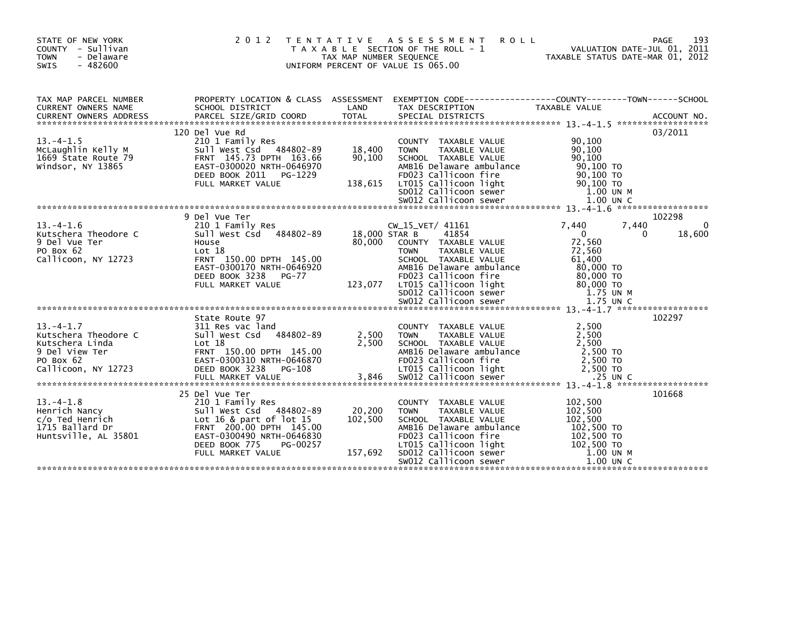| STATE OF NEW YORK<br>COUNTY - Sullivan<br><b>TOWN</b><br>- Delaware<br>SWIS<br>$-482600$                        | 2 0 1 2<br>T E N T A T I V E                                                                                                                                                                         | TAX MAP NUMBER SEQUENCE      | A S S E S S M E N T<br><b>ROLL</b><br>T A X A B L E SECTION OF THE ROLL - 1<br>UNIFORM PERCENT OF VALUE IS 065.00                                                                                           | VALUATION DATE-JUL 01, 2011<br>TAXABLE STATUS DATE-MAR 01, 2012                                   | 193<br>PAGE           |
|-----------------------------------------------------------------------------------------------------------------|------------------------------------------------------------------------------------------------------------------------------------------------------------------------------------------------------|------------------------------|-------------------------------------------------------------------------------------------------------------------------------------------------------------------------------------------------------------|---------------------------------------------------------------------------------------------------|-----------------------|
| TAX MAP PARCEL NUMBER<br>CURRENT OWNERS NAME                                                                    | PROPERTY LOCATION & CLASS ASSESSMENT<br>SCHOOL DISTRICT                                                                                                                                              | LAND                         | TAX DESCRIPTION                                                                                                                                                                                             | TAXABLE VALUE                                                                                     |                       |
| $13. -4 - 1.5$<br>McLaughlin Kelly M<br>1669 State Route 79<br>Windsor, NY 13865                                | 120 Del Vue Rd<br>210 1 Family Res<br>Sull West Csd 484802-89<br>FRNT 145.73 DPTH 163.66<br>EAST-0300020 NRTH-0646970<br>DEED BOOK 2011<br>PG-1229                                                   | 18,400<br>90,100             | COUNTY TAXABLE VALUE<br><b>TOWN</b><br>TAXABLE VALUE<br>SCHOOL TAXABLE VALUE<br>AMB16 Delaware ambulance<br>FD023 Callicoon fire                                                                            | 90,100<br>90,100<br>90,100<br>90,100 TO<br>90.100 TO                                              | 03/2011               |
|                                                                                                                 |                                                                                                                                                                                                      |                              |                                                                                                                                                                                                             |                                                                                                   |                       |
| $13. -4 - 1.6$<br>Kutschera Theodore C<br>9 Del Vue Ter<br>PO Box 62<br>Callicoon, NY 12723                     | 9 Del Vue Ter<br>210 1 Family Res<br>Sull West Csd 484802-89<br>House<br>Lot 18<br>FRNT 150.00 DPTH 145.00<br>EAST-0300170 NRTH-0646920<br>DEED BOOK 3238<br>PG-77                                   | 18,000 STAR B<br>80,000      | CW_15_VET/ 41161<br>41854<br>COUNTY TAXABLE VALUE<br><b>TAXABLE VALUE</b><br><b>TOWN</b><br>SCHOOL TAXABLE VALUE<br>AMB16 Delaware ambulance<br>FD023 Callicoon fire                                        | 7,440<br>7.440<br>$\mathbf 0$<br>$\Omega$<br>72,560<br>72,560<br>61,400<br>80,000 TO<br>80,000 TO | 102298<br>0<br>18,600 |
|                                                                                                                 | FULL MARKET VALUE                                                                                                                                                                                    | 123,077                      | LT015 Callicoon light                                                                                                                                                                                       | 80,000 TO                                                                                         |                       |
| $13. -4 - 1.7$<br>Kutschera Theodore C<br>Kutschera Linda<br>9 Del View Ter<br>PO Box 62<br>Callicoon, NY 12723 | State Route 97<br>311 Res vac land<br>Sull West Csd 484802-89<br>Lot 18<br>FRNT 150.00 DPTH 145.00<br>EAST-0300310 NRTH-0646870<br>DEED BOOK 3238 PG-108                                             | 2,500<br>2,500               | COUNTY TAXABLE VALUE<br><b>TAXABLE VALUE</b><br><b>TOWN</b><br>SCHOOL TAXABLE VALUE<br>AMB16 Delaware ambulance<br>FD023 Callicoon fire<br>LT015 Callicoon light                                            | 2,500<br>2,500<br>2.500<br>2,500 TO<br>2,500 TO<br>2,500 TO                                       | 102297                |
| $13. -4 - 1.8$<br>Henrich Nancy<br>c/o Ted Henrich<br>1715 Ballard Dr<br>Huntsville, AL 35801                   | 25 Del Vue Ter<br>210 1 Family Res<br>Sull West Csd 484802-89<br>Lot 16 & part of $lot$ 15<br>FRNT 200.00 DPTH 145.00<br>EAST-0300490 NRTH-0646830<br>DEED BOOK 775<br>PG-00257<br>FULL MARKET VALUE | 20,200<br>102,500<br>157,692 | COUNTY TAXABLE VALUE<br>TAXABLE VALUE<br><b>TOWN</b><br>SCHOOL TAXABLE VALUE<br>AMB16 Delaware ambulance<br>FD023 Callicoon fire<br>LT015 Callicoon light<br>SD012 Callicoon sewer<br>SW012 Callicoon sewer | 102,500<br>102,500<br>102,500<br>102,500 TO<br>102,500 TO<br>102,500 TO<br>1.00 UN M<br>1.00 UN C | 101668                |
|                                                                                                                 |                                                                                                                                                                                                      |                              |                                                                                                                                                                                                             |                                                                                                   |                       |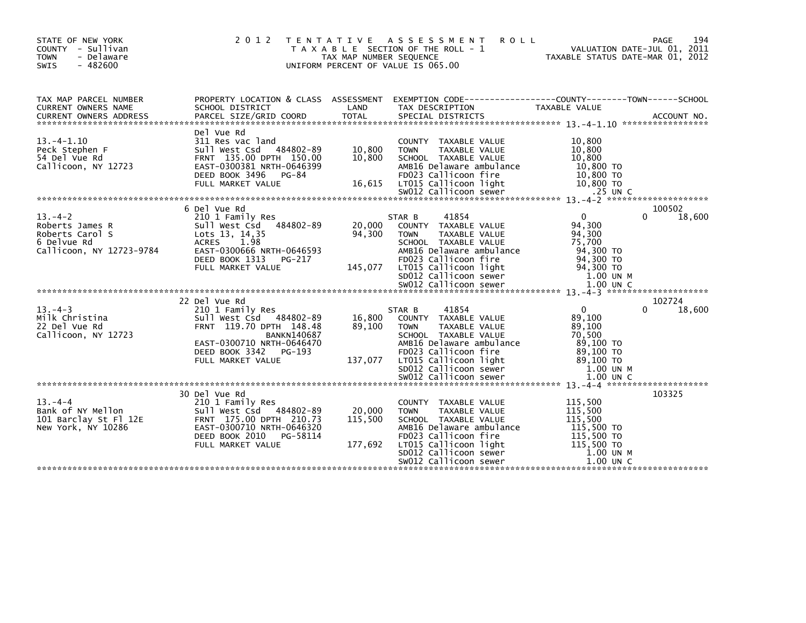| 194<br>TENTATIVE ASSESSMENT<br><b>ROLL</b><br>PAGE<br>VALUATION DATE-JUL 01, 2011<br>TAXABLE STATUS DATE-MAR 01, 2012<br>T A X A B L E SECTION OF THE ROLL - 1                                                                                                                                                                                                            |
|---------------------------------------------------------------------------------------------------------------------------------------------------------------------------------------------------------------------------------------------------------------------------------------------------------------------------------------------------------------------------|
| PROPERTY LOCATION & CLASS ASSESSMENT EXEMPTION CODE----------------COUNTY-------TOWN------SCHOOL<br>TAX DESCRIPTION<br>TAXABLE VALUE                                                                                                                                                                                                                                      |
| 10,800<br>COUNTY TAXABLE VALUE<br>10,800<br>TAXABLE VALUE<br>SCHOOL TAXABLE VALUE<br>10,800<br>AMB16 Delaware ambulance<br>10,800 TO<br>FD023 Callicoon fire<br>$10,800$ TO                                                                                                                                                                                               |
|                                                                                                                                                                                                                                                                                                                                                                           |
| 100502<br>18,600<br>41854<br>$\mathbf{0}$<br>COUNTY TAXABLE VALUE<br>94,300<br><b>TAXABLE VALUE</b><br>94,300<br>SCHOOL TAXABLE VALUE<br>75,700<br>AMB16 Delaware ambulance<br>94,300 TO                                                                                                                                                                                  |
| 94,300 TO<br>FD023 Callicoon fire<br>LTO15 Callicoon light<br>94,300 TO<br>SDO12 Carricoon light<br>SDO12 Callicoon sewer<br>SWO12 Callicoon sewer<br>1.00 UN M<br>1.00 UN C                                                                                                                                                                                              |
| 102724                                                                                                                                                                                                                                                                                                                                                                    |
| $\mathbf{0}$<br>18,600<br>$\Omega$<br>COUNTY TAXABLE VALUE<br>89,100<br>89,100<br><b>TAXABLE VALUE</b><br>70,500<br>SCHOOL TAXABLE VALUE<br>AMB16 Delaware ambulance<br>89,100 TO<br>FD023 Callicoon fire<br>89.100 TO                                                                                                                                                    |
| 89,100 TO<br>LT015 Callicoon light<br>SD012 Callicoon sewer<br>1.00 UN M                                                                                                                                                                                                                                                                                                  |
|                                                                                                                                                                                                                                                                                                                                                                           |
| 103325<br>115,500<br>COUNTY TAXABLE VALUE<br>115,500<br>TAXABLE VALUE<br>115,500<br>SCHOOL TAXABLE VALUE<br>AMB16 Delaware ambulance<br>115,500 TO<br>FD023 Callicoon fire<br>115,500 TO<br>Process callicoon light<br>SD012 Callicoon sewer<br>SW012 Callicoon sewer<br>1.00 UN<br>SW012 Callicoon sewer<br>1.00 UN<br>LT015 Callicoon light<br>1.00 UN M<br>$1.00$ UN C |
| 41854                                                                                                                                                                                                                                                                                                                                                                     |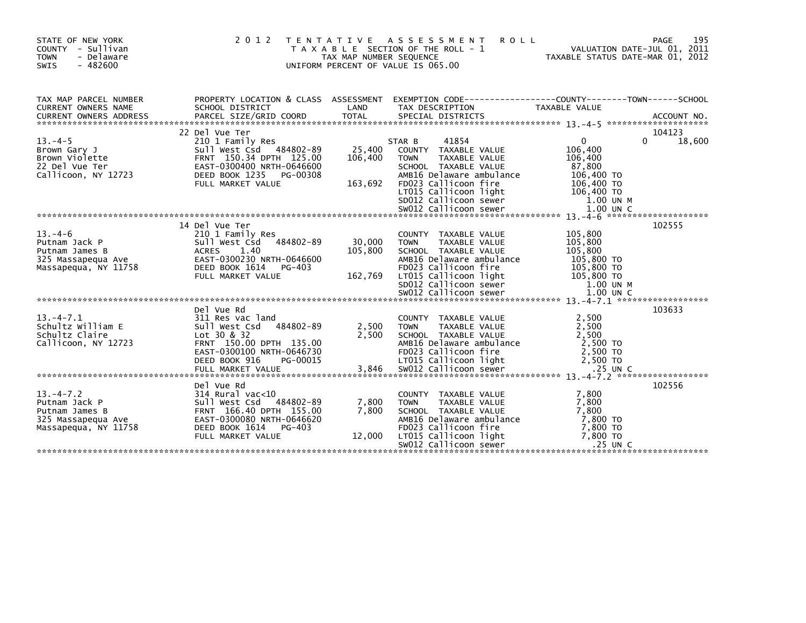| STATE OF NEW YORK<br>COUNTY - Sullivan<br><b>TOWN</b><br>- Delaware<br>$-482600$<br>SWIS                                                                                                                                                                                                                                                        |                                                                                                                                                                 | TAX MAP NUMBER SEQUENCE | 2012 TENTATIVE ASSESSMENT<br><b>ROLL</b><br>T A X A B L E SECTION OF THE ROLL - 1<br>UNIFORM PERCENT OF VALUE IS 065.00                                                                                            | VALUATION DATE-JUL 01, 2011<br>TAXABLE STATUS DATE-MAR 01, 2012         | 195<br>PAGE           |
|-------------------------------------------------------------------------------------------------------------------------------------------------------------------------------------------------------------------------------------------------------------------------------------------------------------------------------------------------|-----------------------------------------------------------------------------------------------------------------------------------------------------------------|-------------------------|--------------------------------------------------------------------------------------------------------------------------------------------------------------------------------------------------------------------|-------------------------------------------------------------------------|-----------------------|
| TAX MAP PARCEL NUMBER<br>CURRENT OWNERS NAME<br>CURRENT OWNERS ADDRESS<br>- CURRENT OWNERS ADDRESS - PARCEL SIZE/GRID COORD - TOTAL - SPECIAL DISTRICTS - AND MOLE AND ACCOUNT NO<br>- Annexation of the status of the status of the set of the set of the set of the set of the set of the set of t<br>------                                  |                                                                                                                                                                 |                         |                                                                                                                                                                                                                    |                                                                         |                       |
| $13.-4-5$<br>13.-4-5<br>Brown Gary J<br>Brown Violette<br>22 Del Vue Ter<br>111icoon NY 12723<br>Callicoon, NY 12723 DEED BOOK 1235 PG-00308<br>FULL MARKET VALUE 163,692 FOO23 Callicoon fire 106,400 TO<br>FULL MARKET VALUE 163,692 FOO23 Callicoon fire 106,400 TO<br>spoli callicoon sewer 1.00 UN M<br>*****************************      | 22 Del Vue Ter<br>210 1 Family Res<br>Sull West Csd 484802-89<br>FRNT 150.34 DPTH 125.00<br>EAST-0300400 NRTH-0646600<br>DEED BOOK 1235 PG-00308                | 25,400<br>106,400       | 41854<br>STAR B<br>COUNTY TAXABLE VALUE<br><b>TOWN</b><br>TAXABLE VALUE<br>SCHOOL TAXABLE VALUE<br>AMB16 Delaware ambulance                                                                                        | $\overline{0}$<br>106,400<br>106,400<br>87,800<br>106,400 TO            | 104123<br>18,600<br>0 |
| $13. -4 - 6$<br>Putnam Jack P<br>Putnam James B<br>325 Massapequa Ave<br>Massapequa, NY 11758<br>Massapequa, NY 11758 <b>DEED BOOK 1614</b> PG-403 <b>EDO. 2011icoon fire</b> 105,800 TO<br>FULL MARKET VALUE 162,769 LT015 Callicoon 1ight 105,800 TO<br>FULL MARKET VALUE 162,769 LT015 Callicoon 1ight 105,800 TO<br>SD012 Callicoon sewer 1 | 14 Del Vue Ter<br>210 1 Family Res<br>484802-89<br>Sull West Csd<br>ACRES 1.40<br>EAST-0300230 NRTH-0646600                                                     | 30,000<br>105,800       | COUNTY TAXABLE VALUE<br><b>TOWN</b><br>TAXABLE VALUE<br>SCHOOL TAXABLE VALUE<br>AMB16 Delaware ambulance                                                                                                           | 105,800<br>105,800<br>105,800<br>105,800 TO                             | 102555                |
| $13 - 4 - 7.1$<br>15.-4-7.1<br>Schultz William E<br>schultz Claire<br>Callicoon, NY 12723                                                                                                                                                                                                                                                       | Del Vue Rd<br>311 Res vac land<br>Sull West Csd 484802-89<br>Lot 30 & 32<br>FRNT 150.00 DPTH 135.00<br>EAST-0300100 NRTH-0646730                                | 2,500<br>2,500          | COUNTY TAXABLE VALUE<br>TOWN TAXABLE VALUE<br>SCHOOL TAXABLE VALUE<br>AMB16 Delaware ambulance<br>FD023 Callicoon fire                                                                                             | 2,500<br>2,500<br>2,500<br>2,500 TO<br>2,500 TO                         | 103633                |
| $13. -4 - 7.2$<br>13.-4-7.2<br>Putnam Jack P<br>Putnam James B<br>325 Massapequa Ave<br>Massapequa, NY 11758                                                                                                                                                                                                                                    | Del Vue Rd<br>314 Rural vac<10<br>Sull West Csd 484802-89<br>FRNT 166.40 DPTH 155.00<br>EAST-0300080 NRTH-0646620<br>DEED BOOK 1614 PG-403<br>FULL MARKET VALUE | 7,800<br>7,800          | COUNTY TAXABLE VALUE<br>TAXABLE VALUE<br><b>TOWN</b><br>SCHOOL TAXABLE VALUE<br>AMB16 Delaware ambulance<br>FD023 Callicoon fire<br>12,000 LT015 Callicoon light<br>sw012 Callicoon sewer<br>SW012 Callicoon sewer | 7,800<br>7,800<br>7,800<br>7,800 TO<br>7,800 TO<br>7,800 TO<br>.25 UN C | 102556                |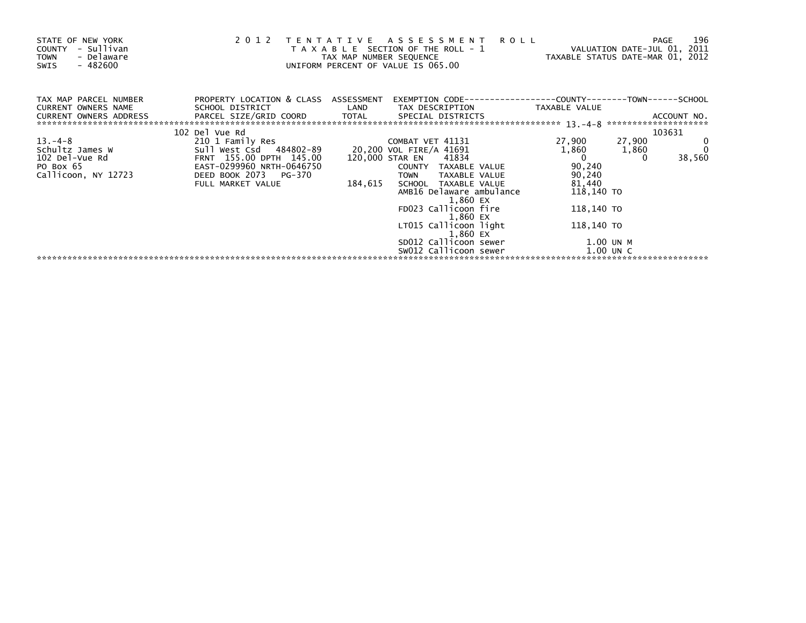| STATE OF NEW YORK<br>- Sullivan<br>COUNTY<br>- Delaware<br><b>TOWN</b><br>- 482600<br>SWIS | 2012                                                                   |         | TENTATIVE ASSESSMENT<br><b>ROLL</b><br>T A X A B L E SECTION OF THE ROLL - 1<br>TAX MAP NUMBER SEQUENCE<br>UNIFORM PERCENT OF VALUE IS 065.00 | VALUATION DATE-JUL 01, 2011<br>TAXABLE STATUS DATE-MAR 01, 2012 | PAGE            | 196    |
|--------------------------------------------------------------------------------------------|------------------------------------------------------------------------|---------|-----------------------------------------------------------------------------------------------------------------------------------------------|-----------------------------------------------------------------|-----------------|--------|
| TAX MAP PARCEL NUMBER<br>CURRENT OWNERS NAME<br><b>CURRENT OWNERS ADDRESS</b>              | PROPERTY LOCATION & CLASS ASSESSMENT<br>SCHOOL DISTRICT                | LAND    | TAX DESCRIPTION TAXABLE VALUE                                                                                                                 |                                                                 |                 |        |
|                                                                                            | 102 Del Vue Rd                                                         |         |                                                                                                                                               |                                                                 |                 | 103631 |
| $13. -4 - 8$<br>Schultz James W<br>102 Del-Vue Rd                                          | 210 1 Family Res<br>Sull West Csd 484802-89<br>FRNT 155.00 DPTH 145.00 |         | COMBAT VET 41131<br>20,200 VOL FIRE/A 41691<br>120,000 STAR EN 41834                                                                          | 27,900<br>1,860<br>$\overline{0}$                               | 27,900<br>1,860 | 38,560 |
| PO Box 65<br>Callicoon, NY 12723                                                           | EAST-0299960 NRTH-0646750<br>DEED BOOK 2073 PG-370                     |         | COUNTY TAXABLE VALUE<br>TAXABLE VALUE<br><b>TOWN</b>                                                                                          | 90,240<br>90,240                                                |                 |        |
|                                                                                            | FULL MARKET VALUE                                                      | 184,615 | SCHOOL TAXABLE VALUE<br>AMB16 Delaware ambulance                                                                                              | 81,440<br>118,140 TO                                            |                 |        |
|                                                                                            |                                                                        |         | 1,860 EX<br>FD023 Callicoon fire<br>1,860 EX                                                                                                  | 118,140 TO                                                      |                 |        |
|                                                                                            |                                                                        |         | LT015 Callicoon light<br>1,860 EX                                                                                                             | 118,140 TO                                                      |                 |        |
|                                                                                            |                                                                        |         | SD012 Callicoon sewer                                                                                                                         | 1.00 UN M                                                       |                 |        |
|                                                                                            |                                                                        |         | SW012 Callicoon sewer                                                                                                                         | $1.00$ UN C                                                     |                 |        |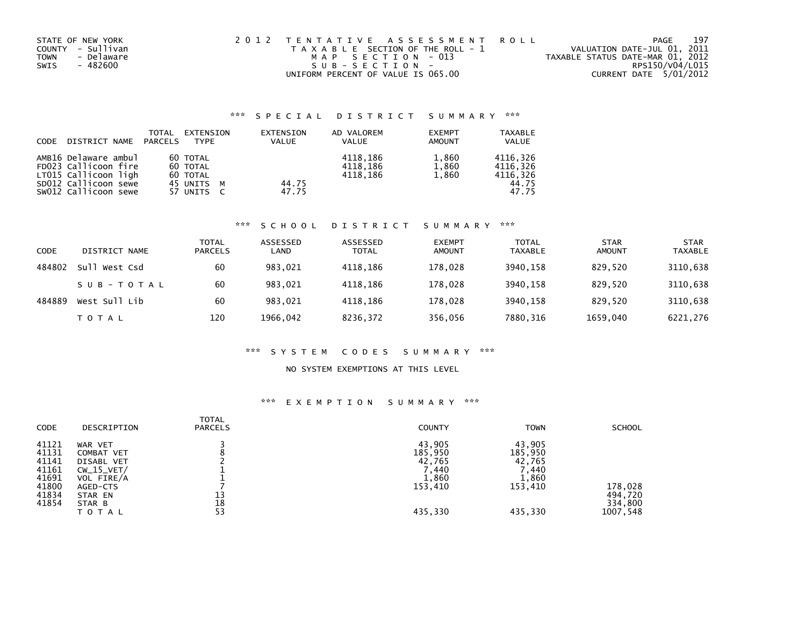| STATE OF NEW YORK  | 2012 TENTATIVE ASSESSMENT ROLL        | 197<br>PAGE                      |
|--------------------|---------------------------------------|----------------------------------|
| COUNTY - Sullivan  | T A X A B L E SECTION OF THE ROLL - 1 | VALUATION DATE-JUL 01, 2011      |
| - Delaware<br>TOWN | MAP SECTION - 013                     | TAXABLE STATUS DATE-MAR 01, 2012 |
| - 482600<br>SWIS   | SUB-SECTION-                          | RPS150/V04/L015                  |
|                    | UNIFORM PERCENT OF VALUE IS 065.00    | CURRENT DATE 5/01/2012           |

# \*\*\* S P E C I A L D I S T R I C T S U M M A R Y \*\*\*

| CODE | DISTRICT NAME                                                                                                        | TOTAL<br><b>PARCELS</b> | EXTENSION<br><b>TYPF</b>                                     | EXTENSION<br><b>VALUE</b> | AD VALOREM<br><b>VALUE</b>       | <b>EXEMPT</b><br><b>AMOUNT</b> | TAXABLE<br><b>VALUE</b>                            |
|------|----------------------------------------------------------------------------------------------------------------------|-------------------------|--------------------------------------------------------------|---------------------------|----------------------------------|--------------------------------|----------------------------------------------------|
|      | AMB16 Delaware ambul<br>FD023 Callicoon fire<br>LT015 Callicoon ligh<br>SD012 Callicoon sewe<br>SW012 Callicoon sewe |                         | 60 TOTAL<br>60 TOTAL<br>60 TOTAL<br>45 UNITS M<br>57 UNITS C | 44.75<br>47.75            | 4118,186<br>4118,186<br>4118.186 | 1,860<br>1,860<br>1,860        | 4116,326<br>4116.326<br>4116,326<br>44.75<br>47.75 |

#### \*\*\* S C H O O L D I S T R I C T S U M M A R Y \*\*\*

| CODE   | DISTRICT NAME | <b>TOTAL</b><br><b>PARCELS</b> | ASSESSED<br>LAND | ASSESSED<br><b>TOTAL</b> | <b>EXEMPT</b><br><b>AMOUNT</b> | <b>TOTAL</b><br><b>TAXABLE</b> | <b>STAR</b><br>AMOUNT | <b>STAR</b><br><b>TAXABLE</b> |
|--------|---------------|--------------------------------|------------------|--------------------------|--------------------------------|--------------------------------|-----------------------|-------------------------------|
| 484802 | Sull West Csd | 60                             | 983.021          | 4118,186                 | 178.028                        | 3940.158                       | 829.520               | 3110,638                      |
|        | SUB-TOTAL     | 60                             | 983,021          | 4118.186                 | 178,028                        | 3940.158                       | 829.520               | 3110,638                      |
| 484889 | West Sull Lib | 60                             | 983.021          | 4118.186                 | 178.028                        | 3940.158                       | 829.520               | 3110,638                      |
|        | T O T A L     | 120                            | 1966,042         | 8236,372                 | 356,056                        | 7880,316                       | 1659,040              | 6221,276                      |

### \*\*\* S Y S T E M C O D E S S U M M A R Y \*\*\*

## NO SYSTEM EXEMPTIONS AT THIS LEVEL

# \*\*\* E X E M P T I O N S U M M A R Y \*\*\*

| CODE                                                                 | DESCRIPTION                                                                                                        | TOTAL<br><b>PARCELS</b> | <b>COUNTY</b>                                                        | <b>TOWN</b>                                                         | <b>SCHOOL</b>                             |
|----------------------------------------------------------------------|--------------------------------------------------------------------------------------------------------------------|-------------------------|----------------------------------------------------------------------|---------------------------------------------------------------------|-------------------------------------------|
| 41121<br>41131<br>41141<br>41161<br>41691<br>41800<br>41834<br>41854 | WAR VET<br>COMBAT VET<br><b>DISABL VET</b><br>$CW_15_VET/$<br>VOL FIRE/A<br>AGED-CTS<br>STAR EN<br>STAR B<br>TOTAL | 13<br>18<br>53          | 43,905<br>185,950<br>42,765<br>440, '<br>1,860<br>153,410<br>435,330 | 43,905<br>185,950<br>42,765<br>7,440<br>1,860<br>153,410<br>435,330 | 178,028<br>494,720<br>334,800<br>1007,548 |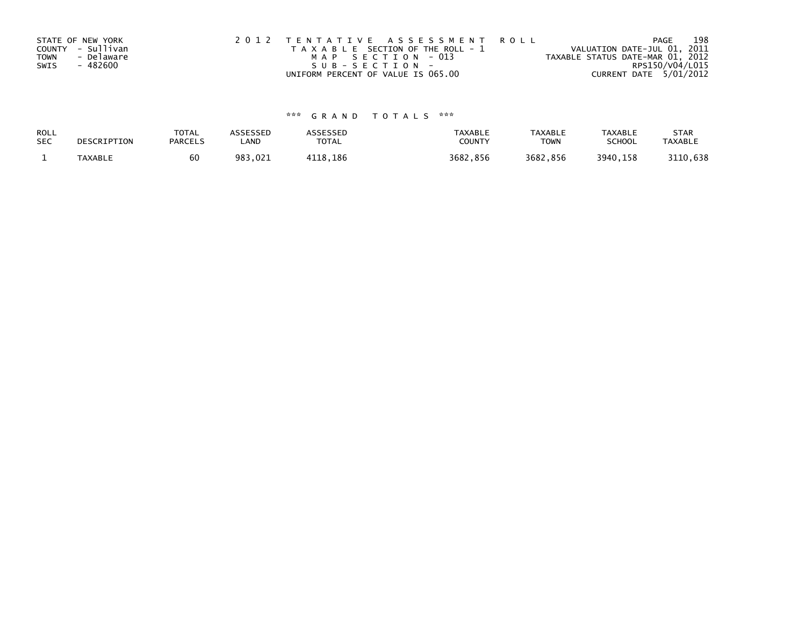|             | STATE OF NEW YORK | 2012 TENTATIVE ASSESSMENT ROLL        | 198<br>PAGE                      |
|-------------|-------------------|---------------------------------------|----------------------------------|
|             | COUNTY - Sullivan | T A X A B L E SECTION OF THE ROLL - 1 | VALUATION DATE-JUL 01, 2011      |
| <b>TOWN</b> | - Delaware        | MAP SECTION - 013                     | TAXABLE STATUS DATE-MAR 01, 2012 |
| SWIS        | - 482600          | $SUB - SECTION -$                     | RPS150/V04/L015                  |
|             |                   | UNIFORM PERCENT OF VALUE IS 065.00    | CURRENT DATE 5/01/2012           |

# \*\*\* G R A N D T O T A L S \*\*\*

| ROLL       | DESCRIPTION    | <b>TOTAL</b>   | ASSESSED | <b>ASSESSED</b> | <b>TAXABLE</b> | <b>TAXABLE</b> | TAXABLE       | <b>STAR</b>    |
|------------|----------------|----------------|----------|-----------------|----------------|----------------|---------------|----------------|
| <b>SEC</b> |                | <b>PARCELS</b> | LAND     | TOTAL           | COUNT          | TOWN           | <b>SCHOOL</b> | <b>TAXABLE</b> |
|            | <b>TAXABLE</b> |                | 983,021  | 4118.186        | 3682,856       | 3682,856       | 3940,158      | 3110,638       |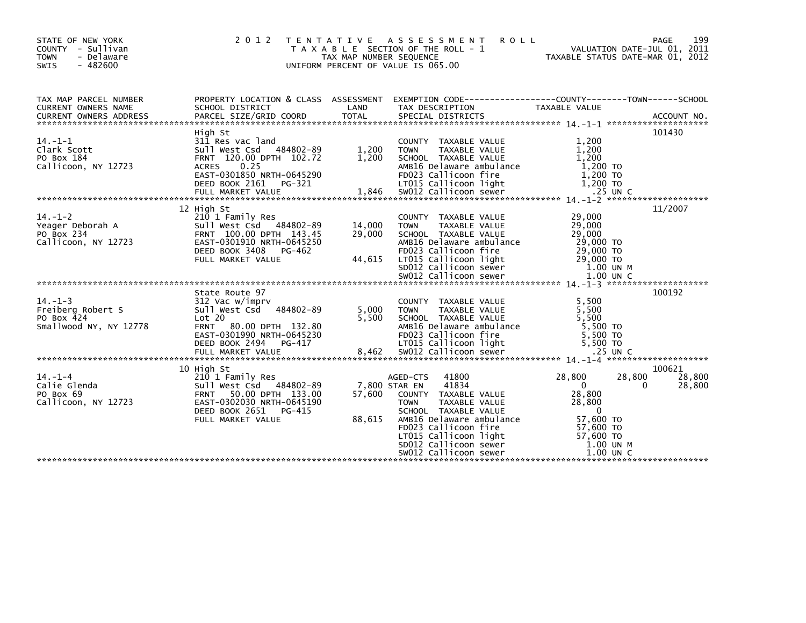| STATE OF NEW YORK<br>COUNTY - Sullivan<br>- Delaware<br><b>TOWN</b><br><b>SWIS</b><br>$-482600$ | 2 0 1 2<br>T E N T A T I V E                                                                                                                                                |                                   | A S S E S S M E N T<br><b>ROLL</b><br>T A X A B L E SECTION OF THE ROLL - 1<br>TAX MAP NUMBER SEQUENCE<br>UNIFORM PERCENT OF VALUE IS 065.00                                                                                              | VALUATION DATE-JUL 01, 2011<br>TAXABLE STATUS DATE-MAR 01, 2012                                                                                         | 199<br>PAGE                |
|-------------------------------------------------------------------------------------------------|-----------------------------------------------------------------------------------------------------------------------------------------------------------------------------|-----------------------------------|-------------------------------------------------------------------------------------------------------------------------------------------------------------------------------------------------------------------------------------------|---------------------------------------------------------------------------------------------------------------------------------------------------------|----------------------------|
| TAX MAP PARCEL NUMBER<br>CURRENT OWNERS NAME                                                    | PROPERTY LOCATION & CLASS ASSESSMENT<br>SCHOOL DISTRICT                                                                                                                     | LAND                              | TAX DESCRIPTION                                                                                                                                                                                                                           | TAXABLE VALUE                                                                                                                                           |                            |
| $14. -1 - 1$<br>Clark Scott<br>PO Box 184<br>Callicoon, NY 12723                                | High St<br>311 Res vac land<br>Sull West Csd 484802-89<br>FRNT 120.00 DPTH 102.72<br>0.25<br><b>ACRES</b><br>EAST-0301850 NRTH-0645290<br>DEED BOOK 2161 PG-321             | 1,200<br>1,200                    | COUNTY TAXABLE VALUE<br>TAXABLE VALUE<br><b>TOWN</b><br>SCHOOL TAXABLE VALUE<br>AMB16 Delaware ambulance<br>FD023 Callicoon fire<br>LT015 Callicoon light                                                                                 | 1,200<br>1,200<br>1,200<br>1,200 TO<br>1,200 TO<br>1,200 TO                                                                                             | 101430                     |
| $14. - 1 - 2$<br>Yeager Deborah A<br>PO Box 234<br>Callicoon, NY 12723                          | 12 High St<br>210 1 Family Res<br>Sull West Csd 484802-89<br>FRNT 100.00 DPTH 143.45<br>EAST-0301910 NRTH-0645250<br>DEED BOOK 3408<br>PG-462<br>FULL MARKET VALUE          | 14,000<br>29,000<br>44,615        | COUNTY TAXABLE VALUE<br>TAXABLE VALUE<br><b>TOWN</b><br>SCHOOL TAXABLE VALUE<br>AMB16 Delaware ambulance<br>FD023 Callicoon fire<br>LT015 Callicoon light<br>SD012 Callicoon sewer                                                        | 29,000<br>29,000<br>29,000<br>29,000 TO<br>29,000 TO<br>29,000 TO<br>1.00 UN M                                                                          | 11/2007                    |
| $14. - 1 - 3$<br>Freiberg Robert S<br>PO Box 424<br>Smallwood NY, NY 12778                      | State Route 97<br>312 Vac w/imprv<br>Sull West Csd 484802-89<br>Lot 20<br>80.00 DPTH 132.80<br><b>FRNT</b><br>EAST-0301990 NRTH-0645230<br>DEED BOOK 2494 PG-417            | 5,000<br>5.500                    | COUNTY TAXABLE VALUE<br>TAXABLE VALUE<br><b>TOWN</b><br>SCHOOL TAXABLE VALUE<br>AMB16 Delaware ambulance<br>FD023 Callicoon fire<br>LT015 Callicoon light                                                                                 | 5,500<br>5,500<br>5.500<br>5,500 TO<br>5.500 TO<br>5,500 TO                                                                                             | 100192                     |
| $14. - 1 - 4$<br>Calie Glenda<br>PO Box 69<br>Callicoon, NY 12723                               | 10 High St<br>210 1 Family Res<br>Sull West Csd 484802-89<br>50.00 DPTH 133.00<br><b>FRNT</b><br>EAST-0302030 NRTH-0645190<br>DEED BOOK 2651<br>PG-415<br>FULL MARKET VALUE | 7,800 STAR EN<br>57,600<br>88,615 | 41800<br>AGED-CTS<br>41834<br>COUNTY TAXABLE VALUE<br>TAXABLE VALUE<br><b>TOWN</b><br>SCHOOL TAXABLE VALUE<br>AMB16 Delaware ambulance<br>FD023 Callicoon fire<br>LT015 Callicoon light<br>SD012 Callicoon sewer<br>SW012 Callicoon sewer | 28,800<br>28,800<br>$\overline{0}$<br>$\Omega$<br>28,800<br>28,800<br>$\overline{0}$<br>57,600 TO<br>57,600 TO<br>57,600 TO<br>1.00 UN M<br>$1.00$ UN C | 100621<br>28,800<br>28,800 |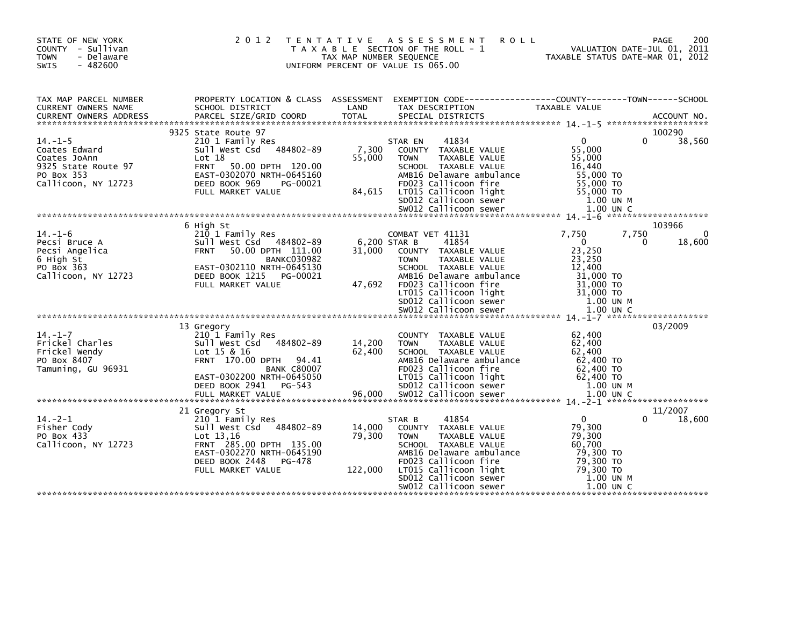| STATE OF NEW YORK<br>COUNTY - Sullivan<br>- Delaware<br><b>TOWN</b><br>$-482600$<br>SWIS                  | 2 0 1 2                                                                                                                                                                                         | TAX MAP NUMBER SEQUENCE | TENTATIVE ASSESSMENT<br>T A X A B L E SECTION OF THE ROLL - 1<br>UNIFORM PERCENT OF VALUE IS 065.00                                                                                                                                    | 200<br><b>ROLL</b><br>PAGE<br>VALUATION DATE-JUL UI, 2011<br>TAXABLE STATUS DATE-MAR 01, 2012                                                                          |
|-----------------------------------------------------------------------------------------------------------|-------------------------------------------------------------------------------------------------------------------------------------------------------------------------------------------------|-------------------------|----------------------------------------------------------------------------------------------------------------------------------------------------------------------------------------------------------------------------------------|------------------------------------------------------------------------------------------------------------------------------------------------------------------------|
| TAX MAP PARCEL NUMBER<br>CURRENT OWNERS NAME                                                              | SCHOOL DISTRICT                                                                                                                                                                                 | LAND                    | TAX DESCRIPTION                                                                                                                                                                                                                        | PROPERTY LOCATION & CLASS ASSESSMENT EXEMPTION CODE---------------COUNTY-------TOWN------SCHOOL<br>SCHOOL DISTRICT (AND TAX DESCRIPTION TAXABLE VALUE<br>TAXABLE VALUE |
| $14. -1 - 5$<br>Coates Edward<br>Coates JoAnn<br>9325 State Route 97<br>PO Box 353<br>Callicoon, NY 12723 | 9325 State Route 97<br>210 1 Family Res<br>Sull West Csd 484802-89<br>Lot 18<br>FRNT 50.00 DPTH 120.00<br>EAST-0302070 NRTH-0645160<br>DEED BOOK 969<br>PG-00021                                | 7,300<br>55,000         | 41834<br>STAR EN<br>COUNTY TAXABLE VALUE<br>TAXABLE VALUE<br><b>TOWN</b><br>SCHOOL TAXABLE VALUE<br>AMB16 Delaware ambulance<br>FD023 Callicoon fire                                                                                   | 100290<br>38,560<br>$\mathbf{0}$<br>0<br>55,000<br>55,000<br>16,440<br>55,000 TO<br>55,000 TO                                                                          |
|                                                                                                           |                                                                                                                                                                                                 |                         |                                                                                                                                                                                                                                        |                                                                                                                                                                        |
| $14. - 1 - 6$<br>Pecsi Bruce A<br>Pecsi Angelica<br>6 High St<br>PO Box 363<br>Callicoon, NY 12723        | 6 High St<br>210 1 Family Res<br>Sull West Csd 484802-89<br>50.00 DPTH 111.00<br><b>FRNT</b><br><b>BANKC030982</b><br>EAST-0302110 NRTH-0645130<br>DEED BOOK 1215 PG-00021<br>FULL MARKET VALUE | 31,000<br>47,692        | COMBAT VET 41131<br>6,200 STAR B<br>41854<br>COUNTY TAXABLE VALUE<br><b>TOWN</b><br><b>TAXABLE VALUE</b><br>SCHOOL TAXABLE VALUE<br>AMB16 Delaware ambulance<br>FD023 Callicoon fire                                                   | 103966<br>7,750<br>7,750<br>$\overline{0}$<br>18,600<br>$\Omega$<br>23,250<br>23,250<br>12,400<br>31,000 TO<br>31,000 TO                                               |
| $14. - 1 - 7$<br>Frickel Charles<br>Frickel Wendy<br>PO Box 8407<br>Tamuning, GU 96931                    | 13 Gregory<br>210 1 Family Res<br>Sull West Csd 484802-89<br>Lot 15 & 16<br>FRNT 170.00 DPTH 94.41<br><b>BANK C80007</b>                                                                        | 14,200<br>62,400        | COUNTY TAXABLE VALUE<br>TAXABLE VALUE<br><b>TOWN</b><br>SCHOOL TAXABLE VALUE<br>AMB16 Delaware ambulance<br>FD023 Callicoon fire                                                                                                       | 03/2009<br>62,400<br>62,400<br>62,400<br>62,400 TO<br>62,400 TO                                                                                                        |
| $14. -2 - 1$<br>Fisher Cody<br>PO Box 433<br>Callicoon, NY 12723                                          | 21 Gregory St<br>210 1 Family Res<br>Sull West Csd 484802-89<br>Lot $13,16$<br>FRNT 285.00 DPTH 135.00<br>EAST-0302270 NRTH-0645190<br>DEED BOOK 2448<br>PG-478<br>FULL MARKET VALUE            | 14,000<br>79,300        | 41854<br>STAR B<br>COUNTY TAXABLE VALUE<br>TAXABLE VALUE<br><b>TOWN</b><br>SCHOOL TAXABLE VALUE<br>AMB16 Delaware ambulance<br>FD023 Callicoon fire<br>122,000 LT015 Callicoon light<br>SD012 Callicoon sewer<br>SW012 Callicoon sewer | 11/2007<br>18,600<br>$\mathbf{0}$<br>79,300<br>79,300<br>60,700<br>79,300 TO<br>79,300 TO<br>79,300 TO<br>1.00 UN M<br>$1.00$ UN C                                     |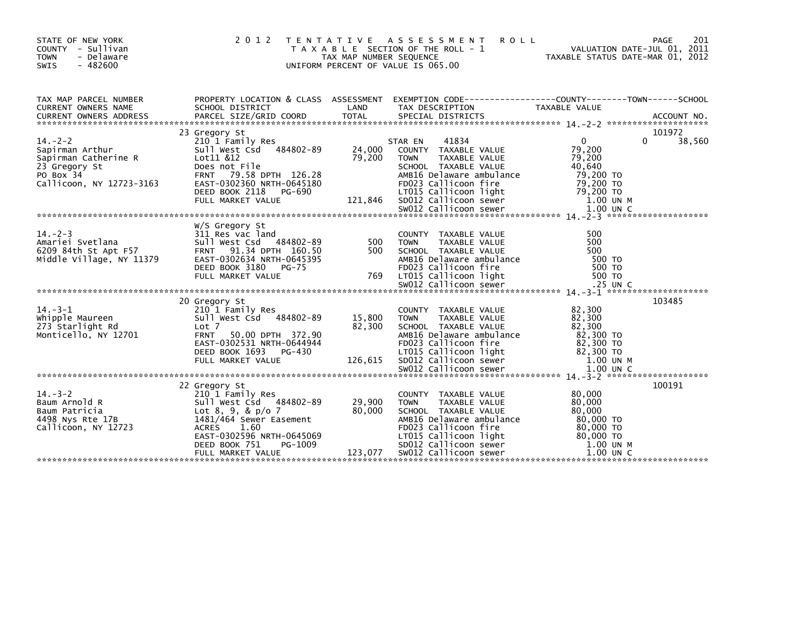| STATE OF NEW YORK<br>COUNTY - Sullivan<br><b>TOWN</b><br>- Delaware<br><b>SWIS</b><br>- 482600                                                                                                                                                         |                | TAX MAP NUMBER SEQUENCE | 2012 TENTATIVE ASSESSMENT<br>T A X A B L E SECTION OF THE ROLL - 1<br>UNIFORM PERCENT OF VALUE IS 065.00 | M E N T R O L L<br>ROLL - 1 VALUATION DATE-JUL 01, 2011<br>TAXABLE STATUS DATE-MAR 01, 2012<br>OO |        |
|--------------------------------------------------------------------------------------------------------------------------------------------------------------------------------------------------------------------------------------------------------|----------------|-------------------------|----------------------------------------------------------------------------------------------------------|---------------------------------------------------------------------------------------------------|--------|
| TAX MAP PARCEL NUMBER PROPERTY LOCATION & CLASS ASSESSMENT EXEMPTION CODE----------------COUNTY--------TOWN-----SCHOOL CURRENT OWNERS NAME SCHOOL DISTRICT LAND TAX DESCRIPTION TAXABLE VALUE<br>CURRENT OWNERS ADDRESS PARCEL SI                      |                |                         |                                                                                                          |                                                                                                   |        |
| 14.-2-2<br>14.-2-2<br>23 Gregory St<br>Sapirman Arthur<br>Sapirman Arthur Sull West Call & 484802-89<br>24,000 COUNTY TAXABLE VALUE<br>23 Gregory St<br>23 Gregory St<br>23 Gregory St<br>23 Gregory St<br>23 Gregory St<br>23 Gregory St<br>23 Gregor |                |                         |                                                                                                          |                                                                                                   |        |
| W/S Gregory St<br>311 Res vac land<br>Amariei Svetlana and Sull Nest Csd 484802-89 500 TOWN TAXABLE VALUE<br>6209 84th St Apt F57 FRNT 91.34 DPTH 160.50 500 SCHOOL TAXABLE VALUE<br>Middle Village, NY 11379 EAST-0302634 NRTH-064539                 | W/S Gregory St |                         |                                                                                                          |                                                                                                   |        |
| 20 Gregory States (NAMELE VALUE Whipple Maureen<br>273 Starlight Rd 2010 I Family Res 2100 1 Family Res 2100 1 Family Res 2100 273 Starlight Rd 2017<br>273 Starlight Rd 2017 50.00 DPTH 372.90 82,300 SCHOOL TAXABLE VALUE 82,300                     | 20 Gregory St  |                         |                                                                                                          |                                                                                                   | 103485 |
|                                                                                                                                                                                                                                                        | 22 Gregory St  |                         |                                                                                                          |                                                                                                   | 100191 |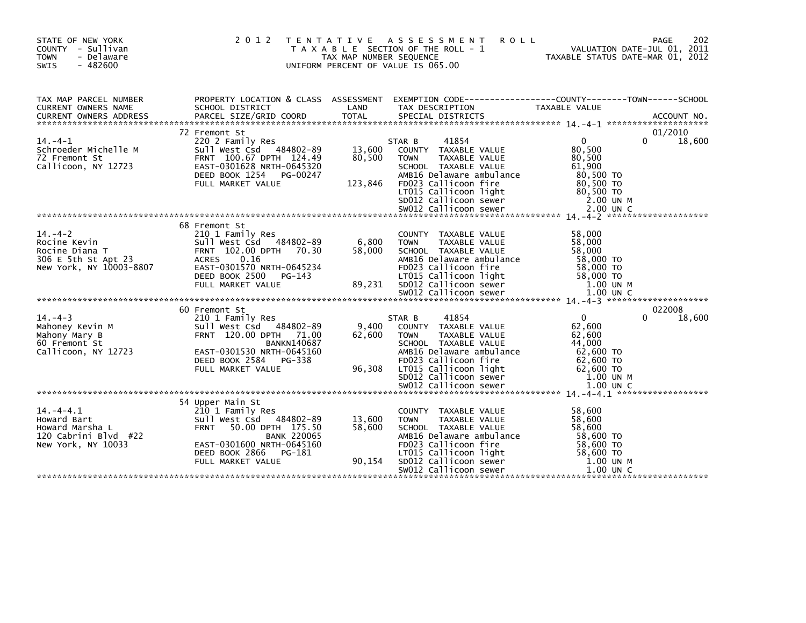| STATE OF NEW YORK<br>COUNTY - Sullivan<br><b>TOWN</b><br>- Delaware<br>SWIS<br>$-482600$         | 2012 TENTATIVE                                                                                                                                                                                          | TAX MAP NUMBER SEQUENCE     | A S S E S S M E N T<br><b>ROLL</b><br>T A X A B L E SECTION OF THE ROLL - 1<br>UNIFORM PERCENT OF VALUE IS 065.00                                                                                            | 202<br>PAGE<br>VALUATION DATE-JUL 01, 2011<br>TAXABLE STATUS DATE-MAR 01, 2012                                         |
|--------------------------------------------------------------------------------------------------|---------------------------------------------------------------------------------------------------------------------------------------------------------------------------------------------------------|-----------------------------|--------------------------------------------------------------------------------------------------------------------------------------------------------------------------------------------------------------|------------------------------------------------------------------------------------------------------------------------|
| TAX MAP PARCEL NUMBER<br>CURRENT OWNERS NAME                                                     | PROPERTY LOCATION & CLASS ASSESSMENT<br>SCHOOL DISTRICT                                                                                                                                                 | LAND                        | TAX DESCRIPTION                                                                                                                                                                                              | EXEMPTION CODE-----------------COUNTY-------TOWN------SCHOOL<br><b>TAXABLE VALUE</b>                                   |
| $14. -4 - 1$<br>Schroeder Michelle M<br>72 Fremont St<br>Callicoon, NY 12723                     | 72 Fremont St<br>220 2 Family Res<br>Sull West Csd 484802-89<br>FRNT 100.67 DPTH 124.49<br>EAST-0301628 NRTH-0645320<br>DEED BOOK 1254 PG-00247<br>FULL MARKET VALUE                                    | 13,600<br>80,500<br>123,846 | STAR B<br>41854<br>COUNTY TAXABLE VALUE<br><b>TAXABLE VALUE</b><br><b>TOWN</b><br>SCHOOL TAXABLE VALUE<br>AMB16 Delaware ambulance<br>FD023 Callicoon fire<br>LT015 Callicoon light<br>SD012 Callicoon sewer | 01/2010<br>$\Omega$<br>18,600<br>0<br>80,500<br>80,500<br>61,900<br>80,500 TO<br>80,500 TO<br>80,500 TO<br>2.00 UN M   |
| $14. -4 - 2$<br>Rocine Kevin<br>Rocine Diana T<br>306 E 5th St Apt 23<br>New York, NY 10003-8807 | 68 Fremont St<br>210 1 Family Res<br>Sull West Csd 484802-89<br>FRNT 102.00 DPTH 70.30<br><b>ACRES</b><br>0.16<br>EAST-0301570 NRTH-0645234<br>DEED BOOK 2500<br>PG-143<br>FULL MARKET VALUE            | 6,800<br>58,000<br>89,231   | COUNTY TAXABLE VALUE<br>TAXABLE VALUE<br><b>TOWN</b><br>SCHOOL TAXABLE VALUE<br>AMB16 Delaware ambulance<br>FD023 Callicoon fire<br>LT015 Callicoon light<br>SD012 Callicoon sewer<br>SW012 Callicoon sewer  | 58,000<br>58,000<br>58,000<br>58,000 TO<br>58,000 TO<br>58,000 TO<br>1.00 UN M<br>1.00 UN C                            |
| $14. -4 - 3$<br>Mahoney Kevin M<br>Mahony Mary B<br>60 Fremont St<br>Callicoon, NY 12723         | 60 Fremont St<br>210 1 Family Res<br>Sull West Csd 484802-89<br>FRNT 120.00 DPTH 71.00<br><b>BANKN140687</b><br>EAST-0301530 NRTH-0645160<br>DEED BOOK 2584 PG-338<br>FULL MARKET VALUE                 | 9.400<br>62,600<br>96,308   | 41854<br>STAR B<br>COUNTY TAXABLE VALUE<br><b>TOWN</b><br><b>TAXABLE VALUE</b><br>SCHOOL TAXABLE VALUE<br>AMB16 Delaware ambulance<br>FD023 Callicoon fire<br>LT015 Callicoon light<br>SD012 Callicoon sewer | 022008<br>18,600<br>$\mathbf 0$<br>0<br>62,600<br>62,600<br>44,000<br>62,600 TO<br>62,600 TO<br>62,600 TO<br>1.00 UN M |
| $14. -4 - 4.1$<br>Howard Bart<br>Howard Marsha L<br>120 Cabrini Blvd #22<br>New York, NY 10033   | 54 Upper Main St<br>210 1 Family Res<br>Sull West Csd 484802-89<br>50.00 DPTH 175.50<br><b>FRNT</b><br><b>BANK 220065</b><br>EAST-0301600 NRTH-0645160<br>DEED BOOK 2866<br>PG-181<br>FULL MARKET VALUE | 13,600<br>58,600<br>90,154  | COUNTY TAXABLE VALUE<br><b>TOWN</b><br>TAXABLE VALUE<br>SCHOOL TAXABLE VALUE<br>AMB16 Delaware ambulance<br>FD023 Callicoon fire<br>LT015 Callicoon light<br>SD012 Callicoon sewer<br>SW012 Callicoon sewer  | 58,600<br>58,600<br>58,600<br>58,600 TO<br>58,600 TO<br>58,600 TO<br>1.00 UN M<br>$1.00$ UN C                          |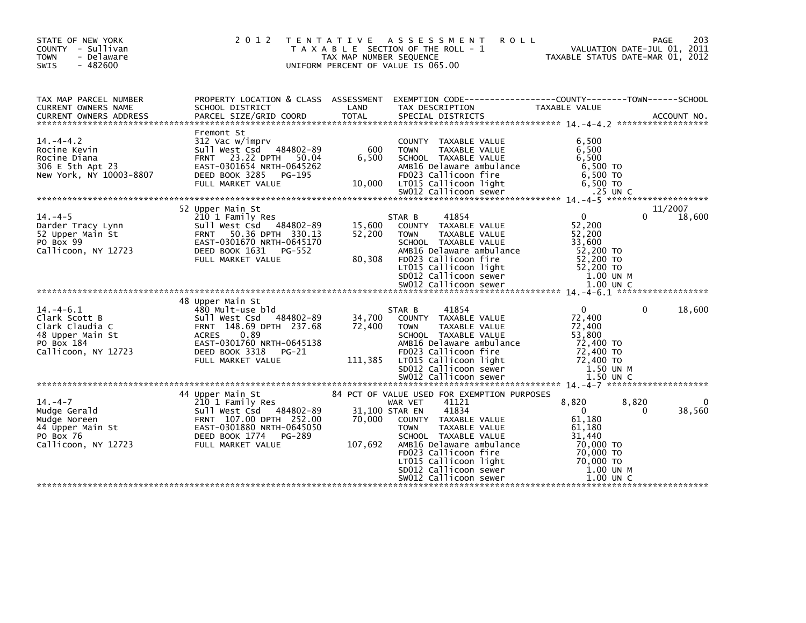| STATE OF NEW YORK<br>COUNTY - Sullivan<br><b>TOWN</b><br>- Delaware<br>$-482600$<br>SWIS                                   | 2012 TENTATIVE                                                                                                                                                                                                                                   | TAX MAP NUMBER SEQUENCE              | ASSESSMENT<br>T A X A B L E SECTION OF THE ROLL - 1<br>UNIFORM PERCENT OF VALUE IS 065.00                                                                                                                                                                                                                        | <b>ROLL</b><br>TAXABLE STATUS DATE-MAR 01, 2012                                                                            | PAGE<br>VALUATION DATE-JUL 01, 2011 | 203                         |
|----------------------------------------------------------------------------------------------------------------------------|--------------------------------------------------------------------------------------------------------------------------------------------------------------------------------------------------------------------------------------------------|--------------------------------------|------------------------------------------------------------------------------------------------------------------------------------------------------------------------------------------------------------------------------------------------------------------------------------------------------------------|----------------------------------------------------------------------------------------------------------------------------|-------------------------------------|-----------------------------|
| TAX MAP PARCEL NUMBER<br>CURRENT OWNERS NAME                                                                               | PROPERTY LOCATION & CLASS ASSESSMENT EXEMPTION CODE----------------COUNTY-------TOWN------SCHOOL<br>SCHOOL DISTRICT                                                                                                                              | LAND                                 | TAX DESCRIPTION                                                                                                                                                                                                                                                                                                  | TAXABLE VALUE                                                                                                              |                                     |                             |
| $14. -4 - 4.2$<br>Rocine Kevin<br>Rocine Diana<br>306 E 5th Apt 23<br>New York, NY 10003-8807                              | Fremont St<br>312 Vac w/imprv<br>Sull West Csd 484802-89<br>FRNT 23.22 DPTH 50.04<br>EAST-0301654 NRTH-0645262<br>DEED BOOK 3285<br>PG-195<br>FULL MARKET VALUE                                                                                  | 600<br>6,500<br>10,000               | COUNTY TAXABLE VALUE<br>TAXABLE VALUE<br><b>TOWN</b><br>SCHOOL TAXABLE VALUE<br>AMB16 Delaware ambulance<br>FD023 Callicoon fire<br>LT015 Callicoon light                                                                                                                                                        | 6,500<br>6,500<br>6,500<br>6,500 TO<br>6,500 то<br>6,500 то                                                                |                                     |                             |
|                                                                                                                            |                                                                                                                                                                                                                                                  |                                      |                                                                                                                                                                                                                                                                                                                  |                                                                                                                            |                                     |                             |
| $14. -4-5$<br>Darder Tracy Lynn<br>52 Upper Main St<br>PO Box 99<br>Callicoon, NY 12723<br>$14. -4 - 6.1$<br>Clark Scott B | 52 Upper Main St<br>210 1 Family Res<br>484802-89<br>Sull West Csd<br>FRNT 50.36 DPTH 330.13<br>EAST-0301670 NRTH-0645170<br>DEED BOOK 1631<br>PG-552<br>FULL MARKET VALUE<br>48 Upper Main St<br>480 Mult-use bld<br>Sull West Csd<br>484802-89 | 15,600<br>52,200<br>80,308<br>34,700 | 41854<br>STAR B<br>COUNTY TAXABLE VALUE<br><b>TOWN</b><br><b>TAXABLE VALUE</b><br>SCHOOL TAXABLE VALUE<br>AMB16 Delaware ambulance<br>FD023 Callicoon fire<br>LT015 Callicoon light<br>SD012 Callicoon sewer<br>41854<br>STAR B<br>COUNTY TAXABLE VALUE                                                          | $\mathbf{0}$<br>52,200<br>52,200<br>33.600<br>52,200 TO<br>52,200 TO<br>52,200 TO<br>1.00 UN M<br>$\overline{0}$<br>72,400 | 0<br>$\Omega$                       | 11/2007<br>18,600<br>18,600 |
| Clark Claudia C<br>48 Upper Main St<br>PO Box 184<br>Callicoon, NY 12723                                                   | FRNT 148.69 DPTH 237.68<br>0.89<br>ACRES<br>EAST-0301760 NRTH-0645138<br>DEED BOOK 3318<br>PG-21<br>FULL MARKET VALUE                                                                                                                            | 72,400<br>111,385                    | <b>TOWN</b><br>TAXABLE VALUE<br>SCHOOL TAXABLE VALUE<br>AMB16 Delaware ambulance<br>FD023 Callicoon fire<br>LT015 Callicoon light<br>SD012 Callicoon sewer                                                                                                                                                       | 72,400<br>53,800<br>72,400 TO<br>72,400 TO<br>72,400 TO<br>1.50 UN M                                                       |                                     |                             |
| $14. -4 - 7$<br>Mudge Gerald<br>Mudge Noreen<br>44 Upper Main St<br>PO Box 76<br>Callicoon, NY 12723                       | 44 Upper Main St<br>210 1 Family Res<br>Sull West Csd 484802-89<br>FRNT 107.00 DPTH 252.00<br>EAST-0301880 NRTH-0645050<br>DEED BOOK 1774<br>PG-289<br>FULL MARKET VALUE                                                                         | 70,000<br>107,692                    | 84 PCT OF VALUE USED FOR EXEMPTION PURPOSES<br>41121<br>WAR VET<br>41834<br>31,100 STAR EN<br>COUNTY TAXABLE VALUE<br><b>TOWN</b><br><b>TAXABLE VALUE</b><br>SCHOOL TAXABLE VALUE<br>AMB16 Delaware ambulance<br>FD023 Callicoon fire<br>LT015 Callicoon light<br>SD012 Callicoon sewer<br>SW012 Callicoon sewer | 8,820<br>$\mathbf 0$<br>61,180<br>61,180<br>31.440<br>70,000 TO<br>70,000 TO<br>70,000 TO<br>1.00 UN M<br>1.00 UN C        | 8,820<br>$\Omega$                   | 38,560                      |
|                                                                                                                            |                                                                                                                                                                                                                                                  |                                      |                                                                                                                                                                                                                                                                                                                  |                                                                                                                            |                                     |                             |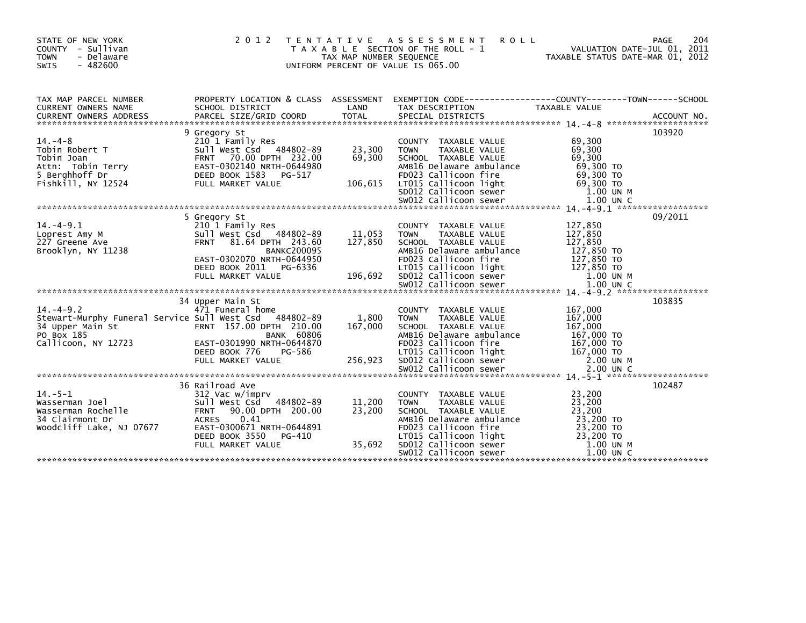| STATE OF NEW YORK<br>COUNTY - Sullivan<br>- Delaware<br><b>TOWN</b><br>$-482600$<br><b>SWIS</b>                                                                                                                                                            | 2 0 1 2                                                                                                                                                                                                 | T E N T A T I V E<br>TAX MAP NUMBER SEQUENCE<br>UNIFORM PERCENT OF VALUE IS 065.00 | A S S E S S M E N T<br><b>ROLL</b><br>T A X A B L E SECTION OF THE ROLL - 1                                                                                                                                        | VALUATION DATE-JUL 01, 2011<br>TAXABLE STATUS DATE-MAR 01, 2012                                   | 204<br><b>PAGE</b> |
|------------------------------------------------------------------------------------------------------------------------------------------------------------------------------------------------------------------------------------------------------------|---------------------------------------------------------------------------------------------------------------------------------------------------------------------------------------------------------|------------------------------------------------------------------------------------|--------------------------------------------------------------------------------------------------------------------------------------------------------------------------------------------------------------------|---------------------------------------------------------------------------------------------------|--------------------|
| TAX MAP PARCEL NUMBER<br>CURRENT OWNERS NAME<br>CURRENT OWNERS ADDRESS FORCEL SIZE/GRID COORD TOTAL SPECIAL DISTRICTS (2008) ACCOUNT NO.<br>EURRENT OWNERS ADDRESS PARCEL SIZE/GRID COORD TOTAL SPECIAL DISTRICTS (2008) 2014-0-8 ************************ | SCHOOL DISTRICT                                                                                                                                                                                         | LAND                                                                               | PROPERTY LOCATION & CLASS ASSESSMENT EXEMPTION CODE----------------COUNTY--------TOWN------SCHOOL<br>TAX DESCRIPTION                                                                                               | TAXABLE VALUE                                                                                     |                    |
| $14. -4 - 8$<br>Tobin Robert T<br>Tobin Joan<br>Attn: Tobin Terry<br>5 Berghhoff Dr                                                                                                                                                                        | 9 Gregory St<br>210 1 Family Res<br>Sull West Csd 484802-89<br>FRNT 70.00 DPTH 232.00<br>EAST-0302140 NRTH-0644980<br>DEED BOOK 1583<br>PG-517                                                          | 23,300<br>69,300                                                                   | COUNTY TAXABLE VALUE<br><b>TOWN</b><br><b>TAXABLE VALUE</b><br>SCHOOL TAXABLE VALUE<br>AMB16 Delaware ambulance<br>FD023 Callicoon fire                                                                            | 69,300<br>69,300<br>69,300<br>69,300 TO<br>69,300 TO                                              | 103920             |
| $14. -4 - 9.1$<br>Loprest Amy M<br>227 Greene Ave<br>Brooklyn, NY 11238                                                                                                                                                                                    | 5 Gregory St<br>210 1 Family Res<br>Sull West Csd 484802-89<br>81.64 DPTH 243.60<br><b>FRNT</b><br><b>BANKC200095</b><br>EAST-0302070 NRTH-0644950<br>DEED BOOK 2011 PG-6336<br>FULL MARKET VALUE       | 11,053<br>127,850<br>196,692                                                       | COUNTY TAXABLE VALUE<br>TAXABLE VALUE<br><b>TOWN</b><br>SCHOOL TAXABLE VALUE<br>AMB16 Delaware ambulance<br>FD023 Callicoon fire<br>LT015 Callicoon light<br>SD012 Callicoon sewer<br>SW012 Callicoon sewer        | 127,850<br>127,850<br>127,850<br>127,850 TO<br>127,850 TO<br>127,850 TO<br>1.00 UN M<br>1.00 UN C | 09/2011            |
| $14. -4 - 9.2$<br>Stewart-Murphy Funeral Service Sull West Csd 484802-89<br>34 Upper Main St<br>PO Box 185<br>Callicoon, NY 12723                                                                                                                          | 34 Upper Main St<br>471 Funeral home<br>FRNT 157.00 DPTH 210.00<br><b>BANK 60806</b><br>EAST-0301990 NRTH-0644870<br>DEED BOOK 776<br>PG-586<br>FULL MARKET VALUE                                       | 1,800<br>167,000<br>256,923                                                        | <b>COUNTY</b><br>TAXABLE VALUE<br><b>TAXABLE VALUE</b><br><b>TOWN</b><br>SCHOOL TAXABLE VALUE<br>AMB16 Delaware ambulance<br>FD023 Callicoon fire<br>LT015 Callicoon light<br>SD012 Callicoon sewer                | 167,000<br>167,000<br>167,000<br>167,000 TO<br>167,000 TO<br>167,000 TO<br>2.00 UN M              | 103835             |
| $14. - 5 - 1$<br>Wasserman Joel<br>Wasserman Rochelle<br>34 Clairmont Dr<br>Woodcliff Lake, NJ 07677                                                                                                                                                       | 36 Railroad Ave<br>312 Vac w/imprv<br>Sull West Csd 484802-89<br>90.00 DPTH 200.00<br><b>FRNT</b><br><b>ACRES</b><br>0.41<br>EAST-0300671 NRTH-0644891<br>DEED BOOK 3550<br>PG-410<br>FULL MARKET VALUE | 11,200<br>23,200<br>35.692                                                         | COUNTY TAXABLE VALUE<br><b>TAXABLE VALUE</b><br><b>TOWN</b><br>SCHOOL TAXABLE VALUE<br>AMB16 Delaware ambulance<br>FD023 Callicoon fire<br>LT015 Callicoon light<br>SD012 Callicoon sewer<br>SW012 Callicoon sewer | 23,200<br>23,200<br>23,200<br>23,200 TO<br>23,200 TO<br>23,200 TO<br>1.00 UN M<br>$1.00$ UN C     | 102487             |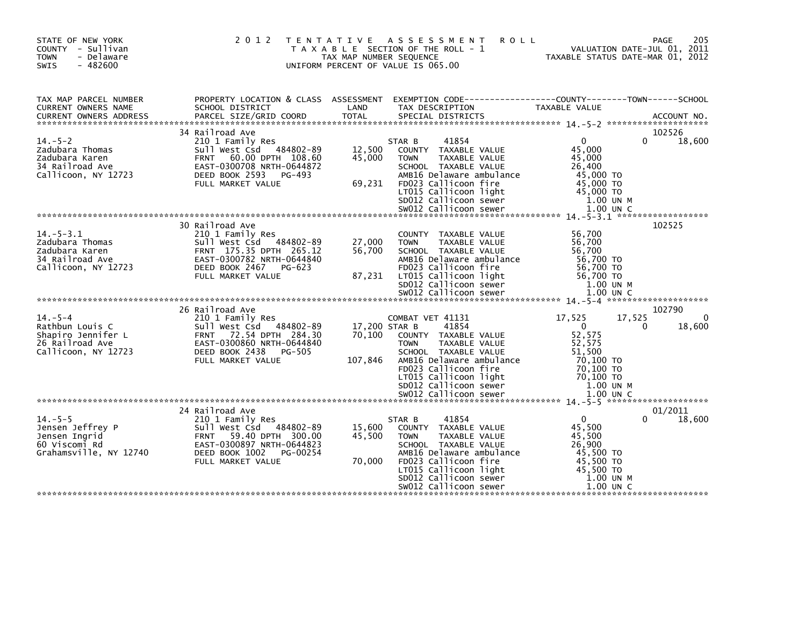| STATE OF NEW YORK<br>COUNTY - Sullivan<br><b>TOWN</b><br>- Delaware<br>$-482600$<br><b>SWIS</b>  |                                                                                                                                                                                    | TAX MAP NUMBER SEQUENCE            | 2012 TENTATIVE ASSESSMENT<br>T A X A B L E SECTION OF THE ROLL - 1<br>UNIFORM PERCENT OF VALUE IS 065.00                                                                                                                       | <b>ROLL</b><br>TAXABLE STATUS DATE-MAR 01, 2012                                                                    | 205<br><b>PAGE</b><br>VALUATION DATE-JUL 01, 2011 |
|--------------------------------------------------------------------------------------------------|------------------------------------------------------------------------------------------------------------------------------------------------------------------------------------|------------------------------------|--------------------------------------------------------------------------------------------------------------------------------------------------------------------------------------------------------------------------------|--------------------------------------------------------------------------------------------------------------------|---------------------------------------------------|
| TAX MAP PARCEL NUMBER<br>CURRENT OWNERS NAME                                                     | PROPERTY LOCATION & CLASS ASSESSMENT<br>SCHOOL DISTRICT                                                                                                                            | LAND                               | TAX DESCRIPTION                                                                                                                                                                                                                | EXEMPTION CODE-----------------COUNTY-------TOWN------SCHOOL<br>TAXABLE VALUE                                      |                                                   |
|                                                                                                  | 34 Railroad Ave                                                                                                                                                                    |                                    |                                                                                                                                                                                                                                |                                                                                                                    | 102526                                            |
| $14. - 5 - 2$<br>Zadubara Thomas<br>Zadubara Karen<br>34 Railroad Ave<br>Callicoon, NY 12723     | 210 1 Family Res<br>Sull West Csd 484802-89<br>60.00 DPTH 108.60<br><b>FRNT</b><br>EAST-0300708 NRTH-0644872<br>DEED BOOK 2593 PG-493                                              | 12,500<br>45,000                   | 41854<br>STAR B<br>COUNTY TAXABLE VALUE<br>TAXABLE VALUE<br><b>TOWN</b><br>SCHOOL TAXABLE VALUE<br>AMB16 Delaware ambulance                                                                                                    | $\mathbf{0}$<br>45,000<br>45,000<br>26,400<br>45,000 TO                                                            | 18,600<br>0                                       |
|                                                                                                  | FULL MARKET VALUE                                                                                                                                                                  | 69,231                             | FD023 Callicoon fire<br>LT015 Callicoon light<br>SD012 Callicoon sewer                                                                                                                                                         | 45,000 TO<br>45,000 TO<br>1.00 UN M                                                                                |                                                   |
|                                                                                                  |                                                                                                                                                                                    |                                    |                                                                                                                                                                                                                                |                                                                                                                    |                                                   |
| $14. - 5 - 3.1$<br>Zadubara Thomas<br>Zadubara Karen<br>34 Railroad Ave<br>Callicoon, NY 12723   | 30 Railroad Ave<br>210 1 Family Res<br>Sull West Csd 484802-89<br>FRNT 175.35 DPTH 265.12<br>EAST-0300782 NRTH-0644840<br>DEED BOOK 2467 PG-623<br>FULL MARKET VALUE               | 27,000<br>56,700<br>87,231         | COUNTY TAXABLE VALUE<br><b>TOWN</b><br><b>TAXABLE VALUE</b><br>SCHOOL TAXABLE VALUE<br>AMB16 Delaware ambulance<br>FD023 Callicoon fire<br>LT015 Callicoon light<br>SD012 Callicoon sewer                                      | 56,700<br>56,700<br>56,700<br>56,700 TO<br>56,700 TO<br>56,700 TO<br>$1.00$ UN M                                   | 102525                                            |
|                                                                                                  |                                                                                                                                                                                    |                                    |                                                                                                                                                                                                                                |                                                                                                                    |                                                   |
| $14. - 5 - 4$<br>Rathbun Louis C<br>Shapiro Jennifer L<br>26 Railroad Ave<br>Callicoon, NY 12723 | 26 Railroad Ave<br>210 1 Family Res<br>Sull West Csd 484802-89<br>FRNT 72.54 DPTH 284.30<br>EAST-0300860 NRTH-0644840<br>DEED BOOK 2438<br>PG-505<br>FULL MARKET VALUE             | 17,200 STAR B<br>70,100<br>107,846 | COMBAT VET 41131<br>41854<br>COUNTY TAXABLE VALUE<br><b>TOWN</b><br>TAXABLE VALUE<br>SCHOOL TAXABLE VALUE<br>AMB16 Delaware ambulance<br>FD023 Callicoon fire<br>LT015 Callicoon light<br>SD012 Callicoon sewer                | 17,525<br>17,525<br>$\mathbf{0}$<br>52,575<br>52,575<br>51,500<br>70,100 TO<br>70,100 TO<br>70,100 TO<br>1.00 UN M | 102790<br>0<br>18,600<br>0                        |
|                                                                                                  |                                                                                                                                                                                    |                                    |                                                                                                                                                                                                                                |                                                                                                                    |                                                   |
| $14. - 5 - 5$<br>Jensen Jeffrey P<br>Jensen Ingrid<br>60 Viscomi Rd<br>Grahamsville, NY 12740    | 24 Railroad Ave<br>210 1 Family Res<br>Sull West Csd 484802-89<br><b>FRNT</b><br>59.40 DPTH 300.00<br>EAST-0300897 NRTH-0644823<br>DEED BOOK 1002<br>PG-00254<br>FULL MARKET VALUE | 15,600<br>45,500<br>70,000         | 41854<br>STAR B<br>COUNTY TAXABLE VALUE<br>TAXABLE VALUE<br><b>TOWN</b><br>SCHOOL TAXABLE VALUE<br>AMB16 Delaware ambulance<br>FD023 Callicoon fire<br>LT015 Callicoon light<br>SD012 Callicoon sewer<br>SW012 Callicoon sewer | $\Omega$<br>45,500<br>45,500<br>26,900<br>45,500 TO<br>45,500 TO<br>45,500 TO<br>1.00 UN M<br>1.00 UN C            | 01/2011<br>18,600<br>0                            |
|                                                                                                  |                                                                                                                                                                                    |                                    |                                                                                                                                                                                                                                |                                                                                                                    |                                                   |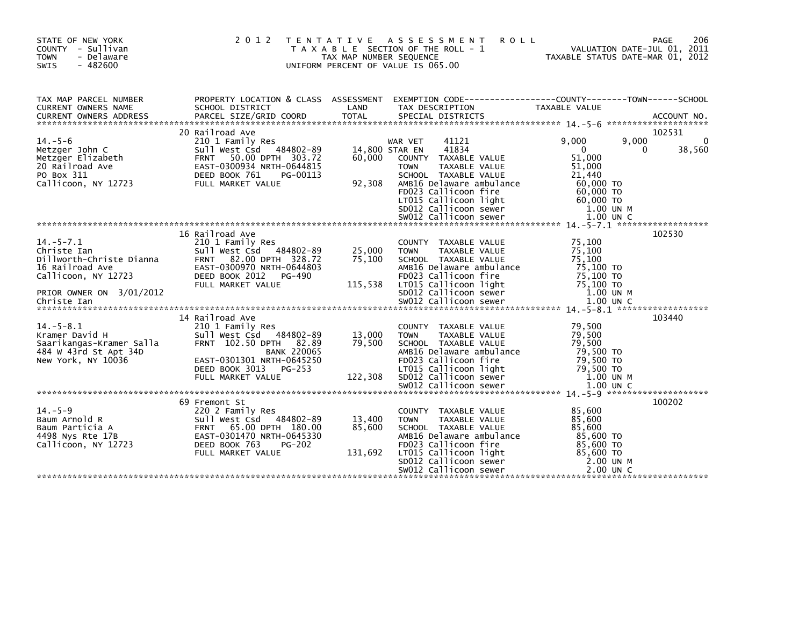| STATE OF NEW YORK<br>COUNTY - Sullivan<br><b>TOWN</b><br>- Delaware<br>$-482600$<br>SWIS                                         |                                                                                                                                                                                                 | TAX MAP NUMBER SEQUENCE     | 2012 TENTATIVE ASSESSMENT<br><b>ROLL</b><br>T A X A B L E SECTION OF THE ROLL - 1<br>UNIFORM PERCENT OF VALUE IS 065.00                                                                                     | VALUATION DATE-JUL 01, 2011<br>TAXABLE STATUS DATE-MAR 01, 2012                             | 206<br>PAGE                |
|----------------------------------------------------------------------------------------------------------------------------------|-------------------------------------------------------------------------------------------------------------------------------------------------------------------------------------------------|-----------------------------|-------------------------------------------------------------------------------------------------------------------------------------------------------------------------------------------------------------|---------------------------------------------------------------------------------------------|----------------------------|
| TAX MAP PARCEL NUMBER<br>CURRENT OWNERS NAME                                                                                     | SCHOOL DISTRICT                                                                                                                                                                                 | LAND                        | PROPERTY LOCATION & CLASS ASSESSMENT EXEMPTION CODE----------------COUNTY-------TOWN-----SCHOOL<br>TAX DESCRIPTION                                                                                          | TAXABLE VALUE                                                                               |                            |
| $14. - 5 - 6$<br>Metzger John C<br>Metzger Elizabeth                                                                             | 20 Railroad Ave<br>210 1 Family Res<br>Sull West Csd 484802-89<br>FRNT 50.00 DPTH 303.72                                                                                                        | 60,000                      | 41121<br>WAR VET<br>41834<br>14,800 STAR EN<br>COUNTY TAXABLE VALUE                                                                                                                                         | 9,000<br>9,000<br>$\mathbf{0}$<br>51,000                                                    | 102531<br>0<br>38,560<br>0 |
| 20 Railroad Ave<br>PO Box 311<br>Callicoon, NY 12723                                                                             | EAST-0300934 NRTH-0644815<br>DEED BOOK 761<br>PG-00113<br>FULL MARKET VALUE                                                                                                                     | 92,308                      | <b>TOWN</b><br>TAXABLE VALUE<br>SCHOOL TAXABLE VALUE<br>AMB16 Delaware ambulance<br>FD023 Callicoon fire<br>LT015 Callicoon light<br>SD012 Callicoon sewer<br>SW012 Callicoon sewer                         | 51,000<br>21.440<br>60,000 TO<br>$60,000$ TO<br>60,000 TO<br>1.00 UN M<br>1.00 UN C         |                            |
|                                                                                                                                  | 16 Railroad Ave                                                                                                                                                                                 |                             |                                                                                                                                                                                                             |                                                                                             | 102530                     |
| $14. - 5 - 7.1$<br>Christe Ian<br>Dillworth-Christe Dianna<br>16 Railroad Ave<br>Callicoon. NY 12723<br>PRIOR OWNER ON 3/01/2012 | 210 1 Family Res<br>Sull West Csd<br>484802-89<br>FRNT 82.00 DPTH 328.72<br>EAST-0300970 NRTH-0644803<br>DEED BOOK 2012<br>$PG-490$<br>FULL MARKET VALUE                                        | 25,000<br>75,100<br>115,538 | COUNTY TAXABLE VALUE<br>TAXABLE VALUE<br><b>TOWN</b><br>SCHOOL TAXABLE VALUE<br>AMB16 Delaware ambulance<br>FD023 Callicoon fire<br>LT015 Callicoon light<br>SD012 Callicoon sewer                          | 75,100<br>75,100<br>75,100<br>75,100 TO<br>75.100 TO<br>75,100 TO<br>1.00 UN M              |                            |
|                                                                                                                                  |                                                                                                                                                                                                 |                             |                                                                                                                                                                                                             |                                                                                             |                            |
| $14. - 5 - 8.1$<br>Kramer David H<br>Saarikangas-Kramer Salla<br>484 W 43rd St Apt 34D<br>New York, NY 10036                     | 14 Railroad Ave<br>210 1 Family Res<br>Sull West Csd<br>484802-89<br>FRNT 102.50 DPTH 82.89<br><b>BANK 220065</b><br>EAST-0301301 NRTH-0645250<br>DEED BOOK 3013<br>PG-253<br>FULL MARKET VALUE | 13,000<br>79,500<br>122.308 | COUNTY TAXABLE VALUE<br><b>TOWN</b><br>TAXABLE VALUE<br>SCHOOL TAXABLE VALUE<br>AMB16 Delaware ambulance<br>FD023 Callicoon fire<br>LT015 Callicoon light<br>SD012 Callicoon sewer                          | 79,500<br>79,500<br>79,500<br>79,500 TO<br>79,500 TO<br>79.500 TO<br>1.00 UN M              | 103440                     |
|                                                                                                                                  |                                                                                                                                                                                                 |                             |                                                                                                                                                                                                             |                                                                                             |                            |
| $14. - 5 - 9$<br>Baum Arnold R<br>Baum Particia A<br>4498 Nys Rte 17B<br>Callicoon, NY 12723                                     | 69 Fremont St<br>220 2 Family Res<br>Sull West Csd 484802-89<br><b>FRNT</b><br>65.00 DPTH 180.00<br>EAST-0301470 NRTH-0645330<br>DEED BOOK 763<br>PG-202<br>FULL MARKET VALUE                   | 13,400<br>85,600<br>131,692 | COUNTY TAXABLE VALUE<br>TAXABLE VALUE<br><b>TOWN</b><br>SCHOOL TAXABLE VALUE<br>AMB16 Delaware ambulance<br>FD023 Callicoon fire<br>LT015 Callicoon light<br>SD012 Callicoon sewer<br>SW012 Callicoon sewer | 85,600<br>85,600<br>85,600<br>85,600 TO<br>85,600 TO<br>85,600 TO<br>2.00 UN M<br>2.00 UN C | 100202                     |
|                                                                                                                                  |                                                                                                                                                                                                 |                             |                                                                                                                                                                                                             |                                                                                             |                            |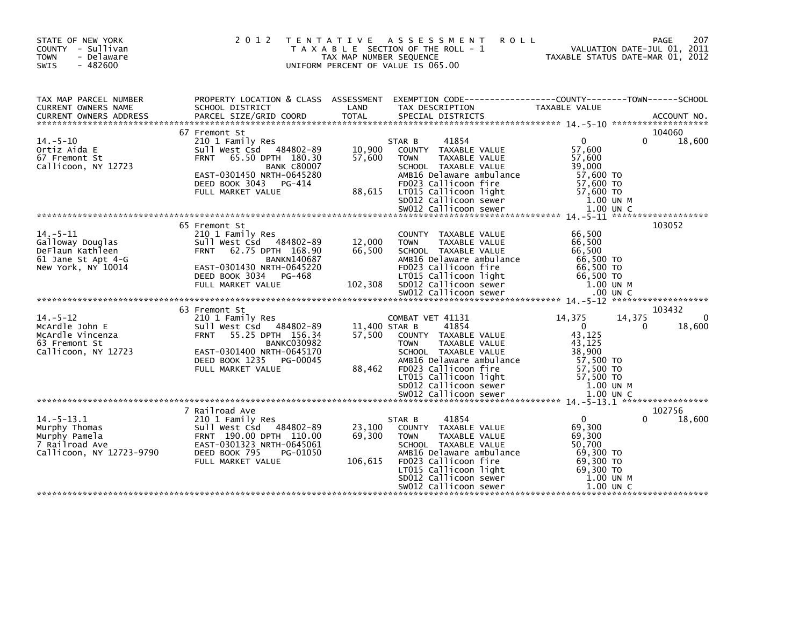| STATE OF NEW YORK<br>COUNTY - Sullivan<br><b>TOWN</b><br>- Delaware<br>$-482600$<br><b>SWIS</b> | 2 0 1 2                                                                                               | T E N T A T I V E<br>TAX MAP NUMBER SEQUENCE | A S S E S S M E N T<br>T A X A B L E SECTION OF THE ROLL - 1<br>UNIFORM PERCENT OF VALUE IS 065.00              | <b>ROLL</b>                                   | 207<br>PAGE<br>VALUATION DATE-JUL 01, 2011<br>TAXABLE STATUS DATE-MAR 01, 2012 |
|-------------------------------------------------------------------------------------------------|-------------------------------------------------------------------------------------------------------|----------------------------------------------|-----------------------------------------------------------------------------------------------------------------|-----------------------------------------------|--------------------------------------------------------------------------------|
| TAX MAP PARCEL NUMBER<br>CURRENT OWNERS NAME                                                    | PROPERTY LOCATION & CLASS ASSESSMENT<br>SCHOOL DISTRICT                                               | LAND                                         | EXEMPTION CODE-----------------COUNTY-------TOWN------SCHOOL<br>TAX DESCRIPTION                                 | <b>TAXABLE VALUE</b>                          |                                                                                |
|                                                                                                 |                                                                                                       |                                              |                                                                                                                 |                                               |                                                                                |
| $14. - 5 - 10$<br>Ortiz Aida E<br>67 Fremont St                                                 | 67 Fremont St<br>210 1 Family Res<br>Sull West Csd 484802-89<br><b>FRNT</b><br>65.50 DPTH 180.30      | 10,900<br>57,600                             | 41854<br>STAR B<br>COUNTY TAXABLE VALUE<br><b>TAXABLE VALUE</b><br><b>TOWN</b>                                  | $\mathbf{0}$<br>57,600<br>57,600              | 104060<br>0<br>18,600                                                          |
| Callicoon, NY 12723                                                                             | <b>BANK C80007</b><br>EAST-0301450 NRTH-0645280<br>DEED BOOK 3043<br>PG-414<br>FULL MARKET VALUE      | 88,615                                       | SCHOOL TAXABLE VALUE<br>AMB16 Delaware ambulance<br>FD023 Callicoon fire<br>LT015 Callicoon light               | 39,000<br>57,600 TO<br>57,600 TO<br>57,600 TO |                                                                                |
|                                                                                                 |                                                                                                       |                                              | SD012 Callicoon sewer                                                                                           |                                               | 1.00 UN M                                                                      |
|                                                                                                 |                                                                                                       |                                              |                                                                                                                 |                                               |                                                                                |
|                                                                                                 | 65 Fremont St                                                                                         |                                              |                                                                                                                 |                                               | 103052                                                                         |
| $14. - 5 - 11$<br>Galloway Douglas<br>DeFlaun Kathleen<br>61 Jane St Apt 4-G                    | 210 1 Family Res<br>Sull West Csd 484802-89<br>62.75 DPTH 168.90<br><b>FRNT</b><br><b>BANKN140687</b> | 12,000<br>66,500                             | COUNTY TAXABLE VALUE<br><b>TOWN</b><br><b>TAXABLE VALUE</b><br>SCHOOL TAXABLE VALUE<br>AMB16 Delaware ambulance | 66,500<br>66,500<br>66,500<br>66,500 TO       |                                                                                |
| New York, NY 10014                                                                              | EAST-0301430 NRTH-0645220<br>DEED BOOK 3034<br>PG-468<br>FULL MARKET VALUE                            | 102,308                                      | FD023 Callicoon fire<br>LT015 Callicoon light<br>SD012 Callicoon sewer                                          | 66,500 то<br>66.500 TO                        | 1.00 UN M                                                                      |
|                                                                                                 |                                                                                                       |                                              |                                                                                                                 |                                               |                                                                                |
|                                                                                                 | 63 Fremont St                                                                                         |                                              |                                                                                                                 |                                               | 103432                                                                         |
| $14. - 5 - 12$<br>McArdle John E                                                                | 210 1 Family Res<br>Sull West Csd 484802-89                                                           | 11,400 STAR B                                | COMBAT VET 41131<br>41854                                                                                       | 14,375<br>$\Omega$                            | 0<br>14,375<br>18,600<br>0                                                     |
| McArdle Vincenza                                                                                | <b>FRNT</b><br>55.25 DPTH 156.34                                                                      | 57,500                                       | COUNTY TAXABLE VALUE                                                                                            | 43,125                                        |                                                                                |
| 63 Fremont St                                                                                   | <b>BANKC030982</b>                                                                                    |                                              | <b>TOWN</b><br><b>TAXABLE VALUE</b>                                                                             | 43,125                                        |                                                                                |
| Callicoon, NY 12723                                                                             | EAST-0301400 NRTH-0645170                                                                             |                                              | SCHOOL TAXABLE VALUE                                                                                            | 38,900                                        |                                                                                |
|                                                                                                 | DEED BOOK 1235<br>PG-00045<br>FULL MARKET VALUE                                                       | 88,462                                       | AMB16 Delaware ambulance<br>FD023 Callicoon fire                                                                | 57,500 TO<br>57,500 TO                        |                                                                                |
|                                                                                                 |                                                                                                       |                                              | LT015 Callicoon light                                                                                           | 57,500 TO                                     |                                                                                |
|                                                                                                 |                                                                                                       |                                              | SD012 Callicoon sewer                                                                                           |                                               | 1.00 UN M                                                                      |
|                                                                                                 |                                                                                                       |                                              | SW012 Callicoon sewer                                                                                           |                                               | $1.00$ UN C                                                                    |
|                                                                                                 | 7 Railroad Ave                                                                                        |                                              |                                                                                                                 |                                               | 102756                                                                         |
| $14. - 5 - 13.1$                                                                                | 210 1 Family Res                                                                                      |                                              | 41854<br>STAR B                                                                                                 | $\Omega$                                      | 18,600<br>$\Omega$                                                             |
| Murphy Thomas                                                                                   | Sull West Csd 484802-89                                                                               | 23,100                                       | COUNTY TAXABLE VALUE                                                                                            | 69,300                                        |                                                                                |
| Murphy Pamela<br>7 Railroad Ave                                                                 | FRNT 190.00 DPTH 110.00<br>EAST-0301323 NRTH-0645061                                                  | 69.300                                       | <b>TOWN</b><br><b>TAXABLE VALUE</b><br>SCHOOL TAXABLE VALUE                                                     | 69,300<br>50,700                              |                                                                                |
| Callicoon, NY 12723-9790                                                                        | DEED BOOK 795<br>PG-01050                                                                             |                                              | AMB16 Delaware ambulance                                                                                        | 69,300 TO                                     |                                                                                |
|                                                                                                 | FULL MARKET VALUE                                                                                     | 106,615                                      | FD023 Callicoon fire                                                                                            | 69,300 TO                                     |                                                                                |
|                                                                                                 |                                                                                                       |                                              | LT015 Callicoon light<br>SD012 Callicoon sewer                                                                  | 69,300 TO                                     |                                                                                |
|                                                                                                 |                                                                                                       |                                              | SW012 Callicoon sewer                                                                                           |                                               | 1.00 UN M<br>$1.00$ UN C                                                       |
|                                                                                                 |                                                                                                       |                                              |                                                                                                                 |                                               |                                                                                |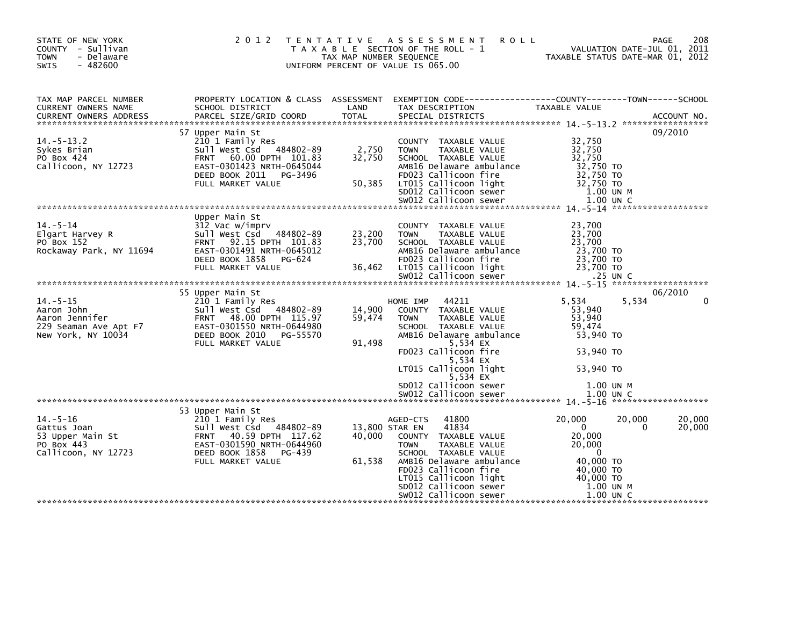| STATE OF NEW YORK<br>COUNTY - Sullivan<br>- Delaware<br><b>TOWN</b><br>$-482600$<br>SWIS | 2 0 1 2                                                                                                                                                               | TAX MAP NUMBER SEQUENCE             | TENTATIVE ASSESSMENT<br><b>ROLL</b><br>T A X A B L E SECTION OF THE ROLL - 1<br>UNIFORM PERCENT OF VALUE IS 065.00                                                                                                                                                                                 |                                                                                                                                   | 208<br><b>PAGE</b><br>VALUATION DATE-JUL 01, 2011<br>TAXABLE STATUS DATE-MAR 01, 2012 |
|------------------------------------------------------------------------------------------|-----------------------------------------------------------------------------------------------------------------------------------------------------------------------|-------------------------------------|----------------------------------------------------------------------------------------------------------------------------------------------------------------------------------------------------------------------------------------------------------------------------------------------------|-----------------------------------------------------------------------------------------------------------------------------------|---------------------------------------------------------------------------------------|
| TAX MAP PARCEL NUMBER<br>CURRENT OWNERS NAME                                             | SCHOOL DISTRICT                                                                                                                                                       | LAND                                | PROPERTY LOCATION & CLASS ASSESSMENT EXEMPTION CODE---------------COUNTY-------TOWN------SCHOOL<br>TAX DESCRIPTION                                                                                                                                                                                 | TAXABLE VALUE                                                                                                                     |                                                                                       |
| $14.-5-13.2$<br>Sykes Brian<br>PO Box 424<br>Callicoon, NY 12723                         | 57 Upper Main St<br>210 1 Family Res<br>Sull West Csd 484802-89<br>FRNT 60.00 DPTH 101.83<br>EAST-0301423 NRTH-0645044<br>DEED BOOK 2011 PG-3496<br>FULL MARKET VALUE | 2,750<br>32.750<br>32,750<br>50,385 | COUNTY TAXABLE VALUE<br>TAXABLE VALUE<br><b>TOWN</b><br>SCHOOL TAXABLE VALUE<br>AMB16 Delaware ambulance<br>FD023 Callicoon fire<br>LT015 Callicoon light<br>SD012 Callicoon sewer                                                                                                                 | 32,750<br>32,750<br>32,750<br>32,750 TO<br>32,750 TO<br>32,750 TO<br>1.00 UN M                                                    | 09/2010                                                                               |
|                                                                                          |                                                                                                                                                                       |                                     |                                                                                                                                                                                                                                                                                                    |                                                                                                                                   |                                                                                       |
| $14. - 5 - 14$<br>Elgart Harvey R<br>PO Box 152<br>Rockaway Park, NY 11694               | Upper Main St<br>312 Vac w/imprv<br>Sull West Csd 484802-89<br>FRNT 92.15 DPTH 101.83<br>EAST-0301491 NRTH-0645012<br>DEED BOOK 1858<br>PG-624                        | 23,200<br>23,700                    | COUNTY TAXABLE VALUE<br><b>TOWN</b><br>TAXABLE VALUE<br>SCHOOL TAXABLE VALUE<br>AMB16 Delaware ambulance<br>FD023 Callicoon fire<br>36,462 LT015 Callicoon light                                                                                                                                   | 23,700<br>23,700<br>23,700<br>23,700 TO<br>23,700 TO                                                                              |                                                                                       |
|                                                                                          |                                                                                                                                                                       |                                     |                                                                                                                                                                                                                                                                                                    |                                                                                                                                   |                                                                                       |
|                                                                                          | 55 Upper Main St                                                                                                                                                      |                                     |                                                                                                                                                                                                                                                                                                    |                                                                                                                                   | 06/2010                                                                               |
| $14. - 5 - 15$<br>New York, NY 10034                                                     | 210 1 Family Res<br>Sull West Csd 484802-89<br>DEED BOOK 2010 PG-55570<br>FULL MARKET VALUE                                                                           | 14,900<br>59,474<br>91,498          | 44211<br>HOME IMP<br>COUNTY TAXABLE VALUE<br>TAXABLE VALUE<br><b>TOWN</b><br>SCHOOL TAXABLE VALUE<br>AMB16 Delaware ambulance<br>5,534 EX<br>FD023 Callicoon fire                                                                                                                                  | 5,534<br>53,940<br>53,940<br>59.474<br>53,940 TO<br>53,940 TO                                                                     | 5,534<br>$\Omega$                                                                     |
|                                                                                          |                                                                                                                                                                       |                                     | 5,534 EX<br>LT015 Callicoon light                                                                                                                                                                                                                                                                  | 53,940 TO                                                                                                                         |                                                                                       |
|                                                                                          |                                                                                                                                                                       |                                     | 5,534 EX<br>SD012 Callicoon sewer                                                                                                                                                                                                                                                                  | 1.00 UN M                                                                                                                         |                                                                                       |
|                                                                                          | 53 Upper Main St                                                                                                                                                      |                                     |                                                                                                                                                                                                                                                                                                    |                                                                                                                                   |                                                                                       |
| $14. - 5 - 16$<br>Gattus Joan<br>53 Upper Main St<br>PO Box 443<br>Callicoon, NY 12723   | 210 1 Family Res<br>Sull West Csd   484802-89<br>FRNT   40.59 DPTH  117.62<br>EAST-0301590 NRTH-0644960<br>DEED BOOK 1858 PG-439<br>FULL MARKET VALUE                 | 13,800 STAR EN<br>61,538            | 41800<br>AGED-CTS<br>41834<br>40,000 COUNTY TAXABLE VALUE<br>TAXABLE VALUE<br><b>TOWN</b><br>SCHOOL TAXABLE VALUE<br>AMB16 Delaware ambulance<br>FD023 Callicoon fire<br>LT015 Callicoon light<br>LTO15 Callicoon light<br>SDO12 Callicoon sewer<br>SWO12 Callicoon sewer<br>SW012 Callicoon sewer | 20,000<br>$\overline{0}$<br>20,000<br>20,000<br>$\overline{0}$<br>40,000 TO<br>40,000 TO<br>40,000 TO<br>1.00 UN M<br>$1.00$ UN C | 20,000<br>20,000<br>20,000<br>0                                                       |
|                                                                                          |                                                                                                                                                                       |                                     |                                                                                                                                                                                                                                                                                                    |                                                                                                                                   |                                                                                       |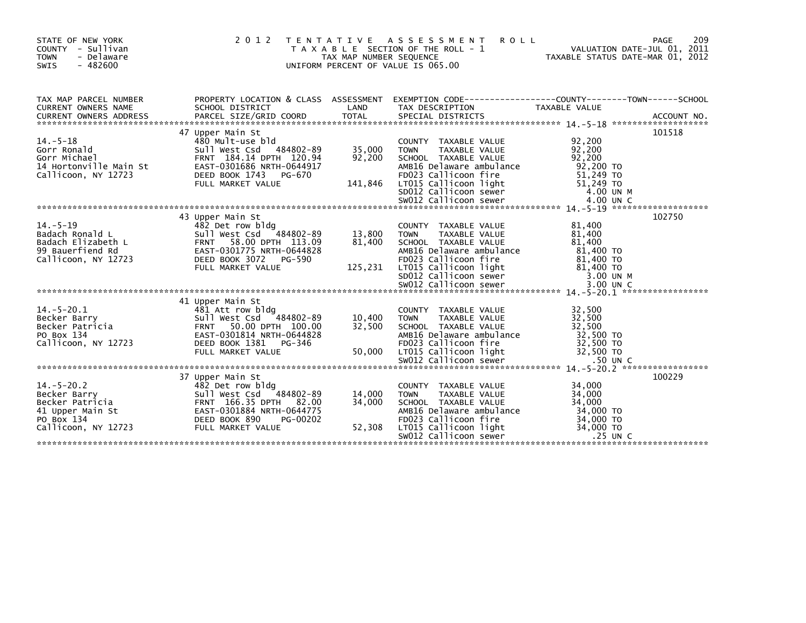| STATE OF NEW YORK<br>COUNTY - Sullivan<br><b>TOWN</b><br>- Delaware<br>$-482600$<br><b>SWIS</b>                                                                                                                                                                                                                                                                                                                                  | 2 0 1 2<br>T E N T A T I V E                            | TAX MAP NUMBER SEQUENCE    | A S S E S S M E N T<br><b>ROLL</b><br>T A X A B L E SECTION OF THE ROLL - 1<br>UNIFORM PERCENT OF VALUE IS 065.00                                                                                        | VALUATION DATE-JUL 01, 2011<br>TAXABLE STATUS DATE-MAR 01, 2012 | 209<br><b>PAGE</b> |
|----------------------------------------------------------------------------------------------------------------------------------------------------------------------------------------------------------------------------------------------------------------------------------------------------------------------------------------------------------------------------------------------------------------------------------|---------------------------------------------------------|----------------------------|----------------------------------------------------------------------------------------------------------------------------------------------------------------------------------------------------------|-----------------------------------------------------------------|--------------------|
| TAX MAP PARCEL NUMBER<br>CURRENT OWNERS NAME                                                                                                                                                                                                                                                                                                                                                                                     |                                                         | LAND                       | PROPERTY LOCATION & CLASS ASSESSMENT EXEMPTION CODE----------------COUNTY-------TOWN------SCHOOL                                                                                                         | TAXABLE VALUE                                                   |                    |
|                                                                                                                                                                                                                                                                                                                                                                                                                                  | 47 Upper Main St                                        |                            |                                                                                                                                                                                                          |                                                                 | 101518             |
| 480 Mult-use bld<br>Gorr Ronald<br>Gorr Michael<br>14 Hortonville Main St<br>14 Hortonville Main St<br>20.94<br>Callicoon, NY 12723<br>20.94<br>DEED BOOK 1743<br>2011100011, N1 12723<br>FULL MARKET VALUE 141,846 LTOIS Callicoon light 51,249 TO<br>EULL MARKET VALUE 141,846 LTOIS Callicoon sewer 4.00 UN M<br>EULL MARKET VALUE 14.00 UN C SWOI2 Callicoon sewer 4.00 UN C<br>************************                     | A<br>480 Mult-use bld<br>Sull West Csd 484802-89 35,000 | 92,200                     | COUNTY TAXABLE VALUE<br>TAXABLE VALUE<br><b>TOWN</b><br>SCHOOL TAXABLE VALUE<br>SCHOOL IAXABLE VALUE<br>AMB16 Delaware ambulance 92,200 IO<br>FD023 Callicoon fire 51,249 TO<br>Allisson light 51,249 TO | 92,200<br>92,200<br>92.200                                      |                    |
|                                                                                                                                                                                                                                                                                                                                                                                                                                  |                                                         |                            |                                                                                                                                                                                                          |                                                                 |                    |
| $14 - 5 - 19$<br>Badach Ronald L<br>Sull West Csd 484802-89<br>Badach Elizabeth L<br>99 Bauerfiend Rd<br>Callicoon, NY 12723<br>Callicoon, NY 12723<br>DEED BOOK 3072 PG-590<br>8404Ch Example of Example of Example 2011<br>99 Bauerfiend Rd<br>Callicoon, NY 12723<br>ED BOOK 3072 PG-590<br>FULL MARKET VALUE<br>FULL MARKET VALUE<br>ED BOOK 3072 PG-590<br>22 Callicoon Tight<br>EULL MARKET VALUE<br>SMOL2 Callicoon Sever | 43 Upper Main St<br>482 Det row bldg                    | 13,800<br>81,400           | COUNTY TAXABLE VALUE<br>TAXABLE VALUE<br><b>TOWN</b><br>SCHOOL TAXABLE VALUE                                                                                                                             | 81,400<br>81,400<br>81,400                                      | 102750             |
|                                                                                                                                                                                                                                                                                                                                                                                                                                  |                                                         |                            |                                                                                                                                                                                                          |                                                                 |                    |
| 1. $\frac{1}{3}$<br>Becker Barry<br>Becker Patricia<br>Po Box 134<br>Callicoon, NY 12723<br>Callicoon, NY 12723<br>Po Box 134<br>Callicoon, NY 12723<br>Po Box 1381<br>Po Box 134<br>Po Box 134<br>Po Box 134<br>Po Box 134<br>Po Box 134<br>Po Box 134<br>Po Bo                                                                                                                                                                 |                                                         | 10,400<br>32,500           | COUNTY TAXABLE VALUE<br>TAXABLE VALUE<br><b>TOWN</b>                                                                                                                                                     | 32,500<br>32,500<br>32,500                                      |                    |
|                                                                                                                                                                                                                                                                                                                                                                                                                                  |                                                         |                            |                                                                                                                                                                                                          |                                                                 |                    |
| 14.-5-20.2<br>Becker Barry<br>Becker Patricia<br>Becker Patricia<br>41 Upper Main St<br>PO Box 134<br>Callicoon, NY 12723<br>BEED BOOK 890<br>PO BOX 134<br>Callicoon, NY 12723<br>PULL MARKET VALUE                                                                                                                                                                                                                             | 37 Upper Main St                                        | 14,000<br>34,000<br>52,308 | COUNTY TAXABLE VALUE<br><b>TOWN</b><br>TAXABLE VALUE<br>SCHOOL TAXABLE VALUE<br>AMB16 Delaware ambulance $34,000$ TO<br>ED023 Callicoon fire<br>$34,000$ TO<br>FD023 Callicoon fire                      | 34,000<br>34,000<br>34,000<br>34,000 TO<br>34,000 TO            | 100229             |
|                                                                                                                                                                                                                                                                                                                                                                                                                                  |                                                         |                            | LTO15 Callicoon light<br>SWO12 Callicoon sewer                                                                                                                                                           | $.25$ UN C                                                      |                    |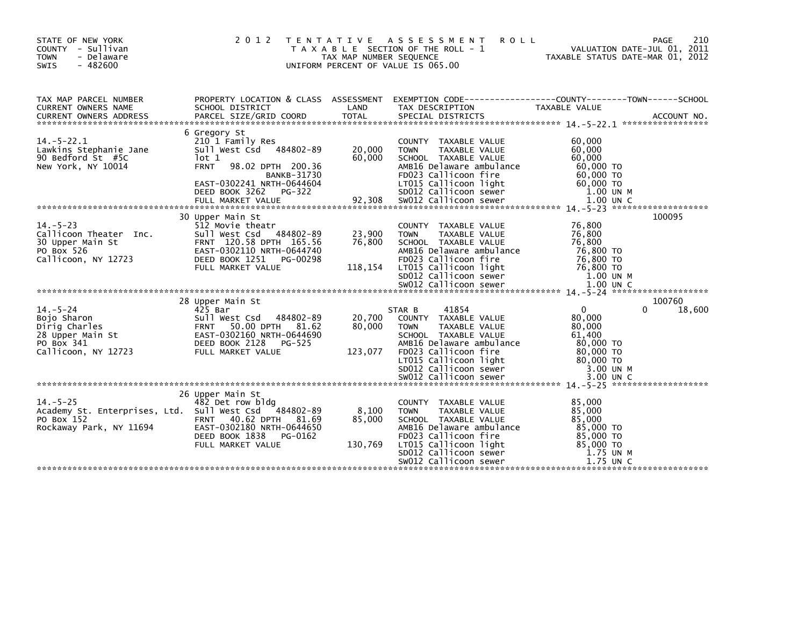| STATE OF NEW YORK<br>COUNTY - Sullivan<br>- Delaware<br><b>TOWN</b><br>$-482600$<br>SWIS                | 2 0 1 2                                                                                                                                                                 | T E N T A T I V E<br>TAX MAP NUMBER SEQUENCE | A S S E S S M E N T<br><b>ROLL</b><br>T A X A B L E SECTION OF THE ROLL - 1<br>UNIFORM PERCENT OF VALUE IS 065.00                                                                                           | PAGE<br>VALUATION DATE-JUL 01, 2011<br>TAXABLE STATUS DATE-MAR 01, 2012                                          | 210              |
|---------------------------------------------------------------------------------------------------------|-------------------------------------------------------------------------------------------------------------------------------------------------------------------------|----------------------------------------------|-------------------------------------------------------------------------------------------------------------------------------------------------------------------------------------------------------------|------------------------------------------------------------------------------------------------------------------|------------------|
| TAX MAP PARCEL NUMBER<br>CURRENT OWNERS NAME                                                            | SCHOOL DISTRICT                                                                                                                                                         | LAND                                         | TAX DESCRIPTION                                                                                                                                                                                             | PROPERTY LOCATION & CLASS ASSESSMENT EXEMPTION CODE---------------COUNTY-------TOWN------SCHOOL<br>TAXABLE VALUE |                  |
| $14.-5-22.1$<br>Lawkins Stephanie Jane<br>90 Bedford St #5C<br>New York, NY 10014                       | 6 Gregory St<br>210 1 Family Res<br>Sull West Csd 484802-89<br>lot 1<br>98.02 DPTH 200.36<br><b>FRNT</b><br><b>BANKB-31730</b>                                          | 20,000<br>60,000                             | COUNTY TAXABLE VALUE<br><b>TOWN</b><br><b>TAXABLE VALUE</b><br>SCHOOL TAXABLE VALUE<br>AMB16 Delaware ambulance<br>FD023 Callicoon fire                                                                     | 60,000<br>60,000<br>60,000<br>60,000 TO<br>60,000 TO                                                             |                  |
| $14. - 5 - 23$<br>Callicoon Theater Inc.<br>30 Upper Main St<br>PO Box 526<br>Callicoon, NY 12723       | 30 Upper Main St<br>512 Movie theatr<br>Sull West Csd 484802-89<br>FRNT 120.58 DPTH 165.56<br>EAST-0302110 NRTH-0644740<br>DEED BOOK 1251 PG-00298<br>FULL MARKET VALUE | 23,900<br>76,800<br>118,154                  | COUNTY TAXABLE VALUE<br><b>TOWN</b><br>TAXABLE VALUE<br>SCHOOL TAXABLE VALUE<br>AMB16 Delaware ambulance<br>FD023 Callicoon fire<br>LT015 Callicoon light<br>SD012 Callicoon sewer<br>SW012 Callicoon sewer | 76,800<br>76,800<br>76,800<br>76,800 TO<br>76,800 TO<br>76,800 TO<br>1.00 UN M<br>1.00 UN C                      | 100095           |
|                                                                                                         |                                                                                                                                                                         |                                              |                                                                                                                                                                                                             |                                                                                                                  |                  |
| $14. - 5 - 24$<br>Bojo Sharon<br>Dirig Charles<br>28 Upper Main St<br>PO Box 341<br>Callicoon, NY 12723 | 28 Upper Main St<br>425 Bar<br>Sull West Csd 484802-89<br>FRNT 50.00 DPTH 81.62<br>EAST-0302160 NRTH-0644690<br>DEED BOOK 2128<br>PG-525<br>FULL MARKET VALUE           | 20,700<br>80,000<br>123,077                  | 41854<br>STAR B<br>COUNTY TAXABLE VALUE<br>TAXABLE VALUE<br><b>TOWN</b><br>SCHOOL TAXABLE VALUE<br>AMB16 Delaware ambulance<br>FD023 Callicoon fire<br>LT015 Callicoon light<br>SD012 Callicoon sewer       | $\Omega$<br>0<br>80,000<br>80,000<br>61,400<br>80,000 TO<br>80.000 TO<br>80,000 TO<br>3.00 UN M                  | 100760<br>18,600 |
|                                                                                                         |                                                                                                                                                                         |                                              |                                                                                                                                                                                                             |                                                                                                                  |                  |
| $14. - 5 - 25$<br>Academy St. Enterprises, Ltd. Sull West Csd<br>PO Box 152<br>Rockaway Park, NY 11694  | 26 Upper Main St<br>482 Det row bldg<br>484802-89<br>FRNT 40.62 DPTH 81.69<br>EAST-0302180 NRTH-0644650<br>DEED BOOK 1838 PG-0162<br>FULL MARKET VALUE                  | 8,100<br>85,000<br>130,769                   | COUNTY TAXABLE VALUE<br><b>TOWN</b><br>TAXABLE VALUE<br>SCHOOL TAXABLE VALUE<br>AMB16 Delaware ambulance<br>FD023 Callicoon fire<br>LT015 Callicoon light<br>SD012 Callicoon sewer<br>SW012 Callicoon sewer | 85,000<br>85,000<br>85,000<br>85,000 TO<br>85,000 TO<br>85,000 TO<br>1.75 UN M<br>1.75 UN C                      |                  |
|                                                                                                         |                                                                                                                                                                         |                                              |                                                                                                                                                                                                             |                                                                                                                  |                  |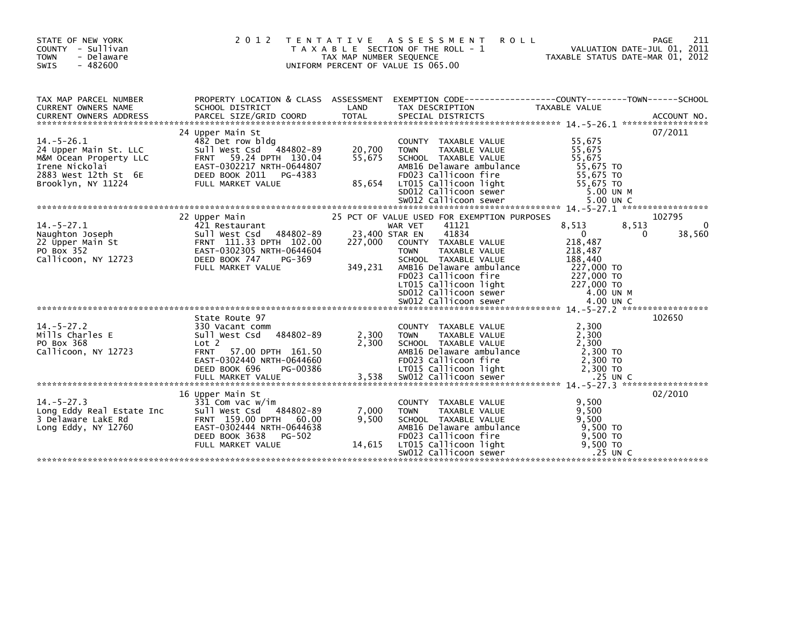| STATE OF NEW YORK<br>COUNTY - Sullivan<br><b>TOWN</b><br>- Delaware<br><b>SWIS</b><br>$-482600$               | 2 0 1 2                                                                                                                                                                                  | TAX MAP NUMBER SEQUENCE  | <b>ROLL</b><br>TENTATIVE ASSESSMENT<br>T A X A B L E SECTION OF THE ROLL - 1<br>UNIFORM PERCENT OF VALUE IS 065.00                                                                                                             | PAGE<br>VALUATION DATE-JUL 01, 2011<br>TAXABLE STATUS DATE-MAR 01, 2012                                          | 211                          |
|---------------------------------------------------------------------------------------------------------------|------------------------------------------------------------------------------------------------------------------------------------------------------------------------------------------|--------------------------|--------------------------------------------------------------------------------------------------------------------------------------------------------------------------------------------------------------------------------|------------------------------------------------------------------------------------------------------------------|------------------------------|
| TAX MAP PARCEL NUMBER<br><b>CURRENT OWNERS NAME</b>                                                           | SCHOOL DISTRICT                                                                                                                                                                          | LAND                     | PROPERTY LOCATION & CLASS ASSESSMENT EXEMPTION CODE---------------COUNTY-------TOWN------SCHOOL<br>SCHOOL DISTRICT<br>TAX DESCRIPTION                                                                                          | <b>TAXABLE VALUE</b>                                                                                             |                              |
| $14. - 5 - 26.1$<br>24 Upper Main St. LLC<br>M&M Ocean Property LLC<br>Irene Nickolai<br>2883 West 12th St 6E | 24 Upper Main St<br>482 Det row bldg<br>Sull West Csd 484802-89<br>59.24 DPTH 130.04<br><b>FRNT</b><br>EAST-0302217 NRTH-0644807<br>DEED BOOK 2011<br>PG-4383                            | 20,700<br>55,675         | COUNTY TAXABLE VALUE<br>TAXABLE VALUE<br><b>TOWN</b><br>SCHOOL TAXABLE VALUE<br>AMB16 Delaware ambulance<br>FD023 Callicoon fire                                                                                               | 55,675<br>55,675<br>55,675<br>55,675 TO<br>55,675 TO                                                             | 07/2011                      |
| $14. - 5 - 27.1$<br>rr<br>Naughton Joseph<br>22 Upper Main St<br>PO Rox 352<br>Callicoon, NY 12723            | 22 Upper Main<br>421 Restaurant<br>Sull West Csd 484802-89<br>FRNT 111.33 DPTH 102.00<br>EAST-0302305 NRTH-0644604<br>DEED BOOK 747<br>PG-369<br>FULL MARKET VALUE                       | 227,000<br>349,231       | 25 PCT OF VALUE USED FOR EXEMPTION PURPOSES<br>41121<br>WAR VET<br>41834<br>23,400 STAR EN<br>COUNTY TAXABLE VALUE<br><b>TOWN</b><br>TAXABLE VALUE<br>SCHOOL TAXABLE VALUE<br>AMB16 Delaware ambulance<br>FD023 Callicoon fire | 8,513<br>8,513<br>$\overline{0}$<br>0<br>218,487<br>218,487<br>188,440<br>227,000 TO<br>227,000 то<br>227,000 то | 102795<br>$\Omega$<br>38,560 |
| $14. - 5 - 27.2$<br>Mills Charles E<br>PO Box 368<br>Callicoon, NY 12723                                      | State Route 97<br>330 Vacant comm<br>Sull West Csd 484802-89<br>Lot 2<br>57.00 DPTH 161.50<br><b>FRNT</b><br>EAST-0302440 NRTH-0644660<br>DEED BOOK 696<br>PG-00386<br>FULL MARKET VALUE | 2,300<br>2,300<br>3,538  | COUNTY TAXABLE VALUE<br>TOWN TAXABLE VALUE<br>SCHOOL TAXABLE VALUE<br>AMB16 Delaware ambulance<br>FD023 Callicoon fire<br>LTO15 Callicoon light<br>SWO12 Callicoon sewer                                                       | 2,300<br>2,300<br>2,300<br>2,300 TO<br>2,300 TO<br>2.300 TO<br>$.25$ UN C                                        | 102650                       |
| $14. - 5 - 27.3$<br>Long Eddy Real Estate Inc<br>3 Delaware LakE Rd<br>Long Eddy, NY 12760                    | 16 Upper Main St<br>331 Com vac w/im<br>Sull West Csd 484802-89<br>FRNT 159.00 DPTH 60.00<br>EAST-0302444 NRTH-0644638<br>DEED BOOK 3638<br>PG-502<br>FULL MARKET VALUE                  | 7,000<br>9,500<br>14,615 | COUNTY TAXABLE VALUE<br><b>TOWN</b><br>TAXABLE VALUE<br>SCHOOL TAXABLE VALUE<br>AMB16 Delaware ambulance<br>FD023 Callicoon fire<br>LT015 Callicoon light<br>SW012 Callicoon sewer                                             | 9,500<br>9,500<br>9,500<br>9,500 TO<br>9,500 TO<br>9,500 TO<br>.25 UN C                                          | 02/2010                      |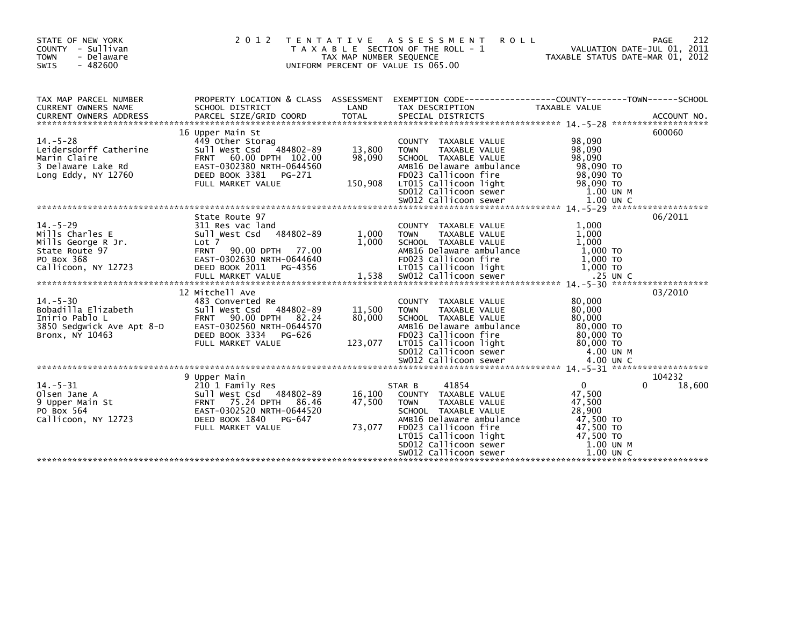| STATE OF NEW YORK<br>COUNTY - Sullivan<br><b>TOWN</b><br>- Delaware<br>$-482600$<br>SWIS                   | 2 0 1 2<br>T E N T A T I V E                                                                                                                                                    | TAX MAP NUMBER SEQUENCE     | ASSESSMENT<br><b>ROLL</b><br>T A X A B L E SECTION OF THE ROLL - 1<br>UNIFORM PERCENT OF VALUE IS 065.00                                                                                                                             | VALUATION DATE-JUL 01, 2011<br>TAXABLE STATUS DATE-MAR 01, 2012                                                      | PAGE<br>212      |
|------------------------------------------------------------------------------------------------------------|---------------------------------------------------------------------------------------------------------------------------------------------------------------------------------|-----------------------------|--------------------------------------------------------------------------------------------------------------------------------------------------------------------------------------------------------------------------------------|----------------------------------------------------------------------------------------------------------------------|------------------|
| TAX MAP PARCEL NUMBER<br><b>CURRENT OWNERS NAME</b>                                                        | PROPERTY LOCATION & CLASS ASSESSMENT<br>SCHOOL DISTRICT                                                                                                                         | LAND                        | EXEMPTION CODE-----------------COUNTY--------TOWN------SCHOOL<br>TAX DESCRIPTION                                                                                                                                                     | TAXABLE VALUE                                                                                                        |                  |
| $14. - 5 - 28$<br>Leidersdorff Catherine<br>Marin Claire<br>3 Delaware Lake Rd<br>Long Eddy, NY 12760      | 16 Upper Main St<br>449 Other Storag<br>Sull West Csd 484802-89<br>FRNT 60.00 DPTH 102.00<br>EAST-0302380 NRTH-0644560<br>DEED BOOK 3381 PG-271<br>FULL MARKET VALUE            | 13,800<br>98,090<br>150,908 | COUNTY TAXABLE VALUE<br>TAXABLE VALUE<br><b>TOWN</b><br>SCHOOL TAXABLE VALUE<br>AMB16 Delaware ambulance<br>FD023 Callicoon fire<br>LT015 Callicoon light                                                                            | 98,090<br>98,090<br>98.090<br>98,090 TO<br>98,090 TO<br>98,090 TO                                                    | 600060           |
| $14. - 5 - 29$<br>Mills Charles E<br>Mills George R Jr.<br>State Route 97<br>PO Box 368                    | State Route 97<br>311 Res vac land<br>Sull West Csd 484802-89<br>Lot 7<br><b>FRNT</b><br>90.00 DPTH<br>77.00<br>EAST-0302630 NRTH-0644640                                       | 1,000<br>1,000              | COUNTY TAXABLE VALUE<br>TAXABLE VALUE<br><b>TOWN</b><br>SCHOOL TAXABLE VALUE<br>AMB16 Delaware ambulance<br>FD023 Callicoon fire                                                                                                     | 1,000<br>1,000<br>1.000<br>1,000 TO<br>1,000 TO                                                                      | 06/2011          |
| $14. - 5 - 30$<br>14.->-נע<br>Bobadilla Elizabeth<br>הבריה<br>3850 Sedgwick Ave Apt 8-D<br>Bronx, NY 10463 | 12 Mitchell Ave<br>483 Converted Re<br>Sull West Csd 484802-89<br>90.00 DPTH 82.24<br><b>FRNT</b><br>EAST-0302560 NRTH-0644570<br>DEED BOOK 3334<br>PG-626<br>FULL MARKET VALUE | 11,500<br>80,000<br>123,077 | COUNTY TAXABLE VALUE<br><b>TOWN</b><br>TAXABLE VALUE<br>SCHOOL TAXABLE VALUE<br>AMB16 Delaware ambulance<br>FD023 Callicoon fire<br>LT015 Callicoon light<br>SDO12 Carricoon light<br>SDO12 Callicoon sewer<br>SWO12 Callicoon sewer | 80,000<br>80,000<br>80,000<br>80,000 TO<br>80,000 TO<br>80,000 TO<br>4.00 UN M<br>4.00 UN C                          | 03/2010          |
| $14. - 5 - 31$<br>Olsen Jane A<br>9 Upper Main St<br>PO Box 564<br>Callicoon, NY 12723                     | 9 Upper Main<br>210 1 Family Res<br>Sull West Csd 484802-89<br>FRNT 75.24 DPTH 86.46<br>EAST-0302520 NRTH-0644520<br>DEED BOOK 1840<br>PG-647<br>FULL MARKET VALUE              | 16,100<br>47.500<br>73,077  | 41854<br>STAR B<br>COUNTY TAXABLE VALUE<br><b>TOWN</b><br>TAXABLE VALUE<br>SCHOOL TAXABLE VALUE<br>AMB16 Delaware ambulance<br>FD023 Callicoon fire<br>LT015 Callicoon light<br>SD012 Callicoon sewer<br>SW012 Callicoon sewer       | $\overline{0}$<br>0<br>47,500<br>47,500<br>28,900<br>47,500 TO<br>47,500 TO<br>47,500 TO<br>1.00 UN M<br>$1.00$ UN C | 104232<br>18,600 |
|                                                                                                            |                                                                                                                                                                                 |                             |                                                                                                                                                                                                                                      |                                                                                                                      |                  |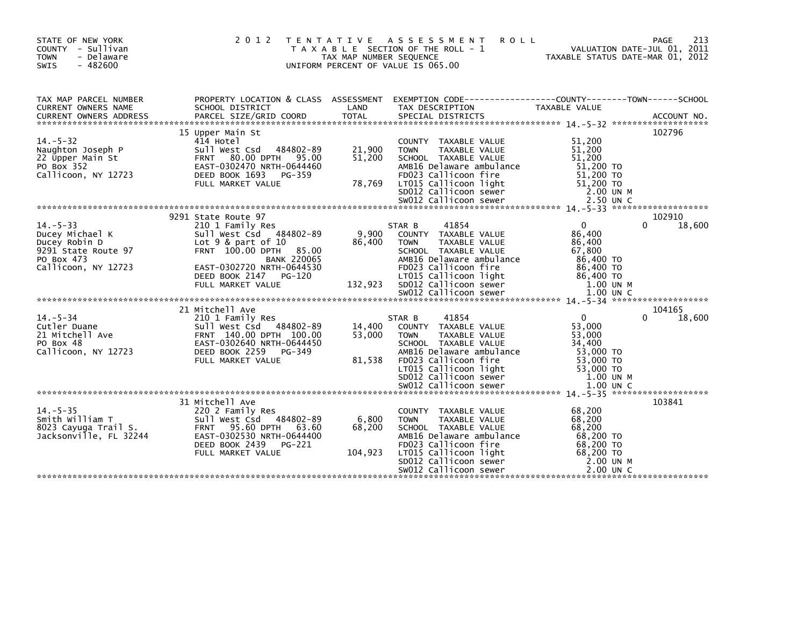| STATE OF NEW YORK<br>COUNTY - Sullivan<br>- Delaware<br><b>TOWN</b><br>$-482600$<br>SWIS                       | 2 0 1 2                                                                                                                                                                                                                       | T E N T A T I V E<br>TAX MAP NUMBER SEQUENCE | A S S E S S M E N T<br><b>ROLL</b><br>T A X A B L E SECTION OF THE ROLL - 1<br>UNIFORM PERCENT OF VALUE IS 065.00                                                                                                                        | VALUATION DATE-JUL 01, 2011<br>TAXABLE STATUS DATE-MAR 01, 2012                                               | 213<br><b>PAGE</b>    |
|----------------------------------------------------------------------------------------------------------------|-------------------------------------------------------------------------------------------------------------------------------------------------------------------------------------------------------------------------------|----------------------------------------------|------------------------------------------------------------------------------------------------------------------------------------------------------------------------------------------------------------------------------------------|---------------------------------------------------------------------------------------------------------------|-----------------------|
| TAX MAP PARCEL NUMBER<br>CURRENT OWNERS NAME<br><b>CURRENT OWNERS ADDRESS</b>                                  | SCHOOL DISTRICT<br>PARCEL SIZE/GRID COORD                                                                                                                                                                                     | LAND<br><b>TOTAL</b>                         | PROPERTY LOCATION & CLASS ASSESSMENT EXEMPTION CODE----------------COUNTY-------TOWN-----SCHOOL<br>TAX DESCRIPTION<br>SPECIAL DISTRICTS                                                                                                  | TAXABLE VALUE                                                                                                 | ACCOUNT NO.           |
| $14. - 5 - 32$<br>Naughton Joseph P<br>22 Upper Main St<br>PO Box 352<br>Callicoon, NY 12723                   | 15 Upper Main St<br>414 Hotel<br>484802-89<br>Sull West Csd<br>80.00 DPTH 95.00<br><b>FRNT</b><br>EAST-0302470 NRTH-0644460<br>DEED BOOK 1693<br>PG-359<br>FULL MARKET VALUE                                                  | 21,900<br>51,200<br>78,769                   | COUNTY TAXABLE VALUE<br>TAXABLE VALUE<br><b>TOWN</b><br>SCHOOL TAXABLE VALUE<br>AMB16 Delaware ambulance<br>FD023 Callicoon fire<br>LT015 Callicoon light<br>SD012 Callicoon sewer<br>SW012 Callicoon sewer                              | 51,200<br>51,200<br>51,200<br>51,200 TO<br>51,200 TO<br>51,200 TO<br>2.00 UN M<br>2.50 UN C                   | 102796                |
| $14. - 5 - 33$<br>Ducey Michael K<br>Ducey Robin D<br>9291 State Route 97<br>PO Box 473<br>Callicoon, NY 12723 | 9291 State Route 97<br>210 1 Family Res<br>Sull West Csd 484802-89<br>Lot $9$ & part of $10$<br>FRNT 100.00 DPTH<br>85.00<br><b>BANK 220065</b><br>EAST-0302720 NRTH-0644530<br>DEED BOOK 2147<br>PG-120<br>FULL MARKET VALUE | 9,900<br>86,400<br>132,923                   | 41854<br>STAR B<br>COUNTY TAXABLE VALUE<br><b>TOWN</b><br>TAXABLE VALUE<br>SCHOOL TAXABLE VALUE<br>AMB16 Delaware ambulance<br>FD023 Callicoon fire<br>LT015 Callicoon light<br>SD012 Callicoon sewer<br>SW012 Callicoon sewer           | $\Omega$<br>86,400<br>86,400<br>67,800<br>86,400 TO<br>86,400 TO<br>86,400 TO<br>1.00 UN M<br>1.00 UN C       | 102910<br>18,600      |
| $14. - 5 - 34$<br>Cutler Duane<br>21 Mitchell Ave<br>PO Box 48<br>Callicoon, NY 12723                          | 21 Mitchell Ave<br>210 1 Family Res<br>Sull West Csd 484802-89<br>FRNT 140.00 DPTH 100.00<br>EAST-0302640 NRTH-0644450<br>DEED BOOK 2259<br>PG-349<br>FULL MARKET VALUE                                                       | 14,400<br>53,000<br>81,538                   | 41854<br>STAR B<br>TAXABLE VALUE<br><b>COUNTY</b><br>TAXABLE VALUE<br><b>TOWN</b><br>SCHOOL TAXABLE VALUE<br>AMB16 Delaware ambulance<br>FD023 Callicoon fire<br>LT015 Callicoon light<br>SD012 Callicoon sewer<br>SW012 Callicoon sewer | $\mathbf{0}$<br>53,000<br>53,000<br>34,400<br>53,000 TO<br>53,000 TO<br>53,000 TO<br>1.00 UN M<br>$1.00$ UN C | 104165<br>18,600<br>0 |
| $14. - 5 - 35$<br>Smith William T<br>8023 Cayuga Trail S.<br>Jacksonville, FL 32244                            | 31 Mitchell Ave<br>220 2 Family Res<br>Sull West Csd 484802-89<br>FRNT 95.60 DPTH 63.60<br>EAST-0302530 NRTH-0644400<br>DEED BOOK 2439<br>PG-221<br>FULL MARKET VALUE                                                         | 6,800<br>68,200<br>104,923                   | COUNTY TAXABLE VALUE<br>TAXABLE VALUE<br><b>TOWN</b><br>SCHOOL TAXABLE VALUE<br>AMB16 Delaware ambulance<br>FD023 Callicoon fire<br>LT015 Callicoon light<br>SD012 Callicoon sewer<br>SWO12 Callicoon sewer                              | 68,200<br>68,200<br>68,200<br>68,200 TO<br>68,200 TO<br>68,200 TO<br>2.00 UN M<br>2.00 UN C                   | 103841                |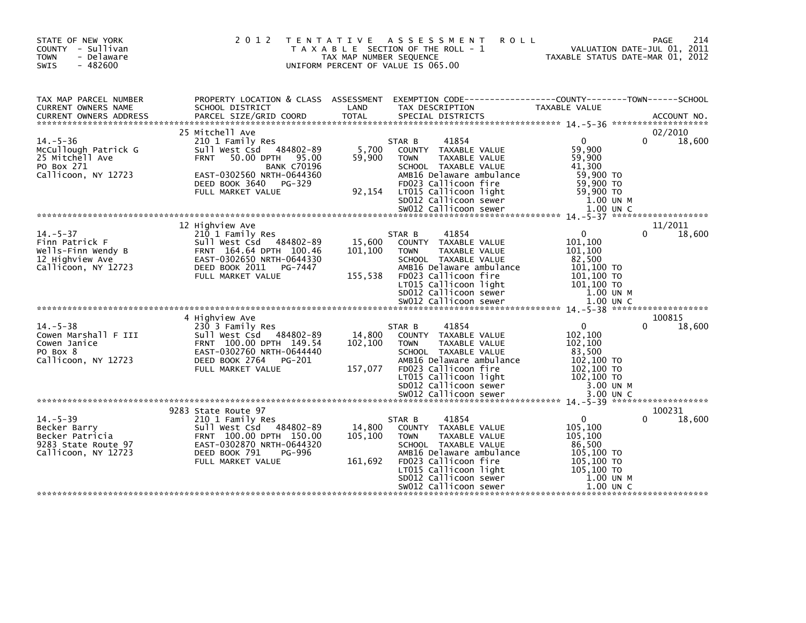| STATE OF NEW YORK<br>COUNTY - Sullivan<br><b>TOWN</b><br>- Delaware<br>$-482600$<br>SWIS  | 2 0 1 2                                                                                                                                                 | TAX MAP NUMBER SEQUENCE      | TENTATIVE ASSESSMENT<br>T A X A B L E SECTION OF THE ROLL - 1<br>UNIFORM PERCENT OF VALUE IS 065.00                                                 | <b>ROLL</b>                                                                  | 214<br>PAGE<br>VALUATION DATE-JUL 01, 2011<br>TAXABLE STATUS DATE-MAR 01, 2012 |
|-------------------------------------------------------------------------------------------|---------------------------------------------------------------------------------------------------------------------------------------------------------|------------------------------|-----------------------------------------------------------------------------------------------------------------------------------------------------|------------------------------------------------------------------------------|--------------------------------------------------------------------------------|
| TAX MAP PARCEL NUMBER<br>CURRENT OWNERS NAME                                              | PROPERTY LOCATION & CLASS ASSESSMENT EXEMPTION CODE----------------COUNTY-------TOWN------SCHOOL<br>SCHOOL DISTRICT                                     | LAND                         | TAX DESCRIPTION                                                                                                                                     | TAXABLE VALUE                                                                |                                                                                |
| <b>CURRENT OWNERS ADDRESS</b>                                                             | PARCEL SIZE/GRID COORD                                                                                                                                  | <b>TOTAL</b>                 | SPECIAL DISTRICTS                                                                                                                                   |                                                                              | ACCOUNT NO.                                                                    |
|                                                                                           | 25 Mitchell Ave                                                                                                                                         |                              |                                                                                                                                                     |                                                                              | 02/2010                                                                        |
| $14. - 5 - 36$<br>McCullough Patrick G<br>25 Mitchell Ave<br>PO Box 271                   | 210 1 Family Res<br>484802-89<br>Sull West Csd<br>50.00 DPTH 95.00<br><b>FRNT</b><br><b>BANK C70196</b>                                                 | 5,700<br>59,900              | 41854<br>STAR B<br>COUNTY TAXABLE VALUE<br><b>TOWN</b><br>TAXABLE VALUE<br>SCHOOL TAXABLE VALUE                                                     | $\Omega$<br>59,900<br>59,900<br>41,300                                       | 18,600<br>0                                                                    |
| Callicoon, NY 12723                                                                       | EAST-0302560 NRTH-0644360<br>DEED BOOK 3640<br>PG-329<br>FULL MARKET VALUE                                                                              | 92,154                       | AMB16 Delaware ambulance<br>FD023 Callicoon fire<br>LT015 Callicoon light<br>SD012 Callicoon sewer                                                  | 59,900 TO<br>59,900 TO<br>59,900 TO<br>$1.00$ UN M                           |                                                                                |
|                                                                                           |                                                                                                                                                         |                              | SW012 Callicoon sewer                                                                                                                               | 1.00 UN C                                                                    |                                                                                |
|                                                                                           | 12 Highview Ave                                                                                                                                         |                              |                                                                                                                                                     |                                                                              | 11/2011                                                                        |
| $14. - 5 - 37$<br>Finn Patrick F<br>Wells-Finn Wendy B                                    | 210 1 Family Res<br>Sull West Csd 484802-89<br>FRNT 164.64 DPTH 100.46                                                                                  | 15,600<br>101,100            | 41854<br>STAR B<br>COUNTY TAXABLE VALUE<br><b>TOWN</b><br>TAXABLE VALUE                                                                             | 0<br>101,100<br>101,100                                                      | 18,600                                                                         |
| 12 Highview Ave<br>Callicoon, NY 12723                                                    | EAST-0302650 NRTH-0644330<br>DEED BOOK 2011<br>PG-7447<br>FULL MARKET VALUE                                                                             | 155,538                      | SCHOOL TAXABLE VALUE<br>AMB16 Delaware ambulance<br>FD023 Callicoon fire<br>LT015 Callicoon light<br>SD012 Callicoon sewer<br>SW012 Callicoon sewer | 82,500<br>101,100 TO<br>101,100 TO<br>101,100 TO<br>1.00 UN M<br>$1.00$ UN C |                                                                                |
|                                                                                           | 4 Highview Ave                                                                                                                                          |                              |                                                                                                                                                     |                                                                              | 100815                                                                         |
| $14. - 5 - 38$<br>Cowen Marshall F III<br>Cowen Janice<br>PO Box 8<br>Callicoon, NY 12723 | 230 3 Family Res<br>Sull West Csd<br>484802-89<br>FRNT 100.00 DPTH 149.54<br>EAST-0302760 NRTH-0644440<br>DEED BOOK 2764<br>PG-201<br>FULL MARKET VALUE | 14,800<br>102,100<br>157,077 | 41854<br>STAR B<br>COUNTY TAXABLE VALUE<br><b>TOWN</b><br>TAXABLE VALUE<br>SCHOOL TAXABLE VALUE<br>AMB16 Delaware ambulance<br>FD023 Callicoon fire | 0<br>102,100<br>102,100<br>83,500<br>102,100 TO<br>102,100 TO                | 18,600<br>0                                                                    |
|                                                                                           |                                                                                                                                                         |                              | LT015 Callicoon light<br>SD012 Callicoon sewer<br>SW012 Callicoon sewer                                                                             | 102,100 TO<br>3.00 UN M<br>3.00 UN C                                         |                                                                                |
|                                                                                           | 9283 State Route 97                                                                                                                                     |                              |                                                                                                                                                     |                                                                              | 100231                                                                         |
| $14. - 5 - 39$<br>Becker Barry                                                            | 210 1 Family Res<br>Sull West Csd 484802-89                                                                                                             | 14,800                       | 41854<br>STAR B<br>COUNTY TAXABLE VALUE                                                                                                             | $\Omega$<br>105,100                                                          | 18,600<br>0                                                                    |
| Becker Patricia<br>9283 State Route 97<br>Callicoon, NY 12723                             | FRNT 100.00 DPTH 150.00<br>EAST-0302870 NRTH-0644320<br>DEED BOOK 791<br>PG-996                                                                         | 105,100                      | <b>TOWN</b><br>TAXABLE VALUE<br>SCHOOL TAXABLE VALUE<br>AMB16 Delaware ambulance                                                                    | 105,100<br>86,500<br>105,100 TO                                              |                                                                                |
|                                                                                           | FULL MARKET VALUE                                                                                                                                       | 161,692                      | FD023 Callicoon fire<br>LT015 Callicoon light<br>SD012 Callicoon sewer<br>SW012 Callicoon sewer                                                     | 105,100 TO<br>$105,100$ TO<br>1.00 UN M<br>1.00 UN C                         |                                                                                |
|                                                                                           |                                                                                                                                                         |                              |                                                                                                                                                     |                                                                              |                                                                                |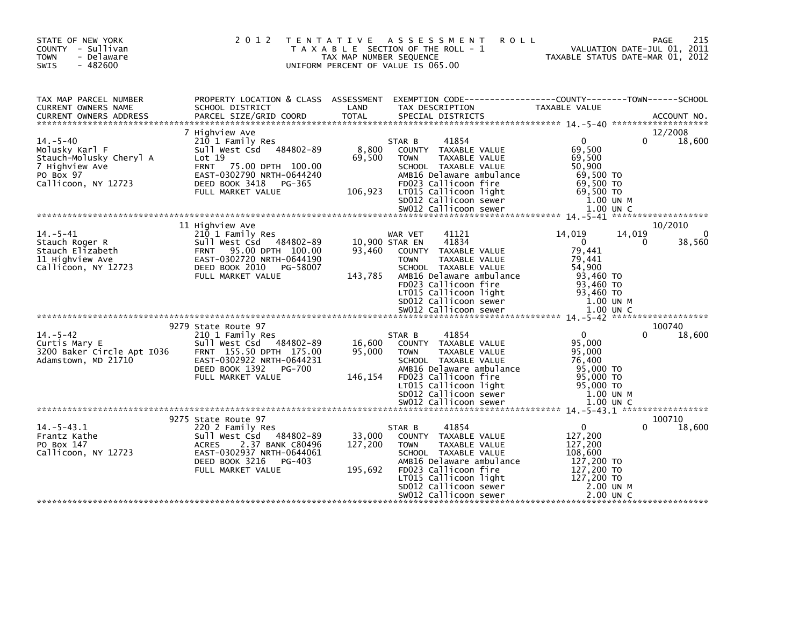| 215<br><b>ROLL</b><br><b>PAGE</b><br>VALUATION DATE-JUL 01, 2011<br>TAXABLE STATUS DATE-MAR 01, 2012                                                                                       |
|--------------------------------------------------------------------------------------------------------------------------------------------------------------------------------------------|
| EXEMPTION CODE-----------------COUNTY-------TOWN------SCHOOL<br>TAXABLE VALUE                                                                                                              |
| 12/2008<br>$\overline{0}$<br>18,600<br>∩.<br>69,500<br>69,500<br>50,900<br>69.500 TO<br>69,500 TO<br>69,500 TO<br>SDUIZ Callicoon sewer<br>SWO12 Callicoon sewer<br>1.00 UN M<br>1.00 UN C |
| 10/2010<br>14,019<br>14,019<br>$\Omega$<br>$\overline{0}$<br>38,560<br>$\Omega$<br>79,441<br>79,441<br>54,900<br>93,460 TO<br>93,460 TO<br>93,460 TO<br>1.00 UN M<br>1.00 UN C             |
| 100740                                                                                                                                                                                     |
| 18,600<br>$\mathbf{0}$<br><sup>0</sup><br>95,000<br>95,000<br>76,400<br>95,000 TO<br>95,000 TO<br>95,000 TO<br>1.00 UN M<br>1.00 UN C                                                      |
|                                                                                                                                                                                            |
| 100710<br>18,600<br>$\mathbf{0}$<br>0<br>127,200<br>127,200<br>108,600<br>127,200 TO<br>127,200 TO<br>127,200 TO<br>2.00 UN M<br>2.00 UN C                                                 |
|                                                                                                                                                                                            |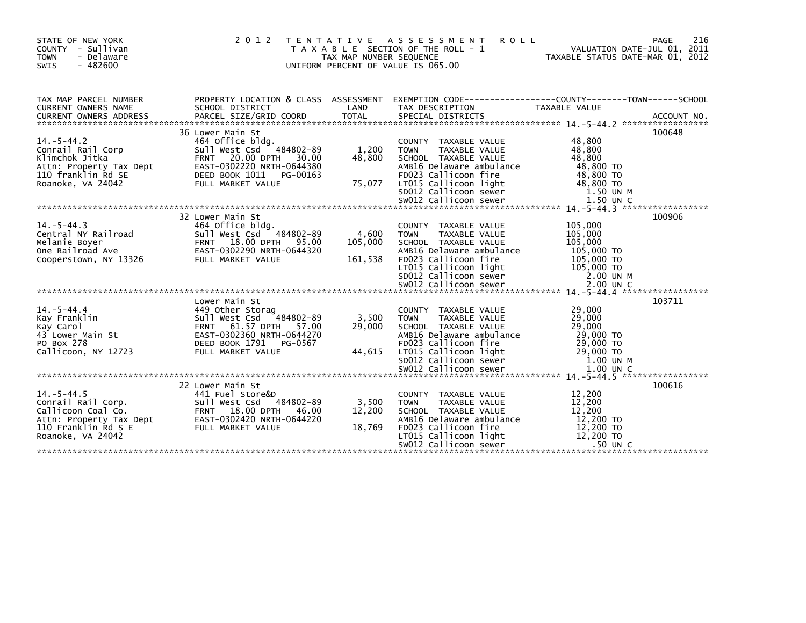| STATE OF NEW YORK<br>COUNTY - Sullivan<br><b>TOWN</b><br>- Delaware<br>$-482600$<br>SWIS                                                                                                                                                                                                                                                     | 2 0 1 2<br>T E N T A T I V E                                                                                                                                      | TAX MAP NUMBER SEQUENCE     | A S S E S S M E N T<br><b>ROLL</b><br>T A X A B L E SECTION OF THE ROLL - 1<br>UNIFORM PERCENT OF VALUE IS 065.00                                                                                           | VALUATION DATE-JUL 01, 2011<br>TAXABLE STATUS DATE-MAR 01, 2012                 | 216<br>PAGE |
|----------------------------------------------------------------------------------------------------------------------------------------------------------------------------------------------------------------------------------------------------------------------------------------------------------------------------------------------|-------------------------------------------------------------------------------------------------------------------------------------------------------------------|-----------------------------|-------------------------------------------------------------------------------------------------------------------------------------------------------------------------------------------------------------|---------------------------------------------------------------------------------|-------------|
| TAX MAP PARCEL NUMBER<br>CURRENT OWNERS NAME                                                                                                                                                                                                                                                                                                 | PROPERTY LOCATION & CLASS ASSESSMENT<br>SCHOOL DISTRICT                                                                                                           | LAND                        | EXEMPTION CODE-----------------COUNTY--------TOWN------SCHOOL<br>TAX DESCRIPTION                                                                                                                            | <b>TAXABLE VALUE</b>                                                            |             |
| $14. - 5 - 44.2$<br>Conrail Rail Corp<br>Klimchok Jitka<br>Attn: Property Tax Dept<br>110 franklin Rd SE<br>2004/2 FULL MARKET VALUE<br>FULL MARKET VALUE 75,077 LTOIS Callicoon light 48,800 TO<br>5DOI2 Callicoon sewer 1.50 UN M<br>20012 Callicoon sewer 1.50 UN C<br>20012 Callicoon sewer 1.50 UN C<br>20012 Callicoon sewer 1.50 UN C | 36 Lower Main St<br>464 Office bldg.<br>Sull West Csd 484802-89<br>FRNT 20.00 DPTH 30.00<br><br>EAST-0302220 NRTH-0644380<br>DEED BOOK 1011 PG-00163              | 1,200<br>48,800             | COUNTY TAXABLE VALUE<br>TAXABLE VALUE<br><b>TOWN</b><br>SCHOOL TAXABLE VALUE<br>AMB16 Delaware ambulance<br>FD023 Callicoon fire                                                                            | 48,800<br>48,800<br>48,800<br>48,800 TO<br>48,800 TO                            | 100648      |
| $14 - 5 - 44.3$<br>Central NY Railroad<br>Melanie Boyer<br>One Railroad Ave<br>Cooperstown, NY 13326<br>Cooperstown, NY 13326<br>Cooperstown, NY 13326<br>COOPER STATE PULL MARKET VALUE                                                                                                                                                     | 32 Lower Main St<br>464 Office bldg.<br>Sull West Csd <sup>~</sup> 484802-89<br>FRNT  18.00 DPTH  95.00                                                           | 4,600<br>105,000<br>161,538 | COUNTY TAXABLE VALUE<br>TAXABLE VALUE<br><b>TOWN</b><br>SCHOOL TAXABLE VALUE<br>AMB16 Delaware ambulance<br>FD023 Callicoon fire                                                                            | 105,000<br>105,000<br>105,000<br>105,000 TO<br>105,000 TO                       | 100906      |
| $14. - 5 - 44.4$<br>Kay Franklin<br>Kay Carol<br>43 Lower Main St<br>PO Box 278<br>Callicoon, NY 12723                                                                                                                                                                                                                                       | Lower Main St<br>449 Other Storag<br>Sull West Csd 484802-89<br>FRNT 61.57 DPTH 57.00<br>EAST-0302360 NRTH-0644270<br>DEED BOOK 1791 PG-0567<br>FULL MARKET VALUE | 3,500<br>29,000<br>44,615   | COUNTY TAXABLE VALUE<br>TAXABLE VALUE<br><b>TOWN</b><br>SCHOOL TAXABLE VALUE<br>AMB16 Delaware ambulance<br>FD023 Callicoon fire<br>LTO15 Callicoon light<br>SDO12 Callicoon sewer<br>SWO12 Callicoon sewer | 29,000<br>29,000<br>29,000<br>29,000 TO<br>29,000 TO<br>29,000 TO<br>1.00 UN M  | 103711      |
| $14. - 5 - 44.5$<br>Conrail Rail Corp.<br>Callicoon Coal Co. FRNT 18.00 DPTH 46.00<br>Attn: Property Tax_Dept EAST-0302420 NRTH-0644220<br>110 Franklin Rd S E<br>Roanoke, VA 24042                                                                                                                                                          | 22 Lower Main St<br>441 Fuel Store&D<br>FULL MARKET VALUE                                                                                                         | 3,500<br>12,200<br>18,769   | COUNTY TAXABLE VALUE<br>TAXABLE VALUE<br><b>TOWN</b><br>SCHOOL TAXABLE VALUE<br>AMB16 Delaware ambulance<br>FD023 Callicoon fire<br>LT015 Callicoon light<br>SW012 Callicoon sewer                          | 12,200<br>12,200<br>12,200<br>12,200 TO<br>12,200 TO<br>12,200 TO<br>$.50$ UN C | 100616      |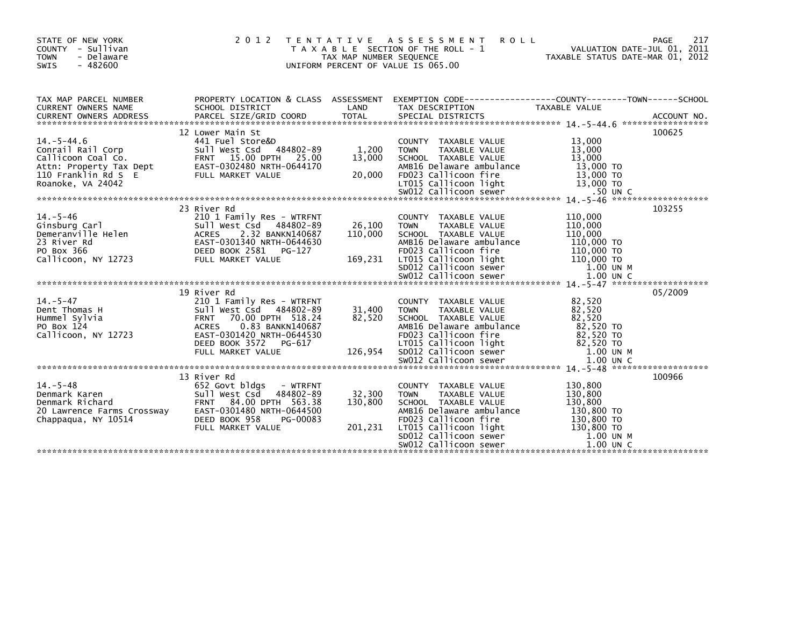| STATE OF NEW YORK<br>COUNTY - Sullivan<br><b>TOWN</b><br>- Delaware<br>$-482600$<br>SWIS                                                       | 2 0 1 2                                                                                                                                                                                                                | TAX MAP NUMBER SEQUENCE      | TENTATIVE ASSESSMENT<br><b>ROLL</b><br>T A X A B L E SECTION OF THE ROLL - 1<br>UNIFORM PERCENT OF VALUE IS 065.00                                                                                                                   | TAXABLE STATUS DATE-MAR 01, 2012                                                                    | 217<br>PAGE<br>VALUATION DATE-JUL 01, 2011 |
|------------------------------------------------------------------------------------------------------------------------------------------------|------------------------------------------------------------------------------------------------------------------------------------------------------------------------------------------------------------------------|------------------------------|--------------------------------------------------------------------------------------------------------------------------------------------------------------------------------------------------------------------------------------|-----------------------------------------------------------------------------------------------------|--------------------------------------------|
| TAX MAP PARCEL NUMBER<br>CURRENT OWNERS NAME<br><b>CURRENT OWNERS ADDRESS</b>                                                                  | SCHOOL DISTRICT                                                                                                                                                                                                        | LAND                         | PROPERTY LOCATION & CLASS ASSESSMENT EXEMPTION CODE----------------COUNTY-------TOWN------SCHOOL<br>TAX DESCRIPTION                                                                                                                  | TAXABLE VALUE                                                                                       |                                            |
| $14. - 5 - 44.6$<br>Conrail Rail Corp<br>Conrail Rail Corp<br>Callicoon Coal Co.<br>Attn: Property Tax Dept<br>110 Enam <sup>blin</sup> Rd S E | 12 Lower Main St<br>441 Fuel Store&D<br>Sull West Csd<br>484802-89<br>FRNT 15.00 DPTH 25.00<br>EAST-0302480 NRTH-0644170<br>FULL MARKET VALUE                                                                          | 1,200<br>13,000<br>20,000    | COUNTY TAXABLE VALUE<br>TAXABLE VALUE<br><b>TOWN</b><br>SCHOOL TAXABLE VALUE<br>AMB16 Delaware ambulance<br>FD023 Callicoon fire                                                                                                     | 13,000<br>13,000<br>13,000<br>13,000 TO<br>13,000 TO                                                | 100625                                     |
| $14. - 5 - 46$<br><sub>→</sub> …∍wurg Carl<br>Demeranville Helen<br>23 River Rd<br>PO Box 366<br>Callicoon PMY 100<br>Callicoon, NY 12723      | 23 River Rd<br>210 1 Family Res - WTRFNT<br>Sull West Csd 484802-89<br>2.32 BANKN140687<br><b>ACRES</b><br>EAST-0301340 NRTH-0644630<br>DEED BOOK 2581 PG-127<br>FULL MARKET VALUE                                     | 26,100<br>110,000<br>169,231 | COUNTY TAXABLE VALUE<br><b>TOWN</b><br>TAXABLE VALUE<br>SCHOOL TAXABLE VALUE<br>AMB16 Delaware ambulance<br>FD023 Callicoon fire<br>LT015 Callicoon light<br>SD012 Callicoon sewer                                                   | 110,000<br>110,000<br>110,000<br>110,000 TO<br>110,000 TO<br>110,000 TO<br>1.00 UN M                | 103255                                     |
| $14. - 5 - 47$<br>Dent Thomas H<br>Hummel Sylvia<br>PO Box 124<br>Callicoon, NY 12723                                                          | 19 River Rd<br>210 1 Family Res - WTRFNT<br>Sull West Csd 484802-89<br>70.00 DPTH 518.24<br><b>FRNT</b><br>0.83 BANKN140687<br><b>ACRES</b><br>EAST-0301420 NRTH-0644530<br>DEED BOOK 3572 PG-617<br>FULL MARKET VALUE | 31,400<br>82,520<br>126,954  | COUNTY TAXABLE VALUE<br>TAXABLE VALUE<br><b>TOWN</b><br>SCHOOL TAXABLE VALUE<br>AMB16 Delaware ambulance<br>FD023 Callicoon fire<br>FD023 Carricoon<br>LT015 Callicoon light<br>SD012 Callicoon sewer                                | 82,520<br>82,520<br>82,520<br>82,520 TO<br>82,520 TO<br>82,520 TO<br>1.00 UN M                      | 05/2009                                    |
| $14. - 5 - 48$<br>Denmark Karen<br>Denmark Richard<br>20 Lawrence Farms Crossway<br>Chappaqua, NY 10514                                        | 13 River Rd<br>$652$ Govt bldgs $-$ WTRFNT<br>sull west Csd 484802-89<br>FRNT 84.00 DPTH 563.38<br>EAST-0301480 NRTH-0644500<br>DEED BOOK 958<br>PG-00083<br>FULL MARKET VALUE                                         | 32,300<br>130,800<br>201,231 | COUNTY TAXABLE VALUE<br>TAXABLE VALUE<br><b>TOWN</b><br>SCHOOL TAXABLE VALUE<br>AMB16 Delaware ambulance<br>FD023 Callicoon fire<br>LT015 Callicoon light<br>LTO15 Callicoon light<br>SDO12 Callicoon sewer<br>SW012 Callicoon sewer | 130,800<br>130,800<br>130,800<br>130,800 TO<br>130,800 TO<br>130,800 TO<br>1.00 UN M<br>$1.00$ UN C | 100966                                     |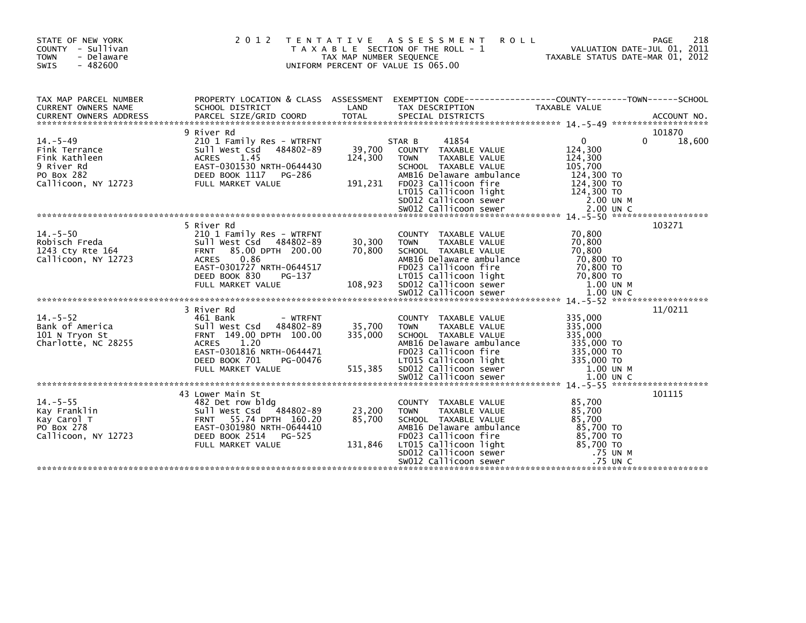| STATE OF NEW YORK<br>COUNTY - Sullivan<br><b>TOWN</b><br>- Delaware<br><b>SWIS</b><br>$-482600$     |                                                                                                                                                                                                 | TAX MAP NUMBER SEQUENCE      | 2012 TENTATIVE ASSESSMENT<br><b>ROLL</b><br>T A X A B L E SECTION OF THE ROLL - 1<br>UNIFORM PERCENT OF VALUE IS 065.00                                                                                     | VALUATION DATE-JUL 01, 2011<br>TAXABLE STATUS DATE-MAR 01, 2012                                   | 218<br>PAGE                  |
|-----------------------------------------------------------------------------------------------------|-------------------------------------------------------------------------------------------------------------------------------------------------------------------------------------------------|------------------------------|-------------------------------------------------------------------------------------------------------------------------------------------------------------------------------------------------------------|---------------------------------------------------------------------------------------------------|------------------------------|
| TAX MAP PARCEL NUMBER<br><b>CURRENT OWNERS NAME</b>                                                 | SCHOOL DISTRICT                                                                                                                                                                                 | LAND                         | PROPERTY LOCATION & CLASS ASSESSMENT EXEMPTION CODE---------------COUNTY-------TOWN------SCHOOL<br>TAX DESCRIPTION                                                                                          | TAXABLE VALUE                                                                                     |                              |
| $14. - 5 - 49$<br>Fink Terrance<br>Fink Kathleen<br>9 River Rd<br>PO Box 282<br>Callicoon, NY 12723 | 9 River Rd<br>210 1 Family Res - WTRFNT<br>Sull West Csd 484802-89<br><b>ACRES</b><br>1.45<br>EAST-0301530 NRTH-0644430<br>DEED BOOK 1117<br>PG-286<br>FULL MARKET VALUE                        | 39,700<br>124,300<br>191,231 | 41854<br>STAR B<br>COUNTY TAXABLE VALUE<br>TAXABLE VALUE<br><b>TOWN</b><br>SCHOOL TAXABLE VALUE<br>AMB16 Delaware ambulance<br>FD023 Callicoon fire                                                         | $\mathbf{0}$<br>124,300<br>124,300<br>105,700<br>124,300 TO<br>124,300 TO                         | 101870<br>$\Omega$<br>18,600 |
| $14. - 5 - 50$<br>Robisch Freda<br>1243 Cty Rte 164<br>Callicoon, NY 12723                          | 5 River Rd<br>210 1 Family Res - WTRFNT<br>Sull West Csd 484802-89<br>85.00 DPTH 200.00<br><b>FRNT</b><br>0.86<br><b>ACRES</b><br>EAST-0301727 NRTH-0644517                                     | 30,300<br>70,800             | COUNTY TAXABLE VALUE<br><b>TOWN</b><br>TAXABLE VALUE<br>SCHOOL TAXABLE VALUE<br>AMB16 Delaware ambulance<br>FD023 Callicoon fire                                                                            | 70,800<br>70,800<br>70.800<br>70,800 TO<br>70,800 TO                                              | 103271                       |
| $14. - 5 - 52$<br>Bank of America<br>101 N Tryon St<br>Charlotte, NC 28255                          | 3 River Rd<br>461 Bank<br>- WTRFNT<br>Sull West Csd 484802-89<br>FRNT 149.00 DPTH 100.00<br>1.20<br><b>ACRES</b><br>EAST-0301816 NRTH-0644471<br>DEED BOOK 701<br>PG-00476<br>FULL MARKET VALUE | 35,700<br>335,000<br>515,385 | COUNTY TAXABLE VALUE<br>TAXABLE VALUE<br><b>TOWN</b><br>SCHOOL TAXABLE VALUE<br>AMB16 Delaware ambulance<br>FD023 Callicoon fire<br>LT015 Callicoon light<br>SD012 Callicoon sewer<br>SW012 Callicoon sewer | 335,000<br>335,000<br>335,000<br>335,000 TO<br>335,000 TO<br>335,000 TO<br>1.00 UN M<br>1.00 UN C | 11/0211                      |
| $14. - 5 - 55$<br>Kay Franklin<br>Kay Carol T<br>PO Box 278<br>Callicoon, NY 12723                  | 43 Lower Main St<br>482 Det row bldg<br>Sull West Csd<br>484802-89<br>FRNT 55.74 DPTH 160.20<br>EAST-0301980 NRTH-0644410<br>DEED BOOK 2514<br>PG-525<br>FULL MARKET VALUE                      | 23,200<br>85,700<br>131,846  | COUNTY TAXABLE VALUE<br><b>TOWN</b><br>TAXABLE VALUE<br>SCHOOL TAXABLE VALUE<br>AMB16 Delaware ambulance<br>FD023 Callicoon fire<br>LT015 Callicoon light<br>SD012 Callicoon sewer<br>SW012 Callicoon sewer | 85,700<br>85,700<br>85,700<br>85,700 TO<br>85,700 TO<br>85,700 TO<br>.75 UN M<br>.75 UN C         | 101115                       |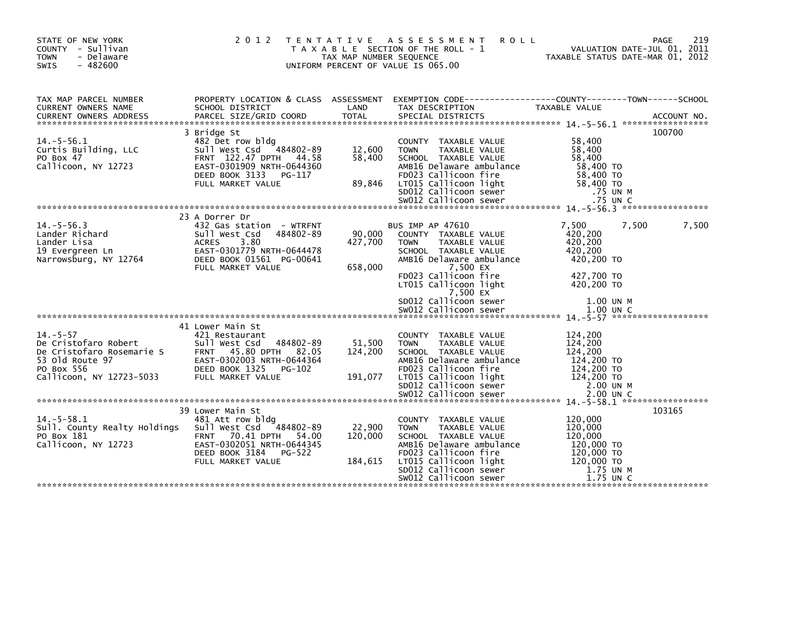| STATE OF NEW YORK<br>COUNTY - Sullivan<br><b>TOWN</b><br>- Delaware<br>$-482600$<br>SWIS                                         | 2 0 1 2                                                                                                                                                                 | TAX MAP NUMBER SEQUENCE      | TENTATIVE ASSESSMENT<br>T A X A B L E SECTION OF THE ROLL - 1<br>UNIFORM PERCENT OF VALUE IS 065.00                                                                                       | <b>ROLL</b>                                                                          | 219<br>PAGE<br>VALUATION DATE-JUL 01, 2011<br>TAXABLE STATUS DATE-MAR 01, 2012 |
|----------------------------------------------------------------------------------------------------------------------------------|-------------------------------------------------------------------------------------------------------------------------------------------------------------------------|------------------------------|-------------------------------------------------------------------------------------------------------------------------------------------------------------------------------------------|--------------------------------------------------------------------------------------|--------------------------------------------------------------------------------|
| TAX MAP PARCEL NUMBER<br>CURRENT OWNERS NAME<br><b>CURRENT OWNERS ADDRESS</b>                                                    | PROPERTY LOCATION & CLASS ASSESSMENT EXEMPTION CODE----------------COUNTY-------TOWN------SCHOOL<br>SCHOOL DISTRICT                                                     | LAND                         | TAX DESCRIPTION                                                                                                                                                                           | TAXABLE VALUE                                                                        |                                                                                |
|                                                                                                                                  | 3 Bridge St                                                                                                                                                             |                              |                                                                                                                                                                                           |                                                                                      | 100700                                                                         |
| $14. -5 - 56.1$<br>Curtis Building, LLC<br>PO Box 47<br>Callicoon, NY 12723                                                      | 482 Det row bldg<br>Sull West Csd 484802-89<br>FRNT 122.47 DPTH 44.58<br>EAST-0301909 NRTH-0644360<br>DEED BOOK 3133 PG-117                                             | 12,600<br>58,400             | COUNTY TAXABLE VALUE<br><b>TOWN</b><br><b>TAXABLE VALUE</b><br>SCHOOL TAXABLE VALUE<br>AMB16 Delaware ambulance<br>FD023 Callicoon fire                                                   | 58,400<br>58,400<br>58,400<br>58,400 TO<br>58,400 TO                                 |                                                                                |
|                                                                                                                                  | FULL MARKET VALUE                                                                                                                                                       | 89,846                       | LT015 Callicoon light<br>SD012 Callicoon sewer                                                                                                                                            | 58,400 TO<br>.75 UN M                                                                |                                                                                |
|                                                                                                                                  |                                                                                                                                                                         |                              |                                                                                                                                                                                           |                                                                                      |                                                                                |
| $14. -5 - 56.3$<br>Lander Richard<br>Lander Lisa<br>19 Evergreen Ln<br>Narrowsburg, NY 12764                                     | 23 A Dorrer Dr<br>432 Gas station - WTRFNT<br>484802-89<br>Sull West Csd<br>3.80<br><b>ACRES</b><br>EAST-0301779 NRTH-0644478<br>DEED BOOK 01561 PG-00641               | 90,000<br>427,700            | <b>BUS IMP AP 47610</b><br>COUNTY TAXABLE VALUE<br><b>TOWN</b><br><b>TAXABLE VALUE</b><br>SCHOOL TAXABLE VALUE<br>AMB16 Delaware ambulance                                                | 7,500<br>420,200<br>420,200<br>420,200<br>420,200 TO                                 | 7,500<br>7,500                                                                 |
|                                                                                                                                  | FULL MARKET VALUE                                                                                                                                                       | 658,000                      | 7,500 EX<br>FD023 Callicoon fire<br>LT015 Callicoon light<br>7,500 EX<br>SD012 Callicoon sewer                                                                                            | 427,700 TO<br>420.200 TO<br>1.00 UN M                                                |                                                                                |
|                                                                                                                                  |                                                                                                                                                                         |                              |                                                                                                                                                                                           |                                                                                      |                                                                                |
| $14. - 5 - 57$<br>De Cristofaro Robert<br>De Cristofaro Rosemarie S<br>53 Old Route 97<br>PO Box 556<br>Callicoon, NY 12723-5033 | 41 Lower Main St<br>421 Restaurant<br>484802-89<br>Sull West Csd<br>FRNT 45.80 DPTH 82.05<br>EAST-0302003 NRTH-0644364<br>DEED BOOK 1325<br>PG-102<br>FULL MARKET VALUE | 51,500<br>124,200<br>191,077 | COUNTY TAXABLE VALUE<br><b>TOWN</b><br><b>TAXABLE VALUE</b><br>SCHOOL TAXABLE VALUE<br>AMB16 Delaware ambulance<br>FD023 Callicoon fire<br>LT015 Callicoon light<br>SD012 Callicoon sewer | 124,200<br>124,200<br>124,200<br>124,200 TO<br>124,200 TO<br>124,200 TO<br>2.00 UN M |                                                                                |
|                                                                                                                                  |                                                                                                                                                                         |                              |                                                                                                                                                                                           |                                                                                      |                                                                                |
| $14. - 5 - 58.1$                                                                                                                 | 39 Lower Main St<br>481 Att row bldg                                                                                                                                    |                              | COUNTY TAXABLE VALUE                                                                                                                                                                      | 120,000                                                                              | 103165                                                                         |
| Sull. County Realty Holdings<br>PO Box 181<br>Callicoon, NY 12723                                                                | Sull West Csd<br>484802-89<br>FRNT 70.41 DPTH 54.00<br>EAST-0302051 NRTH-0644345<br>DEED BOOK 3184<br>PG-522                                                            | 22,900<br>120,000            | TAXABLE VALUE<br><b>TOWN</b><br>SCHOOL TAXABLE VALUE<br>AMB16 Delaware ambulance<br>FD023 Callicoon fire                                                                                  | 120,000<br>120,000<br>120,000 TO<br>120,000 TO                                       |                                                                                |
|                                                                                                                                  | FULL MARKET VALUE                                                                                                                                                       | 184,615                      | LT015 Callicoon light<br>SD012 Callicoon sewer<br>SW012 Callicoon sewer                                                                                                                   | 120,000 TO<br>1.75 UN M<br>1.75 UN C                                                 |                                                                                |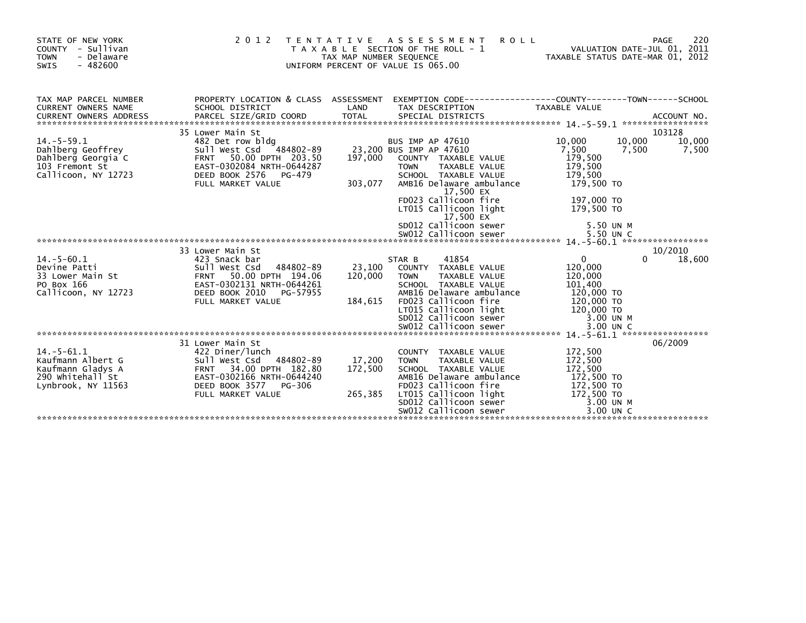| STATE OF NEW YORK<br>- Sullivan<br><b>COUNTY</b><br><b>TOWN</b><br>- Delaware<br>$-482600$<br><b>SWIS</b> | 2 0 1 2                                                                                                                                                                   | T E N T A T I V E<br>TAX MAP NUMBER SEQUENCE | A S S E S S M E N T<br><b>ROLL</b><br>T A X A B L E SECTION OF THE ROLL - 1<br>UNIFORM PERCENT OF VALUE IS 065.00                                                                                                                                                                                  | VALUATION DATE-JUL 01, 2011<br>TAXABLE STATUS DATE-MAR 01, 2012                                                                         | 220<br>PAGE                       |
|-----------------------------------------------------------------------------------------------------------|---------------------------------------------------------------------------------------------------------------------------------------------------------------------------|----------------------------------------------|----------------------------------------------------------------------------------------------------------------------------------------------------------------------------------------------------------------------------------------------------------------------------------------------------|-----------------------------------------------------------------------------------------------------------------------------------------|-----------------------------------|
| TAX MAP PARCEL NUMBER<br><b>CURRENT OWNERS NAME</b>                                                       | PROPERTY LOCATION & CLASS ASSESSMENT<br>SCHOOL DISTRICT                                                                                                                   | LAND                                         | EXEMPTION CODE-----------------COUNTY-------TOWN------SCHOOL<br>TAX DESCRIPTION                                                                                                                                                                                                                    | <b>TAXABLE VALUE</b>                                                                                                                    |                                   |
| $14. -5 - 59.1$<br>Dahlberg Geoffrey<br>Dahlberg Georgia C<br>103 Fremont St<br>Callicoon, NY 12723       | 35 Lower Main St<br>482 Det row bldg<br>Sull West Csd 484802-89<br>FRNT 50.00 DPTH 203.50<br>EAST-0302084 NRTH-0644287<br>DEED BOOK 2576<br>PG-479<br>FULL MARKET VALUE   | 197,000<br>303,077                           | <b>BUS IMP AP 47610</b><br>23,200 BUS IMP AP 47610<br>COUNTY TAXABLE VALUE<br><b>TOWN</b><br><b>TAXABLE VALUE</b><br>SCHOOL TAXABLE VALUE<br>AMB16 Delaware ambulance<br>17,500 EX<br>FD023 Callicoon fire<br>LT015 Callicoon light<br>17,500 EX<br>SD012 Callicoon sewer<br>SW012 Callicoon sewer | 10,000<br>10.000<br>7,500<br>7,500<br>179,500<br>179,500<br>179.500<br>179,500 TO<br>197,000 TO<br>179,500 TO<br>5.50 UN M<br>5.50 UN C | 103128<br>10,000<br>7,500         |
|                                                                                                           |                                                                                                                                                                           |                                              |                                                                                                                                                                                                                                                                                                    |                                                                                                                                         |                                   |
| $14. - 5 - 60.1$<br>Devine Patti<br>33 Lower Main St<br>PO Box 166<br>Callicoon, NY 12723                 | 33 Lower Main St<br>423 Snack bar<br>484802-89<br>Sull West Csd<br>FRNT 50.00 DPTH 194.06<br>EAST-0302131 NRTH-0644261<br>DEED BOOK 2010<br>PG-57955<br>FULL MARKET VALUE | 23,100<br>120,000<br>184,615                 | 41854<br>STAR B<br>COUNTY TAXABLE VALUE<br><b>TOWN</b><br><b>TAXABLE VALUE</b><br>SCHOOL TAXABLE VALUE<br>AMB16 Delaware ambulance<br>FD023 Callicoon fire<br>LT015 Callicoon light<br>SD012 Callicoon sewer                                                                                       | $\Omega$<br>120,000<br>120,000<br>101,400<br>120,000 TO<br>120,000 TO<br>120,000 TO<br>3.00 UN M                                        | 10/2010<br>18,600<br><sup>0</sup> |
|                                                                                                           |                                                                                                                                                                           |                                              |                                                                                                                                                                                                                                                                                                    |                                                                                                                                         |                                   |
| $14. - 5 - 61.1$<br>Kaufmann Albert G<br>Kaufmann Gladys A<br>290 Whitehall St<br>Lynbrook, NY 11563      | 31 Lower Main St<br>422 Diner/lunch<br>Sull West Csd 484802-89<br>FRNT 34.00 DPTH 182.80<br>EAST-0302166 NRTH-0644240<br>DEED BOOK 3577<br>PG-306<br>FULL MARKET VALUE    | 17,200<br>172,500<br>265,385                 | COUNTY TAXABLE VALUE<br><b>TOWN</b><br><b>TAXABLE VALUE</b><br>SCHOOL TAXABLE VALUE<br>AMB16 Delaware ambulance<br>FD023 Callicoon fire<br>LT015 Callicoon light<br>SD012 Callicoon sewer<br>SW012 Callicoon sewer                                                                                 | 172,500<br>172,500<br>172,500<br>172,500 TO<br>172,500 TO<br>172,500 TO<br>3.00 UN M<br>3.00 UN C                                       | 06/2009                           |
|                                                                                                           |                                                                                                                                                                           |                                              |                                                                                                                                                                                                                                                                                                    |                                                                                                                                         |                                   |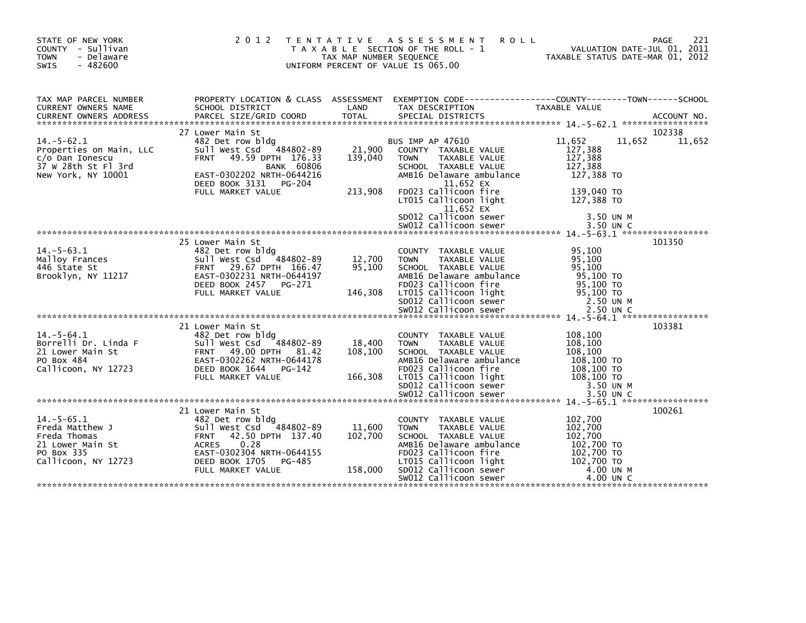| STATE OF NEW YORK<br>COUNTY - Sullivan<br>- Delaware<br><b>TOWN</b><br>$-482600$<br><b>SWIS</b>             | 2 0 1 2                                                                                                                                                                                                      | T E N T A T I V E<br>TAX MAP NUMBER SEOUENCE | ASSESSMENT<br><b>ROLL</b><br>T A X A B L E SECTION OF THE ROLL - 1<br>UNIFORM PERCENT OF VALUE IS 065.00                                                                                                                                  | VALUATION DATE-JUL 01, 2011<br>TAXABLE STATUS DATE-MAR 01, 2012                                          | 221<br>PAGE      |
|-------------------------------------------------------------------------------------------------------------|--------------------------------------------------------------------------------------------------------------------------------------------------------------------------------------------------------------|----------------------------------------------|-------------------------------------------------------------------------------------------------------------------------------------------------------------------------------------------------------------------------------------------|----------------------------------------------------------------------------------------------------------|------------------|
| TAX MAP PARCEL NUMBER<br>CURRENT OWNERS NAME                                                                | SCHOOL DISTRICT                                                                                                                                                                                              | LAND                                         | PROPERTY LOCATION & CLASS ASSESSMENT EXEMPTION CODE----------------COUNTY-------TOWN------SCHOOL<br>TAX DESCRIPTION                                                                                                                       | TAXABLE VALUE                                                                                            |                  |
| $14. - 5 - 62.1$<br>Properties on Main, LLC<br>c/o Dan Ionescu<br>37 W 28th St Fl 3rd<br>New York, NY 10001 | 27 Lower Main St<br>482 Det row bldg<br>484802-89<br>Sull West Csd<br>49.59 DPTH 176.33<br><b>FRNT</b><br><b>BANK 60806</b><br>EAST-0302202 NRTH-0644216<br>DEED BOOK 3131 PG-204<br>FULL MARKET VALUE       | 21,900<br>139,040<br>213,908                 | <b>BUS IMP AP 47610</b><br>COUNTY TAXABLE VALUE<br>TAXABLE VALUE<br><b>TOWN</b><br>SCHOOL TAXABLE VALUE<br>AMB16 Delaware ambulance<br>11,652 EX<br>FD023 Callicoon fire<br>LT015 Callicoon light<br>$11,652$ EX<br>SD012 Callicoon sewer | 11,652<br>11.652<br>127,388<br>127,388<br>127,388<br>127,388 TO<br>139,040 TO<br>127,388 TO<br>3.50 UN M | 102338<br>11,652 |
|                                                                                                             |                                                                                                                                                                                                              |                                              |                                                                                                                                                                                                                                           |                                                                                                          |                  |
| $14 - 5 - 63.1$<br>Malloy Frances<br>446 State St<br>Brooklyn, NY 11217                                     | 25 Lower Main St<br>482 Det row bldg<br>Sull West Csd 484802-89<br>FRNT 29.67 DPTH 166.47<br>EAST-0302231 NRTH-0644197<br>DEED BOOK 2457<br>PG-271<br>FULL MARKET VALUE                                      | 12,700<br>95,100<br>146,308                  | COUNTY TAXABLE VALUE<br><b>TOWN</b><br><b>TAXABLE VALUE</b><br>SCHOOL TAXABLE VALUE<br>AMB16 Delaware ambulance<br>FD023 Callicoon fire<br>LT015 Callicoon light<br>SD012 Callicoon sewer                                                 | 95,100<br>95,100<br>95.100<br>95,100 TO<br>95,100 TO<br>95,100 TO<br>2.50 UN M                           | 101350           |
|                                                                                                             | 21 Lower Main St                                                                                                                                                                                             |                                              |                                                                                                                                                                                                                                           |                                                                                                          | 103381           |
| $14 - 5 - 64.1$<br>Borrelli Dr. Linda F<br>21 Lower Main St<br>PO Box 484<br>Callicoon, NY 12723            | 482 Det row bldg<br>Sull West Csd<br>484802-89<br><b>FRNT</b><br>49.00 DPTH 81.42<br>EAST-0302262 NRTH-0644178<br>DEED BOOK 1644<br>PG-142<br>FULL MARKET VALUE                                              | 18,400<br>108,100<br>166,308                 | COUNTY TAXABLE VALUE<br><b>TOWN</b><br><b>TAXABLE VALUE</b><br>SCHOOL TAXABLE VALUE<br>AMB16 Delaware ambulance<br>FD023 Callicoon fire<br>LT015 Callicoon light<br>SD012 Callicoon sewer                                                 | 108,100<br>108,100<br>108,100<br>108,100 TO<br>108,100 TO<br>108,100 TO<br>3.50 UN M                     |                  |
|                                                                                                             |                                                                                                                                                                                                              |                                              |                                                                                                                                                                                                                                           |                                                                                                          |                  |
| $14. -5 - 65.1$<br>Freda Matthew J<br>Freda Thomas<br>21 Lower Main St<br>PO Box 335<br>Callicoon, NY 12723 | 21 Lower Main St<br>482 Det row bldg<br>Sull West Csd<br>484802-89<br>42.50 DPTH 137.40<br><b>FRNT</b><br><b>ACRES</b><br>0.28<br>EAST-0302304 NRTH-0644155<br>DEED BOOK 1705<br>PG-485<br>FULL MARKET VALUE | 11,600<br>102,700<br>158,000                 | COUNTY TAXABLE VALUE<br>TAXABLE VALUE<br><b>TOWN</b><br>SCHOOL TAXABLE VALUE<br>AMB16 Delaware ambulance<br>FD023 Callicoon fire<br>LT015 Callicoon light<br>SD012 Callicoon sewer                                                        | 102,700<br>102,700<br>102,700<br>102,700 TO<br>102,700 TO<br>102,700 TO<br>4.00 UN M                     | 100261           |
|                                                                                                             |                                                                                                                                                                                                              |                                              | SW012 Callicoon sewer                                                                                                                                                                                                                     | 4.00 UN C                                                                                                |                  |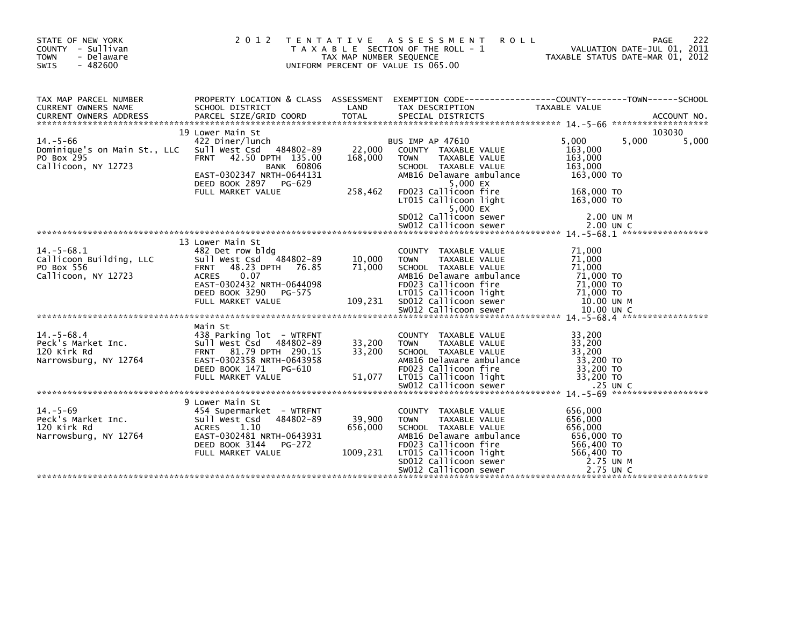| STATE OF NEW YORK<br>COUNTY - Sullivan<br><b>TOWN</b><br>- Delaware<br>$-482600$<br><b>SWIS</b>                                                                                                         |                                                                                                                                                                                 | TAX MAP NUMBER SEQUENCE       | 2012 TENTATIVE ASSESSMENT<br><b>ROLL</b><br>T A X A B L E SECTION OF THE ROLL - 1<br>UNIFORM PERCENT OF VALUE IS 065.00                                                                                     |                                                                                      | PAGE<br>VALUATION DATE-JUL 01, 2011<br>TAXABLE STATUS DATE-MAR 01, 2012 | 222 |
|---------------------------------------------------------------------------------------------------------------------------------------------------------------------------------------------------------|---------------------------------------------------------------------------------------------------------------------------------------------------------------------------------|-------------------------------|-------------------------------------------------------------------------------------------------------------------------------------------------------------------------------------------------------------|--------------------------------------------------------------------------------------|-------------------------------------------------------------------------|-----|
| TAX MAP PARCEL NUMBER<br>CURRENT OWNERS NAME<br>.CURRENT OWNERS ADDRESS PARCEL SIZE/GRID COORD TOTAL SPECIAL DISTRICTS AND MESS ARE ACCOUNT NO ACCOUNT NO ACCOUNT AND MANUSCRIPT OWNERS AND ACCOUNT NO. | SCHOOL DISTRICT                                                                                                                                                                 | LAND                          | PROPERTY LOCATION & CLASS ASSESSMENT EXEMPTION CODE----------------COUNTY-------TOWN-----SCHOOL<br>TAX DESCRIPTION                                                                                          | TAXABLE VALUE                                                                        |                                                                         |     |
|                                                                                                                                                                                                         | 19 Lower Main St                                                                                                                                                                |                               |                                                                                                                                                                                                             |                                                                                      | 103030                                                                  |     |
| $14. - 5 - 66$<br>Dominique's on Main St., LLC<br>PO Box 295<br>Callicoon, NY 12723                                                                                                                     | 422 Diner/lunch<br>Sull West Csd 484802-89<br>FRNT 42.50 DPTH 135.00<br><b>BANK 60806</b><br>EAST-0302347 NRTH-0644131<br>DEED BOOK 2897 PG-629                                 | 22,000<br>168,000             | BUS IMP AP 47610<br>COUNTY TAXABLE VALUE<br><b>TOWN</b><br>TAXABLE VALUE<br>SCHOOL TAXABLE VALUE<br>AMB16 Delaware ambulance<br>5,000 EX                                                                    | 5,000<br>163,000<br>163,000<br>163,000<br>163,000 TO                                 | 5,000<br>5,000                                                          |     |
|                                                                                                                                                                                                         | FULL MARKET VALUE                                                                                                                                                               | 258,462                       | FD023 Callicoon fire<br>LT015 Callicoon light<br>$5,000$ $EX$<br>SD012 Callicoon sewer                                                                                                                      | 168,000 TO<br>163,000 TO<br>2.00 UN M                                                |                                                                         |     |
|                                                                                                                                                                                                         |                                                                                                                                                                                 |                               |                                                                                                                                                                                                             |                                                                                      |                                                                         |     |
|                                                                                                                                                                                                         |                                                                                                                                                                                 |                               |                                                                                                                                                                                                             |                                                                                      |                                                                         |     |
| $14. - 5 - 68.1$<br>Callicoon Building, LLC<br>PO Box 556<br>Callicoon, NY 12723                                                                                                                        | 13 Lower Main St<br>482 Det row bldg<br>Sull West Csd 484802-89<br><b>FRNT</b><br>48.23 DPTH 76.85<br>0.07<br><b>ACRES</b><br>EAST-0302432 NRTH-0644098                         | 10,000<br>71,000              | COUNTY TAXABLE VALUE<br>TAXABLE VALUE<br><b>TOWN</b><br>SCHOOL TAXABLE VALUE<br>AMB16 Delaware ambulance<br>FD023 Callicoon fire                                                                            | 71,000<br>71,000<br>71,000<br>71,000 TO<br>71,000 TO                                 |                                                                         |     |
|                                                                                                                                                                                                         |                                                                                                                                                                                 |                               |                                                                                                                                                                                                             |                                                                                      |                                                                         |     |
|                                                                                                                                                                                                         |                                                                                                                                                                                 |                               |                                                                                                                                                                                                             |                                                                                      |                                                                         |     |
| $14. - 5 - 68.4$<br>Peck's Market Inc.<br>120 Kirk Rd<br>Narrowsburg, NY 12764                                                                                                                          | Main St<br>438 Parking lot - WTRFNT<br>Sull West Csd 484802-89<br>FRNT 81.79 DPTH 290.15<br>EAST-0302358 NRTH-0643958<br>DEED BOOK 1471<br>PG-610<br>FULL MARKET VALUE          | 33,200<br>33,200<br>51,077    | COUNTY TAXABLE VALUE<br>TAXABLE VALUE<br><b>TOWN</b><br>SCHOOL TAXABLE VALUE<br>AMB16 Delaware ambulance<br>FD023 Callicoon fire<br>LT015 Callicoon light                                                   | 33,200<br>33,200<br>33,200<br>33,200 TO<br>33,200 TO<br>33,200 TO                    |                                                                         |     |
|                                                                                                                                                                                                         |                                                                                                                                                                                 |                               |                                                                                                                                                                                                             |                                                                                      |                                                                         |     |
| $14. - 5 - 69$<br>Peck's Market Inc.<br>120 Kirk Rd<br>Narrowsburg, NY 12764                                                                                                                            | 9 Lower Main St<br>454 Supermarket - WTRFNT<br>Sull West Csd<br>484802-89<br><b>ACRES</b><br>1.10<br>EAST-0302481 NRTH-0643931<br>DEED BOOK 3144<br>PG-272<br>FULL MARKET VALUE | 39,900<br>656,000<br>1009,231 | COUNTY TAXABLE VALUE<br><b>TOWN</b><br>TAXABLE VALUE<br>SCHOOL TAXABLE VALUE<br>AMB16 Delaware ambulance<br>FD023 Callicoon fire<br>LT015 Callicoon light<br>SD012 Callicoon sewer<br>SW012 Callicoon sewer | 656,000<br>656,000<br>656,000<br>656,000 TO<br>566,400 TO<br>566,400 TO<br>2.75 UN M | 2.75 UN C                                                               |     |
|                                                                                                                                                                                                         |                                                                                                                                                                                 |                               |                                                                                                                                                                                                             |                                                                                      |                                                                         |     |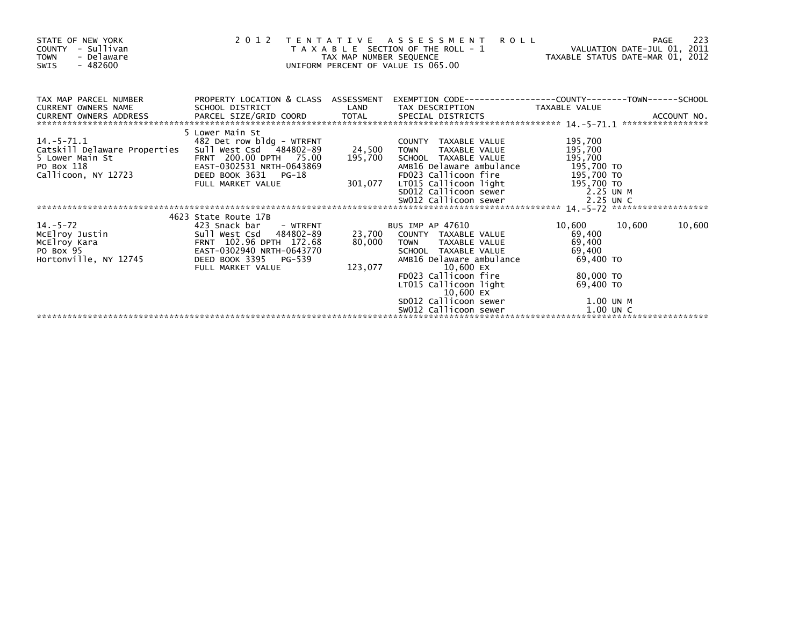| STATE OF NEW YORK<br>- Sullivan<br><b>COUNTY</b><br><b>TOWN</b><br>- Delaware<br>$-482600$<br>SWIS      | 2 0 1 2                                                                                                                                                | TAX MAP NUMBER SEQUENCE | <b>ROLL</b><br>TENTATIVE ASSESSMENT<br>T A X A B L E SECTION OF THE ROLL - 1<br>UNIFORM PERCENT OF VALUE IS 065.00              | VALUATION DATE-JUL 01, 2011<br>TAXABLE STATUS DATE-MAR 01, 2012 | 223<br>PAGE       |
|---------------------------------------------------------------------------------------------------------|--------------------------------------------------------------------------------------------------------------------------------------------------------|-------------------------|---------------------------------------------------------------------------------------------------------------------------------|-----------------------------------------------------------------|-------------------|
| TAX MAP PARCEL NUMBER<br><b>CURRENT OWNERS NAME</b><br>CURRENT OWNERS ADDRESS                           | PROPERTY LOCATION & CLASS ASSESSMENT<br>SCHOOL DISTRICT                                                                                                | LAND                    | TAX DESCRIPTION                                                                                                                 | TAXABLE VALUE                                                   | ACCOUNT NO.       |
|                                                                                                         |                                                                                                                                                        |                         |                                                                                                                                 |                                                                 | ***************** |
| $14. -5 - 71.1$<br>Catskill Delaware Properties<br>5 Lower Main St<br>PO Box 118<br>Callicoon, NY 12723 | 5 Lower Main St<br>482 Det row bldg - WTRFNT<br>Sull West Csd 484802-89<br>FRNT 200.00 DPTH 75.00<br>EAST-0302531 NRTH-0643869<br>DEED BOOK 3631 PG-18 | 24,500<br>195,700       | COUNTY TAXABLE VALUE<br>TAXABLE VALUE<br><b>TOWN</b><br>SCHOOL TAXABLE VALUE<br>AMB16 Delaware ambulance                        | 195,700<br>195,700<br>195,700<br>195,700 TO                     |                   |
|                                                                                                         | FULL MARKET VALUE                                                                                                                                      | 301,077                 | FD023 Callicoon fire 195,700 TO<br>LT015 Callicoon light 195,700 TO<br>SD012 Callicoon sewer 2.25 UN M<br>SW012 Callicoon sewer | 2.25 UN C                                                       |                   |
|                                                                                                         |                                                                                                                                                        |                         |                                                                                                                                 |                                                                 |                   |
| $14. - 5 - 72$<br>McElroy Justin<br>McElroy Kara<br>PO Box 95                                           | 4623 State Route 17B<br>423 Snack bar<br>- WTRFNT<br>Sull West Csd 484802-89<br>FRNT 102.96 DPTH 172.68<br>EAST-0302940 NRTH-0643770                   | 23,700<br>80,000        | <b>BUS IMP AP 47610</b><br>COUNTY TAXABLE VALUE<br>TAXABLE VALUE<br><b>TOWN</b><br>SCHOOL TAXABLE VALUE                         | 10,600 10,600<br>69,400<br>69,400<br>69,400                     | 10,600            |
| Hortonville, NY 12745                                                                                   | DEED BOOK 3395 PG-539<br>FULL MARKET VALUE                                                                                                             | 123,077                 | AMB16 Delaware ambulance<br>10,600 EX<br>FD023 Callicoon fire<br>LT015 Callicoon light<br>10,600 EX                             | 69,400 TO<br>80.000 TO<br>69,400 TO                             |                   |
|                                                                                                         |                                                                                                                                                        |                         | SD012 Callicoon sewer<br>SW012 Callicoon sewer                                                                                  | 1.00 UN M<br>$1.00$ UN C                                        |                   |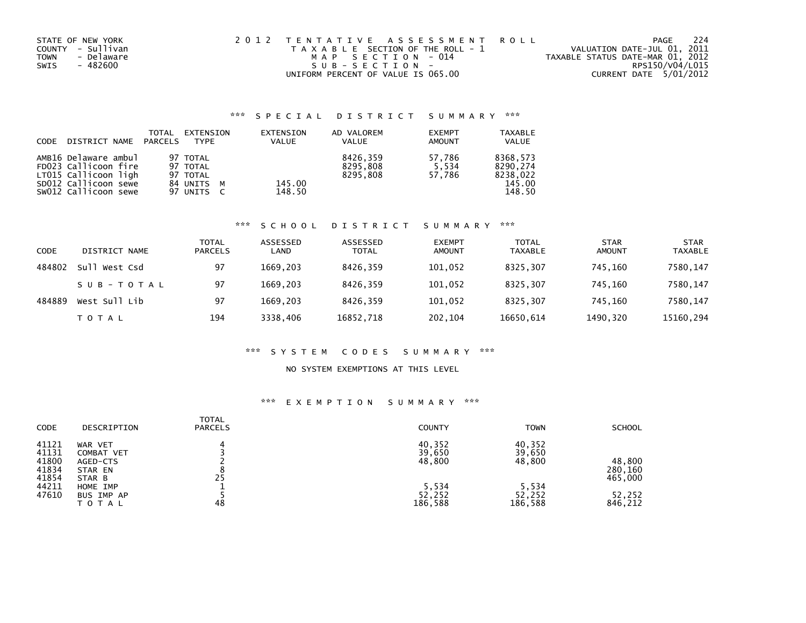| STATE OF NEW YORK         | 2012 TENTATIVE ASSESSMENT ROLL        | PAGE                             | -224 |
|---------------------------|---------------------------------------|----------------------------------|------|
| COUNTY - Sullivan         | T A X A B L E SECTION OF THE ROLL - 1 | VALUATION DATE-JUL 01, 2011      |      |
| - Delaware<br><b>TOWN</b> | MAP SECTION - 014                     | TAXABLE STATUS DATE-MAR 01, 2012 |      |
| - 482600<br>SWIS          | SUB-SECTION-                          | RPS150/V04/L015                  |      |
|                           | UNIFORM PERCENT OF VALUE IS 065.00    | CURRENT DATE 5/01/2012           |      |

# \*\*\* S P E C I A L D I S T R I C T S U M M A R Y \*\*\*

| CODE | DISTRICT NAME PARCELS                                                | TOTAL | EXTENSION<br><b>TYPF</b>           | EXTENSION<br><b>VALUE</b> | AD VALOREM<br><b>VALUE</b>       | <b>EXEMPT</b><br><b>AMOUNT</b> | <b>TAXABLE</b><br><b>VALUE</b>   |
|------|----------------------------------------------------------------------|-------|------------------------------------|---------------------------|----------------------------------|--------------------------------|----------------------------------|
|      | AMB16 Delaware ambul<br>FD023 Callicoon fire<br>LT015 Callicoon ligh |       | 97 TOTAL<br>97 TOTAL<br>97 TOTAL   |                           | 8426.359<br>8295.808<br>8295.808 | 57.786<br>5.534<br>57.786      | 8368.573<br>8290.274<br>8238.022 |
|      | SD012 Callicoon sewe<br>SW012 Callicoon sewe                         |       | 84 UNITS<br><b>M</b><br>97 UNITS C | 145.00<br>148.50          |                                  |                                | 145.00<br>148.50                 |

## \*\*\* S C H O O L D I S T R I C T S U M M A R Y \*\*\*

| CODE   | DISTRICT NAME | TOTAL<br><b>PARCELS</b> | ASSESSED<br>LAND | ASSESSED<br><b>TOTAL</b> | <b>EXEMPT</b><br><b>AMOUNT</b> | <b>TOTAL</b><br><b>TAXABLE</b> | <b>STAR</b><br>AMOUNT | <b>STAR</b><br><b>TAXABLE</b> |
|--------|---------------|-------------------------|------------------|--------------------------|--------------------------------|--------------------------------|-----------------------|-------------------------------|
| 484802 | Sull West Csd | 97                      | 1669.203         | 8426,359                 | 101,052                        | 8325.307                       | 745.160               | 7580,147                      |
|        | SUB-TOTAL     | 97                      | 1669.203         | 8426,359                 | 101,052                        | 8325.307                       | 745.160               | 7580,147                      |
| 484889 | West Sull Lib | 97                      | 1669.203         | 8426.359                 | 101,052                        | 8325.307                       | 745.160               | 7580,147                      |
|        | TOTAL         | 194                     | 3338,406         | 16852,718                | 202,104                        | 16650,614                      | 1490,320              | 15160,294                     |

# \*\*\* S Y S T E M C O D E S S U M M A R Y \*\*\*

## NO SYSTEM EXEMPTIONS AT THIS LEVEL

# \*\*\* E X E M P T I O N S U M M A R Y \*\*\*

| <b>CODE</b><br>DESCRIPTION                                                                                                                                      | TOTAL<br><b>PARCELS</b><br><b>COUNTY</b>                             | <b>TOWN</b><br><b>SCHOOL</b>                                                                                  |
|-----------------------------------------------------------------------------------------------------------------------------------------------------------------|----------------------------------------------------------------------|---------------------------------------------------------------------------------------------------------------|
| 41121<br>WAR VET<br>41131<br><b>COMBAT VET</b><br>41800<br>AGED-CTS<br>41834<br>STAR EN<br>41854<br>STAR B<br>44211<br>HOME IMP<br>47610<br>BUS IMP AP<br>ΤΟΤΑΙ | 40,352<br>39,650<br>48,800<br>25<br>5,534<br>52,252<br>48<br>186,588 | 40,352<br>39,650<br>48,800<br>48,800<br>280,160<br>465,000<br>5,534<br>52,252<br>52,252<br>186,588<br>846,212 |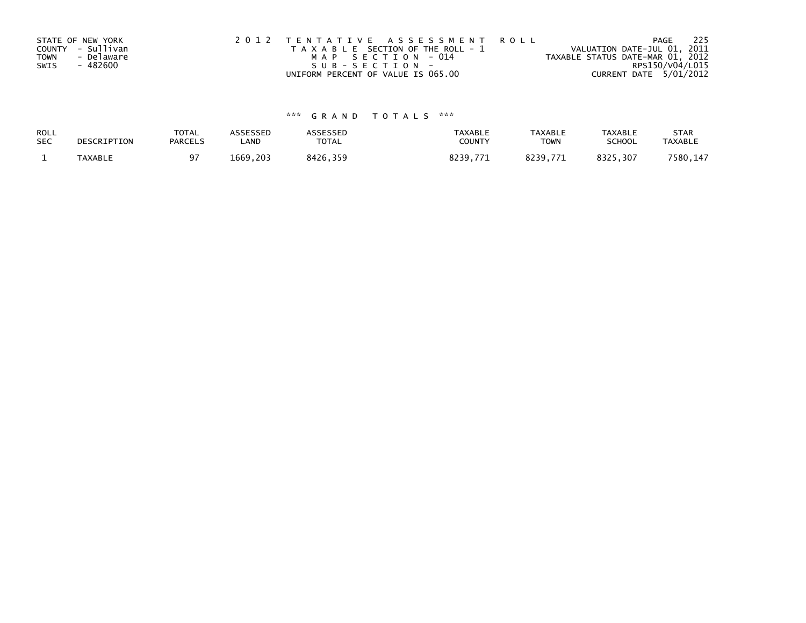|      | STATE OF NEW YORK | 2012 TENTATIVE ASSESSMENT ROLL        | -225<br>PAGE                     |
|------|-------------------|---------------------------------------|----------------------------------|
|      | COUNTY - Sullivan | T A X A B L E SECTION OF THE ROLL - 1 | VALUATION DATE-JUL 01, 2011      |
| TOWN | - Delaware        | MAP SECTION - 014                     | TAXABLE STATUS DATE-MAR 01, 2012 |
| SWIS | - 482600          | $SUB - SECTION -$                     | RPS150/V04/L015                  |
|      |                   | UNIFORM PERCENT OF VALUE IS 065.00    | CURRENT DATE 5/01/2012           |

# \*\*\* G R A N D T O T A L S \*\*\*

| ROLL       | DESCRIPTION | <b>TOTAL</b>   | <b>ASSESSED</b> | ASSESSED | <b>TAXABLE</b> | <b>TAXABLE</b> | <b>TAXABLE</b> | <b>STAR</b>    |
|------------|-------------|----------------|-----------------|----------|----------------|----------------|----------------|----------------|
| <b>SEC</b> |             | <b>PARCELS</b> | ∟AND            | TOTAL    | COUNTY         | <b>TOWN</b>    | <b>SCHOOL</b>  | <b>TAXABLE</b> |
|            | TAXABLE     |                | 1669.203        | 8426.359 | 8239.771       | 8239.771       | 8325,307       | 7580,147       |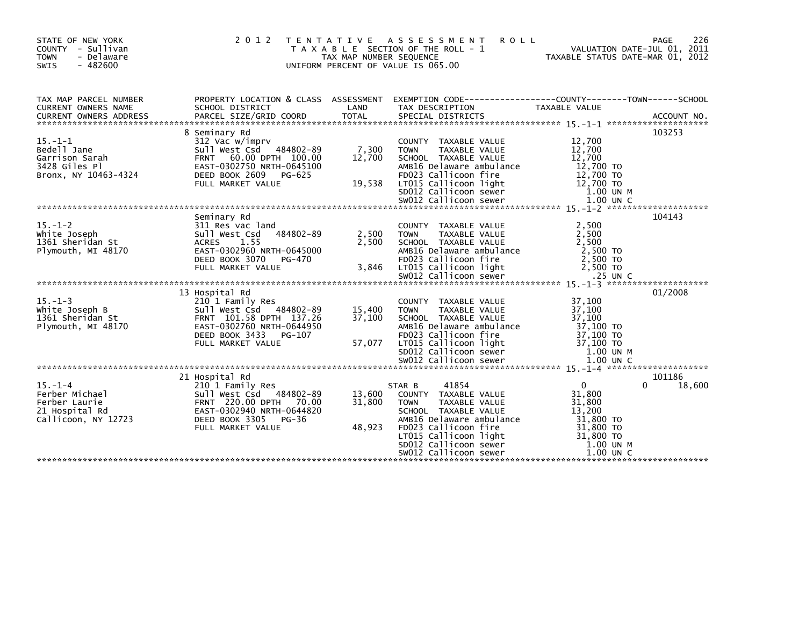| STATE OF NEW YORK<br>COUNTY - Sullivan<br><b>TOWN</b><br>- Delaware<br>$-482600$<br><b>SWIS</b>                                                                                                                                                            | 2 0 1 2                                                                                                                                                              | TAX MAP NUMBER SEQUENCE    | TENTATIVE ASSESSMENT<br><b>ROLL</b><br>T A X A B L E SECTION OF THE ROLL - 1<br>UNIFORM PERCENT OF VALUE IS 065.00                                                                                                                                      | VALUATION DATE-JUL 01, 2011<br>TAXABLE STATUS DATE-MAR 01, 2012                                                    | 226<br><b>PAGE</b> |
|------------------------------------------------------------------------------------------------------------------------------------------------------------------------------------------------------------------------------------------------------------|----------------------------------------------------------------------------------------------------------------------------------------------------------------------|----------------------------|---------------------------------------------------------------------------------------------------------------------------------------------------------------------------------------------------------------------------------------------------------|--------------------------------------------------------------------------------------------------------------------|--------------------|
| TAX MAP PARCEL NUMBER<br>CURRENT OWNERS NAME<br>CURRENT OWNERS ADDRESS FARCEL SIZE/GRID COORD TOTAL SPECIAL DISTRICTS (2001) ACCOUNT NO.<br>A CCOUNT NO A SERVE SIZE/GRID COORD TOTAL SPECIAL DISTRICTS (2004) 2014 15 -1-1 ****************************** | SCHOOL DISTRICT                                                                                                                                                      | LAND                       | PROPERTY LOCATION & CLASS ASSESSMENT EXEMPTION CODE----------------COUNTY-------TOWN------SCHOOL<br>TAX DESCRIPTION                                                                                                                                     | TAXABLE VALUE                                                                                                      |                    |
| $15. - 1 - 1$<br>Bedell Jane<br>Garrison Sarah<br>3428 Giles Pl<br>Bronx, NY 10463-4324                                                                                                                                                                    | 8 Seminary Rd<br>312 Vac w/imprv<br>Sull West Csd 484802-89<br>FRNT 60.00 DPTH 100.00<br>EAST-0302750 NRTH-0645100<br>DEED BOOK 2609 PG-625                          | 7,300<br>12,700            | COUNTY TAXABLE VALUE<br><b>TOWN</b><br>TAXABLE VALUE<br>SCHOOL TAXABLE VALUE<br>AMB16 Delaware ambulance<br>FD023 Callicoon fire                                                                                                                        | 12,700<br>12,700<br>12,700<br>12,700 TO<br>12,700 TO                                                               | 103253             |
| $15. - 1 - 2$<br>White Joseph<br>1361 Sheridan St<br>Plymouth, MI 48170                                                                                                                                                                                    | Seminary Rd<br>311 Res vac land<br>484802-89<br>Sull West Csd<br>1.55<br><b>ACRES</b><br>EAST-0302960 NRTH-0645000<br>DEED BOOK 3070<br>PG-470                       | 2,500<br>2.500             | COUNTY TAXABLE VALUE<br><b>TOWN</b><br>TAXABLE VALUE<br>SCHOOL TAXABLE VALUE<br>AMB16 Delaware ambulance<br>FD023 Callicoon fire                                                                                                                        | 2,500<br>2,500<br>2.500<br>2,500 TO<br>2,500 TO                                                                    | 104143             |
| $15. - 1 - 3$<br>White Joseph B<br>1361 Sheridan St<br>Plymouth, MI 48170                                                                                                                                                                                  | 13 Hospital Rd<br>210 1 Family Res<br>Sull West Csd 484802-89<br>FRNT 101.58 DPTH 137.26<br>EAST-0302760 NRTH-0644950<br>DEED BOOK 3433<br>PG-107                    | 15,400<br>37,100           | COUNTY TAXABLE VALUE<br><b>TOWN</b><br>TAXABLE VALUE<br>SCHOOL TAXABLE VALUE<br>AMB16 Delaware ambulance<br>FD023 Callicoon fire                                                                                                                        | 37,100<br>37,100<br>37,100<br>37,100 TO<br>37,100 TO                                                               | 01/2008            |
| $15. - 1 - 4$<br>Ferber Michael<br>Ferber Laurie<br>21 Hospital Rd<br>Callicoon, NY 12723                                                                                                                                                                  | 21 Hospital Rd<br>210 1 Family Res<br>Sull West Csd 484802-89<br>FRNT 220.00 DPTH 70.00<br>EAST-0302940 NRTH-0644820<br>DEED BOOK 3305<br>PG-36<br>FULL MARKET VALUE | 13,600<br>31.800<br>48,923 | 41854<br>STAR B<br>COUNTY TAXABLE VALUE<br>TAXABLE VALUE<br><b>TOWN</b><br>SCHOOL TAXABLE VALUE<br>AMB16 Delaware ambulance<br>FD023 Callicoon fire<br>LT015 Callicoon light<br>LTO15 Callicoon light<br>SDO12 Callicoon sewer<br>SW012 Callicoon sewer | $\mathbf{0}$<br>0<br>31,800<br>31,800<br>13,200<br>31,800 TO<br>31,800 TO<br>31,800 TO<br>1.00 UN M<br>$1.00$ UN C | 101186<br>18,600   |
|                                                                                                                                                                                                                                                            |                                                                                                                                                                      |                            |                                                                                                                                                                                                                                                         |                                                                                                                    |                    |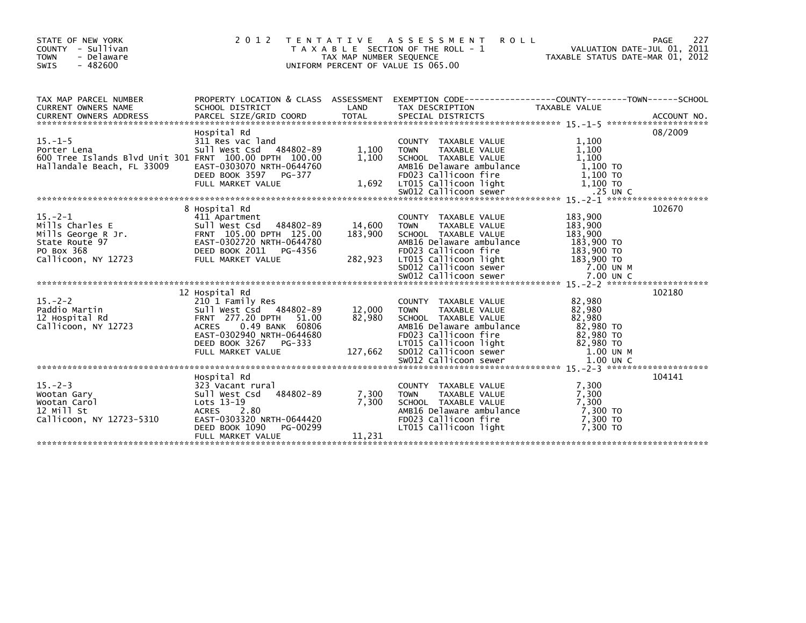| STATE OF NEW YORK<br>COUNTY - Sullivan<br><b>TOWN</b><br>- Delaware<br>SWIS<br>$-482600$                                                                                                                                                                                                                                                                                                                                                                                    |                                                                                                                                                                                    | 2012 TENTATIVE ASSESSMENT ROLL PAGE 227<br>TAXABLE SECTION OF THE ROLL - 1 VALUATION DATE-JUL 01, 2011<br>TAX MAP NUMBER SEQUENCE 20<br>UNIFORM PERCENT OF VALUE IS 065.00                   |         |
|-----------------------------------------------------------------------------------------------------------------------------------------------------------------------------------------------------------------------------------------------------------------------------------------------------------------------------------------------------------------------------------------------------------------------------------------------------------------------------|------------------------------------------------------------------------------------------------------------------------------------------------------------------------------------|----------------------------------------------------------------------------------------------------------------------------------------------------------------------------------------------|---------|
|                                                                                                                                                                                                                                                                                                                                                                                                                                                                             |                                                                                                                                                                                    |                                                                                                                                                                                              |         |
| 15.-1-5<br>Porter Lena<br>2011 Res vac land<br>2011 West Csd 484802-89<br>2011 West Csd 484802-89<br>2011 West Csd 484802-89<br>2011 West Csd 484802-89<br>2011 Maxable VALUE<br>21,100<br>21,100<br>21,100<br>21,100<br>25 UNC<br>25 UNC<br>25 UNC<br>25 UN                                                                                                                                                                                                                | Hospital Rd<br>Hospital Rd<br>311 Res vac land<br>Sull West Csd   484802-89        1,100    TOWN                                                                                   |                                                                                                                                                                                              | 08/2009 |
|                                                                                                                                                                                                                                                                                                                                                                                                                                                                             |                                                                                                                                                                                    |                                                                                                                                                                                              |         |
| 15.-2-1<br>Mills Charles E<br>Mills George R Jr.<br>Mills George R Jr.<br>Sull West Csd 484802-89<br>Sull West Callicoon, NY 12723<br>TULL MARKET VALUE<br>PO Box 368<br>Callicoon, NY 12723<br>FULL MARKET VALUE<br>15.-2-1<br>Mills Charles E<br>Mills Charles E<br>Mills Charles E<br>Mills Charles E<br>Mills Charles E<br>State Route 97<br>EAST-0302720 NRTH-0644780<br>EAST-0302720 NRTH-0644780<br>PO BOX 368<br>DEED BOOK 2011 PG-4356<br>Callicoon, NY 12723<br>F | 8 Hospital Rd                                                                                                                                                                      | COUNTY TAXABLE VALUE 183,900<br>TOWN TAXABLE VALUE 183,900                                                                                                                                   | 102670  |
| 15.-2-2<br>Paddio Martin<br>12 Hospital Rd<br>Callicoon, NY 12723<br>15.-2-2<br>Paddio Martin 277.20 DPTH 2010 1 Pamily Res 210 1 Family Res 210 1 Family Res 210 1 Pamily Res 210 1 Pamily Res<br>21 Hospital Rd FRNT 277.20 DPTH 51.000 1000 TOWN TAXABLE VALUE<br>Callicoon, NY 12723 ACRES 0.49 BANK                                                                                                                                                                    | 12 Hospital Rd                                                                                                                                                                     |                                                                                                                                                                                              | 102180  |
| 15.-2-3<br>Wootan Gary<br>Wootan Carol<br>12 Mill St<br>Callicoon, NY 12723-5310                                                                                                                                                                                                                                                                                                                                                                                            | Hospital Rd<br>323 Vacant rural<br>Sull West Csd 484802-89 7,300<br>1.300<br>Lots 13-19<br>ACRES 2.80<br>EAST-0303320 NRTH-0644420<br>DEED BOOK 1090 PG-00299<br>FULL MARKET VALUE | COUNTY TAXABLE VALUE 7,300<br>TOWN TAXABLE VALUE 7,300<br>SCHOOL TAXABLE VALUE 7,300<br>AMB16 Delaware ambulance 7,300 TO<br>FD023 Callicoon fire 7,300 TO<br>LT015 Callicoon light 7,300 TO | 104141  |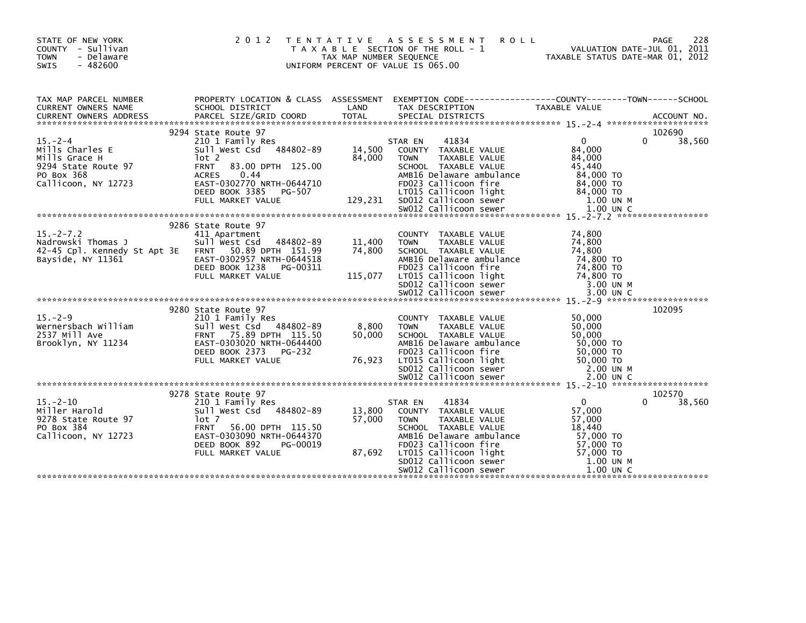| STATE OF NEW YORK<br>COUNTY - Sullivan<br><b>TOWN</b><br>- Delaware<br><b>SWIS</b><br>$-482600$              | 2 0 1 2                                                                                                                                                                                                               | T E N T A T I V E<br>TAX MAP NUMBER SEQUENCE | ASSESSMENT<br><b>ROLL</b><br>T A X A B L E SECTION OF THE ROLL - 1<br>UNIFORM PERCENT OF VALUE IS 065.00                                                                                                                               | TAXABLE STATUS DATE-MAR 01, 2012                                                                            | 228<br>PAGE<br>VALUATION DATE-JUL 01, 2011 |
|--------------------------------------------------------------------------------------------------------------|-----------------------------------------------------------------------------------------------------------------------------------------------------------------------------------------------------------------------|----------------------------------------------|----------------------------------------------------------------------------------------------------------------------------------------------------------------------------------------------------------------------------------------|-------------------------------------------------------------------------------------------------------------|--------------------------------------------|
| TAX MAP PARCEL NUMBER<br>CURRENT OWNERS NAME<br><b>CURRENT OWNERS ADDRESS</b>                                | PROPERTY LOCATION & CLASS ASSESSMENT<br>SCHOOL DISTRICT<br>PARCEL SIZE/GRID COORD                                                                                                                                     | LAND<br><b>TOTAL</b>                         | EXEMPTION CODE-----------------COUNTY-------TOWN------SCHOOL<br>TAX DESCRIPTION<br>SPECIAL DISTRICTS                                                                                                                                   | <b>TAXABLE VALUE</b>                                                                                        | ACCOUNT NO.                                |
| $15. -2 - 4$<br>Mills Charles E<br>Mills Grace H<br>9294 State Route 97<br>PO Box 368<br>Callicoon, NY 12723 | 9294 State Route 97<br>210 1 Family Res<br>Sull West Csd 484802-89<br>lot 2<br><b>FRNT</b><br>83.00 DPTH 125.00<br>0.44<br><b>ACRES</b><br>EAST-0302770 NRTH-0644710<br>DEED BOOK 3385<br>PG-507<br>FULL MARKET VALUE | 14,500<br>84,000<br>129,231                  | 41834<br>STAR EN<br>COUNTY TAXABLE VALUE<br><b>TOWN</b><br>TAXABLE VALUE<br>SCHOOL TAXABLE VALUE<br>AMB16 Delaware ambulance<br>FD023 Callicoon fire<br>LT015 Callicoon light<br>SD012 Callicoon sewer                                 | $\Omega$<br>84,000<br>84,000<br>45.440<br>84,000 TO<br>84.000 TO<br>84,000 TO<br>1.00 UN M                  | 102690<br>$\Omega$<br>38,560               |
| $15 - 2 - 7.2$<br>Nadrowski Thomas J<br>42-45 Cpl. Kennedy St Apt 3E<br>Bayside, NY 11361                    | 9286 State Route 97<br>411 Apartment<br>Sull west Csd<br>484802-89<br>FRNT 50.89 DPTH 151.99<br>EAST-0302957 NRTH-0644518<br>DEED BOOK 1238<br>PG-00311<br>FULL MARKET VALUE                                          | 11,400<br>74,800<br>115,077                  | COUNTY TAXABLE VALUE<br>TAXABLE VALUE<br><b>TOWN</b><br>SCHOOL TAXABLE VALUE<br>AMB16 Delaware ambulance<br>FD023 Callicoon fire<br>LT015 Callicoon light<br>SD012 Callicoon sewer                                                     | 74,800<br>74,800<br>74,800<br>74,800 TO<br>74,800 TO<br>74,800 TO<br>3.00 UN M                              |                                            |
| $15. -2 - 9$<br>Wernersbach William<br>2537 Mill Ave<br>Brooklyn, NY 11234                                   | 9280 State Route 97<br>210 1 Family Res<br>Sull West Csd 484802-89<br>FRNT 75.89 DPTH 115.50<br>EAST-0303020 NRTH-0644400<br>DEED BOOK 2373<br>PG-232<br>FULL MARKET VALUE                                            | 8,800<br>50,000<br>76,923                    | COUNTY TAXABLE VALUE<br>TAXABLE VALUE<br><b>TOWN</b><br>SCHOOL TAXABLE VALUE<br>AMB16 Delaware ambulance<br>FD023 Callicoon fire<br>LT015 Callicoon light<br>SD012 Callicoon sewer<br>SW012 Callicoon sewer                            | 50,000<br>50,000<br>50,000<br>50,000 TO<br>50,000 TO<br>$50,000$ TO<br>2.00 UN M<br>2.00 UN C               | 102095                                     |
| $15. - 2 - 10$<br>Miller Harold<br>9278 State Route 97<br>PO Box 384<br>Callicoon, NY 12723                  | 9278 State Route 97<br>210 1 Family Res<br>Sull West Csd 484802-89<br>lot 7<br><b>FRNT</b><br>56.00 DPTH 115.50<br>EAST-0303090 NRTH-0644370<br>DEED BOOK 892<br>PG-00019<br>FULL MARKET VALUE                        | 13,800<br>57,000<br>87,692                   | 41834<br>STAR EN<br>COUNTY TAXABLE VALUE<br><b>TAXABLE VALUE</b><br><b>TOWN</b><br>SCHOOL TAXABLE VALUE<br>AMB16 Delaware ambulance<br>FD023 Callicoon fire<br>LT015 Callicoon light<br>SD012 Callicoon sewer<br>SW012 Callicoon sewer | $\mathbf{0}$<br>57,000<br>57,000<br>18,440<br>57,000 TO<br>57,000 TO<br>57,000 TO<br>1.00 UN M<br>1.00 UN C | 102570<br>38,560                           |
|                                                                                                              |                                                                                                                                                                                                                       |                                              |                                                                                                                                                                                                                                        |                                                                                                             |                                            |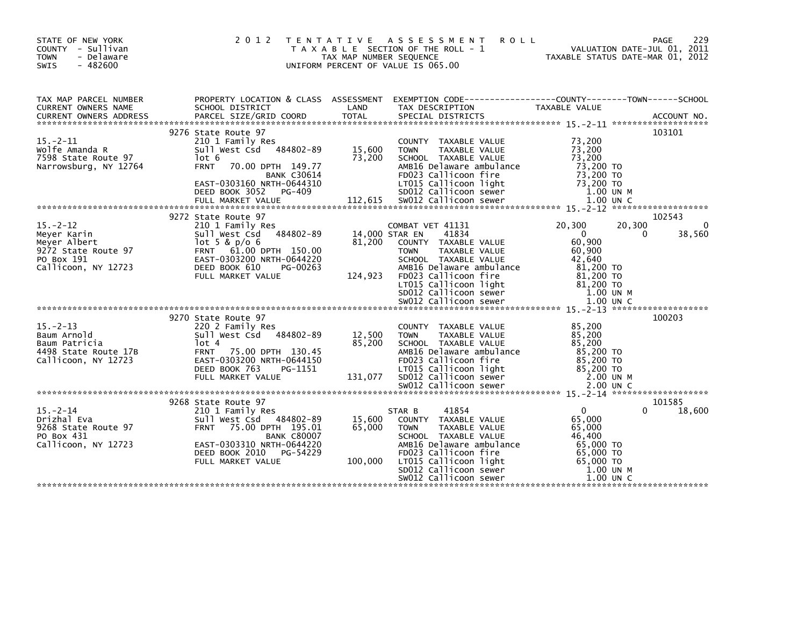| STATE OF NEW YORK<br>COUNTY - Sullivan<br>- Delaware<br><b>TOWN</b><br>$-482600$<br>SWIS                 | 2 0 1 2                                                                                                                                                                                                                                                                                                                                                                                                                       | TAX MAP NUMBER SEQUENCE     | TENTATIVE ASSESSMENT<br><b>ROLL</b><br>T A X A B L E SECTION OF THE ROLL - 1<br>UNIFORM PERCENT OF VALUE IS 065.00                                                                                              | VALUATION DATE-JUL 01, 2011<br>TAXABLE STATUS DATE-MAR 01, 2012                                                       | 229<br>PAGE        |
|----------------------------------------------------------------------------------------------------------|-------------------------------------------------------------------------------------------------------------------------------------------------------------------------------------------------------------------------------------------------------------------------------------------------------------------------------------------------------------------------------------------------------------------------------|-----------------------------|-----------------------------------------------------------------------------------------------------------------------------------------------------------------------------------------------------------------|-----------------------------------------------------------------------------------------------------------------------|--------------------|
| TAX MAP PARCEL NUMBER<br>CURRENT OWNERS NAME                                                             | SCHOOL DISTRICT                                                                                                                                                                                                                                                                                                                                                                                                               | LAND                        | PROPERTY LOCATION & CLASS ASSESSMENT EXEMPTION CODE----------------COUNTY-------TOWN------SCHOOL<br>TAX DESCRIPTION                                                                                             | TAXABLE VALUE                                                                                                         |                    |
|                                                                                                          |                                                                                                                                                                                                                                                                                                                                                                                                                               |                             |                                                                                                                                                                                                                 |                                                                                                                       |                    |
| $15 - 2 - 11$<br>Wolfe Amanda R<br>7598 State Route 97<br>Narrowsburg, NY 12764                          | 9276 State Route 97<br>210 1 Family Res<br>Sull West Csd 484802-89<br>lot 6<br>70.00 DPTH 149.77<br><b>FRNT</b><br><b>BANK C30614</b><br>EAST-0303160 NRTH-0644310<br>DEED BOOK 3052 PG-409<br>20012 Callicoon sewer 11.00 UN C 1.00 UN C 20012 Callicoon Sewer 1.00 UN C 20012 Callicoon Sewer 20012 Callicoon Sewer 20012 Callicoon Sewer 20012 Callicoon Sewer 20012 Callicoon Sewer 20012 Callicoon Sewer 20012 Callicoon | 15,600<br>73,200            | COUNTY TAXABLE VALUE<br>TAXABLE VALUE<br><b>TOWN</b><br>SCHOOL TAXABLE VALUE<br>AMB16 Delaware ambulance<br>FD023 Callicoon fire<br>LT015 Callicoon light<br>SD012 Callicoon sewer                              | 73,200<br>73,200<br>73.200<br>73,200 TO<br>73,200 TO<br>73,200 TO<br>1.00 UN M                                        | 103101             |
|                                                                                                          | 9272 State Route 97                                                                                                                                                                                                                                                                                                                                                                                                           |                             |                                                                                                                                                                                                                 |                                                                                                                       | 102543             |
| $15 - 2 - 12$<br>Meyer Karin<br>Meyer Albert<br>9272 State Route 97<br>PO Box 191<br>Callicoon, NY 12723 | 210 1 Family Res<br>Sull West Csd 484802-89<br>$1$ ot 5 & p/o 6<br>FRNT 61.00 DPTH 150.00<br>EAST-0303200 NRTH-0644220<br>DEED BOOK 610<br>PG-00263<br>FULL MARKET VALUE                                                                                                                                                                                                                                                      | 81.200<br>124,923           | COMBAT VET 41131<br>14,000 STAR EN<br>41834<br>COUNTY TAXABLE VALUE<br><b>TOWN</b><br><b>TAXABLE VALUE</b><br>SCHOOL TAXABLE VALUE<br>AMB16 Delaware ambulance<br>FD023 Callicoon fire<br>LT015 Callicoon light | 20,300<br>20,300<br>$\overline{\mathbf{0}}$<br>0<br>60,900<br>60,900<br>42,640<br>81,200 TO<br>81,200 TO<br>81,200 TO | $\Omega$<br>38,560 |
|                                                                                                          |                                                                                                                                                                                                                                                                                                                                                                                                                               |                             | SD012 Callicoon sewer                                                                                                                                                                                           | 1.00 UN M                                                                                                             |                    |
|                                                                                                          | 9270 State Route 97                                                                                                                                                                                                                                                                                                                                                                                                           |                             |                                                                                                                                                                                                                 |                                                                                                                       | 100203             |
| $15 - 2 - 13$<br>Baum Arnold<br>Baum Patricia<br>4498 State Route 17B<br>Callicoon, NY 12723             | 220 2 Family Res<br>Sull West Csd 484802-89<br>lot 4<br>FRNT 75.00 DPTH 130.45<br>EAST-0303200 NRTH-0644150<br>DEED BOOK 763<br>PG-1151<br>FULL MARKET VALUE                                                                                                                                                                                                                                                                  | 12,500<br>85,200<br>131,077 | COUNTY TAXABLE VALUE<br>TAXABLE VALUE<br><b>TOWN</b><br>SCHOOL TAXABLE VALUE<br>AMB16 Delaware ambulance<br>FD023 Callicoon fire<br>LT015 Callicoon light<br>SD012 Callicoon sewer                              | 85,200<br>85,200<br>85,200<br>85,200 TO<br>85,200 TO<br>85,200 TO<br>2.00 UN M                                        |                    |
|                                                                                                          |                                                                                                                                                                                                                                                                                                                                                                                                                               |                             |                                                                                                                                                                                                                 |                                                                                                                       |                    |
| $15 - 2 - 14$<br>Drizhal Eva<br>9268 State Route 97<br>PO Box 431<br>Callicoon, NY 12723                 | 9268 State Route 97<br>210 1 Family Res<br>Sull West Csd 484802-89<br>75.00 DPTH 195.01<br><b>FRNT</b><br><b>BANK C80007</b><br>EAST-0303310 NRTH-0644220<br>DEED BOOK 2010<br>PG-54229<br>FULL MARKET VALUE                                                                                                                                                                                                                  | 15,600<br>65,000<br>100,000 | 41854<br>STAR B<br>COUNTY TAXABLE VALUE<br><b>TOWN</b><br>TAXABLE VALUE<br>SCHOOL TAXABLE VALUE<br>AMB16 Delaware ambulance<br>FD023 Callicoon fire<br>LT015 Callicoon light<br>SD012 Callicoon sewer           | $\mathbf{0}$<br>65,000<br>65,000<br>46,400<br>65,000 TO<br>65,000 TO<br>65,000 TO<br>1.00 UN M                        | 101585<br>18,600   |
|                                                                                                          |                                                                                                                                                                                                                                                                                                                                                                                                                               |                             | SW012 Callicoon sewer                                                                                                                                                                                           | 1.00 UN C                                                                                                             |                    |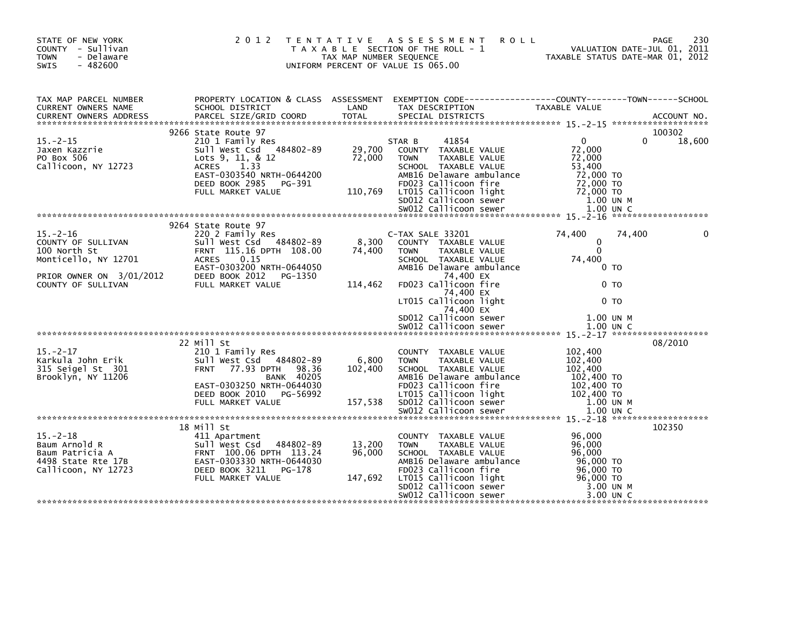| STATE OF NEW YORK<br>COUNTY - Sullivan<br><b>TOWN</b><br>- Delaware<br>$-482600$<br><b>SWIS</b> |                                                                                                                                                                                                   | TAX MAP NUMBER SEQUENCE     | 2012 TENTATIVE ASSESSMENT<br>T A X A B L E SECTION OF THE ROLL - 1<br>UNIFORM PERCENT OF VALUE IS 065.00                                                                                                         | <b>ROLL</b>                                                                                        | 230<br><b>PAGE</b><br>VALUATION DATE-JUL 01, 2011<br>TAXABLE STATUS DATE-MAR 01, 2012 |
|-------------------------------------------------------------------------------------------------|---------------------------------------------------------------------------------------------------------------------------------------------------------------------------------------------------|-----------------------------|------------------------------------------------------------------------------------------------------------------------------------------------------------------------------------------------------------------|----------------------------------------------------------------------------------------------------|---------------------------------------------------------------------------------------|
| TAX MAP PARCEL NUMBER<br>CURRENT OWNERS NAME                                                    | PROPERTY LOCATION & CLASS ASSESSMENT EXEMPTION CODE---------------COUNTY-------TOWN------SCHOOL<br>SCHOOL DISTRICT (AND TAX DESCRIPTION TAXARIE VALUE<br>SCHOOL DISTRICT                          | LAND                        | TAX DESCRIPTION                                                                                                                                                                                                  | TAXABLE VALUE                                                                                      |                                                                                       |
| $15. - 2 - 15$<br>Jaxen Kazzrie<br>PO Box 506<br>Callicoon, NY 12723                            | 9266 State Route 97<br>210 1 Family Res<br>Sull West Csd 484802-89<br>Lots 9, 11, & 12<br><b>ACRES</b><br>1.33<br>EAST-0303540 NRTH-0644200<br>DEED BOOK 2985 PG-391<br>FULL MARKET VALUE         | 29,700<br>72,000<br>110,769 | 41854<br>STAR B<br>COUNTY TAXABLE VALUE<br><b>TOWN</b><br>TAXABLE VALUE<br>SCHOOL TAXABLE VALUE<br>AMB16 Delaware ambulance<br>FD023 Callicoon fire<br>LT015 Callicoon light                                     | $\overline{0}$<br>72,000<br>72,000<br>53,400<br>72,000 TO<br>72,000 TO<br>72,000 TO<br>$1.00$ UN M | 100302<br>0<br>18,600<br>1.00 UN C                                                    |
|                                                                                                 |                                                                                                                                                                                                   |                             |                                                                                                                                                                                                                  |                                                                                                    |                                                                                       |
| $15. - 2 - 16$<br>COUNTY OF SULLIVAN<br>100 North St<br>Monticello, NY 12701                    | 9264 State Route 97<br>220 2 Family Res<br>Sull West Csd 484802-89<br>FRNT 115.16 DPTH 108.00<br>ACRES<br>0.15<br>EAST-0303200 NRTH-0644050                                                       | 8,300<br>74,400             | C-TAX SALE 33201<br>COUNTY TAXABLE VALUE<br>TAXABLE VALUE<br><b>TOWN</b><br>SCHOOL TAXABLE VALUE<br>AMB16 Delaware ambulance                                                                                     | 74,400<br>0<br>$\Omega$<br>74,400                                                                  | 74,400<br>0 <sub>T</sub>                                                              |
| PRIOR OWNER ON 3/01/2012<br>COUNTY OF SULLIVAN FULL MARKET VALUE<br>COUNTY OF SULLIVAN          | FULL MARKET VALUE                                                                                                                                                                                 | 114,462                     | 74,400 EX<br>FD023 Callicoon fire<br>74,400 EX<br>LT015 Callicoon light<br>74,400 EX<br>SD012 Callicoon sewer                                                                                                    |                                                                                                    | 0 TO<br>0 <sub>T</sub><br>1.00 UN M                                                   |
|                                                                                                 |                                                                                                                                                                                                   |                             |                                                                                                                                                                                                                  |                                                                                                    |                                                                                       |
| $15. -2 - 17$<br>Karkula John Erik<br>315 Seigel St 301<br>Brooklyn, NY 11206                   | 22 Mill St<br>210 1 Family Res<br>Sull West Csd 484802-89<br><b>FRNT</b><br>77.93 DPTH<br>98.36<br><b>BANK 40205</b><br>EAST-0303250 NRTH-0644030<br>DEED BOOK 2010 PG-56992<br>FULL MARKET VALUE | 6,800<br>102,400<br>157,538 | COUNTY TAXABLE VALUE<br><b>TOWN</b><br>TAXABLE VALUE<br>SCHOOL TAXABLE VALUE<br>AMB16 Delaware ambulance<br>FD023 Callicoon fire<br>LT015 Callicoon light<br>SD012 Callicoon sewer                               | 102,400<br>102,400<br>102.400<br>102,400 TO<br>102,400 TO<br>102,400 TO<br>1.00 UN M               | 08/2010                                                                               |
|                                                                                                 |                                                                                                                                                                                                   |                             | SW012 Callicoon sewer                                                                                                                                                                                            |                                                                                                    | $1.00$ UN C                                                                           |
|                                                                                                 | 18 Mill St                                                                                                                                                                                        |                             |                                                                                                                                                                                                                  |                                                                                                    | 102350                                                                                |
| $15. - 2 - 18$<br>Baum Arnold R<br>Baum Patricia A<br>4498 State Rte 17B<br>Callicoon, NY 12723 | 411 Apartment<br>484802-89<br>Sull West Csd<br>FRNT 100.06 DPTH 113.24<br>EAST-0303330 NRTH-0644030<br>DEED BOOK 3211<br>PG-178<br>FULL MARKET VALUE                                              | 13,200<br>96,000<br>147,692 | COUNTY TAXABLE VALUE<br>TAXABLE VALUE<br><b>TOWN</b><br>SCHOOL TAXABLE VALUE<br>AMB16 Delaware ambulance<br>AMBLE DO23 Callicoon fire<br>LTO15 Callicoon light<br>SDO12 Callicoon sewer<br>SWO12 Callicoon sewer | 96,000<br>96,000<br>96.000<br>96,000 TO<br>96,000 TO<br>96,000 TO                                  | 3.00 UN M                                                                             |
|                                                                                                 |                                                                                                                                                                                                   |                             |                                                                                                                                                                                                                  |                                                                                                    | 3.00 UN C                                                                             |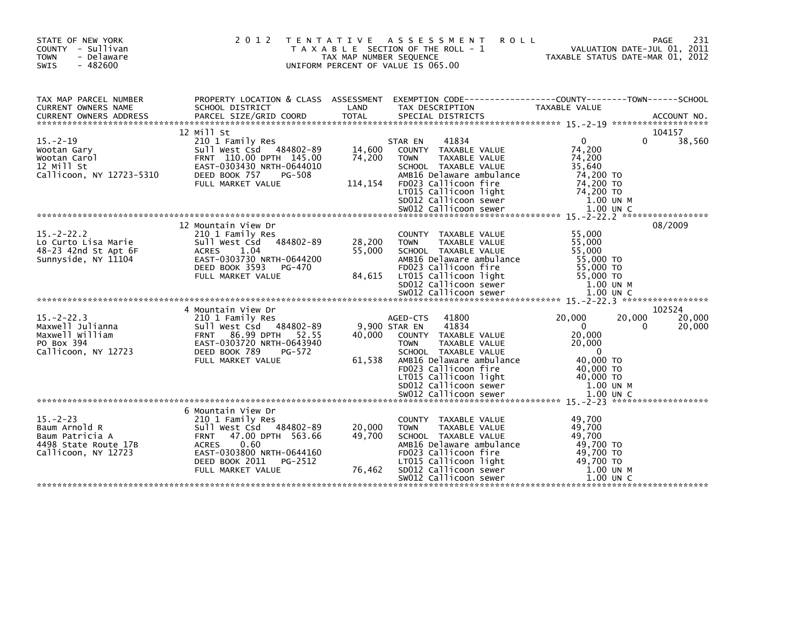| STATE OF NEW YORK<br>COUNTY - Sullivan<br><b>TOWN</b><br>- Delaware<br>$-482600$<br>SWIS         | 2 0 1 2                                                                                                                                                                                                      | TAX MAP NUMBER SEQUENCE     | TENTATIVE ASSESSMENT<br><b>ROLL</b><br>T A X A B L E SECTION OF THE ROLL - 1<br>UNIFORM PERCENT OF VALUE IS 065.00                                                                                                                       |                                                                                                                  | 231<br>PAGE<br>VALUATION DATE-JUL 01, 2011<br>TAXABLE STATUS DATE-MAR 01, 2012 |
|--------------------------------------------------------------------------------------------------|--------------------------------------------------------------------------------------------------------------------------------------------------------------------------------------------------------------|-----------------------------|------------------------------------------------------------------------------------------------------------------------------------------------------------------------------------------------------------------------------------------|------------------------------------------------------------------------------------------------------------------|--------------------------------------------------------------------------------|
| TAX MAP PARCEL NUMBER<br>CURRENT OWNERS NAME<br><b>CURRENT OWNERS ADDRESS</b>                    | PROPERTY LOCATION & CLASS ASSESSMENT EXEMPTION CODE----------------COUNTY-------TOWN------SCHOOL<br>SCHOOL DISTRICT                                                                                          | LAND                        | TAX DESCRIPTION                                                                                                                                                                                                                          | TAXABLE VALUE                                                                                                    |                                                                                |
|                                                                                                  | 12 Mill St                                                                                                                                                                                                   |                             |                                                                                                                                                                                                                                          |                                                                                                                  | 104157                                                                         |
| $15. - 2 - 19$<br>Wootan Gary<br>Wootan Carol<br>12 Mill St<br>Callicoon, NY 12723-5310          | 210 1 Family Res<br>Sull West Csd 484802-89<br>FRNT 110.00 DPTH 145.00<br>EAST-0303430 NRTH-0644010<br>DEED BOOK 757<br>PG-508<br>FULL MARKET VALUE                                                          | 14,600<br>74,200<br>114,154 | STAR EN<br>41834<br>COUNTY TAXABLE VALUE<br><b>TAXABLE VALUE</b><br><b>TOWN</b><br>SCHOOL TAXABLE VALUE<br>AMB16 Delaware ambulance<br>FD023 Callicoon fire<br>LT015 Callicoon light<br>SD012 Callicoon sewer                            | $\Omega$<br>74,200<br>74,200<br>35,640<br>74,200 TO<br>74,200 TO<br>74,200 TO<br>1.00 UN M                       | 38,560<br>0                                                                    |
|                                                                                                  |                                                                                                                                                                                                              |                             |                                                                                                                                                                                                                                          |                                                                                                                  |                                                                                |
| $15. -2 - 22.2$<br>Lo Curto Lisa Marie<br>48-23 42nd St Apt 6F<br>Sunnyside, NY 11104            | 12 Mountain View Dr<br>210 1 Family Res<br>Sull West Csd<br>484802-89<br><b>ACRES</b><br>1.04<br>EAST-0303730 NRTH-0644200<br>DEED BOOK 3593<br>PG-470<br>FULL MARKET VALUE                                  | 28,200<br>55,000<br>84,615  | COUNTY TAXABLE VALUE<br>TAXABLE VALUE<br><b>TOWN</b><br>SCHOOL TAXABLE VALUE<br>AMB16 Delaware ambulance<br>FD023 Callicoon fire<br>LT015 Callicoon light<br>SD012 Callicoon sewer<br>SW012 Callicoon sewer                              | 55,000<br>55,000<br>55,000<br>55,000 TO<br>55,000 TO<br>55,000 TO<br>1.00 UN M<br>1.00 UN C                      | 08/2009                                                                        |
|                                                                                                  |                                                                                                                                                                                                              |                             |                                                                                                                                                                                                                                          |                                                                                                                  |                                                                                |
| $15. -2 - 22.3$<br>Maxwell Julianna<br>Maxwell William<br>PO Box 394<br>Callicoon, NY 12723      | 4 Mountain View Dr<br>210 1 Family Res<br>Sull West Csd 484802-89<br>FRNT 86.99 DPTH 52.55<br>EAST-0303720 NRTH-0643940<br>DEED BOOK 789<br>PG-572<br>FULL MARKET VALUE                                      | 40.000<br>61,538            | 41800<br>AGED-CTS<br>41834<br>9,900 STAR EN<br>COUNTY TAXABLE VALUE<br><b>TAXABLE VALUE</b><br><b>TOWN</b><br>SCHOOL TAXABLE VALUE<br>AMB16 Delaware ambulance<br>FD023 Callicoon fire<br>LT015 Callicoon light<br>SD012 Callicoon sewer | 20,000<br>$\mathbf{0}$<br>20,000<br>20,000<br>$\overline{0}$<br>40,000 TO<br>40,000 TO<br>40,000 TO<br>1.00 UN M | 102524<br>20,000<br>20,000<br>20,000<br>$\Omega$                               |
|                                                                                                  |                                                                                                                                                                                                              |                             |                                                                                                                                                                                                                                          |                                                                                                                  |                                                                                |
| $15 - 2 - 23$<br>Baum Arnold R<br>Baum Patricia A<br>4498 State Route 17B<br>Callicoon, NY 12723 | 6 Mountain View Dr<br>210 1 Family Res<br>Sull West Csd 484802-89<br>47.00 DPTH 563.66<br><b>FRNT</b><br>0.60<br><b>ACRES</b><br>EAST-0303800 NRTH-0644160<br>DEED BOOK 2011<br>PG-2512<br>FULL MARKET VALUE | 20,000<br>49,700<br>76,462  | <b>COUNTY</b><br>TAXABLE VALUE<br>TAXABLE VALUE<br><b>TOWN</b><br>SCHOOL TAXABLE VALUE<br>AMB16 Delaware ambulance<br>FD023 Callicoon fire<br>LT015 Callicoon light<br>SD012 Callicoon sewer<br>SW012 Callicoon sewer                    | 49,700<br>49,700<br>49,700<br>49.700 TO<br>49,700 TO<br>49,700 TO<br>1.00 UN M<br>1.00 UN C                      |                                                                                |
|                                                                                                  |                                                                                                                                                                                                              |                             |                                                                                                                                                                                                                                          |                                                                                                                  |                                                                                |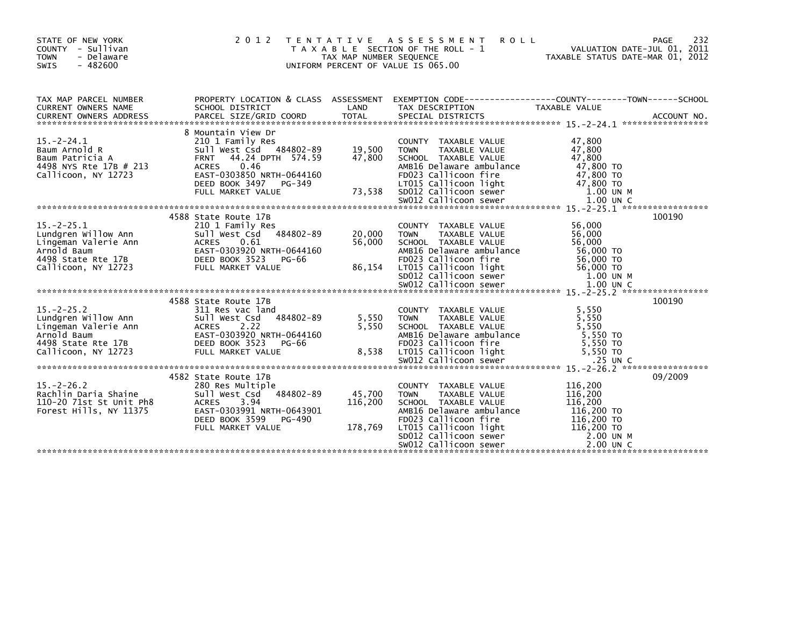| STATE OF NEW YORK<br>COUNTY - Sullivan<br><b>TOWN</b><br>- Delaware<br>SWIS<br>$-482600$                                                                                                                                                                                                                                                                    | 2012 TENTATIVE                                                                                                                                                        | TAX MAP NUMBER SEQUENCE      | <b>ROLL</b><br>A S S E S S M E N T<br>T A X A B L E SECTION OF THE ROLL - 1<br>UNIFORM PERCENT OF VALUE IS 065.00                                                                                                                                                           | TAXABLE STATUS DATE-MAR 01, 2012                     | 232<br>PAGE<br>VALUATION DATE-JUL 01, 2011 |
|-------------------------------------------------------------------------------------------------------------------------------------------------------------------------------------------------------------------------------------------------------------------------------------------------------------------------------------------------------------|-----------------------------------------------------------------------------------------------------------------------------------------------------------------------|------------------------------|-----------------------------------------------------------------------------------------------------------------------------------------------------------------------------------------------------------------------------------------------------------------------------|------------------------------------------------------|--------------------------------------------|
| TAX MAP PARCEL NUMBER<br>CURRENT OWNERS NAME                                                                                                                                                                                                                                                                                                                | PROPERTY LOCATION & CLASS ASSESSMENT EXEMPTION CODE----------------COUNTY-------TOWN------SCHOOL<br>SCHOOL DISTRICT                                                   | LAND                         | TAX DESCRIPTION                                                                                                                                                                                                                                                             | TAXABLE VALUE                                        |                                            |
| $15. -2 - 24.1$<br>Baum Arnold R<br>Baum Patricia A<br>4498 NYS Rte 17B # 213<br>2490 NYS Rice 1/B # 213 ACRES 0.00000 Callicoon, NY 12723 EAST-0303850 NRTH-0644160<br>Callicoon, NY 12723 EAST-0303850 NRTH-0644160 FDO23 Callicoon Tight 47,800 TO<br>FULL MARKET VALUE 73,538 SDO12 Callicoon sewer 1.00 UN M<br>***                                    | 8 Mountain View Dr<br>210 1 Family Res<br>Sull West Csd 484802-89 19,500<br>FRNT 44.24 DPTH 574.59 47,800<br><b>ACRES</b><br>0.46                                     |                              | COUNTY TAXABLE VALUE<br>TAXABLE VALUE<br><b>TOWN</b><br>SCHOOL TAXABLE VALUE<br>AMB16 Delaware ambulance                                                                                                                                                                    | 47,800<br>47,800<br>47,800<br>47,800 TO              |                                            |
|                                                                                                                                                                                                                                                                                                                                                             | 4588 State Route 17B                                                                                                                                                  |                              |                                                                                                                                                                                                                                                                             |                                                      | 100190                                     |
| $15. -2 - 25.1$<br>Lundgren Willow Ann<br>Lingeman Valerie Ann                                                                                                                                                                                                                                                                                              | 210 1 Family Res<br>Sull West Csd<br>484802-89<br><b>ACRES</b><br>0.61                                                                                                | 20,000<br>56,000             | COUNTY TAXABLE VALUE<br>TAXABLE VALUE<br><b>TOWN</b><br>SCHOOL TAXABLE VALUE<br>AMB16 Delaware ambulance<br>FD023 Callicoon fire                                                                                                                                            | 56,000<br>56,000<br>56,000<br>56,000 TO<br>56,000 TO |                                            |
|                                                                                                                                                                                                                                                                                                                                                             | 4588 State Route 17B                                                                                                                                                  |                              |                                                                                                                                                                                                                                                                             |                                                      | 100190                                     |
| $15. -2 - 25.2$<br>Lundgren Willow Ann<br>Lingeman Valerie Ann<br>ringeman valenie Ann<br>Arnold Baum<br>4498 State Rte 17B<br>Callicoon, NY 12723<br>2498 State KLE 1/B<br>Callicoon, NY 12723 FULL MARKET VALUE 8,538 LTO15 Callicoon sewer 5,550 TO<br>25 UN C SANTALOON SWOL2 Callicoon sewer 25.550 TO SWOLANDE 25 UN C 25 UN C 2411.0000 SEWERT VALUE | 311 Res vac land<br>484802-89<br>Sull West Csd<br>2.22<br><b>ACRES</b><br>EAST-0303920 NRTH-0644160<br>DEED BOOK 3523<br><b>PG-66</b>                                 | 5,550<br>5,550               | COUNTY TAXABLE VALUE<br>TOWN    TAXABLE VALUE<br>SCHOOL   TAXABLE VALUE<br>AMB16 Delaware ambulance<br>FD023 Callicoon fire                                                                                                                                                 | 5,550<br>5,550<br>5.550<br>5,550 TO<br>5,550 TO      |                                            |
|                                                                                                                                                                                                                                                                                                                                                             |                                                                                                                                                                       |                              |                                                                                                                                                                                                                                                                             |                                                      |                                            |
| $15. -2 - 26.2$<br>Rachlin Daria Shaine<br>110-20 71st St Unit Ph8<br>Forest Hills, NY 11375                                                                                                                                                                                                                                                                | 4582 State Route 17B<br>280 Res Multiple<br>Sull West Csd<br>484802-89<br>3.94<br>ACRES<br>EAST-0303991 NRTH-0643901<br>DEED BOOK 3599<br>PG-490<br>FULL MARKET VALUE | 45,700<br>116,200<br>178,769 | COUNTY TAXABLE VALUE<br>TAXABLE VALUE<br><b>TOWN</b><br>SCHOOL TAXABLE VALUE<br>$LTO15$ $Callicon$ $T16$ , $200$ TO<br>$LTO15$ $Callicon$ $T16$ , $200$ TO<br>$SDO12$ $Callicon$ sewer<br>$C.00$ UN $M$<br>$S.00$ UN $M$<br>$S.00$ UN $M$<br>$S.00$ UN $M$<br>$S.00$ UN $M$ | 116,200<br>116,200<br>116,200                        | 09/2009                                    |
|                                                                                                                                                                                                                                                                                                                                                             |                                                                                                                                                                       |                              |                                                                                                                                                                                                                                                                             |                                                      |                                            |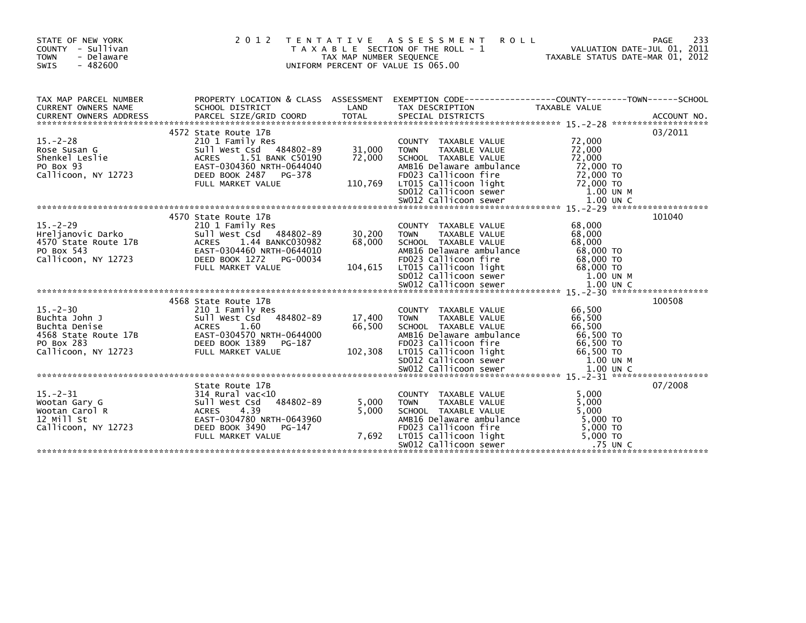| STATE OF NEW YORK<br>COUNTY - Sullivan<br><b>TOWN</b><br>- Delaware<br>$-482600$<br><b>SWIS</b>            | 2 0 1 2<br>T E N T A T I V E                                                                                                                                                                | TAX MAP NUMBER SEQUENCE | A S S E S S M E N T<br><b>ROLL</b><br>T A X A B L E SECTION OF THE ROLL - 1<br>UNIFORM PERCENT OF VALUE IS 065.00                                                                  | 233<br>PAGE<br>VALUATION DATE-JUL 01, 2011<br>TAXABLE STATUS DATE-MAR 01, 2012                                   |  |
|------------------------------------------------------------------------------------------------------------|---------------------------------------------------------------------------------------------------------------------------------------------------------------------------------------------|-------------------------|------------------------------------------------------------------------------------------------------------------------------------------------------------------------------------|------------------------------------------------------------------------------------------------------------------|--|
| TAX MAP PARCEL NUMBER<br>CURRENT OWNERS NAME                                                               | SCHOOL DISTRICT                                                                                                                                                                             | LAND                    | TAX DESCRIPTION                                                                                                                                                                    | PROPERTY LOCATION & CLASS ASSESSMENT EXEMPTION CODE----------------COUNTY-------TOWN-----SCHOOL<br>TAXABLE VALUE |  |
| $15. - 2 - 28$<br>Rose Susan G<br>Shenkel Leslie<br>PO Box 93<br>Callicoon, NY 12723                       | 4572 State Route 17B<br>210 1 Family Res<br>Sull west Csd 484802-89 31,000<br>ACRES 1.51 BANK C50190 72,000<br>ACRES 1.51 BANK C50190<br>EAST-0304360 NRTH-0644040<br>DEED BOOK 2487 PG-378 | 72,000                  | COUNTY TAXABLE VALUE<br>TAXABLE VALUE<br><b>TOWN</b><br>SCHOOL TAXABLE VALUE<br>AMB16 Delaware ambulance<br>FD023 Callicoon fire                                                   | 03/2011<br>72,000<br>72,000<br>72,000<br>72,000 TO<br>72,000 TO                                                  |  |
| $15. -2 - 29$<br>Hreljanovic Darko<br>4570 State Route 17B<br>ute 17B<br>PO Box 543<br>Callicoon, NY 12723 | 4570 State Route 17B<br>210 1 Family Res<br>Sull West Csd 484802-89<br>ACRES 1.44 BANKC030982<br>EAST-0304460 NRTH-0644010<br>DEED BOOK 1272<br>PG-00034                                    | 30,200<br>68,000        | COUNTY TAXABLE VALUE<br>TAXABLE VALUE<br><b>TOWN</b><br>SCHOOL TAXABLE VALUE<br>AMB16 Delaware ambulance<br>FD023 Callicoon fire                                                   | 101040<br>68,000<br>68.000<br>68,000<br>68,000 TO<br>68,000 TO                                                   |  |
| $15 - 2 - 30$<br>Buchta John J<br>Buchta Denise<br>4568 State Route 17B<br>PO Box 283                      | 4568 State Route 17B<br>210 1 Family Res<br>= 5011 West Csd<br>2011 West Csd<br>2016 ACRES<br>2016 EAST-0304570 NRTH-0644000<br>DEED BOOK 1389<br>PG-187                                    | 17,400<br>66,500        | COUNTY TAXABLE VALUE<br>TAXABLE VALUE<br><b>TOWN</b><br>SCHOOL TAXABLE VALUE<br>AMB16 Delaware ambulance<br>FD023 Callicoon fire                                                   | 100508<br>66,500<br>66,500<br>66,500<br>66,500 TO<br>66,500 TO                                                   |  |
| $15 - 2 - 31$<br>Wootan Gary G<br>Wootan Carol R<br>12 Mill St<br>Callicoon, NY 12723                      | State Route 17B<br>314 Rural vac<10<br>484802-89<br>sull west Csd<br><b>ACRES</b><br>4.39<br>EAST-0304780 NRTH-0643960<br>DEED BOOK 3490<br>PG-147<br>FULL MARKET VALUE                     | 5,000<br>5,000<br>7.692 | COUNTY TAXABLE VALUE<br>TAXABLE VALUE<br><b>TOWN</b><br>SCHOOL TAXABLE VALUE<br>AMB16 Delaware ambulance<br>FD023 Callicoon fire<br>LT015 Callicoon light<br>SW012 Callicoon sewer | 07/2008<br>5.000<br>5,000<br>5.000<br>$5,000$ TO<br>5,000 TO<br>$5,000$ TO<br>$.75$ UN C                         |  |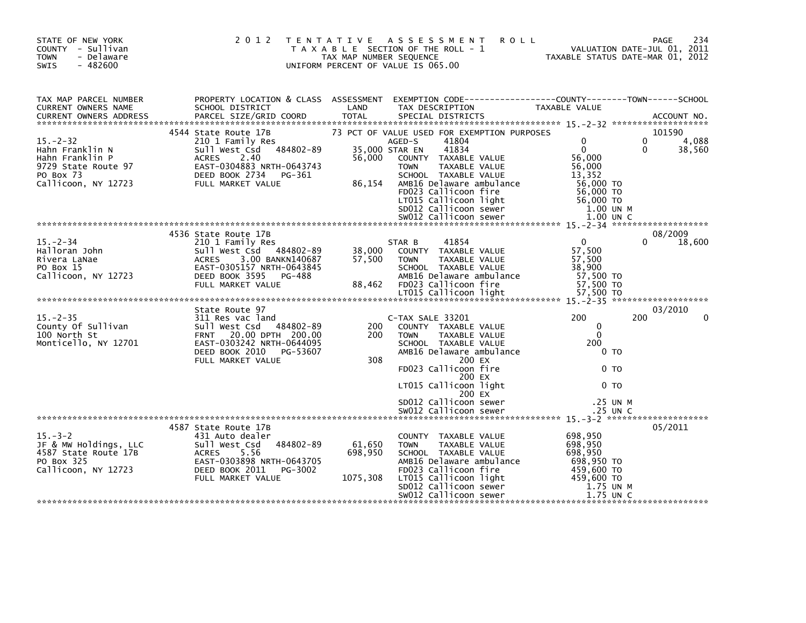| STATE OF NEW YORK<br>COUNTY - Sullivan<br><b>TOWN</b><br>- Delaware<br>$-482600$<br><b>SWIS</b>                 | 2 0 1 2                                                                                                                                                                                                                                                                                   | T E N T A T I V E<br>TAX MAP NUMBER SEQUENCE | ASSESSMENT<br><b>ROLL</b><br>T A X A B L E SECTION OF THE ROLL - 1<br>UNIFORM PERCENT OF VALUE IS 065.00                                                                                                                                                                        |                                                                                                 | 234<br><b>PAGE</b><br>VALUATION DATE-JUL 01, 2011<br>TAXABLE STATUS DATE-MAR 01, 2012 |
|-----------------------------------------------------------------------------------------------------------------|-------------------------------------------------------------------------------------------------------------------------------------------------------------------------------------------------------------------------------------------------------------------------------------------|----------------------------------------------|---------------------------------------------------------------------------------------------------------------------------------------------------------------------------------------------------------------------------------------------------------------------------------|-------------------------------------------------------------------------------------------------|---------------------------------------------------------------------------------------|
| TAX MAP PARCEL NUMBER<br>CURRENT OWNERS NAME                                                                    | PROPERTY LOCATION & CLASS ASSESSMENT<br>SCHOOL DISTRICT<br>.CURRENT OWNERS ADDRESS PARCEL SIZE/GRID COORD TOTAL SPECIAL DISTRICTS AND MESS ADDRESS PARCEL SIZE/GRID COORD TOTAL SPECIAL DISTRICTS AND MESS AND MESS ASSESSMENT ON A SERVER AND TOTAL SPECIAL DISTRICTS AND A SERVER AND T | LAND                                         | EXEMPTION CODE------------------COUNTY--------TOWN------SCHOOL<br>TAX DESCRIPTION                                                                                                                                                                                               | TAXABLE VALUE                                                                                   |                                                                                       |
| $15. - 2 - 32$<br>Hahn Franklin N<br>Hahn Franklin P<br>9729 State Route 97<br>PO Box 73<br>Callicoon, NY 12723 | 4544 State Route 17B<br>210 1 Family Res<br>484802-89<br>Sull West Csd<br>2.40<br>ACRES<br>EAST-0304883 NRTH-0643743<br>DEED BOOK 2734<br>PG-361<br>FULL MARKET VALUE                                                                                                                     | 56,000<br>86,154                             | 73 PCT OF VALUE USED FOR EXEMPTION PURPOSES<br>41804<br>AGED-S<br>41834<br>35,000 STAR EN<br>COUNTY TAXABLE VALUE<br>TAXABLE VALUE<br><b>TOWN</b><br>SCHOOL TAXABLE VALUE<br>AMB16 Delaware ambulance<br>FD023 Callicoon fire<br>LT015 Callicoon light<br>SD012 Callicoon sewer | 0<br>$\Omega$<br>56,000<br>56,000<br>13.352<br>56,000 TO<br>56,000 TO<br>56,000 TO<br>1.00 UN M | 101590<br>4,088<br>$\Omega$<br>$\Omega$<br>38,560                                     |
|                                                                                                                 |                                                                                                                                                                                                                                                                                           |                                              |                                                                                                                                                                                                                                                                                 |                                                                                                 |                                                                                       |
| $15 - 2 - 34$<br>Halloran John<br>Rivera LaNae<br>PO Box 15<br>Callicoon, NY 12723                              | 4536 State Route 17B<br>210 1 Family Res<br>sull west Csd<br>484802-89<br>ACRES 3.00 BANKN140687<br>EAST-0305157 NRTH-0643845<br>DEED BOOK 3595<br>PG-488<br>FULL MARKET VALUE                                                                                                            | 38,000<br>57,500<br>88,462                   | 41854<br>STAR B<br>COUNTY TAXABLE VALUE<br>TAXABLE VALUE<br>TOWN<br>SCHOOL TAXABLE VALUE<br>AMB16 Delaware ambulance<br>FD023 Callicoon fire                                                                                                                                    | $\Omega$<br>57,500<br>57,500<br>38,900<br>57,500 TO<br>57,500 TO                                | 08/2009<br>18,600                                                                     |
|                                                                                                                 |                                                                                                                                                                                                                                                                                           |                                              |                                                                                                                                                                                                                                                                                 |                                                                                                 |                                                                                       |
| $15. - 2 - 35$<br>County Of Sullivan<br>100 North St<br>Monticello, NY 12701                                    | State Route 97<br>311 Res vac land<br>sull west Csd<br>484802-89<br>FRNT 20.00 DPTH 200.00<br>EAST-0303242 NRTH-0644095<br>DEED BOOK 2010<br>PG-53607                                                                                                                                     | 200<br>200                                   | C-TAX SALE 33201<br>COUNTY TAXABLE VALUE<br>TAXABLE VALUE<br><b>TOWN</b><br>SCHOOL TAXABLE VALUE<br>AMB16 Delaware ambulance                                                                                                                                                    | 200<br>0<br>$\Omega$<br>200<br>0 TO                                                             | 03/2010<br>200                                                                        |
|                                                                                                                 | FULL MARKET VALUE                                                                                                                                                                                                                                                                         | 308                                          | 200 EX<br>FD023 Callicoon fire<br>200 EX<br>LT015 Callicoon light<br>200 EX                                                                                                                                                                                                     | 0 <sub>T</sub><br>0 <sub>T</sub>                                                                |                                                                                       |
|                                                                                                                 |                                                                                                                                                                                                                                                                                           |                                              | SD012 Callicoon sewer                                                                                                                                                                                                                                                           | .25 UN M                                                                                        |                                                                                       |
| $15. - 3 - 2$                                                                                                   | 4587 State Route 17B<br>431 Auto dealer                                                                                                                                                                                                                                                   |                                              | COUNTY TAXABLE VALUE                                                                                                                                                                                                                                                            | 698,950                                                                                         | 05/2011                                                                               |
| JF & MW Holdings, LLC<br>4587 State Route 17B<br>PO Box 325<br>Callicoon, NY 12723                              | 484802-89<br>Sull West Csd<br><b>ACRES</b><br>5.56<br>EAST-0303898 NRTH-0643705<br>DEED BOOK 2011<br>PG-3002                                                                                                                                                                              | 61,650<br>698,950                            | TAXABLE VALUE<br><b>TOWN</b><br>SCHOOL TAXABLE VALUE<br>AMB16 Delaware ambulance<br>FD023 Callicoon fire                                                                                                                                                                        | 698,950<br>698,950<br>698,950 TO<br>459,600 TO                                                  |                                                                                       |
|                                                                                                                 | FULL MARKET VALUE                                                                                                                                                                                                                                                                         | 1075,308                                     | LT015 Callicoon light<br>SD012 Callicoon sewer<br>SW012 Callicoon sewer                                                                                                                                                                                                         | 459,600 TO<br>1.75 UN M<br>1.75 UN C                                                            |                                                                                       |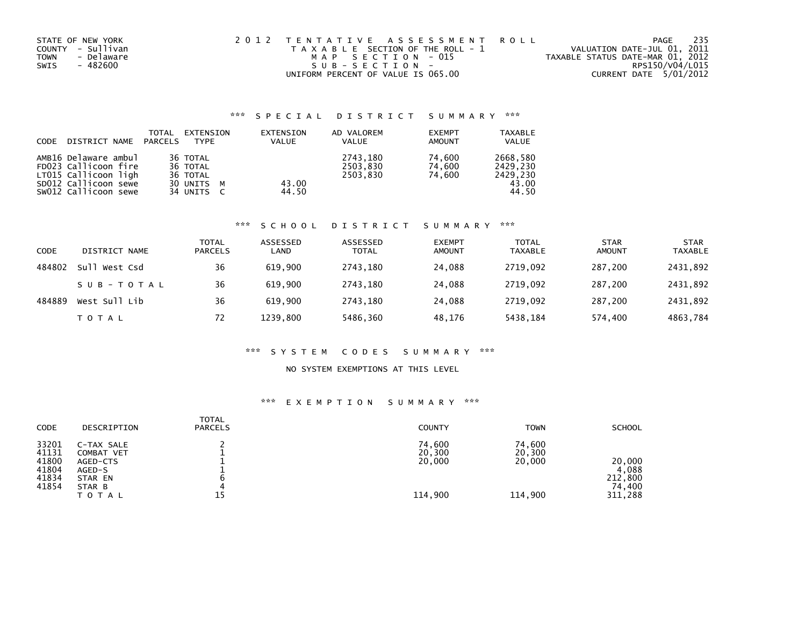|             | STATE OF NEW YORK | 2012 TENTATIVE ASSESSMENT ROLL        | 235<br>PAGE                      |
|-------------|-------------------|---------------------------------------|----------------------------------|
|             | COUNTY - Sullivan | T A X A B L E SECTION OF THE ROLL - 1 | VALUATION DATE-JUL 01, 2011      |
| <b>TOWN</b> | - Delaware        | MAP SECTION - 015                     | TAXABLE STATUS DATE-MAR 01, 2012 |
| SWIS        | - 482600          | SUB-SECTION-                          | RPS150/V04/L015                  |
|             |                   | UNIFORM PERCENT OF VALUE IS 065.00    | CURRENT DATE 5/01/2012           |

# \*\*\* S P E C I A L D I S T R I C T S U M M A R Y \*\*\*

| <b>CODE</b> | DISTRICT NAME                                                                                                        | TOTAL<br>PARCELS | EXTENSION<br><b>TYPF</b>                                                 | EXTENSION<br><b>VALUE</b> | AD VALOREM<br><b>VALUE</b>       | <b>EXEMPT</b><br><b>AMOUNT</b> | <b>TAXABLE</b><br><b>VALUE</b>                     |
|-------------|----------------------------------------------------------------------------------------------------------------------|------------------|--------------------------------------------------------------------------|---------------------------|----------------------------------|--------------------------------|----------------------------------------------------|
|             | AMB16 Delaware ambul<br>FD023 Callicoon fire<br>LT015 Callicoon ligh<br>SD012 Callicoon sewe<br>SW012 Callicoon sewe |                  | 36 TOTAL<br>36 TOTAL<br>36 TOTAL<br>30 UNITS M<br>34 UNITS<br>$\epsilon$ | 43.00<br>44.50            | 2743,180<br>2503,830<br>2503.830 | 74.600<br>74.600<br>74.600     | 2668,580<br>2429.230<br>2429.230<br>43.00<br>44.50 |

### \*\*\* S C H O O L D I S T R I C T S U M M A R Y \*\*\*

| CODE   | DISTRICT NAME | <b>TOTAL</b><br><b>PARCELS</b> | ASSESSED<br>LAND | ASSESSED<br><b>TOTAL</b> | <b>EXEMPT</b><br><b>AMOUNT</b> | TOTAL<br><b>TAXABLE</b> | <b>STAR</b><br><b>AMOUNT</b> | <b>STAR</b><br><b>TAXABLE</b> |
|--------|---------------|--------------------------------|------------------|--------------------------|--------------------------------|-------------------------|------------------------------|-------------------------------|
| 484802 | Sull West Csd | 36                             | 619,900          | 2743,180                 | 24,088                         | 2719,092                | 287.200                      | 2431,892                      |
|        | SUB-TOTAL     | 36                             | 619,900          | 2743,180                 | 24,088                         | 2719,092                | 287,200                      | 2431,892                      |
| 484889 | West Sull Lib | 36                             | 619,900          | 2743.180                 | 24.088                         | 2719.092                | 287,200                      | 2431,892                      |
|        | T O T A L     | 72                             | 1239.800         | 5486,360                 | 48.176                         | 5438,184                | 574.400                      | 4863,784                      |

### \*\*\* S Y S T E M C O D E S S U M M A R Y \*\*\*

## NO SYSTEM EXEMPTIONS AT THIS LEVEL

# \*\*\* E X E M P T I O N S U M M A R Y \*\*\*

| <b>TOTAL</b><br><b>CODE</b><br>DESCRIPTION<br><b>PARCELS</b>                                                                                         | <b>COUNTY</b>                         | <b>TOWN</b>                           | <b>SCHOOL</b>                                   |
|------------------------------------------------------------------------------------------------------------------------------------------------------|---------------------------------------|---------------------------------------|-------------------------------------------------|
| 33201<br>C-TAX SALE<br>41131<br>COMBAT VET<br>41800<br>AGED-CTS<br>41804<br>AGED-S<br>41834<br>STAR EN<br>41854<br>STAR B<br>4<br>15<br><b>TOTAL</b> | 74,600<br>20,300<br>20,000<br>114,900 | 74,600<br>20,300<br>20,000<br>114,900 | 20,000<br>4,088<br>212,800<br>74,400<br>311,288 |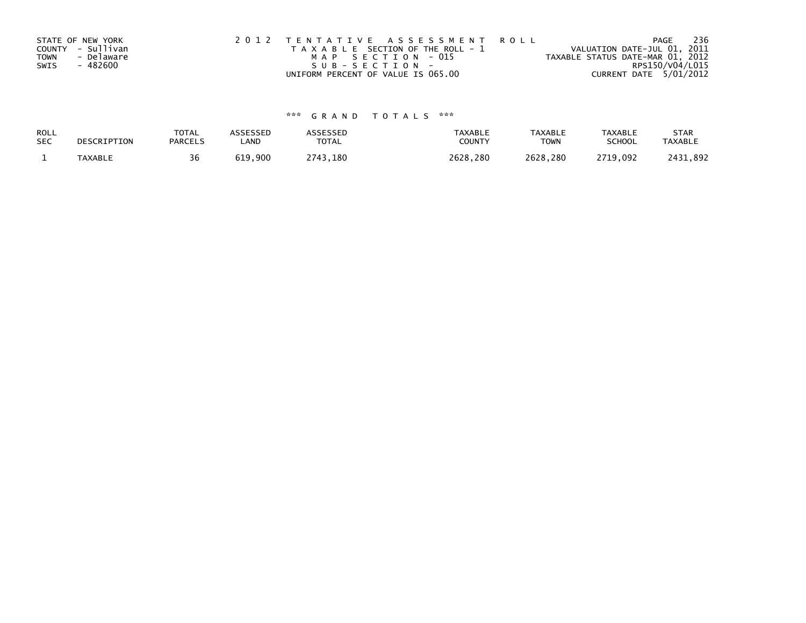|             | STATE OF NEW YORK | 2012 TENTATIVE ASSESSMENT ROLL        | 236<br>PAGE                      |
|-------------|-------------------|---------------------------------------|----------------------------------|
|             | COUNTY - Sullivan | T A X A B L E SECTION OF THE ROLL - 1 | VALUATION DATE-JUL 01, 2011      |
| <b>TOWN</b> | - Delaware        | MAP SECTION - 015                     | TAXABLE STATUS DATE-MAR 01, 2012 |
| SWIS        | - 482600          | SUB-SECTION-                          | RPS150/V04/L015                  |
|             |                   | UNIFORM PERCENT OF VALUE IS 065.00    | CURRENT DATE 5/01/2012           |

# \*\*\* G R A N D T O T A L S \*\*\*

| ROLL       | DESCRIPTION | <b>TOTAL</b>   | ASSESSED | ASSESSED | <b>TAXABLE</b> | <b>TAXABLE</b> | <b>TAXABLE</b> | <b>STAR</b>    |
|------------|-------------|----------------|----------|----------|----------------|----------------|----------------|----------------|
| <b>SEC</b> |             | <b>PARCELS</b> | ∟AND     | TOTAL    | <b>COUNTY</b>  | TOWN           | <b>SCHOOL</b>  | <b>TAXABLE</b> |
|            | TAXABLE     | 36             | 619,900  | 2743,180 | 2628.280       | 2628.280       | 2719.092       | 2431.892       |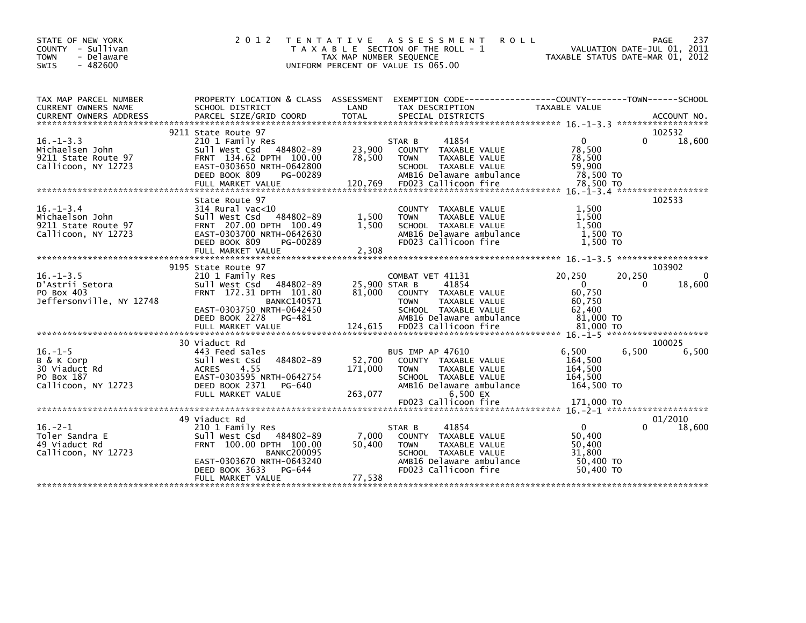| STATE OF NEW YORK<br>- Sullivan<br><b>COUNTY</b><br>- Delaware<br><b>TOWN</b><br>$-482600$<br><b>SWIS</b> | 2 0 1 2                                                                                                                                               | TAX MAP NUMBER SEQUENCE      | TENTATIVE ASSESSMENT<br><b>ROLL</b><br>T A X A B L E SECTION OF THE ROLL - 1<br>UNIFORM PERCENT OF VALUE IS 065.00                                            | TAXABLE STATUS DATE-MAR 01, 2012                                     | PAGE<br>237<br>VALUATION DATE-JUL 01, 2011 |
|-----------------------------------------------------------------------------------------------------------|-------------------------------------------------------------------------------------------------------------------------------------------------------|------------------------------|---------------------------------------------------------------------------------------------------------------------------------------------------------------|----------------------------------------------------------------------|--------------------------------------------|
| TAX MAP PARCEL NUMBER<br>CURRENT OWNERS NAME                                                              | PROPERTY LOCATION & CLASS ASSESSMENT<br>SCHOOL DISTRICT                                                                                               | LAND                         | EXEMPTION CODE-----------------COUNTY-------TOWN------SCHOOL<br>TAX DESCRIPTION                                                                               | TAXABLE VALUE                                                        |                                            |
|                                                                                                           |                                                                                                                                                       |                              |                                                                                                                                                               |                                                                      |                                            |
|                                                                                                           | 9211 State Route 97                                                                                                                                   |                              |                                                                                                                                                               |                                                                      | 102532                                     |
| $16. - 1 - 3.3$<br>Michaelsen John<br>9211 State Route 97<br>Callicoon, NY 12723                          | 210 1 Family Res<br>Sull West Csd 484802-89<br>FRNT 134.62 DPTH 100.00<br>EAST-0303650 NRTH-0642800<br>DEED BOOK 809<br>PG-00289<br>FULL MARKET VALUE | 23,900<br>78,500<br>120,769  | STAR B<br>41854<br>COUNTY TAXABLE VALUE<br><b>TOWN</b><br>TAXABLE VALUE<br>SCHOOL TAXABLE VALUE<br>AMB16 Delaware ambulance<br>FD023 Callicoon fire           | $\Omega$<br>78,500<br>78,500<br>59,900<br>78,500 TO<br>78,500 TO     | $\Omega$<br>18,600                         |
|                                                                                                           |                                                                                                                                                       |                              |                                                                                                                                                               |                                                                      |                                            |
| $16. - 1 - 3.4$<br>Michaelson John<br>9211 State Route 97<br>Callicoon, NY 12723                          | State Route 97<br>314 Rural vac<10<br>Sull West Csd 484802-89<br>FRNT 207.00 DPTH 100.49<br>EAST-0303700 NRTH-0642630<br>DEED BOOK 809<br>PG-00289    | 1,500<br>1.500               | COUNTY TAXABLE VALUE<br>TAXABLE VALUE<br><b>TOWN</b><br>SCHOOL TAXABLE VALUE<br>AMB16 Delaware ambulance<br>FD023 Callicoon fire                              | 1,500<br>1,500<br>1.500<br>1,500 TO<br>1,500 TO                      | 102533                                     |
|                                                                                                           |                                                                                                                                                       |                              |                                                                                                                                                               |                                                                      |                                            |
|                                                                                                           | 9195 State Route 97                                                                                                                                   |                              |                                                                                                                                                               |                                                                      | 103902                                     |
| $16. -1 - 3.5$<br>D'Astrii Setora<br>PO Box 403<br>Jeffersonville, NY 12748                               | 210 1 Family Res<br>Sull West Csd 484802-89<br>FRNT 172.31 DPTH 101.80<br><b>BANKC140571</b><br>EAST-0303750 NRTH-0642450<br>DEED BOOK 2278<br>PG-481 | 25,900 STAR B<br>81,000      | COMBAT VET 41131<br>41854<br>COUNTY TAXABLE VALUE<br><b>TOWN</b><br>TAXABLE VALUE<br>SCHOOL TAXABLE VALUE<br>AMB16 Delaware ambulance                         | 20,250<br>$\Omega$<br>60,750<br>60,750<br>62,400<br>81,000 TO        | 20,250<br>$\Omega$<br>18,600<br>0          |
|                                                                                                           |                                                                                                                                                       |                              |                                                                                                                                                               |                                                                      |                                            |
|                                                                                                           | 30 Viaduct Rd                                                                                                                                         |                              |                                                                                                                                                               |                                                                      | 100025                                     |
| $16. - 1 - 5$<br>B & K Corp<br>30 Viaduct Rd<br>PO Box 187<br>Callicoon, NY 12723                         | 443 Feed sales<br>484802-89<br>Sull West Csd<br>4.55<br><b>ACRES</b><br>EAST-0303595 NRTH-0642754<br>DEED BOOK 2371<br>PG-640<br>FULL MARKET VALUE    | 52,700<br>171,000<br>263,077 | <b>BUS IMP AP 47610</b><br>COUNTY TAXABLE VALUE<br>TAXABLE VALUE<br><b>TOWN</b><br>SCHOOL TAXABLE VALUE<br>AMB16 Delaware ambulance<br>6,500 EX               | 6.500<br>164,500<br>164,500<br>164.500<br>164,500 TO                 | 6.500<br>6,500                             |
|                                                                                                           |                                                                                                                                                       |                              | FD023 Callicoon fire                                                                                                                                          | 171,000 TO                                                           |                                            |
|                                                                                                           | 49 Viaduct Rd                                                                                                                                         |                              |                                                                                                                                                               |                                                                      | 01/2010                                    |
| $16. -2 - 1$<br>Toler Sandra E<br>49 Viaduct Rd<br>Callicoon, NY 12723                                    | 210 1 Family Res<br>Sull West Csd 484802-89<br>FRNT 100.00 DPTH 100.00<br><b>BANKC200095</b><br>EAST-0303670 NRTH-0643240<br>DEED BOOK 3633<br>PG-644 | 7,000<br>50,400              | 41854<br>STAR B<br>TAXABLE VALUE<br><b>COUNTY</b><br>TAXABLE VALUE<br><b>TOWN</b><br>SCHOOL TAXABLE VALUE<br>AMB16 Delaware ambulance<br>FD023 Callicoon fire | $\mathbf{0}$<br>50,400<br>50.400<br>31,800<br>50,400 TO<br>50,400 TO | 18,600<br>0                                |
|                                                                                                           | FULL MARKET VALUE                                                                                                                                     | 77,538                       |                                                                                                                                                               |                                                                      |                                            |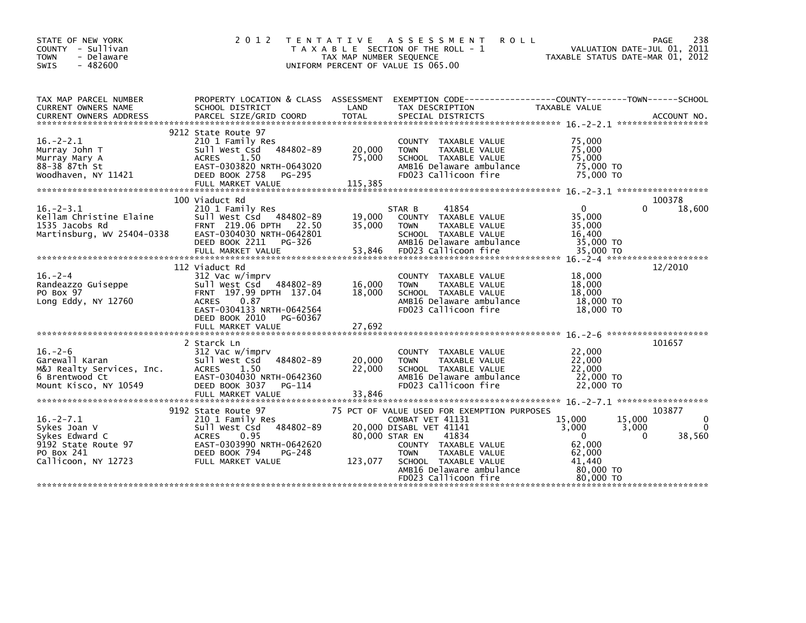| STATE OF NEW YORK<br>COUNTY - Sullivan<br>- Delaware<br><b>TOWN</b><br>$-482600$<br><b>SWIS</b>              | 2 0 1 2<br>T E N T A T I V E                                                                                                                                                             | TAX MAP NUMBER SEQUENCE     | A S S E S S M E N T<br><b>ROLL</b><br>T A X A B L E SECTION OF THE ROLL - 1<br>UNIFORM PERCENT OF VALUE IS 065.00                                                                        | VALUATION DATE-JUL 01, 2011<br>TAXABLE STATUS DATE-MAR 01, 2012                                                    | PAGE<br>238             |
|--------------------------------------------------------------------------------------------------------------|------------------------------------------------------------------------------------------------------------------------------------------------------------------------------------------|-----------------------------|------------------------------------------------------------------------------------------------------------------------------------------------------------------------------------------|--------------------------------------------------------------------------------------------------------------------|-------------------------|
| TAX MAP PARCEL NUMBER<br>CURRENT OWNERS NAME                                                                 | PROPERTY LOCATION & CLASS ASSESSMENT<br>SCHOOL DISTRICT                                                                                                                                  | LAND                        | EXEMPTION CODE-----------------COUNTY-------TOWN------SCHOOL<br>TAX DESCRIPTION                                                                                                          | TAXABLE VALUE                                                                                                      |                         |
|                                                                                                              |                                                                                                                                                                                          |                             |                                                                                                                                                                                          |                                                                                                                    |                         |
| $16. - 2 - 2.1$<br>Murray John T<br>Murray Mary A<br>88-38 87th St<br>Woodhaven, NY 11421                    | 9212 State Route 97<br>210 1 Family Res<br>Sull West Csd 484802-89<br><b>ACRES</b><br>1.50<br>EAST-0303820 NRTH-0643020<br>DEED BOOK 2758<br>PG-295<br>FULL MARKET VALUE                 | 20,000<br>75,000<br>115,385 | COUNTY TAXABLE VALUE<br><b>TOWN</b><br>TAXABLE VALUE<br>SCHOOL TAXABLE VALUE<br>AMB16 Delaware ambulance<br>FD023 Callicoon fire                                                         | 75,000<br>75,000<br>75.000<br>75,000 TO<br>75,000 TO                                                               |                         |
|                                                                                                              |                                                                                                                                                                                          |                             |                                                                                                                                                                                          |                                                                                                                    | 100378                  |
| $16. - 2 - 3.1$<br>Kellam Christine Elaine<br>1535 Jacobs Rd<br>Martinsburg, WV 25404-0338                   | 100 Viaduct Rd<br>210 1 Family Res<br>Sull West Csd 484802-89<br>FRNT 219.06 DPTH 22.50<br>EAST-0304030 NRTH-0642801<br>DEED BOOK 2211<br>PG-326                                         | 19,000<br>35,000            | 41854<br>STAR B<br>COUNTY TAXABLE VALUE<br>TAXABLE VALUE<br><b>TOWN</b><br>SCHOOL TAXABLE VALUE<br>AMB16 Delaware ambulance                                                              | $\Omega$<br>$\Omega$<br>35,000<br>35,000<br>16,400<br>35,000 TO                                                    | 18,600                  |
|                                                                                                              |                                                                                                                                                                                          |                             |                                                                                                                                                                                          |                                                                                                                    |                         |
| $16. - 2 - 4$<br>Randeazzo Guiseppe<br>PO Box 97<br>Long Eddy, NY $12760$                                    | 112 Viaduct Rd<br>312 Vac w/imprv<br>Sull West Csd 484802-89<br>FRNT 197.99 DPTH 137.04<br>0.87<br>ACRES<br>EAST-0304133 NRTH-0642564<br>DEED BOOK 2010<br>PG-60367<br>FULL MARKET VALUE | 16,000<br>18,000<br>27,692  | COUNTY TAXABLE VALUE<br>TAXABLE VALUE<br><b>TOWN</b><br>SCHOOL TAXABLE VALUE<br>AMB16 Delaware ambulance<br>FD023 Callicoon fire                                                         | 18,000<br>18,000<br>18,000<br>18,000 TO<br>18,000 TO                                                               | 12/2010                 |
|                                                                                                              |                                                                                                                                                                                          |                             |                                                                                                                                                                                          |                                                                                                                    |                         |
| $16. - 2 - 6$<br>Garewall Karan<br>M&J Realty Services, Inc.<br>6 Brentwood Ct<br>Mount Kisco, NY 10549      | 2 Starck Ln<br>312 Vac w/imprv<br>484802-89<br>Sull West Csd<br>ACRES<br>1.50<br>EAST-0304030 NRTH-0642360<br>DEED BOOK 3037<br>PG-114<br>FULL MARKET VALUE                              | 20,000<br>22,000<br>33,846  | COUNTY TAXABLE VALUE<br><b>TOWN</b><br>TAXABLE VALUE<br>SCHOOL TAXABLE VALUE<br>AMB16 Delaware ambulance<br>FD023 Callicoon fire                                                         | 22,000<br>22,000<br>22,000<br>22,000 TO<br>22,000 TO                                                               | 101657                  |
|                                                                                                              | 9192 State Route 97                                                                                                                                                                      |                             | 75 PCT OF VALUE USED FOR EXEMPTION PURPOSES                                                                                                                                              |                                                                                                                    | 103877                  |
| $16. -2 - 7.1$<br>Sykes Joan V<br>Sykes Edward C<br>9192 State Route 97<br>PO Box 241<br>Callicoon, NY 12723 | 210 1 Family Res<br>Sull West Csd 484802-89<br><b>ACRES</b><br>0.95<br>EAST-0303990 NRTH-0642620<br>DEED BOOK 794<br>PG-248<br>FULL MARKET VALUE                                         | 80,000 STAR EN<br>123,077   | COMBAT VET 41131<br>20,000 DISABL VET 41141<br>41834<br>COUNTY TAXABLE VALUE<br><b>TOWN</b><br>TAXABLE VALUE<br>SCHOOL TAXABLE VALUE<br>AMB16 Delaware ambulance<br>FD023 Callicoon fire | 15,000<br>15,000<br>3,000<br>3,000<br>$\Omega$<br>$\Omega$<br>62,000<br>62,000<br>41.440<br>80,000 TO<br>80.000 TO | 0<br>$\Omega$<br>38,560 |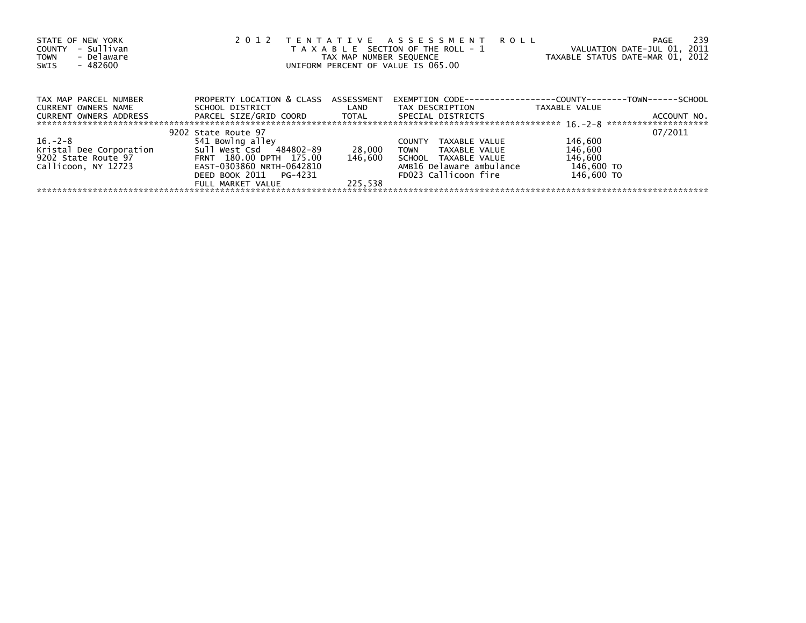| STATE OF NEW YORK<br>- Sullivan<br><b>COUNTY</b><br>- Delaware<br><b>TOWN</b><br>- 482600<br>SWIS | 2 0 1 2                              | TAX MAP NUMBER SEQUENCE | TENTATIVE ASSESSMENT<br><b>ROLL</b><br>T A X A B L E SECTION OF THE ROLL - 1<br>UNIFORM PERCENT OF VALUE IS 065.00 | VALUATION DATE-JUL 01, 2011<br>TAXABLE STATUS DATE-MAR 01, 2012 | 239<br>PAGE |
|---------------------------------------------------------------------------------------------------|--------------------------------------|-------------------------|--------------------------------------------------------------------------------------------------------------------|-----------------------------------------------------------------|-------------|
| TAX MAP PARCEL NUMBER                                                                             | PROPERTY LOCATION & CLASS ASSESSMENT |                         | EXEMPTION        CODE-----------------COUNTY--------TOWN------SCHOOL                                               |                                                                 |             |
| <b>CURRENT OWNERS NAME</b>                                                                        | SCHOOL DISTRICT                      | LAND                    | TAX DESCRIPTION                                                                                                    | TAXABLE VALUE                                                   |             |
| <b>CURRENT OWNERS ADDRESS</b>                                                                     |                                      |                         | SPECIAL DISTRICTS                                                                                                  |                                                                 | ACCOUNT NO. |
|                                                                                                   | 9202 State Route 97                  |                         |                                                                                                                    |                                                                 | 07/2011     |
| $16. - 2 - 8$                                                                                     | 541 Bowlng alley                     |                         | TAXABLE VALUE<br><b>COUNTY</b>                                                                                     | 146,600                                                         |             |
| Kristal Dee Corporation                                                                           | Sull West Csd 484802-89              | 28,000                  | TOWN<br>TAXABLE VALUE                                                                                              | 146,600                                                         |             |
| 9202 State Route 97                                                                               | FRNT 180.00 DPTH 175.00              | 146.600                 | SCHOOL TAXABLE VALUE                                                                                               | 146,600                                                         |             |
| Callicoon, NY 12723                                                                               | EAST-0303860 NRTH-0642810            |                         | AMB16 Delaware ambulance                                                                                           | 146,600 TO                                                      |             |
|                                                                                                   | DEED BOOK 2011    PG-4231            |                         | FD023 Callicoon fire                                                                                               | 146,600 TO                                                      |             |
|                                                                                                   | FULL MARKET VALUE                    | 225.538                 |                                                                                                                    |                                                                 |             |
|                                                                                                   |                                      |                         |                                                                                                                    |                                                                 |             |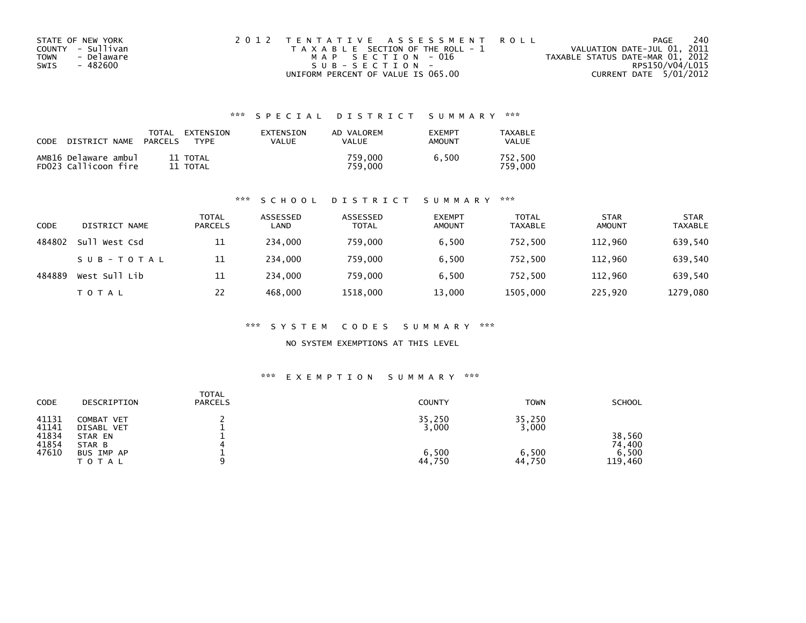| STATE OF NEW YORK  | 2012 TENTATIVE ASSESSMENT ROLL        | PAGE                             | 240 |
|--------------------|---------------------------------------|----------------------------------|-----|
| COUNTY - Sullivan  | T A X A B L E SECTION OF THE ROLL - 1 | VALUATION DATE-JUL 01, 2011      |     |
| - Delaware<br>TOWN | MAP SECTION - 016                     | TAXABLE STATUS DATE-MAR 01, 2012 |     |
| - 482600<br>SWIS   | SUB-SECTION-                          | RPS150/V04/L015                  |     |
|                    | UNIFORM PERCENT OF VALUE IS 065.00    | CURRENT DATE 5/01/2012           |     |

# \*\*\* S P E C I A L D I S T R I C T S U M M A R Y \*\*\*

| CODE | DISTRICT NAME                                | TOTAL<br><b>PARCELS</b> | EXTENSION<br><b>TYPF</b> | EXTENSION<br><b>VALUE</b> | AD VALOREM<br>VALUE | <b>EXEMPT</b><br><b>AMOUNT</b> | TAXABLE<br><b>VALUE</b> |
|------|----------------------------------------------|-------------------------|--------------------------|---------------------------|---------------------|--------------------------------|-------------------------|
|      | AMB16 Delaware ambul<br>FD023 Callicoon fire |                         | 11 TOTAL<br>11 TOTAL     |                           | 759.000<br>759.000  | 6.500                          | 752.500<br>759.000      |

### \*\*\* S C H O O L D I S T R I C T S U M M A R Y \*\*\*

| CODE   | DISTRICT NAME | <b>TOTAL</b><br><b>PARCELS</b> | ASSESSED<br>LAND | ASSESSED<br><b>TOTAL</b> | <b>EXEMPT</b><br><b>AMOUNT</b> | <b>TOTAL</b><br><b>TAXABLE</b> | <b>STAR</b><br><b>AMOUNT</b> | <b>STAR</b><br><b>TAXABLE</b> |
|--------|---------------|--------------------------------|------------------|--------------------------|--------------------------------|--------------------------------|------------------------------|-------------------------------|
| 484802 | Sull West Csd | 11                             | 234,000          | 759.000                  | 6.500                          | 752,500                        | 112,960                      | 639,540                       |
|        | SUB-TOTAL     | 11                             | 234,000          | 759.000                  | 6.500                          | 752.500                        | 112,960                      | 639,540                       |
| 484889 | West Sull Lib | 11                             | 234,000          | 759.000                  | 6.500                          | 752.500                        | 112,960                      | 639,540                       |
|        | T O T A L     | 22                             | 468,000          | 1518,000                 | 13,000                         | 1505,000                       | 225,920                      | 1279,080                      |

### \*\*\* S Y S T E M C O D E S S U M M A R Y \*\*\*

NO SYSTEM EXEMPTIONS AT THIS LEVEL

### \*\*\* E X E M P T I O N S U M M A R Y \*\*\*

| CODE                                      | DESCRIPTION                                                 | <b>TOTAL</b><br><b>PARCELS</b> | <b>COUNTY</b>            | <b>TOWN</b>              | SCHOOL                    |
|-------------------------------------------|-------------------------------------------------------------|--------------------------------|--------------------------|--------------------------|---------------------------|
| 41131<br>41141<br>41834<br>41854<br>47610 | COMBAT VET<br>DISABL VET<br>STAR EN<br>STAR B<br>BUS IMP AP |                                | 35,250<br>3,000<br>6,500 | 35,250<br>3,000<br>6,500 | 38,560<br>74.400<br>6,500 |
|                                           | <b>TOTAL</b>                                                |                                | 44,750                   | 44,750                   | 119,460                   |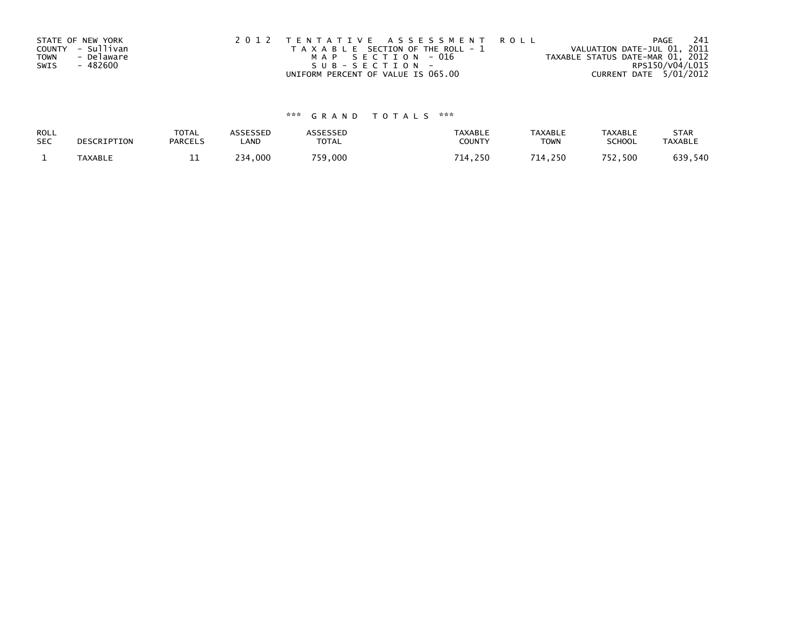|             | STATE OF NEW YORK | 2012 TENTATIVE ASSESSMENT ROLL        | -241<br>PAGE                     |
|-------------|-------------------|---------------------------------------|----------------------------------|
|             | COUNTY - Sullivan | T A X A B L E SECTION OF THE ROLL - 1 | VALUATION DATE-JUL 01, 2011      |
| <b>TOWN</b> | - Delaware        | MAP SECTION - 016                     | TAXABLE STATUS DATE-MAR 01, 2012 |
| SWIS        | - 482600          | SUB-SECTION-                          | RPS150/V04/L015                  |
|             |                   | UNIFORM PERCENT OF VALUE IS 065.00    | CURRENT DATE 5/01/2012           |

# \*\*\* G R A N D T O T A L S \*\*\*

| ROLL       | DESCRIPTION | <b>TOTAL</b>   | <b>ASSESSED</b> | <b>\SSESSED</b> | <b>TAXABLE</b> | <b>TAXABLE</b> | <b>TAXABLE</b> | <b>STAR</b>    |
|------------|-------------|----------------|-----------------|-----------------|----------------|----------------|----------------|----------------|
| <b>SEC</b> |             | <b>PARCELS</b> | LAND            | <b>TOTAL</b>    | COUNTY         | <b>TOWN</b>    | <b>SCHOOL</b>  | <b>TAXABLE</b> |
|            | TAXABLE     | <b>. .</b>     | 234,000         | 759,000         | 714,250        | 714.250        | 752,500        | 639,540        |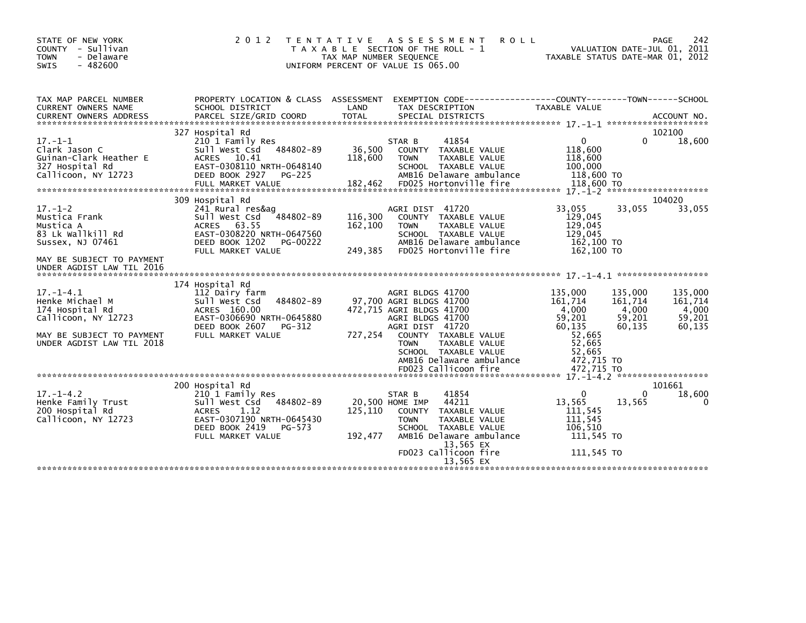| STATE OF NEW YORK<br>COUNTY - Sullivan<br><b>TOWN</b><br>- Delaware<br><b>SWIS</b><br>$-482600$                                                | 2 0 1 2                                                                                                                                                                 | TENTATIVE ASSESSMENT<br><b>ROLL</b><br>T A X A B L E SECTION OF THE ROLL - 1<br>TAX MAP NUMBER SEQUENCE<br>UNIFORM PERCENT OF VALUE IS 065.00                                                                                                                        | 242<br>PAGE<br>VALUATION DATE-JUL 01, 2011<br>TAXABLE STATUS DATE-MAR 01, 2012                                                                                                                                  |
|------------------------------------------------------------------------------------------------------------------------------------------------|-------------------------------------------------------------------------------------------------------------------------------------------------------------------------|----------------------------------------------------------------------------------------------------------------------------------------------------------------------------------------------------------------------------------------------------------------------|-----------------------------------------------------------------------------------------------------------------------------------------------------------------------------------------------------------------|
| TAX MAP PARCEL NUMBER<br>CURRENT OWNERS NAME                                                                                                   | PROPERTY LOCATION & CLASS ASSESSMENT<br>SCHOOL DISTRICT                                                                                                                 | LAND<br>TAX DESCRIPTION                                                                                                                                                                                                                                              | EXEMPTION CODE------------------COUNTY--------TOWN------SCHOOL<br>TAXABLE VALUE                                                                                                                                 |
| $17. - 1 - 1$<br>Clark Jason C<br>Guinan-Clark Heather E<br>327 Hospital Rd<br>Callicoon, NY 12723                                             | 327 Hospital Rd<br>210 1 Family Res<br>484802-89<br>Sull West Csd<br>ACRES 10.41<br>EAST-0308110 NRTH-0648140<br>DEED BOOK 2927<br>PG-225<br>FULL MARKET VALUE          | 41854<br>STAR B<br>36,500<br>COUNTY TAXABLE VALUE<br>118,600<br>TAXABLE VALUE<br><b>TOWN</b><br>SCHOOL TAXABLE VALUE<br>AMB16 Delaware ambulance<br>182,462<br>FD025 Hortonville fire                                                                                | 102100<br>0<br>18,600<br>0<br>118,600<br>118,600<br>100,000<br>118,600 TO<br>118,600 TO                                                                                                                         |
| $17. - 1 - 2$<br>Mustica Frank<br>Mustica A<br>83 Lk Wallkill Rd<br>Sussex, NJ 07461<br>MAY BE SUBJECT TO PAYMENT<br>UNDER AGDIST LAW TIL 2016 | 309 Hospital Rd<br>241 Rural res&ag<br>484802-89<br>Sull West Csd<br>ACRES 63.55<br>EAST-0308220 NRTH-0647560<br>DEED BOOK 1202<br>PG-00222<br>FULL MARKET VALUE        | AGRI DIST 41720<br>116,300<br>COUNTY TAXABLE VALUE<br>162,100<br><b>TOWN</b><br><b>TAXABLE VALUE</b><br>SCHOOL TAXABLE VALUE<br>AMB16 Delaware ambulance<br>249.385<br>FD025 Hortonville fire                                                                        | 104020<br>33,055<br>33,055<br>33,055<br>129,045<br>129,045<br>129.045<br>162,100 TO<br>162,100 TO                                                                                                               |
| $17. - 1 - 4.1$<br>Henke Michael M<br>174 Hospital Rd<br>Callicoon, NY 12723<br>MAY BE SUBJECT TO PAYMENT<br>UNDER AGDIST LAW TIL 2018         | 174 Hospital Rd<br>112 Dairy farm<br>Sull West Csd<br>484802-89<br>ACRES 160.00<br>EAST-0306690 NRTH-0645880<br>DEED BOOK 2607<br>PG-312<br>FULL MARKET VALUE           | AGRI BLDGS 41700<br>97,700 AGRI BLDGS 41700<br>472,715 AGRI BLDGS 41700<br>AGRI BLDGS 41700<br>AGRI DIST 41720<br>727,254<br>COUNTY TAXABLE VALUE<br><b>TAXABLE VALUE</b><br><b>TOWN</b><br>SCHOOL TAXABLE VALUE<br>AMB16 Delaware ambulance<br>FD023 Callicoon fire | 135,000<br>135,000<br>135,000<br>161,714<br>161,714<br>161,714<br>4,000<br>4,000<br>4,000<br>59,201<br>59,201<br>59,201<br>60,135<br>60,135<br>60,135<br>52,665<br>52,665<br>52,665<br>472,715 TO<br>472.715 TO |
| $17. - 1 - 4.2$<br>Henke Family Trust<br>200 Hospital Rd<br>Callicoon, NY 12723                                                                | 200 Hospital Rd<br>210 1 Family Res<br>484802-89<br>Sull West Csd<br>1.12<br><b>ACRES</b><br>EAST-0307190 NRTH-0645430<br>DEED BOOK 2419<br>PG-573<br>FULL MARKET VALUE | 41854<br>STAR B<br>20,500 HOME IMP<br>44211<br>125,110<br>COUNTY<br>TAXABLE VALUE<br><b>TAXABLE VALUE</b><br><b>TOWN</b><br>SCHOOL TAXABLE VALUE<br>192,477<br>AMB16 Delaware ambulance<br>13,565 EX<br>FD023 Callicoon fire<br>13,565 EX                            | 101661<br>18,600<br>0<br>$\Omega$<br>13,565<br>13,565<br>0<br>111,545<br>111.545<br>106.510<br>111,545 TO<br>111.545 TO                                                                                         |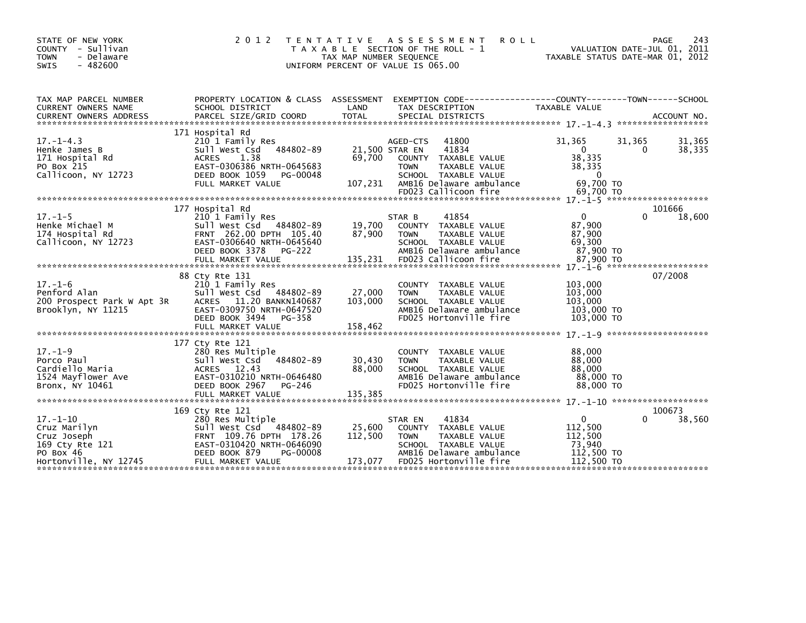| STATE OF NEW YORK<br>2 0 1 2<br>COUNTY - Sullivan<br><b>TOWN</b><br>- Delaware<br>$-482600$<br><b>SWIS</b>                                                                                                                                                                    | T E N T A T I V E<br>UNIFORM PERCENT OF VALUE IS 065.00                                                  | A S S E S S M E N T<br><b>ROLL</b><br>T A X A B L E SECTION OF THE ROLL - 1<br>TAX MAP NUMBER SEQUENCE                                                   | VALUATION DATE-JUL 01, 2011<br>TAXABLE STATUS DATE-MAR 01, 2012                             | PAGE<br>243      |
|-------------------------------------------------------------------------------------------------------------------------------------------------------------------------------------------------------------------------------------------------------------------------------|----------------------------------------------------------------------------------------------------------|----------------------------------------------------------------------------------------------------------------------------------------------------------|---------------------------------------------------------------------------------------------|------------------|
| TAX MAP PARCEL NUMBER<br>CURRENT OWNERS NAME<br>SCHOOL DISTRICT<br>CURRENT OWNERS ADDRESS FORCEL SIZE/GRID COORD TOTAL SPECIAL DISTRICTS (2001) ACCOUNT NO.<br>EURRENT OWNERS ADDRESS PARCEL SIZE/GRID COORD TOTAL SPECIAL DISTRICTS (2001) 21-4.3 ************************** | PROPERTY LOCATION & CLASS ASSESSMENT<br>LAND                                                             | EXEMPTION        CODE-----------------COUNTY-------TOWN------SCHOOL<br>TAX DESCRIPTION                                                                   | TAXABLE VALUE                                                                               |                  |
| 171 Hospital Rd<br>$17. - 1 - 4.3$<br>210 1 Family Res<br>Henke James B<br>1.38<br>171 Hospital Rd<br>ACRES<br>PO Box 215<br>Callicoon, NY 12723<br>DEED BOOK 1059<br>FULL MARKET VALUE                                                                                       | Sull West Csd 484802-89<br>69,700<br>EAST-0306386 NRTH-0645683<br>PG-00048<br>107,231                    | AGED-CTS<br>41800<br>21,500 STAR EN<br>41834<br>COUNTY TAXABLE VALUE<br>TAXABLE VALUE<br><b>TOWN</b><br>SCHOOL TAXABLE VALUE<br>AMB16 Delaware ambulance | 31,365<br>31,365<br>$\overline{0}$<br>$\Omega$<br>38,335<br>38,335<br>$\Omega$<br>69.700 TO | 31,365<br>38,335 |
|                                                                                                                                                                                                                                                                               |                                                                                                          |                                                                                                                                                          |                                                                                             |                  |
| 177 Hospital Rd<br>$17. - 1 - 5$<br>210 1 Family Res<br>Henke Michael M<br>174 Hospital Rd<br>Callicoon, NY 12723<br>DEED BOOK 3378 PG-222                                                                                                                                    | Example 19.700<br>FRNT 262.00 DPTH 105.40 87,900<br>FRNT 262.00 DPTH 105.40<br>EAST-0306640 NRTH-0645640 | 41854<br>STAR B<br>COUNTY TAXABLE VALUE<br>TAXABLE VALUE<br><b>TOWN</b><br>SCHOOL TAXABLE VALUE<br>AMB16 Delaware ambulance                              | $\mathbf{0}$<br>87,900<br>87,900<br>69,300<br>87,900 TO                                     | 101666<br>18,600 |
|                                                                                                                                                                                                                                                                               |                                                                                                          |                                                                                                                                                          |                                                                                             |                  |
| 88 Cty Rte 131<br>$17. - 1 - 6$<br>210 1 Family Res<br>Penford Alan<br>ACRES 11.20 BANKN140687<br>200 Prospect Park W Apt 3R<br>Brooklyn, NY 11215<br>DEED BOOK 3494                                                                                                          | Sull West Csd 484802-89<br>27,000<br>103,000<br>EAST-0309750 NRTH-0647520<br>PG-358                      | COUNTY TAXABLE VALUE<br><b>TOWN</b><br>TAXABLE VALUE<br>SCHOOL TAXABLE VALUE<br>AMB16 Delaware ambulance<br>FD025 Hortonville fire                       | 103,000<br>103,000<br>103,000<br>103,000 TO<br>103,000 TO                                   | 07/2008          |
| 177 Cty Rte 121                                                                                                                                                                                                                                                               |                                                                                                          |                                                                                                                                                          |                                                                                             |                  |
| $17. - 1 - 9$<br>280 Res Multiple<br>Porco Paul<br>sull west Csd<br>Cardiello Maria<br>ACRES 12.43<br>1524 Mayflower Ave<br>Bronx, NY 10461<br>DEED BOOK 2967                                                                                                                 | 484802-89<br>30,430<br>88,000<br>EAST-0310210 NRTH-0646480<br>PG-246                                     | COUNTY TAXABLE VALUE<br>TAXABLE VALUE<br><b>TOWN</b><br>SCHOOL TAXABLE VALUE<br>AMB16 Delaware ambulance<br>FD025 Hortonville fire                       | 88,000<br>88,000<br>88,000<br>88,000 TO<br>88,000 TO                                        |                  |
|                                                                                                                                                                                                                                                                               |                                                                                                          |                                                                                                                                                          |                                                                                             |                  |
| 169 Cty Rte 121<br>$17. - 1 - 10$<br>280 Res Multiple<br>Cruz Marilyn<br>Cruz Joseph<br>169 Cty Rte 121<br>DEED BOOK 879<br>PO Box 46                                                                                                                                         | 25,600<br>112,500<br>PG-00008                                                                            | STAR EN<br>41834<br>COUNTY TAXABLE VALUE<br>TAXABLE VALUE<br><b>TOWN</b><br>SCHOOL TAXABLE VALUE<br>AMB16 Delaware ambulance                             | $\overline{0}$<br>$\Omega$<br>112,500<br>112,500<br>73.940<br>112,500 TO                    | 100673<br>38,560 |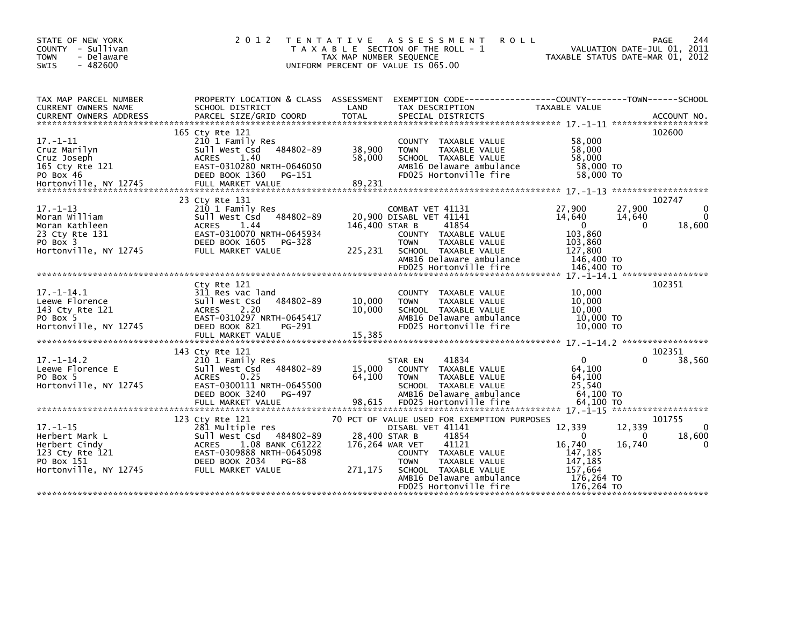| STATE OF NEW YORK<br>COUNTY - Sullivan<br>- Delaware<br><b>TOWN</b><br>$-482600$<br><b>SWIS</b>             | 2 0 1 2<br>T E N T A T I V E                                                                                                                                                           | TAX MAP NUMBER SEQUENCE                     | A S S E S S M E N T<br><b>ROLL</b><br>T A X A B L E SECTION OF THE ROLL - 1<br>UNIFORM PERCENT OF VALUE IS 065.00                                                                                                       |                                                                                                 | 244<br><b>PAGE</b><br>VALUATION DATE-JUL 01, 2011<br>TAXABLE STATUS DATE-MAR 01, 2012 |
|-------------------------------------------------------------------------------------------------------------|----------------------------------------------------------------------------------------------------------------------------------------------------------------------------------------|---------------------------------------------|-------------------------------------------------------------------------------------------------------------------------------------------------------------------------------------------------------------------------|-------------------------------------------------------------------------------------------------|---------------------------------------------------------------------------------------|
| TAX MAP PARCEL NUMBER<br>CURRENT OWNERS NAME                                                                | PROPERTY LOCATION & CLASS ASSESSMENT<br>SCHOOL DISTRICT                                                                                                                                | LAND                                        | EXEMPTION        CODE-----------------COUNTY-------TOWN------SCHOOL<br>TAX DESCRIPTION                                                                                                                                  | TAXABLE VALUE                                                                                   |                                                                                       |
| $17. - 1 - 11$<br>Cruz Marilyn<br>Cruz Joseph<br>165 Cty Rte 121<br>PO Box 46                               | 165 Cty Rte 121<br>210 1 Family Res<br>484802-89<br>Sull West Csd<br>1.40<br><b>ACRES</b><br>EAST-0310280 NRTH-0646050<br>DEED BOOK 1360<br>PG-151                                     | 38,900<br>58,000                            | COUNTY TAXABLE VALUE<br>TAXABLE VALUE<br><b>TOWN</b><br>SCHOOL TAXABLE VALUE<br>AMB16 Delaware ambulance<br>FD025 Hortonville fire                                                                                      | 58,000<br>58,000<br>58,000<br>58,000 TO<br>58,000 TO                                            | 102600                                                                                |
| $17. - 1 - 13$<br>Moran William<br>Moran Kathleen<br>23 Cty Rte 131<br>PO Box 3<br>Hortonville, NY 12745    | 23 Cty Rte 131<br>210 1 Family Res<br>Sull West Csd 484802-89<br><b>ACRES</b><br>1.44<br>EAST-0310070 NRTH-0645934<br>DEED BOOK 1605<br>PG-328<br>FULL MARKET VALUE                    | 146.400 STAR B<br>225,231                   | COMBAT VET 41131<br>20,900 DISABL VET 41141<br>41854<br>COUNTY TAXABLE VALUE<br>TAXABLE VALUE<br><b>TOWN</b><br>SCHOOL TAXABLE VALUE<br>AMB16 Delaware ambulance<br>FD025 Hortonville fire                              | 27,900<br>14,640<br>$\overline{0}$<br>103,860<br>103,860<br>127,800<br>146,400 TO<br>146,400 TO | 102747<br>27,900<br>0<br>14,640<br>$\Omega$<br>18,600<br>0                            |
| $17. - 1 - 14.1$<br>Leewe Florence<br>143 Cty Rte 121<br>PO Box 5<br>Hortonville, NY 12745                  | Ctv Rte 121<br>311 Res vac land<br>484802-89<br>Sull West Csd<br>2.20<br><b>ACRES</b><br>EAST-0310297 NRTH-0645417<br>DEED BOOK 821<br>PG-291<br>FULL MARKET VALUE                     | 10,000<br>10,000<br>15,385                  | TAXABLE VALUE<br><b>COUNTY</b><br>TAXABLE VALUE<br><b>TOWN</b><br>SCHOOL TAXABLE VALUE<br>AMB16 Delaware ambulance<br>FD025 Hortonville fire                                                                            | 10,000<br>10,000<br>10,000<br>10,000 TO<br>10.000 TO                                            | 102351                                                                                |
| $17. - 1 - 14.2$<br>Leewe Florence E<br>PO Box 5<br>Hortonville, NY 12745                                   | 143 Cty Rte 121<br>210 1 Family Res<br>484802-89<br>Sull West Csd<br><b>ACRES</b><br>0.25<br>EAST-0300111 NRTH-0645500<br>DEED BOOK 3240<br>PG-497<br>FULL MARKET VALUE                | 15,000<br>64,100<br>98,615                  | 41834<br>STAR EN<br>COUNTY TAXABLE VALUE<br><b>TOWN</b><br>TAXABLE VALUE<br>SCHOOL TAXABLE VALUE<br>AMB16 Delaware ambulance<br>FD025 Hortonville fire                                                                  | $\mathbf{0}$<br>64,100<br>64,100<br>25.540<br>64,100 TO<br>64.100 TO                            | 102351<br>38,560                                                                      |
| $17. - 1 - 15$<br>Herbert Mark L<br>Herbert Cindy<br>123 Cty Rte 121<br>PO Box 151<br>Hortonville, NY 12745 | 123 Cty Rte 121<br>281 Multiple res<br>Sull West Csd 484802-89<br><b>ACRES</b><br>1.08 BANK C61222<br>EAST-0309888 NRTH-0645098<br>DEED BOOK 2034<br><b>PG-88</b><br>FULL MARKET VALUE | 28,400 STAR B<br>176,264 WAR VET<br>271,175 | 70 PCT OF VALUE USED FOR EXEMPTION PURPOSES<br>DISABL VET 41141<br>41854<br>41121<br>COUNTY TAXABLE VALUE<br><b>TOWN</b><br>TAXABLE VALUE<br>SCHOOL TAXABLE VALUE<br>AMB16 Delaware ambulance<br>FD025 Hortonville fire | 12,339<br>$\Omega$<br>16,740<br>147,185<br>147,185<br>157.664<br>176,264 TO<br>176.264 TO       | 101755<br>12,339<br>0<br>18,600<br>0<br>16,740<br>0                                   |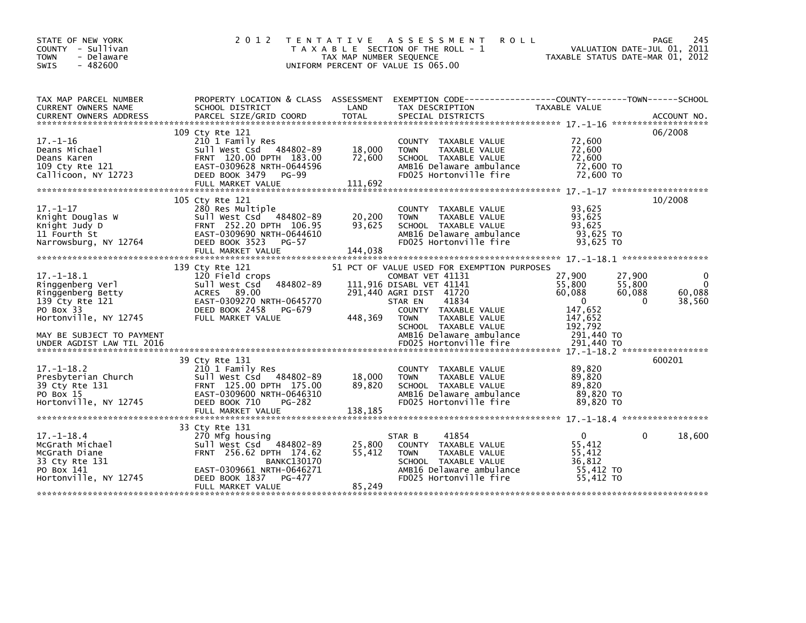| STATE OF NEW YORK<br>COUNTY - Sullivan<br><b>TOWN</b><br>- Delaware<br><b>SWIS</b><br>$-482600$ | 2 0 1 2                                                                                                               | TAX MAP NUMBER SEQUENCE | TENTATIVE ASSESSMENT<br><b>ROLL</b><br>T A X A B L E SECTION OF THE ROLL - 1<br>UNIFORM PERCENT OF VALUE IS 065.00 |                                         | <b>PAGE</b><br>245<br>VALUATION DATE-JUL 01, 2011<br>TAXABLE STATUS DATE-MAR 01, 2012 |
|-------------------------------------------------------------------------------------------------|-----------------------------------------------------------------------------------------------------------------------|-------------------------|--------------------------------------------------------------------------------------------------------------------|-----------------------------------------|---------------------------------------------------------------------------------------|
| TAX MAP PARCEL NUMBER<br>CURRENT OWNERS NAME                                                    | SCHOOL DISTRICT                                                                                                       | LAND                    | PROPERTY LOCATION & CLASS ASSESSMENT EXEMPTION CODE---------------COUNTY-------TOWN------SCHOOL<br>TAX DESCRIPTION | TAXABLE VALUE                           |                                                                                       |
| <b>CURRENT OWNERS ADDRESS</b>                                                                   | PARCEL SIZE/GRID COORD                                                                                                | <b>TOTAL</b>            | SPECIAL DISTRICTS                                                                                                  |                                         | ACCOUNT NO.                                                                           |
|                                                                                                 | 109 Cty Rte 121                                                                                                       |                         |                                                                                                                    |                                         | 06/2008                                                                               |
| $17. - 1 - 16$<br>Deans Michael<br>Deans Karen                                                  | 210 1 Family Res<br>Sull West Csd 484802-89<br>FRNT 120.00 DPTH 183.00                                                | 18,000<br>72,600        | COUNTY TAXABLE VALUE<br><b>TOWN</b><br>TAXABLE VALUE<br>SCHOOL TAXABLE VALUE                                       | 72,600<br>72,600<br>72.600              |                                                                                       |
| 109 Cty Rte 121<br>Callicoon, NY 12723                                                          | EAST-0309628 NRTH-0644596<br>DEED BOOK 3479<br><b>PG-99</b><br>FULL MARKET VALUE                                      | 111,692                 | AMB16 Delaware ambulance<br>FD025 Hortonville fire                                                                 | 72,600 TO<br>72,600 TO                  |                                                                                       |
|                                                                                                 |                                                                                                                       |                         |                                                                                                                    |                                         |                                                                                       |
| $17. - 1 - 17$<br>Knight Douglas W<br>Knight Judy D                                             | 105 Cty Rte 121<br>280 Res Multiple<br>Sull West Csd 484802-89<br>FRNT 252.20 DPTH 106.95                             | 20,200<br>93,625        | COUNTY TAXABLE VALUE<br><b>TOWN</b><br>TAXABLE VALUE<br>SCHOOL TAXABLE VALUE                                       | 93,625<br>93,625<br>93,625              | 10/2008                                                                               |
| 11 Fourth St<br>Narrowsburg, NY 12764                                                           | EAST-0309690 NRTH-0644610<br>DEED BOOK 3523<br>PG-57                                                                  |                         | AMB16 Delaware ambulance<br>FD025 Hortonville fire                                                                 | $93,625$ TO<br>93,625 TO                |                                                                                       |
|                                                                                                 |                                                                                                                       |                         |                                                                                                                    |                                         |                                                                                       |
| $17. - 1 - 18.1$                                                                                | 139 Cty Rte 121<br>120 Field crops                                                                                    |                         | 51 PCT OF VALUE USED FOR EXEMPTION PURPOSES<br>COMBAT VET 41131                                                    | 27,900                                  | 27,900<br>0                                                                           |
| Ringgenberg Verl<br>Ringgenberg Betty                                                           | Sull West Csd<br>484802-89<br>ACRES 89.00                                                                             |                         | 111,916 DISABL VET 41141<br>291,440 AGRI DIST 41720                                                                | 55,800<br>60,088                        | $\Omega$<br>55,800<br>60,088<br>60,088                                                |
| 139 Cty Rte 121                                                                                 | EAST-0309270 NRTH-0645770                                                                                             |                         | 41834<br>STAR EN                                                                                                   | $\Omega$                                | 38,560<br>$\Omega$                                                                    |
| PO Box 33<br>Hortonville, NY 12745                                                              | DEED BOOK 2458<br>PG-679<br>FULL MARKET VALUE                                                                         | 448,369                 | COUNTY TAXABLE VALUE<br><b>TOWN</b><br>TAXABLE VALUE                                                               | 147,652<br>147,652                      |                                                                                       |
| MAY BE SUBJECT TO PAYMENT<br>UNDER AGDIST LAW TIL 2016                                          |                                                                                                                       |                         | SCHOOL TAXABLE VALUE<br>AMB16 Delaware ambulance<br>FD025 Hortonville fire                                         | 192,792<br>291,440 то<br>291,440 TO     |                                                                                       |
|                                                                                                 |                                                                                                                       |                         |                                                                                                                    |                                         | 600201                                                                                |
| $17. - 1 - 18.2$<br>Presbyterian Church<br>39 Cty Rte 131<br>PO Box 15                          | 39 Cty Rte 131<br>210 1 Family Res<br>Sull West Csd 484802-89<br>FRNT 125.00 DPTH 175.00<br>EAST-0309600 NRTH-0646310 | 18,000<br>89.820        | COUNTY TAXABLE VALUE<br><b>TOWN</b><br>TAXABLE VALUE<br>SCHOOL TAXABLE VALUE<br>AMB16 Delaware ambulance           | 89,820<br>89,820<br>89.820<br>89,820 TO |                                                                                       |
| Hortonville, NY 12745                                                                           | DEED BOOK 710<br>PG-282                                                                                               |                         | FD025 Hortonville fire                                                                                             | 89,820 TO                               |                                                                                       |
|                                                                                                 |                                                                                                                       |                         |                                                                                                                    |                                         |                                                                                       |
| $17. - 1 - 18.4$<br>McGrath Michael<br>McGrath Diane                                            | 33 Cty Rte 131<br>270 Mfg housing<br>Sull West Csd<br>484802-89<br>FRNT 256.62 DPTH 174.62                            | 25,800<br>55,412        | 41854<br>STAR B<br>COUNTY TAXABLE VALUE<br>TAXABLE VALUE<br><b>TOWN</b>                                            | $\Omega$<br>55.412<br>55,412            | 18,600<br>0                                                                           |
| 33 Cty Rte 131<br>PO Box 141<br>Hortonville, NY 12745                                           | <b>BANKC130170</b><br>EAST-0309661 NRTH-0646271<br>DEED BOOK 1837<br>PG-477                                           |                         | SCHOOL TAXABLE VALUE<br>AMB16 Delaware ambulance<br>FD025 Hortonville fire                                         | 36,812<br>55,412 TO<br>55.412 TO        |                                                                                       |
|                                                                                                 | FULL MARKET VALUE                                                                                                     | 85,249                  |                                                                                                                    |                                         |                                                                                       |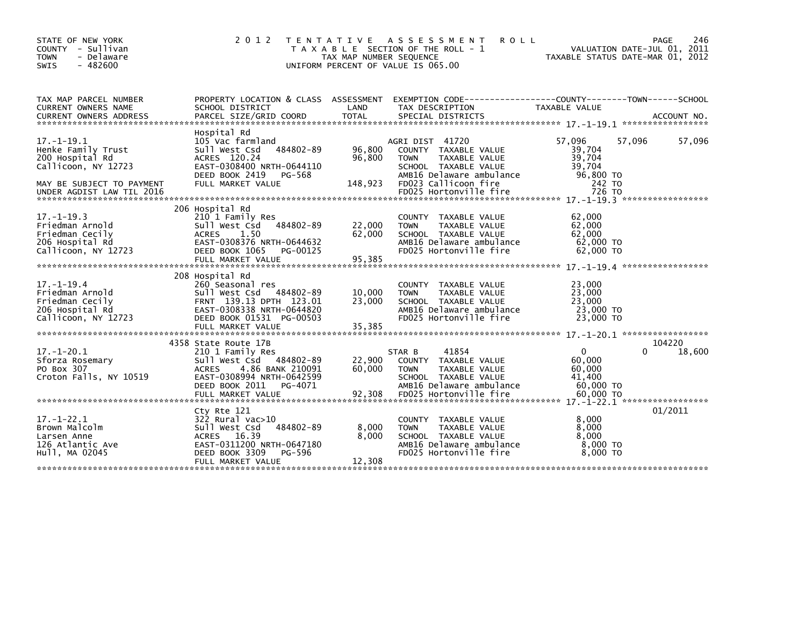| STATE OF NEW YORK<br>COUNTY - Sullivan<br>- Delaware<br><b>TOWN</b><br>$-482600$<br><b>SWIS</b>                                           | 2 0 1 2                                                                                                                                                                   | <b>TENTATIVE</b><br>TAX MAP NUMBER SEQUENCE | A S S E S S M E N T<br><b>ROLL</b><br>T A X A B L E SECTION OF THE ROLL - 1<br>UNIFORM PERCENT OF VALUE IS 065.00                                                             | TAXABLE STATUS DATE-MAR 01, 2012                                                | 246<br><b>PAGE</b><br>VALUATION DATE-JUL 01, 2011 |
|-------------------------------------------------------------------------------------------------------------------------------------------|---------------------------------------------------------------------------------------------------------------------------------------------------------------------------|---------------------------------------------|-------------------------------------------------------------------------------------------------------------------------------------------------------------------------------|---------------------------------------------------------------------------------|---------------------------------------------------|
| TAX MAP PARCEL NUMBER<br>CURRENT OWNERS NAME<br><b>CURRENT OWNERS ADDRESS</b>                                                             | PROPERTY LOCATION & CLASS ASSESSMENT<br>SCHOOL DISTRICT<br>PARCEL SIZE/GRID COORD                                                                                         | LAND<br><b>TOTAL</b>                        | TAX DESCRIPTION<br>SPECIAL DISTRICTS                                                                                                                                          | <b>TAXABLE VALUE</b>                                                            | ACCOUNT NO.                                       |
| $17 - 1 - 19.1$<br>Henke Family Trust<br>200 Hospital Rd<br>Callicoon, NY 12723<br>MAY BE SUBJECT TO PAYMENT<br>UNDER AGDIST LAW TIL 2016 | Hospital Rd<br>105 Vac farmland<br>484802-89<br>Sull West Csd<br>ACRES 120.24<br>EAST-0308400 NRTH-0644110<br>DEED BOOK 2419<br>PG-568<br>FULL MARKET VALUE               | 96,800<br>96,800<br>148,923                 | AGRI DIST 41720<br>COUNTY TAXABLE VALUE<br><b>TOWN</b><br>TAXABLE VALUE<br>SCHOOL TAXABLE VALUE<br>AMB16 Delaware ambulance<br>FD023 Callicoon fire<br>FD025 Hortonville fire | 57,096<br>57,096<br>39,704<br>39,704<br>39,704<br>96,800 TO<br>242 TO<br>726 TO | 57,096                                            |
| $17. - 1 - 19.3$<br>Friedman Arnold<br>Friedman Cecily<br>206 Hospital Rd<br>Callicoon, NY 12723                                          | 206 Hospital Rd<br>210 1 Family Res<br>Sull West Csd<br>484802-89<br>1.50<br><b>ACRES</b><br>EAST-0308376 NRTH-0644632<br>DEED BOOK 1065<br>PG-00125<br>FULL MARKET VALUE | 22,000<br>62,000<br>95,385                  | TAXABLE VALUE<br><b>COUNTY</b><br>TAXABLE VALUE<br><b>TOWN</b><br>SCHOOL TAXABLE VALUE<br>AMB16 Delaware ambulance<br>FD025 Hortonville fire                                  | 62,000<br>62,000<br>62,000<br>62,000 TO<br>62,000 TO                            |                                                   |
| $17. - 1 - 19.4$<br>Friedman Arnold<br>Friedman Cecily<br>206 Hospital Rd<br>Callicoon, NY 12723                                          | 208 Hospital Rd<br>260 Seasonal res<br>Sull West Csd 484802-89<br>FRNT 139.13 DPTH 123.01<br>EAST-0308338 NRTH-0644820<br>DEED BOOK 01531 PG-00503<br>FULL MARKET VALUE   | 10,000<br>23,000<br>35,385                  | TAXABLE VALUE<br><b>COUNTY</b><br><b>TOWN</b><br>TAXABLE VALUE<br>SCHOOL TAXABLE VALUE<br>AMB16 Delaware ambulance<br>FD025 Hortonville fire                                  | 23,000<br>23,000<br>23,000<br>23,000 TO<br>23,000 TO                            |                                                   |
| $17. - 1 - 20.1$<br>Sforza Rosemary<br>PO Box 307<br>Croton Falls, NY 10519                                                               | 4358 State Route 17B<br>210 1 Family Res<br>Sull West Csd 484802-89<br>4.86 BANK 210091<br><b>ACRES</b><br>EAST-0308994 NRTH-0642599<br>DEED BOOK 2011<br>PG-4071         | 22,900<br>60,000                            | STAR B<br>41854<br>TAXABLE VALUE<br><b>COUNTY</b><br><b>TAXABLE VALUE</b><br><b>TOWN</b><br>SCHOOL TAXABLE VALUE<br>AMB16 Delaware ambulance                                  | $\Omega$<br>60,000<br>60,000<br>41,400<br>60,000 TO                             | 104220<br>18,600                                  |
| $17. - 1 - 22.1$<br>Brown Malcolm<br>Larsen Anne<br>126 Atlantic Ave<br>Hull, MA 02045                                                    | Cty Rte 121<br>$322$ Rural vac $>10$<br>Sull West Csd<br>484802-89<br>16.39<br><b>ACRES</b><br>EAST-0311200 NRTH-0647180<br>DEED BOOK 3309<br>PG-596<br>FULL MARKET VALUE | 8,000<br>8,000<br>12,308                    | <b>COUNTY</b><br>TAXABLE VALUE<br><b>TAXABLE VALUE</b><br><b>TOWN</b><br>SCHOOL TAXABLE VALUE<br>AMB16 Delaware ambulance<br>FD025 Hortonville fire                           | 8,000<br>8,000<br>8.000<br>$8,000$ TO<br>8,000 TO                               | 01/2011                                           |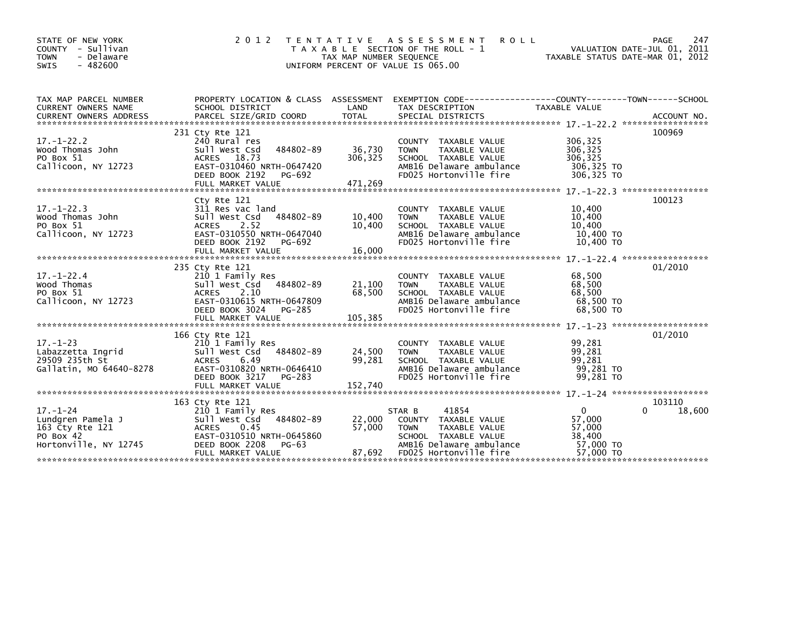| STATE OF NEW YORK<br>COUNTY - Sullivan<br>- Delaware<br><b>TOWN</b><br><b>SWIS</b><br>$-482600$ | 2 0 1 2                                                                                                                                                                | T E N T A T I V E<br>TAX MAP NUMBER SEQUENCE<br>UNIFORM PERCENT OF VALUE IS 065.00 | A S S E S S M E N T<br><b>ROLL</b><br>T A X A B L E SECTION OF THE ROLL - 1                                                                           | VALUATION DATE-JUL 01, 2011<br>TAXABLE STATUS DATE-MAR 01, 2012      | 247<br>PAGE      |
|-------------------------------------------------------------------------------------------------|------------------------------------------------------------------------------------------------------------------------------------------------------------------------|------------------------------------------------------------------------------------|-------------------------------------------------------------------------------------------------------------------------------------------------------|----------------------------------------------------------------------|------------------|
| TAX MAP PARCEL NUMBER<br>CURRENT OWNERS NAME                                                    | PROPERTY LOCATION & CLASS ASSESSMENT<br>SCHOOL DISTRICT                                                                                                                | LAND                                                                               | EXEMPTION CODE-----------------COUNTY-------TOWN------SCHOOL<br>TAX DESCRIPTION                                                                       | TAXABLE VALUE                                                        |                  |
| $17. - 1 - 22.2$<br>Wood Thomas John<br>PO Box 51<br>Callicoon, NY 12723                        | 231 Cty Rte 121<br>240 Rural res<br>484802-89<br>Sull West Csd<br>18.73<br>ACRES<br>EAST-0310460 NRTH-0647420<br>PG-692<br>DEED BOOK 2192<br>FULL MARKET VALUE         | 36,730<br>306,325<br>471,269                                                       | COUNTY TAXABLE VALUE<br><b>TAXABLE VALUE</b><br><b>TOWN</b><br>SCHOOL TAXABLE VALUE<br>AMB16 Delaware ambulance<br>FD025 Hortonville fire             | 306,325<br>306,325<br>306.325<br>306,325 TO<br>306,325 TO            | 100969           |
| $17. - 1 - 22.3$<br>Wood Thomas John<br>PO Box 51<br>Callicoon, NY 12723                        | Cty Rte 121<br>311 Res vac land<br>484802-89<br>Sull West Csd<br><b>ACRES</b><br>2.52<br>EAST-0310550 NRTH-0647040<br>DEED BOOK 2192<br>PG-692                         | 10,400<br>10.400                                                                   | COUNTY TAXABLE VALUE<br><b>TOWN</b><br>TAXABLE VALUE<br>SCHOOL TAXABLE VALUE<br>AMB16 Delaware ambulance<br>FD025 Hortonville fire                    | 10,400<br>10,400<br>10.400<br>10,400 TO<br>10,400 TO                 | 100123           |
| $17. - 1 - 22.4$<br>Wood Thomas<br>PO Box 51<br>Callicoon, NY 12723                             | 235 Cty Rte 121<br>210 1 Family Res<br>484802-89<br>Sull West Csd<br><b>ACRES</b><br>2.10<br>EAST-0310615 NRTH-0647809<br>PG-285<br>DEED BOOK 3024                     | 21,100<br>68,500                                                                   | COUNTY TAXABLE VALUE<br><b>TAXABLE VALUE</b><br><b>TOWN</b><br>SCHOOL TAXABLE VALUE<br>AMB16 Delaware ambulance<br>FD025 Hortonville fire             | 68,500<br>68,500<br>68,500<br>68,500 TO<br>68,500 TO                 | 01/2010          |
| $17. - 1 - 23$<br>Labazzetta Ingrid<br>29509 235th St<br>Gallatin, MO 64640-8278                | 166 Cty Rte 121<br>210 1 Family Res<br>Sull West Csd 484802-89<br>6.49<br><b>ACRES</b><br>EAST-0310820 NRTH-0646410<br>DEED BOOK 3217<br>PG-283<br>FULL MARKET VALUE   | 24,500<br>99,281<br>152,740                                                        | COUNTY TAXABLE VALUE<br>TAXABLE VALUE<br><b>TOWN</b><br>SCHOOL TAXABLE VALUE<br>AMB16 Delaware ambulance<br>FD025 Hortonville fire                    | 99,281<br>99,281<br>99,281<br>99,281 TO<br>99,281 TO                 | 01/2010          |
| $17. - 1 - 24$<br>Lundgren Pamela J<br>163 Cty Rte 121<br>PO Box 42<br>Hortonville, NY 12745    | 163 Cty Rte 121<br>210 1 Family Res<br>484802-89<br>Sull West Csd<br>0.45<br><b>ACRES</b><br>EAST-0310510 NRTH-0645860<br>DEED BOOK 2208<br>PG-63<br>FULL MARKET VALUE | 22,000<br>57,000<br>87,692                                                         | 41854<br>STAR B<br>COUNTY TAXABLE VALUE<br><b>TOWN</b><br>TAXABLE VALUE<br>SCHOOL TAXABLE VALUE<br>AMB16 Delaware ambulance<br>FD025 Hortonville fire | $\mathbf{0}$<br>57,000<br>57,000<br>38,400<br>57,000 TO<br>57,000 TO | 103110<br>18,600 |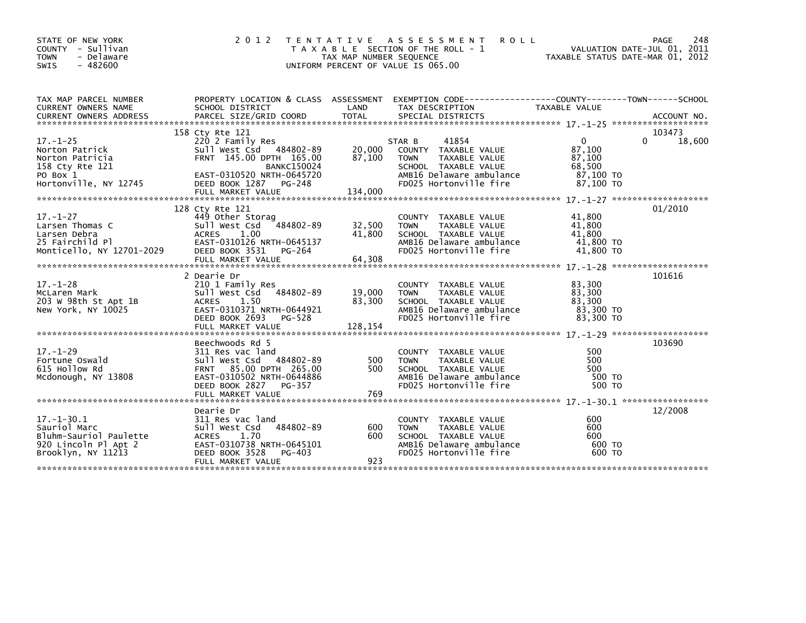| STATE OF NEW YORK<br>COUNTY - Sullivan<br>- Delaware<br><b>TOWN</b><br>$-482600$<br><b>SWIS</b>          | 2 0 1 2<br>T E N T A T I V E<br>TAXABLE                                                                                                                             | TAX MAP NUMBER SEQUENCE     | A S S E S S M E N T<br><b>ROLL</b><br>SECTION OF THE ROLL - 1<br>UNIFORM PERCENT OF VALUE IS 065.00                                                 | TAXABLE STATUS DATE-MAR 01, 2012                     | PAGE<br>248<br>VALUATION DATE-JUL 01, 2011 |
|----------------------------------------------------------------------------------------------------------|---------------------------------------------------------------------------------------------------------------------------------------------------------------------|-----------------------------|-----------------------------------------------------------------------------------------------------------------------------------------------------|------------------------------------------------------|--------------------------------------------|
| TAX MAP PARCEL NUMBER<br>CURRENT OWNERS NAME<br><b>CURRENT OWNERS ADDRESS</b>                            | SCHOOL DISTRICT<br>PARCEL SIZE/GRID COORD                                                                                                                           | LAND<br><b>TOTAL</b>        | PROPERTY LOCATION & CLASS ASSESSMENT EXEMPTION CODE----------------COUNTY-------TOWN------SCHOOL<br>TAX DESCRIPTION<br>SPECIAL DISTRICTS            | TAXABLE VALUE                                        | ACCOUNT NO.                                |
|                                                                                                          | 158 Cty Rte 121                                                                                                                                                     |                             |                                                                                                                                                     |                                                      | 103473                                     |
| $17. - 1 - 25$                                                                                           | 220 2 Family Res                                                                                                                                                    |                             | 41854<br>STAR B                                                                                                                                     | $\Omega$                                             | $\Omega$<br>18,600                         |
| Norton Patrick<br>Norton Patricia<br>158 Cty Rte 121                                                     | Sull West Csd 484802-89<br>FRNT 145.00 DPTH 165.00<br><b>BANKC150024</b>                                                                                            | 20,000<br>87,100            | COUNTY TAXABLE VALUE<br><b>TOWN</b><br>TAXABLE VALUE<br>SCHOOL TAXABLE VALUE                                                                        | 87,100<br>87,100<br>68,500                           |                                            |
| PO Box 1<br>Hortonville, NY 12745                                                                        | EAST-0310520 NRTH-0645720<br>DEED BOOK 1287 PG-248<br>FULL MARKET VALUE                                                                                             | 134,000                     | AMB16 Delaware ambulance<br>FD025 Hortonville fire                                                                                                  | 87,100 TO<br>87,100 TO                               |                                            |
|                                                                                                          |                                                                                                                                                                     |                             |                                                                                                                                                     |                                                      |                                            |
|                                                                                                          | 128 Cty Rte 121                                                                                                                                                     |                             |                                                                                                                                                     |                                                      | 01/2010                                    |
| $17. - 1 - 27$<br>Larsen Thomas C<br>Larsen Debra                                                        | 449 Other Storag<br>Sull West Csd<br>484802-89<br>1.00<br><b>ACRES</b>                                                                                              | 32,500<br>41.800            | <b>COUNTY</b><br>TAXABLE VALUE<br><b>TOWN</b><br>TAXABLE VALUE<br>SCHOOL TAXABLE VALUE                                                              | 41,800<br>41,800<br>41.800                           |                                            |
| 25 Fairchild Pl<br>Monticello, NY 12701-2029                                                             | EAST-0310126 NRTH-0645137<br>DEED BOOK 3531<br>PG-264                                                                                                               |                             | AMB16 Delaware ambulance<br>FD025 Hortonville fire                                                                                                  | 41,800 TO<br>41,800 TO                               |                                            |
|                                                                                                          | FULL MARKET VALUE                                                                                                                                                   | 64,308                      |                                                                                                                                                     |                                                      |                                            |
|                                                                                                          |                                                                                                                                                                     |                             |                                                                                                                                                     |                                                      |                                            |
| $17. - 1 - 28$<br>McLaren Mark<br>203 W 98th St Apt 1B<br>New York, NY 10025                             | 2 Dearie Dr<br>210 1 Family Res<br>Sull West Csd<br>484802-89<br>1.50<br><b>ACRES</b><br>EAST-0310371 NRTH-0644921<br>DEED BOOK 2693<br>PG-528<br>FULL MARKET VALUE | 19,000<br>83,300<br>128,154 | <b>COUNTY</b><br>TAXABLE VALUE<br><b>TOWN</b><br>TAXABLE VALUE<br>SCHOOL TAXABLE VALUE<br>AMB16 Delaware ambulance<br>FD025 Hortonville fire        | 83,300<br>83,300<br>83,300<br>83,300 TO<br>83,300 TO | 101616                                     |
|                                                                                                          |                                                                                                                                                                     |                             |                                                                                                                                                     |                                                      |                                            |
|                                                                                                          | Beechwoods Rd 5                                                                                                                                                     |                             |                                                                                                                                                     |                                                      | 103690                                     |
| $17. - 1 - 29$<br>Fortune Oswald<br>615 Hollow Rd<br>Mcdonough, NY 13808                                 | 311 Res vac land<br>484802-89<br>Sull West Csd<br>FRNT 85.00 DPTH 265.00<br>EAST-0310502 NRTH-0644886<br>DEED BOOK 2827<br>PG-357                                   | 500<br>500                  | <b>COUNTY</b><br>TAXABLE VALUE<br><b>TOWN</b><br>TAXABLE VALUE<br>SCHOOL TAXABLE VALUE<br>AMB16 Delaware ambulance<br>FD025 Hortonville fire        | 500<br>500<br>500<br>500 TO<br>500 TO                |                                            |
|                                                                                                          |                                                                                                                                                                     |                             |                                                                                                                                                     |                                                      |                                            |
|                                                                                                          | Dearie Dr                                                                                                                                                           |                             |                                                                                                                                                     |                                                      | 12/2008                                    |
| $17. - 1 - 30.1$<br>Sauriol Marc<br>Bluhm-Sauriol Paulette<br>920 Lincoln Pl Apt 2<br>Brooklyn, NY 11213 | 311 Res vac land<br>484802-89<br>Sull West Csd<br>1.70<br><b>ACRES</b><br>EAST-0310738 NRTH-0645101<br>DEED BOOK 3528<br>PG-403                                     | 600<br>600                  | <b>COUNTY</b><br>TAXABLE VALUE<br><b>TAXABLE VALUE</b><br><b>TOWN</b><br>SCHOOL TAXABLE VALUE<br>AMB16 Delaware ambulance<br>FD025 Hortonville fire | 600<br>600<br>600<br>600 TO<br>600 TO                |                                            |
|                                                                                                          | FULL MARKET VALUE                                                                                                                                                   | 923                         |                                                                                                                                                     |                                                      |                                            |
|                                                                                                          |                                                                                                                                                                     |                             |                                                                                                                                                     |                                                      |                                            |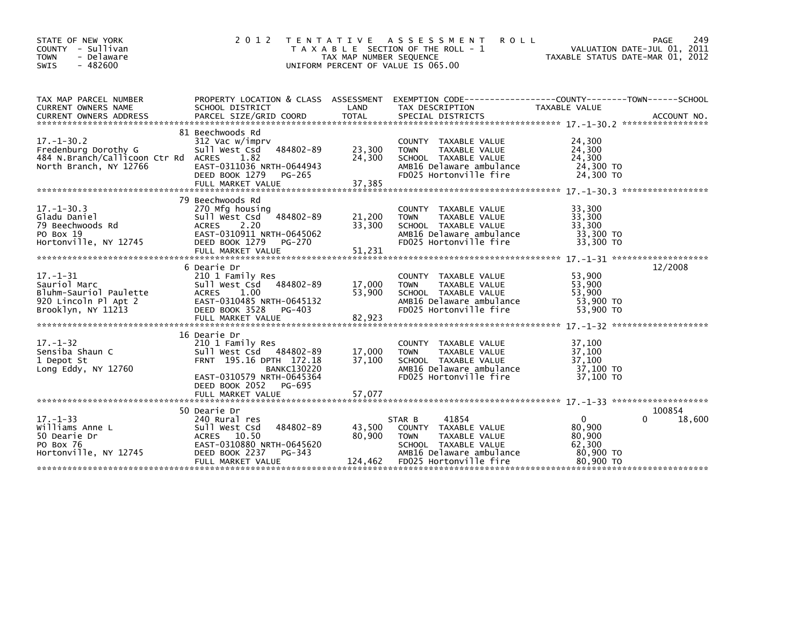| STATE OF NEW YORK<br>COUNTY - Sullivan<br>- Delaware<br><b>TOWN</b><br><b>SWIS</b><br>$-482600$           | 2 0 1 2                                                                                                                                                                 | TAX MAP NUMBER SEOUENCE    | <b>ROLL</b><br>TENTATIVE ASSESSMENT<br>T A X A B L E SECTION OF THE ROLL - 1<br>UNIFORM PERCENT OF VALUE IS 065.00                 | PAGE<br>VALUATION DATE-MAR 01, 2012                                                                               | 249    |
|-----------------------------------------------------------------------------------------------------------|-------------------------------------------------------------------------------------------------------------------------------------------------------------------------|----------------------------|------------------------------------------------------------------------------------------------------------------------------------|-------------------------------------------------------------------------------------------------------------------|--------|
| TAX MAP PARCEL NUMBER<br>CURRENT OWNERS NAME                                                              | SCHOOL DISTRICT                                                                                                                                                         | LAND                       | TAX DESCRIPTION                                                                                                                    | PROPERTY LOCATION & CLASS ASSESSMENT EXEMPTION CODE----------------COUNTY-------TOWN------SCHOOL<br>TAXABLE VALUE |        |
| $17. - 1 - 30.2$<br>Fredenburg Dorothy G<br>484 N.Branch/Callicoon Ctr Rd ACRES<br>North Branch, NY 12766 | 81 Beechwoods Rd<br>312 Vac w/imprv<br>484802-89<br>Sull West Csd<br>1.82<br>EAST-0311036 NRTH-0644943<br>DEED BOOK 1279 PG-265                                         | 23,300<br>24,300           | COUNTY TAXABLE VALUE<br>TAXABLE VALUE<br><b>TOWN</b><br>SCHOOL TAXABLE VALUE<br>AMB16 Delaware ambulance<br>FD025 Hortonville fire | 24,300<br>24,300<br>24,300<br>24,300 TO<br>24,300 TO                                                              |        |
| $17. - 1 - 30.3$<br>Gladu Daniel<br>79 Beechwoods Rd<br>PO Box 19<br>Hortonville, NY 12745                | 79 Beechwoods Rd<br>270 Mfg housing<br>484802-89<br>sull west Csd<br><b>ACRES</b><br>2.20<br>EAST-0310911 NRTH-0645062<br>DEED BOOK 1279<br>PG-270<br>FULL MARKET VALUE | 21,200<br>33,300<br>51,231 | COUNTY TAXABLE VALUE<br>TAXABLE VALUE<br><b>TOWN</b><br>SCHOOL TAXABLE VALUE<br>AMB16 Delaware ambulance<br>FD025 Hortonville fire | 33,300<br>33,300<br>33,300<br>33,300 TO<br>33,300 TO                                                              |        |
| $17. - 1 - 31$<br>Sauriol Marc<br>Bluhm-Sauriol Paulette<br>920 Lincoln Pl Apt 2<br>Brooklyn, NY 11213    | 6 Dearie Dr<br>210 1 Family Res<br>Sull West Csd<br>484802-89<br>ACRES 1.00<br>EAST-0310485 NRTH-0645132<br>DEED BOOK 3528<br>PG-403<br>FULL MARKET VALUE               | 17,000<br>53,900<br>82,923 | COUNTY TAXABLE VALUE<br><b>TOWN</b><br>TAXABLE VALUE<br>SCHOOL TAXABLE VALUE<br>AMB16 Delaware ambulance<br>FD025 Hortonville fire | 12/2008<br>53,900<br>53,900<br>53.900<br>53,900 TO<br>53,900 TO                                                   |        |
| $17. - 1 - 32$<br>Sensiba Shaun C<br>1 Depot St<br>Long Eddy, NY 12760                                    | 16 Dearie Dr<br>210 1 Family Res<br>Sull West Csd 484802-89<br>FRNT 195.16 DPTH 172.18<br><b>BANKC130220</b><br>EAST-0310579 NRTH-0645364<br>DEED BOOK 2052<br>PG-695   | 17,000<br>37,100           | COUNTY TAXABLE VALUE<br><b>TOWN</b><br>TAXABLE VALUE<br>SCHOOL TAXABLE VALUE<br>AMB16 Delaware ambulance<br>FD025 Hortonville fire | 37,100<br>37,100<br>37.100<br>37,100 TO<br>37,100 TO                                                              |        |
| $17. - 1 - 33$<br>Williams Anne L<br>50 Dearie Dr<br>PO Box 76<br>Hortonville, NY 12745                   | 50 Dearie Dr<br>240 Rural res<br>484802-89<br>Sull West Csd<br>10.50<br><b>ACRES</b><br>EAST-0310880 NRTH-0645620<br>DEED BOOK 2237<br>PG-343                           | 43,500<br>80,900           | 41854<br>STAR B<br>COUNTY TAXABLE VALUE<br><b>TOWN</b><br>TAXABLE VALUE<br>SCHOOL TAXABLE VALUE<br>AMB16 Delaware ambulance        | 100854<br>$\mathbf{0}$<br>$\Omega$<br>80,900<br>80,900<br>62,300<br>80,900 TO                                     | 18,600 |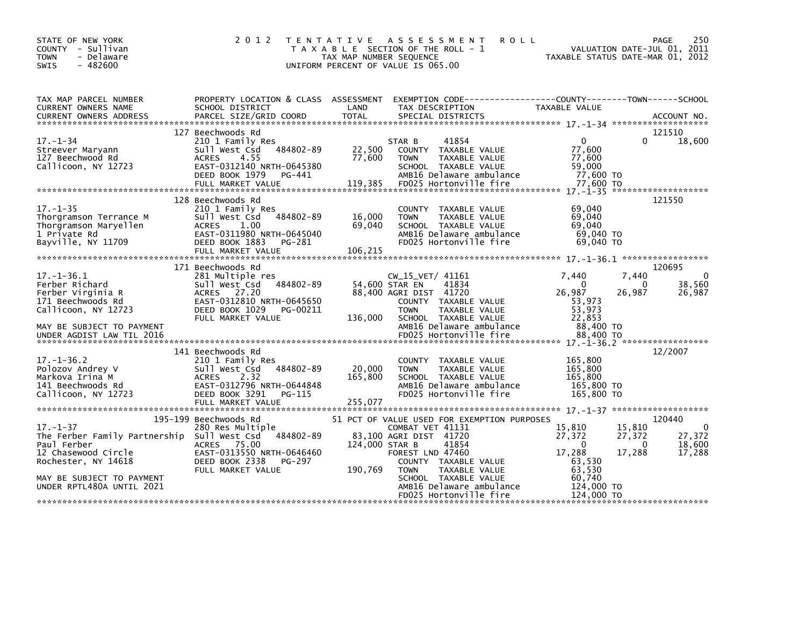| STATE OF NEW YORK<br>COUNTY - Sullivan<br>- Delaware<br><b>TOWN</b><br>$-482600$<br><b>SWIS</b>                            | 2 0 1 2<br>T E N T A T I V E                                                                                                                                              | TAX MAP NUMBER SEQUENCE      | A S S E S S M E N T<br><b>ROLL</b><br>T A X A B L E SECTION OF THE ROLL - 1<br>UNIFORM PERCENT OF VALUE IS 065.00                                                              | TAXABLE STATUS DATE-MAR 01, 2012                                     | <b>PAGE</b><br>VALUATION DATE-JUL 01, 2011           | 250                                    |
|----------------------------------------------------------------------------------------------------------------------------|---------------------------------------------------------------------------------------------------------------------------------------------------------------------------|------------------------------|--------------------------------------------------------------------------------------------------------------------------------------------------------------------------------|----------------------------------------------------------------------|------------------------------------------------------|----------------------------------------|
| TAX MAP PARCEL NUMBER<br>CURRENT OWNERS NAME                                                                               | PROPERTY LOCATION & CLASS ASSESSMENT<br>SCHOOL DISTRICT                                                                                                                   | LAND                         | EXEMPTION CODE-----------------COUNTY-------TOWN------SCHOOL<br>TAX DESCRIPTION                                                                                                | TAXABLE VALUE                                                        |                                                      |                                        |
|                                                                                                                            | 127 Beechwoods Rd                                                                                                                                                         |                              |                                                                                                                                                                                |                                                                      | 121510                                               |                                        |
| $17. - 1 - 34$<br>Streever Maryann<br>127 Beechwood Rd<br>Callicoon, NY 12723                                              | 210 1 Family Res<br>484802-89<br>Sull West Csd<br>4.55<br><b>ACRES</b><br>EAST-0312140 NRTH-0645380<br>DEED BOOK 1979<br>PG-441<br>FULL MARKET VALUE                      | 22,500<br>77,600<br>119,385  | 41854<br>STAR B<br>COUNTY TAXABLE VALUE<br><b>TOWN</b><br>TAXABLE VALUE<br>SCHOOL TAXABLE VALUE<br>AMB16 Delaware ambulance<br>FD025 Hortonville fire                          | $\mathbf{0}$<br>77,600<br>77,600<br>59,000<br>77.600 TO<br>77,600 TO | 0                                                    | 18,600                                 |
|                                                                                                                            |                                                                                                                                                                           |                              |                                                                                                                                                                                |                                                                      |                                                      |                                        |
| $17. - 1 - 35$<br>Thorgramson Terrance M<br>Thorgramson Maryellen<br>1 Private Rd<br>Bayville, NY 11709                    | 128 Beechwoods Rd<br>210 1 Family Res<br>484802-89<br>Sull West Csd<br>ACRES<br>1.00<br>EAST-0311980 NRTH-0645040<br>DEED BOOK 1883<br>PG-281<br>FULL MARKET VALUE        | 16,000<br>69.040<br>106,215  | COUNTY TAXABLE VALUE<br>TAXABLE VALUE<br><b>TOWN</b><br>SCHOOL TAXABLE VALUE<br>AMB16 Delaware ambulance<br>FD025 Hortonville fire                                             | 69,040<br>69,040<br>69.040<br>69,040 TO<br>69,040 TO                 | 121550                                               |                                        |
|                                                                                                                            | 171 Beechwoods Rd                                                                                                                                                         |                              |                                                                                                                                                                                |                                                                      | 120695                                               |                                        |
| $17. - 1 - 36.1$<br>Ferber Richard<br>Ferber Virginia R<br>171 Beechwoods Rd<br>Callicoon, NY 12723                        | 281 Multiple res<br>484802-89<br>sull west Csd<br>ACRES 27.20<br>EAST-0312810 NRTH-0645650<br>DEED BOOK 1029<br>PG-00211<br>FULL MARKET VALUE                             | 54,600 STAR EN<br>136,000    | CW_15_VET/ 41161<br>41834<br>88,400 AGRI DIST 41720<br>COUNTY TAXABLE VALUE<br><b>TOWN</b><br>TAXABLE VALUE<br>SCHOOL TAXABLE VALUE                                            | 7,440<br>- 0<br>26,987<br>53,973<br>53,973<br>22,853                 | 7,440<br>0<br>26,987                                 | $\Omega$<br>38,560<br>26,987           |
| MAY BE SUBJECT TO PAYMENT<br>UNDER AGDIST LAW TIL 2016                                                                     |                                                                                                                                                                           |                              | AMB16 Delaware ambulance<br>FD025 Hortonville fire                                                                                                                             | 88,400 TO<br>88,400 TO                                               |                                                      |                                        |
|                                                                                                                            |                                                                                                                                                                           |                              |                                                                                                                                                                                |                                                                      |                                                      |                                        |
| $17. - 1 - 36.2$<br>Polozov Andrey V<br>Markova Irina M<br>141 Beechwoods Rd<br>Callicoon, NY 12723                        | 141 Beechwoods Rd<br>210 1 Family Res<br>484802-89<br>Sull West Csd<br><b>ACRES</b><br>2.32<br>EAST-0312796 NRTH-0644848<br>DEED BOOK 3291<br>PG-115<br>FULL MARKET VALUE | 20,000<br>165,800<br>255,077 | COUNTY TAXABLE VALUE<br><b>TOWN</b><br>TAXABLE VALUE<br>SCHOOL TAXABLE VALUE<br>AMB16 Delaware ambulance<br>FD025 Hortonville fire                                             | 165,800<br>165,800<br>165,800<br>165,800 TO<br>165,800 TO            |                                                      | 12/2007                                |
|                                                                                                                            |                                                                                                                                                                           |                              |                                                                                                                                                                                |                                                                      |                                                      |                                        |
| $17. - 1 - 37$<br>The Ferber Family Partnership Sull West Csd<br>Paul Ferber<br>12 Chasewood Circle<br>Rochester, NY 14618 | 195-199 Beechwoods Rd<br>280 Res Multiple<br>484802-89<br>ACRES 75.00<br>EAST-0313550 NRTH-0646460<br>DEED BOOK 2338<br>PG-297<br>FULL MARKET VALUE                       | 124,000 STAR B<br>190,769    | 51 PCT OF VALUE USED FOR EXEMPTION PURPOSES<br>COMBAT VET 41131<br>83,100 AGRI DIST 41720<br>41854<br>FOREST LND 47460<br>COUNTY TAXABLE VALUE<br><b>TOWN</b><br>TAXABLE VALUE | 15,810<br>27,372<br>$\Omega$<br>17,288<br>63,530<br>63,530           | 120440<br>15,810<br>27,372<br>$\mathbf{0}$<br>17,288 | $\Omega$<br>27,372<br>18,600<br>17,288 |
| MAY BE SUBJECT TO PAYMENT<br>UNDER RPTL480A UNTIL 2021                                                                     |                                                                                                                                                                           |                              | SCHOOL TAXABLE VALUE<br>AMB16 Delaware ambulance<br>FD025 Hortonville fire                                                                                                     | 60,740<br>124,000 TO<br>124,000 TO                                   |                                                      |                                        |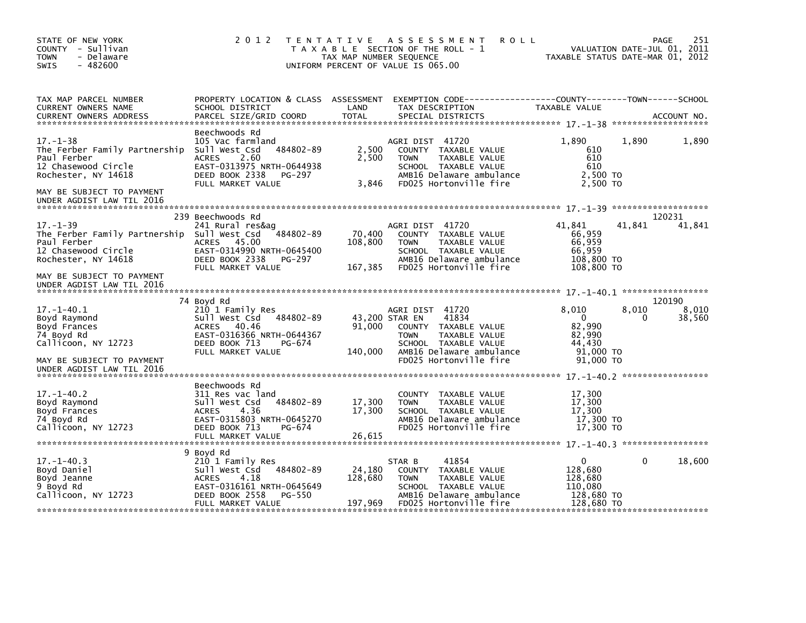| STATE OF NEW YORK<br>COUNTY - Sullivan<br><b>TOWN</b><br>- Delaware<br>$-482600$<br>SWIS                                                                | 2 0 1 2                                                                                                                                                               | TAX MAP NUMBER SEQUENCE      | TENTATIVE ASSESSMENT<br><b>ROLL</b><br>T A X A B L E SECTION OF THE ROLL - 1<br>UNIFORM PERCENT OF VALUE IS 065.00                                                               | TAXABLE STATUS DATE-MAR 01, 2012                                             |              | PAGE<br>251<br>VALUATION DATE-JUL 01, 2011 |
|---------------------------------------------------------------------------------------------------------------------------------------------------------|-----------------------------------------------------------------------------------------------------------------------------------------------------------------------|------------------------------|----------------------------------------------------------------------------------------------------------------------------------------------------------------------------------|------------------------------------------------------------------------------|--------------|--------------------------------------------|
| TAX MAP PARCEL NUMBER<br>CURRENT OWNERS NAME<br><b>CURRENT OWNERS ADDRESS</b>                                                                           | PROPERTY LOCATION & CLASS ASSESSMENT<br>SCHOOL DISTRICT<br>PARCEL SIZE/GRID COORD                                                                                     | LAND<br>TOTAL                | EXEMPTION CODE------------------COUNTY--------TOWN------SCHOOL<br>TAX DESCRIPTION<br>SPECIAL DISTRICTS                                                                           | TAXABLE VALUE                                                                |              | ACCOUNT NO.                                |
| $17. - 1 - 38$<br>The Ferber Family Partnership<br>Paul Ferber<br>12 Chasewood Circle<br>Rochester, NY 14618                                            | Beechwoods Rd<br>105 Vac farmland<br>484802-89<br>Sull West Csd<br>2.60<br><b>ACRES</b><br>EAST-0313975 NRTH-0644938<br>DEED BOOK 2338<br>PG-297<br>FULL MARKET VALUE | 2,500<br>2,500<br>3.846      | AGRI DIST 41720<br>COUNTY TAXABLE VALUE<br><b>TOWN</b><br>TAXABLE VALUE<br>SCHOOL TAXABLE VALUE<br>AMB16 Delaware ambulance<br>FD025 Hortonville fire                            | 1,890<br>610<br>610<br>610<br>2,500 TO<br>2.500 TO                           | 1,890        | 1,890                                      |
| MAY BE SUBJECT TO PAYMENT<br>UNDER AGDIST LAW TIL 2016                                                                                                  |                                                                                                                                                                       |                              |                                                                                                                                                                                  |                                                                              |              |                                            |
| $17. - 1 - 39$<br>The Ferber Family Partnership Sull West Csd<br>Paul Ferber<br>12 Chasewood Circle<br>Rochester, NY 14618<br>MAY BE SUBJECT TO PAYMENT | 239 Beechwoods Rd<br>241 Rural res&ag<br>$-484802 - 89$<br>ACRES 45.00<br>EAST-0314990 NRTH-0645400<br>DEED BOOK 2338<br>PG-297<br>FULL MARKET VALUE                  | 70,400<br>108,800<br>167,385 | AGRI DIST 41720<br>COUNTY TAXABLE VALUE<br>TAXABLE VALUE<br><b>TOWN</b><br>SCHOOL TAXABLE VALUE<br>AMB16 Delaware ambulance<br>FD025 Hortonville fire                            | 41.841<br>66,959<br>66,959<br>66,959<br>108,800 TO<br>108,800 TO             | 41.841       | 120231<br>41,841                           |
| UNDER AGDIST LAW TIL 2016                                                                                                                               |                                                                                                                                                                       |                              |                                                                                                                                                                                  |                                                                              |              |                                            |
| $17. - 1 - 40.1$<br>Boyd Raymond<br>Boyd Frances<br>74 Boyd Rd<br>Callicoon, NY 12723<br>MAY BE SUBJECT TO PAYMENT                                      | 74 Boyd Rd<br>210 1 Family Res<br>484802-89<br>Sull West Csd<br>40.46<br><b>ACRES</b><br>EAST-0316366 NRTH-0644367<br>DEED BOOK 713<br>PG-674<br>FULL MARKET VALUE    | 91,000<br>140,000            | AGRI DIST 41720<br>43,200 STAR EN<br>41834<br>COUNTY TAXABLE VALUE<br>TAXABLE VALUE<br><b>TOWN</b><br>SCHOOL TAXABLE VALUE<br>AMB16 Delaware ambulance<br>FD025 Hortonville fire | 8,010<br>$\mathbf 0$<br>82,990<br>82,990<br>44.430<br>91,000 TO<br>91,000 TO | 8,010<br>0   | 120190<br>8,010<br>38,560                  |
| UNDER AGDIST LAW TIL 2016                                                                                                                               |                                                                                                                                                                       |                              |                                                                                                                                                                                  |                                                                              |              |                                            |
| $17. - 1 - 40.2$<br>Boyd Raymond<br>Boyd Frances<br>74 Boyd Rd<br>Callicoon, NY 12723                                                                   | Beechwoods Rd<br>311 Res vac land<br>484802-89<br>Sull West Csd<br><b>ACRES</b><br>4.36<br>EAST-0315803 NRTH-0645270<br>DEED BOOK 713<br>PG-674<br>FULL MARKET VALUE  | 17,300<br>17,300<br>26,615   | COUNTY TAXABLE VALUE<br>TAXABLE VALUE<br><b>TOWN</b><br>SCHOOL TAXABLE VALUE<br>AMB16 Delaware ambulance<br>FD025 Hortonville fire                                               | 17,300<br>17,300<br>17,300<br>17,300 TO<br>17,300 TO                         |              |                                            |
| $17. - 1 - 40.3$<br>Boyd Daniel<br>Boyd Jeanne<br>9 Boyd Rd<br>Callicoon, NY 12723                                                                      | 9 Boyd Rd<br>210 1 Family Res<br>Sull West Csd<br>484802-89<br>4.18<br><b>ACRES</b><br>EAST-0316161 NRTH-0645649<br>DEED BOOK 2558<br>PG-550<br>FULL MARKET VALUE     | 24,180<br>128,680<br>197,969 | STAR B<br>41854<br>COUNTY TAXABLE VALUE<br>TAXABLE VALUE<br><b>TOWN</b><br>SCHOOL TAXABLE VALUE<br>AMB16 Delaware ambulance<br>FD025 Hortonville fire                            | $\mathbf{0}$<br>128,680<br>128,680<br>110.080<br>128,680 TO<br>128,680 TO    | $\mathbf{0}$ | 18,600                                     |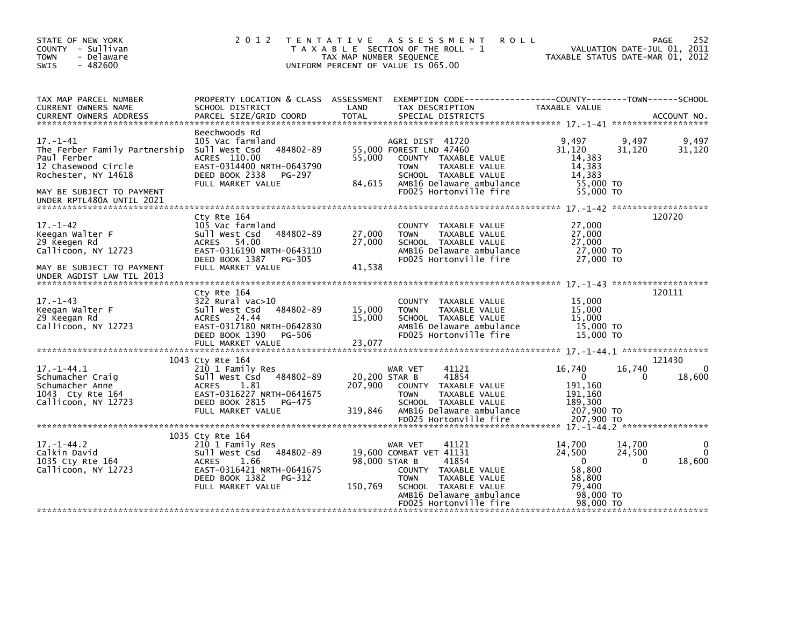| STATE OF NEW YORK<br>COUNTY - Sullivan<br><b>TOWN</b><br>- Delaware<br>$-482600$<br>SWIS                                                                               | 2 0 1 2                                                                                                                                                                  | TENTATIVE ASSESSMENT<br><b>ROLL</b><br>T A X A B L E SECTION OF THE ROLL - 1<br>TAX MAP NUMBER SEQUENCE<br>UNIFORM PERCENT OF VALUE IS 065.00                                                          | 252<br>PAGE<br>VALUATION DATE-JUL 01, 2011<br>TAXABLE STATUS DATE-MAR 01, 2012                                          |
|------------------------------------------------------------------------------------------------------------------------------------------------------------------------|--------------------------------------------------------------------------------------------------------------------------------------------------------------------------|--------------------------------------------------------------------------------------------------------------------------------------------------------------------------------------------------------|-------------------------------------------------------------------------------------------------------------------------|
| TAX MAP PARCEL NUMBER<br>CURRENT OWNERS NAME<br><b>CURRENT OWNERS ADDRESS</b>                                                                                          | PROPERTY LOCATION & CLASS ASSESSMENT<br>SCHOOL DISTRICT<br>PARCEL SIZE/GRID COORD                                                                                        | LAND<br>TAX DESCRIPTION<br><b>TOTAL</b><br>SPECIAL DISTRICTS                                                                                                                                           | EXEMPTION CODE-----------------COUNTY-------TOWN------SCHOOL<br>TAXABLE VALUE<br>ACCOUNT NO.                            |
| $17. - 1 - 41$<br>The Ferber Family Partnership<br>Paul Ferber<br>12 Chasewood Circle<br>Rochester, NY 14618<br>MAY BE SUBJECT TO PAYMENT<br>UNDER RPTL480A UNTIL 2021 | Beechwoods Rd<br>105 Vac farmland<br>Sull West Csd<br>484802-89<br>ACRES 110.00<br>EAST-0314400 NRTH-0643790<br>DEED BOOK 2338<br>PG-297<br>FULL MARKET VALUE            | AGRI DIST 41720<br>55,000 FOREST LND 47460<br>55,000<br>COUNTY TAXABLE VALUE<br>TAXABLE VALUE<br><b>TOWN</b><br>SCHOOL TAXABLE VALUE<br>84,615<br>AMB16 Delaware ambulance<br>FD025 Hortonville fire   | 9,497<br>9,497<br>9,497<br>31,120<br>31,120<br>31,120<br>14,383<br>14,383<br>14,383<br>55,000 TO<br>55,000 TO           |
| $17. - 1 - 42$<br>Keegan Walter F<br>29 Keegen Rd<br>Callicoon, NY 12723<br>MAY BE SUBJECT TO PAYMENT<br>UNDER AGDIST LAW TIL 2013                                     | Cty Rte 164<br>105 Vac farmland<br>484802-89<br>Sull West Csd<br>ACRES 54.00<br>EAST-0316190 NRTH-0643110<br>DEED BOOK 1387<br>PG-305<br>FULL MARKET VALUE               | COUNTY TAXABLE VALUE<br>27,000<br>TAXABLE VALUE<br><b>TOWN</b><br>27,000<br>SCHOOL TAXABLE VALUE<br>AMB16 Delaware ambulance<br>FD025 Hortonville fire<br>41,538                                       | 120720<br>27,000<br>27,000<br>27,000<br>27,000 TO<br>27,000 TO                                                          |
| $17. - 1 - 43$<br>Keegan Walter F<br>29 Keegan Rd<br>Callicoon, NY 12723                                                                                               | Cty Rte 164<br>$322$ Rural vac $>10$<br>484802-89<br>Sull West Csd<br>ACRES 24.44<br>EAST-0317180 NRTH-0642830<br>DEED BOOK 1390<br>PG-506<br>FULL MARKET VALUE          | <b>COUNTY</b><br>TAXABLE VALUE<br>15,000<br>TAXABLE VALUE<br><b>TOWN</b><br>15,000<br>SCHOOL TAXABLE VALUE<br>AMB16 Delaware ambulance<br>FD025 Hortonville fire<br>23,077                             | 120111<br>15,000<br>15,000<br>15,000<br>15,000 TO<br>15,000 TO                                                          |
|                                                                                                                                                                        |                                                                                                                                                                          |                                                                                                                                                                                                        |                                                                                                                         |
| $17. - 1 - 44.1$<br>Schumacher Craig<br>Schumacher Anne<br>1043 Cty Rte 164<br>Callicoon, NY 12723                                                                     | 1043 Cty Rte 164<br>210 1 Family Res<br>484802-89<br>Sull West Csd<br>1.81<br><b>ACRES</b><br>EAST-0316227 NRTH-0641675<br>DEED BOOK 2815<br>PG-475<br>FULL MARKET VALUE | 41121<br>WAR VET<br>41854<br>20,200 STAR B<br>207.900<br>COUNTY TAXABLE VALUE<br><b>TOWN</b><br>TAXABLE VALUE<br>SCHOOL TAXABLE VALUE<br>319,846<br>AMB16 Delaware ambulance<br>FD025 Hortonville fire | 121430<br>16,740<br>16,740<br>$\Omega$<br>18,600<br>0<br>0<br>191.160<br>191,160<br>189,300<br>207,900 TO<br>207,900 TO |
|                                                                                                                                                                        |                                                                                                                                                                          |                                                                                                                                                                                                        |                                                                                                                         |
| $17. - 1 - 44.2$<br>Calkin David<br>1035 Cty Rte 164<br>Callicoon, NY 12723                                                                                            | 1035 Cty Rte 164<br>210 1 Family Res<br>Sull West Csd<br>484802-89<br><b>ACRES</b><br>1.66<br>EAST-0316421 NRTH-0641675<br>DEED BOOK 1382<br>PG-312                      | 41121<br>WAR VET<br>19,600 COMBAT VET 41131<br>98,000 STAR B<br>41854<br>COUNTY TAXABLE VALUE<br><b>TOWN</b><br>TAXABLE VALUE                                                                          | 14,700<br>14,700<br>24.500<br>24,500<br>18,600<br>$\mathbf{0}$<br>$\Omega$<br>58,800<br>58.800                          |
|                                                                                                                                                                        | FULL MARKET VALUE                                                                                                                                                        | 150,769<br>SCHOOL TAXABLE VALUE<br>AMB16 Delaware ambulance<br>FD025 Hortonville fire                                                                                                                  | 79,400<br>98,000 TO<br>98,000 TO                                                                                        |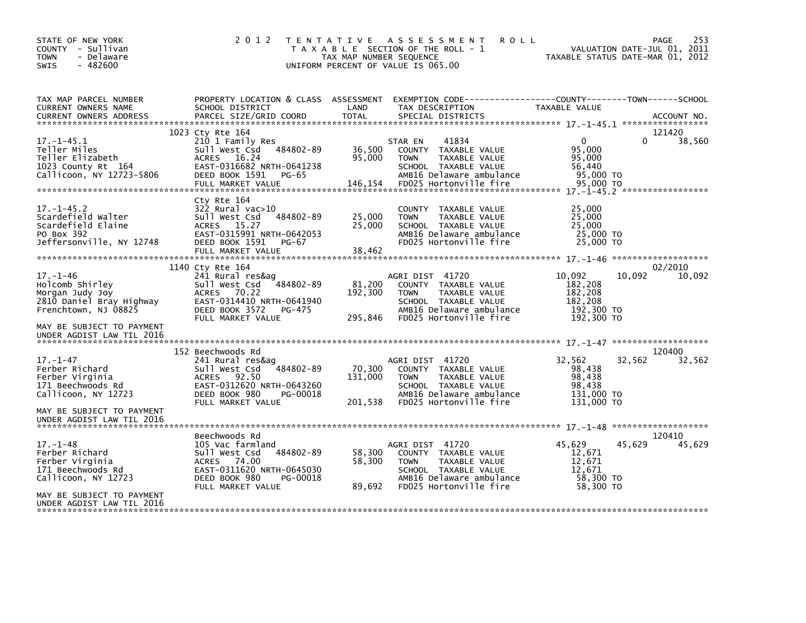| STATE OF NEW YORK<br>COUNTY - Sullivan<br><b>TOWN</b><br>- Delaware<br>$-482600$<br>SWIS                                     | 2 0 1 2                                                                                                                                                        | T E N T A T I V E<br>TAX MAP NUMBER SEQUENCE | ASSESSMENT<br><b>ROLL</b><br>T A X A B L E SECTION OF THE ROLL - 1<br>UNIFORM PERCENT OF VALUE IS 065.00                                               |                                                                     | 253<br>PAGE<br>VALUATION DATE-JUL 01, 2011<br>TAXABLE STATUS DATE-MAR 01, 2012 |
|------------------------------------------------------------------------------------------------------------------------------|----------------------------------------------------------------------------------------------------------------------------------------------------------------|----------------------------------------------|--------------------------------------------------------------------------------------------------------------------------------------------------------|---------------------------------------------------------------------|--------------------------------------------------------------------------------|
| TAX MAP PARCEL NUMBER<br>CURRENT OWNERS NAME<br><b>CURRENT OWNERS ADDRESS</b>                                                | PROPERTY LOCATION & CLASS ASSESSMENT<br>SCHOOL DISTRICT<br>PARCEL SIZE/GRID COORD                                                                              | LAND<br>TOTAL                                | EXEMPTION CODE-----------------COUNTY-------TOWN------SCHOOL<br>TAX DESCRIPTION<br>SPECIAL DISTRICTS                                                   | TAXABLE VALUE                                                       | ACCOUNT NO.                                                                    |
|                                                                                                                              | 1023 Cty Rte 164                                                                                                                                               |                                              |                                                                                                                                                        |                                                                     | 121420                                                                         |
| $17. - 1 - 45.1$<br>Teller Miles<br>Teller Elizabeth<br>1023 County Rt 164<br>Callicoon, NY 12723-5806                       | 210 1 Family Res<br>484802-89<br>Sull West Csd<br>ACRES 16.24<br>EAST-0316682 NRTH-0641238<br>DEED BOOK 1591<br>PG-65<br>FULL MARKET VALUE                     | 36,500<br>95,000<br>146,154                  | STAR EN<br>41834<br>COUNTY TAXABLE VALUE<br><b>TOWN</b><br>TAXABLE VALUE<br>SCHOOL TAXABLE VALUE<br>AMB16 Delaware ambulance<br>FD025 Hortonville fire | $\Omega$<br>95.000<br>95,000<br>56,440<br>95,000 TO<br>95,000 TO    | 38,560<br>0                                                                    |
| $17. - 1 - 45.2$<br>Scardefield Walter<br>Scardefield Elaine<br>PO Box 392<br>Jeffersonville, NY 12748                       | Cty Rte 164<br>$322$ Rural vac $>10$<br>484802-89<br>Sull West Csd<br>ACRES 15.27<br>EAST-0315991 NRTH-0642053<br>DEED BOOK 1591<br>PG-67<br>FULL MARKET VALUE | 25,000<br>25,000<br>38,462                   | COUNTY TAXABLE VALUE<br>TAXABLE VALUE<br><b>TOWN</b><br>SCHOOL TAXABLE VALUE<br>AMB16 Delaware ambulance<br>FD025 Hortonville fire                     | 25,000<br>25,000<br>25,000<br>25,000 TO<br>25,000 TO                |                                                                                |
|                                                                                                                              | 1140 Cty Rte 164                                                                                                                                               |                                              |                                                                                                                                                        |                                                                     | 02/2010                                                                        |
| $17. - 1 - 46$<br>Holcomb Shirley<br>Morgan Judy Joy<br>2810 Daniel Bray Highway<br>Frenchtown, NJ 08825                     | 241 Rural res&ag<br>$-484802 - 89$<br>Sull West Csd<br><b>ACRES</b><br>70.22<br>EAST-0314410 NRTH-0641940<br>DEED BOOK 3572<br>PG-475<br>FULL MARKET VALUE     | 81,200<br>192,300<br>295,846                 | AGRI DIST 41720<br>COUNTY TAXABLE VALUE<br>TAXABLE VALUE<br><b>TOWN</b><br>SCHOOL TAXABLE VALUE<br>AMB16 Delaware ambulance<br>FD025 Hortonville fire  | 10,092<br>182,208<br>182,208<br>182,208<br>192,300 TO<br>192,300 TO | 10,092<br>10,092                                                               |
| MAY BE SUBJECT TO PAYMENT<br>UNDER AGDIST LAW TIL 2016                                                                       |                                                                                                                                                                |                                              |                                                                                                                                                        |                                                                     |                                                                                |
|                                                                                                                              | 152 Beechwoods Rd                                                                                                                                              |                                              |                                                                                                                                                        |                                                                     | 120400                                                                         |
| $17. - 1 - 47$<br>Ferber Richard<br>Ferber Virginia<br>171 Beechwoods Rd<br>Callicoon, NY 12723                              | 241 Rural res&ag<br>Sull West Csd<br>484802-89<br>ACRES<br>92.50<br>EAST-0312620 NRTH-0643260<br>DEED BOOK 980<br>PG-00018<br>FULL MARKET VALUE                | 70,300<br>131,000<br>201.538                 | AGRI DIST 41720<br>COUNTY TAXABLE VALUE<br>TAXABLE VALUE<br><b>TOWN</b><br>SCHOOL TAXABLE VALUE<br>AMB16 Delaware ambulance<br>FD025 Hortonville fire  | 32,562<br>98,438<br>98,438<br>98.438<br>131,000 TO<br>131,000 TO    | 32,562<br>32,562                                                               |
| MAY BE SUBJECT TO PAYMENT<br>UNDER AGDIST LAW TIL 2016                                                                       |                                                                                                                                                                |                                              |                                                                                                                                                        |                                                                     |                                                                                |
| $17. - 1 - 48$<br>Ferber Richard<br>Ferber Virginia<br>171 Beechwoods Rd<br>Callicoon, NY 12723<br>MAY BE SUBJECT TO PAYMENT | Beechwoods Rd<br>105 Vac farmland<br>Sull West Csd<br>484802-89<br>ACRES 74.00<br>EAST-0311620 NRTH-0645030<br>DEED BOOK 980<br>PG-00018<br>FULL MARKET VALUE  | 58,300<br>58,300<br>89,692                   | AGRI DIST 41720<br>COUNTY TAXABLE VALUE<br>TAXABLE VALUE<br><b>TOWN</b><br>SCHOOL TAXABLE VALUE<br>AMB16 Delaware ambulance<br>FD025 Hortonville fire  | 45,629<br>12,671<br>12,671<br>12,671<br>58,300 TO<br>58,300 TO      | 120410<br>45,629<br>45,629                                                     |
| UNDER AGDIST LAW TIL 2016                                                                                                    |                                                                                                                                                                |                                              |                                                                                                                                                        |                                                                     |                                                                                |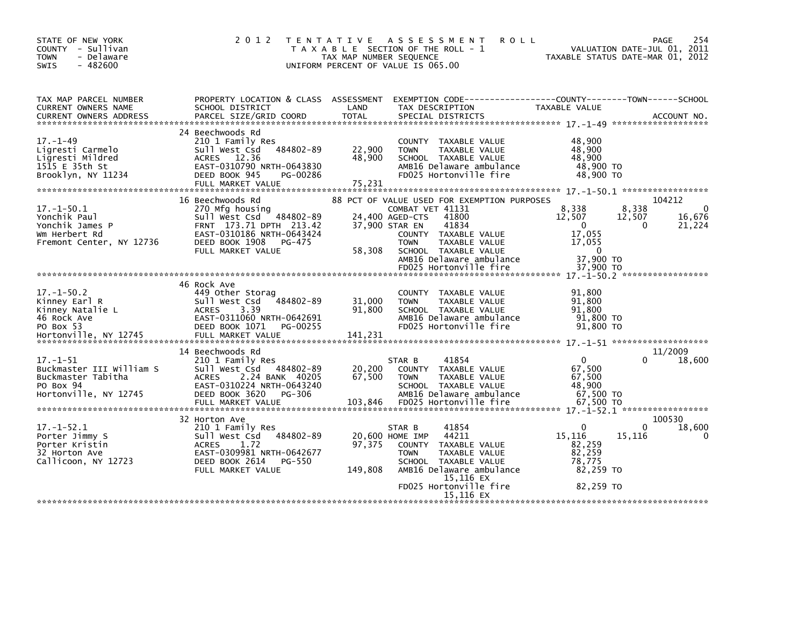| STATE OF NEW YORK<br>- Sullivan<br><b>COUNTY</b><br><b>TOWN</b><br>- Delaware<br>$-482600$<br><b>SWIS</b>   | 2 0 1 2                                                                                                                                                                          | T E N T A T I V E<br>TAX MAP NUMBER SEQUENCE | <b>ROLL</b><br>A S S E S S M E N T<br>T A X A B L E SECTION OF THE ROLL - 1<br>UNIFORM PERCENT OF VALUE IS 065.00                                                                                                |                                                                              | 254<br><b>PAGE</b><br>VALUATION DATE-JUL 01, 2011<br>TAXABLE STATUS DATE-MAR 01, 2012 |
|-------------------------------------------------------------------------------------------------------------|----------------------------------------------------------------------------------------------------------------------------------------------------------------------------------|----------------------------------------------|------------------------------------------------------------------------------------------------------------------------------------------------------------------------------------------------------------------|------------------------------------------------------------------------------|---------------------------------------------------------------------------------------|
| TAX MAP PARCEL NUMBER<br>CURRENT OWNERS NAME                                                                | PROPERTY LOCATION & CLASS ASSESSMENT<br>SCHOOL DISTRICT                                                                                                                          | LAND                                         | TAX DESCRIPTION                                                                                                                                                                                                  | <b>TAXABLE VALUE</b>                                                         |                                                                                       |
| $17. - 1 - 49$<br>Ligresti Carmelo<br>Ligresti Mildred<br>$15\overline{15}$ E 35th St<br>Brooklyn, NY 11234 | 24 Beechwoods Rd<br>210 1 Family Res<br>484802-89<br>Sull West Csd<br>12.36<br><b>ACRES</b><br>EAST-0310790 NRTH-0643830<br>DEED BOOK 945<br>PG-00286<br>FULL MARKET VALUE       | 22,900<br>48,900<br>75,231                   | COUNTY TAXABLE VALUE<br>TAXABLE VALUE<br><b>TOWN</b><br>SCHOOL TAXABLE VALUE<br>AMB16 Delaware ambulance<br>FD025 Hortonville fire                                                                               | 48,900<br>48,900<br>48.900<br>48,900 TO<br>48,900 TO                         |                                                                                       |
| $17. - 1 - 50.1$<br>Yonchik Paul<br>Yonchik James P<br>Wm Herbert Rd<br>Fremont Center, NY 12736            | 16 Beechwoods Rd<br>270 Mfg housing<br>Sull West Csd 484802-89<br>FRNT 173.71 DPTH 213.42<br>EAST-0310186 NRTH-0643424<br>DEED BOOK 1908<br>PG-475<br>FULL MARKET VALUE          | 37,900 STAR EN<br>58,308                     | 88 PCT OF VALUE USED FOR EXEMPTION PURPOSES<br>COMBAT VET 41131<br>41800<br>24,400 AGED-CTS<br>41834<br>COUNTY TAXABLE VALUE<br><b>TOWN</b><br>TAXABLE VALUE<br>SCHOOL TAXABLE VALUE<br>AMB16 Delaware ambulance | 8,338<br>12,507<br>$\mathbf{0}$<br>17,055<br>17,055<br>$\Omega$<br>37,900 TO | 104212<br>8,338<br>$\Omega$<br>16,676<br>12,507<br>$\mathbf{0}$<br>21,224             |
| $17.-1-50.2$<br>Kinney Earl R<br>Kinney Natalie L<br>46 Rock Ave<br>PO Box 53                               | 46 Rock Ave<br>449 Other Storag<br>Sull West Csd<br>484802-89<br>3.39<br><b>ACRES</b><br>EAST-0311060 NRTH-0642691<br>DEED BOOK 1071<br>PG-00255                                 | 31,000<br>91,800                             | FD025 Hortonville fire<br>COUNTY TAXABLE VALUE<br><b>TOWN</b><br>TAXABLE VALUE<br>SCHOOL TAXABLE VALUE<br>AMB16 Delaware ambulance<br>FD025 Hortonville fire                                                     | 37,900 TO<br>91,800<br>91.800<br>91,800<br>91,800 TO<br>91,800 TO            |                                                                                       |
| $17. - 1 - 51$<br>Buckmaster III William S<br>Buckmaster Tabitha<br>PO Box 94<br>Hortonville, NY 12745      | 14 Beechwoods Rd<br>210 1 Family Res<br>Sull West Csd 484802-89<br>2.24 BANK 40205<br><b>ACRES</b><br>EAST-0310224 NRTH-0643240<br>DEED BOOK 3620<br>PG-306<br>FULL MARKET VALUE | 20,200<br>67,500<br>103,846                  | 41854<br>STAR B<br>COUNTY TAXABLE VALUE<br><b>TOWN</b><br>TAXABLE VALUE<br>SCHOOL TAXABLE VALUE<br>AMB16 Delaware ambulance<br>FD025 Hortonville fire                                                            | $\mathbf{0}$<br>67,500<br>67,500<br>48,900<br>67,500 TO<br>67.500 TO         | 11/2009<br>18,600                                                                     |
| $17. - 1 - 52.1$<br>Porter Jimmy S<br>Porter Kristin<br>32 Horton Ave<br>Callicoon, NY 12723                | 32 Horton Ave<br>210 1 Family Res<br>484802-89<br>sull west Csd<br><b>ACRES</b><br>1.72<br>EAST-0309981 NRTH-0642677<br>DEED BOOK 2614<br>PG-550<br>FULL MARKET VALUE            | 97.375<br>149,808                            | 41854<br>STAR B<br>44211<br>20,600 HOME IMP<br>COUNTY TAXABLE VALUE<br><b>TOWN</b><br>TAXABLE VALUE<br>SCHOOL TAXABLE VALUE<br>AMB16 Delaware ambulance<br>15,116 EX<br>FD025 Hortonville fire                   | $\Omega$<br>15,116<br>82,259<br>82,259<br>78,775<br>82,259 TO<br>82,259 TO   | 100530<br>18,600<br>0<br>15,116<br>0                                                  |
|                                                                                                             |                                                                                                                                                                                  |                                              | 15,116 EX                                                                                                                                                                                                        |                                                                              |                                                                                       |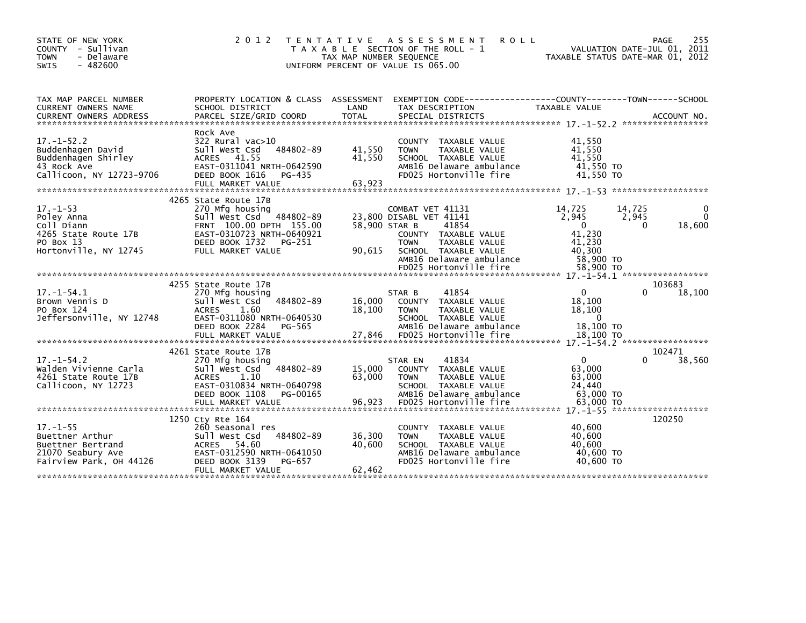| STATE OF NEW YORK<br>COUNTY - Sullivan<br>- Delaware<br><b>TOWN</b><br>$-482600$<br><b>SWIS</b>          | 2 0 1 2                                                                                                                                                                        | T E N T A T I V E<br>TAX MAP NUMBER SEQUENCE | <b>ASSESSMENT</b><br><b>ROLL</b><br>T A X A B L E SECTION OF THE ROLL - 1<br>UNIFORM PERCENT OF VALUE IS 065.00                                                                            |                                                                                           | 255<br>PAGE<br>VALUATION DATE-JUL 01, 2011<br>TAXABLE STATUS DATE-MAR 01, 2012 |
|----------------------------------------------------------------------------------------------------------|--------------------------------------------------------------------------------------------------------------------------------------------------------------------------------|----------------------------------------------|--------------------------------------------------------------------------------------------------------------------------------------------------------------------------------------------|-------------------------------------------------------------------------------------------|--------------------------------------------------------------------------------|
| TAX MAP PARCEL NUMBER<br>CURRENT OWNERS NAME                                                             | PROPERTY LOCATION & CLASS ASSESSMENT<br>SCHOOL DISTRICT                                                                                                                        | LAND                                         | EXEMPTION        CODE------------------COUNTY-------TOWN------SCHOOL<br>TAX DESCRIPTION                                                                                                    | <b>TAXABLE VALUE</b>                                                                      |                                                                                |
| $17. - 1 - 52.2$<br>Buddenhagen David<br>Buddenhagen Shirley<br>43 Rock Ave<br>Callicoon, NY 12723-9706  | Rock Ave<br>$322$ Rural vac $>10$<br>484802-89<br>Sull West Csd<br>41.55<br><b>ACRES</b><br>EAST-0311041 NRTH-0642590<br>DEED BOOK 1616<br>PG-435                              | 41,550<br>41,550                             | COUNTY TAXABLE VALUE<br>TAXABLE VALUE<br><b>TOWN</b><br>SCHOOL TAXABLE VALUE<br>AMB16 Delaware ambulance<br>FD025 Hortonville fire                                                         | 41.550<br>41,550<br>41.550<br>41,550 TO<br>41.550 TO                                      |                                                                                |
| $17. - 1 - 53$<br>Poley Anna<br>Coll Diann<br>4265 State Route 17B<br>PO Box 13<br>Hortonville, NY 12745 | 4265 State Route 17B<br>270 Mfg housing<br>484802-89<br>Sull West Csd<br>FRNT 100.00 DPTH 155.00<br>EAST-0310723 NRTH-0640921<br>DEED BOOK 1732<br>PG-251<br>FULL MARKET VALUE | 58,900 STAR B<br>90,615                      | COMBAT VET 41131<br>23.800 DISABL VET 41141<br>41854<br>COUNTY TAXABLE VALUE<br><b>TOWN</b><br>TAXABLE VALUE<br>SCHOOL TAXABLE VALUE<br>AMB16 Delaware ambulance<br>FD025 Hortonville fire | 14,725<br>2.945<br>$\overline{0}$<br>41,230<br>41,230<br>40.300<br>58,900 TO<br>58,900 TO | $\mathbf{0}$<br>14,725<br>2,945<br>$\Omega$<br>18,600<br>$\Omega$              |
| $17. - 1 - 54.1$<br>Brown Vennis D<br>PO Box 124<br>Jeffersonville, NY 12748                             | 4255 State Route 17B<br>270 Mfg housing<br>484802-89<br>Sull West Csd<br><b>ACRES</b><br>1.60<br>EAST-0311080 NRTH-0640530<br>DEED BOOK 2284<br>PG-565<br>FULL MARKET VALUE    | 16,000<br>18.100<br>27,846                   | 41854<br>STAR B<br>COUNTY TAXABLE VALUE<br><b>TOWN</b><br>TAXABLE VALUE<br>SCHOOL TAXABLE VALUE<br>AMB16 Delaware ambulance<br>FD025 Hortonville fire                                      | $\mathbf{0}$<br>18,100<br>18,100<br>$\mathbf{0}$<br>18,100 TO<br>18,100 TO                | 103683<br>18,100<br>0                                                          |
| $17. - 1 - 54.2$<br>Walden Vivienne Carla<br>4261 State Route 17B<br>Callicoon, NY 12723                 | 4261 State Route 17B<br>270 Mtg housing<br>484802-89<br>Sull West Csd<br><b>ACRES</b><br>1.10<br>EAST-0310834 NRTH-0640798<br>DEED BOOK 1108<br>PG-00165<br>FULL MARKET VALUE  | 15,000<br>63,000<br>96,923                   | 41834<br>STAR EN<br>COUNTY TAXABLE VALUE<br>TAXABLE VALUE<br><b>TOWN</b><br>SCHOOL TAXABLE VALUE<br>AMB16 Delaware ambulance<br>FD025 Hortonville fire                                     | $\Omega$<br>63,000<br>63,000<br>24,440<br>63,000 TO<br>63,000 TO                          | 102471<br>38,560<br>0                                                          |
| $17. - 1 - 55$<br>Buettner Arthur<br>Buettner Bertrand<br>21070 Seabury Ave<br>Fairview Park, OH 44126   | 1250 Ctv Rte 164<br>260 Seasonal res<br>484802-89<br>Sull West Csd<br><b>ACRES</b><br>54.60<br>EAST-0312590 NRTH-0641050<br>DEED BOOK 3139<br>PG-657<br>FULL MARKET VALUE      | 36,300<br>40,600<br>62,462                   | TAXABLE VALUE<br><b>COUNTY</b><br>TAXABLE VALUE<br><b>TOWN</b><br>SCHOOL TAXABLE VALUE<br>AMB16 Delaware ambulance<br>FD025 Hortonville fire                                               | 40,600<br>40.600<br>40,600<br>40,600 TO<br>40,600 TO                                      | 120250                                                                         |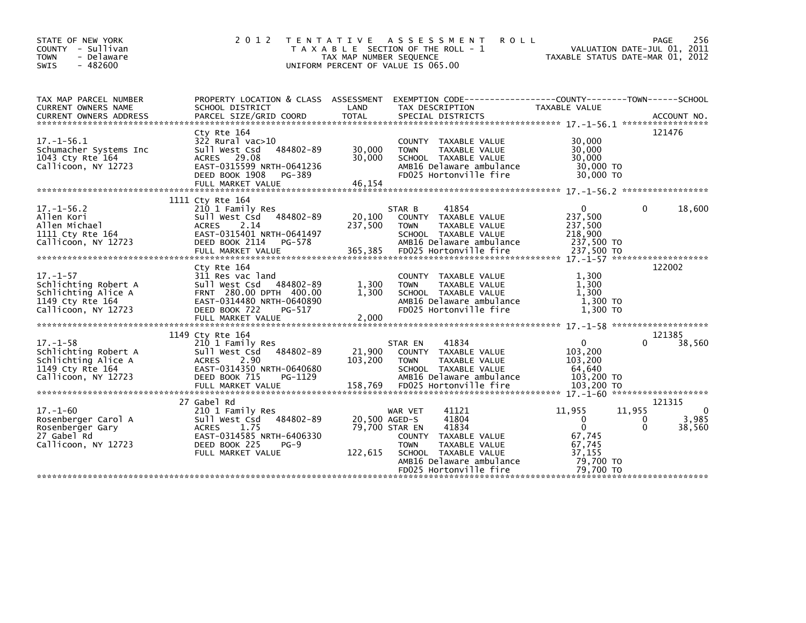| STATE OF NEW YORK<br>COUNTY - Sullivan<br>- Delaware<br><b>TOWN</b><br>$-482600$<br><b>SWIS</b>          | 2 0 1 2                                                                                                                                                                   | T E N T A T I V E<br>TAX MAP NUMBER SEQUENCE | A S S E S S M E N T<br><b>ROLL</b><br>T A X A B L E SECTION OF THE ROLL - 1<br>UNIFORM PERCENT OF VALUE IS 065.00                                                        | TAXABLE STATUS DATE-MAR 01, 2012                                                                     | 256<br>PAGE<br>VALUATION DATE-JUL 01, 2011                 |
|----------------------------------------------------------------------------------------------------------|---------------------------------------------------------------------------------------------------------------------------------------------------------------------------|----------------------------------------------|--------------------------------------------------------------------------------------------------------------------------------------------------------------------------|------------------------------------------------------------------------------------------------------|------------------------------------------------------------|
| TAX MAP PARCEL NUMBER<br>CURRENT OWNERS NAME<br><b>CURRENT OWNERS ADDRESS</b>                            | PROPERTY LOCATION & CLASS ASSESSMENT<br>SCHOOL DISTRICT<br>PARCEL SIZE/GRID COORD                                                                                         | LAND<br><b>TOTAL</b>                         | TAX DESCRIPTION<br>SPECIAL DISTRICTS                                                                                                                                     | TAXABLE VALUE                                                                                        | ACCOUNT NO.                                                |
| $17. - 1 - 56.1$<br>Schumacher Systems Inc<br>1043 Cty Rte 164<br>Callicoon, NY 12723                    | Cty Rte 164<br>$322$ Rural vac $>10$<br>484802-89<br>Sull West Csd<br>29.08<br><b>ACRES</b><br>EAST-0315599 NRTH-0641236<br>DEED BOOK 1908<br>PG-389<br>FULL MARKET VALUE | 30,000<br>30,000<br>46,154                   | COUNTY TAXABLE VALUE<br>TAXABLE VALUE<br><b>TOWN</b><br>SCHOOL TAXABLE VALUE<br>AMB16 Delaware ambulance<br>FD025 Hortonville fire                                       | 30,000<br>30,000<br>30,000<br>30,000 TO<br>30,000 TO                                                 | 121476                                                     |
| $17. - 1 - 56.2$<br>Allen Kori<br>Allen Michael<br>1111 Cty Rte 164<br>Callicoon, NY 12723               | 1111 Cty Rte 164<br>210 1 Family Res<br>484802-89<br>Sull West Csd<br>2.14<br><b>ACRES</b><br>EAST-0315401 NRTH-0641497<br>DEED BOOK 2114<br>PG-578                       | 20,100<br>237,500                            | 41854<br>STAR B<br>COUNTY TAXABLE VALUE<br><b>TOWN</b><br>TAXABLE VALUE<br>SCHOOL TAXABLE VALUE<br>AMB16 Delaware ambulance                                              | $\Omega$<br>237,500<br>237,500<br>218,900<br>237,500 TO                                              | 0<br>18,600                                                |
| $17. - 1 - 57$<br>Schlichting Robert A<br>Schlichting Alice A<br>1149 Cty Rte 164<br>Callicoon, NY 12723 | Cty Rte 164<br>311 Res vac land<br>Sull West Csd 484802-89<br>FRNT 280.00 DPTH 400.00<br>EAST-0314480 NRTH-0640890<br>DEED BOOK 722<br>PG-517                             | 1,300<br>1.300                               | COUNTY TAXABLE VALUE<br>TAXABLE VALUE<br><b>TOWN</b><br>SCHOOL TAXABLE VALUE<br>AMB16 Delaware ambulance<br>FD025 Hortonville fire                                       | 1,300<br>1,300<br>1.300<br>1,300 TO<br>1,300 TO                                                      | 122002                                                     |
|                                                                                                          |                                                                                                                                                                           |                                              |                                                                                                                                                                          |                                                                                                      | 121385                                                     |
| $17. - 1 - 58$<br>Schlichting Robert A<br>Schlichting Alice A<br>1149 Cty Rte 164<br>Callicoon, NY 12723 | 1149 Cty Rte 164<br>210 1 Family Res<br>Sull West Csd<br>484802-89<br>2.90<br><b>ACRES</b><br>EAST-0314350 NRTH-0640680<br>DEED BOOK 715<br>PG-1129<br>FULL MARKET VALUE  | 21,900<br>103,200<br>158,769                 | 41834<br>STAR EN<br>COUNTY TAXABLE VALUE<br>TAXABLE VALUE<br><b>TOWN</b><br>SCHOOL TAXABLE VALUE<br>AMB16 Delaware ambulance<br>FD025 Hortonville fire                   | $\mathbf{0}$<br>103,200<br>103,200<br>64,640<br>103,200 TO<br>103,200 TO                             | 38,560<br><sup>0</sup>                                     |
| $17. - 1 - 60$<br>Rosenberger Carol A<br>Rosenberger Gary<br>27 Gabel Rd<br>Callicoon, NY 12723          | 27 Gabel Rd<br>210 1 Family Res<br>484802-89<br>Sull West Csd<br><b>ACRES</b><br>1.75<br>EAST-0314585 NRTH-6406330<br>DEED BOOK 225<br>$PG-9$<br>FULL MARKET VALUE        | 20,500 AGED-S<br>79,700 STAR EN<br>122,615   | 41121<br>WAR VET<br>41804<br>41834<br>COUNTY TAXABLE VALUE<br><b>TOWN</b><br>TAXABLE VALUE<br>SCHOOL TAXABLE VALUE<br>AMB16 Delaware ambulance<br>FD025 Hortonville fire | 11,955<br>11,955<br>$\mathbf{0}$<br>$\Omega$<br>67,745<br>67,745<br>37.155<br>79,700 TO<br>79.700 TO | 121315<br>$\mathbf{0}$<br>3,985<br>0<br>$\Omega$<br>38,560 |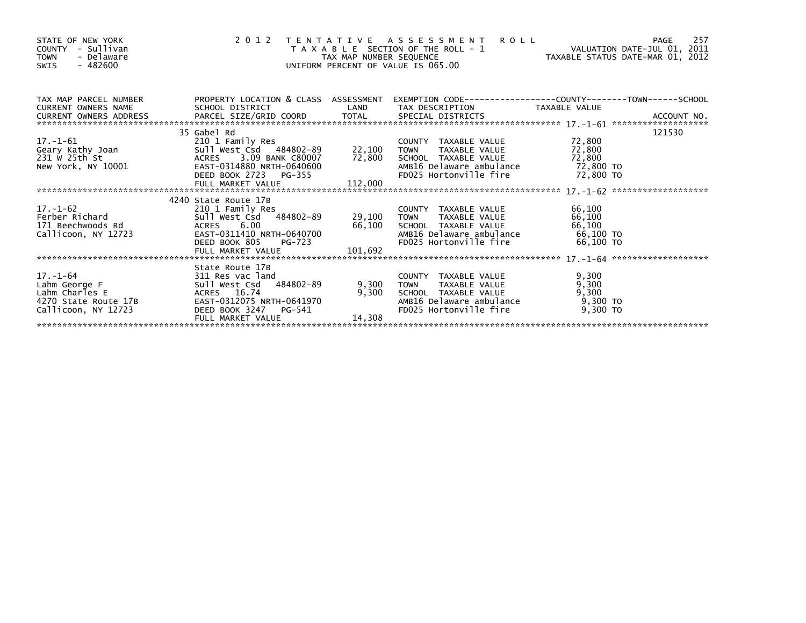| STATE OF NEW YORK<br>COUNTY - Sullivan<br><b>TOWN</b><br>- Delaware<br>SWIS - 482600                                                                                                                                                                   |                                                                                                                                                                                                                           |                 | 2012 TENTATIVE ASSESSMENT ROLL<br>T A X A B L E SECTION OF THE ROLL - 1<br>TAX MAP NUMBER SEQUENCE THE ROLL - 1<br>JNIFORM PERCENT OF VALUE IS 065.00<br>UNIFORM PERCENT OF VALUE IS 065.00 |                            |        |
|--------------------------------------------------------------------------------------------------------------------------------------------------------------------------------------------------------------------------------------------------------|---------------------------------------------------------------------------------------------------------------------------------------------------------------------------------------------------------------------------|-----------------|---------------------------------------------------------------------------------------------------------------------------------------------------------------------------------------------|----------------------------|--------|
| TAX MAP PARCEL NUMBER PROPERTY LOCATION & CLASS ASSESSMENT                                                                                                                                                                                             |                                                                                                                                                                                                                           |                 |                                                                                                                                                                                             |                            |        |
|                                                                                                                                                                                                                                                        | 35 Gabel Rd                                                                                                                                                                                                               |                 |                                                                                                                                                                                             |                            | 121530 |
| 17.-1-61<br>Geary Kathy Joan 501 Eamily Res<br>231 Ward Sull West Care 22,100 TOWN TAXABLE VALUE<br>231 Ward ACRES 3.09 BANK C80007 72,800 SCHOOL TAXABLE VALUE 72,800<br>New York, NY 10001 EAST-0314880 NRTH-0640600 AMB16 Delaware                  |                                                                                                                                                                                                                           |                 | AMB16 Delaware ambulance 72,800 TO<br>FD025 Hortonville fire 72,800 TO                                                                                                                      |                            |        |
|                                                                                                                                                                                                                                                        | 4240 State Route 17B                                                                                                                                                                                                      |                 |                                                                                                                                                                                             |                            |        |
| 17.-1-62<br>Ferber Richard<br>171 Beechwoods Rd<br>171 Beechwoods Rd<br>171 Beechwoods Rd<br>171 Beechwoods Rd<br>171 Beechwoods Rd<br>171 Beechwoods Rd<br>171 Beechwoods Rd<br>171 Beechwoods Rd<br>171 Beechwoods Rd<br>171 Beechwoods Rd<br>182 Be | FULL MARKET VALUE                                                                                                                                                                                                         | 101,692         | AMB16 Delaware ambulance 66,100 TO<br>FD025 Hortonville fire 66,100 TO                                                                                                                      | 66,100<br>66,100<br>66,100 |        |
|                                                                                                                                                                                                                                                        |                                                                                                                                                                                                                           |                 |                                                                                                                                                                                             |                            |        |
| 17.-1-64<br>Lahm George F<br>Lahm Charles E<br>4270 State Route 17B<br>Callicoon, NY 12723                                                                                                                                                             | State Route 17B<br>ge F<br>311 Res vac land<br>311 Res vac land<br>311 Res vac land<br>311 Res vac land<br>42 ACRES 16.74<br>EAST-0312075 NRTH-0641970<br>DEED BOOK 3247 PG-541<br>FULL MARKET VALUE<br>FULL MARKET VALUE | 9,300<br>14,308 | COUNTY TAXABLE VALUE<br>TOWN     TAXABLE VALUE<br>9,300 TOWN<br>SCHOOL TAXABLE VALUE<br>AMB16 Delaware ambulance 9,300 TO<br>FD025 Hortonville fire 9,300 TO                                | 9,300<br>9,300<br>9,300    |        |
|                                                                                                                                                                                                                                                        |                                                                                                                                                                                                                           |                 |                                                                                                                                                                                             |                            |        |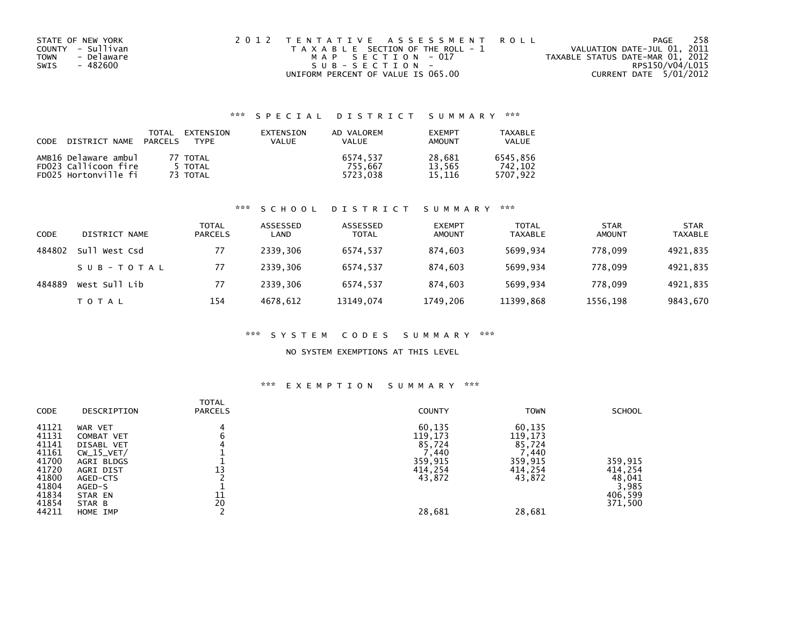| STATE OF NEW YORK         | 2012 TENTATIVE ASSESSMENT ROLL        | 258<br>PAGE                      |
|---------------------------|---------------------------------------|----------------------------------|
| COUNTY - Sullivan         | T A X A B L E SECTION OF THE ROLL - 1 | VALUATION DATE-JUL 01, 2011      |
| - Delaware<br><b>TOWN</b> | MAP SECTION - 017                     | TAXABLE STATUS DATE-MAR 01, 2012 |
| - 482600<br>SWIS          | SUB-SECTION-                          | RPS150/V04/L015                  |
|                           | UNIFORM PERCENT OF VALUE IS 065.00    | CURRENT DATE 5/01/2012           |

## \*\*\* S P E C I A L D I S T R I C T S U M M A R Y \*\*\*

| CODE DISTRICT NAME PARCELS                   | TOTAL | EXTENSION<br>TYPF | EXTENSION<br>VALUE | AD VALOREM<br><b>VALUE</b> | <b>EXEMPT</b><br>AMOUNT | TAXABLE<br><b>VALUE</b> |
|----------------------------------------------|-------|-------------------|--------------------|----------------------------|-------------------------|-------------------------|
| AMB16 Delaware ambul<br>FD023 Callicoon fire |       | 77 TOTAL          |                    | 6574.537                   | 28.681                  | 6545.856                |
|                                              |       | 5 TOTAL           |                    | 755.667                    | 13.565                  | 742.102                 |
| FD025 Hortonville fi                         |       | 73 TOTAL          |                    | 5723.038                   | 15.116                  | 5707.922                |

## \*\*\* S C H O O L D I S T R I C T S U M M A R Y \*\*\*

| <b>CODE</b> | DISTRICT NAME | <b>TOTAL</b><br>PARCELS | ASSESSED<br>LAND | ASSESSED<br><b>TOTAL</b> | <b>EXEMPT</b><br><b>AMOUNT</b> | <b>TOTAL</b><br><b>TAXABLE</b> | <b>STAR</b><br><b>AMOUNT</b> | <b>STAR</b><br><b>TAXABLE</b> |
|-------------|---------------|-------------------------|------------------|--------------------------|--------------------------------|--------------------------------|------------------------------|-------------------------------|
| 484802      | Sull West Csd | 77                      | 2339.306         | 6574.537                 | 874.603                        | 5699.934                       | 778,099                      | 4921,835                      |
|             | SUB-TOTAL     | 77                      | 2339.306         | 6574.537                 | 874.603                        | 5699,934                       | 778.099                      | 4921,835                      |
| 484889      | West Sull Lib | 77                      | 2339.306         | 6574,537                 | 874,603                        | 5699,934                       | 778,099                      | 4921,835                      |
|             | T O T A L     | 154                     | 4678.612         | 13149,074                | 1749,206                       | 11399,868                      | 1556,198                     | 9843,670                      |

#### \*\*\* S Y S T E M C O D E S S U M M A R Y \*\*\*

#### NO SYSTEM EXEMPTIONS AT THIS LEVEL

## \*\*\* E X E M P T I O N S U M M A R Y \*\*\*

| <b>CODE</b>                                                                                     | DESCRIPTION                                                                                                                           | <b>TOTAL</b><br><b>PARCELS</b> | <b>COUNTY</b>                                                                     | <b>TOWN</b>                                                                               | <b>SCHOOL</b>                                               |
|-------------------------------------------------------------------------------------------------|---------------------------------------------------------------------------------------------------------------------------------------|--------------------------------|-----------------------------------------------------------------------------------|-------------------------------------------------------------------------------------------|-------------------------------------------------------------|
| 41121<br>41131<br>41141<br>41161<br>41700<br>41720<br>41800<br>41804<br>41834<br>41854<br>44211 | WAR VET<br>COMBAT VET<br>DISABL VET<br>$CW_15_VET/$<br>AGRI BLDGS<br>AGRI DIST<br>AGED-CTS<br>AGED-S<br>STAR EN<br>STAR B<br>HOME IMP | 13<br>11<br>20                 | 60,135<br>119,173<br>85,724<br>(1, 440)<br>359,915<br>414,254<br>43,872<br>28,681 | 60,135<br>119,173<br>85,724<br>$^{\prime}$ ,440<br>359,915<br>414,254<br>43,872<br>28,681 | 359,915<br>414,254<br>48,041<br>3,985<br>406,599<br>371,500 |
|                                                                                                 |                                                                                                                                       |                                |                                                                                   |                                                                                           |                                                             |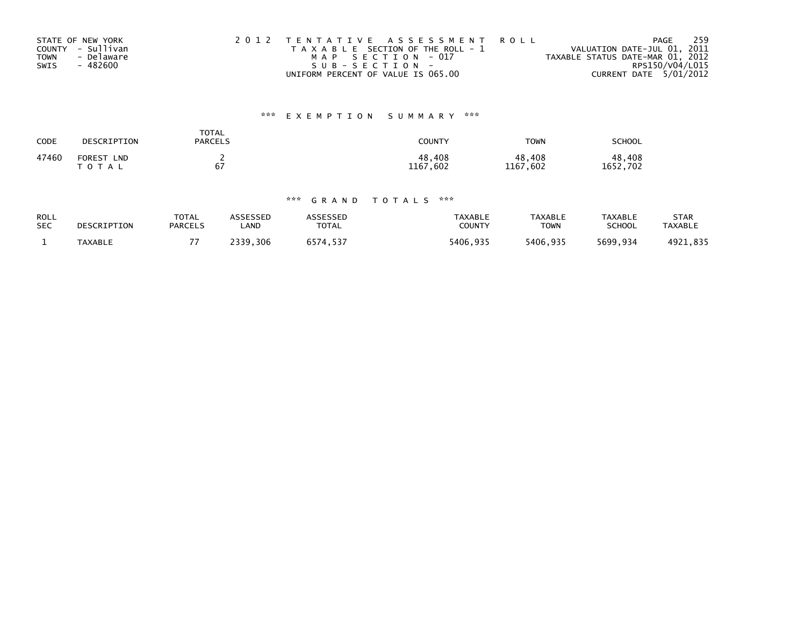|             | STATE OF NEW YORK | 2012 TENTATIVE ASSESSMENT ROLL        | 259<br>PAGE                      |
|-------------|-------------------|---------------------------------------|----------------------------------|
|             | COUNTY - Sullivan | T A X A B L E SECTION OF THE ROLL - 1 | VALUATION DATE-JUL 01, 2011      |
| <b>TOWN</b> | - Delaware        | MAP SECTION - 017                     | TAXABLE STATUS DATE-MAR 01, 2012 |
| SWIS        | - 482600          | SUB-SECTION-                          | RPS150/V04/L015                  |
|             |                   | UNIFORM PERCENT OF VALUE IS 065.00    | CURRENT DATE 5/01/2012           |

## \*\*\* E X E M P T I O N S U M M A R Y \*\*\*

| CODE  | DESCRIPTION                              | <b>TOTAL</b><br><b>PARCELS</b> | COUNTY             | <b>TOWN</b>            | SCHOOL                    |
|-------|------------------------------------------|--------------------------------|--------------------|------------------------|---------------------------|
| 47460 | <b>FOREST</b><br><b>LND</b><br>T O T A L | 67                             | 48,408<br>1167,602 | 48,408<br>1167<br>,602 | 48.408<br>. . 702<br>1652 |

## \*\*\* G R A N D T O T A L S \*\*\*

| ROLL       | DESCRIPTION    | <b>TOTAL</b>   | <b>ISSESSEN</b> | ASSESSED | <b>TAXABLE</b> | <b>TAXABLE</b> | <b>TAXABLE</b> | <b>STAR</b>    |
|------------|----------------|----------------|-----------------|----------|----------------|----------------|----------------|----------------|
| <b>SEC</b> |                | <b>PARCELS</b> | .AND            | TOTAL    | COUNTY         | <b>TOWN</b>    | <b>SCHOOL</b>  | <b>TAXABLE</b> |
|            | <b>TAXABLE</b> | --             | 2339<br>.306    | 6574.537 | 5406,935       | 5406,935       | 5699,934       | 4921,835       |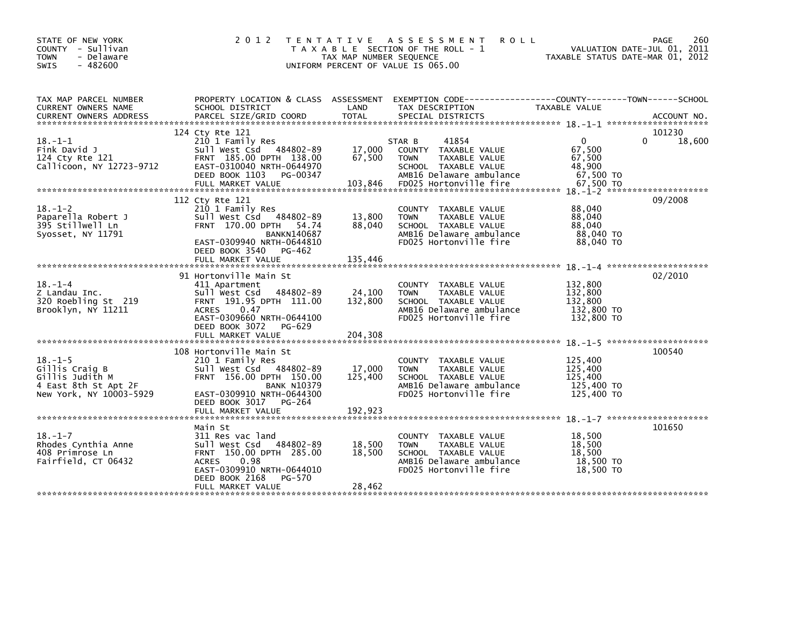| STATE OF NEW YORK<br>COUNTY - Sullivan<br><b>TOWN</b><br>- Delaware<br>$-482600$<br>SWIS              | 2012                                                                                                                                                                                                   | TAX MAP NUMBER SEQUENCE      | TENTATIVE ASSESSMENT<br><b>ROLL</b><br>T A X A B L E SECTION OF THE ROLL - 1<br>UNIFORM PERCENT OF VALUE IS 065.00                                    | TAXABLE STATUS DATE-MAR 01, 2012                                     | 260<br>PAGE<br>VALUATION DATE-JUL 01, 2011 |
|-------------------------------------------------------------------------------------------------------|--------------------------------------------------------------------------------------------------------------------------------------------------------------------------------------------------------|------------------------------|-------------------------------------------------------------------------------------------------------------------------------------------------------|----------------------------------------------------------------------|--------------------------------------------|
| TAX MAP PARCEL NUMBER<br>CURRENT OWNERS NAME                                                          | PROPERTY LOCATION & CLASS ASSESSMENT<br>SCHOOL DISTRICT                                                                                                                                                | LAND                         | EXEMPTION CODE-----------------COUNTY-------TOWN------SCHOOL<br>TAX DESCRIPTION                                                                       | TAXABLE VALUE                                                        |                                            |
| $18. - 1 - 1$<br>Fink David J<br>124 Cty Rte 121<br>Callicoon, NY 12723-9712                          | 124 Cty Rte 121<br>210 1 Family Res<br>Sull West Csd 484802-89<br>FRNT 185.00 DPTH 138.00<br>EAST-0310040 NRTH-0644970<br>DEED BOOK 1103 PG-00347<br>FULL MARKET VALUE                                 | 17,000<br>67,500<br>103,846  | 41854<br>STAR B<br>COUNTY TAXABLE VALUE<br><b>TOWN</b><br>TAXABLE VALUE<br>SCHOOL TAXABLE VALUE<br>AMB16 Delaware ambulance<br>FD025 Hortonville fire | $\mathbf{0}$<br>67,500<br>67,500<br>48,900<br>67,500 TO<br>67.500 TO | 101230<br>18,600<br>0                      |
| $18. - 1 - 2$<br>Paparella Robert J<br>395 Stillwell Ln<br>Syosset, NY 11791                          | 112 Cty Rte 121<br>210 1 Family Res<br>Sull West Csd 484802-89<br>FRNT 170.00 DPTH 54.74<br><b>BANKN140687</b><br>EAST-0309940 NRTH-0644810<br>DEED BOOK 3540<br>PG-462<br>FULL MARKET VALUE           | 13,800<br>88,040<br>135,446  | COUNTY TAXABLE VALUE<br>TAXABLE VALUE<br><b>TOWN</b><br>SCHOOL TAXABLE VALUE<br>AMB16 Delaware ambulance<br>FD025 Hortonville fire                    | 88,040<br>88,040<br>88,040<br>88,040 TO<br>88,040 TO                 | 09/2008                                    |
| $18. - 1 - 4$<br>Z Landau Inc.<br>320 Roebling St 219<br>Brooklyn, NY 11211                           | 91 Hortonville Main St<br>411 Apartment<br>484802-89<br>Sull West Csd<br>FRNT 191.95 DPTH 111.00<br><b>ACRES</b><br>0.47<br>EAST-0309660 NRTH-0644100<br>DEED BOOK 3072<br>PG-629<br>FULL MARKET VALUE | 24,100<br>132,800<br>204,308 | COUNTY TAXABLE VALUE<br><b>TOWN</b><br>TAXABLE VALUE<br>SCHOOL TAXABLE VALUE<br>AMB16 Delaware ambulance<br>FD025 Hortonville fire                    | 132,800<br>132,800<br>132,800<br>132,800 TO<br>132,800 TO            | 02/2010                                    |
| $18. - 1 - 5$<br>Gillis Craig B<br>Gillis Judith M<br>4 East 8th St Apt 2F<br>New York, NY 10003-5929 | 108 Hortonville Main St<br>210 1 Family Res<br>Sull West Csd 484802-89<br>FRNT 156.00 DPTH 150.00<br><b>BANK N10379</b><br>EAST-0309910 NRTH-0644300<br>DEED BOOK 3017 PG-264                          | 17,000<br>125,400            | COUNTY TAXABLE VALUE<br><b>TOWN</b><br>TAXABLE VALUE<br>SCHOOL TAXABLE VALUE<br>AMB16 Delaware ambulance<br>FD025 Hortonville fire                    | 125,400<br>125,400<br>125,400<br>125,400 TO<br>125,400 TO            | 100540                                     |
| $18. - 1 - 7$<br>Rhodes Cynthia Anne<br>408 Primrose Ln<br>Fairfield, CT 06432                        | Main St<br>311 Res vac land<br>sull west Csd<br>484802-89<br>FRNT 150.00 DPTH 285.00<br><b>ACRES</b><br>0.98<br>EAST-0309910 NRTH-0644010<br>DEED BOOK 2168<br>PG-570<br>FULL MARKET VALUE             | 18,500<br>18,500<br>28,462   | COUNTY TAXABLE VALUE<br>TAXABLE VALUE<br><b>TOWN</b><br>SCHOOL TAXABLE VALUE<br>AMB16 Delaware ambulance<br>FD025 Hortonville fire                    | 18,500<br>18,500<br>18,500<br>18,500 TO<br>18,500 TO                 | 101650                                     |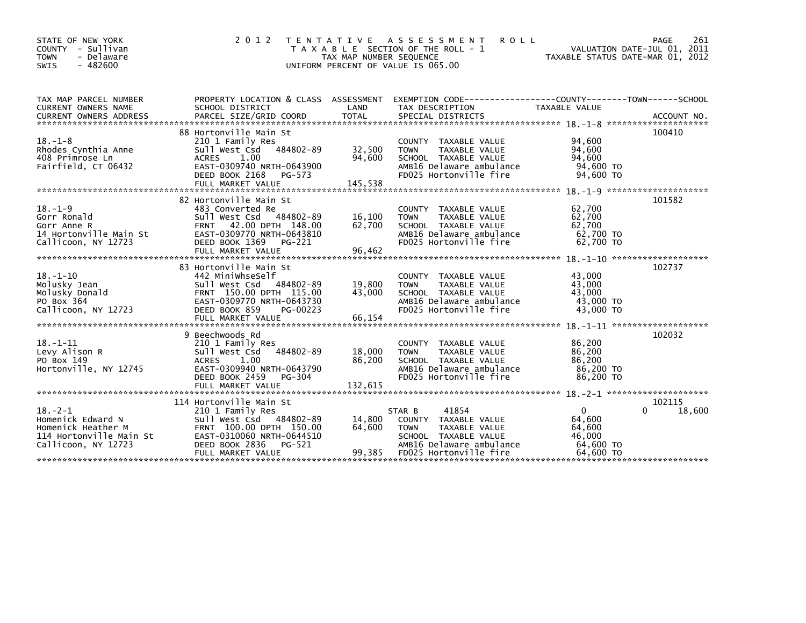| STATE OF NEW YORK<br>COUNTY - Sullivan<br>- Delaware<br>TOWN<br><b>SWIS</b><br>$-482600$                                                                          | 2 0 1 2                                                                                          | TAX MAP NUMBER SEQUENCE | TENTATIVE ASSESSMENT<br><b>ROLL</b><br>T A X A B L E SECTION OF THE ROLL - 1<br>UNIFORM PERCENT OF VALUE IS 065.00 | VALUATION DATE-JUL 01, 2011<br>TAXABLE STATUS DATE-MAR 01, 2012 | 261<br>PAGE |
|-------------------------------------------------------------------------------------------------------------------------------------------------------------------|--------------------------------------------------------------------------------------------------|-------------------------|--------------------------------------------------------------------------------------------------------------------|-----------------------------------------------------------------|-------------|
| TAX MAP PARCEL NUMBER                                                                                                                                             | PROPERTY LOCATION & CLASS ASSESSMENT EXEMPTION CODE----------------COUNTY-------TOWN------SCHOOL |                         |                                                                                                                    |                                                                 |             |
| CURRENT OWNERS NAME                                                                                                                                               | SCHOOL DISTRICT                                                                                  | LAND                    | TAX DESCRIPTION                                                                                                    | TAXABLE VALUE                                                   |             |
| CURRENT OWNERS ADDRESS PARCEL SIZE/GRID COORD TOTAL SPECIAL DISTRICTS (ACCOUNT NO ACCOUNT NO ACCOUNT NO AND FARABALLY SERIES AND RESEARCH TOTAL SPECIAL DISTRICTS |                                                                                                  |                         |                                                                                                                    |                                                                 |             |
|                                                                                                                                                                   | 88 Hortonville Main St                                                                           |                         |                                                                                                                    |                                                                 | 100410      |
| $18. - 1 - 8$                                                                                                                                                     | 210 1 Family Res                                                                                 |                         | COUNTY TAXABLE VALUE                                                                                               | 94,600                                                          |             |
| Rhodes Cynthia Anne                                                                                                                                               | sull west Csd<br>484802-89                                                                       | 32,500                  | <b>TOWN</b><br>TAXABLE VALUE                                                                                       | 94,600                                                          |             |
| 408 Primrose Ln                                                                                                                                                   | 1.00<br>ACRES                                                                                    | 94,600                  | SCHOOL TAXABLE VALUE                                                                                               | 94.600                                                          |             |
| Fairfield, CT 06432                                                                                                                                               | EAST-0309740 NRTH-0643900<br>DEED BOOK 2168<br>PG-573                                            |                         | AMB16 Delaware ambulance<br>FD025 Hortonville fire                                                                 | 94,600 TO<br>94,600 TO                                          |             |
|                                                                                                                                                                   | FULL MARKET VALUE                                                                                | 145,538                 |                                                                                                                    |                                                                 |             |
|                                                                                                                                                                   |                                                                                                  |                         |                                                                                                                    |                                                                 |             |
|                                                                                                                                                                   | 82 Hortonville Main St                                                                           |                         |                                                                                                                    |                                                                 | 101582      |
| $18. - 1 - 9$                                                                                                                                                     | 483 Converted Re                                                                                 |                         | COUNTY TAXABLE VALUE                                                                                               | 62,700                                                          |             |
| Gorr Ronald<br>Gorr Anne R                                                                                                                                        | Sull West Csd 484802-89<br>FRNT 42.00 DPTH 148.00                                                | 16,100<br>62,700        | <b>TOWN</b><br>TAXABLE VALUE<br>SCHOOL TAXABLE VALUE                                                               | 62,700<br>62,700                                                |             |
| 14 Hortonville Main St                                                                                                                                            | EAST-0309770 NRTH-0643810                                                                        |                         | AMB16 Delaware ambulance                                                                                           | 62,700 TO                                                       |             |
| Callicoon, NY 12723                                                                                                                                               | DEED BOOK 1369<br>PG-221                                                                         |                         | FD025 Hortonville fire                                                                                             | 62,700 TO                                                       |             |
|                                                                                                                                                                   | FULL MARKET VALUE                                                                                | 96,462                  |                                                                                                                    |                                                                 |             |
|                                                                                                                                                                   |                                                                                                  |                         |                                                                                                                    |                                                                 |             |
|                                                                                                                                                                   | 83 Hortonville Main St                                                                           |                         |                                                                                                                    |                                                                 | 102737      |
| $18. - 1 - 10$<br>Molusky Jean                                                                                                                                    | 442 MiniwhseSelf<br>Sull West Csd 484802-89                                                      | 19,800                  | COUNTY TAXABLE VALUE<br><b>TOWN</b><br>TAXABLE VALUE                                                               | 43,000<br>43,000                                                |             |
| Molusky Donald                                                                                                                                                    | FRNT 150.00 DPTH 115.00                                                                          | 43,000                  | SCHOOL TAXABLE VALUE                                                                                               | 43.000                                                          |             |
| PO Box 364                                                                                                                                                        | EAST-0309770 NRTH-0643730                                                                        |                         | AMB16 Delaware ambulance                                                                                           | 43,000 TO                                                       |             |
| Callicoon, NY 12723                                                                                                                                               | DEED BOOK 859<br>PG-00223                                                                        |                         | FD025 Hortonville fire                                                                                             | 43,000 TO                                                       |             |
|                                                                                                                                                                   | FULL MARKET VALUE                                                                                | 66,154                  |                                                                                                                    |                                                                 |             |
|                                                                                                                                                                   | 9 Beechwoods Rd                                                                                  |                         |                                                                                                                    |                                                                 | 102032      |
| $18. - 1 - 11$                                                                                                                                                    | 210 1 Family Res                                                                                 |                         | COUNTY TAXABLE VALUE                                                                                               | 86,200                                                          |             |
| Levy Alison R                                                                                                                                                     | Sull West Csd<br>484802-89                                                                       | 18,000                  | TAXABLE VALUE<br><b>TOWN</b>                                                                                       | 86,200                                                          |             |
| PO Box 149                                                                                                                                                        | <b>ACRES</b><br>1.00                                                                             | 86,200                  | SCHOOL TAXABLE VALUE                                                                                               | 86,200                                                          |             |
| Hortonville, NY 12745                                                                                                                                             | EAST-0309940 NRTH-0643790                                                                        |                         | AMB16 Delaware ambulance                                                                                           | 86,200 TO                                                       |             |
|                                                                                                                                                                   | DEED BOOK 2459<br>PG-304                                                                         |                         | FD025 Hortonville fire                                                                                             | 86,200 TO                                                       |             |
|                                                                                                                                                                   |                                                                                                  |                         |                                                                                                                    |                                                                 |             |
|                                                                                                                                                                   | 114 Hortonville Main St                                                                          |                         |                                                                                                                    |                                                                 | 102115      |
| $18. - 2 - 1$                                                                                                                                                     | 210 1 Family Res                                                                                 |                         | STAR B<br>41854                                                                                                    | $\overline{0}$                                                  | 18,600      |
| Homenick Edward N                                                                                                                                                 | Sull West Csd 484802-89                                                                          | 14,800                  | COUNTY TAXABLE VALUE                                                                                               | 64,600                                                          |             |
| Homenick Heather M                                                                                                                                                | FRNT 100.00 DPTH 150.00                                                                          | 64,600                  | TAXABLE VALUE<br><b>TOWN</b>                                                                                       | 64,600                                                          |             |
| 114 Hortonville Main St<br>Callicoon, NY 12723                                                                                                                    | EAST-0310060 NRTH-0644510<br>DEED BOOK 2836<br>PG-521                                            |                         | SCHOOL TAXABLE VALUE<br>AMB16 Delaware ambulance                                                                   | 46,000<br>64,600 TO                                             |             |
|                                                                                                                                                                   | FULL MARKET VALUE                                                                                | 99,385                  | FD025 Hortonville fire                                                                                             | 64.600 TO                                                       |             |
|                                                                                                                                                                   |                                                                                                  |                         |                                                                                                                    |                                                                 |             |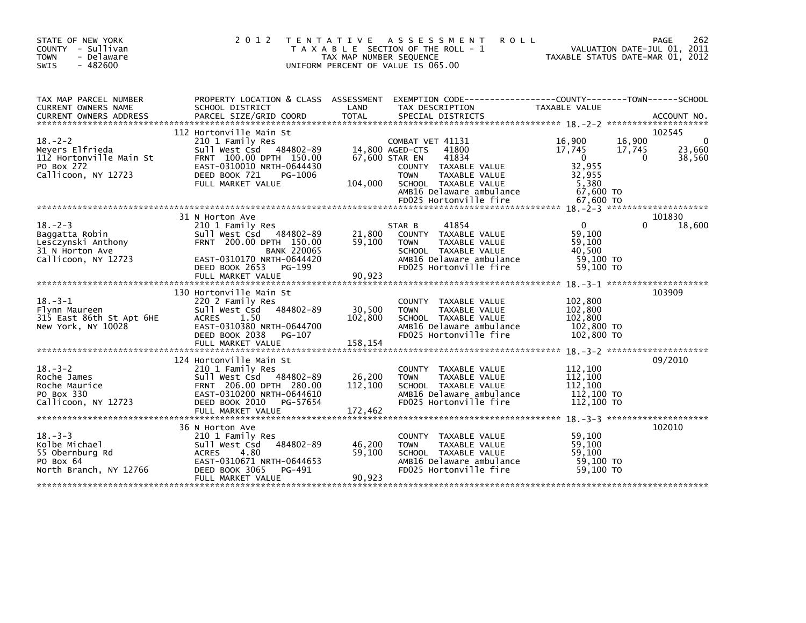| STATE OF NEW YORK<br>COUNTY - Sullivan<br>- Delaware<br><b>TOWN</b><br>$-482600$<br><b>SWIS</b> | 2 0 1 2                                                                                                                                                                                                                        | T E N T A T I V E<br>TAX MAP NUMBER SEQUENCE | ASSESSMENT<br><b>ROLL</b><br>T A X A B L E SECTION OF THE ROLL - 1<br>UNIFORM PERCENT OF VALUE IS 065.00           | TAXABLE STATUS DATE-MAR 01, 2012 | 262<br>PAGE<br>VALUATION DATE-JUL 01, 2011 |
|-------------------------------------------------------------------------------------------------|--------------------------------------------------------------------------------------------------------------------------------------------------------------------------------------------------------------------------------|----------------------------------------------|--------------------------------------------------------------------------------------------------------------------|----------------------------------|--------------------------------------------|
| TAX MAP PARCEL NUMBER<br>CURRENT OWNERS NAME                                                    | SCHOOL DISTRICT                                                                                                                                                                                                                | LAND                                         | PROPERTY LOCATION & CLASS ASSESSMENT EXEMPTION CODE---------------COUNTY-------TOWN------SCHOOL<br>TAX DESCRIPTION | TAXABLE VALUE                    |                                            |
|                                                                                                 | .CURRENT OWNERS ADDRESS PARCEL SIZE/GRID COORD TOTAL SPECIAL DISTRICTS (ACCOUNT NO ACCOUNT NO ACCOUNT NO AND FREE ALL SERVER AND RELATION ASSESSMENT OF THE RELATION OF THE RELATION OF THE RELATION OF THE RELATION OF THE RE |                                              |                                                                                                                    |                                  |                                            |
|                                                                                                 | 112 Hortonville Main St                                                                                                                                                                                                        |                                              |                                                                                                                    |                                  | 102545                                     |
| $18. - 2 - 2$                                                                                   | 210 1 Family Res                                                                                                                                                                                                               |                                              | COMBAT VET 41131                                                                                                   | 16,900<br>16,900                 | $\Omega$                                   |
| Meyers Elfrieda<br>112 Hortonville Main St                                                      | Sull West Csd 484802-89<br>FRNT 100.00 DPTH 150.00                                                                                                                                                                             | 67,600 STAR EN                               | 14,800 AGED-CTS<br>41800<br>41834                                                                                  | 17,745<br>17,745<br>$\Omega$     | 23,660<br>38,560<br>$\Omega$               |
| PO Box 272                                                                                      | EAST-0310010 NRTH-0644430                                                                                                                                                                                                      |                                              | COUNTY TAXABLE VALUE                                                                                               | 32,955                           |                                            |
| Callicoon, NY 12723                                                                             | DEED BOOK 721<br>PG-1006                                                                                                                                                                                                       |                                              | <b>TOWN</b><br>TAXABLE VALUE                                                                                       | 32,955                           |                                            |
|                                                                                                 | FULL MARKET VALUE                                                                                                                                                                                                              | 104,000                                      | SCHOOL TAXABLE VALUE<br>AMB16 Delaware ambulance                                                                   | 5,380<br>67,600 TO               |                                            |
|                                                                                                 |                                                                                                                                                                                                                                |                                              | FD025 Hortonville fire                                                                                             | 67,600 TO                        |                                            |
|                                                                                                 |                                                                                                                                                                                                                                |                                              |                                                                                                                    |                                  |                                            |
| $18. -2 - 3$                                                                                    | 31 N Horton Ave<br>210 1 Family Res                                                                                                                                                                                            |                                              | 41854<br>STAR B                                                                                                    | $\Omega$                         | 101830<br>18,600<br>$\Omega$               |
| Baggatta Robin                                                                                  | Sull West Csd 484802-89                                                                                                                                                                                                        | 21,800                                       | COUNTY TAXABLE VALUE                                                                                               | 59,100                           |                                            |
| Lesczynski Anthony                                                                              | FRNT 200.00 DPTH 150.00                                                                                                                                                                                                        | 59,100                                       | <b>TOWN</b><br>TAXABLE VALUE                                                                                       | 59.100                           |                                            |
| 31 N Horton Ave<br>Callicoon, NY 12723                                                          | <b>BANK 220065</b><br>EAST-0310170 NRTH-0644420                                                                                                                                                                                |                                              | SCHOOL TAXABLE VALUE<br>AMB16 Delaware ambulance                                                                   | 40,500<br>59,100 TO              |                                            |
|                                                                                                 | DEED BOOK 2653<br>PG-199                                                                                                                                                                                                       |                                              | FD025 Hortonville fire                                                                                             | 59,100 TO                        |                                            |
|                                                                                                 | FULL MARKET VALUE                                                                                                                                                                                                              | 90,923                                       |                                                                                                                    |                                  |                                            |
|                                                                                                 | 130 Hortonville Main St                                                                                                                                                                                                        |                                              |                                                                                                                    |                                  | 103909                                     |
| $18. - 3 - 1$                                                                                   | 220 2 Family Res                                                                                                                                                                                                               |                                              | COUNTY TAXABLE VALUE                                                                                               | 102,800                          |                                            |
| Flynn Maureen                                                                                   | Sull West Csd 484802-89<br><b>ACRES</b><br>1.50                                                                                                                                                                                | 30,500<br>102,800                            | <b>TOWN</b><br>TAXABLE VALUE                                                                                       | 102,800<br>102.800               |                                            |
| 315 East 86th St Apt 6HE<br>New York, NY 10028                                                  | EAST-0310380 NRTH-0644700                                                                                                                                                                                                      |                                              | SCHOOL TAXABLE VALUE<br>AMB16 Delaware ambulance                                                                   | 102,800 TO                       |                                            |
|                                                                                                 | DEED BOOK 2038<br>PG-107                                                                                                                                                                                                       |                                              | FD025 Hortonville fire                                                                                             | 102,800 TO                       |                                            |
|                                                                                                 | FULL MARKET VALUE                                                                                                                                                                                                              | 158,154                                      |                                                                                                                    |                                  |                                            |
|                                                                                                 | 124 Hortonville Main St                                                                                                                                                                                                        |                                              |                                                                                                                    |                                  | 09/2010                                    |
| $18. - 3 - 2$                                                                                   | 210 1 Family Res                                                                                                                                                                                                               |                                              | COUNTY TAXABLE VALUE                                                                                               | 112,100                          |                                            |
| Roche James<br>Roche Maurice                                                                    | Sull West Csd 484802-89<br>FRNT 206.00 DPTH 280.00                                                                                                                                                                             | 26,200<br>112,100                            | <b>TOWN</b><br>TAXABLE VALUE<br>SCHOOL TAXABLE VALUE                                                               | 112,100<br>112,100               |                                            |
| PO Box 330                                                                                      | EAST-0310200 NRTH-0644610                                                                                                                                                                                                      |                                              | AMB16 Delaware ambulance                                                                                           | 112,100 TO                       |                                            |
| Callicoon, NY 12723                                                                             | DEED BOOK 2010<br>PG-57654                                                                                                                                                                                                     |                                              | FD025 Hortonville fire                                                                                             | 112,100 TO                       |                                            |
|                                                                                                 | FULL MARKET VALUE                                                                                                                                                                                                              | 172,462                                      |                                                                                                                    |                                  |                                            |
|                                                                                                 | 36 N Horton Ave                                                                                                                                                                                                                |                                              |                                                                                                                    |                                  | 102010                                     |
| $18. - 3 - 3$                                                                                   | 210 1 Family Res                                                                                                                                                                                                               |                                              | COUNTY TAXABLE VALUE                                                                                               | 59,100                           |                                            |
| Kolbe Michael<br>55 Obernburg Rd                                                                | Sull West Csd 484802-89<br><b>ACRES</b><br>4.80                                                                                                                                                                                | 46,200<br>59,100                             | <b>TAXABLE VALUE</b><br><b>TOWN</b><br>SCHOOL TAXABLE VALUE                                                        | 59.100<br>59,100                 |                                            |
| PO Box 64                                                                                       | EAST-0310671 NRTH-0644653                                                                                                                                                                                                      |                                              | AMB16 Delaware ambulance                                                                                           | 59,100 TO                        |                                            |
| North Branch, NY 12766                                                                          | DEED BOOK 3065<br>PG-491                                                                                                                                                                                                       |                                              | FD025 Hortonville fire                                                                                             | 59,100 TO                        |                                            |
|                                                                                                 | FULL MARKET VALUE                                                                                                                                                                                                              | 90,923                                       |                                                                                                                    |                                  |                                            |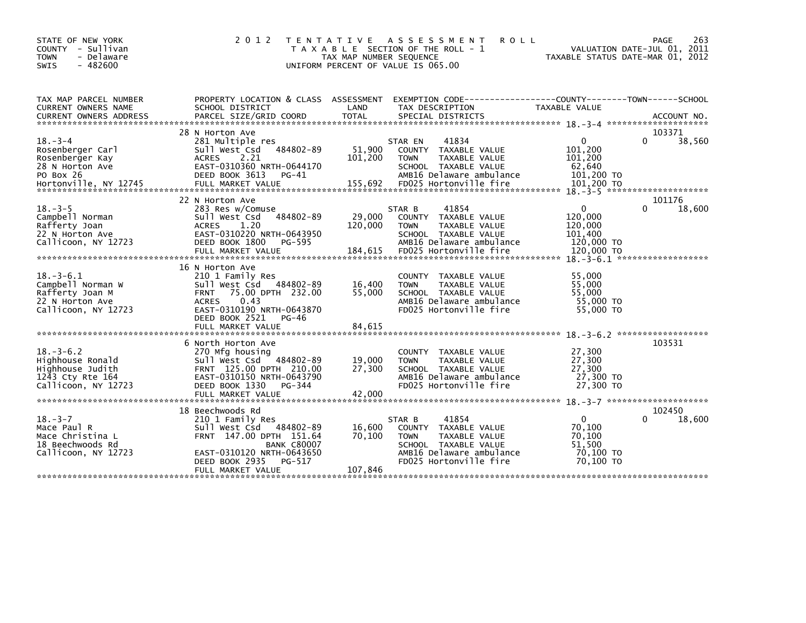| STATE OF NEW YORK<br>COUNTY - Sullivan<br>- Delaware<br><b>TOWN</b><br>$-482600$<br><b>SWIS</b>               | 2 0 1 2                                                                                                                                                                                                 | T E N T A T I V E<br>TAX MAP NUMBER SEQUENCE | A S S E S S M E N T<br><b>ROLL</b><br>T A X A B L E SECTION OF THE ROLL - 1<br>UNIFORM PERCENT OF VALUE IS 065.00                                      | TAXABLE STATUS DATE-MAR 01, 2012                                     | 263<br><b>PAGE</b><br>VALUATION DATE-JUL 01, 2011 |
|---------------------------------------------------------------------------------------------------------------|---------------------------------------------------------------------------------------------------------------------------------------------------------------------------------------------------------|----------------------------------------------|--------------------------------------------------------------------------------------------------------------------------------------------------------|----------------------------------------------------------------------|---------------------------------------------------|
| TAX MAP PARCEL NUMBER<br>CURRENT OWNERS NAME                                                                  | PROPERTY LOCATION & CLASS ASSESSMENT<br>SCHOOL DISTRICT                                                                                                                                                 | LAND                                         | EXEMPTION CODE-----------------COUNTY-------TOWN------SCHOOL<br>TAX DESCRIPTION                                                                        | TAXABLE VALUE                                                        |                                                   |
|                                                                                                               |                                                                                                                                                                                                         |                                              |                                                                                                                                                        |                                                                      |                                                   |
| $18. - 3 - 4$<br>Rosenberger Carl<br>Rosenberger Kay<br>28 N Horton Ave<br>PO Box 26<br>Hortonville, NY 12745 | 28 N Horton Ave<br>281 Multiple res<br>Sull West Csd 484802-89<br><b>ACRES</b><br>2.21<br>EAST-0310360 NRTH-0644170<br>DEED BOOK 3613<br>PG-41<br>FULL MARKET VALUE                                     | 51,900<br>101,200<br>155,692                 | STAR EN<br>41834<br>COUNTY TAXABLE VALUE<br>TAXABLE VALUE<br><b>TOWN</b><br>SCHOOL TAXABLE VALUE<br>AMB16 Delaware ambulance<br>FD025 Hortonville fire | $\Omega$<br>101,200<br>101,200<br>62,640<br>101,200 TO<br>101.200 TO | 103371<br>38,560<br>0                             |
| $18. - 3 - 5$<br>Campbell Norman<br>Rafferty Joan<br>22 N Horton Ave<br>Callicoon, NY 12723                   | 22 N Horton Ave<br>283 Res w/Comuse<br>484802-89<br>Sull West Csd<br><b>ACRES</b><br>1.20<br>EAST-0310220 NRTH-0643950<br>DEED BOOK 1800<br>PG-595                                                      | 29,000<br>120,000                            | 41854<br>STAR B<br>COUNTY TAXABLE VALUE<br><b>TOWN</b><br>TAXABLE VALUE<br>SCHOOL TAXABLE VALUE<br>AMB16 Delaware ambulance                            | $\mathbf{0}$<br>120,000<br>120,000<br>101.400<br>120,000 TO          | 101176<br>0<br>18,600                             |
| $18. - 3 - 6.1$<br>Campbell Norman W<br>Rafferty Joan M<br>22 N Horton Ave<br>Callicoon, NY 12723             | 16 N Horton Ave<br>210 1 Family Res<br>Sull West Csd 484802-89<br>75.00 DPTH 232.00<br><b>FRNT</b><br>0.43<br><b>ACRES</b><br>EAST-0310190 NRTH-0643870<br>DEED BOOK 2521<br>PG-46<br>FULL MARKET VALUE | 16,400<br>55,000<br>84,615                   | COUNTY TAXABLE VALUE<br><b>TOWN</b><br>TAXABLE VALUE<br>SCHOOL TAXABLE VALUE<br>AMB16 Delaware ambulance<br>FD025 Hortonville fire                     | 55,000<br>55.000<br>55,000<br>55,000 TO<br>55,000 TO                 |                                                   |
|                                                                                                               |                                                                                                                                                                                                         |                                              |                                                                                                                                                        |                                                                      |                                                   |
| $18. - 3 - 6.2$<br>Highhouse Ronald<br>Highhouse Judith<br>1243 Cty Rte 164<br>Callicoon, NY 12723            | 6 North Horton Ave<br>270 Mfg housing<br>Sull West Csd 484802-89<br>FRNT 125.00 DPTH 210.00<br>EAST-0310150 NRTH-0643790<br>DEED BOOK 1330<br>PG-344<br>FULL MARKET VALUE                               | 19,000<br>27,300<br>42,000                   | COUNTY TAXABLE VALUE<br>TAXABLE VALUE<br><b>TOWN</b><br>SCHOOL TAXABLE VALUE<br>AMB16 Delaware ambulance<br>FD025 Hortonville fire                     | 27,300<br>27,300<br>27,300<br>27,300 TO<br>27,300 TO                 | 103531                                            |
|                                                                                                               |                                                                                                                                                                                                         |                                              |                                                                                                                                                        |                                                                      |                                                   |
| $18. - 3 - 7$<br>Mace Paul R<br>Mace Christina L<br>18 Beechwoods Rd<br>Callicoon, NY 12723                   | 18 Beechwoods Rd<br>210 1 Family Res<br>Sull West Csd 484802-89<br>FRNT 147.00 DPTH 151.64<br><b>BANK C80007</b><br>EAST-0310120 NRTH-0643650<br>DEED BOOK 2935<br>PG-517<br>FULL MARKET VALUE          | 16,600<br>70,100<br>107,846                  | 41854<br>STAR B<br>COUNTY TAXABLE VALUE<br>TAXABLE VALUE<br><b>TOWN</b><br>SCHOOL TAXABLE VALUE<br>AMB16 Delaware ambulance<br>FD025 Hortonville fire  | $\Omega$<br>70,100<br>70.100<br>51,500<br>70,100 TO<br>70,100 TO     | 102450<br>18,600<br>0                             |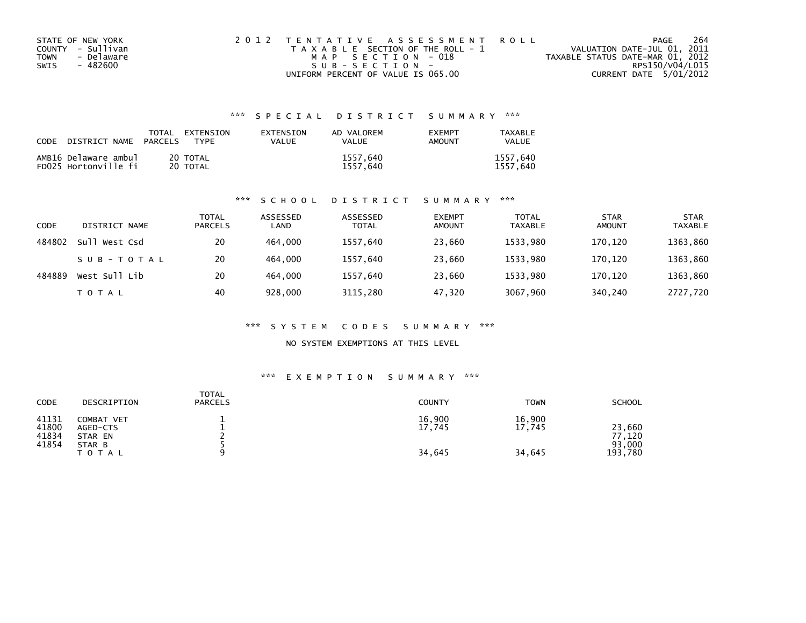| STATE OF NEW YORK  | 2012 TENTATIVE ASSESSMENT ROLL        | PAGE                             | 264 |
|--------------------|---------------------------------------|----------------------------------|-----|
| COUNTY - Sullivan  | T A X A B L E SECTION OF THE ROLL - 1 | VALUATION DATE-JUL 01, 2011      |     |
| - Delaware<br>TOWN | MAP SECTION - 018                     | TAXABLE STATUS DATE-MAR 01, 2012 |     |
| - 482600<br>SWIS   | SUB-SECTION-                          | RPS150/V04/L015                  |     |
|                    | UNIFORM PERCENT OF VALUE IS 065.00    | CURRENT DATE 5/01/2012           |     |

## \*\*\* S P E C I A L D I S T R I C T S U M M A R Y \*\*\*

| CODE DISTRICT NAME                           | TOTAL<br><b>PARCELS</b> | EXTENSION<br>TYPF    | <b>FXTENSTON</b><br>VALUE | AD VALOREM<br><b>VALUE</b> | <b>EXEMPT</b><br>AMOUNT | TAXABLE<br><b>VALUE</b> |
|----------------------------------------------|-------------------------|----------------------|---------------------------|----------------------------|-------------------------|-------------------------|
| AMB16 Delaware ambul<br>FD025 Hortonville fi |                         | 20 TOTAL<br>20 TOTAL |                           | 1557,640<br>1557.640       |                         | 1557,640<br>1557.640    |

#### \*\*\* S C H O O L D I S T R I C T S U M M A R Y \*\*\*

| CODE   | DISTRICT NAME | <b>TOTAL</b><br><b>PARCELS</b> | ASSESSED<br>LAND | ASSESSED<br><b>TOTAL</b> | <b>EXEMPT</b><br>AMOUNT | <b>TOTAL</b><br><b>TAXABLE</b> | <b>STAR</b><br>AMOUNT | <b>STAR</b><br><b>TAXABLE</b> |
|--------|---------------|--------------------------------|------------------|--------------------------|-------------------------|--------------------------------|-----------------------|-------------------------------|
| 484802 | Sull West Csd | 20                             | 464,000          | 1557,640                 | 23,660                  | 1533,980                       | 170.120               | 1363,860                      |
|        | SUB-TOTAL     | 20                             | 464,000          | 1557,640                 | 23,660                  | 1533.980                       | 170.120               | 1363,860                      |
| 484889 | West Sull Lib | 20                             | 464.000          | 1557,640                 | 23,660                  | 1533,980                       | 170,120               | 1363,860                      |
|        | <b>TOTAL</b>  | 40                             | 928,000          | 3115,280                 | 47,320                  | 3067,960                       | 340,240               | 2727,720                      |

#### \*\*\* S Y S T E M C O D E S S U M M A R Y \*\*\*

#### NO SYSTEM EXEMPTIONS AT THIS LEVEL

#### \*\*\* E X E M P T I O N S U M M A R Y \*\*\*

| CODE                             | DESCRIPTION                                          | <b>TOTAL</b><br><b>PARCELS</b> | <b>COUNTY</b>              | <b>TOWN</b>                | <b>SCHOOL</b>                         |
|----------------------------------|------------------------------------------------------|--------------------------------|----------------------------|----------------------------|---------------------------------------|
| 41131<br>41800<br>41834<br>41854 | COMBAT VET<br>AGED-CTS<br>STAR EN<br>STAR B<br>ΤΟΤΑΙ |                                | 16,900<br>17,745<br>34,645 | 16,900<br>17,745<br>34,645 | 23,660<br>77,120<br>93.000<br>193,780 |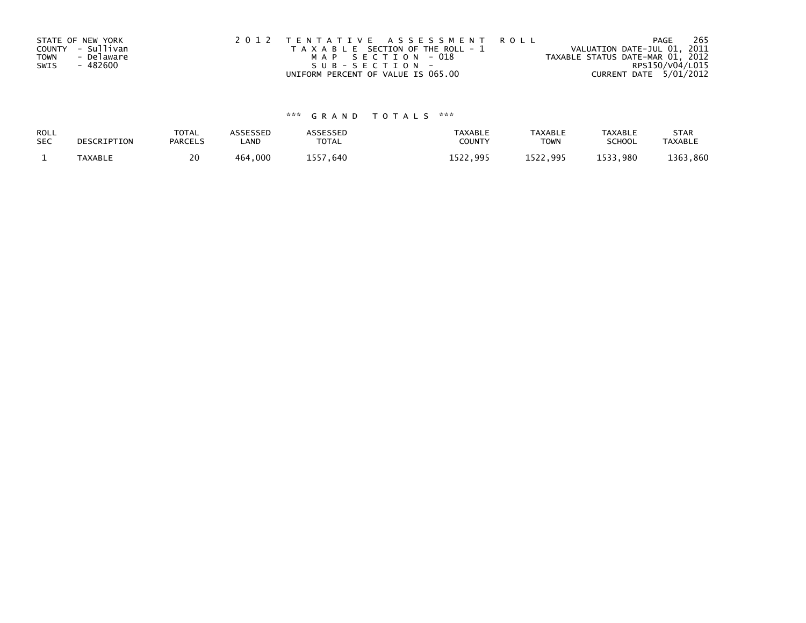|             | STATE OF NEW YORK | 2012 TENTATIVE ASSESSMENT ROLL        | 265<br>PAGE                      |
|-------------|-------------------|---------------------------------------|----------------------------------|
|             | COUNTY - Sullivan | T A X A B L E SECTION OF THE ROLL - 1 | VALUATION DATE-JUL 01, 2011      |
| <b>TOWN</b> | - Delaware        | MAP SECTION - 018                     | TAXABLE STATUS DATE-MAR 01, 2012 |
| SWIS        | - 482600          | SUB-SECTION-                          | RPS150/V04/L015                  |
|             |                   | UNIFORM PERCENT OF VALUE IS 065.00    | CURRENT DATE 5/01/2012           |

# \*\*\* G R A N D T O T A L S \*\*\*

| ROLL       | DESCRIPTION    | <b>TOTAL</b>   | ASSESSED | <b>ASSESSED</b> | <b>TAXABLE</b> | <b>TAXABLE</b> | TAXABLE       | <b>STAR</b>    |
|------------|----------------|----------------|----------|-----------------|----------------|----------------|---------------|----------------|
| <b>SEC</b> |                | <b>PARCELS</b> | LAND     | TOTAL           | COUNT          | TOWN           | <b>SCHOOL</b> | <b>TAXABLE</b> |
|            | <b>TAXABLE</b> | 20             | 464,000  | 1557,640        | 1522.995       | 1522.995       | 1533,980      | 1363,860       |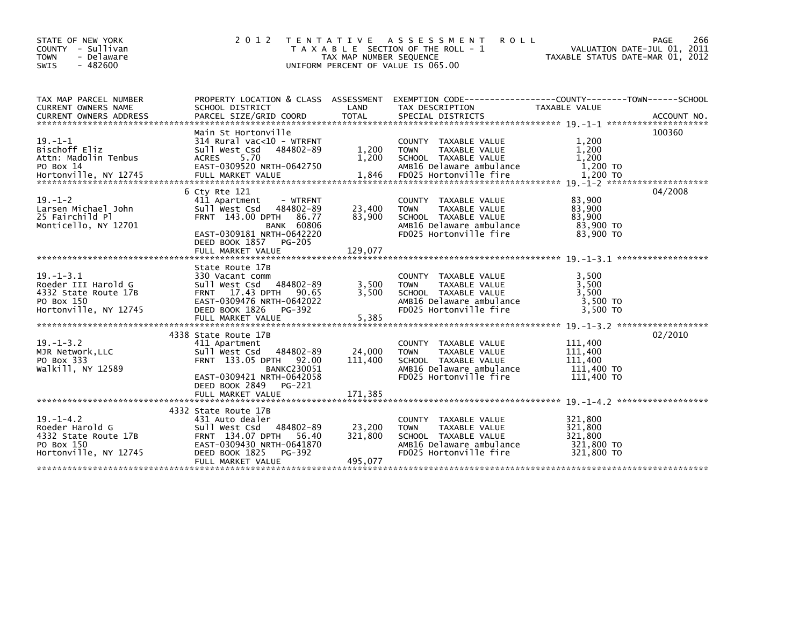| STATE OF NEW YORK<br>- Sullivan<br>COUNTY<br>- Delaware<br><b>TOWN</b><br>$-482600$<br>SWIS           | 2 0 1 2<br>T E N T A T I V E                                                                                                                                                      | TAX MAP NUMBER SEQUENCE      | A S S E S S M E N T<br><b>ROLL</b><br>T A X A B L E SECTION OF THE ROLL - 1<br>UNIFORM PERCENT OF VALUE IS 065.00                            | VALUATION DATE-JUL 01, 2011<br>TAXABLE STATUS DATE-MAR 01, 2012 | PAGE<br>266 |
|-------------------------------------------------------------------------------------------------------|-----------------------------------------------------------------------------------------------------------------------------------------------------------------------------------|------------------------------|----------------------------------------------------------------------------------------------------------------------------------------------|-----------------------------------------------------------------|-------------|
| TAX MAP PARCEL NUMBER<br>CURRENT OWNERS NAME<br><b>CURRENT OWNERS ADDRESS</b>                         | SCHOOL DISTRICT<br>PARCEL SIZE/GRID COORD                                                                                                                                         | LAND<br><b>TOTAL</b>         | PROPERTY LOCATION & CLASS ASSESSMENT EXEMPTION CODE----------------COUNTY-------TOWN------SCHOOL<br>TAX DESCRIPTION<br>SPECIAL DISTRICTS     | <b>TAXABLE VALUE</b>                                            | ACCOUNT NO. |
| $19. - 1 - 1$<br>Bischoff Eliz<br>Attn: Madolin Tenbus<br>PO Box 14                                   | Main St Hortonville<br>$314$ Rural vac<10 - WTRFNT<br>Sull West Csd<br>484802-89<br>5.70<br><b>ACRES</b><br>EAST-0309520 NRTH-0642750                                             | 1,200<br>1,200               | <b>COUNTY</b><br>TAXABLE VALUE<br>TAXABLE VALUE<br><b>TOWN</b><br>SCHOOL TAXABLE VALUE<br>AMB16 Delaware ambulance                           | 1,200<br>1,200<br>1,200<br>1,200 TO                             | 100360      |
| $19. - 1 - 2$<br>Larsen Michael John<br>25 Fairchild Pl<br>Monticello, NY 12701                       | 6 Cty Rte 121<br>411 Apartment<br>- WTRFNT<br>484802-89<br>Sull West Csd<br>FRNT 143.00 DPTH<br>86.77<br><b>BANK 60806</b><br>EAST-0309181 NRTH-0642220<br>DEED BOOK 1857 PG-205  | 23,400<br>83,900             | COUNTY TAXABLE VALUE<br><b>TAXABLE VALUE</b><br><b>TOWN</b><br>SCHOOL TAXABLE VALUE<br>AMB16 Delaware ambulance<br>FD025 Hortonville fire    | 83,900<br>83,900<br>83.900<br>83,900 TO<br>83,900 TO            | 04/2008     |
|                                                                                                       | FULL MARKET VALUE                                                                                                                                                                 | 129,077                      |                                                                                                                                              |                                                                 |             |
| $19. - 1 - 3.1$<br>Roeder III Harold G<br>4332 State Route 17B<br>PO Box 150<br>Hortonville, NY 12745 | State Route 17B<br>330 Vacant comm<br>484802-89<br>Sull West Csd<br>17.43 DPTH 90.65<br><b>FRNT</b><br>EAST-0309476 NRTH-0642022<br>DEED BOOK 1826<br>PG-392<br>FULL MARKET VALUE | 3,500<br>3,500<br>5,385      | COUNTY TAXABLE VALUE<br>TAXABLE VALUE<br><b>TOWN</b><br>SCHOOL TAXABLE VALUE<br>AMB16 Delaware ambulance<br>FD025 Hortonville fire           | 3,500<br>3,500<br>3,500<br>3,500 TO<br>3,500 TO                 |             |
| $19. - 1 - 3.2$<br>MJR Network, LLC<br>PO Box 333<br>walkill, NY 12589                                | 4338 State Route 17B<br>411 Apartment<br>484802-89<br>Sull West Csd<br>FRNT 133.05 DPTH 92.00<br><b>BANKC230051</b><br>EAST-0309421 NRTH-0642058                                  | 24,000<br>111,400            | COUNTY TAXABLE VALUE<br><b>TOWN</b><br>TAXABLE VALUE<br>SCHOOL TAXABLE VALUE<br>AMB16 Delaware ambulance<br>FD025 Hortonville fire           | 111,400<br>111,400<br>111,400<br>111,400 TO<br>111,400 TO       | 02/2010     |
|                                                                                                       | DEED BOOK 2849<br>PG-221                                                                                                                                                          |                              |                                                                                                                                              |                                                                 |             |
| $19. - 1 - 4.2$<br>Roeder Harold G<br>4332 State Route 17B<br>PO Box 150<br>Hortonville, NY 12745     | 4332 State Route 17B<br>431 Auto dealer<br>484802-89<br>Sull West Csd<br>FRNT 134.07 DPTH<br>56.40<br>EAST-0309430 NRTH-0641870<br>DEED BOOK 1825<br>PG-392<br>FULL MARKET VALUE  | 23,200<br>321,800<br>495,077 | <b>COUNTY</b><br>TAXABLE VALUE<br><b>TOWN</b><br>TAXABLE VALUE<br>SCHOOL TAXABLE VALUE<br>AMB16 Delaware ambulance<br>FD025 Hortonville fire | 321,800<br>321,800<br>321.800<br>321,800 TO<br>321,800 TO       |             |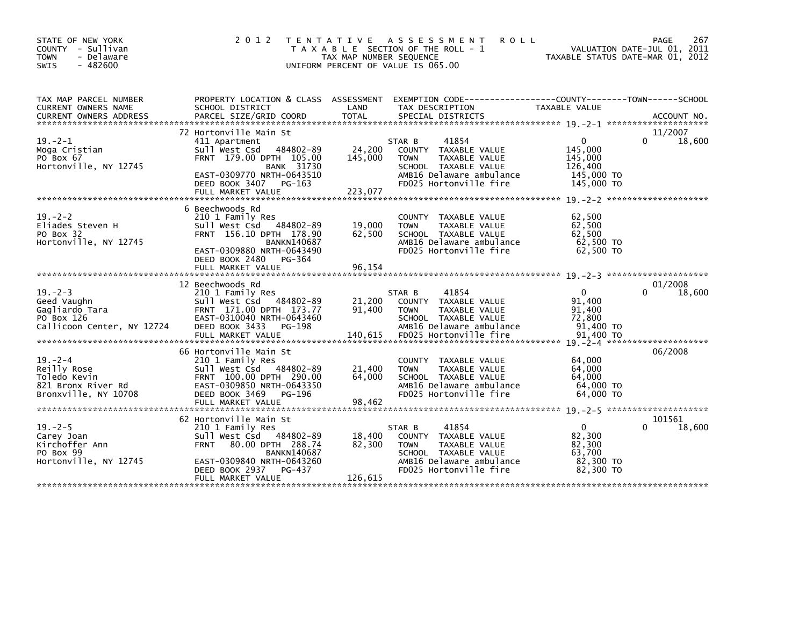| STATE OF NEW YORK<br>COUNTY - Sullivan<br>- Delaware<br><b>TOWN</b><br>$-482600$<br><b>SWIS</b> | 2 0 1 2                                                                                                                                                                                                          | T E N T A T I V E<br>TAX MAP NUMBER SEQUENCE | <b>ROLL</b><br>A S S E S S M E N T<br>T A X A B L E SECTION OF THE ROLL - 1<br>UNIFORM PERCENT OF VALUE IS 065.00                                     | TAXABLE STATUS DATE-MAR 01, 2012                                      | 267<br>PAGE<br>VALUATION DATE-JUL 01, 2011 |
|-------------------------------------------------------------------------------------------------|------------------------------------------------------------------------------------------------------------------------------------------------------------------------------------------------------------------|----------------------------------------------|-------------------------------------------------------------------------------------------------------------------------------------------------------|-----------------------------------------------------------------------|--------------------------------------------|
| TAX MAP PARCEL NUMBER<br>CURRENT OWNERS NAME<br><b>CURRENT OWNERS ADDRESS</b>                   | PROPERTY LOCATION & CLASS ASSESSMENT<br>SCHOOL DISTRICT<br>PARCEL SIZE/GRID COORD                                                                                                                                | LAND<br><b>TOTAL</b>                         | TAX DESCRIPTION<br>SPECIAL DISTRICTS                                                                                                                  | TAXABLE VALUE                                                         | ACCOUNT NO.                                |
| $19. -2 - 1$<br>Moga Cristian<br>PO Box 67<br>Hortonville, NY 12745                             | 72 Hortonville Main St<br>411 Apartment<br>484802-89<br>Sull West Csd<br>FRNT 179.00 DPTH 105.00<br><b>BANK 31730</b><br>EAST-0309770 NRTH-0643510<br>DEED BOOK 3407<br>$PG-163$<br>FULL MARKET VALUE            | 24,200<br>145,000<br>223,077                 | STAR B<br>41854<br>COUNTY TAXABLE VALUE<br>TAXABLE VALUE<br><b>TOWN</b><br>SCHOOL TAXABLE VALUE<br>AMB16 Delaware ambulance<br>FD025 Hortonville fire | $\Omega$<br>145,000<br>145,000<br>126,400<br>145,000 TO<br>145,000 TO | 11/2007<br>18,600<br>0                     |
| $19. - 2 - 2$<br>Eliades Steven H<br>PO Box 32<br>Hortonville, NY 12745                         | 6 Beechwoods Rd<br>210 1 Family Res<br>Sull West Csd 484802-89<br>FRNT 156.10 DPTH 178.90<br><b>BANKN140687</b><br>EAST-0309880 NRTH-0643490<br>DEED BOOK 2480<br>PG-364<br>FULL MARKET VALUE                    | 19,000<br>62,500<br>96,154                   | TAXABLE VALUE<br><b>COUNTY</b><br><b>TAXABLE VALUE</b><br><b>TOWN</b><br>SCHOOL TAXABLE VALUE<br>AMB16 Delaware ambulance<br>FD025 Hortonville fire   | 62,500<br>62,500<br>62,500<br>62,500 TO<br>62,500 TO                  |                                            |
| $19. - 2 - 3$<br>Geed Vaughn<br>Gagliardo Tara<br>PO Box 126<br>Callicoon Center, NY 12724      | 12 Beechwoods Rd<br>210 1 Family Res<br>Sull West Csd 484802-89<br>FRNT 171.00 DPTH 173.77<br>EAST-0310040 NRTH-0643460<br>DEED BOOK 3433<br>PG-198<br>FULL MARKET VALUE                                         | 21,200<br>91,400<br>140,615                  | 41854<br>STAR B<br>COUNTY TAXABLE VALUE<br>TAXABLE VALUE<br><b>TOWN</b><br>SCHOOL TAXABLE VALUE<br>AMB16 Delaware ambulance<br>FD025 Hortonville fire | $\mathbf{0}$<br>91,400<br>91,400<br>72,800<br>91,400 TO<br>91,400 TO  | 01/2008<br>18,600                          |
| $19. - 2 - 4$<br>Reilly Rose<br>Toledo Kevin<br>821 Bronx River Rd<br>Bronxville, NY 10708      | 66 Hortonville Main St<br>210 1 Family Res<br>Sull West Csd 484802-89<br>FRNT 100.00 DPTH 290.00<br>EAST-0309850 NRTH-0643350<br>DEED BOOK 3469<br>PG-196<br>FULL MARKET VALUE                                   | 21,400<br>64,000<br>98,462                   | COUNTY<br>TAXABLE VALUE<br>TAXABLE VALUE<br><b>TOWN</b><br>SCHOOL TAXABLE VALUE<br>AMB16 Delaware ambulance<br>FD025 Hortonville fire                 | 64,000<br>64,000<br>64,000<br>64,000 TO<br>64,000 TO                  | 06/2008                                    |
| $19. - 2 - 5$<br>Carey Joan<br>Kirchoffer Ann<br>PO Box 99<br>Hortonville, NY 12745             | 62 Hortonville Main St<br>210 1 Family Res<br>484802-89<br>Sull West Csd<br>80.00 DPTH 288.74<br><b>FRNT</b><br><b>BANKN140687</b><br>EAST-0309840 NRTH-0643260<br>DEED BOOK 2937<br>PG-437<br>FULL MARKET VALUE | 18,400<br>82,300<br>126,615                  | 41854<br>STAR B<br>COUNTY TAXABLE VALUE<br><b>TOWN</b><br>TAXABLE VALUE<br>SCHOOL TAXABLE VALUE<br>AMB16 Delaware ambulance<br>FD025 Hortonville fire | $\mathbf{0}$<br>82,300<br>82,300<br>63,700<br>82,300 TO<br>82,300 TO  | 101561<br>18,600<br>0                      |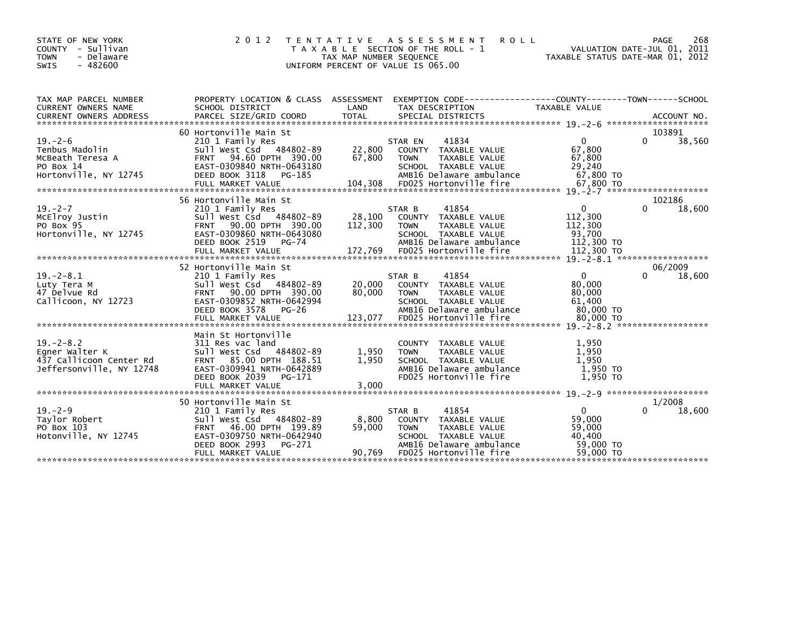| STATE OF NEW YORK<br>COUNTY<br>- Sullivan<br>- Delaware<br><b>TOWN</b><br>$-482600$<br><b>SWIS</b> | 2 0 1 2                                                                                                                                                                                    | TAX MAP NUMBER SEQUENCE      | <b>ROLL</b><br>TENTATIVE ASSESSMENT<br>T A X A B L E SECTION OF THE ROLL - 1<br>UNIFORM PERCENT OF VALUE IS 065.00                                     | TAXABLE STATUS DATE-MAR 01,                                          | 268<br>PAGE<br>VALUATION DATE-JUL 01, 2011<br>2012 |
|----------------------------------------------------------------------------------------------------|--------------------------------------------------------------------------------------------------------------------------------------------------------------------------------------------|------------------------------|--------------------------------------------------------------------------------------------------------------------------------------------------------|----------------------------------------------------------------------|----------------------------------------------------|
| TAX MAP PARCEL NUMBER<br><b>CURRENT OWNERS NAME</b><br><b>CURRENT OWNERS ADDRESS</b>               | PROPERTY LOCATION & CLASS ASSESSMENT<br>SCHOOL DISTRICT<br>PARCEL SIZE/GRID COORD                                                                                                          | LAND<br><b>TOTAL</b>         | TAX DESCRIPTION<br>SPECIAL DISTRICTS                                                                                                                   | <b>TAXABLE VALUE</b>                                                 | ACCOUNT NO.                                        |
| $19. - 2 - 6$<br>Tenbus Madolin<br>McBeath Teresa A<br>PO Box 14<br>Hortonville, NY 12745          | 60 Hortonville Main St<br>210 1 Family Res<br>484802-89<br>Sull West Csd<br>94.60 DPTH 390.00<br><b>FRNT</b><br>EAST-0309840 NRTH-0643180<br>DEED BOOK 3118<br>PG-185<br>FULL MARKET VALUE | 22,800<br>67,800<br>104.308  | 41834<br>STAR EN<br>COUNTY TAXABLE VALUE<br><b>TOWN</b><br>TAXABLE VALUE<br>SCHOOL TAXABLE VALUE<br>AMB16 Delaware ambulance<br>FD025 Hortonville fire | $\mathbf{0}$<br>67,800<br>67,800<br>29,240<br>67,800 TO<br>67.800 TO | 103891<br>$\Omega$<br>38,560                       |
| $19. - 2 - 7$<br>MCElroy Justin<br>PO Box 95<br>Hortonville, NY 12745                              | 56 Hortonville Main St<br>210 1 Family Res<br>Sull West Csd 484802-89<br>90.00 DPTH 390.00<br><b>FRNT</b><br>EAST-0309860 NRTH-0643080<br>DEED BOOK 2519<br>PG-74<br>FULL MARKET VALUE     | 28,100<br>112,300<br>172,769 | 41854<br>STAR B<br>COUNTY TAXABLE VALUE<br>TAXABLE VALUE<br><b>TOWN</b><br>SCHOOL TAXABLE VALUE<br>AMB16 Delaware ambulance<br>FD025 Hortonville fire  | $\Omega$<br>112,300<br>112,300<br>93,700<br>112,300 TO<br>112,300 TO | 102186<br>$\Omega$<br>18,600                       |
| $19. -2 - 8.1$<br>Luty Tera M<br>47 Delvue Rd<br>Callicoon, NY 12723                               | 52 Hortonville Main St<br>210 1 Family Res<br>Sull West Csd 484802-89<br>90.00 DPTH 390.00<br><b>FRNT</b><br>EAST-0309852 NRTH-0642994<br>DEED BOOK 3578<br>$PG-26$                        | 20,000<br>80,000             | 41854<br>STAR B<br>COUNTY TAXABLE VALUE<br><b>TAXABLE VALUE</b><br><b>TOWN</b><br>SCHOOL TAXABLE VALUE<br>AMB16 Delaware ambulance                     | $\Omega$<br>80,000<br>80,000<br>61,400<br>80.000 TO                  | 06/2009<br>$\Omega$<br>18,600                      |
| $19. - 2 - 8.2$<br>Eqner Walter K<br>437 Callicoon Center Rd<br>Jeffersonville, NY 12748           | Main St Hortonville<br>311 Res vac land<br>Sull West Csd 484802-89<br>85.00 DPTH 188.51<br><b>FRNT</b><br>EAST-0309941 NRTH-0642889<br>DEED BOOK 2039<br>PG-171<br>FULL MARKET VALUE       | 1,950<br>1.950<br>3,000      | COUNTY TAXABLE VALUE<br><b>TAXABLE VALUE</b><br><b>TOWN</b><br>SCHOOL TAXABLE VALUE<br>AMB16 Delaware ambulance<br>FD025 Hortonville fire              | 1,950<br>1.950<br>1.950<br>1,950 TO<br>1,950 TO                      |                                                    |
| $19. - 2 - 9$<br>Taylor Robert<br>PO Box 103<br>Hotonville, NY 12745                               | 50 Hortonville Main St<br>210 1 Family Res<br>Sull West Csd 484802-89<br>46.00 DPTH 199.89<br><b>FRNT</b><br>EAST-0309750 NRTH-0642940<br>DEED BOOK 2993<br>PG-271<br>FULL MARKET VALUE    | 8,800<br>59,000<br>90,769    | 41854<br>STAR B<br>COUNTY TAXABLE VALUE<br><b>TOWN</b><br>TAXABLE VALUE<br>SCHOOL TAXABLE VALUE<br>AMB16 Delaware ambulance<br>FD025 Hortonville fire  | $\Omega$<br>59,000<br>59,000<br>40,400<br>59,000 TO<br>59,000 TO     | 1/2008<br>0<br>18,600                              |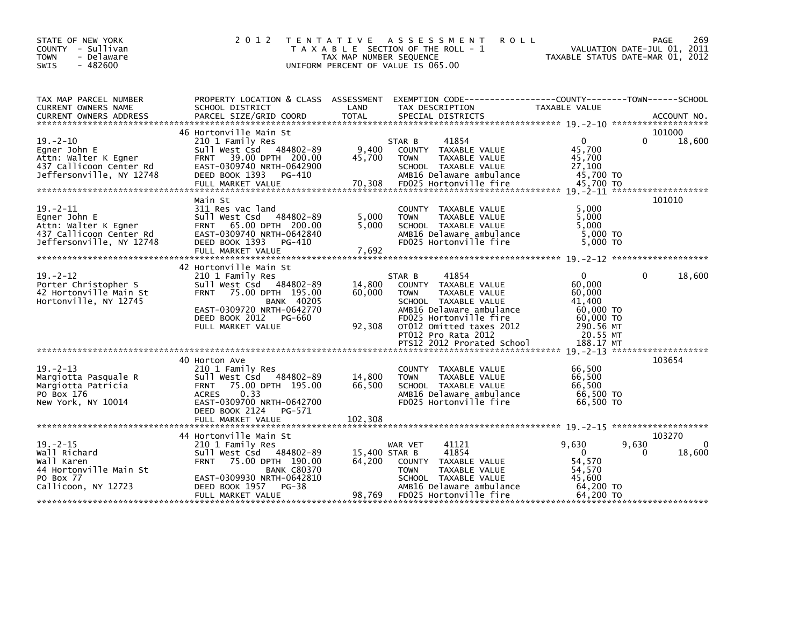| STATE OF NEW YORK<br>COUNTY - Sullivan<br><b>TOWN</b><br>- Delaware<br>$-482600$<br><b>SWIS</b>               | 2 0 1 2<br>T E N T A T I V E                                                                                                                                                                                 | A S S E S S M E N T<br><b>ROLL</b><br>T A X A B L E SECTION OF THE ROLL - 1<br>TAX MAP NUMBER SEQUENCE<br>UNIFORM PERCENT OF VALUE IS 065.00                                                                                           | 269<br>PAGE<br>VALUATION DATE-JUL 01, 2011<br>TAXABLE STATUS DATE-MAR 01, 2012                               |
|---------------------------------------------------------------------------------------------------------------|--------------------------------------------------------------------------------------------------------------------------------------------------------------------------------------------------------------|----------------------------------------------------------------------------------------------------------------------------------------------------------------------------------------------------------------------------------------|--------------------------------------------------------------------------------------------------------------|
| TAX MAP PARCEL NUMBER<br>CURRENT OWNERS NAME                                                                  | SCHOOL DISTRICT                                                                                                                                                                                              | PROPERTY LOCATION & CLASS ASSESSMENT EXEMPTION CODE----------------COUNTY-------TOWN------SCHOOL<br>LAND<br>TAX DESCRIPTION                                                                                                            | TAXABLE VALUE                                                                                                |
| $19. - 2 - 10$<br>Egner John E<br>Attn: Walter K Egner<br>437 Callicoon Center Rd<br>Jeffersonville, NY 12748 | 46 Hortonville Main St<br>210 1 Family Res<br>Sull West Csd 484802-89<br>FRNT 39.00 DPTH 200.00<br>EAST-0309740 NRTH-0642900<br>DEED BOOK 1393<br>PG-410<br>FULL MARKET VALUE                                | 41854<br>STAR B<br>9,400<br>COUNTY TAXABLE VALUE<br>45,700<br>TAXABLE VALUE<br><b>TOWN</b><br>SCHOOL TAXABLE VALUE<br>AMB16 Delaware ambulance<br>70,308<br>FD025 Hortonville fire                                                     | 101000<br>$\mathbf{0}$<br>$\Omega$<br>18,600<br>45.700<br>45,700<br>27,100<br>45,700 TO<br>45,700 TO         |
| $19 - 2 - 11$<br>Egner John E<br>Attn: Walter K Egner<br>437 Callicoon Center Rd<br>Jeffersonville, NY 12748  | Main St<br>311 Res vac land<br>Sull West Csd 484802-89<br>FRNT 65.00 DPTH 200.00<br>EAST-0309740 NRTH-0642840<br>DEED BOOK 1393<br>PG-410<br>FULL MARKET VALUE                                               | COUNTY TAXABLE VALUE<br>5,000<br>TAXABLE VALUE<br><b>TOWN</b><br>5.000<br>SCHOOL TAXABLE VALUE<br>AMB16 Delaware ambulance<br>FD025 Hortonville fire<br>7,692                                                                          | 101010<br>5,000<br>5,000<br>5.000<br>5,000 TO<br>$5.000$ TO                                                  |
| $19. - 2 - 12$<br>Porter Christopher S<br>42 Hortonville Main St<br>Hortonville, NY 12745                     | 42 Hortonville Main St<br>210 1 Family Res<br>Sull West Csd 484802-89<br><b>FRNT</b><br>75.00 DPTH 195.00<br><b>BANK 40205</b><br>EAST-0309720 NRTH-0642770<br>DEED BOOK 2012<br>PG-660<br>FULL MARKET VALUE | 41854<br>STAR B<br>14,800<br>COUNTY TAXABLE VALUE<br>60,000<br>TAXABLE VALUE<br><b>TOWN</b><br>SCHOOL TAXABLE VALUE<br>AMB16 Delaware ambulance<br>FD025 Hortonville fire<br>92,308<br>OT012 Omitted taxes 2012<br>PT012 Pro Rata 2012 | 18,600<br>0<br>$\mathbf{0}$<br>60.000<br>60,000<br>41,400<br>60,000 TO<br>60.000 TO<br>290.56 MT<br>20.55 MT |
| $19. - 2 - 13$<br>Margiotta Pasquale R<br>Margiotta Patricia<br>PO Box 176<br>New York, NY 10014              | 40 Horton Ave<br>210 1 Family Res<br>Sull West Csd 484802-89<br>FRNT 75.00 DPTH 195.00<br><b>ACRES</b><br>0.33<br>EAST-0309700 NRTH-0642700<br>DEED BOOK 2124<br>PG-571                                      | COUNTY TAXABLE VALUE<br>14,800<br><b>TOWN</b><br>TAXABLE VALUE<br>66,500<br>SCHOOL TAXABLE VALUE<br>AMB16 Delaware ambulance<br>FD025 Hortonville fire                                                                                 | 103654<br>66,500<br>66,500<br>66,500<br>66,500 TO<br>66,500 TO                                               |
| $19. - 2 - 15$                                                                                                | 44 Hortonville Main St<br>210 1 Family Res                                                                                                                                                                   | 41121<br>WAR VET                                                                                                                                                                                                                       | 103270<br>9,630<br>9,630<br>0                                                                                |
| Wall Richard<br>Wall Karen<br>44 Hortonville Main St<br>PO Box 77<br>Callicoon, NY 12723                      | Sull West Csd 484802-89<br>75.00 DPTH 190.00<br><b>FRNT</b><br><b>BANK C80370</b><br>EAST-0309930 NRTH-0642810<br>$PG-38$<br>DEED BOOK 1957<br>FULL MARKET VALUE                                             | 41854<br>15,400 STAR B<br>64,200<br>COUNTY TAXABLE VALUE<br>TAXABLE VALUE<br><b>TOWN</b><br>SCHOOL TAXABLE VALUE<br>AMB16 Delaware ambulance<br>98,769<br>FD025 Hortonville fire                                                       | $\Omega$<br>18,600<br>0<br>54,570<br>54,570<br>45,600<br>64,200 TO<br>64,200 TO                              |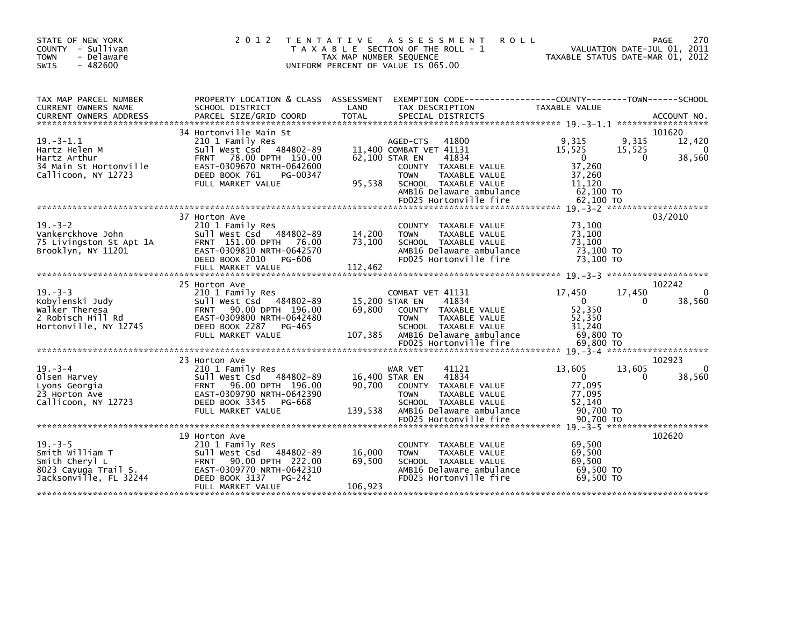| STATE OF NEW YORK<br>COUNTY - Sullivan<br><b>TOWN</b><br>- Delaware<br>$-482600$<br><b>SWIS</b>      | 2 0 1 2                                                                                                                                                                        | T E N T A T I V E<br>TAX MAP NUMBER SEQUENCE | A S S E S S M E N T<br><b>ROLL</b><br>T A X A B L E SECTION OF THE ROLL - 1<br>UNIFORM PERCENT OF VALUE IS 065.00                                                                          | VALUATION DATE-JUL 01, 2011<br>TAXABLE STATUS DATE-MAR 01, 2012                                   | <b>PAGE</b><br>270                     |
|------------------------------------------------------------------------------------------------------|--------------------------------------------------------------------------------------------------------------------------------------------------------------------------------|----------------------------------------------|--------------------------------------------------------------------------------------------------------------------------------------------------------------------------------------------|---------------------------------------------------------------------------------------------------|----------------------------------------|
| TAX MAP PARCEL NUMBER<br>CURRENT OWNERS NAME                                                         | PROPERTY LOCATION & CLASS ASSESSMENT<br>SCHOOL DISTRICT                                                                                                                        | LAND                                         | EXEMPTION CODE-----------------COUNTY-------TOWN------SCHOOL<br>TAX DESCRIPTION                                                                                                            | <b>TAXABLE VALUE</b>                                                                              |                                        |
| $19. - 3 - 1.1$<br>Hartz Helen M<br>Hartz Arthur<br>34 Main St Hortonville<br>Callicoon, NY 12723    | 34 Hortonville Main St<br>210 1 Family Res<br>Sull West Csd 484802-89<br>FRNT 78.00 DPTH 150.00<br>EAST-0309670 NRTH-0642600<br>DEED BOOK 761<br>PG-00347<br>FULL MARKET VALUE | 95,538                                       | AGED-CTS<br>41800<br>11,400 COMBAT VET 41131<br>62,100 STAR EN<br>41834<br>COUNTY TAXABLE VALUE<br><b>TAXABLE VALUE</b><br><b>TOWN</b><br>SCHOOL TAXABLE VALUE<br>AMB16 Delaware ambulance | 9,315<br>9,315<br>15,525<br>15,525<br>$\mathbf 0$<br>0<br>37,260<br>37,260<br>11.120<br>62,100 TO | 101620<br>12,420<br>$\Omega$<br>38,560 |
|                                                                                                      |                                                                                                                                                                                |                                              | FD025 Hortonville fire                                                                                                                                                                     | 62,100 TO                                                                                         |                                        |
| $19. - 3 - 2$<br>Vankerckhove John<br>75 Livingston St Apt 1A<br>Brooklyn, NY 11201                  | 37 Horton Ave<br>210 1 Family Res<br>Sull West Csd 484802-89<br>FRNT 151.00 DPTH 76.00<br>EAST-0309810 NRTH-0642570<br>DEED BOOK 2010<br>PG-606<br>FULL MARKET VALUE           | 14,200<br>73,100<br>112.462                  | COUNTY TAXABLE VALUE<br>TAXABLE VALUE<br><b>TOWN</b><br>SCHOOL TAXABLE VALUE<br>AMB16 Delaware ambulance<br>FD025 Hortonville fire                                                         | 73.100<br>73,100<br>73,100<br>73,100 TO<br>73,100 TO                                              | 03/2010                                |
|                                                                                                      | 25 Horton Ave                                                                                                                                                                  |                                              |                                                                                                                                                                                            |                                                                                                   | 102242                                 |
| $19. - 3 - 3$<br>Kobylenski Judy<br>Walker Theresa<br>2 Robisch Hill Rd<br>Hortonville, NY 12745     | 210 1 Family Res<br>Sull West Csd 484802-89<br>FRNT 90.00 DPTH 196.00<br>EAST-0309800 NRTH-0642480<br>DEED BOOK 2287<br>PG-465<br>FULL MARKET VALUE                            | 69.800<br>107,385                            | COMBAT VET 41131<br>15,200 STAR EN<br>41834<br>COUNTY TAXABLE VALUE<br><b>TOWN</b><br><b>TAXABLE VALUE</b><br>SCHOOL TAXABLE VALUE<br>AMB16 Delaware ambulance<br>FD025 Hortonville fire   | 17,450<br>17,450<br>$\Omega$<br>0<br>52,350<br>52.350<br>31,240<br>69,800 TO                      | 0<br>38,560                            |
|                                                                                                      |                                                                                                                                                                                |                                              |                                                                                                                                                                                            | 69,800 TO                                                                                         |                                        |
| $19. - 3 - 4$<br>Olsen Harvey<br>Lyons Georgia<br>23 Horton Ave<br>Callicoon, NY 12723               | 23 Horton Ave<br>210 1 Family Res<br>Sull West Csd 484802-89<br>96.00 DPTH 196.00<br><b>FRNT</b><br>EAST-0309790 NRTH-0642390<br>DEED BOOK 3345<br>PG-668<br>FULL MARKET VALUE | 90.700<br>139,538                            | WAR VET<br>41121<br>41834<br>16,400 STAR EN<br>COUNTY TAXABLE VALUE<br>TAXABLE VALUE<br><b>TOWN</b><br>SCHOOL TAXABLE VALUE<br>AMB16 Delaware ambulance                                    | 13,605<br>13,605<br>$\mathbf{0}$<br>0<br>77,095<br>77,095<br>52,140<br>90,700 TO                  | 102923<br>$\Omega$<br>38,560           |
|                                                                                                      |                                                                                                                                                                                |                                              | FD025 Hortonville fire                                                                                                                                                                     | 90,700 TO                                                                                         |                                        |
| $19. - 3 - 5$<br>Smith William T<br>Smith Cheryl L<br>8023 Cayuga Trail S.<br>Jacksonville, FL 32244 | 19 Horton Ave<br>210 1 Family Res<br>Sull West Csd 484802-89<br>90.00 DPTH 222.00<br><b>FRNT</b><br>EAST-0309770 NRTH-0642310<br>DEED BOOK 3137<br>PG-242<br>FULL MARKET VALUE | 16,000<br>69,500<br>106,923                  | COUNTY TAXABLE VALUE<br><b>TOWN</b><br>TAXABLE VALUE<br>SCHOOL TAXABLE VALUE<br>AMB16 Delaware ambulance<br>FD025 Hortonville fire                                                         | 69,500<br>69,500<br>69.500<br>69,500 TO<br>69.500 TO                                              | 102620                                 |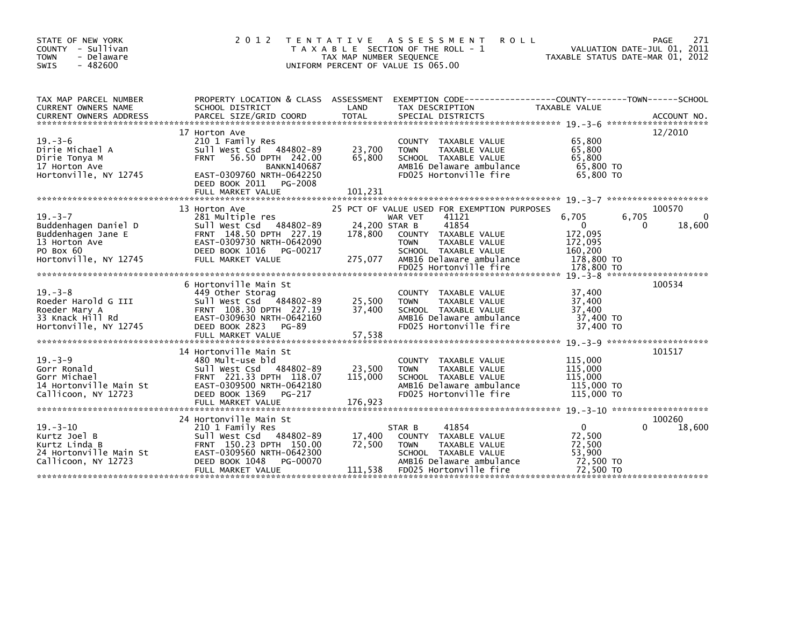| STATE OF NEW YORK<br>COUNTY - Sullivan<br><b>TOWN</b><br>- Delaware<br>$-482600$<br><b>SWIS</b>                    | 2 0 1 2                                                                                                                                                                                               | T E N T A T I V E<br>TAX MAP NUMBER SEQUENCE<br>UNIFORM PERCENT OF VALUE IS 065.00 | A S S E S S M E N T<br><b>ROLL</b><br>T A X A B L E SECTION OF THE ROLL - 1                                                                                                                                    | TAXABLE STATUS DATE-MAR 01, 2012                                                     | 271<br>PAGE<br>VALUATION DATE-JUL 01, 2011 |
|--------------------------------------------------------------------------------------------------------------------|-------------------------------------------------------------------------------------------------------------------------------------------------------------------------------------------------------|------------------------------------------------------------------------------------|----------------------------------------------------------------------------------------------------------------------------------------------------------------------------------------------------------------|--------------------------------------------------------------------------------------|--------------------------------------------|
| TAX MAP PARCEL NUMBER<br>CURRENT OWNERS NAME                                                                       | SCHOOL DISTRICT                                                                                                                                                                                       | LAND                                                                               | PROPERTY LOCATION & CLASS ASSESSMENT EXEMPTION CODE---------------COUNTY-------TOWN------SCHOOL<br>TAX DESCRIPTION                                                                                             | TAXABLE VALUE                                                                        |                                            |
| $19. - 3 - 6$<br>Dirie Michael A<br>Dirie Tonya M<br>17 Horton Ave<br>Hortonville, NY 12745                        | 17 Horton Ave<br>210 1 Family Res<br>Sull West Csd 484802-89<br>56.50 DPTH 242.00<br><b>FRNT</b><br><b>BANKN140687</b><br>EAST-0309760 NRTH-0642250<br>DEED BOOK 2011<br>PG-2008<br>FULL MARKET VALUE | 23,700<br>65,800<br>101,231                                                        | COUNTY TAXABLE VALUE<br>TAXABLE VALUE<br><b>TOWN</b><br>SCHOOL TAXABLE VALUE<br>AMB16 Delaware ambulance<br>FD025 Hortonville fire                                                                             | 65,800<br>65,800<br>65,800<br>65,800 TO<br>65,800 TO                                 | 12/2010                                    |
|                                                                                                                    |                                                                                                                                                                                                       |                                                                                    |                                                                                                                                                                                                                |                                                                                      |                                            |
| $19. - 3 - 7$<br>Buddenhagen Daniel D<br>Buddenhagen Jane E<br>13 Horton Ave<br>PO Box 60<br>Hortonville, NY 12745 | 13 Horton Ave<br>281 Multiple res<br>Sull West Csd 484802-89<br>FRNT 148.50 DPTH 227.19<br>EAST-0309730 NRTH-0642090<br>DEED BOOK 1016<br>PG-00217<br>FULL MARKET VALUE                               | 24,200 STAR B<br>178,800<br>275,077                                                | 25 PCT OF VALUE USED FOR EXEMPTION PURPOSES<br>41121<br>WAR VET<br>41854<br>COUNTY TAXABLE VALUE<br><b>TOWN</b><br>TAXABLE VALUE<br>SCHOOL TAXABLE VALUE<br>AMB16 Delaware ambulance<br>FD025 Hortonville fire | 6,705<br>$\overline{0}$<br>172,095<br>172,095<br>160,200<br>178,800 TO<br>178,800 TO | 100570<br>6,705<br>0<br>18,600<br>$\Omega$ |
|                                                                                                                    |                                                                                                                                                                                                       |                                                                                    |                                                                                                                                                                                                                |                                                                                      |                                            |
| $19. - 3 - 8$<br>Roeder Harold G III<br>Roeder Mary A<br>33 Knack Hill Rd<br>Hortonville, NY 12745                 | 6 Hortonville Main St<br>449 Other Storag<br>sull west Csd<br>484802-89<br>FRNT 108.30 DPTH 227.19<br>EAST-0309630 NRTH-0642160<br>DEED BOOK 2823<br>PG-89<br>FULL MARKET VALUE                       | 25,500<br>37.400<br>57,538                                                         | COUNTY TAXABLE VALUE<br><b>TOWN</b><br>TAXABLE VALUE<br>SCHOOL TAXABLE VALUE<br>AMB16 Delaware ambulance<br>FD025 Hortonville fire                                                                             | 37,400<br>37,400<br>37,400<br>37,400 TO<br>37,400 TO                                 | 100534                                     |
|                                                                                                                    | 14 Hortonville Main St                                                                                                                                                                                |                                                                                    |                                                                                                                                                                                                                |                                                                                      | 101517                                     |
| $19. - 3 - 9$<br>Gorr Ronald<br>Gorr Michael<br>14 Hortonville Main St<br>Callicoon, NY 12723                      | 480 Mult-use bld<br>Sull West Csd 484802-89<br>FRNT 221.33 DPTH 118.07<br>EAST-0309500 NRTH-0642180<br>DEED BOOK 1369<br>PG-217                                                                       | 23,500<br>115,000                                                                  | COUNTY TAXABLE VALUE<br><b>TOWN</b><br>TAXABLE VALUE<br>SCHOOL TAXABLE VALUE<br>AMB16 Delaware ambulance<br>FD025 Hortonville fire                                                                             | 115,000<br>115,000<br>115,000<br>115,000 TO<br>115,000 TO                            |                                            |
|                                                                                                                    | FULL MARKET VALUE                                                                                                                                                                                     | 176,923                                                                            |                                                                                                                                                                                                                |                                                                                      |                                            |
|                                                                                                                    |                                                                                                                                                                                                       |                                                                                    |                                                                                                                                                                                                                |                                                                                      |                                            |
| $19. - 3 - 10$<br>Kurtz Joel B<br>Kurtz Linda B<br>24 Hortonville Main St<br>Callicoon, NY 12723                   | 24 Hortonville Main St<br>210 1 Family Res<br>Sull West Csd 484802-89<br>FRNT 150.23 DPTH 150.00<br>EAST-0309560 NRTH-0642300<br>DEED BOOK 1048<br>PG-00070<br>FULL MARKET VALUE                      | 17,400<br>72,500<br>111,538                                                        | 41854<br>STAR B<br>COUNTY TAXABLE VALUE<br><b>TOWN</b><br>TAXABLE VALUE<br>SCHOOL TAXABLE VALUE<br>AMB16 Delaware ambulance<br>FD025 Hortonville fire                                                          | $\mathbf 0$<br>72,500<br>72,500<br>53.900<br>72,500 TO<br>72,500 TO                  | 100260<br>18,600                           |
|                                                                                                                    |                                                                                                                                                                                                       |                                                                                    |                                                                                                                                                                                                                |                                                                                      |                                            |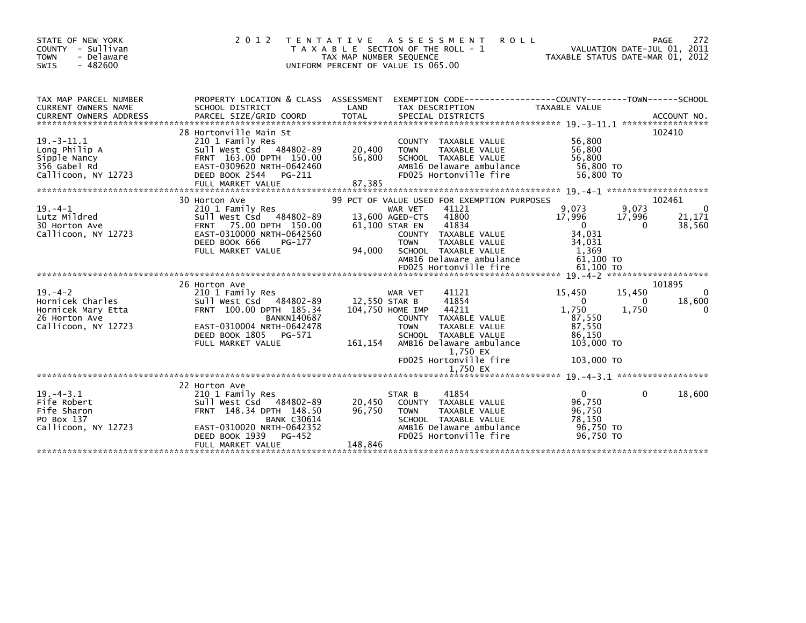| STATE OF NEW YORK<br>- Sullivan<br><b>COUNTY</b><br>- Delaware<br><b>TOWN</b><br>$-482600$<br><b>SWIS</b> | 2 0 1 2                                                                                                                                                                                     | T E N T A T I V E<br>TAXABLE<br>TAX MAP NUMBER SEQUENCE<br>UNIFORM PERCENT OF VALUE IS 065.00 | <b>ROLL</b><br>A S S E S S M E N T<br>SECTION OF THE ROLL - 1                                                                                                                       | VALUATION DATE-JUL 01, 2011<br>TAXABLE STATUS DATE-MAR 01, 2012                                | PAGE<br>272                            |
|-----------------------------------------------------------------------------------------------------------|---------------------------------------------------------------------------------------------------------------------------------------------------------------------------------------------|-----------------------------------------------------------------------------------------------|-------------------------------------------------------------------------------------------------------------------------------------------------------------------------------------|------------------------------------------------------------------------------------------------|----------------------------------------|
| TAX MAP PARCEL NUMBER<br>CURRENT OWNERS NAME                                                              | PROPERTY LOCATION & CLASS ASSESSMENT<br>SCHOOL DISTRICT                                                                                                                                     | LAND                                                                                          | EXEMPTION CODE-----------------COUNTY-------TOWN------SCHOOL<br>TAX DESCRIPTION                                                                                                     | <b>TAXABLE VALUE</b>                                                                           |                                        |
|                                                                                                           |                                                                                                                                                                                             |                                                                                               |                                                                                                                                                                                     |                                                                                                |                                        |
|                                                                                                           | 28 Hortonville Main St                                                                                                                                                                      |                                                                                               |                                                                                                                                                                                     |                                                                                                | 102410                                 |
| $19. -3 - 11.1$<br>Long Philip A<br>Sipple Nancy<br>356 Gabel Rd<br>Callicoon, NY 12723                   | 210 1 Family Res<br>Sull West Csd 484802-89<br>FRNT 163.00 DPTH 150.00<br>EAST-0309620 NRTH-0642460<br>DEED BOOK 2544<br>PG-211<br>FULL MARKET VALUE                                        | 20,400<br>56,800<br>87,385                                                                    | <b>COUNTY</b><br>TAXABLE VALUE<br><b>TOWN</b><br><b>TAXABLE VALUE</b><br>SCHOOL TAXABLE VALUE<br>AMB16 Delaware ambulance<br>FD025 Hortonville fire                                 | 56,800<br>56,800<br>56,800<br>56,800 TO<br>56,800 TO                                           |                                        |
|                                                                                                           | 30 Horton Ave                                                                                                                                                                               |                                                                                               | 99 PCT OF VALUE USED FOR EXEMPTION PURPOSES                                                                                                                                         |                                                                                                | 102461                                 |
| $19. -4 - 1$<br>Lutz Mildred<br>30 Horton Ave<br>Callicoon, NY 12723                                      | 210 1 Family Res<br>Sull West Csd 484802-89<br>75.00 DPTH 150.00<br><b>FRNT</b><br>EAST-0310000 NRTH-0642560                                                                                |                                                                                               | 41121<br>WAR VET<br>41800<br>13,600 AGED-CTS<br>41834<br>61,100 STAR EN<br>TAXABLE VALUE<br><b>COUNTY</b>                                                                           | 9,073<br>9,073<br>17,996<br>17,996<br>$\Omega$<br>34,031                                       | $\Omega$<br>21,171<br>38,560<br>0      |
|                                                                                                           | DEED BOOK 666<br>PG-177<br>FULL MARKET VALUE                                                                                                                                                | 94,000                                                                                        | <b>TOWN</b><br><b>TAXABLE VALUE</b><br>SCHOOL TAXABLE VALUE<br>AMB16 Delaware ambulance<br>FD025 Hortonville fire                                                                   | 34,031<br>1.369<br>61,100 TO<br>61.100 TO                                                      |                                        |
|                                                                                                           |                                                                                                                                                                                             |                                                                                               |                                                                                                                                                                                     |                                                                                                |                                        |
| $19. -4 - 2$<br>Hornicek Charles<br>Hornicek Mary Etta<br>26 Horton Ave<br>Callicoon, NY 12723            | 26 Horton Ave<br>210 1 Family Res<br>Sull West Csd 484802-89<br>FRNT 100.00 DPTH 185.34<br><b>BANKN140687</b><br>EAST-0310004 NRTH-0642478<br>DEED BOOK 1805<br>PG-571<br>FULL MARKET VALUE | 12.550 STAR B<br>161,154                                                                      | 41121<br>WAR VET<br>41854<br>44211<br>104.750 HOME IMP<br>TAXABLE VALUE<br><b>COUNTY</b><br><b>TOWN</b><br><b>TAXABLE VALUE</b><br>SCHOOL TAXABLE VALUE<br>AMB16 Delaware ambulance | 15,450<br>15,450<br>$\mathbf{0}$<br>1,750<br>1,750<br>87,550<br>87,550<br>86,150<br>103,000 TO | 101895<br>$\Omega$<br>18,600<br>0<br>0 |
|                                                                                                           |                                                                                                                                                                                             |                                                                                               | 1,750 EX<br>FD025 Hortonville fire                                                                                                                                                  | 103,000 TO                                                                                     |                                        |
|                                                                                                           |                                                                                                                                                                                             |                                                                                               | 1,750 EX                                                                                                                                                                            |                                                                                                |                                        |
| $19. -4 - 3.1$<br>Fife Robert<br>Fife Sharon<br>PO Box 137<br>Callicoon, NY 12723                         | 22 Horton Ave<br>210 1 Family Res<br>Sull West Csd 484802-89<br>FRNT 148.34 DPTH 148.50<br><b>BANK C30614</b><br>EAST-0310020 NRTH-0642352<br>$PG-452$<br>DEED BOOK 1939                    | 20,450<br>96,750                                                                              | 41854<br>STAR B<br>TAXABLE VALUE<br><b>COUNTY</b><br><b>TAXABLE VALUE</b><br><b>TOWN</b><br>SCHOOL TAXABLE VALUE<br>AMB16 Delaware ambulance<br>FD025 Hortonville fire              | $\mathbf{0}$<br>96,750<br>96,750<br>78.150<br>96.750 TO<br>96,750 TO                           | 0<br>18,600                            |
|                                                                                                           | FULL MARKET VALUE                                                                                                                                                                           | 148,846                                                                                       |                                                                                                                                                                                     |                                                                                                |                                        |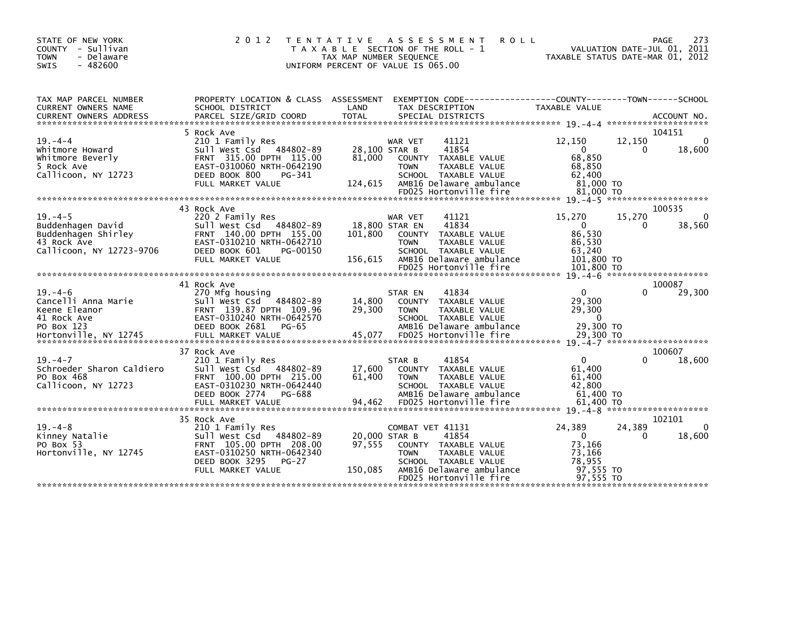| STATE OF NEW YORK<br>COUNTY - Sullivan<br>- Delaware<br><b>TOWN</b><br>$-482600$<br><b>SWIS</b>                                                                                                                                          | 2 0 1 2                                                                                                                                                            | T E N T A T I V E<br>TAX MAP NUMBER SEQUENCE | A S S E S S M E N T<br><b>ROLL</b><br>T A X A B L E SECTION OF THE ROLL - 1<br>UNIFORM PERCENT OF VALUE IS 065.00                                      | TAXABLE STATUS DATE-MAR 01, 2012                                  | PAGE<br>VALUATION DATE-JUL 01, 2011          | 273         |
|------------------------------------------------------------------------------------------------------------------------------------------------------------------------------------------------------------------------------------------|--------------------------------------------------------------------------------------------------------------------------------------------------------------------|----------------------------------------------|--------------------------------------------------------------------------------------------------------------------------------------------------------|-------------------------------------------------------------------|----------------------------------------------|-------------|
| TAX MAP PARCEL NUMBER<br>CURRENT OWNERS NAME                                                                                                                                                                                             | PROPERTY LOCATION & CLASS ASSESSMENT<br>SCHOOL DISTRICT                                                                                                            | LAND                                         | EXEMPTION CODE------------------COUNTY--------TOWN------SCHOOL<br>TAX DESCRIPTION                                                                      | TAXABLE VALUE                                                     |                                              |             |
|                                                                                                                                                                                                                                          | 5 Rock Ave                                                                                                                                                         |                                              |                                                                                                                                                        |                                                                   | 104151                                       |             |
| $19. -4 -4$<br>Whitmore Howard<br>Whitmore Beverly<br>5 Rock Ave<br>Callicoon, NY 12723                                                                                                                                                  | 210 1 Family Res<br>Sull West Csd 484802-89<br>FRNT 315.00 DPTH 115.00<br>EAST-0310060 NRTH-0642190<br>DEED BOOK 800<br>PG-341<br>FULL MARKET VALUE                | 81.000<br>124,615                            | 41121<br>WAR VET<br>41854<br>28,100 STAR B<br>COUNTY TAXABLE VALUE<br><b>TOWN</b><br>TAXABLE VALUE<br>SCHOOL TAXABLE VALUE<br>AMB16 Delaware ambulance | 12,150<br>$\Omega$<br>68,850<br>68,850<br>62.400<br>81,000 TO     | 12,150<br>$\Omega$                           | 0<br>18,600 |
|                                                                                                                                                                                                                                          |                                                                                                                                                                    |                                              | FD025 Hortonville fire                                                                                                                                 | 81,000 TO                                                         |                                              |             |
| $19. -4 - 5$                                                                                                                                                                                                                             | 43 Rock Ave<br>220 2 Family Res                                                                                                                                    |                                              | 41121<br>WAR VET                                                                                                                                       | 15,270                                                            | 100535<br>15,270                             | 0           |
| Buddenhagen David<br>Buddenhagen Shirley<br>43 Rock Ave<br>Callicoon, NY 12723-9706                                                                                                                                                      | Sull West Csd 484802-89<br>FRNT 140.00 DPTH 155.00<br>EAST-0310210 NRTH-0642710<br>DEED BOOK 601<br>PG-00150<br>FULL MARKET VALUE                                  | 101,800<br>156,615                           | 41834<br>18,800 STAR EN<br>COUNTY TAXABLE VALUE<br><b>TOWN</b><br>TAXABLE VALUE<br>SCHOOL TAXABLE VALUE<br>AMB16 Delaware ambulance                    | $\mathbf{0}$<br>86,530<br>86,530<br>63,240<br>101,800 TO          | 0                                            | 38,560      |
|                                                                                                                                                                                                                                          |                                                                                                                                                                    |                                              | FD025 Hortonville fire                                                                                                                                 | 101,800 TO                                                        |                                              |             |
|                                                                                                                                                                                                                                          | 41 Rock Ave                                                                                                                                                        |                                              |                                                                                                                                                        |                                                                   | $19 - 4 - 6$ *********************<br>100087 |             |
| $19. -4 - 6$<br>Cancelli Anna Marie<br>Keene Eleanor<br>41 Rock Ave<br>PO Box 123<br>077 FDDL MARKET VALUE 15,077 FDD25 Hortonville fire 29,300 TO 25.00 FOR THE MARKET VALUE 15,077 FDD25 Hortonville fire 29,300 TO 25.00 FOR THE 2011 | 270 Mfg housing<br>Sull West Csd<br>484802-89<br>FRNT 139.87 DPTH 109.96<br>EAST-0310240 NRTH-0642570<br>DEED BOOK 2681<br>PG-65                                   | 14,800<br>29,300                             | 41834<br>STAR EN<br>COUNTY TAXABLE VALUE<br>TAXABLE VALUE<br><b>TOWN</b><br>SCHOOL TAXABLE VALUE<br>AMB16 Delaware ambulance                           | $\mathbf{0}$<br>29,300<br>29,300<br>$\mathbf{0}$<br>29,300 TO     | 0                                            | 29,300      |
|                                                                                                                                                                                                                                          | 37 Rock Ave                                                                                                                                                        |                                              |                                                                                                                                                        |                                                                   | 100607                                       |             |
| $19. -4 - 7$<br>Schroeder Sharon Caldiero<br>PO Box 468<br>Callicoon, NY 12723                                                                                                                                                           | 210 1 Family Res<br>Sull West Csd 484802-89<br>FRNT 100.00 DPTH 215.00<br>EAST-0310230 NRTH-0642440<br>DEED BOOK 2774<br>PG-688<br>FULL MARKET VALUE               | 17,600<br>61.400<br>94,462                   | 41854<br>STAR B<br>COUNTY TAXABLE VALUE<br>TAXABLE VALUE<br><b>TOWN</b><br>SCHOOL TAXABLE VALUE<br>AMB16 Delaware ambulance<br>FD025 Hortonville fire  | $\Omega$<br>61,400<br>61,400<br>42.800<br>61,400 TO<br>61,400 TO  | <sup>0</sup>                                 | 18,600      |
|                                                                                                                                                                                                                                          |                                                                                                                                                                    |                                              |                                                                                                                                                        |                                                                   |                                              |             |
|                                                                                                                                                                                                                                          | 35 Rock Ave                                                                                                                                                        |                                              |                                                                                                                                                        |                                                                   | 102101                                       |             |
| $19. -4 - 8$<br>Kinney Natalie<br>PO Box 53<br>Hortonville, NY 12745                                                                                                                                                                     | 210 1 Family Res<br>Sull West Csd<br>484802-89<br>105.00 DPTH 208.00<br><b>FRNT</b><br>EAST-0310250 NRTH-0642340<br>DEED BOOK 3295<br>$PG-27$<br>FULL MARKET VALUE | 97,555<br>150,085                            | COMBAT VET 41131<br>41854<br>20,000 STAR B<br>COUNTY TAXABLE VALUE<br><b>TOWN</b><br>TAXABLE VALUE<br>SCHOOL TAXABLE VALUE<br>AMB16 Delaware ambulance | 24,389<br>$\mathbf{0}$<br>73,166<br>73,166<br>78,955<br>97,555 TO | 24,389<br>$\Omega$                           | 0<br>18,600 |
|                                                                                                                                                                                                                                          |                                                                                                                                                                    |                                              | FD025 Hortonville fire                                                                                                                                 | 97,555 TO                                                         |                                              |             |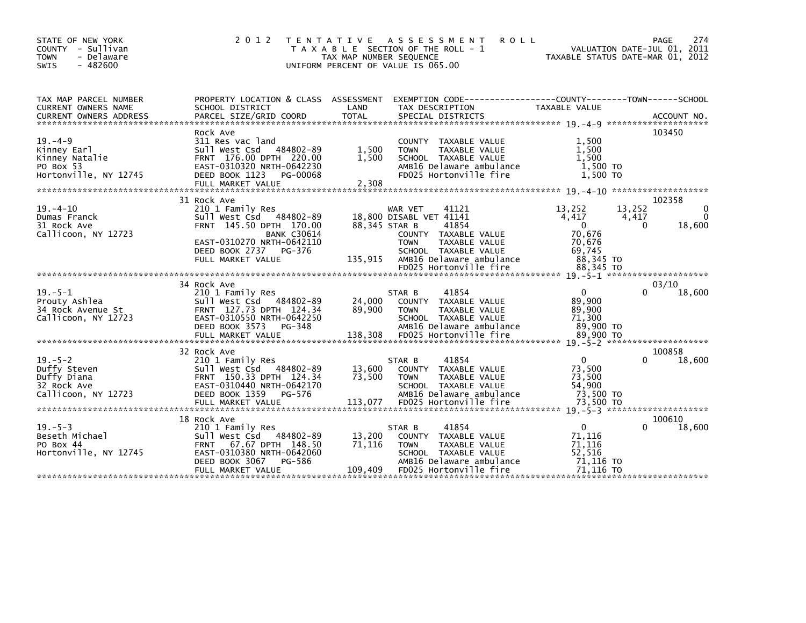| STATE OF NEW YORK<br>COUNTY - Sullivan<br>- Delaware<br><b>TOWN</b><br>$-482600$<br><b>SWIS</b> | 2 0 1 2                                                                                                                                                                                | T E N T A T I V E<br>T A X A B L E SECTION OF THE ROLL - 1<br>TAX MAP NUMBER SEQUENCE<br>UNIFORM PERCENT OF VALUE IS 065.00 | A S S E S S M E N T                                                                                                                          | <b>ROLL</b>                                                         | TAXABLE STATUS DATE-MAR 01, 2012                                                    |                             | PAGE<br>274<br>VALUATION DATE-JUL 01, 2011 |
|-------------------------------------------------------------------------------------------------|----------------------------------------------------------------------------------------------------------------------------------------------------------------------------------------|-----------------------------------------------------------------------------------------------------------------------------|----------------------------------------------------------------------------------------------------------------------------------------------|---------------------------------------------------------------------|-------------------------------------------------------------------------------------|-----------------------------|--------------------------------------------|
| TAX MAP PARCEL NUMBER<br>CURRENT OWNERS NAME                                                    | PROPERTY LOCATION & CLASS ASSESSMENT<br>SCHOOL DISTRICT                                                                                                                                | LAND                                                                                                                        | TAX DESCRIPTION                                                                                                                              | EXEMPTION        CODE-----------------COUNTY-------TOWN------SCHOOL | TAXABLE VALUE                                                                       |                             |                                            |
| $19. -4 - 9$<br>Kinney Earl<br>Kinney Natalie<br>PO Box 53<br>Hortonville, NY 12745             | Rock Ave<br>311 Res vac land<br>Sull West Csd 484802-89<br>FRNT 176.00 DPTH 220.00<br>EAST-0310320 NRTH-0642230<br>DEED BOOK 1123 PG-00068                                             | 1,500<br>1,500                                                                                                              | COUNTY TAXABLE VALUE<br><b>TOWN</b><br>SCHOOL TAXABLE VALUE<br>FD025 Hortonville fire                                                        | TAXABLE VALUE<br>AMB16 Delaware ambulance                           | 1,500<br>1,500<br>1.500<br>1,500 TO<br>1,500 TO                                     |                             | 103450                                     |
| $19. -4 - 10$<br>Dumas Franck<br>31 Rock Ave<br>Callicoon, NY 12723                             | 31 Rock Ave<br>210 1 Family Res<br>Sull West Csd 484802-89<br>FRNT 145.50 DPTH 170.00<br><b>BANK C30614</b><br>EAST-0310270 NRTH-0642110<br>DEED BOOK 2737 PG-376<br>FULL MARKET VALUE | 135,915                                                                                                                     | WAR VET<br>18,800 DISABL VET 41141<br>88,345 STAR B<br>COUNTY TAXABLE VALUE<br><b>TOWN</b><br>SCHOOL TAXABLE VALUE<br>FD025 Hortonville fire | 41121<br>41854<br>TAXABLE VALUE<br>AMB16 Delaware ambulance         | 13,252<br>4,417<br>$\Omega$<br>70,676<br>70,676<br>69,745<br>88,345 TO<br>88,345 TO | 13,252<br>4,417<br>$\Omega$ | 102358<br>$\Omega$<br>$\Omega$<br>18,600   |
|                                                                                                 |                                                                                                                                                                                        |                                                                                                                             |                                                                                                                                              |                                                                     |                                                                                     |                             |                                            |
| $19. - 5 - 1$<br>Prouty Ashlea<br>34 Rock Avenue St<br>Callicoon, NY 12723                      | 34 Rock Ave<br>210 1 Family Res<br>Sull West Csd 484802-89<br>FRNT 127.73 DPTH 124.34<br>EAST-0310550 NRTH-0642250<br>DEED BOOK 3573 PG-348                                            | 24,000<br>89,900                                                                                                            | STAR B<br>COUNTY TAXABLE VALUE<br><b>TOWN</b><br>SCHOOL TAXABLE VALUE                                                                        | 41854<br>TAXABLE VALUE<br>AMB16 Delaware ambulance                  | $\Omega$<br>89,900<br>89,900<br>71,300<br>89,900 TO                                 |                             | 03/10<br>18,600                            |
|                                                                                                 | 32 Rock Ave                                                                                                                                                                            |                                                                                                                             |                                                                                                                                              |                                                                     |                                                                                     |                             | 100858                                     |
| $19. - 5 - 2$<br>Duffy Steven<br>Duffy Diana<br>32 Rock Ave<br>Callicoon, NY 12723              | 210 1 Family Res<br>Sull West Csd 484802-89<br>FRNT 150.33 DPTH 124.34<br>EAST-0310440 NRTH-0642170<br>DEED BOOK 1359<br>PG-576                                                        | 13,600<br>73,500                                                                                                            | STAR B<br>COUNTY TAXABLE VALUE<br><b>TOWN</b><br>SCHOOL TAXABLE VALUE                                                                        | 41854<br>TAXABLE VALUE<br>AMB16 Delaware ambulance                  | $\mathbf{0}$<br>73,500<br>73,500<br>54,900<br>73,500 TO                             |                             | 18,600                                     |
|                                                                                                 | 18 Rock Ave                                                                                                                                                                            |                                                                                                                             |                                                                                                                                              |                                                                     |                                                                                     |                             | 100610                                     |
| $19. - 5 - 3$<br>Beseth Michael<br>PO Box 44<br>Hortonville, NY 12745                           | 210 1 Family Res<br>Sull West Csd 484802-89<br>67.67 DPTH 148.50<br><b>FRNT</b><br>EAST-0310380 NRTH-0642060<br>DEED BOOK 3067<br>PG-586<br>FULL MARKET VALUE                          | 13,200<br>71,116<br>109,409                                                                                                 | STAR B<br>COUNTY TAXABLE VALUE<br><b>TOWN</b><br>SCHOOL TAXABLE VALUE<br>FD025 Hortonville fire                                              | 41854<br>TAXABLE VALUE<br>AMB16 Delaware ambulance                  | $\mathbf{0}$<br>71,116<br>71,116<br>52,516<br>71,116 то<br>71.116 TO                |                             | 18,600                                     |
|                                                                                                 |                                                                                                                                                                                        |                                                                                                                             |                                                                                                                                              |                                                                     |                                                                                     |                             |                                            |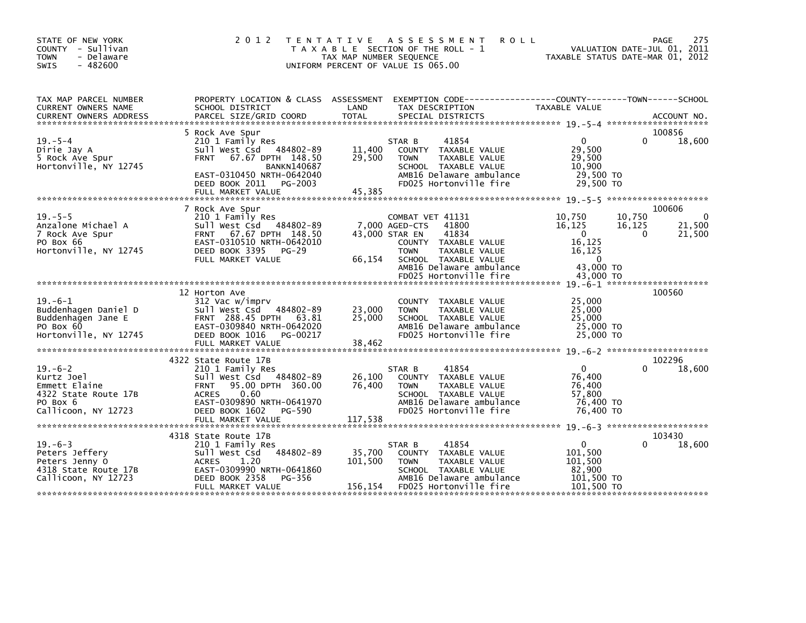| STATE OF NEW YORK<br>COUNTY - Sullivan<br>- Delaware<br><b>TOWN</b><br>$-482600$<br>SWIS               | 2 0 1 2<br>T E N T A T I V E                                                                                                                                                                                  | TAX MAP NUMBER SEQUENCE      | A S S E S S M E N T<br><b>ROLL</b><br>T A X A B L E SECTION OF THE ROLL - 1<br>UNIFORM PERCENT OF VALUE IS 065.00                                                                          |                                                                                        | 275<br>PAGE<br>VALUATION DATE-JUL 01, 2011<br>TAXABLE STATUS DATE-MAR 01, 2012 |
|--------------------------------------------------------------------------------------------------------|---------------------------------------------------------------------------------------------------------------------------------------------------------------------------------------------------------------|------------------------------|--------------------------------------------------------------------------------------------------------------------------------------------------------------------------------------------|----------------------------------------------------------------------------------------|--------------------------------------------------------------------------------|
| TAX MAP PARCEL NUMBER<br>CURRENT OWNERS NAME<br><b>CURRENT OWNERS ADDRESS</b>                          | PROPERTY LOCATION & CLASS ASSESSMENT<br>SCHOOL DISTRICT<br>PARCEL SIZE/GRID COORD                                                                                                                             | LAND<br><b>TOTAL</b>         | TAX DESCRIPTION<br>SPECIAL DISTRICTS                                                                                                                                                       | TAXABLE VALUE                                                                          | ACCOUNT NO.                                                                    |
| $19. - 5 - 4$<br>Dirie Jay A<br>5 Rock Ave Spur<br>Hortonville, NY 12745                               | 5 Rock Ave Spur<br>210 1 Family Res<br>sull west Csd<br>484802-89<br><b>FRNT</b><br>67.67 DPTH 148.50<br><b>BANKN140687</b><br>EAST-0310450 NRTH-0642040<br>DEED BOOK 2011<br>PG-2003                         | 11,400<br>29,500             | 41854<br>STAR B<br>COUNTY TAXABLE VALUE<br>TAXABLE VALUE<br><b>TOWN</b><br>SCHOOL TAXABLE VALUE<br>AMB16 Delaware ambulance<br>FD025 Hortonville fire                                      | $\Omega$<br>29,500<br>29,500<br>10.900<br>29,500 TO<br>29.500 TO                       | 100856<br>0<br>18,600                                                          |
| $19. - 5 - 5$<br>Anzalone Michael A<br>7 Rock Ave Spur<br>PO Box 66<br>Hortonville, NY 12745           | 7 Rock Ave Spur<br>210 1 Family Res<br>Sull West Csd 484802-89<br><b>FRNT</b><br>67.67 DPTH 148.50<br>EAST-0310510 NRTH-0642010<br>DEED BOOK 3395<br>$PG-29$<br>FULL MARKET VALUE                             | 43,000 STAR EN<br>66,154     | COMBAT VET 41131<br>41800<br>7.000 AGED-CTS<br>41834<br>COUNTY TAXABLE VALUE<br><b>TOWN</b><br>TAXABLE VALUE<br>SCHOOL TAXABLE VALUE<br>AMB16 Delaware ambulance<br>FD025 Hortonville fire | 10,750<br>16,125<br>$\Omega$<br>16,125<br>16,125<br>$\Omega$<br>43,000 TO<br>43,000 TO | 100606<br>10,750<br>0<br>16,125<br>21,500<br>$\Omega$<br>21,500                |
| $19. -6 - 1$<br>Buddenhagen Daniel D<br>Buddenhagen Jane E<br>PO Box 60<br>Hortonville, NY 12745       | 12 Horton Ave<br>312 Vac w/imprv<br>484802-89<br>Sull West Csd<br>FRNT 288.45 DPTH 63.81<br>EAST-0309840 NRTH-0642020<br>DEED BOOK 1016<br>PG-00217<br>FULL MARKET VALUE                                      | 23,000<br>25,000<br>38,462   | COUNTY TAXABLE VALUE<br>TAXABLE VALUE<br><b>TOWN</b><br>SCHOOL TAXABLE VALUE<br>AMB16 Delaware ambulance<br>FD025 Hortonville fire                                                         | 25,000<br>25,000<br>25,000<br>25,000 TO<br>25,000 TO                                   | 100560                                                                         |
| $19. -6 - 2$<br>Kurtz Joel<br>Emmett Elaine<br>4322 State Route 17B<br>PO Box 6<br>Callicoon, NY 12723 | 4322 State Route 17B<br>210 1 Family Res<br>Sull West Csd 484802-89<br><b>FRNT</b><br>95.00 DPTH 360.00<br>0.60<br><b>ACRES</b><br>EAST-0309890 NRTH-0641970<br>DEED BOOK 1602<br>PG-590<br>FULL MARKET VALUE | 26,100<br>76,400<br>117,538  | 41854<br>STAR B<br>COUNTY TAXABLE VALUE<br><b>TOWN</b><br>TAXABLE VALUE<br>SCHOOL TAXABLE VALUE<br>AMB16 Delaware ambulance<br>FD025 Hortonville fire                                      | $\Omega$<br>76,400<br>76,400<br>57.800<br>76,400 TO<br>76,400 TO                       | 102296<br>18,600                                                               |
| $19. -6 - 3$<br>Peters Jeffery<br>Peters Jenny O<br>4318 State Route 17B<br>Callicoon, NY 12723        | 4318 State Route 17B<br>210 1 Family Res<br>Sull West Csd 484802-89<br><b>ACRES</b><br>1.20<br>EAST-0309990 NRTH-0641860<br>PG-356<br>DEED BOOK 2358<br>FULL MARKET VALUE                                     | 35,700<br>101,500<br>156,154 | 41854<br>STAR B<br>COUNTY TAXABLE VALUE<br>TAXABLE VALUE<br><b>TOWN</b><br>SCHOOL TAXABLE VALUE<br>AMB16 Delaware ambulance<br>FD025 Hortonville fire                                      | 0<br>101,500<br>101,500<br>82,900<br>101,500 TO<br>101.500 TO                          | 103430<br>18,600                                                               |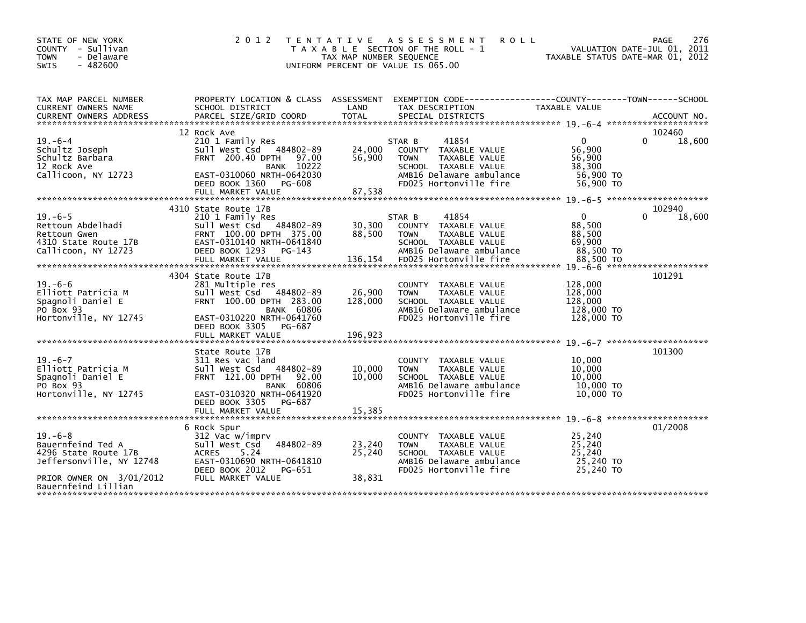| STATE OF NEW YORK<br>COUNTY - Sullivan<br><b>TOWN</b><br>- Delaware<br><b>SWIS</b><br>$-482600$ | 2 0 1 2                                                                                                             | T E N T A T I V E<br>TAX MAP NUMBER SEQUENCE | A S S E S S M E N T<br><b>ROLL</b><br>T A X A B L E SECTION OF THE ROLL - 1<br>UNIFORM PERCENT OF VALUE IS 065.00 | VALUATION DATE-JUL 01, 2011<br>TAXABLE STATUS DATE-MAR 01, 2012 | PAGE<br>276 |
|-------------------------------------------------------------------------------------------------|---------------------------------------------------------------------------------------------------------------------|----------------------------------------------|-------------------------------------------------------------------------------------------------------------------|-----------------------------------------------------------------|-------------|
| TAX MAP PARCEL NUMBER<br>CURRENT OWNERS NAME                                                    | PROPERTY LOCATION & CLASS ASSESSMENT<br>SCHOOL DISTRICT                                                             | LAND                                         | EXEMPTION CODE-----------------COUNTY-------TOWN------SCHOOL<br>TAX DESCRIPTION                                   | TAXABLE VALUE                                                   |             |
|                                                                                                 |                                                                                                                     |                                              |                                                                                                                   |                                                                 | 102460      |
| $19. -6 - 4$<br>Schultz Joseph<br>Schultz Barbara                                               | 12 Rock Ave<br>210 1 Family Res<br>Sull West Csd 484802-89<br><b>FRNT 200.40 DPTH</b><br>97.00                      | 24,000<br>56,900                             | STAR B<br>41854<br>COUNTY TAXABLE VALUE<br>TAXABLE VALUE<br><b>TOWN</b>                                           | $\Omega$<br>$\Omega$<br>56,900<br>56.900                        | 18,600      |
| 12 Rock Ave<br>Callicoon, NY 12723                                                              | <b>BANK 10222</b><br>EAST-0310060 NRTH-0642030<br>DEED BOOK 1360<br>PG-608<br>FULL MARKET VALUE                     |                                              | SCHOOL TAXABLE VALUE<br>AMB16 Delaware ambulance<br>FD025 Hortonville fire                                        | 38,300<br>56,900 TO<br>56,900 TO                                |             |
|                                                                                                 |                                                                                                                     | 87,538                                       |                                                                                                                   |                                                                 |             |
|                                                                                                 | 4310 State Route 17B                                                                                                |                                              |                                                                                                                   |                                                                 | 102940      |
| $19. -6 - 5$<br>Rettoun Abdelhadi<br>Rettoun Gwen<br>4310 State Route 17B                       | 210 1 Family Res<br>Sull West Csd 484802-89<br>FRNT 100.00 DPTH 375.00<br>EAST-0310140 NRTH-0641840                 | 30,300<br>88,500                             | STAR B<br>41854<br>COUNTY TAXABLE VALUE<br><b>TOWN</b><br>TAXABLE VALUE<br>SCHOOL TAXABLE VALUE                   | 0<br>0<br>88,500<br>88,500<br>69,900                            | 18,600      |
| Callicoon, NY 12723                                                                             | DEED BOOK 1293<br>$PG-143$<br>FULL MARKET VALUE                                                                     | 136,154                                      | AMB16 Delaware ambulance<br>FD025 Hortonville fire                                                                | 88,500 TO<br>88,500 TO                                          |             |
|                                                                                                 | 4304 State Route 17B                                                                                                |                                              |                                                                                                                   |                                                                 | 101291      |
| $19. -6 - 6$<br>Elliott Patricia M<br>Spagnoli Daniel E<br>PO Box 93                            | 281 Multiple res<br>Sull West Csd<br>484802-89<br>FRNT 100.00 DPTH 283.00<br><b>BANK 60806</b>                      | 26,900<br>128,000                            | COUNTY TAXABLE VALUE<br>TAXABLE VALUE<br><b>TOWN</b><br>SCHOOL TAXABLE VALUE<br>AMB16 Delaware ambulance          | 128,000<br>128,000<br>128,000<br>128,000 TO                     |             |
| Hortonville, NY 12745                                                                           | EAST-0310220 NRTH-0641760<br>DEED BOOK 3305 PG-687<br>FULL MARKET VALUE                                             | 196,923                                      | FD025 Hortonville fire                                                                                            | 128,000 TO                                                      |             |
|                                                                                                 |                                                                                                                     |                                              |                                                                                                                   |                                                                 |             |
| $19. -6 - 7$<br>Elliott Patricia M<br>Spagnoli Daniel E<br>PO Box 93                            | State Route 17B<br>311 Res vac land<br>484802-89<br>Sull West Csd<br>FRNT 121.00 DPTH<br>92.00<br><b>BANK 60806</b> | 10,000<br>10,000                             | COUNTY TAXABLE VALUE<br><b>TOWN</b><br>TAXABLE VALUE<br>SCHOOL TAXABLE VALUE<br>AMB16 Delaware ambulance          | 10,000<br>10,000<br>10,000<br>10,000 TO                         | 101300      |
| Hortonville, NY 12745                                                                           | EAST-0310320 NRTH-0641920<br>DEED BOOK 3305 PG-687                                                                  |                                              | FD025 Hortonville fire                                                                                            | $10,000$ TO                                                     |             |
|                                                                                                 |                                                                                                                     |                                              |                                                                                                                   |                                                                 |             |
| $19. -6 - 8$<br>Bauernfeind Ted A<br>4296 State Route 17B<br>Jeffersonville, NY 12748           | 6 Rock Spur<br>312 Vac w/imprv<br>484802-89<br>Sull West Csd<br>5.24<br><b>ACRES</b><br>EAST-0310690 NRTH-0641810   | 23,240<br>25,240                             | COUNTY TAXABLE VALUE<br><b>TAXABLE VALUE</b><br><b>TOWN</b><br>SCHOOL TAXABLE VALUE<br>AMB16 Delaware ambulance   | 25,240<br>25.240<br>25,240<br>25,240 TO<br>25,240 TO            | 01/2008     |
| PRIOR OWNER ON 3/01/2012<br>Bauernfeind Lillian                                                 | DEED BOOK 2012<br>PG-651<br>FULL MARKET VALUE                                                                       | 38,831                                       | FD025 Hortonville fire                                                                                            |                                                                 |             |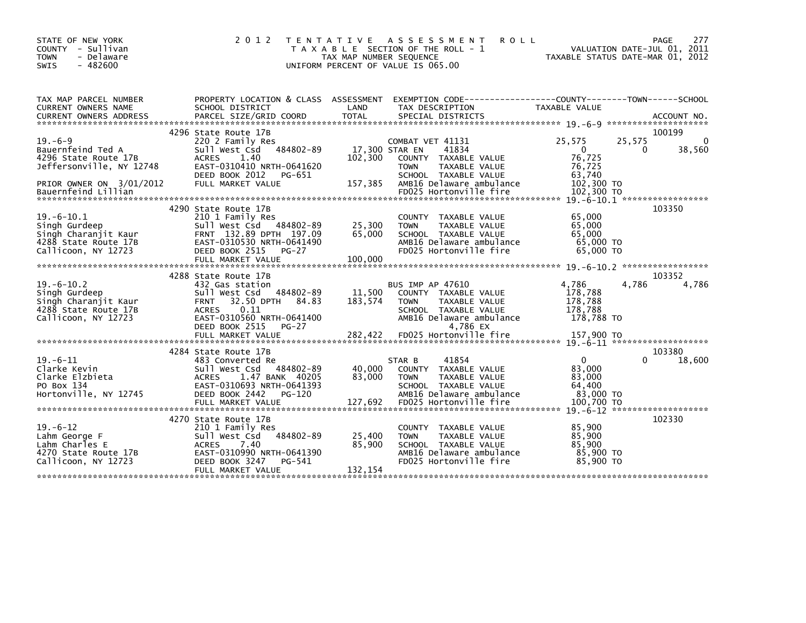| STATE OF NEW YORK<br>- Sullivan<br><b>COUNTY</b><br>- Delaware<br><b>TOWN</b><br>$-482600$<br><b>SWIS</b>                                | 2 0 1 2                                                                                                                                                                                                | T E N T A T I V E<br>TAX MAP NUMBER SEQUENCE<br>UNIFORM PERCENT OF VALUE IS 065.00 | A S S E S S M E N T<br><b>ROLL</b><br>T A X A B L E SECTION OF THE ROLL - 1                                                                                                       |                                                                                  | 277<br>PAGE<br>VALUATION DATE-JUL 01,<br>2011<br>TAXABLE STATUS DATE-MAR 01, 2012 |
|------------------------------------------------------------------------------------------------------------------------------------------|--------------------------------------------------------------------------------------------------------------------------------------------------------------------------------------------------------|------------------------------------------------------------------------------------|-----------------------------------------------------------------------------------------------------------------------------------------------------------------------------------|----------------------------------------------------------------------------------|-----------------------------------------------------------------------------------|
| TAX MAP PARCEL NUMBER<br>CURRENT OWNERS NAME                                                                                             | PROPERTY LOCATION & CLASS ASSESSMENT<br>SCHOOL DISTRICT                                                                                                                                                | LAND                                                                               | EXEMPTION        CODE-----------------COUNTY-------TOWN------SCHOOL<br>TAX DESCRIPTION                                                                                            | <b>TAXABLE VALUE</b>                                                             |                                                                                   |
| $19. -6 - 9$<br>Bauernfeind Ted A<br>4296 State Route 17B<br>Jeffersonville, NY 12748<br>PRIOR OWNER ON 3/01/2012<br>Bauernfeind Lillian | 4296 State Route 17B<br>220 2 Family Res<br>Sull West Csd 484802-89<br>1.40<br><b>ACRES</b><br>EAST-0310410 NRTH-0641620<br>DEED BOOK 2012<br>PG-651<br>FULL MARKET VALUE                              | 102,300<br>157,385                                                                 | COMBAT VET 41131<br>17,300 STAR EN<br>41834<br>COUNTY TAXABLE VALUE<br>TAXABLE VALUE<br><b>TOWN</b><br>SCHOOL TAXABLE VALUE<br>AMB16 Delaware ambulance<br>FD025 Hortonville fire | 25,575<br>$\mathbf{0}$<br>76,725<br>76,725<br>63,740<br>102,300 TO<br>102,300 TO | 100199<br>25,575<br>$\mathbf{0}$<br>38,560<br>$\Omega$                            |
| $19. -6 - 10.1$<br>Singh Gurdeep<br>Singh Charanjit Kaur<br>4288 State Route 17B<br>Callicoon, NY 12723                                  | 4290 State Route 17B<br>210 1 Family Res<br>Sull West Csd 484802-89<br>FRNT 132.89 DPTH 197.09<br>EAST-0310530 NRTH-0641490<br>DEED BOOK 2515<br>$PG-27$                                               | 25,300<br>65,000                                                                   | COUNTY TAXABLE VALUE<br><b>TOWN</b><br>TAXABLE VALUE<br>SCHOOL TAXABLE VALUE<br>AMB16 Delaware ambulance<br>FD025 Hortonville fire                                                | 65,000<br>65,000<br>65,000<br>65,000 TO<br>65,000 TO                             | $19. -6 - 10.1$ ******************<br>103350                                      |
| $19. -6 - 10.2$<br>Singh Gurdeep<br>Singh Charanjit Kaur<br>4288 State Route 17B<br>Callicoon, NY 12723                                  | 4288 State Route 17B<br>432 Gas station<br>Sull West Csd 484802-89<br>32.50 DPTH<br><b>FRNT</b><br>0.11<br><b>ACRES</b><br>EAST-0310560 NRTH-0641400<br>DEED BOOK 2515<br>$PG-27$<br>FULL MARKET VALUE | 11,500<br>84.83<br>183,574<br>282,422                                              | BUS IMP AP 47610<br>COUNTY TAXABLE VALUE<br>TAXABLE VALUE<br><b>TOWN</b><br>SCHOOL TAXABLE VALUE<br>AMB16 Delaware ambulance<br>4,786 EX<br>FD025 Hortonville fire                | 4,786<br>178,788<br>178,788<br>178,788<br>178,788 TO<br>157,900 TO               | 103352<br>4,786<br>4,786<br>$19. -6 - 11$ *********************                   |
| $19. -6 - 11$<br>Clarke Kevin<br>Clarke Elzbieta<br>PO Box 134<br>Hortonville, NY 12745                                                  | 4284 State Route 17B<br>483 Converted Re<br>Sull West Csd<br>484802-89<br><b>ACRES</b><br>1.47 BANK 40205<br>EAST-0310693 NRTH-0641393<br>DEED BOOK 2442<br>PG-120                                     | 40,000<br>83,000                                                                   | 41854<br>STAR B<br>COUNTY TAXABLE VALUE<br><b>TOWN</b><br>TAXABLE VALUE<br>SCHOOL TAXABLE VALUE<br>AMB16 Delaware ambulance<br>FD025 Hortonville fire                             | $\Omega$<br>83,000<br>83,000<br>64,400<br>83,000 TO<br>100,700 TO                | 103380<br>18,600<br>∩<br>$19. -6 - 12$ *********************                      |
| $19. - 6 - 12$<br>Lahm George F<br>Lahm Charles E<br>4270 State Route 17B<br>Callicoon, NY 12723                                         | 4270 State Route 17B<br>210 1 Family Res<br>Sull West Csd<br>484802-89<br>7.40<br><b>ACRES</b><br>EAST-0310990 NRTH-0641390<br>DEED BOOK 3247<br>PG-541<br>FULL MARKET VALUE                           | 25,400<br>85,900<br>132,154                                                        | <b>COUNTY</b><br>TAXABLE VALUE<br>TAXABLE VALUE<br><b>TOWN</b><br>SCHOOL TAXABLE VALUE<br>AMB16 Delaware ambulance<br>FD025 Hortonville fire                                      | 85,900<br>85,900<br>85,900<br>85,900 TO<br>85,900 TO                             | 102330                                                                            |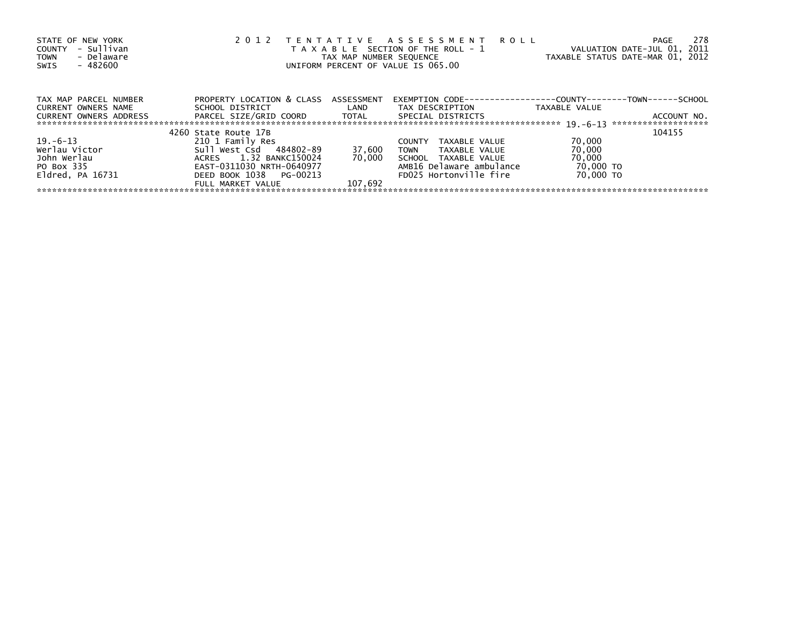| STATE OF NEW YORK<br>- Sullivan<br><b>COUNTY</b><br>- Delaware<br><b>TOWN</b><br>- 482600<br>SWIS | 2 0 1 2                              |         | TENTATIVE ASSESSMENT ROLL<br>T A X A B L E SECTION OF THE ROLL - 1<br>TAX MAP NUMBER SEQUENCE<br>UNIFORM PERCENT OF VALUE IS 065.00 | VALUATION DATE-JUL 01, 2011<br>TAXABLE STATUS DATE-MAR 01, 2012 | 278<br>PAGE |
|---------------------------------------------------------------------------------------------------|--------------------------------------|---------|-------------------------------------------------------------------------------------------------------------------------------------|-----------------------------------------------------------------|-------------|
| TAX MAP PARCEL NUMBER                                                                             | PROPERTY LOCATION & CLASS ASSESSMENT |         | EXEMPTION        CODE-----------------COUNTY--------TOWN------SCHOOL                                                                |                                                                 |             |
| <b>CURRENT OWNERS NAME</b>                                                                        | SCHOOL DISTRICT                      | LAND    | TAX DESCRIPTION                                                                                                                     | TAXABLE VALUE                                                   |             |
| <b>CURRENT OWNERS ADDRESS</b>                                                                     | PARCEL SIZE/GRID COORD       TOTAL   |         | SPECIAL DISTRICTS                                                                                                                   |                                                                 | ACCOUNT NO. |
|                                                                                                   | 4260 State Route 17B                 |         |                                                                                                                                     |                                                                 | 104155      |
| $19. -6 - 13$                                                                                     | 210 1 Family Res                     |         | <b>COUNTY</b><br>TAXABLE VALUE                                                                                                      | 70,000                                                          |             |
| Werlau Victor                                                                                     | Sull West Csd 484802-89              | 37,600  | TOWN<br>TAXABLE VALUE                                                                                                               | 70,000                                                          |             |
| John Werlau                                                                                       | ACRES 1.32 BANKC150024               | 70.000  | SCHOOL TAXABLE VALUE                                                                                                                | 70,000                                                          |             |
| PO Box 335                                                                                        | EAST-0311030 NRTH-0640977            |         | AMB16 Delaware ambulance                                                                                                            | 70,000 TO                                                       |             |
| $E1dred$ , PA $16731$                                                                             | DEED BOOK 1038 PG-00213              |         | FD025 Hortonville fire                                                                                                              | 70,000 TO                                                       |             |
|                                                                                                   | FULL MARKET VALUE                    | 107.692 |                                                                                                                                     |                                                                 |             |
|                                                                                                   |                                      |         |                                                                                                                                     |                                                                 |             |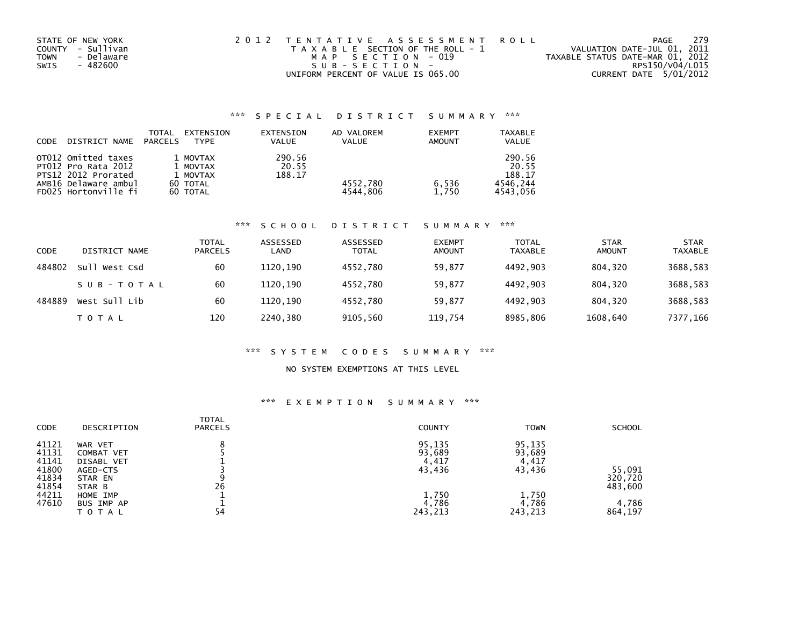| STATE OF NEW YORK |            | 2012 TENTATIVE ASSESSMENT ROLL        |  |                                  |                        | PAGE | 279 |
|-------------------|------------|---------------------------------------|--|----------------------------------|------------------------|------|-----|
| COUNTY - Sullivan |            | T A X A B L E SECTION OF THE ROLL - 1 |  | VALUATION DATE-JUL 01, 2011      |                        |      |     |
| <b>TOWN</b>       | - Delaware | MAP SECTION - 019                     |  | TAXABLE STATUS DATE-MAR 01, 2012 |                        |      |     |
| SWIS              | - 482600   | SUB-SECTION-                          |  |                                  | RPS150/V04/L015        |      |     |
|                   |            | UNIFORM PERCENT OF VALUE IS 065.00    |  |                                  | CURRENT DATE 5/01/2012 |      |     |

## \*\*\* S P E C I A L D I S T R I C T S U M M A R Y \*\*\*

| CODE | DISTRICT NAME PARCELS | TOTAL | EXTENSION<br><b>TYPF</b> | EXTENSION<br><b>VALUE</b> | AD VALOREM<br><b>VALUE</b> | <b>EXEMPT</b><br><b>AMOUNT</b> | <b>TAXABLE</b><br><b>VALUE</b> |
|------|-----------------------|-------|--------------------------|---------------------------|----------------------------|--------------------------------|--------------------------------|
|      | OTO12 Omitted taxes   |       | 1 MOVTAX                 | 290.56                    |                            |                                | 290.56                         |
|      | PT012 Pro Rata 2012   |       | 1 MOVTAX                 | 20.55                     |                            |                                | 20.55                          |
|      | PTS12 2012 Prorated   |       | 1 MOVTAX                 | 188.17                    |                            |                                | 188.17                         |
|      | AMB16 Delaware ambul  |       | 60 TOTAL                 |                           | 4552,780                   | 6.536                          | 4546.244                       |
|      | FD025 Hortonville fi  |       | 60 TOTAL                 |                           | 4544.806                   | 1.750                          | 4543.056                       |

## \*\*\* S C H O O L D I S T R I C T S U M M A R Y \*\*\*

| <b>CODE</b> | DISTRICT NAME | <b>TOTAL</b><br><b>PARCELS</b> | ASSESSED<br>∟AND | ASSESSED<br><b>TOTAL</b> | <b>EXEMPT</b><br>AMOUNT | <b>TOTAL</b><br><b>TAXABLE</b> | <b>STAR</b><br><b>AMOUNT</b> | <b>STAR</b><br><b>TAXABLE</b> |
|-------------|---------------|--------------------------------|------------------|--------------------------|-------------------------|--------------------------------|------------------------------|-------------------------------|
| 484802      | Sull West Csd | 60                             | 1120.190         | 4552,780                 | 59.877                  | 4492.903                       | 804.320                      | 3688,583                      |
|             | SUB-TOTAL     | 60                             | 1120.190         | 4552,780                 | 59.877                  | 4492.903                       | 804.320                      | 3688,583                      |
| 484889      | West Sull Lib | 60                             | 1120.190         | 4552.780                 | 59.877                  | 4492.903                       | 804.320                      | 3688,583                      |
|             | TOTAL         | 120                            | 2240,380         | 9105,560                 | 119,754                 | 8985,806                       | 1608,640                     | 7377,166                      |

#### \*\*\* S Y S T E M C O D E S S U M M A R Y \*\*\*

#### NO SYSTEM EXEMPTIONS AT THIS LEVEL

## \*\*\* E X E M P T I O N S U M M A R Y \*\*\*

| <b>CODE</b>                                                          | DESCRIPTION                                                                                           | TOTAL<br><b>PARCELS</b> | <b>COUNTY</b>                                         | <b>TOWN</b>                                           | <b>SCHOOL</b>                         |
|----------------------------------------------------------------------|-------------------------------------------------------------------------------------------------------|-------------------------|-------------------------------------------------------|-------------------------------------------------------|---------------------------------------|
| 41121<br>41131<br>41141<br>41800<br>41834<br>41854<br>44211<br>47610 | WAR VET<br><b>COMBAT VET</b><br>DISABL VET<br>AGED-CTS<br>STAR EN<br>STAR B<br>HOME IMP<br>BUS IMP AP | $\circ$<br>26           | 95,135<br>93,689<br>4,417<br>43,436<br>1,750<br>4,786 | 95,135<br>93,689<br>4,417<br>43,436<br>1,750<br>4,786 | 55,091<br>320,720<br>483,600<br>4,786 |
|                                                                      | TOTAL                                                                                                 | 54                      | 243,213                                               | 243,213                                               | 864,197                               |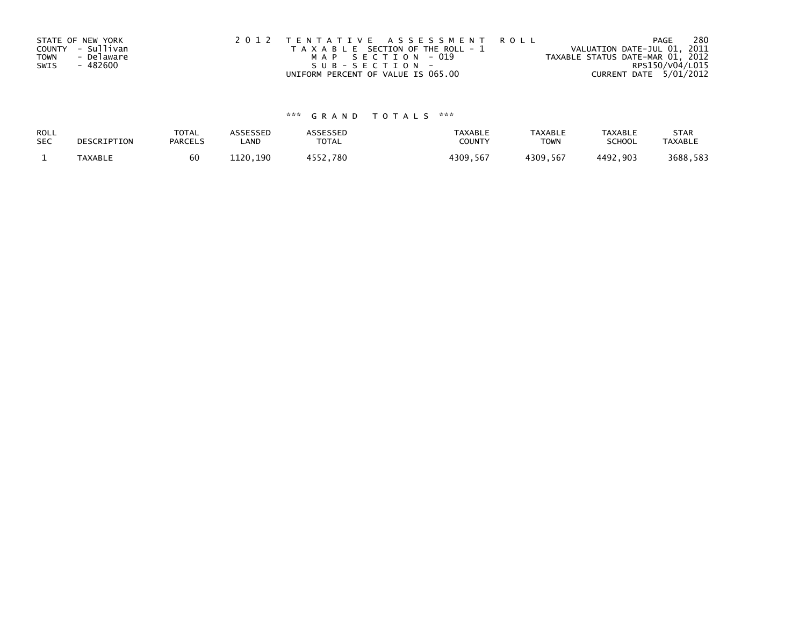|             | STATE OF NEW YORK | 2012 TENTATIVE ASSESSMENT ROLL        | 280<br>PAGE                      |
|-------------|-------------------|---------------------------------------|----------------------------------|
|             | COUNTY - Sullivan | T A X A B L E SECTION OF THE ROLL - 1 | VALUATION DATE-JUL 01, 2011      |
| <b>TOWN</b> | - Delaware        | MAP SECTION - 019                     | TAXABLE STATUS DATE-MAR 01, 2012 |
| SWIS        | - 482600          | $SUB - SECTION -$                     | RPS150/V04/L015                  |
|             |                   | UNIFORM PERCENT OF VALUE IS 065.00    | CURRENT DATE 5/01/2012           |

# \*\*\* G R A N D T O T A L S \*\*\*

| ROLL       | DESCRIPTION    | <b>TOTAL</b>   | ASSESSED | <b>ASSESSED</b> | <b>TAXABLE</b> | <b>TAXABLE</b> | <b>TAXABLE</b> | <b>STAR</b>    |
|------------|----------------|----------------|----------|-----------------|----------------|----------------|----------------|----------------|
| <b>SEC</b> |                | <b>PARCELS</b> | LAND     | TOTAL           | <b>COUNTY</b>  | <b>TOWN</b>    | <b>SCHOOL</b>  | <b>TAXABLE</b> |
|            | <b>TAXABLE</b> | 60             | 1120.190 | 4552.780        | 4309,567       | 4309,567       | 4492.903       | 3688,583       |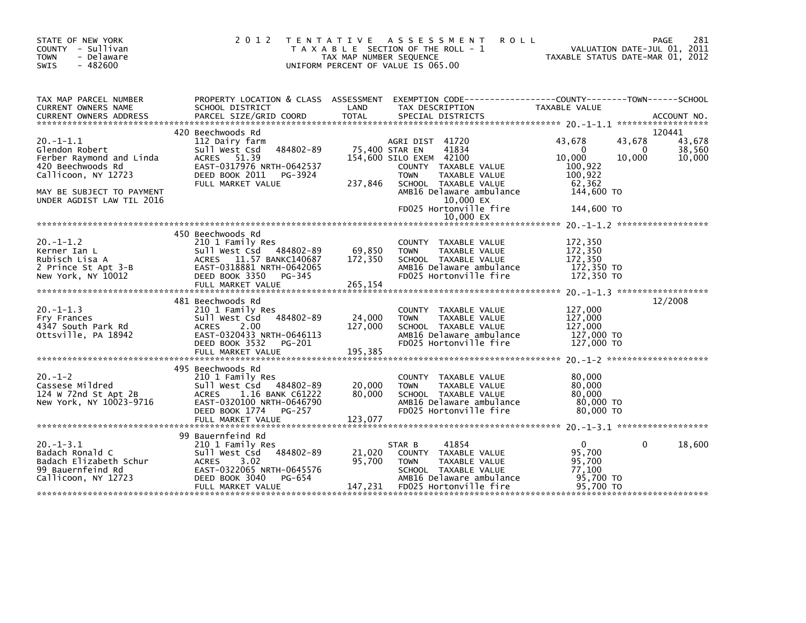| STATE OF NEW YORK<br>COUNTY - Sullivan<br><b>TOWN</b><br>- Delaware<br>$-482600$<br><b>SWIS</b>                                                                    | 2 0 1 2                                                                                                                                                                     | TENTATIVE ASSESSMENT<br><b>ROLL</b><br>T A X A B L E SECTION OF THE ROLL - 1<br>TAX MAP NUMBER SEQUENCE<br>UNIFORM PERCENT OF VALUE IS 065.00                                                                                                    | 281<br>PAGE<br>VALUATION DATE-JUL 01, 2011<br>TAXABLE STATUS DATE-MAR 01, 2012                                                                            |
|--------------------------------------------------------------------------------------------------------------------------------------------------------------------|-----------------------------------------------------------------------------------------------------------------------------------------------------------------------------|--------------------------------------------------------------------------------------------------------------------------------------------------------------------------------------------------------------------------------------------------|-----------------------------------------------------------------------------------------------------------------------------------------------------------|
| TAX MAP PARCEL NUMBER<br>CURRENT OWNERS NAME<br><b>CURRENT OWNERS ADDRESS</b>                                                                                      | PROPERTY LOCATION & CLASS ASSESSMENT<br>SCHOOL DISTRICT<br>PARCEL SIZE/GRID COORD                                                                                           | LAND<br>TAX DESCRIPTION<br><b>TOTAL</b><br>SPECIAL DISTRICTS                                                                                                                                                                                     | EXEMPTION CODE-----------------COUNTY-------TOWN------SCHOOL<br>TAXABLE VALUE<br>ACCOUNT NO.                                                              |
| $20. -1 - 1.1$<br>Glendon Robert<br>Ferber Raymond and Linda<br>420 Beechwoods Rd<br>Callicoon, NY 12723<br>MAY BE SUBJECT TO PAYMENT<br>UNDER AGDIST LAW TIL 2016 | 420 Beechwoods Rd<br>112 Dairy farm<br>Sull West Csd<br>484802-89<br>ACRES 51.39<br>EAST-0317976 NRTH-0642537<br>DEED BOOK 2011<br>PG-3924<br>FULL MARKET VALUE             | AGRI DIST 41720<br>75,400 STAR EN<br>41834<br>154,600 SILO EXEM 42100<br>COUNTY TAXABLE VALUE<br><b>TOWN</b><br>TAXABLE VALUE<br>237,846<br>SCHOOL TAXABLE VALUE<br>AMB16 Delaware ambulance<br>10,000 EX<br>FD025 Hortonville fire<br>10.000 EX | 120441<br>43,678<br>43,678<br>43,678<br>38,560<br>$\Omega$<br>0<br>10,000<br>10,000<br>10,000<br>100,922<br>100,922<br>62.362<br>144,600 TO<br>144,600 TO |
| $20. -1 - 1.2$<br>Kerner Ian L<br>Rubisch Lisa A<br>2 Prince St Apt 3-B<br>New York, NY 10012                                                                      | 450 Beechwoods Rd<br>210 1 Family Res<br>Sull West Csd 484802-89<br>ACRES 11.57 BANKC140687<br>EAST-0318881 NRTH-0642065<br>DEED BOOK 3350<br>PG-345<br>FULL MARKET VALUE   | COUNTY TAXABLE VALUE<br>69,850<br><b>TOWN</b><br>TAXABLE VALUE<br>172,350<br>SCHOOL TAXABLE VALUE<br>AMB16 Delaware ambulance<br>FD025 Hortonville fire<br>265,154                                                                               | 172,350<br>172,350<br>172,350<br>172,350 TO<br>172,350 TO                                                                                                 |
| $20. -1 - 1.3$<br>Fry Frances<br>4347 South Park Rd<br>Ottsville, PA 18942                                                                                         | 481 Beechwoods Rd<br>210 1 Family Res<br>Sull West Csd<br>484802-89<br>2.00<br>ACRES<br>EAST-0320433 NRTH-0646113<br>DEED BOOK 3532<br>PG-201                               | COUNTY TAXABLE VALUE<br>24,000<br>TAXABLE VALUE<br><b>TOWN</b><br>127,000<br>SCHOOL TAXABLE VALUE<br>AMB16 Delaware ambulance<br>FD025 Hortonville fire                                                                                          | 12/2008<br>127,000<br>127,000<br>127,000<br>127,000 TO<br>127,000 TO                                                                                      |
| $20. - 1 - 2$<br>Cassese Mildred<br>124 W 72nd St Apt 2B<br>New York, NY 10023-9716                                                                                | 495 Beechwoods Rd<br>210 1 Family Res<br>Sull West Csd<br>484802-89<br>ACRES 1.16 BANK C61222<br>EAST-0320100 NRTH-0646790<br>DEED BOOK 1774<br>PG-257<br>FULL MARKET VALUE | COUNTY TAXABLE VALUE<br>20,000<br>TAXABLE VALUE<br><b>TOWN</b><br>80,000<br>SCHOOL TAXABLE VALUE<br>AMB16 Delaware ambulance<br>FD025 Hortonville fire<br>123,077                                                                                | 80,000<br>80,000<br>80,000<br>80,000 TO<br>80,000 TO                                                                                                      |
| $20. -1 - 3.1$<br>Badach Ronald C<br>Badach Elizabeth Schur<br>99 Bauernfeind Rd<br>Callicoon, NY 12723                                                            | 99 Bauernfeind Rd<br>210 1 Family Res<br>484802-89<br>Sull West Csd<br><b>ACRES</b><br>3.02<br>EAST-0322065 NRTH-0645576<br>DEED BOOK 3040<br>PG-654<br>FULL MARKET VALUE   | 41854<br>STAR B<br>21,020<br>COUNTY TAXABLE VALUE<br>95,700<br><b>TOWN</b><br>TAXABLE VALUE<br>SCHOOL TAXABLE VALUE<br>AMB16 Delaware ambulance<br>147,231<br>FD025 Hortonville fire                                                             | 18,600<br>$\mathbf{0}$<br>$\mathbf{0}$<br>95,700<br>95,700<br>77,100<br>95,700 TO<br>95,700 TO                                                            |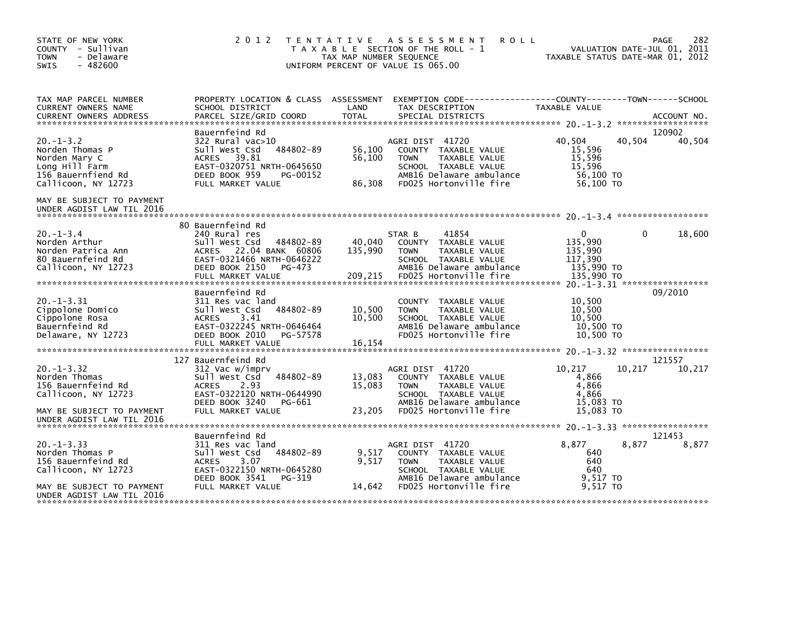| STATE OF NEW YORK<br>COUNTY - Sullivan<br><b>TOWN</b><br>- Delaware<br>$-482600$<br><b>SWIS</b>                   | 2 0 1 2                                                                                                                                                                            | T E N T A T I V E<br>TAX MAP NUMBER SEOUENCE | A S S E S S M E N T<br><b>ROLL</b><br>T A X A B L E SECTION OF THE ROLL - 1<br>UNIFORM PERCENT OF VALUE IS 065.00                                            | TAXABLE STATUS DATE-MAR 01, 2012                               | 282<br>PAGE<br>VALUATION DATE-JUL 01, 2011    |
|-------------------------------------------------------------------------------------------------------------------|------------------------------------------------------------------------------------------------------------------------------------------------------------------------------------|----------------------------------------------|--------------------------------------------------------------------------------------------------------------------------------------------------------------|----------------------------------------------------------------|-----------------------------------------------|
| TAX MAP PARCEL NUMBER<br>CURRENT OWNERS NAME                                                                      | PROPERTY LOCATION & CLASS ASSESSMENT<br>SCHOOL DISTRICT                                                                                                                            | LAND                                         | TAX DESCRIPTION                                                                                                                                              | TAXABLE VALUE                                                  | ACCOUNT NO.<br>******************             |
| $20. -1 - 3.2$<br>Norden Thomas P<br>Norden Mary C<br>Long Hill Farm<br>156 Bauernfiend Rd<br>Callicoon, NY 12723 | Bauernfeind Rd<br>322 Rural vac>10<br>Sull West Csd<br>484802-89<br>39.81<br><b>ACRES</b><br>EAST-0320751 NRTH-0645650<br>DEED BOOK 959<br>PG-00152<br>FULL MARKET VALUE           | 56,100<br>56,100<br>86,308                   | AGRI DIST 41720<br>COUNTY TAXABLE VALUE<br><b>TOWN</b><br>TAXABLE VALUE<br>SCHOOL TAXABLE VALUE<br>AMB16 Delaware ambulance<br>FD025 Hortonville fire        | 40.504<br>15,596<br>15,596<br>15,596<br>56,100 TO<br>56,100 TO | 120902<br>40,504<br>40,504                    |
| MAY BE SUBJECT TO PAYMENT<br>UNDER AGDIST LAW TIL 2016                                                            |                                                                                                                                                                                    |                                              |                                                                                                                                                              |                                                                |                                               |
| $20. -1 - 3.4$<br>Norden Arthur<br>Norden Patrica Ann<br>80 Bauernfeind Rd<br>Callicoon, NY 12723                 | 80 Bauernfeind Rd<br>240 Rural res<br>Sull West Csd<br>484802-89<br>22.04 BANK 60806<br><b>ACRES</b><br>EAST-0321466 NRTH-0646222<br>DEED BOOK 2150<br>PG-473<br>FULL MARKET VALUE | 40,040<br>135,990<br>209,215                 | 41854<br>STAR B<br>TAXABLE VALUE<br>COUNTY<br>TAXABLE VALUE<br><b>TOWN</b><br>SCHOOL TAXABLE VALUE<br>AMB16 Delaware ambulance<br>FD025 Hortonville fire     | 0<br>135,990<br>135,990<br>117,390<br>135,990 TO<br>135,990 TO | 18,600<br>0                                   |
| $20. -1 - 3.31$<br>Cippolone Domico<br>Cippolone Rosa<br>Bauernfeind Rd<br>Delaware, NY 12723                     | Bauernfeind Rd<br>311 Res vac land<br>484802-89<br>Sull West Csd<br>3.41<br><b>ACRES</b><br>EAST-0322245 NRTH-0646464<br>DEED BOOK 2010<br>PG-57578                                | 10,500<br>10,500                             | <b>COUNTY</b><br>TAXABLE VALUE<br>TAXABLE VALUE<br><b>TOWN</b><br>SCHOOL TAXABLE VALUE<br>AMB16 Delaware ambulance<br>FD025 Hortonville fire                 | 10,500<br>10,500<br>10,500<br>10,500 TO<br>10,500 TO           | $20. -1 - 3.31$ ******************<br>09/2010 |
|                                                                                                                   | 127 Bauernfeind Rd                                                                                                                                                                 |                                              |                                                                                                                                                              |                                                                | 121557                                        |
| $20. -1 - 3.32$<br>Norden Thomas<br>156 Bauernfeind Rd<br>Callicoon, NY 12723<br>MAY BE SUBJECT TO PAYMENT        | 312 Vac w/imprv<br>Sull West Csd<br>484802-89<br>2.93<br><b>ACRES</b><br>EAST-0322120 NRTH-0644990<br>DEED BOOK 3240<br>PG-661<br>FULL MARKET VALUE                                | 13,083<br>15.083<br>23,205                   | AGRI DIST 41720<br>COUNTY TAXABLE VALUE<br><b>TAXABLE VALUE</b><br><b>TOWN</b><br>SCHOOL TAXABLE VALUE<br>AMB16 Delaware ambulance<br>FD025 Hortonville fire | 10,217<br>4,866<br>4,866<br>4,866<br>15,083 TO<br>15.083 TO    | 10,217<br>10,217                              |
| UNDER AGDIST LAW TIL 2016                                                                                         |                                                                                                                                                                                    |                                              |                                                                                                                                                              |                                                                |                                               |
| $20. -1 - 3.33$<br>Norden Thomas P<br>156 Bauernfeind Rd<br>Callicoon, NY 12723<br>MAY BE SUBJECT TO PAYMENT      | Bauernfeind Rd<br>311 Res vac land<br>484802-89<br>Sull West Csd<br><b>ACRES</b><br>3.07<br>EAST-0322150 NRTH-0645280<br>DEED BOOK 3541<br>PG-319<br>FULL MARKET VALUE             | 9,517<br>9,517<br>14,642                     | AGRI DIST 41720<br>COUNTY TAXABLE VALUE<br>TAXABLE VALUE<br><b>TOWN</b><br>SCHOOL TAXABLE VALUE<br>AMB16 Delaware ambulance<br>FD025 Hortonville fire        | 8,877<br>640<br>640<br>640<br>9,517 TO<br>9.517 TO             | 121453<br>8,877<br>8,877                      |
| UNDER AGDIST LAW TIL 2016                                                                                         |                                                                                                                                                                                    |                                              |                                                                                                                                                              |                                                                |                                               |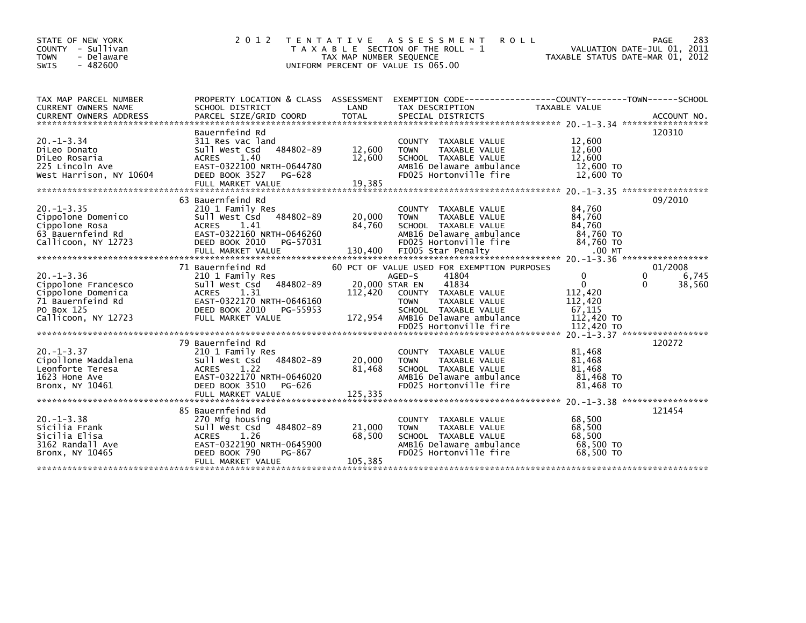| STATE OF NEW YORK<br>COUNTY - Sullivan  | 2 0 1 2                                              | T E N T A T I V E       | A S S E S S M E N T<br><b>ROLL</b><br>T A X A B L E SECTION OF THE ROLL - 1                      |                                  | 283<br>PAGE<br>VALUATION DATE-JUL 01, 2011 |
|-----------------------------------------|------------------------------------------------------|-------------------------|--------------------------------------------------------------------------------------------------|----------------------------------|--------------------------------------------|
| <b>TOWN</b><br>- Delaware               |                                                      | TAX MAP NUMBER SEQUENCE |                                                                                                  | TAXABLE STATUS DATE-MAR 01, 2012 |                                            |
| $-482600$<br><b>SWIS</b>                |                                                      |                         | UNIFORM PERCENT OF VALUE IS 065.00                                                               |                                  |                                            |
|                                         |                                                      |                         |                                                                                                  |                                  |                                            |
| TAX MAP PARCEL NUMBER                   |                                                      |                         | PROPERTY LOCATION & CLASS ASSESSMENT EXEMPTION CODE----------------COUNTY-------TOWN------SCHOOL |                                  |                                            |
| <b>CURRENT OWNERS NAME</b>              | SCHOOL DISTRICT                                      | LAND                    | TAX DESCRIPTION                                                                                  | TAXABLE VALUE                    |                                            |
| <b>CURRENT OWNERS ADDRESS</b>           | PARCEL SIZE/GRID COORD                               | <b>TOTAL</b>            | SPECIAL DISTRICTS                                                                                |                                  | ACCOUNT NO.                                |
|                                         | Bauernfeind Rd                                       |                         |                                                                                                  |                                  | 120310                                     |
| $20. -1 - 3.34$                         | 311 Res vac land                                     |                         | <b>COUNTY</b><br>TAXABLE VALUE                                                                   | 12,600                           |                                            |
| DiLeo Donato                            | 484802-89<br>Sull West Csd                           | 12,600                  | <b>TOWN</b><br>TAXABLE VALUE                                                                     | 12,600                           |                                            |
| DiLeo Rosaria                           | <b>ACRES</b><br>1.40                                 | 12,600                  | SCHOOL TAXABLE VALUE                                                                             | 12,600                           |                                            |
| 225 Lincoln Ave                         | EAST-0322100 NRTH-0644780                            |                         | AMB16 Delaware ambulance                                                                         | 12,600 TO                        |                                            |
| West Harrison, NY 10604                 | DEED BOOK 3527<br>PG-628                             |                         | FD025 Hortonville fire                                                                           | 12,600 TO                        |                                            |
|                                         | FULL MARKET VALUE                                    | 19,385                  |                                                                                                  |                                  |                                            |
|                                         | 63 Bauernfeind Rd                                    |                         |                                                                                                  |                                  | 09/2010                                    |
| $20. -1 - 3.35$                         | 210 1 Family Res                                     |                         | <b>COUNTY</b><br>TAXABLE VALUE                                                                   | 84,760                           |                                            |
| Cippolone Domenico                      | Sull West Csd<br>484802-89                           | 20,000                  | <b>TOWN</b><br>TAXABLE VALUE                                                                     | 84,760                           |                                            |
| Cippolone Rosa                          | <b>ACRES</b><br>1.41                                 | 84,760                  | SCHOOL TAXABLE VALUE                                                                             | 84.760                           |                                            |
| 63 Bauernfeind Rd                       | EAST-0322160 NRTH-0646260                            |                         | AMB16 Delaware ambulance                                                                         | 84,760 TO                        |                                            |
| Callicoon, NY 12723                     | DEED BOOK 2010<br>PG-57031                           |                         | FD025 Hortonville fire                                                                           | 84,760 TO                        |                                            |
|                                         |                                                      |                         |                                                                                                  |                                  |                                            |
|                                         | 71 Bauernfeind Rd                                    |                         |                                                                                                  |                                  |                                            |
| $20. -1 - 3.36$                         |                                                      |                         | 60 PCT OF VALUE USED FOR EXEMPTION PURPOSES<br>41804<br>AGED-S                                   | 0                                | 01/2008<br>0                               |
| Cippolone Francesco                     | 210 1 Family Res<br>484802-89<br>Sull West Csd       | 20,000 STAR EN          | 41834                                                                                            | $\mathbf 0$                      | 6,745<br>38,560<br>0                       |
| Cippolone Domenica                      | 1.31<br>ACRES                                        | 112,420                 | TAXABLE VALUE<br>COUNTY                                                                          | 112,420                          |                                            |
| 71 Bauernfeind Rd                       | EAST-0322170 NRTH-0646160                            |                         | TAXABLE VALUE<br><b>TOWN</b>                                                                     | 112,420                          |                                            |
| PO Box 125                              | DEED BOOK 2010<br>PG-55953                           |                         | SCHOOL TAXABLE VALUE                                                                             | 67,115                           |                                            |
| Callicoon, NY 12723                     | FULL MARKET VALUE                                    | 172,954                 | AMB16 Delaware ambulance                                                                         | 112,420 TO                       |                                            |
|                                         |                                                      |                         | FD025 Hortonville fire                                                                           | 112,420 TO                       |                                            |
|                                         |                                                      |                         |                                                                                                  |                                  |                                            |
|                                         | 79 Bauernfeind Rd                                    |                         |                                                                                                  |                                  | 120272                                     |
| $20. -1 - 3.37$                         | 210 1 Family Res<br>484802-89<br>Sull West Csd       | 20,000                  | TAXABLE VALUE<br><b>COUNTY</b><br>TAXABLE VALUE<br><b>TOWN</b>                                   | 81.468<br>81,468                 |                                            |
| Cipollone Maddalena<br>Leonforte Teresa | <b>ACRES</b><br>1.22                                 | 81.468                  | SCHOOL TAXABLE VALUE                                                                             | 81,468                           |                                            |
| 1623 Hone Ave                           | EAST-0322170 NRTH-0646020                            |                         | AMB16 Delaware ambulance                                                                         | 81,468 TO                        |                                            |
| Bronx, NY 10461                         | DEED BOOK 3510<br>PG-626                             |                         | FD025 Hortonville fire                                                                           | 81,468 TO                        |                                            |
|                                         |                                                      |                         |                                                                                                  |                                  |                                            |
|                                         |                                                      |                         |                                                                                                  |                                  |                                            |
|                                         | 85 Bauernfeind Rd                                    |                         |                                                                                                  |                                  | 121454                                     |
| $20. -1 - 3.38$                         | 270 Mfg housing                                      |                         | <b>COUNTY</b><br>TAXABLE VALUE                                                                   | 68,500                           |                                            |
| Sicilia Frank                           | 484802-89<br>Sull West Csd                           | 21,000                  | TAXABLE VALUE<br><b>TOWN</b>                                                                     | 68,500                           |                                            |
| Sicilia Elisa                           | 1.26<br><b>ACRES</b>                                 | 68,500                  | SCHOOL TAXABLE VALUE                                                                             | 68,500                           |                                            |
| 3162 Randall Ave                        | EAST-0322190 NRTH-0645900<br>DEED BOOK 790<br>PG-867 |                         | AMB16 Delaware ambulance<br>FD025 Hortonville fire                                               | 68,500 TO<br>68,500 TO           |                                            |
| Bronx, NY 10465                         | FULL MARKET VALUE                                    | 105,385                 |                                                                                                  |                                  |                                            |
|                                         |                                                      |                         |                                                                                                  |                                  |                                            |
|                                         |                                                      |                         |                                                                                                  |                                  |                                            |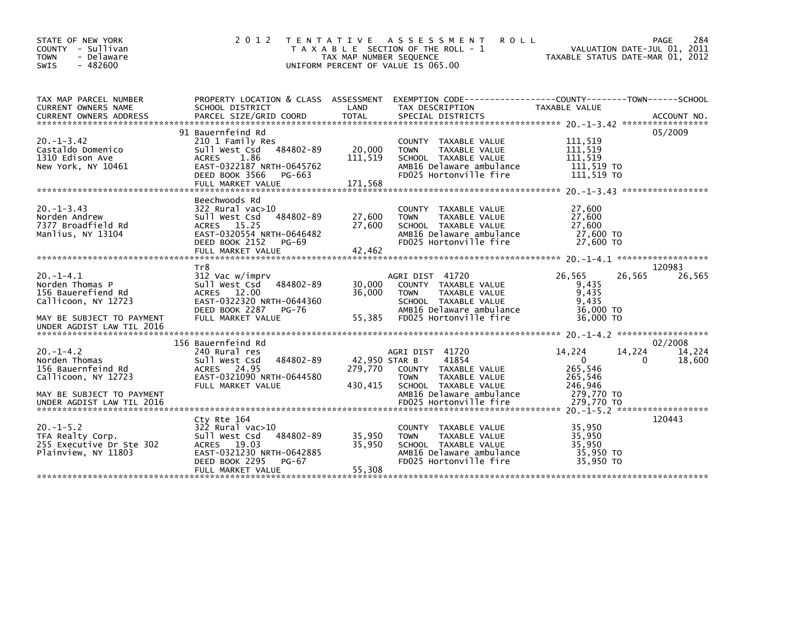| STATE OF NEW YORK<br>COUNTY<br>- Sullivan<br>- Delaware<br><b>TOWN</b><br>$-482600$<br><b>SWIS</b>                                              | 2 0 1 2                                                                                                                                                                   | T E N T A T I V E<br>TAX MAP NUMBER SEQUENCE | A S S E S S M E N T<br><b>ROLL</b><br>T A X A B L E SECTION OF THE ROLL - 1<br>UNIFORM PERCENT OF VALUE IS 065.00                                                                                  | TAXABLE STATUS DATE-MAR 01, 2012                                                 | 284<br>PAGE<br>VALUATION DATE-JUL 01, 2011     |
|-------------------------------------------------------------------------------------------------------------------------------------------------|---------------------------------------------------------------------------------------------------------------------------------------------------------------------------|----------------------------------------------|----------------------------------------------------------------------------------------------------------------------------------------------------------------------------------------------------|----------------------------------------------------------------------------------|------------------------------------------------|
| TAX MAP PARCEL NUMBER<br>CURRENT OWNERS NAME                                                                                                    | PROPERTY LOCATION & CLASS ASSESSMENT<br>SCHOOL DISTRICT                                                                                                                   | LAND                                         | TAX DESCRIPTION                                                                                                                                                                                    | <b>TAXABLE VALUE</b>                                                             |                                                |
| $20. -1 - 3.42$<br>Castaldo Domenico<br>1310 Edison Ave<br>New York, NY 10461                                                                   | 91 Bauernfeind Rd<br>210 1 Family Res<br>484802-89<br>Sull West Csd<br>1.86<br><b>ACRES</b><br>EAST-0322187 NRTH-0645762<br>DEED BOOK 3566<br>PG-663<br>FULL MARKET VALUE | 20,000<br>111,519<br>171,568                 | COUNTY TAXABLE VALUE<br>TAXABLE VALUE<br><b>TOWN</b><br>SCHOOL TAXABLE VALUE<br>AMB16 Delaware ambulance<br>FD025 Hortonville fire                                                                 | 111,519<br>111,519<br>111,519<br>111,519 TO<br>111,519 TO                        | 05/2009                                        |
| $20. -1 - 3.43$<br>Norden Andrew<br>7377 Broadfield Rd<br>Manlius, NY 13104                                                                     | Beechwoods Rd<br>322 Rural vac>10<br>484802-89<br>Sull West Csd<br>ACRES 15.25<br>EAST-0320554 NRTH-0646482<br>DEED BOOK 2152<br>PG-69<br>FULL MARKET VALUE               | 27,600<br>27,600<br>42,462                   | COUNTY TAXABLE VALUE<br><b>TOWN</b><br>TAXABLE VALUE<br>SCHOOL TAXABLE VALUE<br>AMB16 Delaware ambulance<br>FD025 Hortonville fire                                                                 | 27,600<br>27,600<br>27,600<br>27,600 TO<br>27,600 TO                             |                                                |
| $20. -1 - 4.1$<br>Norden Thomas P<br>156 Bauerefiend Rd<br>Callicoon, NY 12723<br>MAY BE SUBJECT TO PAYMENT                                     | Tr8<br>312 Vac w/imprv<br>Sull West Csd<br>484802-89<br>ACRES 12.00<br>EAST-0322320 NRTH-0644360<br>DEED BOOK 2287<br>PG-76<br>FULL MARKET VALUE                          | 30,000<br>36,000<br>55,385                   | AGRI DIST 41720<br>COUNTY TAXABLE VALUE<br><b>TOWN</b><br>TAXABLE VALUE<br>SCHOOL TAXABLE VALUE<br>AMB16 Delaware ambulance<br>FD025 Hortonville fire                                              | 26,565<br>26,565<br>9,435<br>9,435<br>9,435<br>36,000 TO<br>36,000 TO            | 120983<br>26,565                               |
| UNDER AGDIST LAW TIL 2016<br>$20. -1 - 4.2$<br>Norden Thomas<br>156 Bauernfeind Rd<br>Callicoon, NY 12723                                       | 156 Bauernfeind Rd<br>240 Rural res<br>484802-89<br>Sull West Csd<br>ACRES 24.95<br>EAST-0321090 NRTH-0644580<br>FULL MARKET VALUE                                        | 42,950 STAR B<br>279,770<br>430,415          | AGRI DIST 41720<br>41854<br><b>COUNTY</b><br>TAXABLE VALUE<br>TAXABLE VALUE<br><b>TOWN</b><br>SCHOOL TAXABLE VALUE                                                                                 | 14,224<br>14,224<br>$\mathbf{0}$<br>265,546<br>265,546<br>246,946                | 02/2008<br>14,224<br>18,600<br>∩               |
| MAY BE SUBJECT TO PAYMENT<br>UNDER AGDIST LAW TIL 2016<br>$20. -1 - 5.2$<br>TFA Realty Corp.<br>255 Executive Dr Ste 302<br>Plainview, NY 11803 | Cty Rte 164<br>$322$ Rural vac $>10$<br>484802-89<br>Sull West Csd<br>ACRES 19.03<br>EAST-0321230 NRTH-0642885<br>DEED BOOK 2295<br>PG-67                                 | 35,950<br>35,950                             | AMB16 Delaware ambulance<br>FD025 Hortonville fire<br><b>COUNTY</b><br>TAXABLE VALUE<br><b>TOWN</b><br>TAXABLE VALUE<br>SCHOOL TAXABLE VALUE<br>AMB16 Delaware ambulance<br>FD025 Hortonville fire | 279,770 TO<br>279.770 TO<br>35,950<br>35.950<br>35,950<br>35,950 TO<br>35,950 TO | $20 - 1 - 5 - 2$ *******************<br>120443 |
|                                                                                                                                                 | FULL MARKET VALUE                                                                                                                                                         | 55,308                                       |                                                                                                                                                                                                    |                                                                                  |                                                |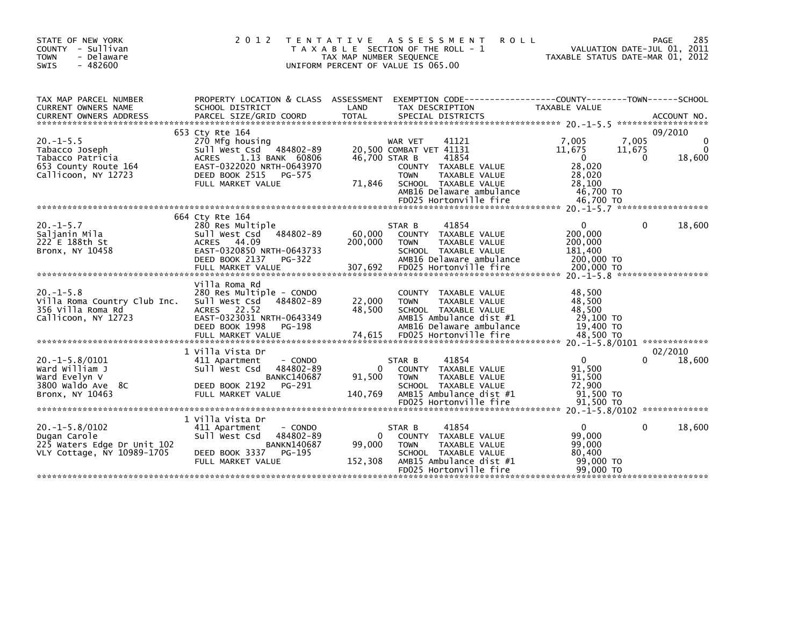| STATE OF NEW YORK<br>- Sullivan<br><b>COUNTY</b><br>- Delaware<br><b>TOWN</b><br>$-482600$<br>SWIS  | 2 0 1 2                                                                                                                                                                           | T E N T A T I V E<br>TAX MAP NUMBER SEQUENCE | A S S E S S M E N T<br><b>ROLL</b><br>T A X A B L E SECTION OF THE ROLL - 1<br>UNIFORM PERCENT OF VALUE IS 065.00                                                                          |                                                                                     | 285<br>PAGE<br>2011<br>VALUATION DATE-JUL 01,<br>TAXABLE STATUS DATE-MAR 01, 2012 |
|-----------------------------------------------------------------------------------------------------|-----------------------------------------------------------------------------------------------------------------------------------------------------------------------------------|----------------------------------------------|--------------------------------------------------------------------------------------------------------------------------------------------------------------------------------------------|-------------------------------------------------------------------------------------|-----------------------------------------------------------------------------------|
| TAX MAP PARCEL NUMBER<br><b>CURRENT OWNERS NAME</b><br><b>CURRENT OWNERS ADDRESS</b>                | PROPERTY LOCATION & CLASS ASSESSMENT<br>SCHOOL DISTRICT<br>PARCEL SIZE/GRID COORD                                                                                                 | LAND<br><b>TOTAL</b>                         | EXEMPTION CODE-----------------COUNTY-------TOWN------SCHOOL<br>TAX DESCRIPTION<br>SPECIAL DISTRICTS                                                                                       | <b>TAXABLE VALUE</b>                                                                | ACCOUNT NO.                                                                       |
| $20. -1 - 5.5$<br>Tabacco Joseph<br>Tabacco Patricia<br>653 County Route 164<br>Callicoon, NY 12723 | 653 Cty Rte 164<br>270 Mfg housing<br>484802-89<br>Sull West Csd<br>1.13 BANK 60806<br><b>ACRES</b><br>EAST-0322020 NRTH-0643970<br>DEED BOOK 2515<br>PG-575<br>FULL MARKET VALUE | 46.700 STAR B<br>71,846                      | 41121<br>WAR VET<br>20.500 COMBAT VET 41131<br>41854<br>COUNTY TAXABLE VALUE<br>TAXABLE VALUE<br><b>TOWN</b><br>SCHOOL TAXABLE VALUE<br>AMB16 Delaware ambulance<br>FD025 Hortonville fire | 7.005<br>11.675<br>$\Omega$<br>28,020<br>28,020<br>28,100<br>46,700 TO<br>46.700 TO | 09/2010<br>7.005<br>0<br>$\Omega$<br>11,675<br>18,600<br>$\Omega$                 |
| $20. -1 - 5.7$<br>Saljanin Mila<br>222 E 188th St<br>Bronx, NY 10458                                | 664 Ctv Rte 164<br>280 Res Multiple<br>484802-89<br>Sull West Csd<br>ACRES 44.09<br>EAST-0320850 NRTH-0643733<br>DEED BOOK 2137<br>PG-322                                         | 60,000<br>200,000                            | 41854<br>STAR B<br>COUNTY TAXABLE VALUE<br><b>TOWN</b><br>TAXABLE VALUE<br>SCHOOL TAXABLE VALUE<br>AMB16 Delaware ambulance                                                                | 0<br>200,000<br>200,000<br>181.400<br>200,000 TO                                    | 0<br>18,600                                                                       |
| $20. -1 - 5.8$<br>Villa Roma Country Club Inc.<br>356 Villa Roma Rd<br>Callicoon, NY 12723          | Villa Roma Rd<br>280 Res Multiple - CONDO<br>484802-89<br>Sull West Csd<br>ACRES 22.52<br>EAST-0323031 NRTH-0643349<br>DEED BOOK 1998<br>PG-198<br>FULL MARKET VALUE              | 22,000<br>48,500<br>74,615                   | COUNTY TAXABLE VALUE<br><b>TOWN</b><br>TAXABLE VALUE<br>SCHOOL TAXABLE VALUE<br>AMB15 Ambulance dist #1<br>AMB16 Delaware ambulance<br>FD025 Hortonville fire                              | 48,500<br>48,500<br>48.500<br>29,100 TO<br>19,400 TO<br>48,500 TO                   |                                                                                   |
| $20. -1 - 5.8/0101$<br>ward william J<br>Ward Evelyn V<br>3800 Waldo Ave 8C<br>Bronx, NY 10463      | 1 Villa Vista Dr<br>- CONDO<br>411 Apartment<br>Sull west Csd<br>484802-89<br><b>BANKC140687</b><br>DEED BOOK 2192<br>PG-291<br>FULL MARKET VALUE                                 | $\mathbf{0}$<br>91,500<br>140,769            | 41854<br>STAR B<br>TAXABLE VALUE<br><b>COUNTY</b><br>TAXABLE VALUE<br><b>TOWN</b><br>SCHOOL TAXABLE VALUE<br>AMB15 Ambulance dist #1<br>FD025 Hortonville fire                             | $\mathbf{0}$<br>91,500<br>91.500<br>72,900<br>91,500 TO<br>91,500 TO                | 02/2010<br>0<br>18,600                                                            |
| $20. -1 - 5.8/0102$<br>Dugan Carole<br>225 Waters Edge Dr Unit 102<br>VLY Cottage, NY 10989-1705    | 1 Villa Vista Dr<br>411 Apartment<br>- CONDO<br>Sull West Csd<br>484802-89<br><b>BANKN140687</b><br>DEED BOOK 3337<br>PG-195<br>FULL MARKET VALUE                                 | $\Omega$<br>99,000<br>152,308                | STAR B<br>41854<br>COUNTY TAXABLE VALUE<br><b>TOWN</b><br>TAXABLE VALUE<br>SCHOOL TAXABLE VALUE<br>AMB15 Ambulance dist #1<br>FD025 Hortonville fire                                       | $\mathbf{0}$<br>99.000<br>99,000<br>80.400<br>99,000 TO<br>99.000 TO                | 0<br>18,600                                                                       |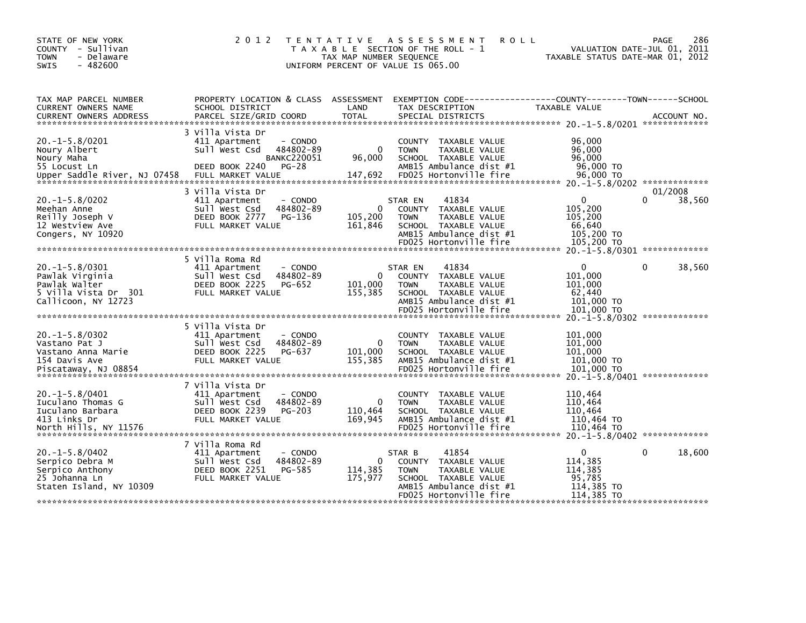| STATE OF NEW YORK<br>COUNTY - Sullivan<br><b>TOWN</b><br>- Delaware<br>$-482600$<br><b>SWIS</b>         | 2 0 1 2                                                                                   | T E N T A T I V E<br>T A X A B L E SECTION OF THE ROLL - 1<br>UNIFORM PERCENT OF VALUE IS 065.00 | TAX MAP NUMBER SEQUENCE           |                                         | A S S E S S M E N T                                                                                                         | <b>ROLL</b> | VALUATION DATE-JUL 01, 2011<br>TAXABLE STATUS DATE-MAR 01, 2012                             | <b>PAGE</b>  | 286    |
|---------------------------------------------------------------------------------------------------------|-------------------------------------------------------------------------------------------|--------------------------------------------------------------------------------------------------|-----------------------------------|-----------------------------------------|-----------------------------------------------------------------------------------------------------------------------------|-------------|---------------------------------------------------------------------------------------------|--------------|--------|
| TAX MAP PARCEL NUMBER<br>CURRENT OWNERS NAME                                                            | PROPERTY LOCATION & CLASS ASSESSMENT<br>SCHOOL DISTRICT                                   |                                                                                                  | LAND                              |                                         | TAX DESCRIPTION                                                                                                             |             | TAXABLE VALUE                                                                               |              |        |
| $20. -1 - 5.8/0201$<br>Noury Albert<br>Noury Maha<br>55 Locust Ln<br>Upper Saddle River, NJ 07458       | 3 Villa Vista Dr<br>411 Apartment<br>Sull West Csd<br>DEED BOOK 2240<br>FULL MARKET VALUE | - CONDO<br>484802-89<br><b>BANKC220051</b><br>$PG-28$                                            | $\Omega$<br>96.000<br>147,692     | <b>TOWN</b>                             | COUNTY TAXABLE VALUE<br>TAXABLE VALUE<br>SCHOOL TAXABLE VALUE<br>AMB15 Ambulance dist #1<br>FD025 Hortonville fire          |             | 96,000<br>96,000<br>96,000<br>96,000 TO<br>96,000 TO                                        |              |        |
| $20. -1 - 5.8/0202$<br>Meehan Anne<br>Reilly Joseph V<br>12 Westview Ave<br>Congers, NY 10920           | 3 Villa Vista Dr<br>411 Apartment<br>Sull West Csd<br>DEED BOOK 2777<br>FULL MARKET VALUE | - CONDO<br>484802-89<br>PG-136                                                                   | 0<br>105,200<br>161,846           | STAR EN<br><b>COUNTY</b><br><b>TOWN</b> | 41834<br>TAXABLE VALUE<br>TAXABLE VALUE<br>SCHOOL TAXABLE VALUE<br>AMB15 Ambulance dist #1                                  |             | $\Omega$<br>105,200<br>105,200<br>66,640<br>105,200 TO                                      | 01/2008<br>0 | 38,560 |
|                                                                                                         | 5 Villa Roma Rd                                                                           |                                                                                                  |                                   |                                         |                                                                                                                             |             |                                                                                             |              |        |
| $20. -1 - 5.8/0301$<br>Pawlak Virginia<br>Pawlak Walter<br>5 Villa Vista Dr  301<br>Callicoon, NY 12723 | 411 Apartment<br>Sull West Csd<br>DEED BOOK 2225<br>FULL MARKET VALUE                     | - CONDO<br>484802-89<br>PG-652                                                                   | 0<br>101,000<br>155,385           | STAR EN<br><b>TOWN</b>                  | 41834<br>COUNTY TAXABLE VALUE<br>TAXABLE VALUE<br>SCHOOL TAXABLE VALUE<br>AMB15 Ambulance dist #1<br>FD025 Hortonville fire |             | $\Omega$<br>101,000<br>101,000<br>62,440<br>$101,000$ TO<br>101,000 TO                      | 0            | 38,560 |
|                                                                                                         | 5 Villa Vista Dr                                                                          |                                                                                                  |                                   |                                         |                                                                                                                             |             | 20. -1-5.8/0302 **************                                                              |              |        |
| $20. -1 - 5.8/0302$<br>Vastano Pat J<br>Vastano Anna Marie<br>154 Davis Ave                             | 411 Apartment<br>Sull West Csd<br>DEED BOOK 2225<br>FULL MARKET VALUE                     | - CONDO<br>484802-89<br>PG-637                                                                   | $\Omega$<br>101.000<br>155,385    | <b>TOWN</b>                             | COUNTY TAXABLE VALUE<br>TAXABLE VALUE<br>SCHOOL TAXABLE VALUE<br>AMB15 Ambulance dist #1                                    |             | 101,000<br>101,000<br>101,000<br>$101,000$ TO<br>101,000 TO                                 |              |        |
| $20. -1 - 5.8/0401$<br>Iuculano Thomas G<br>Iuculano Barbara<br>413 Links Dr<br>North Hills, NY 11576   | 7 Villa Vista Dr<br>411 Apartment<br>Sull West Csd<br>DEED BOOK 2239<br>FULL MARKET VALUE | - CONDO<br>484802-89<br><b>PG-203</b>                                                            | $\mathbf 0$<br>110,464<br>169,945 | <b>TOWN</b>                             | COUNTY TAXABLE VALUE<br>TAXABLE VALUE<br>SCHOOL TAXABLE VALUE<br>AMB15 Ambulance dist #1<br>FD025 Hortonville fire          |             | 20. -1-5.8/0401 **************<br>110,464<br>110,464<br>110.464<br>110,464 TO<br>110,464 TO |              |        |
| $20. -1 - 5.8/0402$<br>Serpico Debra M<br>Serpico Anthony<br>25 Johanna Ln<br>Staten Island, NY 10309   | 7 Villa Roma Rd<br>411 Apartment<br>Sull West Csd<br>DEED BOOK 2251<br>FULL MARKET VALUE  | - CONDO<br>484802-89<br>PG-585                                                                   | 0<br>114,385<br>175,977           | STAR B<br><b>TOWN</b>                   | 41854<br>COUNTY TAXABLE VALUE<br>TAXABLE VALUE<br>SCHOOL TAXABLE VALUE<br>AMB15 Ambulance dist #1<br>FD025 Hortonville fire |             | $\Omega$<br>114,385<br>114,385<br>95,785<br>114,385 TO<br>114,385 TO                        | $\Omega$     | 18,600 |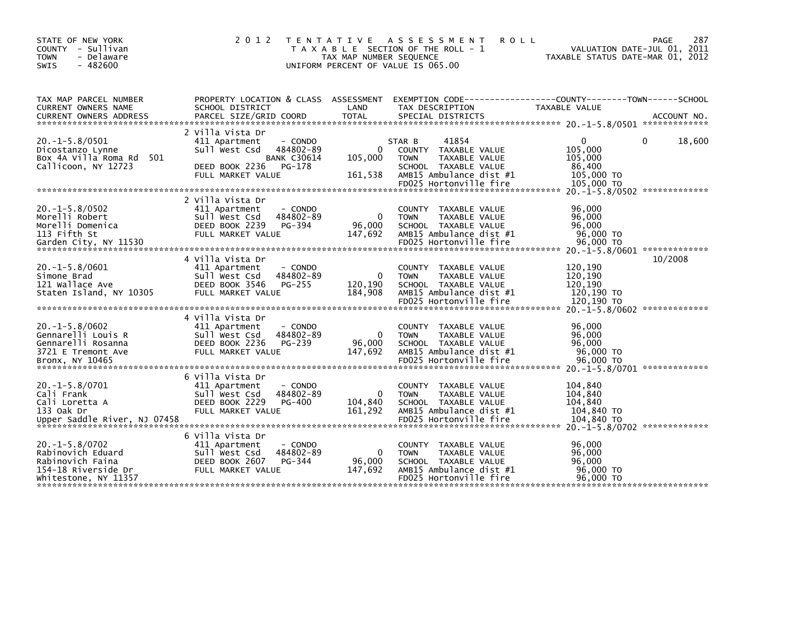| - Delaware<br><b>TOWN</b><br>$-482600$<br>SWIS                                                                                                                                                                                                                                                                                                                                                                                                                                                                                                                            |                                                                                           | UNIFORM PERCENT OF VALUE IS 065.00                   | TAX MAP NUMBER SEQUENCE            |                                 | T A X A B L E SECTION OF THE ROLL - 1                                                                                       |                                                                     | VALUATION DATE-JUL 01, 2011<br>TAXABLE STATUS DATE-MAR 01, 2012                             |             | 287    |
|---------------------------------------------------------------------------------------------------------------------------------------------------------------------------------------------------------------------------------------------------------------------------------------------------------------------------------------------------------------------------------------------------------------------------------------------------------------------------------------------------------------------------------------------------------------------------|-------------------------------------------------------------------------------------------|------------------------------------------------------|------------------------------------|---------------------------------|-----------------------------------------------------------------------------------------------------------------------------|---------------------------------------------------------------------|---------------------------------------------------------------------------------------------|-------------|--------|
| TAX MAP PARCEL NUMBER<br>CURRENT OWNERS NAME                                                                                                                                                                                                                                                                                                                                                                                                                                                                                                                              | PROPERTY LOCATION & CLASS ASSESSMENT<br>SCHOOL DISTRICT                                   |                                                      | LAND                               |                                 | TAX DESCRIPTION                                                                                                             | EXEMPTION        CODE-----------------COUNTY-------TOWN------SCHOOL | TAXABLE VALUE                                                                               |             |        |
| <b>CURRENT OWNERS ADDRESS</b>                                                                                                                                                                                                                                                                                                                                                                                                                                                                                                                                             | PARCEL SIZE/GRID COORD                                                                    |                                                      | <b>TOTAL</b>                       |                                 | SPECIAL DISTRICTS                                                                                                           |                                                                     |                                                                                             | ACCOUNT NO. |        |
| $20. -1 - 5.8/0501$<br>Dicostanzo Lynne<br>Box 4A Villa Roma Rd 501<br>Callicoon, NY 12723                                                                                                                                                                                                                                                                                                                                                                                                                                                                                | 2 Villa Vista Dr<br>411 Apartment<br>Sull West Csd<br>DEED BOOK 2236<br>FULL MARKET VALUE | - CONDO<br>484802-89<br><b>BANK C30614</b><br>PG-178 | $\mathbf{0}$<br>105,000<br>161,538 | STAR B<br>COUNTY<br><b>TOWN</b> | 41854<br>TAXABLE VALUE<br><b>TAXABLE VALUE</b><br>SCHOOL TAXABLE VALUE<br>AMB15 Ambulance dist #1<br>FD025 Hortonville fire |                                                                     | 0<br>105,000<br>105.000<br>86,400<br>105,000 TO<br>105,000 TO                               |             | 18,600 |
|                                                                                                                                                                                                                                                                                                                                                                                                                                                                                                                                                                           | 2 Villa Vista Dr                                                                          |                                                      |                                    |                                 |                                                                                                                             |                                                                     | 20. -1-5.8/0502 *************                                                               |             |        |
| $20. -1 - 5.8/0502$<br>Morelli Robert<br>Morelli Domenica<br>113 Fifth St<br>$\begin{array}{lllll} \textbf{Garden} & \textbf{City, NY} & \textbf{11530} & & & & & & \textbf{FD025} & \textbf{Horton} & \textbf{111e} & \textbf{t1re} \\ \textbf{****} & \textbf{****} & \textbf{****} & \textbf{****} & \textbf{****} & \textbf{****} & \textbf{****} & \textbf{****} & \textbf{****} & \textbf{****} & \textbf{****} & \textbf{****} \\ \textbf{****} & \textbf{****} & \textbf{****} & \textbf{****} & \textbf{****} & \textbf{****} & \textbf{****} & \textbf{****} &$ | 411 Apartment<br>Sull West Csd<br>DEED BOOK 2239<br>FULL MARKET VALUE                     | - CONDO<br>484802-89<br>PG-394                       | 0<br>96,000<br>147,692             | <b>TOWN</b>                     | COUNTY TAXABLE VALUE<br>TAXABLE VALUE<br>SCHOOL TAXABLE VALUE<br>AMB15 Ambulance dist #1<br>FD025 Hortonville fire          |                                                                     | 96,000<br>96,000<br>96,000<br>96,000 TO<br>96,000 TO<br>20. -1-5.8/0601 **************      |             |        |
|                                                                                                                                                                                                                                                                                                                                                                                                                                                                                                                                                                           | 4 Villa Vista Dr                                                                          |                                                      |                                    |                                 |                                                                                                                             |                                                                     |                                                                                             | 10/2008     |        |
| $20. -1 - 5.8/0601$<br>Simone Brad<br>121 Wallace Ave<br>Staten Island, NY 10305                                                                                                                                                                                                                                                                                                                                                                                                                                                                                          | 411 Apartment<br>Sull West Csd<br>DEED BOOK 3546<br>FULL MARKET VALUE                     | - CONDO<br>484802-89<br>PG-255                       | 0<br>120.190<br>184,908            | <b>COUNTY</b><br><b>TOWN</b>    | TAXABLE VALUE<br>TAXABLE VALUE<br>SCHOOL TAXABLE VALUE<br>AMB15 Ambulance dist #1<br>FD025 Hortonville fire                 |                                                                     | 120,190<br>120,190<br>120,190<br>120,190 TO<br>120,190 TO                                   |             |        |
|                                                                                                                                                                                                                                                                                                                                                                                                                                                                                                                                                                           | 4 Villa Vista Dr                                                                          |                                                      |                                    |                                 |                                                                                                                             |                                                                     | 20. -1-5.8/0602 **************                                                              |             |        |
| $20. -1 - 5.8/0602$<br>Gennarelli Louis R<br>Gennarelli Rosanna<br>3721 E Tremont Ave<br>Bronx, NY 10465                                                                                                                                                                                                                                                                                                                                                                                                                                                                  | 411 Apartment<br>Sull West Csd<br>DEED BOOK 2236<br>FULL MARKET VALUE                     | - CONDO<br>484802-89<br>PG-239                       | $\Omega$<br>96.000<br>147,692      | <b>TOWN</b>                     | COUNTY TAXABLE VALUE<br>TAXABLE VALUE<br>SCHOOL TAXABLE VALUE<br>AMB15 Ambulance dist #1<br>FD025 Hortonville fire          |                                                                     | 96,000<br>96,000<br>96,000<br>96,000 TO<br>96,000 TO                                        |             |        |
|                                                                                                                                                                                                                                                                                                                                                                                                                                                                                                                                                                           | 6 Villa Vista Dr                                                                          |                                                      |                                    |                                 |                                                                                                                             |                                                                     |                                                                                             |             |        |
| $20. -1 - 5.8/0701$<br>Cali Frank<br>Cali Loretta A<br>133 Oak Dr                                                                                                                                                                                                                                                                                                                                                                                                                                                                                                         | 411 Apartment<br>Sull West Csd<br>DEED BOOK 2229<br>FULL MARKET VALUE                     | - CONDO<br>484802-89<br><b>PG-400</b>                | 0<br>104,840<br>161.292            | <b>COUNTY</b><br><b>TOWN</b>    | TAXABLE VALUE<br>TAXABLE VALUE<br>SCHOOL TAXABLE VALUE<br>AMB15 Ambulance dist #1<br>FD025 Hortonville fire                 |                                                                     | 104,840<br>104,840<br>104.840<br>104,840 TO<br>104,840 TO<br>20. -1-5.8/0702 ************** |             |        |
|                                                                                                                                                                                                                                                                                                                                                                                                                                                                                                                                                                           | 6 Villa Vista Dr                                                                          |                                                      |                                    |                                 |                                                                                                                             |                                                                     |                                                                                             |             |        |
| $20. -1 - 5.8/0702$<br>Rabinovich Eduard<br>Rabinovich Faina<br>154-18 Riverside Dr<br>Whitestone, NY 11357                                                                                                                                                                                                                                                                                                                                                                                                                                                               | 411 Apartment<br>Sull West Csd<br>DEED BOOK 2607<br>FULL MARKET VALUE                     | - CONDO<br>484802-89<br>PG-344                       | 0<br>96,000<br>147,692             | <b>COUNTY</b><br><b>TOWN</b>    | TAXABLE VALUE<br>TAXABLE VALUE<br>SCHOOL TAXABLE VALUE<br>AMB15 Ambulance dist #1<br>FD025 Hortonville fire                 |                                                                     | 96,000<br>96.000<br>96,000<br>96,000 TO<br>96,000 TO                                        |             |        |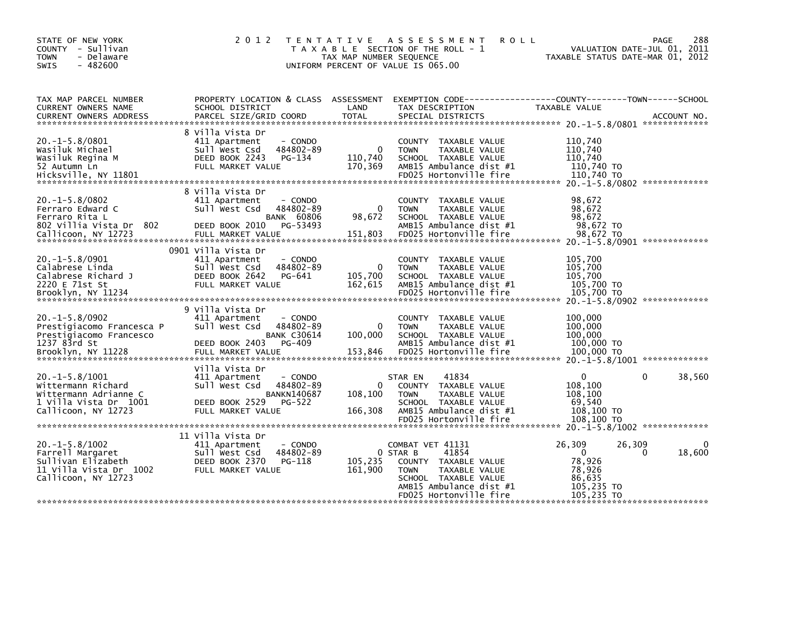| STATE OF NEW YORK<br>COUNTY - Sullivan<br><b>TOWN</b><br>- Delaware<br>$-482600$<br><b>SWIS</b>                    | 2 0 1 2                                                                                                                                            | T E N T A T I V E<br>TAX MAP NUMBER SEQUENCE | A S S E S S M E N T<br>T A X A B L E SECTION OF THE ROLL - 1<br>UNIFORM PERCENT OF VALUE IS 065.00                                                              | 288<br><b>ROLL</b><br><b>PAGE</b><br>VALUATION DATE-JUL 01, 2011<br>TAXABLE STATUS DATE-MAR 01, 2012 |
|--------------------------------------------------------------------------------------------------------------------|----------------------------------------------------------------------------------------------------------------------------------------------------|----------------------------------------------|-----------------------------------------------------------------------------------------------------------------------------------------------------------------|------------------------------------------------------------------------------------------------------|
| TAX MAP PARCEL NUMBER<br>CURRENT OWNERS NAME                                                                       | PROPERTY LOCATION & CLASS ASSESSMENT<br>SCHOOL DISTRICT                                                                                            | LAND                                         | TAX DESCRIPTION                                                                                                                                                 | EXEMPTION CODE-----------------COUNTY-------TOWN------SCHOOL<br>TAXABLE VALUE                        |
| $20. -1 - 5.8/0801$<br>Wasiluk Michael<br>Wasiluk Regina M<br>52 Autumn Ln<br>Hicksville, NY 11801                 | 8 Villa Vista Dr<br>- CONDO<br>411 Apartment<br>Sull West Csd<br>484802-89<br>DEED BOOK 2243<br>PG-134<br>FULL MARKET VALUE                        | $\Omega$<br>110,740<br>170,369               | COUNTY TAXABLE VALUE<br>TAXABLE VALUE<br><b>TOWN</b><br>SCHOOL TAXABLE VALUE<br>AMB15 Ambulance dist #1<br>FD025 Hortonville fire                               | 110,740<br>110,740<br>110,740<br>110,740 TO<br>110,740 TO                                            |
| $20. -1 - 5.8/0802$<br>Ferraro Edward C<br>Ferraro Rita L<br>802 Villia Vista Dr 802<br>Callicoon, NY 12723        | 8 Villa Vista Dr<br>411 Apartment<br>- CONDO<br>Sull West Csd<br>484802-89<br><b>BANK 60806</b><br>DEED BOOK 2010<br>PG-53493<br>FULL MARKET VALUE | $\Omega$<br>98,672<br>151,803                | COUNTY TAXABLE VALUE<br><b>TOWN</b><br>TAXABLE VALUE<br>SCHOOL TAXABLE VALUE<br>AMB15 Ambulance dist #1<br>FD025 Hortonville fire                               | 98,672<br>98,672<br>98,672<br>98,672 TO<br>98.672 TO                                                 |
| $20. -1 - 5.8/0901$<br>Calabrese Linda<br>Calabrese Richard J<br>2220 E 71st St                                    | 0901 Villa Vista Dr<br>411 Apartment<br>- CONDO<br>484802-89<br>Sull West Csd<br>DEED BOOK 2642<br>PG-641<br>FULL MARKET VALUE                     | 0<br>105,700<br>162,615                      | COUNTY TAXABLE VALUE<br><b>TOWN</b><br>TAXABLE VALUE<br>SCHOOL TAXABLE VALUE<br>AMB15 Ambulance dist #1                                                         | 105,700<br>105,700<br>105.700<br>105,700 TO                                                          |
| $20. -1 - 5.8/0902$<br>Prestigiacomo Francesca P<br>Prestigiacomo Francesco<br>1237 83rd St<br>Brooklyn, NY 11228  | 9 villa vista Dr<br>411 Apartment<br>- CONDO<br>Sull West Csd<br>484802-89<br><b>BANK C30614</b><br>PG-409<br>DEED BOOK 2403<br>FULL MARKET VALUE  | 0<br>100,000<br>153,846                      | COUNTY TAXABLE VALUE<br><b>TOWN</b><br>TAXABLE VALUE<br>SCHOOL TAXABLE VALUE<br>AMB15 Ambulance dist #1<br>FD025 Hortonville fire                               | 100,000<br>100,000<br>100,000<br>100,000 TO<br>100,000 TO                                            |
| $20. -1 - 5.8/1001$<br>Wittermann Richard<br>Wittermann Adrianne C<br>1 Villa Vista Dr 1001<br>Callicoon, NY 12723 | Villa Vista Dr<br>411 Apartment<br>- CONDO<br>Sull West Csd<br>484802-89<br><b>BANKN140687</b><br>DEED BOOK 2529<br>PG-522<br>FULL MARKET VALUE    | $\Omega$<br>108,100<br>166,308               | 41834<br>STAR EN<br><b>COUNTY</b><br>TAXABLE VALUE<br>TAXABLE VALUE<br><b>TOWN</b><br>SCHOOL TAXABLE VALUE<br>AMB15 Ambulance dist #1<br>FD025 Hortonville fire | 38,560<br>0<br>$\Omega$<br>108,100<br>108,100<br>69,540<br>108,100 TO<br>108,100 TO                  |
| $20. -1 - 5.8/1002$<br>Farrell Margaret<br>Sullivan Elizabeth<br>11 Villa Vista Dr 1002<br>Callicoon, NY 12723     | 11 Villa Vista Dr<br>411 Apartment<br>- CONDO<br>Sull West Csd<br>484802-89<br>DEED BOOK 2370<br>PG-118<br>FULL MARKET VALUE                       | 105,235<br>161,900                           | COMBAT VET 41131<br>41854<br>0 STAR B<br>COUNTY TAXABLE VALUE<br>TAXABLE VALUE<br><b>TOWN</b><br>SCHOOL TAXABLE VALUE                                           | 26,309<br>26,309<br>$\Omega$<br>0<br>18,600<br>78,926<br>78,926<br>86,635                            |
|                                                                                                                    |                                                                                                                                                    |                                              | AMB15 Ambulance dist #1<br>FD025 Hortonville fire                                                                                                               | 105,235 TO<br>105,235 TO                                                                             |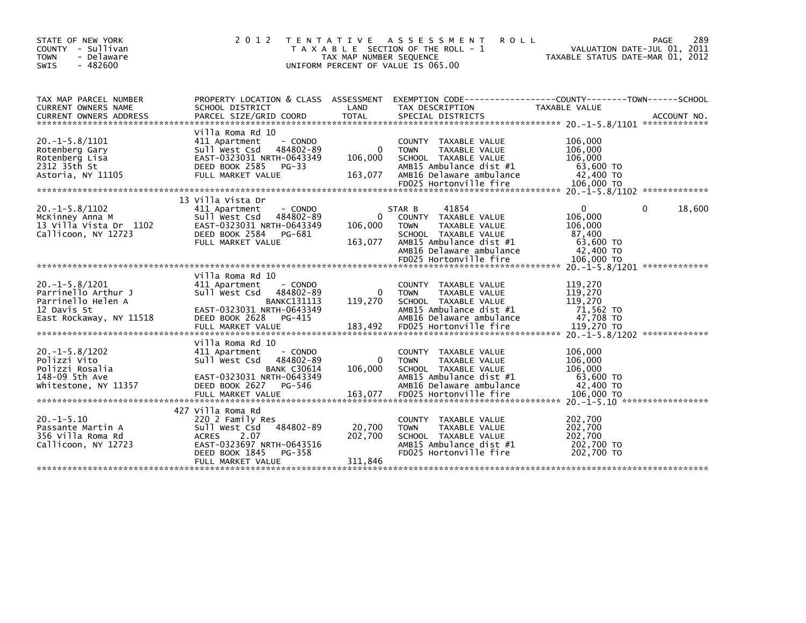| STATE OF NEW YORK<br>COUNTY - Sullivan<br>- Delaware<br><b>TOWN</b><br>$-482600$<br><b>SWIS</b>         | 2 0 1 2<br>T E N T A T I V E                                                                                                                                                   | TAX MAP NUMBER SEQUENCE            | A S S E S S M E N T<br><b>ROLL</b><br>T A X A B L E SECTION OF THE ROLL - 1<br>UNIFORM PERCENT OF VALUE IS 065.00                                                    | <b>PAGE</b><br>VALUATION DATE-JUL 01, 2011<br>TAXABLE STATUS DATE-MAR 01, 2012                          | 289         |
|---------------------------------------------------------------------------------------------------------|--------------------------------------------------------------------------------------------------------------------------------------------------------------------------------|------------------------------------|----------------------------------------------------------------------------------------------------------------------------------------------------------------------|---------------------------------------------------------------------------------------------------------|-------------|
| TAX MAP PARCEL NUMBER<br>CURRENT OWNERS NAME<br><b>CURRENT OWNERS ADDRESS</b>                           | PROPERTY LOCATION & CLASS ASSESSMENT<br>SCHOOL DISTRICT<br>PARCEL SIZE/GRID COORD                                                                                              | LAND<br><b>TOTAL</b>               | EXEMPTION CODE-----------------COUNTY-------TOWN------SCHOOL<br>TAX DESCRIPTION<br>SPECIAL DISTRICTS                                                                 | <b>TAXABLE VALUE</b>                                                                                    | ACCOUNT NO. |
| $20. -1 - 5.8/1101$<br>Rotenberg Gary<br>Rotenberg Lisa<br>2312 35th St<br>Astoria, NY 11105            | Villa Roma Rd 10<br>- CONDO<br>411 Apartment<br>Sull West Csd<br>484802-89<br>EAST-0323031 NRTH-0643349<br>DEED BOOK 2585<br>$PG-33$<br>FULL MARKET VALUE                      | $\mathbf{0}$<br>106,000<br>163,077 | COUNTY TAXABLE VALUE<br><b>TAXABLE VALUE</b><br><b>TOWN</b><br>SCHOOL TAXABLE VALUE<br>AMB15 Ambulance dist #1<br>AMB16 Delaware ambulance<br>FD025 Hortonville fire | 106,000<br>106,000<br>106,000<br>63,600 TO<br>42,400 TO<br>106,000 TO                                   |             |
|                                                                                                         |                                                                                                                                                                                |                                    |                                                                                                                                                                      |                                                                                                         |             |
| $20. -1 - 5.8/1102$<br>McKinney Anna M<br>13 Villa Vista Dr 1102<br>Callicoon, NY 12723                 | 13 Villa Vista Dr<br>411 Apartment<br>- CONDO<br>Sull West Csd<br>484802-89<br>EAST-0323031 NRTH-0643349<br>DEED BOOK 2584<br>PG-681<br>FULL MARKET VALUE                      | 0<br>106,000<br>163,077            | 41854<br>STAR B<br>TAXABLE VALUE<br><b>COUNTY</b><br>TAXABLE VALUE<br><b>TOWN</b><br>SCHOOL TAXABLE VALUE<br>AMB15 Ambulance dist #1<br>AMB16 Delaware ambulance     | $\mathbf{0}$<br>0<br>106,000<br>106,000<br>87,400<br>63,600 TO<br>42,400 TO                             | 18,600      |
|                                                                                                         |                                                                                                                                                                                |                                    | FD025 Hortonville fire                                                                                                                                               | 106,000 TO<br>20. -1-5.8/1201 **************                                                            |             |
| $20.-1-5.8/1201$<br>Parrinello Arthur J<br>Parrinello Helen A<br>12 Davis St<br>East Rockaway, NY 11518 | Villa Roma Rd 10<br>411 Apartment<br>- CONDO<br>Sull West Csd<br>484802-89<br><b>BANKC131113</b><br>EAST-0323031 NRTH-0643349<br>DEED BOOK 2628<br>PG-415<br>FULL MARKET VALUE | $\Omega$<br>119,270<br>183,492     | COUNTY TAXABLE VALUE<br><b>TOWN</b><br><b>TAXABLE VALUE</b><br>SCHOOL TAXABLE VALUE<br>AMB15 Ambulance dist #1<br>AMB16 Delaware ambulance<br>FD025 Hortonville fire | 119,270<br>119,270<br>119,270<br>71,562 TO<br>47,708 TO<br>119,270 TO<br>20. -1-5.8/1202 ************** |             |
| $20. -1 - 5.8/1202$<br>Polizzi Vito<br>Polizzi Rosalia<br>148-09 5th Ave<br>Whitestone, NY 11357        | Villa Roma Rd 10<br>411 Apartment<br>- CONDO<br>484802-89<br>Sull West Csd<br><b>BANK C30614</b><br>EAST-0323031 NRTH-0643349<br>DEED BOOK 2627<br>PG-546                      | 0<br>106.000                       | TAXABLE VALUE<br><b>COUNTY</b><br>TAXABLE VALUE<br><b>TOWN</b><br>SCHOOL TAXABLE VALUE<br>AMB15 Ambulance dist #1<br>AMB16 Delaware ambulance                        | 106,000<br>106,000<br>106,000<br>63,600 TO<br>42,400 TO                                                 |             |
| $20. -1 - 5.10$<br>Passante Martin A<br>356 Villa Roma Rd<br>Callicoon, NY 12723                        | 427 Villa Roma Rd<br>220 2 Family Res<br>484802-89<br>Sull West Csd<br><b>ACRES</b><br>2.07<br>EAST-0323697 NRTH-0643516<br>DEED BOOK 1845<br>$PG-358$<br>FULL MARKET VALUE    | 20,700<br>202,700<br>311,846       | COUNTY<br>TAXABLE VALUE<br><b>TAXABLE VALUE</b><br><b>TOWN</b><br>SCHOOL TAXABLE VALUE<br>AMB15 Ambulance dist #1<br>FD025 Hortonville fire                          | 202,700<br>202,700<br>202.700<br>202,700 TO<br>202,700 TO                                               |             |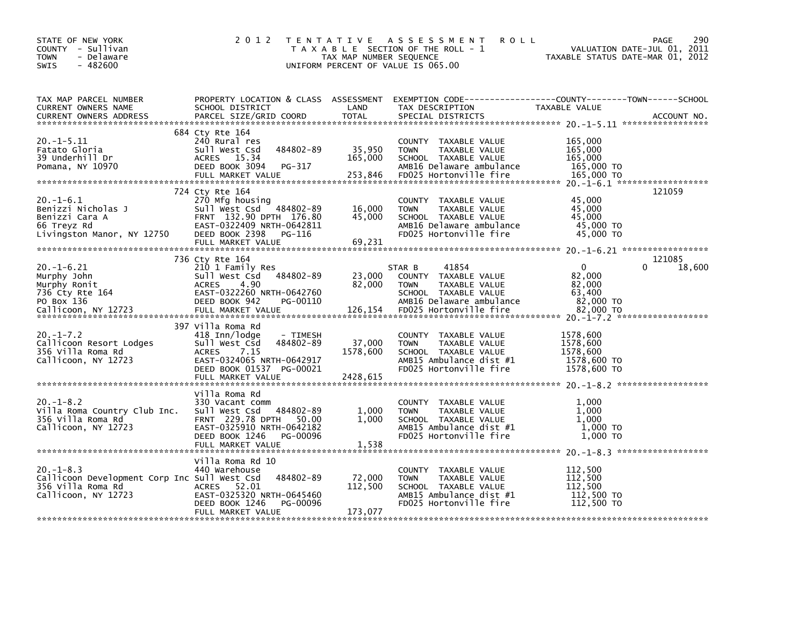| STATE OF NEW YORK<br>COUNTY - Sullivan<br><b>TOWN</b><br>- Delaware<br>$-482600$<br>SWIS                   | 2 0 1 2                                                                                                                                                                            | TAX MAP NUMBER SEQUENCE        | TENTATIVE ASSESSMENT<br><b>ROLL</b><br>T A X A B L E SECTION OF THE ROLL - 1<br>UNIFORM PERCENT OF VALUE IS 065.00                                    | TAXABLE STATUS DATE-MAR 01, 2012                                     | 290<br>PAGE<br>VALUATION DATE-JUL 01, 2011 |
|------------------------------------------------------------------------------------------------------------|------------------------------------------------------------------------------------------------------------------------------------------------------------------------------------|--------------------------------|-------------------------------------------------------------------------------------------------------------------------------------------------------|----------------------------------------------------------------------|--------------------------------------------|
| TAX MAP PARCEL NUMBER<br>CURRENT OWNERS NAME<br><b>CURRENT OWNERS ADDRESS</b>                              | SCHOOL DISTRICT<br>PARCEL SIZE/GRID COORD                                                                                                                                          | LAND<br><b>TOTAL</b>           | PROPERTY LOCATION & CLASS ASSESSMENT EXEMPTION CODE----------------COUNTY-------TOWN------SCHOOL<br>TAX DESCRIPTION<br>SPECIAL DISTRICTS              | TAXABLE VALUE                                                        | ACCOUNT NO.                                |
| $20. -1 - 5.11$<br>Fatato Gloria<br>39 Underhill Dr<br>Pomana, NY 10970                                    | 684 Cty Rte 164<br>240 Rural res<br>484802-89<br>Sull West Csd<br>ACRES 15.34<br>DEED BOOK 3094<br>PG-317<br>FULL MARKET VALUE                                                     | 35,950<br>165,000<br>253,846   | COUNTY TAXABLE VALUE<br><b>TOWN</b><br>TAXABLE VALUE<br>SCHOOL TAXABLE VALUE<br>AMB16 Delaware ambulance<br>FD025 Hortonville fire                    | 165,000<br>165,000<br>165,000<br>165,000 TO<br>165,000 TO            |                                            |
| $20. -1 - 6.1$<br>Benizzi Nicholas J<br>Benizzi Cara A<br>66 Treyz Rd<br>Livingston Manor, NY 12750        | 724 Cty Rte 164<br>270 Mfg housing<br>Sull West Csd 484802-89<br>FRNT 132.90 DPTH 176.80<br>EAST-0322409 NRTH-0642811<br>DEED BOOK 2398<br>PG-116<br>FULL MARKET VALUE             | 16,000<br>45,000<br>69,231     | COUNTY TAXABLE VALUE<br><b>TOWN</b><br>TAXABLE VALUE<br>SCHOOL TAXABLE VALUE<br>AMB16 Delaware ambulance<br>FD025 Hortonville fire                    | 45,000<br>45,000<br>45.000<br>45,000 TO<br>45,000 TO                 | 121059                                     |
| $20. -1 - 6.21$<br>Murphy John<br>Murphy Ronit<br>736 Cty Rte 164<br>PO Box 136<br>Callicoon, NY 12723     | 736 Cty Rte 164<br>210 1 Family Res<br>484802-89<br>Sull West Csd<br><b>ACRES</b><br>4.90<br>EAST-0322260 NRTH-0642760<br>DEED BOOK 942<br>PG-00110<br>FULL MARKET VALUE           | 23,000<br>82,000<br>126,154    | 41854<br>STAR B<br>COUNTY TAXABLE VALUE<br>TAXABLE VALUE<br><b>TOWN</b><br>SCHOOL TAXABLE VALUE<br>AMB16 Delaware ambulance<br>FD025 Hortonville fire | $\mathbf{0}$<br>82,000<br>82,000<br>63,400<br>82,000 TO<br>82,000 TO | 121085<br>18,600<br>0                      |
| $20. -1 - 7.2$<br>Callicoon Resort Lodges<br>356 Villa Roma Rd<br>Callicoon, NY 12723                      | 397 Villa Roma Rd<br>418 Inn/lodge<br>- TIMESH<br>Sull West Csd<br>484802-89<br>7.15<br><b>ACRES</b><br>EAST-0324065 NRTH-0642917<br>DEED BOOK 01537 PG-00021<br>FULL MARKET VALUE | 37,000<br>1578,600<br>2428,615 | COUNTY TAXABLE VALUE<br>TAXABLE VALUE<br><b>TOWN</b><br>SCHOOL TAXABLE VALUE<br>AMB15 Ambulance dist #1<br>FD025 Hortonville fire                     | 1578,600<br>1578,600<br>1578,600<br>1578,600 TO<br>1578,600 TO       |                                            |
| $20. - 1 - 8.2$<br>Villa Roma Country Club Inc.<br>356 Villa Roma Rd<br>Callicoon, NY 12723                | Villa Roma Rd<br>330 Vacant comm<br>Sull West Csd<br>484802-89<br>FRNT 229.78 DPTH<br>50.00<br>EAST-0325910 NRTH-0642182<br>DEED BOOK 1246 PG-00096                                | 1,000<br>1,000                 | COUNTY TAXABLE VALUE<br>TAXABLE VALUE<br><b>TOWN</b><br>SCHOOL TAXABLE VALUE<br>AMB15 Ambulance dist #1<br>FD025 Hortonville fire                     | 1,000<br>1,000<br>1,000<br>1,000 TO<br>1.000 TO                      |                                            |
| $20. -1 - 8.3$<br>Callicoon Development Corp Inc Sull West Csd<br>356 Villa Roma Rd<br>Callicoon, NY 12723 | Villa Roma Rd 10<br>440 Warehouse<br>484802-89<br>ACRES 52.01<br>EAST-0325320 NRTH-0645460<br>DEED BOOK 1246<br>PG-00096<br>FULL MARKET VALUE                                      | 72,000<br>112,500<br>173,077   | COUNTY TAXABLE VALUE<br><b>TOWN</b><br>TAXABLE VALUE<br>SCHOOL TAXABLE VALUE<br>AMB15 Ambulance dist #1<br>FD025 Hortonville fire                     | 112,500<br>112,500<br>112,500<br>112,500 TO<br>112,500 TO            |                                            |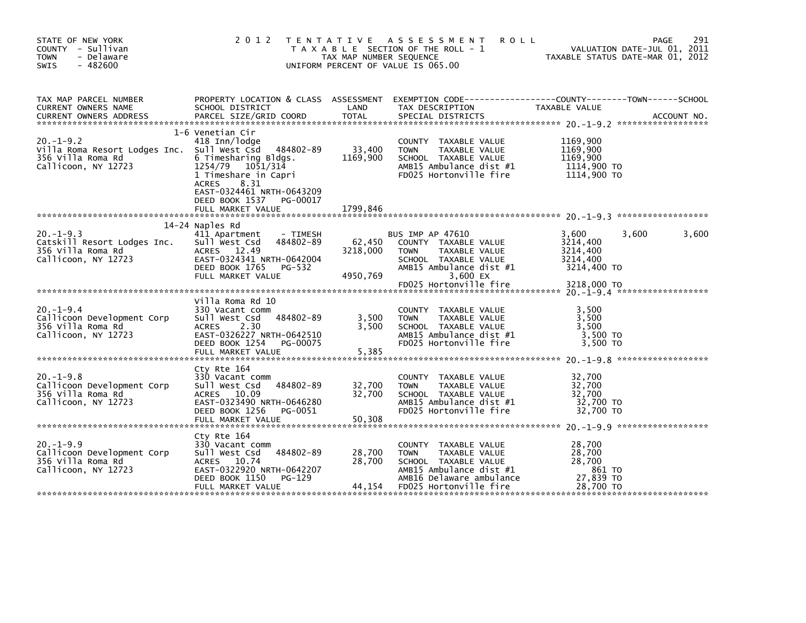| STATE OF NEW YORK<br>COUNTY - Sullivan<br><b>TOWN</b><br>- Delaware<br>$-482600$<br><b>SWIS</b>                                                                                                                     | 2 0 1 2                                                                                                                                                                                     | TAX MAP NUMBER SEQUENCE        | TENTATIVE ASSESSMENT<br><b>ROLL</b><br>T A X A B L E SECTION OF THE ROLL - 1<br>UNIFORM PERCENT OF VALUE IS 065.00                                                       | VALUATION DATE-JUL 01, 2011<br>TAXABLE STATUS DATE-MAR 01, 2012                  | 291<br>PAGE |
|---------------------------------------------------------------------------------------------------------------------------------------------------------------------------------------------------------------------|---------------------------------------------------------------------------------------------------------------------------------------------------------------------------------------------|--------------------------------|--------------------------------------------------------------------------------------------------------------------------------------------------------------------------|----------------------------------------------------------------------------------|-------------|
| TAX MAP PARCEL NUMBER<br>CURRENT OWNERS NAME<br>.CURRENT OWNERS ADDRESS PARCEL SIZE/GRID COORD TOTAL SPECIAL DISTRICTS AND MESS ADDRESS PARCEL SIZE/GRID COORD TOTAL SPECIAL DISTRICTS AND MESS AND MESS ASSOCIATES | SCHOOL DISTRICT                                                                                                                                                                             | LAND                           | PROPERTY LOCATION & CLASS ASSESSMENT EXEMPTION CODE-----------------COUNTY-------TOWN------SCHOOL<br>TAX DESCRIPTION                                                     | TAXABLE VALUE                                                                    |             |
| $20. -1 - 9.2$<br>Villa Roma Resort Lodges Inc. Sull West Csd 484802-89<br>356 Villa Roma Rd<br>Callicoon, NY 12723                                                                                                 | 1-6 Venetian Cir<br>418 Inn/lodge<br>6 Timesharing Bldgs.<br>1254/79<br>1051/314<br>1 Timeshare in Capri<br>8.31<br><b>ACRES</b><br>EAST-0324461 NRTH-0643209<br>DEED BOOK 1537<br>PG-00017 | 33,400<br>1169,900             | COUNTY TAXABLE VALUE<br><b>TOWN</b><br>TAXABLE VALUE<br>SCHOOL TAXABLE VALUE<br>AMB15 Ambulance dist #1<br>FD025 Hortonville fire                                        | 1169,900<br>1169,900<br>1169,900<br>1114,900 TO<br>1114,900 TO                   |             |
|                                                                                                                                                                                                                     | FULL MARKET VALUE                                                                                                                                                                           | 1799,846                       |                                                                                                                                                                          |                                                                                  |             |
| $20. -1 - 9.3$<br>Catskill Resort Lodges Inc.<br>356 Villa Roma Rd<br>Callicoon, NY 12723                                                                                                                           | 14-24 Naples Rd<br>411 Apartment<br>- TIMESH<br>Sull West Csd<br>484802-89<br>ACRES 12.49<br>EAST-0324341 NRTH-0642004<br>DEED BOOK 1765<br>PG-532<br>FULL MARKET VALUE                     | 62,450<br>3218,000<br>4950,769 | <b>BUS IMP AP 47610</b><br>COUNTY TAXABLE VALUE<br><b>TOWN</b><br>TAXABLE VALUE<br>SCHOOL TAXABLE VALUE<br>AMB15 Ambulance dist #1<br>3,600 EX<br>FD025 Hortonville fire | 3,600<br>3,600<br>3214,400<br>3214,400<br>3214,400<br>3214,400 TO<br>3218,000 TO | 3,600       |
|                                                                                                                                                                                                                     |                                                                                                                                                                                             |                                |                                                                                                                                                                          |                                                                                  |             |
| $20. -1 - 9.4$<br>Callicoon Development Corp<br>356 Villa Roma Rd<br>Callicoon, NY 12723                                                                                                                            | Villa Roma Rd 10<br>330 Vacant comm<br>484802-89<br>Sull West Csd<br>2.30<br>ACRES<br>EAST-0326227 NRTH-0642510<br>DEED BOOK 1254<br>PG-00075<br>FULL MARKET VALUE                          | 3,500<br>3,500<br>5,385        | COUNTY TAXABLE VALUE<br><b>TOWN</b><br>TAXABLE VALUE<br>SCHOOL TAXABLE VALUE<br>AMB15 Ambulance dist #1<br>FD025 Hortonville fire                                        | 3,500<br>3,500<br>3,500<br>3,500 TO<br>3.500 TO                                  |             |
|                                                                                                                                                                                                                     | Cty Rte 164                                                                                                                                                                                 |                                |                                                                                                                                                                          |                                                                                  |             |
| $20. -1 - 9.8$<br>Callicoon Development Corp<br>356 Villa Roma Rd<br>Callicoon, NY 12723                                                                                                                            | 330 Vacant comm<br>484802-89<br>Sull West Csd<br>ACRES 10.09<br>EAST-0323490 NRTH-0646280<br>DEED BOOK 1256<br>PG-0051<br>FULL MARKET VALUE                                                 | 32,700<br>32,700<br>50,308     | COUNTY TAXABLE VALUE<br><b>TOWN</b><br>TAXABLE VALUE<br>SCHOOL TAXABLE VALUE<br>AMB15 Ambulance dist #1<br>FD025 Hortonville fire                                        | 32,700<br>32,700<br>32,700<br>32,700 TO<br>32,700 TO                             |             |
|                                                                                                                                                                                                                     | Cty Rte 164                                                                                                                                                                                 |                                |                                                                                                                                                                          |                                                                                  |             |
| $20. -1 - 9.9$<br>Callicoon Development Corp<br>356 Villa Roma Rd<br>Callicoon, NY 12723                                                                                                                            | 330 Vacant comm<br>484802-89<br>Sull West Csd<br>ACRES 10.74<br>EAST-0322920 NRTH-0642207<br>DEED BOOK 1150<br>PG-129                                                                       | 28,700<br>28,700               | COUNTY TAXABLE VALUE<br><b>TOWN</b><br>TAXABLE VALUE<br>SCHOOL TAXABLE VALUE<br>AMB15 Ambulance dist $#1$<br>AMB16 Delaware ambulance                                    | 28,700<br>28,700<br>28,700<br>861 TO<br>27,839 TO                                |             |
|                                                                                                                                                                                                                     | FULL MARKET VALUE                                                                                                                                                                           | 44,154                         | FD025 Hortonville fire                                                                                                                                                   | 28,700 TO                                                                        |             |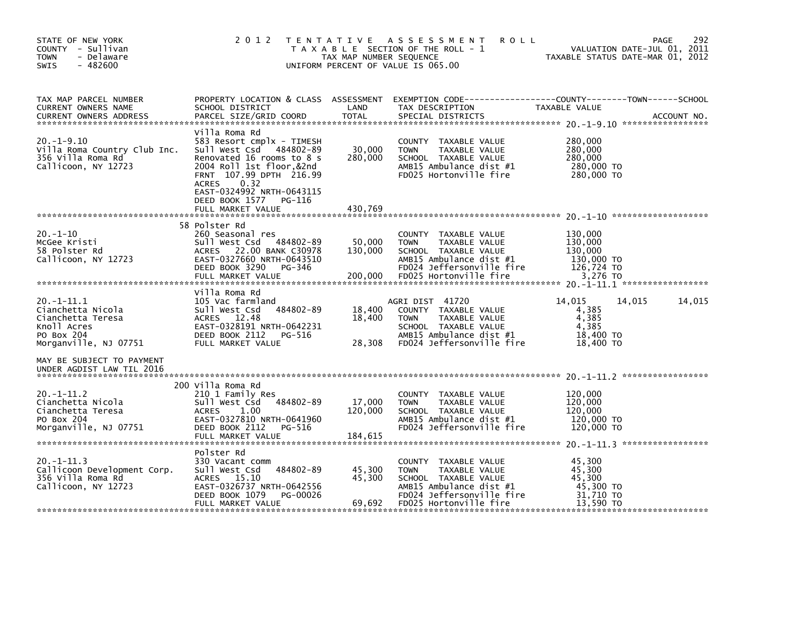| STATE OF NEW YORK<br>COUNTY - Sullivan<br><b>TOWN</b><br>- Delaware<br>$-482600$<br>SWIS                        | 2 0 1 2                                                                                                                                                                                                                                       | T E N T A T I V E<br>TAX MAP NUMBER SEQUENCE | A S S E S S M E N T<br><b>ROLL</b><br>T A X A B L E SECTION OF THE ROLL - 1<br>UNIFORM PERCENT OF VALUE IS 065.00                                              | PAGE<br>VALUATION DATE-JUL 01, 2011<br>TAXABLE STATUS DATE-MAR 01, 2012       | 292         |
|-----------------------------------------------------------------------------------------------------------------|-----------------------------------------------------------------------------------------------------------------------------------------------------------------------------------------------------------------------------------------------|----------------------------------------------|----------------------------------------------------------------------------------------------------------------------------------------------------------------|-------------------------------------------------------------------------------|-------------|
| TAX MAP PARCEL NUMBER<br>CURRENT OWNERS NAME<br><b>CURRENT OWNERS ADDRESS</b>                                   | PROPERTY LOCATION & CLASS ASSESSMENT<br>SCHOOL DISTRICT<br>PARCEL SIZE/GRID COORD                                                                                                                                                             | LAND<br>TOTAL                                | TAX DESCRIPTION<br>SPECIAL DISTRICTS                                                                                                                           | EXEMPTION CODE-----------------COUNTY-------TOWN------SCHOOL<br>TAXABLE VALUE | ACCOUNT NO. |
| $20. -1 - 9.10$<br>Villa Roma Country Club Inc.<br>356 Villa Roma Rd<br>Callicoon, NY 12723                     | Villa Roma Rd<br>583 Resort cmplx - TIMESH<br>484802-89<br>Sull West Csd<br>Renovated 16 rooms to 8 s<br>2004 Roll 1st floor,&2nd<br>FRNT 107.99 DPTH 216.99<br><b>ACRES</b><br>0.32<br>EAST-0324992 NRTH-0643115<br>DEED BOOK 1577<br>PG-116 | 30,000<br>280,000                            | COUNTY TAXABLE VALUE<br><b>TOWN</b><br>TAXABLE VALUE<br>SCHOOL TAXABLE VALUE<br>AMB15 Ambulance dist #1<br>FD025 Hortonville fire                              | 280,000<br>280,000<br>280,000<br>280,000 TO<br>280,000 TO                     |             |
|                                                                                                                 | FULL MARKET VALUE                                                                                                                                                                                                                             | 430,769                                      |                                                                                                                                                                |                                                                               |             |
| $20. -1 - 10$<br>McGee Kristi<br>58 Polster Rd<br>Callicoon, NY 12723                                           | 58 Polster Rd<br>260 Seasonal res<br>484802-89<br>Sull West Csd<br>ACRES 22.00 BANK C30978<br>EAST-0327660 NRTH-0643510<br>DEED BOOK 3290<br>PG-346<br>FULL MARKET VALUE                                                                      | 50,000<br>130,000<br>200,000                 | COUNTY TAXABLE VALUE<br><b>TOWN</b><br>TAXABLE VALUE<br>SCHOOL TAXABLE VALUE<br>AMB15 Ambulance dist #1<br>FD024 Jeffersonville fire<br>FD025 Hortonville fire | 130,000<br>130,000<br>130,000<br>130,000 TO<br>126,724 TO<br>3,276 TO         |             |
|                                                                                                                 | Villa Roma Rd                                                                                                                                                                                                                                 |                                              |                                                                                                                                                                |                                                                               |             |
| $20. -1 - 11.1$<br>Cianchetta Nicola<br>Cianchetta Teresa<br>Knoll Acres<br>PO Box 204<br>Morganville, NJ 07751 | 105 Vac farmland<br>484802-89<br>Sull West Csd<br>ACRES 12.48<br>EAST-0328191 NRTH-0642231<br>DEED BOOK 2112<br>PG-516<br>FULL MARKET VALUE                                                                                                   | 18,400<br>18,400<br>28,308                   | AGRI DIST 41720<br>COUNTY TAXABLE VALUE<br>TAXABLE VALUE<br><b>TOWN</b><br>SCHOOL TAXABLE VALUE<br>AMB15 Ambulance dist #1<br>FD024 Jeffersonville fire        | 14,015<br>14,015<br>4,385<br>4,385<br>4,385<br>18,400 TO<br>18,400 TO         | 14,015      |
| MAY BE SUBJECT TO PAYMENT<br>UNDER AGDIST LAW TIL 2016                                                          |                                                                                                                                                                                                                                               |                                              |                                                                                                                                                                |                                                                               |             |
| $20. -1 - 11.2$<br>Cianchetta Nicola<br>Cianchetta Teresa<br>PO Box 204<br>Morganville, NJ 07751                | 200 Villa Roma Rd<br>210 1 Family Res<br>484802-89<br>Sull West Csd<br><b>ACRES</b><br>1.00<br>EAST-0327810 NRTH-0641960<br>DEED BOOK 2112<br>PG-516<br>FULL MARKET VALUE                                                                     | 17,000<br>120,000<br>184,615                 | COUNTY TAXABLE VALUE<br><b>TOWN</b><br>TAXABLE VALUE<br>SCHOOL TAXABLE VALUE<br>AMB15 Ambulance dist #1<br>FD024 Jeffersonville fire                           | 120,000<br>120,000<br>120,000<br>120,000 TO<br>120,000 TO                     |             |
|                                                                                                                 | Polster Rd                                                                                                                                                                                                                                    |                                              |                                                                                                                                                                |                                                                               |             |
| $20. -1 - 11.3$<br>Callicoon Development Corp.<br>356 Villa Roma Rd<br>Callicoon, NY 12723                      | 330 Vacant comm<br>484802-89<br>Sull West Csd<br>ACRES 15.10<br>EAST-0326737 NRTH-0642556<br>DEED BOOK 1079<br>PG-00026                                                                                                                       | 45,300<br>45,300                             | COUNTY TAXABLE VALUE<br><b>TOWN</b><br>TAXABLE VALUE<br>SCHOOL TAXABLE VALUE<br>AMB15 Ambulance dist #1<br>FD024 Jeffersonville fire                           | 45,300<br>45,300<br>45,300<br>45,300 TO<br>31,710 TO                          |             |
|                                                                                                                 | FULL MARKET VALUE                                                                                                                                                                                                                             | 69,692                                       | FD025 Hortonville fire                                                                                                                                         | 13,590 TO                                                                     |             |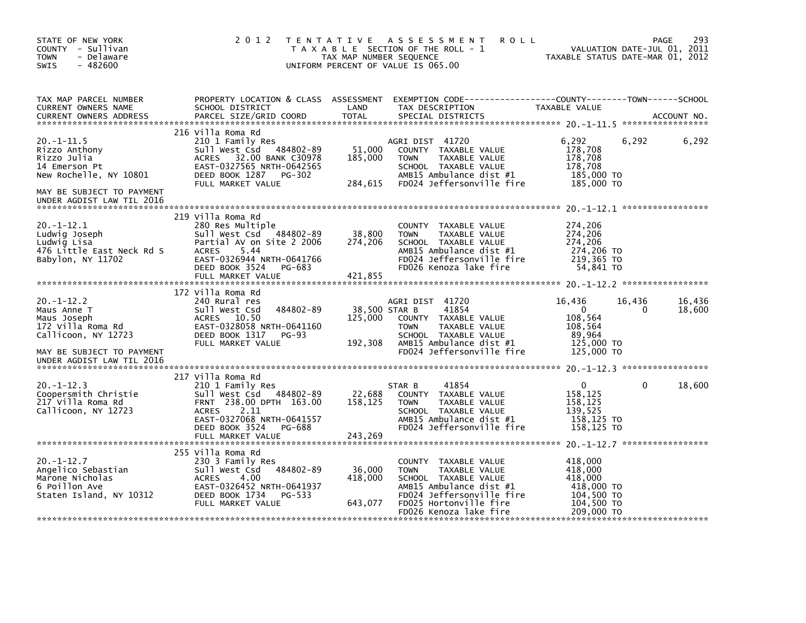| STATE OF NEW YORK<br>COUNTY - Sullivan<br>- Delaware<br><b>TOWN</b><br>$-482600$<br>SWIS             | 2 0 1 2                                                                                                                                                                   | T E N T A T I V E<br>TAX MAP NUMBER SEQUENCE | ASSESSMENT<br><b>ROLL</b><br>T A X A B L E SECTION OF THE ROLL - 1<br>UNIFORM PERCENT OF VALUE IS 065.00                                                       | VALUATION DATE-JUL 01, 2011<br>TAXABLE STATUS DATE-MAR 01, 2012         | <b>PAGE</b>       | 293              |
|------------------------------------------------------------------------------------------------------|---------------------------------------------------------------------------------------------------------------------------------------------------------------------------|----------------------------------------------|----------------------------------------------------------------------------------------------------------------------------------------------------------------|-------------------------------------------------------------------------|-------------------|------------------|
| TAX MAP PARCEL NUMBER<br>CURRENT OWNERS NAME<br><b>CURRENT OWNERS ADDRESS</b>                        | PROPERTY LOCATION & CLASS ASSESSMENT<br>SCHOOL DISTRICT<br>PARCEL SIZE/GRID COORD                                                                                         | LAND<br>TOTAL                                | TAX DESCRIPTION<br>SPECIAL DISTRICTS                                                                                                                           | TAXABLE VALUE                                                           | ***************** | ACCOUNT NO.      |
|                                                                                                      | 216 Villa Roma Rd                                                                                                                                                         |                                              |                                                                                                                                                                |                                                                         |                   |                  |
| $20.-1-11.5$<br>Rizzo Anthony<br>Rizzo Julia<br>14 Emerson Pt<br>New Rochelle, NY 10801              | 210 1 Family Res<br>Sull West Csd 484802-89<br>ACRES 32.00 BANK C30978<br>EAST-0327565 NRTH-0642565<br>DEED BOOK 1287<br>PG-302<br>FULL MARKET VALUE                      | 51,000<br>185,000<br>284,615                 | AGRI DIST 41720<br>COUNTY TAXABLE VALUE<br><b>TOWN</b><br>TAXABLE VALUE<br>SCHOOL TAXABLE VALUE<br>AMB15 Ambulance dist #1<br>FD024 Jeffersonville fire        | 6,292<br>178,708<br>178,708<br>178,708<br>185,000 TO<br>185,000 TO      | 6,292             | 6,292            |
| MAY BE SUBJECT TO PAYMENT<br>UNDER AGDIST LAW TIL 2016                                               |                                                                                                                                                                           |                                              |                                                                                                                                                                |                                                                         |                   |                  |
| $20. -1 - 12.1$<br>Ludwig Joseph<br>Ludwig Lisa<br>476 Little East Neck Rd S<br>Babylon, NY 11702    | 219 Villa Roma Rd<br>280 Res Multiple<br>Sull West Csd<br>484802-89<br>Partial AV on Site 2 2006<br><b>ACRES</b><br>- 5.44<br>EAST-0326944 NRTH-0641766                   | 38,800<br>274,206                            | COUNTY TAXABLE VALUE<br><b>TOWN</b><br>TAXABLE VALUE<br>SCHOOL TAXABLE VALUE<br>AMB15 Ambulance dist #1<br>FD024 Jeffersonville fire                           | 274,206<br>274,206<br>274,206<br>274,206 TO<br>219,365 TO               |                   |                  |
|                                                                                                      | DEED BOOK 3524<br>PG-683<br>FULL MARKET VALUE                                                                                                                             | 421,855                                      | FD026 Kenoza lake fire                                                                                                                                         | 54.841 TO                                                               |                   |                  |
|                                                                                                      | 172 Villa Roma Rd                                                                                                                                                         |                                              |                                                                                                                                                                |                                                                         |                   |                  |
| $20. -1 - 12.2$<br>Maus Anne T<br>Maus Joseph<br>172 Villa Roma Rd<br>Callicoon, NY 12723            | 240 Rural res<br>484802-89<br>Sull West Csd<br>ACRES<br>10.50<br>EAST-0328058 NRTH-0641160<br>DEED BOOK 1317<br><b>PG-93</b><br>FULL MARKET VALUE                         | 38,500 STAR B<br>125,000<br>192,308          | AGRI DIST 41720<br>41854<br>COUNTY TAXABLE VALUE<br>TAXABLE VALUE<br><b>TOWN</b><br>SCHOOL TAXABLE VALUE<br>AMB15 Ambulance dist #1                            | 16,436<br>$\mathbf{0}$<br>108,564<br>108,564<br>89,964<br>125,000 TO    | 16,436<br>0       | 16,436<br>18,600 |
| MAY BE SUBJECT TO PAYMENT<br>UNDER AGDIST LAW TIL 2016                                               |                                                                                                                                                                           |                                              | FD024 Jeffersonville fire                                                                                                                                      | 125,000 TO                                                              |                   |                  |
|                                                                                                      | 217 Villa Roma Rd                                                                                                                                                         |                                              |                                                                                                                                                                |                                                                         |                   |                  |
| $20. -1 - 12.3$<br>Coopersmith Christie<br>217 Villa Roma Rd<br>Callicoon, NY 12723                  | 210 1 Family Res<br>Sull West Csd 484802-89<br>FRNT 238.00 DPTH 163.00<br>2.11<br><b>ACRES</b><br>EAST-0327068 NRTH-0641557                                               | 22,688<br>158,125                            | 41854<br>STAR B<br>COUNTY TAXABLE VALUE<br>TAXABLE VALUE<br><b>TOWN</b><br>SCHOOL TAXABLE VALUE<br>AMB15 Ambulance dist #1                                     | 0<br>158,125<br>158,125<br>139,525<br>158,125 TO                        | $\Omega$          | 18,600           |
|                                                                                                      | DEED BOOK 3524<br>PG-688<br>FULL MARKET VALUE                                                                                                                             | 243,269                                      | FD024 Jeffersonville fire                                                                                                                                      | 158,125 TO                                                              |                   |                  |
| $20. -1 - 12.7$<br>Angelico Sebastian<br>Marone Nicholas<br>6 Poillon Ave<br>Staten Island, NY 10312 | 255 Villa Roma Rd<br>230 3 Family Res<br>Sull West Csd<br>484802-89<br><b>ACRES</b><br>4.00<br>EAST-0326452 NRTH-0641937<br>DEED BOOK 1734<br>PG-533<br>FULL MARKET VALUE | 36,000<br>418,000<br>643,077                 | COUNTY TAXABLE VALUE<br><b>TOWN</b><br>TAXABLE VALUE<br>SCHOOL TAXABLE VALUE<br>AMB15 Ambulance dist #1<br>FD024 Jeffersonville fire<br>FD025 Hortonville fire | 418,000<br>418,000<br>418,000<br>418,000 TO<br>104,500 TO<br>104,500 TO |                   |                  |
|                                                                                                      |                                                                                                                                                                           |                                              | FD026 Kenoza lake fire                                                                                                                                         | 209,000 TO                                                              |                   |                  |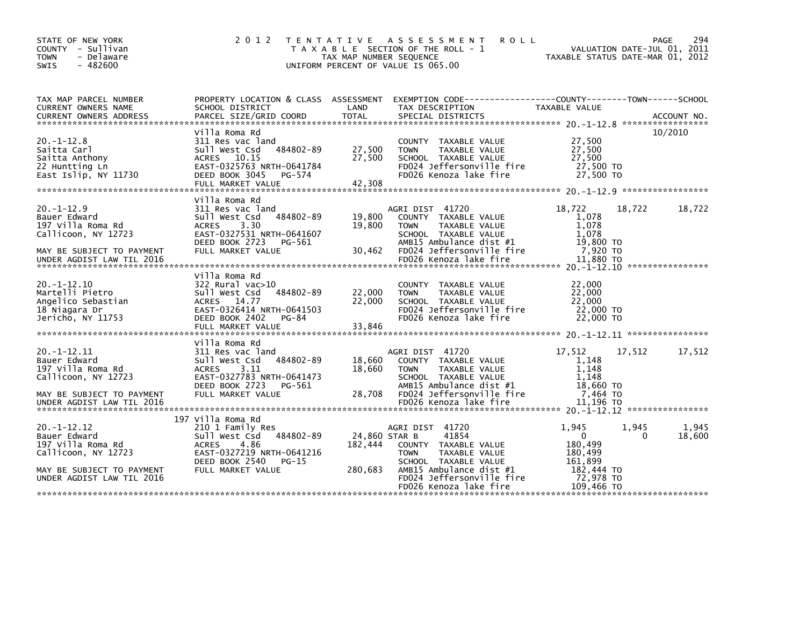| STATE OF NEW YORK<br>COUNTY - Sullivan<br><b>TOWN</b><br>- Delaware<br>$-482600$<br><b>SWIS</b>          | 2 0 1 2                                                                                                                                                               | TAX MAP NUMBER SEQUENCE    | TENTATIVE ASSESSMENT<br><b>ROLL</b><br>T A X A B L E SECTION OF THE ROLL - 1<br>UNIFORM PERCENT OF VALUE IS 065.00                                      | TAXABLE STATUS DATE-MAR 01, 2012                           | VALUATION DATE-JUL 01, | 294<br><b>PAGE</b><br>2011 |
|----------------------------------------------------------------------------------------------------------|-----------------------------------------------------------------------------------------------------------------------------------------------------------------------|----------------------------|---------------------------------------------------------------------------------------------------------------------------------------------------------|------------------------------------------------------------|------------------------|----------------------------|
| TAX MAP PARCEL NUMBER<br>CURRENT OWNERS NAME                                                             | PROPERTY LOCATION & CLASS ASSESSMENT<br>SCHOOL DISTRICT                                                                                                               | LAND                       | EXEMPTION CODE------------------COUNTY--------TOWN------SCHOOL<br>TAX DESCRIPTION                                                                       | TAXABLE VALUE                                              |                        |                            |
| $20. -1 - 12.8$<br>Saitta Carl<br>Saitta Anthony<br>22 Huntting Ln<br>East Islip, NY 11730               | Villa Roma Rd<br>311 Res vac land<br>484802-89<br>Sull West Csd<br>ACRES 10.15<br>EAST-0325763 NRTH-0641784<br>DEED BOOK 3045<br>PG-574<br>FULL MARKET VALUE          | 27,500<br>27,500<br>42,308 | COUNTY TAXABLE VALUE<br>TAXABLE VALUE<br><b>TOWN</b><br>SCHOOL TAXABLE VALUE<br>FD024 Jeffersonville fire<br>FD026 Kenoza lake fire                     | 27,500<br>27,500<br>27,500<br>27,500 TO<br>27,500 TO       |                        | 10/2010                    |
| $20. -1 - 12.9$<br>Bauer Edward<br>197 Villa Roma Rd<br>Callicoon, NY 12723<br>MAY BE SUBJECT TO PAYMENT | Villa Roma Rd<br>311 Res vac land<br>484802-89<br>Sull West Csd<br><b>ACRES</b><br>3.30<br>EAST-0327531 NRTH-0641607<br>DEED BOOK 2723<br>PG-561<br>FULL MARKET VALUE | 19,800<br>19,800<br>30,462 | AGRI DIST 41720<br>COUNTY TAXABLE VALUE<br>TAXABLE VALUE<br><b>TOWN</b><br>SCHOOL TAXABLE VALUE<br>AMB15 Ambulance dist #1<br>FD024 Jeffersonville fire | 18,722<br>1,078<br>1,078<br>1.078<br>19,800 TO<br>7,920 TO | 18,722                 | 18,722                     |
| UNDER AGDIST LAW TIL 2016                                                                                |                                                                                                                                                                       |                            | FD026 Kenoza lake fire                                                                                                                                  | 11,880 TO                                                  |                        |                            |
| $20. -1 - 12.10$<br>Martelli Pietro<br>Angelico Sebastian<br>18 Niagara Dr<br>Jericho, NY 11753          | Villa Roma Rd<br>322 Rural vac>10<br>Sull West Csd<br>484802-89<br>ACRES 14.77<br>EAST-0326414 NRTH-0641503<br>DEED BOOK 2402<br>PG-84<br>FULL MARKET VALUE           | 22,000<br>22,000<br>33,846 | COUNTY TAXABLE VALUE<br><b>TOWN</b><br>TAXABLE VALUE<br>SCHOOL TAXABLE VALUE<br>FD024 Jeffersonville fire<br>FD026 Kenoza lake fire                     | 22,000<br>22,000<br>22,000<br>22,000 TO<br>22,000 TO       |                        |                            |
|                                                                                                          | Villa Roma Rd                                                                                                                                                         |                            |                                                                                                                                                         |                                                            |                        |                            |
| $20. -1 - 12.11$<br>Bauer Edward<br>197 Villa Roma Rd<br>Callicoon, NY 12723                             | 311 Res vac land<br>484802-89<br>Sull West Csd<br>3.11<br><b>ACRES</b><br>EAST-0327783 NRTH-0641473<br>DEED BOOK 2723<br>PG-561                                       | 18,660<br>18,660           | AGRI DIST 41720<br>COUNTY TAXABLE VALUE<br>TAXABLE VALUE<br><b>TOWN</b><br>SCHOOL TAXABLE VALUE<br>AMB15 Ambulance dist #1                              | 17,512<br>1,148<br>1.148<br>1.148<br>18,660 TO             | 17,512                 | 17,512                     |
| MAY BE SUBJECT TO PAYMENT<br>UNDER AGDIST LAW TIL 2016                                                   | FULL MARKET VALUE                                                                                                                                                     | 28,708                     | FD024 Jeffersonville fire<br>FD026 Kenoza lake fire                                                                                                     | 7,464 TO<br>11,196 TO                                      |                        |                            |
| $20. -1 - 12.12$<br>Bauer Edward<br>197 Villa Roma Rd<br>Callicoon, NY 12723                             | 197 Villa Roma Rd<br>210 1 Family Res<br>484802-89<br>Sull West Csd<br>4.86<br><b>ACRES</b><br>EAST-0327219 NRTH-0641216<br>DEED BOOK 2540<br>$PG-15$                 | 24,860 STAR B<br>182,444   | AGRI DIST 41720<br>41854<br>COUNTY TAXABLE VALUE<br>TAXABLE VALUE<br><b>TOWN</b><br>SCHOOL TAXABLE VALUE                                                | 1,945<br>$\Omega$<br>180,499<br>180,499<br>161.899         | 1,945<br>0             | 1,945<br>18,600            |
| MAY BE SUBJECT TO PAYMENT<br>UNDER AGDIST LAW TIL 2016                                                   | FULL MARKET VALUE                                                                                                                                                     | 280,683                    | AMB15 Ambulance dist #1<br>FD024 Jeffersonville fire<br>FD026 Kenoza lake fire                                                                          | 182,444 TO<br>72,978 TO<br>109,466 TO                      |                        |                            |
|                                                                                                          |                                                                                                                                                                       |                            |                                                                                                                                                         |                                                            |                        |                            |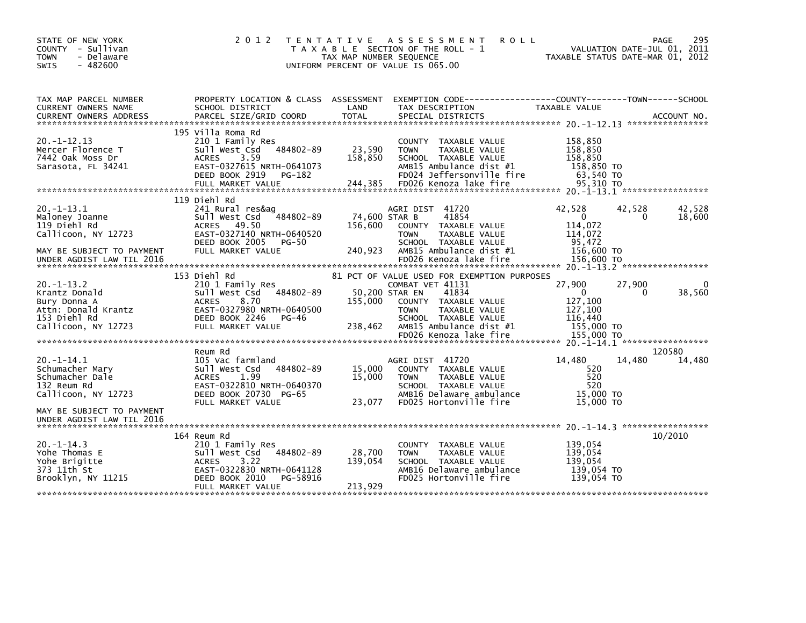| STATE OF NEW YORK<br>COUNTY - Sullivan<br><b>TOWN</b><br>- Delaware<br>$-482600$<br>SWIS                       | 2 0 1 2                                                                                                                                                                   | TAX MAP NUMBER SEQUENCE      | TENTATIVE ASSESSMENT<br><b>ROLL</b><br>T A X A B L E SECTION OF THE ROLL - 1<br>UNIFORM PERCENT OF VALUE IS 065.00                                                                                    | VALUATION DATE-JUL 01, 2011<br>TAXABLE STATUS DATE-MAR 01, 2012             | 295<br>PAGE                      |
|----------------------------------------------------------------------------------------------------------------|---------------------------------------------------------------------------------------------------------------------------------------------------------------------------|------------------------------|-------------------------------------------------------------------------------------------------------------------------------------------------------------------------------------------------------|-----------------------------------------------------------------------------|----------------------------------|
| TAX MAP PARCEL NUMBER<br>CURRENT OWNERS NAME<br><b>CURRENT OWNERS ADDRESS</b>                                  | PROPERTY LOCATION & CLASS ASSESSMENT<br>SCHOOL DISTRICT<br>PARCEL SIZE/GRID COORD                                                                                         | LAND<br><b>TOTAL</b>         | EXEMPTION CODE-----------------COUNTY-------TOWN------SCHOOL<br>TAX DESCRIPTION<br>SPECIAL DISTRICTS                                                                                                  | TAXABLE VALUE                                                               | ACCOUNT NO.                      |
| $20. -1 - 12.13$<br>Mercer Florence T<br>7442 Oak Moss Dr<br>Sarasota, FL 34241                                | 195 Villa Roma Rd<br>210 1 Family Res<br>484802-89<br>Sull West Csd<br><b>ACRES</b><br>3.59<br>EAST-0327615 NRTH-0641073<br>DEED BOOK 2919<br>PG-182<br>FULL MARKET VALUE | 23,590<br>158,850<br>244,385 | COUNTY TAXABLE VALUE<br>TAXABLE VALUE<br><b>TOWN</b><br>SCHOOL TAXABLE VALUE<br>AMB15 Ambulance dist #1<br>FD024 Jeffersonville fire<br>FD026 Kenoza lake fire                                        | 158,850<br>158,850<br>158,850<br>158,850 TO<br>63.540 TO<br>95.310 TO       |                                  |
|                                                                                                                | 119 Diehl Rd                                                                                                                                                              |                              |                                                                                                                                                                                                       |                                                                             |                                  |
| $20. -1 - 13.1$<br>Maloney Joanne<br>119 Diehl Rd<br>Callicoon, NY 12723                                       | 241 Rural res&ag<br>sull west Csd<br>484802-89<br>ACRES 49.50<br>EAST-0327140 NRTH-0640520                                                                                | 156.600                      | AGRI DIST 41720<br>41854<br>74,600 STAR B<br>COUNTY TAXABLE VALUE<br><b>TOWN</b><br>TAXABLE VALUE                                                                                                     | 42,528<br>42,528<br>$\mathbf{0}$<br>114,072<br>114.072                      | 42,528<br>18,600<br><sup>0</sup> |
| MAY BE SUBJECT TO PAYMENT<br>UNDER AGDIST LAW TIL 2016                                                         | DEED BOOK 2005<br><b>PG-50</b><br>FULL MARKET VALUE                                                                                                                       | 240,923                      | SCHOOL TAXABLE VALUE<br>AMB15 Ambulance dist #1<br>FD026 Kenoza lake fire                                                                                                                             | 95,472<br>156,600 TO<br>156,600 TO                                          |                                  |
| $20. -1 - 13.2$<br>Krantz Donald<br>Bury Donna A<br>Attn: Donald Krantz<br>153 Diehl Rd<br>Callicoon, NY 12723 | 153 Diehl Rd<br>210 1 Family Res<br>Sull West Csd 484802-89<br>8.70<br><b>ACRES</b><br>EAST-0327980 NRTH-0640500<br>DEED BOOK 2246<br>PG-46<br>FULL MARKET VALUE          | 155,000<br>238,462           | 81 PCT OF VALUE USED FOR EXEMPTION PURPOSES<br>COMBAT VET 41131<br>50,200 STAR EN<br>41834<br>COUNTY TAXABLE VALUE<br>TAXABLE VALUE<br><b>TOWN</b><br>SCHOOL TAXABLE VALUE<br>AMB15 Ambulance dist #1 | 27,900<br>27,900<br>$\Omega$<br>127,100<br>127,100<br>116,440<br>155,000 TO | $\Omega$<br>38,560<br>$\Omega$   |
|                                                                                                                |                                                                                                                                                                           |                              | FD026 Kenoza lake fire                                                                                                                                                                                | 155,000 TO                                                                  |                                  |
| $20. -1 - 14.1$<br>Schumacher Mary<br>Schumacher Dale<br>132 Reum Rd<br>Callicoon, NY 12723                    | Reum Rd<br>105 Vac farmland<br>Sull West Csd<br>484802-89<br><b>ACRES</b><br>1.99<br>EAST-0322810 NRTH-0640370<br>DEED BOOK 20730 PG-65<br>FULL MARKET VALUE              | 15,000<br>15,000<br>23,077   | AGRI DIST 41720<br>COUNTY TAXABLE VALUE<br><b>TAXABLE VALUE</b><br><b>TOWN</b><br>SCHOOL TAXABLE VALUE<br>AMB16 Delaware ambulance<br>FD025 Hortonville fire                                          | 14,480<br>14,480<br>520<br>520<br>520<br>15,000 TO<br>15,000 TO             | 120580<br>14,480                 |
| MAY BE SUBJECT TO PAYMENT<br>UNDER AGDIST LAW TIL 2016                                                         |                                                                                                                                                                           |                              |                                                                                                                                                                                                       |                                                                             |                                  |
|                                                                                                                |                                                                                                                                                                           |                              |                                                                                                                                                                                                       |                                                                             |                                  |
| $20. -1 - 14.3$<br>Yohe Thomas E<br>Yohe Brigitte<br>373 11th St<br>Brooklyn, NY 11215                         | 164 Reum Rd<br>210 1 Family Res<br>Sull West Csd 484802-89<br>3.22<br><b>ACRES</b><br>EAST-0322830 NRTH-0641128<br>DEED BOOK 2010<br>PG-58916                             | 28,700<br>139,054<br>213,929 | COUNTY TAXABLE VALUE<br><b>TOWN</b><br>TAXABLE VALUE<br>SCHOOL TAXABLE VALUE<br>AMB16 Delaware ambulance<br>FD025 Hortonville fire                                                                    | 139,054<br>139,054<br>139.054<br>139,054 TO<br>139,054 TO                   | 10/2010                          |
|                                                                                                                | FULL MARKET VALUE                                                                                                                                                         |                              |                                                                                                                                                                                                       |                                                                             |                                  |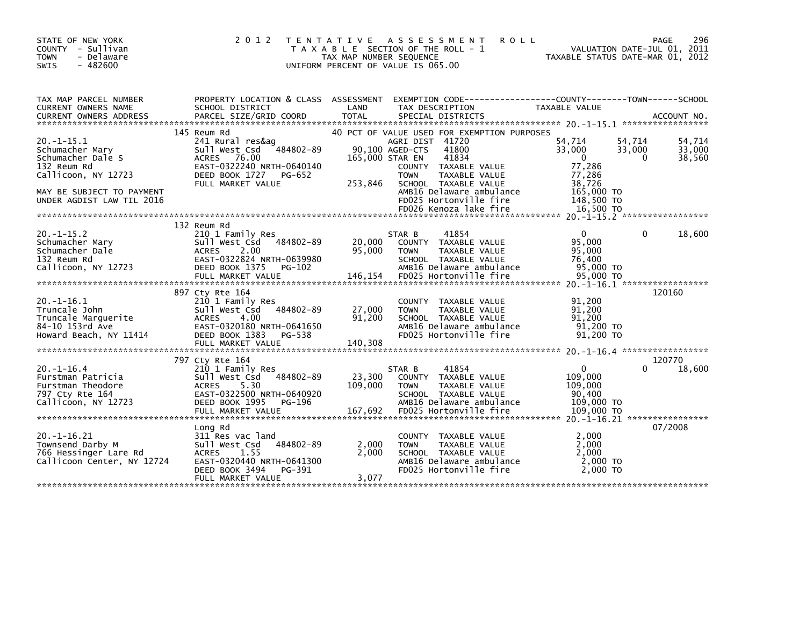| STATE OF NEW YORK<br>COUNTY - Sullivan<br>- Delaware<br><b>TOWN</b><br>$-482600$<br><b>SWIS</b> | 2 0 1 2                                                 | T E N T A T I V E<br>T A X A B L E SECTION OF THE ROLL - 1<br>TAX MAP NUMBER SEQUENCE<br>UNIFORM PERCENT OF VALUE IS 065.00 |                 | A S S E S S M E N T<br><b>ROLL</b>               | TAXABLE STATUS DATE-MAR 01, 2012 | VALUATION DATE-JUL 01, 2011 | 296<br>PAGE |
|-------------------------------------------------------------------------------------------------|---------------------------------------------------------|-----------------------------------------------------------------------------------------------------------------------------|-----------------|--------------------------------------------------|----------------------------------|-----------------------------|-------------|
|                                                                                                 |                                                         |                                                                                                                             |                 |                                                  |                                  |                             |             |
| TAX MAP PARCEL NUMBER<br>CURRENT OWNERS NAME                                                    | PROPERTY LOCATION & CLASS ASSESSMENT<br>SCHOOL DISTRICT | LAND                                                                                                                        |                 | TAX DESCRIPTION                                  | TAXABLE VALUE                    |                             |             |
|                                                                                                 |                                                         |                                                                                                                             |                 |                                                  |                                  |                             |             |
|                                                                                                 | 145 Reum Rd                                             |                                                                                                                             |                 | 40 PCT OF VALUE USED FOR EXEMPTION PURPOSES      |                                  |                             |             |
| $20. -1 - 15.1$                                                                                 | 241 Rural res&ag                                        |                                                                                                                             | AGRI DIST 41720 |                                                  | 54,714                           | 54,714                      | 54,714      |
| Schumacher Mary                                                                                 | Sull West Csd<br>484802-89                              |                                                                                                                             | 90,100 AGED-CTS | 41800                                            | 33,000                           | 33,000                      | 33,000      |
| Schumacher Dale S                                                                               | <b>ACRES</b><br>76.00                                   | 165,000 STAR EN                                                                                                             |                 | 41834                                            | $\Omega$                         | $\Omega$                    | 38,560      |
| 132 Reum Rd                                                                                     | EAST-0322240 NRTH-0640140                               |                                                                                                                             |                 | COUNTY TAXABLE VALUE                             | 77,286                           |                             |             |
| Callicoon, NY 12723                                                                             | DEED BOOK 1727<br>PG-652<br>FULL MARKET VALUE           | 253,846                                                                                                                     | <b>TOWN</b>     | TAXABLE VALUE<br>SCHOOL TAXABLE VALUE            | 77,286<br>38,726                 |                             |             |
| MAY BE SUBJECT TO PAYMENT                                                                       |                                                         |                                                                                                                             |                 | AMB16 Delaware ambulance                         | 165,000 TO                       |                             |             |
| UNDER AGDIST LAW TIL 2016                                                                       |                                                         |                                                                                                                             |                 | FD025 Hortonville fire                           | 148,500 TO                       |                             |             |
|                                                                                                 |                                                         |                                                                                                                             |                 | FD026 Kenoza lake fire                           | 16.500 TO                        |                             |             |
|                                                                                                 |                                                         |                                                                                                                             |                 |                                                  |                                  |                             |             |
|                                                                                                 | 132 Reum Rd                                             |                                                                                                                             |                 |                                                  |                                  |                             |             |
| $20. -1 - 15.2$                                                                                 | 210 1 Family Res                                        |                                                                                                                             | STAR B          | 41854                                            | $\mathbf{0}$                     | $\mathbf{0}$                | 18,600      |
| Schumacher Mary                                                                                 | Sull West Csd<br>484802-89                              | 20,000                                                                                                                      |                 | COUNTY TAXABLE VALUE                             | 95,000                           |                             |             |
| Schumacher Dale<br>132 Reum Rd                                                                  | 2.00<br><b>ACRES</b><br>EAST-0322824 NRTH-0639980       | 95,000                                                                                                                      | <b>TOWN</b>     | TAXABLE VALUE                                    | 95,000<br>76,400                 |                             |             |
| Callicoon, NY 12723                                                                             | DEED BOOK 1375<br>$PG-102$                              |                                                                                                                             |                 | SCHOOL TAXABLE VALUE<br>AMB16 Delaware ambulance | 95,000 TO                        |                             |             |
|                                                                                                 | FULL MARKET VALUE                                       | 146,154                                                                                                                     |                 | FD025 Hortonville fire                           | 95,000 TO                        |                             |             |
|                                                                                                 |                                                         |                                                                                                                             |                 |                                                  |                                  |                             |             |
|                                                                                                 | 897 Cty Rte 164                                         |                                                                                                                             |                 |                                                  |                                  |                             | 120160      |
| $20. -1 - 16.1$                                                                                 | 210 1 Family Res                                        |                                                                                                                             | <b>COUNTY</b>   | TAXABLE VALUE                                    | 91,200                           |                             |             |
| Truncale John                                                                                   | sull west Csd<br>484802-89                              | 27,000                                                                                                                      | <b>TOWN</b>     | TAXABLE VALUE                                    | 91,200                           |                             |             |
| Truncale Marguerite                                                                             | 4.00<br><b>ACRES</b>                                    | 91,200                                                                                                                      |                 | SCHOOL TAXABLE VALUE                             | 91,200                           |                             |             |
| 84-10 153rd Ave                                                                                 | EAST-0320180 NRTH-0641650                               |                                                                                                                             |                 | AMB16 Delaware ambulance                         | 91,200 TO                        |                             |             |
| Howard Beach, NY 11414                                                                          | DEED BOOK 1383<br>PG-538<br>FULL MARKET VALUE           | 140,308                                                                                                                     |                 | FD025 Hortonville fire                           | 91,200 TO                        |                             |             |
|                                                                                                 |                                                         |                                                                                                                             |                 |                                                  |                                  |                             |             |
|                                                                                                 | 797 Cty Rte 164                                         |                                                                                                                             |                 |                                                  |                                  |                             | 120770      |
| $20. -1 - 16.4$                                                                                 | 210 1 Family Res                                        |                                                                                                                             | STAR B          | 41854                                            | $\mathbf{0}$                     | 0                           | 18,600      |
| Furstman Patricia                                                                               | 484802-89<br>Sull West Csd                              | 23,300                                                                                                                      |                 | COUNTY TAXABLE VALUE                             | 109,000                          |                             |             |
| Furstman Theodore                                                                               | 5.30<br><b>ACRES</b>                                    | 109,000                                                                                                                     | <b>TOWN</b>     | TAXABLE VALUE                                    | 109,000                          |                             |             |
| 797 Cty Rte 164                                                                                 | EAST-0322500 NRTH-0640920                               |                                                                                                                             |                 | SCHOOL TAXABLE VALUE                             | 90,400                           |                             |             |
| Callicoon, NY 12723                                                                             | DEED BOOK 1995<br>PG-196                                |                                                                                                                             |                 | AMB16 Delaware ambulance                         | 109,000 TO                       |                             |             |
|                                                                                                 | FULL MARKET VALUE                                       | 167,692                                                                                                                     |                 | FD025 Hortonville fire                           | 109,000 TO                       |                             |             |
|                                                                                                 | Long Rd                                                 |                                                                                                                             |                 |                                                  |                                  |                             | 07/2008     |
| $20. -1 - 16.21$                                                                                | 311 Res vac land                                        |                                                                                                                             |                 | COUNTY TAXABLE VALUE                             | 2,000                            |                             |             |
| Townsend Darby M                                                                                | Sull West Csd<br>484802-89                              | 2,000                                                                                                                       | <b>TOWN</b>     | TAXABLE VALUE                                    | 2.000                            |                             |             |
| 766 Hessinger Lare Rd                                                                           | <b>ACRES</b><br>1.55                                    | 2,000                                                                                                                       |                 | SCHOOL TAXABLE VALUE                             | 2,000                            |                             |             |
| Callicoon Center, NY 12724                                                                      | EAST-0320440 NRTH-0641300                               |                                                                                                                             |                 | AMB16 Delaware ambulance                         | $2,000$ TO                       |                             |             |
|                                                                                                 | DEED BOOK 3494<br>PG-391                                |                                                                                                                             |                 | FD025 Hortonville fire                           | 2,000 TO                         |                             |             |
|                                                                                                 | FULL MARKET VALUE                                       | 3,077                                                                                                                       |                 |                                                  |                                  |                             |             |
|                                                                                                 |                                                         |                                                                                                                             |                 |                                                  |                                  |                             |             |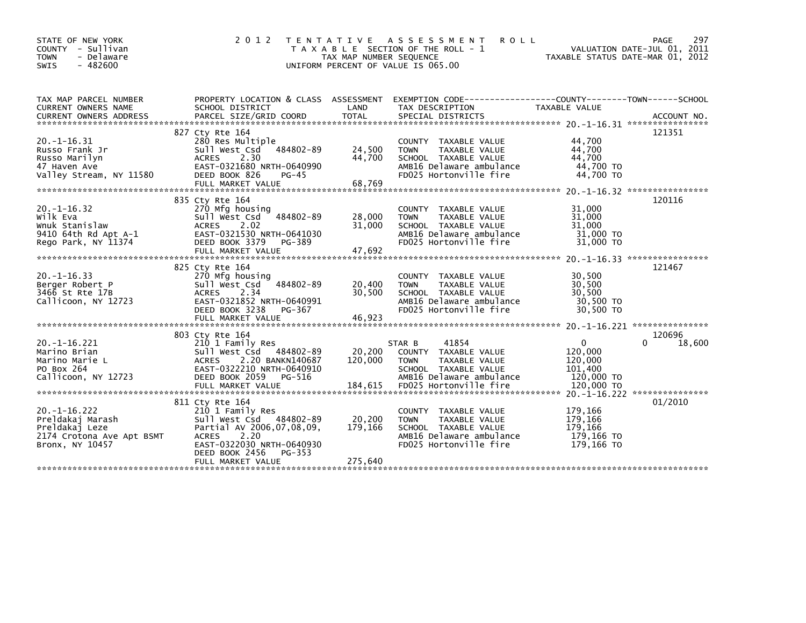| STATE OF NEW YORK<br>COUNTY - Sullivan                      | 2 0 1 2                                           | T E N T A T I V E       | A S S E S S M E N T<br><b>ROLL</b><br>T A X A B L E SECTION OF THE ROLL - 1 |                                  | PAGE<br>297<br>VALUATION DATE-JUL 01, 2011 |
|-------------------------------------------------------------|---------------------------------------------------|-------------------------|-----------------------------------------------------------------------------|----------------------------------|--------------------------------------------|
| <b>TOWN</b><br>- Delaware<br>$-482600$<br><b>SWIS</b>       |                                                   | TAX MAP NUMBER SEQUENCE | UNIFORM PERCENT OF VALUE IS 065.00                                          | TAXABLE STATUS DATE-MAR 01, 2012 |                                            |
|                                                             |                                                   |                         |                                                                             |                                  |                                            |
| TAX MAP PARCEL NUMBER                                       | PROPERTY LOCATION & CLASS ASSESSMENT              |                         | EXEMPTION        CODE-----------------COUNTY--------TOWN------SCHOOL        |                                  |                                            |
| <b>CURRENT OWNERS NAME</b><br><b>CURRENT OWNERS ADDRESS</b> | SCHOOL DISTRICT<br>PARCEL SIZE/GRID COORD         | LAND<br><b>TOTAL</b>    | TAX DESCRIPTION<br>SPECIAL DISTRICTS                                        | TAXABLE VALUE                    | ACCOUNT NO.                                |
|                                                             | 827 Cty Rte 164                                   |                         |                                                                             |                                  | 121351                                     |
| $20. -1 - 16.31$                                            | 280 Res Multiple                                  |                         | <b>COUNTY</b><br>TAXABLE VALUE                                              | 44,700                           |                                            |
| Russo Frank Jr                                              | Sull West Csd<br>484802-89                        | 24,500                  | <b>TAXABLE VALUE</b><br><b>TOWN</b>                                         | 44,700                           |                                            |
| Russo Marilyn                                               | 2.30<br><b>ACRES</b><br>EAST-0321680 NRTH-0640990 | 44,700                  | SCHOOL TAXABLE VALUE<br>AMB16 Delaware ambulance                            | 44.700<br>44,700 TO              |                                            |
| 47 Haven Ave<br>Valley Stream, NY 11580                     | DEED BOOK 826<br>$PG-45$                          |                         | FD025 Hortonville fire                                                      | 44,700 TO                        |                                            |
|                                                             |                                                   |                         |                                                                             |                                  |                                            |
|                                                             |                                                   |                         |                                                                             |                                  |                                            |
|                                                             | 835 Cty Rte 164                                   |                         |                                                                             |                                  | 120116                                     |
| $20. -1 - 16.32$                                            | 270 Mfg housing                                   |                         | TAXABLE VALUE<br><b>COUNTY</b>                                              | 31,000                           |                                            |
| wilk Eva                                                    | 484802-89<br>Sull West Csd                        | 28,000                  | TAXABLE VALUE<br><b>TOWN</b>                                                | 31,000                           |                                            |
| Wnuk Stanislaw                                              | 2.02<br><b>ACRES</b>                              | 31,000                  | SCHOOL TAXABLE VALUE                                                        | 31,000                           |                                            |
| 9410 64th Rd Apt A-1                                        | EAST-0321530 NRTH-0641030                         |                         | AMB16 Delaware ambulance                                                    | 31,000 TO                        |                                            |
| Rego Park, NY 11374                                         | DEED BOOK 3379<br>PG-389<br>FULL MARKET VALUE     | 47,692                  | FD025 Hortonville fire                                                      | 31,000 TO                        |                                            |
|                                                             |                                                   |                         |                                                                             |                                  |                                            |
|                                                             | 825 Cty Rte 164                                   |                         |                                                                             |                                  | 121467                                     |
| $20. -1 - 16.33$                                            | 270 Mfg housing                                   |                         | TAXABLE VALUE<br><b>COUNTY</b>                                              | 30,500                           |                                            |
| Berger Robert P                                             | Sull West Csd<br>484802-89                        | 20,400                  | <b>TOWN</b><br>TAXABLE VALUE                                                | 30,500                           |                                            |
| 3466 St Rte 17B                                             | 2.34<br><b>ACRES</b>                              | 30.500                  | SCHOOL TAXABLE VALUE                                                        | 30,500                           |                                            |
| Callicoon, NY 12723                                         | EAST-0321852 NRTH-0640991                         |                         | AMB16 Delaware ambulance                                                    | 30,500 TO                        |                                            |
|                                                             | DEED BOOK 3238<br>PG-367                          |                         | FD025 Hortonville fire                                                      | 30,500 TO                        |                                            |
|                                                             | FULL MARKET VALUE                                 | 46,923                  |                                                                             |                                  | ***************                            |
|                                                             | 803 Cty Rte 164                                   |                         |                                                                             |                                  | 120696                                     |
| $20. -1 - 16.221$                                           | 210 1 Family Res                                  |                         | 41854<br>STAR B                                                             | $\Omega$                         | $\Omega$<br>18,600                         |
| Marino Brian                                                | Sull West Csd<br>484802-89                        | 20,200                  | <b>COUNTY</b><br>TAXABLE VALUE                                              | 120,000                          |                                            |
| Marino Marie L                                              | 2.20 BANKN140687<br><b>ACRES</b>                  | 120,000                 | TAXABLE VALUE<br><b>TOWN</b>                                                | 120,000                          |                                            |
| PO Box 264                                                  | EAST-0322210 NRTH-0640910                         |                         | SCHOOL TAXABLE VALUE                                                        | 101,400                          |                                            |
| Callicoon, NY 12723                                         | DEED BOOK 2059<br>PG-516                          |                         | AMB16 Delaware ambulance                                                    | 120,000 TO                       |                                            |
|                                                             | FULL MARKET VALUE                                 | 184,615                 | FD025 Hortonville fire                                                      | 120,000 TO                       |                                            |
|                                                             |                                                   |                         |                                                                             |                                  |                                            |
| $20. -1 - 16.222$                                           | 811 Cty Rte 164                                   |                         |                                                                             | 179,166                          | 01/2010                                    |
| Preldakaj Marash                                            | 210 1 Family Res<br>Sull West Csd 484802-89       | 20,200                  | TAXABLE VALUE<br><b>COUNTY</b><br>TAXABLE VALUE<br><b>TOWN</b>              | 179,166                          |                                            |
| Preldakaj Leze                                              | Partial AV 2006,07,08,09,                         | 179,166                 | SCHOOL TAXABLE VALUE                                                        | 179,166                          |                                            |
| 2174 Crotona Ave Apt BSMT                                   | 2.20<br><b>ACRES</b>                              |                         | AMB16 Delaware ambulance                                                    | 179,166 TO                       |                                            |
| Bronx, NY 10457                                             | EAST-0322030 NRTH-0640930                         |                         | FD025 Hortonville fire                                                      | 179,166 TO                       |                                            |
|                                                             | DEED BOOK 2456<br>PG-353                          |                         |                                                                             |                                  |                                            |
|                                                             | FULL MARKET VALUE                                 | 275,640                 |                                                                             |                                  |                                            |
|                                                             |                                                   |                         |                                                                             |                                  |                                            |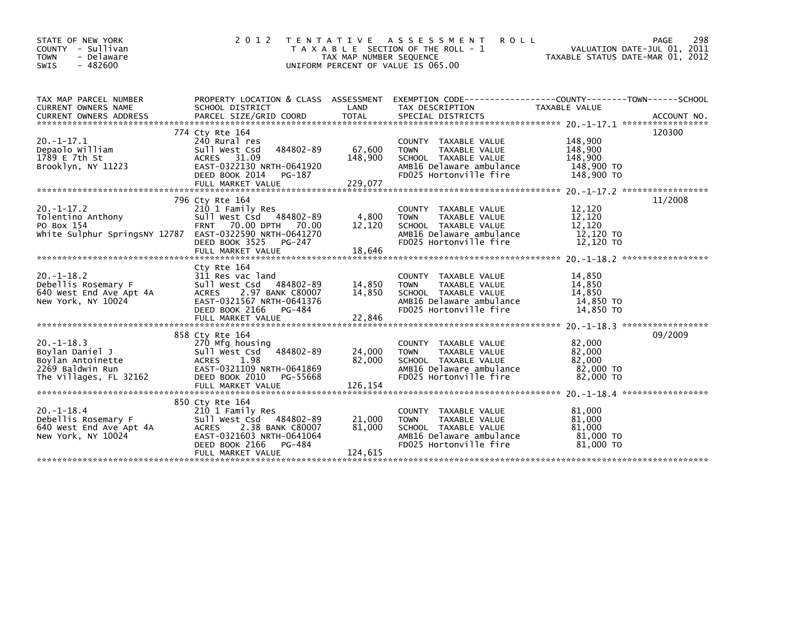| STATE OF NEW YORK<br>- Sullivan<br><b>COUNTY</b><br>- Delaware<br><b>TOWN</b><br>$-482600$<br><b>SWIS</b>     | 2 0 1 2                                                                                                                                                                             | <b>TENTATIVE</b><br>TAX MAP NUMBER SEQUENCE | A S S E S S M E N T<br><b>ROLL</b><br>T A X A B L E SECTION OF THE ROLL - 1<br>UNIFORM PERCENT OF VALUE IS 065.00                            | VALUATION DATE-JUL 01, 2011<br>TAXABLE STATUS DATE-MAR 01, 2012 | 298<br><b>PAGE</b>           |
|---------------------------------------------------------------------------------------------------------------|-------------------------------------------------------------------------------------------------------------------------------------------------------------------------------------|---------------------------------------------|----------------------------------------------------------------------------------------------------------------------------------------------|-----------------------------------------------------------------|------------------------------|
| TAX MAP PARCEL NUMBER<br><b>CURRENT OWNERS NAME</b>                                                           | PROPERTY LOCATION & CLASS ASSESSMENT<br>SCHOOL DISTRICT                                                                                                                             | LAND                                        | EXEMPTION        CODE-----------------COUNTY-------TOWN------SCHOOL<br>TAX DESCRIPTION                                                       | <b>TAXABLE VALUE</b>                                            |                              |
| $20. -1 - 17.1$<br>Depaolo William<br>1789 E 7th St<br>Brooklyn, NY 11223                                     | 774 Cty Rte 164<br>240 Rural res<br>484802-89<br>Sull West Csd<br>ACRES 31.09<br>EAST-0322130 NRTH-0641920<br>DEED BOOK 2014<br>PG-187<br>FULL MARKET VALUE                         | 67,600<br>148,900<br>229.077                | COUNTY TAXABLE VALUE<br>TAXABLE VALUE<br><b>TOWN</b><br>SCHOOL TAXABLE VALUE<br>AMB16 Delaware ambulance<br>FD025 Hortonville fire           | 148,900<br>148,900<br>148,900<br>148,900 TO<br>148,900 TO       | 120300                       |
| $20. -1 - 17.2$<br>Tolentino Anthony<br>PO Box 154<br>White Sulphur SpringsNY 12787 EAST-0322590 NRTH-0641270 | 796 Cty Rte 164<br>210 1 Family Res<br>Sull West Csd 484802-89<br><b>FRNT</b><br>70.00 DPTH<br>70.00<br>DEED BOOK 3525<br>PG-247<br>FULL MARKET VALUE                               | 4,800<br>12,120<br>18,646                   | COUNTY TAXABLE VALUE<br>TAXABLE VALUE<br><b>TOWN</b><br>SCHOOL TAXABLE VALUE<br>AMB16 Delaware ambulance<br>FD025 Hortonville fire           | 12,120<br>12,120<br>12,120<br>12,120 TO<br>12,120 TO            | 11/2008                      |
| $20. -1 - 18.2$<br>Debellis Rosemary F<br>640 West End Ave Apt 4A<br>New York, NY 10024                       | Cty Rte 164<br>311 Res vac land<br>Sull West Csd<br>484802-89<br><b>ACRES</b><br>2.97 BANK C80007<br>EAST-0321567 NRTH-0641376<br>DEED BOOK 2166<br>PG-484                          | 14,850<br>14.850                            | COUNTY TAXABLE VALUE<br>TAXABLE VALUE<br><b>TOWN</b><br>SCHOOL TAXABLE VALUE<br>AMB16 Delaware ambulance<br>FD025 Hortonville fire           | 14,850<br>14,850<br>14,850<br>14,850 TO<br>14,850 TO            |                              |
| $20. -1 - 18.3$<br>Boylan Daniel J<br>Boylan Antoinette<br>2269 Baldwin Run<br>The Villages, FL 32162         | 858 Cty Rte 164<br>270 Mfg housing<br>484802-89<br>Sull West Csd<br>1.98<br><b>ACRES</b><br>EAST-0321109 NRTH-0641869<br>DEED BOOK 2010<br>PG-55668                                 | 24,000<br>82,000                            | TAXABLE VALUE<br><b>COUNTY</b><br>TAXABLE VALUE<br><b>TOWN</b><br>SCHOOL TAXABLE VALUE<br>AMB16 Delaware ambulance<br>FD025 Hortonville fire | 82,000<br>82,000<br>82,000<br>82,000 TO<br>82,000 TO            | 09/2009<br>***************** |
| $20. -1 - 18.4$<br>Debellis Rosemary F<br>640 West End Ave Apt 4A<br>New York, NY 10024                       | 850 Cty Rte 164<br>210 1 Family Res<br>Sull West Csd<br>484802-89<br><b>ACRES</b><br>2.38 BANK C80007<br>EAST-0321603 NRTH-0641064<br>DEED BOOK 2166<br>PG-484<br>FULL MARKET VALUE | 21,000<br>81.000<br>124,615                 | TAXABLE VALUE<br><b>COUNTY</b><br><b>TOWN</b><br>TAXABLE VALUE<br>SCHOOL TAXABLE VALUE<br>AMB16 Delaware ambulance<br>FD025 Hortonville fire | 81.000<br>81,000<br>81.000<br>81,000 TO<br>81,000 TO            |                              |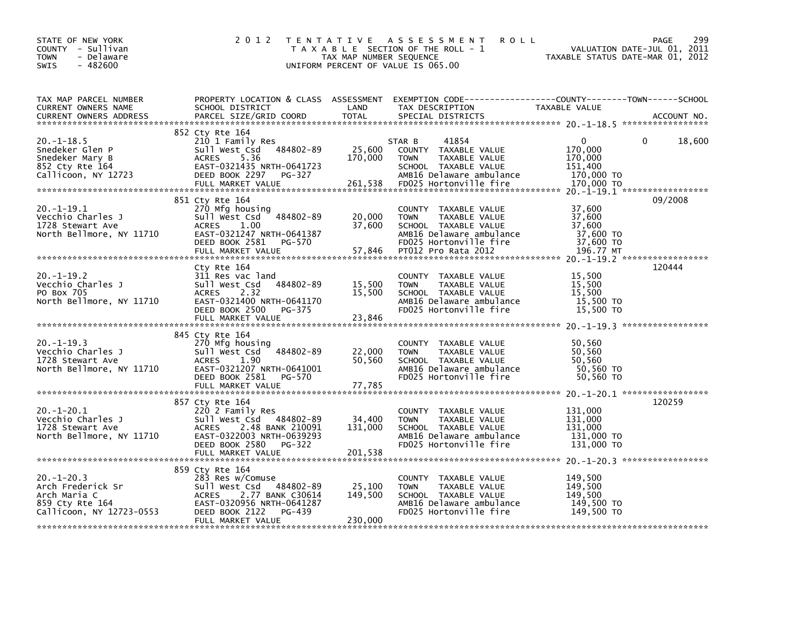| STATE OF NEW YORK<br>COUNTY - Sullivan<br><b>TOWN</b><br>- Delaware<br>$-482600$<br>SWIS            | 2 0 1 2                                                                                                                                                                             | TAX MAP NUMBER SEQUENCE      | TENTATIVE ASSESSMENT<br><b>ROLL</b><br>T A X A B L E SECTION OF THE ROLL - 1<br>UNIFORM PERCENT OF VALUE IS 065.00                                        | VALUATION DATE-JUL 01, 2011<br>TAXABLE STATUS DATE-MAR 01, 2012       | 299<br>PAGE        |
|-----------------------------------------------------------------------------------------------------|-------------------------------------------------------------------------------------------------------------------------------------------------------------------------------------|------------------------------|-----------------------------------------------------------------------------------------------------------------------------------------------------------|-----------------------------------------------------------------------|--------------------|
| TAX MAP PARCEL NUMBER<br>CURRENT OWNERS NAME<br><b>CURRENT OWNERS ADDRESS</b>                       | SCHOOL DISTRICT<br>PARCEL SIZE/GRID COORD                                                                                                                                           | LAND<br><b>TOTAL</b>         | PROPERTY LOCATION & CLASS ASSESSMENT EXEMPTION CODE---------------COUNTY-------TOWN------SCHOOL<br>TAX DESCRIPTION<br>SPECIAL DISTRICTS                   | TAXABLE VALUE                                                         | ACCOUNT NO.        |
| $20. -1 - 18.5$<br>Snedeker Glen P<br>Snedeker Mary B<br>852 Cty Rte 164<br>Callicoon, NY 12723     | 852 Cty Rte 164<br>210 1 Family Res<br>Sull West Csd 484802-89<br><b>ACRES</b><br>5.36<br>EAST-0321435 NRTH-0641723<br>DEED BOOK 2297<br>PG-327<br>FULL MARKET VALUE                | 25,600<br>170,000<br>261,538 | 41854<br>STAR B<br>COUNTY TAXABLE VALUE<br><b>TOWN</b><br>TAXABLE VALUE<br>SCHOOL TAXABLE VALUE<br>AMB16 Delaware ambulance<br>FD025 Hortonville fire     | $\Omega$<br>170,000<br>170,000<br>151,400<br>170,000 TO<br>170,000 TO | $\Omega$<br>18,600 |
| 20. -1-19.1<br>Vecchio Charles J<br>1728 Stewart Ave<br>North Bellmore, NY 11710                    | 851 Cty Rte 164<br>270 Mfg housing<br>Sull West Csd 484802-89<br><b>ACRES</b><br>1.00<br>EAST-0321247 NRTH-0641387<br>DEED BOOK 2581<br>PG-570<br>FULL MARKET VALUE                 | 20,000<br>37,600<br>57,846   | COUNTY TAXABLE VALUE<br>TAXABLE VALUE<br><b>TOWN</b><br>SCHOOL TAXABLE VALUE<br>AMB16 Delaware ambulance<br>FD025 Hortonville fire<br>PT012 Pro Rata 2012 | 37,600<br>37,600<br>37,600<br>37,600 TO<br>37,600 TO<br>196.77 MT     | 09/2008            |
| $20. -1 - 19.2$<br>Vecchio Charles J<br>PO Box 705<br>North Bellmore, NY 11710                      | Cty Rte 164<br>311 Res vac land<br>484802-89<br>Sull West Csd<br>2.32<br><b>ACRES</b><br>EAST-0321400 NRTH-0641170<br>DEED BOOK 2500 PG-375<br>FULL MARKET VALUE                    | 15,500<br>15,500<br>23,846   | COUNTY TAXABLE VALUE<br>TAXABLE VALUE<br><b>TOWN</b><br>SCHOOL TAXABLE VALUE<br>AMB16 Delaware ambulance<br>FD025 Hortonville fire                        | 15,500<br>15,500<br>15,500<br>15,500 TO<br>15,500 TO                  | 120444             |
| $20. -1 - 19.3$<br>Vecchio Charles J<br>1728 Stewart Ave<br>North Bellmore, NY 11710                | 845 Cty Rte 164<br>270 Mfg housing<br>Sull West Csd<br>484802-89<br><b>ACRES</b><br>1.90<br>EAST-0321207 NRTH-0641001<br>DEED BOOK 2581 PG-570                                      | 22,000<br>50,560             | COUNTY TAXABLE VALUE<br><b>TOWN</b><br>TAXABLE VALUE<br>SCHOOL TAXABLE VALUE<br>AMB16 Delaware ambulance<br>FD025 Hortonville fire                        | 50,560<br>50,560<br>50.560<br>50,560 TO<br>50,560 TO                  |                    |
| $20. -1 - 20.1$<br>Vecchio Charles J<br>1728 Stewart Ave<br>North Bellmore, NY 11710                | 857 Cty Rte 164<br>220 2 Family Res<br>Sull West Csd 484802-89<br><b>ACRES</b><br>2.48 BANK 210091<br>EAST-0322003 NRTH-0639293<br>DEED BOOK 2580 PG-322                            | 34,400<br>131,000            | COUNTY TAXABLE VALUE<br><b>TOWN</b><br>TAXABLE VALUE<br>SCHOOL TAXABLE VALUE<br>AMB16 Delaware ambulance<br>FD025 Hortonville fire                        | 131,000<br>131,000<br>131.000<br>131,000 TO<br>131,000 TO             | 120259             |
| $20. -1 - 20.3$<br>Arch Frederick Sr<br>Arch Maria C<br>859 Cty Rte 164<br>Callicoon, NY 12723-0553 | 859 Cty Rte 164<br>283 Res w/Comuse<br>Sull West Csd<br>484802-89<br><b>ACRES</b><br>2.77 BANK C30614<br>EAST-0320956 NRTH-0641287<br>DEED BOOK 2122<br>PG-439<br>FULL MARKET VALUE | 25,100<br>149,500<br>230,000 | COUNTY TAXABLE VALUE<br>TAXABLE VALUE<br><b>TOWN</b><br>SCHOOL TAXABLE VALUE<br>AMB16 Delaware ambulance<br>FD025 Hortonville fire                        | 149,500<br>149,500<br>149,500<br>149,500 TO<br>149,500 TO             |                    |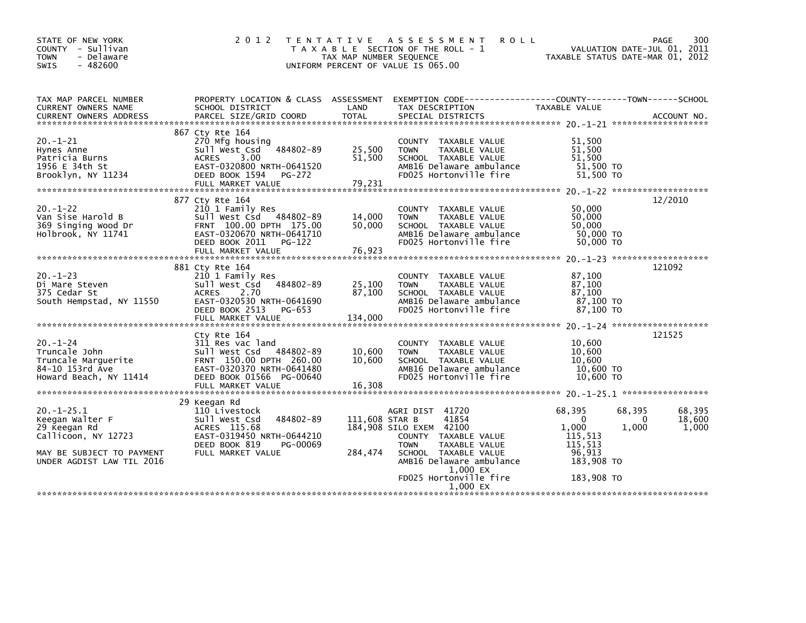| STATE OF NEW YORK<br>COUNTY - Sullivan<br><b>TOWN</b><br>- Delaware<br>$-482600$<br>SWIS                                            | 2 0 1 2                                                                                                                                                                 | TAX MAP NUMBER SEQUENCE     | TENTATIVE ASSESSMENT<br><b>ROLL</b><br>T A X A B L E SECTION OF THE ROLL - 1<br>UNIFORM PERCENT OF VALUE IS 065.00                                              |                                                                           | PAGE<br>300<br>VALUATION DATE-JUL 01, 2011<br>TAXABLE STATUS DATE-MAR 01, 2012 |
|-------------------------------------------------------------------------------------------------------------------------------------|-------------------------------------------------------------------------------------------------------------------------------------------------------------------------|-----------------------------|-----------------------------------------------------------------------------------------------------------------------------------------------------------------|---------------------------------------------------------------------------|--------------------------------------------------------------------------------|
| TAX MAP PARCEL NUMBER<br>CURRENT OWNERS NAME                                                                                        | PROPERTY LOCATION & CLASS ASSESSMENT<br>SCHOOL DISTRICT                                                                                                                 | LAND                        | EXEMPTION CODE-----------------COUNTY-------TOWN------SCHOOL<br>TAX DESCRIPTION                                                                                 | TAXABLE VALUE                                                             |                                                                                |
|                                                                                                                                     |                                                                                                                                                                         |                             |                                                                                                                                                                 |                                                                           |                                                                                |
| $20. -1 - 21$<br>Hynes Anne<br>Patricia Burns                                                                                       | 867 Cty Rte 164<br>270 Mfg housing<br>Sull West Csd<br>484802-89<br>ACRES 3.00                                                                                          | 25,500<br>51,500            | COUNTY TAXABLE VALUE<br>TAXABLE VALUE<br><b>TOWN</b><br>SCHOOL TAXABLE VALUE                                                                                    | 51.500<br>51,500<br>51,500                                                |                                                                                |
| 1956 E 34th St<br>Brooklyn, NY 11234                                                                                                | EAST-0320800 NRTH-0641520<br>DEED BOOK 1594<br>PG-272<br>FULL MARKET VALUE                                                                                              | 79,231                      | AMB16 Delaware ambulance<br>FD025 Hortonville fire                                                                                                              | 51,500 TO<br>51,500 TO                                                    |                                                                                |
|                                                                                                                                     | 877 Cty Rte 164                                                                                                                                                         |                             |                                                                                                                                                                 |                                                                           | 12/2010                                                                        |
| $20. - 1 - 22$<br>Van Sise Harold B<br>369 Singing Wood Dr<br>Holbrook, NY 11741                                                    | 210 1 Family Res<br>Sull West Csd 484802-89<br>FRNT 100.00 DPTH 175.00<br>EAST-0320670 NRTH-0641710<br>DEED BOOK 2011 PG-122                                            | 14,000<br>50.000            | COUNTY TAXABLE VALUE<br>TAXABLE VALUE<br><b>TOWN</b><br>SCHOOL TAXABLE VALUE<br>AMB16 Delaware ambulance<br>FD025 Hortonville fire                              | 50,000<br>50,000<br>50,000<br>50,000 TO<br>50,000 TO                      |                                                                                |
|                                                                                                                                     | FULL MARKET VALUE                                                                                                                                                       | 76,923                      |                                                                                                                                                                 |                                                                           |                                                                                |
| $20. - 1 - 23$<br>Di Mare Steven<br>375 Cedar St<br>South Hempstad, NY 11550                                                        | 881 Cty Rte 164<br>210 1 Family Res<br>484802-89<br>Sull West Csd<br><b>ACRES</b><br>2.70<br>EAST-0320530 NRTH-0641690<br>DEED BOOK 2513<br>PG-653<br>FULL MARKET VALUE | 25,100<br>87,100<br>134,000 | COUNTY TAXABLE VALUE<br>TAXABLE VALUE<br><b>TOWN</b><br>SCHOOL TAXABLE VALUE<br>AMB16 Delaware ambulance<br>FD025 Hortonville fire                              | 87,100<br>87,100<br>87.100<br>87,100 TO<br>87,100 TO                      | 121092                                                                         |
|                                                                                                                                     |                                                                                                                                                                         |                             |                                                                                                                                                                 |                                                                           |                                                                                |
| $20 - 1 - 24$<br>Truncale John<br>Truncale Marquerite<br>84-10 153rd Ave<br>Howard Beach, NY 11414                                  | Cty Rte 164<br>311 Res vac land<br>Sull West Csd 484802-89<br>FRNT 150.00 DPTH 260.00<br>EAST-0320370 NRTH-0641480<br>DEED BOOK 01566 PG-00640<br>FULL MARKET VALUE     | 10,600<br>10.600<br>16,308  | COUNTY TAXABLE VALUE<br>TAXABLE VALUE<br><b>TOWN</b><br>SCHOOL TAXABLE VALUE<br>AMB16 Delaware ambulance<br>FD025 Hortonville fire                              | 10,600<br>10.600<br>10.600<br>10,600 TO<br>10.600 TO                      | 121525                                                                         |
|                                                                                                                                     | 29 Keegan Rd                                                                                                                                                            |                             |                                                                                                                                                                 |                                                                           |                                                                                |
| $20. -1 - 25.1$<br>Keegan Walter F<br>29 Keegan Rd<br>Callicoon, NY 12723<br>MAY BE SUBJECT TO PAYMENT<br>UNDER AGDIST LAW TIL 2016 | 110 Livestock<br>484802-89<br>Sull West Csd<br>ACRES 115.68<br>EAST-0319450 NRTH-0644210<br>DEED BOOK 819<br>PG-00069<br>FULL MARKET VALUE                              | 111,608 STAR B<br>284.474   | AGRI DIST 41720<br>41854<br>184,908 SILO EXEM 42100<br>COUNTY TAXABLE VALUE<br><b>TOWN</b><br>TAXABLE VALUE<br>SCHOOL TAXABLE VALUE<br>AMB16 Delaware ambulance | 68,395<br>$\Omega$<br>1.000<br>115,513<br>115,513<br>96.913<br>183,908 TO | 68,395<br>68,395<br>18,600<br>$\Omega$<br>1,000<br>1,000                       |
|                                                                                                                                     |                                                                                                                                                                         |                             | 1,000 EX<br>FD025 Hortonville fire<br>1.000 EX                                                                                                                  | 183,908 TO                                                                |                                                                                |
|                                                                                                                                     |                                                                                                                                                                         |                             |                                                                                                                                                                 |                                                                           |                                                                                |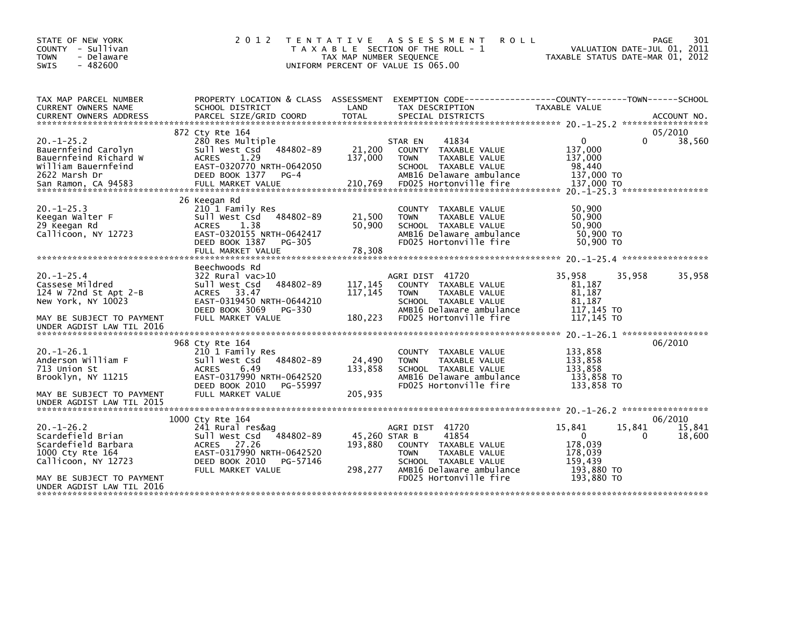| STATE OF NEW YORK<br>COUNTY - Sullivan<br><b>TOWN</b><br>- Delaware<br>$-482600$<br><b>SWIS</b>                                                                                                      | 2 0 1 2                                                                                                                                                                   | T E N T A T I V E<br>TAX MAP NUMBER SEQUENCE | A S S E S S M E N T<br><b>ROLL</b><br>T A X A B L E SECTION OF THE ROLL - 1<br>UNIFORM PERCENT OF VALUE IS 065.00                                              | VALUATION DATE-JUL 01, 2011<br>TAXABLE STATUS DATE-MAR 01, 2012                         | <b>PAGE</b><br>301          |
|------------------------------------------------------------------------------------------------------------------------------------------------------------------------------------------------------|---------------------------------------------------------------------------------------------------------------------------------------------------------------------------|----------------------------------------------|----------------------------------------------------------------------------------------------------------------------------------------------------------------|-----------------------------------------------------------------------------------------|-----------------------------|
| TAX MAP PARCEL NUMBER<br>CURRENT OWNERS NAME<br>.CURRENT OWNERS ADDRESS PARCEL SIZE/GRID COORD TOTAL SPECIAL DISTRICTS (2011-05) ACCOUNT NO ACCOUNT NO ARCEL SIZE/GRID COORD TOTAL SPECIAL DISTRICTS | PROPERTY LOCATION & CLASS ASSESSMENT<br>SCHOOL DISTRICT                                                                                                                   | LAND                                         | EXEMPTION CODE-----------------COUNTY-------TOWN------SCHOOL<br>TAX DESCRIPTION                                                                                | TAXABLE VALUE                                                                           |                             |
| $20. -1 - 25.2$<br>Bauernfeind Carolyn<br>Bauernfeind Richard W<br>William Bauernfeind<br>2622 Marsh Dr                                                                                              | 872 Cty Rte 164<br>280 Res Multiple<br>Sull West Csd<br>484802-89<br>1.29<br><b>ACRES</b><br>EAST-0320770 NRTH-0642050<br>DEED BOOK 1377<br>$PG-4$                        | 21,200<br>137,000                            | 41834<br>STAR EN<br>COUNTY TAXABLE VALUE<br>TAXABLE VALUE<br><b>TOWN</b><br>SCHOOL TAXABLE VALUE<br>AMB16 Delaware ambulance                                   | $\mathbf{0}$<br>$\Omega$<br>137,000<br>137,000<br>98,440<br>137,000 TO<br>137,000 TO    | 05/2010<br>38,560           |
| $20. -1 - 25.3$<br>Keegan Walter F<br>29 Keegan Rd<br>Callicoon, NY 12723                                                                                                                            | 26 Keegan Rd<br>210 1 Family Res<br>Sull West Csd<br>484802-89<br>1.38<br>ACRES<br>EAST-0320155 NRTH-0642417<br>DEED BOOK 1387<br>PG-305<br>FULL MARKET VALUE             | 21,500<br>50,900<br>78,308                   | COUNTY TAXABLE VALUE<br><b>TOWN</b><br>TAXABLE VALUE<br>SCHOOL TAXABLE VALUE<br>AMB16 Delaware ambulance<br>FD025 Hortonville fire                             | 50,900<br>50,900<br>50,900<br>50,900 TO<br>50,900 TO                                    |                             |
| $20. -1 - 25.4$<br>Cassese Mildred<br>124 W 72nd St Apt $2-B$<br>New York, NY 10023<br>MAY BE SUBJECT TO PAYMENT                                                                                     | Beechwoods Rd<br>322 Rural vac>10<br>Sull West Csd<br>484802-89<br>ACRES 33.47<br>EAST-0319450 NRTH-0644210<br>DEED BOOK 3069<br>PG-330<br>FULL MARKET VALUE              | 117, 145<br>117, 145<br>180,223              | AGRI DIST 41720<br>COUNTY TAXABLE VALUE<br><b>TOWN</b><br>TAXABLE VALUE<br>SCHOOL TAXABLE VALUE<br>AMB16 Delaware ambulance<br>FD025 Hortonville fire          | 35,958<br>35,958<br>81,187<br>81,187<br>81.187<br>117,145 TO<br>117,145 TO              | 35,958                      |
| UNDER AGDIST LAW TIL 2016<br>$20. -1 - 26.1$<br>Anderson William F<br>713 Union St<br>Brooklyn, NY 11215<br>MAY BE SUBJECT TO PAYMENT<br>UNDER AGDIST LAW TIL 2015                                   | 968 Cty Rte 164<br>210 1 Family Res<br>Sull West Csd<br>484802-89<br><b>ACRES</b><br>6.49<br>EAST-0317990 NRTH-0642520<br>DEED BOOK 2010<br>PG-55997<br>FULL MARKET VALUE | 24,490<br>133,858<br>205,935                 | COUNTY TAXABLE VALUE<br>TAXABLE VALUE<br><b>TOWN</b><br>SCHOOL TAXABLE VALUE<br>AMB16 Delaware ambulance<br>FD025 Hortonville fire                             | 133,858<br>133,858<br>133.858<br>133,858 TO<br>133,858 TO                               | 06/2010                     |
| $20 - 1 - 26.2$<br>Scardefield Brian<br>Scardefield Barbara<br>1000 Cty Rte 164<br>Callicoon, NY 12723<br>MAY BE SUBJECT TO PAYMENT<br>UNDER AGDIST LAW TIL 2016                                     | 1000 Cty Rte 164<br>241 Rural res&ag<br>484802-89<br>Sull West Csd<br>27.26<br>ACRES<br>EAST-0317990 NRTH-0642520<br>DEED BOOK 2010<br>PG-57146<br>FULL MARKET VALUE      | 45,260 STAR B<br>193,880<br>298,277          | AGRI DIST 41720<br>41854<br>COUNTY TAXABLE VALUE<br>TAXABLE VALUE<br><b>TOWN</b><br>SCHOOL TAXABLE VALUE<br>AMB16 Delaware ambulance<br>FD025 Hortonville fire | 15,841<br>15,841<br>0<br>0<br>178,039<br>178,039<br>159,439<br>193,880 TO<br>193.880 TO | 06/2010<br>15,841<br>18,600 |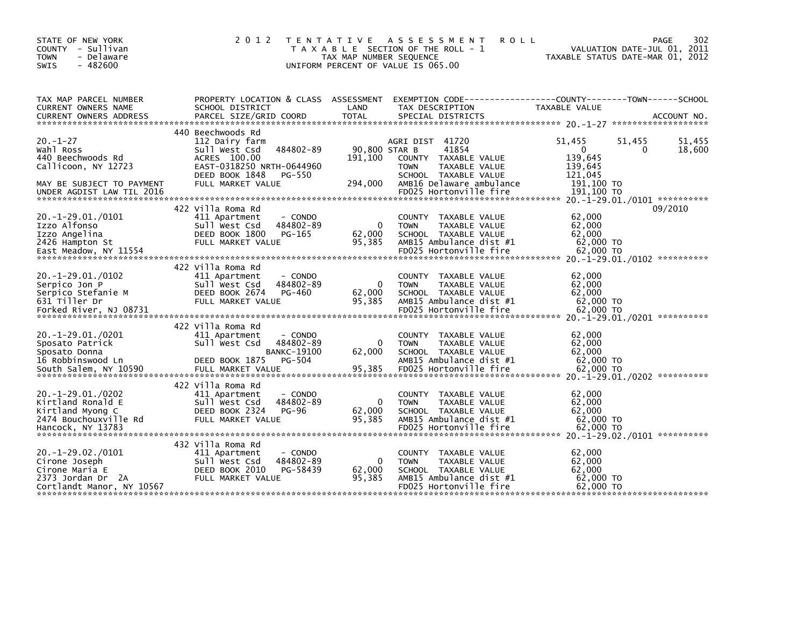| STATE OF NEW YORK<br>COUNTY - Sullivan<br><b>TOWN</b><br>- Delaware<br>$-482600$<br>SWIS                                          | 2 0 1 2                                                                                                                                                                | TAX MAP NUMBER SEQUENCE             | TENTATIVE ASSESSMENT<br><b>ROLL</b><br>T A X A B L E SECTION OF THE ROLL - 1<br>UNIFORM PERCENT OF VALUE IS 065.00                                             | 302<br><b>PAGE</b><br>VALUATION DATE-JUL 01, 2011<br>TAXABLE STATUS DATE-MAR 01, 2012                                  |
|-----------------------------------------------------------------------------------------------------------------------------------|------------------------------------------------------------------------------------------------------------------------------------------------------------------------|-------------------------------------|----------------------------------------------------------------------------------------------------------------------------------------------------------------|------------------------------------------------------------------------------------------------------------------------|
| TAX MAP PARCEL NUMBER<br>CURRENT OWNERS NAME                                                                                      | SCHOOL DISTRICT                                                                                                                                                        | LAND                                | TAX DESCRIPTION                                                                                                                                                | PROPERTY LOCATION & CLASS ASSESSMENT EXEMPTION CODE----------------COUNTY-------TOWN------SCHOOL<br>TAXABLE VALUE      |
| $20. - 1 - 27$<br>Wahl Ross<br>440 Beechwoods Rd<br>Callicoon, NY 12723<br>MAY BE SUBJECT TO PAYMENT<br>UNDER AGDIST LAW TIL 2016 | 440 Beechwoods Rd<br>112 Dairy farm<br>484802-89<br>Sull West Csd<br>ACRES 100.00<br>EAST-0318250 NRTH-0644960<br>DEED BOOK 1848<br><b>PG-550</b><br>FULL MARKET VALUE | 90,800 STAR B<br>191.100<br>294,000 | AGRI DIST 41720<br>41854<br>COUNTY TAXABLE VALUE<br>TAXABLE VALUE<br><b>TOWN</b><br>SCHOOL TAXABLE VALUE<br>AMB16 Delaware ambulance<br>FD025 Hortonville fire | 51,455<br>51,455<br>51,455<br>$\mathbf{0}$<br>18,600<br>0<br>139,645<br>139,645<br>121.045<br>191.100 TO<br>191,100 TO |
| 20. -1 -29.01./0101<br>Izzo Alfonso<br>Izzo Angelina<br>2426 Hampton St                                                           | 422 Villa Roma Rd<br>- CONDO<br>411 Apartment<br>484802-89<br>Sull West Csd<br>DEED BOOK 1800<br>PG-165<br>FULL MARKET VALUE                                           | $\Omega$<br>62,000<br>95,385        | COUNTY TAXABLE VALUE<br><b>TOWN</b><br>TAXABLE VALUE<br>SCHOOL TAXABLE VALUE<br>AMB15 Ambulance dist #1                                                        | 09/2010<br>62,000<br>62,000<br>62.000<br>$62,000$ TO                                                                   |
| $20. -1 - 29.01./0102$<br>Serpico Jon P<br>Serpico Stefanie M<br>631 Tiller Dr<br>Forked River, NJ 08731                          | 422 Villa Roma Rd<br>411 Apartment<br>- CONDO<br>484802-89<br>Sull West Csd<br>DEED BOOK 2674<br>PG-460<br>FULL MARKET VALUE                                           | $\Omega$<br>62,000<br>95,385        | COUNTY TAXABLE VALUE<br><b>TOWN</b><br>TAXABLE VALUE<br>SCHOOL TAXABLE VALUE<br>AMB15 Ambulance dist #1<br>FD025 Hortonville fire                              | 62.000<br>62,000<br>62,000<br>62,000 TO<br>62,000 TO                                                                   |
| 20. -1-29.01./0201<br>Sposato Patrick<br>Sposato Donna<br>16 Robbinswood Ln<br>South Salem, NY 10590                              | 422 Villa Roma Rd<br>411 Apartment<br>- CONDO<br>Sull West Csd<br>484802-89<br><b>BANKC-19100</b><br>DEED BOOK 1875<br>PG-504<br>FULL MARKET VALUE                     | 0<br>62,000<br>95,385               | COUNTY TAXABLE VALUE<br><b>TOWN</b><br>TAXABLE VALUE<br>SCHOOL TAXABLE VALUE<br>AMB15 Ambulance dist #1<br>FD025 Hortonville fire                              | 62,000<br>62,000<br>62,000<br>62,000 TO<br>62,000 TO                                                                   |
| $20.-1-29.01./0202$<br>Kirtland Ronald E<br>Kirtland Myong C<br>2474 Bouchouxville Rd<br>Hancock, NY 13783                        | 422 Villa Roma Rd<br>411 Apartment<br>- CONDO<br>484802-89<br>Sull West Csd<br>DEED BOOK 2324<br>PG-96<br>FULL MARKET VALUE                                            | $\Omega$<br>62,000<br>95,385        | COUNTY TAXABLE VALUE<br><b>TOWN</b><br>TAXABLE VALUE<br>SCHOOL TAXABLE VALUE<br>AMB15 Ambulance dist #1<br>FD025 Hortonville fire                              | 62,000<br>62,000<br>62.000<br>62,000 TO<br>62,000 TO                                                                   |
| $20.-1-29.02./0101$<br>Cirone Joseph<br>Cirone Maria E<br>2373 Jordan Dr 2A<br>Cortlandt Manor, NY 10567                          | 432 Villa Roma Rd<br>411 Apartment<br>- CONDO<br>484802-89<br>Sull West Csd<br>DEED BOOK 2010<br>PG-58439<br>FULL MARKET VALUE                                         | 0<br>62,000<br>95,385               | <b>COUNTY</b><br>TAXABLE VALUE<br><b>TOWN</b><br>TAXABLE VALUE<br>SCHOOL TAXABLE VALUE<br>AMB15 Ambulance dist #1<br>FD025 Hortonville fire                    | 62,000<br>62,000<br>62,000<br>62,000 TO<br>62,000 TO                                                                   |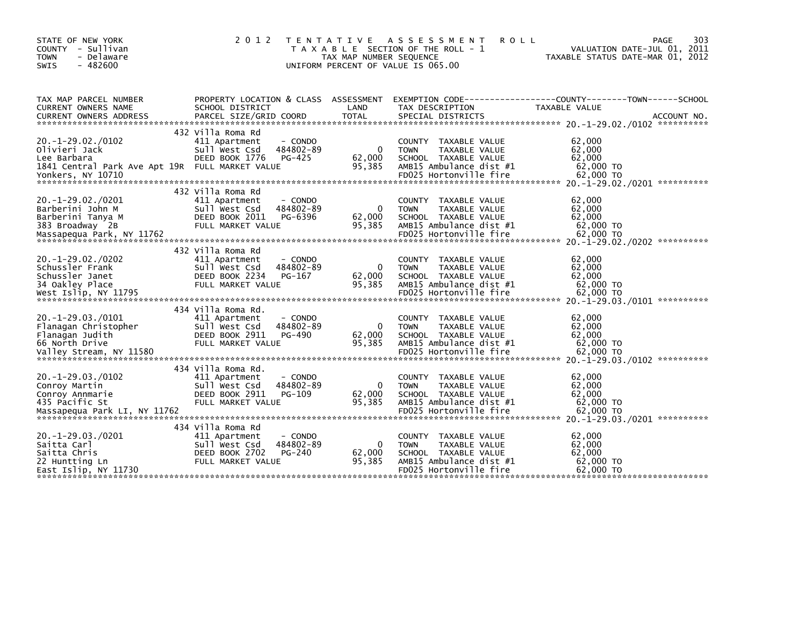| STATE OF NEW YORK<br>COUNTY - Sullivan<br>- Delaware<br><b>TOWN</b><br><b>SWIS</b><br>$-482600$            | 2 0 1 2                                                                                                                        | T E N T A T I V E<br>TAX MAP NUMBER SEQUENCE | ASSESSMENT<br><b>ROLL</b><br>T A X A B L E SECTION OF THE ROLL - 1<br>UNIFORM PERCENT OF VALUE IS 065.00                                    | 303<br>PAGE<br>VALUATION DATE-JUL 01, 2011<br>TAXABLE STATUS DATE-MAR 01, 2012               |
|------------------------------------------------------------------------------------------------------------|--------------------------------------------------------------------------------------------------------------------------------|----------------------------------------------|---------------------------------------------------------------------------------------------------------------------------------------------|----------------------------------------------------------------------------------------------|
| TAX MAP PARCEL NUMBER<br>CURRENT OWNERS NAME<br><b>CURRENT OWNERS ADDRESS</b>                              | PROPERTY LOCATION & CLASS ASSESSMENT<br>SCHOOL DISTRICT<br>PARCEL SIZE/GRID COORD                                              | LAND<br><b>TOTAL</b>                         | TAX DESCRIPTION<br>SPECIAL DISTRICTS                                                                                                        | EXEMPTION CODE-----------------COUNTY-------TOWN------SCHOOL<br>TAXABLE VALUE<br>ACCOUNT NO. |
| $20. -1 - 29.02. /0102$<br>Olivieri Jack<br>Lee Barbara<br>1841 Central Park Ave Apt 19R FULL MARKET VALUE | 432 Villa Roma Rd<br>411 Apartment<br>- CONDO<br>Sull West Csd<br>484802-89<br>DEED BOOK 1776<br>PG-425                        | $\mathbf{0}$<br>62,000<br>95,385             | <b>COUNTY</b><br>TAXABLE VALUE<br><b>TOWN</b><br>TAXABLE VALUE<br>SCHOOL TAXABLE VALUE<br>AMB15 Ambulance dist #1                           | 62,000<br>62,000<br>62,000<br>62,000 TO                                                      |
| $20. -1 - 29.02. /0201$<br>Barberini John M<br>Barberini Tanya M<br>383 Broadway 2B                        | 432 Villa Roma Rd<br>411 Apartment<br>- CONDO<br>Sull West Csd<br>484802-89<br>DEED BOOK 2011<br>PG-6396<br>FULL MARKET VALUE  | $\mathbf{0}$<br>62,000<br>95.385             | TAXABLE VALUE<br><b>COUNTY</b><br>TAXABLE VALUE<br><b>TOWN</b><br>SCHOOL TAXABLE VALUE<br>AMB15 Ambulance dist #1                           | 62,000<br>62,000<br>62,000<br>62,000 TO                                                      |
| $20. -1 - 29.02. / 0202$<br>Schussler Frank<br>Schussler Janet<br>34 Oakley Place                          | 432 Villa Roma Rd<br>411 Apartment<br>- CONDO<br>484802-89<br>Sull West Csd<br>DEED BOOK 2234<br>PG-167<br>FULL MARKET VALUE   | 0<br>62,000<br>95.385                        | TAXABLE VALUE<br><b>COUNTY</b><br><b>TOWN</b><br>TAXABLE VALUE<br>SCHOOL TAXABLE VALUE<br>AMB15 Ambulance dist #1                           | 62,000<br>62,000<br>62,000<br>62,000 TO                                                      |
| $20. -1 - 29.03. /0101$<br>Flanagan Christopher<br>Flanagan Judith<br>66 North Drive                       | 434 Villa Roma Rd.<br>411 Apartment<br>- CONDO<br>Sull West Csd<br>484802-89<br>DEED BOOK 2911<br>PG-490<br>FULL MARKET VALUE  | $\mathbf{0}$<br>62,000<br>95,385             | TAXABLE VALUE<br><b>COUNTY</b><br>TAXABLE VALUE<br><b>TOWN</b><br>SCHOOL TAXABLE VALUE<br>AMB15 Ambulance dist #1                           | 62,000<br>62,000<br>62,000<br>62,000 TO                                                      |
| $20. -1 - 29.03. /0102$<br>Conroy Martin<br>Conroy Annmarie<br>435 Pacific St                              | 434 Villa Roma Rd.<br>411 Apartment<br>- CONDO<br>484802-89<br>Sull West Csd<br>DEED BOOK 2911<br>PG-109<br>FULL MARKET VALUE  | $\mathbf{0}$<br>62,000<br>95,385             | TAXABLE VALUE<br><b>COUNTY</b><br>TAXABLE VALUE<br><b>TOWN</b><br>SCHOOL TAXABLE VALUE<br>AMB15 Ambulance dist #1                           | 62,000<br>62,000<br>62,000<br>62,000 TO                                                      |
| $20. -1 - 29.03. /0201$<br>Saitta Carl<br>Saitta Chris<br>22 Huntting Ln<br>East Islip, NY 11730           | 434 Villa Roma Rd<br>411 Apartment<br>- CONDO<br>484802-89<br>Sull West Csd<br>DEED BOOK 2702<br>$PG-240$<br>FULL MARKET VALUE | $\Omega$<br>62,000<br>95,385                 | TAXABLE VALUE<br><b>COUNTY</b><br>TAXABLE VALUE<br><b>TOWN</b><br>SCHOOL TAXABLE VALUE<br>AMB15 Ambulance dist #1<br>FD025 Hortonville fire | 62,000<br>62,000<br>62,000<br>62,000 TO<br>62,000 TO                                         |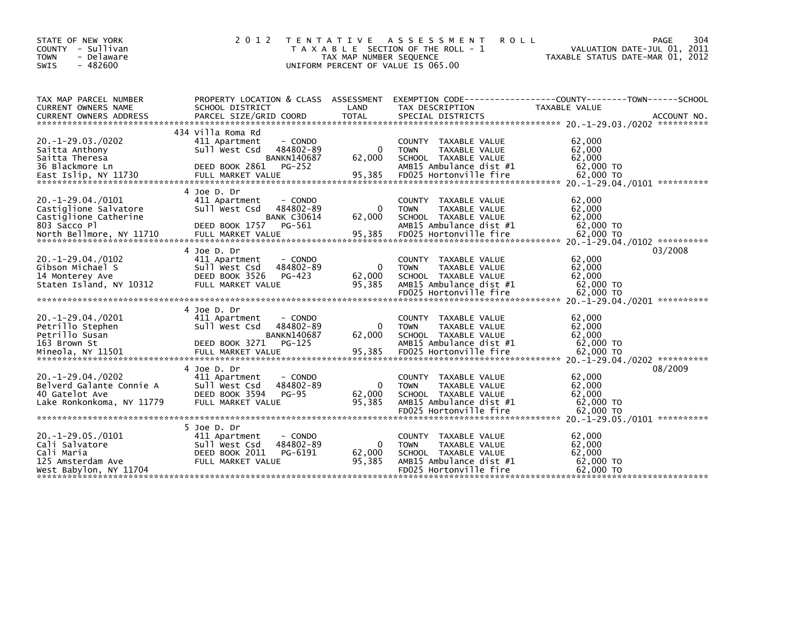| STATE OF NEW YORK<br>COUNTY - Sullivan<br><b>TOWN</b><br>- Delaware<br>$-482600$<br><b>SWIS</b>       | 2 0 1 2                                                                                                                         | T E N T A T I V E<br>TAX MAP NUMBER SEQUENCE | A S S E S S M E N T<br><b>ROLL</b><br>T A X A B L E SECTION OF THE ROLL - 1<br>UNIFORM PERCENT OF VALUE IS 065.00                                  | 304<br>PAGE<br>VALUATION DATE-JUL 01, 2011<br>TAXABLE STATUS DATE-MAR 01, 2012                                                                                                                                                                                                  |
|-------------------------------------------------------------------------------------------------------|---------------------------------------------------------------------------------------------------------------------------------|----------------------------------------------|----------------------------------------------------------------------------------------------------------------------------------------------------|---------------------------------------------------------------------------------------------------------------------------------------------------------------------------------------------------------------------------------------------------------------------------------|
| TAX MAP PARCEL NUMBER<br>CURRENT OWNERS NAME                                                          | PROPERTY LOCATION & CLASS ASSESSMENT<br>SCHOOL DISTRICT                                                                         | LAND                                         | TAX DESCRIPTION                                                                                                                                    | EXEMPTION        CODE-----------------COUNTY-------TOWN------SCHOOL<br>TAXABLE VALUE                                                                                                                                                                                            |
| $20. -1 - 29.03. /0202$<br>Saitta Anthony<br>Saitta Theresa<br>36 Blackmore Ln                        | 434 Villa Roma Rd<br>411 Apartment<br>- CONDO<br>Sull West Csd<br>484802-89<br><b>BANKN140687</b><br>DEED BOOK 2861<br>$PG-252$ | 0<br>62,000                                  | <b>COUNTY</b><br>TAXABLE VALUE<br>TAXABLE VALUE<br><b>TOWN</b><br>SCHOOL TAXABLE VALUE<br>AMB15 Ambulance dist #1                                  | 62,000<br>62,000<br>62,000<br>62,000 TO                                                                                                                                                                                                                                         |
| $20. -1 - 29.04. /0101$<br>Castiglione Salvatore<br>Castiglione Catherine<br>803 Sacco Pl             | 4 Joe D. Dr<br>411 Apartment<br>- CONDO<br>484802-89<br>Sull West Csd<br><b>BANK C30614</b><br>PG-561<br>DEED BOOK 1757         | $\Omega$<br>62,000                           | <b>COUNTY</b><br>TAXABLE VALUE<br>TAXABLE VALUE<br><b>TOWN</b><br>SCHOOL TAXABLE VALUE<br>AMB15 Ambulance dist #1                                  | 62,000<br>62,000<br>62,000<br>62,000 TO                                                                                                                                                                                                                                         |
| $20. -1 - 29.04. /0102$<br>Gibson Michael S<br>14 Monterey Ave<br>Staten Island, NY 10312             | 4 Joe D. Dr<br>411 Apartment<br>- CONDO<br>Sull West Csd<br>484802-89<br>DEED BOOK 3526<br>PG-423<br>FULL MARKET VALUE          | $\mathbf{0}$<br>62,000<br>95,385             | TAXABLE VALUE<br><b>COUNTY</b><br><b>TOWN</b><br><b>TAXABLE VALUE</b><br>SCHOOL TAXABLE VALUE<br>AMB15 Ambulance dist #1<br>FD025 Hortonville fire | 03/2008<br>62,000<br>62,000<br>62,000<br>62,000 TO<br>62,000 TO                                                                                                                                                                                                                 |
| $20. -1 - 29.04. /0201$<br>Petrillo Stephen<br>Petrillo Susan<br>163 Brown St                         | 4 Joe D. Dr<br>411 Apartment<br>- CONDO<br>Sull West Csd<br>484802-89<br><b>BANKN140687</b><br>DEED BOOK 3271<br>$PG-125$       | $\Omega$<br>62,000                           | <b>COUNTY</b><br>TAXABLE VALUE<br>TAXABLE VALUE<br><b>TOWN</b><br>SCHOOL TAXABLE VALUE<br>AMB15 Ambulance dist #1                                  | 62,000<br>62,000<br>62,000<br>62,000 TO<br>- 2002 - 2003 - 2003 - 2003 - 2004 - 2004 - 2004 - 2004 - 2007 - 2007 - 2008 - 2009 - 2009 - 2009 - 2009 - 200<br>- 2007 - 2008 - 2008 - 2008 - 2008 - 2008 - 2008 - 2008 - 2008 - 2008 - 2008 - 2008 - 2008 - 2008 - 2008 - 20<br>- |
| $20. -1 - 29.04. /0202$<br>Belverd Galante Connie A<br>40 Gatelot Ave<br>Lake Ronkonkoma, NY 11779    | 4 Joe D. Dr<br>411 Apartment<br>- CONDO<br>484802-89<br>Sull West Csd<br>DEED BOOK 3594<br><b>PG-95</b><br>FULL MARKET VALUE    | 0<br>62,000<br>95,385                        | <b>COUNTY</b><br>TAXABLE VALUE<br><b>TOWN</b><br>TAXABLE VALUE<br>SCHOOL TAXABLE VALUE<br>AMB15 Ambulance dist #1<br>FD025 Hortonville fire        | 08/2009<br>62,000<br>62.000<br>62,000<br>62,000 TO<br>62,000 TO                                                                                                                                                                                                                 |
| $20. -1 - 29.05.70101$<br>Cali Salvatore<br>Cali Maria<br>125 Amsterdam Ave<br>West Babylon, NY 11704 | 5 Joe D. Dr<br>411 Apartment<br>- CONDO<br>484802-89<br>Sull West Csd<br>DEED BOOK 2011<br>PG-6191<br>FULL MARKET VALUE         | $\mathbf{0}$<br>62,000<br>95,385             | <b>COUNTY</b><br>TAXABLE VALUE<br>TAXABLE VALUE<br><b>TOWN</b><br>SCHOOL TAXABLE VALUE<br>AMB15 Ambulance dist #1<br>FD025 Hortonville fire        | 62,000<br>62,000<br>62,000<br>62,000 TO<br>62,000 TO                                                                                                                                                                                                                            |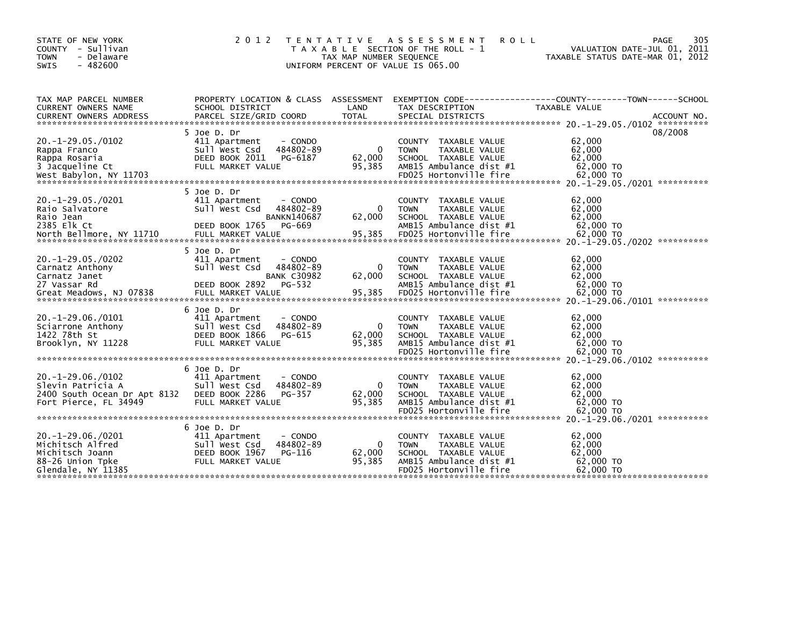| STATE OF NEW YORK<br>COUNTY - Sullivan<br>- Delaware<br><b>TOWN</b><br><b>SWIS</b><br>$-482600$       | 2 0 1 2                                                                                                                                      | T E N T A T I V E<br>TAX MAP NUMBER SEQUENCE | A S S E S S M E N T<br><b>ROLL</b><br>T A X A B L E SECTION OF THE ROLL - 1<br>UNIFORM PERCENT OF VALUE IS 065.00                           | 305<br>PAGE<br>VALUATION DATE-JUL 01, 2011<br>TAXABLE STATUS DATE-MAR 01, 2012                                                                                                                                                                         |
|-------------------------------------------------------------------------------------------------------|----------------------------------------------------------------------------------------------------------------------------------------------|----------------------------------------------|---------------------------------------------------------------------------------------------------------------------------------------------|--------------------------------------------------------------------------------------------------------------------------------------------------------------------------------------------------------------------------------------------------------|
| TAX MAP PARCEL NUMBER<br>CURRENT OWNERS NAME<br><b>CURRENT OWNERS ADDRESS</b>                         | PROPERTY LOCATION & CLASS ASSESSMENT<br>SCHOOL DISTRICT<br>PARCEL SIZE/GRID COORD                                                            | LAND<br><b>TOTAL</b>                         | TAX DESCRIPTION<br>SPECIAL DISTRICTS                                                                                                        | EXEMPTION        CODE-----------------COUNTY--------TOWN------SCHOOL<br>TAXABLE VALUE<br>ACCOUNT NO.                                                                                                                                                   |
| $20.-1-29.05./0102$<br>Rappa Franco<br>Rappa Rosaria<br>3 Jacqueline Ct                               | 5 Joe D. Dr<br>411 Apartment<br>- CONDO<br>484802-89<br>Sull West Csd<br>DEED BOOK 2011<br>PG-6187<br>FULL MARKET VALUE                      | $\Omega$<br>62,000<br>95,385                 | COUNTY TAXABLE VALUE<br>TAXABLE VALUE<br><b>TOWN</b><br>SCHOOL TAXABLE VALUE<br>AMB15 Ambulance dist #1                                     | 08/2008<br>62,000<br>62,000<br>62,000<br>62,000 TO<br>west Babylon, NY 11703 FDO25 Hortonville fire 62,000 TO 62,000 FO 67.00 FO 62,000 FO 62,000 FO 62,000 FO 62,000 FO 62,000 FO 62,000 FO 62,000 FO 62,000 FO 62,000 FO 62,000 FO 68. 1-29.05./0201 |
| $20. -1 - 29.05. /0201$<br>Raio Salvatore<br>Raio Jean<br>2385 Elk Ct<br>North Bellmore, NY 11710     | 5 Joe D. Dr<br>411 Apartment<br>- CONDO<br>484802-89<br>Sull West Csd<br><b>BANKN140687</b><br>DEED BOOK 1765<br>PG-669<br>FULL MARKET VALUE | $\Omega$<br>62,000<br>95,385                 | COUNTY TAXABLE VALUE<br>TAXABLE VALUE<br><b>TOWN</b><br>SCHOOL TAXABLE VALUE<br>AMB15 Ambulance dist #1<br>FD025 Hortonville fire           | 62,000<br>62,000<br>62,000<br>62,000 TO<br>62,000 TO                                                                                                                                                                                                   |
| $20. -1 - 29.05. /0202$<br>Carnatz Anthony<br>Carnatz Janet<br>27 Vassar Rd                           | 5 Joe D. Dr<br>411 Apartment<br>- CONDO<br>484802-89<br>Sull West Csd<br><b>BANK C30982</b><br>DEED BOOK 2892<br>PG-532                      | $\Omega$<br>62,000                           | COUNTY TAXABLE VALUE<br><b>TOWN</b><br>TAXABLE VALUE<br>SCHOOL TAXABLE VALUE<br>AMB15 Ambulance dist #1                                     | 62,000<br>62.000<br>62,000<br>62,000 TO                                                                                                                                                                                                                |
| $20. -1 - 29.06. /0101$<br>Sciarrone Anthony<br>1422 78th St<br>Brooklyn, NY 11228                    | 6 Joe D. Dr<br>411 Apartment<br>- CONDO<br>Sull West Csd<br>484802-89<br>DEED BOOK 1866<br>PG-615<br>FULL MARKET VALUE                       | $\mathbf{0}$<br>62,000<br>95,385             | COUNTY TAXABLE VALUE<br>TAXABLE VALUE<br><b>TOWN</b><br>SCHOOL TAXABLE VALUE<br>AMB15 Ambulance dist #1<br>FD025 Hortonville fire           | 62,000<br>62,000<br>62,000<br>62,000 TO<br>62,000 TO                                                                                                                                                                                                   |
| $20. -1 - 29.06. /0102$<br>Slevin Patricia A<br>2400 South Ocean Dr Apt 8132<br>Fort Pierce, FL 34949 | 6 Joe D. Dr<br>411 Apartment<br>- CONDO<br>484802-89<br>Sull West Csd<br>DEED BOOK 2286<br>PG-357<br>FULL MARKET VALUE                       | $\Omega$<br>62,000<br>95,385                 | TAXABLE VALUE<br><b>COUNTY</b><br><b>TOWN</b><br>TAXABLE VALUE<br>SCHOOL TAXABLE VALUE<br>AMB15 Ambulance dist #1<br>FD025 Hortonville fire | 62,000<br>62.000<br>62,000<br>62,000 TO<br>62,000 TO                                                                                                                                                                                                   |
| $20.-1-29.06./0201$<br>Michitsch Alfred<br>Michitsch Joann<br>88-26 Union Tpke<br>Glendale, NY 11385  | 6 Joe D. Dr<br>411 Apartment<br>- CONDO<br>Sull West Csd<br>484802-89<br>DEED BOOK 1967<br>PG-116<br>FULL MARKET VALUE                       | $\mathbf{0}$<br>62,000<br>95,385             | <b>COUNTY</b><br>TAXABLE VALUE<br><b>TOWN</b><br>TAXABLE VALUE<br>SCHOOL TAXABLE VALUE<br>AMB15 Ambulance dist #1<br>FD025 Hortonville fire | 62,000<br>62,000<br>62,000<br>62,000 TO<br>62,000 TO                                                                                                                                                                                                   |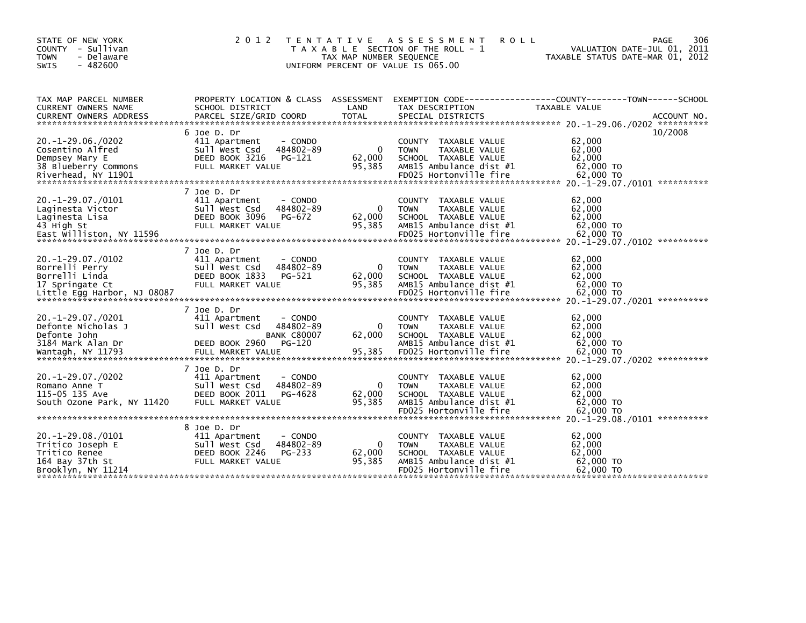| STATE OF NEW YORK<br>COUNTY - Sullivan<br><b>TOWN</b><br>- Delaware<br>$-482600$<br>SWIS                | 2 0 1 2                                                                                                                   | T E N T A T I V E<br>TAX MAP NUMBER SEOUENCE | <b>ROLL</b><br>A S S E S S M E N T<br>T A X A B L E SECTION OF THE ROLL - 1<br>UNIFORM PERCENT OF VALUE IS 065.00                           | 306<br>PAGE<br>VALUATION DATE-JUL 01, 2011<br>TAXABLE STATUS DATE-MAR 01, 2012                                                                                       |
|---------------------------------------------------------------------------------------------------------|---------------------------------------------------------------------------------------------------------------------------|----------------------------------------------|---------------------------------------------------------------------------------------------------------------------------------------------|----------------------------------------------------------------------------------------------------------------------------------------------------------------------|
| TAX MAP PARCEL NUMBER<br><b>CURRENT OWNERS NAME</b>                                                     | PROPERTY LOCATION & CLASS ASSESSMENT<br>SCHOOL DISTRICT                                                                   | LAND                                         | TAX DESCRIPTION                                                                                                                             | EXEMPTION        CODE-----------------COUNTY-------TOWN------SCHOOL<br>TAXABLE VALUE                                                                                 |
| $20. -1 - 29.06. / 0202$<br>Cosentino Alfred<br>Dempsey Mary E<br>38 Blueberry Commons                  | 6 Joe D. Dr<br>411 Apartment<br>- CONDO<br>484802-89<br>Sull West Csd<br>DEED BOOK 3216<br>PG-121<br>FULL MARKET VALUE    | $\Omega$<br>62,000<br>95,385                 | TAXABLE VALUE<br><b>COUNTY</b><br>TAXABLE VALUE<br><b>TOWN</b><br>SCHOOL TAXABLE VALUE<br>AMB15 Ambulance dist #1                           | 10/2008<br>62,000<br>62,000<br>62,000<br>62,000 TO<br>Riverhead, NY 11901 62,000 EDO25 Hortonville fire 62,000 TO FDO25 + 62,000 FO FDO25 Hortonville fire 62,000 TO |
| $20. -1 - 29.07. /0101$<br>Laginesta Victor<br>Laginesta Lisa<br>43 High St<br>East Williston, NY 11596 | 7 Joe D. Dr<br>411 Apartment<br>- CONDO<br>484802-89<br>Sull West Csd<br>DEED BOOK 3096<br>PG-672<br>FULL MARKET VALUE    | $\mathbf{0}$<br>62,000<br>95,385             | TAXABLE VALUE<br><b>COUNTY</b><br>TAXABLE VALUE<br><b>TOWN</b><br>SCHOOL TAXABLE VALUE<br>AMB15 Ambulance dist #1<br>FD025 Hortonville fire | 62,000<br>62,000<br>62,000<br>62,000 TO<br>62,000 TO                                                                                                                 |
| $20. -1 - 29.07. /0102$<br>Borrelli Perry<br>Borrelli Linda<br>17 Springate Ct                          | 7 Joe D. Dr<br>411 Apartment<br>- CONDO<br>Sull West Csd<br>484802-89<br>DEED BOOK 1833<br>PG-521<br>FULL MARKET VALUE    | $\mathbf{0}$<br>62,000<br>95,385             | TAXABLE VALUE<br><b>COUNTY</b><br>TAXABLE VALUE<br><b>TOWN</b><br>SCHOOL TAXABLE VALUE<br>AMB15 Ambulance dist #1                           | 62,000<br>62,000<br>62,000<br>62,000 TO                                                                                                                              |
| 20. -1 -29.07./0201<br>Defonte Nicholas J<br>Defonte John<br>3184 Mark Alan Dr                          | 7 Joe D. Dr<br>411 Apartment<br>- CONDO<br>Sull West Csd<br>484802-89<br><b>BANK C80007</b><br>$PG-120$<br>DEED BOOK 2960 | 0<br>62,000                                  | <b>COUNTY</b><br>TAXABLE VALUE<br><b>TOWN</b><br>TAXABLE VALUE<br>SCHOOL TAXABLE VALUE<br>AMB15 Ambulance dist #1                           | 62,000<br>62.000<br>62,000<br>62,000 TO                                                                                                                              |
| $20. -1 - 29.07. /0202$<br>Romano Anne T<br>115-05 135 Ave<br>South Ozone Park, NY 11420                | 7 Joe D. Dr<br>411 Apartment<br>- CONDO<br>Sull West Csd<br>484802-89<br>DEED BOOK 2011<br>PG-4628<br>FULL MARKET VALUE   | 0<br>62,000<br>95,385                        | <b>COUNTY</b><br>TAXABLE VALUE<br><b>TOWN</b><br>TAXABLE VALUE<br>SCHOOL TAXABLE VALUE<br>AMB15 Ambulance dist #1<br>FD025 Hortonville fire | 62,000<br>62,000<br>62,000<br>62,000 TO<br>62,000 TO                                                                                                                 |
| $20. -1 - 29.08. /0101$<br>Tritico Joseph E<br>Tritico Renee<br>164 Bay 37th St<br>Brooklyn, NY 11214   | 8 Joe D. Dr<br>411 Apartment<br>- CONDO<br>484802-89<br>Sull West Csd<br>DEED BOOK 2246<br>PG-233<br>FULL MARKET VALUE    | $\mathbf{0}$<br>62,000<br>95,385             | <b>COUNTY</b><br>TAXABLE VALUE<br>TAXABLE VALUE<br><b>TOWN</b><br>SCHOOL TAXABLE VALUE<br>AMB15 Ambulance dist #1<br>FD025 Hortonville fire | 62,000<br>62,000<br>62,000<br>62,000 TO<br>62,000 TO                                                                                                                 |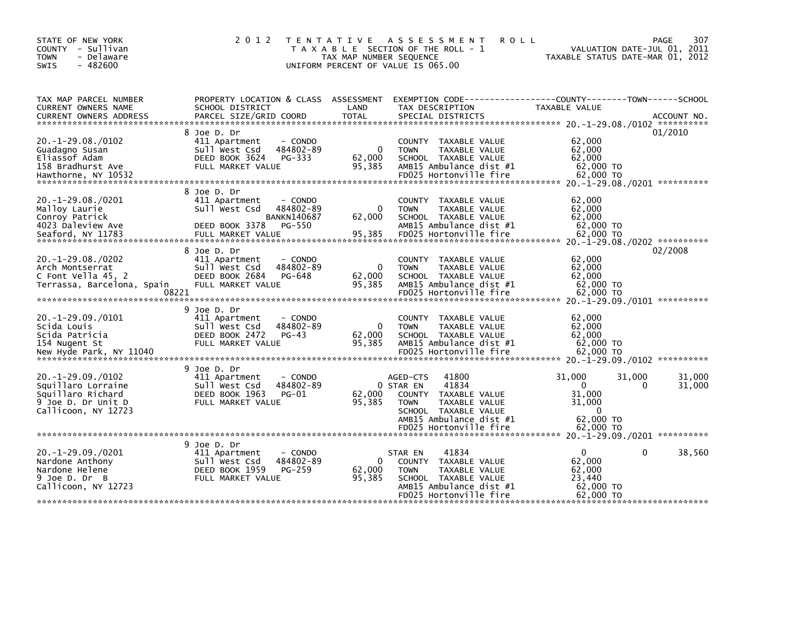| STATE OF NEW YORK<br>COUNTY - Sullivan<br><b>TOWN</b><br>- Delaware<br>$-482600$<br><b>SWIS</b>                 | 2 0 1 2<br>T E N T A T I V E                                                                                                                 | TAX MAP NUMBER SEQUENCE          | A S S E S S M E N T<br><b>ROLL</b><br>T A X A B L E SECTION OF THE ROLL - 1<br>UNIFORM PERCENT OF VALUE IS 065.00                                                            | 307<br><b>PAGE</b><br>VALUATION DATE-JUL 01, 2011<br>TAXABLE STATUS DATE-MAR 01, 2012                                                                                                                                                                                                                                               |
|-----------------------------------------------------------------------------------------------------------------|----------------------------------------------------------------------------------------------------------------------------------------------|----------------------------------|------------------------------------------------------------------------------------------------------------------------------------------------------------------------------|-------------------------------------------------------------------------------------------------------------------------------------------------------------------------------------------------------------------------------------------------------------------------------------------------------------------------------------|
| TAX MAP PARCEL NUMBER<br>CURRENT OWNERS NAME                                                                    | SCHOOL DISTRICT                                                                                                                              | LAND                             | TAX DESCRIPTION                                                                                                                                                              | PROPERTY LOCATION & CLASS ASSESSMENT EXEMPTION CODE----------------COUNTY-------TOWN------SCHOOL<br>TAXABLE VALUE<br>CURRENT OWNERS ADDRESS FORCEL SIZE/GRID COORD TOTAL SPECIAL DISTRICTS (2011-09) ACCOUNT NO .<br>- EURRENT OWNERS ADDRESS FARCEL SIZE/GRID COORD TOTAL SPECIAL DISTRICTS (20.1-29.08./0102 ******************** |
| $20. -1 - 29.08. /0102$<br>Guadagno Susan<br>Eliassof Adam<br>158 Bradhurst Ave<br>Hawthorne, NY 10532          | 8 Joe D. Dr<br>411 Apartment<br>- CONDO<br>484802-89<br>Sull West Csd<br>DEED BOOK 3624<br>PG-333<br>FULL MARKET VALUE                       | $\mathbf{0}$<br>62,000<br>95,385 | COUNTY TAXABLE VALUE<br><b>TOWN</b><br>TAXABLE VALUE<br>SCHOOL TAXABLE VALUE<br>AMB15 Ambulance dist #1<br>FD025 Hortonville fire                                            | 01/2010<br>62,000<br>62,000<br>62,000<br>62,000 TO<br>62,000 TO                                                                                                                                                                                                                                                                     |
| $20.-1-29.08./0201$<br>Malloy Laurie<br>Conroy Patrick<br>4023 Daleview Ave<br>Seaford, NY 11783                | 8 Joe D. Dr<br>411 Apartment<br>- CONDO<br>Sull West Csd<br>484802-89<br><b>BANKN140687</b><br>PG-550<br>DEED BOOK 3378<br>FULL MARKET VALUE | $\mathbf 0$<br>62,000<br>95,385  | COUNTY TAXABLE VALUE<br><b>TOWN</b><br>TAXABLE VALUE<br>SCHOOL TAXABLE VALUE<br>AMB15 Ambulance dist #1<br>FD025 Hortonville fire                                            | 62,000<br>62,000<br>62.000<br>62,000 TO<br>62,000 TO                                                                                                                                                                                                                                                                                |
| $20. -1 - 29.08. / 0202$<br>Arch Montserrat<br>C Font Vella 45, 2<br>Terrassa, Barcelona, Spain<br>08221        | 8 Joe D. Dr<br>411 Apartment<br>- CONDO<br>484802-89<br>Sull West Csd<br>DEED BOOK 2684<br>PG-648<br>FULL MARKET VALUE                       | 0<br>62,000<br>95,385            | COUNTY TAXABLE VALUE<br>TAXABLE VALUE<br><b>TOWN</b><br>SCHOOL TAXABLE VALUE<br>AMB15 Ambulance dist #1<br>FD025 Hortonville fire                                            | 02/2008<br>62,000<br>62,000<br>62,000<br>62,000 TO<br>62,000 TO                                                                                                                                                                                                                                                                     |
| $20. -1 - 29.09. /0101$<br>Scida Louis<br>Scida Patricia<br>154 Nugent St<br>New Hyde Park, NY 11040            | 9 Joe D. Dr<br>411 Apartment<br>- CONDO<br>Sull West Csd<br>484802-89<br>DEED BOOK 2472<br>$PG-43$<br>FULL MARKET VALUE                      | $\mathbf{0}$<br>62,000<br>95,385 | COUNTY<br>TAXABLE VALUE<br>TAXABLE VALUE<br><b>TOWN</b><br>SCHOOL TAXABLE VALUE<br>AMB15 Ambulance dist #1<br>FD025 Hortonville fire                                         | 62,000<br>62,000<br>62,000<br>62,000 TO<br>62,000 TO                                                                                                                                                                                                                                                                                |
| $20. -1 - 29.09. /0102$<br>Squillaro Lorraine<br>Squillaro Richard<br>9 Joe D. Dr Unit D<br>Callicoon, NY 12723 | 9 Joe D. Dr<br>- CONDO<br>411 Apartment<br>Sull West Csd<br>484802-89<br>DEED BOOK 1963<br>$PG-01$<br>FULL MARKET VALUE                      | 62,000<br>95,385                 | 41800<br>AGED-CTS<br>41834<br>0 STAR EN<br>COUNTY TAXABLE VALUE<br>TAXABLE VALUE<br><b>TOWN</b><br>SCHOOL TAXABLE VALUE<br>AMB15 Ambulance dist #1<br>FD025 Hortonville fire | 31,000<br>31,000<br>31,000<br>31,000<br>$\Omega$<br>$\mathbf{0}$<br>31.000<br>31,000<br>$\mathbf{0}$<br>62,000 TO<br>62,000 TO                                                                                                                                                                                                      |
| $20. -1 - 29.09. /0201$<br>Nardone Anthony<br>Nardone Helene<br>9 Joe D. Dr B<br>Callicoon, NY 12723            | 9 Joe D. Dr<br>411 Apartment<br>- CONDO<br>Sull West Csd<br>484802-89<br>DEED BOOK 1959<br>PG-259<br>FULL MARKET VALUE                       | 0<br>62,000<br>95,385            | 41834<br>STAR EN<br><b>COUNTY</b><br>TAXABLE VALUE<br>TAXABLE VALUE<br><b>TOWN</b><br>SCHOOL TAXABLE VALUE<br>AMB15 Ambulance dist #1<br>FD025 Hortonville fire              | $\mathbf{0}$<br>$\Omega$<br>38,560<br>62,000<br>62,000<br>23,440<br>62,000 TO<br>62,000 TO                                                                                                                                                                                                                                          |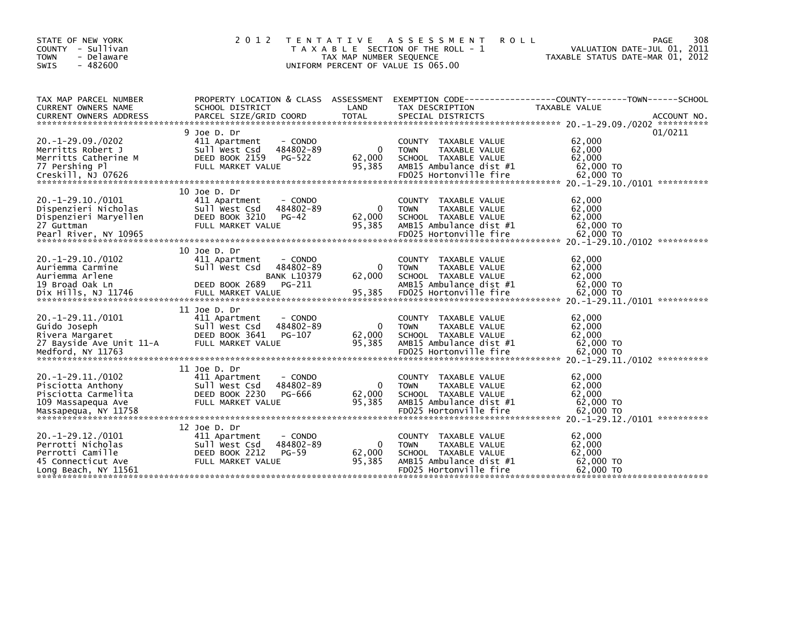| STATE OF NEW YORK<br>COUNTY - Sullivan<br><b>TOWN</b><br>- Delaware<br>$-482600$<br>SWIS                        | 2 0 1 2<br>T E N T A T I V E                                                                                             | TAX MAP NUMBER SEQUENCE | A S S E S S M E N T<br><b>ROLL</b><br>T A X A B L E SECTION OF THE ROLL - 1<br>UNIFORM PERCENT OF VALUE IS 065.00                           | 308<br>PAGE<br>VALUATION DATE-JUL 01, 2011<br>TAXABLE STATUS DATE-MAR 01, 2012                                                                                                                                                                                                                                        |
|-----------------------------------------------------------------------------------------------------------------|--------------------------------------------------------------------------------------------------------------------------|-------------------------|---------------------------------------------------------------------------------------------------------------------------------------------|-----------------------------------------------------------------------------------------------------------------------------------------------------------------------------------------------------------------------------------------------------------------------------------------------------------------------|
| TAX MAP PARCEL NUMBER<br><b>CURRENT OWNERS NAME</b>                                                             | PROPERTY LOCATION & CLASS ASSESSMENT<br>SCHOOL DISTRICT                                                                  | LAND                    | TAX DESCRIPTION                                                                                                                             | EXEMPTION CODE-----------------COUNTY-------TOWN------SCHOOL<br><b>TAXABLE VALUE</b><br>.CURRENT OWNERS ADDRESS PARCEL SIZE/GRID COORD TOTAL SPECIAL DISTRICTS AND MESS AND ACCOUNT NO ACCOUNT NO AND MANUSCRIPT ON A SERVER AND RESERVE TO A SERVER AND RESERVE TO A SERVER AND RESERVE TO A SERVER AND RESERVE TO A |
| $20. -1 - 29.09. /0202$<br>Merritts Robert J<br>Merritts Catherine M<br>77 Pershing Pl                          | 9 Joe D. Dr<br>411 Apartment<br>- CONDO<br>484802-89<br>Sull West Csd<br>DEED BOOK 2159<br>PG-522<br>FULL MARKET VALUE   | 0<br>62,000<br>95,385   | TAXABLE VALUE<br><b>COUNTY</b><br>TAXABLE VALUE<br><b>TOWN</b><br>SCHOOL TAXABLE VALUE<br>AMB15 Ambulance dist #1                           | 01/0211<br>62,000<br>62,000<br>62,000<br>62,000 TO                                                                                                                                                                                                                                                                    |
| $20. -1 - 29.10. /0101$<br>Dispenzieri Nicholas<br>Dispenzieri Maryellen<br>27 Guttman<br>Pearl River, NY 10965 | 10 Joe D. Dr<br>411 Apartment<br>- CONDO<br>484802-89<br>Sull West Csd<br>DEED BOOK 3210<br>$PG-42$<br>FULL MARKET VALUE | 0<br>62,000<br>95,385   | TAXABLE VALUE<br><b>COUNTY</b><br><b>TOWN</b><br>TAXABLE VALUE<br>SCHOOL TAXABLE VALUE<br>AMB15 Ambulance dist #1<br>FD025 Hortonville fire | 62,000<br>62,000<br>62,000<br>62,000 TO<br>62,000 TO                                                                                                                                                                                                                                                                  |
| $20. -1 - 29.10. /0102$<br>Auriemma Carmine<br>Auriemma Arlene<br>19 Broad Oak Ln                               | 10 Joe D. Dr<br>411 Apartment<br>- CONDO<br>Sull West Csd<br>484802-89<br><b>BANK L10379</b><br>DEED BOOK 2689<br>PG-211 | 0<br>62,000             | TAXABLE VALUE<br><b>COUNTY</b><br>TAXABLE VALUE<br><b>TOWN</b><br>SCHOOL TAXABLE VALUE<br>AMB15 Ambulance dist #1                           | 62,000<br>62,000<br>62,000<br>62,000 TO                                                                                                                                                                                                                                                                               |
| 20. -1 - 29. 11. / 0101<br>Guido Joseph<br>Rivera Margaret<br>27 Bayside Ave Unit 11-A<br>Medford, NY 11763     | 11 Joe D. Dr<br>411 Apartment<br>- CONDO<br>Sull West Csd<br>484802-89<br>DEED BOOK 3641<br>PG-107<br>FULL MARKET VALUE  | 0<br>62,000<br>95,385   | <b>COUNTY</b><br>TAXABLE VALUE<br><b>TOWN</b><br>TAXABLE VALUE<br>SCHOOL TAXABLE VALUE<br>AMB15 Ambulance dist #1<br>FD025 Hortonville fire | 62,000<br>62.000<br>62,000<br>62,000 TO<br>62,000 TO                                                                                                                                                                                                                                                                  |
| $20. -1 - 29.11. /0102$<br>Pisciotta Anthony<br>Pisciotta Carmelita<br>109 Massapequa Ave                       | 11 Joe D. Dr<br>- CONDO<br>411 Apartment<br>484802-89<br>Sull West Csd<br>DEED BOOK 2230<br>PG-666<br>FULL MARKET VALUE  | 0<br>62,000<br>95,385   | <b>COUNTY</b><br>TAXABLE VALUE<br><b>TOWN</b><br>TAXABLE VALUE<br>SCHOOL TAXABLE VALUE<br>AMB15 Ambulance dist #1                           | 62,000<br>62,000<br>62,000<br>62,000 TO                                                                                                                                                                                                                                                                               |
| $20. -1 - 29.12. /0101$<br>Perrotti Nicholas<br>Perrotti Camille<br>45 Connecticut Ave<br>Long Beach, NY 11561  | 12 Joe D. Dr<br>- CONDO<br>411 Apartment<br>484802-89<br>Sull West Csd<br>DEED BOOK 2212<br>$PG-59$<br>FULL MARKET VALUE | 0<br>62,000<br>95,385   | <b>COUNTY</b><br>TAXABLE VALUE<br><b>TOWN</b><br>TAXABLE VALUE<br>SCHOOL TAXABLE VALUE<br>AMB15 Ambulance dist #1<br>FD025 Hortonville fire | 62,000<br>62,000<br>62,000<br>62,000 TO<br>62,000 TO                                                                                                                                                                                                                                                                  |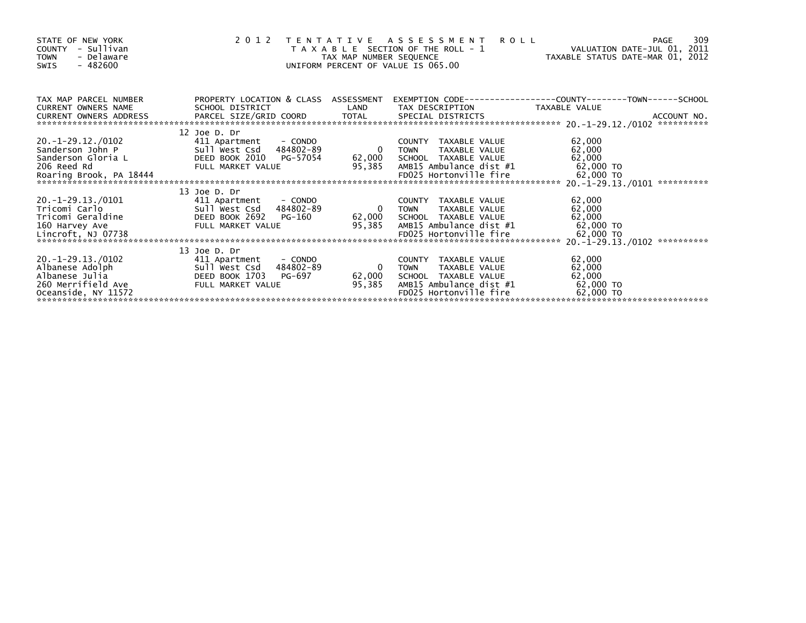| STATE OF NEW YORK<br>COUNTY - Sullivan<br>- Delaware<br><b>TOWN</b><br>- 482600<br><b>SWIS</b>       | 2012                                                                                                                                                                                                                                                                                                                                               | TAX MAP NUMBER SEQUENCE  | TENTATIVE ASSESSMENT<br><b>ROLL</b><br>T A X A B L E SECTION OF THE ROLL - 1<br>UNIFORM PERCENT OF VALUE IS 065.00                       | VALUATION DATE-JUL 01, 2011<br>TAXABLE STATUS DATE-MAR 01, 2012 | 309<br><b>PAGE</b> |
|------------------------------------------------------------------------------------------------------|----------------------------------------------------------------------------------------------------------------------------------------------------------------------------------------------------------------------------------------------------------------------------------------------------------------------------------------------------|--------------------------|------------------------------------------------------------------------------------------------------------------------------------------|-----------------------------------------------------------------|--------------------|
| TAX MAP PARCEL NUMBER<br><b>CURRENT OWNERS NAME</b><br>CURRENT OWNERS ADDRESS                        | PROPERTY LOCATION & CLASS ASSESSMENT<br>SCHOOL DISTRICT                                                                                                                                                                                                                                                                                            | LAND                     | EXEMPTION CODE-----------------COUNTY-------TOWN------SCHOOL<br>TAX DESCRIPTION                                                          | TAXABLE VALUE                                                   |                    |
| 20. -1-29.12./0102<br>Sanderson John P<br>Sanderson Gloria L<br>206 Reed Rd<br>206 Reed Rd           | 12 Joe D. Dr<br>411 Apartment - CONDO<br>Sull west Csd 484802-89<br>DEED BOOK 2010 PG-57054<br>FULL MARKET VALUE<br>Roaring Brook, PA 18444 FDO25 Hortonville tire 62,000 TO 62,000 TO 62,000 FO25 HORTON EDO25 HORTONTILE TIRE 62,000 TO 62,000 TO 62,000 TO 62,000 TO 62,000 TO 62,000 TO 62,000 TO 62,000 11-29.13./0101 ********************** | $\overline{0}$<br>95,385 | COUNTY TAXABLE VALUE<br>TAXABLE VALUE<br><b>TOWN</b><br>62,000 SCHOOL TAXABLE VALUE<br>AMB15 Ambulance dist #1                           | 62,000<br>62,000<br>62,000<br>62,000 TO                         |                    |
| 20. -1-29.13./0101<br>Tricomi Carlo<br>Tricomi Geraldine<br>160 Harvey Ave<br>Lincroft, NJ 07738     | 13 Joe D. Dr<br>411 Apartment<br>- CONDO<br>Sull West Csd 4<br>DEED BOOK 2692<br>Sull West Csd 484802-89<br>PG-160<br>FULL MARKET VALUE                                                                                                                                                                                                            | $\overline{0}$<br>95,385 | COUNTY TAXABLE VALUE<br><b>TOWN</b><br>TAXABLE VALUE<br>62,000 SCHOOL TAXABLE VALUE<br>AMB15 Ambulance dist #1<br>FD025 Hortonville fire | 62,000<br>62,000<br>62,000<br>62,000 TO<br>62,000 TO            |                    |
| 20. -1-29.13./0102<br>Albanese Adolph<br>Albanese Julia<br>260 Merrifield Ave<br>Oceanside, NY 11572 | 13 Joe D. Dr<br>411 Apartment - CONDO<br>Sull West Csd<br>484802-89<br>DEED BOOK 1703<br>PG-697<br>FULL MARKET VALUE                                                                                                                                                                                                                               | 0<br>62,000<br>95,385    | COUNTY TAXABLE VALUE<br><b>TOWN</b><br>TAXABLE VALUE<br>SCHOOL TAXABLE VALUE<br>AMB15 Ambulance dist #1<br>FD025 Hortonville fire        | 62,000<br>62,000<br>62,000<br>62,000 TO<br>62,000 TO            |                    |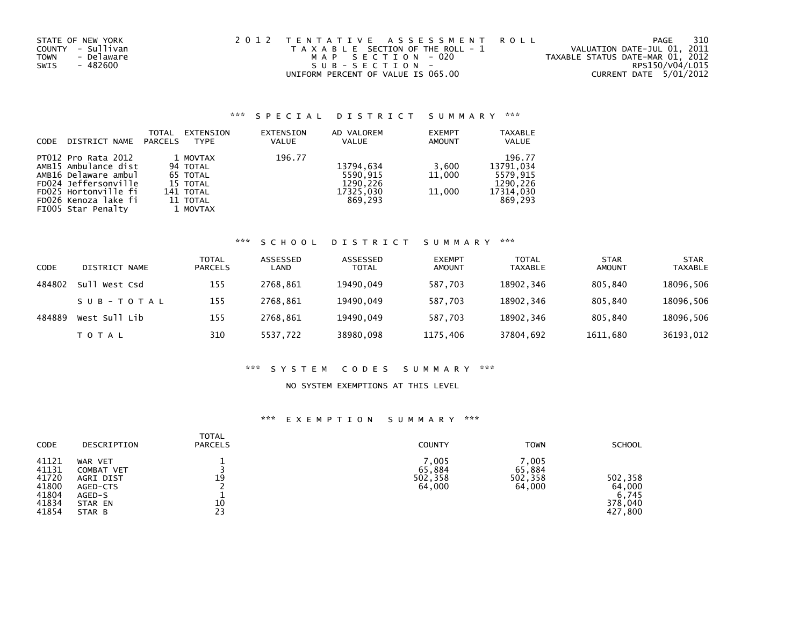| STATE OF NEW YORK  | 2012 TENTATIVE ASSESSMENT ROLL        | PAGE                             | 310 |
|--------------------|---------------------------------------|----------------------------------|-----|
| COUNTY - Sullivan  | T A X A B L E SECTION OF THE ROLL - 1 | VALUATION DATE-JUL 01, 2011      |     |
| - Delaware<br>TOWN | MAP SECTION - 020                     | TAXABLE STATUS DATE-MAR 01, 2012 |     |
| - 482600<br>SWIS   | SUB-SECTION-                          | RPS150/V04/L015                  |     |
|                    | UNIFORM PERCENT OF VALUE IS 065.00    | CURRENT DATE 5/01/2012           |     |

### \*\*\* S P E C I A L D I S T R I C T S U M M A R Y \*\*\*

| <b>CODE</b> | DISTRICT NAME                                                                                                                                                     | <b>TOTAL</b><br>PARCELS | EXTENSION<br><b>TYPE</b>                                                          | EXTENSION<br><b>VALUE</b> | AD VALOREM<br>VALUE                                       | <b>EXEMPT</b><br>AMOUNT   | <b>TAXABLE</b><br><b>VALUE</b>                                      |
|-------------|-------------------------------------------------------------------------------------------------------------------------------------------------------------------|-------------------------|-----------------------------------------------------------------------------------|---------------------------|-----------------------------------------------------------|---------------------------|---------------------------------------------------------------------|
|             | PT012 Pro Rata 2012<br>AMB15 Ambulance dist<br>AMB16 Delaware ambul<br>FD024 Jeffersonville<br>FD025 Hortonville fi<br>FD026 Kenoza lake fi<br>FIOO5 Star Penalty |                         | 1 MOVTAX<br>94 TOTAL<br>65 TOTAL<br>15 TOTAL<br>141 TOTAL<br>11 TOTAL<br>1 MOVTAX | 196.77                    | 13794,634<br>5590,915<br>1290.226<br>17325.030<br>869.293 | 3,600<br>11,000<br>11,000 | 196.77<br>13791,034<br>5579.915<br>1290.226<br>17314.030<br>869.293 |

### \*\*\* S C H O O L D I S T R I C T S U M M A R Y \*\*\*

| <b>CODE</b> | DISTRICT NAME    | <b>TOTAL</b><br><b>PARCELS</b> | ASSESSED<br>LAND | ASSESSED<br><b>TOTAL</b> | <b>EXEMPT</b><br><b>AMOUNT</b> | <b>TOTAL</b><br>TAXABLE | <b>STAR</b><br>AMOUNT | <b>STAR</b><br><b>TAXABLE</b> |
|-------------|------------------|--------------------------------|------------------|--------------------------|--------------------------------|-------------------------|-----------------------|-------------------------------|
| 484802      | West Csd<br>su1. | 155                            | 2768.861         | 19490.049                | 587,703                        | 18902,346               | 805.840               | 18096,506                     |
|             | SUB-TOTAL        | 155                            | 2768.861         | 19490.049                | 587.703                        | 18902,346               | 805.840               | 18096,506                     |
| 484889      | West Sull Lib    | 155                            | 2768.861         | 19490.049                | 587.703                        | 18902.346               | 805.840               | 18096,506                     |
|             | TOTAL            | 310                            | 5537,722         | 38980,098                | 1175,406                       | 37804,692               | 1611,680              | 36193,012                     |

#### \*\*\* S Y S T E M C O D E S S U M M A R Y \*\*\*

#### NO SYSTEM EXEMPTIONS AT THIS LEVEL

## \*\*\* E X E M P T I O N S U M M A R Y \*\*\*

| CODE                                                        | DESCRIPTION                                                                          | <b>TOTAL</b><br><b>PARCELS</b> | <b>COUNTY</b>                        | <b>TOWN</b>                          | <b>SCHOOL</b>                                    |
|-------------------------------------------------------------|--------------------------------------------------------------------------------------|--------------------------------|--------------------------------------|--------------------------------------|--------------------------------------------------|
| 41121<br>41131<br>41720<br>41800<br>41804<br>41834<br>41854 | WAR VET<br><b>COMBAT VET</b><br>AGRI DIST<br>AGED-CTS<br>AGED-S<br>STAR EN<br>STAR B | 19<br>10<br>23                 | 7,005<br>65,884<br>502,358<br>64,000 | 7.005<br>65,884<br>502,358<br>64,000 | 502,358<br>64,000<br>6,745<br>378,040<br>427,800 |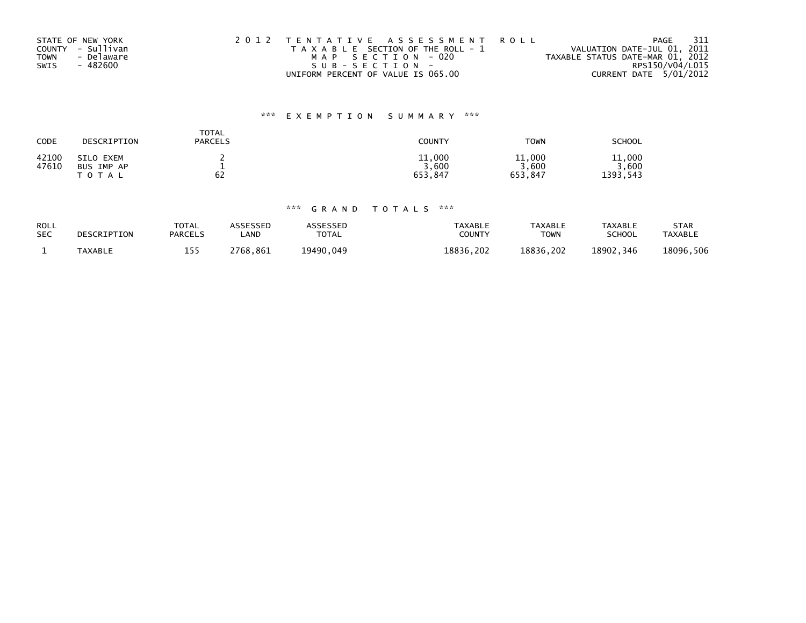| STATE OF NEW YORK         | 2012 TENTATIVE ASSESSMENT ROLL        | - 311<br>PAGE                    |
|---------------------------|---------------------------------------|----------------------------------|
| COUNTY - Sullivan         | T A X A B L E SECTION OF THE ROLL - 1 | VALUATION DATE-JUL 01, 2011      |
| - Delaware<br><b>TOWN</b> | MAP SECTION - 020                     | TAXABLE STATUS DATE-MAR 01, 2012 |
| SWIS<br>- 482600          | SUB-SECTION-                          | RPS150/V04/L015                  |
|                           | UNIFORM PERCENT OF VALUE IS 065.00    | CURRENT DATE 5/01/2012           |

## \*\*\* E X E M P T I O N S U M M A R Y \*\*\*

| CODE  | DESCRIPTION | <b>TOTAL</b><br><b>PARCELS</b> | COUNTY  | TOWN    | <b>SCHOOL</b> |
|-------|-------------|--------------------------------|---------|---------|---------------|
| 42100 | SILO EXEM   |                                | 11,000  | 11,000  | .000          |
| 47610 | BUS IMP AP  |                                | 3,600   | 3,600   | , 600         |
|       | T O T A L   | 62                             | 653,847 | 653,847 | 1393,543      |

# \*\*\* G R A N D T O T A L S \*\*\*

| ROLL       | DESCRIPTION | TOTAL          | ASSESSED | ASSESSED     | <b>TAXABLE</b> | TAXABLE   | <b>TAXABLE</b> | STAR           |
|------------|-------------|----------------|----------|--------------|----------------|-----------|----------------|----------------|
| <b>SEC</b> |             | <b>PARCELS</b> | _AND     | <b>TOTAL</b> | <b>COUNTY</b>  | TOWN      | SCHOOL         | <b>TAXABLE</b> |
|            | TAXABLE     | 155            | 2768.861 | 19490.049    | 18836.202      | 18836.202 | 18902.346      | 18096,506      |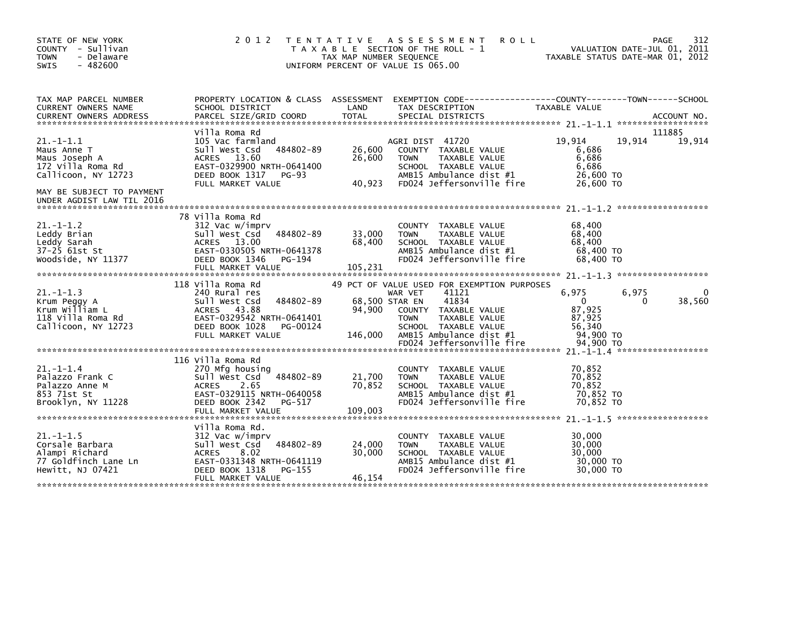| STATE OF NEW YORK<br>COUNTY - Sullivan<br><b>TOWN</b><br>- Delaware<br>$-482600$<br><b>SWIS</b> | 2 0 1 2                                                                                                                                                                  | T E N T A T I V E<br>TAX MAP NUMBER SEQUENCE | <b>ROLL</b><br>A S S E S S M E N T<br>T A X A B L E SECTION OF THE ROLL - 1<br>UNIFORM PERCENT OF VALUE IS 065.00                                       |                                                                  | 312<br>PAGE<br>VALUATION DATE-JUL 01, 2011<br>TAXABLE STATUS DATE-MAR 01, 2012 |
|-------------------------------------------------------------------------------------------------|--------------------------------------------------------------------------------------------------------------------------------------------------------------------------|----------------------------------------------|---------------------------------------------------------------------------------------------------------------------------------------------------------|------------------------------------------------------------------|--------------------------------------------------------------------------------|
| TAX MAP PARCEL NUMBER<br>CURRENT OWNERS NAME<br><b>CURRENT OWNERS ADDRESS</b>                   | PROPERTY LOCATION & CLASS ASSESSMENT<br>SCHOOL DISTRICT<br>PARCEL SIZE/GRID COORD                                                                                        | LAND<br>TOTAL                                | TAX DESCRIPTION<br>SPECIAL DISTRICTS                                                                                                                    | TAXABLE VALUE                                                    | ACCOUNT NO.                                                                    |
|                                                                                                 | Villa Roma Rd                                                                                                                                                            |                                              |                                                                                                                                                         |                                                                  | 111885                                                                         |
| $21. -1 - 1.1$<br>Maus Anne T<br>Maus Joseph A<br>172 Villa Roma Rd<br>Callicoon, NY 12723      | 105 Vac farmland<br>484802-89<br>Sull West Csd<br>ACRES 13.60<br>EAST-0329900 NRTH-0641400<br>DEED BOOK 1317<br><b>PG-93</b><br>FULL MARKET VALUE                        | 26,600<br>26,600<br>40,923                   | AGRI DIST 41720<br>COUNTY TAXABLE VALUE<br>TAXABLE VALUE<br><b>TOWN</b><br>SCHOOL TAXABLE VALUE<br>AMB15 Ambulance dist #1<br>FD024 Jeffersonville fire | 19,914<br>6,686<br>6,686<br>6,686<br>26,600 TO<br>26,600 TO      | 19,914<br>19,914                                                               |
| MAY BE SUBJECT TO PAYMENT<br>UNDER AGDIST LAW TIL 2016                                          |                                                                                                                                                                          |                                              |                                                                                                                                                         |                                                                  |                                                                                |
| $21. - 1 - 1.2$<br>Leddy Brian<br>Leddy Sarah<br>37-25 61st St<br>Woodside, NY 11377            | 78 Villa Roma Rd<br>312 Vac w/imprv<br>484802-89<br>Sull West Csd<br>ACRES 13.00<br>EAST-0330505 NRTH-0641378<br>DEED BOOK 1346<br>PG-194<br>FULL MARKET VALUE           | 33,000<br>68,400<br>105,231                  | <b>COUNTY</b><br>TAXABLE VALUE<br>TAXABLE VALUE<br><b>TOWN</b><br>SCHOOL TAXABLE VALUE<br>AMB15 Ambulance dist #1<br>FD024 Jeffersonville fire          | 68,400<br>68,400<br>68,400<br>68,400 TO<br>68,400 TO             |                                                                                |
|                                                                                                 | 118 Villa Roma Rd                                                                                                                                                        |                                              | 49 PCT OF VALUE USED FOR EXEMPTION PURPOSES                                                                                                             |                                                                  |                                                                                |
| $21. -1 - 1.3$<br>Krum Peggy A<br>Krum William L<br>118 Villa Roma Rd<br>Callicoon, NY 12723    | 240 Rural res<br>484802-89<br>Sull West Csd<br>ACRES 43.88<br>EAST-0329542 NRTH-0641401<br>DEED BOOK 1028<br>PG-00124<br>FULL MARKET VALUE                               | 94,900<br>146.000                            | 41121<br>WAR VET<br>41834<br>68,500 STAR EN<br>COUNTY TAXABLE VALUE<br><b>TOWN</b><br>TAXABLE VALUE<br>SCHOOL TAXABLE VALUE<br>AMB15 Ambulance dist #1  | 6,975<br>$\mathbf{0}$<br>87,925<br>87,925<br>56,340<br>94,900 TO | 6.975<br>0<br>$\Omega$<br>38,560                                               |
|                                                                                                 |                                                                                                                                                                          |                                              |                                                                                                                                                         |                                                                  |                                                                                |
| $21. - 1 - 1.4$<br>Palazzo Frank C<br>Palazzo Anne M<br>853 71st St<br>Brooklyn, NY 11228       | 116 Villa Roma Rd<br>270 Mfg housing<br>484802-89<br>Sull West Csd<br>2.65<br><b>ACRES</b><br>EAST-0329115 NRTH-0640058<br>DEED BOOK 2342<br>PG-517<br>FULL MARKET VALUE | 21,700<br>70,852<br>109.003                  | COUNTY<br>TAXABLE VALUE<br>TAXABLE VALUE<br><b>TOWN</b><br>SCHOOL TAXABLE VALUE<br>AMB15 Ambulance dist #1<br>FD024 Jeffersonville fire                 | 70,852<br>70,852<br>70.852<br>70,852 TO<br>70.852 TO             |                                                                                |
|                                                                                                 |                                                                                                                                                                          |                                              |                                                                                                                                                         |                                                                  |                                                                                |
| $21 - 1 - 1.5$<br>Corsale Barbara<br>Alampi Richard<br>77 Goldfinch Lane Ln<br>Hewitt, NJ 07421 | Villa Roma Rd.<br>312 Vac w/imprv<br>484802-89<br>Sull West Csd<br><b>ACRES</b><br>8.02<br>EAST-0331348 NRTH-0641119<br>DEED BOOK 1318<br>PG-155<br>FULL MARKET VALUE    | 24,000<br>30,000<br>46,154                   | <b>COUNTY</b><br>TAXABLE VALUE<br>TAXABLE VALUE<br><b>TOWN</b><br>SCHOOL TAXABLE VALUE<br>AMB15 Ambulance dist #1<br>FD024 Jeffersonville fire          | 30.000<br>30,000<br>30,000<br>30,000 TO<br>30,000 TO             |                                                                                |
|                                                                                                 |                                                                                                                                                                          |                                              |                                                                                                                                                         |                                                                  |                                                                                |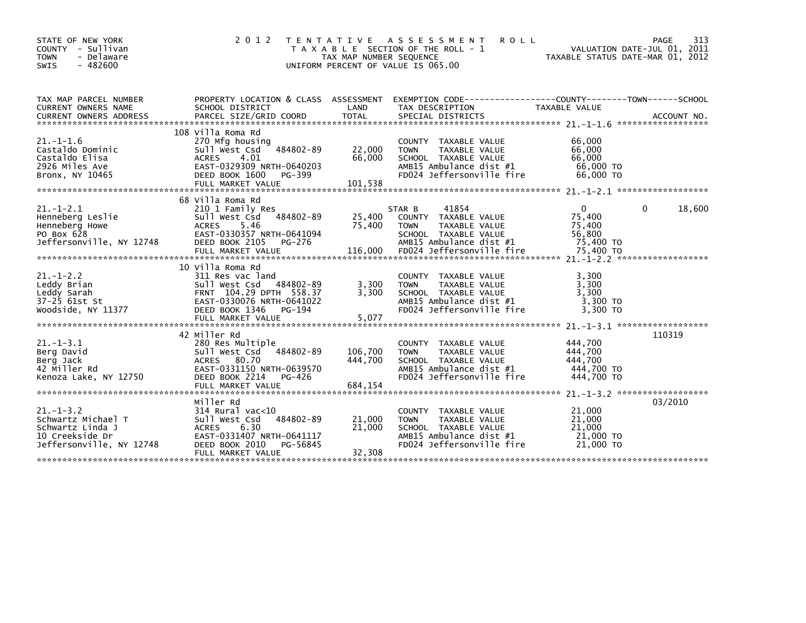| STATE OF NEW YORK<br>- Sullivan<br>COUNTY<br><b>TOWN</b><br>- Delaware<br><b>SWIS</b><br>- 482600       | 2 0 1 2<br>T E N T A T I V E                                                                                                                                             | TAX MAP NUMBER SEQUENCE       | A S S E S S M E N T<br><b>ROLL</b><br>T A X A B L E SECTION OF THE ROLL - 1<br>UNIFORM PERCENT OF VALUE IS 065.00                                       | TAXABLE STATUS DATE-MAR 01, 2012                                                                | 313<br>PAGE<br>VALUATION DATE-JUL 01, 2011 |
|---------------------------------------------------------------------------------------------------------|--------------------------------------------------------------------------------------------------------------------------------------------------------------------------|-------------------------------|---------------------------------------------------------------------------------------------------------------------------------------------------------|-------------------------------------------------------------------------------------------------|--------------------------------------------|
| TAX MAP PARCEL NUMBER<br><b>CURRENT OWNERS NAME</b>                                                     | PROPERTY LOCATION & CLASS ASSESSMENT<br>SCHOOL DISTRICT                                                                                                                  | LAND                          | EXEMPTION CODE-----------------COUNTY-------TOWN------SCHOOL<br>TAX DESCRIPTION                                                                         | TAXABLE VALUE                                                                                   | ACCOUNT NO.<br>******************          |
| $21. - 1 - 1.6$<br>Castaldo Dominic<br>Castaldo Elisa<br>2926 Miles Ave<br>Bronx, NY 10465              | 108 Villa Roma Rd<br>270 Mfg housing<br>484802-89<br>Sull West Csd<br>4.01<br><b>ACRES</b><br>EAST-0329309 NRTH-0640203<br>DEED BOOK 1600<br>PG-399<br>FULL MARKET VALUE | 22,000<br>66,000<br>101,538   | COUNTY TAXABLE VALUE<br><b>TAXABLE VALUE</b><br><b>TOWN</b><br>SCHOOL TAXABLE VALUE<br>AMB15 Ambulance dist #1<br>FD024 Jeffersonville fire             | 66,000<br>66,000<br>66,000<br>66,000 TO<br>66,000 TO                                            |                                            |
| $21. - 1 - 2.1$<br>Henneberg Leslie<br>Henneberg Howe<br>PO Box 628<br>Jeffersonville, NY 12748         | 68 Villa Roma Rd<br>210 1 Family Res<br>484802-89<br>Sull West Csd<br>5.46<br><b>ACRES</b><br>EAST-0330357 NRTH-0641094<br>DEED BOOK 2105<br>PG-276<br>FULL MARKET VALUE | 25,400<br>75,400<br>116,000   | 41854<br>STAR B<br>COUNTY TAXABLE VALUE<br><b>TOWN</b><br>TAXABLE VALUE<br>SCHOOL TAXABLE VALUE<br>AMB15 Ambulance dist #1<br>FD024 Jeffersonville fire | $\Omega$<br>75,400<br>75,400<br>56,800<br>75,400 TO<br>75,400 TO                                | 18,600<br>0                                |
| $21. - 1 - 2.2$<br>Leddy Brian<br>Leddy Sarah<br>37-25 61st St<br>Woodside, NY 11377                    | 10 Villa Roma Rd<br>311 Res vac land<br>484802-89<br>Sull West Csd<br>FRNT 104.29 DPTH 558.37<br>EAST-0330076 NRTH-0641022<br>DEED BOOK 1346<br>PG-194                   | 3,300<br>3.300<br>5,077       | COUNTY TAXABLE VALUE<br><b>TAXABLE VALUE</b><br><b>TOWN</b><br>SCHOOL TAXABLE VALUE<br>AMB15 Ambulance dist #1<br>FD024 Jeffersonville fire             | 3.300<br>3,300<br>3.300<br>3,300 TO<br>3,300 TO                                                 |                                            |
| $21. -1 - 3.1$<br>Berg David<br>Berg Jack<br>42 Miller Rd<br>Kenoza Lake, NY 12750                      | 42 Miller Rd<br>280 Res Multiple<br>484802-89<br>Sull West Csd<br>80.70<br>ACRES<br>EAST-0331150 NRTH-0639570<br>DEED BOOK 2214<br>PG-426<br>FULL MARKET VALUE           | 106,700<br>444,700<br>684,154 | <b>COUNTY</b><br>TAXABLE VALUE<br>TAXABLE VALUE<br><b>TOWN</b><br>SCHOOL TAXABLE VALUE<br>AMB15 Ambulance dist #1<br>FD024 Jeffersonville fire          | $21. -1 - 3.1$ *******************<br>444,700<br>444.700<br>444,700<br>444,700 TO<br>444,700 TO | 110319                                     |
| $21 - 1 - 3.2$<br>Schwartz Michael T<br>Schwartz Linda J<br>10 Creekside Dr<br>Jeffersonville, NY 12748 | Miller Rd<br>314 Rural vac<10<br>484802-89<br>Sull West Csd<br><b>ACRES</b><br>6.30<br>EAST-0331407 NRTH-0641117<br>DEED BOOK 2010<br>PG-56845<br>FULL MARKET VALUE      | 21,000<br>21,000<br>32,308    | <b>COUNTY</b><br>TAXABLE VALUE<br><b>TOWN</b><br>TAXABLE VALUE<br>SCHOOL TAXABLE VALUE<br>AMB15 Ambulance dist #1<br>FD024 Jeffersonville fire          | $21. -1 - 3.2$ *******************<br>21,000<br>21,000<br>21,000<br>21,000 TO<br>21,000 TO      | 03/2010                                    |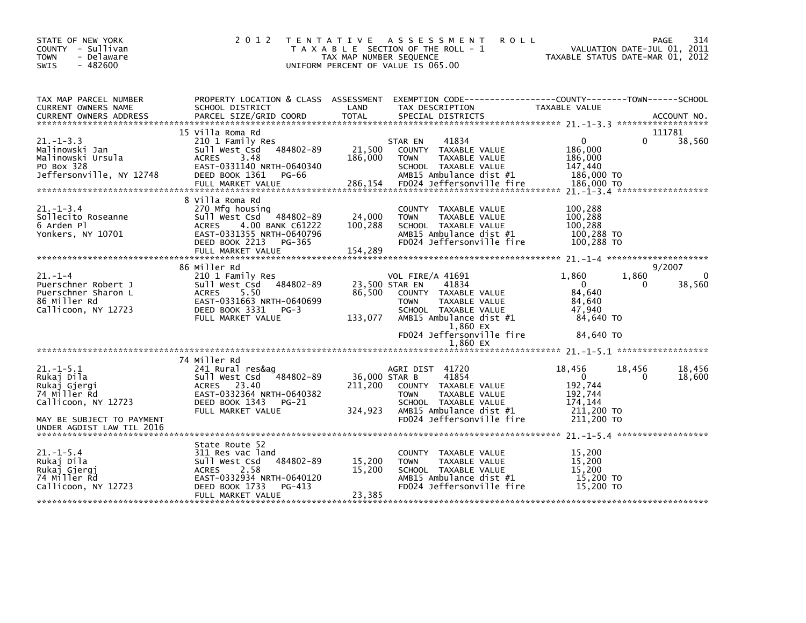| STATE OF NEW YORK<br>COUNTY - Sullivan<br><b>TOWN</b><br>- Delaware<br>$-482600$<br>SWIS           | 2 0 1 2                                                                                                                                                                                 | T E N T A T I V E<br>TAX MAP NUMBER SEQUENCE<br>UNIFORM PERCENT OF VALUE IS 065.00 | <b>ROLL</b><br>A S S E S S M E N T<br>T A X A B L E SECTION OF THE ROLL - 1                                                                                                   | VALUATION DATE-JUL 01, 2011<br>TAXABLE STATUS DATE-MAR 01, 2012           |                    | 314<br><b>PAGE</b>    |
|----------------------------------------------------------------------------------------------------|-----------------------------------------------------------------------------------------------------------------------------------------------------------------------------------------|------------------------------------------------------------------------------------|-------------------------------------------------------------------------------------------------------------------------------------------------------------------------------|---------------------------------------------------------------------------|--------------------|-----------------------|
| TAX MAP PARCEL NUMBER<br><b>CURRENT OWNERS NAME</b>                                                | SCHOOL DISTRICT                                                                                                                                                                         | LAND                                                                               | PROPERTY LOCATION & CLASS ASSESSMENT EXEMPTION CODE---------------COUNTY-------TOWN------SCHOOL<br>TAX DESCRIPTION                                                            | TAXABLE VALUE                                                             |                    |                       |
| $21 - 1 - 3.3$<br>Malinowski Jan<br>Malinowski Ursula<br>PO Box 328<br>Jeffersonville, NY 12748    | 15 Villa Roma Rd<br>210 1 Family Res<br>484802-89<br>Sull West Csd<br>ACRES<br>3.48<br>EAST-0331140 NRTH-0640340<br>DEED BOOK 1361<br>PG-66<br>FULL MARKET VALUE                        | 21,500<br>186,000                                                                  | 41834<br>STAR EN<br>COUNTY TAXABLE VALUE<br><b>TOWN</b><br>TAXABLE VALUE<br>SCHOOL TAXABLE VALUE<br>AMB15 Ambulance dist #1<br>286,154 FD024 Jeffersonville fire              | $\mathbf{0}$<br>186,000<br>186,000<br>147,440<br>186,000 TO<br>186.000 TO | $\Omega$           | 111781<br>38,560      |
| $21. - 1 - 3.4$<br>Sollecito Roseanne<br>6 Arden Pl<br>Yonkers, NY 10701                           | 8 Villa Roma Rd<br>270 Mfg housing<br>$-484802 - 89$<br>sull west Csd<br><b>ACRES</b><br>4.00 BANK C61222<br>EAST-0331355 NRTH-0640796<br>DEED BOOK 2213<br>PG-365<br>FULL MARKET VALUE | 24,000<br>100,288<br>154,289                                                       | COUNTY TAXABLE VALUE<br><b>TOWN</b><br>TAXABLE VALUE<br>SCHOOL TAXABLE VALUE<br>AMB15 Ambulance dist #1<br>FD024 Jeffersonville fire                                          | 100,288<br>100,288<br>100,288<br>100,288 TO<br>100,288 TO                 |                    |                       |
| $21. - 1 - 4$<br>Puerschner Robert J<br>Puerschner Sharon L<br>86 Miller Rd<br>Callicoon, NY 12723 | 86 Miller Rd<br>210 1 Family Res<br>484802-89<br>Sull West Csd<br><b>ACRES</b><br>5.50<br>EAST-0331663 NRTH-0640699<br>DEED BOOK 3331<br>$PG-3$<br>FULL MARKET VALUE                    | 23,500 STAR EN<br>86,500<br>133,077                                                | VOL FIRE/A 41691<br>41834<br>COUNTY TAXABLE VALUE<br><b>TOWN</b><br>TAXABLE VALUE<br>SCHOOL TAXABLE VALUE<br>AMB15 Ambulance dist #1<br>1,860 EX<br>FD024 Jeffersonville fire | 1,860<br>$\Omega$<br>84,640<br>84,640<br>47,940<br>84,640 TO<br>84,640 TO | 1,860<br>0         | 9/2007<br>0<br>38,560 |
|                                                                                                    |                                                                                                                                                                                         |                                                                                    | 1.860 EX                                                                                                                                                                      |                                                                           |                    |                       |
| $21. -1 - 5.1$<br>Rukaj Dila<br>Rukaj Gjergi<br>74 Miller Rd<br>Callicoon, NY 12723                | 74 Miller Rd<br>241 Rural res&ag<br>484802-89<br>sull west Csd<br>ACRES 23.40<br>EAST-0332364 NRTH-0640382<br>DEED BOOK 1343 PG-21<br>FULL MARKET VALUE                                 | 36,000 STAR B<br>211,200<br>324,923                                                | AGRI DIST 41720<br>41854<br>COUNTY TAXABLE VALUE<br>TAXABLE VALUE<br><b>TOWN</b><br>SCHOOL TAXABLE VALUE<br>AMB15 Ambulance dist #1                                           | 18,456<br>$\mathbf{0}$<br>192,744<br>192,744<br>174,144<br>211,200 TO     | 18,456<br>$\Omega$ | 18,456<br>18,600      |
| MAY BE SUBJECT TO PAYMENT<br>UNDER AGDIST LAW TIL 2016                                             |                                                                                                                                                                                         |                                                                                    | FD024 Jeffersonville fire                                                                                                                                                     | $211,200$ TO                                                              |                    |                       |
| $21. - 1 - 5.4$<br>Rukaj Dila<br>Rukaj Gjergj<br>74 Miller Rd<br>Callicoon, NY 12723               | State Route 52<br>311 Res vac land<br>484802-89<br>Sull West Csd<br>2.58<br><b>ACRES</b><br>EAST-0332934 NRTH-0640120<br>$PG-413$<br>DEED BOOK 1733<br>FULL MARKET VALUE                | 15,200<br>15,200<br>23,385                                                         | COUNTY TAXABLE VALUE<br>TAXABLE VALUE<br><b>TOWN</b><br>SCHOOL TAXABLE VALUE<br>AMB15 Ambulance dist #1<br>FD024 Jeffersonville fire                                          | 15,200<br>15,200<br>15,200<br>15,200 TO<br>15,200 TO                      |                    |                       |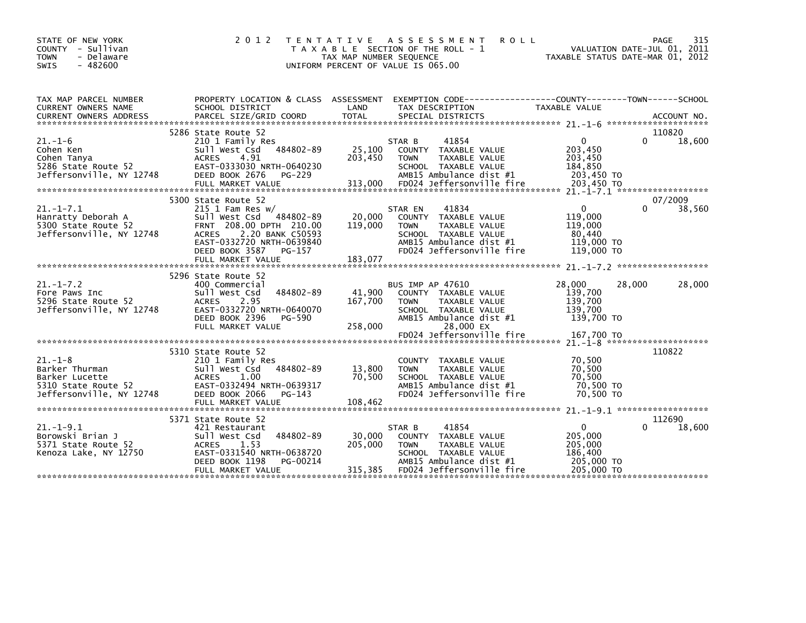| STATE OF NEW YORK<br>COUNTY<br>- Sullivan<br><b>TOWN</b><br>- Delaware<br>$-482600$<br><b>SWIS</b>   | 2 0 1 2                                                                                                                                                                   | T E N T A T I V E<br>TAX MAP NUMBER SEQUENCE | A S S E S S M E N T<br><b>ROLL</b><br>T A X A B L E SECTION OF THE ROLL - 1<br>UNIFORM PERCENT OF VALUE IS 065.00                                       | TAXABLE STATUS DATE-MAR 01, 2012                                          | PAGE<br>VALUATION DATE-JUL 01, 2011 | 315    |
|------------------------------------------------------------------------------------------------------|---------------------------------------------------------------------------------------------------------------------------------------------------------------------------|----------------------------------------------|---------------------------------------------------------------------------------------------------------------------------------------------------------|---------------------------------------------------------------------------|-------------------------------------|--------|
| TAX MAP PARCEL NUMBER<br>CURRENT OWNERS NAME                                                         | PROPERTY LOCATION & CLASS ASSESSMENT<br>SCHOOL DISTRICT                                                                                                                   | LAND                                         | EXEMPTION CODE-----------------COUNTY-------TOWN------SCHOOL<br>TAX DESCRIPTION                                                                         | TAXABLE VALUE                                                             |                                     |        |
|                                                                                                      |                                                                                                                                                                           |                                              |                                                                                                                                                         |                                                                           |                                     |        |
|                                                                                                      | 5286 State Route 52                                                                                                                                                       |                                              |                                                                                                                                                         |                                                                           | 110820                              |        |
| $21. - 1 - 6$<br>Cohen Ken<br>Cohen Tanya<br>5286 State Route 52<br>Jeffersonville, NY 12748         | 210 1 Family Res<br>Sull West Csd 484802-89<br>4.91<br><b>ACRES</b><br>EAST-0333030 NRTH-0640230<br>DEED BOOK 2676<br>PG-229<br>FULL MARKET VALUE                         | 25,100<br>203,450<br>313,000                 | 41854<br>STAR B<br>COUNTY TAXABLE VALUE<br><b>TOWN</b><br>TAXABLE VALUE<br>SCHOOL TAXABLE VALUE<br>AMB15 Ambulance dist #1<br>FD024 Jeffersonville fire | $\mathbf{0}$<br>203,450<br>203,450<br>184,850<br>203,450 TO<br>203,450 TO |                                     | 18,600 |
|                                                                                                      |                                                                                                                                                                           |                                              |                                                                                                                                                         |                                                                           |                                     |        |
| $21. -1 - 7.1$<br>Hanratty Deborah A                                                                 | 5300 State Route 52<br>$215$ 1 Fam Res w/<br>Sull West Csd<br>484802-89                                                                                                   | 20,000                                       | 41834<br>STAR EN<br>COUNTY TAXABLE VALUE                                                                                                                | $\mathbf{0}$<br>119,000                                                   | 07/2009                             | 38,560 |
| 5300 State Route 52<br>Jeffersonville, NY 12748                                                      | FRNT 208.00 DPTH 210.00<br><b>ACRES</b><br>2.20 BANK C50593<br>EAST-0332720 NRTH-0639840<br>DEED BOOK 3587<br>PG-157<br>FULL MARKET VALUE                                 | 119,000<br>183,077                           | <b>TOWN</b><br>TAXABLE VALUE<br>SCHOOL TAXABLE VALUE<br>AMB15 Ambulance dist #1<br>FD024 Jeffersonville fire                                            | 119,000<br>80,440<br>119,000 TO<br>119,000 TO                             |                                     |        |
|                                                                                                      |                                                                                                                                                                           |                                              |                                                                                                                                                         |                                                                           |                                     |        |
| $21. - 1 - 7.2$<br>Fore Paws Inc<br>5296 State Route 52<br>Jeffersonville, NY 12748                  | 5296 State Route 52<br>400 Commercial<br>484802-89<br>Sull West Csd<br>2.95<br><b>ACRES</b><br>EAST-0332720 NRTH-0640070<br>DEED BOOK 2396<br>PG-590<br>FULL MARKET VALUE | 41,900<br>167,700<br>258,000                 | BUS IMP AP 47610<br>COUNTY TAXABLE VALUE<br>TAXABLE VALUE<br><b>TOWN</b><br>SCHOOL TAXABLE VALUE<br>AMB15 Ambulance dist #1<br>28,000 EX                | 28,000<br>139,700<br>139,700<br>139,700<br>139,700 TO                     | 28,000                              | 28,000 |
|                                                                                                      |                                                                                                                                                                           |                                              | FD024 Jeffersonville fire                                                                                                                               | 167,700 TO                                                                | $21 - 1 - 8$ *********************  |        |
| $21. - 1 - 8$<br>Barker Thurman<br>Barker Lucette<br>5310 State Route 52<br>Jeffersonville, NY 12748 | 5310 State Route 52<br>210 1 Family Res<br>Sull West Csd<br>484802-89<br><b>ACRES</b><br>1.00<br>EAST-0332494 NRTH-0639317<br>DEED BOOK 2066<br>$PG-143$                  | 13,800<br>70,500                             | COUNTY TAXABLE VALUE<br><b>TOWN</b><br>TAXABLE VALUE<br>SCHOOL TAXABLE VALUE<br>AMB15 Ambulance dist #1<br>FD024 Jeffersonville fire                    | 70,500<br>70,500<br>70.500<br>70,500 TO<br>70,500 TO                      | 110822                              |        |
|                                                                                                      | 5371 State Route 52                                                                                                                                                       |                                              |                                                                                                                                                         |                                                                           | 112690                              |        |
| $21. - 1 - 9.1$<br>Borowski Brian J<br>5371 State Route 52<br>Kenoza Lake, NY 12750                  | 421 Restaurant<br>484802-89<br>Sull West Csd<br>1.53<br><b>ACRES</b><br>EAST-0331540 NRTH-0638720<br>DEED BOOK 1198<br>PG-00214                                           | 30,000<br>205,000                            | STAR B<br>41854<br>COUNTY TAXABLE VALUE<br><b>TOWN</b><br>TAXABLE VALUE<br>SCHOOL TAXABLE VALUE<br>AMB15 Ambulance dist #1                              | $\mathbf{0}$<br>205,000<br>205,000<br>186,400<br>205,000 TO               |                                     | 18,600 |
|                                                                                                      | FULL MARKET VALUE                                                                                                                                                         | 315,385                                      | FD024 Jeffersonville fire                                                                                                                               | 205,000 TO                                                                |                                     |        |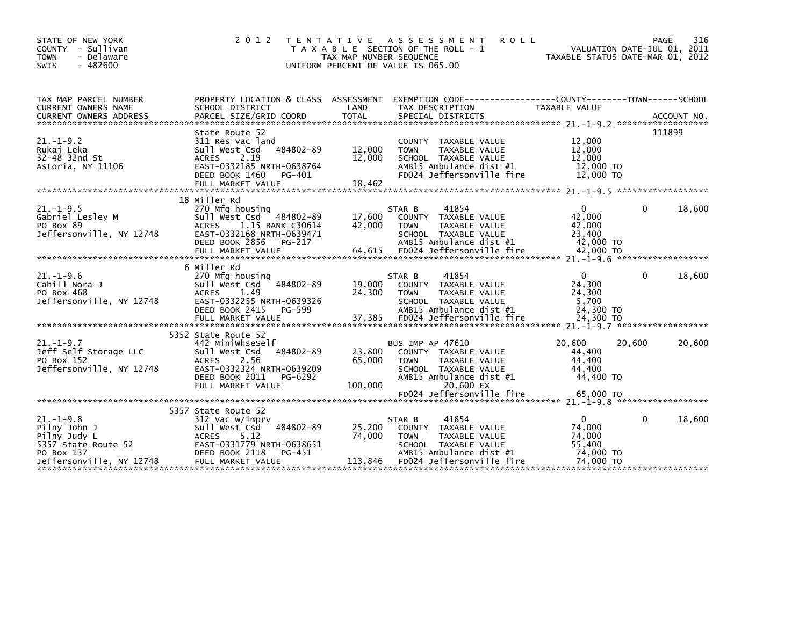| STATE OF NEW YORK<br>COUNTY - Sullivan<br><b>TOWN</b><br>- Delaware<br><b>SWIS</b><br>$-482600$                  | 2 0 1 2                                                                                                                                                                      | TAX MAP NUMBER SEQUENCE     | TENTATIVE ASSESSMENT<br><b>ROLL</b><br>T A X A B L E SECTION OF THE ROLL - 1<br>UNIFORM PERCENT OF VALUE IS 065.00                                      | VALUATION DATE-JUL 01, 2011<br>TAXABLE STATUS DATE-MAR 01, 2012     |              | PAGE<br>316 |
|------------------------------------------------------------------------------------------------------------------|------------------------------------------------------------------------------------------------------------------------------------------------------------------------------|-----------------------------|---------------------------------------------------------------------------------------------------------------------------------------------------------|---------------------------------------------------------------------|--------------|-------------|
| TAX MAP PARCEL NUMBER<br><b>CURRENT OWNERS NAME</b>                                                              | PROPERTY LOCATION & CLASS ASSESSMENT<br>SCHOOL DISTRICT                                                                                                                      | LAND                        | TAX DESCRIPTION                                                                                                                                         | TAXABLE VALUE                                                       |              |             |
| $21. - 1 - 9.2$<br>Rukaj Leka<br>$32-48$ 32nd St<br>Astoria, NY 11106                                            | State Route 52<br>311 Res vac land<br>484802-89<br>Sull West Csd<br><b>ACRES</b><br>2.19<br>EAST-0332185 NRTH-0638764<br>DEED BOOK 1460<br>PG-401                            | 12,000<br>12,000            | COUNTY TAXABLE VALUE<br>TAXABLE VALUE<br><b>TOWN</b><br>SCHOOL TAXABLE VALUE<br>AMB15 Ambulance dist #1<br>FD024 Jeffersonville fire                    | 12,000<br>12,000<br>12,000<br>12,000 TO<br>12,000 TO                |              | 111899      |
| $21. - 1 - 9.5$<br>Gabriel Lesley M<br>PO Box 89<br>Jeffersonville, NY 12748                                     | 18 Miller Rd<br>270 Mfg housing<br>Sull West Csd 484802-89<br><b>ACRES</b><br>1.15 BANK C30614<br>EAST-0332168 NRTH-0639471<br>DEED BOOK 2856<br>PG-217                      | 17,600<br>42,000            | STAR B<br>41854<br>COUNTY TAXABLE VALUE<br>TAXABLE VALUE<br><b>TOWN</b><br>SCHOOL TAXABLE VALUE<br>AMB15 Ambulance dist #1                              | 0<br>42.000<br>42,000<br>23,400<br>42,000 TO                        | 0            | 18,600      |
| $21. - 1 - 9.6$<br>Cahill Nora J<br>PO Box 468<br>Jeffersonville, NY 12748                                       | 6 Miller Rd<br>270 Mfg housing<br>484802-89<br>Sull West Csd<br>ACRES<br>1.49<br>EAST-0332255 NRTH-0639326<br>DEED BOOK 2415<br>PG-599<br>FULL MARKET VALUE                  | 19,000<br>24,300<br>37,385  | 41854<br>STAR B<br>COUNTY TAXABLE VALUE<br><b>TOWN</b><br>TAXABLE VALUE<br>SCHOOL TAXABLE VALUE<br>AMB15 Ambulance dist #1<br>FD024 Jeffersonville fire | $\mathbf{0}$<br>24,300<br>24,300<br>5,700<br>24,300 TO<br>24,300 TO | $\Omega$     | 18,600      |
| $21. - 1 - 9.7$<br>Jeff Self Storage LLC<br>PO Box 152<br>Jeffersonville, NY 12748                               | 5352 State Route 52<br>442 MiniwhseSelf<br>484802-89<br>Sull West Csd<br><b>ACRES</b><br>2.56<br>EAST-0332324 NRTH-0639209<br>DEED BOOK 2011<br>PG-6292<br>FULL MARKET VALUE | 23,800<br>65,000<br>100,000 | <b>BUS IMP AP 47610</b><br>COUNTY TAXABLE VALUE<br><b>TOWN</b><br>TAXABLE VALUE<br>SCHOOL TAXABLE VALUE<br>AMB15 Ambulance dist #1<br>20,600 EX         | 20.600<br>44,400<br>44,400<br>44.400<br>44,400 TO                   | 20,600       | 20,600      |
| $21. - 1 - 9.8$<br>Pilny John J<br>Pilny Judy L<br>5357 State Route 52<br>PO Box 137<br>Jeffersonville, NY 12748 | 5357 State Route 52<br>312 Vac w/imprv<br>484802-89<br>Sull West Csd<br><b>ACRES</b><br>5.12<br>EAST-0331779 NRTH-0638651<br>DEED BOOK 2118<br>PG-451<br>FULL MARKET VALUE   | 25,200<br>74,000<br>113,846 | 41854<br>STAR B<br>COUNTY TAXABLE VALUE<br><b>TOWN</b><br>TAXABLE VALUE<br>SCHOOL TAXABLE VALUE<br>AMB15 Ambulance dist #1<br>FD024 Jeffersonville fire | $\Omega$<br>74,000<br>74,000<br>55,400<br>74,000 TO<br>74,000 TO    | $\mathbf{0}$ | 18,600      |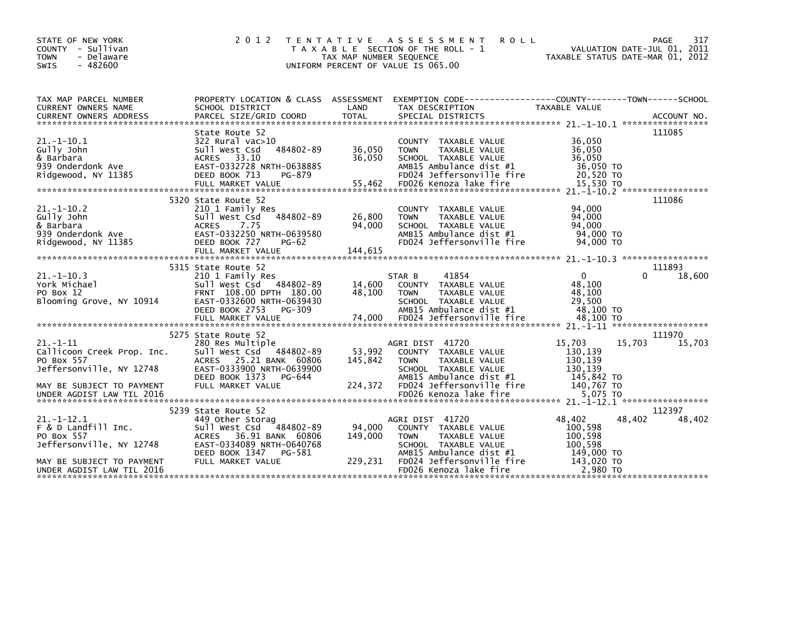| STATE OF NEW YORK<br>COUNTY - Sullivan<br>- Delaware<br><b>TOWN</b><br>$-482600$<br><b>SWIS</b>                                            | 2 0 1 2                                                                                                                                                                                 | TAX MAP NUMBER SEQUENCE      | TENTATIVE ASSESSMENT<br><b>ROLL</b><br>T A X A B L E SECTION OF THE ROLL - 1<br>UNIFORM PERCENT OF VALUE IS 065.00                                                                | VALUATION DATE-JUL 01, 2011<br>TAXABLE STATUS DATE-MAR 01, 2012                           | PAGE<br>317      |
|--------------------------------------------------------------------------------------------------------------------------------------------|-----------------------------------------------------------------------------------------------------------------------------------------------------------------------------------------|------------------------------|-----------------------------------------------------------------------------------------------------------------------------------------------------------------------------------|-------------------------------------------------------------------------------------------|------------------|
| TAX MAP PARCEL NUMBER<br>CURRENT OWNERS NAME                                                                                               | SCHOOL DISTRICT                                                                                                                                                                         | LAND                         | PROPERTY LOCATION & CLASS ASSESSMENT EXEMPTION CODE---------------COUNTY-------TOWN------SCHOOL<br>TAX DESCRIPTION                                                                | TAXABLE VALUE                                                                             |                  |
| $21. - 1 - 10.1$<br>Gully John<br>& Barbara<br>939 Onderdonk Ave<br>Ridgewood, NY 11385                                                    | State Route 52<br>322 Rural vac>10<br>484802-89<br>Sull West Csd<br>ACRES 33.10<br>EAST-0332728 NRTH-0638885<br>DEED BOOK 713<br>PG-879<br>FULL MARKET VALUE                            | 36,050<br>36,050<br>55,462   | COUNTY TAXABLE VALUE<br>TAXABLE VALUE<br><b>TOWN</b><br>SCHOOL TAXABLE VALUE<br>AMB15 Ambulance dist #1<br>FD024 Jeffersonville fire<br>FD026 Kenoza lake fire                    | 36,050<br>36,050<br>36.050<br>36,050 TO<br>20,520 TO<br>15,530 TO                         | 111085           |
| $21. - 1 - 10.2$<br>Gully John<br>& Barbara<br>939 Onderdonk Ave<br>Ridgewood, NY 11385                                                    | 5320 State Route 52<br>210 1 Family Res<br>484802-89<br>Sull West Csd<br>7.75<br><b>ACRES</b><br>EAST-0332250 NRTH-0639580<br>DEED BOOK 727<br><b>PG-62</b><br>FULL MARKET VALUE        | 26,800<br>94,000<br>144,615  | COUNTY TAXABLE VALUE<br>TAXABLE VALUE<br><b>TOWN</b><br>SCHOOL TAXABLE VALUE<br>AMB15 Ambulance dist #1<br>FD024 Jeffersonville fire                                              | 94,000<br>94,000<br>94,000<br>94,000 TO<br>94,000 TO                                      | 111086           |
| $21. - 1 - 10.3$<br>York Michael<br>PO Box 12<br>Blooming Grove, NY 10914                                                                  | 5315 State Route 52<br>210 1 Family Res<br>Sull West Csd 484802-89<br>FRNT 108.00 DPTH 180.00<br>EAST-0332600 NRTH-0639430<br>DEED BOOK 2753 PG-309                                     | 14,600<br>48,100             | 41854<br>STAR B<br>COUNTY TAXABLE VALUE<br><b>TOWN</b><br>TAXABLE VALUE<br>SCHOOL TAXABLE VALUE<br>AMB15 Ambulance dist #1                                                        | $\mathbf{0}$<br>48,100<br>48,100<br>29,500<br>48,100 TO                                   | 111893<br>18,600 |
| 21. -1-11<br>Callicoon Creek Prop. Inc.<br>PO Box 557<br>Jeffersonville, NY 12748<br>MAY BE SUBJECT TO PAYMENT                             | 5275 State Route 52<br>280 Res Multiple<br>Sull West Csd 484802-89<br>ACRES 25.21 BANK 60806<br>EAST-0333900 NRTH-0639900<br>DEED BOOK 1373 PG-644<br>FULL MARKET VALUE                 | 53,992<br>145,842<br>224,372 | AGRI DIST 41720<br>COUNTY TAXABLE VALUE<br><b>TOWN</b><br>TAXABLE VALUE<br>SCHOOL TAXABLE VALUE<br>AMB15 Ambulance dist $#1$<br>FD024 Jeffersonville fire                         | 15,703<br>15,703<br>130,139<br>130,139<br>130,139<br>145,842 TO<br>140,767 TO             | 111970<br>15,703 |
| $21. -1 - 12.1$<br>F & D Landfill Inc.<br>PO Box 557<br>Jeffersonville, NY 12748<br>MAY BE SUBJECT TO PAYMENT<br>UNDER AGDIST LAW TIL 2016 | 5239 State Route 52<br>449 Other Storag<br>484802-89<br>Sull West Csd<br>36.91 BANK 60806<br><b>ACRES</b><br>EAST-0334089 NRTH-0640768<br>DEED BOOK 1347<br>PG-581<br>FULL MARKET VALUE | 94,000<br>149,000<br>229,231 | AGRI DIST 41720<br>COUNTY TAXABLE VALUE<br><b>TOWN</b><br>TAXABLE VALUE<br>SCHOOL TAXABLE VALUE<br>AMB15 Ambulance dist #1<br>FD024 Jeffersonville fire<br>FD026 Kenoza lake fire | 48,402<br>48,402<br>100,598<br>100,598<br>100,598<br>149.000 TO<br>143,020 TO<br>2,980 TO | 112397<br>48,402 |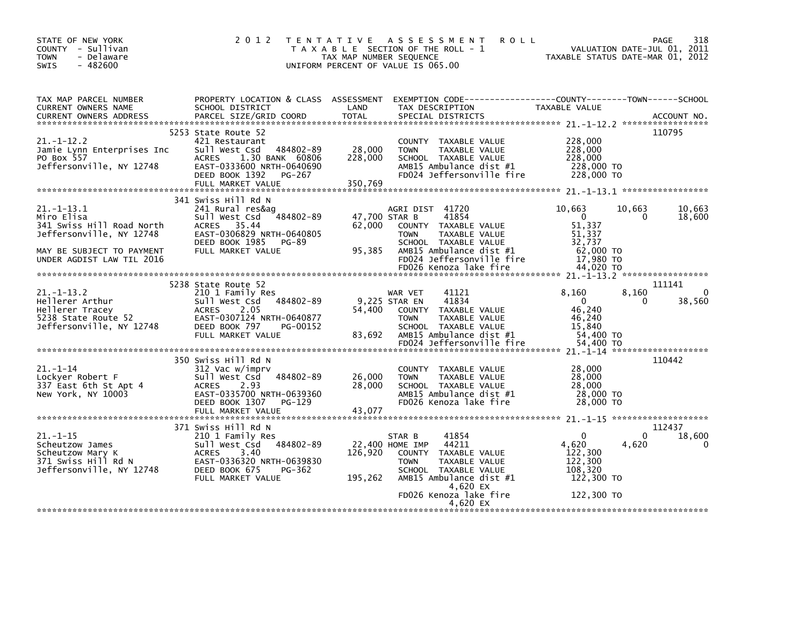| STATE OF NEW YORK<br>COUNTY - Sullivan<br>- Delaware<br><b>TOWN</b><br>$-482600$<br><b>SWIS</b>                                                  | 2 0 1 2<br>T E N T A T I V E                                                                                                                                                      | TAX MAP NUMBER SEQUENCE               | A S S E S S M E N T<br><b>ROLL</b><br>T A X A B L E SECTION OF THE ROLL - 1<br>UNIFORM PERCENT OF VALUE IS 065.00                                                                          | VALUATION DATE-JUL 01, 2011<br>TAXABLE STATUS DATE-MAR 01, 2012                                                  | 318<br>PAGE                                  |
|--------------------------------------------------------------------------------------------------------------------------------------------------|-----------------------------------------------------------------------------------------------------------------------------------------------------------------------------------|---------------------------------------|--------------------------------------------------------------------------------------------------------------------------------------------------------------------------------------------|------------------------------------------------------------------------------------------------------------------|----------------------------------------------|
| TAX MAP PARCEL NUMBER<br>CURRENT OWNERS NAME<br><b>CURRENT OWNERS ADDRESS</b>                                                                    | SCHOOL DISTRICT<br>PARCEL SIZE/GRID COORD                                                                                                                                         | LAND<br><b>TOTAL</b>                  | PROPERTY LOCATION & CLASS ASSESSMENT EXEMPTION CODE---------------COUNTY-------TOWN------SCHOOL<br>TAX DESCRIPTION<br>SPECIAL DISTRICTS                                                    | TAXABLE VALUE                                                                                                    | ACCOUNT NO.                                  |
| $21. - 1 - 12.2$<br>Jamie Lynn Enterprises Inc<br>PO Box 557<br>Jeffersonville, NY 12748                                                         | 5253 State Route 52<br>421 Restaurant<br>Sull West Csd 484802-89<br>1.30 BANK 60806<br><b>ACRES</b><br>EAST-0333600 NRTH-0640690<br>DEED BOOK 1392<br>PG-267<br>FULL MARKET VALUE | 28,000<br>228,000<br>350,769          | COUNTY TAXABLE VALUE<br><b>TOWN</b><br>TAXABLE VALUE<br>SCHOOL TAXABLE VALUE<br>AMB15 Ambulance dist #1<br>FD024 Jeffersonville fire                                                       | 228,000<br>228,000<br>228,000<br>228,000 TO<br>228,000 TO                                                        | 110795                                       |
| $21 - 1 - 13.1$<br>Miro Elisa<br>341 Swiss Hill Road North<br>Jeffersonville, NY 12748<br>MAY BE SUBJECT TO PAYMENT<br>UNDER AGDIST LAW TIL 2016 | 341 Swiss Hill Rd N<br>241 Rural res&ag<br>484802-89<br>sull west Csd<br>ACRES 35.44<br>EAST-0306829 NRTH-0640805<br>DEED BOOK 1985 PG-89<br>FULL MARKET VALUE                    | 47,700 STAR B<br>62,000<br>95,385     | AGRI DIST 41720<br>41854<br>COUNTY TAXABLE VALUE<br><b>TOWN</b><br>TAXABLE VALUE<br>SCHOOL TAXABLE VALUE<br>AMB15 Ambulance dist #1<br>FD024 Jeffersonville fire<br>FD026 Kenoza lake fire | 10.663<br>10.663<br>$\overline{\mathbf{0}}$<br>51,337<br>51,337<br>32,737<br>62,000 TO<br>17,980 TO<br>44,020 TO | 10,663<br>18,600<br>$\Omega$                 |
| $21. - 1 - 13.2$<br>Hellerer Arthur<br>Hellerer Tracey<br>5238 State Route 52<br>Jeffersonville, NY 12748                                        | 5238 State Route 52<br>210 1 Family Res<br>Sull West Csd 484802-89<br>ACRES<br>2.05<br>EAST-0307124 NRTH-0640877<br>DEED BOOK 797<br>PG-00152<br>FULL MARKET VALUE                | 54,400<br>83,692                      | 41121<br>WAR VET<br>9,225 STAR EN<br>41834<br>COUNTY TAXABLE VALUE<br><b>TOWN</b><br>TAXABLE VALUE<br>SCHOOL TAXABLE VALUE<br>AMB15 Ambulance dist #1<br>FD024 Jeffersonville fire         | 8,160<br>8,160<br>$\overline{0}$<br>46,240<br>46,240<br>15,840<br>54,400 TO<br>54,400 TO                         | 111141<br>$\Omega$<br>38,560<br>$\Omega$     |
| $21. - 1 - 14$<br>Lockyer Robert F<br>337 East 6th St Apt 4<br>New York, NY 10003                                                                | 350 Swiss Hill Rd N<br>312 Vac w/imprv<br>Sull West Csd 484802-89<br>ACRES 2.93<br>EAST-0335700 NRTH-0639360<br>DEED BOOK 1307 PG-129<br>FULL MARKET VALUE                        | 26,000<br>28,000<br>43,077            | COUNTY TAXABLE VALUE<br>TAXABLE VALUE<br><b>TOWN</b><br>SCHOOL TAXABLE VALUE<br>AMB15 Ambulance dist #1<br>FD026 Kenoza lake fire                                                          | 28,000<br>28,000<br>28,000<br>28,000 TO<br>28,000 TO                                                             | 110442                                       |
| $21. - 1 - 15$<br>Scheutzow James<br>Scheutzow Mary K<br>scheutzow mary K<br>371 Swiss Hill Rd N<br>Jeffersonville, NY 12748                     | 371 Swiss Hill Rd N<br>210 1 Family Res<br>Sull West Csd 484802-89<br><b>ACRES</b><br>3.40<br>EAST-0336320 NRTH-0639830<br>DEED BOOK 675<br>PG-362<br>FULL MARKET VALUE           | 22,400 HOME IMP<br>126,920<br>195,262 | 41854<br>STAR B<br>44211<br>COUNTY TAXABLE VALUE<br>TAXABLE VALUE<br><b>TOWN</b><br>SCHOOL TAXABLE VALUE<br>AMB15 Ambulance dist #1<br>4,620 EX<br>FD026 Kenoza lake fire<br>4.620 EX      | $\Omega$<br>4,620<br>4,620<br>122,300<br>122,300<br>108,320<br>122,300 TO<br>122,300 TO                          | 112437<br>18,600<br>$\Omega$<br>$\mathbf{0}$ |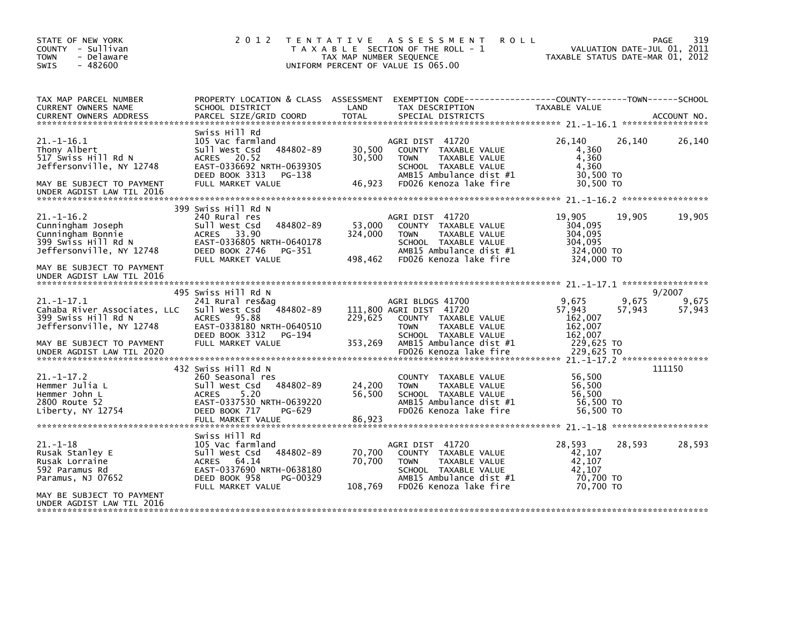| STATE OF NEW YORK<br>COUNTY - Sullivan<br><b>TOWN</b><br>- Delaware<br>$-482600$<br><b>SWIS</b>                                                                         | 2 0 1 2                                                                                                                                                                    | T E N T A T I V E<br>TAX MAP NUMBER SEQUENCE | A S S E S S M E N T<br><b>ROLL</b><br>T A X A B L E SECTION OF THE ROLL - 1<br>UNIFORM PERCENT OF VALUE IS 065.00                                            | TAXABLE STATUS DATE-MAR 01, 2012                                    |        | 319<br>PAGE<br>VALUATION DATE-JUL 01, 2011 |
|-------------------------------------------------------------------------------------------------------------------------------------------------------------------------|----------------------------------------------------------------------------------------------------------------------------------------------------------------------------|----------------------------------------------|--------------------------------------------------------------------------------------------------------------------------------------------------------------|---------------------------------------------------------------------|--------|--------------------------------------------|
| TAX MAP PARCEL NUMBER<br>CURRENT OWNERS NAME<br><b>CURRENT OWNERS ADDRESS</b>                                                                                           | PROPERTY LOCATION & CLASS ASSESSMENT<br>SCHOOL DISTRICT<br>PARCEL SIZE/GRID COORD                                                                                          | LAND<br><b>TOTAL</b>                         | TAX DESCRIPTION<br>SPECIAL DISTRICTS                                                                                                                         | TAXABLE VALUE                                                       |        | ACCOUNT NO.                                |
| $21. - 1 - 16.1$<br>Thony Albert<br>517 Swiss Hill Rd N<br>Jeffersonville, NY 12748<br>MAY BE SUBJECT TO PAYMENT<br>UNDER AGDIST LAW TIL 2016                           | Swiss Hill Rd<br>105 Vac farmland<br>484802-89<br>Sull West Csd<br>20.52<br><b>ACRES</b><br>EAST-0336692 NRTH-0639305<br>DEED BOOK 3313<br>PG-138<br>FULL MARKET VALUE     | 30,500<br>30,500<br>46,923                   | AGRI DIST 41720<br>COUNTY TAXABLE VALUE<br>TAXABLE VALUE<br><b>TOWN</b><br>SCHOOL TAXABLE VALUE<br>AMB15 Ambulance dist #1<br>FD026 Kenoza lake fire         | 26,140<br>4,360<br>4,360<br>4,360<br>30,500 TO<br>30,500 TO         | 26,140 | 26,140                                     |
| $21. - 1 - 16.2$<br>Cunningham Joseph<br>Cunningham Bonnie<br>399 Swiss Hill Rd N<br>Jeffersonville, NY 12748<br>MAY BE SUBJECT TO PAYMENT<br>UNDER AGDIST LAW TIL 2016 | 399 Swiss Hill Rd N<br>240 Rural res<br>484802-89<br>Sull West Csd<br><b>ACRES</b><br>33.90<br>EAST-0336805 NRTH-0640178<br>DEED BOOK 2746<br>PG-351<br>FULL MARKET VALUE  | 53,000<br>324,000<br>498,462                 | AGRI DIST 41720<br>COUNTY TAXABLE VALUE<br>TAXABLE VALUE<br><b>TOWN</b><br>SCHOOL TAXABLE VALUE<br>AMB15 Ambulance dist #1<br>FD026 Kenoza lake fire         | 19.905<br>304,095<br>304,095<br>304,095<br>324,000 TO<br>324,000 TO | 19,905 | 19,905                                     |
| $21. - 1 - 17.1$                                                                                                                                                        | 495 Swiss Hill Rd N<br>241 Rural res&ag                                                                                                                                    |                                              | AGRI BLDGS 41700                                                                                                                                             | 9,675                                                               | 9,675  | 9/2007<br>9,675                            |
| Cahaba River Associates, LLC<br>399 Swiss Hill Rd N<br>Jeffersonville, NY 12748<br>MAY BE SUBJECT TO PAYMENT<br>UNDER AGDIST LAW TIL 2020                               | 484802-89<br>Sull West Csd<br>95.88<br><b>ACRES</b><br>EAST-0338180 NRTH-0640510<br>DEED BOOK 3312<br>PG-194<br>FULL MARKET VALUE                                          | 229,625<br>353,269                           | 111,800 AGRI DIST 41720<br>COUNTY TAXABLE VALUE<br><b>TOWN</b><br>TAXABLE VALUE<br>SCHOOL TAXABLE VALUE<br>AMB15 Ambulance dist #1<br>FD026 Kenoza lake fire | 57,943<br>162,007<br>162,007<br>162.007<br>229,625 TO<br>229.625 TO | 57,943 | 57,943                                     |
| 21. -1-17. 2<br>Hemmer Julia L<br>Hemmer John L<br>2800 Route 52<br>Liberty, NY 12754                                                                                   | 432 Swiss Hill Rd N<br>260 Seasonal res<br>Sull West Csd<br>484802-89<br>5.20<br><b>ACRES</b><br>EAST-0337530 NRTH-0639220<br>DEED BOOK 717<br>PG-629<br>FULL MARKET VALUE | 24,200<br>56,500<br>86,923                   | COUNTY TAXABLE VALUE<br>TAXABLE VALUE<br><b>TOWN</b><br>SCHOOL TAXABLE VALUE<br>AMB15 Ambulance dist #1<br>FD026 Kenoza lake fire                            | 56,500<br>56,500<br>56.500<br>56,500 TO<br>56.500 TO                |        | 111150                                     |
| $21. - 1 - 18$<br>Rusak Stanley E<br>Rusak Lorraine<br>592 Paramus Rd<br>Paramus, NJ 07652                                                                              | Swiss Hill Rd<br>105 Vac farmland<br>Sull West Csd<br>484802-89<br>ACRES 64.14<br>EAST-0337690 NRTH-0638180<br>DEED BOOK 958<br>PG-00329                                   | 70,700<br>70,700                             | AGRI DIST 41720<br>COUNTY TAXABLE VALUE<br>TAXABLE VALUE<br><b>TOWN</b><br>SCHOOL TAXABLE VALUE<br>AMB15 Ambulance dist #1                                   | 28,593<br>42,107<br>42,107<br>42.107<br>70,700 TO                   | 28,593 | 28,593                                     |
| MAY BE SUBJECT TO PAYMENT<br>UNDER AGDIST LAW TIL 2016                                                                                                                  | FULL MARKET VALUE                                                                                                                                                          | 108,769                                      | FD026 Kenoza lake fire                                                                                                                                       | 70.700 TO                                                           |        |                                            |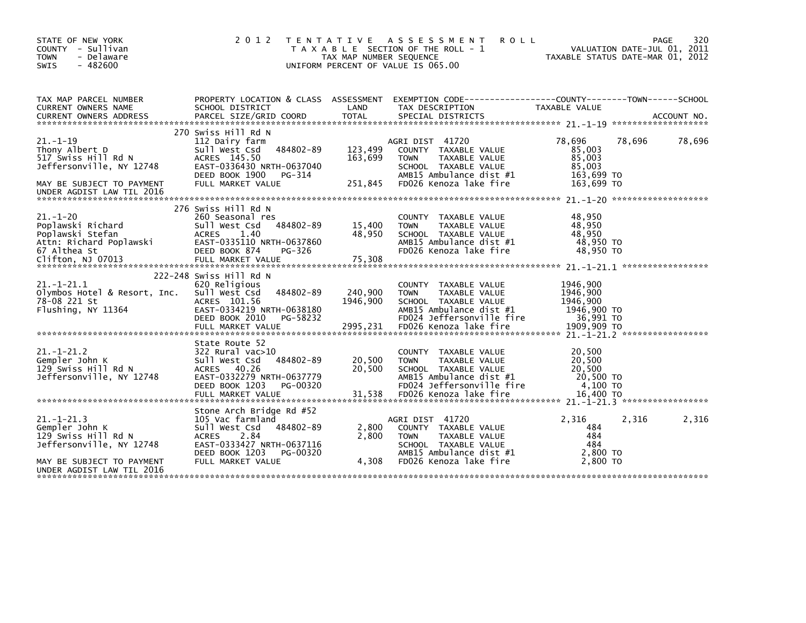| STATE OF NEW YORK<br><b>COUNTY</b><br>- Sullivan<br>- Delaware<br><b>TOWN</b><br>$-482600$<br>SWIS                                              | 2 0 1 2                                                                                                                                                                            | T E N T A T I V E<br>TAX MAP NUMBER SEQUENCE | A S S E S S M E N T<br><b>ROLL</b><br>T A X A B L E SECTION OF THE ROLL - 1<br>UNIFORM PERCENT OF VALUE IS 065.00                                                        |                                                                             | 320<br>PAGE<br>VALUATION DATE-JUL 01, 2011<br>TAXABLE STATUS DATE-MAR 01, 2012 |
|-------------------------------------------------------------------------------------------------------------------------------------------------|------------------------------------------------------------------------------------------------------------------------------------------------------------------------------------|----------------------------------------------|--------------------------------------------------------------------------------------------------------------------------------------------------------------------------|-----------------------------------------------------------------------------|--------------------------------------------------------------------------------|
| TAX MAP PARCEL NUMBER<br>CURRENT OWNERS NAME                                                                                                    | SCHOOL DISTRICT                                                                                                                                                                    | LAND                                         | PROPERTY LOCATION & CLASS ASSESSMENT EXEMPTION CODE----------------COUNTY-------TOWN------SCHOOL<br>TAX DESCRIPTION                                                      | <b>TAXABLE VALUE</b>                                                        |                                                                                |
| $21. - 1 - 19$<br>Thony Albert D<br>517 Swiss Hill Rd N<br>Jeffersonville, NY 12748<br>MAY BE SUBJECT TO PAYMENT<br>UNDER AGDIST LAW TIL 2016   | 270 Swiss Hill Rd N<br>112 Dairy farm<br>484802-89<br>Sull West Csd<br>ACRES 145.50<br>EAST-0336430 NRTH-0637040<br>DEED BOOK 1900<br>PG-314<br>FULL MARKET VALUE                  | 123,499<br>163,699<br>251,845                | AGRI DIST 41720<br>COUNTY TAXABLE VALUE<br>TAXABLE VALUE<br><b>TOWN</b><br>SCHOOL TAXABLE VALUE<br>AMB15 Ambulance dist #1<br>FD026 Kenoza lake fire                     | 78,696<br>85.003<br>85,003<br>85.003<br>163,699 TO<br>163,699 TO            | 78,696<br>78,696                                                               |
| $21 - 1 - 20$<br>Poplawski Richard<br>Poplawski Stefan<br>Attn: Richard Poplawski<br>67 Althea St<br>Clifton, NJ 07013                          | 276 Swiss Hill Rd N<br>260 Seasonal res<br>Sull West Csd<br>484802-89<br><b>ACRES</b><br>1.40<br>EAST-0335110 NRTH-0637860<br>DEED BOOK 874<br>PG-326<br>FULL MARKET VALUE         | 15,400<br>48,950<br>75,308                   | COUNTY TAXABLE VALUE<br>TAXABLE VALUE<br><b>TOWN</b><br>SCHOOL TAXABLE VALUE<br>AMB15 Ambulance dist #1<br>FD026 Kenoza lake fire                                        | 48,950<br>48,950<br>48.950<br>48,950 TO<br>48.950 TO                        |                                                                                |
| $21. - 1 - 21.1$<br>Olymbos Hotel & Resort, Inc.<br>78-08 221 St<br>Flushing, NY 11364                                                          | 222-248 Swiss Hill Rd N<br>620 Religious<br>484802-89<br>Sull West Csd<br>ACRES 101.56<br>EAST-0334219 NRTH-0638180<br>DEED BOOK 2010<br>PG-58232<br>FULL MARKET VALUE             | 240,900<br>1946,900<br>2995,231              | TAXABLE VALUE<br><b>COUNTY</b><br><b>TOWN</b><br>TAXABLE VALUE<br>SCHOOL TAXABLE VALUE<br>AMB15 Ambulance dist #1<br>FD024 Jeffersonville fire<br>FD026 Kenoza lake fire | 1946,900<br>1946,900<br>1946,900<br>1946,900 TO<br>36,991 TO<br>1909,909 TO |                                                                                |
| $21 - 1 - 21.2$<br>Gempler John K<br>129 Swiss Hill Rd N<br>Jeffersonville, NY 12748                                                            | State Route 52<br>322 Rural vac>10<br>484802-89<br>Sull West Csd<br>ACRES 40.26<br>EAST-0332279 NRTH-0637779<br>DEED BOOK 1203<br>PG-00320                                         | 20,500<br>20,500                             | TAXABLE VALUE<br><b>COUNTY</b><br><b>TOWN</b><br>TAXABLE VALUE<br>SCHOOL TAXABLE VALUE<br>AMB15 Ambulance dist #1<br>FD024 Jeffersonville fire                           | 20.500<br>20,500<br>20,500<br>20,500 TO<br>4,100 TO                         |                                                                                |
| $21. - 1 - 21.3$<br>Gempler John K<br>129 Swiss Hill Rd N<br>Jeffersonville, NY 12748<br>MAY BE SUBJECT TO PAYMENT<br>UNDER AGDIST LAW TIL 2016 | Stone Arch Bridge Rd #52<br>105 Vac farmland<br>Sull West Csd<br>484802-89<br><b>ACRES</b><br>2.84<br>EAST-0333427 NRTH-0637116<br>DEED BOOK 1203<br>PG-00320<br>FULL MARKET VALUE | 2,800<br>2,800<br>4,308                      | AGRI DIST 41720<br>COUNTY TAXABLE VALUE<br>TAXABLE VALUE<br><b>TOWN</b><br>SCHOOL TAXABLE VALUE<br>AMB15 Ambulance dist #1<br>FD026 Kenoza lake fire                     | 2,316<br>484<br>484<br>484<br>2,800 TO<br>2,800 TO                          | 2,316<br>2,316                                                                 |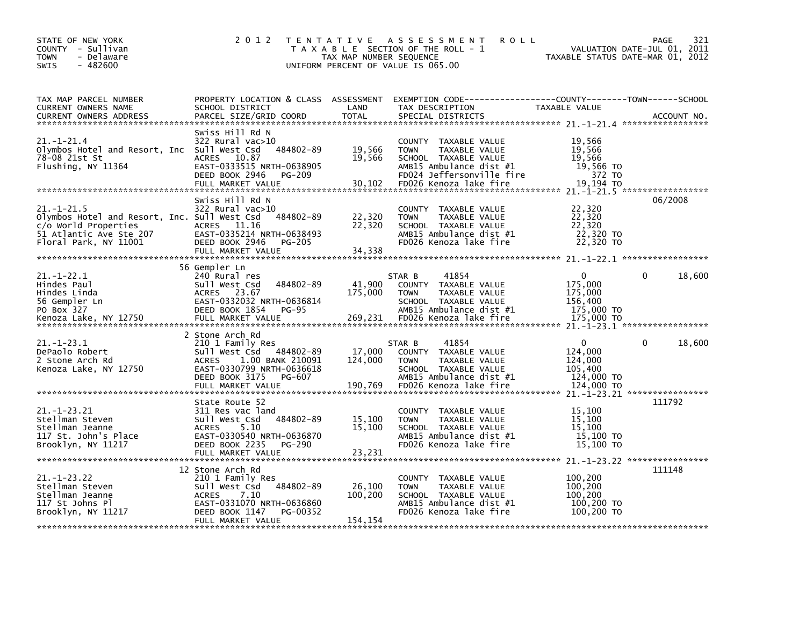| STATE OF NEW YORK<br>COUNTY - Sullivan<br><b>TOWN</b><br>- Delaware<br>$-482600$<br><b>SWIS</b>                                              | 2 0 1 2                                                                                                                                                                      | TAX MAP NUMBER SEQUENCE      | TENTATIVE ASSESSMENT<br><b>ROLL</b><br>T A X A B L E SECTION OF THE ROLL - 1<br>UNIFORM PERCENT OF VALUE IS 065.00                                             |                                                                           | 321<br>PAGE<br>VALUATION DATE-JUL 01, 2011<br>TAXABLE STATUS DATE-MAR 01, 2012 |
|----------------------------------------------------------------------------------------------------------------------------------------------|------------------------------------------------------------------------------------------------------------------------------------------------------------------------------|------------------------------|----------------------------------------------------------------------------------------------------------------------------------------------------------------|---------------------------------------------------------------------------|--------------------------------------------------------------------------------|
| TAX MAP PARCEL NUMBER<br>CURRENT OWNERS NAME<br><b>CURRENT OWNERS ADDRESS</b>                                                                | PROPERTY LOCATION & CLASS ASSESSMENT<br>SCHOOL DISTRICT<br>PARCEL SIZE/GRID COORD                                                                                            | LAND<br><b>TOTAL</b>         | TAX DESCRIPTION<br>SPECIAL DISTRICTS                                                                                                                           | TAXABLE VALUE                                                             | ACCOUNT NO.                                                                    |
| $21 - 1 - 21.4$<br>Olymbos Hotel and Resort, Inc Sull West Csd<br>78-08 21st St<br>Flushing, NY 11364                                        | Swiss Hill Rd N<br>$322$ Rural vac $>10$<br>484802-89<br>ACRES 10.87<br>EAST-0333515 NRTH-0638905<br>DEED BOOK 2946<br>PG-209<br>FULL MARKET VALUE                           | 19,566<br>19,566<br>30,102   | COUNTY TAXABLE VALUE<br><b>TOWN</b><br>TAXABLE VALUE<br>SCHOOL TAXABLE VALUE<br>AMB15 Ambulance dist #1<br>FD024 Jeffersonville fire<br>FD026 Kenoza lake fire | 19,566<br>19,566<br>19,566<br>19,566 TO<br>372 TO<br>19,194 TO            |                                                                                |
| $21. - 1 - 21.5$<br>Olymbos Hotel and Resort, Inc. Sull West Csd<br>c/o World Properties<br>51 Atlantic Ave Ste 207<br>Floral Park, NY 11001 | Swiss Hill Rd N<br>$322$ Rural vac $>10$<br>484802-89<br>ACRES 11.16<br>EAST-0335214 NRTH-0638493<br>DEED BOOK 2946<br>PG-205                                                | 22,320<br>22,320             | COUNTY TAXABLE VALUE<br>TAXABLE VALUE<br><b>TOWN</b><br>SCHOOL TAXABLE VALUE<br>AMB15 Ambulance dist #1<br>FD026 Kenoza lake fire                              | 22,320<br>22,320<br>22,320<br>22,320 TO<br>22,320 TO                      | 06/2008                                                                        |
| $21. - 1 - 22.1$<br>Hindes Paul<br>Hindes Linda<br>56 Gempler Ln<br>PO Box 327                                                               | 56 Gempler Ln<br>240 Rural res<br>484802-89<br>Sull West Csd<br>ACRES 23.67<br>EAST-0332032 NRTH-0636814<br>DEED BOOK 1854<br>PG-95                                          | 41,900<br>175,000<br>269,231 | 41854<br>STAR B<br>COUNTY TAXABLE VALUE<br>TAXABLE VALUE<br><b>TOWN</b><br>SCHOOL TAXABLE VALUE<br>AMB15 Ambulance dist #1<br>FD026 Kenoza lake fire           | $\Omega$<br>175,000<br>175,000<br>156,400<br>175,000 TO                   | $\Omega$<br>18,600                                                             |
| $21. - 1 - 23.1$<br>DePaolo Robert<br>2 Stone Arch Rd<br>Kenoza Lake, NY 12750                                                               | 2 Stone Arch Rd<br>210 1 Family Res<br>Sull West Csd<br>484802-89<br>1.00 BANK 210091<br>ACRES<br>EAST-0330799 NRTH-0636618<br>DEED BOOK 3175<br>PG-607<br>FULL MARKET VALUE | 17,000<br>124,000<br>190,769 | 41854<br>STAR B<br>COUNTY TAXABLE VALUE<br>TAXABLE VALUE<br><b>TOWN</b><br>SCHOOL TAXABLE VALUE<br>AMB15 Ambulance dist #1<br>FD026 Kenoza lake fire           | $\mathbf{0}$<br>124,000<br>124,000<br>105,400<br>124,000 TO<br>124,000 TO | 18,600                                                                         |
| $21. - 1 - 23.21$<br>Stellman Steven<br>Stellman Jeanne<br>117 St. John's Place<br>Brooklyn, NY 11217                                        | State Route 52<br>311 Res vac land<br>484802-89<br>Sull West Csd<br>5.10<br><b>ACRES</b><br>EAST-0330540 NRTH-0636870<br>DEED BOOK 2235<br>PG-290<br>FULL MARKET VALUE       | 15,100<br>15,100<br>23,231   | COUNTY TAXABLE VALUE<br>TAXABLE VALUE<br><b>TOWN</b><br>SCHOOL TAXABLE VALUE<br>AMB15 Ambulance dist #1<br>FD026 Kenoza lake fire                              | 15,100<br>15.100<br>15,100<br>15,100 TO<br>15,100 TO                      | 111792                                                                         |
| $21. - 1 - 23.22$<br>Stellman Steven<br>Stellman Jeanne<br>117 St Johns Pl<br>Brooklyn, NY 11217                                             | 12 Stone Arch Rd<br>210 1 Family Res<br>Sull West Csd<br>484802-89<br><b>ACRES</b><br>7.10<br>EAST-0331070 NRTH-0636860<br>DEED BOOK 1147<br>PG-00352<br>FULL MARKET VALUE   | 26,100<br>100,200<br>154,154 | COUNTY TAXABLE VALUE<br>TAXABLE VALUE<br><b>TOWN</b><br>SCHOOL TAXABLE VALUE<br>AMB15 Ambulance dist #1<br>FD026 Kenoza lake fire                              | 100,200<br>100,200<br>100,200<br>100,200 TO<br>100,200 TO                 | 111148                                                                         |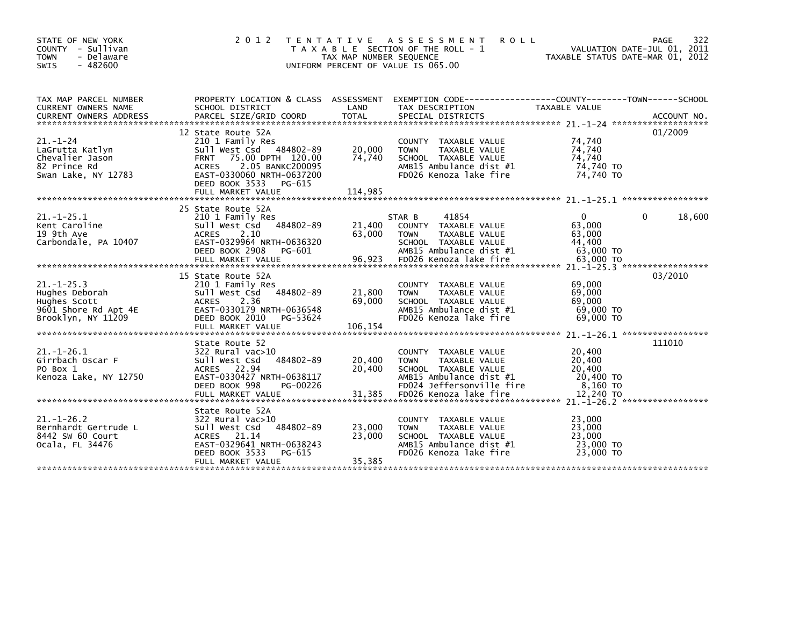| STATE OF NEW YORK<br>COUNTY - Sullivan<br>- Delaware<br><b>TOWN</b><br><b>SWIS</b><br>$-482600$ | 2 0 1 2                                                                                                                                                                                         | T E N T A T I V E<br>TAX MAP NUMBER SEQUENCE | ASSESSMENT<br><b>ROLL</b><br>T A X A B L E SECTION OF THE ROLL - 1<br>UNIFORM PERCENT OF VALUE IS 065.00                             | TAXABLE STATUS DATE-MAR 01, 2012                     | 322<br>PAGE<br>VALUATION DATE-JUL 01, 2011 |
|-------------------------------------------------------------------------------------------------|-------------------------------------------------------------------------------------------------------------------------------------------------------------------------------------------------|----------------------------------------------|--------------------------------------------------------------------------------------------------------------------------------------|------------------------------------------------------|--------------------------------------------|
| TAX MAP PARCEL NUMBER<br>CURRENT OWNERS NAME                                                    | SCHOOL DISTRICT                                                                                                                                                                                 | LAND                                         | PROPERTY LOCATION & CLASS ASSESSMENT EXEMPTION CODE---------------COUNTY-------TOWN------SCHOOL<br>TAX DESCRIPTION                   | TAXABLE VALUE                                        |                                            |
| $21 - 1 - 24$<br>LaGrutta Katlyn<br>Chevalier Jason<br>82 Prince Rd<br>Swan Lake, NY 12783      | 12 State Route 52A<br>210 1 Family Res<br>Sull West Csd 484802-89<br><b>FRNT</b><br>75.00 DPTH 120.00<br>2.05 BANKC200095<br><b>ACRES</b><br>EAST-0330060 NRTH-0637200<br>DEED BOOK 3533 PG-615 | 20,000<br>74,740                             | COUNTY TAXABLE VALUE<br>TAXABLE VALUE<br><b>TOWN</b><br>SCHOOL TAXABLE VALUE<br>AMB15 Ambulance dist #1<br>FD026 Kenoza lake fire    | 74,740<br>74,740<br>74,740<br>74,740 TO<br>74,740 TO | 01/2009                                    |
| $21 - 1 - 25.1$<br>Kent Caroline<br>19 9th Ave<br>Carbondale, PA 10407                          | 25 State Route 52A<br>210 1 Family Res<br>Sull West Csd 484802-89<br><b>ACRES</b><br>2.10<br>EAST-0329964 NRTH-0636320<br>DEED BOOK 2908<br>PG-601                                              | 21,400<br>63.000                             | 41854<br>STAR B<br>COUNTY TAXABLE VALUE<br><b>TOWN</b><br>TAXABLE VALUE<br>SCHOOL TAXABLE VALUE<br>AMB15 Ambulance dist #1           | $\Omega$<br>63,000<br>63,000<br>44,400<br>63,000 TO  | 18,600<br>0                                |
| $21 - 1 - 25.3$<br>Hughes Deborah<br>Hughes Scott<br>9601 Shore Rd Apt 4E<br>Brooklyn, NY 11209 | 15 State Route 52A<br>210 1 Family Res<br>Sull West Csd 484802-89<br><b>ACRES</b><br>2.36<br>EAST-0330179 NRTH-0636548<br>DEED BOOK 2010<br>PG-53624<br>FULL MARKET VALUE                       | 21,800<br>69,000<br>106,154                  | COUNTY TAXABLE VALUE<br><b>TOWN</b><br>TAXABLE VALUE<br>SCHOOL TAXABLE VALUE<br>AMB15 Ambulance dist #1<br>FD026 Kenoza lake fire    | 69,000<br>69,000<br>69,000<br>69,000 TO<br>69,000 TO | 03/2010                                    |
| $21. - 1 - 26.1$<br>Girrbach Oscar F<br>PO Box 1<br>Kenoza Lake, NY 12750                       | State Route 52<br>322 Rural vac>10<br>Sull West Csd<br>484802-89<br>ACRES 22.94<br>EAST-0330427 NRTH-0638117<br>DEED BOOK 998<br>PG-00226                                                       | 20,400<br>20,400                             | COUNTY TAXABLE VALUE<br>TAXABLE VALUE<br><b>TOWN</b><br>SCHOOL TAXABLE VALUE<br>AMB15 Ambulance dist #1<br>FD024 Jeffersonville fire | 20,400<br>20,400<br>20,400<br>20,400 TO<br>8,160 то  | 111010                                     |
| $21. - 1 - 26.2$<br>Bernhardt Gertrude L<br>8442 SW 60 Court<br>Ocala, FL 34476                 | State Route 52A<br>322 Rural vac>10<br>Sull West Csd 484802-89<br>ACRES 21.14<br>EAST-0329641 NRTH-0638243<br>DEED BOOK 3533<br>PG-615<br>FULL MARKET VALUE                                     | 23,000<br>23,000<br>35,385                   | COUNTY TAXABLE VALUE<br>TAXABLE VALUE<br><b>TOWN</b><br>SCHOOL TAXABLE VALUE<br>AMB15 Ambulance dist #1<br>FD026 Kenoza lake fire    | 23,000<br>23,000<br>23,000<br>23,000 TO<br>23,000 TO |                                            |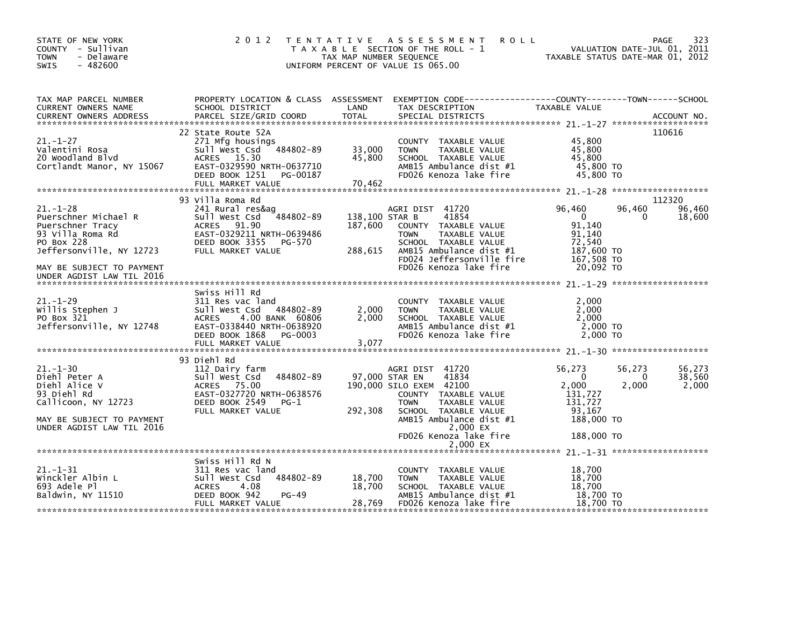| STATE OF NEW YORK<br>COUNTY - Sullivan<br>- Delaware<br><b>TOWN</b><br>$-482600$<br>SWIS                                                         | 2 0 1 2<br>T E N T A T I V E                                                                                                                                                   | TAX MAP NUMBER SEQUENCE              | <b>ROLL</b><br>A S S E S S M E N T<br>T A X A B L E SECTION OF THE ROLL - 1<br>UNIFORM PERCENT OF VALUE IS 065.00                                                                                    | TAXABLE STATUS DATE-MAR 01, 2012                                                        | PAGE<br>VALUATION DATE-JUL 01, 2011 | 323                       |
|--------------------------------------------------------------------------------------------------------------------------------------------------|--------------------------------------------------------------------------------------------------------------------------------------------------------------------------------|--------------------------------------|------------------------------------------------------------------------------------------------------------------------------------------------------------------------------------------------------|-----------------------------------------------------------------------------------------|-------------------------------------|---------------------------|
| TAX MAP PARCEL NUMBER<br>CURRENT OWNERS NAME<br><b>CURRENT OWNERS ADDRESS</b>                                                                    | SCHOOL DISTRICT<br>PARCEL SIZE/GRID COORD                                                                                                                                      | LAND<br><b>TOTAL</b>                 | PROPERTY LOCATION & CLASS ASSESSMENT EXEMPTION CODE---------------COUNTY-------TOWN------SCHOOL<br>TAX DESCRIPTION<br>SPECIAL DISTRICTS                                                              | TAXABLE VALUE                                                                           |                                     | ACCOUNT NO.               |
|                                                                                                                                                  |                                                                                                                                                                                |                                      |                                                                                                                                                                                                      |                                                                                         |                                     |                           |
| $21. - 1 - 27$<br>Valentini Rosa<br>20 Woodland Blvd<br>Cortlandt Manor, NY 15067                                                                | 22 State Route 52A<br>271 Mfg housings<br>Sull West Csd 484802-89<br>ACRES 15.30<br>EAST-0329590 NRTH-0637710<br>DEED BOOK 1251<br>PG-00187                                    | 33,000<br>45,800                     | COUNTY TAXABLE VALUE<br>TAXABLE VALUE<br><b>TOWN</b><br>SCHOOL TAXABLE VALUE<br>AMB15 Ambulance dist #1<br>FD026 Kenoza lake fire                                                                    | 45,800<br>45,800<br>45,800<br>45,800 TO<br>45,800 TO                                    | 110616                              |                           |
|                                                                                                                                                  | 93 Villa Roma Rd                                                                                                                                                               |                                      |                                                                                                                                                                                                      |                                                                                         | 112320                              |                           |
| $21 - 1 - 28$<br>Puerschner Michael R<br>Puerschner Tracy<br>93 villa Roma Rd<br>PO Box 228<br>Jeffersonville, NY 12723                          | 241 Rural res&ag<br>Sull West Csd<br>484802-89<br>ACRES 91.90<br>EAST-0329211 NRTH-0639486<br>DEED BOOK 3355<br>PG-570<br>FULL MARKET VALUE                                    | 138,100 STAR B<br>187,600<br>288,615 | AGRI DIST 41720<br>41854<br>COUNTY TAXABLE VALUE<br>TAXABLE VALUE<br><b>TOWN</b><br>SCHOOL TAXABLE VALUE<br>AMB15 Ambulance dist #1<br>FD024 Jeffersonville fire                                     | 96,460<br>$\overline{0}$<br>91,140<br>91,140<br>72,540<br>187,600 TO<br>167,508 TO      | 96,460<br>0                         | 96,460<br>18,600          |
| MAY BE SUBJECT TO PAYMENT<br>UNDER AGDIST LAW TIL 2016                                                                                           |                                                                                                                                                                                |                                      | FD026 Kenoza lake fire                                                                                                                                                                               | 20,092 TO                                                                               |                                     |                           |
| $21. - 1 - 29$<br>Willis Stephen J<br>PO Box 321<br>Jeffersonville, NY 12748                                                                     | Swiss Hill Rd<br>311 Res vac land<br>Sull West Csd 484802-89<br>4.00 BANK 60806<br><b>ACRES</b><br>EAST-0338440 NRTH-0638920<br>DEED BOOK 1868<br>PG-0003<br>FULL MARKET VALUE | 2,000<br>2,000<br>3,077              | COUNTY TAXABLE VALUE<br>TAXABLE VALUE<br><b>TOWN</b><br>SCHOOL TAXABLE VALUE<br>AMB15 Ambulance dist #1<br>FD026 Kenoza lake fire                                                                    | 2,000<br>2,000<br>2,000<br>2,000 TO<br>2,000 TO                                         |                                     |                           |
|                                                                                                                                                  | 93 Diehl Rd                                                                                                                                                                    |                                      |                                                                                                                                                                                                      |                                                                                         |                                     |                           |
| $21. - 1 - 30$<br>Diehl Peter A<br>Diehl Alice V<br>93 Diehl Rd<br>Callicoon, NY 12723<br>MAY BE SUBJECT TO PAYMENT<br>UNDER AGDIST LAW TIL 2016 | 112 Dairy farm<br>484802-89<br>sull west Csd<br>ACRES 75.00<br>EAST-0327720 NRTH-0638576<br>DEED BOOK 2549<br>PG-1<br>FULL MARKET VALUE                                        | 97,000 STAR EN<br>292,308            | AGRI DIST 41720<br>41834<br>190,000 SILO EXEM 42100<br>COUNTY TAXABLE VALUE<br>TAXABLE VALUE<br><b>TOWN</b><br>SCHOOL TAXABLE VALUE<br>AMB15 Ambulance dist #1<br>2,000 EX<br>FD026 Kenoza lake fire | 56,273<br>$\Omega$<br>2,000<br>131,727<br>131,727<br>93,167<br>188,000 TO<br>188,000 TO | 56,273<br>$\Omega$<br>2,000         | 56,273<br>38,560<br>2,000 |
|                                                                                                                                                  |                                                                                                                                                                                |                                      | 2,000 EX                                                                                                                                                                                             |                                                                                         |                                     |                           |
| $21. - 1 - 31$<br>Winckler Albin L<br>693 Adele Pl<br>Baldwin, NY 11510                                                                          | Swiss Hill Rd N<br>311 Res vac land<br>484802-89<br>Sull West Csd<br>4.08<br><b>ACRES</b><br>DEED BOOK 942<br>$PG-49$<br>FULL MARKET VALUE                                     | 18,700<br>18,700<br>28,769           | COUNTY TAXABLE VALUE<br>TAXABLE VALUE<br><b>TOWN</b><br>SCHOOL TAXABLE VALUE<br>AMB15 Ambulance dist #1<br>FD026 Kenoza lake fire                                                                    | 18,700<br>18,700<br>18.700<br>18,700 TO<br>18,700 TO                                    |                                     |                           |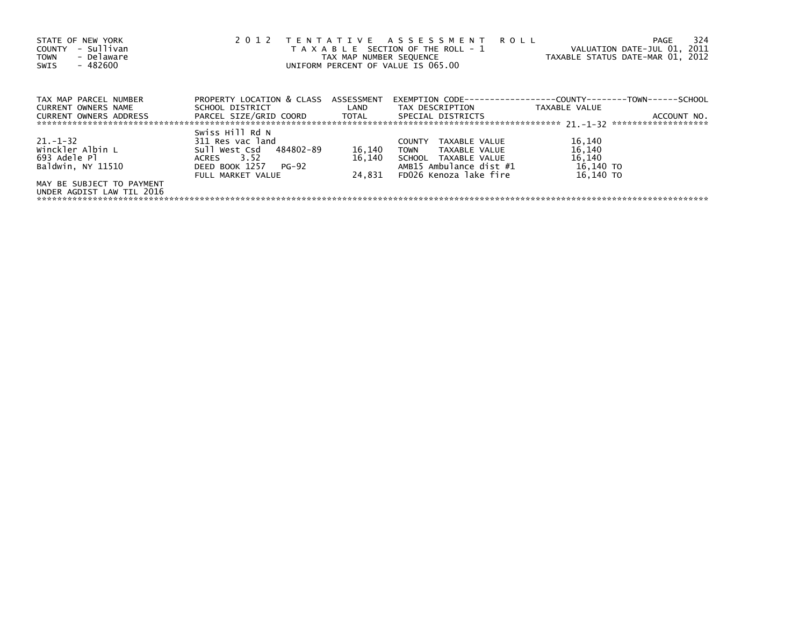| STATE OF NEW YORK<br>- Sullivan<br><b>COUNTY</b><br>- Delaware<br><b>TOWN</b><br>$-482600$<br>SWIS | 2 0 1 2                              | TENTATIVE ASSESSMENT<br><b>ROLL</b><br>T A X A B L E SECTION OF THE ROLL - 1<br>TAX MAP NUMBER SEQUENCE<br>UNIFORM PERCENT OF VALUE IS 065.00 | VALUATION DATE-JUL 01, 2011<br>TAXABLE STATUS DATE-MAR 01, 2012 | 324<br>PAGE   |             |
|----------------------------------------------------------------------------------------------------|--------------------------------------|-----------------------------------------------------------------------------------------------------------------------------------------------|-----------------------------------------------------------------|---------------|-------------|
| TAX MAP PARCEL NUMBER                                                                              | PROPERTY LOCATION & CLASS ASSESSMENT |                                                                                                                                               |                                                                 |               |             |
| <b>CURRENT OWNERS NAME</b>                                                                         | SCHOOL DISTRICT                      | <b>Example 12</b>                                                                                                                             | TAX DESCRIPTION                                                 | TAXABLE VALUE |             |
| <b>CURRENT OWNERS ADDRESS</b>                                                                      | PARCEL SIZE/GRID COORD       TOTAL   |                                                                                                                                               | SPECIAL DISTRICTS                                               |               | ACCOUNT NO. |
|                                                                                                    | Swiss Hill Rd N                      |                                                                                                                                               |                                                                 |               |             |
| $21. - 1 - 32$                                                                                     | 311 Res vac land                     |                                                                                                                                               | TAXABLE VALUE<br><b>COUNTY</b>                                  | 16,140        |             |
| Winckler Albin L                                                                                   | Sull West Csd 484802-89              | 16,140                                                                                                                                        | TOWN<br>TAXABLE VALUE                                           | 16,140        |             |
| 693 Adele Pl                                                                                       | ACRES 3.52                           | 16.140                                                                                                                                        | SCHOOL TAXABLE VALUE                                            | 16,140        |             |
| Baldwin, NY 11510                                                                                  | DEED BOOK 1257 PG-92                 |                                                                                                                                               | AMB15 Ambulance dist #1                                         | 16,140 TO     |             |
|                                                                                                    | FULL MARKET VALUE                    | 24.831                                                                                                                                        | FD026 Kenoza lake fire                                          | 16.140 TO     |             |
| MAY BE SUBJECT TO PAYMENT                                                                          |                                      |                                                                                                                                               |                                                                 |               |             |
| UNDER AGDIST LAW TIL 2016                                                                          |                                      |                                                                                                                                               |                                                                 |               |             |
|                                                                                                    |                                      |                                                                                                                                               |                                                                 |               |             |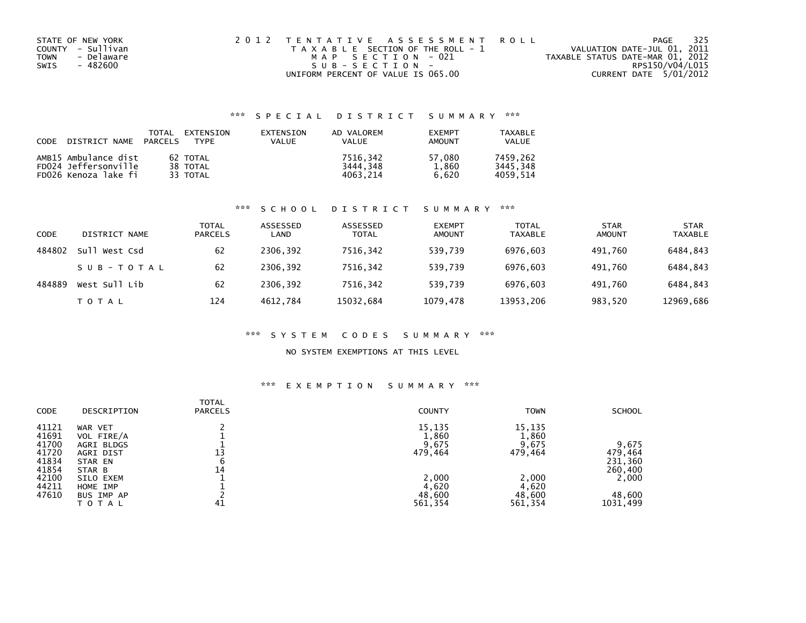| STATE OF NEW YORK  | 2012 TENTATIVE ASSESSMENT ROLL        | - 325<br>PAGE                    |
|--------------------|---------------------------------------|----------------------------------|
| COUNTY - Sullivan  | T A X A B L E SECTION OF THE ROLL - 1 | VALUATION DATE-JUL 01, 2011      |
| - Delaware<br>TOWN | MAP SECTION - 021                     | TAXABLE STATUS DATE-MAR 01, 2012 |
| SWIS<br>- 482600   | $SUB - SECTION -$                     | RPS150/V04/L015                  |
|                    | UNIFORM PERCENT OF VALUE IS 065.00    | CURRENT DATE 5/01/2012           |

## \*\*\* S P E C I A L D I S T R I C T S U M M A R Y \*\*\*

| CODE | DISTRICT NAME        | TOTAL<br><b>PARCELS</b> | EXTENSION<br><b>TYPF</b> | EXTENSION<br><b>VALUE</b> | AD VALOREM<br><b>VALUE</b> | <b>EXEMPT</b><br>AMOUNT | <b>TAXABLE</b><br><b>VALUE</b> |
|------|----------------------|-------------------------|--------------------------|---------------------------|----------------------------|-------------------------|--------------------------------|
|      | AMB15 Ambulance dist |                         | 62 TOTAL                 |                           | 7516.342                   | 57.080                  | 7459.262                       |
|      | FD024 Jeffersonville |                         | 38 TOTAL                 |                           | 3444.348                   | 1.860                   | 3445.348                       |
|      | FD026 Kenoza lake fi |                         | 33 TOTAL                 |                           | 4063.214                   | 6.620                   | 4059.514                       |

#### \*\*\* S C H O O L D I S T R I C T S U M M A R Y \*\*\*

| <b>CODE</b> | DISTRICT NAME | <b>TOTAL</b><br><b>PARCELS</b> | ASSESSED<br>LAND | ASSESSED<br><b>TOTAL</b> | <b>EXEMPT</b><br><b>AMOUNT</b> | <b>TOTAL</b><br><b>TAXABLE</b> | <b>STAR</b><br><b>AMOUNT</b> | <b>STAR</b><br><b>TAXABLE</b> |
|-------------|---------------|--------------------------------|------------------|--------------------------|--------------------------------|--------------------------------|------------------------------|-------------------------------|
| 484802      | Sull West Csd | 62                             | 2306,392         | 7516,342                 | 539,739                        | 6976,603                       | 491.760                      | 6484,843                      |
|             | SUB-TOTAL     | 62                             | 2306.392         | 7516.342                 | 539.739                        | 6976.603                       | 491.760                      | 6484,843                      |
| 484889      | West Sull Lib | 62                             | 2306.392         | 7516,342                 | 539,739                        | 6976,603                       | 491.760                      | 6484,843                      |
|             | T O T A L     | 124                            | 4612.784         | 15032,684                | 1079,478                       | 13953,206                      | 983,520                      | 12969,686                     |

#### \*\*\* S Y S T E M C O D E S S U M M A R Y \*\*\*

### NO SYSTEM EXEMPTIONS AT THIS LEVEL

#### \*\*\* E X E M P T I O N S U M M A R Y \*\*\*

| <b>CODE</b> | DESCRIPTION | <b>TOTAL</b><br><b>PARCELS</b> | <b>COUNTY</b> | <b>TOWN</b> | <b>SCHOOL</b> |
|-------------|-------------|--------------------------------|---------------|-------------|---------------|
| 41121       | WAR VET     |                                | 15,135        | 15,135      |               |
| 41691       | VOL FIRE/A  |                                | 1,860         | 1,860       |               |
| 41700       | AGRI BLDGS  |                                | 9,675         | 9,675       | 9.675         |
| 41720       | AGRI DIST   | 13                             | 479,464       | 479,464     | 479,464       |
| 41834       | STAR EN     | 6                              |               |             | 231,360       |
| 41854       | STAR B      | 14                             |               |             | 260,400       |
| 42100       | SILO EXEM   |                                | 2,000         | 2,000       | 2,000         |
| 44211       | HOME IMP    |                                | 4,620         | 4,620       |               |
| 47610       | BUS IMP AP  |                                | 48,600        | 48,600      | 48,600        |
|             | TOTAL       | 41                             | 561,354       | 561,354     | 1031,499      |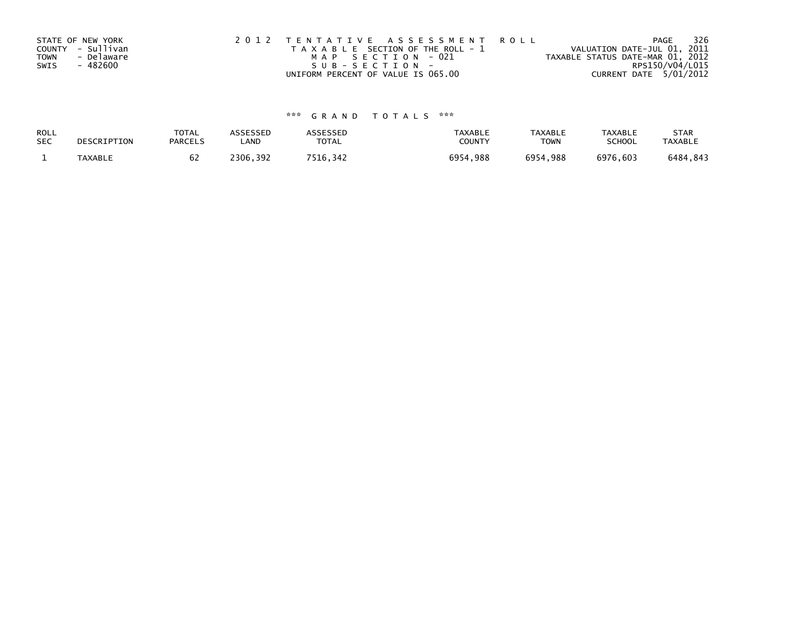|             | STATE OF NEW YORK | 2012 TENTATIVE ASSESSMENT ROLL        | 326<br>PAGE                      |
|-------------|-------------------|---------------------------------------|----------------------------------|
|             | COUNTY - Sullivan | T A X A B L E SECTION OF THE ROLL - 1 | VALUATION DATE-JUL 01, 2011      |
| <b>TOWN</b> | - Delaware        | MAP SECTION - 021                     | TAXABLE STATUS DATE-MAR 01, 2012 |
| SWIS        | - 482600          | SUB-SECTION-                          | RPS150/V04/L015                  |
|             |                   | UNIFORM PERCENT OF VALUE IS 065.00    | CURRENT DATE 5/01/2012           |

# \*\*\* G R A N D T O T A L S \*\*\*

| ROLL       | DESCRIPTION | <b>TOTAL</b>   | <b>ASSESSED</b> | ASSESSED     | <b>TAXABLE</b> | <b>TAXABLE</b> | TAXABLE       | <b>STAR</b>    |
|------------|-------------|----------------|-----------------|--------------|----------------|----------------|---------------|----------------|
| <b>SEC</b> |             | <b>PARCELS</b> | LAND            | <b>TOTAL</b> | COUNTY         | <b>TOWN</b>    | <b>SCHOOL</b> | <b>TAXABLE</b> |
|            | TAXABLE     | 0Z             | 2306,392        | 7516,342     | 6954,988       | 6954.988       | 6976,603      | 6484,843       |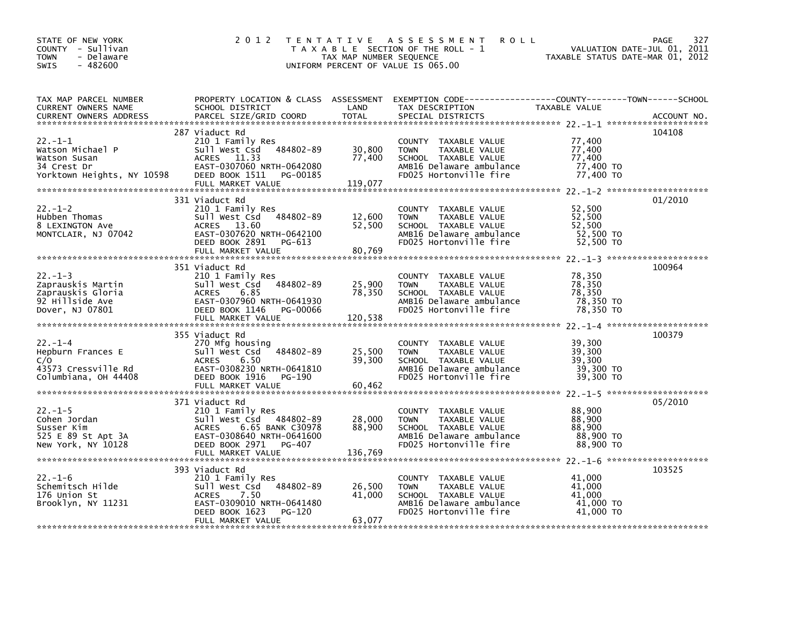| STATE OF NEW YORK<br>COUNTY - Sullivan<br>- Delaware<br><b>TOWN</b><br>$-482600$<br>SWIS                                                                                                                                                                                       |                | 2012 TENTATIVE ASSESSMENT ROLL PAGE 327<br>TAXABLE SECTION OF THE ROLL - 1 VALUATION DATE-JUL 01, 2011<br>TAX MAP NUMBER SEQUENCE 20<br>UNIFORM PERCENT OF VALUE IS 065.00                                      |        |         |
|--------------------------------------------------------------------------------------------------------------------------------------------------------------------------------------------------------------------------------------------------------------------------------|----------------|-----------------------------------------------------------------------------------------------------------------------------------------------------------------------------------------------------------------|--------|---------|
| TAX MAP PARCEL NUMBER PROPERTY LOCATION & CLASS ASSESSMENT EXEMPTION CODE-----------------COUNTY--------TOWN-----SCHOOL CURRENT OWNERS NAME SCHOOL DISTRICT LAND TAX DESCRIPTION TAXABLE VALUE<br>CURRENT OWNERS ADDRESS PARCEL S                                              |                |                                                                                                                                                                                                                 |        |         |
|                                                                                                                                                                                                                                                                                | 287 Viaduct Rd |                                                                                                                                                                                                                 |        | 104108  |
| 22.-1-1<br>Watson Michael P 210 1 Family Res<br>Watson Susan ACRES 11.33<br>22.1 Family Res 2010 West CSd 484802-89 30,800 TOWN TAXABLE VALUE 77,400<br>210 Watson Susan ACRES 11.33<br>23 Yiaduct Res 11.33<br>23 Yiaduct 2020 7000 NASHE                                     |                |                                                                                                                                                                                                                 |        |         |
|                                                                                                                                                                                                                                                                                | 331 Viaduct Rd |                                                                                                                                                                                                                 |        | 01/2010 |
| 22.-1-2<br>Hubben Thomas<br>Hubben Thomas<br>Six Value 2010 I Family Res<br>Sull West Csd 484802-89<br>Sull West Csd 484802-89<br>Sull West Csd 484802-89<br>Sull West Csd 484802-89<br>Sull West Csd 52,500<br>Sull Montclair, NJ 07042<br>MONTCL                             |                |                                                                                                                                                                                                                 |        |         |
|                                                                                                                                                                                                                                                                                |                |                                                                                                                                                                                                                 |        |         |
| 22.-1-3<br>22.-1-3<br>22.-1-3<br>22.-1-3<br>22.-1-3<br>22.-1-3<br>22.-1-3<br>22.-1-3<br>22.-1-3<br>22.-1-3<br>22.-1-3<br>22.-1-3<br>22.-1-3<br>22.-1-3<br>22.-1-3<br>22.-1-3<br>22.-1-3<br>22.-1-3<br>22.-1-3<br>22.-1-3<br>22.-1-3<br>22.-1-3<br>22.-1-3<br>22.-1-3<br>22.-1- | 351 Viaduct Rd |                                                                                                                                                                                                                 |        | 100964  |
|                                                                                                                                                                                                                                                                                | 355 Viaduct Rd |                                                                                                                                                                                                                 |        | 100379  |
| 355 Viaduct Rd<br>22.-1-4<br>Hepburn Frances E<br>270 Migh housing<br>25,500 TOWN TAXABLE VALUE<br>273 Cressville Rd<br>26.50 EAST-0308230 NRTH-0641810<br>29,300 SCHOOL TAXABLE VALUE<br>29,300 TO AMBIG Delaware ambulance<br>29,300 TO MISS S                               |                |                                                                                                                                                                                                                 |        |         |
|                                                                                                                                                                                                                                                                                |                |                                                                                                                                                                                                                 |        |         |
|                                                                                                                                                                                                                                                                                | 371 Viaduct Rd |                                                                                                                                                                                                                 |        | 05/2010 |
|                                                                                                                                                                                                                                                                                |                |                                                                                                                                                                                                                 |        | 103525  |
|                                                                                                                                                                                                                                                                                |                | COUNTY TAXABLE VALUE<br>TOWN TAXABLE VALUE 41,000<br>SCHOOL TAXABLE VALUE 41,000<br>AMB16 Delaware ambulance 41,000 TO<br>FD025 Hortonville fire 41,000 TO<br>TOWN      TAXABLE VALUE<br>SCHOOL   TAXABLE VALUE | 41,000 |         |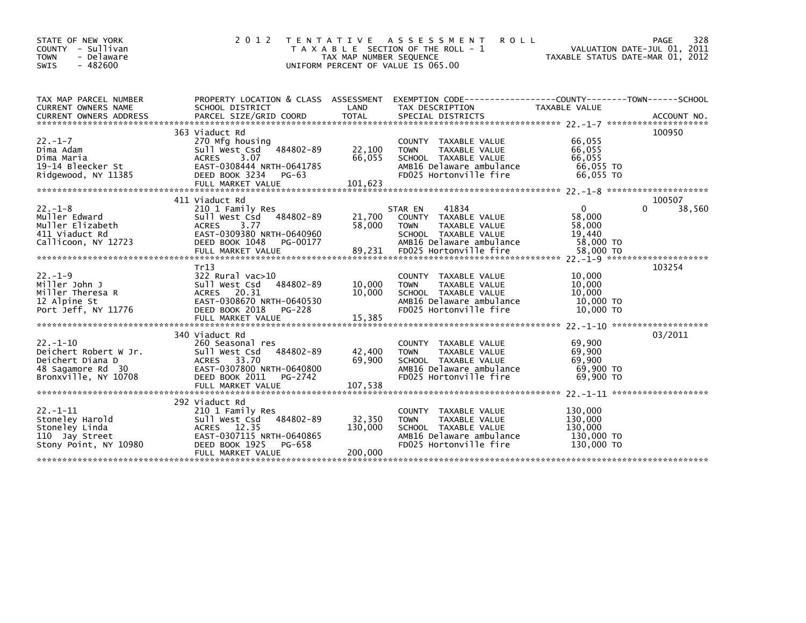| STATE OF NEW YORK<br>COUNTY - Sullivan<br><b>TOWN</b><br>- Delaware<br>$-482600$<br><b>SWIS</b>          | 2 0 1 2                                                                                                                                                                  | T E N T A T I V E<br>TAX MAP NUMBER SEQUENCE<br>UNIFORM PERCENT OF VALUE IS 065.00 | A S S E S S M E N T<br><b>ROLL</b><br>T A X A B L E SECTION OF THE ROLL - 1                                                                            | VALUATION DATE-JUL 01, 2011<br>TAXABLE STATUS DATE-MAR 01, 2012      | 328<br><b>PAGE</b> |
|----------------------------------------------------------------------------------------------------------|--------------------------------------------------------------------------------------------------------------------------------------------------------------------------|------------------------------------------------------------------------------------|--------------------------------------------------------------------------------------------------------------------------------------------------------|----------------------------------------------------------------------|--------------------|
| TAX MAP PARCEL NUMBER<br>CURRENT OWNERS NAME                                                             | PROPERTY LOCATION & CLASS ASSESSMENT<br>SCHOOL DISTRICT                                                                                                                  | LAND                                                                               | EXEMPTION CODE-----------------COUNTY-------TOWN------SCHOOL<br>TAX DESCRIPTION                                                                        | <b>TAXABLE VALUE</b>                                                 |                    |
| $22. - 1 - 7$<br>Dima Adam<br>Dima Maria<br>19-14 Bleecker St<br>Ridgewood, NY 11385                     | 363 Viaduct Rd<br>270 Mfg housing<br>484802-89<br>Sull West Csd<br><b>ACRES</b><br>3.07<br>EAST-0308444 NRTH-0641785<br>DEED BOOK 3234<br>$PG-63$<br>FULL MARKET VALUE   | 22,100<br>66,055<br>101,623                                                        | COUNTY TAXABLE VALUE<br><b>TOWN</b><br>TAXABLE VALUE<br>SCHOOL TAXABLE VALUE<br>AMB16 Delaware ambulance<br>FD025 Hortonville fire                     | 66,055<br>66,055<br>66.055<br>66,055 TO<br>66,055 TO                 | 100950             |
| $22. - 1 - 8$<br>Muller Edward<br>Muller Elizabeth<br>411 Viaduct Rd<br>Callicoon, NY 12723              | 411 Viaduct Rd<br>210 1 Family Res<br>484802-89<br>Sull West Csd<br><b>ACRES</b><br>3.77<br>EAST-0309380 NRTH-0640960<br>DEED BOOK 1048<br>PG-00177<br>FULL MARKET VALUE | 21,700<br>58,000<br>89,231                                                         | STAR EN<br>41834<br>COUNTY TAXABLE VALUE<br>TAXABLE VALUE<br><b>TOWN</b><br>SCHOOL TAXABLE VALUE<br>AMB16 Delaware ambulance<br>FD025 Hortonville fire | $\mathbf{0}$<br>58,000<br>58,000<br>19.440<br>58,000 TO<br>58,000 TO | 100507<br>38,560   |
| $22. - 1 - 9$<br>Miller John J<br>Miller Theresa R<br>12 Alpine St<br>Port Jeff, NY 11776                | Tr13<br>$322$ Rural vac $>10$<br>Sull West Csd<br>484802-89<br>ACRES 20.31<br>EAST-0308670 NRTH-0640530<br>DEED BOOK 2018<br>PG-228                                      | 10,000<br>10,000                                                                   | TAXABLE VALUE<br><b>COUNTY</b><br>TAXABLE VALUE<br><b>TOWN</b><br>SCHOOL TAXABLE VALUE<br>AMB16 Delaware ambulance<br>FD025 Hortonville fire           | 10,000<br>10,000<br>10,000<br>10,000 TO<br>10,000 TO                 | 103254             |
| $22. - 1 - 10$<br>Deichert Robert W Jr.<br>Deichert Diana D<br>48 Sagamore Rd 30<br>Bronxville, NY 10708 | 340 Viaduct Rd<br>260 Seasonal res<br>484802-89<br>Sull West Csd<br>ACRES 33.70<br>EAST-0307800 NRTH-0640800<br>DEED BOOK 2011<br>PG-2742                                | 42,400<br>69,900                                                                   | <b>COUNTY</b><br>TAXABLE VALUE<br>TAXABLE VALUE<br><b>TOWN</b><br>SCHOOL TAXABLE VALUE<br>AMB16 Delaware ambulance<br>FD025 Hortonville fire           | 69,900<br>69,900<br>69.900<br>69,900 TO<br>69.900 TO                 | 03/2011            |
| $22. - 1 - 11$<br>Stoneley Harold<br>Stoneley Linda<br>110 Jay Street<br>Stony Point, NY 10980           | 292 Viaduct Rd<br>210 1 Family Res<br>484802-89<br>Sull West Csd<br>ACRES 12.35<br>EAST-0307115 NRTH-0640865<br>DEED BOOK 1925<br>PG-658<br>FULL MARKET VALUE            | 32,350<br>130,000<br>200,000                                                       | TAXABLE VALUE<br><b>COUNTY</b><br><b>TOWN</b><br>TAXABLE VALUE<br>SCHOOL TAXABLE VALUE<br>AMB16 Delaware ambulance<br>FD025 Hortonville fire           | 130,000<br>130,000<br>130,000<br>130,000 TO<br>130,000 TO            |                    |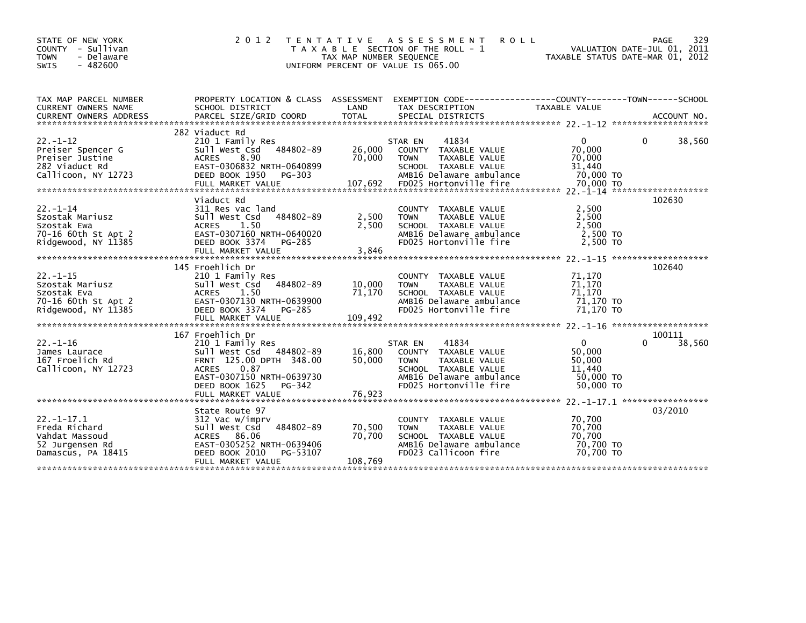| STATE OF NEW YORK<br>COUNTY - Sullivan<br>- Delaware<br><b>TOWN</b><br><b>SWIS</b><br>$-482600$ | 2 0 1 2                                                                                                                                                                     | TAX MAP NUMBER SEQUENCE<br>UNIFORM PERCENT OF VALUE IS 065.00 | TENTATIVE ASSESSMENT<br><b>ROLL</b><br>T A X A B L E SECTION OF THE ROLL - 1                                                                           | VALUATION DATE-JUL 01, 2011<br>TAXABLE STATUS DATE-MAR 01, 2012        | 329<br>PAGE           |
|-------------------------------------------------------------------------------------------------|-----------------------------------------------------------------------------------------------------------------------------------------------------------------------------|---------------------------------------------------------------|--------------------------------------------------------------------------------------------------------------------------------------------------------|------------------------------------------------------------------------|-----------------------|
| TAX MAP PARCEL NUMBER<br>CURRENT OWNERS NAME                                                    | SCHOOL DISTRICT                                                                                                                                                             | LAND                                                          | PROPERTY LOCATION & CLASS ASSESSMENT EXEMPTION CODE---------------COUNTY-------TOWN------SCHOOL<br>TAX DESCRIPTION                                     | TAXABLE VALUE                                                          |                       |
| $22. - 1 - 12$<br>Preiser Spencer G<br>Preiser Justine<br>282 Viaduct Rd<br>Callicoon, NY 12723 | 282 Viaduct Rd<br>210 1 Family Res<br>Sull West Csd 484802-89<br>ACRES 8.90<br>EAST-0306832 NRTH-0640899<br>DEED BOOK 1950 PG-303                                           | 26,000<br>70,000                                              | 41834<br>STAR EN<br>COUNTY TAXABLE VALUE<br><b>TOWN</b><br>TAXABLE VALUE<br>SCHOOL TAXABLE VALUE<br>AMB16 Delaware ambulance                           | 0<br>70,000<br>70,000<br>31,440<br>70,000 TO                           | 38,560                |
| $22 - 1 - 14$<br>Szostak Mariusz<br>Szostak Ewa<br>70-16 60th St Apt 2<br>Ridgewood, NY 11385   | Viaduct Rd<br>311 Res vac land<br>Sull West Csd 484802-89<br>1.50<br>ACRES<br>EAST-0307160 NRTH-0640020<br>DEED BOOK 3374<br>PG-285<br>FULL MARKET VALUE                    | 2,500<br>2,500<br>3,846                                       | COUNTY TAXABLE VALUE<br>TAXABLE VALUE<br><b>TOWN</b><br>SCHOOL TAXABLE VALUE<br>AMB16 Delaware ambulance<br>FD025 Hortonville fire                     | 2,500<br>2,500<br>2.500<br>2,500 TO<br>2.500 TO                        | 102630                |
| $22. - 1 - 15$<br>Szostak Mariusz<br>Szostak Eva<br>70-16 60th St Apt 2<br>Ridgewood, NY 11385  | 145 Froehlich Dr<br>210 1 Family Res<br>Sull West Csd 484802-89<br>ACRES<br>1.50<br>EAST-0307130 NRTH-0639900<br>DEED BOOK 3374<br>PG-285<br>FULL MARKET VALUE              | 10,000<br>71,170<br>109,492                                   | COUNTY TAXABLE VALUE<br>TAXABLE VALUE<br><b>TOWN</b><br>SCHOOL TAXABLE VALUE<br>AMB16 Delaware ambulance<br>FD025 Hortonville fire                     | 71,170<br>71,170<br>71,170<br>71,170 TO<br>71,170 TO                   | 102640                |
| $22. - 1 - 16$<br>James Laurace<br>167 Froelich Rd<br>Callicoon, NY 12723                       | 167 Froehlich Dr<br>210 1 Family Res<br>Sull West Csd 484802-89<br>FRNT 125.00 DPTH 348.00<br><b>ACRES</b><br>0.87<br>EAST-0307150 NRTH-0639730<br>DEED BOOK 1625<br>PG-342 | 16,800<br>50,000                                              | 41834<br>STAR EN<br>COUNTY TAXABLE VALUE<br>TAXABLE VALUE<br><b>TOWN</b><br>SCHOOL TAXABLE VALUE<br>AMB16 Delaware ambulance<br>FD025 Hortonville fire | $\overline{0}$<br>50,000<br>50,000<br>11.440<br>50,000 TO<br>50,000 TO | 100111<br>0<br>38,560 |
| $22. - 1 - 17.1$<br>Freda Richard<br>Vahdat Massoud<br>52 Jurgensen Rd<br>Damascus, PA 18415    | State Route 97<br>312 Vac w/imprv<br>484802-89<br>Sull West Csd<br>ACRES 86.06<br>EAST-0305252 NRTH-0639406<br>DEED BOOK 2010<br>PG-53107<br>FULL MARKET VALUE              | 70,500<br>70,700<br>108,769                                   | COUNTY TAXABLE VALUE<br>TAXABLE VALUE<br><b>TOWN</b><br>SCHOOL TAXABLE VALUE<br>AMB16 Delaware ambulance<br>FD023 Callicoon fire                       | 70,700<br>70,700<br>70,700<br>70,700 TO<br>70,700 TO                   | 03/2010               |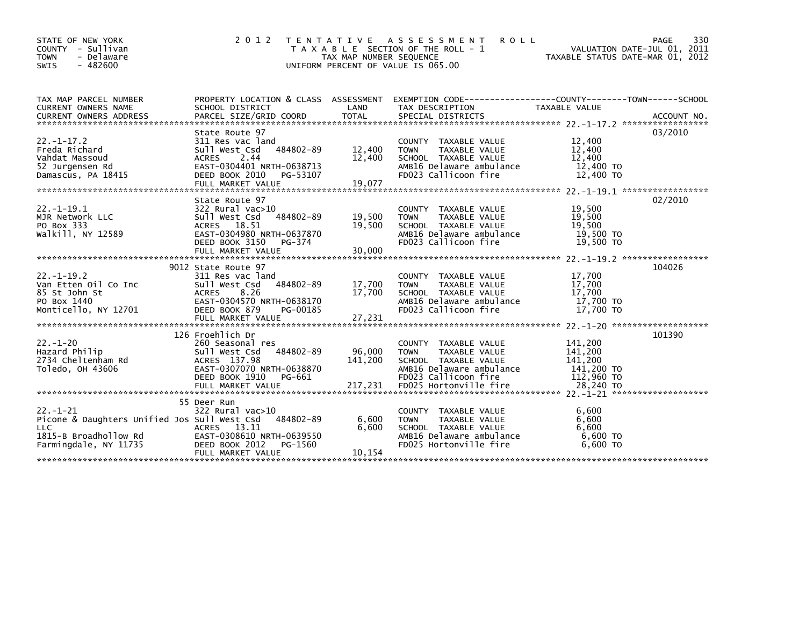| STATE OF NEW YORK<br>COUNTY - Sullivan<br><b>TOWN</b><br>- Delaware<br>$-482600$<br>SWIS                                | 2012                                                                                                                                                                     | T E N T A T I V E<br>TAX MAP NUMBER SEQUENCE | A S S E S S M E N T<br><b>ROLL</b><br>T A X A B L E SECTION OF THE ROLL - 1<br>UNIFORM PERCENT OF VALUE IS 065.00                          | TAXABLE STATUS DATE-MAR 01, 2012                          | 330<br><b>PAGE</b><br>VALUATION DATE-JUL 01, 2011 |
|-------------------------------------------------------------------------------------------------------------------------|--------------------------------------------------------------------------------------------------------------------------------------------------------------------------|----------------------------------------------|--------------------------------------------------------------------------------------------------------------------------------------------|-----------------------------------------------------------|---------------------------------------------------|
| TAX MAP PARCEL NUMBER<br><b>CURRENT OWNERS NAME</b>                                                                     | SCHOOL DISTRICT                                                                                                                                                          | LAND                                         | PROPERTY LOCATION & CLASS ASSESSMENT EXEMPTION CODE-----------------COUNTY-------TOWN-----SCHOOL<br>TAX DESCRIPTION                        | TAXABLE VALUE                                             |                                                   |
| $22 - 1 - 17.2$<br>Freda Richard<br>Vahdat Massoud<br>52 Jurgensen Rd<br>Damascus, PA 18415                             | State Route 97<br>311 Res vac land<br>484802-89<br>Sull West Csd<br>2.44<br><b>ACRES</b><br>EAST-0304401 NRTH-0638713<br>DEED BOOK 2010<br>PG-53107<br>FULL MARKET VALUE | 12,400<br>12,400<br>19,077                   | COUNTY TAXABLE VALUE<br>TAXABLE VALUE<br><b>TOWN</b><br>SCHOOL TAXABLE VALUE<br>AMB16 Delaware ambulance<br>FD023 Callicoon fire           | 12,400<br>12,400<br>12,400<br>12,400 TO<br>12,400 TO      | 03/2010                                           |
| $22. - 1 - 19.1$<br>MJR Network LLC<br>PO Box 333<br>walkill, NY 12589                                                  | State Route 97<br>322 Rural vac>10<br>484802-89<br>Sull West Csd<br>ACRES 18.51<br>EAST-0304980 NRTH-0637870<br>DEED BOOK 3150<br>PG-374<br>FULL MARKET VALUE            | 19,500<br>19,500<br>30,000                   | COUNTY TAXABLE VALUE<br>TAXABLE VALUE<br><b>TOWN</b><br>SCHOOL TAXABLE VALUE<br>AMB16 Delaware ambulance<br>FD023 Callicoon fire           | 19,500<br>19,500<br>19,500<br>19,500 TO<br>19,500 TO      | 02/2010                                           |
| $22 - 1 - 19.2$<br>Van Etten Oil Co Inc<br>85 St John St<br>PO Box 1440<br>Monticello, NY 12701                         | 9012 State Route 97<br>311 Res vac land<br>484802-89<br>Sull West Csd<br><b>ACRES</b><br>8.26<br>EAST-0304570 NRTH-0638170<br>DEED BOOK 879<br>PG-00185                  | 17,700<br>17,700                             | TAXABLE VALUE<br><b>COUNTY</b><br>TAXABLE VALUE<br><b>TOWN</b><br>SCHOOL TAXABLE VALUE<br>AMB16 Delaware ambulance<br>FD023 Callicoon fire | 17,700<br>17,700<br>17,700<br>17.700 TO<br>17,700 TO      | 104026                                            |
| $22 - 1 - 20$<br>Hazard Philip<br>2734 Cheltenham Rd<br>Toledo, OH 43606                                                | 126 Froehlich Dr<br>260 Seasonal res<br>Sull West Csd<br>484802-89<br>ACRES 137.98<br>EAST-0307070 NRTH-0638870<br>DEED BOOK 1910<br>PG-661                              | 96.000<br>141,200                            | <b>COUNTY</b><br>TAXABLE VALUE<br>TAXABLE VALUE<br><b>TOWN</b><br>SCHOOL TAXABLE VALUE<br>AMB16 Delaware ambulance<br>FD023 Callicoon fire | 141,200<br>141,200<br>141,200<br>141,200 TO<br>112,960 TO | 101390                                            |
| $22 - 1 - 21$<br>Picone & Daughters Unified Jos Sull West Csd<br>LLC.<br>1815-B Broadhollow Rd<br>Farmingdale, NY 11735 | 55 Deer Run<br>322 Rural vac>10<br>484802-89<br>ACRES 13.11<br>EAST-0308610 NRTH-0639550<br>DEED BOOK 2012<br>PG-1560<br>FULL MARKET VALUE                               | 6,600<br>6,600<br>10.154                     | COUNTY TAXABLE VALUE<br><b>TOWN</b><br>TAXABLE VALUE<br>SCHOOL TAXABLE VALUE<br>AMB16 Delaware ambulance<br>FD025 Hortonville fire         | 6,600<br>6,600<br>6,600<br>6,600 TO<br>6.600 TO           |                                                   |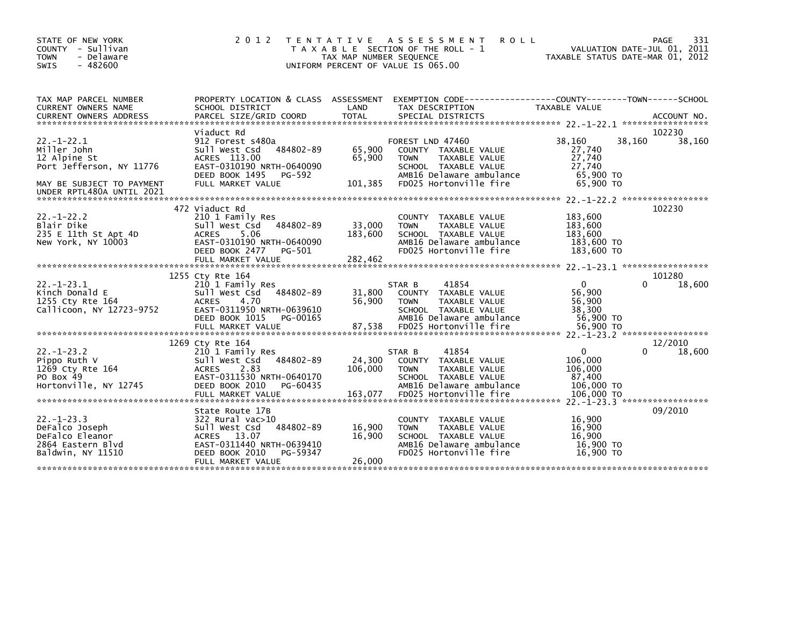| STATE OF NEW YORK<br>- Sullivan<br>COUNTY<br>- Delaware<br><b>TOWN</b><br>$-482600$<br><b>SWIS</b>                                   | 2 0 1 2<br>TAXABLE                                                                                                                                                         | T E N T A T I V E<br>TAX MAP NUMBER SEQUENCE | A S S E S S M E N T<br><b>ROLL</b><br>SECTION OF THE ROLL - 1<br>UNIFORM PERCENT OF VALUE IS 065.00                                                             |                                                                          | PAGE<br>331<br>VALUATION DATE-JUL 01, 2011<br>TAXABLE STATUS DATE-MAR 01, 2012 |
|--------------------------------------------------------------------------------------------------------------------------------------|----------------------------------------------------------------------------------------------------------------------------------------------------------------------------|----------------------------------------------|-----------------------------------------------------------------------------------------------------------------------------------------------------------------|--------------------------------------------------------------------------|--------------------------------------------------------------------------------|
| TAX MAP PARCEL NUMBER<br>CURRENT OWNERS NAME<br><b>CURRENT OWNERS ADDRESS</b>                                                        | SCHOOL DISTRICT<br>PARCEL SIZE/GRID COORD                                                                                                                                  | LAND<br><b>TOTAL</b>                         | PROPERTY LOCATION & CLASS ASSESSMENT EXEMPTION CODE----------------COUNTY-------TOWN------SCHOOL<br>TAX DESCRIPTION<br>SPECIAL DISTRICTS                        | <b>TAXABLE VALUE</b>                                                     | ACCOUNT NO.                                                                    |
| $22 - 1 - 22.1$<br>Miller John<br>12 Alpine St<br>Port Jefferson, NY 11776<br>MAY BE SUBJECT TO PAYMENT<br>UNDER RPTL480A UNTIL 2021 | Viaduct Rd<br>912 Forest s480a<br>484802-89<br>Sull West Csd<br>ACRES 113.00<br>EAST-0310190 NRTH-0640090<br>DEED BOOK 1495<br>PG-592<br>FULL MARKET VALUE                 | 65,900<br>65,900<br>101,385                  | FOREST LND 47460<br>COUNTY TAXABLE VALUE<br><b>TOWN</b><br>TAXABLE VALUE<br>SCHOOL TAXABLE VALUE<br>AMB16 Delaware ambulance<br>FD025 Hortonville fire          | 38.160<br>27,740<br>27,740<br>27,740<br>65,900 TO<br>65,900 TO           | 102230<br>38,160<br>38,160                                                     |
| $22 - 1 - 22.2$<br>Blair Dike<br>235 E 11th St Apt 4D<br>New York, NY 10003                                                          | 472 Viaduct Rd<br>210 1 Family Res<br>484802-89<br>Sull West Csd<br>5.06<br><b>ACRES</b><br>EAST-0310190 NRTH-0640090<br>DEED BOOK 2477<br>PG-501<br>FULL MARKET VALUE     | 33,000<br>183,600<br>282,462                 | TAXABLE VALUE<br><b>COUNTY</b><br><b>TOWN</b><br>TAXABLE VALUE<br>SCHOOL TAXABLE VALUE<br>AMB16 Delaware ambulance<br>FD025 Hortonville fire                    | 183,600<br>183,600<br>183,600<br>183,600 TO<br>183,600 TO                | 102230                                                                         |
| $22. - 1 - 23.1$<br>Kinch Donald E<br>1255 Cty Rte 164<br>Callicoon, NY 12723-9752                                                   | 1255 Cty Rte 164<br>210 1 Family Res<br>Sull West Csd<br>484802-89<br>4.70<br><b>ACRES</b><br>EAST-0311950 NRTH-0639610<br>DEED BOOK 1015<br>PG-00165<br>FULL MARKET VALUE | 31,800<br>56,900<br>87,538                   | 41854<br>STAR B<br><b>COUNTY</b><br>TAXABLE VALUE<br>TAXABLE VALUE<br><b>TOWN</b><br>SCHOOL TAXABLE VALUE<br>AMB16 Delaware ambulance<br>FD025 Hortonville fire | $\mathbf{0}$<br>56,900<br>56,900<br>38,300<br>56,900 TO<br>56.900 TO     | 101280<br>18,600<br>0                                                          |
| $22 - 1 - 23.2$<br>Pippo Ruth V<br>1269 Cty Rte 164<br>PO Box 49<br>Hortonville, NY 12745                                            | 1269 Cty Rte 164<br>210 1 Family Res<br>484802-89<br>Sull West Csd<br>2.83<br><b>ACRES</b><br>EAST-0311530 NRTH-0640170<br>DEED BOOK 2010<br>PG-60435<br>FULL MARKET VALUE | 24,300<br>106,000<br>163,077                 | 41854<br>STAR B<br>COUNTY TAXABLE VALUE<br><b>TOWN</b><br>TAXABLE VALUE<br>SCHOOL TAXABLE VALUE<br>AMB16 Delaware ambulance<br>FD025 Hortonville fire           | $\mathbf{0}$<br>106,000<br>106,000<br>87,400<br>106,000 TO<br>106,000 TO | 12/2010<br>18,600                                                              |
| $22 - 1 - 23.3$<br>DeFalco Joseph<br>DeFalco Eleanor<br>2864 Eastern Blvd<br>Baldwin, NY 11510                                       | State Route 17B<br>322 Rural vac>10<br>Sull West Csd<br>484802-89<br>13.07<br><b>ACRES</b><br>EAST-0311440 NRTH-0639410<br>DEED BOOK 2010<br>PG-59347<br>FULL MARKET VALUE | 16,900<br>16,900<br>26,000                   | <b>COUNTY</b><br>TAXABLE VALUE<br>TAXABLE VALUE<br><b>TOWN</b><br>SCHOOL TAXABLE VALUE<br>AMB16 Delaware ambulance<br>FD025 Hortonville fire                    | 16,900<br>16.900<br>16.900<br>16,900 TO<br>16,900 TO                     | 09/2010                                                                        |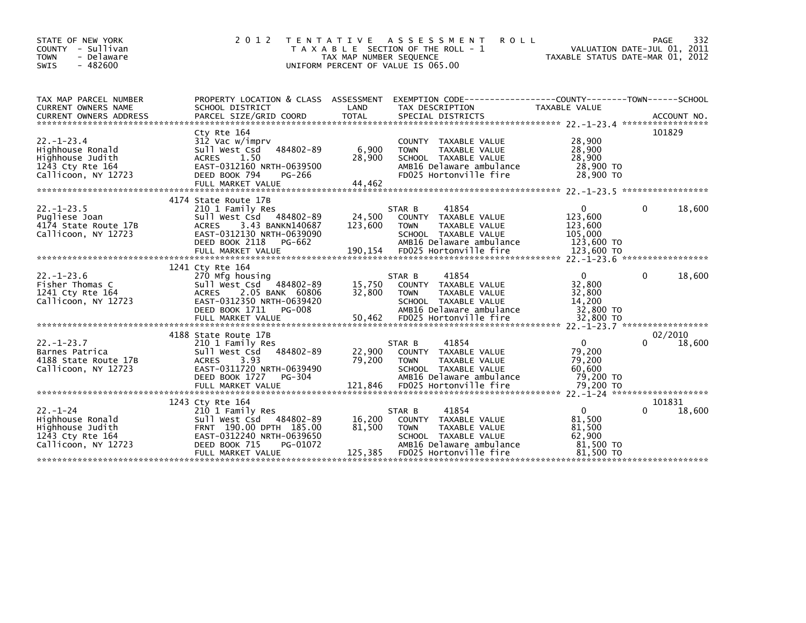| STATE OF NEW YORK<br>COUNTY - Sullivan<br>- Delaware<br><b>TOWN</b><br>$-482600$<br><b>SWIS</b>                                                                                                                                                             | 2 0 1 2                                                                                                                                                                   | TAX MAP NUMBER SEQUENCE     | TENTATIVE ASSESSMENT<br><b>ROLL</b><br>T A X A B L E SECTION OF THE ROLL - 1<br>UNIFORM PERCENT OF VALUE IS 065.00                                    | TAXABLE STATUS DATE-MAR 01, 2012                                     | 332<br>PAGE<br>VALUATION DATE-JUL 01, 2011 |
|-------------------------------------------------------------------------------------------------------------------------------------------------------------------------------------------------------------------------------------------------------------|---------------------------------------------------------------------------------------------------------------------------------------------------------------------------|-----------------------------|-------------------------------------------------------------------------------------------------------------------------------------------------------|----------------------------------------------------------------------|--------------------------------------------|
| TAX MAP PARCEL NUMBER<br>CURRENT OWNERS NAME<br>CURRENT OWNERS ADDRESS FORCEL SIZE/GRID COORD TOTAL SPECIAL DISTRICTS (2001) ACCOUNT NO .<br>EURRENT OWNERS ADDRESS PARCEL SIZE/GRID COORD TOTAL SPECIAL DISTRICTS (2007) 22 -1-23.4 ********************** | PROPERTY LOCATION & CLASS ASSESSMENT<br>SCHOOL DISTRICT                                                                                                                   | LAND                        | EXEMPTION CODE-----------------COUNTY--------TOWN------SCHOOL<br>TAX DESCRIPTION                                                                      | TAXABLE VALUE                                                        |                                            |
| $22. - 1 - 23.4$<br>Highhouse Ronald<br>Highhouse Judith<br>1243 Cty Rte 164<br>Callicoon, NY 12723                                                                                                                                                         | Cty Rte 164<br>312 Vac w/imprv<br>484802-89<br>Sull West Csd<br><b>ACRES</b><br>1.50<br>EAST-0312160 NRTH-0639500<br>DEED BOOK 794<br>PG-266<br>FULL MARKET VALUE         | 6,900<br>28,900<br>44.462   | COUNTY TAXABLE VALUE<br><b>TOWN</b><br>TAXABLE VALUE<br>SCHOOL TAXABLE VALUE<br>AMB16 Delaware ambulance<br>FD025 Hortonville fire                    | 28,900<br>28,900<br>28,900<br>28,900 TO<br>28,900 TO                 | 101829                                     |
| $22. - 1 - 23.5$<br>Pugliese Joan<br>4174 State Route 17B<br>Callicoon, NY 12723                                                                                                                                                                            | 4174 State Route 17B<br>210 1 Family Res<br>Sull West Csd 484802-89<br><b>ACRES</b><br>3.43 BANKN140687<br>EAST-0312130 NRTH-0639090<br>DEED BOOK 2118<br>PG-662          | 24,500<br>123,600           | 41854<br>STAR B<br>COUNTY TAXABLE VALUE<br>TAXABLE VALUE<br><b>TOWN</b><br>SCHOOL TAXABLE VALUE<br>AMB16 Delaware ambulance                           | $\mathbf{0}$<br>123,600<br>123,600<br>105,000<br>123,600 TO          | 18,600<br>0                                |
| $22. - 1 - 23.6$<br>Fisher Thomas C<br>1241 Cty Rte 164<br>Callicoon, NY 12723                                                                                                                                                                              | 1241 Cty Rte 164<br>270 Mfg housing<br>Sull West Csd 484802-89<br>2.05 BANK 60806<br>ACRES<br>EAST-0312350 NRTH-0639420<br><b>PG-008</b><br>DEED BOOK 1711                | 15,750<br>32,800            | 41854<br>STAR B<br>COUNTY TAXABLE VALUE<br><b>TOWN</b><br>TAXABLE VALUE<br>SCHOOL TAXABLE VALUE<br>AMB16 Delaware ambulance                           | $\mathbf{0}$<br>32,800<br>32,800<br>14,200<br>32,800 TO              | 18,600<br>0                                |
| $22 - 1 - 23.7$<br>Barnes Patrica<br>4188 State Route 17B<br>Callicoon, NY 12723                                                                                                                                                                            | 4188 State Route 17B<br>210 1 Family Res<br>484802-89<br>Sull West Csd<br><b>ACRES</b><br>3.93<br>EAST-0311720 NRTH-0639490<br>DEED BOOK 1727<br>$PG-304$                 | 22,900<br>79,200            | 41854<br>STAR B<br>COUNTY TAXABLE VALUE<br>TAXABLE VALUE<br><b>TOWN</b><br>SCHOOL TAXABLE VALUE<br>AMB16 Delaware ambulance                           | $\mathbf{0}$<br>79.200<br>79,200<br>60,600<br>79,200 TO              | 02/2010<br>18,600                          |
| $22. - 1 - 24$<br>Highhouse Ronald<br>Highhouse Judith<br>1243 Cty Rte 164<br>Callicoon, NY 12723                                                                                                                                                           | 1243 Cty Rte 164<br>210 1 Family Res<br>Sull West Csd 484802-89<br>FRNT 190.00 DPTH 185.00<br>EAST-0312240 NRTH-0639650<br>DEED BOOK 715<br>PG-01072<br>FULL MARKET VALUE | 16,200<br>81,500<br>125,385 | 41854<br>STAR B<br>COUNTY TAXABLE VALUE<br>TAXABLE VALUE<br><b>TOWN</b><br>SCHOOL TAXABLE VALUE<br>AMB16 Delaware ambulance<br>FD025 Hortonville fire | $\mathbf{0}$<br>81,500<br>81,500<br>62,900<br>81,500 TO<br>81,500 TO | 101831<br>18,600<br>0                      |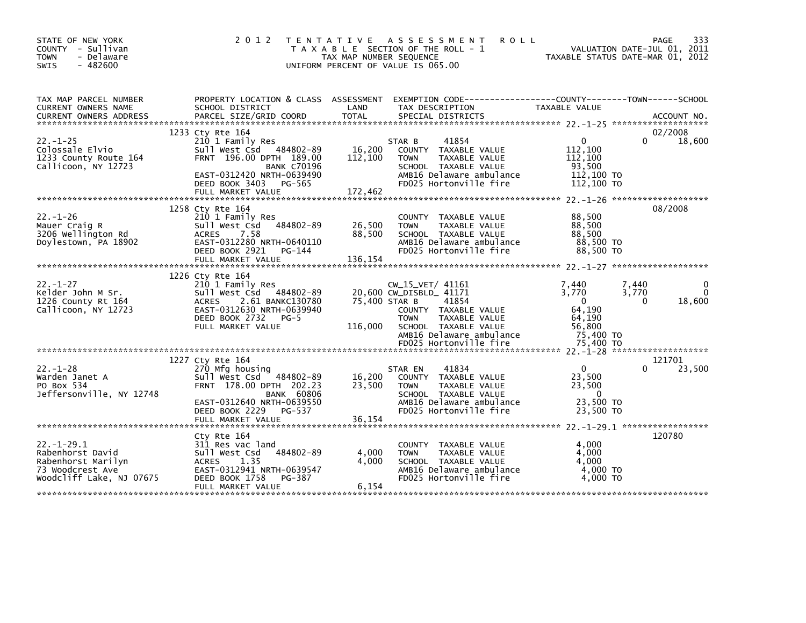| STATE OF NEW YORK<br>COUNTY - Sullivan<br><b>TOWN</b><br>- Delaware<br>$-482600$<br><b>SWIS</b>           |                                                                                                                                                                                   | 2012 TENTATIVE ASSESSMENT<br><b>ROLL</b><br>T A X A B L E SECTION OF THE ROLL - 1<br>TAX MAP NUMBER SEQUENCE<br>UNIFORM PERCENT OF VALUE IS 065.00                                | 333<br>PAGE<br>VALUATION DATE-JUL 01, 2011<br>TAXABLE STATUS DATE-MAR 01, 2012                           |
|-----------------------------------------------------------------------------------------------------------|-----------------------------------------------------------------------------------------------------------------------------------------------------------------------------------|-----------------------------------------------------------------------------------------------------------------------------------------------------------------------------------|----------------------------------------------------------------------------------------------------------|
| TAX MAP PARCEL NUMBER<br>CURRENT OWNERS NAME                                                              | SCHOOL DISTRICT                                                                                                                                                                   | PROPERTY LOCATION & CLASS ASSESSMENT EXEMPTION CODE----------------COUNTY-------TOWN------SCHOOL<br>LAND<br>TAX DESCRIPTION                                                       | TAXABLE VALUE                                                                                            |
|                                                                                                           |                                                                                                                                                                                   |                                                                                                                                                                                   |                                                                                                          |
|                                                                                                           | 1233 Cty Rte 164                                                                                                                                                                  |                                                                                                                                                                                   | 02/2008                                                                                                  |
| $22. - 1 - 25$<br>Colossale Elvio<br>1233 County Route 164<br>Callicoon, NY 12723                         | 210 1 Family Res<br>Sull West Csd 484802-89<br>FRNT 196.00 DPTH 189.00<br><b>BANK C70196</b>                                                                                      | 41854<br>STAR B<br>16,200<br>COUNTY TAXABLE VALUE<br>112,100<br><b>TAXABLE VALUE</b><br><b>TOWN</b><br>SCHOOL TAXABLE VALUE                                                       | 18,600<br>$\Omega$<br>0<br>112,100<br>112,100<br>93,500                                                  |
|                                                                                                           | EAST-0312420 NRTH-0639490<br>DEED BOOK 3403 PG-565<br>FULL MARKET VALUE                                                                                                           | AMB16 Delaware ambulance<br>FD025 Hortonville fire<br>172,462                                                                                                                     | 112,100 TO<br>112,100 TO                                                                                 |
|                                                                                                           |                                                                                                                                                                                   |                                                                                                                                                                                   |                                                                                                          |
| $22. - 1 - 26$<br>Mauer Craig R<br>3206 Wellington Rd<br>Doylestown, PA 18902                             | 1258 Cty Rte 164<br>210 1 Family Res<br>484802-89<br>Sull West Csd<br>7.58<br><b>ACRES</b><br>EAST-0312280 NRTH-0640110                                                           | COUNTY TAXABLE VALUE<br>26,500<br><b>TOWN</b><br>TAXABLE VALUE<br>88,500<br>SCHOOL TAXABLE VALUE<br>AMB16 Delaware ambulance                                                      | 08/2008<br>88,500<br>88,500<br>88,500<br>88,500 TO                                                       |
|                                                                                                           | DEED BOOK 2921<br>PG-144<br>FULL MARKET VALUE                                                                                                                                     | FD025 Hortonville fire<br>136,154                                                                                                                                                 | 88,500 TO                                                                                                |
|                                                                                                           |                                                                                                                                                                                   |                                                                                                                                                                                   |                                                                                                          |
| $22 - 1 - 27$<br>Kelder John M Sr.<br>1226 County Rt 164<br>Callicoon, NY 12723                           | 1226 Cty Rte 164<br>210 1 Family Res<br>Sull West Csd 484802-89<br>2.61 BANKC130780<br><b>ACRES</b><br>EAST-0312630 NRTH-0639940<br>DEED BOOK 2732<br>$PG-5$<br>FULL MARKET VALUE | $CW_15_VET/ 41161$<br>20,600 CW_DISBLD_ 41171<br>75,400 STAR B<br>41854<br>COUNTY TAXABLE VALUE<br><b>TOWN</b><br>TAXABLE VALUE<br>116,000<br>SCHOOL TAXABLE VALUE                | 7,440<br>7,440<br>$\mathbf 0$<br>3,770<br>3,770<br>18,600<br>$\Omega$<br>0<br>64,190<br>64,190<br>56,800 |
|                                                                                                           |                                                                                                                                                                                   | AMB16 Delaware ambulance<br>FD025 Hortonville fire                                                                                                                                | 75,400 TO<br>75.400 TO                                                                                   |
|                                                                                                           |                                                                                                                                                                                   |                                                                                                                                                                                   |                                                                                                          |
| $22 - 1 - 28$<br>Warden Janet A<br>PO Box 534<br>Jeffersonville, NY 12748                                 | 1227 Cty Rte 164<br>270 Mfg housing<br>Sull West Csd<br>484802-89<br>FRNT 178.00 DPTH 202.23<br><b>BANK 60806</b><br>EAST-0312640 NRTH-0639550<br>DEED BOOK 2229 PG-537           | 41834<br>STAR EN<br>16,200<br>COUNTY TAXABLE VALUE<br>23,500<br><b>TAXABLE VALUE</b><br><b>TOWN</b><br>SCHOOL TAXABLE VALUE<br>AMB16 Delaware ambulance<br>FD025 Hortonville fire | 121701<br>23,500<br>$\mathbf{0}$<br>0<br>23,500<br>23,500<br>$\Omega$<br>23,500 TO<br>23,500 TO          |
|                                                                                                           | FULL MARKET VALUE                                                                                                                                                                 | 36,154                                                                                                                                                                            |                                                                                                          |
| $22. -1 - 29.1$<br>Rabenhorst David<br>Rabenhorst Marilyn<br>73 Woodcrest Ave<br>Woodcliff Lake, NJ 07675 | Cty Rte 164<br>311 Res vac land<br>484802-89<br>Sull West Csd<br>1.35<br><b>ACRES</b><br>EAST-0312941 NRTH-0639547<br>DEED BOOK 1758<br>PG-387<br>FULL MARKET VALUE               | COUNTY TAXABLE VALUE<br>4,000<br><b>TOWN</b><br>TAXABLE VALUE<br>SCHOOL TAXABLE VALUE<br>4,000<br>AMB16 Delaware ambulance<br>FD025 Hortonville fire<br>6,154                     | 120780<br>4,000<br>4,000<br>4,000<br>4,000 TO<br>4.000 TO                                                |
|                                                                                                           |                                                                                                                                                                                   |                                                                                                                                                                                   |                                                                                                          |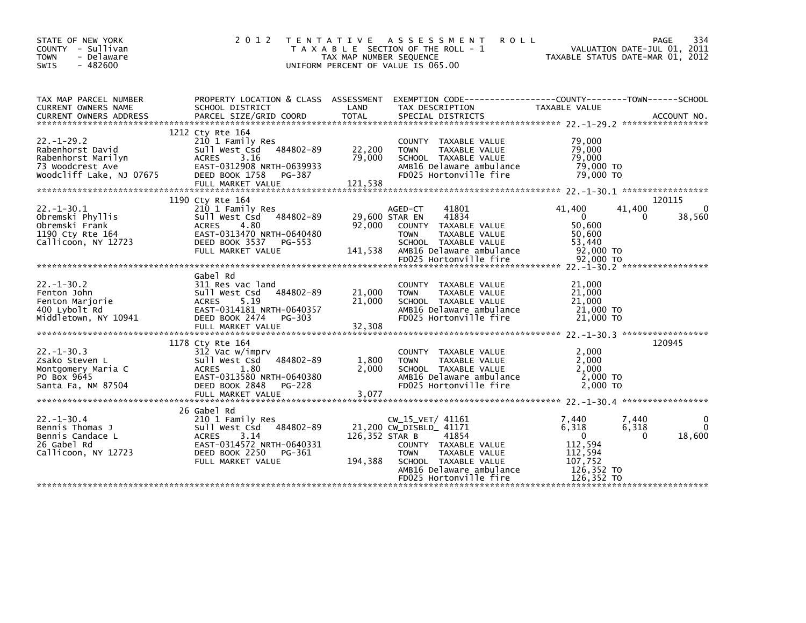| STATE OF NEW YORK<br>COUNTY - Sullivan<br><b>TOWN</b><br>- Delaware<br><b>SWIS</b><br>$-482600$           | 2 0 1 2<br>T E N T A T I V E                                                                                                                                             | ASSESSMENT<br><b>ROLL</b><br>T A X A B L E SECTION OF THE ROLL - 1<br>TAX MAP NUMBER SEQUENCE<br>UNIFORM PERCENT OF VALUE IS 065.00                                                                                      | 334<br>PAGE<br>VALUATION DATE-JUL 01, 2011<br>TAXABLE STATUS DATE-MAR 01, 2012                                           |
|-----------------------------------------------------------------------------------------------------------|--------------------------------------------------------------------------------------------------------------------------------------------------------------------------|--------------------------------------------------------------------------------------------------------------------------------------------------------------------------------------------------------------------------|--------------------------------------------------------------------------------------------------------------------------|
| TAX MAP PARCEL NUMBER<br>CURRENT OWNERS NAME<br>CURRENT OWNERS ADDRESS                                    | PROPERTY LOCATION & CLASS ASSESSMENT<br>SCHOOL DISTRICT<br>PARCEL SIZE/GRID COORD                                                                                        | LAND<br>TAX DESCRIPTION<br><b>TOTAL</b><br>SPECIAL DISTRICTS                                                                                                                                                             | EXEMPTION CODE------------------COUNTY--------TOWN------SCHOOL<br>TAXABLE VALUE<br>ACCOUNT NO.                           |
| $22 - 1 - 29.2$<br>Rabenhorst David<br>Rabenhorst Marilyn<br>73 Woodcrest Ave<br>Woodcliff Lake, NJ 07675 | 1212 Cty Rte 164<br>210 1 Family Res<br>484802-89<br>sull west Csd<br>3.16<br>ACRES<br>EAST-0312908 NRTH-0639933<br>DEED BOOK 1758<br>PG-387<br>FULL MARKET VALUE        | COUNTY TAXABLE VALUE<br>TAXABLE VALUE<br>22,200<br><b>TOWN</b><br>79,000<br>SCHOOL TAXABLE VALUE<br>AMB16 Delaware ambulance<br>FD025 Hortonville fire<br>121,538                                                        | 79,000<br>79,000<br>79,000<br>79,000 TO<br>79.000 TO                                                                     |
| $22. - 1 - 30.1$<br>Obremski Phyllis<br>Obremski Frank<br>1190 Cty Rte 164<br>Callicoon, NY 12723         | 1190 Cty Rte 164<br>210 1 Family Res<br>484802-89<br>Sull West Csd<br>4.80<br><b>ACRES</b><br>EAST-0313470 NRTH-0640480<br>DEED BOOK 3537<br>PG-553<br>FULL MARKET VALUE | 41801<br>AGED-CT<br>29,600 STAR EN<br>41834<br>92,000<br>COUNTY TAXABLE VALUE<br>TAXABLE VALUE<br><b>TOWN</b><br>SCHOOL TAXABLE VALUE<br>141,538<br>AMB16 Delaware ambulance                                             | 120115<br>41,400<br>41,400<br>0<br>38,560<br>0<br>0<br>50,600<br>50,600<br>53,440<br>92,000 TO                           |
| $22. -1 - 30.2$<br>Fenton John<br>Fenton Marjorie<br>400 Lybolt Rd<br>Middletown, NY 10941                | Gabel Rd<br>311 Res vac land<br>484802-89<br>Sull West Csd<br>5.19<br><b>ACRES</b><br>EAST-0314181 NRTH-0640357<br>DEED BOOK 2474 PG-303<br>FULL MARKET VALUE            | COUNTY TAXABLE VALUE<br>21,000<br><b>TOWN</b><br>TAXABLE VALUE<br>21,000<br>SCHOOL TAXABLE VALUE<br>AMB16 Delaware ambulance<br>FD025 Hortonville fire<br>32,308                                                         | 21,000<br>21,000<br>21,000<br>21,000 TO<br>21,000 TO                                                                     |
| $22. -1 - 30.3$<br>Zsako Steven L<br>Montgomery Maria C<br>PO Box 9645<br>Santa Fa, NM 87504              | 1178 Cty Rte 164<br>312 Vac w/imprv<br>484802-89<br>Sull West Csd<br>1.80<br><b>ACRES</b><br>EAST-0313580 NRTH-0640380<br>DEED BOOK 2848<br>PG-228<br>FULL MARKET VALUE  | COUNTY TAXABLE VALUE<br>1,800<br>TAXABLE VALUE<br><b>TOWN</b><br>2,000<br>SCHOOL TAXABLE VALUE<br>AMB16 Delaware ambulance<br>FD025 Hortonville fire<br>3,077                                                            | 120945<br>2,000<br>2,000<br>2.000<br>2,000 TO<br>2,000 TO                                                                |
| $22. - 1 - 30.4$<br>Bennis Thomas J<br>Bennis Candace L<br>26 Gabel Rd<br>Callicoon, NY 12723             | 26 Gabel Rd<br>210 1 Family Res<br>484802-89<br>Sull West Csd<br><b>ACRES</b><br>3.14<br>EAST-0314572 NRTH-0640331<br>DEED BOOK 2250<br>PG-361<br>FULL MARKET VALUE      | $CW_15_VET/41161$<br>21,200 CW_DISBLD_ 41171<br>126,352 STAR B<br>41854<br>COUNTY TAXABLE VALUE<br><b>TOWN</b><br>TAXABLE VALUE<br>SCHOOL TAXABLE VALUE<br>194,388<br>AMB16 Delaware ambulance<br>FD025 Hortonville fire | 7,440<br>7,440<br>6,318<br>6,318<br>$\Omega$<br>18,600<br>0<br>112,594<br>112,594<br>107,752<br>126,352 TO<br>126,352 TO |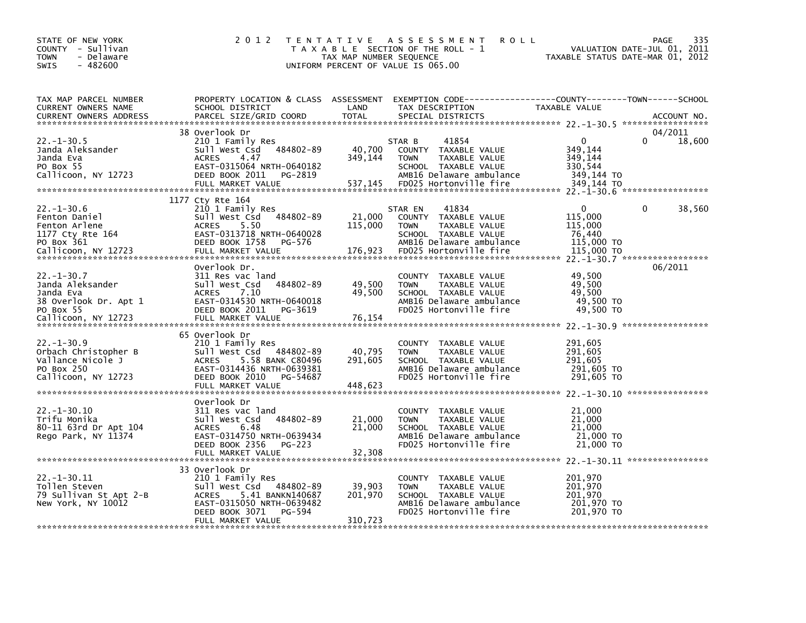| STATE OF NEW YORK<br>COUNTY - Sullivan<br>- Delaware<br><b>TOWN</b><br>$-482600$<br><b>SWIS</b>                | 2 0 1 2                                                                                                                                                                           | TAX MAP NUMBER SEQUENCE      | TENTATIVE ASSESSMENT<br><b>ROLL</b><br>T A X A B L E SECTION OF THE ROLL - 1<br>UNIFORM PERCENT OF VALUE IS 065.00                                     | TAXABLE STATUS DATE-MAR 01, 2012                                      | 335<br><b>PAGE</b><br>VALUATION DATE-JUL 01, 2011 |
|----------------------------------------------------------------------------------------------------------------|-----------------------------------------------------------------------------------------------------------------------------------------------------------------------------------|------------------------------|--------------------------------------------------------------------------------------------------------------------------------------------------------|-----------------------------------------------------------------------|---------------------------------------------------|
| TAX MAP PARCEL NUMBER<br>CURRENT OWNERS NAME<br><b>CURRENT OWNERS ADDRESS</b>                                  | SCHOOL DISTRICT<br>PARCEL SIZE/GRID COORD                                                                                                                                         | LAND<br><b>TOTAL</b>         | PROPERTY LOCATION & CLASS ASSESSMENT EXEMPTION CODE---------------COUNTY-------TOWN------SCHOOL<br>TAX DESCRIPTION<br>SPECIAL DISTRICTS                | TAXABLE VALUE                                                         | ACCOUNT NO.                                       |
| $22. - 1 - 30.5$<br>Janda Aleksander<br>Janda Eva<br>PO Box 55<br>Callicoon, NY 12723                          | 38 Overlook Dr<br>210 1 Family Res<br>484802-89<br>Sull West Csd<br>4.47<br><b>ACRES</b><br>EAST-0315064 NRTH-0640182<br>DEED BOOK 2011<br>PG-2819<br>FULL MARKET VALUE           | 40,700<br>349,144<br>537,145 | 41854<br>STAR B<br>COUNTY TAXABLE VALUE<br>TAXABLE VALUE<br><b>TOWN</b><br>SCHOOL TAXABLE VALUE<br>AMB16 Delaware ambulance<br>FD025 Hortonville fire  | $\Omega$<br>349,144<br>349,144<br>330,544<br>349,144 TO<br>349,144 TO | 04/2011<br>18,600                                 |
| $22. - 1 - 30.6$<br>Fenton Daniel<br>Fenton Arlene<br>1177 Cty Rte 164<br>PO Box 361<br>Callicoon, NY 12723    | 1177 Cty Rte 164<br>210 1 Family Res<br>Sull West Csd 484802-89<br><b>ACRES</b><br>5.50<br>EAST-0313718 NRTH-0640028<br>DEED BOOK 1758<br>PG-576<br>FULL MARKET VALUE             | 21,000<br>115,000<br>176,923 | 41834<br>STAR EN<br>COUNTY TAXABLE VALUE<br><b>TOWN</b><br>TAXABLE VALUE<br>SCHOOL TAXABLE VALUE<br>AMB16 Delaware ambulance<br>FD025 Hortonville fire | 0<br>115,000<br>115,000<br>76,440<br>115,000 TO<br>115,000 TO         | 38,560<br>0<br>22. -1-30. 7 ******************    |
| $22. - 1 - 30.7$<br>Janda Aleksander<br>Janda Eva<br>38 Overlook Dr. Apt 1<br>PO Box 55<br>Callicoon, NY 12723 | Overlook Dr.<br>311 Res vac land<br>484802-89<br>Sull West Csd<br>7.10<br><b>ACRES</b><br>EAST-0314530 NRTH-0640018<br>DEED BOOK 2011<br>PG-3619<br>FULL MARKET VALUE             | 49,500<br>49,500<br>76,154   | COUNTY TAXABLE VALUE<br>TAXABLE VALUE<br><b>TOWN</b><br>SCHOOL TAXABLE VALUE<br>AMB16 Delaware ambulance<br>FD025 Hortonville fire                     | 49,500<br>49,500<br>49,500<br>49,500 TO<br>49,500 TO                  | 06/2011                                           |
| $22. - 1 - 30.9$<br>Orbach Christopher B<br>Vallance Nicole J<br>PO Box 250<br>Callicoon, NY 12723             | 65 Overlook Dr<br>210 1 Family Res<br>Sull West Csd 484802-89<br>5.58 BANK C80496<br><b>ACRES</b><br>EAST-0314436 NRTH-0639381<br>DEED BOOK 2010<br>PG-54687<br>FULL MARKET VALUE | 40,795<br>291,605<br>448,623 | COUNTY TAXABLE VALUE<br><b>TOWN</b><br>TAXABLE VALUE<br>SCHOOL TAXABLE VALUE<br>AMB16 Delaware ambulance<br>FD025 Hortonville fire                     | 291,605<br>291,605<br>291,605<br>291,605 TO<br>291,605 TO             |                                                   |
| $22. - 1 - 30.10$<br>Trifu Monika<br>80-11 63rd Dr Apt 104<br>Rego Park, NY 11374                              | Overlook Dr<br>311 Res vac land<br>484802-89<br>Sull West Csd<br><b>ACRES</b><br>6.48<br>EAST-0314750 NRTH-0639434<br>DEED BOOK 2356<br>PG-223                                    | 21,000<br>21,000             | COUNTY TAXABLE VALUE<br><b>TOWN</b><br>TAXABLE VALUE<br>SCHOOL TAXABLE VALUE<br>AMB16 Delaware ambulance<br>FD025 Hortonville fire                     | 21,000<br>21,000<br>21,000<br>21,000 TO<br>21,000 TO                  |                                                   |
| $22. - 1 - 30.11$<br>Tollen Steven<br>79 Sullivan St Apt 2-B<br>New York, NY 10012                             | 33 Overlook Dr<br>210 1 Family Res<br>484802-89<br>Sull West Csd<br>5.41 BANKN140687<br>ACRES<br>EAST-0315050 NRTH-0639482<br>DEED BOOK 3071<br>PG-594<br>FULL MARKET VALUE       | 39,903<br>201,970<br>310,723 | COUNTY TAXABLE VALUE<br>TAXABLE VALUE<br><b>TOWN</b><br>SCHOOL TAXABLE VALUE<br>AMB16 Delaware ambulance<br>FD025 Hortonville fire                     | 201,970<br>201,970<br>201,970<br>201,970 TO<br>201.970 TO             |                                                   |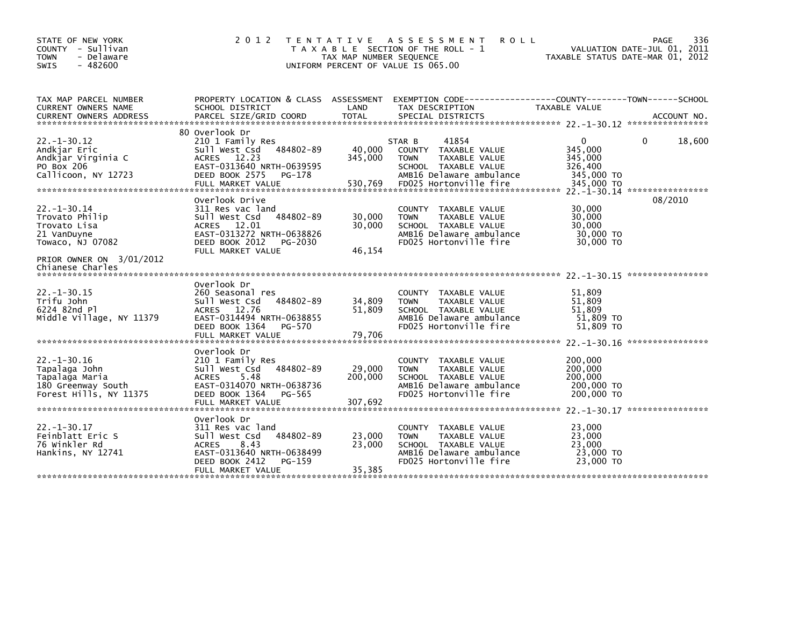| STATE OF NEW YORK<br>COUNTY - Sullivan<br><b>TOWN</b><br>- Delaware<br>$-482600$<br><b>SWIS</b>                                        | 2 0 1 2                                                                                                                                                             | T E N T A T I V E<br>TAX MAP NUMBER SEQUENCE<br>UNIFORM PERCENT OF VALUE IS 065.00 | A S S E S S M E N T<br><b>ROLL</b><br>T A X A B L E SECTION OF THE ROLL - 1                                                                           | TAXABLE STATUS DATE-MAR 01, 2012                                          | 336<br>PAGE<br>VALUATION DATE-JUL 01, 2011 |
|----------------------------------------------------------------------------------------------------------------------------------------|---------------------------------------------------------------------------------------------------------------------------------------------------------------------|------------------------------------------------------------------------------------|-------------------------------------------------------------------------------------------------------------------------------------------------------|---------------------------------------------------------------------------|--------------------------------------------|
| TAX MAP PARCEL NUMBER<br>CURRENT OWNERS NAME<br><b>CURRENT OWNERS ADDRESS</b>                                                          | PROPERTY LOCATION & CLASS ASSESSMENT<br>SCHOOL DISTRICT<br>PARCEL SIZE/GRID COORD                                                                                   | LAND<br><b>TOTAL</b>                                                               | EXEMPTION        CODE-----------------COUNTY-------TOWN------SCHOOL<br>TAX DESCRIPTION<br>SPECIAL DISTRICTS                                           | TAXABLE VALUE                                                             | ACCOUNT NO.                                |
| $22. - 1 - 30.12$<br>Andkjar Eric<br>Andkjar Virginia C<br>PO Box 206<br>Callicoon, NY 12723                                           | 80 Overlook Dr<br>210 1 Family Res<br>484802-89<br>Sull West Csd<br>ACRES 12.23<br>EAST-0313640 NRTH-0639595<br>DEED BOOK 2575<br>PG-178<br>FULL MARKET VALUE       | 40,000<br>345,000<br>530,769                                                       | 41854<br>STAR B<br>COUNTY TAXABLE VALUE<br><b>TOWN</b><br>TAXABLE VALUE<br>SCHOOL TAXABLE VALUE<br>AMB16 Delaware ambulance<br>FD025 Hortonville fire | $\mathbf{0}$<br>345,000<br>345,000<br>326,400<br>345,000 TO<br>345,000 TO | 18,600<br>0                                |
| $22. - 1 - 30.14$<br>Trovato Philip<br>Trovato Lisa<br>21 VanDuyne<br>Towaco, NJ 07082<br>PRIOR OWNER ON 3/01/2012<br>Chianese Charles | Overlook Drive<br>311 Res vac land<br>Sull West Csd<br>484802-89<br>ACRES 12.01<br>EAST-0313272 NRTH-0638826<br>DEED BOOK 2012<br>PG-2030<br>FULL MARKET VALUE      | 30,000<br>30.000<br>46,154                                                         | COUNTY TAXABLE VALUE<br><b>TOWN</b><br>TAXABLE VALUE<br>SCHOOL TAXABLE VALUE<br>AMB16 Delaware ambulance<br>FD025 Hortonville fire                    | 30,000<br>30,000<br>30,000<br>30,000 TO<br>30,000 TO                      | 08/2010                                    |
| $22. - 1 - 30.15$<br>Trifu John<br>6224 82nd Pl<br>Middle Village, NY 11379                                                            | Overlook Dr<br>260 Seasonal res<br>484802-89<br>Sull West Csd<br>ACRES 12.76<br>EAST-0314494 NRTH-0638855<br>DEED BOOK 1364<br>PG-570<br>FULL MARKET VALUE          | 34,809<br>51,809<br>79,706                                                         | COUNTY TAXABLE VALUE<br><b>TOWN</b><br>TAXABLE VALUE<br>SCHOOL TAXABLE VALUE<br>AMB16 Delaware ambulance<br>FD025 Hortonville fire                    | 51,809<br>51,809<br>51.809<br>51,809 TO<br>51,809 TO                      |                                            |
| $22. - 1 - 30.16$<br>Tapalaga John<br>Tapalaga Maria<br>180 Greenway South<br>Forest Hills, NY 11375                                   | Overlook Dr<br>210 1 Family Res<br>484802-89<br>Sull West Csd<br>5.48<br><b>ACRES</b><br>EAST-0314070 NRTH-0638736<br>DEED BOOK 1364<br>PG-565<br>FULL MARKET VALUE | 29,000<br>200,000<br>307,692                                                       | COUNTY TAXABLE VALUE<br><b>TOWN</b><br>TAXABLE VALUE<br>SCHOOL TAXABLE VALUE<br>AMB16 Delaware ambulance<br>FD025 Hortonville fire                    | 200,000<br>200,000<br>200,000<br>200,000 TO<br>200,000 TO                 |                                            |
| $22. - 1 - 30.17$<br>Feinblatt Eric S<br>76 Winkler Rd<br>Hankins, NY 12741                                                            | Overlook Dr<br>311 Res vac land<br>Sull West Csd<br>484802-89<br>8.43<br><b>ACRES</b><br>EAST-0313640 NRTH-0638499<br>DEED BOOK 2412<br>PG-159<br>FULL MARKET VALUE | 23,000<br>23,000<br>35,385                                                         | COUNTY TAXABLE VALUE<br>TAXABLE VALUE<br><b>TOWN</b><br>SCHOOL TAXABLE VALUE<br>AMB16 Delaware ambulance<br>FD025 Hortonville fire                    | 23,000<br>23,000<br>23,000<br>23,000 TO<br>23,000 TO                      |                                            |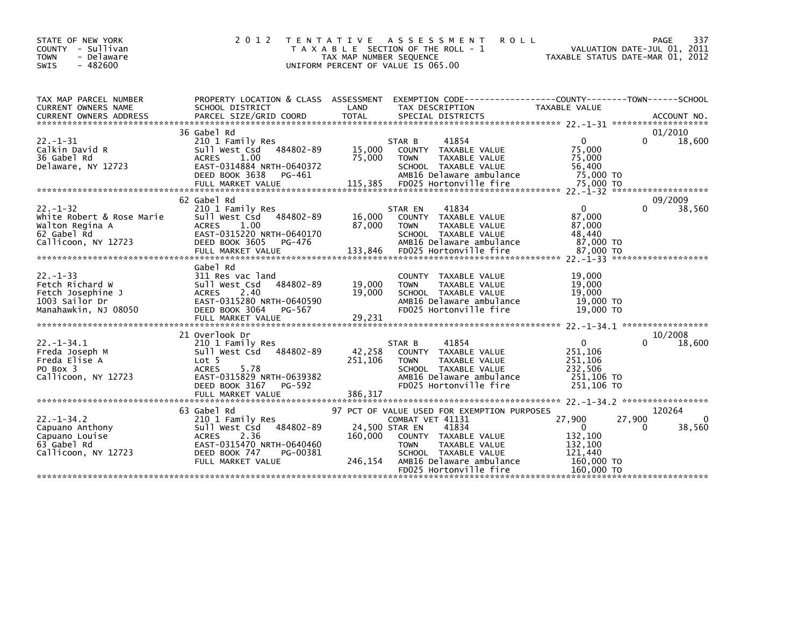| STATE OF NEW YORK<br>COUNTY - Sullivan<br>- Delaware<br><b>TOWN</b><br>$-482600$<br><b>SWIS</b>     | 2 0 1 2                                                                                                                                                                      | T E N T A T I V E<br>TAX MAP NUMBER SEQUENCE | A S S E S S M E N T<br><b>ROLL</b><br>T A X A B L E SECTION OF THE ROLL - 1<br>UNIFORM PERCENT OF VALUE IS 065.00                                                                                              |                                                                                     | 337<br>PAGE<br>VALUATION DATE-JUL 01, 2011<br>TAXABLE STATUS DATE-MAR 01, 2012 |
|-----------------------------------------------------------------------------------------------------|------------------------------------------------------------------------------------------------------------------------------------------------------------------------------|----------------------------------------------|----------------------------------------------------------------------------------------------------------------------------------------------------------------------------------------------------------------|-------------------------------------------------------------------------------------|--------------------------------------------------------------------------------|
| TAX MAP PARCEL NUMBER<br>CURRENT OWNERS NAME                                                        | SCHOOL DISTRICT                                                                                                                                                              | LAND                                         | PROPERTY LOCATION & CLASS ASSESSMENT EXEMPTION CODE---------------COUNTY-------TOWN------SCHOOL<br>TAX DESCRIPTION                                                                                             | TAXABLE VALUE                                                                       |                                                                                |
| $22. - 1 - 31$<br>Calkin David R<br>36 Gabel Rd<br>Delaware, NY 12723                               | 36 Gabel Rd<br>210 1 Family Res<br>Sull West Csd 484802-89<br><b>ACRES</b><br>1.00<br>EAST-0314884 NRTH-0640372<br>DEED BOOK 3638<br>PG-461                                  | 15,000<br>75,000                             | 41854<br>STAR B<br>COUNTY TAXABLE VALUE<br>TAXABLE VALUE<br><b>TOWN</b><br>SCHOOL TAXABLE VALUE<br>AMB16 Delaware ambulance                                                                                    | $\mathbf{0}$<br>75,000<br>75,000<br>56,400<br>75,000 TO                             | 01/2010<br>0<br>18,600                                                         |
| $22 - 1 - 32$<br>White Robert & Rose Marie<br>Walton Regina A<br>62 Gabel Rd<br>Callicoon, NY 12723 | 62 Gabel Rd<br>210 1 Family Res<br>Sull West Csd 484802-89<br><b>ACRES</b><br>1.00<br>EAST-0315220 NRTH-0640170<br>DEED BOOK 3605<br>PG-476                                  | 16,000<br>87,000                             | 41834<br>STAR EN<br>COUNTY TAXABLE VALUE<br>TAXABLE VALUE<br><b>TOWN</b><br>SCHOOL TAXABLE VALUE<br>AMB16 Delaware ambulance                                                                                   | $\mathbf{0}$<br>87,000<br>87,000<br>48.440<br>87,000 TO                             | 09/2009<br>0<br>38,560                                                         |
| $22. - 1 - 33$<br>Fetch Richard W<br>Fetch Josephine J<br>1003 Sailor Dr<br>Manahawkin, NJ 08050    | Gabel Rd<br>311 Res vac land<br>484802-89<br>Sull West Csd<br><b>ACRES</b><br>2.40<br>EAST-0315280 NRTH-0640590<br>DEED BOOK 3064<br>PG-567                                  | 19,000<br>19,000                             | COUNTY TAXABLE VALUE<br><b>TOWN</b><br>TAXABLE VALUE<br>SCHOOL TAXABLE VALUE<br>AMB16 Delaware ambulance<br>FD025 Hortonville fire                                                                             | 19,000<br>19,000<br>19,000<br>$19,000$ TO<br>19,000 TO                              |                                                                                |
| $22. - 1 - 34.1$<br>Freda Joseph M<br>Freda Elise A<br>PO Box 3<br>Callicoon, NY 12723              | 21 Overlook Dr<br>210 1 Family Res<br>Sull West Csd 484802-89<br>Lot 5<br><b>ACRES</b><br>5.78<br>EAST-0315829 NRTH-0639382<br>DEED BOOK 3167<br>PG-592<br>FULL MARKET VALUE | 42,258<br>251,106<br>386,317                 | 41854<br>STAR B<br>TAXABLE VALUE<br><b>COUNTY</b><br>TAXABLE VALUE<br><b>TOWN</b><br>SCHOOL TAXABLE VALUE<br>AMB16 Delaware ambulance<br>FD025 Hortonville fire                                                | $\Omega$<br>251,106<br>251,106<br>232,506<br>251,106 TO<br>251,106 TO               | 10/2008<br>U<br>18,600                                                         |
| $22 - 1 - 34.2$<br>Capuano Anthony<br>Capuano Louise<br>63 Gabel Rd<br>Callicoon, NY 12723          | 63 Gabel Rd<br>210 1 Family Res<br>Sull West Csd 484802-89<br><b>ACRES</b><br>2.36<br>EAST-0315470 NRTH-0640460<br>DEED BOOK 747<br>PG-00381<br>FULL MARKET VALUE            | 24,500 STAR EN<br>160,000<br>246,154         | 97 PCT OF VALUE USED FOR EXEMPTION PURPOSES<br>COMBAT VET 41131<br>41834<br>COUNTY TAXABLE VALUE<br>TAXABLE VALUE<br><b>TOWN</b><br>SCHOOL TAXABLE VALUE<br>AMB16 Delaware ambulance<br>FD025 Hortonville fire | 27,900<br>$\mathbf{0}$<br>132,100<br>132,100<br>121.440<br>160,000 TO<br>160,000 TO | 120264<br>27,900<br>$\Omega$<br>0<br>38,560                                    |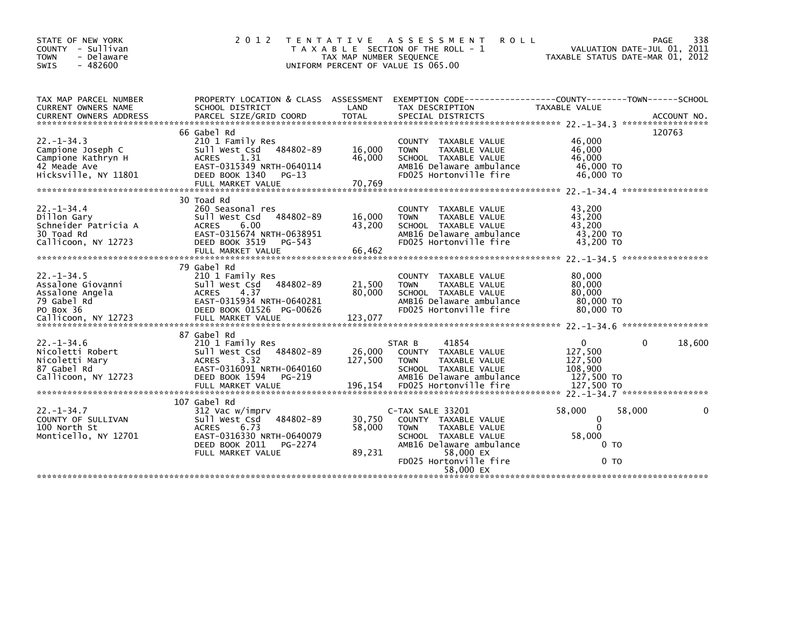| STATE OF NEW YORK<br>COUNTY - Sullivan<br><b>TOWN</b><br>- Delaware<br>$-482600$<br><b>SWIS</b>    | 2 0 1 2                                                                                                                                      | T E N T A T I V E<br>TAX MAP NUMBER SEQUENCE<br>UNIFORM PERCENT OF VALUE IS 065.00 | A S S E S S M E N T<br>T A X A B L E SECTION OF THE ROLL - 1                                                                                                                     | <b>ROLL</b><br>TAXABLE STATUS DATE-MAR 01, 2012                           | PAGE<br>VALUATION DATE-JUL 01, 2011 | 338    |
|----------------------------------------------------------------------------------------------------|----------------------------------------------------------------------------------------------------------------------------------------------|------------------------------------------------------------------------------------|----------------------------------------------------------------------------------------------------------------------------------------------------------------------------------|---------------------------------------------------------------------------|-------------------------------------|--------|
| TAX MAP PARCEL NUMBER<br>CURRENT OWNERS NAME                                                       | PROPERTY LOCATION & CLASS ASSESSMENT<br>SCHOOL DISTRICT                                                                                      | LAND                                                                               | EXEMPTION CODE-----------------COUNTY-------TOWN------SCHOOL<br>TAX DESCRIPTION                                                                                                  | <b>TAXABLE VALUE</b>                                                      |                                     |        |
| $22 - 1 - 34.3$<br>Campione Joseph C<br>Campione Kathryn H<br>42 Meade Ave<br>Hicksville, NY 11801 | 66 Gabel Rd<br>210 1 Family Res<br>Sull West Csd<br>1.31<br><b>ACRES</b><br>EAST-0315349 NRTH-0640114<br>DEED BOOK 1340                      | 484802-89<br>16,000<br>46,000<br>$PG-13$                                           | COUNTY TAXABLE VALUE<br>TAXABLE VALUE<br><b>TOWN</b><br>SCHOOL TAXABLE VALUE<br>AMB16 Delaware ambulance<br>FD025 Hortonville fire                                               | 46,000<br>46,000<br>46,000<br>46,000 TO<br>46,000 TO                      | 120763                              |        |
| $22. - 1 - 34.4$<br>Dillon Gary<br>Schneider Patricia A<br>30 Toad Rd<br>Callicoon, NY 12723       | 30 Toad Rd<br>260 Seasonal res<br>Sull West Csd<br>6.00<br><b>ACRES</b><br>EAST-0315674 NRTH-0638951<br>DEED BOOK 3519<br>FULL MARKET VALUE  | 484802-89<br>16,000<br>43,200<br>PG-543<br>66,462                                  | <b>COUNTY</b><br>TAXABLE VALUE<br>TAXABLE VALUE<br><b>TOWN</b><br>SCHOOL TAXABLE VALUE<br>AMB16 Delaware ambulance<br>FD025 Hortonville fire                                     | 43,200<br>43,200<br>43,200<br>43,200 TO<br>43,200 TO                      |                                     |        |
| $22. - 1 - 34.5$<br>Assalone Giovanni<br>Assalone Angela<br>79 Gabel Rd<br>PO Box 36               | 79 Gabel Rd<br>210 1 Family Res<br>Sull West Csd<br><b>ACRES</b><br>4.37<br>EAST-0315934 NRTH-0640281<br>DEED BOOK 01526 PG-00626            | 484802-89<br>21,500<br>80,000                                                      | COUNTY TAXABLE VALUE<br><b>TOWN</b><br>TAXABLE VALUE<br>SCHOOL TAXABLE VALUE<br>AMB16 Delaware ambulance<br>FD025 Hortonville fire                                               | 80,000<br>80,000<br>80,000<br>80,000 TO<br>80,000 TO                      |                                     |        |
| $22. - 1 - 34.6$<br>Nicoletti Robert<br>Nicoletti Mary<br>87 Gabel Rd<br>Callicoon, NY 12723       | 87 Gabel Rd<br>210 1 Family Res<br>Sull West Csd<br>3.32<br><b>ACRES</b><br>EAST-0316091 NRTH-0640160<br>DEED BOOK 1594<br>FULL MARKET VALUE | 484802-89<br>26,000<br>127,500<br>PG-219<br>196,154                                | 41854<br>STAR B<br>COUNTY TAXABLE VALUE<br><b>TOWN</b><br>TAXABLE VALUE<br>SCHOOL TAXABLE VALUE<br>AMB16 Delaware ambulance<br>FD025 Hortonville fire                            | $\mathbf{0}$<br>127,500<br>127,500<br>108,900<br>127,500 TO<br>127,500 TO | 0                                   | 18,600 |
| $22. - 1 - 34.7$<br>COUNTY OF SULLIVAN<br>100 North St<br>Monticello, NY 12701                     | 107 Gabel Rd<br>312 Vac w/imprv<br>Sull West Csd<br><b>ACRES</b><br>6.73<br>EAST-0316330 NRTH-0640079<br>DEED BOOK 2011<br>FULL MARKET VALUE | 484802-89<br>30,750<br>58,000<br>PG-2274<br>89,231                                 | C-TAX SALE 33201<br>COUNTY TAXABLE VALUE<br><b>TOWN</b><br>TAXABLE VALUE<br>SCHOOL TAXABLE VALUE<br>AMB16 Delaware ambulance<br>58,000 EX<br>FD025 Hortonville fire<br>58.000 EX | 58,000<br>$\mathbf{0}$<br>$\Omega$<br>58,000<br>0 то<br>0 то              | 58,000                              | 0      |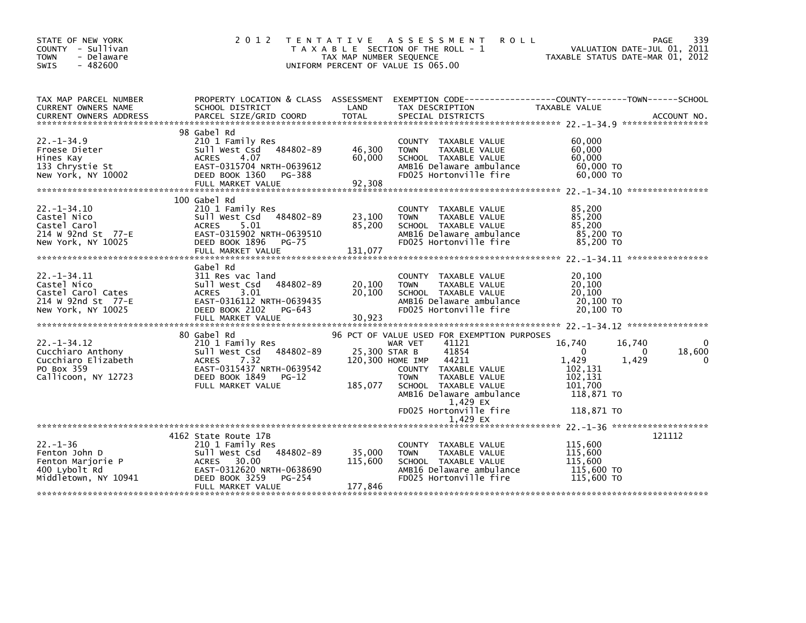| STATE OF NEW YORK<br>COUNTY - Sullivan<br><b>TOWN</b><br>- Delaware<br>$-482600$<br>SWIS     | 2 0 1 2                                                                                                                                  | T E N T A T I V E<br>TAX MAP NUMBER SEQUENCE | ASSESSMENT<br><b>ROLL</b><br>T A X A B L E SECTION OF THE ROLL - 1<br>UNIFORM PERCENT OF VALUE IS 065.00                           |                                                      | 339<br>PAGE<br>VALUATION DATE-JUL 01, 2011<br>TAXABLE STATUS DATE-MAR 01, 2012 |
|----------------------------------------------------------------------------------------------|------------------------------------------------------------------------------------------------------------------------------------------|----------------------------------------------|------------------------------------------------------------------------------------------------------------------------------------|------------------------------------------------------|--------------------------------------------------------------------------------|
| TAX MAP PARCEL NUMBER<br>CURRENT OWNERS NAME<br>CURRENT OWNERS ADDRESS                       | PROPERTY LOCATION & CLASS ASSESSMENT<br>SCHOOL DISTRICT<br>PARCEL SIZE/GRID COORD                                                        | LAND<br><b>TOTAL</b>                         | TAX DESCRIPTION<br>SPECIAL DISTRICTS                                                                                               | TAXABLE VALUE                                        | ACCOUNT NO.                                                                    |
|                                                                                              | 98 Gabel Rd                                                                                                                              |                                              |                                                                                                                                    |                                                      |                                                                                |
| $22. -1 - 34.9$<br>Froese Dieter<br>Hines Kay<br>133 Chrystie St<br>New York, NY 10002       | 210 1 Family Res<br>484802-89<br>Sull West Csd<br>4.07<br>ACRES<br>EAST-0315704 NRTH-0639612<br>DEED BOOK 1360<br>PG-388                 | 46,300<br>60,000                             | COUNTY TAXABLE VALUE<br><b>TOWN</b><br>TAXABLE VALUE<br>SCHOOL TAXABLE VALUE<br>AMB16 Delaware ambulance<br>FD025 Hortonville fire | 60,000<br>60,000<br>60.000<br>60,000 TO<br>60,000 TO |                                                                                |
|                                                                                              | FULL MARKET VALUE                                                                                                                        | 92,308                                       |                                                                                                                                    |                                                      |                                                                                |
| $22. - 1 - 34.10$<br>Castel Nico<br>Castel Carol<br>214 W 92nd St 77-E<br>New York, NY 10025 | 100 Gabel Rd<br>210 1 Family Res<br>Sull West Csd 484802-89<br>5.01<br><b>ACRES</b><br>EAST-0315902 NRTH-0639510<br>DEED BOOK 1896 PG-75 | 23,100<br>85,200                             | COUNTY TAXABLE VALUE<br><b>TOWN</b><br>TAXABLE VALUE<br>SCHOOL TAXABLE VALUE<br>AMB16 Delaware ambulance<br>FD025 Hortonville fire | 85,200<br>85,200<br>85,200<br>85,200 TO<br>85,200 TO |                                                                                |
| $22. -1 - 34.11$                                                                             | Gabel Rd<br>311 Res vac land                                                                                                             |                                              | COUNTY TAXABLE VALUE                                                                                                               | 20,100                                               |                                                                                |
| Castel Nico<br>Castel Carol Cates<br>214 W 92nd St 77-E<br>New York, NY 10025                | Sull West Csd<br>484802-89<br>3.01<br>ACRES<br>EAST-0316112 NRTH-0639435<br>DEED BOOK 2102<br>PG-643                                     | 20,100<br>20,100                             | <b>TOWN</b><br>TAXABLE VALUE<br>SCHOOL TAXABLE VALUE<br>AMB16 Delaware ambulance<br>FD025 Hortonville fire                         | 20,100<br>20,100<br>20,100 TO<br>20,100 TO           |                                                                                |
|                                                                                              | FULL MARKET VALUE                                                                                                                        | 30,923                                       |                                                                                                                                    |                                                      |                                                                                |
|                                                                                              | 80 Gabel Rd                                                                                                                              |                                              | 96 PCT OF VALUE USED FOR EXEMPTION PURPOSES                                                                                        |                                                      |                                                                                |
| $22. - 1 - 34.12$<br>Cucchiaro Anthony<br>Cucchiaro Elizabeth                                | 210 1 Family Res<br>Sull West Csd 484802-89<br><b>ACRES</b><br>7.32                                                                      |                                              | 41121<br>WAR VET<br>25,300 STAR B<br>41854<br>120,300 HOME IMP<br>44211                                                            | 16,740<br>$\Omega$<br>1,429                          | 16,740<br>0<br>18,600<br>0<br>1,429                                            |
| PO Box 359<br>Callicoon, NY 12723                                                            | EAST-0315437 NRTH-0639542<br>DEED BOOK 1849<br>PG-12<br>FULL MARKET VALUE                                                                | 185,077                                      | COUNTY TAXABLE VALUE<br><b>TOWN</b><br>TAXABLE VALUE<br>SCHOOL TAXABLE VALUE                                                       | 102,131<br>102,131<br>101.700                        |                                                                                |
|                                                                                              |                                                                                                                                          |                                              | AMB16 Delaware ambulance<br>1,429 EX                                                                                               | 118,871 TO                                           |                                                                                |
|                                                                                              |                                                                                                                                          |                                              | FD025 Hortonville fire                                                                                                             | 118,871 TO                                           |                                                                                |
|                                                                                              | 4162 State Route 17B                                                                                                                     |                                              | 1,429 EX                                                                                                                           |                                                      | 121112                                                                         |
| $22 - 1 - 36$                                                                                | 210 1 Family Res                                                                                                                         |                                              | COUNTY TAXABLE VALUE                                                                                                               | 115,600                                              |                                                                                |
| Fenton John D<br>Fenton Marjorie P<br>400 Lybolt Rd                                          | sull west Csd<br>484802-89<br>ACRES 30.00<br>EAST-0312620 NRTH-0638690                                                                   | 35,000<br>115,600                            | TAXABLE VALUE<br>TOWN<br>SCHOOL TAXABLE VALUE<br>AMB16 Delaware ambulance                                                          | 115,600<br>115,600<br>115,600 TO                     |                                                                                |
| Middletown, NY 10941                                                                         | DEED BOOK 3259<br>PG-254<br>FULL MARKET VALUE                                                                                            | 177,846                                      | FD025 Hortonville fire                                                                                                             | 115,600 TO                                           |                                                                                |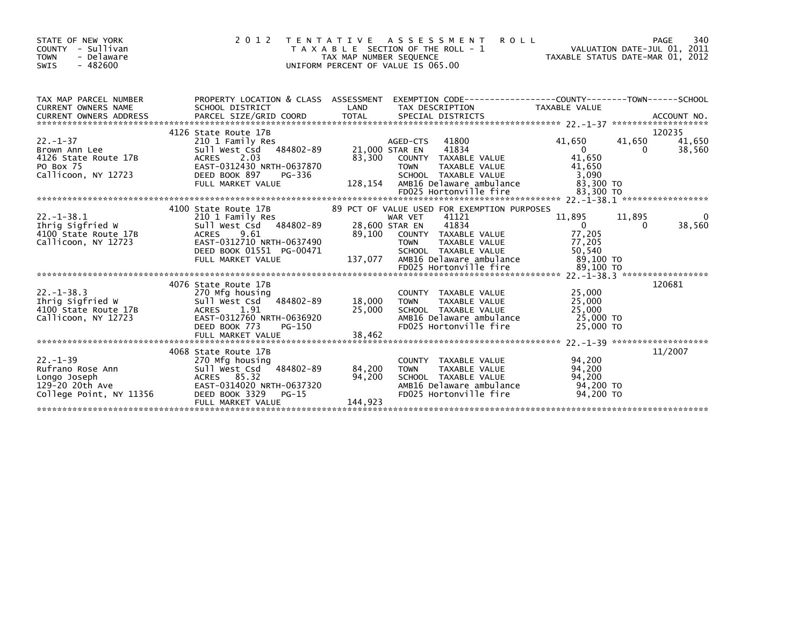| STATE OF NEW YORK<br>COUNTY - Sullivan<br><b>TOWN</b><br>- Delaware<br>$-482600$<br>SWIS                   | 2 0 1 2                                                                                                                                                                      | TAX MAP NUMBER SEQUENCE     | <b>ROLL</b><br>TENTATIVE ASSESSMENT<br>T A X A B L E SECTION OF THE ROLL - 1<br>UNIFORM PERCENT OF VALUE IS 065.00                                                                                     | VALUATION DATE-JUL 01, 2011<br>TAXABLE STATUS DATE-MAR 01, 2012               | 340<br>PAGE                  |
|------------------------------------------------------------------------------------------------------------|------------------------------------------------------------------------------------------------------------------------------------------------------------------------------|-----------------------------|--------------------------------------------------------------------------------------------------------------------------------------------------------------------------------------------------------|-------------------------------------------------------------------------------|------------------------------|
| TAX MAP PARCEL NUMBER<br>CURRENT OWNERS NAME                                                               | SCHOOL DISTRICT                                                                                                                                                              | LAND                        | PROPERTY LOCATION & CLASS ASSESSMENT EXEMPTION CODE----------------COUNTY-------TOWN------SCHOOL<br>TAX DESCRIPTION                                                                                    | TAXABLE VALUE                                                                 |                              |
|                                                                                                            | 4126 State Route 17B                                                                                                                                                         |                             |                                                                                                                                                                                                        |                                                                               | 120235                       |
| $22 - 1 - 37$<br>Brown Ann Lee<br>4126 State Route 17B<br>PO Box 75<br>Callicoon, NY 12723                 | 210 1 Family Res<br>sull west Csd<br>484802-89<br>2.03<br><b>ACRES</b><br>EAST-0312430 NRTH-0637870<br>DEED BOOK 897<br>PG-336<br>FULL MARKET VALUE                          | 83.300<br>128,154           | 41800<br>AGED-CTS<br>21,000 STAR EN<br>41834<br>COUNTY TAXABLE VALUE<br><b>TOWN</b><br>TAXABLE VALUE<br>SCHOOL TAXABLE VALUE<br>AMB16 Delaware ambulance                                               | 41,650<br>41,650<br>$\overline{0}$<br>41.650<br>41,650<br>3.090<br>83,300 TO  | 41,650<br>38,560<br>$\Omega$ |
|                                                                                                            |                                                                                                                                                                              |                             |                                                                                                                                                                                                        |                                                                               |                              |
| $22. -1 - 38.1$<br>Ihrig Sigfried W<br>4100 State Route 17B<br>Callicoon, NY 12723                         | 4100 State Route 17B<br>210 1 Family Res<br>484802-89<br>Sull West Csd<br>9.61<br><b>ACRES</b><br>EAST-0312710 NRTH-0637490<br>DEED BOOK 01551 PG-00471<br>FULL MARKET VALUE | 89,100<br>137,077           | 89 PCT OF VALUE USED FOR EXEMPTION PURPOSES<br>WAR VET<br>41121<br>28,600 STAR EN<br>41834<br>COUNTY TAXABLE VALUE<br>TAXABLE VALUE<br><b>TOWN</b><br>SCHOOL TAXABLE VALUE<br>AMB16 Delaware ambulance | 11,895<br>11,895<br>$\overline{0}$<br>77,205<br>77,205<br>50,540<br>89,100 TO | 0<br>38,560<br>$\Omega$      |
|                                                                                                            |                                                                                                                                                                              |                             | FD025 Hortonville fire                                                                                                                                                                                 | 89,100 TO                                                                     |                              |
| $22 - 1 - 38.3$<br>__. ____.,<br>Ihrig Sigfried W<br>4100 C<br>4100 State Route 17B<br>Callicoon, NY 12723 | 4076 State Route 17B<br>270 Mfg housing<br>Sull West Csd 484802-89<br>ACRES 1.91<br>EAST-0312760 NRTH-0636920<br>DEED BOOK 773<br>PG-150<br>FULL MARKET VALUE                | 18,000<br>25,000<br>38,462  | <b>COUNTY</b><br>TAXABLE VALUE<br>TAXABLE VALUE<br><b>TOWN</b><br>SCHOOL TAXABLE VALUE<br>AMB16 Delaware ambulance<br>FD025 Hortonville fire                                                           | 25,000<br>25,000<br>25,000<br>25,000 TO<br>25,000 TO                          | 120681                       |
|                                                                                                            |                                                                                                                                                                              |                             |                                                                                                                                                                                                        |                                                                               |                              |
| $22 - 1 - 39$<br>Rufrano Rose Ann<br>Longo Joseph<br>129-20 20th Ave<br>College Point, NY 11356            | 4068 State Route 17B<br>270 Mfg housing<br>484802-89<br>Sull West Csd<br>ACRES 85.32<br>EAST-0314020 NRTH-0637320<br>DEED BOOK 3329<br>$PG-15$<br>FULL MARKET VALUE          | 84,200<br>94,200<br>144,923 | COUNTY TAXABLE VALUE<br>TAXABLE VALUE<br><b>TOWN</b><br>SCHOOL TAXABLE VALUE<br>AMB16 Delaware ambulance<br>FD025 Hortonville fire                                                                     | 94,200<br>94,200<br>94,200<br>94.200 TO<br>94,200 TO                          | 11/2007                      |
|                                                                                                            |                                                                                                                                                                              |                             |                                                                                                                                                                                                        |                                                                               |                              |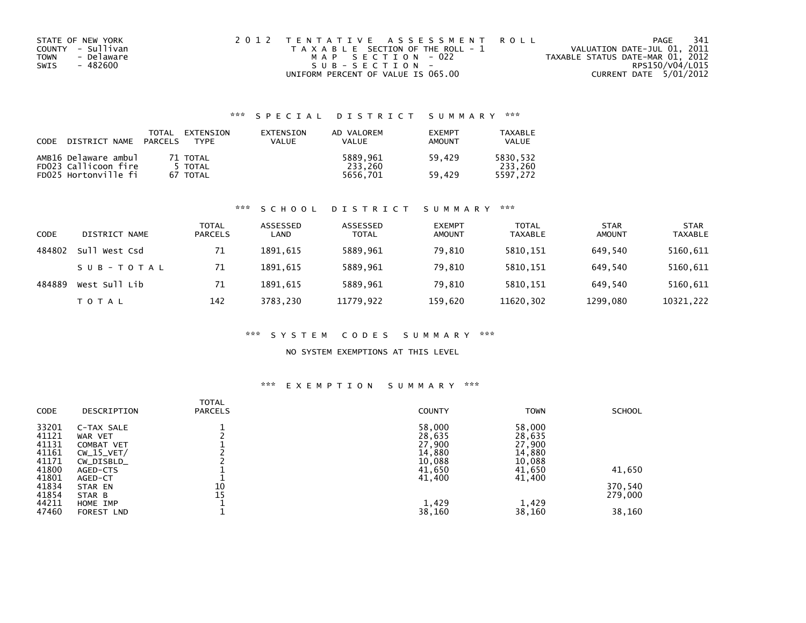| STATE OF NEW YORK         | 2012 TENTATIVE ASSESSMENT ROLL        | -341<br>PAGE                     |
|---------------------------|---------------------------------------|----------------------------------|
| COUNTY - Sullivan         | T A X A B L E SECTION OF THE ROLL - 1 | VALUATION DATE-JUL 01, 2011      |
| - Delaware<br><b>TOWN</b> | MAP SECTION - 022                     | TAXABLE STATUS DATE-MAR 01, 2012 |
| SWIS<br>- 482600          | SUB-SECTION-                          | RPS150/V04/L015                  |
|                           | UNIFORM PERCENT OF VALUE IS 065.00    | CURRENT DATE 5/01/2012           |

## \*\*\* S P E C I A L D I S T R I C T S U M M A R Y \*\*\*

| CODE | DISTRICT NAME        | TOTAL<br>PARCELS | EXTENSION<br><b>TYPF</b> | EXTENSION<br>VALUE | AD VALOREM<br><b>VALUE</b> | <b>EXEMPT</b><br>AMOUNT | TAXABLE<br><b>VALUE</b> |
|------|----------------------|------------------|--------------------------|--------------------|----------------------------|-------------------------|-------------------------|
|      | AMB16 Delaware ambul |                  | 71 TOTAL                 |                    | 5889.961                   | 59.429                  | 5830.532                |
|      | FD023 Callicoon fire |                  | 5 TOTAL                  |                    | 233.260                    |                         | 233.260                 |
|      | FD025 Hortonville fi |                  | 67 TOTAL                 |                    | 5656.701                   | 59.429                  | 5597.272                |

#### \*\*\* S C H O O L D I S T R I C T S U M M A R Y \*\*\*

| <b>CODE</b> | DISTRICT NAME | <b>TOTAL</b><br><b>PARCELS</b> | ASSESSED<br>LAND | ASSESSED<br><b>TOTAL</b> | <b>EXEMPT</b><br><b>AMOUNT</b> | <b>TOTAL</b><br><b>TAXABLE</b> | <b>STAR</b><br><b>AMOUNT</b> | <b>STAR</b><br><b>TAXABLE</b> |
|-------------|---------------|--------------------------------|------------------|--------------------------|--------------------------------|--------------------------------|------------------------------|-------------------------------|
| 484802      | Sull West Csd | 71                             | 1891.615         | 5889,961                 | 79,810                         | 5810,151                       | 649.540                      | 5160,611                      |
|             | SUB-TOTAL     | 71                             | 1891.615         | 5889,961                 | 79.810                         | 5810,151                       | 649.540                      | 5160,611                      |
| 484889      | West Sull Lib | 71                             | 1891.615         | 5889,961                 | 79,810                         | 5810,151                       | 649.540                      | 5160,611                      |
|             | TOTAL         | 142                            | 3783.230         | 11779,922                | 159,620                        | 11620,302                      | 1299,080                     | 10321,222                     |

#### \*\*\* S Y S T E M C O D E S S U M M A R Y \*\*\*

### NO SYSTEM EXEMPTIONS AT THIS LEVEL

#### \*\*\* E X E M P T I O N S U M M A R Y \*\*\*

| CODE  | DESCRIPTION  | <b>TOTAL</b><br><b>PARCELS</b> | <b>COUNTY</b> | <b>TOWN</b> | <b>SCHOOL</b> |
|-------|--------------|--------------------------------|---------------|-------------|---------------|
| 33201 | C-TAX SALE   |                                | 58,000        | 58,000      |               |
| 41121 | WAR VET      |                                | 28,635        | 28,635      |               |
| 41131 | COMBAT VET   |                                | 27,900        | 27,900      |               |
| 41161 | $CW_15_VET/$ |                                | 14,880        | 14,880      |               |
| 41171 | CW_DISBLD_   |                                | 10,088        | 10,088      |               |
| 41800 | AGED-CTS     |                                | 41,650        | 41,650      | 41,650        |
| 41801 | AGED-CT      |                                | 41,400        | 41,400      |               |
| 41834 | STAR EN      | 10                             |               |             | 370,540       |
| 41854 | STAR B       | 15                             |               |             | 279,000       |
| 44211 | HOME IMP     |                                | 1,429         | 1,429       |               |
| 47460 | FOREST LND   |                                | 38,160        | 38,160      | 38,160        |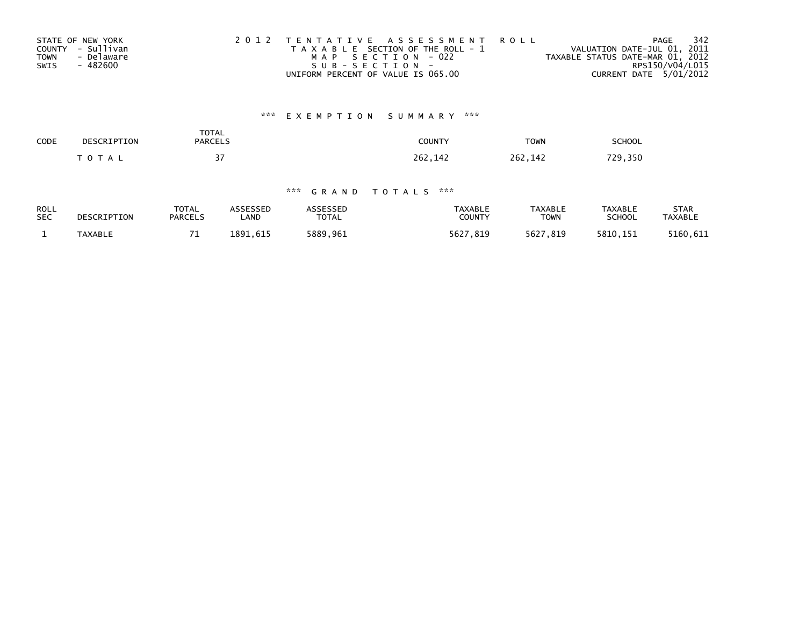| STATE OF NEW YORK         | 2012 TENTATIVE ASSESSMENT ROLL        | 342<br>PAGE                      |
|---------------------------|---------------------------------------|----------------------------------|
| COUNTY - Sullivan         | T A X A B L E SECTION OF THE ROLL - 1 | VALUATION DATE-JUL 01, 2011      |
| - Delaware<br><b>TOWN</b> | MAP SECTION - 022                     | TAXABLE STATUS DATE-MAR 01, 2012 |
| SWIS<br>- 482600          | SUB-SECTION-                          | RPS150/V04/L015                  |
|                           | UNIFORM PERCENT OF VALUE IS 065.00    | CURRENT DATE 5/01/2012           |

# \*\*\* E X E M P T I O N S U M M A R Y \*\*\*

| SCHOOL  | <b>TOWN</b>  | COUNTY  | TOTAL<br><b>PARCELS</b> | DESCRIPTION  | CODE |
|---------|--------------|---------|-------------------------|--------------|------|
| 729,350 | 262<br>. 142 | 262.142 | $\sim$ $-$<br>. .       | <b>TOTAL</b> |      |

## \*\*\* G R A N D T O T A L S \*\*\*

| <b>ROLL</b> | DESCRIPTION    | <b>TOTAL</b>   | ASSESSED | <b>ASSESSED</b> | TAXABLE       | <b>TAXABLE</b> | TAXABLE       | STAR           |
|-------------|----------------|----------------|----------|-----------------|---------------|----------------|---------------|----------------|
| <b>SEC</b>  |                | <b>PARCELS</b> | LAND     | TOTAL           | <b>COUNTY</b> | TOWN           | <b>SCHOOL</b> | <b>TAXABLE</b> |
|             | <b>TAXABLE</b> | -              | 1891.615 | 5889,961        | 5627.819      | 5627.819       | 5810.151      | 5160.611       |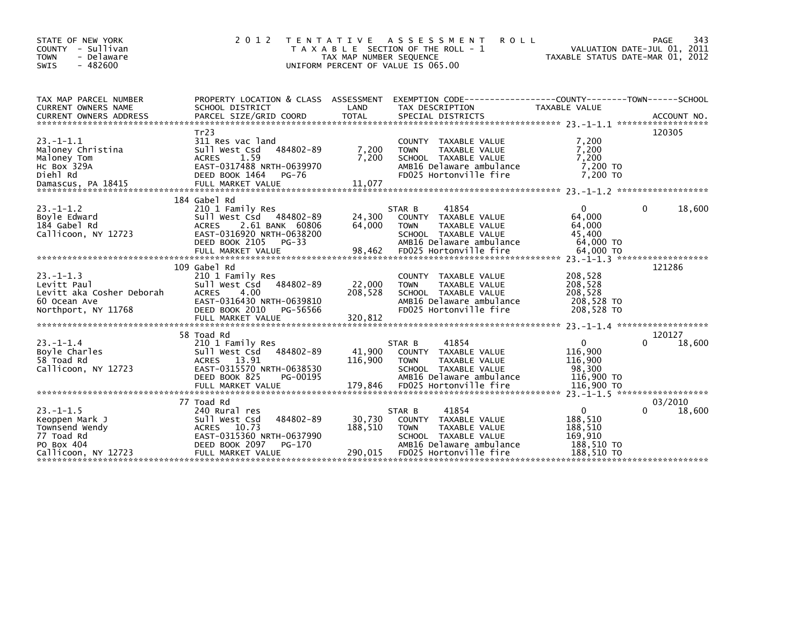| STATE OF NEW YORK<br>COUNTY - Sullivan<br><b>TOWN</b><br>- Delaware<br>$-482600$<br><b>SWIS</b>       | 2 0 1 2                                                                                                                                                | T E N T A T I V E<br>TAX MAP NUMBER SEQUENCE | A S S E S S M E N T<br><b>ROLL</b><br>T A X A B L E SECTION OF THE ROLL - 1<br>UNIFORM PERCENT OF VALUE IS 065.00                                     | VALUATION DATE-JUL 01, 2011<br>TAXABLE STATUS DATE-MAR 01, 2012 | PAGE    | 343    |
|-------------------------------------------------------------------------------------------------------|--------------------------------------------------------------------------------------------------------------------------------------------------------|----------------------------------------------|-------------------------------------------------------------------------------------------------------------------------------------------------------|-----------------------------------------------------------------|---------|--------|
| TAX MAP PARCEL NUMBER<br>CURRENT OWNERS NAME                                                          | PROPERTY LOCATION & CLASS ASSESSMENT<br>SCHOOL DISTRICT                                                                                                | LAND                                         | TAX DESCRIPTION                                                                                                                                       | TAXABLE VALUE                                                   |         |        |
| $23. -1 - 1.1$<br>Maloney Christina<br>Maloney Tom<br>HC Box 329A<br>Diehl Rd                         | Tr23<br>311 Res vac land<br>484802-89<br>Sull West Csd<br><b>ACRES</b><br>1.59<br>EAST-0317488 NRTH-0639970<br>DEED BOOK 1464<br>PG-76                 | 7,200<br>7,200                               | COUNTY TAXABLE VALUE<br><b>TOWN</b><br>TAXABLE VALUE<br>SCHOOL TAXABLE VALUE<br>AMB16 Delaware ambulance<br>FD025 Hortonville fire                    | 7,200<br>7,200<br>7.200<br>7,200 TO<br>7.200 TO                 | 120305  |        |
| $23. - 1 - 1.2$<br>Boyle Edward<br>184 Gabel Rd<br>Callicoon, NY 12723                                | 184 Gabel Rd<br>210 1 Family Res<br>Sull West Csd 484802-89<br><b>ACRES</b><br>2.61 BANK 60806<br>EAST-0316920 NRTH-0638200<br>DEED BOOK 2105<br>PG-33 | 24,300<br>64.000                             | 41854<br>STAR B<br>COUNTY TAXABLE VALUE<br><b>TOWN</b><br>TAXABLE VALUE<br>SCHOOL TAXABLE VALUE<br>AMB16 Delaware ambulance                           | $\mathbf{0}$<br>64,000<br>64,000<br>45,400<br>64,000 TO         | 0       | 18,600 |
| $23. -1 - 1.3$<br>Levitt Paul<br>Levitt aka Cosher Deborah<br>60 Ocean Ave<br>Northport, NY 11768     | 109 Gabel Rd<br>210 1 Family Res<br>Sull West Csd<br>484802-89<br><b>ACRES</b><br>4.00<br>EAST-0316430 NRTH-0639810<br>DEED BOOK 2010<br>PG-56566      | 22,000<br>208.528                            | COUNTY TAXABLE VALUE<br><b>TAXABLE VALUE</b><br><b>TOWN</b><br>SCHOOL TAXABLE VALUE<br>AMB16 Delaware ambulance<br>FD025 Hortonville fire             | 208,528<br>208,528<br>208,528<br>208,528 TO<br>208,528 TO       | 121286  |        |
| $23 - 1 - 1.4$<br>Boyle Charles<br>58 Toad Rd<br>Callicoon, NY 12723                                  | 58 Toad Rd<br>210 1 Family Res<br>Sull West Csd<br>484802-89<br>ACRES 13.91<br>EAST-0315570 NRTH-0638530<br>DEED BOOK 825<br>PG-00195                  | 41,900<br>116,900                            | 41854<br>STAR B<br>COUNTY TAXABLE VALUE<br>TAXABLE VALUE<br><b>TOWN</b><br>SCHOOL TAXABLE VALUE<br>AMB16 Delaware ambulance                           | $\mathbf 0$<br>116,900<br>116,900<br>98,300<br>116,900 TO       | 120127  | 18,600 |
| $23. -1 - 1.5$<br>Keoppen Mark J<br>Townsend Wendy<br>77 Toad Rd<br>PO Box 404<br>Callicoon, NY 12723 | 77 Toad Rd<br>240 Rural res<br>Sull West Csd<br>484802-89<br>ACRES 10.73<br>EAST-0315360 NRTH-0637990<br>DEED BOOK 2097<br>PG-170<br>FULL MARKET VALUE | 30,730<br>188,510<br>290,015                 | 41854<br>STAR B<br>COUNTY TAXABLE VALUE<br><b>TOWN</b><br>TAXABLE VALUE<br>SCHOOL TAXABLE VALUE<br>AMB16 Delaware ambulance<br>FD025 Hortonville fire | 0<br>188,510<br>188,510<br>169,910<br>188,510 TO<br>188,510 TO  | 03/2010 | 18,600 |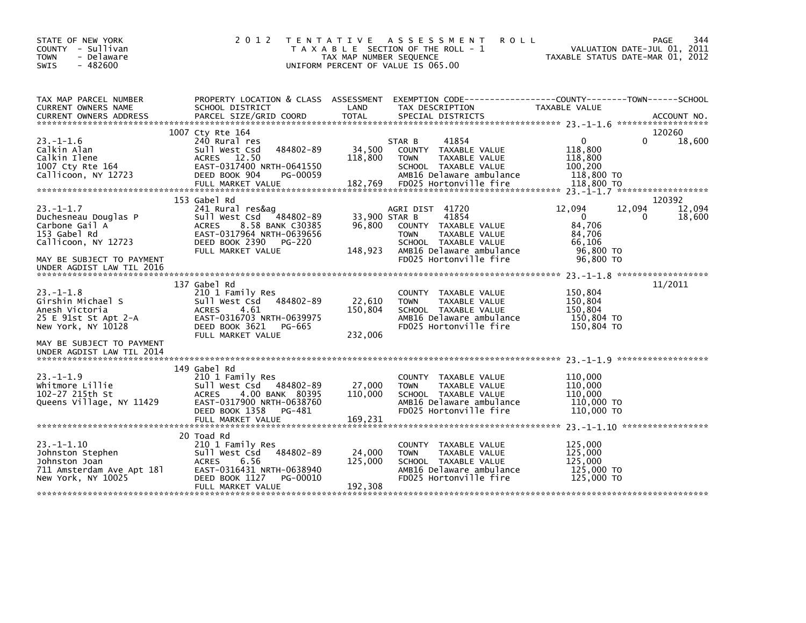| STATE OF NEW YORK<br>COUNTY - Sullivan<br><b>TOWN</b><br>- Delaware<br>$-482600$<br><b>SWIS</b>         | 2 0 1 2                                                                                                                                                              | TAX MAP NUMBER SEQUENCE<br>UNIFORM PERCENT OF VALUE IS 065.00 | TENTATIVE ASSESSMENT<br><b>ROLL</b><br>T A X A B L E SECTION OF THE ROLL - 1                                                                 |                                                           | PAGE<br>344<br>VALUATION DATE-JUL 01, 2011<br>TAXABLE STATUS DATE-MAR 01, 2012 |
|---------------------------------------------------------------------------------------------------------|----------------------------------------------------------------------------------------------------------------------------------------------------------------------|---------------------------------------------------------------|----------------------------------------------------------------------------------------------------------------------------------------------|-----------------------------------------------------------|--------------------------------------------------------------------------------|
| TAX MAP PARCEL NUMBER<br>CURRENT OWNERS NAME<br><b>CURRENT OWNERS ADDRESS</b>                           | PROPERTY LOCATION & CLASS ASSESSMENT<br>SCHOOL DISTRICT<br>PARCEL SIZE/GRID COORD                                                                                    | LAND<br><b>TOTAL</b>                                          | EXEMPTION CODE------------------COUNTY--------TOWN------SCHOOL<br>TAX DESCRIPTION<br>SPECIAL DISTRICTS                                       | TAXABLE VALUE                                             | ACCOUNT NO.                                                                    |
|                                                                                                         |                                                                                                                                                                      |                                                               |                                                                                                                                              |                                                           |                                                                                |
| $23 - 1 - 1.6$                                                                                          | 1007 Cty Rte 164<br>240 Rural res                                                                                                                                    | STAR B                                                        | 41854                                                                                                                                        | $\Omega$                                                  | 120260<br>0<br>18,600                                                          |
| Calkin Alan<br>Calkin Ilene<br>1007 Cty Rte 164<br>Callicoon, NY 12723                                  | 484802-89<br>Sull West Csd<br>ACRES 12.50<br>EAST-0317400 NRTH-0641550<br>DEED BOOK 904<br>PG-00059                                                                  | 34,500<br>118,800                                             | COUNTY TAXABLE VALUE<br><b>TOWN</b><br>TAXABLE VALUE<br>SCHOOL TAXABLE VALUE<br>AMB16 Delaware ambulance                                     | 118,800<br>118,800<br>100,200<br>118,800 TO               |                                                                                |
|                                                                                                         | FULL MARKET VALUE                                                                                                                                                    | 182,769                                                       | FD025 Hortonville fire                                                                                                                       | 118,800 TO                                                |                                                                                |
|                                                                                                         |                                                                                                                                                                      |                                                               |                                                                                                                                              |                                                           |                                                                                |
| $23. -1 - 1.7$<br>Duchesneau Douglas P<br>Carbone Gail A<br>153 Gabel Rd                                | 153 Gabel Rd<br>241 Rural res&ag<br>Sull West Csd<br>484802-89<br><b>ACRES</b><br>8.58 BANK C30385<br>EAST-0317964 NRTH-0639656                                      | 33,900 STAR B<br>96,800                                       | AGRI DIST 41720<br>41854<br>COUNTY TAXABLE VALUE<br>TAXABLE VALUE<br><b>TOWN</b>                                                             | 12,094<br>$\mathbf{0}$<br>84,706<br>84,706                | 120392<br>12,094<br>12,094<br>18,600<br>0                                      |
| Callicoon, NY 12723                                                                                     | DEED BOOK 2390<br>PG-220                                                                                                                                             |                                                               | SCHOOL TAXABLE VALUE                                                                                                                         | 66,106                                                    |                                                                                |
| MAY BE SUBJECT TO PAYMENT<br>UNDER AGDIST LAW TIL 2016                                                  | FULL MARKET VALUE                                                                                                                                                    | 148,923                                                       | AMB16 Delaware ambulance<br>FD025 Hortonville fire                                                                                           | 96,800 TO<br>96,800 TO                                    |                                                                                |
|                                                                                                         |                                                                                                                                                                      |                                                               |                                                                                                                                              |                                                           |                                                                                |
| $23. - 1 - 1.8$<br>Girshin Michael S<br>Anesh Victoria<br>25 E 91st St Apt 2-A<br>New York, NY 10128    | 137 Gabel Rd<br>210 1 Family Res<br>484802-89<br>Sull West Csd<br><b>ACRES</b><br>4.61<br>EAST-0316703 NRTH-0639975<br>DEED BOOK 3621<br>PG-665<br>FULL MARKET VALUE | 22,610<br>150,804<br>232,006                                  | TAXABLE VALUE<br><b>COUNTY</b><br>TAXABLE VALUE<br><b>TOWN</b><br>SCHOOL TAXABLE VALUE<br>AMB16 Delaware ambulance<br>FD025 Hortonville fire | 150,804<br>150,804<br>150,804<br>150,804 TO<br>150,804 TO | 11/2011                                                                        |
| MAY BE SUBJECT TO PAYMENT<br>UNDER AGDIST LAW TIL 2014                                                  |                                                                                                                                                                      |                                                               |                                                                                                                                              |                                                           |                                                                                |
|                                                                                                         | 149 Gabel Rd                                                                                                                                                         |                                                               |                                                                                                                                              |                                                           |                                                                                |
| $23. -1 - 1.9$<br>Whitmore Lillie<br>102-27 215th St<br>Queens Village, NY 11429                        | 210 1 Family Res<br>Sull West Csd<br>484802-89<br>4.00 BANK 80395<br><b>ACRES</b><br>EAST-0317900 NRTH-0638760<br>DEED BOOK 1358<br>PG-481                           | 27,000<br>110,000                                             | COUNTY TAXABLE VALUE<br><b>TOWN</b><br>TAXABLE VALUE<br>SCHOOL TAXABLE VALUE<br>AMB16 Delaware ambulance<br>FD025 Hortonville fire           | 110,000<br>110,000<br>110,000<br>110,000 TO<br>110,000 TO |                                                                                |
|                                                                                                         | FULL MARKET VALUE                                                                                                                                                    | 169,231                                                       |                                                                                                                                              |                                                           |                                                                                |
| $23 - 1 - 1.10$<br>Johnston Stephen<br>Johnston Joan<br>711 Amsterdam Ave Apt 181<br>New York, NY 10025 | 20 Toad Rd<br>210 1 Family Res<br>Sull West Csd<br>484802-89<br><b>ACRES</b><br>6.56<br>EAST-0316431 NRTH-0638940<br>DEED BOOK 1127<br>PG-00010<br>FULL MARKET VALUE | 24,000<br>125,000<br>192,308                                  | COUNTY TAXABLE VALUE<br>TAXABLE VALUE<br><b>TOWN</b><br>SCHOOL TAXABLE VALUE<br>AMB16 Delaware ambulance<br>FD025 Hortonville fire           | 125,000<br>125,000<br>125,000<br>125,000 TO<br>125,000 TO |                                                                                |
|                                                                                                         |                                                                                                                                                                      |                                                               |                                                                                                                                              |                                                           |                                                                                |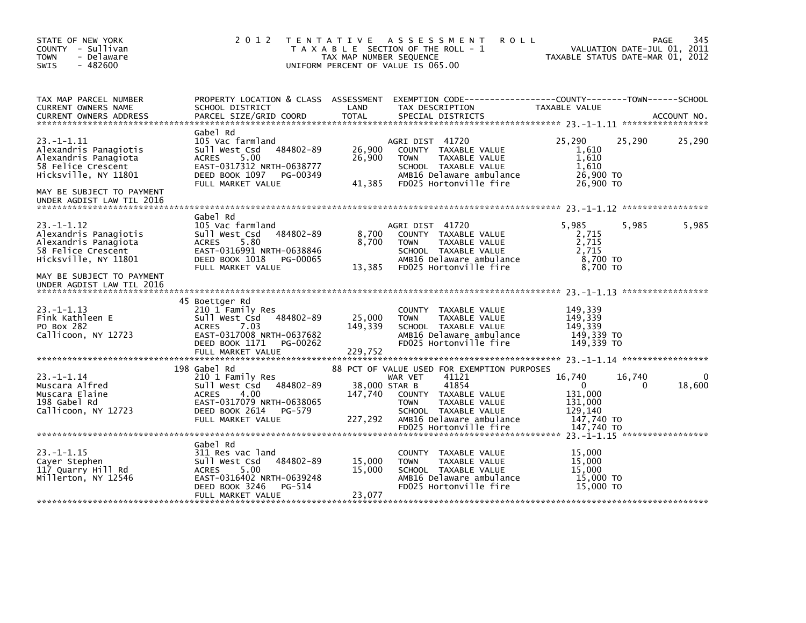| STATE OF NEW YORK<br>COUNTY - Sullivan<br><b>TOWN</b><br>- Delaware<br>$-482600$<br>SWIS                                                    | 2 0 1 2                                                                                                                                                                  | TAX MAP NUMBER SEQUENCE      | TENTATIVE ASSESSMENT<br><b>ROLL</b><br>T A X A B L E SECTION OF THE ROLL - 1<br>UNIFORM PERCENT OF VALUE IS 065.00                                                        | TAXABLE STATUS DATE-MAR 01, 2012                            | VALUATION DATE-JUL 01, 2011 | 345<br>PAGE |
|---------------------------------------------------------------------------------------------------------------------------------------------|--------------------------------------------------------------------------------------------------------------------------------------------------------------------------|------------------------------|---------------------------------------------------------------------------------------------------------------------------------------------------------------------------|-------------------------------------------------------------|-----------------------------|-------------|
| TAX MAP PARCEL NUMBER<br>CURRENT OWNERS NAME                                                                                                | SCHOOL DISTRICT                                                                                                                                                          | LAND                         | PROPERTY LOCATION & CLASS ASSESSMENT EXEMPTION CODE----------------COUNTY-------TOWN-----SCHOOL<br>TAX DESCRIPTION                                                        | TAXABLE VALUE                                               |                             |             |
| $23. -1 - 1.11$<br>Alexandris Panagiotis<br>Alexandris Panagiota<br>58 Felice Crescent<br>Hicksville, NY 11801<br>MAY BE SUBJECT TO PAYMENT | Gabel Rd<br>105 Vac farmland<br>484802-89<br>Sull West Csd<br><b>ACRES</b><br>5.00<br>EAST-0317312 NRTH-0638777<br>DEED BOOK 1097 PG-00349<br>FULL MARKET VALUE          | 26,900<br>26,900<br>41,385   | AGRI DIST 41720<br>COUNTY TAXABLE VALUE<br>TAXABLE VALUE<br><b>TOWN</b><br>SCHOOL TAXABLE VALUE<br>AMB16 Delaware ambulance<br>FD025 Hortonville fire                     | 25,290<br>1,610<br>1,610<br>1,610<br>26,900 TO<br>26,900 ТО | 25,290                      | 25,290      |
| UNDER AGDIST LAW TIL 2016                                                                                                                   |                                                                                                                                                                          |                              |                                                                                                                                                                           |                                                             |                             |             |
| $23. -1 - 1.12$<br>Alexandris Panagiotis<br>Alexandris Panagiota<br>58 Felice Crescent<br>Hicksville, NY 11801                              | Gabel Rd<br>105 Vac farmland<br>Sull West Csd 484802-89<br>5.80<br><b>ACRES</b><br>EAST-0316991 NRTH-0638846<br>DEED BOOK 1018 PG-00065                                  | 8,700<br>8,700               | AGRI DIST 41720<br>COUNTY TAXABLE VALUE<br>TAXABLE VALUE<br><b>TOWN</b><br>SCHOOL TAXABLE VALUE<br>AMB16 Delaware ambulance<br>FD025 Hortonville fire                     | 5,985<br>2,715<br>2,715<br>2,715<br>8,700 TO<br>8.700 TO    | 5,985                       | 5,985       |
| MAY BE SUBJECT TO PAYMENT<br>UNDER AGDIST LAW TIL 2016                                                                                      | FULL MARKET VALUE                                                                                                                                                        | 13,385                       |                                                                                                                                                                           |                                                             |                             |             |
| $23. -1 - 1.13$<br>Fink Kathleen E<br>PO Box 282<br>Callicoon, NY 12723                                                                     | 45 Boettger Rd<br>210 1 Family Res<br>484802-89<br>Sull West Csd<br><b>ACRES</b><br>7.03<br>EAST-0317008 NRTH-0637682<br>DEED BOOK 1171<br>PG-00262<br>FULL MARKET VALUE | 25,000<br>149,339<br>229,752 | COUNTY TAXABLE VALUE<br>TAXABLE VALUE<br><b>TOWN</b><br>SCHOOL TAXABLE VALUE<br>AMB16 Delaware ambulance<br>FD025 Hortonville fire                                        | 149,339<br>149,339<br>149.339<br>149,339 TO<br>149.339 TO   |                             |             |
|                                                                                                                                             |                                                                                                                                                                          |                              |                                                                                                                                                                           |                                                             |                             |             |
| $23. -1 - 1.14$<br>Muscara Alfred<br>Muscara Elaine<br>198 Gabel Rd<br>Callicoon, NY 12723                                                  | 198 Gabel Rd<br>210 1 Family Res<br>Sull West Csd<br>484802-89<br><b>ACRES</b><br>4.00<br>EAST-0317079 NRTH-0638065<br>DEED BOOK 2614<br>PG-579                          | 147,740                      | 88 PCT OF VALUE USED FOR EXEMPTION PURPOSES<br>41121<br>WAR VET<br>41854<br>38,000 STAR B<br>COUNTY TAXABLE VALUE<br><b>TOWN</b><br>TAXABLE VALUE<br>SCHOOL TAXABLE VALUE | 16,740<br>$\Omega$<br>131,000<br>131,000<br>129,140         | 16,740<br>$\Omega$          | 18,600      |
|                                                                                                                                             | FULL MARKET VALUE                                                                                                                                                        | 227,292                      | AMB16 Delaware ambulance<br>FD025 Hortonville fire                                                                                                                        | 147,740 TO<br>147,740 TO                                    |                             |             |
| $23. -1 - 1.15$<br>Cayer Stephen<br>117 Quarry Hill Rd<br>Millerton, NY 12546                                                               | Gabel Rd<br>311 Res vac land<br>484802-89<br>Sull West Csd<br>5.00<br><b>ACRES</b><br>EAST-0316402 NRTH-0639248<br>DEED BOOK 3246<br>PG-514<br>FULL MARKET VALUE         | 15,000<br>15,000<br>23,077   | COUNTY TAXABLE VALUE<br><b>TOWN</b><br>TAXABLE VALUE<br>SCHOOL TAXABLE VALUE<br>AMB16 Delaware ambulance<br>FD025 Hortonville fire                                        | 15,000<br>15,000<br>15,000<br>15,000 TO<br>15,000 TO        |                             |             |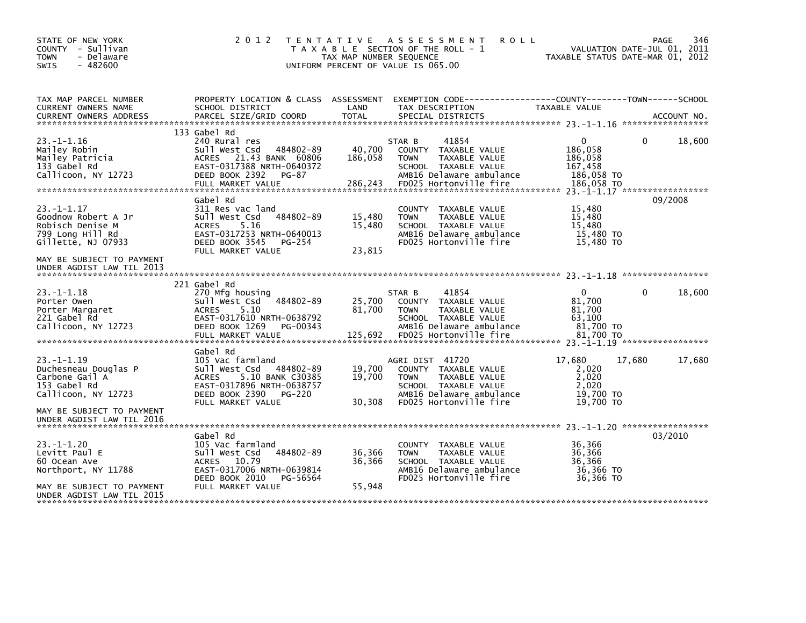| STATE OF NEW YORK<br>COUNTY - Sullivan<br>- Delaware<br><b>TOWN</b><br>$-482600$<br><b>SWIS</b>      | 2 0 1 2                                                                                                                                                                      | T E N T A T I V E<br>TAX MAP NUMBER SEQUENCE | A S S E S S M E N T<br><b>ROLL</b><br>T A X A B L E SECTION OF THE ROLL - 1<br>UNIFORM PERCENT OF VALUE IS 065.00                                     | TAXABLE STATUS DATE-MAR 01, 2012                                      | <b>PAGE</b><br>VALUATION DATE-JUL 01, 2011 | 346 |
|------------------------------------------------------------------------------------------------------|------------------------------------------------------------------------------------------------------------------------------------------------------------------------------|----------------------------------------------|-------------------------------------------------------------------------------------------------------------------------------------------------------|-----------------------------------------------------------------------|--------------------------------------------|-----|
| TAX MAP PARCEL NUMBER<br>CURRENT OWNERS NAME                                                         | PROPERTY LOCATION & CLASS ASSESSMENT<br>SCHOOL DISTRICT                                                                                                                      | LAND                                         | EXEMPTION        CODE------------------COUNTY-------TOWN------SCHOOL<br>TAX DESCRIPTION                                                               | TAXABLE VALUE                                                         |                                            |     |
| $23. -1 - 1.16$<br>Mailey Robin<br>Mailey Patricia<br>133 Gabel Rd<br>Callicoon, NY 12723            | 133 Gabel Rd<br>240 Rural res<br>Sull West Csd<br>484802-89<br>ACRES 21.43 BANK 60806<br>EAST-0317388 NRTH-0640372<br>DEED BOOK 2392<br>$PG-87$<br>FULL MARKET VALUE         | 40,700<br>186,058<br>286,243                 | 41854<br>STAR B<br>COUNTY TAXABLE VALUE<br>TAXABLE VALUE<br><b>TOWN</b><br>SCHOOL TAXABLE VALUE<br>AMB16 Delaware ambulance<br>FD025 Hortonville fire | $\Omega$<br>186,058<br>186,058<br>167,458<br>186,058 TO<br>186.058 TO | 18,600<br>0                                |     |
| $23 - 1 - 1.17$<br>Goodnow Robert A Jr<br>Robisch Denise M<br>799 Long Hill Rd<br>Gillette, NJ 07933 | Gabel Rd<br>311 Res vac land<br>Sull West Csd<br>484802-89<br>5.16<br><b>ACRES</b><br>EAST-0317253 NRTH-0640013<br>DEED BOOK 3545<br>PG-254<br>FULL MARKET VALUE             | 15,480<br>15,480<br>23,815                   | COUNTY TAXABLE VALUE<br><b>TOWN</b><br>TAXABLE VALUE<br>SCHOOL TAXABLE VALUE<br>AMB16 Delaware ambulance<br>FD025 Hortonville fire                    | 15,480<br>15,480<br>15,480<br>15,480 TO<br>15,480 TO                  | 09/2008                                    |     |
| MAY BE SUBJECT TO PAYMENT<br>UNDER AGDIST LAW TIL 2013                                               |                                                                                                                                                                              |                                              |                                                                                                                                                       |                                                                       |                                            |     |
| $23 - 1 - 1.18$<br>Porter Owen<br>Porter Margaret<br>221 Gabel Rd<br>Callicoon, NY 12723             | 221 Gabel Rd<br>270 Mfa housina<br>Sull West Csd<br>484802-89<br>5.10<br><b>ACRES</b><br>EAST-0317610 NRTH-0638792<br>DEED BOOK 1269<br>PG-00343<br>FULL MARKET VALUE        | 25,700<br>81,700<br>125,692                  | 41854<br>STAR B<br>COUNTY TAXABLE VALUE<br>TAXABLE VALUE<br><b>TOWN</b><br>SCHOOL TAXABLE VALUE<br>AMB16 Delaware ambulance<br>FD025 Hortonville fire | $\mathbf{0}$<br>81,700<br>81,700<br>63.100<br>81,700 TO<br>81,700 TO  | 18,600<br>0                                |     |
| $23 - 1 - 1.19$<br>Duchesneau Douglas P<br>Carbone Gail A<br>153 Gabel Rd<br>Callicoon, NY 12723     | Gabel Rd<br>105 Vac farmland<br>484802-89<br>Sull West Csd<br><b>ACRES</b><br>5.10 BANK C30385<br>EAST-0317896 NRTH-0638757<br>DEED BOOK 2390<br>PG-220<br>FULL MARKET VALUE | 19,700<br>19,700<br>30.308                   | AGRI DIST 41720<br>COUNTY TAXABLE VALUE<br>TAXABLE VALUE<br><b>TOWN</b><br>SCHOOL TAXABLE VALUE<br>AMB16 Delaware ambulance<br>FD025 Hortonville fire | 17,680<br>2,020<br>2,020<br>2.020<br>19,700 TO<br>19,700 TO           | 17,680<br>17,680                           |     |
| MAY BE SUBJECT TO PAYMENT<br>UNDER AGDIST LAW TIL 2016                                               |                                                                                                                                                                              |                                              |                                                                                                                                                       |                                                                       |                                            |     |
| $23. -1 - 1.20$<br>Levitt Paul E<br>60 Ocean Ave<br>Northport, NY 11788                              | Gabel Rd<br>105 Vac farmland<br>Sull West Csd<br>484802-89<br><b>ACRES</b><br>10.79<br>EAST-0317006 NRTH-0639814<br>DEED BOOK 2010<br>PG-56564                               | 36,366<br>36,366                             | <b>COUNTY</b><br>TAXABLE VALUE<br><b>TOWN</b><br>TAXABLE VALUE<br>SCHOOL TAXABLE VALUE<br>AMB16 Delaware ambulance<br>FD025 Hortonville fire          | 36,366<br>36,366<br>36,366<br>36,366 TO<br>36,366 TO                  | 03/2010                                    |     |
| MAY BE SUBJECT TO PAYMENT<br>UNDER AGDIST LAW TIL 2015                                               | FULL MARKET VALUE                                                                                                                                                            | 55,948                                       |                                                                                                                                                       |                                                                       |                                            |     |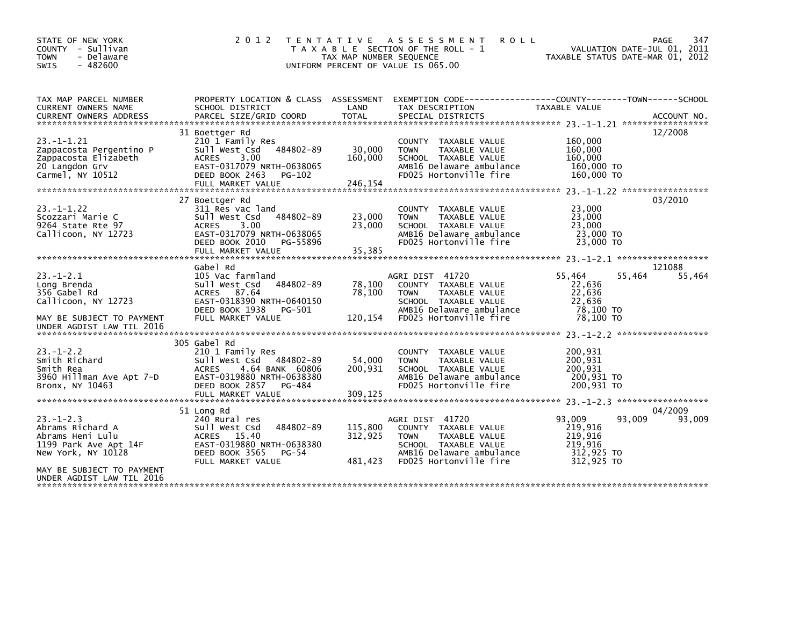| STATE OF NEW YORK<br>COUNTY - Sullivan<br>- Delaware<br><b>TOWN</b><br>$-482600$<br><b>SWIS</b>                                                                 | 2 0 1 2                                                                                                                                                                  | T E N T A T I V E<br>TAX MAP NUMBER SEQUENCE | ASSESSMENT<br><b>ROLL</b><br>T A X A B L E SECTION OF THE ROLL - 1<br>UNIFORM PERCENT OF VALUE IS 065.00                                              | VALUATION DATE-JUL 01, 2011<br>TAXABLE STATUS DATE-MAR 01, 2012                        | PAGE<br>347       |
|-----------------------------------------------------------------------------------------------------------------------------------------------------------------|--------------------------------------------------------------------------------------------------------------------------------------------------------------------------|----------------------------------------------|-------------------------------------------------------------------------------------------------------------------------------------------------------|----------------------------------------------------------------------------------------|-------------------|
| TAX MAP PARCEL NUMBER<br>CURRENT OWNERS NAME<br><b>CURRENT OWNERS ADDRESS</b>                                                                                   | PROPERTY LOCATION & CLASS ASSESSMENT<br>SCHOOL DISTRICT<br>PARCEL SIZE/GRID COORD                                                                                        | LAND<br><b>TOTAL</b>                         | EXEMPTION CODE-----------------COUNTY-------TOWN------SCHOOL<br>TAX DESCRIPTION<br>SPECIAL DISTRICTS                                                  | TAXABLE VALUE                                                                          | ACCOUNT NO.       |
| $23. -1 - 1.21$<br>Zappacosta Pergentino P<br>Zappacosta Elizabeth<br>20 Langdon Grv<br>Carmel, NY 10512                                                        | 31 Boettger Rd<br>210 1 Family Res<br>Sull West Csd<br>484802-89<br><b>ACRES</b><br>3.00<br>EAST-0317079 NRTH-0638065<br>DEED BOOK 2463<br>$PG-102$<br>FULL MARKET VALUE | 30,000<br>160,000<br>246,154                 | COUNTY<br>TAXABLE VALUE<br>TAXABLE VALUE<br><b>TOWN</b><br>SCHOOL TAXABLE VALUE<br>AMB16 Delaware ambulance<br>FD025 Hortonville fire                 | 160,000<br>160,000<br>160,000<br>160,000 TO<br>160,000 TO                              | 12/2008           |
| $23. -1 - 1.22$<br>Scozzari Marie C<br>9264 State Rte 97<br>Callicoon, NY 12723                                                                                 | 27 Boettger Rd<br>311 Res vac land<br>Sull West Csd<br>484802-89<br>3.00<br><b>ACRES</b><br>EAST-0317079 NRTH-0638065<br>DEED BOOK 2010<br>PG-55896<br>FULL MARKET VALUE | 23,000<br>23,000<br>35,385                   | <b>COUNTY</b><br>TAXABLE VALUE<br>TAXABLE VALUE<br><b>TOWN</b><br>SCHOOL TAXABLE VALUE<br>AMB16 Delaware ambulance<br>FD025 Hortonville fire          | 23. -1-1.22 ******************<br>23,000<br>23,000<br>23,000<br>23,000 TO<br>23,000 TO | 03/2010           |
| $23 - 1 - 2.1$<br>Long Brenda<br>356 Gabel Rd<br>Callicoon, NY 12723<br>MAY BE SUBJECT TO PAYMENT<br>UNDER AGDIST LAW TIL 2016                                  | Gabel Rd<br>105 Vac farmland<br>484802-89<br>Sull West Csd<br>87.64<br><b>ACRES</b><br>EAST-0318390 NRTH-0640150<br>DEED BOOK 1938<br>PG-501<br>FULL MARKET VALUE        | 78,100<br>78,100<br>120,154                  | AGRI DIST 41720<br>COUNTY TAXABLE VALUE<br><b>TOWN</b><br>TAXABLE VALUE<br>SCHOOL TAXABLE VALUE<br>AMB16 Delaware ambulance<br>FD025 Hortonville fire | 55,464<br>55,464<br>22,636<br>22,636<br>22,636<br>78.100 TO<br>78,100 TO               | 121088<br>55,464  |
| $23 - 1 - 2.2$<br>Smith Richard<br>Smith Rea<br>3960 Hillman Ave Apt 7-D<br>Bronx, NY 10463                                                                     | 305 Gabel Rd<br>210 1 Family Res<br>sull west Csd<br>484802-89<br>4.64 BANK 60806<br><b>ACRES</b><br>EAST-0319880 NRTH-0638380<br>DEED BOOK 2857<br>PG-484               | 54,000<br>200,931                            | <b>COUNTY</b><br>TAXABLE VALUE<br><b>TOWN</b><br>TAXABLE VALUE<br>SCHOOL TAXABLE VALUE<br>AMB16 Delaware ambulance<br>FD025 Hortonville fire          | 200,931<br>200,931<br>200.931<br>200,931 TO<br>200,931 TO                              |                   |
| $23 - 1 - 2.3$<br>Abrams Richard A<br>Abrams Heni Lulu<br>1199 Park Ave Apt 14F<br>New York, NY 10128<br>MAY BE SUBJECT TO PAYMENT<br>UNDER AGDIST LAW TIL 2016 | 51 Long Rd<br>240 Rural res<br>484802-89<br>Sull West Csd<br>ACRES 15.40<br>EAST-0319880 NRTH-0638380<br>DEED BOOK 3565<br>PG-54<br>FULL MARKET VALUE                    | 115,800<br>312,925<br>481,423                | AGRI DIST 41720<br>COUNTY TAXABLE VALUE<br>TAXABLE VALUE<br><b>TOWN</b><br>SCHOOL TAXABLE VALUE<br>AMB16 Delaware ambulance<br>FD025 Hortonville fire | 93,009<br>93,009<br>219,916<br>219,916<br>219,916<br>312,925 TO<br>312,925 TO          | 04/2009<br>93,009 |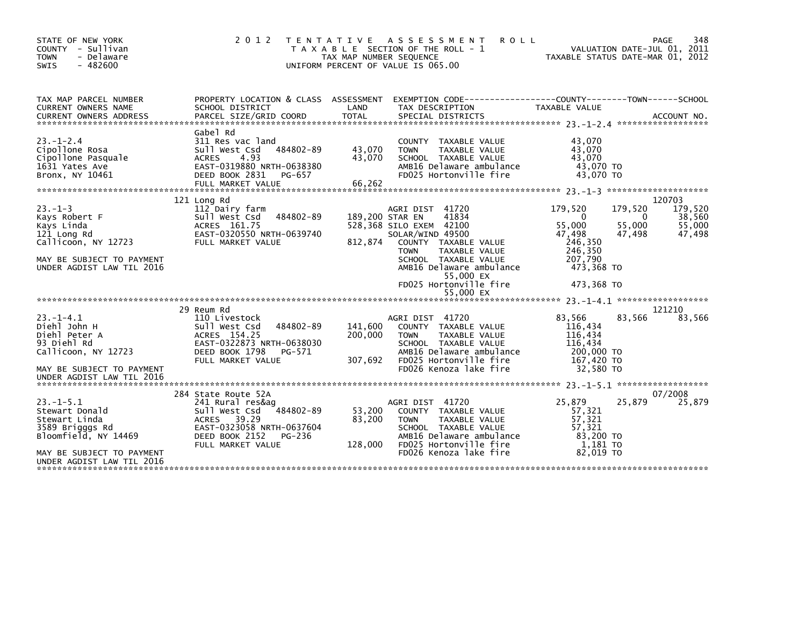| STATE OF NEW YORK<br>- Sullivan<br><b>COUNTY</b><br>- Delaware<br><b>TOWN</b><br>$-482600$<br><b>SWIS</b>                                                     | 2 0 1 2                                                                                                                                                                      | TAX MAP NUMBER SEQUENCE       | TENTATIVE ASSESSMENT<br><b>ROLL</b><br>T A X A B L E SECTION OF THE ROLL - 1<br>UNIFORM PERCENT OF VALUE IS 065.00                                                                                                                                                            | TAXABLE STATUS DATE-MAR 01, 2012                                                                        | <b>PAGE</b><br>VALUATION DATE-JUL 01, 2011           | 348                                             |
|---------------------------------------------------------------------------------------------------------------------------------------------------------------|------------------------------------------------------------------------------------------------------------------------------------------------------------------------------|-------------------------------|-------------------------------------------------------------------------------------------------------------------------------------------------------------------------------------------------------------------------------------------------------------------------------|---------------------------------------------------------------------------------------------------------|------------------------------------------------------|-------------------------------------------------|
| TAX MAP PARCEL NUMBER<br>CURRENT OWNERS NAME                                                                                                                  | PROPERTY LOCATION & CLASS ASSESSMENT<br>SCHOOL DISTRICT                                                                                                                      | LAND                          | EXEMPTION CODE-----------------COUNTY-------TOWN------SCHOOL<br>TAX DESCRIPTION                                                                                                                                                                                               | TAXABLE VALUE                                                                                           |                                                      |                                                 |
| $23. - 1 - 2.4$<br>Cipollone Rosa<br>Cipollone Pasquale<br>1631 Yates Ave<br>Bronx, NY 10461                                                                  | Gabel Rd<br>311 Res vac land<br>Sull West Csd<br>484802-89<br><b>ACRES</b><br>4.93<br>EAST-0319880 NRTH-0638380<br>DEED BOOK 2831<br>PG-657<br>FULL MARKET VALUE             | 43,070<br>43,070<br>66,262    | COUNTY TAXABLE VALUE<br><b>TOWN</b><br>TAXABLE VALUE<br>SCHOOL TAXABLE VALUE<br>AMB16 Delaware ambulance<br>FD025 Hortonville fire                                                                                                                                            | 43,070<br>43,070<br>43,070<br>43,070 TO<br>43,070 TO                                                    |                                                      |                                                 |
|                                                                                                                                                               | 121 Long Rd                                                                                                                                                                  |                               |                                                                                                                                                                                                                                                                               |                                                                                                         | 120703                                               |                                                 |
| $23 - 1 - 3$<br>Kays Robert F<br>Kays Linda<br>121 Long Rd<br>Callicoon, NY 12723<br>MAY BE SUBJECT TO PAYMENT<br>UNDER AGDIST LAW TIL 2016<br>$23. -1 - 4.1$ | 112 Dairy farm<br>Sull West Csd<br>484802-89<br>ACRES 161.75<br>EAST-0320550 NRTH-0639740<br>FULL MARKET VALUE<br>29 Reum Rd<br>110 Livestock                                | 812,874                       | AGRI DIST 41720<br>41834<br>189,200 STAR EN<br>528,368 SILO EXEM 42100<br>SOLAR/WIND 49500<br>COUNTY TAXABLE VALUE<br><b>TOWN</b><br>TAXABLE VALUE<br>SCHOOL TAXABLE VALUE<br>AMB16 Delaware ambulance<br>55,000 EX<br>FD025 Hortonville fire<br>55,000 EX<br>AGRI DIST 41720 | 179,520<br>0<br>55,000<br>47,498<br>246,350<br>246,350<br>207,790<br>473,368 TO<br>473,368 TO<br>83,566 | 179,520<br>0<br>55,000<br>47,498<br>121210<br>83,566 | 179,520<br>38,560<br>55,000<br>47,498<br>83,566 |
| Diehl John H<br>Diehl Peter A<br>93 Diehl Rd<br>Callicoon, NY 12723<br>MAY BE SUBJECT TO PAYMENT<br>UNDER AGDIST LAW TIL 2016                                 | 484802-89<br>Sull West Csd<br>ACRES 154.25<br>EAST-0322873 NRTH-0638030<br>DEED BOOK 1798<br>PG-571<br>FULL MARKET VALUE                                                     | 141,600<br>200,000<br>307,692 | COUNTY TAXABLE VALUE<br>TAXABLE VALUE<br><b>TOWN</b><br>SCHOOL TAXABLE VALUE<br>AMB16 Delaware ambulance<br>FD025 Hortonville fire<br>FD026 Kenoza lake fire                                                                                                                  | 116,434<br>116,434<br>116,434<br>200,000 TO<br>167,420 TO<br>32,580 TO                                  |                                                      |                                                 |
|                                                                                                                                                               |                                                                                                                                                                              |                               |                                                                                                                                                                                                                                                                               |                                                                                                         |                                                      |                                                 |
| $23. -1 - 5.1$<br>Stewart Donald<br>Stewart Linda<br>3589 Brigggs Rd<br>Bloomfield, NY 14469<br>MAY BE SUBJECT TO PAYMENT<br>UNDER AGDIST LAW TIL 2016        | 284 State Route 52A<br>241 Rural res&ag<br>484802-89<br>Sull West Csd<br>39.29<br><b>ACRES</b><br>EAST-0323058 NRTH-0637604<br>DEED BOOK 2152<br>PG-236<br>FULL MARKET VALUE | 53,200<br>83,200<br>128,000   | AGRI DIST 41720<br>COUNTY TAXABLE VALUE<br>TAXABLE VALUE<br><b>TOWN</b><br>SCHOOL TAXABLE VALUE<br>AMB16 Delaware ambulance<br>FD025 Hortonville fire<br>FD026 Kenoza lake fire                                                                                               | 25,879<br>57,321<br>57,321<br>57.321<br>83,200 TO<br>1,181 TO<br>82.019 TO                              | 07/2008<br>25,879                                    | 25,879                                          |
|                                                                                                                                                               |                                                                                                                                                                              |                               |                                                                                                                                                                                                                                                                               |                                                                                                         |                                                      |                                                 |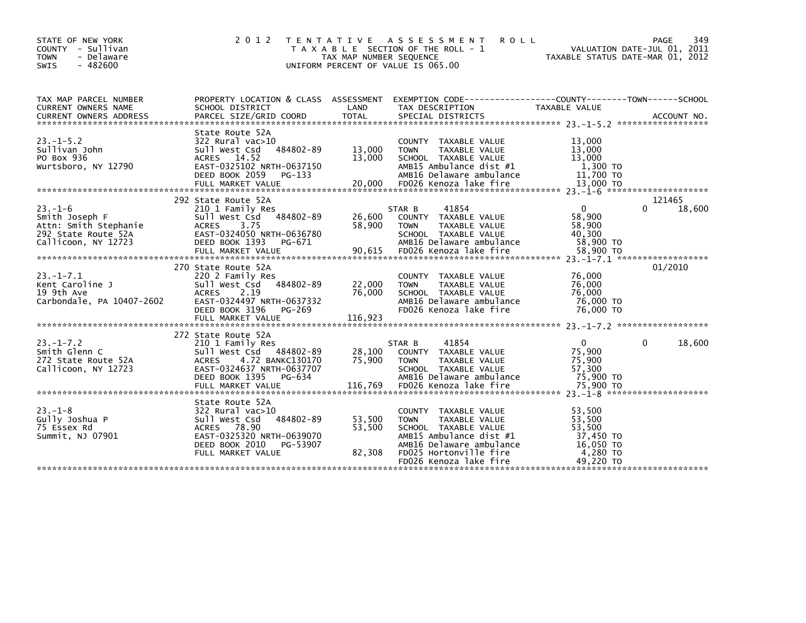| STATE OF NEW YORK<br>COUNTY - Sullivan<br><b>TOWN</b><br>- Delaware<br>- 482600<br><b>SWIS</b>        | 2 0 1 2                                                                                                                                                                     | TAX MAP NUMBER SEQUENCE     | TENTATIVE ASSESSMENT<br><b>ROLL</b><br>T A X A B L E SECTION OF THE ROLL - 1<br>UNIFORM PERCENT OF VALUE IS 065.00                                                                      | TAXABLE STATUS DATE-MAR 01, 2012                                              | 349<br>PAGE<br>VALUATION DATE-JUL 01, 2011 |
|-------------------------------------------------------------------------------------------------------|-----------------------------------------------------------------------------------------------------------------------------------------------------------------------------|-----------------------------|-----------------------------------------------------------------------------------------------------------------------------------------------------------------------------------------|-------------------------------------------------------------------------------|--------------------------------------------|
| TAX MAP PARCEL NUMBER<br>CURRENT OWNERS NAME                                                          | SCHOOL DISTRICT                                                                                                                                                             | LAND                        | PROPERTY LOCATION & CLASS ASSESSMENT EXEMPTION CODE----------------COUNTY-------TOWN------SCHOOL<br>TAX DESCRIPTION                                                                     | TAXABLE VALUE                                                                 |                                            |
| $23. - 1 - 5.2$<br>Sullivan John<br>PO Box 936<br>Wurtsboro, NY 12790                                 | State Route 52A<br>322 Rural vac>10<br>484802-89<br>Sull West Csd<br>ACRES 14.52<br>EAST-0325102 NRTH-0637150<br>DEED BOOK 2059<br>PG-133                                   | 13,000<br>13,000            | COUNTY TAXABLE VALUE<br><b>TAXABLE VALUE</b><br><b>TOWN</b><br>SCHOOL TAXABLE VALUE<br>AMB15 Ambulance dist #1<br>AMB16 Delaware ambulance                                              | 13,000<br>13,000<br>13,000<br>1,300 TO<br>11,700 TO                           |                                            |
| $23 - 1 - 6$<br>Smith Joseph F<br>Attn: Smith Stephanie<br>292 State Route 52A<br>Callicoon, NY 12723 | 292 State Route 52A<br>210 1 Family Res<br>Sull West Csd 484802-89<br>ACRES 3.75<br>EAST-0324050 NRTH-0636780<br>DEED BOOK 1393<br>PG-671                                   | 26,600<br>58,900            | STAR B<br>41854<br>COUNTY TAXABLE VALUE<br><b>TOWN</b><br>TAXABLE VALUE<br>SCHOOL TAXABLE VALUE<br>AMB16 Delaware ambulance                                                             | $\mathbf{0}$<br>58,900<br>58,900<br>40.300<br>58,900 TO                       | 121465<br>0<br>18,600                      |
| $23 - 1 - 7.1$<br>Kent Caroline J<br>19 9th Ave<br>Carbondale, PA 10407-2602                          | 270 State Route 52A<br>220 2 Family Res<br>484802-89<br>Sull West Csd<br><b>ACRES</b><br>2.19<br>EAST-0324497 NRTH-0637332<br>DEED BOOK 3196<br>PG-269<br>FULL MARKET VALUE | 22,000<br>76,000<br>116,923 | COUNTY TAXABLE VALUE<br><b>TAXABLE VALUE</b><br><b>TOWN</b><br>SCHOOL TAXABLE VALUE<br>AMB16 Delaware ambulance<br>FD026 Kenoza lake fire                                               | 76,000<br>76,000<br>76.000<br>76,000 TO<br>76,000 TO                          | 01/2010                                    |
| $23. - 1 - 7.2$<br>Smith Glenn C<br>272 State Route 52A<br>Callicoon, NY 12723                        | 272 State Route 52A<br>210 1 Family Res<br>Sull West Csd 484802-89<br>ACRES 4.72 BANKC130170<br>EAST-0324637 NRTH-0637707<br>DEED BOOK 1395<br>PG-634                       | 28,100<br>75,900            | 41854<br>STAR B<br>COUNTY TAXABLE VALUE<br>TAXABLE VALUE<br><b>TOWN</b><br>SCHOOL TAXABLE VALUE<br>AMB16 Delaware ambulance                                                             | $\mathbf 0$<br>75,900<br>75,900<br>57,300<br>75,900 TO                        | $\Omega$<br>18,600                         |
| $23 - 1 - 8$<br>Gully Joshua P<br>75 Essex Rd<br>Summit, NJ 07901                                     | State Route 52A<br>322 Rural vac>10<br>484802-89<br>Sull West Csd<br>ACRES 78.90<br>EAST-0325320 NRTH-0639070<br>DEED BOOK 2010<br>PG-53907<br>FULL MARKET VALUE            | 53,500<br>53,500<br>82,308  | COUNTY TAXABLE VALUE<br><b>TOWN</b><br>TAXABLE VALUE<br>SCHOOL TAXABLE VALUE<br>AMB15 Ambulance dist #1<br>AMB16 Delaware ambulance<br>FD025 Hortonville fire<br>FD026 Kenoza lake fire | 53,500<br>53,500<br>53.500<br>37,450 TO<br>16,050 TO<br>4,280 TO<br>49,220 TO |                                            |
|                                                                                                       |                                                                                                                                                                             |                             |                                                                                                                                                                                         |                                                                               |                                            |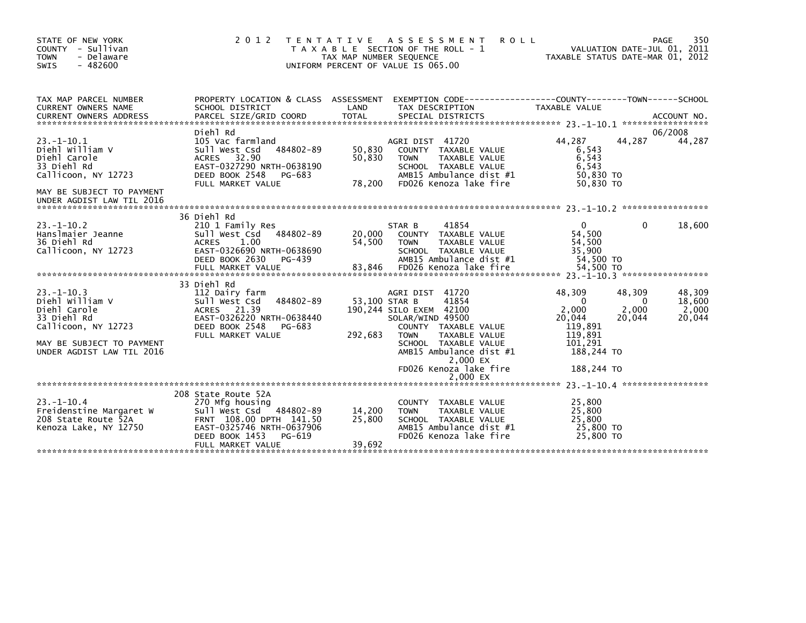| STATE OF NEW YORK<br>COUNTY - Sullivan<br><b>TOWN</b><br>- Delaware<br>SWIS<br>$-482600$                                                           | 2 0 1 2                                                                                                                                                                    | T E N T A T I V E<br>TAX MAP NUMBER SEQUENCE | A S S E S S M E N T<br><b>ROLL</b><br>T A X A B L E SECTION OF THE ROLL - 1<br>UNIFORM PERCENT OF VALUE IS 065.00                                                                                                                    | TAXABLE STATUS DATE-MAR 01, 2012                                                                   |                                       | 350<br>PAGE<br>VALUATION DATE-JUL 01, 2011 |
|----------------------------------------------------------------------------------------------------------------------------------------------------|----------------------------------------------------------------------------------------------------------------------------------------------------------------------------|----------------------------------------------|--------------------------------------------------------------------------------------------------------------------------------------------------------------------------------------------------------------------------------------|----------------------------------------------------------------------------------------------------|---------------------------------------|--------------------------------------------|
| TAX MAP PARCEL NUMBER<br>CURRENT OWNERS NAME                                                                                                       | PROPERTY LOCATION & CLASS ASSESSMENT<br>SCHOOL DISTRICT                                                                                                                    | LAND                                         | EXEMPTION CODE------------------COUNTY--------TOWN------SCHOOL<br>TAX DESCRIPTION                                                                                                                                                    | TAXABLE VALUE                                                                                      |                                       |                                            |
| $23 - 1 - 10.1$<br>Diehl William V<br>Diehl Carole<br>33 Diehl Rd<br>Callicoon, NY 12723<br>MAY BE SUBJECT TO PAYMENT<br>UNDER AGDIST LAW TIL 2016 | Diehl Rd<br>105 Vac farmland<br>484802-89<br>Sull West Csd<br>ACRES 32.90<br>EAST-0327290 NRTH-0638190<br>DEED BOOK 2548<br>PG-683<br>FULL MARKET VALUE                    | 50,830<br>50,830<br>78,200                   | AGRI DIST 41720<br>COUNTY TAXABLE VALUE<br><b>TOWN</b><br>TAXABLE VALUE<br>SCHOOL TAXABLE VALUE<br>AMB15 Ambulance dist #1<br>FD026 Kenoza lake fire                                                                                 | 44,287<br>6,543<br>6,543<br>6,543<br>50,830 TO<br>50,830 TO                                        | 44,287                                | 06/2008<br>44,287                          |
| $23. - 1 - 10.2$<br>Hanslmaier Jeanne<br>36 Diehl Rd<br>Callicoon, NY 12723                                                                        | 36 Diehl Rd<br>210 1 Family Res<br>484802-89<br>Sull West Csd<br>1.00<br><b>ACRES</b><br>EAST-0326690 NRTH-0638690<br>DEED BOOK 2630<br>PG-439<br>FULL MARKET VALUE        | 20,000<br>54,500<br>83,846                   | 41854<br>STAR B<br>COUNTY TAXABLE VALUE<br><b>TOWN</b><br>TAXABLE VALUE<br>SCHOOL TAXABLE VALUE<br>AMB15 Ambulance dist #1<br>FD026 Kenoza lake fire                                                                                 | $\Omega$<br>54,500<br>54,500<br>35,900<br>54,500 TO<br>54,500 TO                                   | $\Omega$                              | 18,600                                     |
| $23 - 1 - 10.3$<br>Diehl William V<br>Diehl Carole<br>33 Diehl Rd<br>Callicoon, NY 12723<br>MAY BE SUBJECT TO PAYMENT<br>UNDER AGDIST LAW TIL 2016 | 33 Diehl Rd<br>112 Dairy farm<br>484802-89<br>Sull West Csd<br>ACRES 21.39<br>EAST-0326220 NRTH-0638440<br>DEED BOOK 2548<br>PG-683<br>FULL MARKET VALUE                   | 53,100 STAR B<br>292,683                     | AGRI DIST 41720<br>41854<br>190,244 SILO EXEM 42100<br>SOLAR/WIND 49500<br>COUNTY TAXABLE VALUE<br><b>TOWN</b><br>TAXABLE VALUE<br>SCHOOL TAXABLE VALUE<br>AMB15 Ambulance dist #1<br>2,000 EX<br>FD026 Kenoza lake fire<br>2,000 EX | 48,309<br>$\Omega$<br>2,000<br>20,044<br>119,891<br>119,891<br>101,291<br>188,244 TO<br>188,244 TO | 48,309<br>$\Omega$<br>2,000<br>20,044 | 48,309<br>18,600<br>2,000<br>20,044        |
| $23 - 1 - 10.4$<br>Freidenstine Margaret W<br>208 State Route 52A<br>Kenoza Lake, NY 12750                                                         | 208 State Route 52A<br>270 Mfg housing<br>Sull West Csd 484802-89<br>FRNT 108.00 DPTH 141.50<br>EAST-0325746 NRTH-0637906<br>DEED BOOK 1453<br>PG-619<br>FULL MARKET VALUE | 14,200<br>25,800<br>39,692                   | COUNTY TAXABLE VALUE<br>TAXABLE VALUE<br><b>TOWN</b><br>SCHOOL TAXABLE VALUE<br>AMB15 Ambulance dist #1<br>FD026 Kenoza lake fire                                                                                                    | 25,800<br>25,800<br>25,800<br>25,800 TO<br>25,800 TO                                               |                                       |                                            |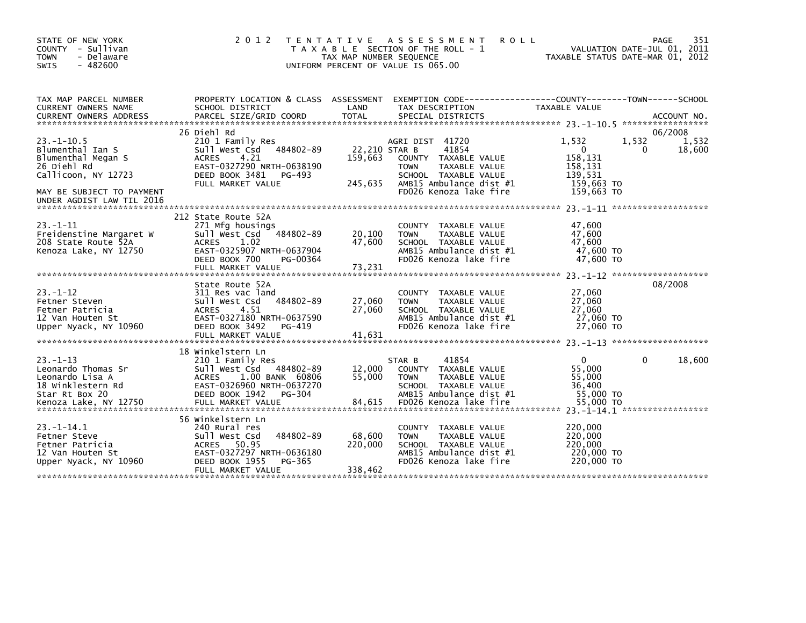| STATE OF NEW YORK<br>COUNTY - Sullivan<br><b>TOWN</b><br>- Delaware<br>- 482600<br><b>SWIS</b>                                                             | 2 0 1 2                                                                                                                                                                              | A S S E S S M E N T<br><b>ROLL</b><br>T E N T A T I V E<br>T A X A B L E SECTION OF THE ROLL - 1<br>TAX MAP NUMBER SEQUENCE<br>UNIFORM PERCENT OF VALUE IS 065.00                                    | 351<br>PAGE<br>VALUATION DATE-JUL 01, 2011<br>TAXABLE STATUS DATE-MAR 01, 2012                                             |
|------------------------------------------------------------------------------------------------------------------------------------------------------------|--------------------------------------------------------------------------------------------------------------------------------------------------------------------------------------|------------------------------------------------------------------------------------------------------------------------------------------------------------------------------------------------------|----------------------------------------------------------------------------------------------------------------------------|
| TAX MAP PARCEL NUMBER<br>CURRENT OWNERS NAME<br><b>CURRENT OWNERS ADDRESS</b>                                                                              | PROPERTY LOCATION & CLASS ASSESSMENT<br>SCHOOL DISTRICT<br>PARCEL SIZE/GRID COORD                                                                                                    | EXEMPTION CODE----<br>LAND<br>TAX DESCRIPTION<br><b>TOTAL</b><br>SPECIAL DISTRICTS                                                                                                                   | -------------COUNTY--------TOWN------SCHOOL<br>TAXABLE VALUE<br>ACCOUNT NO.                                                |
| $23. - 1 - 10.5$<br>Blumenthal Ian S<br>Blumenthal Megan S<br>26 Diehl Rd<br>Callicoon, NY 12723<br>MAY BE SUBJECT TO PAYMENT<br>UNDER AGDIST LAW TIL 2016 | 26 Diehl Rd<br>210 1 Family Res<br>484802-89<br>Sull West Csd<br>4.21<br><b>ACRES</b><br>EAST-0327290 NRTH-0638190<br>DEED BOOK 3481<br>PG-493<br>FULL MARKET VALUE                  | AGRI DIST 41720<br>22,210 STAR B<br>41854<br>159,663<br>COUNTY TAXABLE VALUE<br><b>TOWN</b><br>TAXABLE VALUE<br>SCHOOL TAXABLE VALUE<br>245,635<br>AMB15 Ambulance dist #1<br>FD026 Kenoza lake fire | 06/2008<br>1,532<br>1,532<br>1,532<br>$\Omega$<br>18,600<br>0<br>158,131<br>158,131<br>139.531<br>159,663 TO<br>159,663 TO |
| $23. -1 - 11$<br>Freidenstine Margaret W<br>208 State Route 52A<br>Kenoza Lake, NY 12750                                                                   | 212 State Route 52A<br>271 Mfg housings<br>484802-89<br>Sull West Csd<br><b>ACRES</b><br>1.02<br>EAST-0325907 NRTH-0637904<br>DEED BOOK 700<br>PG-00364<br>FULL MARKET VALUE         | <b>COUNTY</b><br>TAXABLE VALUE<br>20,100<br><b>TAXABLE VALUE</b><br><b>TOWN</b><br>47,600<br>SCHOOL TAXABLE VALUE<br>AMB15 Ambulance dist #1<br>FD026 Kenoza lake fire<br>73,231                     | 47,600<br>47.600<br>47,600<br>47.600 TO<br>47,600 TO                                                                       |
| $23. - 1 - 12$<br>Fetner Steven<br>Fetner Patricia<br>12 Van Houten St<br>Upper Nyack, NY 10960                                                            | State Route 52A<br>311 Res vac land<br>Sull West Csd<br>484802-89<br>4.51<br><b>ACRES</b><br>EAST-0327180 NRTH-0637590<br>DEED BOOK 3492<br>$PG-419$<br>FULL MARKET VALUE            | TAXABLE VALUE<br><b>COUNTY</b><br>27,060<br>TAXABLE VALUE<br><b>TOWN</b><br>27,060<br>SCHOOL TAXABLE VALUE<br>AMB15 Ambulance dist #1<br>FD026 Kenoza lake fire<br>41.631                            | 08/2008<br>27,060<br>27,060<br>27.060<br>27,060 TO<br>27,060 TO                                                            |
| $23 - 1 - 13$<br>Leonardo Thomas Sr<br>Leonardo Lisa A<br>18 Winklestern Rd<br>Star Rt Box 20<br>Kenoza Lake, NY 12750                                     | 18 Winkelstern Ln<br>210 1 Family Res<br>Sull West Csd<br>484802-89<br>1.00 BANK 60806<br><b>ACRES</b><br>EAST-0326960 NRTH-0637270<br>DEED BOOK 1942<br>PG-304<br>FULL MARKET VALUE | 41854<br>STAR B<br>12,000<br>TAXABLE VALUE<br>COUNTY<br>55,000<br><b>TOWN</b><br>TAXABLE VALUE<br>SCHOOL TAXABLE VALUE<br>AMB15 Ambulance dist #1<br>FD026 Kenoza lake fire<br>84,615                | 18,600<br>$\mathbf{0}$<br>$\Omega$<br>55,000<br>55,000<br>36.400<br>55,000 TO<br>55,000 TO<br>*****************            |
| $23. -1 - 14.1$<br>Fetner Steve<br>Fetner Patricia<br>12 Van Houten St<br>Upper Nyack, NY 10960                                                            | 56 Winkelstern Ln<br>240 Rural res<br>484802-89<br>Sull West Csd<br>50.95<br>ACRES<br>EAST-0327297 NRTH-0636180<br>DEED BOOK 1955<br>PG-365<br>FULL MARKET VALUE                     | <b>COUNTY</b><br>TAXABLE VALUE<br>68,600<br><b>TAXABLE VALUE</b><br><b>TOWN</b><br>220,000<br>SCHOOL TAXABLE VALUE<br>AMB15 Ambulance dist #1<br>FD026 Kenoza lake fire<br>338,462                   | 220,000<br>220,000<br>220,000<br>220,000 TO<br>220,000 TO                                                                  |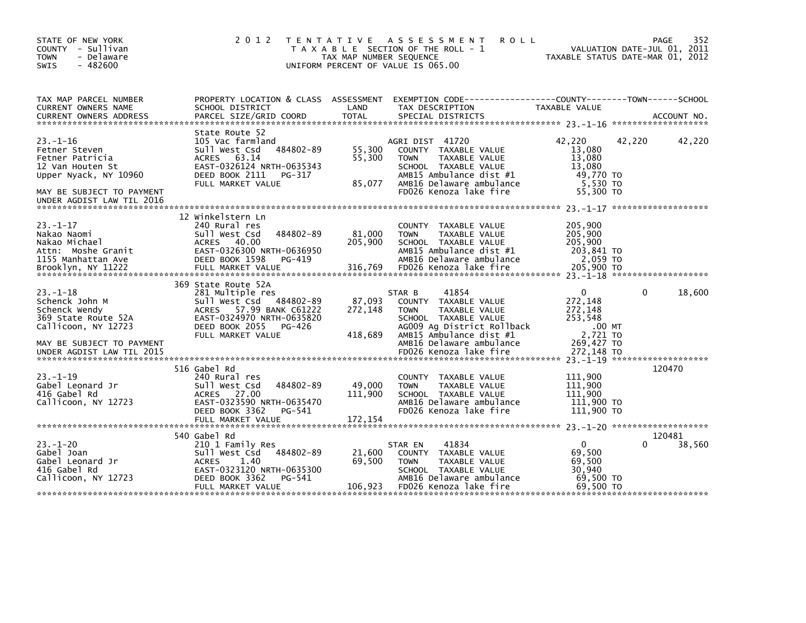| STATE OF NEW YORK<br>COUNTY - Sullivan<br><b>TOWN</b><br>- Delaware<br>$-482600$<br><b>SWIS</b>                 | 2 0 1 2                                                                                                                                                                        | TAX MAP NUMBER SEQUENCE      | TENTATIVE ASSESSMENT<br><b>ROLL</b><br>T A X A B L E SECTION OF THE ROLL - 1<br>UNIFORM PERCENT OF VALUE IS 065.00                                                               |                                                                            | 352<br>PAGE<br>VALUATION DATE-JUL 01, 2011<br>TAXABLE STATUS DATE-MAR 01, 2012 |
|-----------------------------------------------------------------------------------------------------------------|--------------------------------------------------------------------------------------------------------------------------------------------------------------------------------|------------------------------|----------------------------------------------------------------------------------------------------------------------------------------------------------------------------------|----------------------------------------------------------------------------|--------------------------------------------------------------------------------|
| TAX MAP PARCEL NUMBER<br>CURRENT OWNERS NAME<br><b>CURRENT OWNERS ADDRESS</b>                                   | PROPERTY LOCATION & CLASS ASSESSMENT<br>SCHOOL DISTRICT<br>PARCEL SIZE/GRID COORD                                                                                              | LAND<br><b>TOTAL</b>         | TAX DESCRIPTION<br>SPECIAL DISTRICTS                                                                                                                                             | TAXABLE VALUE                                                              | ACCOUNT NO.                                                                    |
|                                                                                                                 |                                                                                                                                                                                |                              |                                                                                                                                                                                  |                                                                            |                                                                                |
| $23 - 1 - 16$<br>Fetner Steven<br>Fetner Patricia<br>12 Van Houten St<br>Upper Nyack, NY 10960                  | State Route 52<br>105 Vac farmland<br>484802-89<br>Sull West Csd<br>ACRES 63.14<br>EAST-0326124 NRTH-0635343<br>DEED BOOK 2111<br>PG-317<br>FULL MARKET VALUE                  | 55,300<br>55,300<br>85,077   | AGRI DIST 41720<br>COUNTY TAXABLE VALUE<br>TAXABLE VALUE<br><b>TOWN</b><br>SCHOOL TAXABLE VALUE<br>AMB15 Ambulance dist #1<br>AMB16 Delaware ambulance<br>FD026 Kenoza lake fire | 42,220<br>13,080<br>13.080<br>13,080<br>49,770 TO<br>5,530 TO<br>55,300 TO | 42,220<br>42,220                                                               |
| MAY BE SUBJECT TO PAYMENT<br>UNDER AGDIST LAW TIL 2016                                                          |                                                                                                                                                                                |                              |                                                                                                                                                                                  |                                                                            |                                                                                |
|                                                                                                                 | 12 Winkelstern Ln                                                                                                                                                              |                              |                                                                                                                                                                                  |                                                                            |                                                                                |
| $23 - 1 - 17$<br>Nakao Naomi<br>Nakao Michael<br>Attn: Moshe Granit<br>1155 Manhattan Ave<br>Brooklyn, NY 11222 | 240 Rural res<br>Sull West Csd<br>484802-89<br>ACRES 40.00<br>EAST-0326300 NRTH-0636950<br>DEED BOOK 1598<br>PG-419<br>FULL MARKET VALUE                                       | 81,000<br>205,900<br>316,769 | COUNTY TAXABLE VALUE<br>TAXABLE VALUE<br><b>TOWN</b><br>SCHOOL TAXABLE VALUE<br>AMB15 Ambulance dist #1<br>AMB16 Delaware ambulance<br>FD026 Kenoza lake fire                    | 205,900<br>205,900<br>205,900<br>203,841 TO<br>2,059 TO<br>205,900 TO      |                                                                                |
|                                                                                                                 |                                                                                                                                                                                |                              |                                                                                                                                                                                  |                                                                            |                                                                                |
| $23. -1 - 18$<br>Schenck John M<br>Schenck Wendy<br>369 State Route 52A<br>Callicoon, NY 12723                  | 369 State Route 52A<br>281 Multiple res<br>Sull West Csd<br>484802-89<br>ACRES 57.99 BANK C61222<br>EAST-0324970 NRTH-0635820<br>DEED BOOK 2055<br>PG-426<br>FULL MARKET VALUE | 87,093<br>272,148<br>418,689 | 41854<br>STAR B<br>COUNTY TAXABLE VALUE<br>TAXABLE VALUE<br><b>TOWN</b><br>SCHOOL TAXABLE VALUE<br>AG009 Ag District Rollback<br>AMB15 Ambulance dist #1                         | $\mathbf{0}$<br>272,148<br>272,148<br>253,548<br>.00 MT<br>2,721 TO        | 18,600<br>0                                                                    |
| MAY BE SUBJECT TO PAYMENT<br>UNDER AGDIST LAW TIL 2015                                                          |                                                                                                                                                                                |                              | AMB16 Delaware ambulance<br>FD026 Kenoza lake fire                                                                                                                               | 269,427 TO<br>272.148 TO                                                   |                                                                                |
|                                                                                                                 | 516 Gabel Rd                                                                                                                                                                   |                              |                                                                                                                                                                                  |                                                                            | 120470                                                                         |
| $23. -1 - 19$<br>Gabel Leonard Jr<br>416 Gabel Rd<br>Callicoon, NY 12723                                        | 240 Rural res<br>Sull West Csd<br>484802-89<br>ACRES 27.00<br>EAST-0323590 NRTH-0635470<br>DEED BOOK 3362<br>PG-541                                                            | 49,000<br>111,900            | COUNTY TAXABLE VALUE<br>TAXABLE VALUE<br><b>TOWN</b><br>SCHOOL TAXABLE VALUE<br>AMB16 Delaware ambulance<br>FD026 Kenoza lake fire                                               | 111,900<br>111,900<br>111,900<br>111,900 TO<br>111,900 TO                  |                                                                                |
|                                                                                                                 | FULL MARKET VALUE                                                                                                                                                              | 172,154                      |                                                                                                                                                                                  |                                                                            |                                                                                |
| $23. - 1 - 20$<br>Gabel Joan<br>Gabel Leonard Jr<br>416 Gabel Rd<br>Callicoon, NY 12723                         | 540 Gabel Rd<br>210 1 Family Res<br>484802-89<br>Sull West Csd<br><b>ACRES</b><br>1.40<br>EAST-0323120 NRTH-0635300<br>DEED BOOK 3362<br>PG-541<br>FULL MARKET VALUE           | 21,600<br>69,500<br>106,923  | 41834<br>STAR EN<br>COUNTY TAXABLE VALUE<br><b>TOWN</b><br>TAXABLE VALUE<br>SCHOOL TAXABLE VALUE<br>AMB16 Delaware ambulance<br>FD026 Kenoza lake fire                           | $\Omega$<br>69,500<br>69,500<br>30,940<br>69,500 TO<br>69.500 TO           | 120481<br>38,560<br>0                                                          |
|                                                                                                                 |                                                                                                                                                                                |                              |                                                                                                                                                                                  |                                                                            |                                                                                |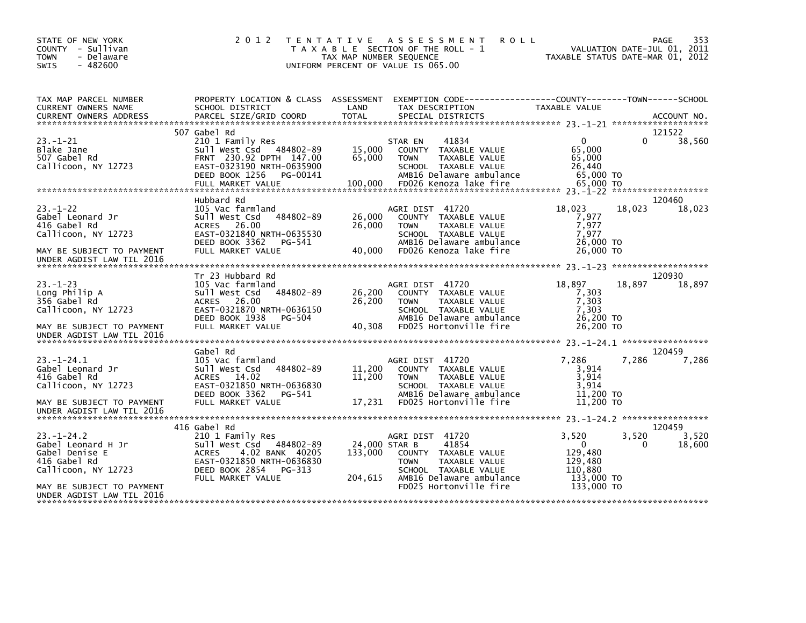| STATE OF NEW YORK<br>COUNTY - Sullivan<br><b>TOWN</b><br>- Delaware<br>$-482600$<br><b>SWIS</b>                                    | 2 0 1 2<br>T E N T A T I V E                                                                                                                                              | TAX MAP NUMBER SEQUENCE             | A S S E S S M E N T<br><b>ROLL</b><br>T A X A B L E SECTION OF THE ROLL - 1<br>UNIFORM PERCENT OF VALUE IS 065.00                                              | TAXABLE STATUS DATE-MAR 01, 2012                                               | VALUATION DATE-JUL 01, 2011 | 353<br><b>PAGE</b> |
|------------------------------------------------------------------------------------------------------------------------------------|---------------------------------------------------------------------------------------------------------------------------------------------------------------------------|-------------------------------------|----------------------------------------------------------------------------------------------------------------------------------------------------------------|--------------------------------------------------------------------------------|-----------------------------|--------------------|
| TAX MAP PARCEL NUMBER<br>CURRENT OWNERS NAME                                                                                       | PROPERTY LOCATION & CLASS ASSESSMENT<br>SCHOOL DISTRICT                                                                                                                   | LAND                                | EXEMPTION CODE-----------------COUNTY-------TOWN------SCHOOL<br>TAX DESCRIPTION                                                                                | TAXABLE VALUE                                                                  |                             |                    |
| $23 - 1 - 21$<br>Blake Jane<br>507 Gabel Rd<br>Callicoon, NY 12723                                                                 | 507 Gabel Rd<br>210 1 Family Res<br>484802-89<br>sull west Csd<br>FRNT 230.92 DPTH 147.00<br>EAST-0323190 NRTH-0635900<br>DEED BOOK 1256<br>PG-00141<br>FULL MARKET VALUE | 15,000<br>65,000<br>100,000         | STAR EN<br>41834<br>COUNTY TAXABLE VALUE<br><b>TOWN</b><br>TAXABLE VALUE<br>SCHOOL TAXABLE VALUE<br>AMB16 Delaware ambulance<br>FD026 Kenoza lake fire         | $\mathbf{0}$<br>65,000<br>65,000<br>26,440<br>65,000 TO<br>65,000 TO           | 0                           | 121522<br>38,560   |
| $23 - 1 - 22$<br>Gabel Leonard Jr<br>416 Gabel Rd<br>Callicoon, NY 12723<br>MAY BE SUBJECT TO PAYMENT<br>UNDER AGDIST LAW TIL 2016 | Hubbard Rd<br>105 Vac farmland<br>484802-89<br>Sull West Csd<br>26.00<br><b>ACRES</b><br>EAST-0321840 NRTH-0635530<br>DEED BOOK 3362<br>PG-541<br>FULL MARKET VALUE       | 26,000<br>26,000<br>40,000          | AGRI DIST 41720<br>COUNTY TAXABLE VALUE<br>TAXABLE VALUE<br><b>TOWN</b><br>SCHOOL TAXABLE VALUE<br>AMB16 Delaware ambulance<br>FD026 Kenoza lake fire          | 18,023<br>7,977<br>7,977<br>7.977<br>26,000 TO<br>26,000 TO                    | 18.023                      | 120460<br>18,023   |
|                                                                                                                                    | Tr 23 Hubbard Rd                                                                                                                                                          |                                     |                                                                                                                                                                |                                                                                |                             | 120930             |
| $23 - 1 - 23$<br>Long Philip A<br>356 Gabel Rd<br>Callicoon. NY 12723<br>MAY BE SUBJECT TO PAYMENT<br>UNDER AGDIST LAW TIL 2016    | 105 Vac farmland<br>Sull West Csd<br>484802-89<br>26.00<br><b>ACRES</b><br>EAST-0321870 NRTH-0636150<br>DEED BOOK 1938<br>PG-504<br>FULL MARKET VALUE                     | 26,200<br>26,200<br>40,308          | AGRI DIST 41720<br>COUNTY TAXABLE VALUE<br>TAXABLE VALUE<br><b>TOWN</b><br>SCHOOL TAXABLE VALUE<br>AMB16 Delaware ambulance<br>FD025 Hortonville fire          | 18,897<br>7,303<br>7,303<br>7,303<br>26,200 TO<br>26,200 TO                    | 18.897                      | 18,897             |
|                                                                                                                                    | Gabel Rd                                                                                                                                                                  |                                     |                                                                                                                                                                |                                                                                |                             | 120459             |
| $23 - 1 - 24.1$<br>Gabel Leonard Jr<br>416 Gabel Rd<br>Callicoon, NY 12723                                                         | 105 Vac farmland<br>484802-89<br>Sull West Csd<br>14.02<br><b>ACRES</b><br>EAST-0321850 NRTH-0636830<br>DEED BOOK 3362<br>PG-541                                          | 11,200<br>11,200                    | AGRI DIST 41720<br>COUNTY TAXABLE VALUE<br><b>TOWN</b><br>TAXABLE VALUE<br>SCHOOL TAXABLE VALUE<br>AMB16 Delaware ambulance                                    | 7,286<br>3.914<br>3,914<br>3,914<br>11,200 TO                                  | 7,286                       | 7,286              |
| MAY BE SUBJECT TO PAYMENT<br>UNDER AGDIST LAW TIL 2016                                                                             | FULL MARKET VALUE                                                                                                                                                         | 17,231                              | FD025 Hortonville fire                                                                                                                                         | 11,200 TO                                                                      |                             |                    |
|                                                                                                                                    | 416 Gabel Rd                                                                                                                                                              |                                     |                                                                                                                                                                |                                                                                |                             | 120459             |
| $23 - 1 - 24.2$<br>Gabel Leonard H Jr<br>Gabel Denise E<br>416 Gabel Rd<br>Callicoon, NY 12723                                     | 210 1 Family Res<br>484802-89<br>sull west Csd<br>4.02 BANK 40205<br><b>ACRES</b><br>EAST-0321850 NRTH-0636830<br>DEED BOOK 2854<br>PG-313<br>FULL MARKET VALUE           | 24,000 STAR B<br>133,000<br>204,615 | AGRI DIST 41720<br>41854<br>COUNTY TAXABLE VALUE<br><b>TOWN</b><br>TAXABLE VALUE<br>SCHOOL TAXABLE VALUE<br>AMB16 Delaware ambulance<br>FD025 Hortonville fire | 3,520<br>$\Omega$<br>129,480<br>129,480<br>110,880<br>133,000 TO<br>133,000 TO | 3,520<br>0                  | 3,520<br>18,600    |
| MAY BE SUBJECT TO PAYMENT<br>UNDER AGDIST LAW TIL 2016                                                                             |                                                                                                                                                                           |                                     |                                                                                                                                                                |                                                                                |                             |                    |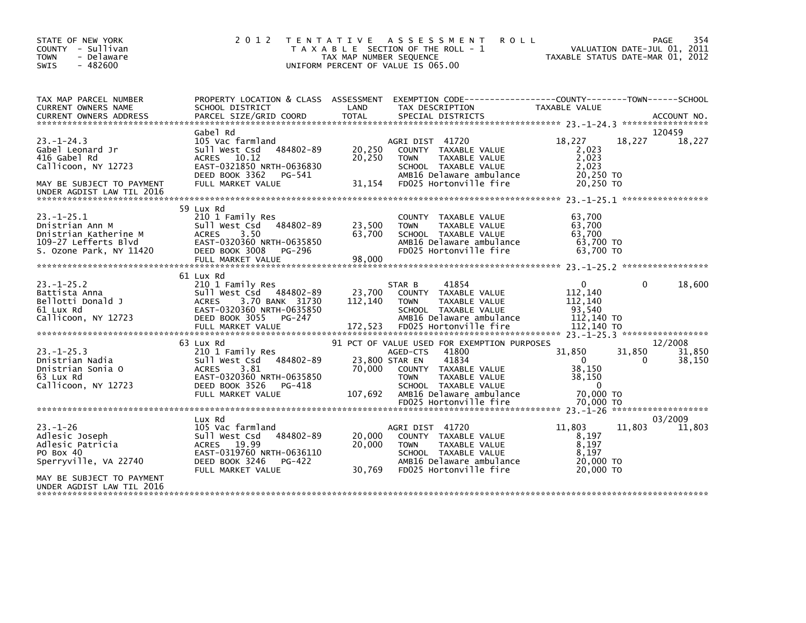| STATE OF NEW YORK<br>COUNTY - Sullivan<br><b>TOWN</b><br>- Delaware<br>$-482600$<br><b>SWIS</b> | 2 0 1 2                                                                                                                | T E N T A T I V E<br>T A X A B L E SECTION OF THE ROLL - 1<br>TAX MAP NUMBER SEQUENCE<br>UNIFORM PERCENT OF VALUE IS 065.00 | A S S E S S M E N T            |                                                                                           | <b>ROLL</b><br>TAXABLE STATUS DATE-MAR 01, 2012                                 |          | 354<br>PAGE<br>VALUATION DATE-JUL 01, 2011 |
|-------------------------------------------------------------------------------------------------|------------------------------------------------------------------------------------------------------------------------|-----------------------------------------------------------------------------------------------------------------------------|--------------------------------|-------------------------------------------------------------------------------------------|---------------------------------------------------------------------------------|----------|--------------------------------------------|
| TAX MAP PARCEL NUMBER<br>CURRENT OWNERS NAME                                                    | PROPERTY LOCATION & CLASS ASSESSMENT<br>SCHOOL DISTRICT                                                                | LAND                                                                                                                        | TAX DESCRIPTION                |                                                                                           | EXEMPTION CODE------------------COUNTY--------TOWN------SCHOOL<br>TAXABLE VALUE |          |                                            |
|                                                                                                 |                                                                                                                        |                                                                                                                             |                                |                                                                                           |                                                                                 |          |                                            |
|                                                                                                 | Gabel Rd                                                                                                               |                                                                                                                             |                                |                                                                                           |                                                                                 |          | 120459                                     |
| $23 - 1 - 24.3$<br>Gabel Leonard Jr<br>416 Gabel Rd<br>Callicoon, NY 12723                      | 105 Vac farmland<br>484802-89<br>Sull West Csd<br>ACRES 10.12<br>EAST-0321850 NRTH-0636830<br>DEED BOOK 3362<br>PG-541 | 20,250<br>20,250                                                                                                            | AGRI DIST 41720<br><b>TOWN</b> | COUNTY TAXABLE VALUE<br>TAXABLE VALUE<br>SCHOOL TAXABLE VALUE<br>AMB16 Delaware ambulance | 18,227<br>2,023<br>2,023<br>2,023<br>20,250 TO                                  | 18,227   | 18,227                                     |
| MAY BE SUBJECT TO PAYMENT<br>UNDER AGDIST LAW TIL 2016                                          | FULL MARKET VALUE                                                                                                      | 31,154                                                                                                                      |                                | FD025 Hortonville fire                                                                    | 20.250 TO                                                                       |          |                                            |
|                                                                                                 | 59 Lux Rd                                                                                                              |                                                                                                                             |                                |                                                                                           |                                                                                 |          |                                            |
| $23 - 1 - 25.1$<br>Dnistrian Ann M<br>Dnistrian Katherine M<br>109-27 Lefferts Blvd             | 210 1 Family Res<br>484802-89<br>Sull West Csd<br>3.50<br><b>ACRES</b><br>EAST-0320360 NRTH-0635850                    | 23,500<br>63,700                                                                                                            | <b>COUNTY</b><br><b>TOWN</b>   | TAXABLE VALUE<br>TAXABLE VALUE<br>SCHOOL TAXABLE VALUE<br>AMB16 Delaware ambulance        | 63,700<br>63,700<br>63,700<br>63,700 TO                                         |          |                                            |
| S. Ozone Park, NY 11420                                                                         | DEED BOOK 3008<br>PG-296                                                                                               |                                                                                                                             |                                | FD025 Hortonville fire                                                                    | 63.700 TO                                                                       |          |                                            |
|                                                                                                 | FULL MARKET VALUE                                                                                                      | 98,000                                                                                                                      |                                |                                                                                           |                                                                                 |          |                                            |
|                                                                                                 | 61 Lux Rd                                                                                                              |                                                                                                                             |                                |                                                                                           |                                                                                 |          |                                            |
| $23. - 1 - 25.2$                                                                                | 210 1 Family Res                                                                                                       |                                                                                                                             | STAR B                         | 41854                                                                                     | $\mathbf{0}$                                                                    | $\Omega$ | 18,600                                     |
| Battista Anna<br>Bellotti Donald J                                                              | Sull West Csd<br>484802-89<br><b>ACRES</b><br>3.70 BANK 31730                                                          | 23,700<br>112,140                                                                                                           | <b>TOWN</b>                    | COUNTY TAXABLE VALUE<br>TAXABLE VALUE                                                     | 112,140<br>112,140                                                              |          |                                            |
| 61 Lux Rd                                                                                       | EAST-0320360 NRTH-0635850                                                                                              |                                                                                                                             |                                | SCHOOL TAXABLE VALUE                                                                      | 93,540                                                                          |          |                                            |
| Callicoon, NY 12723                                                                             | DEED BOOK 3055<br>PG-247                                                                                               |                                                                                                                             |                                | AMB16 Delaware ambulance                                                                  | 112,140 TO                                                                      |          |                                            |
|                                                                                                 |                                                                                                                        |                                                                                                                             |                                |                                                                                           |                                                                                 |          |                                            |
|                                                                                                 | 63 Lux Rd                                                                                                              |                                                                                                                             |                                | 91 PCT OF VALUE USED FOR EXEMPTION PURPOSES                                               |                                                                                 |          | 12/2008                                    |
| $23 - 1 - 25.3$                                                                                 | 210 1 Family Res                                                                                                       |                                                                                                                             | AGED-CTS                       | 41800                                                                                     | 31,850                                                                          | 31,850   | 31,850                                     |
| Dnistrian Nadia                                                                                 | 484802-89<br>Sull West Csd                                                                                             |                                                                                                                             | 23,800 STAR EN                 | 41834                                                                                     | $\Omega$                                                                        | 0        | 38,150                                     |
| Dnistrian Sonia O                                                                               | 3.81<br><b>ACRES</b>                                                                                                   | 70.000                                                                                                                      |                                | COUNTY TAXABLE VALUE                                                                      | 38.150                                                                          |          |                                            |
| 63 Lux Rd                                                                                       | EAST-0320360 NRTH-0635850                                                                                              |                                                                                                                             | <b>TOWN</b>                    | TAXABLE VALUE                                                                             | 38,150                                                                          |          |                                            |
| Callicoon, NY 12723                                                                             | DEED BOOK 3526<br>PG-418                                                                                               |                                                                                                                             |                                | SCHOOL TAXABLE VALUE                                                                      | $\Omega$                                                                        |          |                                            |
|                                                                                                 | FULL MARKET VALUE                                                                                                      | 107,692                                                                                                                     |                                | AMB16 Delaware ambulance<br>FD025 Hortonville fire                                        | 70,000 TO<br>70.000 TO                                                          |          |                                            |
|                                                                                                 |                                                                                                                        |                                                                                                                             |                                |                                                                                           |                                                                                 |          |                                            |
|                                                                                                 | Lux Rd                                                                                                                 |                                                                                                                             |                                |                                                                                           |                                                                                 |          | 03/2009                                    |
| $23 - 1 - 26$                                                                                   | 105 Vac farmland                                                                                                       |                                                                                                                             | AGRI DIST 41720                |                                                                                           | 11,803                                                                          | 11,803   | 11,803                                     |
| Adlesic Joseph                                                                                  | 484802-89<br>Sull West Csd                                                                                             | 20,000                                                                                                                      |                                | COUNTY TAXABLE VALUE                                                                      | 8,197                                                                           |          |                                            |
| Adlesic Patricia                                                                                | <b>ACRES</b><br>19.99                                                                                                  | 20,000                                                                                                                      | <b>TOWN</b>                    | TAXABLE VALUE                                                                             | 8,197                                                                           |          |                                            |
| PO Box 40                                                                                       | EAST-0319760 NRTH-0636110                                                                                              |                                                                                                                             |                                | SCHOOL TAXABLE VALUE                                                                      | 8.197                                                                           |          |                                            |
| Sperryville, VA 22740                                                                           | DEED BOOK 3246<br>PG-422                                                                                               |                                                                                                                             |                                | AMB16 Delaware ambulance<br>FD025 Hortonville fire                                        | 20,000 TO<br>20,000 TO                                                          |          |                                            |
| MAY BE SUBJECT TO PAYMENT                                                                       | FULL MARKET VALUE                                                                                                      | 30,769                                                                                                                      |                                |                                                                                           |                                                                                 |          |                                            |
| UNDER AGDIST LAW TIL 2016                                                                       |                                                                                                                        |                                                                                                                             |                                |                                                                                           |                                                                                 |          |                                            |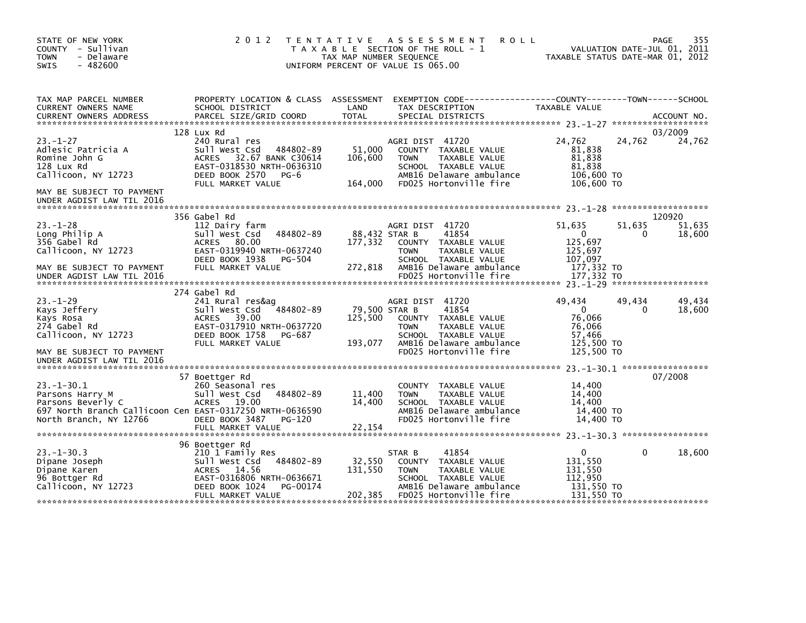| STATE OF NEW YORK<br>COUNTY - Sullivan<br><b>TOWN</b><br>- Delaware<br>$-482600$<br>SWIS                                                                                   | 2 0 1 2                                                                                                                                                                 | TAX MAP NUMBER SEQUENCE             | TENTATIVE ASSESSMENT<br><b>ROLL</b><br>T A X A B L E SECTION OF THE ROLL - 1<br>UNIFORM PERCENT OF VALUE IS 065.00                                                              | TAXABLE STATUS DATE-MAR 01, 2012                                                      | VALUATION DATE-JUL 01, 2011 | 355<br>PAGE                |
|----------------------------------------------------------------------------------------------------------------------------------------------------------------------------|-------------------------------------------------------------------------------------------------------------------------------------------------------------------------|-------------------------------------|---------------------------------------------------------------------------------------------------------------------------------------------------------------------------------|---------------------------------------------------------------------------------------|-----------------------------|----------------------------|
| TAX MAP PARCEL NUMBER<br>CURRENT OWNERS NAME<br>CURRENT OWNERS ADDRESS                                                                                                     | SCHOOL DISTRICT<br>PARCEL SIZE/GRID COORD                                                                                                                               | LAND<br>TOTAL                       | PROPERTY LOCATION & CLASS ASSESSMENT EXEMPTION CODE----------------COUNTY-------TOWN-----SCHOOL<br>TAX DESCRIPTION<br>SPECIAL DISTRICTS                                         | TAXABLE VALUE                                                                         |                             | ACCOUNT NO.                |
| $23. - 1 - 27$<br>Adlesic Patricia A<br>Romine John G<br>128 Lux Rd<br>Callicoon, NY 12723<br>MAY BE SUBJECT TO PAYMENT<br>UNDER AGDIST LAW TIL 2016                       | 128 Lux Rd<br>240 Rural res<br>484802-89<br>Sull West Csd<br>32.67 BANK C30614<br><b>ACRES</b><br>EAST-0318530 NRTH-0636310<br>DEED BOOK 2570 PG-6<br>FULL MARKET VALUE | 51,000<br>106,600<br>164,000        | AGRI DIST 41720<br>COUNTY TAXABLE VALUE<br><b>TOWN</b><br>TAXABLE VALUE<br>SCHOOL TAXABLE VALUE<br>AMB16 Delaware ambulance<br>FD025 Hortonville fire                           | 24,762<br>81,838<br>81,838<br>81,838<br>106,600 TO<br>106,600 TO                      | 24,762                      | 03/2009<br>24,762          |
| $23 - 1 - 28$<br>Long Philip A<br>356 Gabel Rd<br>Callicoon, NY 12723<br>MAY BE SUBJECT TO PAYMENT<br>UNDER AGDIST LAW TIL 2016                                            | 356 Gabel Rd<br>112 Dairy farm<br>484802-89<br>Sull West Csd<br>ACRES 80.00<br>EAST-0319940 NRTH-0637240<br>DEED BOOK 1938 PG-504<br>FULL MARKET VALUE                  | 177,332<br>272,818                  | AGRI DIST 41720<br>88,432 STAR B<br>41854<br>COUNTY TAXABLE VALUE<br>TAXABLE VALUE<br><b>TOWN</b><br>SCHOOL TAXABLE VALUE<br>AMB16 Delaware ambulance<br>FD025 Hortonville fire | 51,635<br>$\overline{0}$<br>125,697<br>125,697<br>107,097<br>177,332 TO<br>177,332 TO | 51,635<br>0                 | 120920<br>51,635<br>18,600 |
| $23 - 1 - 29$<br>Kays Jeffery<br>Kays Rosa<br>274 Gabel Rd<br>Callicoon, NY 12723<br>MAY BE SUBJECT TO PAYMENT                                                             | 274 Gabel Rd<br>241 Rural res&ag<br>Sull West Csd 484802-89<br>ACRES<br>39.00<br>EAST-0317910 NRTH-0637720<br>DEED BOOK 1758<br>PG-687<br>FULL MARKET VALUE             | 79,500 STAR B<br>125,500<br>193,077 | AGRI DIST 41720<br>41854<br>COUNTY TAXABLE VALUE<br>TAXABLE VALUE<br><b>TOWN</b><br>SCHOOL TAXABLE VALUE<br>AMB16 Delaware ambulance<br>FD025 Hortonville fire                  | 49,434<br>$\overline{0}$<br>76,066<br>76,066<br>57,466<br>125,500 TO<br>125,500 TO    | 49,434<br>$\Omega$          | 49,434<br>18,600           |
| UNDER AGDIST LAW TIL 2016<br>$23 - 1 - 30.1$<br>Parsons Harry M<br>Parsons Beverly C<br>697 North Branch Callicoon Cen EAST-0317250 NRTH-0636590<br>North Branch, NY 12766 | 57 Boettger Rd<br>260 Seasonal res<br>Sull West Csd<br>484802-89<br>ACRES 19.00<br>DEED BOOK 3487 PG-120<br>FULL MARKET VALUE                                           | 11,400<br>14,400<br>22,154          | COUNTY TAXABLE VALUE<br><b>TOWN</b><br>TAXABLE VALUE<br>SCHOOL TAXABLE VALUE<br>AMB16 Delaware ambulance<br>FD025 Hortonville fire                                              | 14,400<br>14,400<br>14.400<br>14,400 TO<br>14,400 TO                                  |                             | 07/2008                    |
| $23. - 1 - 30.3$<br>Dipane Joseph<br>Dipane Karen<br>96 Bottger Rd<br>Callicoon, NY 12723                                                                                  | 96 Boettger Rd<br>210 1 Family Res<br>484802-89<br>Sull West Csd<br>ACRES 14.56<br>EAST-0316806 NRTH-0636671<br>DEED BOOK 1024<br>PG-00174<br>FULL MARKET VALUE         | 32,550<br>131,550<br>202,385        | 41854<br>STAR B<br>COUNTY TAXABLE VALUE<br>TAXABLE VALUE<br><b>TOWN</b><br>SCHOOL TAXABLE VALUE<br>AMB16 Delaware ambulance<br>FD025 Hortonville fire                           | $\mathbf{0}$<br>131,550<br>131,550<br>112,950<br>131,550 TO<br>131,550 TO             | 0                           | 18,600                     |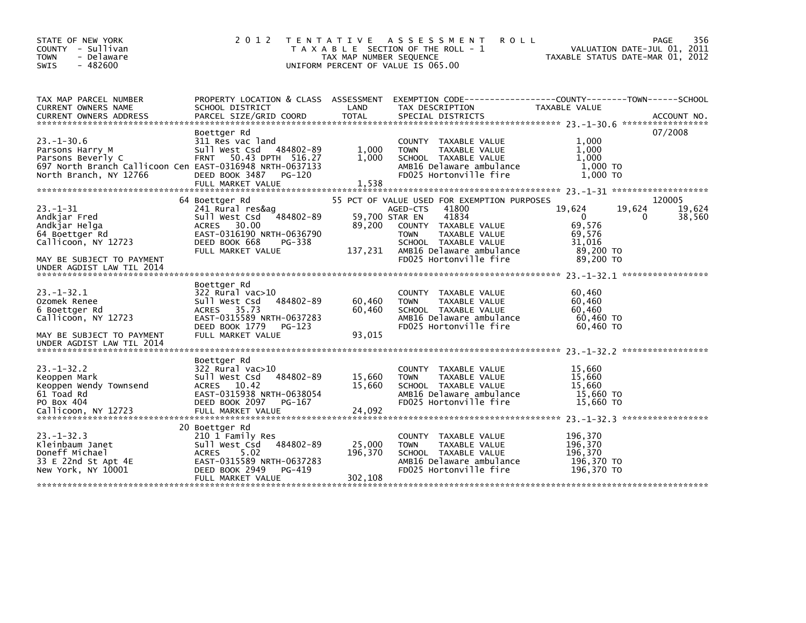| STATE OF NEW YORK<br>COUNTY - Sullivan<br><b>TOWN</b><br>- Delaware<br>$-482600$<br><b>SWIS</b>                                                   | 2 0 1 2                                                                                                                                                                | <b>TENTATIVE</b><br>TAX MAP NUMBER SEQUENCE | ASSESSMENT<br><b>ROLL</b><br>T A X A B L E SECTION OF THE ROLL - 1<br>UNIFORM PERCENT OF VALUE IS 065.00                                                                                                                   |                                                                            | 356<br>PAGE<br>VALUATION DATE-JUL 01, 2011<br>TAXABLE STATUS DATE-MAR 01, 2012 |
|---------------------------------------------------------------------------------------------------------------------------------------------------|------------------------------------------------------------------------------------------------------------------------------------------------------------------------|---------------------------------------------|----------------------------------------------------------------------------------------------------------------------------------------------------------------------------------------------------------------------------|----------------------------------------------------------------------------|--------------------------------------------------------------------------------|
| TAX MAP PARCEL NUMBER<br>CURRENT OWNERS NAME<br><b>CURRENT OWNERS ADDRESS</b>                                                                     | PROPERTY LOCATION & CLASS ASSESSMENT<br>SCHOOL DISTRICT<br>PARCEL SIZE/GRID COORD                                                                                      | LAND<br><b>TOTAL</b>                        | EXEMPTION CODE-----------------COUNTY-------TOWN------SCHOOL<br>TAX DESCRIPTION<br>SPECIAL DISTRICTS                                                                                                                       | TAXABLE VALUE                                                              | ACCOUNT NO.                                                                    |
| $23. - 1 - 30.6$<br>Parsons Harry M<br>Parsons Beverly C<br>697 North Branch Callicoon Cen EAST-0316948 NRTH-0637133<br>North Branch, NY 12766    | Boettger Rd<br>311 Res vac land<br>Sull West Csd<br>484802-89<br>FRNT 50.43 DPTH 516.27<br>DEED BOOK 3487<br>PG-120<br>FULL MARKET VALUE                               | 1,000<br>1,000<br>1,538                     | COUNTY TAXABLE VALUE<br>TAXABLE VALUE<br><b>TOWN</b><br>SCHOOL TAXABLE VALUE<br>AMB16 Delaware ambulance<br>FD025 Hortonville fire                                                                                         | 1.000<br>1,000<br>1,000<br>1,000 TO<br>$1.000$ TO                          | 07/2008                                                                        |
| $23 - 1 - 31$<br>Andkjar Fred<br>Andkjar Helga<br>64 Boettger Rd<br>Callicoon, NY 12723<br>MAY BE SUBJECT TO PAYMENT<br>UNDER AGDIST LAW TIL 2014 | 64 Boettger Rd<br>241 Rural res&ag<br>484802-89<br>Sull West Csd<br>30.00<br><b>ACRES</b><br>EAST-0316190 NRTH-0636790<br>DEED BOOK 668<br>PG-338<br>FULL MARKET VALUE | 89,200<br>137,231                           | 55 PCT OF VALUE USED FOR EXEMPTION PURPOSES<br>41800<br>AGED-CTS<br>59,700 STAR EN<br>41834<br>COUNTY TAXABLE VALUE<br>TAXABLE VALUE<br>TOWN<br>SCHOOL TAXABLE VALUE<br>AMB16 Delaware ambulance<br>FD025 Hortonville fire | 19,624<br>$\Omega$<br>69,576<br>69,576<br>31,016<br>89,200 TO<br>89,200 TO | 120005<br>19,624<br>19,624<br>38,560<br>0                                      |
| $23 - 1 - 32.1$<br>Ozomek Renee<br>6 Boettger Rd<br>Callicoon, NY 12723<br>MAY BE SUBJECT TO PAYMENT<br>UNDER AGDIST LAW TIL 2014                 | Boettger Rd<br>322 Rural vac>10<br>Sull West Csd<br>484802-89<br>ACRES 35.73<br>EAST-0315589 NRTH-0637283<br>DEED BOOK 1779<br>PG-123<br>FULL MARKET VALUE             | 60,460<br>60,460<br>93,015                  | COUNTY TAXABLE VALUE<br><b>TOWN</b><br>TAXABLE VALUE<br>SCHOOL TAXABLE VALUE<br>AMB16 Delaware ambulance<br>FD025 Hortonville fire                                                                                         | 60,460<br>60,460<br>60,460<br>60,460 TO<br>60,460 TO                       |                                                                                |
| $23 - 1 - 32.2$<br>Keoppen Mark<br>Keoppen Wendy Townsend<br>61 Toad Rd<br>PO Box 404<br>Callicoon, NY 12723                                      | Boettger Rd<br>322 Rural vac>10<br>484802-89<br>Sull West Csd<br>ACRES 10.42<br>EAST-0315938 NRTH-0638054<br>DEED BOOK 2097<br>PG-167<br>FULL MARKET VALUE             | 15,660<br>15.660<br>24,092                  | <b>COUNTY</b><br>TAXABLE VALUE<br>TAXABLE VALUE<br><b>TOWN</b><br>SCHOOL TAXABLE VALUE<br>AMB16 Delaware ambulance<br>FD025 Hortonville fire                                                                               | 15,660<br>15,660<br>15.660<br>15,660 TO<br>15,660 TO                       |                                                                                |
| $23 - 1 - 32.3$<br>Kleinbaum Janet<br>Doneff Michael<br>33 E 22nd St Apt 4E<br>New York, NY 10001                                                 | 20 Boettger Rd<br>210 1 Family Res<br>Sull West Csd<br>484802-89<br><b>ACRES</b><br>5.02<br>EAST-0315589 NRTH-0637283<br>DEED BOOK 2949<br>PG-419<br>FULL MARKET VALUE | 25,000<br>196,370<br>302,108                | COUNTY TAXABLE VALUE<br><b>TOWN</b><br>TAXABLE VALUE<br>SCHOOL TAXABLE VALUE<br>AMB16 Delaware ambulance<br>FD025 Hortonville fire                                                                                         | 196,370<br>196,370<br>196,370<br>196,370 TO<br>196,370 TO                  |                                                                                |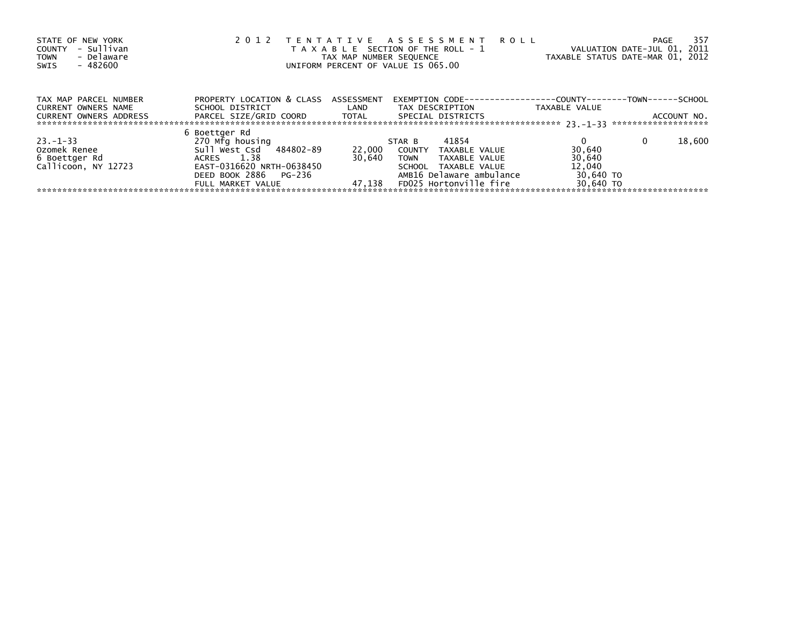| STATE OF NEW YORK<br>- Sullivan<br>COUNTY<br>- Delaware<br><b>TOWN</b><br>- 482600<br>SWIS | 2 0 1 2<br>TENTATIVE ASSESSMENT ROLL<br>VALUATION DATE-JUL 01, 2011<br>T A X A B L E SECTION OF THE ROLL - 1<br>TAXABLE STATUS DATE-MAR 01, 2012<br>TAX MAP NUMBER SEQUENCE<br>UNIFORM PERCENT OF VALUE IS 065.00 |        |                                                                     |               |             |  |  |
|--------------------------------------------------------------------------------------------|-------------------------------------------------------------------------------------------------------------------------------------------------------------------------------------------------------------------|--------|---------------------------------------------------------------------|---------------|-------------|--|--|
| TAX MAP PARCEL NUMBER                                                                      | PROPERTY LOCATION & CLASS ASSESSMENT                                                                                                                                                                              |        | EXEMPTION        CODE-----------------COUNTY-------TOWN------SCHOOL |               |             |  |  |
| CURRENT OWNERS NAME                                                                        | SCHOOL DISTRICT                                                                                                                                                                                                   | LAND   | TAX DESCRIPTION                                                     | TAXABLE VALUE |             |  |  |
| CURRENT OWNERS ADDRESS                                                                     | PARCEL SIZE/GRID COORD TOTAL                                                                                                                                                                                      |        | SPECIAL DISTRICTS                                                   |               | ACCOUNT NO. |  |  |
|                                                                                            | 6 Boettger Rd                                                                                                                                                                                                     |        |                                                                     |               |             |  |  |
| $23. - 1 - 33$                                                                             | 270 Mfg housing                                                                                                                                                                                                   |        | 41854<br>STAR B                                                     |               | 18,600<br>0 |  |  |
| Ozomek Renee                                                                               | Sull West Csd 484802-89                                                                                                                                                                                           | 22,000 | COUNTY<br>TAXABLE VALUE                                             | 30,640        |             |  |  |
| 6 Boettger Rd                                                                              | ACRES 1.38                                                                                                                                                                                                        | 30.640 | <b>TOWN</b><br>TAXABLE VALUE                                        | 30,640        |             |  |  |
| Callicoon, NY 12723                                                                        | EAST-0316620 NRTH-0638450                                                                                                                                                                                         |        | SCHOOL TAXABLE VALUE                                                | 12,040        |             |  |  |
|                                                                                            | DEED BOOK 2886 PG-236                                                                                                                                                                                             |        | AMB16 Delaware ambulance                                            | 30,640 TO     |             |  |  |
|                                                                                            | FULL MARKET VALUE                                                                                                                                                                                                 | 47.138 | FD025 Hortonville fire                                              | 30.640 TO     |             |  |  |
|                                                                                            |                                                                                                                                                                                                                   |        |                                                                     |               |             |  |  |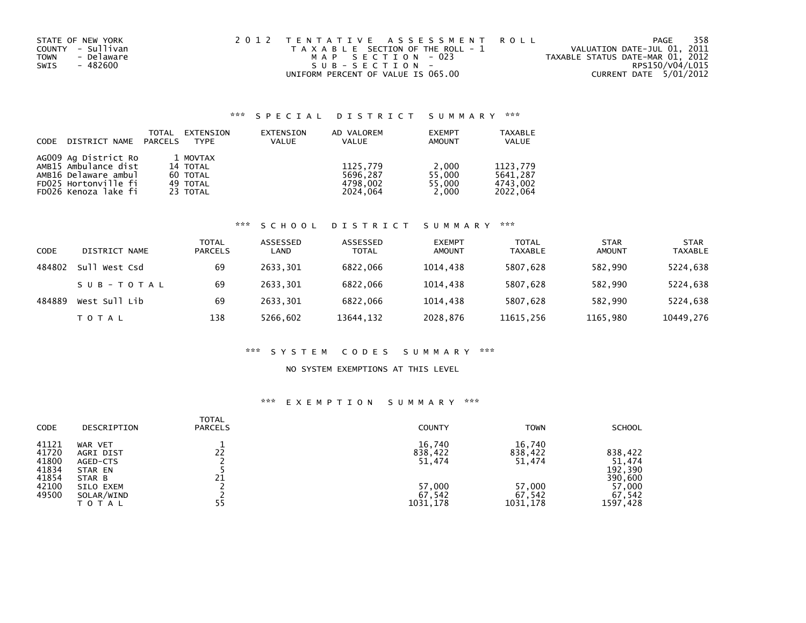| STATE OF NEW YORK         | 2012 TENTATIVE ASSESSMENT ROLL        | PAGE                             | 358 |
|---------------------------|---------------------------------------|----------------------------------|-----|
| COUNTY - Sullivan         | T A X A B L E SECTION OF THE ROLL - 1 | VALUATION DATE-JUL 01, 2011      |     |
| - Delaware<br><b>TOWN</b> | MAP SECTION - 023                     | TAXABLE STATUS DATE-MAR 01, 2012 |     |
| - 482600<br>SWIS          | SUB-SECTION-                          | RPS150/V04/L015                  |     |
|                           | UNIFORM PERCENT OF VALUE IS 065.00    | CURRENT DATE 5/01/2012           |     |

## \*\*\* S P E C I A L D I S T R I C T S U M M A R Y \*\*\*

| CODE | DISTRICT NAME PARCELS | TOTAL | EXTENSION<br><b>TYPE</b> | EXTENSION<br><b>VALUE</b> | AD VALOREM<br><b>VALUE</b> | <b>EXEMPT</b><br><b>AMOUNT</b> | <b>TAXABLE</b><br><b>VALUE</b> |
|------|-----------------------|-------|--------------------------|---------------------------|----------------------------|--------------------------------|--------------------------------|
|      | AG009 Ag District Ro  |       | 1 MOVTAX                 |                           |                            |                                |                                |
|      | AMB15 Ambulance dist  |       | 14 TOTAL                 |                           | 1125,779                   | 2,000                          | 1123.779                       |
|      | AMB16 Delaware ambul  |       | 60 TOTAL                 |                           | 5696.287                   | 55.000                         | 5641.287                       |
|      | FD025 Hortonville fi  |       | 49 TOTAL                 |                           | 4798.002                   | 55.000                         | 4743.002                       |
|      | FD026 Kenoza lake fi  |       | 23 TOTAL                 |                           | 2024.064                   | 2,000                          | 2022.064                       |

### \*\*\* S C H O O L D I S T R I C T S U M M A R Y \*\*\*

| CODE   | DISTRICT NAME | <b>TOTAL</b><br><b>PARCELS</b> | ASSESSED<br>LAND | ASSESSED<br><b>TOTAL</b> | <b>EXEMPT</b><br><b>AMOUNT</b> | <b>TOTAL</b><br><b>TAXABLE</b> | <b>STAR</b><br>AMOUNT | <b>STAR</b><br><b>TAXABLE</b> |
|--------|---------------|--------------------------------|------------------|--------------------------|--------------------------------|--------------------------------|-----------------------|-------------------------------|
| 484802 | Sull West Csd | 69                             | 2633.301         | 6822,066                 | 1014.438                       | 5807.628                       | 582,990               | 5224,638                      |
|        | SUB-TOTAL     | 69                             | 2633.301         | 6822.066                 | 1014.438                       | 5807,628                       | 582,990               | 5224,638                      |
| 484889 | West Sull Lib | 69                             | 2633.301         | 6822.066                 | 1014.438                       | 5807.628                       | 582.990               | 5224,638                      |
|        | T O T A L     | 138                            | 5266,602         | 13644, 132               | 2028,876                       | 11615,256                      | 1165,980              | 10449,276                     |

# \*\*\* S Y S T E M C O D E S S U M M A R Y \*\*\*

#### NO SYSTEM EXEMPTIONS AT THIS LEVEL

## \*\*\* E X E M P T I O N S U M M A R Y \*\*\*

| <b>CODE</b>                                                 | DESCRIPTION                                                                               | TOTAL<br><b>PARCELS</b> | <b>COUNTY</b>                                               | <b>TOWN</b>                                                 | <b>SCHOOL</b>                                                           |
|-------------------------------------------------------------|-------------------------------------------------------------------------------------------|-------------------------|-------------------------------------------------------------|-------------------------------------------------------------|-------------------------------------------------------------------------|
| 41121<br>41720<br>41800<br>41834<br>41854<br>42100<br>49500 | WAR VET<br>AGRI DIST<br>AGED-CTS<br>STAR EN<br>STAR B<br>SILO EXEM<br>SOLAR/WIND<br>ΤΟΤΑΙ | 22<br>21<br>55          | 16,740<br>838,422<br>51,474<br>57,000<br>67,542<br>1031,178 | 16,740<br>838,422<br>51,474<br>57,000<br>67.542<br>1031,178 | 838,422<br>51,474<br>192,390<br>390,600<br>57,000<br>67,542<br>1597,428 |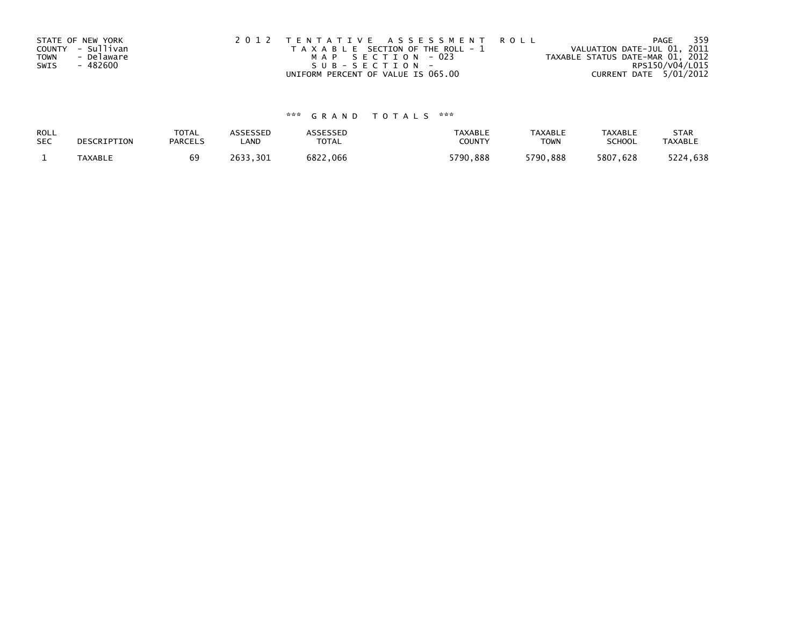|             | STATE OF NEW YORK | 2012 TENTATIVE ASSESSMENT ROLL        | 359<br>PAGE                      |
|-------------|-------------------|---------------------------------------|----------------------------------|
|             | COUNTY - Sullivan | T A X A B L E SECTION OF THE ROLL - 1 | VALUATION DATE-JUL 01, 2011      |
| <b>TOWN</b> | - Delaware        | MAP SECTION - 023                     | TAXABLE STATUS DATE-MAR 01, 2012 |
| SWIS        | - 482600          | $SUB - SECTION -$                     | RPS150/V04/L015                  |
|             |                   | UNIFORM PERCENT OF VALUE IS 065.00    | CURRENT DATE 5/01/2012           |

# \*\*\* G R A N D T O T A L S \*\*\*

| ROLL       | DESCRIPTION | <b>TOTAL</b>   | ASSESSED     | <b>ASSESSED</b> | <b>TAXABLE</b> | <b>TAXABLE</b> | <b>TAXABLE</b> | <b>STAR</b>    |
|------------|-------------|----------------|--------------|-----------------|----------------|----------------|----------------|----------------|
| <b>SEC</b> |             | <b>PARCELS</b> | _AND         | TOTAL           | <b>COUNT</b>   | <b>TOWN</b>    | <b>SCHOOL</b>  | <b>TAXABLE</b> |
|            | TAXABLE     |                | 2633<br>.301 | 6822,066        | 5790,888       | 5790,888       | 5807,628       | 5224,638       |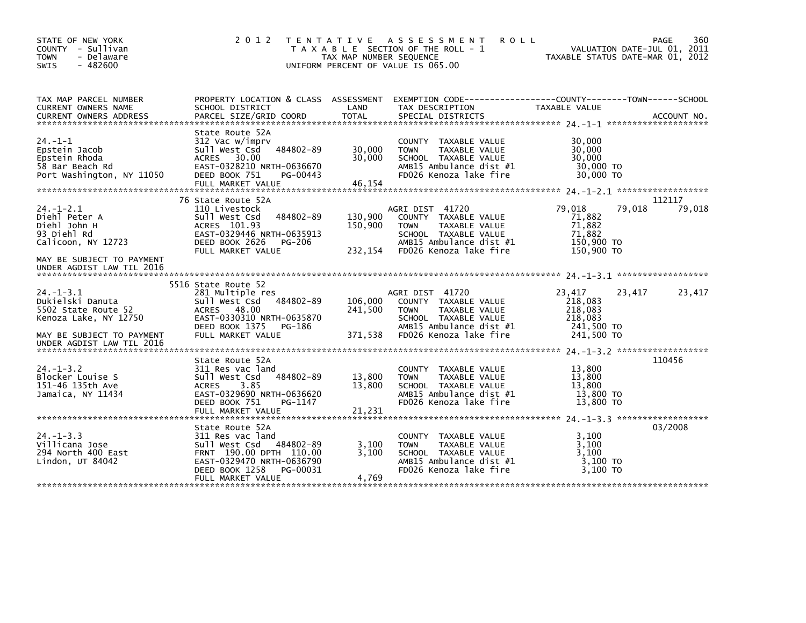| STATE OF NEW YORK<br>COUNTY - Sullivan<br><b>TOWN</b><br>- Delaware<br><b>SWIS</b><br>$-482600$                                               | 2 0 1 2                                                                                                                                                         | T E N T A T I V E<br>TAX MAP NUMBER SEQUENCE | ASSESSMENT<br><b>ROLL</b><br>T A X A B L E SECTION OF THE ROLL - 1<br>UNIFORM PERCENT OF VALUE IS 065.00                                               | VALUATION DATE-JUL 01, 2011<br>TAXABLE STATUS DATE-MAR 01, 2012               | 360<br>PAGE |
|-----------------------------------------------------------------------------------------------------------------------------------------------|-----------------------------------------------------------------------------------------------------------------------------------------------------------------|----------------------------------------------|--------------------------------------------------------------------------------------------------------------------------------------------------------|-------------------------------------------------------------------------------|-------------|
| TAX MAP PARCEL NUMBER<br>CURRENT OWNERS NAME<br><b>CURRENT OWNERS ADDRESS</b>                                                                 | SCHOOL DISTRICT<br>PARCEL SIZE/GRID COORD                                                                                                                       | LAND<br>TOTAL                                | PROPERTY LOCATION & CLASS ASSESSMENT EXEMPTION CODE---------------COUNTY-------TOWN-----SCHOOL<br>TAX DESCRIPTION<br>SPECIAL DISTRICTS                 | TAXABLE VALUE                                                                 | ACCOUNT NO. |
| $24. -1 - 1$<br>Epstein Jacob<br>Epstein Rhoda<br>58 Bar Beach Rd<br>Port Washington, NY 11050                                                | State Route 52A<br>312 Vac w/imprv<br>484802-89<br>Sull West Csd<br>ACRES 30.00<br>EAST-0328210 NRTH-0636670<br>DEED BOOK 751<br>PG-00443<br>FULL MARKET VALUE  | 30,000<br>30.000<br>46,154                   | COUNTY TAXABLE VALUE<br>TAXABLE VALUE<br><b>TOWN</b><br>SCHOOL TAXABLE VALUE<br>AMB15 Ambulance dist #1<br>FD026 Kenoza lake fire                      | 30,000<br>30,000<br>30,000<br>30,000 TO<br>30,000 TO                          |             |
|                                                                                                                                               | 76 State Route 52A                                                                                                                                              |                                              |                                                                                                                                                        |                                                                               | 112117      |
| $24. - 1 - 2.1$<br>Diehl Peter A<br>Diehl John H<br>93 Diehl Rd<br>Calicoon, NY 12723                                                         | 110 Livestock<br>484802-89<br>Sull West Csd<br>ACRES 101.93<br>EAST-0329446 NRTH-0635913<br>DEED BOOK 2626<br>PG-206<br>FULL MARKET VALUE                       | 130,900<br>150,900<br>232,154                | AGRI DIST 41720<br>COUNTY TAXABLE VALUE<br>TAXABLE VALUE<br><b>TOWN</b><br>SCHOOL TAXABLE VALUE<br>AMB15 Ambulance dist #1<br>FD026 Kenoza lake fire   | 79,018<br>79,018<br>71,882<br>71,882<br>71,882<br>150,900 TO<br>150,900 TO    | 79,018      |
| MAY BE SUBJECT TO PAYMENT<br>UNDER AGDIST LAW TIL 2016                                                                                        |                                                                                                                                                                 |                                              |                                                                                                                                                        |                                                                               |             |
| $24. - 1 - 3.1$<br>Dukielski Danuta<br>5502 State Route 52<br>Kenoza Lake, NY 12750<br>MAY BE SUBJECT TO PAYMENT<br>UNDER AGDIST LAW TIL 2016 | 5516 State Route 52<br>281 Multiple res<br>Sull West Csd 484802-89<br>ACRES 48.00<br>EAST-0330310 NRTH-0635870<br>DEED BOOK 1375<br>PG-186<br>FULL MARKET VALUE | 106,000<br>241,500<br>371,538                | AGRI DIST 41720<br>COUNTY TAXABLE VALUE<br>TAXABLE VALUE<br><b>TOWN</b><br>SCHOOL TAXABLE VALUE<br>AMB15 Ambulance dist $#1$<br>FD026 Kenoza lake fire | 23,417<br>23,417<br>218,083<br>218,083<br>218,083<br>241,500 TO<br>241,500 TO | 23,417      |
| $24. -1 - 3.2$<br>Blocker Louise S                                                                                                            | State Route 52A<br>311 Res vac land<br>484802-89<br>Sull West Csd                                                                                               | 13,800                                       | COUNTY TAXABLE VALUE<br>TAXABLE VALUE<br><b>TOWN</b>                                                                                                   | 13,800<br>13.800                                                              | 110456      |
| 151-46 135th Ave<br>Jamaica, NY 11434                                                                                                         | <b>ACRES</b><br>3.85<br>EAST-0329690 NRTH-0636620<br>DEED BOOK 751<br>PG-1147<br>FULL MARKET VALUE                                                              | 13,800<br>21,231                             | SCHOOL TAXABLE VALUE<br>AMB15 Ambulance dist #1<br>FD026 Kenoza lake fire                                                                              | 13,800<br>13,800 TO<br>13,800 TO                                              |             |
|                                                                                                                                               |                                                                                                                                                                 |                                              |                                                                                                                                                        |                                                                               |             |
| $24. -1 - 3.3$<br>Villicana Jose<br>294 North 400 East<br>Lindon, $UT$ 84042                                                                  | State Route 52A<br>311 Res vac land<br>Sull West Csd 484802-89<br>FRNT 190.00 DPTH 110.00<br>EAST-0329470 NRTH-0636790<br>DEED BOOK 1258<br>PG-00031            | 3,100<br>3.100                               | TAXABLE VALUE<br><b>COUNTY</b><br>TAXABLE VALUE<br><b>TOWN</b><br>SCHOOL TAXABLE VALUE<br>AMB15 Ambulance dist #1<br>FD026 Kenoza lake fire            | 3,100<br>3,100<br>3,100<br>$3,100$ TO<br>3,100 TO                             | 03/2008     |
|                                                                                                                                               | FULL MARKET VALUE                                                                                                                                               | 4,769                                        |                                                                                                                                                        |                                                                               |             |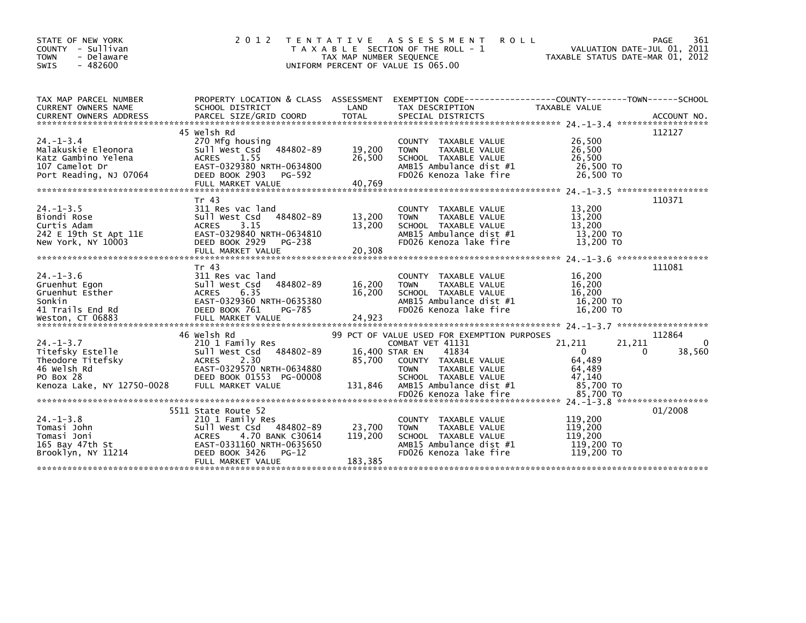| STATE OF NEW YORK<br>COUNTY - Sullivan<br>- Delaware<br><b>TOWN</b><br>$-482600$<br><b>SWIS</b>                    | 2 0 1 2                                                                                                                                                                                  | T E N T A T I V E<br>TAX MAP NUMBER SEQUENCE | A S S E S S M E N T<br><b>ROLL</b><br>T A X A B L E SECTION OF THE ROLL - 1<br>UNIFORM PERCENT OF VALUE IS 065.00                           | VALUATION DATE-JUL 01, 2011<br>TAXABLE STATUS DATE-MAR 01, 2012         | PAGE<br>361             |
|--------------------------------------------------------------------------------------------------------------------|------------------------------------------------------------------------------------------------------------------------------------------------------------------------------------------|----------------------------------------------|---------------------------------------------------------------------------------------------------------------------------------------------|-------------------------------------------------------------------------|-------------------------|
| TAX MAP PARCEL NUMBER<br>CURRENT OWNERS NAME                                                                       | SCHOOL DISTRICT                                                                                                                                                                          | LAND                                         | PROPERTY LOCATION & CLASS ASSESSMENT EXEMPTION CODE----------------COUNTY-------TOWN------SCHOOL<br>TAX DESCRIPTION                         | TAXABLE VALUE                                                           |                         |
| $24. - 1 - 3.4$<br>Malakuskie Eleonora<br>Katz Gambino Yelena<br>107 Camelot Dr<br>Port Reading, NJ 07064          | 45 Welsh Rd<br>270 Mfg housing<br>Sull West Csd 484802-89<br><b>ACRES</b><br>1.55<br>EAST-0329380 NRTH-0634800<br>DEED BOOK 2903 PG-592                                                  | 19,200<br>26,500                             | COUNTY TAXABLE VALUE<br>TAXABLE VALUE<br><b>TOWN</b><br>SCHOOL TAXABLE VALUE<br>AMB15 Ambulance dist #1<br>FD026 Kenoza lake fire           | 26,500<br>26,500<br>26.500<br>26,500 TO<br>26,500 TO                    | 112127                  |
| $24. -1 - 3.5$<br>Biondi Rose<br>Curtis Adam<br>242 E 19th St Apt 11E<br>New York, NY 10003                        | Tr 43<br>311 Res vac land<br>484802-89<br>Sull West Csd<br>3.15<br><b>ACRES</b><br>EAST-0329840 NRTH-0634810<br>DEED BOOK 2929<br>PG-238<br>FULL MARKET VALUE                            | 13,200<br>13,200<br>20,308                   | COUNTY TAXABLE VALUE<br>TAXABLE VALUE<br><b>TOWN</b><br>SCHOOL TAXABLE VALUE<br>AMB15 Ambulance dist #1<br>FD026 Kenoza lake fire           | 13,200<br>13,200<br>13,200<br>13,200 TO<br>13,200 TO                    | 110371                  |
| $24. -1 - 3.6$<br>Gruenhut Egon<br>Gruenhut Esther<br>Sonkin<br>41 Trails End Rd<br>Weston, CT 06883               | Tr 43<br>311 Res vac land<br>Sull West Csd<br>484802-89<br><b>ACRES</b><br>6.35<br>EAST-0329360 NRTH-0635380<br>DEED BOOK 761<br>PG-785<br>FULL MARKET VALUE                             | 16,200<br>16,200<br>24,923                   | TAXABLE VALUE<br>COUNTY<br><b>TOWN</b><br>TAXABLE VALUE<br>SCHOOL TAXABLE VALUE<br>AMB15 Ambulance dist #1<br>FD026 Kenoza lake fire        | 16.200<br>16,200<br>16,200<br>16,200 TO<br>16,200 TO                    | 111081                  |
|                                                                                                                    | 46 Welsh Rd                                                                                                                                                                              |                                              | 99 PCT OF VALUE USED FOR EXEMPTION PURPOSES                                                                                                 |                                                                         | 112864                  |
| $24. - 1 - 3.7$<br>Titefsky Estelle<br>Theodore Titefsky<br>46 Welsh Rd<br>PO Box 28<br>Kenoza Lake, NY 12750-0028 | 210 1 Family Res<br>484802-89<br>Sull West Csd<br>2.30<br><b>ACRES</b><br>EAST-0329570 NRTH-0634880<br>DEED BOOK 01553 PG-00008<br>FULL MARKET VALUE                                     | 16,400 STAR EN<br>85,700<br>131,846          | COMBAT VET 41131<br>41834<br>COUNTY TAXABLE VALUE<br>TAXABLE VALUE<br><b>TOWN</b><br>SCHOOL TAXABLE VALUE<br>AMB15 Ambulance dist #1        | 21,211<br>21,211<br>$\Omega$<br>64,489<br>64,489<br>47.140<br>85,700 TO | $\Omega$<br>38,560<br>0 |
|                                                                                                                    |                                                                                                                                                                                          |                                              | FD026 Kenoza lake fire                                                                                                                      | 85.700 TO                                                               |                         |
| $24. -1 - 3.8$<br>Tomasi John<br>Tomasi Joni<br>165 Bay 47th St<br>Brooklyn, NY 11214                              | 5511 State Route 52<br>210 1 Family Res<br>Sull West Csd<br>484802-89<br>4.70 BANK C30614<br><b>ACRES</b><br>EAST-0331160 NRTH-0635650<br>DEED BOOK 3426<br>$PG-12$<br>FULL MARKET VALUE | 23,700<br>119,200<br>183,385                 | <b>COUNTY</b><br>TAXABLE VALUE<br>TAXABLE VALUE<br><b>TOWN</b><br>SCHOOL TAXABLE VALUE<br>AMB15 Ambulance dist #1<br>FD026 Kenoza lake fire | 119,200<br>119,200<br>119,200<br>119,200 TO<br>119,200 TO               | 01/2008                 |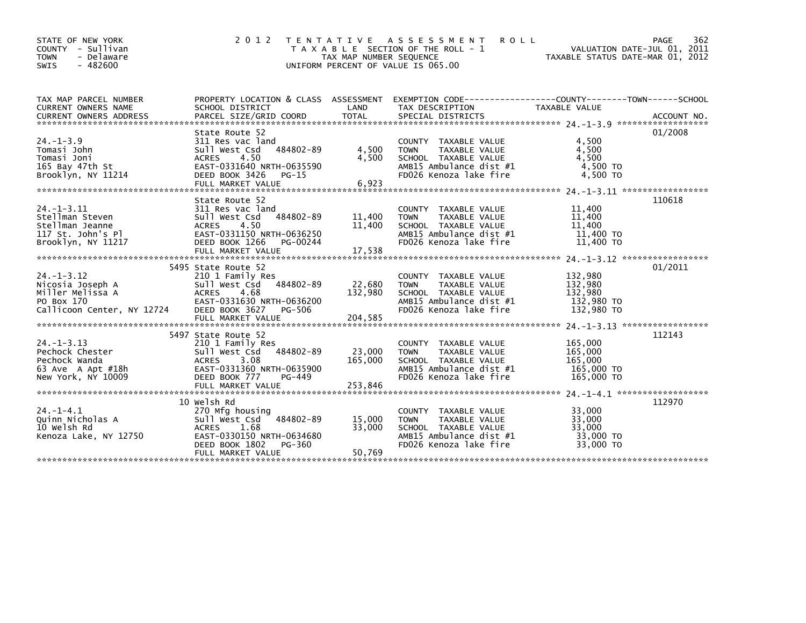| STATE OF NEW YORK<br>COUNTY - Sullivan                | 2 0 1 2                                           | T E N T A T I V E       | A S S E S S M E N T<br>ROLL<br>T A X A B L E SECTION OF THE ROLL - 1 | VALUATION DATE-JUL 01, 2011      | 362<br>PAGE |
|-------------------------------------------------------|---------------------------------------------------|-------------------------|----------------------------------------------------------------------|----------------------------------|-------------|
| <b>TOWN</b><br>- Delaware<br>$-482600$<br><b>SWIS</b> |                                                   | TAX MAP NUMBER SEQUENCE | UNIFORM PERCENT OF VALUE IS 065.00                                   | TAXABLE STATUS DATE-MAR 01, 2012 |             |
| TAX MAP PARCEL NUMBER                                 | PROPERTY LOCATION & CLASS ASSESSMENT              |                         |                                                                      |                                  |             |
| <b>CURRENT OWNERS NAME</b>                            | SCHOOL DISTRICT                                   | LAND                    | TAX DESCRIPTION                                                      | TAXABLE VALUE                    |             |
|                                                       |                                                   |                         |                                                                      |                                  |             |
|                                                       |                                                   |                         |                                                                      |                                  |             |
|                                                       | State Route 52                                    |                         |                                                                      |                                  | 01/2008     |
| $24. - 1 - 3.9$                                       | 311 Res vac land                                  |                         | COUNTY TAXABLE VALUE                                                 | 4.500                            |             |
| Tomasi John                                           | 484802-89<br>Sull West Csd                        | 4,500<br>4.500          | TAXABLE VALUE<br><b>TOWN</b>                                         | 4,500<br>4.500                   |             |
| Tomasi Joni                                           | <b>ACRES</b><br>4.50<br>EAST-0331640 NRTH-0635590 |                         | SCHOOL TAXABLE VALUE<br>AMB15 Ambulance dist #1                      | 4,500 TO                         |             |
| 165 Bay 47th St<br>Brooklyn, NY 11214                 | DEED BOOK 3426<br>PG-15                           |                         | FD026 Kenoza lake fire                                               | 4.500 TO                         |             |
|                                                       | FULL MARKET VALUE                                 | 6,923                   |                                                                      |                                  |             |
|                                                       |                                                   |                         |                                                                      |                                  |             |
|                                                       | State Route 52                                    |                         |                                                                      |                                  | 110618      |
| $24. -1 - 3.11$                                       | 311 Res vac land                                  |                         | COUNTY TAXABLE VALUE                                                 | 11,400                           |             |
| Stellman Steven                                       | 484802-89<br>Sull West Csd                        | 11,400                  | TAXABLE VALUE<br><b>TOWN</b>                                         | 11,400                           |             |
| Stellman Jeanne                                       | 4.50<br><b>ACRES</b>                              | 11,400                  | SCHOOL TAXABLE VALUE                                                 | 11,400                           |             |
| 117 St. John's Pl                                     | EAST-0331150 NRTH-0636250                         |                         | AMB15 Ambulance dist #1                                              | 11,400 TO                        |             |
| Brooklyn, NY 11217                                    | DEED BOOK 1266<br>PG-00244                        |                         | FD026 Kenoza lake fire                                               | 11,400 TO                        |             |
|                                                       |                                                   |                         |                                                                      |                                  |             |
|                                                       |                                                   |                         |                                                                      |                                  |             |
|                                                       | 5495 State Route 52                               |                         |                                                                      |                                  | 01/2011     |
| $24. - 1 - 3.12$                                      | 210 1 Family Res<br>Sull West Csd 484802-89       |                         | COUNTY TAXABLE VALUE                                                 | 132,980                          |             |
| Nicosia Joseph A                                      | <b>ACRES</b><br>4.68                              | 22,680<br>132,980       | <b>TAXABLE VALUE</b><br><b>TOWN</b><br>SCHOOL TAXABLE VALUE          | 132,980<br>132,980               |             |
| Miller Melissa A<br>PO Box 170                        | EAST-0331630 NRTH-0636200                         |                         | AMB15 Ambulance dist #1                                              | 132,980 TO                       |             |
| Callicoon Center, NY 12724                            | DEED BOOK 3627 PG-506                             |                         | FD026 Kenoza lake fire                                               | 132,980 TO                       |             |
|                                                       |                                                   |                         |                                                                      |                                  |             |
|                                                       |                                                   |                         |                                                                      |                                  |             |
|                                                       | 5497 State Route 52                               |                         |                                                                      |                                  | 112143      |
| $24. - 1 - 3.13$                                      | 210 1 Family Res                                  |                         | COUNTY TAXABLE VALUE                                                 | 165,000                          |             |
| Pechock Chester                                       | Sull West Csd 484802-89                           | 23,000                  | <b>TAXABLE VALUE</b><br><b>TOWN</b>                                  | 165,000                          |             |
| Pechock Wanda                                         | 3.08<br><b>ACRES</b>                              | 165,000                 | SCHOOL TAXABLE VALUE                                                 | 165.000                          |             |
| 63 Ave A Apt #18h                                     | EAST-0331360 NRTH-0635900                         |                         | AMB15 Ambulance dist #1                                              | 165,000 TO                       |             |
| New York, NY 10009                                    | DEED BOOK 777<br>PG-449                           |                         | FD026 Kenoza lake fire                                               | 165,000 TO                       |             |
|                                                       |                                                   |                         |                                                                      |                                  |             |
|                                                       |                                                   |                         |                                                                      |                                  |             |
|                                                       |                                                   |                         |                                                                      |                                  |             |
|                                                       | 10 Welsh Rd                                       |                         |                                                                      |                                  | 112970      |
| $24. - 1 - 4.1$                                       | 270 Mfg housing                                   |                         | COUNTY TAXABLE VALUE                                                 | 33,000                           |             |
| Quinn Nicholas A                                      | Sull West Csd<br>484802-89                        | 15,000                  | <b>TOWN</b><br><b>TAXABLE VALUE</b>                                  | 33,000                           |             |
| 10 Welsh Rd                                           | ACRES<br>1.68                                     | 33,000                  | SCHOOL TAXABLE VALUE                                                 | 33,000                           |             |
| Kenoza Lake, NY 12750                                 | EAST-0330150 NRTH-0634680                         |                         | AMB15 Ambulance dist #1                                              | 33,000 TO                        |             |
|                                                       | DEED BOOK 1802<br>PG-360<br>FULL MARKET VALUE     | 50.769                  | FD026 Kenoza lake fire                                               | 33,000 TO                        |             |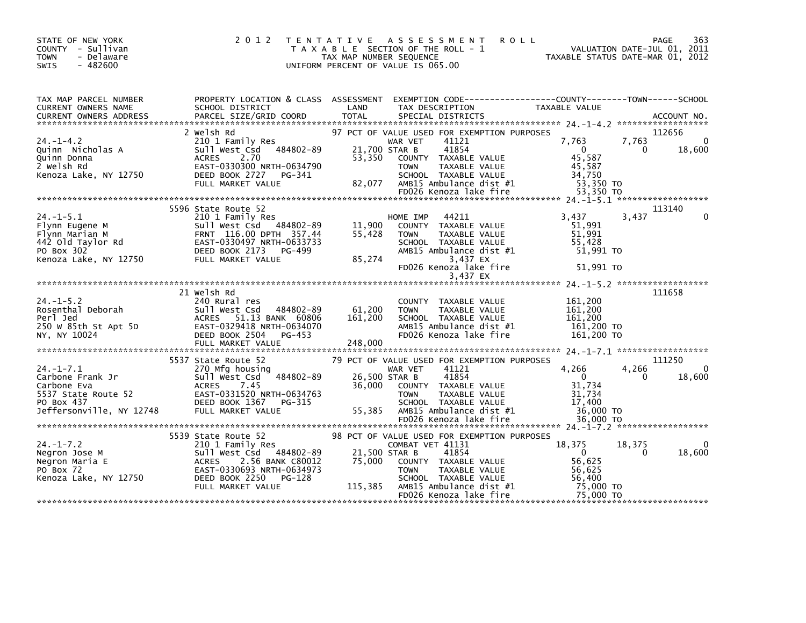| STATE OF NEW YORK<br>COUNTY - Sullivan<br>- Delaware<br><b>TOWN</b><br>$-482600$<br>SWIS                                                                                                                                                                 | 2 0 1 2                                                   |               | TENTATIVE ASSESSMENT ROLL<br>T A X A B L E SECTION OF THE ROLL - 1<br>TAX MAP NUMBER SEQUENCE<br>TAXABLE STATUS DATE-MAR 01, 2012<br>UNIFORM PERCENT OF VALUE IS 065.00                                            |                                                                                  | 363<br>PAGE                                    |
|----------------------------------------------------------------------------------------------------------------------------------------------------------------------------------------------------------------------------------------------------------|-----------------------------------------------------------|---------------|--------------------------------------------------------------------------------------------------------------------------------------------------------------------------------------------------------------------|----------------------------------------------------------------------------------|------------------------------------------------|
| TAX MAP PARCEL NUMBER<br>CURRENT OWNERS NAME                                                                                                                                                                                                             | PROPERTY LOCATION & CLASS ASSESSMENT<br>SCHOOL DISTRICT   | LAND          |                                                                                                                                                                                                                    |                                                                                  |                                                |
| $24. - 1 - 4.2$<br>Cuinn Nicholas A<br>Cuinn Donna<br>2 welsh Rd<br>2 welsh Rd<br>2 welsh Rd<br>2 welsh Rd<br>2 welsh Rd<br>2 welsh Rd<br>2 welsh Rd<br>2 DEED BOOK 2727 PG-341                                                                          | 2 Welsh Rd<br>210 1 Family Res<br>sull west Csd 484802-89 |               | 97 PCT OF VALUE USED FOR EXEMPTION PURPOSES<br>WAR VET<br>41121<br>21,700 STAR B<br>41854<br>53,350 COUNTY TAXABLE VALUE<br><b>TOWN</b><br>TAXABLE VALUE<br>SCHOOL TAXABLE VALUE<br>82,077 AMB15 Ambulance dist #1 | 7,763<br>$\overline{0}$<br>45,587<br>45,587<br>34,750<br>53,350 TO               | 112656<br>7,763<br>$\mathbf{0}$<br>18,600<br>0 |
|                                                                                                                                                                                                                                                          |                                                           |               |                                                                                                                                                                                                                    |                                                                                  |                                                |
| 210 1 Family Res<br>Flynn Eugene M<br>Flynn Marian M<br>442 Old Taylor Rd<br>PO Box 302<br>Renoza Lake, NY 12750<br>FULL MARKET VALUE<br>FULL MARKET VALUE<br>85,274                                                                                     | 5596 State Route 52                                       | 85,274        | HOME IMP 44211<br>COUNTY TAXABLE VALUE<br>TAXABLE VALUE<br>TOWN<br>SCHOOL TAXABLE VALUE<br>AMB15 Ambulance dist #1<br>3,437 EX                                                                                     | 3.437<br>51,991<br>51,991<br>55.428<br>51,991 TO                                 | 113140<br>3,437<br>$\mathbf{0}$                |
|                                                                                                                                                                                                                                                          |                                                           |               | FD026 Kenoza lake fire<br>3,437 EX                                                                                                                                                                                 | 51,991 TO                                                                        |                                                |
|                                                                                                                                                                                                                                                          |                                                           |               |                                                                                                                                                                                                                    |                                                                                  |                                                |
| NY, NY 10024                                                                                                                                                                                                                                             | 21 Welsh Rd<br>DEED BOOK 2504 PG-453                      |               | COUNTY TAXABLE VALUE<br><b>TOWN</b><br>TAXABLE VALUE<br>SCHOOL TAXABLE VALUE<br>AMB15 Ambulance dist #1<br>FD026 Kenoza lake fire                                                                                  | 161,200<br>161,200<br>161.200<br>161,200 TO<br>161,200 TO                        | 111658                                         |
|                                                                                                                                                                                                                                                          | 5537 State Route 52                                       |               |                                                                                                                                                                                                                    |                                                                                  | 111250                                         |
| 24.-1-7.1<br>Carbone Frank Jr<br>Carbone Eva<br>Carbone Eva<br>S537 State Route 52<br>To Box 437<br>Po Box 437<br>The Route S2<br>CALL MARKET VALUE<br>The BOOK 1367 PG-315<br>The Market VALUE                                                          | sull west Csd <sup>2</sup> 484802-89                      | 26,500 STAR B | 79 PCT OF VALUE USED FOR EXEMPTION PURPOSES<br>WAR VET 41121<br>41854<br>36,000 COUNTY TAXABLE VALUE<br><b>TOWN</b><br>TAXABLE VALUE<br>SCHOOL TAXABLE VALUE                                                       | 4,266<br>$\overline{0}$<br>31,734<br>31.734<br>17,400                            | 4,266<br>$\Omega$<br>18,600<br>0               |
|                                                                                                                                                                                                                                                          |                                                           |               |                                                                                                                                                                                                                    |                                                                                  |                                                |
| 34.-1-7.2<br>24.-1-7.2<br>Negron Jose M<br>Negron Maria E<br>PO Box 72<br>EAST-0330693 NRTH-0634973<br>COMBAT VET 41131<br>EAST-0330693 NRTH-0634973<br>COMBAT VET 41131<br>21,500 STAR B<br>21,500 STAR B<br>21,500 STAR B<br>21,500 STAR B<br>21,500 S | FULL MARKET VALUE                                         |               | 98 PCT OF VALUE USED FOR EXEMPTION PURPOSES<br>SCHOOL TAXABLE VALUE<br>115,385 AMB15 Ambulance dist $#1$<br>FD026 Kenoza lake fire                                                                                 | 18,375<br>$\overline{0}$<br>56,625<br>56,625<br>56,400<br>75.000 TO<br>75.000 TO | 18,375<br>$\Omega$<br>18,600<br>0              |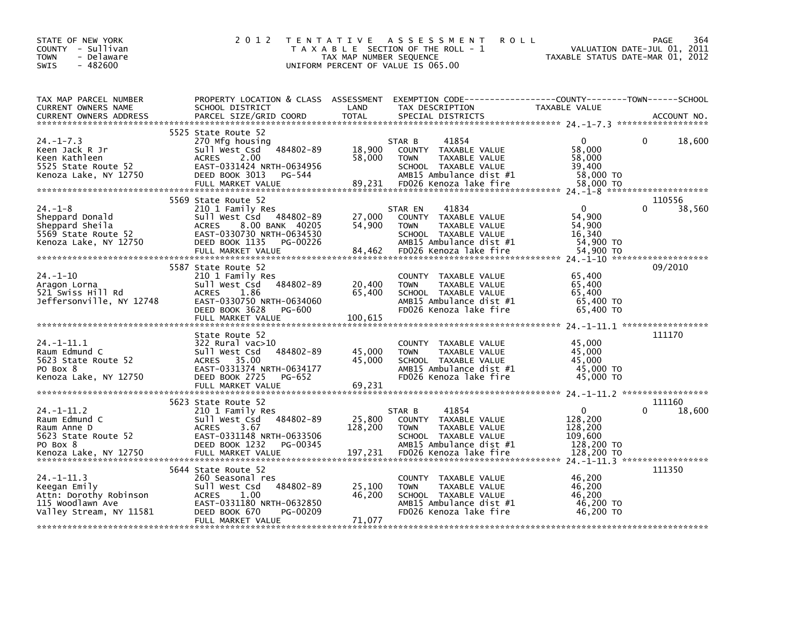| STATE OF NEW YORK<br>COUNTY - Sullivan<br>- Delaware<br><b>TOWN</b><br>$-482600$<br><b>SWIS</b>             | 2 0 1 2                                                                                                                                                                    | TAX MAP NUMBER SEQUENCE     | TENTATIVE ASSESSMENT<br><b>ROLL</b><br>T A X A B L E SECTION OF THE ROLL - 1<br>UNIFORM PERCENT OF VALUE IS 065.00                                    | VALUATION DATE-JUL 01, 2011<br>TAXABLE STATUS DATE-MAR 01, 2012      | 364<br>PAGE      |
|-------------------------------------------------------------------------------------------------------------|----------------------------------------------------------------------------------------------------------------------------------------------------------------------------|-----------------------------|-------------------------------------------------------------------------------------------------------------------------------------------------------|----------------------------------------------------------------------|------------------|
| TAX MAP PARCEL NUMBER<br>CURRENT OWNERS NAME<br><b>CURRENT OWNERS ADDRESS</b>                               | PROPERTY LOCATION & CLASS ASSESSMENT<br>SCHOOL DISTRICT<br>PARCEL SIZE/GRID COORD                                                                                          | LAND<br><b>TOTAL</b>        | EXEMPTION        CODE-----------------COUNTY-------TOWN------SCHOOL<br>TAX DESCRIPTION<br>SPECIAL DISTRICTS                                           | TAXABLE VALUE                                                        | ACCOUNT NO.      |
| $24. -1 - 7.3$<br>Keen Jack R Jr<br>Keen Kathleen<br>5525 State Route 52<br>Kenoza Lake, NY 12750           | 5525 State Route 52<br>270 Mfg housing<br>484802-89<br>sull west Csd<br><b>ACRES</b><br>2.00<br>EAST-0331424 NRTH-0634956<br>DEED BOOK 3013<br>PG-544<br>FULL MARKET VALUE | 18,900<br>58,000<br>89,231  | 41854<br>STAR B<br>COUNTY TAXABLE VALUE<br><b>TOWN</b><br>TAXABLE VALUE<br>SCHOOL TAXABLE VALUE<br>AMB15 Ambulance dist #1<br>FD026 Kenoza lake fire  | $\mathbf{0}$<br>58,000<br>58,000<br>39,400<br>58,000 TO<br>58,000 TO | 0<br>18,600      |
|                                                                                                             | 5569 State Route 52                                                                                                                                                        |                             |                                                                                                                                                       |                                                                      | 110556           |
| $24. - 1 - 8$<br>Sheppard Donald<br>Sheppard Sheila<br>5569 State Route 52<br>Kenoza Lake, NY 12750         | 210 1 Family Res<br>Sull West Csd 484802-89<br><b>ACRES</b><br>8.00 BANK 40205<br>EAST-0330730 NRTH-0634530<br>DEED BOOK 1135<br>PG-00226<br>FULL MARKET VALUE             | 27,000<br>54,900<br>84,462  | 41834<br>STAR EN<br>COUNTY TAXABLE VALUE<br>TAXABLE VALUE<br><b>TOWN</b><br>SCHOOL TAXABLE VALUE<br>AMB15 Ambulance dist #1<br>FD026 Kenoza lake fire | $\mathbf{0}$<br>54,900<br>54,900<br>16,340<br>54,900 TO<br>54,900 TO | 0<br>38,560      |
|                                                                                                             |                                                                                                                                                                            |                             |                                                                                                                                                       |                                                                      |                  |
| $24. - 1 - 10$<br>Aragon Lorna<br>521 Swiss Hill Rd<br>Jeffersonville, NY 12748                             | 5587 State Route 52<br>210 1 Family Res<br>Sull West Csd 484802-89<br><b>ACRES</b><br>1.86<br>EAST-0330750 NRTH-0634060<br>DEED BOOK 3628<br>PG-600<br>FULL MARKET VALUE   | 20,400<br>65,400<br>100,615 | COUNTY TAXABLE VALUE<br>TAXABLE VALUE<br><b>TOWN</b><br>SCHOOL TAXABLE VALUE<br>AMB15 Ambulance dist #1<br>FD026 Kenoza lake fire                     | 65,400<br>65,400<br>65,400<br>65,400 TO<br>65,400 TO                 | 09/2010          |
|                                                                                                             |                                                                                                                                                                            |                             |                                                                                                                                                       |                                                                      | 111170           |
| $24. -1 - 11.1$<br>Raum Edmund C<br>5623 State Route 52<br>PO Box 8<br>Kenoza Lake, NY 12750                | State Route 52<br>$322$ Rural vac $>10$<br>484802-89<br>Sull West Csd<br>ACRES 35.00<br>EAST-0331374 NRTH-0634177<br>DEED BOOK 2725<br>PG-652                              | 45,000<br>45,000            | COUNTY TAXABLE VALUE<br><b>TOWN</b><br>TAXABLE VALUE<br>SCHOOL TAXABLE VALUE<br>AMB15 Ambulance dist #1<br>FD026 Kenoza lake fire                     | 45,000<br>45,000<br>45,000<br>45,000 TO<br>45,000 TO                 |                  |
|                                                                                                             |                                                                                                                                                                            |                             |                                                                                                                                                       |                                                                      |                  |
| $24. -1 - 11.2$<br>Raum Edmund C<br>Raum Anne D<br>5623 State Route 52<br>PO Box 8<br>Kenoza Lake, NY 12750 | 5623 State Route 52<br>210 1 Family Res<br>484802-89<br>Sull West Csd<br><b>ACRES</b><br>3.67<br>EAST-0331148 NRTH-0633506<br>DEED BOOK 1232<br>PG-00345                   | 25,800<br>128,200           | 41854<br>STAR B<br>COUNTY TAXABLE VALUE<br>TAXABLE VALUE<br><b>TOWN</b><br>SCHOOL TAXABLE VALUE<br>AMB15 Ambulance dist #1                            | $\mathbf{0}$<br>128,200<br>128,200<br>109,600<br>128,200 TO          | 111160<br>18,600 |
|                                                                                                             |                                                                                                                                                                            |                             |                                                                                                                                                       |                                                                      |                  |
| $24. -1 - 11.3$<br>Keegan Emily<br>Attn: Dorothy Robinson<br>115 Woodlawn Ave<br>Valley Stream, NY 11581    | 5644 State Route 52<br>260 Seasonal res<br>484802-89<br>Sull West Csd<br>ACRES<br>1.00<br>EAST-0331180 NRTH-0632850<br>DEED BOOK 670<br>PG-00209<br>FULL MARKET VALUE      | 25,100<br>46,200<br>71,077  | COUNTY TAXABLE VALUE<br><b>TOWN</b><br>TAXABLE VALUE<br>SCHOOL TAXABLE VALUE<br>AMB15 Ambulance dist #1<br>FD026 Kenoza lake fire                     | 46,200<br>46,200<br>46.200<br>46,200 TO<br>46,200 TO                 | 111350           |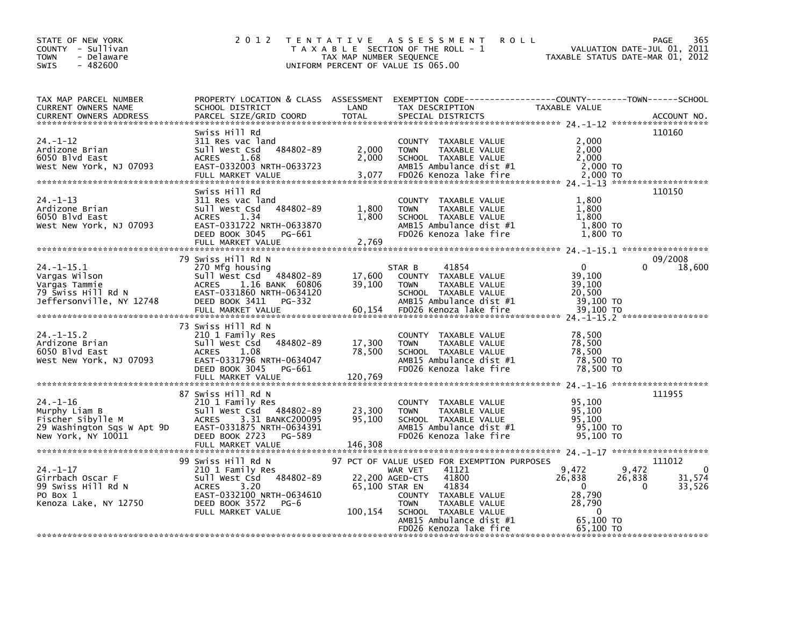| PROPERTY LOCATION & CLASS ASSESSMENT EXEMPTION CODE----------------COUNTY-------TOWN------SCHOOL<br>SCHOOL DISTRICT<br>LAND<br>TAX DESCRIPTION<br>TAXABLE VALUE<br>TOTAL<br>PARCEL SIZE/GRID COORD<br>SPECIAL DISTRICTS<br><b>CURRENT OWNERS ADDRESS</b><br>ACCOUNT NO.<br>110160<br>Swiss Hill Rd<br>311 Res vac land<br>2,000<br>COUNTY TAXABLE VALUE<br>484802-89<br>2,000<br>2,000<br>Ardizone Brian<br>Sull West Csd<br>TAXABLE VALUE<br><b>TOWN</b><br>2,000<br>6050 Blvd East<br><b>ACRES</b><br>1.68<br>SCHOOL TAXABLE VALUE<br>2,000<br>AMB15 Ambulance dist #1<br>EAST-0332003 NRTH-0633723<br>2,000 TO<br>3,077<br>FD026 Kenoza lake fire<br>FULL MARKET VALUE<br>2,000 TO<br>110150<br>Swiss Hill Rd<br>1,800<br>$24. - 1 - 13$<br>311 Res vac land<br>COUNTY TAXABLE VALUE<br>Sull West Csd 484802-89<br>1,800<br>TAXABLE VALUE<br>1,800<br><b>TOWN</b><br><b>ACRES</b><br>1,800<br>1,800<br>1.34<br>SCHOOL TAXABLE VALUE<br>1,800 TO<br>EAST-0331722 NRTH-0633870<br>AMB15 Ambulance dist #1<br>FD026 Kenoza lake fire<br>1,800 TO<br>DEED BOOK 3045<br>PG-661<br>FULL MARKET VALUE<br>2,769<br>09/2008<br>79 Swiss Hill Rd N<br>$\Omega$<br>270 Mfg housing<br>$\Omega$<br>18,600<br>STAR B<br>41854<br>Sull West Csd 484802-89<br>39,100<br>Vargas Wilson<br>17,600<br>COUNTY TAXABLE VALUE<br>Vargas Tammie<br>ACRES<br>1.16 BANK 60806<br>39,100<br>39,100<br><b>TOWN</b><br>TAXABLE VALUE<br>EAST-0331860 NRTH-0634120<br>20,500<br>SCHOOL TAXABLE VALUE<br>DEED BOOK 3411 PG-332<br>AMB15 Ambulance dist #1<br>39,100 TO<br>60,154<br>FULL MARKET VALUE<br>FD026 Kenoza lake fire<br>39,100 TO<br>73 Swiss Hill Rd N<br>210 1 Family Res<br>78,500<br>COUNTY TAXABLE VALUE<br>78,500<br>Sull West Csd 484802-89<br>17,300<br><b>TOWN</b><br>TAXABLE VALUE<br>6050 Blvd East<br><b>ACRES</b><br>78,500<br>78,500<br>1.08<br>SCHOOL TAXABLE VALUE<br>78,500 TO<br>West New York, NJ 07093<br>EAST-0331796 NRTH-0634047<br>AMB15 Ambulance dist #1<br>FD026 Kenoza lake fire<br>78,500 TO<br>DEED BOOK 3045 PG-661<br>FULL MARKET VALUE<br>120,769<br>111955<br>87 Swiss Hill Rd N<br>$24. - 1 - 16$<br>210 1 Family Res<br>95.100<br>COUNTY TAXABLE VALUE<br>Sull West Csd 484802-89<br>23,300<br>TAXABLE VALUE<br>95,100<br><b>TOWN</b><br>95,100<br>ACRES<br>3.31 BANKC200095<br>SCHOOL TAXABLE VALUE<br>95.100<br>AMB15 Ambulance dist #1<br>95,100 TO<br>EAST-0331875 NRTH-0634391<br>FD026 Kenoza lake fire<br>New York, NY 10011<br>DEED BOOK 2723<br>95,100 TO<br>PG-589<br>146,308<br>FULL MARKET VALUE<br>99 Swiss Hill Rd N<br>97 PCT OF VALUE USED FOR EXEMPTION PURPOSES<br>111012<br>9,472<br>210 1 Family Res<br>41121<br>9,472<br>$\Omega$<br>WAR VET<br>Sull West Csd 484802-89<br>31,574<br>22,200 AGED-CTS<br>41800<br>26,838<br>26,838<br>99 Swiss Hill Rd N<br><b>ACRES</b><br>3.20<br>65,100 STAR EN<br>41834<br>$\mathbf{0}$<br>0<br>33,526<br>EAST-0332100 NRTH-0634610<br>28,790<br>COUNTY TAXABLE VALUE<br>28,790<br>DEED BOOK 3572<br>TAXABLE VALUE<br>PG-6<br><b>TOWN</b><br>$\Omega$<br>FULL MARKET VALUE<br>100,154<br>SCHOOL TAXABLE VALUE<br>65,100 TO<br>AMB15 Ambulance dist #1<br>FD026 Kenoza lake fire<br>65,100 TO | STATE OF NEW YORK<br>COUNTY - Sullivan<br>- Delaware<br><b>TOWN</b><br>$-482600$<br><b>SWIS</b> | 2 0 1 2 | T E N T A T I V E<br>TAX MAP NUMBER SEQUENCE | A S S E S S M E N T<br><b>ROLL</b><br>T A X A B L E SECTION OF THE ROLL - 1<br>UNIFORM PERCENT OF VALUE IS 065.00 | TAXABLE STATUS DATE-MAR 01, 2012 | PAGE<br>365<br>VALUATION DATE-JUL 01, 2011 |
|---------------------------------------------------------------------------------------------------------------------------------------------------------------------------------------------------------------------------------------------------------------------------------------------------------------------------------------------------------------------------------------------------------------------------------------------------------------------------------------------------------------------------------------------------------------------------------------------------------------------------------------------------------------------------------------------------------------------------------------------------------------------------------------------------------------------------------------------------------------------------------------------------------------------------------------------------------------------------------------------------------------------------------------------------------------------------------------------------------------------------------------------------------------------------------------------------------------------------------------------------------------------------------------------------------------------------------------------------------------------------------------------------------------------------------------------------------------------------------------------------------------------------------------------------------------------------------------------------------------------------------------------------------------------------------------------------------------------------------------------------------------------------------------------------------------------------------------------------------------------------------------------------------------------------------------------------------------------------------------------------------------------------------------------------------------------------------------------------------------------------------------------------------------------------------------------------------------------------------------------------------------------------------------------------------------------------------------------------------------------------------------------------------------------------------------------------------------------------------------------------------------------------------------------------------------------------------------------------------------------------------------------------------------------------------------------------------------------------------------------------------------------------------------------------------------------------------------------------------------------------------------------------------------------------------------------------------------------------------------------------------------------------------------------------------------------------------------------------------------------------------------------------------------------------|-------------------------------------------------------------------------------------------------|---------|----------------------------------------------|-------------------------------------------------------------------------------------------------------------------|----------------------------------|--------------------------------------------|
|                                                                                                                                                                                                                                                                                                                                                                                                                                                                                                                                                                                                                                                                                                                                                                                                                                                                                                                                                                                                                                                                                                                                                                                                                                                                                                                                                                                                                                                                                                                                                                                                                                                                                                                                                                                                                                                                                                                                                                                                                                                                                                                                                                                                                                                                                                                                                                                                                                                                                                                                                                                                                                                                                                                                                                                                                                                                                                                                                                                                                                                                                                                                                                           | TAX MAP PARCEL NUMBER<br>CURRENT OWNERS NAME                                                    |         |                                              |                                                                                                                   |                                  |                                            |
|                                                                                                                                                                                                                                                                                                                                                                                                                                                                                                                                                                                                                                                                                                                                                                                                                                                                                                                                                                                                                                                                                                                                                                                                                                                                                                                                                                                                                                                                                                                                                                                                                                                                                                                                                                                                                                                                                                                                                                                                                                                                                                                                                                                                                                                                                                                                                                                                                                                                                                                                                                                                                                                                                                                                                                                                                                                                                                                                                                                                                                                                                                                                                                           |                                                                                                 |         |                                              |                                                                                                                   |                                  |                                            |
|                                                                                                                                                                                                                                                                                                                                                                                                                                                                                                                                                                                                                                                                                                                                                                                                                                                                                                                                                                                                                                                                                                                                                                                                                                                                                                                                                                                                                                                                                                                                                                                                                                                                                                                                                                                                                                                                                                                                                                                                                                                                                                                                                                                                                                                                                                                                                                                                                                                                                                                                                                                                                                                                                                                                                                                                                                                                                                                                                                                                                                                                                                                                                                           |                                                                                                 |         |                                              |                                                                                                                   |                                  |                                            |
|                                                                                                                                                                                                                                                                                                                                                                                                                                                                                                                                                                                                                                                                                                                                                                                                                                                                                                                                                                                                                                                                                                                                                                                                                                                                                                                                                                                                                                                                                                                                                                                                                                                                                                                                                                                                                                                                                                                                                                                                                                                                                                                                                                                                                                                                                                                                                                                                                                                                                                                                                                                                                                                                                                                                                                                                                                                                                                                                                                                                                                                                                                                                                                           | $24. - 1 - 12$                                                                                  |         |                                              |                                                                                                                   |                                  |                                            |
|                                                                                                                                                                                                                                                                                                                                                                                                                                                                                                                                                                                                                                                                                                                                                                                                                                                                                                                                                                                                                                                                                                                                                                                                                                                                                                                                                                                                                                                                                                                                                                                                                                                                                                                                                                                                                                                                                                                                                                                                                                                                                                                                                                                                                                                                                                                                                                                                                                                                                                                                                                                                                                                                                                                                                                                                                                                                                                                                                                                                                                                                                                                                                                           |                                                                                                 |         |                                              |                                                                                                                   |                                  |                                            |
|                                                                                                                                                                                                                                                                                                                                                                                                                                                                                                                                                                                                                                                                                                                                                                                                                                                                                                                                                                                                                                                                                                                                                                                                                                                                                                                                                                                                                                                                                                                                                                                                                                                                                                                                                                                                                                                                                                                                                                                                                                                                                                                                                                                                                                                                                                                                                                                                                                                                                                                                                                                                                                                                                                                                                                                                                                                                                                                                                                                                                                                                                                                                                                           | West New York, NJ 07093                                                                         |         |                                              |                                                                                                                   |                                  |                                            |
|                                                                                                                                                                                                                                                                                                                                                                                                                                                                                                                                                                                                                                                                                                                                                                                                                                                                                                                                                                                                                                                                                                                                                                                                                                                                                                                                                                                                                                                                                                                                                                                                                                                                                                                                                                                                                                                                                                                                                                                                                                                                                                                                                                                                                                                                                                                                                                                                                                                                                                                                                                                                                                                                                                                                                                                                                                                                                                                                                                                                                                                                                                                                                                           |                                                                                                 |         |                                              |                                                                                                                   |                                  |                                            |
|                                                                                                                                                                                                                                                                                                                                                                                                                                                                                                                                                                                                                                                                                                                                                                                                                                                                                                                                                                                                                                                                                                                                                                                                                                                                                                                                                                                                                                                                                                                                                                                                                                                                                                                                                                                                                                                                                                                                                                                                                                                                                                                                                                                                                                                                                                                                                                                                                                                                                                                                                                                                                                                                                                                                                                                                                                                                                                                                                                                                                                                                                                                                                                           |                                                                                                 |         |                                              |                                                                                                                   |                                  |                                            |
|                                                                                                                                                                                                                                                                                                                                                                                                                                                                                                                                                                                                                                                                                                                                                                                                                                                                                                                                                                                                                                                                                                                                                                                                                                                                                                                                                                                                                                                                                                                                                                                                                                                                                                                                                                                                                                                                                                                                                                                                                                                                                                                                                                                                                                                                                                                                                                                                                                                                                                                                                                                                                                                                                                                                                                                                                                                                                                                                                                                                                                                                                                                                                                           |                                                                                                 |         |                                              |                                                                                                                   |                                  |                                            |
|                                                                                                                                                                                                                                                                                                                                                                                                                                                                                                                                                                                                                                                                                                                                                                                                                                                                                                                                                                                                                                                                                                                                                                                                                                                                                                                                                                                                                                                                                                                                                                                                                                                                                                                                                                                                                                                                                                                                                                                                                                                                                                                                                                                                                                                                                                                                                                                                                                                                                                                                                                                                                                                                                                                                                                                                                                                                                                                                                                                                                                                                                                                                                                           | Ardizone Brian                                                                                  |         |                                              |                                                                                                                   |                                  |                                            |
|                                                                                                                                                                                                                                                                                                                                                                                                                                                                                                                                                                                                                                                                                                                                                                                                                                                                                                                                                                                                                                                                                                                                                                                                                                                                                                                                                                                                                                                                                                                                                                                                                                                                                                                                                                                                                                                                                                                                                                                                                                                                                                                                                                                                                                                                                                                                                                                                                                                                                                                                                                                                                                                                                                                                                                                                                                                                                                                                                                                                                                                                                                                                                                           | 6050 Blvd East                                                                                  |         |                                              |                                                                                                                   |                                  |                                            |
|                                                                                                                                                                                                                                                                                                                                                                                                                                                                                                                                                                                                                                                                                                                                                                                                                                                                                                                                                                                                                                                                                                                                                                                                                                                                                                                                                                                                                                                                                                                                                                                                                                                                                                                                                                                                                                                                                                                                                                                                                                                                                                                                                                                                                                                                                                                                                                                                                                                                                                                                                                                                                                                                                                                                                                                                                                                                                                                                                                                                                                                                                                                                                                           | West New York, NJ 07093                                                                         |         |                                              |                                                                                                                   |                                  |                                            |
|                                                                                                                                                                                                                                                                                                                                                                                                                                                                                                                                                                                                                                                                                                                                                                                                                                                                                                                                                                                                                                                                                                                                                                                                                                                                                                                                                                                                                                                                                                                                                                                                                                                                                                                                                                                                                                                                                                                                                                                                                                                                                                                                                                                                                                                                                                                                                                                                                                                                                                                                                                                                                                                                                                                                                                                                                                                                                                                                                                                                                                                                                                                                                                           |                                                                                                 |         |                                              |                                                                                                                   |                                  |                                            |
|                                                                                                                                                                                                                                                                                                                                                                                                                                                                                                                                                                                                                                                                                                                                                                                                                                                                                                                                                                                                                                                                                                                                                                                                                                                                                                                                                                                                                                                                                                                                                                                                                                                                                                                                                                                                                                                                                                                                                                                                                                                                                                                                                                                                                                                                                                                                                                                                                                                                                                                                                                                                                                                                                                                                                                                                                                                                                                                                                                                                                                                                                                                                                                           |                                                                                                 |         |                                              |                                                                                                                   |                                  |                                            |
|                                                                                                                                                                                                                                                                                                                                                                                                                                                                                                                                                                                                                                                                                                                                                                                                                                                                                                                                                                                                                                                                                                                                                                                                                                                                                                                                                                                                                                                                                                                                                                                                                                                                                                                                                                                                                                                                                                                                                                                                                                                                                                                                                                                                                                                                                                                                                                                                                                                                                                                                                                                                                                                                                                                                                                                                                                                                                                                                                                                                                                                                                                                                                                           |                                                                                                 |         |                                              |                                                                                                                   |                                  |                                            |
|                                                                                                                                                                                                                                                                                                                                                                                                                                                                                                                                                                                                                                                                                                                                                                                                                                                                                                                                                                                                                                                                                                                                                                                                                                                                                                                                                                                                                                                                                                                                                                                                                                                                                                                                                                                                                                                                                                                                                                                                                                                                                                                                                                                                                                                                                                                                                                                                                                                                                                                                                                                                                                                                                                                                                                                                                                                                                                                                                                                                                                                                                                                                                                           | $24. -1 - 15.1$                                                                                 |         |                                              |                                                                                                                   |                                  |                                            |
|                                                                                                                                                                                                                                                                                                                                                                                                                                                                                                                                                                                                                                                                                                                                                                                                                                                                                                                                                                                                                                                                                                                                                                                                                                                                                                                                                                                                                                                                                                                                                                                                                                                                                                                                                                                                                                                                                                                                                                                                                                                                                                                                                                                                                                                                                                                                                                                                                                                                                                                                                                                                                                                                                                                                                                                                                                                                                                                                                                                                                                                                                                                                                                           |                                                                                                 |         |                                              |                                                                                                                   |                                  |                                            |
|                                                                                                                                                                                                                                                                                                                                                                                                                                                                                                                                                                                                                                                                                                                                                                                                                                                                                                                                                                                                                                                                                                                                                                                                                                                                                                                                                                                                                                                                                                                                                                                                                                                                                                                                                                                                                                                                                                                                                                                                                                                                                                                                                                                                                                                                                                                                                                                                                                                                                                                                                                                                                                                                                                                                                                                                                                                                                                                                                                                                                                                                                                                                                                           | 79 Swiss Hill Rd N                                                                              |         |                                              |                                                                                                                   |                                  |                                            |
|                                                                                                                                                                                                                                                                                                                                                                                                                                                                                                                                                                                                                                                                                                                                                                                                                                                                                                                                                                                                                                                                                                                                                                                                                                                                                                                                                                                                                                                                                                                                                                                                                                                                                                                                                                                                                                                                                                                                                                                                                                                                                                                                                                                                                                                                                                                                                                                                                                                                                                                                                                                                                                                                                                                                                                                                                                                                                                                                                                                                                                                                                                                                                                           | Jeffersonville, NY 12748                                                                        |         |                                              |                                                                                                                   |                                  |                                            |
|                                                                                                                                                                                                                                                                                                                                                                                                                                                                                                                                                                                                                                                                                                                                                                                                                                                                                                                                                                                                                                                                                                                                                                                                                                                                                                                                                                                                                                                                                                                                                                                                                                                                                                                                                                                                                                                                                                                                                                                                                                                                                                                                                                                                                                                                                                                                                                                                                                                                                                                                                                                                                                                                                                                                                                                                                                                                                                                                                                                                                                                                                                                                                                           |                                                                                                 |         |                                              |                                                                                                                   |                                  |                                            |
|                                                                                                                                                                                                                                                                                                                                                                                                                                                                                                                                                                                                                                                                                                                                                                                                                                                                                                                                                                                                                                                                                                                                                                                                                                                                                                                                                                                                                                                                                                                                                                                                                                                                                                                                                                                                                                                                                                                                                                                                                                                                                                                                                                                                                                                                                                                                                                                                                                                                                                                                                                                                                                                                                                                                                                                                                                                                                                                                                                                                                                                                                                                                                                           |                                                                                                 |         |                                              |                                                                                                                   |                                  |                                            |
|                                                                                                                                                                                                                                                                                                                                                                                                                                                                                                                                                                                                                                                                                                                                                                                                                                                                                                                                                                                                                                                                                                                                                                                                                                                                                                                                                                                                                                                                                                                                                                                                                                                                                                                                                                                                                                                                                                                                                                                                                                                                                                                                                                                                                                                                                                                                                                                                                                                                                                                                                                                                                                                                                                                                                                                                                                                                                                                                                                                                                                                                                                                                                                           | $24. -1 - 15.2$                                                                                 |         |                                              |                                                                                                                   |                                  |                                            |
|                                                                                                                                                                                                                                                                                                                                                                                                                                                                                                                                                                                                                                                                                                                                                                                                                                                                                                                                                                                                                                                                                                                                                                                                                                                                                                                                                                                                                                                                                                                                                                                                                                                                                                                                                                                                                                                                                                                                                                                                                                                                                                                                                                                                                                                                                                                                                                                                                                                                                                                                                                                                                                                                                                                                                                                                                                                                                                                                                                                                                                                                                                                                                                           | Ardizone Brian                                                                                  |         |                                              |                                                                                                                   |                                  |                                            |
|                                                                                                                                                                                                                                                                                                                                                                                                                                                                                                                                                                                                                                                                                                                                                                                                                                                                                                                                                                                                                                                                                                                                                                                                                                                                                                                                                                                                                                                                                                                                                                                                                                                                                                                                                                                                                                                                                                                                                                                                                                                                                                                                                                                                                                                                                                                                                                                                                                                                                                                                                                                                                                                                                                                                                                                                                                                                                                                                                                                                                                                                                                                                                                           |                                                                                                 |         |                                              |                                                                                                                   |                                  |                                            |
|                                                                                                                                                                                                                                                                                                                                                                                                                                                                                                                                                                                                                                                                                                                                                                                                                                                                                                                                                                                                                                                                                                                                                                                                                                                                                                                                                                                                                                                                                                                                                                                                                                                                                                                                                                                                                                                                                                                                                                                                                                                                                                                                                                                                                                                                                                                                                                                                                                                                                                                                                                                                                                                                                                                                                                                                                                                                                                                                                                                                                                                                                                                                                                           |                                                                                                 |         |                                              |                                                                                                                   |                                  |                                            |
|                                                                                                                                                                                                                                                                                                                                                                                                                                                                                                                                                                                                                                                                                                                                                                                                                                                                                                                                                                                                                                                                                                                                                                                                                                                                                                                                                                                                                                                                                                                                                                                                                                                                                                                                                                                                                                                                                                                                                                                                                                                                                                                                                                                                                                                                                                                                                                                                                                                                                                                                                                                                                                                                                                                                                                                                                                                                                                                                                                                                                                                                                                                                                                           |                                                                                                 |         |                                              |                                                                                                                   |                                  |                                            |
|                                                                                                                                                                                                                                                                                                                                                                                                                                                                                                                                                                                                                                                                                                                                                                                                                                                                                                                                                                                                                                                                                                                                                                                                                                                                                                                                                                                                                                                                                                                                                                                                                                                                                                                                                                                                                                                                                                                                                                                                                                                                                                                                                                                                                                                                                                                                                                                                                                                                                                                                                                                                                                                                                                                                                                                                                                                                                                                                                                                                                                                                                                                                                                           |                                                                                                 |         |                                              |                                                                                                                   |                                  |                                            |
|                                                                                                                                                                                                                                                                                                                                                                                                                                                                                                                                                                                                                                                                                                                                                                                                                                                                                                                                                                                                                                                                                                                                                                                                                                                                                                                                                                                                                                                                                                                                                                                                                                                                                                                                                                                                                                                                                                                                                                                                                                                                                                                                                                                                                                                                                                                                                                                                                                                                                                                                                                                                                                                                                                                                                                                                                                                                                                                                                                                                                                                                                                                                                                           |                                                                                                 |         |                                              |                                                                                                                   |                                  |                                            |
|                                                                                                                                                                                                                                                                                                                                                                                                                                                                                                                                                                                                                                                                                                                                                                                                                                                                                                                                                                                                                                                                                                                                                                                                                                                                                                                                                                                                                                                                                                                                                                                                                                                                                                                                                                                                                                                                                                                                                                                                                                                                                                                                                                                                                                                                                                                                                                                                                                                                                                                                                                                                                                                                                                                                                                                                                                                                                                                                                                                                                                                                                                                                                                           | Murphy Liam B                                                                                   |         |                                              |                                                                                                                   |                                  |                                            |
|                                                                                                                                                                                                                                                                                                                                                                                                                                                                                                                                                                                                                                                                                                                                                                                                                                                                                                                                                                                                                                                                                                                                                                                                                                                                                                                                                                                                                                                                                                                                                                                                                                                                                                                                                                                                                                                                                                                                                                                                                                                                                                                                                                                                                                                                                                                                                                                                                                                                                                                                                                                                                                                                                                                                                                                                                                                                                                                                                                                                                                                                                                                                                                           | Fischer Sibylle M                                                                               |         |                                              |                                                                                                                   |                                  |                                            |
|                                                                                                                                                                                                                                                                                                                                                                                                                                                                                                                                                                                                                                                                                                                                                                                                                                                                                                                                                                                                                                                                                                                                                                                                                                                                                                                                                                                                                                                                                                                                                                                                                                                                                                                                                                                                                                                                                                                                                                                                                                                                                                                                                                                                                                                                                                                                                                                                                                                                                                                                                                                                                                                                                                                                                                                                                                                                                                                                                                                                                                                                                                                                                                           | 29 Washington Sqs W Apt 9D                                                                      |         |                                              |                                                                                                                   |                                  |                                            |
|                                                                                                                                                                                                                                                                                                                                                                                                                                                                                                                                                                                                                                                                                                                                                                                                                                                                                                                                                                                                                                                                                                                                                                                                                                                                                                                                                                                                                                                                                                                                                                                                                                                                                                                                                                                                                                                                                                                                                                                                                                                                                                                                                                                                                                                                                                                                                                                                                                                                                                                                                                                                                                                                                                                                                                                                                                                                                                                                                                                                                                                                                                                                                                           |                                                                                                 |         |                                              |                                                                                                                   |                                  |                                            |
|                                                                                                                                                                                                                                                                                                                                                                                                                                                                                                                                                                                                                                                                                                                                                                                                                                                                                                                                                                                                                                                                                                                                                                                                                                                                                                                                                                                                                                                                                                                                                                                                                                                                                                                                                                                                                                                                                                                                                                                                                                                                                                                                                                                                                                                                                                                                                                                                                                                                                                                                                                                                                                                                                                                                                                                                                                                                                                                                                                                                                                                                                                                                                                           |                                                                                                 |         |                                              |                                                                                                                   |                                  |                                            |
|                                                                                                                                                                                                                                                                                                                                                                                                                                                                                                                                                                                                                                                                                                                                                                                                                                                                                                                                                                                                                                                                                                                                                                                                                                                                                                                                                                                                                                                                                                                                                                                                                                                                                                                                                                                                                                                                                                                                                                                                                                                                                                                                                                                                                                                                                                                                                                                                                                                                                                                                                                                                                                                                                                                                                                                                                                                                                                                                                                                                                                                                                                                                                                           |                                                                                                 |         |                                              |                                                                                                                   |                                  |                                            |
|                                                                                                                                                                                                                                                                                                                                                                                                                                                                                                                                                                                                                                                                                                                                                                                                                                                                                                                                                                                                                                                                                                                                                                                                                                                                                                                                                                                                                                                                                                                                                                                                                                                                                                                                                                                                                                                                                                                                                                                                                                                                                                                                                                                                                                                                                                                                                                                                                                                                                                                                                                                                                                                                                                                                                                                                                                                                                                                                                                                                                                                                                                                                                                           | $24. - 1 - 17$                                                                                  |         |                                              |                                                                                                                   |                                  |                                            |
|                                                                                                                                                                                                                                                                                                                                                                                                                                                                                                                                                                                                                                                                                                                                                                                                                                                                                                                                                                                                                                                                                                                                                                                                                                                                                                                                                                                                                                                                                                                                                                                                                                                                                                                                                                                                                                                                                                                                                                                                                                                                                                                                                                                                                                                                                                                                                                                                                                                                                                                                                                                                                                                                                                                                                                                                                                                                                                                                                                                                                                                                                                                                                                           | Girrbach Oscar F                                                                                |         |                                              |                                                                                                                   |                                  |                                            |
|                                                                                                                                                                                                                                                                                                                                                                                                                                                                                                                                                                                                                                                                                                                                                                                                                                                                                                                                                                                                                                                                                                                                                                                                                                                                                                                                                                                                                                                                                                                                                                                                                                                                                                                                                                                                                                                                                                                                                                                                                                                                                                                                                                                                                                                                                                                                                                                                                                                                                                                                                                                                                                                                                                                                                                                                                                                                                                                                                                                                                                                                                                                                                                           | PO Box 1                                                                                        |         |                                              |                                                                                                                   |                                  |                                            |
|                                                                                                                                                                                                                                                                                                                                                                                                                                                                                                                                                                                                                                                                                                                                                                                                                                                                                                                                                                                                                                                                                                                                                                                                                                                                                                                                                                                                                                                                                                                                                                                                                                                                                                                                                                                                                                                                                                                                                                                                                                                                                                                                                                                                                                                                                                                                                                                                                                                                                                                                                                                                                                                                                                                                                                                                                                                                                                                                                                                                                                                                                                                                                                           | Kenoza Lake, NY 12750                                                                           |         |                                              |                                                                                                                   |                                  |                                            |
|                                                                                                                                                                                                                                                                                                                                                                                                                                                                                                                                                                                                                                                                                                                                                                                                                                                                                                                                                                                                                                                                                                                                                                                                                                                                                                                                                                                                                                                                                                                                                                                                                                                                                                                                                                                                                                                                                                                                                                                                                                                                                                                                                                                                                                                                                                                                                                                                                                                                                                                                                                                                                                                                                                                                                                                                                                                                                                                                                                                                                                                                                                                                                                           |                                                                                                 |         |                                              |                                                                                                                   |                                  |                                            |
|                                                                                                                                                                                                                                                                                                                                                                                                                                                                                                                                                                                                                                                                                                                                                                                                                                                                                                                                                                                                                                                                                                                                                                                                                                                                                                                                                                                                                                                                                                                                                                                                                                                                                                                                                                                                                                                                                                                                                                                                                                                                                                                                                                                                                                                                                                                                                                                                                                                                                                                                                                                                                                                                                                                                                                                                                                                                                                                                                                                                                                                                                                                                                                           |                                                                                                 |         |                                              |                                                                                                                   |                                  |                                            |
|                                                                                                                                                                                                                                                                                                                                                                                                                                                                                                                                                                                                                                                                                                                                                                                                                                                                                                                                                                                                                                                                                                                                                                                                                                                                                                                                                                                                                                                                                                                                                                                                                                                                                                                                                                                                                                                                                                                                                                                                                                                                                                                                                                                                                                                                                                                                                                                                                                                                                                                                                                                                                                                                                                                                                                                                                                                                                                                                                                                                                                                                                                                                                                           |                                                                                                 |         |                                              |                                                                                                                   |                                  |                                            |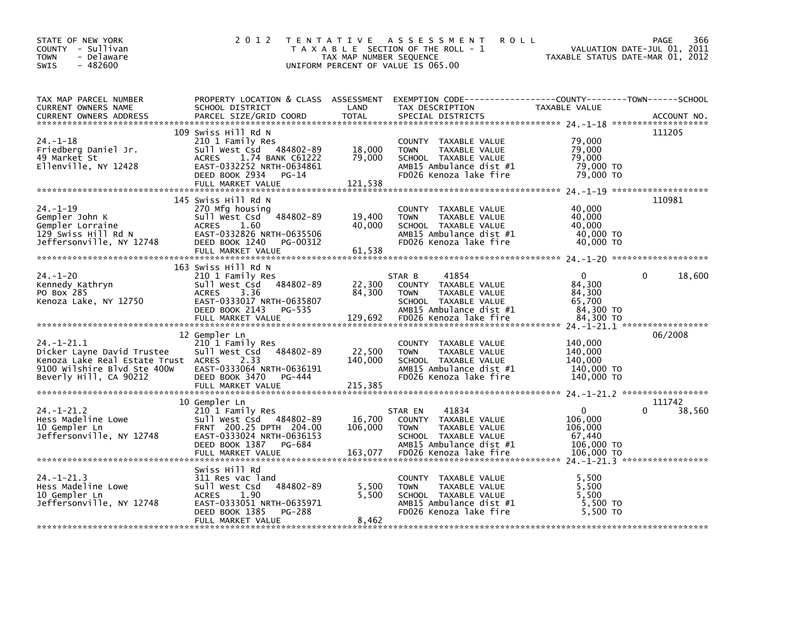| STATE OF NEW YORK<br>COUNTY - Sullivan<br><b>TOWN</b><br>- Delaware<br><b>SWIS</b><br>$-482600$                                               | 2 0 1 2                                                                                                                                                                      | TAX MAP NUMBER SEQUENCE      | TENTATIVE ASSESSMENT<br><b>ROLL</b><br>T A X A B L E SECTION OF THE ROLL - 1<br>UNIFORM PERCENT OF VALUE IS 065.00                                    | TAXABLE STATUS DATE-MAR 01, 2012                                         | 366<br><b>PAGE</b><br>VALUATION DATE-JUL 01, 2011 |
|-----------------------------------------------------------------------------------------------------------------------------------------------|------------------------------------------------------------------------------------------------------------------------------------------------------------------------------|------------------------------|-------------------------------------------------------------------------------------------------------------------------------------------------------|--------------------------------------------------------------------------|---------------------------------------------------|
| TAX MAP PARCEL NUMBER<br><b>CURRENT OWNERS NAME</b><br><b>CURRENT OWNERS ADDRESS</b>                                                          | PROPERTY LOCATION & CLASS ASSESSMENT<br>SCHOOL DISTRICT<br>PARCEL SIZE/GRID COORD                                                                                            | LAND<br>TOTAL                | TAX DESCRIPTION<br>SPECIAL DISTRICTS                                                                                                                  | TAXABLE VALUE                                                            | ACCOUNT NO.                                       |
| $24. - 1 - 18$<br>Friedberg Daniel Jr.<br>49 Market St<br>Ellenville, NY 12428                                                                | 109 Swiss Hill Rd N<br>210 1 Family Res<br>Sull West Csd 484802-89<br>ACRES<br>1.74 BANK C61222<br>EAST-0332252 NRTH-0634861<br>DEED BOOK 2934<br>PG-14<br>FULL MARKET VALUE | 18,000<br>79,000<br>121,538  | COUNTY TAXABLE VALUE<br><b>TOWN</b><br>TAXABLE VALUE<br>SCHOOL TAXABLE VALUE<br>AMB15 Ambulance dist #1<br>FD026 Kenoza lake fire                     | 79,000<br>79,000<br>79,000<br>79,000 TO<br>79,000 TO                     | 111205                                            |
| $24. -1 - 19$<br>Gempler John K<br>Gempler Lorraine<br>129 Swiss Hill Rd N<br>Jeffersonville, NY 12748                                        | 145 Swiss Hill Rd N<br>270 Mfg housing<br>484802-89<br>Sull West Csd<br><b>ACRES</b><br>1.60<br>EAST-0332826 NRTH-0635506<br>DEED BOOK 1240<br>PG-00312                      | 19,400<br>40,000             | COUNTY TAXABLE VALUE<br><b>TOWN</b><br>TAXABLE VALUE<br>SCHOOL TAXABLE VALUE<br>AMB15 Ambulance dist #1<br>FD026 Kenoza lake fire                     | 40,000<br>40,000<br>40,000<br>40,000 TO<br>40,000 TO                     | 110981                                            |
| $24. - 1 - 20$<br>Kennedy Kathryn<br>PO Box 285<br>Kenoza Lake, NY 12750                                                                      | 163 Swiss Hill Rd N<br>210 1 Family Res<br>484802-89<br>Sull West Csd<br>3.36<br><b>ACRES</b><br>EAST-0333017 NRTH-0635807<br>DEED BOOK 2143 PG-535<br>FULL MARKET VALUE     | 22,300<br>84,300<br>129,692  | 41854<br>STAR B<br>COUNTY TAXABLE VALUE<br>TAXABLE VALUE<br><b>TOWN</b><br>SCHOOL TAXABLE VALUE<br>AMB15 Ambulance dist #1<br>FD026 Kenoza lake fire  | $\mathbf{0}$<br>84,300<br>84.300<br>65,700<br>84,300 TO<br>84,300 TO     | 18,600                                            |
| $24. -1 - 21.1$<br>Dicker Layne David Trustee<br>Kenoza Lake Real Estate Trust ACRES<br>9100 Wilshire Blvd Ste 400W<br>Beverly Hill, CA 90212 | 12 Gempler Ln<br>210 1 Family Res<br>Sull West Csd<br>484802-89<br>2.33<br>EAST-0333064 NRTH-0636191<br>DEED BOOK 3470<br>PG-444                                             | 22,500<br>140,000            | COUNTY TAXABLE VALUE<br><b>TOWN</b><br>TAXABLE VALUE<br>SCHOOL TAXABLE VALUE<br>AMB15 Ambulance dist #1<br>FD026 Kenoza lake fire                     | 140,000<br>140,000<br>140,000<br>140,000 TO<br>140,000 TO                | 06/2008                                           |
| $24. - 1 - 21.2$<br>Hess Madeline Lowe<br>10 Gempler Ln<br>Jeffersonville, NY 12748                                                           | 10 Gempler Ln<br>210 1 Family Res<br>Sull West Csd 484802-89<br>FRNT 200.25 DPTH 204.00<br>EAST-0333024 NRTH-0636153<br>DEED BOOK 1387<br>PG-684<br>FULL MARKET VALUE        | 16,700<br>106,000<br>163,077 | 41834<br>STAR EN<br>COUNTY TAXABLE VALUE<br><b>TOWN</b><br>TAXABLE VALUE<br>SCHOOL TAXABLE VALUE<br>AMB15 Ambulance dist #1<br>FD026 Kenoza lake fire | $\mathbf{0}$<br>106,000<br>106,000<br>67,440<br>106,000 TO<br>106,000 TO | 111742<br>$\Omega$<br>38,560                      |
| $24. - 1 - 21.3$<br>Hess Madeline Lowe<br>10 Gempler Ln<br>Jeffersonville, NY 12748                                                           | Swiss Hill Rd<br>311 Res vac land<br>484802-89<br>Sull West Csd<br><b>ACRES</b><br>1.90<br>EAST-0333051 NRTH-0635971<br>DEED BOOK 1385<br>PG-288<br>FULL MARKET VALUE        | 5,500<br>5,500<br>8,462      | COUNTY TAXABLE VALUE<br>TAXABLE VALUE<br><b>TOWN</b><br>SCHOOL TAXABLE VALUE<br>AMB15 Ambulance dist #1<br>FD026 Kenoza lake fire                     | 5,500<br>5,500<br>5.500<br>5,500 TO<br>5,500 TO                          |                                                   |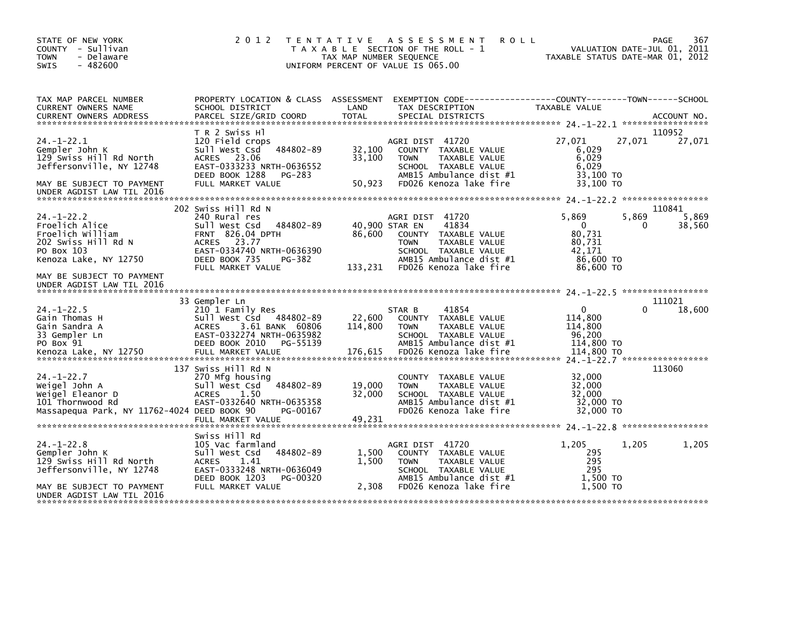| STATE OF NEW YORK<br>COUNTY - Sullivan<br><b>TOWN</b><br>- Delaware<br>$-482600$<br><b>SWIS</b>                                                    | 2 0 1 2                                                                                                                                                                                   | T E N T A T I V E<br>TAX MAP NUMBER SEQUENCE | A S S E S S M E N T<br>T A X A B L E SECTION OF THE ROLL - 1<br>UNIFORM PERCENT OF VALUE IS 065.00                                                            | <b>ROLL</b><br>TAXABLE STATUS DATE-MAR 01, 2012                               |            | 367<br>PAGE<br>VALUATION DATE-JUL 01, 2011 |
|----------------------------------------------------------------------------------------------------------------------------------------------------|-------------------------------------------------------------------------------------------------------------------------------------------------------------------------------------------|----------------------------------------------|---------------------------------------------------------------------------------------------------------------------------------------------------------------|-------------------------------------------------------------------------------|------------|--------------------------------------------|
| TAX MAP PARCEL NUMBER<br><b>CURRENT OWNERS NAME</b>                                                                                                | PROPERTY LOCATION & CLASS ASSESSMENT<br>SCHOOL DISTRICT                                                                                                                                   | LAND                                         | TAX DESCRIPTION                                                                                                                                               | TAXABLE VALUE                                                                 |            |                                            |
| $24. -1 - 22.1$<br>Gempler John K<br>129 Swiss Hill Rd North<br>Jeffersonville, NY 12748<br>MAY BE SUBJECT TO PAYMENT<br>UNDER AGDIST LAW TIL 2016 | T R 2 Swiss Hl<br>120 Field crops<br>Sull West Csd<br>484802-89<br>ACRES 23.06<br>EAST-0333233 NRTH-0636552<br>DEED BOOK 1288<br>PG-283<br>FULL MARKET VALUE                              | 32,100<br>33,100<br>50,923                   | AGRI DIST 41720<br>COUNTY TAXABLE VALUE<br><b>TOWN</b><br>TAXABLE VALUE<br>SCHOOL TAXABLE VALUE<br>AMB15 Ambulance dist #1<br>FD026 Kenoza lake fire          | 27,071<br>6,029<br>6,029<br>6.029<br>33,100 TO<br>33,100 TO                   | 27,071     | 110952<br>27,071                           |
|                                                                                                                                                    |                                                                                                                                                                                           |                                              |                                                                                                                                                               |                                                                               |            |                                            |
| $24. - 1 - 22.2$<br>Froelich Alice<br>Froelich William<br>202 Swiss Hill Rd N<br>PO Box 103<br>Kenoza Lake, NY 12750                               | 202 Swiss Hill Rd N<br>240 Rural res<br>Sull West Csd<br>484802-89<br><b>FRNT 826.04 DPTH</b><br>ACRES 23.77<br>EAST-0334740 NRTH-0636390<br>DEED BOOK 735<br>PG-382<br>FULL MARKET VALUE | 40,900 STAR EN<br>86,600<br>133,231          | AGRI DIST 41720<br>41834<br>COUNTY TAXABLE VALUE<br>TAXABLE VALUE<br><b>TOWN</b><br>SCHOOL TAXABLE VALUE<br>AMB15 Ambulance dist #1<br>FD026 Kenoza lake fire | 5.869<br>$\mathbf{0}$<br>80,731<br>80,731<br>42,171<br>86,600 TO<br>86.600 TO | 5,869<br>0 | 110841<br>5,869<br>38,560                  |
| MAY BE SUBJECT TO PAYMENT<br>UNDER AGDIST LAW TIL 2016                                                                                             |                                                                                                                                                                                           |                                              |                                                                                                                                                               |                                                                               |            |                                            |
| $24. - 1 - 22.5$<br>Gain Thomas H<br>Gain Sandra A<br>33 Gempler Ln<br>PO Box 91<br>Kenoza Lake, NY 12750                                          | 33 Gempler Ln<br>210 1 Family Res<br>484802-89<br>Sull West Csd<br><b>ACRES</b><br>3.61 BANK 60806<br>EAST-0332274 NRTH-0635982<br>DEED BOOK 2010<br>PG-55139<br>FULL MARKET VALUE        | 22,600<br>114,800<br>176,615                 | STAR B<br>41854<br>COUNTY TAXABLE VALUE<br><b>TOWN</b><br><b>TAXABLE VALUE</b><br>SCHOOL TAXABLE VALUE<br>AMB15 Ambulance dist #1<br>FD026 Kenoza lake fire   | $\Omega$<br>114,800<br>114,800<br>96,200<br>114,800 TO<br>114,800 TO          | 0          | 111021<br>18,600                           |
| $24. - 1 - 22.7$<br>Weigel John A<br>Weigel Eleanor D<br>101 Thornwood Rd<br>Massapegua Park, NY 11762-4024 DEED BOOK 90                           | 137 Swiss Hill Rd N<br>270 Mfg housing<br>Sull West Csd<br>484802-89<br><b>ACRES</b><br>1.50<br>EAST-0332640 NRTH-0635358<br>PG-00167<br>FULL MARKET VALUE                                | 19,000<br>32,000<br>49,231                   | COUNTY TAXABLE VALUE<br>TAXABLE VALUE<br><b>TOWN</b><br>SCHOOL TAXABLE VALUE<br>AMB15 Ambulance dist #1<br>FD026 Kenoza lake fire                             | 32,000<br>32,000<br>32.000<br>32,000 TO<br>32,000 TO                          |            | 113060                                     |
| $24. - 1 - 22.8$<br>Gempler John K                                                                                                                 | Swiss Hill Rd<br>105 Vac farmland<br>484802-89<br>Sull West Csd                                                                                                                           | 1,500                                        | AGRI DIST 41720<br>COUNTY TAXABLE VALUE                                                                                                                       | 1.205<br>295                                                                  | 1,205      | 1,205                                      |
| 129 Swiss Hill Rd North<br>Jeffersonville, NY 12748<br>MAY BE SUBJECT TO PAYMENT<br>UNDER AGDIST LAW TIL 2016                                      | <b>ACRES</b><br>1.41<br>EAST-0333248 NRTH-0636049<br>DEED BOOK 1203<br>PG-00320<br>FULL MARKET VALUE                                                                                      | 1,500<br>2,308                               | TAXABLE VALUE<br><b>TOWN</b><br>SCHOOL TAXABLE VALUE<br>AMB15 Ambulance dist #1<br>FD026 Kenoza lake fire                                                     | 295<br>295<br>1,500 TO<br>1.500 TO                                            |            |                                            |
|                                                                                                                                                    |                                                                                                                                                                                           |                                              |                                                                                                                                                               |                                                                               |            |                                            |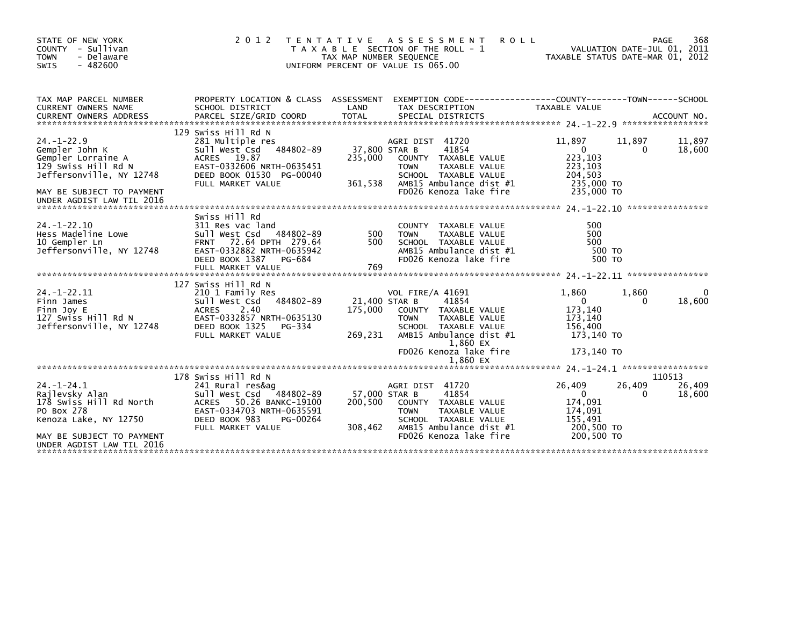| STATE OF NEW YORK<br>COUNTY - Sullivan<br><b>TOWN</b><br>- Delaware<br>$-482600$<br><b>SWIS</b>                                                                       | 2 0 1 2                                                                                                                                                                            | TENTATIVE ASSESSMENT<br><b>ROLL</b><br>T A X A B L E SECTION OF THE ROLL - 1<br>TAX MAP NUMBER SEQUENCE<br>UNIFORM PERCENT OF VALUE IS 065.00                                                                                        | 368<br>PAGE<br>VALUATION DATE-JUL 01, 2011<br>TAXABLE STATUS DATE-MAR 01, 2012                                                                                                                                                |
|-----------------------------------------------------------------------------------------------------------------------------------------------------------------------|------------------------------------------------------------------------------------------------------------------------------------------------------------------------------------|--------------------------------------------------------------------------------------------------------------------------------------------------------------------------------------------------------------------------------------|-------------------------------------------------------------------------------------------------------------------------------------------------------------------------------------------------------------------------------|
| TAX MAP PARCEL NUMBER<br>CURRENT OWNERS NAME                                                                                                                          | PROPERTY LOCATION & CLASS ASSESSMENT<br>SCHOOL DISTRICT                                                                                                                            | LAND<br>TAX DESCRIPTION                                                                                                                                                                                                              | EXEMPTION CODE-----------------COUNTY-------TOWN------SCHOOL<br>TAXABLE VALUE<br>.CURRENT OWNERS ADDRESS PARCEL SIZE/GRID COORD TOTAL SPECIAL DISTRICTS AND MESS AND ACCOUNT NO ACCOUNT NO ACCOUNT AND MALL SPECIAL DISTRICTS |
| $24. - 1 - 22.9$<br>Gempler John K<br>Gempler Lorraine A<br>129 Swiss Hill Rd N<br>Jeffersonville, NY 12748<br>MAY BE SUBJECT TO PAYMENT<br>UNDER AGDIST LAW TIL 2016 | 129 Swiss Hill Rd N<br>281 Multiple res<br>Sull West Csd<br>484802-89<br>ACRES 19.87<br>EAST-0332606 NRTH-0635451<br>DEED BOOK 01530 PG-00040<br>FULL MARKET VALUE                 | AGRI DIST 41720<br>37,800 STAR B<br>41854<br>235,000<br>COUNTY TAXABLE VALUE<br><b>TOWN</b><br>TAXABLE VALUE<br>SCHOOL TAXABLE VALUE<br>361,538<br>AMB15 Ambulance dist #1<br>FD026 Kenoza lake fire                                 | 11,897<br>11,897<br>11,897<br>$\overline{0}$<br>18,600<br>0<br>223,103<br>223,103<br>204.503<br>235,000 TO<br>235,000 TO                                                                                                      |
| $24. - 1 - 22.10$<br>Hess Madeline Lowe<br>10 Gempler Ln<br>Jeffersonville, NY 12748                                                                                  | Swiss Hill Rd<br>311 Res vac land<br>Sull West Csd<br>484802-89<br>72.64 DPTH 279.64<br><b>FRNT</b><br>EAST-0332882 NRTH-0635942<br>DEED BOOK 1387<br>PG-684<br>FULL MARKET VALUE  | <b>COUNTY</b><br>TAXABLE VALUE<br>500<br><b>TOWN</b><br>TAXABLE VALUE<br>500<br>SCHOOL TAXABLE VALUE<br>AMB15 Ambulance dist #1<br>FD026 Kenoza lake fire<br>769                                                                     | 500<br>500<br>500<br>500 TO<br>500 TO                                                                                                                                                                                         |
| $24. - 1 - 22.11$<br>Finn James<br>Finn Joy E<br>127 Swiss Hill Rd N<br>Jeffersonville, NY 12748                                                                      | 127 Swiss Hill Rd N<br>210 1 Family Res<br>Sull West Csd<br>484802-89<br>2.40<br><b>ACRES</b><br>EAST-0332857 NRTH-0635130<br>DEED BOOK 1325<br>PG-334<br>FULL MARKET VALUE        | <b>VOL FIRE/A 41691</b><br>21,400 STAR B<br>41854<br>175.000<br>COUNTY TAXABLE VALUE<br><b>TOWN</b><br>TAXABLE VALUE<br>SCHOOL TAXABLE VALUE<br>269,231<br>AMB15 Ambulance dist #1<br>1,860 EX<br>FD026 Kenoza lake fire<br>1.860 EX | 1.860<br>1,860<br>18,600<br>$\Omega$<br>0<br>173,140<br>173,140<br>156.400<br>173,140 TO<br>173,140 TO                                                                                                                        |
| $24. - 1 - 24.1$<br>Rajlevsky Alan<br>178 Swiss Hill Rd North<br>PO Box 278<br>Kenoza Lake, NY 12750<br>MAY BE SUBJECT TO PAYMENT<br>UNDER AGDIST LAW TIL 2016        | 178 Swiss Hill Rd N<br>241 Rural res&ag<br>Sull West Csd<br>484802-89<br>50.26 BANKC-19100<br>ACRES<br>EAST-0334703 NRTH-0635591<br>DEED BOOK 983<br>PG-00264<br>FULL MARKET VALUE | AGRI DIST 41720<br>57,000 STAR B<br>41854<br>200,500<br>COUNTY TAXABLE VALUE<br>TAXABLE VALUE<br><b>TOWN</b><br>SCHOOL TAXABLE VALUE<br>AMB15 Ambulance dist #1<br>308,462<br>FD026 Kenoza lake fire                                 | 110513<br>26,409<br>26,409<br>26,409<br>$\mathbf{0}$<br>0<br>18,600<br>174,091<br>174,091<br>155,491<br>200,500 TO<br>200,500 TO                                                                                              |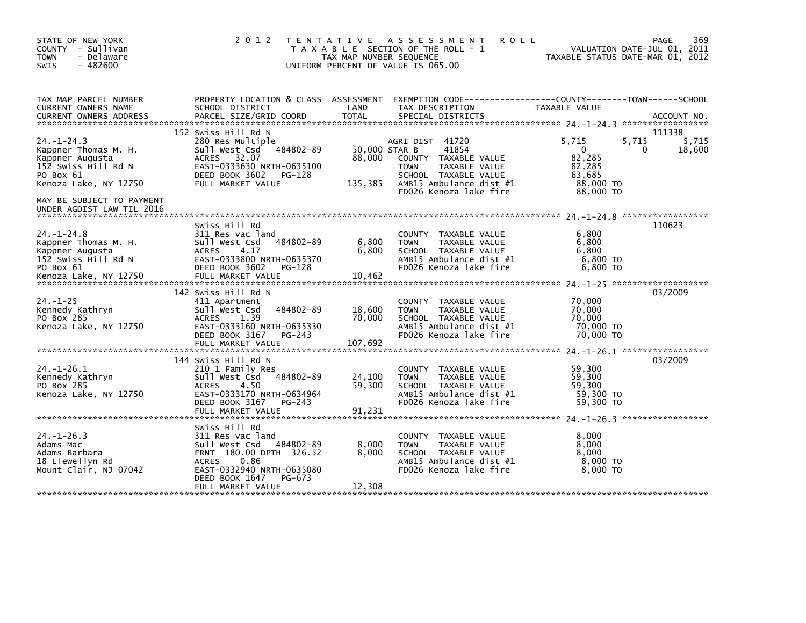| STATE OF NEW YORK<br>COUNTY - Sullivan<br><b>TOWN</b><br>- Delaware<br><b>SWIS</b><br>$-482600$                                                       | 2 0 1 2                                                                                                                                                                                          | T E N T A T I V E<br>TAX MAP NUMBER SEQUENCE | ASSESSMENT<br><b>ROLL</b><br>T A X A B L E SECTION OF THE ROLL - 1<br>UNIFORM PERCENT OF VALUE IS 065.00                                                      |                                                                               | 369<br>PAGE<br>VALUATION DATE-JUL 01, 2011<br>TAXABLE STATUS DATE-MAR 01, 2012 |
|-------------------------------------------------------------------------------------------------------------------------------------------------------|--------------------------------------------------------------------------------------------------------------------------------------------------------------------------------------------------|----------------------------------------------|---------------------------------------------------------------------------------------------------------------------------------------------------------------|-------------------------------------------------------------------------------|--------------------------------------------------------------------------------|
| TAX MAP PARCEL NUMBER<br><b>CURRENT OWNERS NAME</b>                                                                                                   | PROPERTY LOCATION & CLASS ASSESSMENT<br>SCHOOL DISTRICT                                                                                                                                          | LAND                                         | EXEMPTION CODE-----------------COUNTY-------TOWN------SCHOOL<br>TAX DESCRIPTION                                                                               | TAXABLE VALUE                                                                 | ACCOUNT NO.<br>******************                                              |
| $24. - 1 - 24.3$<br>Kappner Thomas M. H.<br>Kappner Augusta<br>152 Swiss Hill Rd N<br>PO Box 61<br>Kenoza Lake, NY 12750<br>MAY BE SUBJECT TO PAYMENT | 152 Swiss Hill Rd N<br>280 Res Multiple<br>484802-89<br>Sull West Csd<br>ACRES 32.07<br>EAST-0333630 NRTH-0635100<br>DEED BOOK 3602<br>PG-128<br>FULL MARKET VALUE                               | 50,000 STAR B<br>88,000<br>135,385           | AGRI DIST 41720<br>41854<br>COUNTY TAXABLE VALUE<br><b>TOWN</b><br>TAXABLE VALUE<br>SCHOOL TAXABLE VALUE<br>AMB15 Ambulance dist #1<br>FD026 Kenoza lake fire | 5.715<br>$\mathbf{0}$<br>82,285<br>82,285<br>63.685<br>88,000 TO<br>88,000 TO | 111338<br>5,715<br>5.715<br>18,600<br>0                                        |
| UNDER AGDIST LAW TIL 2016<br>$24. - 1 - 24.8$<br>Kappner Thomas M. H.<br>Kappner Augusta<br>152 Swiss Hill Rd N<br>PO Box 61                          | Swiss Hill Rd<br>311 Res vac land<br>484802-89<br>Sull West Csd<br>4.17<br><b>ACRES</b><br>EAST-0333800 NRTH-0635370<br>DEED BOOK 3602<br>PG-128                                                 | 6,800<br>6,800                               | COUNTY TAXABLE VALUE<br><b>TOWN</b><br>TAXABLE VALUE<br>SCHOOL TAXABLE VALUE<br>AMB15 Ambulance dist #1<br>FD026 Kenoza lake fire                             | 6,800<br>6,800<br>6.800<br>6,800 TO<br>6,800 TO                               | 110623                                                                         |
| $24. - 1 - 25$<br>Kennedy Kathryn<br>PO Box 285<br>Kenoza Lake, NY 12750                                                                              | 142 Swiss Hill Rd N<br>411 Apartment<br>484802-89<br>Sull West Csd<br><b>ACRES</b><br>1.39<br>EAST-0333160 NRTH-0635330<br>DEED BOOK 3167<br>PG-243<br>FULL MARKET VALUE                         | 18,600<br>70,000<br>107,692                  | COUNTY TAXABLE VALUE<br>TAXABLE VALUE<br><b>TOWN</b><br>SCHOOL TAXABLE VALUE<br>AMB15 Ambulance dist #1<br>FD026 Kenoza lake fire                             | 70,000<br>70,000<br>70,000<br>70,000 TO<br>70,000 TO                          | 03/2009                                                                        |
| $24. - 1 - 26.1$<br>Kennedy Kathryn<br>PO Box 285<br>Kenoza Lake, NY 12750                                                                            | 144 Swiss Hill Rd N<br>210 1 Family Res<br>Sull West Csd<br>484802-89<br><b>ACRES</b><br>4.50<br>EAST-0333170 NRTH-0634964<br>DEED BOOK 3167<br>PG-243<br>FULL MARKET VALUE                      | 24,100<br>59,300<br>91,231                   | TAXABLE VALUE<br><b>COUNTY</b><br><b>TAXABLE VALUE</b><br><b>TOWN</b><br>SCHOOL TAXABLE VALUE<br>AMB15 Ambulance dist #1<br>FD026 Kenoza lake fire            | 59,300<br>59,300<br>59,300<br>59,300 TO<br>59,300 TO                          | 03/2009                                                                        |
| $24. -1 - 26.3$<br>Adams Mac<br>Adams Barbara<br>18 Llewellyn Rd<br>Mount Clair, NJ 07042                                                             | Swiss Hill Rd<br>311 Res vac land<br>Sull West Csd<br>484802-89<br>FRNT 180.00 DPTH 326.52<br><b>ACRES</b><br>0.86<br>EAST-0332940 NRTH-0635080<br>DEED BOOK 1647<br>PG-673<br>FULL MARKET VALUE | 8,000<br>8,000<br>12,308                     | TAXABLE VALUE<br><b>COUNTY</b><br><b>TOWN</b><br>TAXABLE VALUE<br>SCHOOL TAXABLE VALUE<br>AMB15 Ambulance dist #1<br>FD026 Kenoza lake fire                   | 8.000<br>8,000<br>8,000<br>8,000 TO<br>8,000 TO                               |                                                                                |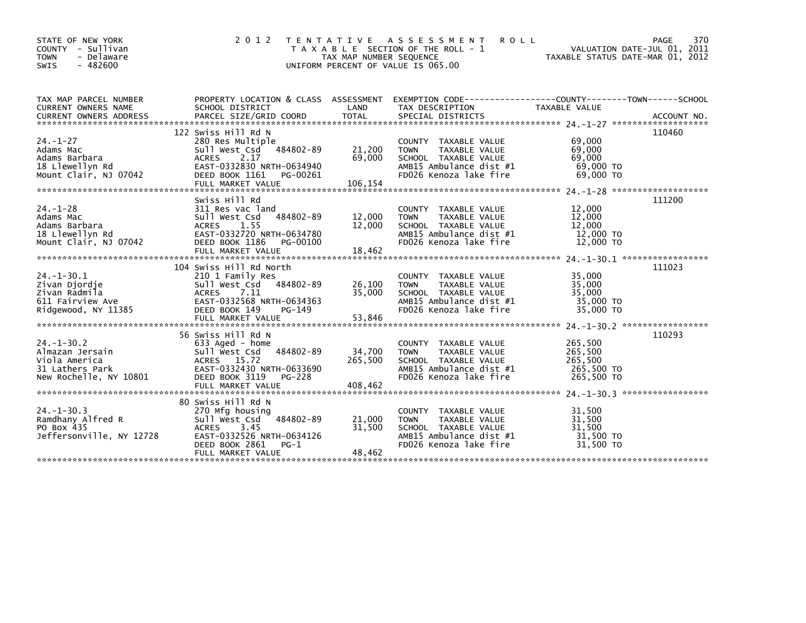| <b>SWIS</b><br>$-482600$<br>UNIFORM PERCENT OF VALUE IS 065.00<br>TAX MAP PARCEL NUMBER<br>PROPERTY LOCATION & CLASS ASSESSMENT<br>EXEMPTION CODE-----------------COUNTY-------TOWN------SCHOOL<br>SCHOOL DISTRICT<br>LAND<br><b>CURRENT OWNERS NAME</b><br>TAX DESCRIPTION<br>TAXABLE VALUE<br>122 Swiss Hill Rd N<br>110460<br>$24. - 1 - 27$<br>69,000<br>280 Res Multiple<br>COUNTY TAXABLE VALUE<br>69,000<br>484802-89<br>21,200<br>TAXABLE VALUE<br>Adams Mac<br>Sull West Csd<br><b>TOWN</b><br>2.17<br>69,000<br>69,000<br><b>ACRES</b><br>SCHOOL TAXABLE VALUE<br>Adams Barbara<br>69,000 TO<br>EAST-0332830 NRTH-0634940<br>AMB15 Ambulance dist #1<br>18 Llewellyn Rd<br>FD026 Kenoza lake fire<br>69,000 TO<br>Mount Clair, NJ 07042<br>DEED BOOK 1161<br>PG-00261<br>FULL MARKET VALUE<br>106,154<br>Swiss Hill Rd<br>111200<br>$24. -1 - 28$<br>12,000<br>311 Res vac land<br>COUNTY TAXABLE VALUE<br>484802-89<br>12,000<br>Adams Mac<br>Sull West Csd<br>12,000<br>TAXABLE VALUE<br><b>TOWN</b><br>1.55<br>12,000<br>12,000<br>Adams Barbara<br>ACRES<br>SCHOOL TAXABLE VALUE<br>12,000 TO<br>18 Llewellyn Rd<br>EAST-0332720 NRTH-0634780<br>AMB15 Ambulance dist #1<br>12,000 TO<br>Mount Clair, NJ 07042<br>DEED BOOK 1186<br>PG-00100<br>FD026 Kenoza lake fire<br>111023<br>104 Swiss Hill Rd North | VALUATION DATE-JUL 01, 2011<br>TAXABLE STATUS DATE-MAR 01, 2012 |
|---------------------------------------------------------------------------------------------------------------------------------------------------------------------------------------------------------------------------------------------------------------------------------------------------------------------------------------------------------------------------------------------------------------------------------------------------------------------------------------------------------------------------------------------------------------------------------------------------------------------------------------------------------------------------------------------------------------------------------------------------------------------------------------------------------------------------------------------------------------------------------------------------------------------------------------------------------------------------------------------------------------------------------------------------------------------------------------------------------------------------------------------------------------------------------------------------------------------------------------------------------------------------------------------------------------------------|-----------------------------------------------------------------|
|                                                                                                                                                                                                                                                                                                                                                                                                                                                                                                                                                                                                                                                                                                                                                                                                                                                                                                                                                                                                                                                                                                                                                                                                                                                                                                                           |                                                                 |
|                                                                                                                                                                                                                                                                                                                                                                                                                                                                                                                                                                                                                                                                                                                                                                                                                                                                                                                                                                                                                                                                                                                                                                                                                                                                                                                           |                                                                 |
|                                                                                                                                                                                                                                                                                                                                                                                                                                                                                                                                                                                                                                                                                                                                                                                                                                                                                                                                                                                                                                                                                                                                                                                                                                                                                                                           |                                                                 |
|                                                                                                                                                                                                                                                                                                                                                                                                                                                                                                                                                                                                                                                                                                                                                                                                                                                                                                                                                                                                                                                                                                                                                                                                                                                                                                                           |                                                                 |
|                                                                                                                                                                                                                                                                                                                                                                                                                                                                                                                                                                                                                                                                                                                                                                                                                                                                                                                                                                                                                                                                                                                                                                                                                                                                                                                           |                                                                 |
|                                                                                                                                                                                                                                                                                                                                                                                                                                                                                                                                                                                                                                                                                                                                                                                                                                                                                                                                                                                                                                                                                                                                                                                                                                                                                                                           |                                                                 |
|                                                                                                                                                                                                                                                                                                                                                                                                                                                                                                                                                                                                                                                                                                                                                                                                                                                                                                                                                                                                                                                                                                                                                                                                                                                                                                                           |                                                                 |
|                                                                                                                                                                                                                                                                                                                                                                                                                                                                                                                                                                                                                                                                                                                                                                                                                                                                                                                                                                                                                                                                                                                                                                                                                                                                                                                           |                                                                 |
|                                                                                                                                                                                                                                                                                                                                                                                                                                                                                                                                                                                                                                                                                                                                                                                                                                                                                                                                                                                                                                                                                                                                                                                                                                                                                                                           |                                                                 |
|                                                                                                                                                                                                                                                                                                                                                                                                                                                                                                                                                                                                                                                                                                                                                                                                                                                                                                                                                                                                                                                                                                                                                                                                                                                                                                                           |                                                                 |
|                                                                                                                                                                                                                                                                                                                                                                                                                                                                                                                                                                                                                                                                                                                                                                                                                                                                                                                                                                                                                                                                                                                                                                                                                                                                                                                           |                                                                 |
|                                                                                                                                                                                                                                                                                                                                                                                                                                                                                                                                                                                                                                                                                                                                                                                                                                                                                                                                                                                                                                                                                                                                                                                                                                                                                                                           |                                                                 |
|                                                                                                                                                                                                                                                                                                                                                                                                                                                                                                                                                                                                                                                                                                                                                                                                                                                                                                                                                                                                                                                                                                                                                                                                                                                                                                                           |                                                                 |
|                                                                                                                                                                                                                                                                                                                                                                                                                                                                                                                                                                                                                                                                                                                                                                                                                                                                                                                                                                                                                                                                                                                                                                                                                                                                                                                           |                                                                 |
|                                                                                                                                                                                                                                                                                                                                                                                                                                                                                                                                                                                                                                                                                                                                                                                                                                                                                                                                                                                                                                                                                                                                                                                                                                                                                                                           |                                                                 |
|                                                                                                                                                                                                                                                                                                                                                                                                                                                                                                                                                                                                                                                                                                                                                                                                                                                                                                                                                                                                                                                                                                                                                                                                                                                                                                                           |                                                                 |
|                                                                                                                                                                                                                                                                                                                                                                                                                                                                                                                                                                                                                                                                                                                                                                                                                                                                                                                                                                                                                                                                                                                                                                                                                                                                                                                           |                                                                 |
|                                                                                                                                                                                                                                                                                                                                                                                                                                                                                                                                                                                                                                                                                                                                                                                                                                                                                                                                                                                                                                                                                                                                                                                                                                                                                                                           |                                                                 |
| $24. -1 - 30.1$<br>210 1 Family Res<br>35,000<br>COUNTY TAXABLE VALUE                                                                                                                                                                                                                                                                                                                                                                                                                                                                                                                                                                                                                                                                                                                                                                                                                                                                                                                                                                                                                                                                                                                                                                                                                                                     |                                                                 |
| Sull West Csd 484802-89<br>26,100<br>Zivan Diordie<br><b>TAXABLE VALUE</b><br>35.000<br><b>TOWN</b>                                                                                                                                                                                                                                                                                                                                                                                                                                                                                                                                                                                                                                                                                                                                                                                                                                                                                                                                                                                                                                                                                                                                                                                                                       |                                                                 |
| Zivan Radmila<br>ACRES<br>7.11<br>35,000<br>SCHOOL TAXABLE VALUE<br>35,000                                                                                                                                                                                                                                                                                                                                                                                                                                                                                                                                                                                                                                                                                                                                                                                                                                                                                                                                                                                                                                                                                                                                                                                                                                                |                                                                 |
| EAST-0332568 NRTH-0634363<br>35,000 TO<br>611 Fairview Ave<br>AMB15 Ambulance dist #1                                                                                                                                                                                                                                                                                                                                                                                                                                                                                                                                                                                                                                                                                                                                                                                                                                                                                                                                                                                                                                                                                                                                                                                                                                     |                                                                 |
| FD026 Kenoza lake fire<br>35,000 TO<br>Ridgewood, NY 11385<br>DEED BOOK 149<br>PG-149                                                                                                                                                                                                                                                                                                                                                                                                                                                                                                                                                                                                                                                                                                                                                                                                                                                                                                                                                                                                                                                                                                                                                                                                                                     |                                                                 |
| یست ہے۔<br>FULL MARKET VALUE 53,846 تابیہ ہے۔ FULL MARKET VALUE 53,846 تابیہ ہے۔ جس کا FULL MARKET کا اس کا میں ہے۔ جس کا میں کا میں کا میں کا میں کا میں کہ میں کہ میں کہ میں کہ میں کہ میں کہ میں کہ میں کہ میں کہ میں کہ میں                                                                                                                                                                                                                                                                                                                                                                                                                                                                                                                                                                                                                                                                                                                                                                                                                                                                                                                                                                                                                                                                                           |                                                                 |
| 56 Swiss Hill Rd N<br>110293                                                                                                                                                                                                                                                                                                                                                                                                                                                                                                                                                                                                                                                                                                                                                                                                                                                                                                                                                                                                                                                                                                                                                                                                                                                                                              |                                                                 |
| $24. - 1 - 30.2$<br>265,500<br>633 Aged - home<br>COUNTY TAXABLE VALUE                                                                                                                                                                                                                                                                                                                                                                                                                                                                                                                                                                                                                                                                                                                                                                                                                                                                                                                                                                                                                                                                                                                                                                                                                                                    |                                                                 |
| Almazan Jersain<br>Sull West Csd 484802-89<br>34,700<br><b>TAXABLE VALUE</b><br>265,500<br><b>TOWN</b>                                                                                                                                                                                                                                                                                                                                                                                                                                                                                                                                                                                                                                                                                                                                                                                                                                                                                                                                                                                                                                                                                                                                                                                                                    |                                                                 |
| 265,500<br>Viola America<br>ACRES 15.72<br>265,500<br>SCHOOL TAXABLE VALUE                                                                                                                                                                                                                                                                                                                                                                                                                                                                                                                                                                                                                                                                                                                                                                                                                                                                                                                                                                                                                                                                                                                                                                                                                                                |                                                                 |
| EAST-0332430 NRTH-0633690<br>AMB15 Ambulance dist #1<br>265,500 TO<br>31 Lathers Park                                                                                                                                                                                                                                                                                                                                                                                                                                                                                                                                                                                                                                                                                                                                                                                                                                                                                                                                                                                                                                                                                                                                                                                                                                     |                                                                 |
| 265,500 TO<br>New Rochelle, NY 10801<br>DEED BOOK 3119<br>FD026 Kenoza lake fire<br>PG-228                                                                                                                                                                                                                                                                                                                                                                                                                                                                                                                                                                                                                                                                                                                                                                                                                                                                                                                                                                                                                                                                                                                                                                                                                                |                                                                 |
|                                                                                                                                                                                                                                                                                                                                                                                                                                                                                                                                                                                                                                                                                                                                                                                                                                                                                                                                                                                                                                                                                                                                                                                                                                                                                                                           |                                                                 |
|                                                                                                                                                                                                                                                                                                                                                                                                                                                                                                                                                                                                                                                                                                                                                                                                                                                                                                                                                                                                                                                                                                                                                                                                                                                                                                                           |                                                                 |
| 80 Swiss Hill Rd N                                                                                                                                                                                                                                                                                                                                                                                                                                                                                                                                                                                                                                                                                                                                                                                                                                                                                                                                                                                                                                                                                                                                                                                                                                                                                                        |                                                                 |
| $24. -1 - 30.3$<br>31,500<br>270 Mfg housing<br>COUNTY TAXABLE VALUE                                                                                                                                                                                                                                                                                                                                                                                                                                                                                                                                                                                                                                                                                                                                                                                                                                                                                                                                                                                                                                                                                                                                                                                                                                                      |                                                                 |
| 31,500<br>Ramdhany Alfred R<br>Sull West Csd 484802-89<br>21,000<br><b>TAXABLE VALUE</b><br><b>TOWN</b><br>PO Box 435<br>31,500<br>31,500                                                                                                                                                                                                                                                                                                                                                                                                                                                                                                                                                                                                                                                                                                                                                                                                                                                                                                                                                                                                                                                                                                                                                                                 |                                                                 |
| <b>ACRES</b><br>3.45<br>SCHOOL TAXABLE VALUE<br>Jeffersonville, NY 12728<br>EAST-0332526 NRTH-0634126<br>AMB15 Ambulance dist #1<br>31,500 TO                                                                                                                                                                                                                                                                                                                                                                                                                                                                                                                                                                                                                                                                                                                                                                                                                                                                                                                                                                                                                                                                                                                                                                             |                                                                 |
| FD026 Kenoza lake fire<br>DEED BOOK 2861<br>31,500 TO<br>PG-1                                                                                                                                                                                                                                                                                                                                                                                                                                                                                                                                                                                                                                                                                                                                                                                                                                                                                                                                                                                                                                                                                                                                                                                                                                                             |                                                                 |
| 48.462<br>FULL MARKET VALUE                                                                                                                                                                                                                                                                                                                                                                                                                                                                                                                                                                                                                                                                                                                                                                                                                                                                                                                                                                                                                                                                                                                                                                                                                                                                                               |                                                                 |
|                                                                                                                                                                                                                                                                                                                                                                                                                                                                                                                                                                                                                                                                                                                                                                                                                                                                                                                                                                                                                                                                                                                                                                                                                                                                                                                           |                                                                 |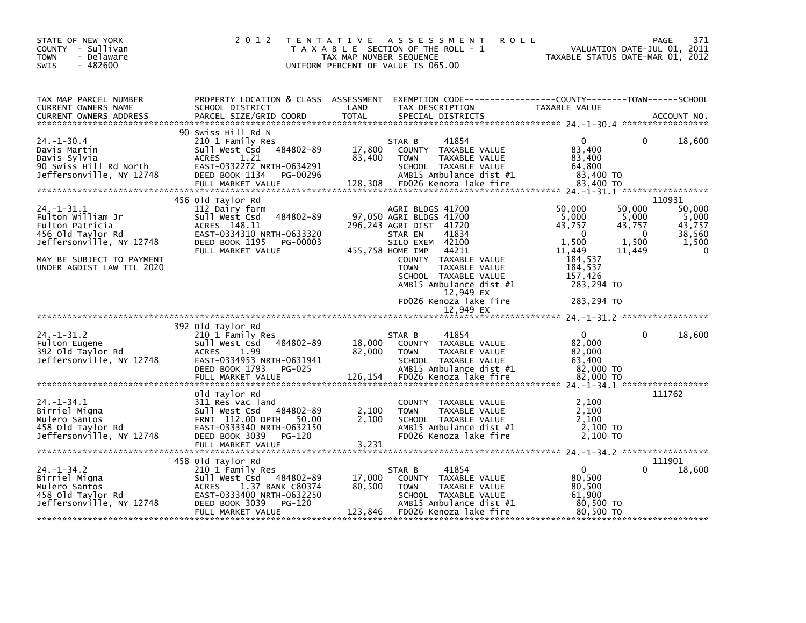| STATE OF NEW YORK<br>COUNTY - Sullivan<br>- Delaware<br><b>TOWN</b><br>$-482600$<br><b>SWIS</b>                                                                   | 2 0 1 2                                                                                                                                                                  | TAX MAP NUMBER SEQUENCE | <b>ROLL</b><br>TENTATIVE ASSESSMENT<br>T A X A B L E SECTION OF THE ROLL - 1<br>UNIFORM PERCENT OF VALUE IS 065.00                                                                                                                                                                           | VALUATION DATE-JUL 01, 2011<br>TAXABLE STATUS DATE-MAR 01, 2012                                                                                                                               | PAGE<br>371                                                            |
|-------------------------------------------------------------------------------------------------------------------------------------------------------------------|--------------------------------------------------------------------------------------------------------------------------------------------------------------------------|-------------------------|----------------------------------------------------------------------------------------------------------------------------------------------------------------------------------------------------------------------------------------------------------------------------------------------|-----------------------------------------------------------------------------------------------------------------------------------------------------------------------------------------------|------------------------------------------------------------------------|
| TAX MAP PARCEL NUMBER<br>CURRENT OWNERS NAME                                                                                                                      | SCHOOL DISTRICT                                                                                                                                                          | LAND                    | PROPERTY LOCATION & CLASS ASSESSMENT EXEMPTION CODE----------------COUNTY-------TOWN-----SCHOOL<br>TAX DESCRIPTION                                                                                                                                                                           | TAXABLE VALUE                                                                                                                                                                                 |                                                                        |
| $24. - 1 - 30.4$<br>Davis Martin<br>Davis Sylvia<br>90 Swiss Hill Rd North                                                                                        | 90 Swiss Hill Rd N<br>210 1 Family Res<br>Sull west Csd 484802-89 17,800 COUNTY TAXABLE VALUE<br>ACRES<br>1.21<br>EAST-0332272 NRTH-0634291                              | 83,400                  | 41854<br>STAR B<br>TAXABLE VALUE<br><b>TOWN</b><br>SCHOOL TAXABLE VALUE                                                                                                                                                                                                                      | $\mathbf{0}$<br>$\mathbf{0}$<br>83,400<br>83,400<br>64,800                                                                                                                                    | 18,600                                                                 |
| 24. -1 - 31. 1<br>Fulton William Jr<br>Fulton Patricia<br>456 Old Taylor Rd<br>Jeffersonville, NY 12748<br>MAY BE SUBJECT TO PAYMENT<br>UNDER AGDIST LAW TIL 2020 | 456 Old Taylor Rd<br>112 Dairy farm<br>Sull West Csd 484802-89<br>ACRES 148.11<br>EAST-0334310 NRTH-0633320<br>DEED BOOK 1195 PG-00003<br>FULL MARKET VALUE              |                         | AGRI BLDGS 41700<br>97,050 AGRI BLDGS 41700<br>296.243 AGRI DIST 41720<br>41834<br>STAR EN<br>SILO EXEM 42100<br>455,758 HOME IMP<br>44211<br>COUNTY TAXABLE VALUE<br>TAXABLE VALUE<br><b>TOWN</b><br>SCHOOL TAXABLE VALUE<br>AMB15 Ambulance dist #1<br>12,949 EX<br>FD026 Kenoza lake fire | 50,000<br>50,000<br>5,000<br>5,000<br>43,757<br>43,757<br>$\overline{0}$<br>$\overline{0}$<br>1,500<br>1,500<br>11.449<br>11.449<br>184,537<br>184,537<br>157,426<br>283,294 TO<br>283,294 TO | 110931<br>50,000<br>5,000<br>43,757<br>38,560<br>1,500<br>$\mathbf{0}$ |
|                                                                                                                                                                   |                                                                                                                                                                          |                         | 12,949 EX                                                                                                                                                                                                                                                                                    |                                                                                                                                                                                               |                                                                        |
| $24. - 1 - 31.2$<br>Fulton Eugene<br>392 Old Taylor Rd<br>Jeffersonville, NY 12748                                                                                | 392 old Taylor Rd<br>210 1 Family Res<br>Sull West Csd 484802-89<br><b>ACRES</b><br>1.99<br>EAST-0334953 NRTH-0631941<br><b>PG-025</b><br>DEED BOOK 1793                 | 18,000<br>82,000        | 41854<br>STAR B<br>COUNTY TAXABLE VALUE<br>TAXABLE VALUE<br><b>TOWN</b><br>SCHOOL TAXABLE VALUE<br>AMB15 Ambulance dist #1                                                                                                                                                                   | $\overline{0}$<br>$\Omega$<br>82,000<br>82,000<br>63,400<br>82,000 TO                                                                                                                         | 18,600                                                                 |
| $24. -1 - 34.1$<br>Birriel Migna<br>Mulero Santos<br>458 old Taylor Rd<br>Jeffersonville, NY 12748                                                                | old Taylor Rd<br>311 Res vac land<br>Sull West Csd 484802-89<br>FRNT 112.00 DPTH 50.00<br>EAST-0333340 NRTH-0632150<br>DEED BOOK 3039 PG-120<br>FULL MARKET VALUE        | 2,100<br>2,100<br>3,231 | COUNTY TAXABLE VALUE<br><b>TOWN</b><br>TAXABLE VALUE<br>SCHOOL TAXABLE VALUE<br>AMB15 Ambulance dist #1<br>FD026 Kenoza lake fire                                                                                                                                                            | 2,100<br>2,100<br>2,100<br>2,100 TO<br>2,100 TO                                                                                                                                               | 111762                                                                 |
| $24. - 1 - 34.2$<br>Birriel Migna<br>Mulero Santos<br>458 Old Taylor Rd<br>Jeffersonville, NY 12748                                                               | 458 old Taylor Rd<br>210 1 Family Res<br>Sull West Csd 484802-89<br>ACRES 1.37 BANK C80374<br>EAST-0333400 NRTH-0632250<br>DEED BOOK 3039<br>PG-120<br>FULL MARKET VALUE | 17,000<br>80,500        | 41854<br>STAR B<br>COUNTY TAXABLE VALUE<br><b>TOWN</b><br>TAXABLE VALUE<br>SCHOOL TAXABLE VALUE<br>AMB15 Ambulance dist #1<br>123,846 FD026 Kenoza lake fire                                                                                                                                 | $\mathbf{0}$<br>0<br>80,500<br>80,500<br>61.900<br>80,500 TO<br>80.500 TO                                                                                                                     | 111901<br>18,600                                                       |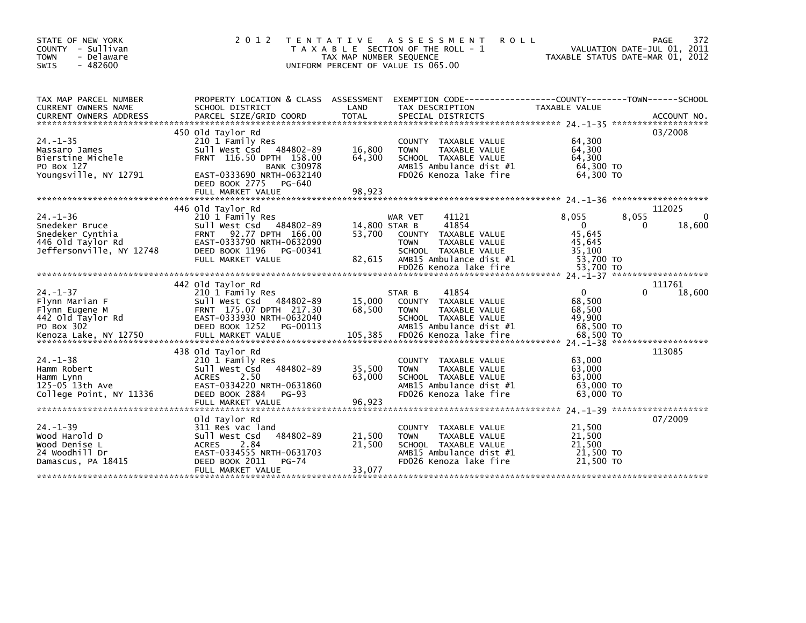| STATE OF NEW YORK<br>COUNTY - Sullivan<br><b>TOWN</b><br>- Delaware<br>- 482600<br>SWIS                        | 2 0 1 2                                                                                                                                                                                            | T E N T A T I V E<br>TAX MAP NUMBER SEQUENCE | A S S E S S M E N T<br><b>ROLL</b><br>T A X A B L E SECTION OF THE ROLL - 1<br>UNIFORM PERCENT OF VALUE IS 065.00                                              |                                                                           | 372<br>PAGE<br>VALUATION DATE-JUL 01, 2011<br>TAXABLE STATUS DATE-MAR 01, 2012 |
|----------------------------------------------------------------------------------------------------------------|----------------------------------------------------------------------------------------------------------------------------------------------------------------------------------------------------|----------------------------------------------|----------------------------------------------------------------------------------------------------------------------------------------------------------------|---------------------------------------------------------------------------|--------------------------------------------------------------------------------|
| TAX MAP PARCEL NUMBER<br>CURRENT OWNERS NAME<br><b>CURRENT OWNERS ADDRESS</b>                                  | SCHOOL DISTRICT<br>PARCEL SIZE/GRID COORD                                                                                                                                                          | LAND<br><b>TOTAL</b>                         | PROPERTY LOCATION & CLASS ASSESSMENT EXEMPTION CODE----------------COUNTY-------TOWN------SCHOOL<br>TAX DESCRIPTION<br>SPECIAL DISTRICTS                       | TAXABLE VALUE                                                             | ACCOUNT NO.                                                                    |
| $24. - 1 - 35$<br>Massaro James<br>Bierstine Michele<br>PO Box 127<br>Youngsville, NY 12791                    | 450 old Taylor Rd<br>210 1 Family Res<br>484802-89<br>Sull West Csd<br>FRNT 116.50 DPTH 158.00<br><b>BANK C30978</b><br>EAST-0333690 NRTH-0632140<br>DEED BOOK 2775<br>PG-640<br>FULL MARKET VALUE | 16,800<br>64,300<br>98,923                   | COUNTY TAXABLE VALUE<br>TAXABLE VALUE<br><b>TOWN</b><br>SCHOOL TAXABLE VALUE<br>AMB15 Ambulance dist #1<br>FD026 Kenoza lake fire                              | 64,300<br>64,300<br>64,300<br>64,300 TO<br>64.300 TO                      | 03/2008                                                                        |
|                                                                                                                |                                                                                                                                                                                                    |                                              |                                                                                                                                                                |                                                                           |                                                                                |
| $24. - 1 - 36$<br>Snedeker Bruce<br>Snedeker Cynthia<br>446 old Taylor Rd<br>Jeffersonville, NY 12748          | 446 Old Taylor Rd<br>210 1 Family Res<br>Sull West Csd<br>484802-89<br>92.77 DPTH 166.00<br><b>FRNT</b><br>EAST-0333790 NRTH-0632090<br>DEED BOOK 1196<br>PG-00341<br>FULL MARKET VALUE            | 14,800 STAR B<br>53,700<br>82,615            | WAR VET<br>41121<br>41854<br>COUNTY TAXABLE VALUE<br><b>TOWN</b><br>TAXABLE VALUE<br>SCHOOL TAXABLE VALUE<br>AMB15 Ambulance dist #1<br>FD026 Kenoza lake fire | 8,055<br>$\Omega$<br>45,645<br>45,645<br>35,100<br>53,700 TO<br>53,700 TO | 112025<br>8,055<br>18,600<br>0                                                 |
|                                                                                                                |                                                                                                                                                                                                    |                                              |                                                                                                                                                                |                                                                           |                                                                                |
| $24. - 1 - 37$<br>Flynn Marian F<br>Flynn Eugene M<br>442 old Taylor Rd<br>PO Box 302<br>Kenoza Lake, NY 12750 | 442 Old Taylor Rd<br>210 1 Family Res<br>484802-89<br>Sull West Csd<br>FRNT 175.07 DPTH 217.30<br>EAST-0333930 NRTH-0632040<br>DEED BOOK 1252<br>PG-00113<br>FULL MARKET VALUE                     | 15,000<br>68,500<br>105,385                  | 41854<br>STAR B<br>COUNTY TAXABLE VALUE<br><b>TOWN</b><br>TAXABLE VALUE<br>SCHOOL TAXABLE VALUE<br>AMB15 Ambulance dist #1<br>FD026 Kenoza lake fire           | $\mathbf{0}$<br>68,500<br>68,500<br>49,900<br>68,500 TO<br>68,500 TO      | 111761<br>18,600<br>0                                                          |
| $24. -1 - 38$<br>Hamm Robert<br>Hamm Lynn<br>125-05 13th Ave<br>College Point, NY 11336                        | 438 Old Taylor Rd<br>210 1 Family Res<br>484802-89<br>Sull West Csd<br>2.50<br><b>ACRES</b><br>EAST-0334220 NRTH-0631860<br>DEED BOOK 2884<br>$PG-93$<br>FULL MARKET VALUE                         | 35,500<br>63,000<br>96,923                   | COUNTY TAXABLE VALUE<br><b>TOWN</b><br>TAXABLE VALUE<br>SCHOOL TAXABLE VALUE<br>AMB15 Ambulance dist #1<br>FD026 Kenoza lake fire                              | 63,000<br>63,000<br>63,000<br>63,000 TO<br>63,000 TO                      | 113085                                                                         |
| $24. - 1 - 39$<br>Wood Harold D<br>Wood Denise L<br>24 Woodhill Dr<br>Damascus, PA 18415                       | Old Taylor Rd<br>311 Res vac land<br>484802-89<br>Sull West Csd<br>2.84<br><b>ACRES</b><br>EAST-0334555 NRTH-0631703<br>DEED BOOK 2011<br>PG-74<br>FULL MARKET VALUE                               | 21,500<br>21,500<br>33,077                   | COUNTY TAXABLE VALUE<br>TAXABLE VALUE<br><b>TOWN</b><br>SCHOOL TAXABLE VALUE<br>AMB15 Ambulance dist #1<br>FD026 Kenoza lake fire                              | 21,500<br>21,500<br>21,500<br>21,500 TO<br>21,500 TO                      | 07/2009                                                                        |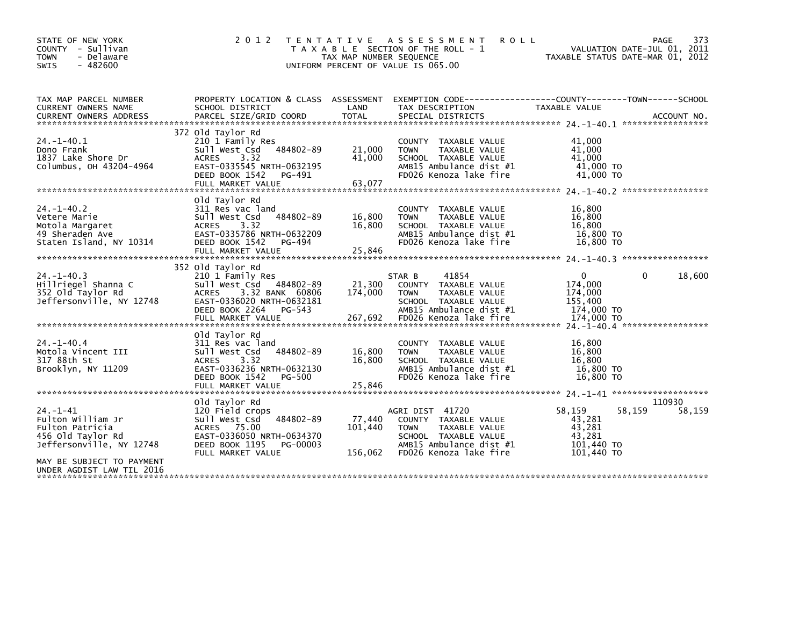| STATE OF NEW YORK<br>COUNTY - Sullivan<br>- Delaware<br><b>TOWN</b><br>SWIS<br>$-482600$                                             | 2 0 1 2                                                                                                                                                                   | T E N T A T I V E<br>TAX MAP NUMBER SEQUENCE | A S S E S S M E N T<br><b>ROLL</b><br>T A X A B L E SECTION OF THE ROLL - 1<br>UNIFORM PERCENT OF VALUE IS 065.00                                    |                                                                           | PAGE<br>373<br>VALUATION DATE-JUL 01, 2011<br>TAXABLE STATUS DATE-MAR 01, 2012 |
|--------------------------------------------------------------------------------------------------------------------------------------|---------------------------------------------------------------------------------------------------------------------------------------------------------------------------|----------------------------------------------|------------------------------------------------------------------------------------------------------------------------------------------------------|---------------------------------------------------------------------------|--------------------------------------------------------------------------------|
| TAX MAP PARCEL NUMBER<br>CURRENT OWNERS NAME<br><b>CURRENT OWNERS ADDRESS</b>                                                        | PROPERTY LOCATION & CLASS ASSESSMENT<br>SCHOOL DISTRICT<br>PARCEL SIZE/GRID COORD                                                                                         | LAND<br><b>TOTAL</b>                         | EXEMPTION        CODE-----------------COUNTY-------TOWN------SCHOOL<br>TAX DESCRIPTION<br>SPECIAL DISTRICTS                                          | TAXABLE VALUE                                                             | ACCOUNT NO.                                                                    |
|                                                                                                                                      |                                                                                                                                                                           |                                              |                                                                                                                                                      |                                                                           |                                                                                |
| $24. -1 - 40.1$<br>Dono Frank<br>1837 Lake Shore Dr<br>Columbus, OH 43204-4964                                                       | 372 Old Taylor Rd<br>210 1 Family Res<br>sull west Csd<br>484802-89<br><b>ACRES</b><br>3.32<br>EAST-0335545 NRTH-0632195<br>DEED BOOK 1542<br>PG-491<br>FULL MARKET VALUE | 21,000<br>41,000<br>63,077                   | <b>COUNTY</b><br>TAXABLE VALUE<br>TAXABLE VALUE<br><b>TOWN</b><br>SCHOOL TAXABLE VALUE<br>AMB15 Ambulance dist #1<br>FD026 Kenoza lake fire          | 41,000<br>41,000<br>41,000<br>41,000 TO<br>41,000 TO                      |                                                                                |
|                                                                                                                                      |                                                                                                                                                                           |                                              |                                                                                                                                                      |                                                                           |                                                                                |
| $24. - 1 - 40.2$<br>Vetere Marie<br>Motola Margaret<br>49 Sheraden Ave<br>Staten Island, NY 10314                                    | Old Taylor Rd<br>311 Res vac land<br>484802-89<br>Sull West Csd<br>3.32<br><b>ACRES</b><br>EAST-0335786 NRTH-0632209<br>DEED BOOK 1542<br>PG-494<br>FULL MARKET VALUE     | 16,800<br>16,800<br>25,846                   | COUNTY TAXABLE VALUE<br>TAXABLE VALUE<br><b>TOWN</b><br>SCHOOL TAXABLE VALUE<br>AMB15 Ambulance dist #1<br>FD026 Kenoza lake fire                    | 16,800<br>16,800<br>16,800<br>16,800 TO<br>16,800 TO                      |                                                                                |
|                                                                                                                                      | 352 old Taylor Rd                                                                                                                                                         |                                              |                                                                                                                                                      |                                                                           |                                                                                |
| $24. -1 - 40.3$<br>Hillriegel Shanna C<br>352 Old Taylor Rd<br>Jeffersonville, NY 12748                                              | 210 1 Family Res<br>Sull West Csd 484802-89<br>3.32 BANK 60806<br><b>ACRES</b><br>EAST-0336020 NRTH-0632181<br>DEED BOOK 2264<br>PG-543<br>FULL MARKET VALUE              | 21,300<br>174,000<br>267,692                 | 41854<br>STAR B<br>COUNTY TAXABLE VALUE<br><b>TOWN</b><br>TAXABLE VALUE<br>SCHOOL TAXABLE VALUE<br>AMB15 Ambulance dist #1<br>FD026 Kenoza lake fire | $\mathbf{0}$<br>174,000<br>174,000<br>155,400<br>174,000 TO<br>174,000 TO | 18,600<br>0                                                                    |
|                                                                                                                                      | old Taylor Rd                                                                                                                                                             |                                              |                                                                                                                                                      |                                                                           |                                                                                |
| $24 - 1 - 40.4$<br>Motola Vincent III<br>317 88th St<br>Brooklyn, NY 11209                                                           | 311 Res vac land<br>484802-89<br>Sull West Csd<br>3.32<br><b>ACRES</b><br>EAST-0336236 NRTH-0632130<br>DEED BOOK 1542<br>PG-500                                           | 16,800<br>16,800                             | <b>COUNTY</b><br>TAXABLE VALUE<br>TAXABLE VALUE<br><b>TOWN</b><br>SCHOOL TAXABLE VALUE<br>AMB15 Ambulance dist #1<br>FD026 Kenoza lake fire          | 16,800<br>16,800<br>16,800<br>16,800 TO<br>16,800 TO                      |                                                                                |
|                                                                                                                                      | FULL MARKET VALUE                                                                                                                                                         | 25,846                                       |                                                                                                                                                      |                                                                           |                                                                                |
| $24. - 1 - 41$<br>Fulton William Jr<br>Fulton Patricia<br>456 old Taylor Rd<br>Jeffersonville, NY 12748<br>MAY BE SUBJECT TO PAYMENT | Old Taylor Rd<br>120 Field crops<br>Sull West Csd<br>484802-89<br>ACRES 75.00<br>EAST-0336050 NRTH-0634370<br>DEED BOOK 1195<br>PG-00003<br>FULL MARKET VALUE             | 77,440<br>101,440<br>156,062                 | AGRI DIST 41720<br>COUNTY TAXABLE VALUE<br>TAXABLE VALUE<br><b>TOWN</b><br>SCHOOL TAXABLE VALUE<br>AMB15 Ambulance dist #1<br>FD026 Kenoza lake fire | 58,159<br>43,281<br>43,281<br>43.281<br>101,440 TO<br>101.440 TO          | 110930<br>58,159<br>58,159                                                     |
| UNDER AGDIST LAW TIL 2016                                                                                                            |                                                                                                                                                                           |                                              |                                                                                                                                                      |                                                                           |                                                                                |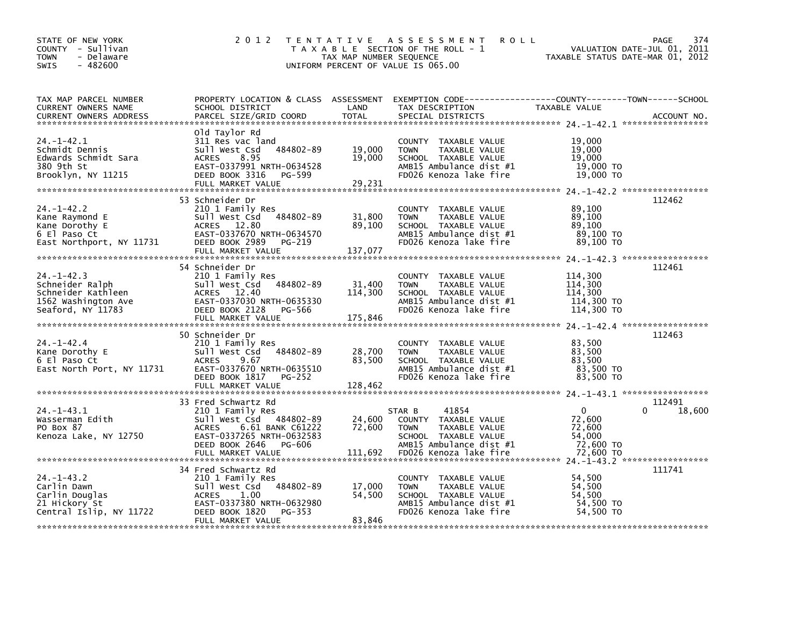| STATE OF NEW YORK<br>COUNTY - Sullivan<br>- Delaware<br><b>TOWN</b><br><b>SWIS</b><br>$-482600$       | 2 0 1 2                                                                                                                                                                       | TAX MAP NUMBER SEQUENCE      | TENTATIVE ASSESSMENT<br><b>ROLL</b><br>T A X A B L E SECTION OF THE ROLL - 1<br>UNIFORM PERCENT OF VALUE IS 065.00                                   | TAXABLE STATUS DATE-MAR 01, 2012                                    | PAGE<br>374<br>VALUATION DATE-JUL 01, 2011 |
|-------------------------------------------------------------------------------------------------------|-------------------------------------------------------------------------------------------------------------------------------------------------------------------------------|------------------------------|------------------------------------------------------------------------------------------------------------------------------------------------------|---------------------------------------------------------------------|--------------------------------------------|
| TAX MAP PARCEL NUMBER<br>CURRENT OWNERS NAME<br><b>CURRENT OWNERS ADDRESS</b>                         | SCHOOL DISTRICT<br>PARCEL SIZE/GRID COORD                                                                                                                                     | LAND<br><b>TOTAL</b>         | PROPERTY LOCATION & CLASS ASSESSMENT EXEMPTION CODE----------------COUNTY-------TOWN------SCHOOL<br>TAX DESCRIPTION<br>SPECIAL DISTRICTS             | TAXABLE VALUE                                                       | ACCOUNT NO.                                |
| $24. - 1 - 42.1$<br>Schmidt Dennis<br>Edwards Schmidt Sara<br>380 9th St<br>Brooklyn, NY 11215        | Old Taylor Rd<br>311 Res vac land<br>484802-89<br>Sull West Csd<br><b>ACRES</b><br>8.95<br>EAST-0337991 NRTH-0634528<br>DEED BOOK 3316<br>PG-599<br>FULL MARKET VALUE         | 19,000<br>19,000<br>29,231   | COUNTY TAXABLE VALUE<br><b>TOWN</b><br>TAXABLE VALUE<br>SCHOOL TAXABLE VALUE<br>AMB15 Ambulance dist #1<br>FD026 Kenoza lake fire                    | 19,000<br>19,000<br>19,000<br>19,000 TO<br>19,000 TO                |                                            |
| $24. - 1 - 42.2$<br>Kane Raymond E<br>Kane Dorothy E<br>6 El Paso Ct<br>East Northport, NY 11731      | 53 Schneider Dr<br>210 1 Family Res<br>Sull West Csd 484802-89<br>ACRES 12.80<br>EAST-0337670 NRTH-0634570<br>DEED BOOK 2989<br>PG-219<br>FULL MARKET VALUE                   | 31,800<br>89,100<br>137,077  | COUNTY TAXABLE VALUE<br><b>TOWN</b><br>TAXABLE VALUE<br>SCHOOL TAXABLE VALUE<br>AMB15 Ambulance dist #1<br>FD026 Kenoza lake fire                    | 89,100<br>89,100<br>89,100<br>89,100 TO<br>89,100 TO                | 112462                                     |
| $24. - 1 - 42.3$<br>Schneider Ralph<br>Schneider Kathleen<br>1562 Washington Ave<br>Seaford, NY 11783 | 54 Schneider Dr<br>210 1 Family Res<br>484802-89<br>Sull West Csd<br>ACRES 12.40<br>EAST-0337030 NRTH-0635330<br>DEED BOOK 2128 PG-566<br>FULL MARKET VALUE                   | 31,400<br>114,300<br>175,846 | COUNTY TAXABLE VALUE<br>TAXABLE VALUE<br><b>TOWN</b><br>SCHOOL TAXABLE VALUE<br>AMB15 Ambulance dist #1<br>FD026 Kenoza lake fire                    | 114,300<br>114,300<br>114.300<br>114,300 TO<br>114,300 TO           | 112461                                     |
| $24. - 1 - 42.4$<br>Kane Dorothy E<br>6 El Paso Ct<br>East North Port, NY 11731                       | 50 Schneider Dr<br>210 1 Family Res<br>484802-89<br>Sull West Csd<br>9.67<br><b>ACRES</b><br>EAST-0337670 NRTH-0635510<br>DEED BOOK 1817<br>PG-252<br>FULL MARKET VALUE       | 28,700<br>83,500<br>128,462  | COUNTY TAXABLE VALUE<br><b>TOWN</b><br>TAXABLE VALUE<br>SCHOOL TAXABLE VALUE<br>AMB15 Ambulance dist #1<br>FD026 Kenoza lake fire                    | 83,500<br>83,500<br>83,500<br>83,500 TO<br>83,500 TO                | 112463                                     |
| $24. -1 - 43.1$<br>Wasserman Edith<br>PO Box 87<br>Kenoza Lake, NY 12750                              | 33 Fred Schwartz Rd<br>210 1 Family Res<br>Sull West Csd 484802-89<br>6.61 BANK C61222<br>ACRES<br>EAST-0337265 NRTH-0632583<br>DEED BOOK 2646<br>PG-606<br>FULL MARKET VALUE | 24,600<br>72,600<br>111,692  | STAR B<br>41854<br>COUNTY TAXABLE VALUE<br><b>TOWN</b><br>TAXABLE VALUE<br>SCHOOL TAXABLE VALUE<br>AMB15 Ambulance dist #1<br>FD026 Kenoza lake fire | $\mathbf 0$<br>72,600<br>72,600<br>54,000<br>72,600 TO<br>72,600 TO | 112491<br>18,600                           |
| $24. -1 - 43.2$<br>Carlin Dawn<br>Carlin Douglas<br>21 Hickory St<br>Central Islip, NY 11722          | 34 Fred Schwartz Rd<br>210 1 Family Res<br>484802-89<br>Sull West Csd<br><b>ACRES</b><br>1.00<br>EAST-0337380 NRTH-0632980<br>DEED BOOK 1820<br>PG-353<br>FULL MARKET VALUE   | 17,000<br>54,500<br>83,846   | COUNTY TAXABLE VALUE<br>TAXABLE VALUE<br><b>TOWN</b><br>SCHOOL TAXABLE VALUE<br>AMB15 Ambulance dist #1<br>FD026 Kenoza lake fire                    | 54,500<br>54,500<br>54.500<br>54,500 TO<br>54,500 TO                | 111741                                     |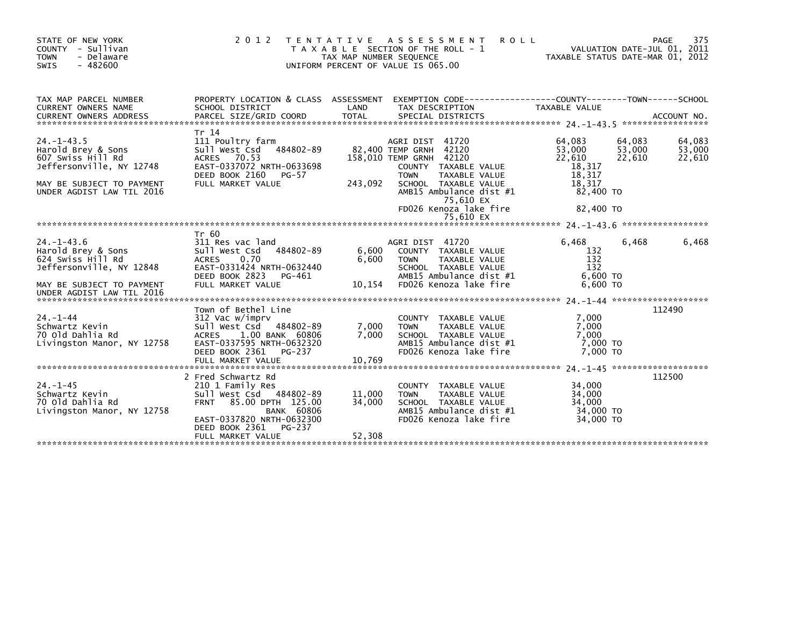| STATE OF NEW YORK<br>COUNTY - Sullivan<br><b>TOWN</b><br>- Delaware<br>SWIS<br>$-482600$                                                          | 2 0 1 2<br>T E N T A T I V E                                                                                                                                                            | TAX MAP NUMBER SEQUENCE    | A S S E S S M E N T<br><b>ROLL</b><br>T A X A B L E SECTION OF THE ROLL - 1<br>UNIFORM PERCENT OF VALUE IS 065.00                                                                                                      | TAXABLE STATUS DATE-MAR 01, 2012                                                   |                            | 375<br><b>PAGE</b><br>VALUATION DATE-JUL 01, 2011 |
|---------------------------------------------------------------------------------------------------------------------------------------------------|-----------------------------------------------------------------------------------------------------------------------------------------------------------------------------------------|----------------------------|------------------------------------------------------------------------------------------------------------------------------------------------------------------------------------------------------------------------|------------------------------------------------------------------------------------|----------------------------|---------------------------------------------------|
| TAX MAP PARCEL NUMBER<br>CURRENT OWNERS NAME                                                                                                      | SCHOOL DISTRICT                                                                                                                                                                         | LAND                       | PROPERTY LOCATION & CLASS ASSESSMENT EXEMPTION CODE----------------COUNTY-------TOWN------SCHOOL<br>TAX DESCRIPTION                                                                                                    | TAXABLE VALUE                                                                      |                            |                                                   |
| $24. -1 - 43.5$<br>Harold Brey & Sons<br>607 Swiss Hill Rd<br>Jeffersonville, NY 12748<br>MAY BE SUBJECT TO PAYMENT<br>UNDER AGDIST LAW TIL 2016  | Tr 14<br>111 Poultry farm<br>sull west Csd 484802-89<br>ACRES 70.53<br>EAST-0337072 NRTH-0633698<br>DEED BOOK 2160<br>PG-57<br>FULL MARKET VALUE                                        | 243,092                    | AGRI DIST 41720<br>82,400 TEMP GRNH 42120<br>158,010 TEMP GRNH 42120<br>COUNTY TAXABLE VALUE<br>TAXABLE VALUE<br><b>TOWN</b><br>SCHOOL TAXABLE VALUE<br>AMB15 Ambulance dist #1<br>75,610 EX<br>FD026 Kenoza lake fire | 64,083<br>53,000<br>22,610<br>18,317<br>18,317<br>18,317<br>82,400 TO<br>82,400 TO | 64,083<br>53,000<br>22,610 | 64,083<br>53,000<br>22,610                        |
| $24. - 1 - 43.6$<br>Harold Brey & Sons<br>624 Swiss Hill Rd<br>Jeffersonville, NY 12848<br>MAY BE SUBJECT TO PAYMENT<br>UNDER AGDIST LAW TIL 2016 | Tr 60<br>311 Res vac land<br>Sull West Csd 484802-89<br>0.70<br><b>ACRES</b><br>EAST-0331424 NRTH-0632440<br>DEED BOOK 2823<br>PG-461<br>FULL MARKET VALUE                              | 6,600<br>6,600<br>10,154   | AGRI DIST 41720<br>COUNTY TAXABLE VALUE<br>TAXABLE VALUE<br><b>TOWN</b><br>SCHOOL TAXABLE VALUE<br>AMB15 Ambulance dist #1<br>FD026 Kenoza lake fire                                                                   | 6.468<br>132<br>132<br>132<br>6,600 TO<br>$6,600$ TO                               | 6,468                      | 6,468                                             |
| $24. - 1 - 44$<br>Schwartz Kevin<br>70 Old Dahlia Rd<br>Livingston Manor, NY 12758                                                                | Town of Bethel Line<br>312 Vac w/imprv<br>Sull West Csd 484802-89<br><b>ACRES</b><br>1.00 BANK 60806<br>EAST-0337595 NRTH-0632320<br>DEED BOOK 2361 PG-237                              | 7,000<br>7.000             | COUNTY TAXABLE VALUE<br><b>TOWN</b><br>TAXABLE VALUE<br>SCHOOL TAXABLE VALUE<br>AMB15 Ambulance dist #1<br>FD026 Kenoza lake fire                                                                                      | 7,000<br>7,000<br>7,000<br>7,000 TO<br>7,000 TO                                    |                            | 112490                                            |
| $24. - 1 - 45$<br>Schwartz Kevin<br>70 Old Dahlia Rd<br>Livingston Manor, NY 12758                                                                | 2 Fred Schwartz Rd<br>210 1 Family Res<br>Sull West Csd 484802-89<br>FRNT 85.00 DPTH 125.00<br>BANK 60806<br>EAST-0337820 NRTH-0632300<br>DEED BOOK 2361<br>PG-237<br>FULL MARKET VALUE | 11,000<br>34,000<br>52,308 | COUNTY TAXABLE VALUE<br><b>TOWN</b><br>TAXABLE VALUE<br>SCHOOL TAXABLE VALUE<br>AMB15 Ambulance dist #1<br>FD026 Kenoza lake fire                                                                                      | 34,000<br>34,000<br>34,000<br>34,000 TO<br>34,000 TO                               |                            | 112500                                            |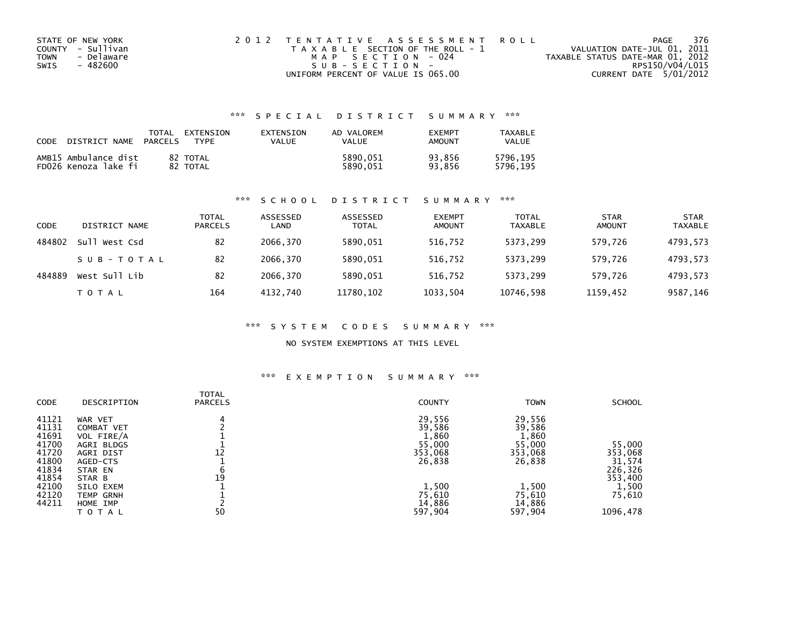| STATE OF NEW YORK  | 2012 TENTATIVE ASSESSMENT ROLL        | PAGE                             | - 376 |
|--------------------|---------------------------------------|----------------------------------|-------|
| COUNTY - Sullivan  | T A X A B L E SECTION OF THE ROLL - 1 | VALUATION DATE-JUL 01, 2011      |       |
| - Delaware<br>TOWN | MAP SECTION - 024                     | TAXABLE STATUS DATE-MAR 01, 2012 |       |
| SWIS<br>- 482600   | $SUB - SECTION -$                     | RPS150/V04/L015                  |       |
|                    | UNIFORM PERCENT OF VALUE IS 065.00    | CURRENT DATE 5/01/2012           |       |

## \*\*\* S P E C I A L D I S T R I C T S U M M A R Y \*\*\*

| CODE | DISTRICT NAME                                | TOTAL<br><b>PARCELS</b> | EXTENSION<br><b>TYPF</b> | EXTENSION<br>VALUE | AD VALOREM<br>VALUE  | <b>EXEMPT</b><br>AMOUNT | TAXABLE<br>VALUE     |
|------|----------------------------------------------|-------------------------|--------------------------|--------------------|----------------------|-------------------------|----------------------|
|      | AMB15 Ambulance dist<br>FD026 Kenoza lake fi |                         | 82 TOTAL<br>82 TOTAL     |                    | 5890.051<br>5890.051 | 93.856<br>93.856        | 5796.195<br>5796.195 |

### \*\*\* S C H O O L D I S T R I C T S U M M A R Y \*\*\*

| CODE   | DISTRICT NAME | TOTAL<br><b>PARCELS</b> | ASSESSED<br>LAND | ASSESSED<br><b>TOTAL</b> | <b>EXEMPT</b><br><b>AMOUNT</b> | <b>TOTAL</b><br><b>TAXABLE</b> | <b>STAR</b><br><b>AMOUNT</b> | <b>STAR</b><br><b>TAXABLE</b> |
|--------|---------------|-------------------------|------------------|--------------------------|--------------------------------|--------------------------------|------------------------------|-------------------------------|
| 484802 | Sull West Csd | 82                      | 2066.370         | 5890,051                 | 516,752                        | 5373,299                       | 579.726                      | 4793,573                      |
|        | SUB-TOTAL     | 82                      | 2066.370         | 5890.051                 | 516.752                        | 5373.299                       | 579.726                      | 4793.573                      |
| 484889 | West Sull Lib | 82                      | 2066.370         | 5890,051                 | 516,752                        | 5373,299                       | 579.726                      | 4793,573                      |
|        | T O T A L     | 164                     | 4132.740         | 11780, 102               | 1033,504                       | 10746,598                      | 1159,452                     | 9587,146                      |

### \*\*\* S Y S T E M C O D E S S U M M A R Y \*\*\*

### NO SYSTEM EXEMPTIONS AT THIS LEVEL

### \*\*\* E X E M P T I O N S U M M A R Y \*\*\*

| <b>CODE</b>                                                 | DESCRIPTION                                                                                  | <b>TOTAL</b><br><b>PARCELS</b> | <b>COUNTY</b>                                            | <b>TOWN</b>                                              | <b>SCHOOL</b>                          |
|-------------------------------------------------------------|----------------------------------------------------------------------------------------------|--------------------------------|----------------------------------------------------------|----------------------------------------------------------|----------------------------------------|
| 41121<br>41131<br>41691<br>41700<br>41720<br>41800<br>41834 | WAR VET<br><b>COMBAT VET</b><br>VOL FIRE/A<br>AGRI BLDGS<br>AGRI DIST<br>AGED-CTS<br>STAR EN | 4<br>12                        | 29,556<br>39,586<br>1,860<br>55,000<br>353,068<br>26,838 | 29,556<br>39,586<br>1,860<br>55,000<br>353,068<br>26,838 | 55,000<br>353,068<br>31,574<br>226,326 |
| 41854<br>42100<br>42120<br>44211                            | STAR B<br>SILO EXEM<br>TEMP GRNH<br>HOME IMP<br>T O T A L                                    | 19<br>50                       | 1,500<br>75,610<br>14,886<br>597,904                     | 1,500<br>75,610<br>14,886<br>597,904                     | 353,400<br>1,500<br>75,610<br>1096,478 |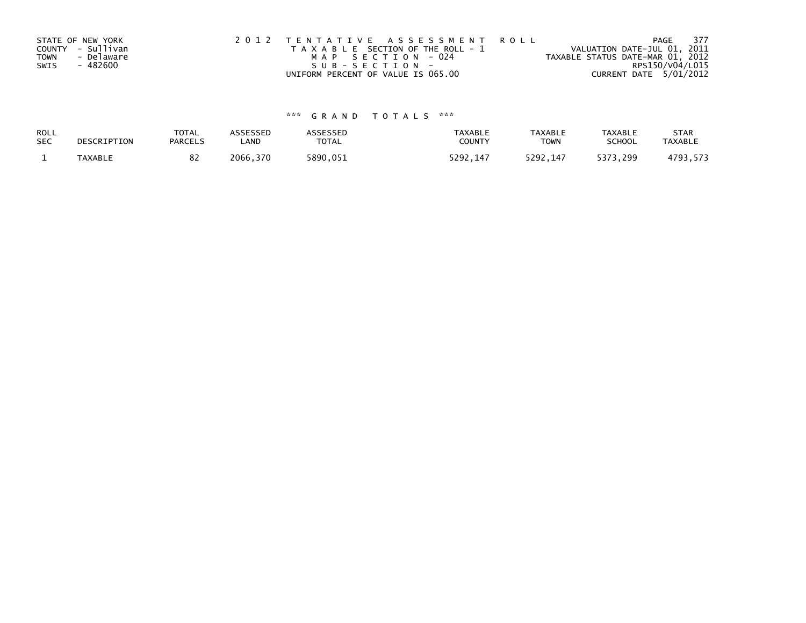|             | STATE OF NEW YORK | 2012 TENTATIVE ASSESSMENT ROLL        | - 377<br>PAGE                    |
|-------------|-------------------|---------------------------------------|----------------------------------|
|             | COUNTY - Sullivan | T A X A B L E SECTION OF THE ROLL - 1 | VALUATION DATE-JUL 01, 2011      |
| <b>TOWN</b> | - Delaware        | MAP SECTION - 024                     | TAXABLE STATUS DATE-MAR 01, 2012 |
| SWIS        | - 482600          | SUB-SECTION-                          | RPS150/V04/L015                  |
|             |                   | UNIFORM PERCENT OF VALUE IS 065.00    | CURRENT DATE 5/01/2012           |

# \*\*\* G R A N D T O T A L S \*\*\*

| ROLL       | DESCRIPTION    | <b>TOTAL</b>   | ASSESSED | <b>ASSESSED</b> | <b>TAXABLE</b> | <b>TAXABLE</b> | TAXABLE       | <b>STAR</b>    |
|------------|----------------|----------------|----------|-----------------|----------------|----------------|---------------|----------------|
| <b>SEC</b> |                | <b>PARCELS</b> | LAND     | TOTAL           | COUNT          | TOWN           | <b>SCHOOL</b> | <b>TAXABLE</b> |
|            | <b>TAXABLE</b> | 0Z             | 2066,370 | 5890.051        | 5292.147       | 5292.147       | 5373.299      | 4793,573       |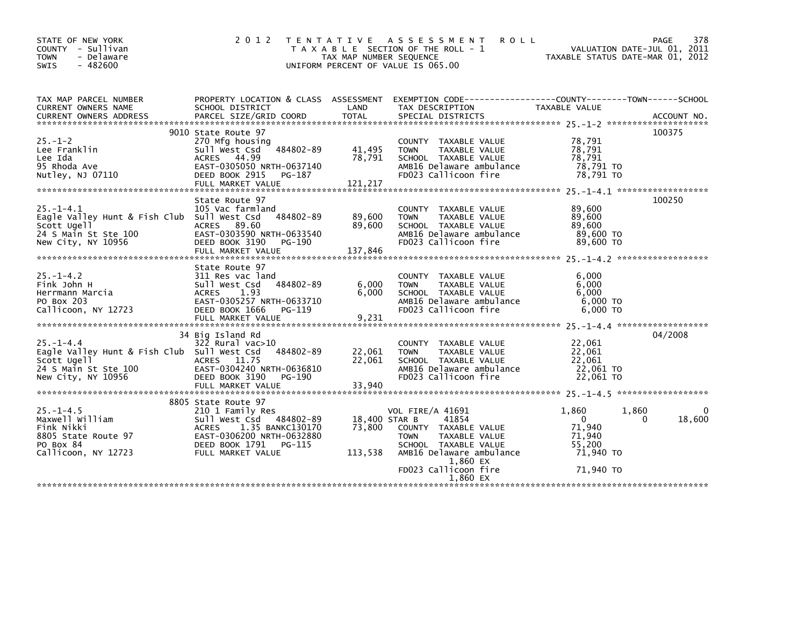| STATE OF NEW YORK                                     | 2 0 1 2                          |                         | TENTATIVE ASSESSMENT<br><b>ROLL</b>                                                             |                                  | 378<br>PAGE                 |
|-------------------------------------------------------|----------------------------------|-------------------------|-------------------------------------------------------------------------------------------------|----------------------------------|-----------------------------|
| COUNTY - Sullivan                                     |                                  |                         | T A X A B L E SECTION OF THE ROLL - 1                                                           |                                  | VALUATION DATE-JUL 01, 2011 |
| <b>TOWN</b><br>- Delaware<br>$-482600$<br><b>SWIS</b> |                                  | TAX MAP NUMBER SEQUENCE | UNIFORM PERCENT OF VALUE IS 065.00                                                              | TAXABLE STATUS DATE-MAR 01, 2012 |                             |
|                                                       |                                  |                         |                                                                                                 |                                  |                             |
|                                                       |                                  |                         |                                                                                                 |                                  |                             |
| TAX MAP PARCEL NUMBER                                 |                                  |                         | PROPERTY LOCATION & CLASS ASSESSMENT EXEMPTION CODE---------------COUNTY-------TOWN------SCHOOL |                                  |                             |
| CURRENT OWNERS NAME                                   | SCHOOL DISTRICT                  | LAND                    | TAX DESCRIPTION                                                                                 | TAXABLE VALUE                    |                             |
|                                                       |                                  |                         |                                                                                                 |                                  |                             |
|                                                       | 9010 State Route 97              |                         |                                                                                                 |                                  | 100375                      |
| $25. - 1 - 2$                                         | 270 Mfg housing                  |                         | COUNTY TAXABLE VALUE                                                                            | 78,791                           |                             |
| Lee Franklin                                          | 484802-89<br>Sull West Csd       | 41,495                  | TAXABLE VALUE<br><b>TOWN</b>                                                                    | 78,791                           |                             |
| Lee Ida                                               | ACRES 44.99                      | 78,791                  | SCHOOL TAXABLE VALUE                                                                            | 78,791                           |                             |
| 95 Rhoda Ave                                          | EAST-0305050 NRTH-0637140        |                         | AMB16 Delaware ambulance                                                                        | 78,791 TO                        |                             |
| Nutley, NJ 07110                                      | DEED BOOK 2915 PG-187            |                         | FD023 Callicoon fire                                                                            | 78,791 TO                        |                             |
|                                                       |                                  |                         |                                                                                                 |                                  |                             |
|                                                       |                                  |                         |                                                                                                 |                                  |                             |
|                                                       | State Route 97                   |                         |                                                                                                 |                                  | 100250                      |
| $25. - 1 - 4.1$                                       | 105 Vac farmland                 |                         | COUNTY TAXABLE VALUE                                                                            | 89,600                           |                             |
| Eagle Valley Hunt & Fish Club Sull West Csd 484802-89 |                                  | 89,600                  | TAXABLE VALUE<br>TOWN                                                                           | 89,600                           |                             |
| Scott Ugell                                           | ACRES 89.60                      | 89,600                  | SCHOOL TAXABLE VALUE                                                                            | 89,600                           |                             |
| 24 S Main St Ste 100                                  | EAST-0303590 NRTH-0633540        |                         | AMB16 Delaware ambulance                                                                        | 89,600 TO                        |                             |
| New City, NY 10956                                    | DEED BOOK 3190 PG-190            |                         | FD023 Callicoon fire                                                                            | 89,600 TO                        |                             |
|                                                       |                                  |                         |                                                                                                 |                                  |                             |
|                                                       | State Route 97                   |                         |                                                                                                 |                                  |                             |
| $25. -1 - 4.2$                                        | 311 Res vac land                 |                         | COUNTY TAXABLE VALUE                                                                            | 6,000                            |                             |
| Fink John H                                           | 484802-89<br>Sull West Csd       | 6,000                   | TAXABLE VALUE<br><b>TOWN</b>                                                                    | 6,000                            |                             |
| Herrmann Marcia                                       | ACRES 1.93                       | 6,000                   | SCHOOL TAXABLE VALUE                                                                            | 6.000                            |                             |
| PO Box 203                                            | EAST-0305257 NRTH-0633710        |                         | AMB16 Delaware ambulance                                                                        | $6,000$ TO                       |                             |
| Callicoon, NY 12723                                   | DEED BOOK 1666<br>PG-119         |                         | FD023 Callicoon fire                                                                            | $6.000$ TO                       |                             |
|                                                       | FULL MARKET VALUE                | 9,231                   |                                                                                                 |                                  |                             |
|                                                       |                                  |                         |                                                                                                 |                                  |                             |
|                                                       | 34 Big Island Rd                 |                         |                                                                                                 |                                  | 04/2008                     |
| $25. - 1 - 4.4$                                       | $322$ Rural vac $>10$            |                         | COUNTY TAXABLE VALUE                                                                            | 22,061                           |                             |
| Eagle Valley Hunt & Fish Club Sull West Csd           | 484802-89                        | 22,061                  | TAXABLE VALUE<br>TOWN                                                                           | 22,061                           |                             |
| Scott Ugell                                           | ACRES 11.75                      | 22,061                  | SCHOOL TAXABLE VALUE                                                                            | 22,061                           |                             |
| 24 S Main St Ste 100                                  | EAST-0304240 NRTH-0636810        |                         | AMB16 Delaware ambulance                                                                        | 22,061 TO                        |                             |
| New City, NY 10956                                    | DEED BOOK 3190<br>PG-190         |                         | FD023 Callicoon fire                                                                            | 22,061 TO                        |                             |
|                                                       | FULL MARKET VALUE                | 33,940                  |                                                                                                 |                                  |                             |
|                                                       | 8805 State Route 97              |                         |                                                                                                 |                                  |                             |
| $25. - 1 - 4.5$                                       | 210 1 Family Res                 |                         | <b>VOL FIRE/A 41691</b>                                                                         | 1,860                            | 1,860<br>$\Omega$           |
| Maxwell William                                       | Sull West Csd 484802-89          | 18,400 STAR B           | 41854                                                                                           | $\Omega$                         | 18,600<br>$\Omega$          |
| Fink Nikki                                            | 1.35 BANKC130170<br><b>ACRES</b> | 73,800                  | COUNTY TAXABLE VALUE                                                                            | 71,940                           |                             |
| 8805 State Route 97                                   | EAST-0306200 NRTH-0632880        |                         | TAXABLE VALUE<br>TOWN                                                                           | 71,940                           |                             |
| PO Box 84                                             | DEED BOOK 1791 PG-115            |                         | SCHOOL TAXABLE VALUE                                                                            | 55.200                           |                             |
| Callicoon, NY 12723                                   | FULL MARKET VALUE                | 113,538                 | AMB16 Delaware ambulance                                                                        | 71,940 TO                        |                             |
|                                                       |                                  |                         | 1,860 EX                                                                                        |                                  |                             |
|                                                       |                                  |                         | FD023 Callicoon fire                                                                            | 71,940 TO                        |                             |
|                                                       |                                  |                         | 1,860 EX                                                                                        |                                  |                             |
|                                                       |                                  |                         |                                                                                                 |                                  |                             |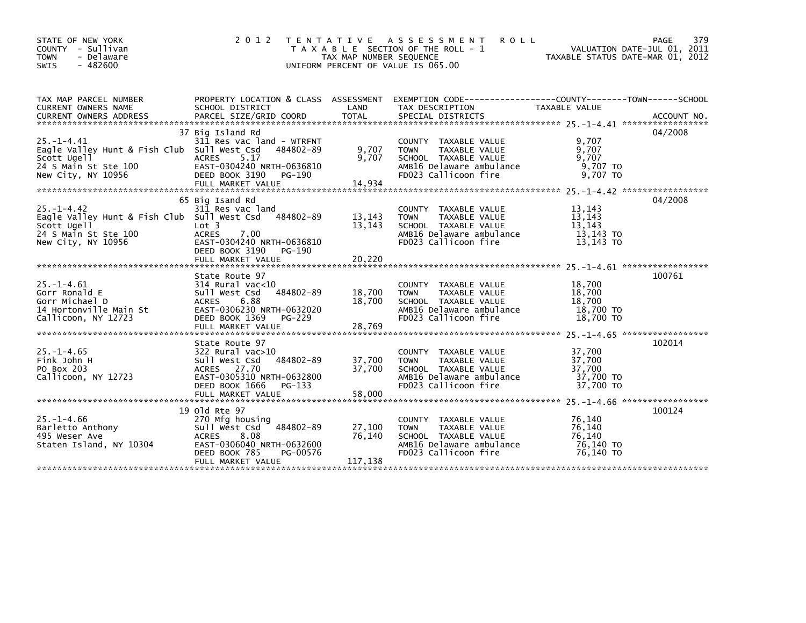|                            | STATE OF NEW YORK<br>COUNTY - Sullivan              | 2 0 1 2                                |                         | TENTATIVE ASSESSMENT<br><b>ROLL</b><br>T A X A B L E SECTION OF THE ROLL - 1                     | VALUATION DATE-JUL 01, 2011      | 379<br>PAGE |
|----------------------------|-----------------------------------------------------|----------------------------------------|-------------------------|--------------------------------------------------------------------------------------------------|----------------------------------|-------------|
| <b>TOWN</b><br><b>SWIS</b> | - Delaware<br>$-482600$                             |                                        | TAX MAP NUMBER SEQUENCE | UNIFORM PERCENT OF VALUE IS 065.00                                                               | TAXABLE STATUS DATE-MAR 01, 2012 |             |
|                            |                                                     |                                        |                         | PROPERTY LOCATION & CLASS ASSESSMENT EXEMPTION CODE----------------COUNTY-------TOWN------SCHOOL |                                  |             |
|                            | TAX MAP PARCEL NUMBER<br><b>CURRENT OWNERS NAME</b> | SCHOOL DISTRICT                        | LAND                    | TAX DESCRIPTION                                                                                  | TAXABLE VALUE                    |             |
|                            | <b>CURRENT OWNERS ADDRESS</b>                       | PARCEL SIZE/GRID COORD                 | <b>TOTAL</b>            | SPECIAL DISTRICTS                                                                                |                                  | ACCOUNT NO. |
|                            |                                                     |                                        |                         |                                                                                                  |                                  |             |
|                            |                                                     | 37 Big Island Rd                       |                         |                                                                                                  |                                  | 04/2008     |
| $25. - 1 - 4.41$           | Eagle Valley Hunt & Fish Club Sull West Csd         | 311 Res vac land - WTRFNT<br>484802-89 | 9,707                   | <b>COUNTY</b><br>TAXABLE VALUE<br>TAXABLE VALUE<br><b>TOWN</b>                                   | 9,707<br>9,707                   |             |
| Scott Ugell                |                                                     | ACRES<br>5.17                          | 9,707                   | SCHOOL TAXABLE VALUE                                                                             | 9,707                            |             |
|                            | 24 S Main St Ste 100                                | EAST-0304240 NRTH-0636810              |                         | AMB16 Delaware ambulance                                                                         | 9,707 TO                         |             |
|                            | New City, NY 10956                                  | DEED BOOK 3190<br>PG-190               |                         | FD023 Callicoon fire                                                                             | 9,707 TO                         |             |
|                            |                                                     |                                        |                         |                                                                                                  |                                  |             |
|                            |                                                     |                                        |                         |                                                                                                  |                                  |             |
| $25. - 1 - 4.42$           |                                                     | 65 Big Isand Rd<br>311 Res vac land    |                         |                                                                                                  | 13,143                           | 04/2008     |
|                            | Eagle Valley Hunt & Fish Club Sull West Csd         | 484802-89                              | 13,143                  | COUNTY TAXABLE VALUE<br>TAXABLE VALUE<br><b>TOWN</b>                                             | 13,143                           |             |
| Scott Ugell                |                                                     | Lot 3                                  | 13,143                  | SCHOOL TAXABLE VALUE                                                                             | 13,143                           |             |
|                            | 24 S Main St Ste 100                                | 7.00<br><b>ACRES</b>                   |                         | AMB16 Delaware ambulance                                                                         | 13,143 TO                        |             |
|                            | New City, NY 10956                                  | EAST-0304240 NRTH-0636810              |                         | FD023 Callicoon fire                                                                             | 13,143 TO                        |             |
|                            |                                                     | DEED BOOK 3190<br>PG-190               |                         |                                                                                                  |                                  |             |
|                            |                                                     | FULL MARKET VALUE                      | 20,220                  |                                                                                                  |                                  |             |
|                            |                                                     | State Route 97                         |                         |                                                                                                  |                                  | 100761      |
| $25. - 1 - 4.61$           |                                                     | $314$ Rural vac< $10$                  |                         | COUNTY TAXABLE VALUE                                                                             | 18,700                           |             |
| Gorr Ronald E              |                                                     | 484802-89<br>Sull West Csd             | 18,700                  | TAXABLE VALUE<br><b>TOWN</b>                                                                     | 18,700                           |             |
| Gorr Michael D             |                                                     | 6.88<br><b>ACRES</b>                   | 18,700                  | SCHOOL TAXABLE VALUE                                                                             | 18,700                           |             |
|                            | 14 Hortonville Main St                              | EAST-0306230 NRTH-0632020              |                         | AMB16 Delaware ambulance                                                                         | 18,700 TO                        |             |
|                            | Callicoon, NY 12723                                 | DEED BOOK 1369<br>PG-229               |                         | FD023 Callicoon fire                                                                             | 18,700 TO                        |             |
|                            |                                                     |                                        |                         |                                                                                                  |                                  |             |
|                            |                                                     | State Route 97                         |                         |                                                                                                  |                                  | 102014      |
| $25. - 1 - 4.65$           |                                                     | 322 Rural vac>10                       |                         | COUNTY TAXABLE VALUE                                                                             | 37,700                           |             |
| Fink John H                |                                                     | 484802-89<br>Sull West Csd             | 37,700                  | TAXABLE VALUE<br><b>TOWN</b>                                                                     | 37,700                           |             |
| PO Box 203                 |                                                     | ACRES 27.70                            | 37,700                  | SCHOOL TAXABLE VALUE                                                                             | 37,700                           |             |
|                            | Callicoon, NY 12723                                 | EAST-0305310 NRTH-0632800              |                         | AMB16 Delaware ambulance                                                                         | 37,700 TO                        |             |
|                            |                                                     | DEED BOOK 1666<br>PG-133               |                         | FD023 Callicoon fire                                                                             | 37,700 TO                        |             |
|                            |                                                     | FULL MARKET VALUE                      | 58,000                  |                                                                                                  |                                  |             |
|                            |                                                     | 19 old Rte 97                          |                         |                                                                                                  |                                  | 100124      |
| $25. - 1 - 4.66$           |                                                     | 270 Mfg housing                        |                         | <b>COUNTY</b><br>TAXABLE VALUE                                                                   | 76,140                           |             |
|                            | Barletto Anthony                                    | 484802-89<br>Sull West Csd             | 27,100                  | TAXABLE VALUE<br><b>TOWN</b>                                                                     | 76,140                           |             |
| 495 Weser Ave              |                                                     | ACRES<br>8.08                          | 76,140                  | SCHOOL TAXABLE VALUE                                                                             | 76,140                           |             |
|                            | Staten Island, NY 10304                             | EAST-0306040 NRTH-0632600              |                         | AMB16 Delaware ambulance                                                                         | 76,140 TO                        |             |
|                            |                                                     | DEED BOOK 785<br>PG-00576              |                         | FD023 Callicoon fire                                                                             | 76,140 TO                        |             |
|                            |                                                     | FULL MARKET VALUE                      | 117,138                 |                                                                                                  |                                  |             |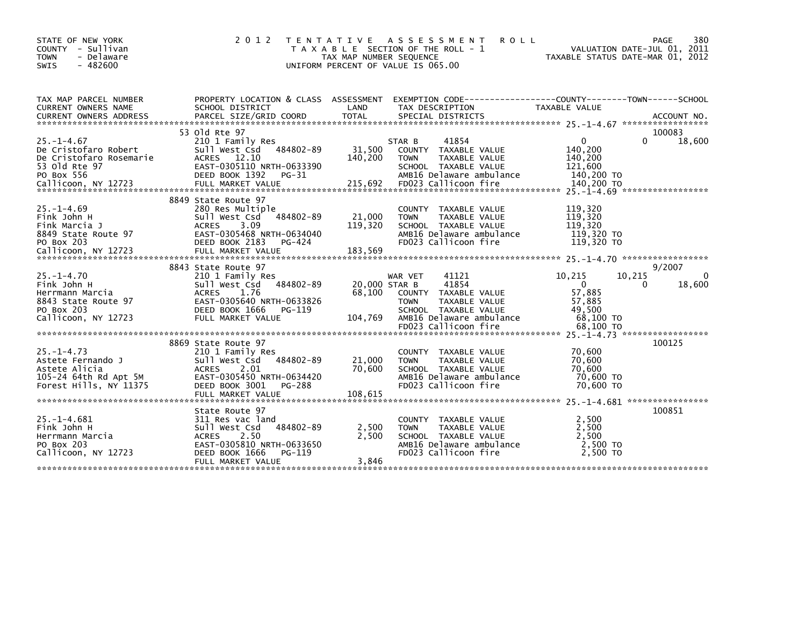| STATE OF NEW YORK<br>COUNTY - Sullivan<br><b>TOWN</b><br>- Delaware<br><b>SWIS</b><br>$-482600$                | 2 0 1 2                                                                                                                                                                     | TAX MAP NUMBER SEQUENCE            | TENTATIVE ASSESSMENT<br>T A X A B L E SECTION OF THE ROLL - 1<br>UNIFORM PERCENT OF VALUE IS 065.00                                   | <b>ROLL</b>                    | VALUATION DATE-JUL 01, 2011<br>TAXABLE STATUS DATE-MAR 01, 2012                |             | 380<br>PAGE                  |
|----------------------------------------------------------------------------------------------------------------|-----------------------------------------------------------------------------------------------------------------------------------------------------------------------------|------------------------------------|---------------------------------------------------------------------------------------------------------------------------------------|--------------------------------|--------------------------------------------------------------------------------|-------------|------------------------------|
| TAX MAP PARCEL NUMBER<br>CURRENT OWNERS NAME                                                                   | PROPERTY LOCATION & CLASS ASSESSMENT EXEMPTION CODE---------------COUNTY-------TOWN-----SCHOOL<br>SCHOOL DISTRICT                                                           | LAND                               | TAX DESCRIPTION                                                                                                                       |                                | TAXABLE VALUE                                                                  |             |                              |
|                                                                                                                | 53 old Rte 97                                                                                                                                                               |                                    |                                                                                                                                       |                                |                                                                                |             | 100083                       |
| $25. - 1 - 4.67$<br>De Cristofaro Robert<br>De Cristofaro Rosemarie<br>53 old Rte 97<br>PO Box 556             | 210 1 Family Res<br>484802-89<br>Sull West Csd<br>ACRES 12.10<br>EAST-0305110 NRTH-0633390<br>DEED BOOK 1392 PG-31                                                          | 31,500<br>140,200                  | 41854<br>STAR B<br>COUNTY TAXABLE VALUE<br><b>TOWN</b><br>SCHOOL TAXABLE VALUE<br>AMB16 Delaware ambulance                            | TAXABLE VALUE                  | 0<br>140,200<br>140,200<br>121,600<br>140,200 TO                               | $\Omega$    | 18,600                       |
|                                                                                                                |                                                                                                                                                                             |                                    |                                                                                                                                       |                                |                                                                                |             |                              |
| $25. - 1 - 4.69$<br>Fink John H<br>Fink Marcia J<br>8849 State Route 97<br>PO Box 203                          | 8849 State Route 97<br>280 Res Multiple<br>484802-89<br>Sull West Csd<br>3.09<br><b>ACRES</b><br>EAST-0305468 NRTH-0634040<br>DEED BOOK 2183<br>PG-424                      | 21,000<br>119,320                  | <b>COUNTY</b><br><b>TOWN</b><br>SCHOOL TAXABLE VALUE<br>AMB16 Delaware ambulance<br>FD023 Callicoon fire                              | TAXABLE VALUE<br>TAXABLE VALUE | 119,320<br>119,320<br>119,320<br>119,320 TO<br>119,320 TO                      |             |                              |
| Callicoon, NY 12723                                                                                            | FULL MARKET VALUE                                                                                                                                                           | 183,569                            |                                                                                                                                       |                                |                                                                                |             |                              |
|                                                                                                                |                                                                                                                                                                             |                                    |                                                                                                                                       |                                |                                                                                |             |                              |
| $25. - 1 - 4.70$<br>Fink John H<br>Herrmann Marcia<br>8843 State Route 97<br>PO Box 203<br>Callicoon, NY 12723 | 8843 State Route 97<br>210 1 Family Res<br>484802-89<br>Sull West Csd<br>1.76<br><b>ACRES</b><br>EAST-0305640 NRTH-0633826<br>DEED BOOK 1666<br>PG-119<br>FULL MARKET VALUE | 20,000 STAR B<br>68,100<br>104,769 | 41121<br>WAR VET<br>41854<br><b>COUNTY</b><br><b>TOWN</b><br>SCHOOL TAXABLE VALUE<br>AMB16 Delaware ambulance<br>FD023 Callicoon fire | TAXABLE VALUE<br>TAXABLE VALUE | 10,215<br>$\mathbf{0}$<br>57,885<br>57,885<br>49,500<br>68,100 TO<br>68,100 TO | 10,215<br>0 | 9/2007<br>$\Omega$<br>18,600 |
|                                                                                                                |                                                                                                                                                                             |                                    |                                                                                                                                       |                                |                                                                                |             |                              |
| $25. - 1 - 4.73$<br>Astete Fernando J<br>Astete Alicia<br>105-24 64th Rd Apt 5M<br>Forest Hills, NY 11375      | 8869 State Route 97<br>210 1 Family Res<br>484802-89<br>Sull West Csd<br><b>ACRES</b><br>2.01<br>EAST-0305450 NRTH-0634420<br>PG-288<br>DEED BOOK 3001                      | 21,000<br>70,600                   | <b>COUNTY</b><br><b>TOWN</b><br>SCHOOL TAXABLE VALUE<br>AMB16 Delaware ambulance<br>FD023 Callicoon fire                              | TAXABLE VALUE<br>TAXABLE VALUE | 70,600<br>70,600<br>70,600<br>70,600 TO<br>70,600 TO                           |             | 100125                       |
|                                                                                                                |                                                                                                                                                                             |                                    |                                                                                                                                       |                                |                                                                                |             |                              |
|                                                                                                                |                                                                                                                                                                             |                                    |                                                                                                                                       |                                |                                                                                |             |                              |
| $25. - 1 - 4.681$<br>Fink John H<br>Herrmann Marcia<br>PO Box 203<br>Callicoon, NY 12723                       | State Route 97<br>311 Res vac land<br>484802-89<br>Sull West Csd<br>2.50<br><b>ACRES</b><br>EAST-0305810 NRTH-0633650<br>DEED BOOK 1666<br>PG-119                           | 2,500<br>2,500                     | <b>COUNTY</b><br><b>TOWN</b><br>SCHOOL TAXABLE VALUE<br>AMB16 Delaware ambulance<br>FD023 Callicoon fire                              | TAXABLE VALUE<br>TAXABLE VALUE | 2,500<br>2,500<br>2,500<br>2,500 TO<br>2,500 TO                                |             | 100851                       |
|                                                                                                                | FULL MARKET VALUE                                                                                                                                                           | 3,846                              |                                                                                                                                       |                                |                                                                                |             |                              |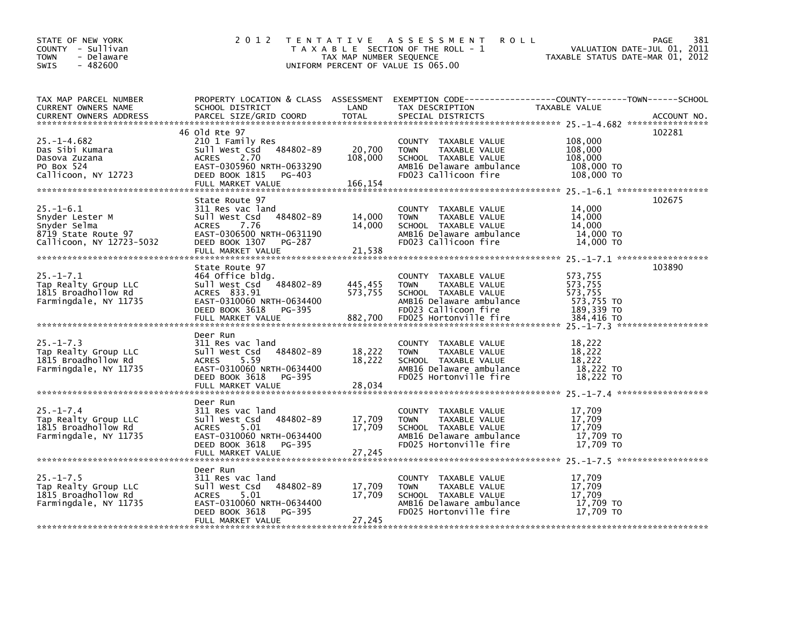| STATE OF NEW YORK<br>COUNTY - Sullivan<br><b>TOWN</b><br>- Delaware<br>$-482600$<br><b>SWIS</b> | 2 0 1 2                                       | TAX MAP NUMBER SEQUENCE | <b>ROLL</b><br>TENTATIVE ASSESSMENT<br>T A X A B L E SECTION OF THE ROLL - 1<br>UNIFORM PERCENT OF VALUE IS 065.00 | 381<br>PAGE<br>VALUATION DATE-JUL 01, 2011<br>TAXABLE STATUS DATE-MAR 01, 2012 |
|-------------------------------------------------------------------------------------------------|-----------------------------------------------|-------------------------|--------------------------------------------------------------------------------------------------------------------|--------------------------------------------------------------------------------|
|                                                                                                 |                                               |                         |                                                                                                                    |                                                                                |
| TAX MAP PARCEL NUMBER                                                                           | PROPERTY LOCATION & CLASS ASSESSMENT          |                         |                                                                                                                    | EXEMPTION CODE------------------COUNTY--------TOWN------SCHOOL                 |
| CURRENT OWNERS NAME                                                                             | SCHOOL DISTRICT                               | LAND                    | TAX DESCRIPTION                                                                                                    | TAXABLE VALUE                                                                  |
| CURRENT OWNERS ADDRESS                                                                          | PARCEL SIZE/GRID COORD                        | <b>TOTAL</b>            | SPECIAL DISTRICTS                                                                                                  | ACCOUNT NO.                                                                    |
|                                                                                                 | 46 old Rte 97                                 |                         |                                                                                                                    | 102281                                                                         |
| $25. - 1 - 4.682$                                                                               | 210 1 Family Res                              |                         | COUNTY TAXABLE VALUE                                                                                               | 108,000                                                                        |
| Das Sibi Kumara                                                                                 | 484802-89<br>Sull West Csd                    | 20,700                  | <b>TOWN</b><br>TAXABLE VALUE                                                                                       | 108,000                                                                        |
| Dasova Zuzana                                                                                   | 2.70<br><b>ACRES</b>                          | 108,000                 | SCHOOL TAXABLE VALUE                                                                                               | 108,000                                                                        |
| PO Box 524                                                                                      | EAST-0305960 NRTH-0633290                     |                         | AMB16 Delaware ambulance                                                                                           | 108,000 TO                                                                     |
| Callicoon, NY 12723                                                                             | DEED BOOK 1815<br>PG-403                      |                         | FD023 Callicoon fire                                                                                               | 108,000 TO                                                                     |
|                                                                                                 | FULL MARKET VALUE                             | 166,154                 |                                                                                                                    |                                                                                |
|                                                                                                 |                                               |                         |                                                                                                                    |                                                                                |
|                                                                                                 | State Route 97                                |                         |                                                                                                                    | 102675                                                                         |
| $25. - 1 - 6.1$                                                                                 | 311 Res vac land                              |                         | COUNTY TAXABLE VALUE                                                                                               | 14,000                                                                         |
| Snyder Lester M                                                                                 | Sull West Csd<br>484802-89                    | 14,000                  | <b>TOWN</b><br>TAXABLE VALUE                                                                                       | 14,000                                                                         |
| Snyder Selma                                                                                    | <b>ACRES</b><br>7.76                          | 14,000                  | SCHOOL TAXABLE VALUE                                                                                               | 14,000                                                                         |
| 8719 State Route 97                                                                             | EAST-0306500 NRTH-0631190                     |                         | AMB16 Delaware ambulance                                                                                           | 14,000 TO                                                                      |
| Callicoon, NY 12723-5032                                                                        | DEED BOOK 1307<br>PG-287<br>FULL MARKET VALUE |                         | FD023 Callicoon fire                                                                                               | 14,000 TO                                                                      |
|                                                                                                 |                                               | 21,538                  |                                                                                                                    |                                                                                |
|                                                                                                 | State Route 97                                |                         |                                                                                                                    | 103890                                                                         |
| $25. -1 - 7.1$                                                                                  | 464 Office bldg.                              |                         | COUNTY TAXABLE VALUE                                                                                               | 573,755                                                                        |
| Tap Realty Group LLC                                                                            | Sull West Csd<br>484802-89                    | 445,455                 | <b>TOWN</b><br>TAXABLE VALUE                                                                                       | 573,755                                                                        |
| 1815 Broadhollow Rd                                                                             | ACRES 833.91                                  | 573,755                 | SCHOOL TAXABLE VALUE                                                                                               | 573,755                                                                        |
| Farmingdale, NY 11735                                                                           | EAST-0310060 NRTH-0634400                     |                         | AMB16 Delaware ambulance                                                                                           | 573,755 TO                                                                     |
|                                                                                                 | DEED BOOK 3618<br>PG-395                      |                         | FD023 Callicoon fire                                                                                               | 189,339 TO                                                                     |
|                                                                                                 | FULL MARKET VALUE                             | 882,700                 | FD025 Hortonville fire                                                                                             | 384,416 TO                                                                     |
|                                                                                                 |                                               |                         |                                                                                                                    | $25. -1 - 7.3$ ********************                                            |
|                                                                                                 | Deer Run                                      |                         |                                                                                                                    |                                                                                |
| $25. - 1 - 7.3$                                                                                 | 311 Res vac land                              |                         | COUNTY TAXABLE VALUE                                                                                               | 18,222                                                                         |
| Tap Realty Group LLC                                                                            | 484802-89<br>Sull West Csd                    | 18,222                  | <b>TOWN</b><br>TAXABLE VALUE                                                                                       | 18,222                                                                         |
| 1815 Broadhollow Rd                                                                             | 5.59<br><b>ACRES</b>                          | 18,222                  | SCHOOL TAXABLE VALUE                                                                                               | 18,222                                                                         |
| Farmingdale, NY 11735                                                                           | EAST-0310060 NRTH-0634400                     |                         | AMB16 Delaware ambulance                                                                                           | 18,222 TO                                                                      |
|                                                                                                 | DEED BOOK 3618<br>PG-395                      |                         | FD025 Hortonville fire                                                                                             | 18,222 TO                                                                      |
|                                                                                                 |                                               |                         |                                                                                                                    |                                                                                |
|                                                                                                 | Deer Run                                      |                         |                                                                                                                    |                                                                                |
| $25. -1 - 7.4$                                                                                  | 311 Res vac land                              |                         | COUNTY TAXABLE VALUE                                                                                               | 17,709                                                                         |
| Tap Realty Group LLC                                                                            | 484802-89<br>Sull West Csd                    | 17,709                  | <b>TOWN</b><br>TAXABLE VALUE                                                                                       | 17,709                                                                         |
| 1815 Broadhollow Rd                                                                             | 5.01<br><b>ACRES</b>                          | 17,709                  | SCHOOL TAXABLE VALUE                                                                                               | 17,709                                                                         |
| Farmingdale, NY 11735                                                                           | EAST-0310060 NRTH-0634400                     |                         | AMB16 Delaware ambulance                                                                                           | 17,709 TO                                                                      |
|                                                                                                 | DEED BOOK 3618<br>PG-395                      |                         | FD025 Hortonville fire                                                                                             | 17,709 TO                                                                      |
|                                                                                                 |                                               |                         |                                                                                                                    |                                                                                |
|                                                                                                 |                                               |                         |                                                                                                                    |                                                                                |
|                                                                                                 | Deer Run                                      |                         |                                                                                                                    |                                                                                |
| $25. -1 - 7.5$                                                                                  | 311 Res vac land                              |                         | COUNTY TAXABLE VALUE                                                                                               | 17,709                                                                         |
| Tap Realty Group LLC                                                                            | Sull West Csd<br>484802-89                    | 17,709                  | TAXABLE VALUE<br><b>TOWN</b>                                                                                       | 17,709                                                                         |
| 1815 Broadhollow Rd                                                                             | 5.01<br><b>ACRES</b>                          | 17,709                  | SCHOOL TAXABLE VALUE                                                                                               | 17,709                                                                         |
| Farmingdale, NY 11735                                                                           | EAST-0310060 NRTH-0634400                     |                         | AMB16 Delaware ambulance                                                                                           | 17,709 TO                                                                      |
|                                                                                                 | DEED BOOK 3618<br>PG-395                      |                         | FD025 Hortonville fire                                                                                             | 17,709 TO                                                                      |
|                                                                                                 | FULL MARKET VALUE                             | 27,245                  |                                                                                                                    |                                                                                |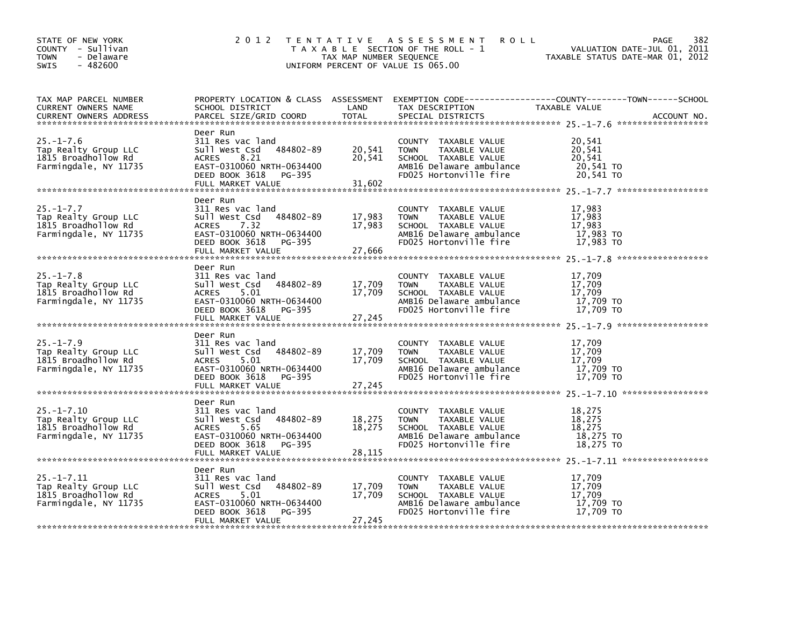| STATE OF NEW YORK<br>COUNTY - Sullivan<br><b>TOWN</b><br>- Delaware<br>SWIS<br>$-482600$ | 2 0 1 2                                                                                                                                                          | TAX MAP NUMBER SEQUENCE    | TENTATIVE ASSESSMENT<br><b>ROLL</b><br>T A X A B L E SECTION OF THE ROLL - 1<br>UNIFORM PERCENT OF VALUE IS 065.00                 | 382<br>PAGE<br>VALUATION DATE-JUL 01, 2011<br>TAXABLE STATUS DATE-MAR 01, 2012                                                  |
|------------------------------------------------------------------------------------------|------------------------------------------------------------------------------------------------------------------------------------------------------------------|----------------------------|------------------------------------------------------------------------------------------------------------------------------------|---------------------------------------------------------------------------------------------------------------------------------|
| TAX MAP PARCEL NUMBER<br>CURRENT OWNERS NAME<br><b>CURRENT OWNERS ADDRESS</b>            | SCHOOL DISTRICT<br>PARCEL SIZE/GRID COORD                                                                                                                        | LAND<br><b>TOTAL</b>       | TAX DESCRIPTION<br>SPECIAL DISTRICTS                                                                                               | PROPERTY LOCATION & CLASS ASSESSMENT EXEMPTION CODE---------------COUNTY-------TOWN------SCHOOL<br>TAXABLE VALUE<br>ACCOUNT NO. |
| $25. - 1 - 7.6$<br>Tap Realty Group LLC<br>1815 Broadhollow Rd<br>Farmingdale, NY 11735  | Deer Run<br>311 Res vac land<br>484802-89<br>Sull West Csd<br>ACRES<br>8.21<br>EAST-0310060 NRTH-0634400<br>DEED BOOK 3618<br>PG-395<br>FULL MARKET VALUE        | 20,541<br>20,541<br>31,602 | COUNTY TAXABLE VALUE<br>TAXABLE VALUE<br><b>TOWN</b><br>SCHOOL TAXABLE VALUE<br>AMB16 Delaware ambulance<br>FD025 Hortonville fire | 20,541<br>20,541<br>20,541<br>20,541 TO<br>20.541 TO                                                                            |
| $25. -1 - 7.7$<br>Tap Realty Group LLC<br>1815 Broadhollow Rd<br>Farmingdale, NY 11735   | Deer Run<br>311 Res vac land<br>484802-89<br>Sull West Csd<br><b>ACRES</b><br>7.32<br>EAST-0310060 NRTH-0634400<br>DEED BOOK 3618<br>PG-395<br>FULL MARKET VALUE | 17,983<br>17,983<br>27,666 | COUNTY TAXABLE VALUE<br>TAXABLE VALUE<br>TOWN<br>SCHOOL TAXABLE VALUE<br>AMB16 Delaware ambulance<br>FD025 Hortonville fire        | 17,983<br>17,983<br>17,983<br>17,983 TO<br>17,983 TO                                                                            |
| $25. - 1 - 7.8$<br>Tap Realty Group LLC<br>1815 Broadhollow Rd<br>Farmingdale, NY 11735  | Deer Run<br>311 Res vac land<br>484802-89<br>Sull West Csd<br>ACRES<br>5.01<br>EAST-0310060 NRTH-0634400<br>DEED BOOK 3618<br>PG-395<br>FULL MARKET VALUE        | 17,709<br>17,709<br>27,245 | COUNTY TAXABLE VALUE<br><b>TOWN</b><br>TAXABLE VALUE<br>SCHOOL TAXABLE VALUE<br>AMB16 Delaware ambulance<br>FD025 Hortonville fire | 17,709<br>17,709<br>17,709<br>17,709 TO<br>17,709 TO                                                                            |
| $25. - 1 - 7.9$<br>Tap Realty Group LLC<br>1815 Broadhollow Rd<br>Farmingdale, NY 11735  | Deer Run<br>311 Res vac land<br>484802-89<br>Sull West Csd<br>5.01<br><b>ACRES</b><br>EAST-0310060 NRTH-0634400<br>DEED BOOK 3618 PG-395                         | 17,709<br>17,709           | COUNTY TAXABLE VALUE<br>TAXABLE VALUE<br>TOWN<br>SCHOOL TAXABLE VALUE<br>AMB16 Delaware ambulance<br>FD025 Hortonville fire        | 17,709<br>17,709<br>17,709<br>17,709 TO<br>17,709 TO                                                                            |
| $25. - 1 - 7.10$<br>Tap Realty Group LLC<br>1815 Broadhollow Rd<br>Farmingdale, NY 11735 | Deer Run<br>311 Res vac land<br>Sull West Csd<br>484802-89<br>5.65<br><b>ACRES</b><br>EAST-0310060 NRTH-0634400<br>DEED BOOK 3618<br>PG-395                      | 18,275<br>18,275           | COUNTY TAXABLE VALUE<br><b>TOWN</b><br>TAXABLE VALUE<br>SCHOOL TAXABLE VALUE<br>AMB16 Delaware ambulance<br>FD025 Hortonville fire | 18,275<br>18.275<br>18,275<br>18,275 TO<br>18,275 TO                                                                            |
| $25. - 1 - 7.11$<br>Tap Realty Group LLC<br>1815 Broadhollow Rd<br>Farmingdale, NY 11735 | Deer Run<br>311 Res vac land<br>484802-89<br>Sull West Csd<br>5.01<br><b>ACRES</b><br>EAST-0310060 NRTH-0634400<br>DEED BOOK 3618<br>PG-395<br>FULL MARKET VALUE | 17,709<br>17,709<br>27,245 | COUNTY TAXABLE VALUE<br>TAXABLE VALUE<br>TOWN<br>SCHOOL TAXABLE VALUE<br>AMB16 Delaware ambulance<br>FD025 Hortonville fire        | 17,709<br>17,709<br>17,709<br>17,709 TO<br>17,709 TO                                                                            |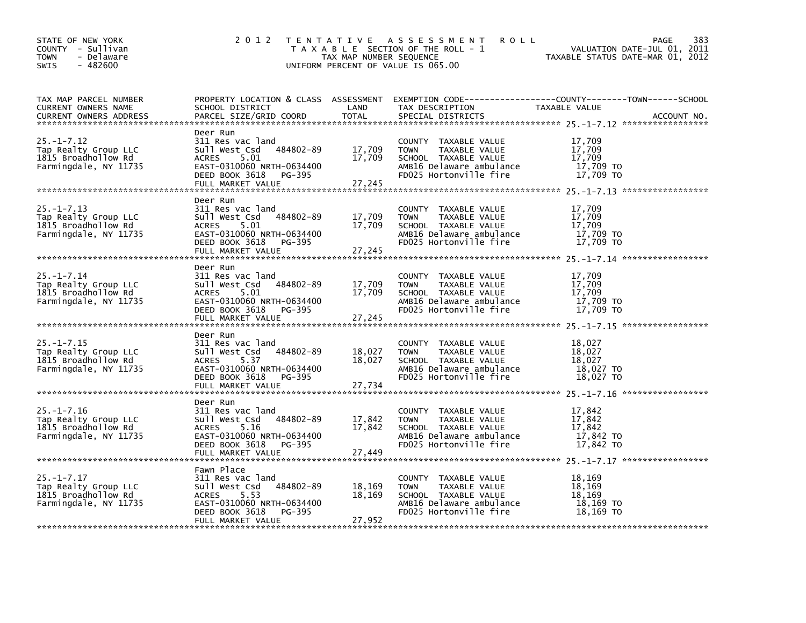| STATE OF NEW YORK<br>COUNTY - Sullivan<br><b>TOWN</b><br>- Delaware<br>SWIS<br>$-482600$ | 2 0 1 2<br>TENTATIVE ASSESSMENT<br>T A X A B L E SECTION OF THE ROLL - 1<br>TAX MAP NUMBER SEQUENCE<br>UNIFORM PERCENT OF VALUE IS 065.00                          | 383<br><b>ROLL</b><br>PAGE<br>VALUATION DATE-JUL 01, 2011<br>TAXABLE STATUS DATE-MAR 01, 2012 |                                                                                                                                    |                                                                                                                                 |
|------------------------------------------------------------------------------------------|--------------------------------------------------------------------------------------------------------------------------------------------------------------------|-----------------------------------------------------------------------------------------------|------------------------------------------------------------------------------------------------------------------------------------|---------------------------------------------------------------------------------------------------------------------------------|
| TAX MAP PARCEL NUMBER<br>CURRENT OWNERS NAME<br><b>CURRENT OWNERS ADDRESS</b>            | SCHOOL DISTRICT<br>PARCEL SIZE/GRID COORD                                                                                                                          | LAND<br><b>TOTAL</b>                                                                          | TAX DESCRIPTION<br>SPECIAL DISTRICTS                                                                                               | PROPERTY LOCATION & CLASS ASSESSMENT EXEMPTION CODE---------------COUNTY-------TOWN------SCHOOL<br>TAXABLE VALUE<br>ACCOUNT NO. |
| $25. - 1 - 7.12$<br>Tap Realty Group LLC<br>1815 Broadhollow Rd<br>Farmingdale, NY 11735 | Deer Run<br>311 Res vac land<br>484802-89<br>Sull West Csd<br>ACRES<br>5.01<br>EAST-0310060 NRTH-0634400<br>DEED BOOK 3618<br>PG-395<br>FULL MARKET VALUE          | 17,709<br>17,709<br>27,245                                                                    | COUNTY TAXABLE VALUE<br>TAXABLE VALUE<br><b>TOWN</b><br>SCHOOL TAXABLE VALUE<br>AMB16 Delaware ambulance<br>FD025 Hortonville fire | 17,709<br>17,709<br>17,709<br>17,709 TO<br>17.709 TO                                                                            |
| $25. -1 - 7.13$<br>Tap Realty Group LLC<br>1815 Broadhollow Rd<br>Farmingdale, NY 11735  | Deer Run<br>311 Res vac land<br>Sull West Csd<br>484802-89<br>5.01<br><b>ACRES</b><br>EAST-0310060 NRTH-0634400<br>DEED BOOK 3618<br>PG-395<br>FULL MARKET VALUE   | 17,709<br>17,709<br>27,245                                                                    | COUNTY TAXABLE VALUE<br>TAXABLE VALUE<br><b>TOWN</b><br>SCHOOL TAXABLE VALUE<br>AMB16 Delaware ambulance<br>FD025 Hortonville fire | 17,709<br>17,709<br>17,709<br>17,709 TO<br>17,709 TO                                                                            |
| $25. - 1 - 7.14$<br>Tap Realty Group LLC<br>1815 Broadhollow Rd<br>Farmingdale, NY 11735 | Deer Run<br>311 Res vac land<br>484802-89<br>Sull West Csd<br><b>ACRES</b><br>5.01<br>EAST-0310060 NRTH-0634400<br>DEED BOOK 3618<br>PG-395<br>FULL MARKET VALUE   | 17,709<br>17,709<br>27,245                                                                    | COUNTY TAXABLE VALUE<br><b>TOWN</b><br>TAXABLE VALUE<br>SCHOOL TAXABLE VALUE<br>AMB16 Delaware ambulance<br>FD025 Hortonville fire | 17,709<br>17,709<br>17,709<br>17,709 TO<br>17,709 TO                                                                            |
| $25. - 1 - 7.15$<br>Tap Realty Group LLC<br>1815 Broadhollow Rd<br>Farmingdale, NY 11735 | Deer Run<br>311 Res vac land<br>484802-89<br>Sull West Csd<br>5.37<br><b>ACRES</b><br>EAST-0310060 NRTH-0634400<br>DEED BOOK 3618<br>PG-395                        | 18,027<br>18,027                                                                              | COUNTY TAXABLE VALUE<br>TAXABLE VALUE<br>TOWN<br>SCHOOL TAXABLE VALUE<br>AMB16 Delaware ambulance<br>FD025 Hortonville fire        | 18,027<br>18,027<br>18.027<br>18,027 TO<br>18,027 TO                                                                            |
| $25. - 1 - 7.16$<br>Tap Realty Group LLC<br>1815 Broadhollow Rd<br>Farmingdale, NY 11735 | Deer Run<br>311 Res vac land<br>Sull West Csd<br>484802-89<br><b>ACRES</b><br>5.16<br>EAST-0310060 NRTH-0634400<br>DEED BOOK 3618<br>PG-395<br>FULL MARKET VALUE   | 17,842<br>17,842<br>27,449                                                                    | COUNTY TAXABLE VALUE<br><b>TOWN</b><br>TAXABLE VALUE<br>SCHOOL TAXABLE VALUE<br>AMB16 Delaware ambulance<br>FD025 Hortonville fire | 17,842<br>17,842<br>17,842<br>17,842 TO<br>17,842 TO                                                                            |
| $25. - 1 - 7.17$<br>Tap Realty Group LLC<br>1815 Broadhollow Rd<br>Farmingdale, NY 11735 | Fawn Place<br>311 Res vac land<br>484802-89<br>Sull West Csd<br>5.53<br><b>ACRES</b><br>EAST-0310060 NRTH-0634400<br>DEED BOOK 3618<br>PG-395<br>FULL MARKET VALUE | 18,169<br>18,169<br>27,952                                                                    | COUNTY TAXABLE VALUE<br>TAXABLE VALUE<br><b>TOWN</b><br>SCHOOL TAXABLE VALUE<br>AMB16 Delaware ambulance<br>FD025 Hortonville fire | 18,169<br>18,169<br>18,169<br>18,169 TO<br>18,169 TO                                                                            |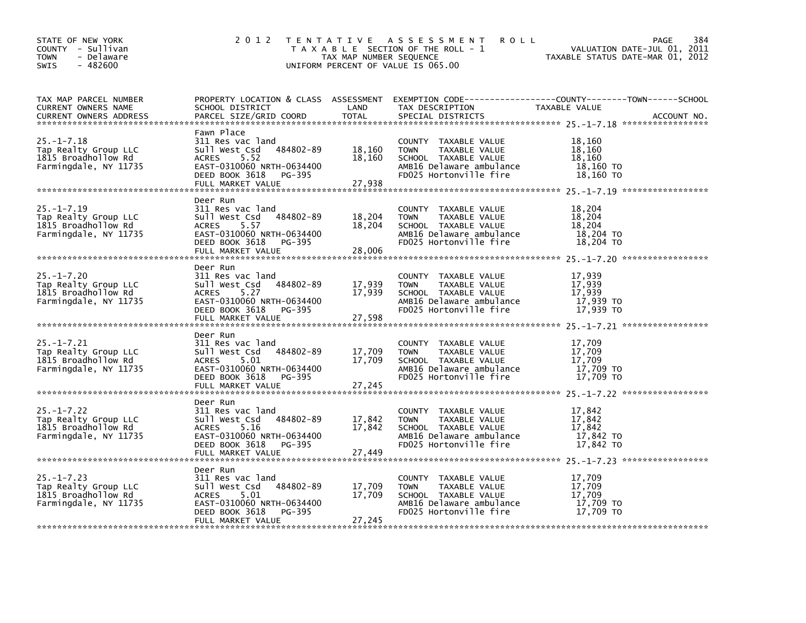| STATE OF NEW YORK<br>COUNTY - Sullivan<br><b>TOWN</b><br>- Delaware<br>SWIS<br>$-482600$ | 2 0 1 2                                                                                                                                                          | TAX MAP NUMBER SEQUENCE    | TENTATIVE ASSESSMENT<br><b>ROLL</b><br>T A X A B L E SECTION OF THE ROLL - 1<br>UNIFORM PERCENT OF VALUE IS 065.00                 | 384<br>PAGE<br>VALUATION DATE-JUL 01, 2011<br>TAXABLE STATUS DATE-MAR 01, 2012                                                  |
|------------------------------------------------------------------------------------------|------------------------------------------------------------------------------------------------------------------------------------------------------------------|----------------------------|------------------------------------------------------------------------------------------------------------------------------------|---------------------------------------------------------------------------------------------------------------------------------|
| TAX MAP PARCEL NUMBER<br>CURRENT OWNERS NAME<br><b>CURRENT OWNERS ADDRESS</b>            | SCHOOL DISTRICT<br>PARCEL SIZE/GRID COORD                                                                                                                        | LAND<br><b>TOTAL</b>       | TAX DESCRIPTION<br>SPECIAL DISTRICTS                                                                                               | PROPERTY LOCATION & CLASS ASSESSMENT EXEMPTION CODE---------------COUNTY-------TOWN------SCHOOL<br>TAXABLE VALUE<br>ACCOUNT NO. |
| $25. - 1 - 7.18$<br>Tap Realty Group LLC<br>1815 Broadhollow Rd<br>Farmingdale, NY 11735 | Fawn Place<br>311 Res vac land<br>484802-89<br>Sull West Csd<br>ACRES<br>5.52<br>EAST-0310060 NRTH-0634400<br>DEED BOOK 3618<br>PG-395<br>FULL MARKET VALUE      | 18,160<br>18,160<br>27,938 | COUNTY TAXABLE VALUE<br>TAXABLE VALUE<br><b>TOWN</b><br>SCHOOL TAXABLE VALUE<br>AMB16 Delaware ambulance<br>FD025 Hortonville fire | 18,160<br>18,160<br>18,160<br>18,160 TO<br>18.160 TO                                                                            |
| $25. -1 - 7.19$<br>Tap Realty Group LLC<br>1815 Broadhollow Rd<br>Farmingdale, NY 11735  | Deer Run<br>311 Res vac land<br>Sull West Csd<br>484802-89<br>5.57<br><b>ACRES</b><br>EAST-0310060 NRTH-0634400<br>DEED BOOK 3618<br>PG-395<br>FULL MARKET VALUE | 18,204<br>18,204<br>28,006 | COUNTY TAXABLE VALUE<br>TAXABLE VALUE<br>TOWN<br>SCHOOL TAXABLE VALUE<br>AMB16 Delaware ambulance<br>FD025 Hortonville fire        | 18,204<br>18,204<br>18,204<br>18,204 TO<br>18,204 TO                                                                            |
| $25. - 1 - 7.20$<br>Tap Realty Group LLC<br>1815 Broadhollow Rd<br>Farmingdale, NY 11735 | Deer Run<br>311 Res vac land<br>484802-89<br>Sull West Csd<br><b>ACRES</b><br>5.27<br>EAST-0310060 NRTH-0634400<br>DEED BOOK 3618<br>PG-395<br>FULL MARKET VALUE | 17,939<br>17,939<br>27,598 | COUNTY TAXABLE VALUE<br><b>TOWN</b><br>TAXABLE VALUE<br>SCHOOL TAXABLE VALUE<br>AMB16 Delaware ambulance<br>FD025 Hortonville fire | 17,939<br>17,939<br>17.939<br>17,939 TO<br>17,939 TO                                                                            |
| $25. - 1 - 7.21$<br>Tap Realty Group LLC<br>1815 Broadhollow Rd<br>Farmingdale, NY 11735 | Deer Run<br>311 Res vac land<br>484802-89<br>Sull West Csd<br>5.01<br><b>ACRES</b><br>EAST-0310060 NRTH-0634400<br>DEED BOOK 3618<br>PG-395                      | 17,709<br>17,709           | COUNTY TAXABLE VALUE<br>TAXABLE VALUE<br>TOWN<br>SCHOOL TAXABLE VALUE<br>AMB16 Delaware ambulance<br>FD025 Hortonville fire        | 17,709<br>17,709<br>17,709<br>17,709 TO<br>17,709 TO                                                                            |
| $25. - 1 - 7.22$<br>Tap Realty Group LLC<br>1815 Broadhollow Rd<br>Farmingdale, NY 11735 | Deer Run<br>311 Res vac land<br>Sull West Csd<br>484802-89<br><b>ACRES</b><br>5.16<br>EAST-0310060 NRTH-0634400<br>DEED BOOK 3618<br>PG-395<br>FULL MARKET VALUE | 17,842<br>17,842<br>27,449 | COUNTY TAXABLE VALUE<br><b>TOWN</b><br>TAXABLE VALUE<br>SCHOOL TAXABLE VALUE<br>AMB16 Delaware ambulance<br>FD025 Hortonville fire | 17,842<br>17,842<br>17,842<br>17,842 TO<br>17,842 TO                                                                            |
| $25. -1 - 7.23$<br>Tap Realty Group LLC<br>1815 Broadhollow Rd<br>Farmingdale, NY 11735  | Deer Run<br>311 Res vac land<br>484802-89<br>Sull West Csd<br>5.01<br><b>ACRES</b><br>EAST-0310060 NRTH-0634400<br>DEED BOOK 3618<br>PG-395<br>FULL MARKET VALUE | 17,709<br>17,709<br>27,245 | COUNTY TAXABLE VALUE<br>TAXABLE VALUE<br><b>TOWN</b><br>SCHOOL TAXABLE VALUE<br>AMB16 Delaware ambulance<br>FD025 Hortonville fire | 17,709<br>17,709<br>17,709<br>17,709 TO<br>17,709 TO                                                                            |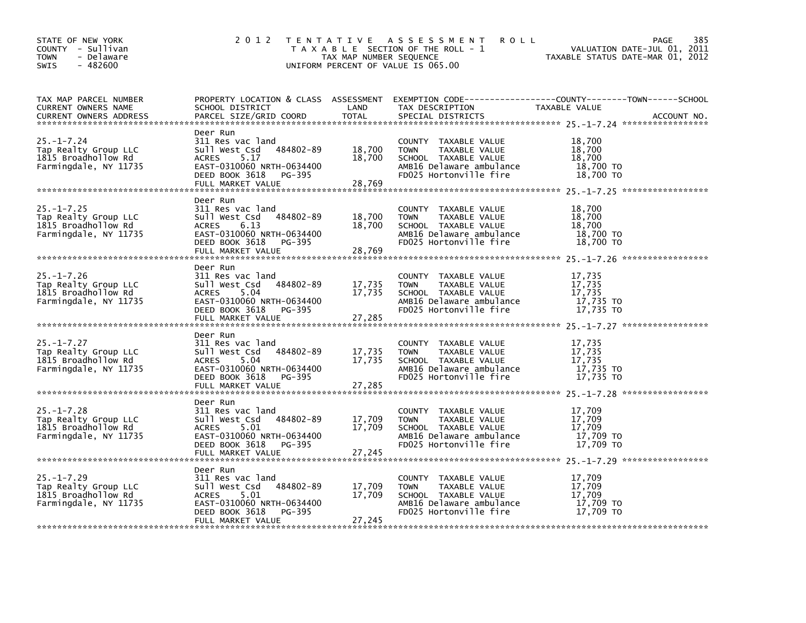| STATE OF NEW YORK<br>COUNTY - Sullivan<br><b>TOWN</b><br>- Delaware<br>SWIS<br>$-482600$ | 2 0 1 2<br>TENTATIVE ASSESSMENT<br>T A X A B L E SECTION OF THE ROLL - 1<br>TAX MAP NUMBER SEQUENCE<br>UNIFORM PERCENT OF VALUE IS 065.00                        | 385<br><b>ROLL</b><br>PAGE<br>VALUATION DATE-JUL 01, 2011<br>TAXABLE STATUS DATE-MAR 01, 2012 |                                                                                                                                    |                                                                                                                                 |
|------------------------------------------------------------------------------------------|------------------------------------------------------------------------------------------------------------------------------------------------------------------|-----------------------------------------------------------------------------------------------|------------------------------------------------------------------------------------------------------------------------------------|---------------------------------------------------------------------------------------------------------------------------------|
| TAX MAP PARCEL NUMBER<br>CURRENT OWNERS NAME<br><b>CURRENT OWNERS ADDRESS</b>            | SCHOOL DISTRICT<br>PARCEL SIZE/GRID COORD                                                                                                                        | LAND<br><b>TOTAL</b>                                                                          | TAX DESCRIPTION<br>SPECIAL DISTRICTS                                                                                               | PROPERTY LOCATION & CLASS ASSESSMENT EXEMPTION CODE---------------COUNTY-------TOWN------SCHOOL<br>TAXABLE VALUE<br>ACCOUNT NO. |
| $25. - 1 - 7.24$<br>Tap Realty Group LLC<br>1815 Broadhollow Rd<br>Farmingdale, NY 11735 | Deer Run<br>311 Res vac land<br>484802-89<br>Sull West Csd<br>ACRES<br>5.17<br>EAST-0310060 NRTH-0634400<br>DEED BOOK 3618<br>PG-395<br>FULL MARKET VALUE        | 18,700<br>18,700<br>28,769                                                                    | COUNTY TAXABLE VALUE<br>TAXABLE VALUE<br><b>TOWN</b><br>SCHOOL TAXABLE VALUE<br>AMB16 Delaware ambulance<br>FD025 Hortonville fire | 18,700<br>18,700<br>18,700<br>18,700 TO<br>18,700 TO                                                                            |
| $25. - 1 - 7.25$<br>Tap Realty Group LLC<br>1815 Broadhollow Rd<br>Farmingdale, NY 11735 | Deer Run<br>311 Res vac land<br>Sull West Csd<br>484802-89<br><b>ACRES</b><br>6.13<br>EAST-0310060 NRTH-0634400<br>DEED BOOK 3618<br>PG-395<br>FULL MARKET VALUE | 18,700<br>18,700<br>28,769                                                                    | COUNTY TAXABLE VALUE<br>TAXABLE VALUE<br><b>TOWN</b><br>SCHOOL TAXABLE VALUE<br>AMB16 Delaware ambulance<br>FD025 Hortonville fire | 18,700<br>18,700<br>18,700<br>18,700 TO<br>18,700 TO                                                                            |
| $25. - 1 - 7.26$<br>Tap Realty Group LLC<br>1815 Broadhollow Rd<br>Farmingdale, NY 11735 | Deer Run<br>311 Res vac land<br>484802-89<br>Sull West Csd<br>ACRES<br>5.04<br>EAST-0310060 NRTH-0634400<br>DEED BOOK 3618<br>PG-395<br>FULL MARKET VALUE        | 17,735<br>17,735<br>27,285                                                                    | COUNTY TAXABLE VALUE<br><b>TOWN</b><br>TAXABLE VALUE<br>SCHOOL TAXABLE VALUE<br>AMB16 Delaware ambulance<br>FD025 Hortonville fire | 17,735<br>17,735<br>17,735<br>17,735 TO<br>17.735 TO                                                                            |
| $25. - 1 - 7.27$<br>Tap Realty Group LLC<br>1815 Broadhollow Rd<br>Farmingdale, NY 11735 | Deer Run<br>311 Res vac land<br>484802-89<br>Sull West Csd<br>5.04<br><b>ACRES</b><br>EAST-0310060 NRTH-0634400<br>DEED BOOK 3618<br>PG-395                      | 17,735<br>17,735                                                                              | COUNTY TAXABLE VALUE<br>TAXABLE VALUE<br>TOWN<br>SCHOOL TAXABLE VALUE<br>AMB16 Delaware ambulance<br>FD025 Hortonville fire        | 17,735<br>17,735<br>17,735<br>17,735 TO<br>17,735 TO                                                                            |
| $25. - 1 - 7.28$<br>Tap Realty Group LLC<br>1815 Broadhollow Rd<br>Farmingdale, NY 11735 | Deer Run<br>311 Res vac land<br>Sull West Csd<br>484802-89<br>5.01<br><b>ACRES</b><br>EAST-0310060 NRTH-0634400<br>DEED BOOK 3618<br>PG-395                      | 17,709<br>17,709                                                                              | COUNTY TAXABLE VALUE<br><b>TOWN</b><br>TAXABLE VALUE<br>SCHOOL TAXABLE VALUE<br>AMB16 Delaware ambulance<br>FD025 Hortonville fire | 17,709<br>17,709<br>17,709<br>17,709 TO<br>17.709 TO                                                                            |
| $25. - 1 - 7.29$<br>Tap Realty Group LLC<br>1815 Broadhollow Rd<br>Farmingdale, NY 11735 | Deer Run<br>311 Res vac land<br>484802-89<br>Sull West Csd<br>5.01<br><b>ACRES</b><br>EAST-0310060 NRTH-0634400<br>DEED BOOK 3618<br>PG-395<br>FULL MARKET VALUE | 17,709<br>17,709<br>27,245                                                                    | COUNTY TAXABLE VALUE<br>TAXABLE VALUE<br><b>TOWN</b><br>SCHOOL TAXABLE VALUE<br>AMB16 Delaware ambulance<br>FD025 Hortonville fire | 17,709<br>17,709<br>17,709<br>17,709 TO<br>17,709 TO                                                                            |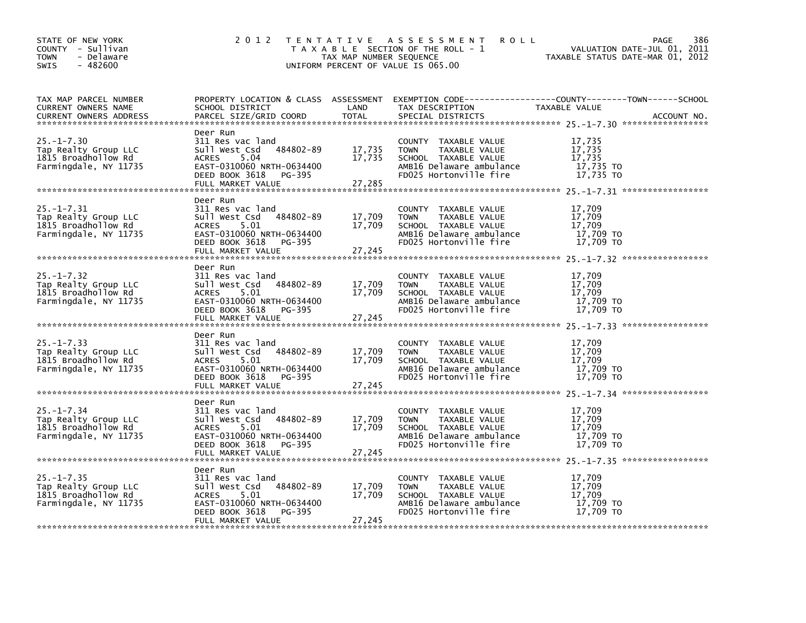| STATE OF NEW YORK<br>COUNTY - Sullivan<br><b>TOWN</b><br>- Delaware<br>SWIS<br>$-482600$ | 2 0 1 2<br>TENTATIVE ASSESSMENT<br>T A X A B L E SECTION OF THE ROLL - 1<br>TAX MAP NUMBER SEQUENCE<br>UNIFORM PERCENT OF VALUE IS 065.00                        | 386<br><b>ROLL</b><br>PAGE<br>VALUATION DATE-JUL 01, 2011<br>TAXABLE STATUS DATE-MAR 01, 2012 |                                                                                                                                    |                                                                                                                                 |
|------------------------------------------------------------------------------------------|------------------------------------------------------------------------------------------------------------------------------------------------------------------|-----------------------------------------------------------------------------------------------|------------------------------------------------------------------------------------------------------------------------------------|---------------------------------------------------------------------------------------------------------------------------------|
| TAX MAP PARCEL NUMBER<br>CURRENT OWNERS NAME<br><b>CURRENT OWNERS ADDRESS</b>            | SCHOOL DISTRICT<br>PARCEL SIZE/GRID COORD                                                                                                                        | LAND<br><b>TOTAL</b>                                                                          | TAX DESCRIPTION<br>SPECIAL DISTRICTS                                                                                               | PROPERTY LOCATION & CLASS ASSESSMENT EXEMPTION CODE---------------COUNTY-------TOWN------SCHOOL<br>TAXABLE VALUE<br>ACCOUNT NO. |
| $25. - 1 - 7.30$<br>Tap Realty Group LLC<br>1815 Broadhollow Rd<br>Farmingdale, NY 11735 | Deer Run<br>311 Res vac land<br>484802-89<br>Sull West Csd<br>ACRES<br>5.04<br>EAST-0310060 NRTH-0634400<br>DEED BOOK 3618<br>PG-395<br>FULL MARKET VALUE        | 17,735<br>17,735<br>27,285                                                                    | COUNTY TAXABLE VALUE<br>TAXABLE VALUE<br><b>TOWN</b><br>SCHOOL TAXABLE VALUE<br>AMB16 Delaware ambulance<br>FD025 Hortonville fire | 17,735<br>17,735<br>17,735<br>17,735 TO<br>17.735 TO                                                                            |
| $25. - 1 - 7.31$<br>Tap Realty Group LLC<br>1815 Broadhollow Rd<br>Farmingdale, NY 11735 | Deer Run<br>311 Res vac land<br>Sull West Csd<br>484802-89<br>5.01<br><b>ACRES</b><br>EAST-0310060 NRTH-0634400<br>DEED BOOK 3618<br>PG-395<br>FULL MARKET VALUE | 17,709<br>17,709<br>27,245                                                                    | COUNTY TAXABLE VALUE<br>TAXABLE VALUE<br><b>TOWN</b><br>SCHOOL TAXABLE VALUE<br>AMB16 Delaware ambulance<br>FD025 Hortonville fire | 17,709<br>17,709<br>17,709<br>17,709 TO<br>17,709 TO                                                                            |
| $25. - 1 - 7.32$<br>Tap Realty Group LLC<br>1815 Broadhollow Rd<br>Farmingdale, NY 11735 | Deer Run<br>311 Res vac land<br>484802-89<br>Sull West Csd<br><b>ACRES</b><br>5.01<br>EAST-0310060 NRTH-0634400<br>DEED BOOK 3618<br>PG-395<br>FULL MARKET VALUE | 17,709<br>17,709<br>27,245                                                                    | COUNTY TAXABLE VALUE<br><b>TOWN</b><br>TAXABLE VALUE<br>SCHOOL TAXABLE VALUE<br>AMB16 Delaware ambulance<br>FD025 Hortonville fire | 17,709<br>17,709<br>17,709<br>17,709 TO<br>17,709 TO                                                                            |
| $25. - 1 - 7.33$<br>Tap Realty Group LLC<br>1815 Broadhollow Rd<br>Farmingdale, NY 11735 | Deer Run<br>311 Res vac land<br>484802-89<br>Sull West Csd<br>5.01<br><b>ACRES</b><br>EAST-0310060 NRTH-0634400<br>DEED BOOK 3618<br>PG-395<br>FULL MARKET VALUE | 17,709<br>17,709<br>27,245                                                                    | COUNTY TAXABLE VALUE<br>TAXABLE VALUE<br>TOWN<br>SCHOOL TAXABLE VALUE<br>AMB16 Delaware ambulance<br>FD025 Hortonville fire        | 17,709<br>17,709<br>17,709<br>17,709 TO<br>17,709 TO                                                                            |
| $25. - 1 - 7.34$<br>Tap Realty Group LLC<br>1815 Broadhollow Rd<br>Farmingdale, NY 11735 | Deer Run<br>311 Res vac land<br>Sull West Csd<br>484802-89<br>5.01<br><b>ACRES</b><br>EAST-0310060 NRTH-0634400<br>DEED BOOK 3618<br>PG-395<br>FULL MARKET VALUE | 17,709<br>17,709<br>27,245                                                                    | COUNTY TAXABLE VALUE<br><b>TOWN</b><br>TAXABLE VALUE<br>SCHOOL TAXABLE VALUE<br>AMB16 Delaware ambulance<br>FD025 Hortonville fire | 17,709<br>17,709<br>17,709<br>17,709 TO<br>17.709 TO                                                                            |
| $25. - 1 - 7.35$<br>Tap Realty Group LLC<br>1815 Broadhollow Rd<br>Farmingdale, NY 11735 | Deer Run<br>311 Res vac land<br>484802-89<br>Sull West Csd<br>5.01<br><b>ACRES</b><br>EAST-0310060 NRTH-0634400<br>DEED BOOK 3618<br>PG-395<br>FULL MARKET VALUE | 17,709<br>17,709<br>27,245                                                                    | COUNTY TAXABLE VALUE<br>TAXABLE VALUE<br><b>TOWN</b><br>SCHOOL TAXABLE VALUE<br>AMB16 Delaware ambulance<br>FD025 Hortonville fire | 17,709<br>17,709<br>17,709<br>17,709 TO<br>17,709 TO                                                                            |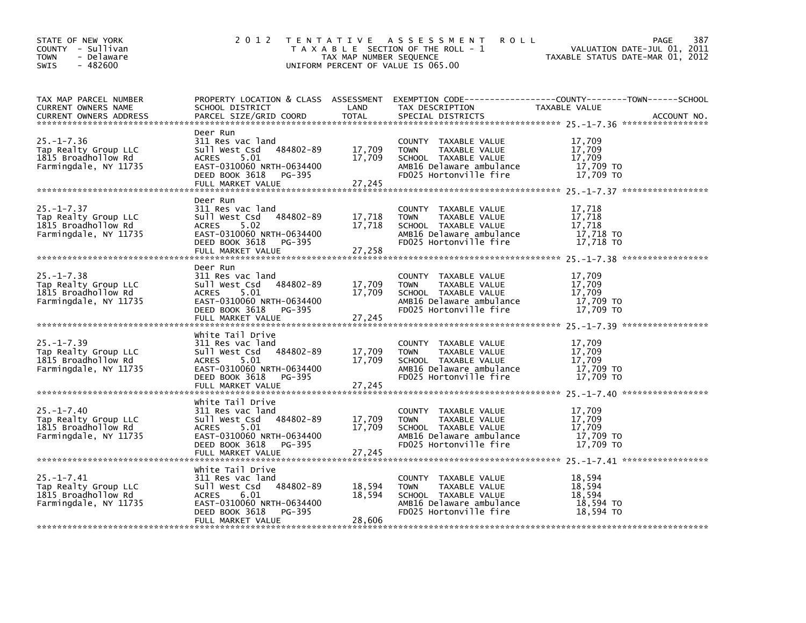| STATE OF NEW YORK<br>COUNTY - Sullivan<br><b>TOWN</b><br>- Delaware<br>SWIS<br>$-482600$ | 2 0 1 2<br>TENTATIVE ASSESSMENT<br>T A X A B L E SECTION OF THE ROLL - 1<br>TAX MAP NUMBER SEQUENCE<br>UNIFORM PERCENT OF VALUE IS 065.00                                | 387<br><b>ROLL</b><br>PAGE<br>VALUATION DATE-JUL 01, 2011<br>TAXABLE STATUS DATE-MAR 01, 2012 |                                                                                                                                    |                                                                                                                                 |
|------------------------------------------------------------------------------------------|--------------------------------------------------------------------------------------------------------------------------------------------------------------------------|-----------------------------------------------------------------------------------------------|------------------------------------------------------------------------------------------------------------------------------------|---------------------------------------------------------------------------------------------------------------------------------|
| TAX MAP PARCEL NUMBER<br>CURRENT OWNERS NAME<br><b>CURRENT OWNERS ADDRESS</b>            | SCHOOL DISTRICT<br>PARCEL SIZE/GRID COORD                                                                                                                                | LAND<br><b>TOTAL</b>                                                                          | TAX DESCRIPTION<br>SPECIAL DISTRICTS                                                                                               | PROPERTY LOCATION & CLASS ASSESSMENT EXEMPTION CODE---------------COUNTY-------TOWN------SCHOOL<br>TAXABLE VALUE<br>ACCOUNT NO. |
| $25. - 1 - 7.36$<br>Tap Realty Group LLC<br>1815 Broadhollow Rd<br>Farmingdale, NY 11735 | Deer Run<br>311 Res vac land<br>484802-89<br>Sull West Csd<br>ACRES<br>5.01<br>EAST-0310060 NRTH-0634400<br>DEED BOOK 3618<br>PG-395<br>FULL MARKET VALUE                | 17,709<br>17,709<br>27,245                                                                    | COUNTY TAXABLE VALUE<br>TAXABLE VALUE<br><b>TOWN</b><br>SCHOOL TAXABLE VALUE<br>AMB16 Delaware ambulance<br>FD025 Hortonville fire | 17,709<br>17,709<br>17,709<br>17,709 TO<br>17.709 TO                                                                            |
| $25. - 1 - 7.37$<br>Tap Realty Group LLC<br>1815 Broadhollow Rd<br>Farmingdale, NY 11735 | Deer Run<br>311 Res vac land<br>484802-89<br>Sull West Csd<br>5.02<br><b>ACRES</b><br>EAST-0310060 NRTH-0634400<br>DEED BOOK 3618<br>PG-395<br>FULL MARKET VALUE         | 17,718<br>17,718<br>27,258                                                                    | COUNTY TAXABLE VALUE<br>TAXABLE VALUE<br><b>TOWN</b><br>SCHOOL TAXABLE VALUE<br>AMB16 Delaware ambulance<br>FD025 Hortonville fire | 17,718<br>17,718<br>17,718<br>17,718 TO<br>17,718 TO                                                                            |
| $25. - 1 - 7.38$<br>Tap Realty Group LLC<br>1815 Broadhollow Rd<br>Farmingdale, NY 11735 | Deer Run<br>311 Res vac land<br>484802-89<br>Sull West Csd<br>ACRES<br>5.01<br>EAST-0310060 NRTH-0634400<br>DEED BOOK 3618<br>PG-395<br>FULL MARKET VALUE                | 17,709<br>17,709<br>27,245                                                                    | COUNTY TAXABLE VALUE<br><b>TOWN</b><br>TAXABLE VALUE<br>SCHOOL TAXABLE VALUE<br>AMB16 Delaware ambulance<br>FD025 Hortonville fire | 17,709<br>17,709<br>17,709<br>17,709 TO<br>17,709 TO                                                                            |
| $25. - 1 - 7.39$<br>Tap Realty Group LLC<br>1815 Broadhollow Rd<br>Farmingdale, NY 11735 | White Tail Drive<br>311 Res vac land<br>484802-89<br>Sull West Csd<br>5.01<br><b>ACRES</b><br>EAST-0310060 NRTH-0634400<br>DEED BOOK 3618<br>PG-395<br>FULL MARKET VALUE | 17,709<br>17,709<br>27,245                                                                    | COUNTY TAXABLE VALUE<br>TAXABLE VALUE<br>TOWN<br>SCHOOL TAXABLE VALUE<br>AMB16 Delaware ambulance<br>FD025 Hortonville fire        | 17,709<br>17,709<br>17,709<br>17,709 TO<br>17,709 TO                                                                            |
| $25. - 1 - 7.40$<br>Tap Realty Group LLC<br>1815 Broadhollow Rd<br>Farmingdale, NY 11735 | White Tail Drive<br>311 Res vac land<br>Sull West Csd<br>484802-89<br>5.01<br><b>ACRES</b><br>EAST-0310060 NRTH-0634400<br>DEED BOOK 3618<br>PG-395                      | 17,709<br>17,709                                                                              | COUNTY TAXABLE VALUE<br><b>TOWN</b><br>TAXABLE VALUE<br>SCHOOL TAXABLE VALUE<br>AMB16 Delaware ambulance<br>FD025 Hortonville fire | 17,709<br>17,709<br>17,709<br>17,709 TO<br>17.709 TO                                                                            |
| $25. - 1 - 7.41$<br>Tap Realty Group LLC<br>1815 Broadhollow Rd<br>Farmingdale, NY 11735 | White Tail Drive<br>311 Res vac land<br>484802-89<br>Sull West Csd<br><b>ACRES</b><br>6.01<br>EAST-0310060 NRTH-0634400<br>DEED BOOK 3618<br>PG-395<br>FULL MARKET VALUE | 18,594<br>18,594<br>28,606                                                                    | COUNTY TAXABLE VALUE<br>TAXABLE VALUE<br><b>TOWN</b><br>SCHOOL TAXABLE VALUE<br>AMB16 Delaware ambulance<br>FD025 Hortonville fire | 18,594<br>18,594<br>18,594<br>18,594 TO<br>18,594 TO                                                                            |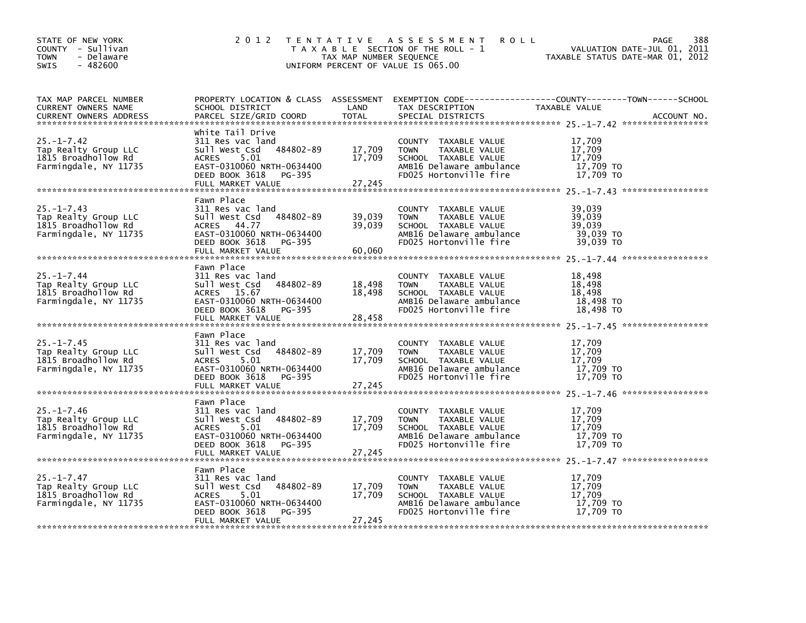| STATE OF NEW YORK<br>COUNTY - Sullivan<br><b>TOWN</b><br>- Delaware<br>SWIS<br>$-482600$ | 2 0 1 2                                                                                                                                                            | TAX MAP NUMBER SEQUENCE    | TENTATIVE ASSESSMENT<br><b>ROLL</b><br>T A X A B L E SECTION OF THE ROLL - 1<br>UNIFORM PERCENT OF VALUE IS 065.00                 | 388<br>PAGE<br>VALUATION DATE-JUL 01, 2011<br>TAXABLE STATUS DATE-MAR 01, 2012                                                  |
|------------------------------------------------------------------------------------------|--------------------------------------------------------------------------------------------------------------------------------------------------------------------|----------------------------|------------------------------------------------------------------------------------------------------------------------------------|---------------------------------------------------------------------------------------------------------------------------------|
| TAX MAP PARCEL NUMBER<br>CURRENT OWNERS NAME<br><b>CURRENT OWNERS ADDRESS</b>            | SCHOOL DISTRICT<br>PARCEL SIZE/GRID COORD                                                                                                                          | LAND<br><b>TOTAL</b>       | TAX DESCRIPTION<br>SPECIAL DISTRICTS                                                                                               | PROPERTY LOCATION & CLASS ASSESSMENT EXEMPTION CODE---------------COUNTY-------TOWN------SCHOOL<br>TAXABLE VALUE<br>ACCOUNT NO. |
| $25. - 1 - 7.42$<br>Tap Realty Group LLC<br>1815 Broadhollow Rd<br>Farmingdale, NY 11735 | White Tail Drive<br>311 Res vac land<br>484802-89<br>Sull West Csd<br>ACRES<br>5.01<br>EAST-0310060 NRTH-0634400<br>DEED BOOK 3618<br>PG-395<br>FULL MARKET VALUE  | 17,709<br>17,709<br>27,245 | COUNTY TAXABLE VALUE<br>TAXABLE VALUE<br><b>TOWN</b><br>SCHOOL TAXABLE VALUE<br>AMB16 Delaware ambulance<br>FD025 Hortonville fire | 17,709<br>17,709<br>17,709<br>17,709 TO<br>17.709 TO                                                                            |
| $25. - 1 - 7.43$<br>Tap Realty Group LLC<br>1815 Broadhollow Rd<br>Farmingdale, NY 11735 | Fawn Place<br>311 Res vac land<br>Sull West Csd<br>484802-89<br>ACRES 44.77<br>EAST-0310060 NRTH-0634400<br>DEED BOOK 3618<br>PG-395<br>FULL MARKET VALUE          | 39,039<br>39,039<br>60,060 | COUNTY TAXABLE VALUE<br>TAXABLE VALUE<br>TOWN<br>SCHOOL TAXABLE VALUE<br>AMB16 Delaware ambulance<br>FD025 Hortonville fire        | 39,039<br>39,039<br>39,039<br>39,039 TO<br>39,039 TO                                                                            |
| $25. - 1 - 7.44$<br>Tap Realty Group LLC<br>1815 Broadhollow Rd<br>Farmingdale, NY 11735 | Fawn Place<br>311 Res vac land<br>484802-89<br>Sull West Csd<br>ACRES 15.67<br>EAST-0310060 NRTH-0634400<br>DEED BOOK 3618<br>PG-395<br>FULL MARKET VALUE          | 18,498<br>18,498<br>28,458 | COUNTY TAXABLE VALUE<br><b>TOWN</b><br>TAXABLE VALUE<br>SCHOOL TAXABLE VALUE<br>AMB16 Delaware ambulance<br>FD025 Hortonville fire | 18,498<br>18,498<br>18,498<br>18,498 TO<br>18,498 TO                                                                            |
| $25. - 1 - 7.45$<br>Tap Realty Group LLC<br>1815 Broadhollow Rd<br>Farmingdale, NY 11735 | Fawn Place<br>311 Res vac land<br>484802-89<br>Sull West Csd<br>5.01<br><b>ACRES</b><br>EAST-0310060 NRTH-0634400<br>DEED BOOK 3618<br>PG-395<br>FULL MARKET VALUE | 17,709<br>17,709<br>27,245 | COUNTY TAXABLE VALUE<br>TAXABLE VALUE<br>TOWN<br>SCHOOL TAXABLE VALUE<br>AMB16 Delaware ambulance<br>FD025 Hortonville fire        | 17,709<br>17,709<br>17,709<br>17,709 TO<br>17,709 TO                                                                            |
| $25. - 1 - 7.46$<br>Tap Realty Group LLC<br>1815 Broadhollow Rd<br>Farmingdale, NY 11735 | Fawn Place<br>311 Res vac land<br>Sull West Csd<br>484802-89<br>5.01<br><b>ACRES</b><br>EAST-0310060 NRTH-0634400<br>DEED BOOK 3618<br>PG-395<br>FULL MARKET VALUE | 17,709<br>17,709<br>27,245 | COUNTY TAXABLE VALUE<br><b>TOWN</b><br>TAXABLE VALUE<br>SCHOOL TAXABLE VALUE<br>AMB16 Delaware ambulance<br>FD025 Hortonville fire | 17,709<br>17,709<br>17,709<br>17,709 TO<br>17.709 TO                                                                            |
| $25. - 1 - 7.47$<br>Tap Realty Group LLC<br>1815 Broadhollow Rd<br>Farmingdale, NY 11735 | Fawn Place<br>311 Res vac land<br>484802-89<br>Sull West Csd<br><b>ACRES</b><br>5.01<br>EAST-0310060 NRTH-0634400<br>DEED BOOK 3618<br>PG-395<br>FULL MARKET VALUE | 17,709<br>17,709<br>27,245 | COUNTY TAXABLE VALUE<br>TAXABLE VALUE<br><b>TOWN</b><br>SCHOOL TAXABLE VALUE<br>AMB16 Delaware ambulance<br>FD025 Hortonville fire | 17,709<br>17,709<br>17,709<br>17,709 TO<br>17,709 TO                                                                            |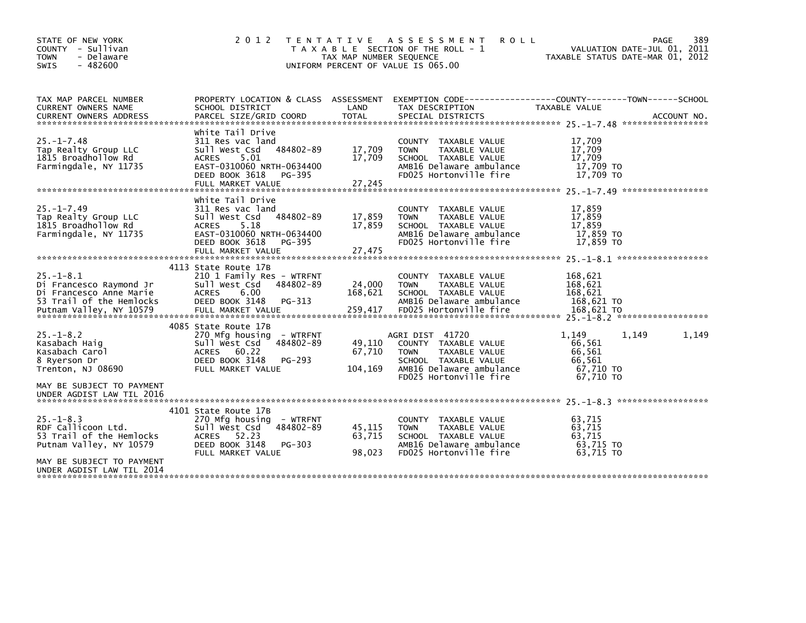| STATE OF NEW YORK<br>COUNTY - Sullivan<br><b>TOWN</b><br>- Delaware<br>$-482600$<br><b>SWIS</b>                                                                                                                                                                                                                                     | 2 0 1 2                                                                                                                                                                  | TAX MAP NUMBER SEQUENCE     | <b>ROLL</b><br>TENTATIVE ASSESSMENT<br>T A X A B L E SECTION OF THE ROLL - 1<br>UNIFORM PERCENT OF VALUE IS 065.00                                    | VALUATION DATE-JUL 01, 2011<br>TAXABLE STATUS DATE-MAR 01, 2012        | 389<br>PAGE |
|-------------------------------------------------------------------------------------------------------------------------------------------------------------------------------------------------------------------------------------------------------------------------------------------------------------------------------------|--------------------------------------------------------------------------------------------------------------------------------------------------------------------------|-----------------------------|-------------------------------------------------------------------------------------------------------------------------------------------------------|------------------------------------------------------------------------|-------------|
| TAX MAP PARCEL NUMBER<br>CURRENT OWNERS NAME<br><b>CURRENT OWNERS ADDRESS</b>                                                                                                                                                                                                                                                       | SCHOOL DISTRICT<br>PARCEL SIZE/GRID COORD                                                                                                                                | LAND<br><b>TOTAL</b>        | PROPERTY LOCATION & CLASS ASSESSMENT EXEMPTION CODE----------------COUNTY-------TOWN------SCHOOL<br>TAX DESCRIPTION<br>SPECIAL DISTRICTS              | TAXABLE VALUE                                                          | ACCOUNT NO. |
| $25. - 1 - 7.48$<br>Tap Realty Group LLC<br>1815 Broadhollow Rd<br>Farmingdale, NY 11735                                                                                                                                                                                                                                            | white Tail Drive<br>311 Res vac land<br>Sull West Csd 484802-89<br><b>ACRES</b><br>5.01<br>EAST-0310060 NRTH-0634400<br>DEED BOOK 3618<br>PG-395<br>FULL MARKET VALUE    | 17,709<br>17.709<br>27,245  | COUNTY TAXABLE VALUE<br>TAXABLE VALUE<br><b>TOWN</b><br>SCHOOL TAXABLE VALUE<br>AMB16 Delaware ambulance<br>FD025 Hortonville fire                    | 17,709<br>17,709<br>17.709<br>17,709 TO<br>17,709 TO                   |             |
| $25. - 1 - 7.49$<br>Tap Realty Group LLC<br>1815 Broadhollow Rd<br>Farmingdale, NY 11735                                                                                                                                                                                                                                            | white Tail Drive<br>311 Res vac land<br>484802-89<br>Sull West Csd<br>5.18<br><b>ACRES</b><br>EAST-0310060 NRTH-0634400<br>DEED BOOK 3618<br>PG-395<br>FULL MARKET VALUE | 17,859<br>17,859<br>27,475  | COUNTY TAXABLE VALUE<br><b>TOWN</b><br>TAXABLE VALUE<br>SCHOOL TAXABLE VALUE<br>AMB16 Delaware ambulance<br>FD025 Hortonville fire                    | 17,859<br>17,859<br>17,859<br>17,859 TO<br>17.859 TO                   |             |
| $25. - 1 - 8.1$<br>Di Francesco Raymond Jr<br>Di Francesco Anne Marie<br>53 Trail of the Hemlocks<br>Putnam Valley, NY 10579 FULL MARKET VALUE 259,417 FD025 Hortonville fire 168,621 TO 168,621 TO PUTNAM VALUE PUTNAM VALUE 259,417 FD025 Hortonville fire 168,621 TO 168,621 TO 168,621 TO 168,621 TO 168,621 TO 168,621 TO 168, | 4113 State Route 17B<br>210 1 Family Res - WTRFNT<br>484802-89<br>Sull West Csd<br>6.00<br><b>ACRES</b><br>DEED BOOK 3148<br>PG-313                                      | 24,000<br>168,621           | COUNTY TAXABLE VALUE<br><b>TOWN</b><br>TAXABLE VALUE<br>SCHOOL TAXABLE VALUE<br>AMB16 Delaware ambulance                                              | 168,621<br>168,621<br>168.621<br>168,621 TO                            |             |
| $25. - 1 - 8.2$<br>Kasabach Haig<br>Kasabach Carol<br>8 Ryerson Dr<br>Trenton, NJ 08690                                                                                                                                                                                                                                             | 4085 State Route 17B<br>270 Mfg housing - WTRFNT<br>484802-89<br>Sull West Csd<br><b>ACRES</b><br>60.22<br>DEED BOOK 3148<br>PG-293<br>FULL MARKET VALUE                 | 49,110<br>67,710<br>104,169 | AGRI DIST 41720<br>COUNTY TAXABLE VALUE<br><b>TOWN</b><br>TAXABLE VALUE<br>SCHOOL TAXABLE VALUE<br>AMB16 Delaware ambulance<br>FD025 Hortonville fire | 1,149<br>1,149<br>66,561<br>66,561<br>66,561<br>67,710 TO<br>67.710 TO | 1,149       |
| MAY BE SUBJECT TO PAYMENT<br>UNDER AGDIST LAW TIL 2016                                                                                                                                                                                                                                                                              |                                                                                                                                                                          |                             |                                                                                                                                                       |                                                                        |             |
| $25. - 1 - 8.3$<br>RDF Callicoon Ltd.<br>53 Trail of the Hemlocks<br>Putnam Valley, NY 10579<br>MAY BE SUBJECT TO PAYMENT                                                                                                                                                                                                           | 4101 State Route 17B<br>270 Mfg housing - WTRFNT<br>484802-89<br>Sull West Csd<br>ACRES 52.23<br>DEED BOOK 3148<br>PG-303<br>FULL MARKET VALUE                           | 45,115<br>63,715<br>98.023  | COUNTY TAXABLE VALUE<br>TAXABLE VALUE<br><b>TOWN</b><br>SCHOOL TAXABLE VALUE<br>AMB16 Delaware ambulance<br>FD025 Hortonville fire                    | 63,715<br>63.715<br>63,715<br>63,715 TO<br>63.715 TO                   |             |
| UNDER AGDIST LAW TIL 2014                                                                                                                                                                                                                                                                                                           |                                                                                                                                                                          |                             |                                                                                                                                                       |                                                                        |             |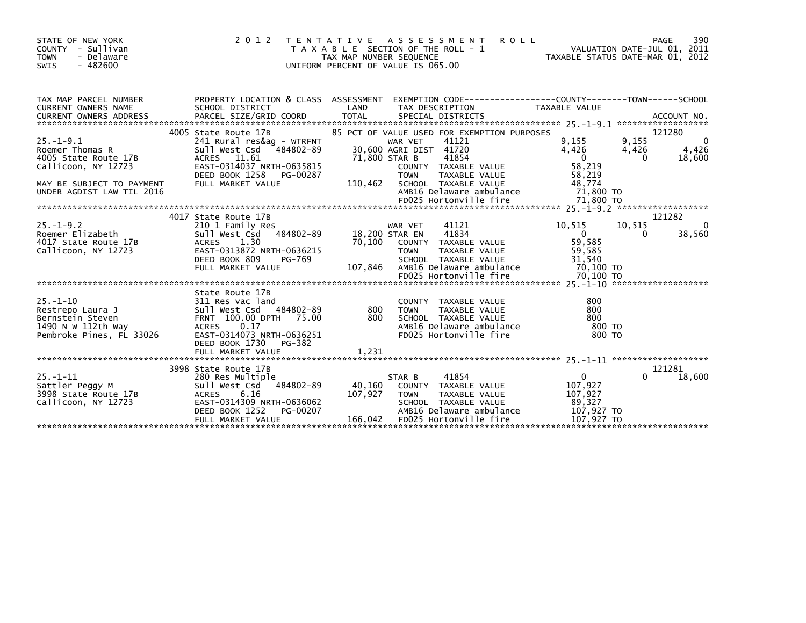| STATE OF NEW YORK<br>COUNTY - Sullivan<br>- Delaware<br><b>TOWN</b><br>SWIS<br>$-482600$                                                    | 2 0 1 2                                                                                                                                                                        | TAX MAP NUMBER SEQUENCE             | TENTATIVE ASSESSMENT<br><b>ROLL</b><br>T A X A B L E SECTION OF THE ROLL - 1<br>UNIFORM PERCENT OF VALUE IS 065.00                                                                                             | PAGE 390<br>VALUATION DATE-JUL 01, 2011<br>TAXABLE STATUS DATE-MAR 01, 2012 | 390<br>PAGE                                                    |
|---------------------------------------------------------------------------------------------------------------------------------------------|--------------------------------------------------------------------------------------------------------------------------------------------------------------------------------|-------------------------------------|----------------------------------------------------------------------------------------------------------------------------------------------------------------------------------------------------------------|-----------------------------------------------------------------------------|----------------------------------------------------------------|
| TAX MAP PARCEL NUMBER<br>CURRENT OWNERS NAME<br>CURRENT OWNERS ADDRESS                                                                      | SCHOOL DISTRICT                                                                                                                                                                | LAND                                | PROPERTY LOCATION & CLASS ASSESSMENT EXEMPTION CODE----------------COUNTY-------TOWN------SCHOOL<br>TAX DESCRIPTION                                                                                            | TAXABLE VALUE                                                               |                                                                |
| $25. - 1 - 9.1$<br>Roemer Thomas R<br>4005 State Route 17B<br>Callicoon, NY 12723<br>MAY BE SUBJECT TO PAYMENT<br>UNDER AGDIST LAW TIL 2016 | 4005 State Route 17B<br>241 Rural res&ag - WTRFNT<br>Sull West Csd 484802-89<br>ACRES 11.61<br>EAST-0314037 NRTH-0635815<br>DEED BOOK 1258<br>PG-00287<br>FULL MARKET VALUE    | 71,800 STAR B<br>110,462            | 85 PCT OF VALUE USED FOR EXEMPTION PURPOSES<br>41121<br>WAR VET<br>30,600 AGRI DIST 41720<br>41854<br>COUNTY TAXABLE VALUE<br>TAXABLE VALUE<br><b>TOWN</b><br>SCHOOL TAXABLE VALUE<br>AMB16 Delaware ambulance | 9,155<br>4,426<br>$\overline{0}$<br>58,219<br>58,219<br>48.774<br>71,800 TO | 121280<br>9,155<br>- 0<br>4,426<br>4,426<br>$\Omega$<br>18,600 |
|                                                                                                                                             | 4017 State Route 17B                                                                                                                                                           |                                     |                                                                                                                                                                                                                |                                                                             | 121282                                                         |
| $25. - 1 - 9.2$<br>Roemer Elizabeth<br>4017 State Route 17B<br>Callicoon, NY 12723                                                          | 210 1 Family Res<br>Sull West Csd 484802-89<br>1.30<br>ACRES<br>EAST-0313872 NRTH-0636215<br>DEED BOOK 809<br>PG-769<br>FULL MARKET VALUE                                      | 18,200 STAR EN<br>70,100<br>107,846 | 41121<br>WAR VET<br>41834<br>COUNTY TAXABLE VALUE<br><b>TOWN</b><br>TAXABLE VALUE<br>SCHOOL TAXABLE VALUE<br>AMB16 Delaware ambulance                                                                          | 10,515<br>$\overline{0}$<br>59,585<br>59,585<br>31,540<br>70,100 то         | 10,515<br>0<br>38,560<br>0                                     |
|                                                                                                                                             | State Route 17B                                                                                                                                                                |                                     |                                                                                                                                                                                                                |                                                                             |                                                                |
| $25 - 1 - 10$<br>Restrepo Laura J<br>Bernstein Steven<br>1490 N W 112th Way<br>Pembroke Pines, FL 33026                                     | 311 Res vac land<br>Sull West Csd 484802-89 800<br>FRNT 100.00 DPTH 75.00 800<br>FRNT 100.00 DPTH 75.00<br>ACRES 0.17<br>EAST-0314073 NRTH-0636251<br>DEED BOOK 1730<br>PG-382 |                                     | COUNTY TAXABLE VALUE<br><b>TOWN</b><br>TAXABLE VALUE<br>SCHOOL TAXABLE VALUE<br>AMB16 Delaware ambulance<br>FD025 Hortonville fire                                                                             | 800<br>800<br>800<br>800 то<br>800 TO                                       |                                                                |
|                                                                                                                                             | FULL MARKET VALUE                                                                                                                                                              | 1,231                               |                                                                                                                                                                                                                |                                                                             |                                                                |
| $25 - 1 - 11$<br>Sattler Peggy M<br>3998 State Route 17B<br>Callicoon, NY 12723                                                             | 3998 State Route 17B<br>280 Res Multiple<br>Sull West Csd 484802-89<br>ACRES<br>6.16<br>EAST-0314309 NRTH-0636062<br>DEED BOOK 1252<br>PG-00207<br>FULL MARKET VALUE           | 40,160<br>107,927<br>166,042        | 41854<br>STAR B<br>COUNTY TAXABLE VALUE<br>TAXABLE VALUE<br>TOWN<br>SCHOOL TAXABLE VALUE<br>AMB16 Delaware ambulance<br>FD025 Hortonville fire                                                                 | $\mathbf{0}$<br>107,927<br>107,927<br>89,327<br>107,927 TO<br>107,927 TO    | 121281<br>18,600<br>0                                          |
|                                                                                                                                             |                                                                                                                                                                                |                                     |                                                                                                                                                                                                                |                                                                             |                                                                |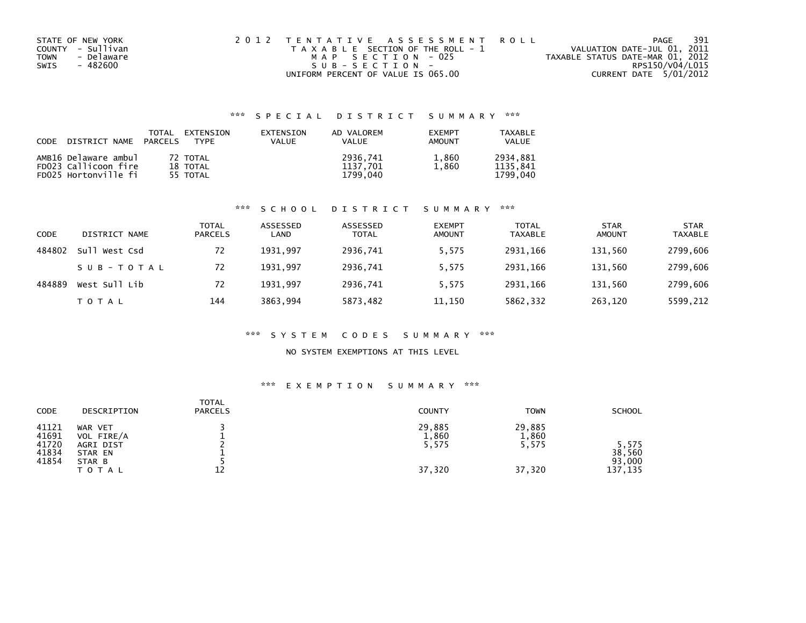| STATE OF NEW YORK  | 2012 TENTATIVE ASSESSMENT ROLL        | 391<br>PAGE                      |
|--------------------|---------------------------------------|----------------------------------|
| COUNTY - Sullivan  | T A X A B L E SECTION OF THE ROLL - 1 | VALUATION DATE-JUL 01, 2011      |
| - Delaware<br>TOWN | MAP SECTION - 025                     | TAXABLE STATUS DATE-MAR 01, 2012 |
| SWIS<br>- 482600   | $SUB - SECTION -$                     | RPS150/V04/L015                  |
|                    | UNIFORM PERCENT OF VALUE IS 065.00    | CURRENT DATE 5/01/2012           |

## \*\*\* S P E C I A L D I S T R I C T S U M M A R Y \*\*\*

| CODE | DISTRICT NAME PARCELS                                                | TOTAL | EXTENSION<br>TYPF                | EXTENSION<br><b>VALUE</b> | AD VALOREM<br><b>VALUE</b>       | <b>EXEMPT</b><br><b>AMOUNT</b> | TAXABLE<br><b>VALUE</b>          |
|------|----------------------------------------------------------------------|-------|----------------------------------|---------------------------|----------------------------------|--------------------------------|----------------------------------|
|      | AMB16 Delaware ambul<br>FD023 Callicoon fire<br>FD025 Hortonville fi |       | 72 TOTAL<br>18 TOTAL<br>55 TOTAL |                           | 2936.741<br>1137.701<br>1799.040 | 1,860<br>1.860                 | 2934.881<br>1135.841<br>1799.040 |

### \*\*\* S C H O O L D I S T R I C T S U M M A R Y \*\*\*

| CODE   | DISTRICT NAME | <b>TOTAL</b><br><b>PARCELS</b> | ASSESSED<br>LAND | ASSESSED<br>TOTAL | <b>EXEMPT</b><br><b>AMOUNT</b> | <b>TOTAL</b><br><b>TAXABLE</b> | <b>STAR</b><br><b>AMOUNT</b> | <b>STAR</b><br><b>TAXABLE</b> |
|--------|---------------|--------------------------------|------------------|-------------------|--------------------------------|--------------------------------|------------------------------|-------------------------------|
| 484802 | Sull West Csd | 72                             | 1931.997         | 2936.741          | 5,575                          | 2931.166                       | 131,560                      | 2799,606                      |
|        | SUB-TOTAL     | 72                             | 1931.997         | 2936,741          | 5,575                          | 2931.166                       | 131,560                      | 2799,606                      |
| 484889 | West Sull Lib | 72                             | 1931.997         | 2936.741          | 5.575                          | 2931.166                       | 131,560                      | 2799,606                      |
|        | T O T A L     | 144                            | 3863.994         | 5873,482          | 11,150                         | 5862,332                       | 263,120                      | 5599,212                      |

### \*\*\* S Y S T E M C O D E S S U M M A R Y \*\*\*

### NO SYSTEM EXEMPTIONS AT THIS LEVEL

## \*\*\* E X E M P T I O N S U M M A R Y \*\*\*

| CODE                                      | DESCRIPTION                                             | <b>TOTAL</b><br><b>PARCELS</b> | <b>COUNTY</b>            | <b>TOWN</b>              | <b>SCHOOL</b>             |
|-------------------------------------------|---------------------------------------------------------|--------------------------------|--------------------------|--------------------------|---------------------------|
| 41121<br>41691<br>41720<br>41834<br>41854 | WAR VET<br>VOL FIRE/A<br>AGRI DIST<br>STAR EN<br>STAR B |                                | 29,885<br>1,860<br>5,575 | 29,885<br>1,860<br>5,575 | 5.575<br>38.560<br>93,000 |
|                                           | <b>TOTAL</b>                                            | 12                             | 37,320                   | 37,320                   | 137,135                   |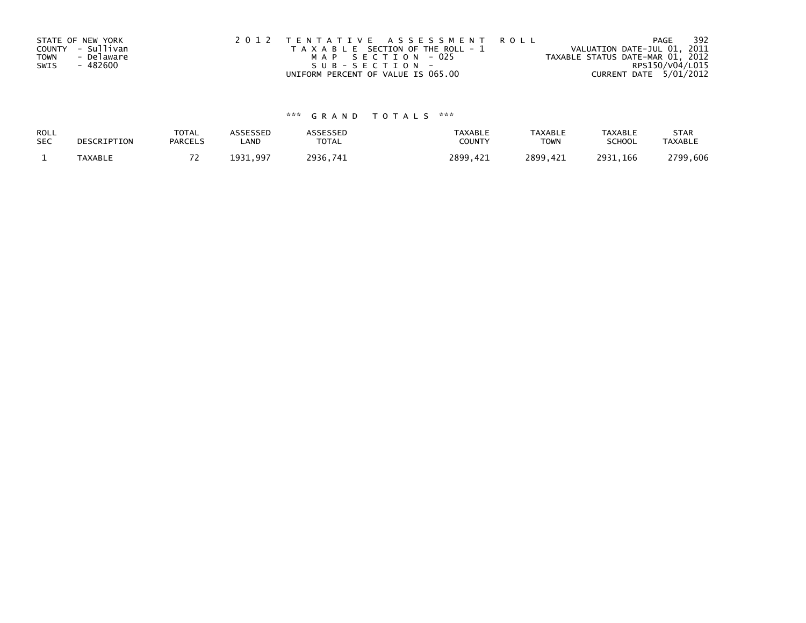|             | STATE OF NEW YORK | 2012 TENTATIVE ASSESSMENT ROLL        | 392<br>PAGE                      |
|-------------|-------------------|---------------------------------------|----------------------------------|
|             | COUNTY - Sullivan | T A X A B L E SECTION OF THE ROLL - 1 | VALUATION DATE-JUL 01, 2011      |
| <b>TOWN</b> | - Delaware        | MAP SECTION - 025                     | TAXABLE STATUS DATE-MAR 01, 2012 |
| SWIS        | - 482600          | SUB-SECTION-                          | RPS150/V04/L015                  |
|             |                   | UNIFORM PERCENT OF VALUE IS 065.00    | CURRENT DATE 5/01/2012           |

# \*\*\* G R A N D T O T A L S \*\*\*

| ROLL       | DESCRIPTION | <b>TOTAL</b>   | <b>ASSESSED</b> | ASSESSED     | <b>TAXABLE</b> | <b>TAXABLE</b> | TAXABLE       | <b>STAR</b>    |
|------------|-------------|----------------|-----------------|--------------|----------------|----------------|---------------|----------------|
| <b>SEC</b> |             | <b>PARCELS</b> | LAND            | <b>TOTAL</b> | COUNTY         | <b>TOWN</b>    | <b>SCHOOL</b> | <b>TAXABLE</b> |
|            | TAXABLE     |                | 1931.997        | 2936,741     | 2899.421       | 2899.421       | 2931.166      | 2799,606       |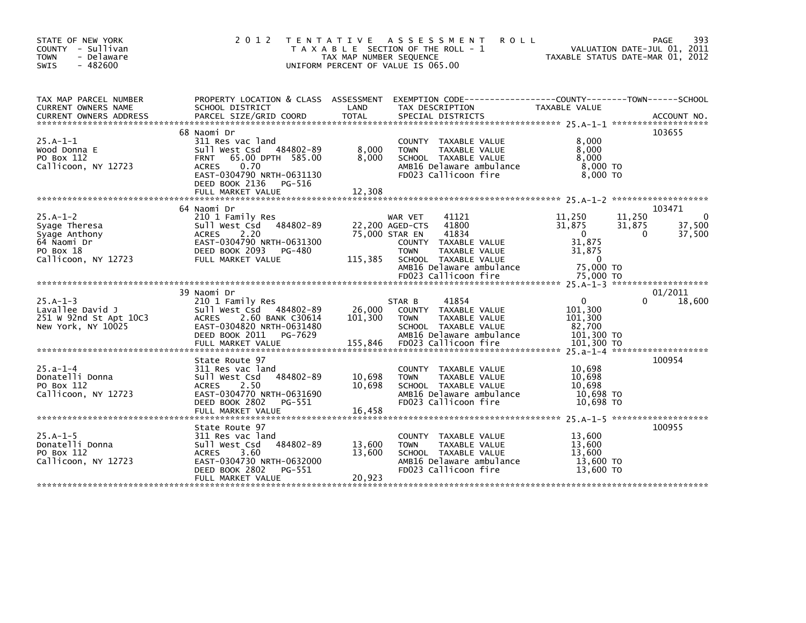| STATE OF NEW YORK<br>COUNTY - Sullivan<br>- Delaware<br><b>TOWN</b><br>$-482600$<br><b>SWIS</b> | 2 0 1 2                                                                                                                                                                                                 | TAX MAP NUMBER SEQUENCE    | TENTATIVE ASSESSMENT<br><b>ROLL</b><br>T A X A B L E SECTION OF THE ROLL - 1<br>UNIFORM PERCENT OF VALUE IS 065.00                                                                  |                                                                                 | 393<br>PAGE<br>VALUATION DATE-JUL 01, 2011<br>TAXABLE STATUS DATE-MAR 01, 2012 |
|-------------------------------------------------------------------------------------------------|---------------------------------------------------------------------------------------------------------------------------------------------------------------------------------------------------------|----------------------------|-------------------------------------------------------------------------------------------------------------------------------------------------------------------------------------|---------------------------------------------------------------------------------|--------------------------------------------------------------------------------|
| TAX MAP PARCEL NUMBER<br>CURRENT OWNERS NAME                                                    | PROPERTY LOCATION & CLASS ASSESSMENT<br>SCHOOL DISTRICT                                                                                                                                                 | LAND                       | EXEMPTION CODE-----------------COUNTY-------TOWN------SCHOOL<br>TAX DESCRIPTION                                                                                                     | TAXABLE VALUE                                                                   |                                                                                |
| $25.A-1-1$<br>Wood Donna E<br>PO Box 112<br>Callicoon, NY 12723                                 | 68 Naomi Dr<br>311 Res vac land<br>sull west Csd<br>484802-89<br>65.00 DPTH 585.00<br><b>FRNT</b><br>0.70<br><b>ACRES</b><br>EAST-0304790 NRTH-0631130<br>DEED BOOK 2136<br>PG-516<br>FULL MARKET VALUE | 8,000<br>8,000<br>12,308   | COUNTY TAXABLE VALUE<br>TAXABLE VALUE<br><b>TOWN</b><br>SCHOOL TAXABLE VALUE<br>AMB16 Delaware ambulance<br>FD023 Callicoon fire                                                    | 8,000<br>8,000<br>8,000<br>8,000 TO<br>8,000 TO                                 | 103655                                                                         |
|                                                                                                 |                                                                                                                                                                                                         |                            |                                                                                                                                                                                     |                                                                                 |                                                                                |
| $25.A-1-2$<br>Syage Theresa<br>Syage Anthony<br>64 Naomi Dr<br>PO Box 18<br>Callicoon, NY 12723 | 64 Naomi Dr<br>210 1 Family Res<br>Sull West Csd<br>484802-89<br>2.20<br><b>ACRES</b><br>EAST-0304790 NRTH-0631300<br>DEED BOOK 2093<br>PG-480<br>FULL MARKET VALUE                                     | 115,385                    | WAR VET<br>41121<br>22,200 AGED-CTS<br>41800<br>41834<br>75,000 STAR EN<br>COUNTY TAXABLE VALUE<br>TAXABLE VALUE<br><b>TOWN</b><br>SCHOOL TAXABLE VALUE<br>AMB16 Delaware ambulance | 11,250<br>31,875<br>$\overline{0}$<br>31.875<br>31,875<br>$\Omega$<br>75,000 TO | 103471<br>11,250<br>$\mathbf 0$<br>37,500<br>31,875<br>37,500<br>$\Omega$      |
|                                                                                                 |                                                                                                                                                                                                         |                            | FD023 Callicoon fire                                                                                                                                                                | 75,000 TO                                                                       |                                                                                |
|                                                                                                 |                                                                                                                                                                                                         |                            |                                                                                                                                                                                     |                                                                                 |                                                                                |
| $25.A-1-3$<br>Lavallee David J<br>251 W 92nd St Apt 10C3<br>New York, NY 10025                  | 39 Naomi Dr<br>210 1 Family Res<br>Sull West Csd 484802-89<br>ACRES 2.60 BANK C30614<br>EAST-0304820 NRTH-0631480<br>DEED BOOK 2011<br>PG-7629                                                          | 26,000<br>101,300          | 41854<br>STAR B<br>COUNTY TAXABLE VALUE<br><b>TOWN</b><br>TAXABLE VALUE<br>SCHOOL TAXABLE VALUE<br>AMB16 Delaware ambulance                                                         | $\Omega$<br>101,300<br>101,300<br>82,700<br>101,300 TO                          | 01/2011<br>18,600                                                              |
|                                                                                                 |                                                                                                                                                                                                         |                            |                                                                                                                                                                                     |                                                                                 |                                                                                |
| $25.a - 1 - 4$<br>Donatelli Donna<br>PO Box 112<br>Callicoon, NY 12723                          | State Route 97<br>311 Res vac land<br>Sull West Csd<br>484802-89<br>2.50<br><b>ACRES</b><br>EAST-0304770 NRTH-0631690<br>DEED BOOK 2802<br>PG-551<br>FULL MARKET VALUE                                  | 10,698<br>10.698<br>16,458 | COUNTY TAXABLE VALUE<br><b>TOWN</b><br>TAXABLE VALUE<br>SCHOOL TAXABLE VALUE<br>AMB16 Delaware ambulance<br>FD023 Callicoon fire                                                    | 10,698<br>10,698<br>10.698<br>10,698 TO<br>10.698 TO                            | 100954                                                                         |
|                                                                                                 | State Route 97                                                                                                                                                                                          |                            |                                                                                                                                                                                     |                                                                                 | 100955                                                                         |
| $25.A-1-5$<br>Donatelli Donna<br>PO Box 112<br>Callicoon, NY 12723                              | 311 Res vac land<br>Sull West Csd<br>484802-89<br>3.60<br><b>ACRES</b><br>EAST-0304730 NRTH-0632000<br>DEED BOOK 2802<br>PG-551                                                                         | 13,600<br>13.600           | COUNTY TAXABLE VALUE<br>TAXABLE VALUE<br><b>TOWN</b><br>SCHOOL TAXABLE VALUE<br>AMB16 Delaware ambulance<br>FD023 Callicoon fire                                                    | 13,600<br>13,600<br>13.600<br>13,600 TO<br>13,600 TO                            |                                                                                |
|                                                                                                 | FULL MARKET VALUE                                                                                                                                                                                       | 20,923                     |                                                                                                                                                                                     |                                                                                 |                                                                                |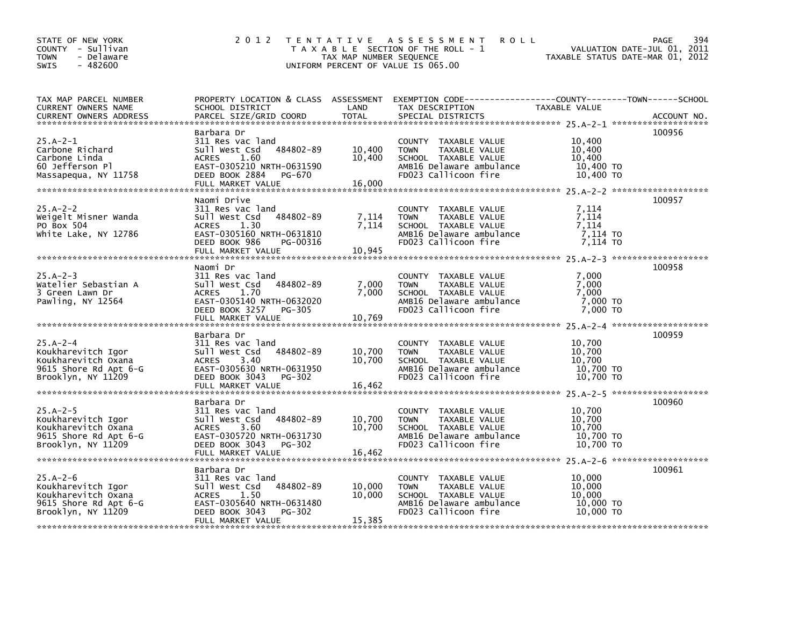| STATE OF NEW YORK<br>COUNTY - Sullivan<br><b>TOWN</b><br>- Delaware<br>$-482600$<br><b>SWIS</b> | 2 0 1 2                                        | TAX MAP NUMBER SEQUENCE | TENTATIVE ASSESSMENT<br><b>ROLL</b><br>T A X A B L E SECTION OF THE ROLL - 1<br>UNIFORM PERCENT OF VALUE IS 065.00 | TAXABLE STATUS DATE-MAR 01, 2012 | 394<br>PAGE<br>VALUATION DATE-JUL 01, 2011 |
|-------------------------------------------------------------------------------------------------|------------------------------------------------|-------------------------|--------------------------------------------------------------------------------------------------------------------|----------------------------------|--------------------------------------------|
| TAX MAP PARCEL NUMBER                                                                           |                                                |                         | PROPERTY LOCATION & CLASS ASSESSMENT EXEMPTION CODE-----------------COUNTY-------TOWN------SCHOOL                  |                                  |                                            |
| CURRENT OWNERS NAME                                                                             | SCHOOL DISTRICT                                | LAND<br><b>TOTAL</b>    | TAX DESCRIPTION                                                                                                    | TAXABLE VALUE                    |                                            |
| <b>CURRENT OWNERS ADDRESS</b>                                                                   | PARCEL SIZE/GRID COORD                         |                         | SPECIAL DISTRICTS                                                                                                  |                                  | ACCOUNT NO.                                |
|                                                                                                 | Barbara Dr                                     |                         |                                                                                                                    |                                  | 100956                                     |
| $25.A - 2 - 1$                                                                                  | 311 Res vac land                               |                         | COUNTY TAXABLE VALUE                                                                                               | 10,400                           |                                            |
| Carbone Richard                                                                                 | 484802-89<br>Sull West Csd                     | 10,400                  | <b>TOWN</b><br>TAXABLE VALUE                                                                                       | 10,400                           |                                            |
| Carbone Linda                                                                                   | 1.60<br><b>ACRES</b>                           | 10,400                  | SCHOOL TAXABLE VALUE                                                                                               | 10,400                           |                                            |
| 60 Jefferson Pl                                                                                 | EAST-0305210 NRTH-0631590                      |                         | AMB16 Delaware ambulance                                                                                           | 10,400 TO                        |                                            |
| Massapequa, NY 11758                                                                            | DEED BOOK 2884<br>PG-670<br>FULL MARKET VALUE  | 16,000                  | FD023 Callicoon fire                                                                                               | 10,400 TO                        |                                            |
|                                                                                                 |                                                |                         |                                                                                                                    |                                  |                                            |
|                                                                                                 | Naomi Drive                                    |                         |                                                                                                                    |                                  | 100957                                     |
| $25.A - 2 - 2$                                                                                  | 311 Res vac land                               |                         | COUNTY TAXABLE VALUE                                                                                               | 7,114                            |                                            |
| Weigelt Misner Wanda                                                                            | 484802-89<br>Sull West Csd                     | 7,114                   | <b>TOWN</b><br>TAXABLE VALUE                                                                                       | 7,114                            |                                            |
| PO Box 504                                                                                      | <b>ACRES</b><br>1.30                           | 7,114                   | SCHOOL TAXABLE VALUE                                                                                               | 7,114                            |                                            |
| White Lake, NY 12786                                                                            | EAST-0305160 NRTH-0631810                      |                         | AMB16 Delaware ambulance                                                                                           | 7,114 TO                         |                                            |
|                                                                                                 | DEED BOOK 986<br>PG-00316<br>FULL MARKET VALUE | 10,945                  | FD023 Callicoon fire                                                                                               | 7.114 TO                         |                                            |
|                                                                                                 |                                                |                         |                                                                                                                    |                                  |                                            |
|                                                                                                 | Naomi Dr                                       |                         |                                                                                                                    |                                  | 100958                                     |
| $25.A - 2 - 3$                                                                                  | 311 Res vac land                               |                         | COUNTY TAXABLE VALUE                                                                                               | 7,000                            |                                            |
| Watelier Sebastian A                                                                            | 484802-89<br>sull west Csd                     | 7,000                   | <b>TOWN</b><br>TAXABLE VALUE                                                                                       | 7,000                            |                                            |
| 3 Green Lawn Dr                                                                                 | 1.70<br><b>ACRES</b>                           | 7,000                   | SCHOOL TAXABLE VALUE                                                                                               | 7,000                            |                                            |
| Pawling, NY 12564                                                                               | EAST-0305140 NRTH-0632020                      |                         | AMB16 Delaware ambulance                                                                                           | 7,000 TO                         |                                            |
|                                                                                                 | DEED BOOK 3257 PG-305<br>FULL MARKET VALUE     | 10,769                  | FD023 Callicoon fire                                                                                               | 7,000 TO                         |                                            |
|                                                                                                 |                                                |                         |                                                                                                                    |                                  | 25.A-2-4 *********************             |
|                                                                                                 | Barbara Dr                                     |                         |                                                                                                                    |                                  | 100959                                     |
| $25.A - 2 - 4$                                                                                  | 311 Res vac land                               |                         | COUNTY TAXABLE VALUE                                                                                               | 10,700                           |                                            |
| Koukharevitch Igor                                                                              | 484802-89<br>Sull West Csd                     | 10,700                  | TAXABLE VALUE<br><b>TOWN</b>                                                                                       | 10,700                           |                                            |
| Koukharevitch Oxana                                                                             | <b>ACRES</b><br>- 3.40                         | 10,700                  | SCHOOL TAXABLE VALUE                                                                                               | 10.700                           |                                            |
| 9615 Shore Rd Apt 6-G                                                                           | EAST-0305630 NRTH-0631950                      |                         | AMB16 Delaware ambulance                                                                                           | 10,700 TO                        |                                            |
| Brooklyn, NY 11209                                                                              | DEED BOOK 3043<br>PG-302                       |                         | FD023 Callicoon fire                                                                                               | 10,700 TO                        |                                            |
|                                                                                                 |                                                |                         |                                                                                                                    |                                  |                                            |
|                                                                                                 | Barbara Dr                                     |                         |                                                                                                                    |                                  | 100960                                     |
| $25.A - 2 - 5$                                                                                  | 311 Res vac land                               |                         | COUNTY TAXABLE VALUE                                                                                               | 10,700                           |                                            |
| Koukharevitch Igor                                                                              | 484802-89<br>Sull West Csd                     | 10,700                  | <b>TOWN</b><br>TAXABLE VALUE                                                                                       | 10,700                           |                                            |
| Koukharevitch Oxana                                                                             | <b>ACRES</b><br>3.60                           | 10,700                  | SCHOOL TAXABLE VALUE                                                                                               | 10,700                           |                                            |
| 9615 Shore Rd Apt 6-G                                                                           | EAST-0305720 NRTH-0631730                      |                         | AMB16 Delaware ambulance                                                                                           | 10,700 TO                        |                                            |
| Brooklyn, NY 11209                                                                              | DEED BOOK 3043<br>PG-302                       |                         | FD023 Callicoon fire                                                                                               | 10,700 TO                        |                                            |
|                                                                                                 |                                                |                         |                                                                                                                    |                                  |                                            |
|                                                                                                 | Barbara Dr                                     |                         |                                                                                                                    |                                  | 100961                                     |
| $25.A - 2-6$                                                                                    | 311 Res vac land                               |                         | COUNTY TAXABLE VALUE                                                                                               | 10,000                           |                                            |
| Koukharevitch Igor                                                                              | 484802-89<br>Sull West Csd                     | 10,000                  | <b>TOWN</b><br>TAXABLE VALUE                                                                                       | 10,000                           |                                            |
| Koukharevitch Oxana                                                                             | <b>ACRES</b><br>1.50                           | 10,000                  | SCHOOL TAXABLE VALUE                                                                                               | 10,000                           |                                            |
| 9615 Shore Rd Apt 6-G                                                                           | EAST-0305640 NRTH-0631480                      |                         | AMB16 Delaware ambulance                                                                                           | 10,000 TO                        |                                            |
| Brooklyn, NY 11209                                                                              | DEED BOOK 3043<br>PG-302<br>FULL MARKET VALUE  | 15,385                  | FD023 Callicoon fire                                                                                               | 10,000 TO                        |                                            |
|                                                                                                 |                                                |                         |                                                                                                                    |                                  |                                            |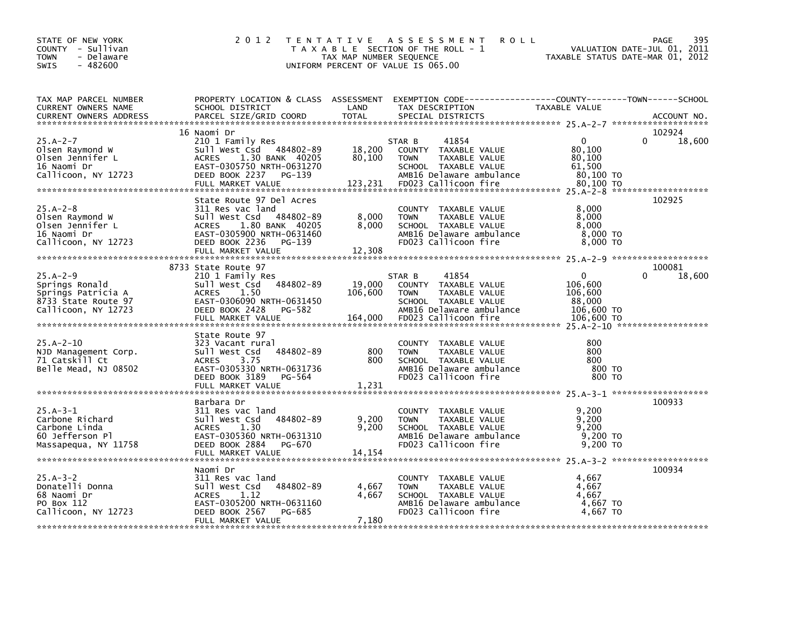| STATE OF NEW YORK<br>COUNTY - Sullivan<br>- Delaware<br><b>TOWN</b><br>$-482600$<br>SWIS             | 2 0 1 2                                                                                                                                                                        | TAX MAP NUMBER SEQUENCE     | TENTATIVE ASSESSMENT<br><b>ROLL</b><br>T A X A B L E SECTION OF THE ROLL - 1<br>UNIFORM PERCENT OF VALUE IS 065.00                                          | TAXABLE STATUS DATE-MAR 01, 2012                                     | 395<br><b>PAGE</b><br>VALUATION DATE-JUL 01, 2011 |
|------------------------------------------------------------------------------------------------------|--------------------------------------------------------------------------------------------------------------------------------------------------------------------------------|-----------------------------|-------------------------------------------------------------------------------------------------------------------------------------------------------------|----------------------------------------------------------------------|---------------------------------------------------|
| TAX MAP PARCEL NUMBER<br>CURRENT OWNERS NAME<br><b>CURRENT OWNERS ADDRESS</b>                        | PROPERTY LOCATION & CLASS ASSESSMENT EXEMPTION CODE---------------COUNTY-------TOWN------SCHOOL<br>SCHOOL DISTRICT<br>PARCEL SIZE/GRID COORD                                   | LAND<br><b>TOTAL</b>        | TAX DESCRIPTION<br>SPECIAL DISTRICTS                                                                                                                        | <b>TAXABLE VALUE</b>                                                 | ACCOUNT NO.                                       |
| $25.A - 2 - 7$<br>Olsen Raymond W<br>Olsen Jennifer L<br>16 Naomi Dr<br>Callicoon, NY 12723          | 16 Naomi Dr<br>210 1 Family Res<br>Sull West Csd 484802-89<br>1.30 BANK 40205<br>ACRES<br>EAST-0305750 NRTH-0631270<br>DEED BOOK 2237 PG-139<br>FULL MARKET VALUE              | 18,200<br>80,100<br>123,231 | 41854<br>STAR B<br>COUNTY TAXABLE VALUE<br><b>TOWN</b><br>TAXABLE VALUE<br>SCHOOL TAXABLE VALUE<br>AMB16 Delaware ambulance<br>FD023 Callicoon fire         | $\Omega$<br>80,100<br>80,100<br>61,500<br>80,100 TO<br>80,100 TO     | 102924<br>18,600                                  |
| $25.A - 2 - 8$<br>Olsen Raymond W<br>Olsen Jennifer L<br>16 Naomi Dr<br>Callicoon, NY 12723          | State Route 97 Del Acres<br>311 Res vac land<br>Sull West Csd 484802-89<br>ACRES 1.80 BANK 40205<br>EAST-0305900 NRTH-0631460<br>DEED BOOK 2236<br>PG-139<br>FULL MARKET VALUE | 8,000<br>8,000<br>12,308    | COUNTY TAXABLE VALUE<br><b>TOWN</b><br>TAXABLE VALUE<br>SCHOOL TAXABLE VALUE<br>AMB16 Delaware ambulance<br>FD023 Callicoon fire                            | 8,000<br>8,000<br>8,000<br>8,000 TO<br>8,000 TO                      | 102925                                            |
|                                                                                                      | 8733 State Route 97                                                                                                                                                            |                             |                                                                                                                                                             |                                                                      | 100081                                            |
| $25.A - 2 - 9$<br>Springs Ronald<br>Springs Patricia A<br>8733 State Route 97<br>Callicoon, NY 12723 | 210 1 Family Res<br>Sull West Csd 484802-89<br><b>ACRES</b><br>1.50<br>EAST-0306090 NRTH-0631450<br>DEED BOOK 2428 PG-582<br>FULL MARKET VALUE                                 | 19,000<br>106,600           | 41854<br>STAR B<br>COUNTY TAXABLE VALUE<br><b>TOWN</b><br>TAXABLE VALUE<br>SCHOOL TAXABLE VALUE<br>AMB16 Delaware ambulance<br>164,000 FD023 Callicoon fire | $\Omega$<br>106,600<br>106,600<br>88,000<br>106,600 TO<br>106,600 TO | 18,600                                            |
| $25.A - 2 - 10$<br>NJD Management Corp.<br>71 Catskill Ct<br>Belle Mead, NJ 08502                    | State Route 97<br>323 Vacant rural<br>484802-89<br>Sull West Csd<br>ACRES<br>3.75<br>EAST-0305330 NRTH-0631736<br>DEED BOOK 3189 PG-564<br>FULL MARKET VALUE                   | 800<br>800<br>1,231         | COUNTY TAXABLE VALUE<br>TAXABLE VALUE<br><b>TOWN</b><br>SCHOOL TAXABLE VALUE<br>AMB16 Delaware ambulance<br>FD023 Callicoon fire                            | 800<br>800<br>800<br>800 TO<br>800 TO                                |                                                   |
|                                                                                                      |                                                                                                                                                                                |                             |                                                                                                                                                             |                                                                      | 100933                                            |
| $25.A-3-1$<br>Carbone Richard<br>Carbone Linda<br>60 Jefferson Pl<br>Massapequa, NY 11758            | Barbara Dr<br>311 Res vac land<br>484802-89<br>Sull West Csd<br>1.30<br>ACRES<br>EAST-0305360 NRTH-0631310<br>DEED BOOK 2884<br>PG-670                                         | 9,200<br>9,200              | COUNTY TAXABLE VALUE<br>TAXABLE VALUE<br><b>TOWN</b><br>SCHOOL TAXABLE VALUE<br>AMB16 Delaware ambulance<br>FD023 Callicoon fire                            | 9,200<br>9,200<br>9,200<br>9,200 TO<br>9.200 TO                      |                                                   |
|                                                                                                      | Naomi Dr                                                                                                                                                                       |                             |                                                                                                                                                             |                                                                      | 100934                                            |
| $25.A - 3 - 2$<br>Donatelli Donna<br>68 Naomi Dr<br>PO Box 112<br>Callicoon, NY 12723                | 311 Res vac land<br>Sull West Csd 484802-89<br>1.12<br>ACRES<br>EAST-0305200 NRTH-0631160<br>DEED BOOK 2567<br>PG-685<br>FULL MARKET VALUE                                     | 4,667<br>4,667<br>7,180     | COUNTY TAXABLE VALUE<br>TAXABLE VALUE<br><b>TOWN</b><br>SCHOOL TAXABLE VALUE<br>AMB16 Delaware ambulance<br>FD023 Callicoon fire                            | 4,667<br>4,667<br>4,667<br>4,667 TO<br>4,667 TO                      |                                                   |
|                                                                                                      |                                                                                                                                                                                |                             |                                                                                                                                                             |                                                                      |                                                   |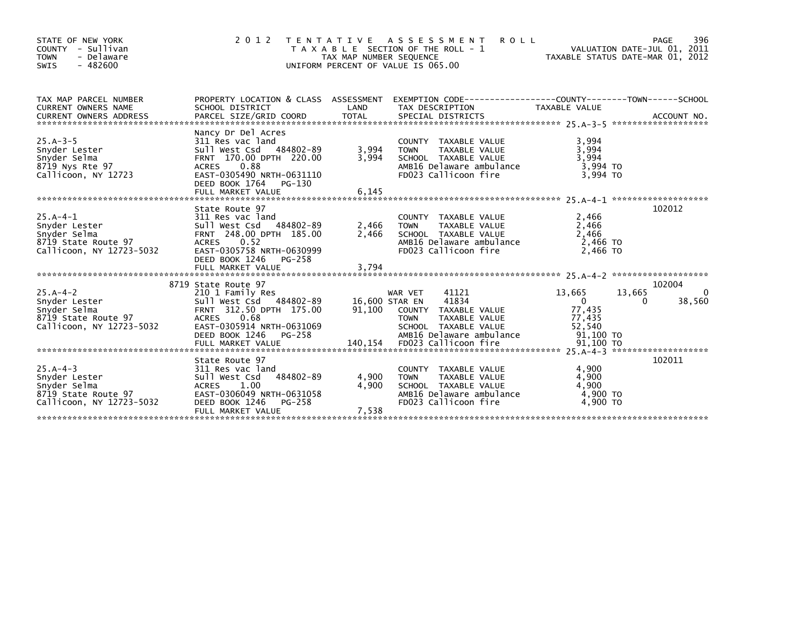| STATE OF NEW YORK<br>COUNTY - Sullivan<br>- Delaware<br><b>TOWN</b><br>$-482600$<br>SWIS       | 2 0 1 2                                                                                                                                                                                     | TAX MAP NUMBER SEQUENCE<br>UNIFORM PERCENT OF VALUE IS 065.00 | TENTATIVE ASSESSMENT<br><b>ROLL</b><br>T A X A B L E SECTION OF THE ROLL - 1                                                                                   |                                                                     | PAGE<br>VALUATION DATE-JUL 01, 2011<br>TAXABLE STATUS DATE-MAR 01, 2012 | 396                |
|------------------------------------------------------------------------------------------------|---------------------------------------------------------------------------------------------------------------------------------------------------------------------------------------------|---------------------------------------------------------------|----------------------------------------------------------------------------------------------------------------------------------------------------------------|---------------------------------------------------------------------|-------------------------------------------------------------------------|--------------------|
| TAX MAP PARCEL NUMBER<br>CURRENT OWNERS NAME<br><b>CURRENT OWNERS ADDRESS</b>                  | SCHOOL DISTRICT                                                                                                                                                                             | LAND                                                          | PROPERTY LOCATION & CLASS ASSESSMENT EXEMPTION CODE----------------COUNTY-------TOWN------SCHOOL<br>TAX DESCRIPTION                                            | <b>TAXABLE VALUE</b>                                                |                                                                         |                    |
| $25.A - 3 - 5$<br>Snyder Lester<br>Snyder Selma<br>8719 Nys Rte 97<br>Callicoon, NY 12723      | Nancy Dr Del Acres<br>311 Res vac land<br>Sull West Csd 484802-89<br>FRNT 170.00 DPTH 220.00<br>0.88<br>ACRES<br>EAST-0305490 NRTH-0631110<br>DEED BOOK 1764<br>PG-130<br>FULL MARKET VALUE | 3,994<br>3,994<br>6,145                                       | COUNTY TAXABLE VALUE<br>TAXABLE VALUE<br><b>TOWN</b><br>SCHOOL TAXABLE VALUE<br>AMB16 Delaware ambulance<br>FD023 Callicoon fire                               | 3,994<br>3,994<br>3,994<br>3,994 TO<br>3.994 TO                     |                                                                         |                    |
| $25.A-4-1$<br>Snyder Lester<br>Snyder Selma<br>8719 State Route 97<br>Callicoon, NY 12723-5032 | State Route 97<br>311 Res vac land<br>Sull West Csd 484802-89<br>FRNT 248.00 DPTH 185.00<br>ACRES 0.52<br>EAST-0305758 NRTH-0630999<br>DEED BOOK 1246<br>PG-258                             | 2,466<br>2,466                                                | COUNTY TAXABLE VALUE<br>TAXABLE VALUE<br><b>TOWN</b><br>SCHOOL TAXABLE VALUE<br>AMB16 Delaware ambulance<br>FD023 Callicoon fire                               | 2,466<br>2,466<br>2,466<br>2,466 TO<br>2.466 TO                     | 102012                                                                  |                    |
| 25.A-4-2<br>Snyder Lester<br>Snyder Selma<br>8719 State Route 97<br>Callicoon, NY 12723-5032   | 8719 State Route 97<br>210 1 Family Res<br>Sull West Csd 484802-89<br>FRNT 312.50 DPTH 175.00<br>ACRES 0.68<br>EAST-0305914 NRTH-0631069<br>DEED BOOK 1246<br>PG-258                        |                                                               | 41121<br>WAR VET<br>41834<br>16,600 STAR EN<br>91,100 COUNTY TAXABLE VALUE<br>TAXABLE VALUE<br><b>TOWN</b><br>SCHOOL TAXABLE VALUE<br>AMB16 Delaware ambulance | 13,665<br>$\overline{0}$<br>77,435<br>77,435<br>52,540<br>91,100 то | 102004<br>13,665<br>$\Omega$                                            | $\Omega$<br>38,560 |
| $25.A-4-3$<br>Snyder Lester<br>Snyder Selma<br>8719 State Route 97<br>Callicoon, NY 12723-5032 | State Route 97<br>311 Res vac land<br>484802-89<br>Sull West Csd<br>ACRES 1.00<br>EAST-0306049 NRTH-0631058<br>DEED BOOK 1246<br>PG-258<br>FULL MARKET VALUE                                | 4,900<br>4,900<br>7,538                                       | COUNTY TAXABLE VALUE<br>TAXABLE VALUE<br><b>TOWN</b><br>SCHOOL TAXABLE VALUE<br>AMB16 Delaware ambulance<br>FD023 Callicoon fire                               | 4,900<br>4,900<br>4.900<br>4,900 TO<br>4,900 TO                     | 102011                                                                  |                    |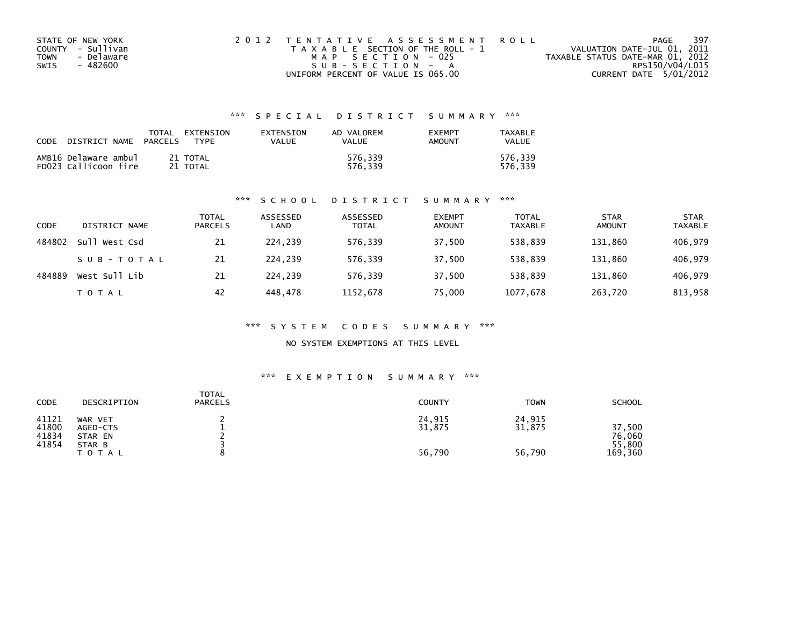| STATE OF NEW YORK         | 2012 TENTATIVE ASSESSMENT ROLL        | 397<br>PAGE                      |
|---------------------------|---------------------------------------|----------------------------------|
| COUNTY - Sullivan         | T A X A B L E SECTION OF THE ROLL - 1 | VALUATION DATE-JUL 01, 2011      |
| - Delaware<br><b>TOWN</b> | MAP SECTION - 025                     | TAXABLE STATUS DATE-MAR 01, 2012 |
| SWIS<br>- 482600          | SUB-SECTION - A                       | RPS150/V04/L015                  |
|                           | UNIFORM PERCENT OF VALUE IS 065.00    | CURRENT DATE 5/01/2012           |

### \*\*\* S P E C I A L D I S T R I C T S U M M A R Y \*\*\*

| CODE | DISTRICT NAME                                | TOTAL<br><b>PARCELS</b> | EXTENSION<br>TYPF    | EXTENSION<br>VALUE | AD VALOREM<br>VALUE | <b>EXEMPT</b><br>AMOUNT | TAXABLE<br><b>VALUE</b> |
|------|----------------------------------------------|-------------------------|----------------------|--------------------|---------------------|-------------------------|-------------------------|
|      | AMB16 Delaware ambul<br>FD023 Callicoon fire |                         | 21 TOTAL<br>21 TOTAL |                    | 576.339<br>576.339  |                         | 576.339<br>576.339      |

### \*\*\* S C H O O L D I S T R I C T S U M M A R Y \*\*\*

| CODE   | DISTRICT NAME    | <b>TOTAL</b><br><b>PARCELS</b> | ASSESSED<br>LAND | ASSESSED<br><b>TOTAL</b> | <b>EXEMPT</b><br><b>AMOUNT</b> | <b>TOTAL</b><br>TAXABLE | <b>STAR</b><br><b>AMOUNT</b> | <b>STAR</b><br><b>TAXABLE</b> |
|--------|------------------|--------------------------------|------------------|--------------------------|--------------------------------|-------------------------|------------------------------|-------------------------------|
| 484802 | West Csd<br>Sull | 21                             | 224.239          | 576,339                  | 37,500                         | 538.839                 | 131,860                      | 406,979                       |
|        | SUB-TOTAL        | 21                             | 224.239          | 576.339                  | 37.500                         | 538.839                 | 131.860                      | 406,979                       |
| 484889 | West Sull Lib    | 21                             | 224.239          | 576.339                  | 37,500                         | 538,839                 | 131,860                      | 406,979                       |
|        | T O T A L        | 42                             | 448.478          | 1152,678                 | 75,000                         | 1077,678                | 263,720                      | 813,958                       |

### \*\*\* S Y S T E M C O D E S S U M M A R Y \*\*\*

NO SYSTEM EXEMPTIONS AT THIS LEVEL

### \*\*\* E X E M P T I O N S U M M A R Y \*\*\*

| <b>CODE</b>                      | DESCRIPTION                                              | <b>TOTAL</b><br><b>PARCELS</b> | <b>COUNTY</b>              | <b>TOWN</b>                | <b>SCHOOL</b>                         |
|----------------------------------|----------------------------------------------------------|--------------------------------|----------------------------|----------------------------|---------------------------------------|
| 41121<br>41800<br>41834<br>41854 | WAR VET<br>AGED-CTS<br>STAR EN<br>STAR B<br><b>TOTAL</b> |                                | 24,915<br>31,875<br>56,790 | 24,915<br>31,875<br>56,790 | 37,500<br>76,060<br>55,800<br>169,360 |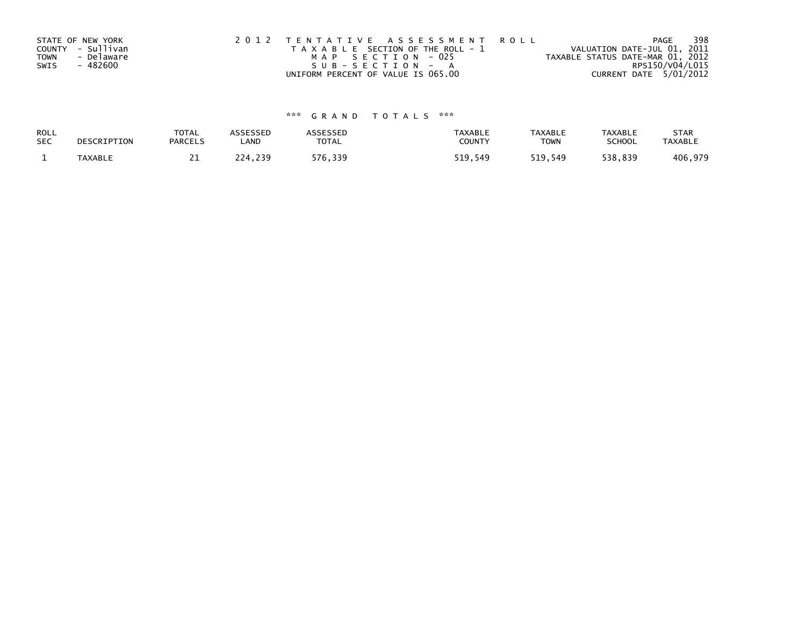|      | STATE OF NEW YORK | 2012 TENTATIVE ASSESSMENT ROLL        | 398<br>PAGE                      |
|------|-------------------|---------------------------------------|----------------------------------|
|      | COUNTY - Sullivan | T A X A B L E SECTION OF THE ROLL - 1 | VALUATION DATE-JUL 01, 2011      |
| TOWN | - Delaware        | MAP SECTION - 025                     | TAXABLE STATUS DATE-MAR 01, 2012 |
| SWIS | - 482600          | SUB-SECTION - A                       | RPS150/V04/L015                  |
|      |                   | UNIFORM PERCENT OF VALUE IS 065.00    | CURRENT DATE 5/01/2012           |

# \*\*\* G R A N D T O T A L S \*\*\*

| ROLL       | DESCRIPTION | <b>TOTAL</b>   | <b>ASSESSED</b> | <b>\SSESSED</b> | <b>TAXABLE</b> | <b>TAXABLE</b> | <b>TAXABLE</b> | <b>STAR</b>    |
|------------|-------------|----------------|-----------------|-----------------|----------------|----------------|----------------|----------------|
| <b>SEC</b> |             | <b>PARCELS</b> | ∟AND            | <b>TOTAL</b>    | COUNTY         | TOWN           | <b>SCHOOL</b>  | <b>TAXABLE</b> |
|            | TAXABLE     | <u>_ _</u>     | 224,239         | 576,339         | 519.549        | 519.549        | 538,839        | 406,979        |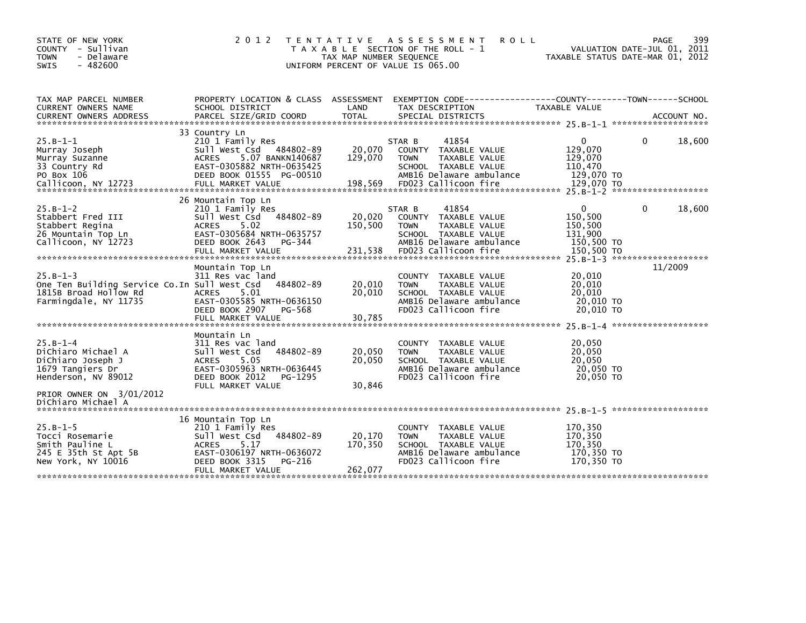| STATE OF NEW YORK<br>COUNTY - Sullivan<br><b>TOWN</b><br>- Delaware<br>$-482600$<br>SWIS                      | 2 0 1 2                                                                                                                                                                    | TAX MAP NUMBER SEQUENCE      | TENTATIVE ASSESSMENT<br>T A X A B L E SECTION OF THE ROLL - 1<br>UNIFORM PERCENT OF VALUE IS 065.00                                                 | <b>ROLL</b>                                                    | 399<br>PAGE<br>VALUATION DATE-JUL 01, 2011<br>TAXABLE STATUS DATE-MAR 01, 2012 |
|---------------------------------------------------------------------------------------------------------------|----------------------------------------------------------------------------------------------------------------------------------------------------------------------------|------------------------------|-----------------------------------------------------------------------------------------------------------------------------------------------------|----------------------------------------------------------------|--------------------------------------------------------------------------------|
| TAX MAP PARCEL NUMBER<br>CURRENT OWNERS NAME<br><b>CURRENT OWNERS ADDRESS</b>                                 | SCHOOL DISTRICT<br>PARCEL SIZE/GRID COORD                                                                                                                                  | LAND<br><b>TOTAL</b>         | PROPERTY LOCATION & CLASS ASSESSMENT EXEMPTION CODE----------------COUNTY-------TOWN------SCHOOL<br>TAX DESCRIPTION<br>SPECIAL DISTRICTS            | TAXABLE VALUE                                                  | ACCOUNT NO.                                                                    |
|                                                                                                               | 33 Country Ln                                                                                                                                                              |                              |                                                                                                                                                     |                                                                |                                                                                |
| $25.B-1-1$<br>Murray Joseph<br>Murray Suzanne<br>33 Country Rd<br>PO Box 106                                  | 210 1 Family Res<br>Sull West Csd 484802-89<br>5.07 BANKN140687<br><b>ACRES</b><br>EAST-0305882 NRTH-0635425<br>DEED BOOK 01555 PG-00510                                   | 20,070<br>129,070            | STAR B<br>41854<br>COUNTY TAXABLE VALUE<br><b>TOWN</b><br>TAXABLE VALUE<br>SCHOOL TAXABLE VALUE<br>AMB16 Delaware ambulance                         | 0<br>129,070<br>129,070<br>110,470<br>129,070 TO               | 18,600<br>0                                                                    |
|                                                                                                               |                                                                                                                                                                            |                              |                                                                                                                                                     |                                                                |                                                                                |
| $25.B-1-2$<br>Stabbert Fred III<br>Stabbert Regina<br>26 Mountain Top Ln<br>Callicoon, NY 12723               | 26 Mountain Top Ln<br>210 1 Family Res<br>484802-89<br>Sull West Csd<br>5.02<br><b>ACRES</b><br>EAST-0305684 NRTH-0635757<br>DEED BOOK 2643<br>PG-344<br>FULL MARKET VALUE | 20,020<br>150,500<br>231,538 | 41854<br>STAR B<br>COUNTY TAXABLE VALUE<br><b>TOWN</b><br>TAXABLE VALUE<br>SCHOOL TAXABLE VALUE<br>AMB16 Delaware ambulance<br>FD023 Callicoon fire | 0<br>150,500<br>150,500<br>131,900<br>150,500 TO<br>150,500 TO | 18,600<br>0                                                                    |
|                                                                                                               |                                                                                                                                                                            |                              |                                                                                                                                                     |                                                                | 25. B-1-3 ********************                                                 |
| $25.B-1-3$<br>One Ten Building Service Co. In Sull West Csd<br>1815B Broad Hollow Rd<br>Farmingdale, NY 11735 | Mountain Top Ln<br>311 Res vac land<br>484802-89<br>5.01<br><b>ACRES</b><br>EAST-0305585 NRTH-0636150<br>DEED BOOK 2907<br>PG-568<br>FULL MARKET VALUE                     | 20,010<br>20,010<br>30.785   | COUNTY TAXABLE VALUE<br>TAXABLE VALUE<br><b>TOWN</b><br>SCHOOL TAXABLE VALUE<br>AMB16 Delaware ambulance<br>FD023 Callicoon fire                    | 20,010<br>20,010<br>20,010<br>20,010 TO<br>20,010 TO           | 11/2009                                                                        |
|                                                                                                               |                                                                                                                                                                            |                              |                                                                                                                                                     |                                                                |                                                                                |
| $25.B-1-4$<br>DiChiaro Michael A<br>DiChiaro Joseph J<br>1679 Tangiers Dr<br>Henderson, NV 89012              | Mountain Ln<br>311 Res vac land<br>484802-89<br>Sull West Csd<br>ACRES<br>5.05<br>EAST-0305963 NRTH-0636445<br>DEED BOOK 2012<br>PG-1295                                   | 20,050<br>20,050             | TAXABLE VALUE<br><b>COUNTY</b><br>TAXABLE VALUE<br><b>TOWN</b><br>SCHOOL TAXABLE VALUE<br>AMB16 Delaware ambulance<br>FD023 Callicoon fire          | 20,050<br>20,050<br>20,050<br>20,050 TO<br>20,050 TO           |                                                                                |
| PRIOR OWNER ON 3/01/2012<br>DiChiaro Michael A                                                                | FULL MARKET VALUE                                                                                                                                                          | 30,846                       |                                                                                                                                                     |                                                                |                                                                                |
| $25.B-1-5$<br>Tocci Rosemarie<br>Smith Pauline L<br>245 E 35th St Apt 5B<br>New York, NY 10016                | 16 Mountain Top Ln<br>210 1 Family Res<br>484802-89<br>Sull West Csd<br>5.17<br><b>ACRES</b><br>EAST-0306197 NRTH-0636072<br>DEED BOOK 3315<br>PG-216                      | 20,170<br>170,350            | TAXABLE VALUE<br>COUNTY<br>TAXABLE VALUE<br><b>TOWN</b><br>SCHOOL TAXABLE VALUE<br>AMB16 Delaware ambulance<br>FD023 Callicoon fire                 | 170,350<br>170,350<br>170,350<br>170,350 TO<br>170,350 TO      |                                                                                |
|                                                                                                               | FULL MARKET VALUE                                                                                                                                                          | 262,077                      |                                                                                                                                                     |                                                                |                                                                                |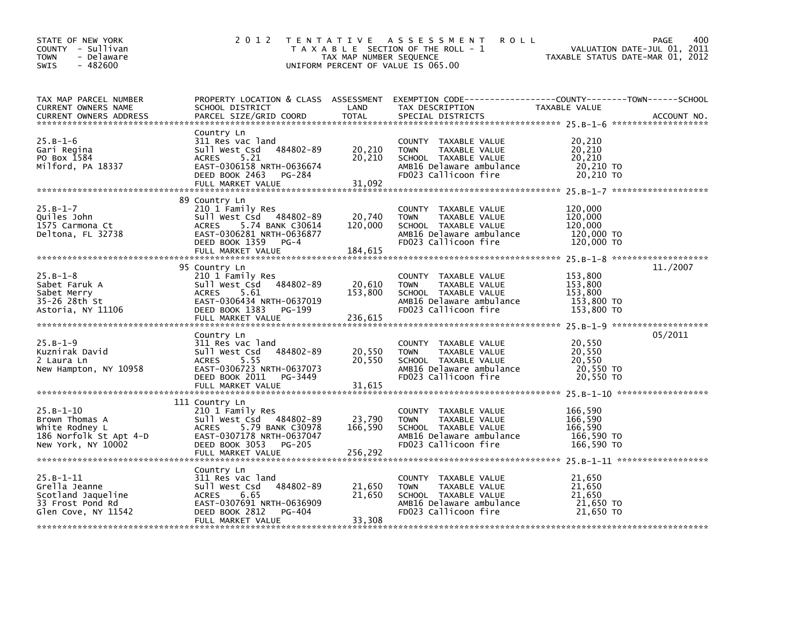| STATE OF NEW YORK<br>COUNTY - Sullivan<br><b>TOWN</b><br>- Delaware<br>$-482600$<br><b>SWIS</b> | 2 0 1 2                                                                                                                                                                      | TAX MAP NUMBER SEQUENCE      | TENTATIVE ASSESSMENT<br><b>ROLL</b><br>T A X A B L E SECTION OF THE ROLL - 1<br>UNIFORM PERCENT OF VALUE IS 065.00                      |                                                           | 400<br>PAGE<br>VALUATION DATE-JUL 01, 2011<br>TAXABLE STATUS DATE-MAR 01, 2012 |
|-------------------------------------------------------------------------------------------------|------------------------------------------------------------------------------------------------------------------------------------------------------------------------------|------------------------------|-----------------------------------------------------------------------------------------------------------------------------------------|-----------------------------------------------------------|--------------------------------------------------------------------------------|
| TAX MAP PARCEL NUMBER<br>CURRENT OWNERS NAME<br><b>CURRENT OWNERS ADDRESS</b>                   | SCHOOL DISTRICT<br>PARCEL SIZE/GRID COORD                                                                                                                                    | LAND<br><b>TOTAL</b>         | PROPERTY LOCATION & CLASS ASSESSMENT EXEMPTION CODE---------------COUNTY-------TOWN------SCHOOL<br>TAX DESCRIPTION<br>SPECIAL DISTRICTS | TAXABLE VALUE                                             | ACCOUNT NO.                                                                    |
| $25.B-1-6$<br>Gari Regina<br>PO Box 1584<br>Milford, PA 18337                                   | Country Ln<br>311 Res vac land<br>Sull West Csd<br>484802-89<br><b>ACRES</b><br>5.21<br>EAST-0306158 NRTH-0636674<br>DEED BOOK 2463<br>PG-284<br>FULL MARKET VALUE           | 20,210<br>20,210<br>31,092   | COUNTY TAXABLE VALUE<br><b>TOWN</b><br>TAXABLE VALUE<br>SCHOOL TAXABLE VALUE<br>AMB16 Delaware ambulance<br>FD023 Callicoon fire        | 20,210<br>20, 210<br>20,210<br>20,210 TO<br>20,210 TO     |                                                                                |
| $25.B-1-7$<br>Ouiles John<br>1575 Carmona Ct<br>Deltona, FL 32738                               | 89 Country Ln<br>210 1 Family Res<br>Sull West Csd 484802-89<br>5.74 BANK C30614<br><b>ACRES</b><br>EAST-0306281 NRTH-0636877<br>DEED BOOK 1359<br>PG-4<br>FULL MARKET VALUE | 20,740<br>120,000<br>184,615 | COUNTY TAXABLE VALUE<br><b>TOWN</b><br>TAXABLE VALUE<br>SCHOOL TAXABLE VALUE<br>AMB16 Delaware ambulance<br>FD023 Callicoon fire        | 120,000<br>120,000<br>120,000<br>120,000 TO<br>120,000 TO |                                                                                |
| $25.B-1-8$<br>Sabet Faruk A<br>Sabet Merry<br>35-26 28th St<br>Astoria, NY 11106                | 95 Country Ln<br>210 1 Family Res<br>Sull West Csd<br>484802-89<br><b>ACRES</b><br>5.61<br>EAST-0306434 NRTH-0637019<br>DEED BOOK 1383<br>PG-199<br>FULL MARKET VALUE        | 20,610<br>153,800<br>236,615 | COUNTY TAXABLE VALUE<br><b>TOWN</b><br>TAXABLE VALUE<br>SCHOOL TAXABLE VALUE<br>AMB16 Delaware ambulance<br>FD023 Callicoon fire        | 153,800<br>153,800<br>153.800<br>153,800 TO<br>153,800 TO | 11./2007                                                                       |
| $25.B-1-9$<br>Kuznirak David<br>2 Laura Ln<br>New Hampton, NY 10958                             | Country Ln<br>311 Res vac land<br>Sull West Csd<br>484802-89<br><b>ACRES</b><br>5.55<br>EAST-0306723 NRTH-0637073<br>DEED BOOK 2011 PG-3449                                  | 20,550<br>20,550             | COUNTY TAXABLE VALUE<br><b>TOWN</b><br>TAXABLE VALUE<br>SCHOOL TAXABLE VALUE<br>AMB16 Delaware ambulance<br>FD023 Callicoon fire        | 20,550<br>20,550<br>20,550<br>20,550 TO<br>20,550 TO      | 05/2011                                                                        |
| $25.B-1-10$<br>Brown Thomas A<br>White Rodney L<br>186 Norfolk St Apt 4-D<br>New York, NY 10002 | 111 Country Ln<br>210 1 Family Res<br>Sull West Csd<br>484802-89<br>5.79 BANK C30978<br>ACRES<br>EAST-0307178 NRTH-0637047<br>DEED BOOK 3053<br>PG-205                       | 23,790<br>166,590            | COUNTY TAXABLE VALUE<br>TAXABLE VALUE<br><b>TOWN</b><br>SCHOOL TAXABLE VALUE<br>AMB16 Delaware ambulance<br>FD023 Callicoon fire        | 166,590<br>166.590<br>166,590<br>166,590 TO<br>166.590 TO |                                                                                |
| $25.B-1-11$<br>Grella Jeanne<br>Scotland Jaqueline<br>33 Frost Pond Rd<br>Glen Cove, NY 11542   | Country Ln<br>311 Res vac land<br>484802-89<br>Sull West Csd<br><b>ACRES</b><br>6.65<br>EAST-0307691 NRTH-0636909<br>DEED BOOK 2812<br>PG-404<br>FULL MARKET VALUE           | 21,650<br>21,650<br>33,308   | COUNTY TAXABLE VALUE<br>TAXABLE VALUE<br><b>TOWN</b><br>SCHOOL TAXABLE VALUE<br>AMB16 Delaware ambulance<br>FD023 Callicoon fire        | 21,650<br>21,650<br>21,650<br>21,650 TO<br>21,650 TO      |                                                                                |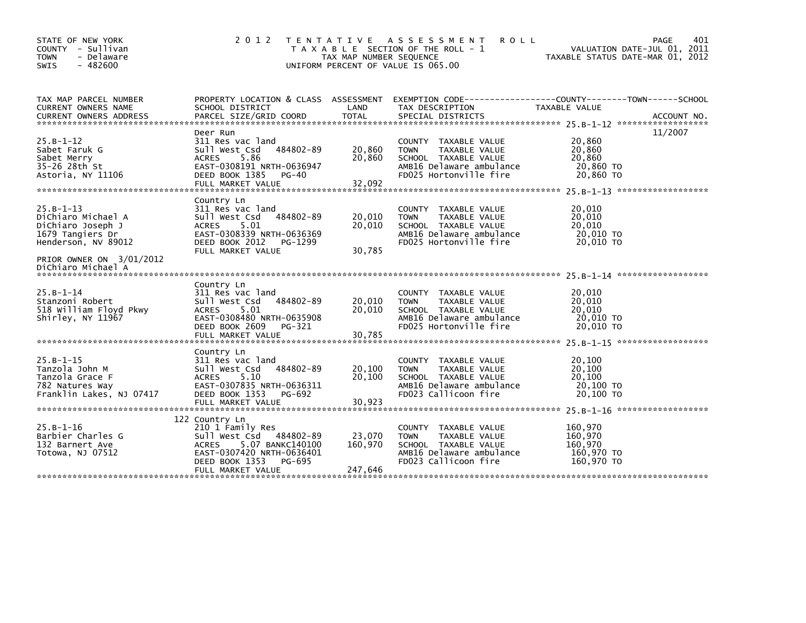| STATE OF NEW YORK<br>COUNTY - Sullivan<br>- Delaware<br><b>TOWN</b><br>$-482600$<br><b>SWIS</b>                                                     | 2 0 1 2                                                                                                                                                                            | T E N T A T I V E<br>TAX MAP NUMBER SEQUENCE | A S S E S S M E N T<br><b>ROLL</b><br>T A X A B L E SECTION OF THE ROLL - 1<br>UNIFORM PERCENT OF VALUE IS 065.00                            | VALUATION DATE-JUL 01, 2011<br>TAXABLE STATUS DATE-MAR 01, 2012 | PAGE<br>401 |
|-----------------------------------------------------------------------------------------------------------------------------------------------------|------------------------------------------------------------------------------------------------------------------------------------------------------------------------------------|----------------------------------------------|----------------------------------------------------------------------------------------------------------------------------------------------|-----------------------------------------------------------------|-------------|
| TAX MAP PARCEL NUMBER<br><b>CURRENT OWNERS NAME</b>                                                                                                 | SCHOOL DISTRICT                                                                                                                                                                    | LAND                                         | PROPERTY LOCATION & CLASS ASSESSMENT EXEMPTION CODE----------------COUNTY-------TOWN------SCHOOL<br>TAX DESCRIPTION                          | <b>TAXABLE VALUE</b>                                            |             |
| $25.B-1-12$<br>Sabet Faruk G<br>Sabet Merry<br>35-26 28th St<br>Astoria, NY 11106                                                                   | Deer Run<br>311 Res vac land<br>484802-89<br>Sull West Csd<br>5.86<br><b>ACRES</b><br>EAST-0308191 NRTH-0636947<br>DEED BOOK 1385<br>PG-40<br>FULL MARKET VALUE                    | 20,860<br>20,860<br>32,092                   | <b>COUNTY</b><br>TAXABLE VALUE<br><b>TOWN</b><br>TAXABLE VALUE<br>SCHOOL TAXABLE VALUE<br>AMB16 Delaware ambulance<br>FD025 Hortonville fire | 20,860<br>20,860<br>20,860<br>20,860 TO<br>20,860 TO            | 11/2007     |
| $25.B-1-13$<br>DiChiaro Michael A<br>DiChiaro Joseph J<br>1679 Tangiers Dr<br>Henderson, NV 89012<br>PRIOR OWNER ON 3/01/2012<br>DiChiaro Michael A | Country Ln<br>311 Res vac land<br>484802-89<br>Sull West Csd<br>5.01<br><b>ACRES</b><br>EAST-0308339 NRTH-0636369<br>DEED BOOK 2012<br>PG-1299<br>FULL MARKET VALUE                | 20,010<br>20,010<br>30,785                   | <b>COUNTY</b><br>TAXABLE VALUE<br>TAXABLE VALUE<br><b>TOWN</b><br>SCHOOL TAXABLE VALUE<br>AMB16 Delaware ambulance<br>FD025 Hortonville fire | 20,010<br>20,010<br>20,010<br>20,010 TO<br>20.010 TO            |             |
| $25.B - 1 - 14$<br>Stanzoni Robert<br>518 William Floyd Pkwy<br>Shirley, NY 11967                                                                   | Country Ln<br>311 Res vac land<br>484802-89<br>Sull West Csd<br>5.01<br><b>ACRES</b><br>EAST-0308480 NRTH-0635908<br>DEED BOOK 2609<br>PG-321<br>FULL MARKET VALUE                 | 20,010<br>20,010<br>30,785                   | TAXABLE VALUE<br><b>COUNTY</b><br>TAXABLE VALUE<br><b>TOWN</b><br>SCHOOL TAXABLE VALUE<br>AMB16 Delaware ambulance<br>FD025 Hortonville fire | 20,010<br>20,010<br>20,010<br>20,010 TO<br>20,010 TO            |             |
| $25.B-1-15$<br>Tanzola John M<br>Tanzola Grace F<br>782 Natures Way<br>Franklin Lakes, NJ 07417                                                     | Country Ln<br>311 Res vac land<br>Sull West Csd<br>484802-89<br>5.10<br><b>ACRES</b><br>EAST-0307835 NRTH-0636311<br>DEED BOOK 1353<br>PG-692<br>FULL MARKET VALUE                 | 20,100<br>20,100<br>30,923                   | TAXABLE VALUE<br><b>COUNTY</b><br>TAXABLE VALUE<br><b>TOWN</b><br>SCHOOL TAXABLE VALUE<br>AMB16 Delaware ambulance<br>FD023 Callicoon fire   | 20,100<br>20,100<br>20,100<br>20,100 TO<br>20,100 TO            |             |
| $25.B-1-16$<br>Barbier Charles G<br>132 Barnert Ave<br>Totowa, NJ 07512                                                                             | 122 Country Ln<br>210 1 Family Res<br>484802-89<br>Sull West Csd<br>5.07 BANKC140100<br><b>ACRES</b><br>EAST-0307420 NRTH-0636401<br>DEED BOOK 1353<br>PG-695<br>FULL MARKET VALUE | 23,070<br>160,970<br>247,646                 | TAXABLE VALUE<br><b>COUNTY</b><br><b>TOWN</b><br>TAXABLE VALUE<br>SCHOOL TAXABLE VALUE<br>AMB16 Delaware ambulance<br>FD023 Callicoon fire   | 160,970<br>160.970<br>160,970<br>160,970 TO<br>160,970 TO       |             |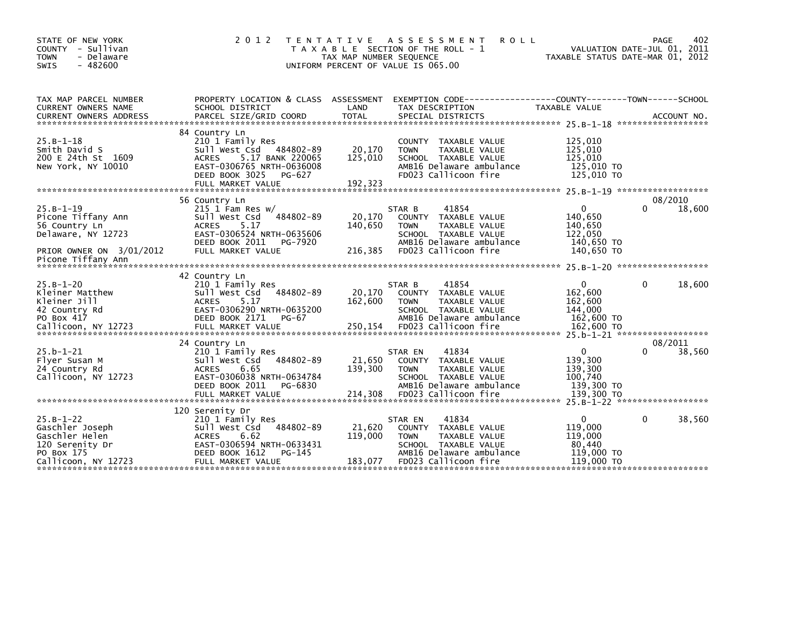| STATE OF NEW YORK<br>COUNTY - Sullivan<br>- Delaware<br><b>TOWN</b><br>$-482600$<br><b>SWIS</b>                                                                                     | 2 0 1 2<br>T E N T A T I V E                                                                                              | T A X A B L E SECTION OF THE ROLL - 1<br>TAX MAP NUMBER SEQUENCE<br>UNIFORM PERCENT OF VALUE IS 065.00 |                                         | A S S E S S M E N T<br><b>ROLL</b>                                                                                  | VALUATION DATE-JUL 01, 2011<br>TAXABLE STATUS DATE-MAR 01, 2012 | PAGE        | 402         |
|-------------------------------------------------------------------------------------------------------------------------------------------------------------------------------------|---------------------------------------------------------------------------------------------------------------------------|--------------------------------------------------------------------------------------------------------|-----------------------------------------|---------------------------------------------------------------------------------------------------------------------|-----------------------------------------------------------------|-------------|-------------|
| TAX MAP PARCEL NUMBER<br><b>CURRENT OWNERS NAME</b><br>SCHOOL DISTRICT<br><b>CURRENT OWNERS ADDRESS</b>                                                                             | PROPERTY LOCATION & CLASS ASSESSMENT EXEMPTION CODE----------------COUNTY-------TOWN-----SCHOOL<br>PARCEL SIZE/GRID COORD | LAND<br><b>TOTAL</b>                                                                                   | TAX DESCRIPTION                         | SPECIAL DISTRICTS                                                                                                   | TAXABLE VALUE                                                   |             | ACCOUNT NO. |
| 84 Country Ln<br>$25.B-1-18$<br>Smith David S<br>200 E 24th St 1609<br><b>ACRES</b><br>New York, NY 10010<br>DEED BOOK 3025                                                         | 210 1 Family Res<br>Sull West Csd 484802-89<br>5.17 BANK 220065<br>EAST-0306765 NRTH-0636008<br>PG-627                    | 20,170<br>125,010                                                                                      | <b>COUNTY</b><br><b>TOWN</b>            | TAXABLE VALUE<br>TAXABLE VALUE<br>SCHOOL TAXABLE VALUE<br>AMB16 Delaware ambulance<br>FD023 Callicoon fire          | 125,010<br>125,010<br>125,010<br>125,010 TO<br>125,010 TO       |             |             |
| 56 Country Ln                                                                                                                                                                       |                                                                                                                           |                                                                                                        |                                         |                                                                                                                     |                                                                 | 08/2010     |             |
| $25.B-1-19$<br>Picone Tiffany Ann<br>Sull West Csd<br>56 Country Ln<br><b>ACRES</b><br>Delaware, NY 12723<br>DEED BOOK 2011<br>PRIOR OWNER ON 3/01/2012                             | 215 1 Fam Res $w/$<br>484802-89<br>5.17<br>EAST-0306524 NRTH-0635606<br>PG-7920<br>FULL MARKET VALUE                      | 20,170<br>140,650<br>216,385                                                                           | STAR B<br><b>COUNTY</b><br><b>TOWN</b>  | 41854<br>TAXABLE VALUE<br>TAXABLE VALUE<br>SCHOOL TAXABLE VALUE<br>AMB16 Delaware ambulance<br>FD023 Callicoon fire | 0<br>140,650<br>140,650<br>122,050<br>140,650 TO<br>140,650 TO  | 0           | 18,600      |
| Picone Tiffany Ann                                                                                                                                                                  |                                                                                                                           |                                                                                                        |                                         |                                                                                                                     |                                                                 |             |             |
|                                                                                                                                                                                     |                                                                                                                           |                                                                                                        |                                         |                                                                                                                     |                                                                 |             |             |
| 42 Country Ln<br>$25.B - 1 - 20$<br>Kleiner Matthew<br>Sull West Csd<br>Kleiner Jill<br><b>ACRES</b><br>42 Country Rd<br>PO Box 417<br><b>DEED BOOK 2171</b><br>Callicoon, NY 12723 | 210 1 Family Res<br>484802-89<br>5.17<br>EAST-0306290 NRTH-0635200<br>PG-67<br>FULL MARKET VALUE                          | 20,170<br>162,600<br>250,154                                                                           | STAR B<br><b>COUNTY</b><br><b>TOWN</b>  | 41854<br>TAXABLE VALUE<br>TAXABLE VALUE<br>SCHOOL TAXABLE VALUE<br>AMB16 Delaware ambulance<br>FD023 Callicoon fire | 0<br>162,600<br>162,600<br>144,000<br>162,600 TO<br>162,600 TO  | $\Omega$    | 18,600      |
| 24 Country Ln                                                                                                                                                                       |                                                                                                                           |                                                                                                        |                                         |                                                                                                                     |                                                                 | 08/2011     |             |
| $25.b - 1 - 21$<br>Flyer Susan M<br>Sull West Csd<br>24 Country Rd<br><b>ACRES</b><br>Callicoon, NY 12723<br>DEED BOOK 2011                                                         | 210 1 Family Res<br>484802-89<br>6.65<br>EAST-0306038 NRTH-0634784<br>PG-6830                                             | 21,650<br>139,300                                                                                      | STAR EN<br><b>COUNTY</b><br><b>TOWN</b> | 41834<br>TAXABLE VALUE<br>TAXABLE VALUE<br>SCHOOL TAXABLE VALUE<br>AMB16 Delaware ambulance                         | $\mathbf{0}$<br>139,300<br>139,300<br>100,740<br>139,300 TO     | 0           | 38,560      |
| 120 Serenity Dr                                                                                                                                                                     |                                                                                                                           |                                                                                                        |                                         |                                                                                                                     |                                                                 |             |             |
| $25.B-1-22$<br>Gaschler Joseph<br>Sull West Csd<br>Gaschler Helen<br><b>ACRES</b><br>120 Serenity Dr<br>PO Box 175<br>DEED BOOK 1612<br>Callicoon, NY 12723                         | 210 1 Family Res<br>484802-89<br>6.62<br>EAST-0306594 NRTH-0633431<br>PG-145<br>FULL MARKET VALUE                         | 21,620<br>119,000<br>183,077                                                                           | STAR EN<br><b>COUNTY</b><br><b>TOWN</b> | 41834<br>TAXABLE VALUE<br>TAXABLE VALUE<br>SCHOOL TAXABLE VALUE<br>AMB16 Delaware ambulance<br>FD023 Callicoon fire | 0<br>119,000<br>119,000<br>80,440<br>119,000 TO<br>119,000 TO   | $\mathbf 0$ | 38,560      |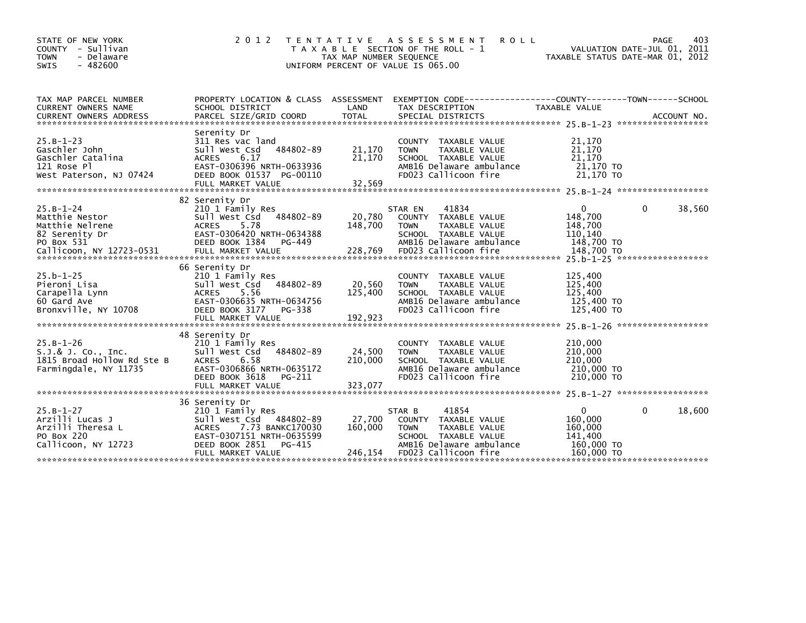| STATE OF NEW YORK<br>COUNTY - Sullivan<br>- Delaware<br><b>TOWN</b><br>$-482600$<br>SWIS    | 2 0 1 2                                                                                                                                                                            | T E N T A T I V E<br>TAX MAP NUMBER SEQUENCE<br>UNIFORM PERCENT OF VALUE IS 065.00 | A S S E S S M E N T<br><b>ROLL</b><br>T A X A B L E SECTION OF THE ROLL - 1                                                                         | TAXABLE STATUS DATE-MAR 01, 2012                                      | 403<br><b>PAGE</b><br>VALUATION DATE-JUL 01, 2011 |
|---------------------------------------------------------------------------------------------|------------------------------------------------------------------------------------------------------------------------------------------------------------------------------------|------------------------------------------------------------------------------------|-----------------------------------------------------------------------------------------------------------------------------------------------------|-----------------------------------------------------------------------|---------------------------------------------------|
| TAX MAP PARCEL NUMBER<br><b>CURRENT OWNERS NAME</b>                                         | PROPERTY LOCATION & CLASS ASSESSMENT<br>SCHOOL DISTRICT                                                                                                                            | LAND                                                                               | EXEMPTION CODE-----------------COUNTY-------TOWN------SCHOOL<br>TAX DESCRIPTION                                                                     | TAXABLE VALUE                                                         |                                                   |
| $25.B-1-23$<br>Gaschler John<br>Gaschler Catalina<br>121 Rose Pl<br>West Paterson, NJ 07424 | Serenity Dr<br>311 Res vac land<br>484802-89<br>Sull West Csd<br><b>ACRES</b><br>6.17<br>EAST-0306396 NRTH-0633936<br>DEED BOOK 01537 PG-00110<br>FULL MARKET VALUE                | 21,170<br>21,170<br>32,569                                                         | COUNTY TAXABLE VALUE<br><b>TOWN</b><br>TAXABLE VALUE<br>SCHOOL TAXABLE VALUE<br>AMB16 Delaware ambulance<br>FD023 Callicoon fire                    | 21,170<br>21,170<br>21,170<br>21,170 TO<br>21.170 TO                  |                                                   |
| $25.B-1-24$<br>Matthie Nestor<br>Matthie Nelrene<br>82 Serenity Dr<br>PO Box 531            | 82 Serenity Dr<br>210 1 Family Res<br>484802-89<br>Sull West Csd<br><b>ACRES</b><br>5.78<br>EAST-0306420 NRTH-0634388<br>DEED BOOK 1384<br>$PG-449$                                | 20,780<br>148,700                                                                  | 41834<br>STAR EN<br>COUNTY TAXABLE VALUE<br>TAXABLE VALUE<br><b>TOWN</b><br>SCHOOL TAXABLE VALUE<br>AMB16 Delaware ambulance                        | $\Omega$<br>148,700<br>148,700<br>110,140<br>148,700 TO               | 38,560<br>0                                       |
| $25.b - 1 - 25$<br>Pieroni Lisa<br>Carapella Lynn<br>60 Gard Ave<br>Bronxville, NY 10708    | 66 Serenity Dr<br>210 1 Family Res<br>484802-89<br>Sull West Csd<br>5.56<br><b>ACRES</b><br>EAST-0306635 NRTH-0634756<br>DEED BOOK 3177<br>PG-338                                  | 20,560<br>125,400                                                                  | TAXABLE VALUE<br><b>COUNTY</b><br>TAXABLE VALUE<br><b>TOWN</b><br>SCHOOL TAXABLE VALUE<br>AMB16 Delaware ambulance<br>FD023 Callicoon fire          | 125,400<br>125,400<br>125,400<br>125,400 TO<br>125,400 TO             |                                                   |
| $25.B-1-26$<br>S.J.& J. Co., Inc.<br>1815 Broad Hollow Rd Ste B<br>Farmingdale, NY 11735    | 48 Serenity Dr<br>210 1 Family Res<br>484802-89<br>Sull West Csd<br>6.58<br><b>ACRES</b><br>EAST-0306866 NRTH-0635172<br>DEED BOOK 3618<br>PG-211                                  | 24,500<br>210,000                                                                  | <b>COUNTY</b><br>TAXABLE VALUE<br>TAXABLE VALUE<br><b>TOWN</b><br>SCHOOL TAXABLE VALUE<br>AMB16 Delaware ambulance<br>FD023 Callicoon fire          | 210,000<br>210,000<br>210,000<br>210,000 TO<br>210,000 TO             |                                                   |
| $25.B-1-27$<br>Arzilli Lucas J<br>Arzilli Theresa L<br>PO Box 220<br>Callicoon, NY 12723    | 36 Serenity Dr<br>210 1 Family Res<br>Sull West Csd<br>484802-89<br>7.73 BANKC170030<br><b>ACRES</b><br>EAST-0307151 NRTH-0635599<br>DEED BOOK 2851<br>PG-415<br>FULL MARKET VALUE | 27,700<br>160,000<br>246,154                                                       | 41854<br>STAR B<br>COUNTY TAXABLE VALUE<br>TAXABLE VALUE<br><b>TOWN</b><br>SCHOOL TAXABLE VALUE<br>AMB16 Delaware ambulance<br>FD023 Callicoon fire | $\Omega$<br>160,000<br>160,000<br>141,400<br>160.000 TO<br>160,000 TO | 0<br>18,600                                       |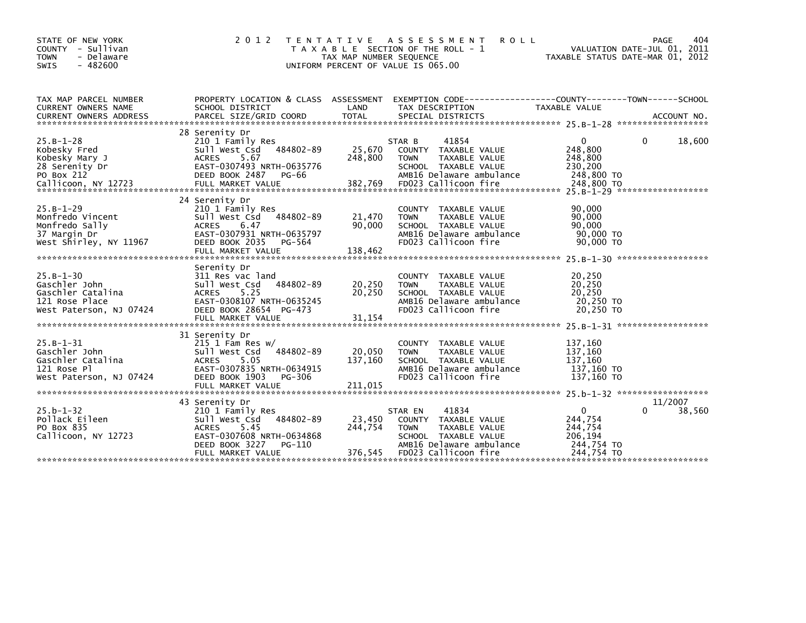| STATE OF NEW YORK<br>COUNTY - Sullivan<br><b>TOWN</b><br>- Delaware<br><b>SWIS</b><br>$-482600$    | 2 0 1 2                                                                                                                                                             | TAX MAP NUMBER SEQUENCE      | TENTATIVE ASSESSMENT<br><b>ROLL</b><br>T A X A B L E SECTION OF THE ROLL - 1<br>UNIFORM PERCENT OF VALUE IS 065.00                                             | VALUATION DATE-JUL 01, 2011<br>TAXABLE STATUS DATE-MAR 01, 2012 | 404<br>PAGE            |
|----------------------------------------------------------------------------------------------------|---------------------------------------------------------------------------------------------------------------------------------------------------------------------|------------------------------|----------------------------------------------------------------------------------------------------------------------------------------------------------------|-----------------------------------------------------------------|------------------------|
| TAX MAP PARCEL NUMBER<br><b>CURRENT OWNERS NAME</b>                                                | PROPERTY LOCATION & CLASS ASSESSMENT<br>SCHOOL DISTRICT                                                                                                             | LAND                         | EXEMPTION CODE-----------------COUNTY-------TOWN------SCHOOL<br>TAX DESCRIPTION                                                                                | <b>TAXABLE VALUE</b>                                            |                        |
| $25.B-1-28$<br>Kobesky Fred<br>Kobesky Mary J<br>28 Serenity Dr<br>PO Box 212                      | 28 Serenity Dr<br>210 1 Family Res<br>484802-89<br>Sull West Csd<br><b>ACRES</b><br>5.67<br>EAST-0307493 NRTH-0635776<br>DEED BOOK 2487<br>PG-66                    | 25,670<br>248,800            | 41854<br>STAR B<br>COUNTY TAXABLE VALUE<br>TAXABLE VALUE<br><b>TOWN</b><br>SCHOOL TAXABLE VALUE<br>AMB16 Delaware ambulance                                    | $\mathbf{0}$<br>248,800<br>248,800<br>230,200<br>248,800 TO     | 18,600<br>0            |
| $25.B-1-29$<br>Monfredo Vincent<br>Monfredo Sally<br>37 Margin Dr<br>West Shirley, NY 11967        | 24 Serenity Dr<br>210 1 Family Res<br>Sull West Csd<br>484802-89<br><b>ACRES</b><br>6.47<br>EAST-0307931 NRTH-0635797<br>DEED BOOK 2035<br>PG-564                   | 21,470<br>90.000             | COUNTY TAXABLE VALUE<br>TAXABLE VALUE<br><b>TOWN</b><br>SCHOOL TAXABLE VALUE<br>AMB16 Delaware ambulance<br>FD023 Callicoon fire                               | 90,000<br>90,000<br>90.000<br>90,000 TO<br>90,000 TO            |                        |
| $25.B - 1 - 30$<br>Gaschler John<br>Gaschler Catalina<br>121 Rose Place<br>West Paterson, NJ 07424 | Serenity Dr<br>311 Res vac land<br>484802-89<br>Sull West Csd<br>ACRES<br>5.25<br>EAST-0308107 NRTH-0635245<br>DEED BOOK 28654 PG-473                               | 20,250<br>20,250             | COUNTY TAXABLE VALUE<br>TAXABLE VALUE<br><b>TOWN</b><br>SCHOOL TAXABLE VALUE<br>AMB16 Delaware ambulance<br>FD023 Callicoon fire                               | 20,250<br>20,250<br>20,250<br>20,250 TO<br>20.250 TO            |                        |
| $25.B-1-31$<br>Gaschler John<br>Gaschler Catalina<br>121 Rose Pl<br>West Paterson, NJ 07424        | 31 Serenity Dr<br>$215$ 1 Fam Res w/<br>484802-89<br>Sull West Csd<br>5.05<br><b>ACRES</b><br>EAST-0307835 NRTH-0634915<br>DEED BOOK 1903<br>PG-306                 | 20,050<br>137,160            | COUNTY TAXABLE VALUE<br><b>TOWN</b><br>TAXABLE VALUE<br>SCHOOL TAXABLE VALUE<br>AMB16 Delaware ambulance<br>FD023 Callicoon fire                               | 137,160<br>137,160<br>137,160<br>137,160 TO<br>137.160 TO       |                        |
| $25.b - 1 - 32$<br>Pollack Eileen<br>PO Box 835<br>Callicoon, NY 12723                             | 43 Serenity Dr<br>210 1 Family Res<br>Sull West Csd 484802-89<br><b>ACRES</b><br>5.45<br>EAST-0307608 NRTH-0634868<br>DEED BOOK 3227<br>PG-110<br>FULL MARKET VALUE | 23,450<br>244,754<br>376,545 | 41834<br>STAR EN<br><b>COUNTY</b><br>TAXABLE VALUE<br><b>TOWN</b><br>TAXABLE VALUE<br>SCHOOL TAXABLE VALUE<br>AMB16 Delaware ambulance<br>FD023 Callicoon fire | 0<br>244,754<br>244,754<br>206,194<br>244,754 TO<br>244.754 TO  | 11/2007<br>0<br>38,560 |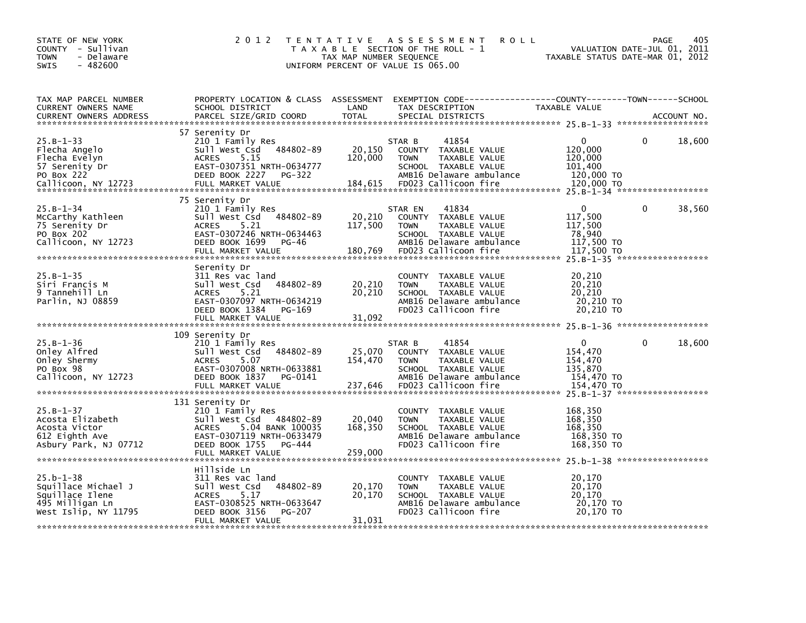| STATE OF NEW YORK<br>COUNTY - Sullivan<br>- Delaware<br><b>TOWN</b><br>SWIS<br>$-482600$                 | 2 0 1 2                                                                                                                                                               | TAX MAP NUMBER SEQUENCE      | TENTATIVE ASSESSMENT<br><b>ROLL</b><br>T A X A B L E SECTION OF THE ROLL - 1<br>UNIFORM PERCENT OF VALUE IS 065.00                                   | VALUATION DATE-JUL 01,<br>TAXABLE STATUS DATE-MAR 01, 2012                           | 405<br><b>PAGE</b><br>2011 |
|----------------------------------------------------------------------------------------------------------|-----------------------------------------------------------------------------------------------------------------------------------------------------------------------|------------------------------|------------------------------------------------------------------------------------------------------------------------------------------------------|--------------------------------------------------------------------------------------|----------------------------|
| TAX MAP PARCEL NUMBER<br>CURRENT OWNERS NAME<br><b>CURRENT OWNERS ADDRESS</b>                            | SCHOOL DISTRICT<br>PARCEL SIZE/GRID COORD                                                                                                                             | LAND<br><b>TOTAL</b>         | PROPERTY LOCATION & CLASS ASSESSMENT EXEMPTION CODE-----------------COUNTY-------TOWN------SCHOOL<br>TAX DESCRIPTION<br>SPECIAL DISTRICTS            | TAXABLE VALUE                                                                        | ACCOUNT NO.                |
| $25.B - 1 - 33$<br>Flecha Angelo<br>Flecha Evelyn<br>57 Serenity Dr<br>PO Box 222<br>Callicoon, NY 12723 | 57 Serenity Dr<br>210 1 Family Res<br>Sull West Csd 484802-89<br>5.15<br><b>ACRES</b><br>EAST-0307351 NRTH-0634777<br>DEED BOOK 2227<br>PG-322<br>FULL MARKET VALUE   | 20,150<br>120,000<br>184,615 | STAR B<br>41854<br>COUNTY TAXABLE VALUE<br><b>TOWN</b><br>TAXABLE VALUE<br>SCHOOL TAXABLE VALUE<br>AMB16 Delaware ambulance<br>FD023 Callicoon fire  | $\mathbf{0}$<br>0<br>120,000<br>120,000<br>101,400<br>120,000 TO<br>120,000 TO       | 18,600                     |
| $25.B-1-34$<br>McCarthy Kathleen<br>75 Serenity Dr<br>PO Box 202<br>Callicoon, NY 12723                  | 75 Serenity Dr<br>210 1 Family Res<br>Sull West Csd<br>484802-89<br>5.21<br><b>ACRES</b><br>EAST-0307246 NRTH-0634463<br>DEED BOOK 1699<br>PG-46<br>FULL MARKET VALUE | 20,210<br>117,500<br>180,769 | 41834<br>STAR EN<br>COUNTY TAXABLE VALUE<br><b>TOWN</b><br>TAXABLE VALUE<br>SCHOOL TAXABLE VALUE<br>AMB16 Delaware ambulance<br>FD023 Callicoon fire | $\mathbf{0}$<br>$\Omega$<br>117,500<br>117,500<br>78,940<br>117,500 TO<br>117,500 TO | 38,560                     |
| $25.B - 1 - 35$<br>Siri Francis M<br>9 Tannehill Ln<br>Parlin, NJ 08859                                  | Serenity Dr<br>311 Res vac land<br>Sull West Csd<br>484802-89<br>5.21<br><b>ACRES</b><br>EAST-0307097 NRTH-0634219<br>DEED BOOK 1384<br>PG-169<br>FULL MARKET VALUE   | 20,210<br>20,210<br>31,092   | COUNTY TAXABLE VALUE<br><b>TOWN</b><br>TAXABLE VALUE<br>SCHOOL TAXABLE VALUE<br>AMB16 Delaware ambulance<br>FD023 Callicoon fire                     | 20,210<br>20,210<br>20,210<br>20,210 TO<br>20,210 TO                                 |                            |
| $25.B - 1 - 36$<br>Onley Alfred<br>Onley Shermy<br>PO Box 98<br>Callicoon, NY 12723                      | 109 Serenity Dr<br>210 1 Family Res<br>sull west Csd<br>484802-89<br><b>ACRES</b><br>5.07<br>EAST-0307008 NRTH-0633881<br>DEED BOOK 1837<br>PG-0141                   | 25,070<br>154,470            | 41854<br>STAR B<br>COUNTY TAXABLE VALUE<br>TAXABLE VALUE<br><b>TOWN</b><br>SCHOOL TAXABLE VALUE<br>AMB16 Delaware ambulance                          | $\Omega$<br>$\Omega$<br>154,470<br>154,470<br>135,870<br>154,470 TO                  | 18,600                     |
| $25.B-1-37$<br>Acosta Elizabeth<br>Acosta Victor<br>612 Eighth Ave<br>Asbury Park, NJ 07712              | 131 Serenity Dr<br>210 1 Family Res<br>Sull West Csd 484802-89<br>5.04 BANK 100035<br><b>ACRES</b><br>EAST-0307119 NRTH-0633479<br>DEED BOOK 1755<br>PG-444           | 20,040<br>168,350            | COUNTY TAXABLE VALUE<br><b>TOWN</b><br>TAXABLE VALUE<br>SCHOOL TAXABLE VALUE<br>AMB16 Delaware ambulance<br>FD023 Callicoon fire                     | 168,350<br>168,350<br>168,350<br>168,350 TO<br>168,350 TO                            |                            |
| $25.b - 1 - 38$<br>Squillace Michael J<br>Squillace Ilene<br>495 Milligan Ln<br>West Islip, NY 11795     | Hillside Ln<br>311 Res vac land<br>484802-89<br>Sull West Csd<br><b>ACRES</b><br>5.17<br>EAST-0308525 NRTH-0633647<br>DEED BOOK 3156<br>PG-207<br>FULL MARKET VALUE   | 20,170<br>20,170<br>31,031   | COUNTY TAXABLE VALUE<br><b>TOWN</b><br>TAXABLE VALUE<br>SCHOOL TAXABLE VALUE<br>AMB16 Delaware ambulance<br>FD023 Callicoon fire                     | 20,170<br>20,170<br>20,170<br>20,170 TO<br>20,170 TO                                 |                            |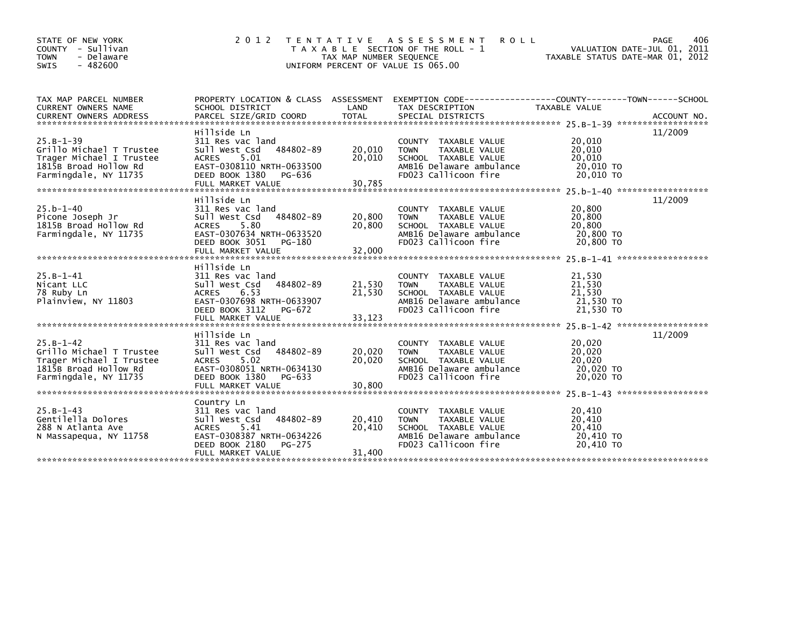| STATE OF NEW YORK<br>- Sullivan<br><b>COUNTY</b><br>- Delaware<br><b>TOWN</b><br>$-482600$<br><b>SWIS</b> | 2 0 1 2                                   | TAX MAP NUMBER SEQUENCE | TENTATIVE ASSESSMENT<br><b>ROLL</b><br>T A X A B L E SECTION OF THE ROLL - 1<br>UNIFORM PERCENT OF VALUE IS 065.00 | VALUATION DATE-JUL 01, 2011<br>TAXABLE STATUS DATE-MAR 01, 2012 | 406<br><b>PAGE</b> |
|-----------------------------------------------------------------------------------------------------------|-------------------------------------------|-------------------------|--------------------------------------------------------------------------------------------------------------------|-----------------------------------------------------------------|--------------------|
| TAX MAP PARCEL NUMBER                                                                                     |                                           |                         | PROPERTY LOCATION & CLASS ASSESSMENT EXEMPTION CODE----------------COUNTY-------TOWN------SCHOOL                   |                                                                 |                    |
| CURRENT OWNERS NAME<br><b>CURRENT OWNERS ADDRESS</b>                                                      | SCHOOL DISTRICT<br>PARCEL SIZE/GRID COORD | LAND<br><b>TOTAL</b>    | TAX DESCRIPTION<br>SPECIAL DISTRICTS                                                                               | TAXABLE VALUE                                                   | ACCOUNT NO.        |
|                                                                                                           | Hillside Ln                               |                         |                                                                                                                    |                                                                 | 11/2009            |
| $25.B - 1 - 39$                                                                                           | 311 Res vac land                          |                         | TAXABLE VALUE<br><b>COUNTY</b>                                                                                     | 20,010                                                          |                    |
| Grillo Michael T Trustee                                                                                  | 484802-89<br>Sull West Csd                | 20,010                  | <b>TOWN</b><br>TAXABLE VALUE                                                                                       | 20,010                                                          |                    |
| Trager Michael I Trustee                                                                                  | 5.01<br><b>ACRES</b>                      | 20,010                  | SCHOOL TAXABLE VALUE                                                                                               | 20,010                                                          |                    |
| 1815B Broad Hollow Rd                                                                                     | EAST-0308110 NRTH-0633500                 |                         | AMB16 Delaware ambulance                                                                                           | 20,010 TO                                                       |                    |
| Farmingdale, NY 11735                                                                                     | DEED BOOK 1380<br>PG-636                  |                         | FD023 Callicoon fire                                                                                               | 20.010 TO                                                       |                    |
|                                                                                                           | FULL MARKET VALUE                         | 30,785                  |                                                                                                                    |                                                                 |                    |
|                                                                                                           |                                           |                         |                                                                                                                    |                                                                 |                    |
| $25.b - 1 - 40$                                                                                           | Hillside Ln<br>311 Res vac land           |                         | TAXABLE VALUE<br><b>COUNTY</b>                                                                                     | 20,800                                                          | 11/2009            |
| Picone Joseph Jr                                                                                          | 484802-89<br>Sull West Csd                | 20,800                  | <b>TOWN</b><br>TAXABLE VALUE                                                                                       | 20,800                                                          |                    |
| 1815B Broad Hollow Rd                                                                                     | 5.80<br><b>ACRES</b>                      | 20,800                  | SCHOOL TAXABLE VALUE                                                                                               | 20,800                                                          |                    |
| Farmingdale, NY 11735                                                                                     | EAST-0307634 NRTH-0633520                 |                         | AMB16 Delaware ambulance                                                                                           | 20,800 TO                                                       |                    |
|                                                                                                           | DEED BOOK 3051<br>PG-180                  |                         | FD023 Callicoon fire                                                                                               | 20,800 TO                                                       |                    |
|                                                                                                           | FULL MARKET VALUE                         | 32,000                  |                                                                                                                    |                                                                 |                    |
|                                                                                                           | Hillside Ln                               |                         |                                                                                                                    |                                                                 |                    |
| $25.B-1-41$                                                                                               | 311 Res vac land                          |                         | COUNTY TAXABLE VALUE                                                                                               | 21,530                                                          |                    |
| Nicant LLC                                                                                                | 484802-89<br>Sull West Csd                | 21,530                  | <b>TOWN</b><br>TAXABLE VALUE                                                                                       | 21,530                                                          |                    |
| 78 Ruby Ln                                                                                                | <b>ACRES</b><br>6.53                      | 21,530                  | SCHOOL TAXABLE VALUE                                                                                               | 21,530                                                          |                    |
| Plainview, NY 11803                                                                                       | EAST-0307698 NRTH-0633907                 |                         | AMB16 Delaware ambulance                                                                                           | 21,530 TO                                                       |                    |
|                                                                                                           | DEED BOOK 3112<br>PG-672                  |                         | FD023 Callicoon fire                                                                                               | 21,530 TO                                                       |                    |
|                                                                                                           | FULL MARKET VALUE                         | 33,123                  |                                                                                                                    |                                                                 |                    |
|                                                                                                           | Hillside Ln                               |                         |                                                                                                                    |                                                                 | 11/2009            |
| $25.B - 1 - 42$                                                                                           | 311 Res vac land                          |                         | TAXABLE VALUE<br><b>COUNTY</b>                                                                                     | 20,020                                                          |                    |
| Grillo Michael T Trustee                                                                                  | 484802-89<br>Sull West Csd                | 20,020                  | <b>TOWN</b><br>TAXABLE VALUE                                                                                       | 20,020                                                          |                    |
| Trager Michael I Trustee                                                                                  | ACRES<br>5.02                             | 20,020                  | SCHOOL TAXABLE VALUE                                                                                               | 20,020                                                          |                    |
| 1815B Broad Hollow Rd                                                                                     | EAST-0308051 NRTH-0634130                 |                         | AMB16 Delaware ambulance                                                                                           | 20,020 TO                                                       |                    |
| Farmingdale, NY 11735                                                                                     | DEED BOOK 1380<br>PG-633                  |                         | FD023 Callicoon fire                                                                                               | 20,020 TO                                                       |                    |
|                                                                                                           | FULL MARKET VALUE                         | 30,800                  |                                                                                                                    |                                                                 |                    |
|                                                                                                           |                                           |                         |                                                                                                                    |                                                                 |                    |
| $25.B-1-43$                                                                                               | Country Ln<br>311 Res vac land            |                         | <b>COUNTY</b><br>TAXABLE VALUE                                                                                     | 20,410                                                          |                    |
| Gentilella Dolores                                                                                        | Sull West Csd<br>484802-89                | 20,410                  | TAXABLE VALUE<br><b>TOWN</b>                                                                                       | 20,410                                                          |                    |
| 288 N Atlanta Ave                                                                                         | 5.41<br><b>ACRES</b>                      | 20.410                  | SCHOOL TAXABLE VALUE                                                                                               | 20,410                                                          |                    |
| N Massapequa, NY 11758                                                                                    | EAST-0308387 NRTH-0634226                 |                         | AMB16 Delaware ambulance                                                                                           | 20,410 TO                                                       |                    |
|                                                                                                           | DEED BOOK 2180<br>PG-275                  |                         | FD023 Callicoon fire                                                                                               | 20,410 TO                                                       |                    |
|                                                                                                           | FULL MARKET VALUE                         | 31,400                  |                                                                                                                    |                                                                 |                    |
|                                                                                                           |                                           |                         |                                                                                                                    |                                                                 |                    |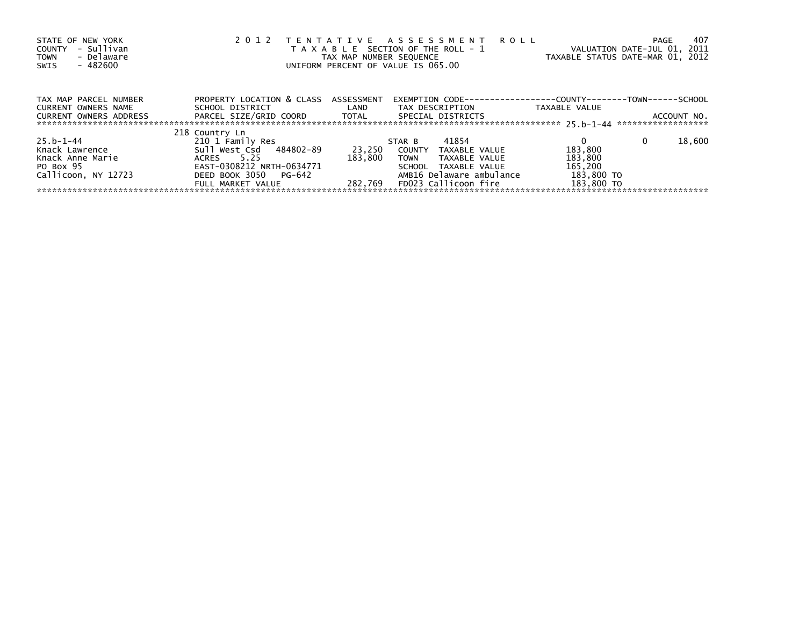| STATE OF NEW YORK<br>- Sullivan<br>COUNTY<br>- Delaware<br><b>TOWN</b><br>- 482600<br>SWIS | TENTATIVE ASSESSMENT<br>2 0 1 2<br>T A X A B L E SECTION OF THE ROLL - 1<br>TAX MAP NUMBER SEQUENCE<br>UNIFORM PERCENT OF VALUE IS 065.00 | <b>ROLL</b> | 407<br>PAGE<br>VALUATION DATE-JUL 01, 2011<br>TAXABLE STATUS DATE-MAR 01, 2012 |               |                    |
|--------------------------------------------------------------------------------------------|-------------------------------------------------------------------------------------------------------------------------------------------|-------------|--------------------------------------------------------------------------------|---------------|--------------------|
| TAX MAP PARCEL NUMBER                                                                      | PROPERTY LOCATION & CLASS ASSESSMENT                                                                                                      |             | EXEMPTION        CODE-----------------COUNTY--------TOWN------SCHOOL           |               |                    |
| CURRENT OWNERS NAME<br>CURRENT OWNERS ADDRESS                                              | SCHOOL DISTRICT<br>PARCEL SIZE/GRID COORD TOTAL                                                                                           | LAND        | TAX DESCRIPTION<br>SPECIAL DISTRICTS                                           | TAXABLE VALUE | ACCOUNT NO.        |
|                                                                                            |                                                                                                                                           |             |                                                                                |               |                    |
|                                                                                            | 218 Country Ln                                                                                                                            |             |                                                                                |               |                    |
| $25.b - 1 - 44$                                                                            | 210 1 Family Res                                                                                                                          |             | 41854<br>STAR B                                                                |               | 18,600<br>$\Omega$ |
| Knack Lawrence                                                                             | Sull West Csd 484802-89                                                                                                                   | 23,250      | COUNTY<br>TAXABLE VALUE                                                        | 183,800       |                    |
| Knack Anne Marie                                                                           | ACRES 5.25                                                                                                                                | 183.800     | <b>TOWN</b><br>TAXABLE VALUE                                                   | 183,800       |                    |
| PO Box 95                                                                                  | EAST-0308212 NRTH-0634771                                                                                                                 |             | SCHOOL TAXABLE VALUE                                                           | 165,200       |                    |
| Callicoon, NY 12723                                                                        | DEED BOOK 3050 PG-642                                                                                                                     |             | AMB16 Delaware ambulance                                                       | 183,800 TO    |                    |
|                                                                                            | FULL MARKET VALUE                                                                                                                         | 282.769     | FD023 Callicoon fire                                                           | 183,800 TO    |                    |
|                                                                                            |                                                                                                                                           |             |                                                                                |               |                    |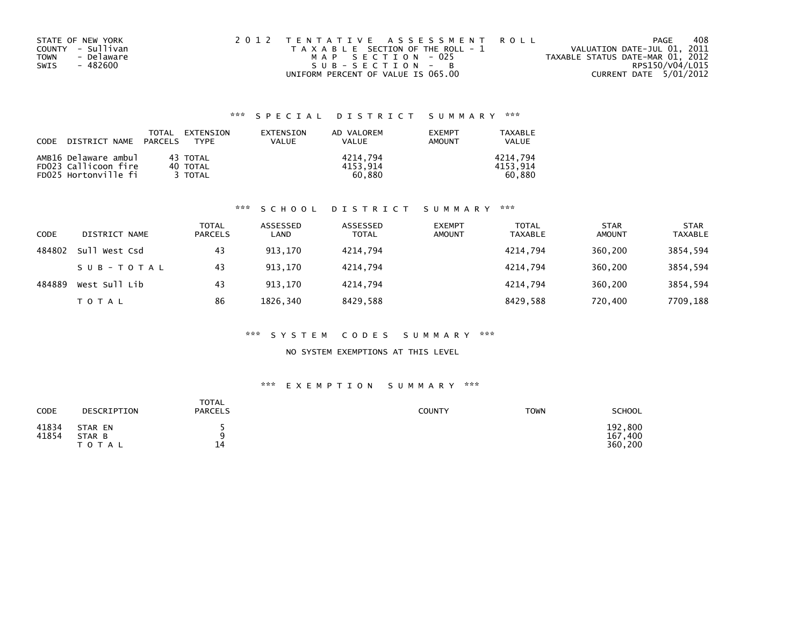|             | STATE OF NEW YORK | 2012 TENTATIVE ASSESSMENT ROLL        | PAGE                             | 408 |
|-------------|-------------------|---------------------------------------|----------------------------------|-----|
|             | COUNTY - Sullivan | T A X A B L E SECTION OF THE ROLL - 1 | VALUATION DATE-JUL 01, 2011      |     |
| <b>TOWN</b> | - Delaware        | MAP SECTION - 025                     | TAXABLE STATUS DATE-MAR 01, 2012 |     |
| SWIS        | - 482600          | SUB-SECTION - B                       | RPS150/V04/L015                  |     |
|             |                   | UNIFORM PERCENT OF VALUE IS 065.00    | CURRENT DATE 5/01/2012           |     |

### \*\*\* S P E C I A L D I S T R I C T S U M M A R Y \*\*\*

| CODE | DISTRICT NAME PARCELS | TOTAL | EXTENSION<br><b>TYPF</b> | EXTENSION<br>VALUE | AD VALOREM<br>VALUE | <b>EXEMPT</b><br>AMOUNT | TAXABLE<br>VALUE |
|------|-----------------------|-------|--------------------------|--------------------|---------------------|-------------------------|------------------|
|      | AMB16 Delaware ambul  |       | 43 TOTAL                 |                    | 4214.794            |                         | 4214.794         |
|      | FD023 Callicoon fire  |       | 40 TOTAL                 |                    | 4153.914            |                         | 4153.914         |
|      | FD025 Hortonville fi  |       | 3 TOTAL                  |                    | 60.880              |                         | 60.880           |

### \*\*\* S C H O O L D I S T R I C T S U M M A R Y \*\*\*

| CODE   | DISTRICT NAME | <b>TOTAL</b><br>PARCELS | ASSESSED<br>∟AND | ASSESSED<br><b>TOTAL</b> | <b>EXEMPT</b><br><b>AMOUNT</b> | <b>TOTAL</b><br><b>TAXABLE</b> | <b>STAR</b><br><b>AMOUNT</b> | <b>STAR</b><br><b>TAXABLE</b> |
|--------|---------------|-------------------------|------------------|--------------------------|--------------------------------|--------------------------------|------------------------------|-------------------------------|
| 484802 | Sull West Csd | 43                      | 913.170          | 4214.794                 |                                | 4214.794                       | 360,200                      | 3854,594                      |
|        | SUB-TOTAL     | 43                      | 913,170          | 4214.794                 |                                | 4214.794                       | 360,200                      | 3854,594                      |
| 484889 | West Sull Lib | 43                      | 913.170          | 4214.794                 |                                | 4214.794                       | 360,200                      | 3854,594                      |
|        | TOTAL         | 86                      | 1826,340         | 8429,588                 |                                | 8429,588                       | 720,400                      | 7709,188                      |

### \*\*\* S Y S T E M C O D E S S U M M A R Y \*\*\*

### NO SYSTEM EXEMPTIONS AT THIS LEVEL

### \*\*\* E X E M P T I O N S U M M A R Y \*\*\*

| CODE           | DESCRIPTION                    | TOTAL<br><b>PARCELS</b> | <b>COUNTY</b> | TOWN | <b>SCHOOL</b>                 |
|----------------|--------------------------------|-------------------------|---------------|------|-------------------------------|
| 41834<br>41854 | STAR EN<br>STAR B<br>T O T A L | 14                      |               |      | 192,800<br>167,400<br>360,200 |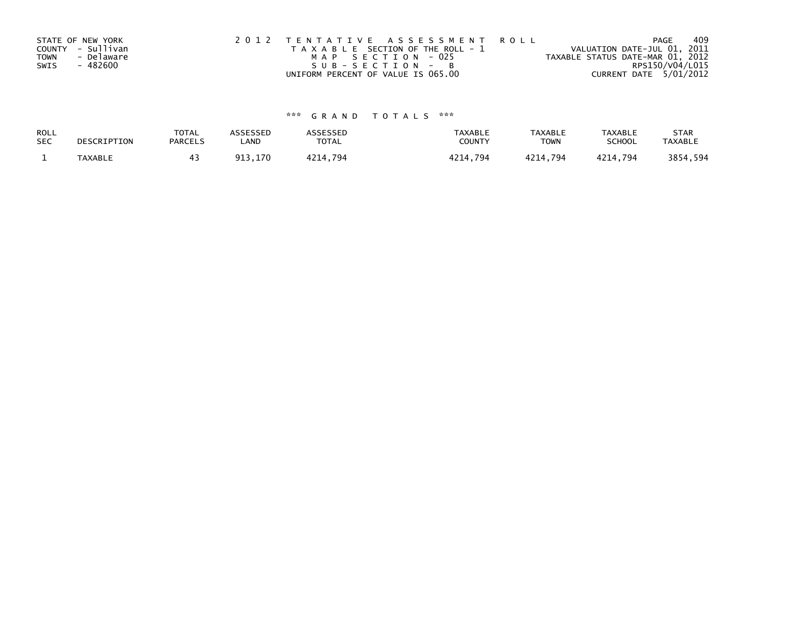| STATE OF NEW YORK<br>COUNTY - Sullivan<br>- Delaware<br><b>TOWN</b><br>- 482600<br>SWIS | 2012 TENTATIVE ASSESSMENT ROLL<br>T A X A B L E SECTION OF THE ROLL - 1<br>MAP SECTION - 025<br>$SUB - SECTION - B$ | PAGE<br>VALUATION DATE-JUL 01, 2011<br>TAXABLE STATUS DATE-MAR 01, 2012 | 409<br>RPS150/V04/L015 |
|-----------------------------------------------------------------------------------------|---------------------------------------------------------------------------------------------------------------------|-------------------------------------------------------------------------|------------------------|
|                                                                                         | UNIFORM PERCENT OF VALUE IS 065.00                                                                                  | CURRENT DATE 5/01/2012                                                  |                        |

# \*\*\* G R A N D T O T A L S \*\*\*

| ROLL       | DESCRIPTION    | <b>TOTAL</b>   | ASSESSED | <b>ASSESSED</b> | <b>TAXABLE</b> | <b>TAXABLE</b> | <b>TAXABLE</b> | <b>STAR</b>    |
|------------|----------------|----------------|----------|-----------------|----------------|----------------|----------------|----------------|
| <b>SEC</b> |                | <b>PARCELS</b> | ∟AND     | TOTAL           | COUNT          | TOWN           | <b>SCHOOL</b>  | <b>TAXABLE</b> |
|            | <b>TAXABLE</b> |                | 913,170  | 4214.794        | 4214.794       | 4214.794       | 4214,794       | 3854,594       |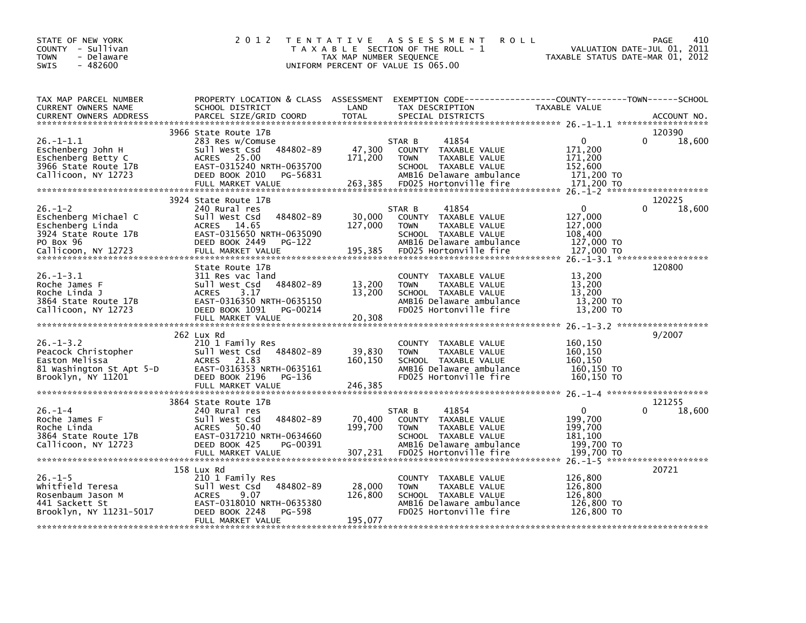| STATE OF NEW YORK<br>COUNTY - Sullivan<br><b>TOWN</b><br>- Delaware<br>$-482600$<br><b>SWIS</b>                       | 2 0 1 2                                                                                                                                                                   | TAX MAP NUMBER SEQUENCE      | TENTATIVE ASSESSMENT<br><b>ROLL</b><br>T A X A B L E SECTION OF THE ROLL - 1<br>UNIFORM PERCENT OF VALUE IS 065.00                                    | TAXABLE STATUS DATE-MAR 01, 2012                                      | 410<br>PAGE<br>VALUATION DATE-JUL 01, 2011 |
|-----------------------------------------------------------------------------------------------------------------------|---------------------------------------------------------------------------------------------------------------------------------------------------------------------------|------------------------------|-------------------------------------------------------------------------------------------------------------------------------------------------------|-----------------------------------------------------------------------|--------------------------------------------|
| TAX MAP PARCEL NUMBER<br>CURRENT OWNERS NAME<br><b>CURRENT OWNERS ADDRESS</b>                                         | PROPERTY LOCATION & CLASS ASSESSMENT<br>SCHOOL DISTRICT<br>PARCEL SIZE/GRID COORD                                                                                         | LAND<br><b>TOTAL</b>         | TAX DESCRIPTION<br>SPECIAL DISTRICTS                                                                                                                  | TAXABLE VALUE                                                         | ACCOUNT NO.                                |
| 26.-1-1.1<br>Eschenberg John H<br>Eschenberg Betty C<br>3966 State Route 17B<br>Callicoon, NY 12723                   | 3966 State Route 17B<br>283 Res w/Comuse<br>484802-89<br>sull west Csd<br>ACRES 25.00<br>EAST-0315240 NRTH-0635700<br>DEED BOOK 2010<br>PG-56831<br>FULL MARKET VALUE     | 47,300<br>171,200<br>263,385 | 41854<br>STAR B<br>COUNTY TAXABLE VALUE<br><b>TOWN</b><br>TAXABLE VALUE<br>SCHOOL TAXABLE VALUE<br>AMB16 Delaware ambulance<br>FD025 Hortonville fire | $\Omega$<br>171,200<br>171,200<br>152,600<br>171,200 TO<br>171,200 TO | 120390<br>$\Omega$<br>18,600               |
| $26. - 1 - 2$<br>Eschenberg Michael C<br>Eschenberg Linda<br>3924 State Route 17B<br>PO Box 96<br>Callicoon, NY 12723 | 3924 State Route 17B<br>240 Rural res<br>484802-89<br>Sull West Csd<br>ACRES 14.65<br>EAST-0315650 NRTH-0635090<br>DEED BOOK 2449<br>PG-122<br>FULL MARKET VALUE          | 30,000<br>127,000<br>195,385 | 41854<br>STAR B<br>COUNTY TAXABLE VALUE<br>TAXABLE VALUE<br><b>TOWN</b><br>SCHOOL TAXABLE VALUE<br>AMB16 Delaware ambulance<br>FD025 Hortonville fire | $\Omega$<br>127,000<br>127,000<br>108.400<br>127,000 TO<br>127,000 TO | 120225<br>$\Omega$<br>18,600               |
| $26. -1 - 3.1$<br>Roche James F<br>Roche Linda J<br>3864 State Route 17B<br>Callicoon, NY 12723                       | State Route 17B<br>311 Res vac land<br>484802-89<br>Sull West Csd<br>3.17<br><b>ACRES</b><br>EAST-0316350 NRTH-0635150<br>DEED BOOK 1091<br>PG-00214<br>FULL MARKET VALUE | 13,200<br>13,200<br>20,308   | COUNTY TAXABLE VALUE<br><b>TOWN</b><br>TAXABLE VALUE<br>SCHOOL TAXABLE VALUE<br>AMB16 Delaware ambulance<br>FD025 Hortonville fire                    | 13,200<br>13,200<br>13.200<br>13,200 TO<br>13,200 TO                  | 120800                                     |
| $26. - 1 - 3.2$<br>Peacock Christopher<br>Easton Melissa<br>81 Washington St Apt 5-D<br>Brooklyn, NY 11201            | 262 Lux Rd<br>210 1 Family Res<br>484802-89<br>Sull West Csd<br>21.83<br><b>ACRES</b><br>EAST-0316353 NRTH-0635161<br>DEED BOOK 2196<br>PG-136<br>FULL MARKET VALUE       | 39,830<br>160,150<br>246,385 | COUNTY TAXABLE VALUE<br>TAXABLE VALUE<br><b>TOWN</b><br>SCHOOL TAXABLE VALUE<br>AMB16 Delaware ambulance<br>FD025 Hortonville fire                    | 160,150<br>160,150<br>160.150<br>160,150 TO<br>160,150 TO             | 9/2007                                     |
| $26. - 1 - 4$<br>Roche James F<br>Roche Linda<br>3864 State Route 17B<br>Callicoon, NY 12723                          | 3864 State Route 17B<br>240 Rural res<br>484802-89<br>Sull West Csd<br>50.40<br><b>ACRES</b><br>EAST-0317210 NRTH-0634660<br>DEED BOOK 425<br>PG-00391                    | 70,400<br>199,700            | STAR B<br>41854<br>COUNTY TAXABLE VALUE<br><b>TAXABLE VALUE</b><br><b>TOWN</b><br>SCHOOL TAXABLE VALUE<br>AMB16 Delaware ambulance                    | $\mathbf{0}$<br>199,700<br>199.700<br>181,100<br>199,700 TO           | 121255<br>$\Omega$<br>18,600               |
| $26. - 1 - 5$<br>Whitfield Teresa<br>Rosenbaum Jason M<br>441 Sackett St<br>Brooklyn, NY 11231-5017                   | 158 Lux Rd<br>210 1 Family Res<br>Sull West Csd<br>484802-89<br><b>ACRES</b><br>9.07<br>EAST-0318010 NRTH-0635380<br>DEED BOOK 2248<br>PG-598<br>FULL MARKET VALUE        | 28,000<br>126,800<br>195.077 | COUNTY TAXABLE VALUE<br>TAXABLE VALUE<br><b>TOWN</b><br>SCHOOL TAXABLE VALUE<br>AMB16 Delaware ambulance<br>FD025 Hortonville fire                    | 126,800<br>126,800<br>126,800<br>126,800 TO<br>126,800 TO             | 20721                                      |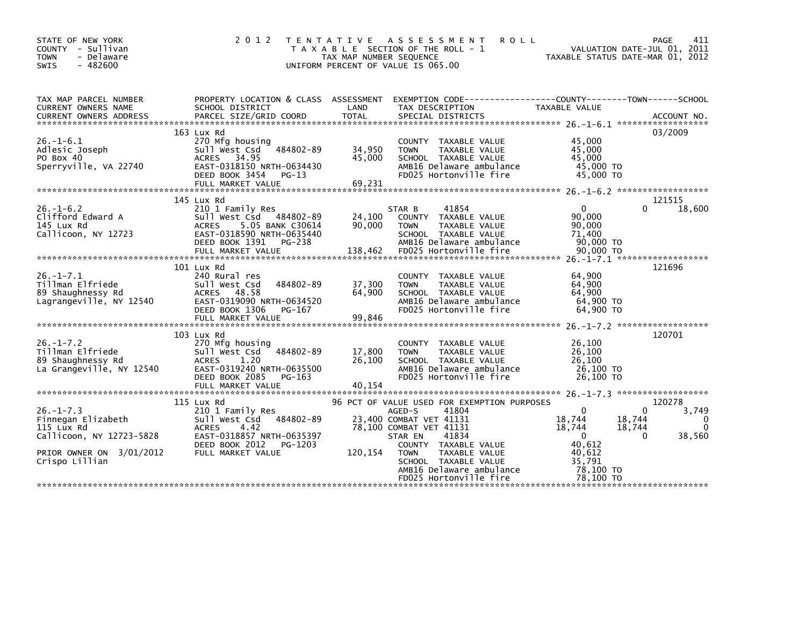| STATE OF NEW YORK<br>COUNTY - Sullivan<br>- Delaware<br><b>TOWN</b><br>$-482600$<br>SWIS                                      | 2 0 1 2                                                                                                                                                           | T E N T A T I V E<br>TAX MAP NUMBER SEQUENCE<br>UNIFORM PERCENT OF VALUE IS 065.00 | ASSESSMENT<br>T A X A B L E SECTION OF THE ROLL - 1                                                                                                                                                                                                                            | <b>ROLL</b><br>VALUATION DATE-JUL 01, 2011<br>TAXABLE STATUS DATE-MAR 01, 2012                                                        | PAGE<br>411                         |
|-------------------------------------------------------------------------------------------------------------------------------|-------------------------------------------------------------------------------------------------------------------------------------------------------------------|------------------------------------------------------------------------------------|--------------------------------------------------------------------------------------------------------------------------------------------------------------------------------------------------------------------------------------------------------------------------------|---------------------------------------------------------------------------------------------------------------------------------------|-------------------------------------|
| TAX MAP PARCEL NUMBER<br>CURRENT OWNERS NAME                                                                                  | PROPERTY LOCATION & CLASS ASSESSMENT<br>SCHOOL DISTRICT                                                                                                           | LAND                                                                               | TAX DESCRIPTION                                                                                                                                                                                                                                                                | EXEMPTION CODE-----------------COUNTY-------TOWN------SCHOOL<br>TAXABLE VALUE                                                         |                                     |
| $26. - 1 - 6.1$<br>Adlesic Joseph<br>PO Box 40<br>Sperryville, VA 22740                                                       | 163 Lux Rd<br>270 Mfg housing<br>484802-89<br>Sull West Csd<br>ACRES 34.95<br>EAST-0318150 NRTH-0634430<br>DEED BOOK 3454<br>$PG-13$<br>FULL MARKET VALUE         | 34,950<br>45,000<br>69,231                                                         | COUNTY TAXABLE VALUE<br><b>TOWN</b><br>TAXABLE VALUE<br>SCHOOL TAXABLE VALUE<br>AMB16 Delaware ambulance<br>FD025 Hortonville fire                                                                                                                                             | 45,000<br>45,000<br>45,000<br>45,000 TO<br>45,000 TO                                                                                  | 03/2009                             |
| $26. - 1 - 6.2$<br>Clifford Edward A<br>145 Lux Rd<br>Callicoon, NY 12723                                                     | 145 Lux Rd<br>210 1 Family Res<br>Sull West Csd 484802-89<br><b>ACRES</b><br>5.05 BANK C30614<br>EAST-0318590 NRTH-0635440<br>DEED BOOK 1391<br>PG-238            | 24,100<br>90,000                                                                   | 41854<br>STAR B<br>COUNTY TAXABLE VALUE<br>TAXABLE VALUE<br><b>TOWN</b><br>SCHOOL TAXABLE VALUE<br>AMB16 Delaware ambulance                                                                                                                                                    | $\mathbf{0}$<br>$\Omega$<br>90,000<br>90,000<br>71,400<br>90,000 TO                                                                   | 121515<br>18,600                    |
| $26. -1 - 7.1$<br>Tillman Elfriede<br>89 Shaughnessy Rd<br>Lagrangeville, NY 12540                                            | 101 Lux Rd<br>240 Rural res<br>Sull West Csd<br>484802-89<br>48.58<br><b>ACRES</b><br>EAST-0319090 NRTH-0634520<br>DEED BOOK 1306<br>PG-167<br>FULL MARKET VALUE  | 37,300<br>64,900<br>99,846                                                         | COUNTY TAXABLE VALUE<br>TAXABLE VALUE<br><b>TOWN</b><br>SCHOOL TAXABLE VALUE<br>AMB16 Delaware ambulance<br>FD025 Hortonville fire                                                                                                                                             | 64,900<br>64,900<br>64,900<br>64,900 TO<br>64,900 TO                                                                                  | 121696                              |
| $26. - 1 - 7.2$<br>Tillman Elfriede<br>89 Shaughnessy Rd<br>La Grangeville, NY 12540                                          | 103 Lux Rd<br>270 Mfg housing<br>484802-89<br>Sull West Csd<br>1.20<br><b>ACRES</b><br>EAST-0319240 NRTH-0635500<br>DEED BOOK 2085<br>PG-163<br>FULL MARKET VALUE | 17,800<br>26,100<br>40,154                                                         | COUNTY TAXABLE VALUE<br>TAXABLE VALUE<br><b>TOWN</b><br>SCHOOL TAXABLE VALUE<br>AMB16 Delaware ambulance<br>FD025 Hortonville fire                                                                                                                                             | 26,100<br>26,100<br>26.100<br>26,100 TO<br>26.100 TO                                                                                  | 120701                              |
| $26. - 1 - 7.3$<br>Finnegan Elizabeth<br>115 Lux Rd<br>Callicoon, NY 12723-5828<br>PRIOR OWNER ON 3/01/2012<br>Crispo Lillian | 115 Lux Rd<br>210 1 Family Res<br>Sull West Csd 484802-89<br><b>ACRES</b><br>4.42<br>EAST-0318857 NRTH-0635397<br>DEED BOOK 2012<br>PG-1203<br>FULL MARKET VALUE  | 120,154                                                                            | 96 PCT OF VALUE USED FOR EXEMPTION PURPOSES<br>41804<br>AGED-S<br>23,400 COMBAT VET 41131<br>78,100 COMBAT VET 41131<br>41834<br>STAR EN<br>COUNTY TAXABLE VALUE<br>TAXABLE VALUE<br><b>TOWN</b><br>SCHOOL TAXABLE VALUE<br>AMB16 Delaware ambulance<br>FD025 Hortonville fire | $\Omega$<br>0<br>18,744<br>18,744<br>18,744<br>18,744<br>$\Omega$<br>$\Omega$<br>40,612<br>40.612<br>35,791<br>78,100 TO<br>78.100 TO | 120278<br>3,749<br>0<br>0<br>38,560 |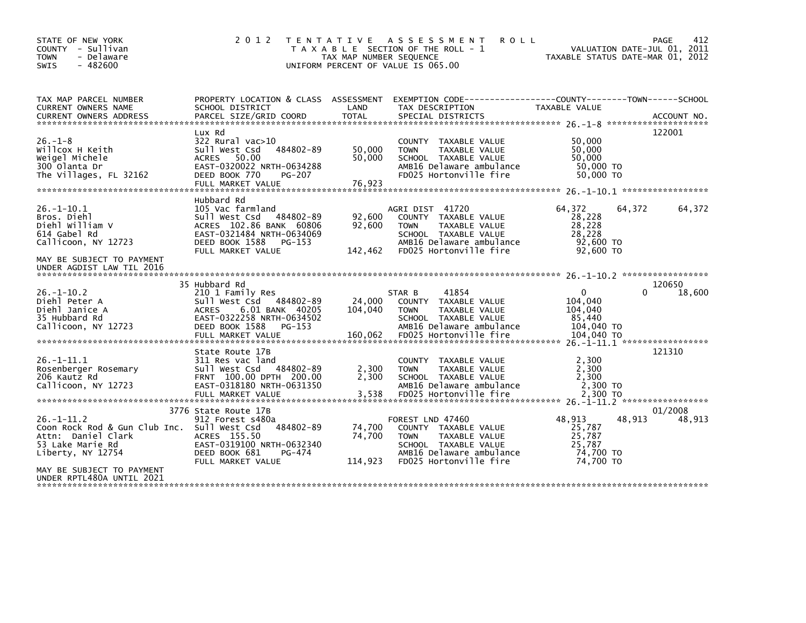| STATE OF NEW YORK<br>COUNTY - Sullivan<br>- Delaware<br><b>TOWN</b><br>$-482600$<br><b>SWIS</b>                                                     | 2 0 1 2                                                                                                                                                                       | TAX MAP NUMBER SEQUENCE      | TENTATIVE ASSESSMENT<br><b>ROLL</b><br>T A X A B L E SECTION OF THE ROLL - 1<br>UNIFORM PERCENT OF VALUE IS 065.00                                     | TAXABLE STATUS DATE-MAR 01, 2012                                         |          | 412<br>PAGE<br>VALUATION DATE-JUL 01, 2011 |
|-----------------------------------------------------------------------------------------------------------------------------------------------------|-------------------------------------------------------------------------------------------------------------------------------------------------------------------------------|------------------------------|--------------------------------------------------------------------------------------------------------------------------------------------------------|--------------------------------------------------------------------------|----------|--------------------------------------------|
| TAX MAP PARCEL NUMBER<br>CURRENT OWNERS NAME<br><b>CURRENT OWNERS ADDRESS</b>                                                                       | PROPERTY LOCATION & CLASS ASSESSMENT<br>SCHOOL DISTRICT<br>PARCEL SIZE/GRID COORD                                                                                             | LAND<br><b>TOTAL</b>         | EXEMPTION CODE-----------------COUNTY-------TOWN------SCHOOL<br>TAX DESCRIPTION<br>SPECIAL DISTRICTS                                                   | TAXABLE VALUE                                                            |          | ACCOUNT NO.                                |
| $26. - 1 - 8$<br>Willcox H Keith<br>Weigel Michele<br>300 Olanta Dr<br>The Villages, FL 32162                                                       | Lux Rd<br>322 Rural vac>10<br>484802-89<br>Sull West Csd<br><b>ACRES</b><br>50.00<br>EAST-0320022 NRTH-0634288<br>DEED BOOK 770<br>PG-207<br>FULL MARKET VALUE                | 50,000<br>50,000<br>76,923   | COUNTY TAXABLE VALUE<br><b>TOWN</b><br>TAXABLE VALUE<br>SCHOOL TAXABLE VALUE<br>AMB16 Delaware ambulance<br>FD025 Hortonville fire                     | 50,000<br>50,000<br>50,000<br>50,000 TO<br>50,000 TO                     |          | 122001                                     |
| $26. - 1 - 10.1$<br>Bros. Diehl<br>Diehl William V<br>614 Gabel Rd<br>Callicoon, NY 12723<br>MAY BE SUBJECT TO PAYMENT<br>UNDER AGDIST LAW TIL 2016 | Hubbard Rd<br>105 Vac farmland<br>Sull West Csd 484802-89<br>ACRES 102.86 BANK 60806<br>EAST-0321484 NRTH-0634069<br>DEED BOOK 1588<br>PG-153<br>FULL MARKET VALUE            | 92,600<br>92,600<br>142,462  | AGRI DIST 41720<br>COUNTY TAXABLE VALUE<br>TAXABLE VALUE<br><b>TOWN</b><br>SCHOOL TAXABLE VALUE<br>AMB16 Delaware ambulance<br>FD025 Hortonville fire  | 64,372<br>28,228<br>28,228<br>28,228<br>92,600 TO<br>92,600 TO           | 64,372   | 64,372                                     |
| $26 - 1 - 10.2$<br>Diehl Peter A<br>Diehl Janice A<br>35 Hubbard Rd<br>Callicoon, NY 12723                                                          | 35 Hubbard Rd<br>210 1 Family Res<br>Sull West Csd 484802-89<br>6.01 BANK 40205<br><b>ACRES</b><br>EAST-0322258 NRTH-0634502<br>DEED BOOK 1588<br>PG-153<br>FULL MARKET VALUE | 24,000<br>104,040<br>160,062 | 41854<br>STAR B<br>COUNTY TAXABLE VALUE<br>TAXABLE VALUE<br><b>TOWN</b><br>SCHOOL TAXABLE VALUE<br>AMB16 Delaware ambulance<br>FD025 Hortonville fire  | $\mathbf{0}$<br>104.040<br>104,040<br>85,440<br>104,040 TO<br>104,040 TO | $\Omega$ | 120650<br>18,600                           |
| $26. -1 - 11.1$<br>Rosenberger Rosemary<br>206 Kautz Rd<br>Callicoon, NY 12723                                                                      | State Route 17B<br>311 Res vac land<br>484802-89<br>Sull West Csd<br>FRNT 100.00 DPTH 200.00<br>EAST-0318180 NRTH-0631350<br>FULL MARKET VALUE                                | 2,300<br>2,300<br>3,538      | COUNTY TAXABLE VALUE<br>TAXABLE VALUE<br><b>TOWN</b><br>SCHOOL TAXABLE VALUE<br>AMB16 Delaware ambulance<br>FD025 Hortonville fire                     | 2,300<br>2.300<br>2,300<br>2.300 TO<br>2.300 TO                          |          | 121310                                     |
| $26. - 1 - 11.2$<br>Coon Rock Rod & Gun Club Inc.<br>Attn: Daniel Clark<br>53 Lake Marie Rd<br>Liberty, NY 12754                                    | 3776 State Route 17B<br>912 Forest s480a<br>Sull West Csd<br>484802-89<br>ACRES 155.50<br>EAST-0319100 NRTH-0632340<br>DEED BOOK 681<br>PG-474<br>FULL MARKET VALUE           | 74,700<br>74,700<br>114,923  | FOREST LND 47460<br>COUNTY TAXABLE VALUE<br>TAXABLE VALUE<br><b>TOWN</b><br>SCHOOL TAXABLE VALUE<br>AMB16 Delaware ambulance<br>FD025 Hortonville fire | 48,913<br>25,787<br>25,787<br>25,787<br>74,700 TO<br>74,700 TO           | 48,913   | 01/2008<br>48,913                          |
| MAY BE SUBJECT TO PAYMENT<br>UNDER RPTL480A UNTIL 2021                                                                                              |                                                                                                                                                                               |                              |                                                                                                                                                        |                                                                          |          |                                            |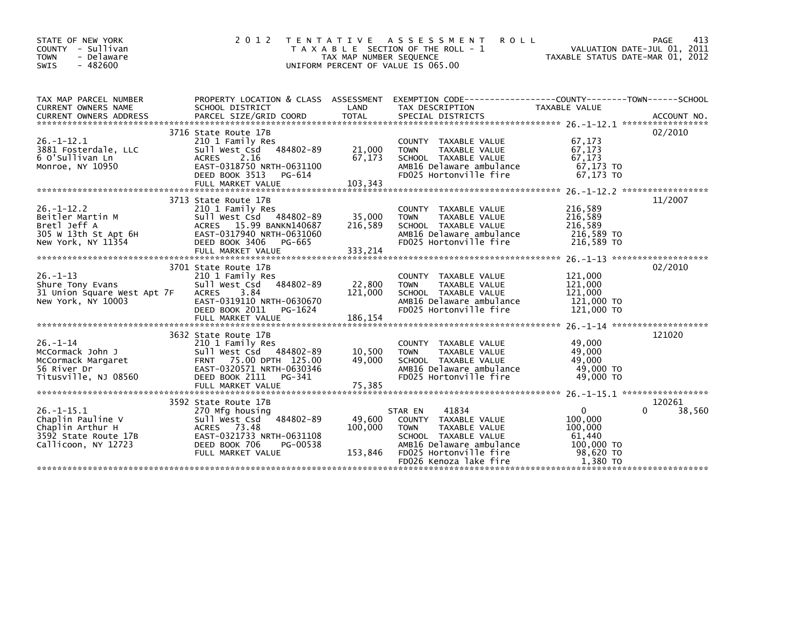| STATE OF NEW YORK<br>COUNTY - Sullivan<br>- Delaware<br><b>TOWN</b><br>SWIS<br>$-482600$                | 2 0 1 2                                                                                                                                                                       | T E N T A T I V E<br>TAX MAP NUMBER SEQUENCE | ASSESSMENT<br><b>ROLL</b><br>T A X A B L E SECTION OF THE ROLL - 1<br>UNIFORM PERCENT OF VALUE IS 065.00                                                                         | VALUATION DATE-JUL 01, 2011<br>TAXABLE STATUS DATE-MAR 01, 2012                 | 413<br>PAGE                      |
|---------------------------------------------------------------------------------------------------------|-------------------------------------------------------------------------------------------------------------------------------------------------------------------------------|----------------------------------------------|----------------------------------------------------------------------------------------------------------------------------------------------------------------------------------|---------------------------------------------------------------------------------|----------------------------------|
| TAX MAP PARCEL NUMBER<br>CURRENT OWNERS NAME                                                            | SCHOOL DISTRICT                                                                                                                                                               | LAND                                         | PROPERTY LOCATION & CLASS ASSESSMENT EXEMPTION CODE----------------COUNTY-------TOWN-----SCHOOL<br>TAX DESCRIPTION                                                               | TAXABLE VALUE                                                                   |                                  |
| $26. - 1 - 12.1$<br>3881 Fosterdale, LLC<br>6 O'Sullivan Ln<br>Monroe, NY 10950                         | 3716 State Route 17B<br>210 1 Family Res<br>Sull West Csd 484802-89<br><b>ACRES</b><br>2.16<br>EAST-0318750 NRTH-0631100<br>DEED BOOK 3513<br>PG-614                          | 21,000<br>67,173                             | COUNTY TAXABLE VALUE<br>TAXABLE VALUE<br><b>TOWN</b><br>SCHOOL TAXABLE VALUE<br>AMB16 Delaware ambulance<br>FD025 Hortonville fire                                               | 67,173<br>67,173<br>67.173<br>67,173 TO<br>67.173 TO                            | 02/2010                          |
| $26. - 1 - 12.2$<br>Beitler Martin M<br>Bretl Jeff A<br>305 W 13th St Apt 6H<br>New York, NY 11354      | 3713 State Route 17B<br>210 1 Family Res<br>Sull West Csd 484802-89<br>ACRES 15.99 BANKN140687<br>EAST-0317940 NRTH-0631060<br>DEED BOOK 3406<br>PG-665                       | 35,000<br>216,589                            | COUNTY TAXABLE VALUE<br>TAXABLE VALUE<br><b>TOWN</b><br>SCHOOL TAXABLE VALUE<br>AMB16 Delaware ambulance<br>FD025 Hortonville fire                                               | 216,589<br>216,589<br>216,589<br>216,589 TO<br>216,589 TO                       | 11/2007                          |
| $26. -1 - 13$<br>Shure Tony Evans<br>31 Union Square West Apt 7F<br>New York, NY 10003                  | 3701 State Route 17B<br>210 1 Family Res<br>484802-89<br>Sull West Csd<br><b>ACRES</b><br>3.84<br>EAST-0319110 NRTH-0630670<br>DEED BOOK 2011<br>PG-1624<br>FULL MARKET VALUE | 22,800<br>121,000<br>186,154                 | COUNTY TAXABLE VALUE<br>TAXABLE VALUE<br><b>TOWN</b><br>SCHOOL TAXABLE VALUE<br>AMB16 Delaware ambulance<br>FD025 Hortonville fire                                               | 121,000<br>121,000<br>121,000<br>121,000 TO<br>121,000 TO                       | 02/2010                          |
| $26. - 1 - 14$<br>McCormack John J<br>McCormack Margaret<br>56 River Dr<br>Titusville, NJ 08560         | 3632 State Route 17B<br>210 1 Family Res<br>Sull West Csd 484802-89<br>FRNT 75.00 DPTH 125.00<br>EAST-0320571 NRTH-0630346<br>DEED BOOK 2111<br>PG-341<br>FULL MARKET VALUE   | 10,500<br>49,000<br>75,385                   | COUNTY TAXABLE VALUE<br>TAXABLE VALUE<br><b>TOWN</b><br>SCHOOL TAXABLE VALUE<br>AMB16 Delaware ambulance<br>FD025 Hortonville fire                                               | 49,000<br>49,000<br>49,000<br>49,000 TO<br>49,000 TO                            | 121020                           |
| $26. -1 - 15.1$<br>Chaplin Pauline V<br>Chaplin Arthur H<br>3592 State Route 17B<br>Callicoon, NY 12723 | 3592 State Route 17B<br>270 Mfg housing<br>484802-89<br>Sull West Csd<br>ACRES 73.48<br>EAST-0321733 NRTH-0631108<br>DEED BOOK 706<br>PG-00538<br>FULL MARKET VALUE           | 49,600<br>100,000<br>153,846                 | 41834<br>STAR EN<br>COUNTY TAXABLE VALUE<br><b>TOWN</b><br>TAXABLE VALUE<br>SCHOOL TAXABLE VALUE<br>AMB16 Delaware ambulance<br>FD025 Hortonville fire<br>FD026 Kenoza lake fire | $\Omega$<br>100,000<br>100,000<br>61,440<br>100,000 TO<br>98,620 TO<br>1.380 TO | 120261<br>38,560<br><sup>0</sup> |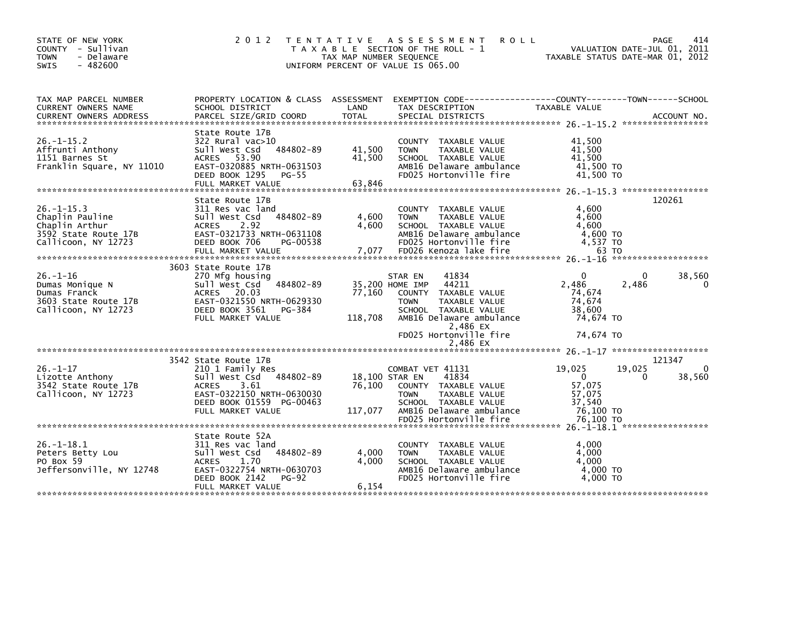| STATE OF NEW YORK<br>COUNTY - Sullivan<br><b>TOWN</b><br>- Delaware<br>$-482600$<br><b>SWIS</b>     | 2 0 1 2                                                                                                                                                                       | TAX MAP NUMBER SEQUENCE    | TENTATIVE ASSESSMENT<br><b>ROLL</b><br>T A X A B L E SECTION OF THE ROLL - 1<br>UNIFORM PERCENT OF VALUE IS 065.00                                                                                    | VALUATION DATE-JUL 01, 2011<br>TAXABLE STATUS DATE-MAR 01, 2012                         | PAGE<br>414        |
|-----------------------------------------------------------------------------------------------------|-------------------------------------------------------------------------------------------------------------------------------------------------------------------------------|----------------------------|-------------------------------------------------------------------------------------------------------------------------------------------------------------------------------------------------------|-----------------------------------------------------------------------------------------|--------------------|
| TAX MAP PARCEL NUMBER<br>CURRENT OWNERS NAME                                                        | SCHOOL DISTRICT                                                                                                                                                               | LAND                       | PROPERTY LOCATION & CLASS ASSESSMENT EXEMPTION CODE---------------COUNTY-------TOWN-----SCHOOL<br>TAX DESCRIPTION                                                                                     | TAXABLE VALUE                                                                           |                    |
| $26. - 1 - 15.2$<br>Affrunti Anthony<br>1151 Barnes St<br>Franklin Square, NY 11010                 | State Route 17B<br>$322$ Rural vac $>10$<br>Sull West Csd<br>484802-89<br>ACRES 53.90<br>EAST-0320885 NRTH-0631503<br>DEED BOOK 1295<br>PG-55<br>FULL MARKET VALUE            | 41,500<br>41,500<br>63,846 | COUNTY TAXABLE VALUE<br><b>TOWN</b><br>TAXABLE VALUE<br>SCHOOL TAXABLE VALUE<br>AMB16 Delaware ambulance<br>FD025 Hortonville fire                                                                    | 41.500<br>41,500<br>41,500<br>41.500 TO<br>41,500 TO                                    |                    |
| $26. -1 - 15.3$<br>Chaplin Pauline<br>Chaplin Arthur<br>3592 State Route 17B<br>Callicoon, NY 12723 | State Route 17B<br>311 Res vac land<br>484802-89<br>Sull West Csd<br>2.92<br><b>ACRES</b><br>EAST-0321733 NRTH-0631108<br>DEED BOOK 706<br>PG-00538                           | 4,600<br>4,600             | COUNTY TAXABLE VALUE<br><b>TOWN</b><br>TAXABLE VALUE<br>SCHOOL TAXABLE VALUE<br>AMB16 Delaware ambulance<br>FD025 Hortonville fire                                                                    | 4,600<br>4,600<br>4,600<br>4,600 TO<br>$4,537$ TO                                       | 120261             |
| $26. - 1 - 16$<br>Dumas Monique N<br>Dumas Franck<br>3603 State Route 17B<br>Callicoon, NY 12723    | 3603 State Route 17B<br>270 Mfg housing<br>484802-89<br>Sull West Csd<br>ACRES 20.03<br>EAST-0321550 NRTH-0629330<br>DEED BOOK 3561<br>PG-384<br>FULL MARKET VALUE            | 77,160<br>118,708          | STAR EN<br>41834<br>44211<br>35,200 HOME IMP<br>COUNTY TAXABLE VALUE<br><b>TAXABLE VALUE</b><br><b>TOWN</b><br>SCHOOL TAXABLE VALUE<br>AMB16 Delaware ambulance<br>2,486 EX<br>FD025 Hortonville fire | $\Omega$<br>0<br>2,486<br>2,486<br>74,674<br>74.674<br>38,600<br>74.674 TO<br>74,674 TO | 38,560<br>$\Omega$ |
|                                                                                                     |                                                                                                                                                                               |                            | 2,486 EX                                                                                                                                                                                              |                                                                                         |                    |
| $26. - 1 - 17$<br>Lizotte Anthony<br>3542 State Route 17B<br>Callicoon, NY 12723                    | 3542 State Route 17B<br>210 1 Family Res<br>Sull West Csd 484802-89<br>3.61<br><b>ACRES</b><br>EAST-0322150 NRTH-0630030<br>DEED BOOK 01559 PG-00463<br>FULL MARKET VALUE     | 76,100<br>117,077          | COMBAT VET 41131<br>41834<br>18,100 STAR EN<br>COUNTY TAXABLE VALUE<br>TAXABLE VALUE<br><b>TOWN</b><br>SCHOOL TAXABLE VALUE<br>AMB16 Delaware ambulance                                               | 19,025<br>19,025<br>$\Omega$<br>0<br>57,075<br>57,075<br>37,540<br>76,100 TO            | 121347<br>38,560   |
|                                                                                                     |                                                                                                                                                                               |                            |                                                                                                                                                                                                       |                                                                                         |                    |
| $26. - 1 - 18.1$<br>Peters Betty Lou<br>PO Box 59<br>Jeffersonville, NY 12748                       | State Route 52A<br>311 Res vac land<br>484802-89<br>Sull West Csd<br><b>ACRES</b><br>1.70<br>EAST-0322754 NRTH-0630703<br>DEED BOOK 2142<br><b>PG-92</b><br>FULL MARKET VALUE | 4,000<br>4,000<br>6,154    | COUNTY TAXABLE VALUE<br>TAXABLE VALUE<br><b>TOWN</b><br>SCHOOL TAXABLE VALUE<br>AMB16 Delaware ambulance<br>FD025 Hortonville fire                                                                    | 4,000<br>4,000<br>4.000<br>4,000 TO<br>4.000 TO                                         |                    |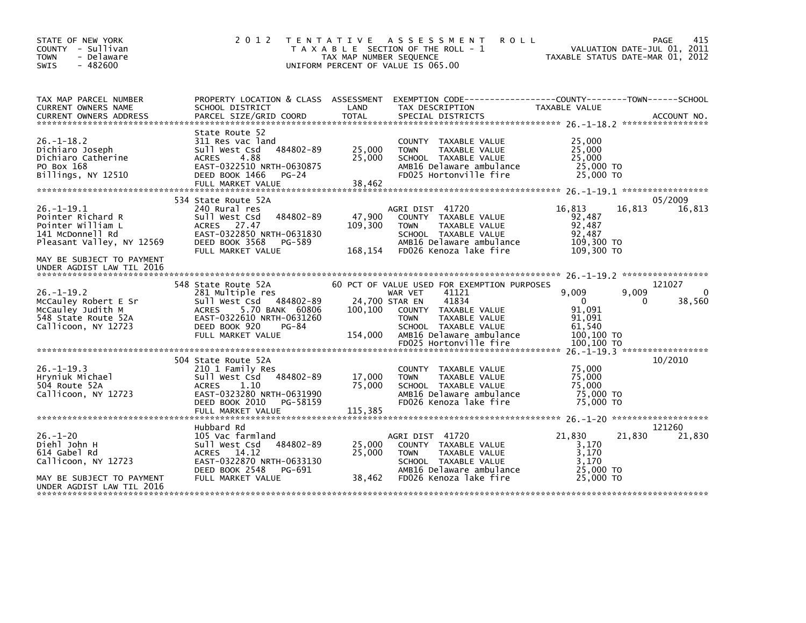| STATE OF NEW YORK<br>COUNTY - Sullivan<br>- Delaware<br><b>TOWN</b><br>$-482600$<br><b>SWIS</b>                                         | 2 0 1 2                                                                                                                                                                                     | T E N T A T I V E<br>TAX MAP NUMBER SEQUENCE | <b>ROLL</b><br>A S S E S S M E N T<br>T A X A B L E SECTION OF THE ROLL - 1<br>UNIFORM PERCENT OF VALUE IS 065.00                                                                                                     | VALUATION DATE-JUL 01, 2011<br>TAXABLE STATUS DATE-MAR 01, 2012                           | 415<br>PAGE           |
|-----------------------------------------------------------------------------------------------------------------------------------------|---------------------------------------------------------------------------------------------------------------------------------------------------------------------------------------------|----------------------------------------------|-----------------------------------------------------------------------------------------------------------------------------------------------------------------------------------------------------------------------|-------------------------------------------------------------------------------------------|-----------------------|
| TAX MAP PARCEL NUMBER<br>CURRENT OWNERS NAME                                                                                            | PROPERTY LOCATION & CLASS ASSESSMENT<br>SCHOOL DISTRICT                                                                                                                                     | LAND                                         | EXEMPTION CODE------------------COUNTY--------TOWN------SCHOOL<br>TAX DESCRIPTION                                                                                                                                     | TAXABLE VALUE                                                                             |                       |
| $26. - 1 - 18.2$<br>Dichiaro Joseph<br>Dichiaro Catherine<br>PO Box 168<br>Billings, NY 12510                                           | State Route 52<br>311 Res vac land<br>484802-89<br>Sull West Csd<br>4.88<br><b>ACRES</b><br>EAST-0322510 NRTH-0630875<br>DEED BOOK 1466<br>$PG-24$<br>FULL MARKET VALUE                     | 25,000<br>25,000<br>38,462                   | COUNTY TAXABLE VALUE<br><b>TOWN</b><br>TAXABLE VALUE<br>SCHOOL TAXABLE VALUE<br>AMB16 Delaware ambulance<br>FD025 Hortonville fire                                                                                    | 25,000<br>25,000<br>25,000<br>25,000 TO<br>25,000 TO                                      |                       |
| $26. -1 - 19.1$<br>Pointer Richard R<br>Pointer William L<br>141 McDonnell Rd<br>Pleasant Valley, NY 12569<br>MAY BE SUBJECT TO PAYMENT | 534 State Route 52A<br>240 Rural res<br>484802-89<br>Sull West Csd<br>27.47<br><b>ACRES</b><br>EAST-0322850 NRTH-0631830<br>DEED BOOK 3568<br>PG-589<br>FULL MARKET VALUE                   | 47,900<br>109,300<br>168,154                 | AGRI DIST 41720<br>COUNTY TAXABLE VALUE<br><b>TAXABLE VALUE</b><br><b>TOWN</b><br>SCHOOL TAXABLE VALUE<br>AMB16 Delaware ambulance<br>FD026 Kenoza lake fire                                                          | 16,813<br>16,813<br>92,487<br>92,487<br>92,487<br>109,300 TO<br>109,300 TO                | 05/2009<br>16,813     |
| UNDER AGDIST LAW TIL 2016                                                                                                               |                                                                                                                                                                                             |                                              |                                                                                                                                                                                                                       |                                                                                           |                       |
| $26. - 1 - 19.2$<br>McCauley Robert E Sr<br>McCauley Judith M<br>548 State Route 52A<br>Callicoon, NY 12723                             | 548 State Route 52A<br>281 Multiple res<br>484802-89<br>Sull West Csd<br>5.70 BANK 60806<br><b>ACRES</b><br>EAST-0322610 NRTH-0631260<br>DEED BOOK 920<br><b>PG-84</b><br>FULL MARKET VALUE | 24,700 STAR EN<br>100,100<br>154,000         | 60 PCT OF VALUE USED FOR EXEMPTION PURPOSES<br>WAR VET<br>41121<br>41834<br>COUNTY TAXABLE VALUE<br><b>TOWN</b><br><b>TAXABLE VALUE</b><br>SCHOOL TAXABLE VALUE<br>AMB16 Delaware ambulance<br>FD025 Hortonville fire | 9,009<br>9,009<br>$\Omega$<br>0<br>91,091<br>91.091<br>61,540<br>100,100 TO<br>100,100 TO | 121027<br>0<br>38,560 |
|                                                                                                                                         | 504 State Route 52A                                                                                                                                                                         |                                              |                                                                                                                                                                                                                       | $26. -1 - 19.3$ *******************                                                       | 10/2010               |
| $26. - 1 - 19.3$<br>Hryniuk Michael<br>504 Route 52A<br>Callicoon, NY 12723                                                             | 210 1 Family Res<br>484802-89<br>Sull West Csd<br><b>ACRES</b><br>1.10<br>EAST-0323280 NRTH-0631990<br>DEED BOOK 2010<br>PG-58159<br>FULL MARKET VALUE                                      | 17,000<br>75,000<br>115,385                  | COUNTY TAXABLE VALUE<br>TAXABLE VALUE<br><b>TOWN</b><br>SCHOOL TAXABLE VALUE<br>AMB16 Delaware ambulance<br>FD026 Kenoza lake fire                                                                                    | 75,000<br>75,000<br>75.000<br>75,000 TO<br>75,000 TO                                      |                       |
|                                                                                                                                         |                                                                                                                                                                                             |                                              |                                                                                                                                                                                                                       |                                                                                           |                       |
| $26. - 1 - 20$<br>Diehl John H<br>614 Gabel Rd<br>Callicoon, NY 12723                                                                   | Hubbard Rd<br>105 Vac farmland<br>Sull West Csd<br>484802-89<br>14.12<br>ACRES<br>EAST-0322870 NRTH-0633130<br>DEED BOOK 2548<br>PG-691                                                     | 25,000<br>25,000                             | AGRI DIST 41720<br>COUNTY TAXABLE VALUE<br>TAXABLE VALUE<br><b>TOWN</b><br>SCHOOL TAXABLE VALUE<br>AMB16 Delaware ambulance                                                                                           | 21,830<br>21,830<br>3,170<br>3,170<br>3,170<br>25,000 TO                                  | 121260<br>21,830      |
| MAY BE SUBJECT TO PAYMENT<br>UNDER AGDIST LAW TIL 2016                                                                                  | FULL MARKET VALUE                                                                                                                                                                           | 38,462                                       | FD026 Kenoza lake fire                                                                                                                                                                                                | 25,000 TO                                                                                 |                       |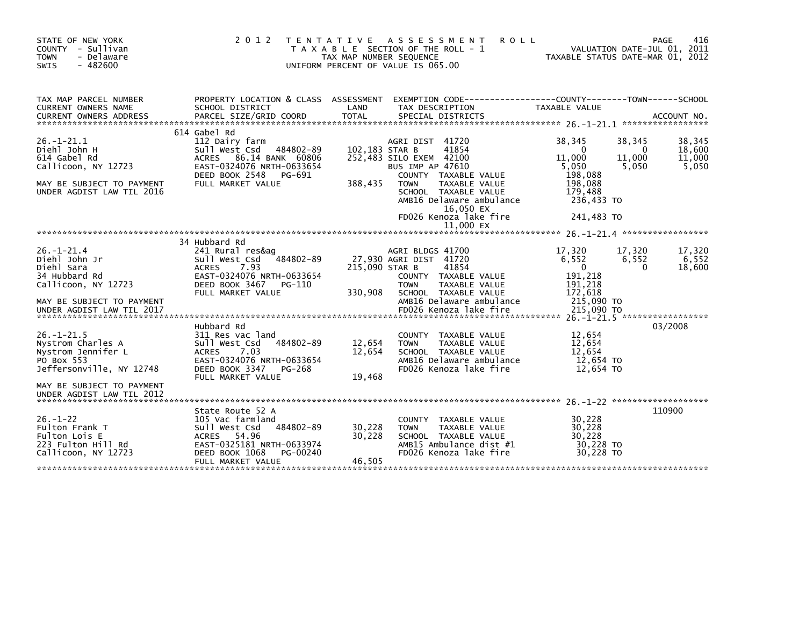| STATE OF NEW YORK<br>COUNTY - Sullivan<br><b>TOWN</b><br>- Delaware<br>$-482600$<br><b>SWIS</b>                                                   | 2 0 1 2                                                                                                                                                               | TENTATIVE ASSESSMENT<br><b>ROLL</b><br>T A X A B L E SECTION OF THE ROLL - 1<br>TAX MAP NUMBER SEQUENCE<br>UNIFORM PERCENT OF VALUE IS 065.00                                                                                                                                         | VALUATION DATE-JUL 01, 2011<br>TAXABLE STATUS DATE-MAR 01, 2012                                                                      | 416<br>PAGE                         |
|---------------------------------------------------------------------------------------------------------------------------------------------------|-----------------------------------------------------------------------------------------------------------------------------------------------------------------------|---------------------------------------------------------------------------------------------------------------------------------------------------------------------------------------------------------------------------------------------------------------------------------------|--------------------------------------------------------------------------------------------------------------------------------------|-------------------------------------|
| TAX MAP PARCEL NUMBER<br><b>CURRENT OWNERS NAME</b>                                                                                               | PROPERTY LOCATION & CLASS ASSESSMENT<br>SCHOOL DISTRICT                                                                                                               | LAND<br>TAX DESCRIPTION                                                                                                                                                                                                                                                               | TAXABLE VALUE                                                                                                                        |                                     |
| $26. - 1 - 21.1$<br>Diehl John H<br>614 Gabel Rd<br>Callicoon, NY 12723<br>MAY BE SUBJECT TO PAYMENT<br>UNDER AGDIST LAW TIL 2016                 | 614 Gabel Rd<br>112 Dairy farm<br>Sull West Csd<br>484802-89<br>ACRES 86.14 BANK 60806<br>EAST-0324076 NRTH-0633654<br>DEED BOOK 2548<br>PG-691<br>FULL MARKET VALUE  | 41720<br>AGRI DIST<br>41854<br>102,183 STAR B<br>252,483 SILO EXEM 42100<br><b>BUS IMP AP 47610</b><br>COUNTY TAXABLE VALUE<br>388,435<br><b>TAXABLE VALUE</b><br><b>TOWN</b><br>SCHOOL TAXABLE VALUE<br>AMB16 Delaware ambulance<br>16,050 EX<br>FD026 Kenoza lake fire<br>11,000 EX | 38.345<br>38,345<br>$\Omega$<br>0<br>11,000<br>11,000<br>5,050<br>5,050<br>198.088<br>198,088<br>179,488<br>236,433 TO<br>241,483 TO | 38,345<br>18,600<br>11,000<br>5,050 |
|                                                                                                                                                   |                                                                                                                                                                       |                                                                                                                                                                                                                                                                                       |                                                                                                                                      |                                     |
| $26. - 1 - 21.4$<br>Diehl John Jr<br>Diehl Sara<br>34 Hubbard Rd<br>Callicoon, NY 12723<br>MAY BE SUBJECT TO PAYMENT<br>UNDER AGDIST LAW TIL 2017 | 34 Hubbard Rd<br>241 Rural res&ag<br>484802-89<br>Sull West Csd<br>7.93<br><b>ACRES</b><br>EAST-0324076 NRTH-0633654<br>DEED BOOK 3467<br>PG-110<br>FULL MARKET VALUE | AGRI BLDGS 41700<br>27,930 AGRI DIST 41720<br>215,090 STAR B<br>41854<br>COUNTY TAXABLE VALUE<br><b>TAXABLE VALUE</b><br><b>TOWN</b><br>330,908<br>SCHOOL TAXABLE VALUE<br>AMB16 Delaware ambulance<br>FD026 Kenoza lake fire                                                         | 17,320<br>17,320<br>6,552<br>6,552<br>$\mathbf 0$<br>$\Omega$<br>191,218<br>191,218<br>172,618<br>215,090 TO<br>215,090 TO           | 17,320<br>6,552<br>18,600           |
| $26. - 1 - 21.5$<br>Nystrom Charles A<br>Nystrom Jennifer L<br>PO Box 553<br>Jeffersonville, NY 12748<br>MAY BE SUBJECT TO PAYMENT                | Hubbard Rd<br>311 Res vac land<br>484802-89<br>Sull West Csd<br><b>ACRES</b><br>7.03<br>EAST-0324076 NRTH-0633654<br>DEED BOOK 3347<br>PG-268<br>FULL MARKET VALUE    | <b>COUNTY</b><br>TAXABLE VALUE<br>12,654<br>TAXABLE VALUE<br><b>TOWN</b><br>12,654<br>SCHOOL TAXABLE VALUE<br>AMB16 Delaware ambulance<br>FD026 Kenoza lake fire<br>19,468                                                                                                            | 12,654<br>12,654<br>12,654<br>12,654 TO<br>12,654 TO                                                                                 | 03/2008                             |
| UNDER AGDIST LAW TIL 2012<br>$26. - 1 - 22$<br>Fulton Frank T<br>Fulton Lois E<br>223 Fulton Hill Rd<br>Callicoon, NY 12723                       | State Route 52 A<br>105 Vac farmland<br>Sull West Csd<br>484802-89<br>ACRES 54.96<br>EAST-0325181 NRTH-0633974<br>DEED BOOK 1068<br>PG-00240<br>FULL MARKET VALUE     | <b>COUNTY</b><br>TAXABLE VALUE<br>30,228<br><b>TAXABLE VALUE</b><br><b>TOWN</b><br>30,228<br>SCHOOL TAXABLE VALUE<br>AMB15 Ambulance dist #1<br>FD026 Kenoza lake fire<br>46,505                                                                                                      | 30,228<br>30,228<br>30,228<br>30,228 TO<br>30.228 TO                                                                                 | 110900                              |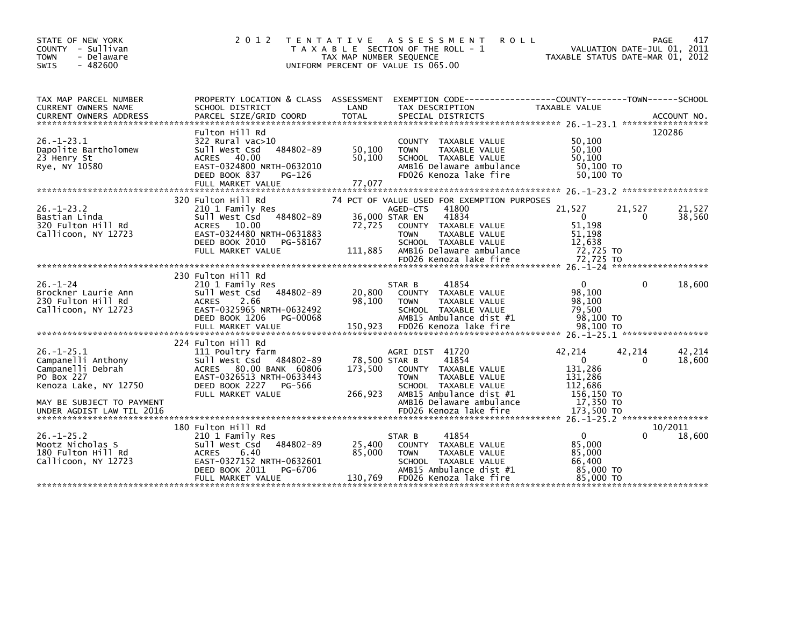| STATE OF NEW YORK<br>COUNTY - Sullivan<br>- Delaware<br><b>TOWN</b><br>$-482600$<br>SWIS | 2 0 1 2                                                 | TAX MAP NUMBER SEQUENCE | TENTATIVE ASSESSMENT<br><b>ROLL</b><br>T A X A B L E SECTION OF THE ROLL - 1<br>UNIFORM PERCENT OF VALUE IS 065.00 | TAXABLE STATUS DATE-MAR 01, 2012 | VALUATION DATE-JUL 01, 2011 | PAGE<br>417 |
|------------------------------------------------------------------------------------------|---------------------------------------------------------|-------------------------|--------------------------------------------------------------------------------------------------------------------|----------------------------------|-----------------------------|-------------|
| TAX MAP PARCEL NUMBER<br><b>CURRENT OWNERS NAME</b>                                      | PROPERTY LOCATION & CLASS ASSESSMENT<br>SCHOOL DISTRICT | LAND                    | EXEMPTION CODE-----------------COUNTY-------TOWN------SCHOOL<br>TAX DESCRIPTION                                    | TAXABLE VALUE                    |                             |             |
| CURRENT OWNERS ADDRESS                                                                   | PARCEL SIZE/GRID COORD                                  | <b>TOTAL</b>            | SPECIAL DISTRICTS                                                                                                  |                                  |                             | ACCOUNT NO. |
|                                                                                          | Fulton Hill Rd                                          |                         |                                                                                                                    |                                  |                             | 120286      |
| $26. - 1 - 23.1$                                                                         | $322$ Rural vac $>10$                                   |                         | COUNTY TAXABLE VALUE                                                                                               | 50,100                           |                             |             |
| Dapolite Bartholomew                                                                     | Sull West Csd<br>484802-89                              | 50,100                  | <b>TOWN</b><br>TAXABLE VALUE                                                                                       | 50,100                           |                             |             |
| 23 Henry St<br>Rye, NY 10580                                                             | ACRES 40.00<br>EAST-0324800 NRTH-0632010                | 50.100                  | SCHOOL TAXABLE VALUE<br>AMB16 Delaware ambulance                                                                   | 50.100<br>50,100 TO              |                             |             |
|                                                                                          | DEED BOOK 837<br>PG-126                                 |                         | FD026 Kenoza lake fire                                                                                             | 50,100 TO                        |                             |             |
|                                                                                          | FULL MARKET VALUE                                       | 77,077                  |                                                                                                                    |                                  |                             |             |
|                                                                                          | 320 Fulton Hill Rd                                      |                         | 74 PCT OF VALUE USED FOR EXEMPTION PURPOSES                                                                        |                                  |                             |             |
| $26. - 1 - 23.2$                                                                         | 210 1 Family Res                                        |                         | 41800<br>AGED-CTS                                                                                                  | 21,527                           | 21,527                      | 21,527      |
| Bastian Linda                                                                            | Sull West Csd 484802-89                                 |                         | 36,000 STAR EN<br>41834                                                                                            | $\mathbf{0}$                     | 0                           | 38,560      |
| 320 Fulton Hill Rd                                                                       | ACRES 10.00                                             | 72.725                  | COUNTY TAXABLE VALUE                                                                                               | 51,198                           |                             |             |
| Callicoon, NY 12723                                                                      | EAST-0324480 NRTH-0631883<br>DEED BOOK 2010<br>PG-58167 |                         | TAXABLE VALUE<br><b>TOWN</b><br>SCHOOL TAXABLE VALUE                                                               | 51,198<br>12,638                 |                             |             |
|                                                                                          | FULL MARKET VALUE                                       | 111.885                 | AMB16 Delaware ambulance                                                                                           | 72,725 TO                        |                             |             |
|                                                                                          |                                                         |                         |                                                                                                                    |                                  |                             |             |
|                                                                                          | 230 Fulton Hill Rd                                      |                         |                                                                                                                    |                                  |                             |             |
| $26. - 1 - 24$                                                                           | 210 1 Family Res                                        |                         | 41854<br>STAR B                                                                                                    | $\Omega$                         | $\Omega$                    | 18,600      |
| Brockner Laurie Ann                                                                      | Sull West Csd<br>484802-89                              | 20,800                  | COUNTY TAXABLE VALUE                                                                                               | 98,100                           |                             |             |
| 230 Fulton Hill Rd                                                                       | <b>ACRES</b><br>2.66                                    | 98,100                  | <b>TOWN</b><br>TAXABLE VALUE                                                                                       | 98,100                           |                             |             |
| Callicoon, NY 12723                                                                      | EAST-0325965 NRTH-0632492<br>DEED BOOK 1206<br>PG-00068 |                         | SCHOOL TAXABLE VALUE<br>AMB15 Ambulance dist #1                                                                    | 79,500<br>98.100 TO              |                             |             |
|                                                                                          | FULL MARKET VALUE                                       | 150,923                 | FD026 Kenoza lake fire                                                                                             | 98,100 TO                        |                             |             |
|                                                                                          |                                                         |                         |                                                                                                                    |                                  |                             |             |
| $26. -1 - 25.1$                                                                          | 224 Fulton Hill Rd<br>111 Poultry farm                  |                         | AGRI DIST 41720                                                                                                    | 42,214                           | 42,214                      | 42,214      |
| Campanelli Anthony                                                                       | Sull West Csd 484802-89                                 |                         | 78,500 STAR B<br>41854                                                                                             | $\mathbf{0}$                     | $\Omega$                    | 18,600      |
| Campanelli Debrah                                                                        | ACRES 80.00 BANK 60806                                  | 173.500                 | COUNTY TAXABLE VALUE                                                                                               | 131.286                          |                             |             |
| PO Box 227<br>Kenoza Lake, NY 12750                                                      | EAST-0326513 NRTH-0633443<br>DEED BOOK 2227<br>PG-566   |                         | <b>TOWN</b><br><b>TAXABLE VALUE</b><br>SCHOOL TAXABLE VALUE                                                        | 131,286<br>112,686               |                             |             |
|                                                                                          | FULL MARKET VALUE                                       | 266,923                 | AMB15 Ambulance dist #1                                                                                            | 156,150 TO                       |                             |             |
| MAY BE SUBJECT TO PAYMENT                                                                |                                                         |                         | AMB16 Delaware ambulance                                                                                           | 17,350 TO                        |                             |             |
| UNDER AGDIST LAW TIL 2016                                                                |                                                         |                         | FD026 Kenoza lake fire                                                                                             | 173,500 TO                       |                             |             |
|                                                                                          | 180 Fulton Hill Rd                                      |                         |                                                                                                                    |                                  |                             | 10/2011     |
| $26. - 1 - 25.2$                                                                         | 210 1 Family Res                                        |                         | 41854<br>STAR B                                                                                                    | $\Omega$                         | 0                           | 18,600      |
| Mootz Nicholas S                                                                         | 484802-89<br>Sull West Csd                              | 25,400                  | COUNTY TAXABLE VALUE                                                                                               | 85,000                           |                             |             |
| 180 Fulton Hill Rd<br>Callicoon, NY 12723                                                | <b>ACRES</b><br>6.40<br>EAST-0327152 NRTH-0632601       | 85,000                  | <b>TOWN</b><br>TAXABLE VALUE<br>SCHOOL TAXABLE VALUE                                                               | 85,000<br>66.400                 |                             |             |
|                                                                                          | DEED BOOK 2011<br>PG-6706                               |                         | AMB15 Ambulance dist #1                                                                                            | 85,000 TO                        |                             |             |
|                                                                                          | FULL MARKET VALUE                                       | 130,769                 | FD026 Kenoza lake fire                                                                                             | 85,000 TO                        |                             |             |
|                                                                                          |                                                         |                         |                                                                                                                    |                                  |                             |             |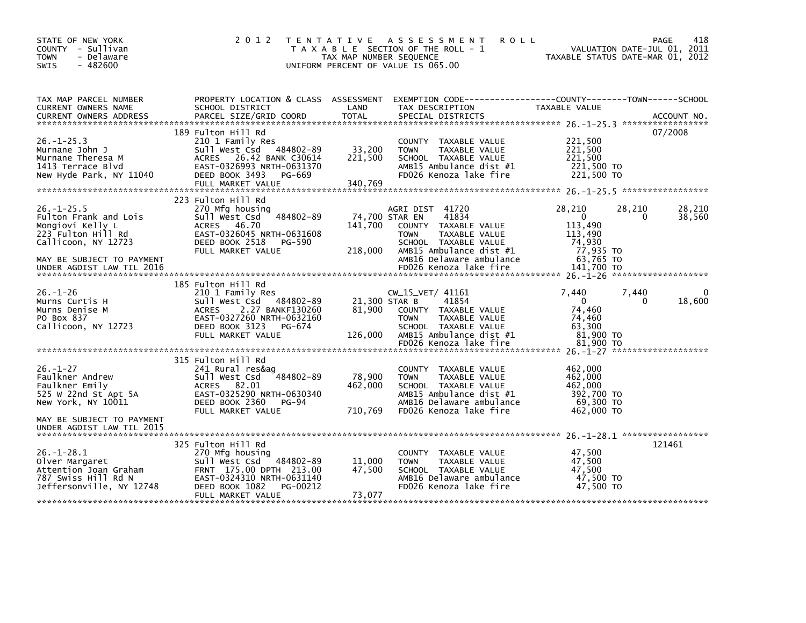| STATE OF NEW YORK<br>COUNTY - Sullivan<br><b>TOWN</b><br>- Delaware<br>$-482600$<br><b>SWIS</b>                                                             | 2 0 1 2                                                                                                                                                                             | TAX MAP NUMBER SEQUENCE              | TENTATIVE ASSESSMENT<br><b>ROLL</b><br>T A X A B L E SECTION OF THE ROLL - 1<br>UNIFORM PERCENT OF VALUE IS 065.00                                              | TAXABLE STATUS DATE-MAR 01, 2012                                             | 418<br><b>PAGE</b><br>VALUATION DATE-JUL 01, 2011 |
|-------------------------------------------------------------------------------------------------------------------------------------------------------------|-------------------------------------------------------------------------------------------------------------------------------------------------------------------------------------|--------------------------------------|-----------------------------------------------------------------------------------------------------------------------------------------------------------------|------------------------------------------------------------------------------|---------------------------------------------------|
| TAX MAP PARCEL NUMBER<br>CURRENT OWNERS NAME                                                                                                                | SCHOOL DISTRICT                                                                                                                                                                     | LAND                                 | PROPERTY LOCATION & CLASS ASSESSMENT EXEMPTION CODE---------------COUNTY-------TOWN------SCHOOL<br>TAX DESCRIPTION                                              | TAXABLE VALUE                                                                |                                                   |
| $26. -1 - 25.3$<br>Murnane John J<br>Murnane Theresa M<br>1413 Terrace Blvd<br>New Hyde Park, NY 11040                                                      | 189 Fulton Hill Rd<br>210 1 Family Res<br>Sull West Csd 484802-89<br>ACRES 26.42 BANK C30614<br>EAST-0326993 NRTH-0631370<br>DEED BOOK 3493<br>PG-669<br>FULL MARKET VALUE          | 33,200<br>221,500<br>340,769         | <b>COUNTY</b><br>TAXABLE VALUE<br>TAXABLE VALUE<br><b>TOWN</b><br>SCHOOL TAXABLE VALUE<br>AMB15 Ambulance dist #1<br>FD026 Kenoza lake fire                     | 221,500<br>221,500<br>221,500<br>221,500 TO<br>221,500 TO                    | 07/2008                                           |
| $26. - 1 - 25.5$<br>Fulton Frank and Lois<br>Mongiovi Kelly L<br>223 Fulton Hill Rd<br>Callicoon, NY 12723<br>MAY BE SUBJECT TO PAYMENT                     | 223 Fulton Hill Rd<br>270 Mfg housing<br>484802-89<br>Sull West Csd<br>46.70<br>ACRES<br>EAST-0326045 NRTH-0631608<br>DEED BOOK 2518<br>PG-590<br>FULL MARKET VALUE                 | 74,700 STAR EN<br>141,700<br>218,000 | AGRI DIST 41720<br>41834<br>COUNTY TAXABLE VALUE<br><b>TOWN</b><br>TAXABLE VALUE<br>SCHOOL TAXABLE VALUE<br>AMB15 Ambulance dist #1<br>AMB16 Delaware ambulance | 28,210<br>$\Omega$<br>113,490<br>113,490<br>74.930<br>77,935 TO<br>63,765 TO | 28,210<br>28,210<br>38,560<br>0                   |
| UNDER AGDIST LAW TIL 2016                                                                                                                                   |                                                                                                                                                                                     |                                      | FD026 Kenoza lake fire                                                                                                                                          | 141,700 TO                                                                   |                                                   |
| $26. - 1 - 26$<br>Murns Curtis H<br>Murns Denise M<br>PO Box 837<br>Callicoon, NY 12723                                                                     | 185 Fulton Hill Rd<br>210 1 Family Res<br>Sull West Csd 484802-89<br>2.27 BANKF130260<br><b>ACRES</b><br>EAST-0327260 NRTH-0632160<br>DEED BOOK 3123<br>PG-674<br>FULL MARKET VALUE | 21,300 STAR B<br>81,900<br>126,000   | CW 15 VET/ 41161<br>41854<br>COUNTY TAXABLE VALUE<br><b>TOWN</b><br>TAXABLE VALUE<br>SCHOOL TAXABLE VALUE<br>AMB15 Ambulance dist #1<br>FD026 Kenoza lake fire  | 7.440<br>$\Omega$<br>74,460<br>74.460<br>63,300<br>81,900 TO<br>81,900 TO    | 7.440<br>18,600<br>0                              |
| $26. - 1 - 27$<br>Faulkner Andrew<br>Faulkner Emily<br>525 W 22nd St Apt 5A<br>New York, NY 10011<br>MAY BE SUBJECT TO PAYMENT<br>UNDER AGDIST LAW TIL 2015 | 315 Fulton Hill Rd<br>241 Rural res&ag<br>484802-89<br>Sull West Csd<br>ACRES 82.01<br>EAST-0325290 NRTH-0630340<br>DEED BOOK 2360<br><b>PG-94</b><br>FULL MARKET VALUE             | 78,900<br>462,000<br>710,769         | COUNTY TAXABLE VALUE<br>TAXABLE VALUE<br><b>TOWN</b><br>SCHOOL TAXABLE VALUE<br>AMB15 Ambulance dist #1<br>AMB16 Delaware ambulance<br>FD026 Kenoza lake fire   | 462,000<br>462,000<br>462,000<br>392,700 TO<br>69,300 TO<br>462,000 TO       | 26. -1-28.1 ******************                    |
| $26. - 1 - 28.1$<br>Olver Margaret<br>Attention Joan Graham<br>787 Swiss Hill Rd N<br>Jeffersonville, NY 12748                                              | 325 Fulton Hill Rd<br>270 Mfg housing<br>Sull West Csd<br>484802-89<br>FRNT 175.00 DPTH 213.00<br>EAST-0324310 NRTH-0631140<br>DEED BOOK 1082<br>PG-00212<br>FULL MARKET VALUE      | 11,000<br>47,500<br>73,077           | COUNTY TAXABLE VALUE<br>TAXABLE VALUE<br><b>TOWN</b><br>SCHOOL TAXABLE VALUE<br>AMB16 Delaware ambulance<br>FD026 Kenoza lake fire                              | 47,500<br>47,500<br>47,500<br>47,500 TO<br>47.500 TO                         | 121461                                            |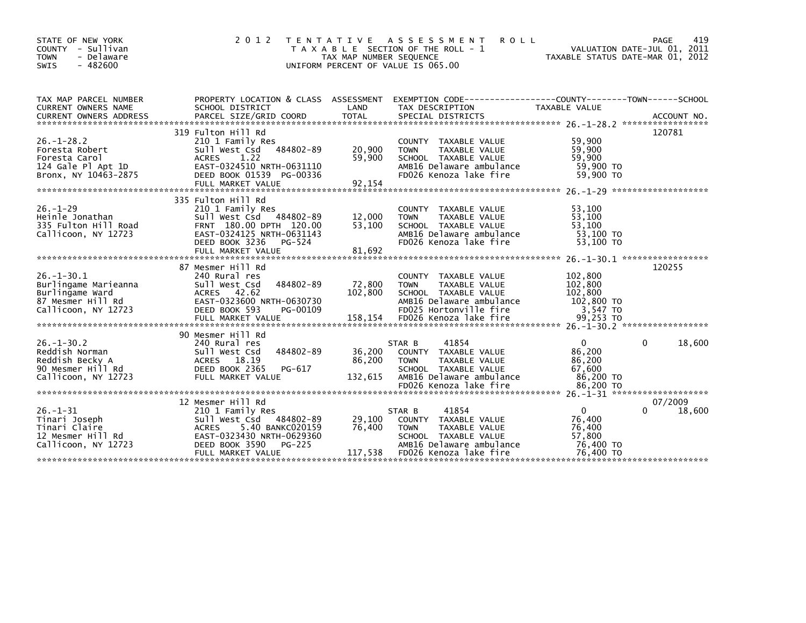| STATE OF NEW YORK<br>COUNTY - Sullivan<br><b>TOWN</b><br>- Delaware<br>$-482600$<br><b>SWIS</b>        | 2 0 1 2                                                                                                                                                                            | T E N T A T I V E<br>TAX MAP NUMBER SEQUENCE | A S S E S S M E N T<br><b>ROLL</b><br>T A X A B L E SECTION OF THE ROLL - 1<br>UNIFORM PERCENT OF VALUE IS 065.00                                     | TAXABLE STATUS DATE-MAR 01, 2012                                 | 419<br><b>PAGE</b><br>VALUATION DATE-JUL 01, 2011 |
|--------------------------------------------------------------------------------------------------------|------------------------------------------------------------------------------------------------------------------------------------------------------------------------------------|----------------------------------------------|-------------------------------------------------------------------------------------------------------------------------------------------------------|------------------------------------------------------------------|---------------------------------------------------|
| TAX MAP PARCEL NUMBER<br><b>CURRENT OWNERS NAME</b><br><b>CURRENT OWNERS ADDRESS</b>                   | PROPERTY LOCATION & CLASS ASSESSMENT<br>SCHOOL DISTRICT<br>PARCEL SIZE/GRID COORD                                                                                                  | LAND<br><b>TOTAL</b>                         | TAX DESCRIPTION<br>SPECIAL DISTRICTS                                                                                                                  | <b>TAXABLE VALUE</b>                                             | ACCOUNT NO.                                       |
|                                                                                                        | 319 Fulton Hill Rd                                                                                                                                                                 |                                              |                                                                                                                                                       |                                                                  | 120781                                            |
| $26. - 1 - 28.2$<br>Foresta Robert<br>Foresta Carol<br>124 Gale Pl Apt 1D<br>Bronx, NY 10463-2875      | 210 1 Family Res<br>484802-89<br>Sull West Csd<br><b>ACRES</b><br>1.22<br>EAST-0324510 NRTH-0631110<br>DEED BOOK 01539 PG-00336<br>FULL MARKET VALUE                               | 20,900<br>59,900<br>92,154                   | COUNTY TAXABLE VALUE<br>TAXABLE VALUE<br><b>TOWN</b><br>SCHOOL TAXABLE VALUE<br>AMB16 Delaware ambulance<br>FD026 Kenoza lake fire                    | 59,900<br>59,900<br>59,900<br>59,900 TO<br>59.900 TO             |                                                   |
|                                                                                                        | 335 Fulton Hill Rd                                                                                                                                                                 |                                              |                                                                                                                                                       |                                                                  |                                                   |
| $26. - 1 - 29$<br>Heinle Jonathan<br>335 Fulton Hill Road<br>Callicoon, NY 12723                       | 210 1 Family Res<br>Sull West Csd 484802-89<br>FRNT 180.00 DPTH 120.00<br>EAST-0324125 NRTH-0631143<br>DEED BOOK 3236<br>PG-524                                                    | 12,000<br>53,100                             | COUNTY TAXABLE VALUE<br>TAXABLE VALUE<br><b>TOWN</b><br>SCHOOL TAXABLE VALUE<br>AMB16 Delaware ambulance<br>FD026 Kenoza lake fire                    | 53,100<br>53,100<br>53,100<br>53,100 TO<br>53,100 TO             |                                                   |
|                                                                                                        |                                                                                                                                                                                    |                                              |                                                                                                                                                       |                                                                  |                                                   |
| $26. -1 - 30.1$<br>Burlingame Marieanna<br>Burlingame Ward<br>87 Mesmer Hill Rd<br>Callicoon, NY 12723 | 87 Mesmer Hill Rd<br>240 Rural res<br>484802-89<br>Sull West Csd<br>ACRES 42.62<br>EAST-0323600 NRTH-0630730<br>DEED BOOK 593<br>PG-00109                                          | 72,800<br>102,800                            | COUNTY TAXABLE VALUE<br>TAXABLE VALUE<br><b>TOWN</b><br>SCHOOL TAXABLE VALUE<br>AMB16 Delaware ambulance<br>FD025 Hortonville fire                    | 102,800<br>102,800<br>102,800<br>102,800 TO<br>3,547 TO          | 120255                                            |
| $26. -1 - 30.2$<br>Reddish Norman<br>Reddish Becky A<br>90 Mesmer Hill Rd<br>Callicoon, NY 12723       | 90 Mesmer Hill Rd<br>240 Rural res<br>484802-89<br>Sull West Csd<br>ACRES 18.19<br>DEED BOOK 2365<br>PG-617<br>FULL MARKET VALUE                                                   | 36,200<br>86,200<br>132,615                  | 41854<br>STAR B<br>COUNTY TAXABLE VALUE<br><b>TOWN</b><br>TAXABLE VALUE<br>SCHOOL TAXABLE VALUE<br>AMB16 Delaware ambulance                           | $\Omega$<br>86,200<br>86,200<br>67.600<br>86,200 TO              | 18,600<br>0                                       |
|                                                                                                        |                                                                                                                                                                                    |                                              |                                                                                                                                                       |                                                                  |                                                   |
| $26. - 1 - 31$<br>Tinari Joseph<br>Tinari Claire<br>12 Mesmer Hill Rd<br>Callicoon, NY 12723           | 12 Mesmer Hill Rd<br>210 1 Family Res<br>Sull West Csd 484802-89<br><b>ACRES</b><br>5.40 BANKC020159<br>EAST-0323430 NRTH-0629360<br>DEED BOOK 3590<br>PG-225<br>FULL MARKET VALUE | 29,100<br>76,400<br>117,538                  | 41854<br>STAR B<br>COUNTY TAXABLE VALUE<br><b>TOWN</b><br>TAXABLE VALUE<br>SCHOOL TAXABLE VALUE<br>AMB16 Delaware ambulance<br>FD026 Kenoza lake fire | $\Omega$<br>76,400<br>76,400<br>57,800<br>76,400 TO<br>76.400 TO | 07/2009<br>18,600<br>0                            |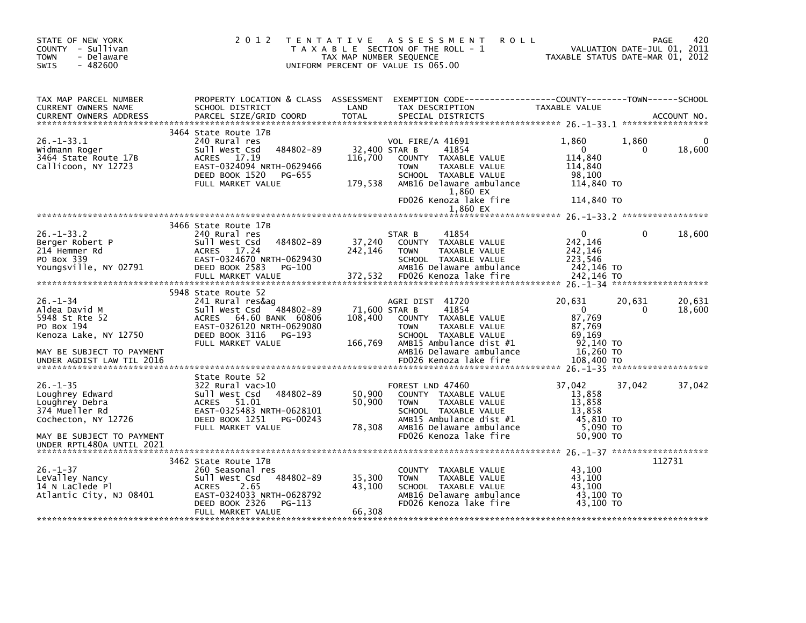| STATE OF NEW YORK<br>COUNTY - Sullivan<br><b>TOWN</b><br>- Delaware<br>$-482600$<br>SWIS     | 2 0 1 2                                                                                                                                                                      | TAX MAP NUMBER SEQUENCE             | TENTATIVE ASSESSMENT<br><b>ROLL</b><br>T A X A B L E SECTION OF THE ROLL - 1<br>UNIFORM PERCENT OF VALUE IS 065.00                                                                                       | TAXABLE STATUS DATE-MAR 01, 2012                                                  |                    | 420<br>PAGE<br>VALUATION DATE-JUL 01, 2011 |
|----------------------------------------------------------------------------------------------|------------------------------------------------------------------------------------------------------------------------------------------------------------------------------|-------------------------------------|----------------------------------------------------------------------------------------------------------------------------------------------------------------------------------------------------------|-----------------------------------------------------------------------------------|--------------------|--------------------------------------------|
| TAX MAP PARCEL NUMBER<br>CURRENT OWNERS NAME<br><b>CURRENT OWNERS ADDRESS</b>                | PROPERTY LOCATION & CLASS ASSESSMENT<br>SCHOOL DISTRICT                                                                                                                      | LAND                                | EXEMPTION CODE-----------------COUNTY-------TOWN------SCHOOL<br>TAX DESCRIPTION                                                                                                                          | TAXABLE VALUE                                                                     |                    |                                            |
| $26. - 1 - 33.1$<br>Widmann Roger<br>3464 State Route 17B<br>Callicoon, NY 12723             | 3464 State Route 17B<br>240 Rural res<br>484802-89<br>Sull West Csd<br>ACRES 17.19<br>EAST-0324094 NRTH-0629466<br>DEED BOOK 1520<br>PG-655<br>FULL MARKET VALUE             | 116,700<br>179,538                  | VOL FIRE/A 41691<br>32,400 STAR B<br>41854<br>COUNTY TAXABLE VALUE<br><b>TOWN</b><br>TAXABLE VALUE<br>SCHOOL TAXABLE VALUE<br>AMB16 Delaware ambulance<br>1,860 EX<br>FD026 Kenoza lake fire<br>1.860 EX | 1,860<br>$\mathbf{0}$<br>114,840<br>114,840<br>98,100<br>114,840 TO<br>114,840 TO | 1,860<br>0         | 18,600                                     |
|                                                                                              |                                                                                                                                                                              |                                     |                                                                                                                                                                                                          |                                                                                   |                    |                                            |
| $26. - 1 - 33.2$<br>Berger Robert P<br>214 Hemmer Rd<br>PO Box 339<br>Youngsville, NY 02791  | 3466 State Route 17B<br>240 Rural res<br>484802-89<br>Sull West Csd<br>ACRES 17.24<br>EAST-0324670 NRTH-0629430<br>DEED BOOK 2583<br>PG-100                                  | 37,240<br>242,146                   | STAR B<br>41854<br>COUNTY TAXABLE VALUE<br>TAXABLE VALUE<br><b>TOWN</b><br>SCHOOL TAXABLE VALUE<br>AMB16 Delaware ambulance                                                                              | $\overline{0}$<br>242,146<br>242,146<br>223,546<br>242,146 TO                     | $\Omega$           | 18,600                                     |
|                                                                                              | 5948 State Route 52                                                                                                                                                          |                                     |                                                                                                                                                                                                          |                                                                                   |                    |                                            |
| $26. - 1 - 34$<br>Aldea David M<br>5948 St Rte 52<br>PO Box 194<br>Kenoza Lake, NY 12750     | 241 Rural res&ag<br>$-484802 - 89$<br>Sull West Csd<br>ACRES 64.60 BANK 60806<br>EAST-0326120 NRTH-0629080<br>DEED BOOK 3116<br>PG-193<br>FULL MARKET VALUE                  | 71,600 STAR B<br>108,400<br>166,769 | AGRI DIST 41720<br>41854<br>COUNTY TAXABLE VALUE<br><b>TOWN</b><br>TAXABLE VALUE<br>SCHOOL TAXABLE VALUE<br>AMB15 Ambulance dist #1                                                                      | 20,631<br>$\mathbf{0}$<br>87,769<br>87,769<br>69.169<br>92.140 TO                 | 20,631<br>$\Omega$ | 20,631<br>18,600                           |
| MAY BE SUBJECT TO PAYMENT<br>UNDER AGDIST LAW TIL 2016                                       |                                                                                                                                                                              |                                     | AMB16 Delaware ambulance<br>FD026 Kenoza lake fire                                                                                                                                                       | 16,260 TO<br>108,400 TO                                                           |                    |                                            |
|                                                                                              |                                                                                                                                                                              |                                     |                                                                                                                                                                                                          |                                                                                   |                    |                                            |
| $26. - 1 - 35$<br>Loughrey Edward<br>Loughrey Debra<br>374 Mueller Rd<br>Cochecton, NY 12726 | State Route 52<br>$322$ Rural vac $>10$<br>484802-89<br>Sull West Csd<br>ACRES 51.01<br>EAST-0325483 NRTH-0628101<br>DEED BOOK 1251<br>PG-00243<br>FULL MARKET VALUE         | 50,900<br>50,900<br>78,308          | FOREST LND 47460<br>COUNTY TAXABLE VALUE<br><b>TOWN</b><br>TAXABLE VALUE<br>SCHOOL TAXABLE VALUE<br>AMB15 Ambulance dist #1<br>AMB16 Delaware ambulance                                                  | 37,042<br>13,858<br>13,858<br>13,858<br>45,810 TO<br>$5,090$ TO                   | 37,042             | 37,042                                     |
| MAY BE SUBJECT TO PAYMENT<br>UNDER RPTL480A UNTIL 2021                                       |                                                                                                                                                                              |                                     | FD026 Kenoza lake fire                                                                                                                                                                                   | 50,900 TO                                                                         |                    |                                            |
| $26. - 1 - 37$<br>LeValley Nancy<br>14 N LaClede Pl<br>Atlantic City, NJ 08401               | 3462 State Route 17B<br>260 Seasonal res<br>484802-89<br>Sull West Csd<br><b>ACRES</b><br>2.65<br>EAST-0324033 NRTH-0628792<br>DEED BOOK 2326<br>PG-113<br>FULL MARKET VALUE | 35,300<br>43,100<br>66,308          | COUNTY TAXABLE VALUE<br>TAXABLE VALUE<br><b>TOWN</b><br>SCHOOL TAXABLE VALUE<br>AMB16 Delaware ambulance<br>FD026 Kenoza lake fire                                                                       | 43,100<br>43.100<br>43,100<br>43,100 TO<br>43.100 TO                              |                    | 112731                                     |
|                                                                                              |                                                                                                                                                                              |                                     |                                                                                                                                                                                                          |                                                                                   |                    |                                            |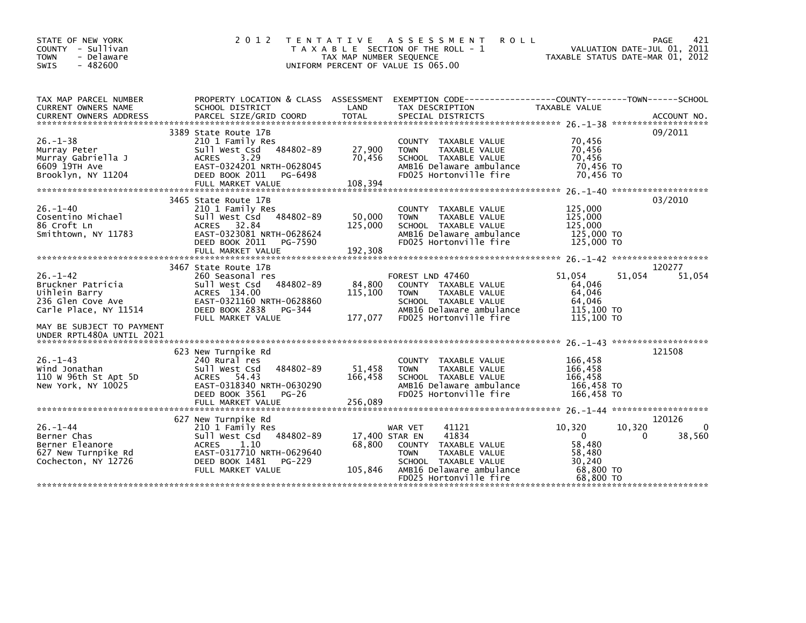| STATE OF NEW YORK<br>COUNTY - Sullivan<br>- Delaware<br><b>TOWN</b><br><b>SWIS</b><br>$-482600$    | 2 0 1 2<br>T E N T A T I V E                                                                                                                                                  | TAX MAP NUMBER SEQUENCE             | A S S E S S M E N T<br><b>ROLL</b><br>T A X A B L E SECTION OF THE ROLL - 1<br>UNIFORM PERCENT OF VALUE IS 065.00                                                  | TAXABLE STATUS DATE-MAR 01, 2012                                                        | 421<br>PAGE<br>VALUATION DATE-JUL 01, 2011 |
|----------------------------------------------------------------------------------------------------|-------------------------------------------------------------------------------------------------------------------------------------------------------------------------------|-------------------------------------|--------------------------------------------------------------------------------------------------------------------------------------------------------------------|-----------------------------------------------------------------------------------------|--------------------------------------------|
| TAX MAP PARCEL NUMBER<br>CURRENT OWNERS NAME<br><b>CURRENT OWNERS ADDRESS</b>                      | SCHOOL DISTRICT<br>PARCEL SIZE/GRID COORD                                                                                                                                     | LAND<br>TOTAL                       | PROPERTY LOCATION & CLASS ASSESSMENT EXEMPTION CODE----------------COUNTY-------TOWN-----SCHOOL<br>TAX DESCRIPTION                                                 | TAXABLE VALUE                                                                           | ACCOUNT NO.                                |
|                                                                                                    |                                                                                                                                                                               |                                     | SPECIAL DISTRICTS                                                                                                                                                  |                                                                                         |                                            |
| $26. -1 - 38$<br>Murray Peter<br>Murray Gabriella J<br>6609 19TH AVe<br>Brooklyn, NY 11204         | 3389 State Route 17B<br>210 1 Family Res<br>484802-89<br>Sull West Csd<br><b>ACRES</b><br>3.29<br>EAST-0324201 NRTH-0628045<br>DEED BOOK 2011<br>PG-6498<br>FULL MARKET VALUE | 27,900<br>70,456<br>108,394         | COUNTY TAXABLE VALUE<br>TAXABLE VALUE<br><b>TOWN</b><br>SCHOOL TAXABLE VALUE<br>AMB16 Delaware ambulance<br>FD025 Hortonville fire                                 | 70,456<br>70,456<br>70,456<br>70,456 TO<br>70,456 TO                                    | 09/2011                                    |
|                                                                                                    |                                                                                                                                                                               |                                     |                                                                                                                                                                    |                                                                                         |                                            |
| $26. - 1 - 40$<br>Cosentino Michael<br>86 Croft Ln<br>Smithtown, NY 11783                          | 3465 State Route 17B<br>210 1 Family Res<br>484802-89<br>Sull West Csd<br>ACRES 32.84<br>EAST-0323081 NRTH-0628624<br>DEED BOOK 2011<br>PG-7590                               | 50,000<br>125,000                   | COUNTY TAXABLE VALUE<br>TAXABLE VALUE<br><b>TOWN</b><br>SCHOOL TAXABLE VALUE<br>AMB16 Delaware ambulance<br>FD025 Hortonville fire                                 | 125,000<br>125,000<br>125,000<br>125,000 TO<br>125,000 TO                               | 03/2010                                    |
|                                                                                                    |                                                                                                                                                                               |                                     |                                                                                                                                                                    |                                                                                         |                                            |
| $26. - 1 - 42$<br>Bruckner Patricia<br>Uihlein Barry<br>236 Glen Cove Ave<br>Carle Place, NY 11514 | 3467 State Route 17B<br>260 Seasonal res<br>484802-89<br>Sull West Csd<br>ACRES 134.00<br>EAST-0321160 NRTH-0628860<br>DEED BOOK 2838<br>PG-344<br>FULL MARKET VALUE          | 84,800<br>115,100<br>177,077        | FOREST LND 47460<br>COUNTY TAXABLE VALUE<br>TAXABLE VALUE<br><b>TOWN</b><br>SCHOOL TAXABLE VALUE<br>AMB16 Delaware ambulance<br>FD025 Hortonville fire             | 51,054<br>51,054<br>64,046<br>64,046<br>64,046<br>115,100 TO<br>$115,100$ TO            | 120277<br>51,054                           |
| MAY BE SUBJECT TO PAYMENT<br>UNDER RPTL480A UNTIL 2021                                             |                                                                                                                                                                               |                                     |                                                                                                                                                                    |                                                                                         |                                            |
| $26. - 1 - 43$<br>Wind Jonathan<br>110 W 96th St Apt 5D<br>New York, NY 10025                      | 623 New Turnpike Rd<br>240 Rural res<br>Sull West Csd<br>484802-89<br>ACRES 54.43<br>EAST-0318340 NRTH-0630290<br>DEED BOOK 3561<br><b>PG-26</b><br>FULL MARKET VALUE         | 51,458<br>166,458<br>256,089        | COUNTY TAXABLE VALUE<br>TAXABLE VALUE<br><b>TOWN</b><br>SCHOOL TAXABLE VALUE<br>AMB16 Delaware ambulance<br>FD025 Hortonville fire                                 | 166,458<br>166,458<br>166,458<br>166,458 TO<br>166,458 TO                               | 121508                                     |
|                                                                                                    |                                                                                                                                                                               |                                     |                                                                                                                                                                    |                                                                                         |                                            |
| $26. - 1 - 44$<br>Berner Chas<br>Berner Eleanore<br>627 New Turnpike Rd<br>Cochecton, NY 12726     | 627 New Turnpike Rd<br>210 1 Family Res<br>484802-89<br>Sull West Csd<br>1.10<br><b>ACRES</b><br>EAST-0317710 NRTH-0629640<br>DEED BOOK 1481<br>PG-229<br>FULL MARKET VALUE   | 17,400 STAR EN<br>68,800<br>105,846 | 41121<br>WAR VET<br>41834<br>TAXABLE VALUE<br>COUNTY<br><b>TOWN</b><br>TAXABLE VALUE<br>SCHOOL TAXABLE VALUE<br>AMB16 Delaware ambulance<br>FD025 Hortonville fire | 10,320<br>10,320<br>$\mathbf 0$<br>58,480<br>58,480<br>30,240<br>68,800 TO<br>68,800 TO | 120126<br>0<br>38,560<br>0                 |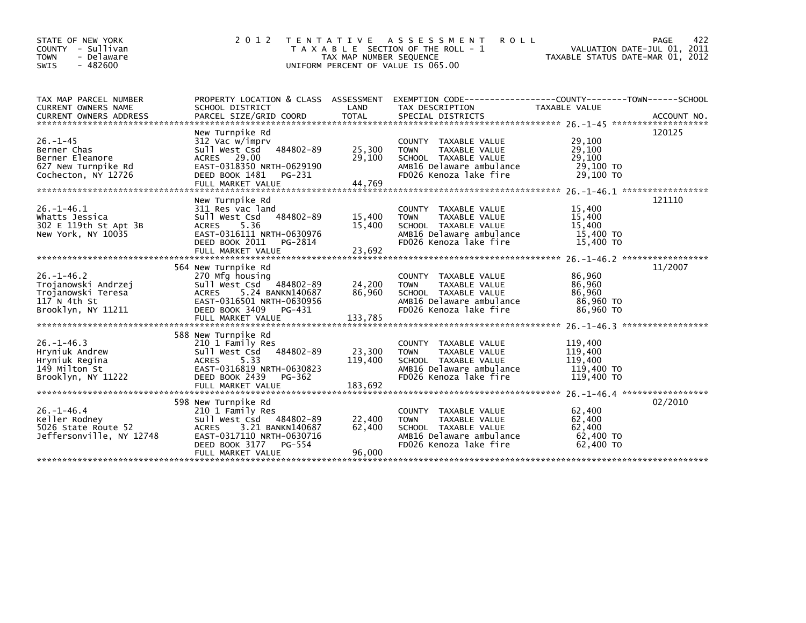| STATE OF NEW YORK<br>COUNTY - Sullivan<br><b>TOWN</b><br>- Delaware<br>$-482600$<br><b>SWIS</b> | 2 0 1 2                                                     | T E N T A T I V E<br>TAX MAP NUMBER SEQUENCE | A S S E S S M E N T<br><b>ROLL</b><br>T A X A B L E SECTION OF THE ROLL - 1<br>UNIFORM PERCENT OF VALUE IS 065.00 | VALUATION DATE-JUL 01, 2011<br>TAXABLE STATUS DATE-MAR 01, 2012 | 422<br>PAGE |
|-------------------------------------------------------------------------------------------------|-------------------------------------------------------------|----------------------------------------------|-------------------------------------------------------------------------------------------------------------------|-----------------------------------------------------------------|-------------|
| TAX MAP PARCEL NUMBER<br>CURRENT OWNERS NAME                                                    | PROPERTY LOCATION & CLASS ASSESSMENT<br>SCHOOL DISTRICT     | LAND                                         | EXEMPTION        CODE-----------------COUNTY-------TOWN------SCHOOL<br>TAX DESCRIPTION                            | TAXABLE VALUE                                                   |             |
|                                                                                                 |                                                             |                                              |                                                                                                                   |                                                                 |             |
|                                                                                                 | New Turnpike Rd                                             |                                              |                                                                                                                   |                                                                 | 120125      |
| $26. - 1 - 45$                                                                                  | 312 Vac w/imprv                                             |                                              | COUNTY TAXABLE VALUE                                                                                              | 29,100                                                          |             |
| Berner Chas                                                                                     | 484802-89<br>Sull West Csd                                  | 25,300                                       | <b>TOWN</b><br>TAXABLE VALUE                                                                                      | 29,100                                                          |             |
| Berner Eleanore                                                                                 | ACRES 29.00                                                 | 29,100                                       | SCHOOL TAXABLE VALUE                                                                                              | 29,100                                                          |             |
| 627 New Turnpike Rd                                                                             | EAST-0318350 NRTH-0629190                                   |                                              | AMB16 Delaware ambulance                                                                                          | 29,100 TO                                                       |             |
| Cochecton, NY 12726                                                                             | DEED BOOK 1481<br>PG-231<br>FULL MARKET VALUE               | 44,769                                       | FD026 Kenoza lake fire                                                                                            | 29.100 TO                                                       |             |
|                                                                                                 |                                                             |                                              |                                                                                                                   |                                                                 |             |
|                                                                                                 | New Turnpike Rd                                             |                                              |                                                                                                                   |                                                                 | 121110      |
| $26. - 1 - 46.1$                                                                                | 311 Res vac land                                            |                                              | COUNTY TAXABLE VALUE                                                                                              | 15,400                                                          |             |
| Whatts Jessica                                                                                  | 484802-89<br>Sull West Csd                                  | 15,400                                       | TAXABLE VALUE<br><b>TOWN</b>                                                                                      | 15,400                                                          |             |
| 302 E 119th St Apt 3B                                                                           | ACRES 5.36                                                  | 15,400                                       | SCHOOL TAXABLE VALUE                                                                                              | 15,400                                                          |             |
| New York, NY 10035                                                                              | EAST-0316111 NRTH-0630976                                   |                                              | AMB16 Delaware ambulance                                                                                          | 15,400 TO                                                       |             |
|                                                                                                 | DEED BOOK 2011<br>PG-2814                                   |                                              | FD026 Kenoza lake fire                                                                                            | 15,400 TO                                                       |             |
|                                                                                                 |                                                             |                                              |                                                                                                                   |                                                                 |             |
|                                                                                                 | 564 New Turnpike Rd                                         |                                              |                                                                                                                   |                                                                 | 11/2007     |
| $26. - 1 - 46.2$                                                                                | 270 Mfg housing                                             |                                              | COUNTY TAXABLE VALUE                                                                                              | 86,960                                                          |             |
| Trojanowski Andrzej                                                                             | Sull West Csd 484802-89                                     | 24,200                                       | TAXABLE VALUE<br><b>TOWN</b>                                                                                      | 86.960                                                          |             |
| Trojanowski Teresa                                                                              | ACRES 5.24 BANKN140687                                      | 86,960                                       | SCHOOL TAXABLE VALUE                                                                                              | 86,960                                                          |             |
| 117 $N$ 4th St                                                                                  | EAST-0316501 NRTH-0630956                                   |                                              | AMB16 Delaware ambulance                                                                                          | 86.960 TO                                                       |             |
| Brooklyn, NY 11211                                                                              | DEED BOOK 3409<br>PG-431                                    |                                              | FD026 Kenoza lake fire                                                                                            | 86,960 TO                                                       |             |
|                                                                                                 |                                                             |                                              |                                                                                                                   |                                                                 |             |
|                                                                                                 | 588 New Turnpike Rd                                         |                                              |                                                                                                                   |                                                                 |             |
| $26. -1 - 46.3$                                                                                 | 210 1 Family Res                                            |                                              | COUNTY TAXABLE VALUE                                                                                              | 119,400                                                         |             |
| Hryniuk Andrew                                                                                  | Sull West Csd 484802-89                                     | 23,300                                       | TAXABLE VALUE<br><b>TOWN</b>                                                                                      | 119,400                                                         |             |
| Hryniuk Regina                                                                                  | 5.33<br><b>ACRES</b>                                        | 119,400                                      | SCHOOL TAXABLE VALUE                                                                                              | 119,400                                                         |             |
| 149 Milton St                                                                                   | EAST-0316819 NRTH-0630823                                   |                                              | AMB16 Delaware ambulance                                                                                          | 119,400 TO                                                      |             |
| Brooklyn, NY 11222                                                                              | DEED BOOK 2439<br>PG-362                                    |                                              | FD026 Kenoza lake fire                                                                                            | 119,400 TO                                                      |             |
|                                                                                                 |                                                             |                                              |                                                                                                                   |                                                                 |             |
|                                                                                                 |                                                             |                                              |                                                                                                                   | 26. -1-46. 4 ******************                                 |             |
|                                                                                                 | 598 New Turnpike Rd                                         |                                              |                                                                                                                   |                                                                 | 02/2010     |
| $26. - 1 - 46.4$                                                                                | 210 1 Family Res                                            |                                              | COUNTY TAXABLE VALUE                                                                                              | 62,400<br>62,400                                                |             |
| Keller Rodney<br>5026 State Route 52                                                            | Sull West Csd 484802-89<br><b>ACRES</b><br>3.21 BANKN140687 | 22,400<br>62,400                             | TAXABLE VALUE<br><b>TOWN</b><br>SCHOOL TAXABLE VALUE                                                              | 62,400                                                          |             |
| Jeffersonville, NY 12748                                                                        | EAST-0317110 NRTH-0630716                                   |                                              | AMB16 Delaware ambulance                                                                                          | 62,400 TO                                                       |             |
|                                                                                                 | DEED BOOK 3177<br>PG-554                                    |                                              | FD026 Kenoza lake fire                                                                                            | 62,400 TO                                                       |             |
|                                                                                                 | FULL MARKET VALUE                                           | 96.000                                       |                                                                                                                   |                                                                 |             |
|                                                                                                 |                                                             |                                              |                                                                                                                   |                                                                 |             |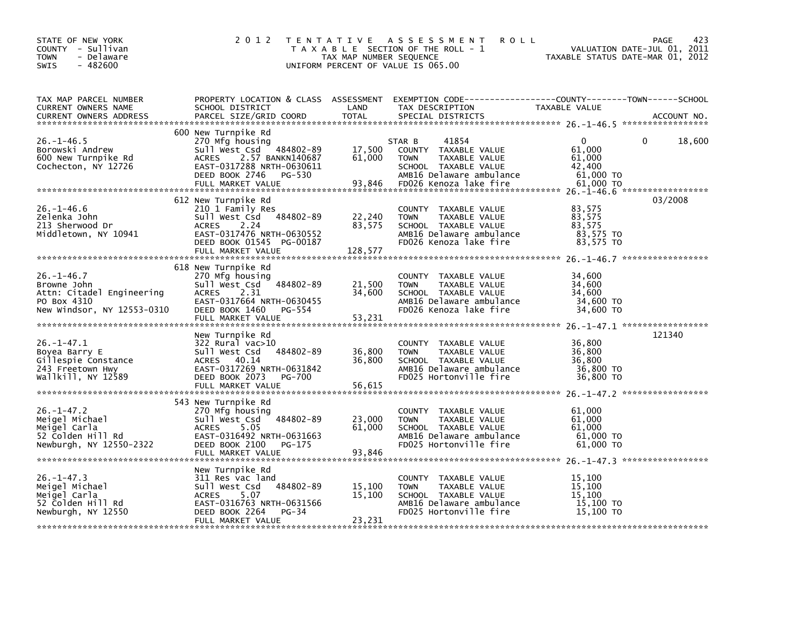| STATE OF NEW YORK<br>COUNTY - Sullivan<br><b>TOWN</b><br>- Delaware<br>$-482600$<br>SWIS                                                                                                                | 2 0 1 2                                                                                                                                                                                                                                                                                                                                                                                |                            | TENTATIVE ASSESSMENT ROLL<br>FRICH THE ROLL PASS END THE ROLL PAGE 423<br>TAXABLE SECTION OF THE ROLL - 1 VALUATION DATE-JUL 01, 2011<br>TAXABLE STATUS DATE-MAR 01, 2012<br>INTEORM PEPCENT OF VALUE TO ACE ON<br>UNIFORM PERCENT OF VALUE IS 065.00 |                                                       | PAGE<br>423 |
|---------------------------------------------------------------------------------------------------------------------------------------------------------------------------------------------------------|----------------------------------------------------------------------------------------------------------------------------------------------------------------------------------------------------------------------------------------------------------------------------------------------------------------------------------------------------------------------------------------|----------------------------|-------------------------------------------------------------------------------------------------------------------------------------------------------------------------------------------------------------------------------------------------------|-------------------------------------------------------|-------------|
| TAX MAP PARCEL NUMBER<br>CURRENT OWNERS NAME                                                                                                                                                            |                                                                                                                                                                                                                                                                                                                                                                                        |                            | PROPERTY LOCATION & CLASS ASSESSMENT EXEMPTION CODE---------------COUNTY-------TOWN------SCHOOL<br>SCHOOL DISTRICT                            LAND        TAX DESCRIPTION                   TAXABLE VALUE                                             |                                                       |             |
| $26. - 1 - 46.5$<br>Borowski Andrew<br>600 New Turnpike Rd<br>Cochecton, NY 12726                                                                                                                       | 600 New Turnpike Rd<br>New Turnpike Rd<br>270 Mfg housing<br>SUI West Csd 484802-89 17,500 COUNTY TAXABLE VALUE<br>ACRES 2.57 BANKN140687 61,000 TOWN TAXABLE VALUE<br>EAST-0317288 NRTH-0630611 SCHOOL TAXABLE VALUE<br>DEED BOOK 2746 PG-530 AMB16 Delaware a<br>2/v<br>Sull West Csu<br>ACRES 2.57 BANKN14000,<br>EAST-0317288 NRTH-0630611<br>DEED BOOK 2746 PG-530<br>AREST VALUE |                            |                                                                                                                                                                                                                                                       | $\overline{0}$<br>0<br>$61,000$<br>$61,000$<br>42,400 | 18,600      |
|                                                                                                                                                                                                         | 612 New Turnpike Rd<br>DEED BOOK 01545 PG-00187                                                                                                                                                                                                                                                                                                                                        |                            | COUNTY TAXABLE VALUE 83,575<br>TOWN TAXABLE VALUE 83,575<br>SCHOOL TAXABLE VALUE<br>AMB16 Delaware ambulance 83,575 TO<br>FD026 Kenoza lake fire 83,575 TO                                                                                            | 83,575                                                | 03/2008     |
| $26. - 1 - 46.7$<br>וחוס, Sattn: Citadel Engineering<br>PO Box 4310<br>New Windsor, NY 12553-0310                                                                                                       | 618 New Turnpike Rd<br>270 Mfg housing<br>Sull West Csd 484802-89 21,500 TOWN<br><b>ACRES</b><br>2.31<br>EAST-0317664 NRTH-0630455                                                                                                                                                                                                                                                     | 34,600                     | COUNTY TAXABLE VALUE<br>TAXABLE VALUE<br>SCHOOL TAXABLE VALUE<br>94,000 AMB16 Delaware ambulance<br>FD026 Kenoza lake fire 34,600 TO                                                                                                                  | 34,600<br>34,600<br>34,600                            |             |
|                                                                                                                                                                                                         | New Turnpike Rd                                                                                                                                                                                                                                                                                                                                                                        | 36,800<br>36,800           | COUNTY TAXABLE VALUE 36,800<br>TOWN TAXABLE VALUE 36,800<br><b>TOWN</b><br>FOWN FAXABLE VALUE 56,800<br>SCHOOL TAXABLE VALUE 36,800<br>AMB16 Delaware ambulance 36,800 TO<br>FD025 Hortonville fire 36,800 TO                                         |                                                       | 121340      |
| 26.-1-47.2<br>Meigel Michael 270 Mfg housing<br>Meigel Carla 270 Mfg housing<br>S2 Colden Hill Rd 2370 McCRES 5.05<br>S2 Colden Hill Rd 23750-2322<br>Newburgh, NY 12550-2322<br>DEED BOOK 21.00 PG-175 | 543 New Turnpike Rd                                                                                                                                                                                                                                                                                                                                                                    | 23,000<br>61,000           | TAXABLE VALUE 61,000<br>SCHOOL TAXABLE VALUE 61,000<br>AMB16 Delaware ambulance 61,000 TO<br>FD025 Hortonville fire 61.000 TO<br>THE 61.000 TO                                                                                                        |                                                       |             |
| $26. - 1 - 47.3$<br>Meigel Michael<br>Meigel Carla<br>52 Colden Hill Rd<br>Newburgh, NY 12550                                                                                                           | New Turnpike Rd<br>311 Res vac land<br>Sull West Csd 484802-89<br>ACRES 5.07<br>EAST-0316763 NRTH-0631566<br>DEED BOOK 2264 PG-34<br>484802-89<br>DEED BOOK 2264 PG-34<br>FULL MARKET VALUE                                                                                                                                                                                            | 15,100<br>15,100<br>23,231 | COUNTY TAXABLE VALUE                                                                                                                                                                                                                                  | 15,100                                                |             |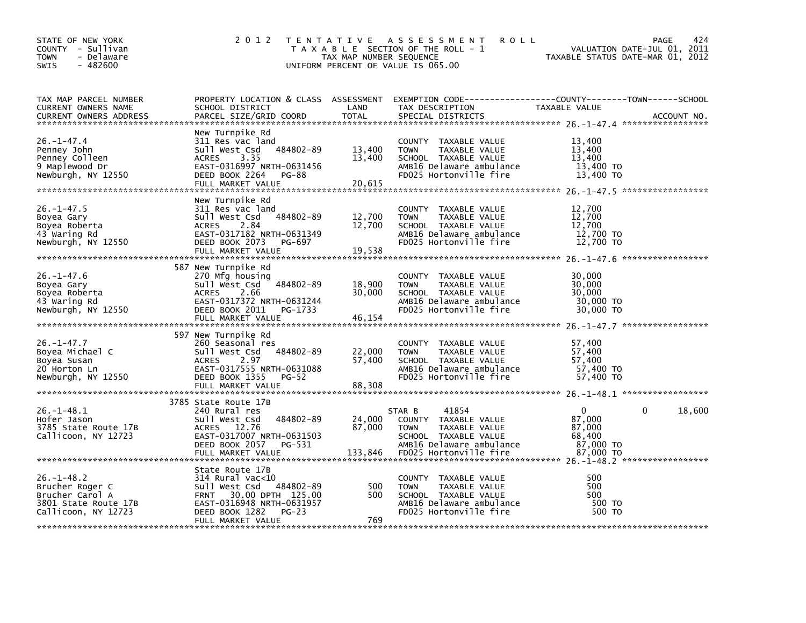| STATE OF NEW YORK<br>COUNTY - Sullivan<br>- Delaware<br><b>TOWN</b><br>$-482600$<br><b>SWIS</b>       | 2 0 1 2                                                                                                                                                                          | TAX MAP NUMBER SEQUENCE     | TENTATIVE ASSESSMENT<br><b>ROLL</b><br>T A X A B L E SECTION OF THE ROLL - 1<br>UNIFORM PERCENT OF VALUE IS 065.00                                    | TAXABLE STATUS DATE-MAR 01, 2012                                     | 424<br>PAGE<br>VALUATION DATE-JUL 01, 2011 |
|-------------------------------------------------------------------------------------------------------|----------------------------------------------------------------------------------------------------------------------------------------------------------------------------------|-----------------------------|-------------------------------------------------------------------------------------------------------------------------------------------------------|----------------------------------------------------------------------|--------------------------------------------|
| TAX MAP PARCEL NUMBER<br><b>CURRENT OWNERS NAME</b><br><b>CURRENT OWNERS ADDRESS</b>                  | PROPERTY LOCATION & CLASS ASSESSMENT<br>SCHOOL DISTRICT<br>PARCEL SIZE/GRID COORD                                                                                                | LAND<br><b>TOTAL</b>        | EXEMPTION CODE-----------------COUNTY-------TOWN------SCHOOL<br>TAX DESCRIPTION<br>SPECIAL DISTRICTS                                                  | TAXABLE VALUE                                                        | ACCOUNT NO.                                |
| $26. -1 - 47.4$<br>Penney John<br>Penney Colleen<br>9 Maplewood Dr<br>Newburgh, NY 12550              | New Turnpike Rd<br>311 Res vac land<br>484802-89<br>Sull West Csd<br>3.35<br><b>ACRES</b><br>EAST-0316997 NRTH-0631456<br>DEED BOOK 2264<br><b>PG-88</b><br>FULL MARKET VALUE    | 13,400<br>13,400<br>20,615  | COUNTY TAXABLE VALUE<br>TAXABLE VALUE<br><b>TOWN</b><br>SCHOOL TAXABLE VALUE<br>AMB16 Delaware ambulance<br>FD025 Hortonville fire                    | 13,400<br>13,400<br>13,400<br>13,400 TO<br>13,400 TO                 |                                            |
| $26. - 1 - 47.5$<br>Boyea Gary<br>Boyea Roberta<br>43 Waring Rd<br>Newburgh, NY 12550                 | New Turnpike Rd<br>311 Res vac land<br>484802-89<br>Sull West Csd<br>2.84<br>ACRES<br>EAST-0317182 NRTH-0631349<br>DEED BOOK 2073<br>PG-697<br>FULL MARKET VALUE                 | 12,700<br>12,700<br>19,538  | COUNTY TAXABLE VALUE<br><b>TOWN</b><br>TAXABLE VALUE<br>SCHOOL TAXABLE VALUE<br>AMB16 Delaware ambulance<br>FD025 Hortonville fire                    | 12,700<br>12,700<br>12,700<br>12,700 TO<br>12,700 TO                 |                                            |
| $26. - 1 - 47.6$<br>Boyea Gary<br>Boyea Roberta<br>43 Waring Rd<br>Newburgh, NY 12550                 | 587 New Turnpike Rd<br>270 Mfg housing<br>Sull West Csd<br>$-484802 - 89$<br><b>ACRES</b><br>2.66<br>EAST-0317372 NRTH-0631244<br>PG-1733<br>DEED BOOK 2011<br>FULL MARKET VALUE | 18,900<br>30.000<br>46,154  | COUNTY TAXABLE VALUE<br><b>TOWN</b><br>TAXABLE VALUE<br>SCHOOL TAXABLE VALUE<br>AMB16 Delaware ambulance<br>FD025 Hortonville fire                    | 30,000<br>30,000<br>30,000<br>30,000 TO<br>30,000 TO                 |                                            |
| $26. - 1 - 47.7$<br>Boyea Michael C<br>Boyea Susan<br>20 Horton Ln<br>Newburgh, NY 12550              | 597 New Turnpike Rd<br>260 Seasonal res<br>484802-89<br>Sull West Csd<br>2.97<br>ACRES<br>EAST-0317555 NRTH-0631088<br>DEED BOOK 1355 PG-52<br>FULL MARKET VALUE                 | 22,000<br>57,400<br>88,308  | COUNTY TAXABLE VALUE<br><b>TOWN</b><br>TAXABLE VALUE<br>SCHOOL TAXABLE VALUE<br>AMB16 Delaware ambulance<br>FD025 Hortonville fire                    | 57,400<br>57,400<br>57,400<br>57,400 TO<br>57,400 TO                 |                                            |
| $26. - 1 - 48.1$<br>Hofer Jason<br>3785 State Route 17B<br>Callicoon, NY 12723                        | 3785 State Route 17B<br>240 Rural res<br>484802-89<br>Sull West Csd<br>ACRES 12.76<br>EAST-0317007 NRTH-0631503<br>DEED BOOK 2057<br>PG-531<br>FULL MARKET VALUE                 | 24,000<br>87,000<br>133,846 | 41854<br>STAR B<br>COUNTY TAXABLE VALUE<br><b>TOWN</b><br>TAXABLE VALUE<br>SCHOOL TAXABLE VALUE<br>AMB16 Delaware ambulance<br>FD025 Hortonville fire | $\mathbf{0}$<br>87.000<br>87,000<br>68,400<br>87,000 TO<br>87,000 TO | 18,600<br>$\mathbf{0}$                     |
| $26. - 1 - 48.2$<br>Brucher Roger C<br>Brucher Carol A<br>3801 State Route 17B<br>Callicoon, NY 12723 | State Route 17B<br>314 Rural vac<10<br>Sull West Csd<br>484802-89<br>FRNT 30.00 DPTH 125.00<br>EAST-0316948 NRTH-0631957<br>DEED BOOK 1282<br>$PG-23$<br>FULL MARKET VALUE       | 500<br>500<br>769           | COUNTY TAXABLE VALUE<br>TAXABLE VALUE<br><b>TOWN</b><br>SCHOOL TAXABLE VALUE<br>AMB16 Delaware ambulance<br>FD025 Hortonville fire                    | 500<br>500<br>500<br>500 TO<br>500 TO                                |                                            |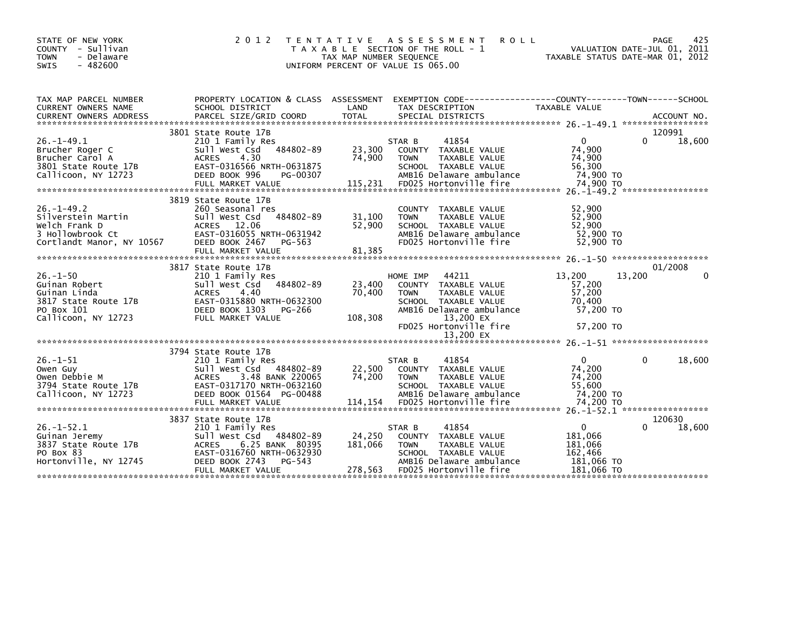| STATE OF NEW YORK<br>COUNTY - Sullivan<br>- Delaware<br><b>TOWN</b><br>$-482600$<br><b>SWIS</b>                                                                                                                                                                               | 2 0 1 2                                                                                                                                                                              | T E N T A T I V E<br>TAX MAP NUMBER SEQUENCE<br>UNIFORM PERCENT OF VALUE IS 065.00 | A S S E S S M E N T<br>T A X A B L E SECTION OF THE ROLL - 1                                                                                                         | <b>ROLL</b>                                                              | PAGE<br>VALUATION DATE-JUL 01, 2011<br>TAXABLE STATUS DATE-MAR 01, 2012 | 425      |
|-------------------------------------------------------------------------------------------------------------------------------------------------------------------------------------------------------------------------------------------------------------------------------|--------------------------------------------------------------------------------------------------------------------------------------------------------------------------------------|------------------------------------------------------------------------------------|----------------------------------------------------------------------------------------------------------------------------------------------------------------------|--------------------------------------------------------------------------|-------------------------------------------------------------------------|----------|
| TAX MAP PARCEL NUMBER<br>CURRENT OWNERS NAME<br>CURRENT OWNERS ADDRESS PARCEL SIZE/GRID COORD TOTAL SPECIAL DISTRICTS (2011 - 2014) ACCOUNT NO ACCOUNT NO ACCOUNT NO AND RESERVE TO A SERVER AND RESERVE TO A SERVER AND RESERVE TO A SERVER AND THE SERVER OF THE SERVER AND | PROPERTY LOCATION & CLASS ASSESSMENT<br>SCHOOL DISTRICT                                                                                                                              | LAND                                                                               | TAX DESCRIPTION                                                                                                                                                      | TAXABLE VALUE                                                            |                                                                         |          |
|                                                                                                                                                                                                                                                                               |                                                                                                                                                                                      |                                                                                    |                                                                                                                                                                      |                                                                          | 120991                                                                  |          |
| $26. - 1 - 49.1$<br>Brucher Roger C<br>Brucher Carol A<br>3801 State Route 17B<br>Callicoon, NY 12723                                                                                                                                                                         | 3801 State Route 17B<br>210 1 Family Res<br>Sull West Csd 484802-89<br>4.30<br><b>ACRES</b><br>EAST-0316566 NRTH-0631875<br>DEED BOOK 996<br>FULL MARKET VALUE                       | 23,300<br>74,900<br>PG-00307<br>115,231                                            | 41854<br>STAR B<br>COUNTY TAXABLE VALUE<br><b>TOWN</b><br>TAXABLE VALUE<br>SCHOOL TAXABLE VALUE<br>AMB16 Delaware ambulance<br>FD025 Hortonville fire                | $\mathbf{0}$<br>74,900<br>74,900<br>56,300<br>74,900 TO<br>74,900 TO     |                                                                         | 18,600   |
| $26. - 1 - 49.2$<br>Silverstein Martin<br>Welch Frank D<br>3 Hollowbrook Ct<br>Cortlandt Manor, NY 10567                                                                                                                                                                      | 3819 State Route 17B<br>260 Seasonal res<br>484802-89<br>Sull West Csd<br>ACRES 12.06<br>EAST-0316055 NRTH-0631942<br>DEED BOOK 2467<br>PG-563<br>FULL MARKET VALUE                  | 31,100<br>52,900<br>81,385                                                         | COUNTY TAXABLE VALUE<br>TAXABLE VALUE<br><b>TOWN</b><br>SCHOOL TAXABLE VALUE<br>AMB16 Delaware ambulance<br>FD025 Hortonville fire                                   | 52,900<br>52,900<br>52,900<br>52,900 TO<br>52,900 TO                     |                                                                         |          |
|                                                                                                                                                                                                                                                                               | 3817 State Route 17B                                                                                                                                                                 |                                                                                    |                                                                                                                                                                      |                                                                          | 01/2008                                                                 |          |
| $26. - 1 - 50$<br>Guinan Robert<br>Guinan Linda<br>3817 State Route 17B<br>PO Box 101<br>Callicoon, NY 12723                                                                                                                                                                  | 210 1 Family Res<br>484802-89<br>Sull West Csd<br><b>ACRES</b><br>4.40<br>EAST-0315880 NRTH-0632300<br>DEED BOOK 1303<br>PG-266<br>FULL MARKET VALUE                                 | 23,400<br>70,400<br>108,308                                                        | 44211<br>HOME IMP<br>COUNTY TAXABLE VALUE<br>TAXABLE VALUE<br><b>TOWN</b><br>SCHOOL TAXABLE VALUE<br>AMB16 Delaware ambulance<br>13,200 EX<br>FD025 Hortonville fire | 13,200<br>57,200<br>57,200<br>70,400<br>57.200 TO<br>57,200 TO           | 13,200                                                                  | $\Omega$ |
|                                                                                                                                                                                                                                                                               |                                                                                                                                                                                      |                                                                                    |                                                                                                                                                                      |                                                                          |                                                                         |          |
|                                                                                                                                                                                                                                                                               | 3794 State Route 17B                                                                                                                                                                 |                                                                                    |                                                                                                                                                                      |                                                                          |                                                                         |          |
| $26. - 1 - 51$<br>Owen Guy<br>Owen Debbie M<br>3794 State Route 17B<br>Callicoon, NY 12723                                                                                                                                                                                    | 210 1 Family Res<br>Sull West Csd 484802-89<br>3.48 BANK 220065<br><b>ACRES</b><br>EAST-0317170 NRTH-0632160<br>DEED BOOK 01564 PG-00488                                             | 22,500<br>74,200                                                                   | 41854<br>STAR B<br>COUNTY TAXABLE VALUE<br>TAXABLE VALUE<br><b>TOWN</b><br>SCHOOL TAXABLE VALUE<br>AMB16 Delaware ambulance                                          | $\mathbf{0}$<br>74,200<br>74,200<br>55.600<br>74,200 TO                  | 0                                                                       | 18,600   |
|                                                                                                                                                                                                                                                                               |                                                                                                                                                                                      |                                                                                    |                                                                                                                                                                      |                                                                          |                                                                         |          |
| $26. - 1 - 52.1$<br>Guinan Jeremy<br>3837 State Route 17B<br>PO Box 83<br>Hortonville, NY 12745                                                                                                                                                                               | 3837 State Route 17B<br>210 1 Family Res<br>Sull West Csd 484802-89<br><b>ACRES</b><br>6.25 BANK 80395<br>EAST-0316760 NRTH-0632930<br>DEED BOOK 2743<br>PG-543<br>FULL MARKET VALUE | 24,250<br>181,066<br>278,563                                                       | 41854<br>STAR B<br>COUNTY TAXABLE VALUE<br><b>TOWN</b><br>TAXABLE VALUE<br>SCHOOL TAXABLE VALUE<br>AMB16 Delaware ambulance<br>FD025 Hortonville fire                | $\mathbf 0$<br>181,066<br>181,066<br>162.466<br>181,066 TO<br>181.066 TO | 120630                                                                  | 18,600   |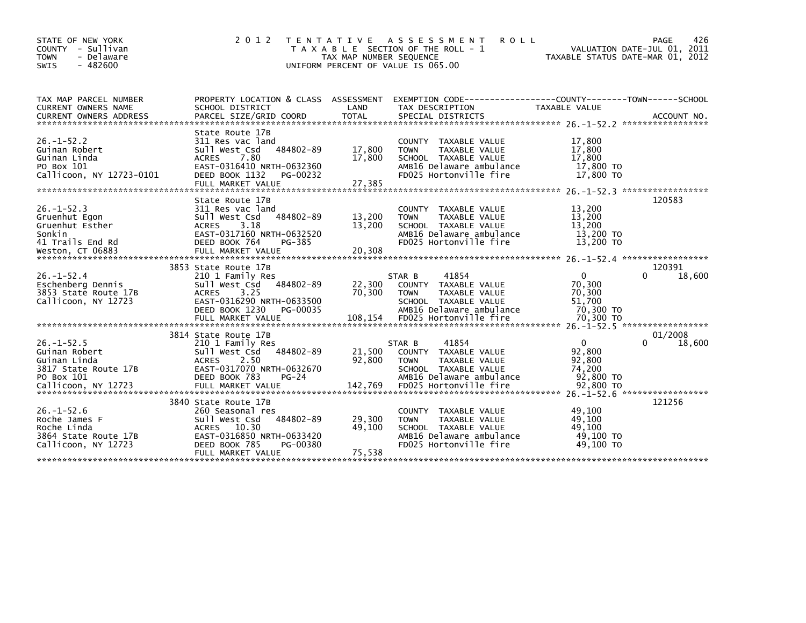| STATE OF NEW YORK<br>- Sullivan<br><b>COUNTY</b><br>- Delaware<br><b>TOWN</b><br>$-482600$<br><b>SWIS</b> | 2 0 1 2                                                                                                                                                                | TAX MAP NUMBER SEQUENCE<br>UNIFORM PERCENT OF VALUE IS 065.00 | TENTATIVE ASSESSMENT<br>T A X A B L E SECTION OF THE ROLL - 1                                                                                | <b>ROLL</b>                                                  | 426<br><b>PAGE</b><br>VALUATION DATE-JUL 01, 2011<br>TAXABLE STATUS DATE-MAR 01, 2012 |
|-----------------------------------------------------------------------------------------------------------|------------------------------------------------------------------------------------------------------------------------------------------------------------------------|---------------------------------------------------------------|----------------------------------------------------------------------------------------------------------------------------------------------|--------------------------------------------------------------|---------------------------------------------------------------------------------------|
| TAX MAP PARCEL NUMBER                                                                                     | PROPERTY LOCATION & CLASS ASSESSMENT                                                                                                                                   |                                                               |                                                                                                                                              | EXEMPTION CODE-----------------COUNTY-------TOWN------SCHOOL |                                                                                       |
| CURRENT OWNERS NAME<br><b>CURRENT OWNERS ADDRESS</b>                                                      | SCHOOL DISTRICT<br>PARCEL SIZE/GRID COORD                                                                                                                              | LAND<br><b>TOTAL</b>                                          | TAX DESCRIPTION<br>SPECIAL DISTRICTS                                                                                                         | TAXABLE VALUE                                                | ACCOUNT NO.                                                                           |
| $26. - 1 - 52.2$<br>Guinan Robert<br>Guinan Linda<br>PO Box 101<br>Callicoon, NY 12723-0101               | State Route 17B<br>311 Res vac land<br>484802-89<br>Sull West Csd<br>7.80<br><b>ACRES</b><br>EAST-0316410 NRTH-0632360<br>DEED BOOK 1132<br>PG-00232                   | 17,800<br>17,800                                              | TAXABLE VALUE<br><b>COUNTY</b><br>TAXABLE VALUE<br><b>TOWN</b><br>SCHOOL TAXABLE VALUE<br>AMB16 Delaware ambulance<br>FD025 Hortonville fire | 17,800<br>17,800<br>17,800<br>17,800 TO<br>17,800 TO         |                                                                                       |
|                                                                                                           | FULL MARKET VALUE                                                                                                                                                      | 27,385                                                        |                                                                                                                                              |                                                              |                                                                                       |
| $26. - 1 - 52.3$<br>Gruenhut Egon<br>Gruenhut Esther<br>Sonkin<br>41 Trails End Rd<br>Weston, CT 06883    | State Route 17B<br>311 Res vac land<br>484802-89<br>Sull West Csd<br>3.18<br><b>ACRES</b><br>EAST-0317160 NRTH-0632520<br>DEED BOOK 764<br>PG-385<br>FULL MARKET VALUE | 13,200<br>13,200<br>20,308                                    | TAXABLE VALUE<br><b>COUNTY</b><br><b>TOWN</b><br>TAXABLE VALUE<br>SCHOOL TAXABLE VALUE<br>AMB16 Delaware ambulance<br>FD025 Hortonville fire | 13,200<br>13,200<br>13,200<br>13,200 TO<br>13,200 TO         | 120583                                                                                |
|                                                                                                           | 3853 State Route 17B                                                                                                                                                   |                                                               |                                                                                                                                              |                                                              | 120391                                                                                |
| $26. - 1 - 52.4$<br>Eschenberg Dennis<br>3853 State Route 17B<br>Callicoon, NY 12723                      | 210 1 Family Res<br>484802-89<br>Sull West Csd<br>ACRES<br>3.25<br>EAST-0316290 NRTH-0633500<br>DEED BOOK 1230<br>PG-00035                                             | 22,300<br>70,300                                              | 41854<br>STAR B<br><b>COUNTY</b><br>TAXABLE VALUE<br><b>TOWN</b><br>TAXABLE VALUE<br>SCHOOL TAXABLE VALUE<br>AMB16 Delaware ambulance        | $\mathbf 0$<br>70,300<br>70,300<br>51,700<br>70,300 TO       | 18,600                                                                                |
|                                                                                                           | 3814 State Route 17B                                                                                                                                                   |                                                               |                                                                                                                                              |                                                              | 01/2008                                                                               |
| $26. - 1 - 52.5$<br>Guinan Robert<br>Guinan Linda<br>3817 State Route 17B<br>PO Box 101                   | 210 1 Family Res<br>484802-89<br>Sull West Csd<br><b>ACRES</b><br>2.50<br>EAST-0317070 NRTH-0632670<br>DEED BOOK 783<br>$PG-24$                                        | 21,500<br>92,800                                              | 41854<br>STAR B<br>COUNTY<br>TAXABLE VALUE<br><b>TOWN</b><br>TAXABLE VALUE<br>SCHOOL TAXABLE VALUE<br>AMB16 Delaware ambulance               | $\Omega$<br>92,800<br>92,800<br>74.200<br>92,800 TO          | <sup>0</sup><br>18,600                                                                |
|                                                                                                           |                                                                                                                                                                        |                                                               |                                                                                                                                              |                                                              |                                                                                       |
| $26. - 1 - 52.6$<br>Roche James F<br>Roche Linda<br>3864 State Route 17B<br>Callicoon, NY 12723           | 3840 State Route 17B<br>260 Seasonal res<br>484802-89<br>Sull West Csd<br><b>ACRES</b><br>10.30<br>EAST-0316850 NRTH-0633420<br>DEED BOOK 785<br>PG-00380              | 29,300<br>49,100<br>75,538                                    | <b>COUNTY</b><br>TAXABLE VALUE<br>TAXABLE VALUE<br><b>TOWN</b><br>SCHOOL TAXABLE VALUE<br>AMB16 Delaware ambulance<br>FD025 Hortonville fire | 49,100<br>49.100<br>49.100<br>49.100 TO<br>49.100 TO         | 121256                                                                                |
|                                                                                                           | FULL MARKET VALUE                                                                                                                                                      |                                                               |                                                                                                                                              |                                                              |                                                                                       |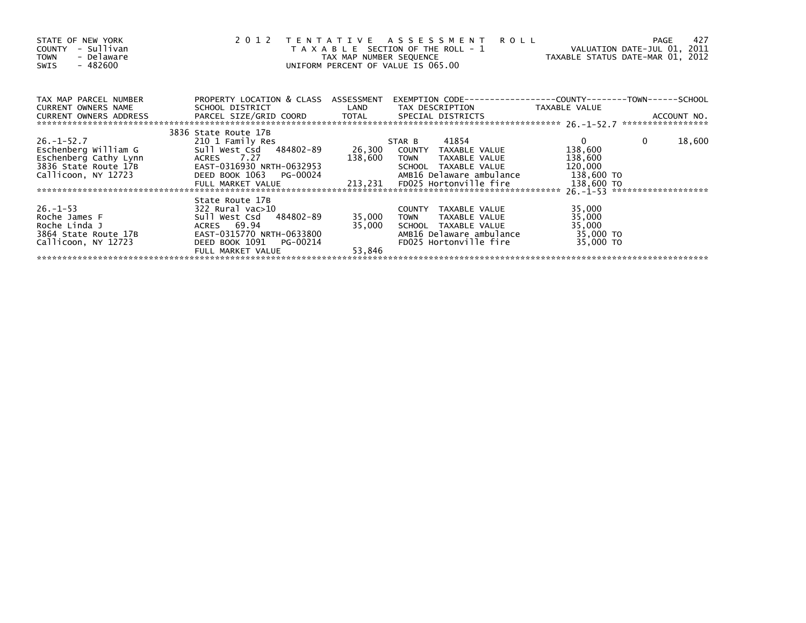| STATE OF NEW YORK<br>- Sullivan<br><b>COUNTY</b><br>- Delaware<br><b>TOWN</b><br>- 482600<br>SWIS                | 2 0 1 2                                                                                                                                                        | TAX MAP NUMBER SEQUENCE    | TENTATIVE ASSESSMENT ROLL<br>T A X A B L E SECTION OF THE ROLL - 1<br>UNIFORM PERCENT OF VALUE IS 065.00                                                      | VALUATION DATE-JUL 01, 2011<br>TAXABLE STATUS DATE-MAR 01, 2012             | 427<br>PAGE            |
|------------------------------------------------------------------------------------------------------------------|----------------------------------------------------------------------------------------------------------------------------------------------------------------|----------------------------|---------------------------------------------------------------------------------------------------------------------------------------------------------------|-----------------------------------------------------------------------------|------------------------|
| TAX MAP PARCEL NUMBER<br>CURRENT OWNERS NAME<br>CURRENT OWNERS ADDRESS                                           | PROPERTY LOCATION & CLASS ASSESSMENT<br>SCHOOL DISTRICT                                                                                                        | LAND                       | TAX DESCRIPTION                                                                                                                                               | TAXABLE VALUE                                                               |                        |
|                                                                                                                  |                                                                                                                                                                |                            |                                                                                                                                                               |                                                                             |                        |
| $26. - 1 - 52.7$<br>Eschenberg William G<br>Eschenberg Cathy Lynn<br>3836 State Route 17B<br>Callicoon, NY 12723 | 3836 State Route 17B<br>210 1 Family Res<br>Sull West Csd 484802-89<br>ACRES 7.27<br>EAST-0316930 NRTH-0632953<br>DEED BOOK 1063 PG-00024<br>FULL MARKET VALUE | 138,600                    | 41854<br>STAR B<br>26,300 COUNTY TAXABLE VALUE<br>TOWN<br>TAXABLE VALUE<br>SCHOOL TAXABLE VALUE<br>AMB16 Delaware ambulance<br>213,231 FD025 Hortonville fire | $\overline{0}$<br>138,600<br>138,600<br>120,000<br>138,600 TO<br>138,600 TO | $\mathbf{0}$<br>18,600 |
| $26. - 1 - 53$<br>Roche James F<br>Roche Linda J<br>3864 State Route 17B<br>Callicoon, NY 12723                  | State Route 17B<br>322 Rural vac>10<br>Sull West Csd 484802-89<br>ACRES 69.94<br>EAST-0315770 NRTH-0633800<br>DEED BOOK 1091<br>PG-00214<br>FULL MARKET VALUE  | 35,000<br>35,000<br>53,846 | COUNTY TAXABLE VALUE<br><b>TOWN</b><br>TAXABLE VALUE<br>SCHOOL TAXABLE VALUE<br>AMB16 Delaware ambulance<br>FD025 Hortonville fire                            | 35,000<br>35,000<br>35,000<br>35,000 TO<br>35,000 TO                        |                        |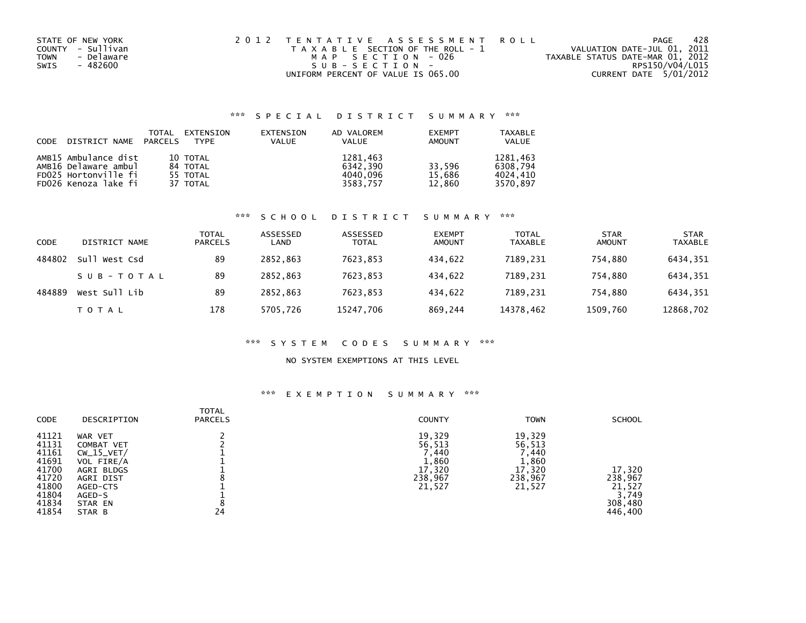| STATE OF NEW YORK  | 2012 TENTATIVE ASSESSMENT ROLL        | PAGE                             | 428 |
|--------------------|---------------------------------------|----------------------------------|-----|
| COUNTY - Sullivan  | T A X A B L E SECTION OF THE ROLL - 1 | VALUATION DATE-JUL 01, 2011      |     |
| - Delaware<br>TOWN | MAP SECTION - 026                     | TAXABLE STATUS DATE-MAR 01, 2012 |     |
| - 482600<br>SWIS   | SUB-SECTION-                          | RPS150/V04/L015                  |     |
|                    | UNIFORM PERCENT OF VALUE IS 065.00    | CURRENT DATE 5/01/2012           |     |

### \*\*\* S P E C I A L D I S T R I C T S U M M A R Y \*\*\*

| CODE DISTRICT NAME PARCELS | TOTAL | EXTENSION<br>TYPF | EXTENSION<br><b>VALUE</b> | AD VALOREM<br><b>VALUE</b> | <b>EXEMPT</b><br>AMOUNT | TAXABLE<br><b>VALUE</b> |
|----------------------------|-------|-------------------|---------------------------|----------------------------|-------------------------|-------------------------|
| AMB15 Ambulance dist       |       | 10 TOTAL          |                           | 1281.463                   |                         | 1281.463                |
| AMB16 Delaware ambul       |       | 84 TOTAL          |                           | 6342.390                   | 33.596                  | 6308.794                |
| FD025 Hortonville fi       |       | 55 TOTAL          |                           | 4040.096                   | 15.686                  | 4024.410                |
| FD026 Kenoza lake fi       |       | 37 TOTAL          |                           | 3583.757                   | 12,860                  | 3570.897                |

### \*\*\* S C H O O L D I S T R I C T S U M M A R Y \*\*\*

| CODE   | DISTRICT NAME    | <b>TOTAL</b><br><b>PARCELS</b> | ASSESSED<br>LAND | ASSESSED<br><b>TOTAL</b> | <b>EXEMPT</b><br><b>AMOUNT</b> | <b>TOTAL</b><br><b>TAXABLE</b> | <b>STAR</b><br><b>AMOUNT</b> | <b>STAR</b><br><b>TAXABLE</b> |
|--------|------------------|--------------------------------|------------------|--------------------------|--------------------------------|--------------------------------|------------------------------|-------------------------------|
| 484802 | Sull<br>West Csd | 89                             | 2852.863         | 7623,853                 | 434.622                        | 7189,231                       | 754,880                      | 6434,351                      |
|        | SUB-TOTAL        | 89                             | 2852.863         | 7623.853                 | 434.622                        | 7189.231                       | 754.880                      | 6434.351                      |
| 484889 | West Sull Lib    | 89                             | 2852.863         | 7623.853                 | 434.622                        | 7189.231                       | 754.880                      | 6434,351                      |
|        | T O T A L        | 178                            | 5705,726         | 15247,706                | 869,244                        | 14378,462                      | 1509,760                     | 12868,702                     |

### \*\*\* S Y S T E M C O D E S S U M M A R Y \*\*\*

### NO SYSTEM EXEMPTIONS AT THIS LEVEL

### \*\*\* E X E M P T I O N S U M M A R Y \*\*\*

| <b>CODE</b>                                                                            | DESCRIPTION                                                                                                               | <b>TOTAL</b><br><b>PARCELS</b> | <b>COUNTY</b>                                                     | <b>TOWN</b>                                                      | <b>SCHOOL</b>                                              |
|----------------------------------------------------------------------------------------|---------------------------------------------------------------------------------------------------------------------------|--------------------------------|-------------------------------------------------------------------|------------------------------------------------------------------|------------------------------------------------------------|
| 41121<br>41131<br>41161<br>41691<br>41700<br>41720<br>41800<br>41804<br>41834<br>41854 | WAR VET<br>COMBAT VET<br>$CW_15_VET/$<br>VOL FIRE/A<br>AGRI BLDGS<br>AGRI DIST<br>AGED-CTS<br>AGED-S<br>STAR EN<br>STAR B | 24                             | 19,329<br>56,513<br>7,440<br>1,860<br>17,320<br>238,967<br>21,527 | 19,329<br>56,513<br>.440<br>1,860<br>17,320<br>238,967<br>21,527 | 17,320<br>238,967<br>21,527<br>3,749<br>308,480<br>446,400 |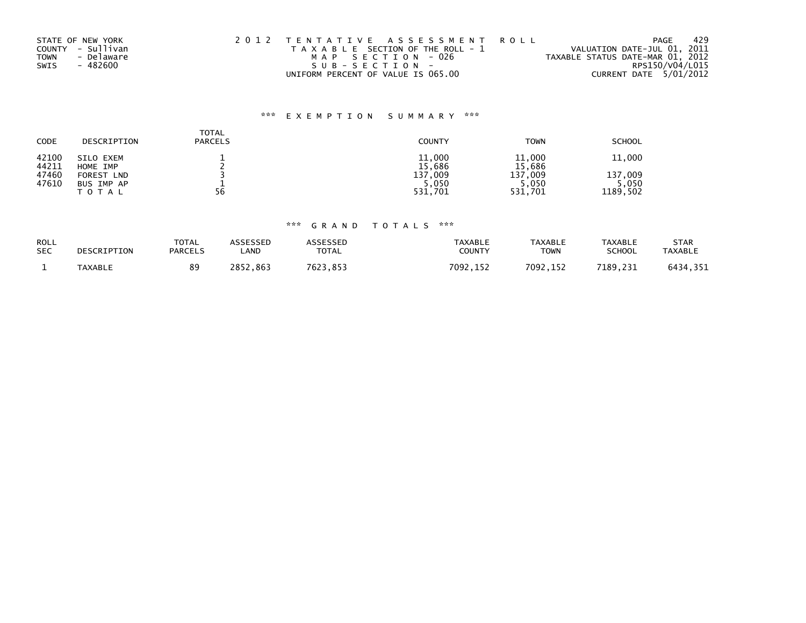|             | STATE OF NEW YORK | 2012 TENTATIVE ASSESSMENT ROLL        | 429<br>PAGE                      |
|-------------|-------------------|---------------------------------------|----------------------------------|
|             | COUNTY - Sullivan | T A X A B L E SECTION OF THE ROLL - 1 | VALUATION DATE-JUL 01, 2011      |
| <b>TOWN</b> | - Delaware        | MAP SECTION - 026                     | TAXABLE STATUS DATE-MAR 01, 2012 |
| SWIS        | - 482600          | SUB-SECTION-                          | RPS150/V04/L015                  |
|             |                   | UNIFORM PERCENT OF VALUE IS 065.00    | CURRENT DATE 5/01/2012           |

## \*\*\* E X E M P T I O N S U M M A R Y \*\*\*

| <b>CODE</b>    | DESCRIPTION           | <b>TOTAL</b><br><b>PARCELS</b> | <b>COUNTY</b>    | <b>TOWN</b>      | <b>SCHOOL</b> |
|----------------|-----------------------|--------------------------------|------------------|------------------|---------------|
| 42100<br>44211 | SILO EXEM<br>HOME IMP |                                | 11,000<br>15,686 | 11,000<br>15,686 | 11,000        |
| 47460          | FOREST LND            |                                | .009<br>137      | 137.009          | 137.009       |
| 47610          | BUS IMP AP            |                                | 5,050            | 5,050            | 5,050         |
|                | <b>TOTAL</b>          | 56                             | 531,701          | 531,701          | 1189,502      |

## \*\*\* G R A N D T O T A L S \*\*\*

| ROLL<br><b>SEC</b> | DESCRIPTION    | <b>TOTAL</b><br><b>PARCELS</b> | ASSESSED<br>_AND | ASSESSED<br><b>TOTAL</b> | <b>TAXABLE</b><br>COUNTY | <b>TAXABLE</b><br><b>TOWN</b> | <b>TAXABLE</b><br><b>SCHOOL</b> | <b>STAR</b><br><b>TAXABLE</b> |
|--------------------|----------------|--------------------------------|------------------|--------------------------|--------------------------|-------------------------------|---------------------------------|-------------------------------|
|                    | <b>TAXABLE</b> | 89                             | 2852<br>.863     | 7623.<br>'.853           | 7092.152                 | 7092,152                      | 7189,231                        | 6434,351                      |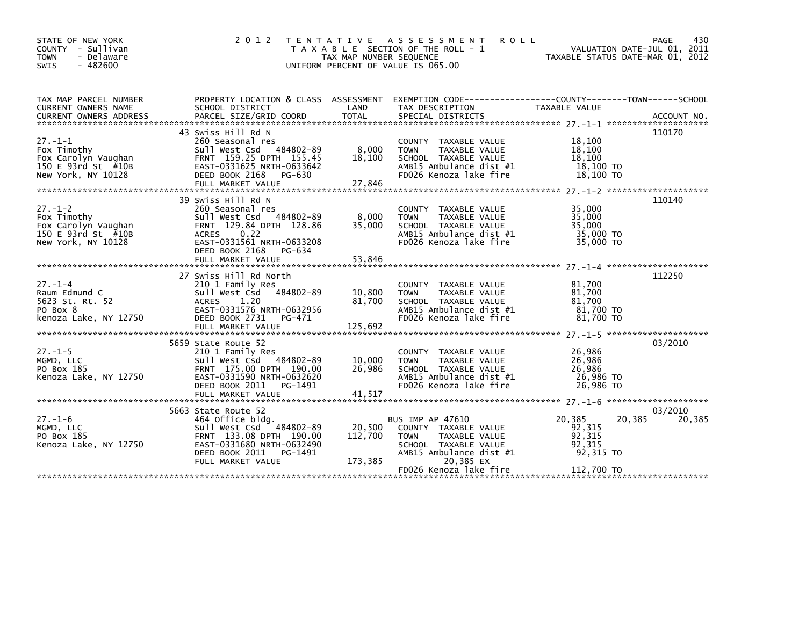| STATE OF NEW YORK<br>COUNTY - Sullivan<br><b>TOWN</b><br>- Delaware<br>$-482600$<br><b>SWIS</b> | 2 0 1 2                                                                                                                                                                | TAX MAP NUMBER SEQUENCE      | TENTATIVE ASSESSMENT ROLL<br>T A X A B L E SECTION OF THE ROLL - 1<br>UNIFORM PERCENT OF VALUE IS 065.00                          | VALUATION DATE-JUL 01, 2011<br>VALUATION DATE-JUL 01, 2011<br>TAXABLE STATUS DATE-MAR 01, 2012 | PAGE<br>430       |
|-------------------------------------------------------------------------------------------------|------------------------------------------------------------------------------------------------------------------------------------------------------------------------|------------------------------|-----------------------------------------------------------------------------------------------------------------------------------|------------------------------------------------------------------------------------------------|-------------------|
| TAX MAP PARCEL NUMBER<br>CURRENT OWNERS NAME                                                    | SCHOOL DISTRICT                                                                                                                                                        | LAND                         | PROPERTY LOCATION & CLASS ASSESSMENT EXEMPTION CODE----------------COUNTY--------TOWN-----SCHOOL<br>TAX DESCRIPTION               | TAXABLE VALUE                                                                                  |                   |
| $27. - 1 - 1$<br>Fox Timothy<br>150 E 93rd St #10B<br>New York, NY 10128                        | 43 Swiss Hill Rd N<br>260 Seasonal res<br>Sull West Csd 484802-89<br>Fox Carolyn Vaughan FRNT 159.25 DPTH 155.45<br>EAST-0331625 NRTH-0633642<br>DEED BOOK 2168 PG-630 | 8,000<br>18,100              | COUNTY TAXABLE VALUE<br>TAXABLE VALUE<br>TOWN<br>SCHOOL TAXABLE VALUE<br>AMB15 Ambulance dist #1<br>FD026 Kenoza lake fire        | 18,100<br>18,100<br>18,100<br>18,100 TO<br>18,100 TO                                           | 110170            |
| $27. - 1 - 2$<br>Fox Timothy<br>Fox Carolyn Vaughan<br>150 E 93rd St #10B<br>New York, NY 10128 | 39 Swiss Hill Rd N<br>260 Seasonal res<br>sull West Csd 484802-89<br>FRNT 129.84 DPTH 128.86<br>ACRES 0.22<br>EAST-0331561 NRTH-0633208<br>DEED BOOK 2168 PG-634       | $8,000$<br>35 00             | COUNTY TAXABLE VALUE<br><b>TOWN</b><br>TAXABLE VALUE<br>SCHOOL TAXABLE VALUE<br>AMB15 Ambulance dist #1<br>FD026 Kenoza lake fire | 35,000<br>35,000<br>35,000<br>35,000 TO<br>35,000 TO                                           | 110140            |
| 27.-1-4<br>Raum Edmund C<br><sup>-23</sup> St. Rt. 52<br>-                                      | 27 Swiss Hill Rd North<br>210 1 Family Res<br>Sull West Csd 484802-89<br>ACRES<br>1.20<br>EAST-0331576 NRTH-0632956                                                    | 10,800<br>81,700             | COUNTY TAXABLE VALUE<br>TAXABLE VALUE<br><b>TOWN</b><br>SCHOOL TAXABLE VALUE<br>AMB15 Ambulance dist #1                           | 81,700<br>81,700<br>81.700<br>81,700 TO                                                        | 112250            |
|                                                                                                 | DEED BOOK 2731 PG-471                                                                                                                                                  |                              | FD026 Kenoza lake fire                                                                                                            | 81.700 TO                                                                                      |                   |
| $27. - 1 - 5$<br>MGMD, LLC<br>PO Box 185<br>Kenoza Lake, NY 12750                               | 5659 State Route 52<br>210 1 Family Res<br>Sull West Csd 484802-89<br>FRNT 175.00 DPTH 190.00<br>EAST-0331590 NRTH-0632620<br>DEED BOOK 2011 PG-1491                   | 10,000<br>26,986             | COUNTY TAXABLE VALUE<br>TAXABLE VALUE<br><b>TOWN</b><br>SCHOOL TAXABLE VALUE<br>AMB15 Ambulance dist #1<br>FD026 Kenoza lake fire | 26,986<br>26,986<br>26,986<br>26,986 то<br>26,986 TO                                           | 03/2010           |
| $27. - 1 - 6$                                                                                   | 5663 State Route 52<br>464 Office bldg.                                                                                                                                |                              | BUS IMP AP 47610                                                                                                                  | 20,385<br>20,385                                                                               | 03/2010<br>20,385 |
| MGMD, LLC<br>PO Box 185<br>Kenoza Lake, NY 12750                                                | Sull West Csd 484802-89<br>FRNT 133.08 DPTH 190.00<br>EAST-0331680 NRTH-0632490<br>DEED BOOK 2011 PG-1491<br>FULL MARKET VALUE                                         | 20,500<br>112,700<br>173,385 | COUNTY TAXABLE VALUE<br>TAXABLE VALUE<br><b>TOWN</b><br>SCHOOL TAXABLE VALUE<br>AMB15 Ambulance dist #1<br>20,385 EX              | 92,315<br>92,315<br>92,315<br>92.315 TO                                                        |                   |
|                                                                                                 |                                                                                                                                                                        |                              | FD026 Kenoza lake fire                                                                                                            | 112,700 TO                                                                                     |                   |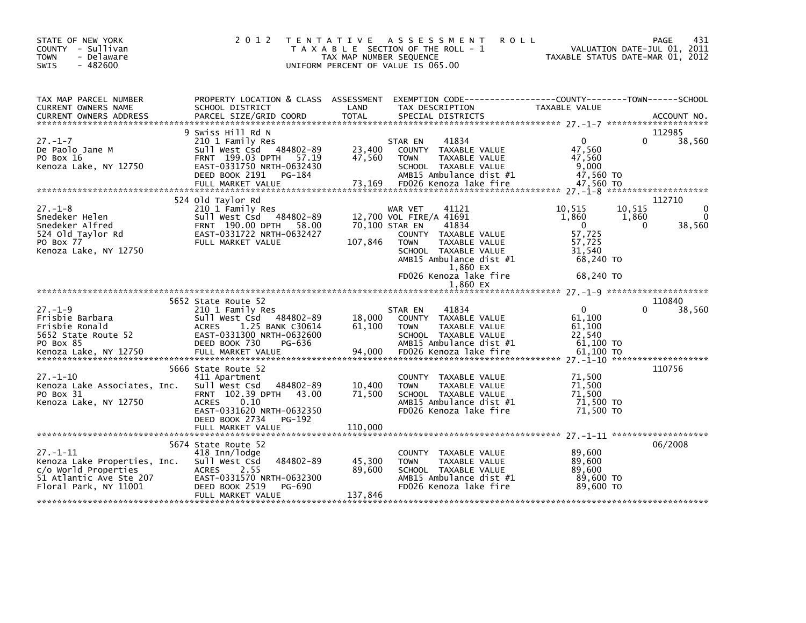| STATE OF NEW YORK<br>COUNTY - Sullivan<br><b>TOWN</b><br>- Delaware<br>$-482600$<br><b>SWIS</b>                           | 2 0 1 2                                                                                                                                                                                            | T E N T A T I V E<br>ASSESSMENT<br><b>ROLL</b><br>T A X A B L E SECTION OF THE ROLL - 1<br>TAX MAP NUMBER SEQUENCE<br>UNIFORM PERCENT OF VALUE IS 065.00                                                                           | 431<br>PAGE<br>VALUATION DATE-JUL 01, 2011<br>TAXABLE STATUS DATE-MAR 01, 2012                                                           |
|---------------------------------------------------------------------------------------------------------------------------|----------------------------------------------------------------------------------------------------------------------------------------------------------------------------------------------------|------------------------------------------------------------------------------------------------------------------------------------------------------------------------------------------------------------------------------------|------------------------------------------------------------------------------------------------------------------------------------------|
| TAX MAP PARCEL NUMBER<br>CURRENT OWNERS NAME                                                                              | PROPERTY LOCATION & CLASS ASSESSMENT<br>SCHOOL DISTRICT                                                                                                                                            | LAND<br>TAX DESCRIPTION                                                                                                                                                                                                            | EXEMPTION CODE------------------COUNTY--------TOWN------SCHOOL<br>TAXABLE VALUE                                                          |
| $27. - 1 - 7$<br>De Paolo Jane M<br>PO Box 16<br>Kenoza Lake, NY 12750                                                    | 9 Swiss Hill Rd N<br>210 1 Family Res<br>484802-89<br>Sull West Csd<br>FRNT 199.03 DPTH 57.19<br>EAST-0331750 NRTH-0632430<br>DEED BOOK 2191<br>PG-184<br>FULL MARKET VALUE                        | 41834<br>STAR EN<br>23,400<br>COUNTY TAXABLE VALUE<br>47,560<br>TAXABLE VALUE<br><b>TOWN</b><br>SCHOOL TAXABLE VALUE<br>AMB15 Ambulance dist #1<br>73,169<br>FD026 Kenoza lake fire                                                | 112985<br>38,560<br>$\Omega$<br>0<br>47,560<br>47,560<br>9.000<br>47,560 TO<br>47,560 TO                                                 |
| $27. - 1 - 8$<br>Snedeker Helen<br>Snedeker Alfred<br>524 old Taylor Rd<br>PO Box 77<br>Kenoza Lake, NY 12750             | 524 old Taylor Rd<br>210 1 Family Res<br>Sull West Csd 484802-89<br>FRNT 190.00 DPTH<br>58.00<br>EAST-0331722 NRTH-0632427<br>FULL MARKET VALUE                                                    | 41121<br>WAR VET<br>12,700 VOL FIRE/A 41691<br>70,100 STAR EN<br>41834<br>COUNTY TAXABLE VALUE<br>107,846<br>TAXABLE VALUE<br><b>TOWN</b><br>SCHOOL TAXABLE VALUE<br>AMB15 Ambulance dist #1<br>1,860 EX<br>FD026 Kenoza lake fire | 112710<br>10,515<br>10.515<br>0<br>1,860<br>1,860<br>$\mathbf{0}$<br>0<br>38,560<br>57,725<br>57,725<br>31.540<br>68,240 TO<br>68.240 TO |
|                                                                                                                           |                                                                                                                                                                                                    | 1.860 EX                                                                                                                                                                                                                           |                                                                                                                                          |
| $27. - 1 - 9$<br>Frisbie Barbara<br>Frisbie Ronald<br>5652 State Route 52<br>PO Box 85<br>Kenoza Lake, NY 12750           | 5652 State Route 52<br>210 1 Family Res<br>Sull West Csd<br>484802-89<br>1.25 BANK C30614<br><b>ACRES</b><br>EAST-0331300 NRTH-0632600<br>DEED BOOK 730<br>PG-636<br>FULL MARKET VALUE             | 41834<br>STAR EN<br>18,000<br>COUNTY TAXABLE VALUE<br>61,100<br><b>TOWN</b><br><b>TAXABLE VALUE</b><br>SCHOOL TAXABLE VALUE<br>AMB15 Ambulance dist #1<br>94,000<br>FD026 Kenoza lake fire                                         | 110840<br>$\mathbf{0}$<br>38,560<br>61,100<br>61,100<br>22,540<br>61.100 TO<br>61,100 TO<br>27. -1-10 *********************              |
| $27. - 1 - 10$<br>Kenoza Lake Associates, Inc.<br>PO Box 31<br>Kenoza Lake, NY 12750                                      | 5666 State Route 52<br>411 Apartment<br>Sull West Csd<br>484802-89<br>FRNT 102.39 DPTH 43.00<br>0.10<br><b>ACRES</b><br>EAST-0331620 NRTH-0632350<br>DEED BOOK 2734<br>PG-192<br>FULL MARKET VALUE | COUNTY TAXABLE VALUE<br>10,400<br><b>TAXABLE VALUE</b><br><b>TOWN</b><br>SCHOOL TAXABLE VALUE<br>71,500<br>AMB15 Ambulance dist #1<br>FD026 Kenoza lake fire<br>110,000                                                            | 110756<br>71,500<br>71,500<br>71,500<br>71,500 TO<br>71,500 TO                                                                           |
| $27 - 1 - 11$<br>Kenoza Lake Properties, Inc.<br>c/o World Properties<br>51 Atlantic Ave Ste 207<br>Floral Park, NY 11001 | 5674 State Route 52<br>418 Inn/lodge<br>Sull West Csd<br>484802-89<br>2.55<br><b>ACRES</b><br>EAST-0331570 NRTH-0632300<br>DEED BOOK 2519<br>PG-690<br>FULL MARKET VALUE                           | COUNTY TAXABLE VALUE<br>45,300<br>TAXABLE VALUE<br><b>TOWN</b><br>SCHOOL TAXABLE VALUE<br>89,600<br>AMB15 Ambulance dist #1<br>FD026 Kenoza lake fire<br>137,846                                                                   | 06/2008<br>89,600<br>89,600<br>89,600<br>89,600 TO<br>89.600 TO                                                                          |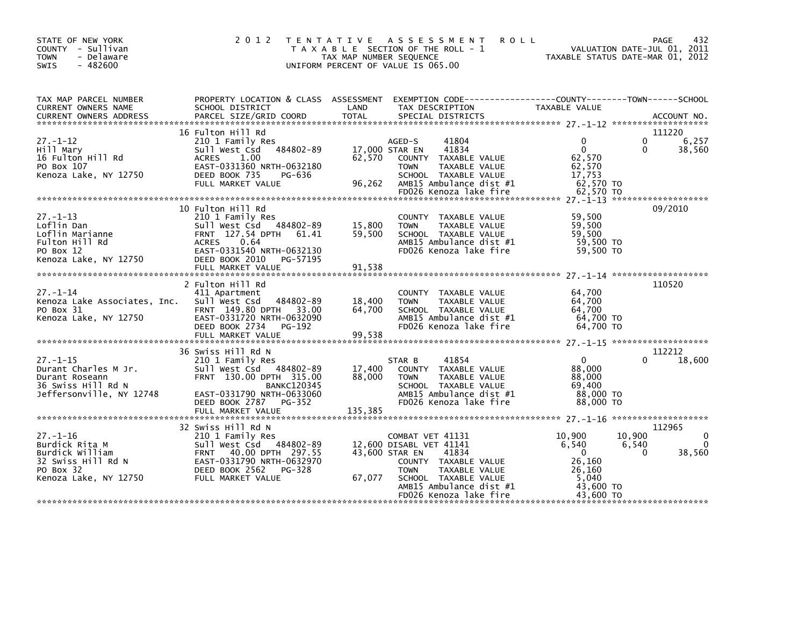| STATE OF NEW YORK<br>COUNTY - Sullivan<br>- Delaware<br><b>TOWN</b><br>$-482600$<br><b>SWIS</b>                 | 2 0 1 2<br>T E N T A T I V E                                                                                                                                                  | TAX MAP NUMBER SEQUENCE    | A S S E S S M E N T<br><b>ROLL</b><br>T A X A B L E SECTION OF THE ROLL - 1<br>UNIFORM PERCENT OF VALUE IS 065.00                                                                                           | TAXABLE STATUS DATE-MAR 01, 2012                                                   | 432<br>PAGE<br>VALUATION DATE-JUL 01, 2011                           |
|-----------------------------------------------------------------------------------------------------------------|-------------------------------------------------------------------------------------------------------------------------------------------------------------------------------|----------------------------|-------------------------------------------------------------------------------------------------------------------------------------------------------------------------------------------------------------|------------------------------------------------------------------------------------|----------------------------------------------------------------------|
| TAX MAP PARCEL NUMBER<br>CURRENT OWNERS NAME                                                                    | SCHOOL DISTRICT                                                                                                                                                               | LAND                       | PROPERTY LOCATION & CLASS ASSESSMENT EXEMPTION CODE---------------COUNTY-------TOWN-----SCHOOL<br>TAX DESCRIPTION                                                                                           | TAXABLE VALUE                                                                      |                                                                      |
| $27 - 1 - 12$<br>Hill Mary<br>16 Fulton Hill Rd<br>PO Box 107<br>Kenoza Lake, NY 12750                          | 16 Fulton Hill Rd<br>210 1 Family Res<br>484802-89<br>Sull West Csd<br><b>ACRES</b><br>1.00<br>EAST-0331360 NRTH-0632180<br>DEED BOOK 735<br>PG-636<br>FULL MARKET VALUE      | 62,570<br>96,262           | 41804<br>AGED-S<br>41834<br>17,000 STAR EN<br>COUNTY TAXABLE VALUE<br>TAXABLE VALUE<br><b>TOWN</b><br>SCHOOL TAXABLE VALUE<br>AMB15 Ambulance dist #1                                                       | $\Omega$<br>$\mathbf{0}$<br>62,570<br>62,570<br>17,753<br>62,570 TO                | 111220<br>6,257<br>0<br>38,560<br>0                                  |
| $27 - 1 - 13$<br>Loflin Dan<br>Loflin Marianne<br>Fulton Hill Rd<br>PO Box 12<br>Kenoza Lake, NY 12750          | 10 Fulton Hill Rd<br>210 1 Family Res<br>Sull West Csd 484802-89<br>FRNT 127.54 DPTH 61.41<br><b>ACRES</b><br>0.64<br>EAST-0331540 NRTH-0632130<br>DEED BOOK 2010<br>PG-57195 | 15,800<br>59,500           | COUNTY TAXABLE VALUE<br>TAXABLE VALUE<br><b>TOWN</b><br>SCHOOL TAXABLE VALUE<br>AMB15 Ambulance dist #1<br>FD026 Kenoza lake fire                                                                           | 59,500<br>59,500<br>59,500<br>59,500 TO<br>59,500 TO                               | 09/2010                                                              |
| $27 - 1 - 14$<br>Kenoza Lake Associates, Inc.<br>PO Box 31<br>Kenoza Lake, NY 12750                             | 2 Fulton Hill Rd<br>411 Apartment<br>484802-89<br>Sull West Csd<br>FRNT 149.80 DPTH 33.00<br>EAST-0331720 NRTH-0632090<br>DEED BOOK 2734<br>PG-192<br>FULL MARKET VALUE       | 18,400<br>64,700<br>99,538 | COUNTY TAXABLE VALUE<br>TAXABLE VALUE<br><b>TOWN</b><br>SCHOOL TAXABLE VALUE<br>AMB15 Ambulance dist #1<br>FD026 Kenoza lake fire                                                                           | 64,700<br>64,700<br>64,700<br>64,700 TO<br>64.700 TO                               | 110520                                                               |
|                                                                                                                 |                                                                                                                                                                               |                            |                                                                                                                                                                                                             |                                                                                    |                                                                      |
| $27. - 1 - 15$<br>Durant Charles M Jr.<br>Durant Roseann<br>36 Swiss Hill Rd N<br>Jeffersonville, NY 12748      | 36 Swiss Hill Rd N<br>210 1 Family Res<br>Sull West Csd 484802-89<br>FRNT 130.00 DPTH 315.00<br><b>BANKC120345</b><br>EAST-0331790 NRTH-0633060<br>DEED BOOK 2787 PG-352      | 17,400<br>88,000           | 41854<br>STAR B<br>COUNTY TAXABLE VALUE<br>TAXABLE VALUE<br><b>TOWN</b><br>SCHOOL TAXABLE VALUE<br>AMB15 Ambulance dist #1<br>FD026 Kenoza lake fire                                                        | $\overline{0}$<br>88,000<br>88,000<br>69,400<br>88,000 TO<br>88,000 TO             | 112212<br>18,600<br>0                                                |
| $27. - 1 - 16$<br>Burdick Rita M<br>Burdick William<br>32 Swiss Hill Rd N<br>PO Box 32<br>Kenoza Lake, NY 12750 | 32 Swiss Hill Rd N<br>210 1 Family Res<br>Sull West Csd 484802-89<br>FRNT 40.00 DPTH 297.55<br>EAST-0331790 NRTH-0632970<br>DEED BOOK 2562<br>PG-328<br>FULL MARKET VALUE     | 67,077                     | COMBAT VET 41131<br>12,600 DISABL VET 41141<br>43,600 STAR EN<br>41834<br>COUNTY TAXABLE VALUE<br>TAXABLE VALUE<br><b>TOWN</b><br>SCHOOL TAXABLE VALUE<br>AMB15 Ambulance dist #1<br>FD026 Kenoza lake fire | 10,900<br>6,540<br>$\Omega$<br>26,160<br>26,160<br>5,040<br>43.600 TO<br>43,600 TO | 112965<br>10.900<br>0<br>$\mathbf{0}$<br>6,540<br>$\Omega$<br>38,560 |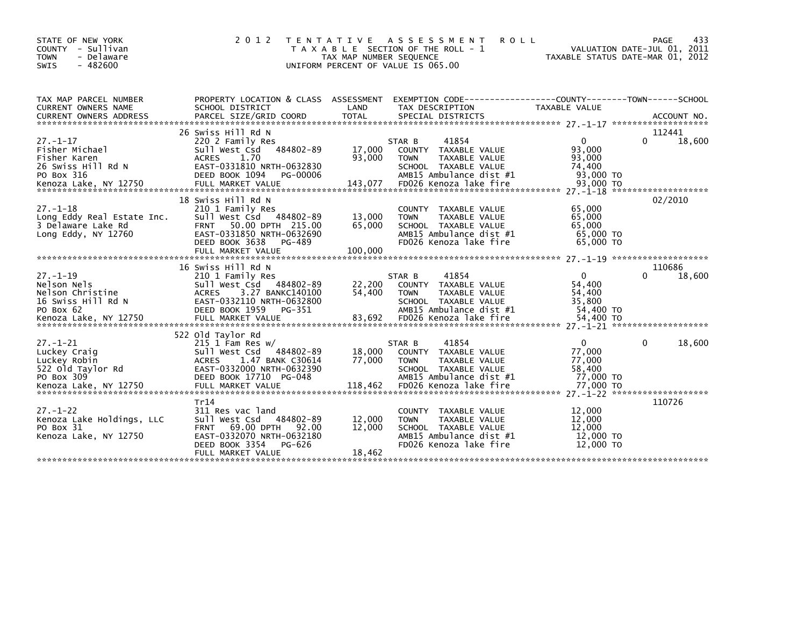| STATE OF NEW YORK<br>- Sullivan<br><b>COUNTY</b><br><b>TOWN</b><br>- Delaware<br>$-482600$<br><b>SWIS</b> | 2 0 1 2                                                                | T E N T A T I V E<br>TAX MAP NUMBER SEQUENCE | A S S E S S M E N T<br><b>ROLL</b><br>T A X A B L E SECTION OF THE ROLL - 1<br>UNIFORM PERCENT OF VALUE IS 065.00 |                              | 433<br><b>PAGE</b><br>VALUATION DATE-JUL 01, 2011<br>TAXABLE STATUS DATE-MAR 01, 2012 |
|-----------------------------------------------------------------------------------------------------------|------------------------------------------------------------------------|----------------------------------------------|-------------------------------------------------------------------------------------------------------------------|------------------------------|---------------------------------------------------------------------------------------|
| TAX MAP PARCEL NUMBER<br>CURRENT OWNERS NAME                                                              | PROPERTY LOCATION & CLASS ASSESSMENT<br>SCHOOL DISTRICT                | LAND                                         | EXEMPTION CODE-----------------COUNTY-------TOWN------SCHOOL<br>TAX DESCRIPTION                                   | TAXABLE VALUE                |                                                                                       |
| CURRENT OWNERS ADDRESS                                                                                    | PARCEL SIZE/GRID COORD                                                 | <b>TOTAL</b>                                 | SPECIAL DISTRICTS                                                                                                 |                              | ACCOUNT NO.                                                                           |
|                                                                                                           | 26 Swiss Hill Rd N                                                     |                                              |                                                                                                                   |                              | 112441                                                                                |
| $27. - 1 - 17$<br>Fisher Michael<br>Fisher Karen                                                          | 220 2 Family Res<br>484802-89<br>Sull West Csd<br><b>ACRES</b><br>1.70 | 17,000<br>93,000                             | 41854<br>STAR B<br>TAXABLE VALUE<br>COUNTY<br><b>TOWN</b><br>TAXABLE VALUE                                        | $\Omega$<br>93,000<br>93,000 | 0<br>18,600                                                                           |
| 26 Swiss Hill Rd N<br>PO Box 316                                                                          | EAST-0331810 NRTH-0632830<br>DEED BOOK 1094<br>PG-00006                |                                              | SCHOOL TAXABLE VALUE<br>AMB15 Ambulance dist #1<br>FD026 Kenoza lake fire                                         | 74,400<br>93,000 TO          |                                                                                       |
|                                                                                                           |                                                                        |                                              |                                                                                                                   |                              |                                                                                       |
| $27. - 1 - 18$                                                                                            | 18 Swiss Hill Rd N<br>210 1 Family Res                                 |                                              | COUNTY TAXABLE VALUE                                                                                              | 65,000                       | 02/2010                                                                               |
| Long Eddy Real Estate Inc.                                                                                | Sull West Csd 484802-89                                                | 13,000                                       | <b>TOWN</b><br>TAXABLE VALUE                                                                                      | 65,000                       |                                                                                       |
| 3 Delaware Lake Rd                                                                                        | 50.00 DPTH 215.00<br><b>FRNT</b>                                       | 65,000                                       | SCHOOL TAXABLE VALUE                                                                                              | 65,000                       |                                                                                       |
| Long Eddy, NY 12760                                                                                       | EAST-0331850 NRTH-0632690<br>DEED BOOK 3638<br>PG-489                  |                                              | AMB15 Ambulance dist #1<br>FD026 Kenoza lake fire                                                                 | 65,000 TO<br>65,000 TO       |                                                                                       |
|                                                                                                           | FULL MARKET VALUE                                                      | 100,000                                      |                                                                                                                   |                              |                                                                                       |
|                                                                                                           |                                                                        |                                              |                                                                                                                   |                              |                                                                                       |
| $27. - 1 - 19$                                                                                            | 16 Swiss Hill Rd N<br>210 1 Family Res                                 |                                              | 41854<br>STAR B                                                                                                   | $\mathbf 0$                  | 110686<br>18,600                                                                      |
| Nelson Nels                                                                                               | Sull West Csd<br>484802-89                                             | 22,200                                       | <b>COUNTY</b><br>TAXABLE VALUE                                                                                    | 54,400                       |                                                                                       |
| Nelson Christine                                                                                          | 3.27 BANKC140100<br><b>ACRES</b>                                       | 54,400                                       | <b>TOWN</b><br>TAXABLE VALUE                                                                                      | 54,400                       |                                                                                       |
| 16 Swiss Hill Rd N                                                                                        | EAST-0332110 NRTH-0632800                                              |                                              | SCHOOL TAXABLE VALUE                                                                                              | 35,800                       |                                                                                       |
| PO Box 62                                                                                                 | DEED BOOK 1959<br>PG-351                                               |                                              | AMB15 Ambulance dist #1                                                                                           | 54,400 TO                    |                                                                                       |
|                                                                                                           |                                                                        |                                              |                                                                                                                   |                              |                                                                                       |
|                                                                                                           | 522 old Taylor Rd                                                      |                                              |                                                                                                                   |                              |                                                                                       |
| $27. - 1 - 21$                                                                                            | $215$ 1 Fam Res w/                                                     |                                              | 41854<br>STAR B                                                                                                   | $\Omega$                     | 0<br>18,600                                                                           |
| Luckey Craig                                                                                              | 484802-89<br>Sull West Csd                                             | 18,000                                       | COUNTY<br>TAXABLE VALUE                                                                                           | 77,000                       |                                                                                       |
| Luckey Robin                                                                                              | <b>ACRES</b><br>1.47 BANK C30614                                       | 77,000                                       | <b>TOWN</b><br>TAXABLE VALUE                                                                                      | 77,000                       |                                                                                       |
| 522 Old Taylor Rd<br>PO Box 309                                                                           | EAST-0332000 NRTH-0632390<br>DEED BOOK 17710 PG-048                    |                                              | SCHOOL TAXABLE VALUE<br>AMB15 Ambulance dist #1                                                                   | 58.400<br>77,000 TO          |                                                                                       |
|                                                                                                           |                                                                        |                                              |                                                                                                                   |                              |                                                                                       |
|                                                                                                           |                                                                        |                                              |                                                                                                                   |                              |                                                                                       |
|                                                                                                           | Tr14                                                                   |                                              |                                                                                                                   |                              | 110726                                                                                |
| $27 - 1 - 22$                                                                                             | 311 Res vac land                                                       |                                              | TAXABLE VALUE<br><b>COUNTY</b>                                                                                    | 12,000                       |                                                                                       |
| Kenoza Lake Holdings, LLC                                                                                 | 484802-89<br>Sull West Csd                                             | 12,000                                       | TAXABLE VALUE<br><b>TOWN</b>                                                                                      | 12,000                       |                                                                                       |
| PO Box 31<br>Kenoza Lake, NY 12750                                                                        | 69.00 DPTH<br><b>FRNT</b><br>92.00<br>EAST-0332070 NRTH-0632180        | 12,000                                       | SCHOOL TAXABLE VALUE<br>AMB15 Ambulance dist #1                                                                   | 12,000<br>12,000 TO          |                                                                                       |
|                                                                                                           | DEED BOOK 3354<br>PG-626                                               |                                              | FD026 Kenoza lake fire                                                                                            | 12,000 TO                    |                                                                                       |
|                                                                                                           | FULL MARKET VALUE                                                      | 18,462                                       |                                                                                                                   |                              |                                                                                       |
|                                                                                                           |                                                                        |                                              |                                                                                                                   |                              |                                                                                       |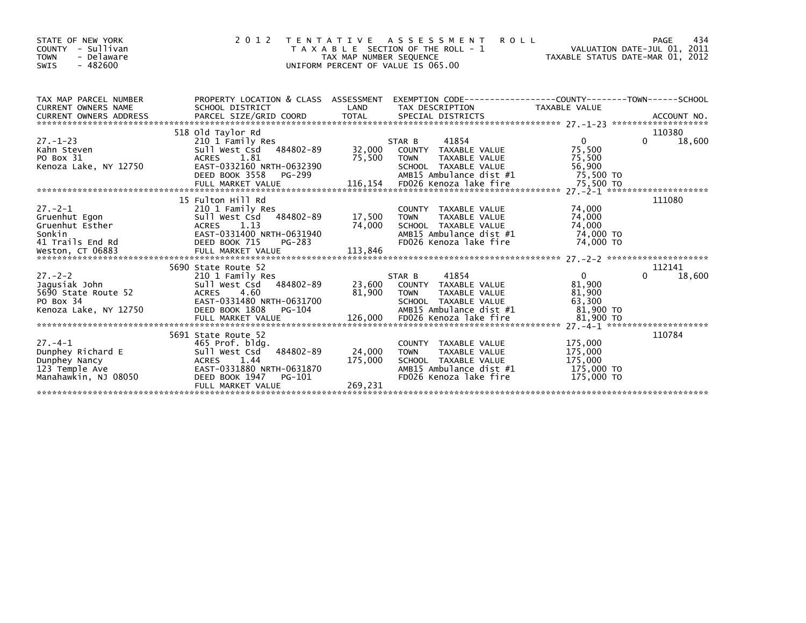| STATE OF NEW YORK<br>COUNTY - Sullivan<br><b>TOWN</b><br>- Delaware<br>$-482600$<br>SWIS | 2 0 1 2                                                                                                                                                                                                                                                                  | TAX MAP NUMBER SEQUENCE             | <b>ROLL</b><br>TENTATIVE ASSESSMENT<br>T A X A B L E SECTION OF THE ROLL - 1<br>UNIFORM PERCENT OF VALUE IS 065.00                                                                                                            | VALUATION DATE-JUL 01, 2011<br>TAXABLE STATUS DATE-MAR 01, 2012 | 434<br>PAGE                  |
|------------------------------------------------------------------------------------------|--------------------------------------------------------------------------------------------------------------------------------------------------------------------------------------------------------------------------------------------------------------------------|-------------------------------------|-------------------------------------------------------------------------------------------------------------------------------------------------------------------------------------------------------------------------------|-----------------------------------------------------------------|------------------------------|
| TAX MAP PARCEL NUMBER                                                                    | PROPERTY LOCATION & CLASS ASSESSMENT EXEMPTION CODE----------------COUNTY-------TOWN------SCHOOL                                                                                                                                                                         |                                     |                                                                                                                                                                                                                               |                                                                 |                              |
| $27.-1-23$<br>Kahn Steven<br>and Steven                                                  | 518 old Taylor Rd<br>210 1 Family Res<br>Sull West Csd 484802-89<br>ACRES 1.81                                                                                                                                                                                           | 75,500 TOWN                         | STAR B<br>41854<br>TAXABLE VALUE                                                                                                                                                                                              | $\overline{0}$<br>75,500<br>75,500                              | 110380<br>$\Omega$<br>18,600 |
|                                                                                          | 27.-2-1<br>Gruenhut Egon<br>Gruenhut Esther<br>Sonkin<br>41 Trails End Rd<br>FRIP BOOK 715<br>FULL MARKET VALUE<br>CT 06883<br>CONTINUE MARKET VALUE<br>CT 06883<br>CONTINUE MARKET VALUE<br>CONTINUE<br>CONTINUE<br>CONTINUE<br>CONTINUE<br>CONTINUE<br>CONT            | COUNT<br>17 , 500   TOWN<br>113,846 | COUNTY TAXABLE VALUE<br>TAXABLE VALUE<br>74,000 SCHOOL TAXABLE VALUE 74,000 SCHOOL TAXABLE VALUE 74,000 TO<br>FD026 Kenoza lake fire                                                                                          | 74,000<br>74,000<br>74.000 TO                                   | 111080                       |
| $27 - 2 - 2$                                                                             | 210 1 Family Res<br>484802-89                                                                                                                                                                                                                                            |                                     | 41854<br>STAR B<br>23,600 COUNTY TAXABLE VALUE<br>81,900 TOWN TAXABLE VALUE                                                                                                                                                   | $\mathbf{0}$<br>81,900<br>81,900                                | 112141<br>18,600<br>$\Omega$ |
| Manahawkin, NJ 08050                                                                     | 5691 State Route 52<br>27.-4-1<br>Dunphey Richard E<br>Dunphey Nancy<br>23 Temple Ave <b>EXELLA CONTRES</b><br>23 Temple Ave <b>EXELLA CONTRES</b><br>24 EAST-0331880 NRTH-0631870<br>25 1.44<br>25 2020 1047<br>26-101<br>DEED BOOK 1947<br>PG-101<br>FULL MARKET VALUE | 24,000 TOWN<br>175,000<br>269,231   | COUNTY TAXABLE VALUE<br>TOWN     TAXABLE VALUE                         175,000<br>SCHOOL   TAXABLE VALUE                         175,000<br>AMB15 Ambulance dist #1                      175,000 TO<br>FD026 Kenoza lake fire | 175,000<br>175,000<br>175,000 TO                                | 110784                       |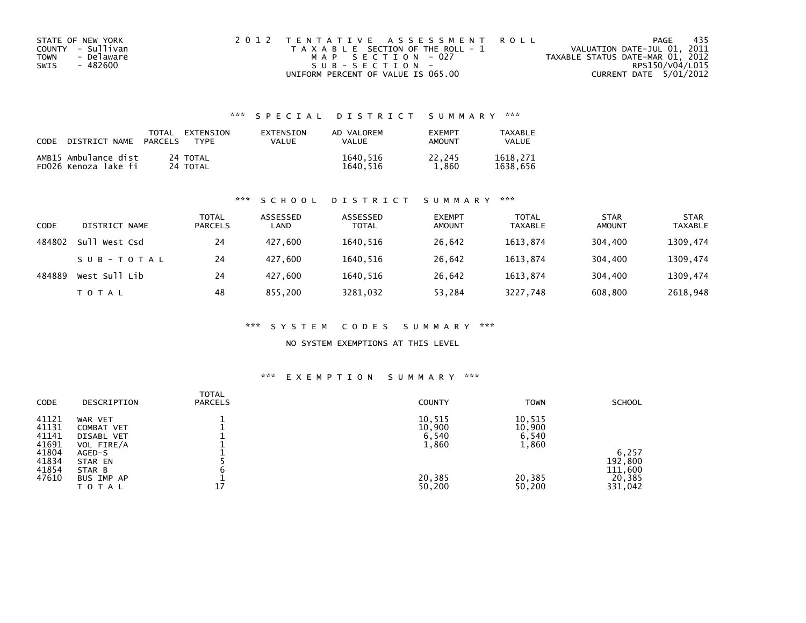| STATE OF NEW YORK  | 2012 TENTATIVE ASSESSMENT ROLL        | - 435<br>PAGE                    |  |
|--------------------|---------------------------------------|----------------------------------|--|
| COUNTY - Sullivan  | T A X A B L E SECTION OF THE ROLL - 1 | VALUATION DATE-JUL 01, 2011      |  |
| - Delaware<br>TOWN | MAP SECTION - 027                     | TAXABLE STATUS DATE-MAR 01, 2012 |  |
| SWIS<br>- 482600   | $SUB - SECTION -$                     | RPS150/V04/L015                  |  |
|                    | UNIFORM PERCENT OF VALUE IS 065.00    | CURRENT DATE 5/01/2012           |  |

## \*\*\* S P E C I A L D I S T R I C T S U M M A R Y \*\*\*

| CODE | DISTRICT NAME                                | TOTAL<br><b>PARCELS</b> | EXTENSION<br><b>TYPF</b> | EXTENSION<br>VALUE | AD VALOREM<br>VALUE  | <b>FXFMPT</b><br>AMOUNT | TAXABLE<br>VALUE     |
|------|----------------------------------------------|-------------------------|--------------------------|--------------------|----------------------|-------------------------|----------------------|
|      | AMB15 Ambulance dist<br>FD026 Kenoza lake fi |                         | 24 TOTAL<br>24 TOTAL     |                    | 1640,516<br>1640.516 | 22.245<br>1.860         | 1618.271<br>1638.656 |

### \*\*\* S C H O O L D I S T R I C T S U M M A R Y \*\*\*

| CODE   | DISTRICT NAME | TOTAL<br><b>PARCELS</b> | ASSESSED<br>LAND | ASSESSED<br><b>TOTAL</b> | <b>EXEMPT</b><br>AMOUNT | <b>TOTAL</b><br><b>TAXABLE</b> | <b>STAR</b><br>AMOUNT | <b>STAR</b><br><b>TAXABLE</b> |
|--------|---------------|-------------------------|------------------|--------------------------|-------------------------|--------------------------------|-----------------------|-------------------------------|
| 484802 | Sull West Csd | 24                      | 427.600          | 1640.516                 | 26,642                  | 1613.874                       | 304,400               | 1309,474                      |
|        | SUB-TOTAL     | 24                      | 427.600          | 1640.516                 | 26.642                  | 1613.874                       | 304,400               | 1309,474                      |
| 484889 | West Sull Lib | 24                      | 427.600          | 1640.516                 | 26,642                  | 1613.874                       | 304,400               | 1309,474                      |
|        | T O T A L     | 48                      | 855,200          | 3281,032                 | 53,284                  | 3227,748                       | 608,800               | 2618,948                      |

### \*\*\* S Y S T E M C O D E S S U M M A R Y \*\*\*

### NO SYSTEM EXEMPTIONS AT THIS LEVEL

### \*\*\* E X E M P T I O N S U M M A R Y \*\*\*

| CODE  | DESCRIPTION | <b>TOTAL</b><br><b>PARCELS</b> | <b>COUNTY</b> | <b>TOWN</b> | <b>SCHOOL</b> |
|-------|-------------|--------------------------------|---------------|-------------|---------------|
| 41121 | WAR VET     |                                | 10,515        | 10,515      |               |
| 41131 | COMBAT VET  |                                | 10,900        | 10,900      |               |
| 41141 | DISABL VET  |                                | 6,540         | 6,540       |               |
| 41691 | VOL FIRE/A  |                                | 1,860         | 1,860       |               |
| 41804 | AGED-S      |                                |               |             | 6,257         |
| 41834 | STAR EN     |                                |               |             | 192,800       |
| 41854 | STAR B      |                                |               |             | 111,600       |
| 47610 | BUS IMP AP  |                                | 20,385        | 20,385      | 20,385        |
|       | TOTAL       | 17                             | 50,200        | 50,200      | 331,042       |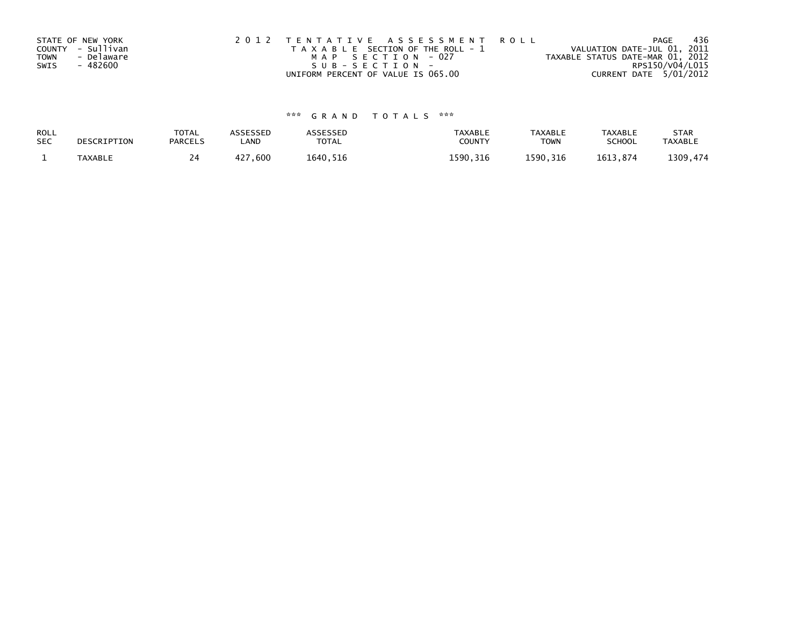|      | STATE OF NEW YORK | 2012 TENTATIVE ASSESSMENT ROLL        | 436<br>PAGE                      |
|------|-------------------|---------------------------------------|----------------------------------|
|      | COUNTY - Sullivan | T A X A B L E SECTION OF THE ROLL - 1 | VALUATION DATE-JUL 01, 2011      |
| TOWN | - Delaware        | MAP SECTION - 027                     | TAXABLE STATUS DATE-MAR 01, 2012 |
| SWIS | - 482600          | SUB-SECTION-                          | RPS150/V04/L015                  |
|      |                   | UNIFORM PERCENT OF VALUE IS 065.00    | CURRENT DATE 5/01/2012           |

# \*\*\* G R A N D T O T A L S \*\*\*

| ROLL       | DESCRIPTION    | <b>TOTAL</b>   | ASSESSED    | ASSESSED | <b>TAXABLE</b> | <b>TAXABLE</b> | <b>TAXABLE</b> | <b>STAR</b>    |
|------------|----------------|----------------|-------------|----------|----------------|----------------|----------------|----------------|
| <b>SEC</b> |                | <b>PARCELS</b> | LAND        | TOTAL    | <b>COUNTY</b>  | <b>TOWN</b>    | <b>SCHOOL</b>  | <b>TAXABLE</b> |
|            | <b>TAXABLE</b> | ≃              | ,600<br>427 | 1640,516 | 1590.316       | 1590.316       | 1613.874       | 1309.474       |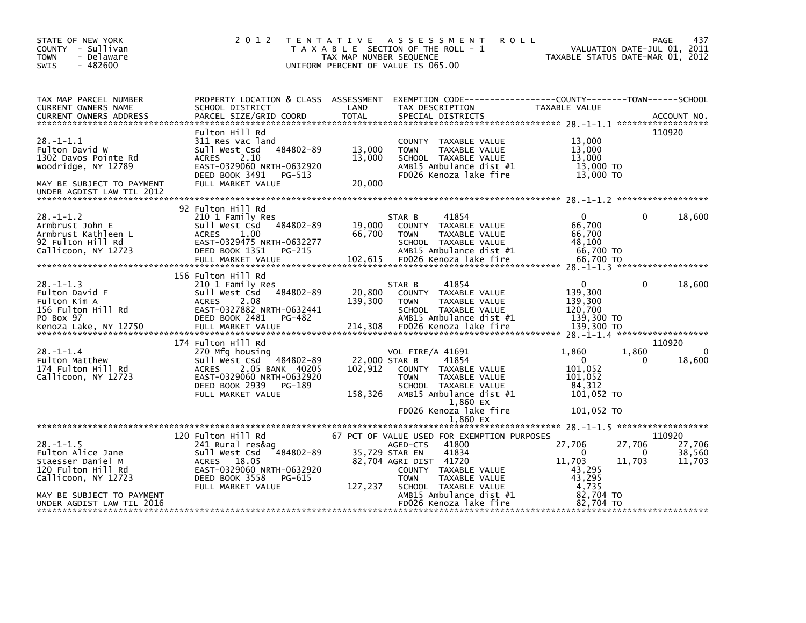| STATE OF NEW YORK<br>- Sullivan<br><b>COUNTY</b><br>- Delaware<br><b>TOWN</b><br>$-482600$<br>SWIS                                                               | 2 0 1 2                                                                                                                                                                | T E N T A T I V E<br>TAX MAP NUMBER SEQUENCE | A S S E S S M E N T<br><b>ROLL</b><br>T A X A B L E SECTION OF THE ROLL - 1<br>UNIFORM PERCENT OF VALUE IS 065.00                                                                                                                        | TAXABLE STATUS DATE-MAR 01, 2012                                                                 | 437<br>PAGE<br>VALUATION DATE-JUL 01, 2011       |
|------------------------------------------------------------------------------------------------------------------------------------------------------------------|------------------------------------------------------------------------------------------------------------------------------------------------------------------------|----------------------------------------------|------------------------------------------------------------------------------------------------------------------------------------------------------------------------------------------------------------------------------------------|--------------------------------------------------------------------------------------------------|--------------------------------------------------|
| TAX MAP PARCEL NUMBER<br>CURRENT OWNERS NAME<br><b>CURRENT OWNERS ADDRESS</b>                                                                                    | PROPERTY LOCATION & CLASS ASSESSMENT<br>SCHOOL DISTRICT<br>PARCEL SIZE/GRID COORD                                                                                      | LAND<br><b>TOTAL</b>                         | TAX DESCRIPTION<br>SPECIAL DISTRICTS                                                                                                                                                                                                     | TAXABLE VALUE                                                                                    | ACCOUNT NO.                                      |
| $28. - 1 - 1.1$<br>Fulton David W<br>1302 Davos Pointe Rd<br>Woodridge, NY 12789<br>MAY BE SUBJECT TO PAYMENT<br>UNDER AGDIST LAW TIL 2012                       | Fulton Hill Rd<br>311 Res vac land<br>484802-89<br>Sull West Csd<br>2.10<br><b>ACRES</b><br>EAST-0329060 NRTH-0632920<br>DEED BOOK 3491<br>PG-513<br>FULL MARKET VALUE | 13,000<br>13,000<br>20,000                   | COUNTY TAXABLE VALUE<br><b>TOWN</b><br>TAXABLE VALUE<br>SCHOOL TAXABLE VALUE<br>AMB15 Ambulance dist #1<br>FD026 Kenoza lake fire                                                                                                        | 13,000<br>13,000<br>13,000<br>13,000 TO<br>13,000 TO                                             | 110920                                           |
| $28. - 1 - 1.2$<br>Armbrust John E<br>Armbrust Kathleen L<br>92 Fulton Hill Rd<br>Callicoon, NY 12723                                                            | 92 Fulton Hill Rd<br>210 1 Family Res<br>Sull West Csd<br>484802-89<br>1.00<br><b>ACRES</b><br>EAST-0329475 NRTH-0632277<br>DEED BOOK 1351<br>PG-215                   | 19,000<br>66,700                             | 41854<br>STAR B<br>COUNTY TAXABLE VALUE<br>TAXABLE VALUE<br><b>TOWN</b><br>SCHOOL TAXABLE VALUE<br>AMB15 Ambulance dist #1                                                                                                               | $\Omega$<br>66,700<br>66,700<br>48,100<br>66,700 TO                                              | $\Omega$<br>18,600                               |
| $28. - 1 - 1.3$<br>Fulton David F<br>Fulton Kim A<br>156 Fulton Hill Rd<br>PO Box 97                                                                             | 156 Fulton Hill Rd<br>210 1 Family Res<br>Sull West Csd<br>484802-89<br>2.08<br><b>ACRES</b><br>EAST-0327882 NRTH-0632441<br>DEED BOOK 2481<br>PG-482                  | 20,800<br>139,300                            | 41854<br>STAR B<br>COUNTY TAXABLE VALUE<br><b>TOWN</b><br>TAXABLE VALUE<br>SCHOOL TAXABLE VALUE<br>AMB15 Ambulance dist #1                                                                                                               | $\mathbf{0}$<br>139,300<br>139,300<br>120,700<br>139,300 TO                                      | $\Omega$<br>18,600                               |
|                                                                                                                                                                  | 174 Fulton Hill Rd                                                                                                                                                     |                                              |                                                                                                                                                                                                                                          |                                                                                                  | 110920                                           |
| $28. - 1 - 1.4$<br>Fulton Matthew<br>174 Fulton Hill Rd<br>Callicoon, NY 12723                                                                                   | 270 Mfg housing<br>Sull West Csd 484802-89<br>2.05 BANK 40205<br><b>ACRES</b><br>EAST-0329060 NRTH-0632920<br>DEED BOOK 2939<br>PG-189<br>FULL MARKET VALUE            | 22,000 STAR B<br>102,912<br>158,326          | <b>VOL FIRE/A 41691</b><br>41854<br>COUNTY TAXABLE VALUE<br><b>TOWN</b><br>TAXABLE VALUE<br>SCHOOL TAXABLE VALUE<br>AMB15 Ambulance dist #1<br>1,860 EX                                                                                  | 1,860<br>1,860<br>$\mathbf{0}$<br>101,052<br>101,052<br>84,312<br>101,052 TO                     | $\Omega$<br>18,600                               |
|                                                                                                                                                                  |                                                                                                                                                                        |                                              | FD026 Kenoza lake fire<br>1,860 EX                                                                                                                                                                                                       | 101,052 TO                                                                                       |                                                  |
|                                                                                                                                                                  |                                                                                                                                                                        |                                              |                                                                                                                                                                                                                                          |                                                                                                  |                                                  |
| $28. - 1 - 1.5$<br>Fulton Alice Jane<br>Staesser Daniel M<br>120 Fulton Hill Rd<br>Callicoon, NY 12723<br>MAY BE SUBJECT TO PAYMENT<br>UNDER AGDIST LAW TIL 2016 | 120 Fulton Hill Rd<br>241 Rural res&ag<br>484802-89<br>Sull West Csd<br>ACRES 18.05<br>EAST-0329060 NRTH-0632920<br>DEED BOOK 3558<br>PG-615<br>FULL MARKET VALUE      | 35,729 STAR EN<br>127,237                    | 67 PCT OF VALUE USED FOR EXEMPTION PURPOSES<br>41800<br>AGED-CTS<br>41834<br>82,704 AGRI DIST 41720<br>COUNTY TAXABLE VALUE<br>TAXABLE VALUE<br><b>TOWN</b><br>SCHOOL TAXABLE VALUE<br>AMB15 Ambulance dist #1<br>FD026 Kenoza lake fire | 27,706<br>27,706<br>0<br>11,703<br>11,703<br>43,295<br>43,295<br>4,735<br>82.704 TO<br>82.704 TO | 110920<br>27,706<br>38,560<br>$\Omega$<br>11,703 |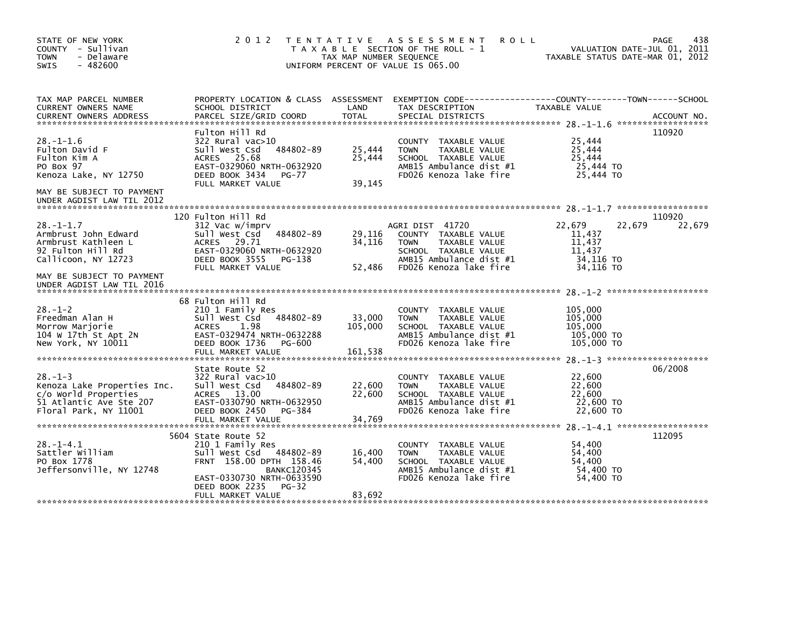| STATE OF NEW YORK<br>COUNTY - Sullivan<br><b>TOWN</b><br>- Delaware<br>$-482600$<br><b>SWIS</b>                                                   |                                                                                                                                                                                                    | TAX MAP NUMBER SEQUENCE      | 2012 TENTATIVE ASSESSMENT<br><b>ROLL</b><br>T A X A B L E SECTION OF THE ROLL - 1<br>UNIFORM PERCENT OF VALUE IS 065.00                              |                                                                | 438<br>PAGE<br>VALUATION DATE-JUL 01, 2011<br>TAXABLE STATUS DATE-MAR 01, 2012 |
|---------------------------------------------------------------------------------------------------------------------------------------------------|----------------------------------------------------------------------------------------------------------------------------------------------------------------------------------------------------|------------------------------|------------------------------------------------------------------------------------------------------------------------------------------------------|----------------------------------------------------------------|--------------------------------------------------------------------------------|
| TAX MAP PARCEL NUMBER<br>CURRENT OWNERS NAME                                                                                                      | PROPERTY LOCATION & CLASS ASSESSMENT EXEMPTION CODE-----------------COUNTY-------TOWN------SCHOOL<br>SCHOOL DISTRICT                                                                               | LAND                         | TAX DESCRIPTION                                                                                                                                      | TAXABLE VALUE                                                  |                                                                                |
| $28. - 1 - 1.6$<br>Fulton David F<br>Fulton Kim A<br>PO Box 97<br>Kenoza Lake, NY 12750<br>MAY BE SUBJECT TO PAYMENT<br>UNDER AGDIST LAW TIL 2012 | Fulton Hill Rd<br>322 Rural vac>10<br>Sull West Csd<br>484802-89<br>ACRES 25.68<br>EAST-0329060 NRTH-0632920<br>DEED BOOK 3434<br>PG-77<br>FULL MARKET VALUE                                       | 25,444<br>25,444<br>39,145   | COUNTY TAXABLE VALUE<br>TAXABLE VALUE<br><b>TOWN</b><br>SCHOOL TAXABLE VALUE<br>AMB15 Ambulance dist #1<br>FD026 Kenoza lake fire                    | 25,444<br>25,444<br>25,444<br>25,444 TO<br>25,444 TO           | 110920                                                                         |
|                                                                                                                                                   |                                                                                                                                                                                                    |                              |                                                                                                                                                      |                                                                |                                                                                |
| $28. - 1 - 1.7$<br>Armbrust John Edward<br>Armbrust Kathleen L<br>92 Fulton Hill Rd<br>Callicoon, NY 12723                                        | 120 Fulton Hill Rd<br>312 Vac w/imprv<br>Sull West Csd 484802-89<br>ACRES 29.71<br>EAST-0329060 NRTH-0632920<br>DEED BOOK 3555<br>PG-138<br>FULL MARKET VALUE                                      | 29,116<br>34,116<br>52,486   | AGRI DIST 41720<br>COUNTY TAXABLE VALUE<br>TAXABLE VALUE<br><b>TOWN</b><br>SCHOOL TAXABLE VALUE<br>AMB15 Ambulance dist #1<br>FD026 Kenoza lake fire | 22,679<br>11,437<br>11,437<br>11,437<br>34,116 TO<br>34,116 TO | 110920<br>22,679<br>22,679                                                     |
| MAY BE SUBJECT TO PAYMENT<br>UNDER AGDIST LAW TIL 2016                                                                                            |                                                                                                                                                                                                    |                              |                                                                                                                                                      |                                                                |                                                                                |
| $28. - 1 - 2$<br>Freedman Alan H<br>Morrow Marjorie<br>104 W 17th St Apt 2N<br>New York, NY 10011                                                 | 68 Fulton Hill Rd<br>210 1 Family Res<br>484802-89<br>Sull West Csd<br>1.98<br><b>ACRES</b><br>EAST-0329474 NRTH-0632288<br>DEED BOOK 1736<br>PG-600<br>FULL MARKET VALUE                          | 33,000<br>105,000<br>161,538 | COUNTY TAXABLE VALUE<br><b>TOWN</b><br>TAXABLE VALUE<br>SCHOOL TAXABLE VALUE<br>AMB15 Ambulance dist #1<br>FD026 Kenoza lake fire                    | 105,000<br>105,000<br>105,000<br>105,000 TO<br>105,000 TO      |                                                                                |
| $28. - 1 - 3$<br>Kenoza Lake Properties Inc.<br>c/o World Properties<br>51 Atlantic Ave Ste 207<br>Floral Park, NY 11001                          | State Route 52<br>322 Rural vac>10<br>Sull West Csd<br>484802-89<br>ACRES 13.00<br>EAST-0330790 NRTH-0632950<br>DEED BOOK 2450 PG-384                                                              | 22,600<br>22,600             | COUNTY TAXABLE VALUE<br>TAXABLE VALUE<br><b>TOWN</b><br>SCHOOL TAXABLE VALUE<br>AMB15 Ambulance dist #1<br>FD026 Kenoza lake fire                    | 22,600<br>22,600<br>22,600<br>22,600 TO<br>22,600 TO           | 06/2008                                                                        |
| $28. -1 - 4.1$<br>Sattler William<br>PO Box 1778<br>Jeffersonville, NY 12748                                                                      | 5604 State Route 52<br>210 1 Family Res<br>Sull West Csd 484802-89<br>FRNT 158.00 DPTH 158.46<br><b>BANKC120345</b><br>EAST-0330730 NRTH-0633590<br>DEED BOOK 2235<br>$PG-32$<br>FULL MARKET VALUE | 16,400<br>54,400<br>83,692   | COUNTY TAXABLE VALUE<br>TAXABLE VALUE<br><b>TOWN</b><br>SCHOOL TAXABLE VALUE<br>AMB15 Ambulance dist #1<br>FD026 Kenoza lake fire                    | 54,400<br>54,400<br>54,400<br>54,400 TO<br>54,400 TO           | 112095                                                                         |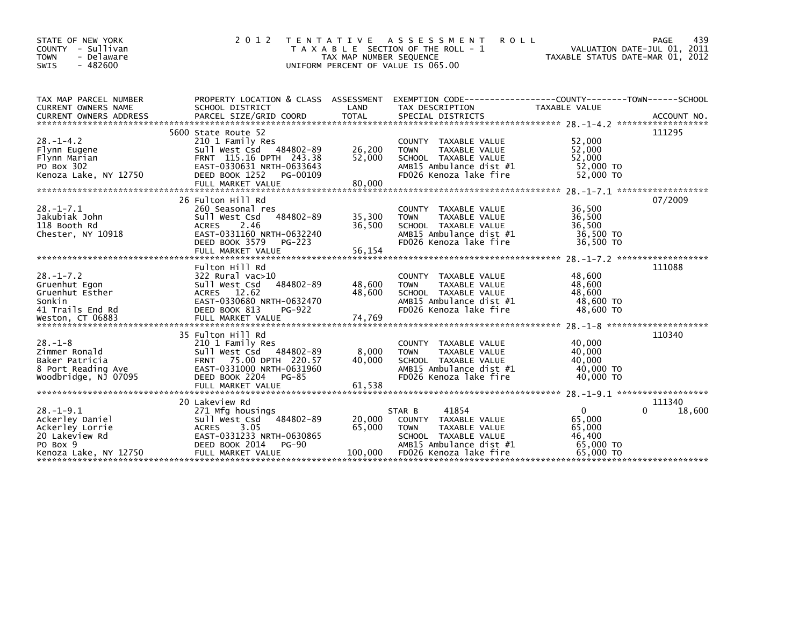| STATE OF NEW YORK<br>COUNTY - Sullivan<br><b>TOWN</b><br>- Delaware<br>$-482600$<br>SWIS                                                                                                                                                                    | 2 0 1 2                                                                                                                                                                       | TAX MAP NUMBER SEQUENCE     | TENTATIVE ASSESSMENT<br><b>ROLL</b><br>T A X A B L E SECTION OF THE ROLL - 1<br>UNIFORM PERCENT OF VALUE IS 065.00                                   | VALUATION DATE-JUL 01, 2011<br>TAXABLE STATUS DATE-MAR 01, 2012 | 439<br>PAGE      |
|-------------------------------------------------------------------------------------------------------------------------------------------------------------------------------------------------------------------------------------------------------------|-------------------------------------------------------------------------------------------------------------------------------------------------------------------------------|-----------------------------|------------------------------------------------------------------------------------------------------------------------------------------------------|-----------------------------------------------------------------|------------------|
| TAX MAP PARCEL NUMBER<br>CURRENT OWNERS NAME<br>CURRENT OWNERS ADDRESS FORCEL SIZE/GRID COORD TOTAL SPECIAL DISTRICTS (2001) ACCOUNT NO .<br>EURRENT OWNERS ADDRESS PARCEL SIZE/GRID COORD TOTAL SPECIAL DISTRICTS (2001) 2 ******************************* | SCHOOL DISTRICT                                                                                                                                                               | LAND                        | PROPERTY LOCATION & CLASS ASSESSMENT EXEMPTION CODE----------------COUNTY-------TOWN------SCHOOL<br>TAX DESCRIPTION                                  | TAXABLE VALUE                                                   |                  |
| $28. - 1 - 4.2$<br>Flynn Eugene<br>Flynn Marian<br>PO Box 302<br>Kenoza Lake, NY 12750                                                                                                                                                                      | 5600 State Route 52<br>210 1 Family Res<br>Sull West Csd 484802-89<br>FRNT 115.16 DPTH 243.38<br>EAST-0330631 NRTH-0633643<br>DEED BOOK 1252<br>PG-00109<br>FULL MARKET VALUE | 26,200<br>52,000<br>80,000  | COUNTY TAXABLE VALUE<br><b>TOWN</b><br>TAXABLE VALUE<br>SCHOOL TAXABLE VALUE<br>AMB15 Ambulance dist #1<br>FD026 Kenoza lake fire                    | 52,000<br>52,000<br>52,000<br>52,000 TO<br>52,000 TO            | 111295           |
| $28. - 1 - 7.1$<br>Jakubiak John<br>118 Booth Rd<br>Chester, NY 10918                                                                                                                                                                                       | 26 Fulton Hill Rd<br>260 Seasonal res<br>484802-89<br>Sull West Csd<br>2.46<br><b>ACRES</b><br>EAST-0331160 NRTH-0632240<br>DEED BOOK 3579<br>PG-223                          | 35,300<br>36,500            | COUNTY TAXABLE VALUE<br>TAXABLE VALUE<br><b>TOWN</b><br>SCHOOL TAXABLE VALUE<br>AMB15 Ambulance dist #1<br>FD026 Kenoza lake fire                    | 36,500<br>36,500<br>36,500<br>36,500 TO<br>36,500 TO            | 07/2009          |
| $28. - 1 - 7.2$<br>Gruenhut Egon<br>Gruenhut Esther<br>Sonkin<br>41 Trails End Rd                                                                                                                                                                           | Fulton Hill Rd<br>322 Rural vac>10<br>484802-89<br>Sull West Csd<br>ACRES 12.62<br>EAST-0330680 NRTH-0632470<br>DEED BOOK 813<br>PG-922                                       | 48,600<br>48,600            | COUNTY TAXABLE VALUE<br><b>TAXABLE VALUE</b><br><b>TOWN</b><br>SCHOOL TAXABLE VALUE<br>AMB15 Ambulance dist #1<br>FD026 Kenoza lake fire             | 48,600<br>48,600<br>48,600<br>48,600 TO<br>48,600 TO            | 111088           |
| $28. - 1 - 8$<br>Zimmer Ronald<br>Baker Patricia<br>8 Port Reading Ave<br>Woodbridge, NJ 07095                                                                                                                                                              | 35 Fulton Hill Rd<br>210 1 Family Res<br>Sull West Csd 484802-89<br>FRNT 75.00 DPTH 220.57<br>EAST-0331000 NRTH-0631960<br>DEED BOOK 2204<br>PG-85                            | 8,000<br>40.000             | COUNTY TAXABLE VALUE<br>TAXABLE VALUE<br><b>TOWN</b><br>SCHOOL TAXABLE VALUE<br>AMB15 Ambulance dist #1<br>FD026 Kenoza lake fire                    | 40,000<br>40,000<br>40.000<br>40,000 TO<br>40,000 TO            | 110340           |
| $28. - 1 - 9.1$<br>Ackerley Daniel<br>Ackerley Lorrie<br>20 Lakeview Rd<br>PO Box 9                                                                                                                                                                         | 20 Lakeview Rd<br>271 Mfg housings<br>Sull West Csd<br>484802-89<br>3.05<br><b>ACRES</b><br>EAST-0331233 NRTH-0630865<br>DEED BOOK 2014<br>PG-90<br>FULL MARKET VALUE         | 20,000<br>65,000<br>100,000 | 41854<br>STAR B<br>COUNTY TAXABLE VALUE<br>TAXABLE VALUE<br><b>TOWN</b><br>SCHOOL TAXABLE VALUE<br>AMB15 Ambulance dist #1<br>FD026 Kenoza lake fire | $\overline{0}$<br>65,000<br>65,000<br>46,400<br>65,000 TO       | 111340<br>18,600 |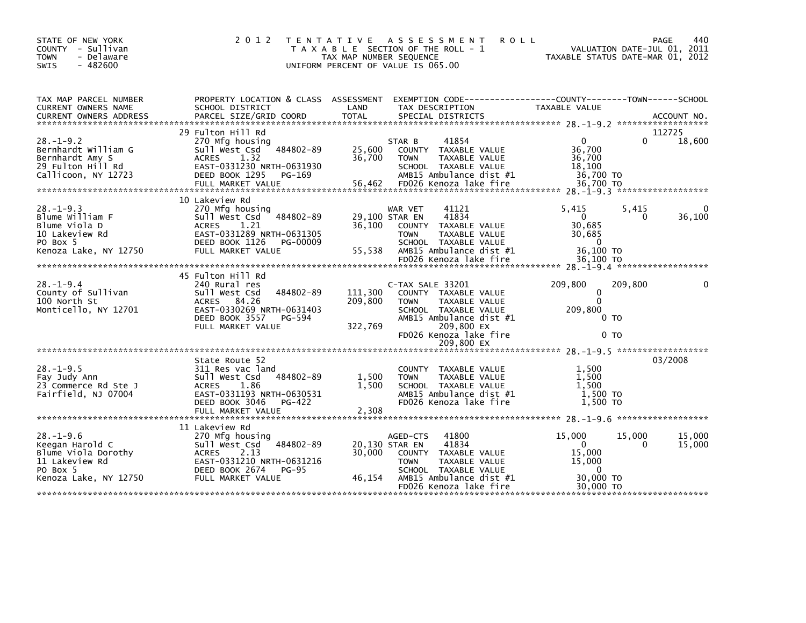| STATE OF NEW YORK<br>COUNTY - Sullivan<br><b>TOWN</b><br>- Delaware<br>$-482600$<br><b>SWIS</b>                  | 2 0 1 2                                                                                                                                                              | TAX MAP NUMBER SEQUENCE            | TENTATIVE ASSESSMENT<br><b>ROLL</b><br>T A X A B L E SECTION OF THE ROLL - 1<br>UNIFORM PERCENT OF VALUE IS 065.00                                                  | VALUATION DATE-JUL 01, 2011<br>TAXABLE STATUS DATE-MAR 01, 2012                               | 440<br><b>PAGE</b> |
|------------------------------------------------------------------------------------------------------------------|----------------------------------------------------------------------------------------------------------------------------------------------------------------------|------------------------------------|---------------------------------------------------------------------------------------------------------------------------------------------------------------------|-----------------------------------------------------------------------------------------------|--------------------|
| TAX MAP PARCEL NUMBER<br>CURRENT OWNERS NAME                                                                     | PROPERTY LOCATION & CLASS ASSESSMENT EXEMPTION CODE---------------COUNTY-------TOWN-----SCHOOL<br>SCHOOL DISTRICT                                                    | LAND                               | TAX DESCRIPTION                                                                                                                                                     | TAXABLE VALUE                                                                                 |                    |
| $28. - 1 - 9.2$<br>Bernhardt William G<br>Bernhardt Amy S<br>29 Fulton Hill Rd<br>Callicoon, NY 12723            | 29 Fulton Hill Rd<br>270 Mfg housing<br>484802-89<br>sull west Csd<br>1.32<br>ACRES<br>EAST-0331230 NRTH-0631930<br>DEED BOOK 1295<br>PG-169                         | 25,600<br>36,700                   | 41854<br>STAR B<br>COUNTY TAXABLE VALUE<br>TAXABLE VALUE<br><b>TOWN</b><br>SCHOOL TAXABLE VALUE<br>$AMB15$ Ambulance dist #1                                        | $\Omega$<br>0<br>36,700<br>36,700<br>18,100<br>36,700 TO                                      | 112725<br>18,600   |
| $28. - 1 - 9.3$<br>Blume William F<br>Blume Viola D<br>10 Lakeview Rd<br>PO Box 5<br>Kenoza Lake, NY 12750       | 10 Lakeview Rd<br>270 Mfg housing<br>Sull West Csd 484802-89<br><b>ACRES</b><br>1.21<br>EAST-0331289 NRTH-0631305<br>DEED BOOK 1126<br>PG-00009<br>FULL MARKET VALUE | 29,100 STAR EN<br>36,100<br>55,538 | 41121<br>WAR VET<br>41834<br>COUNTY TAXABLE VALUE<br><b>TOWN</b><br>TAXABLE VALUE<br>SCHOOL TAXABLE VALUE<br>AMB15 Ambulance dist #1<br>FD026 Kenoza lake fire      | 5,415<br>5,415<br>$\mathbf{0}$<br>0<br>30,685<br>30,685<br>$\Omega$<br>36,100 TO<br>36.100 TO | 36,100             |
| $28. - 1 - 9.4$<br>County of Sullivan<br>100 North St<br>Monticello, NY 12701                                    | 45 Fulton Hill Rd<br>240 Rural res<br>Sull West Csd<br>484802-89<br>ACRES 84.26<br>EAST-0330269 NRTH-0631403<br>DEED BOOK 3557<br>PG-594<br>FULL MARKET VALUE        | 111,300<br>209,800<br>322,769      | C-TAX SALE 33201<br>COUNTY TAXABLE VALUE<br>TAXABLE VALUE<br><b>TOWN</b><br>SCHOOL TAXABLE VALUE<br>AMB15 Ambulance dist #1<br>209,800 EX<br>FD026 Kenoza lake fire | 209,800<br>209,800<br>$\Omega$<br>$\Omega$<br>209,800<br>0 <sub>T</sub><br>0 TO               | $\Omega$           |
|                                                                                                                  |                                                                                                                                                                      |                                    | 209,800 EX                                                                                                                                                          |                                                                                               |                    |
| $28. - 1 - 9.5$<br>Fay Judy Ann<br>23 Commerce Rd Ste J<br>Fairfield, NJ 07004                                   | State Route 52<br>311 Res vac land<br>Sull West Csd<br>484802-89<br>ACRES<br>1.86<br>EAST-0331193 NRTH-0630531<br>DEED BOOK 3046<br>PG-422                           | 1.500<br>1,500                     | COUNTY TAXABLE VALUE<br>TAXABLE VALUE<br><b>TOWN</b><br>SCHOOL TAXABLE VALUE<br>AMB15 Ambulance dist #1<br>FD026 Kenoza lake fire                                   | 1,500<br>1.500<br>1,500<br>1,500 TO<br>1,500 TO                                               | 03/2008            |
|                                                                                                                  | 11 Lakeview Rd                                                                                                                                                       |                                    |                                                                                                                                                                     |                                                                                               |                    |
| $28. - 1 - 9.6$<br>Keegan Harold C<br>Blume Viola Dorothy<br>11 Lakeview Rd<br>PO Box 5<br>Kenoza Lake, NY 12750 | 270 Mfg housing<br>Sull West Csd<br>484802-89<br>ACRES 2.13<br>EAST-0331210 NRTH-0631216<br>DEED BOOK 2674<br><b>PG-95</b><br>FULL MARKET VALUE                      | 20,130 STAR EN<br>30,000<br>46,154 | 41800<br>AGED-CTS<br>41834<br>COUNTY TAXABLE VALUE<br>TAXABLE VALUE<br><b>TOWN</b><br>SCHOOL TAXABLE VALUE<br>AMB15 Ambulance dist #1                               | 15,000<br>15,000<br>$\Omega$<br>0<br>15,000<br>15,000<br>$\Omega$<br>30,000 TO                | 15,000<br>15,000   |
|                                                                                                                  |                                                                                                                                                                      |                                    | FD026 Kenoza lake fire                                                                                                                                              | 30,000 TO                                                                                     |                    |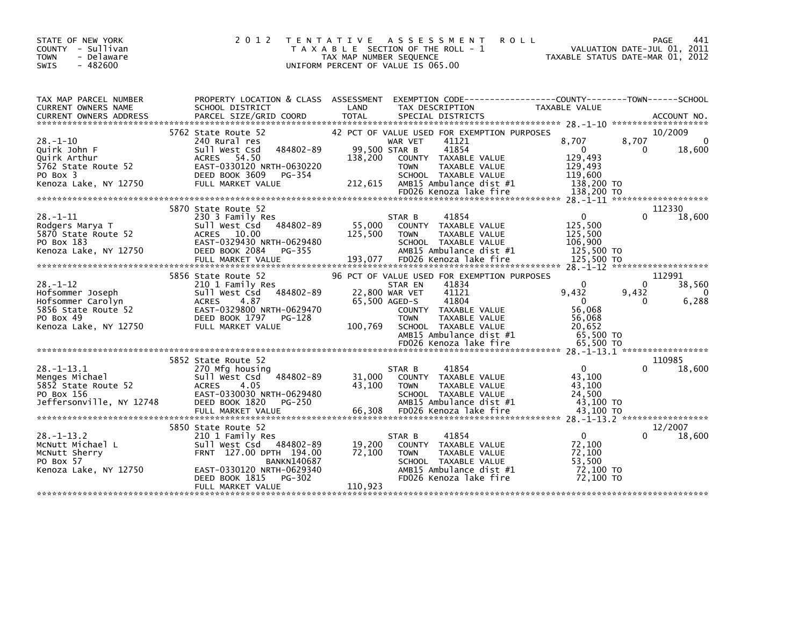| STATE OF NEW YORK<br>COUNTY - Sullivan<br><b>TOWN</b><br>- Delaware<br>$-482600$<br><b>SWIS</b>                      | 2 0 1 2                                                                                                                                                                  | TENTATIVE ASSESSMENT<br>T A X A B L E SECTION OF THE ROLL - 1<br>TAX MAP NUMBER SEQUENCE<br>UNIFORM PERCENT OF VALUE IS 065.00 |                                                           |                                                                                                                                                                                     | <b>ROLL</b>                                                                                   | PAGE<br>441<br>VALUATION DATE-JUL 01, 2011<br>TAXABLE STATUS DATE-MAR 01, 2012 |
|----------------------------------------------------------------------------------------------------------------------|--------------------------------------------------------------------------------------------------------------------------------------------------------------------------|--------------------------------------------------------------------------------------------------------------------------------|-----------------------------------------------------------|-------------------------------------------------------------------------------------------------------------------------------------------------------------------------------------|-----------------------------------------------------------------------------------------------|--------------------------------------------------------------------------------|
| TAX MAP PARCEL NUMBER<br>CURRENT OWNERS NAME<br><b>CURRENT OWNERS ADDRESS</b>                                        | PROPERTY LOCATION & CLASS ASSESSMENT EXEMPTION CODE-----------------COUNTY-------TOWN------SCHOOL<br>SCHOOL DISTRICT                                                     | LAND                                                                                                                           |                                                           | TAX DESCRIPTION                                                                                                                                                                     | TAXABLE VALUE                                                                                 |                                                                                |
| $28. - 1 - 10$<br>Quirk John F<br>Quirk Arthur<br>5762 State Route 52<br>PO Box 3<br>Kenoza Lake, NY 12750           | 5762 State Route 52<br>240 Rural res<br>484802-89<br>Sull West Csd<br>ACRES 54.50<br>EAST-0330120 NRTH-0630220<br>DEED BOOK 3609<br>PG-354<br>FULL MARKET VALUE          | 138,200<br>212,615                                                                                                             | WAR VET<br>99,500 STAR B<br><b>TOWN</b>                   | 42 PCT OF VALUE USED FOR EXEMPTION PURPOSES<br>41121<br>41854<br>COUNTY TAXABLE VALUE<br>TAXABLE VALUE<br>SCHOOL TAXABLE VALUE<br>AMB15 Ambulance dist #1<br>FD026 Kenoza lake fire | 8.707<br>$\overline{\mathbf{0}}$<br>129,493<br>129,493<br>119,600<br>138,200 TO<br>138,200 TO | 10/2009<br>8.707<br>$\Omega$<br>18,600<br>0                                    |
|                                                                                                                      |                                                                                                                                                                          |                                                                                                                                |                                                           |                                                                                                                                                                                     |                                                                                               |                                                                                |
| $28. - 1 - 11$<br>Rodgers Marya T<br>5870 State Route 52<br>PO Box 183<br>Kenoza Lake, NY 12750                      | 5870 State Route 52<br>230 3 Family Res<br>Sull West Csd 484802-89<br>ACRES 10.00<br>EAST-0329430 NRTH-0629480<br>DEED BOOK 2084<br>PG-355                               | 55,000<br>125,500                                                                                                              | STAR B<br><b>TOWN</b>                                     | 41854<br>COUNTY TAXABLE VALUE<br><b>TAXABLE VALUE</b><br>SCHOOL TAXABLE VALUE<br>AMB15 Ambulance dist #1                                                                            | 0<br>125,500<br>125,500<br>106,900<br>125,500 TO                                              | 112330<br>18,600<br>0                                                          |
|                                                                                                                      | FULL MARKET VALUE                                                                                                                                                        | 193,077                                                                                                                        |                                                           | FD026 Kenoza lake fire                                                                                                                                                              | 125,500 TO                                                                                    |                                                                                |
|                                                                                                                      |                                                                                                                                                                          |                                                                                                                                |                                                           |                                                                                                                                                                                     |                                                                                               |                                                                                |
| $28. - 1 - 12$<br>Hofsommer Joseph<br>Hofsommer Carolyn<br>5856 State Route 52<br>PO Box 49<br>Kenoza Lake, NY 12750 | 5856 State Route 52<br>210 1 Family Res<br>Sull West Csd 484802-89<br><b>ACRES</b><br>4.87<br>EAST-0329800 NRTH-0629470<br>DEED BOOK 1797<br>PG-128<br>FULL MARKET VALUE | 100,769                                                                                                                        | STAR EN<br>22,800 WAR VET<br>65,500 AGED-S<br><b>TOWN</b> | 96 PCT OF VALUE USED FOR EXEMPTION PURPOSES<br>41834<br>41121<br>41804<br>COUNTY TAXABLE VALUE<br>TAXABLE VALUE<br>SCHOOL TAXABLE VALUE<br>AMB15 Ambulance dist #1                  | $\Omega$<br>9,432<br>$\mathbf{0}$<br>56,068<br>56.068<br>20,652<br>65,500 TO                  | 112991<br>38,560<br>0<br>9,432<br>$\overline{0}$<br>6,288<br>0                 |
|                                                                                                                      |                                                                                                                                                                          |                                                                                                                                |                                                           |                                                                                                                                                                                     |                                                                                               |                                                                                |
| $28. -1 - 13.1$<br>Menges Michael<br>5852 State Route 52<br>PO Box 156<br>Jeffersonville, NY 12748                   | 5852 State Route 52<br>270 Mfg housing<br>Sull West Csd<br>484802-89<br><b>ACRES</b><br>4.05<br>EAST-0330030 NRTH-0629480<br>DEED BOOK 1820<br>PG-250                    | 31,000<br>43,100                                                                                                               | STAR B<br><b>TOWN</b>                                     | 41854<br>COUNTY TAXABLE VALUE<br>TAXABLE VALUE<br>SCHOOL TAXABLE VALUE<br>AMB15 Ambulance dist #1                                                                                   | $\Omega$<br>43,100<br>43,100<br>24,500<br>43,100 TO                                           | 110985<br>18,600                                                               |
|                                                                                                                      | 5850 State Route 52                                                                                                                                                      |                                                                                                                                |                                                           |                                                                                                                                                                                     |                                                                                               | 12/2007                                                                        |
| $28. - 1 - 13.2$<br>MCNutt Michael L<br>McNutt Sherry<br>PO Box 57<br>Kenoza Lake, NY 12750                          | 210 1 Family Res<br>484802-89<br>Sull West Csd<br>FRNT 127.00 DPTH 194.00<br><b>BANKN140687</b><br>EAST-0330120 NRTH-0629340<br>DEED BOOK 1815<br>PG-302                 | 19,200<br>72,100                                                                                                               | STAR B<br><b>TOWN</b>                                     | 41854<br>COUNTY TAXABLE VALUE<br>TAXABLE VALUE<br>SCHOOL TAXABLE VALUE<br>AMB15 Ambulance dist #1<br>FD026 Kenoza lake fire                                                         | $\Omega$<br>72,100<br>72,100<br>53.500<br>72,100 TO<br>72.100 TO                              | $\Omega$<br>18,600                                                             |
|                                                                                                                      | FULL MARKET VALUE                                                                                                                                                        | 110,923                                                                                                                        |                                                           |                                                                                                                                                                                     |                                                                                               |                                                                                |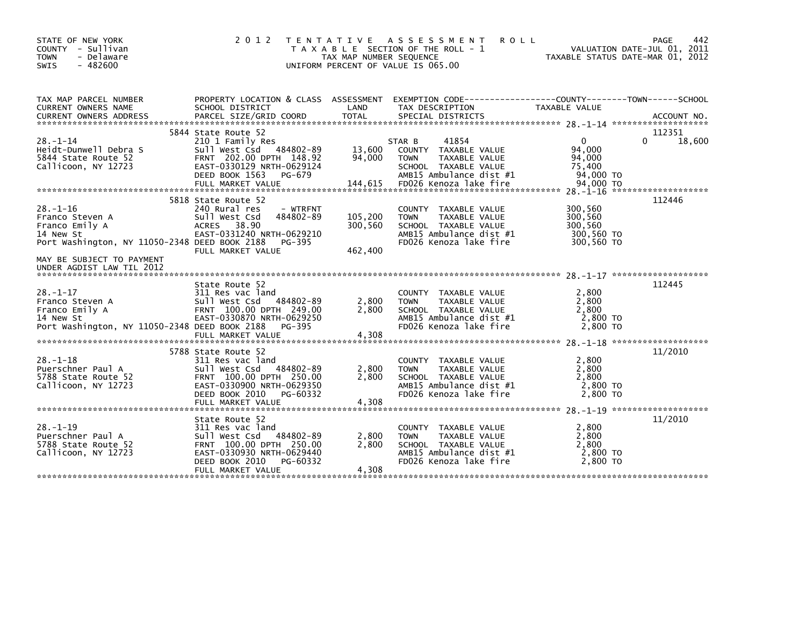| STATE OF NEW YORK<br>COUNTY - Sullivan<br><b>TOWN</b><br>- Delaware<br>$-482600$<br><b>SWIS</b>                                                                             | 2 0 1 2                                                                                                                                                                          | T E N T A T I V E<br>TAX MAP NUMBER SEQUENCE | A S S E S S M E N T<br><b>ROLL</b><br>T A X A B L E SECTION OF THE ROLL - 1<br>UNIFORM PERCENT OF VALUE IS 065.00                    |                                                           | 442<br>PAGE<br>VALUATION DATE-JUL 01, 2011<br>TAXABLE STATUS DATE-MAR 01, 2012 |
|-----------------------------------------------------------------------------------------------------------------------------------------------------------------------------|----------------------------------------------------------------------------------------------------------------------------------------------------------------------------------|----------------------------------------------|--------------------------------------------------------------------------------------------------------------------------------------|-----------------------------------------------------------|--------------------------------------------------------------------------------|
| TAX MAP PARCEL NUMBER<br>CURRENT OWNERS NAME<br><b>CURRENT OWNERS ADDRESS</b>                                                                                               | PROPERTY LOCATION & CLASS ASSESSMENT<br>SCHOOL DISTRICT<br>PARCEL SIZE/GRID COORD                                                                                                | LAND<br><b>TOTAL</b>                         | TAX DESCRIPTION<br>SPECIAL DISTRICTS                                                                                                 | TAXABLE VALUE                                             | ACCOUNT NO.                                                                    |
| $28 - 1 - 14$<br>Heidt-Dunwell Debra S<br>5844 State Route 52<br>Callicoon, NY 12723                                                                                        | 5844 State Route 52<br>210 1 Family Res<br>Sull West Csd 484802-89<br>FRNT 202.00 DPTH 148.92<br>EAST-0330129 NRTH-0629124<br>DEED BOOK 1563<br>PG-679                           | 13,600<br>94,000                             | 41854<br>STAR B<br>COUNTY TAXABLE VALUE<br><b>TOWN</b><br>TAXABLE VALUE<br>SCHOOL TAXABLE VALUE<br>AMB15 Ambulance dist #1           | $\Omega$<br>94.000<br>94,000<br>75,400<br>94,000 TO       | 112351<br>18,600<br>0                                                          |
| $28. - 1 - 16$<br>Franco Steven A<br>Franco Emily A<br>14 New St<br>Port Washington, NY 11050-2348 DEED BOOK 2188<br>MAY BE SUBJECT TO PAYMENT<br>UNDER AGDIST LAW TIL 2012 | 5818 State Route 52<br>240 Rural res<br>- WTRFNT<br>484802-89<br>Sull West Csd<br>38.90<br><b>ACRES</b><br>EAST-0331240 NRTH-0629210<br>PG-395<br>FULL MARKET VALUE              | 105,200<br>300,560<br>462,400                | COUNTY TAXABLE VALUE<br><b>TOWN</b><br>TAXABLE VALUE<br>SCHOOL TAXABLE VALUE<br>AMB15 Ambulance dist #1<br>FD026 Kenoza lake fire    | 300,560<br>300,560<br>300.560<br>300,560 TO<br>300,560 TO | 112446                                                                         |
| $28. - 1 - 17$<br>Franco Steven A<br>Franco Emily A<br>14 New St<br>Port Washington, NY 11050-2348 DEED BOOK 2188                                                           | State Route 52<br>311 Res vac land<br>Sull West Csd 484802-89<br>FRNT 100.00 DPTH 249.00<br>EAST-0330870 NRTH-0629250<br>PG-395<br>FULL MARKET VALUE                             | 2,800<br>2,800<br>4,308                      | COUNTY TAXABLE VALUE<br><b>TOWN</b><br>TAXABLE VALUE<br>SCHOOL TAXABLE VALUE<br>AMB15 Ambulance dist #1<br>FD026 Kenoza lake fire    | 2,800<br>2,800<br>2,800<br>2,800 TO<br>2,800 TO           | 112445                                                                         |
| $28. - 1 - 18$<br>Puerschner Paul A<br>5788 State Route 52<br>Callicoon, NY 12723                                                                                           | 5788 State Route 52<br>311 Res vac land<br>484802-89<br>Sull West Csd<br>FRNT 100.00 DPTH 250.00<br>EAST-0330900 NRTH-0629350<br>DEED BOOK 2010<br>PG-60332<br>FULL MARKET VALUE | 2,800<br>2.800<br>4,308                      | COUNTY TAXABLE VALUE<br>TAXABLE VALUE<br><b>TOWN</b><br>SCHOOL TAXABLE VALUE<br>AMB15 Ambulance dist #1<br>FD026 Kenoza lake fire    | 2,800<br>2,800<br>2,800<br>2,800 TO<br>2,800 TO           | 11/2010                                                                        |
| $28. - 1 - 19$<br>Puerschner Paul A<br>5788 State Route 52<br>Callicoon, NY 12723                                                                                           | State Route 52<br>311 Res vac land<br>sull west Csd<br>484802-89<br>FRNT 100.00 DPTH 250.00<br>EAST-0330930 NRTH-0629440<br>DEED BOOK 2010<br>PG-60332<br>FULL MARKET VALUE      | 2,800<br>2.800<br>4,308                      | COUNTY<br>TAXABLE VALUE<br>TAXABLE VALUE<br><b>TOWN</b><br>SCHOOL TAXABLE VALUE<br>AMB15 Ambulance dist #1<br>FD026 Kenoza lake fire | 2,800<br>2,800<br>2.800<br>2,800 TO<br>2,800 TO           | 11/2010                                                                        |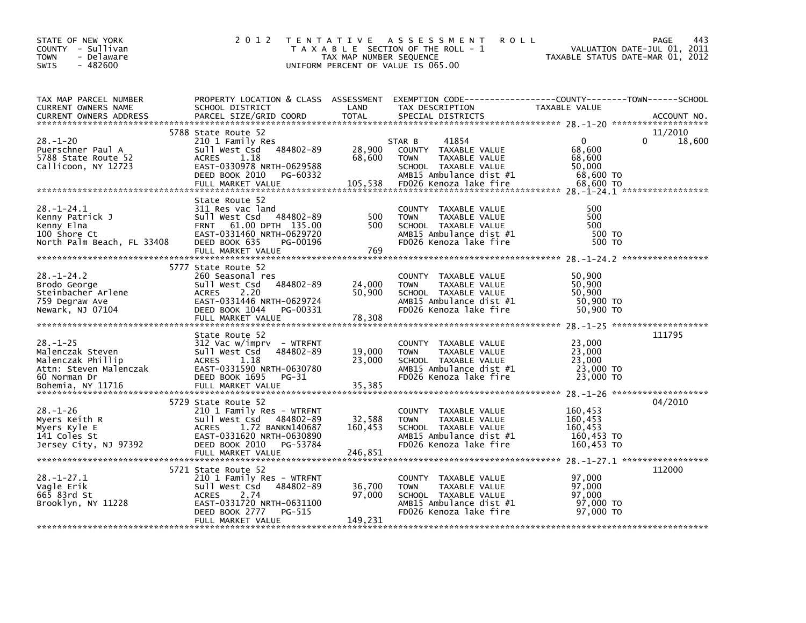| STATE OF NEW YORK<br>COUNTY - Sullivan<br>- Delaware<br>TOWN<br>$-482600$<br><b>SWIS</b>                                             | 2 0 1 2                                                                                                                                                                              | TAX MAP NUMBER SEQUENCE     | TENTATIVE ASSESSMENT<br><b>ROLL</b><br>T A X A B L E SECTION OF THE ROLL - 1<br>UNIFORM PERCENT OF VALUE IS 065.00                       | VALUATION DATE-JUL 01, 2011<br>TAXABLE STATUS DATE-MAR 01, 2012 | 443<br>PAGE            |
|--------------------------------------------------------------------------------------------------------------------------------------|--------------------------------------------------------------------------------------------------------------------------------------------------------------------------------------|-----------------------------|------------------------------------------------------------------------------------------------------------------------------------------|-----------------------------------------------------------------|------------------------|
| TAX MAP PARCEL NUMBER<br>CURRENT OWNERS NAME<br><b>CURRENT OWNERS ADDRESS</b>                                                        | SCHOOL DISTRICT<br>PARCEL SIZE/GRID COORD                                                                                                                                            | LAND<br><b>TOTAL</b>        | PROPERTY LOCATION & CLASS ASSESSMENT EXEMPTION CODE----------------COUNTY-------TOWN------SCHOOL<br>TAX DESCRIPTION<br>SPECIAL DISTRICTS | TAXABLE VALUE                                                   | ACCOUNT NO.            |
| $28. - 1 - 20$<br>Puerschner Paul A<br>5788 State Route 52<br>Callicoon, NY 12723                                                    | 5788 State Route 52<br>210 1 Family Res<br>484802-89<br>Sull West Csd<br><b>ACRES</b><br>1.18<br>EAST-0330978 NRTH-0629588<br>DEED BOOK 2010 PG-60332                                | 28,900<br>68,600            | 41854<br>STAR B<br>COUNTY TAXABLE VALUE<br><b>TOWN</b><br>TAXABLE VALUE<br>SCHOOL TAXABLE VALUE<br>AMB15 Ambulance dist #1               | $\mathbf 0$<br>68,600<br>68,600<br>50,000<br>68,600 TO          | 11/2010<br>0<br>18,600 |
| $28. - 1 - 24.1$<br>Kenny Patrick J<br>Kenny Elna<br>100 Shore Ct<br>North Palm Beach, FL 33408                                      | State Route 52<br>311 Res vac land<br>Sull West Csd 484802-89<br>FRNT 61.00 DPTH 135.00<br>EAST-0331460 NRTH-0629720<br>DEED BOOK 635<br>PG-00196<br>FULL MARKET VALUE               | 500<br>500<br>769           | COUNTY TAXABLE VALUE<br><b>TOWN</b><br>TAXABLE VALUE<br>SCHOOL TAXABLE VALUE<br>AMB15 Ambulance dist #1<br>FD026 Kenoza lake fire        | 500<br>500<br>500<br>500 TO<br>500 TO                           |                        |
| $28. - 1 - 24.2$<br>Brodo George<br>Broud acci <sub>s</sub><br>Steinbacher Arlene<br>I <sup>nco Dograw</sup> Ave<br>Newark, NJ 07104 | 5777 State Route 52<br>260 Seasonal res<br>Sull West Csd 484802-89<br>2.20<br><b>ACRES</b><br>EAST-0331446 NRTH-0629724<br>DEED BOOK 1044 PG-00331<br>FULL MARKET VALUE              | 24,000<br>50,900<br>78,308  | COUNTY TAXABLE VALUE<br>TAXABLE VALUE<br><b>TOWN</b><br>SCHOOL TAXABLE VALUE<br>AMB15 Ambulance dist #1<br>FD026 Kenoza lake fire        | 50,900<br>50,900<br>50,900<br>50,900 TO<br>50,900 TO            |                        |
| $28. - 1 - 25$<br>Malenczak Steven<br>Malenczak Phillip<br>60 Norman Dr                                                              | State Route 52<br>312 Vac w/imprv - WTRFNT<br>Sull West Csd<br>484802-89<br>ACRES<br>1.18<br>DEED BOOK 1695 PG-31                                                                    | 19,000<br>23,000            | COUNTY TAXABLE VALUE<br>TOWN<br>TAXABLE VALUE<br>SCHOOL TAXABLE VALUE<br>AMB15 Ambulance dist #1<br>FD026 Kenoza lake fire               | 23,000<br>23,000<br>23,000<br>23,000 TO<br>23,000 TO            | 111795                 |
| $28. - 1 - 26$<br>Myers Keith R<br>Myers Kyle E<br>141 Coles St<br>Jersey City, NJ 97392                                             | 5729 State Route 52<br>210 1 Family Res - WTRFNT<br>Sull West Csd 484802-89<br>ACRES 1.72 BANKN140687<br>EAST-0331620 NRTH-0630890<br>DEED BOOK 2010 PG-53784                        | 32,588<br>160,453           | COUNTY TAXABLE VALUE<br>TAXABLE VALUE<br><b>TOWN</b><br>SCHOOL TAXABLE VALUE<br>AMB15 Ambulance dist #1<br>FD026 Kenoza lake fire        | 160,453<br>160,453<br>160,453<br>160,453 то<br>160,453 TO       | 04/2010                |
| $28. - 1 - 27.1$<br>Vagle Erik<br>665 83rd St<br>Brooklyn, NY 11228                                                                  | 5721 State Route 52<br>210 1 Family Res - WTRFNT<br>484802-89<br>Sull West Csd<br>2.74<br><b>ACRES</b><br>EAST-0331720 NRTH-0631100<br>DEED BOOK 2777<br>PG-515<br>FULL MARKET VALUE | 36,700<br>97,000<br>149,231 | COUNTY TAXABLE VALUE<br><b>TOWN</b><br>TAXABLE VALUE<br>SCHOOL TAXABLE VALUE<br>AMB15 Ambulance dist #1<br>FD026 Kenoza lake fire        | 97,000<br>97,000<br>97,000<br>97,000 TO<br>97.000 TO            | 112000                 |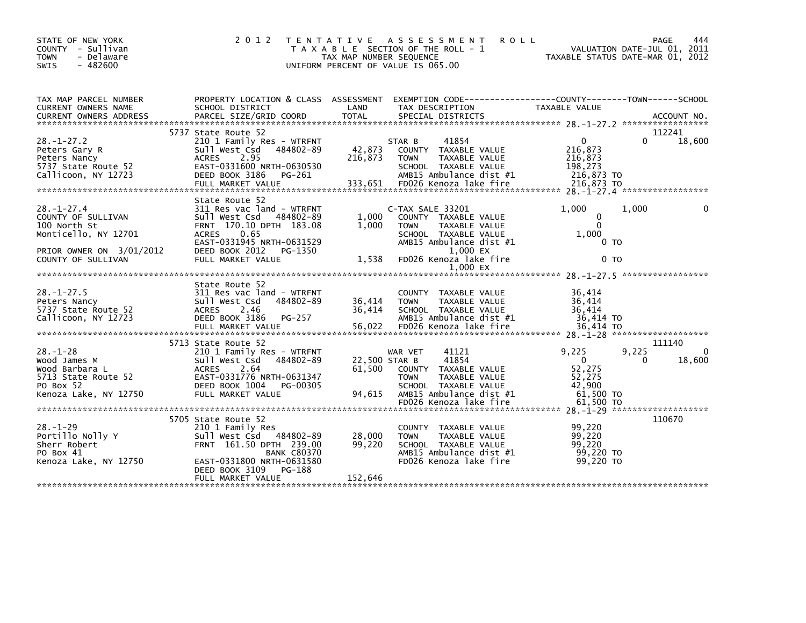| STATE OF NEW YORK<br>COUNTY - Sullivan<br><b>TOWN</b><br>- Delaware | 2 0 1 2                                                                                                            | TENTATIVE ASSESSMENT<br>T A X A B L E SECTION OF THE ROLL - 1<br>TAX MAP NUMBER SEQUENCE |                  | <b>ROLL</b>                           | TAXABLE STATUS DATE-MAR 01, 2012 | PAGE<br>VALUATION DATE-JUL 01, 2011 | 444    |
|---------------------------------------------------------------------|--------------------------------------------------------------------------------------------------------------------|------------------------------------------------------------------------------------------|------------------|---------------------------------------|----------------------------------|-------------------------------------|--------|
| $-482600$<br><b>SWIS</b>                                            |                                                                                                                    | UNIFORM PERCENT OF VALUE IS 065.00                                                       |                  |                                       |                                  |                                     |        |
| TAX MAP PARCEL NUMBER<br>CURRENT OWNERS NAME                        | PROPERTY LOCATION & CLASS ASSESSMENT EXEMPTION CODE---------------COUNTY-------TOWN------SCHOOL<br>SCHOOL DISTRICT | LAND                                                                                     | TAX DESCRIPTION  |                                       | <b>TAXABLE VALUE</b>             |                                     |        |
|                                                                     |                                                                                                                    |                                                                                          |                  |                                       |                                  |                                     |        |
|                                                                     | 5737 State Route 52                                                                                                |                                                                                          |                  |                                       |                                  |                                     | 112241 |
| $28. - 1 - 27.2$                                                    | 210 1 Family Res - WTRFNT                                                                                          |                                                                                          | STAR B           | 41854                                 | $\Omega$                         | 0                                   | 18,600 |
| Peters Gary R                                                       | 484802-89<br>Sull West Csd                                                                                         | 42,873                                                                                   |                  | COUNTY TAXABLE VALUE                  | 216,873                          |                                     |        |
| Peters Nancy                                                        | 2.95<br>ACRES<br>EAST-0331600 NRTH-0630530                                                                         | 216,873                                                                                  | <b>TOWN</b>      | TAXABLE VALUE<br>SCHOOL TAXABLE VALUE | 216,873<br>198,273               |                                     |        |
| 5737 State Route 52<br>Callicoon, NY 12723                          | DEED BOOK 3186<br>PG-261                                                                                           |                                                                                          |                  | AMB15 Ambulance dist #1               | 216,873 TO                       |                                     |        |
|                                                                     | FULL MARKET VALUE                                                                                                  | 333,651                                                                                  |                  | FD026 Kenoza lake fire                | 216,873 TO                       |                                     |        |
|                                                                     |                                                                                                                    |                                                                                          |                  |                                       |                                  |                                     |        |
|                                                                     | State Route 52                                                                                                     |                                                                                          |                  |                                       |                                  |                                     |        |
| $28. - 1 - 27.4$                                                    | 311 Res vac land - WTRFNT                                                                                          |                                                                                          | C-TAX SALE 33201 |                                       | 1,000                            | 1,000                               | 0      |
| COUNTY OF SULLIVAN                                                  | Sull West Csd 484802-89                                                                                            | 1,000                                                                                    |                  | COUNTY TAXABLE VALUE                  | 0                                |                                     |        |
| 100 North St                                                        | FRNT 170.10 DPTH 183.08                                                                                            | 1,000                                                                                    | <b>TOWN</b>      | TAXABLE VALUE                         | $\mathbf{0}$                     |                                     |        |
| Monticello, NY 12701                                                | <b>ACRES</b><br>0.65                                                                                               |                                                                                          |                  | SCHOOL TAXABLE VALUE                  | 1,000                            |                                     |        |
|                                                                     | EAST-0331945 NRTH-0631529                                                                                          |                                                                                          |                  | AMB15 Ambulance dist #1               | 0 <sub>T</sub>                   |                                     |        |
| PRIOR OWNER ON 3/01/2012                                            | DEED BOOK 2012<br>PG-1350                                                                                          |                                                                                          |                  | 1,000 EX                              |                                  |                                     |        |
| COUNTY OF SULLIVAN                                                  | FULL MARKET VALUE                                                                                                  | 1,538                                                                                    |                  | FD026 Kenoza lake fire                | 0 <sub>T</sub>                   |                                     |        |
|                                                                     |                                                                                                                    |                                                                                          |                  | 1,000 EX                              |                                  |                                     |        |
|                                                                     |                                                                                                                    |                                                                                          |                  |                                       |                                  |                                     |        |
|                                                                     | State Route 52                                                                                                     |                                                                                          |                  |                                       |                                  |                                     |        |
| $28. - 1 - 27.5$                                                    | 311 Res vac land - WTRFNT<br>Sull West Csd<br>484802-89                                                            | 36,414                                                                                   | <b>TOWN</b>      | COUNTY TAXABLE VALUE<br>TAXABLE VALUE | 36,414                           |                                     |        |
| Peters Nancy<br>5737 State Route 52                                 | <b>ACRES</b><br>2.46                                                                                               | 36,414                                                                                   |                  | SCHOOL TAXABLE VALUE                  | 36,414<br>36,414                 |                                     |        |
| Callicoon, NY 12723                                                 | DEED BOOK 3186<br>PG-257                                                                                           |                                                                                          |                  | AMB15 Ambulance dist #1               | 36,414 TO                        |                                     |        |
|                                                                     | FULL MARKET VALUE                                                                                                  | 56,022                                                                                   |                  | FD026 Kenoza lake fire                | 36,414 TO                        |                                     |        |
|                                                                     |                                                                                                                    |                                                                                          |                  |                                       |                                  |                                     |        |
|                                                                     | 5713 State Route 52                                                                                                |                                                                                          |                  |                                       |                                  |                                     | 111140 |
| $28 - 1 - 28$                                                       | 210 1 Family Res - WTRFNT                                                                                          |                                                                                          | WAR VET          | 41121                                 | 9,225                            | 9,225                               | 0      |
| Wood James M                                                        | Sull West Csd<br>484802-89                                                                                         | 22,500 STAR B                                                                            |                  | 41854                                 | $\Omega$                         | $\Omega$                            | 18,600 |
| Wood Barbara L                                                      | ACRES 2.64                                                                                                         | 61.500                                                                                   |                  | COUNTY TAXABLE VALUE                  | 52,275                           |                                     |        |
| 5713 State Route 52                                                 | EAST-0331776 NRTH-0631347                                                                                          |                                                                                          | <b>TOWN</b>      | TAXABLE VALUE                         | 52,275                           |                                     |        |
| PO Box 52                                                           | DEED BOOK 1004<br>PG-00305                                                                                         |                                                                                          |                  | SCHOOL TAXABLE VALUE                  | 42.900                           |                                     |        |
| Kenoza Lake, NY 12750                                               | FULL MARKET VALUE                                                                                                  | 94.615                                                                                   |                  | AMB15 Ambulance dist #1               | $61,500$ TO                      |                                     |        |
|                                                                     |                                                                                                                    |                                                                                          |                  | FD026 Kenoza lake fire                | 61,500 TO                        |                                     |        |
|                                                                     |                                                                                                                    |                                                                                          |                  |                                       |                                  |                                     |        |
|                                                                     | 5705 State Route 52                                                                                                |                                                                                          |                  |                                       |                                  |                                     | 110670 |
| $28. - 1 - 29$<br>Portillo Nolly Y                                  | 210 1 Family Res                                                                                                   |                                                                                          |                  | COUNTY TAXABLE VALUE<br>TAXABLE VALUE | 99.220<br>99,220                 |                                     |        |
| Sherr Robert                                                        | Sull West Csd<br>484802-89<br>FRNT 161.50 DPTH 239.00                                                              | 28,000<br>99,220                                                                         | <b>TOWN</b>      | SCHOOL TAXABLE VALUE                  | 99.220                           |                                     |        |
| PO Box 41                                                           | <b>BANK C80370</b>                                                                                                 |                                                                                          |                  | AMB15 Ambulance dist #1               | 99,220 TO                        |                                     |        |
| Kenoza Lake, NY 12750                                               | EAST-0331800 NRTH-0631580                                                                                          |                                                                                          |                  | FD026 Kenoza lake fire                | 99,220 TO                        |                                     |        |
|                                                                     | DEED BOOK 3109<br>PG-188                                                                                           |                                                                                          |                  |                                       |                                  |                                     |        |
|                                                                     | FULL MARKET VALUE                                                                                                  | 152,646                                                                                  |                  |                                       |                                  |                                     |        |
|                                                                     |                                                                                                                    |                                                                                          |                  |                                       |                                  |                                     |        |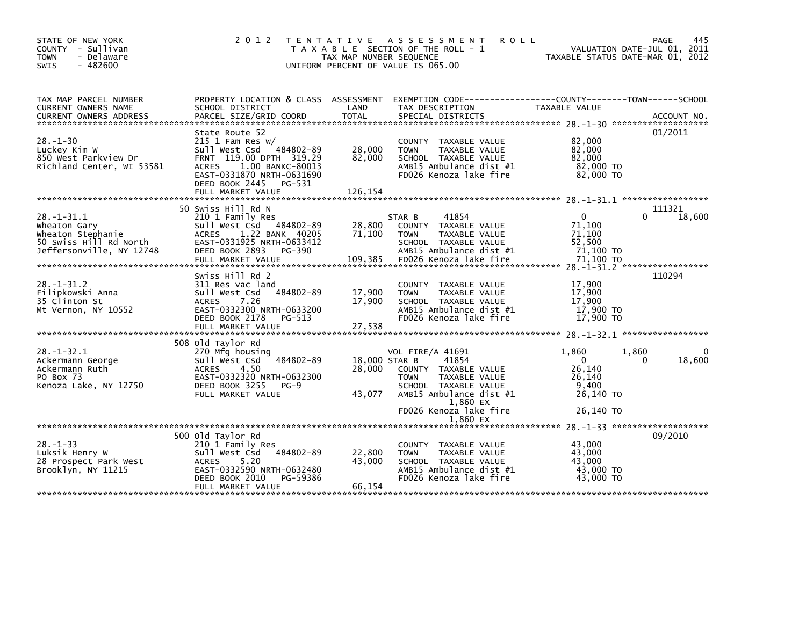| STATE OF NEW YORK<br>COUNTY - Sullivan<br><b>TOWN</b><br>- Delaware<br><b>SWIS</b><br>$-482600$             | 2 0 1 2                                                                                                                                                                                                         | T E N T A T I V E<br>TAX MAP NUMBER SEQUENCE | A S S E S S M E N T<br><b>ROLL</b><br>T A X A B L E SECTION OF THE ROLL - 1<br>UNIFORM PERCENT OF VALUE IS 065.00                                    | VALUATION DATE-JUL 01, 2011<br>TAXABLE STATUS DATE-MAR 01, 2012                      | 445<br>PAGE      |
|-------------------------------------------------------------------------------------------------------------|-----------------------------------------------------------------------------------------------------------------------------------------------------------------------------------------------------------------|----------------------------------------------|------------------------------------------------------------------------------------------------------------------------------------------------------|--------------------------------------------------------------------------------------|------------------|
| TAX MAP PARCEL NUMBER<br>CURRENT OWNERS NAME<br><b>CURRENT OWNERS ADDRESS</b>                               | PROPERTY LOCATION & CLASS ASSESSMENT<br>SCHOOL DISTRICT<br>PARCEL SIZE/GRID COORD                                                                                                                               | LAND<br><b>TOTAL</b>                         | TAX DESCRIPTION<br>SPECIAL DISTRICTS                                                                                                                 | TAXABLE VALUE                                                                        | ACCOUNT NO.      |
|                                                                                                             |                                                                                                                                                                                                                 |                                              |                                                                                                                                                      |                                                                                      |                  |
| $28. - 1 - 30$<br>Luckey Kim W<br>850 West Parkview Dr<br>Richland Center, WI 53581                         | State Route 52<br>$215$ 1 Fam Res w/<br>484802-89<br>Sull West Csd<br>FRNT 119.00 DPTH 319.29<br>1.00 BANKC-80013<br><b>ACRES</b><br>EAST-0331870 NRTH-0631690<br>DEED BOOK 2445<br>PG-531<br>FULL MARKET VALUE | 28,000<br>82,000<br>126,154                  | COUNTY TAXABLE VALUE<br><b>TOWN</b><br>TAXABLE VALUE<br>SCHOOL TAXABLE VALUE<br>AMB15 Ambulance dist $#1$<br>FD026 Kenoza lake fire                  | 82,000<br>82,000<br>82,000<br>82,000 TO<br>82,000 TO                                 | 01/2011          |
|                                                                                                             |                                                                                                                                                                                                                 |                                              |                                                                                                                                                      |                                                                                      |                  |
| $28. - 1 - 31.1$<br>Wheaton Gary<br>Wheaton Stephanie<br>50 Swiss Hill Rd North<br>Jeffersonville, NY 12748 | 50 Swiss Hill Rd N<br>210 1 Family Res<br>Sull West Csd 484802-89<br>ACRES 1.22 BANK 40205<br>EAST-0331925 NRTH-0633412<br>DEED BOOK 2893<br>PG-390<br>FULL MARKET VALUE                                        | 28,800<br>71,100<br>109,385                  | STAR B<br>41854<br>COUNTY TAXABLE VALUE<br>TAXABLE VALUE<br><b>TOWN</b><br>SCHOOL TAXABLE VALUE<br>AMB15 Ambulance dist #1<br>FD026 Kenoza lake fire | $\mathbf{0}$<br><sup>0</sup><br>71,100<br>71,100<br>52,500<br>71,100 TO<br>71,100 TO | 111321<br>18,600 |
|                                                                                                             | Swiss Hill Rd 2                                                                                                                                                                                                 |                                              |                                                                                                                                                      |                                                                                      | 110294           |
| $28. - 1 - 31.2$<br>Filipkowski Anna<br>35 Clinton St<br>Mt Vernon, NY 10552                                | 311 Res vac land<br>484802-89<br>Sull West Csd<br>7.26<br>ACRES<br>EAST-0332300 NRTH-0633200<br>DEED BOOK 2178<br>PG-513<br>FULL MARKET VALUE                                                                   | 17,900<br>17,900<br>27,538                   | COUNTY TAXABLE VALUE<br>TAXABLE VALUE<br><b>TOWN</b><br>SCHOOL TAXABLE VALUE<br>AMB15 Ambulance dist #1<br>FD026 Kenoza lake fire                    | 17,900<br>17,900<br>17,900<br>17,900 TO<br>17,900 TO                                 |                  |
|                                                                                                             | 508 old Taylor Rd                                                                                                                                                                                               |                                              |                                                                                                                                                      |                                                                                      |                  |
| $28. - 1 - 32.1$<br>Ackermann George<br>Ackermann Ruth<br>PO Box 73<br>Kenoza Lake, NY 12750                | 270 Mfg housing<br>484802-89<br>Sull West Csd<br>4.50<br><b>ACRES</b><br>EAST-0332320 NRTH-0632300<br>DEED BOOK 3255<br>$PG-9$<br>FULL MARKET VALUE                                                             | 18,000 STAR B<br>28,000<br>43,077            | VOL FIRE/A 41691<br>41854<br>COUNTY TAXABLE VALUE<br><b>TOWN</b><br>TAXABLE VALUE<br>SCHOOL TAXABLE VALUE<br>AMB15 Ambulance dist #1                 | 1,860<br>1.860<br>$\Omega$<br>$\Omega$<br>26,140<br>26,140<br>9.400<br>26,140 TO     | 18,600           |
|                                                                                                             |                                                                                                                                                                                                                 |                                              | 1,860 EX                                                                                                                                             |                                                                                      |                  |
|                                                                                                             |                                                                                                                                                                                                                 |                                              | FD026 Kenoza lake fire<br>1,860 EX                                                                                                                   | 26,140 TO                                                                            |                  |
|                                                                                                             |                                                                                                                                                                                                                 |                                              |                                                                                                                                                      |                                                                                      |                  |
| $28. - 1 - 33$<br>Luksik Henry W<br>28 Prospect Park West<br>Brooklyn, NY 11215                             | 500 Old Taylor Rd<br>210 1 Family Res<br>484802-89<br>Sull West Csd<br><b>ACRES</b><br>5.20<br>EAST-0332590 NRTH-0632480<br>DEED BOOK 2010<br>PG-59386                                                          | 22,800<br>43,000<br>66,154                   | COUNTY TAXABLE VALUE<br>TAXABLE VALUE<br><b>TOWN</b><br>SCHOOL TAXABLE VALUE<br>AMB15 Ambulance dist #1<br>FD026 Kenoza lake fire                    | 43,000<br>43,000<br>43,000<br>43,000 TO<br>43,000 TO                                 | 09/2010          |
|                                                                                                             | FULL MARKET VALUE                                                                                                                                                                                               |                                              |                                                                                                                                                      |                                                                                      |                  |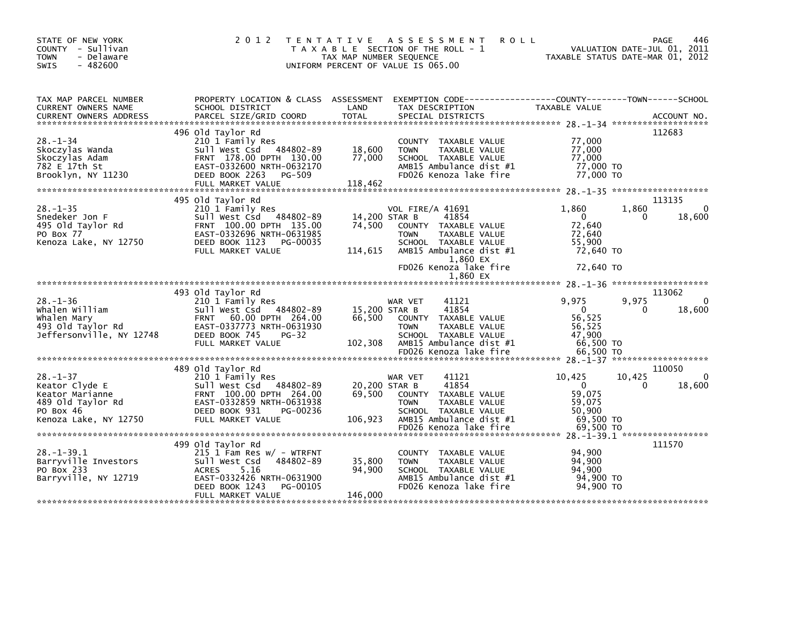| STATE OF NEW YORK<br>COUNTY - Sullivan<br>- Delaware<br>TOWN<br>$-482600$<br><b>SWIS</b>                       | 2 0 1 2<br>T E N T A T I V E                                                                                                                                                           | TAX MAP NUMBER SEQUENCE<br>UNIFORM PERCENT OF VALUE IS 065.00 | <b>ROLL</b><br>A S S E S S M E N T<br>T A X A B L E SECTION OF THE ROLL - 1                                                          | VALUATION DATE-JUL 01, 2011<br>TAXABLE STATUS DATE-MAR 01, 2012                           | PAGE<br>446           |
|----------------------------------------------------------------------------------------------------------------|----------------------------------------------------------------------------------------------------------------------------------------------------------------------------------------|---------------------------------------------------------------|--------------------------------------------------------------------------------------------------------------------------------------|-------------------------------------------------------------------------------------------|-----------------------|
| TAX MAP PARCEL NUMBER<br>CURRENT OWNERS NAME                                                                   | PROPERTY LOCATION & CLASS ASSESSMENT<br>SCHOOL DISTRICT                                                                                                                                | LAND                                                          | EXEMPTION CODE-----------------COUNTY-------TOWN------SCHOOL<br>TAX DESCRIPTION                                                      | TAXABLE VALUE                                                                             |                       |
|                                                                                                                | 496 Old Taylor Rd                                                                                                                                                                      |                                                               |                                                                                                                                      |                                                                                           | 112683                |
| $28 - 1 - 34$<br>Skoczylas Wanda<br>Skoczylas Adam<br>782 E 17th St<br>Brooklyn, NY 11230                      | 210 1 Family Res<br>Sull West Csd 484802-89<br>FRNT 178.00 DPTH 130.00<br>EAST-0332600 NRTH-0632170<br>DEED BOOK 2263<br>PG-509<br>FULL MARKET VALUE                                   | 18,600<br>77,000<br>118,462                                   | COUNTY TAXABLE VALUE<br>TAXABLE VALUE<br><b>TOWN</b><br>SCHOOL TAXABLE VALUE<br>AMB15 Ambulance dist #1<br>FD026 Kenoza lake fire    | 77,000<br>77,000<br>77,000<br>77,000 TO<br>77,000 TO                                      |                       |
|                                                                                                                |                                                                                                                                                                                        |                                                               |                                                                                                                                      |                                                                                           |                       |
| $28. - 1 - 35$<br>Snedeker Jon F<br>495 Old Taylor Rd<br>PO Box 77<br>Kenoza Lake, NY 12750                    | 495 old Taylor Rd<br>210 1 Family Res<br>Sull West Csd 484802-89<br>FRNT 100.00 DPTH 135.00<br>EAST-0332696 NRTH-0631985<br>DEED BOOK 1123<br>PG-00035<br>FULL MARKET VALUE            | 14,200 STAR B<br>74,500<br>114,615                            | VOL FIRE/A 41691<br>41854<br>COUNTY TAXABLE VALUE<br><b>TOWN</b><br>TAXABLE VALUE<br>SCHOOL TAXABLE VALUE<br>AMB15 Ambulance dist #1 | 1,860<br>1,860<br>$\overline{0}$<br>$\Omega$<br>72,640<br>72,640<br>55.900<br>72,640 TO   | 113135<br>0<br>18,600 |
|                                                                                                                |                                                                                                                                                                                        |                                                               | 1,860 EX<br>FD026 Kenoza lake fire<br>1,860 EX                                                                                       | 72,640 TO                                                                                 |                       |
|                                                                                                                | 493 old Taylor Rd                                                                                                                                                                      |                                                               |                                                                                                                                      |                                                                                           | 113062                |
| $28. - 1 - 36$<br>Whalen William<br>Whalen Mary<br>$493$ Old Taylor Rd<br>Jeffersonville, NY 12748             | 210 1 Family Res<br>Sull West Csd 484802-89<br><b>FRNT</b><br>60.00 DPTH 264.00<br>EAST-0337773 NRTH-0631930<br>DEED BOOK 745<br><b>PG-32</b><br>FULL MARKET VALUE                     | 15,200 STAR B<br>66.500<br>102,308                            | 41121<br>WAR VET<br>41854<br>COUNTY TAXABLE VALUE<br>TAXABLE VALUE<br><b>TOWN</b><br>SCHOOL TAXABLE VALUE<br>AMB15 Ambulance dist #1 | 9,975<br>9,975<br>$\overline{0}$<br>$\Omega$<br>56,525<br>56,525<br>47,900<br>66,500 TO   | $\Omega$<br>18,600    |
|                                                                                                                |                                                                                                                                                                                        |                                                               |                                                                                                                                      |                                                                                           |                       |
| $28. - 1 - 37$<br>Keator Clyde E<br>Keator Marianne<br>489 Old Taylor Rd<br>PO Box 46<br>Kenoza Lake, NY 12750 | 489 old Taylor Rd<br>210 1 Family Res<br>Sull West Csd 484802-89<br>FRNT 100.00 DPTH 264.00<br>EAST-0332859 NRTH-0631938<br>DEED BOOK 931<br>PG-00236<br>FULL MARKET VALUE             | 20,200 STAR B<br>69.500<br>106,923                            | 41121<br>WAR VET<br>41854<br>COUNTY TAXABLE VALUE<br>TAXABLE VALUE<br><b>TOWN</b><br>SCHOOL TAXABLE VALUE<br>AMB15 Ambulance dist #1 | 10,425<br>10,425<br>$\overline{0}$<br>$\Omega$<br>59.075<br>59,075<br>50,900<br>69,500 TO | 110050<br>0<br>18,600 |
|                                                                                                                |                                                                                                                                                                                        |                                                               |                                                                                                                                      |                                                                                           |                       |
| $28. - 1 - 39.1$<br>Barryville Investors<br>PO Box 233<br>Barryville, NY 12719                                 | 499 old Taylor Rd<br>$215$ 1 Fam Res w/ - WTRFNT<br>484802-89<br>sull west Csd<br>5.16<br><b>ACRES</b><br>EAST-0332426 NRTH-0631900<br>DEED BOOK 1243<br>PG-00105<br>FULL MARKET VALUE | 35,800<br>94,900<br>146,000                                   | COUNTY TAXABLE VALUE<br>TAXABLE VALUE<br><b>TOWN</b><br>SCHOOL TAXABLE VALUE<br>AMB15 Ambulance dist #1<br>FD026 Kenoza lake fire    | 94,900<br>94,900<br>94,900<br>94,900 TO<br>94,900 TO                                      | 111570                |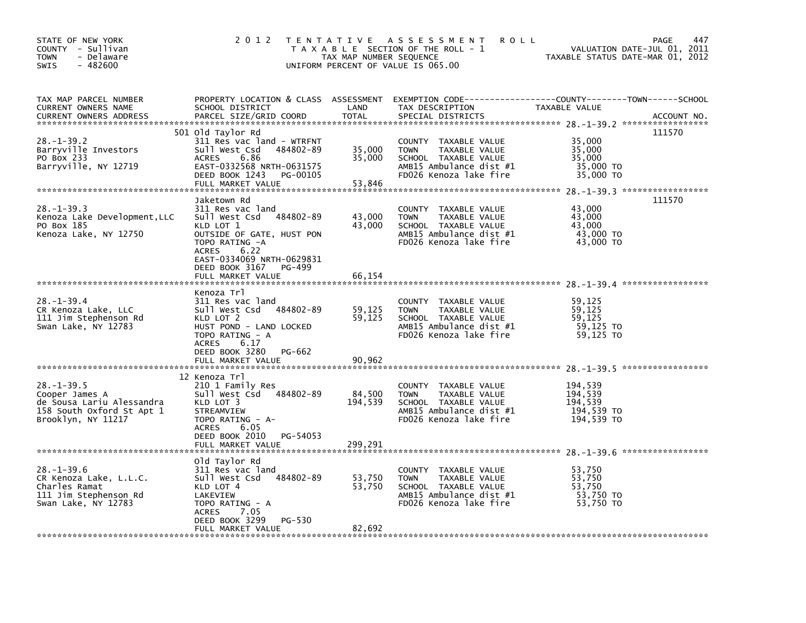| STATE OF NEW YORK<br>COUNTY - Sullivan<br>- Delaware<br><b>TOWN</b><br>$-482600$<br>SWIS                          | 2 0 1 2                                                                                                                                                                                                                         | TAX MAP NUMBER SEQUENCE      | TENTATIVE ASSESSMENT<br><b>ROLL</b><br>T A X A B L E SECTION OF THE ROLL - 1<br>UNIFORM PERCENT OF VALUE IS 065.00                          | PAGE<br>VALUATION DATE-JUL 01, 2011<br>TAXABLE STATUS DATE-MAR 01, 2012       | 447         |
|-------------------------------------------------------------------------------------------------------------------|---------------------------------------------------------------------------------------------------------------------------------------------------------------------------------------------------------------------------------|------------------------------|---------------------------------------------------------------------------------------------------------------------------------------------|-------------------------------------------------------------------------------|-------------|
| TAX MAP PARCEL NUMBER<br><b>CURRENT OWNERS NAME</b><br><b>CURRENT OWNERS ADDRESS</b>                              | PROPERTY LOCATION & CLASS ASSESSMENT<br>SCHOOL DISTRICT<br>PARCEL SIZE/GRID COORD                                                                                                                                               | LAND<br><b>TOTAL</b>         | TAX DESCRIPTION<br>SPECIAL DISTRICTS                                                                                                        | EXEMPTION CODE-----------------COUNTY-------TOWN------SCHOOL<br>TAXABLE VALUE | ACCOUNT NO. |
| 28. –1–39.2<br>Barryville Investors<br>PO Box 233<br>Barryville, NY 12719                                         | 501 old Taylor Rd<br>311 Res vac land - WTRFNT<br>Sull West Csd<br>484802-89<br>6.86<br><b>ACRES</b><br>EAST-0332568 NRTH-0631575<br>DEED BOOK 1243<br>PG-00105<br>FULL MARKET VALUE                                            | 35,000<br>35,000<br>53,846   | COUNTY TAXABLE VALUE<br><b>TOWN</b><br>TAXABLE VALUE<br>SCHOOL TAXABLE VALUE<br>AMB15 Ambulance dist #1<br>FD026 Kenoza lake fire           | 111570<br>35,000<br>35,000<br>35,000<br>35,000 TO<br>35,000 TO                |             |
| $28. -1 - 39.3$<br>Kenoza Lake Development, LLC<br>PO Box 185<br>Kenoza Lake, NY 12750                            | Jaketown Rd<br>311 Res vac land<br>484802-89<br>Sull West Csd<br>KLD LOT 1<br>OUTSIDE OF GATE, HUST PON<br>TOPO RATING -A<br>6.22<br><b>ACRES</b><br>EAST-0334069 NRTH-0629831<br>DEED BOOK 3167<br>PG-499<br>FULL MARKET VALUE | 43,000<br>43,000<br>66,154   | COUNTY TAXABLE VALUE<br><b>TOWN</b><br>TAXABLE VALUE<br>SCHOOL TAXABLE VALUE<br>AMB15 Ambulance dist #1<br>FD026 Kenoza lake fire           | 111570<br>43,000<br>43,000<br>43,000<br>43,000 TO<br>43,000 TO                |             |
| $28. - 1 - 39.4$<br>CR Kenoza Lake, LLC<br>111 Jim Stephenson Rd<br>Swan Lake, NY 12783                           | Kenoza Trl<br>311 Res vac land<br>Sull West Csd 484802-89<br>KLD LOT 2<br>HUST POND - LAND LOCKED<br>TOPO RATING - A<br>6.17<br><b>ACRES</b><br>DEED BOOK 3280<br>PG-662<br>FULL MARKET VALUE                                   | 59,125<br>59,125<br>90,962   | COUNTY<br>TAXABLE VALUE<br>TAXABLE VALUE<br><b>TOWN</b><br>SCHOOL TAXABLE VALUE<br>AMB15 Ambulance dist #1<br>FD026 Kenoza lake fire        | 59,125<br>59,125<br>59.125<br>59,125 TO<br>59,125 TO                          |             |
| $28. -1 - 39.5$<br>Cooper James A<br>de Sousa Lariu Alessandra<br>158 South Oxford St Apt 1<br>Brooklyn, NY 11217 | 12 Kenoza Trl<br>210 1 Family Res<br>Sull West Csd 484802-89<br>KLD LOT 3<br>STREAMVIEW<br>TOPO RATING - A-<br><b>ACRES</b><br>6.05<br>PG-54053<br>DEED BOOK 2010<br>FULL MARKET VALUE                                          | 84,500<br>194,539<br>299,291 | TAXABLE VALUE<br><b>COUNTY</b><br><b>TOWN</b><br>TAXABLE VALUE<br>SCHOOL TAXABLE VALUE<br>AMB15 Ambulance dist #1<br>FD026 Kenoza lake fire | 194,539<br>194,539<br>194,539<br>194,539 TO<br>194.539 TO                     |             |
| $28. - 1 - 39.6$<br>CR Kenoza Lake, L.L.C.<br>Charles Ramat<br>111 Jim Stephenson Rd<br>Swan Lake, NY 12783       | old Taylor Rd<br>311 Res vac land<br>484802-89<br>Sull West Csd<br>KLD LOT 4<br>LAKEVIEW<br>TOPO RATING - A<br>7.05<br>ACRES<br>DEED BOOK 3299<br>PG-530<br>FULL MARKET VALUE                                                   | 53,750<br>53,750<br>82,692   | COUNTY TAXABLE VALUE<br><b>TOWN</b><br>TAXABLE VALUE<br>SCHOOL TAXABLE VALUE<br>AMB15 Ambulance dist #1<br>FD026 Kenoza lake fire           | 53,750<br>53,750<br>53,750<br>53,750 TO<br>53,750 TO                          |             |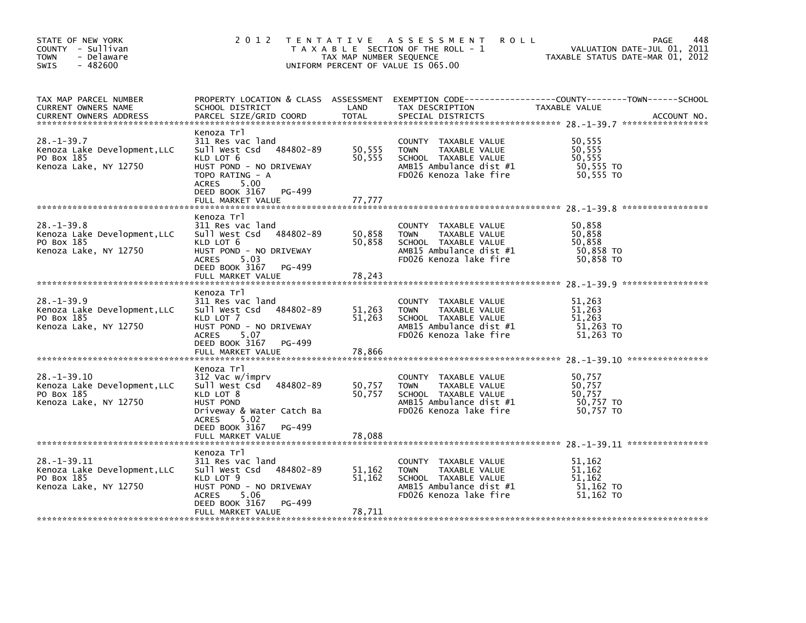| STATE OF NEW YORK<br>COUNTY - Sullivan<br>- Delaware<br><b>TOWN</b><br>$-482600$<br><b>SWIS</b> | 2 0 1 2                                                                                                                                                                                          | TAX MAP NUMBER SEQUENCE    | TENTATIVE ASSESSMENT<br><b>ROLL</b><br>T A X A B L E SECTION OF THE ROLL - 1<br>UNIFORM PERCENT OF VALUE IS 065.00                          | 448<br>PAGE<br>VALUATION DATE-JUL 01, 2011<br>TAXABLE STATUS DATE-MAR 01, 2012                                                  |
|-------------------------------------------------------------------------------------------------|--------------------------------------------------------------------------------------------------------------------------------------------------------------------------------------------------|----------------------------|---------------------------------------------------------------------------------------------------------------------------------------------|---------------------------------------------------------------------------------------------------------------------------------|
| TAX MAP PARCEL NUMBER<br>CURRENT OWNERS NAME<br><b>CURRENT OWNERS ADDRESS</b>                   | SCHOOL DISTRICT<br>PARCEL SIZE/GRID COORD                                                                                                                                                        | LAND<br>TOTAL              | TAX DESCRIPTION<br>SPECIAL DISTRICTS                                                                                                        | PROPERTY LOCATION & CLASS ASSESSMENT EXEMPTION CODE----------------COUNTY-------TOWN-----SCHOOL<br>TAXABLE VALUE<br>ACCOUNT NO. |
| $28. - 1 - 39.7$<br>Kenoza Lake Development, LLC<br>PO Box 185<br>Kenoza Lake, NY 12750         | Kenoza Trl<br>311 Res vac land<br>Sull West Csd<br>484802-89<br>KLD LOT 6<br>HUST POND - NO DRIVEWAY<br>TOPO RATING - A<br><b>ACRES</b><br>5.00<br>DEED BOOK 3167<br>PG-499<br>FULL MARKET VALUE | 50,555<br>50,555<br>77,777 | COUNTY TAXABLE VALUE<br><b>TOWN</b><br>TAXABLE VALUE<br>SCHOOL TAXABLE VALUE<br>AMB15 Ambulance dist #1<br>FD026 Kenoza lake fire           | 50,555<br>50,555<br>50,555<br>50,555 TO<br>50.555 TO                                                                            |
|                                                                                                 |                                                                                                                                                                                                  |                            |                                                                                                                                             |                                                                                                                                 |
| $28 - 1 - 39.8$<br>Kenoza Lake Development, LLC<br>PO Box 185<br>Kenoza Lake, NY 12750          | Kenoza Trl<br>311 Res vac land<br>Sull West Csd<br>484802-89<br>KLD LOT 6<br>HUST POND - NO DRIVEWAY<br>5.03<br><b>ACRES</b><br>DEED BOOK 3167 PG-499                                            | 50,858<br>50,858           | <b>COUNTY</b><br>TAXABLE VALUE<br><b>TOWN</b><br>TAXABLE VALUE<br>SCHOOL TAXABLE VALUE<br>AMB15 Ambulance dist #1<br>FD026 Kenoza lake fire | 50,858<br>50,858<br>50,858<br>50,858 TO<br>50,858 TO                                                                            |
|                                                                                                 | FULL MARKET VALUE                                                                                                                                                                                | 78,243                     |                                                                                                                                             |                                                                                                                                 |
|                                                                                                 |                                                                                                                                                                                                  |                            |                                                                                                                                             | ****************                                                                                                                |
| $28. -1 - 39.9$<br>Kenoza Lake Development, LLC<br>PO Box 185<br>Kenoza Lake, NY 12750          | Kenoza Trl<br>311 Res vac land<br>484802-89<br>Sull West Csd<br>KLD LOT 7<br>HUST POND - NO DRIVEWAY<br>5.07<br><b>ACRES</b><br>DEED BOOK 3167 PG-499<br>FULL MARKET VALUE                       | 51,263<br>51,263<br>78,866 | COUNTY TAXABLE VALUE<br>TAXABLE VALUE<br><b>TOWN</b><br>SCHOOL TAXABLE VALUE<br>AMB15 Ambulance dist #1<br>FD026 Kenoza lake fire           | 51,263<br>51,263<br>51,263<br>51,263 TO<br>51,263 TO                                                                            |
|                                                                                                 | Kenoza Trl                                                                                                                                                                                       |                            |                                                                                                                                             |                                                                                                                                 |
| $28. - 1 - 39.10$<br>Kenoza Lake Development, LLC<br>PO Box 185<br>Kenoza Lake, NY 12750        | 312 Vac w/imprv<br>Sull West Csd<br>484802-89<br>KLD LOT 8<br>HUST POND<br>Driveway & Water Catch Ba<br><b>ACRES</b><br>5.02                                                                     | 50,757<br>50,757           | COUNTY TAXABLE VALUE<br>TAXABLE VALUE<br><b>TOWN</b><br>SCHOOL TAXABLE VALUE<br>AMB15 Ambulance dist #1<br>FD026 Kenoza lake fire           | 50,757<br>50,757<br>50,757<br>50,757 TO<br>50.757 TO                                                                            |
|                                                                                                 | DEED BOOK 3167<br>PG-499<br>FULL MARKET VALUE                                                                                                                                                    | 78,088                     |                                                                                                                                             |                                                                                                                                 |
|                                                                                                 |                                                                                                                                                                                                  |                            |                                                                                                                                             |                                                                                                                                 |
| 28. –1–39. 11<br>Kenoza Lake Development, LLC<br>PO Box 185<br>Kenoza Lake, NY 12750            | Kenoza Trl<br>311 Res vac land<br>Sull West Csd<br>484802-89<br>KLD LOT 9<br>HUST POND - NO DRIVEWAY<br><b>ACRES</b><br>5.06                                                                     | 51,162<br>51,162           | <b>COUNTY</b><br>TAXABLE VALUE<br><b>TOWN</b><br>TAXABLE VALUE<br>SCHOOL TAXABLE VALUE<br>AMB15 Ambulance dist #1<br>FD026 Kenoza lake fire | 51,162<br>51,162<br>51,162<br>51,162 TO<br>51.162 TO                                                                            |
|                                                                                                 | DEED BOOK 3167<br>PG-499<br>FULL MARKET VALUE                                                                                                                                                    | 78,711                     |                                                                                                                                             |                                                                                                                                 |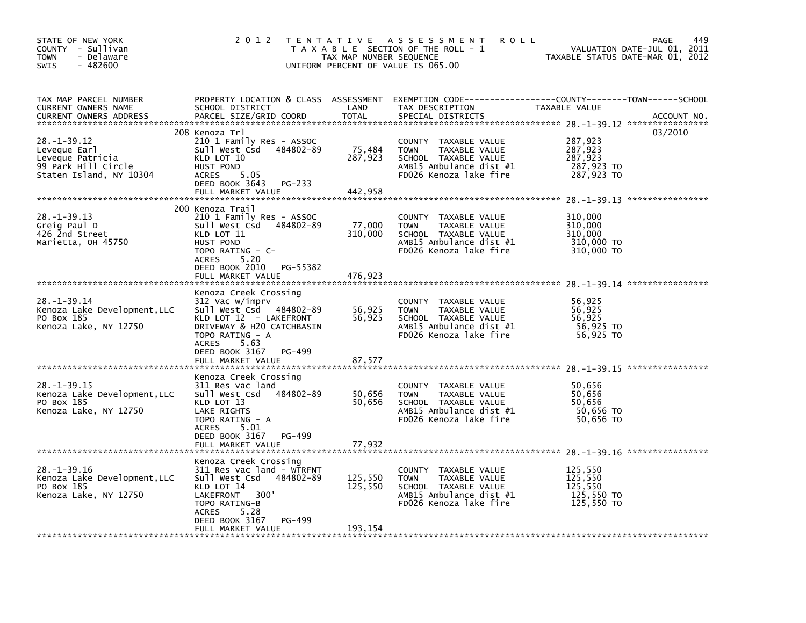| STATE OF NEW YORK<br>COUNTY - Sullivan<br>- Delaware<br><b>TOWN</b><br>$-482600$<br><b>SWIS</b>         | 2 0 1 2                                                                                                                                                                                                         | TAX MAP NUMBER SEQUENCE      | TENTATIVE ASSESSMENT<br><b>ROLL</b><br>T A X A B L E SECTION OF THE ROLL - 1<br>UNIFORM PERCENT OF VALUE IS 065.00                   |                                                           | 449<br><b>PAGE</b><br>VALUATION DATE-JUL 01, 2011<br>TAXABLE STATUS DATE-MAR 01, 2012 |
|---------------------------------------------------------------------------------------------------------|-----------------------------------------------------------------------------------------------------------------------------------------------------------------------------------------------------------------|------------------------------|--------------------------------------------------------------------------------------------------------------------------------------|-----------------------------------------------------------|---------------------------------------------------------------------------------------|
| TAX MAP PARCEL NUMBER<br>CURRENT OWNERS NAME<br><b>CURRENT OWNERS ADDRESS</b>                           | PROPERTY LOCATION & CLASS ASSESSMENT<br>SCHOOL DISTRICT<br>PARCEL SIZE/GRID COORD                                                                                                                               | LAND<br><b>TOTAL</b>         | TAX DESCRIPTION<br>SPECIAL DISTRICTS                                                                                                 | TAXABLE VALUE                                             | ACCOUNT NO.                                                                           |
| $28. - 1 - 39.12$<br>Leveque Earl<br>Leveque Patricia<br>99 Park Hill Circle<br>Staten Island, NY 10304 | 208 Kenoza Trl<br>210 1 Family Res - ASSOC<br>Sull West Csd<br>484802-89<br>KLD LOT 10<br>HUST POND<br><b>ACRES</b><br>5.05<br>DEED BOOK 3643<br>PG-233<br>FULL MARKET VALUE                                    | 75,484<br>287,923<br>442,958 | COUNTY<br>TAXABLE VALUE<br><b>TOWN</b><br>TAXABLE VALUE<br>SCHOOL TAXABLE VALUE<br>AMB15 Ambulance dist #1<br>FD026 Kenoza lake fire | 287,923<br>287,923<br>287,923<br>287,923 TO<br>287,923 TO | 03/2010                                                                               |
|                                                                                                         | 200 Kenoza Trail                                                                                                                                                                                                |                              |                                                                                                                                      |                                                           |                                                                                       |
| $28. - 1 - 39.13$<br>Greig Paul D<br>426 2nd Street<br>Marietta, OH 45750                               | 210 1 Family Res - ASSOC<br>Sull West Csd<br>484802-89<br>KLD LOT 11<br>HUST POND<br>TOPO RATING - C-<br><b>ACRES</b><br>5.20<br>DEED BOOK 2010<br>PG-55382                                                     | 77,000<br>310,000            | COUNTY TAXABLE VALUE<br><b>TOWN</b><br>TAXABLE VALUE<br>SCHOOL TAXABLE VALUE<br>AMB15 Ambulance dist #1<br>FD026 Kenoza lake fire    | 310,000<br>310,000<br>310,000<br>310,000 TO<br>310,000 TO |                                                                                       |
|                                                                                                         | FULL MARKET VALUE                                                                                                                                                                                               | 476,923                      |                                                                                                                                      |                                                           |                                                                                       |
| $28. - 1 - 39.14$<br>Kenoza Lake Development, LLC<br>PO Box 185<br>Kenoza Lake, NY 12750                | Kenoza Creek Crossing<br>312 Vac w/imprv<br>Sull West Csd 484802-89<br>KLD LOT 12 - LAKEFRONT<br>DRIVEWAY & H2O CATCHBASIN<br>TOPO RATING - A<br>ACRES<br>5.63<br>DEED BOOK 3167<br>PG-499<br>FULL MARKET VALUE | 56,925<br>56,925<br>87,577   | COUNTY TAXABLE VALUE<br>TAXABLE VALUE<br><b>TOWN</b><br>SCHOOL TAXABLE VALUE<br>AMB15 Ambulance dist #1<br>FD026 Kenoza lake fire    | 56,925<br>56,925<br>56,925<br>56,925 TO<br>56,925 TO      |                                                                                       |
|                                                                                                         | Kenoza Creek Crossing                                                                                                                                                                                           |                              |                                                                                                                                      |                                                           |                                                                                       |
| $28. - 1 - 39.15$<br>Kenoza Lake Development.LLC<br>PO Box 185<br>Kenoza Lake, NY 12750                 | 311 Res vac land<br>484802-89<br>Sull West Csd<br>KLD LOT 13<br>LAKE RIGHTS<br>TOPO RATING - A<br><b>ACRES</b><br>5.01<br>DEED BOOK 3167<br>PG-499                                                              | 50,656<br>50,656             | COUNTY TAXABLE VALUE<br><b>TOWN</b><br>TAXABLE VALUE<br>SCHOOL TAXABLE VALUE<br>AMB15 Ambulance dist #1<br>FD026 Kenoza lake fire    | 50,656<br>50.656<br>50,656<br>50,656 TO<br>50,656 TO      |                                                                                       |
|                                                                                                         | FULL MARKET VALUE                                                                                                                                                                                               | 77.932                       |                                                                                                                                      |                                                           |                                                                                       |
| $28. - 1 - 39.16$<br>Kenoza Lake Development, LLC<br>PO Box 185<br>Kenoza Lake, NY 12750                | Kenoza Creek Crossing<br>311 Res vac land - WTRFNT<br>Sull West Csd<br>484802-89<br>KLD LOT 14<br>300'<br>LAKEFRONT<br>TOPO RATING-B<br><b>ACRES</b><br>5.28                                                    | 125,550<br>125,550           | COUNTY TAXABLE VALUE<br><b>TOWN</b><br>TAXABLE VALUE<br>SCHOOL TAXABLE VALUE<br>AMB15 Ambulance dist #1<br>FD026 Kenoza lake fire    | 125,550<br>125.550<br>125,550<br>125,550 TO<br>125,550 TO |                                                                                       |
|                                                                                                         | DEED BOOK 3167<br>PG-499<br>FULL MARKET VALUE                                                                                                                                                                   | 193.154                      |                                                                                                                                      |                                                           |                                                                                       |
|                                                                                                         |                                                                                                                                                                                                                 |                              |                                                                                                                                      |                                                           |                                                                                       |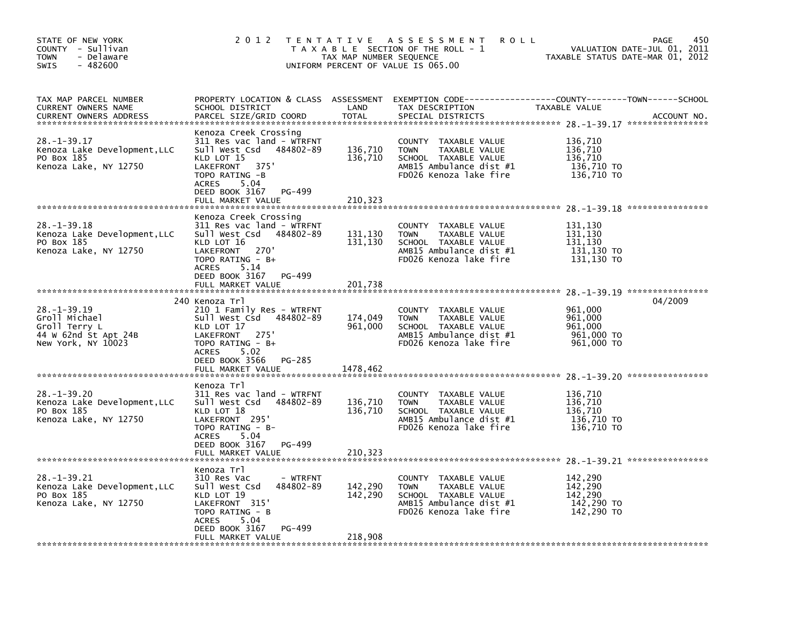| STATE OF NEW YORK<br>COUNTY - Sullivan<br>- Delaware<br>TOWN<br>$-482600$<br><b>SWIS</b>          | 2 0 1 2                                                                                                                                                                                            | TAX MAP NUMBER SEQUENCE       | TENTATIVE ASSESSMENT<br><b>ROLL</b><br>T A X A B L E SECTION OF THE ROLL - 1<br>UNIFORM PERCENT OF VALUE IS 065.00                       | TAXABLE STATUS DATE-MAR 01, 2012                          | 450<br>PAGE<br>VALUATION DATE-JUL 01, 2011 |
|---------------------------------------------------------------------------------------------------|----------------------------------------------------------------------------------------------------------------------------------------------------------------------------------------------------|-------------------------------|------------------------------------------------------------------------------------------------------------------------------------------|-----------------------------------------------------------|--------------------------------------------|
| TAX MAP PARCEL NUMBER<br>CURRENT OWNERS NAME<br><b>CURRENT OWNERS ADDRESS</b>                     | SCHOOL DISTRICT<br>PARCEL SIZE/GRID COORD                                                                                                                                                          | LAND<br><b>TOTAL</b>          | PROPERTY LOCATION & CLASS ASSESSMENT EXEMPTION CODE----------------COUNTY-------TOWN------SCHOOL<br>TAX DESCRIPTION<br>SPECIAL DISTRICTS | TAXABLE VALUE                                             | ACCOUNT NO.                                |
| 28. -1-39.17<br>Kenoza Lake Development, LLC<br>PO Box 185<br>Kenoza Lake, NY 12750               | Kenoza Creek Crossing<br>311 Res vac land - WTRFNT<br>Sull West Csd 484802-89<br>KLD LOT 15<br>LAKEFRONT<br>375'<br>TOPO RATING -B<br>ACRES<br>5.04<br>DEED BOOK 3167<br>PG-499                    | 136,710<br>136,710            | COUNTY TAXABLE VALUE<br><b>TOWN</b><br>TAXABLE VALUE<br>SCHOOL TAXABLE VALUE<br>AMB15 Ambulance dist #1<br>FD026 Kenoza lake fire        | 136,710<br>136,710<br>136,710<br>136,710 TO<br>136,710 TO |                                            |
|                                                                                                   | FULL MARKET VALUE                                                                                                                                                                                  | 210,323                       |                                                                                                                                          |                                                           |                                            |
| 28.-1-39.18<br>Kenoza Lake Development, LLC<br>PO Box 185<br>Kenoza Lake, NY 12750                | Kenoza Creek Crossing<br>311 Res vac land - WTRFNT<br>Sull West Csd<br>484802-89<br>KLD LOT 16<br>270'<br>LAKEFRONT<br>TOPO RATING - B+<br>5.14<br>ACRES                                           | 131,130<br>131,130            | COUNTY TAXABLE VALUE<br><b>TOWN</b><br>TAXABLE VALUE<br>SCHOOL TAXABLE VALUE<br>AMB15 Ambulance dist #1<br>FD026 Kenoza lake fire        | 131,130<br>131,130<br>131,130<br>131,130 TO<br>131,130 TO |                                            |
|                                                                                                   | DEED BOOK 3167<br>PG-499<br>FULL MARKET VALUE                                                                                                                                                      | 201,738                       |                                                                                                                                          |                                                           |                                            |
| $28. - 1 - 39.19$<br>Groll Michael<br>Groll Terry L<br>44 W 62nd St Apt 24B<br>New York, NY 10023 | 240 Kenoza Trl<br>210 1 Family Res - WTRFNT<br>Sull West Csd 484802-89<br>KLD LOT 17<br>275'<br>LAKEFRONT<br>TOPO RATING - B+<br>5.02<br><b>ACRES</b><br>DEED BOOK 3566<br>PG-285                  | 174,049<br>961,000            | COUNTY TAXABLE VALUE<br><b>TOWN</b><br>TAXABLE VALUE<br>SCHOOL TAXABLE VALUE<br>AMB15 Ambulance dist #1<br>FD026 Kenoza lake fire        | 961,000<br>961,000<br>961,000<br>961,000 TO<br>961,000 TO | 04/2009                                    |
|                                                                                                   | FULL MARKET VALUE                                                                                                                                                                                  | 1478,462                      |                                                                                                                                          |                                                           |                                            |
| $28. - 1 - 39.20$<br>Kenoza Lake Development, LLC<br>PO Box 185<br>Kenoza Lake, NY 12750          | Kenoza Trl<br>311 Res vac land - WTRFNT<br>Sull West Csd<br>484802-89<br>KLD LOT 18<br>LAKEFRONT 295'<br>TOPO RATING - B-<br><b>ACRES</b><br>5.04<br>DEED BOOK 3167<br>PG-499<br>FULL MARKET VALUE | 136,710<br>136,710<br>210,323 | COUNTY TAXABLE VALUE<br><b>TOWN</b><br>TAXABLE VALUE<br>SCHOOL TAXABLE VALUE<br>AMB15 Ambulance dist #1<br>FD026 Kenoza lake fire        | 136,710<br>136,710<br>136,710<br>136,710 TO<br>136,710 TO |                                            |
| 28. -1-39. 21<br>Kenoza Lake Development, LLC<br>PO Box 185<br>Kenoza Lake, NY 12750              | Kenoza Trl<br>310 Res Vac<br>- WTRFNT<br>484802-89<br>Sull West Csd<br>KLD LOT 19<br>LAKEFRONT 315'<br>TOPO RATING - B<br>5.04<br>ACRES<br>PG-499<br>DEED BOOK 3167<br>FULL MARKET VALUE           | 142,290<br>142,290<br>218,908 | COUNTY TAXABLE VALUE<br><b>TOWN</b><br>TAXABLE VALUE<br>SCHOOL TAXABLE VALUE<br>AMB15 Ambulance dist #1<br>FD026 Kenoza lake fire        | 142,290<br>142,290<br>142.290<br>142,290 TO<br>142,290 TO |                                            |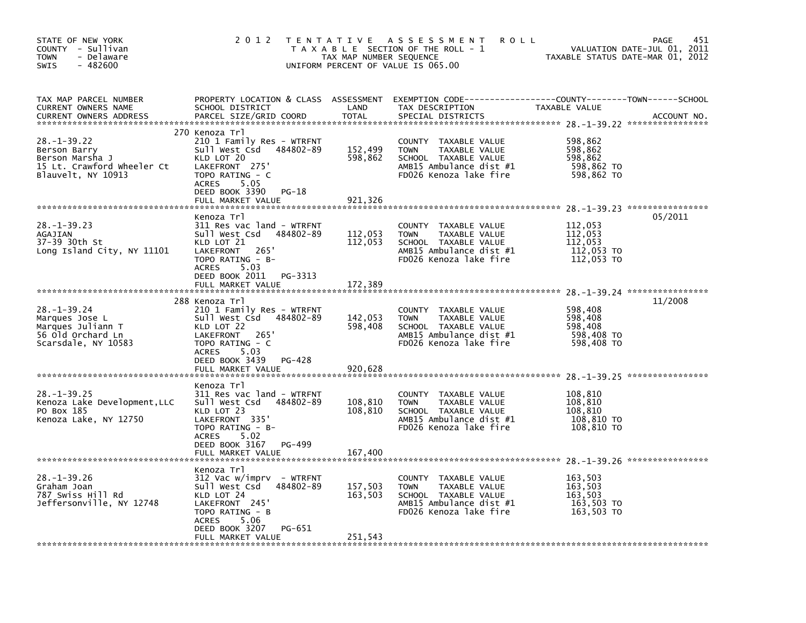| STATE OF NEW YORK<br>COUNTY - Sullivan<br><b>TOWN</b><br>- Delaware<br>SWIS<br>$-482600$                 | 2 0 1 2                                                                                                                                                                                             | TAX MAP NUMBER SEQUENCE       | TENTATIVE ASSESSMENT<br>T A X A B L E SECTION OF THE ROLL - 1<br>UNIFORM PERCENT OF VALUE IS 065.00                                  | <b>ROLL</b>                                               | 451<br><b>PAGE</b><br>VALUATION DATE-JUL 01, 2011<br>TAXABLE STATUS DATE-MAR 01, 2012 |
|----------------------------------------------------------------------------------------------------------|-----------------------------------------------------------------------------------------------------------------------------------------------------------------------------------------------------|-------------------------------|--------------------------------------------------------------------------------------------------------------------------------------|-----------------------------------------------------------|---------------------------------------------------------------------------------------|
| TAX MAP PARCEL NUMBER<br>CURRENT OWNERS NAME<br><b>CURRENT OWNERS ADDRESS</b>                            | PROPERTY LOCATION & CLASS ASSESSMENT<br>SCHOOL DISTRICT<br>PARCEL SIZE/GRID COORD                                                                                                                   | LAND<br><b>TOTAL</b>          | TAX DESCRIPTION<br>SPECIAL DISTRICTS                                                                                                 | TAXABLE VALUE                                             | ACCOUNT NO.                                                                           |
| $28. - 1 - 39.22$<br>Berson Barry<br>Berson Marsha J<br>15 Lt. Crawford Wheeler Ct<br>Blauvelt, NY 10913 | 270 Kenoza Trl<br>210 1 Family Res - WTRFNT<br>Sull West Csd<br>484802-89<br>KLD LOT 20<br>LAKEFRONT 275<br>TOPO RATING - C<br>5.05<br><b>ACRES</b><br>DEED BOOK 3390<br>PG-18<br>FULL MARKET VALUE | 152,499<br>598,862<br>921,326 | COUNTY TAXABLE VALUE<br><b>TOWN</b><br>TAXABLE VALUE<br>SCHOOL TAXABLE VALUE<br>AMB15 Ambulance dist #1<br>FD026 Kenoza lake fire    | 598,862<br>598,862<br>598,862<br>598,862 TO<br>598,862 TO |                                                                                       |
|                                                                                                          | Kenoza Trl                                                                                                                                                                                          |                               |                                                                                                                                      |                                                           | 05/2011                                                                               |
| $28. -1 - 39.23$<br>AGAJIAN<br>37-39 30th St<br>Long Island City, NY 11101                               | 311 Res vac land - WTRFNT<br>Sull West Csd<br>484802-89<br>KLD LOT 21<br>265'<br>LAKEFRONT<br>TOPO RATING - B-<br>ACRES<br>5.03                                                                     | 112,053<br>112,053            | COUNTY<br>TAXABLE VALUE<br><b>TOWN</b><br>TAXABLE VALUE<br>SCHOOL TAXABLE VALUE<br>AMB15 Ambulance dist #1<br>FD026 Kenoza lake fire | 112,053<br>112,053<br>112.053<br>112,053 TO<br>112,053 TO |                                                                                       |
|                                                                                                          | DEED BOOK 2011<br>PG-3313<br>FULL MARKET VALUE                                                                                                                                                      | 172,389                       |                                                                                                                                      |                                                           |                                                                                       |
|                                                                                                          | 288 Kenoza Trl                                                                                                                                                                                      |                               |                                                                                                                                      |                                                           | 11/2008                                                                               |
| $28. - 1 - 39.24$<br>Marques Jose L<br>Marques Juliann T<br>56 Old Orchard Ln<br>Scarsdale, NY 10583     | 210 1 Family Res - WTRFNT<br>Sull West Csd<br>484802-89<br>KLD LOT 22<br>LAKEFRONT<br>265'<br>TOPO RATING - C<br>5.03<br><b>ACRES</b><br>DEED BOOK 3439<br>PG-428<br>FULL MARKET VALUE              | 142,053<br>598,408<br>920.628 | COUNTY TAXABLE VALUE<br><b>TOWN</b><br>TAXABLE VALUE<br>SCHOOL TAXABLE VALUE<br>AMB15 Ambulance dist #1<br>FD026 Kenoza lake fire    | 598,408<br>598,408<br>598,408<br>598,408 TO<br>598,408 TO |                                                                                       |
|                                                                                                          | Kenoza Trl                                                                                                                                                                                          |                               |                                                                                                                                      |                                                           |                                                                                       |
| $28. - 1 - 39.25$<br>Kenoza Lake Development, LLC<br>PO Box 185<br>Kenoza Lake, NY 12750                 | 311 Res vac land - WTRFNT<br>Sull West Csd<br>484802-89<br>KLD LOT 23<br>LAKEFRONT 335'<br>TOPO RATING - B-<br>5.02<br><b>ACRES</b><br>DEED BOOK 3167<br>PG-499                                     | 108,810<br>108,810            | COUNTY TAXABLE VALUE<br><b>TOWN</b><br>TAXABLE VALUE<br>SCHOOL TAXABLE VALUE<br>AMB15 Ambulance dist #1<br>FD026 Kenoza lake fire    | 108,810<br>108,810<br>108,810<br>108,810 TO<br>108,810 TO |                                                                                       |
|                                                                                                          | FULL MARKET VALUE                                                                                                                                                                                   | 167,400                       |                                                                                                                                      |                                                           |                                                                                       |
| $28. - 1 - 39.26$<br>Graham Joan<br>787 Swiss Hill Rd<br>Jeffersonville, NY 12748                        | Kenoza Trl<br>312 Vac w/imprv - WTRFNT<br>Sull West Csd<br>484802-89<br>KLD LOT 24<br>LAKEFRONT 245'<br>TOPO RATING - B<br><b>ACRES</b><br>5.06<br>DEED BOOK 3207<br>PG-651<br>FULL MARKET VALUE    | 157,503<br>163,503<br>251,543 | COUNTY TAXABLE VALUE<br>TAXABLE VALUE<br><b>TOWN</b><br>SCHOOL TAXABLE VALUE<br>AMB15 Ambulance dist #1<br>FD026 Kenoza lake fire    | 163,503<br>163,503<br>163.503<br>163,503 TO<br>163,503 TO |                                                                                       |
|                                                                                                          |                                                                                                                                                                                                     |                               |                                                                                                                                      |                                                           |                                                                                       |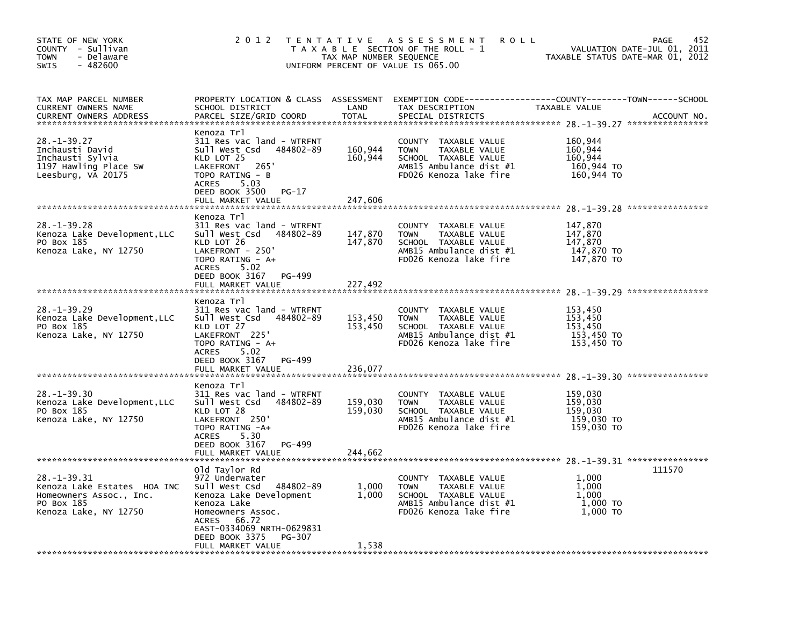| STATE OF NEW YORK<br>COUNTY - Sullivan<br>- Delaware<br><b>TOWN</b><br>$-482600$<br>SWIS                         | 2 0 1 2                                                                                                                                                                                                                             | TAX MAP NUMBER SEQUENCE       | TENTATIVE ASSESSMENT<br><b>ROLL</b><br>T A X A B L E SECTION OF THE ROLL - 1<br>UNIFORM PERCENT OF VALUE IS 065.00                      |                                                           | 452<br>PAGE<br>VALUATION DATE-JUL 01, 2011<br>TAXABLE STATUS DATE-MAR 01, 2012 |
|------------------------------------------------------------------------------------------------------------------|-------------------------------------------------------------------------------------------------------------------------------------------------------------------------------------------------------------------------------------|-------------------------------|-----------------------------------------------------------------------------------------------------------------------------------------|-----------------------------------------------------------|--------------------------------------------------------------------------------|
| TAX MAP PARCEL NUMBER<br><b>CURRENT OWNERS NAME</b><br><b>CURRENT OWNERS ADDRESS</b>                             | SCHOOL DISTRICT<br>PARCEL SIZE/GRID COORD                                                                                                                                                                                           | LAND<br><b>TOTAL</b>          | PROPERTY LOCATION & CLASS ASSESSMENT EXEMPTION CODE----------------COUNTY-------TOWN-----SCHOOL<br>TAX DESCRIPTION<br>SPECIAL DISTRICTS | TAXABLE VALUE                                             | ACCOUNT NO.                                                                    |
| $28. - 1 - 39.27$<br>Inchausti David<br>Inchausti Sylvia<br>1197 Hawling Place SW<br>Leesburg, VA 20175          | Kenoza Trl<br>311 Res vac land - WTRFNT<br>sull west Csd<br>484802-89<br>KLD LOT 25<br>LAKEFRONT<br>265<br>TOPO RATING - B<br>5.03<br>ACRES<br>DEED BOOK 3500<br>$PG-17$<br>FULL MARKET VALUE                                       | 160,944<br>160,944<br>247,606 | COUNTY TAXABLE VALUE<br><b>TOWN</b><br>TAXABLE VALUE<br>SCHOOL TAXABLE VALUE<br>AMB15 Ambulance dist #1<br>FD026 Kenoza lake fire       | 160,944<br>160,944<br>160,944<br>160,944 TO<br>160,944 TO |                                                                                |
| $28. - 1 - 39.28$<br>Kenoza Lake Development, LLC<br>PO Box 185<br>Kenoza Lake, NY 12750                         | Kenoza Trl<br>311 Res vac land - WTRFNT<br>sull west Csd<br>484802-89<br>KLD LOT 26<br>LAKEFRONT - 250'<br>TOPO RATING - A+<br>5.02<br>ACRES<br>DEED BOOK 3167<br>PG-499<br>FULL MARKET VALUE                                       | 147,870<br>147,870<br>227,492 | COUNTY TAXABLE VALUE<br><b>TOWN</b><br>TAXABLE VALUE<br>SCHOOL TAXABLE VALUE<br>AMB15 Ambulance dist #1<br>FD026 Kenoza lake fire       | 147,870<br>147,870<br>147,870<br>147,870 TO<br>147,870 TO |                                                                                |
| 28. –1–39.29<br>Kenoza Lake Development, LLC<br>PO Box 185<br>Kenoza Lake, NY 12750                              | Kenoza Trl<br>311 Res vac land - WTRFNT<br>Sull West Csd<br>484802-89<br>KLD LOT 27<br>LAKEFRONT 225<br>TOPO RATING - A+<br>ACRES<br>5.02<br>DEED BOOK 3167<br>PG-499<br>FULL MARKET VALUE                                          | 153,450<br>153,450<br>236.077 | COUNTY<br>TAXABLE VALUE<br>TAXABLE VALUE<br><b>TOWN</b><br>SCHOOL TAXABLE VALUE<br>AMB15 Ambulance dist #1<br>FD026 Kenoza lake fire    | 153,450<br>153,450<br>153,450<br>153,450 TO<br>153,450 TO |                                                                                |
| 28. –1–39.30<br>Kenoza Lake Development, LLC<br>PO Box 185<br>Kenoza Lake, NY 12750                              | Kenoza Trl<br>311 Res vac land - WTRFNT<br>sull west Csd<br>484802-89<br>KLD LOT 28<br>LAKEFRONT 250'<br>TOPO RATING -A+<br>5.30<br>ACRES<br>DEED BOOK 3167<br>PG-499<br>FULL MARKET VALUE                                          | 159,030<br>159,030<br>244,662 | COUNTY<br>TAXABLE VALUE<br>TAXABLE VALUE<br><b>TOWN</b><br>SCHOOL TAXABLE VALUE<br>AMB15 Ambulance dist #1<br>FD026 Kenoza lake fire    | 159,030<br>159,030<br>159.030<br>159,030 TO<br>159,030 TO |                                                                                |
| 28. -1 - 39. 31<br>Kenoza Lake Estates HOA INC<br>Homeowners Assoc., Inc.<br>PO Box 185<br>Kenoza Lake, NY 12750 | Old Taylor Rd<br>972 Underwater<br>Sull West Csd<br>484802-89<br>Kenoza Lake Development<br>Kenoza Lake<br>Homeowners Assoc.<br>66.72<br><b>ACRES</b><br>EAST-0334069 NRTH-0629831<br>DEED BOOK 3375<br>PG-307<br>FULL MARKET VALUE | 1,000<br>1,000<br>1,538       | COUNTY TAXABLE VALUE<br><b>TOWN</b><br>TAXABLE VALUE<br>SCHOOL TAXABLE VALUE<br>AMB15 Ambulance dist #1<br>FD026 Kenoza lake fire       | 1,000<br>1,000<br>1.000<br>1,000 TO<br>1,000 TO           | 111570                                                                         |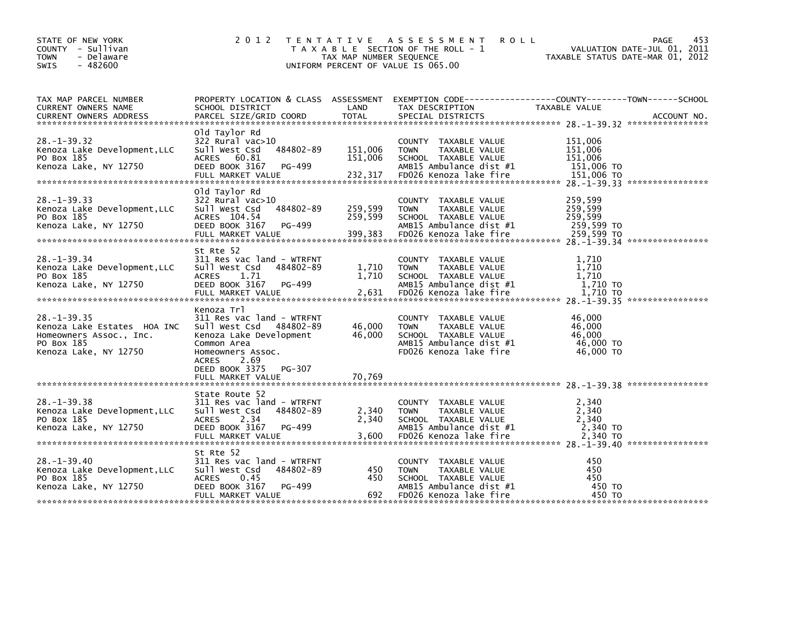| STATE OF NEW YORK<br>COUNTY - Sullivan<br><b>TOWN</b><br>- Delaware<br>$-482600$<br><b>SWIS</b>                    | 2 0 1 2                                                                                                                                                                                                    | TAX MAP NUMBER SEQUENCE       | TENTATIVE ASSESSMENT<br><b>ROLL</b><br>T A X A B L E SECTION OF THE ROLL - 1<br>UNIFORM PERCENT OF VALUE IS 065.00                          | PAGE<br>453<br>VALUATION DATE-JUL 01, 2011<br>TAXABLE STATUS DATE-MAR 01, 2012                                                   |
|--------------------------------------------------------------------------------------------------------------------|------------------------------------------------------------------------------------------------------------------------------------------------------------------------------------------------------------|-------------------------------|---------------------------------------------------------------------------------------------------------------------------------------------|----------------------------------------------------------------------------------------------------------------------------------|
| TAX MAP PARCEL NUMBER<br>CURRENT OWNERS NAME<br><b>CURRENT OWNERS ADDRESS</b>                                      | SCHOOL DISTRICT<br>PARCEL SIZE/GRID COORD                                                                                                                                                                  | LAND<br><b>TOTAL</b>          | TAX DESCRIPTION<br>SPECIAL DISTRICTS                                                                                                        | PROPERTY LOCATION & CLASS ASSESSMENT EXEMPTION CODE----------------COUNTY-------TOWN------SCHOOL<br>TAXABLE VALUE<br>ACCOUNT NO. |
| $28. - 1 - 39.32$<br>Kenoza Lake Development.LLC<br>PO Box 185<br>Kenoza Lake, NY 12750                            | Old Taylor Rd<br>$322$ Rural vac $>10$<br>Sull West Csd<br>484802-89<br>ACRES 60.81<br>DEED BOOK 3167<br>PG-499<br>FULL MARKET VALUE                                                                       | 151,006<br>151,006<br>232,317 | COUNTY TAXABLE VALUE<br><b>TOWN</b><br>TAXABLE VALUE<br>SCHOOL TAXABLE VALUE<br>AMB15 Ambulance dist #1<br>FD026 Kenoza lake fire           | 151,006<br>151,006<br>151,006<br>151,006 TO<br>151,006 TO                                                                        |
| $28. -1 - 39.33$<br>Kenoza Lake Development, LLC<br>PO Box 185<br>Kenoza Lake, NY 12750                            | old Taylor Rd<br>322 Rural vac>10<br>484802-89<br>Sull West Csd<br>ACRES 104.54<br>DEED BOOK 3167<br>PG-499<br>FULL MARKET VALUE                                                                           | 259,599<br>259,599<br>399,383 | COUNTY TAXABLE VALUE<br>TAXABLE VALUE<br><b>TOWN</b><br>SCHOOL TAXABLE VALUE<br>AMB15 Ambulance dist #1<br>FD026 Kenoza lake fire           | 259.599<br>259,599<br>259,599<br>259,599 TO<br>259,599 TO                                                                        |
| $28. - 1 - 39.34$<br>Kenoza Lake Development, LLC<br>PO Box 185<br>Kenoza Lake, NY 12750                           | St Rte 52<br>311 Res vac land - WTRFNT<br>Sull West Csd<br>484802-89<br>1.71<br>ACRES<br>DEED BOOK 3167<br>PG-499                                                                                          | 1,710<br>1,710                | COUNTY TAXABLE VALUE<br>TAXABLE VALUE<br><b>TOWN</b><br>SCHOOL TAXABLE VALUE<br>AMB15 Ambulance dist #1                                     | 1,710<br>1,710<br>1,710<br>1,710 TO                                                                                              |
| $28. - 1 - 39.35$<br>Kenoza Lake Estates HOA INC<br>Homeowners Assoc., Inc.<br>PO Box 185<br>Kenoza Lake, NY 12750 | Kenoza Trl<br>311 Res vac land - WTRFNT<br>Sull West Csd 484802-89<br>Kenoza Lake Development<br>Common Area<br>Homeowners Assoc.<br>2.69<br><b>ACRES</b><br>DEED BOOK 3375<br>PG-307<br>FULL MARKET VALUE | 46,000<br>46,000<br>70.769    | COUNTY TAXABLE VALUE<br><b>TOWN</b><br>TAXABLE VALUE<br>SCHOOL TAXABLE VALUE<br>AMB15 Ambulance dist #1<br>FD026 Kenoza lake fire           | 46.000<br>46.000<br>46.000<br>46,000 TO<br>$46,000$ TO                                                                           |
|                                                                                                                    |                                                                                                                                                                                                            |                               |                                                                                                                                             |                                                                                                                                  |
| $28. - 1 - 39.38$<br>Kenoza Lake Development.LLC<br>PO Box 185<br>Kenoza Lake, NY 12750                            | State Route 52<br>311 Res vac land - WTRFNT<br>Sull West Csd<br>484802-89<br><b>ACRES</b><br>2.34<br>DEED BOOK 3167<br>PG-499<br>FULL MARKET VALUE                                                         | 2,340<br>2,340<br>3,600       | COUNTY TAXABLE VALUE<br><b>TOWN</b><br>TAXABLE VALUE<br>SCHOOL TAXABLE VALUE<br>AMB15 Ambulance dist #1<br>FD026 Kenoza lake fire           | 2,340<br>2,340<br>2,340<br>2,340 TO<br>2,340 TO                                                                                  |
| $28. - 1 - 39.40$<br>Kenoza Lake Development, LLC<br>PO Box 185<br>Kenoza Lake, NY 12750                           | St Rte 52<br>311 Res vac land - WTRFNT<br>Sull West Csd<br>484802-89<br><b>ACRES</b><br>0.45<br>PG-499<br>DEED BOOK 3167<br>FULL MARKET VALUE                                                              | 450<br>450<br>692             | TAXABLE VALUE<br><b>COUNTY</b><br>TAXABLE VALUE<br><b>TOWN</b><br>SCHOOL TAXABLE VALUE<br>AMB15 Ambulance dist #1<br>FD026 Kenoza lake fire | 450<br>450<br>450<br>450 TO<br>450 TO                                                                                            |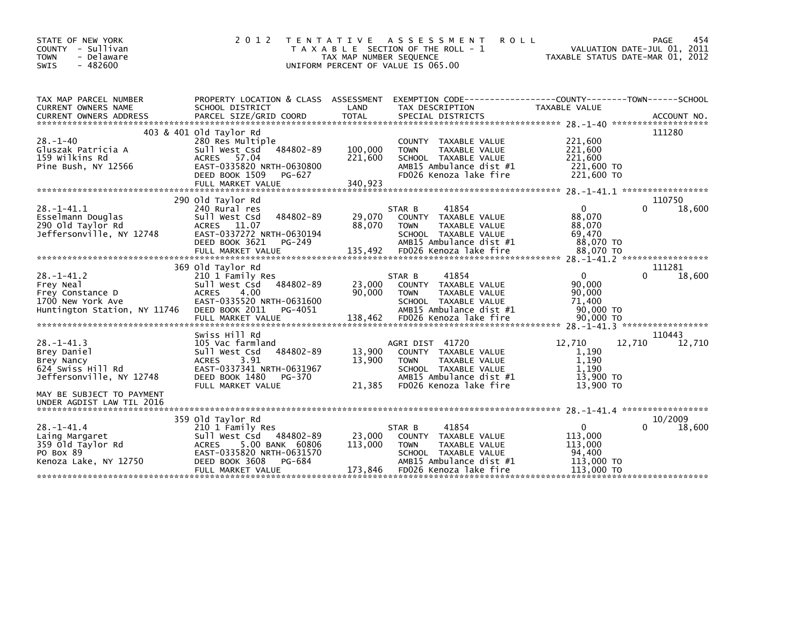| STATE OF NEW YORK<br>COUNTY - Sullivan<br><b>TOWN</b><br>- Delaware<br><b>SWIS</b><br>$-482600$ | 2 0 1 2                                                                                                             | TAX MAP NUMBER SEQUENCE | TENTATIVE ASSESSMENT<br><b>ROLL</b><br>T A X A B L E SECTION OF THE ROLL - 1<br>UNIFORM PERCENT OF VALUE IS 065.00 | TAXABLE STATUS DATE-MAR 01, 2012 | PAGE<br>VALUATION DATE-JUL 01, 2011 | 454 |
|-------------------------------------------------------------------------------------------------|---------------------------------------------------------------------------------------------------------------------|-------------------------|--------------------------------------------------------------------------------------------------------------------|----------------------------------|-------------------------------------|-----|
| TAX MAP PARCEL NUMBER<br><b>CURRENT OWNERS NAME</b>                                             | PROPERTY LOCATION & CLASS ASSESSMENT EXEMPTION CODE----------------COUNTY-------TOWN------SCHOOL<br>SCHOOL DISTRICT | LAND                    | TAX DESCRIPTION                                                                                                    | TAXABLE VALUE                    |                                     |     |
| <b>CURRENT OWNERS ADDRESS</b>                                                                   | PARCEL SIZE/GRID COORD                                                                                              | <b>TOTAL</b>            | SPECIAL DISTRICTS                                                                                                  |                                  | ACCOUNT NO.                         |     |
|                                                                                                 | 403 & 401 old Taylor Rd                                                                                             |                         |                                                                                                                    |                                  | 111280                              |     |
| $28. - 1 - 40$                                                                                  | 280 Res Multiple                                                                                                    |                         | TAXABLE VALUE<br><b>COUNTY</b>                                                                                     | 221,600                          |                                     |     |
| Gluszak Patricia A                                                                              | 484802-89<br>Sull West Csd                                                                                          | 100,000                 | <b>TOWN</b><br>TAXABLE VALUE                                                                                       | 221,600                          |                                     |     |
| 159 wilkins Rd                                                                                  | ACRES 57.04<br>EAST-0335820 NRTH-0630800                                                                            | 221,600                 | SCHOOL TAXABLE VALUE<br>AMB15 Ambulance dist #1                                                                    | 221,600                          |                                     |     |
| Pine Bush, NY 12566                                                                             | DEED BOOK 1509<br>PG-627                                                                                            |                         | FD026 Kenoza lake fire                                                                                             | 221,600 TO<br>221,600 TO         |                                     |     |
|                                                                                                 |                                                                                                                     |                         |                                                                                                                    |                                  |                                     |     |
|                                                                                                 |                                                                                                                     |                         |                                                                                                                    |                                  |                                     |     |
| $28 - 1 - 41.1$                                                                                 | 290 old Taylor Rd<br>240 Rural res                                                                                  |                         | 41854<br>STAR B                                                                                                    | $\Omega$                         | 110750<br>0<br>18,600               |     |
| Esselmann Douglas                                                                               | 484802-89<br>Sull West Csd                                                                                          | 29,070                  | COUNTY<br>TAXABLE VALUE                                                                                            | 88,070                           |                                     |     |
| 290 old Taylor Rd                                                                               | ACRES 11.07                                                                                                         | 88,070                  | TAXABLE VALUE<br><b>TOWN</b>                                                                                       | 88,070                           |                                     |     |
| Jeffersonville, NY 12748                                                                        | EAST-0337272 NRTH-0630194                                                                                           |                         | SCHOOL TAXABLE VALUE                                                                                               | 69.470                           |                                     |     |
|                                                                                                 | DEED BOOK 3621<br>PG-249<br>FULL MARKET VALUE                                                                       | 135,492                 | AMB15 Ambulance dist #1<br>FD026 Kenoza lake fire                                                                  | 88,070 TO<br>88,070 TO           |                                     |     |
|                                                                                                 |                                                                                                                     |                         |                                                                                                                    |                                  |                                     |     |
|                                                                                                 | 369 old Taylor Rd                                                                                                   |                         |                                                                                                                    |                                  | 111281                              |     |
| $28. - 1 - 41.2$                                                                                | 210 1 Family Res                                                                                                    |                         | 41854<br>STAR B                                                                                                    | $\mathbf{0}$                     | $\Omega$<br>18,600                  |     |
| Frey Neal<br>Frey Constance D                                                                   | Sull West Csd<br>484802-89<br><b>ACRES</b><br>4.00                                                                  | 23,000<br>90,000        | COUNTY TAXABLE VALUE<br>TAXABLE VALUE<br><b>TOWN</b>                                                               | 90,000<br>90,000                 |                                     |     |
| 1700 New York Ave                                                                               | EAST-0335520 NRTH-0631600                                                                                           |                         | SCHOOL TAXABLE VALUE                                                                                               | 71.400                           |                                     |     |
| Huntington Station, NY 11746                                                                    | DEED BOOK 2011<br>PG-4051                                                                                           |                         | AMB15 Ambulance dist #1                                                                                            | 90,000 TO                        |                                     |     |
|                                                                                                 | FULL MARKET VALUE                                                                                                   | 138,462                 | FD026 Kenoza lake fire                                                                                             | 90,000 TO                        |                                     |     |
|                                                                                                 | Swiss Hill Rd                                                                                                       |                         |                                                                                                                    |                                  | 110443                              |     |
| $28 - 1 - 41.3$                                                                                 | 105 Vac farmland                                                                                                    |                         | AGRI DIST 41720                                                                                                    | 12,710                           | 12,710<br>12,710                    |     |
| Brey Daniel                                                                                     | 484802-89<br>Sull West Csd                                                                                          | 13,900                  | COUNTY TAXABLE VALUE                                                                                               | 1,190                            |                                     |     |
| Brey Nancy                                                                                      | 3.91<br><b>ACRES</b>                                                                                                | 13,900                  | <b>TAXABLE VALUE</b><br><b>TOWN</b>                                                                                | 1,190                            |                                     |     |
| 624 Swiss Hill Rd<br>Jeffersonville, NY 12748                                                   | EAST-0337341 NRTH-0631967<br>DEED BOOK 1480<br>PG-370                                                               |                         | SCHOOL TAXABLE VALUE<br>AMB15 Ambulance dist #1                                                                    | 1.190<br>13,900 TO               |                                     |     |
|                                                                                                 | FULL MARKET VALUE                                                                                                   | 21,385                  | FD026 Kenoza lake fire                                                                                             | 13,900 TO                        |                                     |     |
| MAY BE SUBJECT TO PAYMENT<br>UNDER AGDIST LAW TIL 2016                                          |                                                                                                                     |                         |                                                                                                                    |                                  |                                     |     |
|                                                                                                 | 359 old Taylor Rd                                                                                                   |                         |                                                                                                                    |                                  | 10/2009                             |     |
| $28. - 1 - 41.4$                                                                                | 210 1 Family Res                                                                                                    |                         | 41854<br>STAR B                                                                                                    | $\mathbf{0}$                     | 0<br>18,600                         |     |
| Laing Margaret                                                                                  | Sull West Csd 484802-89                                                                                             | 23,000                  | COUNTY TAXABLE VALUE                                                                                               | 113,000                          |                                     |     |
| 359 old Taylor Rd<br>PO Box 89                                                                  | 5.00 BANK 60806<br><b>ACRES</b><br>EAST-0335820 NRTH-0631570                                                        | 113,000                 | TAXABLE VALUE<br><b>TOWN</b><br>SCHOOL TAXABLE VALUE                                                               | 113,000<br>94.400                |                                     |     |
| Kenoza Lake, NY 12750                                                                           | DEED BOOK 3608<br>PG-684                                                                                            |                         | AMB15 Ambulance dist #1                                                                                            | 113,000 TO                       |                                     |     |
|                                                                                                 | FULL MARKET VALUE                                                                                                   | 173,846                 | FD026 Kenoza lake fire                                                                                             | 113,000 TO                       |                                     |     |
|                                                                                                 |                                                                                                                     |                         |                                                                                                                    |                                  |                                     |     |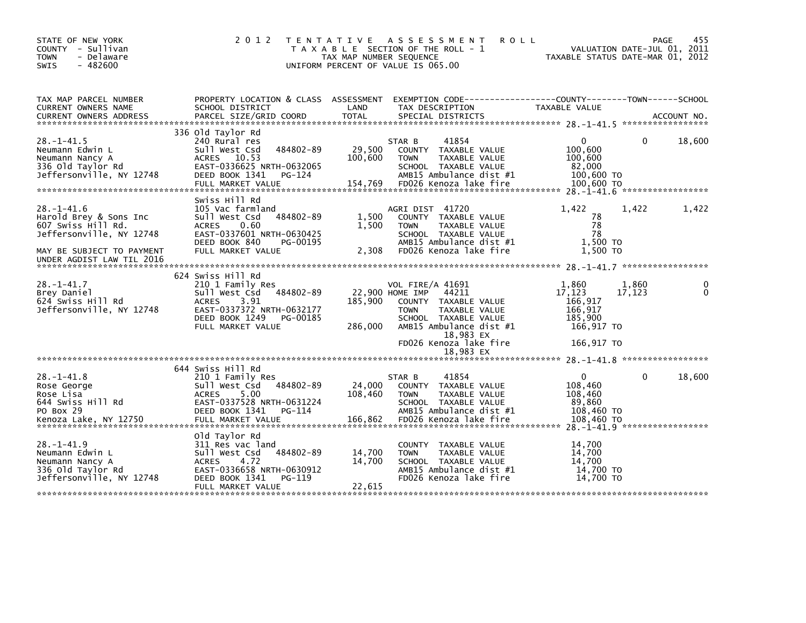| STATE OF NEW YORK<br>COUNTY - Sullivan<br><b>TOWN</b><br>- Delaware<br>$-482600$<br><b>SWIS</b>                                                        | 2 0 1 2                                                                                                                                                                     | TENTATIVE ASSESSMENT<br>T A X A B L E SECTION OF THE ROLL - 1<br>TAX MAP NUMBER SEQUENCE<br>UNIFORM PERCENT OF VALUE IS 065.00                                                                                                    | <b>ROLL</b><br>TAXABLE STATUS DATE-MAR 01, 2012                                                 | 455<br><b>PAGE</b><br>VALUATION DATE-JUL 01, 2011 |
|--------------------------------------------------------------------------------------------------------------------------------------------------------|-----------------------------------------------------------------------------------------------------------------------------------------------------------------------------|-----------------------------------------------------------------------------------------------------------------------------------------------------------------------------------------------------------------------------------|-------------------------------------------------------------------------------------------------|---------------------------------------------------|
| TAX MAP PARCEL NUMBER<br>CURRENT OWNERS NAME                                                                                                           | PROPERTY LOCATION & CLASS ASSESSMENT<br>SCHOOL DISTRICT                                                                                                                     | LAND<br>TAX DESCRIPTION                                                                                                                                                                                                           | EXEMPTION CODE-----------------COUNTY-------TOWN------SCHOOL<br>TAXABLE VALUE                   |                                                   |
|                                                                                                                                                        |                                                                                                                                                                             |                                                                                                                                                                                                                                   |                                                                                                 |                                                   |
| $28. - 1 - 41.5$<br>Neumann Edwin L<br>Neumann Nancy A<br>336 old Taylor Rd<br>Jeffersonville, NY 12748                                                | 336 old Taylor Rd<br>240 Rural res<br>484802-89<br>Sull West Csd<br>10.53<br>ACRES<br>EAST-0336625 NRTH-0632065<br>DEED BOOK 1341<br>PG-124<br>FULL MARKET VALUE            | 41854<br>STAR B<br>29,500<br>COUNTY TAXABLE VALUE<br>100,600<br><b>TOWN</b><br>TAXABLE VALUE<br>SCHOOL TAXABLE VALUE<br>AMB15 Ambulance dist #1<br>FD026 Kenoza lake fire<br>154,769                                              | 0<br>100,600<br>100,600<br>82,000<br>100,600 TO<br>100,600 TO                                   | $\Omega$<br>18,600                                |
| $28. - 1 - 41.6$<br>Harold Brey & Sons Inc<br>607 Swiss Hill Rd.<br>Jeffersonville, NY 12748<br>MAY BE SUBJECT TO PAYMENT<br>UNDER AGDIST LAW TIL 2016 | Swiss Hill Rd<br>105 Vac farmland<br>Sull West Csd<br>484802-89<br>0.60<br><b>ACRES</b><br>EAST-0337601 NRTH-0630425<br>DEED BOOK 840<br>PG-00195<br>FULL MARKET VALUE      | AGRI DIST 41720<br>1,500<br>COUNTY TAXABLE VALUE<br>1,500<br><b>TOWN</b><br>TAXABLE VALUE<br>SCHOOL TAXABLE VALUE<br>AMB15 Ambulance dist #1<br>FD026 Kenoza lake fire<br>2,308                                                   | 1,422<br>1,422<br>78<br>78<br>78<br>1,500 TO<br>1.500 TO                                        | 1,422                                             |
|                                                                                                                                                        |                                                                                                                                                                             |                                                                                                                                                                                                                                   |                                                                                                 |                                                   |
| $28. - 1 - 41.7$<br>Brey Daniel<br>624 Swiss Hill Rd<br>Jeffersonville, NY 12748                                                                       | 624 Swiss Hill Rd<br>210 1 Family Res<br>484802-89<br>Sull West Csd<br>3.91<br><b>ACRES</b><br>EAST-0337372 NRTH-0632177<br>DEED BOOK 1249<br>PG-00185<br>FULL MARKET VALUE | VOL FIRE/A 41691<br>22,900 HOME IMP<br>44211<br>185,900<br>COUNTY TAXABLE VALUE<br><b>TOWN</b><br>TAXABLE VALUE<br>SCHOOL TAXABLE VALUE<br>286,000<br>AMB15 Ambulance dist #1<br>18,983 EX<br>FD026 Kenoza lake fire<br>18,983 EX | 1,860<br>1,860<br>17,123<br>17,123<br>166,917<br>166,917<br>185,900<br>166,917 TO<br>166,917 TO | 0<br>0                                            |
|                                                                                                                                                        |                                                                                                                                                                             |                                                                                                                                                                                                                                   |                                                                                                 |                                                   |
| $28. - 1 - 41.8$<br>Rose George<br>Rose Lisa<br>644 Swiss Hill Rd<br>PO Box 29<br>Kenoza Lake, NY 12750                                                | 644 Swiss Hill Rd<br>210 1 Family Res<br>484802-89<br>Sull West Csd<br>5.00<br><b>ACRES</b><br>EAST-0337528 NRTH-0631224<br>DEED BOOK 1341<br>PG-114<br>FULL MARKET VALUE   | 41854<br>STAR B<br>24,000<br><b>COUNTY</b><br>TAXABLE VALUE<br>108,460<br><b>TOWN</b><br>TAXABLE VALUE<br>SCHOOL TAXABLE VALUE<br>AMB15 Ambulance dist #1<br>FD026 Kenoza lake fire<br>166,862                                    | $\Omega$<br>108,460<br>108,460<br>89,860<br>108,460 TO<br>108,460 TO                            | $\Omega$<br>18,600                                |
| $28 - 1 - 41.9$<br>Neumann Edwin L<br>Neumann Nancy A<br>336 old Taylor Rd<br>Jeffersonville, NY 12748                                                 | old Taylor Rd<br>311 Res vac land<br>484802-89<br>Sull West Csd<br><b>ACRES</b><br>4.72<br>EAST-0336658 NRTH-0630912<br>DEED BOOK 1341<br>PG-119<br>FULL MARKET VALUE       | COUNTY TAXABLE VALUE<br>14,700<br><b>TOWN</b><br>TAXABLE VALUE<br>14,700<br>SCHOOL TAXABLE VALUE<br>AMB15 Ambulance dist #1<br>FD026 Kenoza lake fire<br>22,615                                                                   | 14,700<br>14,700<br>14.700<br>14,700 TO<br>14,700 TO                                            | $28 - 1 - 41$ 9 ******************                |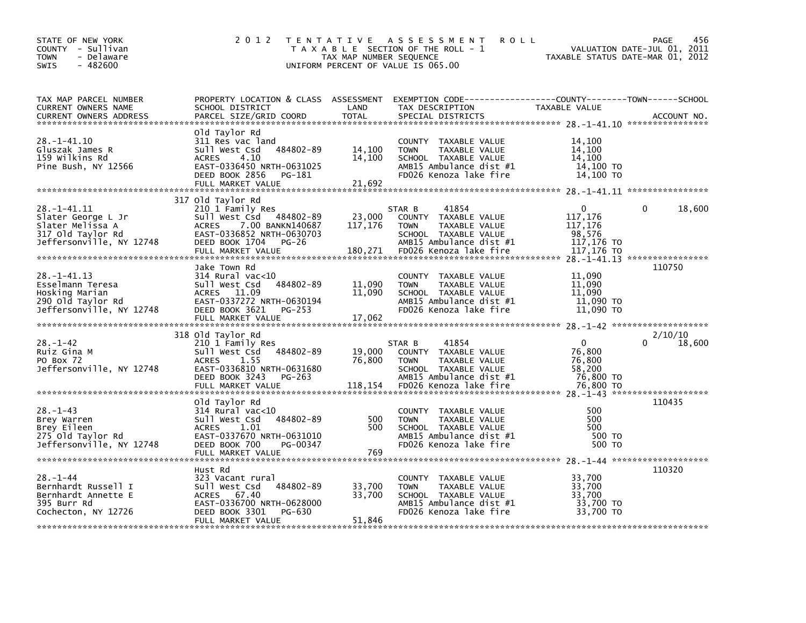| STATE OF NEW YORK<br>COUNTY - Sullivan<br><b>TOWN</b><br>- Delaware<br>$-482600$<br><b>SWIS</b>             | 2 0 1 2                                                                                                                                                                           | TAX MAP NUMBER SEQUENCE      | TENTATIVE ASSESSMENT<br><b>ROLL</b><br>T A X A B L E SECTION OF THE ROLL - 1<br>UNIFORM PERCENT OF VALUE IS 065.00                                   | VALUATION DATE-JUL 01, 2011<br>TAXABLE STATUS DATE-MAR 01, 2012           | 456<br><b>PAGE</b> |
|-------------------------------------------------------------------------------------------------------------|-----------------------------------------------------------------------------------------------------------------------------------------------------------------------------------|------------------------------|------------------------------------------------------------------------------------------------------------------------------------------------------|---------------------------------------------------------------------------|--------------------|
| TAX MAP PARCEL NUMBER<br>CURRENT OWNERS NAME<br><b>CURRENT OWNERS ADDRESS</b>                               | PROPERTY LOCATION & CLASS ASSESSMENT<br>SCHOOL DISTRICT<br>PARCEL SIZE/GRID COORD                                                                                                 | LAND<br><b>TOTAL</b>         | TAX DESCRIPTION<br>SPECIAL DISTRICTS                                                                                                                 | TAXABLE VALUE                                                             | ACCOUNT NO.        |
| 28. -1-41.10<br>Gluszak James R<br>159 Wilkins Rd<br>Pine Bush, NY 12566                                    | old Taylor Rd<br>311 Res vac land<br>484802-89<br>Sull West Csd<br>4.10<br><b>ACRES</b><br>EAST-0336450 NRTH-0631025<br>DEED BOOK 2856<br>PG-181<br>FULL MARKET VALUE             | 14,100<br>14,100<br>21,692   | COUNTY TAXABLE VALUE<br>TAXABLE VALUE<br><b>TOWN</b><br>SCHOOL TAXABLE VALUE<br>AMB15 Ambulance dist #1<br>FD026 Kenoza lake fire                    | 14.100<br>14,100<br>14,100<br>14,100 TO<br>14,100 TO                      |                    |
| $28. -1 - 41.11$<br>Slater George L Jr<br>Slater Melissa A<br>317 old Taylor Rd<br>Jeffersonville, NY 12748 | 317 old Taylor Rd<br>210 1 Family Res<br>Sull West Csd 484802-89<br><b>ACRES</b><br>7.00 BANKN140687<br>EAST-0336852 NRTH-0630703<br>DEED BOOK 1704<br>PG-26<br>FULL MARKET VALUE | 23,000<br>117,176<br>180,271 | STAR B<br>41854<br>COUNTY TAXABLE VALUE<br>TAXABLE VALUE<br><b>TOWN</b><br>SCHOOL TAXABLE VALUE<br>AMB15 Ambulance dist #1<br>FD026 Kenoza lake fire | $\Omega$<br>0<br>117,176<br>117,176<br>98,576<br>117,176 TO<br>117,176 TO | 18,600             |
| $28. -1 - 41.13$<br>Esselmann Teresa<br>Hosking Marian<br>290 Old Taylor Rd<br>Jeffersonville, NY 12748     | Jake Town Rd<br>$314$ Rural vac<10<br>Sull West Csd<br>484802-89<br>ACRES 11.09<br>EAST-0337272 NRTH-0630194<br>DEED BOOK 3621<br>PG-253                                          | 11,090<br>11,090             | COUNTY TAXABLE VALUE<br>TAXABLE VALUE<br><b>TOWN</b><br>SCHOOL TAXABLE VALUE<br>AMB15 Ambulance dist #1<br>FD026 Kenoza lake fire                    | 11,090<br>11,090<br>11.090<br>11,090 TO<br>11,090 TO                      | 110750             |
| $28. - 1 - 42$<br>Ruiz Gina M<br>PO Box 72<br>Jeffersonville, NY 12748                                      | 318 old Taylor Rd<br>210 1 Family Res<br>484802-89<br>Sull West Csd<br>1.55<br><b>ACRES</b><br>EAST-0336810 NRTH-0631680<br>DEED BOOK 3243<br>PG-263<br>FULL MARKET VALUE         | 19,000<br>76,800<br>118,154  | 41854<br>STAR B<br>COUNTY TAXABLE VALUE<br>TAXABLE VALUE<br><b>TOWN</b><br>SCHOOL TAXABLE VALUE<br>AMB15 Ambulance dist #1<br>FD026 Kenoza lake fire | $\mathbf{0}$<br>0<br>76.800<br>76,800<br>58,200<br>76,800 TO<br>76,800 TO | 2/10/10<br>18,600  |
| $28. - 1 - 43$<br>Brey Warren<br>Brey Eileen<br>275 old Taylor Rd<br>Jeffersonville, NY 12748               | old Taylor Rd<br>$314$ Rural vac<10<br>484802-89<br>Sull West Csd<br>1.01<br><b>ACRES</b><br>EAST-0337670 NRTH-0631010<br>DEED BOOK 700<br>PG-00347<br>FULL MARKET VALUE          | 500<br>500<br>769            | COUNTY TAXABLE VALUE<br><b>TOWN</b><br>TAXABLE VALUE<br>SCHOOL TAXABLE VALUE<br>AMB15 Ambulance dist #1<br>FD026 Kenoza lake fire                    | 500<br>500<br>500<br>500 TO<br>500 TO                                     | 110435             |
| $28. - 1 - 44$<br>Bernhardt Russell I<br>Bernhardt Annette E<br>395 Burr Rd<br>Cochecton, NY 12726          | Hust Rd<br>323 Vacant rural<br>Sull West Csd<br>484802-89<br>ACRES 67.40<br>EAST-0336700 NRTH-0628000<br>DEED BOOK 3301<br>PG-630<br>FULL MARKET VALUE                            | 33,700<br>33,700<br>51,846   | COUNTY TAXABLE VALUE<br>TAXABLE VALUE<br><b>TOWN</b><br>SCHOOL TAXABLE VALUE<br>AMB15 Ambulance dist #1<br>FD026 Kenoza lake fire                    | 33,700<br>33,700<br>33,700<br>33,700 TO<br>33,700 TO                      | 110320             |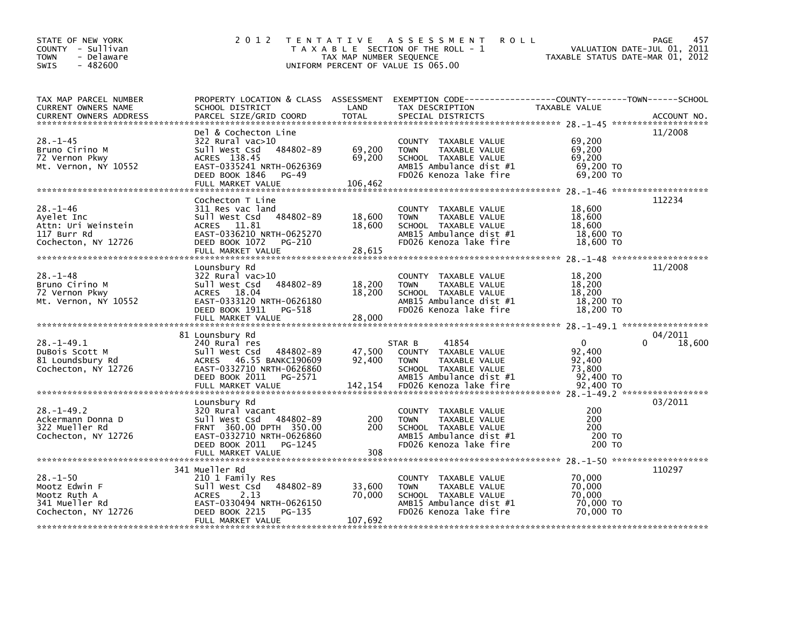| STATE OF NEW YORK<br>COUNTY - Sullivan<br><b>TOWN</b><br>- Delaware<br>$-482600$<br>SWIS  | 2 0 1 2                                                                                                                                                       | TAX MAP NUMBER SEQUENCE     | TENTATIVE ASSESSMENT<br><b>ROLL</b><br>T A X A B L E SECTION OF THE ROLL - 1<br>UNIFORM PERCENT OF VALUE IS 065.00                |                                                         | 457<br>PAGE<br>VALUATION DATE-JUL 01, 2011<br>TAXABLE STATUS DATE-MAR 01, 2012 |
|-------------------------------------------------------------------------------------------|---------------------------------------------------------------------------------------------------------------------------------------------------------------|-----------------------------|-----------------------------------------------------------------------------------------------------------------------------------|---------------------------------------------------------|--------------------------------------------------------------------------------|
| TAX MAP PARCEL NUMBER<br>CURRENT OWNERS NAME<br><b>CURRENT OWNERS ADDRESS</b>             | PROPERTY LOCATION & CLASS ASSESSMENT EXEMPTION CODE----------------COUNTY-------TOWN-----SCHOOL<br>SCHOOL DISTRICT<br>PARCEL SIZE/GRID COORD                  | LAND<br><b>TOTAL</b>        | TAX DESCRIPTION<br>SPECIAL DISTRICTS                                                                                              | TAXABLE VALUE                                           | ACCOUNT NO.                                                                    |
| $28. - 1 - 45$<br>Bruno Cirino M<br>72 Vernon Pkwy<br>Mt. Vernon, NY 10552                | Del & Cochecton Line<br>322 Rural vac>10<br>Sull West Csd 484802-89<br>ACRES 138.45<br>EAST-0335241 NRTH-0626369<br>DEED BOOK 1846 PG-49<br>FULL MARKET VALUE | 69,200<br>69,200<br>106,462 | COUNTY TAXABLE VALUE<br>TAXABLE VALUE<br><b>TOWN</b><br>SCHOOL TAXABLE VALUE<br>AMB15 Ambulance dist #1<br>FD026 Kenoza lake fire | 69,200<br>69,200<br>69,200<br>69,200 TO<br>69,200 TO    | 11/2008                                                                        |
| $28. - 1 - 46$<br>Ayelet Inc<br>Attn: Uri Weinstein<br>117 Burr Rd<br>Cochecton, NY 12726 | Cochecton T Line<br>311 Res vac land<br>Sull West Csd 484802-89<br>ACRES 11.81<br>EAST-0336210 NRTH-0625270<br>DEED BOOK 1072 PG-210                          | 18,600<br>18.600            | COUNTY TAXABLE VALUE<br>TAXABLE VALUE<br><b>TOWN</b><br>SCHOOL TAXABLE VALUE<br>AMB15 Ambulance dist #1<br>FD026 Kenoza lake fire | 18,600<br>18,600<br>18.600<br>18,600 TO<br>18,600 TO    | 112234                                                                         |
| $28. - 1 - 48$<br>Bruno Cirino M<br>72 Vernon Pkwy<br>Mt. Vernon, NY 10552                | Lounsbury Rd<br>322 Rural vac>10<br>484802-89<br>Sull West Csd<br>ACRES 18.04<br>EAST-0333120 NRTH-0626180<br>DEED BOOK 1911<br>PG-518<br>FULL MARKET VALUE   | 18,200<br>18,200<br>28,000  | COUNTY TAXABLE VALUE<br>TAXABLE VALUE<br><b>TOWN</b><br>SCHOOL TAXABLE VALUE<br>AMB15 Ambulance dist #1<br>FD026 Kenoza lake fire | 18,200<br>18,200<br>18,200<br>18,200 TO<br>18,200 TO    | 11/2008                                                                        |
| $28. - 1 - 49.1$<br>DuBois Scott M<br>81 Loundsbury Rd<br>Cochecton, NY 12726             | 81 Lounsbury Rd<br>240 Rural res<br>Sull West Csd<br>484802-89<br>ACRES 46.55 BANKC190609<br>EAST-0332710 NRTH-0626860<br>DEED BOOK 2011<br>PG-2571           | 47,500<br>92,400            | STAR B<br>41854<br>COUNTY TAXABLE VALUE<br>TAXABLE VALUE<br><b>TOWN</b><br>SCHOOL TAXABLE VALUE<br>AMB15 Ambulance dist #1        | $\mathbf{0}$<br>92,400<br>92,400<br>73,800<br>92,400 TO | 04/2011<br>18,600                                                              |
| $28. - 1 - 49.2$<br>Ackermann Donna D<br>322 Mueller Rd<br>Cochecton, NY 12726            | Lounsbury Rd<br>320 Rural vacant<br>Sull West Csd 484802-89<br>FRNT 360.00 DPTH 350.00<br>EAST-0332710 NRTH-0626860<br>DEED BOOK 2011<br>PG-1245              | 200<br>200                  | COUNTY TAXABLE VALUE<br>TAXABLE VALUE<br><b>TOWN</b><br>SCHOOL TAXABLE VALUE<br>AMB15 Ambulance dist #1<br>FD026 Kenoza lake fire | 200<br>200<br>200<br>200 TO<br>200 TO                   | 03/2011                                                                        |
| $28. - 1 - 50$<br>Mootz Edwin F<br>Mootz Ruth A<br>341 Mueller Rd<br>Cochecton, NY 12726  | 341 Mueller Rd<br>210 1 Family Res<br>Sull West Csd 484802-89<br>ACRES<br>2.13<br>EAST-0330494 NRTH-0626150<br>DEED BOOK 2215<br>PG-135<br>FULL MARKET VALUE  | 33,600<br>70,000<br>107,692 | COUNTY TAXABLE VALUE<br><b>TOWN</b><br>TAXABLE VALUE<br>SCHOOL TAXABLE VALUE<br>AMB15 Ambulance dist #1<br>FD026 Kenoza lake fire | 70,000<br>70,000<br>70,000<br>70,000 TO<br>70.000 TO    | 110297                                                                         |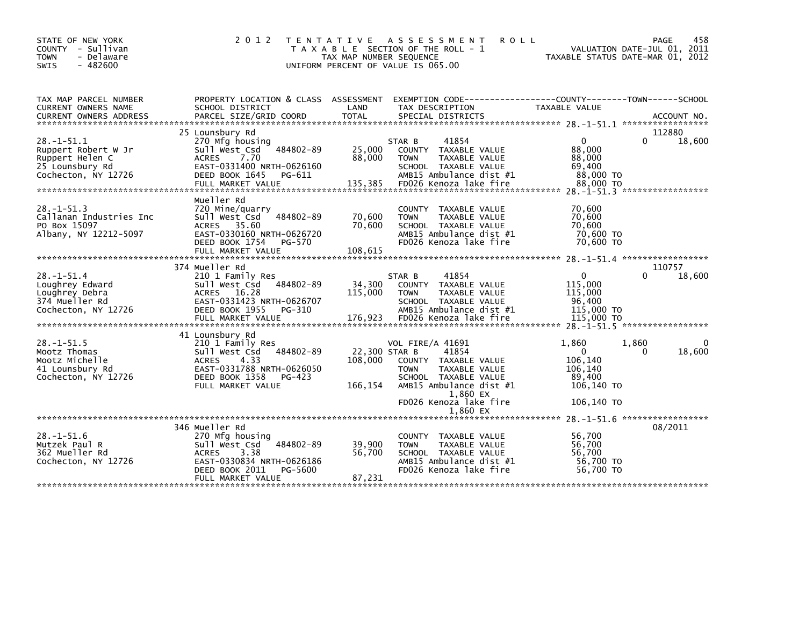| STATE OF NEW YORK<br>COUNTY - Sullivan<br><b>TOWN</b><br>- Delaware<br>$-482600$<br>SWIS             | 2 0 1 2                                                                                                                                                  | TAX MAP NUMBER SEQUENCE             | <b>ROLL</b><br>TENTATIVE ASSESSMENT<br>T A X A B L E SECTION OF THE ROLL - 1<br>UNIFORM PERCENT OF VALUE IS 065.00                                      | VALUATION DATE-JUL 01, 2011<br>TAXABLE STATUS DATE-MAR 01, 2012                                        | 458<br><b>PAGE</b> |
|------------------------------------------------------------------------------------------------------|----------------------------------------------------------------------------------------------------------------------------------------------------------|-------------------------------------|---------------------------------------------------------------------------------------------------------------------------------------------------------|--------------------------------------------------------------------------------------------------------|--------------------|
| TAX MAP PARCEL NUMBER<br>CURRENT OWNERS NAME<br><b>CURRENT OWNERS ADDRESS</b>                        | PROPERTY LOCATION & CLASS ASSESSMENT EXEMPTION CODE---------------COUNTY-------TOWN------SCHOOL<br>SCHOOL DISTRICT<br>PARCEL SIZE/GRID COORD             | LAND<br><b>TOTAL</b>                | TAX DESCRIPTION<br>SPECIAL DISTRICTS                                                                                                                    | TAXABLE VALUE                                                                                          | ACCOUNT NO.        |
|                                                                                                      | 25 Lounsbury Rd                                                                                                                                          |                                     |                                                                                                                                                         |                                                                                                        | 112880             |
| $28. - 1 - 51.1$<br>Ruppert Robert W Jr<br>Ruppert Helen C<br>25 Lounsbury Rd<br>Cochecton, NY 12726 | 270 Mfg housing<br>Sull West Csd<br>484802-89<br><b>ACRES</b><br>7.70<br>EAST-0331400 NRTH-0626160<br>DEED BOOK 1645<br>PG-611<br>FULL MARKET VALUE      | 25,000<br>88,000<br>135,385         | 41854<br>STAR B<br>COUNTY TAXABLE VALUE<br>TAXABLE VALUE<br><b>TOWN</b><br>SCHOOL TAXABLE VALUE<br>AMB15 Ambulance dist #1<br>FD026 Kenoza lake fire    | $\mathbf{0}$<br>88,000<br>88,000<br>69,400<br>88,000 TO<br>88,000 TO<br>28. -1-51.3 ****************** | 0<br>18,600        |
| $28. - 1 - 51.3$<br>Callanan Industries Inc<br>PO Box 15097<br>Albany, NY 12212-5097                 | Mueller Rd<br>720 Mine/quarry<br>Sull West Csd<br>484802-89<br>ACRES 35.60<br>EAST-0330160 NRTH-0626720<br>DEED BOOK 1754<br>PG-570<br>FULL MARKET VALUE | 70,600<br>70,600<br>108,615         | COUNTY TAXABLE VALUE<br><b>TOWN</b><br>TAXABLE VALUE<br>SCHOOL TAXABLE VALUE<br>AMB15 Ambulance dist #1<br>FD026 Kenoza lake fire                       | 70,600<br>70,600<br>70,600<br>70,600 TO<br>70,600 TO                                                   |                    |
|                                                                                                      | 374 Mueller Rd                                                                                                                                           |                                     |                                                                                                                                                         |                                                                                                        | 110757             |
| $28. - 1 - 51.4$<br>Loughrey Edward<br>Loughrey Debra<br>374 Mueller Rd<br>Cochecton, NY 12726       | 210 1 Family Res<br>Sull West Csd<br>484802-89<br>ACRES 16.28<br>EAST-0331423 NRTH-0626707<br>DEED BOOK 1955<br>PG-310<br>FULL MARKET VALUE              | 34,300<br>115,000<br>176,923        | 41854<br>STAR B<br>COUNTY TAXABLE VALUE<br><b>TOWN</b><br>TAXABLE VALUE<br>SCHOOL TAXABLE VALUE<br>AMB15 Ambulance dist #1<br>FD026 Kenoza lake fire    | $\mathbf{0}$<br>115,000<br>115,000<br>96.400<br>115,000 TO<br>115,000 TO                               | U<br>18,600        |
|                                                                                                      | 41 Lounsbury Rd                                                                                                                                          |                                     |                                                                                                                                                         |                                                                                                        |                    |
| $28. -1 - 51.5$<br>Mootz Thomas<br>Mootz Michelle<br>41 Lounsbury Rd<br>Cochecton, NY 12726          | 210 1 Family Res<br>484802-89<br>Sull West Csd<br><b>ACRES</b><br>4.33<br>EAST-0331788 NRTH-0626050<br>DEED BOOK 1358<br>PG-423<br>FULL MARKET VALUE     | 22,300 STAR B<br>108,000<br>166,154 | <b>VOL FIRE/A 41691</b><br>41854<br>COUNTY TAXABLE VALUE<br><b>TOWN</b><br>TAXABLE VALUE<br>SCHOOL TAXABLE VALUE<br>AMB15 Ambulance dist #1<br>1,860 EX | 1,860<br>1,860<br>$\Omega$<br>106,140<br>106,140<br>89,400<br>106,140 TO                               | 0<br>18,600<br>0   |
|                                                                                                      |                                                                                                                                                          |                                     | FD026 Kenoza lake fire                                                                                                                                  | 106,140 TO                                                                                             |                    |
|                                                                                                      |                                                                                                                                                          |                                     | 1.860 EX                                                                                                                                                |                                                                                                        |                    |
|                                                                                                      | 346 Mueller Rd                                                                                                                                           |                                     |                                                                                                                                                         | 28. -1-51. 6 *******************                                                                       | 08/2011            |
| $28. - 1 - 51.6$<br>Mutzek Paul R<br>362 Mueller Rd<br>Cochecton, NY 12726                           | 270 Mtg housing<br>Sull West Csd<br>484802-89<br><b>ACRES</b><br>3.38<br>EAST-0330834 NRTH-0626186<br>DEED BOOK 2011<br>PG-5600<br>FULL MARKET VALUE     | 39,900<br>56,700<br>87,231          | COUNTY TAXABLE VALUE<br><b>TAXABLE VALUE</b><br><b>TOWN</b><br>SCHOOL TAXABLE VALUE<br>AMB15 Ambulance dist #1<br>FD026 Kenoza lake fire                | 56,700<br>56,700<br>56,700<br>56,700 TO<br>56.700 TO                                                   |                    |
|                                                                                                      |                                                                                                                                                          |                                     |                                                                                                                                                         |                                                                                                        |                    |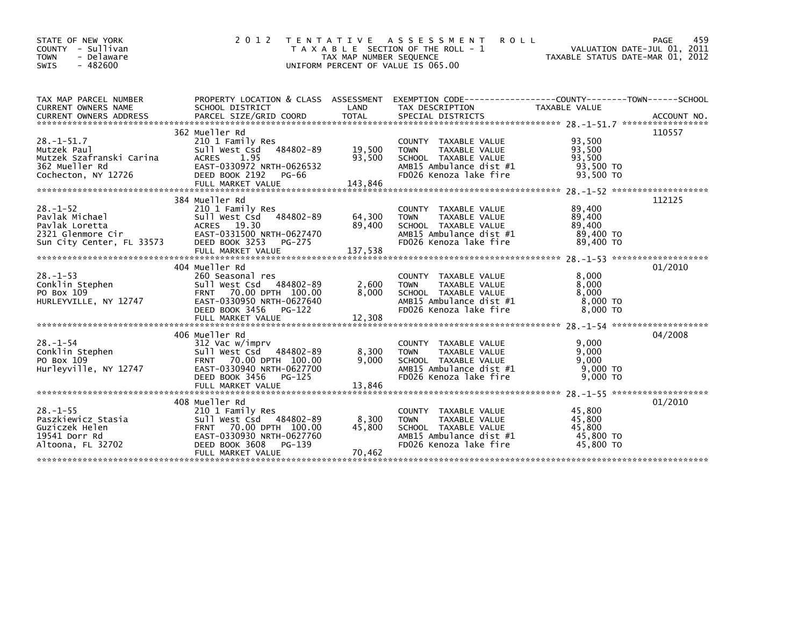| STATE OF NEW YORK<br>COUNTY - Sullivan<br><b>TOWN</b><br>- Delaware<br>$-482600$<br><b>SWIS</b>      | 2 0 1 2                                                                                                                                                                         | T E N T A T I V E<br>TAX MAP NUMBER SEQUENCE<br>UNIFORM PERCENT OF VALUE IS 065.00 | A S S E S S M E N T<br>T A X A B L E SECTION OF THE ROLL - 1                                                                                | <b>ROLL</b><br>TAXABLE STATUS DATE-MAR 01, 2012      | 459<br>PAGE<br>VALUATION DATE-JUL 01, 2011 |
|------------------------------------------------------------------------------------------------------|---------------------------------------------------------------------------------------------------------------------------------------------------------------------------------|------------------------------------------------------------------------------------|---------------------------------------------------------------------------------------------------------------------------------------------|------------------------------------------------------|--------------------------------------------|
| TAX MAP PARCEL NUMBER<br><b>CURRENT OWNERS NAME</b>                                                  | PROPERTY LOCATION & CLASS ASSESSMENT<br>SCHOOL DISTRICT                                                                                                                         | LAND                                                                               | EXEMPTION CODE-----------------COUNTY-------TOWN------SCHOOL<br>TAX DESCRIPTION                                                             | TAXABLE VALUE                                        |                                            |
| $28. - 1 - 51.7$<br>Mutzek Paul<br>Mutzek Szafranski Carina<br>362 Mueller Rd<br>Cochecton, NY 12726 | 362 Mueller Rd<br>210 1 Family Res<br>Sull West Csd<br>484802-89<br>1.95<br><b>ACRES</b><br>EAST-0330972 NRTH-0626532<br>DEED BOOK 2192<br>PG-66<br>FULL MARKET VALUE           | 19,500<br>93,500<br>143,846                                                        | COUNTY TAXABLE VALUE<br>TAXABLE VALUE<br><b>TOWN</b><br>SCHOOL TAXABLE VALUE<br>AMB15 Ambulance dist #1<br>FD026 Kenoza lake fire           | 93,500<br>93,500<br>93,500<br>93,500 TO<br>93,500 TO | 110557                                     |
| $28. - 1 - 52$<br>Pavlak Michael<br>Pavlak Loretta<br>2321 Glenmore Cir<br>Sun City Center, FL 33573 | 384 Mueller Rd<br>210 1 Family Res<br>484802-89<br>Sull West Csd<br>ACRES 19.30<br>EAST-0331500 NRTH-0627470<br>DEED BOOK 3253<br>PG-275                                        | 64,300<br>89,400                                                                   | COUNTY TAXABLE VALUE<br>TAXABLE VALUE<br><b>TOWN</b><br>SCHOOL TAXABLE VALUE<br>AMB15 Ambulance dist #1<br>FD026 Kenoza lake fire           | 89,400<br>89,400<br>89,400<br>89,400 TO<br>89,400 TO | 112125                                     |
| $28 - 1 - 53$<br>Conklin Stephen<br>PO Box 109<br>HURLEYVILLE, NY 12747                              | 404 Mueller Rd<br>260 Seasonal res<br>Sull West Csd 484802-89<br>70.00 DPTH 100.00<br><b>FRNT</b><br>EAST-0330950 NRTH-0627640<br>DEED BOOK 3456<br>PG-122                      | 2,600<br>8,000                                                                     | COUNTY TAXABLE VALUE<br>TAXABLE VALUE<br><b>TOWN</b><br>SCHOOL TAXABLE VALUE<br>AMB15 Ambulance dist #1<br>FD026 Kenoza lake fire           | 8,000<br>8,000<br>8,000<br>$8,000$ TO<br>8,000 TO    | 01/2010                                    |
| $28. - 1 - 54$<br>Conklin Stephen<br>PO Box 109<br>Hurleyville, NY 12747                             | 406 Mueller Rd<br>312 Vac w/imprv<br>484802-89<br>Sull West Csd<br>FRNT 70.00 DPTH 100.00<br>EAST-0330940 NRTH-0627700<br>DEED BOOK 3456<br>PG-125                              | 8,300<br>9,000                                                                     | COUNTY TAXABLE VALUE<br>TAXABLE VALUE<br><b>TOWN</b><br>SCHOOL TAXABLE VALUE<br>AMB15 Ambulance dist #1<br>FD026 Kenoza lake fire           | 9,000<br>9,000<br>9,000<br>$9,000$ TO<br>$9.000$ TO  | 04/2008                                    |
| $28. - 1 - 55$<br>Paszkiewicz Stasia<br>Guziczek Helen<br>19541 Dorr Rd<br>Altoona, FL 32702         | 408 Mueller Rd<br>210 1 Family Res<br>Sull West Csd 484802-89<br><b>FRNT</b><br>70.00 DPTH 100.00<br>EAST-0330930 NRTH-0627760<br>PG-139<br>DEED BOOK 3608<br>FULL MARKET VALUE | 8,300<br>45,800<br>70,462                                                          | <b>COUNTY</b><br>TAXABLE VALUE<br><b>TOWN</b><br>TAXABLE VALUE<br>SCHOOL TAXABLE VALUE<br>AMB15 Ambulance dist #1<br>FD026 Kenoza lake fire | 45,800<br>45,800<br>45.800<br>45,800 TO<br>45,800 TO | 01/2010                                    |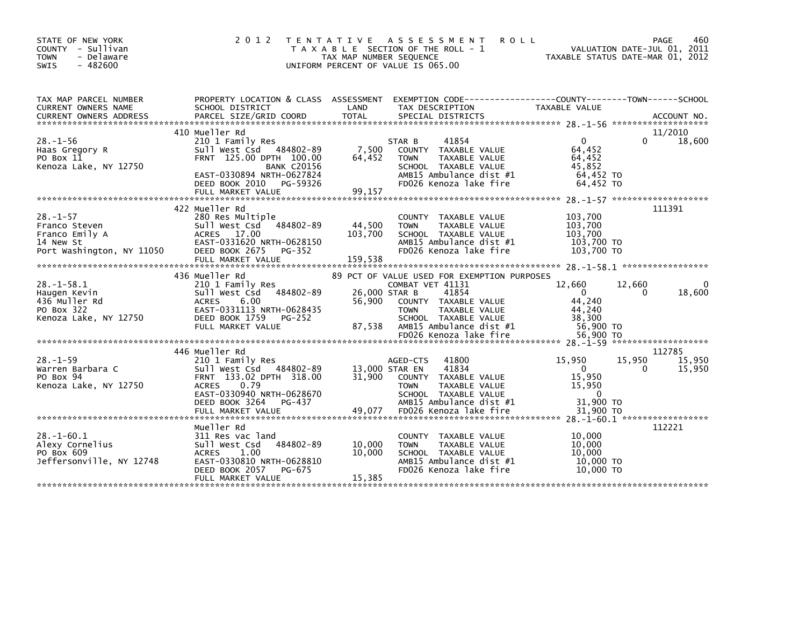| STATE OF NEW YORK<br>COUNTY - Sullivan<br>- Delaware<br><b>TOWN</b><br>SWIS<br>$-482600$    | 2 0 1 2                                                                                                                                                                                           | <b>ROLL</b><br>T E N T A T I V E<br>A S S E S S M E N T<br>T A X A B L E SECTION OF THE ROLL - 1<br>TAX MAP NUMBER SEQUENCE<br>UNIFORM PERCENT OF VALUE IS 065.00                                                                                  | 460<br>PAGE<br>VALUATION DATE-JUL 01, 2011<br>TAXABLE STATUS DATE-MAR 01, 2012                                                                              |
|---------------------------------------------------------------------------------------------|---------------------------------------------------------------------------------------------------------------------------------------------------------------------------------------------------|----------------------------------------------------------------------------------------------------------------------------------------------------------------------------------------------------------------------------------------------------|-------------------------------------------------------------------------------------------------------------------------------------------------------------|
| TAX MAP PARCEL NUMBER<br>CURRENT OWNERS NAME                                                | PROPERTY LOCATION & CLASS ASSESSMENT<br>SCHOOL DISTRICT                                                                                                                                           | LAND<br>TAX DESCRIPTION                                                                                                                                                                                                                            | TAXABLE VALUE                                                                                                                                               |
| $28. - 1 - 56$<br>Haas Gregory R<br>PO Box 11<br>Kenoza Lake, NY 12750                      | 410 Mueller Rd<br>210 1 Family Res<br>Sull West Csd 484802-89<br>FRNT 125.00 DPTH 100.00<br><b>BANK C20156</b><br>EAST-0330894 NRTH-0627824<br>DEED BOOK 2010<br>PG-59326<br>FULL MARKET VALUE    | 41854<br>STAR B<br>7,500<br>COUNTY<br>TAXABLE VALUE<br>TAXABLE VALUE<br>64,452<br><b>TOWN</b><br>SCHOOL TAXABLE VALUE<br>AMB15 Ambulance dist #1<br>FD026 Kenoza lake fire<br>99,157                                                               | 11/2010<br>18,600<br>$\Omega$<br>0<br>64,452<br>64,452<br>45,852<br>64,452 TO<br>64,452 TO                                                                  |
| $28. - 1 - 57$<br>Franco Steven<br>Franco Emily A<br>14 New St<br>Port Washington, NY 11050 | 422 Mueller Rd<br>280 Res Multiple<br>Sull West Csd<br>484802-89<br>ACRES 17.00<br>EAST-0331620 NRTH-0628150<br>DEED BOOK 2675<br>PG-352<br>FULL MARKET VALUE                                     | <b>COUNTY</b><br>TAXABLE VALUE<br>44,500<br><b>TAXABLE VALUE</b><br><b>TOWN</b><br>103,700<br>SCHOOL TAXABLE VALUE<br>AMB15 Ambulance dist #1<br>FD026 Kenoza lake fire<br>159,538                                                                 | 111391<br>103,700<br>103,700<br>103,700<br>103,700 TO<br>103,700 TO                                                                                         |
| $28 - 1 - 58.1$<br>Haugen Kevin<br>436 Muller Rd<br>PO Box 322<br>Kenoza Lake, NY 12750     | 436 Mueller Rd<br>210 1 Family Res<br>484802-89<br>Sull West Csd<br><b>ACRES</b><br>6.00<br>EAST-0331113 NRTH-0628435<br>DEED BOOK 1759<br>PG-252<br>FULL MARKET VALUE                            | 89 PCT OF VALUE USED FOR EXEMPTION PURPOSES<br>COMBAT VET 41131<br>26,000 STAR B<br>41854<br>56,900<br>COUNTY TAXABLE VALUE<br>TAXABLE VALUE<br><b>TOWN</b><br>SCHOOL TAXABLE VALUE<br>87,538<br>AMB15 Ambulance dist #1<br>FD026 Kenoza lake fire | 12,660<br>12,660<br>18,600<br>$\Omega$<br>$\Omega$<br>44.240<br>44.240<br>38,300<br>56,900 TO<br>56,900 TO                                                  |
| $28. - 1 - 59$<br>Warren Barbara C<br>PO Box 94<br>Kenoza Lake, NY 12750                    | 446 Mueller Rd<br>210 1 Family Res<br>484802-89<br>Sull West Csd<br>FRNT 133.02 DPTH 318.00<br>0.79<br><b>ACRES</b><br>EAST-0330940 NRTH-0628670<br>DEED BOOK 3264<br>PG-437<br>FULL MARKET VALUE | 41800<br>AGED-CTS<br>41834<br>13,000 STAR EN<br>31,900<br>COUNTY TAXABLE VALUE<br>TAXABLE VALUE<br><b>TOWN</b><br>SCHOOL TAXABLE VALUE<br>AMB15 Ambulance dist #1<br>49.077<br>FD026 Kenoza lake fire                                              | 112785<br>15,950<br>15,950<br>15,950<br>15,950<br>$\Omega$<br>0<br>15,950<br>15,950<br>$\Omega$<br>31,900 TO<br>31,900 TO<br>28. -1-60.1 ****************** |
| $28. - 1 - 60.1$<br>Alexy Cornelius<br>PO Box 609<br>Jeffersonville, NY 12748               | Mueller Rd<br>311 Res vac land<br>484802-89<br>Sull West Csd<br><b>ACRES</b><br>1.00<br>EAST-0330810 NRTH-0628810<br>DEED BOOK 2057<br>PG-675<br>FULL MARKET VALUE                                | TAXABLE VALUE<br>COUNTY<br>10.000<br><b>TOWN</b><br>TAXABLE VALUE<br>10.000<br>SCHOOL TAXABLE VALUE<br>AMB15 Ambulance dist #1<br>FD026 Kenoza lake fire<br>15,385                                                                                 | 112221<br>10,000<br>10,000<br>10.000<br>10,000 TO<br>10,000 TO                                                                                              |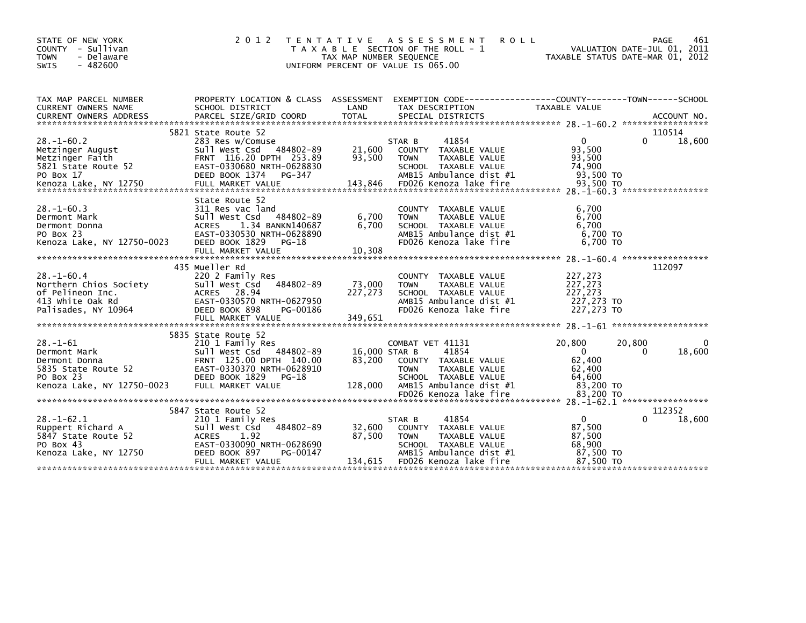| STATE OF NEW YORK<br>COUNTY - Sullivan<br>- Delaware<br>TOWN<br><b>SWIS</b><br>$-482600$                          | 2 0 1 2                                                                                                                                                                    | T E N T A T I V E<br>TAX MAP NUMBER SEQUENCE | A S S E S S M E N T<br><b>ROLL</b><br>T A X A B L E SECTION OF THE ROLL - 1<br>UNIFORM PERCENT OF VALUE IS 065.00                                              | TAXABLE STATUS DATE-MAR 01, 2012                                              | 461<br><b>PAGE</b><br>VALUATION DATE-JUL 01, 2011 |
|-------------------------------------------------------------------------------------------------------------------|----------------------------------------------------------------------------------------------------------------------------------------------------------------------------|----------------------------------------------|----------------------------------------------------------------------------------------------------------------------------------------------------------------|-------------------------------------------------------------------------------|---------------------------------------------------|
| TAX MAP PARCEL NUMBER<br>CURRENT OWNERS NAME                                                                      | SCHOOL DISTRICT                                                                                                                                                            | LAND                                         | PROPERTY LOCATION & CLASS ASSESSMENT EXEMPTION CODE----------------COUNTY-------TOWN-----SCHOOL<br>TAX DESCRIPTION                                             | TAXABLE VALUE                                                                 |                                                   |
|                                                                                                                   | 5821 State Route 52                                                                                                                                                        |                                              |                                                                                                                                                                |                                                                               | 110514                                            |
| $28. - 1 - 60.2$<br>Metzinger August<br>Metzinger Faith<br>5821 State Route 52<br>PO Box 17                       | 283 Res w/Comuse<br>484802-89<br>Sull West Csd<br>FRNT 116.20 DPTH 253.89<br>EAST-0330680 NRTH-0628830<br>DEED BOOK 1374 PG-347                                            | 21,600<br>93,500                             | 41854<br>STAR B<br>COUNTY TAXABLE VALUE<br><b>TOWN</b><br>TAXABLE VALUE<br>SCHOOL TAXABLE VALUE<br>AMB15 Ambulance dist #1                                     | $\mathbf{0}$<br>93,500<br>93,500<br>74,900<br>93,500 TO                       | $\Omega$<br>18,600                                |
|                                                                                                                   | State Route 52                                                                                                                                                             |                                              |                                                                                                                                                                |                                                                               |                                                   |
| $28. - 1 - 60.3$<br>Dermont Mark<br>Dermont Donna<br>PO Box 23                                                    | 311 Res vac land<br>484802-89<br>Sull West Csd<br>1.34 BANKN140687<br>ACRES<br>EAST-0330530 NRTH-0628890                                                                   | 6,700<br>6,700                               | COUNTY TAXABLE VALUE<br>TAXABLE VALUE<br><b>TOWN</b><br>SCHOOL TAXABLE VALUE<br>AMB15 Ambulance dist #1                                                        | 6,700<br>6,700<br>6,700<br>6,700 TO                                           |                                                   |
| Kenoza Lake, NY 12750-0023                                                                                        | DEED BOOK 1829<br>PG-18<br>FULL MARKET VALUE                                                                                                                               | 10,308                                       | FD026 Kenoza lake fire                                                                                                                                         | 6,700 TO                                                                      |                                                   |
|                                                                                                                   |                                                                                                                                                                            |                                              |                                                                                                                                                                |                                                                               |                                                   |
| $28. - 1 - 60.4$<br>Northern Chios Society<br>of Pelineon Inc.<br>413 white Oak Rd<br>Palisades, NY 10964         | 435 Mueller Rd<br>220 2 Family Res<br>Sull West Csd<br>484802-89<br>ACRES 28.94<br>EAST-0330570 NRTH-0627950<br>DEED BOOK 898<br>PG-00186<br>FULL MARKET VALUE             | 73,000<br>227,273<br>349,651                 | <b>COUNTY</b><br>TAXABLE VALUE<br>TAXABLE VALUE<br><b>TOWN</b><br>SCHOOL TAXABLE VALUE<br>AMB15 Ambulance dist #1<br>FD026 Kenoza lake fire                    | 227,273<br>227,273<br>227,273<br>227,273 TO<br>227,273 TO                     | 112097                                            |
|                                                                                                                   |                                                                                                                                                                            |                                              |                                                                                                                                                                |                                                                               |                                                   |
| $28. - 1 - 61$<br>Dermont Mark<br>Dermont Donna<br>5835 State Route 52<br>PO Box 23<br>Kenoza Lake, NY 12750-0023 | 5835 State Route 52<br>210 1 Family Res<br>Sull West Csd 484802-89<br>FRNT 125.00 DPTH 140.00<br>EAST-0330370 NRTH-0628910<br>DEED BOOK 1829<br>PG-18<br>FULL MARKET VALUE | 16,000 STAR B<br>83,200<br>128,000           | COMBAT VET 41131<br>41854<br>COUNTY TAXABLE VALUE<br><b>TOWN</b><br>TAXABLE VALUE<br>SCHOOL TAXABLE VALUE<br>AMB15 Ambulance dist #1                           | 20,800<br>20,800<br>$\overline{0}$<br>62,400<br>62,400<br>64,600<br>83,200 TO | 0<br>18,600<br>$\Omega$                           |
|                                                                                                                   |                                                                                                                                                                            |                                              | FD026 Kenoza lake fire                                                                                                                                         | 83.200 TO                                                                     |                                                   |
|                                                                                                                   |                                                                                                                                                                            |                                              |                                                                                                                                                                |                                                                               |                                                   |
| $28. - 1 - 62.1$<br>Ruppert Richard A<br>5847 State Route 52<br>PO Box 43<br>Kenoza Lake, NY 12750                | 5847 State Route 52<br>210 1 Family Res<br>484802-89<br>Sull West Csd<br>1.92<br>ACRES<br>EAST-0330090 NRTH-0628690<br>DEED BOOK 897<br>PG-00147<br>FULL MARKET VALUE      | 32,600<br>87,500<br>134,615                  | STAR B<br>41854<br>TAXABLE VALUE<br><b>COUNTY</b><br><b>TOWN</b><br>TAXABLE VALUE<br>SCHOOL TAXABLE VALUE<br>AMB15 Ambulance dist #1<br>FD026 Kenoza lake fire | $\mathbf{0}$<br>87,500<br>87,500<br>68,900<br>87,500 TO<br>87,500 TO          | 112352<br>$\Omega$<br>18,600                      |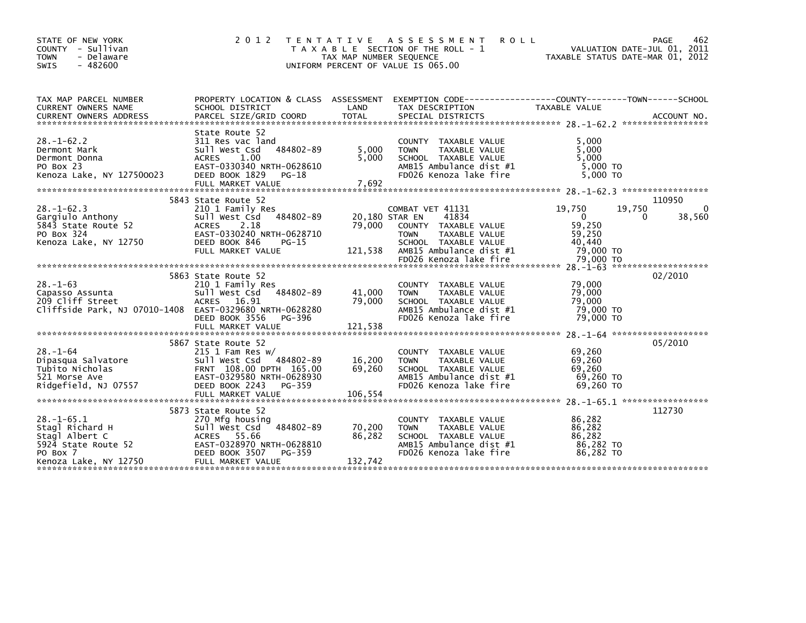| STATE OF NEW YORK<br>COUNTY - Sullivan<br>- Delaware<br><b>TOWN</b><br>$-482600$<br><b>SWIS</b>                   | 2 0 1 2                                                                                                                                                            | T E N T A T I V E<br>TAX MAP NUMBER SEQUENCE | A S S E S S M E N T<br><b>ROLL</b><br>T A X A B L E SECTION OF THE ROLL - 1<br>UNIFORM PERCENT OF VALUE IS 065.00                                      | VALUATION DATE-JUL 01, 2011<br>TAXABLE STATUS DATE-MAR 01, 2012             | PAGE<br>462                       |
|-------------------------------------------------------------------------------------------------------------------|--------------------------------------------------------------------------------------------------------------------------------------------------------------------|----------------------------------------------|--------------------------------------------------------------------------------------------------------------------------------------------------------|-----------------------------------------------------------------------------|-----------------------------------|
| TAX MAP PARCEL NUMBER<br>CURRENT OWNERS NAME                                                                      | SCHOOL DISTRICT                                                                                                                                                    | LAND                                         | PROPERTY LOCATION & CLASS ASSESSMENT EXEMPTION CODE----------------COUNTY-------TOWN-----SCHOOL<br>TAX DESCRIPTION                                     | TAXABLE VALUE                                                               |                                   |
| $28. - 1 - 62.2$<br>Dermont Mark<br>Dermont Donna<br>PO Box 23<br>Kenoza Lake, NY 127500023                       | State Route 52<br>311 Res vac land<br>484802-89<br>Sull West Csd<br><b>ACRES</b><br>1.00<br>EAST-0330340 NRTH-0628610<br>DEED BOOK 1829 PG-18                      | 5,000<br>5,000                               | <b>COUNTY</b><br>TAXABLE VALUE<br>TAXABLE VALUE<br><b>TOWN</b><br>SCHOOL TAXABLE VALUE<br>AMB15 Ambulance dist #1<br>FD026 Kenoza lake fire            | 5,000<br>5,000<br>5,000<br>5,000 TO<br>5,000 TO                             |                                   |
| $28. - 1 - 62.3$<br>Gargiulo Anthony<br>5843 State Route 52<br>PO Box 324<br>Kenoza Lake, NY 12750                | 5843 State Route 52<br>210 1 Family Res<br>484802-89<br>Sull West Csd<br>2.18<br>ACRES<br>EAST-0330240 NRTH-0628710<br>DEED BOOK 846<br>PG-15<br>FULL MARKET VALUE | 79,000<br>121,538                            | COMBAT VET 41131<br>41834<br>20,180 STAR EN<br>COUNTY TAXABLE VALUE<br>TAXABLE VALUE<br><b>TOWN</b><br>SCHOOL TAXABLE VALUE<br>AMB15 Ambulance dist #1 | 19,750<br>19,750<br>$\mathbf{0}$<br>59,250<br>59,250<br>40,440<br>79,000 TO | 110950<br>$\Omega$<br>38,560<br>0 |
| $28. - 1 - 63$<br>Capasso Assunta<br>209 Cliff Street<br>Cliffside Park, NJ 07010-1408 EAST-0329680 NRTH-0628280  | 5863 State Route 52<br>210 1 Family Res<br>Sull West Csd<br>484802-89<br>ACRES 16.91<br>DEED BOOK 3556<br>PG-396<br>FULL MARKET VALUE                              | 41,000<br>79,000<br>121,538                  | COUNTY TAXABLE VALUE<br>TAXABLE VALUE<br><b>TOWN</b><br>SCHOOL TAXABLE VALUE<br>AMB15 Ambulance dist #1<br>FD026 Kenoza lake fire                      | 79,000<br>79,000<br>79,000<br>79,000 TO<br>79,000 TO                        | 02/2010                           |
| $28. - 1 - 64$<br>Dipasqua Salvatore<br>Tubito Nicholas<br>521 Morse Ave<br>Ridgefield, NJ 07557                  | 5867 State Route 52<br>$215$ 1 Fam Res w/<br>Sull West Csd<br>484802-89<br>FRNT 108.00 DPTH 165.00<br>EAST-0329580 NRTH-0628930<br>DEED BOOK 2243<br>PG-359        | 16,200<br>69,260                             | TAXABLE VALUE<br><b>COUNTY</b><br>TAXABLE VALUE<br><b>TOWN</b><br>SCHOOL TAXABLE VALUE<br>AMB15 Ambulance dist #1<br>FD026 Kenoza lake fire            | 69,260<br>69,260<br>69,260<br>69,260 TO<br>69,260 TO                        | 05/2010                           |
| $28. - 1 - 65.1$<br>Stagl Richard H<br>Stagl Albert C<br>5924 State Route 52<br>PO Box 7<br>Kenoza Lake, NY 12750 | 5873 State Route 52<br>270 Mfg housing<br>484802-89<br>Sull West Csd<br>ACRES 55.66<br>EAST-0328970 NRTH-0628810<br>DEED BOOK 3507<br>PG-359<br>FULL MARKET VALUE  | 70,200<br>86,282<br>132,742                  | <b>COUNTY</b><br>TAXABLE VALUE<br>TAXABLE VALUE<br><b>TOWN</b><br>SCHOOL TAXABLE VALUE<br>AMB15 Ambulance dist #1<br>FD026 Kenoza lake fire            | 86,282<br>86,282<br>86,282<br>86,282 TO<br>86,282 TO                        | 112730                            |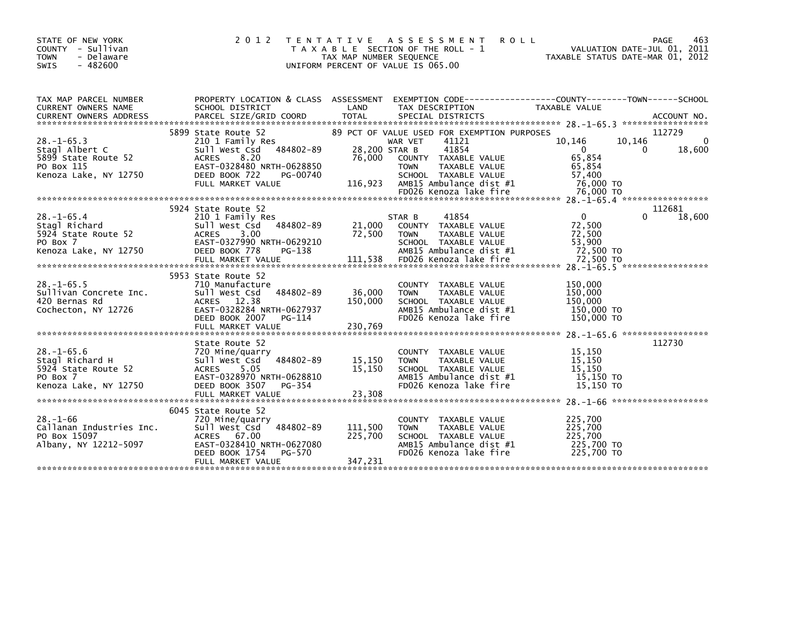| STATE OF NEW YORK<br>COUNTY - Sullivan<br><b>TOWN</b><br>- Delaware<br>SWIS<br>$-482600$         | 2 0 1 2                                                                                                                                                           | TAX MAP NUMBER SEQUENCE            | TENTATIVE ASSESSMENT<br><b>ROLL</b><br>T A X A B L E SECTION OF THE ROLL - 1<br>UNIFORM PERCENT OF VALUE IS 065.00                                             | TAXABLE STATUS DATE-MAR 01, 2012                                           | 463<br>PAGE<br>VALUATION DATE-JUL 01, 2011 |
|--------------------------------------------------------------------------------------------------|-------------------------------------------------------------------------------------------------------------------------------------------------------------------|------------------------------------|----------------------------------------------------------------------------------------------------------------------------------------------------------------|----------------------------------------------------------------------------|--------------------------------------------|
| TAX MAP PARCEL NUMBER<br>CURRENT OWNERS NAME<br><b>CURRENT OWNERS ADDRESS</b>                    | PROPERTY LOCATION & CLASS ASSESSMENT<br>SCHOOL DISTRICT<br>PARCEL SIZE/GRID COORD                                                                                 | LAND<br><b>TOTAL</b>               | EXEMPTION        CODE-----------------COUNTY-------TOWN------SCHOOL<br>TAX DESCRIPTION<br>SPECIAL DISTRICTS                                                    | <b>TAXABLE VALUE</b>                                                       | ACCOUNT NO.                                |
|                                                                                                  | 5899 State Route 52                                                                                                                                               |                                    | 89 PCT OF VALUE USED FOR EXEMPTION PURPOSES                                                                                                                    |                                                                            | 112729                                     |
| $28. - 1 - 65.3$<br>Stagl Albert C<br>5899 State Route 52<br>PO Box 115<br>Kenoza Lake, NY 12750 | 210 1 Family Res<br>484802-89<br>Sull West Csd<br>8.20<br><b>ACRES</b><br>EAST-0328480 NRTH-0628850<br>DEED BOOK 722<br>PG-00740<br>FULL MARKET VALUE             | 28,200 STAR B<br>76,000<br>116,923 | 41121<br>WAR VET<br>41854<br>COUNTY TAXABLE VALUE<br><b>TOWN</b><br>TAXABLE VALUE<br>SCHOOL TAXABLE VALUE<br>AMB15 Ambulance dist #1<br>FD026 Kenoza lake fire | 10,146<br>$\Omega$<br>65,854<br>65,854<br>57,400<br>76,000 TO<br>76,000 TO | 10,146<br>0<br>18,600<br>0                 |
|                                                                                                  |                                                                                                                                                                   |                                    |                                                                                                                                                                |                                                                            |                                            |
| $28. - 1 - 65.4$                                                                                 | 5924 State Route 52<br>210 1 Family Res                                                                                                                           |                                    | 41854<br>STAR B                                                                                                                                                | $\mathbf 0$                                                                | 112681<br>18,600                           |
| Stagl Richard<br>5924 State Route 52<br>PO Box 7<br>Kenoza Lake, NY 12750                        | 484802-89<br>Sull West Csd<br>3.00<br><b>ACRES</b><br>EAST-0327990 NRTH-0629210<br>DEED BOOK 778<br>PG-138                                                        | 21,000<br>72,500                   | COUNTY TAXABLE VALUE<br><b>TOWN</b><br>TAXABLE VALUE<br>SCHOOL TAXABLE VALUE<br>AMB15 Ambulance dist #1                                                        | 72,500<br>72,500<br>53,900<br>72,500 TO                                    |                                            |
|                                                                                                  |                                                                                                                                                                   |                                    |                                                                                                                                                                |                                                                            |                                            |
| $28. -1 - 65.5$<br>Sullivan Concrete Inc.<br>420 Bernas Rd<br>Cochecton, NY 12726                | 5953 State Route 52<br>710 Manufacture<br>Sull West Csd<br>484802-89<br>ACRES 12.38<br>EAST-0328284 NRTH-0627937<br>DEED BOOK 2007<br>PG-114<br>FULL MARKET VALUE | 36,000<br>150,000<br>230,769       | COUNTY TAXABLE VALUE<br>TAXABLE VALUE<br><b>TOWN</b><br>SCHOOL TAXABLE VALUE<br>AMB15 Ambulance dist #1<br>FD026 Kenoza lake fire                              | 150,000<br>150,000<br>150,000<br>150,000 TO<br>150,000 TO                  |                                            |
|                                                                                                  |                                                                                                                                                                   |                                    |                                                                                                                                                                |                                                                            | $28. -1 - 65.6$ *******************        |
| $28. - 1 - 65.6$<br>Stagl Richard H<br>5924 State Route 52<br>PO Box 7<br>Kenoza Lake, NY 12750  | State Route 52<br>720 Mine/quarry<br>484802-89<br>Sull West Csd<br><b>ACRES</b><br>5.05<br>EAST-0328970 NRTH-0628810<br>DEED BOOK 3507<br>PG-354                  | 15,150<br>15,150                   | COUNTY TAXABLE VALUE<br>TAXABLE VALUE<br><b>TOWN</b><br>SCHOOL TAXABLE VALUE<br>AMB15 Ambulance dist #1<br>FD026 Kenoza lake fire                              | 15,150<br>15,150<br>15,150<br>15,150 TO<br>15,150 TO                       | 112730                                     |
|                                                                                                  | 6045 State Route 52                                                                                                                                               |                                    |                                                                                                                                                                |                                                                            |                                            |
| $28. - 1 - 66$<br>Callanan Industries Inc.<br>PO Box 15097<br>Albany, NY 12212-5097              | 720 Mine/quarry<br>484802-89<br>Sull West Csd<br>ACRES 67.00<br>EAST-0328410 NRTH-0627080<br>DEED BOOK 1754<br>PG-570                                             | 111,500<br>225,700                 | COUNTY<br>TAXABLE VALUE<br>TAXABLE VALUE<br><b>TOWN</b><br>SCHOOL TAXABLE VALUE<br>AMB15 Ambulance dist #1<br>FD026 Kenoza lake fire                           | 225,700<br>225,700<br>225,700<br>225,700 TO<br>225,700 TO                  |                                            |
|                                                                                                  | FULL MARKET VALUE                                                                                                                                                 | 347,231                            |                                                                                                                                                                |                                                                            |                                            |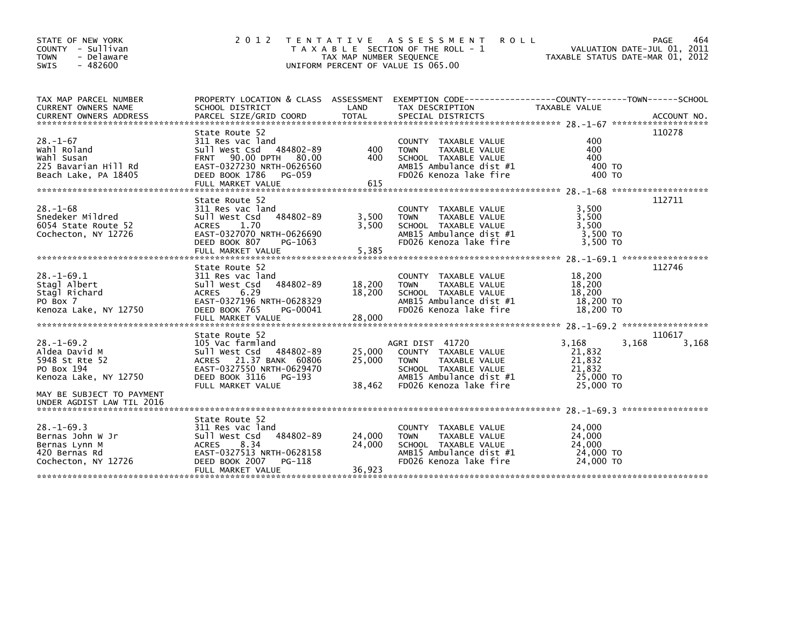| STATE OF NEW YORK<br>COUNTY - Sullivan<br><b>TOWN</b><br>- Delaware<br>$-482600$<br><b>SWIS</b> | 2012                                                                                           | TAX MAP NUMBER SEQUENCE | TENTATIVE ASSESSMENT<br><b>ROLL</b><br>T A X A B L E SECTION OF THE ROLL - 1<br>UNIFORM PERCENT OF VALUE IS 065.00 | VALUATION DATE-JUL 01, 2011<br>TAXABLE STATUS DATE-MAR 01, 2012 | 464<br>PAGE |
|-------------------------------------------------------------------------------------------------|------------------------------------------------------------------------------------------------|-------------------------|--------------------------------------------------------------------------------------------------------------------|-----------------------------------------------------------------|-------------|
| TAX MAP PARCEL NUMBER                                                                           | PROPERTY LOCATION & CLASS ASSESSMENT EXEMPTION CODE---------------COUNTY-------TOWN-----SCHOOL |                         |                                                                                                                    |                                                                 |             |
| CURRENT OWNERS NAME<br>CURRENT OWNERS ADDRESS                                                   | SCHOOL DISTRICT<br>PARCEL SIZE/GRID COORD                                                      | LAND<br><b>TOTAL</b>    | TAX DESCRIPTION<br>SPECIAL DISTRICTS                                                                               | TAXABLE VALUE                                                   | ACCOUNT NO. |
|                                                                                                 |                                                                                                |                         |                                                                                                                    |                                                                 |             |
|                                                                                                 | State Route 52                                                                                 |                         |                                                                                                                    |                                                                 | 110278      |
| $28. - 1 - 67$                                                                                  | 311 Res vac land                                                                               |                         | COUNTY TAXABLE VALUE                                                                                               | 400                                                             |             |
| Wahl Roland                                                                                     | Sull West Csd 484802-89                                                                        | 400                     | <b>TOWN</b><br>TAXABLE VALUE                                                                                       | 400                                                             |             |
| Wahl Susan                                                                                      | 90.00 DPTH 80.00<br><b>FRNT</b>                                                                | 400                     | SCHOOL TAXABLE VALUE                                                                                               | 400                                                             |             |
| 225 Bavarian Hill Rd                                                                            | EAST-0327230 NRTH-0626560                                                                      |                         | AMB15 Ambulance dist #1                                                                                            | 400 TO                                                          |             |
| Beach Lake, PA 18405                                                                            | DEED BOOK 1786<br>PG-059                                                                       |                         | FD026 Kenoza lake fire                                                                                             | 400 TO                                                          |             |
|                                                                                                 | FULL MARKET VALUE                                                                              | 615                     |                                                                                                                    |                                                                 |             |
|                                                                                                 |                                                                                                |                         |                                                                                                                    |                                                                 |             |
| $28. - 1 - 68$                                                                                  | State Route 52<br>311 Res vac land                                                             |                         | COUNTY TAXABLE VALUE                                                                                               | 3,500                                                           | 112711      |
| Snedeker Mildred                                                                                | 484802-89<br>Sull West Csd                                                                     | 3,500                   | <b>TOWN</b><br>TAXABLE VALUE                                                                                       | 3,500                                                           |             |
| 6054 State Route 52                                                                             | 1.70<br><b>ACRES</b>                                                                           | 3,500                   | SCHOOL TAXABLE VALUE                                                                                               | 3,500                                                           |             |
| Cochecton, NY 12726                                                                             | EAST-0327070 NRTH-0626690                                                                      |                         | AMB15 Ambulance dist #1                                                                                            | 3,500 TO                                                        |             |
|                                                                                                 | DEED BOOK 807<br>PG-1063                                                                       |                         | FD026 Kenoza lake fire                                                                                             | 3.500 TO                                                        |             |
|                                                                                                 | FULL MARKET VALUE                                                                              | 5,385                   |                                                                                                                    |                                                                 |             |
|                                                                                                 |                                                                                                |                         |                                                                                                                    |                                                                 |             |
|                                                                                                 | State Route 52                                                                                 |                         |                                                                                                                    |                                                                 | 112746      |
| $28. - 1 - 69.1$                                                                                | 311 Res vac land                                                                               |                         | COUNTY TAXABLE VALUE                                                                                               | 18,200                                                          |             |
| Stagl Albert                                                                                    | 484802-89<br>Sull West Csd                                                                     | 18,200                  | TAXABLE VALUE<br><b>TOWN</b>                                                                                       | 18,200                                                          |             |
| Stagl Richard                                                                                   | ACRES 6.29                                                                                     | 18,200                  | SCHOOL TAXABLE VALUE                                                                                               | 18,200                                                          |             |
| PO Box 7                                                                                        | EAST-0327196 NRTH-0628329                                                                      |                         | AMB15 Ambulance dist #1                                                                                            | 18,200 TO                                                       |             |
| Kenoza Lake, NY 12750                                                                           | DEED BOOK 765<br>PG-00041                                                                      |                         | FD026 Kenoza lake fire                                                                                             | 18,200 TO                                                       |             |
|                                                                                                 | FULL MARKET VALUE                                                                              | 28,000                  |                                                                                                                    |                                                                 |             |
|                                                                                                 |                                                                                                |                         |                                                                                                                    |                                                                 |             |
|                                                                                                 | State Route 52                                                                                 |                         |                                                                                                                    |                                                                 | 110617      |
| $28. - 1 - 69.2$                                                                                | 105 Vac farmland                                                                               |                         | AGRI DIST 41720                                                                                                    | 3,168<br>3,168<br>21,832                                        | 3,168       |
| Aldea David M<br>5948 St Rte 52                                                                 | Sull West Csd 484802-89<br>ACRES 21.37 BANK 60806                                              | 25,000<br>25,000        | COUNTY TAXABLE VALUE<br>TAXABLE VALUE                                                                              | 21,832                                                          |             |
| PO Box 194                                                                                      | EAST-0327550 NRTH-0629470                                                                      |                         | TOWN<br>SCHOOL TAXABLE VALUE                                                                                       | 21,832                                                          |             |
| Kenoza Lake, NY 12750                                                                           | DEED BOOK 3116<br>PG-193                                                                       |                         | AMB15 Ambulance dist #1                                                                                            | 25,000 TO                                                       |             |
|                                                                                                 | FULL MARKET VALUE                                                                              | 38,462                  | FD026 Kenoza lake fire                                                                                             | 25,000 TO                                                       |             |
| MAY BE SUBJECT TO PAYMENT                                                                       |                                                                                                |                         |                                                                                                                    |                                                                 |             |
| UNDER AGDIST LAW TIL 2016                                                                       |                                                                                                |                         |                                                                                                                    |                                                                 |             |
|                                                                                                 |                                                                                                |                         |                                                                                                                    |                                                                 |             |
|                                                                                                 | State Route 52                                                                                 |                         |                                                                                                                    |                                                                 |             |
| $28. - 1 - 69.3$                                                                                | 311 Res vac land                                                                               |                         | COUNTY TAXABLE VALUE                                                                                               | 24,000                                                          |             |
| Bernas John W Jr                                                                                | Sull West Csd<br>484802-89                                                                     | 24,000                  | <b>TOWN</b><br>TAXABLE VALUE                                                                                       | 24,000                                                          |             |
| Bernas Lynn M                                                                                   | 8.34<br><b>ACRES</b>                                                                           | 24,000                  | SCHOOL TAXABLE VALUE                                                                                               | 24,000                                                          |             |
| 420 Bernas Rd                                                                                   | EAST-0327513 NRTH-0628158                                                                      |                         | AMB15 Ambulance dist #1                                                                                            | 24,000 TO                                                       |             |
| Cochecton, NY 12726                                                                             | DEED BOOK 2007<br>PG-118                                                                       |                         | FD026 Kenoza lake fire                                                                                             | 24,000 TO                                                       |             |
|                                                                                                 | FULL MARKET VALUE                                                                              | 36,923                  |                                                                                                                    |                                                                 |             |
|                                                                                                 |                                                                                                |                         |                                                                                                                    |                                                                 |             |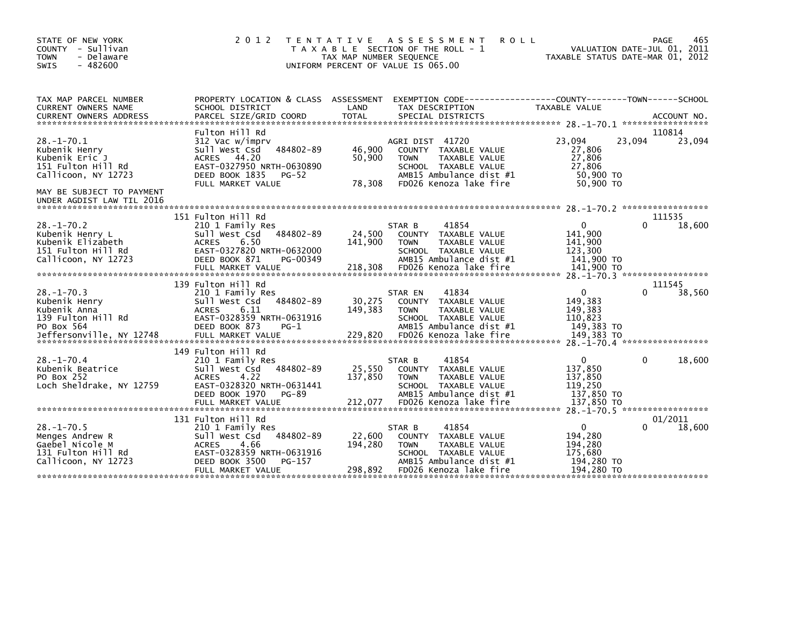| STATE OF NEW YORK<br>COUNTY - Sullivan<br>- Delaware<br><b>TOWN</b><br>$-482600$<br>SWIS                                     | 2 0 1 2                                                                                                                                                                    | TENTATIVE ASSESSMENT<br><b>ROLL</b><br>T A X A B L E SECTION OF THE ROLL - 1<br>TAX MAP NUMBER SEQUENCE<br>UNIFORM PERCENT OF VALUE IS 065.00                                         | 465<br>PAGE<br>VALUATION DATE-JUL 01, 2011<br>TAXABLE STATUS DATE-MAR 01, 2012                              |
|------------------------------------------------------------------------------------------------------------------------------|----------------------------------------------------------------------------------------------------------------------------------------------------------------------------|---------------------------------------------------------------------------------------------------------------------------------------------------------------------------------------|-------------------------------------------------------------------------------------------------------------|
| TAX MAP PARCEL NUMBER<br>CURRENT OWNERS NAME<br><b>CURRENT OWNERS ADDRESS</b>                                                | PROPERTY LOCATION & CLASS ASSESSMENT<br>SCHOOL DISTRICT<br>PARCEL SIZE/GRID COORD                                                                                          | LAND<br>TAX DESCRIPTION<br><b>TOTAL</b><br>SPECIAL DISTRICTS                                                                                                                          | EXEMPTION        CODE-----------------COUNTY--------TOWN------SCHOOL<br><b>TAXABLE VALUE</b><br>ACCOUNT NO. |
| $28 - 1 - 70.1$<br>Kubenik Henry<br>Kubenik Eric J<br>151 Fulton Hill Rd<br>Callicoon, NY 12723<br>MAY BE SUBJECT TO PAYMENT | Fulton Hill Rd<br>312 Vac w/imprv<br>484802-89<br>Sull West Csd<br>ACRES 44.20<br>EAST-0327950 NRTH-0630890<br>DEED BOOK 1835<br><b>PG-52</b><br>FULL MARKET VALUE         | AGRI DIST 41720<br>46,900<br>COUNTY TAXABLE VALUE<br>50,900<br>TAXABLE VALUE<br><b>TOWN</b><br>SCHOOL TAXABLE VALUE<br>AMB15 Ambulance dist #1<br>78,308<br>FD026 Kenoza lake fire    | 110814<br>23,094<br>23,094<br>23,094<br>27,806<br>27,806<br>27,806<br>50,900 TO<br>50,900 TO                |
| UNDER AGDIST LAW TIL 2016                                                                                                    |                                                                                                                                                                            |                                                                                                                                                                                       |                                                                                                             |
| $28. - 1 - 70.2$<br>Kubenik Henry L<br>Kubenik Elizabeth<br>151 Fulton Hill Rd<br>Callicoon, NY 12723                        | 151 Fulton Hill Rd<br>210 1 Family Res<br>484802-89<br>Sull West Csd<br>ACRES<br>6.50<br>EAST-0327820 NRTH-0632000<br>DEED BOOK 871<br>PG-00349                            | 41854<br>STAR B<br>24,500<br>COUNTY TAXABLE VALUE<br>141,900<br><b>TAXABLE VALUE</b><br><b>TOWN</b><br>SCHOOL TAXABLE VALUE<br>AMB15 Ambulance dist #1                                | 111535<br>18,600<br>$\Omega$<br>0<br>141,900<br>141,900<br>123,300<br>141,900 TO                            |
| $28. - 1 - 70.3$<br>Kubenik Henry<br>Kubenik Anna<br>139 Fulton Hill Rd<br>PO Box 564<br>Jeffersonville, NY 12748            | 139 Fulton Hill Rd<br>210 1 Family Res<br>484802-89<br>Sull West Csd<br><b>ACRES</b><br>6.11<br>EAST-0328359 NRTH-0631916<br>DEED BOOK 873<br>$PG-1$<br>FULL MARKET VALUE  | 41834<br>STAR EN<br>30,275<br>COUNTY TAXABLE VALUE<br>149,383<br><b>TOWN</b><br>TAXABLE VALUE<br>SCHOOL TAXABLE VALUE<br>AMB15 Ambulance dist #1<br>FD026 Kenoza lake fire<br>229,820 | 111545<br>0<br>38,560<br>0<br>149,383<br>149,383<br>110,823<br>149,383 TO<br>149.383 TO                     |
| $28 - 1 - 70.4$<br>Kubenik Beatrice<br>PO Box 252<br>Loch Sheldrake, NY 12759                                                | 149 Fulton Hill Rd<br>210 1 Family Res<br>484802-89<br>Sull West Csd<br>4.22<br><b>ACRES</b><br>EAST-0328320 NRTH-0631441<br>DEED BOOK 1970<br>PG-89<br>FULL MARKET VALUE  | 41854<br>STAR B<br>25,550<br>COUNTY TAXABLE VALUE<br>137,850<br><b>TOWN</b><br>TAXABLE VALUE<br>SCHOOL TAXABLE VALUE<br>AMB15 Ambulance dist #1<br>FD026 Kenoza lake fire<br>212,077  | 18,600<br>$\mathbf{0}$<br>$\Omega$<br>137,850<br>137,850<br>119.250<br>137,850 TO<br>137,850 TO             |
| $28. - 1 - 70.5$<br>Menges Andrew R<br>Gaebel Nicole M<br>131 Fulton Hill Rd<br>Callicoon, NY 12723                          | 131 Fulton Hill Rd<br>210 1 Family Res<br>Sull West Csd<br>484802-89<br><b>ACRES</b><br>4.66<br>EAST-0328359 NRTH-0631916<br>DEED BOOK 3500<br>PG-157<br>FULL MARKET VALUE | 41854<br>STAR B<br>22,600<br>COUNTY TAXABLE VALUE<br>194,280<br>TAXABLE VALUE<br><b>TOWN</b><br>SCHOOL TAXABLE VALUE<br>AMB15 Ambulance dist #1<br>298,892<br>FD026 Kenoza lake fire  | 01/2011<br>18,600<br>$\Omega$<br>194,280<br>194,280<br>175,680<br>194,280 TO<br>194,280 TO                  |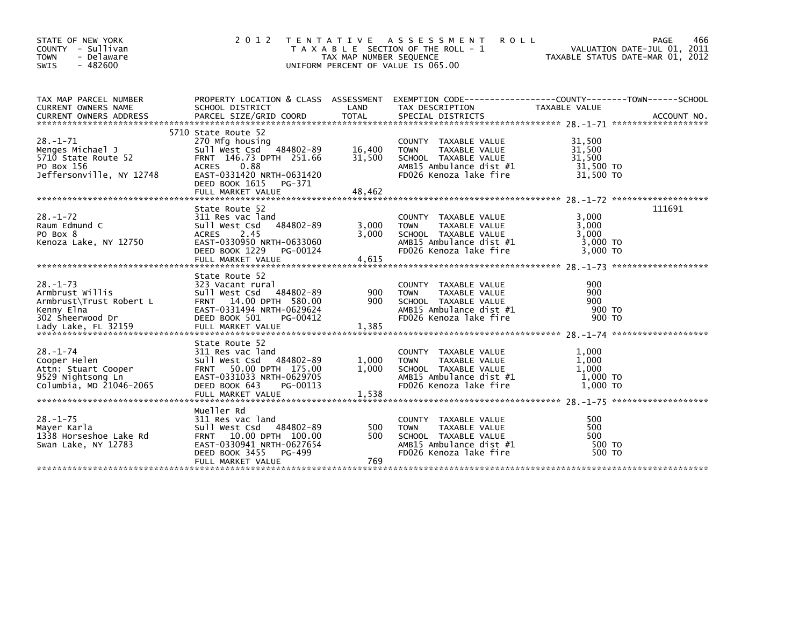| STATE OF NEW YORK<br>COUNTY - Sullivan<br><b>TOWN</b><br>- Delaware<br><b>SWIS</b><br>$-482600$                       | 2 0 1 2                                                                                                                                                                                            | T E N T A T I V E<br>TAX MAP NUMBER SEQUENCE | A S S E S S M E N T<br><b>ROLL</b><br>T A X A B L E SECTION OF THE ROLL - 1<br>UNIFORM PERCENT OF VALUE IS 065.00                 |                                                      | 466<br>PAGE<br>VALUATION DATE-JUL 01, 2011<br>TAXABLE STATUS DATE-MAR 01, 2012 |
|-----------------------------------------------------------------------------------------------------------------------|----------------------------------------------------------------------------------------------------------------------------------------------------------------------------------------------------|----------------------------------------------|-----------------------------------------------------------------------------------------------------------------------------------|------------------------------------------------------|--------------------------------------------------------------------------------|
| TAX MAP PARCEL NUMBER<br>CURRENT OWNERS NAME                                                                          | SCHOOL DISTRICT                                                                                                                                                                                    | LAND                                         | PROPERTY LOCATION & CLASS ASSESSMENT EXEMPTION CODE----------------COUNTY-------TOWN------SCHOOL<br>TAX DESCRIPTION               | TAXABLE VALUE                                        |                                                                                |
| $28. - 1 - 71$<br>Menges Michael J<br>5710 State Route 52<br>PO Box 156<br>Jeffersonville, NY 12748                   | 5710 State Route 52<br>270 Mfg housing<br>Sull West Csd 484802-89<br>FRNT 146.73 DPTH 251.66<br><b>ACRES</b><br>0.88<br>EAST-0331420 NRTH-0631420<br>DEED BOOK 1615<br>PG-371<br>FULL MARKET VALUE | 16,400<br>31,500<br>48,462                   | COUNTY TAXABLE VALUE<br>TAXABLE VALUE<br><b>TOWN</b><br>SCHOOL TAXABLE VALUE<br>AMB15 Ambulance dist #1<br>FD026 Kenoza lake fire | 31,500<br>31,500<br>31,500<br>31,500 TO<br>31,500 TO |                                                                                |
| $28. - 1 - 72$<br>Raum Edmund C<br>PO Box 8<br>Kenoza Lake, NY 12750                                                  | State Route 52<br>311 Res vac land<br>Sull West Csd<br>484802-89<br><b>ACRES</b><br>2.45<br>EAST-0330950 NRTH-0633060<br>DEED BOOK 1229<br>PG-00124<br>FULL MARKET VALUE                           | 3,000<br>3.000<br>4,615                      | COUNTY TAXABLE VALUE<br><b>TOWN</b><br>TAXABLE VALUE<br>SCHOOL TAXABLE VALUE<br>AMB15 Ambulance dist #1<br>FD026 Kenoza lake fire | 3.000<br>3,000<br>3.000<br>3,000 TO<br>3,000 TO      | 111691                                                                         |
| $28. - 1 - 73$<br>Armbrust Willis<br>Armbrust\Trust Robert L<br>Kenny Elna<br>302 Sheerwood Dr<br>Lady Lake, FL 32159 | State Route 52<br>323 Vacant rural<br>Sull West Csd 484802-89<br>FRNT 14.00 DPTH 580.00<br>EAST-0331494 NRTH-0629624<br>DEED BOOK 501<br>PG-00412<br>FULL MARKET VALUE                             | 900<br>900<br>1,385                          | COUNTY TAXABLE VALUE<br>TAXABLE VALUE<br><b>TOWN</b><br>SCHOOL TAXABLE VALUE<br>AMB15 Ambulance dist #1<br>FD026 Kenoza lake fire | 900<br>900<br>900<br>900 TO<br>900 TO                |                                                                                |
| $28. - 1 - 74$<br>Cooper Helen<br>Attn: Stuart Cooper<br>9529 Nightsong Ln<br>Columbia, MD 21046-2065                 | State Route 52<br>311 Res vac land<br>Sull West Csd 484802-89<br>FRNT 50.00 DPTH 175.00<br>EAST-0331033 NRTH-0629705<br>DEED BOOK 643<br>PG-00113                                                  | 1,000<br>1.000                               | COUNTY TAXABLE VALUE<br>TAXABLE VALUE<br><b>TOWN</b><br>SCHOOL TAXABLE VALUE<br>AMB15 Ambulance dist #1<br>FD026 Kenoza lake fire | 1,000<br>1,000<br>1.000<br>1,000 TO<br>1.000 TO      |                                                                                |
| $28. - 1 - 75$<br>Mayer Karla<br>1338 Horseshoe Lake Rd<br>Swan Lake, NY 12783                                        | Mueller Rd<br>311 Res vac land<br>484802-89<br>Sull West Csd<br>FRNT 10.00 DPTH 100.00<br>EAST-0330941 NRTH-0627654<br>DEED BOOK 3455<br>PG-499<br>FULL MARKET VALUE                               | 500<br>500<br>769                            | COUNTY TAXABLE VALUE<br>TAXABLE VALUE<br><b>TOWN</b><br>SCHOOL TAXABLE VALUE<br>AMB15 Ambulance dist #1<br>FD026 Kenoza lake fire | 500<br>500<br>500<br>500 TO<br>500 TO                |                                                                                |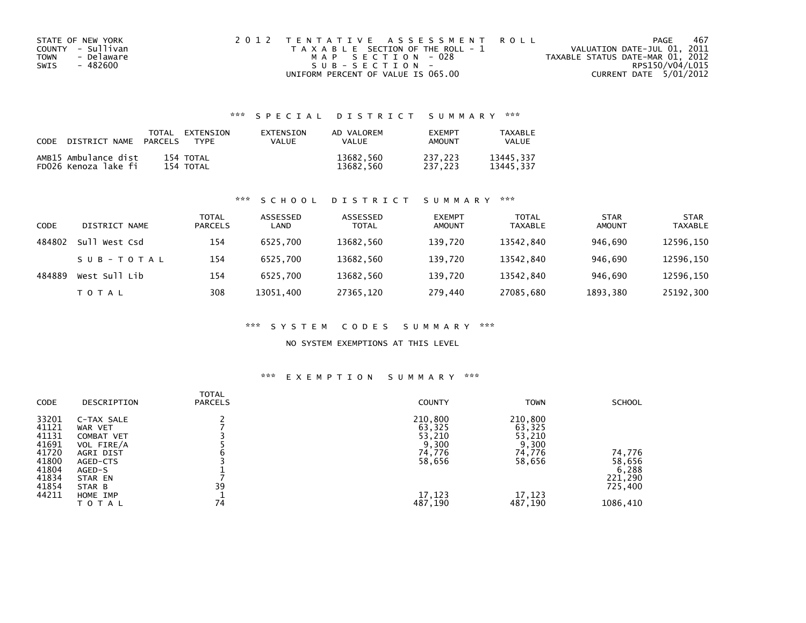| STATE OF NEW YORK  | 2012 TENTATIVE ASSESSMENT ROLL        | PAGE                             | 467 |
|--------------------|---------------------------------------|----------------------------------|-----|
| COUNTY - Sullivan  | T A X A B L E SECTION OF THE ROLL - 1 | VALUATION DATE-JUL 01, 2011      |     |
| - Delaware<br>TOWN | MAP SECTION - 028                     | TAXABLE STATUS DATE-MAR 01, 2012 |     |
| SWIS<br>- 482600   | $SUB - SECTION -$                     | RPS150/V04/L015                  |     |
|                    | UNIFORM PERCENT OF VALUE IS 065.00    | CURRENT DATE 5/01/2012           |     |

## \*\*\* S P E C I A L D I S T R I C T S U M M A R Y \*\*\*

| CODE DISTRICT NAME PARCELS                   | TOTAL | EXTENSION<br><b>TYPF</b> | EXTENSION<br>VALUE | AD VALOREM<br><b>VALUE</b> | <b>FXFMPT</b><br>AMOUNT | TAXABLE<br><b>VALUE</b> |
|----------------------------------------------|-------|--------------------------|--------------------|----------------------------|-------------------------|-------------------------|
| AMB15 Ambulance dist<br>FD026 Kenoza lake fi |       | 154 TOTAL<br>154 TOTAL   |                    | 13682,560<br>13682,560     | 237.223<br>237.223      | 13445.337<br>13445.337  |

### \*\*\* S C H O O L D I S T R I C T S U M M A R Y \*\*\*

| CODE   | DISTRICT NAME | TOTAL<br><b>PARCELS</b> | ASSESSED<br>LAND | ASSESSED<br><b>TOTAL</b> | <b>EXEMPT</b><br><b>AMOUNT</b> | <b>TOTAL</b><br>TAXABLE | <b>STAR</b><br><b>AMOUNT</b> | <b>STAR</b><br><b>TAXABLE</b> |
|--------|---------------|-------------------------|------------------|--------------------------|--------------------------------|-------------------------|------------------------------|-------------------------------|
| 484802 | Sull West Csd | 154                     | 6525.700         | 13682,560                | 139,720                        | 13542,840               | 946.690                      | 12596,150                     |
|        | SUB-TOTAL     | 154                     | 6525.700         | 13682.560                | 139.720                        | 13542.840               | 946.690                      | 12596,150                     |
| 484889 | West Sull Lib | 154                     | 6525.700         | 13682,560                | 139.720                        | 13542.840               | 946.690                      | 12596,150                     |
|        | T O T A L     | 308                     | 13051,400        | 27365,120                | 279,440                        | 27085,680               | 1893,380                     | 25192,300                     |

### \*\*\* S Y S T E M C O D E S S U M M A R Y \*\*\*

### NO SYSTEM EXEMPTIONS AT THIS LEVEL

### \*\*\* E X E M P T I O N S U M M A R Y \*\*\*

| CODE           | DESCRIPTION              | <b>TOTAL</b><br><b>PARCELS</b> | <b>COUNTY</b>     | <b>TOWN</b>       | <b>SCHOOL</b>    |
|----------------|--------------------------|--------------------------------|-------------------|-------------------|------------------|
| 33201<br>41121 | C-TAX SALE<br>WAR VET    |                                | 210,800<br>63,325 | 210,800<br>63,325 |                  |
| 41131<br>41691 | COMBAT VET<br>VOL FIRE/A |                                | 53,210<br>9,300   | 53,210<br>9,300   |                  |
| 41720<br>41800 | AGRI DIST<br>AGED-CTS    |                                | 74,776<br>58,656  | 74,776<br>58,656  | 74,776<br>58,656 |
| 41804<br>41834 | AGED-S<br>STAR EN        |                                |                   |                   | 6,288<br>221,290 |
| 41854<br>44211 | STAR B<br>HOME IMP       | 39                             | 17,123            | 17,123            | 725,400          |
|                | TOTAL                    | 74                             | 487,190           | 487,190           | 1086,410         |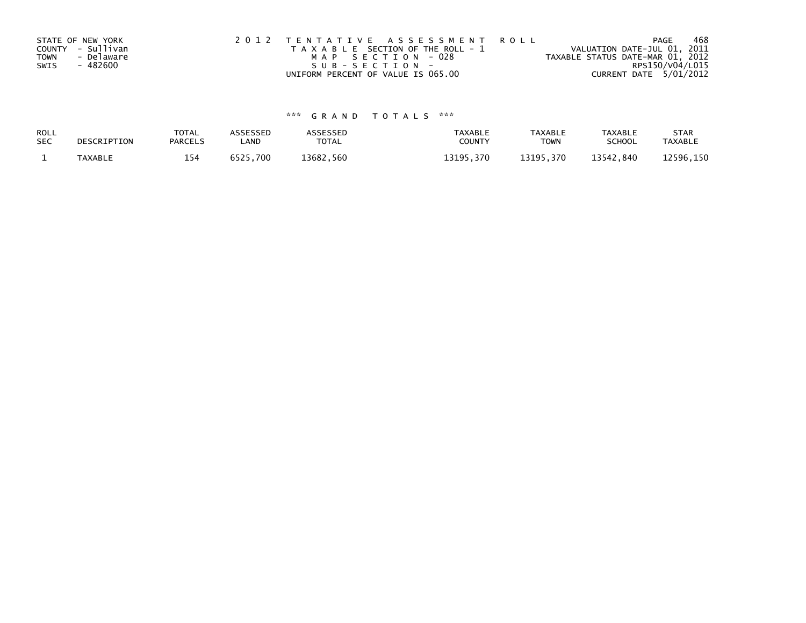|             | STATE OF NEW YORK | 2012 TENTATIVE ASSESSMENT ROLL        | 468<br>PAGE                      |
|-------------|-------------------|---------------------------------------|----------------------------------|
|             | COUNTY - Sullivan | T A X A B L E SECTION OF THE ROLL - 1 | VALUATION DATE-JUL 01, 2011      |
| <b>TOWN</b> | - Delaware        | MAP SECTION - 028                     | TAXABLE STATUS DATE-MAR 01, 2012 |
| SWIS        | - 482600          | $SUB - SECTION -$                     | RPS150/V04/L015                  |
|             |                   | UNIFORM PERCENT OF VALUE IS 065.00    | CURRENT DATE 5/01/2012           |

# \*\*\* G R A N D T O T A L S \*\*\*

| ROLL       | DESCRIPTION | <b>TOTAL</b>   | ASSESSED | <b>\SSESSED</b> | TAXABLE   | <b>TAXABLE</b> | TAXABLE       | <b>STAR</b>    |
|------------|-------------|----------------|----------|-----------------|-----------|----------------|---------------|----------------|
| <b>SEC</b> |             | <b>PARCELS</b> | LAND     | <b>TOTAL</b>    | COUNTY    | TOWN           | <b>SCHOOL</b> | <b>TAXABLE</b> |
|            | TAXABLE     | 154            | 6525,700 | 13682,560       | 13195.370 | 13195.370      | 13542,840     | 12596,150      |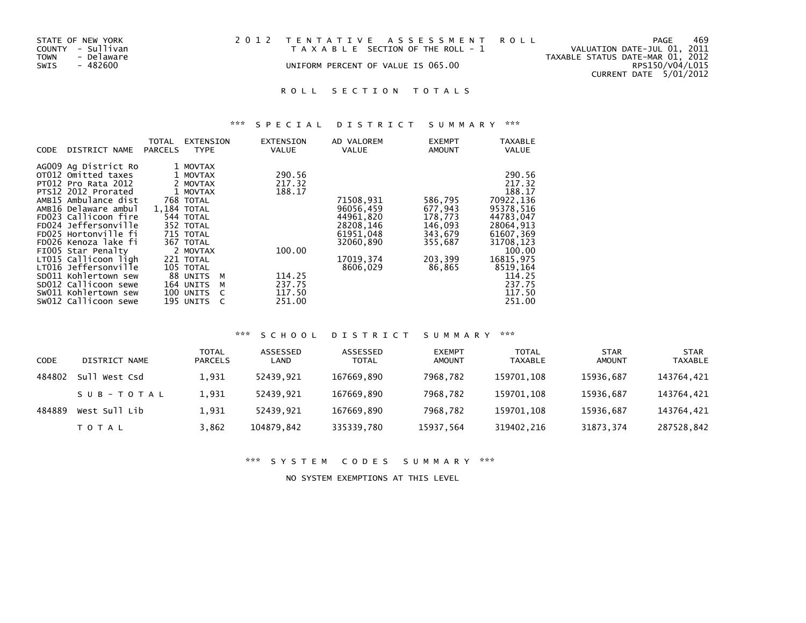| STATE OF NEW YORK<br>COUNTY - Sullivan<br>- Delaware<br>TOWN | 2012 TENTATIVE ASSESSMENT ROLL<br>T A X A B L E SECTION OF THE ROLL - 1 | PAGE<br>VALUATION DATE-JUL 01, 2011<br>TAXABLE STATUS DATE-MAR 01, 2012 | 469 |
|--------------------------------------------------------------|-------------------------------------------------------------------------|-------------------------------------------------------------------------|-----|
| SWIS<br>- 482600                                             | UNIFORM PERCENT OF VALUE IS 065.00                                      | RPS150/V04/L015<br>CURRENT DATE 5/01/2012                               |     |

# \*\*\* S P E C I A L D I S T R I C T S U M M A R Y \*\*\*

| CODE | DISTRICT NAME              | TOTAL<br><b>PARCELS</b> | <b>EXTENSION</b><br><b>TYPE</b> | <b>EXTENSION</b><br>VALUE | AD VALOREM<br>VALUE | <b>EXEMPT</b><br><b>AMOUNT</b> | <b>TAXABLE</b><br><b>VALUE</b> |
|------|----------------------------|-------------------------|---------------------------------|---------------------------|---------------------|--------------------------------|--------------------------------|
|      | AG009 Ag District Ro       |                         | 1 MOVTAX                        |                           |                     |                                |                                |
|      | OT012 Omitted taxes        |                         | 1 MOVTAX                        | 290.56                    |                     |                                | 290.56                         |
|      | <b>PT012 Pro Rata 2012</b> |                         | 2 MOVTAX                        | 217.32                    |                     |                                | 217.32                         |
|      | PTS12 2012 Prorated        |                         | 1 MOVTAX                        | 188.17                    |                     |                                | 188.17                         |
|      | AMB15 Ambulance dist       |                         | 768 TOTAL                       |                           | 71508,931           | 586,795                        | 70922,136                      |
|      | AMB16 Delaware ambul       | 1.184 TOTAL             |                                 |                           | 96056,459           | 677,943                        | 95378,516                      |
|      | FD023 Callicoon fire       |                         | 544 TOTAL                       |                           | 44961,820           | 178,773                        | 44783,047                      |
|      | FD024 Jeffersonville       |                         | 352 TOTAL                       |                           | 28208,146           | 146,093                        | 28064,913                      |
|      | FD025 Hortonville fi       |                         | 715 TOTAL                       |                           | 61951,048           | 343,679                        | 61607,369                      |
|      | FD026 Kenoza lake fi       |                         | 367 TOTAL                       |                           | 32060,890           | 355,687                        | 31708,123                      |
|      | FIOO5 Star Penalty         |                         | 2 MOVTAX                        | 100.00                    |                     |                                | 100.00                         |
|      | LT015 Callicoon ligh       |                         | 221 TOTAL                       |                           | 17019, 374          | 203,399                        | 16815,975                      |
|      | LT016 Jeffersonville       |                         | 105 TOTAL                       |                           | 8606,029            | 86,865                         | 8519,164                       |
|      | SD011 Kohlertown sew       |                         | 88 UNITS                        | 114.25<br>м               |                     |                                | 114.25                         |
|      | SD012 Callicoon sewe       |                         | 164 UNITS                       | 237.75<br>м               |                     |                                | 237.75                         |
|      | SW011 Kohlertown sew       |                         | 100 UNITS                       | 117.50                    |                     |                                | 117.50                         |
|      | SW012 Callicoon sewe       |                         | 195 UNITS                       | 251.00                    |                     |                                | 251.00                         |

## \*\*\* S C H O O L D I S T R I C T S U M M A R Y \*\*\*

| <b>CODE</b> | DISTRICT NAME    | <b>TOTAL</b><br><b>PARCELS</b> | ASSESSED<br>LAND | ASSESSED<br>TOTAL | <b>EXEMPT</b><br>AMOUNT | TOTAL<br><b>TAXABLE</b> | <b>STAR</b><br>AMOUNT | <b>STAR</b><br>TAXABLE |
|-------------|------------------|--------------------------------|------------------|-------------------|-------------------------|-------------------------|-----------------------|------------------------|
| 484802      | Su l<br>West Csd | 1,931                          | 52439.921        | 167669,890        | 7968.782                | 159701,108              | 15936,687             | 143764,421             |
|             | SUB-TOTAL        | 1,931                          | 52439.921        | 167669.890        | 7968.782                | 159701,108              | 15936.687             | 143764,421             |
| 484889      | West Sull Lib    | 1,931                          | 52439.921        | 167669,890        | 7968.782                | 159701.108              | 15936.687             | 143764,421             |
|             | T O T A L        | 3,862                          | 104879,842       | 335339,780        | 15937,564               | 319402,216              | 31873,374             | 287528,842             |

\*\*\* S Y S T E M C O D E S S U M M A R Y \*\*\*

NO SYSTEM EXEMPTIONS AT THIS LEVEL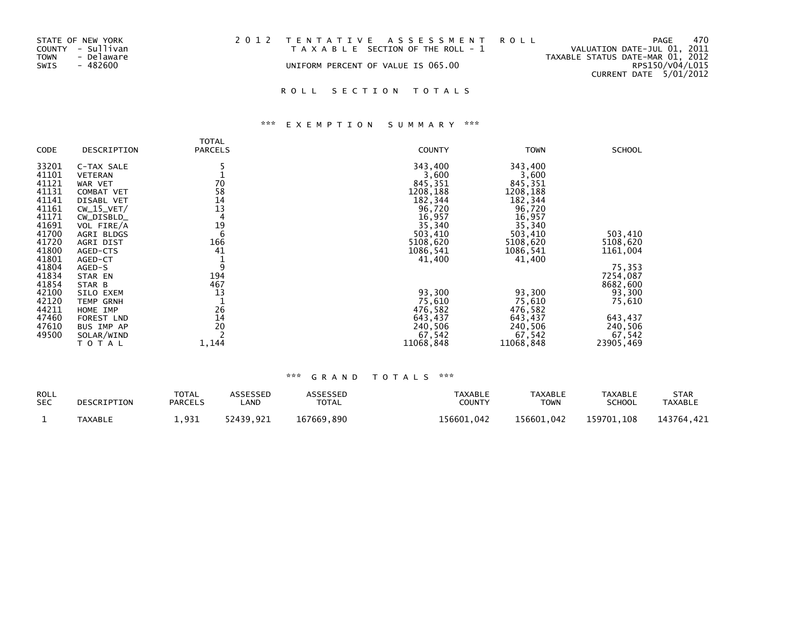| STATE OF NEW YORK  | 2012 TENTATIVE ASSESSMENT ROLL        | PAGE                             | 470 |
|--------------------|---------------------------------------|----------------------------------|-----|
| COUNTY - Sullivan  | T A X A B L E SECTION OF THE ROLL - 1 | VALUATION DATE-JUL 01, 2011      |     |
| TOWN<br>- Delaware |                                       | TAXABLE STATUS DATE-MAR 01, 2012 |     |
| - 482600<br>SWIS   | UNIFORM PERCENT OF VALUE IS 065.00    | RPS150/V04/L015                  |     |
|                    |                                       | CURRENT DATE 5/01/2012           |     |

# \*\*\* E X E M P T I O N S U M M A R Y \*\*\*

|       |                | TOTAL          |               |             |               |
|-------|----------------|----------------|---------------|-------------|---------------|
| CODE  | DESCRIPTION    | <b>PARCELS</b> | <b>COUNTY</b> | <b>TOWN</b> | <b>SCHOOL</b> |
| 33201 | C-TAX SALE     |                | 343,400       | 343,400     |               |
| 41101 | <b>VETERAN</b> |                | 3,600         | 3,600       |               |
| 41121 | WAR VET        | 70             | 845,351       | 845,351     |               |
| 41131 | COMBAT VET     | 58             | 1208,188      | 1208,188    |               |
| 41141 | DISABL VET     | 14             | 182,344       | 182,344     |               |
| 41161 | $CW_15_VET/$   | 13             | 96,720        | 96,720      |               |
| 41171 | CW_DISBLD_     | 4              | 16,957        | 16,957      |               |
| 41691 | VOL FIRE/A     | 19             | 35,340        | 35,340      |               |
| 41700 | AGRI BLDGS     | 6              | 503,410       | 503,410     | 503,410       |
| 41720 | AGRI DIST      | 166            | 5108,620      | 5108,620    | 5108,620      |
| 41800 | AGED-CTS       | 41             | 1086,541      | 1086,541    | 1161,004      |
| 41801 | AGED-CT        |                | 41,400        | 41,400      |               |
| 41804 | AGED-S         | 9              |               |             | 75,353        |
| 41834 | STAR EN        | 194            |               |             | 7254,087      |
| 41854 | STAR B         | 467            |               |             | 8682,600      |
| 42100 | SILO EXEM      | 13             | 93,300        | 93,300      | 93,300        |
| 42120 | TEMP GRNH      |                | 75,610        | 75,610      | 75,610        |
| 44211 | HOME IMP       | 26             | 476,582       | 476,582     |               |
| 47460 | FOREST LND     | 14             | 643,437       | 643,437     | 643,437       |
| 47610 | BUS IMP AP     | 20             | 240,506       | 240,506     | 240,506       |
| 49500 | SOLAR/WIND     |                | 67,542        | 67,542      | 67,542        |
|       | TOTAL          | 1,144          | 11068,848     | 11068,848   | 23905,469     |

| <b>ROLL</b> | DESCRIPTION    | TOTAL          | ASSESSED  | <b>ASSESSED</b> | TAXABLE       | TAXABLE     | TAXABLE       | <b>STAR</b> |
|-------------|----------------|----------------|-----------|-----------------|---------------|-------------|---------------|-------------|
| <b>SEC</b>  |                | <b>PARCELS</b> | _AND      | <b>TOTAL</b>    | <b>COUNTY</b> | <b>TOWN</b> | <b>SCHOOL</b> | TAXABLE     |
|             | <b>TAXABLE</b> | .931           | 52439.921 | 167669.890      | 156601.042    | 156601.042  | 159701.108    | 143764.421  |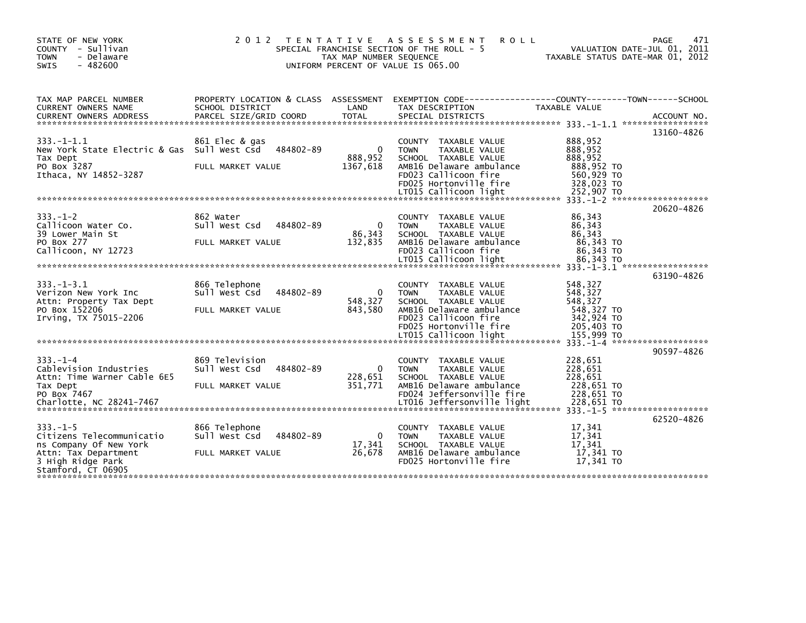| STATE OF NEW YORK<br>COUNTY - Sullivan<br>- Delaware<br><b>TOWN</b><br>$-482600$<br>SWIS                                       | 2 0 1 2<br>T E N T A T I V E                                      | TAX MAP NUMBER SEQUENCE         | A S S E S S M E N T<br><b>ROLL</b><br>SPECIAL FRANCHISE SECTION OF THE ROLL - 5<br>UNIFORM PERCENT OF VALUE IS 065.00                                                       | 471<br>PAGE<br>VALUATION DATE-JUL 01, 2011<br>TAXABLE STATUS DATE-MAR 01, 2012                                                   |
|--------------------------------------------------------------------------------------------------------------------------------|-------------------------------------------------------------------|---------------------------------|-----------------------------------------------------------------------------------------------------------------------------------------------------------------------------|----------------------------------------------------------------------------------------------------------------------------------|
| TAX MAP PARCEL NUMBER<br><b>CURRENT OWNERS NAME</b><br><b>CURRENT OWNERS ADDRESS</b>                                           | SCHOOL DISTRICT<br>PARCEL SIZE/GRID COORD                         | LAND<br><b>TOTAL</b>            | TAX DESCRIPTION<br>SPECIAL DISTRICTS                                                                                                                                        | PROPERTY LOCATION & CLASS ASSESSMENT EXEMPTION CODE----------------COUNTY-------TOWN------SCHOOL<br>TAXABLE VALUE<br>ACCOUNT NO. |
| $333. - 1 - 1.1$<br>New York State Electric & Gas Sull West Csd<br>Tax Dept<br>PO Box 3287                                     | 861 Elec & gas<br>484802-89<br>FULL MARKET VALUE                  | $\Omega$<br>888,952<br>1367,618 | <b>COUNTY</b><br>TAXABLE VALUE<br><b>TAXABLE VALUE</b><br><b>TOWN</b><br>SCHOOL TAXABLE VALUE<br>AMB16 Delaware ambulance                                                   | 13160-4826<br>888,952<br>888,952<br>888,952<br>888,952 TO                                                                        |
| Ithaca, NY 14852-3287                                                                                                          |                                                                   |                                 | FD023 Callicoon fire<br>FD025 Hortonville fire<br>LT015 Callicoon light                                                                                                     | 560,929 TO<br>328,023 TO<br>252,907 TO                                                                                           |
| $333. - 1 - 2$<br>Callicoon Water Co.<br>39 Lower Main St                                                                      | 862 Water<br>Sull West Csd<br>484802-89                           | $\Omega$<br>86,343              | COUNTY TAXABLE VALUE<br><b>TOWN</b><br><b>TAXABLE VALUE</b><br>SCHOOL TAXABLE VALUE                                                                                         | 20620-4826<br>86,343<br>86.343<br>86,343                                                                                         |
| PO Box 277<br>Callicoon, NY 12723                                                                                              | FULL MARKET VALUE                                                 | 132,835                         | AMB16 Delaware ambulance<br>FD023 Callicoon fire<br>LT015 Callicoon light                                                                                                   | 86,343 TO<br>86,343 TO<br>86,343 TO                                                                                              |
| $333. - 1 - 3.1$<br>Verizon New York Inc<br>Attn: Property Tax Dept<br>PO Box 152206<br>Irving, TX 75015-2206                  | 866 Telephone<br>Sull West Csd<br>484802-89<br>FULL MARKET VALUE  | $\Omega$<br>548,327<br>843,580  | TAXABLE VALUE<br><b>COUNTY</b><br><b>TOWN</b><br><b>TAXABLE VALUE</b><br>SCHOOL TAXABLE VALUE<br>AMB16 Delaware ambulance<br>FD023 Callicoon fire<br>FD025 Hortonville fire | 63190-4826<br>548,327<br>548,327<br>548.327<br>548,327 TO<br>342,924 TO<br>205,403 TO                                            |
|                                                                                                                                |                                                                   |                                 |                                                                                                                                                                             | 155,999 TO<br>$333. -1 - 4$ *********************<br>90597-4826                                                                  |
| $333. - 1 - 4$<br>Cablevision Industries<br>Attn: Time Warner Cable 6E5<br>Tax Dept<br>PO Box 7467<br>Charlotte, NC 28241-7467 | 869 Television<br>484802-89<br>Sull West Csd<br>FULL MARKET VALUE | $\Omega$<br>228,651<br>351,771  | COUNTY TAXABLE VALUE<br><b>TAXABLE VALUE</b><br><b>TOWN</b><br>SCHOOL TAXABLE VALUE<br>AMB16 Delaware ambulance<br>FD024 Jeffersonville fire<br>LT016 Jeffersonville light  | 228,651<br>228,651<br>228,651<br>228,651 TO<br>228,651 TO<br>228,651 TO                                                          |
| $333. - 1 - 5$                                                                                                                 | 866 Telephone                                                     |                                 | COUNTY TAXABLE VALUE                                                                                                                                                        | 62520-4826<br>17,341                                                                                                             |
| Citizens Telecommunicatio<br>ns Company Of New York<br>Attn: Tax Department<br>3 High Ridge Park                               | Sull West Csd<br>484802-89<br>FULL MARKET VALUE                   | $\Omega$<br>17,341<br>26,678    | <b>TOWN</b><br>TAXABLE VALUE<br>SCHOOL TAXABLE VALUE<br>AMB16 Delaware ambulance<br>FD025 Hortonville fire                                                                  | 17,341<br>17,341<br>17,341 TO<br>17,341 TO                                                                                       |
| Stamford, CT 06905                                                                                                             |                                                                   |                                 |                                                                                                                                                                             |                                                                                                                                  |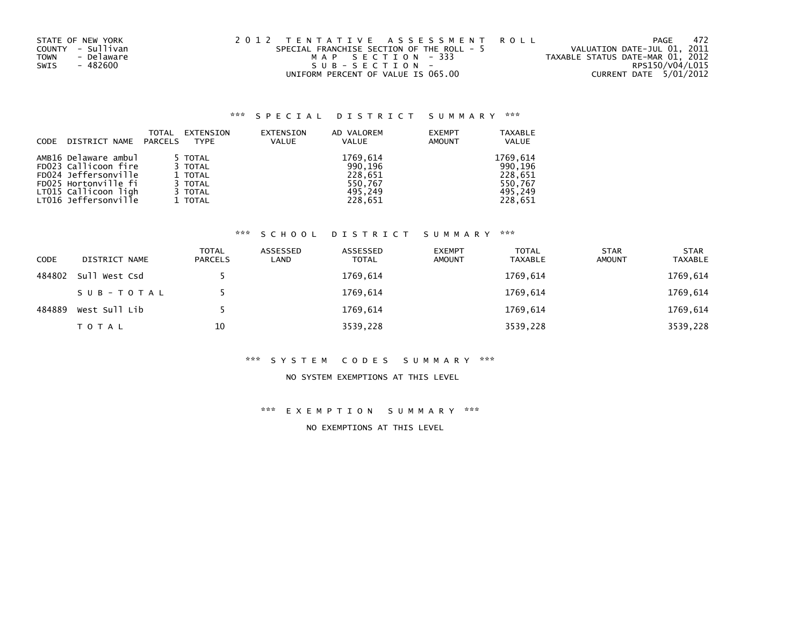| STATE OF NEW YORK         | 2012 TENTATIVE ASSESSMENT ROLL            | -472<br>PAGE                     |
|---------------------------|-------------------------------------------|----------------------------------|
| COUNTY - Sullivan         | SPECIAL FRANCHISE SECTION OF THE ROLL - 5 | VALUATION DATE-JUL 01, 2011      |
| - Delaware<br><b>TOWN</b> | MAP SECTION - 333                         | TAXABLE STATUS DATE-MAR 01, 2012 |
| - 482600<br>SWIS          | $SUB - SECTION -$                         | RPS150/V04/L015                  |
|                           | UNIFORM PERCENT OF VALUE IS 065.00        | CURRENT DATE 5/01/2012           |

| <b>CODE</b> | DISTRICT NAME        | TOTAL<br>PARCELS | EXTENSION<br><b>TYPE</b> | EXTENSION<br><b>VALUE</b> | AD VALOREM<br><b>VALUE</b> | <b>EXEMPT</b><br><b>AMOUNT</b> | <b>TAXABLE</b><br><b>VALUE</b> |
|-------------|----------------------|------------------|--------------------------|---------------------------|----------------------------|--------------------------------|--------------------------------|
|             | AMB16 Delaware ambul |                  | 5 TOTAL                  |                           | 1769,614                   |                                | 1769,614                       |
|             | FD023 Callicoon fire |                  | 3 TOTAL                  |                           | 990,196                    |                                | 990,196                        |
|             | FD024 Jeffersonville |                  | 1 TOTAL                  |                           | 228,651                    |                                | 228,651                        |
|             | FD025 Hortonville fi |                  | 3 TOTAL                  |                           | 550,767                    |                                | 550.767                        |
|             | LT015 Callicoon ligh |                  | 3 TOTAL                  |                           | 495.249                    |                                | 495.249                        |
|             | LT016 Jeffersonville |                  | 1 TOTAL                  |                           | 228,651                    |                                | 228,651                        |

## \*\*\* S C H O O L D I S T R I C T S U M M A R Y \*\*\*

| <b>CODE</b> | DISTRICT NAME | <b>TOTAL</b><br>PARCELS | ASSESSED<br>LAND | ASSESSED<br><b>TOTAL</b> | <b>EXEMPT</b><br><b>AMOUNT</b> | <b>TOTAL</b><br><b>TAXABLE</b> | <b>STAR</b><br><b>AMOUNT</b> | <b>STAR</b><br><b>TAXABLE</b> |
|-------------|---------------|-------------------------|------------------|--------------------------|--------------------------------|--------------------------------|------------------------------|-------------------------------|
| 484802      | Sull West Csd |                         |                  | 1769,614                 |                                | 1769,614                       |                              | 1769,614                      |
|             | SUB-TOTAL     |                         |                  | 1769,614                 |                                | 1769,614                       |                              | 1769,614                      |
| 484889      | West Sull Lib |                         |                  | 1769,614                 |                                | 1769,614                       |                              | 1769,614                      |
|             | <b>TOTAL</b>  | 10                      |                  | 3539,228                 |                                | 3539,228                       |                              | 3539,228                      |

#### \*\*\* S Y S T E M C O D E S S U M M A R Y \*\*\*

#### NO SYSTEM EXEMPTIONS AT THIS LEVEL

## \*\*\* E X E M P T I O N S U M M A R Y \*\*\*

NO EXEMPTIONS AT THIS LEVEL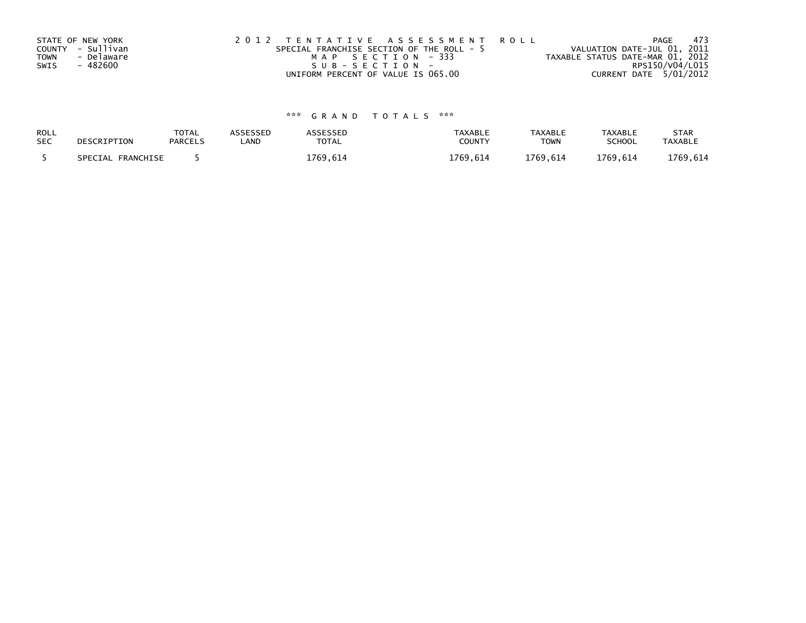|      | STATE OF NEW YORK | 2012 TENTATIVE ASSESSMENT ROLL            |                                  | PAGE | -473 |
|------|-------------------|-------------------------------------------|----------------------------------|------|------|
|      | COUNTY - Sullivan | SPECIAL FRANCHISE SECTION OF THE ROLL - 5 | VALUATION DATE-JUL 01, 2011      |      |      |
| TOWN | - Delaware        | MAP SECTION - 333                         | TAXABLE STATUS DATE-MAR 01, 2012 |      |      |
| SWIS | - 482600          | $SUB - SECTION -$                         | RPS150/V04/L015                  |      |      |
|      |                   | UNIFORM PERCENT OF VALUE IS 065.00        | CURRENT DATE 5/01/2012           |      |      |

| ROLL       | DESCRIPTION       | <b>TOTAL</b>   | <b>ASSESSED</b> | ASSESSED | <b>TAXABLE</b> | <b>TAXABLE</b> | <b>TAXABLE</b> | <b>STAR</b>    |
|------------|-------------------|----------------|-----------------|----------|----------------|----------------|----------------|----------------|
| <b>SEC</b> |                   | <b>PARCELS</b> | LAND            | TOTAL    | COUNT          | <b>TOWN</b>    | <b>SCHOOL</b>  | <b>TAXABLE</b> |
|            | SPECIAL FRANCHISE |                |                 | 1769,614 | 1769.614       | 1769,614       | 1769.614       | 1769,614       |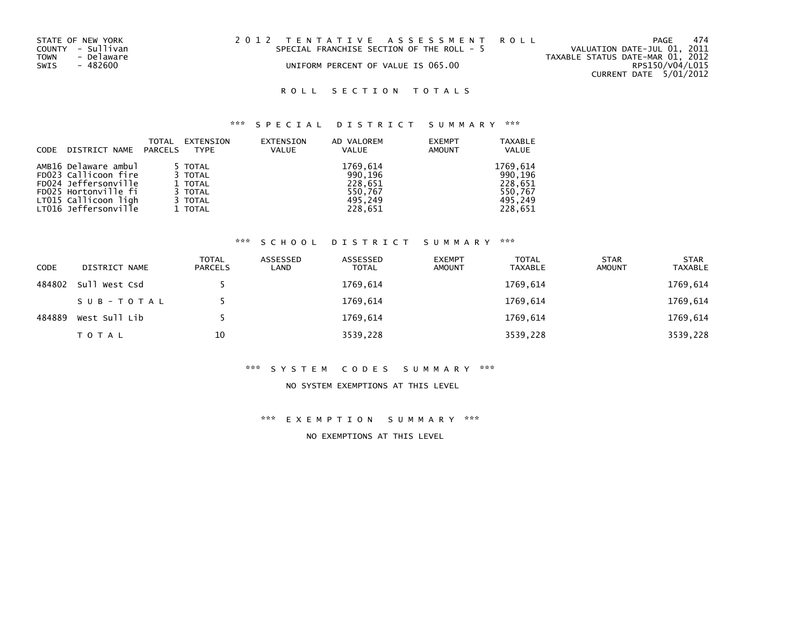| STATE OF NEW YORK  | 2012 TENTATIVE ASSESSMENT ROLL            | -474<br>PAGE                     |
|--------------------|-------------------------------------------|----------------------------------|
| COUNTY - Sullivan  | SPECIAL FRANCHISE SECTION OF THE ROLL - 5 | VALUATION DATE-JUL 01, 2011      |
| TOWN<br>- Delaware |                                           | TAXABLE STATUS DATE-MAR 01, 2012 |
| SWIS<br>- 482600   | UNIFORM PERCENT OF VALUE IS 065.00        | RPS150/V04/L015                  |
|                    |                                           | CURRENT DATE 5/01/2012           |

#### \*\*\* S P E C I A L D I S T R I C T S U M M A R Y \*\*\*

| CODE                                                                                                                                         | TOTAL                 | EXTENSION                                                      | <b>EXTENSION</b> | AD VALOREM                                                      | <b>EXEMPT</b> | <b>TAXABLE</b>                                                  |
|----------------------------------------------------------------------------------------------------------------------------------------------|-----------------------|----------------------------------------------------------------|------------------|-----------------------------------------------------------------|---------------|-----------------------------------------------------------------|
|                                                                                                                                              | DISTRICT NAME PARCELS | TYPE                                                           | VALUE            | VALUE                                                           | <b>AMOUNT</b> | <b>VALUE</b>                                                    |
| AMB16 Delaware ambul<br>FD023 Callicoon fire<br>FD024 Jeffersonville<br>FD025 Hortonville fi<br>LT015 Callicoon ligh<br>LT016 Jeffersonville |                       | 5 TOTAL<br>3 TOTAL<br>1 TOTAL<br>3 TOTAL<br>3 TOTAL<br>1 TOTAL |                  | 1769.614<br>990.196<br>228.651<br>550,767<br>495.249<br>228,651 |               | 1769.614<br>990.196<br>228.651<br>550.767<br>495.249<br>228,651 |

#### \*\*\* S C H O O L D I S T R I C T S U M M A R Y \*\*\*

| <b>CODE</b> | DISTRICT NAME | <b>TOTAL</b><br><b>PARCELS</b> | ASSESSED<br>LAND | ASSESSED<br><b>TOTAL</b> | <b>EXEMPT</b><br><b>AMOUNT</b> | <b>TOTAL</b><br><b>TAXABLE</b> | <b>STAR</b><br><b>AMOUNT</b> | <b>STAR</b><br><b>TAXABLE</b> |
|-------------|---------------|--------------------------------|------------------|--------------------------|--------------------------------|--------------------------------|------------------------------|-------------------------------|
| 484802      | Sull West Csd |                                |                  | 1769,614                 |                                | 1769,614                       |                              | 1769,614                      |
|             | SUB-TOTAL     |                                |                  | 1769,614                 |                                | 1769,614                       |                              | 1769,614                      |
| 484889      | West Sull Lib |                                |                  | 1769,614                 |                                | 1769,614                       |                              | 1769,614                      |
|             | <b>TOTAL</b>  | 10                             |                  | 3539,228                 |                                | 3539,228                       |                              | 3539,228                      |

### \*\*\* S Y S T E M C O D E S S U M M A R Y \*\*\*

### NO SYSTEM EXEMPTIONS AT THIS LEVEL

\*\*\* E X E M P T I O N S U M M A R Y \*\*\*

NO EXEMPTIONS AT THIS LEVEL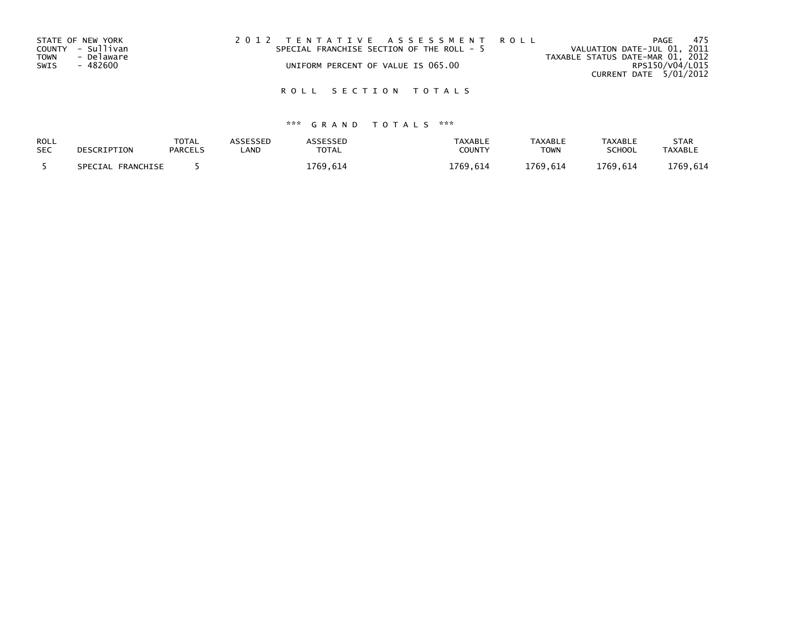| STATE OF NEW YORK         | 2012 TENTATIVE ASSESSMENT ROLL            |                                  | 475<br>PAGE                 |
|---------------------------|-------------------------------------------|----------------------------------|-----------------------------|
| COUNTY - Sullivan         | SPECIAL FRANCHISE SECTION OF THE ROLL - 5 |                                  | VALUATION DATE-JUL 01, 2011 |
| - Delaware<br><b>TOWN</b> |                                           | TAXABLE STATUS DATE-MAR 01, 2012 |                             |
| - 482600<br>SWIS          | UNIFORM PERCENT OF VALUE IS 065.00        |                                  | RPS150/V04/L015             |
|                           |                                           |                                  | CURRENT DATE 5/01/2012      |

| ROLL       | DESCRIPTION       | <b>TOTAL</b>   | <b>\SSESSED</b> | <b>ASSESSED</b> | <b>TAXABLE</b> | <b>TAXABLE</b> | <b>TAXABLE</b> | STAR           |
|------------|-------------------|----------------|-----------------|-----------------|----------------|----------------|----------------|----------------|
| <b>SEC</b> |                   | <b>PARCELS</b> | .AND            | <b>TOTAL</b>    | COUNTY         | <b>TOWN</b>    | <b>SCHOOL</b>  | <b>TAXABLE</b> |
|            | SPECIAL FRANCHISE |                |                 | 1769.614        | 1769.614       | 1769.614       | 1769.614       | 1769.614       |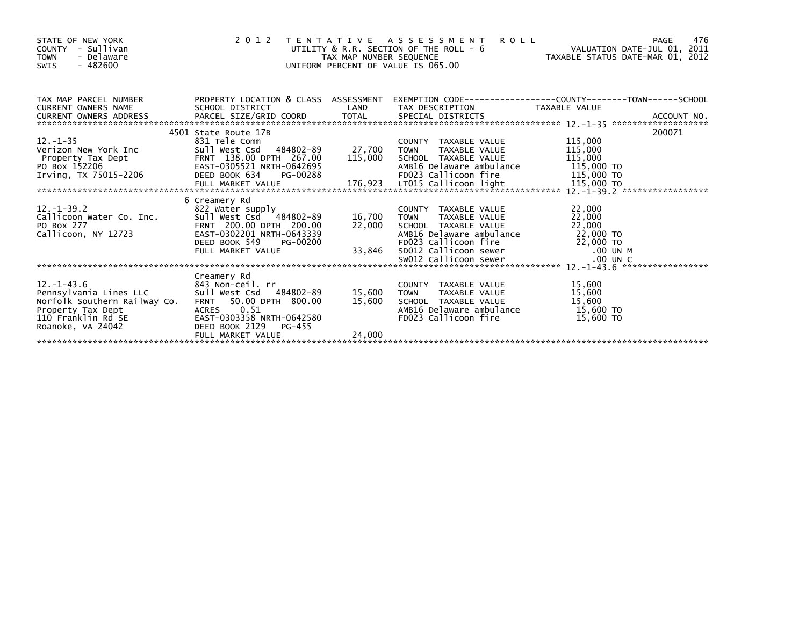| STATE OF NEW YORK<br>- Sullivan<br><b>COUNTY</b><br><b>TOWN</b><br>- Delaware<br>$-482600$<br>SWIS                                                                     | 2 0 1 2                                                                                                                                                   | TAX MAP NUMBER SEQUENCE | TENTATIVE ASSESSMENT<br><b>ROLL</b><br>UTILITY & R.R. SECTION OF THE ROLL - 6<br>UNIFORM PERCENT OF VALUE IS 065.00                                                       | PAGE<br>VALUATION DATE-JUL 01, 2011                                     | 476 |
|------------------------------------------------------------------------------------------------------------------------------------------------------------------------|-----------------------------------------------------------------------------------------------------------------------------------------------------------|-------------------------|---------------------------------------------------------------------------------------------------------------------------------------------------------------------------|-------------------------------------------------------------------------|-----|
|                                                                                                                                                                        | 4501 State Route 17B                                                                                                                                      |                         |                                                                                                                                                                           | 200071                                                                  |     |
| $12. - 1 - 35$<br>Verizon New York Inc<br>Property Tax Dept<br>Property Tax Dept<br>PO Box 152206<br>PO Box 152206<br>Irving, TX 75015-2206<br>PO BOOK 634<br>PC-00288 | 831 Tele Comm                                                                                                                                             | 27,700<br>115,000       | COUNTY TAXABLE VALUE<br>TAXABLE VALUE<br><b>TOWN</b><br>SCHOOL TAXABLE VALUE<br>AMB16 Delaware ambulance<br>FD023 Callicoon fire                                          | 115,000<br>115,000<br>115,000<br>115,000 TO<br>$\frac{1}{115}$ , 000 TO |     |
|                                                                                                                                                                        | 6 Creamery Rd                                                                                                                                             |                         |                                                                                                                                                                           |                                                                         |     |
| $12. - 1 - 39.2$<br>Callicoon Water Co. Inc. Sull West Csd 484802-89<br>PO Box 277<br>Callicoon, NY 12723                                                              | 822 Water supply<br>89–89–500 xxx = 500.00 xxx = 484802<br>FRNT 200.00 DPTH 200.00<br>EAST-0302201 - 1971 = 200.00<br>DEED BOOK 549<br>PG-00200           | 16,700<br>22.000        | COUNTY TAXABLE VALUE<br><b>TOWN</b><br>TAXABLE VALUE<br>SCHOOL TAXABLE VALUE<br>AMB16 Delaware ambulance<br>FD023 Callicoon fire                                          | 22,000<br>22,000<br>22,000<br>22,000 TO<br>$22,000$ TO                  |     |
|                                                                                                                                                                        | FULL MARKET VALUE                                                                                                                                         | 33,846                  | SDO12 Callicoon sewer $\begin{array}{ccc} 00 & \text{UN} & \text{SMO12} \\ \text{SWO12} & \text{Call} & \text{Icoon} & \text{sewer} \end{array}$<br>SW012 Callicoon sewer |                                                                         |     |
| $12. - 1 - 43.6$<br>Pennsylvania Lines LLC<br>Norfolk Southern Railway Co. FRNT<br>Property Tax Dept<br>110 Franklin Rd SE<br>Roanoke, VA 24042                        | Creamery Rd<br>843 Non-ceil. rr<br>484802-89<br>Sull West Csd<br>50.00 DPTH 800.00<br>ACRES 0.51<br>EAST-0303358 NRTH-0642580<br>DEED BOOK 2129<br>PG-455 | 15,600<br>15,600        | COUNTY TAXABLE VALUE<br>TAXABLE VALUE<br><b>TOWN</b><br>SCHOOL TAXABLE VALUE<br>AMB16 Delaware ambulance<br>FD023 Callicoon fire                                          | 15,600<br>15,600<br>15,600<br>15,600 TO<br>15,600 TO                    |     |
|                                                                                                                                                                        | FULL MARKET VALUE                                                                                                                                         | 24,000                  |                                                                                                                                                                           |                                                                         |     |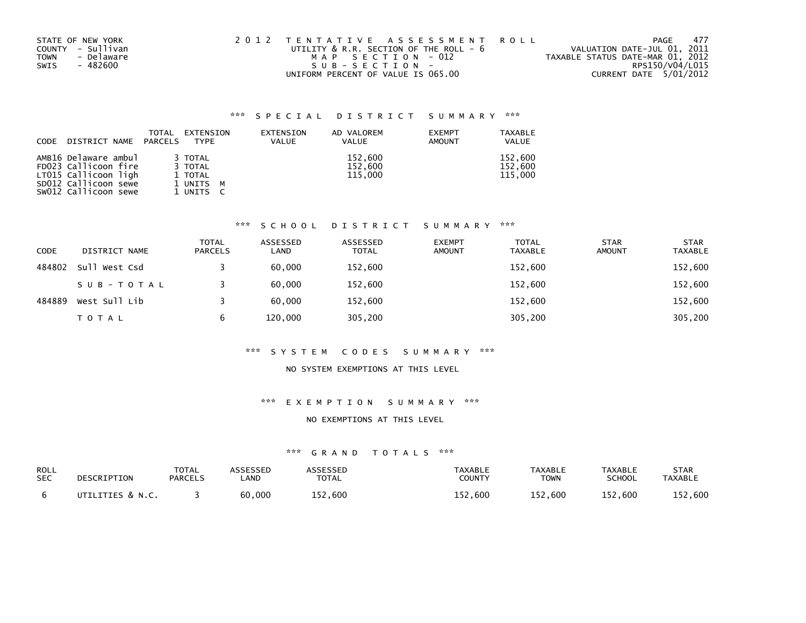| STATE OF NEW YORK         | 2012 TENTATIVE ASSESSMENT ROLL              | - 477<br>PAGE                    |
|---------------------------|---------------------------------------------|----------------------------------|
| COUNTY - Sullivan         | UTILITY $\&$ R.R. SECTION OF THE ROLL - $6$ | VALUATION DATE-JUL 01, 2011      |
| - Delaware<br><b>TOWN</b> | MAP SECTION - 012                           | TAXABLE STATUS DATE-MAR 01, 2012 |
| SWIS<br>- 482600          | SUB-SECTION-                                | RPS150/V04/L015                  |
|                           | UNIFORM PERCENT OF VALUE IS 065.00          | CURRENT DATE 5/01/2012           |

|             |                      | TOTAL   | EXTENSION   | EXTENSION | AD VALOREM   | <b>EXEMPT</b> | <b>TAXABLE</b> |
|-------------|----------------------|---------|-------------|-----------|--------------|---------------|----------------|
| <b>CODE</b> | DISTRICT NAME        | PARCELS | <b>TYPE</b> | VALUE     | <b>VALUE</b> | <b>AMOUNT</b> | <b>VALUE</b>   |
|             |                      |         |             |           |              |               |                |
|             | AMB16 Delaware ambul |         | 3 TOTAL     |           | 152.600      |               | 152.600        |
|             | FD023 Callicoon fire |         | 3 TOTAL     |           | 152,600      |               | 152,600        |
|             | LT015 Callicoon ligh |         | 1 TOTAL     |           | 115,000      |               | 115.000        |
|             | SD012 Callicoon sewe |         | 1 UNITS M   |           |              |               |                |
|             | SW012 Callicoon sewe |         | 1 UNITS     |           |              |               |                |

#### \*\*\* S C H O O L D I S T R I C T S U M M A R Y \*\*\*

| CODE   | DISTRICT NAME | <b>TOTAL</b><br><b>PARCELS</b> | ASSESSED<br>LAND | ASSESSED<br>TOTAL | <b>EXEMPT</b><br><b>AMOUNT</b> | <b>TOTAL</b><br><b>TAXABLE</b> | <b>STAR</b><br><b>AMOUNT</b> | <b>STAR</b><br><b>TAXABLE</b> |
|--------|---------------|--------------------------------|------------------|-------------------|--------------------------------|--------------------------------|------------------------------|-------------------------------|
| 484802 | Sull West Csd |                                | 60,000           | 152,600           |                                | 152,600                        |                              | 152,600                       |
|        | SUB-TOTAL     |                                | 60.000           | 152,600           |                                | 152,600                        |                              | 152,600                       |
| 484889 | West Sull Lib |                                | 60.000           | 152,600           |                                | 152,600                        |                              | 152,600                       |
|        | T O T A L     | 6                              | 120,000          | 305,200           |                                | 305,200                        |                              | 305,200                       |

#### \*\*\* S Y S T E M C O D E S S U M M A R Y \*\*\*

## NO SYSTEM EXEMPTIONS AT THIS LEVEL

## \*\*\* E X E M P T I O N S U M M A R Y \*\*\*

#### NO EXEMPTIONS AT THIS LEVEL

| ROLL       | DESCRIPTION      | <b>TOTAL</b>   | ASSESSED | <b>ASSESSED</b> | <b>TAXABLE</b> | <b>TAXABLE</b> | <b>TAXABLE</b> | <b>STAR</b>    |
|------------|------------------|----------------|----------|-----------------|----------------|----------------|----------------|----------------|
| <b>SEC</b> |                  | <b>PARCELS</b> | _AND     | <b>TOTAL</b>    | <b>COUNTY</b>  | <b>TOWN</b>    | <b>SCHOOL</b>  | <b>TAXABLE</b> |
|            | UTILITIES & N.C. |                | 60,000   | 152,600         | 152.600        | 152.600        | 152,600        | 152,600        |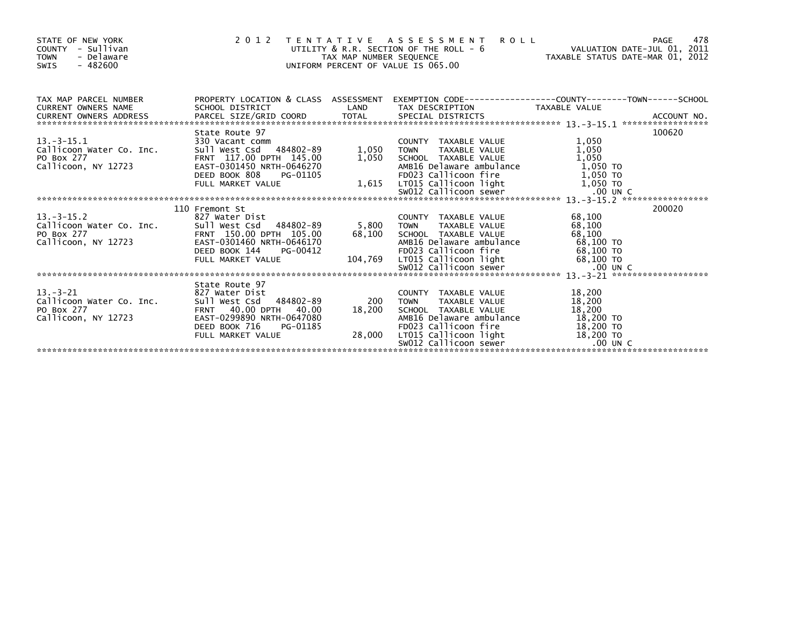| STATE OF NEW YORK<br><b>COUNTY</b><br>- Sullivan<br><b>TOWN</b><br>- Delaware<br>$-482600$<br><b>SWIS</b>                                                                                                                                        | $\begin{array}{c} 2 & 0 & 1 \end{array}$                                                                                     |                                              | 2012 TENTATIVE ASSESSMENT<br>DITILITY & R.R. SECTION OF THE ROLL - 6<br>UTILITY & R.R. SECTION OF THE ROLL - 6<br>TAX MAP NUMBER SEQUENCE TAXABLE STATUS DATE-MAR 01, 2012<br>UNIFORM PERCENT OF VALUE IS 065.00                                                               |                            |        |
|--------------------------------------------------------------------------------------------------------------------------------------------------------------------------------------------------------------------------------------------------|------------------------------------------------------------------------------------------------------------------------------|----------------------------------------------|--------------------------------------------------------------------------------------------------------------------------------------------------------------------------------------------------------------------------------------------------------------------------------|----------------------------|--------|
| CURRENT OWNERS ADDRESS TO THE TIME TOTAL SPECIAL DISTRICTS AND MANUSIC METAL ORDER TO A SECTIAL SPECIAL DISTRICTS AND MANUSIC METAL OF A SECTIAL SPECIAL DISTRICTS AND MANUSIC MANUSIC MANUSIC MANUSIC MANUSIC MANUSIC MANUSIC                   | PROPERTY LOCATION & CLASS ASSESSMENT EXEMPTION CODE---------------COUNTY-------TOWN------SCHOOL                              | LAND                                         | TAX DESCRIPTION TAXABLE VALUE                                                                                                                                                                                                                                                  |                            |        |
|                                                                                                                                                                                                                                                  | State Route 97                                                                                                               |                                              |                                                                                                                                                                                                                                                                                |                            | 100620 |
| 13.-3-15.1 330 Vacant comm<br>Callicoon_Water Co. Inc. 5ull West Csd<br>5011 Vest Co. 2017 117.00<br>$13 - 3 - 15$ , 1<br>PO Box 277<br>Callicoon, NY 12723                                                                                      | Sull West Csd 484802-89<br>FRNT 117.00 DPTH 145.00                                                                           | 1,050 TOWN                                   | COUNTY TAXABLE VALUE<br>TOWN      TAXABLE VALUE                                                                                                                                                                                                                                | 1,050<br>1,050             |        |
|                                                                                                                                                                                                                                                  | EAST-0301450 NRTH-0646270<br>DEED BOOK 808<br>PG-01105                                                                       |                                              | 1,050 SCHOOL TAXABLE VALUE 1,050<br>AMB16 Delaware ambulance 1,050 TO<br>FD023 Callicoon fire 1,050 TO                                                                                                                                                                         |                            |        |
|                                                                                                                                                                                                                                                  |                                                                                                                              |                                              |                                                                                                                                                                                                                                                                                |                            |        |
| $13 - 3 - 15$ . 2<br>Callicoon Water Co. Inc.<br>PO Box 277<br>Callicoon, NY 12723<br>Callicoon, NY 12723<br>Callicoon, NY 12723<br>CAST-0301460 NRTH-0646170                                                                                    | 110 Fremont St<br>827 Water Dist                                                                                             | 5,800 TOWN<br>68,100 SCHOO<br>MMB16<br>FD023 | COUNTY TAXABLE VALUE<br>TAXABLE VALUE 68,100                                                                                                                                                                                                                                   | 68,100                     | 200020 |
| PO BOX 277<br>PO BOX 277<br>Callicoon, NY 12723<br>ERST-0301460 NRTH-0646170<br>DEED BOOK 144 PG-00412<br>FULL MARKET VALUE<br>FULL MARKET VALUE<br>TOLS CALLICOON Tire 68,100 TO<br>EVOL2 Callicoon Tight 68,100 TO<br>SWO12 Callicoon Tight 68 |                                                                                                                              |                                              |                                                                                                                                                                                                                                                                                |                            |        |
|                                                                                                                                                                                                                                                  | State Route 97                                                                                                               |                                              |                                                                                                                                                                                                                                                                                |                            |        |
| $13 - 3 - 21$<br>callicoon Water Co. Inc.<br>PO Box 277<br>Callicoon, NY 12723                                                                                                                                                                   | 827 Water Dist<br>Sull West Csd 484802-89<br>FRNT 40.00 DPTH 40.00<br>EAST-0299890 NRTH-0647080<br>DEED BOOK 716<br>PG-01185 | 200<br>18,200                                | COUNTY TAXABLE VALUE<br>TAXABLE VALUE<br>TAXABLE VALUE<br><b>TOWN</b><br>SCHOOL TAXABLE VALUE<br>18,200 SCHOOL TAXABLE VALUE<br>AMB16 Delaware ambulance 18,200 TO<br>FD023 Callicoon fire 18,200 TO<br>28,000 LT015 Callicoon light 18,200 TO<br>SW012 Callicoon sewer .00 UN | 18,200<br>18,200<br>18,200 |        |
|                                                                                                                                                                                                                                                  | FULL MARKET VALUE                                                                                                            |                                              | SW012 Callicoon sewer                                                                                                                                                                                                                                                          | $.00$ UN C                 |        |
|                                                                                                                                                                                                                                                  |                                                                                                                              |                                              |                                                                                                                                                                                                                                                                                |                            |        |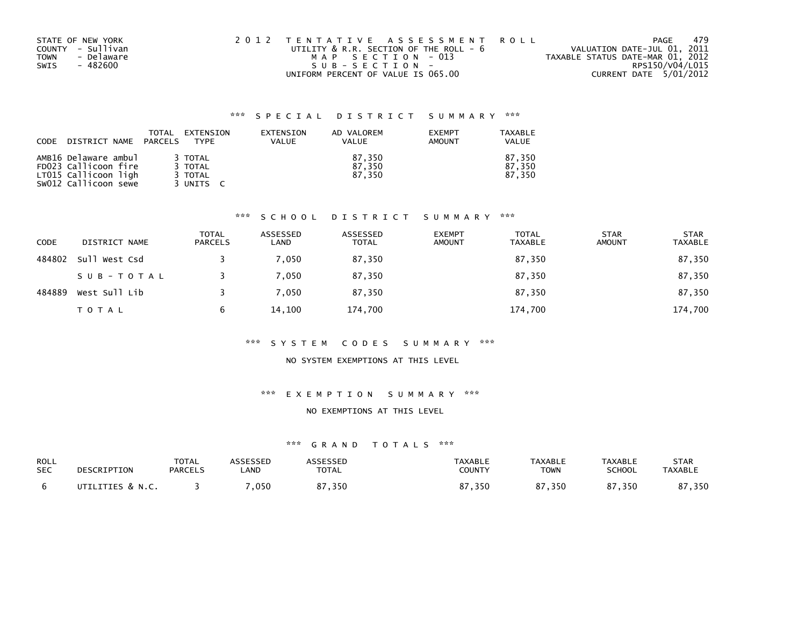| STATE OF NEW YORK         | 2012 TENTATIVE ASSESSMENT ROLL              | PAGE                             | 479 |
|---------------------------|---------------------------------------------|----------------------------------|-----|
| COUNTY - Sullivan         | UTILITY $\&$ R.R. SECTION OF THE ROLL - $6$ | VALUATION DATE-JUL 01, 2011      |     |
| - Delaware<br><b>TOWN</b> | MAP SECTION - 013                           | TAXABLE STATUS DATE-MAR 01, 2012 |     |
| SWIS<br>- 482600          | SUB-SECTION-                                | RPS150/V04/L015                  |     |
|                           | UNIFORM PERCENT OF VALUE IS 065.00          | CURRENT DATE 5/01/2012           |     |

| CODE | DISTRICT NAME                                                                                | TOTAL<br>PARCELS | EXTENSION<br><b>TYPF</b>                   | EXTENSION<br><b>VALUE</b> | AD VALOREM<br><b>VALUE</b> | <b>EXEMPT</b><br>AMOUNT | TAXABLE<br>VALUE           |
|------|----------------------------------------------------------------------------------------------|------------------|--------------------------------------------|---------------------------|----------------------------|-------------------------|----------------------------|
|      | AMB16 Delaware ambul<br>FD023 Callicoon fire<br>LT015 Callicoon ligh<br>SW012 Callicoon sewe |                  | 3 TOTAL<br>3 TOTAL<br>3 TOTAL<br>3 UNITS C |                           | 87.350<br>87.350<br>87.350 |                         | 87.350<br>87.350<br>87.350 |

#### \*\*\* S C H O O L D I S T R I C T S U M M A R Y \*\*\*

| <b>CODE</b> | DISTRICT NAME | <b>TOTAL</b><br><b>PARCELS</b> | ASSESSED<br>LAND | ASSESSED<br><b>TOTAL</b> | <b>EXEMPT</b><br><b>AMOUNT</b> | <b>TOTAL</b><br><b>TAXABLE</b> | <b>STAR</b><br><b>AMOUNT</b> | <b>STAR</b><br><b>TAXABLE</b> |
|-------------|---------------|--------------------------------|------------------|--------------------------|--------------------------------|--------------------------------|------------------------------|-------------------------------|
| 484802      | Sull West Csd |                                | 7.050            | 87,350                   |                                | 87,350                         |                              | 87,350                        |
|             | SUB-TOTAL     |                                | 7,050            | 87,350                   |                                | 87,350                         |                              | 87,350                        |
| 484889      | West Sull Lib |                                | 7.050            | 87,350                   |                                | 87,350                         |                              | 87,350                        |
|             | <b>TOTAL</b>  | b                              | 14,100           | 174,700                  |                                | 174,700                        |                              | 174,700                       |

#### \*\*\* S Y S T E M C O D E S S U M M A R Y \*\*\*

# NO SYSTEM EXEMPTIONS AT THIS LEVEL

#### \*\*\* E X E M P T I O N S U M M A R Y \*\*\*

#### NO EXEMPTIONS AT THIS LEVEL

| ROLL       | DESCRIPTION      | <b>TOTAL</b>   | <b>ASSESSED</b> | <b>ASSESSED</b> | <b>TAXABLE</b>    | <b>TAXABLE</b> | <b>TAXABLE</b> | <b>STAR</b>    |
|------------|------------------|----------------|-----------------|-----------------|-------------------|----------------|----------------|----------------|
| <b>SEC</b> |                  | <b>PARCELS</b> | _AND            | <b>TOTAL</b>    | COUNTY            | <b>TOWN</b>    | <b>SCHOOL</b>  | <b>TAXABLE</b> |
|            | UTILITIES & N.C. |                | ,050            | 87,350          | 87.350<br>$\circ$ | 87,350         | 87,350         | ',350          |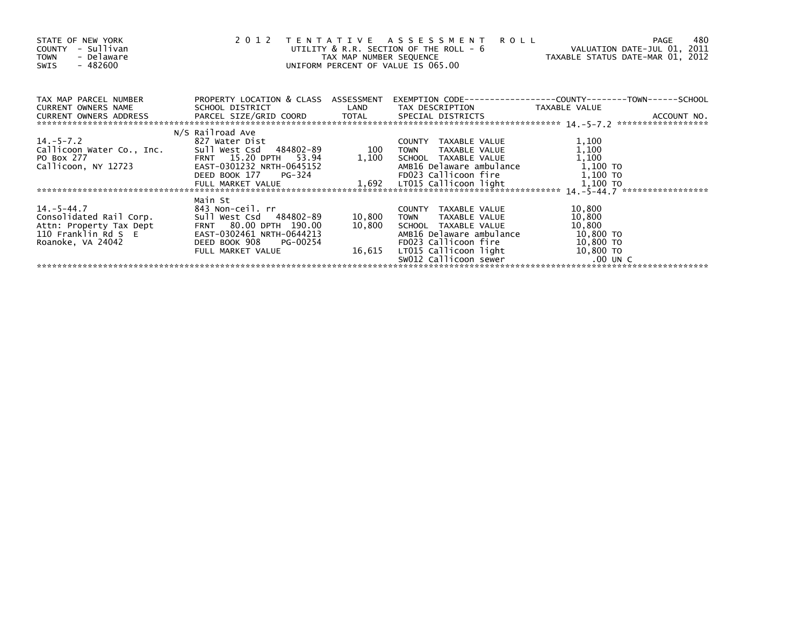| STATE OF NEW YORK<br>- Sullivan<br>COUNTY<br>- Delaware<br><b>TOWN</b><br>SWIS - 482600 |                             |        | 2012 TENTATIVE ASSESSMENT<br><b>ROLL</b><br>UTILITY & R.R. SECTION OF THE ROLL - 6<br>TAX MAP NUMBER SEQUENCE TAXABLE STATUS DATE-MAR 01, 2012<br>UNIFORM PERCENT OF VALUE IS 065.00 | VALUATION DATE-JUL 01, 2011 | 480<br>PAGE |
|-----------------------------------------------------------------------------------------|-----------------------------|--------|--------------------------------------------------------------------------------------------------------------------------------------------------------------------------------------|-----------------------------|-------------|
| TAX MAP PARCEL NUMBER PROPERTY LOCATION & CLASS ASSESSMENT<br>CURRENT OWNERS NAME       | SCHOOL DISTRICT             |        |                                                                                                                                                                                      |                             |             |
|                                                                                         |                             |        |                                                                                                                                                                                      |                             |             |
|                                                                                         | N/S Railroad Ave            |        |                                                                                                                                                                                      |                             |             |
| $14.-5-7.2$                                                                             | 827 Water Dist              |        | COUNTY TAXABLE VALUE                                                                                                                                                                 | 1,100                       |             |
| Callicoon Water Co., Inc. Sull West Csd 484802-89 100                                   |                             |        | TAXABLE VALUE<br><b>TOWN</b>                                                                                                                                                         | 1,100                       |             |
| ro вох 277<br>Callicoon, NY 12723                                                       | FRNT 15.20 DPTH 53.94       |        | 1,100 SCHOOL TAXABLE VALUE                                                                                                                                                           | 1,100                       |             |
|                                                                                         | EAST-0301232 NRTH-0645152   |        |                                                                                                                                                                                      |                             |             |
|                                                                                         | DEED BOOK 177 PG-324        |        | AMB16 Delaware ambulance $\begin{array}{ccc} 1,100 & \text{TO} \\ \text{FD023} & \text{Callicoon} \\ 1,100 & \text{TO} \end{array}$                                                  |                             |             |
|                                                                                         |                             |        |                                                                                                                                                                                      |                             |             |
|                                                                                         |                             |        |                                                                                                                                                                                      |                             |             |
| $14 - 5 - 44.7$                                                                         | Main St<br>843 Non-ceil. rr |        | COUNTY TAXABLE VALUE                                                                                                                                                                 | 10,800                      |             |
| Consolidated Rail Corp.                                                                 | Sull West Csd 484802-89     | 10,800 | TAXABLE VALUE<br><b>TOWN</b>                                                                                                                                                         | 10,800                      |             |
| Attn: Property Tax Dept                                                                 | FRNT 80.00 DPTH 190.00      | 10,800 | SCHOOL TAXABLE VALUE                                                                                                                                                                 | 10,800                      |             |
| 110 Franklin Rd S E                                                                     | EAST-0302461 NRTH-0644213   |        | AMB16 Delaware ambulance                                                                                                                                                             | 10,800 TO                   |             |
| Roanoke, VA 24042                                                                       | DEED BOOK 908 PG-00254      |        |                                                                                                                                                                                      |                             |             |
|                                                                                         | FULL MARKET VALUE           | 16,615 |                                                                                                                                                                                      |                             |             |
|                                                                                         |                             |        |                                                                                                                                                                                      |                             |             |
|                                                                                         |                             |        |                                                                                                                                                                                      |                             |             |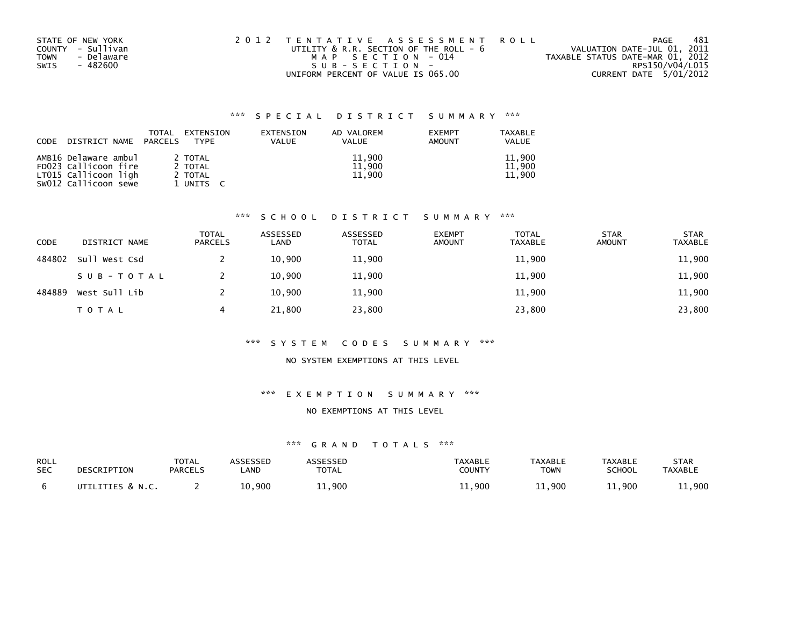| STATE OF NEW YORK         | 2012 TENTATIVE ASSESSMENT ROLL              | PAGE                             | 481 |
|---------------------------|---------------------------------------------|----------------------------------|-----|
| COUNTY - Sullivan         | UTILITY $\&$ R.R. SECTION OF THE ROLL - $6$ | VALUATION DATE-JUL 01, 2011      |     |
| - Delaware<br><b>TOWN</b> | MAP SECTION - 014                           | TAXABLE STATUS DATE-MAR 01, 2012 |     |
| SWIS<br>- 482600          | SUB-SECTION-                                | RPS150/V04/L015                  |     |
|                           | UNIFORM PERCENT OF VALUE IS 065.00          | CURRENT DATE 5/01/2012           |     |

| CODE | DISTRICT NAME                                                                                | TOTAL<br>PARCELS | EXTENSION<br><b>TYPF</b>                   | EXTENSION<br>VALUE | AD VALOREM<br>VALUE        | <b>EXEMPT</b><br>AMOUNT | TAXABLE<br><b>VALUE</b>    |
|------|----------------------------------------------------------------------------------------------|------------------|--------------------------------------------|--------------------|----------------------------|-------------------------|----------------------------|
|      | AMB16 Delaware ambul<br>FD023 Callicoon fire<br>LT015 Callicoon ligh<br>SW012 Callicoon sewe |                  | 2 TOTAL<br>2 TOTAL<br>2 TOTAL<br>1 UNITS C |                    | 11,900<br>11.900<br>11,900 |                         | 11,900<br>11.900<br>11,900 |

## \*\*\* S C H O O L D I S T R I C T S U M M A R Y \*\*\*

| <b>CODE</b> | DISTRICT NAME | <b>TOTAL</b><br><b>PARCELS</b> | ASSESSED<br>LAND | ASSESSED<br><b>TOTAL</b> | <b>EXEMPT</b><br><b>AMOUNT</b> | <b>TOTAL</b><br>TAXABLE | <b>STAR</b><br><b>AMOUNT</b> | <b>STAR</b><br><b>TAXABLE</b> |
|-------------|---------------|--------------------------------|------------------|--------------------------|--------------------------------|-------------------------|------------------------------|-------------------------------|
| 484802      | Sull West Csd |                                | 10,900           | 11,900                   |                                | 11,900                  |                              | 11,900                        |
|             | SUB-TOTAL     |                                | 10,900           | 11,900                   |                                | 11,900                  |                              | 11,900                        |
| 484889      | West Sull Lib |                                | 10,900           | 11,900                   |                                | 11,900                  |                              | 11,900                        |
|             | <b>TOTAL</b>  | 4                              | 21,800           | 23,800                   |                                | 23,800                  |                              | 23,800                        |

#### \*\*\* S Y S T E M C O D E S S U M M A R Y \*\*\*

#### NO SYSTEM EXEMPTIONS AT THIS LEVEL

#### \*\*\* E X E M P T I O N S U M M A R Y \*\*\*

#### NO EXEMPTIONS AT THIS LEVEL

| ROLL       | DESCRIPTION      | TOTAL          | ASSESSED | ASSESSED     | TAXABLE | <b>TAXABLE</b> | <b>TAXABLE</b> | <b>STAR</b>    |
|------------|------------------|----------------|----------|--------------|---------|----------------|----------------|----------------|
| <b>SEC</b> |                  | <b>PARCELS</b> | .AND     | <b>TOTAL</b> | COUNTY  | <b>TOWN</b>    | <b>SCHOOL</b>  | <b>TAXABLE</b> |
|            | UTILITIES & N.C. |                | 10.900   | 11,900       | 11,900  | 11.900         | 1.900          | 11,900         |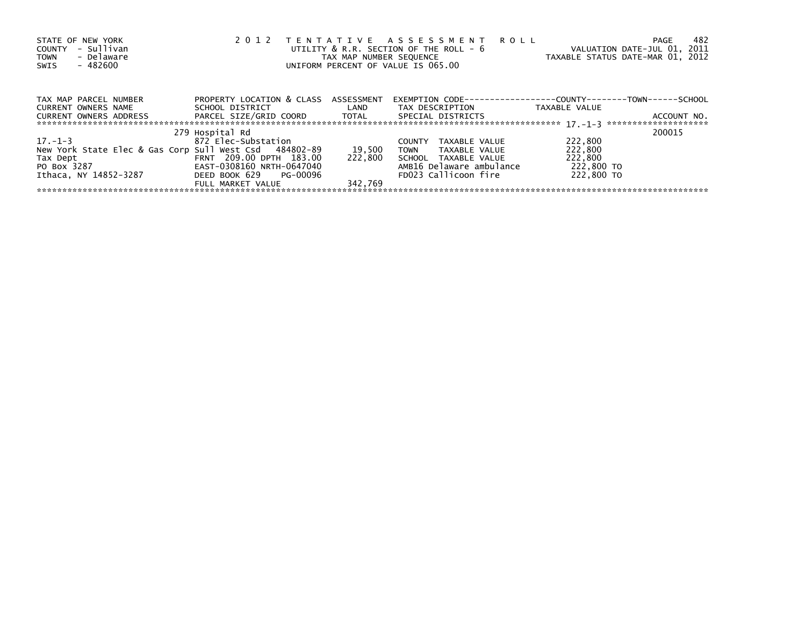| STATE OF NEW YORK<br>- Sullivan<br>COUNTY<br>- Delaware<br><b>TOWN</b><br>- 482600<br>SWIS | TENTATIVE ASSESSMENT<br>2 0 1 2<br>UTILITY & R.R. SECTION OF THE ROLL - 6<br>TAX MAP NUMBER SEQUENCE<br>UNIFORM PERCENT OF VALUE IS 065.00 | <b>ROLL</b><br>VALUATION DATE-JUL 01, 2011<br>TAXABLE STATUS DATE-MAR 01, 2012 | 482<br>PAGE                                                          |               |             |
|--------------------------------------------------------------------------------------------|--------------------------------------------------------------------------------------------------------------------------------------------|--------------------------------------------------------------------------------|----------------------------------------------------------------------|---------------|-------------|
| TAX MAP PARCEL NUMBER                                                                      | PROPERTY LOCATION & CLASS ASSESSMENT                                                                                                       |                                                                                | EXEMPTION        CODE-----------------COUNTY--------TOWN------SCHOOL |               |             |
| CURRENT OWNERS NAME                                                                        | SCHOOL DISTRICT                                                                                                                            | <b>Example 12</b>                                                              | TAX DESCRIPTION                                                      | TAXABLE VALUE |             |
| CURRENT OWNERS ADDRESS                                                                     |                                                                                                                                            |                                                                                | SPECIAL DISTRICTS                                                    |               | ACCOUNT NO. |
|                                                                                            | 279 Hospital Rd                                                                                                                            |                                                                                |                                                                      |               | 200015      |
| $17. - 1 - 3$                                                                              | 872 Elec-Substation                                                                                                                        |                                                                                | TAXABLE VALUE<br><b>COUNTY</b>                                       | 222,800       |             |
| New York State Elec & Gas Corp Sull West Csd 484802-89                                     |                                                                                                                                            | 19,500                                                                         | <b>TOWN</b><br>TAXABLE VALUE                                         | 222,800       |             |
| Tax Dept                                                                                   | FRNT 209.00 DPTH 183.00                                                                                                                    | 222.800                                                                        | SCHOOL TAXABLE VALUE                                                 | 222,800       |             |
| PO Box 3287                                                                                | EAST-0308160 NRTH-0647040                                                                                                                  |                                                                                | AMB16 Delaware ambulance                                             | 222,800 TO    |             |
| Ithaca, NY 14852-3287                                                                      | DEED BOOK 629 PG-00096                                                                                                                     |                                                                                | FD023 Callicoon fire                                                 | 222,800 TO    |             |
|                                                                                            | FULL MARKET VALUE                                                                                                                          | 342.769                                                                        |                                                                      |               |             |
|                                                                                            |                                                                                                                                            |                                                                                |                                                                      |               |             |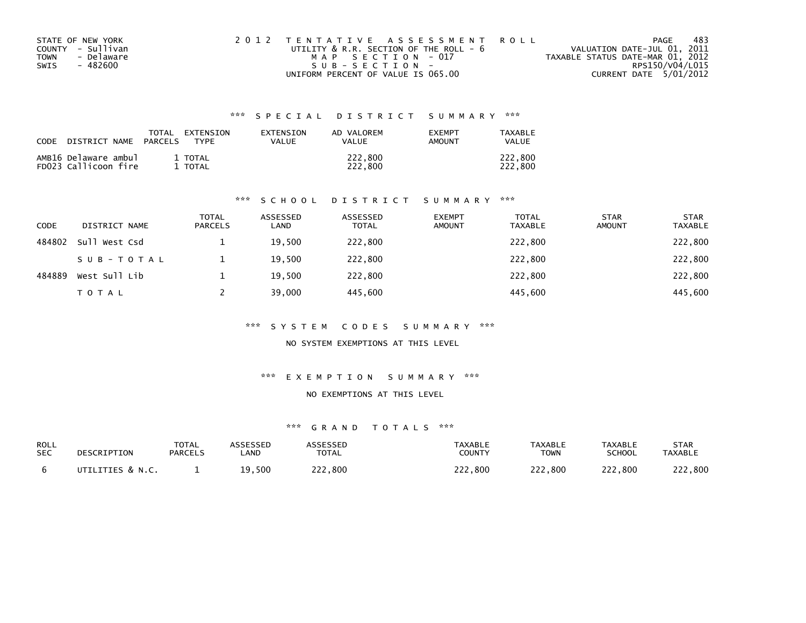| STATE OF NEW YORK  | 2012 TENTATIVE ASSESSMENT ROLL         | PAGE                             | 483 |
|--------------------|----------------------------------------|----------------------------------|-----|
| COUNTY - Sullivan  | UTILITY & R.R. SECTION OF THE ROLL - 6 | VALUATION DATE-JUL 01, 2011      |     |
| - Delaware<br>TOWN | MAP SECTION - 017                      | TAXABLE STATUS DATE-MAR 01, 2012 |     |
| SWIS<br>- 482600   | $SUB - SECTION -$                      | RPS150/V04/L015                  |     |
|                    | UNIFORM PERCENT OF VALUE IS 065.00     | CURRENT DATE 5/01/2012           |     |

| CODE | DISTRICT NAME                                | TOTAL<br><b>PARCELS</b> | EXTENSION<br><b>TYPF</b> | EXTENSION<br>VALUE | AD VALOREM<br>VALUE | <b>EXEMPT</b><br>AMOUNT | TAXABLE<br><b>VALUE</b> |
|------|----------------------------------------------|-------------------------|--------------------------|--------------------|---------------------|-------------------------|-------------------------|
|      | AMB16 Delaware ambul<br>FD023 Callicoon fire |                         | 1 TOTAL<br>TOTAL         |                    | 222.800<br>222.800  |                         | 222.800<br>222.800      |

#### \*\*\* S C H O O L D I S T R I C T S U M M A R Y \*\*\*

| <b>CODE</b> | DISTRICT NAME | <b>TOTAL</b><br><b>PARCELS</b> | ASSESSED<br>LAND | ASSESSED<br><b>TOTAL</b> | <b>EXEMPT</b><br><b>AMOUNT</b> | <b>TOTAL</b><br><b>TAXABLE</b> | <b>STAR</b><br><b>AMOUNT</b> | <b>STAR</b><br><b>TAXABLE</b> |
|-------------|---------------|--------------------------------|------------------|--------------------------|--------------------------------|--------------------------------|------------------------------|-------------------------------|
| 484802      | Sull West Csd |                                | 19,500           | 222,800                  |                                | 222,800                        |                              | 222,800                       |
|             | SUB-TOTAL     |                                | 19,500           | 222,800                  |                                | 222,800                        |                              | 222,800                       |
| 484889      | West Sull Lib |                                | 19.500           | 222,800                  |                                | 222,800                        |                              | 222,800                       |
|             | TOTAL         |                                | 39,000           | 445,600                  |                                | 445,600                        |                              | 445,600                       |

#### \*\*\* S Y S T E M C O D E S S U M M A R Y \*\*\*

NO SYSTEM EXEMPTIONS AT THIS LEVEL

#### \*\*\* E X E M P T I O N S U M M A R Y \*\*\*

### NO EXEMPTIONS AT THIS LEVEL

| ROLL       | DESCRIPTION      | <b>TOTAL</b>   | ASSESSED | <b>ASSESSED</b> | <b>TAXABLE</b> | <b>TAXABLE</b> | <b>TAXABLE</b> | <b>STAR</b>    |
|------------|------------------|----------------|----------|-----------------|----------------|----------------|----------------|----------------|
| <b>SEC</b> |                  | <b>PARCELS</b> | _AND     | <b>TOTAL</b>    | COUNTY         | <b>TOWN</b>    | <b>SCHOOL</b>  | <b>TAXABLE</b> |
|            | UTILITIES & N.C. |                | 19,500   | 222.800         | 222,800        | 222,800        | 222,800        | つつつ<br>222,800 |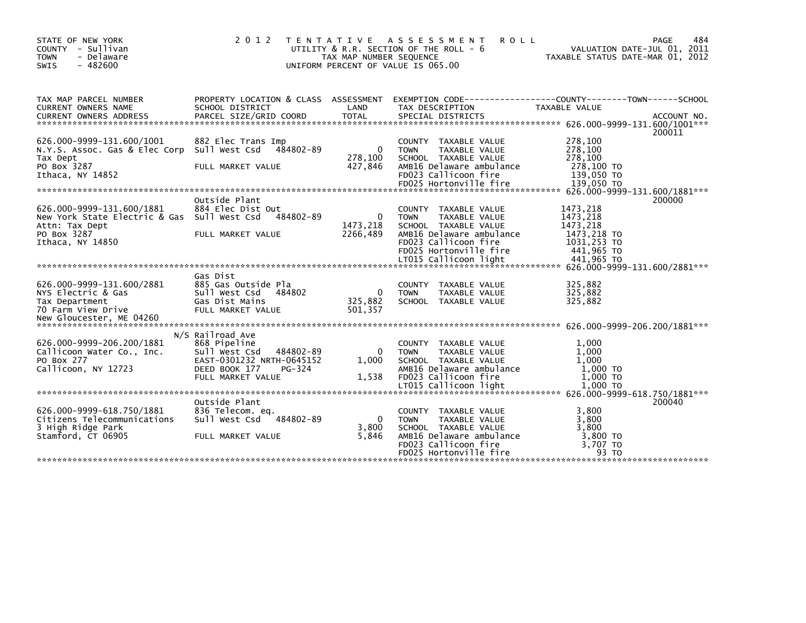| STATE OF NEW YORK<br>COUNTY - Sullivan<br><b>TOWN</b><br>- Delaware<br>$-482600$<br><b>SWIS</b> | 2 0 1 2                                                         | TAX MAP NUMBER SEQUENCE | TENTATIVE ASSESSMENT<br><b>ROLL</b><br>UTILITY & R.R. SECTION OF THE ROLL - 6<br>UNIFORM PERCENT OF VALUE IS 065.00 | VALUATION DATE-JUL 01, 2011<br>TAXABLE STATUS DATE-MAR 01, 2012 | 484<br><b>PAGE</b> |
|-------------------------------------------------------------------------------------------------|-----------------------------------------------------------------|-------------------------|---------------------------------------------------------------------------------------------------------------------|-----------------------------------------------------------------|--------------------|
| TAX MAP PARCEL NUMBER<br><b>CURRENT OWNERS NAME</b>                                             | PROPERTY LOCATION & CLASS ASSESSMENT<br>SCHOOL DISTRICT         | LAND                    | EXEMPTION CODE------------------COUNTY--------TOWN------SCHOOL<br>TAX DESCRIPTION                                   | TAXABLE VALUE                                                   |                    |
|                                                                                                 |                                                                 |                         |                                                                                                                     |                                                                 |                    |
|                                                                                                 |                                                                 |                         |                                                                                                                     |                                                                 | 200011             |
| 626.000-9999-131.600/1001<br>N.Y.S. Assoc. Gas & Elec Corp                                      | 882 Elec Trans Imp<br>Sull West Csd<br>484802-89                | $\mathbf{0}$            | COUNTY TAXABLE VALUE<br><b>TOWN</b><br>TAXABLE VALUE                                                                | 278,100<br>278,100                                              |                    |
| Tax Dept<br>PO Box 3287<br>Ithaca, NY 14852                                                     | FULL MARKET VALUE                                               | 278,100<br>427,846      | SCHOOL TAXABLE VALUE<br>AMB16 Delaware ambulance<br>FD023 Callicoon fire                                            | 278,100<br>278,100 TO<br>139,050 TO                             |                    |
|                                                                                                 |                                                                 |                         | FD025 Hortonville fire                                                                                              | 139,050 TO                                                      |                    |
|                                                                                                 | Outside Plant                                                   |                         |                                                                                                                     |                                                                 | 200000             |
| 626.000-9999-131.600/1881<br>New York State Electric & Gas                                      | 884 Elec Dist Out<br>Sull West Csd<br>484802-89                 | $\mathbf{0}$            | COUNTY TAXABLE VALUE<br><b>TOWN</b><br>TAXABLE VALUE                                                                | 1473,218<br>1473,218                                            |                    |
| Attn: Tax Dept<br>PO Box 3287                                                                   | FULL MARKET VALUE                                               | 1473,218<br>2266.489    | SCHOOL TAXABLE VALUE<br>AMB16 Delaware ambulance                                                                    | 1473,218<br>1473,218 TO                                         |                    |
| Ithaca, NY 14850                                                                                |                                                                 |                         | FD023 Callicoon fire<br>FD025 Hortonville fire                                                                      | 1031,253 TO<br>441,965 TO                                       |                    |
|                                                                                                 |                                                                 |                         |                                                                                                                     |                                                                 |                    |
| 626.000-9999-131.600/2881<br>NYS Electric & Gas                                                 | Gas Dist<br>885 Gas Outside Pla<br>Sull West Csd<br>484802      | $\Omega$                | <b>COUNTY</b><br>TAXABLE VALUE<br><b>TOWN</b><br>TAXABLE VALUE                                                      | 325,882<br>325,882                                              |                    |
| Tax Department<br>70 Farm View Drive                                                            | Gas Dist Mains<br>FULL MARKET VALUE                             | 325,882<br>501,357      | SCHOOL TAXABLE VALUE                                                                                                | 325,882                                                         |                    |
|                                                                                                 |                                                                 |                         |                                                                                                                     |                                                                 |                    |
| 626.000-9999-206.200/1881<br>Callicoon Water Co., Inc.                                          | N/S Railroad Ave<br>868 Pipeline<br>Sull West Csd<br>484802-89  | $\Omega$                | <b>COUNTY</b><br>TAXABLE VALUE<br>TAXABLE VALUE<br><b>TOWN</b>                                                      | 1,000<br>1,000                                                  |                    |
| PO Box 277<br>Callicoon, NY 12723                                                               | EAST-0301232 NRTH-0645152<br>DEED BOOK 177<br>PG-324            | 1,000                   | SCHOOL TAXABLE VALUE<br>AMB16 Delaware ambulance                                                                    | 1.000<br>$1,000$ TO                                             |                    |
|                                                                                                 | FULL MARKET VALUE                                               | 1.538                   | FD023 Callicoon fire<br>LT015 Callicoon light                                                                       | 1.000 TO<br>1,000 TO                                            |                    |
|                                                                                                 |                                                                 |                         |                                                                                                                     |                                                                 |                    |
| 626.000-9999-618.750/1881<br>Citizens Telecommunications                                        | Outside Plant<br>836 Telecom. eq.<br>Sull West Csd<br>484802-89 | $\mathbf{0}$            | TAXABLE VALUE<br><b>COUNTY</b><br>TAXABLE VALUE<br><b>TOWN</b>                                                      | 3.800<br>3,800                                                  | 200040             |
| 3 High Ridge Park<br>Stamford, CT 06905                                                         | FULL MARKET VALUE                                               | 3,800<br>5,846          | SCHOOL TAXABLE VALUE<br>AMB16 Delaware ambulance<br>FD023 Callicoon fire                                            | 3,800<br>3,800 TO<br>3,707 TO                                   |                    |
|                                                                                                 |                                                                 |                         | FD025 Hortonville fire                                                                                              | 93 TO                                                           |                    |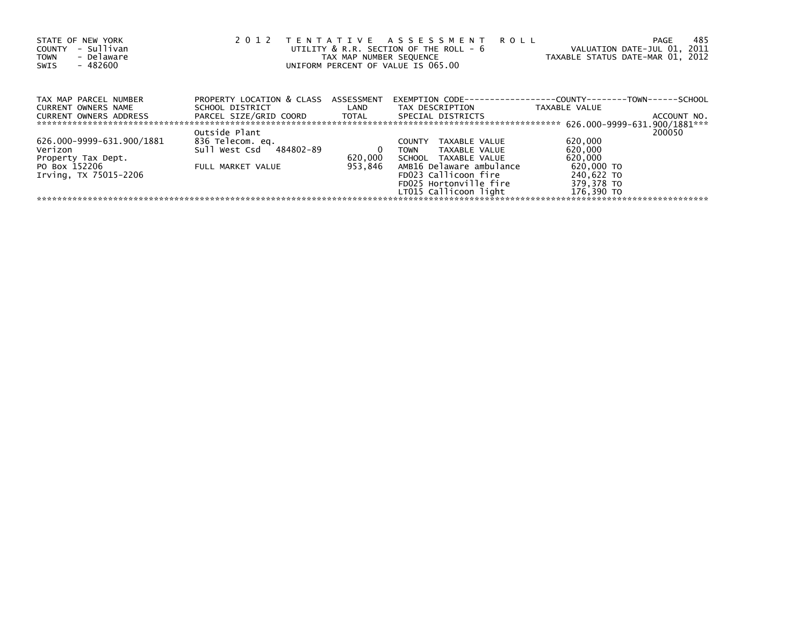| STATE OF NEW YORK<br>- Sullivan<br><b>COUNTY</b><br>- Delaware<br><b>TOWN</b><br>$-482600$<br>SWIS | 2 0 1 2                              | TAX MAP NUMBER SEQUENCE | TENTATIVE ASSESSMENT<br><b>ROLL</b><br>UTILITY & R.R. SECTION OF THE ROLL - 6<br>UNIFORM PERCENT OF VALUE IS 065.00 | VALUATION DATE-JUL 01, 2011<br>TAXABLE STATUS DATE-MAR 01, 2012 | 485<br><b>PAGE</b> |
|----------------------------------------------------------------------------------------------------|--------------------------------------|-------------------------|---------------------------------------------------------------------------------------------------------------------|-----------------------------------------------------------------|--------------------|
| TAX MAP PARCEL NUMBER                                                                              | PROPERTY LOCATION & CLASS ASSESSMENT |                         | EXEMPTION CODE--                                                                                                    | ------------COUNTY------                                        | -TOWN------SCHOOL  |
| <b>CURRENT OWNERS NAME</b>                                                                         | SCHOOL DISTRICT                      | LAND                    | TAX DESCRIPTION                                                                                                     | TAXABLE VALUE                                                   |                    |
| <b>CURRENT OWNERS ADDRESS</b>                                                                      | PARCEL SIZE/GRID COORD TOTAL         |                         | SPECIAL DISTRICTS                                                                                                   |                                                                 | ACCOUNT NO.        |
|                                                                                                    |                                      |                         |                                                                                                                     |                                                                 |                    |
|                                                                                                    | Outside Plant                        |                         |                                                                                                                     |                                                                 | 200050             |
| 626.000-9999-631.900/1881                                                                          | 836 Telecom. eq.                     |                         | TAXABLE VALUE<br><b>COUNTY</b>                                                                                      | 620,000                                                         |                    |
| Verizon                                                                                            | Sull West Csd<br>484802-89           | 0                       | TAXABLE VALUE<br><b>TOWN</b>                                                                                        | 620,000                                                         |                    |
| Property Tax Dept.                                                                                 |                                      | 620,000                 | SCHOOL TAXABLE VALUE                                                                                                | 620,000                                                         |                    |
| PO Box 152206                                                                                      | FULL MARKET VALUE                    | 953,846                 | AMB16 Delaware ambulance                                                                                            | 620,000 TO                                                      |                    |
| Irving, TX 75015-2206                                                                              |                                      |                         | FD023 Callicoon fire                                                                                                | 240,622 TO                                                      |                    |
|                                                                                                    |                                      |                         | FD025 Hortonville fire                                                                                              | 379,378 TO                                                      |                    |
|                                                                                                    |                                      |                         | LT015 Callicoon light                                                                                               | 176,390 TO                                                      |                    |
|                                                                                                    |                                      |                         |                                                                                                                     |                                                                 |                    |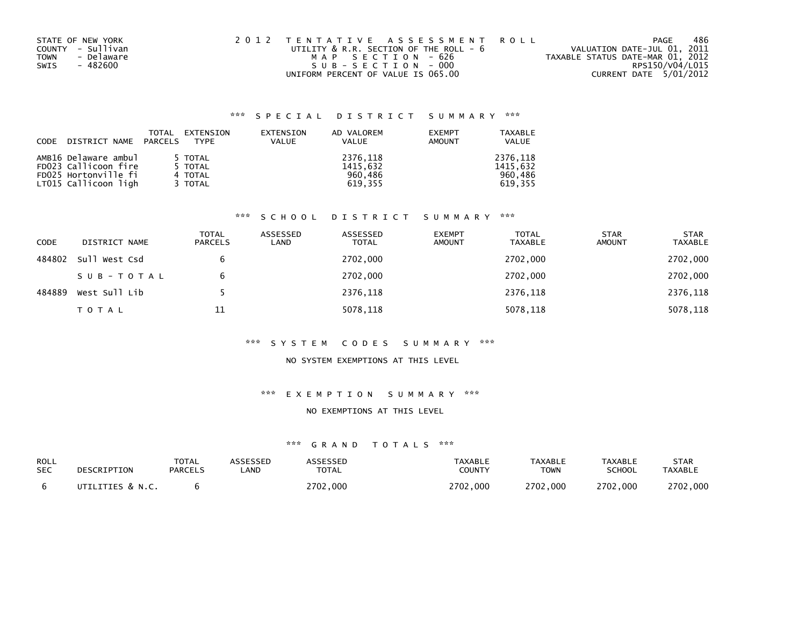| STATE OF NEW YORK  | 2012 TENTATIVE ASSESSMENT ROLL         | PAGE                             | 486             |
|--------------------|----------------------------------------|----------------------------------|-----------------|
| COUNTY - Sullivan  | UTILITY & R.R. SECTION OF THE ROLL - 6 | VALUATION DATE-JUL 01, 2011      |                 |
| - Delaware<br>TOWN | MAP SECTION - 626                      | TAXABLE STATUS DATE-MAR 01, 2012 |                 |
| SWIS<br>- 482600   | SUB-SECTION-000                        |                                  | RPS150/V04/L015 |
|                    | UNIFORM PERCENT OF VALUE IS 065.00     | CURRENT DATE 5/01/2012           |                 |

|      |                       | <b>TOTAL</b> | EXTENSION   | EXTENSION    | AD VALOREM   | <b>EXEMPT</b> | <b>TAXABLE</b> |
|------|-----------------------|--------------|-------------|--------------|--------------|---------------|----------------|
| CODE | DISTRICT NAME PARCELS |              | <b>TYPF</b> | <b>VALUE</b> | <b>VALUE</b> | AMOUNT        | <b>VALUE</b>   |
|      |                       |              |             |              |              |               |                |
|      | AMB16 Delaware ambul  |              | 5 TOTAL     |              | 2376,118     |               | 2376.118       |
|      | FD023 Callicoon fire  |              | 5 TOTAL     |              | 1415,632     |               | 1415.632       |
|      | FD025 Hortonville fi  |              | 4 TOTAL     |              | 960.486      |               | 960.486        |
|      | LT015 Callicoon ligh  |              | 3 TOTAL     |              | 619.355      |               | 619.355        |

#### \*\*\* S C H O O L D I S T R I C T S U M M A R Y \*\*\*

| <b>CODE</b> | DISTRICT NAME | <b>TOTAL</b><br><b>PARCELS</b> | ASSESSED<br>LAND | ASSESSED<br><b>TOTAL</b> | <b>EXEMPT</b><br><b>AMOUNT</b> | <b>TOTAL</b><br><b>TAXABLE</b> | <b>STAR</b><br><b>AMOUNT</b> | <b>STAR</b><br><b>TAXABLE</b> |
|-------------|---------------|--------------------------------|------------------|--------------------------|--------------------------------|--------------------------------|------------------------------|-------------------------------|
| 484802      | Sull West Csd | 6                              |                  | 2702,000                 |                                | 2702,000                       |                              | 2702,000                      |
|             | SUB-TOTAL     | 6                              |                  | 2702,000                 |                                | 2702,000                       |                              | 2702,000                      |
| 484889      | West Sull Lib |                                |                  | 2376,118                 |                                | 2376,118                       |                              | 2376,118                      |
|             | <b>TOTAL</b>  | 11                             |                  | 5078,118                 |                                | 5078,118                       |                              | 5078,118                      |

#### \*\*\* S Y S T E M C O D E S S U M M A R Y \*\*\*

## NO SYSTEM EXEMPTIONS AT THIS LEVEL

#### \*\*\* E X E M P T I O N S U M M A R Y \*\*\*

#### NO EXEMPTIONS AT THIS LEVEL

| ROLL       | DESCRIPTION      | TOTAL          | <b>ASSESSED</b> | <b>ASSESSED</b> | <b>TAXABLE</b> | <b>TAXABLE</b> | TAXABLE  | <b>STAR</b>    |
|------------|------------------|----------------|-----------------|-----------------|----------------|----------------|----------|----------------|
| <b>SEC</b> |                  | <b>PARCELS</b> | _AND            | <b>TOTAL</b>    | COUNTY         | <b>TOWN</b>    | SCHOOL   | <b>TAXABLE</b> |
|            | UTILITIES & N.C. |                |                 | 2702.000        | 2702.000       | 2702.000       | 2702.000 | 2702.000       |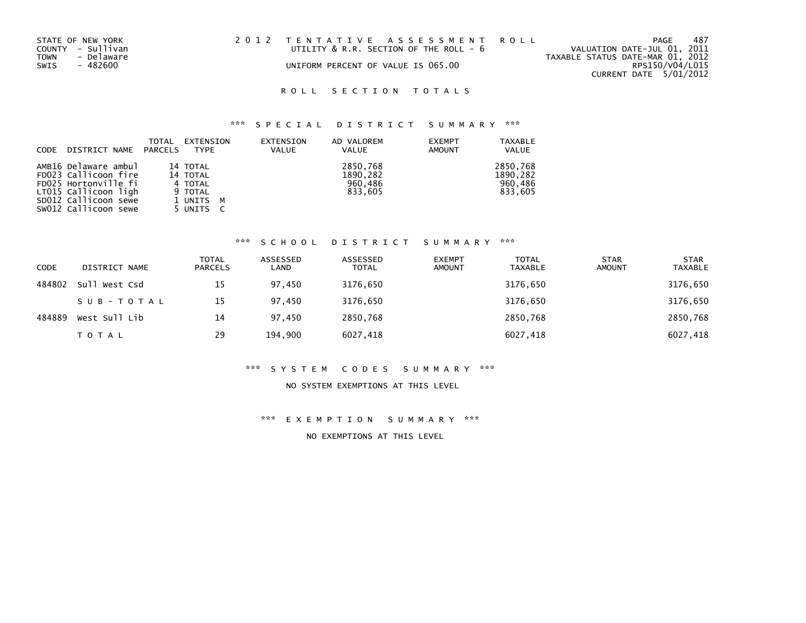| STATE OF NEW YORK  | 2012 TENTATIVE ASSESSMENT ROLL         |  |                                  | PAGE                        | 487 |
|--------------------|----------------------------------------|--|----------------------------------|-----------------------------|-----|
| COUNTY - Sullivan  | UTILITY & R.R. SECTION OF THE ROLL - 6 |  |                                  | VALUATION DATE-JUL 01, 2011 |     |
| TOWN<br>- Delaware |                                        |  | TAXABLE STATUS DATE-MAR 01, 2012 |                             |     |
| SWIS<br>- 482600   | UNIFORM PERCENT OF VALUE IS 065.00     |  |                                  | RPS150/V04/L015             |     |
|                    |                                        |  |                                  | CURRENT DATE 5/01/2012      |     |

# \*\*\* S P E C I A L D I S T R I C T S U M M A R Y \*\*\*

| CODE | DISTRICT NAME PARCELS | TOTAL | EXTENSION<br>TYPE | EXTENSION<br><b>VALUE</b> | AD VALOREM<br>VALUE | <b>EXEMPT</b><br><b>AMOUNT</b> | <b>TAXABLE</b><br><b>VALUE</b> |
|------|-----------------------|-------|-------------------|---------------------------|---------------------|--------------------------------|--------------------------------|
|      | AMB16 Delaware ambul  |       | 14 TOTAL          |                           | 2850,768            |                                | 2850,768                       |
|      | FD023 Callicoon fire  |       | 14 TOTAL          |                           | 1890,282            |                                | 1890.282                       |
|      | FD025 Hortonville fi  |       | 4 TOTAL           |                           | 960,486             |                                | 960.486                        |
|      | LT015 Callicoon ligh  |       | 9 TOTAL           |                           | 833,605             |                                | 833,605                        |
|      | SD012 Callicoon sewe  |       | 1 UNITS M         |                           |                     |                                |                                |
|      | SW012 Callicoon sewe  |       | 5 UNITS           |                           |                     |                                |                                |

#### \*\*\* S C H O O L D I S T R I C T S U M M A R Y \*\*\*

| <b>CODE</b> | DISTRICT NAME | <b>TOTAL</b><br><b>PARCELS</b> | ASSESSED<br>LAND | ASSESSED<br><b>TOTAL</b> | <b>EXEMPT</b><br><b>AMOUNT</b> | <b>TOTAL</b><br><b>TAXABLE</b> | <b>STAR</b><br><b>AMOUNT</b> | <b>STAR</b><br><b>TAXABLE</b> |
|-------------|---------------|--------------------------------|------------------|--------------------------|--------------------------------|--------------------------------|------------------------------|-------------------------------|
| 484802      | Sull West Csd | 15                             | 97,450           | 3176,650                 |                                | 3176,650                       |                              | 3176,650                      |
|             | SUB-TOTAL     | 15                             | 97.450           | 3176,650                 |                                | 3176,650                       |                              | 3176,650                      |
| 484889      | West Sull Lib | 14                             | 97.450           | 2850,768                 |                                | 2850,768                       |                              | 2850,768                      |
|             | <b>TOTAL</b>  | 29                             | 194,900          | 6027,418                 |                                | 6027,418                       |                              | 6027,418                      |

#### \*\*\* S Y S T E M C O D E S S U M M A R Y \*\*\*

### NO SYSTEM EXEMPTIONS AT THIS LEVEL

\*\*\* E X E M P T I O N S U M M A R Y \*\*\*

NO EXEMPTIONS AT THIS LEVEL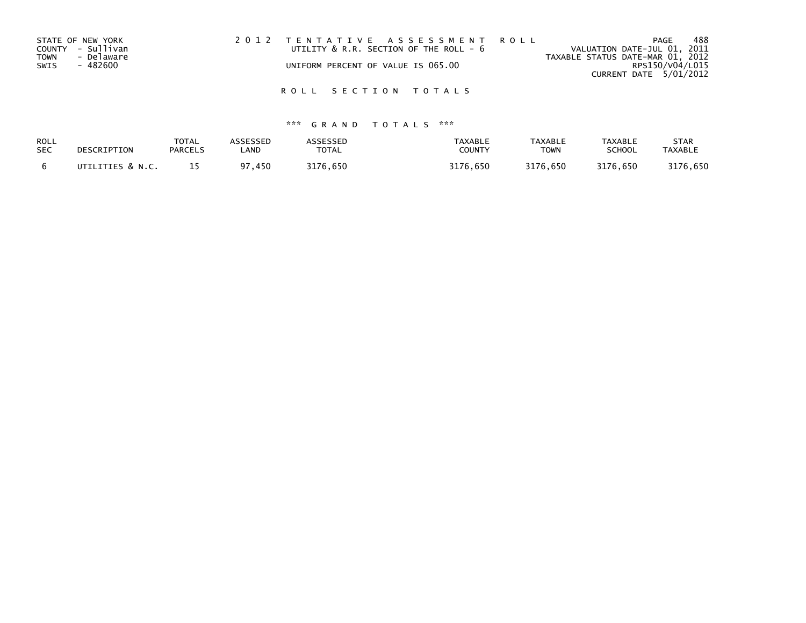| STATE OF NEW YORK         | 2012 TENTATIVE ASSESSMENT ROLL         | PAGE                             | 488 |
|---------------------------|----------------------------------------|----------------------------------|-----|
| COUNTY - Sullivan         | UTILITY & R.R. SECTION OF THE ROLL - 6 | VALUATION DATE-JUL 01, 2011      |     |
| <b>TOWN</b><br>- Delaware |                                        | TAXABLE STATUS DATE-MAR 01, 2012 |     |
| SWIS<br>- 482600          | UNIFORM PERCENT OF VALUE IS 065.00     | RPS150/V04/L015                  |     |
|                           |                                        | CURRENT DATE 5/01/2012           |     |
|                           |                                        |                                  |     |

| ROLL       | DESCRIPTION      | <b>TOTAL</b>   | ASSESSED  | ASSESSED     | <b>TAXABLE</b> | <b>TAXABLE</b> | <b>TAXABLE</b> | <b>STAR</b>    |
|------------|------------------|----------------|-----------|--------------|----------------|----------------|----------------|----------------|
| <b>SEC</b> |                  | <b>PARCELS</b> | _AND      | <b>TOTAL</b> | COUNTY         | <b>TOWN</b>    | <b>SCHOOL</b>  | <b>TAXABLE</b> |
|            | UTILITIES & N.C. |                | 450<br>97 | 3176.650     | 3176.650       | 3176.650       | 3176.650       | 3176.650       |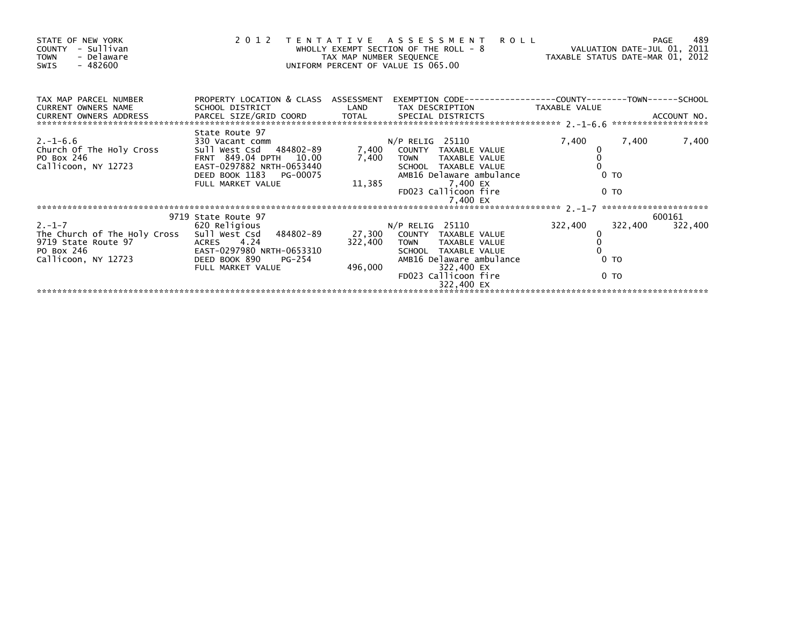| STATE OF NEW YORK<br>COUNTY - Sullivan<br>- Delaware<br><b>TOWN</b><br>- 482600<br>SWIS                                                                                     |                                                                                                                                                                     | TAX MAP NUMBER SEQUENCE  | <b>ROLL</b><br>2012 TENTATIVE ASSESSMENT<br>WHOLLY EXEMPT SECTION OF THE ROLL - 8<br>UNIFORM PERCENT OF VALUE IS 065.00                                                              | VALUATION DATE-JUL 01, 2011<br>TAXABLE STATUS DATE-MAR 01, 2012 | 489<br>PAGE                  |
|-----------------------------------------------------------------------------------------------------------------------------------------------------------------------------|---------------------------------------------------------------------------------------------------------------------------------------------------------------------|--------------------------|--------------------------------------------------------------------------------------------------------------------------------------------------------------------------------------|-----------------------------------------------------------------|------------------------------|
| TAX MAP PARCEL NUMBER<br><b>CURRENT OWNERS NAME</b><br>CURRENT OWNERS ADDRESS                                                                                               | PROPERTY LOCATION & CLASS ASSESSMENT<br>SCHOOL DISTRICT                                                                                                             | LAND                     | EXEMPTION        CODE-----------------COUNTY--------TOWN------SCHOOL<br>TAX DESCRIPTION TAXABLE VALUE                                                                                |                                                                 |                              |
| $2. - 1 - 6.6$<br>Church Of The Holy Cross<br>PO Box 246<br>Callicoon, NY 12723                                                                                             | State Route 97<br>330 Vacant comm<br>Sull West Csd 484802-89<br>FRNT 849.04 DPTH 10.00<br>EAST-0297882 NRTH-0653440<br>DEED BOOK 1183 PG-00075<br>FULL MARKET VALUE | 7,400<br>7,400<br>11,385 | N/P RELIG 25110<br>COUNTY TAXABLE VALUE<br>TAXABLE VALUE<br>TOWN<br>SCHOOL TAXABLE VALUE<br>AMB16 Delaware ambulance<br>7,400 EX<br>FD023 Callicoon fire<br>7,400 EX                 | 7,400<br>0 <sub>T</sub><br>0 <sub>T</sub>                       | 7,400<br>7,400               |
|                                                                                                                                                                             |                                                                                                                                                                     |                          |                                                                                                                                                                                      |                                                                 |                              |
| $2. -1 - 7$<br>The Church of The Holy Cross<br>9719 State Route 97 (ACRES 4.24 PO Box 246 (AND 1723) EAST-0297980 NRTH-0653310<br>Callicoon, NY 12723 (DEED BOOK 890 PG-254 | 9719 State Route 97<br>620 Religious<br>Sull West Csd 484802-89<br>FULL MARKET VALUE                                                                                | 496,000                  | N/P RELIG 25110<br>27,300 COUNTY TAXABLE VALUE<br>322,400 TOWN TAXABLE VALUE<br>SCHOOL TAXABLE VALUE<br>AMB16 Delaware ambulance<br>322,400 EX<br>FD023 Callicoon fire<br>322,400 EX | 322,400<br>0 <sub>T</sub><br>0 <sub>T</sub>                     | 600161<br>322,400<br>322,400 |
|                                                                                                                                                                             |                                                                                                                                                                     |                          |                                                                                                                                                                                      |                                                                 |                              |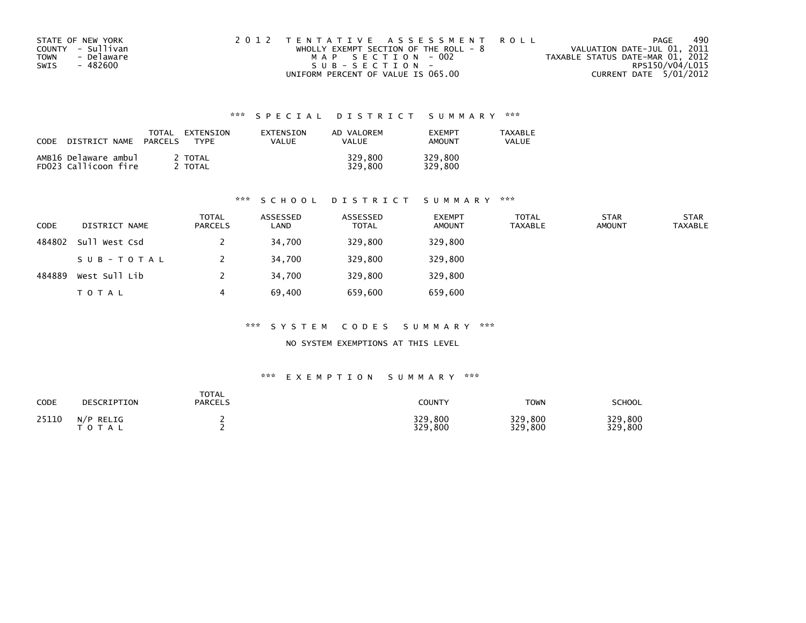| STATE OF NEW YORK  | 2012 TENTATIVE ASSESSMENT ROLL          | PAGE                             | 490 |
|--------------------|-----------------------------------------|----------------------------------|-----|
| COUNTY - Sullivan  | WHOLLY EXEMPT SECTION OF THE ROLL - $8$ | VALUATION DATE-JUL 01, 2011      |     |
| - Delaware<br>TOWN | MAP SECTION - 002                       | TAXABLE STATUS DATE-MAR 01, 2012 |     |
| SWIS<br>- 482600   | $SUB - SECTION -$                       | RPS150/V04/L015                  |     |
|                    | UNIFORM PERCENT OF VALUE IS 065.00      | CURRENT DATE 5/01/2012           |     |

| CODE | DISTRICT NAME                                | TOTAL<br><b>PARCELS</b> | EXTENSION<br><b>TYPF</b> | <b>FXTENSTON</b><br>VALUE | AD VALOREM<br>VALUE | <b>FXFMPT</b><br><b>AMOUNT</b> | <b>TAXABLE</b><br>VALUE |
|------|----------------------------------------------|-------------------------|--------------------------|---------------------------|---------------------|--------------------------------|-------------------------|
|      | AMB16 Delaware ambul<br>FD023 Callicoon fire |                         | 2 TOTAL<br>TOTAL         |                           | 329,800<br>329.800  | 329,800<br>329,800             |                         |

#### \*\*\* S C H O O L D I S T R I C T S U M M A R Y \*\*\*

| <b>CODE</b> | DISTRICT NAME | <b>TOTAL</b><br><b>PARCELS</b> | ASSESSED<br>LAND | ASSESSED<br><b>TOTAL</b> | <b>EXEMPT</b><br><b>AMOUNT</b> | <b>TOTAL</b><br><b>TAXABLE</b> | <b>STAR</b><br><b>AMOUNT</b> | <b>STAR</b><br><b>TAXABLE</b> |
|-------------|---------------|--------------------------------|------------------|--------------------------|--------------------------------|--------------------------------|------------------------------|-------------------------------|
| 484802      | Sull West Csd |                                | 34.700           | 329,800                  | 329,800                        |                                |                              |                               |
|             | SUB-TOTAL     |                                | 34,700           | 329,800                  | 329,800                        |                                |                              |                               |
| 484889      | West Sull Lib |                                | 34.700           | 329,800                  | 329,800                        |                                |                              |                               |
|             | <b>TOTAL</b>  | 4                              | 69,400           | 659,600                  | 659,600                        |                                |                              |                               |

#### \*\*\* S Y S T E M C O D E S S U M M A R Y \*\*\*

NO SYSTEM EXEMPTIONS AT THIS LEVEL

| <b>CODE</b> | DESCRIPTION                             | TOTAL<br><b>PARCELS</b> | COUNTY             | <b>TOWN</b>               | SCHOOL             |
|-------------|-----------------------------------------|-------------------------|--------------------|---------------------------|--------------------|
| 25110       | $N/P$ RELIG<br><b>T O T</b><br>$\Delta$ |                         | 329,800<br>329,800 | 329,800<br>329.<br>800, ا | 329,800<br>329,800 |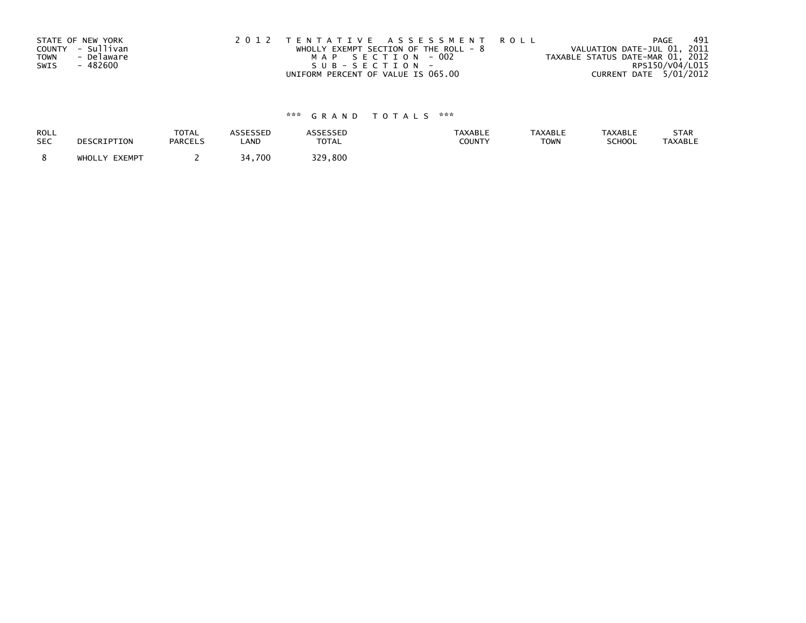|             | STATE OF NEW YORK | 2012 TENTATIVE ASSESSMENT ROLL          | 491<br>PAGE                      |
|-------------|-------------------|-----------------------------------------|----------------------------------|
|             | COUNTY - Sullivan | WHOLLY EXEMPT SECTION OF THE ROLL - $8$ | VALUATION DATE-JUL 01, 2011      |
| <b>TOWN</b> | - Delaware        | MAP SECTION - 002                       | TAXABLE STATUS DATE-MAR 01, 2012 |
| SWIS        | - 482600          | SUB-SECTION-                            | RPS150/V04/L015                  |
|             |                   | UNIFORM PERCENT OF VALUE IS 065.00      | CURRENT DATE 5/01/2012           |

| ROLL       | DESCRIPTION   | <b>TOTAL</b>   | ASSESSED | <b>ASSESSED</b> | <b>TAXABLE</b> | <b>TAXABLE</b> | <b>TAXABLE</b> | STAR           |
|------------|---------------|----------------|----------|-----------------|----------------|----------------|----------------|----------------|
| <b>SEC</b> |               | <b>PARCELS</b> | LAND     | <b>TOTAL</b>    | <b>COUNTY</b>  | <b>TOWN</b>    | <b>SCHOOL</b>  | <b>TAXABLE</b> |
|            | WHOLLY EXEMPT |                | 34,700   | 329.800         |                |                |                |                |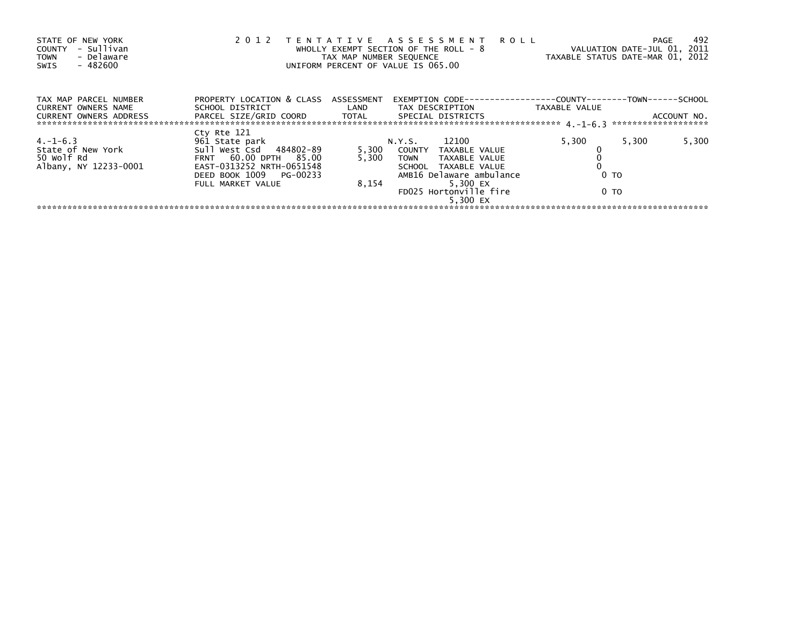| STATE OF NEW YORK<br>- Sullivan<br>COUNTY<br>- Delaware<br><b>TOWN</b><br>$-482600$<br>SWIS | 2012                                                         | TAX MAP NUMBER SEQUENCE | TENTATIVE ASSESSMENT ROLL<br>WHOLLY EXEMPT SECTION OF THE ROLL - 8<br>UNIFORM PERCENT OF VALUE IS 065.00 | TAXABLE STATUS DATE-MAR 01, 2012                             | PAGE<br>VALUATION DATE-JUL 01, 2011 | -492        |
|---------------------------------------------------------------------------------------------|--------------------------------------------------------------|-------------------------|----------------------------------------------------------------------------------------------------------|--------------------------------------------------------------|-------------------------------------|-------------|
| TAX MAP PARCEL NUMBER<br>CURRENT OWNERS NAME                                                | PROPERTY LOCATION & CLASS ASSESSMENT<br>SCHOOL DISTRICT LAND |                         | EXEMPTION CODE--<br>TAX DESCRIPTION                                                                      | -------------COUNTY--------TOWN------SCHOOL<br>TAXABLE VALUE |                                     |             |
| <b>CURRENT OWNERS ADDRESS</b>                                                               | PARCEL SIZE/GRID COORD TOTAL                                 |                         | SPECIAL DISTRICTS                                                                                        |                                                              |                                     | ACCOUNT NO. |
| $4. -1 - 6.3$<br>State of New York                                                          | Cty Rte 121<br>961 State park<br>Sull West Csd 484802-89     | 5,300                   | 12100<br>N.Y.S.<br>COUNTY TAXABLE VALUE                                                                  | 5,300                                                        | 5,300                               | 5,300       |
| 50 Wolf Rd<br>Albany, NY 12233-0001                                                         | FRNT 60.00 DPTH 85.00<br>EAST-0313252 NRTH-0651548           | 5.300                   | <b>TOWN</b><br>TAXABLE VALUE<br>SCHOOL TAXABLE VALUE                                                     |                                                              |                                     |             |
|                                                                                             | DEED BOOK 1009 PG-00233<br>FULL MARKET VALUE                 | 8,154                   | AMB16 Delaware ambulance<br>5,300 EX<br>FD025 Hortonville fire                                           | 0 <sub>T</sub><br>0 TO                                       |                                     |             |
|                                                                                             |                                                              |                         | 5.300 EX                                                                                                 |                                                              |                                     |             |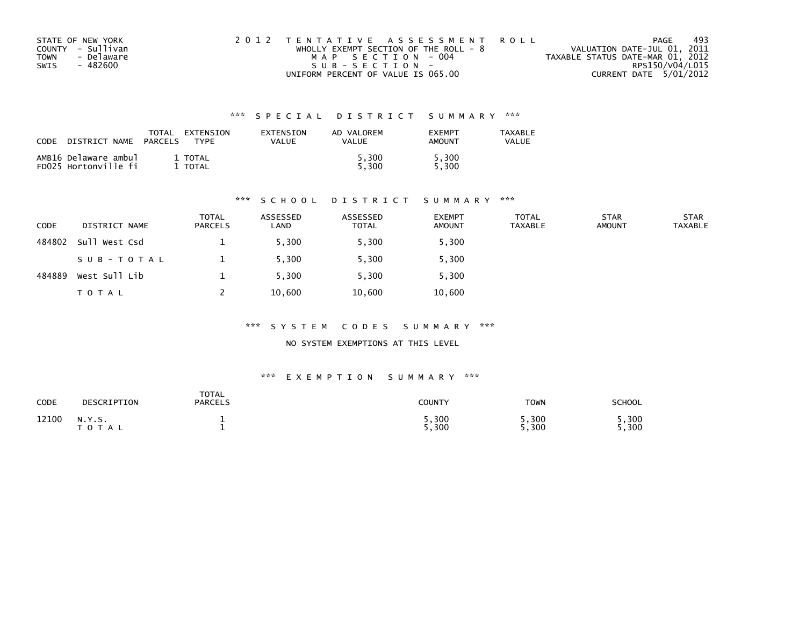| STATE OF NEW YORK  | 2012 TENTATIVE ASSESSMENT ROLL          | PAGE                             | 493 |
|--------------------|-----------------------------------------|----------------------------------|-----|
| COUNTY - Sullivan  | WHOLLY EXEMPT SECTION OF THE ROLL - $8$ | VALUATION DATE-JUL 01, 2011      |     |
| - Delaware<br>TOWN | MAP SECTION - 004                       | TAXABLE STATUS DATE-MAR 01, 2012 |     |
| - 482600<br>SWIS   | SUB-SECTION-                            | RPS150/V04/L015                  |     |
|                    | UNIFORM PERCENT OF VALUE IS 065.00      | CURRENT DATE 5/01/2012           |     |

| <b>CODE</b> | NAME                                         | TOTAL          | EXTENSION               | <b>FXTENSTON</b> | AD VALOREM   | <b>FXFMPT</b>  | TAXABLE |
|-------------|----------------------------------------------|----------------|-------------------------|------------------|--------------|----------------|---------|
|             | DISTRICT                                     | <b>PARCELS</b> | <b>TYPE</b>             | VALUE            | VALUE        | AMOUNT         | VALUE   |
|             | AMB16 Delaware ambul<br>FD025 Hortonville fi |                | 1 TOTAL<br><b>TOTAL</b> |                  | .300<br>.300 | 5,300<br>5.300 |         |

#### \*\*\* S C H O O L D I S T R I C T S U M M A R Y \*\*\*

| <b>CODE</b> | DISTRICT NAME | <b>TOTAL</b><br><b>PARCELS</b> | ASSESSED<br>LAND | ASSESSED<br><b>TOTAL</b> | <b>EXEMPT</b><br><b>AMOUNT</b> | <b>TOTAL</b><br><b>TAXABLE</b> | <b>STAR</b><br><b>AMOUNT</b> | <b>STAR</b><br><b>TAXABLE</b> |
|-------------|---------------|--------------------------------|------------------|--------------------------|--------------------------------|--------------------------------|------------------------------|-------------------------------|
| 484802      | Sull West Csd |                                | 5,300            | 5,300                    | 5,300                          |                                |                              |                               |
|             | SUB-TOTAL     |                                | 5,300            | 5,300                    | 5,300                          |                                |                              |                               |
| 484889      | West Sull Lib |                                | 5.300            | 5,300                    | 5,300                          |                                |                              |                               |
|             | T O T A L     |                                | 10,600           | 10,600                   | 10,600                         |                                |                              |                               |

#### \*\*\* S Y S T E M C O D E S S U M M A R Y \*\*\*

NO SYSTEM EXEMPTIONS AT THIS LEVEL

| CODE  | DESCRIPTION         | <b>TOTAL</b><br><b>PARCELS</b> | COUNTY         | <b>TOWN</b>   | SCHOOL       |
|-------|---------------------|--------------------------------|----------------|---------------|--------------|
| 12100 | N.Y.S.<br>T O T A L |                                | , 300<br>5,300 | ,300<br>5,300 | ,300<br>.300 |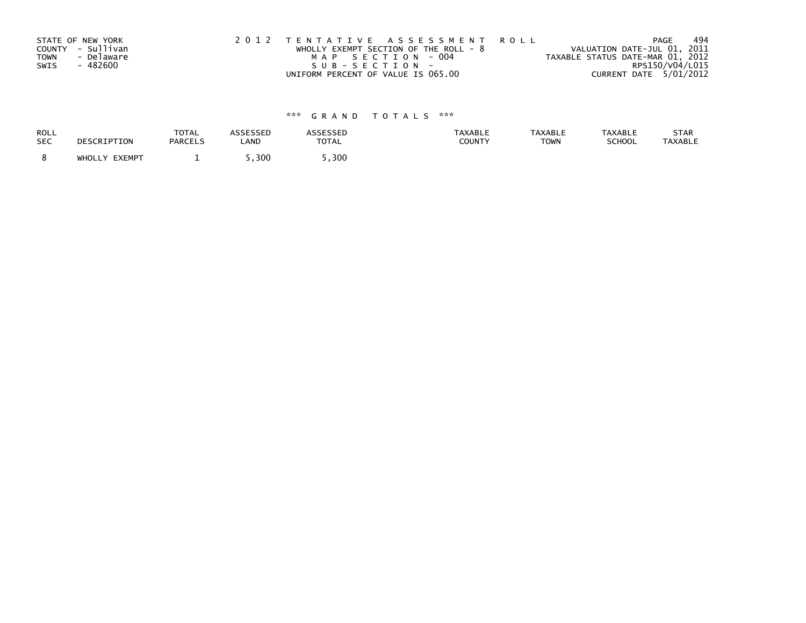|             | STATE OF NEW YORK | 2012 TENTATIVE ASSESSMENT ROLL          | 494<br>PAGE                      |
|-------------|-------------------|-----------------------------------------|----------------------------------|
|             | COUNTY - Sullivan | WHOLLY EXEMPT SECTION OF THE ROLL - $8$ | VALUATION DATE-JUL 01, 2011      |
| <b>TOWN</b> | - Delaware        | MAP SECTION - 004                       | TAXABLE STATUS DATE-MAR 01, 2012 |
| SWIS        | - 482600          | SUB-SECTION-                            | RPS150/V04/L015                  |
|             |                   | UNIFORM PERCENT OF VALUE IS 065.00      | CURRENT DATE 5/01/2012           |

| ROLL       | DESCRIPTION   | <b>TOTAL</b>   | <b>ASSESSED</b> | <b>ASSESSED</b> | <b>TAXABLE</b> | <b>TAXABLE</b> | <b>TAXABLE</b> | STAR           |
|------------|---------------|----------------|-----------------|-----------------|----------------|----------------|----------------|----------------|
| <b>SEC</b> |               | <b>PARCELS</b> | LAND            | <b>TOTAL</b>    | <b>COUNTY</b>  | <b>TOWN</b>    | <b>SCHOOL</b>  | <b>TAXABLE</b> |
|            | WHOLLY EXEMPT |                | ,300            | . 300           |                |                |                |                |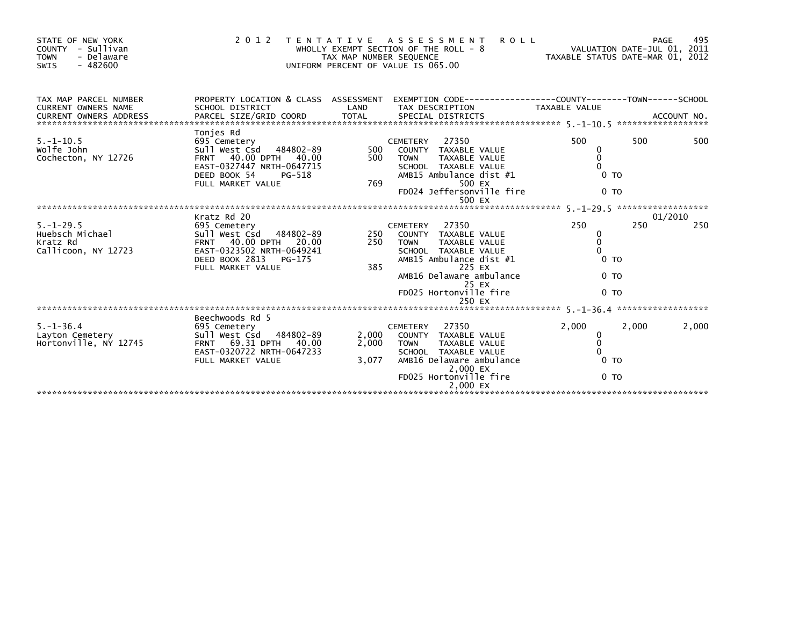| STATE OF NEW YORK<br>COUNTY - Sullivan<br><b>TOWN</b><br>- Delaware<br>$-482600$<br>SWIS | 2 0 1 2                                                                                                                                                   | TAX MAP NUMBER SEQUENCE | <b>ROLL</b><br>TENTATIVE ASSESSMENT<br>WHOLLY EXEMPT SECTION OF THE ROLL - 8<br>UNIFORM PERCENT OF VALUE IS 065.00                                                                          | TAXABLE STATUS DATE-MAR 01, 2012                                      | 495<br>PAGE<br>VALUATION DATE-JUL 01, 2011 |
|------------------------------------------------------------------------------------------|-----------------------------------------------------------------------------------------------------------------------------------------------------------|-------------------------|---------------------------------------------------------------------------------------------------------------------------------------------------------------------------------------------|-----------------------------------------------------------------------|--------------------------------------------|
| TAX MAP PARCEL NUMBER<br><b>CURRENT OWNERS NAME</b>                                      | SCHOOL DISTRICT                                                                                                                                           | LAND                    | PROPERTY LOCATION & CLASS ASSESSMENT EXEMPTION CODE----------------COUNTY-------TOWN------SCHOOL<br>TAX DESCRIPTION                                                                         | <b>TAXABLE VALUE</b>                                                  |                                            |
| $5. - 1 - 10.5$<br>Wolfe John<br>Cochecton, NY 12726                                     | Tonjes Rd<br>695 Cemetery<br>Sull West Csd 484802-89<br>FRNT 40.00 DPTH 40.00<br>EAST-0327447 NRTH-0647715<br>DEED BOOK 54<br>PG-518<br>FULL MARKET VALUE | 500<br>500<br>769       | 27350<br><b>CEMETERY</b><br>COUNTY TAXABLE VALUE<br><b>TOWN</b><br><b>TAXABLE VALUE</b><br>SCHOOL TAXABLE VALUE<br>AMB15 Ambulance dist #1<br>500 EX<br>FD024 Jeffersonville fire<br>500 EX | 500<br>0<br>$\Omega$<br>$\Omega$<br>0 <sub>T</sub><br>0 <sub>TO</sub> | 500<br>500                                 |
|                                                                                          | Kratz Rd 20                                                                                                                                               |                         |                                                                                                                                                                                             |                                                                       | 01/2010                                    |
| $5. - 1 - 29.5$<br>Huebsch Michael<br>Kratz Rd<br>Callicoon, NY 12723                    | 695 Cemetery<br>Sull West Csd 484802-89<br>FRNT 40.00 DPTH 20.00<br>EAST-0323502 NRTH-0649241<br>DEED BOOK 2813<br>PG-175<br>FULL MARKET VALUE            | 250<br>250<br>385       | <b>CEMETERY</b><br>27350<br>COUNTY TAXABLE VALUE<br><b>TOWN</b><br>TAXABLE VALUE<br>SCHOOL TAXABLE VALUE<br>AMB15 Ambulance dist #1<br>225 EX                                               | 250<br>0<br>$\mathbf 0$<br>$\Omega$<br>$0$ TO                         | 250<br>250                                 |
|                                                                                          |                                                                                                                                                           |                         | AMB16 Delaware ambulance<br>25 EX<br>FD025 Hortonville fire<br>250 EX                                                                                                                       | 0 <sub>TO</sub><br>0 <sub>TO</sub>                                    |                                            |
|                                                                                          |                                                                                                                                                           |                         |                                                                                                                                                                                             |                                                                       |                                            |
| $5. - 1 - 36.4$<br>Layton Cemetery<br>Hortonville, NY 12745                              | Beechwoods Rd 5<br>695 Cemetery<br>Sull West Csd 484802-89<br>FRNT 69.31 DPTH 40.00<br>EAST-0320722 NRTH-0647233<br>FULL MARKET VALUE                     | 2,000<br>2,000<br>3,077 | 27350<br><b>CEMETERY</b><br>COUNTY TAXABLE VALUE<br><b>TOWN</b><br>TAXABLE VALUE<br>SCHOOL TAXABLE VALUE<br>AMB16 Delaware ambulance<br>2,000 EX                                            | 2,000<br>0<br>$\mathbf 0$<br>$\Omega$<br>0 <sub>T</sub>               | 2,000<br>2,000                             |
|                                                                                          |                                                                                                                                                           |                         | FD025 Hortonville fire<br>2.000 EX                                                                                                                                                          | 0 <sub>T</sub>                                                        |                                            |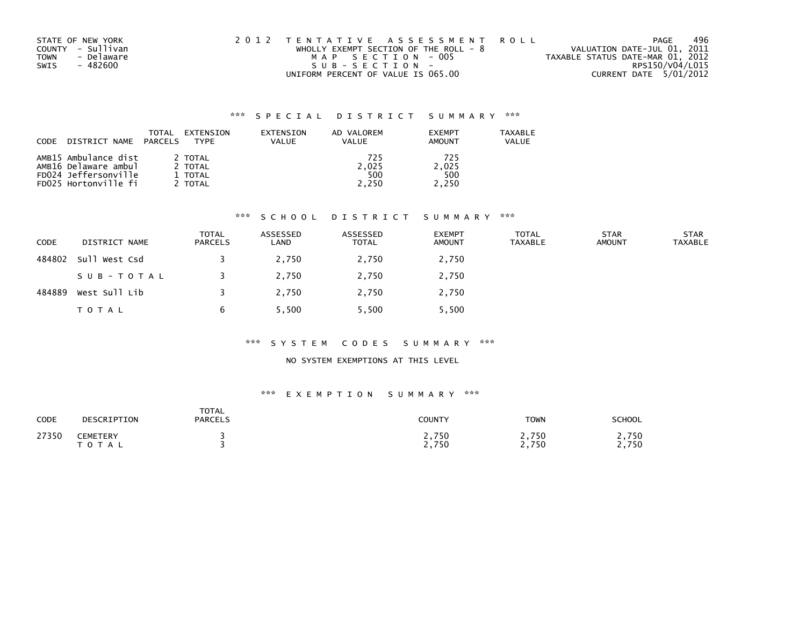| STATE OF NEW YORK         | 2012 TENTATIVE ASSESSMENT ROLL          | 496<br>PAGE                      |
|---------------------------|-----------------------------------------|----------------------------------|
| COUNTY - Sullivan         | WHOLLY EXEMPT SECTION OF THE ROLL - $8$ | VALUATION DATE-JUL 01, 2011      |
| - Delaware<br><b>TOWN</b> | MAP SECTION - 005                       | TAXABLE STATUS DATE-MAR 01, 2012 |
| - 482600<br>SWIS          | SUB-SECTION-                            | RPS150/V04/L015                  |
|                           | UNIFORM PERCENT OF VALUE IS 065.00      | CURRENT DATE 5/01/2012           |

| <b>CODE</b>          | DISTRICT NAME | TOTAL<br>PARCELS | EXTENSION<br>TYPF | EXTENSION<br>VALUE | AD VALOREM<br>VALUE | <b>EXEMPT</b><br>AMOUNT | TAXABLE<br>VALUE |
|----------------------|---------------|------------------|-------------------|--------------------|---------------------|-------------------------|------------------|
| AMB15 Ambulance dist |               |                  | 2 TOTAL           |                    | 725                 | 725                     |                  |
| AMB16 Delaware ambul |               |                  | 2 TOTAL           |                    | 2.025               | 2.025                   |                  |
| FD024 Jeffersonville |               |                  | 1 TOTAL           |                    | 500                 | 500                     |                  |
| FD025 Hortonville fi |               |                  | 2 TOTAL           |                    | 2.250               | 2.250                   |                  |

#### \*\*\* S C H O O L D I S T R I C T S U M M A R Y \*\*\*

| <b>CODE</b> | DISTRICT NAME | <b>TOTAL</b><br><b>PARCELS</b> | ASSESSED<br>LAND | ASSESSED<br><b>TOTAL</b> | <b>EXEMPT</b><br>AMOUNT | <b>TOTAL</b><br><b>TAXABLE</b> | <b>STAR</b><br><b>AMOUNT</b> | <b>STAR</b><br><b>TAXABLE</b> |
|-------------|---------------|--------------------------------|------------------|--------------------------|-------------------------|--------------------------------|------------------------------|-------------------------------|
| 484802      | Sull West Csd |                                | 2,750            | 2,750                    | 2,750                   |                                |                              |                               |
|             | SUB-TOTAL     |                                | 2,750            | 2,750                    | 2,750                   |                                |                              |                               |
| 484889      | West Sull Lib |                                | 2.750            | 2.750                    | 2,750                   |                                |                              |                               |
|             | T O T A L     | 6                              | 5,500            | 5,500                    | 5,500                   |                                |                              |                               |

#### \*\*\* S Y S T E M C O D E S S U M M A R Y \*\*\*

## NO SYSTEM EXEMPTIONS AT THIS LEVEL

| <b>CODE</b> | DESCRIPTION                       | <b>TOTAL</b><br><b>PARCELS</b> | <b>COUNTY</b>  | <b>TOWN</b>    | <b>SCHOOL</b> |
|-------------|-----------------------------------|--------------------------------|----------------|----------------|---------------|
| 27350       | <b>CEMETERY</b><br>T O T L<br>A L |                                | 2,750<br>2,750 | 2,750<br>2,750 | 750<br>2,750  |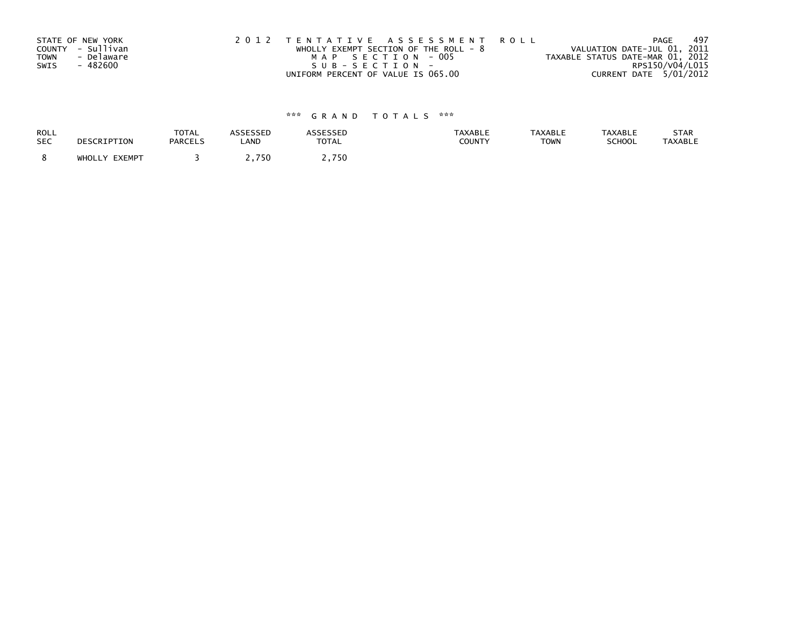|             | STATE OF NEW YORK | 2012 TENTATIVE ASSESSMENT ROLL          | 497<br>PAGE                      |
|-------------|-------------------|-----------------------------------------|----------------------------------|
|             | COUNTY - Sullivan | WHOLLY EXEMPT SECTION OF THE ROLL - $8$ | VALUATION DATE-JUL 01, 2011      |
| <b>TOWN</b> | - Delaware        | MAP SECTION - 005                       | TAXABLE STATUS DATE-MAR 01, 2012 |
| SWIS        | - 482600          | SUB-SECTION-                            | RPS150/V04/L015                  |
|             |                   | UNIFORM PERCENT OF VALUE IS 065.00      | CURRENT DATE 5/01/2012           |

| ROLL       | DESCRIPTION   | <b>TOTAL</b>   | ASSESSED | <b>ASSESSED</b> | <b>TAXABLE</b> | <b>TAXABLE</b> | <b>TAXABLE</b> | STAR           |
|------------|---------------|----------------|----------|-----------------|----------------|----------------|----------------|----------------|
| <b>SEC</b> |               | <b>PARCELS</b> | LAND     | <b>TOTAL</b>    | <b>COUNTY</b>  | <b>TOWN</b>    | <b>SCHOOL</b>  | <b>TAXABLE</b> |
|            | WHOLLY EXEMPT |                | 2,750    | 750             |                |                |                |                |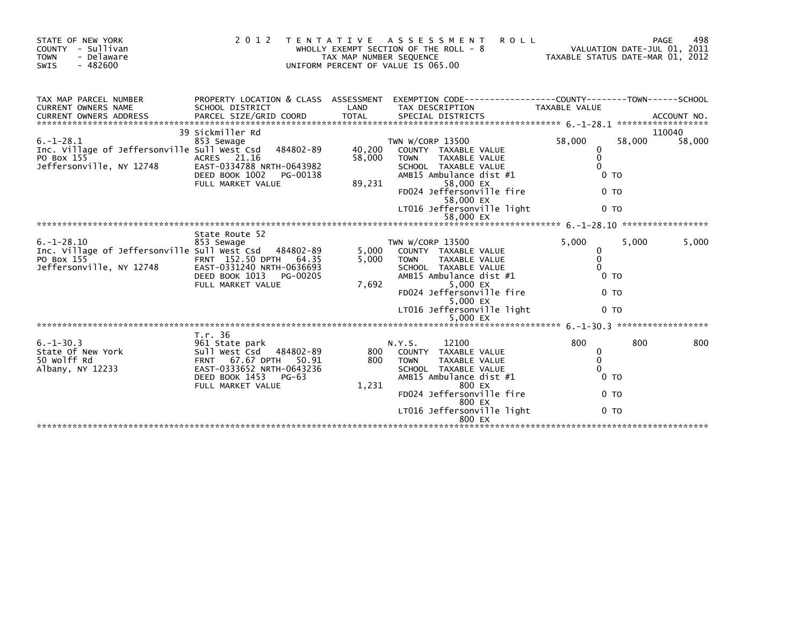| STATE OF NEW YORK<br>COUNTY - Sullivan<br><b>TOWN</b><br>- Delaware<br>$-482600$<br><b>SWIS</b>            | 2 0 1 2                                                                                                                                                         | TAX MAP NUMBER SEQUENCE    | <b>ROLL</b><br>TENTATIVE ASSESSMENT<br>WHOLLY EXEMPT SECTION OF THE ROLL - 8<br>UNIFORM PERCENT OF VALUE IS 065.00                                                                                                         | TAXABLE STATUS DATE-MAR 01, 2012                                                              |        | 498<br>PAGE<br>VALUATION DATE-JUL 01, 2011 |
|------------------------------------------------------------------------------------------------------------|-----------------------------------------------------------------------------------------------------------------------------------------------------------------|----------------------------|----------------------------------------------------------------------------------------------------------------------------------------------------------------------------------------------------------------------------|-----------------------------------------------------------------------------------------------|--------|--------------------------------------------|
| TAX MAP PARCEL NUMBER<br>CURRENT OWNERS NAME                                                               | PROPERTY LOCATION & CLASS ASSESSMENT<br>SCHOOL DISTRICT                                                                                                         | LAND                       | EXEMPTION CODE-----------------COUNTY-------TOWN------SCHOOL<br>TAX DESCRIPTION                                                                                                                                            | <b>TAXABLE VALUE</b>                                                                          |        |                                            |
| $6. - 1 - 28.1$<br>Inc. Village of Jeffersonville Sull West Csd<br>PO Box 155<br>Jeffersonville, NY 12748  | 39 Sickmiller Rd<br>853 Sewage<br>484802-89<br>ACRES 21.16<br>EAST-0334788 NRTH-0643982<br>DEED BOOK 1002<br>PG-00138<br>FULL MARKET VALUE                      | 40,200<br>58,000<br>89,231 | TWN W/CORP 13500<br>COUNTY TAXABLE VALUE<br><b>TOWN</b><br>TAXABLE VALUE<br>SCHOOL TAXABLE VALUE<br>AMB15 Ambulance dist #1<br>58,000 EX<br>FD024 Jeffersonville fire<br>58,000 EX<br>LT016 Jeffersonville light           | 58,000<br>0<br>$\mathbf{0}$<br>$\Omega$<br>0 <sub>T</sub><br>0 <sub>T</sub><br>0 <sub>T</sub> | 58,000 | 110040<br>58,000                           |
|                                                                                                            |                                                                                                                                                                 |                            |                                                                                                                                                                                                                            |                                                                                               |        |                                            |
| $6. - 1 - 28.10$<br>Inc. Village of Jeffersonville Sull West Csd<br>PO Box 155<br>Jeffersonville, NY 12748 | State Route 52<br>853 Sewage<br>484802-89<br>FRNT 152.50 DPTH<br>64.35<br>EAST-0331240 NRTH-0636693<br>DEED BOOK 1013<br>PG-00205<br>FULL MARKET VALUE          | 5,000<br>5,000<br>7,692    | TWN W/CORP 13500<br>COUNTY TAXABLE VALUE<br>TAXABLE VALUE<br><b>TOWN</b><br>SCHOOL TAXABLE VALUE<br>AMB15 Ambulance dist #1<br>5,000 EX<br>FD024 Jeffersonville fire<br>5,000 EX<br>LT016 Jeffersonville light<br>5.000 EX | 5,000<br>0<br>0<br>$\Omega$<br>0 <sub>T</sub><br>0 TO<br>0 <sub>T</sub>                       | 5,000  | 5,000                                      |
|                                                                                                            | T.r. 36                                                                                                                                                         |                            |                                                                                                                                                                                                                            |                                                                                               |        |                                            |
| $6. -1 - 30.3$<br>State Of New York<br>50 Wolff Rd<br>Albany, NY 12233                                     | 961 State park<br>Sull West Csd<br>484802-89<br>67.67 DPTH<br><b>FRNT</b><br>50.91<br>EAST-0333652 NRTH-0643236<br>DEED BOOK 1453<br>PG-63<br>FULL MARKET VALUE | 800<br>800<br>1,231        | 12100<br>N.Y.S.<br>COUNTY TAXABLE VALUE<br><b>TOWN</b><br>TAXABLE VALUE<br>SCHOOL TAXABLE VALUE<br>AMB15 Ambulance dist #1<br>800 EX<br>FD024 Jeffersonville fire<br>800 EX<br>LT016 Jeffersonville light<br>800 EX        | 800<br>0<br>0<br>$\Omega$<br>0 <sub>T</sub><br>0 <sub>T</sub><br>0 <sub>T</sub>               | 800    | 800                                        |
|                                                                                                            |                                                                                                                                                                 |                            |                                                                                                                                                                                                                            |                                                                                               |        |                                            |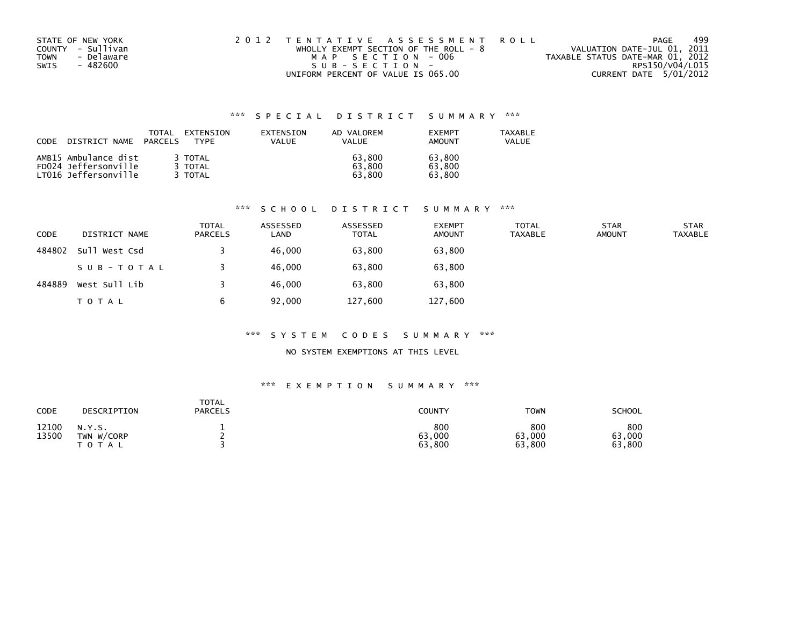| STATE OF NEW YORK  | 2012 TENTATIVE ASSESSMENT ROLL          | PAGE                             | 499 |
|--------------------|-----------------------------------------|----------------------------------|-----|
| COUNTY - Sullivan  | WHOLLY EXEMPT SECTION OF THE ROLL - $8$ | VALUATION DATE-JUL 01, 2011      |     |
| - Delaware<br>TOWN | MAP SECTION - 006                       | TAXABLE STATUS DATE-MAR 01, 2012 |     |
| SWIS<br>- 482600   | $SUB - SECTION -$                       | RPS150/V04/L015                  |     |
|                    | UNIFORM PERCENT OF VALUE IS 065.00      | CURRENT DATE 5/01/2012           |     |

| <b>CODE</b><br>DISTRICT NAME | TOTAL<br>PARCELS | EXTENSION<br>TYPF | EXTENSION<br>VALUE | AD VALOREM<br><b>VALUE</b> | <b>FXFMPT</b><br><b>AMOUNT</b> | <b>TAXABLE</b><br>VALUE |
|------------------------------|------------------|-------------------|--------------------|----------------------------|--------------------------------|-------------------------|
| AMB15 Ambulance dist         |                  | 3 TOTAL           |                    | 63.800                     | 63,800                         |                         |
| FD024 Jeffersonville         |                  | 3 TOTAL           |                    | 63.800                     | 63.800                         |                         |
| LT016 Jeffersonville         |                  | TOTAL             |                    | 63.800                     | 63.800                         |                         |

# \*\*\* S C H O O L D I S T R I C T S U M M A R Y \*\*\*

| <b>CODE</b> | DISTRICT NAME | TOTAL<br><b>PARCELS</b> | ASSESSED<br>LAND | ASSESSED<br><b>TOTAL</b> | <b>EXEMPT</b><br><b>AMOUNT</b> | <b>TOTAL</b><br><b>TAXABLE</b> | <b>STAR</b><br><b>AMOUNT</b> | <b>STAR</b><br><b>TAXABLE</b> |
|-------------|---------------|-------------------------|------------------|--------------------------|--------------------------------|--------------------------------|------------------------------|-------------------------------|
| 484802      | Sull West Csd |                         | 46,000           | 63,800                   | 63,800                         |                                |                              |                               |
|             | SUB-TOTAL     |                         | 46,000           | 63,800                   | 63,800                         |                                |                              |                               |
| 484889      | West Sull Lib |                         | 46,000           | 63,800                   | 63,800                         |                                |                              |                               |
|             | <b>TOTAL</b>  | b                       | 92,000           | 127,600                  | 127,600                        |                                |                              |                               |

#### \*\*\* S Y S T E M C O D E S S U M M A R Y \*\*\*

## NO SYSTEM EXEMPTIONS AT THIS LEVEL

| <b>CODE</b>    | DESCRIPTION                          | <b>TOTAL</b><br><b>PARCELS</b> | <b>COUNTY</b>           | TOWN                    | SCHOOL                  |
|----------------|--------------------------------------|--------------------------------|-------------------------|-------------------------|-------------------------|
| 12100<br>13500 | N.Y.S.<br>TWN W/CORP<br><b>TOTAL</b> |                                | 800<br>63,000<br>63,800 | 800<br>63,000<br>63,800 | 800<br>63,000<br>63,800 |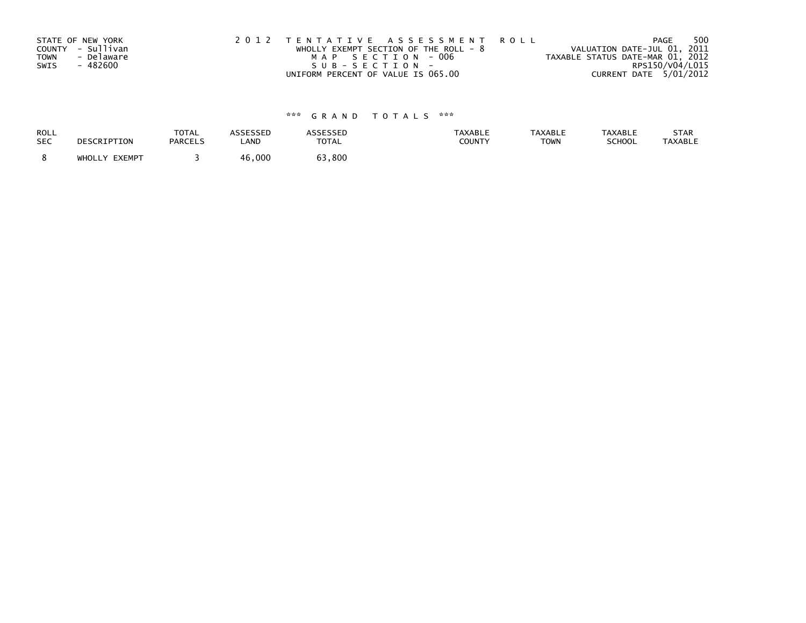| STATE OF NEW YORK<br>COUNTY - Sullivan<br>- Delaware<br>TOWN | 2012 TENTATIVE ASSESSMENT ROLL<br>WHOLLY EXEMPT SECTION OF THE ROLL - $8$<br>MAP SECTION - 006 | 500<br><b>PAGE</b><br>VALUATION DATE-JUL 01, 2011<br>TAXABLE STATUS DATE-MAR 01, 2012 |
|--------------------------------------------------------------|------------------------------------------------------------------------------------------------|---------------------------------------------------------------------------------------|
| - 482600<br>SWIS                                             | $SUB - SECTION -$                                                                              | RPS150/V04/L015                                                                       |
|                                                              | UNIFORM PERCENT OF VALUE IS 065.00                                                             | CURRENT DATE 5/01/2012                                                                |

| <b>ROLL</b> | DESCRIPTION   | <b>TOTAL</b>   | <b>ASSESSED</b> | ASSESSED     | <b>TAXABLE</b> | <b>TAXABLE</b> | <b>TAXABLE</b> | STAR           |
|-------------|---------------|----------------|-----------------|--------------|----------------|----------------|----------------|----------------|
| <b>SEC</b>  |               | <b>PARCELS</b> | LAND            | <b>TOTAL</b> | COUNTY         | <b>TOWN</b>    | SCHOOL         | <b>TAXABLE</b> |
|             | WHOLLY EXEMPT |                | 46,000          | 63,800       |                |                |                |                |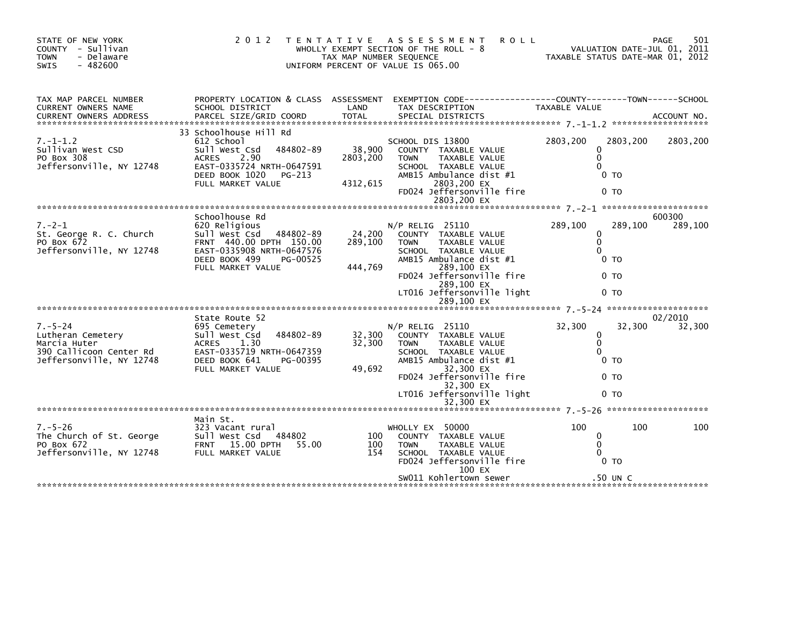| STATE OF NEW YORK<br>COUNTY - Sullivan<br><b>TOWN</b><br>- Delaware<br>$-482600$<br><b>SWIS</b>           | 2 0 1 2                                                                                                                                                                  | T E N T A T I V E<br>TAX MAP NUMBER SEQUENCE | A S S E S S M E N T<br><b>ROLL</b><br>WHOLLY EXEMPT SECTION OF THE ROLL - 8<br>UNIFORM PERCENT OF VALUE IS 065.00                                                                                                                     | TAXABLE STATUS DATE-MAR 01, 2012                                                                     | 501<br>PAGE<br>VALUATION DATE-JUL 01, 2011 |
|-----------------------------------------------------------------------------------------------------------|--------------------------------------------------------------------------------------------------------------------------------------------------------------------------|----------------------------------------------|---------------------------------------------------------------------------------------------------------------------------------------------------------------------------------------------------------------------------------------|------------------------------------------------------------------------------------------------------|--------------------------------------------|
| TAX MAP PARCEL NUMBER<br><b>CURRENT OWNERS NAME</b><br><b>CURRENT OWNERS ADDRESS</b>                      | SCHOOL DISTRICT<br>PARCEL SIZE/GRID COORD                                                                                                                                | LAND<br><b>TOTAL</b>                         | PROPERTY LOCATION & CLASS ASSESSMENT EXEMPTION CODE----------------COUNTY-------TOWN------SCHOOL<br>TAX DESCRIPTION<br>SPECIAL DISTRICTS                                                                                              | TAXABLE VALUE                                                                                        | ACCOUNT NO.                                |
| $7. - 1 - 1.2$<br>Sullivan West CSD<br>PO Box 308<br>Jeffersonville, NY 12748                             | 33 Schoolhouse Hill Rd<br>612 School<br>Sull West Csd<br>484802-89<br>2.90<br><b>ACRES</b><br>EAST-0335724 NRTH-0647591<br>DEED BOOK 1020<br>PG-213<br>FULL MARKET VALUE | 38,900<br>2803,200<br>4312,615               | SCHOOL DIS 13800<br>COUNTY TAXABLE VALUE<br>TAXABLE VALUE<br><b>TOWN</b><br>SCHOOL TAXABLE VALUE<br>AMB15 Ambulance dist #1<br>2803,200 EX<br>FD024 Jeffersonville fire<br>2803,200 EX                                                | 2803.200<br>0<br>$\mathbf{0}$<br>$\Omega$<br>0 <sub>T</sub><br>0 <sub>T</sub>                        | 2803.200<br>2803,200                       |
| $7. - 2 - 1$<br>St. George R. C. Church<br>PO Box 672<br>Jeffersonville, NY 12748                         | Schoolhouse Rd<br>620 Religious<br>sull west Csd<br>484802-89<br>FRNT 440.00 DPTH 150.00<br>EAST-0335908 NRTH-0647576<br>DEED BOOK 499<br>PG-00525<br>FULL MARKET VALUE  | 24,200<br>289,100<br>444,769                 | $N/P$ RELIG 25110<br>COUNTY TAXABLE VALUE<br>TAXABLE VALUE<br><b>TOWN</b><br>SCHOOL TAXABLE VALUE<br>AMB15 Ambulance dist #1<br>289,100 EX<br>FD024 Jeffersonville fire<br>289,100 EX<br>LT016 Jeffersonville light<br>289,100 EX     | 289,100<br>$\Omega$<br>$\mathbf 0$<br>$\Omega$<br>0 <sub>T</sub><br>0 <sub>T</sub><br>0 <sub>T</sub> | 600300<br>289,100<br>289,100               |
| $7. - 5 - 24$<br>Lutheran Cemetery<br>Marcia Huter<br>390 Callicoon Center Rd<br>Jeffersonville, NY 12748 | State Route 52<br>695 Cemetery<br>Sull West Csd<br>484802-89<br><b>ACRES</b><br>1.30<br>EAST-0335719 NRTH-0647359<br>DEED BOOK 641<br>PG-00395<br>FULL MARKET VALUE      | 32,300<br>32,300<br>49,692                   | $N/P$ RELIG 25110<br>COUNTY TAXABLE VALUE<br><b>TAXABLE VALUE</b><br><b>TOWN</b><br>SCHOOL TAXABLE VALUE<br>AMB15 Ambulance dist #1<br>32,300 EX<br>FD024 Jeffersonville fire<br>32,300 EX<br>LT016 Jeffersonville light<br>32,300 EX | 32,300<br>0<br>$\Omega$<br>$\Omega$<br>0 <sub>T</sub><br>0 <sub>T</sub><br>0 <sub>T</sub>            | 02/2010<br>32,300<br>32,300                |
| $7. - 5 - 26$<br>The Church of St. George<br>PO Box 672<br>Jeffersonville, NY 12748                       | Main St.<br>323 Vacant rural<br>Sull West Csd 484802<br>15.00 DPTH<br><b>FRNT</b><br>55.00<br>FULL MARKET VALUE                                                          | 100<br>100<br>154                            | WHOLLY EX 50000<br>COUNTY TAXABLE VALUE<br>TAXABLE VALUE<br><b>TOWN</b><br>SCHOOL TAXABLE VALUE<br>FD024 Jeffersonville fire<br>100 EX<br>SW011 Kohlertown sewer                                                                      | 100<br>0<br>$\Omega$<br>$\Omega$<br>0 <sub>T</sub><br>.50 UN C                                       | 100<br>100                                 |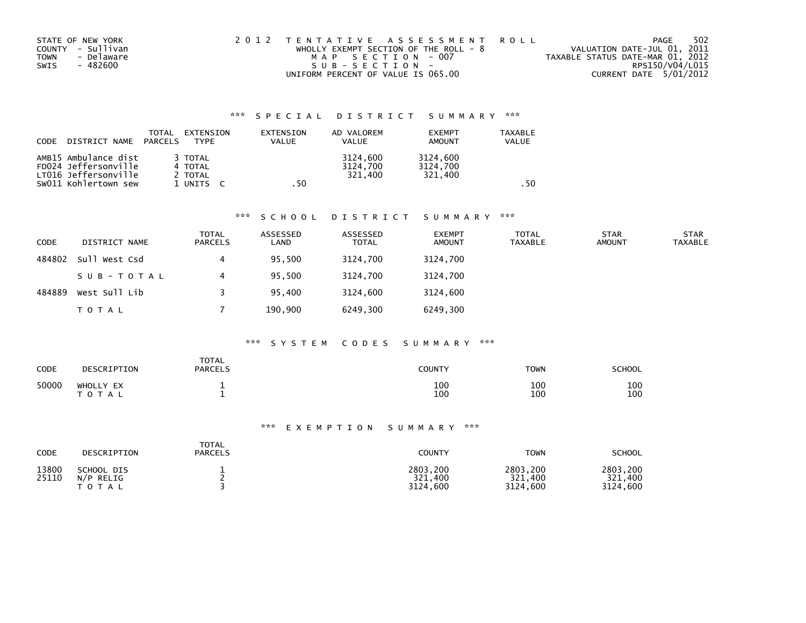| STATE OF NEW YORK  | 2012 TENTATIVE ASSESSMENT ROLL          | PAGE                             | 502 |
|--------------------|-----------------------------------------|----------------------------------|-----|
| COUNTY - Sullivan  | WHOLLY EXEMPT SECTION OF THE ROLL - $8$ | VALUATION DATE-JUL 01, 2011      |     |
| - Delaware<br>TOWN | MAP SECTION - 007                       | TAXABLE STATUS DATE-MAR 01, 2012 |     |
| - 482600<br>SWIS   | SUB-SECTION-                            | RPS150/V04/L015                  |     |
|                    | UNIFORM PERCENT OF VALUE IS 065.00      | CURRENT DATE 5/01/2012           |     |

| <b>CODE</b> | DISTRICT NAME                                                                                | TOTAL<br>PARCELS | EXTENSION<br>TYPF                          | EXTENSION<br>VALUE | AD VALOREM<br><b>VALUE</b>      | <b>EXEMPT</b><br><b>AMOUNT</b>  | <b>TAXABLE</b><br><b>VALUE</b> |      |
|-------------|----------------------------------------------------------------------------------------------|------------------|--------------------------------------------|--------------------|---------------------------------|---------------------------------|--------------------------------|------|
|             | AMB15 Ambulance dist<br>FD024 Jeffersonville<br>LT016 Jeffersonville<br>SW011 Kohlertown sew |                  | 3 TOTAL<br>4 TOTAL<br>2 TOTAL<br>1 UNITS C | . 50               | 3124.600<br>3124,700<br>321.400 | 3124,600<br>3124,700<br>321.400 |                                | . 50 |

# \*\*\* S C H O O L D I S T R I C T S U M M A R Y \*\*\*

| CODE   | DISTRICT NAME | <b>TOTAL</b><br><b>PARCELS</b> | ASSESSED<br>LAND | ASSESSED<br><b>TOTAL</b> | <b>EXEMPT</b><br><b>AMOUNT</b> | <b>TOTAL</b><br><b>TAXABLE</b> | <b>STAR</b><br><b>AMOUNT</b> | <b>STAR</b><br><b>TAXABLE</b> |
|--------|---------------|--------------------------------|------------------|--------------------------|--------------------------------|--------------------------------|------------------------------|-------------------------------|
| 484802 | Sull West Csd | 4                              | 95,500           | 3124,700                 | 3124,700                       |                                |                              |                               |
|        | SUB-TOTAL     | 4                              | 95,500           | 3124.700                 | 3124,700                       |                                |                              |                               |
| 484889 | West Sull Lib |                                | 95.400           | 3124,600                 | 3124,600                       |                                |                              |                               |
|        | <b>TOTAL</b>  |                                | 190,900          | 6249,300                 | 6249,300                       |                                |                              |                               |

#### \*\*\* S Y S T E M C O D E S S U M M A R Y \*\*\*

| CODE  | DESCRIPTION               | <b>TOTAL</b><br><b>PARCELS</b> | <b>COUNTY</b> | <b>TOWN</b> | <b>SCHOOL</b> |
|-------|---------------------------|--------------------------------|---------------|-------------|---------------|
| 50000 | WHOLLY EX<br><b>TOTAL</b> |                                | 100<br>100    | 100<br>100  | 100<br>100    |

| <b>CODE</b>    | DESCRIPTION                             | <b>TOTAL</b><br><b>PARCELS</b> | COUNTY                          | <b>TOWN</b>                     | <b>SCHOOL</b>                   |
|----------------|-----------------------------------------|--------------------------------|---------------------------------|---------------------------------|---------------------------------|
| 13800<br>25110 | SCHOOL DIS<br>N/P RELIG<br><b>TOTAL</b> |                                | 2803,200<br>321,400<br>3124.600 | 2803.200<br>321.400<br>3124.600 | 2803.200<br>321.400<br>3124,600 |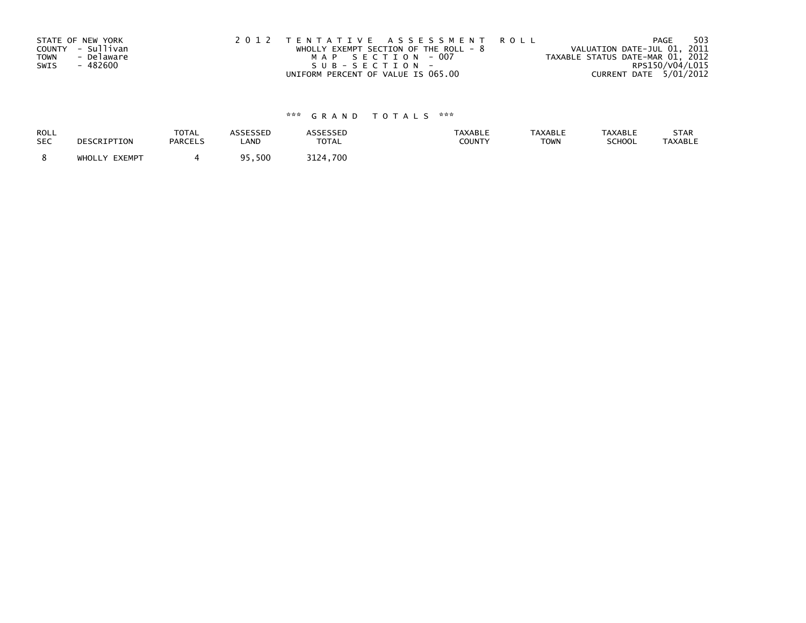|             | STATE OF NEW YORK | 2012 TENTATIVE ASSESSMENT ROLL          | 503<br>PAGE                      |
|-------------|-------------------|-----------------------------------------|----------------------------------|
|             | COUNTY - Sullivan | WHOLLY EXEMPT SECTION OF THE ROLL - $8$ | VALUATION DATE-JUL 01, 2011      |
| <b>TOWN</b> | - Delaware        | MAP SECTION - 007                       | TAXABLE STATUS DATE-MAR 01, 2012 |
| SWIS        | - 482600          | SUB-SECTION-                            | RPS150/V04/L015                  |
|             |                   | UNIFORM PERCENT OF VALUE IS 065.00      | CURRENT DATE 5/01/2012           |

| ROLL       | DESCRIPTION   | <b>TOTAL</b>   | ASSESSED  | <b>ASSESSED</b> | <b>TAXABLE</b> | <b>TAXABLE</b> | <b>TAXABLE</b> | STAR           |
|------------|---------------|----------------|-----------|-----------------|----------------|----------------|----------------|----------------|
| <b>SEC</b> |               | <b>PARCELS</b> | LAND      | <b>TOTAL</b>    | <b>COUNTY</b>  | <b>TOWN</b>    | <b>SCHOOL</b>  | <b>TAXABLE</b> |
|            | WHOLLY EXEMPT |                | 500 . د ر | 3124.700        |                |                |                |                |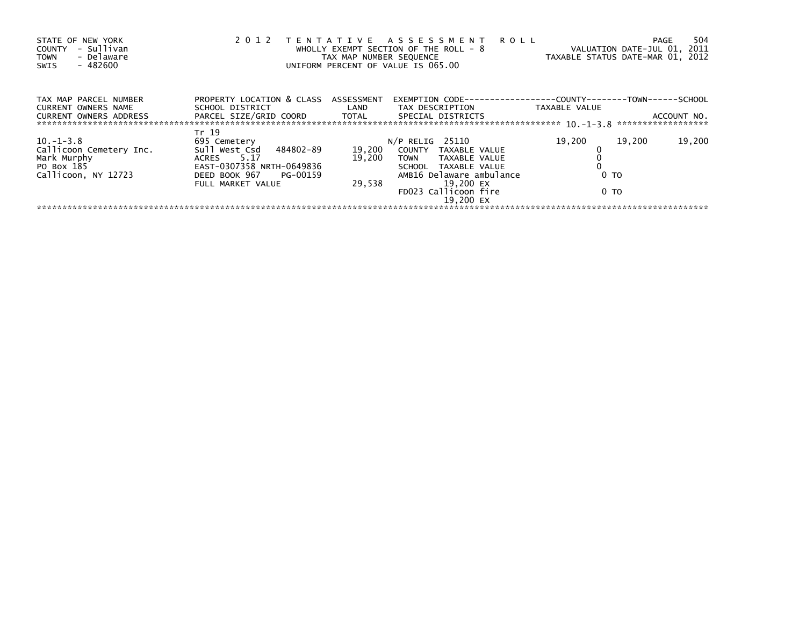| STATE OF NEW YORK<br>- Sullivan<br>COUNTY<br>- Delaware<br><b>TOWN</b><br>$-482600$<br>SWIS | 2012                                 | TAX MAP NUMBER SEQUENCE | TENTATIVE ASSESSMENT ROLL<br>WHOLLY EXEMPT SECTION OF THE ROLL - 8<br>UNIFORM PERCENT OF VALUE IS 065.00 | TAXABLE STATUS DATE-MAR 01, 2012                              | 504<br><b>PAGE</b><br>VALUATION DATE-JUL 01, 2011 |
|---------------------------------------------------------------------------------------------|--------------------------------------|-------------------------|----------------------------------------------------------------------------------------------------------|---------------------------------------------------------------|---------------------------------------------------|
| TAX MAP PARCEL NUMBER<br><b>CURRENT OWNERS NAME</b>                                         | PROPERTY LOCATION & CLASS ASSESSMENT |                         | EXEMPTION CODE---                                                                                        | --------------COUNTY--------TOWN------SCHOOL<br>TAXABLE VALUE |                                                   |
| <b>CURRENT OWNERS ADDRESS</b>                                                               | PARCEL SIZE/GRID COORD TOTAL         |                         | SPECIAL DISTRICTS                                                                                        |                                                               | ACCOUNT NO.                                       |
| $10.-1-3.8$                                                                                 | Tr 19<br>695 Cemetery                |                         | $N/P$ RELIG 25110                                                                                        | 19,200                                                        | 19,200<br>19,200                                  |
| Callicoon Cemetery Inc.                                                                     | Sull West Csd 484802-89              |                         | 19,200 COUNTY TAXABLE VALUE                                                                              |                                                               |                                                   |
| Mark Murphy                                                                                 | ACRES 5.17                           | 19,200                  | TOWN TAXABLE VALUE                                                                                       |                                                               |                                                   |
| PO Box 185                                                                                  | EAST-0307358 NRTH-0649836            |                         | SCHOOL TAXABLE VALUE                                                                                     |                                                               |                                                   |
| Callicoon, NY 12723                                                                         | DEED BOOK 967 PG-00159               |                         | AMB16 Delaware ambulance                                                                                 | 0 TO                                                          |                                                   |
|                                                                                             | FULL MARKET VALUE                    | 29.538                  | 19,200 EX<br>FD023 Callicoon fire<br>19.200 EX                                                           | 0 TO                                                          |                                                   |
|                                                                                             |                                      |                         |                                                                                                          |                                                               |                                                   |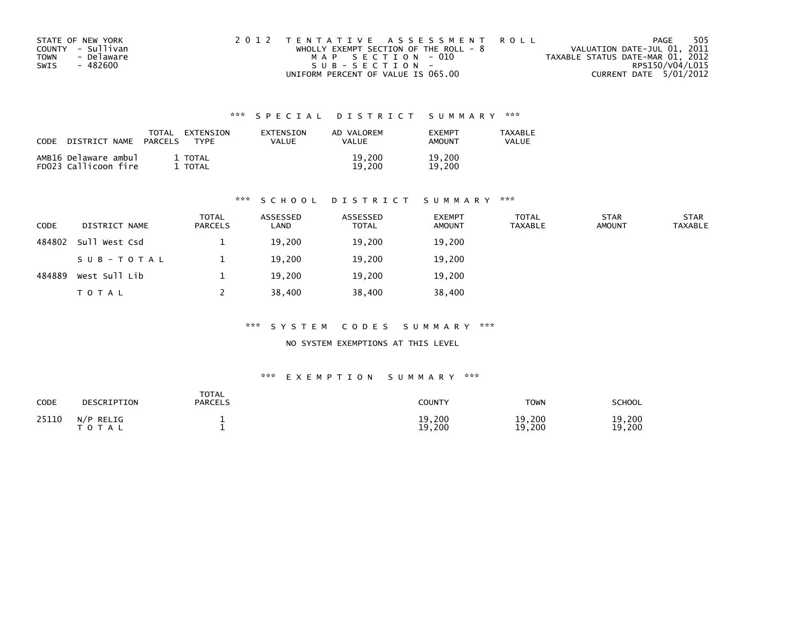| STATE OF NEW YORK  | 2012 TENTATIVE ASSESSMENT ROLL          | PAGE                             | 505 |
|--------------------|-----------------------------------------|----------------------------------|-----|
| COUNTY - Sullivan  | WHOLLY EXEMPT SECTION OF THE ROLL - $8$ | VALUATION DATE-JUL 01, 2011      |     |
| - Delaware<br>TOWN | MAP SECTION - 010                       | TAXABLE STATUS DATE-MAR 01, 2012 |     |
| SWIS<br>- 482600   | $SUB - SECTION -$                       | RPS150/V04/L015                  |     |
|                    | UNIFORM PERCENT OF VALUE IS 065.00      | CURRENT DATE 5/01/2012           |     |

| CODE | DISTRICT NAME                                | TOTAL<br><b>PARCELS</b> | EXTENSION<br><b>TYPF</b> | <b>FXTENSTON</b><br>VALUE | AD VALOREM<br>VALUE | <b>FXFMPT</b><br><b>AMOUNT</b> | <b>TAXABLE</b><br>VALUE |
|------|----------------------------------------------|-------------------------|--------------------------|---------------------------|---------------------|--------------------------------|-------------------------|
|      | AMB16 Delaware ambul<br>FD023 Callicoon fire |                         | 1 TOTAL<br>TOTAL         |                           | 19.200<br>19.200    | 19,200<br>19.200               |                         |

## \*\*\* S C H O O L D I S T R I C T S U M M A R Y \*\*\*

| <b>CODE</b> | DISTRICT NAME | <b>TOTAL</b><br><b>PARCELS</b> | ASSESSED<br>LAND | ASSESSED<br><b>TOTAL</b> | <b>EXEMPT</b><br><b>AMOUNT</b> | <b>TOTAL</b><br><b>TAXABLE</b> | <b>STAR</b><br><b>AMOUNT</b> | <b>STAR</b><br><b>TAXABLE</b> |
|-------------|---------------|--------------------------------|------------------|--------------------------|--------------------------------|--------------------------------|------------------------------|-------------------------------|
| 484802      | Sull West Csd |                                | 19,200           | 19,200                   | 19,200                         |                                |                              |                               |
|             | SUB-TOTAL     |                                | 19,200           | 19,200                   | 19,200                         |                                |                              |                               |
| 484889      | West Sull Lib |                                | 19,200           | 19,200                   | 19,200                         |                                |                              |                               |
|             | T O T A L     |                                | 38,400           | 38,400                   | 38,400                         |                                |                              |                               |

## \*\*\* S Y S T E M C O D E S S U M M A R Y \*\*\*

NO SYSTEM EXEMPTIONS AT THIS LEVEL

| <b>CODE</b> | DESCRIPTION            | <b>TOTAL</b><br><b>PARCELS</b> | COUNTY           | <b>TOWN</b>      | SCHOOL           |
|-------------|------------------------|--------------------------------|------------------|------------------|------------------|
| 25110       | N/P RELIG<br>T O T A L |                                | 19,200<br>19,200 | 19,200<br>19,200 | 19,200<br>19,200 |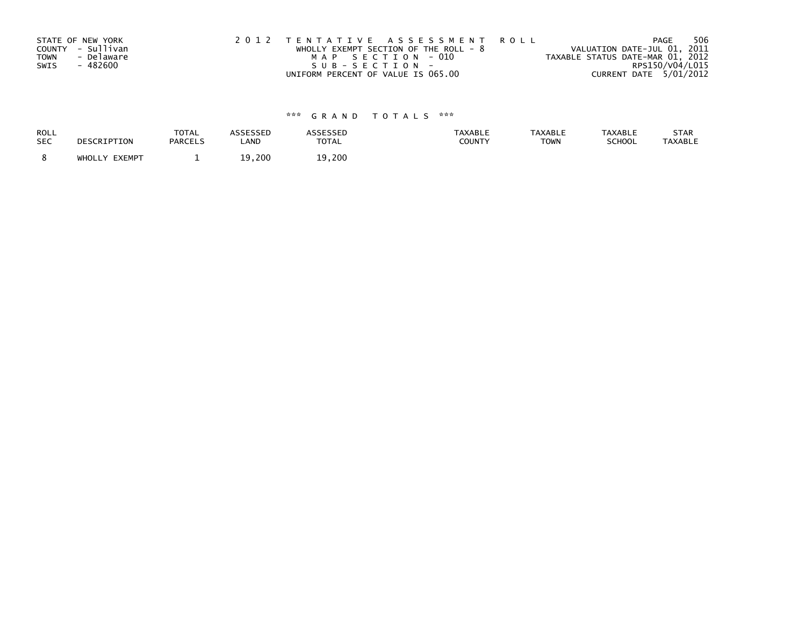|             | STATE OF NEW YORK | 2012 TENTATIVE ASSESSMENT ROLL          | 506<br>PAGE                      |
|-------------|-------------------|-----------------------------------------|----------------------------------|
|             | COUNTY - Sullivan | WHOLLY EXEMPT SECTION OF THE ROLL - $8$ | VALUATION DATE-JUL 01, 2011      |
| <b>TOWN</b> | - Delaware        | MAP SECTION - 010                       | TAXABLE STATUS DATE-MAR 01, 2012 |
| SWIS        | - 482600          | SUB-SECTION-                            | RPS150/V04/L015                  |
|             |                   | UNIFORM PERCENT OF VALUE IS 065.00      | CURRENT DATE 5/01/2012           |

| ROLL       | DESCRIPTION   | <b>TOTAL</b>   | <b>ASSESSED</b> | <b>ASSESSED</b> | <b>TAXABLE</b> | <b>TAXABLE</b> | <b>TAXABLE</b> | STAR           |
|------------|---------------|----------------|-----------------|-----------------|----------------|----------------|----------------|----------------|
| <b>SEC</b> |               | <b>PARCELS</b> | LAND            | <b>TOTAL</b>    | COUNTY         | <b>TOWN</b>    | SCHOOL         | <b>TAXABLE</b> |
|            | WHOLLY EXEMPT |                | 19,200          | 19,200          |                |                |                |                |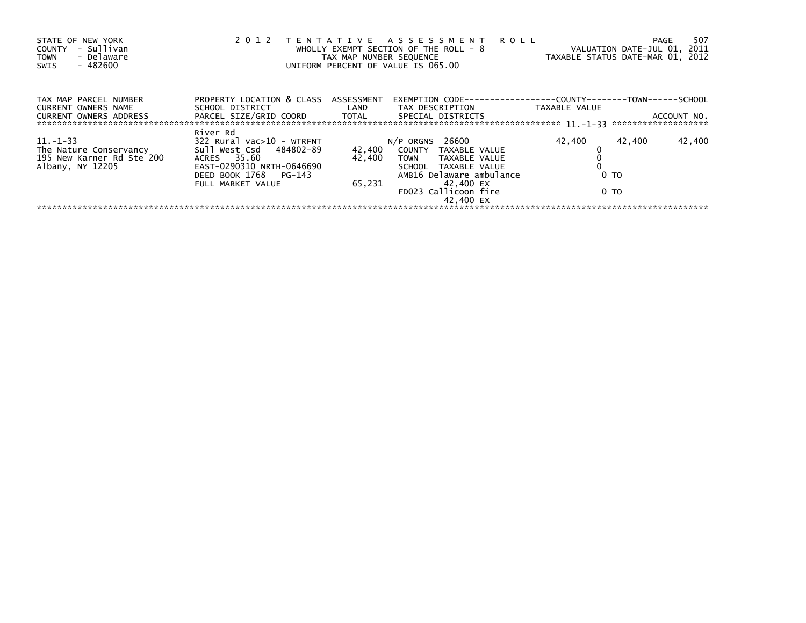| STATE OF NEW YORK<br>- Sullivan<br>COUNTY<br>- Delaware<br><b>TOWN</b><br>$-482600$<br>SWIS | 2012                                                 | TAX MAP NUMBER SEQUENCE | TENTATIVE ASSESSMENT ROLL<br>WHOLLY EXEMPT SECTION OF THE ROLL - 8<br>UNIFORM PERCENT OF VALUE IS 065.00 | TAXABLE STATUS DATE-MAR 01, 2012                             | 507<br>PAGE<br>VALUATION DATE-JUL 01, 2011 |
|---------------------------------------------------------------------------------------------|------------------------------------------------------|-------------------------|----------------------------------------------------------------------------------------------------------|--------------------------------------------------------------|--------------------------------------------|
| TAX MAP PARCEL NUMBER<br><b>CURRENT OWNERS NAME</b>                                         | PROPERTY LOCATION & CLASS ASSESSMENT                 |                         | EXEMPTION CODE---                                                                                        | -------------COUNTY--------TOWN------SCHOOL<br>TAXABLE VALUE |                                            |
| <b>CURRENT OWNERS ADDRESS</b>                                                               | PARCEL SIZE/GRID COORD TOTAL                         |                         | SPECIAL DISTRICTS                                                                                        |                                                              | ACCOUNT NO.                                |
| $11. - 1 - 33$                                                                              | River Rd                                             |                         |                                                                                                          |                                                              | 42,400                                     |
| The Nature Conservancy                                                                      | 322 Rural vac>10 - WTRFNT<br>Sull West Csd 484802-89 |                         | $N/P$ ORGNS 26600<br>42,400 COUNTY TAXABLE VALUE                                                         | 42,400                                                       | 42,400                                     |
| 195 New Karner Rd Ste 200                                                                   | ACRES 35.60                                          | 42,400                  | TOWN TAXABLE VALUE                                                                                       |                                                              |                                            |
| Albany, NY 12205                                                                            | EAST-0290310 NRTH-0646690                            |                         | SCHOOL TAXABLE VALUE                                                                                     |                                                              |                                            |
|                                                                                             | DEED BOOK 1768 PG-143                                |                         | AMB16 Delaware ambulance                                                                                 | 0 <sub>T</sub>                                               |                                            |
|                                                                                             | FULL MARKET VALUE                                    | 65.231                  | 42,400 EX<br>FD023 Callicoon fire<br>42.400 EX                                                           | 0 TO                                                         |                                            |
|                                                                                             |                                                      |                         |                                                                                                          |                                                              |                                            |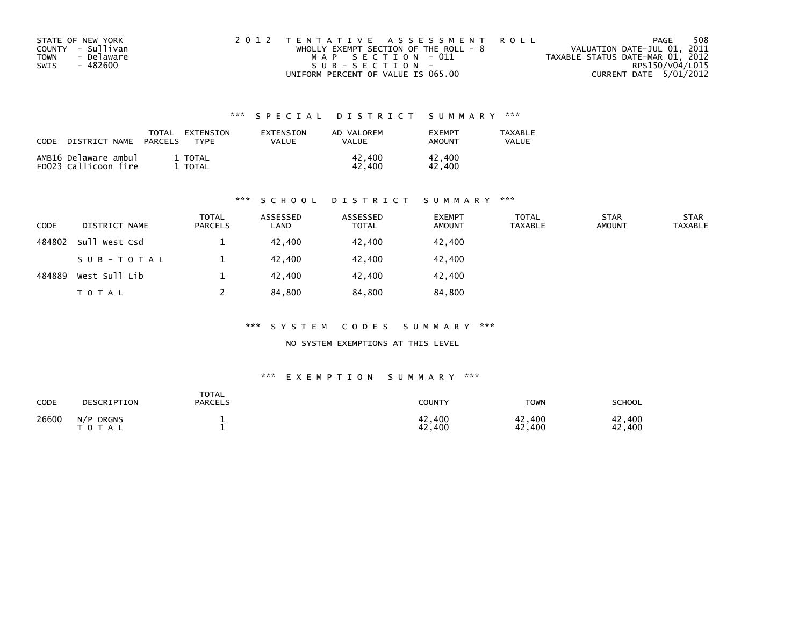| STATE OF NEW YORK  | 2012 TENTATIVE ASSESSMENT ROLL          | PAGE                             | 508 |
|--------------------|-----------------------------------------|----------------------------------|-----|
| COUNTY - Sullivan  | WHOLLY EXEMPT SECTION OF THE ROLL - $8$ | VALUATION DATE-JUL 01, 2011      |     |
| - Delaware<br>TOWN | MAP SECTION - 011                       | TAXABLE STATUS DATE-MAR 01, 2012 |     |
| SWIS<br>- 482600   | $SUB - SECTION -$                       | RPS150/V04/L015                  |     |
|                    | UNIFORM PERCENT OF VALUE IS 065.00      | CURRENT DATE 5/01/2012           |     |

| <b>CODE</b> | NAME                                         | TOTAL          | EXTENSION               | <b>FXTENSTON</b> | AD VALOREM       | <b>FXFMPT</b>    | <b>TAXABLE</b> |
|-------------|----------------------------------------------|----------------|-------------------------|------------------|------------------|------------------|----------------|
|             | DISTRICT                                     | <b>PARCELS</b> | TYPF                    | VALUE            | VALUE            | AMOUNT           | VALUE          |
|             | AMB16 Delaware ambul<br>FD023 Callicoon fire |                | 1 TOTAL<br><b>TOTAL</b> |                  | 42.400<br>42.400 | 42.400<br>42.400 |                |

## \*\*\* S C H O O L D I S T R I C T S U M M A R Y \*\*\*

| <b>CODE</b> | DISTRICT NAME | <b>TOTAL</b><br><b>PARCELS</b> | ASSESSED<br>LAND | ASSESSED<br><b>TOTAL</b> | <b>EXEMPT</b><br><b>AMOUNT</b> | <b>TOTAL</b><br><b>TAXABLE</b> | <b>STAR</b><br><b>AMOUNT</b> | <b>STAR</b><br><b>TAXABLE</b> |
|-------------|---------------|--------------------------------|------------------|--------------------------|--------------------------------|--------------------------------|------------------------------|-------------------------------|
| 484802      | Sull West Csd |                                | 42.400           | 42.400                   | 42,400                         |                                |                              |                               |
|             | SUB-TOTAL     |                                | 42.400           | 42.400                   | 42,400                         |                                |                              |                               |
| 484889      | West Sull Lib |                                | 42.400           | 42.400                   | 42,400                         |                                |                              |                               |
|             | T O T A L     |                                | 84,800           | 84,800                   | 84,800                         |                                |                              |                               |

## \*\*\* S Y S T E M C O D E S S U M M A R Y \*\*\*

NO SYSTEM EXEMPTIONS AT THIS LEVEL

| CODE  | DESCRIPTION            | <b>TOTAL</b><br><b>PARCELS</b> | COUNTY           | <b>TOWN</b>      | <b>SCHOOL</b>            |
|-------|------------------------|--------------------------------|------------------|------------------|--------------------------|
| 26600 | N/P ORGNS<br>T O T A L |                                | 42,400<br>42,400 | 42,400<br>42,400 | .400<br>42<br>.400<br>42 |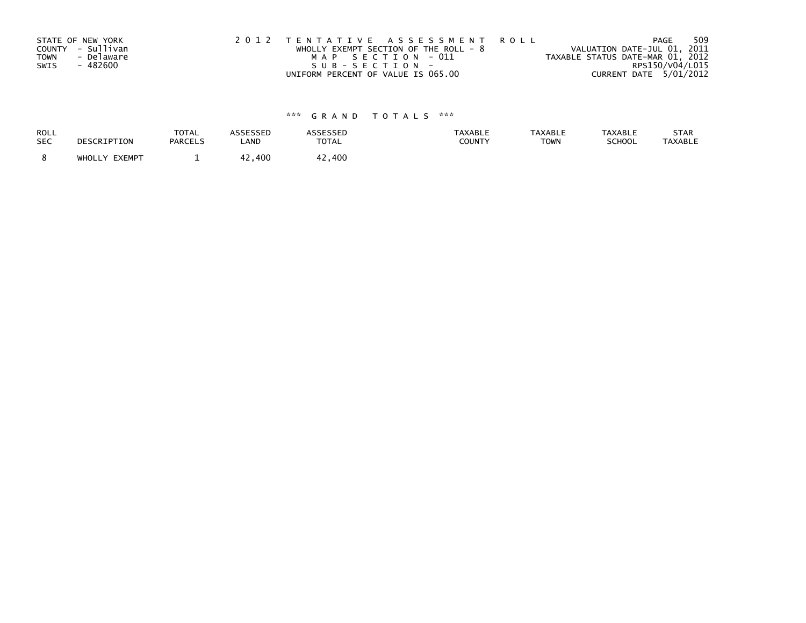| <b>TOWN</b><br>SWIS | STATE OF NEW YORK<br>COUNTY - Sullivan<br>- Delaware<br>- 482600 | 2012 TENTATIVE ASSESSMENT ROLL<br>WHOLLY EXEMPT SECTION OF THE ROLL - $8$<br>MAP SECTION - 011<br>SUB-SECTION- | 509<br>PAGE<br>VALUATION DATE-JUL 01, 2011<br>TAXABLE STATUS DATE-MAR 01, 2012<br>RPS150/V04/L015 |
|---------------------|------------------------------------------------------------------|----------------------------------------------------------------------------------------------------------------|---------------------------------------------------------------------------------------------------|
|                     |                                                                  | UNIFORM PERCENT OF VALUE IS 065.00                                                                             | CURRENT DATE 5/01/2012                                                                            |

| ROLL       | DESCRIPTION   | <b>TOTAL</b>   | <b>ASSESSED</b> | <b>ASSESSED</b> | <b>TAXABLE</b> | <b>TAXABLE</b> | <b>TAXABLE</b> | STAR           |
|------------|---------------|----------------|-----------------|-----------------|----------------|----------------|----------------|----------------|
| <b>SEC</b> |               | <b>PARCELS</b> | LAND            | <b>TOTAL</b>    | COUNTY         | <b>TOWN</b>    | SCHOOL         | <b>TAXABLE</b> |
|            | WHOLLY EXEMPT |                | 42.400          | 42,400          |                |                |                |                |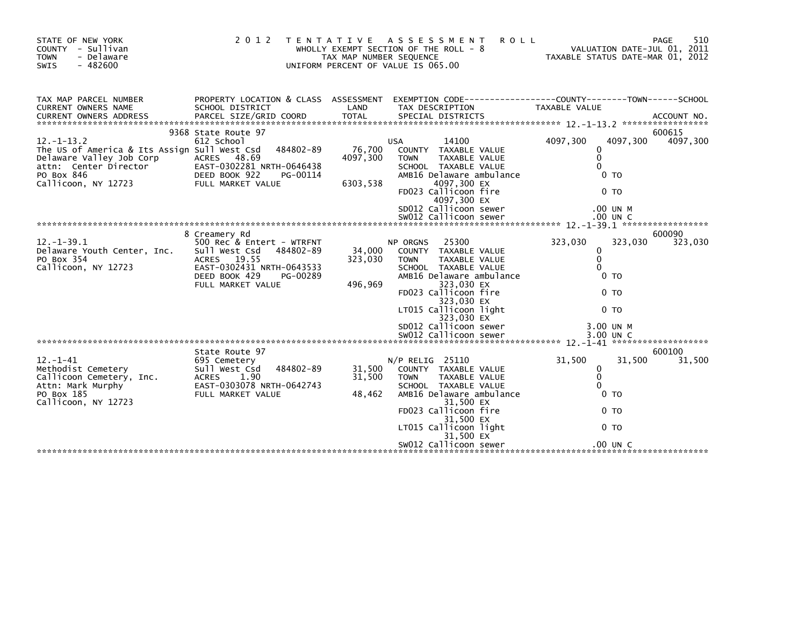| STATE OF NEW YORK<br>COUNTY - Sullivan<br><b>TOWN</b><br>- Delaware<br>$-482600$<br>SWIS                                                                                                                                 | 2 0 1 2                                                                                                                                                                | TAX MAP NUMBER SEQUENCE        | <b>ROLL</b><br>TENTATIVE ASSESSMENT<br>WHOLLY EXEMPT SECTION OF THE ROLL - 8<br>UNIFORM PERCENT OF VALUE IS 065.00                                                                                                                                                         | TAXABLE STATUS DATE-MAR 01, 2012                                                                                        | 510<br>PAGE<br>VALUATION DATE-JUL 01, 2011 |
|--------------------------------------------------------------------------------------------------------------------------------------------------------------------------------------------------------------------------|------------------------------------------------------------------------------------------------------------------------------------------------------------------------|--------------------------------|----------------------------------------------------------------------------------------------------------------------------------------------------------------------------------------------------------------------------------------------------------------------------|-------------------------------------------------------------------------------------------------------------------------|--------------------------------------------|
| TAX MAP PARCEL NUMBER<br>CURRENT OWNERS NAME<br><b>CURRENT OWNERS ADDRESS</b>                                                                                                                                            | SCHOOL DISTRICT                                                                                                                                                        | LAND                           | PROPERTY LOCATION & CLASS ASSESSMENT EXEMPTION CODE----------------COUNTY-------TOWN------SCHOOL<br>TAX DESCRIPTION                                                                                                                                                        | TAXABLE VALUE                                                                                                           |                                            |
| $12 - 1 - 13.2$<br>The US of America & Its Assign Sull West Csd<br>The US Of America a 111<br>Delaware Valley Job Corp<br>attn: Center Director<br>PO Box 846<br>Callicoon NY 12723<br>PO Box 846<br>Callicoon, NY 12723 | 9368 State Route 97<br>612 School<br>484802-89<br>ACRES 48.69<br>EAST-0302281 NRTH-0646438<br>DEED BOOK 922<br>PG-00114<br>FULL MARKET VALUE                           | 76,700<br>4097,300<br>6303,538 | 14100<br>USA<br>COUNTY TAXABLE VALUE<br>TAXABLE VALUE<br><b>TOWN</b><br>SCHOOL TAXABLE VALUE<br>AMB16 Delaware ambulance<br>4097,300 EX<br>FD023 Callicoon fire<br>4097,300 EX<br>SD012 Callicoon sewer                                                                    | 4097,300<br>4097,300<br>0<br>0<br>$\Omega$<br>0 <sub>T</sub><br>0 <sub>T</sub><br>.00 UN M                              | 600615<br>4097,300                         |
|                                                                                                                                                                                                                          |                                                                                                                                                                        |                                |                                                                                                                                                                                                                                                                            |                                                                                                                         |                                            |
| $12. -1 - 39.1$<br>Delaware Youth Center, Inc.<br>PO Box 354<br>Callicoon, NY 12723                                                                                                                                      | 8 Creamery Rd<br>500 Rec & Entert - WTRFNT<br>Sull West Csd<br>484802-89<br>ACRES 19.55<br>EAST-0302431 NRTH-0643533<br>DEED BOOK 429<br>PG-00289<br>FULL MARKET VALUE | 34,000<br>323,030<br>496,969   | 25300<br>NP ORGNS<br>COUNTY TAXABLE VALUE<br>TAXABLE VALUE<br><b>TOWN</b><br>SCHOOL TAXABLE VALUE<br>AMB16 Delaware ambulance<br>323,030 EX<br>FD023 Callicoon fire<br>323,030 EX<br>LT015 Callicoon light<br>323,030 EX<br>SD012 Callicoon sewer<br>SW012 Callicoon sewer | 323,030<br>0<br>$\mathbf 0$<br>$\Omega$<br>0 <sub>T</sub><br>0 <sub>T</sub><br>0 <sub>T</sub><br>3.00 UN M<br>3.00 UN C | 600090<br>323,030<br>323,030               |
|                                                                                                                                                                                                                          |                                                                                                                                                                        |                                |                                                                                                                                                                                                                                                                            |                                                                                                                         |                                            |
| $12. - 1 - 41$<br>Methodist Cemetery<br>Methodist Cemetery<br>Callicoon Cemetery, Inc.<br>Attn: Mark Murphy<br>PO Box 185<br>Callicoon, NY 12723                                                                         | State Route 97<br>695 Cemetery<br>Sull West Csd<br>484802-89<br>ACRES 1.90<br>EAST-0303078 NRTH-0642743<br>FULL MARKET VALUE                                           | 31,500<br>31,500<br>48,462     | $N/P$ RELIG 25110<br>COUNTY TAXABLE VALUE<br><b>TOWN</b><br>TAXABLE VALUE<br>SCHOOL TAXABLE VALUE<br>AMB16 Delaware ambulance<br>31,500 EX<br>FD023 Callicoon fire<br>31,500 EX<br>LT015 Callicoon light<br>31,500 EX<br>SW012 Callicoon sewer                             | 31,500<br>0<br>$\mathbf 0$<br>0<br>0 <sub>T</sub><br>0 <sub>TO</sub><br>0 TO<br>$.00$ UN C                              | 600100<br>31,500<br>31.500                 |
|                                                                                                                                                                                                                          |                                                                                                                                                                        |                                |                                                                                                                                                                                                                                                                            |                                                                                                                         |                                            |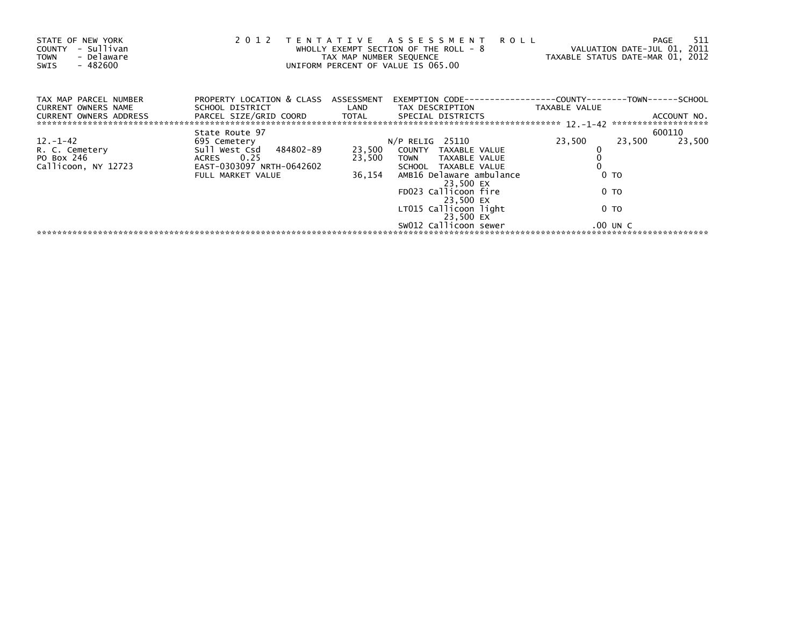| STATE OF NEW YORK<br>- Sullivan<br><b>COUNTY</b><br>- Delaware<br><b>TOWN</b><br>$-482600$<br>SWIS |                                                                                                      | TAX MAP NUMBER SEQUENCE | 2012 TENTATIVE ASSESSMENT ROLL<br>WHOLLY EXEMPT SECTION OF THE ROLL - 8<br>UNIFORM PERCENT OF VALUE IS 065.00 | VALUATION DATE-JUL 01, 2011<br>TAXABLE STATUS DATE-MAR 01, 2012 | 511<br><b>PAGE</b> |
|----------------------------------------------------------------------------------------------------|------------------------------------------------------------------------------------------------------|-------------------------|---------------------------------------------------------------------------------------------------------------|-----------------------------------------------------------------|--------------------|
| TAX MAP PARCEL NUMBER<br><b>CURRENT OWNERS NAME</b><br><b>CURRENT OWNERS ADDRESS</b>               | PROPERTY LOCATION & CLASS ASSESSMENT<br>SCHOOL DISTRICT<br>PARCEL SIZE/GRID COORD TOTAL              | LAND                    | TAX DESCRIPTION<br>SPECIAL DISTRICTS                                                                          | TAXABLE VALUE                                                   | ACCOUNT NO.        |
|                                                                                                    |                                                                                                      |                         |                                                                                                               |                                                                 |                    |
| $12. - 1 - 42$<br>R. C. Cemetery<br>PO Box 246<br>Callicoon, NY 12723                              | State Route 97<br>695 Cemetery<br>Sull West Csd 484802-89<br>ACRES 0.25<br>EAST-0303097 NRTH-0642602 | 23,500<br>23,500        | $N/P$ RELIG 25110<br>COUNTY TAXABLE VALUE<br>TAXABLE VALUE<br>TOWN<br>SCHOOL TAXABLE VALUE                    | 23,500<br>23,500                                                | 600110<br>23,500   |
|                                                                                                    | FULL MARKET VALUE                                                                                    | 36,154                  | AMB16 Delaware ambulance<br>23,500 EX                                                                         | 0 <sub>T</sub>                                                  |                    |
|                                                                                                    |                                                                                                      |                         | FD023 Callicoon fire<br>23,500 EX                                                                             | 0 TO                                                            |                    |
|                                                                                                    |                                                                                                      |                         | LT015 Callicoon light<br>23,500 EX                                                                            | 0 TO                                                            |                    |
|                                                                                                    |                                                                                                      |                         | SW012 Callicoon sewer                                                                                         | $.00$ UN C                                                      |                    |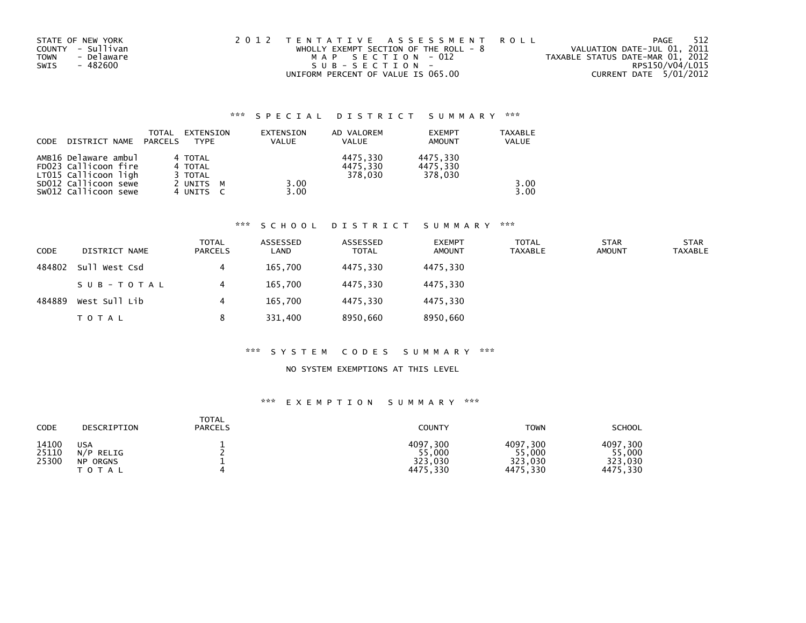| STATE OF NEW YORK         | 2012 TENTATIVE ASSESSMENT ROLL        | 512<br>PAGE                      |
|---------------------------|---------------------------------------|----------------------------------|
| COUNTY - Sullivan         | WHOLLY EXEMPT SECTION OF THE ROLL - 8 | VALUATION DATE-JUL 01, 2011      |
| - Delaware<br><b>TOWN</b> | MAP SECTION - 012                     | TAXABLE STATUS DATE-MAR 01, 2012 |
| - 482600<br>SWIS          | SUB-SECTION-                          | RPS150/V04/L015                  |
|                           | UNIFORM PERCENT OF VALUE IS 065.00    | CURRENT DATE 5/01/2012           |

| CODE | DISTRICT NAME PARCELS                        | TOTAL | EXTENSION<br><b>TYPF</b> | EXTENSION<br><b>VALUE</b> | AD VALOREM<br><b>VALUE</b> | <b>EXEMPT</b><br><b>AMOUNT</b> | <b>TAXABLE</b><br>VALUE |
|------|----------------------------------------------|-------|--------------------------|---------------------------|----------------------------|--------------------------------|-------------------------|
|      | AMB16 Delaware ambul<br>FD023 Callicoon fire |       | 4 TOTAL<br>4 TOTAL       |                           | 4475.330<br>4475,330       | 4475.330<br>4475,330           |                         |
|      | LT015 Callicoon ligh<br>SD012 Callicoon sewe |       | 3 TOTAL<br>2 UNITS<br>M  | 3.00                      | 378.030                    | 378.030                        | 3.00                    |
|      | SW012 Callicoon sewe                         |       | 4 UNITS                  | 3.00                      |                            |                                | 3.00                    |

## \*\*\* S C H O O L D I S T R I C T S U M M A R Y \*\*\*

| <b>CODE</b> | DISTRICT NAME | <b>TOTAL</b><br><b>PARCELS</b> | ASSESSED<br>LAND | ASSESSED<br><b>TOTAL</b> | <b>EXEMPT</b><br><b>AMOUNT</b> | <b>TOTAL</b><br>TAXABLE | <b>STAR</b><br><b>AMOUNT</b> | <b>STAR</b><br>TAXABLE |
|-------------|---------------|--------------------------------|------------------|--------------------------|--------------------------------|-------------------------|------------------------------|------------------------|
| 484802      | Sull West Csd | 4                              | 165,700          | 4475.330                 | 4475.330                       |                         |                              |                        |
|             | SUB-TOTAL     | 4                              | 165.700          | 4475.330                 | 4475.330                       |                         |                              |                        |
| 484889      | West Sull Lib | 4                              | 165,700          | 4475.330                 | 4475.330                       |                         |                              |                        |
|             | T O T A L     | 8                              | 331,400          | 8950,660                 | 8950,660                       |                         |                              |                        |

# \*\*\* S Y S T E M C O D E S S U M M A R Y \*\*\*

## NO SYSTEM EXEMPTIONS AT THIS LEVEL

| CODE                    | DESCRIPTION                                         | <b>TOTAL</b><br><b>PARCELS</b> | <b>COUNTY</b>                             | <b>TOWN</b>                               | <b>SCHOOL</b>                             |
|-------------------------|-----------------------------------------------------|--------------------------------|-------------------------------------------|-------------------------------------------|-------------------------------------------|
| 14100<br>25110<br>25300 | <b>USA</b><br>RELIG<br>N/P<br>ORGNS<br>NP.<br>TOTAL |                                | 4097.300<br>55,000<br>323,030<br>4475.330 | 4097,300<br>55,000<br>323,030<br>4475,330 | 4097,300<br>55,000<br>323,030<br>4475,330 |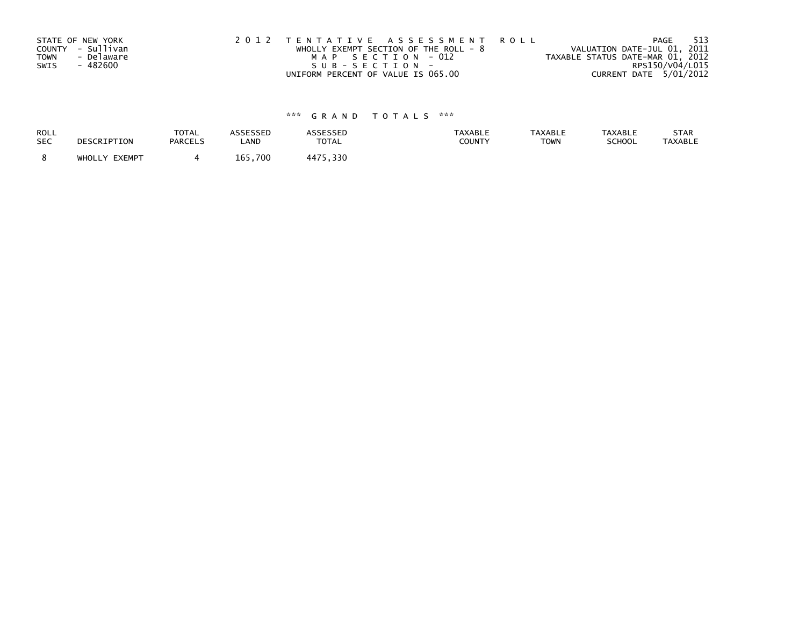|             | STATE OF NEW YORK | 2012 TENTATIVE ASSESSMENT ROLL          | - 513<br>PAGE                    |
|-------------|-------------------|-----------------------------------------|----------------------------------|
|             | COUNTY - Sullivan | WHOLLY EXEMPT SECTION OF THE ROLL - $8$ | VALUATION DATE-JUL 01, 2011      |
| <b>TOWN</b> | - Delaware        | MAP SECTION - 012                       | TAXABLE STATUS DATE-MAR 01, 2012 |
| SWIS        | - 482600          | SUB-SECTION-                            | RPS150/V04/L015                  |
|             |                   | UNIFORM PERCENT OF VALUE IS 065.00      | CURRENT DATE 5/01/2012           |

| ROLL       | DESCRIPTION   | <b>TOTAL</b>   | ASSESSED | <b>ASSESSED</b> | <b>TAXABLE</b> | <b>TAXABLE</b> | <b>TAXABLE</b> | STAR           |
|------------|---------------|----------------|----------|-----------------|----------------|----------------|----------------|----------------|
| <b>SEC</b> |               | <b>PARCELS</b> | LAND     | <b>TOTAL</b>    | COUNTY         | <b>TOWN</b>    | SCHOOL         | <b>TAXABLE</b> |
|            | WHOLLY EXEMPT |                | 165.700  | 4475,330        |                |                |                |                |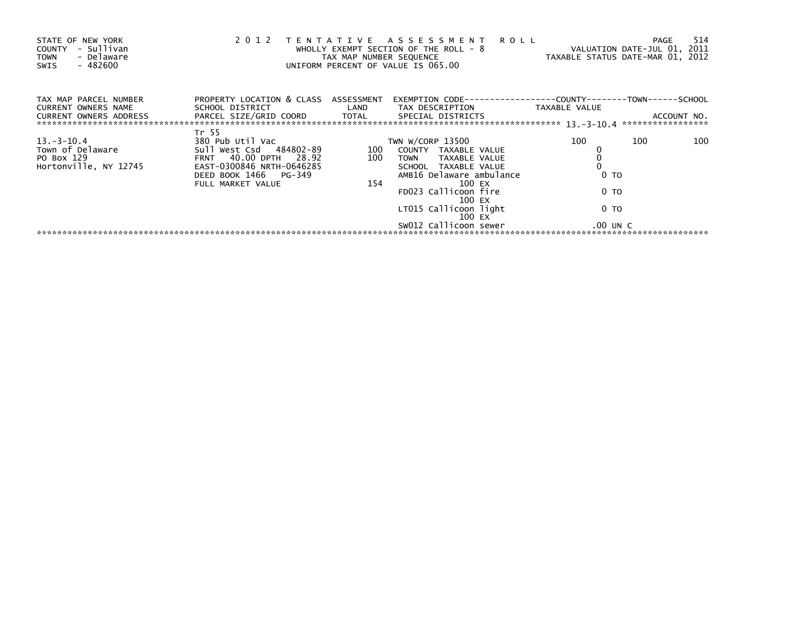| STATE OF NEW YORK<br>- Sullivan<br><b>COUNTY</b><br>- Delaware<br><b>TOWN</b><br>- 482600<br>SWIS | 2 0 1 2                                                                                                                                                  | T E N T A T I V E<br>TAX MAP NUMBER SEQUENCE | A S S E S S M E N T<br><b>ROLL</b><br>WHOLLY EXEMPT SECTION OF THE ROLL - $8$<br>UNIFORM PERCENT OF VALUE IS 065.00                                                                                                                  | <b>PAGE</b><br>VALUATION DATE-JUL 01, 2011<br>TAXABLE STATUS DATE-MAR 01, 2012 | 514                                                   |
|---------------------------------------------------------------------------------------------------|----------------------------------------------------------------------------------------------------------------------------------------------------------|----------------------------------------------|--------------------------------------------------------------------------------------------------------------------------------------------------------------------------------------------------------------------------------------|--------------------------------------------------------------------------------|-------------------------------------------------------|
| TAX MAP PARCEL NUMBER<br><b>CURRENT OWNERS NAME</b><br>CURRENT OWNERS ADDRESS                     | PROPERTY LOCATION & CLASS ASSESSMENT<br>SCHOOL DISTRICT<br>PARCEL SIZE/GRID COORD                                                                        | LAND<br>TOTAL                                | EXEMPTION CODE-----------------COUNTY-------<br>TAX DESCRIPTION<br>SPECIAL DISTRICTS                                                                                                                                                 | TAXABLE VALUE                                                                  | -TOWN------SCHOOL<br>ACCOUNT NO.<br>***************** |
| $13 - 3 - 10.4$<br>Town of Delaware<br>PO Box 129<br>Hortonville, NY 12745                        | Tr 55<br>380 Pub Util Vac<br>Sull West Csd 484802-89<br>FRNT 40.00 DPTH 28.92<br>EAST-0300846 NRTH-0646285<br>DEED BOOK 1466 PG-349<br>FULL MARKET VALUE | 100<br>100<br>154                            | TWN W/CORP 13500<br>COUNTY TAXABLE VALUE<br>TAXABLE VALUE<br><b>TOWN</b><br>SCHOOL TAXABLE VALUE<br>AMB16 Delaware ambulance<br>100 EX<br>FD023 Callicoon fire<br>100 EX<br>LT015 Callicoon light<br>100 EX<br>SW012 Callicoon sewer | 100<br>100<br>0 <sub>T</sub><br>0 TO<br>0 TO<br>$.00$ UN C                     | 100                                                   |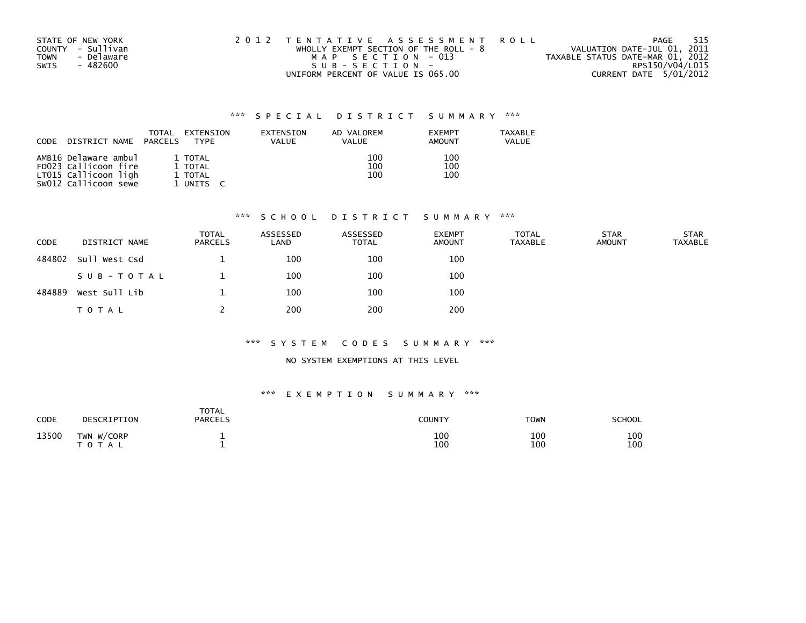| STATE OF NEW YORK         | 2012 TENTATIVE ASSESSMENT ROLL          | - 515<br>PAGE                    |
|---------------------------|-----------------------------------------|----------------------------------|
| COUNTY - Sullivan         | WHOLLY EXEMPT SECTION OF THE ROLL - $8$ | VALUATION DATE-JUL 01, 2011      |
| - Delaware<br><b>TOWN</b> | MAP SECTION - 013                       | TAXABLE STATUS DATE-MAR 01, 2012 |
| SWIS<br>- 482600          | SUB-SECTION-                            | RPS150/V04/L015                  |
|                           | UNIFORM PERCENT OF VALUE IS 065.00      | CURRENT DATE 5/01/2012           |

| <b>CODE</b> | DISTRICT NAME                                                                                | TOTAL<br>PARCELS | EXTENSION<br>TYPF                          | <b>EXTENSION</b><br>VALUE | AD VALOREM<br>VALUE | <b>EXEMPT</b><br>AMOUNT | TAXABLE<br>VALUE |
|-------------|----------------------------------------------------------------------------------------------|------------------|--------------------------------------------|---------------------------|---------------------|-------------------------|------------------|
|             | AMB16 Delaware ambul<br>FD023 Callicoon fire<br>LT015 Callicoon ligh<br>SW012 Callicoon sewe |                  | 1 TOTAL<br>1 TOTAL<br>1 TOTAL<br>1 UNITS C |                           | 100<br>100<br>100   | 100<br>100<br>100       |                  |

## \*\*\* S C H O O L D I S T R I C T S U M M A R Y \*\*\*

| CODE   | DISTRICT NAME | <b>TOTAL</b><br><b>PARCELS</b> | ASSESSED<br>LAND | ASSESSED<br><b>TOTAL</b> | <b>EXEMPT</b><br><b>AMOUNT</b> | <b>TOTAL</b><br><b>TAXABLE</b> | <b>STAR</b><br><b>AMOUNT</b> | <b>STAR</b><br><b>TAXABLE</b> |
|--------|---------------|--------------------------------|------------------|--------------------------|--------------------------------|--------------------------------|------------------------------|-------------------------------|
| 484802 | Sull West Csd |                                | 100              | 100                      | 100                            |                                |                              |                               |
|        | SUB-TOTAL     |                                | 100              | 100                      | 100                            |                                |                              |                               |
| 484889 | West Sull Lib |                                | 100              | 100                      | 100                            |                                |                              |                               |
|        | T O T A L     |                                | 200              | 200                      | 200                            |                                |                              |                               |

## \*\*\* S Y S T E M C O D E S S U M M A R Y \*\*\*

## NO SYSTEM EXEMPTIONS AT THIS LEVEL

| CODE  | DESCRIPTION              | <b>TOTAL</b><br>PARCELS | COUNTY     | <b>TOWN</b> | SCHOOL     |
|-------|--------------------------|-------------------------|------------|-------------|------------|
| 13500 | TWN W/CORP<br>тот<br>TAL | --<br>--                | 100<br>100 | 100<br>100  | 100<br>100 |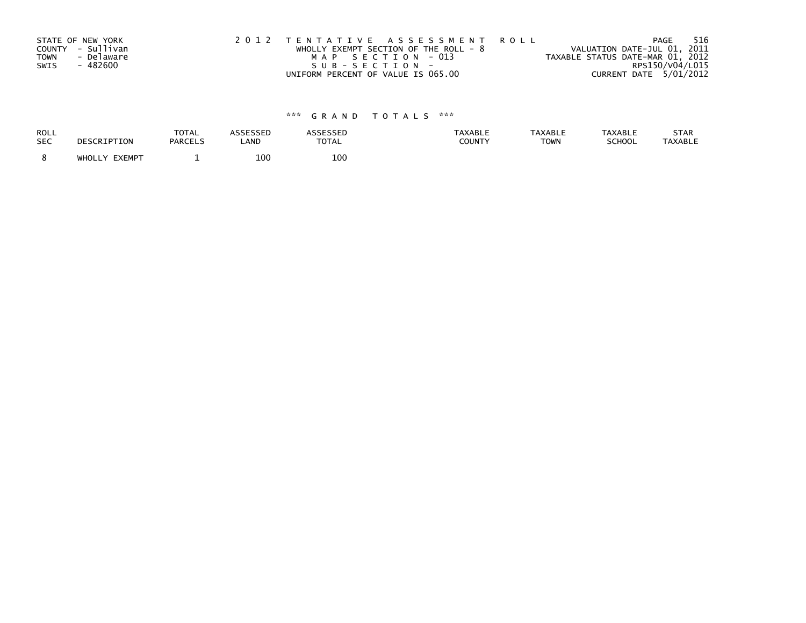|             | STATE OF NEW YORK | 2012 TENTATIVE ASSESSMENT ROLL          | 516<br>PAGE                      |
|-------------|-------------------|-----------------------------------------|----------------------------------|
|             | COUNTY - Sullivan | WHOLLY EXEMPT SECTION OF THE ROLL - $8$ | VALUATION DATE-JUL 01, 2011      |
| <b>TOWN</b> | - Delaware        | MAP SECTION - 013                       | TAXABLE STATUS DATE-MAR 01, 2012 |
| SWIS        | - 482600          | SUB-SECTION-                            | RPS150/V04/L015                  |
|             |                   | UNIFORM PERCENT OF VALUE IS 065.00      | CURRENT DATE 5/01/2012           |

| ROLL<br><b>SEC</b> | DESCRIPTION      | <b>TOTAL</b><br><b>PARCELS</b> | LAND | <b>TOTAL</b> | TAXABLI<br><b>COUNTY</b> | <b>TAXABLE</b><br><b>TOWN</b> | <b>TAXABLL</b><br><b>SCHOOL</b> | <b>STAR</b><br><b>TAXABLE</b> |
|--------------------|------------------|--------------------------------|------|--------------|--------------------------|-------------------------------|---------------------------------|-------------------------------|
|                    | EXEMPT<br>WHOLLY |                                | 100  | 100          |                          |                               |                                 |                               |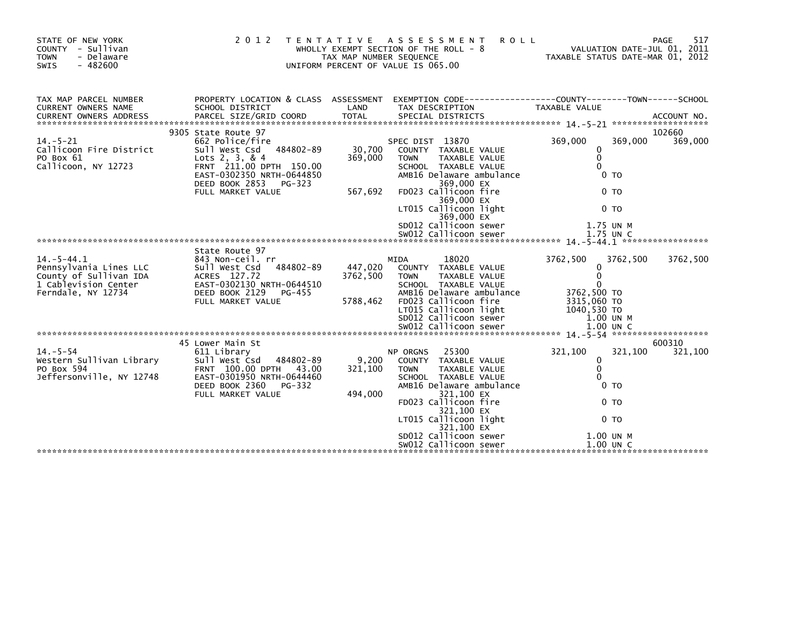| STATE OF NEW YORK<br>COUNTY - Sullivan<br>- Delaware<br><b>TOWN</b><br>$-482600$<br>SWIS | 2 0 1 2                                                                                 | TAX MAP NUMBER SEQUENCE | TENTATIVE ASSESSMENT<br><b>ROLL</b><br>WHOLLY EXEMPT SECTION OF THE ROLL - 8<br>UNIFORM PERCENT OF VALUE IS 065.00 | VALUATION DATE-JUL 01, 2011<br>TAXABLE STATUS DATE-MAR 01, 2012 | 517<br><b>PAGE</b> |
|------------------------------------------------------------------------------------------|-----------------------------------------------------------------------------------------|-------------------------|--------------------------------------------------------------------------------------------------------------------|-----------------------------------------------------------------|--------------------|
| TAX MAP PARCEL NUMBER                                                                    |                                                                                         |                         | PROPERTY LOCATION & CLASS ASSESSMENT EXEMPTION CODE----------------COUNTY-------TOWN-----SCHOOL                    |                                                                 |                    |
| CURRENT OWNERS NAME<br><b>CURRENT OWNERS ADDRESS</b>                                     | SCHOOL DISTRICT<br>PARCEL SIZE/GRID COORD                                               | LAND<br><b>TOTAL</b>    | TAX DESCRIPTION<br>SPECIAL DISTRICTS                                                                               | TAXABLE VALUE                                                   | ACCOUNT NO.        |
|                                                                                          | 9305 State Route 97                                                                     |                         |                                                                                                                    |                                                                 | 102660             |
| $14. - 5 - 21$<br>Callicoon Fire District<br>PO Box 61<br>Callicoon, NY 12723            | 662 Police/fire<br>Sull West Csd 484802-89<br>Lots 2, 3, & 4<br>FRNT 211.00 DPTH 150.00 | 30,700<br>369,000       | SPEC DIST 13870<br>COUNTY TAXABLE VALUE<br><b>TOWN</b><br>TAXABLE VALUE<br>SCHOOL TAXABLE VALUE                    | 369,000<br>369,000<br>0<br>$\mathbf 0$<br>$\Omega$              | 369,000            |
|                                                                                          | EAST-0302350 NRTH-0644850<br>DEED BOOK 2853 PG-323                                      |                         | AMB16 Delaware ambulance<br>369,000 EX                                                                             | 0 <sub>T</sub>                                                  |                    |
|                                                                                          | FULL MARKET VALUE                                                                       | 567,692                 | FD023 Callicoon fire<br>369,000 EX                                                                                 | 0 <sub>T</sub>                                                  |                    |
|                                                                                          |                                                                                         |                         | LT015 Callicoon light<br>369,000 EX                                                                                | 0 <sub>T</sub>                                                  |                    |
|                                                                                          |                                                                                         |                         | SD012 Callicoon sewer                                                                                              | 1.75 UN M                                                       |                    |
|                                                                                          |                                                                                         |                         |                                                                                                                    |                                                                 |                    |
|                                                                                          | State Route 97                                                                          |                         |                                                                                                                    |                                                                 |                    |
| $14. -5 - 44.1$                                                                          | 843 Non-ceil. rr                                                                        |                         | 18020<br>MIDA                                                                                                      | 3762,500<br>3762,500                                            | 3762,500           |
| Pennsylvania Lines LLC                                                                   | 484802-89<br>Sull West Csd                                                              | 447,020                 | COUNTY TAXABLE VALUE                                                                                               | 0<br>$\mathbf{0}$                                               |                    |
| County of Sullivan IDA<br>1 Cablevision Center                                           | ACRES 127.72<br>EAST-0302130 NRTH-0644510                                               | 3762,500                | <b>TAXABLE VALUE</b><br><b>TOWN</b><br>SCHOOL TAXABLE VALUE                                                        | $\Omega$                                                        |                    |
| Ferndale, NY 12734                                                                       | DEED BOOK 2129<br>PG-455                                                                |                         | AMB16 Delaware ambulance                                                                                           | 3762,500 TO                                                     |                    |
|                                                                                          | FULL MARKET VALUE                                                                       | 5788,462                | FD023 Callicoon fire                                                                                               | 3315,060 TO                                                     |                    |
|                                                                                          |                                                                                         |                         | LT015 Callicoon light                                                                                              | 1040,530 TO                                                     |                    |
|                                                                                          |                                                                                         |                         | SD012 Callicoon sewer                                                                                              | $1.00$ UN M                                                     |                    |
|                                                                                          |                                                                                         |                         |                                                                                                                    |                                                                 |                    |
|                                                                                          | 45 Lower Main St                                                                        |                         |                                                                                                                    |                                                                 | 600310             |
| $14. - 5 - 54$                                                                           | 611 Library                                                                             |                         | 25300<br>NP ORGNS                                                                                                  | 321,100<br>321,100                                              | 321,100            |
| Western Sullivan Library                                                                 | Sull West Csd<br>484802-89                                                              | 9,200                   | COUNTY TAXABLE VALUE                                                                                               | $\mathbf{0}$                                                    |                    |
| PO Box 594                                                                               | FRNT 100.00 DPTH 43.00                                                                  | 321,100                 | TAXABLE VALUE<br><b>TOWN</b>                                                                                       | $\mathbf{0}$                                                    |                    |
| Jeffersonville, NY 12748                                                                 | EAST-0301950 NRTH-0644460                                                               |                         | SCHOOL TAXABLE VALUE                                                                                               | $\Omega$                                                        |                    |
|                                                                                          | DEED BOOK 2360<br>PG-332                                                                |                         | AMB16 Delaware ambulance                                                                                           | 0 <sub>T</sub>                                                  |                    |
|                                                                                          | FULL MARKET VALUE                                                                       | 494,000                 | 321,100 EX<br>FD023 Callicoon fire                                                                                 | 0 <sub>T</sub>                                                  |                    |
|                                                                                          |                                                                                         |                         | 321,100 EX<br>LT015 Callicoon light                                                                                | 0 <sub>T</sub>                                                  |                    |
|                                                                                          |                                                                                         |                         | 321,100 EX<br>SD012 Callicoon sewer                                                                                | 1.00 UN M                                                       |                    |
|                                                                                          |                                                                                         |                         | SW012 Callicoon sewer                                                                                              | $1.00$ UN C                                                     |                    |
|                                                                                          |                                                                                         |                         |                                                                                                                    |                                                                 |                    |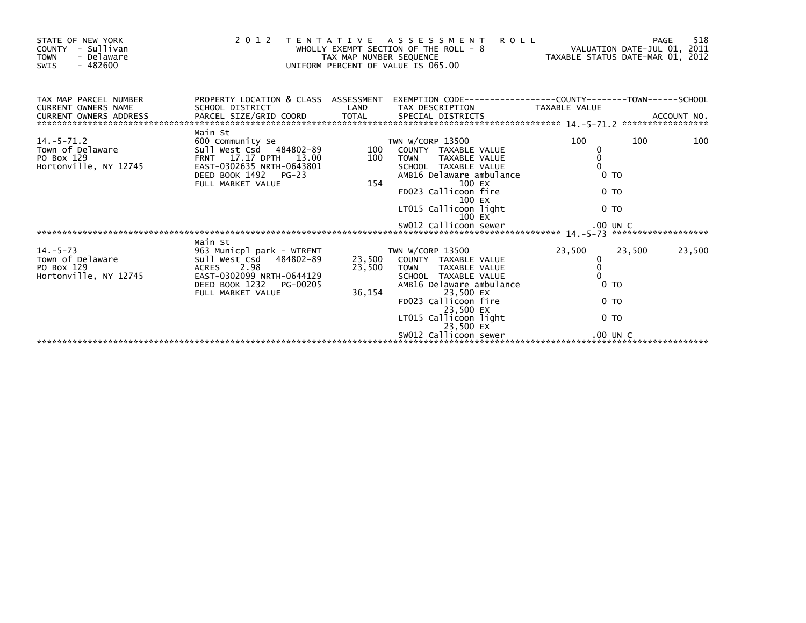| STATE OF NEW YORK<br>COUNTY - Sullivan<br>- Delaware<br><b>TOWN</b><br>$-482600$<br>SWIS                                          |                                                                                                                                                                           |        | 2012 TENTATIVE ASSESSMENT ROLL<br>WHOLLY EXEMPT SECTION OF THE ROLL - 8 WALUATION DATE-JUL 01, 2011<br>TAX MAP NUMBER SEQUENCE TAXIS DATE-MAR 01, 2012<br>UNIFORM PERCENT OF VALUE IS 065.00                                                      |                                                                                                        | 518<br>PAGE      |
|-----------------------------------------------------------------------------------------------------------------------------------|---------------------------------------------------------------------------------------------------------------------------------------------------------------------------|--------|---------------------------------------------------------------------------------------------------------------------------------------------------------------------------------------------------------------------------------------------------|--------------------------------------------------------------------------------------------------------|------------------|
| TAX MAP PARCEL NUMBER<br><b>CURRENT OWNERS NAME</b><br><b>CURRENT OWNERS ADDRESS</b>                                              | PROPERTY LOCATION & CLASS ASSESSMENT EXEMPTION CODE----------------COUNTY-------TOWN------SCHOOL<br>SCHOOL DISTRICT                                                       | LAND   |                                                                                                                                                                                                                                                   |                                                                                                        |                  |
| Town of Delaware<br>Town of Delaware<br>PO Box 129<br>Hortonville, NY 12745<br>Hortonville, NY 12745<br>EAST-0302635 NRTH-0643801 | Main St<br>DEED BOOK 1492 PG-23<br>FULL MARKET VALUE                                                                                                                      | 154    | TWN W/CORP 13500<br>100 COUNTY TAXABLE VALUE<br>100 TOWN TAXABLE VALUE<br>SCHOOL TAXABLE VALUE<br>AMB16 Delaware ambulance<br>100 EX<br>FD023 Callicoon fire<br>100 EX<br>LT015 Callicoon light<br>$100$ EX                                       | 100<br>0<br>$\mathbf 0$<br>0 <sub>T</sub><br>0 <sub>T</sub><br>0 <sub>T</sub>                          | 100<br>100       |
| 14.-5-73<br>Town of Delaware<br>PO Box 129<br>Hortonville, NY 12745                                                               | Main St<br>963 Municpl park - WTRFNT<br>Sull_West_Csd   484802-89       23,500<br>ACRES 2.98<br>EAST-0302099 NRTH-0644129<br>DEED BOOK 1232 PG-00205<br>FULL MARKET VALUE | 36,154 | TWN W/CORP 13500<br>23,500 COUNTY TAXABLE VALUE<br>23,500 TOWN TAXABLE VALUE<br>SCHOOL TAXABLE VALUE<br>AMB16 Delaware ambulance<br>23,500 EX<br>FD023 Callicoon fire<br>23.500 EX<br>LT015 Callicoon light<br>23,500 EX<br>SW012 Callicoon sewer | 23,500<br>0<br>$\ddot{\mathbf{0}}$<br>0 <sub>T</sub><br>0 <sub>T</sub><br>0 <sub>T</sub><br>$.00$ UN C | 23,500<br>23,500 |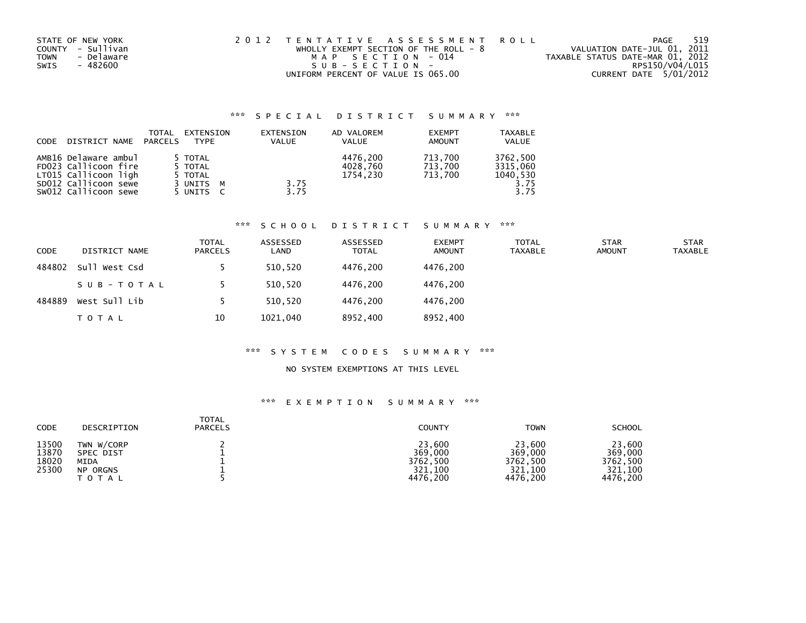| STATE OF NEW YORK         | 2012 TENTATIVE ASSESSMENT ROLL          | PAGE                             | 519 |
|---------------------------|-----------------------------------------|----------------------------------|-----|
| COUNTY - Sullivan         | WHOLLY EXEMPT SECTION OF THE ROLL - $8$ | VALUATION DATE-JUL 01, 2011      |     |
| - Delaware<br><b>TOWN</b> | MAP SECTION - 014                       | TAXABLE STATUS DATE-MAR 01, 2012 |     |
| SWIS<br>- 482600          | SUB-SECTION-                            | RPS150/V04/L015                  |     |
|                           | UNIFORM PERCENT OF VALUE IS 065.00      | CURRENT DATE 5/01/2012           |     |

| CODE | DISTRICT NAME                                                                                                        | TOTAL<br>PARCELS | EXTENSION<br><b>TYPF</b>                                               | EXTENSION<br><b>VALUE</b> | AD VALOREM<br><b>VALUE</b>       | <b>EXEMPT</b><br><b>AMOUNT</b> | <b>TAXABLE</b><br><b>VALUE</b>                   |
|------|----------------------------------------------------------------------------------------------------------------------|------------------|------------------------------------------------------------------------|---------------------------|----------------------------------|--------------------------------|--------------------------------------------------|
|      | AMB16 Delaware ambul<br>FD023 Callicoon fire<br>LT015 Callicoon ligh<br>SD012 Callicoon sewe<br>SW012 Callicoon sewe |                  | 5 TOTAL<br>5 TOTAL<br>5 TOTAL<br>3 UNITS<br>M<br>5 UNITS<br>$\epsilon$ | 3.75<br>3.75              | 4476.200<br>4028.760<br>1754.230 | 713.700<br>713.700<br>713.700  | 3762,500<br>3315.060<br>1040,530<br>3.75<br>3.75 |

## \*\*\* S C H O O L D I S T R I C T S U M M A R Y \*\*\*

| <b>CODE</b> | DISTRICT NAME | <b>TOTAL</b><br><b>PARCELS</b> | ASSESSED<br>LAND | ASSESSED<br><b>TOTAL</b> | <b>EXEMPT</b><br><b>AMOUNT</b> | <b>TOTAL</b><br>TAXABLE | <b>STAR</b><br><b>AMOUNT</b> | <b>STAR</b><br><b>TAXABLE</b> |
|-------------|---------------|--------------------------------|------------------|--------------------------|--------------------------------|-------------------------|------------------------------|-------------------------------|
| 484802      | Sull West Csd |                                | 510,520          | 4476.200                 | 4476.200                       |                         |                              |                               |
|             | SUB-TOTAL     |                                | 510,520          | 4476.200                 | 4476.200                       |                         |                              |                               |
| 484889      | West Sull Lib |                                | 510.520          | 4476.200                 | 4476.200                       |                         |                              |                               |
|             | T O T A L     | 10                             | 1021,040         | 8952,400                 | 8952,400                       |                         |                              |                               |

## \*\*\* S Y S T E M C O D E S S U M M A R Y \*\*\*

## NO SYSTEM EXEMPTIONS AT THIS LEVEL

| CODE                             | DESCRIPTION                                                            | <b>TOTAL</b><br><b>PARCELS</b> | <b>COUNTY</b>                                        | <b>TOWN</b>                                          | <b>SCHOOL</b>                                        |
|----------------------------------|------------------------------------------------------------------------|--------------------------------|------------------------------------------------------|------------------------------------------------------|------------------------------------------------------|
| 13500<br>13870<br>18020<br>25300 | TWN W/CORP<br><b>SPEC DIST</b><br>MIDA<br><b>NP ORGNS</b><br>T O T A L |                                | 23,600<br>369,000<br>3762,500<br>321,100<br>4476.200 | 23,600<br>369,000<br>3762,500<br>321.100<br>4476.200 | 23,600<br>369,000<br>3762,500<br>321,100<br>4476,200 |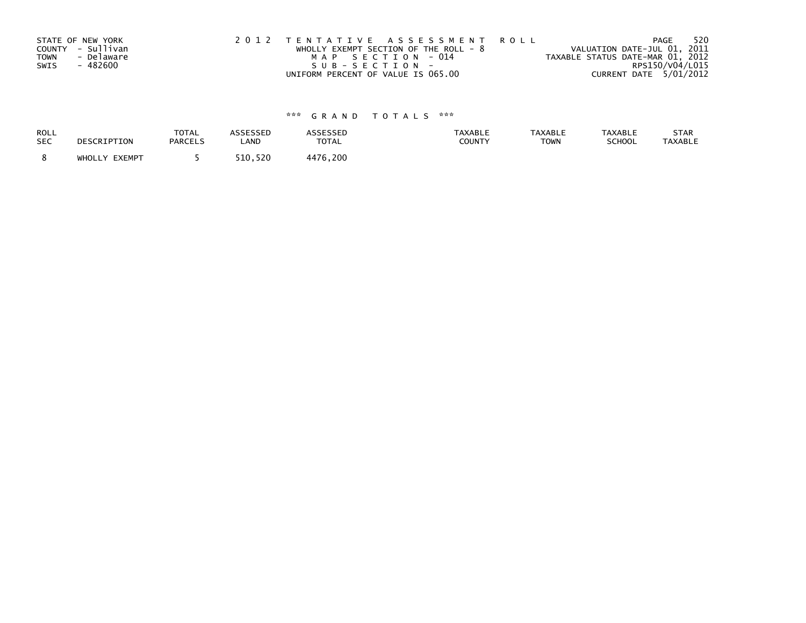| STATE OF NEW YORK<br>COUNTY - Sullivan<br>- Delaware<br>TOWN<br>- 482600<br>SWIS | 2012 TENTATIVE ASSESSMENT ROLL<br>WHOLLY EXEMPT SECTION OF THE ROLL - $8$<br>MAP SECTION - 014<br>SUB-SECTION- | PAGE<br>VALUATION DATE-JUL 01, 2011<br>TAXABLE STATUS DATE-MAR 01, 2012<br>RPS150/V04/L015 | 520 |
|----------------------------------------------------------------------------------|----------------------------------------------------------------------------------------------------------------|--------------------------------------------------------------------------------------------|-----|
|                                                                                  | UNIFORM PERCENT OF VALUE IS 065.00                                                                             | CURRENT DATE 5/01/2012                                                                     |     |

| ROLL       | DESCRIPTION   | <b>TOTAL</b>   | ASSESSED | <b>ASSESSED</b> | <b>TAXABLE</b> | <b>TAXABLE</b> | <b>TAXABLE</b> | STAR           |
|------------|---------------|----------------|----------|-----------------|----------------|----------------|----------------|----------------|
| <b>SEC</b> |               | <b>PARCELS</b> | LAND     | <b>TOTAL</b>    | COUNTY         | <b>TOWN</b>    | SCHOOL         | <b>TAXABLE</b> |
|            | WHOLLY EXEMPT |                | 510.520  | 4476.200        |                |                |                |                |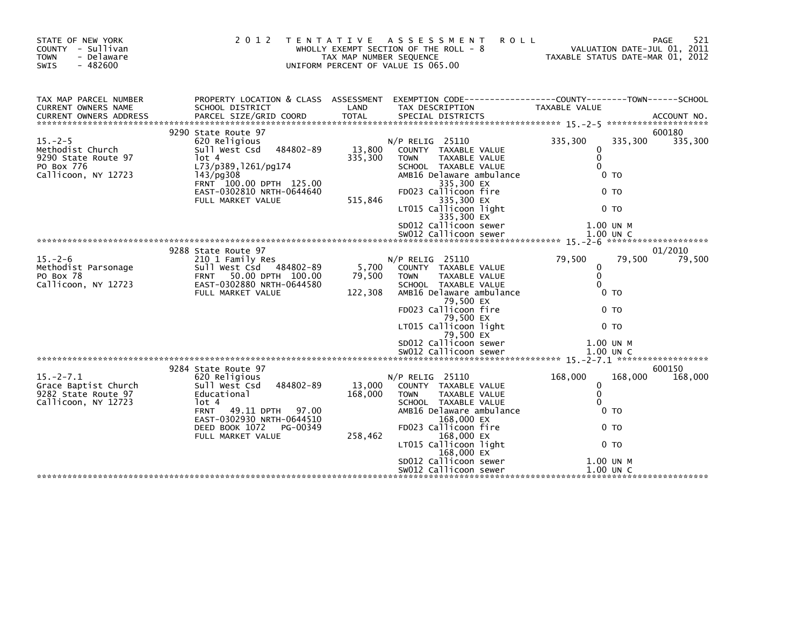| STATE OF NEW YORK<br>COUNTY - Sullivan<br>- Delaware<br><b>TOWN</b><br>$-482600$<br><b>SWIS</b> | 2 0 1 2                                                                                                                                                                                | T E N T A T I V E<br>TAX MAP NUMBER SEQUENCE | A S S E S S M E N T<br>WHOLLY EXEMPT SECTION OF THE ROLL - 8<br>UNIFORM PERCENT OF VALUE IS 065.00                                                                                                         | <b>ROLL</b><br>TAXABLE STATUS DATE-MAR 01, 2012                            | 521<br>PAGE<br>VALUATION DATE-JUL 01, 2011 |
|-------------------------------------------------------------------------------------------------|----------------------------------------------------------------------------------------------------------------------------------------------------------------------------------------|----------------------------------------------|------------------------------------------------------------------------------------------------------------------------------------------------------------------------------------------------------------|----------------------------------------------------------------------------|--------------------------------------------|
| TAX MAP PARCEL NUMBER<br>CURRENT OWNERS NAME                                                    | PROPERTY LOCATION & CLASS ASSESSMENT<br>SCHOOL DISTRICT                                                                                                                                | LAND                                         | TAX DESCRIPTION                                                                                                                                                                                            | TAXABLE VALUE                                                              |                                            |
|                                                                                                 | 9290 State Route 97                                                                                                                                                                    |                                              |                                                                                                                                                                                                            |                                                                            | 600180                                     |
| $15. - 2 - 5$<br>Methodist Church<br>9290 State Route 97<br>PO Box 776<br>Callicoon, NY 12723   | 620 Religious<br>484802-89<br>Sull West Csd<br>$1$ ot 4<br>L73/p389, 1261/pg174<br>$143$ /pg $308$<br>FRNT 100.00 DPTH 125.00<br>EAST-0302810 NRTH-0644640<br>FULL MARKET VALUE        | 13,800<br>335,300<br>515,846                 | $N/P$ RELIG 25110<br>COUNTY TAXABLE VALUE<br>TAXABLE VALUE<br><b>TOWN</b><br>SCHOOL TAXABLE VALUE<br>AMB16 Delaware ambulance<br>335,300 EX<br>FD023 Callicoon fire<br>335,300 EX<br>LT015 Callicoon light | 335,300<br>335,300<br>0<br>$\Omega$<br>0<br>0 TO<br>0 TO<br>0 <sub>T</sub> | 335,300                                    |
|                                                                                                 |                                                                                                                                                                                        |                                              | 335,300 EX<br>SD012 Callicoon sewer<br>SW012 Callicoon sewer                                                                                                                                               | 1.00 UN M<br>1.00 UN C                                                     |                                            |
|                                                                                                 | 9288 State Route 97                                                                                                                                                                    |                                              |                                                                                                                                                                                                            |                                                                            | 01/2010                                    |
| $15. - 2 - 6$<br>Methodist Parsonage<br>PO Box 78<br>Callicoon, NY 12723                        | 210 1 Family Res<br>Sull West Csd 484802-89<br>50.00 DPTH 100.00<br><b>FRNT</b><br>EAST-0302880 NRTH-0644580<br>FULL MARKET VALUE                                                      | 5,700<br>79,500<br>122,308                   | $N/P$ RELIG 25110<br>COUNTY TAXABLE VALUE<br>TAXABLE VALUE<br><b>TOWN</b><br>SCHOOL TAXABLE VALUE<br>AMB16 Delaware ambulance<br>79,500 EX<br>FD023 Callicoon fire<br>79,500 EX<br>LT015 Callicoon light   | 79,500<br>0<br>$\Omega$<br>0<br>0 TO<br>0 <sub>T</sub><br>0 <sub>T</sub>   | 79,500<br>79.500                           |
|                                                                                                 |                                                                                                                                                                                        |                                              | 79,500 EX                                                                                                                                                                                                  |                                                                            |                                            |
|                                                                                                 |                                                                                                                                                                                        |                                              | SD012 Callicoon sewer                                                                                                                                                                                      | 1.00 UN M                                                                  |                                            |
|                                                                                                 |                                                                                                                                                                                        |                                              |                                                                                                                                                                                                            |                                                                            |                                            |
|                                                                                                 | 9284 State Route 97                                                                                                                                                                    |                                              |                                                                                                                                                                                                            |                                                                            | 600150                                     |
| $15. -2 - 7.1$<br>Grace Baptist Church<br>9282 State Route 97<br>Callicoon, NY 12723            | 620 Religious<br>484802-89<br>Sull West Csd<br>Educational<br>lot 4<br><b>FRNT</b><br>49.11 DPTH 97.00<br>EAST-0302930 NRTH-0644510<br>DEED BOOK 1072<br>PG-00349<br>FULL MARKET VALUE | 13,000<br>168,000<br>258,462                 | N/P RELIG 25110<br>COUNTY TAXABLE VALUE<br><b>TOWN</b><br>TAXABLE VALUE<br>SCHOOL TAXABLE VALUE<br>AMB16 Delaware ambulance<br>168,000 EX<br>FD023 Callicoon fire<br>168,000 EX<br>LT015 Callicoon light   | 168,000<br>168,000<br>0<br>$\Omega$<br>0 TO<br>0 <sub>T</sub><br>0 TO      | 168,000                                    |
|                                                                                                 |                                                                                                                                                                                        |                                              | $168,000$ $EX$                                                                                                                                                                                             |                                                                            |                                            |
|                                                                                                 |                                                                                                                                                                                        |                                              | SD012 Callicoon sewer<br>SWO12 Callicoon sewer                                                                                                                                                             | 1.00 UN M<br>$1.00$ UN C                                                   |                                            |
|                                                                                                 |                                                                                                                                                                                        |                                              |                                                                                                                                                                                                            |                                                                            |                                            |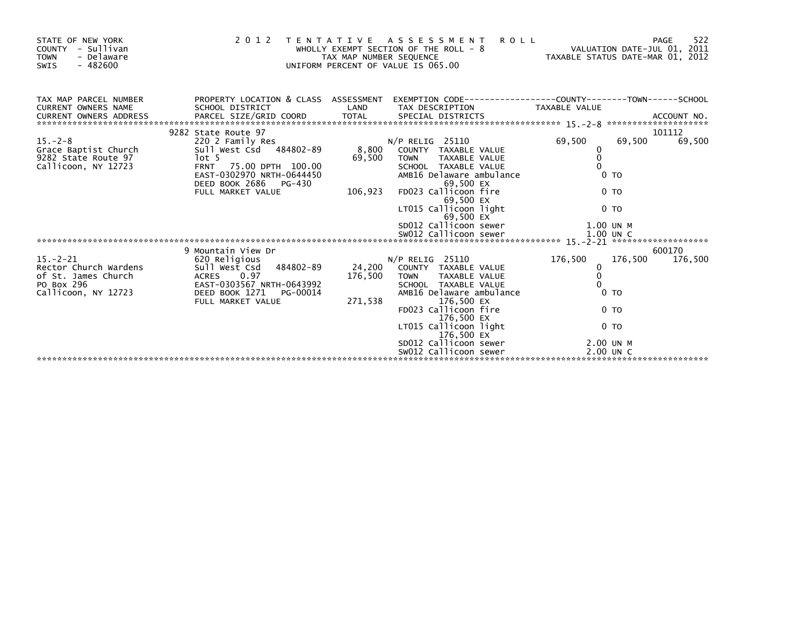| STATE OF NEW YORK<br>- Sullivan<br>COUNTY<br>- Delaware<br><b>TOWN</b><br>$-482600$<br>SWIS         | 2 0 1 2                                                                                                                                              |                   | <b>ROLL</b><br>TENTATIVE ASSESSMENT<br>WHOLLY EXEMPT SECTION OF THE ROLL - 8<br>IAX MAP NUMBER SEQUENCE<br>UNIFORM PERCENT OF VALUE IS 065.00 |                                                         | 522<br>PAGE<br>VALUATION DATE-JUL 01, 2011<br>VALUATION DATE-JUL 01, 2011<br>TAXABLE STATUS DATE-MAR 01, 2012 |
|-----------------------------------------------------------------------------------------------------|------------------------------------------------------------------------------------------------------------------------------------------------------|-------------------|-----------------------------------------------------------------------------------------------------------------------------------------------|---------------------------------------------------------|---------------------------------------------------------------------------------------------------------------|
| TAX MAP PARCEL NUMBER<br><b>CURRENT OWNERS NAME</b>                                                 | SCHOOL DISTRICT                                                                                                                                      | LAND              | PROPERTY LOCATION & CLASS ASSESSMENT EXEMPTION CODE---------------COUNTY-------TOWN------SCHOOL<br>TAX DESCRIPTION                            | TAXABLE VALUE                                           |                                                                                                               |
|                                                                                                     | 9282 State Route 97                                                                                                                                  |                   |                                                                                                                                               |                                                         | 101112                                                                                                        |
| $15. -2 - 8$                                                                                        | 220 2 Family Res                                                                                                                                     |                   | $N/P$ RELIG 25110                                                                                                                             | 69,500                                                  | 69,500<br>69,500                                                                                              |
| Grace Baptist Church<br>9282 State Route 97<br>Callicoon, NY 12723                                  | Sull West Csd 484802-89<br>lot 5<br>FRNT 75.00 DPTH 100.00<br>EAST-0302970 NRTH-0644450<br>DEED BOOK 2686 PG-430                                     | 8,800<br>69,500   | COUNTY TAXABLE VALUE<br><b>TOWN</b><br>TAXABLE VALUE<br>SCHOOL TAXABLE VALUE<br>AMB16 Delaware ambulance<br>69,500 EX                         | 0<br>$\mathbf 0$<br>$\Omega$<br>0 <sub>T</sub>          |                                                                                                               |
|                                                                                                     | FULL MARKET VALUE                                                                                                                                    | 106,923           | FD023 Callicoon fire<br>69,500 EX<br>LT015 Callicoon light                                                                                    | 0 <sub>T</sub><br>0 <sub>T</sub>                        |                                                                                                               |
|                                                                                                     |                                                                                                                                                      |                   | 69,500 EX<br>SD012 Callicoon sewer                                                                                                            | 1.00 UN M                                               |                                                                                                               |
|                                                                                                     |                                                                                                                                                      |                   |                                                                                                                                               |                                                         | 600170                                                                                                        |
| $15. - 2 - 21$<br>Rector Church Wardens<br>of St. James Church<br>PO Box 296<br>Callicoon, NY 12723 | 9 Mountain View Dr<br>620 Religious<br>Sull West Csd<br>484802-89<br><b>ACRES</b><br>0.97<br>EAST-0303567 NRTH-0643992<br>DEED BOOK 1271<br>PG-00014 | 24,200<br>176,500 | $N/P$ RELIG 25110<br>COUNTY TAXABLE VALUE<br>TAXABLE VALUE<br><b>TOWN</b><br>SCHOOL TAXABLE VALUE<br>AMB16 Delaware ambulance                 | 176,500<br>0<br>$\Omega$<br>$\Omega$<br>0 <sub>TO</sub> | 176,500<br>176,500                                                                                            |
|                                                                                                     | FULL MARKET VALUE                                                                                                                                    | 271,538           | 176,500 EX<br>FD023 Callicoon fire<br>176,500 EX                                                                                              | 0 <sub>T</sub>                                          |                                                                                                               |
|                                                                                                     |                                                                                                                                                      |                   | LT015 Callicoon light<br>176,500 EX                                                                                                           | 0 <sub>T</sub>                                          |                                                                                                               |
|                                                                                                     |                                                                                                                                                      |                   | SD012 Callicoon sewer<br>SW012 Callicoon sewer                                                                                                | 2.00 UN M<br>2.00 UN C                                  |                                                                                                               |
|                                                                                                     |                                                                                                                                                      |                   |                                                                                                                                               |                                                         |                                                                                                               |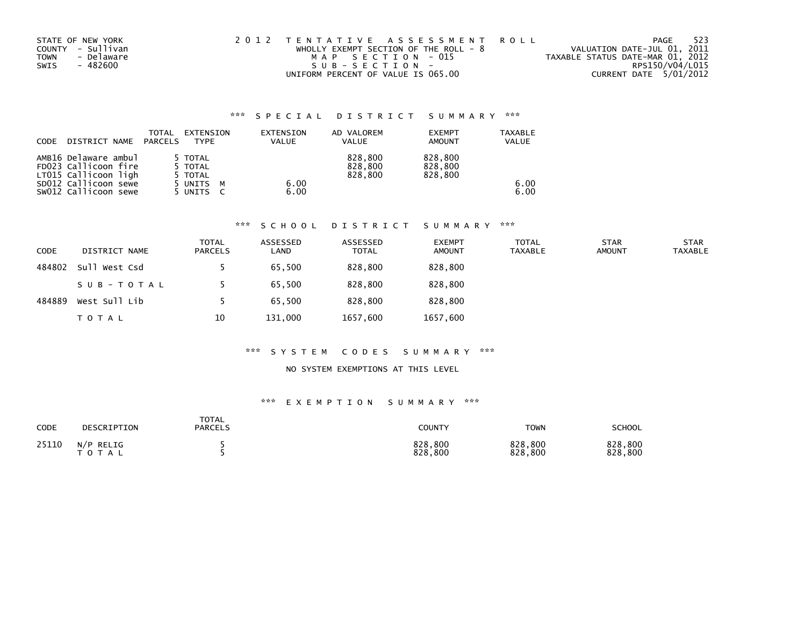| STATE OF NEW YORK         | 2012 TENTATIVE ASSESSMENT ROLL        | 523<br>PAGE                      |
|---------------------------|---------------------------------------|----------------------------------|
| COUNTY - Sullivan         | WHOLLY EXEMPT SECTION OF THE ROLL - 8 | VALUATION DATE-JUL 01, 2011      |
| - Delaware<br><b>TOWN</b> | MAP SECTION - 015                     | TAXABLE STATUS DATE-MAR 01, 2012 |
| - 482600<br>SWIS          | $SUB - SECTION -$                     | RPS150/V04/L015                  |
|                           | UNIFORM PERCENT OF VALUE IS 065.00    | CURRENT DATE 5/01/2012           |

| <b>CODE</b> | DISTRICT NAME                                | TOTAL<br>PARCELS | EXTENSION<br><b>TYPF</b> | EXTENSION<br><b>VALUE</b> | AD VALOREM<br><b>VALUE</b> | <b>EXEMPT</b><br><b>AMOUNT</b> | <b>TAXABLE</b><br><b>VALUE</b> |
|-------------|----------------------------------------------|------------------|--------------------------|---------------------------|----------------------------|--------------------------------|--------------------------------|
|             | AMB16 Delaware ambul<br>FD023 Callicoon fire |                  | 5 TOTAL<br>5 TOTAL       |                           | 828,800<br>828,800         | 828,800<br>828,800             |                                |
|             | LT015 Callicoon ligh                         |                  | 5 TOTAL                  |                           | 828,800                    | 828,800                        |                                |
|             | SD012 Callicoon sewe                         |                  | 5 UNITS<br>M             | 6.00                      |                            |                                | 6.00                           |
|             | SW012 Callicoon sewe                         |                  | , UNITS                  | 6.00                      |                            |                                | 6.00                           |

## \*\*\* S C H O O L D I S T R I C T S U M M A R Y \*\*\*

| <b>CODE</b> | DISTRICT NAME | <b>TOTAL</b><br><b>PARCELS</b> | ASSESSED<br>LAND | ASSESSED<br><b>TOTAL</b> | <b>EXEMPT</b><br><b>AMOUNT</b> | <b>TOTAL</b><br>TAXABLE | <b>STAR</b><br><b>AMOUNT</b> | <b>STAR</b><br><b>TAXABLE</b> |
|-------------|---------------|--------------------------------|------------------|--------------------------|--------------------------------|-------------------------|------------------------------|-------------------------------|
| 484802      | Sull West Csd |                                | 65.500           | 828.800                  | 828,800                        |                         |                              |                               |
|             | SUB-TOTAL     |                                | 65,500           | 828,800                  | 828,800                        |                         |                              |                               |
| 484889      | West Sull Lib |                                | 65.500           | 828.800                  | 828,800                        |                         |                              |                               |
|             | T O T A L     | 10                             | 131,000          | 1657,600                 | 1657,600                       |                         |                              |                               |

# \*\*\* S Y S T E M C O D E S S U M M A R Y \*\*\*

## NO SYSTEM EXEMPTIONS AT THIS LEVEL

| CODE  | DESCRIPTION                       | TOTAL<br><b>PARCELS</b> | COUNTY             | <b>TOWN</b>        | SCHOOL             |
|-------|-----------------------------------|-------------------------|--------------------|--------------------|--------------------|
| 25110 | $N/P$ RELIG<br>$T$ O T $A$<br>A L |                         | 828,800<br>828,800 | 828,800<br>828,800 | 828,800<br>828,800 |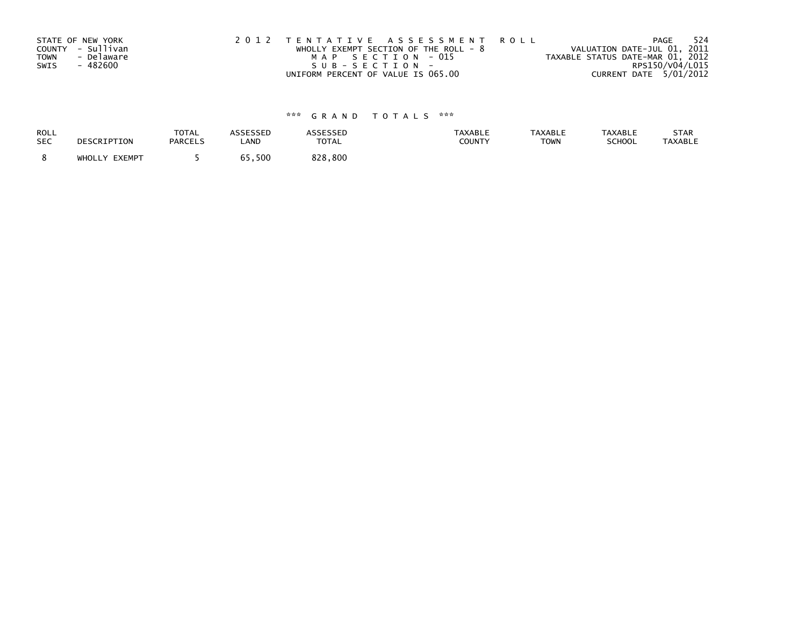|             | STATE OF NEW YORK | 2012 TENTATIVE ASSESSMENT ROLL          | 524<br>PAGE                      |
|-------------|-------------------|-----------------------------------------|----------------------------------|
|             | COUNTY - Sullivan | WHOLLY EXEMPT SECTION OF THE ROLL - $8$ | VALUATION DATE-JUL 01, 2011      |
| <b>TOWN</b> | - Delaware        | MAP SECTION - 015                       | TAXABLE STATUS DATE-MAR 01, 2012 |
| SWIS        | - 482600          | SUB-SECTION-                            | RPS150/V04/L015                  |
|             |                   | UNIFORM PERCENT OF VALUE IS 065.00      | CURRENT DATE 5/01/2012           |

| ROLL       | DESCRIPTION   | <b>TOTAL</b>   | ASSESSED | <b>ASSESSED</b> | <b>TAXABLE</b> | <b>TAXABLE</b> | <b>TAXABLE</b> | STAR           |
|------------|---------------|----------------|----------|-----------------|----------------|----------------|----------------|----------------|
| <b>SEC</b> |               | <b>PARCELS</b> | LAND     | TOTAL           | COUNTY         | <b>TOWN</b>    | SCHOOL         | <b>TAXABLE</b> |
|            | WHOLLY EXEMPT |                | 65,500   | 828,800         |                |                |                |                |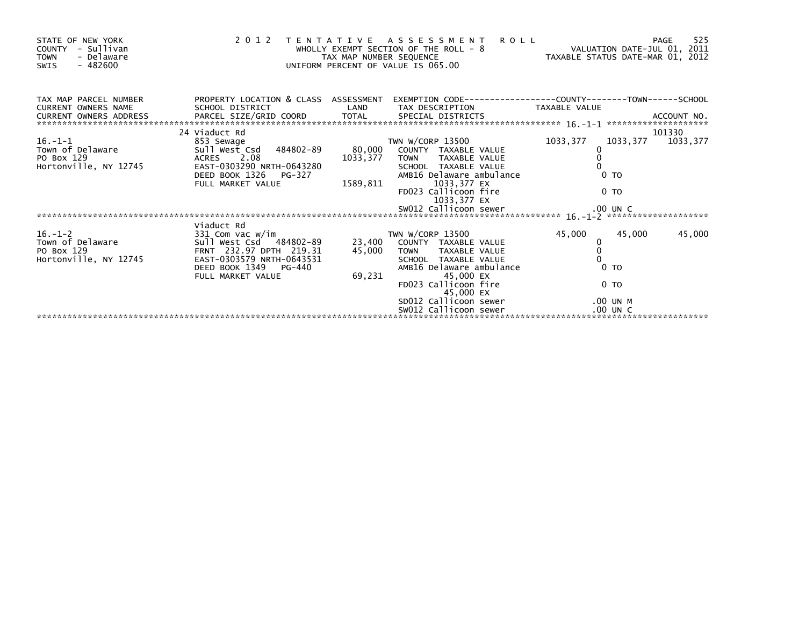| 525<br>PAGE         |
|---------------------|
|                     |
|                     |
| 101330              |
| 1033, 377 1033, 377 |
|                     |
|                     |
|                     |
|                     |
|                     |
|                     |
|                     |
|                     |
|                     |
| 45,000              |
|                     |
|                     |
|                     |
|                     |
|                     |
|                     |
|                     |
|                     |
|                     |
|                     |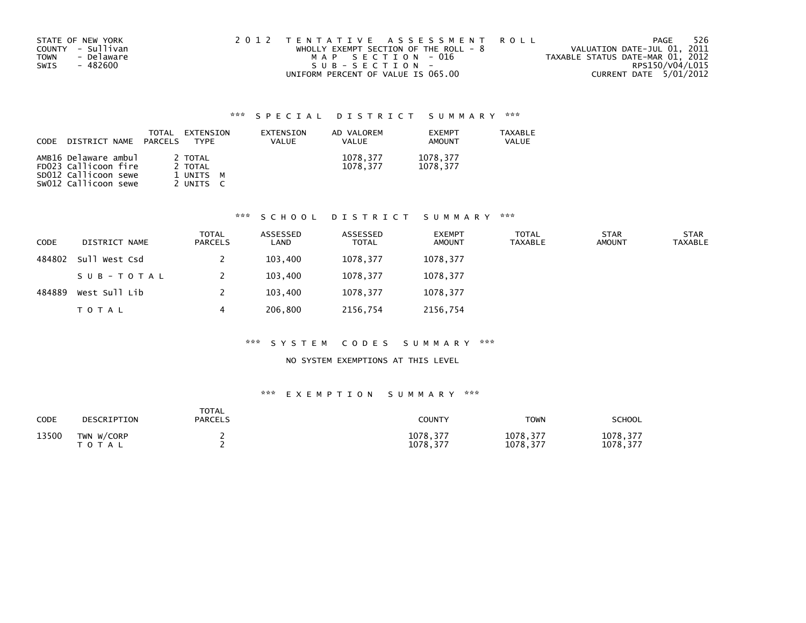| STATE OF NEW YORK<br>COUNTY - Sullivan<br>- Delaware<br><b>TOWN</b> | 2012 TENTATIVE ASSESSMENT ROLL<br>WHOLLY EXEMPT SECTION OF THE ROLL - $8$<br>MAP SECTION - 016 | PAGE<br>VALUATION DATE-JUL 01, 2011<br>TAXABLE STATUS DATE-MAR 01, 2012 | 526 |
|---------------------------------------------------------------------|------------------------------------------------------------------------------------------------|-------------------------------------------------------------------------|-----|
| - 482600<br>SWIS                                                    | SUB-SECTION-                                                                                   | RPS150/V04/L015                                                         |     |
|                                                                     | UNIFORM PERCENT OF VALUE IS 065.00                                                             | CURRENT DATE 5/01/2012                                                  |     |

| <b>CODE</b> | DISTRICT NAME                                | <b>TOTAL</b><br>PARCELS | EXTENSION<br>TYPF  | EXTENSION<br>VALUE | AD VALOREM<br>VALUE  | <b>EXEMPT</b><br>AMOUNT | TAXABLE<br>VALUE |
|-------------|----------------------------------------------|-------------------------|--------------------|--------------------|----------------------|-------------------------|------------------|
|             | AMB16 Delaware ambul<br>FD023 Callicoon fire |                         | 2 TOTAL<br>2 TOTAL |                    | 1078.377<br>1078.377 | 1078,377<br>1078.377    |                  |
|             | SD012 Callicoon sewe                         |                         | 1 UNITS M          |                    |                      |                         |                  |
|             | sw012 Callicoon sewe                         |                         | UNITS              |                    |                      |                         |                  |

## \*\*\* S C H O O L D I S T R I C T S U M M A R Y \*\*\*

| <b>CODE</b> | DISTRICT NAME | <b>TOTAL</b><br><b>PARCELS</b> | ASSESSED<br>LAND | ASSESSED<br><b>TOTAL</b> | <b>EXEMPT</b><br><b>AMOUNT</b> | <b>TOTAL</b><br><b>TAXABLE</b> | <b>STAR</b><br><b>AMOUNT</b> | <b>STAR</b><br><b>TAXABLE</b> |
|-------------|---------------|--------------------------------|------------------|--------------------------|--------------------------------|--------------------------------|------------------------------|-------------------------------|
| 484802      | Sull West Csd |                                | 103,400          | 1078,377                 | 1078,377                       |                                |                              |                               |
|             | SUB-TOTAL     |                                | 103,400          | 1078,377                 | 1078,377                       |                                |                              |                               |
| 484889      | West Sull Lib |                                | 103,400          | 1078,377                 | 1078,377                       |                                |                              |                               |
|             | <b>TOTAL</b>  | 4                              | 206,800          | 2156,754                 | 2156,754                       |                                |                              |                               |

## \*\*\* S Y S T E M C O D E S S U M M A R Y \*\*\*

## NO SYSTEM EXEMPTIONS AT THIS LEVEL

| <b>CODE</b> | DESCRIPTION                | <b>TOTAL</b><br><b>PARCELS</b> | <b>COUNTY</b>        | <b>TOWN</b>          | SCHOOL                |
|-------------|----------------------------|--------------------------------|----------------------|----------------------|-----------------------|
| 13500       | TWN W/CORP<br><b>TOTAL</b> |                                | 1078,377<br>1078.377 | 1078,377<br>1078,377 | 1078, 377<br>1078,377 |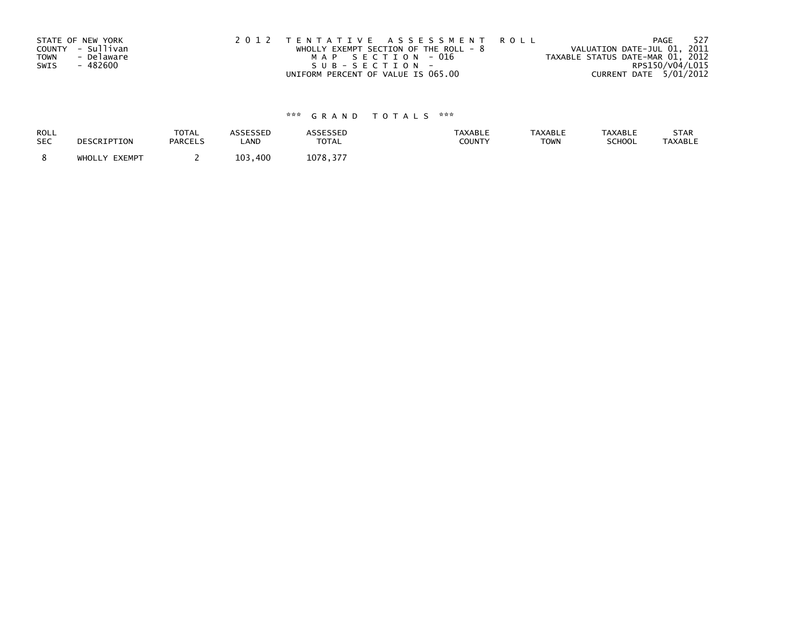|             | STATE OF NEW YORK | 2012 TENTATIVE ASSESSMENT ROLL          | - 527<br>PAGE                    |
|-------------|-------------------|-----------------------------------------|----------------------------------|
|             | COUNTY - Sullivan | WHOLLY EXEMPT SECTION OF THE ROLL - $8$ | VALUATION DATE-JUL 01, 2011      |
| <b>TOWN</b> | - Delaware        | MAP SECTION - 016                       | TAXABLE STATUS DATE-MAR 01, 2012 |
| SWIS        | - 482600          | SUB-SECTION-                            | RPS150/V04/L015                  |
|             |                   | UNIFORM PERCENT OF VALUE IS 065.00      | CURRENT DATE 5/01/2012           |

| ROLL       | DESCRIPTION   | <b>TOTAL</b>   | ASSESSED     | <b>ASSESSED</b> | <b>TAXABLE</b> | <b>TAXABLE</b> | <b>TAXABLE</b> | STAR           |
|------------|---------------|----------------|--------------|-----------------|----------------|----------------|----------------|----------------|
| <b>SEC</b> |               | <b>PARCELS</b> | LAND         | TOTAL           | COUNTY         | <b>TOWN</b>    | SCHOOL         | <b>TAXABLE</b> |
|            | WHOLLY EXEMPT |                | 103.<br>.400 | 1078,377        |                |                |                |                |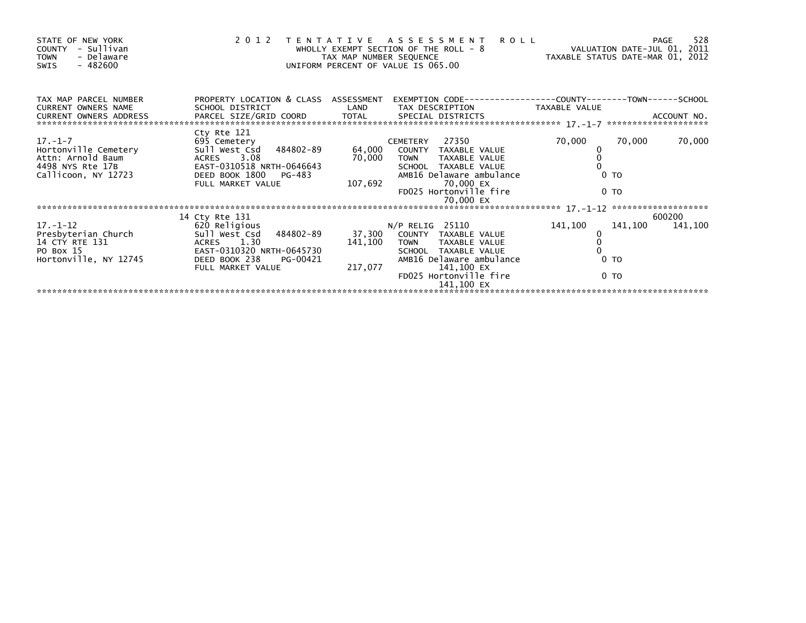| STATE OF NEW YORK<br>- Sullivan<br>COUNTY<br><b>TOWN</b><br>- Delaware<br>- 482600<br>SWIS        |                                                                                                                                                    | TAX MAP NUMBER SEQUENCE | 2012 TENTATIVE ASSESSMENT<br><b>ROLL</b><br>WHOLLY EXEMPT SECTION OF THE ROLL - 8<br>UNIFORM PERCENT OF VALUE IS 065.00                                                               | VALUATION DATE-JUL 01, 2011<br>VALUATIUN DATE-JUL VI, 2012<br>TAXABLE STATUS DATE-MAR 01, 2012 | -528<br>PAGE              |
|---------------------------------------------------------------------------------------------------|----------------------------------------------------------------------------------------------------------------------------------------------------|-------------------------|---------------------------------------------------------------------------------------------------------------------------------------------------------------------------------------|------------------------------------------------------------------------------------------------|---------------------------|
| TAX MAP PARCEL NUMBER<br>CURRENT OWNERS NAME                                                      | PROPERTY LOCATION & CLASS ASSESSMENT<br>SCHOOL DISTRICT                                                                                            | LAND                    | TAX DESCRIPTION TAXABLE VALUE                                                                                                                                                         |                                                                                                |                           |
| 17. – 1–7<br>Hortonville Cemetery<br>Attn: Arnold Baum<br>4498 NYS Rte 17B<br>Callicoon, NY 12723 | Cty Rte 121<br>695 Cemetery<br>Sull West Csd 484802-89<br>ACRES 3.08<br>EAST-0310518 NRTH-0646643<br>DEED BOOK 1800<br>PG-483<br>FULL MARKET VALUE | 70,000<br>107,692       | CEMETERY 27350<br>64,000 COUNTY TAXABLE VALUE<br>TAXABLE VALUE<br><b>TOWN</b><br>SCHOOL TAXABLE VALUE<br>AMB16 Delaware ambulance<br>70,000 EX<br>FD025 Hortonville fire<br>70,000 EX | 70,000<br>70,000<br>0 <sub>T</sub><br>0 <sub>T</sub>                                           | 70,000                    |
| $17. - 1 - 12$<br>Presbyterian Church<br>14 CTY RTE 131                                           | 14 Cty Rte 131<br>620 Religious<br>Sull West Csd 484802-89<br>ACRES 1.30                                                                           | 141,100                 | $N/P$ RELIG 25110<br>37,300 COUNTY TAXABLE VALUE<br>TOWN TAXABLE VALUE                                                                                                                | 141,100                                                                                        | 600200<br>141,100 141,100 |
| PO Box 15<br>Hortonville, NY 12745                                                                | EAST-0310320 NRTH-0645730<br>DEED BOOK 238<br>PG-00421<br>FULL MARKET VALUE                                                                        | 217,077                 | SCHOOL TAXABLE VALUE<br>AMB16 Delaware ambulance<br>141,100 EX<br>FD025 Hortonville fire<br>141,100 EX                                                                                | 0 <sub>T</sub><br>0 <sub>T</sub>                                                               |                           |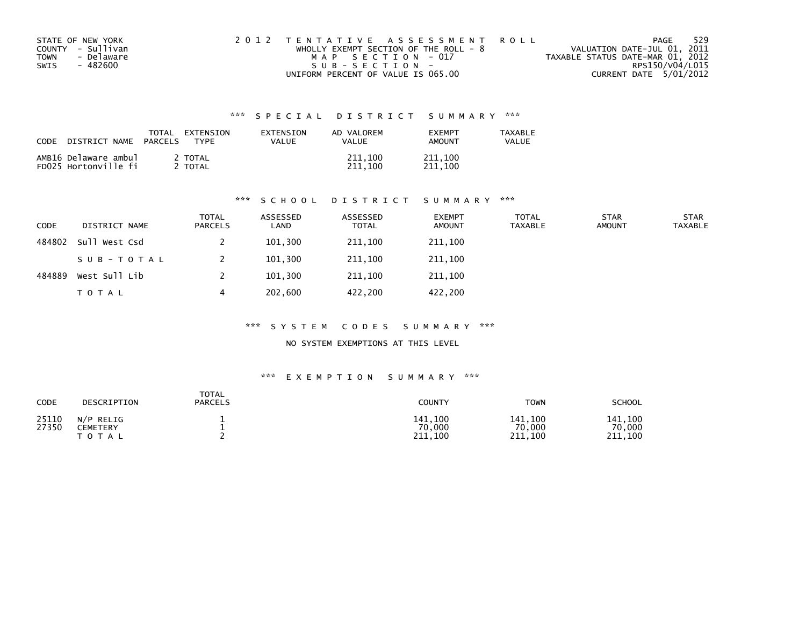| STATE OF NEW YORK  | 2012 TENTATIVE ASSESSMENT ROLL          | 529<br>PAGE                      |
|--------------------|-----------------------------------------|----------------------------------|
| COUNTY - Sullivan  | WHOLLY EXEMPT SECTION OF THE ROLL - $8$ | VALUATION DATE-JUL 01, 2011      |
| - Delaware<br>TOWN | MAP SECTION - 017                       | TAXABLE STATUS DATE-MAR 01, 2012 |
| SWIS<br>- 482600   | $SUB - SECTION -$                       | RPS150/V04/L015                  |
|                    | UNIFORM PERCENT OF VALUE IS 065.00      | CURRENT DATE 5/01/2012           |

| CODE | DISTRICT NAME                                | TOTAL<br>PARCELS | <b>FXTENSTON</b><br><b>TYPF</b> | EXTENSION<br>VALUE | AD VALOREM<br>VALUE | <b>FXFMPT</b><br>AMOUNT | <b>TAXABLE</b><br>VALUE |
|------|----------------------------------------------|------------------|---------------------------------|--------------------|---------------------|-------------------------|-------------------------|
|      | AMB16 Delaware ambul<br>FD025 Hortonville fi |                  | 2 TOTAL<br>TOTAL                |                    | 211,100<br>211.100  | 211,100<br>211,100      |                         |

## \*\*\* S C H O O L D I S T R I C T S U M M A R Y \*\*\*

| CODE   | DISTRICT NAME | TOTAL<br><b>PARCELS</b> | ASSESSED<br>LAND | ASSESSED<br><b>TOTAL</b> | <b>EXEMPT</b><br><b>AMOUNT</b> | TOTAL<br><b>TAXABLE</b> | <b>STAR</b><br><b>AMOUNT</b> | <b>STAR</b><br><b>TAXABLE</b> |
|--------|---------------|-------------------------|------------------|--------------------------|--------------------------------|-------------------------|------------------------------|-------------------------------|
| 484802 | Sull West Csd |                         | 101,300          | 211,100                  | 211,100                        |                         |                              |                               |
|        | SUB-TOTAL     |                         | 101,300          | 211,100                  | 211,100                        |                         |                              |                               |
| 484889 | West Sull Lib |                         | 101,300          | 211,100                  | 211,100                        |                         |                              |                               |
|        | <b>TOTAL</b>  | 4                       | 202,600          | 422.200                  | 422,200                        |                         |                              |                               |

## \*\*\* S Y S T E M C O D E S S U M M A R Y \*\*\*

NO SYSTEM EXEMPTIONS AT THIS LEVEL

| CODE           | DESCRIPTION                                    | <b>TOTAL</b><br><b>PARCELS</b> | <b>COUNTY</b>                | <b>TOWN</b>                  | SCHOOL                       |
|----------------|------------------------------------------------|--------------------------------|------------------------------|------------------------------|------------------------------|
| 25110<br>27350 | $N/P$ RELIG<br><b>CEMETERY</b><br><b>TOTAL</b> |                                | 141.100<br>70,000<br>211,100 | 141,100<br>70,000<br>211,100 | 141.100<br>70,000<br>211.100 |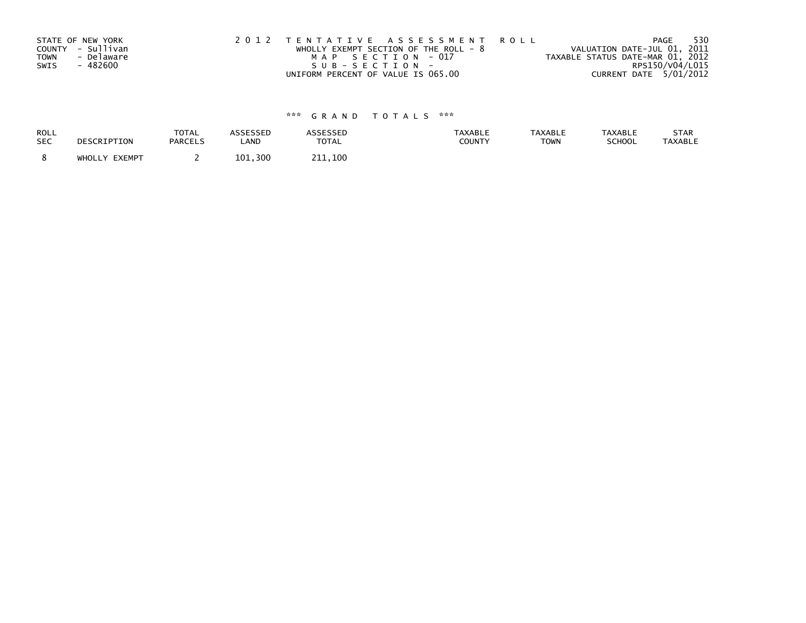| STATE OF NEW YORK |                   | 2012 TENTATIVE ASSESSMENT ROLL          | 530<br>PAGE                      |
|-------------------|-------------------|-----------------------------------------|----------------------------------|
|                   | COUNTY - Sullivan | WHOLLY EXEMPT SECTION OF THE ROLL - $8$ | VALUATION DATE-JUL 01, 2011      |
| <b>TOWN</b>       | - Delaware        | MAP SECTION - 017                       | TAXABLE STATUS DATE-MAR 01, 2012 |
| SWIS              | - 482600          | SUB-SECTION-                            | RPS150/V04/L015                  |
|                   |                   | UNIFORM PERCENT OF VALUE IS 065.00      | CURRENT DATE 5/01/2012           |

| ROLL       | DESCRIPTION   | <b>TOTAL</b>   | ASSESSED | <b>ASSESSED</b> | <b>TAXABLE</b> | <b>TAXABLE</b> | <b>TAXABLE</b> | STAR           |
|------------|---------------|----------------|----------|-----------------|----------------|----------------|----------------|----------------|
| <b>SEC</b> |               | <b>PARCELS</b> | LAND     | <b>TOTAL</b>    | <b>COUNTY</b>  | <b>TOWN</b>    | <b>SCHOOL</b>  | <b>TAXABLE</b> |
|            | WHOLLY EXEMPT |                | 101,300  | 211.100         |                |                |                |                |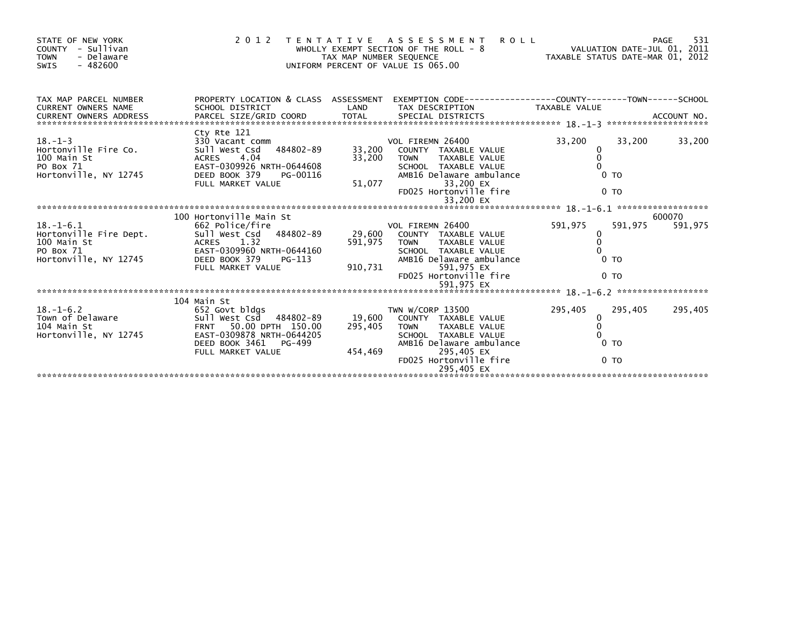| STATE OF NEW YORK<br>COUNTY - Sullivan<br><b>TOWN</b><br>- Delaware<br>$-482600$<br><b>SWIS</b> | 2 0 1 2                                                                                                                                                                                                  | TAX MAP NUMBER SEQUENCE | TENTATIVE ASSESSMENT ROLL<br>WHOLLY EXEMPT SECTION OF THE ROLL - 8<br>UNIFORM PERCENT OF VALUE IS 065.00                                                                           | VALUATION DATE-JUL 01, 2011<br>VALUATION DATE-JUL 01, 2011<br>TAXABLE STATUS DATE-MAR 01, 2012 | 531<br>PAGE       |
|-------------------------------------------------------------------------------------------------|----------------------------------------------------------------------------------------------------------------------------------------------------------------------------------------------------------|-------------------------|------------------------------------------------------------------------------------------------------------------------------------------------------------------------------------|------------------------------------------------------------------------------------------------|-------------------|
| TAX MAP PARCEL NUMBER<br>CURRENT OWNERS NAME                                                    | PROPERTY LOCATION & CLASS ASSESSMENT EXEMPTION CODE----------------COUNTY-------TOWN------SCHOOL<br>SCHOOL DISTRICT                                                                                      | LAND                    | TAX DESCRIPTION                                                                                                                                                                    | TAXABLE VALUE                                                                                  |                   |
| $18. - 1 - 3$<br>Hortonville Fire Co.<br>100 Main St<br>PO Box 71<br>Hortonville, NY 12745      | Cty Rte 121<br>330 Vacant comm<br>Sull West Csd 484802-89 33,200<br>ACRES 4.04 33,200<br>EAST-0200925 NRTU 0644600 33,200<br>EAST-0309926 NRTH-0644608<br>DEED BOOK 379<br>PG-00116<br>FULL MARKET VALUE | 33,200<br>51,077        | VOL FIREMN 26400<br>33,200 COUNTY TAXABLE VALUE<br><b>TOWN</b><br>TAXABLE VALUE<br>SCHOOL TAXABLE VALUE<br>AMB16 Delaware ambulance<br>33,200 EX<br>FD025 Hortonville fire         | 33,200<br>33,200<br>0<br>$\Omega$<br>0 <sub>T</sub><br>0 <sub>T</sub>                          | 33,200            |
|                                                                                                 |                                                                                                                                                                                                          |                         |                                                                                                                                                                                    |                                                                                                |                   |
| $18. - 1 - 6.1$<br>100 Main St<br>PO Box 71<br>Hortonville, NY 12745                            | 100 Hortonville Main St<br>662 Police/fire<br>Hortonville Fire Dept. Sull west Csd 484802-89<br>ACRES 1.32<br>EAST-0309960 NRTH-0644160<br>DEED BOOK 379<br>PG-113<br>FULL MARKET VALUE                  | 591,975<br>910,731      | VOL FIREMN 26400<br>29,600 COUNTY TAXABLE VALUE<br><b>TOWN</b><br><b>TAXABLE VALUE</b><br>SCHOOL TAXABLE VALUE<br>AMB16 Delaware ambulance<br>591,975 EX<br>FD025 Hortonville fire | 591,975<br>591,975<br>0<br>$\Omega$<br>0 <sub>T</sub><br>0 <sub>T</sub>                        | 600070<br>591,975 |
|                                                                                                 | 104 Main St                                                                                                                                                                                              |                         |                                                                                                                                                                                    |                                                                                                |                   |
| 18.-1-6.2<br>Town of Delaware<br>104 Main St<br>Hortonville, NY 12745                           | 652 Govt blags<br>Sull West Csd 484802-89<br>FRNT 50.00 DPTH 150.00<br>ERNT 200878 NRTH-0644205<br>DEED BOOK 3461<br>PG-499<br>FULL MARKET VALUE                                                         | 295,405<br>454,469      | TWN W/CORP 13500<br>19.600 COUNTY TAXABLE VALUE<br>TOWN TAXABLE VALUE<br>SCHOOL TAXABLE VALUE<br>AMB16 Delaware ambulance<br>295,405 EX<br>FD025 Hortonville fire<br>295,405 EX    | 295,405<br>295,405<br>0<br>$\mathbf{0}$<br>0 <sub>T</sub><br>0 <sub>T</sub>                    | 295,405           |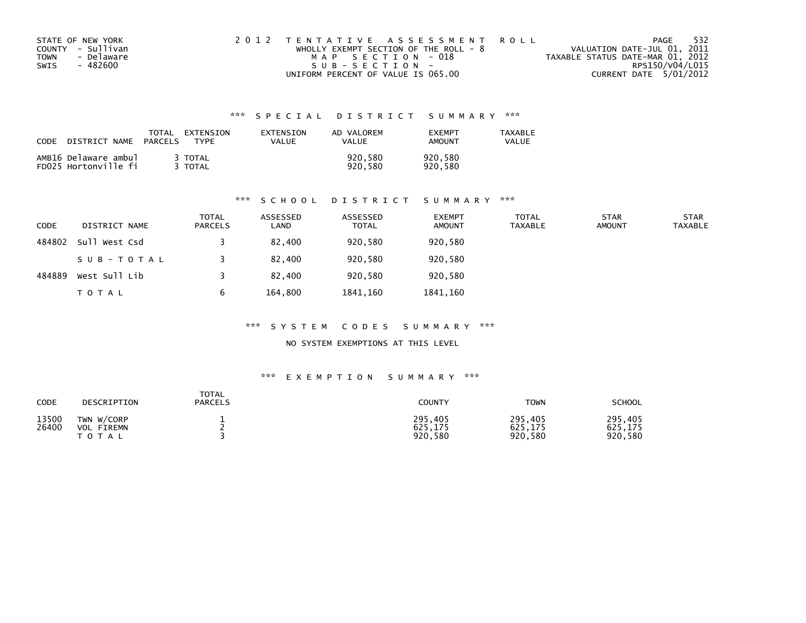| STATE OF NEW YORK  | 2012 TENTATIVE ASSESSMENT ROLL          | PAGE                             | - 532 |
|--------------------|-----------------------------------------|----------------------------------|-------|
| COUNTY - Sullivan  | WHOLLY EXEMPT SECTION OF THE ROLL - $8$ | VALUATION DATE-JUL 01, 2011      |       |
| - Delaware<br>TOWN | MAP SECTION - 018                       | TAXABLE STATUS DATE-MAR 01, 2012 |       |
| - 482600<br>SWIS   | SUB-SECTION-                            | RPS150/V04/L015                  |       |
|                    | UNIFORM PERCENT OF VALUE IS 065.00      | CURRENT DATE 5/01/2012           |       |

| CODE | DISTRICT NAME                                | TOTAL<br><b>PARCELS</b> | EXTENSION<br><b>TYPF</b> | EXTENSION<br>VALUE | AD VALOREM<br><b>VALUE</b> | <b>FXFMPT</b><br><b>AMOUNT</b> | <b>TAXABLE</b><br>VALUE |
|------|----------------------------------------------|-------------------------|--------------------------|--------------------|----------------------------|--------------------------------|-------------------------|
|      | AMB16 Delaware ambul<br>FD025 Hortonville fi |                         | 3 TOTAL<br>TOTAL         |                    | 920.580<br>920.580         | 920.580<br>920.580             |                         |

## \*\*\* S C H O O L D I S T R I C T S U M M A R Y \*\*\*

| <b>CODE</b> | DISTRICT NAME | <b>TOTAL</b><br><b>PARCELS</b> | ASSESSED<br>LAND | ASSESSED<br><b>TOTAL</b> | <b>EXEMPT</b><br><b>AMOUNT</b> | <b>TOTAL</b><br><b>TAXABLE</b> | <b>STAR</b><br><b>AMOUNT</b> | <b>STAR</b><br>TAXABLE |
|-------------|---------------|--------------------------------|------------------|--------------------------|--------------------------------|--------------------------------|------------------------------|------------------------|
| 484802      | Sull West Csd |                                | 82.400           | 920,580                  | 920,580                        |                                |                              |                        |
|             | SUB-TOTAL     |                                | 82.400           | 920,580                  | 920,580                        |                                |                              |                        |
| 484889      | West Sull Lib |                                | 82,400           | 920,580                  | 920,580                        |                                |                              |                        |
|             | TOTAL         | 6                              | 164,800          | 1841.160                 | 1841,160                       |                                |                              |                        |

## \*\*\* S Y S T E M C O D E S S U M M A R Y \*\*\*

NO SYSTEM EXEMPTIONS AT THIS LEVEL

| CODE           | DESCRIPTION                                      | <b>TOTAL</b><br><b>PARCELS</b> | <b>COUNTY</b>                 | <b>TOWN</b>                   | SCHOOL                        |
|----------------|--------------------------------------------------|--------------------------------|-------------------------------|-------------------------------|-------------------------------|
| 13500<br>26400 | TWN W/CORP<br>FIREMN<br><b>VOL</b><br>тот<br>A L |                                | 295,405<br>625,175<br>920,580 | 295,405<br>625,175<br>920,580 | 295,405<br>625,175<br>920,580 |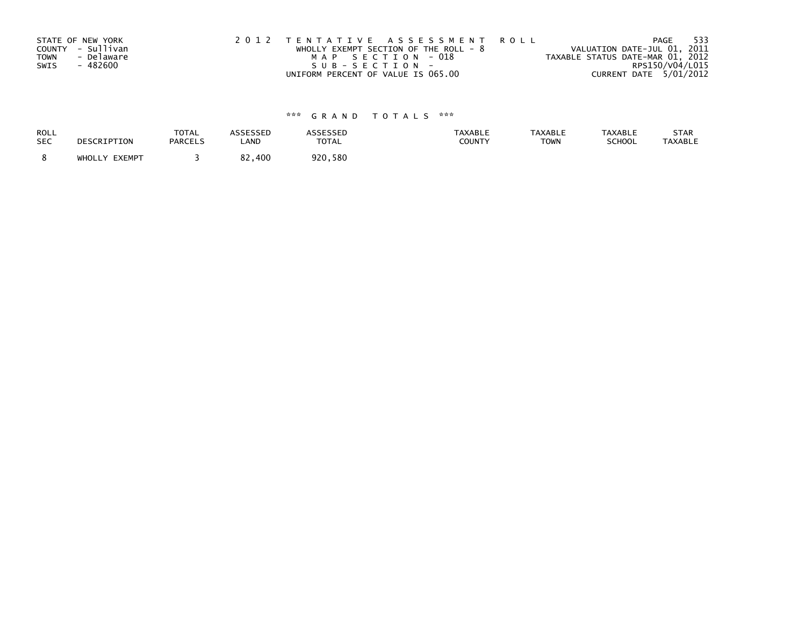|             | STATE OF NEW YORK | 2012 TENTATIVE ASSESSMENT ROLL          | - 533<br>PAGE                    |
|-------------|-------------------|-----------------------------------------|----------------------------------|
|             | COUNTY - Sullivan | WHOLLY EXEMPT SECTION OF THE ROLL - $8$ | VALUATION DATE-JUL 01, 2011      |
| <b>TOWN</b> | - Delaware        | MAP SECTION - 018                       | TAXABLE STATUS DATE-MAR 01, 2012 |
| SWIS        | - 482600          | SUB-SECTION-                            | RPS150/V04/L015                  |
|             |                   | UNIFORM PERCENT OF VALUE IS 065.00      | CURRENT DATE 5/01/2012           |

| <b>ROLL</b> | DESCRIPTION   | <b>TOTAL</b>   | <b>ASSESSED</b> | ASSESSED | TAXABLE | <b>TAXABLE</b> | <b>TAXABLE</b> | STAR           |
|-------------|---------------|----------------|-----------------|----------|---------|----------------|----------------|----------------|
| <b>SEC</b>  |               | <b>PARCELS</b> | LAND            | TOTAL    | COUNTY  | <b>TOWN</b>    | SCHOOL         | <b>TAXABLE</b> |
|             | WHOLLY EXEMPT |                | 82.<br>.400     | 920,580  |         |                |                |                |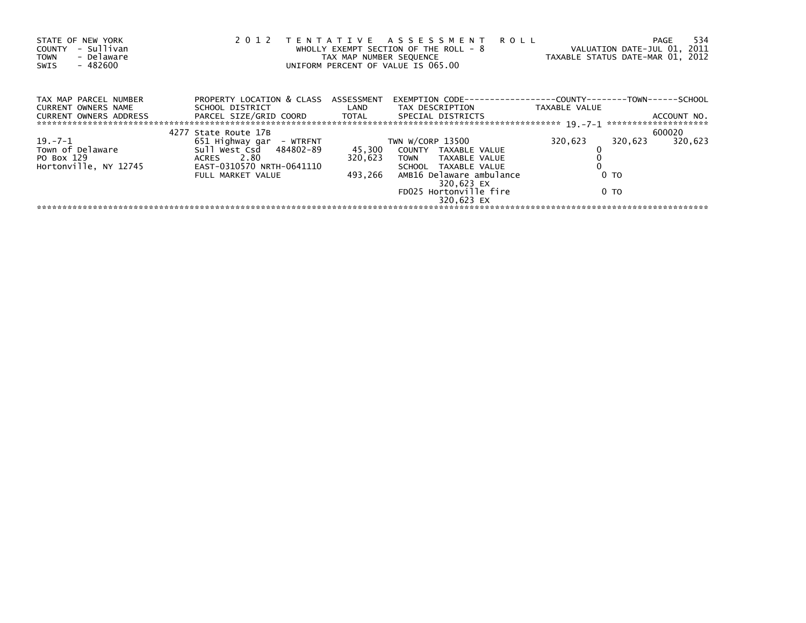| STATE OF NEW YORK<br>- Sullivan<br>COUNTY<br>- Delaware<br><b>TOWN</b><br>$-482600$<br>SWIS                                                                                                                                          | 2 0 1 2                                                                                                                                       | TAX MAP NUMBER SEQUENCE | TENTATIVE ASSESSMENT ROLL<br>WHOLLY EXEMPT SECTION OF THE ROLL - 8<br>UNIFORM PERCENT OF VALUE IS 065.00 | VALUATION DATE-JUL 01, 2011<br>TAXABLE STATUS DATE-MAR 01, 2012 | 534<br>PAGE        |
|--------------------------------------------------------------------------------------------------------------------------------------------------------------------------------------------------------------------------------------|-----------------------------------------------------------------------------------------------------------------------------------------------|-------------------------|----------------------------------------------------------------------------------------------------------|-----------------------------------------------------------------|--------------------|
| TAX MAP PARCEL NUMBER<br>CURRENT OWNERS NAME                                                                                                                                                                                         | PROPERTY LOCATION & CLASS ASSESSMENT<br>SCHOOL DISTRICT                          LAND         TAX DESCRIPTION                   TAXABLE VALUE |                         | EXEMPTION        CODE-----------------COUNTY-------TOWN------SCHOOL                                      |                                                                 |                    |
| CURRENT OWNERS ADDRESS FORCEL SIZE/GRID COORD TOTAL SPECIAL DISTRICTS (2001) ACCOUNT NO.<br>- And Strategy Art (2001) 2006 Total Strategy Special Strategy Art (2001) 2014 2014 2014 2014 2014 2014 2014 2<br>- -------------------- |                                                                                                                                               |                         |                                                                                                          |                                                                 |                    |
|                                                                                                                                                                                                                                      | 4277 State Route 17B                                                                                                                          |                         |                                                                                                          |                                                                 | 600020             |
| $19. -7 - 1$                                                                                                                                                                                                                         | 651 Highway gar  – WTRFNT                                                                                                                     |                         | TWN W/CORP 13500                                                                                         | 320,623                                                         | 320,623<br>320,623 |
| Town of Delaware                                                                                                                                                                                                                     |                                                                                                                                               |                         | 45,300 COUNTY TAXABLE VALUE                                                                              |                                                                 |                    |
| PO Box 129                                                                                                                                                                                                                           | ACRES 2.80                                                                                                                                    | 320,623                 | TOWN TAXABLE VALUE                                                                                       |                                                                 |                    |
| Hortonville, NY 12745                                                                                                                                                                                                                | EAST-0310570 NRTH-0641110                                                                                                                     |                         | SCHOOL TAXABLE VALUE                                                                                     |                                                                 |                    |
|                                                                                                                                                                                                                                      | FULL MARKET VALUE                                                                                                                             | 493,266                 | AMB16 Delaware ambulance<br>320,623 EX                                                                   | 0 <sub>T</sub>                                                  |                    |
|                                                                                                                                                                                                                                      |                                                                                                                                               |                         | FD025 Hortonville fire<br>320.623 EX                                                                     | 0 TO                                                            |                    |
|                                                                                                                                                                                                                                      |                                                                                                                                               |                         |                                                                                                          |                                                                 |                    |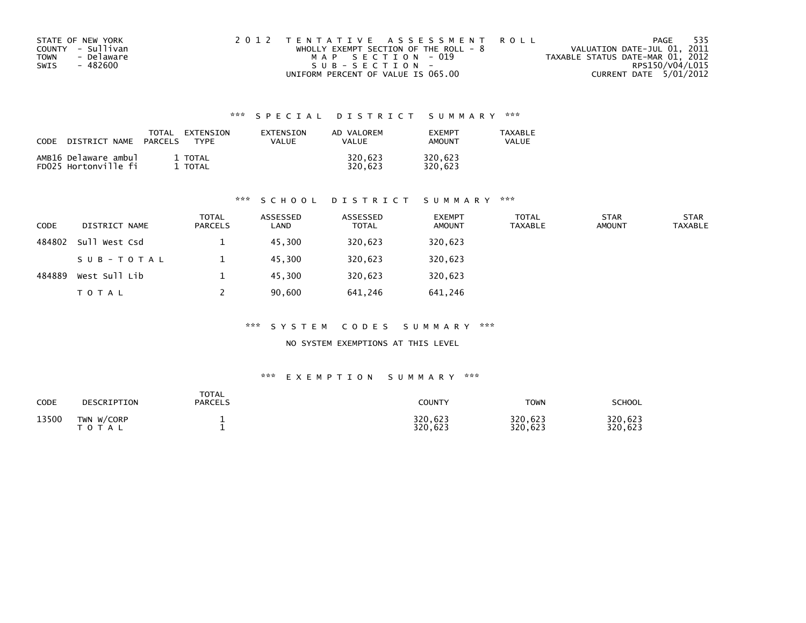| STATE OF NEW YORK  | 2012 TENTATIVE ASSESSMENT ROLL          | PAGE                             | 535 |
|--------------------|-----------------------------------------|----------------------------------|-----|
| COUNTY - Sullivan  | WHOLLY EXEMPT SECTION OF THE ROLL - $8$ | VALUATION DATE-JUL 01, 2011      |     |
| - Delaware<br>TOWN | MAP SECTION - 019                       | TAXABLE STATUS DATE-MAR 01, 2012 |     |
| - 482600<br>SWIS   | SUB-SECTION-                            | RPS150/V04/L015                  |     |
|                    | UNIFORM PERCENT OF VALUE IS 065.00      | CURRENT DATE 5/01/2012           |     |

| CODE | DISTRICT NAME                                | TOTAL<br><b>PARCELS</b> | EXTENSION<br><b>TYPF</b> | <b>FXTENSTON</b><br>VALUE | AD VALOREM<br><b>VALUE</b> | <b>FXFMPT</b><br><b>AMOUNT</b> | <b>TAXABLE</b><br>VALUE |
|------|----------------------------------------------|-------------------------|--------------------------|---------------------------|----------------------------|--------------------------------|-------------------------|
|      | AMB16 Delaware ambul<br>FD025 Hortonville fi |                         | 1 TOTAL<br>TOTAL         |                           | 320.623<br>320.623         | 320.623<br>320.623             |                         |

## \*\*\* S C H O O L D I S T R I C T S U M M A R Y \*\*\*

| <b>CODE</b> | DISTRICT NAME | <b>TOTAL</b><br><b>PARCELS</b> | ASSESSED<br>LAND | ASSESSED<br><b>TOTAL</b> | <b>EXEMPT</b><br><b>AMOUNT</b> | <b>TOTAL</b><br><b>TAXABLE</b> | <b>STAR</b><br><b>AMOUNT</b> | <b>STAR</b><br><b>TAXABLE</b> |
|-------------|---------------|--------------------------------|------------------|--------------------------|--------------------------------|--------------------------------|------------------------------|-------------------------------|
| 484802      | Sull West Csd |                                | 45.300           | 320,623                  | 320,623                        |                                |                              |                               |
|             | SUB-TOTAL     |                                | 45.300           | 320,623                  | 320,623                        |                                |                              |                               |
| 484889      | West Sull Lib |                                | 45.300           | 320,623                  | 320,623                        |                                |                              |                               |
|             | <b>TOTAL</b>  |                                | 90,600           | 641,246                  | 641,246                        |                                |                              |                               |

## \*\*\* S Y S T E M C O D E S S U M M A R Y \*\*\*

NO SYSTEM EXEMPTIONS AT THIS LEVEL

| CODE  | DESCRIPTION                | <b>TOTAL</b><br><b>PARCELS</b> | COUNTY             | <b>TOWN</b>        | SCHOOL             |
|-------|----------------------------|--------------------------------|--------------------|--------------------|--------------------|
| 13500 | TWN W/CORP<br><b>TOTAL</b> |                                | 320,623<br>320.623 | 320,623<br>320,623 | 320,623<br>320,623 |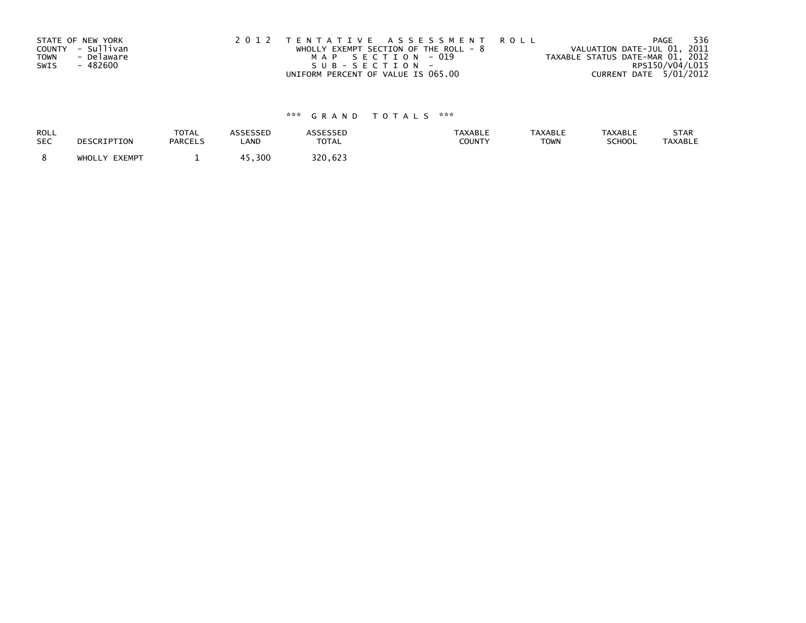|             | STATE OF NEW YORK | 2012 TENTATIVE ASSESSMENT ROLL          | 536<br>PAGE                      |
|-------------|-------------------|-----------------------------------------|----------------------------------|
|             | COUNTY - Sullivan | WHOLLY EXEMPT SECTION OF THE ROLL - $8$ | VALUATION DATE-JUL 01, 2011      |
| <b>TOWN</b> | - Delaware        | MAP SECTION - 019                       | TAXABLE STATUS DATE-MAR 01, 2012 |
| SWIS        | - 482600          | SUB-SECTION-                            | RPS150/V04/L015                  |
|             |                   | UNIFORM PERCENT OF VALUE IS 065.00      | CURRENT DATE 5/01/2012           |

| <b>ROLL</b> | DESCRIPTION   | <b>TOTAL</b>   | <b>ASSESSED</b> | <b>ASSESSED</b> | <b>TAXABLE</b> | <b>TAXABLE</b> | <b>TAXABLE</b> | STAR           |
|-------------|---------------|----------------|-----------------|-----------------|----------------|----------------|----------------|----------------|
| <b>SEC</b>  |               | <b>PARCELS</b> | LAND            | TOTAL           | COUNTY         | <b>TOWN</b>    | SCHOOL         | <b>TAXABLE</b> |
|             | WHOLLY EXEMPT | -              | , 300           | 320.623         |                |                |                |                |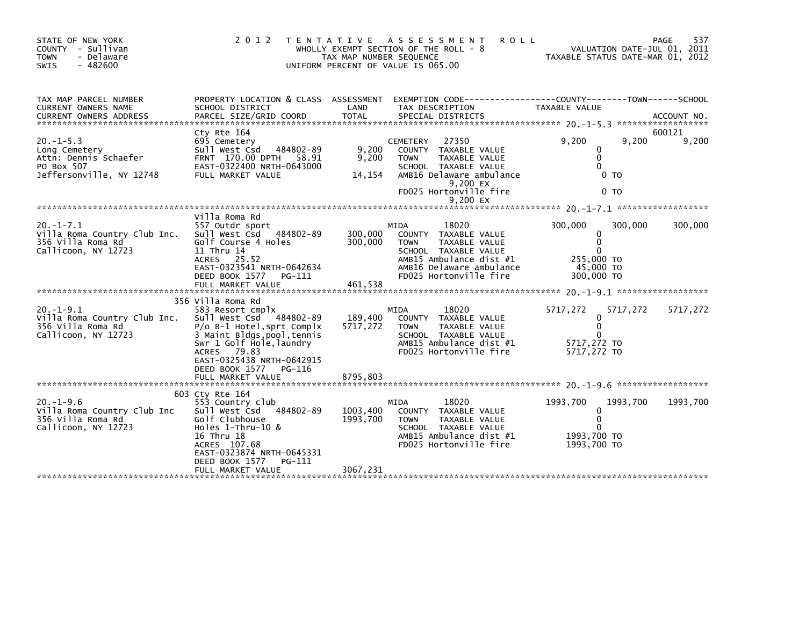| STATE OF NEW YORK<br>COUNTY - Sullivan<br>- Delaware<br><b>TOWN</b><br>$-482600$<br><b>SWIS</b>    | 2 0 1 2                                                                                                                                                                                                                                                        | T E N T A T I V E<br>TAX MAP NUMBER SEQUENCE | A S S E S S M E N T<br><b>ROLL</b><br>WHOLLY EXEMPT SECTION OF THE ROLL - 8<br>UNIFORM PERCENT OF VALUE IS 065.00                                                                      | TAXABLE STATUS DATE-MAR 01, 2012                                                  |                                 | 537<br>PAGE<br>VALUATION DATE-JUL 01, 2011 |
|----------------------------------------------------------------------------------------------------|----------------------------------------------------------------------------------------------------------------------------------------------------------------------------------------------------------------------------------------------------------------|----------------------------------------------|----------------------------------------------------------------------------------------------------------------------------------------------------------------------------------------|-----------------------------------------------------------------------------------|---------------------------------|--------------------------------------------|
| TAX MAP PARCEL NUMBER<br>CURRENT OWNERS NAME                                                       | PROPERTY LOCATION & CLASS ASSESSMENT<br>SCHOOL DISTRICT                                                                                                                                                                                                        | LAND                                         | EXEMPTION CODE-----------------COUNTY-------TOWN------SCHOOL<br>TAX DESCRIPTION                                                                                                        | TAXABLE VALUE                                                                     |                                 |                                            |
| $20. -1 - 5.3$<br>Long Cemetery<br>Attn: Dennis Schaefer<br>PO Box 507<br>Jeffersonville, NY 12748 | Cty Rte 164<br>695 Cemetery<br>484802-89<br>Sull West Csd<br>FRNT 170.00 DPTH 58.91<br>EAST-0322400 NRTH-0643000<br>FULL MARKET VALUE                                                                                                                          | 9,200<br>9,200<br>14,154                     | 27350<br><b>CEMETERY</b><br>COUNTY TAXABLE VALUE<br>TAXABLE VALUE<br><b>TOWN</b><br>SCHOOL TAXABLE VALUE<br>AMB16 Delaware ambulance<br>9,200 EX<br>FD025 Hortonville fire<br>9,200 EX | 9,200<br>0<br>$\mathbf{0}$<br>$\Omega$                                            | 9,200<br>0 TO<br>0 <sub>T</sub> | 600121<br>9,200                            |
| $20. -1 - 7.1$<br>Villa Roma Country Club Inc.<br>356 Villa Roma Rd<br>Callicoon, NY 12723         | Villa Roma Rd<br>557 Outdr sport<br>Sull West Csd<br>484802-89<br>Golf Course 4 Holes<br>11 Thru 14<br>ACRES 25.52<br>EAST-0323541 NRTH-0642634<br>DEED BOOK 1577<br>PG-111<br>FULL MARKET VALUE                                                               | 300,000<br>300,000<br>461,538                | 18020<br>MIDA<br>COUNTY<br>TAXABLE VALUE<br><b>TOWN</b><br>TAXABLE VALUE<br>SCHOOL TAXABLE VALUE<br>AMB15 Ambulance dist #1<br>AMB16 Delaware ambulance<br>FD025 Hortonville fire      | 300,000<br>0<br>$\mathbf{0}$<br>$\Omega$<br>255,000 TO<br>45,000 TO<br>300,000 TO | 300,000                         | 300,000                                    |
| $20. -1 - 9.1$<br>Villa Roma Country Club Inc.<br>356 Villa Roma Rd<br>Callicoon, NY 12723         | 356 Villa Roma Rd<br>583 Resort cmplx<br>Sull West Csd<br>484802-89<br>$P/O$ B-1 Hotel, sprt Complx<br>3 Maint Bldgs, pool, tennis<br>Swr 1 Golf Hole, laundry<br>79.83<br>ACRES<br>EAST-0325438 NRTH-0642915<br>DEED BOOK 1577<br>PG-116<br>FULL MARKET VALUE | 189,400<br>5717,272<br>8795,803              | 18020<br>MIDA<br>COUNTY TAXABLE VALUE<br>TAXABLE VALUE<br><b>TOWN</b><br>SCHOOL TAXABLE VALUE<br>AMB15 Ambulance dist #1<br>FD025 Hortonville fire                                     | 5717,272<br>0<br>$\Omega$<br>∩<br>5717,272 TO<br>5717,272 TO                      | 5717,272                        | 5717,272                                   |
| 20. –1–9.6<br>Villa Roma Country Club Inc<br>356 Villa Roma Rd<br>Callicoon, NY 12723              | 603 Cty Rte 164<br>553 Country club<br>Sull West Csd<br>484802-89<br>Golf Clubhouse<br>Holes 1-Thru-10 &<br>16 Thru 18<br>ACRES 107.68<br>EAST-0323874 NRTH-0645331<br>DEED BOOK 1577<br>PG-111<br>FULL MARKET VALUE                                           | 1003,400<br>1993,700<br>3067,231             | 18020<br>MIDA<br><b>COUNTY</b><br>TAXABLE VALUE<br>TAXABLE VALUE<br><b>TOWN</b><br>SCHOOL TAXABLE VALUE<br>AMB15 Ambulance dist #1<br>FD025 Hortonville fire                           | 1993.700<br>0<br>$\Omega$<br>1993.700 TO<br>1993,700 TO                           | 1993.700                        | 1993,700                                   |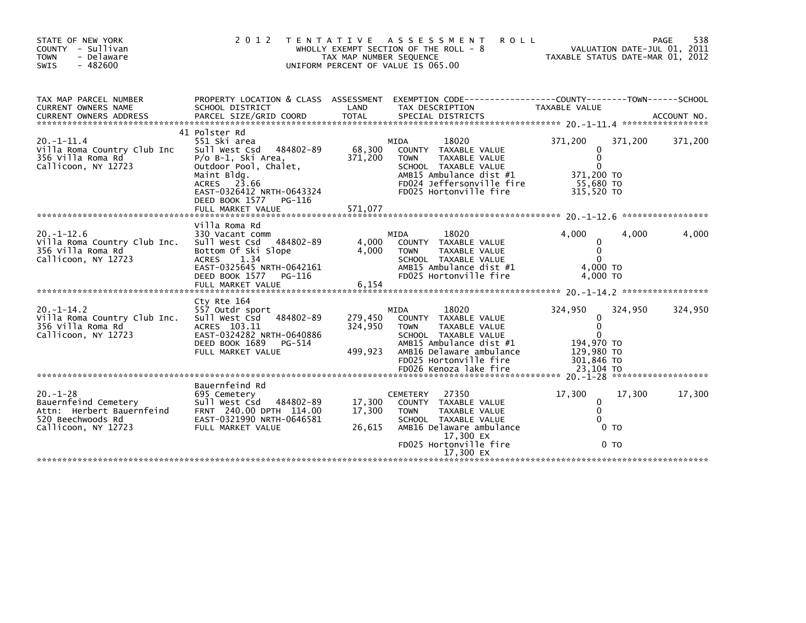| STATE OF NEW YORK<br>COUNTY - Sullivan<br><b>TOWN</b><br>- Delaware<br>$-482600$<br><b>SWIS</b>                 | 2 0 1 2                                                                                                                                                                                                                | T E N T A T I V E<br>TAX MAP NUMBER SEQUENCE | <b>ROLL</b><br>A S S E S S M E N T<br>WHOLLY EXEMPT SECTION OF THE ROLL - 8<br>UNIFORM PERCENT OF VALUE IS 065.00                                                                                               | TAXABLE STATUS DATE-MAR 01, 2012                                                                |         | 538<br>PAGE<br>VALUATION DATE-JUL 01, 2011 |
|-----------------------------------------------------------------------------------------------------------------|------------------------------------------------------------------------------------------------------------------------------------------------------------------------------------------------------------------------|----------------------------------------------|-----------------------------------------------------------------------------------------------------------------------------------------------------------------------------------------------------------------|-------------------------------------------------------------------------------------------------|---------|--------------------------------------------|
| TAX MAP PARCEL NUMBER<br>CURRENT OWNERS NAME                                                                    | PROPERTY LOCATION & CLASS ASSESSMENT<br>SCHOOL DISTRICT                                                                                                                                                                | LAND                                         | EXEMPTION CODE------------------COUNTY--------TOWN------SCHOOL<br>TAX DESCRIPTION                                                                                                                               | TAXABLE VALUE                                                                                   |         |                                            |
| $20. -1 - 11.4$<br>Villa Roma Country Club Inc<br>356 Villa Roma Rd<br>Callicoon, NY 12723                      | 41 Polster Rd<br>551 Ski area<br>484802-89<br>Sull West Csd<br>P/o B-1, Ski Area,<br>Outdoor Pool, Chalet,<br>Maint Bldg.<br>ACRES 23.66<br>EAST-0326412 NRTH-0643324<br>DEED BOOK 1577<br>PG-116<br>FULL MARKET VALUE | 68,300<br>371,200<br>571,077                 | 18020<br>MIDA<br>COUNTY TAXABLE VALUE<br>TAXABLE VALUE<br><b>TOWN</b><br>SCHOOL TAXABLE VALUE<br>AMB15 Ambulance dist #1<br>FD024 Jeffersonville fire<br>FD025 Hortonville fire                                 | 371,200<br>0<br>$\mathbf{0}$<br>$\Omega$<br>371,200 TO<br>55.680 TO<br>315,520 TO               | 371,200 | 371,200                                    |
| $20. -1 - 12.6$<br>Villa Roma Country Club Inc.<br>356 Villa Roma Rd<br>Callicoon, NY 12723                     | Villa Roma Rd<br>330 Vacant comm<br>Sull West Csd<br>484802-89<br>Bottom Of Ski Slope<br><b>ACRES</b><br>1.34<br>EAST-0325645 NRTH-0642161<br>DEED BOOK 1577<br>PG-116<br>FULL MARKET VALUE                            | 4,000<br>4,000<br>6,154                      | 18020<br>MIDA<br>COUNTY TAXABLE VALUE<br><b>TOWN</b><br>TAXABLE VALUE<br>SCHOOL TAXABLE VALUE<br>AMB15 Ambulance dist #1<br>FD025 Hortonville fire                                                              | 4,000<br>0<br>$\Omega$<br>$\Omega$<br>4,000 TO<br>4,000 TO                                      | 4,000   | 4,000                                      |
| $20. -1 - 14.2$<br>Villa Roma Country Club Inc.<br>356 Villa Roma Rd<br>Callicoon, NY 12723                     | Cty Rte 164<br>557 Outdr sport<br>Sull West Csd<br>484802-89<br>ACRES 103.11<br>EAST-0324282 NRTH-0640886<br>DEED BOOK 1689<br>PG-514<br>FULL MARKET VALUE                                                             | 279,450<br>324.950<br>499,923                | <b>MIDA</b><br>18020<br>COUNTY TAXABLE VALUE<br>TAXABLE VALUE<br><b>TOWN</b><br>SCHOOL TAXABLE VALUE<br>AMB15 Ambulance dist #1<br>AMB16 Delaware ambulance<br>FD025 Hortonville fire<br>FD026 Kenoza lake fire | 324,950<br>0<br>$\mathbf{0}$<br>$\Omega$<br>194,970 TO<br>129,980 TO<br>301,846 TO<br>23,104 TO | 324,950 | 324,950                                    |
| $20. - 1 - 28$<br>Bauernfeind Cemetery<br>Attn: Herbert Bauernfeind<br>520 Beechwoods Rd<br>Callicoon, NY 12723 | Bauernfeind Rd<br>695 Cemetery<br>Sull West Csd<br>484802-89<br>FRNT 240.00 DPTH 114.00<br>EAST-0321990 NRTH-0646581<br>FULL MARKET VALUE                                                                              | 17,300<br>17,300<br>26,615                   | 27350<br><b>CEMETERY</b><br>COUNTY TAXABLE VALUE<br><b>TOWN</b><br>TAXABLE VALUE<br>SCHOOL TAXABLE VALUE<br>AMB16 Delaware ambulance<br>17,300 EX<br>FD025 Hortonville fire<br>17,300 EX                        | 17,300<br>0<br>$\mathbf{0}$<br>$\Omega$<br>0 <sub>T</sub><br>0 <sub>T</sub>                     | 17,300  | 17,300                                     |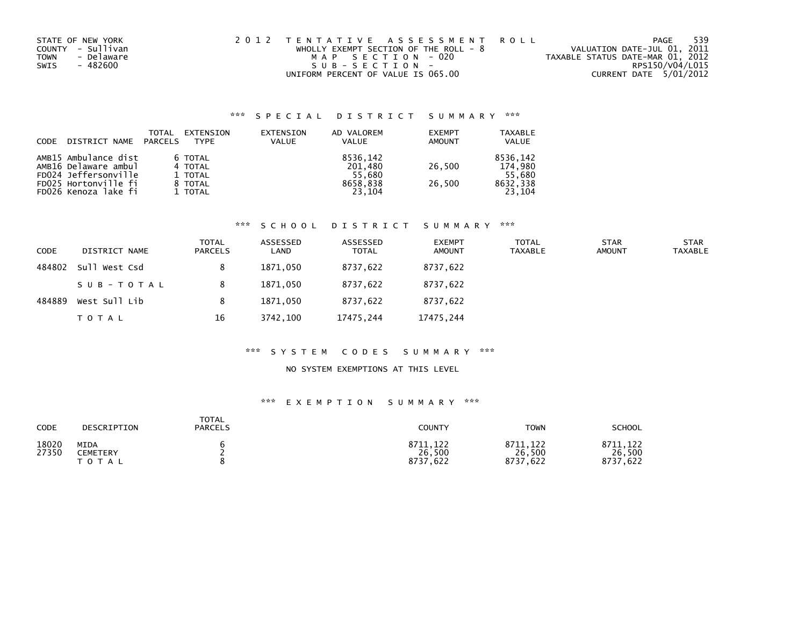| STATE OF NEW YORK         | 2012 TENTATIVE ASSESSMENT ROLL          | -539<br>PAGE                     |
|---------------------------|-----------------------------------------|----------------------------------|
| COUNTY - Sullivan         | WHOLLY EXEMPT SECTION OF THE ROLL - $8$ | VALUATION DATE-JUL 01, 2011      |
| - Delaware<br><b>TOWN</b> | MAP SECTION - 020                       | TAXABLE STATUS DATE-MAR 01, 2012 |
| - 482600<br>SWIS          | SUB-SECTION-                            | RPS150/V04/L015                  |
|                           | UNIFORM PERCENT OF VALUE IS 065.00      | CURRENT DATE 5/01/2012           |

| CODE | DISTRICT NAME        | TOTAL<br>PARCELS | EXTENSION<br><b>TYPF</b> | EXTENSION<br><b>VALUE</b> | AD VALOREM<br>VALUE | <b>EXEMPT</b><br><b>AMOUNT</b> | <b>TAXABLE</b><br><b>VALUE</b> |
|------|----------------------|------------------|--------------------------|---------------------------|---------------------|--------------------------------|--------------------------------|
|      | AMB15 Ambulance dist |                  | 6 TOTAL                  |                           | 8536.142            |                                | 8536.142                       |
|      | AMB16 Delaware ambul |                  | 4 TOTAL                  |                           | 201.480             | 26.500                         | 174.980                        |
|      | FD024 Jeffersonville |                  | 1 TOTAL                  |                           | 55.680              |                                | 55.680                         |
|      | FD025 Hortonville fi |                  | 8 TOTAL                  |                           | 8658.838            | 26.500                         | 8632,338                       |
|      | FD026 Kenoza lake fi |                  | 1 TOTAL                  |                           | 23.104              |                                | 23.104                         |

# \*\*\* S C H O O L D I S T R I C T S U M M A R Y \*\*\*

| <b>CODE</b> | DISTRICT NAME | TOTAL<br><b>PARCELS</b> | ASSESSED<br>LAND | ASSESSED<br><b>TOTAL</b> | <b>EXEMPT</b><br><b>AMOUNT</b> | <b>TOTAL</b><br>TAXABLE | <b>STAR</b><br><b>AMOUNT</b> | <b>STAR</b><br><b>TAXABLE</b> |
|-------------|---------------|-------------------------|------------------|--------------------------|--------------------------------|-------------------------|------------------------------|-------------------------------|
| 484802      | Sull West Csd |                         | 1871.050         | 8737,622                 | 8737,622                       |                         |                              |                               |
|             | SUB-TOTAL     |                         | 1871.050         | 8737.622                 | 8737,622                       |                         |                              |                               |
| 484889      | West Sull Lib |                         | 1871.050         | 8737,622                 | 8737,622                       |                         |                              |                               |
|             | TOTAL         | 16                      | 3742.100         | 17475,244                | 17475,244                      |                         |                              |                               |

## \*\*\* S Y S T E M C O D E S S U M M A R Y \*\*\*

## NO SYSTEM EXEMPTIONS AT THIS LEVEL

| CODE           | DESCRIPTION                   | TOTAL<br><b>PARCELS</b> | <b>COUNTY</b>                      | <b>TOWN</b>                        | <b>SCHOOL</b>                   |
|----------------|-------------------------------|-------------------------|------------------------------------|------------------------------------|---------------------------------|
| 18020<br>27350 | MIDA<br>CEMETERY<br>T O T A L |                         | 8711,122<br>26,500<br>8737<br>.622 | 8711.122<br>26,500<br>8737<br>.622 | 8711, 122<br>26,500<br>8737,622 |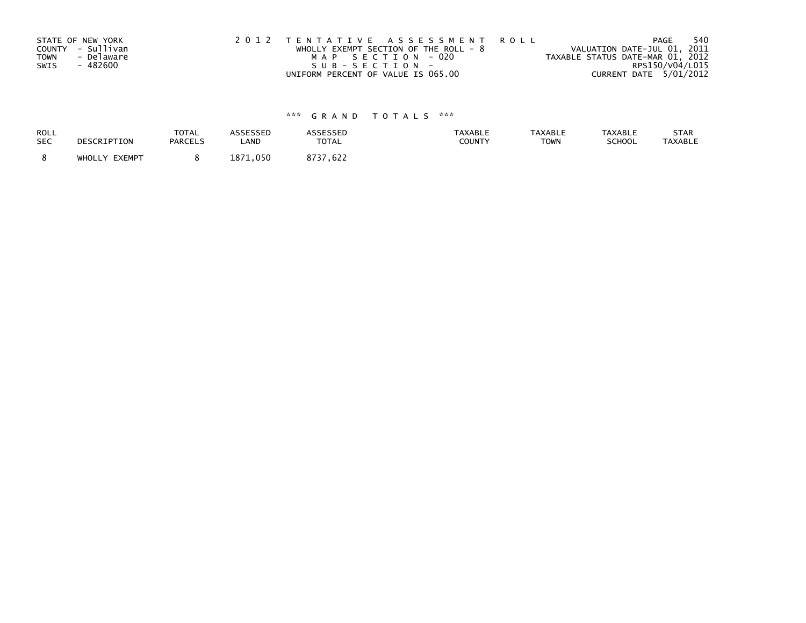|             | STATE OF NEW YORK | 2012 TENTATIVE ASSESSMENT ROLL          | 540<br>PAGE                      |
|-------------|-------------------|-----------------------------------------|----------------------------------|
|             | COUNTY - Sullivan | WHOLLY EXEMPT SECTION OF THE ROLL - $8$ | VALUATION DATE-JUL 01, 2011      |
| <b>TOWN</b> | - Delaware        | MAP SECTION - 020                       | TAXABLE STATUS DATE-MAR 01, 2012 |
| SWIS        | - 482600          | SUB-SECTION-                            | RPS150/V04/L015                  |
|             |                   | UNIFORM PERCENT OF VALUE IS 065.00      | CURRENT DATE 5/01/2012           |

| ROLL       | DESCRIPTION   | TOTAL          | ASSESSED | <b>ASSESSED</b> | <b>TAXABLE</b> | <b>TAXABLE</b> | <b>TAXABLE</b> | STAR           |
|------------|---------------|----------------|----------|-----------------|----------------|----------------|----------------|----------------|
| <b>SEC</b> |               | <b>PARCELS</b> | LAND     | <b>TOTAL</b>    | <b>COUNTY</b>  | <b>TOWN</b>    | <b>SCHOOL</b>  | <b>TAXABLE</b> |
|            | WHOLLY EXEMPT |                | 1871.050 | 8737.622        |                |                |                |                |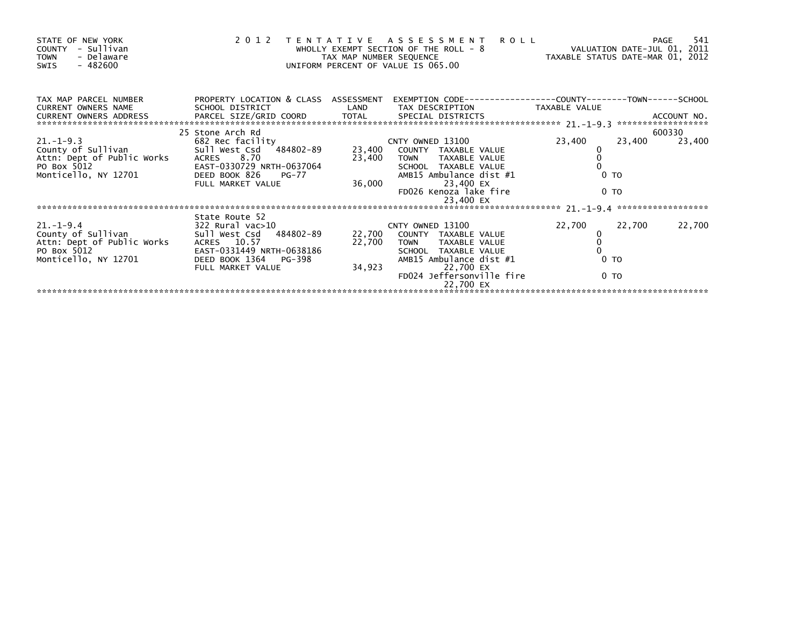| STATE OF NEW YORK<br>COUNTY - Sullivan<br>- Delaware<br><b>TOWN</b><br>- 482600<br>SWIS |                                                         | TAX MAP NUMBER SEQUENCE | 2012 TENTATIVE ASSESSMENT<br><b>ROLL</b><br>WHOLLY EXEMPT SECTION OF THE ROLL - 8<br>UNIFORM PERCENT OF VALUE IS 065.00 | VALUATION DATE-JUL 01, 2011<br>TAXABLE STATUS DATE-MAR 01, 2012 |                | 541<br>PAGE |
|-----------------------------------------------------------------------------------------|---------------------------------------------------------|-------------------------|-------------------------------------------------------------------------------------------------------------------------|-----------------------------------------------------------------|----------------|-------------|
| TAX MAP PARCEL NUMBER<br><b>CURRENT OWNERS NAME</b><br>CURRENT OWNERS ADDRESS           | PROPERTY LOCATION & CLASS ASSESSMENT<br>SCHOOL DISTRICT | LAND                    | EXEMPTION        CODE-----------------COUNTY--------TOWN------SCHOOL<br>TAX DESCRIPTION                                 | TAXABLE VALUE                                                   |                |             |
|                                                                                         | 25 Stone Arch Rd                                        |                         |                                                                                                                         |                                                                 |                | 600330      |
| $21. - 1 - 9.3$                                                                         | 682 Rec facility                                        |                         | CNTY OWNED 13100                                                                                                        | 23,400                                                          | 23,400         | 23,400      |
| County of Sullivan                                                                      | Sull West Csd 484802-89                                 |                         | 23,400 COUNTY TAXABLE VALUE                                                                                             |                                                                 |                |             |
| Attn: Dept of Public Works                                                              | ACRES 8.70                                              |                         | 23,400 TOWN<br>TAXABLE VALUE                                                                                            |                                                                 |                |             |
| PO Box 5012                                                                             | EAST-0330729 NRTH-0637064                               |                         | SCHOOL TAXABLE VALUE                                                                                                    |                                                                 |                |             |
| Monticello, NY 12701                                                                    | DEED BOOK 826<br>PG-77                                  |                         | AMB15 Ambulance dist #1                                                                                                 |                                                                 | 0 <sub>T</sub> |             |
|                                                                                         | FULL MARKET VALUE                                       | 36,000                  | 23,400 EX<br>FD026 Kenoza lake fire<br>23,400 EX                                                                        |                                                                 | 0 <sub>T</sub> |             |
|                                                                                         |                                                         |                         |                                                                                                                         |                                                                 |                |             |
|                                                                                         | State Route 52                                          |                         |                                                                                                                         |                                                                 |                |             |
| $21. - 1 - 9.4$                                                                         | 322 Rural vac>10                                        |                         | CNTY OWNED 13100                                                                                                        | 22,700                                                          | 22,700         | 22,700      |
| County of Sullivan                                                                      | Sull West Csd 484802-89                                 | 22,700                  | COUNTY TAXABLE VALUE                                                                                                    |                                                                 |                |             |
| Attn: Dept of Public Works<br>PO Box 5012                                               | ACRES 10.57<br>EAST-0331449 NRTH-0638186                | 22,700                  | <b>TOWN</b><br>TAXABLE VALUE<br>SCHOOL TAXABLE VALUE                                                                    |                                                                 |                |             |
| Monticello, NY 12701                                                                    | DEED BOOK 1364 PG-398                                   |                         | AMB15 Ambulance dist #1                                                                                                 |                                                                 | 0 <sub>T</sub> |             |
|                                                                                         | FULL MARKET VALUE                                       | 34,923                  | 22,700 EX                                                                                                               |                                                                 |                |             |
|                                                                                         |                                                         |                         | FD024 Jeffersonville fire                                                                                               |                                                                 | 0 <sub>T</sub> |             |
|                                                                                         |                                                         |                         | 22,700 EX                                                                                                               |                                                                 |                |             |
|                                                                                         |                                                         |                         |                                                                                                                         |                                                                 |                |             |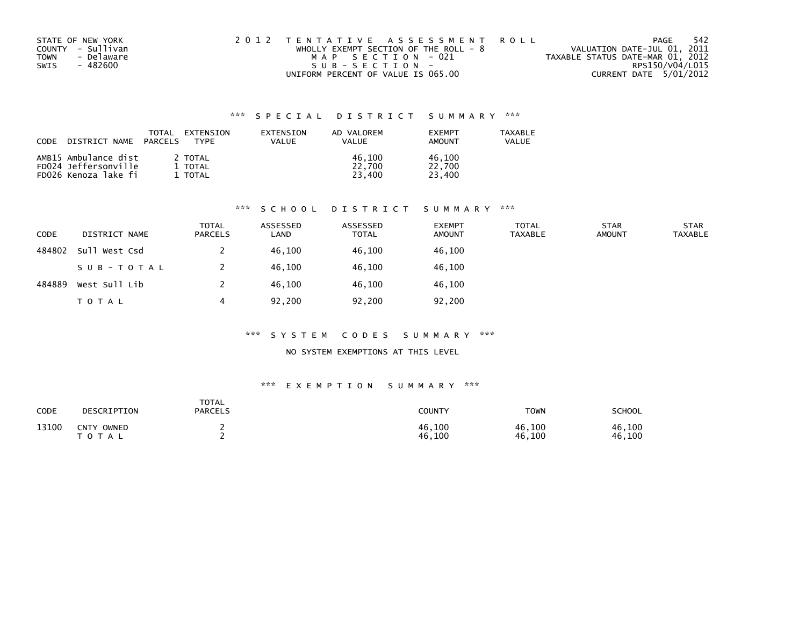| STATE OF NEW YORK  | 2012 TENTATIVE ASSESSMENT ROLL          | PAGE                             | -542 |
|--------------------|-----------------------------------------|----------------------------------|------|
| COUNTY - Sullivan  | WHOLLY EXEMPT SECTION OF THE ROLL - $8$ | VALUATION DATE-JUL 01, 2011      |      |
| - Delaware<br>TOWN | MAP SECTION - 021                       | TAXABLE STATUS DATE-MAR 01, 2012 |      |
| SWIS<br>- 482600   | $SUB - SECTION -$                       | RPS150/V04/L015                  |      |
|                    | UNIFORM PERCENT OF VALUE IS 065.00      | CURRENT DATE 5/01/2012           |      |

| CODE<br>DISTRICT NAME | TOTAL<br>PARCELS | EXTENSION<br><b>FXTENSTON</b><br>VALUE<br><b>TYPF</b> | AD VALOREM<br>VALUE | <b>FXFMPT</b><br>AMOUNT | <b>TAXABLE</b><br>VALUE |
|-----------------------|------------------|-------------------------------------------------------|---------------------|-------------------------|-------------------------|
| AMB15 Ambulance dist  | 2 TOTAL          |                                                       | 46.100              | 46.100                  |                         |
| FD024 Jeffersonville  | 1 TOTAL          |                                                       | 22,700              | 22,700                  |                         |
| FD026 Kenoza lake fi  | 1 TOTAL          |                                                       | 23,400              | 23,400                  |                         |

## \*\*\* S C H O O L D I S T R I C T S U M M A R Y \*\*\*

| CODE   | DISTRICT NAME | <b>TOTAL</b><br><b>PARCELS</b> | ASSESSED<br>LAND | ASSESSED<br><b>TOTAL</b> | <b>EXEMPT</b><br><b>AMOUNT</b> | <b>TOTAL</b><br><b>TAXABLE</b> | <b>STAR</b><br><b>AMOUNT</b> | <b>STAR</b><br><b>TAXABLE</b> |
|--------|---------------|--------------------------------|------------------|--------------------------|--------------------------------|--------------------------------|------------------------------|-------------------------------|
| 484802 | Sull West Csd |                                | 46,100           | 46,100                   | 46,100                         |                                |                              |                               |
|        | SUB-TOTAL     |                                | 46.100           | 46,100                   | 46,100                         |                                |                              |                               |
| 484889 | West Sull Lib |                                | 46.100           | 46.100                   | 46,100                         |                                |                              |                               |
|        | T O T A L     | 4                              | 92,200           | 92,200                   | 92,200                         |                                |                              |                               |

### \*\*\* S Y S T E M C O D E S S U M M A R Y \*\*\*

### NO SYSTEM EXEMPTIONS AT THIS LEVEL

| CODE  | DESCRIPTION                                    | TOTAL<br><b>PARCELS</b> | COUNTY           | <b>TOWN</b>      | SCHOOL           |
|-------|------------------------------------------------|-------------------------|------------------|------------------|------------------|
| 13100 | <b>CNTY</b><br>OWNED<br>$T$ 0 $+$<br>$T$ A $L$ |                         | 46,100<br>46,100 | 46,100<br>46,100 | 46,100<br>46,100 |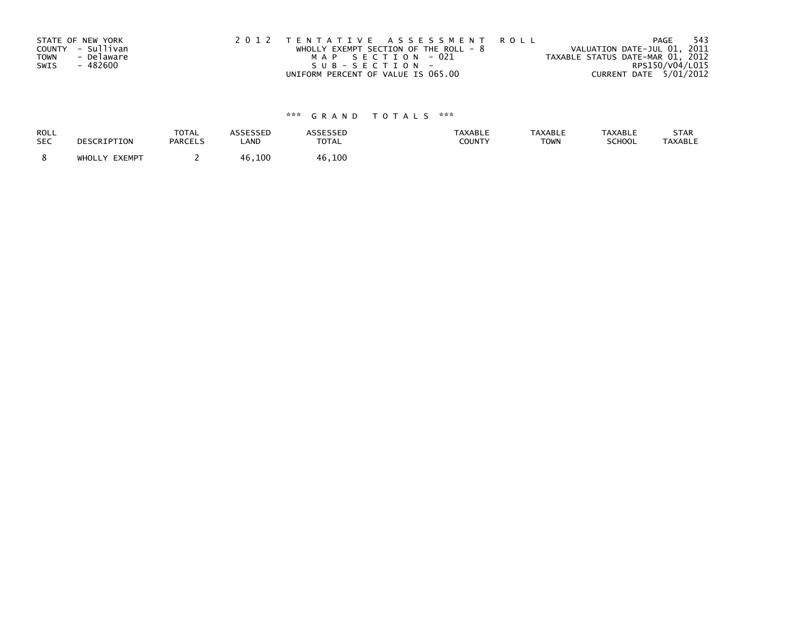|             | STATE OF NEW YORK | 2012 TENTATIVE ASSESSMENT ROLL          | -543<br>PAGE                     |
|-------------|-------------------|-----------------------------------------|----------------------------------|
|             | COUNTY - Sullivan | WHOLLY EXEMPT SECTION OF THE ROLL - $8$ | VALUATION DATE-JUL 01, 2011      |
| <b>TOWN</b> | - Delaware        | MAP SECTION - 021                       | TAXABLE STATUS DATE-MAR 01, 2012 |
| SWIS        | - 482600          | S U B - S E C T I O N -                 | RPS150/V04/L015                  |
|             |                   | UNIFORM PERCENT OF VALUE IS 065.00      | CURRENT DATE 5/01/2012           |

| <b>ROLL</b> | DESCRIPTION   | <b>TOTAL</b>   | <b>ASSESSED</b> | <b>ASSESSED</b> | <b>TAXABLE</b> | <b>TAXABLE</b> | <b>TAXABLE</b> | STAR           |
|-------------|---------------|----------------|-----------------|-----------------|----------------|----------------|----------------|----------------|
| <b>SEC</b>  |               | <b>PARCELS</b> | LAND            | <b>TOTAL</b>    | <b>COUNTY</b>  | <b>TOWN</b>    | SCHOOL         | <b>TAXABLE</b> |
|             | WHOLLY EXEMPT |                | 46,100          | 46,100          |                |                |                |                |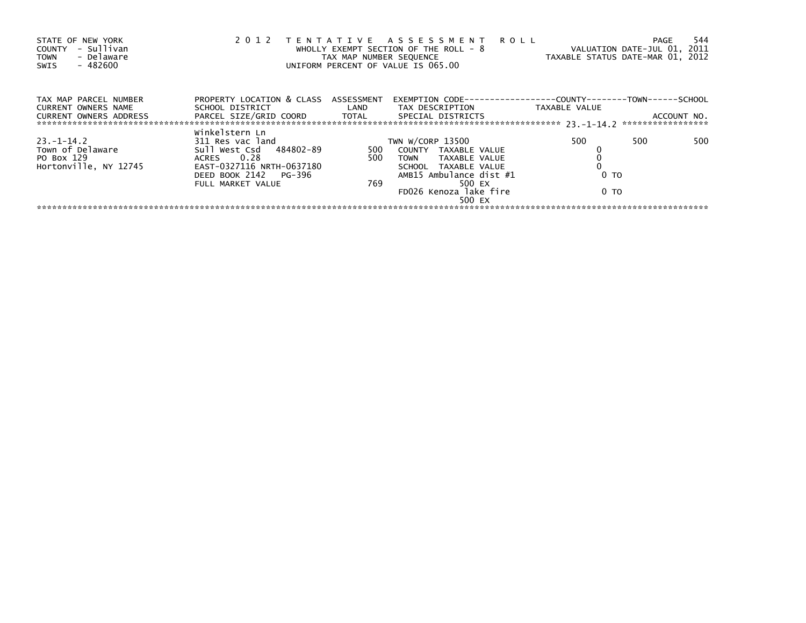| STATE OF NEW YORK<br>- Sullivan<br>COUNTY<br>- Delaware<br><b>TOWN</b><br>$-482600$<br>SWIS | 2 0 1 2                                                                                                                                                | TAX MAP NUMBER SEQUENCE | TENTATIVE ASSESSMENT ROLL<br>WHOLLY EXEMPT SECTION OF THE ROLL - 8<br>UNIFORM PERCENT OF VALUE IS 065.00                                                           | VALUATION DATE-JUL 01, 2011<br>TAXABLE STATUS DATE-MAR 01, 2012 | <b>PAGE</b> | 544 |
|---------------------------------------------------------------------------------------------|--------------------------------------------------------------------------------------------------------------------------------------------------------|-------------------------|--------------------------------------------------------------------------------------------------------------------------------------------------------------------|-----------------------------------------------------------------|-------------|-----|
| TAX MAP PARCEL NUMBER<br><b>CURRENT OWNERS NAME</b><br><b>CURRENT OWNERS ADDRESS</b>        | PROPERTY LOCATION & CLASS ASSESSMENT<br>PARCEL SIZE/GRID COORD TOTAL                                                                                   |                         | EXEMPTION        CODE-----------------COUNTY-------TOWN------SCHOOL<br>SPECIAL DISTRICTS                                                                           | TAXABLE VALUE                                                   | ACCOUNT NO. |     |
| $23 - 1 - 14.2$<br>Town of Delaware<br>PO Box 129<br>Hortonville, NY 12745                  | Winkelstern Ln<br>311 Res vac land<br>Sull West Csd 484802-89<br>ACRES 0.28<br>EAST-0327116 NRTH-0637180<br>DEED BOOK 2142 PG-396<br>FULL MARKET VALUE | 500<br>500<br>769       | TWN W/CORP 13500<br>COUNTY TAXABLE VALUE<br>TAXABLE VALUE<br>TOWN<br>SCHOOL TAXABLE VALUE<br>AMB15 Ambulance dist #1<br>500 EX<br>FD026 Kenoza lake fire<br>500 EX | 500<br>0 TO<br>0 <sub>T</sub>                                   | 500         | 500 |
|                                                                                             |                                                                                                                                                        |                         |                                                                                                                                                                    |                                                                 |             |     |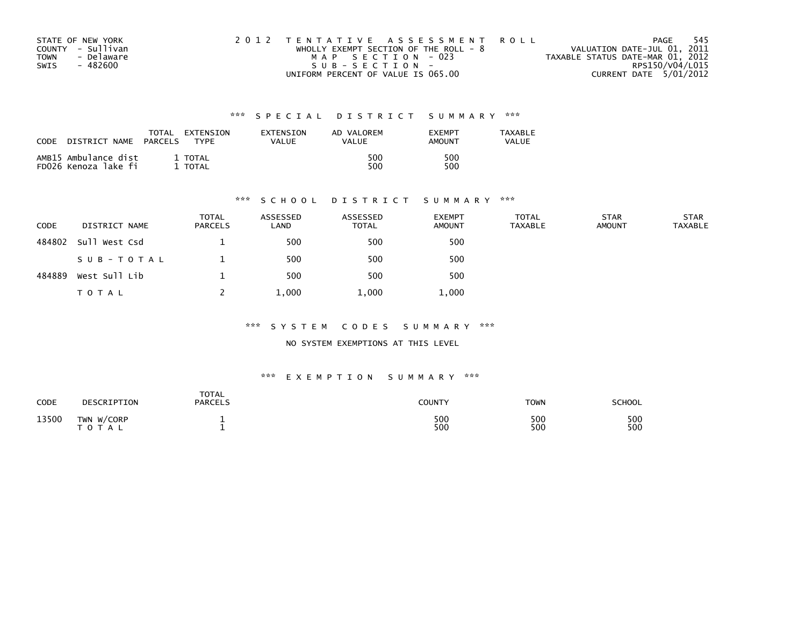| STATE OF NEW YORK         | 2012 TENTATIVE ASSESSMENT ROLL          | PAGE                             | - 545 |
|---------------------------|-----------------------------------------|----------------------------------|-------|
| COUNTY - Sullivan         | WHOLLY EXEMPT SECTION OF THE ROLL - $8$ | VALUATION DATE-JUL 01, 2011      |       |
| - Delaware<br><b>TOWN</b> | MAP SECTION - 023                       | TAXABLE STATUS DATE-MAR 01, 2012 |       |
| - 482600<br>SWIS          | SUB-SECTION-                            | RPS150/V04/L015                  |       |
|                           | UNIFORM PERCENT OF VALUE IS 065.00      | CURRENT DATE 5/01/2012           |       |

| CODE | DISTRICT NAME                                | TOTAL<br>PARCELS | EXTENSION<br><b>TYPF</b> | EXTENSION<br>VALUE | AD VALOREM<br>VALUE | <b>EXEMPT</b><br>AMOUNT | <b>TAXABLE</b><br><b>VALUE</b> |
|------|----------------------------------------------|------------------|--------------------------|--------------------|---------------------|-------------------------|--------------------------------|
|      | AMB15 Ambulance dist<br>FD026 Kenoza lake fi |                  | 1 TOTAL<br>TOTAL         |                    | 500<br>500          | 500<br>500              |                                |

### \*\*\* S C H O O L D I S T R I C T S U M M A R Y \*\*\*

| CODE   | DISTRICT NAME | <b>TOTAL</b><br><b>PARCELS</b> | ASSESSED<br>LAND | ASSESSED<br><b>TOTAL</b> | <b>EXEMPT</b><br><b>AMOUNT</b> | <b>TOTAL</b><br><b>TAXABLE</b> | <b>STAR</b><br><b>AMOUNT</b> | <b>STAR</b><br><b>TAXABLE</b> |
|--------|---------------|--------------------------------|------------------|--------------------------|--------------------------------|--------------------------------|------------------------------|-------------------------------|
| 484802 | Sull West Csd |                                | 500              | 500                      | 500                            |                                |                              |                               |
|        | SUB-TOTAL     |                                | 500              | 500                      | 500                            |                                |                              |                               |
| 484889 | West Sull Lib |                                | 500              | 500                      | 500                            |                                |                              |                               |
|        | T O T A L     |                                | 1,000            | 1,000                    | 1,000                          |                                |                              |                               |

### \*\*\* S Y S T E M C O D E S S U M M A R Y \*\*\*

NO SYSTEM EXEMPTIONS AT THIS LEVEL

| <b>CODE</b> | DESCRIPTION                | <b>TOTAL</b><br>PARCELS | <b>COUNTY</b> | <b>TOWN</b> | SCHOOL     |
|-------------|----------------------------|-------------------------|---------------|-------------|------------|
| 13500       | TWN W/CORP<br><b>TOTAL</b> |                         | 500<br>500    | 500<br>500  | 500<br>500 |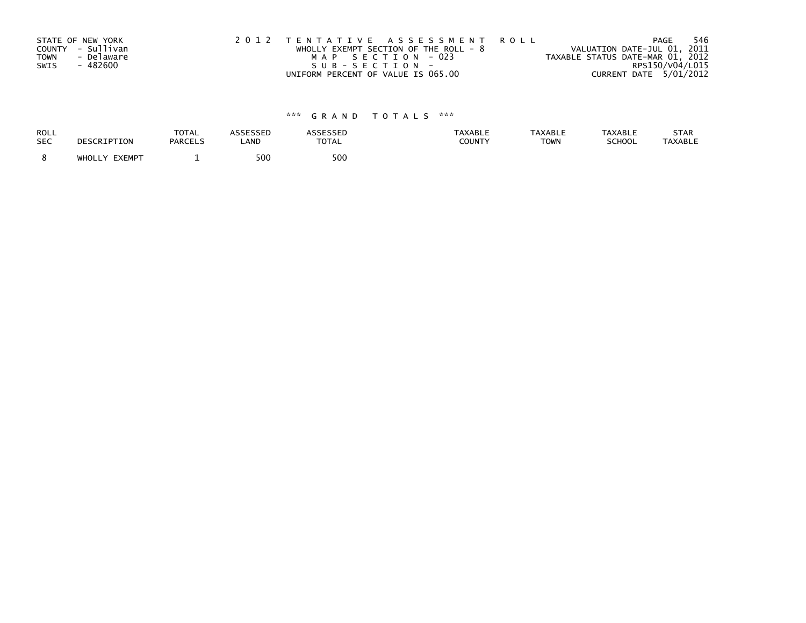|             | STATE OF NEW YORK | 2012 TENTATIVE ASSESSMENT ROLL          | 546<br>PAGE                      |
|-------------|-------------------|-----------------------------------------|----------------------------------|
|             | COUNTY - Sullivan | WHOLLY EXEMPT SECTION OF THE ROLL - $8$ | VALUATION DATE-JUL 01, 2011      |
| <b>TOWN</b> | - Delaware        | MAP SECTION - 023                       | TAXABLE STATUS DATE-MAR 01, 2012 |
| SWIS        | - 482600          | $SUB - SECTION -$                       | RPS150/V04/L015                  |
|             |                   | UNIFORM PERCENT OF VALUE IS 065.00      | CURRENT DATE 5/01/2012           |

| ROLL<br><b>SEC</b> | DESCRIPTION      | <b>TOTAL</b><br><b>PARCELS</b> | LAND | <b>TOTAL</b> | TAXABLI<br><b>COUNTY</b> | <b>TAXABLE</b><br><b>TOWN</b> | <b>TAXABLL</b><br><b>SCHOOL</b> | <b>STAR</b><br><b>TAXABLE</b> |
|--------------------|------------------|--------------------------------|------|--------------|--------------------------|-------------------------------|---------------------------------|-------------------------------|
|                    | EXEMPT<br>WHOLLY |                                | 500  | 500          |                          |                               |                                 |                               |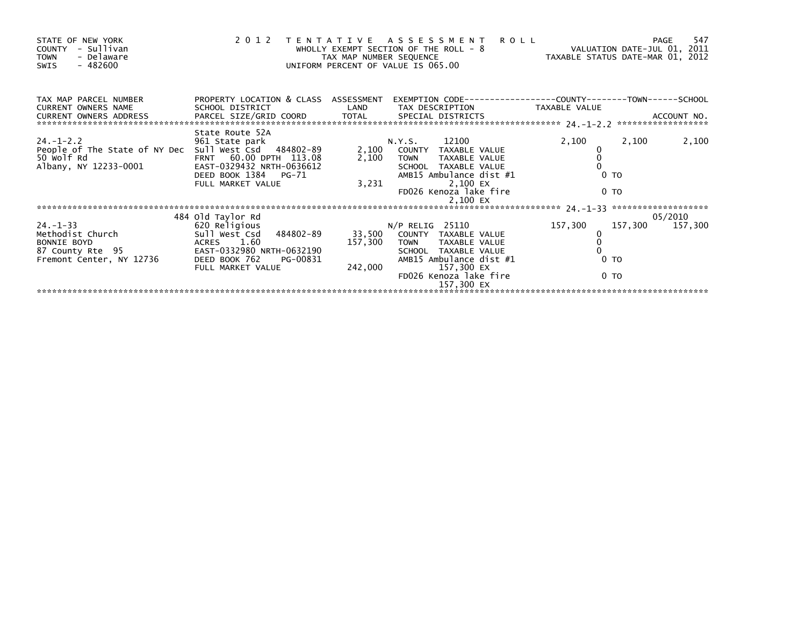| STATE OF NEW YORK<br>COUNTY - Sullivan<br>- Delaware<br><b>TOWN</b><br>- 482600<br>SWIS                                       |                                                                                                                                                            | TAX MAP NUMBER SEQUENCE | 2012 TENTATIVE ASSESSMENT<br>WHOLLY EXEMPT SECTION OF THE ROLL - 8<br>UNIFORM PERCENT OF VALUE IS 065.00                                                                        | <b>ROLL</b><br>VALUATION DATE-JUL 01, 2011<br>TAXABLE STATUS DATE-MAR 01, 2012 |                                  | 547<br>PAGE                |
|-------------------------------------------------------------------------------------------------------------------------------|------------------------------------------------------------------------------------------------------------------------------------------------------------|-------------------------|---------------------------------------------------------------------------------------------------------------------------------------------------------------------------------|--------------------------------------------------------------------------------|----------------------------------|----------------------------|
| TAX MAP PARCEL NUMBER<br><b>CURRENT OWNERS NAME</b><br><b>CURRENT OWNERS ADDRESS</b>                                          | PROPERTY LOCATION & CLASS ASSESSMENT<br>SCHOOL DISTRICT LAND                                                                                               |                         | EXEMPTION CODE-----------------COUNTY-------TOWN------SCHOOL<br>TAX DESCRIPTION TAXABLE VALUE                                                                                   |                                                                                |                                  |                            |
| $24. - 1 - 2.2$<br>People of The State of NY Dec Sull West Csd 484802-89<br>50 Wolf Rd<br>bU Wolf Rd<br>Albany, NY 12233-0001 | State Route 52A<br>961 State park<br>FRNT 60.00 DPTH 113.08<br>EAST-0329432 NRTH-0636612<br>DEED BOOK 1384 PG-71<br>FULL MARKET VALUE                      | 2,100<br>3,231          | 12100<br>N.Y.S.<br>COUNTY TAXABLE VALUE<br>2,100 TOWN<br>TAXABLE VALUE<br>SCHOOL TAXABLE VALUE<br>AMB15 Ambulance dist #1<br>2,100 EX<br>FD026 Kenoza lake fire<br>2,100 EX     | 2,100                                                                          | 2,100<br>0 <sub>T</sub><br>0 TO  | 2,100                      |
|                                                                                                                               |                                                                                                                                                            |                         |                                                                                                                                                                                 |                                                                                |                                  |                            |
| $24. - 1 - 33$<br>rechodist Church<br>BONNIE BOYD<br>87 County Rte 95<br>Fremont Center, NY 12736                             | 484 old Taylor Rd<br>620 Religious<br>Sull West Csd 484802-89<br>ACRES 1.60<br>EAST-0332980 NRTH-0632190<br>DEED BOOK 762<br>PG-00831<br>FULL MARKET VALUE | 157,300<br>242,000      | $N/P$ RELIG 25110<br>33,500 COUNTY TAXABLE VALUE<br>TOWN TAXABLE VALUE<br>SCHOOL TAXABLE VALUE<br>AMB15 Ambulance dist #1<br>157,300 EX<br>FD026 Kenoza lake fire<br>157,300 EX | 157,300                                                                        | 0 <sub>T</sub><br>0 <sub>T</sub> | 05/2010<br>157,300 157,300 |
|                                                                                                                               |                                                                                                                                                            |                         |                                                                                                                                                                                 |                                                                                |                                  |                            |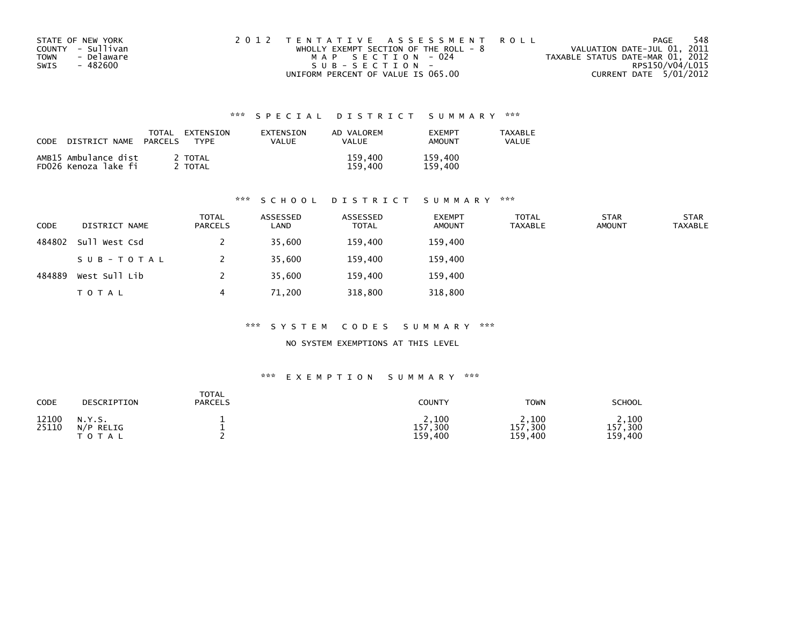| STATE OF NEW YORK  | 2012 TENTATIVE ASSESSMENT ROLL          | PAGE                             | 548 |
|--------------------|-----------------------------------------|----------------------------------|-----|
| COUNTY - Sullivan  | WHOLLY EXEMPT SECTION OF THE ROLL - $8$ | VALUATION DATE-JUL 01, 2011      |     |
| - Delaware<br>TOWN | MAP SECTION - 024                       | TAXABLE STATUS DATE-MAR 01, 2012 |     |
| - 482600<br>SWIS   | SUB-SECTION-                            | RPS150/V04/L015                  |     |
|                    | UNIFORM PERCENT OF VALUE IS 065.00      | CURRENT DATE 5/01/2012           |     |

| CODE | DISTRICT NAME                                | TOTAL<br><b>PARCELS</b> | EXTENSION<br><b>TYPF</b> | <b>FXTENSTON</b><br>VALUE | AD VALOREM<br><b>VALUE</b> | <b>FXFMPT</b><br>AMOUNT | <b>TAXABLE</b><br>VALUE |
|------|----------------------------------------------|-------------------------|--------------------------|---------------------------|----------------------------|-------------------------|-------------------------|
|      | AMB15 Ambulance dist<br>FD026 Kenoza lake fi |                         | 2 TOTAL<br>TOTAL         |                           | 159,400<br>159.400         | 159,400<br>159.400      |                         |

### \*\*\* S C H O O L D I S T R I C T S U M M A R Y \*\*\*

| <b>CODE</b> | DISTRICT NAME | <b>TOTAL</b><br><b>PARCELS</b> | ASSESSED<br>LAND | ASSESSED<br><b>TOTAL</b> | <b>EXEMPT</b><br><b>AMOUNT</b> | <b>TOTAL</b><br><b>TAXABLE</b> | <b>STAR</b><br><b>AMOUNT</b> | <b>STAR</b><br><b>TAXABLE</b> |
|-------------|---------------|--------------------------------|------------------|--------------------------|--------------------------------|--------------------------------|------------------------------|-------------------------------|
| 484802      | Sull West Csd |                                | 35,600           | 159,400                  | 159,400                        |                                |                              |                               |
|             | SUB-TOTAL     |                                | 35,600           | 159,400                  | 159,400                        |                                |                              |                               |
| 484889      | West Sull Lib |                                | 35,600           | 159.400                  | 159,400                        |                                |                              |                               |
|             | <b>TOTAL</b>  | 4                              | 71,200           | 318,800                  | 318,800                        |                                |                              |                               |

### \*\*\* S Y S T E M C O D E S S U M M A R Y \*\*\*

NO SYSTEM EXEMPTIONS AT THIS LEVEL

| CODE           | DESCRIPTION                         | <b>TOTAL</b><br><b>PARCELS</b> | <b>COUNTY</b>                   | <b>TOWN</b>                     | <b>SCHOOL</b>                   |
|----------------|-------------------------------------|--------------------------------|---------------------------------|---------------------------------|---------------------------------|
| 12100<br>25110 | N.Y.S.<br>N/P<br>RELIG<br>T O T A L |                                | 2,100<br>,300<br>157<br>159,400 | 2,100<br>,300<br>157<br>159,400 | 2,100<br>,300<br>157<br>159,400 |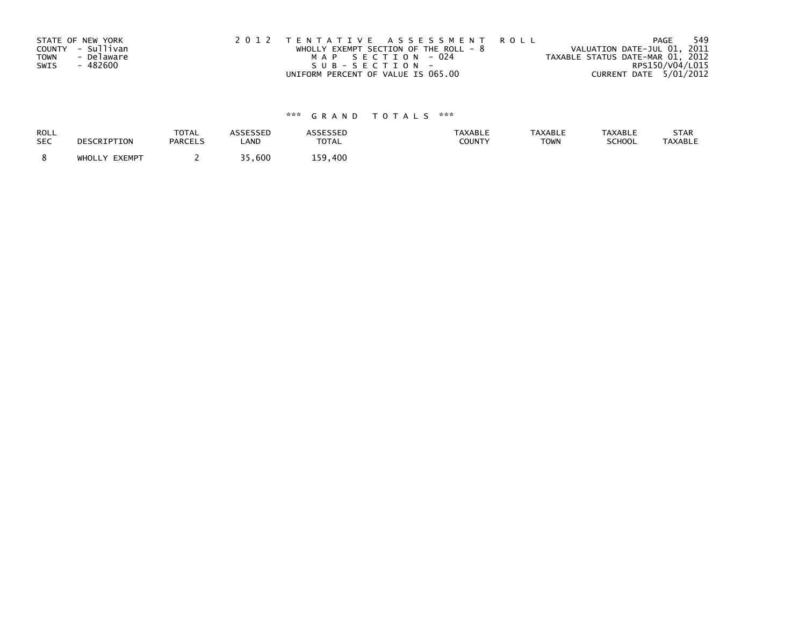| STATE OF NEW YORK |            | 2012 TENTATIVE ASSESSMENT ROLL          |  |                                  | PAGE                   | 549 |
|-------------------|------------|-----------------------------------------|--|----------------------------------|------------------------|-----|
| COUNTY - Sullivan |            | WHOLLY EXEMPT SECTION OF THE ROLL - $8$ |  | VALUATION DATE-JUL 01, 2011      |                        |     |
| <b>TOWN</b>       | - Delaware | MAP SECTION - 024                       |  | TAXABLE STATUS DATE-MAR 01, 2012 |                        |     |
| SWIS              | - 482600   | SUB-SECTION-                            |  |                                  | RPS150/V04/L015        |     |
|                   |            | UNIFORM PERCENT OF VALUE IS 065.00      |  |                                  | CURRENT DATE 5/01/2012 |     |

| ROLL       | DESCRIPTION   | <b>TOTAL</b>   | <b>ASSESSED</b> | <b>ASSESSED</b> | <b>TAXABLE</b> | <b>TAXABLE</b> | <b>TAXABLE</b> | STAR           |
|------------|---------------|----------------|-----------------|-----------------|----------------|----------------|----------------|----------------|
| <b>SEC</b> |               | <b>PARCELS</b> | LAND            | <b>TOTAL</b>    | COUNTY         | <b>TOWN</b>    | SCHOOL         | <b>TAXABLE</b> |
|            | WHOLLY EXEMPT |                | 35,600          | 159,400         |                |                |                |                |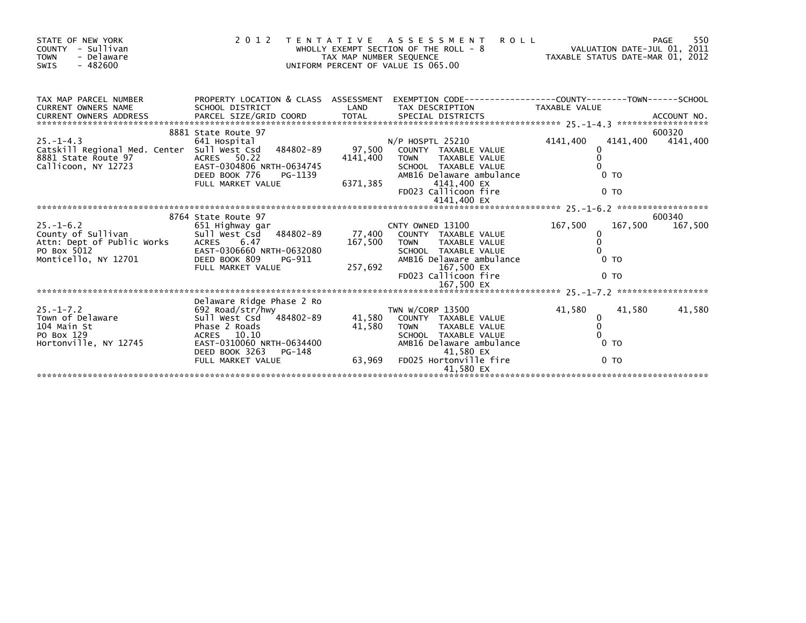| STATE OF NEW YORK<br>COUNTY - Sullivan<br><b>TOWN</b><br>- Delaware<br>$-482600$<br>SWIS                                                                                                                                                                                          |                                                                                                                                                                                    |                         | PAGE 55<br>WHOLLY EXEMPT SECTION OF THE ROLL - 8<br>TAX MAP NUMBER SEQUENCE TAX MAP NUMBER SEQUENCE TAXABLE STATUS DATE-MAR 01, 2012<br>UNIFORM PERCENT OF VALUE IS 065.00<br>2012 TENTATIVE ASSESSMENT |                                                                                     |                    |
|-----------------------------------------------------------------------------------------------------------------------------------------------------------------------------------------------------------------------------------------------------------------------------------|------------------------------------------------------------------------------------------------------------------------------------------------------------------------------------|-------------------------|---------------------------------------------------------------------------------------------------------------------------------------------------------------------------------------------------------|-------------------------------------------------------------------------------------|--------------------|
| TAX MAP PARCEL NUMBER<br>CURRENT OWNERS NAME<br>CURRENT UNILLY INTEREST DESCRIPTION OF THE CORPORATION OF THE CONFERENT OWNERS ADDRESS FORCEL SIZE/GRID COORD<br>CURRENT OWNERS ADDRESS FARCEL SIZE/GRID COORD TOTAL SPECIAL DISTRICTS (25.1-4.3 ******************************** |                                                                                                                                                                                    |                         |                                                                                                                                                                                                         |                                                                                     |                    |
| 8881 State Route 97<br>Callicoon, NY 12723                                                                                                                                                                                                                                        | 8881 State Route 97<br>ACRES 50.22<br>EAST-0304806 NRTH-0634745<br>DEED BOOK 776<br>FULL MARKET VALUE                                                                              |                         | N/P HOSPTL 25210<br>4141,400 TOWN TAXABLE VALUE<br>SCHOOL TAXABLE VALUE<br>AMB16 Delaware ambulance<br>PG-1139 MMB16 Delaware ambu<br>E 6371,385 1141,400 EX<br>FD023 Callicoon fire<br>4141,400 EX     | 4141,400<br>4141,400<br>$\Omega$<br>$0$ TO<br>0 <sub>TO</sub>                       | 600320<br>4141,400 |
|                                                                                                                                                                                                                                                                                   |                                                                                                                                                                                    |                         |                                                                                                                                                                                                         |                                                                                     |                    |
| $25.-1-6.2$<br>County of Sullivan<br>Attn: Dept of Public Works<br>PO Box 5012 EAST-0<br>Monticello, NY 12701 DEED B                                                                                                                                                              | 8764 State Route 97<br>651 Highway gar<br>Sull West Csd 484802-89 77,400 COUNTY TAXABLE VALUE<br>6.47<br>EAST-0306660 NRTH-0632080<br>DEED BOOK 809<br>PG-911<br>FULL MARKET VALUE | 167,500 TOWN<br>257,692 | CNTY OWNED 13100<br>TAXABLE VALUE<br>SCHOOL TAXABLE VALUE<br>SCHOOL TAXABLE VALUE<br>AMR16 Delawara al<br>AMB16 Delaware ambulance<br>167,500 EX<br>FD023 Callicoon fire                                | 167,500<br>167,500<br>$\mathbf{0}$<br>$\Omega$<br>0 <sub>T</sub><br>0 <sub>TO</sub> | 600340<br>167,500  |
|                                                                                                                                                                                                                                                                                   | Delaware Ridge Phase 2 Ro                                                                                                                                                          |                         |                                                                                                                                                                                                         |                                                                                     |                    |
| 25.-1-7.2<br>Town of Delaware<br>104 Main St<br>PO Box 129<br>Hortonville, NY 12745<br>Hortonville, NY 12745                                                                                                                                                                      | 692 Road/str/hwy<br>sull West Csd 484802-89<br>Phase 2 Roads                                                                                                                       |                         | TWN W/CORP 13500<br>41,580 COUNTY TAXABLE VALUE<br>41,580 TOWN TAXABLE VALUE<br>AMB16 Delaware ambulance                                                                                                | 41,580<br>41,580<br>0<br>$\mathbf{0}$<br>0 <sub>T</sub><br>0 <sub>T</sub>           | 41,580             |
|                                                                                                                                                                                                                                                                                   |                                                                                                                                                                                    |                         | 41,580 EX                                                                                                                                                                                               |                                                                                     |                    |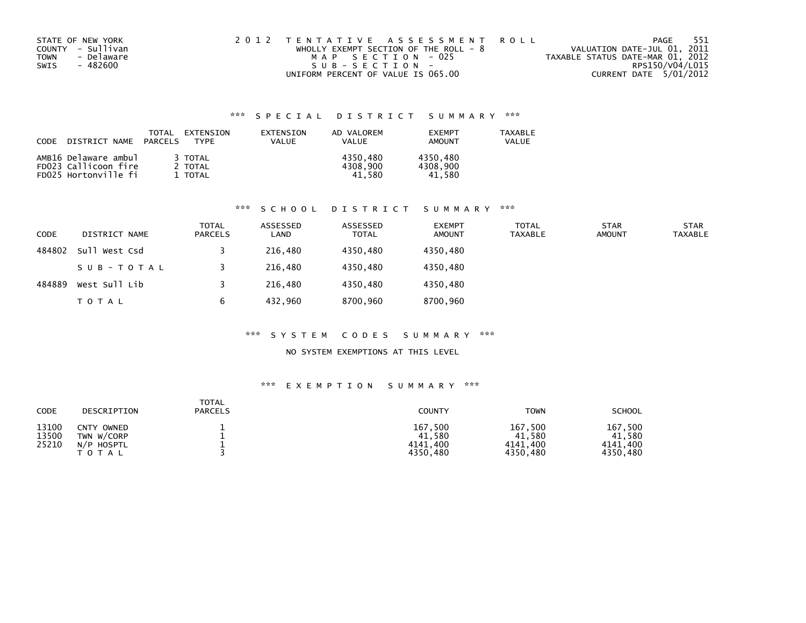| STATE OF NEW YORK<br>COUNTY - Sullivan<br>- Delaware<br>TOWN<br>- 482600<br>SWIS | 2012 TENTATIVE ASSESSMENT ROLL<br>WHOLLY EXEMPT SECTION OF THE ROLL - 8<br>MAP SECTION - 025<br>$SUB - SECTION -$ | 551<br>PAGE<br>VALUATION DATE-JUL 01, 2011<br>TAXABLE STATUS DATE-MAR 01, 2012<br>RPS150/V04/L015 |
|----------------------------------------------------------------------------------|-------------------------------------------------------------------------------------------------------------------|---------------------------------------------------------------------------------------------------|
|                                                                                  | UNIFORM PERCENT OF VALUE IS 065.00                                                                                | CURRENT DATE 5/01/2012                                                                            |

| <b>CODE</b><br>DISTRICT NAME | TOTAL<br>PARCELS | EXTENSION<br><b>TYPF</b> | EXTENSION<br>VALUE | AD VALOREM<br>VALUE | <b>FXFMPT</b><br>AMOUNT | <b>TAXABLE</b><br>VALUE |
|------------------------------|------------------|--------------------------|--------------------|---------------------|-------------------------|-------------------------|
| AMB16 Delaware ambul         |                  | 3 TOTAL                  |                    | 4350.480            | 4350,480                |                         |
| FD023 Callicoon fire         |                  | 2 TOTAL                  |                    | 4308,900            | 4308.900                |                         |
| FD025 Hortonville fi         |                  | <b>TOTAL</b>             |                    | 41.580              | 41.580                  |                         |

## \*\*\* S C H O O L D I S T R I C T S U M M A R Y \*\*\*

| CODE   | DISTRICT NAME | TOTAL<br>PARCELS | ASSESSED<br>LAND | ASSESSED<br><b>TOTAL</b> | <b>EXEMPT</b><br><b>AMOUNT</b> | <b>TOTAL</b><br><b>TAXABLE</b> | <b>STAR</b><br><b>AMOUNT</b> | STAR<br><b>TAXABLE</b> |
|--------|---------------|------------------|------------------|--------------------------|--------------------------------|--------------------------------|------------------------------|------------------------|
| 484802 | Sull West Csd |                  | 216,480          | 4350.480                 | 4350,480                       |                                |                              |                        |
|        | SUB-TOTAL     |                  | 216,480          | 4350.480                 | 4350,480                       |                                |                              |                        |
| 484889 | West Sull Lib |                  | 216,480          | 4350.480                 | 4350.480                       |                                |                              |                        |
|        | TOTAL         | 6                | 432.960          | 8700.960                 | 8700,960                       |                                |                              |                        |

### \*\*\* S Y S T E M C O D E S S U M M A R Y \*\*\*

### NO SYSTEM EXEMPTIONS AT THIS LEVEL

| <b>CODE</b>             | DESCRIPTION                                                   | TOTAL<br><b>PARCELS</b> | <b>COUNTY</b>                             | <b>TOWN</b>                               | <b>SCHOOL</b>                             |
|-------------------------|---------------------------------------------------------------|-------------------------|-------------------------------------------|-------------------------------------------|-------------------------------------------|
| 13100<br>13500<br>25210 | <b>CNTY</b><br>OWNED<br>TWN W/CORP<br>N/P HOSPTL<br>T O T A L |                         | 167,500<br>41,580<br>4141.400<br>4350.480 | 167,500<br>41,580<br>4141.400<br>4350,480 | 167,500<br>41.580<br>4141.400<br>4350,480 |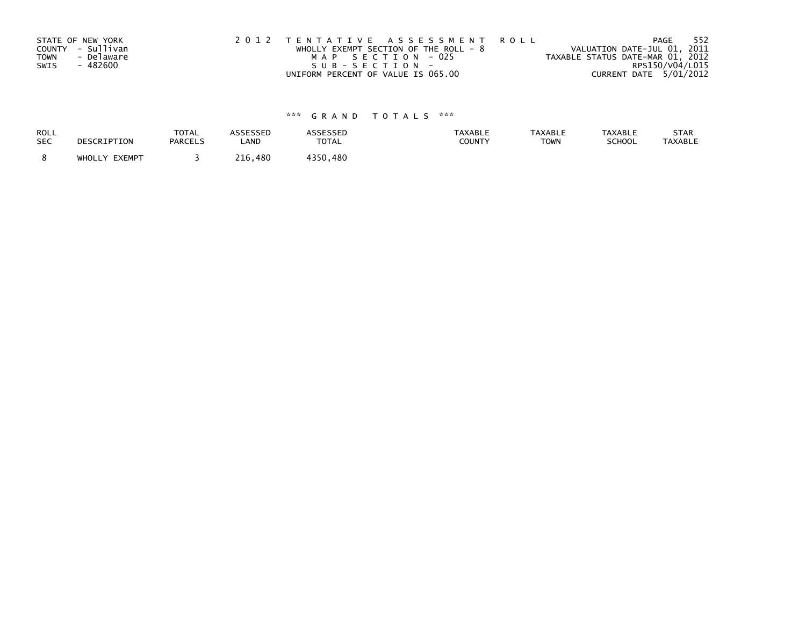| STATE OF NEW YORK<br>COUNTY - Sullivan<br>- Delaware<br>TOWN | 2012 TENTATIVE ASSESSMENT ROLL<br>WHOLLY EXEMPT SECTION OF THE ROLL - $8$<br>MAP SECTION - 025 | 552<br>PAGE<br>VALUATION DATE-JUL 01, 2011<br>TAXABLE STATUS DATE-MAR 01, 2012 |
|--------------------------------------------------------------|------------------------------------------------------------------------------------------------|--------------------------------------------------------------------------------|
| - 482600                                                     | SUB-SECTION-                                                                                   | RPS150/V04/L015                                                                |
| SWIS                                                         | UNIFORM PERCENT OF VALUE IS 065.00                                                             | CURRENT DATE 5/01/2012                                                         |

| <b>ROLL</b> | DESCRIPTION   | <b>TOTAL</b>   | <b>ASSESSED</b> | ASSESSED | TAXABLE | <b>TAXABLE</b> | <b>TAXABLE</b> | STAR           |
|-------------|---------------|----------------|-----------------|----------|---------|----------------|----------------|----------------|
| <b>SEC</b>  |               | <b>PARCELS</b> | LAND            | TOTAL    | COUNTY  | <b>TOWN</b>    | SCHOOL         | <b>TAXABLE</b> |
|             | WHOLLY EXEMPT |                | 216.<br>.480    | 4350.480 |         |                |                |                |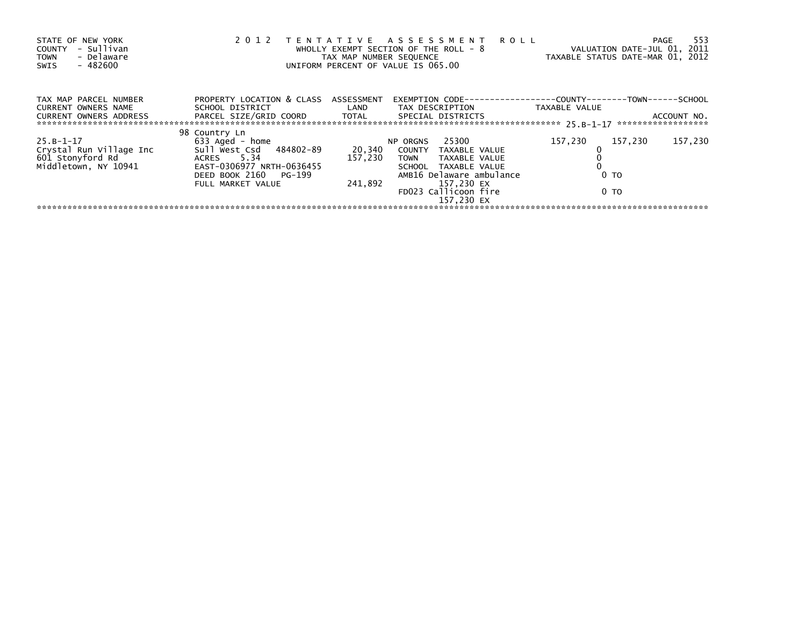| STATE OF NEW YORK<br>- Sullivan<br><b>COUNTY</b><br>- Delaware<br><b>TOWN</b><br>$-482600$<br>SWIS | 2012                                                                                                                               | TAX MAP NUMBER SEQUENCE | TENTATIVE ASSESSMENT<br><b>ROLL</b><br>WHOLLY EXEMPT SECTION OF THE ROLL - 8<br>UNIFORM PERCENT OF VALUE IS 065.00            | VALUATION DATE-JUL 01, 2011<br>TAXABLE STATUS DATE-MAR 01, 2012 | -553<br>PAGE                      |
|----------------------------------------------------------------------------------------------------|------------------------------------------------------------------------------------------------------------------------------------|-------------------------|-------------------------------------------------------------------------------------------------------------------------------|-----------------------------------------------------------------|-----------------------------------|
| TAX MAP PARCEL NUMBER<br>CURRENT OWNERS NAME                                                       | PROPERTY LOCATION & CLASS ASSESSMENT<br>SCHOOL DISTRICT                                                                            | LAND                    | EXEMPTION CODE-<br>TAX DESCRIPTION                                                                                            | ----------COUNTY------<br>TAXABLE VALUE                         | -TOWN------SCHOOL                 |
| <b>CURRENT OWNERS ADDRESS</b>                                                                      | PARCEL SIZE/GRID COORD                                                                                                             | TOTAL                   | SPECIAL DISTRICTS                                                                                                             |                                                                 | ACCOUNT NO.<br>****************** |
| $25.B-1-17$<br>Crystal Run Village Inc<br>601 Stonyford Rd<br>Middletown, NY 10941                 | 98 Country Ln<br>633 Aged - home<br>Sull West Csd 484802-89<br>ACRES 5.34<br>EAST-0306977 NRTH-0636455<br>DEED BOOK 2160<br>PG-199 | 20,340<br>157,230       | 25300<br>NP ORGNS<br>COUNTY TAXABLE VALUE<br><b>TOWN</b><br>TAXABLE VALUE<br>SCHOOL TAXABLE VALUE<br>AMB16 Delaware ambulance | 157,230<br>157.230<br>0 <sub>T</sub>                            | 157,230                           |
|                                                                                                    | FULL MARKET VALUE                                                                                                                  | 241,892                 | 157,230 EX<br>FD023 Callicoon fire<br>157.230 EX                                                                              | 0 TO                                                            |                                   |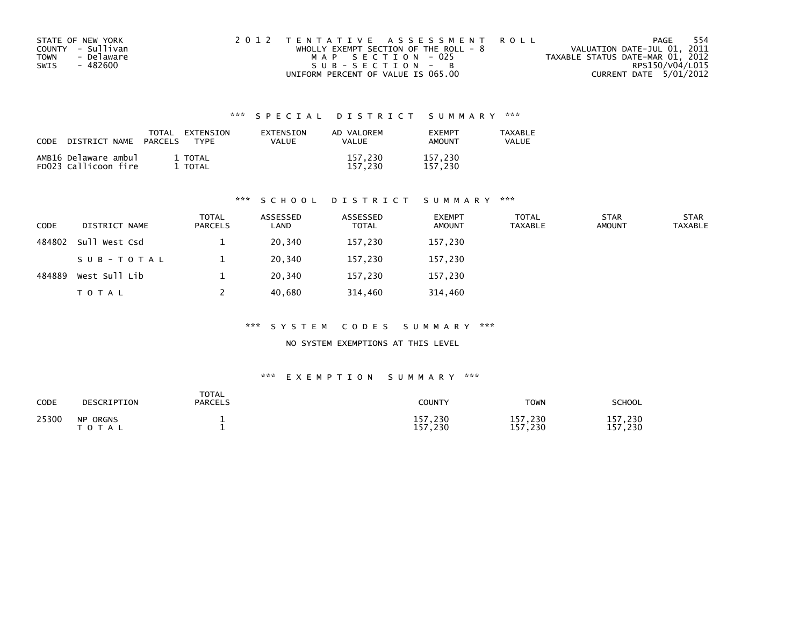| STATE OF NEW YORK  | 2012 TENTATIVE ASSESSMENT ROLL          | - 554<br>PAGE                    |
|--------------------|-----------------------------------------|----------------------------------|
| COUNTY - Sullivan  | WHOLLY EXEMPT SECTION OF THE ROLL - $8$ | VALUATION DATE-JUL 01, 2011      |
| - Delaware<br>TOWN | MAP SECTION - 025                       | TAXABLE STATUS DATE-MAR 01, 2012 |
| - 482600<br>SWIS   | SUB-SECTION - B                         | RPS150/V04/L015                  |
|                    | UNIFORM PERCENT OF VALUE IS 065.00      | CURRENT DATE 5/01/2012           |

| CODE | DISTRICT NAME                                | TOTAL<br><b>PARCELS</b> | EXTENSION<br><b>TYPF</b> | <b>FXTENSTON</b><br>VALUE | AD VALOREM<br><b>VALUE</b> | <b>FXFMPT</b><br><b>AMOUNT</b> | <b>TAXABLE</b><br>VALUE |
|------|----------------------------------------------|-------------------------|--------------------------|---------------------------|----------------------------|--------------------------------|-------------------------|
|      | AMB16 Delaware ambul<br>FD023 Callicoon fire |                         | 1 TOTAL<br>TOTAL         |                           | 157.230<br>157.230         | 157.230<br>157.230             |                         |

### \*\*\* S C H O O L D I S T R I C T S U M M A R Y \*\*\*

| CODE   | DISTRICT NAME | <b>TOTAL</b><br><b>PARCELS</b> | ASSESSED<br>LAND | ASSESSED<br><b>TOTAL</b> | <b>EXEMPT</b><br><b>AMOUNT</b> | <b>TOTAL</b><br><b>TAXABLE</b> | <b>STAR</b><br><b>AMOUNT</b> | <b>STAR</b><br><b>TAXABLE</b> |
|--------|---------------|--------------------------------|------------------|--------------------------|--------------------------------|--------------------------------|------------------------------|-------------------------------|
| 484802 | Sull West Csd |                                | 20,340           | 157,230                  | 157,230                        |                                |                              |                               |
|        | SUB-TOTAL     |                                | 20,340           | 157,230                  | 157,230                        |                                |                              |                               |
| 484889 | West Sull Lib |                                | 20.340           | 157.230                  | 157,230                        |                                |                              |                               |
|        | TOTAL         |                                | 40,680           | 314,460                  | 314,460                        |                                |                              |                               |

### \*\*\* S Y S T E M C O D E S S U M M A R Y \*\*\*

NO SYSTEM EXEMPTIONS AT THIS LEVEL

| CODE  | DESCRIPTION                             | TOTAL<br><b>PARCELS</b> | COUNTY             | <b>TOWN</b>                            | SCHOOL                      |
|-------|-----------------------------------------|-------------------------|--------------------|----------------------------------------|-----------------------------|
| 25300 | <b>NP ORGNS</b><br><b>T O T</b><br>`A L |                         | 157,230<br>157,230 | $^{\prime}$ ,230<br>157<br>,230<br>157 | .230<br>157<br>, 230<br>157 |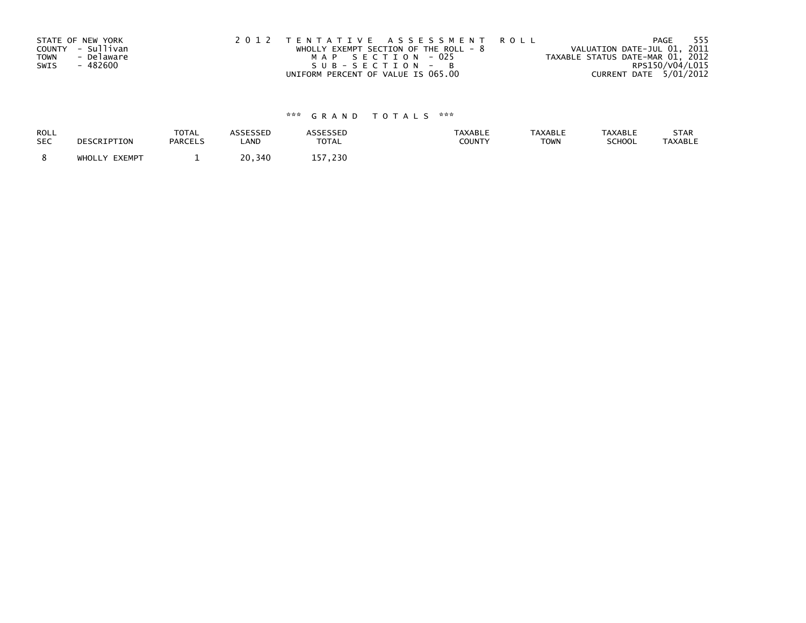| STATE OF NEW YORK |            | 2012 TENTATIVE ASSESSMENT ROLL          |  |                                  | PAGE            | 555 |
|-------------------|------------|-----------------------------------------|--|----------------------------------|-----------------|-----|
| COUNTY - Sullivan |            | WHOLLY EXEMPT SECTION OF THE ROLL - $8$ |  | VALUATION DATE-JUL 01, 2011      |                 |     |
| <b>TOWN</b>       | - Delaware | MAP SECTION - 025                       |  | TAXABLE STATUS DATE-MAR 01, 2012 |                 |     |
| SWIS              | - 482600   | SUB-SECTION - B                         |  |                                  | RPS150/V04/L015 |     |
|                   |            | UNIFORM PERCENT OF VALUE IS 065.00      |  | CURRENT DATE 5/01/2012           |                 |     |

| <b>ROLL</b> | DESCRIPTION   | <b>TOTAL</b>   | ASSESSED | <b>ASSESSED</b> | <b>TAXABLE</b> | <b>TAXABLE</b> | <b>TAXABLE</b> | STAR           |
|-------------|---------------|----------------|----------|-----------------|----------------|----------------|----------------|----------------|
| <b>SEC</b>  |               | <b>PARCELS</b> | LAND     | <b>TOTAL</b>    | COUNTY         | <b>TOWN</b>    | SCHOOL         | <b>TAXABLE</b> |
|             | WHOLLY EXEMPT | -              | 20,340   | 157.230         |                |                |                |                |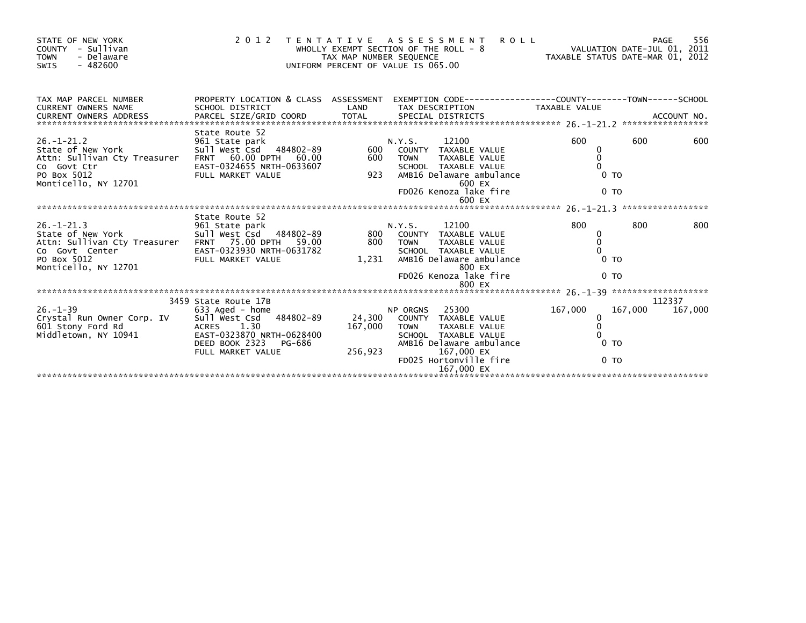| STATE OF NEW YORK<br>COUNTY - Sullivan<br>- Delaware<br><b>TOWN</b><br>$-482600$<br>SWIS                                                                            |                                                                                                                                                  |                              | 2012 TENTATIVE ASSESSMENT<br><b>ROLL</b>                                                                                                                                                                    | WHOLLY EXEMPT SECTION OF THE ROLL - 8<br>TAX MAP NUMBER SEQUENCE<br>UNIFORM PERCENT OF VALUE IS 065.00 | 556<br>PAGE       |
|---------------------------------------------------------------------------------------------------------------------------------------------------------------------|--------------------------------------------------------------------------------------------------------------------------------------------------|------------------------------|-------------------------------------------------------------------------------------------------------------------------------------------------------------------------------------------------------------|--------------------------------------------------------------------------------------------------------|-------------------|
| TAX MAP PARCEL NUMBER                                                                                                                                               | PROPERTY LOCATION & CLASS ASSESSMENT                                                                                                             |                              |                                                                                                                                                                                                             |                                                                                                        |                   |
| $26. - 1 - 21.2$<br>State of New York State of New York<br>Attn: Sullivan Cty Treasurer FRNT 60.00 DPTH 60.00<br>Co Govt Ctr<br>PO Box 5012<br>Monticello, NY 12701 | State Route 52<br>961 State park<br>sull west Csd 484802-89<br>EAST-0324655 NRTH-0633607<br>FULL MARKET VALUE                                    | 600                          | 12100<br>N.Y.S.<br>600 COUNTY TAXABLE VALUE<br><b>TOWN</b><br>TAXABLE VALUE<br>SCHOOL TAXABLE VALUE<br>SCHOOL TAXABLE VALUE<br>923   AMB16 Delaware ambulance<br>600 EX<br>FD026 Kenoza lake fire<br>600 EX | 600<br>600<br>0<br>0 <sub>T</sub><br>0 <sub>TO</sub>                                                   | 600               |
|                                                                                                                                                                     |                                                                                                                                                  |                              |                                                                                                                                                                                                             |                                                                                                        |                   |
| Attn: Sullivan Cty Treasurer FRNT 75.00 DPTH 59.00<br>Co Govt Center<br>PO Box 5012<br>Monticello, NY 12701                                                         | State Route 52                                                                                                                                   | 800 TOWN                     | TAXABLE VALUE<br>SCHOOL TAXABLE VALUE<br>1,231 AMB16 Delaware ambulance<br>800 EX<br>FD026 Kenoza lake fire                                                                                                 | 800<br>800<br>0<br>$\Omega$<br>0 <sub>T</sub><br>0 <sub>T</sub>                                        | 800               |
|                                                                                                                                                                     |                                                                                                                                                  |                              |                                                                                                                                                                                                             |                                                                                                        |                   |
| 26.-1-39<br>Crystal Run Owner Corp. IV<br>601 Stony Ford Rd<br>Middletown, NY 10941 EAST-0323870 N                                                                  | 3459 State Route 17B<br>633 Aged - home<br>Sull West Csd 484802-89<br>EAST-0323870 NRTH-0628400<br>DEED BOOK 2323<br>PG-686<br>FULL MARKET VALUE | 24,300<br>167,000<br>256,923 | NP ORGNS 25300<br>COUNTY TAXABLE VALUE<br>TOWN TAXABLE VALUE<br>SCHOOL TAXABLE VALUE<br>AMB16 Delaware ambulance<br>167,000 EX<br>FD025 Hortonville fire<br>167,000 EX                                      | 167,000<br>167,000<br>0<br>0 <sub>T</sub><br>0 <sub>T</sub>                                            | 112337<br>167,000 |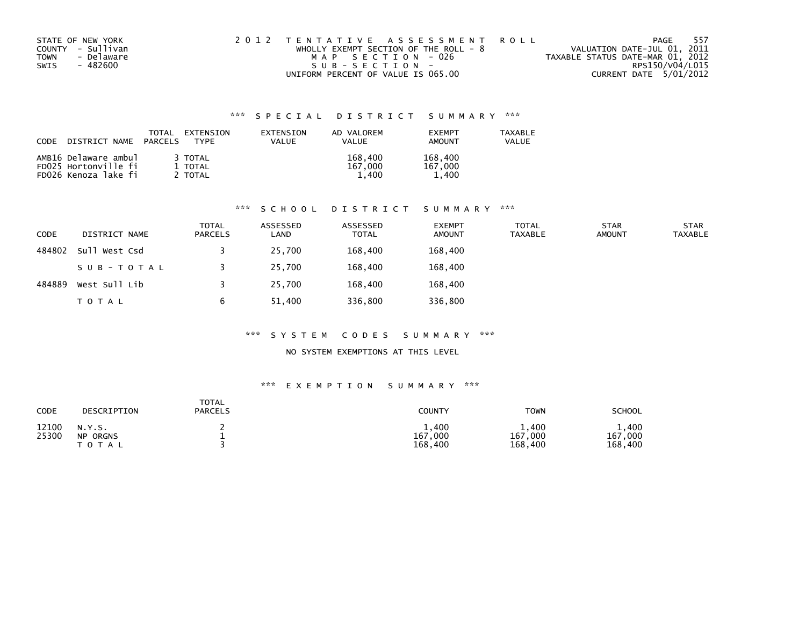| STATE OF NEW YORK  | 2012 TENTATIVE ASSESSMENT ROLL          | 557<br>PAGE                      |
|--------------------|-----------------------------------------|----------------------------------|
| COUNTY - Sullivan  | WHOLLY EXEMPT SECTION OF THE ROLL - $8$ | VALUATION DATE-JUL 01, 2011      |
| - Delaware<br>TOWN | MAP SECTION - 026                       | TAXABLE STATUS DATE-MAR 01, 2012 |
| - 482600<br>SWIS   | SUB-SECTION-                            | RPS150/V04/L015                  |
|                    | UNIFORM PERCENT OF VALUE IS 065.00      | CURRENT DATE 5/01/2012           |

| <b>CODE</b><br>DISTRICT NAME                 | TOTAL<br>EXTENSION<br>PARCELS<br><b>TYPF</b> | EXTENSION<br>VALUE | AD VALOREM<br>VALUE | <b>FXFMPT</b><br>AMOUNT | <b>TAXABLE</b><br>VALUE |
|----------------------------------------------|----------------------------------------------|--------------------|---------------------|-------------------------|-------------------------|
| AMB16 Delaware ambul<br>FD025 Hortonville fi | 3 TOTAL<br>1 TOTAL                           |                    | 168,400<br>167.000  | 168,400<br>167,000      |                         |
| FD026 Kenoza lake fi                         | ' TOTAL                                      |                    | 1.400               | 1.400                   |                         |

## \*\*\* S C H O O L D I S T R I C T S U M M A R Y \*\*\*

| CODE   | DISTRICT NAME | TOTAL<br><b>PARCELS</b> | ASSESSED<br>LAND | ASSESSED<br><b>TOTAL</b> | <b>EXEMPT</b><br><b>AMOUNT</b> | <b>TOTAL</b><br><b>TAXABLE</b> | <b>STAR</b><br><b>AMOUNT</b> | <b>STAR</b><br><b>TAXABLE</b> |
|--------|---------------|-------------------------|------------------|--------------------------|--------------------------------|--------------------------------|------------------------------|-------------------------------|
| 484802 | sull west Csd |                         | 25,700           | 168,400                  | 168,400                        |                                |                              |                               |
|        | SUB-TOTAL     |                         | 25,700           | 168,400                  | 168,400                        |                                |                              |                               |
| 484889 | West Sull Lib |                         | 25,700           | 168,400                  | 168,400                        |                                |                              |                               |
|        | TOTAL         |                         | 51,400           | 336,800                  | 336,800                        |                                |                              |                               |

### \*\*\* S Y S T E M C O D E S S U M M A R Y \*\*\*

### NO SYSTEM EXEMPTIONS AT THIS LEVEL

| CODE           | DESCRIPTION                            | <b>TOTAL</b><br><b>PARCELS</b> | COUNTY                      | <b>TOWN</b>                 | SCHOOL                      |
|----------------|----------------------------------------|--------------------------------|-----------------------------|-----------------------------|-----------------------------|
| 12100<br>25300 | N.Y.S.<br><b>NP ORGNS</b><br>T O T A L |                                | 1,400<br>167,000<br>168,400 | 1,400<br>167,000<br>168,400 | 1,400<br>167,000<br>168,400 |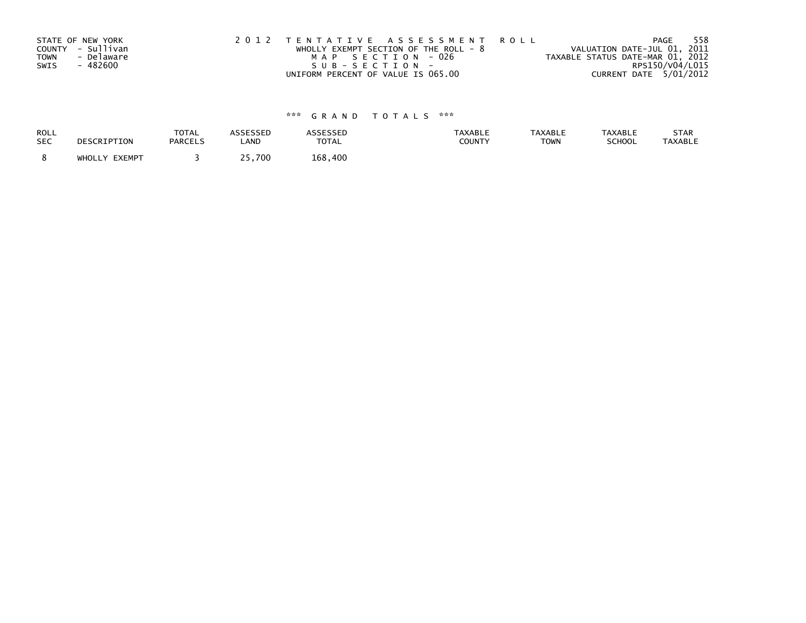|             | STATE OF NEW YORK | 2012 TENTATIVE ASSESSMENT ROLL          | 558<br>PAGE                      |
|-------------|-------------------|-----------------------------------------|----------------------------------|
|             | COUNTY - Sullivan | WHOLLY EXEMPT SECTION OF THE ROLL - $8$ | VALUATION DATE-JUL 01, 2011      |
| <b>TOWN</b> | - Delaware        | MAP SECTION - 026                       | TAXABLE STATUS DATE-MAR 01, 2012 |
| SWIS        | - 482600          | SUB-SECTION-                            | RPS150/V04/L015                  |
|             |                   | UNIFORM PERCENT OF VALUE IS 065.00      | CURRENT DATE 5/01/2012           |

| <b>ROLL</b> | DESCRIPTION   | <b>TOTAL</b>   | ASSESSED | ASSESSED | <b>TAXABLE</b> | <b>TAXABLE</b> | <b>TAXABLE</b> | STAR           |
|-------------|---------------|----------------|----------|----------|----------------|----------------|----------------|----------------|
| <b>SEC</b>  |               | <b>PARCELS</b> | LAND     | TOTAL    | COUNTY         | <b>TOWN</b>    | SCHOOL         | <b>TAXABLE</b> |
|             | WHOLLY EXEMPT |                | 25.700   | 168.400  |                |                |                |                |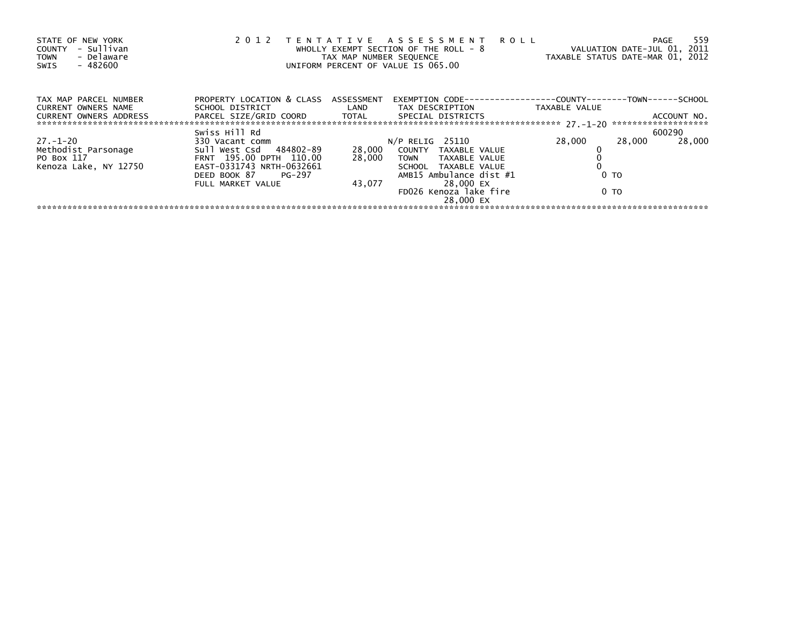| STATE OF NEW YORK<br>- Sullivan<br><b>COUNTY</b><br>- Delaware<br><b>TOWN</b><br>$-482600$<br>SWIS | 2 0 1 2                              | TAX MAP NUMBER SEQUENCE | TENTATIVE ASSESSMENT ROLL<br>WHOLLY EXEMPT SECTION OF THE ROLL - 8<br>UNIFORM PERCENT OF VALUE IS 065.00 | TAXABLE STATUS DATE-MAR 01, 2012 | 559<br>PAGE<br>VALUATION DATE-JUL 01, 2011 |
|----------------------------------------------------------------------------------------------------|--------------------------------------|-------------------------|----------------------------------------------------------------------------------------------------------|----------------------------------|--------------------------------------------|
| TAX MAP PARCEL NUMBER<br><b>CURRENT OWNERS NAME</b>                                                | PROPERTY LOCATION & CLASS ASSESSMENT |                         | EXEMPTION        CODE-----------------COUNTY-------TOWN------SCHOOL                                      | TAXABLE VALUE                    |                                            |
| <b>CURRENT OWNERS ADDRESS</b>                                                                      |                                      |                         |                                                                                                          |                                  |                                            |
|                                                                                                    | Swiss Hill Rd                        |                         |                                                                                                          |                                  | 600290                                     |
| $27. - 1 - 20$                                                                                     | 330 Vacant comm                      |                         | N/P RELIG 25110                                                                                          | 28,000                           | 28,000<br>28,000                           |
| Methodist Parsonage                                                                                | Sull West Csd 484802-89              |                         | 28,000 COUNTY TAXABLE VALUE                                                                              |                                  |                                            |
| PO Box 117                                                                                         | FRNT 195.00 DPTH 110.00              | 28,000                  | TOWN TAXABLE VALUE                                                                                       |                                  |                                            |
| Kenoza Lake, NY 12750                                                                              | EAST-0331743 NRTH-0632661            |                         | SCHOOL TAXABLE VALUE                                                                                     |                                  |                                            |
|                                                                                                    | DEED BOOK 87<br>PG-297               |                         | AMB15 Ambulance dist #1                                                                                  | 0 <sub>T</sub>                   |                                            |
|                                                                                                    | FULL MARKET VALUE                    | 43,077                  | 28,000 EX                                                                                                |                                  |                                            |
|                                                                                                    |                                      |                         | FD026 Kenoza lake fire                                                                                   | 0 TO                             |                                            |
|                                                                                                    |                                      |                         | 28.000 EX                                                                                                |                                  |                                            |
|                                                                                                    |                                      |                         |                                                                                                          |                                  |                                            |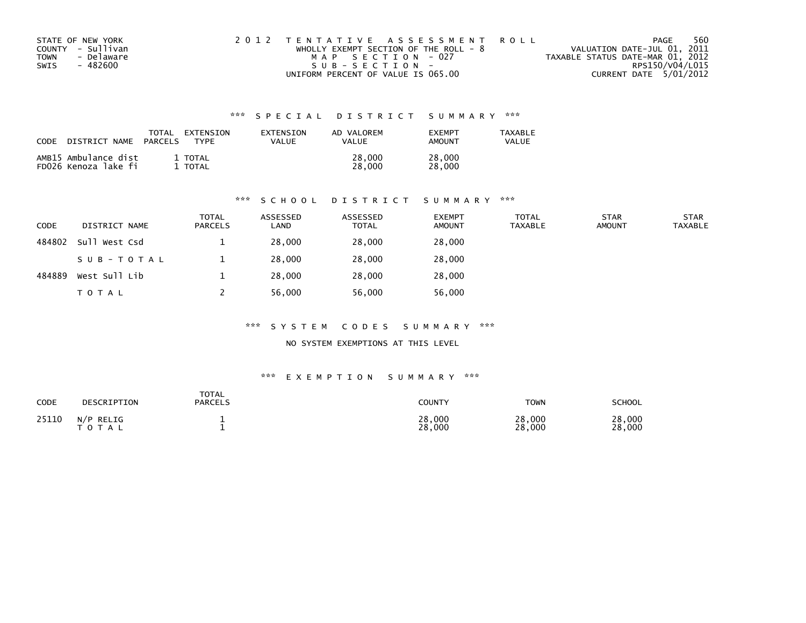| STATE OF NEW YORK  | 2012 TENTATIVE ASSESSMENT ROLL          | PAGE                             | 560 |
|--------------------|-----------------------------------------|----------------------------------|-----|
| COUNTY - Sullivan  | WHOLLY EXEMPT SECTION OF THE ROLL - $8$ | VALUATION DATE-JUL 01, 2011      |     |
| - Delaware<br>TOWN | MAP SECTION - 027                       | TAXABLE STATUS DATE-MAR 01, 2012 |     |
| SWIS<br>- 482600   | $SUB - SECTION -$                       | RPS150/V04/L015                  |     |
|                    | UNIFORM PERCENT OF VALUE IS 065.00      | CURRENT DATE 5/01/2012           |     |

| <b>CODE</b> | NAME                                         | TOTAL          | EXTENSION        | <b>FXTENSTON</b> | AD VALOREM       | <b>FXFMPT</b>    | <b>TAXABLE</b> |
|-------------|----------------------------------------------|----------------|------------------|------------------|------------------|------------------|----------------|
|             | DISTRICT                                     | <b>PARCELS</b> | <b>TYPF</b>      | VALUE            | <b>VALUE</b>     | AMOUNT           | VALUE          |
|             | AMB15 Ambulance dist<br>FD026 Kenoza lake fi |                | 1 TOTAL<br>TOTAL |                  | 28,000<br>28,000 | 28,000<br>28,000 |                |

### \*\*\* S C H O O L D I S T R I C T S U M M A R Y \*\*\*

| <b>CODE</b> | DISTRICT NAME | <b>TOTAL</b><br><b>PARCELS</b> | ASSESSED<br>LAND | ASSESSED<br><b>TOTAL</b> | <b>EXEMPT</b><br><b>AMOUNT</b> | <b>TOTAL</b><br><b>TAXABLE</b> | <b>STAR</b><br><b>AMOUNT</b> | <b>STAR</b><br><b>TAXABLE</b> |
|-------------|---------------|--------------------------------|------------------|--------------------------|--------------------------------|--------------------------------|------------------------------|-------------------------------|
| 484802      | Sull West Csd |                                | 28,000           | 28,000                   | 28,000                         |                                |                              |                               |
|             | SUB-TOTAL     |                                | 28,000           | 28,000                   | 28,000                         |                                |                              |                               |
| 484889      | West Sull Lib |                                | 28,000           | 28,000                   | 28,000                         |                                |                              |                               |
|             | T O T A L     |                                | 56,000           | 56,000                   | 56,000                         |                                |                              |                               |

### \*\*\* S Y S T E M C O D E S S U M M A R Y \*\*\*

NO SYSTEM EXEMPTIONS AT THIS LEVEL

| <b>CODE</b> | DESCRIPTION               | <b>TOTAL</b><br><b>PARCELS</b> | COUNTY           | <b>TOWN</b>      | SCHOOL           |
|-------------|---------------------------|--------------------------------|------------------|------------------|------------------|
| 25110       | N/P RELIG<br><b>TOTAL</b> |                                | 28,000<br>28,000 | 28,000<br>28,000 | 28,000<br>28,000 |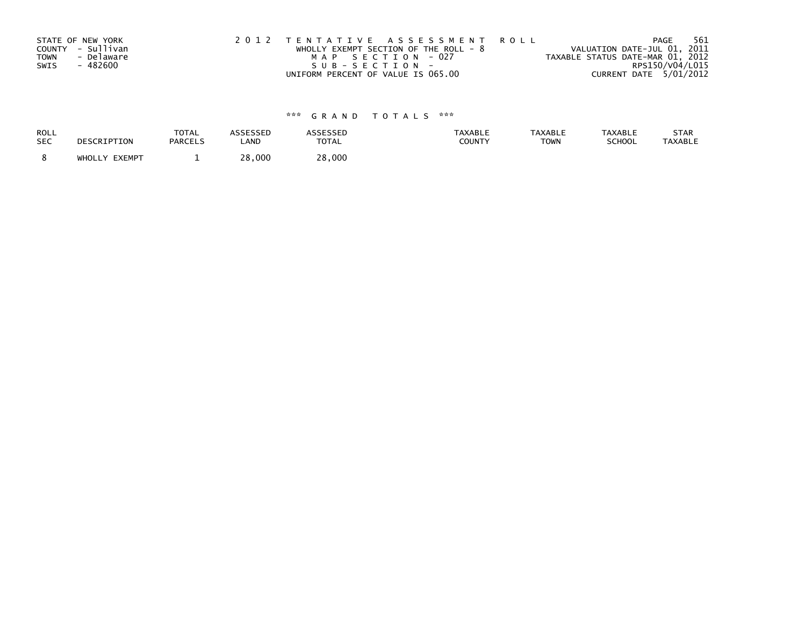| STATE OF NEW YORK |            | 2012 TENTATIVE ASSESSMENT ROLL          |  |                                  | PAGE                   | 561 |
|-------------------|------------|-----------------------------------------|--|----------------------------------|------------------------|-----|
| COUNTY - Sullivan |            | WHOLLY EXEMPT SECTION OF THE ROLL - $8$ |  | VALUATION DATE-JUL 01, 2011      |                        |     |
| <b>TOWN</b>       | - Delaware | MAP SECTION -027                        |  | TAXABLE STATUS DATE-MAR 01, 2012 |                        |     |
| SWIS              | - 482600   | SUB-SECTION-                            |  |                                  | RPS150/V04/L015        |     |
|                   |            | UNIFORM PERCENT OF VALUE IS 065.00      |  |                                  | CURRENT DATE 5/01/2012 |     |

| ROLL       | DESCRIPTION   | <b>TOTAL</b>   | <b>ASSESSED</b> | <b>ASSESSED</b> | <b>TAXABLE</b> | <b>TAXABLE</b> | <b>TAXABLE</b> | STAR           |
|------------|---------------|----------------|-----------------|-----------------|----------------|----------------|----------------|----------------|
| <b>SEC</b> |               | <b>PARCELS</b> | LAND            | <b>TOTAL</b>    | COUNTY         | <b>TOWN</b>    | SCHOOL         | <b>TAXABLE</b> |
|            | WHOLLY EXEMPT |                | ∠8,000          | 28,000          |                |                |                |                |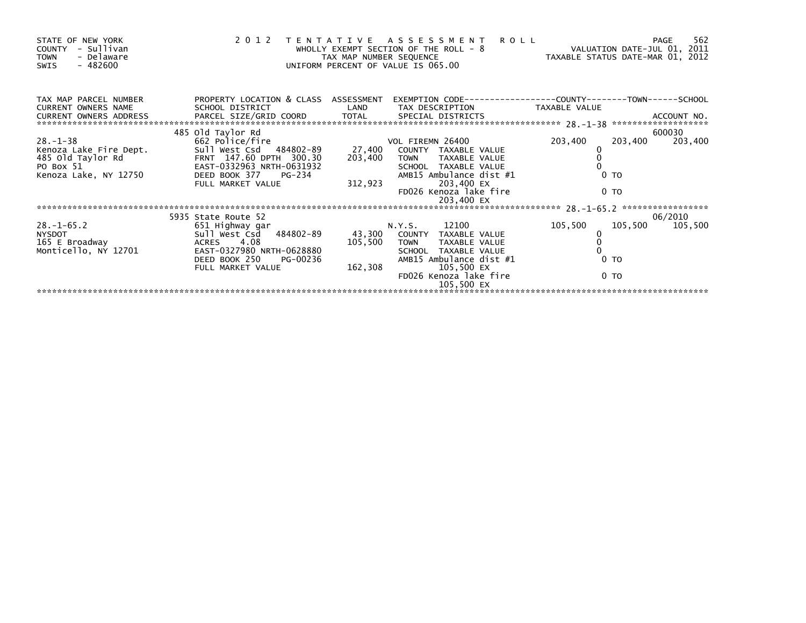| STATE OF NEW YORK<br>COUNTY<br>- Sullivan<br>- Delaware<br><b>TOWN</b><br>- 482600<br>SWIS |                                                         | TAX MAP NUMBER SEQUENCE | 2012 TENTATIVE ASSESSMENT<br>WHOLLY EXEMPT SECTION OF THE ROLL - $8$<br>UNIFORM PERCENT OF VALUE IS 065.00 | <b>ROLL</b><br>VALUATION DATE-JUL 01, 2011<br>VALUATILUM DATE-MAR 01, 2012<br>TAXABLE STATUS DATE-MAR 01, 2012 |                | 562<br>PAGE       |
|--------------------------------------------------------------------------------------------|---------------------------------------------------------|-------------------------|------------------------------------------------------------------------------------------------------------|----------------------------------------------------------------------------------------------------------------|----------------|-------------------|
| TAX MAP PARCEL NUMBER<br><b>CURRENT OWNERS NAME</b>                                        | PROPERTY LOCATION & CLASS ASSESSMENT<br>SCHOOL DISTRICT | LAND                    | EXEMPTION CODE-----------------COUNTY-------TOWN------SCHOOL<br>TAX DESCRIPTION                            | TAXABLE VALUE                                                                                                  |                |                   |
|                                                                                            |                                                         |                         |                                                                                                            |                                                                                                                |                |                   |
| $28. - 1 - 38$                                                                             | 485 old Taylor Rd<br>662 Police/fire                    |                         | VOL FIREMN 26400                                                                                           | 203,400                                                                                                        | 203,400        | 600030<br>203,400 |
| Kenoza Lake Fire Dept.                                                                     | Sull West Csd 484802-89                                 | 27,400                  | COUNTY TAXABLE VALUE                                                                                       |                                                                                                                |                |                   |
| 485 Old Taylor Rd<br>PO Box 51<br>PO Box 51                                                | FRNT 147.60 DPTH 300.30<br>EAST-0332963 NRTH-0631932    | 203,400                 | <b>TOWN</b><br>TAXABLE VALUE<br>SCHOOL TAXABLE VALUE                                                       |                                                                                                                |                |                   |
| Kenoza Lake, NY 12750                                                                      | DEED BOOK 377 PG-234                                    |                         | AMB15 Ambulance dist #1                                                                                    |                                                                                                                | 0 <sub>T</sub> |                   |
|                                                                                            | FULL MARKET VALUE                                       | 312,923                 | 203,400 EX                                                                                                 |                                                                                                                |                |                   |
|                                                                                            |                                                         |                         | FD026 Kenoza lake fire<br>203,400 EX                                                                       |                                                                                                                | 0 TO           |                   |
|                                                                                            |                                                         |                         |                                                                                                            |                                                                                                                |                |                   |
|                                                                                            | 5935 State Route 52                                     |                         |                                                                                                            |                                                                                                                |                | 06/2010           |
| $28. - 1 - 65.2$                                                                           | 651 Highway gar                                         |                         | N.Y.S. 12100                                                                                               | 105,500                                                                                                        | 105,500        | 105,500           |
| <b>NYSDOT</b>                                                                              | Sull West Csd 484802-89                                 |                         | 43,300 COUNTY TAXABLE VALUE                                                                                |                                                                                                                |                |                   |
| 165 E Broadway                                                                             | ACRES 4.08                                              | 105,500                 | <b>TOWN</b><br>TAXABLE VALUE                                                                               |                                                                                                                |                |                   |
| Monticello, NY 12701                                                                       | EAST-0327980 NRTH-0628880                               |                         | SCHOOL TAXABLE VALUE                                                                                       |                                                                                                                | 0 <sub>T</sub> |                   |
|                                                                                            | DEED BOOK 250<br>PG-00236<br>FULL MARKET VALUE          | 162,308                 | AMB15 Ambulance dist #1<br>105,500 EX                                                                      |                                                                                                                |                |                   |
|                                                                                            |                                                         |                         | FD026 Kenoza lake fire<br>105,500 EX                                                                       |                                                                                                                | 0 <sub>T</sub> |                   |
|                                                                                            |                                                         |                         |                                                                                                            |                                                                                                                |                |                   |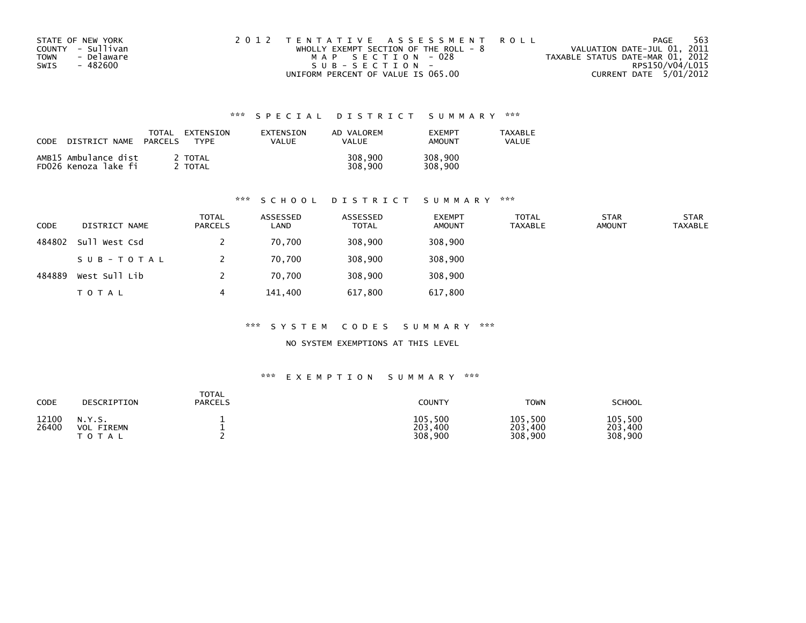| STATE OF NEW YORK  | 2012 TENTATIVE ASSESSMENT ROLL          | PAGE                             | 563 |
|--------------------|-----------------------------------------|----------------------------------|-----|
| COUNTY - Sullivan  | WHOLLY EXEMPT SECTION OF THE ROLL - $8$ | VALUATION DATE-JUL 01, 2011      |     |
| - Delaware<br>TOWN | MAP SECTION - 028                       | TAXABLE STATUS DATE-MAR 01, 2012 |     |
| - 482600<br>SWIS   | SUB-SECTION-                            | RPS150/V04/L015                  |     |
|                    | UNIFORM PERCENT OF VALUE IS 065.00      | CURRENT DATE 5/01/2012           |     |

| CODE | DISTRICT NAME                                | TOTAL<br><b>PARCELS</b> | EXTENSION<br><b>TYPF</b> | <b>FXTENSTON</b><br>VALUE | AD VALOREM<br><b>VALUE</b> | <b>FXFMPT</b><br>AMOUNT | <b>TAXABLE</b><br>VALUE |
|------|----------------------------------------------|-------------------------|--------------------------|---------------------------|----------------------------|-------------------------|-------------------------|
|      | AMB15 Ambulance dist<br>FD026 Kenoza lake fi |                         | 2 TOTAL<br>TOTAL         |                           | 308,900<br>308,900         | 308,900<br>308,900      |                         |

### \*\*\* S C H O O L D I S T R I C T S U M M A R Y \*\*\*

| <b>CODE</b> | DISTRICT NAME | <b>TOTAL</b><br><b>PARCELS</b> | ASSESSED<br>LAND | ASSESSED<br>TOTAL | <b>EXEMPT</b><br>AMOUNT | <b>TOTAL</b><br>TAXABLE | <b>STAR</b><br><b>AMOUNT</b> | <b>STAR</b><br><b>TAXABLE</b> |
|-------------|---------------|--------------------------------|------------------|-------------------|-------------------------|-------------------------|------------------------------|-------------------------------|
| 484802      | Sull West Csd |                                | 70,700           | 308,900           | 308,900                 |                         |                              |                               |
|             | SUB-TOTAL     |                                | 70.700           | 308,900           | 308,900                 |                         |                              |                               |
| 484889      | West Sull Lib |                                | 70,700           | 308,900           | 308,900                 |                         |                              |                               |
|             | TOTAL         | 4                              | 141,400          | 617,800           | 617,800                 |                         |                              |                               |

### \*\*\* S Y S T E M C O D E S S U M M A R Y \*\*\*

NO SYSTEM EXEMPTIONS AT THIS LEVEL

| CODE           | DESCRIPTION                                 | <b>TOTAL</b><br><b>PARCELS</b> | COUNTY                        | <b>TOWN</b>                   | <b>SCHOOL</b>                 |
|----------------|---------------------------------------------|--------------------------------|-------------------------------|-------------------------------|-------------------------------|
| 12100<br>26400 | N.Y.S.<br>FIREMN<br><b>VOL</b><br>T O T A L |                                | 105,500<br>203,400<br>308,900 | 105,500<br>203,400<br>308,900 | 105,500<br>203,400<br>308,900 |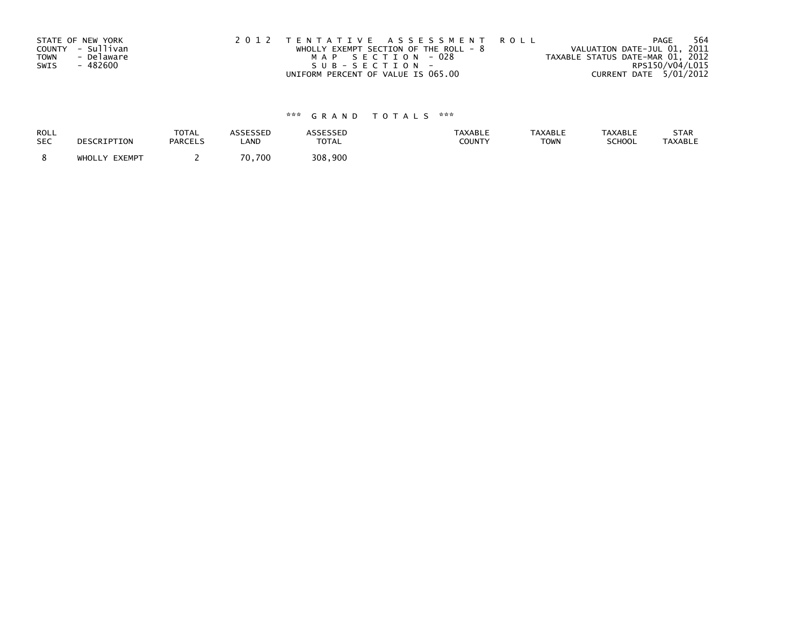|             | STATE OF NEW YORK | 2012 TENTATIVE ASSESSMENT ROLL          | 564<br>PAGE                      |
|-------------|-------------------|-----------------------------------------|----------------------------------|
|             | COUNTY - Sullivan | WHOLLY EXEMPT SECTION OF THE ROLL - $8$ | VALUATION DATE-JUL 01, 2011      |
| <b>TOWN</b> | - Delaware        | MAP SECTION - 028                       | TAXABLE STATUS DATE-MAR 01, 2012 |
| SWIS        | - 482600          | SUB-SECTION-                            | RPS150/V04/L015                  |
|             |                   | UNIFORM PERCENT OF VALUE IS 065.00      | CURRENT DATE 5/01/2012           |

| <b>ROLL</b> | DESCRIPTION   | <b>TOTAL</b>   | ASSESSED    | <b>ASSESSED</b> | <b>TAXABLE</b> | <b>TAXABLE</b> | <b>TAXABLE</b> | STAR           |
|-------------|---------------|----------------|-------------|-----------------|----------------|----------------|----------------|----------------|
| <b>SEC</b>  |               | <b>PARCELS</b> | LAND        | <b>TOTAL</b>    | COUNTY         | <b>TOWN</b>    | SCHOOL         | <b>TAXABLE</b> |
|             | WHOLLY EXEMPT |                | 70<br>0.700 | 308.900         |                |                |                |                |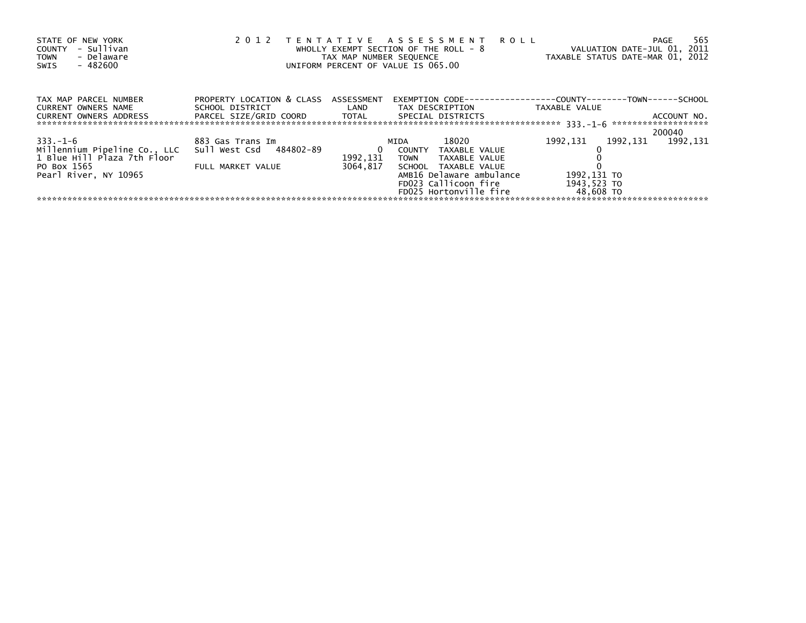| STATE OF NEW YORK<br>- Sullivan<br>COUNTY<br>- Delaware<br><b>TOWN</b><br>- 482600<br>SWIS | 2 0 1 2                                                                                                                                                                                          | TAX MAP NUMBER SEQUENCE             | TENTATIVE ASSESSMENT ROLL<br>WHOLLY EXEMPT SECTION OF THE ROLL - 8<br>UNIFORM PERCENT OF VALUE IS 065.00 | VALUATION DATE-JUL 01, 2011<br>TAXABLE STATUS DATE-MAR 01, 2012 | 565<br>PAGE         |
|--------------------------------------------------------------------------------------------|--------------------------------------------------------------------------------------------------------------------------------------------------------------------------------------------------|-------------------------------------|----------------------------------------------------------------------------------------------------------|-----------------------------------------------------------------|---------------------|
| TAX MAP PARCEL NUMBER<br>CURRENT OWNERS NAME<br>CURRENT OWNERS ADDRESS                     | PROPERTY LOCATION & CLASS ASSESSMENT<br>SCHOOL DISTRICT                          LAND         TAX DESCRIPTION                    TAXABLE VALUE<br>PARCEL SIZE/GRID COORD TOTAL SPECIAL DISTRICTS |                                     | EXEMPTION        CODE-----------------COUNTY-------TOWN------SCHOOL                                      |                                                                 | ACCOUNT NO.         |
|                                                                                            |                                                                                                                                                                                                  |                                     |                                                                                                          |                                                                 | 200040              |
| $333. -1 - 6$                                                                              | 883 Gas Trans Im                                                                                                                                                                                 |                                     | 18020<br>MIDA                                                                                            | 1992,131                                                        | 1992, 131 1992, 131 |
| Millennium Pipeline Co., LLC<br>1 Blue Hill Plaza 7th Floor                                | Sull West Csd 484802-89                                                                                                                                                                          | $\overline{\mathbf{0}}$<br>1992,131 | COUNTY<br>TAXABLE VALUE<br>TOWN<br>TAXABLE VALUE                                                         |                                                                 |                     |
| PO Box 1565 PO Box<br>Pearl River, NY 10965                                                | FULL MARKET VALUE                                                                                                                                                                                | 3064.817                            | SCHOOL TAXABLE VALUE<br>AMB16 Delaware ambulance                                                         | 1992,131 TO                                                     |                     |
|                                                                                            |                                                                                                                                                                                                  |                                     | FD023 Callicoon fire                                                                                     | 1943,523 TO                                                     |                     |
|                                                                                            |                                                                                                                                                                                                  |                                     | FD025 Hortonville fire 48,608 TO                                                                         |                                                                 |                     |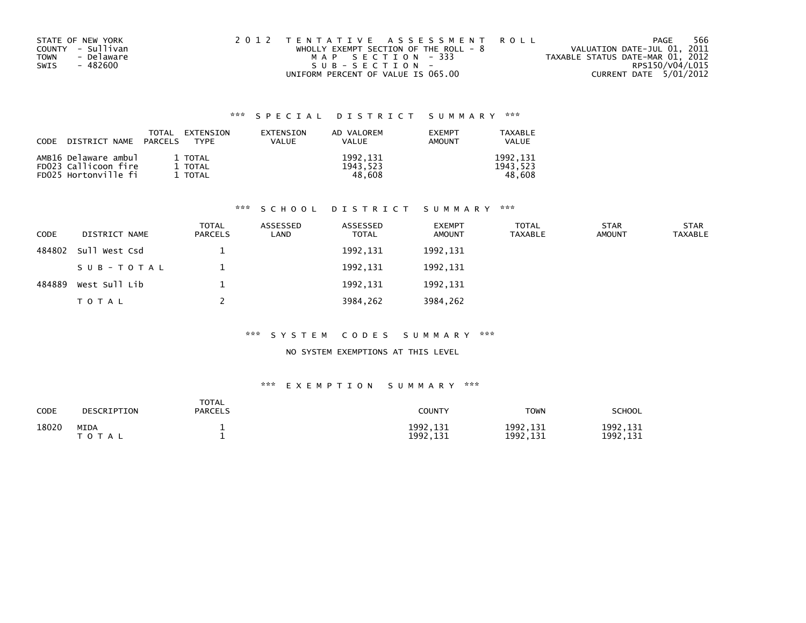| STATE OF NEW YORK         | 2012 TENTATIVE ASSESSMENT ROLL        | PAGE                             | 566 |
|---------------------------|---------------------------------------|----------------------------------|-----|
| COUNTY - Sullivan         | WHOLLY EXEMPT SECTION OF THE ROLL - 8 | VALUATION DATE-JUL 01, 2011      |     |
| - Delaware<br><b>TOWN</b> | MAP SECTION - 333                     | TAXABLE STATUS DATE-MAR 01, 2012 |     |
| SWIS<br>- 482600          | SUB-SECTION-                          | RPS150/V04/L015                  |     |
|                           | UNIFORM PERCENT OF VALUE IS 065.00    | CURRENT DATE 5/01/2012           |     |

| CODE | DISTRICT NAME PARCELS                                                | TOTAL | EXTENSION<br>TYPF             | EXTENSION<br>VALUE | AD VALOREM<br>VALUE             | <b>EXEMPT</b><br><b>AMOUNT</b> | TAXABLE<br><b>VALUE</b>        |
|------|----------------------------------------------------------------------|-------|-------------------------------|--------------------|---------------------------------|--------------------------------|--------------------------------|
|      | AMB16 Delaware ambul<br>FD023 Callicoon fire<br>FD025 Hortonville fi |       | 1 TOTAL<br>1 TOTAL<br>1 TOTAL |                    | 1992, 131<br>1943.523<br>48.608 |                                | 1992,131<br>1943,523<br>48.608 |

### \*\*\* S C H O O L D I S T R I C T S U M M A R Y \*\*\*

| CODE   | DISTRICT NAME | <b>TOTAL</b><br><b>PARCELS</b> | ASSESSED<br>LAND | ASSESSED<br><b>TOTAL</b> | <b>EXEMPT</b><br><b>AMOUNT</b> | <b>TOTAL</b><br><b>TAXABLE</b> | <b>STAR</b><br><b>AMOUNT</b> | <b>STAR</b><br><b>TAXABLE</b> |
|--------|---------------|--------------------------------|------------------|--------------------------|--------------------------------|--------------------------------|------------------------------|-------------------------------|
| 484802 | Sull West Csd |                                |                  | 1992, 131                | 1992, 131                      |                                |                              |                               |
|        | SUB-TOTAL     |                                |                  | 1992,131                 | 1992, 131                      |                                |                              |                               |
| 484889 | West Sull Lib |                                |                  | 1992, 131                | 1992, 131                      |                                |                              |                               |
|        | T O T A L     |                                |                  | 3984,262                 | 3984,262                       |                                |                              |                               |

### \*\*\* S Y S T E M C O D E S S U M M A R Y \*\*\*

### NO SYSTEM EXEMPTIONS AT THIS LEVEL

| CODE  | DESCRIPTION                                         | <b>TOTAL</b><br><b>PARCELS</b> | <b>COUNTY</b>          | <b>TOWN</b>            | <b>SCHOOL</b>          |
|-------|-----------------------------------------------------|--------------------------------|------------------------|------------------------|------------------------|
| 18020 | <b>MIDA</b><br>T A L<br><sup>T</sup> O <sub>1</sub> |                                | 1992, 131<br>1992, 131 | 1992, 131<br>1992, 131 | 1992, 131<br>1992, 131 |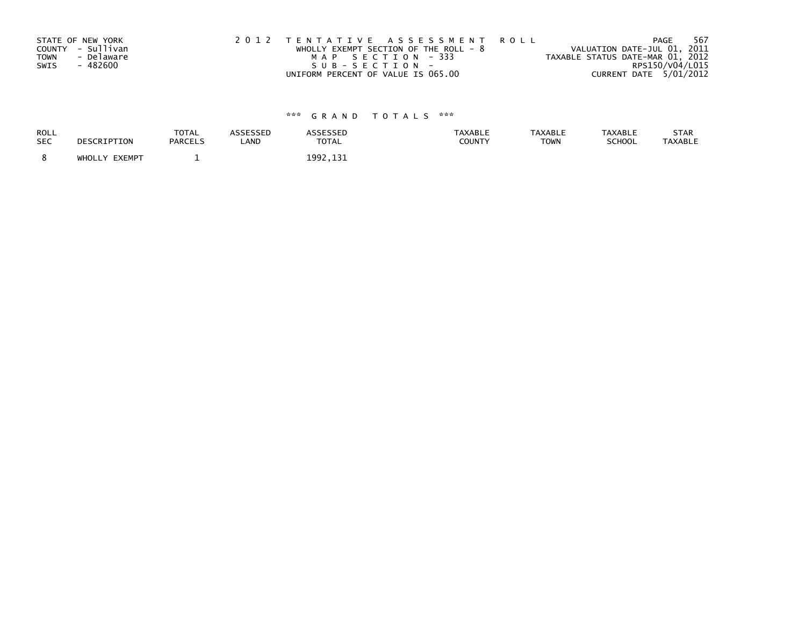|             | STATE OF NEW YORK | 2012 TENTATIVE ASSESSMENT ROLL          | 567<br>PAGE                      |
|-------------|-------------------|-----------------------------------------|----------------------------------|
|             | COUNTY - Sullivan | WHOLLY EXEMPT SECTION OF THE ROLL - $8$ | VALUATION DATE-JUL 01, 2011      |
| <b>TOWN</b> | - Delaware        | MAP SECTION - 333                       | TAXABLE STATUS DATE-MAR 01, 2012 |
| SWIS        | - 482600          | $SUB - SECTION -$                       | RPS150/V04/L015                  |
|             |                   | UNIFORM PERCENT OF VALUE IS 065.00      | CURRENT DATE 5/01/2012           |

| ROLL<br><b>SEC</b> | DESCRIPTION   | <b>TOTAL</b><br><b>PARCELS</b> | ASSESSED<br>LAND | <b>ASSESSED</b><br><b>TOTAL</b> | <b>TAXABLE</b><br>COUNTY | <b>TAXABLE</b><br><b>TOWN</b> | <b>TAXABLE</b><br>SCHOOL | STAR<br><b>TAXABLE</b> |
|--------------------|---------------|--------------------------------|------------------|---------------------------------|--------------------------|-------------------------------|--------------------------|------------------------|
|                    | WHOLLY EXEMPT |                                |                  | 1992, 131                       |                          |                               |                          |                        |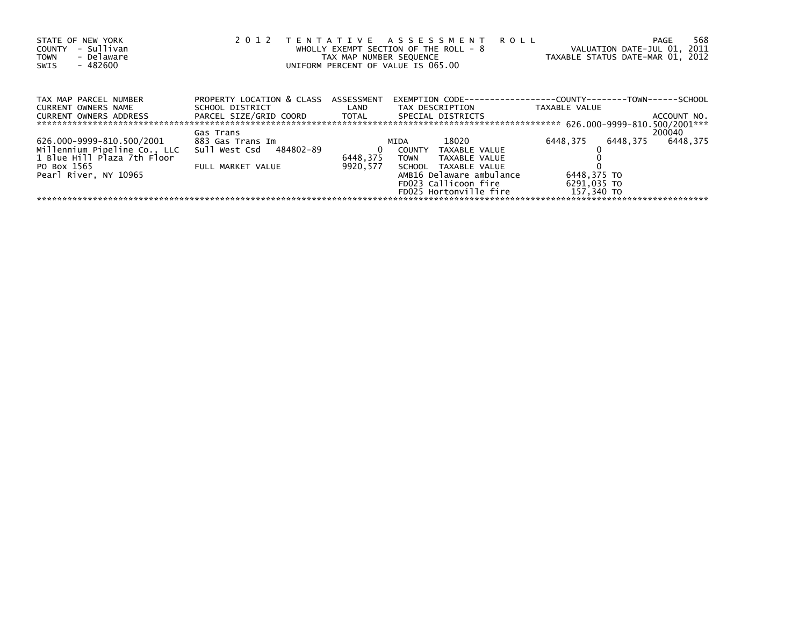| STATE OF NEW YORK<br>- Sullivan<br><b>COUNTY</b><br>- Delaware<br><b>TOWN</b><br>$-482600$<br>SWIS | 2 0 1 2                                                 | TAX MAP NUMBER SEQUENCE | TENTATIVE ASSESSMENT<br><b>ROLL</b><br>WHOLLY EXEMPT SECTION OF THE ROLL - 8<br>UNIFORM PERCENT OF VALUE IS 065.00 |                                                            | 568<br>PAGE<br>VALUATION DATE-JUL 01, 2011<br>TAXABLE STATUS DATE-MAR 01, 2012 |
|----------------------------------------------------------------------------------------------------|---------------------------------------------------------|-------------------------|--------------------------------------------------------------------------------------------------------------------|------------------------------------------------------------|--------------------------------------------------------------------------------|
| TAX MAP PARCEL NUMBER<br><b>CURRENT OWNERS NAME</b>                                                | PROPERTY LOCATION & CLASS ASSESSMENT<br>SCHOOL DISTRICT | LAND                    | EXEMPTION CODE---<br>TAX DESCRIPTION                                                                               | -----------COUNTY--------TOWN------SCHOOL<br>TAXABLE VALUE |                                                                                |
| <b>CURRENT OWNERS ADDRESS</b>                                                                      | PARCEL SIZE/GRID COORD TOTAL<br>Gas Trans               |                         | SPECIAL DISTRICTS                                                                                                  |                                                            | ACCOUNT NO.<br>200040                                                          |
| 626.000-9999-810.500/2001                                                                          | 883 Gas Trans Im                                        |                         | 18020<br>MIDA                                                                                                      | 6448,375                                                   | 6448.375<br>6448,375                                                           |
| Millennium Pipeline Co., LLC                                                                       | Sull West Csd 484802-89                                 | 0                       | COUNTY<br>TAXABLE VALUE                                                                                            |                                                            |                                                                                |
| 1 Blue Hill Plaza 7th Floor                                                                        |                                                         | 6448.375                | TAXABLE VALUE<br><b>TOWN</b>                                                                                       |                                                            |                                                                                |
| PO Box 1565                                                                                        | FULL MARKET VALUE                                       | 9920.577                | SCHOOL TAXABLE VALUE                                                                                               |                                                            |                                                                                |
| Pearl River. NY 10965                                                                              |                                                         |                         | AMB16 Delaware ambulance                                                                                           | 6448,375 TO                                                |                                                                                |
|                                                                                                    |                                                         |                         | FD023 Callicoon fire                                                                                               | 6291,035 TO                                                |                                                                                |
|                                                                                                    |                                                         |                         | FD025 Hortonville fire                                                                                             | 157,340 TO                                                 |                                                                                |
|                                                                                                    |                                                         |                         |                                                                                                                    |                                                            |                                                                                |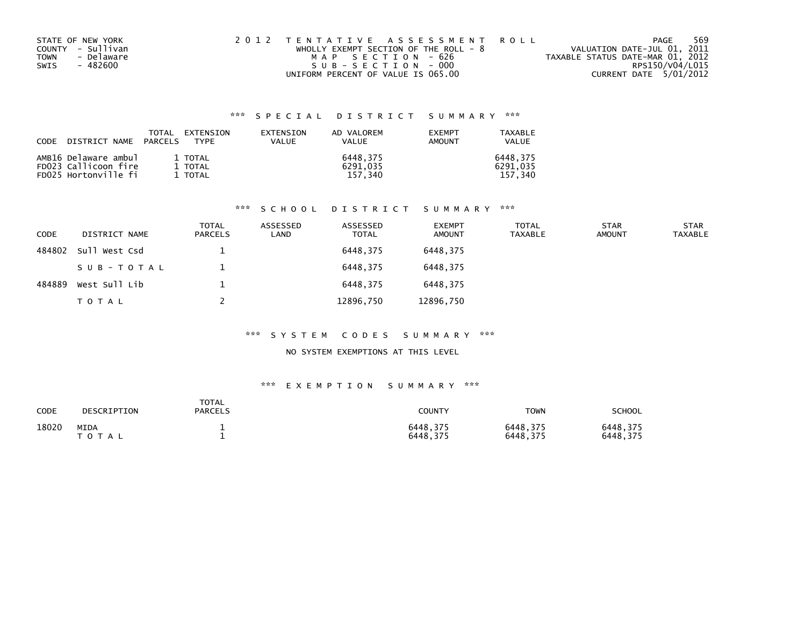| STATE OF NEW YORK<br>COUNTY - Sullivan | 2012 TENTATIVE ASSESSMENT ROLL                             | PAGE                                                            | 569 |
|----------------------------------------|------------------------------------------------------------|-----------------------------------------------------------------|-----|
| - Delaware<br><b>TOWN</b>              | WHOLLY EXEMPT SECTION OF THE ROLL - 8<br>MAP SECTION - 626 | VALUATION DATE-JUL 01, 2011<br>TAXABLE STATUS DATE-MAR 01, 2012 |     |
| SWIS<br>- 482600                       | SUB-SECTION-000                                            | RPS150/V04/L015                                                 |     |
|                                        | UNIFORM PERCENT OF VALUE IS 065.00                         | CURRENT DATE 5/01/2012                                          |     |

| CODE DISTRICT NAME PARCELS | TOTAL | <b>FXTENSTON</b><br><b>TYPF</b> | EXTENSION<br><b>VALUE</b> | AD VALOREM<br>VALUE | <b>EXEMPT</b><br>AMOUNT | TAXABLE<br><b>VALUE</b> |
|----------------------------|-------|---------------------------------|---------------------------|---------------------|-------------------------|-------------------------|
| AMB16 Delaware ambul       |       | 1 TOTAL                         |                           | 6448.375            |                         | 6448.375                |
| FD023 Callicoon fire       |       | 1 TOTAL                         |                           | 6291.035            |                         | 6291.035                |
| FD025 Hortonville fi       |       | 1 TOTAL                         |                           | 157.340             |                         | 157.340                 |

## \*\*\* S C H O O L D I S T R I C T S U M M A R Y \*\*\*

| CODE   | DISTRICT NAME | <b>TOTAL</b><br><b>PARCELS</b> | ASSESSED<br>LAND | ASSESSED<br><b>TOTAL</b> | <b>EXEMPT</b><br>AMOUNT | <b>TOTAL</b><br><b>TAXABLE</b> | <b>STAR</b><br><b>AMOUNT</b> | <b>STAR</b><br><b>TAXABLE</b> |
|--------|---------------|--------------------------------|------------------|--------------------------|-------------------------|--------------------------------|------------------------------|-------------------------------|
| 484802 | Sull West Csd |                                |                  | 6448,375                 | 6448.375                |                                |                              |                               |
|        | SUB-TOTAL     |                                |                  | 6448.375                 | 6448.375                |                                |                              |                               |
| 484889 | West Sull Lib |                                |                  | 6448.375                 | 6448.375                |                                |                              |                               |
|        | T O T A L     |                                |                  | 12896,750                | 12896,750               |                                |                              |                               |

### \*\*\* S Y S T E M C O D E S S U M M A R Y \*\*\*

### NO SYSTEM EXEMPTIONS AT THIS LEVEL

| CODE  | DESCRIPTION          | TOTAL<br><b>PARCELS</b> | <b>COUNTY</b>        | TOWN                 | SCHOOL               |
|-------|----------------------|-------------------------|----------------------|----------------------|----------------------|
| 18020 | MIDA<br>тот<br>- A L |                         | 6448.375<br>6448.375 | 6448,375<br>6448,375 | 6448.375<br>6448,375 |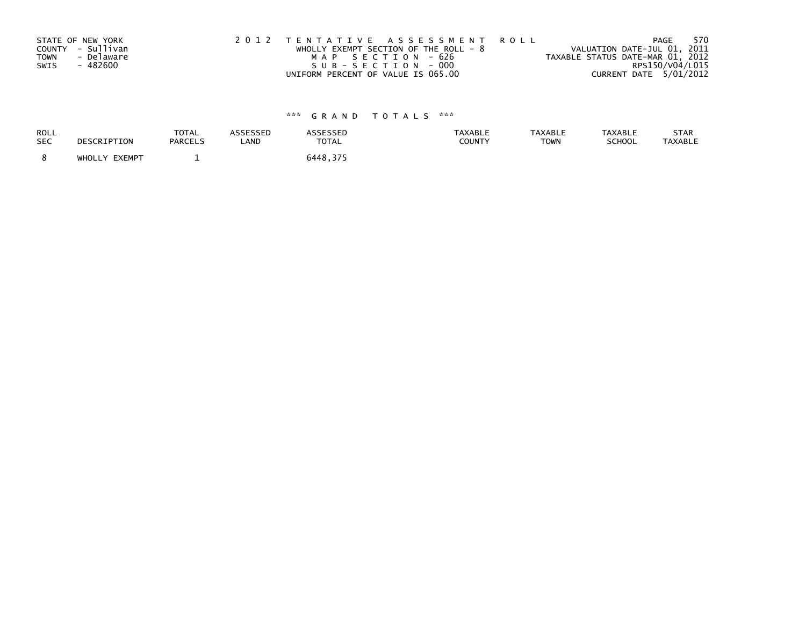|             | STATE OF NEW YORK | 2012 TENTATIVE ASSESSMENT ROLL          | 570<br>PAGE                      |
|-------------|-------------------|-----------------------------------------|----------------------------------|
|             | COUNTY - Sullivan | WHOLLY EXEMPT SECTION OF THE ROLL - $8$ | VALUATION DATE-JUL 01, 2011      |
| <b>TOWN</b> | - Delaware        | MAP SECTION - 626                       | TAXABLE STATUS DATE-MAR 01, 2012 |
| SWIS        | - 482600          | SUB-SECTION - 000                       | RPS150/V04/L015                  |
|             |                   | UNIFORM PERCENT OF VALUE IS 065.00      | CURRENT DATE 5/01/2012           |

| ROLL       | DESCRIPTION   | <b>TOTAL</b>   | <b>ASSESSED</b> | <b>ASSESSED</b> | <b>TAXABLE</b> | <b>TAXABLE</b> | <b>TAXABLE</b> | STAR    |
|------------|---------------|----------------|-----------------|-----------------|----------------|----------------|----------------|---------|
| <b>SEC</b> |               | <b>PARCELS</b> | LAND            | <b>TOTAL</b>    | COUNTY         | <b>TOWN</b>    | SCHOOL         | TAXABLE |
|            | WHOLLY EXEMPT |                |                 | 6448.375        |                |                |                |         |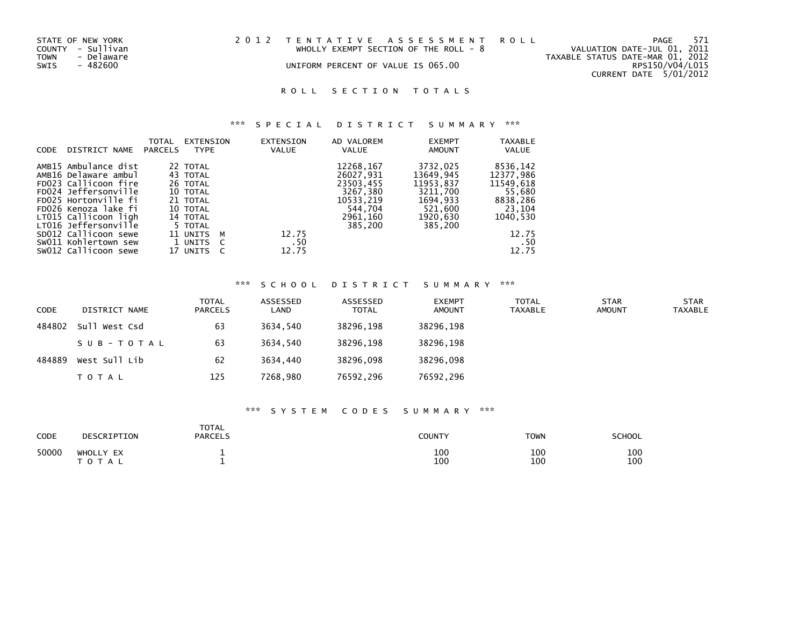| STATE OF NEW YORK<br>COUNTY - Sullivan<br>TOWN<br>- Delaware<br>SWIS<br>- 482600 | 2012 TENTATIVE ASSESSMENT ROLL | WHOLLY EXEMPT SECTION OF THE ROLL - $8$<br>UNIFORM PERCENT OF VALUE IS 065.00 | TAXABLE STATUS DATE-MAR 01, 2012 | PAGE<br>VALUATION DATE-JUL 01, 2011<br>RPS150/V04/L015 | 571 |
|----------------------------------------------------------------------------------|--------------------------------|-------------------------------------------------------------------------------|----------------------------------|--------------------------------------------------------|-----|
|                                                                                  |                                |                                                                               |                                  | CURRENT DATE 5/01/2012                                 |     |

## ROLL SECTION TOTALS

## \*\*\* S P E C I A L D I S T R I C T S U M M A R Y \*\*\*

|                                                                                                                                                                                                                                                                                                                                                                                                                                                                                                                                                                                                                                                             | 8536,142                                                                                     |
|-------------------------------------------------------------------------------------------------------------------------------------------------------------------------------------------------------------------------------------------------------------------------------------------------------------------------------------------------------------------------------------------------------------------------------------------------------------------------------------------------------------------------------------------------------------------------------------------------------------------------------------------------------------|----------------------------------------------------------------------------------------------|
| 12268,167<br>AMB15 Ambulance dist<br>3732,025<br>22 TOTAL<br>AMB16 Delaware ambul<br>26027.931<br>13649,945<br>43 TOTAL<br>FD023 Callicoon fire<br>23503,455<br>11953,837<br>26 TOTAL<br>FD024 Jeffersonville<br>3267,380<br>3211,700<br>10 TOTAL<br>FD025 Hortonville fi<br>1694,933<br>10533,219<br>21 TOTAL<br>FD026 Kenoza lake fi<br>544,704<br>521,600<br>10 TOTAL<br>LT015 Callicoon ligh<br>2961,160<br>1920,630<br>14 TOTAL<br>LT016 Jeffersonville<br>385,200<br>385,200<br>5 TOTAL<br>SD012 Callicoon sewe<br>12.75<br>11 UNITS<br>м<br>SW011 Kohlertown sew<br>.50<br>1 UNITS<br>- C<br>12.75<br>SW012 Callicoon sewe<br>17 UNITS<br>$\epsilon$ | 12377.986<br>11549,618<br>55,680<br>8838,286<br>23,104<br>1040.530<br>12.75<br>. 50<br>12.75 |

### \*\*\* S C H O O L D I S T R I C T S U M M A R Y \*\*\*

| <b>CODE</b> | DISTRICT NAME | TOTAL<br><b>PARCELS</b> | ASSESSED<br>LAND | ASSESSED<br><b>TOTAL</b> | <b>EXEMPT</b><br><b>AMOUNT</b> | <b>TOTAL</b><br>TAXABLE | <b>STAR</b><br><b>AMOUNT</b> | <b>STAR</b><br><b>TAXABLE</b> |
|-------------|---------------|-------------------------|------------------|--------------------------|--------------------------------|-------------------------|------------------------------|-------------------------------|
| 484802      | Sull West Csd | 63                      | 3634.540         | 38296,198                | 38296,198                      |                         |                              |                               |
|             | SUB-TOTAL     | 63                      | 3634.540         | 38296,198                | 38296,198                      |                         |                              |                               |
| 484889      | West Sull Lib | 62                      | 3634.440         | 38296,098                | 38296,098                      |                         |                              |                               |
|             | TOTAL         | 125                     | 7268,980         | 76592,296                | 76592,296                      |                         |                              |                               |

### \*\*\* S Y S T E M C O D E S S U M M A R Y \*\*\*

| CODE  | DESCRIPTION        | <b>TOTAL</b><br><b>PARCELS</b> | COUNTY     | <b>TOWN</b> | <b>SCHOOL</b> |
|-------|--------------------|--------------------------------|------------|-------------|---------------|
| 50000 | WHOLLY EX<br>TOTAL |                                | 100<br>100 | 100<br>100  | 100<br>100    |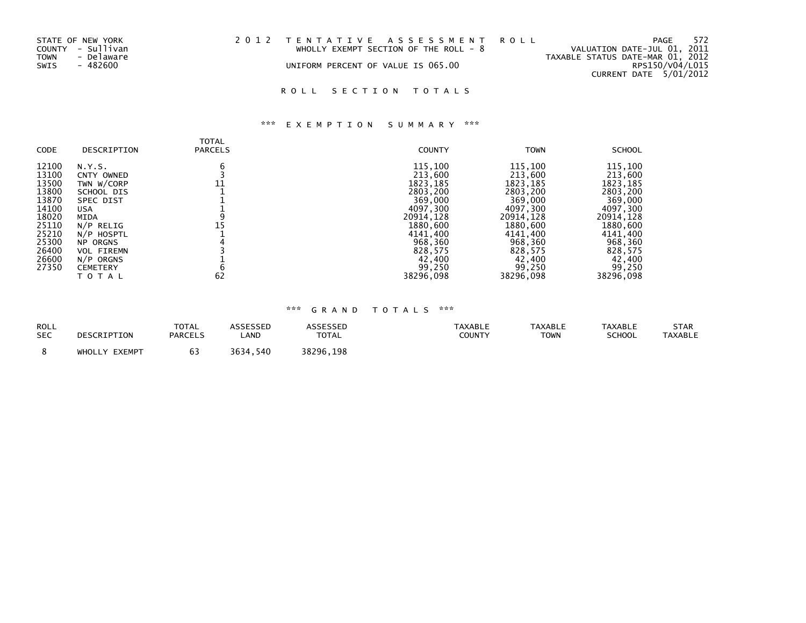| STATE OF NEW YORK  | 2012 TENTATIVE ASSESSMENT ROLL     |                                         |                                  | PAGE                        | 572 |
|--------------------|------------------------------------|-----------------------------------------|----------------------------------|-----------------------------|-----|
| COUNTY - Sullivan  |                                    | WHOLLY EXEMPT SECTION OF THE ROLL - $8$ |                                  | VALUATION DATE-JUL 01, 2011 |     |
| TOWN<br>- Delaware |                                    |                                         | TAXABLE STATUS DATE-MAR 01, 2012 |                             |     |
| SWIS<br>- 482600   | UNIFORM PERCENT OF VALUE IS 065.00 |                                         |                                  | RPS150/V04/L015             |     |
|                    |                                    |                                         |                                  | CURRENT DATE 5/01/2012      |     |

## ROLL SECTION TOTALS

## \*\*\* E X E M P T I O N S U M M A R Y \*\*\*

| CODE  | DESCRIPTION       | <b>TOTAL</b><br><b>PARCELS</b> | <b>COUNTY</b> | <b>TOWN</b> | <b>SCHOOL</b> |
|-------|-------------------|--------------------------------|---------------|-------------|---------------|
| 12100 | N.Y.S.            | 6                              | 115,100       | 115,100     | 115,100       |
| 13100 | CNTY OWNED        |                                | 213,600       | 213,600     | 213,600       |
| 13500 | TWN W/CORP        | 11                             | 1823, 185     | 1823, 185   | 1823, 185     |
| 13800 | SCHOOL DIS        |                                | 2803,200      | 2803,200    | 2803,200      |
| 13870 | SPEC DIST         |                                | 369,000       | 369,000     | 369,000       |
| 14100 | USA               |                                | 4097,300      | 4097,300    | 4097,300      |
| 18020 | MIDA              |                                | 20914,128     | 20914,128   | 20914, 128    |
| 25110 | N/P RELIG         | 15                             | 1880,600      | 1880,600    | 1880,600      |
| 25210 | N/P HOSPTL        |                                | 4141,400      | 4141,400    | 4141,400      |
| 25300 | <b>NP ORGNS</b>   |                                | 968,360       | 968,360     | 968,360       |
| 26400 | <b>VOL FIREMN</b> |                                | 828,575       | 828,575     | 828,575       |
| 26600 | N/P ORGNS         |                                | 42,400        | 42,400      | 42,400        |
| 27350 | <b>CEMETERY</b>   | b                              | 99,250        | 99,250      | 99,250        |
|       | ΤΟΤΑΙ             | 62                             | 38296,098     | 38296,098   | 38296,098     |

| <b>ROLL</b> | DESCRIPTION   | TOTAL          | ASSESSED      | <b>\SSESSED</b> | TAXABLE       | <b>TAXABLE</b> | <b>TAXABLE</b> | <b>STAR</b>    |
|-------------|---------------|----------------|---------------|-----------------|---------------|----------------|----------------|----------------|
| <b>SEC</b>  |               | <b>PARCELS</b> | LAND          | <b>TOTAL</b>    | <b>COUNTY</b> | <b>TOWN</b>    | <b>SCHOOL</b>  | <b>TAXABLE</b> |
|             | WHOLLY EXEMPT |                | 3634,<br>.540 | 38296,198       |               |                |                |                |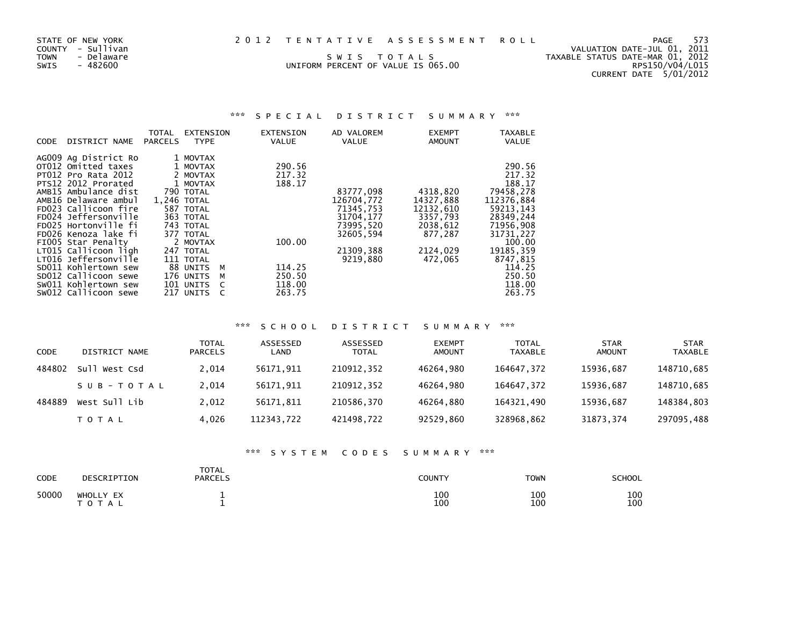| 2012 TENTATIVE ASSESSMENT ROL |  |  |  |  |  |  |  |  |  |  |  |  |  |  |  |  |  |  |  |  |  |  |  |  |  |  |  |  |
|-------------------------------|--|--|--|--|--|--|--|--|--|--|--|--|--|--|--|--|--|--|--|--|--|--|--|--|--|--|--|--|
|-------------------------------|--|--|--|--|--|--|--|--|--|--|--|--|--|--|--|--|--|--|--|--|--|--|--|--|--|--|--|--|

UNIFORM PERCENT OF VALUE IS 065.00

STATE OF NEW YORK 2012 TENTATIVE ASSESSMENT ROLL PAGE 573<br>COUNTY - Sullivan COUNTY - Sullivan<br>TOWN - Delaware swis to tals to tall state of valuation DATE-JUL 01, 2011<br>UNIFORM PERCENT OF VALUE IS 065.00 RPS150/V04/L015 COUNTY - Sullivan VALUATION DATE-JUL 01, 2011 TOWN - Delaware S W I S T O T A L S TAXABLE STATUS DATE-MAR 01, 2012CURRENT DATE 5/01/2012

### \*\*\* S P E C I A L D I S T R I C T S U M M A R Y \*\*\*

|             |                            | TOTAL          | EXTENSION      | EXTENSION | AD VALOREM | <b>EXEMPT</b> | TAXABLE      |
|-------------|----------------------------|----------------|----------------|-----------|------------|---------------|--------------|
| <b>CODE</b> | DISTRICT NAME              | <b>PARCELS</b> | <b>TYPE</b>    | VALUE     | VALUE      | <b>AMOUNT</b> | <b>VALUE</b> |
|             | AG009 Ag District Ro       |                | 1 MOVTAX       |           |            |               |              |
|             | OT012 Omitted taxes        |                | 1 MOVTAX       | 290.56    |            |               | 290.56       |
|             |                            |                |                |           |            |               |              |
|             | <b>PT012 Pro Rata 2012</b> |                | 2 MOVTAX       | 217.32    |            |               | 217.32       |
|             | PTS12 2012 Prorated        |                | 1 MOVTAX       | 188.17    |            |               | 188.17       |
|             | AMB15 Ambulance dist       |                | 790 TOTAL      |           | 83777,098  | 4318,820      | 79458,278    |
|             | AMB16 Delaware ambul       |                | 1.246 TOTAL    |           | 126704,772 | 14327,888     | 112376.884   |
|             | FD023 Callicoon fire       |                | 587 TOTAL      |           | 71345,753  | 12132,610     | 59213,143    |
|             | FD024 Jeffersonville       |                | 363 TOTAL      |           | 31704, 177 | 3357,793      | 28349,244    |
|             | FD025 Hortonville fi       |                | 743 TOTAL      |           | 73995,520  | 2038,612      | 71956,908    |
|             | FD026 Kenoza lake fi       |                | 377 TOTAL      |           | 32605,594  | 877.287       | 31731,227    |
|             | FIOO5 Star Penalty         |                | 2 MOVTAX       | 100.00    |            |               | 100.00       |
|             | LT015 Callicoon ligh       |                | 247 TOTAL      |           | 21309,388  | 2124,029      | 19185, 359   |
|             | LT016 Jeffersonville       |                | 111 TOTAL      |           | 9219,880   | 472,065       | 8747,815     |
|             | SD011 Kohlertown sew       |                | 88 UNITS<br>M  | 114.25    |            |               | 114.25       |
|             | SD012 Callicoon sewe       |                | 176 UNITS<br>M | 250.50    |            |               | 250.50       |
|             | SW011 Kohlertown sew       |                | 101 UNITS      | 118.00    |            |               | 118.00       |
|             | SW012 Callicoon sewe       |                | 217 UNITS      | 263.75    |            |               | 263.75       |

### \*\*\* S C H O O L D I S T R I C T S U M M A R Y \*\*\*

| CODE   | DISTRICT NAME    | <b>TOTAL</b><br><b>PARCELS</b> | ASSESSED<br>LAND | ASSESSED<br><b>TOTAL</b> | <b>EXEMPT</b><br><b>AMOUNT</b> | <b>TOTAL</b><br>TAXABLE | <b>STAR</b><br><b>AMOUNT</b> | <b>STAR</b><br><b>TAXABLE</b> |
|--------|------------------|--------------------------------|------------------|--------------------------|--------------------------------|-------------------------|------------------------------|-------------------------------|
| 484802 | su11<br>West Csd | 2,014                          | 56171.911        | 210912,352               | 46264.980                      | 164647,372              | 15936,687                    | 148710,685                    |
|        | SUB-TOTAL        | 2.014                          | 56171.911        | 210912.352               | 46264.980                      | 164647.372              | 15936.687                    | 148710,685                    |
| 484889 | West Sull Lib    | 2.012                          | 56171.811        | 210586.370               | 46264.880                      | 164321.490              | 15936.687                    | 148384,803                    |
|        | <b>TOTAL</b>     | 4,026                          | 112343,722       | 421498,722               | 92529,860                      | 328968,862              | 31873, 374                   | 297095,488                    |

### \*\*\* S Y S T E M C O D E S S U M M A R Y \*\*\*

| CODE  | DESCRIPTION            | TOTAL<br><b>PARCELS</b> | <b>COUNTY</b> | <b>TOWN</b> | <b>SCHOOL</b> |
|-------|------------------------|-------------------------|---------------|-------------|---------------|
| 50000 | WHOLLY EX<br>T O T A L |                         | 100<br>100    | 100<br>100  | 100<br>100    |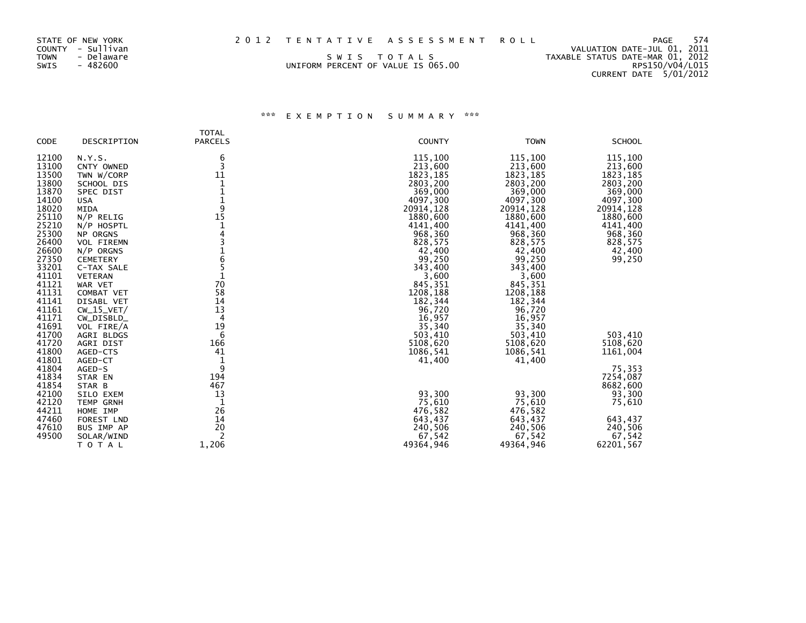| TOWN<br>- Delaware<br>SWIS TOTALS<br>SWIS<br>- 482600<br>UNIFORM PERCENT OF VALUE IS 065.00 | 574<br>2012 TENTATIVE ASSESSMENT ROLL<br>PAGE<br>VALUATION DATE-JUL 01, 2011<br>TAXABLE STATUS DATE-MAR 01, 2012<br>RPS150/V04/L015<br>CURRENT DATE 5/01/2012 |
|---------------------------------------------------------------------------------------------|---------------------------------------------------------------------------------------------------------------------------------------------------------------|
|---------------------------------------------------------------------------------------------|---------------------------------------------------------------------------------------------------------------------------------------------------------------|

|                                                                                                                                              |                                                                                                                                                                                                                       | <b>TOTAL</b>                                                               |                                                                                                                                                                                  |                                                                                                                                                                                  |                                                                                                                                                    |
|----------------------------------------------------------------------------------------------------------------------------------------------|-----------------------------------------------------------------------------------------------------------------------------------------------------------------------------------------------------------------------|----------------------------------------------------------------------------|----------------------------------------------------------------------------------------------------------------------------------------------------------------------------------|----------------------------------------------------------------------------------------------------------------------------------------------------------------------------------|----------------------------------------------------------------------------------------------------------------------------------------------------|
| <b>CODE</b>                                                                                                                                  | DESCRIPTION                                                                                                                                                                                                           | <b>PARCELS</b>                                                             | <b>COUNTY</b>                                                                                                                                                                    | <b>TOWN</b>                                                                                                                                                                      | <b>SCHOOL</b>                                                                                                                                      |
| 12100<br>13100<br>13500<br>13800<br>13870<br>14100<br>18020<br>25110<br>25210<br>25300<br>26400<br>26600<br>27350<br>33201<br>41101<br>41121 | N.Y.S.<br>CNTY OWNED<br>TWN W/CORP<br>SCHOOL DIS<br>SPEC DIST<br><b>USA</b><br>MIDA<br>$N/P$ RELIG<br>N/P HOSPTL<br>NP ORGNS<br><b>VOL FIREMN</b><br>N/P ORGNS<br><b>CEMETERY</b><br>C-TAX SALE<br>VETERAN<br>WAR VET | 6<br>3<br>11<br>1<br>1<br>$\mathbf 1$<br>9<br>15<br>6<br>5<br>70           | 115,100<br>213,600<br>1823, 185<br>2803,200<br>369,000<br>4097,300<br>20914,128<br>1880,600<br>4141,400<br>968,360<br>828,575<br>42,400<br>99,250<br>343,400<br>3,600<br>845,351 | 115,100<br>213,600<br>1823, 185<br>2803,200<br>369,000<br>4097,300<br>20914,128<br>1880,600<br>4141,400<br>968,360<br>828,575<br>42,400<br>99,250<br>343,400<br>3,600<br>845,351 | 115,100<br>213,600<br>1823, 185<br>2803,200<br>369,000<br>4097,300<br>20914, 128<br>1880,600<br>4141,400<br>968,360<br>828,575<br>42,400<br>99,250 |
| 41131<br>41141<br>41161<br>41171<br>41691<br>41700<br>41720<br>41800                                                                         | COMBAT VET<br>DISABL VET<br>$CW_15_VET/$<br>CW_DISBLD_<br>VOL FIRE/A<br>AGRI BLDGS<br>AGRI DIST<br>AGED-CTS                                                                                                           | 58<br>14<br>13<br>4<br>19<br>6<br>166<br>41                                | 1208,188<br>182,344<br>96,720<br>16,957<br>35,340<br>503,410<br>5108,620<br>1086,541                                                                                             | 1208,188<br>182,344<br>96,720<br>16,957<br>35,340<br>503,410<br>5108,620<br>1086,541                                                                                             | 503,410<br>5108,620<br>1161,004                                                                                                                    |
| 41801<br>41804<br>41834<br>41854<br>42100<br>42120<br>44211<br>47460<br>47610<br>49500                                                       | AGED-CT<br>AGED-S<br>STAR EN<br>STAR B<br>SILO EXEM<br><b>TEMP GRNH</b><br>HOME IMP<br>FOREST LND<br>BUS IMP AP<br>SOLAR/WIND<br>TOTAL                                                                                | $\mathbf{1}$<br>9<br>194<br>467<br>13<br>1<br>26<br>14<br>20<br>2<br>1,206 | 41,400<br>93,300<br>75,610<br>476,582<br>643,437<br>240,506<br>67,542<br>49364,946                                                                                               | 41,400<br>93,300<br>75,610<br>476,582<br>643,437<br>240,506<br>67,542<br>49364,946                                                                                               | 75,353<br>7254,087<br>8682,600<br>93,300<br>75,610<br>643,437<br>240,506<br>67,542<br>62201,567                                                    |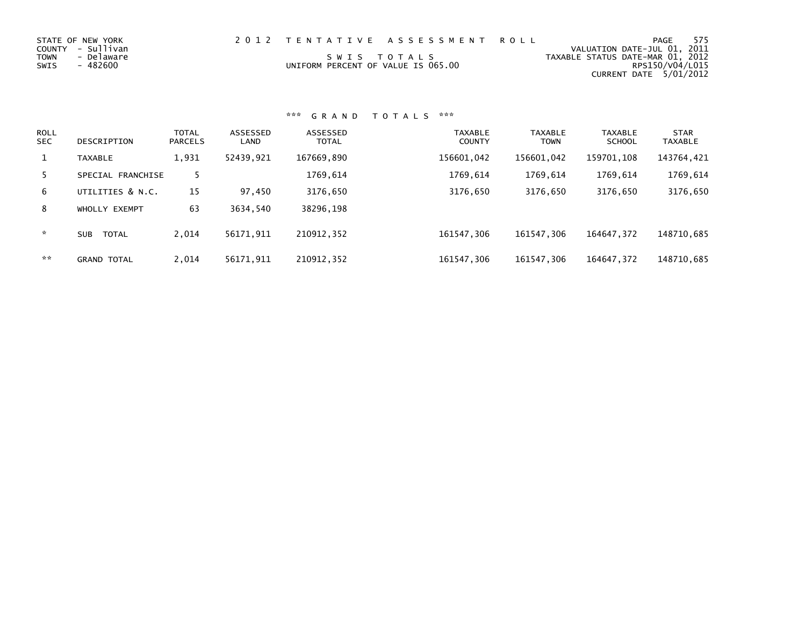| STATE OF NEW YORK<br>COUNTY - Sullivan<br>- Delaware<br>TOWN<br>SWIS<br>- 482600 | 2012 TENTATIVE ASSESSMENT ROLL<br>SWIS TOTALS<br>UNIFORM PERCENT OF VALUE IS 065.00 | PAGE<br>VALUATION DATE-JUL 01, 2011<br>TAXABLE STATUS DATE-MAR 01, 2012<br>CURRENT DATE 5/01/2012 | 575<br>RPS150/V04/L015 |
|----------------------------------------------------------------------------------|-------------------------------------------------------------------------------------|---------------------------------------------------------------------------------------------------|------------------------|
|                                                                                  |                                                                                     |                                                                                                   |                        |

| <b>ROLL</b><br><b>SEC</b> | DESCRIPTION                | <b>TOTAL</b><br><b>PARCELS</b> | ASSESSED<br>LAND | ASSESSED<br><b>TOTAL</b> | TAXABLE<br><b>COUNTY</b> | <b>TAXABLE</b><br><b>TOWN</b> | <b>TAXABLE</b><br><b>SCHOOL</b> | <b>STAR</b><br><b>TAXABLE</b> |
|---------------------------|----------------------------|--------------------------------|------------------|--------------------------|--------------------------|-------------------------------|---------------------------------|-------------------------------|
| 1                         | <b>TAXABLE</b>             | 1,931                          | 52439,921        | 167669,890               | 156601,042               | 156601,042                    | 159701,108                      | 143764,421                    |
| 5.                        | SPECIAL FRANCHISE          | 5.                             |                  | 1769,614                 | 1769,614                 | 1769,614                      | 1769,614                        | 1769,614                      |
| 6                         | UTILITIES & N.C.           | 15                             | 97,450           | 3176,650                 | 3176,650                 | 3176,650                      | 3176,650                        | 3176,650                      |
| 8                         | WHOLLY EXEMPT              | 63                             | 3634,540         | 38296,198                |                          |                               |                                 |                               |
| *                         | <b>TOTAL</b><br><b>SUB</b> | 2,014                          | 56171,911        | 210912,352               | 161547,306               | 161547,306                    | 164647,372                      | 148710,685                    |
| **                        | <b>GRAND TOTAL</b>         | 2.014                          | 56171,911        | 210912,352               | 161547,306               | 161547,306                    | 164647,372                      | 148710,685                    |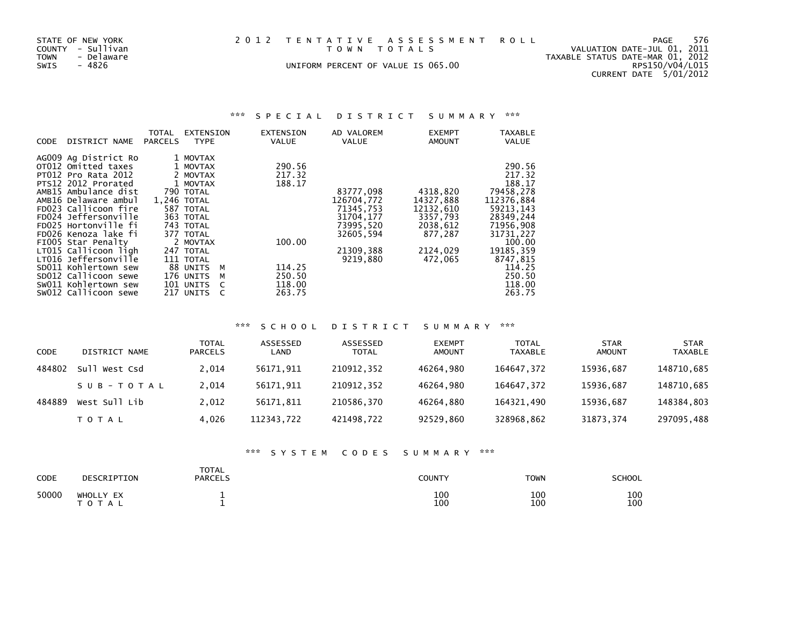| 2012 TENTATIVE ASSESSMENT ROL |  |  |  |  |                                                                    |  |  |  |  |  |  |  |  |
|-------------------------------|--|--|--|--|--------------------------------------------------------------------|--|--|--|--|--|--|--|--|
|                               |  |  |  |  | $\tau$ $\sim$ $\mu$ $\mu$ $\tau$ $\sim$ $\tau$ $\sim$ $\mu$ $\sim$ |  |  |  |  |  |  |  |  |

UNIFORM PERCENT OF VALUE IS 065.00

STATE OF NEW YORK 2012 TENTATIVE ASSESSMENT ROLL PAGE 576<br>COUNTY - Sullivan 10 1, 2011<br>TOWN - Delaware 11, 2012<br>SWIS - 4826 2012 UNIFORM PERCENT OF VALUE IS 065.00 COUNTY - Sullivan T O W N T O T A L S VALUATION DATE-JUL 01, 2011 TOWN - Delaware TAXABLE STATUS DATE-MAR 01, 2012 CURRENT DATE 5/01/2012

### \*\*\* S P E C I A L D I S T R I C T S U M M A R Y \*\*\*

|             |                            | TOTAL          | EXTENSION      | EXTENSION | AD VALOREM   |            | <b>EXEMPT</b> | TAXABLE      |
|-------------|----------------------------|----------------|----------------|-----------|--------------|------------|---------------|--------------|
| <b>CODE</b> | DISTRICT NAME              | <b>PARCELS</b> | <b>TYPE</b>    | VALUE     | <b>VALUE</b> |            | <b>AMOUNT</b> | <b>VALUE</b> |
|             | AG009 Ag District Ro       |                | 1 MOVTAX       |           |              |            |               |              |
|             |                            |                |                |           |              |            |               |              |
|             | OT012 Omitted taxes        |                | 1 MOVTAX       | 290.56    |              |            |               | 290.56       |
|             | <b>PT012 Pro Rata 2012</b> |                | 2 MOVTAX       | 217.32    |              |            |               | 217.32       |
|             | PTS12 2012 Prorated        |                | 1 MOVTAX       | 188.17    |              |            |               | 188.17       |
|             | AMB15 Ambulance dist       |                | 790 TOTAL      |           |              | 83777,098  | 4318,820      | 79458,278    |
|             | AMB16 Delaware ambul       |                | 1.246 TOTAL    |           | 126704,772   |            | 14327,888     | 112376.884   |
|             | FD023 Callicoon fire       |                | 587 TOTAL      |           |              | 71345,753  | 12132,610     | 59213, 143   |
|             | FD024 Jeffersonville       |                | 363 TOTAL      |           |              | 31704, 177 | 3357,793      | 28349,244    |
|             | FD025 Hortonville fi       |                | 743 TOTAL      |           |              | 73995,520  | 2038,612      | 71956,908    |
|             | FD026 Kenoza lake fi       |                | 377 TOTAL      |           |              | 32605,594  | 877,287       | 31731,227    |
|             | FIOO5 Star Penalty         |                | 2 MOVTAX       | 100.00    |              |            |               | 100.00       |
|             | LT015 Callicoon ligh       |                | 247 TOTAL      |           |              | 21309,388  | 2124,029      | 19185, 359   |
|             | LT016 Jeffersonville       |                | 111 TOTAL      |           |              | 9219,880   | 472,065       | 8747,815     |
|             | SD011 Kohlertown sew       |                | 88 UNITS<br>M  | 114.25    |              |            |               | 114.25       |
|             | SD012 Callicoon sewe       |                | 176 UNITS<br>M | 250.50    |              |            |               | 250.50       |
|             | SW011 Kohlertown sew       |                | 101 UNITS      | 118.00    |              |            |               | 118.00       |
|             | SW012 Callicoon sewe       |                | 217 UNITS      | 263.75    |              |            |               | 263.75       |

### \*\*\* S C H O O L D I S T R I C T S U M M A R Y \*\*\*

| CODE   | DISTRICT NAME | <b>TOTAL</b><br><b>PARCELS</b> | ASSESSED<br>LAND | ASSESSED<br><b>TOTAL</b> | <b>EXEMPT</b><br><b>AMOUNT</b> | <b>TOTAL</b><br><b>TAXABLE</b> | <b>STAR</b><br><b>AMOUNT</b> | <b>STAR</b><br>TAXABLE |
|--------|---------------|--------------------------------|------------------|--------------------------|--------------------------------|--------------------------------|------------------------------|------------------------|
| 484802 | Sull West Csd | 2,014                          | 56171.911        | 210912,352               | 46264,980                      | 164647,372                     | 15936.687                    | 148710,685             |
|        | SUB-TOTAL     | 2.014                          | 56171.911        | 210912,352               | 46264,980                      | 164647.372                     | 15936.687                    | 148710,685             |
| 484889 | West Sull Lib | 2.012                          | 56171.811        | 210586.370               | 46264.880                      | 164321.490                     | 15936.687                    | 148384,803             |
|        | <b>TOTAL</b>  | 4,026                          | 112343,722       | 421498,722               | 92529,860                      | 328968,862                     | 31873,374                    | 297095,488             |

### \*\*\* S Y S T E M C O D E S S U M M A R Y \*\*\*

| CODE  | DESCRIPTION            | <b>TOTAL</b><br><b>PARCELS</b> | COUNTY     | <b>TOWN</b> | <b>SCHOOL</b> |
|-------|------------------------|--------------------------------|------------|-------------|---------------|
| 50000 | WHOLLY EX<br>T O T A L |                                | 100<br>100 | 100<br>100  | 100<br>100    |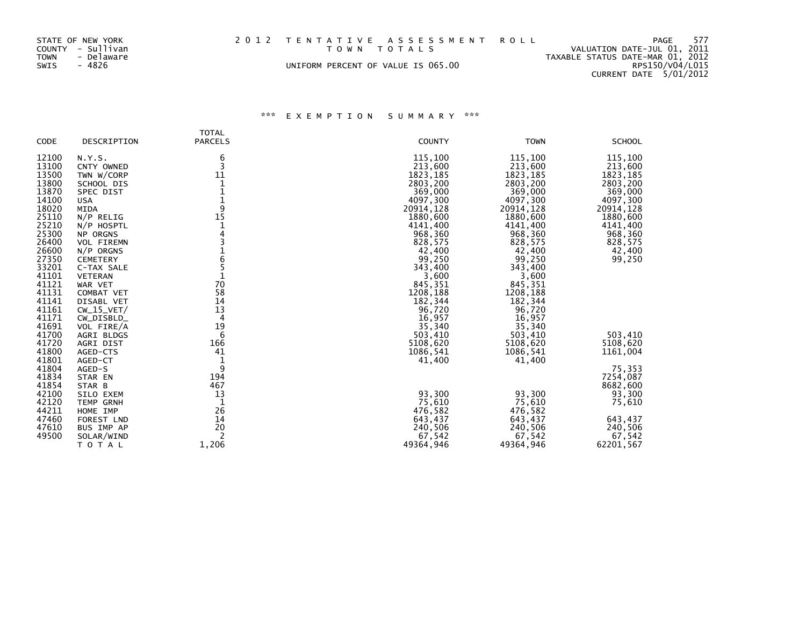| STATE OF NEW YORK<br>COUNTY - Sullivan<br>TOWN    - Delaware<br>SWIS<br>- 4826 |  | 2012 TENTATIVE ASSESSMENT ROLL<br>TOWN TOTALS<br>UNIFORM PERCENT OF VALUE IS 065.00 |  | PAGE<br>VALUATION DATE-JUL 01, 2011<br>TAXABLE STATUS DATE-MAR 01, 2012<br>RPS150/V04/L015<br>CURRENT DATE 5/01/2012 | 577 |
|--------------------------------------------------------------------------------|--|-------------------------------------------------------------------------------------|--|----------------------------------------------------------------------------------------------------------------------|-----|
|--------------------------------------------------------------------------------|--|-------------------------------------------------------------------------------------|--|----------------------------------------------------------------------------------------------------------------------|-----|

## \*\*\* E X E M P T I O N S U M M A R Y \*\*\*

| <b>CODE</b>                                                                                                                                                                               | DESCRIPTION                                                                                                                                                                                                                                                                                            | <b>TOTAL</b><br><b>PARCELS</b>                                                                                   | <b>COUNTY</b>                                                                                                                                                                                                                         | <b>TOWN</b>                                                                                                                                                                                                                           | <b>SCHOOL</b>                                                                                                                                      |
|-------------------------------------------------------------------------------------------------------------------------------------------------------------------------------------------|--------------------------------------------------------------------------------------------------------------------------------------------------------------------------------------------------------------------------------------------------------------------------------------------------------|------------------------------------------------------------------------------------------------------------------|---------------------------------------------------------------------------------------------------------------------------------------------------------------------------------------------------------------------------------------|---------------------------------------------------------------------------------------------------------------------------------------------------------------------------------------------------------------------------------------|----------------------------------------------------------------------------------------------------------------------------------------------------|
| 12100<br>13100<br>13500<br>13800<br>13870<br>14100<br>18020<br>25110<br>25210<br>25300<br>26400<br>26600<br>27350<br>33201<br>41101<br>41121<br>41131<br>41141<br>41161<br>41171<br>41691 | N.Y.S.<br>CNTY OWNED<br>TWN W/CORP<br>SCHOOL DIS<br>SPEC DIST<br><b>USA</b><br>MIDA<br>$N/P$ RELIG<br>N/P HOSPTL<br>NP ORGNS<br><b>VOL FIREMN</b><br>$N/P$ ORGNS<br><b>CEMETERY</b><br>C-TAX SALE<br><b>VETERAN</b><br>WAR VET<br>COMBAT VET<br>DISABL VET<br>$CW_15_VET/$<br>CW_DISBLD_<br>VOL FIRE/A | 6<br>3<br>11<br>1<br>1<br>$\frac{1}{9}$<br>15<br>1<br>4<br>$\frac{1}{6}$<br>5<br>70<br>58<br>14<br>13<br>4<br>19 | 115,100<br>213,600<br>1823, 185<br>2803,200<br>369,000<br>4097,300<br>20914,128<br>1880,600<br>4141,400<br>968,360<br>828,575<br>42,400<br>99,250<br>343,400<br>3,600<br>845,351<br>1208,188<br>182,344<br>96,720<br>16,957<br>35,340 | 115,100<br>213,600<br>1823, 185<br>2803,200<br>369,000<br>4097,300<br>20914,128<br>1880,600<br>4141,400<br>968,360<br>828,575<br>42,400<br>99,250<br>343,400<br>3,600<br>845,351<br>1208,188<br>182,344<br>96,720<br>16,957<br>35,340 | 115,100<br>213,600<br>1823, 185<br>2803,200<br>369,000<br>4097,300<br>20914, 128<br>1880,600<br>4141,400<br>968,360<br>828,575<br>42,400<br>99,250 |
| 41700<br>41720<br>41800<br>41801<br>41804<br>41834<br>41854<br>42100<br>42120<br>44211<br>47460<br>47610                                                                                  | AGRI BLDGS<br>AGRI DIST<br>AGED-CTS<br>AGED-CT<br>AGED-S<br>STAR EN<br>STAR B<br>SILO EXEM<br><b>TEMP GRNH</b><br>HOME IMP<br>FOREST LND<br>BUS IMP AP                                                                                                                                                 | 6<br>166<br>41<br>$\mathbf{1}$<br>9<br>194<br>467<br>13<br>1<br>26<br>14<br>20                                   | 503,410<br>5108,620<br>1086,541<br>41,400<br>93,300<br>75,610<br>476,582<br>643,437<br>240,506                                                                                                                                        | 503,410<br>5108,620<br>1086,541<br>41,400<br>93,300<br>75,610<br>476,582<br>643,437<br>240,506                                                                                                                                        | 503,410<br>5108,620<br>1161,004<br>75,353<br>7254,087<br>8682,600<br>93,300<br>75,610<br>643,437<br>240,506                                        |
| 49500                                                                                                                                                                                     | SOLAR/WIND<br>TOTAL                                                                                                                                                                                                                                                                                    | 2<br>1,206                                                                                                       | 67,542<br>49364,946                                                                                                                                                                                                                   | 67,542<br>49364,946                                                                                                                                                                                                                   | 67,542<br>62201,567                                                                                                                                |